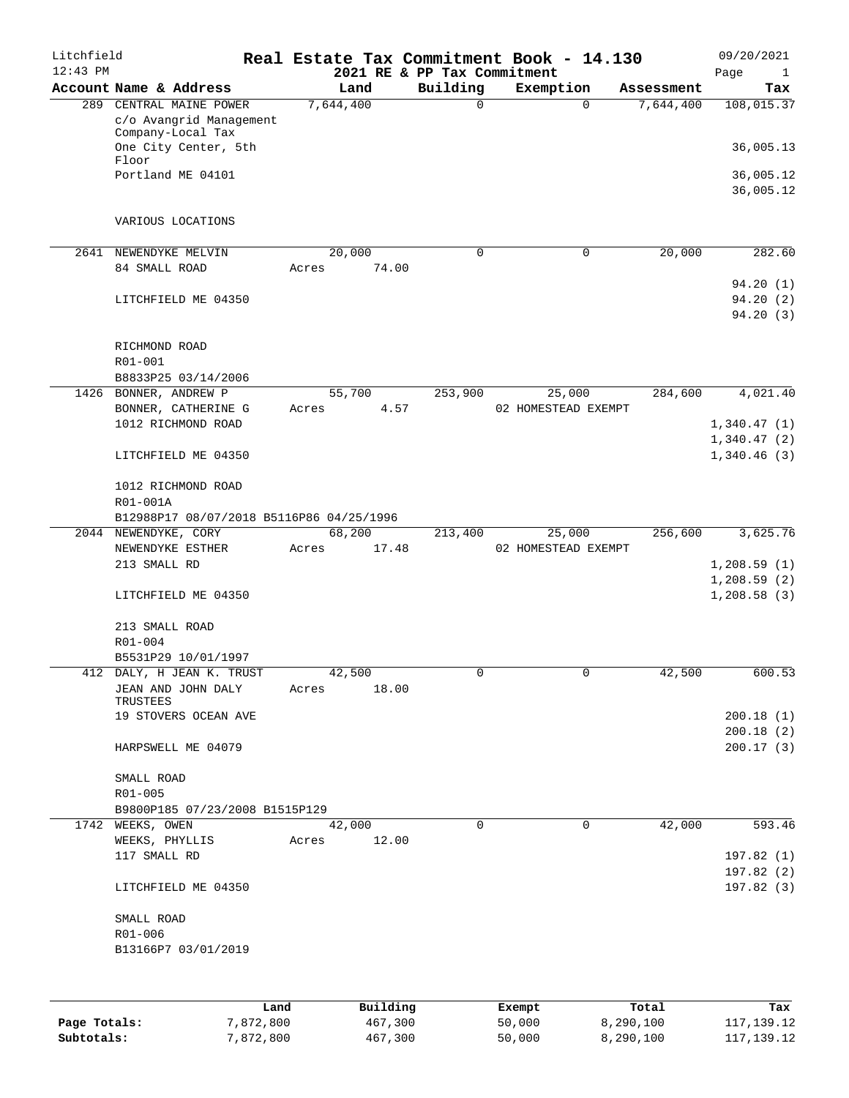| Litchfield<br>$12:43$ PM |                                                                         |       |                 | 2021 RE & PP Tax Commitment | Real Estate Tax Commitment Book - 14.130 |                       | 09/20/2021<br>Page<br>$\mathbf{1}$ |
|--------------------------|-------------------------------------------------------------------------|-------|-----------------|-----------------------------|------------------------------------------|-----------------------|------------------------------------|
|                          | Account Name & Address                                                  |       | Land            | Building                    | Exemption                                | Assessment            | Tax                                |
|                          | 289 CENTRAL MAINE POWER<br>c/o Avangrid Management<br>Company-Local Tax |       | 7,644,400       | $\mathbf 0$                 |                                          | 7,644,400<br>$\Omega$ | 108,015.37                         |
|                          | One City Center, 5th<br>Floor<br>Portland ME 04101                      |       |                 |                             |                                          |                       | 36,005.13                          |
|                          |                                                                         |       |                 |                             |                                          |                       | 36,005.12<br>36,005.12             |
|                          | VARIOUS LOCATIONS                                                       |       |                 |                             |                                          |                       |                                    |
| 2641                     | NEWENDYKE MELVIN<br>84 SMALL ROAD                                       | Acres | 20,000<br>74.00 | $\mathbf 0$                 |                                          | $\mathbf 0$           | 282.60<br>20,000                   |
|                          |                                                                         |       |                 |                             |                                          |                       | 94.20(1)                           |
|                          | LITCHFIELD ME 04350                                                     |       |                 |                             |                                          |                       | 94.20 (2)<br>94.20(3)              |
|                          | RICHMOND ROAD                                                           |       |                 |                             |                                          |                       |                                    |
|                          | R01-001<br>B8833P25 03/14/2006                                          |       |                 |                             |                                          |                       |                                    |
|                          | 1426 BONNER, ANDREW P                                                   |       | 55,700          | 253,900                     | 25,000                                   | 284,600               | 4,021.40                           |
|                          | BONNER, CATHERINE G                                                     | Acres | 4.57            |                             | 02 HOMESTEAD EXEMPT                      |                       |                                    |
|                          | 1012 RICHMOND ROAD                                                      |       |                 |                             |                                          |                       | 1,340.47(1)<br>1,340.47(2)         |
|                          | LITCHFIELD ME 04350                                                     |       |                 |                             |                                          |                       | 1,340.46(3)                        |
|                          | 1012 RICHMOND ROAD<br>R01-001A                                          |       |                 |                             |                                          |                       |                                    |
|                          | B12988P17 08/07/2018 B5116P86 04/25/1996                                |       |                 |                             |                                          |                       |                                    |
|                          | 2044 NEWENDYKE, CORY                                                    |       | 68,200          | 213,400                     | 25,000                                   | 256,600               | 3,625.76                           |
|                          | NEWENDYKE ESTHER<br>213 SMALL RD                                        | Acres | 17.48           |                             | 02 HOMESTEAD EXEMPT                      |                       | 1,208.59(1)                        |
|                          |                                                                         |       |                 |                             |                                          |                       | 1,208.59(2)                        |
|                          | LITCHFIELD ME 04350                                                     |       |                 |                             |                                          |                       | 1,208.58(3)                        |
|                          | 213 SMALL ROAD<br>R01-004                                               |       |                 |                             |                                          |                       |                                    |
|                          | B5531P29 10/01/1997                                                     |       |                 |                             |                                          |                       |                                    |
|                          | 412 DALY, H JEAN K. TRUST                                               |       | 42,500          | 0                           |                                          | $\sigma$              | 600.53<br>42,500                   |
|                          | JEAN AND JOHN DALY<br>TRUSTEES                                          | Acres | 18.00           |                             |                                          |                       |                                    |
|                          | 19 STOVERS OCEAN AVE                                                    |       |                 |                             |                                          |                       | 200.18(1)                          |
|                          | HARPSWELL ME 04079                                                      |       |                 |                             |                                          |                       | 200.18(2)<br>200.17(3)             |
|                          | SMALL ROAD                                                              |       |                 |                             |                                          |                       |                                    |
|                          | R01-005                                                                 |       |                 |                             |                                          |                       |                                    |
|                          | B9800P185 07/23/2008 B1515P129<br>1742 WEEKS, OWEN                      |       | 42,000          | 0                           |                                          | $\mathbf 0$           | 42,000<br>593.46                   |
|                          | WEEKS, PHYLLIS                                                          | Acres | 12.00           |                             |                                          |                       |                                    |
|                          | 117 SMALL RD                                                            |       |                 |                             |                                          |                       | 197.82(1)                          |
|                          | LITCHFIELD ME 04350                                                     |       |                 |                             |                                          |                       | 197.82(2)<br>197.82 (3)            |
|                          | SMALL ROAD                                                              |       |                 |                             |                                          |                       |                                    |
|                          | R01-006                                                                 |       |                 |                             |                                          |                       |                                    |
|                          | B13166P7 03/01/2019                                                     |       |                 |                             |                                          |                       |                                    |
|                          |                                                                         |       |                 |                             |                                          |                       |                                    |
|                          |                                                                         | Land  | Building        |                             | Exempt                                   | Total                 | Tax                                |
| Page Totals:             | 7,872,800                                                               |       | 467,300         |                             | 50,000                                   | 8,290,100             | 117, 139. 12                       |

**Subtotals:** 7,872,800 467,300 50,000 8,290,100 117,139.12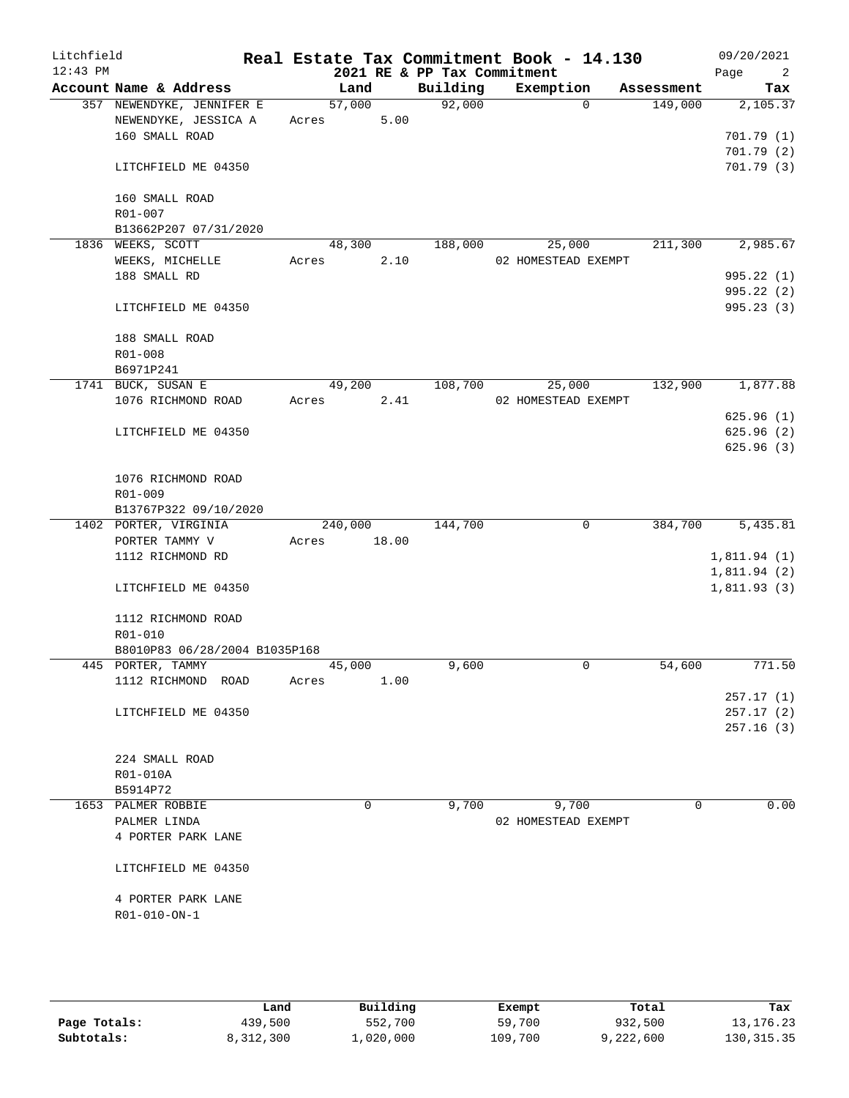| Litchfield<br>$12:43$ PM |                                                   |       |         |       | 2021 RE & PP Tax Commitment | Real Estate Tax Commitment Book - 14.130 |            | 09/20/2021<br>Page<br>$\overline{2}$ |
|--------------------------|---------------------------------------------------|-------|---------|-------|-----------------------------|------------------------------------------|------------|--------------------------------------|
|                          | Account Name & Address                            |       | Land    |       | Building                    | Exemption                                | Assessment | Tax                                  |
|                          | 357 NEWENDYKE, JENNIFER E<br>NEWENDYKE, JESSICA A | Acres | 57,000  | 5.00  | 92,000                      | $\Omega$                                 | 149,000    | 2,105.37                             |
|                          | 160 SMALL ROAD                                    |       |         |       |                             |                                          |            | 701.79(1)                            |
|                          |                                                   |       |         |       |                             |                                          |            | 701.79 (2)                           |
|                          | LITCHFIELD ME 04350                               |       |         |       |                             |                                          |            | 701.79(3)                            |
|                          | 160 SMALL ROAD                                    |       |         |       |                             |                                          |            |                                      |
|                          | R01-007<br>B13662P207 07/31/2020                  |       |         |       |                             |                                          |            |                                      |
|                          | 1836 WEEKS, SCOTT                                 |       | 48,300  |       | 188,000                     | 25,000                                   | 211,300    | 2,985.67                             |
|                          | WEEKS, MICHELLE                                   | Acres |         | 2.10  |                             | 02 HOMESTEAD EXEMPT                      |            |                                      |
|                          | 188 SMALL RD                                      |       |         |       |                             |                                          |            | 995.22 (1)                           |
|                          |                                                   |       |         |       |                             |                                          |            | 995.22 (2)                           |
|                          | LITCHFIELD ME 04350                               |       |         |       |                             |                                          |            | 995.23 (3)                           |
|                          | 188 SMALL ROAD                                    |       |         |       |                             |                                          |            |                                      |
|                          | R01-008                                           |       |         |       |                             |                                          |            |                                      |
|                          | B6971P241                                         |       |         |       |                             |                                          |            |                                      |
|                          | 1741 BUCK, SUSAN E                                |       | 49,200  |       | 108,700                     | 25,000                                   | 132,900    | 1,877.88                             |
|                          | 1076 RICHMOND ROAD                                | Acres |         | 2.41  |                             | 02 HOMESTEAD EXEMPT                      |            |                                      |
|                          |                                                   |       |         |       |                             |                                          |            | 625.96(1)                            |
|                          | LITCHFIELD ME 04350                               |       |         |       |                             |                                          |            | 625.96 (2)                           |
|                          |                                                   |       |         |       |                             |                                          |            | 625.96(3)                            |
|                          |                                                   |       |         |       |                             |                                          |            |                                      |
|                          | 1076 RICHMOND ROAD                                |       |         |       |                             |                                          |            |                                      |
|                          | R01-009                                           |       |         |       |                             |                                          |            |                                      |
|                          | B13767P322 09/10/2020<br>1402 PORTER, VIRGINIA    |       | 240,000 |       | 144,700                     | $\mathbf 0$                              | 384,700    | 5,435.81                             |
|                          | PORTER TAMMY V                                    | Acres |         | 18.00 |                             |                                          |            |                                      |
|                          | 1112 RICHMOND RD                                  |       |         |       |                             |                                          |            | 1,811.94(1)                          |
|                          |                                                   |       |         |       |                             |                                          |            | 1,811.94(2)                          |
|                          | LITCHFIELD ME 04350                               |       |         |       |                             |                                          |            | 1,811.93(3)                          |
|                          |                                                   |       |         |       |                             |                                          |            |                                      |
|                          | 1112 RICHMOND ROAD                                |       |         |       |                             |                                          |            |                                      |
|                          | R01-010                                           |       |         |       |                             |                                          |            |                                      |
|                          | B8010P83 06/28/2004 B1035P168                     |       |         |       |                             |                                          |            |                                      |
|                          | 445 PORTER, TAMMY                                 |       | 45,000  |       | 9,600                       | $\mathbf 0$                              | 54,600     | 771.50                               |
|                          | 1112 RICHMOND ROAD                                | Acres |         | 1.00  |                             |                                          |            |                                      |
|                          |                                                   |       |         |       |                             |                                          |            | 257.17(1)                            |
|                          | LITCHFIELD ME 04350                               |       |         |       |                             |                                          |            | 257.17(2)                            |
|                          |                                                   |       |         |       |                             |                                          |            | 257.16(3)                            |
|                          |                                                   |       |         |       |                             |                                          |            |                                      |
|                          | 224 SMALL ROAD                                    |       |         |       |                             |                                          |            |                                      |
|                          | R01-010A                                          |       |         |       |                             |                                          |            |                                      |
|                          | B5914P72                                          |       |         |       |                             |                                          |            |                                      |
|                          | 1653 PALMER ROBBIE                                |       | 0       |       | 9,700                       | 9,700                                    | 0          | 0.00                                 |
|                          | PALMER LINDA                                      |       |         |       |                             | 02 HOMESTEAD EXEMPT                      |            |                                      |
|                          | 4 PORTER PARK LANE                                |       |         |       |                             |                                          |            |                                      |
|                          | LITCHFIELD ME 04350                               |       |         |       |                             |                                          |            |                                      |
|                          | 4 PORTER PARK LANE                                |       |         |       |                             |                                          |            |                                      |
|                          | R01-010-ON-1                                      |       |         |       |                             |                                          |            |                                      |
|                          |                                                   |       |         |       |                             |                                          |            |                                      |
|                          |                                                   |       |         |       |                             |                                          |            |                                      |
|                          |                                                   |       |         |       |                             |                                          |            |                                      |
|                          |                                                   |       |         |       |                             |                                          |            |                                      |

|              | Land      | Building  | Exempt  | Total     | Tax         |
|--------------|-----------|-----------|---------|-----------|-------------|
| Page Totals: | 439,500   | 552,700   | 59,700  | 932,500   | 13, 176, 23 |
| Subtotals:   | 8,312,300 | 1,020,000 | 109,700 | 9,222,600 | 130, 315.35 |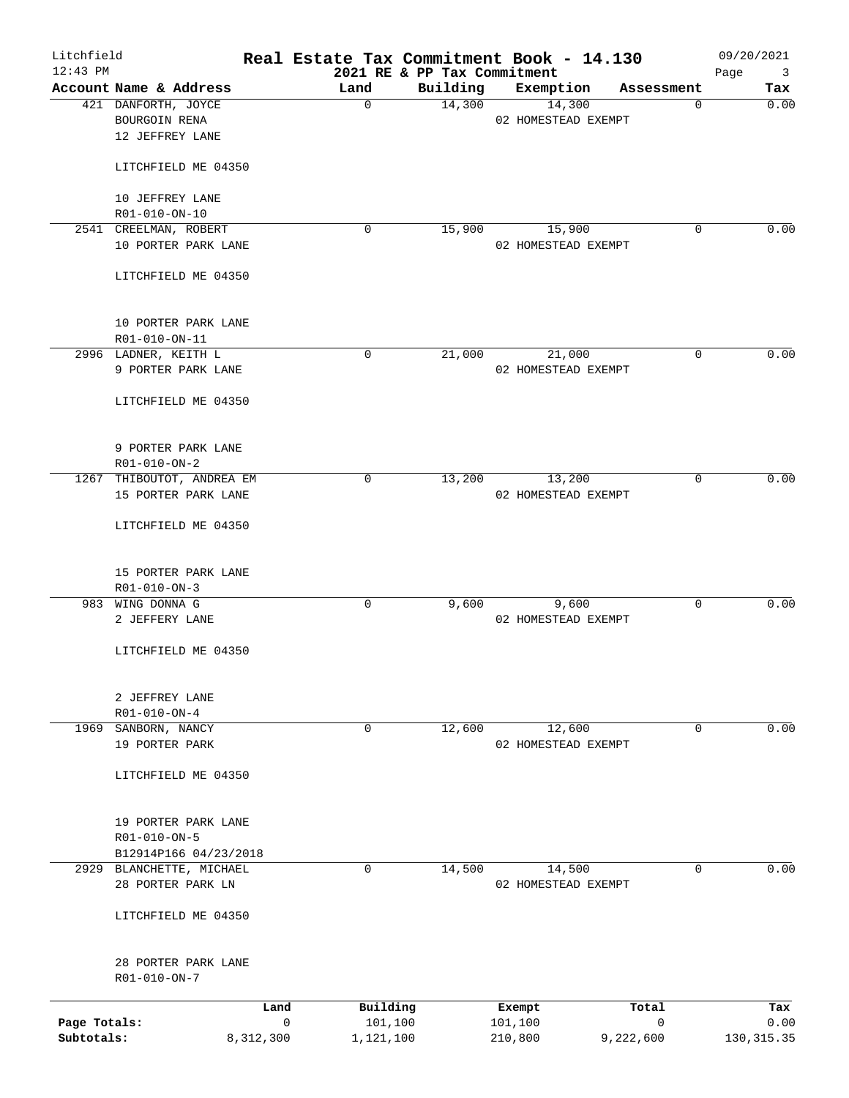| Litchfield<br>$12:43$ PM |                                               |                     |                     | 2021 RE & PP Tax Commitment | Real Estate Tax Commitment Book - 14.130 |            |             | 09/20/2021<br>Page<br>$\overline{\mathbf{3}}$ |
|--------------------------|-----------------------------------------------|---------------------|---------------------|-----------------------------|------------------------------------------|------------|-------------|-----------------------------------------------|
|                          | Account Name & Address                        |                     | Land                | Building                    | Exemption                                | Assessment |             | Tax                                           |
|                          | 421 DANFORTH, JOYCE                           |                     | $\Omega$            | 14,300                      | 14,300                                   |            | 0           | 0.00                                          |
|                          | BOURGOIN RENA                                 |                     |                     |                             | 02 HOMESTEAD EXEMPT                      |            |             |                                               |
|                          | 12 JEFFREY LANE                               |                     |                     |                             |                                          |            |             |                                               |
|                          |                                               |                     |                     |                             |                                          |            |             |                                               |
|                          | LITCHFIELD ME 04350                           |                     |                     |                             |                                          |            |             |                                               |
|                          | 10 JEFFREY LANE                               |                     |                     |                             |                                          |            |             |                                               |
|                          | R01-010-ON-10                                 |                     |                     |                             |                                          |            |             |                                               |
|                          | 2541 CREELMAN, ROBERT                         |                     | 0                   | 15,900                      | 15,900                                   |            | 0           | 0.00                                          |
|                          | 10 PORTER PARK LANE                           |                     |                     |                             | 02 HOMESTEAD EXEMPT                      |            |             |                                               |
|                          | LITCHFIELD ME 04350                           |                     |                     |                             |                                          |            |             |                                               |
|                          | 10 PORTER PARK LANE                           |                     |                     |                             |                                          |            |             |                                               |
|                          | R01-010-ON-11                                 |                     |                     |                             |                                          |            |             |                                               |
|                          | 2996 LADNER, KEITH L                          |                     | $\mathbf 0$         | 21,000                      | 21,000                                   |            | 0           | 0.00                                          |
|                          | 9 PORTER PARK LANE                            |                     |                     |                             | 02 HOMESTEAD EXEMPT                      |            |             |                                               |
|                          | LITCHFIELD ME 04350                           |                     |                     |                             |                                          |            |             |                                               |
|                          |                                               |                     |                     |                             |                                          |            |             |                                               |
|                          | 9 PORTER PARK LANE                            |                     |                     |                             |                                          |            |             |                                               |
|                          | R01-010-ON-2<br>1267 THIBOUTOT, ANDREA EM     |                     | 0                   | 13,200                      | 13,200                                   |            | $\mathbf 0$ | 0.00                                          |
|                          | 15 PORTER PARK LANE                           |                     |                     |                             | 02 HOMESTEAD EXEMPT                      |            |             |                                               |
|                          |                                               |                     |                     |                             |                                          |            |             |                                               |
|                          | LITCHFIELD ME 04350                           |                     |                     |                             |                                          |            |             |                                               |
|                          | 15 PORTER PARK LANE                           |                     |                     |                             |                                          |            |             |                                               |
|                          | R01-010-ON-3                                  |                     |                     |                             |                                          |            |             |                                               |
|                          | 983 WING DONNA G                              |                     | 0                   | 9,600                       | 9,600                                    |            | 0           | 0.00                                          |
|                          | 2 JEFFERY LANE                                |                     |                     |                             | 02 HOMESTEAD EXEMPT                      |            |             |                                               |
|                          | LITCHFIELD ME 04350                           |                     |                     |                             |                                          |            |             |                                               |
|                          |                                               |                     |                     |                             |                                          |            |             |                                               |
|                          | 2 JEFFREY LANE                                |                     |                     |                             |                                          |            |             |                                               |
|                          | R01-010-ON-4                                  |                     |                     |                             |                                          |            |             |                                               |
| 1969                     | SANBORN, NANCY                                |                     | $\mathbf 0$         | 12,600                      | 12,600                                   |            | 0           | 0.00                                          |
|                          | 19 PORTER PARK                                |                     |                     |                             | 02 HOMESTEAD EXEMPT                      |            |             |                                               |
|                          | LITCHFIELD ME 04350                           |                     |                     |                             |                                          |            |             |                                               |
|                          |                                               |                     |                     |                             |                                          |            |             |                                               |
|                          | 19 PORTER PARK LANE                           |                     |                     |                             |                                          |            |             |                                               |
|                          | R01-010-ON-5                                  |                     |                     |                             |                                          |            |             |                                               |
|                          | B12914P166 04/23/2018                         |                     |                     |                             |                                          |            |             |                                               |
|                          | 2929 BLANCHETTE, MICHAEL<br>28 PORTER PARK LN |                     | 0                   | 14,500                      | 14,500<br>02 HOMESTEAD EXEMPT            |            | 0           | 0.00                                          |
|                          |                                               |                     |                     |                             |                                          |            |             |                                               |
|                          | LITCHFIELD ME 04350                           |                     |                     |                             |                                          |            |             |                                               |
|                          | 28 PORTER PARK LANE                           |                     |                     |                             |                                          |            |             |                                               |
|                          | R01-010-ON-7                                  |                     |                     |                             |                                          |            |             |                                               |
|                          |                                               |                     |                     |                             |                                          |            |             |                                               |
| Page Totals:             |                                               | Land<br>$\mathbf 0$ | Building<br>101,100 |                             | Exempt<br>101,100                        | Total<br>0 |             | Tax<br>0.00                                   |
| Subtotals:               | 8,312,300                                     |                     | 1,121,100           |                             | 210,800                                  | 9,222,600  |             | 130, 315.35                                   |
|                          |                                               |                     |                     |                             |                                          |            |             |                                               |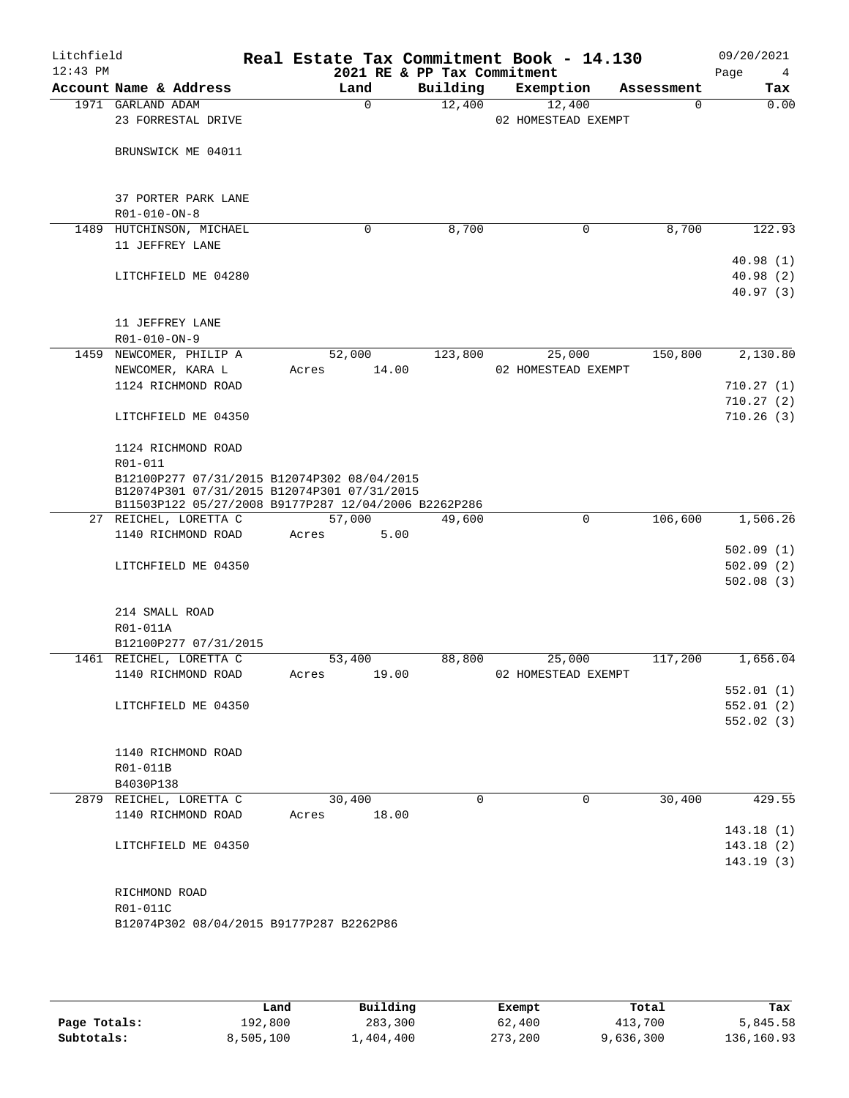| Litchfield<br>$12:43$ PM |                                                                                                                                                    |                | 2021 RE & PP Tax Commitment | Real Estate Tax Commitment Book - 14.130 |            | 09/20/2021<br>Page<br>4 |
|--------------------------|----------------------------------------------------------------------------------------------------------------------------------------------------|----------------|-----------------------------|------------------------------------------|------------|-------------------------|
|                          | Account Name & Address                                                                                                                             | Land           | Building                    | Exemption                                | Assessment | Tax                     |
|                          | 1971 GARLAND ADAM<br>23 FORRESTAL DRIVE                                                                                                            | $\mathbf 0$    | 12,400                      | 12,400<br>02 HOMESTEAD EXEMPT            | 0          | 0.00                    |
|                          | BRUNSWICK ME 04011                                                                                                                                 |                |                             |                                          |            |                         |
|                          |                                                                                                                                                    |                |                             |                                          |            |                         |
|                          | 37 PORTER PARK LANE                                                                                                                                |                |                             |                                          |            |                         |
|                          | R01-010-ON-8                                                                                                                                       |                |                             |                                          |            |                         |
| 1489                     | HUTCHINSON, MICHAEL                                                                                                                                | 0              | 8,700                       | 0                                        | 8,700      | 122.93                  |
|                          | 11 JEFFREY LANE                                                                                                                                    |                |                             |                                          |            |                         |
|                          |                                                                                                                                                    |                |                             |                                          |            | 40.98(1)                |
|                          | LITCHFIELD ME 04280                                                                                                                                |                |                             |                                          |            | 40.98(2)                |
|                          |                                                                                                                                                    |                |                             |                                          |            | 40.97(3)                |
|                          | 11 JEFFREY LANE                                                                                                                                    |                |                             |                                          |            |                         |
|                          | R01-010-ON-9                                                                                                                                       |                |                             |                                          |            |                         |
|                          | 1459 NEWCOMER, PHILIP A                                                                                                                            | 52,000         | 123,800                     | 25,000                                   | 150,800    | 2,130.80                |
|                          | NEWCOMER, KARA L                                                                                                                                   | 14.00<br>Acres |                             | 02 HOMESTEAD EXEMPT                      |            |                         |
|                          | 1124 RICHMOND ROAD                                                                                                                                 |                |                             |                                          |            | 710.27(1)               |
|                          |                                                                                                                                                    |                |                             |                                          |            | 710.27(2)               |
|                          | LITCHFIELD ME 04350                                                                                                                                |                |                             |                                          |            | 710.26(3)               |
|                          |                                                                                                                                                    |                |                             |                                          |            |                         |
|                          | 1124 RICHMOND ROAD                                                                                                                                 |                |                             |                                          |            |                         |
|                          | R01-011                                                                                                                                            |                |                             |                                          |            |                         |
|                          | B12100P277 07/31/2015 B12074P302 08/04/2015<br>B12074P301 07/31/2015 B12074P301 07/31/2015<br>B11503P122 05/27/2008 B9177P287 12/04/2006 B2262P286 |                |                             |                                          |            |                         |
|                          | 27 REICHEL, LORETTA C                                                                                                                              | 57,000         | 49,600                      | 0                                        | 106,600    | 1,506.26                |
|                          | 1140 RICHMOND ROAD                                                                                                                                 | 5.00<br>Acres  |                             |                                          |            |                         |
|                          |                                                                                                                                                    |                |                             |                                          |            | 502.09(1)               |
|                          | LITCHFIELD ME 04350                                                                                                                                |                |                             |                                          |            | 502.09(2)               |
|                          |                                                                                                                                                    |                |                             |                                          |            | 502.08(3)               |
|                          | 214 SMALL ROAD                                                                                                                                     |                |                             |                                          |            |                         |
|                          | R01-011A                                                                                                                                           |                |                             |                                          |            |                         |
|                          | B12100P277 07/31/2015                                                                                                                              |                |                             |                                          |            |                         |
|                          | 1461 REICHEL, LORETTA C                                                                                                                            | 53,400         | 88,800                      | 25,000                                   | 117,200    | 1,656.04                |
|                          | 1140 RICHMOND ROAD                                                                                                                                 | 19.00<br>Acres |                             | 02 HOMESTEAD EXEMPT                      |            |                         |
|                          |                                                                                                                                                    |                |                             |                                          |            | 552.01(1)               |
|                          | LITCHFIELD ME 04350                                                                                                                                |                |                             |                                          |            | 552.01(2)               |
|                          |                                                                                                                                                    |                |                             |                                          |            | 552.02(3)               |
|                          | 1140 RICHMOND ROAD                                                                                                                                 |                |                             |                                          |            |                         |
|                          | R01-011B                                                                                                                                           |                |                             |                                          |            |                         |
|                          | B4030P138                                                                                                                                          |                |                             |                                          |            |                         |
|                          | 2879 REICHEL, LORETTA C                                                                                                                            | 30,400         | $\Omega$                    | $\mathbf 0$                              | 30,400     | 429.55                  |
|                          | 1140 RICHMOND ROAD                                                                                                                                 | 18.00<br>Acres |                             |                                          |            |                         |
|                          |                                                                                                                                                    |                |                             |                                          |            | 143.18(1)               |
|                          | LITCHFIELD ME 04350                                                                                                                                |                |                             |                                          |            | 143.18(2)               |
|                          |                                                                                                                                                    |                |                             |                                          |            | 143.19(3)               |
|                          |                                                                                                                                                    |                |                             |                                          |            |                         |
|                          | RICHMOND ROAD                                                                                                                                      |                |                             |                                          |            |                         |
|                          | R01-011C<br>B12074P302 08/04/2015 B9177P287 B2262P86                                                                                               |                |                             |                                          |            |                         |
|                          |                                                                                                                                                    |                |                             |                                          |            |                         |
|                          |                                                                                                                                                    |                |                             |                                          |            |                         |
|                          |                                                                                                                                                    |                |                             |                                          |            |                         |

|              | Land      | Building  |         | Total     | Tax        |
|--------------|-----------|-----------|---------|-----------|------------|
|              |           |           | Exempt  |           |            |
| Page Totals: | 192,800   | 283,300   | 62,400  | 413,700   | 5,845.58   |
| Subtotals:   | 8,505,100 | 1,404,400 | 273,200 | 9,636,300 | 136,160.93 |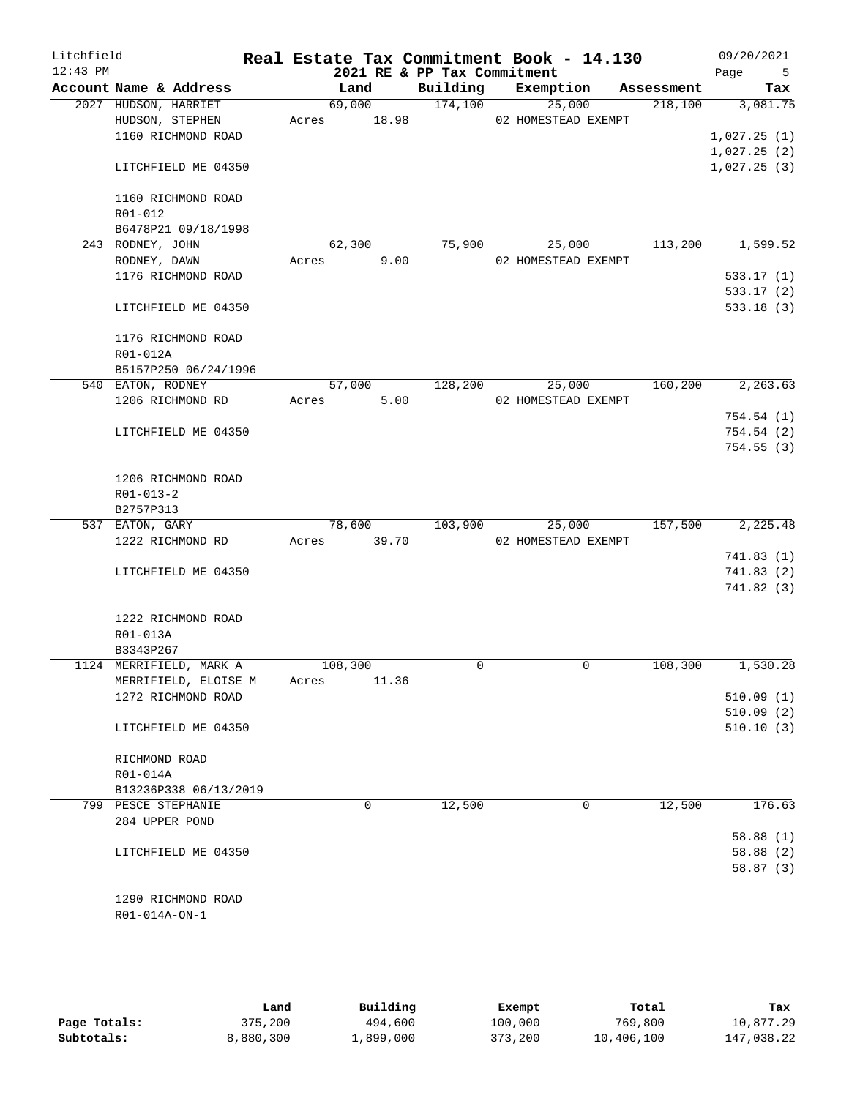| Litchfield<br>$12:43$ PM |                                         |       |                 | 2021 RE & PP Tax Commitment | Real Estate Tax Commitment Book - 14.130 |            | 09/20/2021<br>Page<br>$-5$ |
|--------------------------|-----------------------------------------|-------|-----------------|-----------------------------|------------------------------------------|------------|----------------------------|
|                          | Account Name & Address                  |       | Land            | Building                    | Exemption                                | Assessment | Tax                        |
|                          | 2027 HUDSON, HARRIET<br>HUDSON, STEPHEN | Acres | 69,000<br>18.98 | 174,100                     | 25,000<br>02 HOMESTEAD EXEMPT            | 218,100    | 3,081.75                   |
|                          | 1160 RICHMOND ROAD                      |       |                 |                             |                                          |            | 1,027.25(1)                |
|                          | LITCHFIELD ME 04350                     |       |                 |                             |                                          |            | 1,027.25(2)<br>1,027.25(3) |
|                          | 1160 RICHMOND ROAD                      |       |                 |                             |                                          |            |                            |
|                          | R01-012                                 |       |                 |                             |                                          |            |                            |
|                          | B6478P21 09/18/1998                     |       |                 |                             |                                          |            |                            |
|                          | 243 RODNEY, JOHN                        |       | 62,300          | 75,900                      | 25,000                                   | 113,200    | 1,599.52                   |
|                          | RODNEY, DAWN                            | Acres | 9.00            |                             | 02 HOMESTEAD EXEMPT                      |            |                            |
|                          | 1176 RICHMOND ROAD                      |       |                 |                             |                                          |            | 533.17(1)                  |
|                          |                                         |       |                 |                             |                                          |            | 533.17(2)                  |
|                          | LITCHFIELD ME 04350                     |       |                 |                             |                                          |            | 533.18(3)                  |
|                          | 1176 RICHMOND ROAD                      |       |                 |                             |                                          |            |                            |
|                          | R01-012A                                |       |                 |                             |                                          |            |                            |
|                          | B5157P250 06/24/1996                    |       |                 |                             |                                          |            |                            |
|                          | 540 EATON, RODNEY                       |       | 57,000          | 128,200                     | 25,000                                   | 160,200    | 2, 263.63                  |
|                          | 1206 RICHMOND RD                        | Acres | 5.00            |                             | 02 HOMESTEAD EXEMPT                      |            |                            |
|                          |                                         |       |                 |                             |                                          |            | 754.54(1)                  |
|                          | LITCHFIELD ME 04350                     |       |                 |                             |                                          |            | 754.54(2)<br>754.55(3)     |
|                          |                                         |       |                 |                             |                                          |            |                            |
|                          | 1206 RICHMOND ROAD                      |       |                 |                             |                                          |            |                            |
|                          | $R01 - 013 - 2$                         |       |                 |                             |                                          |            |                            |
|                          | B2757P313                               |       |                 |                             |                                          |            |                            |
|                          | 537 EATON, GARY                         |       | 78,600          | 103,900                     | 25,000                                   | 157,500    | 2,225.48                   |
|                          | 1222 RICHMOND RD                        | Acres | 39.70           |                             | 02 HOMESTEAD EXEMPT                      |            |                            |
|                          |                                         |       |                 |                             |                                          |            | 741.83(1)                  |
|                          | LITCHFIELD ME 04350                     |       |                 |                             |                                          |            | 741.83 (2)                 |
|                          |                                         |       |                 |                             |                                          |            | 741.82 (3)                 |
|                          |                                         |       |                 |                             |                                          |            |                            |
|                          | 1222 RICHMOND ROAD                      |       |                 |                             |                                          |            |                            |
|                          | R01-013A                                |       |                 |                             |                                          |            |                            |
|                          | B3343P267                               |       |                 |                             |                                          |            |                            |
|                          | 1124 MERRIFIELD, MARK A                 |       | 108,300         | 0                           | $\mathbf 0$                              | 108,300    | 1,530.28                   |
|                          | MERRIFIELD, ELOISE M                    | Acres | 11.36           |                             |                                          |            |                            |
|                          | 1272 RICHMOND ROAD                      |       |                 |                             |                                          |            | 510.09(1)                  |
|                          |                                         |       |                 |                             |                                          |            | 510.09(2)                  |
|                          | LITCHFIELD ME 04350                     |       |                 |                             |                                          |            | 510.10(3)                  |
|                          | RICHMOND ROAD                           |       |                 |                             |                                          |            |                            |
|                          | R01-014A                                |       |                 |                             |                                          |            |                            |
|                          | B13236P338 06/13/2019                   |       |                 |                             |                                          |            |                            |
|                          | 799 PESCE STEPHANIE                     |       | 0               | 12,500                      | 0                                        | 12,500     | 176.63                     |
|                          | 284 UPPER POND                          |       |                 |                             |                                          |            |                            |
|                          |                                         |       |                 |                             |                                          |            | 58.88(1)                   |
|                          | LITCHFIELD ME 04350                     |       |                 |                             |                                          |            | 58.88(2)                   |
|                          |                                         |       |                 |                             |                                          |            | 58.87(3)                   |
|                          |                                         |       |                 |                             |                                          |            |                            |
|                          | 1290 RICHMOND ROAD                      |       |                 |                             |                                          |            |                            |
|                          | R01-014A-ON-1                           |       |                 |                             |                                          |            |                            |
|                          |                                         |       |                 |                             |                                          |            |                            |

|              | Land      | Building  | Exempt  | Total      | Tax        |
|--------------|-----------|-----------|---------|------------|------------|
| Page Totals: | 375,200   | 494,600   | 100,000 | 769,800    | 10,877.29  |
| Subtotals:   | 8,880,300 | 1,899,000 | 373,200 | 10,406,100 | 147,038.22 |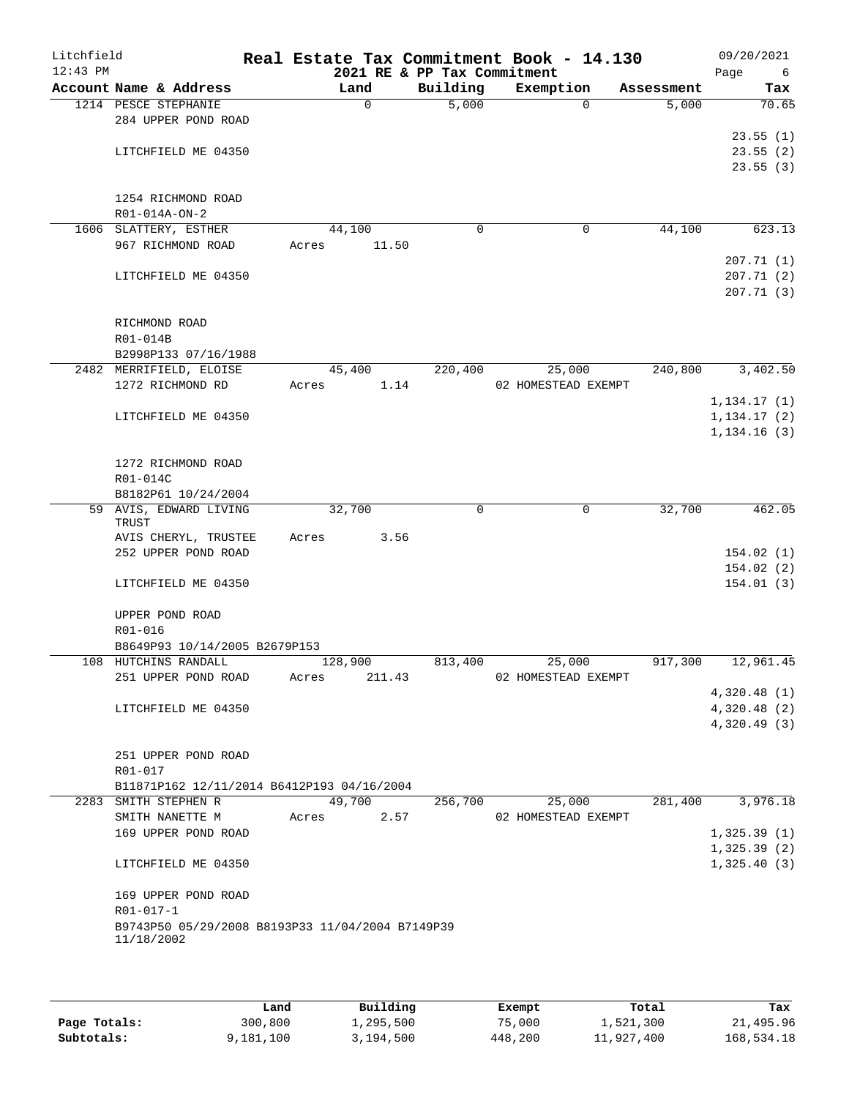| Litchfield<br>$12:43$ PM |            |                                                  |       |         |        | Real Estate Tax Commitment Book - 14.130<br>2021 RE & PP Tax Commitment |             |                     |          |            | 09/20/2021<br>Page<br>- 6  |
|--------------------------|------------|--------------------------------------------------|-------|---------|--------|-------------------------------------------------------------------------|-------------|---------------------|----------|------------|----------------------------|
|                          |            | Account Name & Address                           |       | Land    |        | Building                                                                |             | Exemption           |          | Assessment | Tax                        |
|                          |            | 1214 PESCE STEPHANIE                             |       |         | 0      | 5,000                                                                   |             |                     | $\Omega$ | 5,000      | 70.65                      |
|                          |            | 284 UPPER POND ROAD                              |       |         |        |                                                                         |             |                     |          |            |                            |
|                          |            |                                                  |       |         |        |                                                                         |             |                     |          |            | 23.55(1)                   |
|                          |            | LITCHFIELD ME 04350                              |       |         |        |                                                                         |             |                     |          |            | 23.55(2)                   |
|                          |            |                                                  |       |         |        |                                                                         |             |                     |          |            | 23.55(3)                   |
|                          |            |                                                  |       |         |        |                                                                         |             |                     |          |            |                            |
|                          |            | 1254 RICHMOND ROAD                               |       |         |        |                                                                         |             |                     |          |            |                            |
|                          |            | $R01 - 014A - ON - 2$                            |       |         |        |                                                                         |             |                     |          |            |                            |
|                          |            | 1606 SLATTERY, ESTHER<br>967 RICHMOND ROAD       | Acres | 44,100  |        |                                                                         | $\mathbf 0$ |                     | 0        | 44,100     | 623.13                     |
|                          |            |                                                  |       |         | 11.50  |                                                                         |             |                     |          |            | 207.71(1)                  |
|                          |            | LITCHFIELD ME 04350                              |       |         |        |                                                                         |             |                     |          |            | 207.71(2)                  |
|                          |            |                                                  |       |         |        |                                                                         |             |                     |          |            | 207.71(3)                  |
|                          |            |                                                  |       |         |        |                                                                         |             |                     |          |            |                            |
|                          |            | RICHMOND ROAD                                    |       |         |        |                                                                         |             |                     |          |            |                            |
|                          | R01-014B   |                                                  |       |         |        |                                                                         |             |                     |          |            |                            |
|                          |            | B2998P133 07/16/1988                             |       |         |        |                                                                         |             |                     |          |            |                            |
|                          |            | 2482 MERRIFIELD, ELOISE                          |       | 45,400  |        | 220,400                                                                 |             | 25,000              |          | 240,800    | 3,402.50                   |
|                          |            | 1272 RICHMOND RD                                 | Acres |         | 1.14   |                                                                         |             | 02 HOMESTEAD EXEMPT |          |            |                            |
|                          |            |                                                  |       |         |        |                                                                         |             |                     |          |            | 1, 134.17(1)               |
|                          |            | LITCHFIELD ME 04350                              |       |         |        |                                                                         |             |                     |          |            | 1, 134.17(2)               |
|                          |            |                                                  |       |         |        |                                                                         |             |                     |          |            | 1, 134.16(3)               |
|                          |            |                                                  |       |         |        |                                                                         |             |                     |          |            |                            |
|                          |            | 1272 RICHMOND ROAD                               |       |         |        |                                                                         |             |                     |          |            |                            |
|                          | R01-014C   | B8182P61 10/24/2004                              |       |         |        |                                                                         |             |                     |          |            |                            |
|                          |            | 59 AVIS, EDWARD LIVING                           |       | 32,700  |        |                                                                         | 0           |                     | 0        | 32,700     | 462.05                     |
|                          | TRUST      |                                                  |       |         |        |                                                                         |             |                     |          |            |                            |
|                          |            | AVIS CHERYL, TRUSTEE                             | Acres |         | 3.56   |                                                                         |             |                     |          |            |                            |
|                          |            | 252 UPPER POND ROAD                              |       |         |        |                                                                         |             |                     |          |            | 154.02(1)                  |
|                          |            |                                                  |       |         |        |                                                                         |             |                     |          |            | 154.02(2)                  |
|                          |            | LITCHFIELD ME 04350                              |       |         |        |                                                                         |             |                     |          |            | 154.01(3)                  |
|                          |            |                                                  |       |         |        |                                                                         |             |                     |          |            |                            |
|                          |            | UPPER POND ROAD                                  |       |         |        |                                                                         |             |                     |          |            |                            |
|                          | R01-016    | B8649P93 10/14/2005 B2679P153                    |       |         |        |                                                                         |             |                     |          |            |                            |
|                          |            | 108 HUTCHINS RANDALL                             |       | 128,900 |        | 813,400                                                                 |             | 25,000              |          | 917,300    | 12,961.45                  |
|                          |            | 251 UPPER POND ROAD                              | Acres |         | 211.43 |                                                                         |             | 02 HOMESTEAD EXEMPT |          |            |                            |
|                          |            |                                                  |       |         |        |                                                                         |             |                     |          |            | 4,320.48(1)                |
|                          |            | LITCHFIELD ME 04350                              |       |         |        |                                                                         |             |                     |          |            | 4,320.48(2)                |
|                          |            |                                                  |       |         |        |                                                                         |             |                     |          |            | 4,320.49(3)                |
|                          |            |                                                  |       |         |        |                                                                         |             |                     |          |            |                            |
|                          |            | 251 UPPER POND ROAD                              |       |         |        |                                                                         |             |                     |          |            |                            |
|                          | R01-017    |                                                  |       |         |        |                                                                         |             |                     |          |            |                            |
|                          |            | B11871P162 12/11/2014 B6412P193 04/16/2004       |       |         |        |                                                                         |             |                     |          |            |                            |
| 2283                     |            | SMITH STEPHEN R                                  |       | 49,700  |        | 256,700                                                                 |             | 25,000              |          | 281,400    | 3,976.18                   |
|                          |            | SMITH NANETTE M                                  | Acres |         | 2.57   |                                                                         |             | 02 HOMESTEAD EXEMPT |          |            |                            |
|                          |            | 169 UPPER POND ROAD                              |       |         |        |                                                                         |             |                     |          |            | 1,325.39(1)<br>1,325.39(2) |
|                          |            | LITCHFIELD ME 04350                              |       |         |        |                                                                         |             |                     |          |            | 1,325.40(3)                |
|                          |            |                                                  |       |         |        |                                                                         |             |                     |          |            |                            |
|                          |            | 169 UPPER POND ROAD                              |       |         |        |                                                                         |             |                     |          |            |                            |
|                          | R01-017-1  |                                                  |       |         |        |                                                                         |             |                     |          |            |                            |
|                          |            | B9743P50 05/29/2008 B8193P33 11/04/2004 B7149P39 |       |         |        |                                                                         |             |                     |          |            |                            |
|                          | 11/18/2002 |                                                  |       |         |        |                                                                         |             |                     |          |            |                            |
|                          |            |                                                  |       |         |        |                                                                         |             |                     |          |            |                            |
|                          |            |                                                  |       |         |        |                                                                         |             |                     |          |            |                            |

|              | Land      | Building  | Exempt  | Total      | Tax        |
|--------------|-----------|-----------|---------|------------|------------|
| Page Totals: | 300,800   | 1,295,500 | 75,000  | 1,521,300  | 21,495.96  |
| Subtotals:   | 9,181,100 | 3,194,500 | 448,200 | 11,927,400 | 168,534.18 |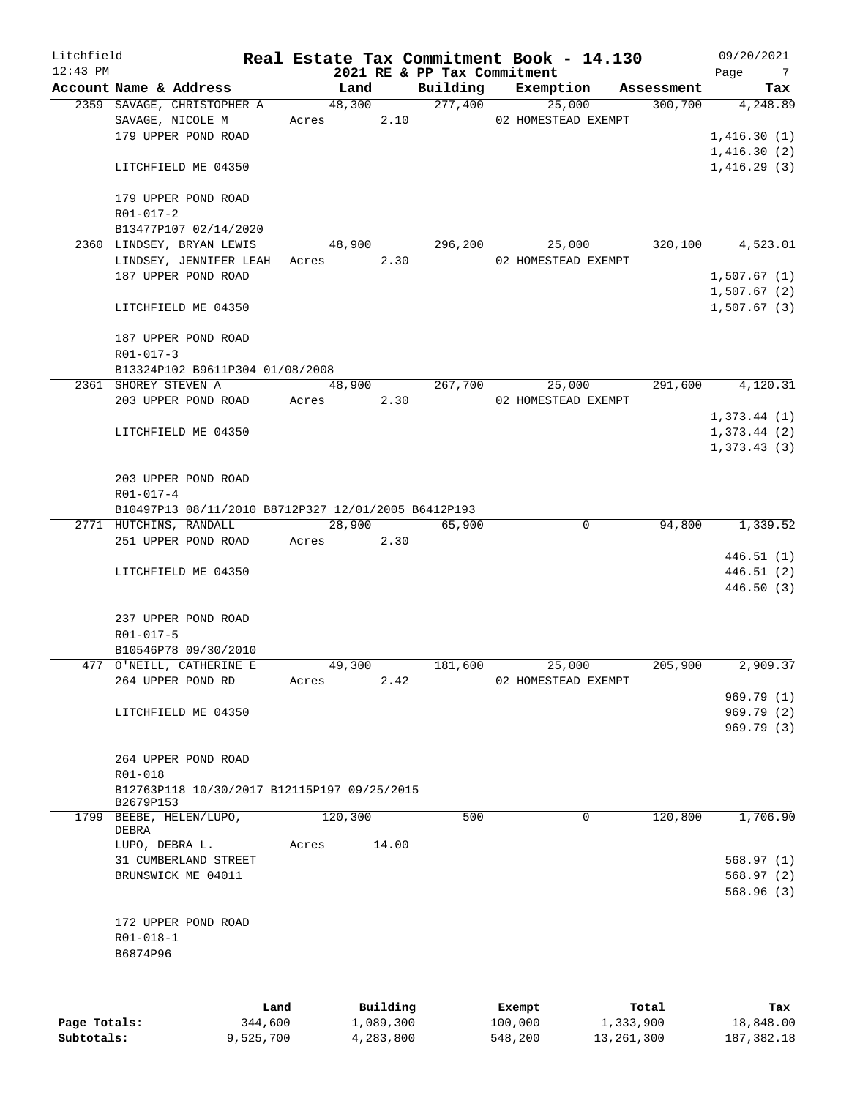| Litchfield   |                                                     |           |       |            |           |                             |         | Real Estate Tax Commitment Book - 14.130 |              | 09/20/2021             |
|--------------|-----------------------------------------------------|-----------|-------|------------|-----------|-----------------------------|---------|------------------------------------------|--------------|------------------------|
| $12:43$ PM   |                                                     |           |       |            |           | 2021 RE & PP Tax Commitment |         |                                          |              | Page<br>$\overline{7}$ |
|              | Account Name & Address                              |           |       | Land       |           |                             |         | Building Exemption                       | Assessment   | Tax                    |
|              | 2359 SAVAGE, CHRISTOPHER A                          |           |       | 48,300     |           | 277,400                     |         | 25,000                                   | 300,700      | 4,248.89               |
|              | SAVAGE, NICOLE M                                    |           |       | Acres      | 2.10      |                             |         | 02 HOMESTEAD EXEMPT                      |              |                        |
|              | 179 UPPER POND ROAD                                 |           |       |            |           |                             |         |                                          |              | 1,416.30(1)            |
|              |                                                     |           |       |            |           |                             |         |                                          |              | 1,416.30(2)            |
|              | LITCHFIELD ME 04350                                 |           |       |            |           |                             |         |                                          |              | 1,416.29(3)            |
|              | 179 UPPER POND ROAD                                 |           |       |            |           |                             |         |                                          |              |                        |
|              | R01-017-2                                           |           |       |            |           |                             |         |                                          |              |                        |
|              | B13477P107 02/14/2020                               |           |       |            |           |                             |         |                                          |              |                        |
|              | 2360 LINDSEY, BRYAN LEWIS                           |           |       | 48,900     |           | 296,200                     |         | 25,000                                   | 320,100      | 4,523.01               |
|              | LINDSEY, JENNIFER LEAH Acres                        |           |       |            | 2.30      |                             |         | 02 HOMESTEAD EXEMPT                      |              |                        |
|              | 187 UPPER POND ROAD                                 |           |       |            |           |                             |         |                                          |              | 1,507.67(1)            |
|              |                                                     |           |       |            |           |                             |         |                                          |              | 1,507.67(2)            |
|              | LITCHFIELD ME 04350                                 |           |       |            |           |                             |         |                                          |              | 1,507.67(3)            |
|              | 187 UPPER POND ROAD                                 |           |       |            |           |                             |         |                                          |              |                        |
|              | R01-017-3                                           |           |       |            |           |                             |         |                                          |              |                        |
|              | B13324P102 B9611P304 01/08/2008                     |           |       |            |           |                             |         |                                          |              |                        |
|              | 2361 SHOREY STEVEN A                                |           |       | 48,900     |           | 267,700                     |         | 25,000                                   | 291,600      | 4,120.31               |
|              | 203 UPPER POND ROAD                                 |           |       | Acres 2.30 |           |                             |         | 02 HOMESTEAD EXEMPT                      |              |                        |
|              |                                                     |           |       |            |           |                             |         |                                          |              | 1,373.44(1)            |
|              | LITCHFIELD ME 04350                                 |           |       |            |           |                             |         |                                          |              | 1,373.44(2)            |
|              |                                                     |           |       |            |           |                             |         |                                          |              | 1, 373.43(3)           |
|              |                                                     |           |       |            |           |                             |         |                                          |              |                        |
|              | 203 UPPER POND ROAD                                 |           |       |            |           |                             |         |                                          |              |                        |
|              | R01-017-4                                           |           |       |            |           |                             |         |                                          |              |                        |
|              | B10497P13 08/11/2010 B8712P327 12/01/2005 B6412P193 |           |       |            |           |                             |         |                                          |              |                        |
|              | 2771 HUTCHINS, RANDALL                              |           |       | 28,900     |           | 65,900                      |         | $\mathbf 0$                              | 94,800       | 1,339.52               |
|              | 251 UPPER POND ROAD                                 |           |       | Acres      | 2.30      |                             |         |                                          |              |                        |
|              |                                                     |           |       |            |           |                             |         |                                          |              | 446.51(1)              |
|              | LITCHFIELD ME 04350                                 |           |       |            |           |                             |         |                                          |              | 446.51 (2)             |
|              |                                                     |           |       |            |           |                             |         |                                          |              | 446.50 (3)             |
|              |                                                     |           |       |            |           |                             |         |                                          |              |                        |
|              | 237 UPPER POND ROAD<br>R01-017-5                    |           |       |            |           |                             |         |                                          |              |                        |
|              | B10546P78 09/30/2010                                |           |       |            |           |                             |         |                                          |              |                        |
|              | 477 O'NEILL, CATHERINE E                            |           |       | 49,300     |           | 181,600                     |         | 25,000                                   | 205,900      | 2,909.37               |
|              | 264 UPPER POND RD                                   |           | Acres |            | 2.42      |                             |         | 02 HOMESTEAD EXEMPT                      |              |                        |
|              |                                                     |           |       |            |           |                             |         |                                          |              | 969.79 (1)             |
|              | LITCHFIELD ME 04350                                 |           |       |            |           |                             |         |                                          |              | 969.79 (2)             |
|              |                                                     |           |       |            |           |                             |         |                                          |              | 969.79 (3)             |
|              |                                                     |           |       |            |           |                             |         |                                          |              |                        |
|              | 264 UPPER POND ROAD                                 |           |       |            |           |                             |         |                                          |              |                        |
|              | R01-018                                             |           |       |            |           |                             |         |                                          |              |                        |
|              | B12763P118 10/30/2017 B12115P197 09/25/2015         |           |       |            |           |                             |         |                                          |              |                        |
|              | B2679P153                                           |           |       |            |           |                             |         |                                          |              |                        |
| 1799         | BEEBE, HELEN/LUPO,                                  |           |       | 120,300    |           | 500                         |         | 0                                        | 120,800      | 1,706.90               |
|              | DEBRA                                               |           |       |            |           |                             |         |                                          |              |                        |
|              | LUPO, DEBRA L.                                      |           | Acres |            | 14.00     |                             |         |                                          |              |                        |
|              | 31 CUMBERLAND STREET                                |           |       |            |           |                             |         |                                          |              | 568.97(1)              |
|              | BRUNSWICK ME 04011                                  |           |       |            |           |                             |         |                                          |              | 568.97(2)              |
|              |                                                     |           |       |            |           |                             |         |                                          |              | 568.96(3)              |
|              | 172 UPPER POND ROAD                                 |           |       |            |           |                             |         |                                          |              |                        |
|              | R01-018-1                                           |           |       |            |           |                             |         |                                          |              |                        |
|              |                                                     |           |       |            |           |                             |         |                                          |              |                        |
|              | B6874P96                                            |           |       |            |           |                             |         |                                          |              |                        |
|              |                                                     |           |       |            |           |                             |         |                                          |              |                        |
|              |                                                     | Land      |       |            | Building  |                             | Exempt  |                                          | Total        | Tax                    |
| Page Totals: |                                                     | 344,600   |       |            | 1,089,300 |                             | 100,000 |                                          | 1,333,900    | 18,848.00              |
| Subtotals:   |                                                     | 9,525,700 |       |            | 4,283,800 |                             | 548,200 |                                          | 13, 261, 300 | 187, 382. 18           |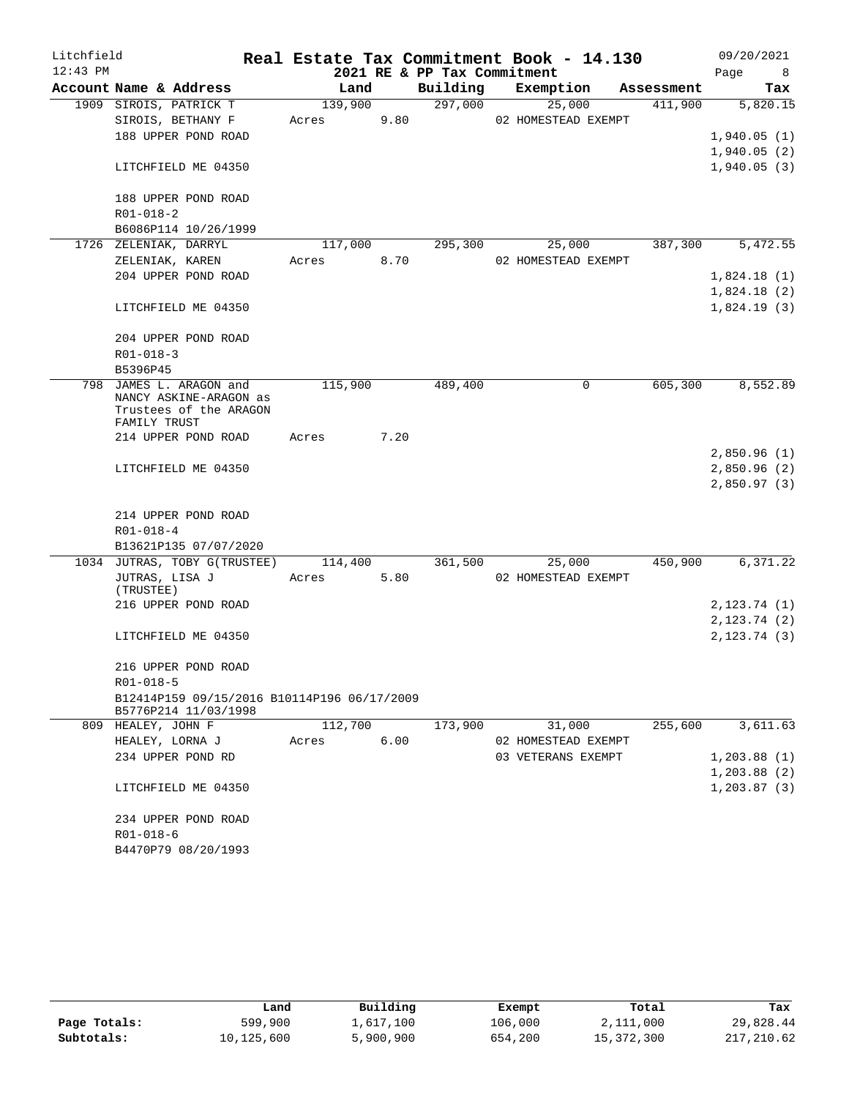| Litchfield |                                             |         |      |                             | Real Estate Tax Commitment Book - 14.130 |            | 09/20/2021             |
|------------|---------------------------------------------|---------|------|-----------------------------|------------------------------------------|------------|------------------------|
| $12:43$ PM |                                             |         |      | 2021 RE & PP Tax Commitment |                                          |            | Page<br>8 <sup>8</sup> |
|            | Account Name & Address                      | Land    |      | Building                    | Exemption                                | Assessment | Tax                    |
|            | 1909 SIROIS, PATRICK T                      | 139,900 |      | 297,000                     | 25,000                                   | 411,900    | 5,820.15               |
|            | SIROIS, BETHANY F                           | Acres   | 9.80 |                             | 02 HOMESTEAD EXEMPT                      |            |                        |
|            | 188 UPPER POND ROAD                         |         |      |                             |                                          |            | 1,940.05(1)            |
|            |                                             |         |      |                             |                                          |            | 1,940.05(2)            |
|            | LITCHFIELD ME 04350                         |         |      |                             |                                          |            | 1,940.05(3)            |
|            | 188 UPPER POND ROAD                         |         |      |                             |                                          |            |                        |
|            | $R01 - 018 - 2$                             |         |      |                             |                                          |            |                        |
|            | B6086P114 10/26/1999                        |         |      |                             |                                          |            |                        |
|            | 1726 ZELENIAK, DARRYL                       | 117,000 |      | 295,300                     | 25,000                                   | 387,300    | 5,472.55               |
|            | ZELENIAK, KAREN                             | Acres   | 8.70 |                             | 02 HOMESTEAD EXEMPT                      |            |                        |
|            | 204 UPPER POND ROAD                         |         |      |                             |                                          |            | 1,824.18(1)            |
|            |                                             |         |      |                             |                                          |            | 1,824.18(2)            |
|            | LITCHFIELD ME 04350                         |         |      |                             |                                          |            | 1,824.19(3)            |
|            | 204 UPPER POND ROAD                         |         |      |                             |                                          |            |                        |
|            | $R01 - 018 - 3$                             |         |      |                             |                                          |            |                        |
|            | B5396P45                                    |         |      |                             |                                          |            |                        |
| 798        | JAMES L. ARAGON and                         | 115,900 |      | 489,400                     | $\mathbf 0$                              | 605,300    | 8,552.89               |
|            | NANCY ASKINE-ARAGON as                      |         |      |                             |                                          |            |                        |
|            | Trustees of the ARAGON<br>FAMILY TRUST      |         |      |                             |                                          |            |                        |
|            | 214 UPPER POND ROAD                         | Acres   | 7.20 |                             |                                          |            |                        |
|            |                                             |         |      |                             |                                          |            | 2,850.96(1)            |
|            | LITCHFIELD ME 04350                         |         |      |                             |                                          |            | 2,850.96(2)            |
|            |                                             |         |      |                             |                                          |            | 2,850.97(3)            |
|            |                                             |         |      |                             |                                          |            |                        |
|            | 214 UPPER POND ROAD                         |         |      |                             |                                          |            |                        |
|            | R01-018-4<br>B13621P135 07/07/2020          |         |      |                             |                                          |            |                        |
|            | 1034 JUTRAS, TOBY G(TRUSTEE)                | 114,400 |      | 361,500                     | 25,000                                   | 450,900    | 6,371.22               |
|            | JUTRAS, LISA J                              | Acres   | 5.80 |                             | 02 HOMESTEAD EXEMPT                      |            |                        |
|            | (TRUSTEE)                                   |         |      |                             |                                          |            |                        |
|            | 216 UPPER POND ROAD                         |         |      |                             |                                          |            | 2, 123.74 (1)          |
|            |                                             |         |      |                             |                                          |            | 2,123.74(2)            |
|            | LITCHFIELD ME 04350                         |         |      |                             |                                          |            | 2, 123.74(3)           |
|            | 216 UPPER POND ROAD                         |         |      |                             |                                          |            |                        |
|            | $R01 - 018 - 5$                             |         |      |                             |                                          |            |                        |
|            | B12414P159 09/15/2016 B10114P196 06/17/2009 |         |      |                             |                                          |            |                        |
|            | B5776P214 11/03/1998                        |         |      |                             |                                          |            |                        |
|            | 809 HEALEY, JOHN F                          | 112,700 |      | 173,900                     | 31,000                                   | 255,600    | 3,611.63               |
|            | HEALEY, LORNA J                             | Acres   | 6.00 |                             | 02 HOMESTEAD EXEMPT                      |            |                        |
|            | 234 UPPER POND RD                           |         |      |                             | 03 VETERANS EXEMPT                       |            | 1,203.88(1)            |
|            |                                             |         |      |                             |                                          |            | 1,203.88(2)            |
|            | LITCHFIELD ME 04350                         |         |      |                             |                                          |            | 1, 203.87(3)           |
|            | 234 UPPER POND ROAD                         |         |      |                             |                                          |            |                        |
|            | $R01 - 018 - 6$                             |         |      |                             |                                          |            |                        |
|            | B4470P79 08/20/1993                         |         |      |                             |                                          |            |                        |

|              | Land       | Building  | Exempt  | Total      | Tax        |
|--------------|------------|-----------|---------|------------|------------|
| Page Totals: | 599,900    | 1,617,100 | 106,000 | 2,111,000  | 29,828.44  |
| Subtotals:   | 10,125,600 | 5,900,900 | 654,200 | 15,372,300 | 217,210.62 |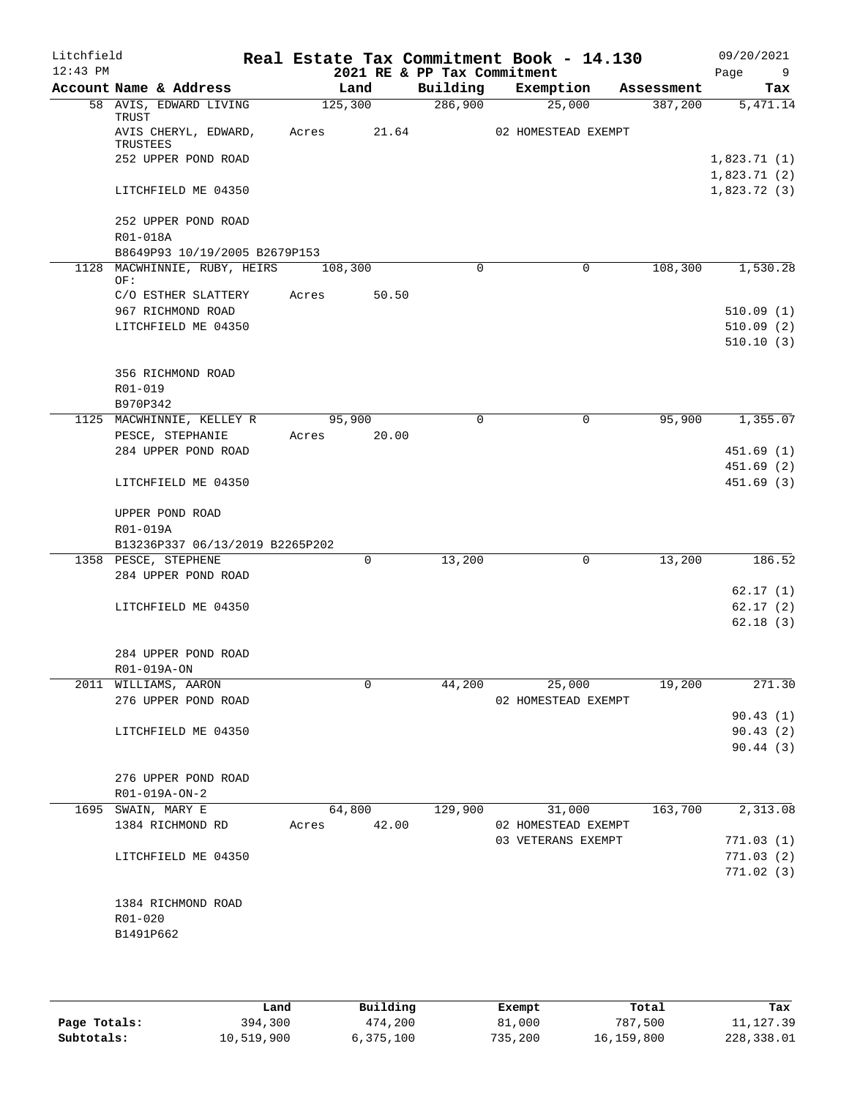| Litchfield<br>$12:43$ PM |                                                                |                | 2021 RE & PP Tax Commitment | Real Estate Tax Commitment Book - 14.130 |            | 09/20/2021<br>Page<br>- 9  |
|--------------------------|----------------------------------------------------------------|----------------|-----------------------------|------------------------------------------|------------|----------------------------|
|                          | Account Name & Address                                         | Land           | Building                    | Exemption                                | Assessment | Tax                        |
|                          | 58 AVIS, EDWARD LIVING<br>TRUST                                | 125,300        | 286,900                     | 25,000                                   | 387,200    | 5,471.14                   |
|                          | AVIS CHERYL, EDWARD,<br>TRUSTEES                               | Acres<br>21.64 |                             | 02 HOMESTEAD EXEMPT                      |            |                            |
|                          | 252 UPPER POND ROAD                                            |                |                             |                                          |            | 1,823.71(1)<br>1,823.71(2) |
|                          | LITCHFIELD ME 04350                                            |                |                             |                                          |            | 1,823.72(3)                |
|                          | 252 UPPER POND ROAD<br>R01-018A                                |                |                             |                                          |            |                            |
|                          | B8649P93 10/19/2005 B2679P153                                  |                |                             |                                          |            |                            |
|                          | 1128 MACWHINNIE, RUBY, HEIRS<br>OF:                            | 108,300        | $\mathbf 0$                 | $\mathbf 0$                              | 108,300    | 1,530.28                   |
|                          | C/O ESTHER SLATTERY                                            | 50.50<br>Acres |                             |                                          |            |                            |
|                          | 967 RICHMOND ROAD                                              |                |                             |                                          |            | 510.09(1)                  |
|                          | LITCHFIELD ME 04350                                            |                |                             |                                          |            | 510.09(2)                  |
|                          |                                                                |                |                             |                                          |            | 510.10(3)                  |
|                          | 356 RICHMOND ROAD                                              |                |                             |                                          |            |                            |
|                          | R01-019                                                        |                |                             |                                          |            |                            |
|                          | B970P342                                                       |                |                             |                                          |            |                            |
|                          | 1125 MACWHINNIE, KELLEY R                                      | 95,900         | $\Omega$                    | $\Omega$                                 | 95,900     | 1,355.07                   |
|                          | PESCE, STEPHANIE                                               | 20.00<br>Acres |                             |                                          |            |                            |
|                          | 284 UPPER POND ROAD                                            |                |                             |                                          |            | 451.69(1)                  |
|                          |                                                                |                |                             |                                          |            | 451.69(2)                  |
|                          | LITCHFIELD ME 04350                                            |                |                             |                                          |            | 451.69(3)                  |
|                          | UPPER POND ROAD<br>R01-019A<br>B13236P337 06/13/2019 B2265P202 |                |                             |                                          |            |                            |
|                          | 1358 PESCE, STEPHENE                                           | $\mathbf 0$    | 13,200                      | 0                                        | 13,200     | 186.52                     |
|                          | 284 UPPER POND ROAD                                            |                |                             |                                          |            |                            |
|                          |                                                                |                |                             |                                          |            | 62.17(1)                   |
|                          | LITCHFIELD ME 04350                                            |                |                             |                                          |            | 62.17(2)                   |
|                          |                                                                |                |                             |                                          |            | 62.18(3)                   |
|                          | 284 UPPER POND ROAD<br>R01-019A-ON                             |                |                             |                                          |            |                            |
|                          | 2011 WILLIAMS, AARON                                           | 0              | 44,200                      | 25,000                                   | 19,200     | 271.30                     |
|                          | 276 UPPER POND ROAD                                            |                |                             | 02 HOMESTEAD EXEMPT                      |            |                            |
|                          |                                                                |                |                             |                                          |            | 90.43(1)                   |
|                          | LITCHFIELD ME 04350                                            |                |                             |                                          |            | 90.43(2)                   |
|                          |                                                                |                |                             |                                          |            | 90.44 (3)                  |
|                          | 276 UPPER POND ROAD                                            |                |                             |                                          |            |                            |
|                          | R01-019A-ON-2                                                  |                |                             |                                          |            |                            |
|                          | 1695 SWAIN, MARY E                                             | 64,800         | 129,900                     | 31,000                                   | 163,700    | 2,313.08                   |
|                          | 1384 RICHMOND RD                                               | Acres 42.00    |                             | 02 HOMESTEAD EXEMPT                      |            |                            |
|                          |                                                                |                |                             | 03 VETERANS EXEMPT                       |            | 771.03(1)                  |
|                          | LITCHFIELD ME 04350                                            |                |                             |                                          |            | 771.03(2)                  |
|                          |                                                                |                |                             |                                          |            | 771.02(3)                  |
|                          | 1384 RICHMOND ROAD                                             |                |                             |                                          |            |                            |
|                          | R01-020                                                        |                |                             |                                          |            |                            |
|                          | B1491P662                                                      |                |                             |                                          |            |                            |
|                          |                                                                |                |                             |                                          |            |                            |
|                          |                                                                |                |                             |                                          |            |                            |

|              | Land       | Building  | Exempt  | Total      | Tax        |
|--------------|------------|-----------|---------|------------|------------|
| Page Totals: | 394,300    | 474,200   | 81,000  | 787,500    | 11, 127.39 |
| Subtotals:   | 10,519,900 | 6,375,100 | 735,200 | 16,159,800 | 228,338.01 |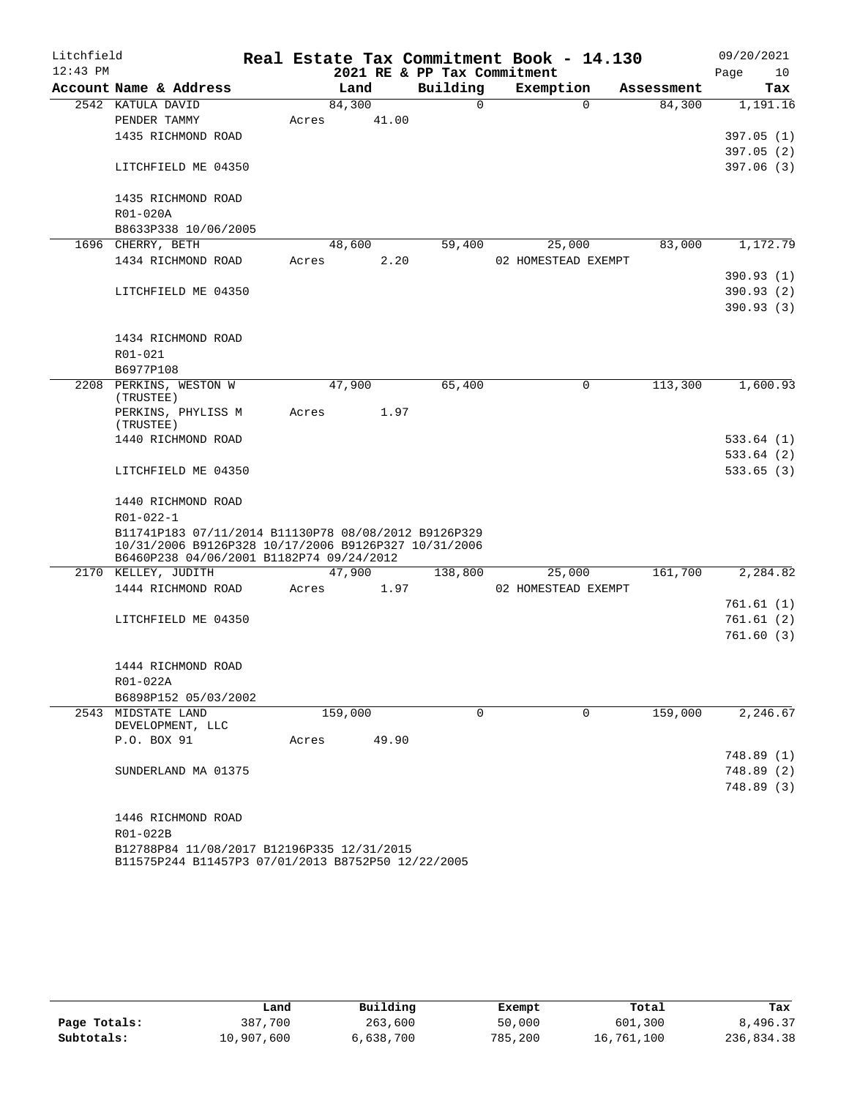| Litchfield |                                                                                                  |       |         |       |                             | Real Estate Tax Commitment Book - 14.130 |            |      | 09/20/2021 |
|------------|--------------------------------------------------------------------------------------------------|-------|---------|-------|-----------------------------|------------------------------------------|------------|------|------------|
| $12:43$ PM |                                                                                                  |       |         |       | 2021 RE & PP Tax Commitment |                                          |            | Page | 10         |
|            | Account Name & Address                                                                           |       | Land    |       | Building                    | Exemption                                | Assessment |      | Tax        |
|            | 2542 KATULA DAVID                                                                                |       | 84,300  |       | $\Omega$                    | $\Omega$                                 | 84,300     |      | 1,191.16   |
|            | PENDER TAMMY                                                                                     | Acres |         | 41.00 |                             |                                          |            |      |            |
|            | 1435 RICHMOND ROAD                                                                               |       |         |       |                             |                                          |            |      | 397.05(1)  |
|            |                                                                                                  |       |         |       |                             |                                          |            |      | 397.05(2)  |
|            | LITCHFIELD ME 04350                                                                              |       |         |       |                             |                                          |            |      | 397.06(3)  |
|            | 1435 RICHMOND ROAD                                                                               |       |         |       |                             |                                          |            |      |            |
|            | R01-020A                                                                                         |       |         |       |                             |                                          |            |      |            |
|            | B8633P338 10/06/2005                                                                             |       |         |       |                             |                                          |            |      |            |
|            | 1696 CHERRY, BETH                                                                                |       | 48,600  |       | 59,400                      | 25,000                                   | 83,000     |      | 1,172.79   |
|            | 1434 RICHMOND ROAD                                                                               | Acres |         | 2.20  |                             | 02 HOMESTEAD EXEMPT                      |            |      |            |
|            |                                                                                                  |       |         |       |                             |                                          |            |      | 390.93(1)  |
|            | LITCHFIELD ME 04350                                                                              |       |         |       |                             |                                          |            |      | 390.93 (2) |
|            |                                                                                                  |       |         |       |                             |                                          |            |      | 390.93(3)  |
|            | 1434 RICHMOND ROAD                                                                               |       |         |       |                             |                                          |            |      |            |
|            | R01-021                                                                                          |       |         |       |                             |                                          |            |      |            |
|            | B6977P108                                                                                        |       |         |       |                             |                                          |            |      |            |
|            | 2208 PERKINS, WESTON W<br>(TRUSTEE)                                                              |       | 47,900  |       | 65,400                      | 0                                        | 113,300    |      | 1,600.93   |
|            | PERKINS, PHYLISS M<br>(TRUSTEE)                                                                  | Acres |         | 1.97  |                             |                                          |            |      |            |
|            | 1440 RICHMOND ROAD                                                                               |       |         |       |                             |                                          |            |      | 533.64(1)  |
|            |                                                                                                  |       |         |       |                             |                                          |            |      | 533.64(2)  |
|            | LITCHFIELD ME 04350                                                                              |       |         |       |                             |                                          |            |      | 533.65(3)  |
|            | 1440 RICHMOND ROAD                                                                               |       |         |       |                             |                                          |            |      |            |
|            | R01-022-1                                                                                        |       |         |       |                             |                                          |            |      |            |
|            | B11741P183 07/11/2014 B11130P78 08/08/2012 B9126P329                                             |       |         |       |                             |                                          |            |      |            |
|            | 10/31/2006 B9126P328 10/17/2006 B9126P327 10/31/2006<br>B6460P238 04/06/2001 B1182P74 09/24/2012 |       |         |       |                             |                                          |            |      |            |
|            | 2170 KELLEY, JUDITH                                                                              |       | 47,900  |       | 138,800                     | 25,000                                   | 161,700    |      | 2,284.82   |
|            | 1444 RICHMOND ROAD                                                                               | Acres |         | 1.97  |                             | 02 HOMESTEAD EXEMPT                      |            |      |            |
|            |                                                                                                  |       |         |       |                             |                                          |            |      | 761.61(1)  |
|            | LITCHFIELD ME 04350                                                                              |       |         |       |                             |                                          |            |      | 761.61(2)  |
|            |                                                                                                  |       |         |       |                             |                                          |            |      | 761.60(3)  |
|            | 1444 RICHMOND ROAD                                                                               |       |         |       |                             |                                          |            |      |            |
|            | R01-022A                                                                                         |       |         |       |                             |                                          |            |      |            |
|            | B6898P152 05/03/2002                                                                             |       |         |       |                             |                                          |            |      |            |
|            | 2543 MIDSTATE LAND                                                                               |       | 159,000 |       | $\Omega$                    | $\Omega$                                 | 159,000    |      | 2,246.67   |
|            | DEVELOPMENT, LLC                                                                                 |       |         |       |                             |                                          |            |      |            |
|            | P.O. BOX 91                                                                                      | Acres |         | 49.90 |                             |                                          |            |      |            |
|            |                                                                                                  |       |         |       |                             |                                          |            |      | 748.89 (1) |
|            | SUNDERLAND MA 01375                                                                              |       |         |       |                             |                                          |            |      | 748.89 (2) |
|            |                                                                                                  |       |         |       |                             |                                          |            |      | 748.89 (3) |
|            | 1446 RICHMOND ROAD                                                                               |       |         |       |                             |                                          |            |      |            |
|            | R01-022B                                                                                         |       |         |       |                             |                                          |            |      |            |
|            | B12788P84 11/08/2017 B12196P335 12/31/2015<br>B11575P244 B11457P3 07/01/2013 B8752P50 12/22/2005 |       |         |       |                             |                                          |            |      |            |

|              | Land       | Building  | Exempt  | Total      | Tax        |
|--------------|------------|-----------|---------|------------|------------|
| Page Totals: | 387,700    | 263,600   | 50,000  | 601,300    | 8,496.37   |
| Subtotals:   | 10,907,600 | 6,638,700 | 785,200 | 16,761,100 | 236,834.38 |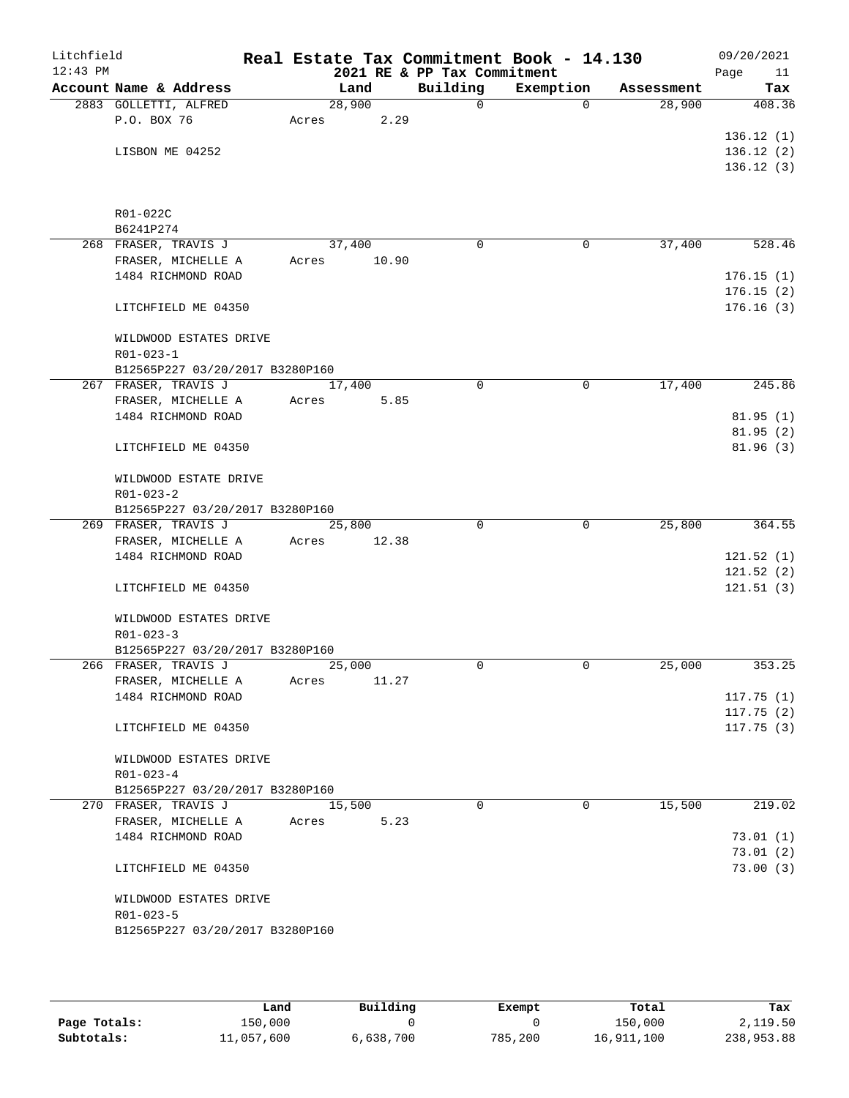| Litchfield<br>$12:43$ PM |                                                    |       |        | 2021 RE & PP Tax Commitment | Real Estate Tax Commitment Book - 14.130 |            | 09/20/2021<br>Page<br>11 |
|--------------------------|----------------------------------------------------|-------|--------|-----------------------------|------------------------------------------|------------|--------------------------|
|                          | Account Name & Address                             |       | Land   | Building                    | Exemption                                | Assessment | Tax                      |
|                          | 2883 GOLLETTI, ALFRED                              |       | 28,900 | $\mathbf 0$                 | $\Omega$                                 | 28,900     | 408.36                   |
|                          | P.O. BOX 76                                        | Acres | 2.29   |                             |                                          |            |                          |
|                          |                                                    |       |        |                             |                                          |            | 136.12(1)                |
|                          | LISBON ME 04252                                    |       |        |                             |                                          |            | 136.12(2)                |
|                          |                                                    |       |        |                             |                                          |            | 136.12(3)                |
|                          | R01-022C                                           |       |        |                             |                                          |            |                          |
|                          | B6241P274                                          |       |        |                             |                                          |            |                          |
|                          | 268 FRASER, TRAVIS J                               |       | 37,400 | 0                           | 0                                        | 37,400     | 528.46                   |
|                          | FRASER, MICHELLE A                                 | Acres | 10.90  |                             |                                          |            |                          |
|                          | 1484 RICHMOND ROAD                                 |       |        |                             |                                          |            | 176.15(1)                |
|                          | LITCHFIELD ME 04350                                |       |        |                             |                                          |            | 176.15(2)<br>176.16(3)   |
|                          | WILDWOOD ESTATES DRIVE                             |       |        |                             |                                          |            |                          |
|                          | $R01 - 023 - 1$<br>B12565P227 03/20/2017 B3280P160 |       |        |                             |                                          |            |                          |
|                          | 267 FRASER, TRAVIS J                               |       | 17,400 | 0                           | 0                                        | 17,400     | 245.86                   |
|                          | FRASER, MICHELLE A                                 | Acres | 5.85   |                             |                                          |            |                          |
|                          | 1484 RICHMOND ROAD                                 |       |        |                             |                                          |            | 81.95(1)                 |
|                          |                                                    |       |        |                             |                                          |            | 81.95(2)                 |
|                          | LITCHFIELD ME 04350                                |       |        |                             |                                          |            | 81.96 (3)                |
|                          | WILDWOOD ESTATE DRIVE                              |       |        |                             |                                          |            |                          |
|                          | $R01 - 023 - 2$                                    |       |        |                             |                                          |            |                          |
|                          | B12565P227 03/20/2017 B3280P160                    |       |        |                             |                                          |            |                          |
|                          | 269 FRASER, TRAVIS J                               |       | 25,800 | $\Omega$                    | 0                                        | 25,800     | 364.55                   |
|                          | FRASER, MICHELLE A                                 | Acres | 12.38  |                             |                                          |            |                          |
|                          | 1484 RICHMOND ROAD                                 |       |        |                             |                                          |            | 121.52(1)                |
|                          |                                                    |       |        |                             |                                          |            | 121.52(2)                |
|                          | LITCHFIELD ME 04350                                |       |        |                             |                                          |            | 121.51(3)                |
|                          | WILDWOOD ESTATES DRIVE                             |       |        |                             |                                          |            |                          |
|                          | $R01 - 023 - 3$                                    |       |        |                             |                                          |            |                          |
|                          | B12565P227 03/20/2017 B3280P160                    |       |        |                             |                                          |            |                          |
|                          | 266 FRASER, TRAVIS J                               |       | 25,000 | 0                           | 0                                        | 25,000     | 353.25                   |
|                          | FRASER, MICHELLE A                                 | Acres | 11.27  |                             |                                          |            |                          |
|                          | 1484 RICHMOND ROAD                                 |       |        |                             |                                          |            | 117.75(1)                |
|                          | LITCHFIELD ME 04350                                |       |        |                             |                                          |            | 117.75(2)<br>117.75(3)   |
|                          | WILDWOOD ESTATES DRIVE                             |       |        |                             |                                          |            |                          |
|                          | $R01 - 023 - 4$                                    |       |        |                             |                                          |            |                          |
|                          | B12565P227 03/20/2017 B3280P160                    |       |        |                             |                                          |            |                          |
|                          | 270 FRASER, TRAVIS J                               |       | 15,500 | $\Omega$                    | $\Omega$                                 | 15,500     | 219.02                   |
|                          | FRASER, MICHELLE A                                 | Acres | 5.23   |                             |                                          |            |                          |
|                          | 1484 RICHMOND ROAD                                 |       |        |                             |                                          |            | 73.01(1)                 |
|                          |                                                    |       |        |                             |                                          |            | 73.01(2)                 |
|                          | LITCHFIELD ME 04350                                |       |        |                             |                                          |            | 73.00(3)                 |
|                          | WILDWOOD ESTATES DRIVE                             |       |        |                             |                                          |            |                          |
|                          | $R01 - 023 - 5$                                    |       |        |                             |                                          |            |                          |
|                          | B12565P227 03/20/2017 B3280P160                    |       |        |                             |                                          |            |                          |

|              | Land       | Building  | Exempt  | Total      | Tax        |
|--------------|------------|-----------|---------|------------|------------|
| Page Totals: | 150,000    |           |         | 150,000    | 2,119.50   |
| Subtotals:   | 11,057,600 | 6,638,700 | 785,200 | 16,911,100 | 238,953.88 |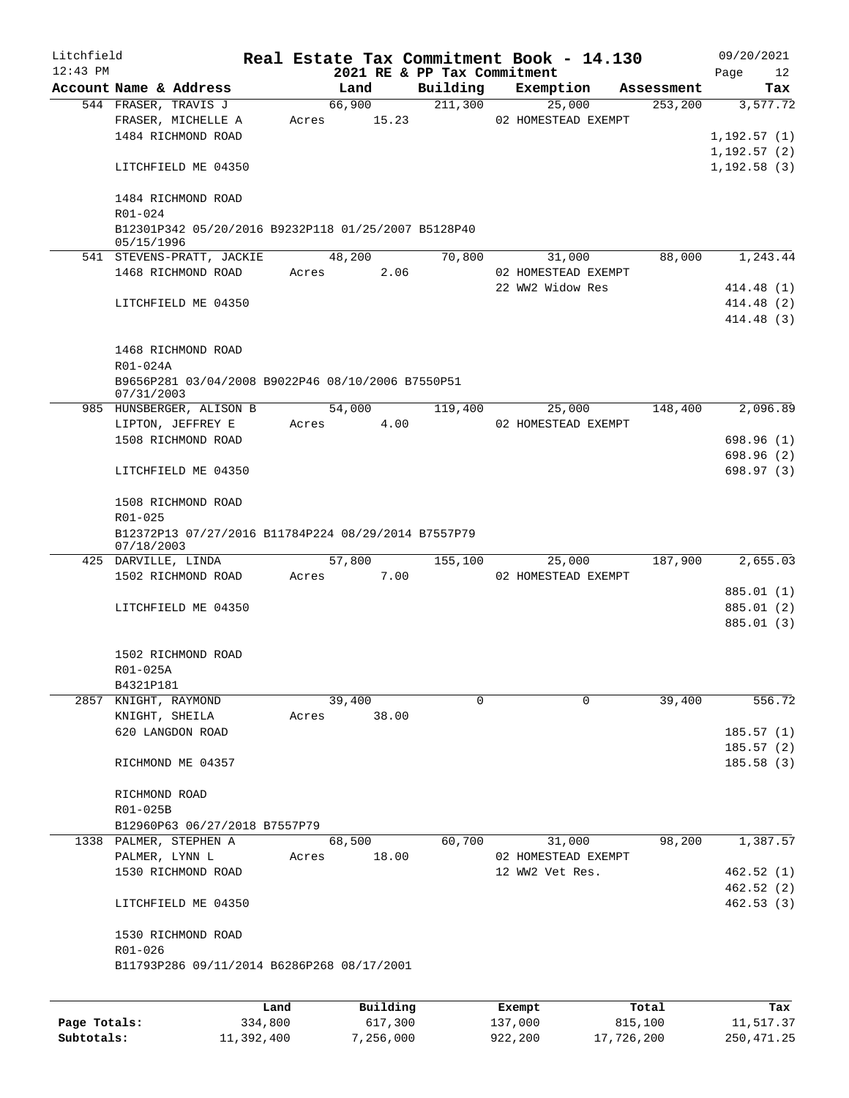| Litchfield   |                                                                 |       |                 |                             | Real Estate Tax Commitment Book - 14.130 |            | 09/20/2021               |
|--------------|-----------------------------------------------------------------|-------|-----------------|-----------------------------|------------------------------------------|------------|--------------------------|
| $12:43$ PM   |                                                                 |       |                 | 2021 RE & PP Tax Commitment |                                          |            | Page<br>12               |
|              | Account Name & Address                                          |       | Land            | Building                    | Exemption                                | Assessment | Tax                      |
|              | 544 FRASER, TRAVIS J                                            | Acres | 66,900<br>15.23 | 211,300                     | 25,000<br>02 HOMESTEAD EXEMPT            | 253,200    | 3,577.72                 |
|              | FRASER, MICHELLE A<br>1484 RICHMOND ROAD                        |       |                 |                             |                                          |            | 1,192.57(1)              |
|              |                                                                 |       |                 |                             |                                          |            | 1,192.57(2)              |
|              | LITCHFIELD ME 04350                                             |       |                 |                             |                                          |            | 1, 192.58(3)             |
|              |                                                                 |       |                 |                             |                                          |            |                          |
|              | 1484 RICHMOND ROAD                                              |       |                 |                             |                                          |            |                          |
|              | R01-024                                                         |       |                 |                             |                                          |            |                          |
|              | B12301P342 05/20/2016 B9232P118 01/25/2007 B5128P40             |       |                 |                             |                                          |            |                          |
|              | 05/15/1996<br>541 STEVENS-PRATT, JACKIE                         |       | 48,200          | 70,800                      | 31,000                                   | 88,000     | 1,243.44                 |
|              | 1468 RICHMOND ROAD                                              | Acres | 2.06            |                             | 02 HOMESTEAD EXEMPT                      |            |                          |
|              |                                                                 |       |                 |                             | 22 WW2 Widow Res                         |            | 414.48(1)                |
|              | LITCHFIELD ME 04350                                             |       |                 |                             |                                          |            | 414.48 (2)               |
|              |                                                                 |       |                 |                             |                                          |            | 414.48 (3)               |
|              |                                                                 |       |                 |                             |                                          |            |                          |
|              | 1468 RICHMOND ROAD                                              |       |                 |                             |                                          |            |                          |
|              | R01-024A                                                        |       |                 |                             |                                          |            |                          |
|              | B9656P281 03/04/2008 B9022P46 08/10/2006 B7550P51<br>07/31/2003 |       |                 |                             |                                          |            |                          |
|              | 985 HUNSBERGER, ALISON B                                        |       | 54,000          | 119,400                     | 25,000                                   | 148,400    | 2,096.89                 |
|              | LIPTON, JEFFREY E                                               | Acres | 4.00            |                             | 02 HOMESTEAD EXEMPT                      |            |                          |
|              | 1508 RICHMOND ROAD                                              |       |                 |                             |                                          |            | 698.96(1)                |
|              |                                                                 |       |                 |                             |                                          |            | 698.96 (2)               |
|              | LITCHFIELD ME 04350                                             |       |                 |                             |                                          |            | 698.97 (3)               |
|              | 1508 RICHMOND ROAD                                              |       |                 |                             |                                          |            |                          |
|              | R01-025                                                         |       |                 |                             |                                          |            |                          |
|              | B12372P13 07/27/2016 B11784P224 08/29/2014 B7557P79             |       |                 |                             |                                          |            |                          |
|              | 07/18/2003                                                      |       |                 |                             |                                          |            |                          |
|              | 425 DARVILLE, LINDA                                             |       | 57,800          | 155,100                     | 25,000                                   | 187,900    | 2,655.03                 |
|              | 1502 RICHMOND ROAD                                              | Acres | 7.00            |                             | 02 HOMESTEAD EXEMPT                      |            |                          |
|              |                                                                 |       |                 |                             |                                          |            | 885.01 (1)               |
|              | LITCHFIELD ME 04350                                             |       |                 |                             |                                          |            | 885.01 (2)<br>885.01 (3) |
|              |                                                                 |       |                 |                             |                                          |            |                          |
|              | 1502 RICHMOND ROAD                                              |       |                 |                             |                                          |            |                          |
|              | R01-025A                                                        |       |                 |                             |                                          |            |                          |
|              | B4321P181                                                       |       |                 |                             |                                          |            |                          |
|              | 2857 KNIGHT, RAYMOND                                            |       | 39,400          | 0                           | 0                                        | 39,400     | 556.72                   |
|              | KNIGHT, SHEILA                                                  | Acres | 38.00           |                             |                                          |            |                          |
|              | 620 LANGDON ROAD                                                |       |                 |                             |                                          |            | 185.57(1)                |
|              |                                                                 |       |                 |                             |                                          |            | 185.57(2)                |
|              | RICHMOND ME 04357                                               |       |                 |                             |                                          |            | 185.58(3)                |
|              | RICHMOND ROAD                                                   |       |                 |                             |                                          |            |                          |
|              | R01-025B                                                        |       |                 |                             |                                          |            |                          |
|              | B12960P63 06/27/2018 B7557P79                                   |       |                 |                             |                                          |            |                          |
|              | 1338 PALMER, STEPHEN A                                          |       | 68,500          | 60,700                      | 31,000                                   | 98,200     | 1,387.57                 |
|              | PALMER, LYNN L                                                  | Acres | 18.00           |                             | 02 HOMESTEAD EXEMPT                      |            |                          |
|              | 1530 RICHMOND ROAD                                              |       |                 |                             | 12 WW2 Vet Res.                          |            | 462.52(1)                |
|              |                                                                 |       |                 |                             |                                          |            | 462.52(2)                |
|              | LITCHFIELD ME 04350                                             |       |                 |                             |                                          |            | 462.53(3)                |
|              | 1530 RICHMOND ROAD                                              |       |                 |                             |                                          |            |                          |
|              | R01-026                                                         |       |                 |                             |                                          |            |                          |
|              | B11793P286 09/11/2014 B6286P268 08/17/2001                      |       |                 |                             |                                          |            |                          |
|              |                                                                 |       |                 |                             |                                          |            |                          |
|              |                                                                 | Land  | Building        |                             | Exempt                                   | Total      | Tax                      |
| Page Totals: | 334,800                                                         |       | 617,300         |                             | 137,000                                  | 815,100    | 11,517.37                |

**Subtotals:** 11,392,400 7,256,000 922,200 17,726,200 250,471.25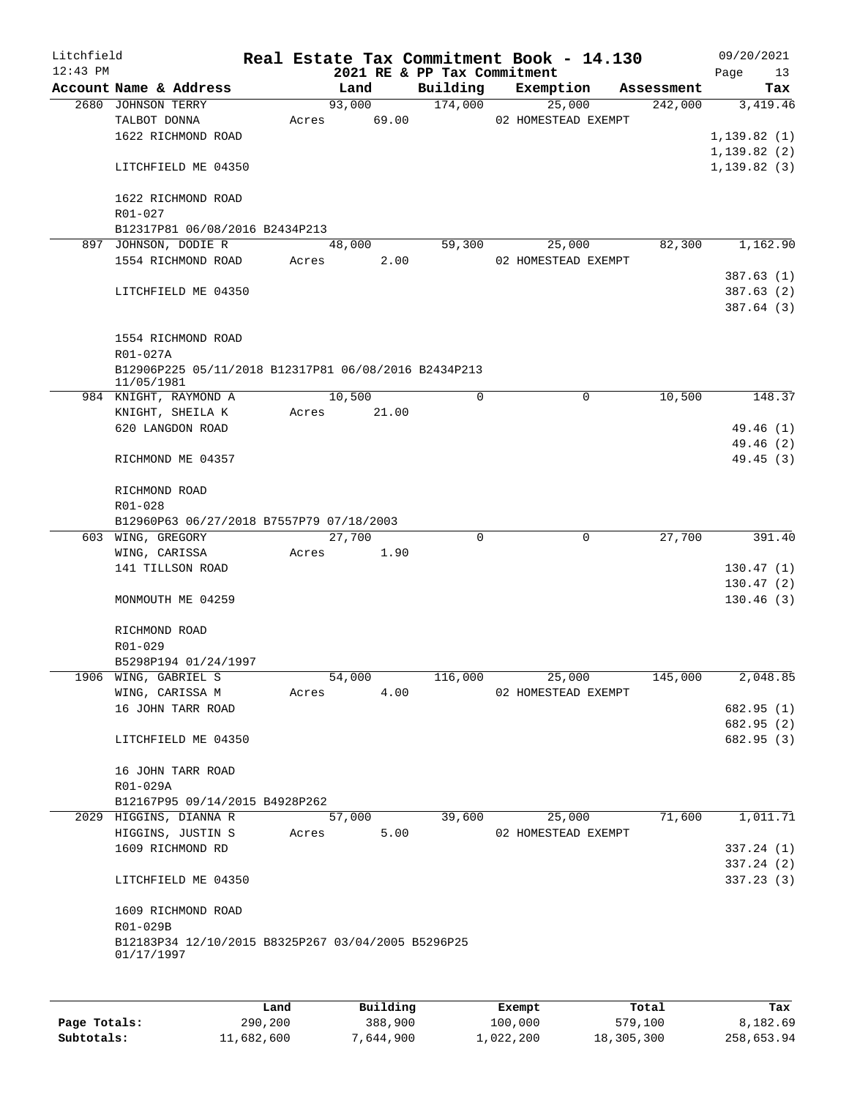| Litchfield |                                                                    |       |                |                             | Real Estate Tax Commitment Book - 14.130 |                       | 09/20/2021      |
|------------|--------------------------------------------------------------------|-------|----------------|-----------------------------|------------------------------------------|-----------------------|-----------------|
| $12:43$ PM |                                                                    |       |                | 2021 RE & PP Tax Commitment |                                          |                       | Page<br>13      |
|            | Account Name & Address<br>2680 JOHNSON TERRY                       |       | Land<br>93,000 | Building<br>174,000         | Exemption<br>25,000                      | Assessment<br>242,000 | Tax<br>3,419.46 |
|            | TALBOT DONNA                                                       | Acres | 69.00          |                             | 02 HOMESTEAD EXEMPT                      |                       |                 |
|            | 1622 RICHMOND ROAD                                                 |       |                |                             |                                          |                       | 1, 139.82(1)    |
|            |                                                                    |       |                |                             |                                          |                       | 1, 139.82(2)    |
|            |                                                                    |       |                |                             |                                          |                       |                 |
|            | LITCHFIELD ME 04350                                                |       |                |                             |                                          |                       | 1, 139.82(3)    |
|            | 1622 RICHMOND ROAD                                                 |       |                |                             |                                          |                       |                 |
|            | R01-027                                                            |       |                |                             |                                          |                       |                 |
|            | B12317P81 06/08/2016 B2434P213                                     |       |                |                             |                                          |                       |                 |
|            | 897 JOHNSON, DODIE R                                               |       | 48,000         | 59,300                      | 25,000                                   | 82,300                | 1,162.90        |
|            | 1554 RICHMOND ROAD                                                 | Acres | 2.00           |                             | 02 HOMESTEAD EXEMPT                      |                       |                 |
|            |                                                                    |       |                |                             |                                          |                       | 387.63(1)       |
|            | LITCHFIELD ME 04350                                                |       |                |                             |                                          |                       | 387.63(2)       |
|            |                                                                    |       |                |                             |                                          |                       |                 |
|            |                                                                    |       |                |                             |                                          |                       | 387.64 (3)      |
|            |                                                                    |       |                |                             |                                          |                       |                 |
|            | 1554 RICHMOND ROAD                                                 |       |                |                             |                                          |                       |                 |
|            | R01-027A                                                           |       |                |                             |                                          |                       |                 |
|            | B12906P225 05/11/2018 B12317P81 06/08/2016 B2434P213<br>11/05/1981 |       |                |                             |                                          |                       |                 |
|            | 984 KNIGHT, RAYMOND A                                              |       | 10,500         | 0                           | $\mathbf 0$                              | 10,500                | 148.37          |
|            | KNIGHT, SHEILA K                                                   | Acres | 21.00          |                             |                                          |                       |                 |
|            | 620 LANGDON ROAD                                                   |       |                |                             |                                          |                       | 49.46 (1)       |
|            |                                                                    |       |                |                             |                                          |                       | 49.46 (2)       |
|            |                                                                    |       |                |                             |                                          |                       |                 |
|            | RICHMOND ME 04357                                                  |       |                |                             |                                          |                       | 49.45(3)        |
|            |                                                                    |       |                |                             |                                          |                       |                 |
|            | RICHMOND ROAD                                                      |       |                |                             |                                          |                       |                 |
|            | R01-028                                                            |       |                |                             |                                          |                       |                 |
|            | B12960P63 06/27/2018 B7557P79 07/18/2003                           |       | 27,700         | 0                           | 0                                        | 27,700                |                 |
|            | 603 WING, GREGORY                                                  |       |                |                             |                                          |                       | 391.40          |
|            | WING, CARISSA                                                      | Acres | 1.90           |                             |                                          |                       |                 |
|            | 141 TILLSON ROAD                                                   |       |                |                             |                                          |                       | 130.47(1)       |
|            |                                                                    |       |                |                             |                                          |                       | 130.47(2)       |
|            | MONMOUTH ME 04259                                                  |       |                |                             |                                          |                       | 130.46(3)       |
|            |                                                                    |       |                |                             |                                          |                       |                 |
|            | RICHMOND ROAD                                                      |       |                |                             |                                          |                       |                 |
|            | R01-029                                                            |       |                |                             |                                          |                       |                 |
|            | B5298P194 01/24/1997                                               |       |                |                             |                                          |                       |                 |
|            | 1906 WING, GABRIEL S                                               |       | 54,000         | 116,000                     | 25,000                                   | 145,000               | 2,048.85        |
|            | WING, CARISSA M                                                    | Acres | 4.00           |                             | 02 HOMESTEAD EXEMPT                      |                       |                 |
|            | 16 JOHN TARR ROAD                                                  |       |                |                             |                                          |                       | 682.95 (1)      |
|            |                                                                    |       |                |                             |                                          |                       | 682.95 (2)      |
|            | LITCHFIELD ME 04350                                                |       |                |                             |                                          |                       | 682.95 (3)      |
|            |                                                                    |       |                |                             |                                          |                       |                 |
|            | 16 JOHN TARR ROAD                                                  |       |                |                             |                                          |                       |                 |
|            | R01-029A                                                           |       |                |                             |                                          |                       |                 |
|            | B12167P95 09/14/2015 B4928P262                                     |       |                |                             |                                          |                       |                 |
|            | 2029 HIGGINS, DIANNA R                                             |       | 57,000         | 39,600                      | 25,000                                   | 71,600                | 1,011.71        |
|            | HIGGINS, JUSTIN S                                                  | Acres | 5.00           |                             | 02 HOMESTEAD EXEMPT                      |                       |                 |
|            | 1609 RICHMOND RD                                                   |       |                |                             |                                          |                       | 337.24(1)       |
|            |                                                                    |       |                |                             |                                          |                       | 337.24(2)       |
|            | LITCHFIELD ME 04350                                                |       |                |                             |                                          |                       | 337.23(3)       |
|            |                                                                    |       |                |                             |                                          |                       |                 |
|            | 1609 RICHMOND ROAD                                                 |       |                |                             |                                          |                       |                 |
|            | R01-029B                                                           |       |                |                             |                                          |                       |                 |
|            | B12183P34 12/10/2015 B8325P267 03/04/2005 B5296P25                 |       |                |                             |                                          |                       |                 |
|            | 01/17/1997                                                         |       |                |                             |                                          |                       |                 |
|            |                                                                    |       |                |                             |                                          |                       |                 |
|            |                                                                    |       |                |                             |                                          |                       |                 |
|            |                                                                    |       |                |                             |                                          |                       |                 |

|              | Land       | Building  | Exempt    | Total      | Tax        |
|--------------|------------|-----------|-----------|------------|------------|
| Page Totals: | 290,200    | 388,900   | 100,000   | 579,100    | 8,182.69   |
| Subtotals:   | 11,682,600 | 7,644,900 | 1,022,200 | 18,305,300 | 258,653.94 |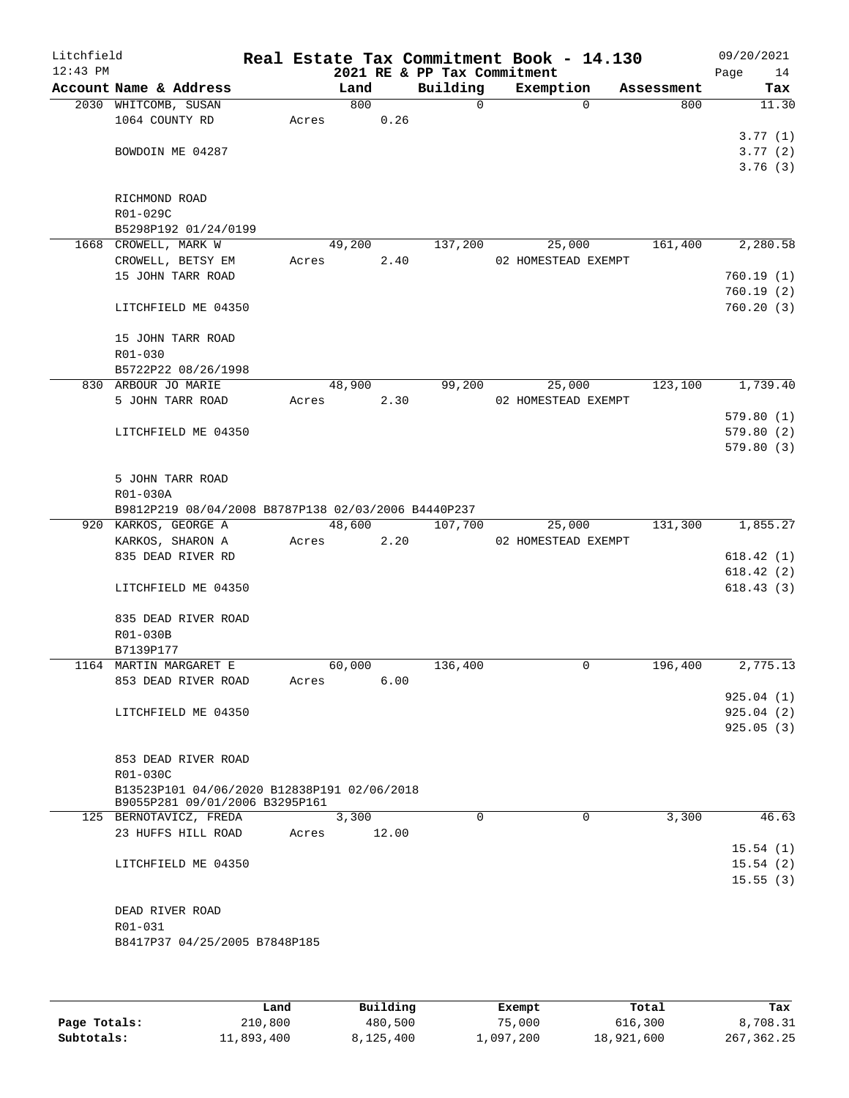| Litchfield<br>$12:43$ PM |                                                     |        |        | 2021 RE & PP Tax Commitment | Real Estate Tax Commitment Book - 14.130 |            | 09/20/2021<br>Page<br>14 |
|--------------------------|-----------------------------------------------------|--------|--------|-----------------------------|------------------------------------------|------------|--------------------------|
|                          | Account Name & Address                              | Land   |        | Building                    | Exemption                                | Assessment | Tax                      |
|                          | 2030 WHITCOMB, SUSAN                                |        | 800    | $\Omega$                    | $\Omega$                                 | 800        | 11.30                    |
|                          | 1064 COUNTY RD                                      | Acres  | 0.26   |                             |                                          |            |                          |
|                          |                                                     |        |        |                             |                                          |            | 3.77(1)                  |
|                          | BOWDOIN ME 04287                                    |        |        |                             |                                          |            | 3.77(2)                  |
|                          |                                                     |        |        |                             |                                          |            | 3.76(3)                  |
|                          |                                                     |        |        |                             |                                          |            |                          |
|                          | RICHMOND ROAD                                       |        |        |                             |                                          |            |                          |
|                          | R01-029C                                            |        |        |                             |                                          |            |                          |
|                          | B5298P192 01/24/0199                                |        |        |                             |                                          |            |                          |
|                          | 1668 CROWELL, MARK W                                | 49,200 |        | 137,200                     | 25,000                                   | 161,400    | 2,280.58                 |
|                          | CROWELL, BETSY EM                                   | Acres  | 2.40   |                             | 02 HOMESTEAD EXEMPT                      |            |                          |
|                          | 15 JOHN TARR ROAD                                   |        |        |                             |                                          |            | 760.19(1)                |
|                          |                                                     |        |        |                             |                                          |            | 760.19(2)                |
|                          | LITCHFIELD ME 04350                                 |        |        |                             |                                          |            | 760.20(3)                |
|                          |                                                     |        |        |                             |                                          |            |                          |
|                          | 15 JOHN TARR ROAD<br>$R01 - 030$                    |        |        |                             |                                          |            |                          |
|                          | B5722P22 08/26/1998                                 |        |        |                             |                                          |            |                          |
|                          | 830 ARBOUR JO MARIE                                 |        | 48,900 | 99,200                      | 25,000                                   | 123,100    | 1,739.40                 |
|                          | 5 JOHN TARR ROAD                                    | Acres  | 2.30   |                             | 02 HOMESTEAD EXEMPT                      |            |                          |
|                          |                                                     |        |        |                             |                                          |            | 579.80(1)                |
|                          | LITCHFIELD ME 04350                                 |        |        |                             |                                          |            | 579.80(2)                |
|                          |                                                     |        |        |                             |                                          |            | 579.80(3)                |
|                          |                                                     |        |        |                             |                                          |            |                          |
|                          | 5 JOHN TARR ROAD                                    |        |        |                             |                                          |            |                          |
|                          | R01-030A                                            |        |        |                             |                                          |            |                          |
|                          | B9812P219 08/04/2008 B8787P138 02/03/2006 B4440P237 |        |        |                             |                                          |            |                          |
|                          | 920 KARKOS, GEORGE A                                | 48,600 |        | 107,700                     | 25,000                                   | 131,300    | 1,855.27                 |
|                          | KARKOS, SHARON A                                    | Acres  | 2.20   |                             | 02 HOMESTEAD EXEMPT                      |            |                          |
|                          | 835 DEAD RIVER RD                                   |        |        |                             |                                          |            | 618.42(1)                |
|                          |                                                     |        |        |                             |                                          |            | 618.42(2)                |
|                          | LITCHFIELD ME 04350                                 |        |        |                             |                                          |            | 618.43(3)                |
|                          |                                                     |        |        |                             |                                          |            |                          |
|                          | 835 DEAD RIVER ROAD                                 |        |        |                             |                                          |            |                          |
|                          | R01-030B                                            |        |        |                             |                                          |            |                          |
|                          | B7139P177                                           |        |        |                             |                                          |            |                          |
|                          | 1164 MARTIN MARGARET E                              | 60,000 |        | 136,400                     | 0                                        | 196,400    | 2,775.13                 |
|                          | 853 DEAD RIVER ROAD                                 | Acres  | 6.00   |                             |                                          |            |                          |
|                          |                                                     |        |        |                             |                                          |            | 925.04 (1)               |
|                          | LITCHFIELD ME 04350                                 |        |        |                             |                                          |            | 925.04(2)                |
|                          |                                                     |        |        |                             |                                          |            | 925.05(3)                |
|                          |                                                     |        |        |                             |                                          |            |                          |
|                          | 853 DEAD RIVER ROAD<br>R01-030C                     |        |        |                             |                                          |            |                          |
|                          | B13523P101 04/06/2020 B12838P191 02/06/2018         |        |        |                             |                                          |            |                          |
|                          | B9055P281 09/01/2006 B3295P161                      |        |        |                             |                                          |            |                          |
|                          | 125 BERNOTAVICZ, FREDA                              | 3,300  |        | $\Omega$                    | $\Omega$                                 | 3,300      | 46.63                    |
|                          | 23 HUFFS HILL ROAD                                  | Acres  | 12.00  |                             |                                          |            |                          |
|                          |                                                     |        |        |                             |                                          |            | 15.54(1)                 |
|                          | LITCHFIELD ME 04350                                 |        |        |                             |                                          |            | 15.54(2)                 |
|                          |                                                     |        |        |                             |                                          |            | 15.55(3)                 |
|                          |                                                     |        |        |                             |                                          |            |                          |
|                          | DEAD RIVER ROAD                                     |        |        |                             |                                          |            |                          |
|                          | R01-031                                             |        |        |                             |                                          |            |                          |
|                          | B8417P37 04/25/2005 B7848P185                       |        |        |                             |                                          |            |                          |
|                          |                                                     |        |        |                             |                                          |            |                          |
|                          |                                                     |        |        |                             |                                          |            |                          |
|                          |                                                     |        |        |                             |                                          |            |                          |

|              | Land       | Building  | Exempt    | Total      | Tax        |
|--------------|------------|-----------|-----------|------------|------------|
| Page Totals: | 210,800    | 480,500   | 75,000    | 616,300    | 8,708.31   |
| Subtotals:   | 11,893,400 | 8,125,400 | 1,097,200 | 18,921,600 | 267,362.25 |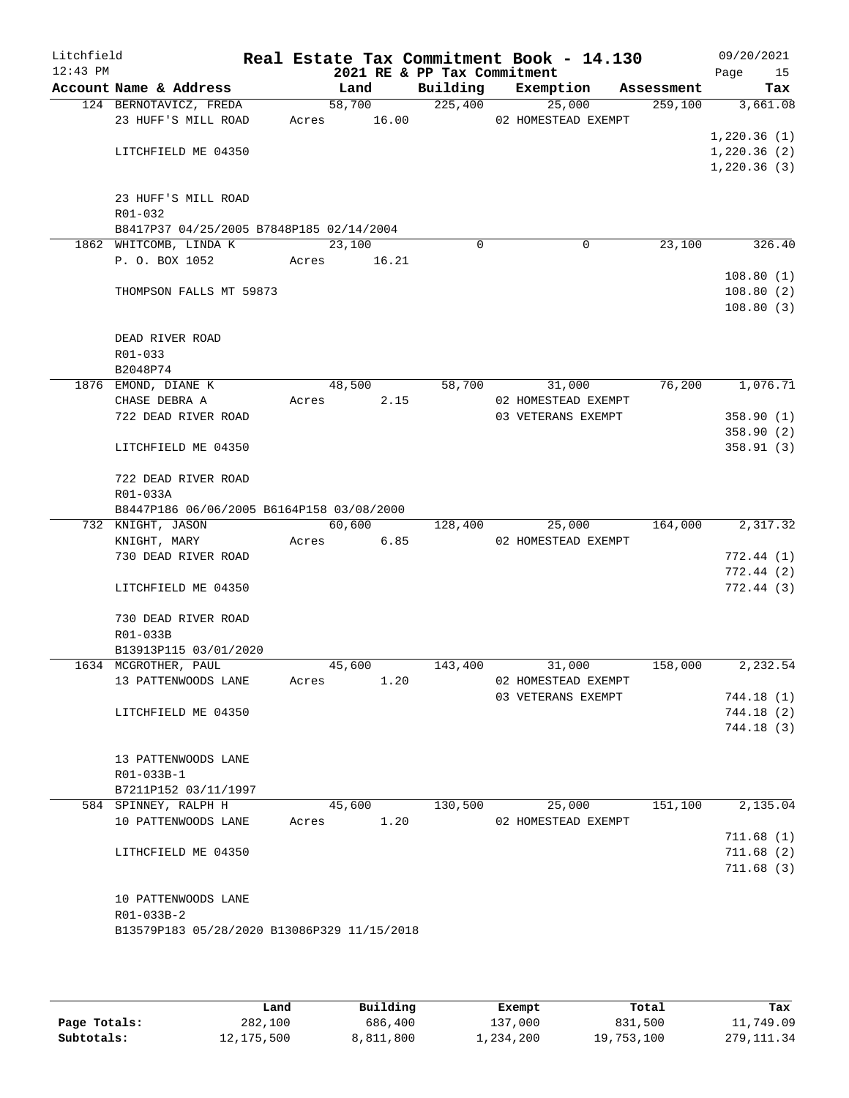| Litchfield<br>$12:43$ PM |                                             |       | 2021 RE & PP Tax Commitment |          | Real Estate Tax Commitment Book - 14.130 |            | 09/20/2021<br>Page<br>15 |
|--------------------------|---------------------------------------------|-------|-----------------------------|----------|------------------------------------------|------------|--------------------------|
|                          | Account Name & Address                      |       | Land                        | Building | Exemption                                | Assessment | Tax                      |
|                          | 124 BERNOTAVICZ, FREDA                      |       | 58,700 225,400              |          | 25,000                                   | 259,100    | 3,661.08                 |
|                          | 23 HUFF'S MILL ROAD                         |       |                             |          | Acres 16.00 02 HOMESTEAD EXEMPT          |            |                          |
|                          |                                             |       |                             |          |                                          |            | 1,220.36(1)              |
|                          | LITCHFIELD ME 04350                         |       |                             |          |                                          |            | 1,220.36(2)              |
|                          |                                             |       |                             |          |                                          |            | 1,220.36(3)              |
|                          |                                             |       |                             |          |                                          |            |                          |
|                          | 23 HUFF'S MILL ROAD                         |       |                             |          |                                          |            |                          |
|                          | R01-032                                     |       |                             |          |                                          |            |                          |
|                          | B8417P37 04/25/2005 B7848P185 02/14/2004    |       |                             |          |                                          |            |                          |
|                          | 1862 WHITCOMB, LINDA K                      |       | 23,100                      | $\Omega$ | 0                                        | 23,100     | 326.40                   |
|                          | P. O. BOX 1052                              |       | Acres 16.21                 |          |                                          |            |                          |
|                          |                                             |       |                             |          |                                          |            | 108.80(1)<br>108.80(2)   |
|                          | THOMPSON FALLS MT 59873                     |       |                             |          |                                          |            | 108.80(3)                |
|                          |                                             |       |                             |          |                                          |            |                          |
|                          | DEAD RIVER ROAD                             |       |                             |          |                                          |            |                          |
|                          | R01-033                                     |       |                             |          |                                          |            |                          |
|                          | B2048P74                                    |       |                             |          |                                          |            |                          |
|                          | 1876 EMOND, DIANE K                         |       | 48,500                      |          | 58,700<br>31,000                         | 76,200     | 1,076.71                 |
|                          | CHASE DEBRA A                               | Acres | 2.15                        |          | 02 HOMESTEAD EXEMPT                      |            |                          |
|                          | 722 DEAD RIVER ROAD                         |       |                             |          | 03 VETERANS EXEMPT                       |            | 358.90(1)                |
|                          |                                             |       |                             |          |                                          |            | 358.90(2)                |
|                          | LITCHFIELD ME 04350                         |       |                             |          |                                          |            | 358.91(3)                |
|                          | 722 DEAD RIVER ROAD                         |       |                             |          |                                          |            |                          |
|                          | R01-033A                                    |       |                             |          |                                          |            |                          |
|                          | B8447P186 06/06/2005 B6164P158 03/08/2000   |       |                             |          |                                          |            |                          |
|                          | 732 KNIGHT, JASON                           |       | 60,600                      | 128,400  | 25,000                                   | 164,000    | 2,317.32                 |
|                          | KNIGHT, MARY                                |       | Acres<br>6.85               |          | 02 HOMESTEAD EXEMPT                      |            |                          |
|                          | 730 DEAD RIVER ROAD                         |       |                             |          |                                          |            | 772.44(1)                |
|                          |                                             |       |                             |          |                                          |            | 772.44(2)                |
|                          | LITCHFIELD ME 04350                         |       |                             |          |                                          |            | 772.44(3)                |
|                          | 730 DEAD RIVER ROAD                         |       |                             |          |                                          |            |                          |
|                          | R01-033B                                    |       |                             |          |                                          |            |                          |
|                          | B13913P115 03/01/2020                       |       |                             |          |                                          |            |                          |
|                          | 1634 MCGROTHER, PAUL                        |       | 45,600                      | 143,400  | 31,000                                   | 158,000    | 2,232.54                 |
|                          | 13 PATTENWOODS LANE                         | Acres | 1.20                        |          | 02 HOMESTEAD EXEMPT                      |            |                          |
|                          |                                             |       |                             |          | 03 VETERANS EXEMPT                       |            | 744.18(1)                |
|                          | LITCHFIELD ME 04350                         |       |                             |          |                                          |            | 744.18(2)                |
|                          |                                             |       |                             |          |                                          |            | 744.18(3)                |
|                          |                                             |       |                             |          |                                          |            |                          |
|                          | 13 PATTENWOODS LANE                         |       |                             |          |                                          |            |                          |
|                          | R01-033B-1<br>B7211P152 03/11/1997          |       |                             |          |                                          |            |                          |
|                          | 584 SPINNEY, RALPH H                        |       | 45,600                      | 130,500  | 25,000                                   | 151,100    | 2,135.04                 |
|                          | 10 PATTENWOODS LANE                         | Acres | 1.20                        |          | 02 HOMESTEAD EXEMPT                      |            |                          |
|                          |                                             |       |                             |          |                                          |            | 711.68(1)                |
|                          | LITHCFIELD ME 04350                         |       |                             |          |                                          |            | 711.68(2)                |
|                          |                                             |       |                             |          |                                          |            | 711.68(3)                |
|                          |                                             |       |                             |          |                                          |            |                          |
|                          | 10 PATTENWOODS LANE                         |       |                             |          |                                          |            |                          |
|                          | R01-033B-2                                  |       |                             |          |                                          |            |                          |
|                          | B13579P183 05/28/2020 B13086P329 11/15/2018 |       |                             |          |                                          |            |                          |
|                          |                                             |       |                             |          |                                          |            |                          |

|              | Land       | Building  | Exempt    | Total      | Tax          |
|--------------|------------|-----------|-----------|------------|--------------|
| Page Totals: | 282,100    | 686,400   | 137,000   | 831,500    | 11,749.09    |
| Subtotals:   | 12,175,500 | 8,811,800 | 1,234,200 | 19,753,100 | 279, 111, 34 |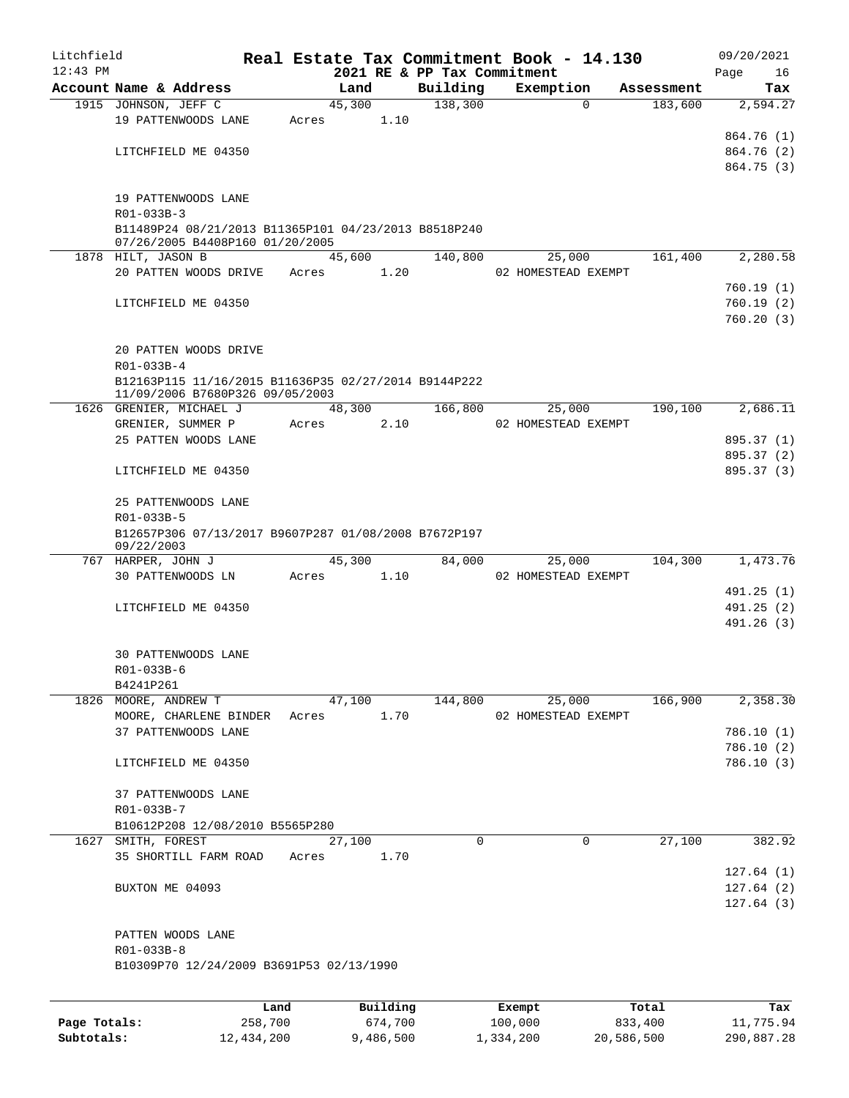| Litchfield   |                                                      |       |          |                             | Real Estate Tax Commitment Book - 14.130 |            | 09/20/2021             |
|--------------|------------------------------------------------------|-------|----------|-----------------------------|------------------------------------------|------------|------------------------|
| $12:43$ PM   |                                                      |       |          | 2021 RE & PP Tax Commitment |                                          |            | Page<br>16             |
|              | Account Name & Address                               |       | Land     | Building                    | Exemption                                | Assessment | Tax                    |
|              | 1915 JOHNSON, JEFF C                                 |       | 45,300   | 138,300                     | $\Omega$                                 | 183,600    | 2,594.27               |
|              | 19 PATTENWOODS LANE                                  | Acres | 1.10     |                             |                                          |            | 864.76 (1)             |
|              | LITCHFIELD ME 04350                                  |       |          |                             |                                          |            | 864.76 (2)             |
|              |                                                      |       |          |                             |                                          |            | 864.75 (3)             |
|              |                                                      |       |          |                             |                                          |            |                        |
|              | 19 PATTENWOODS LANE                                  |       |          |                             |                                          |            |                        |
|              | R01-033B-3                                           |       |          |                             |                                          |            |                        |
|              | B11489P24 08/21/2013 B11365P101 04/23/2013 B8518P240 |       |          |                             |                                          |            |                        |
|              | 07/26/2005 B4408P160 01/20/2005                      |       |          |                             |                                          |            |                        |
|              | 1878 HILT, JASON B                                   |       | 45,600   | 140,800                     | 25,000                                   | 161,400    | 2,280.58               |
|              | 20 PATTEN WOODS DRIVE                                | Acres | 1.20     |                             | 02 HOMESTEAD EXEMPT                      |            |                        |
|              |                                                      |       |          |                             |                                          |            | 760.19(1)              |
|              | LITCHFIELD ME 04350                                  |       |          |                             |                                          |            | 760.19(2)              |
|              |                                                      |       |          |                             |                                          |            | 760.20(3)              |
|              |                                                      |       |          |                             |                                          |            |                        |
|              | 20 PATTEN WOODS DRIVE                                |       |          |                             |                                          |            |                        |
|              | R01-033B-4                                           |       |          |                             |                                          |            |                        |
|              | B12163P115 11/16/2015 B11636P35 02/27/2014 B9144P222 |       |          |                             |                                          |            |                        |
|              | 11/09/2006 B7680P326 09/05/2003                      |       |          |                             |                                          |            |                        |
|              | 1626 GRENIER, MICHAEL J                              |       | 48,300   | 166,800                     | 25,000                                   | 190,100    | 2,686.11               |
|              | GRENIER, SUMMER P                                    | Acres | 2.10     |                             | 02 HOMESTEAD EXEMPT                      |            |                        |
|              | 25 PATTEN WOODS LANE                                 |       |          |                             |                                          |            | 895.37 (1)             |
|              |                                                      |       |          |                             |                                          |            | 895.37 (2)             |
|              | LITCHFIELD ME 04350                                  |       |          |                             |                                          |            | 895.37 (3)             |
|              | 25 PATTENWOODS LANE                                  |       |          |                             |                                          |            |                        |
|              | R01-033B-5                                           |       |          |                             |                                          |            |                        |
|              | B12657P306 07/13/2017 B9607P287 01/08/2008 B7672P197 |       |          |                             |                                          |            |                        |
|              | 09/22/2003                                           |       |          |                             |                                          |            |                        |
|              | 767 HARPER, JOHN J                                   |       | 45,300   | 84,000                      | 25,000                                   | 104,300    | 1,473.76               |
|              | 30 PATTENWOODS LN                                    | Acres | 1.10     |                             | 02 HOMESTEAD EXEMPT                      |            |                        |
|              |                                                      |       |          |                             |                                          |            | 491.25 (1)             |
|              | LITCHFIELD ME 04350                                  |       |          |                             |                                          |            | 491.25 (2)             |
|              |                                                      |       |          |                             |                                          |            | 491.26 (3)             |
|              |                                                      |       |          |                             |                                          |            |                        |
|              | 30 PATTENWOODS LANE                                  |       |          |                             |                                          |            |                        |
|              | R01-033B-6                                           |       |          |                             |                                          |            |                        |
|              | B4241P261                                            |       |          |                             |                                          |            |                        |
|              | 1826 MOORE, ANDREW T                                 |       | 47,100   | 144,800                     | 25,000                                   | 166,900    | 2,358.30               |
|              | MOORE, CHARLENE BINDER                               | Acres | 1.70     |                             | 02 HOMESTEAD EXEMPT                      |            |                        |
|              | 37 PATTENWOODS LANE                                  |       |          |                             |                                          |            | 786.10(1)              |
|              |                                                      |       |          |                             |                                          |            | 786.10(2)              |
|              | LITCHFIELD ME 04350                                  |       |          |                             |                                          |            | 786.10(3)              |
|              |                                                      |       |          |                             |                                          |            |                        |
|              | 37 PATTENWOODS LANE                                  |       |          |                             |                                          |            |                        |
|              | R01-033B-7                                           |       |          |                             |                                          |            |                        |
|              | B10612P208 12/08/2010 B5565P280                      |       |          | 0                           | $\mathbf 0$                              |            |                        |
|              | 1627 SMITH, FOREST                                   |       | 27,100   |                             |                                          | 27,100     | 382.92                 |
|              | 35 SHORTILL FARM ROAD                                | Acres | 1.70     |                             |                                          |            | 127.64(1)              |
|              |                                                      |       |          |                             |                                          |            |                        |
|              | BUXTON ME 04093                                      |       |          |                             |                                          |            | 127.64(2)<br>127.64(3) |
|              |                                                      |       |          |                             |                                          |            |                        |
|              | PATTEN WOODS LANE                                    |       |          |                             |                                          |            |                        |
|              | R01-033B-8                                           |       |          |                             |                                          |            |                        |
|              | B10309P70 12/24/2009 B3691P53 02/13/1990             |       |          |                             |                                          |            |                        |
|              |                                                      |       |          |                             |                                          |            |                        |
|              |                                                      |       |          |                             |                                          |            |                        |
|              |                                                      | Land  | Building |                             | Exempt                                   | Total      | Tax                    |
| Page Totals: | 258,700                                              |       | 674,700  |                             | 100,000                                  | 833,400    | 11,775.94              |

**Subtotals:** 12,434,200 9,486,500 1,334,200 20,586,500 290,887.28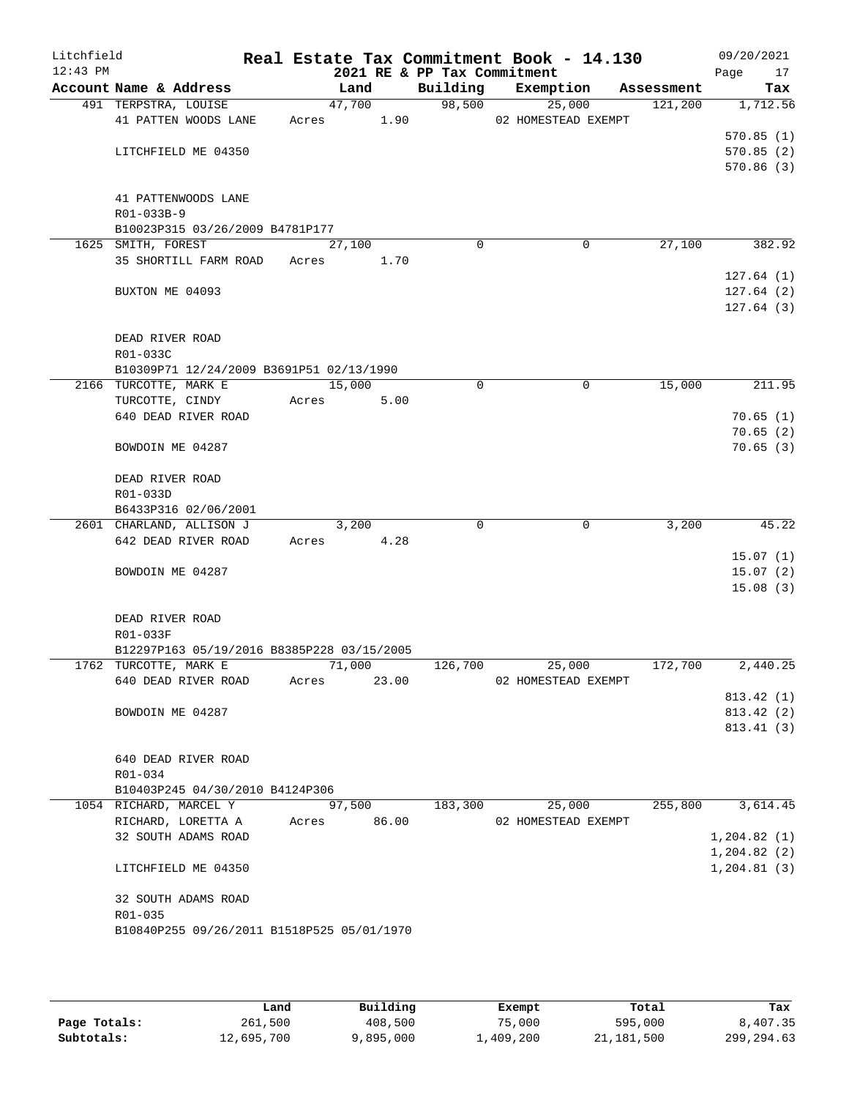| Litchfield<br>$12:43$ PM |                                               |       |             |       | 2021 RE & PP Tax Commitment | Real Estate Tax Commitment Book - 14.130 |            | 09/20/2021<br>Page<br>17 |
|--------------------------|-----------------------------------------------|-------|-------------|-------|-----------------------------|------------------------------------------|------------|--------------------------|
|                          | Account Name & Address                        |       | Land        |       | Building                    | Exemption                                | Assessment | Tax                      |
|                          | 491 TERPSTRA, LOUISE                          |       | 47,700      |       | 98,500                      | 25,000                                   | 121,200    | 1,712.56                 |
|                          | 41 PATTEN WOODS LANE                          | Acres |             | 1.90  |                             | 02 HOMESTEAD EXEMPT                      |            |                          |
|                          |                                               |       |             |       |                             |                                          |            | 570.85(1)                |
|                          | LITCHFIELD ME 04350                           |       |             |       |                             |                                          |            | 570.85(2)                |
|                          |                                               |       |             |       |                             |                                          |            | 570.86(3)                |
|                          |                                               |       |             |       |                             |                                          |            |                          |
|                          | 41 PATTENWOODS LANE                           |       |             |       |                             |                                          |            |                          |
|                          | R01-033B-9<br>B10023P315 03/26/2009 B4781P177 |       |             |       |                             |                                          |            |                          |
|                          | 1625 SMITH, FOREST                            |       | 27,100      |       | $\Omega$                    | 0                                        | 27,100     | 382.92                   |
|                          | 35 SHORTILL FARM ROAD Acres                   |       |             | 1.70  |                             |                                          |            |                          |
|                          |                                               |       |             |       |                             |                                          |            | 127.64(1)                |
|                          | BUXTON ME 04093                               |       |             |       |                             |                                          |            | 127.64(2)                |
|                          |                                               |       |             |       |                             |                                          |            | 127.64(3)                |
|                          |                                               |       |             |       |                             |                                          |            |                          |
|                          | DEAD RIVER ROAD                               |       |             |       |                             |                                          |            |                          |
|                          | R01-033C                                      |       |             |       |                             |                                          |            |                          |
|                          | B10309P71 12/24/2009 B3691P51 02/13/1990      |       |             |       |                             |                                          |            |                          |
|                          | 2166 TURCOTTE, MARK E                         |       | 15,000      |       | 0                           | $\mathbf 0$                              | 15,000     | 211.95                   |
|                          | TURCOTTE, CINDY                               | Acres |             | 5.00  |                             |                                          |            |                          |
|                          | 640 DEAD RIVER ROAD                           |       |             |       |                             |                                          |            | 70.65(1)                 |
|                          |                                               |       |             |       |                             |                                          |            | 70.65(2)                 |
|                          | BOWDOIN ME 04287                              |       |             |       |                             |                                          |            | 70.65(3)                 |
|                          |                                               |       |             |       |                             |                                          |            |                          |
|                          | DEAD RIVER ROAD                               |       |             |       |                             |                                          |            |                          |
|                          | R01-033D                                      |       |             |       |                             |                                          |            |                          |
|                          | B6433P316 02/06/2001                          |       |             |       |                             |                                          |            |                          |
|                          | 2601 CHARLAND, ALLISON J                      |       | 3,200       |       | $\Omega$                    | $\mathbf 0$                              | 3,200      | 45.22                    |
|                          | 642 DEAD RIVER ROAD                           | Acres |             | 4.28  |                             |                                          |            |                          |
|                          | BOWDOIN ME 04287                              |       |             |       |                             |                                          |            | 15.07(1)<br>15.07(2)     |
|                          |                                               |       |             |       |                             |                                          |            | 15.08(3)                 |
|                          |                                               |       |             |       |                             |                                          |            |                          |
|                          | DEAD RIVER ROAD                               |       |             |       |                             |                                          |            |                          |
|                          | R01-033F                                      |       |             |       |                             |                                          |            |                          |
|                          | B12297P163 05/19/2016 B8385P228 03/15/2005    |       |             |       |                             |                                          |            |                          |
|                          | 1762 TURCOTTE, MARK E                         |       | 71,000      |       | 126,700                     | 25,000                                   | 172,700    | 2,440.25                 |
|                          | 640 DEAD RIVER ROAD                           | Acres |             | 23.00 |                             | 02 HOMESTEAD EXEMPT                      |            |                          |
|                          |                                               |       |             |       |                             |                                          |            | 813.42 (1)               |
|                          | BOWDOIN ME 04287                              |       |             |       |                             |                                          |            | 813.42 (2)               |
|                          |                                               |       |             |       |                             |                                          |            | 813.41(3)                |
|                          |                                               |       |             |       |                             |                                          |            |                          |
|                          | 640 DEAD RIVER ROAD                           |       |             |       |                             |                                          |            |                          |
|                          | R01-034                                       |       |             |       |                             |                                          |            |                          |
|                          | B10403P245 04/30/2010 B4124P306               |       |             |       |                             |                                          |            |                          |
|                          | 1054 RICHARD, MARCEL Y                        |       | 97,500      |       | 183,300                     | 25,000                                   | 255,800    | 3,614.45                 |
|                          | RICHARD, LORETTA A                            |       | Acres 86.00 |       |                             | 02 HOMESTEAD EXEMPT                      |            |                          |
|                          | 32 SOUTH ADAMS ROAD                           |       |             |       |                             |                                          |            | 1,204.82(1)              |
|                          |                                               |       |             |       |                             |                                          |            | 1,204.82(2)              |
|                          | LITCHFIELD ME 04350                           |       |             |       |                             |                                          |            | 1, 204.81(3)             |
|                          | 32 SOUTH ADAMS ROAD                           |       |             |       |                             |                                          |            |                          |
|                          | R01-035                                       |       |             |       |                             |                                          |            |                          |
|                          | B10840P255 09/26/2011 B1518P525 05/01/1970    |       |             |       |                             |                                          |            |                          |
|                          |                                               |       |             |       |                             |                                          |            |                          |
|                          |                                               |       |             |       |                             |                                          |            |                          |

|              | Land       | Building  | Exempt    | Total      | Tax          |
|--------------|------------|-----------|-----------|------------|--------------|
| Page Totals: | 261,500    | 408,500   | 75,000    | 595,000    | 8,407.35     |
| Subtotals:   | 12,695,700 | 9,895,000 | 1,409,200 | 21,181,500 | 299, 294, 63 |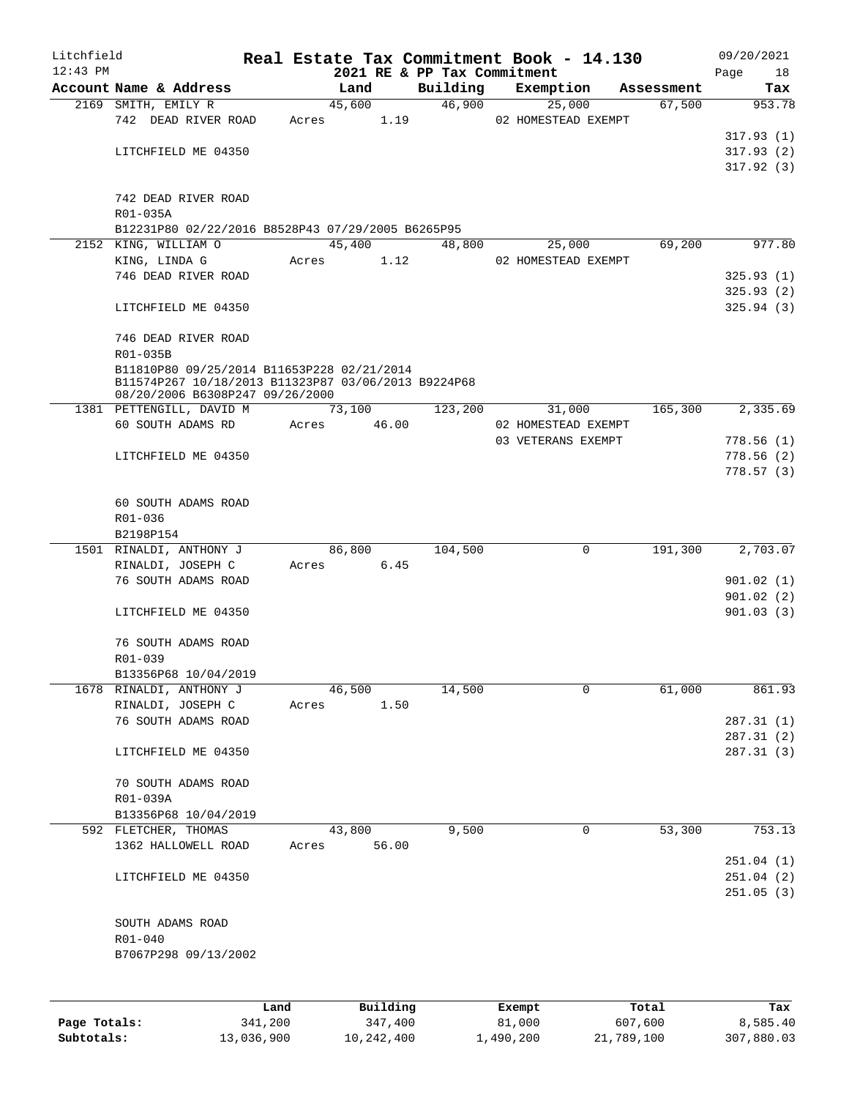| Litchfield |                                                                                        |       |                             |          | Real Estate Tax Commitment Book - 14.130 |            | 09/20/2021              |
|------------|----------------------------------------------------------------------------------------|-------|-----------------------------|----------|------------------------------------------|------------|-------------------------|
| $12:43$ PM |                                                                                        |       | 2021 RE & PP Tax Commitment |          |                                          |            | Page<br>18              |
|            | Account Name & Address                                                                 |       | Land                        | Building | Exemption                                | Assessment | Tax                     |
|            | 2169 SMITH, EMILY R<br>742 DEAD RIVER ROAD                                             |       | 45,600<br>Acres 1.19        | 46,900   | 25,000<br>02 HOMESTEAD EXEMPT            | 67,500     | 953.78                  |
|            |                                                                                        |       |                             |          |                                          |            | 317.93(1)               |
|            | LITCHFIELD ME 04350                                                                    |       |                             |          |                                          |            | 317.93(2)               |
|            |                                                                                        |       |                             |          |                                          |            | 317.92(3)               |
|            |                                                                                        |       |                             |          |                                          |            |                         |
|            | 742 DEAD RIVER ROAD                                                                    |       |                             |          |                                          |            |                         |
|            | R01-035A                                                                               |       |                             |          |                                          |            |                         |
|            | B12231P80 02/22/2016 B8528P43 07/29/2005 B6265P95                                      |       |                             |          |                                          |            |                         |
|            | 2152 KING, WILLIAM O                                                                   |       | 45,400                      | 48,800   | 25,000                                   | 69,200     | 977.80                  |
|            | KING, LINDA G                                                                          | Acres | 1.12                        |          | 02 HOMESTEAD EXEMPT                      |            |                         |
|            | 746 DEAD RIVER ROAD                                                                    |       |                             |          |                                          |            | 325.93(1)               |
|            |                                                                                        |       |                             |          |                                          |            | 325.93 (2)              |
|            | LITCHFIELD ME 04350                                                                    |       |                             |          |                                          |            | 325.94(3)               |
|            |                                                                                        |       |                             |          |                                          |            |                         |
|            | 746 DEAD RIVER ROAD                                                                    |       |                             |          |                                          |            |                         |
|            | R01-035B                                                                               |       |                             |          |                                          |            |                         |
|            | B11810P80 09/25/2014 B11653P228 02/21/2014                                             |       |                             |          |                                          |            |                         |
|            | B11574P267 10/18/2013 B11323P87 03/06/2013 B9224P68<br>08/20/2006 B6308P247 09/26/2000 |       |                             |          |                                          |            |                         |
|            | 1381 PETTENGILL, DAVID M 73,100                                                        |       |                             | 123,200  | 31,000                                   | 165,300    | $\overline{2}$ , 335.69 |
|            | 60 SOUTH ADAMS RD                                                                      |       | Acres 46.00                 |          | 02 HOMESTEAD EXEMPT                      |            |                         |
|            |                                                                                        |       |                             |          | 03 VETERANS EXEMPT                       |            | 778.56(1)               |
|            | LITCHFIELD ME 04350                                                                    |       |                             |          |                                          |            | 778.56(2)               |
|            |                                                                                        |       |                             |          |                                          |            | 778.57(3)               |
|            |                                                                                        |       |                             |          |                                          |            |                         |
|            | 60 SOUTH ADAMS ROAD                                                                    |       |                             |          |                                          |            |                         |
|            | R01-036                                                                                |       |                             |          |                                          |            |                         |
|            | B2198P154                                                                              |       |                             |          |                                          |            |                         |
|            | 1501 RINALDI, ANTHONY J                                                                |       | 86,800                      | 104,500  | $\mathbf 0$                              | 191,300    | 2,703.07                |
|            | RINALDI, JOSEPH C                                                                      |       | Acres 6.45                  |          |                                          |            |                         |
|            | 76 SOUTH ADAMS ROAD                                                                    |       |                             |          |                                          |            | 901.02(1)               |
|            |                                                                                        |       |                             |          |                                          |            | 901.02(2)               |
|            | LITCHFIELD ME 04350                                                                    |       |                             |          |                                          |            | 901.03(3)               |
|            |                                                                                        |       |                             |          |                                          |            |                         |
|            | 76 SOUTH ADAMS ROAD                                                                    |       |                             |          |                                          |            |                         |
|            | R01-039<br>B13356P68 10/04/2019                                                        |       |                             |          |                                          |            |                         |
|            | 1678 RINALDI, ANTHONY J                                                                |       | 46,500                      | 14,500   | $\mathbf 0$                              | 61,000     | 861.93                  |
|            | RINALDI, JOSEPH C                                                                      | Acres | 1.50                        |          |                                          |            |                         |
|            | 76 SOUTH ADAMS ROAD                                                                    |       |                             |          |                                          |            | 287.31(1)               |
|            |                                                                                        |       |                             |          |                                          |            | 287.31 (2)              |
|            | LITCHFIELD ME 04350                                                                    |       |                             |          |                                          |            | 287.31 (3)              |
|            |                                                                                        |       |                             |          |                                          |            |                         |
|            | 70 SOUTH ADAMS ROAD                                                                    |       |                             |          |                                          |            |                         |
|            | R01-039A                                                                               |       |                             |          |                                          |            |                         |
|            | B13356P68 10/04/2019                                                                   |       |                             |          |                                          |            |                         |
|            | 592 FLETCHER, THOMAS                                                                   |       | 43,800                      | 9,500    | 0                                        | 53,300     | 753.13                  |
|            | 1362 HALLOWELL ROAD                                                                    | Acres | 56.00                       |          |                                          |            |                         |
|            |                                                                                        |       |                             |          |                                          |            | 251.04(1)               |
|            | LITCHFIELD ME 04350                                                                    |       |                             |          |                                          |            | 251.04 (2)              |
|            |                                                                                        |       |                             |          |                                          |            | 251.05(3)               |
|            |                                                                                        |       |                             |          |                                          |            |                         |
|            | SOUTH ADAMS ROAD                                                                       |       |                             |          |                                          |            |                         |
|            | R01-040                                                                                |       |                             |          |                                          |            |                         |
|            | B7067P298 09/13/2002                                                                   |       |                             |          |                                          |            |                         |
|            |                                                                                        |       |                             |          |                                          |            |                         |
|            |                                                                                        |       |                             |          |                                          |            |                         |
|            |                                                                                        | Land  | Building                    |          | Exempt                                   | Total      | Tax                     |

**Page Totals:** 341,200 347,400 8,585.40 8,585.40 **Subtotals:** 13,036,900 10,242,400 1,490,200 21,789,100 307,880.03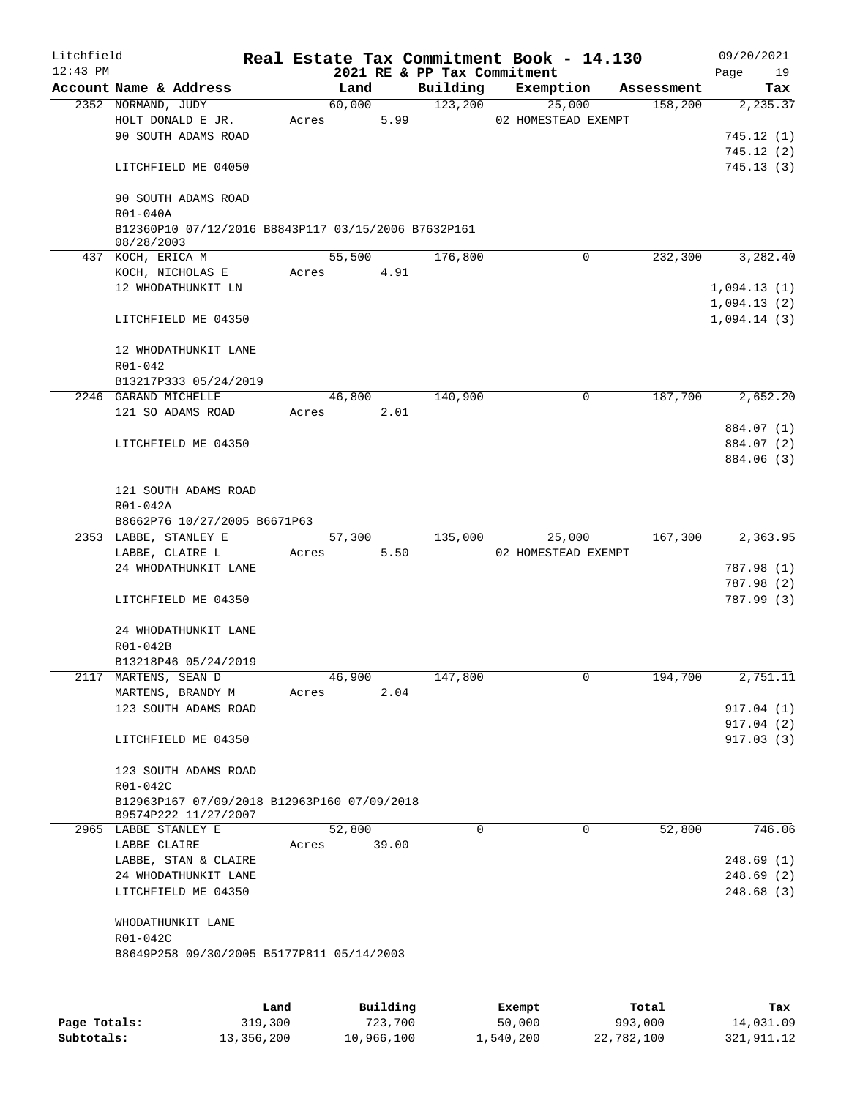| Litchfield<br>$12:43$ PM |                                                                     |       |        |      | 2021 RE & PP Tax Commitment | Real Estate Tax Commitment Book - 14.130 |             | 09/20/2021<br>Page<br>19 |
|--------------------------|---------------------------------------------------------------------|-------|--------|------|-----------------------------|------------------------------------------|-------------|--------------------------|
|                          | Account Name & Address                                              |       | Land   |      | Building                    | Exemption                                | Assessment  | Tax                      |
|                          | 2352 NORMAND, JUDY                                                  |       | 60,000 |      | 123,200                     | 25,000                                   |             | 158,200<br>2,235.37      |
|                          | HOLT DONALD E JR.                                                   | Acres |        | 5.99 |                             | 02 HOMESTEAD EXEMPT                      |             |                          |
|                          | 90 SOUTH ADAMS ROAD                                                 |       |        |      |                             |                                          |             | 745.12 (1)               |
|                          |                                                                     |       |        |      |                             |                                          |             | 745.12(2)                |
|                          | LITCHFIELD ME 04050                                                 |       |        |      |                             |                                          |             | 745.13(3)                |
|                          | 90 SOUTH ADAMS ROAD<br>R01-040A                                     |       |        |      |                             |                                          |             |                          |
|                          | B12360P10 07/12/2016 B8843P117 03/15/2006 B7632P161<br>08/28/2003   |       |        |      |                             |                                          |             |                          |
|                          | 437 KOCH, ERICA M                                                   |       | 55,500 |      | 176,800                     |                                          | $\Omega$    | 232,300<br>3,282.40      |
|                          | KOCH, NICHOLAS E                                                    | Acres |        | 4.91 |                             |                                          |             |                          |
|                          | 12 WHODATHUNKIT LN                                                  |       |        |      |                             |                                          |             | 1,094.13(1)              |
|                          |                                                                     |       |        |      |                             |                                          |             | 1,094.13(2)              |
|                          | LITCHFIELD ME 04350                                                 |       |        |      |                             |                                          |             | 1,094.14(3)              |
|                          | 12 WHODATHUNKIT LANE                                                |       |        |      |                             |                                          |             |                          |
|                          | R01-042                                                             |       |        |      |                             |                                          |             |                          |
|                          | B13217P333 05/24/2019                                               |       |        |      |                             |                                          |             |                          |
|                          | 2246 GARAND MICHELLE                                                |       | 46,800 |      | 140,900                     |                                          | $\mathbf 0$ | 187,700<br>2,652.20      |
|                          | 121 SO ADAMS ROAD                                                   | Acres |        | 2.01 |                             |                                          |             |                          |
|                          |                                                                     |       |        |      |                             |                                          |             | 884.07 (1)               |
|                          | LITCHFIELD ME 04350                                                 |       |        |      |                             |                                          |             | 884.07 (2)               |
|                          |                                                                     |       |        |      |                             |                                          |             | 884.06 (3)               |
|                          | 121 SOUTH ADAMS ROAD<br>R01-042A                                    |       |        |      |                             |                                          |             |                          |
|                          | B8662P76 10/27/2005 B6671P63                                        |       |        |      |                             |                                          |             |                          |
|                          | 2353 LABBE, STANLEY E                                               |       | 57,300 |      | 135,000                     | 25,000                                   |             | 167,300<br>2,363.95      |
|                          | LABBE, CLAIRE L                                                     | Acres |        | 5.50 |                             | 02 HOMESTEAD EXEMPT                      |             |                          |
|                          | 24 WHODATHUNKIT LANE                                                |       |        |      |                             |                                          |             | 787.98 (1)               |
|                          |                                                                     |       |        |      |                             |                                          |             | 787.98 (2)               |
|                          | LITCHFIELD ME 04350                                                 |       |        |      |                             |                                          |             | 787.99 (3)               |
|                          | 24 WHODATHUNKIT LANE                                                |       |        |      |                             |                                          |             |                          |
|                          | R01-042B                                                            |       |        |      |                             |                                          |             |                          |
|                          | B13218P46 05/24/2019                                                |       |        |      |                             |                                          |             |                          |
|                          | 2117 MARTENS, SEAN D                                                |       | 46,900 |      | 147,800                     |                                          | 0           | 194,700<br>2,751.11      |
|                          | MARTENS, BRANDY M                                                   | Acres |        | 2.04 |                             |                                          |             |                          |
|                          | 123 SOUTH ADAMS ROAD                                                |       |        |      |                             |                                          |             | 917.04 (1)               |
|                          |                                                                     |       |        |      |                             |                                          |             | 917.04(2)                |
|                          | LITCHFIELD ME 04350                                                 |       |        |      |                             |                                          |             | 917.03(3)                |
|                          | 123 SOUTH ADAMS ROAD<br>R01-042C                                    |       |        |      |                             |                                          |             |                          |
|                          | B12963P167 07/09/2018 B12963P160 07/09/2018<br>B9574P222 11/27/2007 |       |        |      |                             |                                          |             |                          |
|                          | 2965 LABBE STANLEY E                                                |       | 52,800 |      | $\mathbf 0$                 |                                          | $\mathbf 0$ | 52,800<br>746.06         |
|                          | LABBE CLAIRE                                                        | Acres | 39.00  |      |                             |                                          |             |                          |
|                          | LABBE, STAN & CLAIRE                                                |       |        |      |                             |                                          |             | 248.69(1)                |
|                          | 24 WHODATHUNKIT LANE                                                |       |        |      |                             |                                          |             | 248.69(2)                |
|                          | LITCHFIELD ME 04350                                                 |       |        |      |                             |                                          |             | 248.68(3)                |
|                          | WHODATHUNKIT LANE                                                   |       |        |      |                             |                                          |             |                          |
|                          |                                                                     |       |        |      |                             |                                          |             |                          |
|                          | R01-042C<br>B8649P258 09/30/2005 B5177P811 05/14/2003               |       |        |      |                             |                                          |             |                          |
|                          |                                                                     |       |        |      |                             |                                          |             |                          |
|                          |                                                                     |       |        |      |                             |                                          |             |                          |
|                          |                                                                     |       |        |      |                             |                                          |             |                          |

|              | Land       | Building   | Exempt    | Total      | Tax          |
|--------------|------------|------------|-----------|------------|--------------|
| Page Totals: | 319,300    | 723,700    | 50,000    | 993,000    | 14,031.09    |
| Subtotals:   | 13,356,200 | 10,966,100 | 1,540,200 | 22,782,100 | 321, 911, 12 |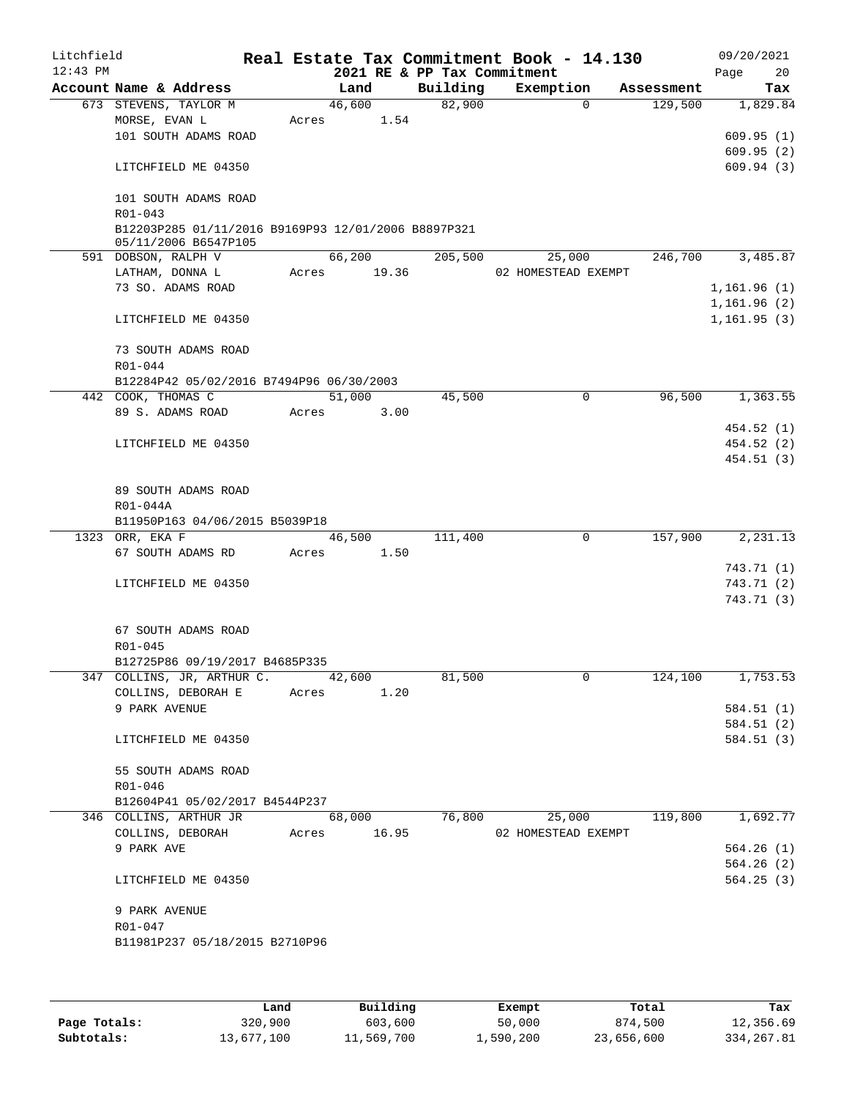| Litchfield<br>$12:43$ PM |                                                                             |       |             |      | 2021 RE & PP Tax Commitment | Real Estate Tax Commitment Book - 14.130 |            | 09/20/2021<br>Page<br>20 |
|--------------------------|-----------------------------------------------------------------------------|-------|-------------|------|-----------------------------|------------------------------------------|------------|--------------------------|
|                          | Account Name & Address                                                      |       | Land        |      | Building                    | Exemption                                | Assessment | Tax                      |
|                          | 673 STEVENS, TAYLOR M                                                       |       | 46,600      |      | 82,900                      | $\Omega$                                 | 129,500    | 1,829.84                 |
|                          | MORSE, EVAN L                                                               | Acres |             | 1.54 |                             |                                          |            |                          |
|                          | 101 SOUTH ADAMS ROAD                                                        |       |             |      |                             |                                          |            | 609.95(1)                |
|                          |                                                                             |       |             |      |                             |                                          |            | 609.95(2)                |
|                          | LITCHFIELD ME 04350                                                         |       |             |      |                             |                                          |            | 609.94(3)                |
|                          | 101 SOUTH ADAMS ROAD<br>R01-043                                             |       |             |      |                             |                                          |            |                          |
|                          | B12203P285 01/11/2016 B9169P93 12/01/2006 B8897P321<br>05/11/2006 B6547P105 |       |             |      |                             |                                          |            |                          |
|                          | 591 DOBSON, RALPH V                                                         |       | 66,200      |      | 205,500                     | 25,000                                   | 246,700    | 3,485.87                 |
|                          | LATHAM, DONNA L                                                             |       | Acres 19.36 |      |                             | 02 HOMESTEAD EXEMPT                      |            |                          |
|                          | 73 SO. ADAMS ROAD                                                           |       |             |      |                             |                                          |            | 1,161.96 (1)             |
|                          |                                                                             |       |             |      |                             |                                          |            | 1,161.96(2)              |
|                          | LITCHFIELD ME 04350                                                         |       |             |      |                             |                                          |            | 1, 161.95(3)             |
|                          | 73 SOUTH ADAMS ROAD                                                         |       |             |      |                             |                                          |            |                          |
|                          | R01-044                                                                     |       |             |      |                             |                                          |            |                          |
|                          | B12284P42 05/02/2016 B7494P96 06/30/2003                                    |       |             |      |                             |                                          |            |                          |
|                          | 442 COOK, THOMAS C                                                          |       | 51,000      |      | 45,500                      | 0                                        | 96,500     | 1,363.55                 |
|                          | 89 S. ADAMS ROAD                                                            | Acres |             | 3.00 |                             |                                          |            |                          |
|                          |                                                                             |       |             |      |                             |                                          |            | 454.52 (1)               |
|                          | LITCHFIELD ME 04350                                                         |       |             |      |                             |                                          |            | 454.52 (2)               |
|                          |                                                                             |       |             |      |                             |                                          |            | 454.51 (3)               |
|                          |                                                                             |       |             |      |                             |                                          |            |                          |
|                          | 89 SOUTH ADAMS ROAD                                                         |       |             |      |                             |                                          |            |                          |
|                          | R01-044A                                                                    |       |             |      |                             |                                          |            |                          |
|                          | B11950P163 04/06/2015 B5039P18<br>1323 ORR, EKA F                           |       | 46,500      |      | 111,400                     | $\mathbf 0$                              | 157,900    | 2,231.13                 |
|                          | 67 SOUTH ADAMS RD                                                           | Acres |             | 1.50 |                             |                                          |            |                          |
|                          |                                                                             |       |             |      |                             |                                          |            | 743.71 (1)               |
|                          | LITCHFIELD ME 04350                                                         |       |             |      |                             |                                          |            | 743.71 (2)               |
|                          |                                                                             |       |             |      |                             |                                          |            | 743.71 (3)               |
|                          |                                                                             |       |             |      |                             |                                          |            |                          |
|                          | 67 SOUTH ADAMS ROAD                                                         |       |             |      |                             |                                          |            |                          |
|                          | R01-045                                                                     |       |             |      |                             |                                          |            |                          |
|                          | B12725P86 09/19/2017 B4685P335                                              |       |             |      |                             |                                          |            |                          |
|                          | 347 COLLINS, JR, ARTHUR C.                                                  |       | 42,600      |      | 81,500                      | 0                                        | 124,100    | 1,753.53                 |
|                          | COLLINS, DEBORAH E                                                          | Acres |             | 1.20 |                             |                                          |            |                          |
|                          | 9 PARK AVENUE                                                               |       |             |      |                             |                                          |            | 584.51 (1)               |
|                          |                                                                             |       |             |      |                             |                                          |            | 584.51 (2)               |
|                          | LITCHFIELD ME 04350                                                         |       |             |      |                             |                                          |            | 584.51 (3)               |
|                          | 55 SOUTH ADAMS ROAD                                                         |       |             |      |                             |                                          |            |                          |
|                          | R01-046                                                                     |       |             |      |                             |                                          |            |                          |
|                          | B12604P41 05/02/2017 B4544P237                                              |       |             |      |                             |                                          |            |                          |
|                          | 346 COLLINS, ARTHUR JR                                                      |       | 68,000      |      | 76,800                      | 25,000                                   | 119,800    | 1,692.77                 |
|                          | COLLINS, DEBORAH                                                            | Acres | 16.95       |      |                             | 02 HOMESTEAD EXEMPT                      |            |                          |
|                          | 9 PARK AVE                                                                  |       |             |      |                             |                                          |            | 564.26(1)                |
|                          |                                                                             |       |             |      |                             |                                          |            | 564.26(2)                |
|                          | LITCHFIELD ME 04350                                                         |       |             |      |                             |                                          |            | 564.25(3)                |
|                          | 9 PARK AVENUE                                                               |       |             |      |                             |                                          |            |                          |
|                          | R01-047                                                                     |       |             |      |                             |                                          |            |                          |
|                          | B11981P237 05/18/2015 B2710P96                                              |       |             |      |                             |                                          |            |                          |
|                          |                                                                             |       |             |      |                             |                                          |            |                          |
|                          |                                                                             |       |             |      |                             |                                          |            |                          |

|              | Land       | Building   | Exempt    | Total      | Tax        |
|--------------|------------|------------|-----------|------------|------------|
| Page Totals: | 320,900    | 603,600    | 50,000    | 874,500    | 12,356.69  |
| Subtotals:   | 13,677,100 | 11,569,700 | ⊥,590,200 | 23,656,600 | 334,267.81 |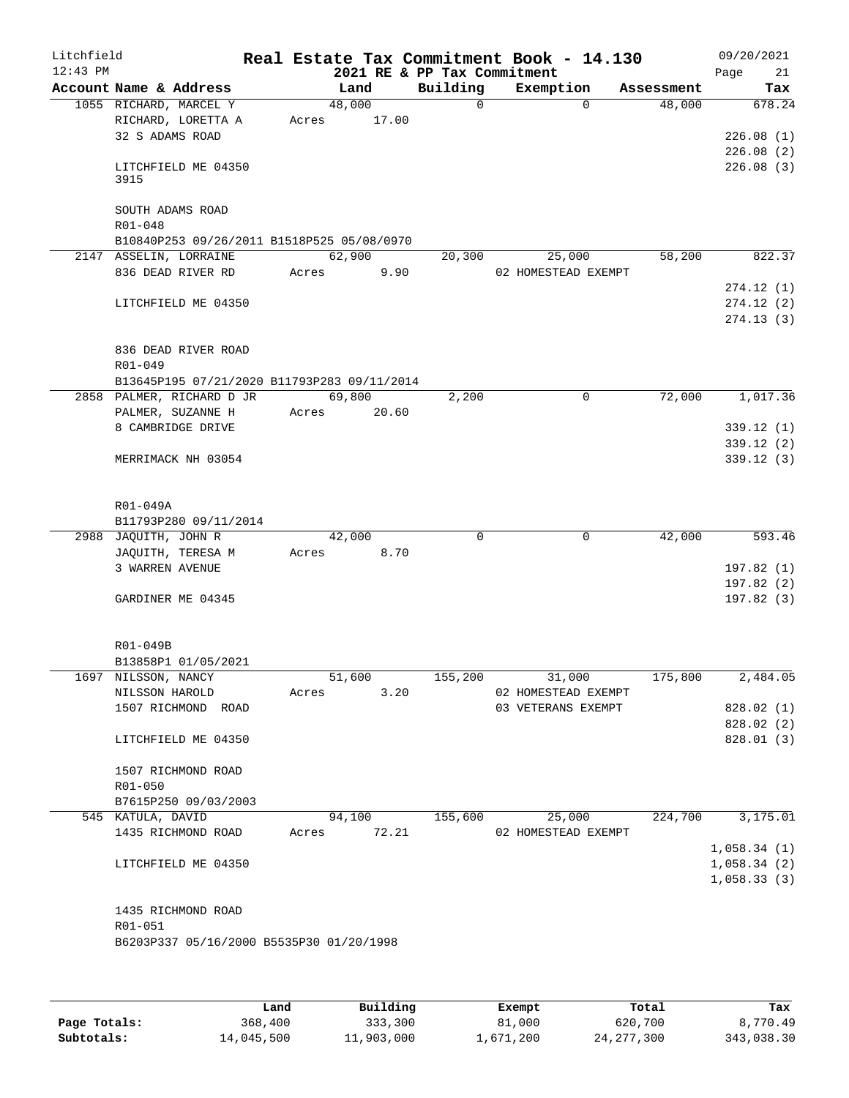| Litchfield<br>$12:43$ PM |                      |                                             |       |             | 2021 RE & PP Tax Commitment | Real Estate Tax Commitment Book - 14.130 |             |            |      | 09/20/2021             |
|--------------------------|----------------------|---------------------------------------------|-------|-------------|-----------------------------|------------------------------------------|-------------|------------|------|------------------------|
|                          |                      | Account Name & Address                      |       | Land        | Building                    | Exemption                                |             | Assessment | Page | 21<br>Tax              |
|                          |                      | 1055 RICHARD, MARCEL Y                      |       | 48,000      | $\overline{0}$              |                                          | $\Omega$    | 48,000     |      | 678.24                 |
|                          |                      | RICHARD, LORETTA A                          |       | Acres 17.00 |                             |                                          |             |            |      |                        |
|                          |                      | 32 S ADAMS ROAD                             |       |             |                             |                                          |             |            |      | 226.08(1)              |
|                          |                      |                                             |       |             |                             |                                          |             |            |      | 226.08(2)              |
|                          |                      | LITCHFIELD ME 04350                         |       |             |                             |                                          |             |            |      | 226.08(3)              |
|                          | 3915                 |                                             |       |             |                             |                                          |             |            |      |                        |
|                          |                      |                                             |       |             |                             |                                          |             |            |      |                        |
|                          |                      | SOUTH ADAMS ROAD                            |       |             |                             |                                          |             |            |      |                        |
|                          | R01-048              |                                             |       |             |                             |                                          |             |            |      |                        |
|                          |                      | B10840P253 09/26/2011 B1518P525 05/08/0970  |       |             |                             |                                          |             |            |      |                        |
|                          |                      | 2147 ASSELIN, LORRAINE                      |       | 62,900      | 20,300                      | 25,000                                   |             | 58,200     |      | 822.37                 |
|                          |                      | 836 DEAD RIVER RD                           | Acres | 9.90        |                             | 02 HOMESTEAD EXEMPT                      |             |            |      |                        |
|                          |                      |                                             |       |             |                             |                                          |             |            |      | 274.12(1)              |
|                          |                      | LITCHFIELD ME 04350                         |       |             |                             |                                          |             |            |      | 274.12(2)<br>274.13(3) |
|                          |                      |                                             |       |             |                             |                                          |             |            |      |                        |
|                          |                      | 836 DEAD RIVER ROAD                         |       |             |                             |                                          |             |            |      |                        |
|                          | R01-049              |                                             |       |             |                             |                                          |             |            |      |                        |
|                          |                      | B13645P195 07/21/2020 B11793P283 09/11/2014 |       |             |                             |                                          |             |            |      |                        |
|                          |                      | 2858 PALMER, RICHARD D JR                   |       | 69,800      | 2,200                       |                                          | $\mathbf 0$ | 72,000     |      | 1,017.36               |
|                          |                      | PALMER, SUZANNE H                           |       | Acres 20.60 |                             |                                          |             |            |      |                        |
|                          |                      | 8 CAMBRIDGE DRIVE                           |       |             |                             |                                          |             |            |      | 339.12 (1)             |
|                          |                      |                                             |       |             |                             |                                          |             |            |      | 339.12(2)              |
|                          |                      | MERRIMACK NH 03054                          |       |             |                             |                                          |             |            |      | 339.12 (3)             |
|                          |                      |                                             |       |             |                             |                                          |             |            |      |                        |
|                          |                      |                                             |       |             |                             |                                          |             |            |      |                        |
|                          | R01-049A             |                                             |       |             |                             |                                          |             |            |      |                        |
|                          |                      | B11793P280 09/11/2014                       |       |             |                             |                                          |             |            |      |                        |
|                          | 2988 JAQUITH, JOHN R |                                             |       | 42,000      | $\Omega$                    |                                          | 0           | 42,000     |      | 593.46                 |
|                          |                      | JAQUITH, TERESA M                           | Acres | 8.70        |                             |                                          |             |            |      |                        |
|                          |                      | 3 WARREN AVENUE                             |       |             |                             |                                          |             |            |      | 197.82(1)              |
|                          |                      |                                             |       |             |                             |                                          |             |            |      | 197.82 (2)             |
|                          |                      | GARDINER ME 04345                           |       |             |                             |                                          |             |            |      | 197.82 (3)             |
|                          |                      |                                             |       |             |                             |                                          |             |            |      |                        |
|                          | R01-049B             |                                             |       |             |                             |                                          |             |            |      |                        |
|                          |                      | B13858P1 01/05/2021                         |       |             |                             |                                          |             |            |      |                        |
|                          | 1697 NILSSON, NANCY  |                                             |       | 51,600      | 155,200                     | 31,000                                   |             | 175,800    |      | 2,484.05               |
|                          | NILSSON HAROLD       |                                             | Acres | 3.20        |                             | 02 HOMESTEAD EXEMPT                      |             |            |      |                        |
|                          |                      | 1507 RICHMOND ROAD                          |       |             |                             | 03 VETERANS EXEMPT                       |             |            |      | 828.02 (1)             |
|                          |                      |                                             |       |             |                             |                                          |             |            |      | 828.02 (2)             |
|                          |                      | LITCHFIELD ME 04350                         |       |             |                             |                                          |             |            |      | 828.01 (3)             |
|                          |                      |                                             |       |             |                             |                                          |             |            |      |                        |
|                          |                      | 1507 RICHMOND ROAD                          |       |             |                             |                                          |             |            |      |                        |
|                          | R01-050              |                                             |       |             |                             |                                          |             |            |      |                        |
|                          |                      | B7615P250 09/03/2003                        |       |             |                             |                                          |             |            |      |                        |
|                          | 545 KATULA, DAVID    |                                             |       | 94,100      | 155,600                     | 25,000                                   |             | 224,700    |      | 3,175.01               |
|                          |                      | 1435 RICHMOND ROAD                          | Acres | 72.21       |                             | 02 HOMESTEAD EXEMPT                      |             |            |      |                        |
|                          |                      |                                             |       |             |                             |                                          |             |            |      | 1,058.34(1)            |
|                          |                      | LITCHFIELD ME 04350                         |       |             |                             |                                          |             |            |      | 1,058.34(2)            |
|                          |                      |                                             |       |             |                             |                                          |             |            |      | 1,058.33(3)            |
|                          |                      |                                             |       |             |                             |                                          |             |            |      |                        |
|                          |                      | 1435 RICHMOND ROAD                          |       |             |                             |                                          |             |            |      |                        |
|                          | R01-051              | B6203P337 05/16/2000 B5535P30 01/20/1998    |       |             |                             |                                          |             |            |      |                        |
|                          |                      |                                             |       |             |                             |                                          |             |            |      |                        |
|                          |                      |                                             |       |             |                             |                                          |             |            |      |                        |
|                          |                      |                                             |       |             |                             |                                          |             |            |      |                        |

|              | Land       | Building   | Exempt    | Total        | Tax        |
|--------------|------------|------------|-----------|--------------|------------|
| Page Totals: | 368,400    | 333,300    | 81,000    | 620,700      | 8,770.49   |
| Subtotals:   | 14,045,500 | 11,903,000 | 1,671,200 | 24, 277, 300 | 343,038.30 |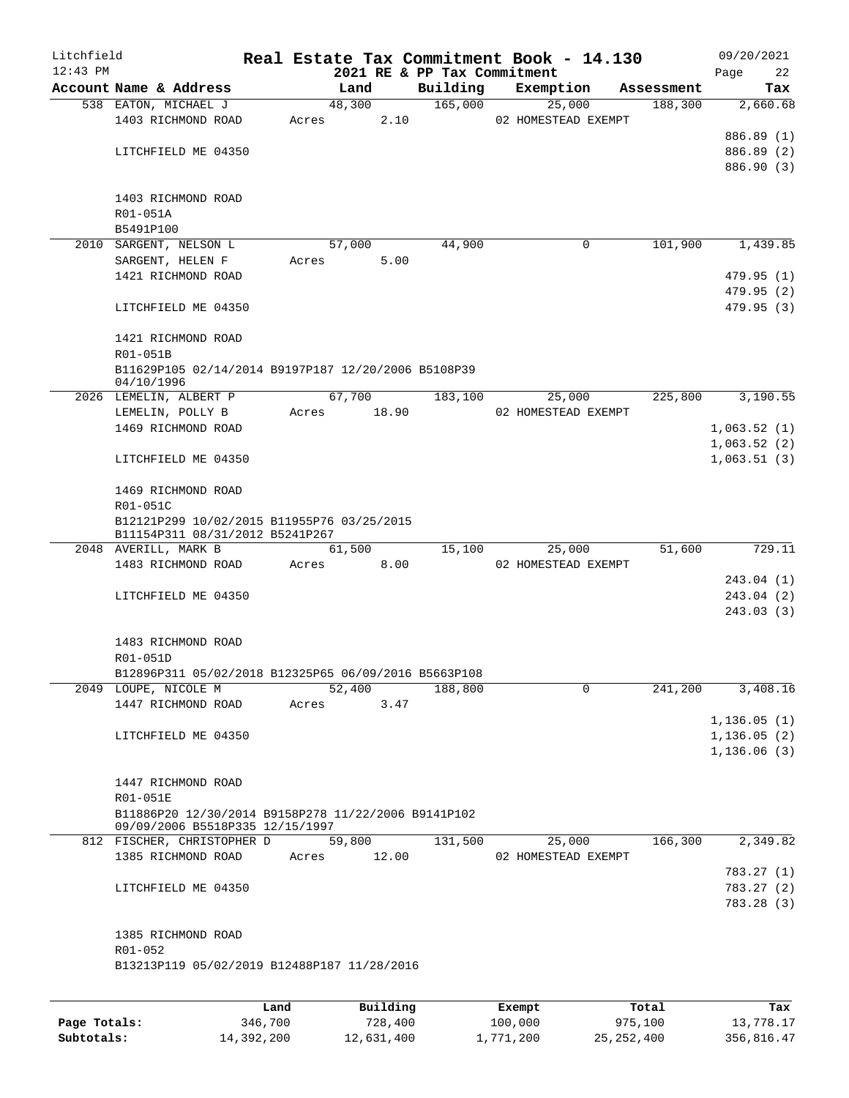| Litchfield<br>$12:43$ PM |                                                                   |       |        | 2021 RE & PP Tax Commitment | Real Estate Tax Commitment Book - 14.130 |            | 09/20/2021<br>22        |
|--------------------------|-------------------------------------------------------------------|-------|--------|-----------------------------|------------------------------------------|------------|-------------------------|
|                          | Account Name & Address                                            |       | Land   | Building                    | Exemption                                | Assessment | Page<br>Tax             |
|                          | 538 EATON, MICHAEL J                                              |       | 48,300 | 165,000                     | 25,000                                   | 188,300    | 2,660.68                |
|                          | 1403 RICHMOND ROAD                                                | Acres | 2.10   |                             | 02 HOMESTEAD EXEMPT                      |            |                         |
|                          |                                                                   |       |        |                             |                                          |            | 886.89 (1)              |
|                          | LITCHFIELD ME 04350                                               |       |        |                             |                                          |            | 886.89 (2)              |
|                          |                                                                   |       |        |                             |                                          |            | 886.90 (3)              |
|                          |                                                                   |       |        |                             |                                          |            |                         |
|                          | 1403 RICHMOND ROAD                                                |       |        |                             |                                          |            |                         |
|                          | R01-051A                                                          |       |        |                             |                                          |            |                         |
|                          | B5491P100<br>2010 SARGENT, NELSON L                               |       | 57,000 | 44,900                      | 0                                        | 101,900    | 1,439.85                |
|                          | SARGENT, HELEN F                                                  | Acres | 5.00   |                             |                                          |            |                         |
|                          | 1421 RICHMOND ROAD                                                |       |        |                             |                                          |            | 479.95 (1)              |
|                          |                                                                   |       |        |                             |                                          |            | 479.95 (2)              |
|                          | LITCHFIELD ME 04350                                               |       |        |                             |                                          |            | 479.95(3)               |
|                          |                                                                   |       |        |                             |                                          |            |                         |
|                          | 1421 RICHMOND ROAD                                                |       |        |                             |                                          |            |                         |
|                          | R01-051B                                                          |       |        |                             |                                          |            |                         |
|                          | B11629P105 02/14/2014 B9197P187 12/20/2006 B5108P39<br>04/10/1996 |       |        |                             |                                          |            |                         |
|                          | 2026 LEMELIN, ALBERT P                                            |       | 67,700 | 183,100                     | 25,000                                   | 225,800    | 3,190.55                |
|                          | LEMELIN, POLLY B                                                  | Acres | 18.90  |                             | 02 HOMESTEAD EXEMPT                      |            |                         |
|                          | 1469 RICHMOND ROAD                                                |       |        |                             |                                          |            | 1,063.52(1)             |
|                          |                                                                   |       |        |                             |                                          |            | 1,063.52(2)             |
|                          | LITCHFIELD ME 04350                                               |       |        |                             |                                          |            | 1,063.51(3)             |
|                          | 1469 RICHMOND ROAD                                                |       |        |                             |                                          |            |                         |
|                          | R01-051C                                                          |       |        |                             |                                          |            |                         |
|                          | B12121P299 10/02/2015 B11955P76 03/25/2015                        |       |        |                             |                                          |            |                         |
|                          | B11154P311 08/31/2012 B5241P267                                   |       |        |                             |                                          |            |                         |
|                          | 2048 AVERILL, MARK B                                              |       | 61,500 | 15,100                      | 25,000                                   | 51,600     | 729.11                  |
|                          | 1483 RICHMOND ROAD                                                | Acres | 8.00   |                             | 02 HOMESTEAD EXEMPT                      |            |                         |
|                          |                                                                   |       |        |                             |                                          |            | 243.04 (1)              |
|                          | LITCHFIELD ME 04350                                               |       |        |                             |                                          |            | 243.04(2)<br>243.03 (3) |
|                          |                                                                   |       |        |                             |                                          |            |                         |
|                          | 1483 RICHMOND ROAD                                                |       |        |                             |                                          |            |                         |
|                          | R01-051D                                                          |       |        |                             |                                          |            |                         |
|                          | B12896P311 05/02/2018 B12325P65 06/09/2016 B5663P108              |       |        |                             |                                          |            |                         |
|                          | 2049 LOUPE, NICOLE M                                              |       | 52,400 | 188,800                     | $\mathbf 0$                              | 241,200    | 3,408.16                |
|                          | 1447 RICHMOND ROAD                                                | Acres | 3.47   |                             |                                          |            |                         |
|                          |                                                                   |       |        |                             |                                          |            | 1,136.05(1)             |
|                          | LITCHFIELD ME 04350                                               |       |        |                             |                                          |            | 1,136.05(2)             |
|                          |                                                                   |       |        |                             |                                          |            | 1,136.06(3)             |
|                          | 1447 RICHMOND ROAD                                                |       |        |                             |                                          |            |                         |
|                          | R01-051E                                                          |       |        |                             |                                          |            |                         |
|                          | B11886P20 12/30/2014 B9158P278 11/22/2006 B9141P102               |       |        |                             |                                          |            |                         |
|                          | 09/09/2006 B5518P335 12/15/1997                                   |       |        |                             |                                          |            |                         |
|                          | 812 FISCHER, CHRISTOPHER D                                        |       | 59,800 | 131,500                     | 25,000                                   | 166,300    | 2,349.82                |
|                          | 1385 RICHMOND ROAD                                                | Acres | 12.00  |                             | 02 HOMESTEAD EXEMPT                      |            |                         |
|                          |                                                                   |       |        |                             |                                          |            | 783.27 (1)              |
|                          | LITCHFIELD ME 04350                                               |       |        |                             |                                          |            | 783.27(2)               |
|                          |                                                                   |       |        |                             |                                          |            | 783.28(3)               |
|                          | 1385 RICHMOND ROAD                                                |       |        |                             |                                          |            |                         |
|                          | R01-052                                                           |       |        |                             |                                          |            |                         |
|                          | B13213P119 05/02/2019 B12488P187 11/28/2016                       |       |        |                             |                                          |            |                         |
|                          |                                                                   |       |        |                             |                                          |            |                         |
|                          |                                                                   |       |        |                             |                                          |            |                         |

|              | Land       | Building   | Exempt    | Total        | Tax        |
|--------------|------------|------------|-----------|--------------|------------|
| Page Totals: | 346,700    | 728,400    | 100,000   | 975,100      | 13,778.17  |
| Subtotals:   | 14,392,200 | 12,631,400 | 1,771,200 | 25, 252, 400 | 356,816.47 |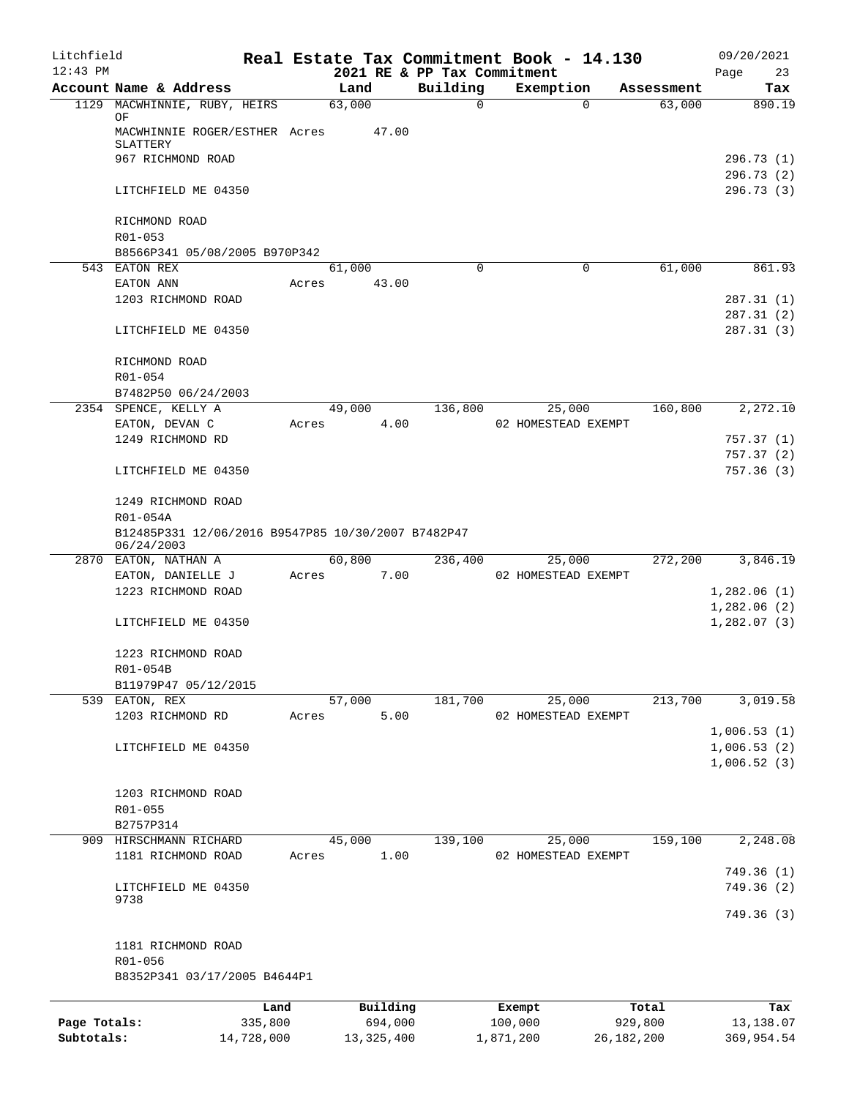| Litchfield   |                                                                  |         |                |                             | Real Estate Tax Commitment Book - 14.130 |                      | 09/20/2021                 |
|--------------|------------------------------------------------------------------|---------|----------------|-----------------------------|------------------------------------------|----------------------|----------------------------|
| $12:43$ PM   |                                                                  |         |                | 2021 RE & PP Tax Commitment |                                          |                      | Page<br>23                 |
|              | Account Name & Address<br>1129 MACWHINNIE, RUBY, HEIRS           |         | Land<br>63,000 | Building<br>$\mathbf 0$     | Exemption<br>$\Omega$                    | Assessment<br>63,000 | Tax<br>890.19              |
|              | ΟF<br>MACWHINNIE ROGER/ESTHER Acres                              |         | 47.00          |                             |                                          |                      |                            |
|              | SLATTERY                                                         |         |                |                             |                                          |                      |                            |
|              | 967 RICHMOND ROAD                                                |         |                |                             |                                          |                      | 296.73(1)<br>296.73 (2)    |
|              | LITCHFIELD ME 04350                                              |         |                |                             |                                          |                      | 296.73(3)                  |
|              | RICHMOND ROAD<br>R01-053                                         |         |                |                             |                                          |                      |                            |
|              | B8566P341 05/08/2005 B970P342                                    |         |                |                             |                                          |                      |                            |
|              | 543 EATON REX                                                    |         | 61,000         | 0                           | $\mathbf 0$                              | 61,000               | 861.93                     |
|              | EATON ANN                                                        | Acres   | 43.00          |                             |                                          |                      |                            |
|              | 1203 RICHMOND ROAD                                               |         |                |                             |                                          |                      | 287.31 (1)                 |
|              | LITCHFIELD ME 04350                                              |         |                |                             |                                          |                      | 287.31(2)<br>287.31(3)     |
|              | RICHMOND ROAD                                                    |         |                |                             |                                          |                      |                            |
|              | R01-054                                                          |         |                |                             |                                          |                      |                            |
|              | B7482P50 06/24/2003                                              |         |                |                             |                                          |                      |                            |
|              | 2354 SPENCE, KELLY A                                             |         | 49,000         | 136,800                     | 25,000                                   | 160,800              | 2,272.10                   |
|              | EATON, DEVAN C                                                   | Acres   | 4.00           |                             | 02 HOMESTEAD EXEMPT                      |                      |                            |
|              | 1249 RICHMOND RD                                                 |         |                |                             |                                          |                      | 757.37 (1)                 |
|              | LITCHFIELD ME 04350                                              |         |                |                             |                                          |                      | 757.37(2)<br>757.36(3)     |
|              | 1249 RICHMOND ROAD                                               |         |                |                             |                                          |                      |                            |
|              | R01-054A                                                         |         |                |                             |                                          |                      |                            |
|              | B12485P331 12/06/2016 B9547P85 10/30/2007 B7482P47<br>06/24/2003 |         |                |                             |                                          |                      |                            |
|              | 2870 EATON, NATHAN A                                             |         | 60,800         | 236,400                     | 25,000                                   | 272,200              | 3,846.19                   |
|              | EATON, DANIELLE J                                                | Acres   | 7.00           |                             | 02 HOMESTEAD EXEMPT                      |                      |                            |
|              | 1223 RICHMOND ROAD                                               |         |                |                             |                                          |                      | 1,282.06(1)<br>1,282.06(2) |
|              | LITCHFIELD ME 04350                                              |         |                |                             |                                          |                      | 1,282.07(3)                |
|              | 1223 RICHMOND ROAD                                               |         |                |                             |                                          |                      |                            |
|              | R01-054B<br>B11979P47 05/12/2015                                 |         |                |                             |                                          |                      |                            |
|              | 539 EATON, REX                                                   |         | 57,000         | 181,700                     | 25,000                                   | 213,700              | 3,019.58                   |
|              | 1203 RICHMOND RD                                                 | Acres   | 5.00           |                             | 02 HOMESTEAD EXEMPT                      |                      |                            |
|              |                                                                  |         |                |                             |                                          |                      | 1,006.53(1)                |
|              | LITCHFIELD ME 04350                                              |         |                |                             |                                          |                      | 1,006.53(2)                |
|              |                                                                  |         |                |                             |                                          |                      | 1,006.52(3)                |
|              |                                                                  |         |                |                             |                                          |                      |                            |
|              | 1203 RICHMOND ROAD                                               |         |                |                             |                                          |                      |                            |
|              | R01-055<br>B2757P314                                             |         |                |                             |                                          |                      |                            |
|              | 909 HIRSCHMANN RICHARD                                           |         | 45,000         | 139,100                     | 25,000                                   | 159,100              | 2,248.08                   |
|              | 1181 RICHMOND ROAD                                               | Acres   | 1.00           |                             | 02 HOMESTEAD EXEMPT                      |                      |                            |
|              |                                                                  |         |                |                             |                                          |                      | 749.36 (1)                 |
|              | LITCHFIELD ME 04350                                              |         |                |                             |                                          |                      | 749.36 (2)                 |
|              | 9738                                                             |         |                |                             |                                          |                      | 749.36 (3)                 |
|              | 1181 RICHMOND ROAD                                               |         |                |                             |                                          |                      |                            |
|              | R01-056                                                          |         |                |                             |                                          |                      |                            |
|              | B8352P341 03/17/2005 B4644P1                                     |         |                |                             |                                          |                      |                            |
|              |                                                                  | Land    | Building       |                             | Exempt                                   | Total                | Tax                        |
| Page Totals: |                                                                  | 335,800 | 694,000        |                             | 100,000                                  | 929,800              | 13,138.07                  |
| Subtotals:   | 14,728,000                                                       |         | 13, 325, 400   |                             | 1,871,200                                | 26, 182, 200         | 369,954.54                 |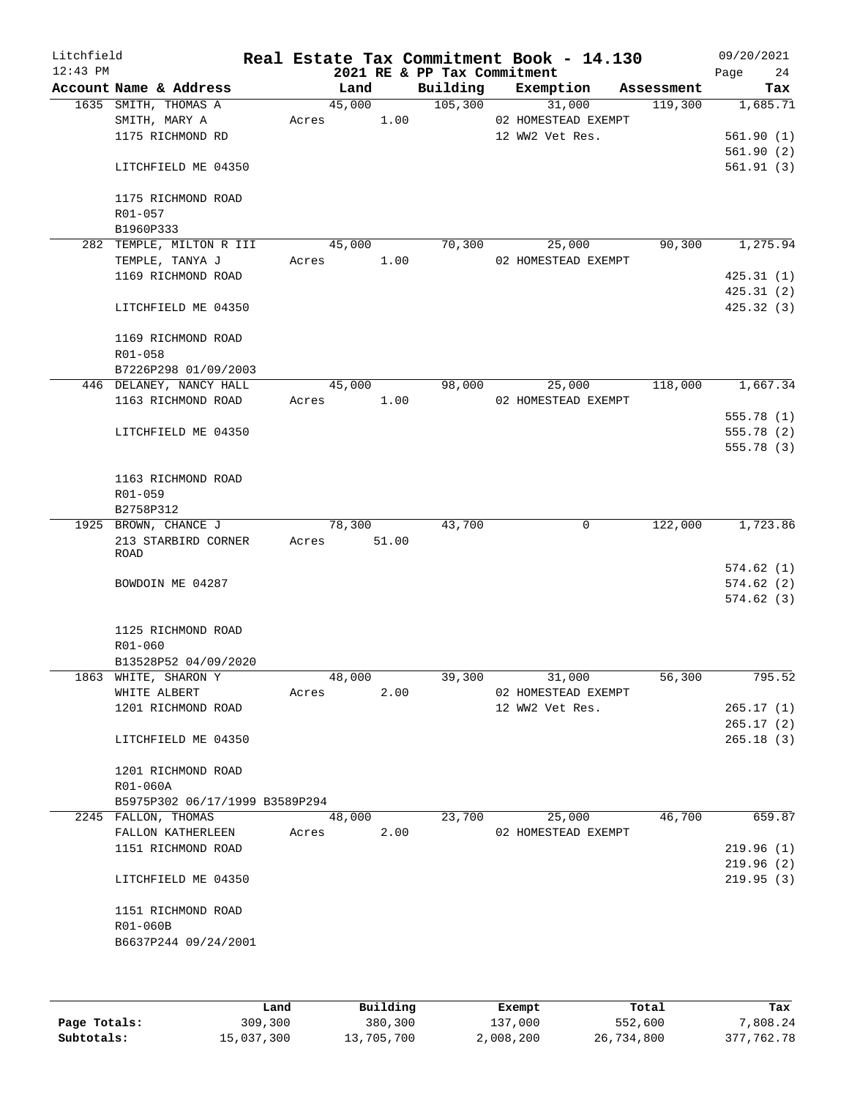| Litchfield<br>$12:43$ PM |                                |               | 2021 RE & PP Tax Commitment | Real Estate Tax Commitment Book - 14.130 |            | 09/20/2021<br>Page<br>24 |
|--------------------------|--------------------------------|---------------|-----------------------------|------------------------------------------|------------|--------------------------|
|                          | Account Name & Address         | Land          |                             | Building Exemption                       | Assessment | Tax                      |
|                          | 1635 SMITH, THOMAS A           | 45,000        | 105,300                     | 31,000                                   | 119,300    | 1,685.71                 |
|                          | SMITH, MARY A                  | Acres 1.00    |                             | 02 HOMESTEAD EXEMPT                      |            |                          |
|                          | 1175 RICHMOND RD               |               |                             | 12 WW2 Vet Res.                          |            | 561.90(1)                |
|                          |                                |               |                             |                                          |            | 561.90(2)                |
|                          | LITCHFIELD ME 04350            |               |                             |                                          |            | 561.91(3)                |
|                          | 1175 RICHMOND ROAD             |               |                             |                                          |            |                          |
|                          | R01-057                        |               |                             |                                          |            |                          |
|                          | B1960P333                      |               |                             |                                          |            |                          |
|                          | 282 TEMPLE, MILTON R III       | 45,000        | 70,300                      | 25,000                                   | 90,300     | 1,275.94                 |
|                          | TEMPLE, TANYA J                | Acres 1.00    |                             | 02 HOMESTEAD EXEMPT                      |            |                          |
|                          | 1169 RICHMOND ROAD             |               |                             |                                          |            | 425.31(1)                |
|                          |                                |               |                             |                                          |            | 425.31(2)                |
|                          | LITCHFIELD ME 04350            |               |                             |                                          |            | 425.32(3)                |
|                          | 1169 RICHMOND ROAD             |               |                             |                                          |            |                          |
|                          | R01-058                        |               |                             |                                          |            |                          |
|                          | B7226P298 01/09/2003           |               |                             |                                          |            |                          |
|                          | 446 DELANEY, NANCY HALL        | 45,000        | 98,000                      | 25,000                                   | 118,000    | 1,667.34                 |
|                          | 1163 RICHMOND ROAD             | Acres 1.00    |                             | 02 HOMESTEAD EXEMPT                      |            |                          |
|                          |                                |               |                             |                                          |            | 555.78 (1)               |
|                          | LITCHFIELD ME 04350            |               |                             |                                          |            | 555.78 (2)               |
|                          |                                |               |                             |                                          |            | 555.78 (3)               |
|                          |                                |               |                             |                                          |            |                          |
|                          | 1163 RICHMOND ROAD             |               |                             |                                          |            |                          |
|                          | R01-059                        |               |                             |                                          |            |                          |
|                          | B2758P312                      |               |                             |                                          |            |                          |
|                          | 1925 BROWN, CHANCE J           | 78,300        | 43,700                      | 0                                        | 122,000    | 1,723.86                 |
|                          | 213 STARBIRD CORNER            | Acres 51.00   |                             |                                          |            |                          |
|                          | ROAD                           |               |                             |                                          |            |                          |
|                          |                                |               |                             |                                          |            | 574.62(1)                |
|                          | BOWDOIN ME 04287               |               |                             |                                          |            | 574.62(2)                |
|                          |                                |               |                             |                                          |            | 574.62(3)                |
|                          |                                |               |                             |                                          |            |                          |
|                          | 1125 RICHMOND ROAD             |               |                             |                                          |            |                          |
|                          | R01-060                        |               |                             |                                          |            |                          |
|                          | B13528P52 04/09/2020           |               |                             |                                          |            |                          |
|                          | 1863 WHITE, SHARON Y           | 48,000        | 39,300                      | 31,000                                   | 56,300     | 795.52                   |
|                          | WHITE ALBERT                   | 2.00<br>Acres |                             | 02 HOMESTEAD EXEMPT                      |            |                          |
|                          | 1201 RICHMOND ROAD             |               |                             | 12 WW2 Vet Res.                          |            | 265.17(1)                |
|                          |                                |               |                             |                                          |            | 265.17(2)                |
|                          | LITCHFIELD ME 04350            |               |                             |                                          |            | 265.18(3)                |
|                          | 1201 RICHMOND ROAD             |               |                             |                                          |            |                          |
|                          | R01-060A                       |               |                             |                                          |            |                          |
|                          | B5975P302 06/17/1999 B3589P294 |               |                             |                                          |            |                          |
|                          | 2245 FALLON, THOMAS            | 48,000        | 23,700                      | 25,000                                   | 46,700     | 659.87                   |
|                          |                                | 2.00          |                             |                                          |            |                          |
|                          | FALLON KATHERLEEN              | Acres         |                             | 02 HOMESTEAD EXEMPT                      |            |                          |
|                          | 1151 RICHMOND ROAD             |               |                             |                                          |            | 219.96(1)                |
|                          |                                |               |                             |                                          |            | 219.96(2)                |
|                          | LITCHFIELD ME 04350            |               |                             |                                          |            | 219.95(3)                |
|                          | 1151 RICHMOND ROAD             |               |                             |                                          |            |                          |
|                          | R01-060B                       |               |                             |                                          |            |                          |
|                          | B6637P244 09/24/2001           |               |                             |                                          |            |                          |
|                          |                                |               |                             |                                          |            |                          |
|                          |                                |               |                             |                                          |            |                          |
|                          |                                |               |                             |                                          |            |                          |

|              | Land       | Building   | Exempt    | Total      | Tax        |
|--------------|------------|------------|-----------|------------|------------|
| Page Totals: | 309,300    | 380,300    | 137,000   | 552,600    | 7,808.24   |
| Subtotals:   | 15,037,300 | 13,705,700 | 2,008,200 | 26,734,800 | 377,762.78 |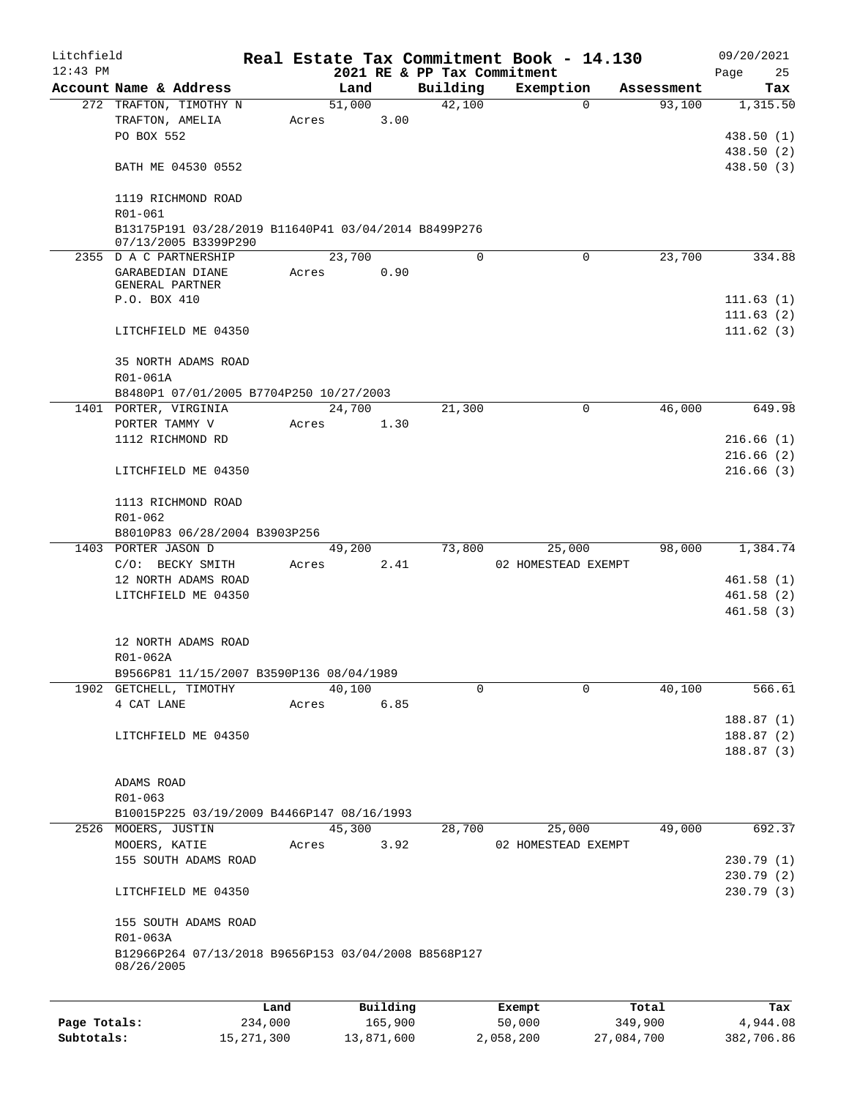| Litchfield |                                                                                         |       |                |                             | Real Estate Tax Commitment Book - 14.130 |            | 09/20/2021               |
|------------|-----------------------------------------------------------------------------------------|-------|----------------|-----------------------------|------------------------------------------|------------|--------------------------|
| $12:43$ PM |                                                                                         |       |                | 2021 RE & PP Tax Commitment |                                          |            | Page<br>25               |
|            | Account Name & Address                                                                  |       | Land           | Building                    | Exemption                                | Assessment | Tax                      |
|            | 272 TRAFTON, TIMOTHY N<br>TRAFTON, AMELIA<br>PO BOX 552                                 | Acres | 51,000<br>3.00 | 42,100                      | $\mathbf 0$                              | 93,100     | 1,315.50<br>438.50 (1)   |
|            | BATH ME 04530 0552                                                                      |       |                |                             |                                          |            | 438.50 (2)<br>438.50 (3) |
|            | 1119 RICHMOND ROAD                                                                      |       |                |                             |                                          |            |                          |
|            | R01-061<br>B13175P191 03/28/2019 B11640P41 03/04/2014 B8499P276<br>07/13/2005 B3399P290 |       |                |                             |                                          |            |                          |
|            | 2355 D A C PARTNERSHIP                                                                  |       | 23,700         | $\Omega$                    | $\Omega$                                 | 23,700     | 334.88                   |
|            | GARABEDIAN DIANE<br>GENERAL PARTNER                                                     | Acres | 0.90           |                             |                                          |            |                          |
|            | P.O. BOX 410                                                                            |       |                |                             |                                          |            | 111.63(1)                |
|            | LITCHFIELD ME 04350                                                                     |       |                |                             |                                          |            | 111.63(2)<br>111.62(3)   |
|            | 35 NORTH ADAMS ROAD                                                                     |       |                |                             |                                          |            |                          |
|            | R01-061A                                                                                |       |                |                             |                                          |            |                          |
|            | B8480P1 07/01/2005 B7704P250 10/27/2003<br>1401 PORTER, VIRGINIA                        |       | 24,700         | 21,300                      | $\mathbf 0$                              | 46,000     | 649.98                   |
|            | PORTER TAMMY V                                                                          | Acres | 1.30           |                             |                                          |            |                          |
|            | 1112 RICHMOND RD                                                                        |       |                |                             |                                          |            | 216.66(1)                |
|            |                                                                                         |       |                |                             |                                          |            | 216.66(2)                |
|            | LITCHFIELD ME 04350                                                                     |       |                |                             |                                          |            | 216.66(3)                |
|            | 1113 RICHMOND ROAD<br>R01-062                                                           |       |                |                             |                                          |            |                          |
|            | B8010P83 06/28/2004 B3903P256                                                           |       |                |                             |                                          |            |                          |
|            | 1403 PORTER JASON D                                                                     |       | 49,200         | 73,800                      | 25,000                                   | 98,000     | 1,384.74                 |
|            | C/O: BECKY SMITH                                                                        | Acres | 2.41           |                             | 02 HOMESTEAD EXEMPT                      |            |                          |
|            | 12 NORTH ADAMS ROAD                                                                     |       |                |                             |                                          |            | 461.58(1)                |
|            | LITCHFIELD ME 04350                                                                     |       |                |                             |                                          |            | 461.58(2)                |
|            |                                                                                         |       |                |                             |                                          |            | 461.58(3)                |
|            | 12 NORTH ADAMS ROAD<br>R01-062A                                                         |       |                |                             |                                          |            |                          |
|            | B9566P81 11/15/2007 B3590P136 08/04/1989                                                |       |                |                             |                                          |            |                          |
|            | 1902 GETCHELL, TIMOTHY                                                                  |       | 40,100         | 0                           | $\mathbf 0$                              | 40,100     | 566.61                   |
|            | 4 CAT LANE                                                                              | Acres | 6.85           |                             |                                          |            |                          |
|            |                                                                                         |       |                |                             |                                          |            | 188.87(1)                |
|            | LITCHFIELD ME 04350                                                                     |       |                |                             |                                          |            | 188.87(2)                |
|            |                                                                                         |       |                |                             |                                          |            | 188.87(3)                |
|            | ADAMS ROAD                                                                              |       |                |                             |                                          |            |                          |
|            | R01-063                                                                                 |       |                |                             |                                          |            |                          |
|            | B10015P225 03/19/2009 B4466P147 08/16/1993                                              |       |                |                             |                                          |            |                          |
|            | 2526 MOOERS, JUSTIN                                                                     |       | 45,300         | 28,700                      | 25,000                                   | 49,000     | 692.37                   |
|            | MOOERS, KATIE                                                                           | Acres | 3.92           |                             | 02 HOMESTEAD EXEMPT                      |            |                          |
|            | 155 SOUTH ADAMS ROAD                                                                    |       |                |                             |                                          |            | 230.79 (1)               |
|            |                                                                                         |       |                |                             |                                          |            | 230.79 (2)               |
|            | LITCHFIELD ME 04350                                                                     |       |                |                             |                                          |            | 230.79 (3)               |
|            | 155 SOUTH ADAMS ROAD<br>R01-063A                                                        |       |                |                             |                                          |            |                          |
|            | B12966P264 07/13/2018 B9656P153 03/04/2008 B8568P127<br>08/26/2005                      |       |                |                             |                                          |            |                          |
|            |                                                                                         | Land  | Building       |                             | Exempt                                   | Total      | Tax                      |
|            |                                                                                         |       |                |                             |                                          |            |                          |

**Page Totals:** 234,000 165,900 50,000 349,900 4,944.08 **Subtotals:** 15,271,300 13,871,600 2,058,200 27,084,700 382,706.86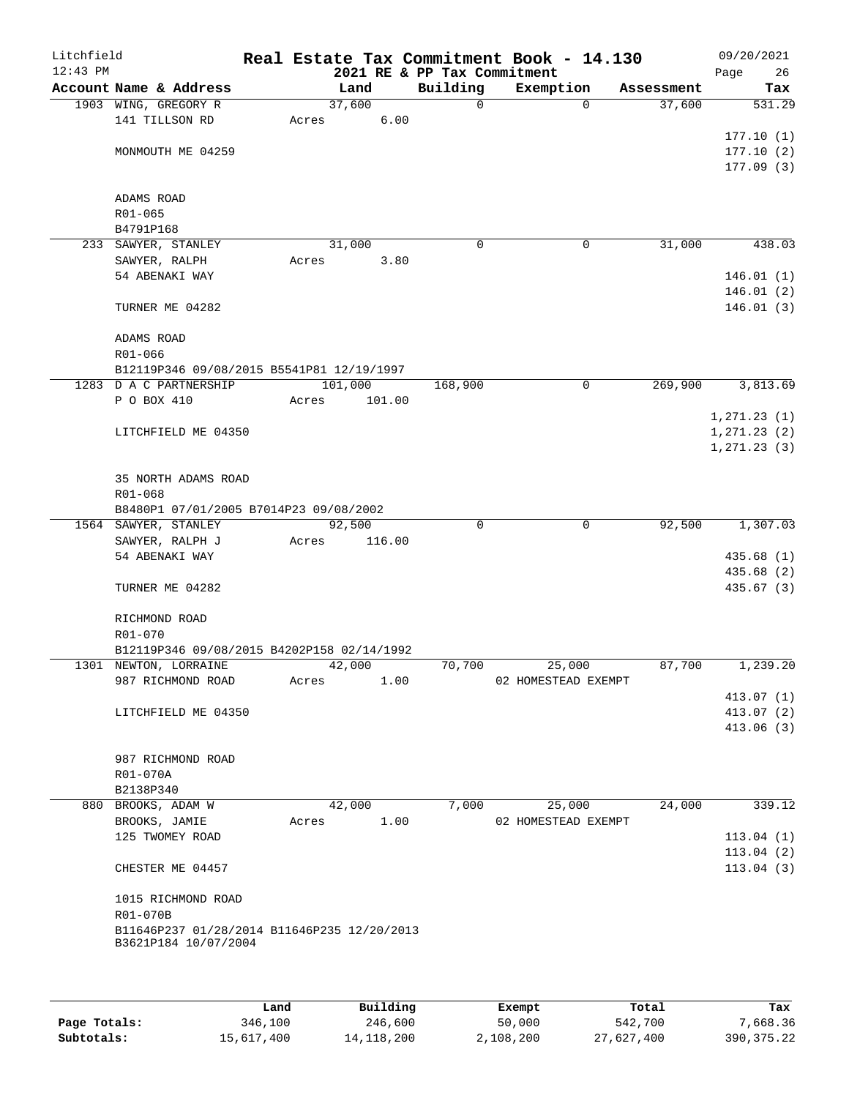| Building<br>Account Name & Address<br>Exemption<br>Land<br>Assessment<br>37,600<br>37,600<br>1903 WING, GREGORY R<br>$\mathbf 0$<br>$\Omega$<br>6.00<br>141 TILLSON RD<br>Acres<br>MONMOUTH ME 04259<br>ADAMS ROAD<br>R01-065<br>B4791P168<br>31,000<br>233 SAWYER, STANLEY<br>31,000<br>0<br>0<br>SAWYER, RALPH<br>3.80<br>Acres<br>54 ABENAKI WAY<br>TURNER ME 04282<br>ADAMS ROAD<br>R01-066<br>B12119P346 09/08/2015 B5541P81 12/19/1997<br>1283 D A C PARTNERSHIP<br>101,000<br>269,900<br>3,813.69<br>168,900<br>0<br>P O BOX 410<br>Acres<br>101.00<br>1, 271.23(1)<br>LITCHFIELD ME 04350<br>35 NORTH ADAMS ROAD<br>R01-068<br>B8480P1 07/01/2005 B7014P23 09/08/2002<br>92,500<br>$\mathbf 0$<br>92,500<br>1564 SAWYER, STANLEY<br>0<br>SAWYER, RALPH J<br>Acres<br>116.00<br>54 ABENAKI WAY<br>435.68 (1)<br>435.68 (2)<br>435.67(3)<br>TURNER ME 04282<br>RICHMOND ROAD<br>R01-070<br>B12119P346 09/08/2015 B4202P158 02/14/1992<br>1301 NEWTON, LORRAINE<br>42,000<br>70,700<br>25,000<br>87,700<br>987 RICHMOND ROAD<br>1.00<br>02 HOMESTEAD EXEMPT<br>Acres<br>LITCHFIELD ME 04350<br>413.07(2)<br>413.06(3)<br>987 RICHMOND ROAD<br>R01-070A<br>B2138P340<br>42,000<br>7,000<br>25,000<br>24,000<br>880 BROOKS, ADAM W<br>BROOKS, JAMIE<br>1.00<br>02 HOMESTEAD EXEMPT<br>Acres<br>125 TWOMEY ROAD<br>CHESTER ME 04457<br>1015 RICHMOND ROAD<br>R01-070B<br>B11646P237 01/28/2014 B11646P235 12/20/2013<br>B3621P184 10/07/2004 | Litchfield<br>$12:43$ PM |  |  | Real Estate Tax Commitment Book - 14.130<br>2021 RE & PP Tax Commitment | 09/20/2021<br>26<br>Page |
|------------------------------------------------------------------------------------------------------------------------------------------------------------------------------------------------------------------------------------------------------------------------------------------------------------------------------------------------------------------------------------------------------------------------------------------------------------------------------------------------------------------------------------------------------------------------------------------------------------------------------------------------------------------------------------------------------------------------------------------------------------------------------------------------------------------------------------------------------------------------------------------------------------------------------------------------------------------------------------------------------------------------------------------------------------------------------------------------------------------------------------------------------------------------------------------------------------------------------------------------------------------------------------------------------------------------------------------------------------------------------------------------------------------------------------------------|--------------------------|--|--|-------------------------------------------------------------------------|--------------------------|
|                                                                                                                                                                                                                                                                                                                                                                                                                                                                                                                                                                                                                                                                                                                                                                                                                                                                                                                                                                                                                                                                                                                                                                                                                                                                                                                                                                                                                                                |                          |  |  |                                                                         | Tax                      |
|                                                                                                                                                                                                                                                                                                                                                                                                                                                                                                                                                                                                                                                                                                                                                                                                                                                                                                                                                                                                                                                                                                                                                                                                                                                                                                                                                                                                                                                |                          |  |  |                                                                         | 531.29                   |
|                                                                                                                                                                                                                                                                                                                                                                                                                                                                                                                                                                                                                                                                                                                                                                                                                                                                                                                                                                                                                                                                                                                                                                                                                                                                                                                                                                                                                                                |                          |  |  |                                                                         |                          |
|                                                                                                                                                                                                                                                                                                                                                                                                                                                                                                                                                                                                                                                                                                                                                                                                                                                                                                                                                                                                                                                                                                                                                                                                                                                                                                                                                                                                                                                |                          |  |  |                                                                         | 177.10(1)                |
|                                                                                                                                                                                                                                                                                                                                                                                                                                                                                                                                                                                                                                                                                                                                                                                                                                                                                                                                                                                                                                                                                                                                                                                                                                                                                                                                                                                                                                                |                          |  |  |                                                                         | 177.10(2)                |
|                                                                                                                                                                                                                                                                                                                                                                                                                                                                                                                                                                                                                                                                                                                                                                                                                                                                                                                                                                                                                                                                                                                                                                                                                                                                                                                                                                                                                                                |                          |  |  |                                                                         | 177.09(3)                |
|                                                                                                                                                                                                                                                                                                                                                                                                                                                                                                                                                                                                                                                                                                                                                                                                                                                                                                                                                                                                                                                                                                                                                                                                                                                                                                                                                                                                                                                |                          |  |  |                                                                         |                          |
|                                                                                                                                                                                                                                                                                                                                                                                                                                                                                                                                                                                                                                                                                                                                                                                                                                                                                                                                                                                                                                                                                                                                                                                                                                                                                                                                                                                                                                                |                          |  |  |                                                                         |                          |
|                                                                                                                                                                                                                                                                                                                                                                                                                                                                                                                                                                                                                                                                                                                                                                                                                                                                                                                                                                                                                                                                                                                                                                                                                                                                                                                                                                                                                                                |                          |  |  |                                                                         |                          |
|                                                                                                                                                                                                                                                                                                                                                                                                                                                                                                                                                                                                                                                                                                                                                                                                                                                                                                                                                                                                                                                                                                                                                                                                                                                                                                                                                                                                                                                |                          |  |  |                                                                         | 438.03                   |
|                                                                                                                                                                                                                                                                                                                                                                                                                                                                                                                                                                                                                                                                                                                                                                                                                                                                                                                                                                                                                                                                                                                                                                                                                                                                                                                                                                                                                                                |                          |  |  |                                                                         |                          |
|                                                                                                                                                                                                                                                                                                                                                                                                                                                                                                                                                                                                                                                                                                                                                                                                                                                                                                                                                                                                                                                                                                                                                                                                                                                                                                                                                                                                                                                |                          |  |  |                                                                         | 146.01(1)                |
|                                                                                                                                                                                                                                                                                                                                                                                                                                                                                                                                                                                                                                                                                                                                                                                                                                                                                                                                                                                                                                                                                                                                                                                                                                                                                                                                                                                                                                                |                          |  |  |                                                                         | 146.01(2)                |
|                                                                                                                                                                                                                                                                                                                                                                                                                                                                                                                                                                                                                                                                                                                                                                                                                                                                                                                                                                                                                                                                                                                                                                                                                                                                                                                                                                                                                                                |                          |  |  |                                                                         | 146.01(3)                |
|                                                                                                                                                                                                                                                                                                                                                                                                                                                                                                                                                                                                                                                                                                                                                                                                                                                                                                                                                                                                                                                                                                                                                                                                                                                                                                                                                                                                                                                |                          |  |  |                                                                         |                          |
|                                                                                                                                                                                                                                                                                                                                                                                                                                                                                                                                                                                                                                                                                                                                                                                                                                                                                                                                                                                                                                                                                                                                                                                                                                                                                                                                                                                                                                                |                          |  |  |                                                                         |                          |
|                                                                                                                                                                                                                                                                                                                                                                                                                                                                                                                                                                                                                                                                                                                                                                                                                                                                                                                                                                                                                                                                                                                                                                                                                                                                                                                                                                                                                                                |                          |  |  |                                                                         |                          |
|                                                                                                                                                                                                                                                                                                                                                                                                                                                                                                                                                                                                                                                                                                                                                                                                                                                                                                                                                                                                                                                                                                                                                                                                                                                                                                                                                                                                                                                |                          |  |  |                                                                         |                          |
|                                                                                                                                                                                                                                                                                                                                                                                                                                                                                                                                                                                                                                                                                                                                                                                                                                                                                                                                                                                                                                                                                                                                                                                                                                                                                                                                                                                                                                                |                          |  |  |                                                                         |                          |
|                                                                                                                                                                                                                                                                                                                                                                                                                                                                                                                                                                                                                                                                                                                                                                                                                                                                                                                                                                                                                                                                                                                                                                                                                                                                                                                                                                                                                                                |                          |  |  |                                                                         |                          |
|                                                                                                                                                                                                                                                                                                                                                                                                                                                                                                                                                                                                                                                                                                                                                                                                                                                                                                                                                                                                                                                                                                                                                                                                                                                                                                                                                                                                                                                |                          |  |  |                                                                         | 1, 271.23 (2)            |
|                                                                                                                                                                                                                                                                                                                                                                                                                                                                                                                                                                                                                                                                                                                                                                                                                                                                                                                                                                                                                                                                                                                                                                                                                                                                                                                                                                                                                                                |                          |  |  |                                                                         | 1, 271.23(3)             |
|                                                                                                                                                                                                                                                                                                                                                                                                                                                                                                                                                                                                                                                                                                                                                                                                                                                                                                                                                                                                                                                                                                                                                                                                                                                                                                                                                                                                                                                |                          |  |  |                                                                         |                          |
|                                                                                                                                                                                                                                                                                                                                                                                                                                                                                                                                                                                                                                                                                                                                                                                                                                                                                                                                                                                                                                                                                                                                                                                                                                                                                                                                                                                                                                                |                          |  |  |                                                                         |                          |
|                                                                                                                                                                                                                                                                                                                                                                                                                                                                                                                                                                                                                                                                                                                                                                                                                                                                                                                                                                                                                                                                                                                                                                                                                                                                                                                                                                                                                                                |                          |  |  |                                                                         |                          |
|                                                                                                                                                                                                                                                                                                                                                                                                                                                                                                                                                                                                                                                                                                                                                                                                                                                                                                                                                                                                                                                                                                                                                                                                                                                                                                                                                                                                                                                |                          |  |  |                                                                         |                          |
|                                                                                                                                                                                                                                                                                                                                                                                                                                                                                                                                                                                                                                                                                                                                                                                                                                                                                                                                                                                                                                                                                                                                                                                                                                                                                                                                                                                                                                                |                          |  |  |                                                                         | 1,307.03                 |
|                                                                                                                                                                                                                                                                                                                                                                                                                                                                                                                                                                                                                                                                                                                                                                                                                                                                                                                                                                                                                                                                                                                                                                                                                                                                                                                                                                                                                                                |                          |  |  |                                                                         |                          |
|                                                                                                                                                                                                                                                                                                                                                                                                                                                                                                                                                                                                                                                                                                                                                                                                                                                                                                                                                                                                                                                                                                                                                                                                                                                                                                                                                                                                                                                |                          |  |  |                                                                         |                          |
|                                                                                                                                                                                                                                                                                                                                                                                                                                                                                                                                                                                                                                                                                                                                                                                                                                                                                                                                                                                                                                                                                                                                                                                                                                                                                                                                                                                                                                                |                          |  |  |                                                                         |                          |
|                                                                                                                                                                                                                                                                                                                                                                                                                                                                                                                                                                                                                                                                                                                                                                                                                                                                                                                                                                                                                                                                                                                                                                                                                                                                                                                                                                                                                                                |                          |  |  |                                                                         |                          |
|                                                                                                                                                                                                                                                                                                                                                                                                                                                                                                                                                                                                                                                                                                                                                                                                                                                                                                                                                                                                                                                                                                                                                                                                                                                                                                                                                                                                                                                |                          |  |  |                                                                         |                          |
|                                                                                                                                                                                                                                                                                                                                                                                                                                                                                                                                                                                                                                                                                                                                                                                                                                                                                                                                                                                                                                                                                                                                                                                                                                                                                                                                                                                                                                                |                          |  |  |                                                                         |                          |
|                                                                                                                                                                                                                                                                                                                                                                                                                                                                                                                                                                                                                                                                                                                                                                                                                                                                                                                                                                                                                                                                                                                                                                                                                                                                                                                                                                                                                                                |                          |  |  |                                                                         |                          |
|                                                                                                                                                                                                                                                                                                                                                                                                                                                                                                                                                                                                                                                                                                                                                                                                                                                                                                                                                                                                                                                                                                                                                                                                                                                                                                                                                                                                                                                |                          |  |  |                                                                         | 1,239.20                 |
|                                                                                                                                                                                                                                                                                                                                                                                                                                                                                                                                                                                                                                                                                                                                                                                                                                                                                                                                                                                                                                                                                                                                                                                                                                                                                                                                                                                                                                                |                          |  |  |                                                                         |                          |
|                                                                                                                                                                                                                                                                                                                                                                                                                                                                                                                                                                                                                                                                                                                                                                                                                                                                                                                                                                                                                                                                                                                                                                                                                                                                                                                                                                                                                                                |                          |  |  |                                                                         | 413.07(1)                |
|                                                                                                                                                                                                                                                                                                                                                                                                                                                                                                                                                                                                                                                                                                                                                                                                                                                                                                                                                                                                                                                                                                                                                                                                                                                                                                                                                                                                                                                |                          |  |  |                                                                         |                          |
|                                                                                                                                                                                                                                                                                                                                                                                                                                                                                                                                                                                                                                                                                                                                                                                                                                                                                                                                                                                                                                                                                                                                                                                                                                                                                                                                                                                                                                                |                          |  |  |                                                                         |                          |
|                                                                                                                                                                                                                                                                                                                                                                                                                                                                                                                                                                                                                                                                                                                                                                                                                                                                                                                                                                                                                                                                                                                                                                                                                                                                                                                                                                                                                                                |                          |  |  |                                                                         |                          |
|                                                                                                                                                                                                                                                                                                                                                                                                                                                                                                                                                                                                                                                                                                                                                                                                                                                                                                                                                                                                                                                                                                                                                                                                                                                                                                                                                                                                                                                |                          |  |  |                                                                         |                          |
|                                                                                                                                                                                                                                                                                                                                                                                                                                                                                                                                                                                                                                                                                                                                                                                                                                                                                                                                                                                                                                                                                                                                                                                                                                                                                                                                                                                                                                                |                          |  |  |                                                                         |                          |
|                                                                                                                                                                                                                                                                                                                                                                                                                                                                                                                                                                                                                                                                                                                                                                                                                                                                                                                                                                                                                                                                                                                                                                                                                                                                                                                                                                                                                                                |                          |  |  |                                                                         | 339.12                   |
|                                                                                                                                                                                                                                                                                                                                                                                                                                                                                                                                                                                                                                                                                                                                                                                                                                                                                                                                                                                                                                                                                                                                                                                                                                                                                                                                                                                                                                                |                          |  |  |                                                                         |                          |
|                                                                                                                                                                                                                                                                                                                                                                                                                                                                                                                                                                                                                                                                                                                                                                                                                                                                                                                                                                                                                                                                                                                                                                                                                                                                                                                                                                                                                                                |                          |  |  |                                                                         | 113.04(1)                |
|                                                                                                                                                                                                                                                                                                                                                                                                                                                                                                                                                                                                                                                                                                                                                                                                                                                                                                                                                                                                                                                                                                                                                                                                                                                                                                                                                                                                                                                |                          |  |  |                                                                         | 113.04(2)                |
|                                                                                                                                                                                                                                                                                                                                                                                                                                                                                                                                                                                                                                                                                                                                                                                                                                                                                                                                                                                                                                                                                                                                                                                                                                                                                                                                                                                                                                                |                          |  |  |                                                                         | 113.04(3)                |
|                                                                                                                                                                                                                                                                                                                                                                                                                                                                                                                                                                                                                                                                                                                                                                                                                                                                                                                                                                                                                                                                                                                                                                                                                                                                                                                                                                                                                                                |                          |  |  |                                                                         |                          |
|                                                                                                                                                                                                                                                                                                                                                                                                                                                                                                                                                                                                                                                                                                                                                                                                                                                                                                                                                                                                                                                                                                                                                                                                                                                                                                                                                                                                                                                |                          |  |  |                                                                         |                          |
|                                                                                                                                                                                                                                                                                                                                                                                                                                                                                                                                                                                                                                                                                                                                                                                                                                                                                                                                                                                                                                                                                                                                                                                                                                                                                                                                                                                                                                                |                          |  |  |                                                                         |                          |
|                                                                                                                                                                                                                                                                                                                                                                                                                                                                                                                                                                                                                                                                                                                                                                                                                                                                                                                                                                                                                                                                                                                                                                                                                                                                                                                                                                                                                                                |                          |  |  |                                                                         |                          |
|                                                                                                                                                                                                                                                                                                                                                                                                                                                                                                                                                                                                                                                                                                                                                                                                                                                                                                                                                                                                                                                                                                                                                                                                                                                                                                                                                                                                                                                |                          |  |  |                                                                         |                          |
|                                                                                                                                                                                                                                                                                                                                                                                                                                                                                                                                                                                                                                                                                                                                                                                                                                                                                                                                                                                                                                                                                                                                                                                                                                                                                                                                                                                                                                                |                          |  |  |                                                                         |                          |

|              | Land       | Building     | Exempt    | Total      | Tax          |
|--------------|------------|--------------|-----------|------------|--------------|
| Page Totals: | 346,100    | 246,600      | 50,000    | 542,700    | 7,668.36     |
| Subtotals:   | 15,617,400 | 14, 118, 200 | 2,108,200 | 27,627,400 | 390, 375, 22 |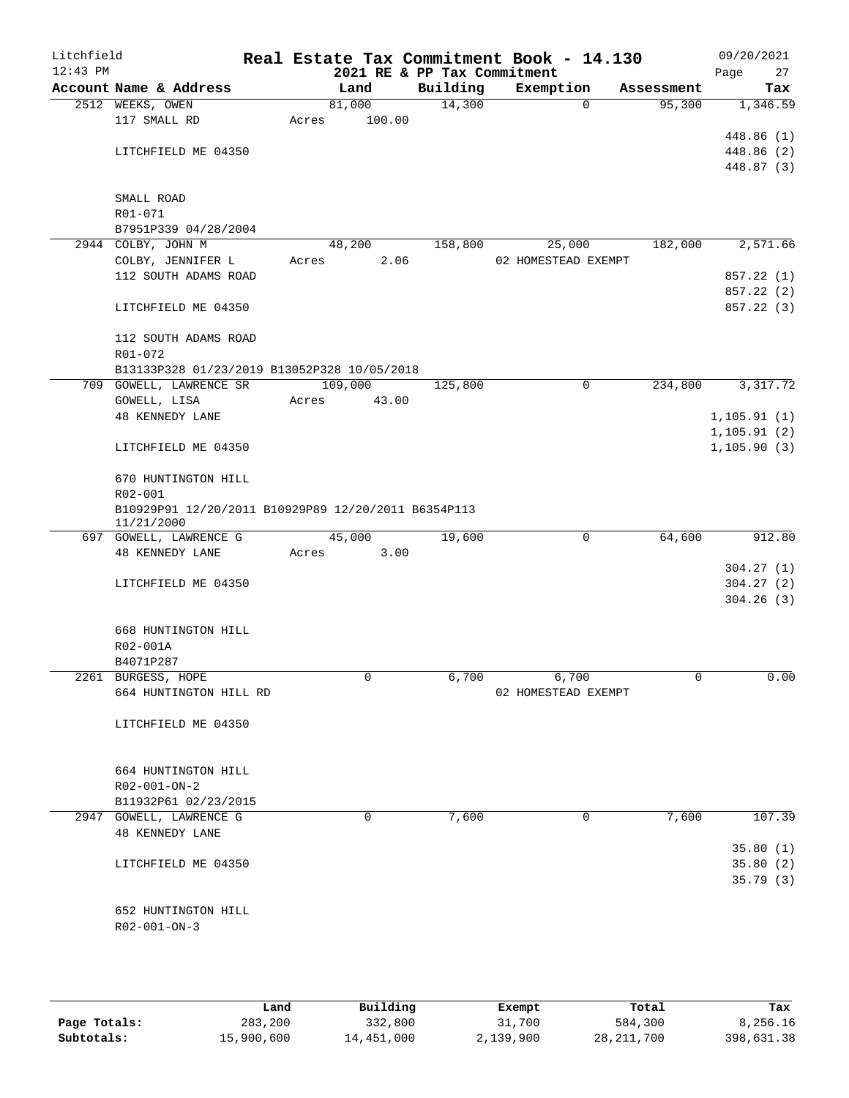| Litchfield<br>$12:43$ PM |                                                                        |       | Real Estate Tax Commitment Book - 14.130<br>2021 RE & PP Tax Commitment |          |                     |            | Page         | 09/20/2021<br>27 |
|--------------------------|------------------------------------------------------------------------|-------|-------------------------------------------------------------------------|----------|---------------------|------------|--------------|------------------|
|                          | Account Name & Address                                                 |       | Land                                                                    | Building | Exemption           | Assessment |              | Tax              |
|                          | 2512 WEEKS, OWEN                                                       |       | 81,000                                                                  | 14,300   | $\mathbf 0$         | 95,300     |              | 1,346.59         |
|                          | 117 SMALL RD                                                           | Acres | 100.00                                                                  |          |                     |            |              |                  |
|                          |                                                                        |       |                                                                         |          |                     |            |              | 448.86 (1)       |
|                          | LITCHFIELD ME 04350                                                    |       |                                                                         |          |                     |            |              | 448.86 (2)       |
|                          |                                                                        |       |                                                                         |          |                     |            |              | 448.87 (3)       |
|                          |                                                                        |       |                                                                         |          |                     |            |              |                  |
|                          | SMALL ROAD<br>R01-071                                                  |       |                                                                         |          |                     |            |              |                  |
|                          | B7951P339 04/28/2004                                                   |       |                                                                         |          |                     |            |              |                  |
|                          | 2944 COLBY, JOHN M                                                     |       | 48,200                                                                  | 158,800  | 25,000              | 182,000    |              | 2,571.66         |
|                          | COLBY, JENNIFER L                                                      | Acres | 2.06                                                                    |          | 02 HOMESTEAD EXEMPT |            |              |                  |
|                          | 112 SOUTH ADAMS ROAD                                                   |       |                                                                         |          |                     |            |              | 857.22 (1)       |
|                          |                                                                        |       |                                                                         |          |                     |            |              | 857.22 (2)       |
|                          | LITCHFIELD ME 04350                                                    |       |                                                                         |          |                     |            |              | 857.22 (3)       |
|                          | 112 SOUTH ADAMS ROAD                                                   |       |                                                                         |          |                     |            |              |                  |
|                          | R01-072                                                                |       |                                                                         |          |                     |            |              |                  |
|                          | B13133P328 01/23/2019 B13052P328 10/05/2018<br>709 GOWELL, LAWRENCE SR |       |                                                                         |          | $\mathbf 0$         |            |              |                  |
|                          | GOWELL, LISA                                                           | Acres | 109,000<br>43.00                                                        | 125,800  |                     | 234,800    |              | 3,317.72         |
|                          | <b>48 KENNEDY LANE</b>                                                 |       |                                                                         |          |                     |            | 1, 105.91(1) |                  |
|                          |                                                                        |       |                                                                         |          |                     |            | 1, 105.91(2) |                  |
|                          | LITCHFIELD ME 04350                                                    |       |                                                                         |          |                     |            | 1, 105.90(3) |                  |
|                          | 670 HUNTINGTON HILL                                                    |       |                                                                         |          |                     |            |              |                  |
|                          | R02-001                                                                |       |                                                                         |          |                     |            |              |                  |
|                          | B10929P91 12/20/2011 B10929P89 12/20/2011 B6354P113<br>11/21/2000      |       |                                                                         |          |                     |            |              |                  |
|                          | 697 GOWELL, LAWRENCE G                                                 |       | 45,000                                                                  | 19,600   | 0                   | 64,600     |              | 912.80           |
|                          | <b>48 KENNEDY LANE</b>                                                 | Acres | 3.00                                                                    |          |                     |            |              |                  |
|                          |                                                                        |       |                                                                         |          |                     |            |              | 304.27(1)        |
|                          | LITCHFIELD ME 04350                                                    |       |                                                                         |          |                     |            |              | 304.27(2)        |
|                          |                                                                        |       |                                                                         |          |                     |            |              | 304.26(3)        |
|                          | 668 HUNTINGTON HILL                                                    |       |                                                                         |          |                     |            |              |                  |
|                          | R02-001A                                                               |       |                                                                         |          |                     |            |              |                  |
|                          | B4071P287                                                              |       |                                                                         |          |                     |            |              |                  |
|                          | 2261 BURGESS, HOPE                                                     |       | 0                                                                       | 6,700    | 6,700               | 0          |              | 0.00             |
|                          | 664 HUNTINGTON HILL RD                                                 |       |                                                                         |          | 02 HOMESTEAD EXEMPT |            |              |                  |
|                          |                                                                        |       |                                                                         |          |                     |            |              |                  |
|                          | LITCHFIELD ME 04350                                                    |       |                                                                         |          |                     |            |              |                  |
|                          |                                                                        |       |                                                                         |          |                     |            |              |                  |
|                          | 664 HUNTINGTON HILL                                                    |       |                                                                         |          |                     |            |              |                  |
|                          | R02-001-ON-2                                                           |       |                                                                         |          |                     |            |              |                  |
|                          | B11932P61 02/23/2015                                                   |       |                                                                         |          |                     |            |              |                  |
|                          | 2947 GOWELL, LAWRENCE G                                                |       | 0                                                                       | 7,600    | 0                   | 7,600      |              | 107.39           |
|                          | <b>48 KENNEDY LANE</b>                                                 |       |                                                                         |          |                     |            |              |                  |
|                          |                                                                        |       |                                                                         |          |                     |            |              | 35.80(1)         |
|                          | LITCHFIELD ME 04350                                                    |       |                                                                         |          |                     |            |              | 35.80(2)         |
|                          |                                                                        |       |                                                                         |          |                     |            |              | 35.79(3)         |
|                          |                                                                        |       |                                                                         |          |                     |            |              |                  |
|                          | 652 HUNTINGTON HILL                                                    |       |                                                                         |          |                     |            |              |                  |
|                          | $R02 - 001 - ON - 3$                                                   |       |                                                                         |          |                     |            |              |                  |
|                          |                                                                        |       |                                                                         |          |                     |            |              |                  |
|                          |                                                                        |       |                                                                         |          |                     |            |              |                  |
|                          |                                                                        |       |                                                                         |          |                     |            |              |                  |

|              | Land       | Building   | Exempt    | Total      | Tax        |
|--------------|------------|------------|-----------|------------|------------|
| Page Totals: | 283,200    | 332,800    | 31,700    | 584,300    | 8,256.16   |
| Subtotals:   | 15,900,600 | 14,451,000 | 2,139,900 | 28,211,700 | 398,631.38 |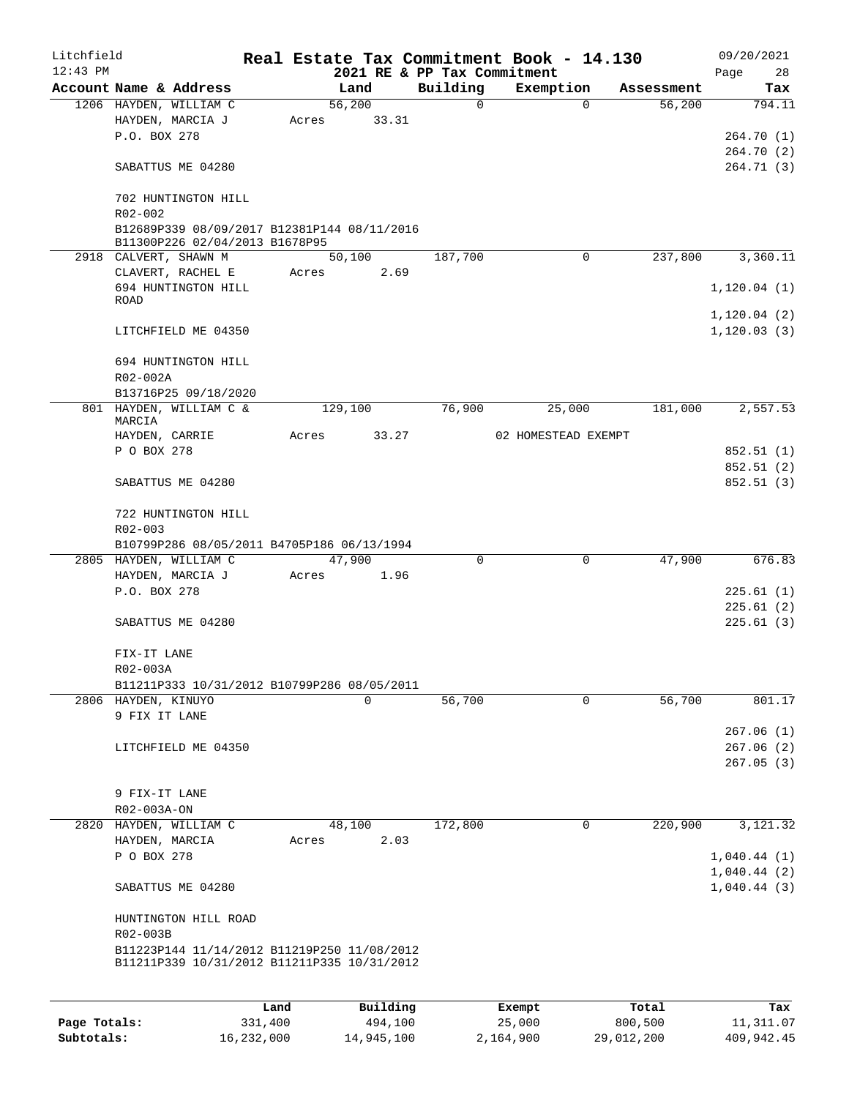| Litchfield |                                                                                            |      |       |          |                                         | Real Estate Tax Commitment Book - 14.130 |            | 09/20/2021                 |
|------------|--------------------------------------------------------------------------------------------|------|-------|----------|-----------------------------------------|------------------------------------------|------------|----------------------------|
| $12:43$ PM | Account Name & Address                                                                     |      |       | Land     | 2021 RE & PP Tax Commitment<br>Building | Exemption                                | Assessment | 28<br>Page<br>Tax          |
|            | 1206 HAYDEN, WILLIAM C                                                                     |      |       | 56,200   | $\Omega$                                | $\Omega$                                 | 56,200     | 794.11                     |
|            | HAYDEN, MARCIA J                                                                           |      | Acres | 33.31    |                                         |                                          |            |                            |
|            | P.O. BOX 278                                                                               |      |       |          |                                         |                                          |            | 264.70 (1)                 |
|            |                                                                                            |      |       |          |                                         |                                          |            | 264.70 (2)                 |
|            | SABATTUS ME 04280                                                                          |      |       |          |                                         |                                          |            | 264.71 (3)                 |
|            | 702 HUNTINGTON HILL<br>R02-002                                                             |      |       |          |                                         |                                          |            |                            |
|            | B12689P339 08/09/2017 B12381P144 08/11/2016<br>B11300P226 02/04/2013 B1678P95              |      |       |          |                                         |                                          |            |                            |
|            | 2918 CALVERT, SHAWN M                                                                      |      |       | 50,100   | 187,700                                 | $\Omega$                                 | 237,800    | 3,360.11                   |
|            | CLAVERT, RACHEL E                                                                          |      | Acres | 2.69     |                                         |                                          |            |                            |
|            | 694 HUNTINGTON HILL<br>ROAD                                                                |      |       |          |                                         |                                          |            | 1, 120.04(1)               |
|            |                                                                                            |      |       |          |                                         |                                          |            | 1,120.04(2)                |
|            | LITCHFIELD ME 04350                                                                        |      |       |          |                                         |                                          |            | 1, 120.03(3)               |
|            | 694 HUNTINGTON HILL                                                                        |      |       |          |                                         |                                          |            |                            |
|            | R02-002A                                                                                   |      |       |          |                                         |                                          |            |                            |
|            | B13716P25 09/18/2020                                                                       |      |       |          |                                         |                                          |            |                            |
|            | 801 HAYDEN, WILLIAM C &<br>MARCIA                                                          |      |       | 129,100  | 76,900                                  | 25,000                                   | 181,000    | 2,557.53                   |
|            | HAYDEN, CARRIE                                                                             |      | Acres | 33.27    |                                         | 02 HOMESTEAD EXEMPT                      |            |                            |
|            | P O BOX 278                                                                                |      |       |          |                                         |                                          |            | 852.51 (1)                 |
|            | SABATTUS ME 04280                                                                          |      |       |          |                                         |                                          |            | 852.51 (2)<br>852.51(3)    |
|            | 722 HUNTINGTON HILL                                                                        |      |       |          |                                         |                                          |            |                            |
|            | R02-003                                                                                    |      |       |          |                                         |                                          |            |                            |
|            | B10799P286 08/05/2011 B4705P186 06/13/1994                                                 |      |       |          |                                         |                                          |            |                            |
|            | 2805 HAYDEN, WILLIAM C                                                                     |      |       | 47,900   | $\Omega$                                | $\mathbf 0$                              | 47,900     | 676.83                     |
|            | HAYDEN, MARCIA J                                                                           |      | Acres | 1.96     |                                         |                                          |            |                            |
|            | P.O. BOX 278                                                                               |      |       |          |                                         |                                          |            | 225.61(1)                  |
|            |                                                                                            |      |       |          |                                         |                                          |            | 225.61(2)                  |
|            | SABATTUS ME 04280                                                                          |      |       |          |                                         |                                          |            | 225.61(3)                  |
|            | FIX-IT LANE<br>R02-003A                                                                    |      |       |          |                                         |                                          |            |                            |
|            | B11211P333 10/31/2012 B10799P286 08/05/2011                                                |      |       |          |                                         |                                          |            |                            |
|            | 2806 HAYDEN, KINUYO                                                                        |      |       | 0        | 56,700                                  | $\Omega$                                 | 56,700     | 801.17                     |
|            | 9 FIX IT LANE                                                                              |      |       |          |                                         |                                          |            |                            |
|            |                                                                                            |      |       |          |                                         |                                          |            | 267.06(1)                  |
|            | LITCHFIELD ME 04350                                                                        |      |       |          |                                         |                                          |            | 267.06(2)                  |
|            |                                                                                            |      |       |          |                                         |                                          |            | 267.05(3)                  |
|            | 9 FIX-IT LANE                                                                              |      |       |          |                                         |                                          |            |                            |
|            | R02-003A-ON                                                                                |      |       |          |                                         |                                          |            |                            |
|            | 2820 HAYDEN, WILLIAM C                                                                     |      |       | 48,100   | 172,800                                 | 0                                        | 220,900    | 3,121.32                   |
|            | HAYDEN, MARCIA                                                                             |      | Acres | 2.03     |                                         |                                          |            |                            |
|            | P O BOX 278                                                                                |      |       |          |                                         |                                          |            | 1,040.44(1)                |
|            | SABATTUS ME 04280                                                                          |      |       |          |                                         |                                          |            | 1,040.44(2)<br>1,040.44(3) |
|            |                                                                                            |      |       |          |                                         |                                          |            |                            |
|            | HUNTINGTON HILL ROAD<br>R02-003B                                                           |      |       |          |                                         |                                          |            |                            |
|            | B11223P144 11/14/2012 B11219P250 11/08/2012<br>B11211P339 10/31/2012 B11211P335 10/31/2012 |      |       |          |                                         |                                          |            |                            |
|            |                                                                                            | Land |       | Building |                                         | Exempt                                   | Total      | Tax                        |

|              | Land       | Building   | Exempt    | Total      | Tax        |
|--------------|------------|------------|-----------|------------|------------|
| Page Totals: | 331,400    | 494,100    | 25,000    | 800,500    | 11,311.07  |
| Subtotals:   | 16,232,000 | 14,945,100 | 2,164,900 | 29,012,200 | 409,942.45 |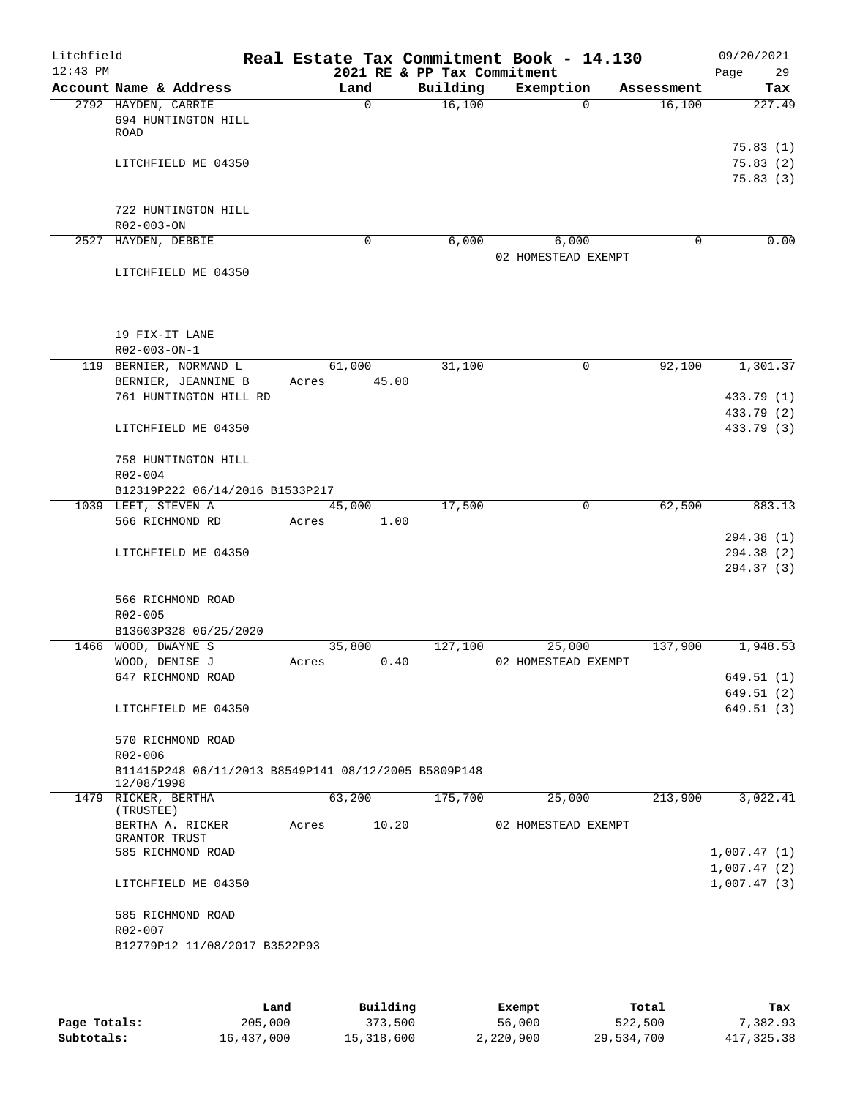| Litchfield<br>$12:43$ PM |                                                                    |       |                | 2021 RE & PP Tax Commitment | Real Estate Tax Commitment Book - 14.130 |            | 09/20/2021<br>Page<br>29         |
|--------------------------|--------------------------------------------------------------------|-------|----------------|-----------------------------|------------------------------------------|------------|----------------------------------|
|                          | Account Name & Address                                             |       | Land           | Building                    | Exemption                                | Assessment | Tax                              |
|                          | 2792 HAYDEN, CARRIE<br>694 HUNTINGTON HILL<br>ROAD                 |       | 0              | 16,100                      | $\Omega$                                 | 16,100     | 227.49                           |
|                          | LITCHFIELD ME 04350                                                |       |                |                             |                                          |            | 75.83(1)<br>75.83(2)<br>75.83(3) |
|                          | 722 HUNTINGTON HILL<br>R02-003-ON                                  |       |                |                             |                                          |            |                                  |
|                          | 2527 HAYDEN, DEBBIE                                                |       | 0              | 6,000                       | 6,000                                    | $\Omega$   | 0.00                             |
|                          | LITCHFIELD ME 04350                                                |       |                |                             | 02 HOMESTEAD EXEMPT                      |            |                                  |
|                          | 19 FIX-IT LANE<br>R02-003-ON-1                                     |       |                |                             |                                          |            |                                  |
|                          | 119 BERNIER, NORMAND L                                             |       | 61,000         | 31,100                      | 0                                        | 92,100     | 1,301.37                         |
|                          | BERNIER, JEANNINE B<br>761 HUNTINGTON HILL RD                      | Acres | 45.00          |                             |                                          |            | 433.79 (1)<br>433.79 (2)         |
|                          | LITCHFIELD ME 04350                                                |       |                |                             |                                          |            | 433.79 (3)                       |
| $R02 - 004$              | 758 HUNTINGTON HILL                                                |       |                |                             |                                          |            |                                  |
|                          | B12319P222 06/14/2016 B1533P217                                    |       |                |                             |                                          |            |                                  |
|                          | 1039 LEET, STEVEN A<br>566 RICHMOND RD                             |       | 45,000<br>1.00 | 17,500                      | 0                                        | 62,500     | 883.13                           |
|                          |                                                                    | Acres |                |                             |                                          |            | 294.38(1)                        |
|                          | LITCHFIELD ME 04350                                                |       |                |                             |                                          |            | 294.38 (2)<br>294.37 (3)         |
|                          | 566 RICHMOND ROAD<br>R02-005<br>B13603P328 06/25/2020              |       |                |                             |                                          |            |                                  |
|                          | 1466 WOOD, DWAYNE S                                                |       | 35,800         | 127,100                     | 25,000                                   | 137,900    | 1,948.53                         |
|                          | WOOD, DENISE J                                                     | Acres | 0.40           |                             | 02 HOMESTEAD EXEMPT                      |            |                                  |
|                          | 647 RICHMOND ROAD                                                  |       |                |                             |                                          |            | 649.51(1)<br>649.51(2)           |
|                          | LITCHFIELD ME 04350                                                |       |                |                             |                                          |            | 649.51(3)                        |
|                          | 570 RICHMOND ROAD<br>R02-006                                       |       |                |                             |                                          |            |                                  |
|                          | B11415P248 06/11/2013 B8549P141 08/12/2005 B5809P148<br>12/08/1998 |       |                |                             |                                          |            |                                  |
|                          | 1479 RICKER, BERTHA                                                |       | 63,200         | 175,700                     | 25,000                                   | 213,900    | 3,022.41                         |
|                          | (TRUSTEE)<br>BERTHA A. RICKER<br>GRANTOR TRUST                     | Acres | 10.20          |                             | 02 HOMESTEAD EXEMPT                      |            |                                  |
|                          | 585 RICHMOND ROAD                                                  |       |                |                             |                                          |            | 1,007.47(1)                      |
|                          | LITCHFIELD ME 04350                                                |       |                |                             |                                          |            | 1,007.47(2)<br>1,007.47(3)       |
|                          | 585 RICHMOND ROAD<br>R02-007<br>B12779P12 11/08/2017 B3522P93      |       |                |                             |                                          |            |                                  |

|              | Land       | Building   | Exempt    | Total      | Tax          |
|--------------|------------|------------|-----------|------------|--------------|
| Page Totals: | 205,000    | 373,500    | 56,000    | 522,500    | 7,382.93     |
| Subtotals:   | 16,437,000 | 15,318,600 | 2,220,900 | 29,534,700 | 417, 325, 38 |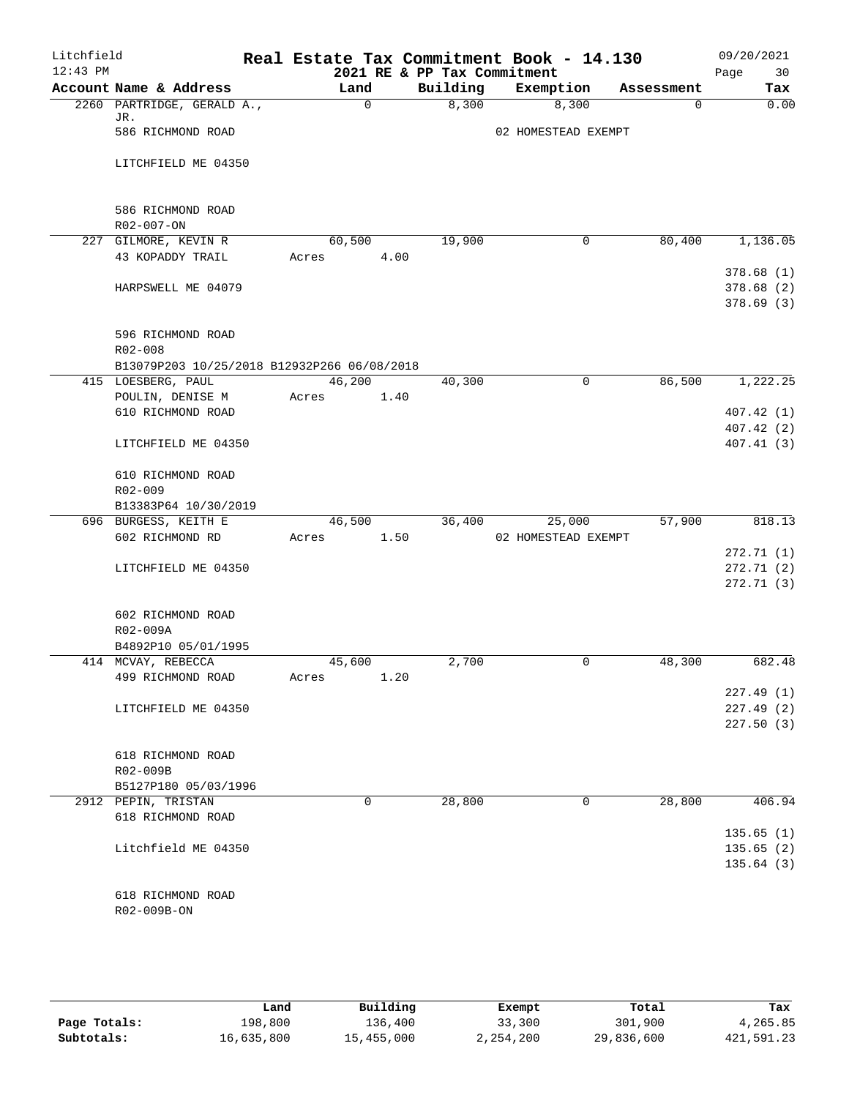| Litchfield<br>$12:43$ PM |                                                        |       |             |      | 2021 RE & PP Tax Commitment | Real Estate Tax Commitment Book - 14.130 |   |             | 09/20/2021<br>Page<br>30 |
|--------------------------|--------------------------------------------------------|-------|-------------|------|-----------------------------|------------------------------------------|---|-------------|--------------------------|
|                          | Account Name & Address                                 |       | Land        |      | Building                    | Exemption                                |   | Assessment  | Tax                      |
|                          | 2260 PARTRIDGE, GERALD A.,                             |       | $\mathbf 0$ |      | 8,300                       | 8,300                                    |   | $\mathbf 0$ | 0.00                     |
|                          | JR.                                                    |       |             |      |                             |                                          |   |             |                          |
|                          | 586 RICHMOND ROAD                                      |       |             |      |                             | 02 HOMESTEAD EXEMPT                      |   |             |                          |
|                          | LITCHFIELD ME 04350                                    |       |             |      |                             |                                          |   |             |                          |
|                          | 586 RICHMOND ROAD                                      |       |             |      |                             |                                          |   |             |                          |
|                          | R02-007-ON                                             |       |             |      |                             |                                          |   |             |                          |
|                          | 227 GILMORE, KEVIN R                                   |       | 60,500      |      | 19,900                      |                                          | 0 | 80,400      | 1,136.05                 |
|                          | 43 KOPADDY TRAIL                                       | Acres |             | 4.00 |                             |                                          |   |             |                          |
|                          |                                                        |       |             |      |                             |                                          |   |             | 378.68(1)                |
|                          | HARPSWELL ME 04079                                     |       |             |      |                             |                                          |   |             | 378.68(2)                |
|                          |                                                        |       |             |      |                             |                                          |   |             | 378.69(3)                |
|                          | 596 RICHMOND ROAD                                      |       |             |      |                             |                                          |   |             |                          |
|                          | R02-008<br>B13079P203 10/25/2018 B12932P266 06/08/2018 |       |             |      |                             |                                          |   |             |                          |
|                          | 415 LOESBERG, PAUL                                     |       | 46,200      |      | 40,300                      |                                          | 0 | 86,500      | 1,222.25                 |
|                          | POULIN, DENISE M                                       | Acres |             | 1.40 |                             |                                          |   |             |                          |
|                          | 610 RICHMOND ROAD                                      |       |             |      |                             |                                          |   |             | 407.42 (1)               |
|                          |                                                        |       |             |      |                             |                                          |   |             | 407.42 (2)               |
|                          | LITCHFIELD ME 04350                                    |       |             |      |                             |                                          |   |             | 407.41(3)                |
|                          | 610 RICHMOND ROAD                                      |       |             |      |                             |                                          |   |             |                          |
|                          | R02-009                                                |       |             |      |                             |                                          |   |             |                          |
|                          | B13383P64 10/30/2019                                   |       |             |      |                             |                                          |   |             |                          |
|                          | 696 BURGESS, KEITH E                                   |       | 46,500      |      | 36,400                      | 25,000                                   |   | 57,900      | 818.13                   |
|                          | 602 RICHMOND RD                                        | Acres |             | 1.50 |                             | 02 HOMESTEAD EXEMPT                      |   |             |                          |
|                          |                                                        |       |             |      |                             |                                          |   |             | 272.71(1)                |
|                          | LITCHFIELD ME 04350                                    |       |             |      |                             |                                          |   |             | 272.71(2)                |
|                          |                                                        |       |             |      |                             |                                          |   |             | 272.71(3)                |
|                          | 602 RICHMOND ROAD                                      |       |             |      |                             |                                          |   |             |                          |
|                          | R02-009A                                               |       |             |      |                             |                                          |   |             |                          |
|                          | B4892P10 05/01/1995                                    |       |             |      |                             |                                          |   |             |                          |
|                          | 414 MCVAY, REBECCA                                     |       | 45,600      |      | 2,700                       |                                          | 0 | 48,300      | 682.48                   |
|                          | 499 RICHMOND ROAD                                      | Acres |             | 1.20 |                             |                                          |   |             |                          |
|                          |                                                        |       |             |      |                             |                                          |   |             | 227.49(1)                |
|                          | LITCHFIELD ME 04350                                    |       |             |      |                             |                                          |   |             | 227.49(2)                |
|                          |                                                        |       |             |      |                             |                                          |   |             | 227.50(3)                |
|                          | 618 RICHMOND ROAD                                      |       |             |      |                             |                                          |   |             |                          |
|                          | R02-009B                                               |       |             |      |                             |                                          |   |             |                          |
|                          | B5127P180 05/03/1996                                   |       |             |      |                             |                                          |   |             |                          |
|                          | 2912 PEPIN, TRISTAN                                    |       | $\Omega$    |      | 28,800                      |                                          | 0 | 28,800      | 406.94                   |
|                          | 618 RICHMOND ROAD                                      |       |             |      |                             |                                          |   |             |                          |
|                          |                                                        |       |             |      |                             |                                          |   |             | 135.65(1)                |
|                          | Litchfield ME 04350                                    |       |             |      |                             |                                          |   |             | 135.65(2)                |
|                          |                                                        |       |             |      |                             |                                          |   |             | 135.64(3)                |
|                          | 618 RICHMOND ROAD                                      |       |             |      |                             |                                          |   |             |                          |
|                          | R02-009B-ON                                            |       |             |      |                             |                                          |   |             |                          |
|                          |                                                        |       |             |      |                             |                                          |   |             |                          |

|              | Land       | Building   | Exempt    | Total      | Tax        |
|--------------|------------|------------|-----------|------------|------------|
| Page Totals: | 198,800    | 136,400    | 33,300    | 301,900    | 4,265.85   |
| Subtotals:   | 16,635,800 | 15,455,000 | 2,254,200 | 29,836,600 | 421,591.23 |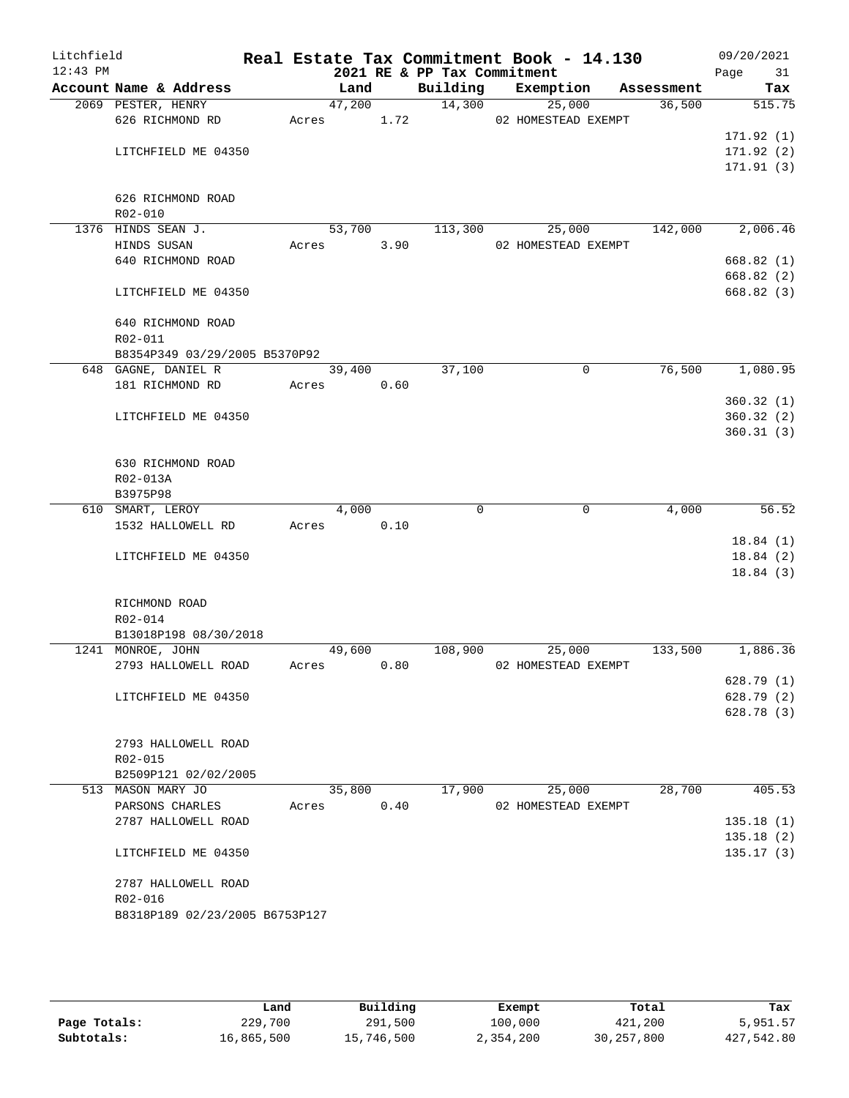| Litchfield<br>$12:43$ PM |                                       |       |        |      | 2021 RE & PP Tax Commitment | Real Estate Tax Commitment Book - 14.130 |             |            | 09/20/2021<br>Page<br>31 |
|--------------------------|---------------------------------------|-------|--------|------|-----------------------------|------------------------------------------|-------------|------------|--------------------------|
|                          | Account Name & Address                |       | Land   |      | Building                    | Exemption                                |             | Assessment | Tax                      |
|                          | 2069 PESTER, HENRY                    |       | 47,200 |      | 14,300                      | 25,000                                   |             | 36,500     | 515.75                   |
|                          | 626 RICHMOND RD                       | Acres |        | 1.72 |                             | 02 HOMESTEAD EXEMPT                      |             |            |                          |
|                          |                                       |       |        |      |                             |                                          |             |            | 171.92(1)                |
|                          | LITCHFIELD ME 04350                   |       |        |      |                             |                                          |             |            | 171.92(2)                |
|                          |                                       |       |        |      |                             |                                          |             |            | 171.91(3)                |
|                          |                                       |       |        |      |                             |                                          |             |            |                          |
|                          | 626 RICHMOND ROAD                     |       |        |      |                             |                                          |             |            |                          |
|                          | $R02 - 010$                           |       |        |      |                             |                                          |             |            |                          |
|                          | 1376 HINDS SEAN J.                    |       | 53,700 |      | 113,300                     | 25,000                                   |             | 142,000    | 2,006.46                 |
|                          | HINDS SUSAN                           | Acres |        | 3.90 |                             | 02 HOMESTEAD EXEMPT                      |             |            |                          |
|                          | 640 RICHMOND ROAD                     |       |        |      |                             |                                          |             |            | 668.82(1)                |
|                          |                                       |       |        |      |                             |                                          |             |            | 668.82 (2)               |
|                          | LITCHFIELD ME 04350                   |       |        |      |                             |                                          |             |            | 668.82(3)                |
|                          |                                       |       |        |      |                             |                                          |             |            |                          |
|                          | 640 RICHMOND ROAD                     |       |        |      |                             |                                          |             |            |                          |
|                          | R02-011                               |       |        |      |                             |                                          |             |            |                          |
|                          | B8354P349 03/29/2005 B5370P92         |       |        |      |                             |                                          |             |            |                          |
|                          | 648 GAGNE, DANIEL R                   |       | 39,400 |      | 37,100                      |                                          | $\mathbf 0$ | 76,500     | 1,080.95                 |
|                          | 181 RICHMOND RD                       | Acres |        | 0.60 |                             |                                          |             |            |                          |
|                          |                                       |       |        |      |                             |                                          |             |            | 360.32(1)                |
|                          | LITCHFIELD ME 04350                   |       |        |      |                             |                                          |             |            | 360.32(2)                |
|                          |                                       |       |        |      |                             |                                          |             |            | 360.31(3)                |
|                          |                                       |       |        |      |                             |                                          |             |            |                          |
|                          | 630 RICHMOND ROAD                     |       |        |      |                             |                                          |             |            |                          |
|                          | R02-013A                              |       |        |      |                             |                                          |             |            |                          |
|                          | B3975P98                              |       |        |      | $\Omega$                    |                                          |             |            |                          |
|                          | 610 SMART, LEROY<br>1532 HALLOWELL RD | Acres | 4,000  | 0.10 |                             |                                          | 0           | 4,000      | 56.52                    |
|                          |                                       |       |        |      |                             |                                          |             |            | 18.84(1)                 |
|                          | LITCHFIELD ME 04350                   |       |        |      |                             |                                          |             |            | 18.84(2)                 |
|                          |                                       |       |        |      |                             |                                          |             |            | 18.84(3)                 |
|                          |                                       |       |        |      |                             |                                          |             |            |                          |
|                          | RICHMOND ROAD                         |       |        |      |                             |                                          |             |            |                          |
|                          | R02-014                               |       |        |      |                             |                                          |             |            |                          |
|                          | B13018P198 08/30/2018                 |       |        |      |                             |                                          |             |            |                          |
|                          | 1241 MONROE, JOHN                     |       | 49,600 |      | 108,900                     | 25,000                                   |             | 133,500    | 1,886.36                 |
|                          | 2793 HALLOWELL ROAD                   | Acres |        | 0.80 |                             | 02 HOMESTEAD EXEMPT                      |             |            |                          |
|                          |                                       |       |        |      |                             |                                          |             |            | 628.79(1)                |
|                          | LITCHFIELD ME 04350                   |       |        |      |                             |                                          |             |            | 628.79(2)                |
|                          |                                       |       |        |      |                             |                                          |             |            | 628.78(3)                |
|                          |                                       |       |        |      |                             |                                          |             |            |                          |
|                          | 2793 HALLOWELL ROAD                   |       |        |      |                             |                                          |             |            |                          |
|                          | R02-015                               |       |        |      |                             |                                          |             |            |                          |
|                          | B2509P121 02/02/2005                  |       |        |      |                             |                                          |             |            |                          |
|                          | 513 MASON MARY JO                     |       | 35,800 |      | 17,900                      | 25,000                                   |             | 28,700     | 405.53                   |
|                          | PARSONS CHARLES                       | Acres |        | 0.40 |                             | 02 HOMESTEAD EXEMPT                      |             |            |                          |
|                          | 2787 HALLOWELL ROAD                   |       |        |      |                             |                                          |             |            | 135.18(1)                |
|                          |                                       |       |        |      |                             |                                          |             |            | 135.18(2)                |
|                          | LITCHFIELD ME 04350                   |       |        |      |                             |                                          |             |            | 135.17(3)                |
|                          |                                       |       |        |      |                             |                                          |             |            |                          |
|                          | 2787 HALLOWELL ROAD                   |       |        |      |                             |                                          |             |            |                          |
|                          | R02-016                               |       |        |      |                             |                                          |             |            |                          |
|                          | B8318P189 02/23/2005 B6753P127        |       |        |      |                             |                                          |             |            |                          |
|                          |                                       |       |        |      |                             |                                          |             |            |                          |
|                          |                                       |       |        |      |                             |                                          |             |            |                          |
|                          |                                       |       |        |      |                             |                                          |             |            |                          |

|              | Land       | Building   | Exempt    | Total        | Tax        |
|--------------|------------|------------|-----------|--------------|------------|
| Page Totals: | 229,700    | 291,500    | 100,000   | 421,200      | 5,951.57   |
| Subtotals:   | 16,865,500 | 15,746,500 | 2,354,200 | 30, 257, 800 | 427,542.80 |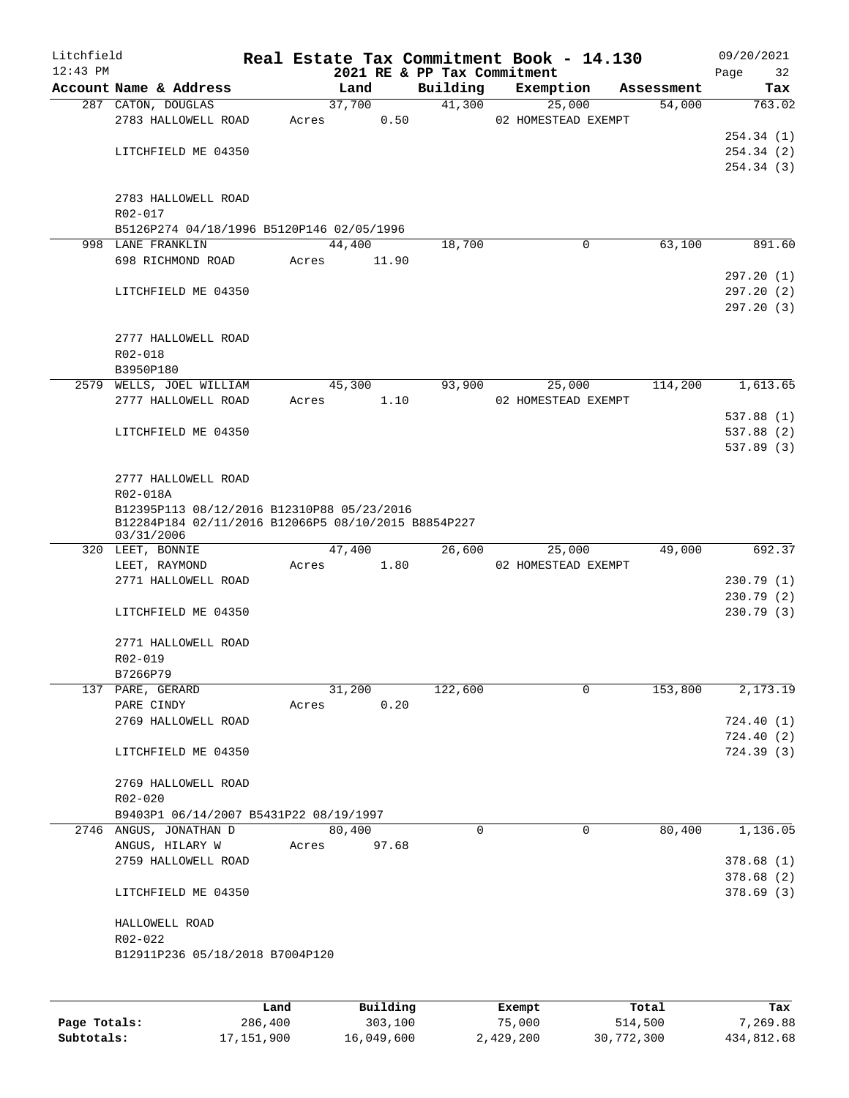| Litchfield<br>$12:43$ PM |                                                                                                                 |       |                | 2021 RE & PP Tax Commitment | Real Estate Tax Commitment Book - 14.130 |            | 09/20/2021<br>Page<br>32 |
|--------------------------|-----------------------------------------------------------------------------------------------------------------|-------|----------------|-----------------------------|------------------------------------------|------------|--------------------------|
|                          | Account Name & Address                                                                                          |       | Land           | Building                    | Exemption                                | Assessment | Tax                      |
|                          | 287 CATON, DOUGLAS                                                                                              |       | 37,700         | 41,300                      | 25,000                                   | 54,000     | 763.02                   |
|                          | 2783 HALLOWELL ROAD                                                                                             | Acres | 0.50           |                             | 02 HOMESTEAD EXEMPT                      |            |                          |
|                          |                                                                                                                 |       |                |                             |                                          |            | 254.34(1)                |
|                          | LITCHFIELD ME 04350                                                                                             |       |                |                             |                                          |            | 254.34(2)                |
|                          |                                                                                                                 |       |                |                             |                                          |            | 254.34(3)                |
|                          |                                                                                                                 |       |                |                             |                                          |            |                          |
|                          | 2783 HALLOWELL ROAD<br>R02-017                                                                                  |       |                |                             |                                          |            |                          |
|                          | B5126P274 04/18/1996 B5120P146 02/05/1996                                                                       |       |                |                             |                                          |            |                          |
|                          | 998 LANE FRANKLIN                                                                                               |       | 44,400         | 18,700                      | 0                                        | 63,100     | 891.60                   |
|                          | 698 RICHMOND ROAD                                                                                               | Acres | 11.90          |                             |                                          |            |                          |
|                          |                                                                                                                 |       |                |                             |                                          |            | 297.20(1)                |
|                          | LITCHFIELD ME 04350                                                                                             |       |                |                             |                                          |            | 297.20(2)                |
|                          |                                                                                                                 |       |                |                             |                                          |            | 297.20(3)                |
|                          |                                                                                                                 |       |                |                             |                                          |            |                          |
|                          | 2777 HALLOWELL ROAD                                                                                             |       |                |                             |                                          |            |                          |
|                          | R02-018                                                                                                         |       |                |                             |                                          |            |                          |
|                          | B3950P180                                                                                                       |       |                |                             |                                          |            |                          |
|                          | 2579 WELLS, JOEL WILLIAM<br>2777 HALLOWELL ROAD                                                                 | Acres | 45,300<br>1.10 | 93,900                      | 25,000<br>02 HOMESTEAD EXEMPT            | 114,200    | 1,613.65                 |
|                          |                                                                                                                 |       |                |                             |                                          |            | 537.88 (1)               |
|                          | LITCHFIELD ME 04350                                                                                             |       |                |                             |                                          |            | 537.88 (2)               |
|                          |                                                                                                                 |       |                |                             |                                          |            | 537.89 (3)               |
|                          |                                                                                                                 |       |                |                             |                                          |            |                          |
|                          | 2777 HALLOWELL ROAD                                                                                             |       |                |                             |                                          |            |                          |
|                          | R02-018A                                                                                                        |       |                |                             |                                          |            |                          |
|                          | B12395P113 08/12/2016 B12310P88 05/23/2016<br>B12284P184 02/11/2016 B12066P5 08/10/2015 B8854P227<br>03/31/2006 |       |                |                             |                                          |            |                          |
|                          | 320 LEET, BONNIE                                                                                                |       | 47,400         | 26,600                      | 25,000                                   | 49,000     | 692.37                   |
|                          | LEET, RAYMOND                                                                                                   | Acres | 1.80           |                             | 02 HOMESTEAD EXEMPT                      |            |                          |
|                          | 2771 HALLOWELL ROAD                                                                                             |       |                |                             |                                          |            | 230.79 (1)               |
|                          |                                                                                                                 |       |                |                             |                                          |            | 230.79 (2)               |
|                          | LITCHFIELD ME 04350                                                                                             |       |                |                             |                                          |            | 230.79(3)                |
|                          |                                                                                                                 |       |                |                             |                                          |            |                          |
|                          | 2771 HALLOWELL ROAD<br>R02-019                                                                                  |       |                |                             |                                          |            |                          |
|                          | B7266P79                                                                                                        |       |                |                             |                                          |            |                          |
|                          | 137 PARE, GERARD                                                                                                |       | 31,200         | 122,600                     | 0                                        | 153,800    | 2,173.19                 |
|                          | PARE CINDY                                                                                                      | Acres | 0.20           |                             |                                          |            |                          |
|                          | 2769 HALLOWELL ROAD                                                                                             |       |                |                             |                                          |            | 724.40(1)                |
|                          |                                                                                                                 |       |                |                             |                                          |            | 724.40 (2)               |
|                          | LITCHFIELD ME 04350                                                                                             |       |                |                             |                                          |            | 724.39 (3)               |
|                          |                                                                                                                 |       |                |                             |                                          |            |                          |
|                          | 2769 HALLOWELL ROAD                                                                                             |       |                |                             |                                          |            |                          |
|                          | R02-020                                                                                                         |       |                |                             |                                          |            |                          |
|                          | B9403P1 06/14/2007 B5431P22 08/19/1997<br>2746 ANGUS, JONATHAN D                                                |       | 80,400         | 0                           | $\mathbf 0$                              | 80,400     | 1,136.05                 |
|                          | ANGUS, HILARY W                                                                                                 | Acres | 97.68          |                             |                                          |            |                          |
|                          | 2759 HALLOWELL ROAD                                                                                             |       |                |                             |                                          |            | 378.68(1)                |
|                          |                                                                                                                 |       |                |                             |                                          |            | 378.68(2)                |
|                          | LITCHFIELD ME 04350                                                                                             |       |                |                             |                                          |            | 378.69 (3)               |
|                          |                                                                                                                 |       |                |                             |                                          |            |                          |
|                          | HALLOWELL ROAD                                                                                                  |       |                |                             |                                          |            |                          |
|                          | R02-022                                                                                                         |       |                |                             |                                          |            |                          |
|                          | B12911P236 05/18/2018 B7004P120                                                                                 |       |                |                             |                                          |            |                          |
|                          |                                                                                                                 |       |                |                             |                                          |            |                          |
|                          |                                                                                                                 |       |                |                             |                                          |            |                          |

|              | Land       | Building   | Exempt    | Total      | Tax        |
|--------------|------------|------------|-----------|------------|------------|
| Page Totals: | 286,400    | 303,100    | 75,000    | 514,500    | 7.269.88   |
| Subtotals:   | 17,151,900 | 16,049,600 | 2,429,200 | 30,772,300 | 434,812.68 |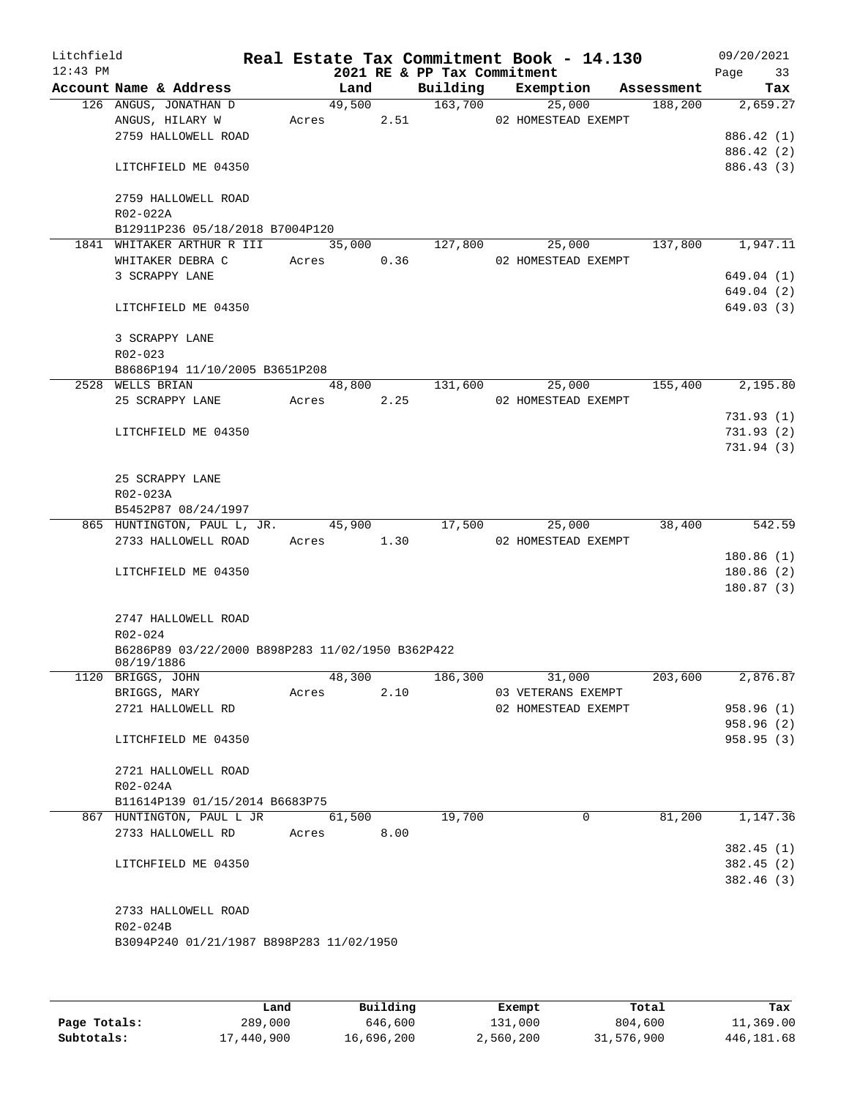| Litchfield<br>$12:43$ PM |                                                  |       |            |      |                             | Real Estate Tax Commitment Book - 14.130 |                       | 09/20/2021        |
|--------------------------|--------------------------------------------------|-------|------------|------|-----------------------------|------------------------------------------|-----------------------|-------------------|
|                          | Account Name & Address                           |       | Land       |      | 2021 RE & PP Tax Commitment | Building Exemption                       |                       | 33<br>Page<br>Tax |
|                          | 126 ANGUS, JONATHAN D                            |       | 49,500     |      | 163,700                     | 25,000                                   | Assessment<br>188,200 | 2,659.27          |
|                          | ANGUS, HILARY W                                  |       | Acres 2.51 |      |                             | 02 HOMESTEAD EXEMPT                      |                       |                   |
|                          | 2759 HALLOWELL ROAD                              |       |            |      |                             |                                          |                       | 886.42 (1)        |
|                          |                                                  |       |            |      |                             |                                          |                       | 886.42 (2)        |
|                          | LITCHFIELD ME 04350                              |       |            |      |                             |                                          |                       | 886.43 (3)        |
|                          | 2759 HALLOWELL ROAD                              |       |            |      |                             |                                          |                       |                   |
|                          | $R02 - 022A$                                     |       |            |      |                             |                                          |                       |                   |
|                          | B12911P236 05/18/2018 B7004P120                  |       |            |      |                             |                                          |                       |                   |
|                          | 1841 WHITAKER ARTHUR R III                       |       | 35,000     |      | 127,800                     | 25,000                                   | 137,800               | 1,947.11          |
|                          | WHITAKER DEBRA C                                 |       | Acres 0.36 |      |                             | 02 HOMESTEAD EXEMPT                      |                       |                   |
|                          | 3 SCRAPPY LANE                                   |       |            |      |                             |                                          |                       | 649.04 (1)        |
|                          |                                                  |       |            |      |                             |                                          |                       | 649.04 (2)        |
|                          | LITCHFIELD ME 04350                              |       |            |      |                             |                                          |                       | 649.03 (3)        |
|                          | 3 SCRAPPY LANE                                   |       |            |      |                             |                                          |                       |                   |
|                          | R02-023                                          |       |            |      |                             |                                          |                       |                   |
|                          | B8686P194 11/10/2005 B3651P208                   |       |            |      |                             |                                          |                       |                   |
|                          | 2528 WELLS BRIAN                                 |       | 48,800     |      | 131,600                     | 25,000                                   | 155,400               | 2,195.80          |
|                          | 25 SCRAPPY LANE                                  |       | Acres 2.25 |      |                             | 02 HOMESTEAD EXEMPT                      |                       |                   |
|                          |                                                  |       |            |      |                             |                                          |                       | 731.93(1)         |
|                          | LITCHFIELD ME 04350                              |       |            |      |                             |                                          |                       | 731.93(2)         |
|                          |                                                  |       |            |      |                             |                                          |                       | 731.94 (3)        |
|                          | 25 SCRAPPY LANE                                  |       |            |      |                             |                                          |                       |                   |
|                          | R02-023A                                         |       |            |      |                             |                                          |                       |                   |
|                          | B5452P87 08/24/1997                              |       |            |      |                             |                                          |                       |                   |
|                          | 865 HUNTINGTON, PAUL L, JR.                      |       | 45,900     |      | 17,500                      | 25,000                                   | 38,400                | 542.59            |
|                          | 2733 HALLOWELL ROAD                              |       | Acres 1.30 |      |                             | 02 HOMESTEAD EXEMPT                      |                       |                   |
|                          |                                                  |       |            |      |                             |                                          |                       | 180.86(1)         |
|                          | LITCHFIELD ME 04350                              |       |            |      |                             |                                          |                       | 180.86(2)         |
|                          |                                                  |       |            |      |                             |                                          |                       | 180.87(3)         |
|                          | 2747 HALLOWELL ROAD                              |       |            |      |                             |                                          |                       |                   |
|                          | $R02 - 024$                                      |       |            |      |                             |                                          |                       |                   |
|                          | B6286P89 03/22/2000 B898P283 11/02/1950 B362P422 |       |            |      |                             |                                          |                       |                   |
|                          | 08/19/1886                                       |       |            |      |                             |                                          |                       |                   |
|                          | 1120 BRIGGS, JOHN                                |       | 48,300     |      | 186,300                     | 31,000                                   | 203,600               | 2,876.87          |
|                          | BRIGGS, MARY                                     | Acres |            | 2.10 |                             | 03 VETERANS EXEMPT                       |                       |                   |
|                          | 2721 HALLOWELL RD                                |       |            |      |                             | 02 HOMESTEAD EXEMPT                      |                       | 958.96 (1)        |
|                          |                                                  |       |            |      |                             |                                          |                       | 958.96 (2)        |
|                          | LITCHFIELD ME 04350                              |       |            |      |                             |                                          |                       | 958.95(3)         |
|                          | 2721 HALLOWELL ROAD                              |       |            |      |                             |                                          |                       |                   |
|                          | R02-024A                                         |       |            |      |                             |                                          |                       |                   |
|                          | B11614P139 01/15/2014 B6683P75                   |       |            |      |                             |                                          |                       |                   |
|                          | 867 HUNTINGTON, PAUL L JR                        |       | 61,500     |      | 19,700                      | 0                                        | 81,200                | 1,147.36          |
|                          | 2733 HALLOWELL RD                                | Acres |            | 8.00 |                             |                                          |                       |                   |
|                          |                                                  |       |            |      |                             |                                          |                       | 382.45(1)         |
|                          | LITCHFIELD ME 04350                              |       |            |      |                             |                                          |                       | 382.45(2)         |
|                          |                                                  |       |            |      |                             |                                          |                       | 382.46 (3)        |
|                          |                                                  |       |            |      |                             |                                          |                       |                   |
|                          | 2733 HALLOWELL ROAD                              |       |            |      |                             |                                          |                       |                   |
|                          | R02-024B                                         |       |            |      |                             |                                          |                       |                   |
|                          | B3094P240 01/21/1987 B898P283 11/02/1950         |       |            |      |                             |                                          |                       |                   |
|                          |                                                  |       |            |      |                             |                                          |                       |                   |
|                          |                                                  |       |            |      |                             |                                          |                       |                   |
|                          |                                                  |       |            |      |                             |                                          |                       |                   |

|              | Land       | Building   | Exempt    | Total      | Tax        |
|--------------|------------|------------|-----------|------------|------------|
| Page Totals: | 289,000    | 646,600    | 131,000   | 804,600    | 11,369.00  |
| Subtotals:   | 17,440,900 | 16,696,200 | 2,560,200 | 31,576,900 | 446,181.68 |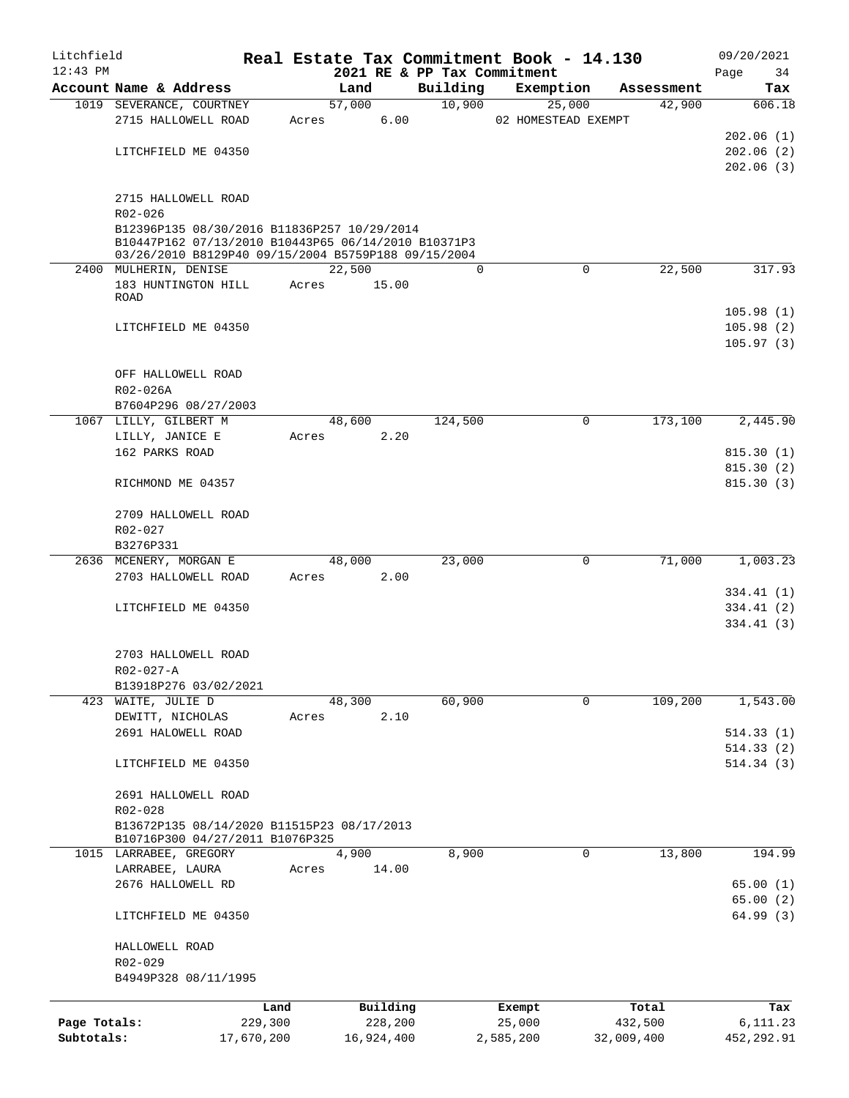| Litchfield   |                    |                                                                                                                                                           |       |                |                    | Real Estate Tax Commitment Book - 14.130 |                      | 09/20/2021             |
|--------------|--------------------|-----------------------------------------------------------------------------------------------------------------------------------------------------------|-------|----------------|--------------------|------------------------------------------|----------------------|------------------------|
| $12:43$ PM   |                    |                                                                                                                                                           |       |                |                    | 2021 RE & PP Tax Commitment              |                      | 34<br>Page             |
|              |                    | Account Name & Address<br>1019 SEVERANCE, COURTNEY                                                                                                        |       | Land<br>57,000 | Building<br>10,900 | Exemption<br>25,000                      | Assessment<br>42,900 | Tax<br>606.18          |
|              |                    | 2715 HALLOWELL ROAD                                                                                                                                       | Acres | 6.00           |                    | 02 HOMESTEAD EXEMPT                      |                      |                        |
|              |                    |                                                                                                                                                           |       |                |                    |                                          |                      | 202.06(1)              |
|              |                    | LITCHFIELD ME 04350                                                                                                                                       |       |                |                    |                                          |                      | 202.06(2)              |
|              |                    |                                                                                                                                                           |       |                |                    |                                          |                      | 202.06(3)              |
|              |                    | 2715 HALLOWELL ROAD                                                                                                                                       |       |                |                    |                                          |                      |                        |
|              | R02-026            |                                                                                                                                                           |       |                |                    |                                          |                      |                        |
|              |                    | B12396P135 08/30/2016 B11836P257 10/29/2014<br>B10447P162 07/13/2010 B10443P65 06/14/2010 B10371P3<br>03/26/2010 B8129P40 09/15/2004 B5759P188 09/15/2004 |       |                |                    |                                          |                      |                        |
|              |                    | 2400 MULHERIN, DENISE                                                                                                                                     |       | 22,500         | $\mathbf 0$        | $\mathbf 0$                              | 22,500               | 317.93                 |
|              |                    | 183 HUNTINGTON HILL                                                                                                                                       | Acres | 15.00          |                    |                                          |                      |                        |
| ROAD         |                    |                                                                                                                                                           |       |                |                    |                                          | 105.98(1)            |                        |
|              |                    | LITCHFIELD ME 04350                                                                                                                                       |       |                |                    |                                          |                      | 105.98(2)              |
|              |                    |                                                                                                                                                           |       |                |                    |                                          |                      | 105.97(3)              |
|              |                    | OFF HALLOWELL ROAD                                                                                                                                        |       |                |                    |                                          |                      |                        |
|              | R02-026A           |                                                                                                                                                           |       |                |                    |                                          |                      |                        |
|              |                    | B7604P296 08/27/2003                                                                                                                                      |       |                |                    |                                          |                      |                        |
|              |                    | 1067 LILLY, GILBERT M                                                                                                                                     |       | 48,600         | 124,500            | $\mathbf 0$                              | 173,100              | 2,445.90               |
|              | LILLY, JANICE E    |                                                                                                                                                           | Acres | 2.20           |                    |                                          |                      |                        |
|              | 162 PARKS ROAD     |                                                                                                                                                           |       |                |                    |                                          |                      | 815.30(1)              |
|              |                    |                                                                                                                                                           |       |                |                    |                                          |                      | 815.30(2)              |
|              |                    | RICHMOND ME 04357                                                                                                                                         |       |                |                    |                                          |                      | 815.30(3)              |
|              |                    | 2709 HALLOWELL ROAD                                                                                                                                       |       |                |                    |                                          |                      |                        |
|              | R02-027            |                                                                                                                                                           |       |                |                    |                                          |                      |                        |
|              | B3276P331          |                                                                                                                                                           |       |                |                    |                                          |                      |                        |
|              |                    | 2636 MCENERY, MORGAN E                                                                                                                                    |       | 48,000         | 23,000             | 0                                        | 71,000               | 1,003.23               |
|              |                    | 2703 HALLOWELL ROAD                                                                                                                                       | Acres | 2.00           |                    |                                          |                      | 334.41 (1)             |
|              |                    | LITCHFIELD ME 04350                                                                                                                                       |       |                |                    |                                          |                      | 334.41 (2)             |
|              |                    |                                                                                                                                                           |       |                |                    |                                          |                      | 334.41(3)              |
|              |                    | 2703 HALLOWELL ROAD                                                                                                                                       |       |                |                    |                                          |                      |                        |
|              | R02-027-A          |                                                                                                                                                           |       |                |                    |                                          |                      |                        |
|              |                    | B13918P276 03/02/2021                                                                                                                                     |       |                |                    |                                          |                      |                        |
|              | 423 WAITE, JULIE D |                                                                                                                                                           |       | 48,300         | 60,900             | 0                                        | 109,200              | 1,543.00               |
|              |                    | DEWITT, NICHOLAS                                                                                                                                          | Acres | 2.10           |                    |                                          |                      |                        |
|              |                    | 2691 HALOWELL ROAD                                                                                                                                        |       |                |                    |                                          |                      | 514.33(1)<br>514.33(2) |
|              |                    | LITCHFIELD ME 04350                                                                                                                                       |       |                |                    |                                          |                      | 514.34(3)              |
|              |                    | 2691 HALLOWELL ROAD                                                                                                                                       |       |                |                    |                                          |                      |                        |
|              | R02-028            |                                                                                                                                                           |       |                |                    |                                          |                      |                        |
|              |                    | B13672P135 08/14/2020 B11515P23 08/17/2013<br>B10716P300 04/27/2011 B1076P325                                                                             |       |                |                    |                                          |                      |                        |
|              |                    | 1015 LARRABEE, GREGORY                                                                                                                                    |       | 4,900          | 8,900              | 0                                        | 13,800               | 194.99                 |
|              | LARRABEE, LAURA    |                                                                                                                                                           | Acres | 14.00          |                    |                                          |                      |                        |
|              |                    | 2676 HALLOWELL RD                                                                                                                                         |       |                |                    |                                          |                      | 65.00(1)               |
|              |                    | LITCHFIELD ME 04350                                                                                                                                       |       |                |                    |                                          |                      | 65.00(2)<br>64.99(3)   |
|              | HALLOWELL ROAD     |                                                                                                                                                           |       |                |                    |                                          |                      |                        |
|              | R02-029            |                                                                                                                                                           |       |                |                    |                                          |                      |                        |
|              |                    | B4949P328 08/11/1995                                                                                                                                      |       |                |                    |                                          |                      |                        |
|              |                    | Land                                                                                                                                                      |       | Building       |                    | Exempt                                   | Total                | Tax                    |
| Page Totals: |                    | 229,300                                                                                                                                                   |       | 228,200        |                    | 25,000                                   | 432,500              | 6,111.23               |
| Subtotals:   |                    | 17,670,200                                                                                                                                                |       | 16,924,400     |                    | 2,585,200                                | 32,009,400           | 452,292.91             |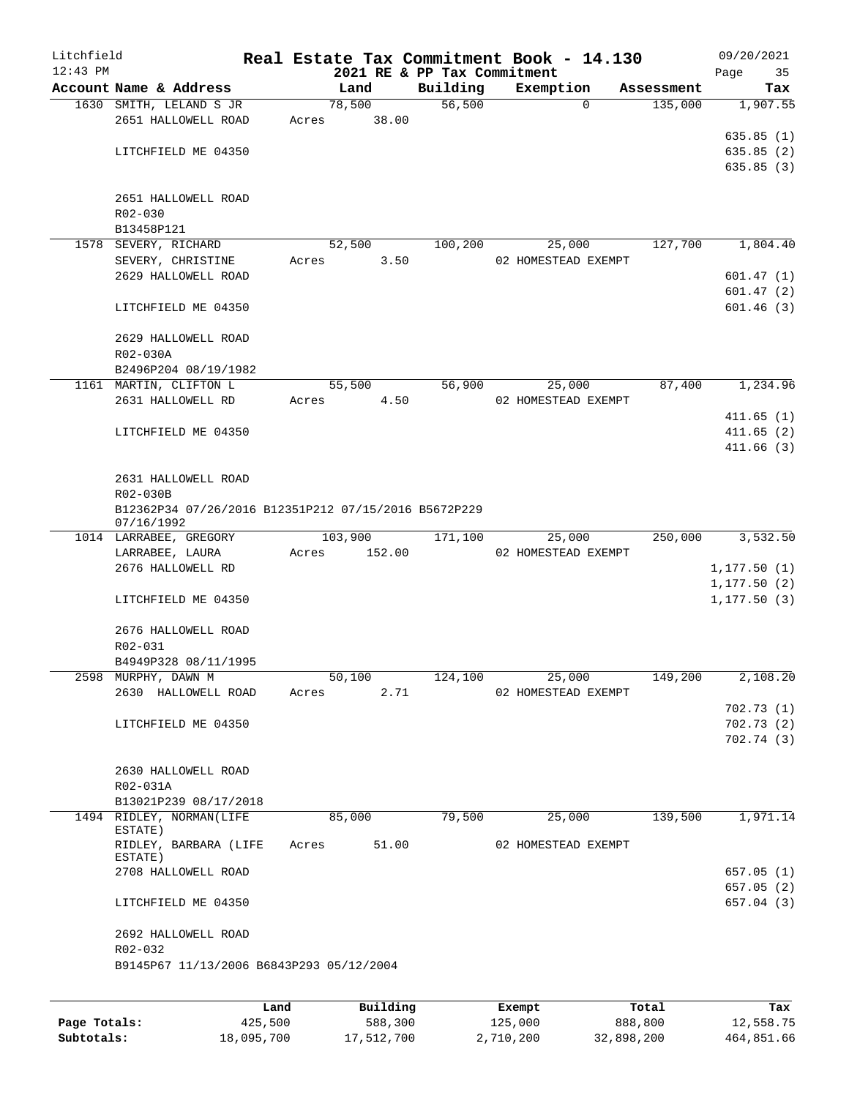| Litchfield |                                                                    |       |          |                                         | Real Estate Tax Commitment Book - 14.130 |            | 09/20/2021        |
|------------|--------------------------------------------------------------------|-------|----------|-----------------------------------------|------------------------------------------|------------|-------------------|
| $12:43$ PM | Account Name & Address                                             |       | Land     | 2021 RE & PP Tax Commitment<br>Building | Exemption                                | Assessment | Page<br>35<br>Tax |
|            | 1630 SMITH, LELAND S JR                                            |       | 78,500   | 56,500                                  | $\mathbf 0$                              | 135,000    | 1,907.55          |
|            | 2651 HALLOWELL ROAD                                                | Acres | 38.00    |                                         |                                          |            |                   |
|            |                                                                    |       |          |                                         |                                          |            | 635.85(1)         |
|            | LITCHFIELD ME 04350                                                |       |          |                                         |                                          |            | 635.85(2)         |
|            |                                                                    |       |          |                                         |                                          |            | 635.85(3)         |
|            |                                                                    |       |          |                                         |                                          |            |                   |
|            | 2651 HALLOWELL ROAD                                                |       |          |                                         |                                          |            |                   |
|            | R02-030                                                            |       |          |                                         |                                          |            |                   |
|            | B13458P121                                                         |       |          |                                         |                                          |            |                   |
|            | 1578 SEVERY, RICHARD                                               |       | 52,500   | 100,200                                 | 25,000                                   | 127,700    | 1,804.40          |
|            | SEVERY, CHRISTINE                                                  | Acres | 3.50     |                                         | 02 HOMESTEAD EXEMPT                      |            |                   |
|            | 2629 HALLOWELL ROAD                                                |       |          |                                         |                                          |            | 601.47(1)         |
|            |                                                                    |       |          |                                         |                                          |            | 601.47(2)         |
|            | LITCHFIELD ME 04350                                                |       |          |                                         |                                          |            | 601.46(3)         |
|            | 2629 HALLOWELL ROAD                                                |       |          |                                         |                                          |            |                   |
|            | R02-030A                                                           |       |          |                                         |                                          |            |                   |
|            | B2496P204 08/19/1982                                               |       |          |                                         |                                          |            |                   |
|            | 1161 MARTIN, CLIFTON L                                             |       | 55,500   | 56,900                                  | 25,000                                   | 87,400     | 1,234.96          |
|            | 2631 HALLOWELL RD                                                  | Acres | 4.50     |                                         | 02 HOMESTEAD EXEMPT                      |            |                   |
|            |                                                                    |       |          |                                         |                                          |            | 411.65(1)         |
|            | LITCHFIELD ME 04350                                                |       |          |                                         |                                          |            | 411.65(2)         |
|            |                                                                    |       |          |                                         |                                          |            | 411.66(3)         |
|            |                                                                    |       |          |                                         |                                          |            |                   |
|            | 2631 HALLOWELL ROAD                                                |       |          |                                         |                                          |            |                   |
|            | R02-030B                                                           |       |          |                                         |                                          |            |                   |
|            | B12362P34 07/26/2016 B12351P212 07/15/2016 B5672P229<br>07/16/1992 |       |          |                                         |                                          |            |                   |
|            | 1014 LARRABEE, GREGORY                                             |       | 103,900  | 171,100                                 | 25,000                                   | 250,000    | 3,532.50          |
|            | LARRABEE, LAURA                                                    | Acres | 152.00   |                                         | 02 HOMESTEAD EXEMPT                      |            |                   |
|            | 2676 HALLOWELL RD                                                  |       |          |                                         |                                          |            | 1, 177.50(1)      |
|            |                                                                    |       |          |                                         |                                          |            | 1, 177.50(2)      |
|            | LITCHFIELD ME 04350                                                |       |          |                                         |                                          |            | 1, 177.50(3)      |
|            | 2676 HALLOWELL ROAD                                                |       |          |                                         |                                          |            |                   |
|            | R02-031                                                            |       |          |                                         |                                          |            |                   |
|            | B4949P328 08/11/1995                                               |       |          |                                         |                                          |            |                   |
|            | 2598 MURPHY, DAWN M                                                |       | 50,100   | 124,100                                 | 25,000                                   | 149,200    | 2,108.20          |
|            | 2630 HALLOWELL ROAD                                                | Acres | 2.71     |                                         | 02 HOMESTEAD EXEMPT                      |            |                   |
|            |                                                                    |       |          |                                         |                                          |            | 702.73(1)         |
|            | LITCHFIELD ME 04350                                                |       |          |                                         |                                          |            | 702.73(2)         |
|            |                                                                    |       |          |                                         |                                          |            | 702.74(3)         |
|            |                                                                    |       |          |                                         |                                          |            |                   |
|            | 2630 HALLOWELL ROAD                                                |       |          |                                         |                                          |            |                   |
|            | R02-031A                                                           |       |          |                                         |                                          |            |                   |
|            | B13021P239 08/17/2018                                              |       |          |                                         |                                          |            |                   |
|            | 1494 RIDLEY, NORMAN(LIFE                                           |       | 85,000   | 79,500                                  | 25,000                                   | 139,500    | 1,971.14          |
|            | ESTATE)                                                            |       |          |                                         |                                          |            |                   |
|            | RIDLEY, BARBARA (LIFE<br>ESTATE)                                   | Acres | 51.00    |                                         | 02 HOMESTEAD EXEMPT                      |            |                   |
|            | 2708 HALLOWELL ROAD                                                |       |          |                                         |                                          |            | 657.05 (1)        |
|            |                                                                    |       |          |                                         |                                          |            | 657.05(2)         |
|            | LITCHFIELD ME 04350                                                |       |          |                                         |                                          |            | 657.04 (3)        |
|            |                                                                    |       |          |                                         |                                          |            |                   |
|            | 2692 HALLOWELL ROAD<br>R02-032                                     |       |          |                                         |                                          |            |                   |
|            | B9145P67 11/13/2006 B6843P293 05/12/2004                           |       |          |                                         |                                          |            |                   |
|            |                                                                    |       |          |                                         |                                          |            |                   |
|            |                                                                    | Land  | Building |                                         | Exempt                                   | Total      | Tax               |
|            |                                                                    |       |          |                                         |                                          |            |                   |

|              | Land       | Building   | Exempt    | Total      | Tax        |
|--------------|------------|------------|-----------|------------|------------|
| Page Totals: | 425,500    | 588,300    | 125,000   | 888,800    | 12,558.75  |
| Subtotals:   | 18,095,700 | 17,512,700 | 2,710,200 | 32,898,200 | 464,851.66 |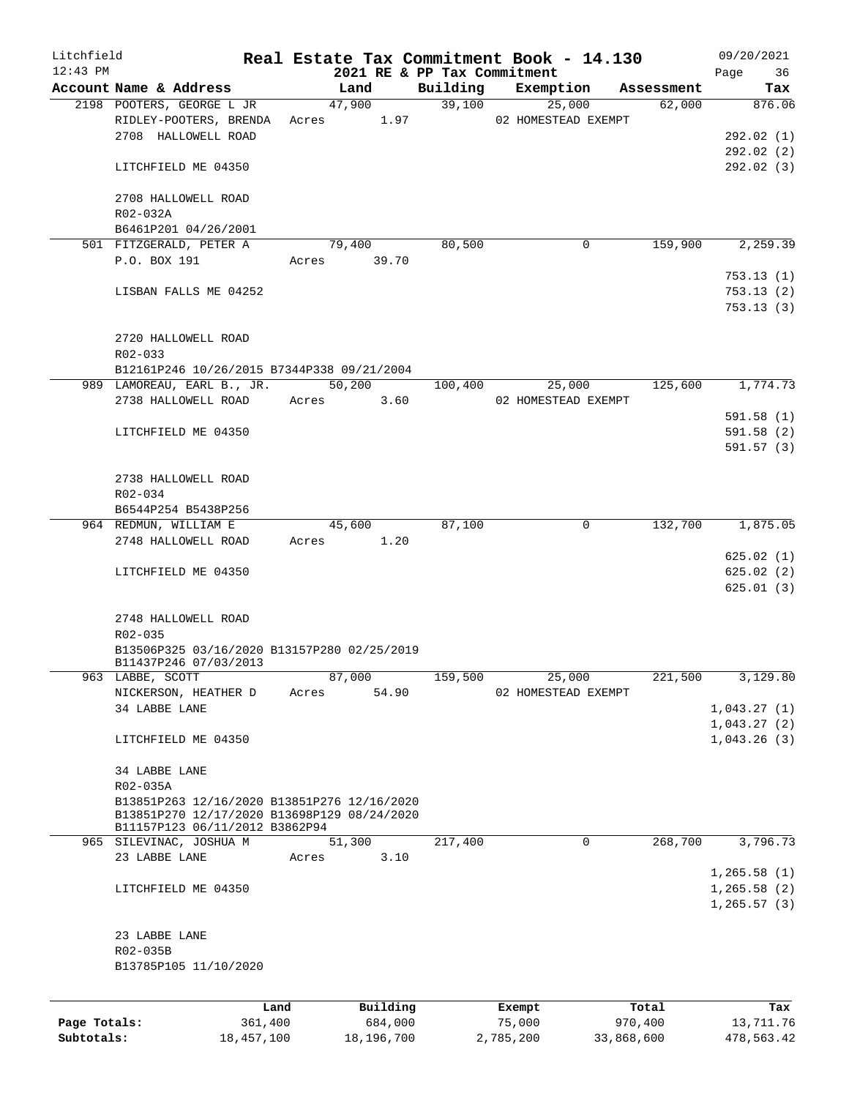| Litchfield   |                                                           |       |             |                                         | Real Estate Tax Commitment Book - 14.130 |            | 09/20/2021    |  |  |
|--------------|-----------------------------------------------------------|-------|-------------|-----------------------------------------|------------------------------------------|------------|---------------|--|--|
| $12:43$ PM   | Account Name & Address                                    |       | Land        | 2021 RE & PP Tax Commitment<br>Building | Exemption                                | Assessment | Page<br>36    |  |  |
|              | 2198 POOTERS, GEORGE L JR                                 |       | 47,900      | 39,100                                  | 25,000                                   | 62,000     | Tax<br>876.06 |  |  |
|              | RIDLEY-POOTERS, BRENDA                                    |       | Acres 1.97  |                                         | 02 HOMESTEAD EXEMPT                      |            |               |  |  |
|              | 2708 HALLOWELL ROAD                                       |       |             |                                         |                                          |            | 292.02 (1)    |  |  |
|              |                                                           |       |             |                                         |                                          |            | 292.02(2)     |  |  |
|              | LITCHFIELD ME 04350                                       |       |             |                                         |                                          |            | 292.02 (3)    |  |  |
|              |                                                           |       |             |                                         |                                          |            |               |  |  |
|              | 2708 HALLOWELL ROAD                                       |       |             |                                         |                                          |            |               |  |  |
|              | R02-032A                                                  |       |             |                                         |                                          |            |               |  |  |
|              | B6461P201 04/26/2001                                      |       |             |                                         |                                          |            |               |  |  |
|              | 501 FITZGERALD, PETER A                                   |       | 79,400      | 80,500                                  | 0                                        | 159,900    | 2,259.39      |  |  |
|              | P.O. BOX 191                                              |       | Acres 39.70 |                                         |                                          |            |               |  |  |
|              |                                                           |       |             |                                         |                                          |            | 753.13(1)     |  |  |
|              | LISBAN FALLS ME 04252                                     |       |             |                                         |                                          |            | 753.13(2)     |  |  |
|              |                                                           |       |             |                                         |                                          |            | 753.13(3)     |  |  |
|              |                                                           |       |             |                                         |                                          |            |               |  |  |
|              | 2720 HALLOWELL ROAD                                       |       |             |                                         |                                          |            |               |  |  |
|              | R02-033                                                   |       |             |                                         |                                          |            |               |  |  |
|              | B12161P246 10/26/2015 B7344P338 09/21/2004                |       |             |                                         |                                          |            |               |  |  |
|              | 989 LAMOREAU, EARL B., JR.                                |       | 50,200      | 100,400                                 | 25,000                                   | 125,600    | 1,774.73      |  |  |
|              | 2738 HALLOWELL ROAD                                       | Acres | 3.60        |                                         | 02 HOMESTEAD EXEMPT                      |            |               |  |  |
|              |                                                           |       |             |                                         |                                          |            | 591.58(1)     |  |  |
|              | LITCHFIELD ME 04350                                       |       |             |                                         |                                          |            | 591.58(2)     |  |  |
|              |                                                           |       |             |                                         |                                          |            | 591.57(3)     |  |  |
|              |                                                           |       |             |                                         |                                          |            |               |  |  |
|              | 2738 HALLOWELL ROAD                                       |       |             |                                         |                                          |            |               |  |  |
|              | R02-034                                                   |       |             |                                         |                                          |            |               |  |  |
|              | B6544P254 B5438P256                                       |       |             |                                         |                                          |            |               |  |  |
|              | 964 REDMUN, WILLIAM E                                     |       | 45,600      | 87,100                                  | 0                                        | 132,700    | 1,875.05      |  |  |
|              | 2748 HALLOWELL ROAD                                       | Acres | 1.20        |                                         |                                          |            |               |  |  |
|              |                                                           |       |             |                                         |                                          |            | 625.02(1)     |  |  |
|              | LITCHFIELD ME 04350                                       |       |             |                                         |                                          |            | 625.02(2)     |  |  |
|              |                                                           |       |             |                                         |                                          |            | 625.01(3)     |  |  |
|              |                                                           |       |             |                                         |                                          |            |               |  |  |
|              | 2748 HALLOWELL ROAD                                       |       |             |                                         |                                          |            |               |  |  |
|              | R02-035<br>B13506P325 03/16/2020 B13157P280 02/25/2019    |       |             |                                         |                                          |            |               |  |  |
|              | B11437P246 07/03/2013                                     |       |             |                                         |                                          |            |               |  |  |
|              | 963 LABBE, SCOTT                                          |       | 87,000      | 159,500                                 | 25,000                                   | 221,500    | 3,129.80      |  |  |
|              | NICKERSON, HEATHER D                                      | Acres | 54.90       |                                         | 02 HOMESTEAD EXEMPT                      |            |               |  |  |
|              | 34 LABBE LANE                                             |       |             |                                         |                                          |            | 1,043.27(1)   |  |  |
|              |                                                           |       |             |                                         |                                          |            | 1,043.27(2)   |  |  |
|              | LITCHFIELD ME 04350                                       |       |             |                                         |                                          |            | 1,043.26(3)   |  |  |
|              |                                                           |       |             |                                         |                                          |            |               |  |  |
|              | 34 LABBE LANE                                             |       |             |                                         |                                          |            |               |  |  |
|              | R02-035A                                                  |       |             |                                         |                                          |            |               |  |  |
|              | B13851P263 12/16/2020 B13851P276 12/16/2020               |       |             |                                         |                                          |            |               |  |  |
|              | B13851P270 12/17/2020 B13698P129 08/24/2020               |       |             |                                         |                                          |            |               |  |  |
|              | B11157P123 06/11/2012 B3862P94<br>965 SILEVINAC, JOSHUA M |       | 51,300      | 217,400                                 | 0                                        | 268,700    | 3,796.73      |  |  |
|              | 23 LABBE LANE                                             | Acres | 3.10        |                                         |                                          |            |               |  |  |
|              |                                                           |       |             |                                         |                                          |            | 1, 265.58(1)  |  |  |
|              | LITCHFIELD ME 04350                                       |       |             |                                         |                                          |            | 1, 265.58(2)  |  |  |
|              |                                                           |       |             |                                         |                                          |            | 1, 265.57(3)  |  |  |
|              |                                                           |       |             |                                         |                                          |            |               |  |  |
|              | 23 LABBE LANE                                             |       |             |                                         |                                          |            |               |  |  |
|              | R02-035B                                                  |       |             |                                         |                                          |            |               |  |  |
|              | B13785P105 11/10/2020                                     |       |             |                                         |                                          |            |               |  |  |
|              |                                                           |       |             |                                         |                                          |            |               |  |  |
|              |                                                           |       |             |                                         |                                          |            |               |  |  |
|              | Land                                                      |       | Building    |                                         | Exempt                                   | Total      | Tax           |  |  |
| Page Totals: | 361,400                                                   |       | 684,000     |                                         | 75,000                                   | 970,400    | 13,711.76     |  |  |

**Subtotals:** 18,457,100 18,196,700 2,785,200 33,868,600 478,563.42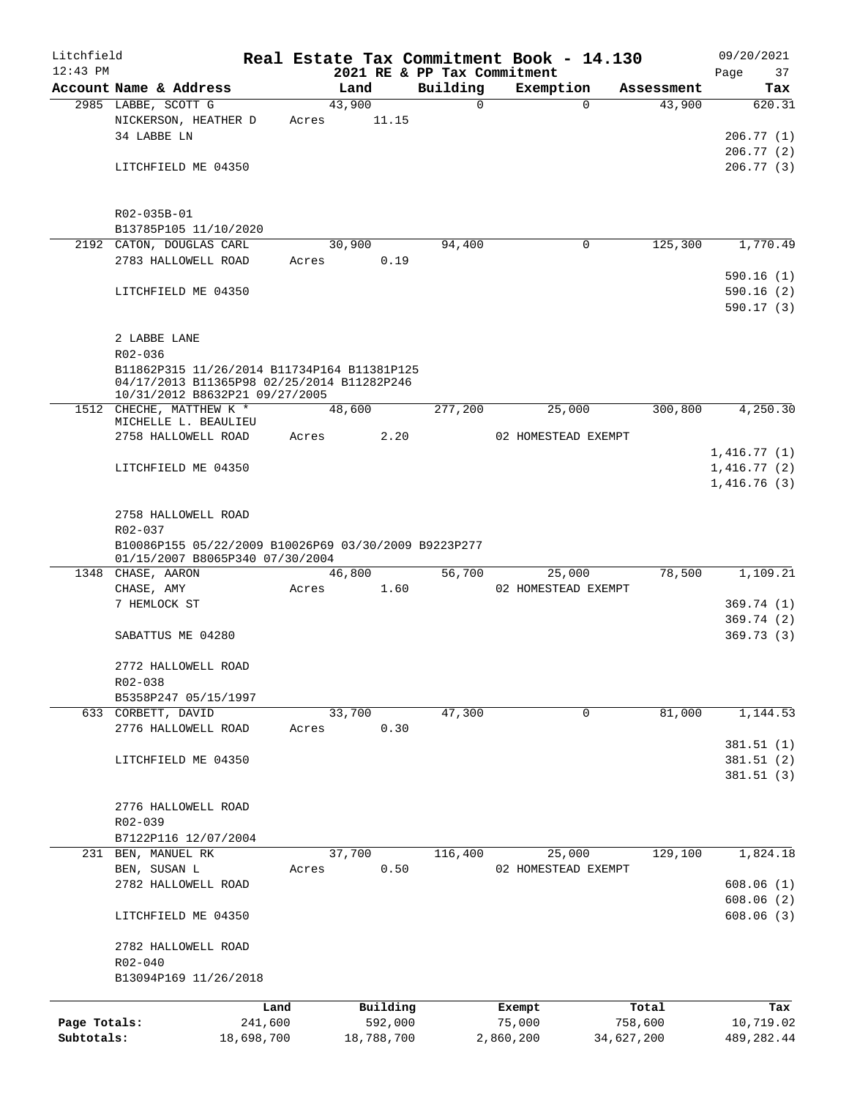| Litchfield   |                                                                                                                             |            |       |        |            |                             | Real Estate Tax Commitment Book - 14.130 |             |            | 09/20/2021  |             |
|--------------|-----------------------------------------------------------------------------------------------------------------------------|------------|-------|--------|------------|-----------------------------|------------------------------------------|-------------|------------|-------------|-------------|
| $12:43$ PM   |                                                                                                                             |            |       |        |            | 2021 RE & PP Tax Commitment |                                          |             |            | Page        | 37          |
|              | Account Name & Address                                                                                                      |            |       | Land   |            | Building                    | Exemption                                |             | Assessment |             | Tax         |
|              | 2985 LABBE, SCOTT G                                                                                                         |            | Acres | 43,900 | 11.15      | $\Omega$                    |                                          | $\Omega$    | 43,900     |             | 620.31      |
|              | NICKERSON, HEATHER D<br>34 LABBE LN                                                                                         |            |       |        |            |                             |                                          |             |            |             | 206.77(1)   |
|              |                                                                                                                             |            |       |        |            |                             |                                          |             |            |             | 206.77(2)   |
|              | LITCHFIELD ME 04350                                                                                                         |            |       |        |            |                             |                                          |             |            |             | 206.77(3)   |
|              |                                                                                                                             |            |       |        |            |                             |                                          |             |            |             |             |
|              |                                                                                                                             |            |       |        |            |                             |                                          |             |            |             |             |
|              | R02-035B-01                                                                                                                 |            |       |        |            |                             |                                          |             |            |             |             |
|              | B13785P105 11/10/2020                                                                                                       |            |       |        |            |                             |                                          |             | 125,300    |             | 1,770.49    |
|              | 2192 CATON, DOUGLAS CARL<br>2783 HALLOWELL ROAD                                                                             |            | Acres | 30,900 | 0.19       | 94,400                      |                                          | 0           |            |             |             |
|              |                                                                                                                             |            |       |        |            |                             |                                          |             |            |             | 590.16(1)   |
|              | LITCHFIELD ME 04350                                                                                                         |            |       |        |            |                             |                                          |             |            |             | 590.16(2)   |
|              |                                                                                                                             |            |       |        |            |                             |                                          |             |            |             | 590.17(3)   |
|              |                                                                                                                             |            |       |        |            |                             |                                          |             |            |             |             |
|              | 2 LABBE LANE                                                                                                                |            |       |        |            |                             |                                          |             |            |             |             |
|              | R02-036                                                                                                                     |            |       |        |            |                             |                                          |             |            |             |             |
|              | B11862P315 11/26/2014 B11734P164 B11381P125<br>04/17/2013 B11365P98 02/25/2014 B11282P246<br>10/31/2012 B8632P21 09/27/2005 |            |       |        |            |                             |                                          |             |            |             |             |
|              | 1512 CHECHE, MATTHEW K *                                                                                                    |            |       | 48,600 |            | 277,200                     | 25,000                                   |             | 300,800    |             | 4,250.30    |
|              | MICHELLE L. BEAULIEU                                                                                                        |            |       |        |            |                             |                                          |             |            |             |             |
|              | 2758 HALLOWELL ROAD                                                                                                         |            | Acres |        | 2.20       |                             | 02 HOMESTEAD EXEMPT                      |             |            |             |             |
|              |                                                                                                                             |            |       |        |            |                             |                                          |             |            | 1,416.77(1) |             |
|              | LITCHFIELD ME 04350                                                                                                         |            |       |        |            |                             |                                          |             |            | 1,416.77(2) |             |
|              |                                                                                                                             |            |       |        |            |                             |                                          |             |            | 1,416.76(3) |             |
|              | 2758 HALLOWELL ROAD                                                                                                         |            |       |        |            |                             |                                          |             |            |             |             |
|              | R02-037                                                                                                                     |            |       |        |            |                             |                                          |             |            |             |             |
|              | B10086P155 05/22/2009 B10026P69 03/30/2009 B9223P277<br>01/15/2007 B8065P340 07/30/2004                                     |            |       |        |            |                             |                                          |             |            |             |             |
|              | 1348 CHASE, AARON                                                                                                           |            |       | 46,800 |            | 56,700                      | 25,000                                   |             | 78,500     |             | 1,109.21    |
|              | CHASE, AMY                                                                                                                  |            | Acres |        | 1.60       |                             | 02 HOMESTEAD EXEMPT                      |             |            |             |             |
|              | 7 HEMLOCK ST                                                                                                                |            |       |        |            |                             |                                          |             |            |             | 369.74(1)   |
|              |                                                                                                                             |            |       |        |            |                             |                                          |             |            |             | 369.74(2)   |
|              | SABATTUS ME 04280                                                                                                           |            |       |        |            |                             |                                          |             |            |             | 369.73(3)   |
|              | 2772 HALLOWELL ROAD                                                                                                         |            |       |        |            |                             |                                          |             |            |             |             |
|              | R02-038                                                                                                                     |            |       |        |            |                             |                                          |             |            |             |             |
|              | B5358P247 05/15/1997                                                                                                        |            |       |        |            |                             |                                          |             |            |             |             |
|              | 633 CORBETT, DAVID                                                                                                          |            |       | 33,700 |            | 47,300                      |                                          | $\mathbf 0$ | 81,000     |             | 1,144.53    |
|              | 2776 HALLOWELL ROAD                                                                                                         |            | Acres |        | 0.30       |                             |                                          |             |            |             |             |
|              |                                                                                                                             |            |       |        |            |                             |                                          |             |            |             | 381.51(1)   |
|              | LITCHFIELD ME 04350                                                                                                         |            |       |        |            |                             |                                          |             |            |             | 381.51(2)   |
|              |                                                                                                                             |            |       |        |            |                             |                                          |             |            |             | 381.51(3)   |
|              | 2776 HALLOWELL ROAD                                                                                                         |            |       |        |            |                             |                                          |             |            |             |             |
|              | R02-039                                                                                                                     |            |       |        |            |                             |                                          |             |            |             |             |
|              | B7122P116 12/07/2004                                                                                                        |            |       |        |            |                             |                                          |             |            |             |             |
| 231          | BEN, MANUEL RK                                                                                                              |            |       | 37,700 |            | 116,400                     | 25,000                                   |             | 129,100    |             | 1,824.18    |
|              | BEN, SUSAN L                                                                                                                |            | Acres |        | 0.50       |                             | 02 HOMESTEAD EXEMPT                      |             |            |             |             |
|              | 2782 HALLOWELL ROAD                                                                                                         |            |       |        |            |                             |                                          |             |            |             | 608.06(1)   |
|              |                                                                                                                             |            |       |        |            |                             |                                          |             |            |             | 608.06(2)   |
|              | LITCHFIELD ME 04350                                                                                                         |            |       |        |            |                             |                                          |             |            |             | 608.06(3)   |
|              | 2782 HALLOWELL ROAD                                                                                                         |            |       |        |            |                             |                                          |             |            |             |             |
|              | R02-040                                                                                                                     |            |       |        |            |                             |                                          |             |            |             |             |
|              | B13094P169 11/26/2018                                                                                                       |            |       |        |            |                             |                                          |             |            |             |             |
|              |                                                                                                                             | Land       |       |        | Building   |                             | Exempt                                   |             | Total      |             | Tax         |
| Page Totals: |                                                                                                                             | 241,600    |       |        | 592,000    |                             | 75,000                                   |             | 758,600    |             | 10,719.02   |
| Subtotals:   |                                                                                                                             | 18,698,700 |       |        | 18,788,700 |                             | 2,860,200                                | 34,627,200  |            |             | 489, 282.44 |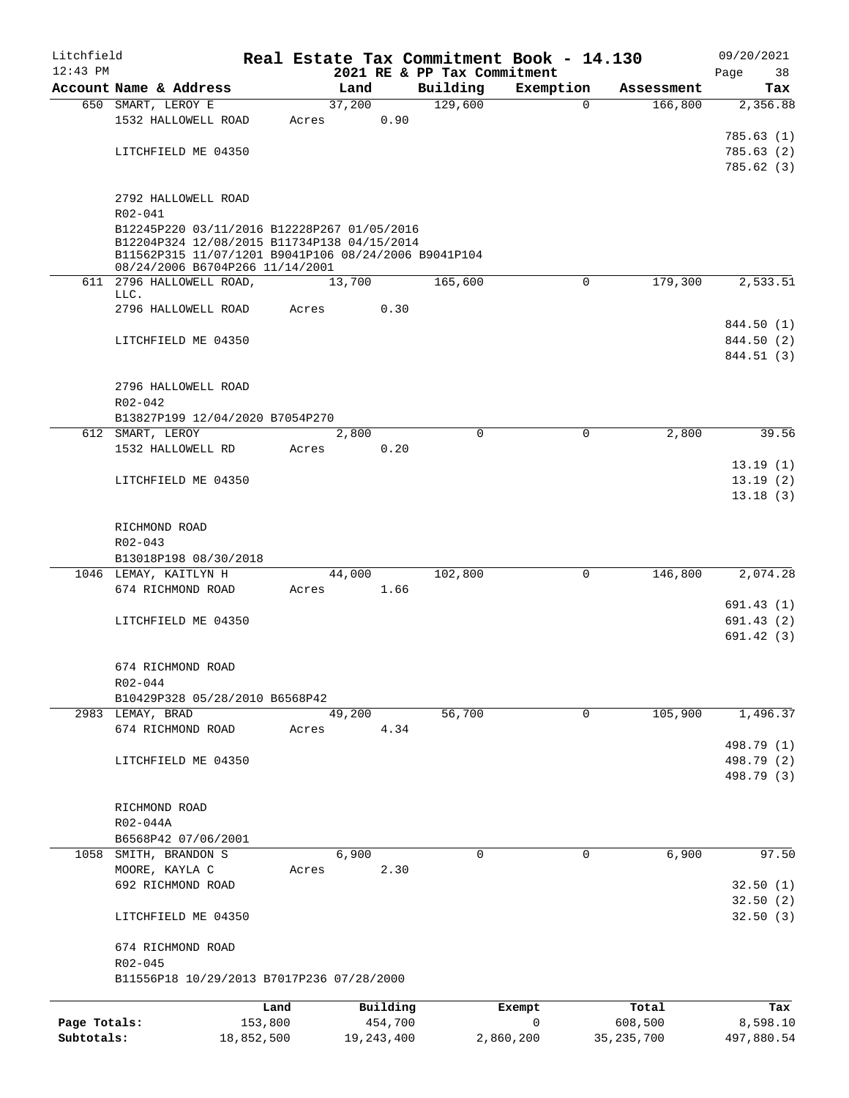| Litchfield   |                                                             |            |                |              |                             | Real Estate Tax Commitment Book - 14.130 |                       | 09/20/2021 |
|--------------|-------------------------------------------------------------|------------|----------------|--------------|-----------------------------|------------------------------------------|-----------------------|------------|
| $12:43$ PM   |                                                             |            |                |              | 2021 RE & PP Tax Commitment |                                          |                       | Page<br>38 |
|              | Account Name & Address                                      |            | Land<br>37,200 |              | Building                    | Exemption                                | Assessment<br>166,800 | Tax        |
|              | 650 SMART, LEROY E<br>1532 HALLOWELL ROAD                   |            |                | 0.90         | 129,600                     | $\mathbf 0$                              |                       | 2,356.88   |
|              |                                                             |            | Acres          |              |                             |                                          |                       | 785.63(1)  |
|              | LITCHFIELD ME 04350                                         |            |                |              |                             |                                          |                       | 785.63(2)  |
|              |                                                             |            |                |              |                             |                                          |                       | 785.62(3)  |
|              |                                                             |            |                |              |                             |                                          |                       |            |
|              | 2792 HALLOWELL ROAD                                         |            |                |              |                             |                                          |                       |            |
|              | R02-041                                                     |            |                |              |                             |                                          |                       |            |
|              | B12245P220 03/11/2016 B12228P267 01/05/2016                 |            |                |              |                             |                                          |                       |            |
|              | B12204P324 12/08/2015 B11734P138 04/15/2014                 |            |                |              |                             |                                          |                       |            |
|              | B11562P315 11/07/1201 B9041P106 08/24/2006 B9041P104        |            |                |              |                             |                                          |                       |            |
|              | 08/24/2006 B6704P266 11/14/2001<br>611 2796 HALLOWELL ROAD, |            | 13,700         |              | 165,600                     | 0                                        | 179,300               | 2,533.51   |
|              | LLC.                                                        |            |                |              |                             |                                          |                       |            |
|              | 2796 HALLOWELL ROAD                                         |            | Acres          | 0.30         |                             |                                          |                       |            |
|              |                                                             |            |                |              |                             |                                          |                       | 844.50 (1) |
|              | LITCHFIELD ME 04350                                         |            |                |              |                             |                                          |                       | 844.50 (2) |
|              |                                                             |            |                |              |                             |                                          |                       | 844.51 (3) |
|              |                                                             |            |                |              |                             |                                          |                       |            |
|              | 2796 HALLOWELL ROAD                                         |            |                |              |                             |                                          |                       |            |
|              | R02-042                                                     |            |                |              |                             |                                          |                       |            |
|              | B13827P199 12/04/2020 B7054P270                             |            |                |              |                             |                                          |                       |            |
|              | 612 SMART, LEROY                                            |            | 2,800          |              | 0                           | 0                                        | 2,800                 | 39.56      |
|              | 1532 HALLOWELL RD                                           |            | Acres          | 0.20         |                             |                                          |                       |            |
|              |                                                             |            |                |              |                             |                                          |                       | 13.19(1)   |
|              | LITCHFIELD ME 04350                                         |            |                |              |                             |                                          |                       | 13.19(2)   |
|              |                                                             |            |                |              |                             |                                          |                       | 13.18(3)   |
|              |                                                             |            |                |              |                             |                                          |                       |            |
|              | RICHMOND ROAD                                               |            |                |              |                             |                                          |                       |            |
|              | R02-043<br>B13018P198 08/30/2018                            |            |                |              |                             |                                          |                       |            |
|              | 1046 LEMAY, KAITLYN H                                       |            | 44,000         |              | 102,800                     | 0                                        | 146,800               | 2,074.28   |
|              | 674 RICHMOND ROAD                                           |            | Acres          | 1.66         |                             |                                          |                       |            |
|              |                                                             |            |                |              |                             |                                          |                       | 691.43 (1) |
|              | LITCHFIELD ME 04350                                         |            |                |              |                             |                                          |                       | 691.43 (2) |
|              |                                                             |            |                |              |                             |                                          |                       | 691.42(3)  |
|              |                                                             |            |                |              |                             |                                          |                       |            |
|              | 674 RICHMOND ROAD                                           |            |                |              |                             |                                          |                       |            |
|              | R02-044                                                     |            |                |              |                             |                                          |                       |            |
|              | B10429P328 05/28/2010 B6568P42                              |            |                |              |                             |                                          |                       |            |
|              | 2983 LEMAY, BRAD                                            |            | 49,200         |              | 56,700                      | $\mathbf 0$                              | 105,900               | 1,496.37   |
|              | 674 RICHMOND ROAD                                           |            | Acres          | 4.34         |                             |                                          |                       |            |
|              |                                                             |            |                |              |                             |                                          |                       | 498.79 (1) |
|              | LITCHFIELD ME 04350                                         |            |                |              |                             |                                          |                       | 498.79 (2) |
|              |                                                             |            |                |              |                             |                                          |                       | 498.79 (3) |
|              |                                                             |            |                |              |                             |                                          |                       |            |
|              | RICHMOND ROAD                                               |            |                |              |                             |                                          |                       |            |
|              | R02-044A                                                    |            |                |              |                             |                                          |                       |            |
|              | B6568P42 07/06/2001                                         |            |                |              |                             |                                          |                       |            |
| 1058         | SMITH, BRANDON S                                            |            | 6,900          |              | 0                           | 0                                        | 6,900                 | 97.50      |
|              | MOORE, KAYLA C<br>692 RICHMOND ROAD                         |            | Acres          | 2.30         |                             |                                          |                       | 32.50(1)   |
|              |                                                             |            |                |              |                             |                                          |                       | 32.50(2)   |
|              | LITCHFIELD ME 04350                                         |            |                |              |                             |                                          |                       | 32.50(3)   |
|              |                                                             |            |                |              |                             |                                          |                       |            |
|              | 674 RICHMOND ROAD                                           |            |                |              |                             |                                          |                       |            |
|              | R02-045                                                     |            |                |              |                             |                                          |                       |            |
|              | B11556P18 10/29/2013 B7017P236 07/28/2000                   |            |                |              |                             |                                          |                       |            |
|              |                                                             |            |                |              |                             |                                          |                       |            |
|              |                                                             | Land       |                | Building     |                             | Exempt                                   | Total                 | Tax        |
| Page Totals: |                                                             | 153,800    |                | 454,700      |                             | 0                                        | 608,500               | 8,598.10   |
| Subtotals:   |                                                             | 18,852,500 |                | 19, 243, 400 |                             | 2,860,200                                | 35, 235, 700          | 497,880.54 |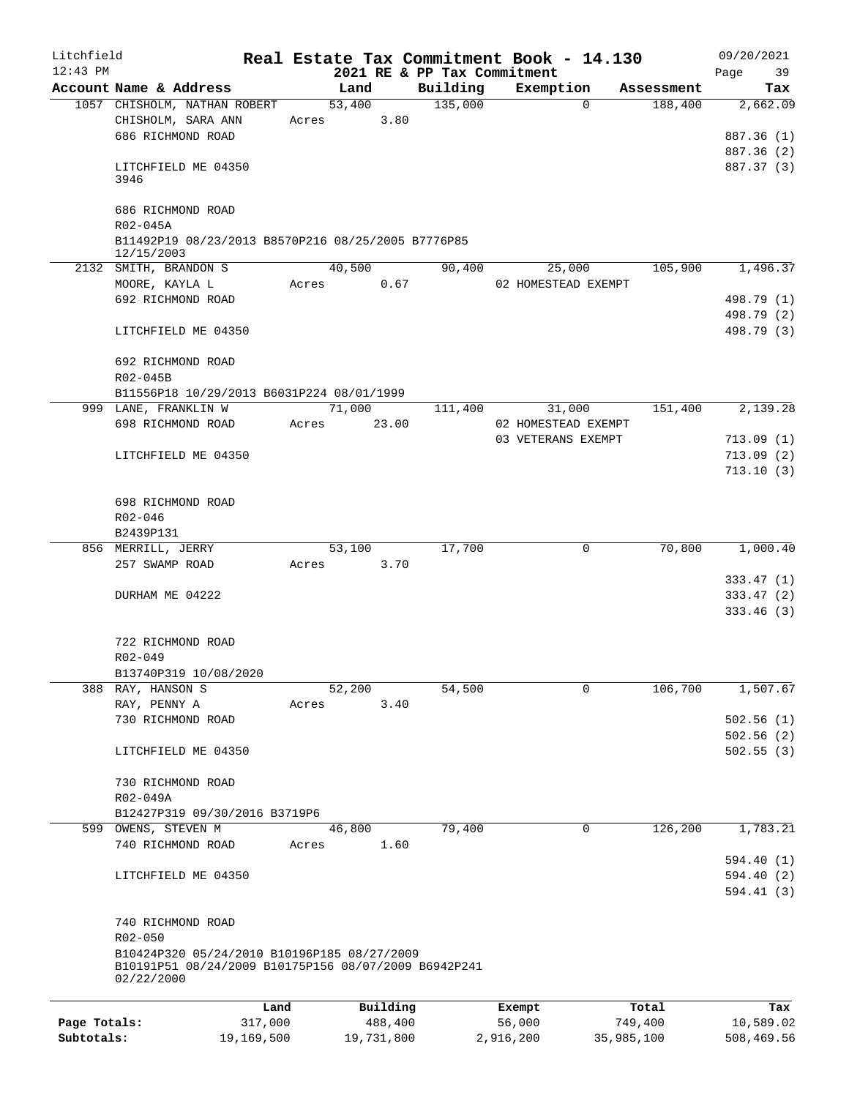| Litchfield<br>$12:43$ PM |                                                                                                                   |       |            |          |          | Real Estate Tax Commitment Book - 14.130<br>2021 RE & PP Tax Commitment |            | 09/20/2021<br>Page<br>39 |
|--------------------------|-------------------------------------------------------------------------------------------------------------------|-------|------------|----------|----------|-------------------------------------------------------------------------|------------|--------------------------|
|                          | Account Name & Address                                                                                            |       | Land       |          | Building | Exemption                                                               | Assessment | Tax                      |
|                          | 1057 CHISHOLM, NATHAN ROBERT                                                                                      |       | 53,400     |          | 135,000  | $\Omega$                                                                | 188,400    | 2,662.09                 |
|                          | CHISHOLM, SARA ANN                                                                                                |       | Acres 3.80 |          |          |                                                                         |            |                          |
|                          | 686 RICHMOND ROAD                                                                                                 |       |            |          |          |                                                                         |            | 887.36 (1)               |
|                          |                                                                                                                   |       |            |          |          |                                                                         |            | 887.36 (2)               |
|                          | LITCHFIELD ME 04350<br>3946                                                                                       |       |            |          |          |                                                                         |            | 887.37 (3)               |
|                          | 686 RICHMOND ROAD<br>R02-045A                                                                                     |       |            |          |          |                                                                         |            |                          |
|                          | B11492P19 08/23/2013 B8570P216 08/25/2005 B7776P85<br>12/15/2003                                                  |       |            |          |          |                                                                         |            |                          |
|                          | 2132 SMITH, BRANDON S                                                                                             |       | 40,500     |          | 90,400   | 25,000                                                                  | 105,900    | 1,496.37                 |
|                          | MOORE, KAYLA L                                                                                                    |       | Acres 0.67 |          |          | 02 HOMESTEAD EXEMPT                                                     |            |                          |
|                          | 692 RICHMOND ROAD                                                                                                 |       |            |          |          |                                                                         |            | 498.79 (1)               |
|                          |                                                                                                                   |       |            |          |          |                                                                         |            | 498.79 (2)               |
|                          | LITCHFIELD ME 04350                                                                                               |       |            |          |          |                                                                         |            | 498.79 (3)               |
|                          | 692 RICHMOND ROAD                                                                                                 |       |            |          |          |                                                                         |            |                          |
|                          | R02-045B                                                                                                          |       |            |          |          |                                                                         |            |                          |
|                          | B11556P18 10/29/2013 B6031P224 08/01/1999<br>999 LANE, FRANKLIN W                                                 |       | 71,000     |          | 111,400  | 31,000                                                                  | 151,400    | 2,139.28                 |
|                          | 698 RICHMOND ROAD                                                                                                 |       | Acres      | 23.00    |          | 02 HOMESTEAD EXEMPT                                                     |            |                          |
|                          |                                                                                                                   |       |            |          |          | 03 VETERANS EXEMPT                                                      |            |                          |
|                          |                                                                                                                   |       |            |          |          |                                                                         |            | 713.09(1)                |
|                          | LITCHFIELD ME 04350                                                                                               |       |            |          |          |                                                                         |            | 713.09(2)                |
|                          |                                                                                                                   |       |            |          |          |                                                                         |            | 713.10(3)                |
|                          | 698 RICHMOND ROAD                                                                                                 |       |            |          |          |                                                                         |            |                          |
|                          | R02-046                                                                                                           |       |            |          |          |                                                                         |            |                          |
|                          | B2439P131                                                                                                         |       |            |          |          |                                                                         |            |                          |
|                          | 856 MERRILL, JERRY                                                                                                |       | 53,100     |          | 17,700   | 0                                                                       | 70,800     | 1,000.40                 |
|                          | 257 SWAMP ROAD                                                                                                    |       | Acres 3.70 |          |          |                                                                         |            |                          |
|                          |                                                                                                                   |       |            |          |          |                                                                         |            | 333.47(1)                |
|                          | DURHAM ME 04222                                                                                                   |       |            |          |          |                                                                         |            | 333.47(2)                |
|                          |                                                                                                                   |       |            |          |          |                                                                         |            | 333.46(3)                |
|                          | 722 RICHMOND ROAD                                                                                                 |       |            |          |          |                                                                         |            |                          |
|                          | R02-049                                                                                                           |       |            |          |          |                                                                         |            |                          |
|                          | B13740P319 10/08/2020                                                                                             |       |            |          |          |                                                                         |            |                          |
|                          | 388 RAY, HANSON S                                                                                                 |       | 52,200     |          | 54,500   | 0                                                                       | 106,700    | 1,507.67                 |
|                          | RAY, PENNY A                                                                                                      | Acres |            | 3.40     |          |                                                                         |            |                          |
|                          | 730 RICHMOND ROAD                                                                                                 |       |            |          |          |                                                                         |            | 502.56(1)                |
|                          | LITCHFIELD ME 04350                                                                                               |       |            |          |          |                                                                         |            | 502.56(2)<br>502.55(3)   |
|                          | 730 RICHMOND ROAD                                                                                                 |       |            |          |          |                                                                         |            |                          |
|                          | R02-049A                                                                                                          |       |            |          |          |                                                                         |            |                          |
|                          | B12427P319 09/30/2016 B3719P6                                                                                     |       |            |          |          |                                                                         |            |                          |
|                          | 599 OWENS, STEVEN M                                                                                               |       | 46,800     |          | 79,400   | $\mathbf 0$                                                             | 126,200    | 1,783.21                 |
|                          | 740 RICHMOND ROAD                                                                                                 | Acres |            | 1.60     |          |                                                                         |            | 594.40(1)                |
|                          | LITCHFIELD ME 04350                                                                                               |       |            |          |          |                                                                         |            | 594.40(2)<br>594.41(3)   |
|                          | 740 RICHMOND ROAD                                                                                                 |       |            |          |          |                                                                         |            |                          |
|                          | R02-050                                                                                                           |       |            |          |          |                                                                         |            |                          |
|                          | B10424P320 05/24/2010 B10196P185 08/27/2009<br>B10191P51 08/24/2009 B10175P156 08/07/2009 B6942P241<br>02/22/2000 |       |            |          |          |                                                                         |            |                          |
|                          |                                                                                                                   |       |            |          |          |                                                                         |            |                          |
|                          |                                                                                                                   | Land  |            | Building |          | Exempt                                                                  | Total      | Tax                      |
| Page Totals:             | 317,000                                                                                                           |       |            | 488,400  |          | 56,000                                                                  | 749,400    | 10,589.02                |

**Subtotals:** 19,169,500 19,731,800 2,916,200 35,985,100 508,469.56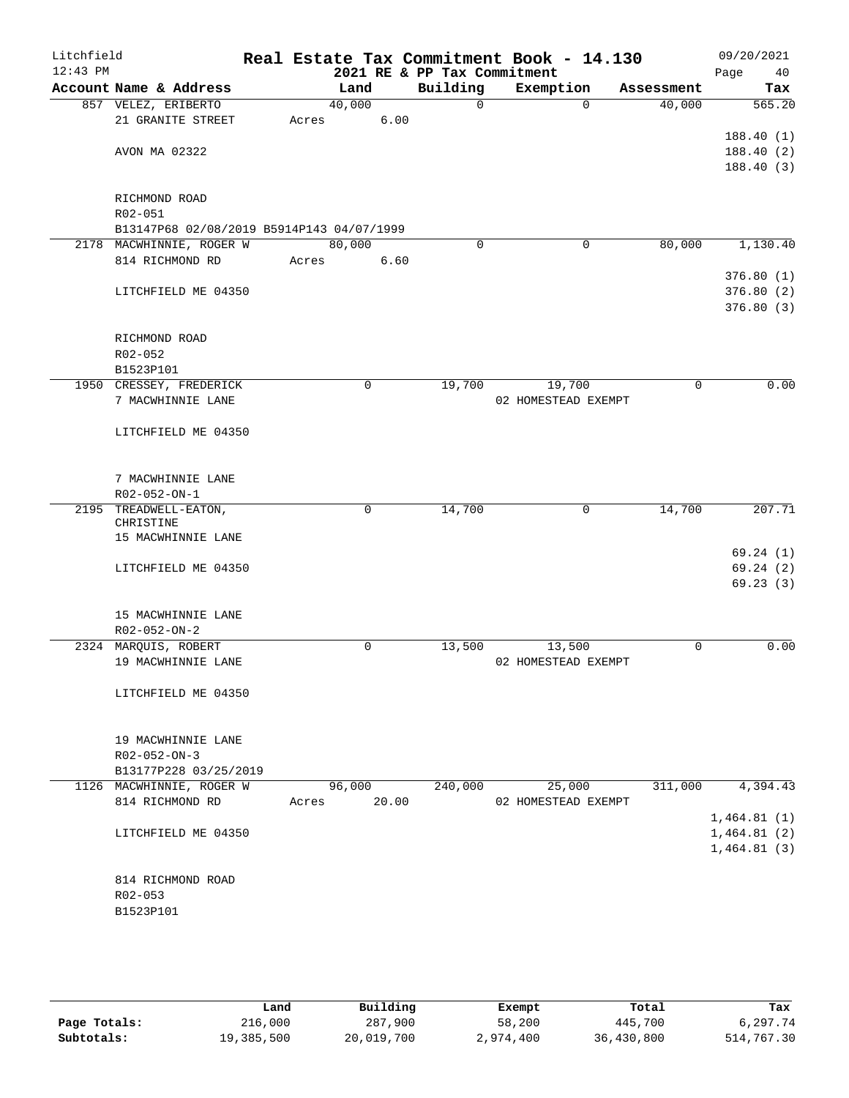| Litchfield<br>$12:43$ PM |                                                      |       |        |             | Real Estate Tax Commitment Book - 14.130<br>2021 RE & PP Tax Commitment |                               |             |            | 09/20/2021<br>Page<br>40 |
|--------------------------|------------------------------------------------------|-------|--------|-------------|-------------------------------------------------------------------------|-------------------------------|-------------|------------|--------------------------|
|                          | Account Name & Address                               |       | Land   |             | Building                                                                | Exemption                     |             | Assessment | Tax                      |
|                          | 857 VELEZ, ERIBERTO                                  |       | 40,000 |             | $\Omega$                                                                |                               | $\Omega$    | 40,000     | 565.20                   |
|                          | 21 GRANITE STREET                                    | Acres |        | 6.00        |                                                                         |                               |             |            |                          |
|                          |                                                      |       |        |             |                                                                         |                               |             |            | 188.40(1)                |
|                          | AVON MA 02322                                        |       |        |             |                                                                         |                               |             |            | 188.40(2)                |
|                          |                                                      |       |        |             |                                                                         |                               |             |            | 188.40(3)                |
|                          |                                                      |       |        |             |                                                                         |                               |             |            |                          |
|                          | RICHMOND ROAD                                        |       |        |             |                                                                         |                               |             |            |                          |
|                          | R02-051<br>B13147P68 02/08/2019 B5914P143 04/07/1999 |       |        |             |                                                                         |                               |             |            |                          |
|                          | 2178 MACWHINNIE, ROGER W                             |       | 80,000 |             | $\mathbf 0$                                                             |                               | $\mathbf 0$ | 80,000     | 1,130.40                 |
|                          | 814 RICHMOND RD                                      | Acres |        | 6.60        |                                                                         |                               |             |            |                          |
|                          |                                                      |       |        |             |                                                                         |                               |             |            | 376.80(1)                |
|                          | LITCHFIELD ME 04350                                  |       |        |             |                                                                         |                               |             |            | 376.80(2)                |
|                          |                                                      |       |        |             |                                                                         |                               |             |            | 376.80(3)                |
|                          |                                                      |       |        |             |                                                                         |                               |             |            |                          |
|                          | RICHMOND ROAD                                        |       |        |             |                                                                         |                               |             |            |                          |
|                          | R02-052                                              |       |        |             |                                                                         |                               |             |            |                          |
|                          | B1523P101                                            |       |        |             |                                                                         |                               |             |            |                          |
|                          | 1950 CRESSEY, FREDERICK                              |       |        | $\mathbf 0$ | 19,700                                                                  | 19,700                        |             | 0          | 0.00                     |
|                          | 7 MACWHINNIE LANE                                    |       |        |             |                                                                         | 02 HOMESTEAD EXEMPT           |             |            |                          |
|                          | LITCHFIELD ME 04350                                  |       |        |             |                                                                         |                               |             |            |                          |
|                          |                                                      |       |        |             |                                                                         |                               |             |            |                          |
|                          |                                                      |       |        |             |                                                                         |                               |             |            |                          |
|                          | 7 MACWHINNIE LANE                                    |       |        |             |                                                                         |                               |             |            |                          |
|                          | R02-052-ON-1                                         |       |        |             |                                                                         |                               |             |            |                          |
|                          | 2195 TREADWELL-EATON,<br>CHRISTINE                   |       |        | $\mathbf 0$ | 14,700                                                                  |                               | 0           | 14,700     | 207.71                   |
|                          | 15 MACWHINNIE LANE                                   |       |        |             |                                                                         |                               |             |            |                          |
|                          |                                                      |       |        |             |                                                                         |                               |             |            | 69.24(1)                 |
|                          | LITCHFIELD ME 04350                                  |       |        |             |                                                                         |                               |             |            | 69.24(2)                 |
|                          |                                                      |       |        |             |                                                                         |                               |             |            | 69.23(3)                 |
|                          |                                                      |       |        |             |                                                                         |                               |             |            |                          |
|                          | 15 MACWHINNIE LANE<br>R02-052-ON-2                   |       |        |             |                                                                         |                               |             |            |                          |
|                          | 2324 MARQUIS, ROBERT                                 |       |        | $\mathbf 0$ | 13,500                                                                  | 13,500                        |             | 0          | 0.00                     |
|                          | 19 MACWHINNIE LANE                                   |       |        |             |                                                                         | 02 HOMESTEAD EXEMPT           |             |            |                          |
|                          |                                                      |       |        |             |                                                                         |                               |             |            |                          |
|                          | LITCHFIELD ME 04350                                  |       |        |             |                                                                         |                               |             |            |                          |
|                          |                                                      |       |        |             |                                                                         |                               |             |            |                          |
|                          |                                                      |       |        |             |                                                                         |                               |             |            |                          |
|                          | 19 MACWHINNIE LANE                                   |       |        |             |                                                                         |                               |             |            |                          |
|                          | $R02 - 052 - ON - 3$                                 |       |        |             |                                                                         |                               |             |            |                          |
|                          | B13177P228 03/25/2019                                |       |        |             |                                                                         |                               |             | 311,000    |                          |
|                          | 1126 MACWHINNIE, ROGER W<br>814 RICHMOND RD          | Acres | 96,000 | 20.00       | 240,000                                                                 | 25,000<br>02 HOMESTEAD EXEMPT |             |            | 4,394.43                 |
|                          |                                                      |       |        |             |                                                                         |                               |             |            | 1,464.81(1)              |
|                          | LITCHFIELD ME 04350                                  |       |        |             |                                                                         |                               |             |            | 1,464.81(2)              |
|                          |                                                      |       |        |             |                                                                         |                               |             |            | 1,464.81(3)              |
|                          |                                                      |       |        |             |                                                                         |                               |             |            |                          |
|                          | 814 RICHMOND ROAD                                    |       |        |             |                                                                         |                               |             |            |                          |
|                          | $R02 - 053$                                          |       |        |             |                                                                         |                               |             |            |                          |
|                          | B1523P101                                            |       |        |             |                                                                         |                               |             |            |                          |
|                          |                                                      |       |        |             |                                                                         |                               |             |            |                          |

|              | Land       | Building   | Exempt    | Total      | Tax        |
|--------------|------------|------------|-----------|------------|------------|
| Page Totals: | 216,000    | 287,900    | 58,200    | 445,700    | 6,297.74   |
| Subtotals:   | 19,385,500 | 20,019,700 | 2,974,400 | 36,430,800 | 514,767.30 |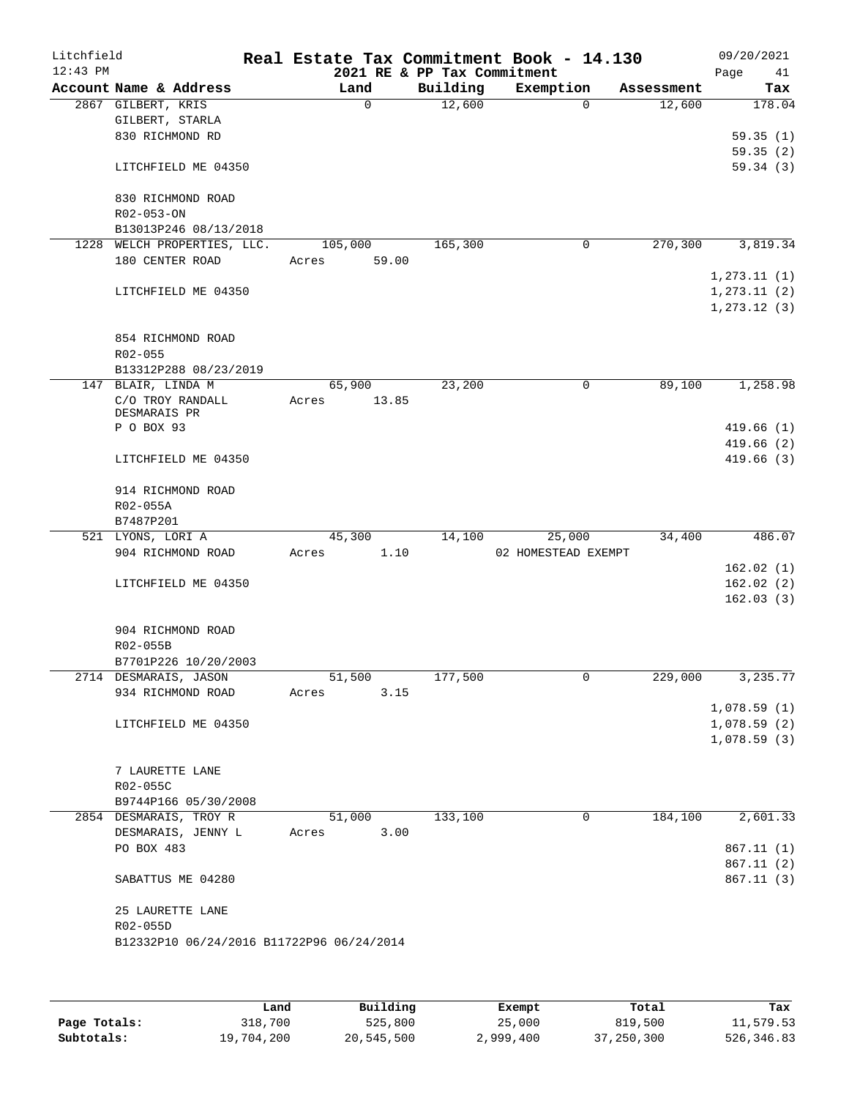| Litchfield |                    |                                                |       |             |          | Real Estate Tax Commitment Book - 14.130 |          |            |              | 09/20/2021 |
|------------|--------------------|------------------------------------------------|-------|-------------|----------|------------------------------------------|----------|------------|--------------|------------|
| $12:43$ PM |                    | Account Name & Address                         |       | Land        | Building | 2021 RE & PP Tax Commitment<br>Exemption |          | Assessment | Page         | 41<br>Tax  |
|            | 2867 GILBERT, KRIS |                                                |       | $\mathbf 0$ | 12,600   |                                          | $\Omega$ | 12,600     |              | 178.04     |
|            |                    | GILBERT, STARLA                                |       |             |          |                                          |          |            |              |            |
|            |                    | 830 RICHMOND RD                                |       |             |          |                                          |          |            |              | 59.35(1)   |
|            |                    |                                                |       |             |          |                                          |          |            |              | 59.35(2)   |
|            |                    | LITCHFIELD ME 04350                            |       |             |          |                                          |          |            |              | 59.34(3)   |
|            |                    | 830 RICHMOND ROAD                              |       |             |          |                                          |          |            |              |            |
|            | R02-053-ON         |                                                |       |             |          |                                          |          |            |              |            |
|            |                    | B13013P246 08/13/2018                          |       |             |          |                                          |          |            |              |            |
|            |                    | 1228 WELCH PROPERTIES, LLC.                    |       | 105,000     | 165,300  |                                          | 0        | 270,300    |              | 3,819.34   |
|            |                    | 180 CENTER ROAD                                | Acres | 59.00       |          |                                          |          |            |              |            |
|            |                    |                                                |       |             |          |                                          |          |            | 1, 273.11(1) |            |
|            |                    | LITCHFIELD ME 04350                            |       |             |          |                                          |          |            | 1, 273.11(2) |            |
|            |                    |                                                |       |             |          |                                          |          |            | 1, 273.12(3) |            |
|            |                    | 854 RICHMOND ROAD                              |       |             |          |                                          |          |            |              |            |
|            | R02-055            |                                                |       |             |          |                                          |          |            |              |            |
|            |                    | B13312P288 08/23/2019                          |       |             |          |                                          |          |            |              |            |
|            | 147 BLAIR, LINDA M |                                                |       | 65,900      | 23,200   |                                          | 0        | 89,100     |              | 1,258.98   |
|            |                    | C/O TROY RANDALL                               | Acres | 13.85       |          |                                          |          |            |              |            |
|            | DESMARAIS PR       |                                                |       |             |          |                                          |          |            |              |            |
|            | P O BOX 93         |                                                |       |             |          |                                          |          |            |              | 419.66(1)  |
|            |                    |                                                |       |             |          |                                          |          |            |              | 419.66(2)  |
|            |                    | LITCHFIELD ME 04350                            |       |             |          |                                          |          |            |              | 419.66(3)  |
|            |                    | 914 RICHMOND ROAD                              |       |             |          |                                          |          |            |              |            |
|            | R02-055A           |                                                |       |             |          |                                          |          |            |              |            |
|            | B7487P201          |                                                |       |             |          |                                          |          |            |              |            |
|            | 521 LYONS, LORI A  |                                                |       | 45,300      | 14,100   |                                          | 25,000   | 34,400     |              | 486.07     |
|            |                    | 904 RICHMOND ROAD                              | Acres | 1.10        |          | 02 HOMESTEAD EXEMPT                      |          |            |              |            |
|            |                    |                                                |       |             |          |                                          |          |            |              | 162.02(1)  |
|            |                    | LITCHFIELD ME 04350                            |       |             |          |                                          |          |            |              | 162.02(2)  |
|            |                    |                                                |       |             |          |                                          |          |            |              | 162.03(3)  |
|            |                    | 904 RICHMOND ROAD                              |       |             |          |                                          |          |            |              |            |
|            | R02-055B           |                                                |       |             |          |                                          |          |            |              |            |
|            |                    | B7701P226 10/20/2003                           |       |             |          |                                          |          |            |              |            |
|            |                    | 2714 DESMARAIS, JASON                          |       | 51,500      | 177,500  |                                          | 0        | 229,000    |              | 3,235.77   |
|            |                    | 934 RICHMOND ROAD                              | Acres | 3.15        |          |                                          |          |            |              |            |
|            |                    |                                                |       |             |          |                                          |          |            | 1,078.59(1)  |            |
|            |                    | LITCHFIELD ME 04350                            |       |             |          |                                          |          |            | 1,078.59(2)  |            |
|            |                    |                                                |       |             |          |                                          |          |            | 1,078.59(3)  |            |
|            |                    |                                                |       |             |          |                                          |          |            |              |            |
|            |                    | 7 LAURETTE LANE                                |       |             |          |                                          |          |            |              |            |
|            | R02-055C           |                                                |       |             |          |                                          |          |            |              |            |
|            |                    | B9744P166 05/30/2008<br>2854 DESMARAIS, TROY R |       | 51,000      | 133,100  |                                          | 0        | 184,100    |              | 2,601.33   |
|            |                    | DESMARAIS, JENNY L                             | Acres | 3.00        |          |                                          |          |            |              |            |
|            | PO BOX 483         |                                                |       |             |          |                                          |          |            |              | 867.11(1)  |
|            |                    |                                                |       |             |          |                                          |          |            |              | 867.11 (2) |
|            |                    | SABATTUS ME 04280                              |       |             |          |                                          |          |            |              | 867.11(3)  |
|            |                    |                                                |       |             |          |                                          |          |            |              |            |
|            | R02-055D           | 25 LAURETTE LANE                               |       |             |          |                                          |          |            |              |            |
|            |                    | B12332P10 06/24/2016 B11722P96 06/24/2014      |       |             |          |                                          |          |            |              |            |
|            |                    |                                                |       |             |          |                                          |          |            |              |            |
|            |                    |                                                |       |             |          |                                          |          |            |              |            |
|            |                    |                                                |       |             |          |                                          |          |            |              |            |

|              | Land       | Building   | Exempt    | Total      | Tax        |
|--------------|------------|------------|-----------|------------|------------|
| Page Totals: | 318,700    | 525,800    | 25,000    | 819,500    | 11,579.53  |
| Subtotals:   | 19,704,200 | 20,545,500 | 2,999,400 | 37,250,300 | 526,346.83 |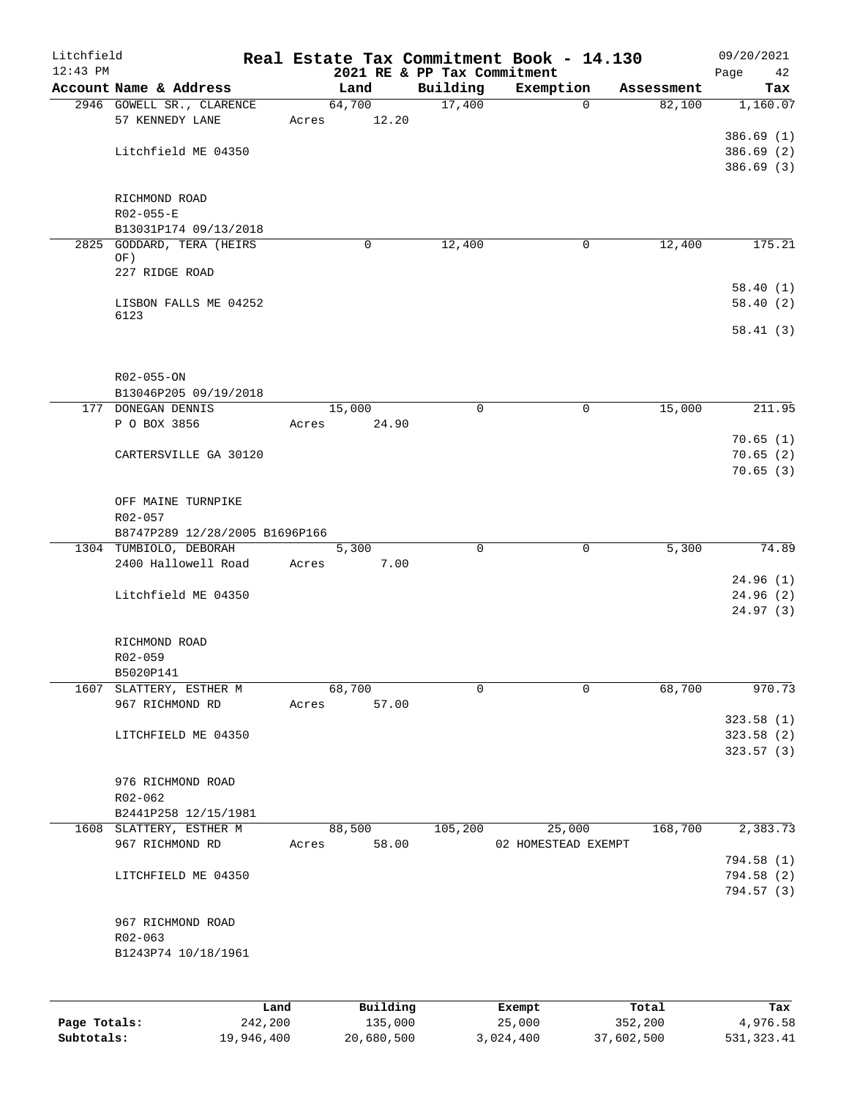| Litchfield<br>$12:43$ PM |                                |       |                | 2021 RE & PP Tax Commitment | Real Estate Tax Commitment Book - 14.130 |            | 09/20/2021<br>Page<br>42 |
|--------------------------|--------------------------------|-------|----------------|-----------------------------|------------------------------------------|------------|--------------------------|
|                          | Account Name & Address         |       | Land           | Building                    | Exemption                                | Assessment | Tax                      |
|                          | 2946 GOWELL SR., CLARENCE      |       | 64,700         | 17,400                      | 0                                        | 82,100     | 1,160.07                 |
|                          | 57 KENNEDY LANE                | Acres | 12.20          |                             |                                          |            |                          |
|                          |                                |       |                |                             |                                          |            | 386.69(1)                |
|                          | Litchfield ME 04350            |       |                |                             |                                          |            | 386.69(2)                |
|                          |                                |       |                |                             |                                          |            | 386.69(3)                |
|                          |                                |       |                |                             |                                          |            |                          |
|                          | RICHMOND ROAD                  |       |                |                             |                                          |            |                          |
|                          | $R02 - 055 - E$                |       |                |                             |                                          |            |                          |
|                          | B13031P174 09/13/2018          |       |                |                             |                                          |            |                          |
|                          | 2825 GODDARD, TERA (HEIRS      |       | 0              | 12,400                      | 0                                        | 12,400     | 175.21                   |
|                          | OF)                            |       |                |                             |                                          |            |                          |
|                          | 227 RIDGE ROAD                 |       |                |                             |                                          |            |                          |
|                          |                                |       |                |                             |                                          |            | 58.40(1)                 |
|                          | LISBON FALLS ME 04252          |       |                |                             |                                          |            | 58.40(2)                 |
|                          | 6123                           |       |                |                             |                                          |            |                          |
|                          |                                |       |                |                             |                                          |            | 58.41(3)                 |
|                          |                                |       |                |                             |                                          |            |                          |
|                          |                                |       |                |                             |                                          |            |                          |
|                          | R02-055-ON                     |       |                |                             |                                          |            |                          |
|                          | B13046P205 09/19/2018          |       |                |                             |                                          |            |                          |
|                          | 177 DONEGAN DENNIS             |       | 15,000         | 0                           | 0                                        | 15,000     | 211.95                   |
|                          | P O BOX 3856                   |       | 24.90<br>Acres |                             |                                          |            |                          |
|                          |                                |       |                |                             |                                          |            | 70.65(1)                 |
|                          | CARTERSVILLE GA 30120          |       |                |                             |                                          |            | 70.65(2)                 |
|                          |                                |       |                |                             |                                          |            | 70.65(3)                 |
|                          |                                |       |                |                             |                                          |            |                          |
|                          | OFF MAINE TURNPIKE             |       |                |                             |                                          |            |                          |
|                          | R02-057                        |       |                |                             |                                          |            |                          |
|                          | B8747P289 12/28/2005 B1696P166 |       |                |                             |                                          |            |                          |
|                          | 1304 TUMBIOLO, DEBORAH         |       | 5,300          | $\Omega$                    | $\mathbf 0$                              | 5,300      | 74.89                    |
|                          | 2400 Hallowell Road            | Acres | 7.00           |                             |                                          |            |                          |
|                          |                                |       |                |                             |                                          |            | 24.96(1)                 |
|                          | Litchfield ME 04350            |       |                |                             |                                          |            | 24.96(2)                 |
|                          |                                |       |                |                             |                                          |            | 24.97(3)                 |
|                          |                                |       |                |                             |                                          |            |                          |
|                          | RICHMOND ROAD                  |       |                |                             |                                          |            |                          |
|                          |                                |       |                |                             |                                          |            |                          |
|                          | R02-059                        |       |                |                             |                                          |            |                          |
|                          | B5020P141                      |       |                |                             |                                          |            |                          |
| 1607                     | SLATTERY, ESTHER M             |       | 68,700         | 0                           | $\mathbf 0$                              | 68,700     | 970.73                   |
|                          | 967 RICHMOND RD                | Acres | 57.00          |                             |                                          |            |                          |
|                          |                                |       |                |                             |                                          |            | 323.58 (1)               |
|                          | LITCHFIELD ME 04350            |       |                |                             |                                          |            | 323.58 (2)               |
|                          |                                |       |                |                             |                                          |            | 323.57(3)                |
|                          |                                |       |                |                             |                                          |            |                          |
|                          | 976 RICHMOND ROAD              |       |                |                             |                                          |            |                          |
|                          | R02-062                        |       |                |                             |                                          |            |                          |
|                          | B2441P258 12/15/1981           |       |                |                             |                                          |            |                          |
|                          | 1608 SLATTERY, ESTHER M        |       | 88,500         | 105,200                     | 25,000                                   | 168,700    | 2,383.73                 |
|                          | 967 RICHMOND RD                | Acres | 58.00          |                             | 02 HOMESTEAD EXEMPT                      |            |                          |
|                          |                                |       |                |                             |                                          |            | 794.58 (1)               |
|                          | LITCHFIELD ME 04350            |       |                |                             |                                          |            | 794.58 (2)               |
|                          |                                |       |                |                             |                                          |            | 794.57 (3)               |
|                          |                                |       |                |                             |                                          |            |                          |
|                          | 967 RICHMOND ROAD              |       |                |                             |                                          |            |                          |
|                          | R02-063                        |       |                |                             |                                          |            |                          |
|                          | B1243P74 10/18/1961            |       |                |                             |                                          |            |                          |
|                          |                                |       |                |                             |                                          |            |                          |
|                          |                                |       |                |                             |                                          |            |                          |
|                          |                                |       |                |                             |                                          |            |                          |
|                          |                                | Land  | Building       |                             | Exempt                                   | Total      | Tax                      |

**Page Totals:** 242,200 135,000 25,000 352,200 4,976.58 **Subtotals:** 19,946,400 20,680,500 3,024,400 37,602,500 531,323.41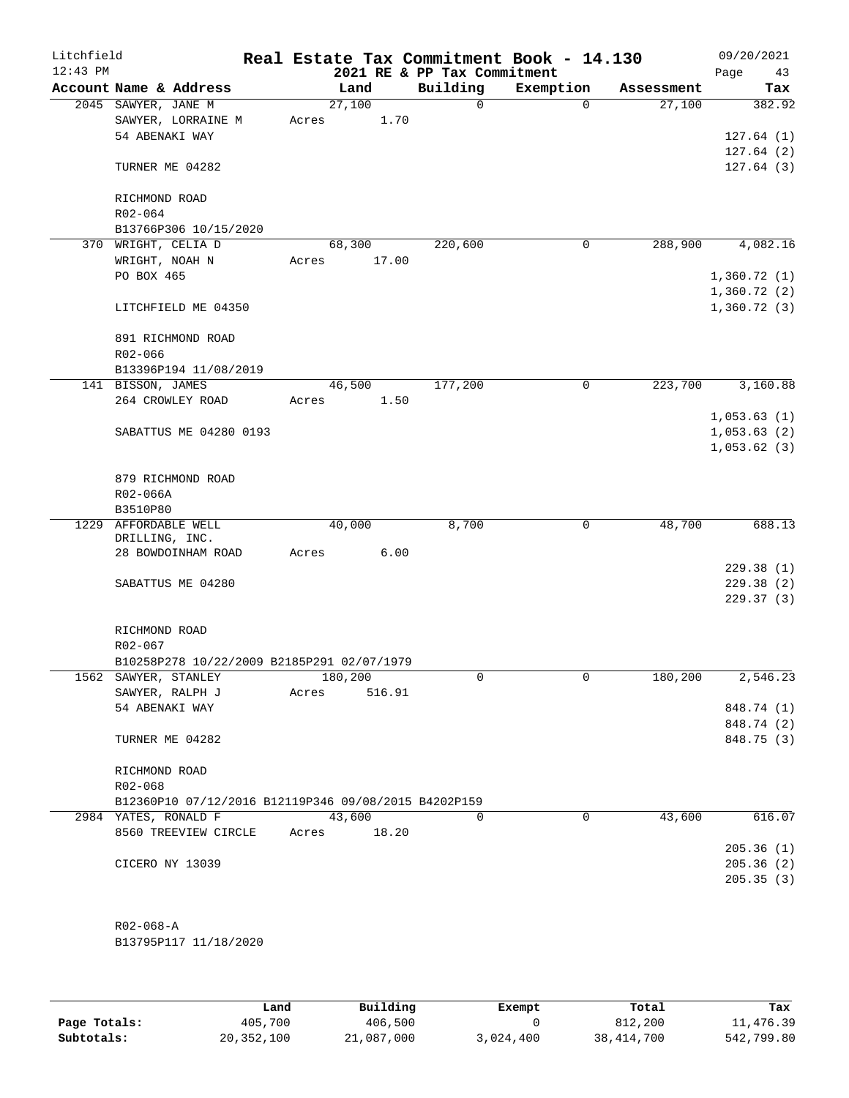| Litchfield |                                                      |       |                |                             | Real Estate Tax Commitment Book - 14.130 |            | 09/20/2021  |
|------------|------------------------------------------------------|-------|----------------|-----------------------------|------------------------------------------|------------|-------------|
| $12:43$ PM |                                                      |       |                | 2021 RE & PP Tax Commitment |                                          |            | Page<br>43  |
|            | Account Name & Address                               |       | Land           | Building<br>$\Omega$        | Exemption<br>$\Omega$                    | Assessment | Tax         |
|            | 2045 SAWYER, JANE M<br>SAWYER, LORRAINE M            | Acres | 27,100<br>1.70 |                             |                                          | 27,100     | 382.92      |
|            | 54 ABENAKI WAY                                       |       |                |                             |                                          |            | 127.64(1)   |
|            |                                                      |       |                |                             |                                          |            | 127.64(2)   |
|            | TURNER ME 04282                                      |       |                |                             |                                          |            | 127.64(3)   |
|            | RICHMOND ROAD                                        |       |                |                             |                                          |            |             |
|            | R02-064                                              |       |                |                             |                                          |            |             |
|            | B13766P306 10/15/2020                                |       |                |                             |                                          |            |             |
|            | 370 WRIGHT, CELIA D                                  |       | 68,300         | 220,600                     | $\mathbf 0$                              | 288,900    | 4,082.16    |
|            | WRIGHT, NOAH N                                       | Acres | 17.00          |                             |                                          |            |             |
|            | PO BOX 465                                           |       |                |                             |                                          |            | 1,360.72(1) |
|            |                                                      |       |                |                             |                                          |            | 1,360.72(2) |
|            | LITCHFIELD ME 04350                                  |       |                |                             |                                          |            | 1,360.72(3) |
|            | 891 RICHMOND ROAD                                    |       |                |                             |                                          |            |             |
|            | R02-066                                              |       |                |                             |                                          |            |             |
|            | B13396P194 11/08/2019                                |       |                |                             |                                          |            |             |
|            | 141 BISSON, JAMES                                    |       | 46,500         | 177,200                     | $\mathbf 0$                              | 223,700    | 3,160.88    |
|            | 264 CROWLEY ROAD                                     | Acres | 1.50           |                             |                                          |            |             |
|            |                                                      |       |                |                             |                                          |            | 1,053.63(1) |
|            | SABATTUS ME 04280 0193                               |       |                |                             |                                          |            | 1,053.63(2) |
|            |                                                      |       |                |                             |                                          |            | 1,053.62(3) |
|            |                                                      |       |                |                             |                                          |            |             |
|            | 879 RICHMOND ROAD<br>R02-066A                        |       |                |                             |                                          |            |             |
|            | B3510P80                                             |       |                |                             |                                          |            |             |
|            | 1229 AFFORDABLE WELL                                 |       | 40,000         | 8,700                       | 0                                        | 48,700     | 688.13      |
|            | DRILLING, INC.                                       |       |                |                             |                                          |            |             |
|            | 28 BOWDOINHAM ROAD                                   | Acres | 6.00           |                             |                                          |            |             |
|            |                                                      |       |                |                             |                                          |            | 229.38(1)   |
|            | SABATTUS ME 04280                                    |       |                |                             |                                          |            | 229.38(2)   |
|            |                                                      |       |                |                             |                                          |            | 229.37 (3)  |
|            | RICHMOND ROAD                                        |       |                |                             |                                          |            |             |
|            | R02-067                                              |       |                |                             |                                          |            |             |
|            | B10258P278 10/22/2009 B2185P291 02/07/1979           |       |                |                             |                                          |            |             |
|            | 1562 SAWYER, STANLEY                                 |       | 180,200        | 0                           | 0                                        | 180,200    | 2,546.23    |
|            | SAWYER, RALPH J                                      | Acres | 516.91         |                             |                                          |            |             |
|            | 54 ABENAKI WAY                                       |       |                |                             |                                          |            | 848.74 (1)  |
|            |                                                      |       |                |                             |                                          |            | 848.74 (2)  |
|            | TURNER ME 04282                                      |       |                |                             |                                          |            | 848.75 (3)  |
|            | RICHMOND ROAD                                        |       |                |                             |                                          |            |             |
|            | R02-068                                              |       |                |                             |                                          |            |             |
|            | B12360P10 07/12/2016 B12119P346 09/08/2015 B4202P159 |       |                |                             |                                          |            |             |
|            | 2984 YATES, RONALD F                                 |       | 43,600         | $\Omega$                    | 0                                        | 43,600     | 616.07      |
|            | 8560 TREEVIEW CIRCLE                                 | Acres | 18.20          |                             |                                          |            |             |
|            |                                                      |       |                |                             |                                          |            | 205.36(1)   |
|            | CICERO NY 13039                                      |       |                |                             |                                          |            | 205.36(2)   |
|            |                                                      |       |                |                             |                                          |            | 205.35(3)   |
|            |                                                      |       |                |                             |                                          |            |             |
|            | $R02 - 068 - A$                                      |       |                |                             |                                          |            |             |

B13795P117 11/18/2020

|              | Land       | Building   | Exempt    | Total        | Tax        |
|--------------|------------|------------|-----------|--------------|------------|
| Page Totals: | 405,700    | 406,500    |           | 812,200      | 11,476.39  |
| Subtotals:   | 20,352,100 | 21,087,000 | 3,024,400 | 38, 414, 700 | 542,799.80 |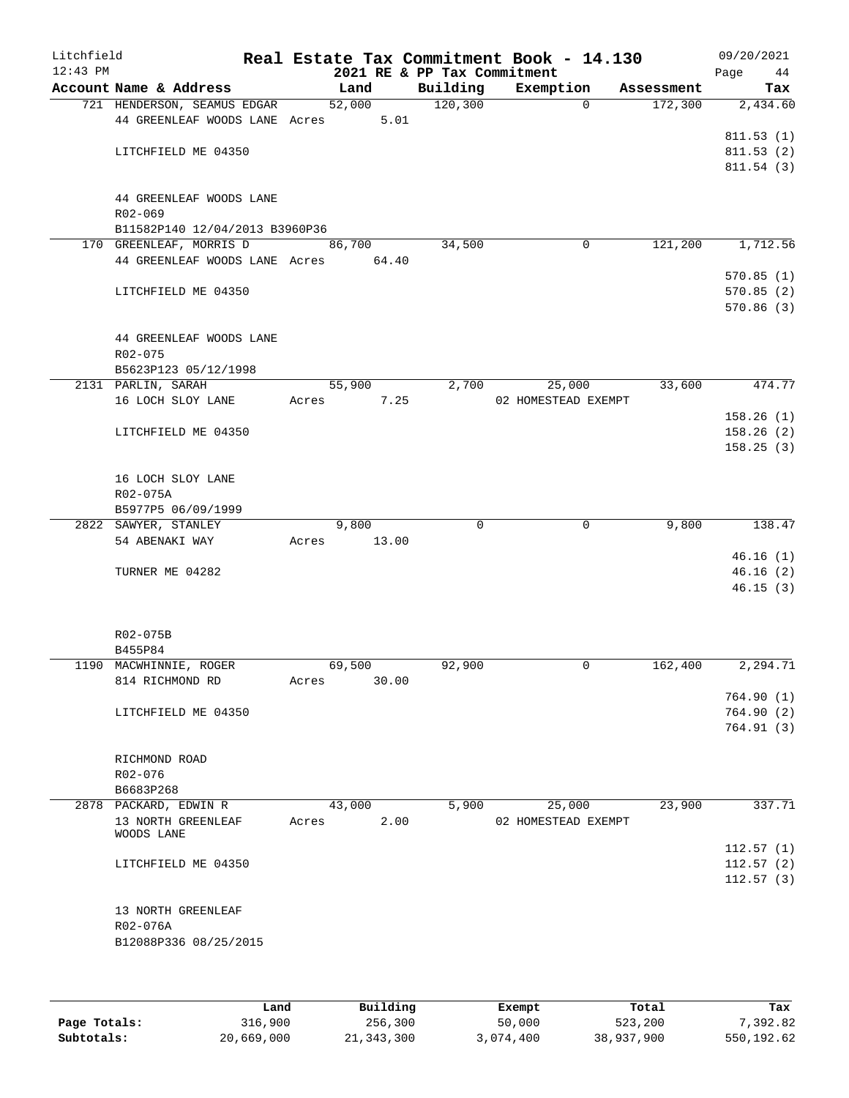| Litchfield<br>$12:43$ PM |                                     |       |        | 2021 RE & PP Tax Commitment | Real Estate Tax Commitment Book - 14.130 |            | 09/20/2021<br>Page<br>44 |
|--------------------------|-------------------------------------|-------|--------|-----------------------------|------------------------------------------|------------|--------------------------|
|                          | Account Name & Address              |       | Land   | Building                    | Exemption                                | Assessment | Tax                      |
|                          | 721 HENDERSON, SEAMUS EDGAR         |       | 52,000 | 120, 300                    | $\Omega$                                 | 172,300    | 2,434.60                 |
|                          | 44 GREENLEAF WOODS LANE Acres       |       | 5.01   |                             |                                          |            |                          |
|                          |                                     |       |        |                             |                                          |            | 811.53(1)                |
|                          | LITCHFIELD ME 04350                 |       |        |                             |                                          |            | 811.53(2)                |
|                          |                                     |       |        |                             |                                          |            | 811.54(3)                |
|                          |                                     |       |        |                             |                                          |            |                          |
|                          | 44 GREENLEAF WOODS LANE             |       |        |                             |                                          |            |                          |
|                          | R02-069                             |       |        |                             |                                          |            |                          |
|                          | B11582P140 12/04/2013 B3960P36      |       |        |                             |                                          |            |                          |
|                          | 170 GREENLEAF, MORRIS D             |       | 86,700 | 34,500                      | $\mathbf 0$                              | 121,200    | 1,712.56                 |
|                          | 44 GREENLEAF WOODS LANE Acres 64.40 |       |        |                             |                                          |            |                          |
|                          |                                     |       |        |                             |                                          |            | 570.85(1)                |
|                          | LITCHFIELD ME 04350                 |       |        |                             |                                          |            | 570.85(2)                |
|                          |                                     |       |        |                             |                                          |            | 570.86(3)                |
|                          |                                     |       |        |                             |                                          |            |                          |
|                          | 44 GREENLEAF WOODS LANE             |       |        |                             |                                          |            |                          |
|                          |                                     |       |        |                             |                                          |            |                          |
|                          | R02-075                             |       |        |                             |                                          |            |                          |
|                          | B5623P123 05/12/1998                |       | 55,900 | 2,700                       |                                          | 33,600     | 474.77                   |
|                          | 2131 PARLIN, SARAH                  |       |        |                             | 25,000                                   |            |                          |
|                          | 16 LOCH SLOY LANE                   | Acres | 7.25   |                             | 02 HOMESTEAD EXEMPT                      |            |                          |
|                          |                                     |       |        |                             |                                          |            | 158.26(1)                |
|                          | LITCHFIELD ME 04350                 |       |        |                             |                                          |            | 158.26(2)                |
|                          |                                     |       |        |                             |                                          |            | 158.25(3)                |
|                          |                                     |       |        |                             |                                          |            |                          |
|                          | 16 LOCH SLOY LANE                   |       |        |                             |                                          |            |                          |
|                          | R02-075A                            |       |        |                             |                                          |            |                          |
|                          | B5977P5 06/09/1999                  |       |        |                             |                                          |            |                          |
|                          | 2822 SAWYER, STANLEY                |       | 9,800  | $\Omega$                    | $\mathbf 0$                              | 9,800      | 138.47                   |
|                          | 54 ABENAKI WAY                      | Acres | 13.00  |                             |                                          |            |                          |
|                          |                                     |       |        |                             |                                          |            | 46.16(1)                 |
|                          | TURNER ME 04282                     |       |        |                             |                                          |            | 46.16(2)                 |
|                          |                                     |       |        |                             |                                          |            | 46.15(3)                 |
|                          |                                     |       |        |                             |                                          |            |                          |
|                          |                                     |       |        |                             |                                          |            |                          |
|                          | R02-075B                            |       |        |                             |                                          |            |                          |
|                          | B455P84                             |       |        |                             |                                          |            |                          |
|                          | 1190 MACWHINNIE, ROGER              |       | 69,500 | 92,900                      | $\mathbf 0$                              | 162,400    | 2,294.71                 |
|                          | 814 RICHMOND RD                     | Acres | 30.00  |                             |                                          |            |                          |
|                          |                                     |       |        |                             |                                          |            | 764.90(1)                |
|                          | LITCHFIELD ME 04350                 |       |        |                             |                                          |            | 764.90(2)                |
|                          |                                     |       |        |                             |                                          |            | 764.91(3)                |
|                          |                                     |       |        |                             |                                          |            |                          |
|                          | RICHMOND ROAD                       |       |        |                             |                                          |            |                          |
|                          | R02-076                             |       |        |                             |                                          |            |                          |
|                          | B6683P268                           |       |        |                             |                                          |            |                          |
|                          | 2878 PACKARD, EDWIN R               |       | 43,000 | 5,900                       | 25,000                                   | 23,900     | 337.71                   |
|                          | 13 NORTH GREENLEAF                  | Acres | 2.00   |                             | 02 HOMESTEAD EXEMPT                      |            |                          |
|                          | WOODS LANE                          |       |        |                             |                                          |            |                          |
|                          |                                     |       |        |                             |                                          |            | 112.57(1)                |
|                          | LITCHFIELD ME 04350                 |       |        |                             |                                          |            | 112.57(2)                |
|                          |                                     |       |        |                             |                                          |            | 112.57(3)                |
|                          |                                     |       |        |                             |                                          |            |                          |
|                          | 13 NORTH GREENLEAF                  |       |        |                             |                                          |            |                          |
|                          | R02-076A                            |       |        |                             |                                          |            |                          |
|                          | B12088P336 08/25/2015               |       |        |                             |                                          |            |                          |
|                          |                                     |       |        |                             |                                          |            |                          |
|                          |                                     |       |        |                             |                                          |            |                          |

|              | Land       | Building   | Exempt    | Total      | Tax        |
|--------------|------------|------------|-----------|------------|------------|
| Page Totals: | 316,900    | 256,300    | 50,000    | 523,200    | 7,392.82   |
| Subtotals:   | 20,669,000 | 21,343,300 | 3,074,400 | 38,937,900 | 550,192.62 |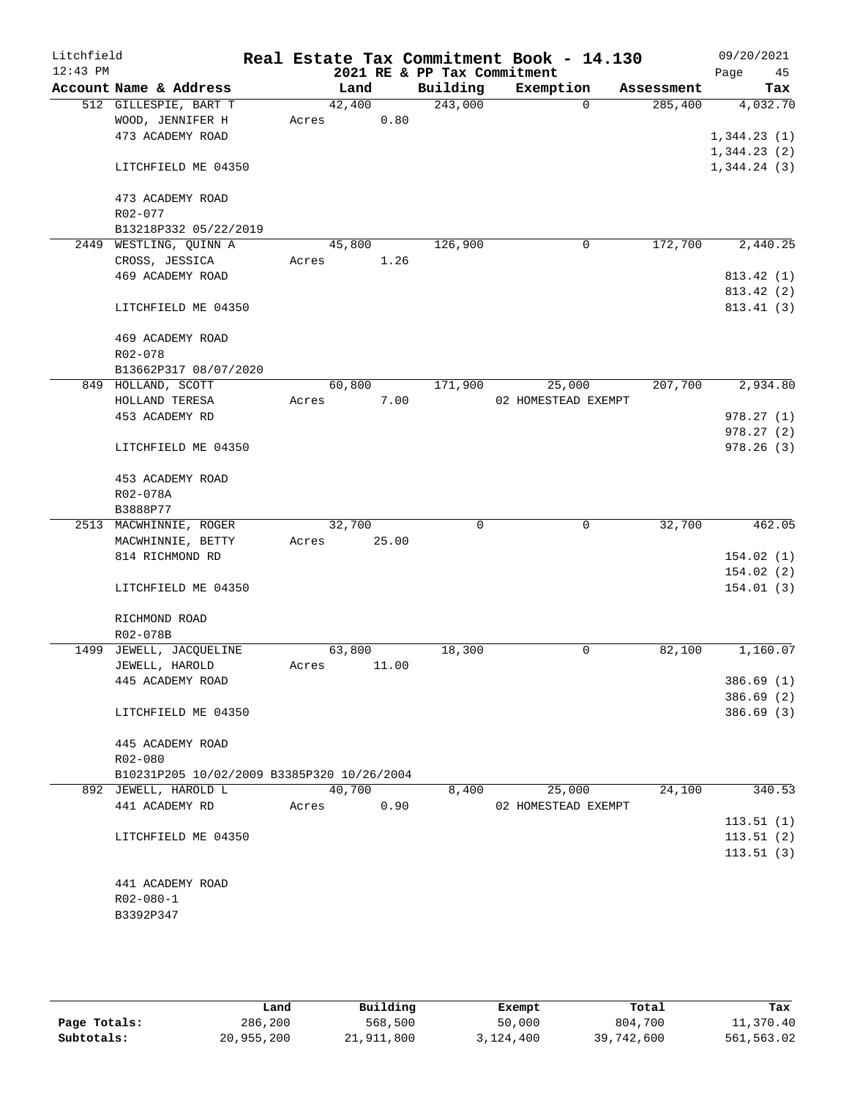| Litchfield |                                            |       |        |       |                             | Real Estate Tax Commitment Book - 14.130 |          |            | 09/20/2021  |          |
|------------|--------------------------------------------|-------|--------|-------|-----------------------------|------------------------------------------|----------|------------|-------------|----------|
| $12:43$ PM |                                            |       |        |       | 2021 RE & PP Tax Commitment |                                          |          |            | Page        | 45       |
|            | Account Name & Address                     |       | Land   |       | Building                    | Exemption                                |          | Assessment |             | Tax      |
|            | 512 GILLESPIE, BART T                      |       | 42,400 |       | 243,000                     |                                          | $\Omega$ | 285,400    |             | 4,032.70 |
|            | WOOD, JENNIFER H                           | Acres |        | 0.80  |                             |                                          |          |            |             |          |
|            | 473 ACADEMY ROAD                           |       |        |       |                             |                                          |          |            | 1,344.23(1) |          |
|            |                                            |       |        |       |                             |                                          |          |            | 1,344.23(2) |          |
|            | LITCHFIELD ME 04350                        |       |        |       |                             |                                          |          |            | 1,344.24(3) |          |
|            |                                            |       |        |       |                             |                                          |          |            |             |          |
|            | 473 ACADEMY ROAD                           |       |        |       |                             |                                          |          |            |             |          |
|            | R02-077                                    |       |        |       |                             |                                          |          |            |             |          |
|            | B13218P332 05/22/2019                      |       |        |       |                             |                                          |          |            |             |          |
|            | 2449 WESTLING, QUINN A                     |       | 45,800 |       | 126,900                     |                                          | 0        | 172,700    |             | 2,440.25 |
|            | CROSS, JESSICA                             | Acres |        | 1.26  |                             |                                          |          |            |             |          |
|            | 469 ACADEMY ROAD                           |       |        |       |                             |                                          |          |            | 813.42 (1)  |          |
|            |                                            |       |        |       |                             |                                          |          |            | 813.42 (2)  |          |
|            | LITCHFIELD ME 04350                        |       |        |       |                             |                                          |          |            | 813.41 (3)  |          |
|            | 469 ACADEMY ROAD                           |       |        |       |                             |                                          |          |            |             |          |
|            | R02-078                                    |       |        |       |                             |                                          |          |            |             |          |
|            | B13662P317 08/07/2020                      |       |        |       |                             |                                          |          |            |             |          |
|            | 849 HOLLAND, SCOTT                         |       | 60,800 |       | 171,900                     | 25,000                                   |          | 207,700    |             | 2,934.80 |
|            | HOLLAND TERESA                             | Acres |        | 7.00  |                             | 02 HOMESTEAD EXEMPT                      |          |            |             |          |
|            | 453 ACADEMY RD                             |       |        |       |                             |                                          |          |            | 978.27(1)   |          |
|            |                                            |       |        |       |                             |                                          |          |            | 978.27(2)   |          |
|            | LITCHFIELD ME 04350                        |       |        |       |                             |                                          |          |            | 978.26(3)   |          |
|            |                                            |       |        |       |                             |                                          |          |            |             |          |
|            | 453 ACADEMY ROAD                           |       |        |       |                             |                                          |          |            |             |          |
|            | R02-078A                                   |       |        |       |                             |                                          |          |            |             |          |
|            | B3888P77                                   |       |        |       |                             |                                          |          |            |             |          |
|            | 2513 MACWHINNIE, ROGER                     |       | 32,700 |       | $\mathbf 0$                 |                                          | 0        | 32,700     |             | 462.05   |
|            | MACWHINNIE, BETTY                          | Acres |        | 25.00 |                             |                                          |          |            |             |          |
|            | 814 RICHMOND RD                            |       |        |       |                             |                                          |          |            | 154.02(1)   |          |
|            |                                            |       |        |       |                             |                                          |          |            | 154.02(2)   |          |
|            | LITCHFIELD ME 04350                        |       |        |       |                             |                                          |          |            | 154.01(3)   |          |
|            |                                            |       |        |       |                             |                                          |          |            |             |          |
|            | RICHMOND ROAD                              |       |        |       |                             |                                          |          |            |             |          |
|            | R02-078B                                   |       |        |       |                             |                                          |          |            |             |          |
| 1499       | JEWELL, JACQUELINE                         |       | 63,800 |       | 18,300                      |                                          | 0        | 82,100     |             | 1,160.07 |
|            | JEWELL, HAROLD                             | Acres |        | 11.00 |                             |                                          |          |            |             |          |
|            | 445 ACADEMY ROAD                           |       |        |       |                             |                                          |          |            | 386.69(1)   |          |
|            |                                            |       |        |       |                             |                                          |          |            | 386.69(2)   |          |
|            | LITCHFIELD ME 04350                        |       |        |       |                             |                                          |          |            | 386.69(3)   |          |
|            |                                            |       |        |       |                             |                                          |          |            |             |          |
|            | 445 ACADEMY ROAD                           |       |        |       |                             |                                          |          |            |             |          |
|            | R02-080                                    |       |        |       |                             |                                          |          |            |             |          |
|            | B10231P205 10/02/2009 B3385P320 10/26/2004 |       |        |       |                             |                                          |          |            |             |          |
|            | 892 JEWELL, HAROLD L                       |       | 40,700 |       | 8,400                       | 25,000                                   |          | 24,100     |             | 340.53   |
|            | 441 ACADEMY RD                             | Acres |        | 0.90  |                             | 02 HOMESTEAD EXEMPT                      |          |            |             |          |
|            |                                            |       |        |       |                             |                                          |          |            | 113.51(1)   |          |
|            | LITCHFIELD ME 04350                        |       |        |       |                             |                                          |          |            | 113.51(2)   |          |
|            |                                            |       |        |       |                             |                                          |          |            | 113.51(3)   |          |
|            |                                            |       |        |       |                             |                                          |          |            |             |          |
|            | 441 ACADEMY ROAD                           |       |        |       |                             |                                          |          |            |             |          |
|            | $R02 - 080 - 1$                            |       |        |       |                             |                                          |          |            |             |          |
|            | B3392P347                                  |       |        |       |                             |                                          |          |            |             |          |
|            |                                            |       |        |       |                             |                                          |          |            |             |          |

|              | Land       | Building   | Exempt    | Total      | Tax        |
|--------------|------------|------------|-----------|------------|------------|
| Page Totals: | 286,200    | 568,500    | 50,000    | 804,700    | 11,370.40  |
| Subtotals:   | 20,955,200 | 21,911,800 | 3,124,400 | 39,742,600 | 561,563.02 |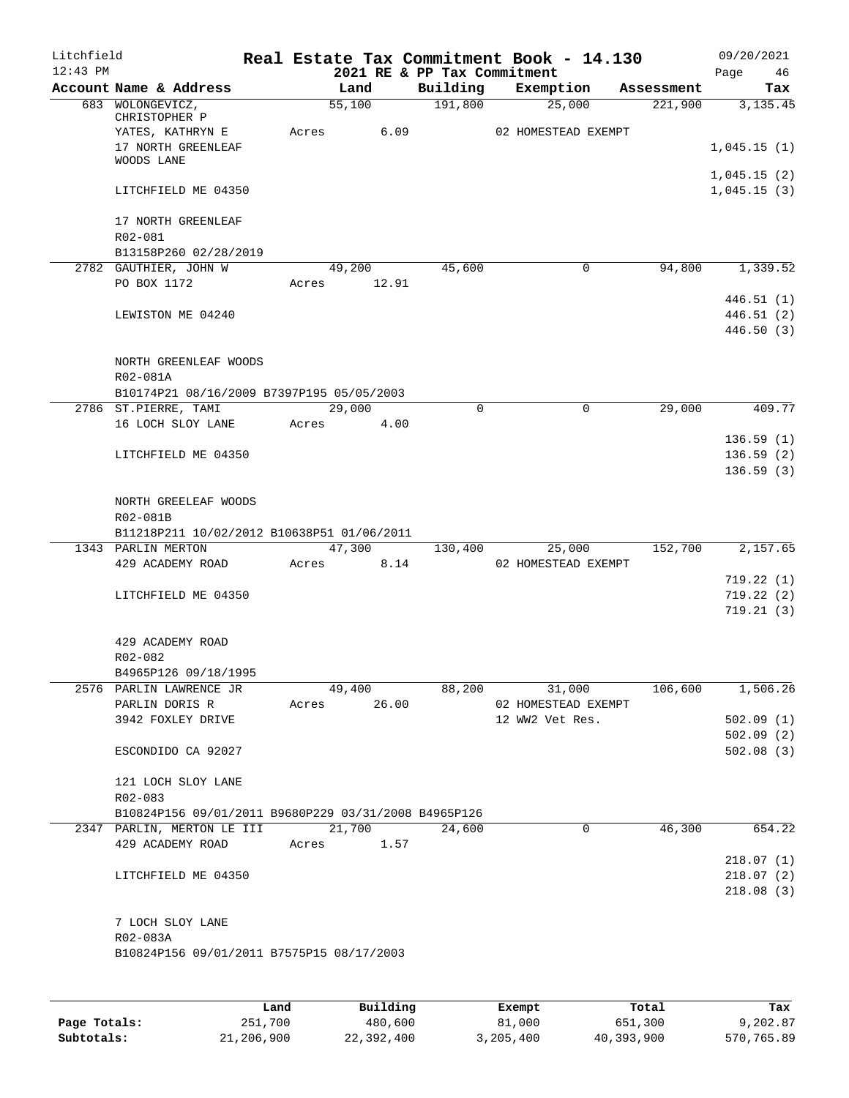| Litchfield<br>$12:43$ PM |                                                      |       |               |      |          | Real Estate Tax Commitment Book - 14.130<br>2021 RE & PP Tax Commitment |            | 09/20/2021<br>Page<br>46   |
|--------------------------|------------------------------------------------------|-------|---------------|------|----------|-------------------------------------------------------------------------|------------|----------------------------|
|                          | Account Name & Address                               |       | Land          |      |          | Building Exemption                                                      | Assessment | Tax                        |
|                          | 683 WOLONGEVICZ,<br>CHRISTOPHER P                    |       | 55,100        |      | 191,800  | 25,000                                                                  | 221,900    | 3,135.45                   |
|                          | YATES, KATHRYN E<br>17 NORTH GREENLEAF<br>WOODS LANE |       | Acres         | 6.09 |          | 02 HOMESTEAD EXEMPT                                                     |            | 1,045.15(1)                |
|                          | LITCHFIELD ME 04350                                  |       |               |      |          |                                                                         |            | 1,045.15(2)<br>1,045.15(3) |
|                          | 17 NORTH GREENLEAF<br>R02-081                        |       |               |      |          |                                                                         |            |                            |
|                          | B13158P260 02/28/2019                                |       |               |      |          |                                                                         |            |                            |
|                          | 2782 GAUTHIER, JOHN W                                |       | 49,200        |      | 45,600   | 0                                                                       | 94,800     | 1,339.52                   |
|                          | PO BOX 1172                                          | Acres | 12.91         |      |          |                                                                         |            |                            |
|                          |                                                      |       |               |      |          |                                                                         |            | 446.51(1)                  |
|                          | LEWISTON ME 04240                                    |       |               |      |          |                                                                         |            | 446.51(2)<br>446.50(3)     |
|                          | NORTH GREENLEAF WOODS<br>R02-081A                    |       |               |      |          |                                                                         |            |                            |
|                          | B10174P21 08/16/2009 B7397P195 05/05/2003            |       |               |      |          |                                                                         |            |                            |
|                          | 2786 ST.PIERRE, TAMI                                 |       | 29,000        |      | $\Omega$ | $\Omega$                                                                | 29,000     | 409.77                     |
|                          | 16 LOCH SLOY LANE                                    |       | Acres<br>4.00 |      |          |                                                                         |            |                            |
|                          |                                                      |       |               |      |          |                                                                         |            | 136.59(1)                  |
|                          | LITCHFIELD ME 04350                                  |       |               |      |          |                                                                         |            | 136.59(2)                  |
|                          |                                                      |       |               |      |          |                                                                         |            | 136.59(3)                  |
|                          | NORTH GREELEAF WOODS<br>R02-081B                     |       |               |      |          |                                                                         |            |                            |
|                          | B11218P211 10/02/2012 B10638P51 01/06/2011           |       |               |      |          |                                                                         |            |                            |
|                          | 1343 PARLIN MERTON                                   |       | 47,300        |      |          | 130,400 25,000                                                          | 152,700    | 2,157.65                   |
|                          | 429 ACADEMY ROAD                                     |       | Acres 8.14    |      |          | 02 HOMESTEAD EXEMPT                                                     |            |                            |
|                          |                                                      |       |               |      |          |                                                                         |            | 719.22(1)                  |
|                          | LITCHFIELD ME 04350                                  |       |               |      |          |                                                                         |            | 719.22(2)                  |
|                          |                                                      |       |               |      |          |                                                                         |            | 719.21(3)                  |
|                          |                                                      |       |               |      |          |                                                                         |            |                            |
|                          | 429 ACADEMY ROAD<br>R02-082                          |       |               |      |          |                                                                         |            |                            |
|                          | B4965P126 09/18/1995                                 |       |               |      |          |                                                                         |            |                            |
|                          | 2576 PARLIN LAWRENCE JR                              |       | 49,400 88,200 |      |          | 31,000                                                                  |            | 106,600 1,506.26           |
|                          | PARLIN DORIS R                                       |       | Acres 26.00   |      |          | 02 HOMESTEAD EXEMPT                                                     |            |                            |
|                          | 3942 FOXLEY DRIVE                                    |       |               |      |          | 12 WW2 Vet Res.                                                         |            | 502.09(1)                  |
|                          |                                                      |       |               |      |          |                                                                         |            | 502.09(2)                  |
|                          | ESCONDIDO CA 92027                                   |       |               |      |          |                                                                         |            | 502.08(3)                  |
|                          | 121 LOCH SLOY LANE<br>R02-083                        |       |               |      |          |                                                                         |            |                            |
|                          | B10824P156 09/01/2011 B9680P229 03/31/2008 B4965P126 |       |               |      |          |                                                                         |            |                            |
|                          | 2347 PARLIN, MERTON LE III 21,700                    |       |               |      | 24,600   | $\mathbf 0$                                                             | 46,300     | 654.22                     |
|                          | 429 ACADEMY ROAD                                     |       | Acres 1.57    |      |          |                                                                         |            |                            |
|                          |                                                      |       |               |      |          |                                                                         |            | 218.07(1)                  |
|                          | LITCHFIELD ME 04350                                  |       |               |      |          |                                                                         |            | 218.07(2)                  |
|                          |                                                      |       |               |      |          |                                                                         |            | 218.08(3)                  |
|                          | 7 LOCH SLOY LANE                                     |       |               |      |          |                                                                         |            |                            |
|                          | R02-083A                                             |       |               |      |          |                                                                         |            |                            |
|                          | B10824P156 09/01/2011 B7575P15 08/17/2003            |       |               |      |          |                                                                         |            |                            |
|                          |                                                      |       |               |      |          |                                                                         |            |                            |
|                          |                                                      |       |               |      |          |                                                                         |            |                            |

|              | Land       | Building   | Exempt    | Total      | Tax        |
|--------------|------------|------------|-----------|------------|------------|
| Page Totals: | 251,700    | 480,600    | 81,000    | 651,300    | 9,202.87   |
| Subtotals:   | 21,206,900 | 22,392,400 | 3,205,400 | 40,393,900 | 570,765.89 |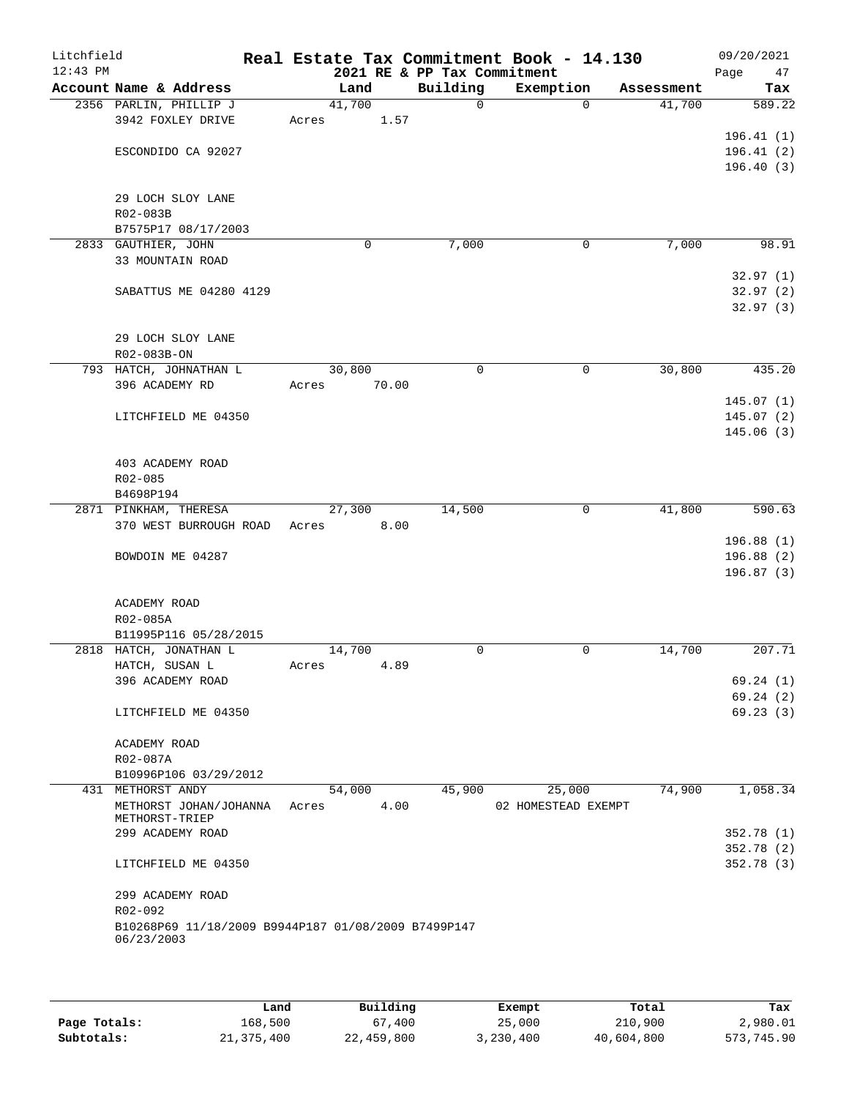| Litchfield<br>$12:43$ PM |                                                                   |                 |       | 2021 RE & PP Tax Commitment | Real Estate Tax Commitment Book - 14.130 |             |            | 09/20/2021<br>47<br>Page |
|--------------------------|-------------------------------------------------------------------|-----------------|-------|-----------------------------|------------------------------------------|-------------|------------|--------------------------|
|                          | Account Name & Address                                            | Land            |       | Building                    | Exemption                                |             | Assessment | Tax                      |
|                          | 2356 PARLIN, PHILLIP J                                            | 41,700          |       | $\Omega$                    |                                          | $\Omega$    | 41,700     | 589.22                   |
|                          | 3942 FOXLEY DRIVE                                                 | Acres           | 1.57  |                             |                                          |             |            |                          |
|                          |                                                                   |                 |       |                             |                                          |             |            | 196.41(1)                |
|                          | ESCONDIDO CA 92027                                                |                 |       |                             |                                          |             |            | 196.41(2)                |
|                          |                                                                   |                 |       |                             |                                          |             |            | 196.40(3)                |
|                          |                                                                   |                 |       |                             |                                          |             |            |                          |
|                          | 29 LOCH SLOY LANE                                                 |                 |       |                             |                                          |             |            |                          |
|                          | R02-083B<br>B7575P17 08/17/2003                                   |                 |       |                             |                                          |             |            |                          |
|                          | 2833 GAUTHIER, JOHN                                               | $\mathbf 0$     |       | 7,000                       |                                          | 0           | 7,000      | 98.91                    |
|                          | 33 MOUNTAIN ROAD                                                  |                 |       |                             |                                          |             |            |                          |
|                          |                                                                   |                 |       |                             |                                          |             |            | 32.97(1)                 |
|                          | SABATTUS ME 04280 4129                                            |                 |       |                             |                                          |             |            | 32.97(2)                 |
|                          |                                                                   |                 |       |                             |                                          |             |            | 32.97(3)                 |
|                          |                                                                   |                 |       |                             |                                          |             |            |                          |
|                          | 29 LOCH SLOY LANE                                                 |                 |       |                             |                                          |             |            |                          |
|                          | R02-083B-ON                                                       |                 |       |                             |                                          |             |            |                          |
|                          | 793 HATCH, JOHNATHAN L                                            | 30,800          |       | $\mathbf 0$                 |                                          | $\mathbf 0$ | 30,800     | 435.20                   |
|                          | 396 ACADEMY RD                                                    | Acres           | 70.00 |                             |                                          |             |            |                          |
|                          |                                                                   |                 |       |                             |                                          |             |            | 145.07(1)                |
|                          | LITCHFIELD ME 04350                                               |                 |       |                             |                                          |             |            | 145.07(2)                |
|                          |                                                                   |                 |       |                             |                                          |             |            | 145.06(3)                |
|                          | 403 ACADEMY ROAD                                                  |                 |       |                             |                                          |             |            |                          |
|                          | R02-085                                                           |                 |       |                             |                                          |             |            |                          |
|                          | B4698P194                                                         |                 |       |                             |                                          |             |            |                          |
|                          | 2871 PINKHAM, THERESA                                             | 27,300          |       | 14,500                      |                                          | 0           | 41,800     | 590.63                   |
|                          | 370 WEST BURROUGH ROAD                                            | Acres           | 8.00  |                             |                                          |             |            |                          |
|                          |                                                                   |                 |       |                             |                                          |             |            | 196.88(1)                |
|                          | BOWDOIN ME 04287                                                  |                 |       |                             |                                          |             |            | 196.88(2)                |
|                          |                                                                   |                 |       |                             |                                          |             |            | 196.87 (3)               |
|                          |                                                                   |                 |       |                             |                                          |             |            |                          |
|                          | ACADEMY ROAD                                                      |                 |       |                             |                                          |             |            |                          |
|                          | R02-085A                                                          |                 |       |                             |                                          |             |            |                          |
|                          | B11995P116 05/28/2015                                             |                 |       |                             |                                          |             |            |                          |
|                          | 2818 HATCH, JONATHAN L                                            | 14,700<br>Acres | 4.89  | 0                           |                                          | 0           | 14,700     | 207.71                   |
|                          | HATCH, SUSAN L<br>396 ACADEMY ROAD                                |                 |       |                             |                                          |             |            | 69.24(1)                 |
|                          |                                                                   |                 |       |                             |                                          |             |            | 69.24(2)                 |
|                          | LITCHFIELD ME 04350                                               |                 |       |                             |                                          |             |            | 69.23(3)                 |
|                          |                                                                   |                 |       |                             |                                          |             |            |                          |
|                          | ACADEMY ROAD                                                      |                 |       |                             |                                          |             |            |                          |
|                          | R02-087A                                                          |                 |       |                             |                                          |             |            |                          |
|                          | B10996P106 03/29/2012                                             |                 |       |                             |                                          |             |            |                          |
|                          | 431 METHORST ANDY                                                 | 54,000          |       | 45,900                      | 25,000                                   |             | 74,900     | 1,058.34                 |
|                          | METHORST JOHAN/JOHANNA                                            | Acres           | 4.00  |                             | 02 HOMESTEAD EXEMPT                      |             |            |                          |
|                          | METHORST-TRIEP<br>299 ACADEMY ROAD                                |                 |       |                             |                                          |             |            | 352.78(1)                |
|                          |                                                                   |                 |       |                             |                                          |             |            | 352.78 (2)               |
|                          | LITCHFIELD ME 04350                                               |                 |       |                             |                                          |             |            | 352.78(3)                |
|                          |                                                                   |                 |       |                             |                                          |             |            |                          |
|                          | 299 ACADEMY ROAD                                                  |                 |       |                             |                                          |             |            |                          |
|                          | R02-092                                                           |                 |       |                             |                                          |             |            |                          |
|                          | B10268P69 11/18/2009 B9944P187 01/08/2009 B7499P147<br>06/23/2003 |                 |       |                             |                                          |             |            |                          |
|                          |                                                                   |                 |       |                             |                                          |             |            |                          |
|                          |                                                                   |                 |       |                             |                                          |             |            |                          |

|              | Land       | Building   | Exempt    | Total      | Tax        |
|--------------|------------|------------|-----------|------------|------------|
| Page Totals: | 168,500    | 67,400     | 25,000    | 210,900    | 2,980.01   |
| Subtotals:   | 21,375,400 | 22,459,800 | 3,230,400 | 40,604,800 | 573,745.90 |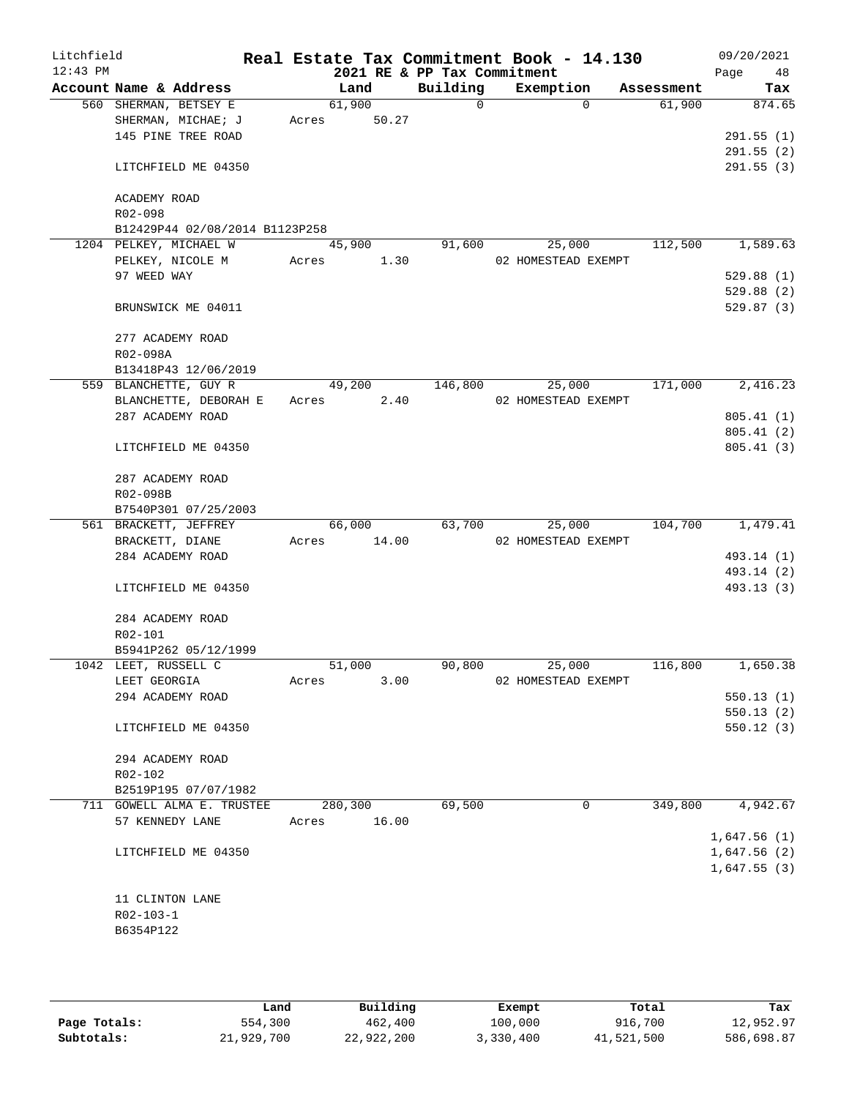| Litchfield<br>$12:43$ PM |                      |                                |       |         |       | Real Estate Tax Commitment Book - 14.130<br>2021 RE & PP Tax Commitment |                     |            | 09/20/2021<br>Page     | 48       |
|--------------------------|----------------------|--------------------------------|-------|---------|-------|-------------------------------------------------------------------------|---------------------|------------|------------------------|----------|
|                          |                      | Account Name & Address         |       | Land    |       | Building                                                                | Exemption           | Assessment |                        | Tax      |
|                          |                      | 560 SHERMAN, BETSEY E          |       | 61,900  |       | $\Omega$                                                                | $\Omega$            | 61,900     |                        | 874.65   |
|                          |                      | SHERMAN, MICHAE; J             | Acres |         | 50.27 |                                                                         |                     |            |                        |          |
|                          |                      | 145 PINE TREE ROAD             |       |         |       |                                                                         |                     |            | 291.55(1)              |          |
|                          |                      |                                |       |         |       |                                                                         |                     |            | 291.55(2)              |          |
|                          |                      | LITCHFIELD ME 04350            |       |         |       |                                                                         |                     |            | 291.55(3)              |          |
|                          | ACADEMY ROAD         |                                |       |         |       |                                                                         |                     |            |                        |          |
|                          | R02-098              |                                |       |         |       |                                                                         |                     |            |                        |          |
|                          |                      | B12429P44 02/08/2014 B1123P258 |       |         |       |                                                                         |                     |            |                        |          |
|                          |                      | 1204 PELKEY, MICHAEL W         |       | 45,900  |       | 91,600                                                                  | 25,000              | 112,500    |                        | 1,589.63 |
|                          |                      | PELKEY, NICOLE M               | Acres |         | 1.30  |                                                                         | 02 HOMESTEAD EXEMPT |            |                        |          |
|                          | 97 WEED WAY          |                                |       |         |       |                                                                         |                     |            | 529.88(1)              |          |
|                          |                      |                                |       |         |       |                                                                         |                     |            | 529.88(2)              |          |
|                          |                      | BRUNSWICK ME 04011             |       |         |       |                                                                         |                     |            | 529.87(3)              |          |
|                          |                      | 277 ACADEMY ROAD               |       |         |       |                                                                         |                     |            |                        |          |
|                          | R02-098A             |                                |       |         |       |                                                                         |                     |            |                        |          |
|                          |                      | B13418P43 12/06/2019           |       |         |       |                                                                         |                     |            |                        |          |
|                          |                      | 559 BLANCHETTE, GUY R          |       | 49,200  |       | 146,800                                                                 | 25,000              | 171,000    |                        | 2,416.23 |
|                          |                      | BLANCHETTE, DEBORAH E          |       | Acres   | 2.40  |                                                                         | 02 HOMESTEAD EXEMPT |            |                        |          |
|                          |                      | 287 ACADEMY ROAD               |       |         |       |                                                                         |                     |            | 805.41(1)              |          |
|                          |                      |                                |       |         |       |                                                                         |                     |            | 805.41(2)              |          |
|                          |                      | LITCHFIELD ME 04350            |       |         |       |                                                                         |                     |            | 805.41(3)              |          |
|                          |                      | 287 ACADEMY ROAD               |       |         |       |                                                                         |                     |            |                        |          |
|                          | R02-098B             |                                |       |         |       |                                                                         |                     |            |                        |          |
|                          |                      | B7540P301 07/25/2003           |       |         |       |                                                                         |                     |            |                        |          |
|                          |                      | 561 BRACKETT, JEFFREY          |       | 66,000  |       | 63,700                                                                  | 25,000              | 104,700    |                        | 1,479.41 |
|                          | BRACKETT, DIANE      |                                | Acres |         | 14.00 |                                                                         | 02 HOMESTEAD EXEMPT |            |                        |          |
|                          |                      | 284 ACADEMY ROAD               |       |         |       |                                                                         |                     |            | 493.14 (1)             |          |
|                          |                      |                                |       |         |       |                                                                         |                     |            | 493.14 (2)             |          |
|                          |                      | LITCHFIELD ME 04350            |       |         |       |                                                                         |                     |            | 493.13 (3)             |          |
|                          |                      | 284 ACADEMY ROAD               |       |         |       |                                                                         |                     |            |                        |          |
|                          | R02-101              |                                |       |         |       |                                                                         |                     |            |                        |          |
|                          |                      | B5941P262 05/12/1999           |       |         |       |                                                                         |                     |            |                        |          |
|                          | 1042 LEET, RUSSELL C |                                |       | 51,000  |       | 90,800                                                                  | 25,000              | 116,800    |                        | 1,650.38 |
|                          | LEET GEORGIA         |                                | Acres |         | 3.00  |                                                                         | 02 HOMESTEAD EXEMPT |            |                        |          |
|                          |                      | 294 ACADEMY ROAD               |       |         |       |                                                                         |                     |            | 550.13(1)              |          |
|                          |                      | LITCHFIELD ME 04350            |       |         |       |                                                                         |                     |            | 550.13(2)<br>550.12(3) |          |
|                          |                      |                                |       |         |       |                                                                         |                     |            |                        |          |
|                          |                      | 294 ACADEMY ROAD               |       |         |       |                                                                         |                     |            |                        |          |
|                          | R02-102              |                                |       |         |       |                                                                         |                     |            |                        |          |
|                          |                      | B2519P195 07/07/1982           |       |         |       |                                                                         |                     |            |                        |          |
|                          |                      | 711 GOWELL ALMA E. TRUSTEE     |       | 280,300 |       | 69,500                                                                  | $\mathbf 0$         | 349,800    |                        | 4,942.67 |
|                          | 57 KENNEDY LANE      |                                | Acres |         | 16.00 |                                                                         |                     |            |                        |          |
|                          |                      |                                |       |         |       |                                                                         |                     |            | 1,647.56(1)            |          |
|                          |                      | LITCHFIELD ME 04350            |       |         |       |                                                                         |                     |            | 1,647.56(2)            |          |
|                          |                      |                                |       |         |       |                                                                         |                     |            | 1,647.55(3)            |          |
|                          | 11 CLINTON LANE      |                                |       |         |       |                                                                         |                     |            |                        |          |
|                          | R02-103-1            |                                |       |         |       |                                                                         |                     |            |                        |          |
|                          | B6354P122            |                                |       |         |       |                                                                         |                     |            |                        |          |
|                          |                      |                                |       |         |       |                                                                         |                     |            |                        |          |
|                          |                      |                                |       |         |       |                                                                         |                     |            |                        |          |

|              | Land       | Building   | Exempt    | Total      | Tax        |
|--------------|------------|------------|-----------|------------|------------|
| Page Totals: | 554,300    | 462,400    | 100,000   | 916,700    | 12,952.97  |
| Subtotals:   | 21,929,700 | 22,922,200 | 3,330,400 | 41,521,500 | 586,698.87 |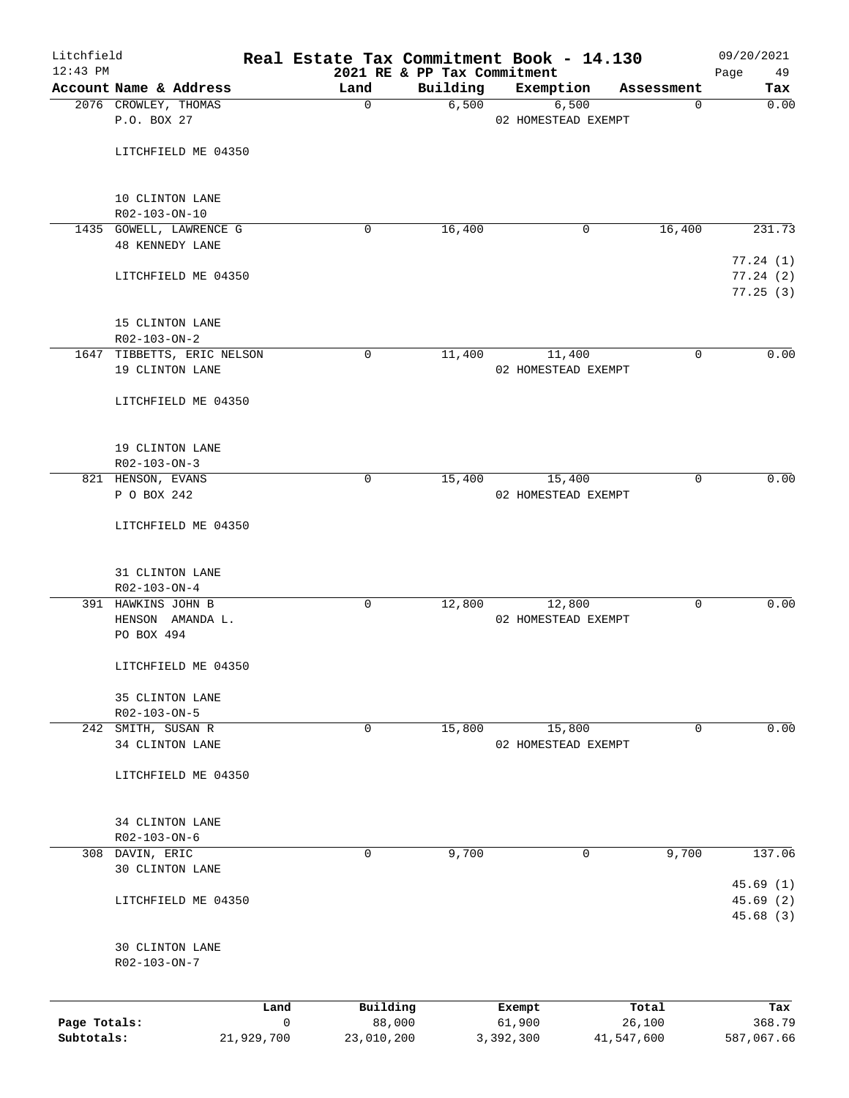| Litchfield   |                                 |            | Real Estate Tax Commitment Book - 14.130 |                                         |                     |                 | 09/20/2021             |
|--------------|---------------------------------|------------|------------------------------------------|-----------------------------------------|---------------------|-----------------|------------------------|
| $12:43$ PM   | Account Name & Address          |            | Land                                     | 2021 RE & PP Tax Commitment<br>Building | Exemption           | Assessment      | 49<br>Page<br>Tax      |
|              | 2076 CROWLEY, THOMAS            |            | 0                                        | 6,500                                   | 6,500               | 0               | 0.00                   |
|              | P.O. BOX 27                     |            |                                          |                                         | 02 HOMESTEAD EXEMPT |                 |                        |
|              |                                 |            |                                          |                                         |                     |                 |                        |
|              | LITCHFIELD ME 04350             |            |                                          |                                         |                     |                 |                        |
|              | 10 CLINTON LANE                 |            |                                          |                                         |                     |                 |                        |
|              | R02-103-ON-10                   |            |                                          |                                         |                     |                 |                        |
|              | 1435 GOWELL, LAWRENCE G         |            | 0                                        | 16,400                                  | 0                   | 16,400          | 231.73                 |
|              | <b>48 KENNEDY LANE</b>          |            |                                          |                                         |                     |                 | 77.24(1)               |
|              | LITCHFIELD ME 04350             |            |                                          |                                         |                     |                 | 77.24(2)               |
|              |                                 |            |                                          |                                         |                     |                 | 77.25(3)               |
|              | 15 CLINTON LANE                 |            |                                          |                                         |                     |                 |                        |
|              | R02-103-ON-2                    |            |                                          |                                         |                     |                 |                        |
|              | 1647 TIBBETTS, ERIC NELSON      |            | 0                                        | 11,400                                  | 11,400              | 0               | 0.00                   |
|              | 19 CLINTON LANE                 |            |                                          |                                         | 02 HOMESTEAD EXEMPT |                 |                        |
|              |                                 |            |                                          |                                         |                     |                 |                        |
|              | LITCHFIELD ME 04350             |            |                                          |                                         |                     |                 |                        |
|              | 19 CLINTON LANE                 |            |                                          |                                         |                     |                 |                        |
|              | R02-103-ON-3                    |            |                                          |                                         |                     |                 |                        |
|              | 821 HENSON, EVANS               |            | 0                                        | 15,400                                  | 15,400              | 0               | 0.00                   |
|              | P O BOX 242                     |            |                                          |                                         | 02 HOMESTEAD EXEMPT |                 |                        |
|              | LITCHFIELD ME 04350             |            |                                          |                                         |                     |                 |                        |
|              |                                 |            |                                          |                                         |                     |                 |                        |
|              | 31 CLINTON LANE<br>R02-103-ON-4 |            |                                          |                                         |                     |                 |                        |
|              | 391 HAWKINS JOHN B              |            | 0                                        | 12,800                                  | 12,800              | 0               | 0.00                   |
|              | HENSON AMANDA L.                |            |                                          |                                         | 02 HOMESTEAD EXEMPT |                 |                        |
|              | PO BOX 494                      |            |                                          |                                         |                     |                 |                        |
|              | LITCHFIELD ME 04350             |            |                                          |                                         |                     |                 |                        |
|              | 35 CLINTON LANE                 |            |                                          |                                         |                     |                 |                        |
|              | R02-103-ON-5                    |            |                                          |                                         |                     |                 |                        |
|              | 242 SMITH, SUSAN R              |            | $\mathbf 0$                              | 15,800                                  | 15,800              | $\mathbf 0$     | 0.00                   |
|              | 34 CLINTON LANE                 |            |                                          |                                         | 02 HOMESTEAD EXEMPT |                 |                        |
|              | LITCHFIELD ME 04350             |            |                                          |                                         |                     |                 |                        |
|              |                                 |            |                                          |                                         |                     |                 |                        |
|              | 34 CLINTON LANE                 |            |                                          |                                         |                     |                 |                        |
|              | $R02 - 103 - ON - 6$            |            |                                          |                                         |                     |                 |                        |
|              | 308 DAVIN, ERIC                 |            | 0                                        | 9,700                                   | 0                   | 9,700           | 137.06                 |
|              | 30 CLINTON LANE                 |            |                                          |                                         |                     |                 |                        |
|              |                                 |            |                                          |                                         |                     |                 | 45.69(1)               |
|              | LITCHFIELD ME 04350             |            |                                          |                                         |                     |                 | 45.69 (2)<br>45.68 (3) |
|              | <b>30 CLINTON LANE</b>          |            |                                          |                                         |                     |                 |                        |
|              | R02-103-ON-7                    |            |                                          |                                         |                     |                 |                        |
|              |                                 |            |                                          |                                         |                     |                 |                        |
| Page Totals: |                                 | Land<br>0  | Building<br>88,000                       |                                         | Exempt<br>61,900    | Total<br>26,100 | Tax<br>368.79          |
| Subtotals:   |                                 | 21,929,700 | 23,010,200                               |                                         | 3,392,300           | 41,547,600      | 587,067.66             |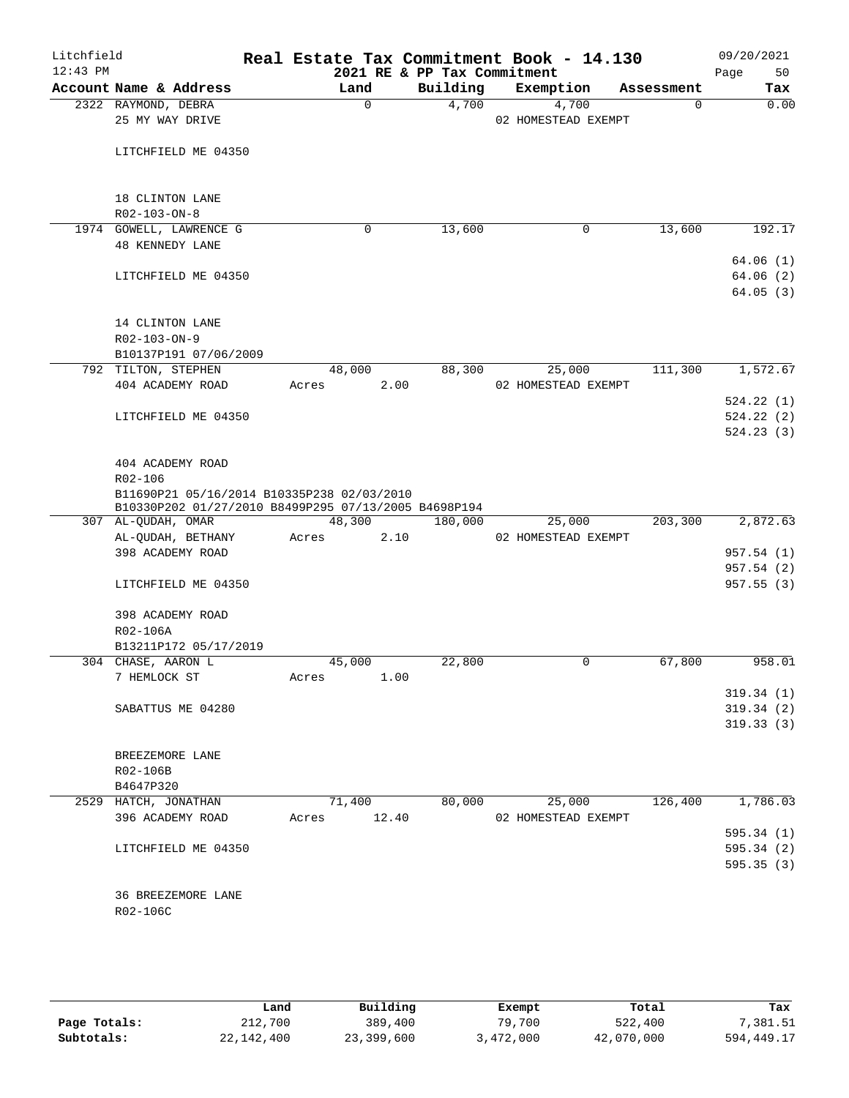| Litchfield<br>$12:43$ PM |                                                                            |        |             | 2021 RE & PP Tax Commitment | Real Estate Tax Commitment Book - 14.130 |            | 09/20/2021<br>50<br>Page         |
|--------------------------|----------------------------------------------------------------------------|--------|-------------|-----------------------------|------------------------------------------|------------|----------------------------------|
|                          | Account Name & Address                                                     | Land   |             | Building                    | Exemption                                | Assessment | Tax                              |
|                          | 2322 RAYMOND, DEBRA<br>25 MY WAY DRIVE                                     |        | $\mathbf 0$ | 4,700                       | 4,700<br>02 HOMESTEAD EXEMPT             |            | 0.00<br>$\Omega$                 |
|                          | LITCHFIELD ME 04350                                                        |        |             |                             |                                          |            |                                  |
|                          | 18 CLINTON LANE<br>R02-103-ON-8                                            |        |             |                             |                                          |            |                                  |
|                          | 1974 GOWELL, LAWRENCE G                                                    |        | 0           | 13,600                      | 0                                        | 13,600     | 192.17                           |
|                          | <b>48 KENNEDY LANE</b>                                                     |        |             |                             |                                          |            |                                  |
|                          | LITCHFIELD ME 04350                                                        |        |             |                             |                                          |            | 64.06(1)<br>64.06(2)<br>64.05(3) |
|                          | 14 CLINTON LANE<br>R02-103-ON-9                                            |        |             |                             |                                          |            |                                  |
|                          | B10137P191 07/06/2009                                                      |        |             |                             |                                          |            |                                  |
|                          | 792 TILTON, STEPHEN                                                        | 48,000 |             | 88,300                      | 25,000                                   | 111,300    | 1,572.67                         |
|                          | 404 ACADEMY ROAD                                                           | Acres  | 2.00        |                             | 02 HOMESTEAD EXEMPT                      |            |                                  |
|                          |                                                                            |        |             |                             |                                          |            | 524.22(1)                        |
|                          | LITCHFIELD ME 04350                                                        |        |             |                             |                                          |            | 524.22(2)                        |
|                          |                                                                            |        |             |                             |                                          |            | 524.23(3)                        |
|                          | 404 ACADEMY ROAD                                                           |        |             |                             |                                          |            |                                  |
|                          | R02-106                                                                    |        |             |                             |                                          |            |                                  |
|                          | B11690P21 05/16/2014 B10335P238 02/03/2010                                 |        |             |                             |                                          |            |                                  |
|                          | B10330P202 01/27/2010 B8499P295 07/13/2005 B4698P194<br>307 AL-QUDAH, OMAR | 48,300 |             | 180,000                     | 25,000                                   | 203,300    | 2,872.63                         |
|                          | AL-QUDAH, BETHANY                                                          | Acres  | 2.10        |                             | 02 HOMESTEAD EXEMPT                      |            |                                  |
|                          | 398 ACADEMY ROAD                                                           |        |             |                             |                                          |            | 957.54(1)                        |
|                          |                                                                            |        |             |                             |                                          |            | 957.54(2)                        |
|                          | LITCHFIELD ME 04350                                                        |        |             |                             |                                          |            | 957.55(3)                        |
|                          | 398 ACADEMY ROAD                                                           |        |             |                             |                                          |            |                                  |
|                          | R02-106A                                                                   |        |             |                             |                                          |            |                                  |
|                          | B13211P172 05/17/2019                                                      |        |             |                             |                                          |            |                                  |
|                          | 304 CHASE, AARON L                                                         | 45,000 |             | 22,800                      | 0                                        | 67,800     | 958.01                           |
|                          | 7 HEMLOCK ST                                                               | Acres  | 1.00        |                             |                                          |            |                                  |
|                          |                                                                            |        |             |                             |                                          |            | 319.34(1)                        |
|                          | SABATTUS ME 04280                                                          |        |             |                             |                                          |            | 319.34(2)                        |
|                          |                                                                            |        |             |                             |                                          |            | 319.33(3)                        |
|                          | BREEZEMORE LANE                                                            |        |             |                             |                                          |            |                                  |
|                          | R02-106B                                                                   |        |             |                             |                                          |            |                                  |
|                          | B4647P320                                                                  |        |             |                             |                                          |            |                                  |
|                          | 2529 HATCH, JONATHAN                                                       | 71,400 |             | 80,000                      | 25,000                                   | 126,400    | 1,786.03                         |
|                          | 396 ACADEMY ROAD                                                           | Acres  | 12.40       |                             | 02 HOMESTEAD EXEMPT                      |            |                                  |
|                          |                                                                            |        |             |                             |                                          |            | 595.34(1)                        |
|                          | LITCHFIELD ME 04350                                                        |        |             |                             |                                          |            | 595.34(2)                        |
|                          |                                                                            |        |             |                             |                                          |            | 595.35(3)                        |
|                          |                                                                            |        |             |                             |                                          |            |                                  |
|                          | 36 BREEZEMORE LANE                                                         |        |             |                             |                                          |            |                                  |
|                          | R02-106C                                                                   |        |             |                             |                                          |            |                                  |
|                          |                                                                            |        |             |                             |                                          |            |                                  |

|              | Land       | Building   | Exempt    | Total      | Tax        |
|--------------|------------|------------|-----------|------------|------------|
| Page Totals: | 212,700    | 389,400    | 79,700    | 522,400    | 7,381.51   |
| Subtotals:   | 22,142,400 | 23,399,600 | 3,472,000 | 42,070,000 | 594,449.17 |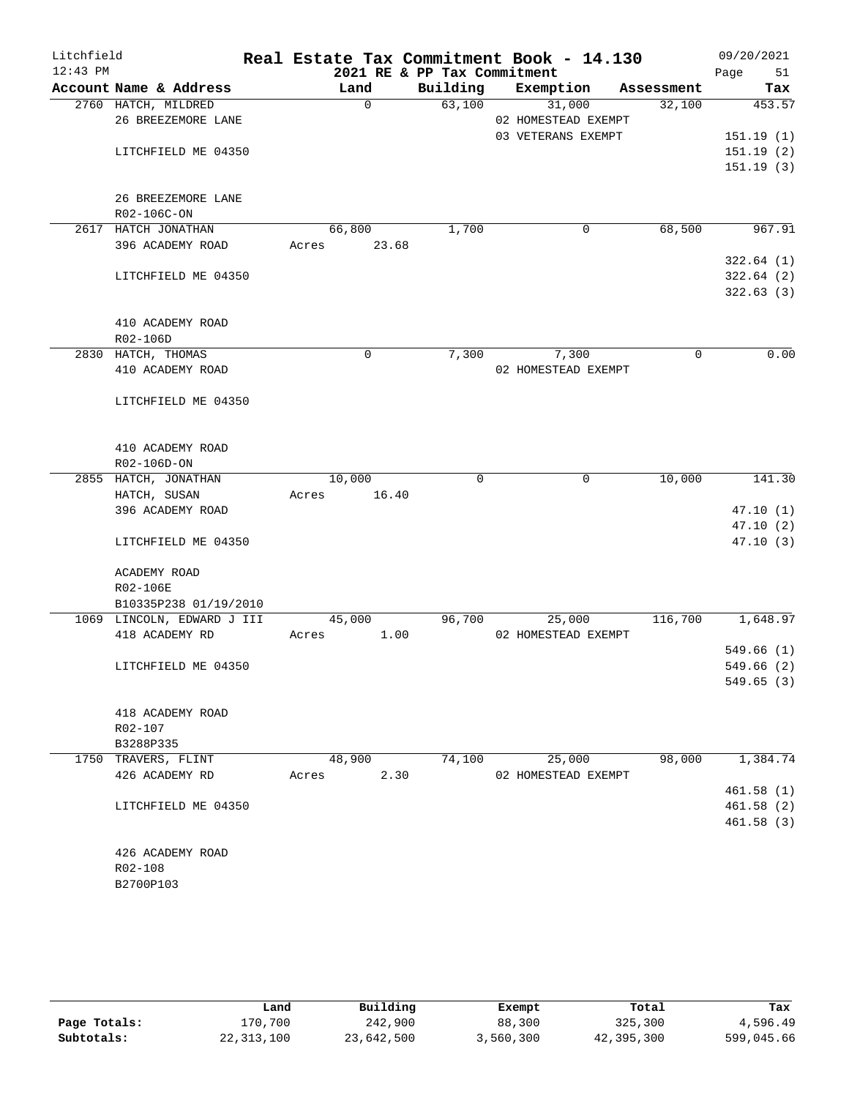| Litchfield |                                     | Real Estate Tax Commitment Book - 14.130 |                             |                     |            | 09/20/2021 |
|------------|-------------------------------------|------------------------------------------|-----------------------------|---------------------|------------|------------|
| $12:43$ PM |                                     |                                          | 2021 RE & PP Tax Commitment |                     |            | Page<br>51 |
|            | Account Name & Address              | Land                                     | Building                    | Exemption           | Assessment | Tax        |
|            | 2760 HATCH, MILDRED                 | $\Omega$                                 | 63,100                      | 31,000              | 32,100     | 453.57     |
|            | 26 BREEZEMORE LANE                  |                                          |                             | 02 HOMESTEAD EXEMPT |            |            |
|            |                                     |                                          |                             | 03 VETERANS EXEMPT  |            | 151.19(1)  |
|            | LITCHFIELD ME 04350                 |                                          |                             |                     |            | 151.19(2)  |
|            |                                     |                                          |                             |                     |            | 151.19(3)  |
|            |                                     |                                          |                             |                     |            |            |
|            | 26 BREEZEMORE LANE                  |                                          |                             |                     |            |            |
|            | R02-106C-ON                         |                                          |                             |                     |            |            |
|            | 2617 HATCH JONATHAN                 | 66,800                                   | 1,700                       | 0                   | 68,500     | 967.91     |
|            | 396 ACADEMY ROAD                    | 23.68<br>Acres                           |                             |                     |            |            |
|            |                                     |                                          |                             |                     |            | 322.64(1)  |
|            | LITCHFIELD ME 04350                 |                                          |                             |                     |            | 322.64(2)  |
|            |                                     |                                          |                             |                     |            | 322.63(3)  |
|            |                                     |                                          |                             |                     |            |            |
|            | 410 ACADEMY ROAD                    |                                          |                             |                     |            |            |
|            | R02-106D                            |                                          |                             |                     |            |            |
|            | 2830 HATCH, THOMAS                  | 0                                        | 7,300                       | 7,300               | $\Omega$   | 0.00       |
|            | 410 ACADEMY ROAD                    |                                          |                             | 02 HOMESTEAD EXEMPT |            |            |
|            |                                     |                                          |                             |                     |            |            |
|            | LITCHFIELD ME 04350                 |                                          |                             |                     |            |            |
|            |                                     |                                          |                             |                     |            |            |
|            | 410 ACADEMY ROAD                    |                                          |                             |                     |            |            |
|            |                                     |                                          |                             |                     |            |            |
|            | R02-106D-ON<br>2855 HATCH, JONATHAN | 10,000                                   | $\mathbf 0$                 | $\mathbf 0$         | 10,000     | 141.30     |
|            | HATCH, SUSAN                        | 16.40<br>Acres                           |                             |                     |            |            |
|            | 396 ACADEMY ROAD                    |                                          |                             |                     |            | 47.10(1)   |
|            |                                     |                                          |                             |                     |            | 47.10(2)   |
|            | LITCHFIELD ME 04350                 |                                          |                             |                     |            | 47.10(3)   |
|            |                                     |                                          |                             |                     |            |            |
|            | ACADEMY ROAD                        |                                          |                             |                     |            |            |
|            | R02-106E                            |                                          |                             |                     |            |            |
|            | B10335P238 01/19/2010               |                                          |                             |                     |            |            |
|            | 1069 LINCOLN, EDWARD J III          | 45,000                                   | 96,700                      | 25,000              | 116,700    | 1,648.97   |
|            | 418 ACADEMY RD                      | 1.00<br>Acres                            |                             | 02 HOMESTEAD EXEMPT |            |            |
|            |                                     |                                          |                             |                     |            | 549.66(1)  |
|            | LITCHFIELD ME 04350                 |                                          |                             |                     |            | 549.66 (2) |
|            |                                     |                                          |                             |                     |            | 549.65(3)  |
|            |                                     |                                          |                             |                     |            |            |
|            | 418 ACADEMY ROAD                    |                                          |                             |                     |            |            |
|            | R02-107                             |                                          |                             |                     |            |            |
|            | B3288P335                           |                                          |                             |                     |            |            |
|            | 1750 TRAVERS, FLINT                 | 48,900                                   | 74,100                      | 25,000              | 98,000     | 1,384.74   |
|            | 426 ACADEMY RD                      | 2.30<br>Acres                            |                             | 02 HOMESTEAD EXEMPT |            |            |
|            |                                     |                                          |                             |                     |            | 461.58(1)  |
|            | LITCHFIELD ME 04350                 |                                          |                             |                     |            | 461.58 (2) |
|            |                                     |                                          |                             |                     |            | 461.58(3)  |
|            |                                     |                                          |                             |                     |            |            |
|            | 426 ACADEMY ROAD                    |                                          |                             |                     |            |            |
|            | R02-108                             |                                          |                             |                     |            |            |
|            | B2700P103                           |                                          |                             |                     |            |            |
|            |                                     |                                          |                             |                     |            |            |

|              | Land         | Building   | Exempt    | Total      | Tax        |
|--------------|--------------|------------|-----------|------------|------------|
| Page Totals: | 170,700      | 242,900    | 88,300    | 325,300    | 4,596.49   |
| Subtotals:   | 22, 313, 100 | 23,642,500 | 3,560,300 | 42,395,300 | 599,045.66 |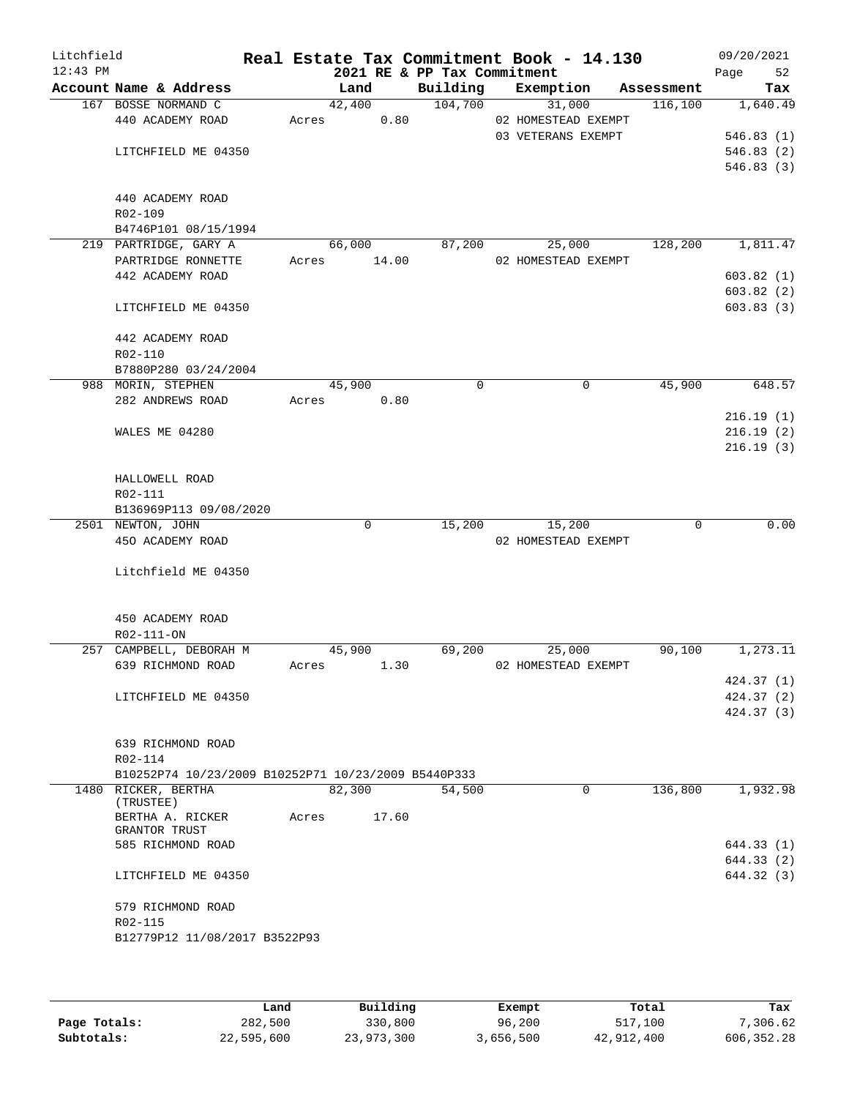| Litchfield<br>$12:43$ PM |                                                     |       |             | 2021 RE & PP Tax Commitment | Real Estate Tax Commitment Book - 14.130 |            | 09/20/2021<br>Page<br>52 |
|--------------------------|-----------------------------------------------------|-------|-------------|-----------------------------|------------------------------------------|------------|--------------------------|
|                          | Account Name & Address                              |       | Land        | Building                    | Exemption                                | Assessment | Tax                      |
|                          | 167 BOSSE NORMAND C                                 |       | 42,400      | 104,700                     | 31,000                                   | 116,100    | 1,640.49                 |
|                          | 440 ACADEMY ROAD                                    | Acres | 0.80        |                             | 02 HOMESTEAD EXEMPT                      |            |                          |
|                          |                                                     |       |             |                             | 03 VETERANS EXEMPT                       |            | 546.83(1)                |
|                          | LITCHFIELD ME 04350                                 |       |             |                             |                                          |            | 546.83(2)                |
|                          |                                                     |       |             |                             |                                          |            | 546.83(3)                |
|                          |                                                     |       |             |                             |                                          |            |                          |
|                          | 440 ACADEMY ROAD                                    |       |             |                             |                                          |            |                          |
|                          | R02-109                                             |       |             |                             |                                          |            |                          |
|                          | B4746P101 08/15/1994                                |       |             |                             |                                          |            |                          |
|                          | 219 PARTRIDGE, GARY A                               |       | 66,000      | 87,200                      | 25,000                                   | 128,200    | 1,811.47                 |
|                          | PARTRIDGE RONNETTE                                  | Acres | 14.00       |                             | 02 HOMESTEAD EXEMPT                      |            |                          |
|                          | 442 ACADEMY ROAD                                    |       |             |                             |                                          |            | 603.82(1)                |
|                          |                                                     |       |             |                             |                                          |            | 603.82(2)                |
|                          | LITCHFIELD ME 04350                                 |       |             |                             |                                          |            | 603.83(3)                |
|                          |                                                     |       |             |                             |                                          |            |                          |
|                          | 442 ACADEMY ROAD                                    |       |             |                             |                                          |            |                          |
|                          | R02-110                                             |       |             |                             |                                          |            |                          |
|                          | B7880P280 03/24/2004                                |       |             |                             |                                          |            |                          |
|                          | 988 MORIN, STEPHEN                                  |       | 45,900      | 0                           | 0                                        | 45,900     | 648.57                   |
|                          | 282 ANDREWS ROAD                                    | Acres | 0.80        |                             |                                          |            |                          |
|                          |                                                     |       |             |                             |                                          |            | 216.19(1)                |
|                          | WALES ME 04280                                      |       |             |                             |                                          |            | 216.19(2)                |
|                          |                                                     |       |             |                             |                                          |            | 216.19(3)                |
|                          |                                                     |       |             |                             |                                          |            |                          |
|                          | HALLOWELL ROAD                                      |       |             |                             |                                          |            |                          |
|                          | R02-111                                             |       |             |                             |                                          |            |                          |
|                          | B136969P113 09/08/2020                              |       |             |                             |                                          |            |                          |
|                          | 2501 NEWTON, JOHN                                   |       | $\mathbf 0$ | 15,200                      | 15,200                                   | 0          | 0.00                     |
|                          | 450 ACADEMY ROAD                                    |       |             |                             | 02 HOMESTEAD EXEMPT                      |            |                          |
|                          |                                                     |       |             |                             |                                          |            |                          |
|                          | Litchfield ME 04350                                 |       |             |                             |                                          |            |                          |
|                          |                                                     |       |             |                             |                                          |            |                          |
|                          |                                                     |       |             |                             |                                          |            |                          |
|                          | 450 ACADEMY ROAD                                    |       |             |                             |                                          |            |                          |
|                          | R02-111-ON                                          |       |             |                             |                                          |            |                          |
|                          | 257 CAMPBELL, DEBORAH M                             |       | 45,900      | 69,200                      | 25,000                                   | 90,100     | 1,273.11                 |
|                          | 639 RICHMOND ROAD                                   | Acres | 1.30        |                             | 02 HOMESTEAD EXEMPT                      |            |                          |
|                          |                                                     |       |             |                             |                                          |            |                          |
|                          |                                                     |       |             |                             |                                          |            | 424.37(1)                |
|                          | LITCHFIELD ME 04350                                 |       |             |                             |                                          |            | 424.37(2)                |
|                          |                                                     |       |             |                             |                                          |            | 424.37(3)                |
|                          |                                                     |       |             |                             |                                          |            |                          |
|                          | 639 RICHMOND ROAD                                   |       |             |                             |                                          |            |                          |
|                          | R02-114                                             |       |             |                             |                                          |            |                          |
|                          | B10252P74 10/23/2009 B10252P71 10/23/2009 B5440P333 |       |             |                             |                                          |            |                          |
|                          | 1480 RICKER, BERTHA                                 |       | 82,300      | 54,500                      | $\mathbf 0$                              | 136,800    | 1,932.98                 |
|                          | (TRUSTEE)                                           |       |             |                             |                                          |            |                          |
|                          | BERTHA A. RICKER<br>GRANTOR TRUST                   | Acres | 17.60       |                             |                                          |            |                          |
|                          | 585 RICHMOND ROAD                                   |       |             |                             |                                          |            |                          |
|                          |                                                     |       |             |                             |                                          |            | 644.33 (1)<br>644.33 (2) |
|                          |                                                     |       |             |                             |                                          |            |                          |
|                          | LITCHFIELD ME 04350                                 |       |             |                             |                                          |            | 644.32 (3)               |
|                          |                                                     |       |             |                             |                                          |            |                          |
|                          | 579 RICHMOND ROAD                                   |       |             |                             |                                          |            |                          |
|                          | R02-115                                             |       |             |                             |                                          |            |                          |
|                          | B12779P12 11/08/2017 B3522P93                       |       |             |                             |                                          |            |                          |
|                          |                                                     |       |             |                             |                                          |            |                          |
|                          |                                                     |       |             |                             |                                          |            |                          |

|              | Land       | Building   | Exempt    | Total      | Tax          |
|--------------|------------|------------|-----------|------------|--------------|
| Page Totals: | 282,500    | 330,800    | 96,200    | 517,100    | 7,306.62     |
| Subtotals:   | 22,595,600 | 23,973,300 | 3,656,500 | 42,912,400 | 606, 352, 28 |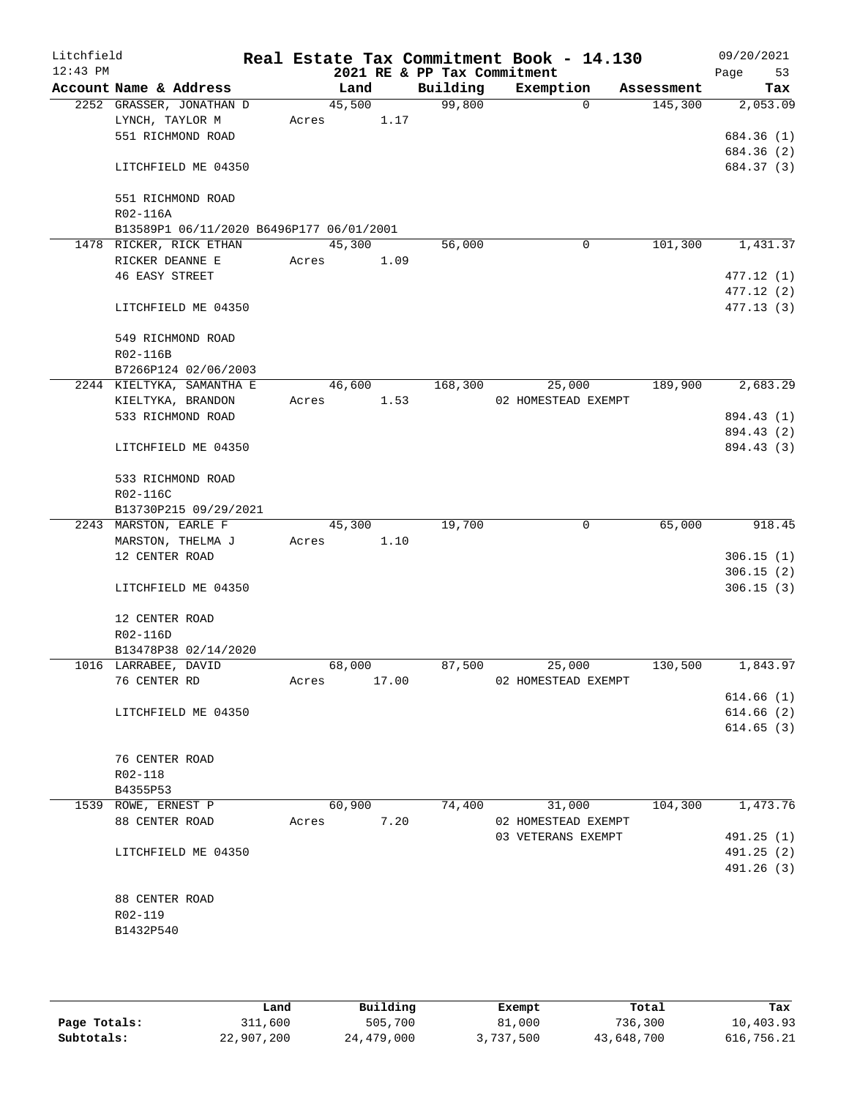| Litchfield<br>$12:43$ PM |                                          |        |       | 2021 RE & PP Tax Commitment | Real Estate Tax Commitment Book - 14.130  |            | 09/20/2021<br>Page<br>53 |
|--------------------------|------------------------------------------|--------|-------|-----------------------------|-------------------------------------------|------------|--------------------------|
|                          | Account Name & Address                   | Land   |       | Building                    | Exemption                                 | Assessment | Tax                      |
|                          | 2252 GRASSER, JONATHAN D                 | 45,500 |       | 99,800                      | $\Omega$                                  | 145,300    | 2,053.09                 |
|                          | LYNCH, TAYLOR M                          | Acres  | 1.17  |                             |                                           |            |                          |
|                          | 551 RICHMOND ROAD                        |        |       |                             |                                           |            | 684.36 (1)               |
|                          |                                          |        |       |                             |                                           |            | 684.36 (2)               |
|                          | LITCHFIELD ME 04350                      |        |       |                             |                                           |            | 684.37 (3)               |
|                          | 551 RICHMOND ROAD                        |        |       |                             |                                           |            |                          |
|                          | R02-116A                                 |        |       |                             |                                           |            |                          |
|                          | B13589P1 06/11/2020 B6496P177 06/01/2001 |        |       |                             |                                           |            |                          |
|                          | 1478 RICKER, RICK ETHAN                  | 45,300 |       | 56,000                      | 0                                         | 101,300    | 1,431.37                 |
|                          | RICKER DEANNE E                          | Acres  | 1.09  |                             |                                           |            |                          |
|                          | <b>46 EASY STREET</b>                    |        |       |                             |                                           |            | 477.12(1)                |
|                          |                                          |        |       |                             |                                           |            | 477.12(2)                |
|                          | LITCHFIELD ME 04350                      |        |       |                             |                                           |            | 477.13(3)                |
|                          |                                          |        |       |                             |                                           |            |                          |
|                          | 549 RICHMOND ROAD                        |        |       |                             |                                           |            |                          |
|                          | R02-116B                                 |        |       |                             |                                           |            |                          |
|                          | B7266P124 02/06/2003                     |        |       |                             |                                           |            |                          |
|                          | 2244 KIELTYKA, SAMANTHA E                | 46,600 |       | 168,300                     | 25,000                                    | 189,900    | 2,683.29                 |
|                          | KIELTYKA, BRANDON                        | Acres  | 1.53  |                             | 02 HOMESTEAD EXEMPT                       |            |                          |
|                          | 533 RICHMOND ROAD                        |        |       |                             |                                           |            | 894.43 (1)               |
|                          |                                          |        |       |                             |                                           |            | 894.43 (2)               |
|                          | LITCHFIELD ME 04350                      |        |       |                             |                                           |            | 894.43 (3)               |
|                          | 533 RICHMOND ROAD                        |        |       |                             |                                           |            |                          |
|                          | R02-116C                                 |        |       |                             |                                           |            |                          |
|                          | B13730P215 09/29/2021                    |        |       |                             |                                           |            |                          |
|                          | 2243 MARSTON, EARLE F                    | 45,300 |       | 19,700                      | 0                                         | 65,000     | 918.45                   |
|                          | MARSTON, THELMA J                        | Acres  | 1.10  |                             |                                           |            |                          |
|                          | 12 CENTER ROAD                           |        |       |                             |                                           |            | 306.15(1)                |
|                          |                                          |        |       |                             |                                           |            | 306.15(2)                |
|                          | LITCHFIELD ME 04350                      |        |       |                             |                                           |            | 306.15(3)                |
|                          | 12 CENTER ROAD                           |        |       |                             |                                           |            |                          |
|                          | R02-116D                                 |        |       |                             |                                           |            |                          |
|                          | B13478P38 02/14/2020                     |        |       |                             |                                           |            |                          |
|                          | 1016 LARRABEE, DAVID                     | 68,000 |       | 87,500                      | 25,000                                    | 130,500    | 1,843.97                 |
|                          | 76 CENTER RD                             | Acres  | 17.00 |                             | 02 HOMESTEAD EXEMPT                       |            |                          |
|                          |                                          |        |       |                             |                                           |            | 614.66(1)                |
|                          | LITCHFIELD ME 04350                      |        |       |                             |                                           |            | 614.66(2)                |
|                          |                                          |        |       |                             |                                           |            | 614.65(3)                |
|                          |                                          |        |       |                             |                                           |            |                          |
|                          | 76 CENTER ROAD                           |        |       |                             |                                           |            |                          |
|                          | R02-118                                  |        |       |                             |                                           |            |                          |
|                          | B4355P53                                 |        |       |                             |                                           |            |                          |
|                          | 1539 ROWE, ERNEST P                      | 60,900 |       | 74,400                      | 31,000                                    | 104,300    | 1,473.76                 |
|                          | 88 CENTER ROAD                           | Acres  | 7.20  |                             | 02 HOMESTEAD EXEMPT<br>03 VETERANS EXEMPT |            | 491.25(1)                |
|                          | LITCHFIELD ME 04350                      |        |       |                             |                                           |            | 491.25 (2)               |
|                          |                                          |        |       |                             |                                           |            | 491.26 (3)               |
|                          |                                          |        |       |                             |                                           |            |                          |
|                          | 88 CENTER ROAD                           |        |       |                             |                                           |            |                          |
|                          | R02-119                                  |        |       |                             |                                           |            |                          |
|                          | B1432P540                                |        |       |                             |                                           |            |                          |
|                          |                                          |        |       |                             |                                           |            |                          |
|                          |                                          |        |       |                             |                                           |            |                          |

|              | Land       | Building   | Exempt    | Total      | Tax        |
|--------------|------------|------------|-----------|------------|------------|
| Page Totals: | 311,600    | 505,700    | 81,000    | 736,300    | 10,403.93  |
| Subtotals:   | 22,907,200 | 24,479,000 | 3,737,500 | 43,648,700 | 616,756.21 |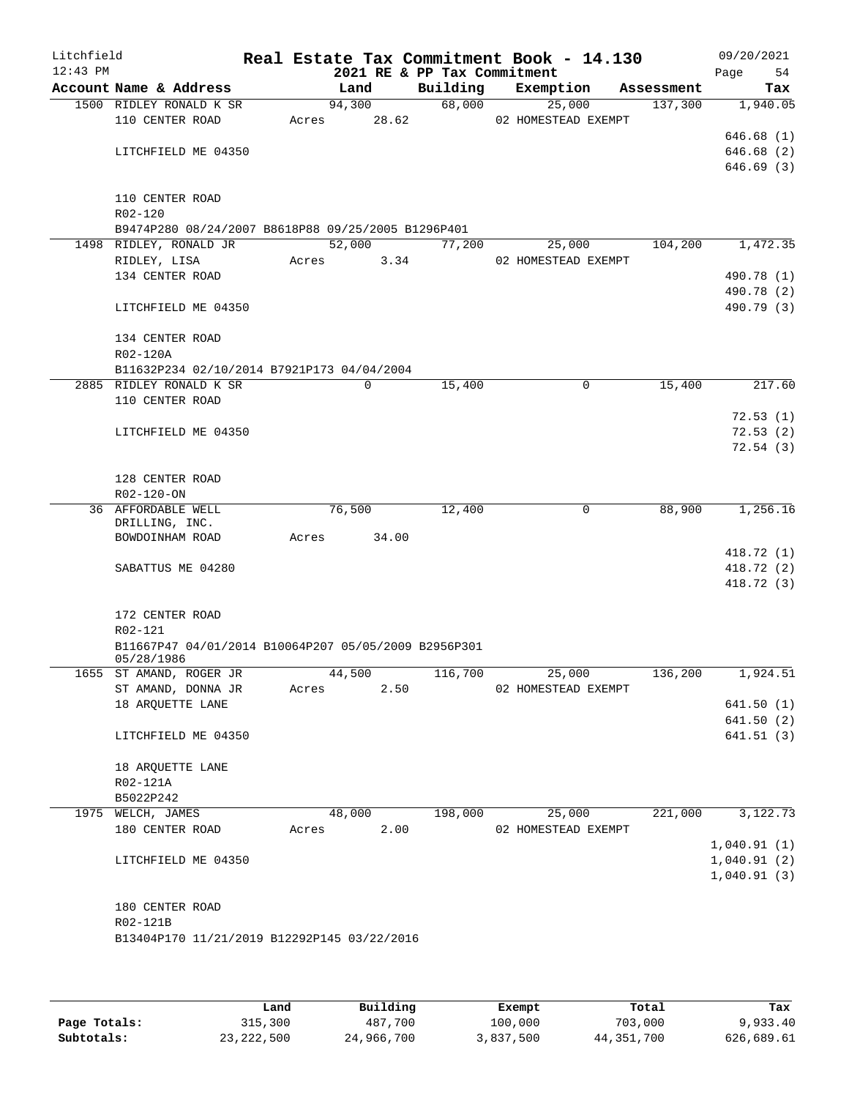| Litchfield<br>$12:43$ PM |                                                      |       |               | 2021 RE & PP Tax Commitment | Real Estate Tax Commitment Book - 14.130 |            | 09/20/2021<br>54<br>Page |
|--------------------------|------------------------------------------------------|-------|---------------|-----------------------------|------------------------------------------|------------|--------------------------|
|                          | Account Name & Address                               |       | Land          | Building                    | Exemption                                | Assessment | Tax                      |
|                          | 1500 RIDLEY RONALD K SR                              |       | 94,300        | 68,000                      | 25,000                                   | 137,300    | 1,940.05                 |
|                          | 110 CENTER ROAD                                      |       | Acres 28.62   |                             | 02 HOMESTEAD EXEMPT                      |            |                          |
|                          |                                                      |       |               |                             |                                          |            | 646.68(1)                |
|                          | LITCHFIELD ME 04350                                  |       |               |                             |                                          |            | 646.68(2)                |
|                          |                                                      |       |               |                             |                                          |            | 646.69(3)                |
|                          |                                                      |       |               |                             |                                          |            |                          |
|                          | 110 CENTER ROAD                                      |       |               |                             |                                          |            |                          |
|                          | R02-120                                              |       |               |                             |                                          |            |                          |
|                          | B9474P280 08/24/2007 B8618P88 09/25/2005 B1296P401   |       |               |                             |                                          |            |                          |
|                          | 1498 RIDLEY, RONALD JR                               |       | 52,000        | 77,200                      | 25,000                                   | 104,200    | 1,472.35                 |
|                          | RIDLEY, LISA                                         |       | Acres 3.34    |                             | 02 HOMESTEAD EXEMPT                      |            |                          |
|                          | 134 CENTER ROAD                                      |       |               |                             |                                          |            | 490.78 (1)               |
|                          |                                                      |       |               |                             |                                          |            | 490.78 (2)               |
|                          | LITCHFIELD ME 04350                                  |       |               |                             |                                          |            | 490.79 (3)               |
|                          | 134 CENTER ROAD                                      |       |               |                             |                                          |            |                          |
|                          | R02-120A                                             |       |               |                             |                                          |            |                          |
|                          | B11632P234 02/10/2014 B7921P173 04/04/2004           |       |               |                             |                                          |            |                          |
|                          | 2885 RIDLEY RONALD K SR                              |       | 0             | 15,400                      | 0                                        | 15,400     | 217.60                   |
|                          | 110 CENTER ROAD                                      |       |               |                             |                                          |            |                          |
|                          |                                                      |       |               |                             |                                          |            | 72.53(1)                 |
|                          | LITCHFIELD ME 04350                                  |       |               |                             |                                          |            | 72.53(2)                 |
|                          |                                                      |       |               |                             |                                          |            | 72.54(3)                 |
|                          |                                                      |       |               |                             |                                          |            |                          |
|                          | 128 CENTER ROAD                                      |       |               |                             |                                          |            |                          |
|                          | R02-120-ON                                           |       |               |                             |                                          |            |                          |
|                          | 36 AFFORDABLE WELL                                   |       | 76,500        | 12,400                      | 0                                        | 88,900     | 1,256.16                 |
|                          | DRILLING, INC.                                       |       | 34.00         |                             |                                          |            |                          |
|                          | BOWDOINHAM ROAD                                      | Acres |               |                             |                                          |            | 418.72(1)                |
|                          | SABATTUS ME 04280                                    |       |               |                             |                                          |            | 418.72 (2)               |
|                          |                                                      |       |               |                             |                                          |            | 418.72 (3)               |
|                          |                                                      |       |               |                             |                                          |            |                          |
|                          | 172 CENTER ROAD                                      |       |               |                             |                                          |            |                          |
|                          | R02-121                                              |       |               |                             |                                          |            |                          |
|                          | B11667P47 04/01/2014 B10064P207 05/05/2009 B2956P301 |       |               |                             |                                          |            |                          |
|                          | 05/28/1986                                           |       |               |                             |                                          |            |                          |
|                          | 1655 ST AMAND, ROGER JR                              |       | 44,500        |                             | 116,700<br>25,000                        | 136,200    | 1,924.51                 |
|                          | ST AMAND, DONNA JR                                   | Acres | 2.50          |                             | 02 HOMESTEAD EXEMPT                      |            |                          |
|                          | 18 ARQUETTE LANE                                     |       |               |                             |                                          |            | 641.50(1)                |
|                          |                                                      |       |               |                             |                                          |            | 641.50(2)                |
|                          | LITCHFIELD ME 04350                                  |       |               |                             |                                          |            | 641.51(3)                |
|                          | 18 ARQUETTE LANE                                     |       |               |                             |                                          |            |                          |
|                          | R02-121A                                             |       |               |                             |                                          |            |                          |
|                          | B5022P242                                            |       |               |                             |                                          |            |                          |
|                          | 1975 WELCH, JAMES                                    |       | 48,000        | 198,000                     | 25,000                                   | 221,000    | 3,122.73                 |
|                          | 180 CENTER ROAD                                      |       | 2.00<br>Acres |                             | 02 HOMESTEAD EXEMPT                      |            |                          |
|                          |                                                      |       |               |                             |                                          |            | 1,040.91(1)              |
|                          | LITCHFIELD ME 04350                                  |       |               |                             |                                          |            | 1,040.91(2)              |
|                          |                                                      |       |               |                             |                                          |            | 1,040.91(3)              |
|                          |                                                      |       |               |                             |                                          |            |                          |
|                          | 180 CENTER ROAD                                      |       |               |                             |                                          |            |                          |
|                          | R02-121B                                             |       |               |                             |                                          |            |                          |
|                          | B13404P170 11/21/2019 B12292P145 03/22/2016          |       |               |                             |                                          |            |                          |
|                          |                                                      |       |               |                             |                                          |            |                          |
|                          |                                                      |       |               |                             |                                          |            |                          |

|              | Land         | Building   | Exempt    | Total        | Tax        |
|--------------|--------------|------------|-----------|--------------|------------|
| Page Totals: | 315,300      | 487,700    | 100,000   | 703,000      | 9,933.40   |
| Subtotals:   | 23, 222, 500 | 24,966,700 | 3,837,500 | 44, 351, 700 | 626,689.61 |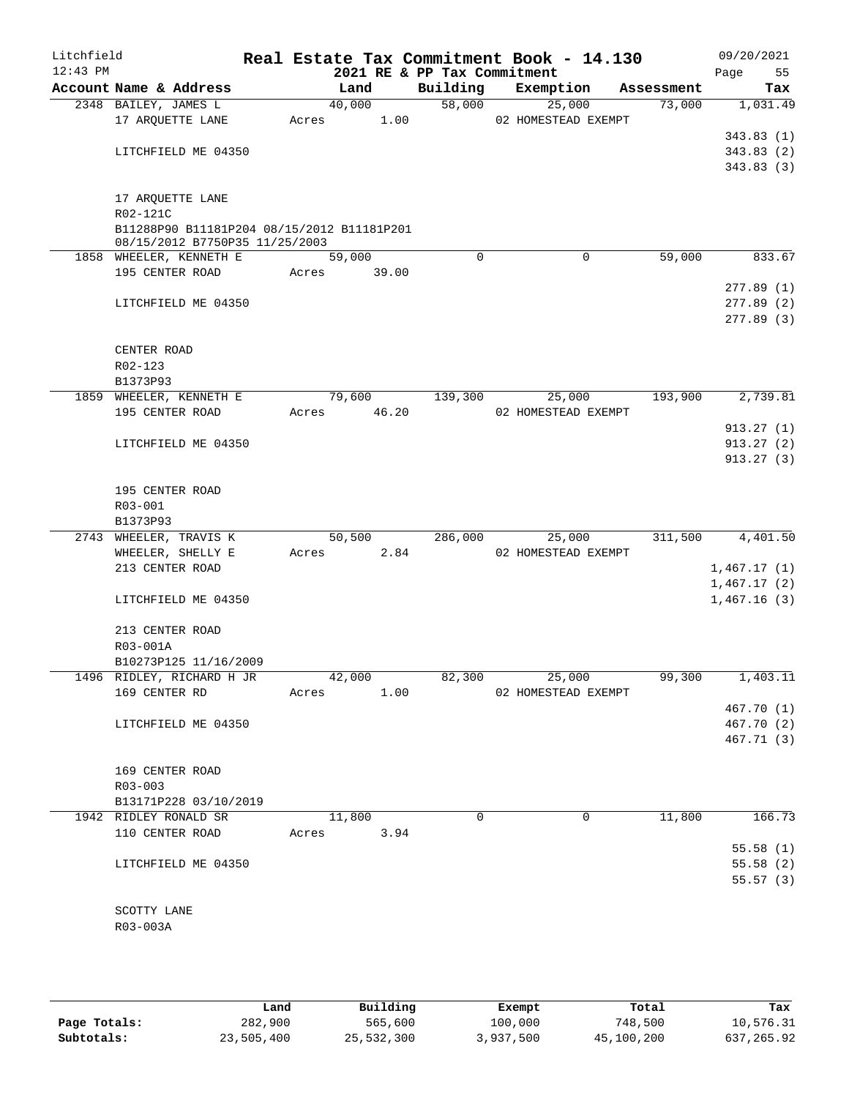| Litchfield<br>$12:43$ PM |                                                                              |       | Real Estate Tax Commitment Book - 14.130 | 2021 RE & PP Tax Commitment |        |                     |            | 09/20/2021<br>Page<br>55 |
|--------------------------|------------------------------------------------------------------------------|-------|------------------------------------------|-----------------------------|--------|---------------------|------------|--------------------------|
|                          | Account Name & Address                                                       |       | Land                                     | Building                    |        | Exemption           | Assessment | Tax                      |
|                          | 2348 BAILEY, JAMES L                                                         |       | 40,000                                   | 58,000                      |        | 25,000              | 73,000     | 1,031.49                 |
|                          | 17 ARQUETTE LANE                                                             | Acres | 1.00                                     |                             |        | 02 HOMESTEAD EXEMPT |            |                          |
|                          |                                                                              |       |                                          |                             |        |                     |            | 343.83(1)                |
|                          | LITCHFIELD ME 04350                                                          |       |                                          |                             |        |                     |            | 343.83(2)                |
|                          |                                                                              |       |                                          |                             |        |                     |            | 343.83(3)                |
|                          |                                                                              |       |                                          |                             |        |                     |            |                          |
|                          | 17 ARQUETTE LANE                                                             |       |                                          |                             |        |                     |            |                          |
|                          | R02-121C                                                                     |       |                                          |                             |        |                     |            |                          |
|                          | B11288P90 B11181P204 08/15/2012 B11181P201<br>08/15/2012 B7750P35 11/25/2003 |       |                                          |                             |        |                     |            |                          |
|                          | 1858 WHEELER, KENNETH E                                                      |       | 59,000                                   | $\Omega$                    |        | $\Omega$            | 59,000     | 833.67                   |
|                          | 195 CENTER ROAD                                                              | Acres | 39.00                                    |                             |        |                     |            |                          |
|                          |                                                                              |       |                                          |                             |        |                     |            | 277.89(1)                |
|                          | LITCHFIELD ME 04350                                                          |       |                                          |                             |        |                     |            | 277.89(2)                |
|                          |                                                                              |       |                                          |                             |        |                     |            | 277.89(3)                |
|                          |                                                                              |       |                                          |                             |        |                     |            |                          |
|                          | CENTER ROAD                                                                  |       |                                          |                             |        |                     |            |                          |
|                          | R02-123                                                                      |       |                                          |                             |        |                     |            |                          |
|                          | B1373P93                                                                     |       |                                          |                             |        |                     |            |                          |
|                          | 1859 WHEELER, KENNETH E                                                      |       | 79,600                                   | 139,300                     |        | 25,000              | 193,900    | 2,739.81                 |
|                          | 195 CENTER ROAD                                                              | Acres | 46.20                                    |                             |        | 02 HOMESTEAD EXEMPT |            |                          |
|                          |                                                                              |       |                                          |                             |        |                     |            | 913.27(1)                |
|                          | LITCHFIELD ME 04350                                                          |       |                                          |                             |        |                     |            | 913.27(2)                |
|                          |                                                                              |       |                                          |                             |        |                     |            | 913.27(3)                |
|                          |                                                                              |       |                                          |                             |        |                     |            |                          |
|                          | 195 CENTER ROAD                                                              |       |                                          |                             |        |                     |            |                          |
|                          | R03-001                                                                      |       |                                          |                             |        |                     |            |                          |
|                          | B1373P93                                                                     |       |                                          |                             |        |                     |            |                          |
|                          | 2743 WHEELER, TRAVIS K                                                       |       | 50,500                                   | 286,000                     |        | 25,000              | 311,500    | 4,401.50                 |
|                          | WHEELER, SHELLY E                                                            | Acres | 2.84                                     |                             |        | 02 HOMESTEAD EXEMPT |            |                          |
|                          | 213 CENTER ROAD                                                              |       |                                          |                             |        |                     |            | 1,467.17(1)              |
|                          | LITCHFIELD ME 04350                                                          |       |                                          |                             |        |                     |            | 1,467.17(2)              |
|                          |                                                                              |       |                                          |                             |        |                     |            | 1,467.16(3)              |
|                          | 213 CENTER ROAD                                                              |       |                                          |                             |        |                     |            |                          |
|                          | R03-001A                                                                     |       |                                          |                             |        |                     |            |                          |
|                          | B10273P125 11/16/2009                                                        |       |                                          |                             |        |                     |            |                          |
|                          | 1496 RIDLEY, RICHARD H JR                                                    |       | 42,000                                   |                             | 82,300 | 25,000              | 99,300     | 1,403.11                 |
|                          | 169 CENTER RD                                                                |       | Acres<br>1.00                            |                             |        | 02 HOMESTEAD EXEMPT |            |                          |
|                          |                                                                              |       |                                          |                             |        |                     |            | 467.70 (1)               |
|                          | LITCHFIELD ME 04350                                                          |       |                                          |                             |        |                     |            | 467.70 (2)               |
|                          |                                                                              |       |                                          |                             |        |                     |            | 467.71 (3)               |
|                          |                                                                              |       |                                          |                             |        |                     |            |                          |
|                          | 169 CENTER ROAD                                                              |       |                                          |                             |        |                     |            |                          |
|                          | R03-003                                                                      |       |                                          |                             |        |                     |            |                          |
|                          | B13171P228 03/10/2019                                                        |       |                                          |                             |        |                     |            |                          |
|                          | 1942 RIDLEY RONALD SR                                                        |       | 11,800                                   | $\Omega$                    |        | $\Omega$            | 11,800     | 166.73                   |
|                          | 110 CENTER ROAD                                                              |       | Acres<br>3.94                            |                             |        |                     |            |                          |
|                          |                                                                              |       |                                          |                             |        |                     |            | 55.58(1)                 |
|                          | LITCHFIELD ME 04350                                                          |       |                                          |                             |        |                     |            | 55.58(2)                 |
|                          |                                                                              |       |                                          |                             |        |                     |            | 55.57(3)                 |
|                          |                                                                              |       |                                          |                             |        |                     |            |                          |
|                          | SCOTTY LANE                                                                  |       |                                          |                             |        |                     |            |                          |
|                          | R03-003A                                                                     |       |                                          |                             |        |                     |            |                          |
|                          |                                                                              |       |                                          |                             |        |                     |            |                          |
|                          |                                                                              |       |                                          |                             |        |                     |            |                          |

|              | Land       | Building   | Exempt    | Total      | Tax        |
|--------------|------------|------------|-----------|------------|------------|
| Page Totals: | 282,900    | 565,600    | 100,000   | 748,500    | 10,576.31  |
| Subtotals:   | 23,505,400 | 25,532,300 | 3,937,500 | 45,100,200 | 637,265.92 |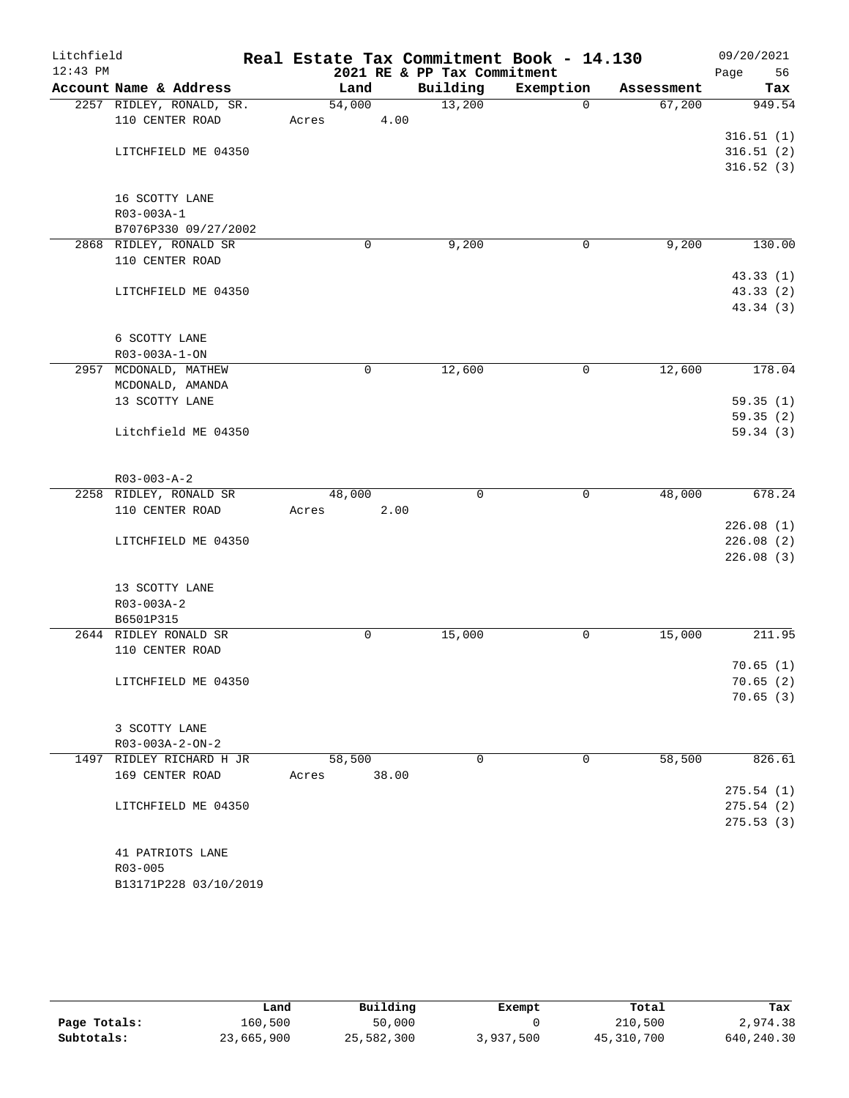| Litchfield<br>$12:43$ PM |                                             | Real Estate Tax Commitment Book - 14.130 |                             |                       |            | 09/20/2021    |
|--------------------------|---------------------------------------------|------------------------------------------|-----------------------------|-----------------------|------------|---------------|
|                          | Account Name & Address                      |                                          | 2021 RE & PP Tax Commitment |                       |            | 56<br>Page    |
|                          |                                             | Land                                     | Building<br>13,200          | Exemption<br>$\Omega$ | Assessment | Tax<br>949.54 |
|                          | 2257 RIDLEY, RONALD, SR.<br>110 CENTER ROAD | 54,000<br>Acres                          | 4.00                        |                       | 67,200     |               |
|                          |                                             |                                          |                             |                       |            | 316.51(1)     |
|                          | LITCHFIELD ME 04350                         |                                          |                             |                       |            | 316.51(2)     |
|                          |                                             |                                          |                             |                       |            | 316.52(3)     |
|                          |                                             |                                          |                             |                       |            |               |
|                          | 16 SCOTTY LANE                              |                                          |                             |                       |            |               |
|                          | R03-003A-1                                  |                                          |                             |                       |            |               |
|                          | B7076P330 09/27/2002                        |                                          |                             |                       |            |               |
|                          | 2868 RIDLEY, RONALD SR                      | 0                                        | 9,200                       | 0                     | 9,200      | 130.00        |
|                          | 110 CENTER ROAD                             |                                          |                             |                       |            |               |
|                          |                                             |                                          |                             |                       |            | 43.33(1)      |
|                          | LITCHFIELD ME 04350                         |                                          |                             |                       |            | 43.33(2)      |
|                          |                                             |                                          |                             |                       |            | 43.34 (3)     |
|                          |                                             |                                          |                             |                       |            |               |
|                          | 6 SCOTTY LANE                               |                                          |                             |                       |            |               |
|                          | R03-003A-1-ON                               |                                          |                             |                       |            |               |
|                          | 2957 MCDONALD, MATHEW                       | 0                                        | 12,600                      | 0                     | 12,600     | 178.04        |
|                          | MCDONALD, AMANDA                            |                                          |                             |                       |            |               |
|                          | 13 SCOTTY LANE                              |                                          |                             |                       |            | 59.35(1)      |
|                          |                                             |                                          |                             |                       |            | 59.35(2)      |
|                          | Litchfield ME 04350                         |                                          |                             |                       |            | 59.34(3)      |
|                          |                                             |                                          |                             |                       |            |               |
|                          | $R03 - 003 - A - 2$                         |                                          |                             |                       |            |               |
|                          | 2258 RIDLEY, RONALD SR                      | 48,000                                   | $\mathbf 0$                 | 0                     | 48,000     | 678.24        |
|                          | 110 CENTER ROAD                             | Acres                                    | 2.00                        |                       |            |               |
|                          |                                             |                                          |                             |                       |            | 226.08(1)     |
|                          | LITCHFIELD ME 04350                         |                                          |                             |                       |            | 226.08(2)     |
|                          |                                             |                                          |                             |                       |            | 226.08(3)     |
|                          |                                             |                                          |                             |                       |            |               |
|                          | 13 SCOTTY LANE                              |                                          |                             |                       |            |               |
|                          | $R03 - 003A - 2$                            |                                          |                             |                       |            |               |
|                          | B6501P315                                   |                                          |                             |                       |            |               |
|                          | 2644 RIDLEY RONALD SR                       | 0                                        | 15,000                      | 0                     | 15,000     | 211.95        |
|                          | 110 CENTER ROAD                             |                                          |                             |                       |            | 70.65(1)      |
|                          | LITCHFIELD ME 04350                         |                                          |                             |                       |            | 70.65(2)      |
|                          |                                             |                                          |                             |                       |            | 70.65(3)      |
|                          |                                             |                                          |                             |                       |            |               |
|                          | 3 SCOTTY LANE                               |                                          |                             |                       |            |               |
|                          | $R03 - 003A - 2 - ON - 2$                   |                                          |                             |                       |            |               |
|                          | 1497 RIDLEY RICHARD H JR                    | 58,500                                   | 0                           | 0                     | 58,500     | 826.61        |
|                          | 169 CENTER ROAD                             | 38.00<br>Acres                           |                             |                       |            |               |
|                          |                                             |                                          |                             |                       |            | 275.54(1)     |
|                          | LITCHFIELD ME 04350                         |                                          |                             |                       |            | 275.54(2)     |
|                          |                                             |                                          |                             |                       |            | 275.53(3)     |
|                          |                                             |                                          |                             |                       |            |               |
|                          | 41 PATRIOTS LANE                            |                                          |                             |                       |            |               |
|                          | R03-005                                     |                                          |                             |                       |            |               |
|                          | B13171P228 03/10/2019                       |                                          |                             |                       |            |               |

|              | Land       | Building   | Exempt    | Total        | Tax        |
|--------------|------------|------------|-----------|--------------|------------|
| Page Totals: | 160,500    | 50,000     |           | 210,500      | 2,974.38   |
| Subtotals:   | 23,665,900 | 25,582,300 | 3,937,500 | 45, 310, 700 | 640,240.30 |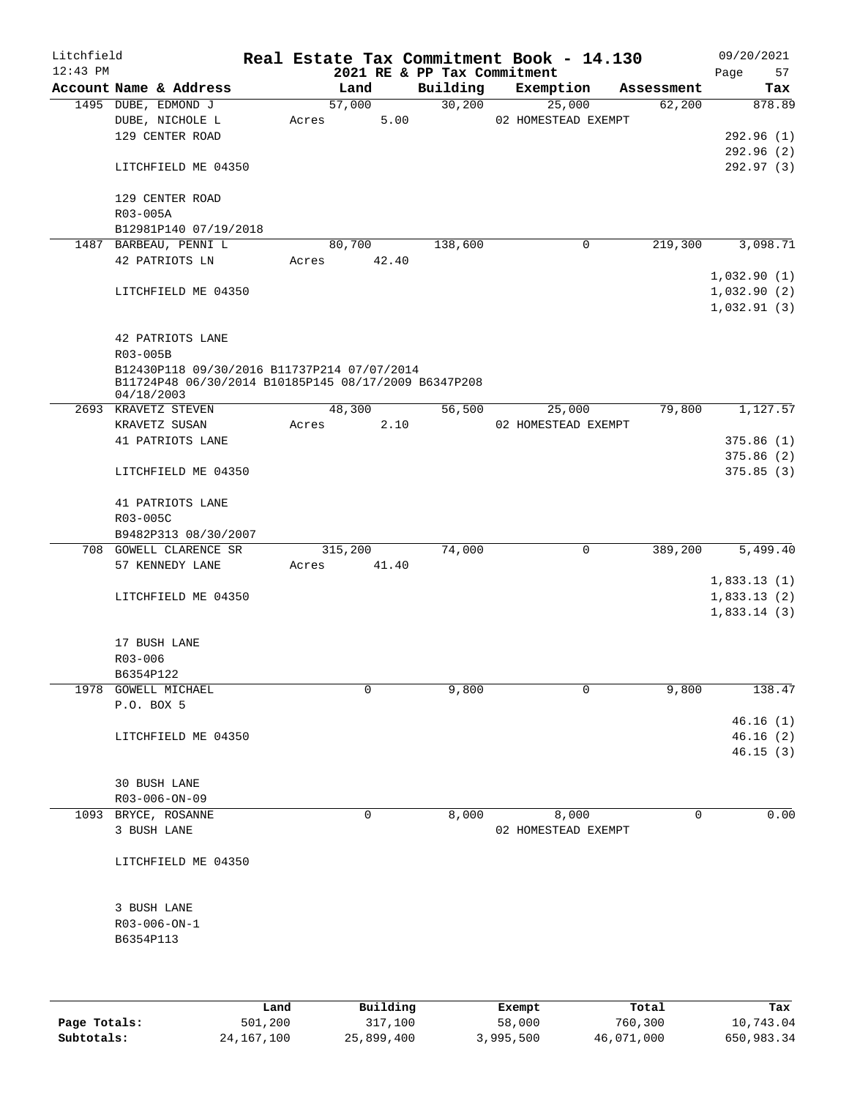| Litchfield |                                                                                                     |      |       |             |          |                             | Real Estate Tax Commitment Book - 14.130 |             |            | 09/20/2021  |      |
|------------|-----------------------------------------------------------------------------------------------------|------|-------|-------------|----------|-----------------------------|------------------------------------------|-------------|------------|-------------|------|
| $12:43$ PM |                                                                                                     |      |       |             |          | 2021 RE & PP Tax Commitment |                                          |             |            | Page        | 57   |
|            | Account Name & Address                                                                              |      |       | Land        |          | Building                    | Exemption                                |             | Assessment |             | Tax  |
|            | 1495 DUBE, EDMOND J                                                                                 |      |       | 57,000      | 5.00     | 30,200                      | 25,000                                   |             | 62,200     | 878.89      |      |
|            | DUBE, NICHOLE L<br>129 CENTER ROAD                                                                  |      | Acres |             |          |                             | 02 HOMESTEAD EXEMPT                      |             |            | 292.96(1)   |      |
|            |                                                                                                     |      |       |             |          |                             |                                          |             |            | 292.96(2)   |      |
|            |                                                                                                     |      |       |             |          |                             |                                          |             |            |             |      |
|            | LITCHFIELD ME 04350                                                                                 |      |       |             |          |                             |                                          |             |            | 292.97 (3)  |      |
|            | 129 CENTER ROAD                                                                                     |      |       |             |          |                             |                                          |             |            |             |      |
|            | R03-005A                                                                                            |      |       |             |          |                             |                                          |             |            |             |      |
|            | B12981P140 07/19/2018                                                                               |      |       |             |          |                             |                                          |             |            |             |      |
|            | 1487 BARBEAU, PENNI L                                                                               |      |       | 80,700      |          | 138,600                     |                                          | 0           | 219,300    | 3,098.71    |      |
|            | 42 PATRIOTS LN                                                                                      |      |       | Acres 42.40 |          |                             |                                          |             |            |             |      |
|            |                                                                                                     |      |       |             |          |                             |                                          |             |            | 1,032.90(1) |      |
|            | LITCHFIELD ME 04350                                                                                 |      |       |             |          |                             |                                          |             |            | 1,032.90(2) |      |
|            |                                                                                                     |      |       |             |          |                             |                                          |             |            | 1,032.91(3) |      |
|            |                                                                                                     |      |       |             |          |                             |                                          |             |            |             |      |
|            | 42 PATRIOTS LANE                                                                                    |      |       |             |          |                             |                                          |             |            |             |      |
|            | R03-005B                                                                                            |      |       |             |          |                             |                                          |             |            |             |      |
|            | B12430P118 09/30/2016 B11737P214 07/07/2014<br>B11724P48 06/30/2014 B10185P145 08/17/2009 B6347P208 |      |       |             |          |                             |                                          |             |            |             |      |
|            | 04/18/2003                                                                                          |      |       |             |          |                             |                                          |             |            |             |      |
|            | 2693 KRAVETZ STEVEN                                                                                 |      |       | 48,300      |          | 56,500                      | 25,000                                   |             | 79,800     | 1,127.57    |      |
|            | KRAVETZ SUSAN                                                                                       |      | Acres |             | 2.10     |                             | 02 HOMESTEAD EXEMPT                      |             |            |             |      |
|            | 41 PATRIOTS LANE                                                                                    |      |       |             |          |                             |                                          |             |            | 375.86(1)   |      |
|            |                                                                                                     |      |       |             |          |                             |                                          |             |            | 375.86(2)   |      |
|            | LITCHFIELD ME 04350                                                                                 |      |       |             |          |                             |                                          |             |            | 375.85(3)   |      |
|            |                                                                                                     |      |       |             |          |                             |                                          |             |            |             |      |
|            | 41 PATRIOTS LANE                                                                                    |      |       |             |          |                             |                                          |             |            |             |      |
|            | R03-005C                                                                                            |      |       |             |          |                             |                                          |             |            |             |      |
|            | B9482P313 08/30/2007                                                                                |      |       |             |          |                             |                                          |             |            |             |      |
|            | 708 GOWELL CLARENCE SR                                                                              |      |       | 315,200     |          | 74,000                      |                                          | $\mathbf 0$ | 389,200    | 5,499.40    |      |
|            | 57 KENNEDY LANE                                                                                     |      | Acres |             | 41.40    |                             |                                          |             |            |             |      |
|            |                                                                                                     |      |       |             |          |                             |                                          |             |            | 1,833.13(1) |      |
|            | LITCHFIELD ME 04350                                                                                 |      |       |             |          |                             |                                          |             |            | 1,833.13(2) |      |
|            |                                                                                                     |      |       |             |          |                             |                                          |             |            | 1,833.14(3) |      |
|            |                                                                                                     |      |       |             |          |                             |                                          |             |            |             |      |
|            | 17 BUSH LANE                                                                                        |      |       |             |          |                             |                                          |             |            |             |      |
|            | R03-006                                                                                             |      |       |             |          |                             |                                          |             |            |             |      |
|            | B6354P122                                                                                           |      |       |             |          |                             |                                          |             |            |             |      |
|            | 1978 GOWELL MICHAEL                                                                                 |      |       | 0           |          | 9,800                       |                                          | 0           | 9,800      | 138.47      |      |
|            | P.O. BOX 5                                                                                          |      |       |             |          |                             |                                          |             |            |             |      |
|            |                                                                                                     |      |       |             |          |                             |                                          |             |            | 46.16(1)    |      |
|            | LITCHFIELD ME 04350                                                                                 |      |       |             |          |                             |                                          |             |            | 46.16(2)    |      |
|            |                                                                                                     |      |       |             |          |                             |                                          |             |            | 46.15(3)    |      |
|            |                                                                                                     |      |       |             |          |                             |                                          |             |            |             |      |
|            | 30 BUSH LANE                                                                                        |      |       |             |          |                             |                                          |             |            |             |      |
|            | R03-006-ON-09                                                                                       |      |       |             |          |                             |                                          |             |            |             |      |
|            | 1093 BRYCE, ROSANNE                                                                                 |      |       | $\mathbf 0$ |          | 8,000                       | 8,000                                    |             | 0          |             | 0.00 |
|            | 3 BUSH LANE                                                                                         |      |       |             |          |                             | 02 HOMESTEAD EXEMPT                      |             |            |             |      |
|            | LITCHFIELD ME 04350                                                                                 |      |       |             |          |                             |                                          |             |            |             |      |
|            |                                                                                                     |      |       |             |          |                             |                                          |             |            |             |      |
|            |                                                                                                     |      |       |             |          |                             |                                          |             |            |             |      |
|            | 3 BUSH LANE                                                                                         |      |       |             |          |                             |                                          |             |            |             |      |
|            | R03-006-ON-1                                                                                        |      |       |             |          |                             |                                          |             |            |             |      |
|            | B6354P113                                                                                           |      |       |             |          |                             |                                          |             |            |             |      |
|            |                                                                                                     |      |       |             |          |                             |                                          |             |            |             |      |
|            |                                                                                                     |      |       |             |          |                             |                                          |             |            |             |      |
|            |                                                                                                     |      |       |             |          |                             |                                          |             |            |             |      |
|            |                                                                                                     | Land |       |             | Building |                             | Exempt                                   |             | Total      |             | Tax  |

**Page Totals:** 501,200 317,100 58,000 760,300 10,743.04<br>**Subtotals:** 24,167,100 25,899,400 3,995,500 46,071,000 650,983.34

**Subtotals:** 24,167,100 25,899,400 3,995,500 46,071,000 650,983.34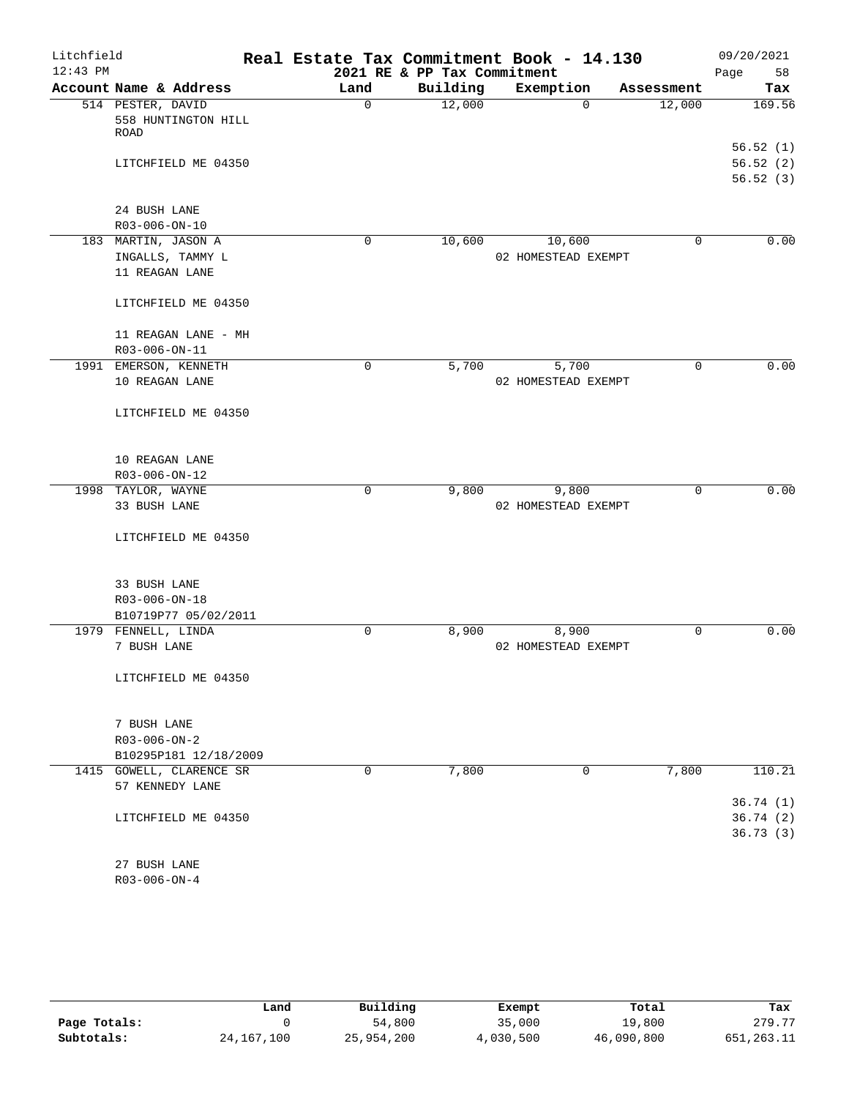| Litchfield |                                    |             |                             | Real Estate Tax Commitment Book - 14.130 |             | 09/20/2021 |
|------------|------------------------------------|-------------|-----------------------------|------------------------------------------|-------------|------------|
| $12:43$ PM |                                    |             | 2021 RE & PP Tax Commitment |                                          |             | Page<br>58 |
|            | Account Name & Address             | Land        | Building                    | Exemption                                | Assessment  | Tax        |
|            | 514 PESTER, DAVID                  | $\mathbf 0$ | 12,000                      | $\Omega$                                 | 12,000      | 169.56     |
|            | 558 HUNTINGTON HILL                |             |                             |                                          |             |            |
|            | ROAD                               |             |                             |                                          |             | 56.52(1)   |
|            |                                    |             |                             |                                          |             | 56.52(2)   |
|            | LITCHFIELD ME 04350                |             |                             |                                          |             | 56.52(3)   |
|            |                                    |             |                             |                                          |             |            |
|            | 24 BUSH LANE                       |             |                             |                                          |             |            |
|            | R03-006-ON-10                      |             |                             |                                          |             |            |
|            | 183 MARTIN, JASON A                | $\mathbf 0$ | 10,600                      | 10,600                                   | 0           | 0.00       |
|            | INGALLS, TAMMY L                   |             |                             | 02 HOMESTEAD EXEMPT                      |             |            |
|            | 11 REAGAN LANE                     |             |                             |                                          |             |            |
|            |                                    |             |                             |                                          |             |            |
|            | LITCHFIELD ME 04350                |             |                             |                                          |             |            |
|            |                                    |             |                             |                                          |             |            |
|            | 11 REAGAN LANE - MH                |             |                             |                                          |             |            |
|            | R03-006-ON-11                      |             |                             |                                          |             |            |
|            | 1991 EMERSON, KENNETH              | 0           | 5,700                       | 5,700                                    | $\mathbf 0$ | 0.00       |
|            | 10 REAGAN LANE                     |             |                             | 02 HOMESTEAD EXEMPT                      |             |            |
|            |                                    |             |                             |                                          |             |            |
|            | LITCHFIELD ME 04350                |             |                             |                                          |             |            |
|            |                                    |             |                             |                                          |             |            |
|            |                                    |             |                             |                                          |             |            |
|            | 10 REAGAN LANE                     |             |                             |                                          |             |            |
|            | R03-006-ON-12                      |             |                             |                                          |             |            |
|            | 1998 TAYLOR, WAYNE                 | $\mathbf 0$ | 9,800                       | 9,800                                    | $\mathbf 0$ | 0.00       |
|            | 33 BUSH LANE                       |             |                             | 02 HOMESTEAD EXEMPT                      |             |            |
|            |                                    |             |                             |                                          |             |            |
|            | LITCHFIELD ME 04350                |             |                             |                                          |             |            |
|            |                                    |             |                             |                                          |             |            |
|            |                                    |             |                             |                                          |             |            |
|            | 33 BUSH LANE                       |             |                             |                                          |             |            |
|            | R03-006-ON-18                      |             |                             |                                          |             |            |
|            | B10719P77 05/02/2011               |             |                             |                                          |             |            |
|            | 1979 FENNELL, LINDA<br>7 BUSH LANE | 0           | 8,900                       | 8,900<br>02 HOMESTEAD EXEMPT             | 0           | 0.00       |
|            |                                    |             |                             |                                          |             |            |
|            | LITCHFIELD ME 04350                |             |                             |                                          |             |            |
|            |                                    |             |                             |                                          |             |            |
|            |                                    |             |                             |                                          |             |            |
|            | 7 BUSH LANE                        |             |                             |                                          |             |            |
|            | $R03 - 006 - ON - 2$               |             |                             |                                          |             |            |
|            | B10295P181 12/18/2009              |             |                             |                                          |             |            |
|            | 1415 GOWELL, CLARENCE SR           | 0           | 7,800                       | 0                                        | 7,800       | 110.21     |
|            | 57 KENNEDY LANE                    |             |                             |                                          |             |            |
|            |                                    |             |                             |                                          |             | 36.74(1)   |
|            | LITCHFIELD ME 04350                |             |                             |                                          |             | 36.74(2)   |
|            |                                    |             |                             |                                          |             | 36.73(3)   |
|            |                                    |             |                             |                                          |             |            |
|            | 27 BUSH LANE                       |             |                             |                                          |             |            |
|            | $R03 - 006 - ON - 4$               |             |                             |                                          |             |            |

|              | Land         | Building   | Exempt    | Total      | Tax          |
|--------------|--------------|------------|-----------|------------|--------------|
| Page Totals: |              | 54,800     | 35,000    | 19,800     | 279.77       |
| Subtotals:   | 24, 167, 100 | 25,954,200 | 4,030,500 | 46,090,800 | 651, 263. 11 |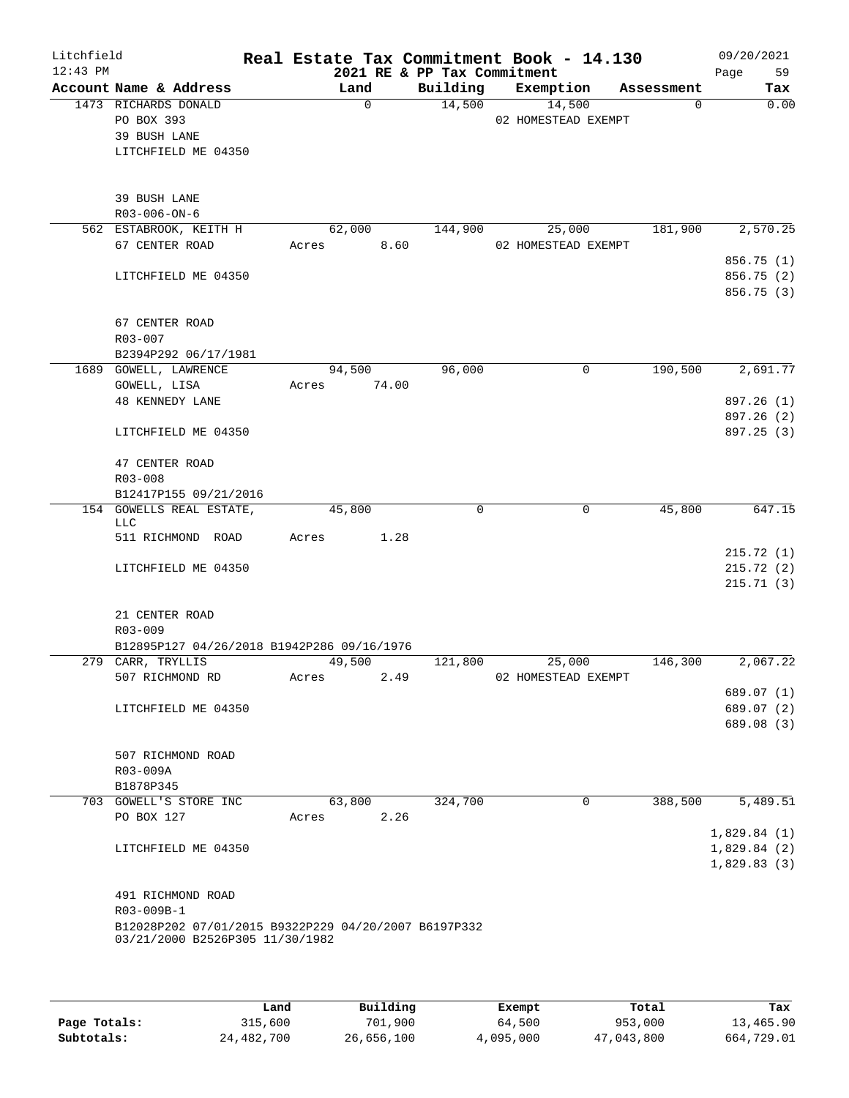| Litchfield<br>$12:43$ PM |                                                                                         |       |             |       | 2021 RE & PP Tax Commitment | Real Estate Tax Commitment Book - 14.130 |            | 09/20/2021<br>Page<br>59 |
|--------------------------|-----------------------------------------------------------------------------------------|-------|-------------|-------|-----------------------------|------------------------------------------|------------|--------------------------|
|                          | Account Name & Address                                                                  |       | Land        |       | Building                    | Exemption                                | Assessment | Tax                      |
|                          | 1473 RICHARDS DONALD                                                                    |       | $\mathbf 0$ |       | 14,500                      | 14,500                                   | 0          | 0.00                     |
|                          | PO BOX 393                                                                              |       |             |       |                             | 02 HOMESTEAD EXEMPT                      |            |                          |
|                          | 39 BUSH LANE                                                                            |       |             |       |                             |                                          |            |                          |
|                          | LITCHFIELD ME 04350                                                                     |       |             |       |                             |                                          |            |                          |
|                          |                                                                                         |       |             |       |                             |                                          |            |                          |
|                          | 39 BUSH LANE                                                                            |       |             |       |                             |                                          |            |                          |
|                          | R03-006-ON-6                                                                            |       |             |       |                             |                                          |            |                          |
|                          | 562 ESTABROOK, KEITH H                                                                  |       | 62,000      |       | 144,900                     | 25,000                                   | 181,900    | 2,570.25                 |
|                          | 67 CENTER ROAD                                                                          | Acres |             | 8.60  |                             | 02 HOMESTEAD EXEMPT                      |            |                          |
|                          |                                                                                         |       |             |       |                             |                                          |            | 856.75(1)                |
|                          | LITCHFIELD ME 04350                                                                     |       |             |       |                             |                                          |            | 856.75 (2)               |
|                          |                                                                                         |       |             |       |                             |                                          |            | 856.75 (3)               |
|                          |                                                                                         |       |             |       |                             |                                          |            |                          |
|                          | 67 CENTER ROAD                                                                          |       |             |       |                             |                                          |            |                          |
|                          | R03-007                                                                                 |       |             |       |                             |                                          |            |                          |
|                          | B2394P292 06/17/1981                                                                    |       |             |       |                             |                                          |            |                          |
|                          | 1689 GOWELL, LAWRENCE                                                                   |       | 94,500      |       | 96,000                      | 0                                        | 190,500    | 2,691.77                 |
|                          | GOWELL, LISA                                                                            | Acres |             | 74.00 |                             |                                          |            |                          |
|                          | <b>48 KENNEDY LANE</b>                                                                  |       |             |       |                             |                                          |            | 897.26 (1)               |
|                          |                                                                                         |       |             |       |                             |                                          |            | 897.26 (2)               |
|                          | LITCHFIELD ME 04350                                                                     |       |             |       |                             |                                          |            | 897.25 (3)               |
|                          | 47 CENTER ROAD                                                                          |       |             |       |                             |                                          |            |                          |
|                          | R03-008                                                                                 |       |             |       |                             |                                          |            |                          |
|                          | B12417P155 09/21/2016                                                                   |       |             |       |                             |                                          |            |                          |
|                          | 154 GOWELLS REAL ESTATE,                                                                |       | 45,800      |       | 0                           | 0                                        | 45,800     | 647.15                   |
|                          | LLC                                                                                     |       |             |       |                             |                                          |            |                          |
|                          | 511 RICHMOND ROAD                                                                       | Acres |             | 1.28  |                             |                                          |            |                          |
|                          |                                                                                         |       |             |       |                             |                                          |            | 215.72(1)                |
|                          | LITCHFIELD ME 04350                                                                     |       |             |       |                             |                                          |            | 215.72(2)                |
|                          |                                                                                         |       |             |       |                             |                                          |            | 215.71(3)                |
|                          | 21 CENTER ROAD                                                                          |       |             |       |                             |                                          |            |                          |
|                          | R03-009                                                                                 |       |             |       |                             |                                          |            |                          |
|                          | B12895P127 04/26/2018 B1942P286 09/16/1976                                              |       |             |       |                             |                                          |            |                          |
|                          | 279 CARR, TRYLLIS                                                                       |       | 49,500      |       | 121,800                     | 25,000                                   | 146,300    | 2,067.22                 |
|                          | 507 RICHMOND RD                                                                         | Acres |             | 2.49  |                             | 02 HOMESTEAD EXEMPT                      |            |                          |
|                          |                                                                                         |       |             |       |                             |                                          |            | 689.07 (1)               |
|                          | LITCHFIELD ME 04350                                                                     |       |             |       |                             |                                          |            | 689.07 (2)               |
|                          |                                                                                         |       |             |       |                             |                                          |            | 689.08 (3)               |
|                          |                                                                                         |       |             |       |                             |                                          |            |                          |
|                          | 507 RICHMOND ROAD                                                                       |       |             |       |                             |                                          |            |                          |
|                          | R03-009A                                                                                |       |             |       |                             |                                          |            |                          |
|                          | B1878P345                                                                               |       |             |       |                             |                                          |            |                          |
|                          | 703 GOWELL'S STORE INC                                                                  |       | 63,800      |       | 324,700                     | 0                                        | 388,500    | 5,489.51                 |
|                          | PO BOX 127                                                                              | Acres |             | 2.26  |                             |                                          |            |                          |
|                          |                                                                                         |       |             |       |                             |                                          |            | 1,829.84(1)              |
|                          | LITCHFIELD ME 04350                                                                     |       |             |       |                             |                                          |            | 1,829.84(2)              |
|                          |                                                                                         |       |             |       |                             |                                          |            | 1,829.83(3)              |
|                          |                                                                                         |       |             |       |                             |                                          |            |                          |
|                          | 491 RICHMOND ROAD                                                                       |       |             |       |                             |                                          |            |                          |
|                          | R03-009B-1                                                                              |       |             |       |                             |                                          |            |                          |
|                          | B12028P202 07/01/2015 B9322P229 04/20/2007 B6197P332<br>03/21/2000 B2526P305 11/30/1982 |       |             |       |                             |                                          |            |                          |
|                          |                                                                                         |       |             |       |                             |                                          |            |                          |
|                          |                                                                                         |       |             |       |                             |                                          |            |                          |
|                          |                                                                                         |       |             |       |                             |                                          |            |                          |

|              | Land       | Building   | Exempt    | Total      | Tax        |
|--------------|------------|------------|-----------|------------|------------|
| Page Totals: | 315,600    | 701,900    | 64,500    | 953,000    | 13,465.90  |
| Subtotals:   | 24,482,700 | 26,656,100 | 4,095,000 | 47,043,800 | 664,729.01 |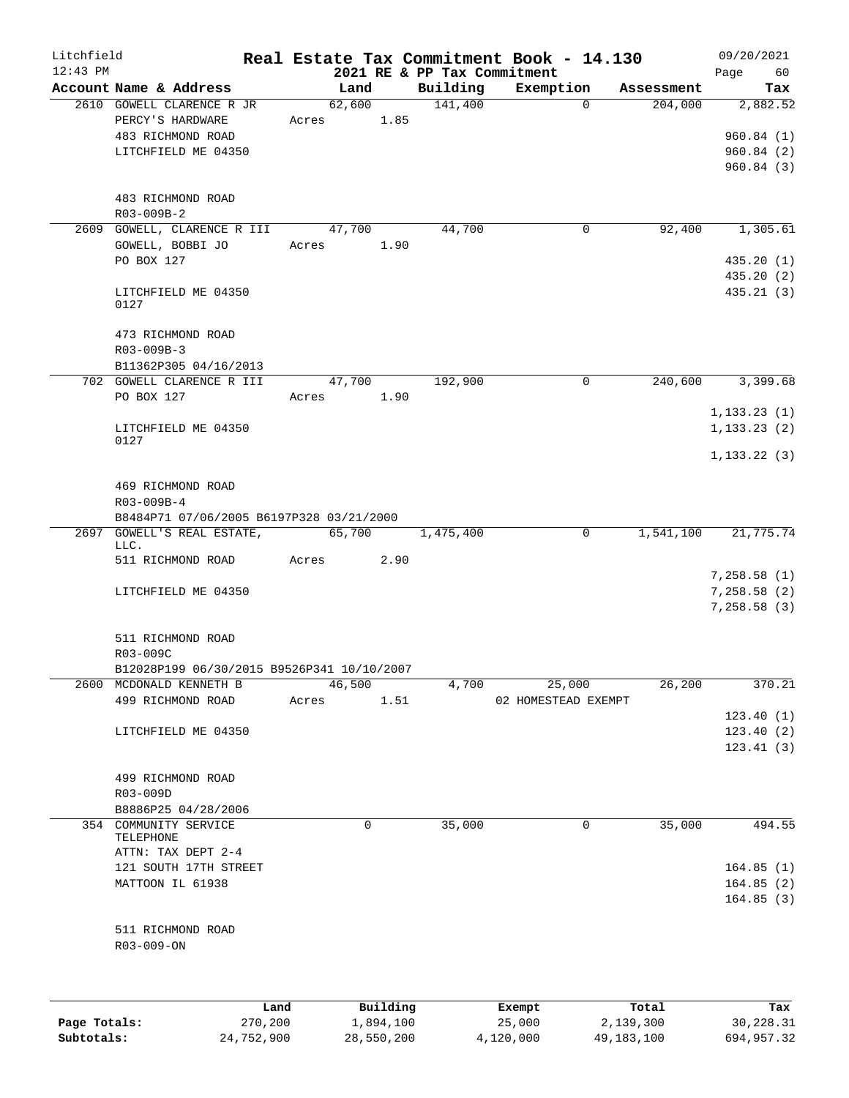| Litchfield |                                               |       |                 |          |                             | Real Estate Tax Commitment Book - 14.130 |            | 09/20/2021                  |
|------------|-----------------------------------------------|-------|-----------------|----------|-----------------------------|------------------------------------------|------------|-----------------------------|
| $12:43$ PM |                                               |       |                 |          | 2021 RE & PP Tax Commitment |                                          |            | 60<br>Page                  |
|            | Account Name & Address                        |       | Land            |          | Building                    | Exemption                                | Assessment | Tax                         |
|            | 2610 GOWELL CLARENCE R JR<br>PERCY'S HARDWARE | Acres | 62,600          | 1.85     | 141,400                     | $\Omega$                                 | 204,000    | 2,882.52                    |
|            | 483 RICHMOND ROAD                             |       |                 |          |                             |                                          |            | 960.84(1)                   |
|            | LITCHFIELD ME 04350                           |       |                 |          |                             |                                          |            | 960.84(2)                   |
|            |                                               |       |                 |          |                             |                                          |            | 960.84(3)                   |
|            |                                               |       |                 |          |                             |                                          |            |                             |
|            | 483 RICHMOND ROAD<br>R03-009B-2               |       |                 |          |                             |                                          |            |                             |
|            | 2609 GOWELL, CLARENCE R III                   |       | 47,700          |          | 44,700                      | 0                                        | 92,400     | 1,305.61                    |
|            | GOWELL, BOBBI JO                              |       | Acres           | 1.90     |                             |                                          |            |                             |
|            | PO BOX 127                                    |       |                 |          |                             |                                          |            | 435.20(1)                   |
|            |                                               |       |                 |          |                             |                                          |            | 435.20(2)                   |
|            | LITCHFIELD ME 04350<br>0127                   |       |                 |          |                             |                                          |            | 435.21(3)                   |
|            |                                               |       |                 |          |                             |                                          |            |                             |
|            | 473 RICHMOND ROAD                             |       |                 |          |                             |                                          |            |                             |
|            | R03-009B-3                                    |       |                 |          |                             |                                          |            |                             |
|            | B11362P305 04/16/2013                         |       |                 |          |                             |                                          |            |                             |
|            | 702 GOWELL CLARENCE R III<br>PO BOX 127       |       | 47,700<br>Acres | 1.90     | 192,900                     | 0                                        | 240,600    | 3,399.68                    |
|            |                                               |       |                 |          |                             |                                          |            | 1, 133.23(1)                |
|            | LITCHFIELD ME 04350                           |       |                 |          |                             |                                          |            | 1, 133.23(2)                |
|            | 0127                                          |       |                 |          |                             |                                          |            |                             |
|            |                                               |       |                 |          |                             |                                          |            | 1, 133.22(3)                |
|            | 469 RICHMOND ROAD                             |       |                 |          |                             |                                          |            |                             |
|            | R03-009B-4                                    |       |                 |          |                             |                                          |            |                             |
|            | B8484P71 07/06/2005 B6197P328 03/21/2000      |       |                 |          |                             |                                          |            |                             |
| 2697       | GOWELL'S REAL ESTATE,                         |       | 65,700          |          | 1,475,400                   | 0                                        | 1,541,100  | 21,775.74                   |
|            | LLC.                                          |       |                 |          |                             |                                          |            |                             |
|            | 511 RICHMOND ROAD                             | Acres |                 | 2.90     |                             |                                          |            |                             |
|            |                                               |       |                 |          |                             |                                          |            | 7,258.58(1)                 |
|            | LITCHFIELD ME 04350                           |       |                 |          |                             |                                          |            | 7,258.58 (2)<br>7,258.58(3) |
|            |                                               |       |                 |          |                             |                                          |            |                             |
|            | 511 RICHMOND ROAD                             |       |                 |          |                             |                                          |            |                             |
|            | R03-009C                                      |       |                 |          |                             |                                          |            |                             |
|            | B12028P199 06/30/2015 B9526P341 10/10/2007    |       |                 |          |                             |                                          |            |                             |
| 2600       | MCDONALD KENNETH B                            |       | 46,500          |          | 4,700                       | 25,000                                   | 26,200     | 370.21                      |
|            | 499 RICHMOND ROAD                             | Acres |                 | 1.51     |                             | 02 HOMESTEAD EXEMPT                      |            |                             |
|            |                                               |       |                 |          |                             |                                          |            | 123.40(1)                   |
|            | LITCHFIELD ME 04350                           |       |                 |          |                             |                                          |            | 123.40(2)                   |
|            |                                               |       |                 |          |                             |                                          |            | 123.41(3)                   |
|            | 499 RICHMOND ROAD                             |       |                 |          |                             |                                          |            |                             |
|            | R03-009D                                      |       |                 |          |                             |                                          |            |                             |
|            | B8886P25 04/28/2006                           |       |                 |          |                             |                                          |            |                             |
|            | 354 COMMUNITY SERVICE                         |       |                 | 0        | 35,000                      | 0                                        | 35,000     | 494.55                      |
|            | TELEPHONE                                     |       |                 |          |                             |                                          |            |                             |
|            | ATTN: TAX DEPT 2-4                            |       |                 |          |                             |                                          |            |                             |
|            | 121 SOUTH 17TH STREET                         |       |                 |          |                             |                                          |            | 164.85(1)                   |
|            | MATTOON IL 61938                              |       |                 |          |                             |                                          |            | 164.85(2)                   |
|            |                                               |       |                 |          |                             |                                          |            | 164.85(3)                   |
|            | 511 RICHMOND ROAD                             |       |                 |          |                             |                                          |            |                             |
|            | R03-009-ON                                    |       |                 |          |                             |                                          |            |                             |
|            |                                               |       |                 |          |                             |                                          |            |                             |
|            |                                               |       |                 |          |                             |                                          |            |                             |
|            |                                               | Land  |                 | Building |                             | Exempt                                   | Total      | Tax                         |

|              | Lanu       | <b>BUILQING</b> | Lxempt    | TOLAT      | 1ax.       |
|--------------|------------|-----------------|-----------|------------|------------|
| Page Totals: | 270,200    | 1,894,100       | 25,000    | 2,139,300  | 30,228.31  |
| Subtotals:   | 24,752,900 | 28,550,200      | 4,120,000 | 49,183,100 | 694,957.32 |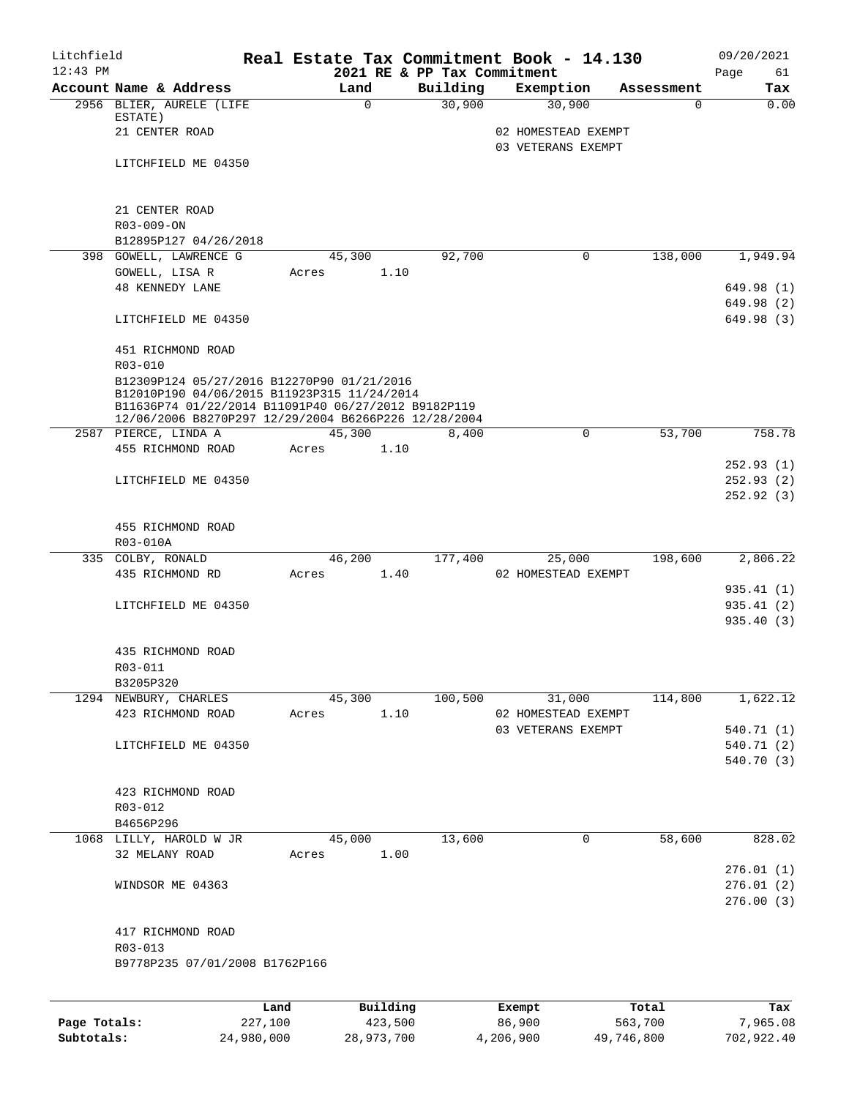| Litchfield<br>$12:43$ PM |                                                      |       |               | 2021 RE & PP Tax Commitment | Real Estate Tax Commitment Book - 14.130  |                       | 09/20/2021<br>61<br>Page |
|--------------------------|------------------------------------------------------|-------|---------------|-----------------------------|-------------------------------------------|-----------------------|--------------------------|
|                          | Account Name & Address                               |       | Land          | Building                    | Exemption                                 | Assessment            | Tax                      |
|                          | 2956 BLIER, AURELE (LIFE                             |       | $\Omega$      | 30,900                      | 30,900                                    | $\Omega$              | 0.00                     |
|                          | ESTATE)                                              |       |               |                             |                                           |                       |                          |
|                          | 21 CENTER ROAD                                       |       |               |                             | 02 HOMESTEAD EXEMPT<br>03 VETERANS EXEMPT |                       |                          |
|                          | LITCHFIELD ME 04350                                  |       |               |                             |                                           |                       |                          |
|                          |                                                      |       |               |                             |                                           |                       |                          |
|                          |                                                      |       |               |                             |                                           |                       |                          |
|                          | 21 CENTER ROAD                                       |       |               |                             |                                           |                       |                          |
|                          | R03-009-ON                                           |       |               |                             |                                           |                       |                          |
|                          | B12895P127 04/26/2018                                |       |               |                             |                                           |                       |                          |
|                          | 398 GOWELL, LAWRENCE G                               |       | 45,300        | 92,700                      |                                           | $\Omega$<br>138,000   | 1,949.94                 |
|                          | GOWELL, LISA R                                       |       | 1.10<br>Acres |                             |                                           |                       |                          |
|                          | <b>48 KENNEDY LANE</b>                               |       |               |                             |                                           |                       | 649.98 (1)               |
|                          |                                                      |       |               |                             |                                           |                       | 649.98 (2)               |
|                          | LITCHFIELD ME 04350                                  |       |               |                             |                                           |                       | 649.98 (3)               |
|                          | 451 RICHMOND ROAD                                    |       |               |                             |                                           |                       |                          |
|                          | R03-010                                              |       |               |                             |                                           |                       |                          |
|                          | B12309P124 05/27/2016 B12270P90 01/21/2016           |       |               |                             |                                           |                       |                          |
|                          | B12010P190 04/06/2015 B11923P315 11/24/2014          |       |               |                             |                                           |                       |                          |
|                          | B11636P74 01/22/2014 B11091P40 06/27/2012 B9182P119  |       |               |                             |                                           |                       |                          |
|                          | 12/06/2006 B8270P297 12/29/2004 B6266P226 12/28/2004 |       | 45,300        |                             |                                           | $\mathbf 0$<br>53,700 | 758.78                   |
|                          | 2587 PIERCE, LINDA A<br>455 RICHMOND ROAD            | Acres | 1.10          | 8,400                       |                                           |                       |                          |
|                          |                                                      |       |               |                             |                                           |                       | 252.93(1)                |
|                          | LITCHFIELD ME 04350                                  |       |               |                             |                                           |                       | 252.93(2)                |
|                          |                                                      |       |               |                             |                                           |                       | 252.92(3)                |
|                          |                                                      |       |               |                             |                                           |                       |                          |
|                          | 455 RICHMOND ROAD                                    |       |               |                             |                                           |                       |                          |
|                          | R03-010A                                             |       |               |                             |                                           |                       |                          |
|                          | 335 COLBY, RONALD                                    |       | 46,200        | 177,400                     | 25,000                                    | 198,600               | 2,806.22                 |
|                          | 435 RICHMOND RD                                      | Acres | 1.40          |                             | 02 HOMESTEAD EXEMPT                       |                       |                          |
|                          |                                                      |       |               |                             |                                           |                       | 935.41 (1)               |
|                          | LITCHFIELD ME 04350                                  |       |               |                             |                                           |                       | 935.41 (2)               |
|                          |                                                      |       |               |                             |                                           |                       | 935.40(3)                |
|                          |                                                      |       |               |                             |                                           |                       |                          |
|                          | 435 RICHMOND ROAD                                    |       |               |                             |                                           |                       |                          |
|                          | R03-011                                              |       |               |                             |                                           |                       |                          |
|                          | B3205P320<br>1294 NEWBURY, CHARLES                   |       | 45,300        | 100,500                     | 31,000                                    | 114,800               | 1,622.12                 |
|                          | 423 RICHMOND ROAD                                    | Acres | 1.10          |                             | 02 HOMESTEAD EXEMPT                       |                       |                          |
|                          |                                                      |       |               |                             | 03 VETERANS EXEMPT                        |                       | 540.71 (1)               |
|                          | LITCHFIELD ME 04350                                  |       |               |                             |                                           |                       | 540.71 (2)               |
|                          |                                                      |       |               |                             |                                           |                       | 540.70 (3)               |
|                          |                                                      |       |               |                             |                                           |                       |                          |
|                          | 423 RICHMOND ROAD                                    |       |               |                             |                                           |                       |                          |
|                          | R03-012                                              |       |               |                             |                                           |                       |                          |
|                          | B4656P296                                            |       |               |                             |                                           |                       |                          |
|                          | 1068 LILLY, HAROLD W JR                              |       | 45,000        | 13,600                      |                                           | 58,600<br>0           | 828.02                   |
|                          | 32 MELANY ROAD                                       | Acres | 1.00          |                             |                                           |                       |                          |
|                          |                                                      |       |               |                             |                                           |                       | 276.01(1)                |
|                          | WINDSOR ME 04363                                     |       |               |                             |                                           |                       | 276.01(2)                |
|                          |                                                      |       |               |                             |                                           |                       | 276.00(3)                |
|                          |                                                      |       |               |                             |                                           |                       |                          |
|                          | 417 RICHMOND ROAD<br>R03-013                         |       |               |                             |                                           |                       |                          |
|                          | B9778P235 07/01/2008 B1762P166                       |       |               |                             |                                           |                       |                          |
|                          |                                                      |       |               |                             |                                           |                       |                          |
|                          |                                                      |       |               |                             |                                           |                       |                          |
|                          |                                                      | Land  | Building      |                             | Exempt                                    | Total                 | Tax                      |

**Page Totals:** 227,100 423,500 86,900 563,700 7,965.08 **Subtotals:** 24,980,000 28,973,700 4,206,900 49,746,800 702,922.40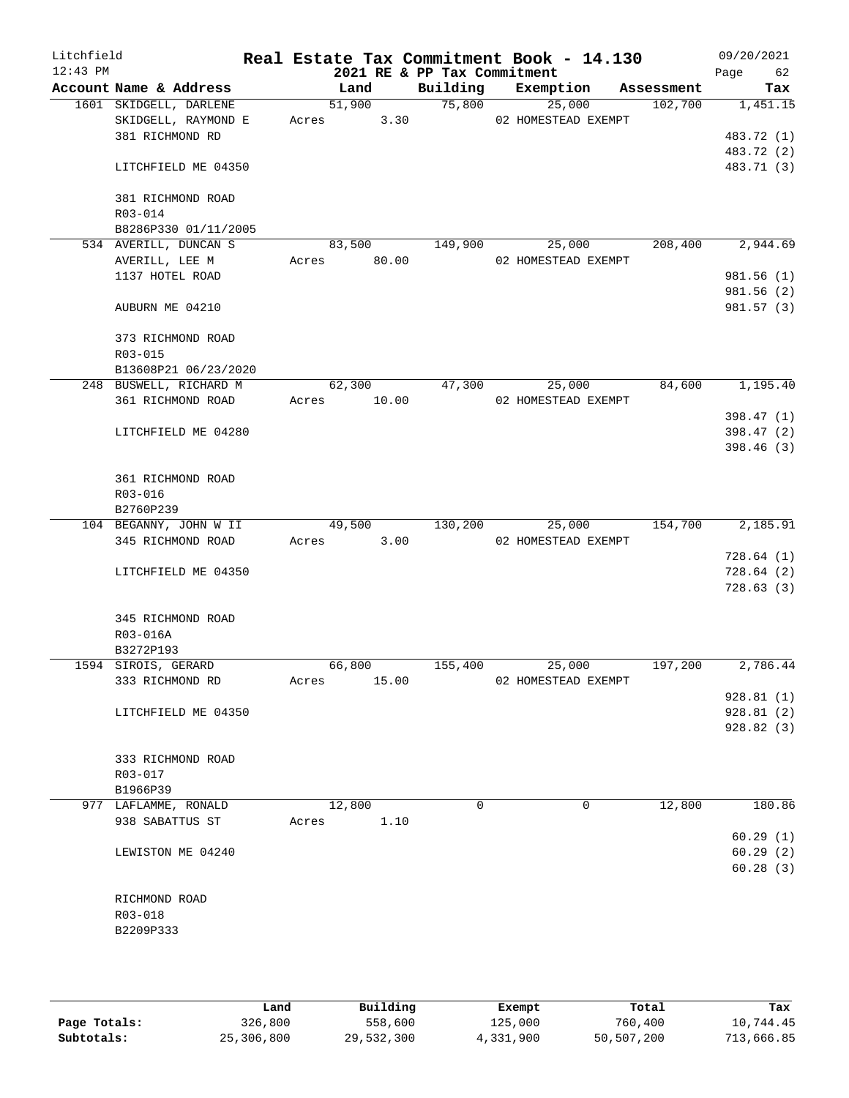| Litchfield<br>$12:43$ PM |                                               |       |       |               | 2021 RE & PP Tax Commitment | Real Estate Tax Commitment Book - 14.130 |            | 09/20/2021<br>Page 62 |
|--------------------------|-----------------------------------------------|-------|-------|---------------|-----------------------------|------------------------------------------|------------|-----------------------|
|                          | Account Name & Address                        |       |       | Land          | Building                    | Exemption                                | Assessment | Tax                   |
|                          | 1601 SKIDGELL, DARLENE                        |       |       | 51,900        | 75,800                      | 25,000                                   | 102,700    | 1,451.15              |
|                          | SKIDGELL, RAYMOND E                           |       |       | 3.30<br>Acres |                             | 02 HOMESTEAD EXEMPT                      |            |                       |
|                          | 381 RICHMOND RD                               |       |       |               |                             |                                          |            | 483.72 (1)            |
|                          |                                               |       |       |               |                             |                                          |            | 483.72 (2)            |
|                          | LITCHFIELD ME 04350                           |       |       |               |                             |                                          |            | 483.71 (3)            |
|                          |                                               |       |       |               |                             |                                          |            |                       |
|                          | 381 RICHMOND ROAD                             |       |       |               |                             |                                          |            |                       |
|                          | R03-014                                       |       |       |               |                             |                                          |            |                       |
|                          | B8286P330 01/11/2005<br>534 AVERILL, DUNCAN S |       |       | 83,500        | 149,900                     | 25,000                                   | 208,400    | 2,944.69              |
|                          | AVERILL, LEE M                                |       |       | Acres 80.00   |                             | 02 HOMESTEAD EXEMPT                      |            |                       |
|                          | 1137 HOTEL ROAD                               |       |       |               |                             |                                          |            | 981.56 (1)            |
|                          |                                               |       |       |               |                             |                                          |            | 981.56 (2)            |
|                          | AUBURN ME 04210                               |       |       |               |                             |                                          |            | 981.57 (3)            |
|                          |                                               |       |       |               |                             |                                          |            |                       |
|                          | 373 RICHMOND ROAD                             |       |       |               |                             |                                          |            |                       |
|                          | R03-015                                       |       |       |               |                             |                                          |            |                       |
|                          | B13608P21 06/23/2020                          |       |       |               |                             |                                          |            |                       |
|                          | 248 BUSWELL, RICHARD M                        |       |       | 62,300        | 47,300                      | 25,000                                   | 84,600     | 1,195.40              |
|                          | 361 RICHMOND ROAD                             |       |       | Acres 10.00   |                             | 02 HOMESTEAD EXEMPT                      |            |                       |
|                          |                                               |       |       |               |                             |                                          |            | 398.47 (1)            |
|                          | LITCHFIELD ME 04280                           |       |       |               |                             |                                          |            | 398.47 (2)            |
|                          |                                               |       |       |               |                             |                                          |            | 398.46 (3)            |
|                          |                                               |       |       |               |                             |                                          |            |                       |
|                          | 361 RICHMOND ROAD                             |       |       |               |                             |                                          |            |                       |
|                          | R03-016                                       |       |       |               |                             |                                          |            |                       |
|                          | B2760P239                                     |       |       |               |                             |                                          |            |                       |
|                          | 104 BEGANNY, JOHN W II                        |       |       | 49,500        | 130,200                     | 25,000                                   | 154,700    | 2,185.91              |
|                          | 345 RICHMOND ROAD                             |       | Acres | 3.00          |                             | 02 HOMESTEAD EXEMPT                      |            |                       |
|                          |                                               |       |       |               |                             |                                          |            | 728.64(1)             |
|                          | LITCHFIELD ME 04350                           |       |       |               |                             |                                          |            | 728.64(2)             |
|                          |                                               |       |       |               |                             |                                          |            | 728.63(3)             |
|                          | 345 RICHMOND ROAD                             |       |       |               |                             |                                          |            |                       |
|                          | R03-016A                                      |       |       |               |                             |                                          |            |                       |
|                          | B3272P193                                     |       |       |               |                             |                                          |            |                       |
|                          | 1594 SIROIS, GERARD                           |       |       | 66,800        | 155,400                     | 25,000                                   | 197,200    | 2,786.44              |
|                          | 333 RICHMOND RD                               | Acres |       | 15.00         |                             | 02 HOMESTEAD EXEMPT                      |            |                       |
|                          |                                               |       |       |               |                             |                                          |            | 928.81(1)             |
|                          | LITCHFIELD ME 04350                           |       |       |               |                             |                                          |            | 928.81(2)             |
|                          |                                               |       |       |               |                             |                                          |            | 928.82(3)             |
|                          |                                               |       |       |               |                             |                                          |            |                       |
|                          | 333 RICHMOND ROAD                             |       |       |               |                             |                                          |            |                       |
|                          | R03-017                                       |       |       |               |                             |                                          |            |                       |
|                          | B1966P39                                      |       |       |               |                             |                                          |            |                       |
|                          | 977 LAFLAMME, RONALD                          |       |       | 12,800        | 0                           | 0                                        | 12,800     | 180.86                |
|                          | 938 SABATTUS ST                               | Acres |       | 1.10          |                             |                                          |            |                       |
|                          |                                               |       |       |               |                             |                                          |            | 60.29(1)              |
|                          | LEWISTON ME 04240                             |       |       |               |                             |                                          |            | 60.29(2)              |
|                          |                                               |       |       |               |                             |                                          |            | 60.28(3)              |
|                          | RICHMOND ROAD                                 |       |       |               |                             |                                          |            |                       |
|                          | R03-018                                       |       |       |               |                             |                                          |            |                       |
|                          | B2209P333                                     |       |       |               |                             |                                          |            |                       |
|                          |                                               |       |       |               |                             |                                          |            |                       |
|                          |                                               |       |       |               |                             |                                          |            |                       |
|                          |                                               |       |       |               |                             |                                          |            |                       |

|              | Land       | Building   | Exempt    | Total      | Tax        |
|--------------|------------|------------|-----------|------------|------------|
| Page Totals: | 326,800    | 558,600    | 125,000   | 760,400    | 10,744.45  |
| Subtotals:   | 25,306,800 | 29,532,300 | 4,331,900 | 50,507,200 | 713,666.85 |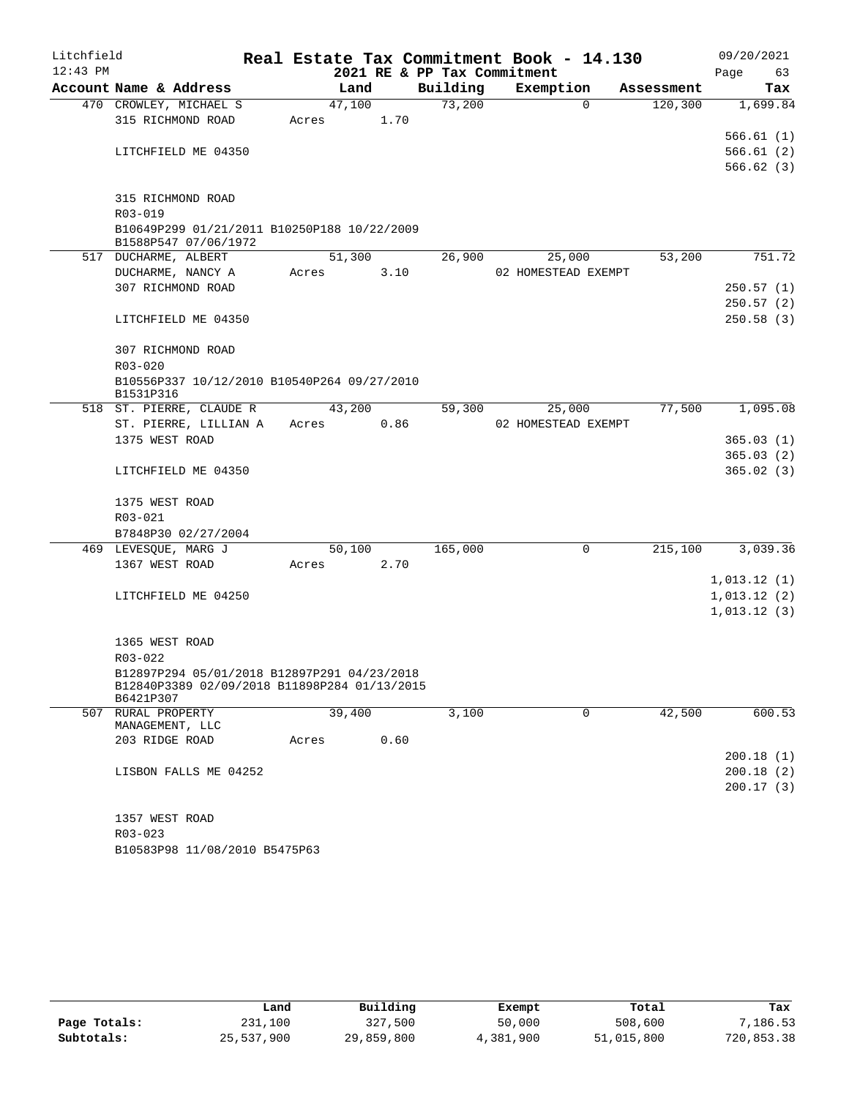| Litchfield |                                                                                             |        |      | Real Estate Tax Commitment Book - 14.130 |                     |            | 09/20/2021             |
|------------|---------------------------------------------------------------------------------------------|--------|------|------------------------------------------|---------------------|------------|------------------------|
| $12:43$ PM |                                                                                             |        |      | 2021 RE & PP Tax Commitment              |                     |            | Page<br>63             |
|            | Account Name & Address                                                                      | Land   |      | Building                                 | Exemption           | Assessment | Tax                    |
|            | 470 CROWLEY, MICHAEL S<br>315 RICHMOND ROAD                                                 | 47,100 | 1.70 | 73,200                                   | $\Omega$            | 120, 300   | 1,699.84               |
|            |                                                                                             | Acres  |      |                                          |                     |            | 566.61(1)              |
|            | LITCHFIELD ME 04350                                                                         |        |      |                                          |                     |            | 566.61(2)              |
|            |                                                                                             |        |      |                                          |                     |            | 566.62(3)              |
|            |                                                                                             |        |      |                                          |                     |            |                        |
|            | 315 RICHMOND ROAD<br>$R03 - 019$                                                            |        |      |                                          |                     |            |                        |
|            | B10649P299 01/21/2011 B10250P188 10/22/2009<br>B1588P547 07/06/1972                         |        |      |                                          |                     |            |                        |
|            | 517 DUCHARME, ALBERT                                                                        | 51,300 |      | 26,900                                   | 25,000              | 53,200     | 751.72                 |
|            | DUCHARME, NANCY A                                                                           | Acres  | 3.10 |                                          | 02 HOMESTEAD EXEMPT |            |                        |
|            | 307 RICHMOND ROAD                                                                           |        |      |                                          |                     |            | 250.57(1)              |
|            |                                                                                             |        |      |                                          |                     |            | 250.57(2)              |
|            | LITCHFIELD ME 04350                                                                         |        |      |                                          |                     |            | 250.58(3)              |
|            | 307 RICHMOND ROAD                                                                           |        |      |                                          |                     |            |                        |
|            | $R03 - 020$                                                                                 |        |      |                                          |                     |            |                        |
|            | B10556P337 10/12/2010 B10540P264 09/27/2010                                                 |        |      |                                          |                     |            |                        |
|            | B1531P316                                                                                   |        |      |                                          |                     |            |                        |
|            | 518 ST. PIERRE, CLAUDE R                                                                    | 43,200 |      | 59,300                                   | 25,000              | 77,500     | 1,095.08               |
|            | ST. PIERRE, LILLIAN A                                                                       | Acres  | 0.86 |                                          | 02 HOMESTEAD EXEMPT |            |                        |
|            | 1375 WEST ROAD                                                                              |        |      |                                          |                     |            | 365.03(1)              |
|            | LITCHFIELD ME 04350                                                                         |        |      |                                          |                     |            | 365.03(2)<br>365.02(3) |
|            |                                                                                             |        |      |                                          |                     |            |                        |
|            | 1375 WEST ROAD                                                                              |        |      |                                          |                     |            |                        |
|            | R03-021                                                                                     |        |      |                                          |                     |            |                        |
|            | B7848P30 02/27/2004                                                                         |        |      |                                          |                     |            |                        |
|            | 469 LEVESQUE, MARG J                                                                        | 50,100 |      | 165,000                                  | $\mathbf 0$         | 215,100    | 3,039.36               |
|            | 1367 WEST ROAD                                                                              | Acres  | 2.70 |                                          |                     |            |                        |
|            |                                                                                             |        |      |                                          |                     |            | 1,013.12(1)            |
|            | LITCHFIELD ME 04250                                                                         |        |      |                                          |                     |            | 1,013.12(2)            |
|            |                                                                                             |        |      |                                          |                     |            | 1,013.12(3)            |
|            | 1365 WEST ROAD                                                                              |        |      |                                          |                     |            |                        |
|            | R03-022                                                                                     |        |      |                                          |                     |            |                        |
|            | B12897P294 05/01/2018 B12897P291 04/23/2018<br>B12840P3389 02/09/2018 B11898P284 01/13/2015 |        |      |                                          |                     |            |                        |
|            | B6421P307                                                                                   |        |      |                                          |                     |            |                        |
|            | 507 RURAL PROPERTY                                                                          | 39,400 |      | 3,100                                    | $\mathbf 0$         | 42,500     | 600.53                 |
|            | MANAGEMENT, LLC<br>203 RIDGE ROAD                                                           | Acres  | 0.60 |                                          |                     |            |                        |
|            |                                                                                             |        |      |                                          |                     |            | 200.18(1)              |
|            | LISBON FALLS ME 04252                                                                       |        |      |                                          |                     |            | 200.18(2)              |
|            |                                                                                             |        |      |                                          |                     |            | 200.17(3)              |
|            |                                                                                             |        |      |                                          |                     |            |                        |
|            | 1357 WEST ROAD                                                                              |        |      |                                          |                     |            |                        |
|            | $R03 - 023$                                                                                 |        |      |                                          |                     |            |                        |
|            | B10583P98 11/08/2010 B5475P63                                                               |        |      |                                          |                     |            |                        |

|              | Land       | Building   | Exempt    | Total      | Tax        |
|--------------|------------|------------|-----------|------------|------------|
| Page Totals: | 231,100    | 327,500    | 50,000    | 508,600    | 7,186.53   |
| Subtotals:   | 25,537,900 | 29,859,800 | 4,381,900 | 51,015,800 | 720,853.38 |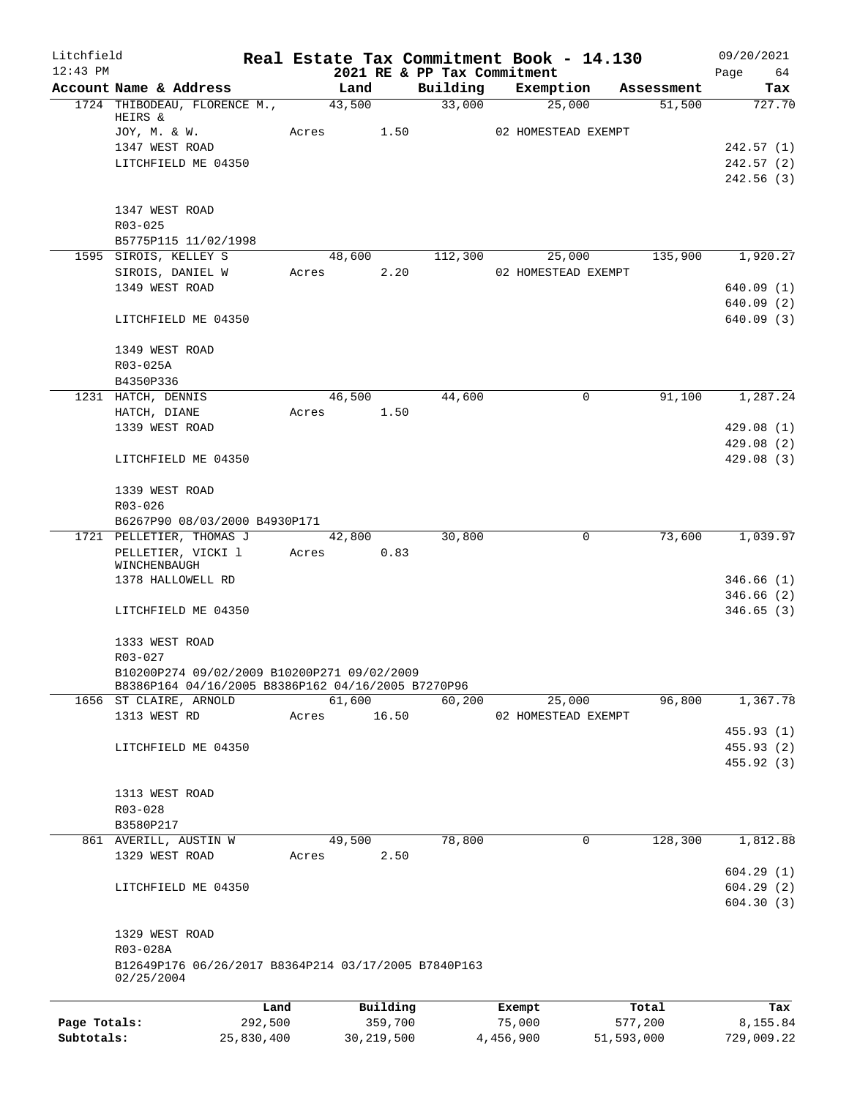| Litchfield                 |                                                      |                       |       |              |         |                                         | Real Estate Tax Commitment Book - 14.130 |                       |            | 09/20/2021             |
|----------------------------|------------------------------------------------------|-----------------------|-------|--------------|---------|-----------------------------------------|------------------------------------------|-----------------------|------------|------------------------|
| $12:43$ PM                 | Account Name & Address                               |                       |       | Land         |         | 2021 RE & PP Tax Commitment<br>Building | Exemption                                |                       | Assessment | 64<br>Page<br>Tax      |
|                            | 1724 THIBODEAU, FLORENCE M.,                         |                       |       | 43,500       |         | 33,000                                  | 25,000                                   |                       | 51,500     | 727.70                 |
|                            | HEIRS &                                              |                       |       |              |         |                                         |                                          |                       |            |                        |
|                            | JOY, M. & W.                                         |                       | Acres |              | 1.50    |                                         | 02 HOMESTEAD EXEMPT                      |                       |            |                        |
|                            | 1347 WEST ROAD                                       |                       |       |              |         |                                         |                                          |                       |            | 242.57 (1)             |
|                            | LITCHFIELD ME 04350                                  |                       |       |              |         |                                         |                                          |                       |            | 242.57 (2)             |
|                            |                                                      |                       |       |              |         |                                         |                                          |                       |            | 242.56(3)              |
|                            |                                                      |                       |       |              |         |                                         |                                          |                       |            |                        |
|                            | 1347 WEST ROAD<br>R03-025                            |                       |       |              |         |                                         |                                          |                       |            |                        |
|                            | B5775P115 11/02/1998                                 |                       |       |              |         |                                         |                                          |                       |            |                        |
|                            | 1595 SIROIS, KELLEY S                                |                       |       | 48,600       |         | 112,300                                 | 25,000                                   |                       | 135,900    | 1,920.27               |
|                            | SIROIS, DANIEL W                                     |                       | Acres |              | 2.20    |                                         | 02 HOMESTEAD EXEMPT                      |                       |            |                        |
|                            | 1349 WEST ROAD                                       |                       |       |              |         |                                         |                                          |                       |            | 640.09(1)              |
|                            |                                                      |                       |       |              |         |                                         |                                          |                       |            | 640.09(2)              |
|                            | LITCHFIELD ME 04350                                  |                       |       |              |         |                                         |                                          |                       |            | 640.09(3)              |
|                            |                                                      |                       |       |              |         |                                         |                                          |                       |            |                        |
|                            | 1349 WEST ROAD                                       |                       |       |              |         |                                         |                                          |                       |            |                        |
|                            | R03-025A                                             |                       |       |              |         |                                         |                                          |                       |            |                        |
|                            | B4350P336                                            |                       |       |              |         |                                         |                                          |                       |            |                        |
|                            | 1231 HATCH, DENNIS                                   |                       |       | 46,500       |         | 44,600                                  | 0                                        |                       | 91,100     | 1,287.24               |
|                            | HATCH, DIANE                                         |                       | Acres |              | 1.50    |                                         |                                          |                       |            |                        |
|                            | 1339 WEST ROAD                                       |                       |       |              |         |                                         |                                          |                       |            | 429.08(1)<br>429.08(2) |
|                            | LITCHFIELD ME 04350                                  |                       |       |              |         |                                         |                                          |                       |            | 429.08(3)              |
|                            |                                                      |                       |       |              |         |                                         |                                          |                       |            |                        |
|                            | 1339 WEST ROAD                                       |                       |       |              |         |                                         |                                          |                       |            |                        |
|                            | R03-026                                              |                       |       |              |         |                                         |                                          |                       |            |                        |
|                            | B6267P90 08/03/2000 B4930P171                        |                       |       |              |         |                                         |                                          |                       |            |                        |
|                            | 1721 PELLETIER, THOMAS J                             |                       |       | 42,800       |         | 30,800                                  | 0                                        |                       | 73,600     | 1,039.97               |
|                            | PELLETIER, VICKI 1                                   |                       | Acres |              | 0.83    |                                         |                                          |                       |            |                        |
|                            | WINCHENBAUGH<br>1378 HALLOWELL RD                    |                       |       |              |         |                                         |                                          |                       |            | 346.66(1)              |
|                            |                                                      |                       |       |              |         |                                         |                                          |                       |            | 346.66(2)              |
|                            | LITCHFIELD ME 04350                                  |                       |       |              |         |                                         |                                          |                       |            | 346.65(3)              |
|                            |                                                      |                       |       |              |         |                                         |                                          |                       |            |                        |
|                            | 1333 WEST ROAD                                       |                       |       |              |         |                                         |                                          |                       |            |                        |
|                            | R03-027                                              |                       |       |              |         |                                         |                                          |                       |            |                        |
|                            | B10200P274 09/02/2009 B10200P271 09/02/2009          |                       |       |              |         |                                         |                                          |                       |            |                        |
|                            | B8386P164 04/16/2005 B8386P162 04/16/2005 B7270P96   |                       |       |              |         |                                         |                                          |                       |            |                        |
|                            | 1656 ST CLAIRE, ARNOLD<br>1313 WEST RD               |                       |       | 61,600       | 16.50   | 60,200                                  | 25,000<br>02 HOMESTEAD EXEMPT            |                       | 96,800     | 1,367.78               |
|                            |                                                      |                       | Acres |              |         |                                         |                                          |                       |            | 455.93 (1)             |
|                            | LITCHFIELD ME 04350                                  |                       |       |              |         |                                         |                                          |                       |            | 455.93(2)              |
|                            |                                                      |                       |       |              |         |                                         |                                          |                       |            | 455.92 (3)             |
|                            |                                                      |                       |       |              |         |                                         |                                          |                       |            |                        |
|                            | 1313 WEST ROAD                                       |                       |       |              |         |                                         |                                          |                       |            |                        |
|                            | R03-028                                              |                       |       |              |         |                                         |                                          |                       |            |                        |
|                            | B3580P217                                            |                       |       |              |         |                                         |                                          |                       |            |                        |
|                            | 861 AVERILL, AUSTIN W                                |                       |       | 49,500       |         | 78,800                                  | 0                                        |                       | 128,300    | 1,812.88               |
|                            | 1329 WEST ROAD                                       |                       | Acres |              | 2.50    |                                         |                                          |                       |            |                        |
|                            |                                                      |                       |       |              |         |                                         |                                          |                       |            | 604.29(1)              |
|                            | LITCHFIELD ME 04350                                  |                       |       |              |         |                                         |                                          |                       |            | 604.29(2)              |
|                            |                                                      |                       |       |              |         |                                         |                                          |                       |            | 604.30(3)              |
|                            | 1329 WEST ROAD                                       |                       |       |              |         |                                         |                                          |                       |            |                        |
|                            | R03-028A                                             |                       |       |              |         |                                         |                                          |                       |            |                        |
|                            | B12649P176 06/26/2017 B8364P214 03/17/2005 B7840P163 |                       |       |              |         |                                         |                                          |                       |            |                        |
|                            | 02/25/2004                                           |                       |       |              |         |                                         |                                          |                       |            |                        |
|                            |                                                      |                       |       |              |         |                                         |                                          |                       |            |                        |
|                            |                                                      | Land                  |       | Building     |         |                                         | Exempt                                   |                       | Total      | Tax                    |
| Page Totals:<br>Subtotals: |                                                      | 292,500<br>25,830,400 |       | 30, 219, 500 | 359,700 |                                         | 75,000<br>4,456,900                      | 577,200<br>51,593,000 |            | 8,155.84<br>729,009.22 |
|                            |                                                      |                       |       |              |         |                                         |                                          |                       |            |                        |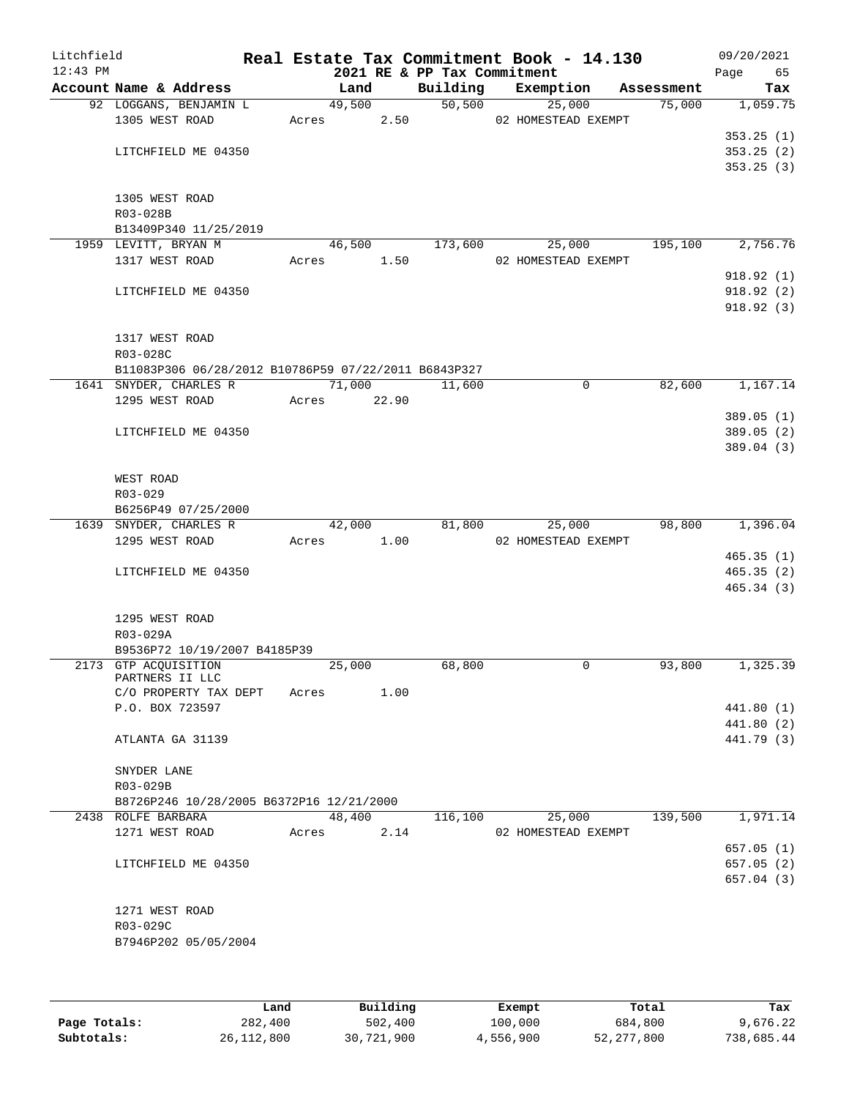| Litchfield<br>$12:43$ PM |                                                      |             |        | 2021 RE & PP Tax Commitment | Real Estate Tax Commitment Book - 14.130 |            | 09/20/2021<br>Page 65 |
|--------------------------|------------------------------------------------------|-------------|--------|-----------------------------|------------------------------------------|------------|-----------------------|
|                          | Account Name & Address                               | Land        |        |                             | Building Exemption                       | Assessment | Tax                   |
|                          | 92 LOGGANS, BENJAMIN L                               | 49,500      |        | 50,500                      | 25,000                                   | 75,000     | 1,059.75              |
|                          | 1305 WEST ROAD                                       | Acres 2.50  |        |                             | 02 HOMESTEAD EXEMPT                      |            |                       |
|                          |                                                      |             |        |                             |                                          |            | 353.25(1)             |
|                          | LITCHFIELD ME 04350                                  |             |        |                             |                                          |            | 353.25(2)             |
|                          |                                                      |             |        |                             |                                          |            | 353.25(3)             |
|                          |                                                      |             |        |                             |                                          |            |                       |
|                          | 1305 WEST ROAD                                       |             |        |                             |                                          |            |                       |
|                          | R03-028B<br>B13409P340 11/25/2019                    |             |        |                             |                                          |            |                       |
|                          | 1959 LEVITT, BRYAN M                                 |             | 46,500 | 173,600                     | 25,000                                   | 195,100    | 2,756.76              |
|                          | 1317 WEST ROAD                                       | Acres 1.50  |        |                             | 02 HOMESTEAD EXEMPT                      |            |                       |
|                          |                                                      |             |        |                             |                                          |            | 918.92(1)             |
|                          | LITCHFIELD ME 04350                                  |             |        |                             |                                          |            | 918.92(2)             |
|                          |                                                      |             |        |                             |                                          |            | 918.92(3)             |
|                          |                                                      |             |        |                             |                                          |            |                       |
|                          | 1317 WEST ROAD                                       |             |        |                             |                                          |            |                       |
|                          | R03-028C                                             |             |        |                             |                                          |            |                       |
|                          | B11083P306 06/28/2012 B10786P59 07/22/2011 B6843P327 |             |        |                             |                                          |            |                       |
|                          | 1641 SNYDER, CHARLES R                               | 71,000      |        | 11,600                      | 0                                        | 82,600     | 1,167.14              |
|                          | 1295 WEST ROAD                                       | Acres 22.90 |        |                             |                                          |            |                       |
|                          |                                                      |             |        |                             |                                          |            | 389.05(1)             |
|                          | LITCHFIELD ME 04350                                  |             |        |                             |                                          |            | 389.05(2)             |
|                          |                                                      |             |        |                             |                                          |            | 389.04(3)             |
|                          | WEST ROAD                                            |             |        |                             |                                          |            |                       |
|                          | R03-029                                              |             |        |                             |                                          |            |                       |
|                          | B6256P49 07/25/2000                                  |             |        |                             |                                          |            |                       |
|                          | 1639 SNYDER, CHARLES R                               | 42,000      |        | 81,800                      | 25,000                                   | 98,800     | 1,396.04              |
|                          | 1295 WEST ROAD                                       | Acres 1.00  |        |                             | 02 HOMESTEAD EXEMPT                      |            |                       |
|                          |                                                      |             |        |                             |                                          |            | 465.35(1)             |
|                          | LITCHFIELD ME 04350                                  |             |        |                             |                                          |            | 465.35(2)             |
|                          |                                                      |             |        |                             |                                          |            | 465.34(3)             |
|                          |                                                      |             |        |                             |                                          |            |                       |
|                          | 1295 WEST ROAD                                       |             |        |                             |                                          |            |                       |
|                          | R03-029A                                             |             |        |                             |                                          |            |                       |
|                          | B9536P72 10/19/2007 B4185P39                         |             |        |                             |                                          |            |                       |
|                          | 2173 GTP ACQUISITION<br>PARTNERS II LLC              | 25,000      |        | 68,800                      | 0                                        | 93,800     | 1,325.39              |
|                          | C/O PROPERTY TAX DEPT                                | Acres       | 1.00   |                             |                                          |            |                       |
|                          | P.O. BOX 723597                                      |             |        |                             |                                          |            | 441.80 (1)            |
|                          |                                                      |             |        |                             |                                          |            | 441.80 (2)            |
|                          | ATLANTA GA 31139                                     |             |        |                             |                                          |            | 441.79 (3)            |
|                          |                                                      |             |        |                             |                                          |            |                       |
|                          | SNYDER LANE                                          |             |        |                             |                                          |            |                       |
|                          | R03-029B                                             |             |        |                             |                                          |            |                       |
|                          | B8726P246 10/28/2005 B6372P16 12/21/2000             |             |        |                             |                                          |            |                       |
|                          | 2438 ROLFE BARBARA                                   | 48,400      |        | 116,100                     | 25,000                                   | 139,500    | 1,971.14              |
|                          | 1271 WEST ROAD                                       | Acres       | 2.14   |                             | 02 HOMESTEAD EXEMPT                      |            |                       |
|                          |                                                      |             |        |                             |                                          |            | 657.05 (1)            |
|                          | LITCHFIELD ME 04350                                  |             |        |                             |                                          |            | 657.05(2)             |
|                          |                                                      |             |        |                             |                                          |            | 657.04(3)             |
|                          | 1271 WEST ROAD                                       |             |        |                             |                                          |            |                       |
|                          | R03-029C                                             |             |        |                             |                                          |            |                       |
|                          | B7946P202 05/05/2004                                 |             |        |                             |                                          |            |                       |
|                          |                                                      |             |        |                             |                                          |            |                       |
|                          |                                                      |             |        |                             |                                          |            |                       |
|                          |                                                      |             |        |                             |                                          |            |                       |

|              | Land         | Building   | Exempt    | Total      | Tax        |
|--------------|--------------|------------|-----------|------------|------------|
| Page Totals: | 282,400      | 502,400    | 100,000   | 684,800    | 9,676.22   |
| Subtotals:   | 26, 112, 800 | 30,721,900 | 4,556,900 | 52,277,800 | 738,685.44 |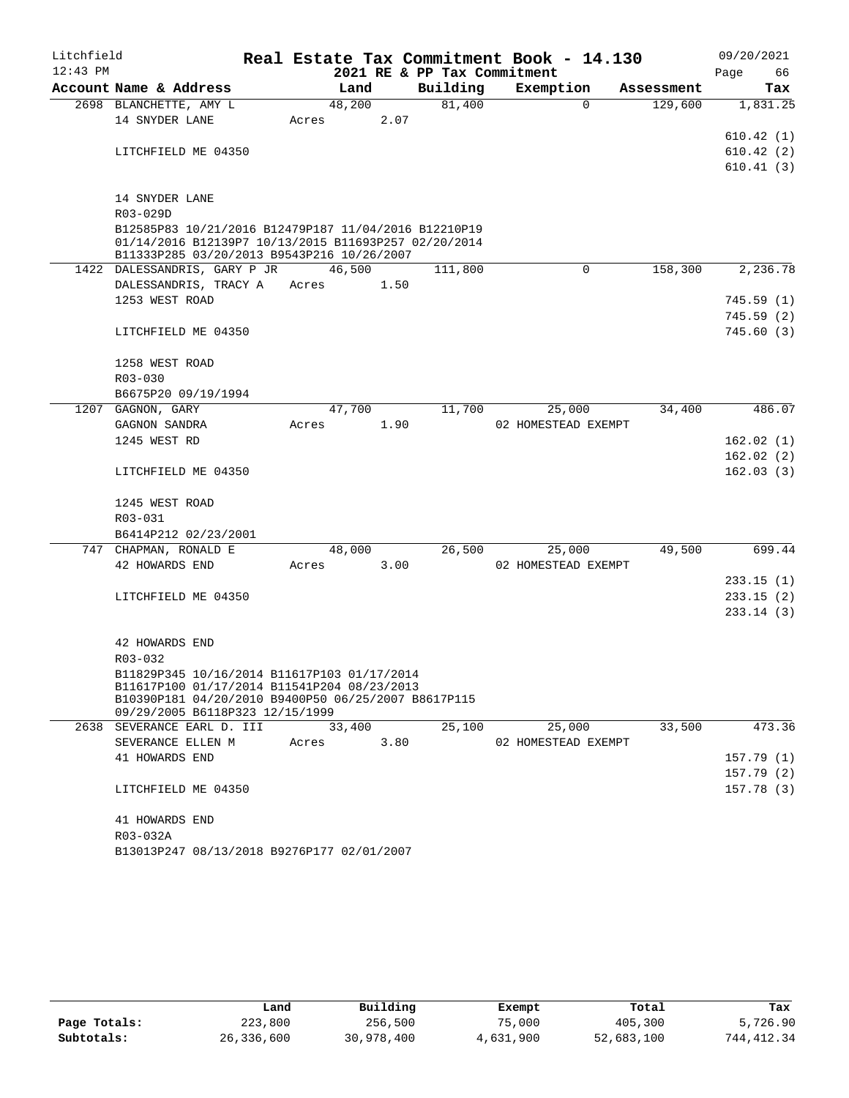| Litchfield |                                                                                                                                                            |            |        |                             | Real Estate Tax Commitment Book - 14.130 |                        | 09/20/2021 |
|------------|------------------------------------------------------------------------------------------------------------------------------------------------------------|------------|--------|-----------------------------|------------------------------------------|------------------------|------------|
| $12:43$ PM |                                                                                                                                                            |            |        | 2021 RE & PP Tax Commitment |                                          |                        | Page<br>66 |
|            | Account Name & Address                                                                                                                                     |            | Land   | Building                    | Exemption                                | Assessment             | Tax        |
|            | 2698 BLANCHETTE, AMY L                                                                                                                                     |            | 48,200 | 81,400                      |                                          | $\Omega$<br>129,600    | 1,831.25   |
|            | 14 SNYDER LANE                                                                                                                                             | Acres      | 2.07   |                             |                                          |                        |            |
|            |                                                                                                                                                            |            |        |                             |                                          |                        | 610.42(1)  |
|            | LITCHFIELD ME 04350                                                                                                                                        |            |        |                             |                                          |                        | 610.42(2)  |
|            |                                                                                                                                                            |            |        |                             |                                          |                        | 610.41(3)  |
|            | 14 SNYDER LANE                                                                                                                                             |            |        |                             |                                          |                        |            |
|            | R03-029D                                                                                                                                                   |            |        |                             |                                          |                        |            |
|            | B12585P83 10/21/2016 B12479P187 11/04/2016 B12210P19<br>01/14/2016 B12139P7 10/13/2015 B11693P257 02/20/2014<br>B11333P285 03/20/2013 B9543P216 10/26/2007 |            |        |                             |                                          |                        |            |
|            | 1422 DALESSANDRIS, GARY P JR 46,500                                                                                                                        |            |        | 111,800                     |                                          | $\mathbf 0$<br>158,300 | 2,236.78   |
|            | DALESSANDRIS, TRACY A                                                                                                                                      | Acres      | 1.50   |                             |                                          |                        |            |
|            | 1253 WEST ROAD                                                                                                                                             |            |        |                             |                                          |                        | 745.59(1)  |
|            |                                                                                                                                                            |            |        |                             |                                          |                        | 745.59(2)  |
|            | LITCHFIELD ME 04350                                                                                                                                        |            |        |                             |                                          |                        | 745.60(3)  |
|            | 1258 WEST ROAD                                                                                                                                             |            |        |                             |                                          |                        |            |
|            | $R03 - 030$                                                                                                                                                |            |        |                             |                                          |                        |            |
|            | B6675P20 09/19/1994                                                                                                                                        |            |        |                             |                                          |                        |            |
|            | 1207 GAGNON, GARY                                                                                                                                          |            | 47,700 | 11,700                      | 25,000                                   | 34,400                 | 486.07     |
|            | GAGNON SANDRA                                                                                                                                              | Acres      | 1.90   |                             | 02 HOMESTEAD EXEMPT                      |                        |            |
|            | 1245 WEST RD                                                                                                                                               |            |        |                             |                                          |                        | 162.02(1)  |
|            |                                                                                                                                                            |            |        |                             |                                          |                        | 162.02(2)  |
|            | LITCHFIELD ME 04350                                                                                                                                        |            |        |                             |                                          |                        | 162.03(3)  |
|            | 1245 WEST ROAD                                                                                                                                             |            |        |                             |                                          |                        |            |
|            | R03-031                                                                                                                                                    |            |        |                             |                                          |                        |            |
|            | B6414P212 02/23/2001                                                                                                                                       |            |        |                             |                                          |                        |            |
|            | 747 CHAPMAN, RONALD E                                                                                                                                      |            | 48,000 | 26,500                      | 25,000                                   | 49,500                 | 699.44     |
|            | 42 HOWARDS END                                                                                                                                             | Acres 3.00 |        |                             | 02 HOMESTEAD EXEMPT                      |                        |            |
|            |                                                                                                                                                            |            |        |                             |                                          |                        | 233.15(1)  |
|            | LITCHFIELD ME 04350                                                                                                                                        |            |        |                             |                                          |                        | 233.15(2)  |
|            |                                                                                                                                                            |            |        |                             |                                          |                        | 233.14(3)  |
|            | 42 HOWARDS END                                                                                                                                             |            |        |                             |                                          |                        |            |
|            | R03-032                                                                                                                                                    |            |        |                             |                                          |                        |            |
|            | B11829P345 10/16/2014 B11617P103 01/17/2014                                                                                                                |            |        |                             |                                          |                        |            |
|            | B11617P100 01/17/2014 B11541P204 08/23/2013<br>B10390P181 04/20/2010 B9400P50 06/25/2007 B8617P115                                                         |            |        |                             |                                          |                        |            |
|            | 09/29/2005 B6118P323 12/15/1999                                                                                                                            |            |        |                             |                                          |                        |            |
|            | 2638 SEVERANCE EARL D. III                                                                                                                                 |            | 33,400 | 25,100                      | 25,000                                   | 33,500                 | 473.36     |
|            | SEVERANCE ELLEN M<br>41 HOWARDS END                                                                                                                        | Acres      | 3.80   |                             | 02 HOMESTEAD EXEMPT                      |                        | 157.79(1)  |
|            |                                                                                                                                                            |            |        |                             |                                          |                        | 157.79(2)  |
|            | LITCHFIELD ME 04350                                                                                                                                        |            |        |                             |                                          |                        | 157.78(3)  |
|            |                                                                                                                                                            |            |        |                             |                                          |                        |            |
|            | 41 HOWARDS END                                                                                                                                             |            |        |                             |                                          |                        |            |
|            | R03-032A                                                                                                                                                   |            |        |                             |                                          |                        |            |
|            | B13013P247 08/13/2018 B9276P177 02/01/2007                                                                                                                 |            |        |                             |                                          |                        |            |

|              | Land       | Building   | Exempt    | Total      | Tax        |
|--------------|------------|------------|-----------|------------|------------|
| Page Totals: | 223,800    | 256,500    | 75,000    | 405,300    | 5,726.90   |
| Subtotals:   | 26,336,600 | 30,978,400 | 4,631,900 | 52,683,100 | 744,412.34 |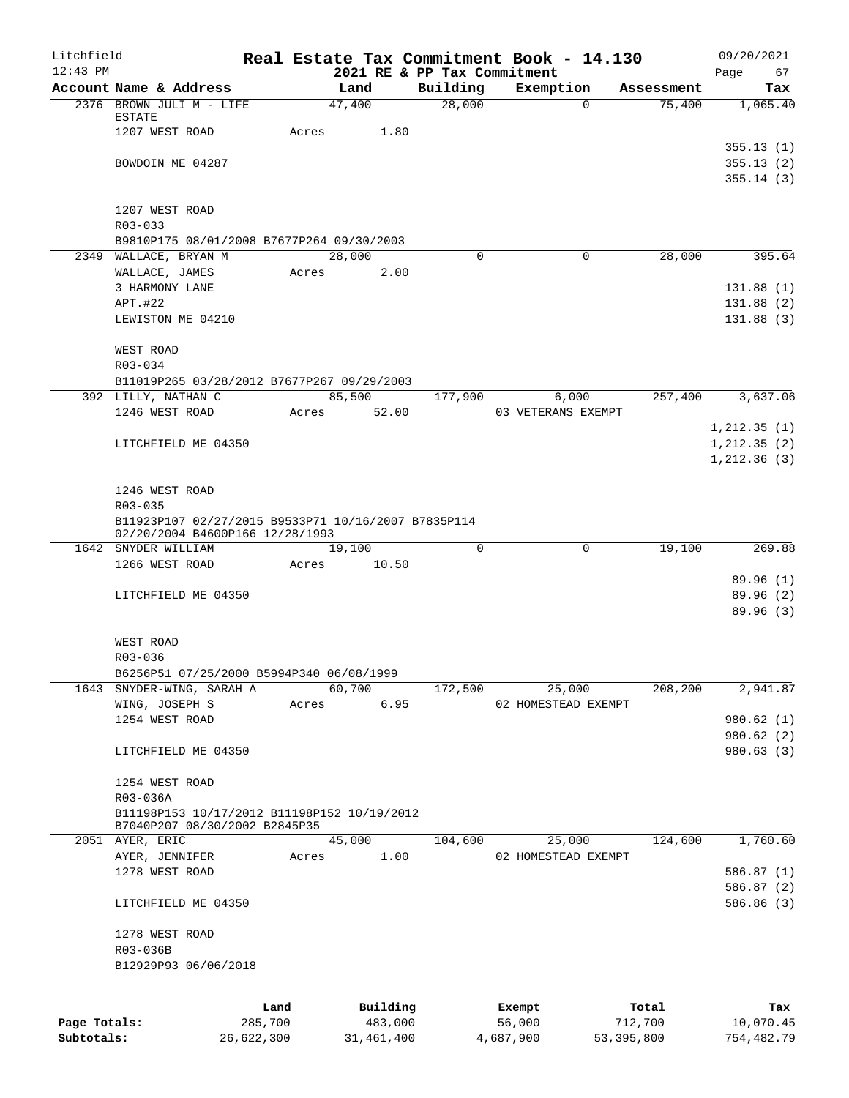| Litchfield   |                                                                  |            |       |                             |                    | Real Estate Tax Commitment Book - 14.130 |              |                      | 09/20/2021      |
|--------------|------------------------------------------------------------------|------------|-------|-----------------------------|--------------------|------------------------------------------|--------------|----------------------|-----------------|
| $12:43$ PM   |                                                                  |            |       | 2021 RE & PP Tax Commitment |                    |                                          |              |                      | Page<br>67      |
|              | Account Name & Address<br>2376 BROWN JULI M - LIFE               |            |       | Land<br>47,400              | Building<br>28,000 | Exemption<br>0                           |              | Assessment<br>75,400 | Tax<br>1,065.40 |
|              | ESTATE                                                           |            |       |                             |                    |                                          |              |                      |                 |
|              | 1207 WEST ROAD                                                   |            | Acres | 1.80                        |                    |                                          |              |                      |                 |
|              |                                                                  |            |       |                             |                    |                                          |              |                      | 355.13(1)       |
|              | BOWDOIN ME 04287                                                 |            |       |                             |                    |                                          |              |                      | 355.13(2)       |
|              |                                                                  |            |       |                             |                    |                                          |              |                      | 355.14(3)       |
|              |                                                                  |            |       |                             |                    |                                          |              |                      |                 |
|              | 1207 WEST ROAD                                                   |            |       |                             |                    |                                          |              |                      |                 |
|              | R03-033                                                          |            |       |                             |                    |                                          |              |                      |                 |
|              | B9810P175 08/01/2008 B7677P264 09/30/2003                        |            |       |                             |                    |                                          |              |                      |                 |
|              | 2349 WALLACE, BRYAN M                                            |            |       | 28,000                      | $\Omega$           | $\Omega$                                 |              | 28,000               | 395.64          |
|              | WALLACE, JAMES                                                   |            | Acres | 2.00                        |                    |                                          |              |                      |                 |
|              | 3 HARMONY LANE                                                   |            |       |                             |                    |                                          |              |                      | 131.88(1)       |
|              | APT.#22                                                          |            |       |                             |                    |                                          |              |                      | 131.88(2)       |
|              | LEWISTON ME 04210                                                |            |       |                             |                    |                                          |              |                      | 131.88(3)       |
|              | WEST ROAD                                                        |            |       |                             |                    |                                          |              |                      |                 |
|              | $R03 - 034$                                                      |            |       |                             |                    |                                          |              |                      |                 |
|              | B11019P265 03/28/2012 B7677P267 09/29/2003                       |            |       |                             |                    |                                          |              |                      |                 |
|              | 392 LILLY, NATHAN C                                              |            |       | 85,500                      | 177,900            | 6,000                                    |              | 257,400              | 3,637.06        |
|              | 1246 WEST ROAD                                                   |            | Acres | 52.00                       |                    | 03 VETERANS EXEMPT                       |              |                      |                 |
|              |                                                                  |            |       |                             |                    |                                          |              |                      | 1, 212.35(1)    |
|              | LITCHFIELD ME 04350                                              |            |       |                             |                    |                                          |              |                      | 1, 212.35(2)    |
|              |                                                                  |            |       |                             |                    |                                          |              |                      | 1, 212.36(3)    |
|              |                                                                  |            |       |                             |                    |                                          |              |                      |                 |
|              | 1246 WEST ROAD                                                   |            |       |                             |                    |                                          |              |                      |                 |
|              | R03-035                                                          |            |       |                             |                    |                                          |              |                      |                 |
|              | B11923P107 02/27/2015 B9533P71 10/16/2007 B7835P114              |            |       |                             |                    |                                          |              |                      |                 |
|              | 02/20/2004 B4600P166 12/28/1993                                  |            |       |                             |                    |                                          |              |                      |                 |
|              | 1642 SNYDER WILLIAM                                              |            |       | 19,100                      | 0                  | $\mathbf 0$                              |              | 19,100               | 269.88          |
|              | 1266 WEST ROAD                                                   |            | Acres | 10.50                       |                    |                                          |              |                      |                 |
|              |                                                                  |            |       |                             |                    |                                          |              |                      | 89.96(1)        |
|              | LITCHFIELD ME 04350                                              |            |       |                             |                    |                                          |              |                      | 89.96(2)        |
|              |                                                                  |            |       |                             |                    |                                          |              |                      | 89.96(3)        |
|              |                                                                  |            |       |                             |                    |                                          |              |                      |                 |
|              | WEST ROAD                                                        |            |       |                             |                    |                                          |              |                      |                 |
|              | R03-036                                                          |            |       |                             |                    |                                          |              |                      |                 |
| 1643         | B6256P51 07/25/2000 B5994P340 06/08/1999<br>SNYDER-WING, SARAH A |            |       | 60,700                      | 172,500            | 25,000                                   |              | 208,200              | 2,941.87        |
|              | WING, JOSEPH S                                                   |            | Acres | 6.95                        |                    | 02 HOMESTEAD EXEMPT                      |              |                      |                 |
|              | 1254 WEST ROAD                                                   |            |       |                             |                    |                                          |              |                      | 980.62 (1)      |
|              |                                                                  |            |       |                             |                    |                                          |              |                      | 980.62 (2)      |
|              | LITCHFIELD ME 04350                                              |            |       |                             |                    |                                          |              |                      | 980.63(3)       |
|              |                                                                  |            |       |                             |                    |                                          |              |                      |                 |
|              | 1254 WEST ROAD                                                   |            |       |                             |                    |                                          |              |                      |                 |
|              | R03-036A                                                         |            |       |                             |                    |                                          |              |                      |                 |
|              | B11198P153 10/17/2012 B11198P152 10/19/2012                      |            |       |                             |                    |                                          |              |                      |                 |
|              | B7040P207 08/30/2002 B2845P35                                    |            |       |                             |                    |                                          |              |                      |                 |
|              | 2051 AYER, ERIC                                                  |            |       | 45,000                      | 104,600            | 25,000                                   |              | 124,600              | 1,760.60        |
|              | AYER, JENNIFER                                                   |            | Acres | 1.00                        |                    | 02 HOMESTEAD EXEMPT                      |              |                      |                 |
|              | 1278 WEST ROAD                                                   |            |       |                             |                    |                                          |              |                      | 586.87(1)       |
|              |                                                                  |            |       |                             |                    |                                          |              |                      | 586.87 (2)      |
|              | LITCHFIELD ME 04350                                              |            |       |                             |                    |                                          |              |                      | 586.86 (3)      |
|              |                                                                  |            |       |                             |                    |                                          |              |                      |                 |
|              | 1278 WEST ROAD                                                   |            |       |                             |                    |                                          |              |                      |                 |
|              | R03-036B                                                         |            |       |                             |                    |                                          |              |                      |                 |
|              | B12929P93 06/06/2018                                             |            |       |                             |                    |                                          |              |                      |                 |
|              |                                                                  |            |       |                             |                    |                                          |              |                      |                 |
|              |                                                                  | Land       |       | Building                    |                    | Exempt                                   |              | Total                | Tax             |
| Page Totals: |                                                                  | 285,700    |       | 483,000                     |                    | 56,000                                   | 712,700      |                      | 10,070.45       |
| Subtotals:   |                                                                  | 26,622,300 |       | 31, 461, 400                |                    | 4,687,900                                | 53, 395, 800 |                      | 754,482.79      |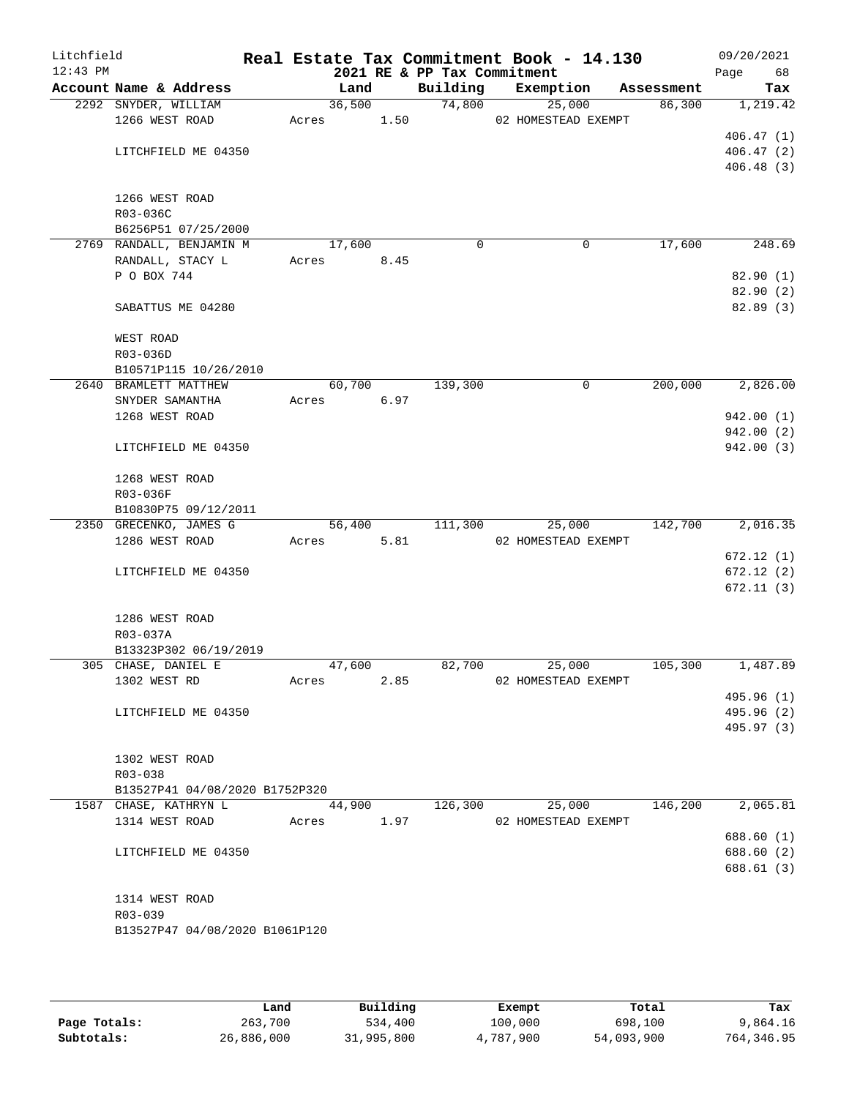| Litchfield<br>$12:43$ PM |                                                         |       |        |      | 2021 RE & PP Tax Commitment | Real Estate Tax Commitment Book - 14.130 |            | 09/20/2021<br>Page<br>68 |
|--------------------------|---------------------------------------------------------|-------|--------|------|-----------------------------|------------------------------------------|------------|--------------------------|
|                          | Account Name & Address                                  |       | Land   |      | Building                    | Exemption                                | Assessment | Tax                      |
|                          | 2292 SNYDER, WILLIAM                                    |       | 36,500 |      |                             | 74,800<br>25,000                         | 86,300     | 1,219.42                 |
|                          | 1266 WEST ROAD                                          | Acres |        | 1.50 |                             | 02 HOMESTEAD EXEMPT                      |            |                          |
|                          |                                                         |       |        |      |                             |                                          |            | 406.47(1)                |
|                          | LITCHFIELD ME 04350                                     |       |        |      |                             |                                          |            | 406.47(2)                |
|                          |                                                         |       |        |      |                             |                                          |            | 406.48(3)                |
|                          |                                                         |       |        |      |                             |                                          |            |                          |
|                          | 1266 WEST ROAD                                          |       |        |      |                             |                                          |            |                          |
|                          | R03-036C                                                |       |        |      |                             |                                          |            |                          |
|                          | B6256P51 07/25/2000<br>2769 RANDALL, BENJAMIN M         |       | 17,600 |      | $\Omega$                    | 0                                        | 17,600     | 248.69                   |
|                          | RANDALL, STACY L                                        | Acres |        | 8.45 |                             |                                          |            |                          |
|                          | P O BOX 744                                             |       |        |      |                             |                                          |            | 82.90(1)                 |
|                          |                                                         |       |        |      |                             |                                          |            | 82.90(2)                 |
|                          | SABATTUS ME 04280                                       |       |        |      |                             |                                          |            | 82.89 (3)                |
|                          |                                                         |       |        |      |                             |                                          |            |                          |
|                          | WEST ROAD                                               |       |        |      |                             |                                          |            |                          |
|                          | R03-036D                                                |       |        |      |                             |                                          |            |                          |
|                          | B10571P115 10/26/2010                                   |       |        |      |                             |                                          |            |                          |
|                          | 2640 BRAMLETT MATTHEW                                   |       | 60,700 |      | 139,300                     | 0                                        | 200,000    | 2,826.00                 |
|                          | SNYDER SAMANTHA                                         | Acres |        | 6.97 |                             |                                          |            |                          |
|                          | 1268 WEST ROAD                                          |       |        |      |                             |                                          |            | 942.00(1)                |
|                          |                                                         |       |        |      |                             |                                          |            | 942.00 (2)               |
|                          | LITCHFIELD ME 04350                                     |       |        |      |                             |                                          |            | 942.00 (3)               |
|                          | 1268 WEST ROAD                                          |       |        |      |                             |                                          |            |                          |
|                          | R03-036F                                                |       |        |      |                             |                                          |            |                          |
|                          | B10830P75 09/12/2011                                    |       |        |      |                             |                                          |            |                          |
|                          | 2350 GRECENKO, JAMES G                                  |       | 56,400 |      | 111,300                     | 25,000                                   | 142,700    | 2,016.35                 |
|                          | 1286 WEST ROAD                                          |       | Acres  | 5.81 |                             | 02 HOMESTEAD EXEMPT                      |            |                          |
|                          |                                                         |       |        |      |                             |                                          |            | 672.12(1)                |
|                          | LITCHFIELD ME 04350                                     |       |        |      |                             |                                          |            | 672.12(2)                |
|                          |                                                         |       |        |      |                             |                                          |            | 672.11(3)                |
|                          | 1286 WEST ROAD                                          |       |        |      |                             |                                          |            |                          |
|                          | R03-037A                                                |       |        |      |                             |                                          |            |                          |
|                          | B13323P302 06/19/2019                                   |       |        |      |                             |                                          |            |                          |
|                          | 305 CHASE, DANIEL E                                     |       | 47,600 |      | 82,700                      | 25,000                                   | 105,300    | 1,487.89                 |
|                          | 1302 WEST RD                                            | Acres |        | 2.85 |                             | 02 HOMESTEAD EXEMPT                      |            |                          |
|                          |                                                         |       |        |      |                             |                                          |            | 495.96 (1)               |
|                          | LITCHFIELD ME 04350                                     |       |        |      |                             |                                          |            | 495.96 (2)               |
|                          |                                                         |       |        |      |                             |                                          |            | 495.97 (3)               |
|                          |                                                         |       |        |      |                             |                                          |            |                          |
|                          | 1302 WEST ROAD                                          |       |        |      |                             |                                          |            |                          |
|                          | R03-038                                                 |       |        |      |                             |                                          |            |                          |
|                          | B13527P41 04/08/2020 B1752P320<br>1587 CHASE, KATHRYN L |       | 44,900 |      | 126,300                     | 25,000                                   | 146,200    | 2,065.81                 |
|                          | 1314 WEST ROAD                                          | Acres |        | 1.97 |                             | 02 HOMESTEAD EXEMPT                      |            |                          |
|                          |                                                         |       |        |      |                             |                                          |            | 688.60 (1)               |
|                          | LITCHFIELD ME 04350                                     |       |        |      |                             |                                          |            | 688.60 (2)               |
|                          |                                                         |       |        |      |                             |                                          |            | 688.61 (3)               |
|                          |                                                         |       |        |      |                             |                                          |            |                          |
|                          | 1314 WEST ROAD                                          |       |        |      |                             |                                          |            |                          |
|                          | R03-039                                                 |       |        |      |                             |                                          |            |                          |
|                          | B13527P47 04/08/2020 B1061P120                          |       |        |      |                             |                                          |            |                          |
|                          |                                                         |       |        |      |                             |                                          |            |                          |
|                          |                                                         |       |        |      |                             |                                          |            |                          |

|              | Land       | Building   | Exempt    | Total      | Tax        |
|--------------|------------|------------|-----------|------------|------------|
| Page Totals: | 263,700    | 534,400    | 100,000   | 698,100    | 9,864.16   |
| Subtotals:   | 26,886,000 | 31,995,800 | 4,787,900 | 54,093,900 | 764,346.95 |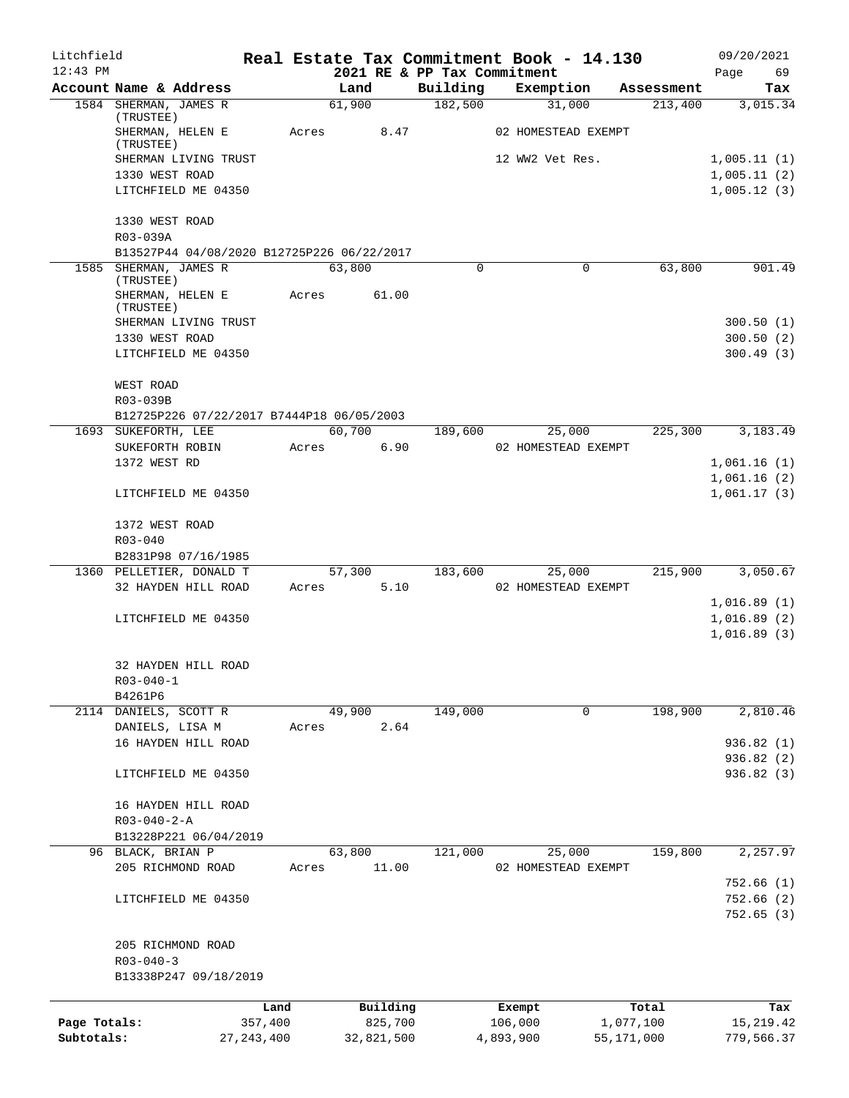| Litchfield   |                                                 |              |       |                |            |                             | Real Estate Tax Commitment Book - 14.130 |                       | 09/20/2021              |
|--------------|-------------------------------------------------|--------------|-------|----------------|------------|-----------------------------|------------------------------------------|-----------------------|-------------------------|
| $12:43$ PM   |                                                 |              |       |                |            | 2021 RE & PP Tax Commitment |                                          |                       | Page<br>69              |
|              | Account Name & Address<br>1584 SHERMAN, JAMES R |              |       | Land<br>61,900 |            | Building<br>182,500         | Exemption<br>31,000                      | Assessment<br>213,400 | Tax<br>3,015.34         |
|              | (TRUSTEE)                                       |              |       |                |            |                             |                                          |                       |                         |
|              | SHERMAN, HELEN E<br>(TRUSTEE)                   |              | Acres |                | 8.47       |                             | 02 HOMESTEAD EXEMPT                      |                       |                         |
|              | SHERMAN LIVING TRUST                            |              |       |                |            |                             | 12 WW2 Vet Res.                          |                       | 1,005.11(1)             |
|              | 1330 WEST ROAD                                  |              |       |                |            |                             |                                          |                       | 1,005.11(2)             |
|              | LITCHFIELD ME 04350                             |              |       |                |            |                             |                                          |                       | 1,005.12(3)             |
|              | 1330 WEST ROAD<br>R03-039A                      |              |       |                |            |                             |                                          |                       |                         |
|              | B13527P44 04/08/2020 B12725P226 06/22/2017      |              |       |                |            |                             |                                          |                       |                         |
|              | 1585 SHERMAN, JAMES R<br>(TRUSTEE)              |              |       | 63,800         |            | 0                           | 0                                        | 63,800                | 901.49                  |
|              | SHERMAN, HELEN E<br>(TRUSTEE)                   |              | Acres |                | 61.00      |                             |                                          |                       |                         |
|              | SHERMAN LIVING TRUST                            |              |       |                |            |                             |                                          |                       | 300.50(1)               |
|              | 1330 WEST ROAD                                  |              |       |                |            |                             |                                          |                       | 300.50(2)               |
|              | LITCHFIELD ME 04350                             |              |       |                |            |                             |                                          |                       | 300.49(3)               |
|              | WEST ROAD<br>R03-039B                           |              |       |                |            |                             |                                          |                       |                         |
|              | B12725P226 07/22/2017 B7444P18 06/05/2003       |              |       |                |            |                             |                                          |                       |                         |
|              | 1693 SUKEFORTH, LEE                             |              |       | 60,700         |            | 189,600                     | 25,000                                   | 225,300               | 3,183.49                |
|              | SUKEFORTH ROBIN                                 |              | Acres |                | 6.90       |                             | 02 HOMESTEAD EXEMPT                      |                       |                         |
|              | 1372 WEST RD                                    |              |       |                |            |                             |                                          |                       | 1,061.16(1)             |
|              |                                                 |              |       |                |            |                             |                                          |                       | 1,061.16(2)             |
|              | LITCHFIELD ME 04350                             |              |       |                |            |                             |                                          |                       | 1,061.17(3)             |
|              | 1372 WEST ROAD                                  |              |       |                |            |                             |                                          |                       |                         |
|              | $R03 - 040$                                     |              |       |                |            |                             |                                          |                       |                         |
|              | B2831P98 07/16/1985                             |              |       |                |            |                             |                                          |                       |                         |
|              | 1360 PELLETIER, DONALD T<br>32 HAYDEN HILL ROAD |              | Acres | 57,300         | 5.10       | 183,600                     | 25,000<br>02 HOMESTEAD EXEMPT            | 215,900               | 3,050.67                |
|              |                                                 |              |       |                |            |                             |                                          |                       | 1,016.89(1)             |
|              | LITCHFIELD ME 04350                             |              |       |                |            |                             |                                          |                       | 1,016.89(2)             |
|              |                                                 |              |       |                |            |                             |                                          |                       | 1,016.89(3)             |
|              | 32 HAYDEN HILL ROAD                             |              |       |                |            |                             |                                          |                       |                         |
|              | $R03 - 040 - 1$                                 |              |       |                |            |                             |                                          |                       |                         |
|              | B4261P6                                         |              |       |                |            |                             |                                          |                       |                         |
|              | 2114 DANIELS, SCOTT R                           |              |       | 49,900         |            | 149,000                     | $\mathbf 0$                              | 198,900               | 2,810.46                |
|              | DANIELS, LISA M                                 |              | Acres |                | 2.64       |                             |                                          |                       |                         |
|              | 16 HAYDEN HILL ROAD                             |              |       |                |            |                             |                                          |                       | 936.82 (1)<br>936.82(2) |
|              | LITCHFIELD ME 04350                             |              |       |                |            |                             |                                          |                       | 936.82(3)               |
|              | 16 HAYDEN HILL ROAD                             |              |       |                |            |                             |                                          |                       |                         |
|              | $R03 - 040 - 2 - A$                             |              |       |                |            |                             |                                          |                       |                         |
|              | B13228P221 06/04/2019                           |              |       |                |            |                             |                                          |                       |                         |
|              | 96 BLACK, BRIAN P                               |              |       | 63,800         |            | 121,000                     | 25,000                                   | 159,800               | 2,257.97                |
|              | 205 RICHMOND ROAD                               |              | Acres |                | 11.00      |                             | 02 HOMESTEAD EXEMPT                      |                       |                         |
|              |                                                 |              |       |                |            |                             |                                          |                       | 752.66(1)               |
|              | LITCHFIELD ME 04350                             |              |       |                |            |                             |                                          |                       | 752.66 (2)<br>752.65(3) |
|              | 205 RICHMOND ROAD                               |              |       |                |            |                             |                                          |                       |                         |
|              | $R03 - 040 - 3$                                 |              |       |                |            |                             |                                          |                       |                         |
|              | B13338P247 09/18/2019                           |              |       |                |            |                             |                                          |                       |                         |
|              |                                                 | Land         |       |                | Building   |                             | Exempt                                   | Total                 | Tax                     |
| Page Totals: |                                                 | 357,400      |       |                | 825,700    |                             | 106,000                                  | 1,077,100             | 15, 219. 42             |
| Subtotals:   |                                                 | 27, 243, 400 |       |                | 32,821,500 |                             | 4,893,900                                | 55,171,000            | 779,566.37              |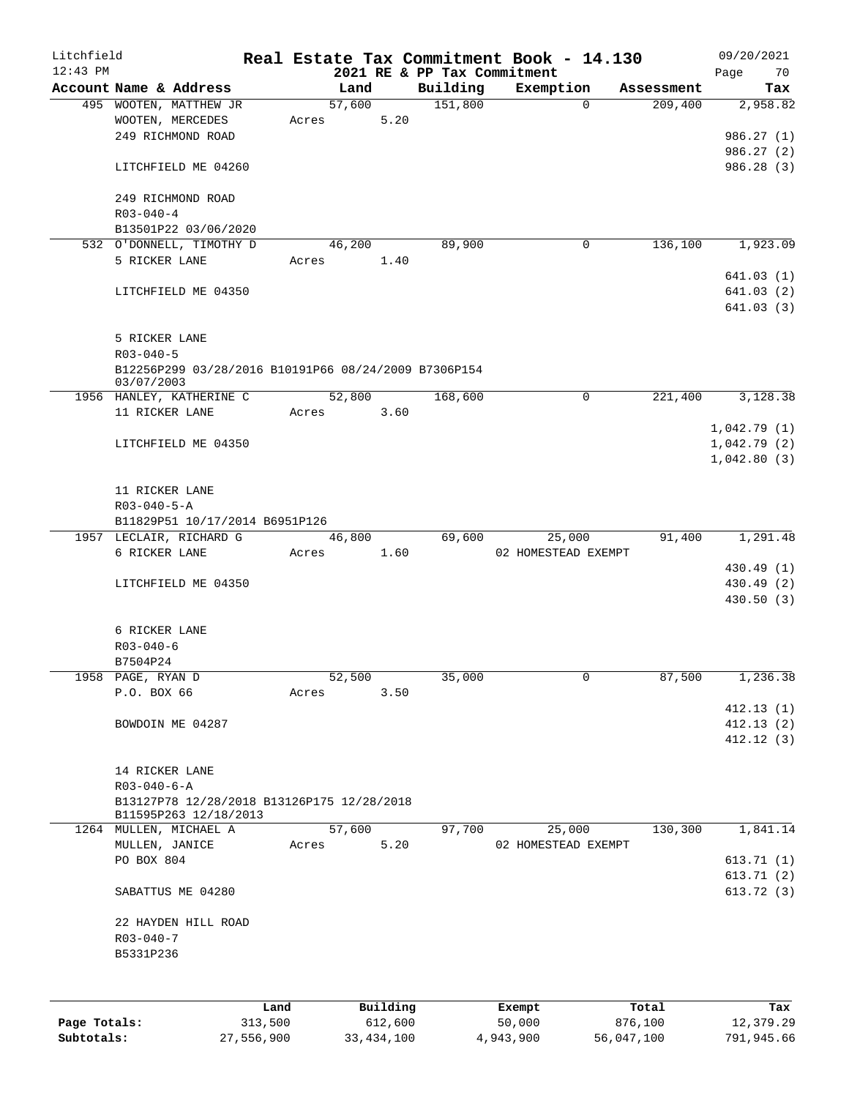| Litchfield<br>$12:43$ PM |                                                      |         |        |          | 2021 RE & PP Tax Commitment | Real Estate Tax Commitment Book - 14.130 |            | 09/20/2021        |
|--------------------------|------------------------------------------------------|---------|--------|----------|-----------------------------|------------------------------------------|------------|-------------------|
|                          | Account Name & Address                               |         | Land   |          | Building                    | Exemption                                | Assessment | 70<br>Page<br>Tax |
|                          | 495 WOOTEN, MATTHEW JR                               |         | 57,600 |          | 151,800                     | $\Omega$                                 | 209,400    | 2,958.82          |
|                          | WOOTEN, MERCEDES                                     | Acres   |        | 5.20     |                             |                                          |            |                   |
|                          | 249 RICHMOND ROAD                                    |         |        |          |                             |                                          |            | 986.27 (1)        |
|                          |                                                      |         |        |          |                             |                                          |            | 986.27 (2)        |
|                          | LITCHFIELD ME 04260                                  |         |        |          |                             |                                          |            | 986.28(3)         |
|                          |                                                      |         |        |          |                             |                                          |            |                   |
|                          | 249 RICHMOND ROAD                                    |         |        |          |                             |                                          |            |                   |
|                          | $R03 - 040 - 4$                                      |         |        |          |                             |                                          |            |                   |
|                          | B13501P22 03/06/2020                                 |         |        |          |                             |                                          |            |                   |
|                          | 532 O'DONNELL, TIMOTHY D                             |         | 46,200 |          | 89,900                      | 0                                        | 136,100    | 1,923.09          |
|                          | 5 RICKER LANE                                        | Acres   |        | 1.40     |                             |                                          |            |                   |
|                          |                                                      |         |        |          |                             |                                          |            | 641.03(1)         |
|                          | LITCHFIELD ME 04350                                  |         |        |          |                             |                                          |            | 641.03 (2)        |
|                          |                                                      |         |        |          |                             |                                          |            | 641.03 (3)        |
|                          |                                                      |         |        |          |                             |                                          |            |                   |
|                          | 5 RICKER LANE                                        |         |        |          |                             |                                          |            |                   |
|                          | $R03 - 040 - 5$                                      |         |        |          |                             |                                          |            |                   |
|                          | B12256P299 03/28/2016 B10191P66 08/24/2009 B7306P154 |         |        |          |                             |                                          |            |                   |
|                          | 03/07/2003                                           |         |        |          |                             |                                          |            |                   |
|                          | 1956 HANLEY, KATHERINE C                             |         | 52,800 |          | 168,600                     | $\mathbf 0$                              | 221,400    | 3,128.38          |
|                          | 11 RICKER LANE                                       | Acres   |        | 3.60     |                             |                                          |            |                   |
|                          |                                                      |         |        |          |                             |                                          |            | 1,042.79(1)       |
|                          | LITCHFIELD ME 04350                                  |         |        |          |                             |                                          |            | 1,042.79(2)       |
|                          |                                                      |         |        |          |                             |                                          |            | 1,042.80(3)       |
|                          |                                                      |         |        |          |                             |                                          |            |                   |
|                          | 11 RICKER LANE                                       |         |        |          |                             |                                          |            |                   |
|                          | $R03 - 040 - 5 - A$                                  |         |        |          |                             |                                          |            |                   |
|                          | B11829P51 10/17/2014 B6951P126                       |         |        |          |                             |                                          |            |                   |
|                          | 1957 LECLAIR, RICHARD G                              |         | 46,800 |          | 69,600                      | 25,000                                   | 91,400     | 1,291.48          |
|                          | 6 RICKER LANE                                        | Acres   |        | 1.60     |                             | 02 HOMESTEAD EXEMPT                      |            |                   |
|                          |                                                      |         |        |          |                             |                                          |            | 430.49 (1)        |
|                          | LITCHFIELD ME 04350                                  |         |        |          |                             |                                          |            | 430.49 (2)        |
|                          |                                                      |         |        |          |                             |                                          |            | 430.50(3)         |
|                          |                                                      |         |        |          |                             |                                          |            |                   |
|                          | 6 RICKER LANE                                        |         |        |          |                             |                                          |            |                   |
|                          | $R03 - 040 - 6$                                      |         |        |          |                             |                                          |            |                   |
|                          | B7504P24                                             |         |        |          |                             |                                          |            |                   |
|                          | 1958 PAGE, RYAN D                                    |         | 52,500 |          | 35,000                      | $\mathbf 0$                              | 87,500     | 1,236.38          |
|                          | P.O. BOX 66                                          | Acres   |        | 3.50     |                             |                                          |            |                   |
|                          |                                                      |         |        |          |                             |                                          |            | 412.13(1)         |
|                          | BOWDOIN ME 04287                                     |         |        |          |                             |                                          |            | 412.13(2)         |
|                          |                                                      |         |        |          |                             |                                          |            | 412.12(3)         |
|                          |                                                      |         |        |          |                             |                                          |            |                   |
|                          | 14 RICKER LANE                                       |         |        |          |                             |                                          |            |                   |
|                          | $R03 - 040 - 6 - A$                                  |         |        |          |                             |                                          |            |                   |
|                          | B13127P78 12/28/2018 B13126P175 12/28/2018           |         |        |          |                             |                                          |            |                   |
|                          | B11595P263 12/18/2013                                |         |        |          |                             |                                          |            |                   |
|                          | 1264 MULLEN, MICHAEL A                               |         | 57,600 |          | 97,700                      | 25,000                                   | 130,300    | 1,841.14          |
|                          | MULLEN, JANICE                                       | Acres   |        | 5.20     |                             | 02 HOMESTEAD EXEMPT                      |            |                   |
|                          | PO BOX 804                                           |         |        |          |                             |                                          |            | 613.71(1)         |
|                          |                                                      |         |        |          |                             |                                          |            | 613.71(2)         |
|                          | SABATTUS ME 04280                                    |         |        |          |                             |                                          |            | 613.72(3)         |
|                          |                                                      |         |        |          |                             |                                          |            |                   |
|                          | 22 HAYDEN HILL ROAD                                  |         |        |          |                             |                                          |            |                   |
|                          | $R03 - 040 - 7$                                      |         |        |          |                             |                                          |            |                   |
|                          | B5331P236                                            |         |        |          |                             |                                          |            |                   |
|                          |                                                      |         |        |          |                             |                                          |            |                   |
|                          |                                                      |         |        |          |                             |                                          |            |                   |
|                          |                                                      | Land    |        | Building |                             | Exempt                                   | Total      | Tax               |
| Page Totals:             |                                                      | 313,500 |        | 612,600  |                             | 50,000                                   | 876,100    | 12,379.29         |
|                          |                                                      |         |        |          |                             |                                          |            |                   |

**Subtotals:** 27,556,900 33,434,100 4,943,900 56,047,100 791,945.66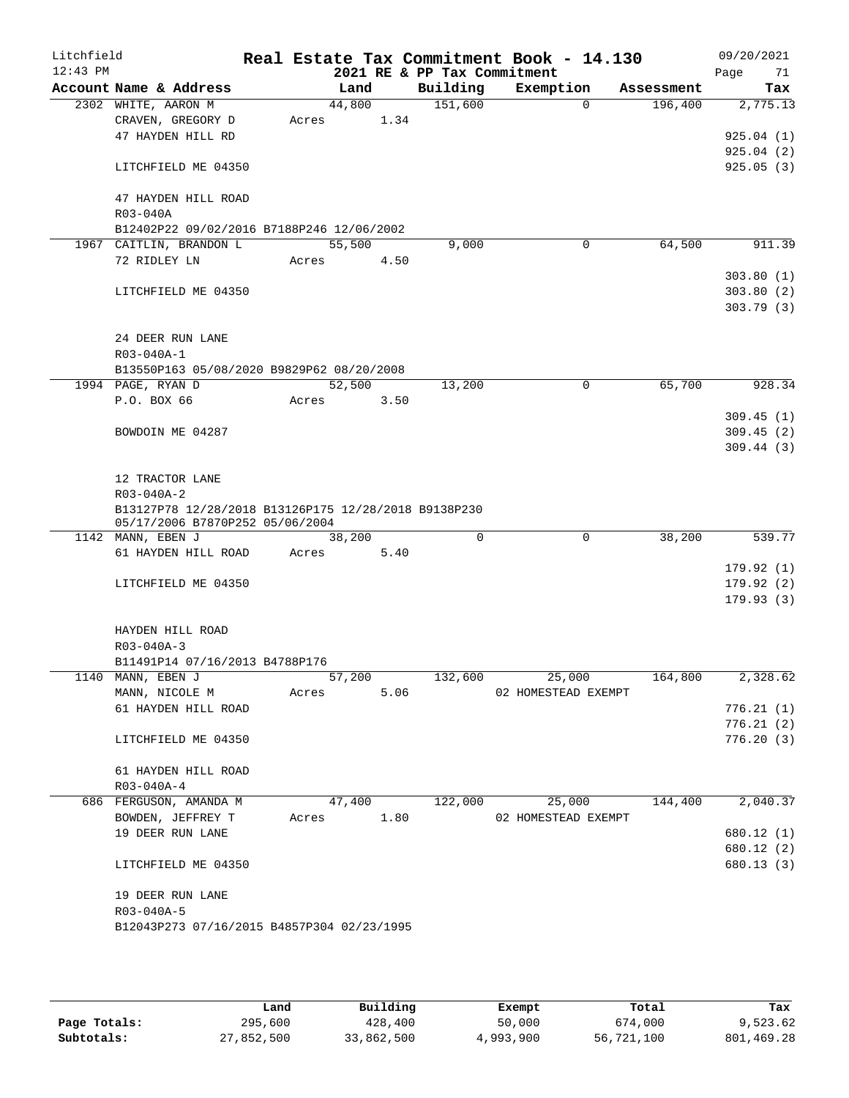| Litchfield<br>$12:43$ PM |                                                                                         |        |      | 2021 RE & PP Tax Commitment | Real Estate Tax Commitment Book - 14.130 |             |            | 09/20/2021<br>Page<br>71 |
|--------------------------|-----------------------------------------------------------------------------------------|--------|------|-----------------------------|------------------------------------------|-------------|------------|--------------------------|
|                          | Account Name & Address                                                                  | Land   |      | Building                    | Exemption                                |             | Assessment | Tax                      |
|                          | 2302 WHITE, AARON M                                                                     | 44,800 |      | 151,600                     |                                          | $\Omega$    | 196,400    | 2,775.13                 |
|                          | CRAVEN, GREGORY D                                                                       | Acres  | 1.34 |                             |                                          |             |            |                          |
|                          | 47 HAYDEN HILL RD                                                                       |        |      |                             |                                          |             |            | 925.04(1)                |
|                          |                                                                                         |        |      |                             |                                          |             |            | 925.04(2)                |
|                          | LITCHFIELD ME 04350                                                                     |        |      |                             |                                          |             |            | 925.05(3)                |
|                          |                                                                                         |        |      |                             |                                          |             |            |                          |
|                          | 47 HAYDEN HILL ROAD                                                                     |        |      |                             |                                          |             |            |                          |
|                          | R03-040A<br>B12402P22 09/02/2016 B7188P246 12/06/2002                                   |        |      |                             |                                          |             |            |                          |
|                          | 1967 CAITLIN, BRANDON L                                                                 | 55,500 |      | 9,000                       |                                          | $\mathbf 0$ | 64,500     | 911.39                   |
|                          | 72 RIDLEY LN                                                                            | Acres  | 4.50 |                             |                                          |             |            |                          |
|                          |                                                                                         |        |      |                             |                                          |             |            | 303.80(1)                |
|                          | LITCHFIELD ME 04350                                                                     |        |      |                             |                                          |             |            | 303.80(2)                |
|                          |                                                                                         |        |      |                             |                                          |             |            | 303.79(3)                |
|                          |                                                                                         |        |      |                             |                                          |             |            |                          |
|                          | 24 DEER RUN LANE                                                                        |        |      |                             |                                          |             |            |                          |
|                          | R03-040A-1                                                                              |        |      |                             |                                          |             |            |                          |
|                          | B13550P163 05/08/2020 B9829P62 08/20/2008                                               |        |      |                             |                                          |             |            |                          |
|                          | 1994 PAGE, RYAN D                                                                       | 52,500 |      | 13,200                      |                                          | $\mathbf 0$ | 65,700     | 928.34                   |
|                          | P.O. BOX 66                                                                             | Acres  | 3.50 |                             |                                          |             |            |                          |
|                          |                                                                                         |        |      |                             |                                          |             |            | 309.45(1)                |
|                          | BOWDOIN ME 04287                                                                        |        |      |                             |                                          |             |            | 309.45(2)                |
|                          |                                                                                         |        |      |                             |                                          |             |            | 309.44(3)                |
|                          |                                                                                         |        |      |                             |                                          |             |            |                          |
|                          | 12 TRACTOR LANE                                                                         |        |      |                             |                                          |             |            |                          |
|                          | R03-040A-2                                                                              |        |      |                             |                                          |             |            |                          |
|                          | B13127P78 12/28/2018 B13126P175 12/28/2018 B9138P230<br>05/17/2006 B7870P252 05/06/2004 |        |      |                             |                                          |             |            |                          |
|                          | 1142 MANN, EBEN J                                                                       | 38,200 |      | $\Omega$                    |                                          | $\mathbf 0$ | 38,200     | 539.77                   |
|                          | 61 HAYDEN HILL ROAD                                                                     | Acres  | 5.40 |                             |                                          |             |            |                          |
|                          |                                                                                         |        |      |                             |                                          |             |            | 179.92(1)                |
|                          | LITCHFIELD ME 04350                                                                     |        |      |                             |                                          |             |            | 179.92(2)                |
|                          |                                                                                         |        |      |                             |                                          |             |            | 179.93(3)                |
|                          |                                                                                         |        |      |                             |                                          |             |            |                          |
|                          | HAYDEN HILL ROAD                                                                        |        |      |                             |                                          |             |            |                          |
|                          | $R03 - 040A - 3$                                                                        |        |      |                             |                                          |             |            |                          |
|                          | B11491P14 07/16/2013 B4788P176                                                          |        |      |                             |                                          |             |            |                          |
|                          | 1140 MANN, EBEN J                                                                       | 57,200 |      | 132,600                     | 25,000                                   |             | 164,800    | 2,328.62                 |
|                          | MANN, NICOLE M                                                                          | Acres  | 5.06 |                             | 02 HOMESTEAD EXEMPT                      |             |            |                          |
|                          | 61 HAYDEN HILL ROAD                                                                     |        |      |                             |                                          |             |            | 776.21(1)                |
|                          |                                                                                         |        |      |                             |                                          |             |            | 776.21(2)                |
|                          | LITCHFIELD ME 04350                                                                     |        |      |                             |                                          |             |            | 776.20(3)                |
|                          |                                                                                         |        |      |                             |                                          |             |            |                          |
|                          | 61 HAYDEN HILL ROAD                                                                     |        |      |                             |                                          |             |            |                          |
|                          | R03-040A-4                                                                              |        |      |                             |                                          |             |            | 2,040.37                 |
|                          | 686 FERGUSON, AMANDA M                                                                  | 47,400 |      | 122,000                     | 25,000                                   |             | 144,400    |                          |
|                          | BOWDEN, JEFFREY T                                                                       | Acres  | 1.80 |                             | 02 HOMESTEAD EXEMPT                      |             |            |                          |
|                          | 19 DEER RUN LANE                                                                        |        |      |                             |                                          |             |            | 680.12 (1)               |
|                          | LITCHFIELD ME 04350                                                                     |        |      |                             |                                          |             |            | 680.12 (2)<br>680.13 (3) |
|                          |                                                                                         |        |      |                             |                                          |             |            |                          |
|                          | 19 DEER RUN LANE                                                                        |        |      |                             |                                          |             |            |                          |
|                          | $R03 - 040A - 5$                                                                        |        |      |                             |                                          |             |            |                          |
|                          | B12043P273 07/16/2015 B4857P304 02/23/1995                                              |        |      |                             |                                          |             |            |                          |
|                          |                                                                                         |        |      |                             |                                          |             |            |                          |
|                          |                                                                                         |        |      |                             |                                          |             |            |                          |

|              | Land       | Building   | Exempt    | Total      | Tax        |
|--------------|------------|------------|-----------|------------|------------|
| Page Totals: | 295,600    | 428,400    | 50,000    | 674,000    | 9,523.62   |
| Subtotals:   | 27,852,500 | 33,862,500 | 4,993,900 | 56,721,100 | 801,469.28 |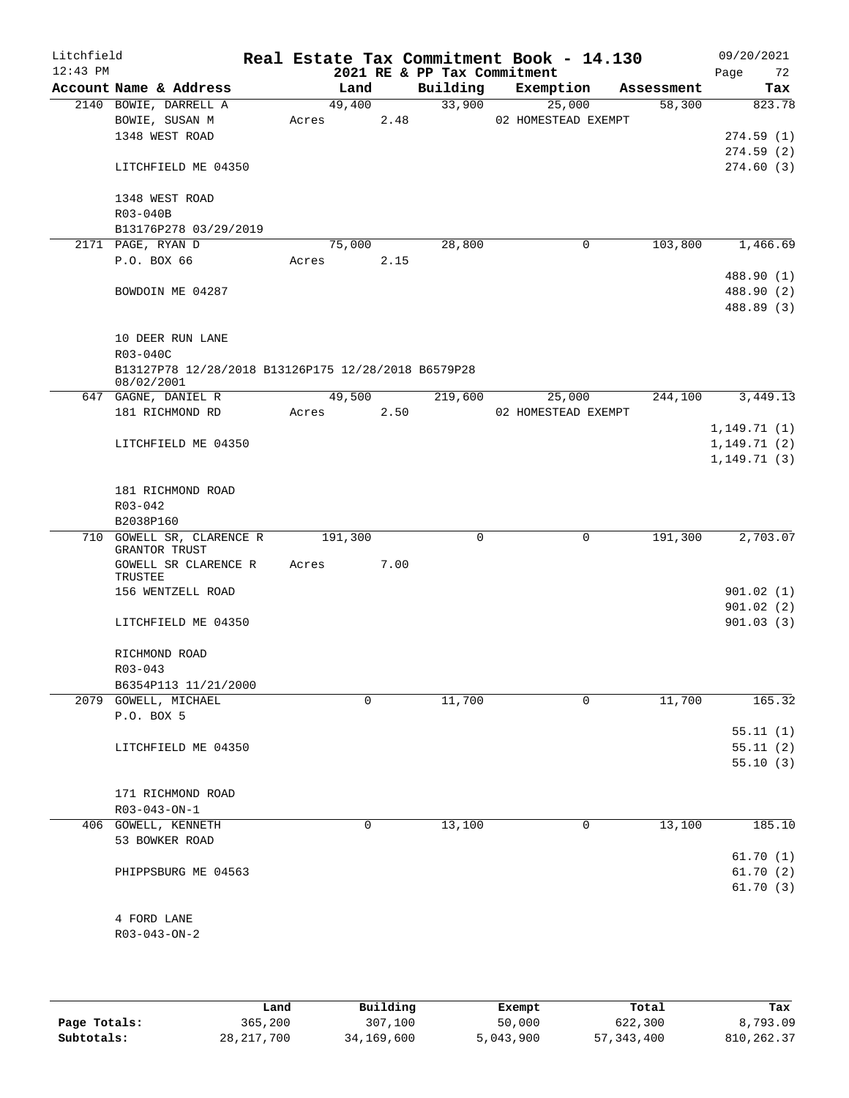| Litchfield<br>$12:43$ PM |                                                     |       |         |      | 2021 RE & PP Tax Commitment | Real Estate Tax Commitment Book - 14.130 |            | 09/20/2021<br>72<br>Page |
|--------------------------|-----------------------------------------------------|-------|---------|------|-----------------------------|------------------------------------------|------------|--------------------------|
|                          | Account Name & Address                              |       | Land    |      | Building                    | Exemption                                | Assessment | Tax                      |
|                          | 2140 BOWIE, DARRELL A                               |       | 49,400  |      | 33,900                      | 25,000                                   | 58,300     | 823.78                   |
|                          | BOWIE, SUSAN M                                      | Acres |         | 2.48 |                             | 02 HOMESTEAD EXEMPT                      |            |                          |
|                          | 1348 WEST ROAD                                      |       |         |      |                             |                                          |            | 274.59(1)                |
|                          |                                                     |       |         |      |                             |                                          |            | 274.59(2)                |
|                          | LITCHFIELD ME 04350                                 |       |         |      |                             |                                          |            | 274.60(3)                |
|                          |                                                     |       |         |      |                             |                                          |            |                          |
|                          | 1348 WEST ROAD                                      |       |         |      |                             |                                          |            |                          |
|                          | R03-040B                                            |       |         |      |                             |                                          |            |                          |
|                          | B13176P278 03/29/2019<br>2171 PAGE, RYAN D          |       |         |      | 28,800                      |                                          | 103,800    | 1,466.69                 |
|                          | P.O. BOX 66                                         | Acres | 75,000  | 2.15 |                             | 0                                        |            |                          |
|                          |                                                     |       |         |      |                             |                                          |            | 488.90 (1)               |
|                          | BOWDOIN ME 04287                                    |       |         |      |                             |                                          |            | 488.90 (2)               |
|                          |                                                     |       |         |      |                             |                                          |            | 488.89 (3)               |
|                          |                                                     |       |         |      |                             |                                          |            |                          |
|                          | 10 DEER RUN LANE                                    |       |         |      |                             |                                          |            |                          |
|                          | R03-040C                                            |       |         |      |                             |                                          |            |                          |
|                          | B13127P78 12/28/2018 B13126P175 12/28/2018 B6579P28 |       |         |      |                             |                                          |            |                          |
|                          | 08/02/2001                                          |       |         |      |                             |                                          |            |                          |
|                          | 647 GAGNE, DANIEL R                                 |       | 49,500  |      | 219,600                     | 25,000                                   | 244,100    | 3,449.13                 |
|                          | 181 RICHMOND RD                                     | Acres |         | 2.50 |                             | 02 HOMESTEAD EXEMPT                      |            |                          |
|                          |                                                     |       |         |      |                             |                                          |            | 1,149.71(1)              |
|                          | LITCHFIELD ME 04350                                 |       |         |      |                             |                                          |            | 1,149.71(2)              |
|                          |                                                     |       |         |      |                             |                                          |            | 1, 149.71(3)             |
|                          |                                                     |       |         |      |                             |                                          |            |                          |
|                          | 181 RICHMOND ROAD<br>$R03 - 042$                    |       |         |      |                             |                                          |            |                          |
|                          | B2038P160                                           |       |         |      |                             |                                          |            |                          |
|                          | 710 GOWELL SR, CLARENCE R                           |       | 191,300 |      | $\mathbf 0$                 | $\mathbf 0$                              | 191,300    | 2,703.07                 |
|                          | GRANTOR TRUST                                       |       |         |      |                             |                                          |            |                          |
|                          | GOWELL SR CLARENCE R                                | Acres |         | 7.00 |                             |                                          |            |                          |
|                          | TRUSTEE                                             |       |         |      |                             |                                          |            |                          |
|                          | 156 WENTZELL ROAD                                   |       |         |      |                             |                                          |            | 901.02(1)                |
|                          |                                                     |       |         |      |                             |                                          |            | 901.02(2)                |
|                          | LITCHFIELD ME 04350                                 |       |         |      |                             |                                          |            | 901.03(3)                |
|                          | RICHMOND ROAD                                       |       |         |      |                             |                                          |            |                          |
|                          | R03-043                                             |       |         |      |                             |                                          |            |                          |
|                          | B6354P113 11/21/2000                                |       |         |      |                             |                                          |            |                          |
|                          | 2079 GOWELL, MICHAEL                                |       | 0       |      | 11,700                      | 0                                        | 11,700     | 165.32                   |
|                          | P.O. BOX 5                                          |       |         |      |                             |                                          |            |                          |
|                          |                                                     |       |         |      |                             |                                          |            | 55.11(1)                 |
|                          | LITCHFIELD ME 04350                                 |       |         |      |                             |                                          |            | 55.11(2)                 |
|                          |                                                     |       |         |      |                             |                                          |            | 55.10(3)                 |
|                          |                                                     |       |         |      |                             |                                          |            |                          |
|                          | 171 RICHMOND ROAD                                   |       |         |      |                             |                                          |            |                          |
|                          | R03-043-ON-1                                        |       |         |      |                             |                                          |            |                          |
|                          | 406 GOWELL, KENNETH                                 |       | 0       |      | 13,100                      | 0                                        | 13,100     | 185.10                   |
|                          | 53 BOWKER ROAD                                      |       |         |      |                             |                                          |            |                          |
|                          |                                                     |       |         |      |                             |                                          |            | 61.70(1)                 |
|                          | PHIPPSBURG ME 04563                                 |       |         |      |                             |                                          |            | 61.70(2)                 |
|                          |                                                     |       |         |      |                             |                                          |            | 61.70(3)                 |
|                          |                                                     |       |         |      |                             |                                          |            |                          |
|                          | 4 FORD LANE                                         |       |         |      |                             |                                          |            |                          |
|                          | $R03 - 043 - ON - 2$                                |       |         |      |                             |                                          |            |                          |
|                          |                                                     |       |         |      |                             |                                          |            |                          |

|              | Land         | Building   | Exempt    | Total      | Tax        |
|--------------|--------------|------------|-----------|------------|------------|
| Page Totals: | 365,200      | 307,100    | 50,000    | 622,300    | 8,793.09   |
| Subtotals:   | 28, 217, 700 | 34,169,600 | 5,043,900 | 57,343,400 | 810,262.37 |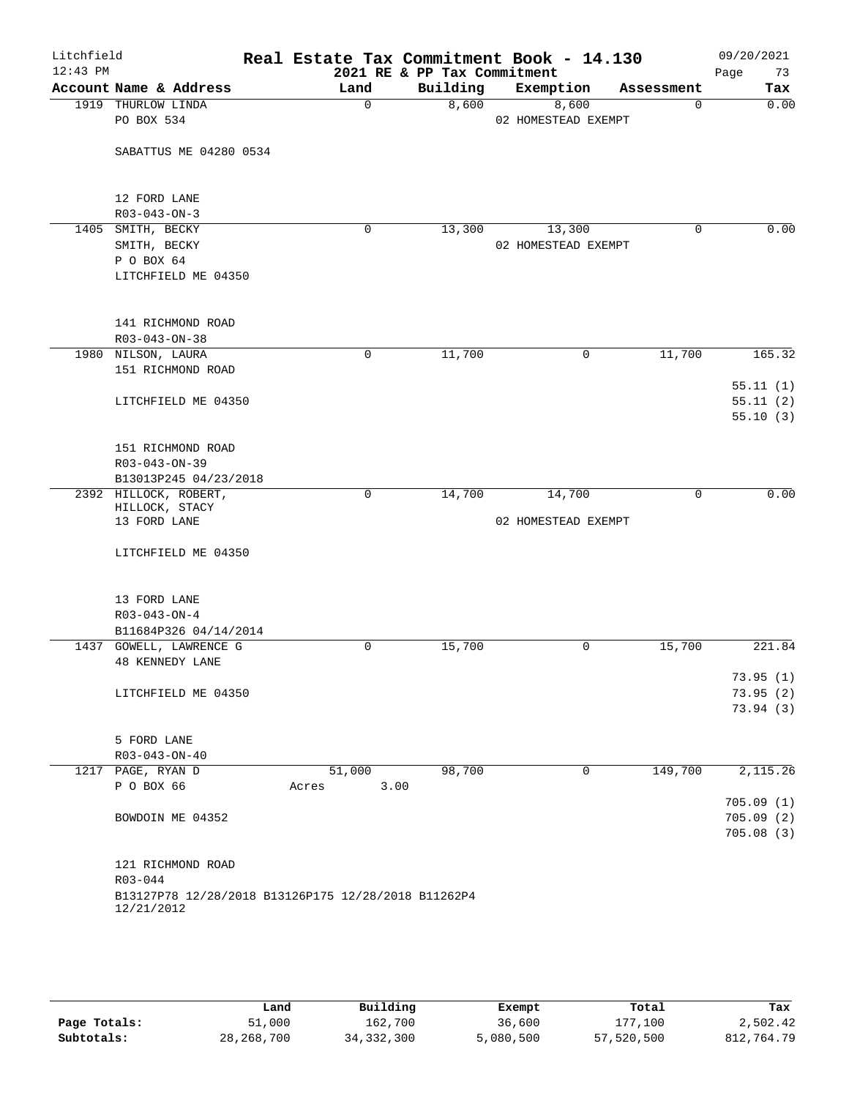| Litchfield<br>$12:43$ PM |                                                     |               | 2021 RE & PP Tax Commitment | Real Estate Tax Commitment Book - 14.130 |             | 09/20/2021<br>73<br>Page |
|--------------------------|-----------------------------------------------------|---------------|-----------------------------|------------------------------------------|-------------|--------------------------|
|                          | Account Name & Address                              | Land          | Building                    | Exemption                                | Assessment  | Tax                      |
|                          | 1919 THURLOW LINDA                                  | $\Omega$      | 8,600                       | 8,600                                    | $\Omega$    | 0.00                     |
|                          | PO BOX 534                                          |               |                             | 02 HOMESTEAD EXEMPT                      |             |                          |
|                          |                                                     |               |                             |                                          |             |                          |
|                          | SABATTUS ME 04280 0534                              |               |                             |                                          |             |                          |
|                          |                                                     |               |                             |                                          |             |                          |
|                          |                                                     |               |                             |                                          |             |                          |
|                          | 12 FORD LANE                                        |               |                             |                                          |             |                          |
|                          | $R03 - 043 - ON - 3$                                |               |                             |                                          |             |                          |
|                          | 1405 SMITH, BECKY                                   | $\mathbf 0$   | 13,300                      | 13,300                                   | $\mathbf 0$ | 0.00                     |
|                          | SMITH, BECKY                                        |               |                             | 02 HOMESTEAD EXEMPT                      |             |                          |
|                          | P O BOX 64                                          |               |                             |                                          |             |                          |
|                          | LITCHFIELD ME 04350                                 |               |                             |                                          |             |                          |
|                          |                                                     |               |                             |                                          |             |                          |
|                          |                                                     |               |                             |                                          |             |                          |
|                          | 141 RICHMOND ROAD                                   |               |                             |                                          |             |                          |
|                          | $R03 - 043 - ON - 38$                               |               |                             |                                          |             |                          |
|                          | 1980 NILSON, LAURA                                  | $\mathbf 0$   | 11,700                      | $\mathbf 0$                              | 11,700      | 165.32                   |
|                          | 151 RICHMOND ROAD                                   |               |                             |                                          |             |                          |
|                          |                                                     |               |                             |                                          |             |                          |
|                          |                                                     |               |                             |                                          |             | 55.11(1)                 |
|                          | LITCHFIELD ME 04350                                 |               |                             |                                          |             | 55.11(2)                 |
|                          |                                                     |               |                             |                                          |             | 55.10(3)                 |
|                          |                                                     |               |                             |                                          |             |                          |
|                          | 151 RICHMOND ROAD                                   |               |                             |                                          |             |                          |
|                          | R03-043-ON-39                                       |               |                             |                                          |             |                          |
|                          | B13013P245 04/23/2018                               |               |                             |                                          |             |                          |
|                          | 2392 HILLOCK, ROBERT,                               | $\mathbf 0$   | 14,700                      | 14,700                                   | $\mathbf 0$ | 0.00                     |
|                          | HILLOCK, STACY                                      |               |                             |                                          |             |                          |
|                          | 13 FORD LANE                                        |               |                             | 02 HOMESTEAD EXEMPT                      |             |                          |
|                          |                                                     |               |                             |                                          |             |                          |
|                          | LITCHFIELD ME 04350                                 |               |                             |                                          |             |                          |
|                          |                                                     |               |                             |                                          |             |                          |
|                          |                                                     |               |                             |                                          |             |                          |
|                          | 13 FORD LANE                                        |               |                             |                                          |             |                          |
|                          | $R03 - 043 - ON - 4$                                |               |                             |                                          |             |                          |
|                          | B11684P326 04/14/2014                               |               |                             |                                          |             |                          |
|                          | 1437 GOWELL, LAWRENCE G                             | $\mathbf 0$   | 15,700                      | 0                                        | 15,700      | 221.84                   |
|                          | <b>48 KENNEDY LANE</b>                              |               |                             |                                          |             |                          |
|                          |                                                     |               |                             |                                          |             | 73.95(1)                 |
|                          | LITCHFIELD ME 04350                                 |               |                             |                                          |             | 73.95(2)                 |
|                          |                                                     |               |                             |                                          |             | 73.94(3)                 |
|                          |                                                     |               |                             |                                          |             |                          |
|                          | 5 FORD LANE                                         |               |                             |                                          |             |                          |
|                          | R03-043-ON-40                                       |               |                             |                                          |             |                          |
|                          | 1217 PAGE, RYAN D                                   | 51,000        | 98,700                      | 0                                        | 149,700     | 2,115.26                 |
|                          | P O BOX 66                                          | 3.00<br>Acres |                             |                                          |             |                          |
|                          |                                                     |               |                             |                                          |             | 705.09(1)                |
|                          | BOWDOIN ME 04352                                    |               |                             |                                          |             | 705.09(2)                |
|                          |                                                     |               |                             |                                          |             | 705.08(3)                |
|                          |                                                     |               |                             |                                          |             |                          |
|                          | 121 RICHMOND ROAD                                   |               |                             |                                          |             |                          |
|                          | R03-044                                             |               |                             |                                          |             |                          |
|                          | B13127P78 12/28/2018 B13126P175 12/28/2018 B11262P4 |               |                             |                                          |             |                          |
|                          | 12/21/2012                                          |               |                             |                                          |             |                          |
|                          |                                                     |               |                             |                                          |             |                          |

|              | Land         | Building     | Exempt    | Total      | Tax        |
|--------------|--------------|--------------|-----------|------------|------------|
| Page Totals: | 51,000       | 162,700      | 36,600    | 177,100    | 2,502.42   |
| Subtotals:   | 28, 268, 700 | 34, 332, 300 | 5,080,500 | 57,520,500 | 812,764.79 |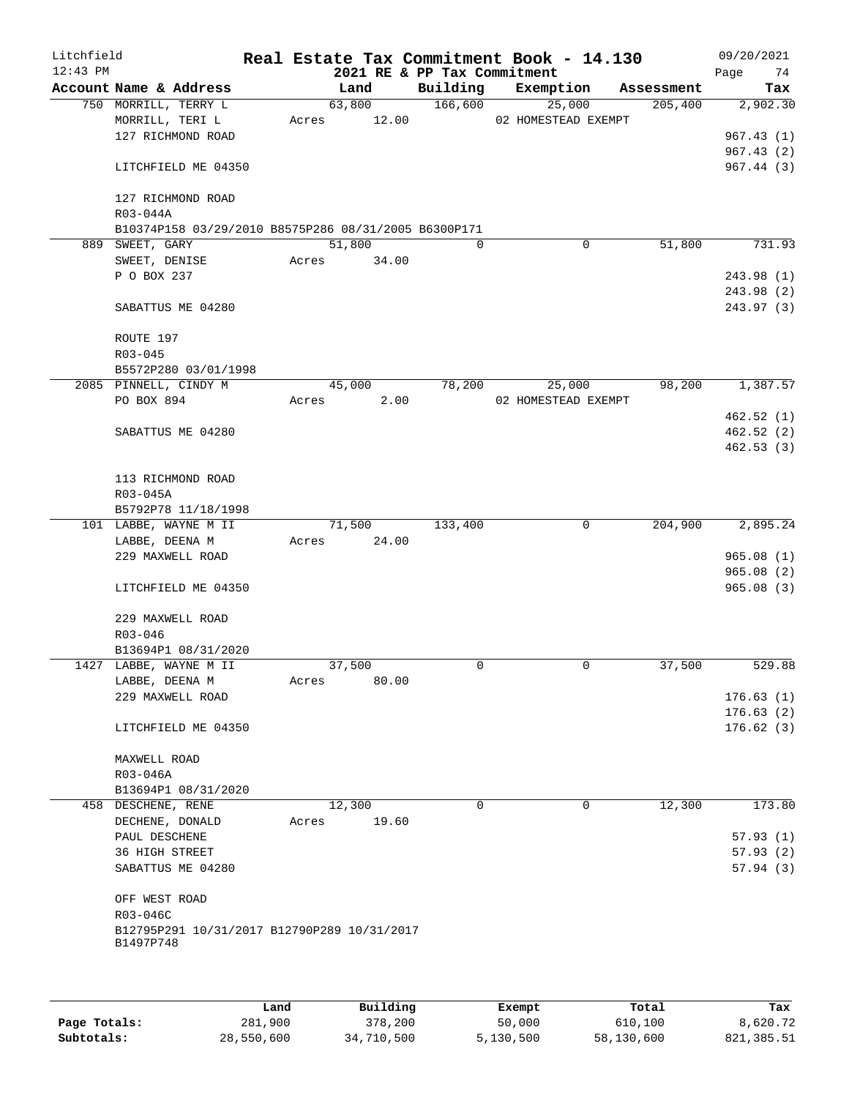| Litchfield<br>$12:43$ PM |                                                      |       |             | 2021 RE & PP Tax Commitment | Real Estate Tax Commitment Book - 14.130 |             |            | 09/20/2021<br>74<br>Page |
|--------------------------|------------------------------------------------------|-------|-------------|-----------------------------|------------------------------------------|-------------|------------|--------------------------|
|                          | Account Name & Address                               |       | Land        |                             | Building Exemption                       |             | Assessment | Tax                      |
|                          | 750 MORRILL, TERRY L                                 |       | 63,800      | 166,600                     | 25,000                                   |             | 205,400    | 2,902.30                 |
|                          | MORRILL, TERI L                                      |       | Acres 12.00 |                             | 02 HOMESTEAD EXEMPT                      |             |            |                          |
|                          | 127 RICHMOND ROAD                                    |       |             |                             |                                          |             |            | 967.43(1)                |
|                          |                                                      |       |             |                             |                                          |             |            | 967.43(2)                |
|                          | LITCHFIELD ME 04350                                  |       |             |                             |                                          |             |            | 967.44 (3)               |
|                          | 127 RICHMOND ROAD                                    |       |             |                             |                                          |             |            |                          |
|                          | R03-044A                                             |       |             |                             |                                          |             |            |                          |
|                          | B10374P158 03/29/2010 B8575P286 08/31/2005 B6300P171 |       |             |                             |                                          |             |            |                          |
|                          | 889 SWEET, GARY                                      |       | 51,800      | $\Omega$                    |                                          | 0           | 51,800     | 731.93                   |
|                          | SWEET, DENISE                                        |       | Acres 34.00 |                             |                                          |             |            |                          |
|                          | P O BOX 237                                          |       |             |                             |                                          |             |            | 243.98 (1)               |
|                          | SABATTUS ME 04280                                    |       |             |                             |                                          |             |            | 243.98 (2)<br>243.97 (3) |
|                          |                                                      |       |             |                             |                                          |             |            |                          |
|                          | ROUTE 197                                            |       |             |                             |                                          |             |            |                          |
|                          | $R03 - 045$                                          |       |             |                             |                                          |             |            |                          |
|                          | B5572P280 03/01/1998                                 |       |             | 78,200                      |                                          |             | 98,200     | 1,387.57                 |
|                          | 2085 PINNELL, CINDY M                                |       | 45,000      |                             | 25,000                                   |             |            |                          |
|                          | PO BOX 894                                           | Acres | 2.00        |                             | 02 HOMESTEAD EXEMPT                      |             |            | 462.52(1)                |
|                          | SABATTUS ME 04280                                    |       |             |                             |                                          |             |            | 462.52(2)                |
|                          |                                                      |       |             |                             |                                          |             |            | 462.53(3)                |
|                          |                                                      |       |             |                             |                                          |             |            |                          |
|                          | 113 RICHMOND ROAD                                    |       |             |                             |                                          |             |            |                          |
|                          | R03-045A                                             |       |             |                             |                                          |             |            |                          |
|                          | B5792P78 11/18/1998                                  |       |             |                             |                                          |             |            |                          |
|                          | 101 LABBE, WAYNE M II                                |       | 71,500      | 133,400                     |                                          | 0           | 204,900    | 2,895.24                 |
|                          | LABBE, DEENA M                                       | Acres | 24.00       |                             |                                          |             |            |                          |
|                          | 229 MAXWELL ROAD                                     |       |             |                             |                                          |             |            | 965.08(1)                |
|                          |                                                      |       |             |                             |                                          |             |            | 965.08(2)                |
|                          | LITCHFIELD ME 04350                                  |       |             |                             |                                          |             |            | 965.08(3)                |
|                          | 229 MAXWELL ROAD                                     |       |             |                             |                                          |             |            |                          |
|                          | $R03 - 046$                                          |       |             |                             |                                          |             |            |                          |
|                          | B13694P1 08/31/2020                                  |       |             |                             |                                          |             |            |                          |
|                          | 1427 LABBE, WAYNE M II                               |       | 37,500      | 0                           |                                          | $\mathbf 0$ | 37,500     | 529.88                   |
|                          | LABBE, DEENA M                                       | Acres | 80.00       |                             |                                          |             |            |                          |
|                          | 229 MAXWELL ROAD                                     |       |             |                             |                                          |             |            | 176.63(1)                |
|                          |                                                      |       |             |                             |                                          |             |            | 176.63(2)                |
|                          | LITCHFIELD ME 04350                                  |       |             |                             |                                          |             |            | 176.62(3)                |
|                          | MAXWELL ROAD                                         |       |             |                             |                                          |             |            |                          |
|                          | R03-046A                                             |       |             |                             |                                          |             |            |                          |
|                          | B13694P1 08/31/2020                                  |       |             |                             |                                          |             |            |                          |
|                          | 458 DESCHENE, RENE                                   |       | 12,300      | $\mathbf 0$                 |                                          | $\mathbf 0$ | 12,300     | 173.80                   |
|                          | DECHENE, DONALD                                      | Acres | 19.60       |                             |                                          |             |            |                          |
|                          | PAUL DESCHENE                                        |       |             |                             |                                          |             |            | 57.93(1)                 |
|                          | 36 HIGH STREET                                       |       |             |                             |                                          |             |            | 57.93(2)                 |
|                          | SABATTUS ME 04280                                    |       |             |                             |                                          |             |            | 57.94(3)                 |
|                          | OFF WEST ROAD                                        |       |             |                             |                                          |             |            |                          |
|                          | R03-046C                                             |       |             |                             |                                          |             |            |                          |
|                          | B12795P291 10/31/2017 B12790P289 10/31/2017          |       |             |                             |                                          |             |            |                          |
|                          | B1497P748                                            |       |             |                             |                                          |             |            |                          |
|                          |                                                      |       |             |                             |                                          |             |            |                          |
|                          |                                                      |       |             |                             |                                          |             |            |                          |
|                          |                                                      |       |             |                             |                                          |             |            |                          |

|              | Land       | Building   | Exempt    | Total      | Tax        |
|--------------|------------|------------|-----------|------------|------------|
| Page Totals: | 281,900    | 378,200    | 50,000    | 610,100    | 8,620.72   |
| Subtotals:   | 28,550,600 | 34,710,500 | 5,130,500 | 58,130,600 | 821,385.51 |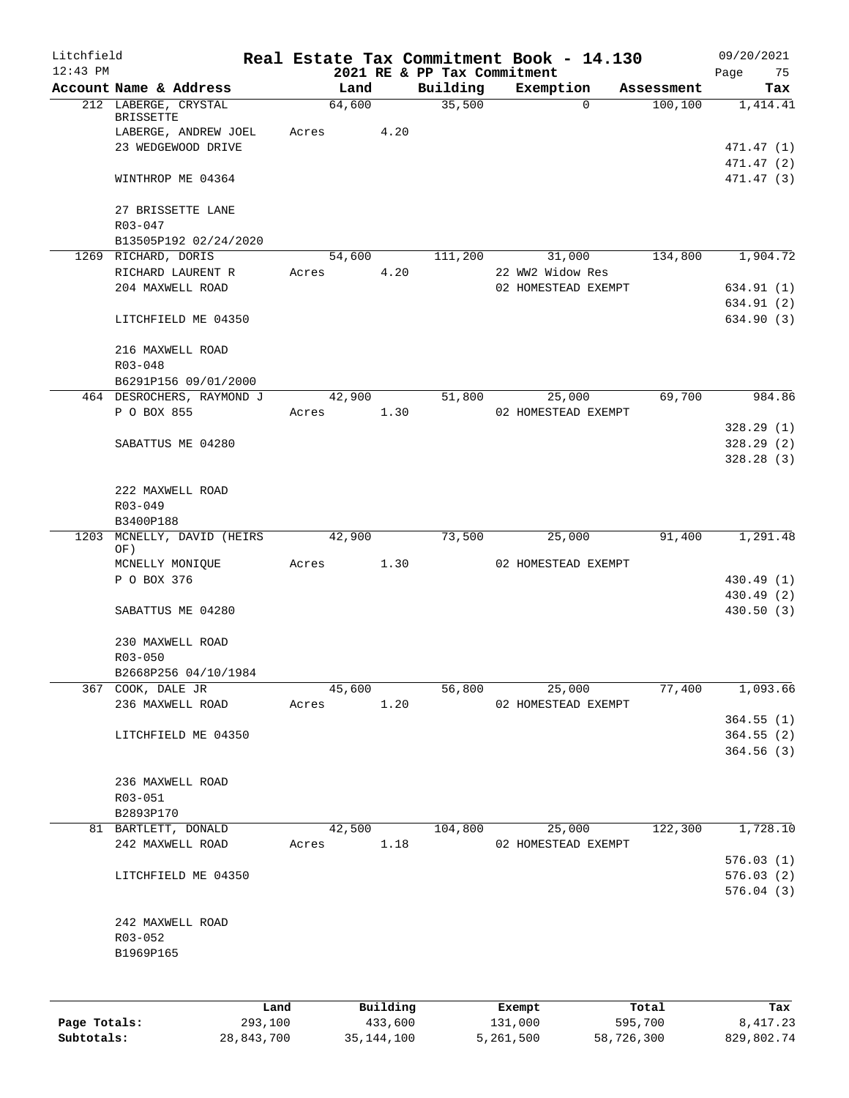| Litchfield   |                            |       |        |          |                                         |         | Real Estate Tax Commitment Book - 14.130 |            | 09/20/2021        |
|--------------|----------------------------|-------|--------|----------|-----------------------------------------|---------|------------------------------------------|------------|-------------------|
| $12:43$ PM   | Account Name & Address     |       | Land   |          | 2021 RE & PP Tax Commitment<br>Building |         | Exemption                                | Assessment | 75<br>Page<br>Tax |
|              | 212 LABERGE, CRYSTAL       |       | 64,600 |          | 35,500                                  |         | $\Omega$                                 | 100, 100   | 1,414.41          |
|              | <b>BRISSETTE</b>           |       |        |          |                                         |         |                                          |            |                   |
|              | LABERGE, ANDREW JOEL       | Acres |        | 4.20     |                                         |         |                                          |            |                   |
|              | 23 WEDGEWOOD DRIVE         |       |        |          |                                         |         |                                          |            | 471.47 (1)        |
|              |                            |       |        |          |                                         |         |                                          |            | 471.47 (2)        |
|              | WINTHROP ME 04364          |       |        |          |                                         |         |                                          |            | 471.47 (3)        |
|              | 27 BRISSETTE LANE          |       |        |          |                                         |         |                                          |            |                   |
|              | R03-047                    |       |        |          |                                         |         |                                          |            |                   |
|              | B13505P192 02/24/2020      |       |        |          |                                         |         |                                          |            |                   |
|              | 1269 RICHARD, DORIS        |       | 54,600 |          | 111,200                                 |         | 31,000                                   | 134,800    | 1,904.72          |
|              | RICHARD LAURENT R          | Acres |        | 4.20     |                                         |         | 22 WW2 Widow Res                         |            |                   |
|              | 204 MAXWELL ROAD           |       |        |          |                                         |         | 02 HOMESTEAD EXEMPT                      |            | 634.91 (1)        |
|              |                            |       |        |          |                                         |         |                                          |            | 634.91 (2)        |
|              | LITCHFIELD ME 04350        |       |        |          |                                         |         |                                          |            | 634.90 (3)        |
|              | 216 MAXWELL ROAD           |       |        |          |                                         |         |                                          |            |                   |
|              | R03-048                    |       |        |          |                                         |         |                                          |            |                   |
|              | B6291P156 09/01/2000       |       |        |          |                                         |         |                                          |            |                   |
|              | 464 DESROCHERS, RAYMOND J  |       | 42,900 |          | 51,800                                  |         | 25,000                                   | 69,700     | 984.86            |
|              | P O BOX 855                | Acres |        | 1.30     |                                         |         | 02 HOMESTEAD EXEMPT                      |            |                   |
|              |                            |       |        |          |                                         |         |                                          |            | 328.29(1)         |
|              | SABATTUS ME 04280          |       |        |          |                                         |         |                                          |            | 328.29(2)         |
|              |                            |       |        |          |                                         |         |                                          |            | 328.28(3)         |
|              | 222 MAXWELL ROAD           |       |        |          |                                         |         |                                          |            |                   |
|              | $R03 - 049$                |       |        |          |                                         |         |                                          |            |                   |
|              | B3400P188                  |       |        |          |                                         |         |                                          |            |                   |
|              | 1203 MCNELLY, DAVID (HEIRS |       | 42,900 |          | 73,500                                  |         | 25,000                                   | 91,400     | 1,291.48          |
|              | OF)                        |       |        |          |                                         |         |                                          |            |                   |
|              | MCNELLY MONIQUE            | Acres | 1.30   |          |                                         |         | 02 HOMESTEAD EXEMPT                      |            |                   |
|              | P O BOX 376                |       |        |          |                                         |         |                                          |            | 430.49 (1)        |
|              |                            |       |        |          |                                         |         |                                          |            | 430.49 (2)        |
|              | SABATTUS ME 04280          |       |        |          |                                         |         |                                          |            | 430.50(3)         |
|              | 230 MAXWELL ROAD           |       |        |          |                                         |         |                                          |            |                   |
|              | R03-050                    |       |        |          |                                         |         |                                          |            |                   |
|              | B2668P256 04/10/1984       |       |        |          |                                         |         |                                          |            |                   |
|              | 367 COOK, DALE JR          |       | 45,600 |          | 56,800                                  |         | 25,000                                   | 77,400     | 1,093.66          |
|              | 236 MAXWELL ROAD           | Acres |        | 1.20     |                                         |         | 02 HOMESTEAD EXEMPT                      |            |                   |
|              |                            |       |        |          |                                         |         |                                          |            | 364.55(1)         |
|              | LITCHFIELD ME 04350        |       |        |          |                                         |         |                                          |            | 364.55(2)         |
|              |                            |       |        |          |                                         |         |                                          |            | 364.56(3)         |
|              |                            |       |        |          |                                         |         |                                          |            |                   |
|              | 236 MAXWELL ROAD           |       |        |          |                                         |         |                                          |            |                   |
|              | R03-051                    |       |        |          |                                         |         |                                          |            |                   |
|              | B2893P170                  |       |        |          |                                         |         |                                          |            |                   |
|              | 81 BARTLETT, DONALD        |       | 42,500 |          | 104,800                                 |         | 25,000                                   | 122,300    | 1,728.10          |
|              | 242 MAXWELL ROAD           | Acres |        | 1.18     |                                         |         | 02 HOMESTEAD EXEMPT                      |            | 576.03(1)         |
|              | LITCHFIELD ME 04350        |       |        |          |                                         |         |                                          |            | 576.03(2)         |
|              |                            |       |        |          |                                         |         |                                          |            | 576.04(3)         |
|              |                            |       |        |          |                                         |         |                                          |            |                   |
|              | 242 MAXWELL ROAD           |       |        |          |                                         |         |                                          |            |                   |
|              | R03-052                    |       |        |          |                                         |         |                                          |            |                   |
|              | B1969P165                  |       |        |          |                                         |         |                                          |            |                   |
|              |                            |       |        |          |                                         |         |                                          |            |                   |
|              |                            |       |        |          |                                         |         |                                          |            |                   |
|              | Land                       |       |        | Building |                                         |         | Exempt                                   | Total      | Tax               |
| Page Totals: | 293,100                    |       |        | 433,600  |                                         | 131,000 |                                          | 595,700    | 8, 417.23         |

**Subtotals:** 28,843,700 35,144,100 5,261,500 58,726,300 829,802.74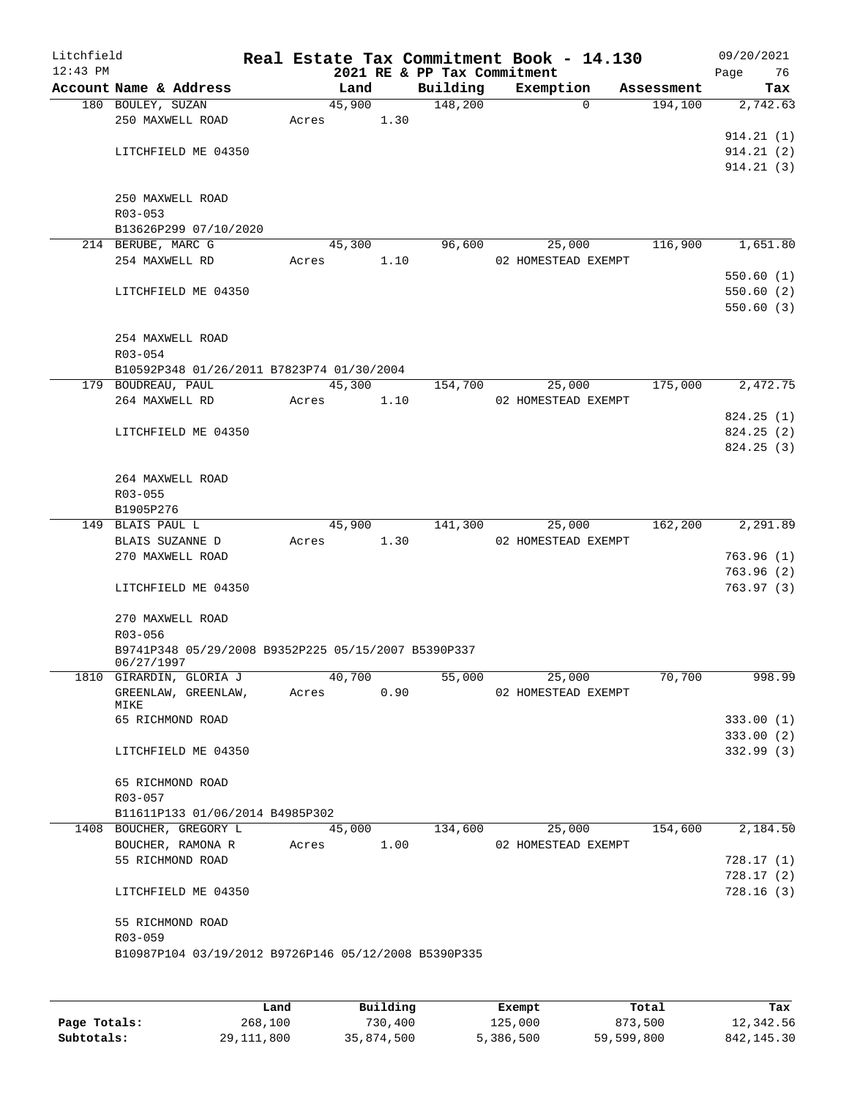| Litchfield |                                                      |       |        |      | Real Estate Tax Commitment Book - 14.130 |                               |            | 09/20/2021 |
|------------|------------------------------------------------------|-------|--------|------|------------------------------------------|-------------------------------|------------|------------|
| $12:43$ PM |                                                      |       |        |      | 2021 RE & PP Tax Commitment              |                               |            | 76<br>Page |
|            | Account Name & Address<br>180 BOULEY, SUZAN          |       | Land   |      | Building                                 | Exemption<br>$\mathbf 0$      | Assessment | Tax        |
|            | 250 MAXWELL ROAD                                     | Acres | 45,900 | 1.30 | 148,200                                  |                               | 194,100    | 2,742.63   |
|            |                                                      |       |        |      |                                          |                               |            | 914.21(1)  |
|            | LITCHFIELD ME 04350                                  |       |        |      |                                          |                               |            | 914.21(2)  |
|            |                                                      |       |        |      |                                          |                               |            | 914.21(3)  |
|            |                                                      |       |        |      |                                          |                               |            |            |
|            | 250 MAXWELL ROAD                                     |       |        |      |                                          |                               |            |            |
|            | $R03 - 053$                                          |       |        |      |                                          |                               |            |            |
|            | B13626P299 07/10/2020                                |       |        |      |                                          |                               |            |            |
|            | 214 BERUBE, MARC G                                   |       | 45,300 |      | 96,600                                   | 25,000                        | 116,900    | 1,651.80   |
|            | 254 MAXWELL RD                                       | Acres |        | 1.10 |                                          | 02 HOMESTEAD EXEMPT           |            |            |
|            |                                                      |       |        |      |                                          |                               |            | 550.60(1)  |
|            | LITCHFIELD ME 04350                                  |       |        |      |                                          |                               |            | 550.60(2)  |
|            |                                                      |       |        |      |                                          |                               |            | 550.60(3)  |
|            |                                                      |       |        |      |                                          |                               |            |            |
|            | 254 MAXWELL ROAD                                     |       |        |      |                                          |                               |            |            |
|            | R03-054                                              |       |        |      |                                          |                               |            |            |
|            | B10592P348 01/26/2011 B7823P74 01/30/2004            |       |        |      |                                          |                               |            |            |
|            | 179 BOUDREAU, PAUL                                   |       | 45,300 |      | 154,700                                  | 25,000                        | 175,000    | 2,472.75   |
|            | 264 MAXWELL RD                                       | Acres |        | 1.10 |                                          | 02 HOMESTEAD EXEMPT           |            |            |
|            |                                                      |       |        |      |                                          |                               |            | 824.25(1)  |
|            | LITCHFIELD ME 04350                                  |       |        |      |                                          |                               |            | 824.25(2)  |
|            |                                                      |       |        |      |                                          |                               |            | 824.25(3)  |
|            |                                                      |       |        |      |                                          |                               |            |            |
|            | 264 MAXWELL ROAD                                     |       |        |      |                                          |                               |            |            |
|            | R03-055                                              |       |        |      |                                          |                               |            |            |
|            | B1905P276<br>149 BLAIS PAUL L                        |       | 45,900 |      | 141,300                                  |                               | 162,200    | 2,291.89   |
|            | BLAIS SUZANNE D                                      |       |        | 1.30 |                                          | 25,000<br>02 HOMESTEAD EXEMPT |            |            |
|            | 270 MAXWELL ROAD                                     | Acres |        |      |                                          |                               |            | 763.96(1)  |
|            |                                                      |       |        |      |                                          |                               |            | 763.96(2)  |
|            | LITCHFIELD ME 04350                                  |       |        |      |                                          |                               |            | 763.97(3)  |
|            |                                                      |       |        |      |                                          |                               |            |            |
|            | 270 MAXWELL ROAD                                     |       |        |      |                                          |                               |            |            |
|            | R03-056                                              |       |        |      |                                          |                               |            |            |
|            | B9741P348 05/29/2008 B9352P225 05/15/2007 B5390P337  |       |        |      |                                          |                               |            |            |
|            | 06/27/1997                                           |       |        |      |                                          |                               |            |            |
|            | 1810 GIRARDIN, GLORIA J                              |       | 40,700 |      | 55,000                                   | 25,000                        | 70,700     | 998.99     |
|            | GREENLAW, GREENLAW,                                  | Acres |        | 0.90 |                                          | 02 HOMESTEAD EXEMPT           |            |            |
|            | MIKE                                                 |       |        |      |                                          |                               |            |            |
|            | 65 RICHMOND ROAD                                     |       |        |      |                                          |                               |            | 333.00(1)  |
|            |                                                      |       |        |      |                                          |                               |            | 333.00(2)  |
|            | LITCHFIELD ME 04350                                  |       |        |      |                                          |                               |            | 332.99(3)  |
|            | 65 RICHMOND ROAD                                     |       |        |      |                                          |                               |            |            |
|            | R03-057                                              |       |        |      |                                          |                               |            |            |
|            | B11611P133 01/06/2014 B4985P302                      |       |        |      |                                          |                               |            |            |
|            | 1408 BOUCHER, GREGORY L                              |       | 45,000 |      | 134,600                                  | 25,000                        | 154,600    | 2,184.50   |
|            | BOUCHER, RAMONA R                                    | Acres |        | 1.00 |                                          | 02 HOMESTEAD EXEMPT           |            |            |
|            | 55 RICHMOND ROAD                                     |       |        |      |                                          |                               |            | 728.17(1)  |
|            |                                                      |       |        |      |                                          |                               |            | 728.17(2)  |
|            | LITCHFIELD ME 04350                                  |       |        |      |                                          |                               |            | 728.16(3)  |
|            |                                                      |       |        |      |                                          |                               |            |            |
|            | 55 RICHMOND ROAD                                     |       |        |      |                                          |                               |            |            |
|            | R03-059                                              |       |        |      |                                          |                               |            |            |
|            | B10987P104 03/19/2012 B9726P146 05/12/2008 B5390P335 |       |        |      |                                          |                               |            |            |
|            |                                                      |       |        |      |                                          |                               |            |            |
|            |                                                      |       |        |      |                                          |                               |            |            |

|              | Land         | Building   | Exempt    | Total      | Tax          |
|--------------|--------------|------------|-----------|------------|--------------|
| Page Totals: | 268,100      | 730,400    | 125,000   | 873,500    | 12,342.56    |
| Subtotals:   | 29, 111, 800 | 35,874,500 | 5,386,500 | 59,599,800 | 842, 145. 30 |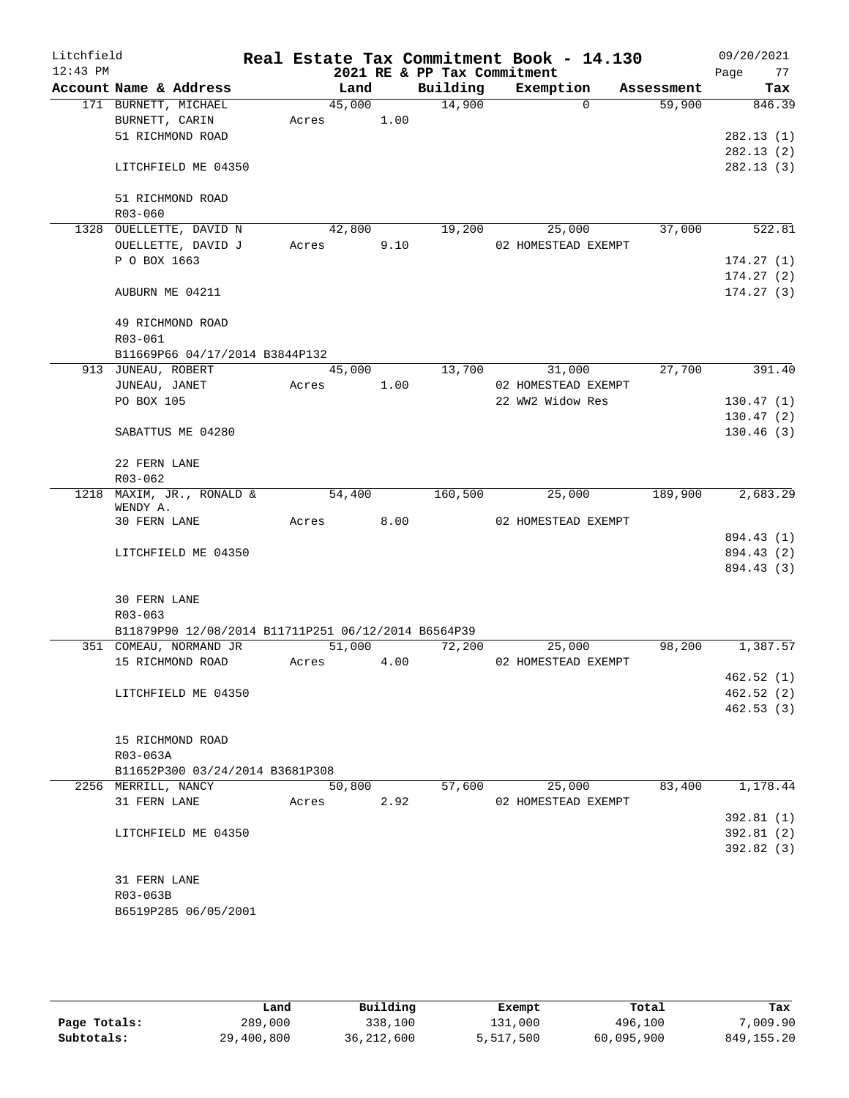| Litchfield |                                                     |       |        |                             | Real Estate Tax Commitment Book - 14.130 |            | 09/20/2021 |
|------------|-----------------------------------------------------|-------|--------|-----------------------------|------------------------------------------|------------|------------|
| $12:43$ PM |                                                     |       |        | 2021 RE & PP Tax Commitment |                                          |            | Page<br>77 |
|            | Account Name & Address                              |       | Land   | Building                    | Exemption                                | Assessment | Tax        |
|            | 171 BURNETT, MICHAEL                                |       | 45,000 | 14,900                      | $\Omega$                                 | 59,900     | 846.39     |
|            | BURNETT, CARIN                                      | Acres | 1.00   |                             |                                          |            |            |
|            | 51 RICHMOND ROAD                                    |       |        |                             |                                          |            | 282.13(1)  |
|            |                                                     |       |        |                             |                                          |            | 282.13(2)  |
|            | LITCHFIELD ME 04350                                 |       |        |                             |                                          |            | 282.13(3)  |
|            | 51 RICHMOND ROAD                                    |       |        |                             |                                          |            |            |
|            | R03-060                                             |       |        |                             |                                          |            |            |
|            | 1328 OUELLETTE, DAVID N                             |       | 42,800 | 19,200                      | 25,000                                   | 37,000     | 522.81     |
|            | OUELLETTE, DAVID J                                  | Acres | 9.10   |                             | 02 HOMESTEAD EXEMPT                      |            |            |
|            | P O BOX 1663                                        |       |        |                             |                                          |            | 174.27(1)  |
|            |                                                     |       |        |                             |                                          |            | 174.27(2)  |
|            | AUBURN ME 04211                                     |       |        |                             |                                          |            | 174.27(3)  |
|            | 49 RICHMOND ROAD                                    |       |        |                             |                                          |            |            |
|            | R03-061                                             |       |        |                             |                                          |            |            |
|            | B11669P66 04/17/2014 B3844P132                      |       |        |                             |                                          |            |            |
|            | 913 JUNEAU, ROBERT                                  |       | 45,000 | 13,700                      | 31,000                                   | 27,700     | 391.40     |
|            | JUNEAU, JANET                                       | Acres | 1.00   |                             | 02 HOMESTEAD EXEMPT                      |            |            |
|            | PO BOX 105                                          |       |        |                             | 22 WW2 Widow Res                         |            | 130.47(1)  |
|            |                                                     |       |        |                             |                                          |            | 130.47(2)  |
|            | SABATTUS ME 04280                                   |       |        |                             |                                          |            | 130.46(3)  |
|            | 22 FERN LANE<br>R03-062                             |       |        |                             |                                          |            |            |
|            | 1218 MAXIM, JR., RONALD &                           |       | 54,400 | 160,500                     | 25,000                                   | 189,900    | 2,683.29   |
|            | WENDY A.                                            |       |        |                             |                                          |            |            |
|            | 30 FERN LANE                                        | Acres | 8.00   |                             | 02 HOMESTEAD EXEMPT                      |            |            |
|            |                                                     |       |        |                             |                                          |            | 894.43 (1) |
|            | LITCHFIELD ME 04350                                 |       |        |                             |                                          |            | 894.43 (2) |
|            |                                                     |       |        |                             |                                          |            | 894.43 (3) |
|            | <b>30 FERN LANE</b>                                 |       |        |                             |                                          |            |            |
|            | $R03 - 063$                                         |       |        |                             |                                          |            |            |
|            | B11879P90 12/08/2014 B11711P251 06/12/2014 B6564P39 |       |        |                             |                                          |            |            |
|            | 351 COMEAU, NORMAND JR                              |       | 51,000 | 72,200                      | 25,000                                   | 98,200     | 1,387.57   |
|            | 15 RICHMOND ROAD                                    | Acres | 4.00   |                             | 02 HOMESTEAD EXEMPT                      |            |            |
|            |                                                     |       |        |                             |                                          |            | 462.52(1)  |
|            | LITCHFIELD ME 04350                                 |       |        |                             |                                          |            | 462.52(2)  |
|            |                                                     |       |        |                             |                                          |            | 462.53(3)  |
|            | 15 RICHMOND ROAD                                    |       |        |                             |                                          |            |            |
|            | R03-063A                                            |       |        |                             |                                          |            |            |
|            | B11652P300 03/24/2014 B3681P308                     |       |        |                             |                                          |            |            |
|            | 2256 MERRILL, NANCY                                 |       | 50,800 | 57,600                      | 25,000                                   | 83,400     | 1,178.44   |
|            | 31 FERN LANE                                        | Acres | 2.92   |                             | 02 HOMESTEAD EXEMPT                      |            |            |
|            |                                                     |       |        |                             |                                          |            | 392.81(1)  |
|            | LITCHFIELD ME 04350                                 |       |        |                             |                                          |            | 392.81(2)  |
|            |                                                     |       |        |                             |                                          |            | 392.82 (3) |
|            | 31 FERN LANE                                        |       |        |                             |                                          |            |            |
|            | R03-063B                                            |       |        |                             |                                          |            |            |
|            | B6519P285 06/05/2001                                |       |        |                             |                                          |            |            |
|            |                                                     |       |        |                             |                                          |            |            |

|              | Land       | Building     | Exempt    | Total      | Tax          |
|--------------|------------|--------------|-----------|------------|--------------|
| Page Totals: | 289,000    | 338,100      | 131,000   | 496,100    | ,009.90      |
| Subtotals:   | 29,400,800 | 36, 212, 600 | 5,517,500 | 60,095,900 | 849, 155, 20 |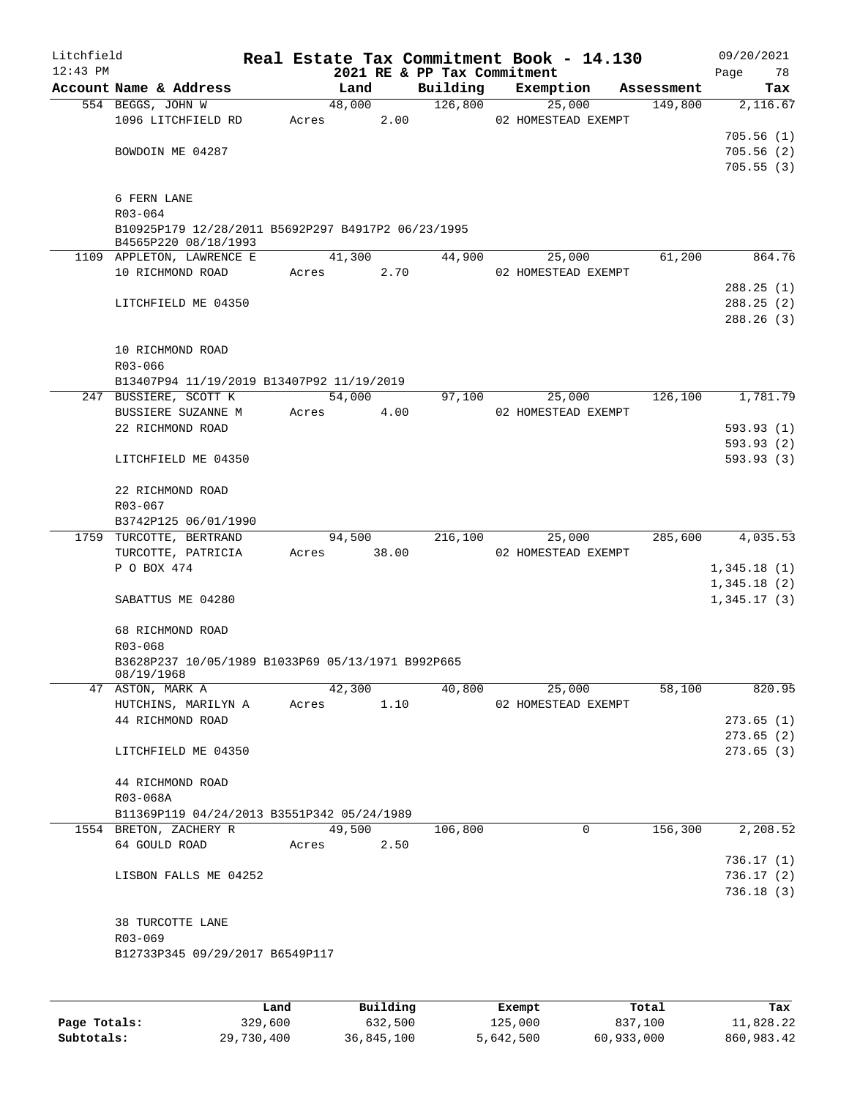| Litchfield |                                                    |      |       |        |          |                                         | Real Estate Tax Commitment Book - 14.130 |            | 09/20/2021        |
|------------|----------------------------------------------------|------|-------|--------|----------|-----------------------------------------|------------------------------------------|------------|-------------------|
| $12:43$ PM | Account Name & Address                             |      |       | Land   |          | 2021 RE & PP Tax Commitment<br>Building | Exemption                                | Assessment | Page<br>78<br>Tax |
|            | 554 BEGGS, JOHN W                                  |      |       | 48,000 |          | 126,800                                 | 25,000                                   | 149,800    | 2,116.67          |
|            | 1096 LITCHFIELD RD                                 |      | Acres |        | 2.00     |                                         | 02 HOMESTEAD EXEMPT                      |            |                   |
|            |                                                    |      |       |        |          |                                         |                                          |            | 705.56(1)         |
|            | BOWDOIN ME 04287                                   |      |       |        |          |                                         |                                          |            | 705.56(2)         |
|            |                                                    |      |       |        |          |                                         |                                          |            | 705.55(3)         |
|            |                                                    |      |       |        |          |                                         |                                          |            |                   |
|            | 6 FERN LANE                                        |      |       |        |          |                                         |                                          |            |                   |
|            | R03-064                                            |      |       |        |          |                                         |                                          |            |                   |
|            | B10925P179 12/28/2011 B5692P297 B4917P2 06/23/1995 |      |       |        |          |                                         |                                          |            |                   |
|            | B4565P220 08/18/1993                               |      |       |        |          |                                         |                                          |            |                   |
|            | 1109 APPLETON, LAWRENCE E                          |      |       | 41,300 |          | 44,900                                  | 25,000                                   | 61,200     | 864.76            |
|            | 10 RICHMOND ROAD                                   |      |       | Acres  | 2.70     |                                         | 02 HOMESTEAD EXEMPT                      |            |                   |
|            |                                                    |      |       |        |          |                                         |                                          |            | 288.25(1)         |
|            | LITCHFIELD ME 04350                                |      |       |        |          |                                         |                                          |            | 288.25(2)         |
|            |                                                    |      |       |        |          |                                         |                                          |            | 288.26(3)         |
|            |                                                    |      |       |        |          |                                         |                                          |            |                   |
|            | 10 RICHMOND ROAD                                   |      |       |        |          |                                         |                                          |            |                   |
|            | $R03 - 066$                                        |      |       |        |          |                                         |                                          |            |                   |
|            | B13407P94 11/19/2019 B13407P92 11/19/2019          |      |       |        |          |                                         |                                          |            |                   |
|            | 247 BUSSIERE, SCOTT K                              |      |       | 54,000 |          | 97,100                                  | 25,000                                   | 126,100    | 1,781.79          |
|            |                                                    |      |       |        |          |                                         |                                          |            |                   |
|            | BUSSIERE SUZANNE M                                 |      |       | Acres  | 4.00     |                                         | 02 HOMESTEAD EXEMPT                      |            |                   |
|            | 22 RICHMOND ROAD                                   |      |       |        |          |                                         |                                          |            | 593.93(1)         |
|            |                                                    |      |       |        |          |                                         |                                          |            | 593.93(2)         |
|            | LITCHFIELD ME 04350                                |      |       |        |          |                                         |                                          |            | 593.93(3)         |
|            |                                                    |      |       |        |          |                                         |                                          |            |                   |
|            | 22 RICHMOND ROAD                                   |      |       |        |          |                                         |                                          |            |                   |
|            | R03-067                                            |      |       |        |          |                                         |                                          |            |                   |
|            | B3742P125 06/01/1990                               |      |       |        |          |                                         |                                          |            |                   |
|            | 1759 TURCOTTE, BERTRAND                            |      |       | 94,500 |          | 216,100                                 | 25,000                                   | 285,600    | 4,035.53          |
|            | TURCOTTE, PATRICIA                                 |      | Acres | 38.00  |          |                                         | 02 HOMESTEAD EXEMPT                      |            |                   |
|            | P O BOX 474                                        |      |       |        |          |                                         |                                          |            | 1,345.18(1)       |
|            |                                                    |      |       |        |          |                                         |                                          |            | 1,345.18(2)       |
|            | SABATTUS ME 04280                                  |      |       |        |          |                                         |                                          |            | 1,345.17(3)       |
|            |                                                    |      |       |        |          |                                         |                                          |            |                   |
|            | 68 RICHMOND ROAD                                   |      |       |        |          |                                         |                                          |            |                   |
|            | $R03 - 068$                                        |      |       |        |          |                                         |                                          |            |                   |
|            | B3628P237 10/05/1989 B1033P69 05/13/1971 B992P665  |      |       |        |          |                                         |                                          |            |                   |
|            | 08/19/1968                                         |      |       |        |          |                                         |                                          |            |                   |
|            | 47 ASTON, MARK A                                   |      |       | 42,300 |          | 40,800                                  | 25,000                                   | 58,100     | 820.95            |
|            | HUTCHINS, MARILYN A                                |      |       | Acres  | 1.10     |                                         | 02 HOMESTEAD EXEMPT                      |            |                   |
|            | 44 RICHMOND ROAD                                   |      |       |        |          |                                         |                                          |            | 273.65(1)         |
|            |                                                    |      |       |        |          |                                         |                                          |            | 273.65(2)         |
|            | LITCHFIELD ME 04350                                |      |       |        |          |                                         |                                          |            | 273.65(3)         |
|            |                                                    |      |       |        |          |                                         |                                          |            |                   |
|            | 44 RICHMOND ROAD                                   |      |       |        |          |                                         |                                          |            |                   |
|            | R03-068A                                           |      |       |        |          |                                         |                                          |            |                   |
|            | B11369P119 04/24/2013 B3551P342 05/24/1989         |      |       |        |          |                                         |                                          |            |                   |
|            | 1554 BRETON, ZACHERY R                             |      |       | 49,500 |          | 106,800                                 | 0                                        | 156,300    | 2,208.52          |
|            | 64 GOULD ROAD                                      |      |       | Acres  | 2.50     |                                         |                                          |            |                   |
|            |                                                    |      |       |        |          |                                         |                                          |            | 736.17(1)         |
|            | LISBON FALLS ME 04252                              |      |       |        |          |                                         |                                          |            | 736.17(2)         |
|            |                                                    |      |       |        |          |                                         |                                          |            | 736.18(3)         |
|            |                                                    |      |       |        |          |                                         |                                          |            |                   |
|            | 38 TURCOTTE LANE                                   |      |       |        |          |                                         |                                          |            |                   |
|            | R03-069                                            |      |       |        |          |                                         |                                          |            |                   |
|            | B12733P345 09/29/2017 B6549P117                    |      |       |        |          |                                         |                                          |            |                   |
|            |                                                    |      |       |        |          |                                         |                                          |            |                   |
|            |                                                    |      |       |        |          |                                         |                                          |            |                   |
|            |                                                    |      |       |        |          |                                         |                                          |            |                   |
|            |                                                    | Land |       |        | Building |                                         | Exempt                                   | Total      | Tax               |

|              | Land       | Building   | Exempt    | Total      | Tax        |
|--------------|------------|------------|-----------|------------|------------|
| Page Totals: | 329,600    | 632,500    | 125,000   | 837,100    | 11,828.22  |
| Subtotals:   | 29,730,400 | 36,845,100 | 5,642,500 | 60,933,000 | 860,983.42 |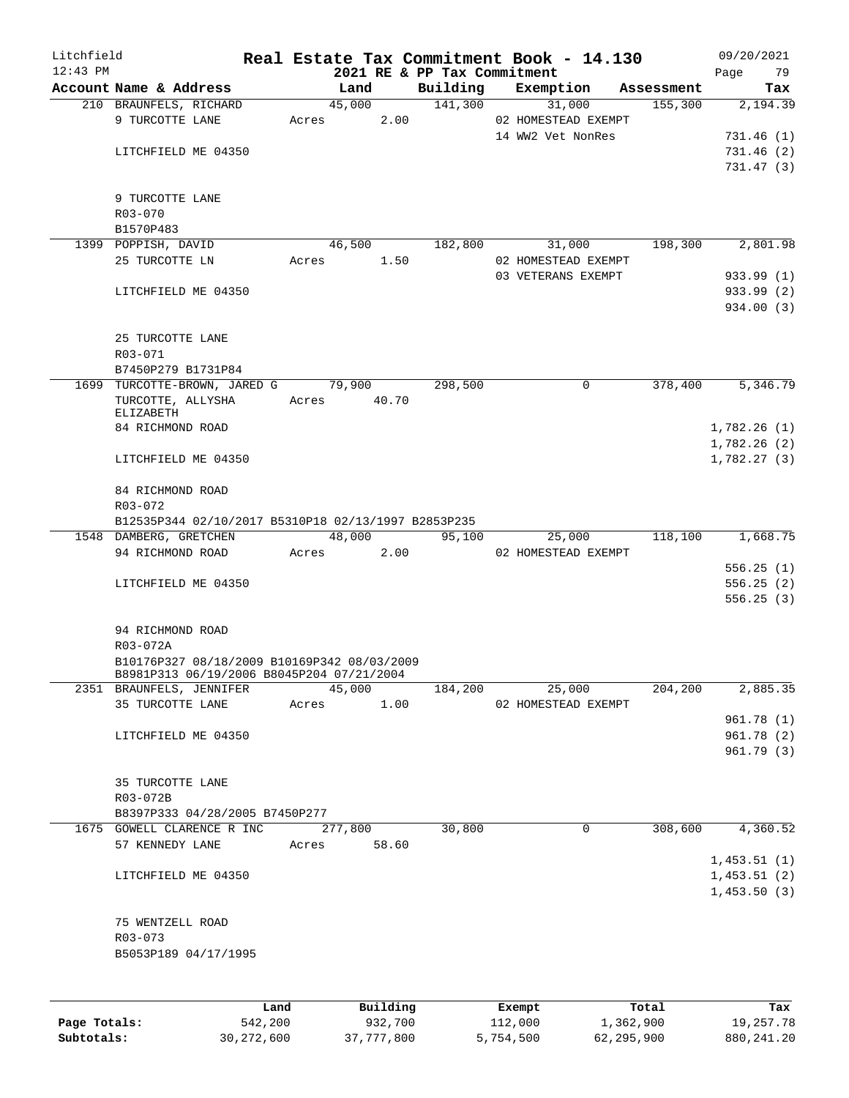| Litchfield   |                                                     |       |                             |          | Real Estate Tax Commitment Book - 14.130 |            | 09/20/2021  |
|--------------|-----------------------------------------------------|-------|-----------------------------|----------|------------------------------------------|------------|-------------|
| $12:43$ PM   |                                                     |       | 2021 RE & PP Tax Commitment |          |                                          |            | 79<br>Page  |
|              | Account Name & Address                              |       | Land                        | Building | Exemption                                | Assessment | Tax         |
|              | 210 BRAUNFELS, RICHARD                              |       | 45,000                      | 141,300  | 31,000                                   | 155,300    | 2,194.39    |
|              | 9 TURCOTTE LANE                                     | Acres | 2.00                        |          | 02 HOMESTEAD EXEMPT                      |            |             |
|              |                                                     |       |                             |          | 14 WW2 Vet NonRes                        |            | 731.46 (1)  |
|              | LITCHFIELD ME 04350                                 |       |                             |          |                                          |            | 731.46 (2)  |
|              |                                                     |       |                             |          |                                          |            | 731.47(3)   |
|              |                                                     |       |                             |          |                                          |            |             |
|              | 9 TURCOTTE LANE                                     |       |                             |          |                                          |            |             |
|              | R03-070<br>B1570P483                                |       |                             |          |                                          |            |             |
|              | 1399 POPPISH, DAVID                                 |       | 46,500                      | 182,800  | 31,000                                   | 198,300    | 2,801.98    |
|              | 25 TURCOTTE LN                                      |       | 1.50<br>Acres               |          | 02 HOMESTEAD EXEMPT                      |            |             |
|              |                                                     |       |                             |          | 03 VETERANS EXEMPT                       |            | 933.99(1)   |
|              | LITCHFIELD ME 04350                                 |       |                             |          |                                          |            | 933.99 (2)  |
|              |                                                     |       |                             |          |                                          |            | 934.00 (3)  |
|              |                                                     |       |                             |          |                                          |            |             |
|              | 25 TURCOTTE LANE                                    |       |                             |          |                                          |            |             |
|              | R03-071                                             |       |                             |          |                                          |            |             |
|              | B7450P279 B1731P84                                  |       |                             |          |                                          |            |             |
|              | 1699 TURCOTTE-BROWN, JARED G 79,900                 |       |                             | 298,500  | 0                                        | 378,400    | 5,346.79    |
|              | TURCOTTE, ALLYSHA                                   | Acres | 40.70                       |          |                                          |            |             |
|              | ELIZABETH                                           |       |                             |          |                                          |            |             |
|              | 84 RICHMOND ROAD                                    |       |                             |          |                                          |            | 1,782.26(1) |
|              |                                                     |       |                             |          |                                          |            | 1,782.26(2) |
|              | LITCHFIELD ME 04350                                 |       |                             |          |                                          |            | 1,782.27(3) |
|              |                                                     |       |                             |          |                                          |            |             |
|              | 84 RICHMOND ROAD                                    |       |                             |          |                                          |            |             |
|              | $R03 - 072$                                         |       |                             |          |                                          |            |             |
|              | B12535P344 02/10/2017 B5310P18 02/13/1997 B2853P235 |       |                             |          |                                          |            |             |
|              | 1548 DAMBERG, GRETCHEN                              |       | 48,000                      | 95,100   | 25,000                                   | 118,100    | 1,668.75    |
|              | 94 RICHMOND ROAD                                    | Acres | 2.00                        |          | 02 HOMESTEAD EXEMPT                      |            |             |
|              |                                                     |       |                             |          |                                          |            | 556.25(1)   |
|              | LITCHFIELD ME 04350                                 |       |                             |          |                                          |            | 556.25(2)   |
|              |                                                     |       |                             |          |                                          |            | 556.25(3)   |
|              |                                                     |       |                             |          |                                          |            |             |
|              | 94 RICHMOND ROAD                                    |       |                             |          |                                          |            |             |
|              | R03-072A                                            |       |                             |          |                                          |            |             |
|              | B10176P327 08/18/2009 B10169P342 08/03/2009         |       |                             |          |                                          |            |             |
|              | B8981P313 06/19/2006 B8045P204 07/21/2004           |       |                             |          |                                          |            |             |
|              | 2351 BRAUNFELS, JENNIFER                            |       | 45,000                      | 184,200  | 25,000                                   | 204,200    | 2,885.35    |
|              | 35 TURCOTTE LANE                                    | Acres | 1.00                        |          | 02 HOMESTEAD EXEMPT                      |            | 961.78(1)   |
|              |                                                     |       |                             |          |                                          |            | 961.78 (2)  |
|              | LITCHFIELD ME 04350                                 |       |                             |          |                                          |            | 961.79 (3)  |
|              |                                                     |       |                             |          |                                          |            |             |
|              | 35 TURCOTTE LANE                                    |       |                             |          |                                          |            |             |
|              | R03-072B                                            |       |                             |          |                                          |            |             |
|              | B8397P333 04/28/2005 B7450P277                      |       |                             |          |                                          |            |             |
|              | 1675 GOWELL CLARENCE R INC                          |       | 277,800                     | 30,800   | $\mathbf 0$                              | 308,600    | 4,360.52    |
|              | 57 KENNEDY LANE                                     | Acres | 58.60                       |          |                                          |            |             |
|              |                                                     |       |                             |          |                                          |            | 1,453.51(1) |
|              | LITCHFIELD ME 04350                                 |       |                             |          |                                          |            | 1,453.51(2) |
|              |                                                     |       |                             |          |                                          |            | 1,453.50(3) |
|              |                                                     |       |                             |          |                                          |            |             |
|              | 75 WENTZELL ROAD                                    |       |                             |          |                                          |            |             |
|              | R03-073                                             |       |                             |          |                                          |            |             |
|              | B5053P189 04/17/1995                                |       |                             |          |                                          |            |             |
|              |                                                     |       |                             |          |                                          |            |             |
|              |                                                     |       |                             |          |                                          |            |             |
|              |                                                     |       |                             |          |                                          |            |             |
|              | Land                                                |       | Building                    |          | Exempt                                   | Total      | Tax         |
| Page Totals: | 542,200                                             |       | 932,700                     |          | 112,000                                  | 1,362,900  | 19,257.78   |

**Subtotals:** 30,272,600 37,777,800 5,754,500 62,295,900 880,241.20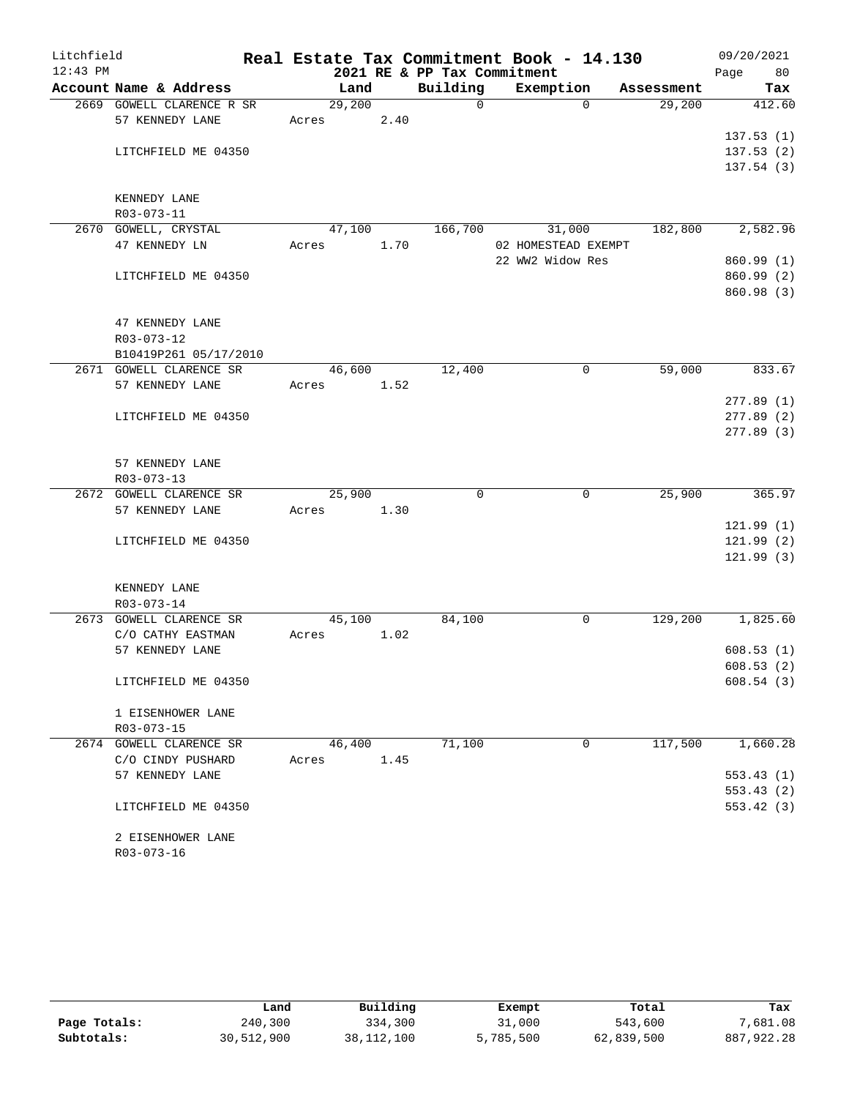| Litchfield |                                       |        |      |                             | Real Estate Tax Commitment Book - 14.130 |            | 09/20/2021             |
|------------|---------------------------------------|--------|------|-----------------------------|------------------------------------------|------------|------------------------|
| $12:43$ PM |                                       |        |      | 2021 RE & PP Tax Commitment |                                          |            | Page<br>80             |
|            | Account Name & Address                |        | Land | Building                    | Exemption                                | Assessment | Tax                    |
|            | 2669 GOWELL CLARENCE R SR             | 29,200 |      | $\Omega$                    | $\Omega$                                 | 29,200     | 412.60                 |
|            | 57 KENNEDY LANE                       | Acres  | 2.40 |                             |                                          |            |                        |
|            | LITCHFIELD ME 04350                   |        |      |                             |                                          |            | 137.53(1)<br>137.53(2) |
|            |                                       |        |      |                             |                                          |            | 137.54(3)              |
|            |                                       |        |      |                             |                                          |            |                        |
|            | KENNEDY LANE                          |        |      |                             |                                          |            |                        |
|            | R03-073-11                            |        |      |                             |                                          |            |                        |
|            | 2670 GOWELL, CRYSTAL                  | 47,100 |      | 166,700                     | 31,000                                   | 182,800    | 2,582.96               |
|            | 47 KENNEDY LN                         | Acres  | 1.70 |                             | 02 HOMESTEAD EXEMPT                      |            |                        |
|            |                                       |        |      |                             | 22 WW2 Widow Res                         |            | 860.99(1)              |
|            | LITCHFIELD ME 04350                   |        |      |                             |                                          |            | 860.99 (2)             |
|            |                                       |        |      |                             |                                          |            | 860.98 (3)             |
|            |                                       |        |      |                             |                                          |            |                        |
|            | 47 KENNEDY LANE                       |        |      |                             |                                          |            |                        |
|            | R03-073-12                            |        |      |                             |                                          |            |                        |
|            | B10419P261 05/17/2010                 |        |      |                             |                                          |            |                        |
|            | 2671 GOWELL CLARENCE SR               | 46,600 |      | 12,400                      | $\mathbf 0$                              | 59,000     | 833.67                 |
|            | 57 KENNEDY LANE                       | Acres  | 1.52 |                             |                                          |            |                        |
|            | LITCHFIELD ME 04350                   |        |      |                             |                                          |            | 277.89(1)<br>277.89(2) |
|            |                                       |        |      |                             |                                          |            | 277.89(3)              |
|            |                                       |        |      |                             |                                          |            |                        |
|            | 57 KENNEDY LANE                       |        |      |                             |                                          |            |                        |
|            | R03-073-13                            |        |      |                             |                                          |            |                        |
|            | 2672 GOWELL CLARENCE SR               | 25,900 |      | $\mathbf 0$                 | 0                                        | 25,900     | 365.97                 |
|            | 57 KENNEDY LANE                       | Acres  | 1.30 |                             |                                          |            |                        |
|            |                                       |        |      |                             |                                          |            | 121.99(1)              |
|            | LITCHFIELD ME 04350                   |        |      |                             |                                          |            | 121.99(2)              |
|            |                                       |        |      |                             |                                          |            | 121.99(3)              |
|            |                                       |        |      |                             |                                          |            |                        |
|            | KENNEDY LANE                          |        |      |                             |                                          |            |                        |
|            | R03-073-14<br>2673 GOWELL CLARENCE SR | 45,100 |      | 84,100                      | $\mathbf 0$                              | 129,200    | 1,825.60               |
|            | C/O CATHY EASTMAN                     | Acres  | 1.02 |                             |                                          |            |                        |
|            | 57 KENNEDY LANE                       |        |      |                             |                                          |            | 608.53(1)              |
|            |                                       |        |      |                             |                                          |            | 608.53 (2)             |
|            | LITCHFIELD ME 04350                   |        |      |                             |                                          |            | 608.54(3)              |
|            |                                       |        |      |                             |                                          |            |                        |
|            | 1 EISENHOWER LANE                     |        |      |                             |                                          |            |                        |
|            | R03-073-15                            |        |      |                             |                                          |            |                        |
|            | 2674 GOWELL CLARENCE SR               | 46,400 |      | 71,100                      | $\mathbf 0$                              | 117,500    | 1,660.28               |
|            | C/O CINDY PUSHARD                     | Acres  | 1.45 |                             |                                          |            |                        |
|            | 57 KENNEDY LANE                       |        |      |                             |                                          |            | 553.43(1)              |
|            |                                       |        |      |                             |                                          |            | 553.43(2)              |
|            | LITCHFIELD ME 04350                   |        |      |                             |                                          |            | 553.42(3)              |
|            |                                       |        |      |                             |                                          |            |                        |
|            | 2 EISENHOWER LANE                     |        |      |                             |                                          |            |                        |
|            | R03-073-16                            |        |      |                             |                                          |            |                        |

|              | Land       | Building     | Exempt    | Total      | Tax        |
|--------------|------------|--------------|-----------|------------|------------|
| Page Totals: | 240,300    | 334,300      | 31,000    | 543,600    | 7,681.08   |
| Subtotals:   | 30,512,900 | 38, 112, 100 | 5,785,500 | 62,839,500 | 887,922.28 |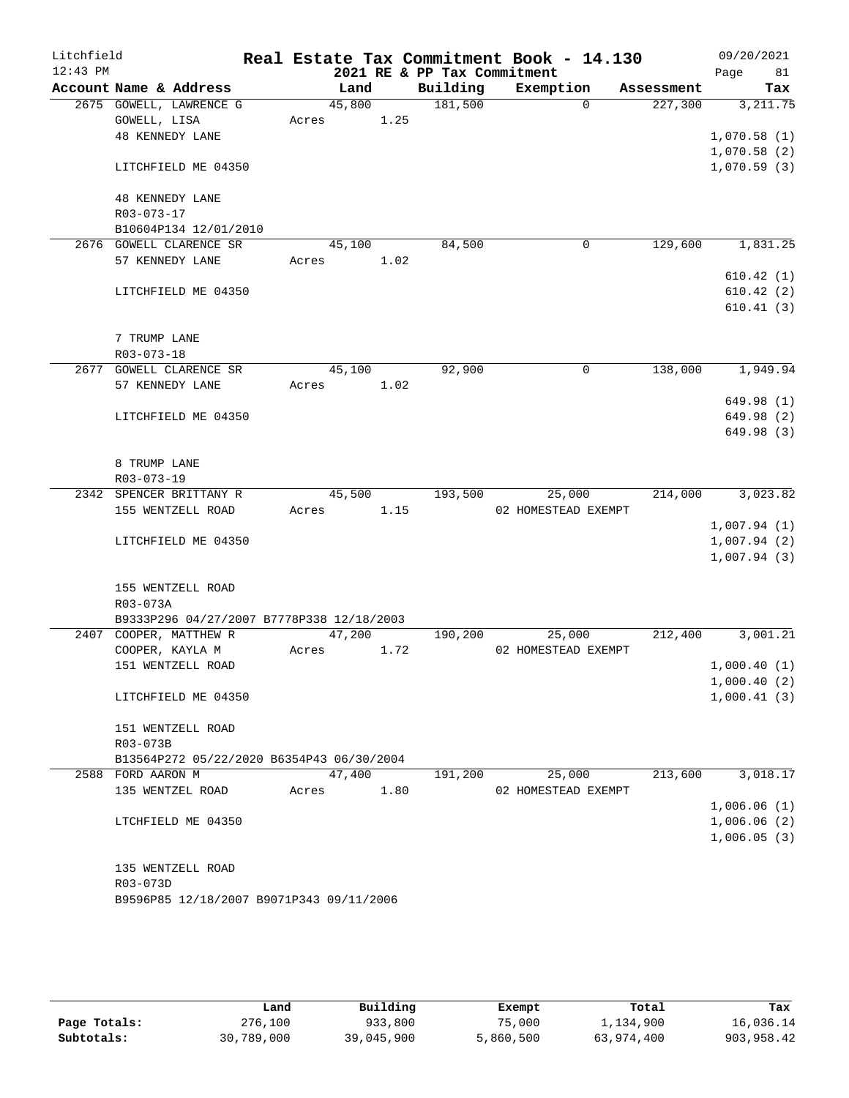| Litchfield |                                           |       |        |      |                             | Real Estate Tax Commitment Book - 14.130 |             |            |      | 09/20/2021  |
|------------|-------------------------------------------|-------|--------|------|-----------------------------|------------------------------------------|-------------|------------|------|-------------|
| $12:43$ PM |                                           |       |        |      | 2021 RE & PP Tax Commitment |                                          |             |            | Page | 81          |
|            | Account Name & Address                    |       | Land   |      | Building                    | Exemption                                |             | Assessment |      | Tax         |
|            | 2675 GOWELL, LAWRENCE G                   |       | 45,800 |      | 181,500                     |                                          | $\Omega$    | 227,300    |      | 3, 211.75   |
|            | GOWELL, LISA                              | Acres | 1.25   |      |                             |                                          |             |            |      |             |
|            | <b>48 KENNEDY LANE</b>                    |       |        |      |                             |                                          |             |            |      | 1,070.58(1) |
|            |                                           |       |        |      |                             |                                          |             |            |      | 1,070.58(2) |
|            | LITCHFIELD ME 04350                       |       |        |      |                             |                                          |             |            |      | 1,070.59(3) |
|            | 48 KENNEDY LANE                           |       |        |      |                             |                                          |             |            |      |             |
|            | R03-073-17                                |       |        |      |                             |                                          |             |            |      |             |
|            | B10604P134 12/01/2010                     |       |        |      |                             |                                          |             |            |      |             |
|            | 2676 GOWELL CLARENCE SR                   |       | 45,100 |      | 84,500                      |                                          | 0           | 129,600    |      | 1,831.25    |
|            | 57 KENNEDY LANE                           | Acres |        | 1.02 |                             |                                          |             |            |      |             |
|            |                                           |       |        |      |                             |                                          |             |            |      | 610.42(1)   |
|            | LITCHFIELD ME 04350                       |       |        |      |                             |                                          |             |            |      | 610.42(2)   |
|            |                                           |       |        |      |                             |                                          |             |            |      | 610.41(3)   |
|            | 7 TRUMP LANE                              |       |        |      |                             |                                          |             |            |      |             |
|            | R03-073-18                                |       |        |      |                             |                                          |             |            |      |             |
|            | 2677 GOWELL CLARENCE SR                   |       | 45,100 |      | 92,900                      |                                          | $\mathbf 0$ | 138,000    |      | 1,949.94    |
|            | 57 KENNEDY LANE                           | Acres |        | 1.02 |                             |                                          |             |            |      |             |
|            |                                           |       |        |      |                             |                                          |             |            |      | 649.98 (1)  |
|            | LITCHFIELD ME 04350                       |       |        |      |                             |                                          |             |            |      | 649.98 (2)  |
|            |                                           |       |        |      |                             |                                          |             |            |      | 649.98 (3)  |
|            |                                           |       |        |      |                             |                                          |             |            |      |             |
|            | 8 TRUMP LANE                              |       |        |      |                             |                                          |             |            |      |             |
|            | R03-073-19                                |       |        |      |                             |                                          |             |            |      |             |
|            | 2342 SPENCER BRITTANY R                   |       | 45,500 |      | 193,500                     | 25,000                                   |             | 214,000    |      | 3,023.82    |
|            | 155 WENTZELL ROAD                         | Acres |        | 1.15 |                             | 02 HOMESTEAD EXEMPT                      |             |            |      |             |
|            |                                           |       |        |      |                             |                                          |             |            |      | 1,007.94(1) |
|            | LITCHFIELD ME 04350                       |       |        |      |                             |                                          |             |            |      | 1,007.94(2) |
|            |                                           |       |        |      |                             |                                          |             |            |      | 1,007.94(3) |
|            |                                           |       |        |      |                             |                                          |             |            |      |             |
|            | 155 WENTZELL ROAD<br>R03-073A             |       |        |      |                             |                                          |             |            |      |             |
|            | B9333P296 04/27/2007 B7778P338 12/18/2003 |       |        |      |                             |                                          |             |            |      |             |
|            | 2407 COOPER, MATTHEW R                    |       | 47,200 |      | 190,200                     | 25,000                                   |             | 212,400    |      | 3,001.21    |
|            | COOPER, KAYLA M                           | Acres |        | 1.72 |                             | 02 HOMESTEAD EXEMPT                      |             |            |      |             |
|            | 151 WENTZELL ROAD                         |       |        |      |                             |                                          |             |            |      | 1,000.40(1) |
|            |                                           |       |        |      |                             |                                          |             |            |      | 1,000.40(2) |
|            | LITCHFIELD ME 04350                       |       |        |      |                             |                                          |             |            |      | 1,000.41(3) |
|            |                                           |       |        |      |                             |                                          |             |            |      |             |
|            | 151 WENTZELL ROAD<br>R03-073B             |       |        |      |                             |                                          |             |            |      |             |
|            | B13564P272 05/22/2020 B6354P43 06/30/2004 |       |        |      |                             |                                          |             |            |      |             |
|            | 2588 FORD AARON M                         |       | 47,400 |      | 191,200                     | 25,000                                   |             | 213,600    |      | 3,018.17    |
|            | 135 WENTZEL ROAD                          | Acres |        | 1.80 |                             | 02 HOMESTEAD EXEMPT                      |             |            |      |             |
|            |                                           |       |        |      |                             |                                          |             |            |      | 1,006.06(1) |
|            | LTCHFIELD ME 04350                        |       |        |      |                             |                                          |             |            |      | 1,006.06(2) |
|            |                                           |       |        |      |                             |                                          |             |            |      | 1,006.05(3) |
|            |                                           |       |        |      |                             |                                          |             |            |      |             |
|            | 135 WENTZELL ROAD                         |       |        |      |                             |                                          |             |            |      |             |
|            | R03-073D                                  |       |        |      |                             |                                          |             |            |      |             |
|            | B9596P85 12/18/2007 B9071P343 09/11/2006  |       |        |      |                             |                                          |             |            |      |             |

|              | Land       | Building   | Exempt    | Total      | Tax        |
|--------------|------------|------------|-----------|------------|------------|
| Page Totals: | 276,100    | 933,800    | 75,000    | 1,134,900  | 16,036.14  |
| Subtotals:   | 30,789,000 | 39,045,900 | 5,860,500 | 63,974,400 | 903,958.42 |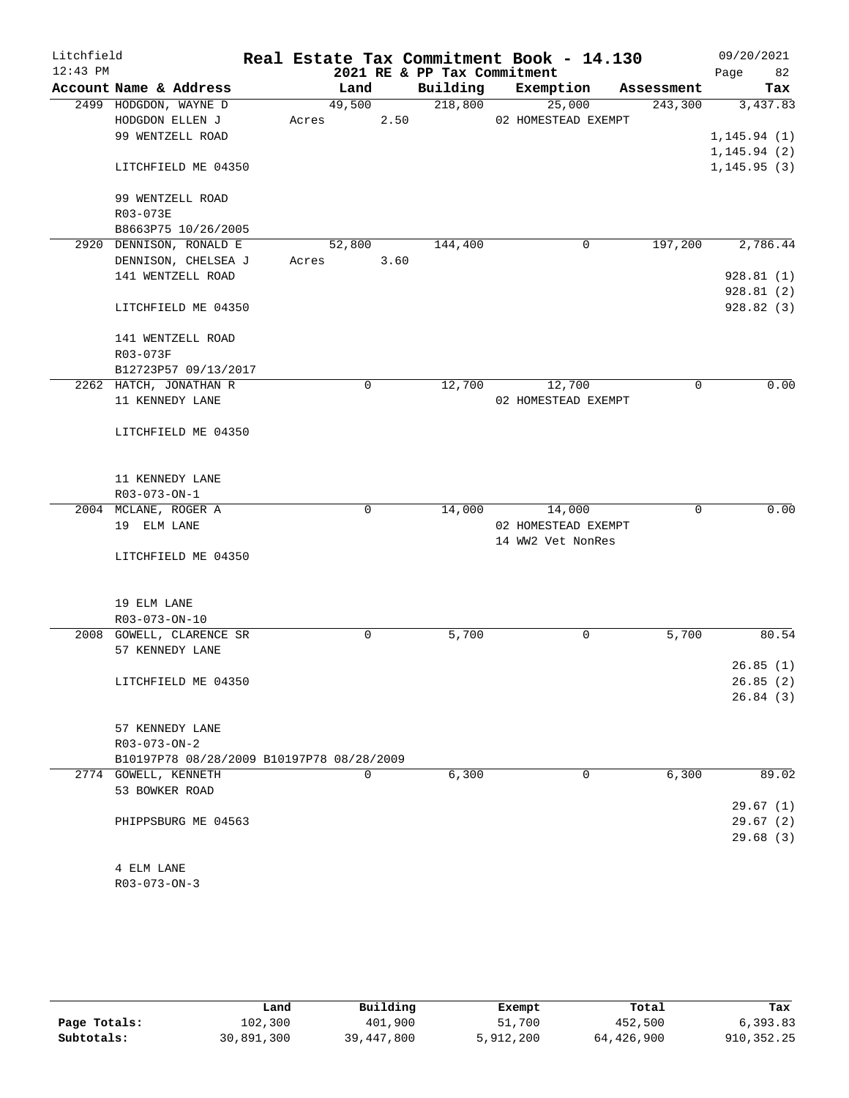| Litchfield |                                           |       |             |      | Real Estate Tax Commitment Book - 14.130 |                   |                     |             | 09/20/2021   |           |
|------------|-------------------------------------------|-------|-------------|------|------------------------------------------|-------------------|---------------------|-------------|--------------|-----------|
| $12:43$ PM |                                           |       |             |      | 2021 RE & PP Tax Commitment              |                   |                     |             | Page         | 82        |
|            | Account Name & Address                    |       | Land        |      | Building                                 | Exemption         |                     | Assessment  |              | Tax       |
|            | 2499 HODGDON, WAYNE D                     |       | 49,500      |      | 218,800                                  |                   | 25,000              | 243,300     |              | 3,437.83  |
|            | HODGDON ELLEN J                           |       | Acres       | 2.50 |                                          |                   | 02 HOMESTEAD EXEMPT |             |              |           |
|            | 99 WENTZELL ROAD                          |       |             |      |                                          |                   |                     |             | 1, 145.94(1) |           |
|            |                                           |       |             |      |                                          |                   |                     |             | 1, 145.94(2) |           |
|            | LITCHFIELD ME 04350                       |       |             |      |                                          |                   |                     |             | 1, 145.95(3) |           |
|            | 99 WENTZELL ROAD                          |       |             |      |                                          |                   |                     |             |              |           |
|            | R03-073E                                  |       |             |      |                                          |                   |                     |             |              |           |
|            | B8663P75 10/26/2005                       |       |             |      |                                          |                   |                     |             |              |           |
|            | 2920 DENNISON, RONALD E                   |       | 52,800      |      | 144,400                                  |                   | 0                   | 197,200     |              | 2,786.44  |
|            | DENNISON, CHELSEA J                       | Acres |             | 3.60 |                                          |                   |                     |             |              |           |
|            | 141 WENTZELL ROAD                         |       |             |      |                                          |                   |                     |             |              | 928.81(1) |
|            |                                           |       |             |      |                                          |                   |                     |             |              | 928.81(2) |
|            | LITCHFIELD ME 04350                       |       |             |      |                                          |                   |                     |             |              | 928.82(3) |
|            | 141 WENTZELL ROAD                         |       |             |      |                                          |                   |                     |             |              |           |
|            | R03-073F                                  |       |             |      |                                          |                   |                     |             |              |           |
|            | B12723P57 09/13/2017                      |       |             |      |                                          |                   |                     |             |              |           |
|            | 2262 HATCH, JONATHAN R                    |       | $\mathbf 0$ |      | 12,700                                   |                   | 12,700              | $\mathbf 0$ |              | 0.00      |
|            | 11 KENNEDY LANE                           |       |             |      |                                          |                   | 02 HOMESTEAD EXEMPT |             |              |           |
|            | LITCHFIELD ME 04350                       |       |             |      |                                          |                   |                     |             |              |           |
|            |                                           |       |             |      |                                          |                   |                     |             |              |           |
|            |                                           |       |             |      |                                          |                   |                     |             |              |           |
|            | 11 KENNEDY LANE                           |       |             |      |                                          |                   |                     |             |              |           |
|            | R03-073-ON-1                              |       |             |      |                                          |                   |                     |             |              |           |
|            | 2004 MCLANE, ROGER A                      |       | $\mathbf 0$ |      | 14,000                                   |                   | 14,000              | $\mathbf 0$ |              | 0.00      |
|            | 19 ELM LANE                               |       |             |      |                                          |                   | 02 HOMESTEAD EXEMPT |             |              |           |
|            |                                           |       |             |      |                                          | 14 WW2 Vet NonRes |                     |             |              |           |
|            | LITCHFIELD ME 04350                       |       |             |      |                                          |                   |                     |             |              |           |
|            |                                           |       |             |      |                                          |                   |                     |             |              |           |
|            | 19 ELM LANE                               |       |             |      |                                          |                   |                     |             |              |           |
|            | $R03 - 073 - ON - 10$                     |       |             |      |                                          |                   |                     |             |              |           |
|            | 2008 GOWELL, CLARENCE SR                  |       | 0           |      | 5,700                                    |                   | 0                   | 5,700       |              | 80.54     |
|            | 57 KENNEDY LANE                           |       |             |      |                                          |                   |                     |             |              |           |
|            |                                           |       |             |      |                                          |                   |                     |             |              | 26.85(1)  |
|            | LITCHFIELD ME 04350                       |       |             |      |                                          |                   |                     |             |              | 26.85(2)  |
|            |                                           |       |             |      |                                          |                   |                     |             |              | 26.84(3)  |
|            | 57 KENNEDY LANE                           |       |             |      |                                          |                   |                     |             |              |           |
|            | $R03 - 073 - ON - 2$                      |       |             |      |                                          |                   |                     |             |              |           |
|            | B10197P78 08/28/2009 B10197P78 08/28/2009 |       |             |      |                                          |                   |                     |             |              |           |
|            | 2774 GOWELL, KENNETH                      |       | $\mathbf 0$ |      | 6,300                                    |                   | 0                   | 6,300       |              | 89.02     |
|            | 53 BOWKER ROAD                            |       |             |      |                                          |                   |                     |             |              |           |
|            |                                           |       |             |      |                                          |                   |                     |             |              | 29.67(1)  |
|            | PHIPPSBURG ME 04563                       |       |             |      |                                          |                   |                     |             |              | 29.67(2)  |
|            |                                           |       |             |      |                                          |                   |                     |             |              | 29.68(3)  |
|            |                                           |       |             |      |                                          |                   |                     |             |              |           |
|            | 4 ELM LANE                                |       |             |      |                                          |                   |                     |             |              |           |

R03-073-ON-3

|              | Land       | Building   | Exempt    | Total      | Tax        |
|--------------|------------|------------|-----------|------------|------------|
| Page Totals: | 102,300    | 401,900    | 51,700    | 452,500    | 6, 393.83  |
| Subtotals:   | 30,891,300 | 39,447,800 | 5,912,200 | 64,426,900 | 910,352.25 |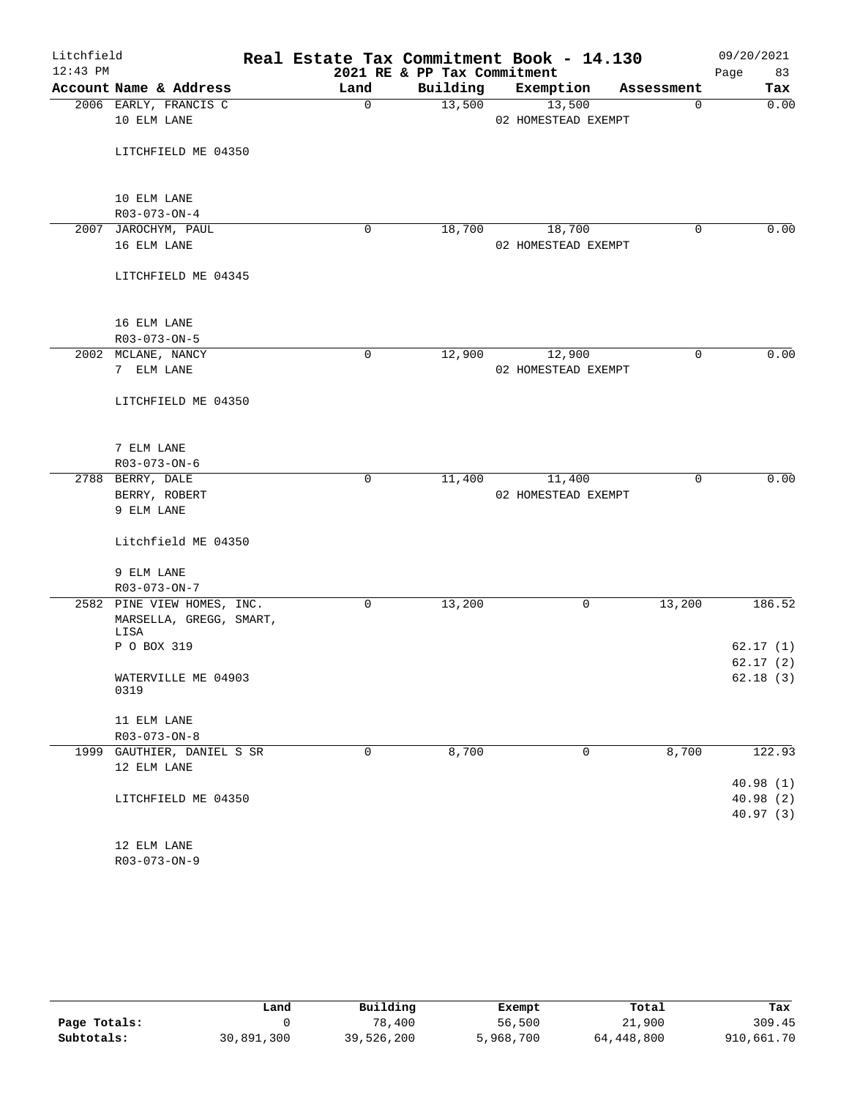| Litchfield |                                     |             |                             | Real Estate Tax Commitment Book - 14.130 |             | 09/20/2021 |
|------------|-------------------------------------|-------------|-----------------------------|------------------------------------------|-------------|------------|
| $12:43$ PM |                                     |             | 2021 RE & PP Tax Commitment |                                          |             | 83<br>Page |
|            | Account Name & Address              | Land        | Building                    | Exemption                                | Assessment  | Tax        |
|            | 2006 EARLY, FRANCIS C               | $\mathbf 0$ | 13,500                      | 13,500                                   | $\mathbf 0$ | 0.00       |
|            | 10 ELM LANE                         |             |                             | 02 HOMESTEAD EXEMPT                      |             |            |
|            |                                     |             |                             |                                          |             |            |
|            | LITCHFIELD ME 04350                 |             |                             |                                          |             |            |
|            |                                     |             |                             |                                          |             |            |
|            |                                     |             |                             |                                          |             |            |
|            | 10 ELM LANE<br>$R03 - 073 - ON - 4$ |             |                             |                                          |             |            |
|            | 2007 JAROCHYM, PAUL                 | $\mathbf 0$ | 18,700                      | 18,700                                   | $\mathbf 0$ | 0.00       |
|            | 16 ELM LANE                         |             |                             | 02 HOMESTEAD EXEMPT                      |             |            |
|            |                                     |             |                             |                                          |             |            |
|            | LITCHFIELD ME 04345                 |             |                             |                                          |             |            |
|            |                                     |             |                             |                                          |             |            |
|            |                                     |             |                             |                                          |             |            |
|            | 16 ELM LANE                         |             |                             |                                          |             |            |
|            | R03-073-ON-5                        |             |                             |                                          |             |            |
|            | 2002 MCLANE, NANCY                  | $\mathbf 0$ | 12,900                      | 12,900                                   | 0           | 0.00       |
|            | 7 ELM LANE                          |             |                             | 02 HOMESTEAD EXEMPT                      |             |            |
|            |                                     |             |                             |                                          |             |            |
|            | LITCHFIELD ME 04350                 |             |                             |                                          |             |            |
|            |                                     |             |                             |                                          |             |            |
|            |                                     |             |                             |                                          |             |            |
|            | 7 ELM LANE                          |             |                             |                                          |             |            |
|            | R03-073-ON-6                        |             |                             |                                          |             |            |
|            | 2788 BERRY, DALE                    | 0           | 11,400                      | 11,400                                   | $\mathbf 0$ | 0.00       |
|            | BERRY, ROBERT                       |             |                             | 02 HOMESTEAD EXEMPT                      |             |            |
|            | 9 ELM LANE                          |             |                             |                                          |             |            |
|            | Litchfield ME 04350                 |             |                             |                                          |             |            |
|            |                                     |             |                             |                                          |             |            |
|            | 9 ELM LANE                          |             |                             |                                          |             |            |
|            | $R03 - 073 - ON - 7$                |             |                             |                                          |             |            |
|            | 2582 PINE VIEW HOMES, INC.          | $\mathbf 0$ | 13,200                      | 0                                        | 13,200      | 186.52     |
|            | MARSELLA, GREGG, SMART,             |             |                             |                                          |             |            |
|            | LISA                                |             |                             |                                          |             |            |
|            | P O BOX 319                         |             |                             |                                          |             | 62.17(1)   |
|            |                                     |             |                             |                                          |             | 62.17(2)   |
|            | WATERVILLE ME 04903<br>0319         |             |                             |                                          |             | 62.18(3)   |
|            |                                     |             |                             |                                          |             |            |
|            | 11 ELM LANE                         |             |                             |                                          |             |            |
|            | $R03 - 073 - ON - 8$                |             |                             |                                          |             |            |
| 1999       | GAUTHIER, DANIEL S SR               | 0           | 8,700                       | 0                                        | 8,700       | 122.93     |
|            | 12 ELM LANE                         |             |                             |                                          |             |            |
|            |                                     |             |                             |                                          |             | 40.98(1)   |
|            | LITCHFIELD ME 04350                 |             |                             |                                          |             | 40.98(2)   |
|            |                                     |             |                             |                                          |             | 40.97(3)   |
|            |                                     |             |                             |                                          |             |            |
|            | 12 ELM LANE                         |             |                             |                                          |             |            |

R03-073-ON-9

|              | Land       | Building   | Exempt    | Total      | Tax        |
|--------------|------------|------------|-----------|------------|------------|
| Page Totals: |            | 78,400     | 56,500    | 21,900     | 309.45     |
| Subtotals:   | 30,891,300 | 39,526,200 | 5,968,700 | 64,448,800 | 910,661.70 |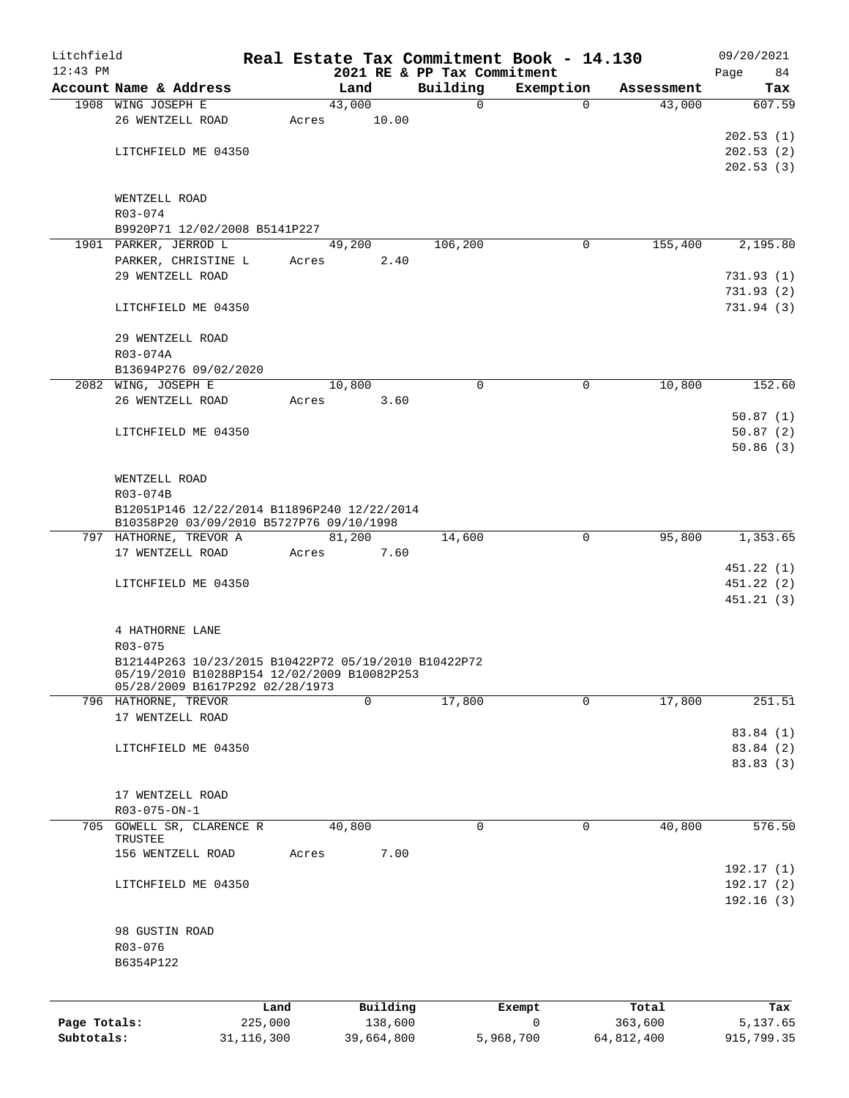| Litchfield   |                                                                                                     |              |       |                |            | Real Estate Tax Commitment Book - 14.130 |              |                       |                      | 09/20/2021    |
|--------------|-----------------------------------------------------------------------------------------------------|--------------|-------|----------------|------------|------------------------------------------|--------------|-----------------------|----------------------|---------------|
| $12:43$ PM   |                                                                                                     |              |       |                |            | 2021 RE & PP Tax Commitment              |              |                       |                      | Page<br>84    |
|              | Account Name & Address<br>1908 WING JOSEPH E                                                        |              |       | Land<br>43,000 |            | Building                                 | $\mathbf 0$  | Exemption<br>$\Omega$ | Assessment<br>43,000 | Tax<br>607.59 |
|              | 26 WENTZELL ROAD                                                                                    |              | Acres |                | 10.00      |                                          |              |                       |                      |               |
|              |                                                                                                     |              |       |                |            |                                          |              |                       |                      | 202.53(1)     |
|              | LITCHFIELD ME 04350                                                                                 |              |       |                |            |                                          |              |                       |                      | 202.53(2)     |
|              |                                                                                                     |              |       |                |            |                                          |              |                       |                      | 202.53(3)     |
|              |                                                                                                     |              |       |                |            |                                          |              |                       |                      |               |
|              | WENTZELL ROAD                                                                                       |              |       |                |            |                                          |              |                       |                      |               |
|              | R03-074                                                                                             |              |       |                |            |                                          |              |                       |                      |               |
|              | B9920P71 12/02/2008 B5141P227                                                                       |              |       |                |            |                                          |              |                       |                      |               |
|              | 1901 PARKER, JERROD L                                                                               |              |       | 49,200         |            | 106,200                                  |              | 0                     | 155,400              | 2,195.80      |
|              | PARKER, CHRISTINE L                                                                                 |              | Acres |                | 2.40       |                                          |              |                       |                      |               |
|              | 29 WENTZELL ROAD                                                                                    |              |       |                |            |                                          |              |                       |                      | 731.93(1)     |
|              |                                                                                                     |              |       |                |            |                                          |              |                       |                      | 731.93(2)     |
|              | LITCHFIELD ME 04350                                                                                 |              |       |                |            |                                          |              |                       |                      | 731.94(3)     |
|              |                                                                                                     |              |       |                |            |                                          |              |                       |                      |               |
|              | 29 WENTZELL ROAD                                                                                    |              |       |                |            |                                          |              |                       |                      |               |
|              | R03-074A                                                                                            |              |       |                |            |                                          |              |                       |                      |               |
|              | B13694P276 09/02/2020                                                                               |              |       |                |            |                                          |              |                       |                      |               |
|              | 2082 WING, JOSEPH E                                                                                 |              |       | 10,800         |            |                                          | $\mathbf 0$  | $\mathbf 0$           | 10,800               | 152.60        |
|              | 26 WENTZELL ROAD                                                                                    |              | Acres |                | 3.60       |                                          |              |                       |                      |               |
|              |                                                                                                     |              |       |                |            |                                          |              |                       |                      | 50.87(1)      |
|              | LITCHFIELD ME 04350                                                                                 |              |       |                |            |                                          |              |                       |                      | 50.87(2)      |
|              |                                                                                                     |              |       |                |            |                                          |              |                       |                      | 50.86(3)      |
|              |                                                                                                     |              |       |                |            |                                          |              |                       |                      |               |
|              | WENTZELL ROAD                                                                                       |              |       |                |            |                                          |              |                       |                      |               |
|              | R03-074B                                                                                            |              |       |                |            |                                          |              |                       |                      |               |
|              | B12051P146 12/22/2014 B11896P240 12/22/2014<br>B10358P20 03/09/2010 B5727P76 09/10/1998             |              |       |                |            |                                          |              |                       |                      |               |
|              | 797 HATHORNE, TREVOR A                                                                              |              |       | 81,200         |            | 14,600                                   |              | 0                     | 95,800               | 1,353.65      |
|              | 17 WENTZELL ROAD                                                                                    |              | Acres |                | 7.60       |                                          |              |                       |                      |               |
|              |                                                                                                     |              |       |                |            |                                          |              |                       |                      | 451.22 (1)    |
|              | LITCHFIELD ME 04350                                                                                 |              |       |                |            |                                          |              |                       |                      | 451.22(2)     |
|              |                                                                                                     |              |       |                |            |                                          |              |                       |                      | 451.21 (3)    |
|              |                                                                                                     |              |       |                |            |                                          |              |                       |                      |               |
|              | 4 HATHORNE LANE                                                                                     |              |       |                |            |                                          |              |                       |                      |               |
|              | $R03 - 075$                                                                                         |              |       |                |            |                                          |              |                       |                      |               |
|              | B12144P263 10/23/2015 B10422P72 05/19/2010 B10422P72<br>05/19/2010 B10288P154 12/02/2009 B10082P253 |              |       |                |            |                                          |              |                       |                      |               |
|              | 05/28/2009 B1617P292 02/28/1973                                                                     |              |       |                |            |                                          |              |                       |                      |               |
|              | 796 HATHORNE, TREVOR                                                                                |              |       | 0              |            | 17,800                                   |              | $\Omega$              | 17,800               | 251.51        |
|              | 17 WENTZELL ROAD                                                                                    |              |       |                |            |                                          |              |                       |                      |               |
|              |                                                                                                     |              |       |                |            |                                          |              |                       |                      | 83.84 (1)     |
|              | LITCHFIELD ME 04350                                                                                 |              |       |                |            |                                          |              |                       |                      | 83.84 (2)     |
|              |                                                                                                     |              |       |                |            |                                          |              |                       |                      | 83.83 (3)     |
|              |                                                                                                     |              |       |                |            |                                          |              |                       |                      |               |
|              | 17 WENTZELL ROAD                                                                                    |              |       |                |            |                                          |              |                       |                      |               |
|              | R03-075-ON-1                                                                                        |              |       |                |            |                                          |              |                       |                      |               |
|              | 705 GOWELL SR, CLARENCE R                                                                           |              |       | 40,800         |            |                                          | 0            | 0                     | 40,800               | 576.50        |
|              | TRUSTEE<br>156 WENTZELL ROAD                                                                        |              | Acres |                | 7.00       |                                          |              |                       |                      |               |
|              |                                                                                                     |              |       |                |            |                                          |              |                       |                      | 192.17(1)     |
|              | LITCHFIELD ME 04350                                                                                 |              |       |                |            |                                          |              |                       |                      | 192.17(2)     |
|              |                                                                                                     |              |       |                |            |                                          |              |                       |                      | 192.16(3)     |
|              |                                                                                                     |              |       |                |            |                                          |              |                       |                      |               |
|              | 98 GUSTIN ROAD                                                                                      |              |       |                |            |                                          |              |                       |                      |               |
|              | R03-076                                                                                             |              |       |                |            |                                          |              |                       |                      |               |
|              | B6354P122                                                                                           |              |       |                |            |                                          |              |                       |                      |               |
|              |                                                                                                     |              |       |                |            |                                          |              |                       |                      |               |
|              |                                                                                                     | Land         |       |                | Building   |                                          | Exempt       |                       | Total                | Tax           |
| Page Totals: |                                                                                                     | 225,000      |       |                | 138,600    |                                          | $\mathsf{O}$ |                       | 363,600              | 5,137.65      |
| Subtotals:   |                                                                                                     | 31, 116, 300 |       |                | 39,664,800 |                                          | 5,968,700    |                       | 64,812,400           | 915,799.35    |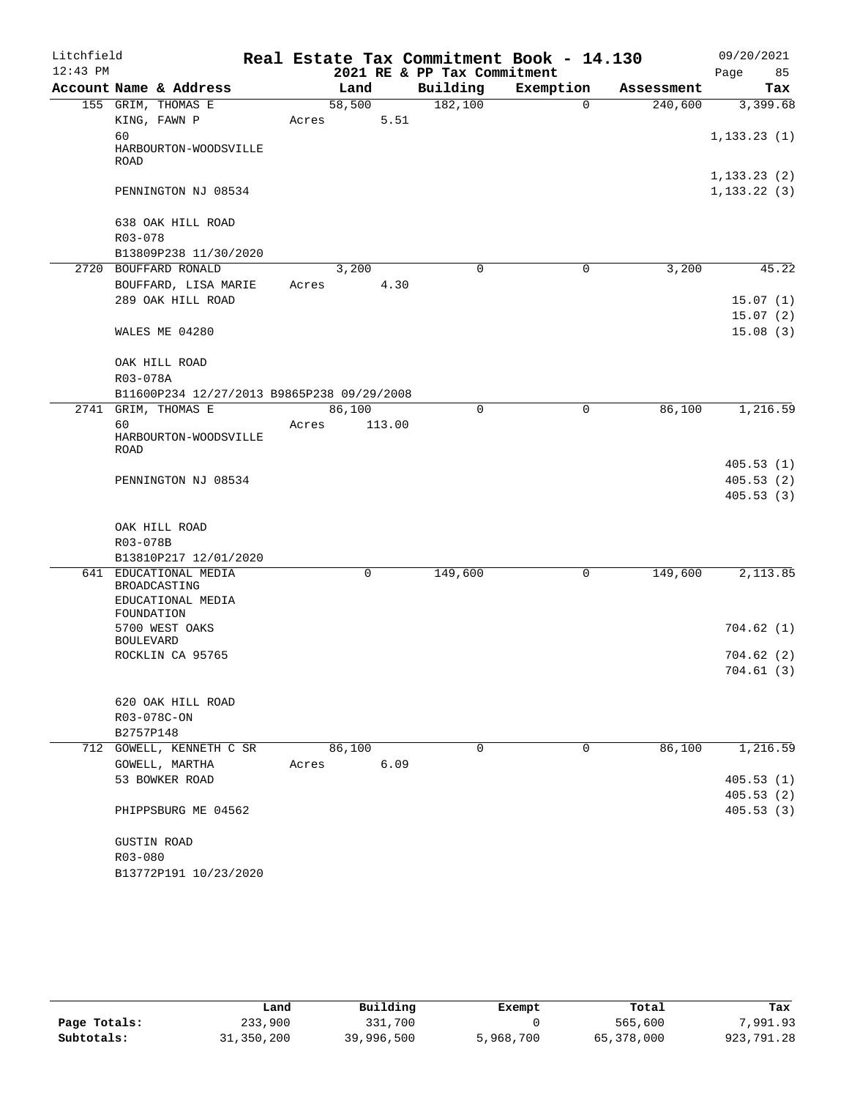| Litchfield |                                            |       |             |      |                             | Real Estate Tax Commitment Book - 14.130 |             |            | 09/20/2021             |       |
|------------|--------------------------------------------|-------|-------------|------|-----------------------------|------------------------------------------|-------------|------------|------------------------|-------|
| $12:43$ PM |                                            |       |             |      | 2021 RE & PP Tax Commitment |                                          |             |            | Page                   | 85    |
|            | Account Name & Address                     |       | Land        |      | Building                    | Exemption                                |             | Assessment |                        | Tax   |
|            | 155 GRIM, THOMAS E                         |       | 58,500      |      | 182,100                     |                                          | $\Omega$    | 240,600    | 3,399.68               |       |
|            | KING, FAWN P                               | Acres |             | 5.51 |                             |                                          |             |            |                        |       |
|            | 60<br>HARBOURTON-WOODSVILLE<br><b>ROAD</b> |       |             |      |                             |                                          |             |            | 1, 133.23(1)           |       |
|            |                                            |       |             |      |                             |                                          |             |            | 1, 133.23(2)           |       |
|            | PENNINGTON NJ 08534                        |       |             |      |                             |                                          |             |            | 1, 133.22(3)           |       |
|            | 638 OAK HILL ROAD                          |       |             |      |                             |                                          |             |            |                        |       |
|            | R03-078<br>B13809P238 11/30/2020           |       |             |      |                             |                                          |             |            |                        |       |
|            | 2720 BOUFFARD RONALD                       |       | 3,200       |      | $\mathbf 0$                 |                                          | 0           | 3,200      |                        | 45.22 |
|            | BOUFFARD, LISA MARIE                       | Acres |             | 4.30 |                             |                                          |             |            |                        |       |
|            | 289 OAK HILL ROAD                          |       |             |      |                             |                                          |             |            | 15.07(1)               |       |
|            |                                            |       |             |      |                             |                                          |             |            | 15.07(2)               |       |
|            | WALES ME 04280                             |       |             |      |                             |                                          |             |            | 15.08(3)               |       |
|            | OAK HILL ROAD                              |       |             |      |                             |                                          |             |            |                        |       |
|            | R03-078A                                   |       |             |      |                             |                                          |             |            |                        |       |
|            | B11600P234 12/27/2013 B9865P238 09/29/2008 |       |             |      |                             |                                          |             |            |                        |       |
| 2741       | GRIM, THOMAS E                             |       | 86,100      |      | 0                           |                                          | 0           | 86,100     | 1,216.59               |       |
|            | 60<br>HARBOURTON-WOODSVILLE<br>ROAD        | Acres | 113.00      |      |                             |                                          |             |            |                        |       |
|            |                                            |       |             |      |                             |                                          |             |            | 405.53(1)              |       |
|            | PENNINGTON NJ 08534                        |       |             |      |                             |                                          |             |            | 405.53(2)              |       |
|            |                                            |       |             |      |                             |                                          |             |            | 405.53(3)              |       |
|            | OAK HILL ROAD                              |       |             |      |                             |                                          |             |            |                        |       |
|            | R03-078B                                   |       |             |      |                             |                                          |             |            |                        |       |
|            | B13810P217 12/01/2020                      |       |             |      |                             |                                          |             |            |                        |       |
|            | 641 EDUCATIONAL MEDIA<br>BROADCASTING      |       | $\mathbf 0$ |      | 149,600                     |                                          | 0           | 149,600    | 2,113.85               |       |
|            | EDUCATIONAL MEDIA<br>FOUNDATION            |       |             |      |                             |                                          |             |            |                        |       |
|            | 5700 WEST OAKS                             |       |             |      |                             |                                          |             |            | 704.62(1)              |       |
|            | <b>BOULEVARD</b><br>ROCKLIN CA 95765       |       |             |      |                             |                                          |             |            | 704.62(2)              |       |
|            |                                            |       |             |      |                             |                                          |             |            | 704.61(3)              |       |
|            | 620 OAK HILL ROAD                          |       |             |      |                             |                                          |             |            |                        |       |
|            | R03-078C-ON                                |       |             |      |                             |                                          |             |            |                        |       |
|            | B2757P148                                  |       |             |      |                             |                                          |             |            |                        |       |
|            | 712 GOWELL, KENNETH C SR                   |       | 86,100      |      | $\Omega$                    |                                          | $\mathbf 0$ | 86,100     | 1,216.59               |       |
|            | GOWELL, MARTHA                             | Acres |             | 6.09 |                             |                                          |             |            |                        |       |
|            | 53 BOWKER ROAD                             |       |             |      |                             |                                          |             |            | 405.53(1)              |       |
|            | PHIPPSBURG ME 04562                        |       |             |      |                             |                                          |             |            | 405.53(2)<br>405.53(3) |       |
|            | <b>GUSTIN ROAD</b>                         |       |             |      |                             |                                          |             |            |                        |       |
|            | R03-080                                    |       |             |      |                             |                                          |             |            |                        |       |
|            | B13772P191 10/23/2020                      |       |             |      |                             |                                          |             |            |                        |       |
|            |                                            |       |             |      |                             |                                          |             |            |                        |       |

|              | Land       | Building   | Exempt    | Total      | Tax        |
|--------------|------------|------------|-----------|------------|------------|
| Page Totals: | 233,900    | 331,700    |           | 565,600    | 7,991.93   |
| Subtotals:   | 31,350,200 | 39,996,500 | 5,968,700 | 65,378,000 | 923,791.28 |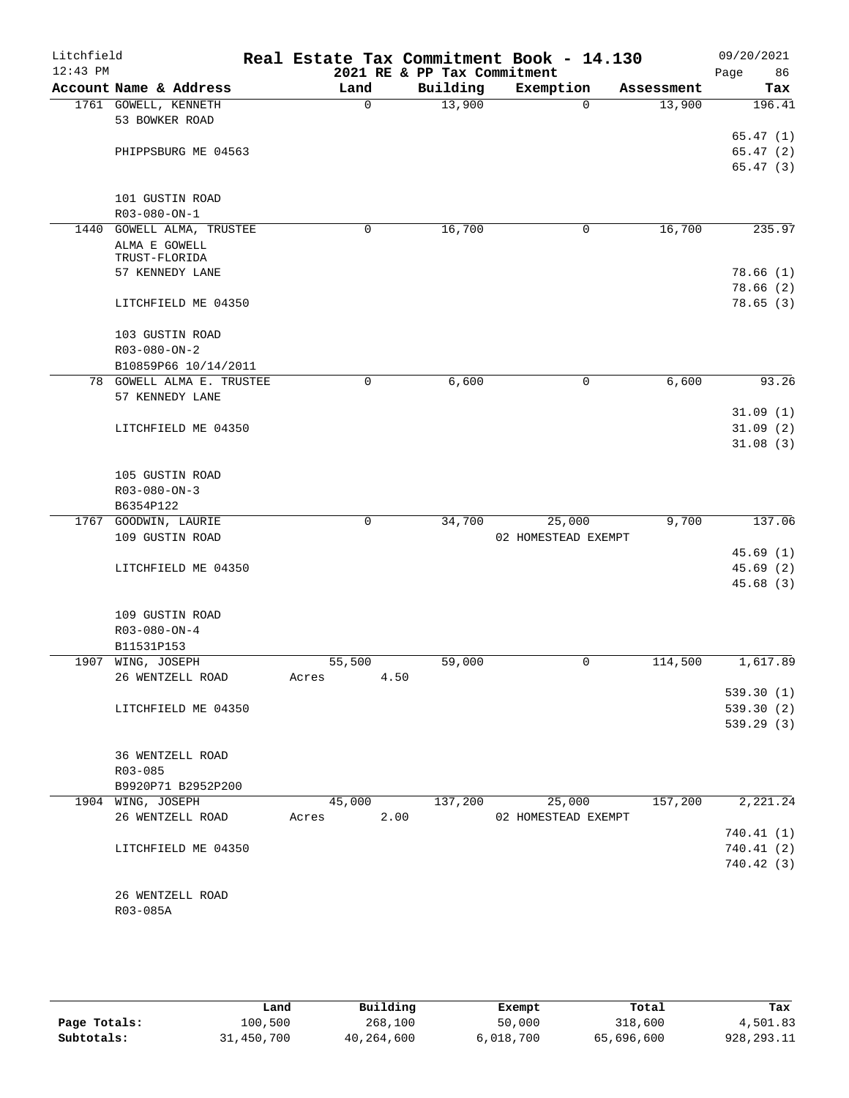| Litchfield |                           |              |                             | Real Estate Tax Commitment Book - 14.130 |            | 09/20/2021              |
|------------|---------------------------|--------------|-----------------------------|------------------------------------------|------------|-------------------------|
| $12:43$ PM |                           |              | 2021 RE & PP Tax Commitment |                                          |            | Page<br>86              |
|            | Account Name & Address    | Land         | Building                    | Exemption                                | Assessment | Tax                     |
|            | 1761 GOWELL, KENNETH      | $\mathsf{O}$ | 13,900                      | $\Omega$                                 | 13,900     | 196.41                  |
|            | 53 BOWKER ROAD            |              |                             |                                          |            |                         |
|            | PHIPPSBURG ME 04563       |              |                             |                                          |            | 65.47(1)                |
|            |                           |              |                             |                                          |            | 65.47(2)<br>65.47(3)    |
|            |                           |              |                             |                                          |            |                         |
|            | 101 GUSTIN ROAD           |              |                             |                                          |            |                         |
|            | R03-080-ON-1              |              |                             |                                          |            |                         |
|            | 1440 GOWELL ALMA, TRUSTEE | 0            | 16,700                      | 0                                        | 16,700     | 235.97                  |
|            | ALMA E GOWELL             |              |                             |                                          |            |                         |
|            | TRUST-FLORIDA             |              |                             |                                          |            |                         |
|            | 57 KENNEDY LANE           |              |                             |                                          |            | 78.66(1)                |
|            |                           |              |                             |                                          |            | 78.66 (2)               |
|            | LITCHFIELD ME 04350       |              |                             |                                          |            | 78.65(3)                |
|            |                           |              |                             |                                          |            |                         |
|            | 103 GUSTIN ROAD           |              |                             |                                          |            |                         |
|            | $R03 - 080 - ON - 2$      |              |                             |                                          |            |                         |
|            | B10859P66 10/14/2011      |              |                             |                                          |            |                         |
|            | 78 GOWELL ALMA E. TRUSTEE | 0            | 6,600                       | 0                                        | 6,600      | 93.26                   |
|            | 57 KENNEDY LANE           |              |                             |                                          |            |                         |
|            |                           |              |                             |                                          |            | 31.09(1)                |
|            | LITCHFIELD ME 04350       |              |                             |                                          |            | 31.09(2)                |
|            |                           |              |                             |                                          |            | 31.08(3)                |
|            | 105 GUSTIN ROAD           |              |                             |                                          |            |                         |
|            | $R03 - 080 - ON - 3$      |              |                             |                                          |            |                         |
|            | B6354P122                 |              |                             |                                          |            |                         |
|            | 1767 GOODWIN, LAURIE      | $\mathbf 0$  | 34,700                      | 25,000                                   | 9,700      | 137.06                  |
|            | 109 GUSTIN ROAD           |              |                             | 02 HOMESTEAD EXEMPT                      |            |                         |
|            |                           |              |                             |                                          |            | 45.69(1)                |
|            | LITCHFIELD ME 04350       |              |                             |                                          |            | 45.69(2)                |
|            |                           |              |                             |                                          |            | 45.68(3)                |
|            |                           |              |                             |                                          |            |                         |
|            | 109 GUSTIN ROAD           |              |                             |                                          |            |                         |
|            | $R03 - 080 - ON - 4$      |              |                             |                                          |            |                         |
|            | B11531P153                |              |                             |                                          |            |                         |
|            | 1907 WING, JOSEPH         | 55,500       | 59,000                      | 0                                        | 114,500    | 1,617.89                |
|            | 26 WENTZELL ROAD          | Acres        | 4.50                        |                                          |            |                         |
|            |                           |              |                             |                                          |            | 539.30(1)               |
|            | LITCHFIELD ME 04350       |              |                             |                                          |            | 539.30(2)               |
|            |                           |              |                             |                                          |            | 539.29(3)               |
|            |                           |              |                             |                                          |            |                         |
|            | 36 WENTZELL ROAD          |              |                             |                                          |            |                         |
|            | R03-085                   |              |                             |                                          |            |                         |
|            | B9920P71 B2952P200        |              |                             |                                          |            |                         |
|            | 1904 WING, JOSEPH         | 45,000       | 137,200                     | 25,000                                   | 157,200    | 2,221.24                |
|            | 26 WENTZELL ROAD          | Acres        | 2.00                        | 02 HOMESTEAD EXEMPT                      |            |                         |
|            |                           |              |                             |                                          |            | 740.41 (1)              |
|            | LITCHFIELD ME 04350       |              |                             |                                          |            | 740.41(2)<br>740.42 (3) |
|            |                           |              |                             |                                          |            |                         |
|            | 26 WENTZELL ROAD          |              |                             |                                          |            |                         |
|            | R03-085A                  |              |                             |                                          |            |                         |
|            |                           |              |                             |                                          |            |                         |
|            |                           |              |                             |                                          |            |                         |

|              | Land       | Building   | Exempt    | Total      | Tax          |
|--------------|------------|------------|-----------|------------|--------------|
| Page Totals: | 100,500    | 268,100    | 50,000    | 318,600    | 4,501.83     |
| Subtotals:   | 31,450,700 | 40,264,600 | 6,018,700 | 65,696,600 | 928, 293. 11 |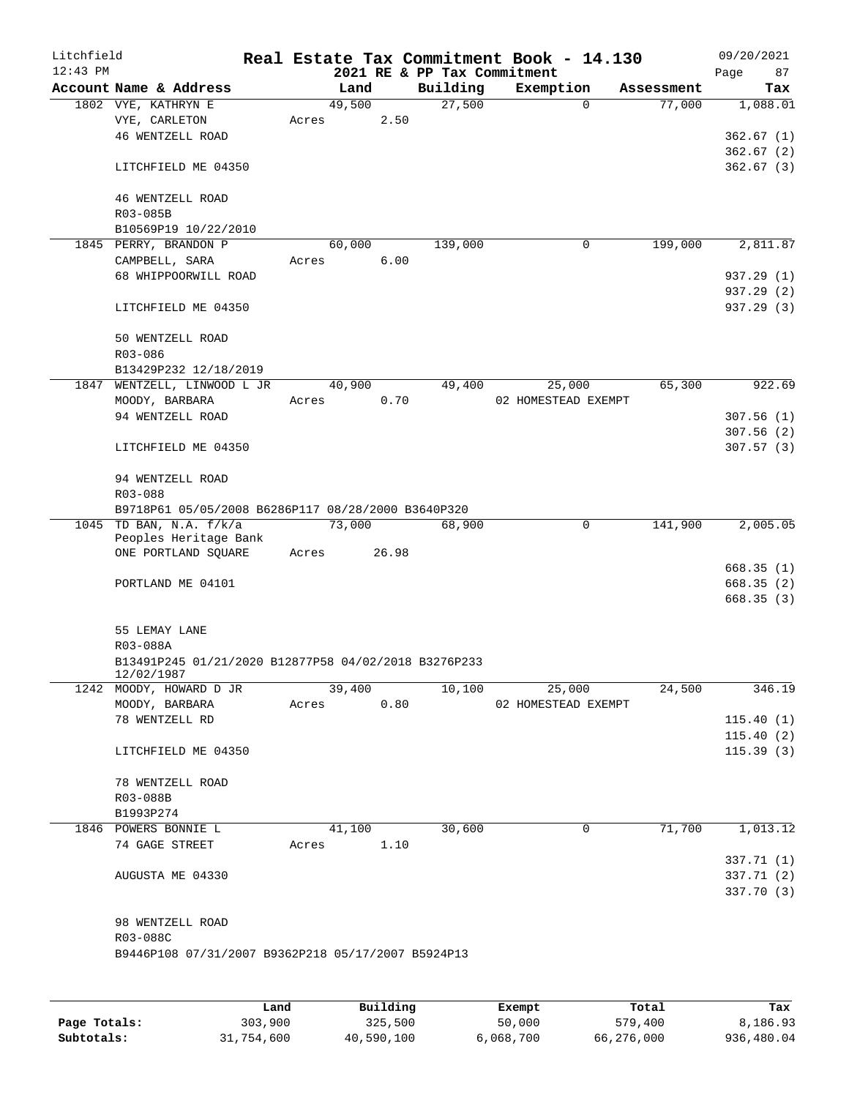| Litchfield<br>$12:43$ PM |                                                                    |       |        |       | 2021 RE & PP Tax Commitment | Real Estate Tax Commitment Book - 14.130 |            | 09/20/2021<br>Page<br>87 |
|--------------------------|--------------------------------------------------------------------|-------|--------|-------|-----------------------------|------------------------------------------|------------|--------------------------|
|                          | Account Name & Address                                             |       | Land   |       | Building                    | Exemption                                | Assessment | Tax                      |
|                          | 1802 VYE, KATHRYN E                                                |       | 49,500 |       | 27,500                      | $\Omega$                                 | 77,000     | 1,088.01                 |
|                          | VYE, CARLETON                                                      | Acres |        | 2.50  |                             |                                          |            |                          |
|                          | 46 WENTZELL ROAD                                                   |       |        |       |                             |                                          |            | 362.67 (1)               |
|                          |                                                                    |       |        |       |                             |                                          |            | 362.67(2)                |
|                          | LITCHFIELD ME 04350                                                |       |        |       |                             |                                          |            | 362.67(3)                |
|                          | <b>46 WENTZELL ROAD</b>                                            |       |        |       |                             |                                          |            |                          |
|                          | R03-085B                                                           |       |        |       |                             |                                          |            |                          |
|                          | B10569P19 10/22/2010                                               |       |        |       |                             |                                          |            |                          |
|                          | 1845 PERRY, BRANDON P                                              |       | 60,000 |       | 139,000                     | 0                                        | 199,000    | 2,811.87                 |
|                          | CAMPBELL, SARA                                                     | Acres |        | 6.00  |                             |                                          |            |                          |
|                          | 68 WHIPPOORWILL ROAD                                               |       |        |       |                             |                                          |            | 937.29 (1)               |
|                          |                                                                    |       |        |       |                             |                                          |            | 937.29 (2)               |
|                          | LITCHFIELD ME 04350                                                |       |        |       |                             |                                          |            | 937.29 (3)               |
|                          | 50 WENTZELL ROAD                                                   |       |        |       |                             |                                          |            |                          |
|                          | R03-086                                                            |       |        |       |                             |                                          |            |                          |
|                          | B13429P232 12/18/2019                                              |       |        |       |                             |                                          |            |                          |
|                          | 1847 WENTZELL, LINWOOD L JR                                        |       | 40,900 |       | 49,400                      | 25,000                                   | 65,300     | 922.69                   |
|                          | MOODY, BARBARA                                                     | Acres |        | 0.70  |                             | 02 HOMESTEAD EXEMPT                      |            |                          |
|                          | 94 WENTZELL ROAD                                                   |       |        |       |                             |                                          |            | 307.56(1)                |
|                          |                                                                    |       |        |       |                             |                                          |            | 307.56(2)                |
|                          | LITCHFIELD ME 04350                                                |       |        |       |                             |                                          |            | 307.57(3)                |
|                          | 94 WENTZELL ROAD                                                   |       |        |       |                             |                                          |            |                          |
|                          | R03-088                                                            |       |        |       |                             |                                          |            |                          |
|                          | B9718P61 05/05/2008 B6286P117 08/28/2000 B3640P320                 |       |        |       |                             |                                          |            |                          |
|                          | 1045 TD BAN, N.A. f/k/a<br>Peoples Heritage Bank                   |       | 73,000 |       | 68,900                      | 0                                        | 141,900    | 2,005.05                 |
|                          | ONE PORTLAND SQUARE                                                | Acres |        | 26.98 |                             |                                          |            |                          |
|                          |                                                                    |       |        |       |                             |                                          |            | 668.35(1)                |
|                          | PORTLAND ME 04101                                                  |       |        |       |                             |                                          |            | 668.35 (2)               |
|                          |                                                                    |       |        |       |                             |                                          |            | 668.35(3)                |
|                          | 55 LEMAY LANE                                                      |       |        |       |                             |                                          |            |                          |
|                          | R03-088A                                                           |       |        |       |                             |                                          |            |                          |
|                          | B13491P245 01/21/2020 B12877P58 04/02/2018 B3276P233<br>12/02/1987 |       |        |       |                             |                                          |            |                          |
|                          | 1242 MOODY, HOWARD D JR                                            |       | 39,400 |       | 10,100                      | 25,000                                   | 24,500     | 346.19                   |
|                          | MOODY, BARBARA                                                     | Acres |        | 0.80  |                             | 02 HOMESTEAD EXEMPT                      |            |                          |
|                          | 78 WENTZELL RD                                                     |       |        |       |                             |                                          |            | 115.40(1)                |
|                          |                                                                    |       |        |       |                             |                                          |            | 115.40(2)                |
|                          | LITCHFIELD ME 04350                                                |       |        |       |                             |                                          |            | 115.39(3)                |
|                          | 78 WENTZELL ROAD                                                   |       |        |       |                             |                                          |            |                          |
|                          | R03-088B                                                           |       |        |       |                             |                                          |            |                          |
|                          | B1993P274                                                          |       |        |       |                             |                                          |            |                          |
|                          | 1846 POWERS BONNIE L                                               |       | 41,100 |       | 30,600                      | 0                                        | 71,700     | 1,013.12                 |
|                          | 74 GAGE STREET                                                     | Acres |        | 1.10  |                             |                                          |            |                          |
|                          |                                                                    |       |        |       |                             |                                          |            | 337.71 (1)               |
|                          | AUGUSTA ME 04330                                                   |       |        |       |                             |                                          |            | 337.71(2)                |
|                          |                                                                    |       |        |       |                             |                                          |            | 337.70 (3)               |
|                          | 98 WENTZELL ROAD                                                   |       |        |       |                             |                                          |            |                          |
|                          | R03-088C                                                           |       |        |       |                             |                                          |            |                          |
|                          | B9446P108 07/31/2007 B9362P218 05/17/2007 B5924P13                 |       |        |       |                             |                                          |            |                          |
|                          |                                                                    |       |        |       |                             |                                          |            |                          |
|                          |                                                                    |       |        |       |                             |                                          |            |                          |
|                          |                                                                    |       |        |       |                             |                                          |            |                          |

|              | Land       | Building   | Exempt    | Total      | Tax        |
|--------------|------------|------------|-----------|------------|------------|
| Page Totals: | 303,900    | 325,500    | 50,000    | 579,400    | 8,186.93   |
| Subtotals:   | 31,754,600 | 40,590,100 | 6,068,700 | 66,276,000 | 936,480.04 |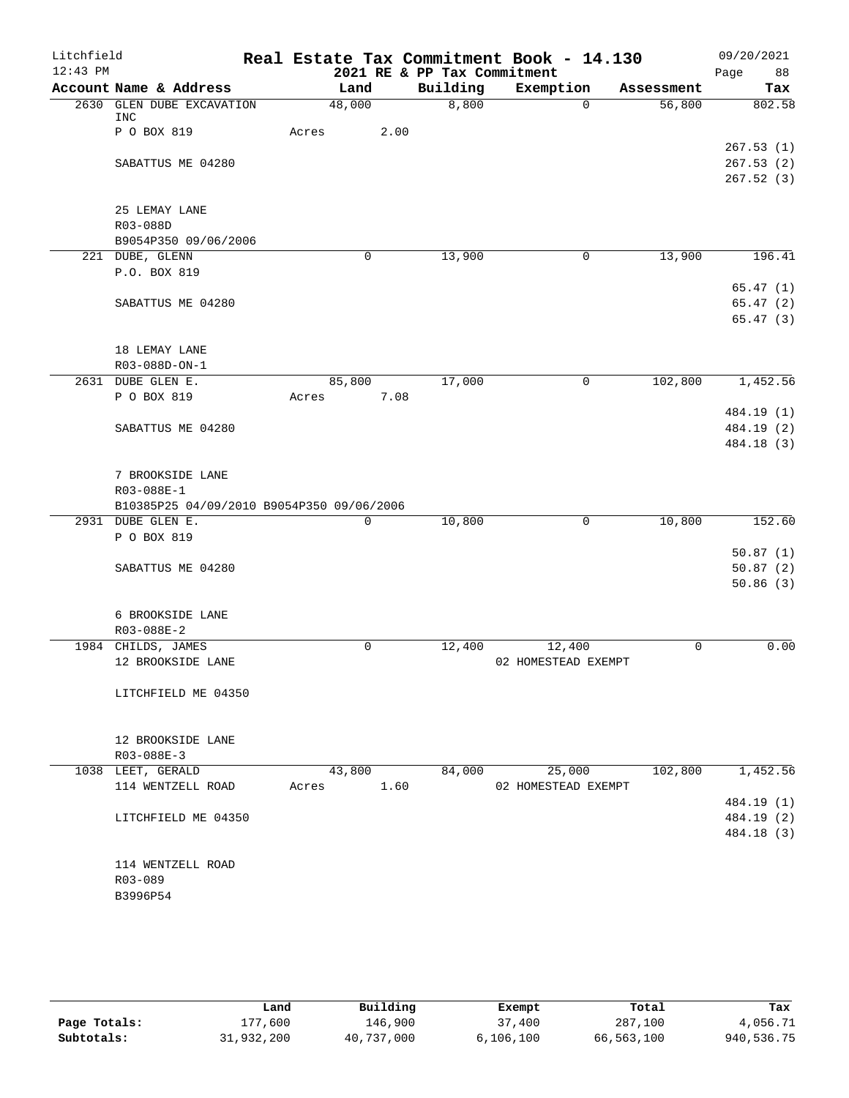| Litchfield |                                           |       |             |      |                             | Real Estate Tax Commitment Book - 14.130 |            |      | 09/20/2021           |
|------------|-------------------------------------------|-------|-------------|------|-----------------------------|------------------------------------------|------------|------|----------------------|
| $12:43$ PM |                                           |       |             |      | 2021 RE & PP Tax Commitment |                                          |            | Page | 88                   |
|            | Account Name & Address                    |       | Land        |      | Building                    | Exemption                                | Assessment |      | Tax                  |
|            | 2630 GLEN DUBE EXCAVATION<br><b>INC</b>   |       | 48,000      |      | 8,800                       | $\Omega$                                 | 56,800     |      | 802.58               |
|            | P O BOX 819                               | Acres |             | 2.00 |                             |                                          |            |      |                      |
|            |                                           |       |             |      |                             |                                          |            |      | 267.53(1)            |
|            | SABATTUS ME 04280                         |       |             |      |                             |                                          |            |      | 267.53(2)            |
|            |                                           |       |             |      |                             |                                          |            |      | 267.52(3)            |
|            | 25 LEMAY LANE                             |       |             |      |                             |                                          |            |      |                      |
|            | R03-088D                                  |       |             |      |                             |                                          |            |      |                      |
|            | B9054P350 09/06/2006                      |       |             |      |                             |                                          |            |      |                      |
|            | 221 DUBE, GLENN                           |       | 0           |      | 13,900                      | 0                                        | 13,900     |      | 196.41               |
|            | P.O. BOX 819                              |       |             |      |                             |                                          |            |      |                      |
|            |                                           |       |             |      |                             |                                          |            |      | 65.47(1)             |
|            | SABATTUS ME 04280                         |       |             |      |                             |                                          |            |      | 65.47(2)<br>65.47(3) |
|            |                                           |       |             |      |                             |                                          |            |      |                      |
|            | 18 LEMAY LANE                             |       |             |      |                             |                                          |            |      |                      |
|            | R03-088D-ON-1                             |       |             |      |                             |                                          |            |      |                      |
|            | 2631 DUBE GLEN E.                         |       | 85,800      |      | 17,000                      | 0                                        | 102,800    |      | 1,452.56             |
|            | P O BOX 819                               | Acres |             | 7.08 |                             |                                          |            |      |                      |
|            |                                           |       |             |      |                             |                                          |            |      | 484.19 (1)           |
|            | SABATTUS ME 04280                         |       |             |      |                             |                                          |            |      | 484.19 (2)           |
|            |                                           |       |             |      |                             |                                          |            |      | 484.18 (3)           |
|            |                                           |       |             |      |                             |                                          |            |      |                      |
|            | 7 BROOKSIDE LANE<br>R03-088E-1            |       |             |      |                             |                                          |            |      |                      |
|            | B10385P25 04/09/2010 B9054P350 09/06/2006 |       |             |      |                             |                                          |            |      |                      |
|            | 2931 DUBE GLEN E.                         |       | $\mathbf 0$ |      | 10,800                      | $\mathbf 0$                              | 10,800     |      | 152.60               |
|            | P O BOX 819                               |       |             |      |                             |                                          |            |      |                      |
|            |                                           |       |             |      |                             |                                          |            |      | 50.87(1)             |
|            | SABATTUS ME 04280                         |       |             |      |                             |                                          |            |      | 50.87(2)             |
|            |                                           |       |             |      |                             |                                          |            |      | 50.86(3)             |
|            |                                           |       |             |      |                             |                                          |            |      |                      |
|            | 6 BROOKSIDE LANE                          |       |             |      |                             |                                          |            |      |                      |
|            | R03-088E-2                                |       | $\mathbf 0$ |      |                             |                                          |            |      |                      |
|            | 1984 CHILDS, JAMES<br>12 BROOKSIDE LANE   |       |             |      | 12,400                      | 12,400<br>02 HOMESTEAD EXEMPT            | 0          |      | 0.00                 |
|            |                                           |       |             |      |                             |                                          |            |      |                      |
|            | LITCHFIELD ME 04350                       |       |             |      |                             |                                          |            |      |                      |
|            |                                           |       |             |      |                             |                                          |            |      |                      |
|            |                                           |       |             |      |                             |                                          |            |      |                      |
|            | 12 BROOKSIDE LANE                         |       |             |      |                             |                                          |            |      |                      |
|            | R03-088E-3                                |       |             |      |                             |                                          |            |      |                      |
|            | 1038 LEET, GERALD                         |       | 43,800      |      | 84,000                      | 25,000                                   | 102,800    |      | 1,452.56             |
|            | 114 WENTZELL ROAD                         | Acres |             | 1.60 |                             | 02 HOMESTEAD EXEMPT                      |            |      | 484.19 (1)           |
|            | LITCHFIELD ME 04350                       |       |             |      |                             |                                          |            |      | 484.19 (2)           |
|            |                                           |       |             |      |                             |                                          |            |      | 484.18 (3)           |
|            |                                           |       |             |      |                             |                                          |            |      |                      |
|            | 114 WENTZELL ROAD                         |       |             |      |                             |                                          |            |      |                      |
|            | R03-089                                   |       |             |      |                             |                                          |            |      |                      |
|            | B3996P54                                  |       |             |      |                             |                                          |            |      |                      |
|            |                                           |       |             |      |                             |                                          |            |      |                      |
|            |                                           |       |             |      |                             |                                          |            |      |                      |

|              | Land       | Building   | Exempt      | Total      | Tax        |
|--------------|------------|------------|-------------|------------|------------|
| Page Totals: | 177.600    | 146.900    | 37,400      | 287,100    | 4,056.71   |
| Subtotals:   | 31,932,200 | 40,737,000 | 6, 106, 100 | 66,563,100 | 940,536.75 |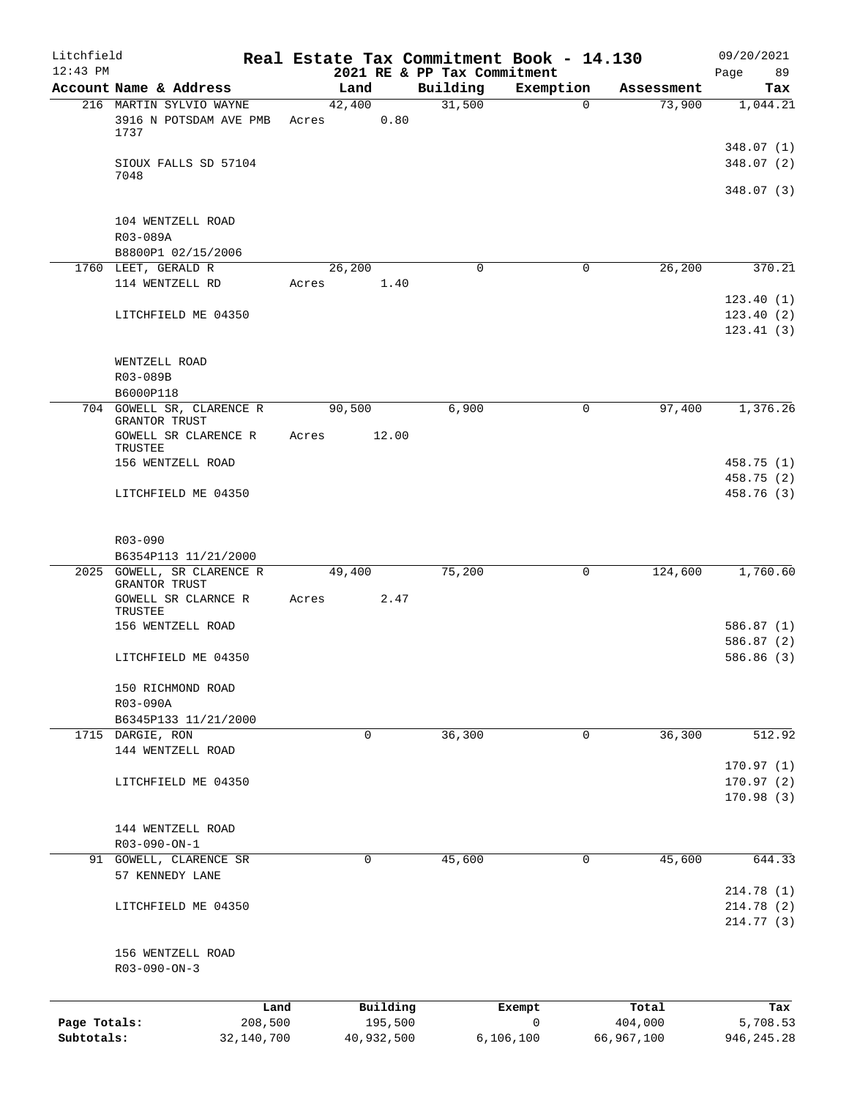| Litchfield<br>$12:43$ PM |                                                  |       |                | 2021 RE & PP Tax Commitment | Real Estate Tax Commitment Book - 14.130 |            | 09/20/2021<br>89         |
|--------------------------|--------------------------------------------------|-------|----------------|-----------------------------|------------------------------------------|------------|--------------------------|
|                          | Account Name & Address                           |       | Land           | Building                    | Exemption                                | Assessment | Page<br>Tax              |
|                          | 216 MARTIN SYLVIO WAYNE                          |       | 42,400         | 31,500                      | $\mathbf 0$                              | 73,900     | 1,044.21                 |
|                          | 3916 N POTSDAM AVE PMB<br>1737                   | Acres | 0.80           |                             |                                          |            |                          |
|                          | SIOUX FALLS SD 57104<br>7048                     |       |                |                             |                                          |            | 348.07 (1)<br>348.07 (2) |
|                          |                                                  |       |                |                             |                                          |            | 348.07 (3)               |
|                          | 104 WENTZELL ROAD<br>R03-089A                    |       |                |                             |                                          |            |                          |
|                          | B8800P1 02/15/2006                               |       |                |                             |                                          |            |                          |
|                          | 1760 LEET, GERALD R<br>114 WENTZELL RD           | Acres | 26,200<br>1.40 | $\mathbf 0$                 | 0                                        | 26,200     | 370.21<br>123.40(1)      |
|                          | LITCHFIELD ME 04350                              |       |                |                             |                                          |            | 123.40(2)<br>123.41(3)   |
|                          | WENTZELL ROAD<br>R03-089B                        |       |                |                             |                                          |            |                          |
|                          | B6000P118                                        |       |                |                             |                                          |            |                          |
|                          | 704 GOWELL SR, CLARENCE R                        |       | 90,500         | 6,900                       | 0                                        | 97,400     | 1,376.26                 |
|                          | GRANTOR TRUST<br>GOWELL SR CLARENCE R<br>TRUSTEE | Acres | 12.00          |                             |                                          |            |                          |
|                          | 156 WENTZELL ROAD                                |       |                |                             |                                          |            | 458.75 (1)               |
|                          |                                                  |       |                |                             |                                          |            | 458.75 (2)               |
|                          | LITCHFIELD ME 04350                              |       |                |                             |                                          |            | 458.76 (3)               |
|                          | R03-090<br>B6354P113 11/21/2000                  |       |                |                             |                                          |            |                          |
|                          | 2025 GOWELL, SR CLARENCE R<br>GRANTOR TRUST      |       | 49,400         | 75,200                      | 0                                        | 124,600    | 1,760.60                 |
|                          | GOWELL SR CLARNCE R<br>TRUSTEE                   | Acres | 2.47           |                             |                                          |            | 586.87(1)                |
|                          | 156 WENTZELL ROAD                                |       |                |                             |                                          |            | 586.87 (2)               |
|                          | LITCHFIELD ME 04350                              |       |                |                             |                                          |            | 586.86 (3)               |
|                          | 150 RICHMOND ROAD<br>R03-090A                    |       |                |                             |                                          |            |                          |
|                          | B6345P133 11/21/2000                             |       |                |                             |                                          |            |                          |
|                          | 1715 DARGIE, RON<br>144 WENTZELL ROAD            |       | $\mathbf 0$    | 36,300                      | 0                                        | 36,300     | 512.92                   |
|                          |                                                  |       |                |                             |                                          |            | 170.97(1)                |
|                          | LITCHFIELD ME 04350                              |       |                |                             |                                          |            | 170.97(2)<br>170.98(3)   |
|                          | 144 WENTZELL ROAD<br>R03-090-ON-1                |       |                |                             |                                          |            |                          |
|                          | 91 GOWELL, CLARENCE SR                           |       | 0              | 45,600                      | 0                                        | 45,600     | 644.33                   |
|                          | 57 KENNEDY LANE                                  |       |                |                             |                                          |            |                          |
|                          |                                                  |       |                |                             |                                          |            | 214.78 (1)               |
|                          | LITCHFIELD ME 04350                              |       |                |                             |                                          |            | 214.78 (2)<br>214.77 (3) |
|                          | 156 WENTZELL ROAD<br>$R03 - 090 - ON - 3$        |       |                |                             |                                          |            |                          |
|                          | Land                                             |       | Building       |                             | Exempt                                   | Total      | Tax                      |
| Page Totals:             | 208,500                                          |       | 195,500        |                             | 0                                        | 404,000    | 5,708.53                 |
| Subtotals:               | 32,140,700                                       |       | 40,932,500     |                             | 6, 106, 100                              | 66,967,100 | 946, 245.28              |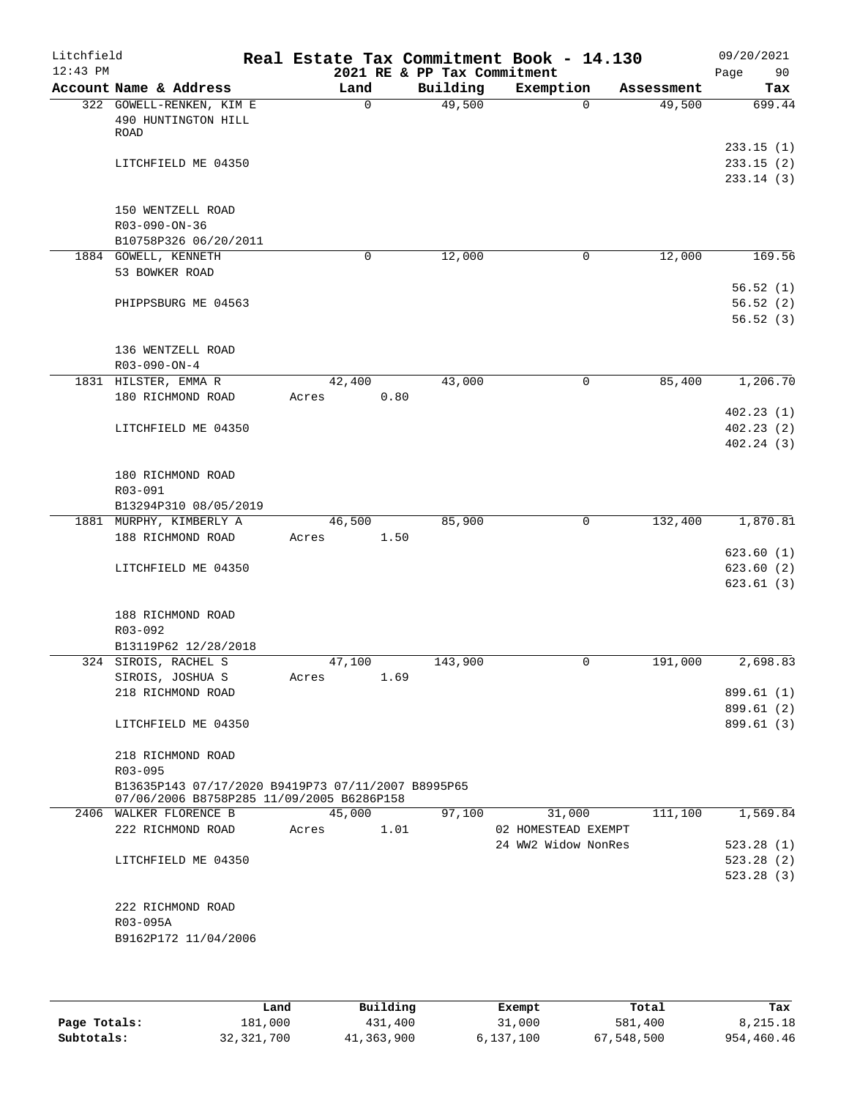| Litchfield<br>$12:43$ PM |                                                                                                 |             |      | 2021 RE & PP Tax Commitment | Real Estate Tax Commitment Book - 14.130 |            | 09/20/2021<br>Page<br>90            |
|--------------------------|-------------------------------------------------------------------------------------------------|-------------|------|-----------------------------|------------------------------------------|------------|-------------------------------------|
|                          | Account Name & Address                                                                          | Land        |      | Building                    | Exemption                                | Assessment | Tax                                 |
|                          | 322 GOWELL-RENKEN, KIM E<br>490 HUNTINGTON HILL<br>ROAD                                         | $\mathbf 0$ |      | 49,500                      | $\Omega$                                 | 49,500     | 699.44                              |
|                          | LITCHFIELD ME 04350                                                                             |             |      |                             |                                          |            | 233.15(1)<br>233.15(2)<br>233.14(3) |
|                          | 150 WENTZELL ROAD<br>R03-090-ON-36<br>B10758P326 06/20/2011                                     |             |      |                             |                                          |            |                                     |
|                          | 1884 GOWELL, KENNETH                                                                            | 0           |      | 12,000                      | $\mathbf 0$                              | 12,000     | 169.56                              |
|                          | 53 BOWKER ROAD                                                                                  |             |      |                             |                                          |            |                                     |
|                          | PHIPPSBURG ME 04563                                                                             |             |      |                             |                                          |            | 56.52(1)<br>56.52(2)<br>56.52(3)    |
|                          | 136 WENTZELL ROAD<br>$R03 - 090 - ON - 4$                                                       |             |      |                             |                                          |            |                                     |
|                          | 1831 HILSTER, EMMA R                                                                            | 42,400      |      | 43,000                      | 0                                        | 85,400     | 1,206.70                            |
|                          | 180 RICHMOND ROAD                                                                               | Acres       | 0.80 |                             |                                          |            |                                     |
|                          | LITCHFIELD ME 04350                                                                             |             |      |                             |                                          |            | 402.23(1)<br>402.23(2)<br>402.24(3) |
|                          | 180 RICHMOND ROAD                                                                               |             |      |                             |                                          |            |                                     |
|                          | R03-091                                                                                         |             |      |                             |                                          |            |                                     |
|                          | B13294P310 08/05/2019                                                                           |             |      |                             |                                          |            |                                     |
|                          | 1881 MURPHY, KIMBERLY A                                                                         | 46,500      |      | 85,900                      | 0                                        | 132,400    | 1,870.81                            |
|                          | 188 RICHMOND ROAD                                                                               | Acres       | 1.50 |                             |                                          |            |                                     |
|                          |                                                                                                 |             |      |                             |                                          |            | 623.60(1)                           |
|                          | LITCHFIELD ME 04350                                                                             |             |      |                             |                                          |            | 623.60(2)                           |
|                          |                                                                                                 |             |      |                             |                                          |            | 623.61(3)                           |
|                          | 188 RICHMOND ROAD                                                                               |             |      |                             |                                          |            |                                     |
|                          | R03-092                                                                                         |             |      |                             |                                          |            |                                     |
|                          | B13119P62 12/28/2018                                                                            |             |      |                             |                                          |            |                                     |
|                          | 324 SIROIS, RACHEL S                                                                            | 47,100      |      | 143,900                     | 0                                        | 191,000    | 2,698.83                            |
|                          | SIROIS, JOSHUA S                                                                                | Acres       | 1.69 |                             |                                          |            |                                     |
|                          | 218 RICHMOND ROAD                                                                               |             |      |                             |                                          |            | 899.61 (1)                          |
|                          |                                                                                                 |             |      |                             |                                          |            | 899.61 (2)                          |
|                          | LITCHFIELD ME 04350                                                                             |             |      |                             |                                          |            | 899.61 (3)                          |
|                          | 218 RICHMOND ROAD<br>$R03 - 095$                                                                |             |      |                             |                                          |            |                                     |
|                          | B13635P143 07/17/2020 B9419P73 07/11/2007 B8995P65<br>07/06/2006 B8758P285 11/09/2005 B6286P158 |             |      |                             |                                          |            |                                     |
|                          | 2406 WALKER FLORENCE B                                                                          | 45,000      |      | 97,100                      | 31,000                                   | 111,100    | 1,569.84                            |
|                          | 222 RICHMOND ROAD                                                                               | Acres       | 1.01 |                             | 02 HOMESTEAD EXEMPT                      |            |                                     |
|                          |                                                                                                 |             |      |                             | 24 WW2 Widow NonRes                      |            | 523.28(1)                           |
|                          | LITCHFIELD ME 04350                                                                             |             |      |                             |                                          |            | 523.28(2)                           |
|                          |                                                                                                 |             |      |                             |                                          |            | 523.28(3)                           |
|                          | 222 RICHMOND ROAD                                                                               |             |      |                             |                                          |            |                                     |
|                          | R03-095A                                                                                        |             |      |                             |                                          |            |                                     |
|                          | B9162P172 11/04/2006                                                                            |             |      |                             |                                          |            |                                     |
|                          |                                                                                                 |             |      |                             |                                          |            |                                     |
|                          |                                                                                                 |             |      |                             |                                          |            |                                     |
|                          |                                                                                                 |             |      |                             |                                          |            |                                     |

|              | Land         | Building   | Exempt    | Total      | Tax        |
|--------------|--------------|------------|-----------|------------|------------|
| Page Totals: | 181,000      | 431,400    | 31,000    | 581,400    | 8,215.18   |
| Subtotals:   | 32, 321, 700 | 41,363,900 | 6,137,100 | 67,548,500 | 954,460.46 |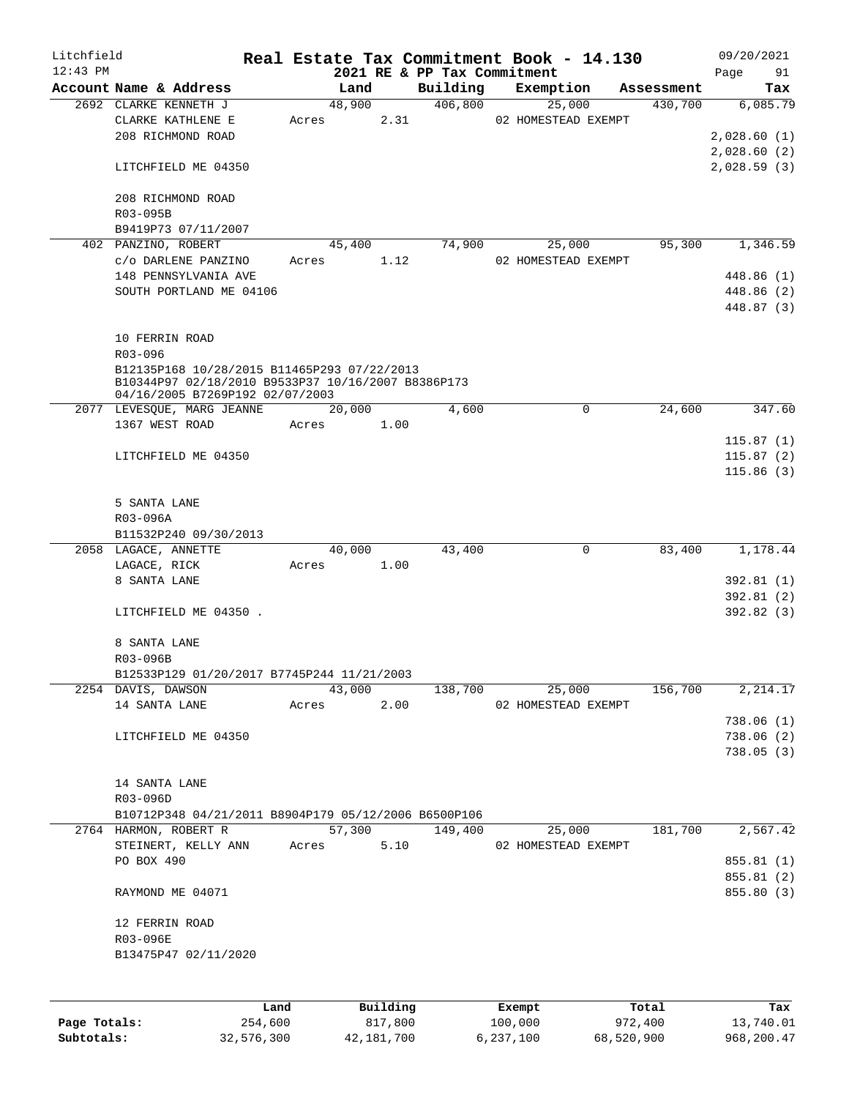| Litchfield   |                                                                  |       |                |      |                             | Real Estate Tax Commitment Book - 14.130 |              |                       |             | 09/20/2021              |
|--------------|------------------------------------------------------------------|-------|----------------|------|-----------------------------|------------------------------------------|--------------|-----------------------|-------------|-------------------------|
| $12:43$ PM   |                                                                  |       |                |      | 2021 RE & PP Tax Commitment |                                          |              |                       | Page        | 91                      |
|              | Account Name & Address<br>2692 CLARKE KENNETH J                  |       | Land<br>48,900 |      | Building<br>406,800         | Exemption                                |              | Assessment<br>430,700 |             | Tax<br>6,085.79         |
|              | CLARKE KATHLENE E                                                | Acres |                | 2.31 |                             | 25,000<br>02 HOMESTEAD EXEMPT            |              |                       |             |                         |
|              | 208 RICHMOND ROAD                                                |       |                |      |                             |                                          |              |                       | 2,028.60(1) |                         |
|              |                                                                  |       |                |      |                             |                                          |              |                       | 2,028.60(2) |                         |
|              | LITCHFIELD ME 04350                                              |       |                |      |                             |                                          |              |                       | 2,028.59(3) |                         |
|              |                                                                  |       |                |      |                             |                                          |              |                       |             |                         |
|              | 208 RICHMOND ROAD                                                |       |                |      |                             |                                          |              |                       |             |                         |
|              | R03-095B                                                         |       |                |      |                             |                                          |              |                       |             |                         |
|              | B9419P73 07/11/2007                                              |       |                |      |                             |                                          |              |                       |             |                         |
|              | 402 PANZINO, ROBERT                                              |       | 45,400         |      | 74,900                      | 25,000                                   |              | 95,300                |             | 1,346.59                |
|              | c/o DARLENE PANZINO                                              |       | Acres          | 1.12 |                             | 02 HOMESTEAD EXEMPT                      |              |                       |             |                         |
|              | 148 PENNSYLVANIA AVE                                             |       |                |      |                             |                                          |              |                       |             | 448.86 (1)              |
|              | SOUTH PORTLAND ME 04106                                          |       |                |      |                             |                                          |              |                       |             | 448.86 (2)              |
|              |                                                                  |       |                |      |                             |                                          |              |                       |             | 448.87 (3)              |
|              |                                                                  |       |                |      |                             |                                          |              |                       |             |                         |
|              | 10 FERRIN ROAD                                                   |       |                |      |                             |                                          |              |                       |             |                         |
|              | $R03 - 096$                                                      |       |                |      |                             |                                          |              |                       |             |                         |
|              | B12135P168 10/28/2015 B11465P293 07/22/2013                      |       |                |      |                             |                                          |              |                       |             |                         |
|              | B10344P97 02/18/2010 B9533P37 10/16/2007 B8386P173               |       |                |      |                             |                                          |              |                       |             |                         |
|              | 04/16/2005 B7269P192 02/07/2003                                  |       |                |      |                             |                                          |              |                       |             |                         |
|              | 2077 LEVESQUE, MARG JEANNE                                       |       | 20,000         |      | 4,600                       |                                          | 0            | 24,600                |             | 347.60                  |
|              | 1367 WEST ROAD                                                   | Acres |                | 1.00 |                             |                                          |              |                       |             |                         |
|              |                                                                  |       |                |      |                             |                                          |              |                       |             | 115.87(1)               |
|              | LITCHFIELD ME 04350                                              |       |                |      |                             |                                          |              |                       |             | 115.87(2)               |
|              |                                                                  |       |                |      |                             |                                          |              |                       |             | 115.86(3)               |
|              |                                                                  |       |                |      |                             |                                          |              |                       |             |                         |
|              | 5 SANTA LANE                                                     |       |                |      |                             |                                          |              |                       |             |                         |
|              | R03-096A                                                         |       |                |      |                             |                                          |              |                       |             |                         |
|              | B11532P240 09/30/2013                                            |       |                |      |                             |                                          |              |                       |             |                         |
|              | 2058 LAGACE, ANNETTE                                             |       | 40,000         |      | 43,400                      |                                          | $\mathsf{O}$ | 83,400                |             | 1,178.44                |
|              | LAGACE, RICK                                                     | Acres | 1.00           |      |                             |                                          |              |                       |             |                         |
|              | 8 SANTA LANE                                                     |       |                |      |                             |                                          |              |                       |             | 392.81 (1)              |
|              |                                                                  |       |                |      |                             |                                          |              |                       |             | 392.81(2)               |
|              | LITCHFIELD ME 04350.                                             |       |                |      |                             |                                          |              |                       |             | 392.82(3)               |
|              |                                                                  |       |                |      |                             |                                          |              |                       |             |                         |
|              | 8 SANTA LANE                                                     |       |                |      |                             |                                          |              |                       |             |                         |
|              | R03-096B                                                         |       |                |      |                             |                                          |              |                       |             |                         |
|              | B12533P129 01/20/2017 B7745P244 11/21/2003<br>2254 DAVIS, DAWSON |       | 43,000         |      | 138,700                     | 25,000                                   |              | 156,700               |             | 2, 214.17               |
|              | 14 SANTA LANE                                                    | Acres |                | 2.00 |                             | 02 HOMESTEAD EXEMPT                      |              |                       |             |                         |
|              |                                                                  |       |                |      |                             |                                          |              |                       |             | 738.06 (1)              |
|              |                                                                  |       |                |      |                             |                                          |              |                       |             |                         |
|              | LITCHFIELD ME 04350                                              |       |                |      |                             |                                          |              |                       |             | 738.06 (2)<br>738.05(3) |
|              |                                                                  |       |                |      |                             |                                          |              |                       |             |                         |
|              | 14 SANTA LANE                                                    |       |                |      |                             |                                          |              |                       |             |                         |
|              | R03-096D                                                         |       |                |      |                             |                                          |              |                       |             |                         |
|              | B10712P348 04/21/2011 B8904P179 05/12/2006 B6500P106             |       |                |      |                             |                                          |              |                       |             |                         |
|              | 2764 HARMON, ROBERT R                                            |       | 57,300         |      | 149,400                     | 25,000                                   |              | 181,700               |             | 2, 567.42               |
|              | STEINERT, KELLY ANN                                              | Acres |                | 5.10 |                             | 02 HOMESTEAD EXEMPT                      |              |                       |             |                         |
|              | PO BOX 490                                                       |       |                |      |                             |                                          |              |                       |             | 855.81 (1)              |
|              |                                                                  |       |                |      |                             |                                          |              |                       |             | 855.81 (2)              |
|              | RAYMOND ME 04071                                                 |       |                |      |                             |                                          |              |                       |             | 855.80 (3)              |
|              |                                                                  |       |                |      |                             |                                          |              |                       |             |                         |
|              | 12 FERRIN ROAD                                                   |       |                |      |                             |                                          |              |                       |             |                         |
|              | R03-096E                                                         |       |                |      |                             |                                          |              |                       |             |                         |
|              | B13475P47 02/11/2020                                             |       |                |      |                             |                                          |              |                       |             |                         |
|              |                                                                  |       |                |      |                             |                                          |              |                       |             |                         |
|              |                                                                  |       |                |      |                             |                                          |              |                       |             |                         |
|              |                                                                  |       |                |      |                             |                                          |              |                       |             |                         |
|              |                                                                  | Land  | Building       |      |                             | Exempt                                   |              | Total                 |             | Tax                     |
| Page Totals: | 254,600                                                          |       | 817,800        |      |                             | 100,000                                  |              | 972,400               |             | 13,740.01               |

**Subtotals:** 32,576,300 42,181,700 6,237,100 68,520,900 968,200.47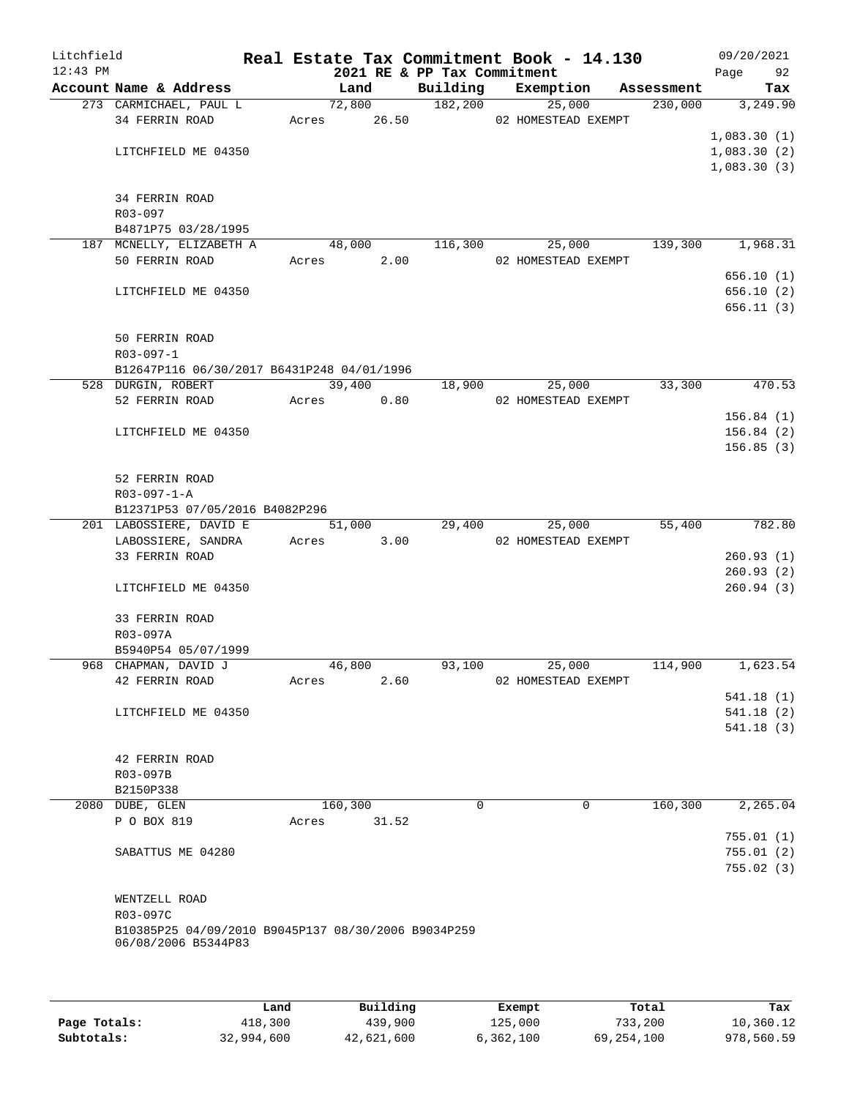| Litchfield |                                                     |            |          |       |                             | Real Estate Tax Commitment Book - 14.130  |            |             | 09/20/2021             |
|------------|-----------------------------------------------------|------------|----------|-------|-----------------------------|-------------------------------------------|------------|-------------|------------------------|
| $12:43$ PM |                                                     |            |          |       | 2021 RE & PP Tax Commitment |                                           |            | Page 92     |                        |
|            | Account Name & Address                              |            | Land     |       |                             | Building Exemption                        | Assessment |             | Tax                    |
|            | 273 CARMICHAEL, PAUL L<br>34 FERRIN ROAD            |            |          |       | 72,800 182,200              | 25,000<br>Acres 26.50 02 HOMESTEAD EXEMPT | 230,000    |             | 3,249.90               |
|            |                                                     |            |          |       |                             |                                           |            | 1,083.30(1) |                        |
|            | LITCHFIELD ME 04350                                 |            |          |       |                             |                                           |            | 1,083.30(2) |                        |
|            |                                                     |            |          |       |                             |                                           |            | 1,083.30(3) |                        |
|            |                                                     |            |          |       |                             |                                           |            |             |                        |
|            | 34 FERRIN ROAD                                      |            |          |       |                             |                                           |            |             |                        |
|            | R03-097                                             |            |          |       |                             |                                           |            |             |                        |
|            | B4871P75 03/28/1995                                 |            |          |       |                             |                                           |            |             |                        |
|            | 187 MCNELLY, ELIZABETH A<br>50 FERRIN ROAD          | Acres      | 48,000   | 2.00  | 116,300                     | 25,000<br>02 HOMESTEAD EXEMPT             | 139,300    |             | 1,968.31               |
|            |                                                     |            |          |       |                             |                                           |            |             | 656.10(1)              |
|            | LITCHFIELD ME 04350                                 |            |          |       |                             |                                           |            |             | 656.10(2)              |
|            |                                                     |            |          |       |                             |                                           |            |             | 656.11(3)              |
|            |                                                     |            |          |       |                             |                                           |            |             |                        |
|            | 50 FERRIN ROAD                                      |            |          |       |                             |                                           |            |             |                        |
|            | $R03 - 097 - 1$                                     |            |          |       |                             |                                           |            |             |                        |
|            | B12647P116 06/30/2017 B6431P248 04/01/1996          |            |          |       |                             |                                           |            |             |                        |
|            | 528 DURGIN, ROBERT                                  |            | 39,400   |       | 18,900                      | 25,000                                    | 33,300     |             | 470.53                 |
|            | 52 FERRIN ROAD                                      | Acres 0.80 |          |       |                             | 02 HOMESTEAD EXEMPT                       |            |             |                        |
|            | LITCHFIELD ME 04350                                 |            |          |       |                             |                                           |            |             | 156.84(1)<br>156.84(2) |
|            |                                                     |            |          |       |                             |                                           |            |             | 156.85(3)              |
|            |                                                     |            |          |       |                             |                                           |            |             |                        |
|            | 52 FERRIN ROAD                                      |            |          |       |                             |                                           |            |             |                        |
|            | $R03 - 097 - 1 - A$                                 |            |          |       |                             |                                           |            |             |                        |
|            | B12371P53 07/05/2016 B4082P296                      |            |          |       |                             |                                           |            |             |                        |
|            | 201 LABOSSIERE, DAVID E                             |            | 51,000   |       | 29,400                      | 25,000                                    | 55,400     |             | 782.80                 |
|            | LABOSSIERE, SANDRA                                  | Acres      |          | 3.00  |                             | 02 HOMESTEAD EXEMPT                       |            |             |                        |
|            | 33 FERRIN ROAD                                      |            |          |       |                             |                                           |            |             | 260.93(1)              |
|            |                                                     |            |          |       |                             |                                           |            |             | 260.93(2)              |
|            | LITCHFIELD ME 04350                                 |            |          |       |                             |                                           |            |             | 260.94(3)              |
|            | 33 FERRIN ROAD                                      |            |          |       |                             |                                           |            |             |                        |
|            | R03-097A                                            |            |          |       |                             |                                           |            |             |                        |
|            | B5940P54 05/07/1999                                 |            |          |       |                             |                                           |            |             |                        |
|            | 968 CHAPMAN, DAVID J                                |            | 46,800   |       | 93,100                      | 25,000                                    | 114,900    |             | 1,623.54               |
|            | 42 FERRIN ROAD                                      | Acres      |          | 2.60  |                             | 02 HOMESTEAD EXEMPT                       |            |             |                        |
|            |                                                     |            |          |       |                             |                                           |            |             | 541.18(1)              |
|            | LITCHFIELD ME 04350                                 |            |          |       |                             |                                           |            |             | 541.18(2)              |
|            |                                                     |            |          |       |                             |                                           |            |             | 541.18(3)              |
|            | 42 FERRIN ROAD                                      |            |          |       |                             |                                           |            |             |                        |
|            | R03-097B                                            |            |          |       |                             |                                           |            |             |                        |
|            | B2150P338                                           |            |          |       |                             |                                           |            |             |                        |
|            | 2080 DUBE, GLEN                                     |            | 160, 300 |       | $\Omega$                    | $\Omega$                                  | 160, 300   |             | 2,265.04               |
|            | P O BOX 819                                         | Acres      |          | 31.52 |                             |                                           |            |             |                        |
|            |                                                     |            |          |       |                             |                                           |            |             | 755.01(1)              |
|            | SABATTUS ME 04280                                   |            |          |       |                             |                                           |            |             | 755.01(2)              |
|            |                                                     |            |          |       |                             |                                           |            |             | 755.02(3)              |
|            |                                                     |            |          |       |                             |                                           |            |             |                        |
|            | WENTZELL ROAD<br>R03-097C                           |            |          |       |                             |                                           |            |             |                        |
|            | B10385P25 04/09/2010 B9045P137 08/30/2006 B9034P259 |            |          |       |                             |                                           |            |             |                        |
|            | 06/08/2006 B5344P83                                 |            |          |       |                             |                                           |            |             |                        |
|            |                                                     |            |          |       |                             |                                           |            |             |                        |
|            |                                                     |            |          |       |                             |                                           |            |             |                        |
|            |                                                     |            |          |       |                             |                                           |            |             |                        |
|            |                                                     |            |          |       |                             |                                           |            |             |                        |

|              | Land       | Building   | Exempt    | Total        | Tax        |
|--------------|------------|------------|-----------|--------------|------------|
| Page Totals: | 418,300    | 439,900    | 125,000   | 733,200      | 10,360.12  |
| Subtotals:   | 32,994,600 | 42,621,600 | 6,362,100 | 69, 254, 100 | 978,560.59 |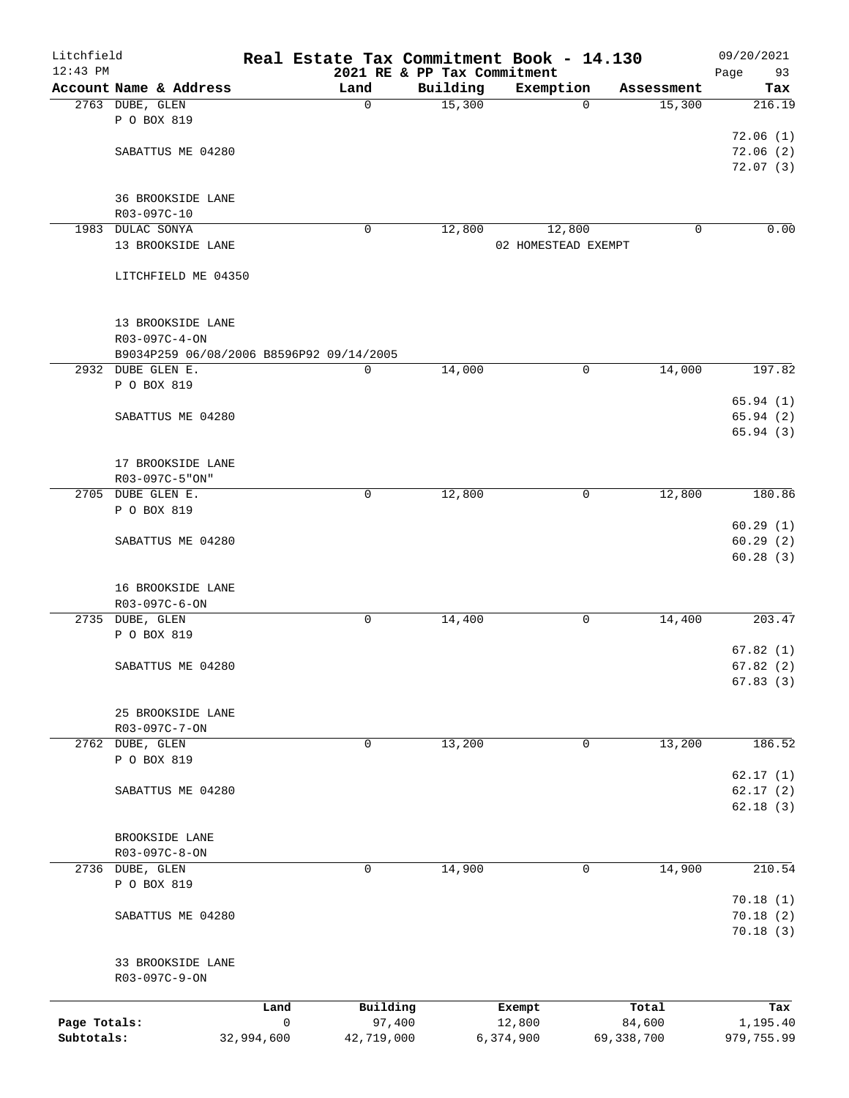| Litchfield<br>$12:43$ PM |                                          |             | Real Estate Tax Commitment Book - 14.130 |                                         |                     |            | 09/20/2021           |
|--------------------------|------------------------------------------|-------------|------------------------------------------|-----------------------------------------|---------------------|------------|----------------------|
|                          | Account Name & Address                   |             | Land                                     | 2021 RE & PP Tax Commitment<br>Building | Exemption           | Assessment | Page<br>93<br>Tax    |
|                          | 2763 DUBE, GLEN                          |             | 0                                        | 15,300                                  | $\Omega$            | 15,300     | 216.19               |
|                          | P O BOX 819                              |             |                                          |                                         |                     |            |                      |
|                          |                                          |             |                                          |                                         |                     |            | 72.06(1)             |
|                          | SABATTUS ME 04280                        |             |                                          |                                         |                     |            | 72.06(2)             |
|                          |                                          |             |                                          |                                         |                     |            | 72.07(3)             |
|                          |                                          |             |                                          |                                         |                     |            |                      |
|                          | 36 BROOKSIDE LANE                        |             |                                          |                                         |                     |            |                      |
|                          | R03-097C-10                              |             |                                          |                                         |                     |            |                      |
|                          | 1983 DULAC SONYA                         |             | 0                                        | 12,800                                  | 12,800              | 0          | 0.00                 |
|                          | 13 BROOKSIDE LANE                        |             |                                          |                                         | 02 HOMESTEAD EXEMPT |            |                      |
|                          | LITCHFIELD ME 04350                      |             |                                          |                                         |                     |            |                      |
|                          |                                          |             |                                          |                                         |                     |            |                      |
|                          |                                          |             |                                          |                                         |                     |            |                      |
|                          | 13 BROOKSIDE LANE                        |             |                                          |                                         |                     |            |                      |
|                          | R03-097C-4-ON                            |             |                                          |                                         |                     |            |                      |
|                          | B9034P259 06/08/2006 B8596P92 09/14/2005 |             |                                          |                                         |                     |            |                      |
|                          | 2932 DUBE GLEN E.                        |             | 0                                        | 14,000                                  | 0                   | 14,000     | 197.82               |
|                          | P O BOX 819                              |             |                                          |                                         |                     |            |                      |
|                          |                                          |             |                                          |                                         |                     |            | 65.94(1)             |
|                          | SABATTUS ME 04280                        |             |                                          |                                         |                     |            | 65.94(2)<br>65.94(3) |
|                          |                                          |             |                                          |                                         |                     |            |                      |
|                          | 17 BROOKSIDE LANE                        |             |                                          |                                         |                     |            |                      |
|                          | R03-097C-5"ON"                           |             |                                          |                                         |                     |            |                      |
|                          | 2705 DUBE GLEN E.                        |             | 0                                        | 12,800                                  | 0                   | 12,800     | 180.86               |
|                          | P O BOX 819                              |             |                                          |                                         |                     |            |                      |
|                          |                                          |             |                                          |                                         |                     |            | 60.29(1)             |
|                          | SABATTUS ME 04280                        |             |                                          |                                         |                     |            | 60.29(2)             |
|                          |                                          |             |                                          |                                         |                     |            | 60.28(3)             |
|                          |                                          |             |                                          |                                         |                     |            |                      |
|                          | 16 BROOKSIDE LANE<br>R03-097C-6-ON       |             |                                          |                                         |                     |            |                      |
|                          | 2735 DUBE, GLEN                          |             | 0                                        | 14,400                                  | 0                   | 14,400     | 203.47               |
|                          | P O BOX 819                              |             |                                          |                                         |                     |            |                      |
|                          |                                          |             |                                          |                                         |                     |            | 67.82(1)             |
|                          | SABATTUS ME 04280                        |             |                                          |                                         |                     |            | 67.82(2)             |
|                          |                                          |             |                                          |                                         |                     |            | 67.83(3)             |
|                          |                                          |             |                                          |                                         |                     |            |                      |
|                          | 25 BROOKSIDE LANE                        |             |                                          |                                         |                     |            |                      |
|                          | R03-097C-7-ON                            |             |                                          |                                         |                     |            |                      |
|                          | 2762 DUBE, GLEN                          |             | 0                                        | 13,200                                  | 0                   | 13,200     | 186.52               |
|                          | P O BOX 819                              |             |                                          |                                         |                     |            | 62.17(1)             |
|                          | SABATTUS ME 04280                        |             |                                          |                                         |                     |            | 62.17(2)             |
|                          |                                          |             |                                          |                                         |                     |            | 62.18(3)             |
|                          |                                          |             |                                          |                                         |                     |            |                      |
|                          | BROOKSIDE LANE                           |             |                                          |                                         |                     |            |                      |
|                          | $R03-097C-8-ON$                          |             |                                          |                                         |                     |            |                      |
| 2736                     | DUBE, GLEN                               |             | 0                                        | 14,900                                  | 0                   | 14,900     | 210.54               |
|                          | P O BOX 819                              |             |                                          |                                         |                     |            |                      |
|                          |                                          |             |                                          |                                         |                     |            | 70.18(1)             |
|                          | SABATTUS ME 04280                        |             |                                          |                                         |                     |            | 70.18(2)             |
|                          |                                          |             |                                          |                                         |                     |            | 70.18(3)             |
|                          | 33 BROOKSIDE LANE                        |             |                                          |                                         |                     |            |                      |
|                          | R03-097C-9-ON                            |             |                                          |                                         |                     |            |                      |
|                          |                                          |             |                                          |                                         |                     |            |                      |
|                          |                                          | Land        | Building                                 |                                         | Exempt              | Total      | Tax                  |
| Page Totals:             |                                          | $\mathsf 0$ | 97,400                                   |                                         | 12,800              | 84,600     | 1,195.40             |
| Subtotals:               |                                          | 32,994,600  | 42,719,000                               |                                         | 6,374,900           | 69,338,700 | 979,755.99           |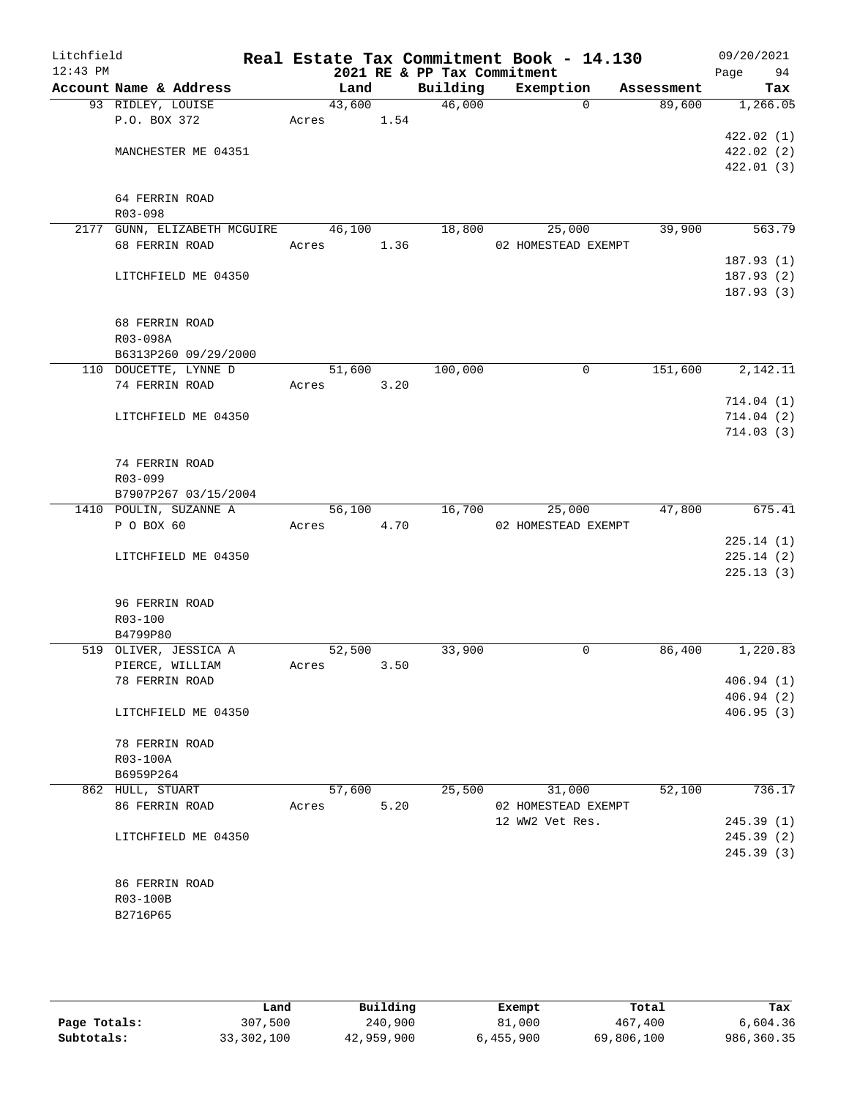| Litchfield<br>$12:43$ PM |                                    |        |      | 2021 RE & PP Tax Commitment | Real Estate Tax Commitment Book - 14.130 |            | 09/20/2021<br>Page<br>94 |
|--------------------------|------------------------------------|--------|------|-----------------------------|------------------------------------------|------------|--------------------------|
|                          | Account Name & Address             | Land   |      | Building                    | Exemption                                | Assessment | Tax                      |
|                          | 93 RIDLEY, LOUISE                  | 43,600 |      | $\overline{46,000}$         | $\Omega$                                 | 89,600     | 1,266.05                 |
|                          | P.O. BOX 372                       | Acres  | 1.54 |                             |                                          |            |                          |
|                          |                                    |        |      |                             |                                          |            | 422.02(1)                |
|                          | MANCHESTER ME 04351                |        |      |                             |                                          |            | 422.02(2)                |
|                          |                                    |        |      |                             |                                          |            | 422.01 (3)               |
|                          |                                    |        |      |                             |                                          |            |                          |
|                          | 64 FERRIN ROAD                     |        |      |                             |                                          |            |                          |
|                          | R03-098                            |        |      |                             |                                          |            |                          |
|                          | 2177 GUNN, ELIZABETH MCGUIRE       | 46,100 |      | 18,800                      | 25,000                                   | 39,900     | 563.79                   |
|                          | 68 FERRIN ROAD                     | Acres  | 1.36 |                             | 02 HOMESTEAD EXEMPT                      |            |                          |
|                          |                                    |        |      |                             |                                          |            | 187.93(1)                |
|                          | LITCHFIELD ME 04350                |        |      |                             |                                          |            | 187.93(2)                |
|                          |                                    |        |      |                             |                                          |            | 187.93(3)                |
|                          | 68 FERRIN ROAD                     |        |      |                             |                                          |            |                          |
|                          | R03-098A                           |        |      |                             |                                          |            |                          |
|                          | B6313P260 09/29/2000               |        |      |                             |                                          |            |                          |
|                          | 110 DOUCETTE, LYNNE D              | 51,600 |      | 100,000                     | $\mathbf 0$                              | 151,600    | 2,142.11                 |
|                          | 74 FERRIN ROAD                     | Acres  | 3.20 |                             |                                          |            |                          |
|                          |                                    |        |      |                             |                                          |            | 714.04(1)                |
|                          | LITCHFIELD ME 04350                |        |      |                             |                                          |            | 714.04(2)                |
|                          |                                    |        |      |                             |                                          |            | 714.03(3)                |
|                          |                                    |        |      |                             |                                          |            |                          |
|                          | 74 FERRIN ROAD                     |        |      |                             |                                          |            |                          |
|                          | R03-099                            |        |      |                             |                                          |            |                          |
|                          | B7907P267 03/15/2004               |        |      |                             |                                          |            |                          |
|                          | 1410 POULIN, SUZANNE A             | 56,100 |      | 16,700                      | 25,000                                   | 47,800     | 675.41                   |
|                          | P O BOX 60                         | Acres  | 4.70 |                             | 02 HOMESTEAD EXEMPT                      |            |                          |
|                          |                                    |        |      |                             |                                          |            | 225.14(1)                |
|                          | LITCHFIELD ME 04350                |        |      |                             |                                          |            | 225.14(2)<br>225.13(3)   |
|                          |                                    |        |      |                             |                                          |            |                          |
|                          | 96 FERRIN ROAD                     |        |      |                             |                                          |            |                          |
|                          | R03-100                            |        |      |                             |                                          |            |                          |
|                          | B4799P80                           |        |      |                             |                                          |            |                          |
|                          | 519 OLIVER, JESSICA A              | 52,500 |      | 33,900                      | 0                                        | 86,400     | 1,220.83                 |
|                          | PIERCE, WILLIAM                    | Acres  | 3.50 |                             |                                          |            |                          |
|                          | 78 FERRIN ROAD                     |        |      |                             |                                          |            | 406.94(1)                |
|                          |                                    |        |      |                             |                                          |            | 406.94(2)                |
|                          | LITCHFIELD ME 04350                |        |      |                             |                                          |            | 406.95(3)                |
|                          |                                    |        |      |                             |                                          |            |                          |
|                          | 78 FERRIN ROAD                     |        |      |                             |                                          |            |                          |
|                          | R03-100A                           |        |      |                             |                                          |            |                          |
|                          | B6959P264                          | 57,600 |      |                             |                                          |            |                          |
|                          | 862 HULL, STUART<br>86 FERRIN ROAD | Acres  | 5.20 | 25,500                      | 31,000<br>02 HOMESTEAD EXEMPT            | 52,100     | 736.17                   |
|                          |                                    |        |      |                             | 12 WW2 Vet Res.                          |            | 245.39(1)                |
|                          | LITCHFIELD ME 04350                |        |      |                             |                                          |            | 245.39(2)                |
|                          |                                    |        |      |                             |                                          |            | 245.39(3)                |
|                          |                                    |        |      |                             |                                          |            |                          |
|                          | 86 FERRIN ROAD                     |        |      |                             |                                          |            |                          |
|                          | R03-100B                           |        |      |                             |                                          |            |                          |
|                          | B2716P65                           |        |      |                             |                                          |            |                          |
|                          |                                    |        |      |                             |                                          |            |                          |
|                          |                                    |        |      |                             |                                          |            |                          |

|              | Land       | Building   | Exempt    | Total      | Tax        |
|--------------|------------|------------|-----------|------------|------------|
| Page Totals: | 307,500    | 240,900    | 81,000    | 467,400    | 6,604.36   |
| Subtotals:   | 33,302,100 | 42,959,900 | 6,455,900 | 69,806,100 | 986,360.35 |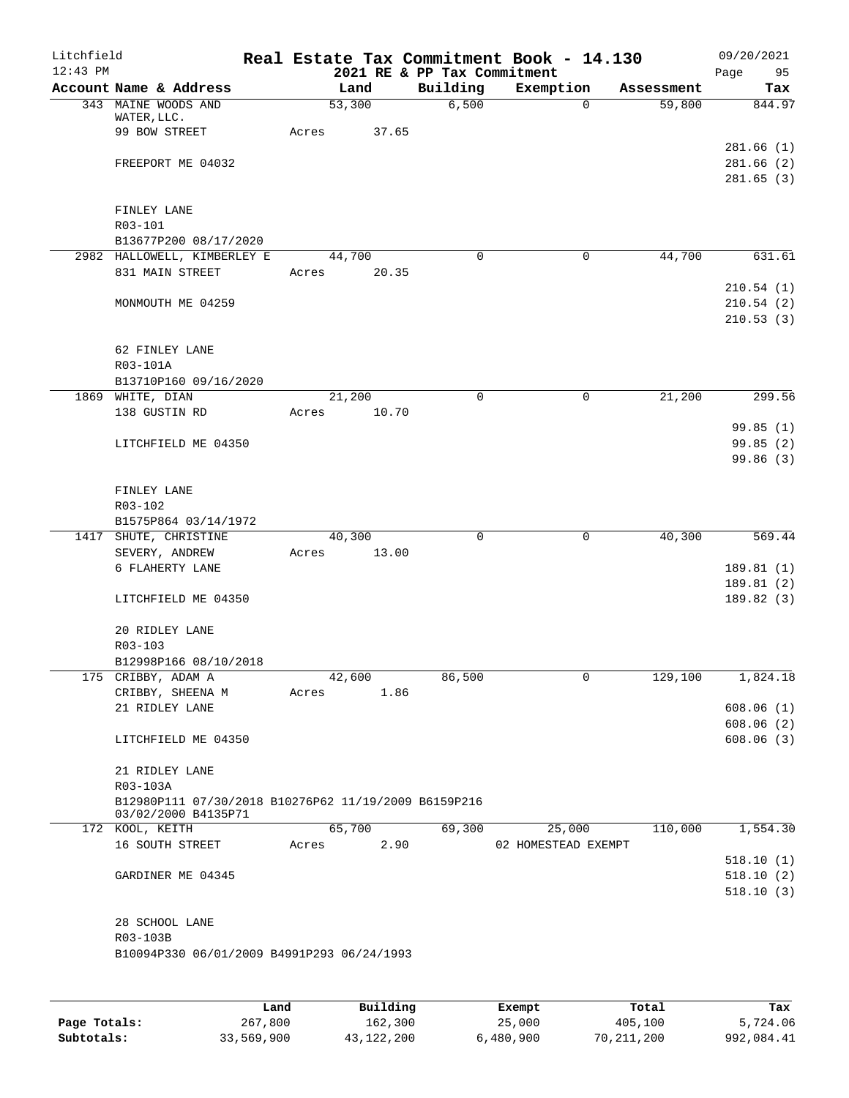| Litchfield |                                                      |       |        |       |                             | Real Estate Tax Commitment Book - 14.130 |            | 09/20/2021            |
|------------|------------------------------------------------------|-------|--------|-------|-----------------------------|------------------------------------------|------------|-----------------------|
| $12:43$ PM |                                                      |       |        |       | 2021 RE & PP Tax Commitment |                                          |            | Page<br>95            |
|            | Account Name & Address                               |       | Land   |       | Building                    | Exemption                                | Assessment | Tax                   |
|            | 343 MAINE WOODS AND<br>WATER, LLC.                   |       | 53,300 |       | 6,500                       | 0                                        | 59,800     | 844.97                |
|            | 99 BOW STREET                                        | Acres |        | 37.65 |                             |                                          |            |                       |
|            |                                                      |       |        |       |                             |                                          |            | 281.66(1)             |
|            | FREEPORT ME 04032                                    |       |        |       |                             |                                          |            | 281.66(2)             |
|            |                                                      |       |        |       |                             |                                          |            | 281.65(3)             |
|            |                                                      |       |        |       |                             |                                          |            |                       |
|            | FINLEY LANE                                          |       |        |       |                             |                                          |            |                       |
|            | R03-101<br>B13677P200 08/17/2020                     |       |        |       |                             |                                          |            |                       |
|            | 2982 HALLOWELL, KIMBERLEY E                          |       | 44,700 |       | 0                           | 0                                        | 44,700     | 631.61                |
|            | 831 MAIN STREET                                      | Acres |        | 20.35 |                             |                                          |            |                       |
|            |                                                      |       |        |       |                             |                                          |            | 210.54(1)             |
|            | MONMOUTH ME 04259                                    |       |        |       |                             |                                          |            | 210.54(2)             |
|            |                                                      |       |        |       |                             |                                          |            | 210.53(3)             |
|            |                                                      |       |        |       |                             |                                          |            |                       |
|            | 62 FINLEY LANE                                       |       |        |       |                             |                                          |            |                       |
|            | R03-101A                                             |       |        |       |                             |                                          |            |                       |
|            | B13710P160 09/16/2020                                |       |        |       |                             |                                          |            |                       |
|            | 1869 WHITE, DIAN                                     |       | 21,200 |       | 0                           | 0                                        | 21,200     | 299.56                |
|            | 138 GUSTIN RD                                        | Acres |        | 10.70 |                             |                                          |            |                       |
|            | LITCHFIELD ME 04350                                  |       |        |       |                             |                                          |            | 99.85(1)<br>99.85(2)  |
|            |                                                      |       |        |       |                             |                                          |            | 99.86 (3)             |
|            |                                                      |       |        |       |                             |                                          |            |                       |
|            | FINLEY LANE                                          |       |        |       |                             |                                          |            |                       |
|            | R03-102                                              |       |        |       |                             |                                          |            |                       |
|            | B1575P864 03/14/1972                                 |       |        |       |                             |                                          |            |                       |
|            | 1417 SHUTE, CHRISTINE                                |       | 40,300 |       | 0                           | 0                                        | 40,300     | $\overline{569}$ . 44 |
|            | SEVERY, ANDREW                                       | Acres |        | 13.00 |                             |                                          |            |                       |
|            | 6 FLAHERTY LANE                                      |       |        |       |                             |                                          |            | 189.81(1)             |
|            |                                                      |       |        |       |                             |                                          |            | 189.81 (2)            |
|            | LITCHFIELD ME 04350                                  |       |        |       |                             |                                          |            | 189.82(3)             |
|            | 20 RIDLEY LANE                                       |       |        |       |                             |                                          |            |                       |
|            | R03-103                                              |       |        |       |                             |                                          |            |                       |
|            | B12998P166 08/10/2018                                |       |        |       |                             |                                          |            |                       |
|            | 175 CRIBBY, ADAM A                                   |       | 42,600 |       | 86,500                      | 0                                        | 129,100    | 1,824.18              |
|            | CRIBBY, SHEENA M                                     | Acres |        | 1.86  |                             |                                          |            |                       |
|            | 21 RIDLEY LANE                                       |       |        |       |                             |                                          |            | 608.06(1)             |
|            |                                                      |       |        |       |                             |                                          |            | 608.06(2)             |
|            | LITCHFIELD ME 04350                                  |       |        |       |                             |                                          |            | 608.06(3)             |
|            |                                                      |       |        |       |                             |                                          |            |                       |
|            | 21 RIDLEY LANE<br>R03-103A                           |       |        |       |                             |                                          |            |                       |
|            | B12980P111 07/30/2018 B10276P62 11/19/2009 B6159P216 |       |        |       |                             |                                          |            |                       |
|            | 03/02/2000 B4135P71                                  |       |        |       |                             |                                          |            |                       |
|            | 172 KOOL, KEITH                                      |       | 65,700 |       | 69,300                      | 25,000                                   | 110,000    | 1,554.30              |
|            | 16 SOUTH STREET                                      | Acres |        | 2.90  |                             | 02 HOMESTEAD EXEMPT                      |            |                       |
|            |                                                      |       |        |       |                             |                                          |            | 518.10(1)             |
|            | GARDINER ME 04345                                    |       |        |       |                             |                                          |            | 518.10(2)             |
|            |                                                      |       |        |       |                             |                                          |            | 518.10(3)             |
|            | 28 SCHOOL LANE                                       |       |        |       |                             |                                          |            |                       |
|            | R03-103B                                             |       |        |       |                             |                                          |            |                       |
|            | B10094P330 06/01/2009 B4991P293 06/24/1993           |       |        |       |                             |                                          |            |                       |
|            |                                                      |       |        |       |                             |                                          |            |                       |
|            |                                                      |       |        |       |                             |                                          |            |                       |

|              | Land       | Building   | Exempt    | Total      | Tax        |
|--------------|------------|------------|-----------|------------|------------|
| Page Totals: | 267,800    | 162,300    | 25,000    | 405,100    | 5,724.06   |
| Subtotals:   | 33,569,900 | 43,122,200 | 6,480,900 | 70,211,200 | 992,084.41 |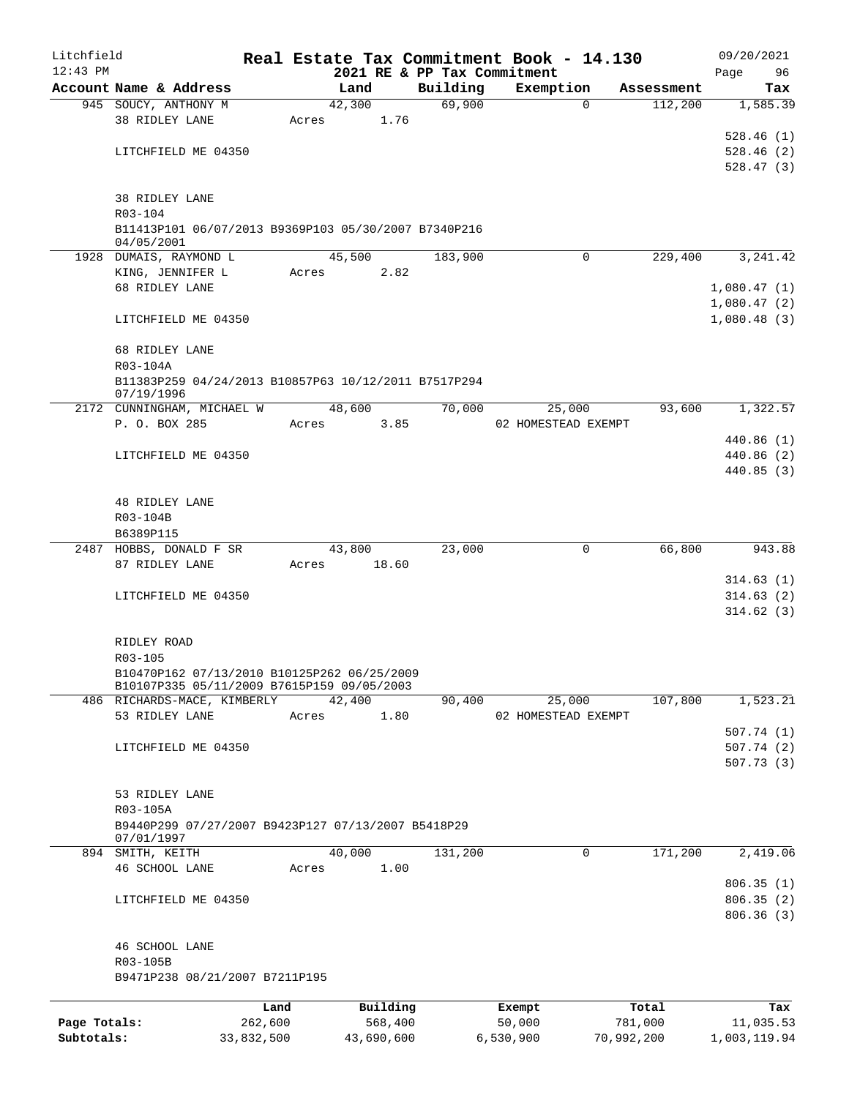| Litchfield   |                                                                  |         |       |                |      |                             | Real Estate Tax Commitment Book - 14.130 |                       | 09/20/2021  |
|--------------|------------------------------------------------------------------|---------|-------|----------------|------|-----------------------------|------------------------------------------|-----------------------|-------------|
| $12:43$ PM   |                                                                  |         |       |                |      | 2021 RE & PP Tax Commitment |                                          |                       | Page<br>96  |
|              | Account Name & Address<br>945 SOUCY, ANTHONY M                   |         |       | Land<br>42,300 |      | Building<br>69,900          | Exemption<br>$\Omega$                    | Assessment<br>112,200 | Tax         |
|              | 38 RIDLEY LANE                                                   |         | Acres |                | 1.76 |                             |                                          |                       | 1,585.39    |
|              |                                                                  |         |       |                |      |                             |                                          |                       | 528.46(1)   |
|              | LITCHFIELD ME 04350                                              |         |       |                |      |                             |                                          |                       | 528.46(2)   |
|              |                                                                  |         |       |                |      |                             |                                          |                       | 528.47(3)   |
|              |                                                                  |         |       |                |      |                             |                                          |                       |             |
|              | 38 RIDLEY LANE                                                   |         |       |                |      |                             |                                          |                       |             |
|              | R03-104                                                          |         |       |                |      |                             |                                          |                       |             |
|              | B11413P101 06/07/2013 B9369P103 05/30/2007 B7340P216             |         |       |                |      |                             |                                          |                       |             |
|              | 04/05/2001                                                       |         |       |                |      |                             |                                          |                       |             |
|              | 1928 DUMAIS, RAYMOND L                                           |         |       | 45,500         |      | 183,900                     | $\Omega$                                 | 229,400               | 3,241.42    |
|              | KING, JENNIFER L                                                 |         | Acres |                | 2.82 |                             |                                          |                       |             |
|              | 68 RIDLEY LANE                                                   |         |       |                |      |                             |                                          |                       | 1,080.47(1) |
|              |                                                                  |         |       |                |      |                             |                                          |                       | 1,080.47(2) |
|              | LITCHFIELD ME 04350                                              |         |       |                |      |                             |                                          |                       | 1,080.48(3) |
|              |                                                                  |         |       |                |      |                             |                                          |                       |             |
|              | 68 RIDLEY LANE                                                   |         |       |                |      |                             |                                          |                       |             |
|              | R03-104A                                                         |         |       |                |      |                             |                                          |                       |             |
|              | B11383P259 04/24/2013 B10857P63 10/12/2011 B7517P294             |         |       |                |      |                             |                                          |                       |             |
|              | 07/19/1996                                                       |         |       |                |      |                             |                                          |                       |             |
|              | 2172 CUNNINGHAM, MICHAEL W                                       |         |       | 48,600         |      | 70,000                      | 25,000                                   | 93,600                | 1,322.57    |
|              | P. O. BOX 285                                                    |         | Acres |                | 3.85 |                             | 02 HOMESTEAD EXEMPT                      |                       |             |
|              |                                                                  |         |       |                |      |                             |                                          |                       | 440.86(1)   |
|              | LITCHFIELD ME 04350                                              |         |       |                |      |                             |                                          |                       | 440.86(2)   |
|              |                                                                  |         |       |                |      |                             |                                          |                       | 440.85(3)   |
|              |                                                                  |         |       |                |      |                             |                                          |                       |             |
|              | <b>48 RIDLEY LANE</b>                                            |         |       |                |      |                             |                                          |                       |             |
|              | R03-104B                                                         |         |       |                |      |                             |                                          |                       |             |
|              | B6389P115<br>2487 HOBBS, DONALD F SR                             |         |       | 43,800         |      | 23,000                      | $\mathbf 0$                              | 66,800                | 943.88      |
|              | 87 RIDLEY LANE                                                   |         | Acres | 18.60          |      |                             |                                          |                       |             |
|              |                                                                  |         |       |                |      |                             |                                          |                       | 314.63(1)   |
|              | LITCHFIELD ME 04350                                              |         |       |                |      |                             |                                          |                       | 314.63(2)   |
|              |                                                                  |         |       |                |      |                             |                                          |                       | 314.62(3)   |
|              |                                                                  |         |       |                |      |                             |                                          |                       |             |
|              | RIDLEY ROAD                                                      |         |       |                |      |                             |                                          |                       |             |
|              | R03-105                                                          |         |       |                |      |                             |                                          |                       |             |
|              | B10470P162 07/13/2010 B10125P262 06/25/2009                      |         |       |                |      |                             |                                          |                       |             |
|              | B10107P335 05/11/2009 B7615P159 09/05/2003                       |         |       |                |      |                             |                                          |                       |             |
|              | 486 RICHARDS-MACE, KIMBERLY                                      |         |       | 42,400         |      | 90,400                      | 25,000                                   | 107,800               | 1,523.21    |
|              | 53 RIDLEY LANE                                                   |         | Acres |                | 1.80 |                             | 02 HOMESTEAD EXEMPT                      |                       |             |
|              |                                                                  |         |       |                |      |                             |                                          |                       | 507.74(1)   |
|              | LITCHFIELD ME 04350                                              |         |       |                |      |                             |                                          |                       | 507.74(2)   |
|              |                                                                  |         |       |                |      |                             |                                          |                       | 507.73(3)   |
|              |                                                                  |         |       |                |      |                             |                                          |                       |             |
|              | 53 RIDLEY LANE                                                   |         |       |                |      |                             |                                          |                       |             |
|              | R03-105A                                                         |         |       |                |      |                             |                                          |                       |             |
|              | B9440P299 07/27/2007 B9423P127 07/13/2007 B5418P29<br>07/01/1997 |         |       |                |      |                             |                                          |                       |             |
|              | 894 SMITH, KEITH                                                 |         |       | 40,000         |      | 131,200                     | 0                                        | 171,200               | 2,419.06    |
|              | 46 SCHOOL LANE                                                   |         | Acres |                | 1.00 |                             |                                          |                       |             |
|              |                                                                  |         |       |                |      |                             |                                          |                       | 806.35(1)   |
|              | LITCHFIELD ME 04350                                              |         |       |                |      |                             |                                          |                       | 806.35(2)   |
|              |                                                                  |         |       |                |      |                             |                                          |                       | 806.36(3)   |
|              |                                                                  |         |       |                |      |                             |                                          |                       |             |
|              | 46 SCHOOL LANE                                                   |         |       |                |      |                             |                                          |                       |             |
|              | R03-105B                                                         |         |       |                |      |                             |                                          |                       |             |
|              | B9471P238 08/21/2007 B7211P195                                   |         |       |                |      |                             |                                          |                       |             |
|              |                                                                  |         |       |                |      |                             |                                          |                       |             |
|              |                                                                  | Land    |       | Building       |      |                             | Exempt                                   | Total                 | Tax         |
| Page Totals: |                                                                  | 262,600 |       | 568,400        |      |                             | 50,000                                   | 781,000               | 11,035.53   |

**Subtotals:** 33,832,500 43,690,600 6,530,900 70,992,200 1,003,119.94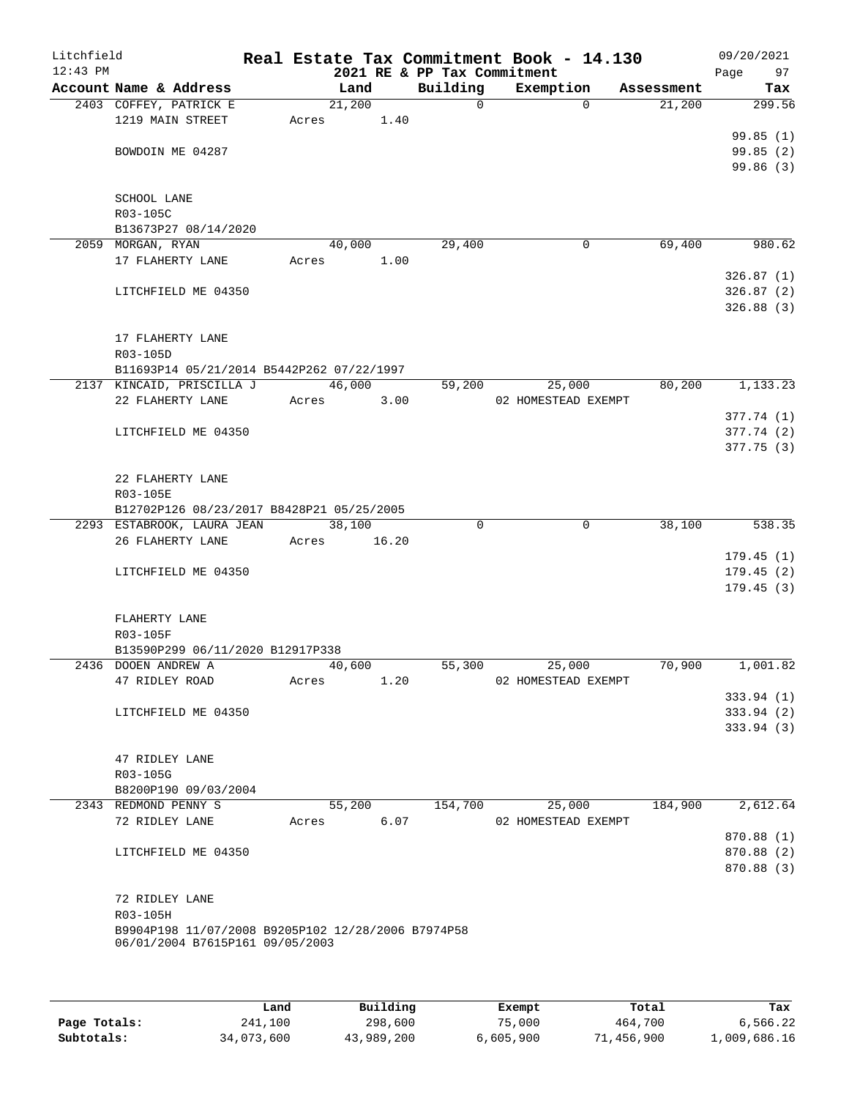| Litchfield<br>$12:43$ PM |                                                                                       |       |        |       | 2021 RE & PP Tax Commitment | Real Estate Tax Commitment Book - 14.130 |             |            | 09/20/2021<br>Page<br>97 |
|--------------------------|---------------------------------------------------------------------------------------|-------|--------|-------|-----------------------------|------------------------------------------|-------------|------------|--------------------------|
|                          | Account Name & Address                                                                |       | Land   |       | Building                    | Exemption                                |             | Assessment | Tax                      |
|                          | 2403 COFFEY, PATRICK E                                                                |       | 21,200 |       | 0                           |                                          | $\Omega$    | 21,200     | 299.56                   |
|                          | 1219 MAIN STREET                                                                      | Acres |        | 1.40  |                             |                                          |             |            |                          |
|                          |                                                                                       |       |        |       |                             |                                          |             |            | 99.85(1)                 |
|                          | BOWDOIN ME 04287                                                                      |       |        |       |                             |                                          |             |            | 99.85(2)                 |
|                          |                                                                                       |       |        |       |                             |                                          |             |            | 99.86(3)                 |
|                          |                                                                                       |       |        |       |                             |                                          |             |            |                          |
|                          | SCHOOL LANE                                                                           |       |        |       |                             |                                          |             |            |                          |
|                          | R03-105C                                                                              |       |        |       |                             |                                          |             |            |                          |
|                          | B13673P27 08/14/2020                                                                  |       |        |       |                             |                                          |             |            |                          |
|                          | 2059 MORGAN, RYAN<br>17 FLAHERTY LANE                                                 |       | 40,000 |       | 29,400                      |                                          | 0           | 69,400     | 980.62                   |
|                          |                                                                                       | Acres |        | 1.00  |                             |                                          |             |            | 326.87(1)                |
|                          | LITCHFIELD ME 04350                                                                   |       |        |       |                             |                                          |             |            | 326.87(2)                |
|                          |                                                                                       |       |        |       |                             |                                          |             |            | 326.88(3)                |
|                          |                                                                                       |       |        |       |                             |                                          |             |            |                          |
|                          | 17 FLAHERTY LANE                                                                      |       |        |       |                             |                                          |             |            |                          |
|                          | R03-105D                                                                              |       |        |       |                             |                                          |             |            |                          |
|                          | B11693P14 05/21/2014 B5442P262 07/22/1997                                             |       |        |       |                             |                                          |             |            |                          |
|                          | 2137 KINCAID, PRISCILLA J                                                             |       | 46,000 |       | 59,200                      | 25,000                                   |             | 80,200     | 1, 133.23                |
|                          | 22 FLAHERTY LANE                                                                      | Acres |        | 3.00  |                             | 02 HOMESTEAD EXEMPT                      |             |            |                          |
|                          |                                                                                       |       |        |       |                             |                                          |             |            | 377.74 (1)               |
|                          | LITCHFIELD ME 04350                                                                   |       |        |       |                             |                                          |             |            | 377.74 (2)               |
|                          |                                                                                       |       |        |       |                             |                                          |             |            | 377.75(3)                |
|                          |                                                                                       |       |        |       |                             |                                          |             |            |                          |
|                          | 22 FLAHERTY LANE                                                                      |       |        |       |                             |                                          |             |            |                          |
|                          | R03-105E<br>B12702P126 08/23/2017 B8428P21 05/25/2005                                 |       |        |       |                             |                                          |             |            |                          |
|                          | 2293 ESTABROOK, LAURA JEAN                                                            |       | 38,100 |       | $\Omega$                    |                                          | $\mathbf 0$ | 38,100     | 538.35                   |
|                          | 26 FLAHERTY LANE                                                                      | Acres |        | 16.20 |                             |                                          |             |            |                          |
|                          |                                                                                       |       |        |       |                             |                                          |             |            | 179.45(1)                |
|                          | LITCHFIELD ME 04350                                                                   |       |        |       |                             |                                          |             |            | 179.45(2)                |
|                          |                                                                                       |       |        |       |                             |                                          |             |            | 179.45(3)                |
|                          |                                                                                       |       |        |       |                             |                                          |             |            |                          |
|                          | FLAHERTY LANE                                                                         |       |        |       |                             |                                          |             |            |                          |
|                          | R03-105F                                                                              |       |        |       |                             |                                          |             |            |                          |
|                          | B13590P299 06/11/2020 B12917P338                                                      |       |        |       |                             |                                          |             |            |                          |
|                          | 2436 DOOEN ANDREW A                                                                   |       | 40,600 |       | 55,300                      | 25,000                                   |             | 70,900     | 1,001.82                 |
|                          | 47 RIDLEY ROAD                                                                        | Acres |        | 1.20  |                             | 02 HOMESTEAD EXEMPT                      |             |            |                          |
|                          |                                                                                       |       |        |       |                             |                                          |             |            | 333.94(1)                |
|                          | LITCHFIELD ME 04350                                                                   |       |        |       |                             |                                          |             |            | 333.94(2)<br>333.94(3)   |
|                          |                                                                                       |       |        |       |                             |                                          |             |            |                          |
|                          | 47 RIDLEY LANE                                                                        |       |        |       |                             |                                          |             |            |                          |
|                          | R03-105G                                                                              |       |        |       |                             |                                          |             |            |                          |
|                          | B8200P190 09/03/2004                                                                  |       |        |       |                             |                                          |             |            |                          |
|                          | 2343 REDMOND PENNY S                                                                  |       | 55,200 |       | 154,700                     | 25,000                                   |             | 184,900    | 2,612.64                 |
|                          | 72 RIDLEY LANE                                                                        | Acres |        | 6.07  |                             | 02 HOMESTEAD EXEMPT                      |             |            |                          |
|                          |                                                                                       |       |        |       |                             |                                          |             |            | 870.88 (1)               |
|                          | LITCHFIELD ME 04350                                                                   |       |        |       |                             |                                          |             |            | 870.88 (2)               |
|                          |                                                                                       |       |        |       |                             |                                          |             |            | 870.88 (3)               |
|                          |                                                                                       |       |        |       |                             |                                          |             |            |                          |
|                          | 72 RIDLEY LANE                                                                        |       |        |       |                             |                                          |             |            |                          |
|                          | R03-105H                                                                              |       |        |       |                             |                                          |             |            |                          |
|                          | B9904P198 11/07/2008 B9205P102 12/28/2006 B7974P58<br>06/01/2004 B7615P161 09/05/2003 |       |        |       |                             |                                          |             |            |                          |
|                          |                                                                                       |       |        |       |                             |                                          |             |            |                          |
|                          |                                                                                       |       |        |       |                             |                                          |             |            |                          |

|              | Land       | Building   | Exempt    | Total      | Tax          |
|--------------|------------|------------|-----------|------------|--------------|
| Page Totals: | 241,100    | 298,600    | 75,000    | 464,700    | 6,566.22     |
| Subtotals:   | 34,073,600 | 43,989,200 | 6,605,900 | 71,456,900 | 1,009,686.16 |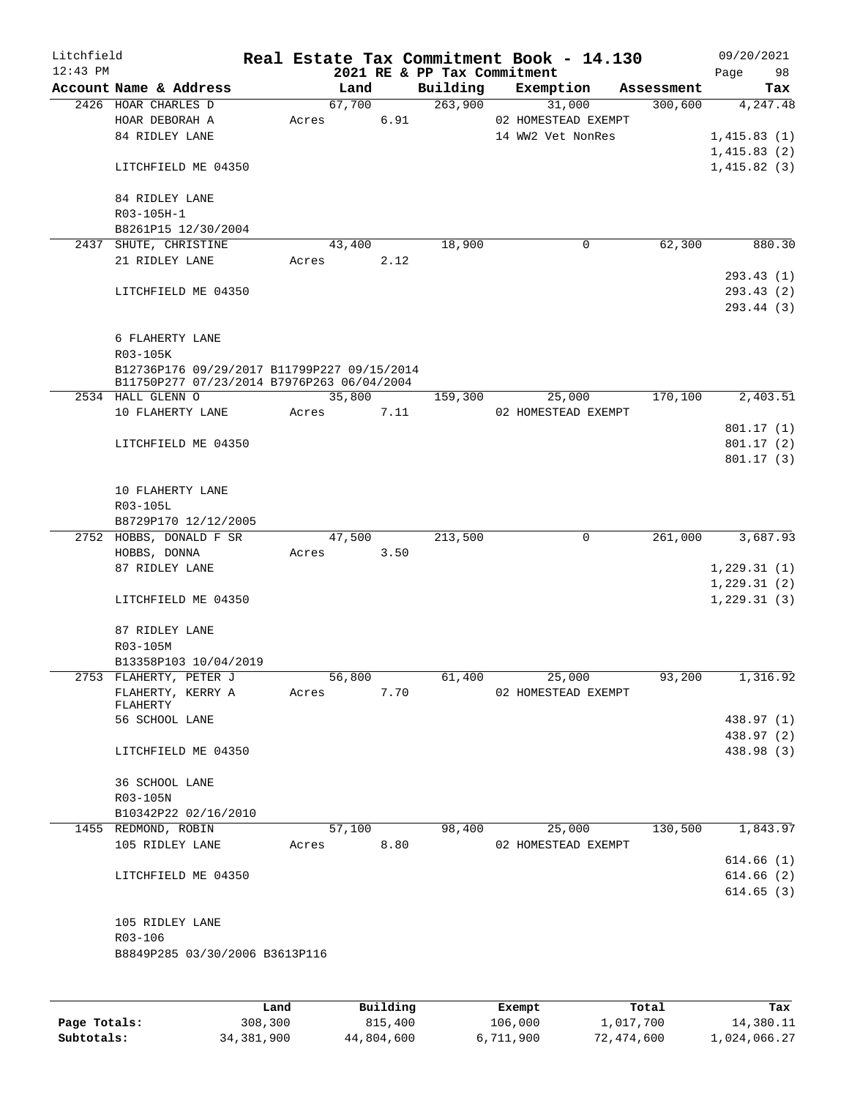| Litchfield |                                              |        |      |                             | Real Estate Tax Commitment Book - 14.130 |            | 09/20/2021   |
|------------|----------------------------------------------|--------|------|-----------------------------|------------------------------------------|------------|--------------|
| $12:43$ PM |                                              |        |      | 2021 RE & PP Tax Commitment |                                          |            | Page<br>98   |
|            | Account Name & Address                       | Land   |      | Building                    | Exemption                                | Assessment | Tax          |
|            | 2426 HOAR CHARLES D                          | 67,700 |      | 263,900                     | 31,000                                   | 300,600    | 4,247.48     |
|            | HOAR DEBORAH A                               | Acres  | 6.91 |                             | 02 HOMESTEAD EXEMPT                      |            |              |
|            | 84 RIDLEY LANE                               |        |      |                             | 14 WW2 Vet NonRes                        |            | 1,415.83(1)  |
|            |                                              |        |      |                             |                                          |            | 1,415.83(2)  |
|            | LITCHFIELD ME 04350                          |        |      |                             |                                          |            | 1,415.82(3)  |
|            | 84 RIDLEY LANE                               |        |      |                             |                                          |            |              |
|            |                                              |        |      |                             |                                          |            |              |
|            | R03-105H-1                                   |        |      |                             |                                          |            |              |
|            | B8261P15 12/30/2004<br>2437 SHUTE, CHRISTINE | 43,400 |      | 18,900                      | 0                                        | 62,300     | 880.30       |
|            | 21 RIDLEY LANE                               | Acres  | 2.12 |                             |                                          |            |              |
|            |                                              |        |      |                             |                                          |            | 293.43(1)    |
|            | LITCHFIELD ME 04350                          |        |      |                             |                                          |            | 293.43(2)    |
|            |                                              |        |      |                             |                                          |            | 293.44 (3)   |
|            |                                              |        |      |                             |                                          |            |              |
|            | 6 FLAHERTY LANE                              |        |      |                             |                                          |            |              |
|            | R03-105K                                     |        |      |                             |                                          |            |              |
|            | B12736P176 09/29/2017 B11799P227 09/15/2014  |        |      |                             |                                          |            |              |
|            | B11750P277 07/23/2014 B7976P263 06/04/2004   |        |      |                             |                                          |            |              |
|            | 2534 HALL GLENN O                            | 35,800 |      | 159,300                     | 25,000                                   | 170,100    | 2,403.51     |
|            | 10 FLAHERTY LANE                             | Acres  | 7.11 |                             | 02 HOMESTEAD EXEMPT                      |            |              |
|            |                                              |        |      |                             |                                          |            | 801.17(1)    |
|            | LITCHFIELD ME 04350                          |        |      |                             |                                          |            | 801.17(2)    |
|            |                                              |        |      |                             |                                          |            | 801.17(3)    |
|            |                                              |        |      |                             |                                          |            |              |
|            | 10 FLAHERTY LANE                             |        |      |                             |                                          |            |              |
|            | R03-105L                                     |        |      |                             |                                          |            |              |
|            | B8729P170 12/12/2005                         |        |      |                             |                                          |            |              |
|            | 2752 HOBBS, DONALD F SR                      | 47,500 |      | 213,500                     | $\mathbf 0$                              | 261,000    | 3,687.93     |
|            | HOBBS, DONNA                                 | Acres  | 3.50 |                             |                                          |            |              |
|            | 87 RIDLEY LANE                               |        |      |                             |                                          |            | 1,229.31(1)  |
|            |                                              |        |      |                             |                                          |            | 1,229.31(2)  |
|            | LITCHFIELD ME 04350                          |        |      |                             |                                          |            | 1, 229.31(3) |
|            |                                              |        |      |                             |                                          |            |              |
|            | 87 RIDLEY LANE                               |        |      |                             |                                          |            |              |
|            | R03-105M                                     |        |      |                             |                                          |            |              |
|            | B13358P103 10/04/2019                        | 56,800 |      |                             |                                          |            |              |
|            | 2753 FLAHERTY, PETER J<br>FLAHERTY, KERRY A  | Acres  | 7.70 | 61,400                      | 25,000<br>02 HOMESTEAD EXEMPT            | 93,200     | 1,316.92     |
|            | FLAHERTY                                     |        |      |                             |                                          |            |              |
|            | 56 SCHOOL LANE                               |        |      |                             |                                          |            | 438.97 (1)   |
|            |                                              |        |      |                             |                                          |            | 438.97 (2)   |
|            | LITCHFIELD ME 04350                          |        |      |                             |                                          |            | 438.98 (3)   |
|            |                                              |        |      |                             |                                          |            |              |
|            | 36 SCHOOL LANE                               |        |      |                             |                                          |            |              |
|            | R03-105N                                     |        |      |                             |                                          |            |              |
|            | B10342P22 02/16/2010                         |        |      |                             |                                          |            |              |
|            | 1455 REDMOND, ROBIN                          | 57,100 |      | 98,400                      | 25,000                                   | 130,500    | 1,843.97     |
|            | 105 RIDLEY LANE                              | Acres  | 8.80 |                             | 02 HOMESTEAD EXEMPT                      |            |              |
|            |                                              |        |      |                             |                                          |            | 614.66(1)    |
|            | LITCHFIELD ME 04350                          |        |      |                             |                                          |            | 614.66(2)    |
|            |                                              |        |      |                             |                                          |            | 614.65(3)    |
|            |                                              |        |      |                             |                                          |            |              |
|            | 105 RIDLEY LANE                              |        |      |                             |                                          |            |              |
|            | R03-106                                      |        |      |                             |                                          |            |              |
|            | B8849P285 03/30/2006 B3613P116               |        |      |                             |                                          |            |              |
|            |                                              |        |      |                             |                                          |            |              |
|            |                                              |        |      |                             |                                          |            |              |
|            |                                              |        |      |                             |                                          |            |              |

|              | Land       | Building   | Exempt    | Total      | Tax          |
|--------------|------------|------------|-----------|------------|--------------|
| Page Totals: | 308,300    | 815,400    | 106,000   | 1,017,700  | 14,380.11    |
| Subtotals:   | 34,381,900 | 44,804,600 | 6,711,900 | 72,474,600 | 1,024,066.27 |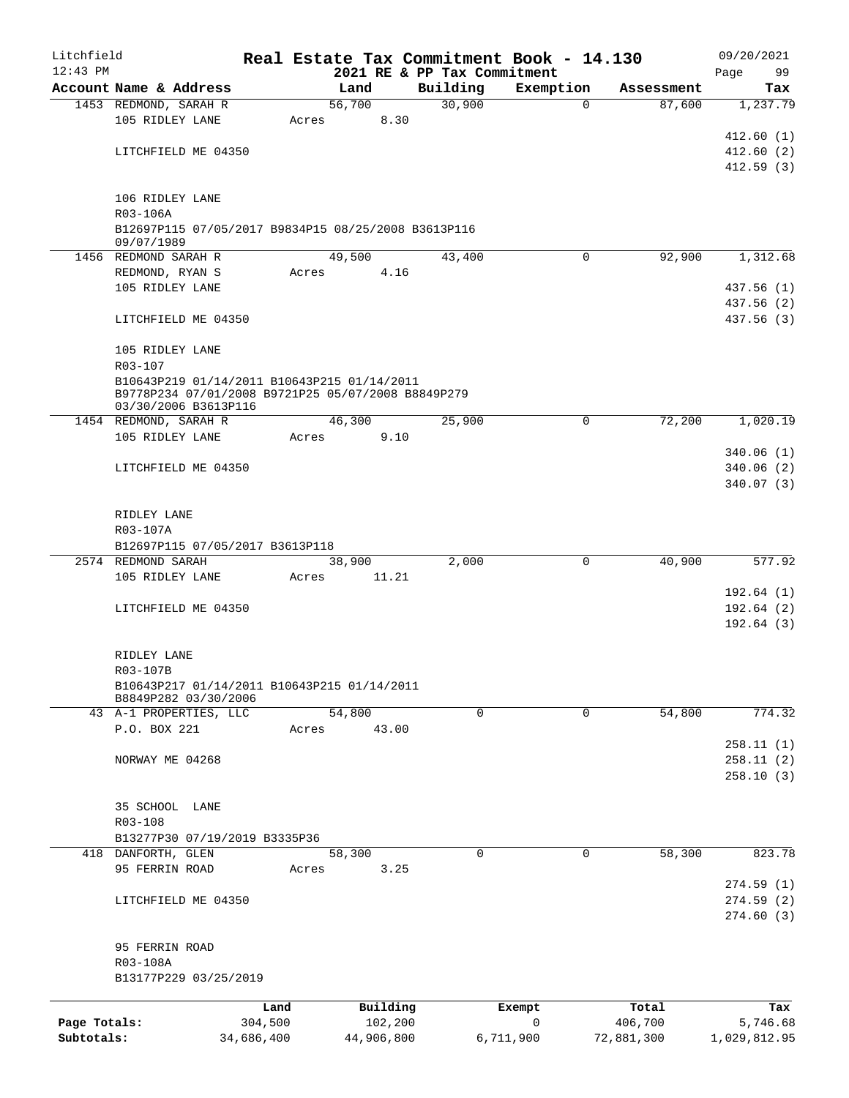| Litchfield   |                                                                            |            |                |                             | Real Estate Tax Commitment Book - 14.130 |            | 09/20/2021   |
|--------------|----------------------------------------------------------------------------|------------|----------------|-----------------------------|------------------------------------------|------------|--------------|
| $12:43$ PM   |                                                                            |            |                | 2021 RE & PP Tax Commitment |                                          |            | Page<br>99   |
|              | Account Name & Address                                                     |            | Land<br>56,700 | Building<br>30,900          | Exemption<br>$\mathbf 0$                 | Assessment | Tax          |
|              | 1453 REDMOND, SARAH R<br>105 RIDLEY LANE                                   | Acres      | 8.30           |                             |                                          | 87,600     | 1,237.79     |
|              |                                                                            |            |                |                             |                                          |            | 412.60(1)    |
|              | LITCHFIELD ME 04350                                                        |            |                |                             |                                          |            | 412.60(2)    |
|              |                                                                            |            |                |                             |                                          |            | 412.59(3)    |
|              |                                                                            |            |                |                             |                                          |            |              |
|              | 106 RIDLEY LANE                                                            |            |                |                             |                                          |            |              |
|              | R03-106A                                                                   |            |                |                             |                                          |            |              |
|              | B12697P115 07/05/2017 B9834P15 08/25/2008 B3613P116                        |            |                |                             |                                          |            |              |
|              | 09/07/1989<br>1456 REDMOND SARAH R                                         |            | 49,500         | 43,400                      | $\Omega$                                 | 92,900     | 1,312.68     |
|              | REDMOND, RYAN S                                                            | Acres      | 4.16           |                             |                                          |            |              |
|              | 105 RIDLEY LANE                                                            |            |                |                             |                                          |            | 437.56 (1)   |
|              |                                                                            |            |                |                             |                                          |            | 437.56(2)    |
|              | LITCHFIELD ME 04350                                                        |            |                |                             |                                          |            | 437.56 (3)   |
|              |                                                                            |            |                |                             |                                          |            |              |
|              | 105 RIDLEY LANE                                                            |            |                |                             |                                          |            |              |
|              | R03-107                                                                    |            |                |                             |                                          |            |              |
|              | B10643P219 01/14/2011 B10643P215 01/14/2011                                |            |                |                             |                                          |            |              |
|              | B9778P234 07/01/2008 B9721P25 05/07/2008 B8849P279<br>03/30/2006 B3613P116 |            |                |                             |                                          |            |              |
|              | 1454 REDMOND, SARAH R                                                      |            | 46,300         | 25,900                      | $\mathbf 0$                              | 72,200     | 1,020.19     |
|              | 105 RIDLEY LANE                                                            | Acres      | 9.10           |                             |                                          |            |              |
|              |                                                                            |            |                |                             |                                          |            | 340.06(1)    |
|              | LITCHFIELD ME 04350                                                        |            |                |                             |                                          |            | 340.06(2)    |
|              |                                                                            |            |                |                             |                                          |            | 340.07(3)    |
|              |                                                                            |            |                |                             |                                          |            |              |
|              | RIDLEY LANE                                                                |            |                |                             |                                          |            |              |
|              | R03-107A                                                                   |            |                |                             |                                          |            |              |
|              | B12697P115 07/05/2017 B3613P118                                            |            |                |                             |                                          |            |              |
|              | 2574 REDMOND SARAH                                                         |            | 38,900         | 2,000                       | $\mathbf 0$                              | 40,900     | 577.92       |
|              | 105 RIDLEY LANE                                                            | Acres      | 11.21          |                             |                                          |            | 192.64 (1)   |
|              | LITCHFIELD ME 04350                                                        |            |                |                             |                                          |            | 192.64(2)    |
|              |                                                                            |            |                |                             |                                          |            | 192.64(3)    |
|              |                                                                            |            |                |                             |                                          |            |              |
|              | RIDLEY LANE                                                                |            |                |                             |                                          |            |              |
|              | R03-107B                                                                   |            |                |                             |                                          |            |              |
|              | B10643P217 01/14/2011 B10643P215 01/14/2011                                |            |                |                             |                                          |            |              |
|              | B8849P282 03/30/2006                                                       |            |                |                             |                                          |            |              |
|              | 43 A-1 PROPERTIES, LLC                                                     |            | 54,800         | $\Omega$                    | $\mathbf 0$                              | 54,800     | 774.32       |
|              | P.O. BOX 221                                                               | Acres      | 43.00          |                             |                                          |            | 258.11(1)    |
|              | NORWAY ME 04268                                                            |            |                |                             |                                          |            | 258.11(2)    |
|              |                                                                            |            |                |                             |                                          |            | 258.10(3)    |
|              |                                                                            |            |                |                             |                                          |            |              |
|              | 35 SCHOOL LANE                                                             |            |                |                             |                                          |            |              |
|              | R03-108                                                                    |            |                |                             |                                          |            |              |
|              | B13277P30 07/19/2019 B3335P36                                              |            |                |                             |                                          |            |              |
|              | 418 DANFORTH, GLEN                                                         |            | 58,300         | $\mathbf 0$                 | 0                                        | 58,300     | 823.78       |
|              | 95 FERRIN ROAD                                                             | Acres      | 3.25           |                             |                                          |            |              |
|              |                                                                            |            |                |                             |                                          |            | 274.59(1)    |
|              | LITCHFIELD ME 04350                                                        |            |                |                             |                                          |            | 274.59(2)    |
|              |                                                                            |            |                |                             |                                          |            | 274.60(3)    |
|              | 95 FERRIN ROAD                                                             |            |                |                             |                                          |            |              |
|              | R03-108A                                                                   |            |                |                             |                                          |            |              |
|              | B13177P229 03/25/2019                                                      |            |                |                             |                                          |            |              |
|              |                                                                            |            |                |                             |                                          |            |              |
|              |                                                                            | Land       | Building       |                             | Exempt                                   | Total      | Tax          |
| Page Totals: |                                                                            | 304,500    | 102,200        |                             | 0                                        | 406,700    | 5,746.68     |
| Subtotals:   |                                                                            | 34,686,400 | 44,906,800     |                             | 6,711,900                                | 72,881,300 | 1,029,812.95 |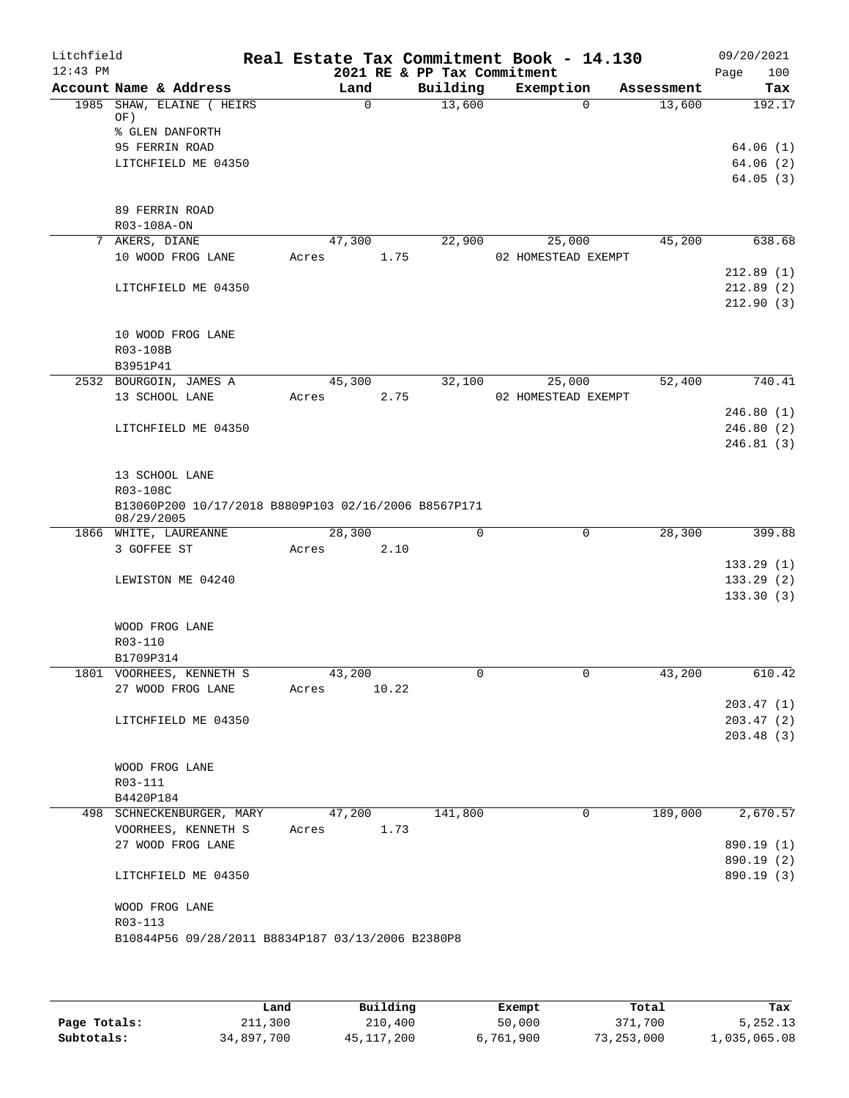| Litchfield<br>$12:43$ PM |                                                                    |                | 2021 RE & PP Tax Commitment | Real Estate Tax Commitment Book - 14.130 |            | 09/20/2021<br>Page<br>100 |
|--------------------------|--------------------------------------------------------------------|----------------|-----------------------------|------------------------------------------|------------|---------------------------|
|                          | Account Name & Address                                             | Land           | Building                    | Exemption                                | Assessment | Tax                       |
|                          | 1985 SHAW, ELAINE ( HEIRS                                          | $\mathbf 0$    | 13,600                      | $\Omega$                                 | 13,600     | 192.17                    |
|                          | OF)                                                                |                |                             |                                          |            |                           |
|                          | % GLEN DANFORTH                                                    |                |                             |                                          |            |                           |
|                          | 95 FERRIN ROAD                                                     |                |                             |                                          |            | 64.06(1)                  |
|                          | LITCHFIELD ME 04350                                                |                |                             |                                          |            | 64.06(2)<br>64.05(3)      |
|                          |                                                                    |                |                             |                                          |            |                           |
|                          | 89 FERRIN ROAD                                                     |                |                             |                                          |            |                           |
|                          | R03-108A-ON                                                        |                |                             |                                          |            |                           |
|                          | 7 AKERS, DIANE                                                     | 47,300         | 22,900                      | 25,000                                   | 45,200     | 638.68                    |
|                          | 10 WOOD FROG LANE                                                  | 1.75<br>Acres  |                             | 02 HOMESTEAD EXEMPT                      |            | 212.89(1)                 |
|                          | LITCHFIELD ME 04350                                                |                |                             |                                          |            | 212.89(2)                 |
|                          |                                                                    |                |                             |                                          |            | 212.90(3)                 |
|                          |                                                                    |                |                             |                                          |            |                           |
|                          | 10 WOOD FROG LANE                                                  |                |                             |                                          |            |                           |
|                          | R03-108B                                                           |                |                             |                                          |            |                           |
|                          | B3951P41                                                           |                |                             |                                          |            |                           |
|                          | 2532 BOURGOIN, JAMES A                                             | 45,300         | 32,100                      | 25,000                                   | 52,400     | 740.41                    |
|                          | 13 SCHOOL LANE                                                     | 2.75<br>Acres  |                             | 02 HOMESTEAD EXEMPT                      |            |                           |
|                          |                                                                    |                |                             |                                          |            | 246.80(1)                 |
|                          | LITCHFIELD ME 04350                                                |                |                             |                                          |            | 246.80(2)                 |
|                          |                                                                    |                |                             |                                          |            | 246.81(3)                 |
|                          | 13 SCHOOL LANE                                                     |                |                             |                                          |            |                           |
|                          | R03-108C                                                           |                |                             |                                          |            |                           |
|                          | B13060P200 10/17/2018 B8809P103 02/16/2006 B8567P171<br>08/29/2005 |                |                             |                                          |            |                           |
|                          | 1866 WHITE, LAUREANNE                                              | 28,300         | 0                           | $\mathbf 0$                              | 28,300     | 399.88                    |
|                          | 3 GOFFEE ST                                                        | Acres<br>2.10  |                             |                                          |            |                           |
|                          |                                                                    |                |                             |                                          |            | 133.29(1)                 |
|                          | LEWISTON ME 04240                                                  |                |                             |                                          |            | 133.29(2)                 |
|                          |                                                                    |                |                             |                                          |            | 133.30(3)                 |
|                          |                                                                    |                |                             |                                          |            |                           |
|                          | WOOD FROG LANE<br>R03-110                                          |                |                             |                                          |            |                           |
|                          | B1709P314                                                          |                |                             |                                          |            |                           |
|                          | 1801 VOORHEES, KENNETH S                                           | 43,200         | U                           | $\mathbf{0}$                             | 43,200     | 610.42                    |
|                          | 27 WOOD FROG LANE                                                  | Acres<br>10.22 |                             |                                          |            |                           |
|                          |                                                                    |                |                             |                                          |            | 203.47(1)                 |
|                          | LITCHFIELD ME 04350                                                |                |                             |                                          |            | 203.47(2)                 |
|                          |                                                                    |                |                             |                                          |            | 203.48(3)                 |
|                          |                                                                    |                |                             |                                          |            |                           |
|                          | WOOD FROG LANE                                                     |                |                             |                                          |            |                           |
|                          | R03-111                                                            |                |                             |                                          |            |                           |
|                          | B4420P184<br>498 SCHNECKENBURGER, MARY                             | 47,200         | 141,800                     | $\mathbf 0$                              | 189,000    | 2,670.57                  |
|                          | VOORHEES, KENNETH S                                                | 1.73<br>Acres  |                             |                                          |            |                           |
|                          | 27 WOOD FROG LANE                                                  |                |                             |                                          |            | 890.19 (1)                |
|                          |                                                                    |                |                             |                                          |            | 890.19 (2)                |
|                          | LITCHFIELD ME 04350                                                |                |                             |                                          |            | 890.19 (3)                |
|                          |                                                                    |                |                             |                                          |            |                           |
|                          | WOOD FROG LANE                                                     |                |                             |                                          |            |                           |
|                          | R03-113<br>B10844P56 09/28/2011 B8834P187 03/13/2006 B2380P8       |                |                             |                                          |            |                           |
|                          |                                                                    |                |                             |                                          |            |                           |
|                          |                                                                    |                |                             |                                          |            |                           |

|              | Land       | Building     | Exempt    | Total      | Tax          |
|--------------|------------|--------------|-----------|------------|--------------|
| Page Totals: | 211,300    | 210,400      | 50,000    | 371,700    | 5,252.13     |
| Subtotals:   | 34,897,700 | 45, 117, 200 | 6,761,900 | 73,253,000 | 1,035,065.08 |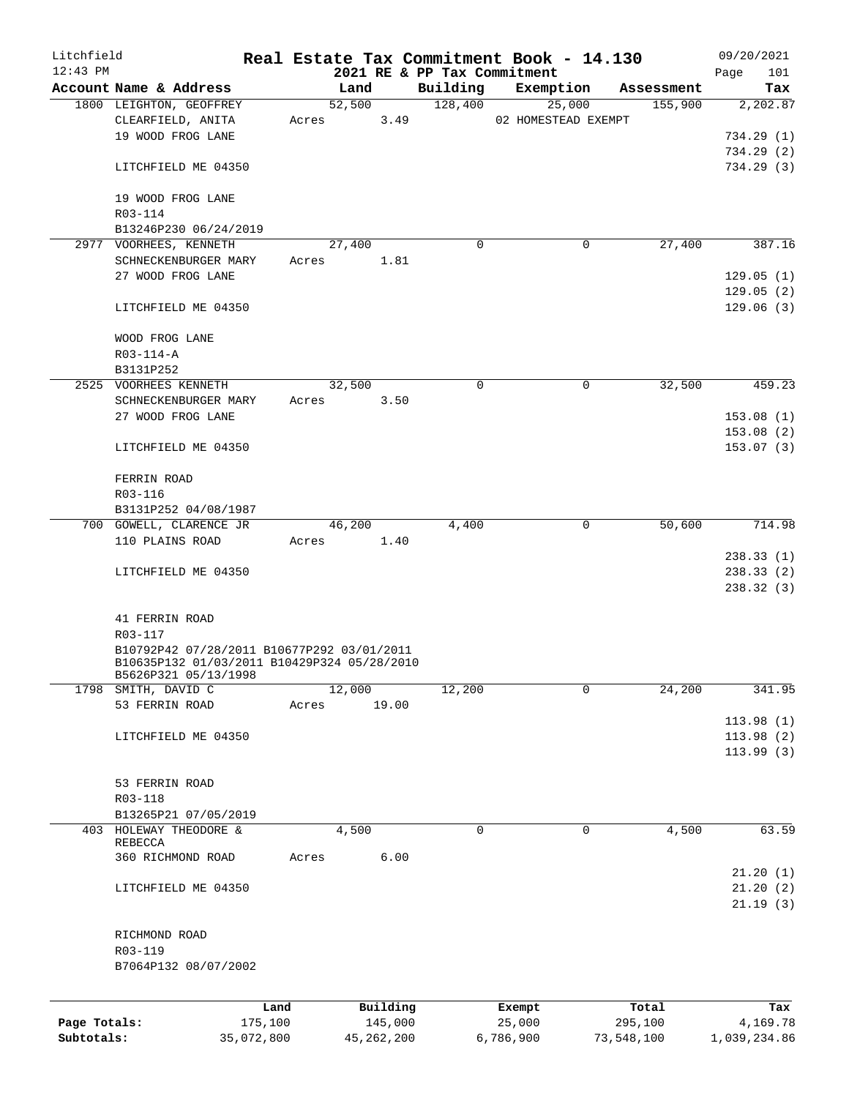| Litchfield   |                                             |            |       |        |              |                             | Real Estate Tax Commitment Book - 14.130 |            | 09/20/2021   |
|--------------|---------------------------------------------|------------|-------|--------|--------------|-----------------------------|------------------------------------------|------------|--------------|
| $12:43$ PM   |                                             |            |       |        |              | 2021 RE & PP Tax Commitment |                                          |            | Page<br>101  |
|              | Account Name & Address                      |            |       | Land   |              | Building                    | Exemption                                | Assessment | Tax          |
|              | 1800 LEIGHTON, GEOFFREY                     |            |       | 52,500 | 3.49         | 128,400                     | 25,000                                   | 155,900    | 2,202.87     |
|              | CLEARFIELD, ANITA<br>19 WOOD FROG LANE      |            | Acres |        |              |                             | 02 HOMESTEAD EXEMPT                      |            | 734.29(1)    |
|              |                                             |            |       |        |              |                             |                                          |            |              |
|              | LITCHFIELD ME 04350                         |            |       |        |              |                             |                                          |            | 734.29(2)    |
|              |                                             |            |       |        |              |                             |                                          |            | 734.29(3)    |
|              | 19 WOOD FROG LANE                           |            |       |        |              |                             |                                          |            |              |
|              | R03-114                                     |            |       |        |              |                             |                                          |            |              |
|              | B13246P230 06/24/2019                       |            |       |        |              |                             |                                          |            |              |
|              | 2977 VOORHEES, KENNETH                      |            |       | 27,400 |              | $\Omega$                    | 0                                        | 27,400     | 387.16       |
|              | SCHNECKENBURGER MARY                        |            | Acres |        | 1.81         |                             |                                          |            |              |
|              | 27 WOOD FROG LANE                           |            |       |        |              |                             |                                          |            | 129.05(1)    |
|              |                                             |            |       |        |              |                             |                                          |            | 129.05(2)    |
|              | LITCHFIELD ME 04350                         |            |       |        |              |                             |                                          |            | 129.06(3)    |
|              |                                             |            |       |        |              |                             |                                          |            |              |
|              | WOOD FROG LANE                              |            |       |        |              |                             |                                          |            |              |
|              | R03-114-A                                   |            |       |        |              |                             |                                          |            |              |
|              | B3131P252                                   |            |       |        |              |                             |                                          |            |              |
|              | 2525 VOORHEES KENNETH                       |            |       | 32,500 |              | 0                           | 0                                        | 32,500     | 459.23       |
|              | SCHNECKENBURGER MARY                        |            | Acres |        | 3.50         |                             |                                          |            |              |
|              | 27 WOOD FROG LANE                           |            |       |        |              |                             |                                          |            | 153.08(1)    |
|              |                                             |            |       |        |              |                             |                                          |            | 153.08(2)    |
|              | LITCHFIELD ME 04350                         |            |       |        |              |                             |                                          |            | 153.07(3)    |
|              |                                             |            |       |        |              |                             |                                          |            |              |
|              | FERRIN ROAD                                 |            |       |        |              |                             |                                          |            |              |
|              | R03-116                                     |            |       |        |              |                             |                                          |            |              |
|              | B3131P252 04/08/1987                        |            |       |        |              |                             |                                          |            |              |
|              | 700 GOWELL, CLARENCE JR                     |            |       | 46,200 |              | 4,400                       | 0                                        | 50,600     | 714.98       |
|              | 110 PLAINS ROAD                             |            | Acres |        | 1.40         |                             |                                          |            |              |
|              |                                             |            |       |        |              |                             |                                          |            | 238.33(1)    |
|              | LITCHFIELD ME 04350                         |            |       |        |              |                             |                                          |            | 238.33 (2)   |
|              |                                             |            |       |        |              |                             |                                          |            | 238.32(3)    |
|              |                                             |            |       |        |              |                             |                                          |            |              |
|              | 41 FERRIN ROAD                              |            |       |        |              |                             |                                          |            |              |
|              | R03-117                                     |            |       |        |              |                             |                                          |            |              |
|              | B10792P42 07/28/2011 B10677P292 03/01/2011  |            |       |        |              |                             |                                          |            |              |
|              | B10635P132 01/03/2011 B10429P324 05/28/2010 |            |       |        |              |                             |                                          |            |              |
|              | B5626P321 05/13/1998                        |            |       |        |              |                             |                                          |            |              |
|              | 1798 SMITH, DAVID C                         |            |       | 12,000 |              | 12,200                      | 0                                        | 24,200     | 341.95       |
|              | 53 FERRIN ROAD                              |            | Acres |        | 19.00        |                             |                                          |            |              |
|              |                                             |            |       |        |              |                             |                                          |            | 113.98(1)    |
|              | LITCHFIELD ME 04350                         |            |       |        |              |                             |                                          |            | 113.98(2)    |
|              |                                             |            |       |        |              |                             |                                          |            | 113.99(3)    |
|              |                                             |            |       |        |              |                             |                                          |            |              |
|              | 53 FERRIN ROAD                              |            |       |        |              |                             |                                          |            |              |
|              | R03-118                                     |            |       |        |              |                             |                                          |            |              |
|              | B13265P21 07/05/2019                        |            |       |        |              |                             |                                          |            |              |
| 403          | HOLEWAY THEODORE &                          |            |       | 4,500  |              | $\mathbf 0$                 | $\mathbf 0$                              | 4,500      | 63.59        |
|              | REBECCA<br>360 RICHMOND ROAD                |            | Acres |        | 6.00         |                             |                                          |            |              |
|              |                                             |            |       |        |              |                             |                                          |            | 21.20(1)     |
|              | LITCHFIELD ME 04350                         |            |       |        |              |                             |                                          |            | 21.20(2)     |
|              |                                             |            |       |        |              |                             |                                          |            | 21.19(3)     |
|              |                                             |            |       |        |              |                             |                                          |            |              |
|              | RICHMOND ROAD                               |            |       |        |              |                             |                                          |            |              |
|              | R03-119                                     |            |       |        |              |                             |                                          |            |              |
|              | B7064P132 08/07/2002                        |            |       |        |              |                             |                                          |            |              |
|              |                                             |            |       |        |              |                             |                                          |            |              |
|              |                                             |            |       |        |              |                             |                                          |            |              |
|              |                                             | Land       |       |        | Building     |                             | Exempt                                   | Total      | Tax          |
| Page Totals: |                                             | 175,100    |       |        | 145,000      |                             | 25,000                                   | 295,100    | 4,169.78     |
| Subtotals:   |                                             | 35,072,800 |       |        | 45, 262, 200 |                             | 6,786,900                                | 73,548,100 | 1,039,234.86 |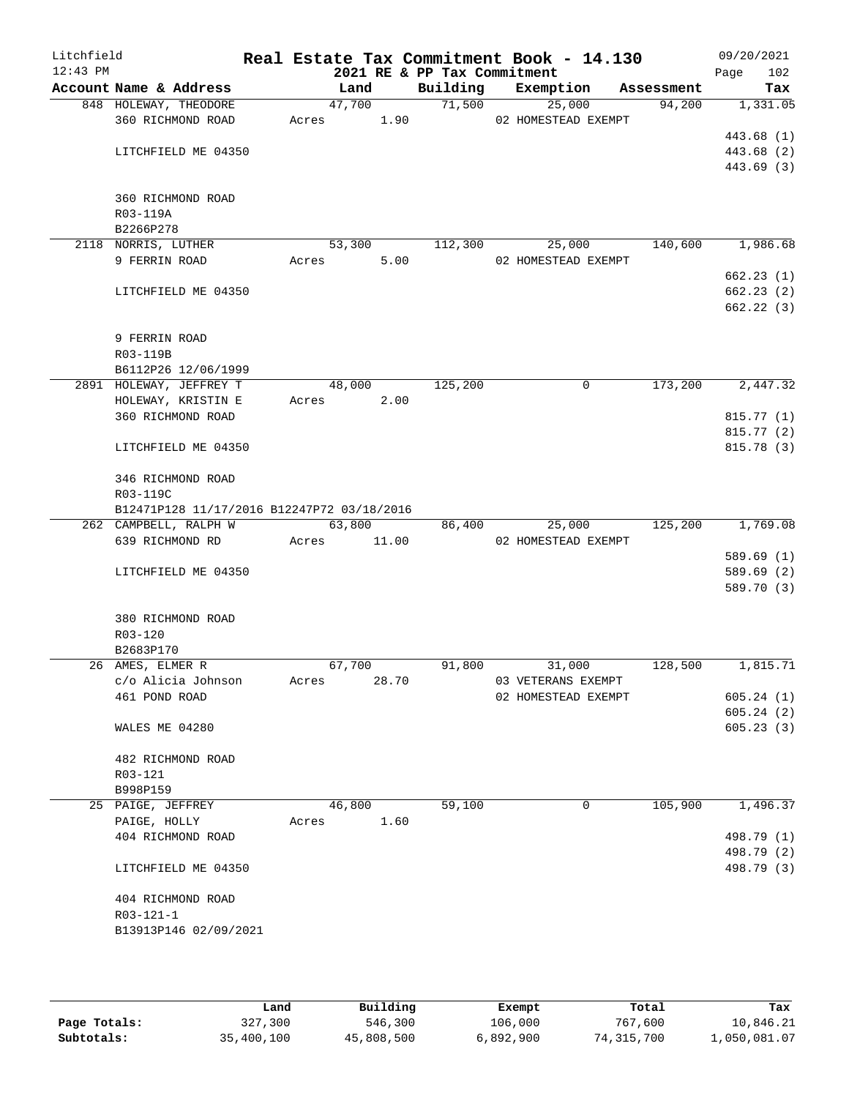| Litchfield<br>$12:43$ PM |                                            |       |        |       | 2021 RE & PP Tax Commitment | Real Estate Tax Commitment Book - 14.130 |            | 09/20/2021<br>102<br>Page |
|--------------------------|--------------------------------------------|-------|--------|-------|-----------------------------|------------------------------------------|------------|---------------------------|
|                          | Account Name & Address                     |       | Land   |       | Building                    | Exemption                                | Assessment | Tax                       |
|                          | 848 HOLEWAY, THEODORE                      |       | 47,700 |       | 71,500                      | 25,000                                   | 94,200     | 1,331.05                  |
|                          | 360 RICHMOND ROAD                          | Acres |        | 1.90  |                             | 02 HOMESTEAD EXEMPT                      |            |                           |
|                          |                                            |       |        |       |                             |                                          |            | 443.68 (1)                |
|                          | LITCHFIELD ME 04350                        |       |        |       |                             |                                          |            | 443.68 (2)                |
|                          |                                            |       |        |       |                             |                                          |            | 443.69 (3)                |
|                          |                                            |       |        |       |                             |                                          |            |                           |
|                          | 360 RICHMOND ROAD                          |       |        |       |                             |                                          |            |                           |
|                          | R03-119A                                   |       |        |       |                             |                                          |            |                           |
|                          | B2266P278                                  |       |        |       |                             |                                          |            |                           |
|                          | 2118 NORRIS, LUTHER                        |       | 53,300 |       | 112,300                     | 25,000                                   | 140,600    | 1,986.68                  |
|                          | 9 FERRIN ROAD                              | Acres |        | 5.00  |                             | 02 HOMESTEAD EXEMPT                      |            |                           |
|                          |                                            |       |        |       |                             |                                          |            | 662.23(1)                 |
|                          | LITCHFIELD ME 04350                        |       |        |       |                             |                                          |            | 662.23(2)                 |
|                          |                                            |       |        |       |                             |                                          |            | 662.22(3)                 |
|                          | 9 FERRIN ROAD                              |       |        |       |                             |                                          |            |                           |
|                          | R03-119B                                   |       |        |       |                             |                                          |            |                           |
|                          | B6112P26 12/06/1999                        |       |        |       |                             |                                          |            |                           |
|                          | 2891 HOLEWAY, JEFFREY T                    |       | 48,000 |       | 125,200                     | 0                                        | 173,200    | 2,447.32                  |
|                          | HOLEWAY, KRISTIN E                         | Acres |        | 2.00  |                             |                                          |            |                           |
|                          | 360 RICHMOND ROAD                          |       |        |       |                             |                                          |            | 815.77(1)                 |
|                          |                                            |       |        |       |                             |                                          |            | 815.77 (2)                |
|                          | LITCHFIELD ME 04350                        |       |        |       |                             |                                          |            | 815.78 (3)                |
|                          | 346 RICHMOND ROAD                          |       |        |       |                             |                                          |            |                           |
|                          | R03-119C                                   |       |        |       |                             |                                          |            |                           |
|                          | B12471P128 11/17/2016 B12247P72 03/18/2016 |       |        |       |                             |                                          |            |                           |
|                          | 262 CAMPBELL, RALPH W                      |       | 63,800 |       | 86,400                      | 25,000                                   | 125,200    | 1,769.08                  |
|                          | 639 RICHMOND RD                            | Acres |        | 11.00 |                             | 02 HOMESTEAD EXEMPT                      |            |                           |
|                          |                                            |       |        |       |                             |                                          |            | 589.69(1)                 |
|                          | LITCHFIELD ME 04350                        |       |        |       |                             |                                          |            | 589.69 (2)                |
|                          |                                            |       |        |       |                             |                                          |            | 589.70 (3)                |
|                          |                                            |       |        |       |                             |                                          |            |                           |
|                          | 380 RICHMOND ROAD<br>R03-120               |       |        |       |                             |                                          |            |                           |
|                          | B2683P170                                  |       |        |       |                             |                                          |            |                           |
|                          | 26 AMES, ELMER R                           |       | 67,700 |       | 91,800                      | 31,000                                   | 128,500    | 1,815.71                  |
|                          | c/o Alicia Johnson                         | Acres |        | 28.70 |                             | 03 VETERANS EXEMPT                       |            |                           |
|                          | 461 POND ROAD                              |       |        |       |                             | 02 HOMESTEAD EXEMPT                      |            | 605.24(1)                 |
|                          |                                            |       |        |       |                             |                                          |            | 605.24(2)                 |
|                          | WALES ME 04280                             |       |        |       |                             |                                          |            | 605.23(3)                 |
|                          |                                            |       |        |       |                             |                                          |            |                           |
|                          | 482 RICHMOND ROAD                          |       |        |       |                             |                                          |            |                           |
|                          | R03-121<br>B998P159                        |       |        |       |                             |                                          |            |                           |
|                          | 25 PAIGE, JEFFREY                          |       | 46,800 |       | 59,100                      | 0                                        | 105,900    | 1,496.37                  |
|                          | PAIGE, HOLLY                               | Acres |        | 1.60  |                             |                                          |            |                           |
|                          | 404 RICHMOND ROAD                          |       |        |       |                             |                                          |            | 498.79 (1)                |
|                          |                                            |       |        |       |                             |                                          |            | 498.79 (2)                |
|                          | LITCHFIELD ME 04350                        |       |        |       |                             |                                          |            | 498.79 (3)                |
|                          |                                            |       |        |       |                             |                                          |            |                           |
|                          | 404 RICHMOND ROAD                          |       |        |       |                             |                                          |            |                           |
|                          | R03-121-1                                  |       |        |       |                             |                                          |            |                           |
|                          | B13913P146 02/09/2021                      |       |        |       |                             |                                          |            |                           |
|                          |                                            |       |        |       |                             |                                          |            |                           |
|                          |                                            |       |        |       |                             |                                          |            |                           |

|              | Land       | Building   | Exempt    | Total      | Tax          |
|--------------|------------|------------|-----------|------------|--------------|
| Page Totals: | 327,300    | 546,300    | 106,000   | 767,600    | 10,846.21    |
| Subtotals:   | 35,400,100 | 45,808,500 | 6,892,900 | 74,315,700 | 1,050,081.07 |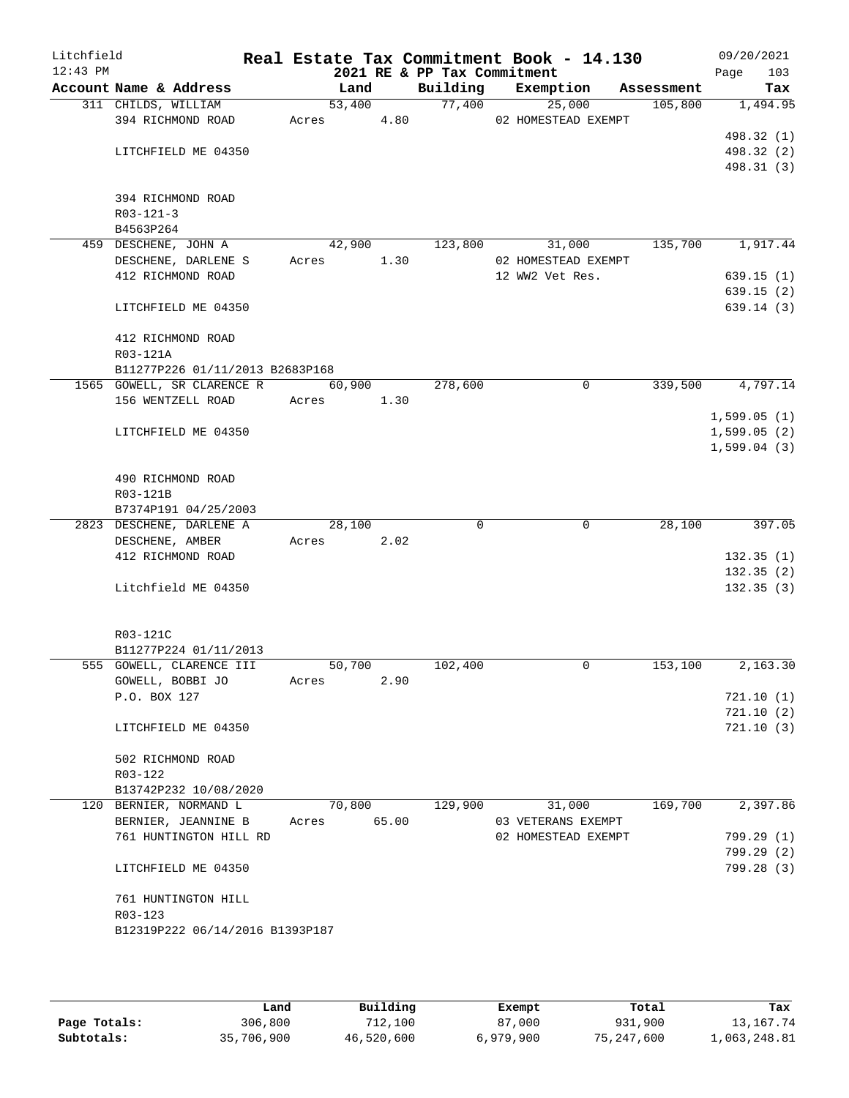| Litchfield<br>$12:43$ PM |                                               |            |        |       | 2021 RE & PP Tax Commitment | Real Estate Tax Commitment Book - 14.130 |            | 09/20/2021<br>103<br>Page |
|--------------------------|-----------------------------------------------|------------|--------|-------|-----------------------------|------------------------------------------|------------|---------------------------|
|                          | Account Name & Address                        |            | Land   |       | Building                    | Exemption                                | Assessment | Tax                       |
|                          | 311 CHILDS, WILLIAM                           |            | 53,400 |       | 77,400                      | 25,000                                   | 105,800    | 1,494.95                  |
|                          | 394 RICHMOND ROAD                             | Acres      |        | 4.80  |                             | 02 HOMESTEAD EXEMPT                      |            |                           |
|                          |                                               |            |        |       |                             |                                          |            | 498.32 (1)                |
|                          | LITCHFIELD ME 04350                           |            |        |       |                             |                                          |            | 498.32 (2)                |
|                          |                                               |            |        |       |                             |                                          |            | 498.31 (3)                |
|                          |                                               |            |        |       |                             |                                          |            |                           |
|                          | 394 RICHMOND ROAD                             |            |        |       |                             |                                          |            |                           |
|                          | $R03 - 121 - 3$                               |            |        |       |                             |                                          |            |                           |
|                          | B4563P264                                     |            | 42,900 |       | 123,800                     | 31,000                                   | 135,700    | 1,917.44                  |
|                          | 459 DESCHENE, JOHN A<br>DESCHENE, DARLENE S   | Acres      |        | 1.30  |                             | 02 HOMESTEAD EXEMPT                      |            |                           |
|                          | 412 RICHMOND ROAD                             |            |        |       |                             | 12 WW2 Vet Res.                          |            | 639.15(1)                 |
|                          |                                               |            |        |       |                             |                                          |            | 639.15(2)                 |
|                          | LITCHFIELD ME 04350                           |            |        |       |                             |                                          |            | 639.14(3)                 |
|                          |                                               |            |        |       |                             |                                          |            |                           |
|                          | 412 RICHMOND ROAD                             |            |        |       |                             |                                          |            |                           |
|                          | R03-121A                                      |            |        |       |                             |                                          |            |                           |
|                          | B11277P226 01/11/2013 B2683P168               |            |        |       |                             |                                          |            |                           |
|                          | 1565 GOWELL, SR CLARENCE R                    |            | 60,900 |       | 278,600                     | 0                                        | 339,500    | 4,797.14                  |
|                          | 156 WENTZELL ROAD                             | Acres 1.30 |        |       |                             |                                          |            |                           |
|                          |                                               |            |        |       |                             |                                          |            | 1,599.05(1)               |
|                          | LITCHFIELD ME 04350                           |            |        |       |                             |                                          |            | 1,599.05(2)               |
|                          |                                               |            |        |       |                             |                                          |            | 1,599.04(3)               |
|                          |                                               |            |        |       |                             |                                          |            |                           |
|                          | 490 RICHMOND ROAD                             |            |        |       |                             |                                          |            |                           |
|                          | R03-121B                                      |            |        |       |                             |                                          |            |                           |
|                          | B7374P191 04/25/2003                          |            |        |       |                             |                                          |            |                           |
|                          | 2823 DESCHENE, DARLENE A                      |            | 28,100 |       | $\Omega$                    | 0                                        | 28,100     | 397.05                    |
|                          | DESCHENE, AMBER<br>412 RICHMOND ROAD          | Acres      |        | 2.02  |                             |                                          |            | 132.35(1)                 |
|                          |                                               |            |        |       |                             |                                          |            | 132.35(2)                 |
|                          | Litchfield ME 04350                           |            |        |       |                             |                                          |            | 132.35(3)                 |
|                          |                                               |            |        |       |                             |                                          |            |                           |
|                          |                                               |            |        |       |                             |                                          |            |                           |
|                          | R03-121C                                      |            |        |       |                             |                                          |            |                           |
|                          | B11277P224 01/11/2013                         |            |        |       |                             |                                          |            |                           |
|                          | 555 GOWELL, CLARENCE III                      |            | 50,700 |       | 102,400                     | 0                                        | 153,100    | 2,163.30                  |
|                          | GOWELL, BOBBI JO                              | Acres      |        | 2.90  |                             |                                          |            |                           |
|                          | P.O. BOX 127                                  |            |        |       |                             |                                          |            | 721.10(1)                 |
|                          |                                               |            |        |       |                             |                                          |            | 721.10(2)                 |
|                          | LITCHFIELD ME 04350                           |            |        |       |                             |                                          |            | 721.10(3)                 |
|                          |                                               |            |        |       |                             |                                          |            |                           |
|                          | 502 RICHMOND ROAD                             |            |        |       |                             |                                          |            |                           |
|                          | R03-122                                       |            |        |       |                             |                                          |            |                           |
|                          | B13742P232 10/08/2020                         |            |        |       |                             |                                          |            |                           |
|                          | 120 BERNIER, NORMAND L<br>BERNIER, JEANNINE B | Acres      | 70,800 | 65.00 | 129,900                     | 31,000<br>03 VETERANS EXEMPT             | 169,700    | 2,397.86                  |
|                          | 761 HUNTINGTON HILL RD                        |            |        |       |                             | 02 HOMESTEAD EXEMPT                      |            | 799.29(1)                 |
|                          |                                               |            |        |       |                             |                                          |            | 799.29(2)                 |
|                          | LITCHFIELD ME 04350                           |            |        |       |                             |                                          |            | 799.28 (3)                |
|                          |                                               |            |        |       |                             |                                          |            |                           |
|                          | 761 HUNTINGTON HILL                           |            |        |       |                             |                                          |            |                           |
|                          | R03-123                                       |            |        |       |                             |                                          |            |                           |
|                          | B12319P222 06/14/2016 B1393P187               |            |        |       |                             |                                          |            |                           |
|                          |                                               |            |        |       |                             |                                          |            |                           |
|                          |                                               |            |        |       |                             |                                          |            |                           |

|              | Land       | Building   | Exempt    | Total        | Tax          |
|--------------|------------|------------|-----------|--------------|--------------|
| Page Totals: | 306,800    | 712,100    | 87,000    | 931,900      | 13, 167. 74  |
| Subtotals:   | 35,706,900 | 46,520,600 | 6,979,900 | 75, 247, 600 | 1,063,248.81 |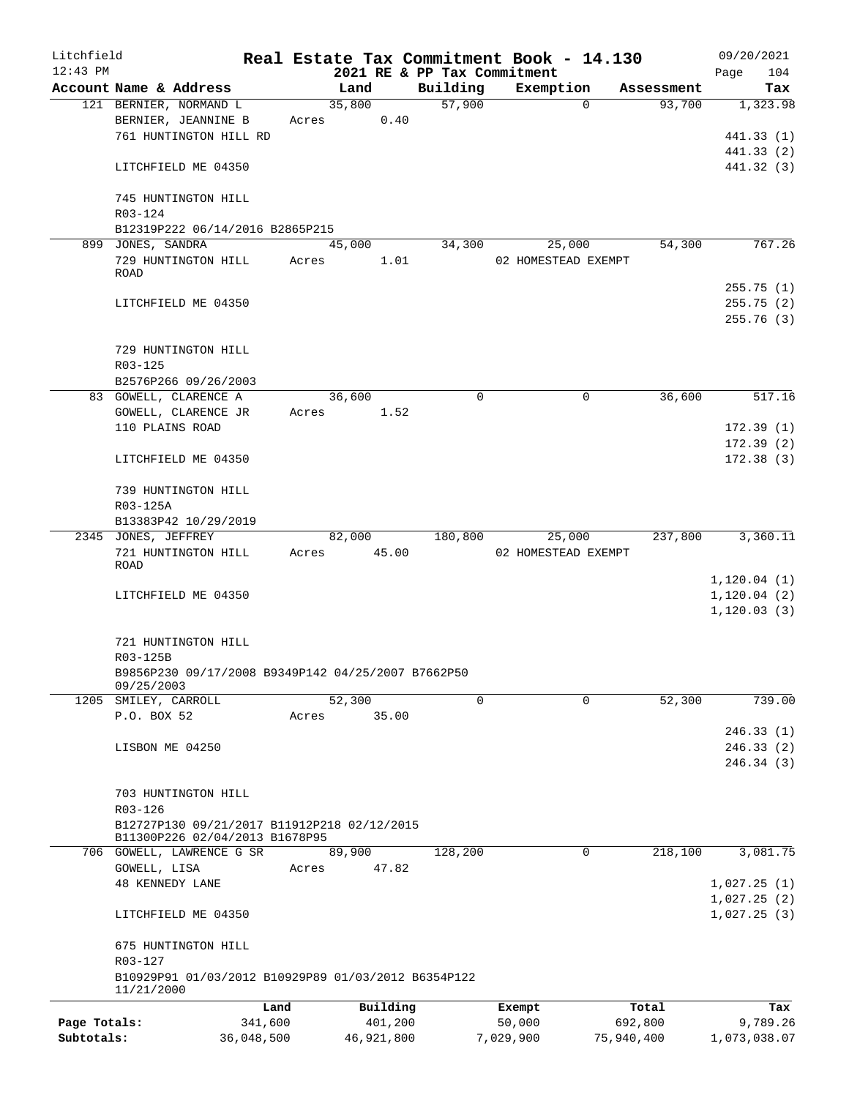| Litchfield   |                                                                   |                 |       |             |                     |                             | Real Estate Tax Commitment Book - 14.130 |             |                  | 09/20/2021      |
|--------------|-------------------------------------------------------------------|-----------------|-------|-------------|---------------------|-----------------------------|------------------------------------------|-------------|------------------|-----------------|
| $12:43$ PM   |                                                                   |                 |       |             |                     | 2021 RE & PP Tax Commitment |                                          |             |                  | 104<br>Page     |
|              | Account Name & Address                                            |                 |       | Land        |                     | Building                    | Exemption                                |             | Assessment       | Tax             |
|              | 121 BERNIER, NORMAND L                                            |                 |       | 35,800      |                     | 57,900                      |                                          | $\Omega$    | 93,700           | 1,323.98        |
|              | BERNIER, JEANNINE B                                               |                 |       | Acres       | 0.40                |                             |                                          |             |                  |                 |
|              | 761 HUNTINGTON HILL RD                                            |                 |       |             |                     |                             |                                          |             |                  | 441.33 (1)      |
|              |                                                                   |                 |       |             |                     |                             |                                          |             |                  | 441.33 (2)      |
|              | LITCHFIELD ME 04350                                               |                 |       |             |                     |                             |                                          |             |                  | 441.32 (3)      |
|              | 745 HUNTINGTON HILL                                               |                 |       |             |                     |                             |                                          |             |                  |                 |
|              | R03-124                                                           |                 |       |             |                     |                             |                                          |             |                  |                 |
|              | B12319P222 06/14/2016 B2865P215                                   |                 |       |             |                     |                             |                                          |             |                  |                 |
|              | 899 JONES, SANDRA                                                 |                 |       | 45,000      |                     | 34,300                      | 25,000                                   |             | 54,300           | 767.26          |
|              | 729 HUNTINGTON HILL                                               |                 |       | Acres       | 1.01                |                             | 02 HOMESTEAD EXEMPT                      |             |                  |                 |
|              | <b>ROAD</b>                                                       |                 |       |             |                     |                             |                                          |             |                  |                 |
|              |                                                                   |                 |       |             |                     |                             |                                          |             |                  | 255.75(1)       |
|              | LITCHFIELD ME 04350                                               |                 |       |             |                     |                             |                                          |             |                  | 255.75(2)       |
|              |                                                                   |                 |       |             |                     |                             |                                          |             |                  | 255.76(3)       |
|              |                                                                   |                 |       |             |                     |                             |                                          |             |                  |                 |
|              | 729 HUNTINGTON HILL                                               |                 |       |             |                     |                             |                                          |             |                  |                 |
|              | R03-125                                                           |                 |       |             |                     |                             |                                          |             |                  |                 |
|              | B2576P266 09/26/2003                                              |                 |       |             |                     |                             |                                          |             |                  |                 |
|              | 83 GOWELL, CLARENCE A                                             |                 |       | 36,600      |                     | $\mathbf 0$                 |                                          | $\mathbf 0$ | 36,600           | 517.16          |
|              | GOWELL, CLARENCE JR                                               |                 |       | Acres 1.52  |                     |                             |                                          |             |                  |                 |
|              | 110 PLAINS ROAD                                                   |                 |       |             |                     |                             |                                          |             |                  | 172.39(1)       |
|              |                                                                   |                 |       |             |                     |                             |                                          |             |                  | 172.39(2)       |
|              | LITCHFIELD ME 04350                                               |                 |       |             |                     |                             |                                          |             |                  | 172.38(3)       |
|              |                                                                   |                 |       |             |                     |                             |                                          |             |                  |                 |
|              | 739 HUNTINGTON HILL                                               |                 |       |             |                     |                             |                                          |             |                  |                 |
|              | R03-125A                                                          |                 |       |             |                     |                             |                                          |             |                  |                 |
|              | B13383P42 10/29/2019                                              |                 |       |             |                     |                             |                                          |             |                  |                 |
|              | 2345 JONES, JEFFREY                                               |                 |       | 82,000      |                     | 180,800                     |                                          | 25,000      | 237,800          | 3,360.11        |
|              | 721 HUNTINGTON HILL<br>ROAD                                       |                 |       | Acres 45.00 |                     |                             | 02 HOMESTEAD EXEMPT                      |             |                  |                 |
|              |                                                                   |                 |       |             |                     |                             |                                          |             |                  | 1, 120.04(1)    |
|              | LITCHFIELD ME 04350                                               |                 |       |             |                     |                             |                                          |             |                  | 1, 120.04(2)    |
|              |                                                                   |                 |       |             |                     |                             |                                          |             |                  | 1, 120.03(3)    |
|              |                                                                   |                 |       |             |                     |                             |                                          |             |                  |                 |
|              | 721 HUNTINGTON HILL                                               |                 |       |             |                     |                             |                                          |             |                  |                 |
|              | R03-125B                                                          |                 |       |             |                     |                             |                                          |             |                  |                 |
|              | B9856P230 09/17/2008 B9349P142 04/25/2007 B7662P50                |                 |       |             |                     |                             |                                          |             |                  |                 |
|              | 09/25/2003                                                        |                 |       |             |                     |                             |                                          |             |                  |                 |
|              | 1205 SMILEY, CARROLL                                              |                 |       | 52,300      |                     | $\Omega$                    |                                          | $\Omega$    | 52,300           | 739.00          |
|              | P.O. BOX 52                                                       |                 | Acres |             | 35.00               |                             |                                          |             |                  |                 |
|              |                                                                   |                 |       |             |                     |                             |                                          |             |                  | 246.33(1)       |
|              | LISBON ME 04250                                                   |                 |       |             |                     |                             |                                          |             |                  | 246.33(2)       |
|              |                                                                   |                 |       |             |                     |                             |                                          |             |                  | 246.34 (3)      |
|              | 703 HUNTINGTON HILL                                               |                 |       |             |                     |                             |                                          |             |                  |                 |
|              | R03-126                                                           |                 |       |             |                     |                             |                                          |             |                  |                 |
|              | B12727P130 09/21/2017 B11912P218 02/12/2015                       |                 |       |             |                     |                             |                                          |             |                  |                 |
|              | B11300P226 02/04/2013 B1678P95                                    |                 |       |             |                     |                             |                                          |             |                  |                 |
|              | 706 GOWELL, LAWRENCE G SR                                         |                 |       | 89,900      |                     | 128,200                     |                                          | 0           | 218,100          | 3,081.75        |
|              | GOWELL, LISA                                                      |                 | Acres |             | 47.82               |                             |                                          |             |                  |                 |
|              | <b>48 KENNEDY LANE</b>                                            |                 |       |             |                     |                             |                                          |             |                  | 1,027.25(1)     |
|              |                                                                   |                 |       |             |                     |                             |                                          |             |                  | 1,027.25(2)     |
|              | LITCHFIELD ME 04350                                               |                 |       |             |                     |                             |                                          |             |                  | 1,027.25(3)     |
|              |                                                                   |                 |       |             |                     |                             |                                          |             |                  |                 |
|              | 675 HUNTINGTON HILL                                               |                 |       |             |                     |                             |                                          |             |                  |                 |
|              | R03-127                                                           |                 |       |             |                     |                             |                                          |             |                  |                 |
|              | B10929P91 01/03/2012 B10929P89 01/03/2012 B6354P122<br>11/21/2000 |                 |       |             |                     |                             |                                          |             |                  |                 |
|              |                                                                   |                 |       |             |                     |                             |                                          |             |                  |                 |
| Page Totals: |                                                                   | Land<br>341,600 |       |             | Building<br>401,200 |                             | Exempt<br>50,000                         |             | Total<br>692,800 | Tax<br>9,789.26 |
| Subtotals:   |                                                                   | 36,048,500      |       |             | 46,921,800          |                             | 7,029,900                                |             | 75,940,400       | 1,073,038.07    |
|              |                                                                   |                 |       |             |                     |                             |                                          |             |                  |                 |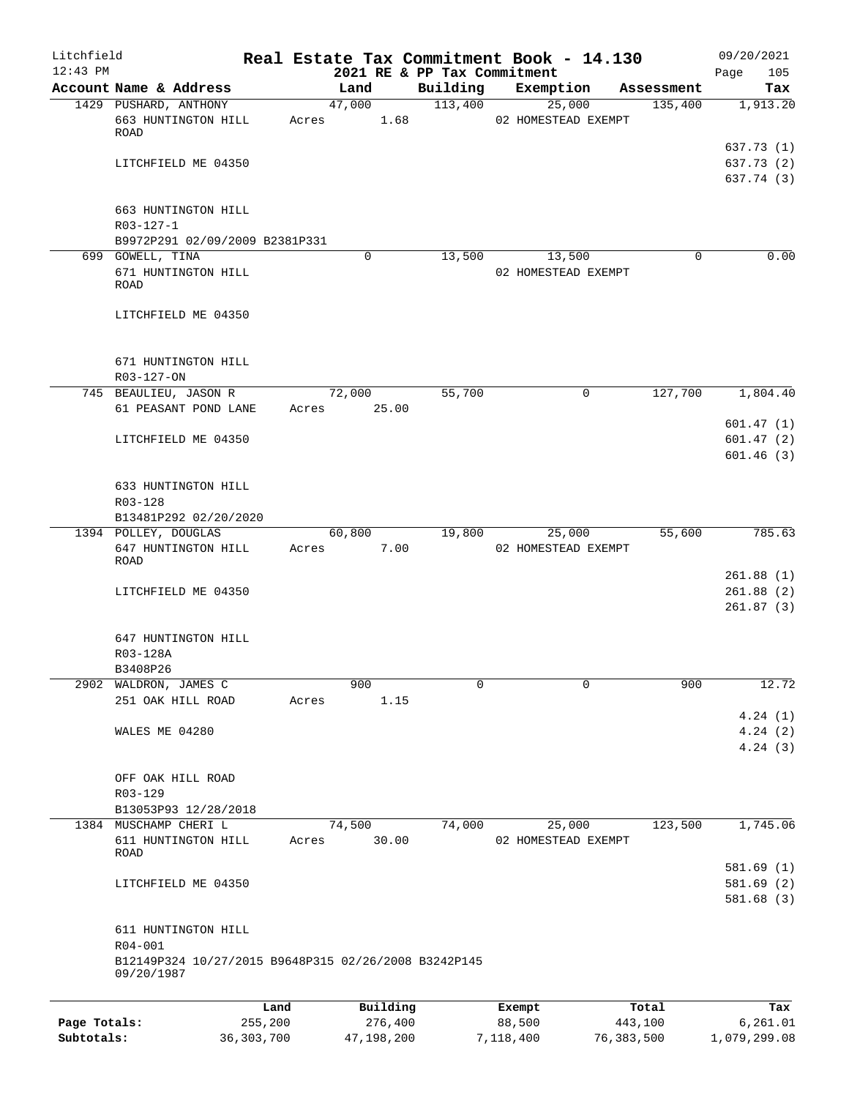| Litchfield<br>$12:43$ PM |                                                                    |                 | 2021 RE & PP Tax Commitment |          | Real Estate Tax Commitment Book - 14.130 |                  | 09/20/2021<br>Page<br>105              |
|--------------------------|--------------------------------------------------------------------|-----------------|-----------------------------|----------|------------------------------------------|------------------|----------------------------------------|
|                          | Account Name & Address                                             |                 | Land                        | Building | Exemption                                | Assessment       | Tax                                    |
|                          | 1429 PUSHARD, ANTHONY                                              |                 | 47,000                      | 113,400  | 25,000                                   | 135,400          | 1,913.20                               |
|                          | 663 HUNTINGTON HILL<br><b>ROAD</b>                                 | Acres           | 1.68                        |          | 02 HOMESTEAD EXEMPT                      |                  |                                        |
|                          | LITCHFIELD ME 04350                                                |                 |                             |          |                                          |                  | 637.73 (1)<br>637.73 (2)<br>637.74 (3) |
|                          | 663 HUNTINGTON HILL<br>R03-127-1                                   |                 |                             |          |                                          |                  |                                        |
|                          | B9972P291 02/09/2009 B2381P331                                     |                 |                             |          |                                          |                  |                                        |
|                          | 699 GOWELL, TINA<br>671 HUNTINGTON HILL<br>ROAD                    |                 | $\mathbf 0$                 | 13,500   | 13,500<br>02 HOMESTEAD EXEMPT            | $\Omega$         | 0.00                                   |
|                          | LITCHFIELD ME 04350                                                |                 |                             |          |                                          |                  |                                        |
|                          | 671 HUNTINGTON HILL<br>R03-127-ON                                  |                 |                             |          |                                          |                  |                                        |
|                          | 745 BEAULIEU, JASON R                                              |                 | 72,000                      | 55,700   | 0                                        | 127,700          | 1,804.40                               |
|                          | 61 PEASANT POND LANE                                               | Acres           | 25.00                       |          |                                          |                  |                                        |
|                          | LITCHFIELD ME 04350                                                |                 |                             |          |                                          |                  | 601.47(1)<br>601.47(2)                 |
|                          |                                                                    |                 |                             |          |                                          |                  | 601.46(3)                              |
|                          | 633 HUNTINGTON HILL<br>R03-128                                     |                 |                             |          |                                          |                  |                                        |
|                          | B13481P292 02/20/2020                                              |                 |                             |          |                                          |                  |                                        |
|                          | 1394 POLLEY, DOUGLAS<br>647 HUNTINGTON HILL                        | Acres           | 60,800<br>7.00              | 19,800   | 25,000<br>02 HOMESTEAD EXEMPT            | 55,600           | 785.63                                 |
|                          | ROAD                                                               |                 |                             |          |                                          |                  |                                        |
|                          | LITCHFIELD ME 04350                                                |                 |                             |          |                                          |                  | 261.88(1)<br>261.88(2)                 |
|                          |                                                                    |                 |                             |          |                                          |                  | 261.87(3)                              |
|                          | 647 HUNTINGTON HILL                                                |                 |                             |          |                                          |                  |                                        |
|                          | R03-128A                                                           |                 |                             |          |                                          |                  |                                        |
|                          | B3408P26                                                           |                 |                             |          |                                          |                  |                                        |
| 2902                     | WALDRON, JAMES C                                                   |                 | 900                         | 0        | 0                                        | 900              | 12.72                                  |
|                          | 251 OAK HILL ROAD                                                  | Acres           | 1.15                        |          |                                          |                  | 4.24(1)                                |
|                          | WALES ME 04280                                                     |                 |                             |          |                                          |                  | 4.24(2)<br>4.24(3)                     |
|                          | OFF OAK HILL ROAD<br>R03-129                                       |                 |                             |          |                                          |                  |                                        |
|                          | B13053P93 12/28/2018                                               |                 |                             |          |                                          |                  |                                        |
|                          | 1384 MUSCHAMP CHERI L                                              |                 | 74,500                      | 74,000   | 25,000                                   | 123,500          | 1,745.06                               |
|                          | 611 HUNTINGTON HILL<br>ROAD                                        | Acres           | 30.00                       |          | 02 HOMESTEAD EXEMPT                      |                  |                                        |
|                          | LITCHFIELD ME 04350                                                |                 |                             |          |                                          |                  | 581.69 (1)<br>581.69(2)<br>581.68(3)   |
|                          | 611 HUNTINGTON HILL<br>R04-001                                     |                 |                             |          |                                          |                  |                                        |
|                          | B12149P324 10/27/2015 B9648P315 02/26/2008 B3242P145<br>09/20/1987 |                 |                             |          |                                          |                  |                                        |
|                          |                                                                    |                 |                             |          |                                          |                  |                                        |
| Page Totals:             |                                                                    | Land<br>255,200 | Building<br>276,400         |          | Exempt<br>88,500                         | Total<br>443,100 | Tax<br>6, 261.01                       |

**Subtotals:** 36,303,700 47,198,200 7,118,400 76,383,500 1,079,299.08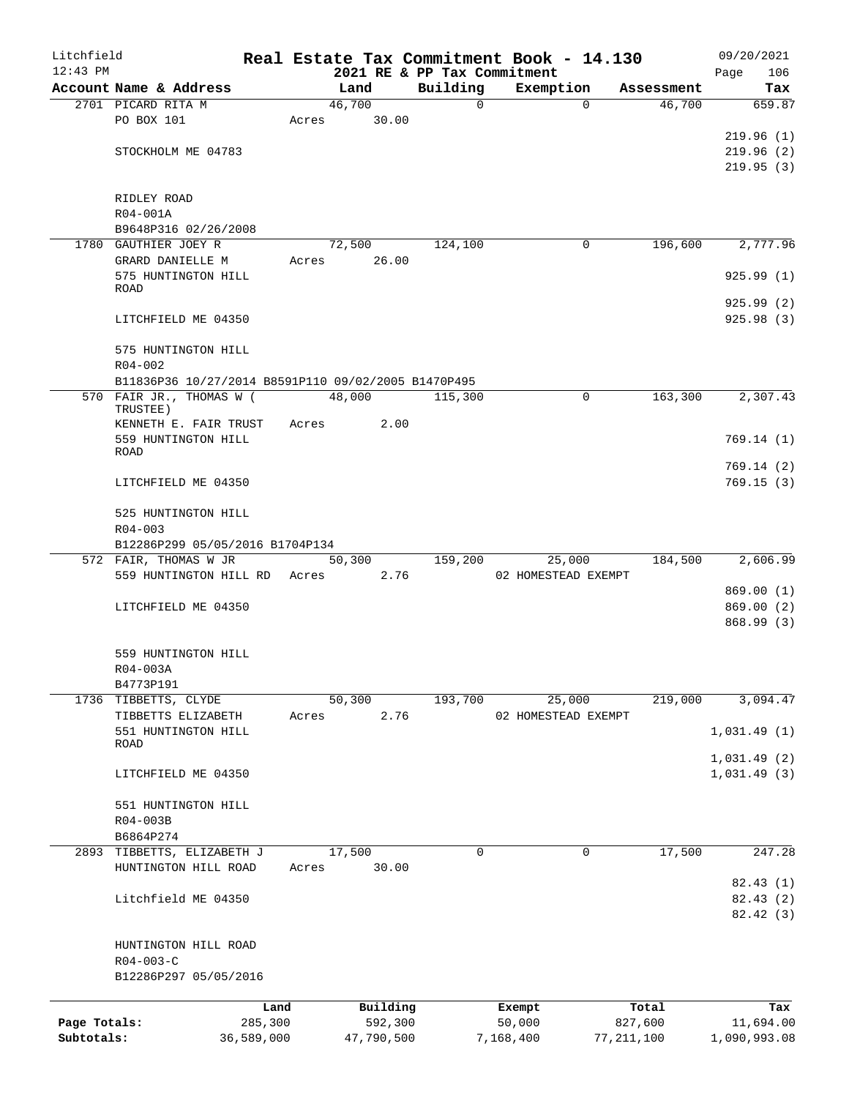| 2021 RE & PP Tax Commitment<br>Building<br>Exemption<br>Account Name & Address<br>Land<br>Assessment<br>Tax<br>46,700<br>2701 PICARD RITA M<br>$\mathsf{O}$<br>46,700<br>$\Omega$<br>PO BOX 101<br>30.00<br>Acres<br>STOCKHOLM ME 04783<br>RIDLEY ROAD<br>R04-001A<br>B9648P316 02/26/2008<br>72,500<br>124,100<br>196,600<br>1780 GAUTHIER JOEY R<br>0<br>26.00<br>GRARD DANIELLE M<br>Acres<br>575 HUNTINGTON HILL<br>ROAD<br>LITCHFIELD ME 04350<br>575 HUNTINGTON HILL<br>$R04 - 002$<br>B11836P36 10/27/2014 B8591P110 09/02/2005 B1470P495<br>570 FAIR JR., THOMAS W (<br>48,000<br>$\mathbf 0$<br>163,300<br>115,300<br>TRUSTEE)<br>2.00<br>KENNETH E. FAIR TRUST<br>Acres<br>559 HUNTINGTON HILL<br><b>ROAD</b><br>LITCHFIELD ME 04350<br>525 HUNTINGTON HILL<br>$R04 - 003$<br>B12286P299 05/05/2016 B1704P134<br>572 FAIR, THOMAS W JR<br>50,300<br>159,200<br>25,000<br>184,500<br>559 HUNTINGTON HILL RD Acres<br>2.76<br>02 HOMESTEAD EXEMPT<br>LITCHFIELD ME 04350<br>559 HUNTINGTON HILL<br>R04-003A<br>B4773P191<br>50, 300<br>193,700<br>25,000<br>219,000<br>1736 TIBBETTS, CLYDE<br>2.76<br>TIBBETTS ELIZABETH<br>02 HOMESTEAD EXEMPT<br>Acres<br>551 HUNTINGTON HILL<br>ROAD<br>LITCHFIELD ME 04350<br>551 HUNTINGTON HILL<br>R04-003B<br>B6864P274<br>17,500<br>$\mathbf 0$<br>17,500<br>2893 TIBBETTS, ELIZABETH J<br>0<br>HUNTINGTON HILL ROAD<br>30.00<br>Acres<br>Litchfield ME 04350<br>HUNTINGTON HILL ROAD<br>$R04 - 003 - C$<br>B12286P297 05/05/2016<br>Building<br>Total<br>Land<br>Exempt<br>Page Totals:<br>285,300<br>592,300<br>50,000<br>827,600<br>Subtotals:<br>36,589,000<br>47,790,500<br>7,168,400<br>77, 211, 100 | Litchfield |  |  | Real Estate Tax Commitment Book - 14.130 | 09/20/2021   |
|-------------------------------------------------------------------------------------------------------------------------------------------------------------------------------------------------------------------------------------------------------------------------------------------------------------------------------------------------------------------------------------------------------------------------------------------------------------------------------------------------------------------------------------------------------------------------------------------------------------------------------------------------------------------------------------------------------------------------------------------------------------------------------------------------------------------------------------------------------------------------------------------------------------------------------------------------------------------------------------------------------------------------------------------------------------------------------------------------------------------------------------------------------------------------------------------------------------------------------------------------------------------------------------------------------------------------------------------------------------------------------------------------------------------------------------------------------------------------------------------------------------------------------------------------------------------------------------------------------------------------------------------------------------|------------|--|--|------------------------------------------|--------------|
| 659.87                                                                                                                                                                                                                                                                                                                                                                                                                                                                                                                                                                                                                                                                                                                                                                                                                                                                                                                                                                                                                                                                                                                                                                                                                                                                                                                                                                                                                                                                                                                                                                                                                                                      | $12:43$ PM |  |  |                                          | Page<br>106  |
| 219.96(1)<br>219.96(2)                                                                                                                                                                                                                                                                                                                                                                                                                                                                                                                                                                                                                                                                                                                                                                                                                                                                                                                                                                                                                                                                                                                                                                                                                                                                                                                                                                                                                                                                                                                                                                                                                                      |            |  |  |                                          |              |
|                                                                                                                                                                                                                                                                                                                                                                                                                                                                                                                                                                                                                                                                                                                                                                                                                                                                                                                                                                                                                                                                                                                                                                                                                                                                                                                                                                                                                                                                                                                                                                                                                                                             |            |  |  |                                          |              |
|                                                                                                                                                                                                                                                                                                                                                                                                                                                                                                                                                                                                                                                                                                                                                                                                                                                                                                                                                                                                                                                                                                                                                                                                                                                                                                                                                                                                                                                                                                                                                                                                                                                             |            |  |  |                                          |              |
| 219.95(3)                                                                                                                                                                                                                                                                                                                                                                                                                                                                                                                                                                                                                                                                                                                                                                                                                                                                                                                                                                                                                                                                                                                                                                                                                                                                                                                                                                                                                                                                                                                                                                                                                                                   |            |  |  |                                          |              |
|                                                                                                                                                                                                                                                                                                                                                                                                                                                                                                                                                                                                                                                                                                                                                                                                                                                                                                                                                                                                                                                                                                                                                                                                                                                                                                                                                                                                                                                                                                                                                                                                                                                             |            |  |  |                                          |              |
|                                                                                                                                                                                                                                                                                                                                                                                                                                                                                                                                                                                                                                                                                                                                                                                                                                                                                                                                                                                                                                                                                                                                                                                                                                                                                                                                                                                                                                                                                                                                                                                                                                                             |            |  |  |                                          |              |
|                                                                                                                                                                                                                                                                                                                                                                                                                                                                                                                                                                                                                                                                                                                                                                                                                                                                                                                                                                                                                                                                                                                                                                                                                                                                                                                                                                                                                                                                                                                                                                                                                                                             |            |  |  |                                          |              |
|                                                                                                                                                                                                                                                                                                                                                                                                                                                                                                                                                                                                                                                                                                                                                                                                                                                                                                                                                                                                                                                                                                                                                                                                                                                                                                                                                                                                                                                                                                                                                                                                                                                             |            |  |  |                                          |              |
| 2,777.96<br>925.99(1)<br>925.99(2)<br>925.98(3)<br>2,307.43<br>769.14(1)<br>769.14(2)<br>769.15(3)<br>2,606.99<br>869.00(1)<br>869.00(2)<br>868.99 (3)<br>3,094.47<br>1,031.49(1)<br>1,031.49(2)<br>1,031.49(3)<br>247.28<br>82.43 (1)<br>82.43(2)<br>82.42 (3)<br>Tax<br>11,694.00                                                                                                                                                                                                                                                                                                                                                                                                                                                                                                                                                                                                                                                                                                                                                                                                                                                                                                                                                                                                                                                                                                                                                                                                                                                                                                                                                                         |            |  |  |                                          |              |
|                                                                                                                                                                                                                                                                                                                                                                                                                                                                                                                                                                                                                                                                                                                                                                                                                                                                                                                                                                                                                                                                                                                                                                                                                                                                                                                                                                                                                                                                                                                                                                                                                                                             |            |  |  |                                          |              |
|                                                                                                                                                                                                                                                                                                                                                                                                                                                                                                                                                                                                                                                                                                                                                                                                                                                                                                                                                                                                                                                                                                                                                                                                                                                                                                                                                                                                                                                                                                                                                                                                                                                             |            |  |  |                                          |              |
|                                                                                                                                                                                                                                                                                                                                                                                                                                                                                                                                                                                                                                                                                                                                                                                                                                                                                                                                                                                                                                                                                                                                                                                                                                                                                                                                                                                                                                                                                                                                                                                                                                                             |            |  |  |                                          |              |
|                                                                                                                                                                                                                                                                                                                                                                                                                                                                                                                                                                                                                                                                                                                                                                                                                                                                                                                                                                                                                                                                                                                                                                                                                                                                                                                                                                                                                                                                                                                                                                                                                                                             |            |  |  |                                          |              |
|                                                                                                                                                                                                                                                                                                                                                                                                                                                                                                                                                                                                                                                                                                                                                                                                                                                                                                                                                                                                                                                                                                                                                                                                                                                                                                                                                                                                                                                                                                                                                                                                                                                             |            |  |  |                                          |              |
|                                                                                                                                                                                                                                                                                                                                                                                                                                                                                                                                                                                                                                                                                                                                                                                                                                                                                                                                                                                                                                                                                                                                                                                                                                                                                                                                                                                                                                                                                                                                                                                                                                                             |            |  |  |                                          |              |
|                                                                                                                                                                                                                                                                                                                                                                                                                                                                                                                                                                                                                                                                                                                                                                                                                                                                                                                                                                                                                                                                                                                                                                                                                                                                                                                                                                                                                                                                                                                                                                                                                                                             |            |  |  |                                          |              |
|                                                                                                                                                                                                                                                                                                                                                                                                                                                                                                                                                                                                                                                                                                                                                                                                                                                                                                                                                                                                                                                                                                                                                                                                                                                                                                                                                                                                                                                                                                                                                                                                                                                             |            |  |  |                                          |              |
|                                                                                                                                                                                                                                                                                                                                                                                                                                                                                                                                                                                                                                                                                                                                                                                                                                                                                                                                                                                                                                                                                                                                                                                                                                                                                                                                                                                                                                                                                                                                                                                                                                                             |            |  |  |                                          |              |
|                                                                                                                                                                                                                                                                                                                                                                                                                                                                                                                                                                                                                                                                                                                                                                                                                                                                                                                                                                                                                                                                                                                                                                                                                                                                                                                                                                                                                                                                                                                                                                                                                                                             |            |  |  |                                          |              |
|                                                                                                                                                                                                                                                                                                                                                                                                                                                                                                                                                                                                                                                                                                                                                                                                                                                                                                                                                                                                                                                                                                                                                                                                                                                                                                                                                                                                                                                                                                                                                                                                                                                             |            |  |  |                                          |              |
|                                                                                                                                                                                                                                                                                                                                                                                                                                                                                                                                                                                                                                                                                                                                                                                                                                                                                                                                                                                                                                                                                                                                                                                                                                                                                                                                                                                                                                                                                                                                                                                                                                                             |            |  |  |                                          |              |
|                                                                                                                                                                                                                                                                                                                                                                                                                                                                                                                                                                                                                                                                                                                                                                                                                                                                                                                                                                                                                                                                                                                                                                                                                                                                                                                                                                                                                                                                                                                                                                                                                                                             |            |  |  |                                          |              |
|                                                                                                                                                                                                                                                                                                                                                                                                                                                                                                                                                                                                                                                                                                                                                                                                                                                                                                                                                                                                                                                                                                                                                                                                                                                                                                                                                                                                                                                                                                                                                                                                                                                             |            |  |  |                                          |              |
|                                                                                                                                                                                                                                                                                                                                                                                                                                                                                                                                                                                                                                                                                                                                                                                                                                                                                                                                                                                                                                                                                                                                                                                                                                                                                                                                                                                                                                                                                                                                                                                                                                                             |            |  |  |                                          |              |
|                                                                                                                                                                                                                                                                                                                                                                                                                                                                                                                                                                                                                                                                                                                                                                                                                                                                                                                                                                                                                                                                                                                                                                                                                                                                                                                                                                                                                                                                                                                                                                                                                                                             |            |  |  |                                          |              |
|                                                                                                                                                                                                                                                                                                                                                                                                                                                                                                                                                                                                                                                                                                                                                                                                                                                                                                                                                                                                                                                                                                                                                                                                                                                                                                                                                                                                                                                                                                                                                                                                                                                             |            |  |  |                                          |              |
|                                                                                                                                                                                                                                                                                                                                                                                                                                                                                                                                                                                                                                                                                                                                                                                                                                                                                                                                                                                                                                                                                                                                                                                                                                                                                                                                                                                                                                                                                                                                                                                                                                                             |            |  |  |                                          |              |
|                                                                                                                                                                                                                                                                                                                                                                                                                                                                                                                                                                                                                                                                                                                                                                                                                                                                                                                                                                                                                                                                                                                                                                                                                                                                                                                                                                                                                                                                                                                                                                                                                                                             |            |  |  |                                          |              |
|                                                                                                                                                                                                                                                                                                                                                                                                                                                                                                                                                                                                                                                                                                                                                                                                                                                                                                                                                                                                                                                                                                                                                                                                                                                                                                                                                                                                                                                                                                                                                                                                                                                             |            |  |  |                                          |              |
|                                                                                                                                                                                                                                                                                                                                                                                                                                                                                                                                                                                                                                                                                                                                                                                                                                                                                                                                                                                                                                                                                                                                                                                                                                                                                                                                                                                                                                                                                                                                                                                                                                                             |            |  |  |                                          |              |
|                                                                                                                                                                                                                                                                                                                                                                                                                                                                                                                                                                                                                                                                                                                                                                                                                                                                                                                                                                                                                                                                                                                                                                                                                                                                                                                                                                                                                                                                                                                                                                                                                                                             |            |  |  |                                          |              |
|                                                                                                                                                                                                                                                                                                                                                                                                                                                                                                                                                                                                                                                                                                                                                                                                                                                                                                                                                                                                                                                                                                                                                                                                                                                                                                                                                                                                                                                                                                                                                                                                                                                             |            |  |  |                                          |              |
|                                                                                                                                                                                                                                                                                                                                                                                                                                                                                                                                                                                                                                                                                                                                                                                                                                                                                                                                                                                                                                                                                                                                                                                                                                                                                                                                                                                                                                                                                                                                                                                                                                                             |            |  |  |                                          |              |
|                                                                                                                                                                                                                                                                                                                                                                                                                                                                                                                                                                                                                                                                                                                                                                                                                                                                                                                                                                                                                                                                                                                                                                                                                                                                                                                                                                                                                                                                                                                                                                                                                                                             |            |  |  |                                          |              |
|                                                                                                                                                                                                                                                                                                                                                                                                                                                                                                                                                                                                                                                                                                                                                                                                                                                                                                                                                                                                                                                                                                                                                                                                                                                                                                                                                                                                                                                                                                                                                                                                                                                             |            |  |  |                                          |              |
|                                                                                                                                                                                                                                                                                                                                                                                                                                                                                                                                                                                                                                                                                                                                                                                                                                                                                                                                                                                                                                                                                                                                                                                                                                                                                                                                                                                                                                                                                                                                                                                                                                                             |            |  |  |                                          |              |
|                                                                                                                                                                                                                                                                                                                                                                                                                                                                                                                                                                                                                                                                                                                                                                                                                                                                                                                                                                                                                                                                                                                                                                                                                                                                                                                                                                                                                                                                                                                                                                                                                                                             |            |  |  |                                          |              |
|                                                                                                                                                                                                                                                                                                                                                                                                                                                                                                                                                                                                                                                                                                                                                                                                                                                                                                                                                                                                                                                                                                                                                                                                                                                                                                                                                                                                                                                                                                                                                                                                                                                             |            |  |  |                                          |              |
|                                                                                                                                                                                                                                                                                                                                                                                                                                                                                                                                                                                                                                                                                                                                                                                                                                                                                                                                                                                                                                                                                                                                                                                                                                                                                                                                                                                                                                                                                                                                                                                                                                                             |            |  |  |                                          |              |
|                                                                                                                                                                                                                                                                                                                                                                                                                                                                                                                                                                                                                                                                                                                                                                                                                                                                                                                                                                                                                                                                                                                                                                                                                                                                                                                                                                                                                                                                                                                                                                                                                                                             |            |  |  |                                          |              |
|                                                                                                                                                                                                                                                                                                                                                                                                                                                                                                                                                                                                                                                                                                                                                                                                                                                                                                                                                                                                                                                                                                                                                                                                                                                                                                                                                                                                                                                                                                                                                                                                                                                             |            |  |  |                                          |              |
|                                                                                                                                                                                                                                                                                                                                                                                                                                                                                                                                                                                                                                                                                                                                                                                                                                                                                                                                                                                                                                                                                                                                                                                                                                                                                                                                                                                                                                                                                                                                                                                                                                                             |            |  |  |                                          |              |
|                                                                                                                                                                                                                                                                                                                                                                                                                                                                                                                                                                                                                                                                                                                                                                                                                                                                                                                                                                                                                                                                                                                                                                                                                                                                                                                                                                                                                                                                                                                                                                                                                                                             |            |  |  |                                          |              |
|                                                                                                                                                                                                                                                                                                                                                                                                                                                                                                                                                                                                                                                                                                                                                                                                                                                                                                                                                                                                                                                                                                                                                                                                                                                                                                                                                                                                                                                                                                                                                                                                                                                             |            |  |  |                                          |              |
|                                                                                                                                                                                                                                                                                                                                                                                                                                                                                                                                                                                                                                                                                                                                                                                                                                                                                                                                                                                                                                                                                                                                                                                                                                                                                                                                                                                                                                                                                                                                                                                                                                                             |            |  |  |                                          |              |
|                                                                                                                                                                                                                                                                                                                                                                                                                                                                                                                                                                                                                                                                                                                                                                                                                                                                                                                                                                                                                                                                                                                                                                                                                                                                                                                                                                                                                                                                                                                                                                                                                                                             |            |  |  |                                          |              |
|                                                                                                                                                                                                                                                                                                                                                                                                                                                                                                                                                                                                                                                                                                                                                                                                                                                                                                                                                                                                                                                                                                                                                                                                                                                                                                                                                                                                                                                                                                                                                                                                                                                             |            |  |  |                                          |              |
|                                                                                                                                                                                                                                                                                                                                                                                                                                                                                                                                                                                                                                                                                                                                                                                                                                                                                                                                                                                                                                                                                                                                                                                                                                                                                                                                                                                                                                                                                                                                                                                                                                                             |            |  |  |                                          |              |
|                                                                                                                                                                                                                                                                                                                                                                                                                                                                                                                                                                                                                                                                                                                                                                                                                                                                                                                                                                                                                                                                                                                                                                                                                                                                                                                                                                                                                                                                                                                                                                                                                                                             |            |  |  |                                          |              |
|                                                                                                                                                                                                                                                                                                                                                                                                                                                                                                                                                                                                                                                                                                                                                                                                                                                                                                                                                                                                                                                                                                                                                                                                                                                                                                                                                                                                                                                                                                                                                                                                                                                             |            |  |  |                                          |              |
|                                                                                                                                                                                                                                                                                                                                                                                                                                                                                                                                                                                                                                                                                                                                                                                                                                                                                                                                                                                                                                                                                                                                                                                                                                                                                                                                                                                                                                                                                                                                                                                                                                                             |            |  |  |                                          |              |
|                                                                                                                                                                                                                                                                                                                                                                                                                                                                                                                                                                                                                                                                                                                                                                                                                                                                                                                                                                                                                                                                                                                                                                                                                                                                                                                                                                                                                                                                                                                                                                                                                                                             |            |  |  |                                          |              |
|                                                                                                                                                                                                                                                                                                                                                                                                                                                                                                                                                                                                                                                                                                                                                                                                                                                                                                                                                                                                                                                                                                                                                                                                                                                                                                                                                                                                                                                                                                                                                                                                                                                             |            |  |  |                                          |              |
|                                                                                                                                                                                                                                                                                                                                                                                                                                                                                                                                                                                                                                                                                                                                                                                                                                                                                                                                                                                                                                                                                                                                                                                                                                                                                                                                                                                                                                                                                                                                                                                                                                                             |            |  |  |                                          |              |
|                                                                                                                                                                                                                                                                                                                                                                                                                                                                                                                                                                                                                                                                                                                                                                                                                                                                                                                                                                                                                                                                                                                                                                                                                                                                                                                                                                                                                                                                                                                                                                                                                                                             |            |  |  |                                          |              |
|                                                                                                                                                                                                                                                                                                                                                                                                                                                                                                                                                                                                                                                                                                                                                                                                                                                                                                                                                                                                                                                                                                                                                                                                                                                                                                                                                                                                                                                                                                                                                                                                                                                             |            |  |  |                                          |              |
|                                                                                                                                                                                                                                                                                                                                                                                                                                                                                                                                                                                                                                                                                                                                                                                                                                                                                                                                                                                                                                                                                                                                                                                                                                                                                                                                                                                                                                                                                                                                                                                                                                                             |            |  |  |                                          |              |
|                                                                                                                                                                                                                                                                                                                                                                                                                                                                                                                                                                                                                                                                                                                                                                                                                                                                                                                                                                                                                                                                                                                                                                                                                                                                                                                                                                                                                                                                                                                                                                                                                                                             |            |  |  |                                          |              |
|                                                                                                                                                                                                                                                                                                                                                                                                                                                                                                                                                                                                                                                                                                                                                                                                                                                                                                                                                                                                                                                                                                                                                                                                                                                                                                                                                                                                                                                                                                                                                                                                                                                             |            |  |  |                                          |              |
|                                                                                                                                                                                                                                                                                                                                                                                                                                                                                                                                                                                                                                                                                                                                                                                                                                                                                                                                                                                                                                                                                                                                                                                                                                                                                                                                                                                                                                                                                                                                                                                                                                                             |            |  |  |                                          |              |
|                                                                                                                                                                                                                                                                                                                                                                                                                                                                                                                                                                                                                                                                                                                                                                                                                                                                                                                                                                                                                                                                                                                                                                                                                                                                                                                                                                                                                                                                                                                                                                                                                                                             |            |  |  |                                          | 1,090,993.08 |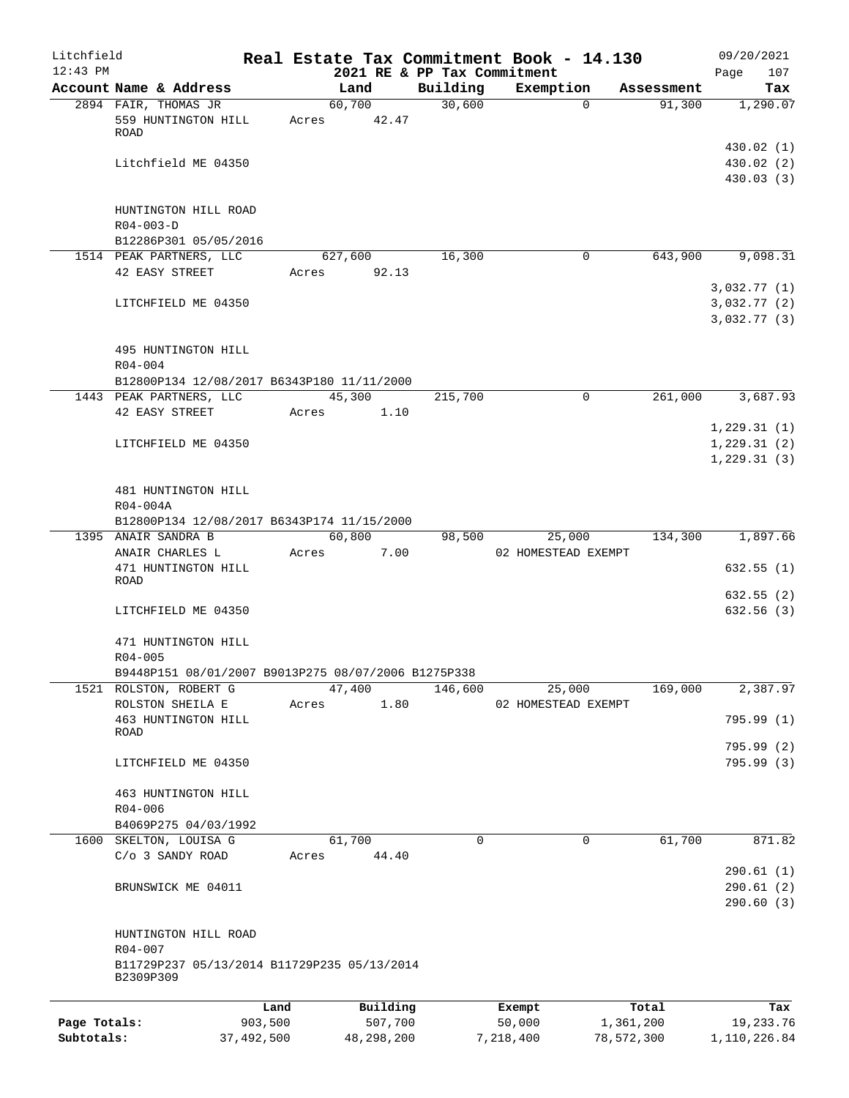| Litchfield   |                                                          |            |                           |                                         | Real Estate Tax Commitment Book - 14.130 |                        | 09/20/2021                          |
|--------------|----------------------------------------------------------|------------|---------------------------|-----------------------------------------|------------------------------------------|------------------------|-------------------------------------|
| $12:43$ PM   | Account Name & Address                                   |            | Land                      | 2021 RE & PP Tax Commitment<br>Building | Exemption                                | Assessment             | Page<br>107<br>Tax                  |
|              | 2894 FAIR, THOMAS JR                                     |            | 60,700                    | 30,600                                  |                                          | 91,300<br>$\mathbf{0}$ | 1,290.07                            |
|              | 559 HUNTINGTON HILL<br><b>ROAD</b>                       | Acres      | 42.47                     |                                         |                                          |                        |                                     |
|              | Litchfield ME 04350                                      |            |                           |                                         |                                          |                        | 430.02(1)<br>430.02 (2)             |
|              |                                                          |            |                           |                                         |                                          |                        | 430.03 (3)                          |
|              | HUNTINGTON HILL ROAD<br>$R04 - 003 - D$                  |            |                           |                                         |                                          |                        |                                     |
|              | B12286P301 05/05/2016                                    |            |                           |                                         |                                          |                        |                                     |
|              | 1514 PEAK PARTNERS, LLC<br>42 EASY STREET                |            | 627,600<br>92.13<br>Acres | 16,300                                  | 0                                        | 643,900                | 9,098.31                            |
|              |                                                          |            |                           |                                         |                                          |                        | 3,032.77(1)                         |
|              | LITCHFIELD ME 04350                                      |            |                           |                                         |                                          |                        | 3,032.77(2)<br>3,032.77(3)          |
|              | 495 HUNTINGTON HILL<br>$R04 - 004$                       |            |                           |                                         |                                          |                        |                                     |
|              | B12800P134 12/08/2017 B6343P180 11/11/2000               |            |                           |                                         |                                          |                        |                                     |
|              | 1443 PEAK PARTNERS, LLC                                  |            | 45,300                    | 215,700                                 | $\mathbf 0$                              | 261,000                | 3,687.93                            |
|              | 42 EASY STREET                                           |            | Acres<br>1.10             |                                         |                                          |                        |                                     |
|              |                                                          |            |                           |                                         |                                          |                        | 1,229.31(1)                         |
|              | LITCHFIELD ME 04350                                      |            |                           |                                         |                                          |                        | 1,229.31(2)                         |
|              |                                                          |            |                           |                                         |                                          |                        | 1,229.31(3)                         |
|              | 481 HUNTINGTON HILL<br>R04-004A                          |            |                           |                                         |                                          |                        |                                     |
|              | B12800P134 12/08/2017 B6343P174 11/15/2000               |            |                           |                                         |                                          |                        |                                     |
|              | 1395 ANAIR SANDRA B                                      |            | 60,800                    | 98,500                                  | 25,000                                   | 134,300                | 1,897.66                            |
|              | ANAIR CHARLES L<br>471 HUNTINGTON HILL<br>ROAD           | Acres      | 7.00                      |                                         | 02 HOMESTEAD EXEMPT                      |                        | 632.55(1)                           |
|              |                                                          |            |                           |                                         |                                          |                        | 632.55 (2)                          |
|              | LITCHFIELD ME 04350                                      |            |                           |                                         |                                          |                        | 632.56 (3)                          |
|              | 471 HUNTINGTON HILL<br>$R04 - 005$                       |            |                           |                                         |                                          |                        |                                     |
|              | B9448P151 08/01/2007 B9013P275 08/07/2006 B1275P338      |            |                           |                                         |                                          |                        |                                     |
|              | 1521 ROLSTON, ROBERT G                                   |            | 47,400                    | 146,600                                 | 25,000                                   | 169,000                | 2,387.97                            |
|              | ROLSTON SHEILA E                                         | Acres      | 1.80                      |                                         | 02 HOMESTEAD EXEMPT                      |                        |                                     |
|              | 463 HUNTINGTON HILL<br>ROAD                              |            |                           |                                         |                                          |                        | 795.99 (1)                          |
|              | LITCHFIELD ME 04350                                      |            |                           |                                         |                                          |                        | 795.99 (2)<br>795.99 (3)            |
|              | 463 HUNTINGTON HILL                                      |            |                           |                                         |                                          |                        |                                     |
|              | $R04 - 006$<br>B4069P275 04/03/1992                      |            |                           |                                         |                                          |                        |                                     |
|              | 1600 SKELTON, LOUISA G                                   |            | 61,700                    | 0                                       | 0                                        | 61,700                 | 871.82                              |
|              | C/o 3 SANDY ROAD                                         | Acres      | 44.40                     |                                         |                                          |                        |                                     |
|              | BRUNSWICK ME 04011                                       |            |                           |                                         |                                          |                        | 290.61(1)<br>290.61(2)<br>290.60(3) |
|              | HUNTINGTON HILL ROAD<br>$R04 - 007$                      |            |                           |                                         |                                          |                        |                                     |
|              | B11729P237 05/13/2014 B11729P235 05/13/2014<br>B2309P309 |            |                           |                                         |                                          |                        |                                     |
|              |                                                          | Land       | Building                  |                                         | Exempt                                   | Total                  | Tax                                 |
| Page Totals: |                                                          | 903,500    | 507,700                   |                                         | 50,000                                   | 1,361,200              | 19,233.76                           |
| Subtotals:   |                                                          | 37,492,500 | 48, 298, 200              |                                         | 7,218,400                                | 78,572,300             | 1,110,226.84                        |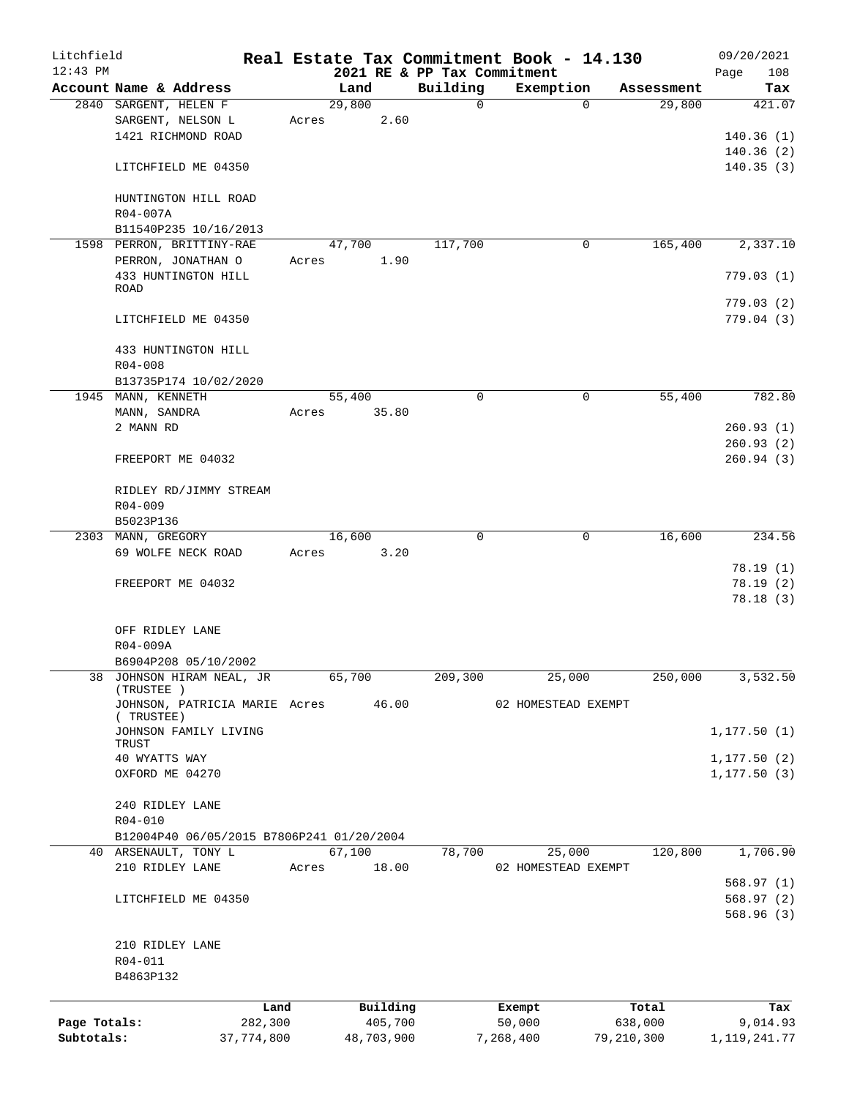| Litchfield   |                                            |       |        |            |                                         | Real Estate Tax Commitment Book - 14.130 |            | 09/20/2021         |
|--------------|--------------------------------------------|-------|--------|------------|-----------------------------------------|------------------------------------------|------------|--------------------|
| $12:43$ PM   | Account Name & Address                     |       | Land   |            | 2021 RE & PP Tax Commitment<br>Building | Exemption                                | Assessment | Page<br>108<br>Tax |
|              | 2840 SARGENT, HELEN F                      |       | 29,800 |            | 0                                       | $\Omega$                                 | 29,800     | 421.07             |
|              | SARGENT, NELSON L                          | Acres |        | 2.60       |                                         |                                          |            |                    |
|              | 1421 RICHMOND ROAD                         |       |        |            |                                         |                                          |            | 140.36(1)          |
|              |                                            |       |        |            |                                         |                                          |            |                    |
|              |                                            |       |        |            |                                         |                                          |            | 140.36(2)          |
|              | LITCHFIELD ME 04350                        |       |        |            |                                         |                                          |            | 140.35(3)          |
|              | HUNTINGTON HILL ROAD<br>R04-007A           |       |        |            |                                         |                                          |            |                    |
|              | B11540P235 10/16/2013                      |       |        |            |                                         |                                          |            |                    |
|              | 1598 PERRON, BRITTINY-RAE                  |       | 47,700 |            | 117,700                                 | 0                                        | 165,400    | 2,337.10           |
|              | PERRON, JONATHAN O                         | Acres |        | 1.90       |                                         |                                          |            |                    |
|              | 433 HUNTINGTON HILL                        |       |        |            |                                         |                                          |            |                    |
|              | <b>ROAD</b>                                |       |        |            |                                         |                                          |            | 779.03(1)          |
|              |                                            |       |        |            |                                         |                                          |            | 779.03(2)          |
|              | LITCHFIELD ME 04350                        |       |        |            |                                         |                                          |            | 779.04 (3)         |
|              |                                            |       |        |            |                                         |                                          |            |                    |
|              |                                            |       |        |            |                                         |                                          |            |                    |
|              | 433 HUNTINGTON HILL                        |       |        |            |                                         |                                          |            |                    |
|              | R04-008                                    |       |        |            |                                         |                                          |            |                    |
|              | B13735P174 10/02/2020                      |       |        |            |                                         |                                          |            |                    |
|              | 1945 MANN, KENNETH                         |       | 55,400 |            | $\mathbf 0$                             | 0                                        | 55,400     | 782.80             |
|              | MANN, SANDRA                               | Acres |        | 35.80      |                                         |                                          |            |                    |
|              | 2 MANN RD                                  |       |        |            |                                         |                                          |            | 260.93(1)          |
|              |                                            |       |        |            |                                         |                                          |            | 260.93(2)          |
|              | FREEPORT ME 04032                          |       |        |            |                                         |                                          |            | 260.94(3)          |
|              |                                            |       |        |            |                                         |                                          |            |                    |
|              | RIDLEY RD/JIMMY STREAM                     |       |        |            |                                         |                                          |            |                    |
|              | $R04 - 009$                                |       |        |            |                                         |                                          |            |                    |
|              | B5023P136                                  |       |        |            |                                         |                                          |            |                    |
|              | 2303 MANN, GREGORY                         |       | 16,600 |            | 0                                       | 0                                        | 16,600     | 234.56             |
|              | 69 WOLFE NECK ROAD                         | Acres |        | 3.20       |                                         |                                          |            |                    |
|              |                                            |       |        |            |                                         |                                          |            | 78.19(1)           |
|              | FREEPORT ME 04032                          |       |        |            |                                         |                                          |            | 78.19(2)           |
|              |                                            |       |        |            |                                         |                                          |            | 78.18(3)           |
|              |                                            |       |        |            |                                         |                                          |            |                    |
|              |                                            |       |        |            |                                         |                                          |            |                    |
|              | OFF RIDLEY LANE                            |       |        |            |                                         |                                          |            |                    |
|              | R04-009A                                   |       |        |            |                                         |                                          |            |                    |
|              | B6904P208 05/10/2002                       |       |        |            |                                         |                                          |            |                    |
|              | 38 JOHNSON HIRAM NEAL, JR                  |       | 65,700 |            | 209,300                                 | 25,000                                   | 250,000    | 3,532.50           |
|              | (TRUSTEE)                                  |       |        |            |                                         |                                          |            |                    |
|              | JOHNSON, PATRICIA MARIE Acres<br>(TRUSTEE) |       |        | 46.00      |                                         | 02 HOMESTEAD EXEMPT                      |            |                    |
|              | JOHNSON FAMILY LIVING                      |       |        |            |                                         |                                          |            | 1, 177.50(1)       |
|              | TRUST                                      |       |        |            |                                         |                                          |            |                    |
|              | 40 WYATTS WAY                              |       |        |            |                                         |                                          |            | 1, 177.50(2)       |
|              | OXFORD ME 04270                            |       |        |            |                                         |                                          |            | 1, 177.50(3)       |
|              |                                            |       |        |            |                                         |                                          |            |                    |
|              | 240 RIDLEY LANE                            |       |        |            |                                         |                                          |            |                    |
|              |                                            |       |        |            |                                         |                                          |            |                    |
|              | R04-010                                    |       |        |            |                                         |                                          |            |                    |
|              | B12004P40 06/05/2015 B7806P241 01/20/2004  |       |        |            |                                         |                                          |            |                    |
|              | 40 ARSENAULT, TONY L                       |       | 67,100 |            | 78,700                                  | 25,000                                   | 120,800    | 1,706.90           |
|              | 210 RIDLEY LANE                            | Acres |        | 18.00      |                                         | 02 HOMESTEAD EXEMPT                      |            |                    |
|              |                                            |       |        |            |                                         |                                          |            | 568.97(1)          |
|              | LITCHFIELD ME 04350                        |       |        |            |                                         |                                          |            | 568.97(2)          |
|              |                                            |       |        |            |                                         |                                          |            | 568.96 (3)         |
|              |                                            |       |        |            |                                         |                                          |            |                    |
|              | 210 RIDLEY LANE                            |       |        |            |                                         |                                          |            |                    |
|              | R04-011                                    |       |        |            |                                         |                                          |            |                    |
|              | B4863P132                                  |       |        |            |                                         |                                          |            |                    |
|              |                                            |       |        |            |                                         |                                          |            |                    |
|              | Land                                       |       |        | Building   |                                         | Exempt                                   | Total      | Tax                |
| Page Totals: | 282,300                                    |       |        | 405,700    |                                         | 50,000                                   | 638,000    | 9,014.93           |
| Subtotals:   | 37,774,800                                 |       |        | 48,703,900 |                                         | 7,268,400                                | 79,210,300 | 1, 119, 241. 77    |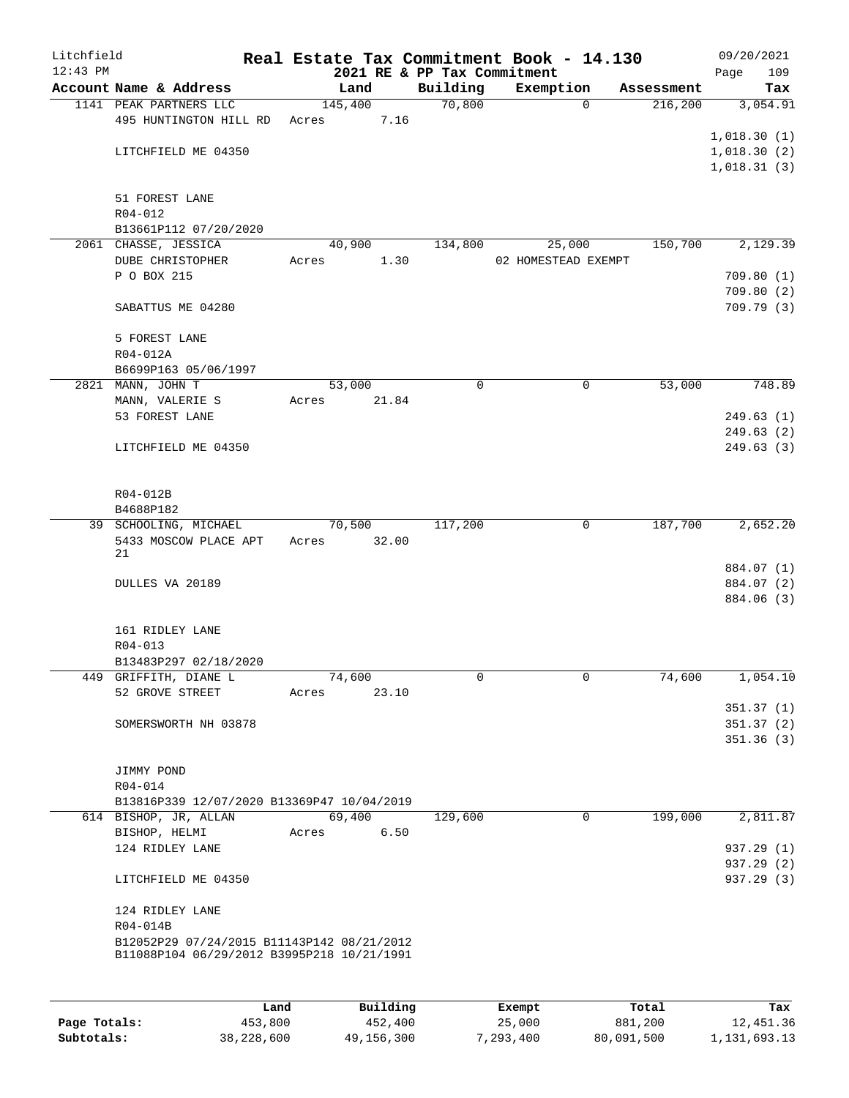| Litchfield |                                            |                |                             | Real Estate Tax Commitment Book - 14.130 |            | 09/20/2021  |
|------------|--------------------------------------------|----------------|-----------------------------|------------------------------------------|------------|-------------|
| $12:43$ PM |                                            |                | 2021 RE & PP Tax Commitment |                                          |            | 109<br>Page |
|            | Account Name & Address                     | Land           | Building                    | Exemption                                | Assessment | Tax         |
|            | 1141 PEAK PARTNERS LLC                     | 145,400        | 70,800                      | 0                                        | 216,200    | 3,054.91    |
|            | 495 HUNTINGTON HILL RD                     | 7.16<br>Acres  |                             |                                          |            |             |
|            |                                            |                |                             |                                          |            | 1,018.30(1) |
|            | LITCHFIELD ME 04350                        |                |                             |                                          |            | 1,018.30(2) |
|            |                                            |                |                             |                                          |            | 1,018.31(3) |
|            |                                            |                |                             |                                          |            |             |
|            | 51 FOREST LANE                             |                |                             |                                          |            |             |
|            | $R04 - 012$                                |                |                             |                                          |            |             |
|            | B13661P112 07/20/2020                      |                |                             |                                          |            |             |
|            | 2061 CHASSE, JESSICA                       | 40,900         | 134,800                     | 25,000                                   | 150,700    | 2,129.39    |
|            | <b>DUBE CHRISTOPHER</b>                    | 1.30<br>Acres  |                             | 02 HOMESTEAD EXEMPT                      |            |             |
|            | P O BOX 215                                |                |                             |                                          |            | 709.80(1)   |
|            |                                            |                |                             |                                          |            | 709.80(2)   |
|            | SABATTUS ME 04280                          |                |                             |                                          |            | 709.79(3)   |
|            |                                            |                |                             |                                          |            |             |
|            | 5 FOREST LANE                              |                |                             |                                          |            |             |
|            | R04-012A                                   |                |                             |                                          |            |             |
|            | B6699P163 05/06/1997                       |                |                             |                                          |            |             |
|            | 2821 MANN, JOHN T                          | 53,000         | 0                           | 0                                        | 53,000     | 748.89      |
|            | MANN, VALERIE S                            | 21.84<br>Acres |                             |                                          |            |             |
|            | 53 FOREST LANE                             |                |                             |                                          |            | 249.63(1)   |
|            |                                            |                |                             |                                          |            | 249.63(2)   |
|            | LITCHFIELD ME 04350                        |                |                             |                                          |            | 249.63(3)   |
|            |                                            |                |                             |                                          |            |             |
|            |                                            |                |                             |                                          |            |             |
|            | R04-012B                                   |                |                             |                                          |            |             |
|            | B4688P182                                  |                |                             |                                          |            |             |
|            | 39 SCHOOLING, MICHAEL                      | 70,500         | 117,200                     | 0                                        | 187,700    | 2,652.20    |
|            | 5433 MOSCOW PLACE APT                      | 32.00<br>Acres |                             |                                          |            |             |
|            | 21                                         |                |                             |                                          |            |             |
|            |                                            |                |                             |                                          |            | 884.07 (1)  |
|            | DULLES VA 20189                            |                |                             |                                          |            | 884.07 (2)  |
|            |                                            |                |                             |                                          |            | 884.06 (3)  |
|            |                                            |                |                             |                                          |            |             |
|            | 161 RIDLEY LANE                            |                |                             |                                          |            |             |
|            | $R04 - 013$                                |                |                             |                                          |            |             |
|            | B13483P297 02/18/2020                      |                |                             |                                          |            |             |
|            | 449 GRIFFITH, DIANE L                      | 74,600         | 0                           | 0                                        | 74,600     | 1,054.10    |
|            | 52 GROVE STREET                            | Acres<br>23.10 |                             |                                          |            |             |
|            |                                            |                |                             |                                          |            | 351.37(1)   |
|            | SOMERSWORTH NH 03878                       |                |                             |                                          |            | 351.37(2)   |
|            |                                            |                |                             |                                          |            | 351.36(3)   |
|            |                                            |                |                             |                                          |            |             |
|            | JIMMY POND                                 |                |                             |                                          |            |             |
|            | R04-014                                    |                |                             |                                          |            |             |
|            | B13816P339 12/07/2020 B13369P47 10/04/2019 |                |                             |                                          |            |             |
|            | 614 BISHOP, JR, ALLAN                      | 69,400         | 129,600                     | $\mathbf 0$                              | 199,000    | 2,811.87    |
|            | BISHOP, HELMI                              | 6.50<br>Acres  |                             |                                          |            |             |
|            | 124 RIDLEY LANE                            |                |                             |                                          |            | 937.29 (1)  |
|            |                                            |                |                             |                                          |            | 937.29 (2)  |
|            | LITCHFIELD ME 04350                        |                |                             |                                          |            | 937.29 (3)  |
|            |                                            |                |                             |                                          |            |             |
|            | 124 RIDLEY LANE                            |                |                             |                                          |            |             |
|            | R04-014B                                   |                |                             |                                          |            |             |
|            | B12052P29 07/24/2015 B11143P142 08/21/2012 |                |                             |                                          |            |             |
|            | B11088P104 06/29/2012 B3995P218 10/21/1991 |                |                             |                                          |            |             |
|            |                                            |                |                             |                                          |            |             |
|            |                                            |                |                             |                                          |            |             |

|              | Land       | Building   | Exempt    | Total      | Tax          |
|--------------|------------|------------|-----------|------------|--------------|
| Page Totals: | 453,800    | 452,400    | 25,000    | 881,200    | 12,451.36    |
| Subtotals:   | 38,228,600 | 49,156,300 | 7,293,400 | 80,091,500 | 1,131,693.13 |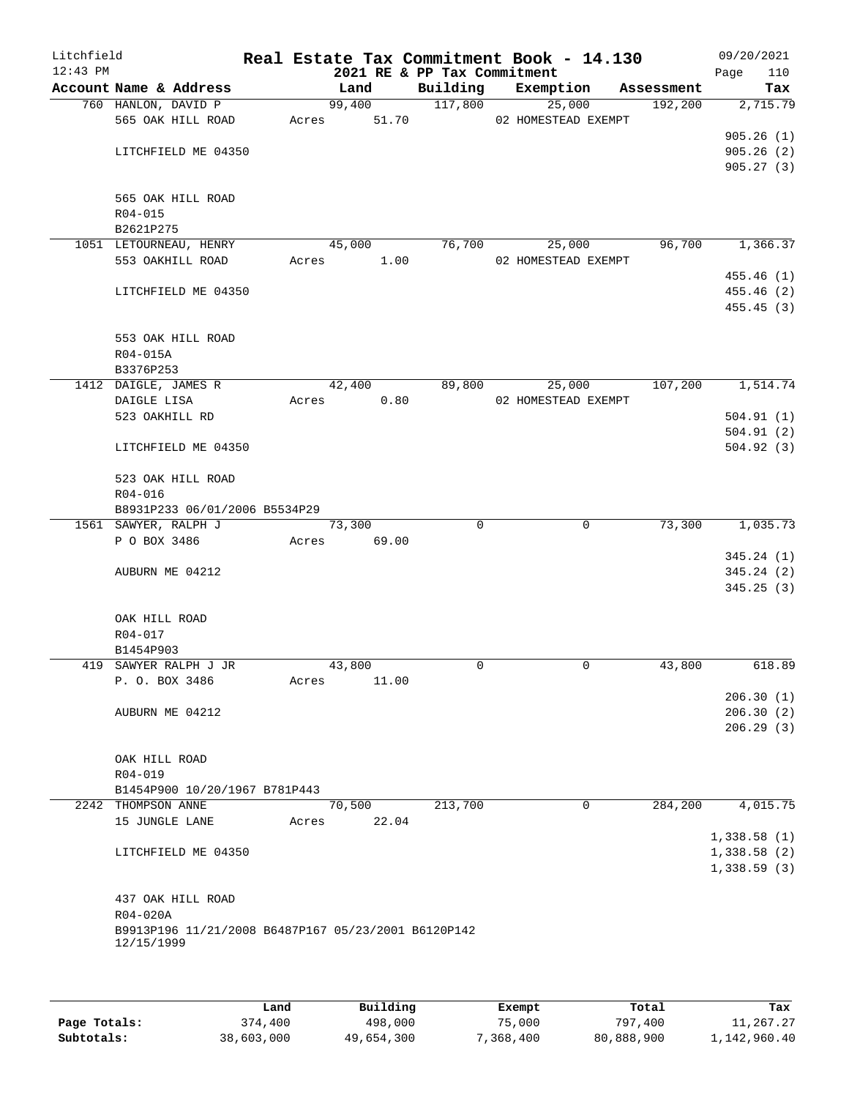| $12:43$ PM |                          |                                                     |       | 2021 RE & PP Tax Commitment |          |                     |            | 110<br>Page |
|------------|--------------------------|-----------------------------------------------------|-------|-----------------------------|----------|---------------------|------------|-------------|
|            |                          | Account Name & Address                              |       | Land                        | Building | Exemption           | Assessment | Tax         |
|            |                          | 760 HANLON, DAVID P                                 |       | 99,400                      | 117,800  | 25,000              | 192,200    | 2,715.79    |
|            |                          | 565 OAK HILL ROAD                                   |       | Acres 51.70                 |          | 02 HOMESTEAD EXEMPT |            |             |
|            |                          |                                                     |       |                             |          |                     |            | 905.26(1)   |
|            |                          | LITCHFIELD ME 04350                                 |       |                             |          |                     |            | 905.26(2)   |
|            |                          |                                                     |       |                             |          |                     |            | 905.27(3)   |
|            |                          |                                                     |       |                             |          |                     |            |             |
|            |                          | 565 OAK HILL ROAD                                   |       |                             |          |                     |            |             |
|            | R04-015<br>B2621P275     |                                                     |       |                             |          |                     |            |             |
|            |                          | 1051 LETOURNEAU, HENRY                              |       | 45,000                      | 76,700   | 25,000              | 96,700     | 1,366.37    |
|            |                          | 553 OAKHILL ROAD                                    | Acres | 1.00                        |          | 02 HOMESTEAD EXEMPT |            |             |
|            |                          |                                                     |       |                             |          |                     |            | 455.46(1)   |
|            |                          | LITCHFIELD ME 04350                                 |       |                             |          |                     |            | 455.46 (2)  |
|            |                          |                                                     |       |                             |          |                     |            | 455.45(3)   |
|            |                          |                                                     |       |                             |          |                     |            |             |
|            |                          | 553 OAK HILL ROAD                                   |       |                             |          |                     |            |             |
|            | R04-015A                 |                                                     |       |                             |          |                     |            |             |
|            | B3376P253                |                                                     |       |                             |          |                     |            |             |
|            |                          | 1412 DAIGLE, JAMES R                                |       | 42,400                      | 89,800   | 25,000              | 107,200    | 1,514.74    |
|            | DAIGLE LISA              |                                                     | Acres | 0.80                        |          | 02 HOMESTEAD EXEMPT |            |             |
|            | 523 OAKHILL RD           |                                                     |       |                             |          |                     |            | 504.91(1)   |
|            |                          |                                                     |       |                             |          |                     |            | 504.91(2)   |
|            |                          | LITCHFIELD ME 04350                                 |       |                             |          |                     |            | 504.92(3)   |
|            |                          | 523 OAK HILL ROAD                                   |       |                             |          |                     |            |             |
|            | R04-016                  |                                                     |       |                             |          |                     |            |             |
|            |                          | B8931P233 06/01/2006 B5534P29                       |       |                             |          |                     |            |             |
|            |                          | 1561 SAWYER, RALPH J                                |       | 73,300                      | $\Omega$ | $\mathbf 0$         | 73,300     | 1,035.73    |
|            | P O BOX 3486             |                                                     | Acres | 69.00                       |          |                     |            |             |
|            |                          |                                                     |       |                             |          |                     |            | 345.24(1)   |
|            | AUBURN ME 04212          |                                                     |       |                             |          |                     |            | 345.24(2)   |
|            |                          |                                                     |       |                             |          |                     |            | 345.25(3)   |
|            |                          |                                                     |       |                             |          |                     |            |             |
|            | OAK HILL ROAD<br>R04-017 |                                                     |       |                             |          |                     |            |             |
|            | B1454P903                |                                                     |       |                             |          |                     |            |             |
|            |                          | 419 SAWYER RALPH J JR                               |       | 43,800                      | 0        | 0                   | 43,800     | 618.89      |
|            | P. O. BOX 3486           |                                                     | Acres | 11.00                       |          |                     |            |             |
|            |                          |                                                     |       |                             |          |                     |            | 206.30(1)   |
|            | AUBURN ME 04212          |                                                     |       |                             |          |                     |            | 206.30(2)   |
|            |                          |                                                     |       |                             |          |                     |            | 206.29(3)   |
|            |                          |                                                     |       |                             |          |                     |            |             |
|            | OAK HILL ROAD            |                                                     |       |                             |          |                     |            |             |
|            | R04-019                  |                                                     |       |                             |          |                     |            |             |
|            |                          | B1454P900 10/20/1967 B781P443                       |       |                             |          |                     |            |             |
|            | 2242 THOMPSON ANNE       |                                                     |       | 70,500                      | 213,700  | 0                   | 284,200    | 4,015.75    |
|            | 15 JUNGLE LANE           |                                                     | Acres | 22.04                       |          |                     |            |             |
|            |                          |                                                     |       |                             |          |                     |            | 1,338.58(1) |
|            |                          | LITCHFIELD ME 04350                                 |       |                             |          |                     |            | 1,338.58(2) |
|            |                          |                                                     |       |                             |          |                     |            | 1,338.59(3) |
|            |                          |                                                     |       |                             |          |                     |            |             |
|            |                          | 437 OAK HILL ROAD                                   |       |                             |          |                     |            |             |
|            | R04-020A                 |                                                     |       |                             |          |                     |            |             |
|            | 12/15/1999               | B9913P196 11/21/2008 B6487P167 05/23/2001 B6120P142 |       |                             |          |                     |            |             |
|            |                          |                                                     |       |                             |          |                     |            |             |
|            |                          |                                                     |       |                             |          |                     |            |             |

|              | Land       | Building   | Exempt    | Total      | Tax          |
|--------------|------------|------------|-----------|------------|--------------|
| Page Totals: | 374,400    | 498,000    | 75,000    | 797,400    | 11,267.27    |
| Subtotals:   | 38,603,000 | 49,654,300 | 7,368,400 | 80,888,900 | 1,142,960.40 |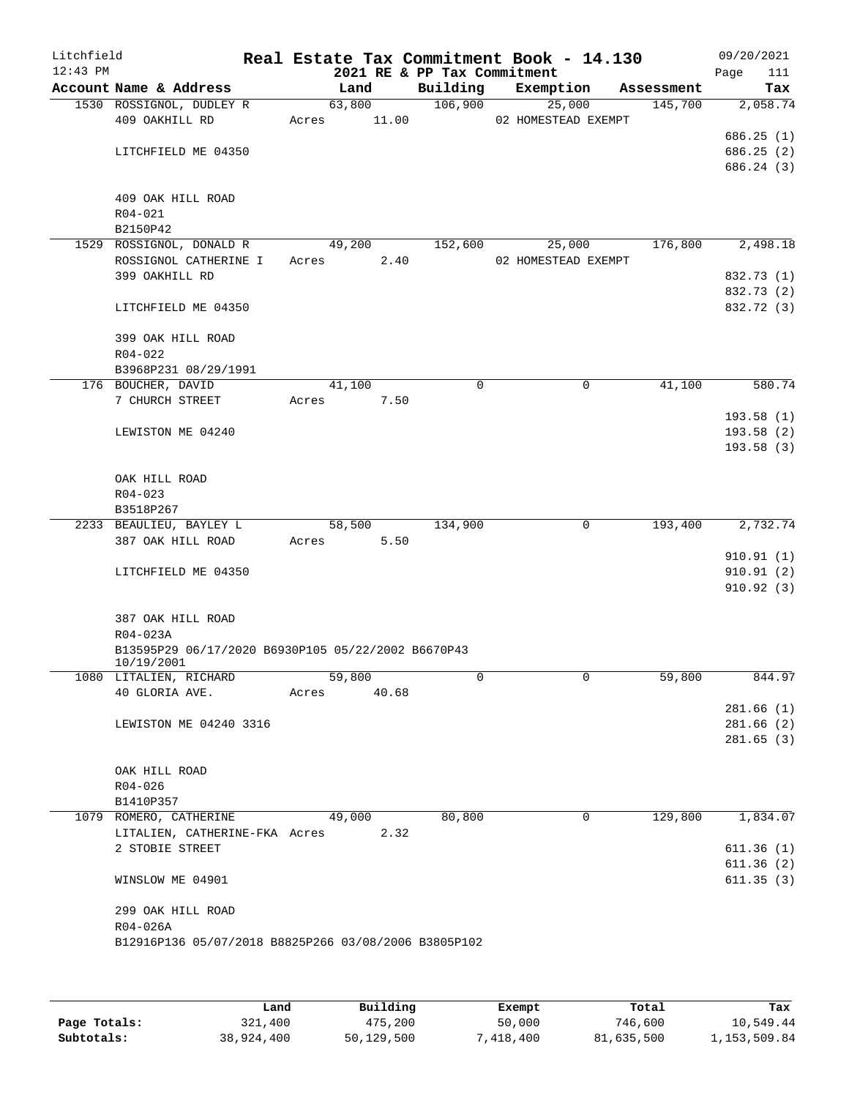| Litchfield<br>$12:43$ PM |                                                      |       |        |       | 2021 RE & PP Tax Commitment | Real Estate Tax Commitment Book - 14.130 |            | 09/20/2021<br>111<br>Page |
|--------------------------|------------------------------------------------------|-------|--------|-------|-----------------------------|------------------------------------------|------------|---------------------------|
|                          | Account Name & Address                               |       | Land   |       | Building                    | Exemption                                | Assessment | Tax                       |
|                          | 1530 ROSSIGNOL, DUDLEY R                             |       | 63,800 |       | 106,900                     | 25,000                                   | 145,700    | 2,058.74                  |
|                          | 409 OAKHILL RD                                       | Acres | 11.00  |       |                             | 02 HOMESTEAD EXEMPT                      |            |                           |
|                          |                                                      |       |        |       |                             |                                          |            | 686.25(1)                 |
|                          | LITCHFIELD ME 04350                                  |       |        |       |                             |                                          |            | 686.25 (2)                |
|                          |                                                      |       |        |       |                             |                                          |            | 686.24 (3)                |
|                          | 409 OAK HILL ROAD                                    |       |        |       |                             |                                          |            |                           |
|                          | $R04 - 021$                                          |       |        |       |                             |                                          |            |                           |
|                          | B2150P42                                             |       |        |       |                             |                                          |            |                           |
|                          | 1529 ROSSIGNOL, DONALD R                             |       | 49,200 |       | 152,600                     | 25,000                                   | 176,800    | 2,498.18                  |
|                          | ROSSIGNOL CATHERINE I                                | Acres |        | 2.40  |                             | 02 HOMESTEAD EXEMPT                      |            |                           |
|                          | 399 OAKHILL RD                                       |       |        |       |                             |                                          |            | 832.73 (1)                |
|                          |                                                      |       |        |       |                             |                                          |            | 832.73 (2)                |
|                          | LITCHFIELD ME 04350                                  |       |        |       |                             |                                          |            | 832.72 (3)                |
|                          |                                                      |       |        |       |                             |                                          |            |                           |
|                          | 399 OAK HILL ROAD                                    |       |        |       |                             |                                          |            |                           |
|                          | $R04 - 022$                                          |       |        |       |                             |                                          |            |                           |
|                          | B3968P231 08/29/1991                                 |       |        |       |                             |                                          |            |                           |
|                          | 176 BOUCHER, DAVID                                   |       | 41,100 |       | 0                           | 0                                        | 41,100     | 580.74                    |
|                          | 7 CHURCH STREET                                      | Acres |        | 7.50  |                             |                                          |            |                           |
|                          | LEWISTON ME 04240                                    |       |        |       |                             |                                          |            | 193.58(1)<br>193.58(2)    |
|                          |                                                      |       |        |       |                             |                                          |            | 193.58(3)                 |
|                          |                                                      |       |        |       |                             |                                          |            |                           |
|                          | OAK HILL ROAD                                        |       |        |       |                             |                                          |            |                           |
|                          | $R04 - 023$                                          |       |        |       |                             |                                          |            |                           |
|                          | B3518P267                                            |       |        |       |                             |                                          |            |                           |
|                          | 2233 BEAULIEU, BAYLEY L                              |       | 58,500 |       | 134,900                     | 0                                        | 193,400    | 2,732.74                  |
|                          | 387 OAK HILL ROAD                                    | Acres |        | 5.50  |                             |                                          |            |                           |
|                          |                                                      |       |        |       |                             |                                          |            | 910.91(1)                 |
|                          | LITCHFIELD ME 04350                                  |       |        |       |                             |                                          |            | 910.91(2)                 |
|                          |                                                      |       |        |       |                             |                                          |            | 910.92(3)                 |
|                          | 387 OAK HILL ROAD                                    |       |        |       |                             |                                          |            |                           |
|                          | R04-023A                                             |       |        |       |                             |                                          |            |                           |
|                          | B13595P29 06/17/2020 B6930P105 05/22/2002 B6670P43   |       |        |       |                             |                                          |            |                           |
|                          | 10/19/2001                                           |       |        |       |                             |                                          |            |                           |
|                          | 1080 LITALIEN, RICHARD                               |       | 59,800 |       | 0                           | 0                                        | 59,800     | 844.97                    |
|                          | 40 GLORIA AVE.                                       | Acres |        | 40.68 |                             |                                          |            |                           |
|                          |                                                      |       |        |       |                             |                                          |            | 281.66(1)                 |
|                          | LEWISTON ME 04240 3316                               |       |        |       |                             |                                          |            | 281.66(2)                 |
|                          |                                                      |       |        |       |                             |                                          |            | 281.65(3)                 |
|                          | OAK HILL ROAD                                        |       |        |       |                             |                                          |            |                           |
|                          | $R04 - 026$                                          |       |        |       |                             |                                          |            |                           |
|                          | B1410P357                                            |       |        |       |                             |                                          |            |                           |
|                          | 1079 ROMERO, CATHERINE                               |       | 49,000 |       | 80,800                      | 0                                        | 129,800    | 1,834.07                  |
|                          | LITALIEN, CATHERINE-FKA Acres                        |       |        | 2.32  |                             |                                          |            |                           |
|                          | 2 STOBIE STREET                                      |       |        |       |                             |                                          |            | 611.36(1)                 |
|                          |                                                      |       |        |       |                             |                                          |            | 611.36(2)                 |
|                          | WINSLOW ME 04901                                     |       |        |       |                             |                                          |            | 611.35(3)                 |
|                          |                                                      |       |        |       |                             |                                          |            |                           |
|                          | 299 OAK HILL ROAD                                    |       |        |       |                             |                                          |            |                           |
|                          | R04-026A                                             |       |        |       |                             |                                          |            |                           |
|                          | B12916P136 05/07/2018 B8825P266 03/08/2006 B3805P102 |       |        |       |                             |                                          |            |                           |
|                          |                                                      |       |        |       |                             |                                          |            |                           |
|                          |                                                      |       |        |       |                             |                                          |            |                           |

|              | Land       | Building   | Exempt    | Total      | Tax          |
|--------------|------------|------------|-----------|------------|--------------|
| Page Totals: | 321,400    | 475,200    | 50,000    | 746,600    | 10,549.44    |
| Subtotals:   | 38,924,400 | 50,129,500 | 7,418,400 | 81,635,500 | 1,153,509.84 |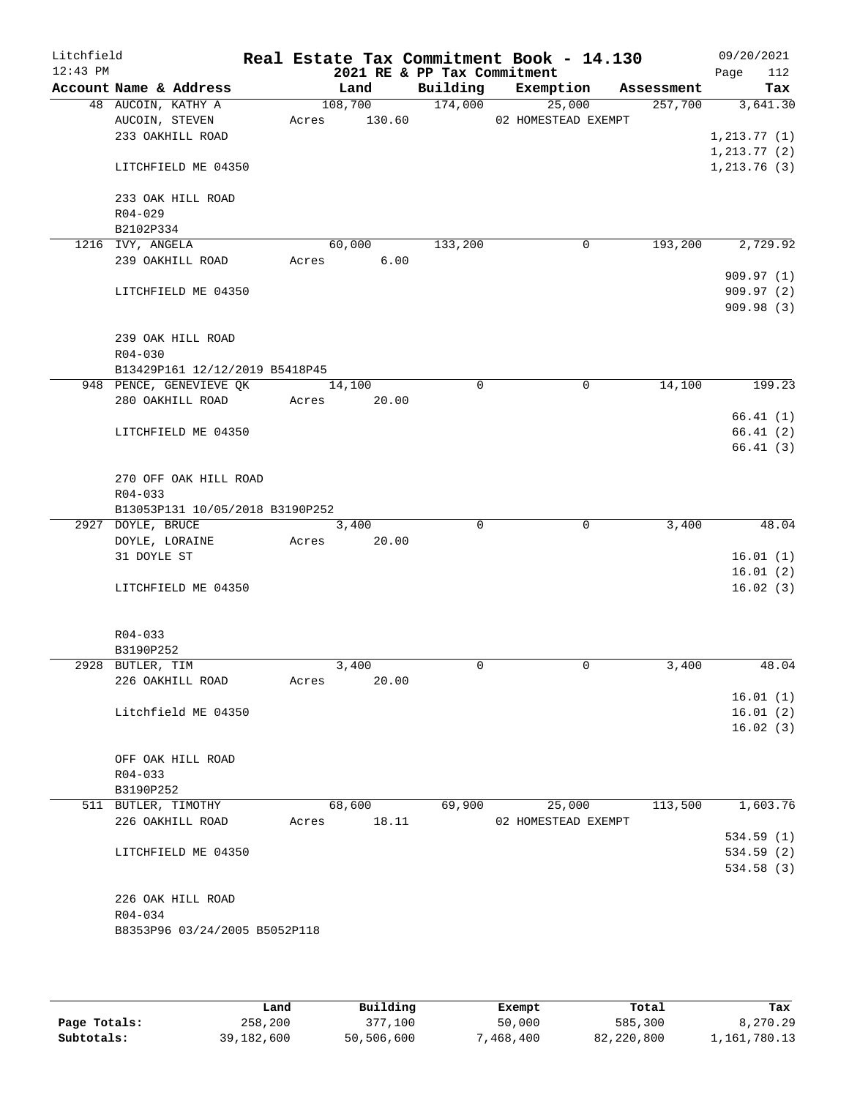| Litchfield |                                                           |       |               |                             | Real Estate Tax Commitment Book - 14.130 |         | 09/20/2021           |
|------------|-----------------------------------------------------------|-------|---------------|-----------------------------|------------------------------------------|---------|----------------------|
| $12:43$ PM |                                                           |       |               | 2021 RE & PP Tax Commitment |                                          |         | Page<br>112          |
|            | Account Name & Address                                    |       | Land          |                             | Building Exemption Assessment            |         | Tax                  |
|            | 48 AUCOIN, KATHY A                                        |       | 108,700       | 174,000                     | 25,000                                   | 257,700 | 3,641.30             |
|            | AUCOIN, STEVEN                                            |       |               |                             | Acres 130.60 02 HOMESTEAD EXEMPT         |         |                      |
|            | 233 OAKHILL ROAD                                          |       |               |                             |                                          |         | 1, 213.77(1)         |
|            |                                                           |       |               |                             |                                          |         | 1, 213.77(2)         |
|            | LITCHFIELD ME 04350                                       |       |               |                             |                                          |         | 1, 213.76(3)         |
|            | 233 OAK HILL ROAD                                         |       |               |                             |                                          |         |                      |
|            | $R04 - 029$                                               |       |               |                             |                                          |         |                      |
|            | B2102P334                                                 |       |               |                             |                                          |         |                      |
|            | 1216 IVY, ANGELA                                          |       | 60,000        | 133,200                     | $\mathbf 0$                              | 193,200 | 2,729.92             |
|            | 239 OAKHILL ROAD                                          |       | 6.00<br>Acres |                             |                                          |         |                      |
|            |                                                           |       |               |                             |                                          |         | 909.97(1)            |
|            | LITCHFIELD ME 04350                                       |       |               |                             |                                          |         | 909.97(2)            |
|            |                                                           |       |               |                             |                                          |         | 909.98(3)            |
|            |                                                           |       |               |                             |                                          |         |                      |
|            | 239 OAK HILL ROAD                                         |       |               |                             |                                          |         |                      |
|            | $R04 - 030$                                               |       |               |                             |                                          |         |                      |
|            | B13429P161 12/12/2019 B5418P45<br>948 PENCE, GENEVIEVE QK |       | 14,100        | $\mathbf 0$                 | $\mathbf 0$                              | 14,100  | 199.23               |
|            | 280 OAKHILL ROAD                                          |       | Acres 20.00   |                             |                                          |         |                      |
|            |                                                           |       |               |                             |                                          |         | 66.41(1)             |
|            | LITCHFIELD ME 04350                                       |       |               |                             |                                          |         | 66.41(2)             |
|            |                                                           |       |               |                             |                                          |         | 66.41(3)             |
|            |                                                           |       |               |                             |                                          |         |                      |
|            | 270 OFF OAK HILL ROAD                                     |       |               |                             |                                          |         |                      |
|            | $R04 - 033$                                               |       |               |                             |                                          |         |                      |
|            | B13053P131 10/05/2018 B3190P252                           |       |               |                             |                                          |         |                      |
|            | 2927 DOYLE, BRUCE                                         |       | 3,400         | $\Omega$                    | $\mathbf 0$                              | 3,400   | 48.04                |
|            | DOYLE, LORAINE<br>31 DOYLE ST                             |       | Acres 20.00   |                             |                                          |         | 16.01(1)             |
|            |                                                           |       |               |                             |                                          |         | 16.01(2)             |
|            | LITCHFIELD ME 04350                                       |       |               |                             |                                          |         | 16.02(3)             |
|            |                                                           |       |               |                             |                                          |         |                      |
|            |                                                           |       |               |                             |                                          |         |                      |
|            | $R04 - 033$                                               |       |               |                             |                                          |         |                      |
|            | B3190P252                                                 |       |               |                             |                                          |         |                      |
|            | 2928 BUTLER, TIM                                          |       | 3,400         | $\Omega$                    | $\Omega$                                 | 3,400   | 48.04                |
|            | 226 OAKHILL ROAD                                          | Acres | 20.00         |                             |                                          |         |                      |
|            | Litchfield ME 04350                                       |       |               |                             |                                          |         | 16.01(1)<br>16.01(2) |
|            |                                                           |       |               |                             |                                          |         | 16.02(3)             |
|            |                                                           |       |               |                             |                                          |         |                      |
|            | OFF OAK HILL ROAD                                         |       |               |                             |                                          |         |                      |
|            | $R04 - 033$                                               |       |               |                             |                                          |         |                      |
|            | B3190P252                                                 |       |               |                             |                                          |         |                      |
|            | 511 BUTLER, TIMOTHY                                       |       | 68,600        | 69,900                      | 25,000                                   | 113,500 | 1,603.76             |
|            | 226 OAKHILL ROAD                                          | Acres | 18.11         |                             | 02 HOMESTEAD EXEMPT                      |         |                      |
|            |                                                           |       |               |                             |                                          |         | 534.59(1)            |
|            | LITCHFIELD ME 04350                                       |       |               |                             |                                          |         | 534.59(2)            |
|            |                                                           |       |               |                             |                                          |         | 534.58 (3)           |
|            | 226 OAK HILL ROAD                                         |       |               |                             |                                          |         |                      |
|            | R04-034                                                   |       |               |                             |                                          |         |                      |
|            | B8353P96 03/24/2005 B5052P118                             |       |               |                             |                                          |         |                      |
|            |                                                           |       |               |                             |                                          |         |                      |
|            |                                                           |       |               |                             |                                          |         |                      |

|              | Land       | Building   | Exempt   | Total      | Tax          |
|--------------|------------|------------|----------|------------|--------------|
| Page Totals: | 258,200    | 377.100    | 50,000   | 585,300    | 8,270.29     |
| Subtotals:   | 39,182,600 | 50,506,600 | .468.400 | 82,220,800 | 1,161,780.13 |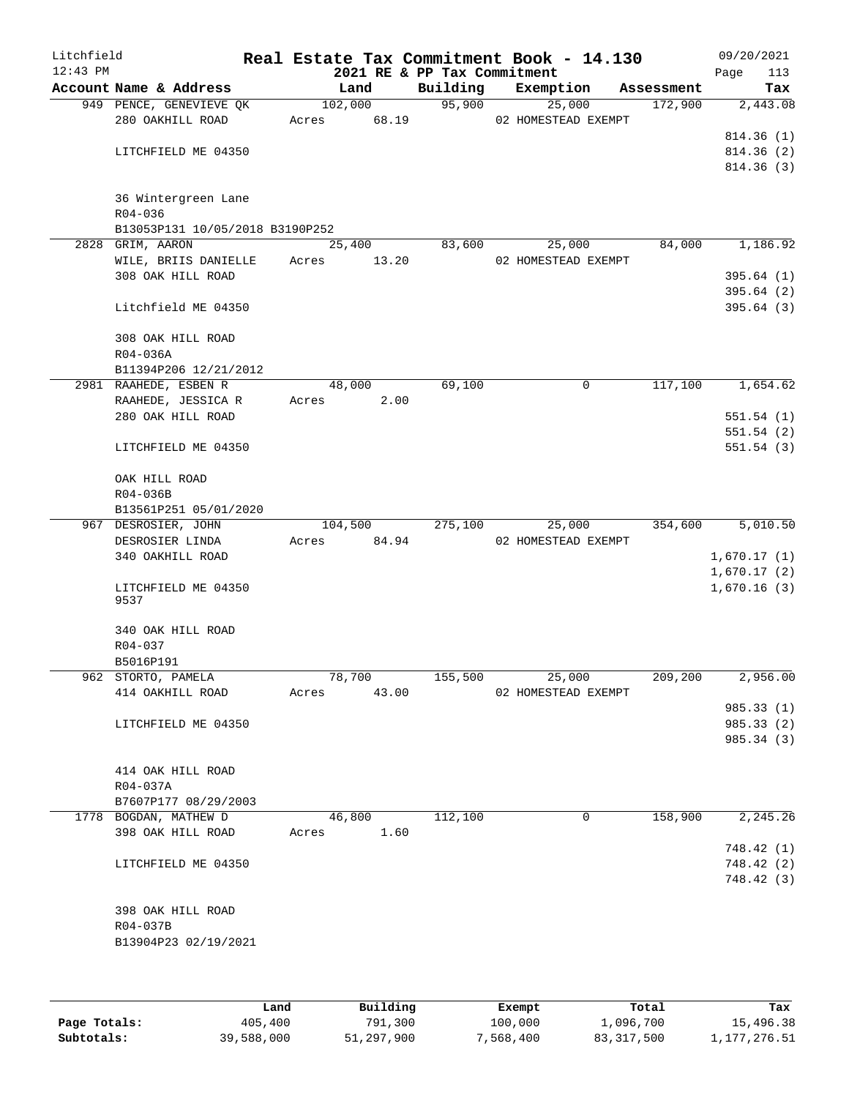| Litchfield |                                             |       |                     |                             | Real Estate Tax Commitment Book - 14.130 |            |      | 09/20/2021               |
|------------|---------------------------------------------|-------|---------------------|-----------------------------|------------------------------------------|------------|------|--------------------------|
| $12:43$ PM |                                             |       |                     | 2021 RE & PP Tax Commitment |                                          |            | Page | 113                      |
|            | Account Name & Address                      |       | Land                | Building                    | Exemption                                | Assessment |      | Tax                      |
|            | 949 PENCE, GENEVIEVE QK<br>280 OAKHILL ROAD | Acres | 102,000<br>68.19    | 95,900                      | 25,000<br>02 HOMESTEAD EXEMPT            | 172,900    |      | 2,443.08                 |
|            |                                             |       |                     |                             |                                          |            |      | 814.36(1)                |
|            | LITCHFIELD ME 04350                         |       |                     |                             |                                          |            |      | 814.36(2)                |
|            |                                             |       |                     |                             |                                          |            |      | 814.36(3)                |
|            | 36 Wintergreen Lane                         |       |                     |                             |                                          |            |      |                          |
|            | R04-036                                     |       |                     |                             |                                          |            |      |                          |
|            | B13053P131 10/05/2018 B3190P252             |       |                     |                             |                                          |            |      |                          |
|            | 2828 GRIM, AARON                            |       | $\overline{25,400}$ | 83,600                      | 25,000                                   | 84,000     |      | 1,186.92                 |
|            | WILE, BRIIS DANIELLE                        | Acres | 13.20               |                             | 02 HOMESTEAD EXEMPT                      |            |      |                          |
|            | 308 OAK HILL ROAD                           |       |                     |                             |                                          |            |      | 395.64(1)<br>395.64(2)   |
|            | Litchfield ME 04350                         |       |                     |                             |                                          |            |      | 395.64(3)                |
|            | 308 OAK HILL ROAD                           |       |                     |                             |                                          |            |      |                          |
|            | R04-036A                                    |       |                     |                             |                                          |            |      |                          |
|            | B11394P206 12/21/2012                       |       |                     |                             |                                          |            |      |                          |
|            | 2981 RAAHEDE, ESBEN R                       |       | 48,000              | 69,100                      | 0                                        | 117,100    |      | 1,654.62                 |
|            | RAAHEDE, JESSICA R                          | Acres | 2.00                |                             |                                          |            |      |                          |
|            | 280 OAK HILL ROAD                           |       |                     |                             |                                          |            |      | 551.54(1)                |
|            | LITCHFIELD ME 04350                         |       |                     |                             |                                          |            |      | 551.54(2)<br>551.54(3)   |
|            | OAK HILL ROAD                               |       |                     |                             |                                          |            |      |                          |
|            | R04-036B                                    |       |                     |                             |                                          |            |      |                          |
|            | B13561P251 05/01/2020                       |       |                     |                             |                                          |            |      |                          |
|            | 967 DESROSIER, JOHN                         |       | 104,500             | 275,100                     | 25,000                                   | 354,600    |      | 5,010.50                 |
|            | DESROSIER LINDA                             | Acres | 84.94               |                             | 02 HOMESTEAD EXEMPT                      |            |      |                          |
|            | 340 OAKHILL ROAD                            |       |                     |                             |                                          |            |      | 1,670.17(1)              |
|            |                                             |       |                     |                             |                                          |            |      | 1,670.17(2)              |
|            | LITCHFIELD ME 04350<br>9537                 |       |                     |                             |                                          |            |      | 1,670.16(3)              |
|            | 340 OAK HILL ROAD                           |       |                     |                             |                                          |            |      |                          |
|            | R04-037                                     |       |                     |                             |                                          |            |      |                          |
|            | B5016P191                                   |       |                     |                             |                                          |            |      |                          |
|            | 962 STORTO, PAMELA                          |       | 78,700              | 155,500                     | 25,000                                   | 209,200    |      | 2,956.00                 |
|            | 414 OAKHILL ROAD                            | Acres | 43.00               |                             | 02 HOMESTEAD EXEMPT                      |            |      |                          |
|            | LITCHFIELD ME 04350                         |       |                     |                             |                                          |            |      | 985.33 (1)<br>985.33 (2) |
|            |                                             |       |                     |                             |                                          |            |      | 985.34 (3)               |
|            |                                             |       |                     |                             |                                          |            |      |                          |
|            | 414 OAK HILL ROAD                           |       |                     |                             |                                          |            |      |                          |
|            | R04-037A                                    |       |                     |                             |                                          |            |      |                          |
|            | B7607P177 08/29/2003                        |       |                     |                             |                                          |            |      |                          |
|            | 1778 BOGDAN, MATHEW D                       |       | 46,800              | 112,100                     | 0                                        | 158,900    |      | 2,245.26                 |
|            | 398 OAK HILL ROAD                           | Acres | 1.60                |                             |                                          |            |      |                          |
|            |                                             |       |                     |                             |                                          |            |      | 748.42 (1)               |
|            | LITCHFIELD ME 04350                         |       |                     |                             |                                          |            |      | 748.42 (2)               |
|            |                                             |       |                     |                             |                                          |            |      | 748.42 (3)               |
|            | 398 OAK HILL ROAD                           |       |                     |                             |                                          |            |      |                          |
|            | R04-037B                                    |       |                     |                             |                                          |            |      |                          |
|            | B13904P23 02/19/2021                        |       |                     |                             |                                          |            |      |                          |
|            |                                             |       |                     |                             |                                          |            |      |                          |
|            |                                             |       |                     |                             |                                          |            |      |                          |
|            |                                             |       |                     |                             |                                          |            |      |                          |

|              | Land       | Building   | Exempt    | Total      | Tax          |
|--------------|------------|------------|-----------|------------|--------------|
| Page Totals: | 405,400    | 791,300    | 100,000   | 1,096,700  | 15,496.38    |
| Subtotals:   | 39,588,000 | 51,297,900 | 7,568,400 | 83,317,500 | 1,177,276.51 |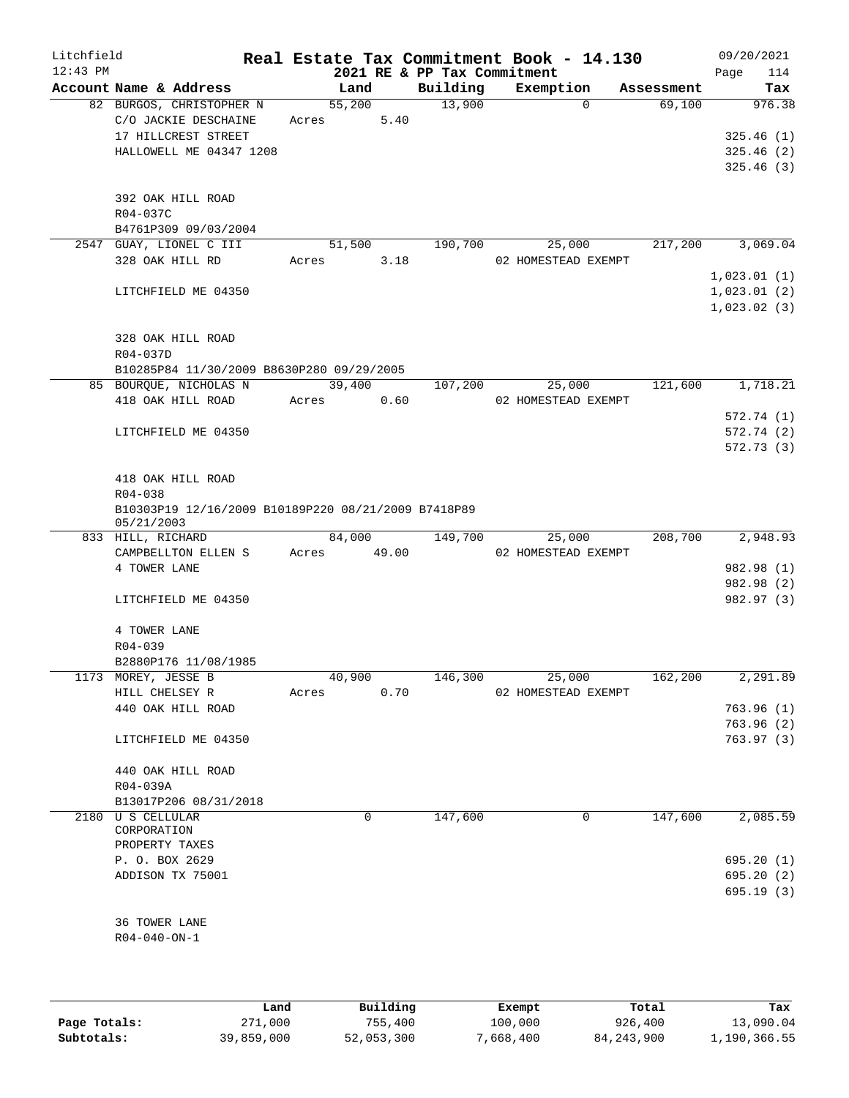| Litchfield<br>$12:43$ PM |                                                                                  |       |                | 2021 RE & PP Tax Commitment | Real Estate Tax Commitment Book - 14.130   |            | 09/20/2021<br>114<br>Page  |
|--------------------------|----------------------------------------------------------------------------------|-------|----------------|-----------------------------|--------------------------------------------|------------|----------------------------|
|                          | Account Name & Address                                                           |       | Land           | Building                    | Exemption                                  | Assessment | Tax                        |
|                          | 82 BURGOS, CHRISTOPHER N<br>C/O JACKIE DESCHAINE<br>17 HILLCREST STREET          | Acres | 55,200<br>5.40 | 13,900                      | $\Omega$                                   | 69,100     | 976.38<br>325.46(1)        |
|                          | HALLOWELL ME 04347 1208<br>392 OAK HILL ROAD                                     |       |                |                             |                                            |            | 325.46(2)<br>325.46(3)     |
|                          | R04-037C<br>B4761P309 09/03/2004                                                 |       |                |                             |                                            |            |                            |
|                          | 2547 GUAY, LIONEL C III                                                          |       | 51,500         | 190,700                     | 25,000                                     | 217,200    | 3,069.04                   |
|                          | 328 OAK HILL RD                                                                  | Acres | 3.18           |                             | 02 HOMESTEAD EXEMPT                        |            | 1,023.01(1)                |
|                          | LITCHFIELD ME 04350                                                              |       |                |                             |                                            |            | 1,023.01(2)<br>1,023.02(3) |
|                          | 328 OAK HILL ROAD<br>R04-037D                                                    |       |                |                             |                                            |            |                            |
|                          | B10285P84 11/30/2009 B8630P280 09/29/2005<br>85 BOURQUE, NICHOLAS N              |       | 39,400         | 107,200                     | 25,000                                     | 121,600    | 1,718.21                   |
|                          | 418 OAK HILL ROAD                                                                | Acres | 0.60           |                             | 02 HOMESTEAD EXEMPT                        |            | 572.74(1)                  |
|                          | LITCHFIELD ME 04350                                                              |       |                |                             |                                            |            | 572.74 (2)                 |
|                          |                                                                                  |       |                |                             |                                            |            | 572.73(3)                  |
|                          | 418 OAK HILL ROAD                                                                |       |                |                             |                                            |            |                            |
|                          | $R04 - 038$<br>B10303P19 12/16/2009 B10189P220 08/21/2009 B7418P89<br>05/21/2003 |       |                |                             |                                            |            |                            |
|                          | 833 HILL, RICHARD                                                                |       | 84,000         | 149,700                     | 25,000                                     | 208,700    | 2,948.93                   |
|                          | CAMPBELLTON ELLEN S                                                              | Acres | 49.00          |                             | 02 HOMESTEAD EXEMPT                        |            |                            |
|                          | 4 TOWER LANE                                                                     |       |                |                             |                                            |            | 982.98 (1)<br>982.98 (2)   |
|                          | LITCHFIELD ME 04350                                                              |       |                |                             |                                            |            | 982.97 (3)                 |
|                          | 4 TOWER LANE                                                                     |       |                |                             |                                            |            |                            |
|                          | R04-039                                                                          |       |                |                             |                                            |            |                            |
|                          | B2880P176 11/08/1985                                                             |       |                |                             |                                            |            |                            |
|                          | 1173 MOREY, JESSE B<br>HILL CHELSEY R                                            | Acres | 40,900<br>0.70 | 146,300                     | $\overline{25,000}$<br>02 HOMESTEAD EXEMPT | 162,200    | 2,291.89                   |
|                          | 440 OAK HILL ROAD                                                                |       |                |                             |                                            |            | 763.96(1)<br>763.96(2)     |
|                          | LITCHFIELD ME 04350                                                              |       |                |                             |                                            |            | 763.97(3)                  |
|                          | 440 OAK HILL ROAD<br>R04-039A                                                    |       |                |                             |                                            |            |                            |
|                          | B13017P206 08/31/2018                                                            |       |                |                             |                                            |            |                            |
|                          | 2180 U S CELLULAR<br>CORPORATION                                                 |       | 0              | 147,600                     | 0                                          | 147,600    | 2,085.59                   |
|                          | PROPERTY TAXES                                                                   |       |                |                             |                                            |            |                            |
|                          | P. O. BOX 2629                                                                   |       |                |                             |                                            |            | 695.20(1)                  |
|                          | ADDISON TX 75001                                                                 |       |                |                             |                                            |            | 695.20(2)<br>695.19(3)     |
|                          | 36 TOWER LANE                                                                    |       |                |                             |                                            |            |                            |
|                          | $R04 - 040 - ON - 1$                                                             |       |                |                             |                                            |            |                            |
|                          |                                                                                  |       |                |                             |                                            |            |                            |
|                          |                                                                                  |       |                |                             |                                            |            |                            |

|              | Land       | Building   | Exempt    | Total        | Tax          |
|--------------|------------|------------|-----------|--------------|--------------|
| Page Totals: | 271,000    | 755,400    | 100,000   | 926,400      | 13,090.04    |
| Subtotals:   | 39,859,000 | 52,053,300 | 7,668,400 | 84, 243, 900 | 1,190,366.55 |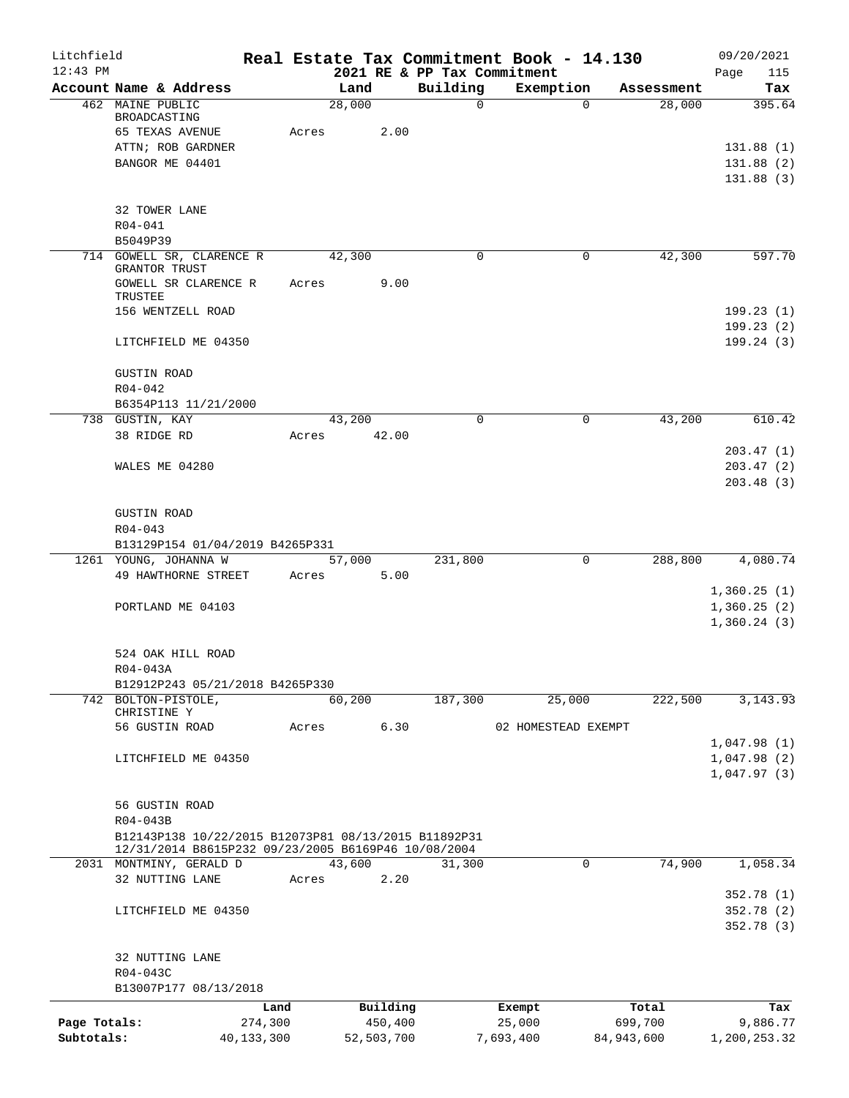| Litchfield<br>$12:43$ PM |                                                      |            |        |            | 2021 RE & PP Tax Commitment | Real Estate Tax Commitment Book - 14.130 |                       | 09/20/2021<br>Page<br>115  |
|--------------------------|------------------------------------------------------|------------|--------|------------|-----------------------------|------------------------------------------|-----------------------|----------------------------|
|                          | Account Name & Address                               |            | Land   |            | Building                    | Exemption                                | Assessment            | Tax                        |
|                          | 462 MAINE PUBLIC<br>BROADCASTING                     |            | 28,000 |            | $\mathsf{O}$                |                                          | 28,000<br>$\Omega$    | 395.64                     |
|                          | 65 TEXAS AVENUE                                      | Acres      |        | 2.00       |                             |                                          |                       |                            |
|                          | ATTN; ROB GARDNER                                    |            |        |            |                             |                                          |                       | 131.88(1)                  |
|                          | BANGOR ME 04401                                      |            |        |            |                             |                                          |                       | 131.88 (2)                 |
|                          |                                                      |            |        |            |                             |                                          |                       | 131.88(3)                  |
|                          | 32 TOWER LANE                                        |            |        |            |                             |                                          |                       |                            |
|                          | $R04 - 041$                                          |            |        |            |                             |                                          |                       |                            |
|                          | B5049P39                                             |            |        |            |                             |                                          |                       |                            |
|                          | 714 GOWELL SR, CLARENCE R<br>GRANTOR TRUST           |            | 42,300 |            | $\Omega$                    |                                          | 42,300<br>0           | 597.70                     |
|                          | GOWELL SR CLARENCE R                                 | Acres      |        | 9.00       |                             |                                          |                       |                            |
|                          | TRUSTEE                                              |            |        |            |                             |                                          |                       |                            |
|                          | 156 WENTZELL ROAD                                    |            |        |            |                             |                                          |                       | 199.23(1)                  |
|                          |                                                      |            |        |            |                             |                                          |                       | 199.23(2)                  |
|                          | LITCHFIELD ME 04350                                  |            |        |            |                             |                                          |                       | 199.24(3)                  |
|                          | <b>GUSTIN ROAD</b>                                   |            |        |            |                             |                                          |                       |                            |
|                          | $R04 - 042$                                          |            |        |            |                             |                                          |                       |                            |
|                          | B6354P113 11/21/2000<br>738 GUSTIN, KAY              |            |        |            | $\mathbf 0$                 |                                          | $\mathbf 0$<br>43,200 |                            |
|                          | 38 RIDGE RD                                          | Acres      | 43,200 | 42.00      |                             |                                          |                       | 610.42                     |
|                          |                                                      |            |        |            |                             |                                          |                       | 203.47(1)                  |
|                          | WALES ME 04280                                       |            |        |            |                             |                                          |                       | 203.47(2)                  |
|                          |                                                      |            |        |            |                             |                                          |                       | 203.48(3)                  |
|                          | <b>GUSTIN ROAD</b>                                   |            |        |            |                             |                                          |                       |                            |
|                          | $R04 - 043$                                          |            |        |            |                             |                                          |                       |                            |
|                          | B13129P154 01/04/2019 B4265P331                      |            |        |            |                             |                                          |                       |                            |
|                          | 1261 YOUNG, JOHANNA W                                |            | 57,000 |            | 231,800                     |                                          | 288,800<br>0          | 4,080.74                   |
|                          | 49 HAWTHORNE STREET                                  | Acres      |        | 5.00       |                             |                                          |                       |                            |
|                          | PORTLAND ME 04103                                    |            |        |            |                             |                                          |                       | 1,360.25(1)<br>1,360.25(2) |
|                          |                                                      |            |        |            |                             |                                          |                       | 1,360.24(3)                |
|                          |                                                      |            |        |            |                             |                                          |                       |                            |
|                          | 524 OAK HILL ROAD                                    |            |        |            |                             |                                          |                       |                            |
|                          | R04-043A                                             |            |        |            |                             |                                          |                       |                            |
|                          | B12912P243 05/21/2018 B4265P330                      |            |        |            |                             |                                          |                       |                            |
|                          | 742 BOLTON-PISTOLE,<br>CHRISTINE Y                   |            | 60,200 |            | 187,300                     | 25,000                                   | 222,500               | 3, 143. 93                 |
|                          | 56 GUSTIN ROAD                                       | Acres      |        | 6.30       |                             | 02 HOMESTEAD EXEMPT                      |                       |                            |
|                          |                                                      |            |        |            |                             |                                          |                       | 1,047.98(1)                |
|                          | LITCHFIELD ME 04350                                  |            |        |            |                             |                                          |                       | 1,047.98(2)                |
|                          |                                                      |            |        |            |                             |                                          |                       | 1,047.97(3)                |
|                          | 56 GUSTIN ROAD                                       |            |        |            |                             |                                          |                       |                            |
|                          | R04-043B                                             |            |        |            |                             |                                          |                       |                            |
|                          | B12143P138 10/22/2015 B12073P81 08/13/2015 B11892P31 |            |        |            |                             |                                          |                       |                            |
|                          | 12/31/2014 B8615P232 09/23/2005 B6169P46 10/08/2004  |            |        |            |                             |                                          |                       |                            |
|                          | 2031 MONTMINY, GERALD D<br>32 NUTTING LANE           | Acres      | 43,600 | 2.20       | 31,300                      |                                          | $\mathbf 0$<br>74,900 | 1,058.34                   |
|                          |                                                      |            |        |            |                             |                                          |                       | 352.78(1)                  |
|                          | LITCHFIELD ME 04350                                  |            |        |            |                             |                                          |                       | 352.78(2)                  |
|                          |                                                      |            |        |            |                             |                                          |                       | 352.78(3)                  |
|                          | 32 NUTTING LANE                                      |            |        |            |                             |                                          |                       |                            |
|                          | R04-043C                                             |            |        |            |                             |                                          |                       |                            |
|                          | B13007P177 08/13/2018                                |            |        |            |                             |                                          |                       |                            |
|                          |                                                      | Land       |        | Building   |                             | Exempt                                   | Total                 | Tax                        |
| Page Totals:             |                                                      | 274,300    |        | 450,400    |                             | 25,000                                   | 699,700               | 9,886.77                   |
| Subtotals:               |                                                      | 40,133,300 |        | 52,503,700 |                             | 7,693,400                                | 84,943,600            | 1,200,253.32               |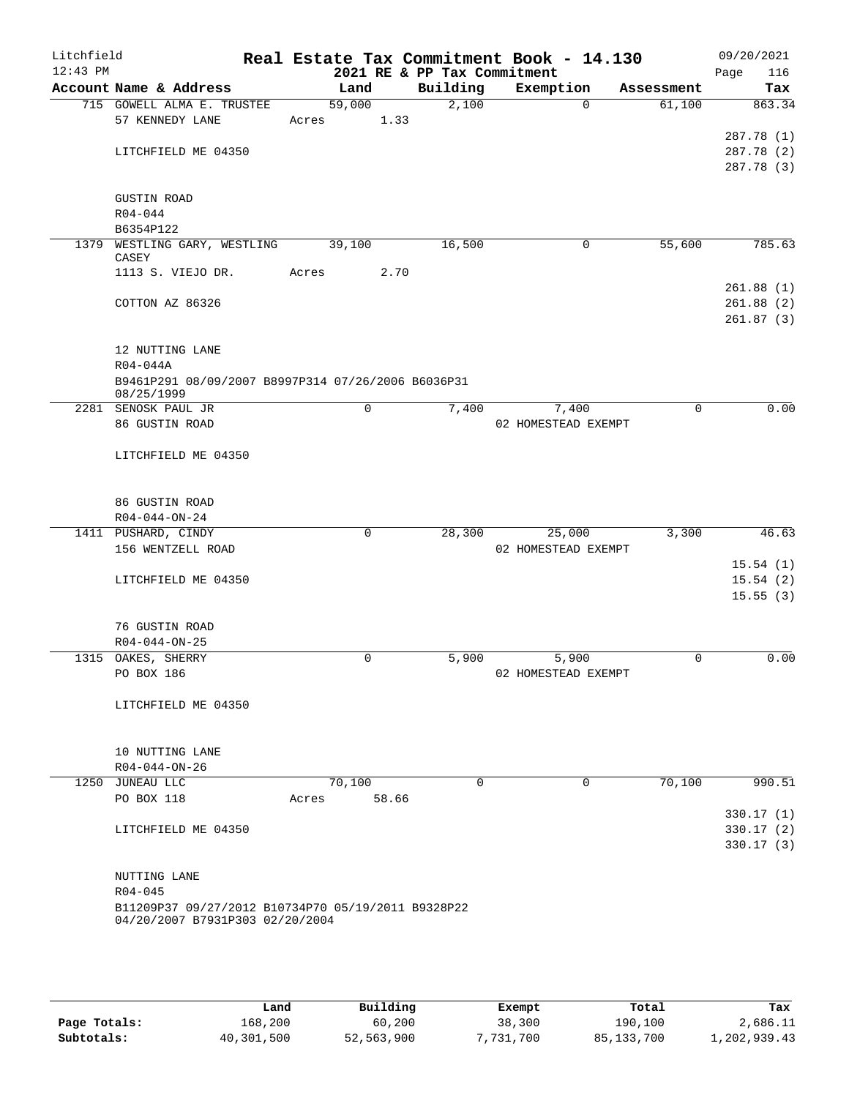| Litchfield<br>$12:43$ PM |                                                    |                | 2021 RE & PP Tax Commitment | Real Estate Tax Commitment Book - 14.130 |            | 09/20/2021<br>Page<br>116 |
|--------------------------|----------------------------------------------------|----------------|-----------------------------|------------------------------------------|------------|---------------------------|
|                          | Account Name & Address                             | Land           | Building                    | Exemption                                | Assessment | Tax                       |
|                          | 715 GOWELL ALMA E. TRUSTEE                         | 59,000         | 2,100                       | $\Omega$                                 | 61,100     | 863.34                    |
|                          | 57 KENNEDY LANE                                    | 1.33<br>Acres  |                             |                                          |            |                           |
|                          |                                                    |                |                             |                                          |            | 287.78 (1)                |
|                          | LITCHFIELD ME 04350                                |                |                             |                                          |            | 287.78 (2)                |
|                          |                                                    |                |                             |                                          |            | 287.78 (3)                |
|                          |                                                    |                |                             |                                          |            |                           |
|                          | <b>GUSTIN ROAD</b>                                 |                |                             |                                          |            |                           |
|                          | $R04 - 044$                                        |                |                             |                                          |            |                           |
|                          | B6354P122                                          |                |                             |                                          |            |                           |
|                          | 1379 WESTLING GARY, WESTLING                       | 39,100         | 16,500                      | 0                                        | 55,600     | 785.63                    |
|                          | CASEY<br>1113 S. VIEJO DR.                         | 2.70<br>Acres  |                             |                                          |            |                           |
|                          |                                                    |                |                             |                                          |            | 261.88(1)                 |
|                          | COTTON AZ 86326                                    |                |                             |                                          |            | 261.88(2)                 |
|                          |                                                    |                |                             |                                          |            | 261.87(3)                 |
|                          |                                                    |                |                             |                                          |            |                           |
|                          | 12 NUTTING LANE                                    |                |                             |                                          |            |                           |
|                          | R04-044A                                           |                |                             |                                          |            |                           |
|                          | B9461P291 08/09/2007 B8997P314 07/26/2006 B6036P31 |                |                             |                                          |            |                           |
|                          | 08/25/1999                                         |                |                             |                                          |            |                           |
|                          | 2281 SENOSK PAUL JR                                | $\mathbf 0$    | 7,400                       | 7,400                                    | $\Omega$   | 0.00                      |
|                          | 86 GUSTIN ROAD                                     |                |                             | 02 HOMESTEAD EXEMPT                      |            |                           |
|                          |                                                    |                |                             |                                          |            |                           |
|                          | LITCHFIELD ME 04350                                |                |                             |                                          |            |                           |
|                          |                                                    |                |                             |                                          |            |                           |
|                          |                                                    |                |                             |                                          |            |                           |
|                          | 86 GUSTIN ROAD                                     |                |                             |                                          |            |                           |
|                          | $R04 - 044 - ON - 24$                              |                |                             |                                          |            |                           |
|                          | 1411 PUSHARD, CINDY                                | $\mathbf 0$    | 28,300                      | 25,000                                   | 3,300      | 46.63                     |
|                          | 156 WENTZELL ROAD                                  |                |                             | 02 HOMESTEAD EXEMPT                      |            |                           |
|                          |                                                    |                |                             |                                          |            | 15.54(1)                  |
|                          | LITCHFIELD ME 04350                                |                |                             |                                          |            | 15.54(2)<br>15.55(3)      |
|                          |                                                    |                |                             |                                          |            |                           |
|                          | 76 GUSTIN ROAD                                     |                |                             |                                          |            |                           |
|                          | $R04 - 044 - ON - 25$                              |                |                             |                                          |            |                           |
|                          | 1315 OAKES, SHERRY                                 | 0              | 5,900                       | 5,900                                    | 0          | 0.00                      |
|                          | PO BOX 186                                         |                |                             | 02 HOMESTEAD EXEMPT                      |            |                           |
|                          |                                                    |                |                             |                                          |            |                           |
|                          | LITCHFIELD ME 04350                                |                |                             |                                          |            |                           |
|                          |                                                    |                |                             |                                          |            |                           |
|                          |                                                    |                |                             |                                          |            |                           |
|                          | 10 NUTTING LANE                                    |                |                             |                                          |            |                           |
|                          | R04-044-ON-26                                      |                |                             |                                          |            |                           |
|                          | 1250 JUNEAU LLC                                    | 70,100         | $\Omega$                    | 0                                        | 70,100     | 990.51                    |
|                          | PO BOX 118                                         | 58.66<br>Acres |                             |                                          |            |                           |
|                          |                                                    |                |                             |                                          |            | 330.17(1)                 |
|                          | LITCHFIELD ME 04350                                |                |                             |                                          |            | 330.17(2)                 |
|                          |                                                    |                |                             |                                          |            | 330.17(3)                 |
|                          |                                                    |                |                             |                                          |            |                           |
|                          | NUTTING LANE                                       |                |                             |                                          |            |                           |
|                          | $R04 - 045$                                        |                |                             |                                          |            |                           |
|                          | B11209P37 09/27/2012 B10734P70 05/19/2011 B9328P22 |                |                             |                                          |            |                           |
|                          | 04/20/2007 B7931P303 02/20/2004                    |                |                             |                                          |            |                           |
|                          |                                                    |                |                             |                                          |            |                           |
|                          |                                                    |                |                             |                                          |            |                           |

|              | Land       | Building   | Exempt    | Total        | Tax          |
|--------------|------------|------------|-----------|--------------|--------------|
| Page Totals: | 168,200    | 60,200     | 38,300    | 190,100      | 2,686.11     |
| Subtotals:   | 40,301,500 | 52,563,900 | 7,731,700 | 85, 133, 700 | 1,202,939.43 |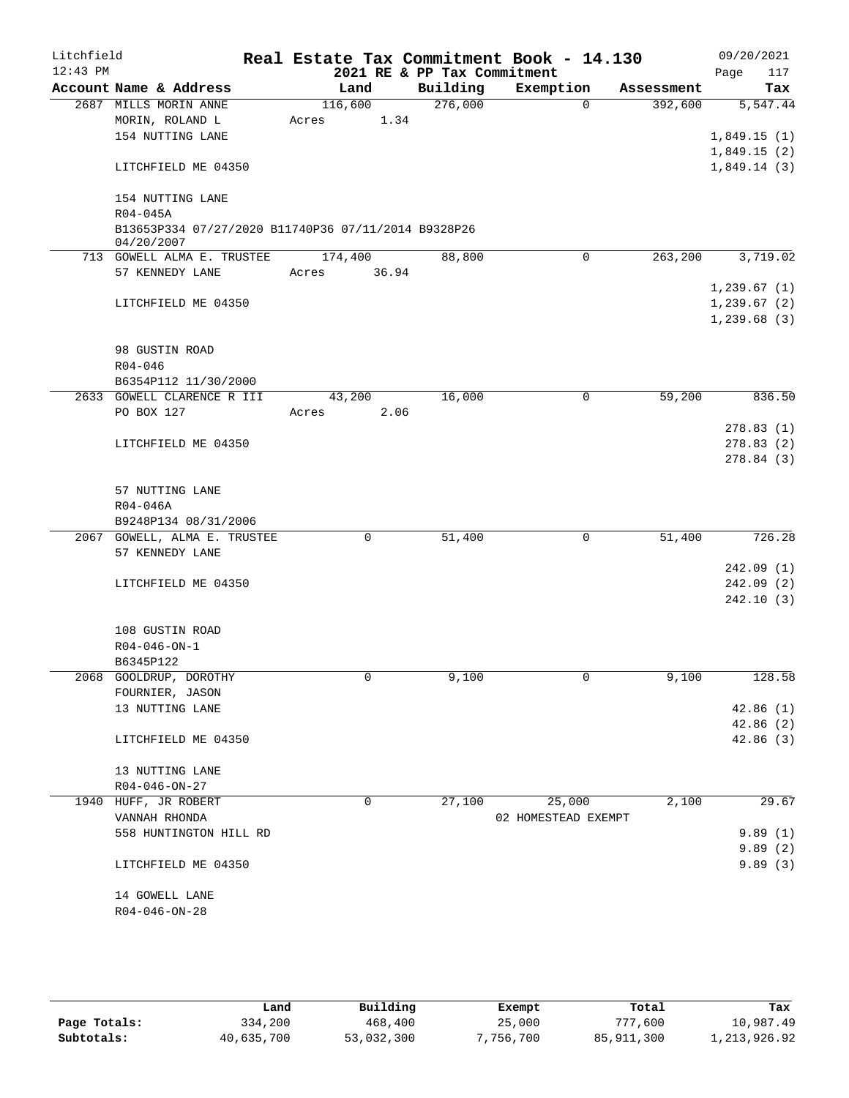| Litchfield<br>$12:43$ PM |              |                                                      |       |             | 2021 RE & PP Tax Commitment | Real Estate Tax Commitment Book - 14.130 |             |            | 09/20/2021<br>117<br>Page |
|--------------------------|--------------|------------------------------------------------------|-------|-------------|-----------------------------|------------------------------------------|-------------|------------|---------------------------|
|                          |              | Account Name & Address                               |       | Land        | Building                    | Exemption                                |             | Assessment | Tax                       |
|                          |              | 2687 MILLS MORIN ANNE                                |       | 116,600     | 276,000                     |                                          | $\Omega$    | 392,600    | 5,547.44                  |
|                          |              | MORIN, ROLAND L                                      | Acres | 1.34        |                             |                                          |             |            |                           |
|                          |              | 154 NUTTING LANE                                     |       |             |                             |                                          |             |            | 1,849.15(1)               |
|                          |              |                                                      |       |             |                             |                                          |             |            | 1,849.15(2)               |
|                          |              | LITCHFIELD ME 04350                                  |       |             |                             |                                          |             |            | 1,849.14(3)               |
|                          |              | 154 NUTTING LANE                                     |       |             |                             |                                          |             |            |                           |
|                          | $R04 - 045A$ |                                                      |       |             |                             |                                          |             |            |                           |
|                          | 04/20/2007   | B13653P334 07/27/2020 B11740P36 07/11/2014 B9328P26  |       |             |                             |                                          |             |            |                           |
|                          |              | 713 GOWELL ALMA E. TRUSTEE                           |       | 174,400     | 88,800                      |                                          | $\mathbf 0$ | 263,200    | 3,719.02                  |
|                          |              | 57 KENNEDY LANE                                      | Acres | 36.94       |                             |                                          |             |            |                           |
|                          |              |                                                      |       |             |                             |                                          |             |            | 1,239.67(1)               |
|                          |              | LITCHFIELD ME 04350                                  |       |             |                             |                                          |             |            | 1, 239.67(2)              |
|                          |              |                                                      |       |             |                             |                                          |             |            | 1, 239.68(3)              |
|                          |              |                                                      |       |             |                             |                                          |             |            |                           |
|                          |              | 98 GUSTIN ROAD                                       |       |             |                             |                                          |             |            |                           |
|                          | $R04 - 046$  |                                                      |       |             |                             |                                          |             |            |                           |
|                          |              | B6354P112 11/30/2000                                 |       |             |                             |                                          |             |            |                           |
|                          |              | 2633 GOWELL CLARENCE R III                           |       | 43,200      | 16,000                      |                                          | 0           | 59,200     | 836.50                    |
|                          | PO BOX 127   |                                                      | Acres | 2.06        |                             |                                          |             |            |                           |
|                          |              |                                                      |       |             |                             |                                          |             |            | 278.83(1)                 |
|                          |              | LITCHFIELD ME 04350                                  |       |             |                             |                                          |             |            | 278.83(2)                 |
|                          |              |                                                      |       |             |                             |                                          |             |            | 278.84(3)                 |
|                          |              |                                                      |       |             |                             |                                          |             |            |                           |
|                          |              | 57 NUTTING LANE                                      |       |             |                             |                                          |             |            |                           |
|                          | R04-046A     |                                                      |       |             |                             |                                          |             |            |                           |
|                          |              | B9248P134 08/31/2006<br>2067 GOWELL, ALMA E. TRUSTEE |       | $\mathbf 0$ | 51,400                      |                                          | $\mathbf 0$ | 51,400     | 726.28                    |
|                          |              | 57 KENNEDY LANE                                      |       |             |                             |                                          |             |            |                           |
|                          |              |                                                      |       |             |                             |                                          |             |            | 242.09(1)                 |
|                          |              | LITCHFIELD ME 04350                                  |       |             |                             |                                          |             |            | 242.09 (2)                |
|                          |              |                                                      |       |             |                             |                                          |             |            | 242.10(3)                 |
|                          |              |                                                      |       |             |                             |                                          |             |            |                           |
|                          |              | 108 GUSTIN ROAD                                      |       |             |                             |                                          |             |            |                           |
|                          |              | $R04 - 046 - ON - 1$                                 |       |             |                             |                                          |             |            |                           |
|                          | B6345P122    |                                                      |       |             |                             |                                          |             |            |                           |
|                          |              | 2068 GOOLDRUP, DOROTHY                               |       | 0           | 9,100                       |                                          | 0           | 9,100      | 128.58                    |
|                          |              | FOURNIER, JASON                                      |       |             |                             |                                          |             |            |                           |
|                          |              | 13 NUTTING LANE                                      |       |             |                             |                                          |             |            | 42.86(1)                  |
|                          |              |                                                      |       |             |                             |                                          |             |            | 42.86 (2)                 |
|                          |              | LITCHFIELD ME 04350                                  |       |             |                             |                                          |             |            | 42.86(3)                  |
|                          |              | 13 NUTTING LANE                                      |       |             |                             |                                          |             |            |                           |
|                          |              | $R04 - 046 - ON - 27$                                |       |             |                             |                                          |             |            |                           |
|                          |              | 1940 HUFF, JR ROBERT                                 |       | $\mathbf 0$ | 27,100                      | 25,000                                   |             | 2,100      | 29.67                     |
|                          |              | VANNAH RHONDA                                        |       |             |                             | 02 HOMESTEAD EXEMPT                      |             |            |                           |
|                          |              | 558 HUNTINGTON HILL RD                               |       |             |                             |                                          |             |            | 9.89(1)                   |
|                          |              |                                                      |       |             |                             |                                          |             |            | 9.89(2)                   |
|                          |              | LITCHFIELD ME 04350                                  |       |             |                             |                                          |             |            | 9.89(3)                   |
|                          |              |                                                      |       |             |                             |                                          |             |            |                           |
|                          |              | 14 GOWELL LANE                                       |       |             |                             |                                          |             |            |                           |
|                          |              | $R04 - 046 - ON - 28$                                |       |             |                             |                                          |             |            |                           |
|                          |              |                                                      |       |             |                             |                                          |             |            |                           |

|              | Land       | Building   | Exempt   | Total        | Tax          |
|--------------|------------|------------|----------|--------------|--------------|
| Page Totals: | 334,200    | 468,400    | 25,000   | 777,600      | 10,987.49    |
| Subtotals:   | 40,635,700 | 53,032,300 | ,756,700 | 85, 911, 300 | 1,213,926.92 |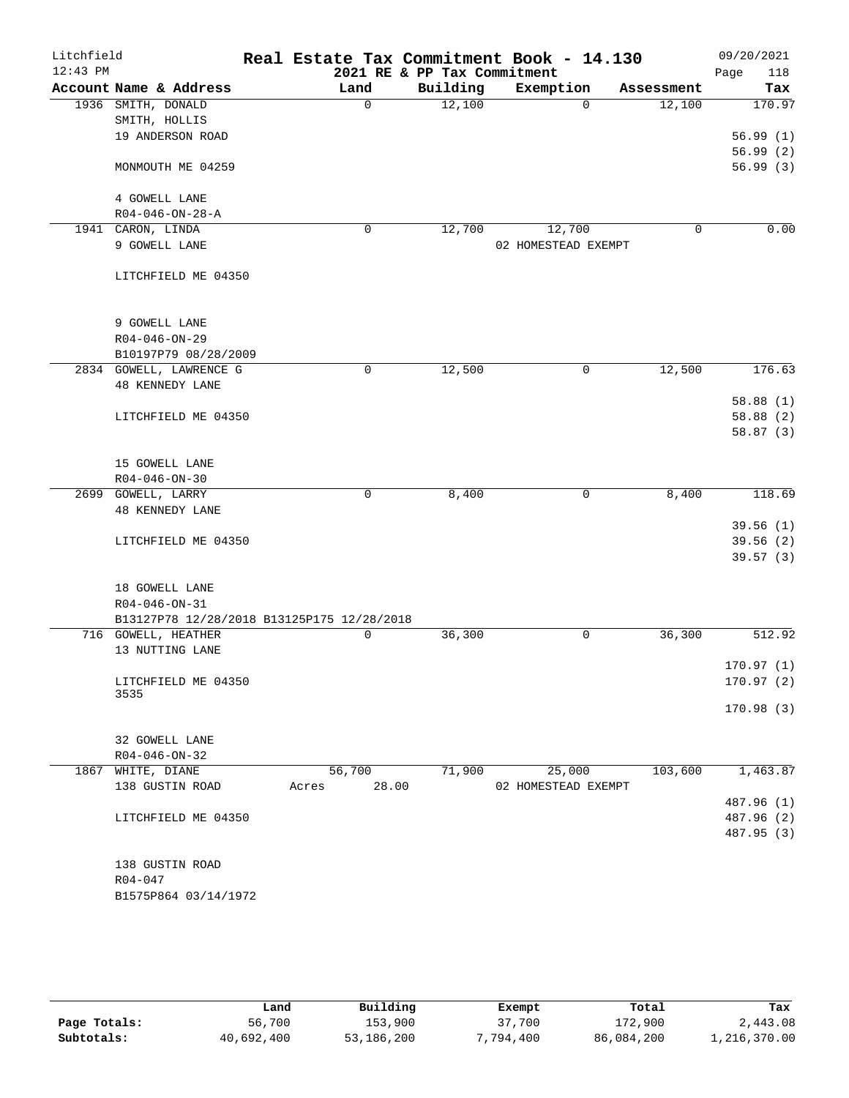| Litchfield |                                            |        |             | Real Estate Tax Commitment Book - 14.130 |                               |             |            | 09/20/2021             |
|------------|--------------------------------------------|--------|-------------|------------------------------------------|-------------------------------|-------------|------------|------------------------|
| $12:43$ PM |                                            |        |             | 2021 RE & PP Tax Commitment              |                               |             |            | 118<br>Page            |
|            | Account Name & Address                     |        | Land        | Building                                 | Exemption                     |             | Assessment | Tax                    |
|            | 1936 SMITH, DONALD                         |        | $\Omega$    | 12,100                                   |                               | $\Omega$    | 12,100     | 170.97                 |
|            | SMITH, HOLLIS<br>19 ANDERSON ROAD          |        |             |                                          |                               |             |            |                        |
|            |                                            |        |             |                                          |                               |             |            | 56.99(1)<br>56.99(2)   |
|            | MONMOUTH ME 04259                          |        |             |                                          |                               |             |            | 56.99(3)               |
|            |                                            |        |             |                                          |                               |             |            |                        |
|            | 4 GOWELL LANE                              |        |             |                                          |                               |             |            |                        |
|            | $R04 - 046 - ON - 28 - A$                  |        |             |                                          |                               |             |            |                        |
|            | 1941 CARON, LINDA                          |        | 0           | 12,700                                   | 12,700                        |             | 0          | 0.00                   |
|            | 9 GOWELL LANE                              |        |             |                                          | 02 HOMESTEAD EXEMPT           |             |            |                        |
|            |                                            |        |             |                                          |                               |             |            |                        |
|            | LITCHFIELD ME 04350                        |        |             |                                          |                               |             |            |                        |
|            |                                            |        |             |                                          |                               |             |            |                        |
|            | 9 GOWELL LANE                              |        |             |                                          |                               |             |            |                        |
|            | $R04 - 046 - ON - 29$                      |        |             |                                          |                               |             |            |                        |
|            | B10197P79 08/28/2009                       |        |             |                                          |                               |             |            |                        |
|            | 2834 GOWELL, LAWRENCE G                    |        | $\mathbf 0$ | 12,500                                   |                               | $\mathbf 0$ | 12,500     | 176.63                 |
|            | <b>48 KENNEDY LANE</b>                     |        |             |                                          |                               |             |            |                        |
|            |                                            |        |             |                                          |                               |             |            | 58.88(1)               |
|            | LITCHFIELD ME 04350                        |        |             |                                          |                               |             |            | 58.88(2)<br>58.87(3)   |
|            |                                            |        |             |                                          |                               |             |            |                        |
|            | 15 GOWELL LANE                             |        |             |                                          |                               |             |            |                        |
|            | $R04 - 046 - ON - 30$                      |        |             |                                          |                               |             |            |                        |
|            | 2699 GOWELL, LARRY                         |        | 0           | 8,400                                    |                               | 0           | 8,400      | 118.69                 |
|            | <b>48 KENNEDY LANE</b>                     |        |             |                                          |                               |             |            |                        |
|            |                                            |        |             |                                          |                               |             |            | 39.56(1)               |
|            | LITCHFIELD ME 04350                        |        |             |                                          |                               |             |            | 39.56(2)<br>39.57(3)   |
|            |                                            |        |             |                                          |                               |             |            |                        |
|            | 18 GOWELL LANE                             |        |             |                                          |                               |             |            |                        |
|            | $R04 - 046 - ON - 31$                      |        |             |                                          |                               |             |            |                        |
|            | B13127P78 12/28/2018 B13125P175 12/28/2018 |        |             |                                          |                               |             |            |                        |
|            | 716 GOWELL, HEATHER                        |        | 0           | 36,300                                   |                               | 0           | 36,300     | 512.92                 |
|            | 13 NUTTING LANE                            |        |             |                                          |                               |             |            |                        |
|            |                                            |        |             |                                          |                               |             |            | 170.97(1)<br>170.97(2) |
|            | LITCHFIELD ME 04350<br>3535                |        |             |                                          |                               |             |            |                        |
|            |                                            |        |             |                                          |                               |             |            | 170.98(3)              |
|            |                                            |        |             |                                          |                               |             |            |                        |
|            | 32 GOWELL LANE                             |        |             |                                          |                               |             |            |                        |
|            | $R04 - 046 - ON - 32$                      | 56,700 |             | 71,900                                   |                               |             | 103,600    |                        |
|            | 1867 WHITE, DIANE<br>138 GUSTIN ROAD       | Acres  | 28.00       |                                          | 25,000<br>02 HOMESTEAD EXEMPT |             |            | 1,463.87               |
|            |                                            |        |             |                                          |                               |             |            | 487.96 (1)             |
|            | LITCHFIELD ME 04350                        |        |             |                                          |                               |             |            | 487.96 (2)             |
|            |                                            |        |             |                                          |                               |             |            | 487.95 (3)             |
|            |                                            |        |             |                                          |                               |             |            |                        |
|            | 138 GUSTIN ROAD                            |        |             |                                          |                               |             |            |                        |
|            | R04-047                                    |        |             |                                          |                               |             |            |                        |
|            | B1575P864 03/14/1972                       |        |             |                                          |                               |             |            |                        |
|            |                                            |        |             |                                          |                               |             |            |                        |

|              | Land       | Building   | Exempt    | Total      | Tax          |
|--------------|------------|------------|-----------|------------|--------------|
| Page Totals: | 56,700     | 153,900    | 37,700    | 172,900    | 2,443.08     |
| Subtotals:   | 40,692,400 | 53,186,200 | 7,794,400 | 86,084,200 | 1,216,370.00 |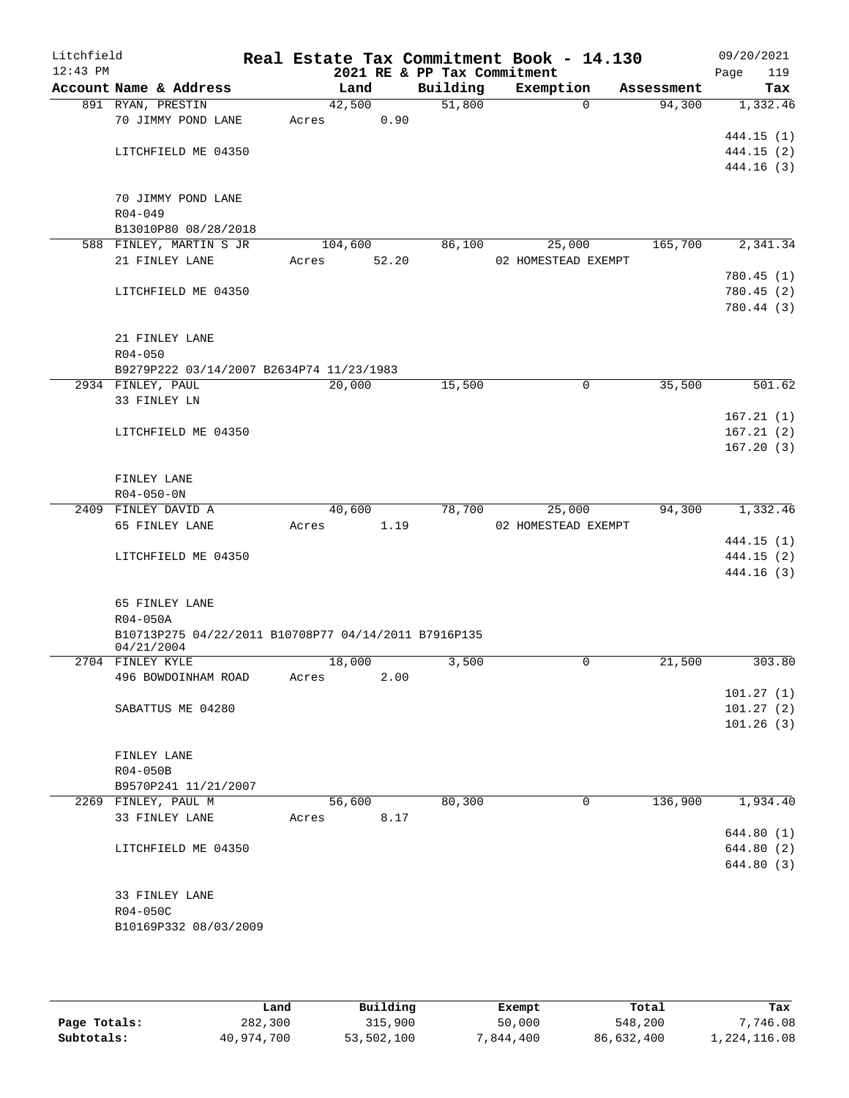| Litchfield<br>$12:43$ PM |                                                                    |       |         |      | 2021 RE & PP Tax Commitment | Real Estate Tax Commitment Book - 14.130 |            | 09/20/2021<br>Page       | 119 |
|--------------------------|--------------------------------------------------------------------|-------|---------|------|-----------------------------|------------------------------------------|------------|--------------------------|-----|
|                          | Account Name & Address                                             |       | Land    |      | Building                    | Exemption                                | Assessment |                          | Tax |
|                          | 891 RYAN, PRESTIN                                                  |       | 42,500  |      | 51,800                      | $\Omega$                                 | 94,300     | 1,332.46                 |     |
|                          | 70 JIMMY POND LANE                                                 | Acres |         | 0.90 |                             |                                          |            |                          |     |
|                          |                                                                    |       |         |      |                             |                                          |            | 444.15 (1)               |     |
|                          | LITCHFIELD ME 04350                                                |       |         |      |                             |                                          |            | 444.15 (2)               |     |
|                          |                                                                    |       |         |      |                             |                                          |            | 444.16 (3)               |     |
|                          |                                                                    |       |         |      |                             |                                          |            |                          |     |
|                          | 70 JIMMY POND LANE                                                 |       |         |      |                             |                                          |            |                          |     |
|                          | $R04 - 049$                                                        |       |         |      |                             |                                          |            |                          |     |
|                          | B13010P80 08/28/2018                                               |       |         |      |                             |                                          |            |                          |     |
|                          | 588 FINLEY, MARTIN S JR                                            |       | 104,600 |      | 86,100                      | 25,000                                   | 165,700    | 2,341.34                 |     |
|                          | 21 FINLEY LANE                                                     | Acres | 52.20   |      |                             | 02 HOMESTEAD EXEMPT                      |            |                          |     |
|                          | LITCHFIELD ME 04350                                                |       |         |      |                             |                                          |            | 780.45 (1)<br>780.45 (2) |     |
|                          |                                                                    |       |         |      |                             |                                          |            | 780.44 (3)               |     |
|                          |                                                                    |       |         |      |                             |                                          |            |                          |     |
|                          | 21 FINLEY LANE                                                     |       |         |      |                             |                                          |            |                          |     |
|                          | $R04 - 050$                                                        |       |         |      |                             |                                          |            |                          |     |
|                          | B9279P222 03/14/2007 B2634P74 11/23/1983                           |       |         |      |                             |                                          |            |                          |     |
|                          | 2934 FINLEY, PAUL                                                  |       | 20,000  |      | 15,500                      | 0                                        | 35,500     | 501.62                   |     |
|                          | 33 FINLEY LN                                                       |       |         |      |                             |                                          |            |                          |     |
|                          |                                                                    |       |         |      |                             |                                          |            | 167.21(1)                |     |
|                          | LITCHFIELD ME 04350                                                |       |         |      |                             |                                          |            | 167.21(2)                |     |
|                          |                                                                    |       |         |      |                             |                                          |            | 167.20(3)                |     |
|                          |                                                                    |       |         |      |                             |                                          |            |                          |     |
|                          | FINLEY LANE                                                        |       |         |      |                             |                                          |            |                          |     |
|                          | $R04 - 050 - 0N$                                                   |       |         |      |                             |                                          |            |                          |     |
|                          | 2409 FINLEY DAVID A                                                |       | 40,600  |      | 78,700                      | 25,000                                   | 94,300     | 1,332.46                 |     |
|                          | 65 FINLEY LANE                                                     | Acres |         | 1.19 |                             | 02 HOMESTEAD EXEMPT                      |            |                          |     |
|                          |                                                                    |       |         |      |                             |                                          |            | 444.15 (1)               |     |
|                          | LITCHFIELD ME 04350                                                |       |         |      |                             |                                          |            | 444.15 (2)               |     |
|                          |                                                                    |       |         |      |                             |                                          |            | 444.16 (3)               |     |
|                          |                                                                    |       |         |      |                             |                                          |            |                          |     |
|                          | 65 FINLEY LANE                                                     |       |         |      |                             |                                          |            |                          |     |
|                          | $R04 - 050A$                                                       |       |         |      |                             |                                          |            |                          |     |
|                          | B10713P275 04/22/2011 B10708P77 04/14/2011 B7916P135<br>04/21/2004 |       |         |      |                             |                                          |            |                          |     |
|                          | 2704 FINLEY KYLE                                                   |       | 18,000  |      | 3,500                       | 0                                        | 21,500     | 303.80                   |     |
|                          | 496 BOWDOINHAM ROAD                                                | Acres |         | 2.00 |                             |                                          |            |                          |     |
|                          |                                                                    |       |         |      |                             |                                          |            | 101.27(1)                |     |
|                          | SABATTUS ME 04280                                                  |       |         |      |                             |                                          |            | 101.27(2)                |     |
|                          |                                                                    |       |         |      |                             |                                          |            | 101.26(3)                |     |
|                          |                                                                    |       |         |      |                             |                                          |            |                          |     |
|                          | FINLEY LANE                                                        |       |         |      |                             |                                          |            |                          |     |
|                          | R04-050B                                                           |       |         |      |                             |                                          |            |                          |     |
|                          | B9570P241 11/21/2007                                               |       |         |      |                             |                                          |            |                          |     |
|                          | 2269 FINLEY, PAUL M                                                |       | 56,600  |      | 80,300                      | 0                                        | 136,900    | 1,934.40                 |     |
|                          | 33 FINLEY LANE                                                     | Acres |         | 8.17 |                             |                                          |            |                          |     |
|                          |                                                                    |       |         |      |                             |                                          |            | 644.80(1)                |     |
|                          | LITCHFIELD ME 04350                                                |       |         |      |                             |                                          |            | 644.80 (2)               |     |
|                          |                                                                    |       |         |      |                             |                                          |            | 644.80 (3)               |     |
|                          |                                                                    |       |         |      |                             |                                          |            |                          |     |
|                          | 33 FINLEY LANE                                                     |       |         |      |                             |                                          |            |                          |     |
|                          | R04-050C<br>B10169P332 08/03/2009                                  |       |         |      |                             |                                          |            |                          |     |
|                          |                                                                    |       |         |      |                             |                                          |            |                          |     |
|                          |                                                                    |       |         |      |                             |                                          |            |                          |     |

|              | Land       | Building   | Exempt    | Total      | Tax          |
|--------------|------------|------------|-----------|------------|--------------|
| Page Totals: | 282,300    | 315,900    | 50,000    | 548,200    | .746.08      |
| Subtotals:   | 40,974,700 | 53,502,100 | 7,844,400 | 86,632,400 | 1,224,116.08 |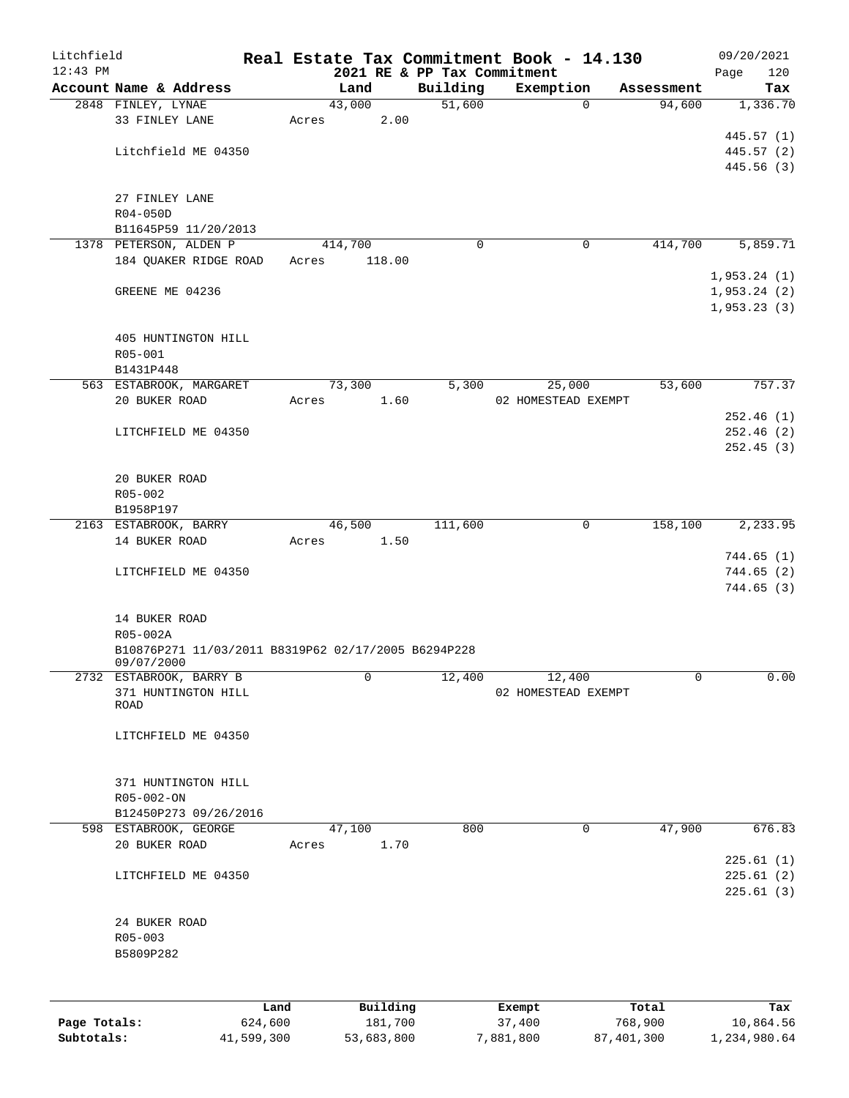| Litchfield   |                                                     |         |                 |                             | Real Estate Tax Commitment Book - 14.130 |            | 09/20/2021  |
|--------------|-----------------------------------------------------|---------|-----------------|-----------------------------|------------------------------------------|------------|-------------|
| $12:43$ PM   |                                                     |         |                 | 2021 RE & PP Tax Commitment |                                          |            | 120<br>Page |
|              | Account Name & Address                              |         | Land            | Building                    | Exemption                                | Assessment | Tax         |
|              | 2848 FINLEY, LYNAE<br>33 FINLEY LANE                |         | 43,000          | 51,600                      | $\mathbf 0$                              | 94,600     | 1,336.70    |
|              |                                                     |         | 2.00<br>Acres   |                             |                                          |            | 445.57(1)   |
|              | Litchfield ME 04350                                 |         |                 |                             |                                          |            | 445.57 (2)  |
|              |                                                     |         |                 |                             |                                          |            | 445.56(3)   |
|              |                                                     |         |                 |                             |                                          |            |             |
|              | 27 FINLEY LANE                                      |         |                 |                             |                                          |            |             |
|              | $R04 - 050D$                                        |         |                 |                             |                                          |            |             |
|              | B11645P59 11/20/2013                                |         |                 |                             |                                          |            |             |
|              | 1378 PETERSON, ALDEN P                              |         | 414,700         | 0                           | 0                                        | 414,700    | 5,859.71    |
|              | 184 QUAKER RIDGE ROAD                               |         | 118.00<br>Acres |                             |                                          |            |             |
|              |                                                     |         |                 |                             |                                          |            | 1,953.24(1) |
|              | GREENE ME 04236                                     |         |                 |                             |                                          |            | 1,953.24(2) |
|              |                                                     |         |                 |                             |                                          |            | 1,953.23(3) |
|              |                                                     |         |                 |                             |                                          |            |             |
|              | 405 HUNTINGTON HILL                                 |         |                 |                             |                                          |            |             |
|              | R05-001                                             |         |                 |                             |                                          |            |             |
|              | B1431P448                                           |         |                 |                             |                                          |            |             |
|              | 563 ESTABROOK, MARGARET                             |         | 73,300          | 5,300                       | 25,000                                   | 53,600     | 757.37      |
|              | 20 BUKER ROAD                                       |         | 1.60<br>Acres   |                             | 02 HOMESTEAD EXEMPT                      |            |             |
|              |                                                     |         |                 |                             |                                          |            | 252.46(1)   |
|              | LITCHFIELD ME 04350                                 |         |                 |                             |                                          |            | 252.46(2)   |
|              |                                                     |         |                 |                             |                                          |            | 252.45(3)   |
|              |                                                     |         |                 |                             |                                          |            |             |
|              | 20 BUKER ROAD                                       |         |                 |                             |                                          |            |             |
|              | R05-002                                             |         |                 |                             |                                          |            |             |
|              | B1958P197                                           |         |                 |                             |                                          |            |             |
|              | 2163 ESTABROOK, BARRY                               |         | 46,500          | 111,600                     | $\mathbf 0$                              | 158,100    | 2,233.95    |
|              | 14 BUKER ROAD                                       |         | 1.50<br>Acres   |                             |                                          |            |             |
|              |                                                     |         |                 |                             |                                          |            | 744.65(1)   |
|              | LITCHFIELD ME 04350                                 |         |                 |                             |                                          |            | 744.65(2)   |
|              |                                                     |         |                 |                             |                                          |            | 744.65(3)   |
|              |                                                     |         |                 |                             |                                          |            |             |
|              | 14 BUKER ROAD                                       |         |                 |                             |                                          |            |             |
|              | R05-002A                                            |         |                 |                             |                                          |            |             |
|              | B10876P271 11/03/2011 B8319P62 02/17/2005 B6294P228 |         |                 |                             |                                          |            |             |
|              | 09/07/2000                                          |         | 0               |                             |                                          | 0          | 0.00        |
|              | 2732 ESTABROOK, BARRY B<br>371 HUNTINGTON HILL      |         |                 | 12,400                      | 12,400<br>02 HOMESTEAD EXEMPT            |            |             |
|              | <b>ROAD</b>                                         |         |                 |                             |                                          |            |             |
|              |                                                     |         |                 |                             |                                          |            |             |
|              | LITCHFIELD ME 04350                                 |         |                 |                             |                                          |            |             |
|              |                                                     |         |                 |                             |                                          |            |             |
|              |                                                     |         |                 |                             |                                          |            |             |
|              | 371 HUNTINGTON HILL                                 |         |                 |                             |                                          |            |             |
|              | R05-002-ON                                          |         |                 |                             |                                          |            |             |
|              | B12450P273 09/26/2016                               |         |                 |                             |                                          |            |             |
|              | 598 ESTABROOK, GEORGE                               |         | 47,100          | 800                         | 0                                        | 47,900     | 676.83      |
|              | 20 BUKER ROAD                                       |         | 1.70<br>Acres   |                             |                                          |            |             |
|              |                                                     |         |                 |                             |                                          |            | 225.61(1)   |
|              | LITCHFIELD ME 04350                                 |         |                 |                             |                                          |            | 225.61(2)   |
|              |                                                     |         |                 |                             |                                          |            | 225.61(3)   |
|              |                                                     |         |                 |                             |                                          |            |             |
|              | 24 BUKER ROAD                                       |         |                 |                             |                                          |            |             |
|              | R05-003                                             |         |                 |                             |                                          |            |             |
|              | B5809P282                                           |         |                 |                             |                                          |            |             |
|              |                                                     |         |                 |                             |                                          |            |             |
|              |                                                     |         |                 |                             |                                          |            |             |
|              |                                                     | Land    | Building        |                             | Exempt                                   | Total      | Tax         |
| Page Totals: |                                                     | 624,600 | 181,700         |                             | 37,400                                   | 768,900    | 10,864.56   |

**Subtotals:** 41,599,300 53,683,800 7,881,800 87,401,300 1,234,980.64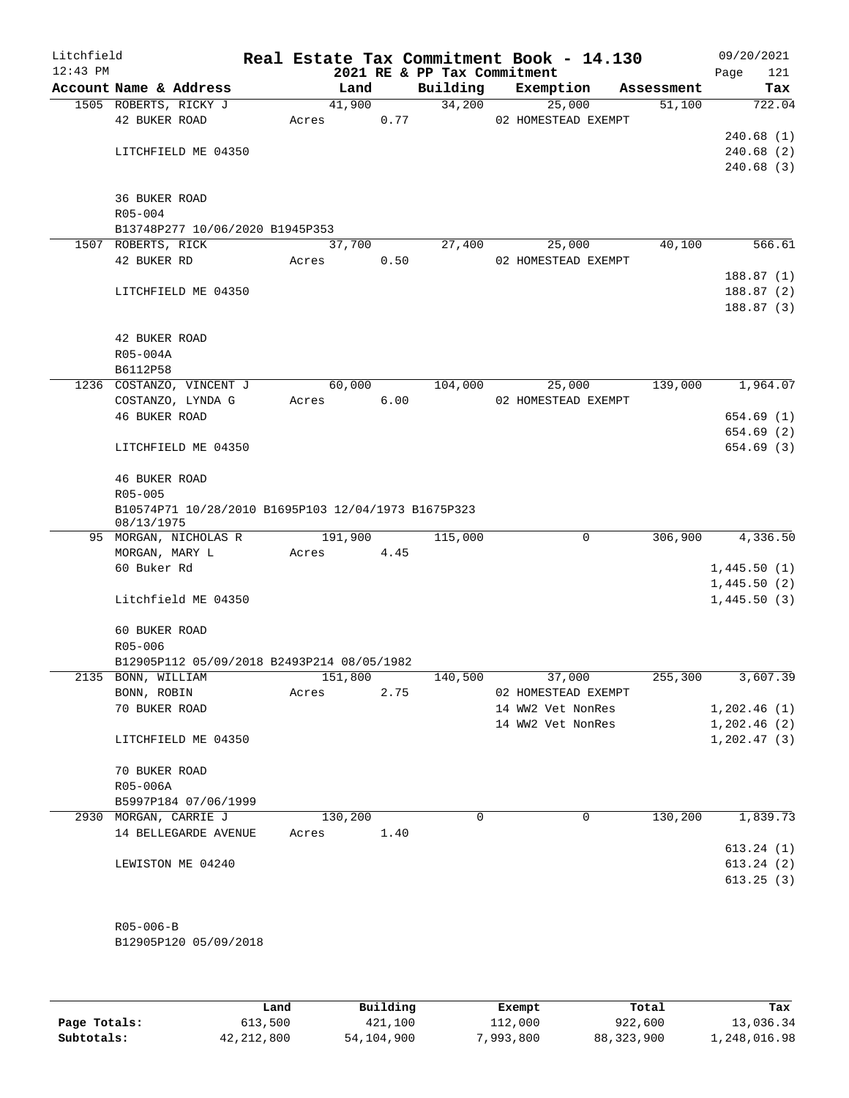| Litchfield<br>$12:43$ PM |                      |                                                     |         |      | 2021 RE & PP Tax Commitment | Real Estate Tax Commitment Book - 14.130 |            | 09/20/2021<br>121<br>Page |
|--------------------------|----------------------|-----------------------------------------------------|---------|------|-----------------------------|------------------------------------------|------------|---------------------------|
|                          |                      | Account Name & Address                              | Land    |      | Building                    | Exemption                                | Assessment | Tax                       |
|                          |                      | 1505 ROBERTS, RICKY J                               | 41,900  |      | 34,200                      | 25,000                                   | 51,100     | 722.04                    |
|                          | 42 BUKER ROAD        |                                                     | Acres   | 0.77 |                             | 02 HOMESTEAD EXEMPT                      |            |                           |
|                          |                      |                                                     |         |      |                             |                                          |            | 240.68(1)                 |
|                          |                      | LITCHFIELD ME 04350                                 |         |      |                             |                                          |            | 240.68(2)                 |
|                          |                      |                                                     |         |      |                             |                                          |            | 240.68(3)                 |
|                          |                      |                                                     |         |      |                             |                                          |            |                           |
|                          | <b>36 BUKER ROAD</b> |                                                     |         |      |                             |                                          |            |                           |
|                          | $R05 - 004$          |                                                     |         |      |                             |                                          |            |                           |
|                          | 1507 ROBERTS, RICK   | B13748P277 10/06/2020 B1945P353                     | 37,700  |      | 27,400                      | 25,000                                   | 40,100     | 566.61                    |
|                          | 42 BUKER RD          |                                                     | Acres   | 0.50 |                             | 02 HOMESTEAD EXEMPT                      |            |                           |
|                          |                      |                                                     |         |      |                             |                                          |            | 188.87(1)                 |
|                          |                      | LITCHFIELD ME 04350                                 |         |      |                             |                                          |            | 188.87(2)                 |
|                          |                      |                                                     |         |      |                             |                                          |            | 188.87(3)                 |
|                          |                      |                                                     |         |      |                             |                                          |            |                           |
|                          | 42 BUKER ROAD        |                                                     |         |      |                             |                                          |            |                           |
|                          | R05-004A             |                                                     |         |      |                             |                                          |            |                           |
|                          | B6112P58             |                                                     |         |      |                             |                                          |            |                           |
|                          |                      | 1236 COSTANZO, VINCENT J                            | 60,000  |      | 104,000                     | 25,000                                   | 139,000    | 1,964.07                  |
|                          |                      | COSTANZO, LYNDA G                                   | Acres   | 6.00 |                             | 02 HOMESTEAD EXEMPT                      |            |                           |
|                          | <b>46 BUKER ROAD</b> |                                                     |         |      |                             |                                          |            | 654.69 (1)                |
|                          |                      |                                                     |         |      |                             |                                          |            | 654.69 (2)                |
|                          |                      | LITCHFIELD ME 04350                                 |         |      |                             |                                          |            | 654.69 (3)                |
|                          | 46 BUKER ROAD        |                                                     |         |      |                             |                                          |            |                           |
|                          | R05-005              |                                                     |         |      |                             |                                          |            |                           |
|                          | 08/13/1975           | B10574P71 10/28/2010 B1695P103 12/04/1973 B1675P323 |         |      |                             |                                          |            |                           |
|                          |                      | 95 MORGAN, NICHOLAS R                               | 191,900 |      | 115,000                     | 0                                        | 306,900    | 4,336.50                  |
|                          | MORGAN, MARY L       |                                                     | Acres   | 4.45 |                             |                                          |            |                           |
|                          | 60 Buker Rd          |                                                     |         |      |                             |                                          |            | 1,445.50(1)               |
|                          |                      |                                                     |         |      |                             |                                          |            | 1,445.50(2)               |
|                          |                      | Litchfield ME 04350                                 |         |      |                             |                                          |            | 1,445.50(3)               |
|                          | 60 BUKER ROAD        |                                                     |         |      |                             |                                          |            |                           |
|                          | R05-006              |                                                     |         |      |                             |                                          |            |                           |
|                          |                      | B12905P112 05/09/2018 B2493P214 08/05/1982          |         |      |                             |                                          |            |                           |
|                          | 2135 BONN, WILLIAM   |                                                     | 151,800 |      | 140,500                     | 37,000                                   | 255,300    | 3,607.39                  |
|                          | BONN, ROBIN          |                                                     | Acres   | 2.75 |                             | 02 HOMESTEAD EXEMPT                      |            |                           |
|                          | 70 BUKER ROAD        |                                                     |         |      |                             | 14 WW2 Vet NonRes                        |            | 1,202.46(1)               |
|                          |                      |                                                     |         |      |                             | 14 WW2 Vet NonRes                        |            | 1,202.46(2)               |
|                          |                      | LITCHFIELD ME 04350                                 |         |      |                             |                                          |            | 1, 202.47(3)              |
|                          | 70 BUKER ROAD        |                                                     |         |      |                             |                                          |            |                           |
|                          | R05-006A             |                                                     |         |      |                             |                                          |            |                           |
|                          |                      | B5997P184 07/06/1999                                |         |      |                             |                                          |            |                           |
|                          |                      | 2930 MORGAN, CARRIE J                               | 130,200 |      | $\Omega$                    | 0                                        | 130,200    | 1,839.73                  |
|                          |                      | 14 BELLEGARDE AVENUE                                | Acres   | 1.40 |                             |                                          |            |                           |
|                          |                      |                                                     |         |      |                             |                                          |            | 613.24(1)                 |
|                          |                      | LEWISTON ME 04240                                   |         |      |                             |                                          |            | 613.24(2)                 |
|                          |                      |                                                     |         |      |                             |                                          |            | 613.25(3)                 |
|                          |                      |                                                     |         |      |                             |                                          |            |                           |
|                          |                      |                                                     |         |      |                             |                                          |            |                           |
|                          | $R05 - 006 - B$      |                                                     |         |      |                             |                                          |            |                           |
|                          |                      | B12905P120 05/09/2018                               |         |      |                             |                                          |            |                           |

|              | Land         | Building   | Exempt   | Total        | Tax          |
|--------------|--------------|------------|----------|--------------|--------------|
| Page Totals: | 613,500      | 421,100    | 112,000  | 922,600      | 13,036.34    |
| Subtotals:   | 42, 212, 800 | 54,104,900 | ,993,800 | 88, 323, 900 | 1,248,016.98 |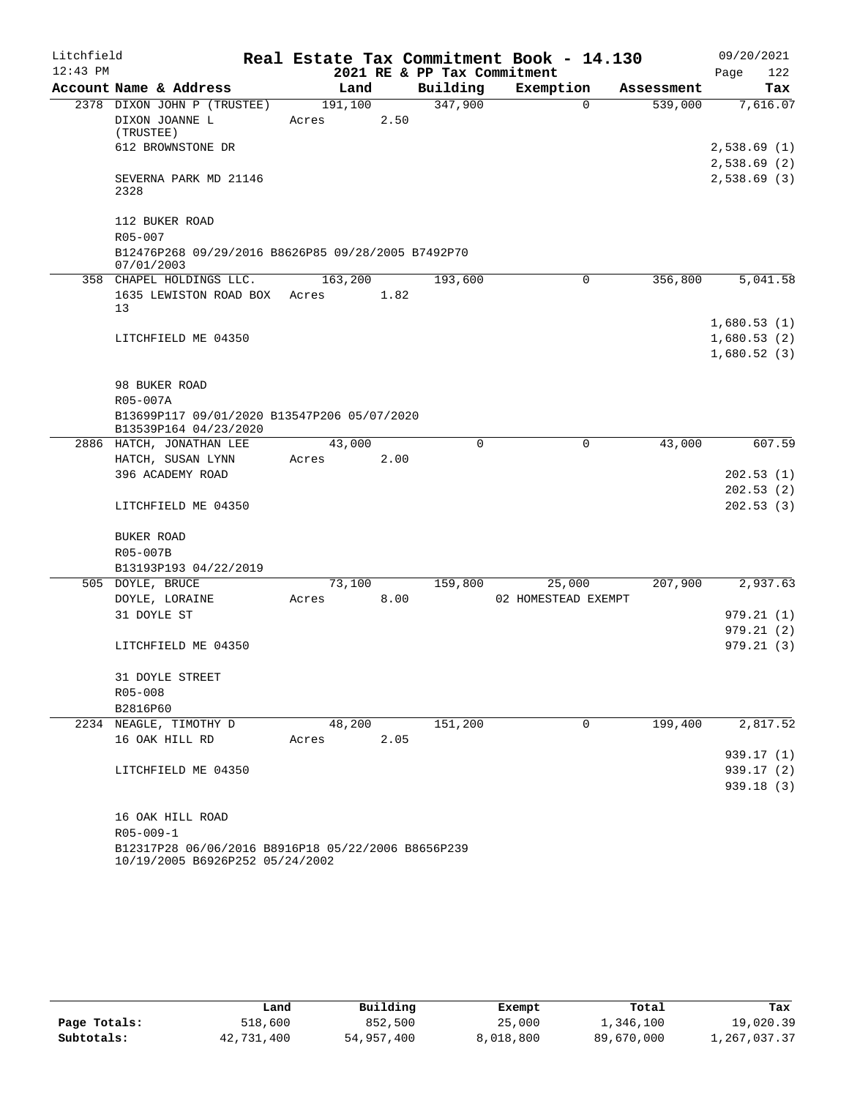| Litchfield |                                                                                       |                  |      |                             | Real Estate Tax Commitment Book - 14.130 |            | 09/20/2021                                |
|------------|---------------------------------------------------------------------------------------|------------------|------|-----------------------------|------------------------------------------|------------|-------------------------------------------|
| $12:43$ PM |                                                                                       |                  |      | 2021 RE & PP Tax Commitment |                                          |            | Page<br>122                               |
|            | Account Name & Address                                                                | Land             |      | Building                    | Exemption                                | Assessment | Tax                                       |
|            | 2378 DIXON JOHN P (TRUSTEE)<br>DIXON JOANNE L<br>(TRUSTEE)                            | 191,100<br>Acres | 2.50 | 347,900                     | $\Omega$                                 | 539,000    | 7,616.07                                  |
|            | 612 BROWNSTONE DR                                                                     |                  |      |                             |                                          |            | 2,538.69(1)                               |
|            | SEVERNA PARK MD 21146<br>2328                                                         |                  |      |                             |                                          |            | 2,538.69(2)<br>2,538.69(3)                |
|            | 112 BUKER ROAD<br>R05-007                                                             |                  |      |                             |                                          |            |                                           |
|            | B12476P268 09/29/2016 B8626P85 09/28/2005 B7492P70<br>07/01/2003                      |                  |      |                             |                                          |            |                                           |
|            | 358 CHAPEL HOLDINGS LLC.                                                              | 163,200          |      | 193,600                     | 0                                        | 356,800    | 5,041.58                                  |
|            | 1635 LEWISTON ROAD BOX<br>13                                                          | Acres            | 1.82 |                             |                                          |            |                                           |
|            | LITCHFIELD ME 04350                                                                   |                  |      |                             |                                          |            | 1,680.53(1)<br>1,680.53(2)<br>1,680.52(3) |
|            | 98 BUKER ROAD<br>R05-007A                                                             |                  |      |                             |                                          |            |                                           |
|            | B13699P117 09/01/2020 B13547P206 05/07/2020<br>B13539P164 04/23/2020                  |                  |      |                             |                                          |            |                                           |
|            | 2886 HATCH, JONATHAN LEE                                                              | 43,000           |      | 0                           | 0                                        | 43,000     | 607.59                                    |
|            | HATCH, SUSAN LYNN                                                                     | Acres            | 2.00 |                             |                                          |            |                                           |
|            | 396 ACADEMY ROAD                                                                      |                  |      |                             |                                          |            | 202.53(1)                                 |
|            | LITCHFIELD ME 04350                                                                   |                  |      |                             |                                          |            | 202.53(2)<br>202.53(3)                    |
|            | BUKER ROAD                                                                            |                  |      |                             |                                          |            |                                           |
|            | R05-007B                                                                              |                  |      |                             |                                          |            |                                           |
|            | B13193P193 04/22/2019                                                                 |                  |      |                             |                                          |            |                                           |
|            | 505 DOYLE, BRUCE<br>DOYLE, LORAINE                                                    | 73,100<br>Acres  | 8.00 | 159,800                     | 25,000<br>02 HOMESTEAD EXEMPT            | 207,900    | 2,937.63                                  |
|            | 31 DOYLE ST                                                                           |                  |      |                             |                                          |            | 979.21(1)                                 |
|            | LITCHFIELD ME 04350                                                                   |                  |      |                             |                                          |            | 979.21(2)<br>979.21(3)                    |
|            | 31 DOYLE STREET                                                                       |                  |      |                             |                                          |            |                                           |
|            | R05-008                                                                               |                  |      |                             |                                          |            |                                           |
|            | B2816P60                                                                              |                  |      |                             |                                          |            |                                           |
|            | 2234 NEAGLE, TIMOTHY D                                                                | 48,200           |      | 151,200                     | 0                                        | 199,400    | 2,817.52                                  |
|            | 16 OAK HILL RD                                                                        | Acres            | 2.05 |                             |                                          |            |                                           |
|            |                                                                                       |                  |      |                             |                                          |            | 939.17 (1)                                |
|            | LITCHFIELD ME 04350                                                                   |                  |      |                             |                                          |            | 939.17(2)                                 |
|            |                                                                                       |                  |      |                             |                                          |            | 939.18(3)                                 |
|            | 16 OAK HILL ROAD                                                                      |                  |      |                             |                                          |            |                                           |
|            | $R05 - 009 - 1$                                                                       |                  |      |                             |                                          |            |                                           |
|            | B12317P28 06/06/2016 B8916P18 05/22/2006 B8656P239<br>10/19/2005 B6926P252 05/24/2002 |                  |      |                             |                                          |            |                                           |

|              | Land       | Building   | Exempt    | Total      | Tax          |
|--------------|------------|------------|-----------|------------|--------------|
| Page Totals: | 518,600    | 852,500    | 25,000    | 1,346,100  | 19,020.39    |
| Subtotals:   | 42,731,400 | 54,957,400 | 8,018,800 | 89,670,000 | 1,267,037.37 |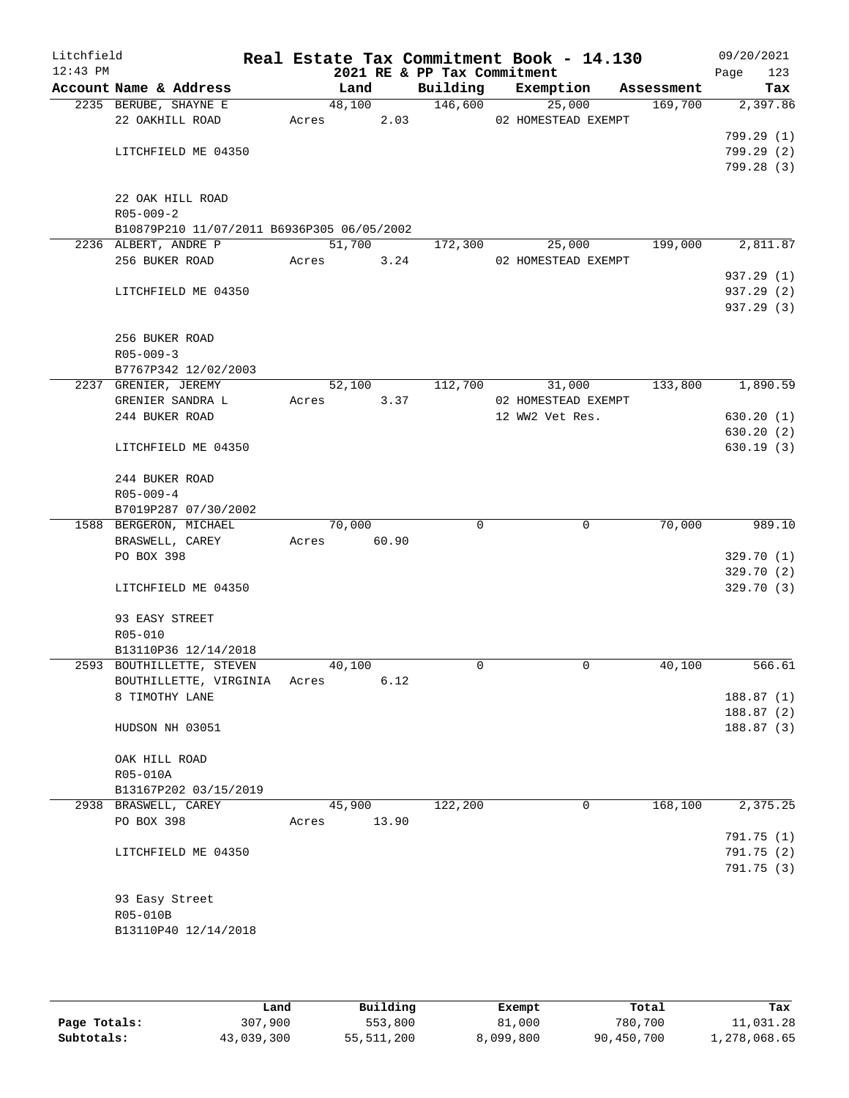| Litchfield<br>$12:43$ PM |                                                   |       |             |       | 2021 RE & PP Tax Commitment | Real Estate Tax Commitment Book - 14.130 |            | 09/20/2021<br>Page | 123 |
|--------------------------|---------------------------------------------------|-------|-------------|-------|-----------------------------|------------------------------------------|------------|--------------------|-----|
|                          | Account Name & Address                            |       | Land        |       | Building                    | Exemption                                | Assessment |                    | Tax |
|                          | 2235 BERUBE, SHAYNE E                             |       |             |       | 48,100 146,600              | 25,000                                   | 169,700    | 2,397.86           |     |
|                          | 22 OAKHILL ROAD                                   |       |             |       |                             | Acres 2.03 02 HOMESTEAD EXEMPT           |            |                    |     |
|                          |                                                   |       |             |       |                             |                                          |            | 799.29(1)          |     |
|                          | LITCHFIELD ME 04350                               |       |             |       |                             |                                          |            | 799.29(2)          |     |
|                          |                                                   |       |             |       |                             |                                          |            | 799.28(3)          |     |
|                          |                                                   |       |             |       |                             |                                          |            |                    |     |
|                          | 22 OAK HILL ROAD                                  |       |             |       |                             |                                          |            |                    |     |
|                          | $R05 - 009 - 2$                                   |       |             |       |                             |                                          |            |                    |     |
|                          | B10879P210 11/07/2011 B6936P305 06/05/2002        |       |             |       |                             |                                          |            |                    |     |
|                          | 2236 ALBERT, ANDRE P<br>256 BUKER ROAD Acres 3.24 |       | 51,700      |       | 172,300                     | 25,000<br>02 HOMESTEAD EXEMPT            | 199,000    | 2,811.87           |     |
|                          |                                                   |       |             |       |                             |                                          |            | 937.29 (1)         |     |
|                          | LITCHFIELD ME 04350                               |       |             |       |                             |                                          |            | 937.29 (2)         |     |
|                          |                                                   |       |             |       |                             |                                          |            | 937.29 (3)         |     |
|                          |                                                   |       |             |       |                             |                                          |            |                    |     |
|                          | 256 BUKER ROAD                                    |       |             |       |                             |                                          |            |                    |     |
|                          | $R05 - 009 - 3$                                   |       |             |       |                             |                                          |            |                    |     |
|                          | B7767P342 12/02/2003                              |       |             |       |                             |                                          |            |                    |     |
|                          | 2237 GRENIER, JEREMY                              |       | 52,100      |       | 112,700                     | 31,000                                   | 133,800    | 1,890.59           |     |
|                          | GRENIER SANDRA L                                  | Acres |             | 3.37  |                             | 02 HOMESTEAD EXEMPT                      |            |                    |     |
|                          | 244 BUKER ROAD                                    |       |             |       |                             | 12 WW2 Vet Res.                          |            | 630.20(1)          |     |
|                          |                                                   |       |             |       |                             |                                          |            | 630.20(2)          |     |
|                          | LITCHFIELD ME 04350                               |       |             |       |                             |                                          |            | 630.19(3)          |     |
|                          | 244 BUKER ROAD                                    |       |             |       |                             |                                          |            |                    |     |
|                          | $R05 - 009 - 4$                                   |       |             |       |                             |                                          |            |                    |     |
|                          | B7019P287 07/30/2002                              |       |             |       |                             |                                          |            |                    |     |
|                          | 1588 BERGERON, MICHAEL                            |       | 70,000      |       | $\Omega$                    | $\mathbf 0$                              | 70,000     | 989.10             |     |
|                          | BRASWELL, CAREY                                   |       | Acres 60.90 |       |                             |                                          |            |                    |     |
|                          | PO BOX 398                                        |       |             |       |                             |                                          |            | 329.70 (1)         |     |
|                          |                                                   |       |             |       |                             |                                          |            | 329.70(2)          |     |
|                          | LITCHFIELD ME 04350                               |       |             |       |                             |                                          |            | 329.70(3)          |     |
|                          | 93 EASY STREET                                    |       |             |       |                             |                                          |            |                    |     |
|                          | R05-010                                           |       |             |       |                             |                                          |            |                    |     |
|                          | B13110P36 12/14/2018                              |       |             |       |                             |                                          |            |                    |     |
|                          | 2593 BOUTHILLETTE, STEVEN                         |       | 40,100      |       | $\Omega$                    | $\mathbf 0$                              | 40,100     | 566.61             |     |
|                          | BOUTHILLETTE, VIRGINIA                            | Acres |             | 6.12  |                             |                                          |            |                    |     |
|                          | 8 TIMOTHY LANE                                    |       |             |       |                             |                                          |            | 188.87(1)          |     |
|                          |                                                   |       |             |       |                             |                                          |            | 188.87(2)          |     |
|                          | HUDSON NH 03051                                   |       |             |       |                             |                                          |            | 188.87(3)          |     |
|                          | OAK HILL ROAD                                     |       |             |       |                             |                                          |            |                    |     |
|                          | R05-010A                                          |       |             |       |                             |                                          |            |                    |     |
|                          | B13167P202 03/15/2019                             |       |             |       |                             |                                          |            |                    |     |
|                          | 2938 BRASWELL, CAREY                              |       | 45,900      |       | 122,200                     | 0                                        | 168,100    | 2,375.25           |     |
|                          | PO BOX 398                                        | Acres |             | 13.90 |                             |                                          |            |                    |     |
|                          |                                                   |       |             |       |                             |                                          |            | 791.75 (1)         |     |
|                          | LITCHFIELD ME 04350                               |       |             |       |                             |                                          |            | 791.75 (2)         |     |
|                          |                                                   |       |             |       |                             |                                          |            | 791.75(3)          |     |
|                          |                                                   |       |             |       |                             |                                          |            |                    |     |
|                          | 93 Easy Street                                    |       |             |       |                             |                                          |            |                    |     |
|                          | R05-010B                                          |       |             |       |                             |                                          |            |                    |     |
|                          | B13110P40 12/14/2018                              |       |             |       |                             |                                          |            |                    |     |
|                          |                                                   |       |             |       |                             |                                          |            |                    |     |

|              | Land       | Building   | Exempt    | Total      | Tax          |
|--------------|------------|------------|-----------|------------|--------------|
| Page Totals: | 307,900    | 553,800    | 81,000    | 780,700    | 11,031.28    |
| Subtotals:   | 43,039,300 | 55,511,200 | 8,099,800 | 90,450,700 | 1,278,068.65 |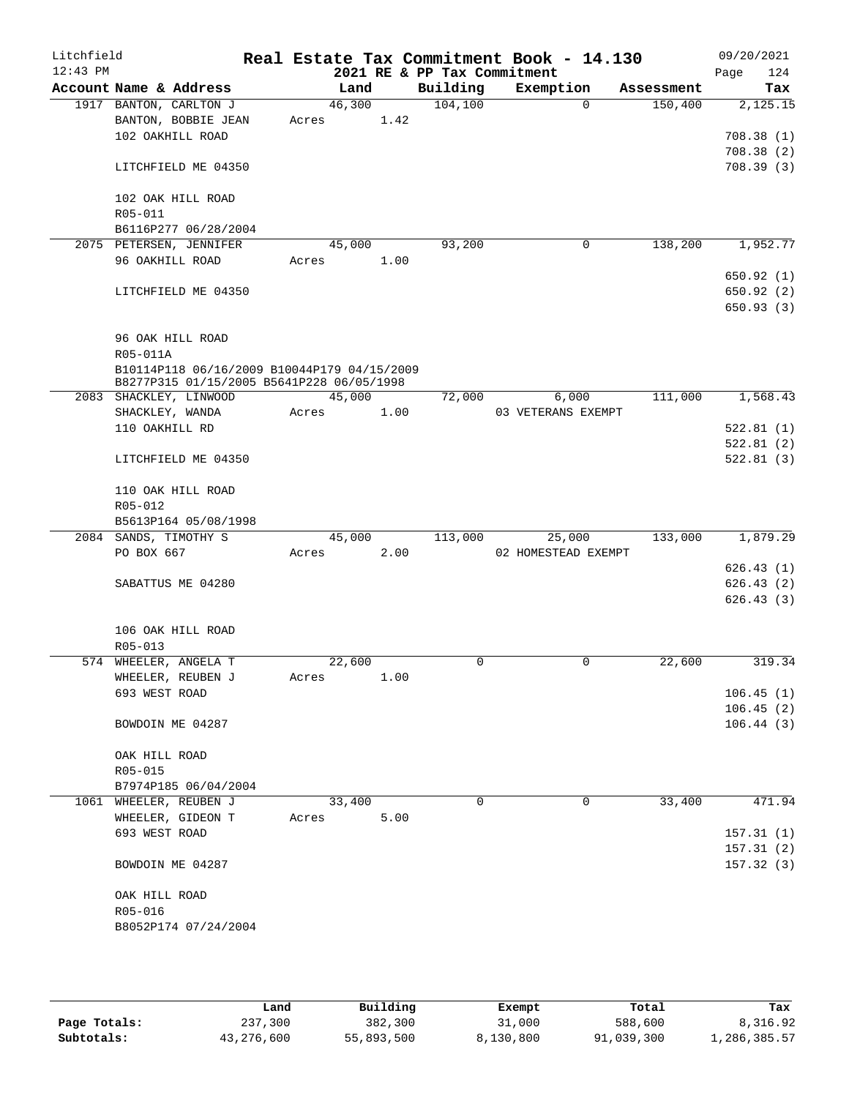| Litchfield |                          |                                                                                          |       |        |      |                             | Real Estate Tax Commitment Book - 14.130 |            | 09/20/2021  |
|------------|--------------------------|------------------------------------------------------------------------------------------|-------|--------|------|-----------------------------|------------------------------------------|------------|-------------|
| $12:43$ PM |                          |                                                                                          |       |        |      | 2021 RE & PP Tax Commitment |                                          |            | 124<br>Page |
|            |                          | Account Name & Address                                                                   |       | Land   |      | Building                    | Exemption                                | Assessment | Tax         |
|            |                          | 1917 BANTON, CARLTON J                                                                   |       | 46,300 |      | 104, 100                    | $\Omega$                                 | 150,400    | 2,125.15    |
|            |                          | BANTON, BOBBIE JEAN                                                                      | Acres |        | 1.42 |                             |                                          |            |             |
|            |                          | 102 OAKHILL ROAD                                                                         |       |        |      |                             |                                          |            | 708.38(1)   |
|            |                          |                                                                                          |       |        |      |                             |                                          |            | 708.38(2)   |
|            |                          | LITCHFIELD ME 04350                                                                      |       |        |      |                             |                                          |            | 708.39(3)   |
|            |                          | 102 OAK HILL ROAD                                                                        |       |        |      |                             |                                          |            |             |
|            | R05-011                  |                                                                                          |       |        |      |                             |                                          |            |             |
|            |                          | B6116P277 06/28/2004                                                                     |       |        |      |                             |                                          |            |             |
|            |                          | 2075 PETERSEN, JENNIFER                                                                  |       | 45,000 |      | 93,200                      | 0                                        | 138,200    | 1,952.77    |
|            | 96 OAKHILL ROAD          |                                                                                          | Acres |        | 1.00 |                             |                                          |            |             |
|            |                          |                                                                                          |       |        |      |                             |                                          |            | 650.92(1)   |
|            |                          | LITCHFIELD ME 04350                                                                      |       |        |      |                             |                                          |            | 650.92(2)   |
|            |                          |                                                                                          |       |        |      |                             |                                          |            | 650.93(3)   |
|            |                          |                                                                                          |       |        |      |                             |                                          |            |             |
|            |                          | 96 OAK HILL ROAD                                                                         |       |        |      |                             |                                          |            |             |
|            | R05-011A                 |                                                                                          |       |        |      |                             |                                          |            |             |
|            |                          | B10114P118 06/16/2009 B10044P179 04/15/2009<br>B8277P315 01/15/2005 B5641P228 06/05/1998 |       |        |      |                             |                                          |            |             |
|            |                          | 2083 SHACKLEY, LINWOOD                                                                   |       | 45,000 |      | 72,000                      | 6,000                                    | 111,000    | 1,568.43    |
|            |                          | SHACKLEY, WANDA                                                                          | Acres |        | 1.00 |                             | 03 VETERANS EXEMPT                       |            |             |
|            | 110 OAKHILL RD           |                                                                                          |       |        |      |                             |                                          |            | 522.81(1)   |
|            |                          |                                                                                          |       |        |      |                             |                                          |            | 522.81(2)   |
|            |                          | LITCHFIELD ME 04350                                                                      |       |        |      |                             |                                          |            | 522.81(3)   |
|            |                          |                                                                                          |       |        |      |                             |                                          |            |             |
|            |                          | 110 OAK HILL ROAD                                                                        |       |        |      |                             |                                          |            |             |
|            | R05-012                  |                                                                                          |       |        |      |                             |                                          |            |             |
|            |                          | B5613P164 05/08/1998                                                                     |       |        |      |                             |                                          |            |             |
|            |                          | 2084 SANDS, TIMOTHY S                                                                    |       | 45,000 |      | 113,000                     | 25,000                                   | 133,000    | 1,879.29    |
|            | PO BOX 667               |                                                                                          | Acres |        | 2.00 |                             | 02 HOMESTEAD EXEMPT                      |            | 626.43(1)   |
|            |                          | SABATTUS ME 04280                                                                        |       |        |      |                             |                                          |            | 626.43(2)   |
|            |                          |                                                                                          |       |        |      |                             |                                          |            | 626.43(3)   |
|            |                          |                                                                                          |       |        |      |                             |                                          |            |             |
|            |                          | 106 OAK HILL ROAD                                                                        |       |        |      |                             |                                          |            |             |
|            | $R05 - 013$              |                                                                                          |       |        |      |                             |                                          |            |             |
|            |                          | 574 WHEELER, ANGELA T                                                                    |       | 22,600 |      | $\mathbf 0$                 | 0                                        | 22,600     | 319.34      |
|            |                          | WHEELER, REUBEN J                                                                        | Acres |        | 1.00 |                             |                                          |            |             |
|            | 693 WEST ROAD            |                                                                                          |       |        |      |                             |                                          |            | 106.45(1)   |
|            |                          |                                                                                          |       |        |      |                             |                                          |            | 106.45(2)   |
|            |                          | BOWDOIN ME 04287                                                                         |       |        |      |                             |                                          |            | 106.44(3)   |
|            |                          |                                                                                          |       |        |      |                             |                                          |            |             |
|            | OAK HILL ROAD<br>R05-015 |                                                                                          |       |        |      |                             |                                          |            |             |
|            |                          | B7974P185 06/04/2004                                                                     |       |        |      |                             |                                          |            |             |
|            |                          | 1061 WHEELER, REUBEN J                                                                   |       | 33,400 |      | $\mathbf 0$                 | 0                                        | 33,400     | 471.94      |
|            |                          | WHEELER, GIDEON T                                                                        | Acres |        | 5.00 |                             |                                          |            |             |
|            | 693 WEST ROAD            |                                                                                          |       |        |      |                             |                                          |            | 157.31(1)   |
|            |                          |                                                                                          |       |        |      |                             |                                          |            | 157.31(2)   |
|            |                          | BOWDOIN ME 04287                                                                         |       |        |      |                             |                                          |            | 157.32(3)   |
|            |                          |                                                                                          |       |        |      |                             |                                          |            |             |
|            | OAK HILL ROAD            |                                                                                          |       |        |      |                             |                                          |            |             |
|            | R05-016                  |                                                                                          |       |        |      |                             |                                          |            |             |
|            |                          | B8052P174 07/24/2004                                                                     |       |        |      |                             |                                          |            |             |
|            |                          |                                                                                          |       |        |      |                             |                                          |            |             |

|              | Land       | Building   | Exempt    | Total      | Tax          |
|--------------|------------|------------|-----------|------------|--------------|
| Page Totals: | 237,300    | 382,300    | 31,000    | 588,600    | 8,316.92     |
| Subtotals:   | 43,276,600 | 55,893,500 | 8,130,800 | 91,039,300 | 1,286,385.57 |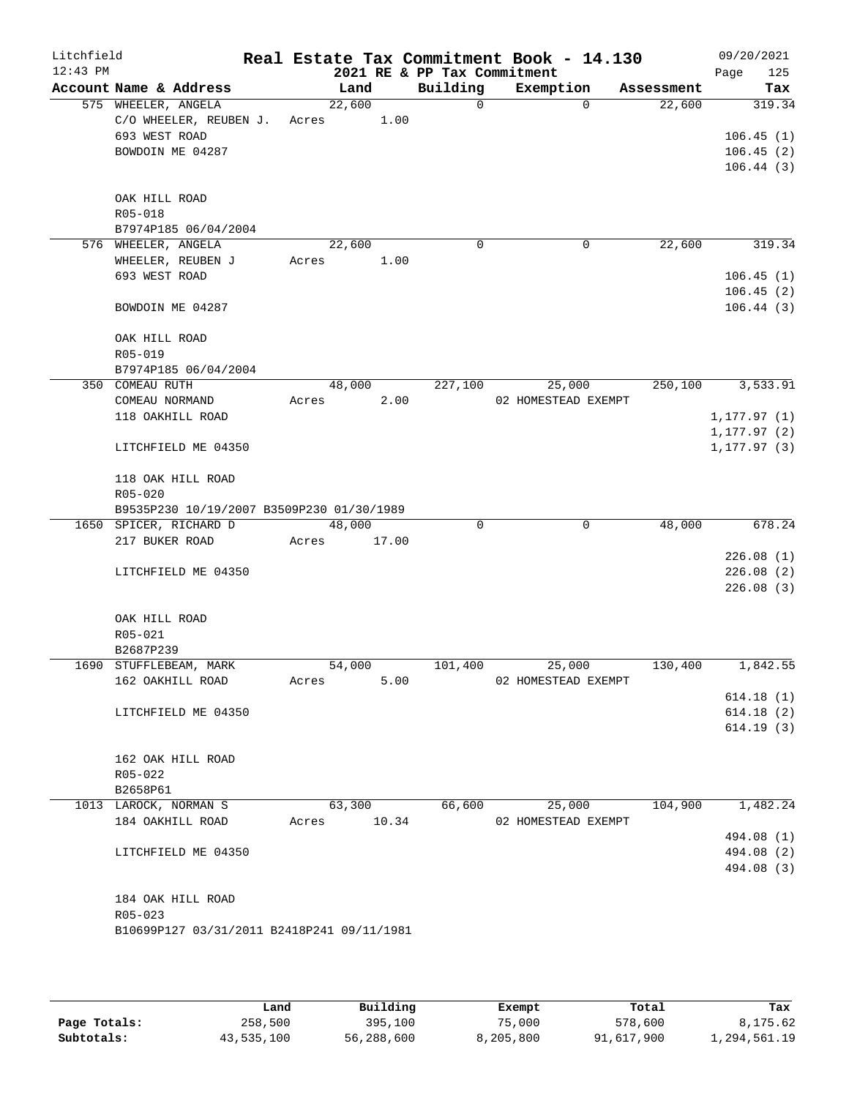| Litchfield<br>$12:43$ PM |                     |                                            |       |        |       | 2021 RE & PP Tax Commitment | Real Estate Tax Commitment Book - 14.130 |          |            | 09/20/2021<br>125<br>Page |
|--------------------------|---------------------|--------------------------------------------|-------|--------|-------|-----------------------------|------------------------------------------|----------|------------|---------------------------|
|                          |                     | Account Name & Address                     |       | Land   |       | Building                    | Exemption                                |          | Assessment | Tax                       |
|                          | 575 WHEELER, ANGELA |                                            |       | 22,600 |       | $\Omega$                    |                                          | $\Omega$ | 22,600     | 319.34                    |
|                          |                     | C/O WHEELER, REUBEN J.                     | Acres |        | 1.00  |                             |                                          |          |            |                           |
|                          | 693 WEST ROAD       |                                            |       |        |       |                             |                                          |          |            | 106.45(1)                 |
|                          |                     | BOWDOIN ME 04287                           |       |        |       |                             |                                          |          |            | 106.45(2)                 |
|                          |                     |                                            |       |        |       |                             |                                          |          |            | 106.44(3)                 |
|                          |                     |                                            |       |        |       |                             |                                          |          |            |                           |
|                          | OAK HILL ROAD       |                                            |       |        |       |                             |                                          |          |            |                           |
|                          | R05-018             |                                            |       |        |       |                             |                                          |          |            |                           |
|                          |                     | B7974P185 06/04/2004                       |       |        |       |                             |                                          |          |            |                           |
|                          | 576 WHEELER, ANGELA |                                            |       | 22,600 |       | 0                           |                                          | 0        | 22,600     | 319.34                    |
|                          |                     | WHEELER, REUBEN J                          | Acres |        | 1.00  |                             |                                          |          |            |                           |
|                          | 693 WEST ROAD       |                                            |       |        |       |                             |                                          |          |            | 106.45(1)                 |
|                          |                     |                                            |       |        |       |                             |                                          |          |            | 106.45(2)                 |
|                          |                     | BOWDOIN ME 04287                           |       |        |       |                             |                                          |          |            | 106.44(3)                 |
|                          | OAK HILL ROAD       |                                            |       |        |       |                             |                                          |          |            |                           |
|                          | R05-019             |                                            |       |        |       |                             |                                          |          |            |                           |
|                          |                     | B7974P185 06/04/2004                       |       |        |       |                             |                                          |          |            |                           |
|                          | 350 COMEAU RUTH     |                                            |       | 48,000 |       | 227,100                     | 25,000                                   |          | 250,100    | 3,533.91                  |
|                          | COMEAU NORMAND      |                                            | Acres |        | 2.00  |                             | 02 HOMESTEAD EXEMPT                      |          |            |                           |
|                          |                     | 118 OAKHILL ROAD                           |       |        |       |                             |                                          |          |            | 1, 177.97(1)              |
|                          |                     |                                            |       |        |       |                             |                                          |          |            | 1, 177.97(2)              |
|                          |                     | LITCHFIELD ME 04350                        |       |        |       |                             |                                          |          |            | 1, 177.97(3)              |
|                          |                     | 118 OAK HILL ROAD                          |       |        |       |                             |                                          |          |            |                           |
|                          | $R05 - 020$         |                                            |       |        |       |                             |                                          |          |            |                           |
|                          |                     | B9535P230 10/19/2007 B3509P230 01/30/1989  |       |        |       |                             |                                          |          |            |                           |
|                          |                     | 1650 SPICER, RICHARD D                     |       | 48,000 |       | 0                           |                                          | 0        | 48,000     | 678.24                    |
|                          | 217 BUKER ROAD      |                                            | Acres |        | 17.00 |                             |                                          |          |            |                           |
|                          |                     |                                            |       |        |       |                             |                                          |          |            | 226.08(1)                 |
|                          |                     | LITCHFIELD ME 04350                        |       |        |       |                             |                                          |          |            | 226.08(2)                 |
|                          |                     |                                            |       |        |       |                             |                                          |          |            | 226.08(3)                 |
|                          | OAK HILL ROAD       |                                            |       |        |       |                             |                                          |          |            |                           |
|                          | R05-021             |                                            |       |        |       |                             |                                          |          |            |                           |
|                          | B2687P239           |                                            |       |        |       |                             |                                          |          |            |                           |
|                          |                     | 1690 STUFFLEBEAM, MARK                     |       | 54,000 |       | 101,400                     | 25,000                                   |          | 130,400    | 1,842.55                  |
|                          |                     | 162 OAKHILL ROAD                           | Acres |        | 5.00  |                             | 02 HOMESTEAD EXEMPT                      |          |            |                           |
|                          |                     |                                            |       |        |       |                             |                                          |          |            | 614.18(1)                 |
|                          |                     | LITCHFIELD ME 04350                        |       |        |       |                             |                                          |          |            | 614.18(2)                 |
|                          |                     |                                            |       |        |       |                             |                                          |          |            | 614.19(3)                 |
|                          |                     |                                            |       |        |       |                             |                                          |          |            |                           |
|                          |                     | 162 OAK HILL ROAD                          |       |        |       |                             |                                          |          |            |                           |
|                          | R05-022             |                                            |       |        |       |                             |                                          |          |            |                           |
|                          | B2658P61            |                                            |       |        |       |                             |                                          |          |            |                           |
|                          |                     | 1013 LAROCK, NORMAN S                      |       | 63,300 |       | 66,600                      | 25,000                                   |          | 104,900    | 1,482.24                  |
|                          |                     | 184 OAKHILL ROAD                           | Acres |        | 10.34 |                             | 02 HOMESTEAD EXEMPT                      |          |            |                           |
|                          |                     |                                            |       |        |       |                             |                                          |          |            | 494.08 (1)                |
|                          |                     | LITCHFIELD ME 04350                        |       |        |       |                             |                                          |          |            | 494.08 (2)                |
|                          |                     |                                            |       |        |       |                             |                                          |          |            | 494.08 (3)                |
|                          |                     | 184 OAK HILL ROAD                          |       |        |       |                             |                                          |          |            |                           |
|                          | $R05 - 023$         |                                            |       |        |       |                             |                                          |          |            |                           |
|                          |                     | B10699P127 03/31/2011 B2418P241 09/11/1981 |       |        |       |                             |                                          |          |            |                           |
|                          |                     |                                            |       |        |       |                             |                                          |          |            |                           |
|                          |                     |                                            |       |        |       |                             |                                          |          |            |                           |

|              | Land       | Building   | Exempt    | Total      | Tax          |
|--------------|------------|------------|-----------|------------|--------------|
| Page Totals: | 258,500    | 395,100    | 75,000    | 578,600    | 8,175.62     |
| Subtotals:   | 43,535,100 | 56,288,600 | 8,205,800 | 91,617,900 | 1,294,561.19 |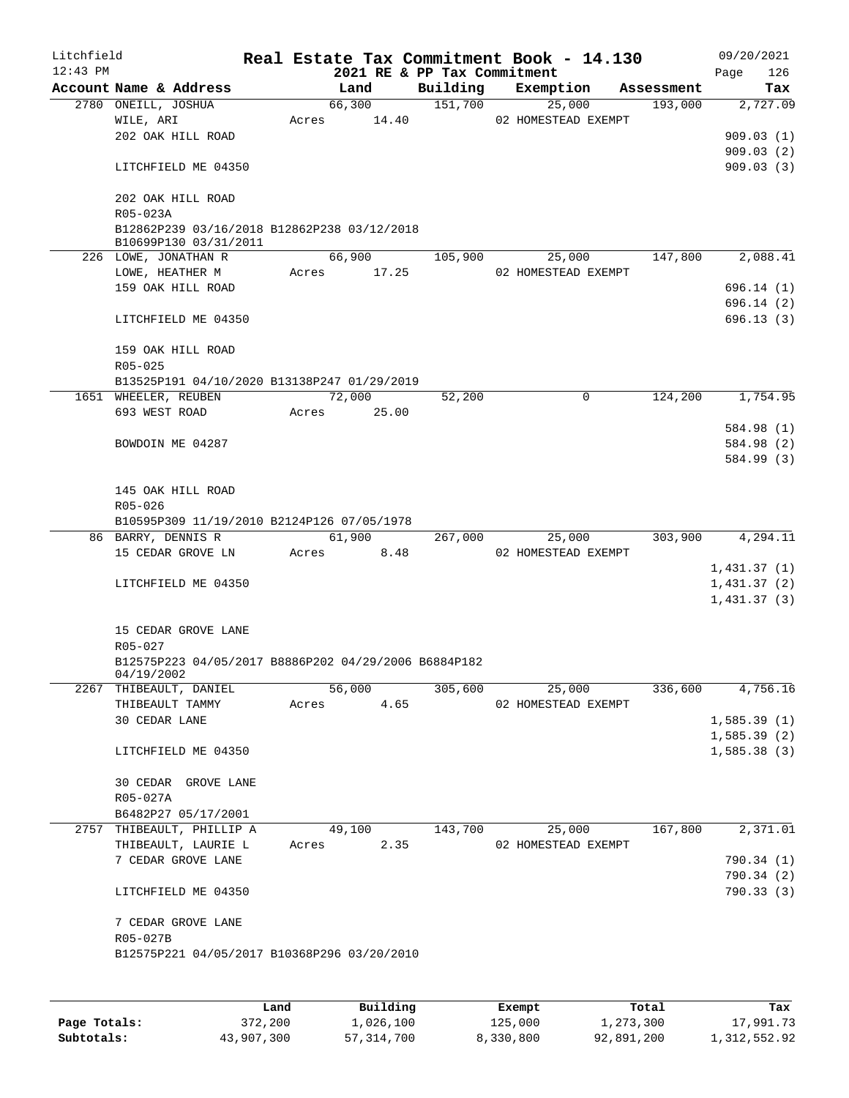| Litchfield |                                                                  |       |             |      |                             | Real Estate Tax Commitment Book - 14.130 |   |            |      | 09/20/2021  |
|------------|------------------------------------------------------------------|-------|-------------|------|-----------------------------|------------------------------------------|---|------------|------|-------------|
| $12:43$ PM |                                                                  |       |             |      | 2021 RE & PP Tax Commitment |                                          |   |            | Page | 126         |
|            | Account Name & Address                                           |       | Land        |      | Building                    | Exemption                                |   | Assessment |      | Tax         |
|            | 2780 ONEILL, JOSHUA                                              |       | 66,300      |      | 151,700                     | 25,000                                   |   | 193,000    |      | 2,727.09    |
|            | WILE, ARI                                                        | Acres | 14.40       |      |                             | 02 HOMESTEAD EXEMPT                      |   |            |      |             |
|            | 202 OAK HILL ROAD                                                |       |             |      |                             |                                          |   |            |      | 909.03(1)   |
|            |                                                                  |       |             |      |                             |                                          |   |            |      | 909.03(2)   |
|            | LITCHFIELD ME 04350                                              |       |             |      |                             |                                          |   |            |      | 909.03(3)   |
|            | 202 OAK HILL ROAD                                                |       |             |      |                             |                                          |   |            |      |             |
|            | R05-023A                                                         |       |             |      |                             |                                          |   |            |      |             |
|            | B12862P239 03/16/2018 B12862P238 03/12/2018                      |       |             |      |                             |                                          |   |            |      |             |
|            | B10699P130 03/31/2011                                            |       |             |      |                             |                                          |   |            |      |             |
|            | 226 LOWE, JONATHAN R                                             |       | 66,900      |      | 105,900                     | 25,000                                   |   | 147,800    |      | 2,088.41    |
|            | LOWE, HEATHER M                                                  |       | Acres 17.25 |      |                             | 02 HOMESTEAD EXEMPT                      |   |            |      |             |
|            | 159 OAK HILL ROAD                                                |       |             |      |                             |                                          |   |            |      | 696.14(1)   |
|            |                                                                  |       |             |      |                             |                                          |   |            |      | 696.14 (2)  |
|            | LITCHFIELD ME 04350                                              |       |             |      |                             |                                          |   |            |      | 696.13 (3)  |
|            |                                                                  |       |             |      |                             |                                          |   |            |      |             |
|            | 159 OAK HILL ROAD                                                |       |             |      |                             |                                          |   |            |      |             |
|            | R05-025                                                          |       |             |      |                             |                                          |   |            |      |             |
|            | B13525P191 04/10/2020 B13138P247 01/29/2019                      |       |             |      |                             |                                          |   |            |      |             |
|            | 1651 WHEELER, REUBEN                                             |       | 72,000      |      | 52,200                      |                                          | 0 | 124,200    |      | 1,754.95    |
|            | 693 WEST ROAD                                                    |       | Acres 25.00 |      |                             |                                          |   |            |      |             |
|            |                                                                  |       |             |      |                             |                                          |   |            |      | 584.98 (1)  |
|            | BOWDOIN ME 04287                                                 |       |             |      |                             |                                          |   |            |      | 584.98 (2)  |
|            |                                                                  |       |             |      |                             |                                          |   |            |      | 584.99 (3)  |
|            |                                                                  |       |             |      |                             |                                          |   |            |      |             |
|            | 145 OAK HILL ROAD                                                |       |             |      |                             |                                          |   |            |      |             |
|            | R05-026                                                          |       |             |      |                             |                                          |   |            |      |             |
|            | B10595P309 11/19/2010 B2124P126 07/05/1978<br>86 BARRY, DENNIS R |       | 61,900      |      | 267,000                     | 25,000                                   |   | 303,900    |      | 4,294.11    |
|            | 15 CEDAR GROVE LN                                                | Acres |             | 8.48 |                             | 02 HOMESTEAD EXEMPT                      |   |            |      |             |
|            |                                                                  |       |             |      |                             |                                          |   |            |      | 1,431.37(1) |
|            | LITCHFIELD ME 04350                                              |       |             |      |                             |                                          |   |            |      | 1,431.37(2) |
|            |                                                                  |       |             |      |                             |                                          |   |            |      | 1,431.37(3) |
|            |                                                                  |       |             |      |                             |                                          |   |            |      |             |
|            | 15 CEDAR GROVE LANE                                              |       |             |      |                             |                                          |   |            |      |             |
|            | R05-027                                                          |       |             |      |                             |                                          |   |            |      |             |
|            | B12575P223 04/05/2017 B8886P202 04/29/2006 B6884P182             |       |             |      |                             |                                          |   |            |      |             |
|            | 04/19/2002                                                       |       |             |      |                             |                                          |   |            |      |             |
|            | 2267 THIBEAULT, DANIEL                                           |       | 56,000      |      | 305,600                     | 25,000                                   |   | 336,600    |      | 4,756.16    |
|            | THIBEAULT TAMMY                                                  | Acres |             | 4.65 |                             | 02 HOMESTEAD EXEMPT                      |   |            |      |             |
|            | 30 CEDAR LANE                                                    |       |             |      |                             |                                          |   |            |      | 1,585.39(1) |
|            |                                                                  |       |             |      |                             |                                          |   |            |      | 1,585.39(2) |
|            | LITCHFIELD ME 04350                                              |       |             |      |                             |                                          |   |            |      | 1,585.38(3) |
|            |                                                                  |       |             |      |                             |                                          |   |            |      |             |
|            | 30 CEDAR GROVE LANE                                              |       |             |      |                             |                                          |   |            |      |             |
|            | R05-027A                                                         |       |             |      |                             |                                          |   |            |      |             |
|            | B6482P27 05/17/2001                                              |       | 49,100      |      | 143,700                     |                                          |   | 167,800    |      | 2,371.01    |
|            | 2757 THIBEAULT, PHILLIP A                                        |       |             |      |                             | 25,000                                   |   |            |      |             |
|            | THIBEAULT, LAURIE L<br>7 CEDAR GROVE LANE                        |       | Acres       | 2.35 |                             | 02 HOMESTEAD EXEMPT                      |   |            |      | 790.34 (1)  |
|            |                                                                  |       |             |      |                             |                                          |   |            |      | 790.34(2)   |
|            | LITCHFIELD ME 04350                                              |       |             |      |                             |                                          |   |            |      | 790.33(3)   |
|            |                                                                  |       |             |      |                             |                                          |   |            |      |             |
|            | 7 CEDAR GROVE LANE                                               |       |             |      |                             |                                          |   |            |      |             |
|            | R05-027B                                                         |       |             |      |                             |                                          |   |            |      |             |
|            | B12575P221 04/05/2017 B10368P296 03/20/2010                      |       |             |      |                             |                                          |   |            |      |             |
|            |                                                                  |       |             |      |                             |                                          |   |            |      |             |
|            |                                                                  |       |             |      |                             |                                          |   |            |      |             |
|            |                                                                  |       |             |      |                             |                                          |   |            |      |             |

|              | Land       | Building     | Exempt    | Total      | Tax          |
|--------------|------------|--------------|-----------|------------|--------------|
| Page Totals: | 372,200    | 1,026,100    | 125,000   | 1,273,300  | 17,991.73    |
| Subtotals:   | 43,907,300 | 57, 314, 700 | 8,330,800 | 92,891,200 | 1,312,552.92 |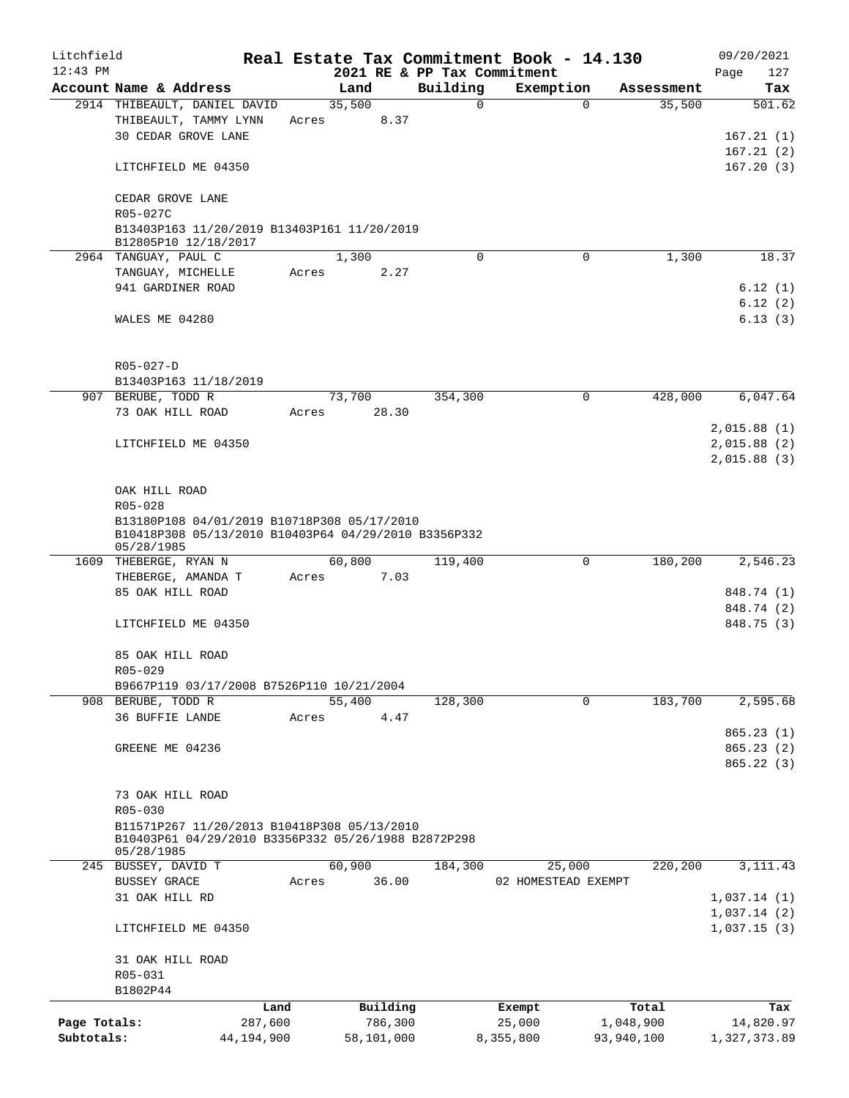| Litchfield   |                                                                                                                   |            |            |                             | Real Estate Tax Commitment Book - 14.130 |            | 09/20/2021   |
|--------------|-------------------------------------------------------------------------------------------------------------------|------------|------------|-----------------------------|------------------------------------------|------------|--------------|
| $12:43$ PM   |                                                                                                                   |            |            | 2021 RE & PP Tax Commitment |                                          |            | Page<br>127  |
|              | Account Name & Address                                                                                            |            | Land       | Building                    | Exemption                                | Assessment | Tax          |
|              | 2914 THIBEAULT, DANIEL DAVID                                                                                      |            | 35,500     | $\mathbf 0$                 | $\Omega$                                 | 35,500     | 501.62       |
|              | THIBEAULT, TAMMY LYNN                                                                                             | Acres      | 8.37       |                             |                                          |            |              |
|              | <b>30 CEDAR GROVE LANE</b>                                                                                        |            |            |                             |                                          |            | 167.21(1)    |
|              |                                                                                                                   |            |            |                             |                                          |            | 167.21(2)    |
|              | LITCHFIELD ME 04350                                                                                               |            |            |                             |                                          |            | 167.20(3)    |
|              | CEDAR GROVE LANE                                                                                                  |            |            |                             |                                          |            |              |
|              | R05-027C                                                                                                          |            |            |                             |                                          |            |              |
|              | B13403P163 11/20/2019 B13403P161 11/20/2019                                                                       |            |            |                             |                                          |            |              |
|              | B12805P10 12/18/2017                                                                                              |            |            | $\Omega$                    | 0                                        |            |              |
|              | 2964 TANGUAY, PAUL C                                                                                              |            | 1,300      |                             |                                          | 1,300      | 18.37        |
|              | TANGUAY, MICHELLE                                                                                                 | Acres      | 2.27       |                             |                                          |            |              |
|              | 941 GARDINER ROAD                                                                                                 |            |            |                             |                                          |            | 6.12(1)      |
|              |                                                                                                                   |            |            |                             |                                          |            | 6.12(2)      |
|              | WALES ME 04280                                                                                                    |            |            |                             |                                          |            | 6.13(3)      |
|              |                                                                                                                   |            |            |                             |                                          |            |              |
|              | R05-027-D                                                                                                         |            |            |                             |                                          |            |              |
|              | B13403P163 11/18/2019                                                                                             |            |            |                             |                                          |            |              |
|              | 907 BERUBE, TODD R                                                                                                |            | 73,700     | 354,300                     | 0                                        | 428,000    | 6,047.64     |
|              | 73 OAK HILL ROAD                                                                                                  | Acres      | 28.30      |                             |                                          |            |              |
|              |                                                                                                                   |            |            |                             |                                          |            | 2,015.88(1)  |
|              | LITCHFIELD ME 04350                                                                                               |            |            |                             |                                          |            | 2,015.88(2)  |
|              |                                                                                                                   |            |            |                             |                                          |            | 2,015.88(3)  |
|              |                                                                                                                   |            |            |                             |                                          |            |              |
|              | OAK HILL ROAD                                                                                                     |            |            |                             |                                          |            |              |
|              | R05-028                                                                                                           |            |            |                             |                                          |            |              |
|              | B13180P108 04/01/2019 B10718P308 05/17/2010<br>B10418P308 05/13/2010 B10403P64 04/29/2010 B3356P332<br>05/28/1985 |            |            |                             |                                          |            |              |
|              | 1609 THEBERGE, RYAN N                                                                                             |            | 60,800     | 119,400                     | 0                                        | 180,200    | 2,546.23     |
|              | THEBERGE, AMANDA T                                                                                                | Acres      | 7.03       |                             |                                          |            |              |
|              | 85 OAK HILL ROAD                                                                                                  |            |            |                             |                                          |            | 848.74 (1)   |
|              |                                                                                                                   |            |            |                             |                                          |            | 848.74 (2)   |
|              | LITCHFIELD ME 04350                                                                                               |            |            |                             |                                          |            | 848.75 (3)   |
|              | 85 OAK HILL ROAD                                                                                                  |            |            |                             |                                          |            |              |
|              | R05-029                                                                                                           |            |            |                             |                                          |            |              |
|              | B9667P119 03/17/2008 B7526P110 10/21/2004                                                                         |            |            |                             |                                          |            |              |
|              | 908 BERUBE, TODD R                                                                                                |            | 55,400     | 128,300                     | 0                                        | 183,700    | 2,595.68     |
|              | 36 BUFFIE LANDE                                                                                                   | Acres      | 4.47       |                             |                                          |            |              |
|              |                                                                                                                   |            |            |                             |                                          |            | 865.23(1)    |
|              |                                                                                                                   |            |            |                             |                                          |            |              |
|              | GREENE ME 04236                                                                                                   |            |            |                             |                                          |            | 865.23(2)    |
|              |                                                                                                                   |            |            |                             |                                          |            | 865.22(3)    |
|              |                                                                                                                   |            |            |                             |                                          |            |              |
|              | 73 OAK HILL ROAD                                                                                                  |            |            |                             |                                          |            |              |
|              | R05-030                                                                                                           |            |            |                             |                                          |            |              |
|              | B11571P267 11/20/2013 B10418P308 05/13/2010<br>B10403P61 04/29/2010 B3356P332 05/26/1988 B2872P298                |            |            |                             |                                          |            |              |
|              | 05/28/1985                                                                                                        |            |            |                             |                                          |            |              |
|              | 245 BUSSEY, DAVID T                                                                                               |            | 60,900     | 184,300                     | 25,000                                   | 220,200    | 3, 111.43    |
|              | <b>BUSSEY GRACE</b>                                                                                               | Acres      | 36.00      |                             | 02 HOMESTEAD EXEMPT                      |            |              |
|              | 31 OAK HILL RD                                                                                                    |            |            |                             |                                          |            | 1,037.14(1)  |
|              |                                                                                                                   |            |            |                             |                                          |            | 1,037.14(2)  |
|              | LITCHFIELD ME 04350                                                                                               |            |            |                             |                                          |            | 1,037.15(3)  |
|              | 31 OAK HILL ROAD                                                                                                  |            |            |                             |                                          |            |              |
|              | R05-031                                                                                                           |            |            |                             |                                          |            |              |
|              | B1802P44                                                                                                          |            |            |                             |                                          |            |              |
|              |                                                                                                                   | Land       | Building   |                             | Exempt                                   | Total      | Tax          |
| Page Totals: |                                                                                                                   | 287,600    | 786,300    |                             | 25,000                                   | 1,048,900  | 14,820.97    |
| Subtotals:   |                                                                                                                   | 44,194,900 | 58,101,000 |                             | 8,355,800                                | 93,940,100 | 1,327,373.89 |
|              |                                                                                                                   |            |            |                             |                                          |            |              |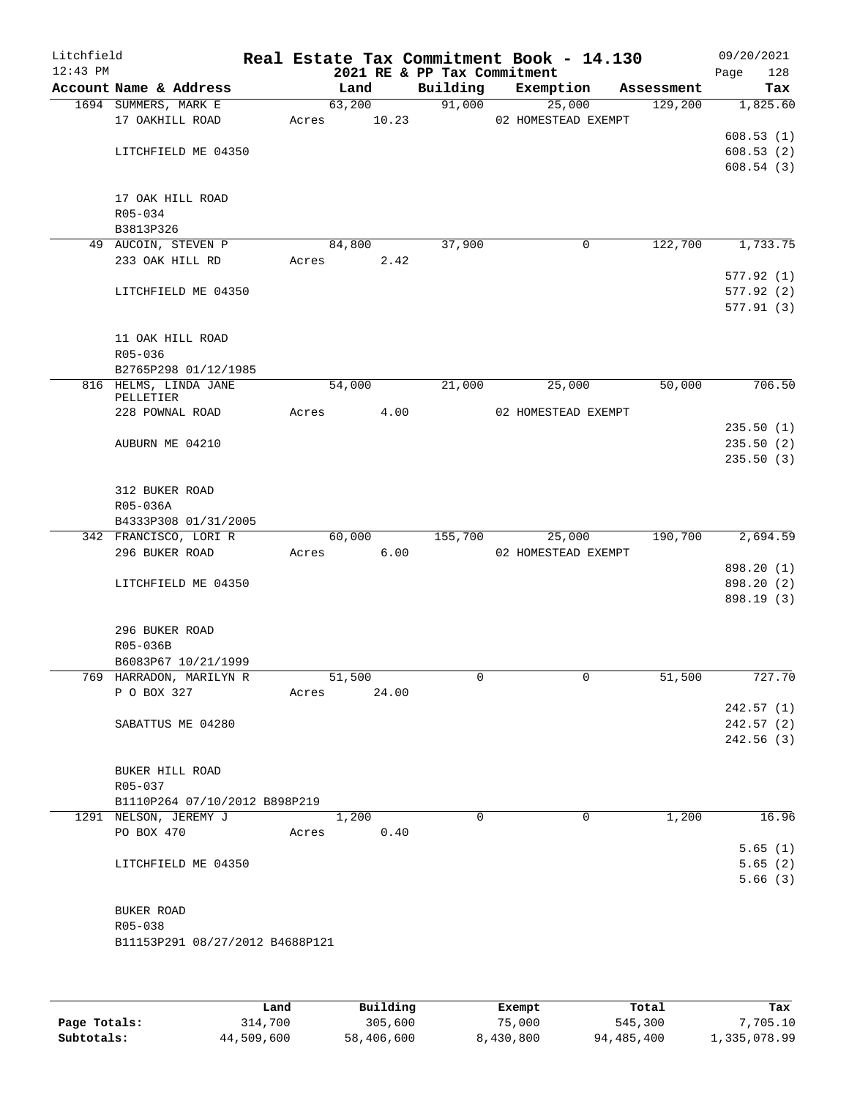| Litchfield<br>$12:43$ PM |                                                        |       |        |          |          | Real Estate Tax Commitment Book - 14.130<br>2021 RE & PP Tax Commitment |            | 09/20/2021<br>Page<br>128 |
|--------------------------|--------------------------------------------------------|-------|--------|----------|----------|-------------------------------------------------------------------------|------------|---------------------------|
|                          | Account Name & Address                                 |       | Land   | Building |          | Exemption                                                               | Assessment | Tax                       |
|                          | 1694 SUMMERS, MARK E                                   |       | 63,200 |          | 91,000   | 25,000                                                                  | 129,200    | 1,825.60                  |
|                          | 17 OAKHILL ROAD                                        | Acres | 10.23  |          |          | 02 HOMESTEAD EXEMPT                                                     |            |                           |
|                          |                                                        |       |        |          |          |                                                                         |            | 608.53(1)                 |
|                          | LITCHFIELD ME 04350                                    |       |        |          |          |                                                                         |            | 608.53(2)                 |
|                          |                                                        |       |        |          |          |                                                                         |            | 608.54(3)                 |
|                          |                                                        |       |        |          |          |                                                                         |            |                           |
|                          | 17 OAK HILL ROAD                                       |       |        |          |          |                                                                         |            |                           |
|                          | R05-034<br>B3813P326                                   |       |        |          |          |                                                                         |            |                           |
|                          | 49 AUCOIN, STEVEN P                                    |       | 84,800 |          | 37,900   | $\mathbf 0$                                                             | 122,700    | 1,733.75                  |
|                          | 233 OAK HILL RD                                        | Acres | 2.42   |          |          |                                                                         |            |                           |
|                          |                                                        |       |        |          |          |                                                                         |            | 577.92(1)                 |
|                          | LITCHFIELD ME 04350                                    |       |        |          |          |                                                                         |            | 577.92(2)                 |
|                          |                                                        |       |        |          |          |                                                                         |            | 577.91(3)                 |
|                          |                                                        |       |        |          |          |                                                                         |            |                           |
|                          | 11 OAK HILL ROAD                                       |       |        |          |          |                                                                         |            |                           |
|                          | R05-036                                                |       |        |          |          |                                                                         |            |                           |
|                          | B2765P298 01/12/1985<br>816 HELMS, LINDA JANE          |       | 54,000 |          | 21,000   | 25,000                                                                  | 50,000     | 706.50                    |
|                          | PELLETIER                                              |       |        |          |          |                                                                         |            |                           |
|                          | 228 POWNAL ROAD                                        | Acres | 4.00   |          |          | 02 HOMESTEAD EXEMPT                                                     |            |                           |
|                          |                                                        |       |        |          |          |                                                                         |            | 235.50(1)                 |
|                          | AUBURN ME 04210                                        |       |        |          |          |                                                                         |            | 235.50(2)                 |
|                          |                                                        |       |        |          |          |                                                                         |            | 235.50(3)                 |
|                          | 312 BUKER ROAD                                         |       |        |          |          |                                                                         |            |                           |
|                          | R05-036A                                               |       |        |          |          |                                                                         |            |                           |
|                          | B4333P308 01/31/2005                                   |       |        |          |          |                                                                         |            |                           |
|                          | 342 FRANCISCO, LORI R                                  |       | 60,000 | 155,700  |          | 25,000                                                                  | 190,700    | 2,694.59                  |
|                          | 296 BUKER ROAD                                         | Acres | 6.00   |          |          | 02 HOMESTEAD EXEMPT                                                     |            |                           |
|                          |                                                        |       |        |          |          |                                                                         |            | 898.20 (1)                |
|                          | LITCHFIELD ME 04350                                    |       |        |          |          |                                                                         |            | 898.20 (2)                |
|                          |                                                        |       |        |          |          |                                                                         |            | 898.19 (3)                |
|                          |                                                        |       |        |          |          |                                                                         |            |                           |
|                          | 296 BUKER ROAD<br>R05-036B                             |       |        |          |          |                                                                         |            |                           |
|                          | B6083P67 10/21/1999                                    |       |        |          |          |                                                                         |            |                           |
|                          | 769 HARRADON, MARILYN R                                |       | 51,500 |          | 0        | $\mathbf 0$                                                             | 51,500     | 727.70                    |
|                          | P O BOX 327                                            | Acres | 24.00  |          |          |                                                                         |            |                           |
|                          |                                                        |       |        |          |          |                                                                         |            | 242.57(1)                 |
|                          | SABATTUS ME 04280                                      |       |        |          |          |                                                                         |            | 242.57(2)                 |
|                          |                                                        |       |        |          |          |                                                                         |            | 242.56(3)                 |
|                          |                                                        |       |        |          |          |                                                                         |            |                           |
|                          | BUKER HILL ROAD                                        |       |        |          |          |                                                                         |            |                           |
|                          | R05-037                                                |       |        |          |          |                                                                         |            |                           |
|                          | B1110P264 07/10/2012 B898P219<br>1291 NELSON, JEREMY J |       | 1,200  |          | $\Omega$ | 0                                                                       | 1,200      | 16.96                     |
|                          | PO BOX 470                                             | Acres | 0.40   |          |          |                                                                         |            |                           |
|                          |                                                        |       |        |          |          |                                                                         |            | 5.65(1)                   |
|                          | LITCHFIELD ME 04350                                    |       |        |          |          |                                                                         |            | 5.65(2)                   |
|                          |                                                        |       |        |          |          |                                                                         |            | 5.66(3)                   |
|                          |                                                        |       |        |          |          |                                                                         |            |                           |
|                          | BUKER ROAD                                             |       |        |          |          |                                                                         |            |                           |
|                          | R05-038                                                |       |        |          |          |                                                                         |            |                           |
|                          | B11153P291 08/27/2012 B4688P121                        |       |        |          |          |                                                                         |            |                           |
|                          |                                                        |       |        |          |          |                                                                         |            |                           |
|                          |                                                        |       |        |          |          |                                                                         |            |                           |

|              | Land       | Building   | Exempt    | Total      | Tax          |
|--------------|------------|------------|-----------|------------|--------------|
| Page Totals: | 314,700    | 305,600    | 75,000    | 545,300    | 7,705.10     |
| Subtotals:   | 44,509,600 | 58,406,600 | 8,430,800 | 94,485,400 | 1,335,078.99 |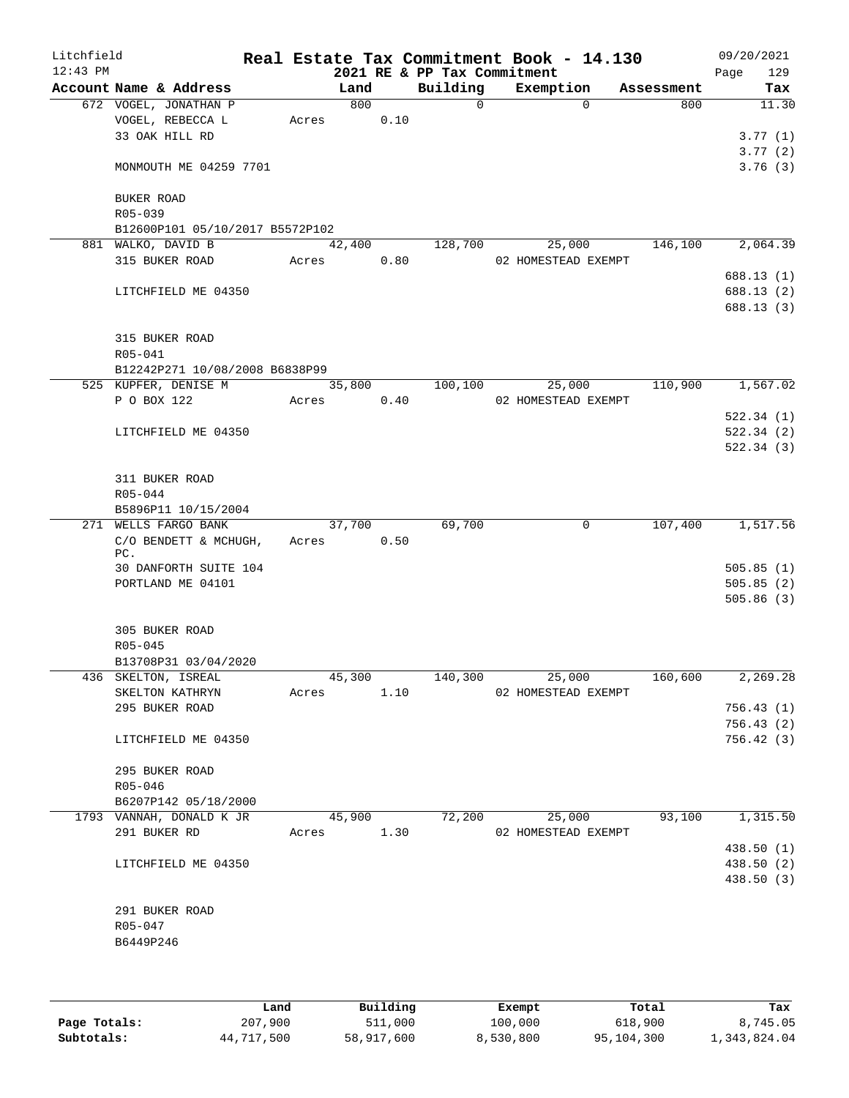| Litchfield<br>$12:43$ PM |                                             |       |        |      | 2021 RE & PP Tax Commitment | Real Estate Tax Commitment Book - 14.130 |          |            | 09/20/2021<br>129<br>Page |
|--------------------------|---------------------------------------------|-------|--------|------|-----------------------------|------------------------------------------|----------|------------|---------------------------|
|                          | Account Name & Address                      |       | Land   |      | Building                    | Exemption                                |          | Assessment | Tax                       |
|                          | 672 VOGEL, JONATHAN P                       |       | 800    |      | 0                           |                                          | $\Omega$ | 800        | 11.30                     |
|                          | VOGEL, REBECCA L                            | Acres |        | 0.10 |                             |                                          |          |            |                           |
|                          | 33 OAK HILL RD                              |       |        |      |                             |                                          |          |            | 3.77(1)                   |
|                          |                                             |       |        |      |                             |                                          |          |            | 3.77(2)                   |
|                          | MONMOUTH ME 04259 7701                      |       |        |      |                             |                                          |          |            | 3.76(3)                   |
|                          | BUKER ROAD                                  |       |        |      |                             |                                          |          |            |                           |
|                          | R05-039                                     |       |        |      |                             |                                          |          |            |                           |
|                          | B12600P101 05/10/2017 B5572P102             |       |        |      |                             |                                          |          |            |                           |
|                          | 881 WALKO, DAVID B                          |       | 42,400 |      | 128,700                     |                                          | 25,000   | 146,100    | 2,064.39                  |
|                          | 315 BUKER ROAD                              | Acres |        | 0.80 |                             | 02 HOMESTEAD EXEMPT                      |          |            |                           |
|                          |                                             |       |        |      |                             |                                          |          |            | 688.13 (1)                |
|                          | LITCHFIELD ME 04350                         |       |        |      |                             |                                          |          |            | 688.13 (2)                |
|                          |                                             |       |        |      |                             |                                          |          |            | 688.13 (3)                |
|                          | 315 BUKER ROAD                              |       |        |      |                             |                                          |          |            |                           |
|                          | R05-041                                     |       |        |      |                             |                                          |          |            |                           |
|                          | B12242P271 10/08/2008 B6838P99              |       |        |      |                             |                                          |          |            |                           |
|                          | 525 KUPFER, DENISE M                        |       | 35,800 |      | 100,100                     |                                          | 25,000   | 110,900    | 1,567.02                  |
|                          | P O BOX 122                                 | Acres |        | 0.40 |                             | 02 HOMESTEAD EXEMPT                      |          |            |                           |
|                          |                                             |       |        |      |                             |                                          |          |            | 522.34(1)                 |
|                          | LITCHFIELD ME 04350                         |       |        |      |                             |                                          |          |            | 522.34(2)                 |
|                          |                                             |       |        |      |                             |                                          |          |            | 522.34(3)                 |
|                          |                                             |       |        |      |                             |                                          |          |            |                           |
|                          | 311 BUKER ROAD                              |       |        |      |                             |                                          |          |            |                           |
|                          | R05-044                                     |       |        |      |                             |                                          |          |            |                           |
|                          | B5896P11 10/15/2004                         |       |        |      |                             |                                          |          |            |                           |
|                          | 271 WELLS FARGO BANK                        |       | 37,700 |      | 69,700                      |                                          | 0        | 107,400    | 1,517.56                  |
|                          | C/O BENDETT & MCHUGH,                       | Acres |        | 0.50 |                             |                                          |          |            |                           |
|                          | PC.                                         |       |        |      |                             |                                          |          |            |                           |
|                          | 30 DANFORTH SUITE 104                       |       |        |      |                             |                                          |          |            | 505.85(1)                 |
|                          | PORTLAND ME 04101                           |       |        |      |                             |                                          |          |            | 505.85(2)                 |
|                          |                                             |       |        |      |                             |                                          |          |            | 505.86(3)                 |
|                          |                                             |       |        |      |                             |                                          |          |            |                           |
|                          | 305 BUKER ROAD                              |       |        |      |                             |                                          |          |            |                           |
|                          | R05-045                                     |       |        |      |                             |                                          |          |            |                           |
|                          | B13708P31 03/04/2020<br>436 SKELTON, ISREAL |       |        |      |                             |                                          |          |            |                           |
|                          | SKELTON KATHRYN                             |       | 45,300 | 1.10 | 140,300                     | 25,000<br>02 HOMESTEAD EXEMPT            |          | 160,600    | 2,269.28                  |
|                          | 295 BUKER ROAD                              | Acres |        |      |                             |                                          |          |            |                           |
|                          |                                             |       |        |      |                             |                                          |          |            | 756.43(1)                 |
|                          | LITCHFIELD ME 04350                         |       |        |      |                             |                                          |          |            | 756.43(2)<br>756.42(3)    |
|                          |                                             |       |        |      |                             |                                          |          |            |                           |
|                          | 295 BUKER ROAD                              |       |        |      |                             |                                          |          |            |                           |
|                          | $R05 - 046$                                 |       |        |      |                             |                                          |          |            |                           |
|                          | B6207P142 05/18/2000                        |       |        |      |                             |                                          |          |            |                           |
|                          | 1793 VANNAH, DONALD K JR                    |       | 45,900 |      | 72,200                      |                                          | 25,000   | 93,100     | 1,315.50                  |
|                          | 291 BUKER RD                                | Acres |        | 1.30 |                             | 02 HOMESTEAD EXEMPT                      |          |            |                           |
|                          |                                             |       |        |      |                             |                                          |          |            | 438.50 (1)                |
|                          | LITCHFIELD ME 04350                         |       |        |      |                             |                                          |          |            | 438.50 (2)                |
|                          |                                             |       |        |      |                             |                                          |          |            | 438.50 (3)                |
|                          |                                             |       |        |      |                             |                                          |          |            |                           |
|                          | 291 BUKER ROAD                              |       |        |      |                             |                                          |          |            |                           |
|                          | R05-047                                     |       |        |      |                             |                                          |          |            |                           |
|                          | B6449P246                                   |       |        |      |                             |                                          |          |            |                           |
|                          |                                             |       |        |      |                             |                                          |          |            |                           |
|                          |                                             |       |        |      |                             |                                          |          |            |                           |
|                          |                                             |       |        |      |                             |                                          |          |            |                           |

|              | Land       | Building   | Exempt    | Total      | Tax          |
|--------------|------------|------------|-----------|------------|--------------|
| Page Totals: | 207,900    | 511,000    | 100,000   | 618,900    | 8,745.05     |
| Subtotals:   | 44,717,500 | 58,917,600 | 8,530,800 | 95,104,300 | 1,343,824.04 |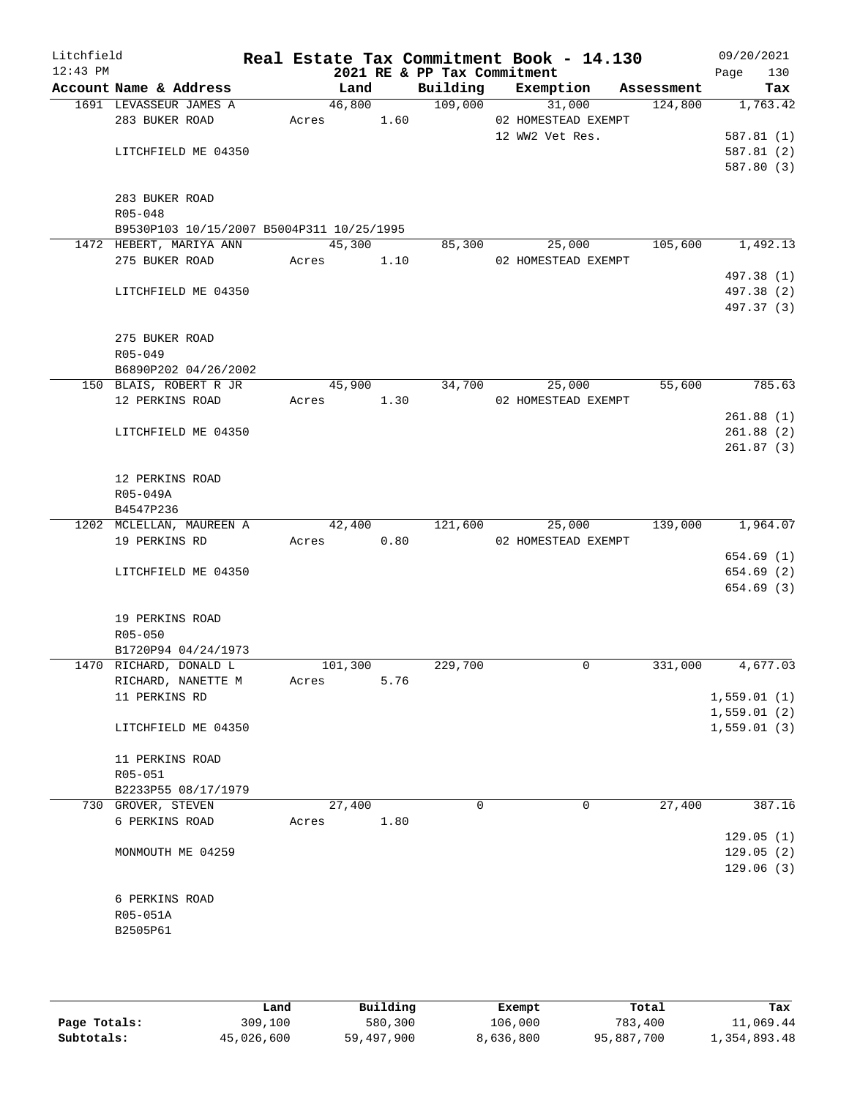| Litchfield<br>$12:43$ PM |                                           |            |      | 2021 RE & PP Tax Commitment | Real Estate Tax Commitment Book - 14.130 |            | 09/20/2021<br>Page<br>130 |
|--------------------------|-------------------------------------------|------------|------|-----------------------------|------------------------------------------|------------|---------------------------|
|                          | Account Name & Address                    | Land       |      | Building                    | Exemption                                | Assessment | Tax                       |
|                          | 1691 LEVASSEUR JAMES A                    | 46,800     |      | 109,000                     | 31,000                                   | 124,800    | 1,763.42                  |
|                          | 283 BUKER ROAD                            | Acres 1.60 |      |                             | 02 HOMESTEAD EXEMPT                      |            |                           |
|                          |                                           |            |      |                             | 12 WW2 Vet Res.                          |            | 587.81(1)                 |
|                          | LITCHFIELD ME 04350                       |            |      |                             |                                          |            | 587.81(2)                 |
|                          |                                           |            |      |                             |                                          |            | 587.80 (3)                |
|                          |                                           |            |      |                             |                                          |            |                           |
|                          | 283 BUKER ROAD<br>R05-048                 |            |      |                             |                                          |            |                           |
|                          | B9530P103 10/15/2007 B5004P311 10/25/1995 |            |      |                             |                                          |            |                           |
|                          | 1472 HEBERT, MARIYA ANN                   | 45,300     |      | 85,300                      | 25,000                                   | 105,600    | 1,492.13                  |
|                          | 275 BUKER ROAD                            | Acres 1.10 |      |                             | 02 HOMESTEAD EXEMPT                      |            |                           |
|                          |                                           |            |      |                             |                                          |            | 497.38 (1)                |
|                          | LITCHFIELD ME 04350                       |            |      |                             |                                          |            | 497.38 (2)                |
|                          |                                           |            |      |                             |                                          |            | 497.37 (3)                |
|                          |                                           |            |      |                             |                                          |            |                           |
|                          | 275 BUKER ROAD                            |            |      |                             |                                          |            |                           |
|                          | $R05 - 049$                               |            |      |                             |                                          |            |                           |
|                          | B6890P202 04/26/2002                      |            |      |                             |                                          |            |                           |
|                          | 150 BLAIS, ROBERT R JR                    | 45,900     |      | 34,700                      | 25,000                                   | 55,600     | 785.63                    |
|                          | 12 PERKINS ROAD                           | Acres 1.30 |      |                             | 02 HOMESTEAD EXEMPT                      |            |                           |
|                          |                                           |            |      |                             |                                          |            | 261.88(1)                 |
|                          | LITCHFIELD ME 04350                       |            |      |                             |                                          |            | 261.88(2)                 |
|                          |                                           |            |      |                             |                                          |            | 261.87(3)                 |
|                          | 12 PERKINS ROAD                           |            |      |                             |                                          |            |                           |
|                          | R05-049A                                  |            |      |                             |                                          |            |                           |
|                          | B4547P236                                 |            |      |                             |                                          |            |                           |
|                          | 1202 MCLELLAN, MAUREEN A                  | 42,400     |      | 121,600                     | 25,000                                   | 139,000    | 1,964.07                  |
|                          | 19 PERKINS RD                             | Acres      | 0.80 |                             | 02 HOMESTEAD EXEMPT                      |            |                           |
|                          |                                           |            |      |                             |                                          |            | 654.69 (1)                |
|                          | LITCHFIELD ME 04350                       |            |      |                             |                                          |            | 654.69 (2)                |
|                          |                                           |            |      |                             |                                          |            | 654.69 (3)                |
|                          |                                           |            |      |                             |                                          |            |                           |
|                          | 19 PERKINS ROAD                           |            |      |                             |                                          |            |                           |
|                          | R05-050                                   |            |      |                             |                                          |            |                           |
|                          | B1720P94 04/24/1973                       |            |      |                             |                                          |            |                           |
|                          | 1470 RICHARD, DONALD L                    | 101,300    |      | 229,700                     | $\mathbf 0$                              | 331,000    | 4,677.03                  |
|                          | RICHARD, NANETTE M<br>11 PERKINS RD       | Acres      | 5.76 |                             |                                          |            | 1,559.01(1)               |
|                          |                                           |            |      |                             |                                          |            | 1,559.01(2)               |
|                          | LITCHFIELD ME 04350                       |            |      |                             |                                          |            | 1,559.01(3)               |
|                          |                                           |            |      |                             |                                          |            |                           |
|                          | 11 PERKINS ROAD                           |            |      |                             |                                          |            |                           |
|                          | R05-051                                   |            |      |                             |                                          |            |                           |
|                          | B2233P55 08/17/1979                       |            |      |                             |                                          |            |                           |
|                          | 730 GROVER, STEVEN                        | 27,400     |      | $\Omega$                    | $\Omega$                                 | 27,400     | 387.16                    |
|                          | 6 PERKINS ROAD                            | Acres      | 1.80 |                             |                                          |            |                           |
|                          |                                           |            |      |                             |                                          |            | 129.05(1)                 |
|                          | MONMOUTH ME 04259                         |            |      |                             |                                          |            | 129.05(2)                 |
|                          |                                           |            |      |                             |                                          |            | 129.06(3)                 |
|                          |                                           |            |      |                             |                                          |            |                           |
|                          | 6 PERKINS ROAD                            |            |      |                             |                                          |            |                           |
|                          | R05-051A                                  |            |      |                             |                                          |            |                           |
|                          | B2505P61                                  |            |      |                             |                                          |            |                           |
|                          |                                           |            |      |                             |                                          |            |                           |
|                          |                                           |            |      |                             |                                          |            |                           |

|              | Land       | Building   | Exempt    | Total      | Tax          |
|--------------|------------|------------|-----------|------------|--------------|
| Page Totals: | 309,100    | 580,300    | 106,000   | 783,400    | 11,069.44    |
| Subtotals:   | 45,026,600 | 59,497,900 | 8,636,800 | 95,887,700 | 1,354,893.48 |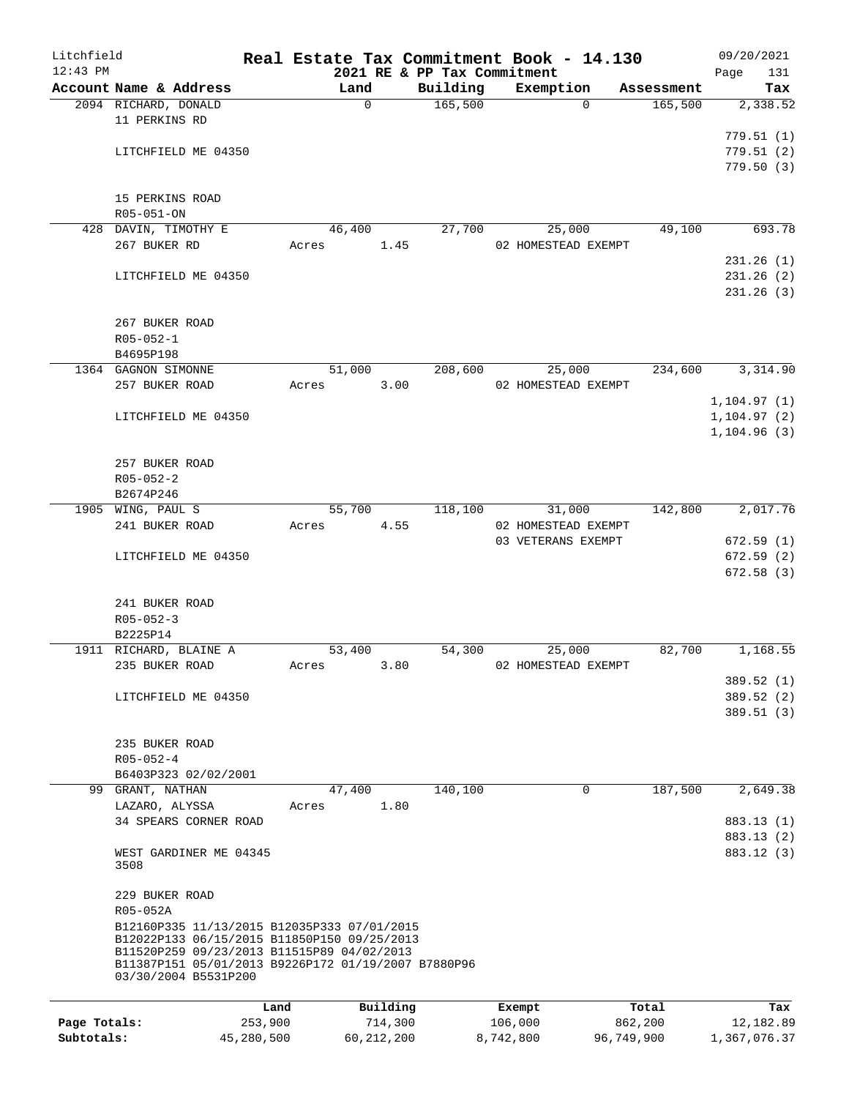| Litchfield   |                                                                             |            |       |              |              |                             | Real Estate Tax Commitment Book - 14.130  |            | 09/20/2021   |
|--------------|-----------------------------------------------------------------------------|------------|-------|--------------|--------------|-----------------------------|-------------------------------------------|------------|--------------|
| $12:43$ PM   |                                                                             |            |       |              |              | 2021 RE & PP Tax Commitment |                                           |            | 131<br>Page  |
|              | Account Name & Address                                                      |            |       | Land         |              | Building                    | Exemption                                 | Assessment | Tax          |
|              | 2094 RICHARD, DONALD                                                        |            |       | $\mathsf{O}$ |              | 165,500                     | $\Omega$                                  | 165,500    | 2,338.52     |
|              | 11 PERKINS RD                                                               |            |       |              |              |                             |                                           |            | 779.51(1)    |
|              | LITCHFIELD ME 04350                                                         |            |       |              |              |                             |                                           |            | 779.51(2)    |
|              |                                                                             |            |       |              |              |                             |                                           |            | 779.50(3)    |
|              |                                                                             |            |       |              |              |                             |                                           |            |              |
|              | 15 PERKINS ROAD                                                             |            |       |              |              |                             |                                           |            |              |
|              | R05-051-ON                                                                  |            |       |              |              |                             |                                           |            |              |
|              | 428 DAVIN, TIMOTHY E                                                        |            |       | 46,400       |              | 27,700                      | 25,000                                    | 49,100     | 693.78       |
|              | 267 BUKER RD                                                                |            | Acres |              | 1.45         |                             | 02 HOMESTEAD EXEMPT                       |            |              |
|              |                                                                             |            |       |              |              |                             |                                           |            | 231.26(1)    |
|              | LITCHFIELD ME 04350                                                         |            |       |              |              |                             |                                           |            | 231.26(2)    |
|              |                                                                             |            |       |              |              |                             |                                           |            | 231.26(3)    |
|              |                                                                             |            |       |              |              |                             |                                           |            |              |
|              | 267 BUKER ROAD<br>$R05 - 052 - 1$                                           |            |       |              |              |                             |                                           |            |              |
|              | B4695P198                                                                   |            |       |              |              |                             |                                           |            |              |
|              | 1364 GAGNON SIMONNE                                                         |            |       | 51,000       |              | 208,600                     | 25,000                                    | 234,600    | 3,314.90     |
|              | 257 BUKER ROAD                                                              |            | Acres |              | 3.00         |                             | 02 HOMESTEAD EXEMPT                       |            |              |
|              |                                                                             |            |       |              |              |                             |                                           |            | 1, 104.97(1) |
|              | LITCHFIELD ME 04350                                                         |            |       |              |              |                             |                                           |            | 1, 104.97(2) |
|              |                                                                             |            |       |              |              |                             |                                           |            | 1, 104.96(3) |
|              |                                                                             |            |       |              |              |                             |                                           |            |              |
|              | 257 BUKER ROAD                                                              |            |       |              |              |                             |                                           |            |              |
|              | $R05 - 052 - 2$                                                             |            |       |              |              |                             |                                           |            |              |
|              | B2674P246                                                                   |            |       |              |              |                             |                                           |            |              |
|              | 1905 WING, PAUL S                                                           |            |       | 55,700       |              | 118,100                     | 31,000                                    | 142,800    | 2,017.76     |
|              | 241 BUKER ROAD                                                              |            | Acres |              | 4.55         |                             | 02 HOMESTEAD EXEMPT<br>03 VETERANS EXEMPT |            | 672.59(1)    |
|              | LITCHFIELD ME 04350                                                         |            |       |              |              |                             |                                           |            | 672.59(2)    |
|              |                                                                             |            |       |              |              |                             |                                           |            | 672.58(3)    |
|              |                                                                             |            |       |              |              |                             |                                           |            |              |
|              | 241 BUKER ROAD                                                              |            |       |              |              |                             |                                           |            |              |
|              | $R05 - 052 - 3$                                                             |            |       |              |              |                             |                                           |            |              |
|              | B2225P14                                                                    |            |       |              |              |                             |                                           |            |              |
|              | 1911 RICHARD, BLAINE A                                                      |            |       | 53,400       |              | 54,300                      | 25,000                                    | 82,700     | 1,168.55     |
|              | 235 BUKER ROAD                                                              |            | Acres |              | 3.80         |                             | 02 HOMESTEAD EXEMPT                       |            |              |
|              |                                                                             |            |       |              |              |                             |                                           |            | 389.52 (1)   |
|              | LITCHFIELD ME 04350                                                         |            |       |              |              |                             |                                           |            | 389.52 (2)   |
|              |                                                                             |            |       |              |              |                             |                                           |            | 389.51(3)    |
|              | 235 BUKER ROAD                                                              |            |       |              |              |                             |                                           |            |              |
|              | $R05 - 052 - 4$                                                             |            |       |              |              |                             |                                           |            |              |
|              | B6403P323 02/02/2001                                                        |            |       |              |              |                             |                                           |            |              |
|              | 99 GRANT, NATHAN                                                            |            |       | 47,400       |              | 140,100                     | 0                                         | 187,500    | 2,649.38     |
|              | LAZARO, ALYSSA                                                              |            | Acres |              | 1.80         |                             |                                           |            |              |
|              | 34 SPEARS CORNER ROAD                                                       |            |       |              |              |                             |                                           |            | 883.13 (1)   |
|              |                                                                             |            |       |              |              |                             |                                           |            | 883.13 (2)   |
|              | WEST GARDINER ME 04345                                                      |            |       |              |              |                             |                                           |            | 883.12 (3)   |
|              | 3508                                                                        |            |       |              |              |                             |                                           |            |              |
|              |                                                                             |            |       |              |              |                             |                                           |            |              |
|              | 229 BUKER ROAD<br>R05-052A                                                  |            |       |              |              |                             |                                           |            |              |
|              | B12160P335 11/13/2015 B12035P333 07/01/2015                                 |            |       |              |              |                             |                                           |            |              |
|              | B12022P133 06/15/2015 B11850P150 09/25/2013                                 |            |       |              |              |                             |                                           |            |              |
|              | B11520P259 09/23/2013 B11515P89 04/02/2013                                  |            |       |              |              |                             |                                           |            |              |
|              | B11387P151 05/01/2013 B9226P172 01/19/2007 B7880P96<br>03/30/2004 B5531P200 |            |       |              |              |                             |                                           |            |              |
|              |                                                                             |            |       |              |              |                             |                                           |            |              |
|              |                                                                             | Land       |       |              | Building     |                             | Exempt                                    | Total      | Tax          |
| Page Totals: |                                                                             | 253,900    |       |              | 714,300      |                             | 106,000                                   | 862,200    | 12,182.89    |
| Subtotals:   |                                                                             | 45,280,500 |       |              | 60, 212, 200 |                             | 96,749,900<br>8,742,800                   |            | 1,367,076.37 |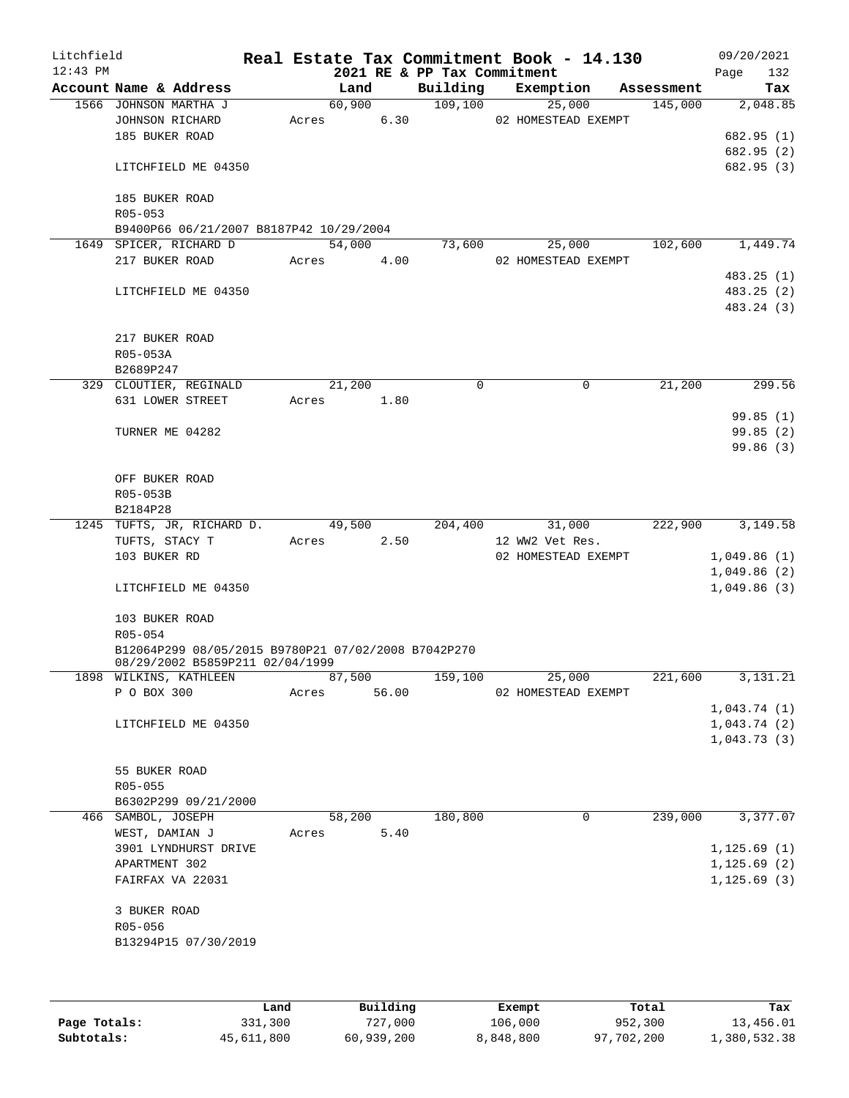| Litchfield |                                                     |             |       |        |                        |                             | Real Estate Tax Commitment Book - 14.130 |            |              | 09/20/2021               |
|------------|-----------------------------------------------------|-------------|-------|--------|------------------------|-----------------------------|------------------------------------------|------------|--------------|--------------------------|
| $12:43$ PM |                                                     |             |       |        |                        | 2021 RE & PP Tax Commitment |                                          |            | Page         | 132                      |
|            | Account Name & Address                              |             |       | Land   |                        | Building                    | Exemption                                | Assessment |              | Tax                      |
|            | 1566 JOHNSON MARTHA J                               |             |       | 60,900 |                        | 109, 100                    | 25,000                                   | 145,000    |              | 2,048.85                 |
|            | JOHNSON RICHARD                                     |             |       | Acres  | 6.30                   |                             | 02 HOMESTEAD EXEMPT                      |            |              |                          |
|            | 185 BUKER ROAD                                      |             |       |        |                        |                             |                                          |            |              | 682.95 (1)               |
|            | LITCHFIELD ME 04350                                 |             |       |        |                        |                             |                                          |            |              | 682.95 (2)<br>682.95 (3) |
|            |                                                     |             |       |        |                        |                             |                                          |            |              |                          |
|            | 185 BUKER ROAD                                      |             |       |        |                        |                             |                                          |            |              |                          |
|            | $R05 - 053$                                         |             |       |        |                        |                             |                                          |            |              |                          |
|            | B9400P66 06/21/2007 B8187P42 10/29/2004             |             |       |        |                        |                             |                                          |            |              |                          |
|            | 1649 SPICER, RICHARD D                              |             |       | 54,000 |                        | 73,600                      | 25,000                                   | 102,600    |              | 1,449.74                 |
|            | 217 BUKER ROAD                                      |             |       | Acres  | 4.00                   |                             | 02 HOMESTEAD EXEMPT                      |            |              |                          |
|            |                                                     |             |       |        |                        |                             |                                          |            |              | 483.25(1)                |
|            | LITCHFIELD ME 04350                                 |             |       |        |                        |                             |                                          |            |              | 483.25 (2)               |
|            |                                                     |             |       |        |                        |                             |                                          |            |              | 483.24 (3)               |
|            |                                                     |             |       |        |                        |                             |                                          |            |              |                          |
|            | 217 BUKER ROAD                                      |             |       |        |                        |                             |                                          |            |              |                          |
|            | R05-053A                                            |             |       |        |                        |                             |                                          |            |              |                          |
|            | B2689P247                                           |             |       |        |                        |                             |                                          |            |              |                          |
|            | 329 CLOUTIER, REGINALD                              |             |       | 21,200 |                        | 0                           | 0                                        | 21,200     |              | 299.56                   |
|            | 631 LOWER STREET                                    |             | Acres |        | 1.80                   |                             |                                          |            |              |                          |
|            |                                                     |             |       |        |                        |                             |                                          |            |              | 99.85(1)                 |
|            | TURNER ME 04282                                     |             |       |        |                        |                             |                                          |            |              | 99.85(2)                 |
|            |                                                     |             |       |        |                        |                             |                                          |            |              | 99.86(3)                 |
|            |                                                     |             |       |        |                        |                             |                                          |            |              |                          |
|            | OFF BUKER ROAD                                      |             |       |        |                        |                             |                                          |            |              |                          |
|            | R05-053B                                            |             |       |        |                        |                             |                                          |            |              |                          |
|            | B2184P28                                            |             |       |        |                        |                             |                                          |            |              |                          |
|            | 1245 TUFTS, JR, RICHARD D.                          |             |       | 49,500 |                        | 204,400                     | 31,000                                   | 222,900    |              | 3,149.58                 |
|            | TUFTS, STACY T                                      |             | Acres |        | 2.50                   |                             | 12 WW2 Vet Res.                          |            |              |                          |
|            | 103 BUKER RD                                        |             |       |        |                        |                             | 02 HOMESTEAD EXEMPT                      |            | 1,049.86(1)  |                          |
|            |                                                     |             |       |        |                        |                             |                                          |            | 1,049.86(2)  |                          |
|            | LITCHFIELD ME 04350                                 |             |       |        |                        |                             |                                          |            | 1,049.86(3)  |                          |
|            |                                                     |             |       |        |                        |                             |                                          |            |              |                          |
|            | 103 BUKER ROAD                                      |             |       |        |                        |                             |                                          |            |              |                          |
|            | R05-054                                             |             |       |        |                        |                             |                                          |            |              |                          |
|            | B12064P299 08/05/2015 B9780P21 07/02/2008 B7042P270 |             |       |        |                        |                             |                                          |            |              |                          |
|            | 08/29/2002 B5859P211 02/04/1999                     |             |       |        |                        |                             |                                          |            |              |                          |
|            | 1898 WILKINS, KATHLEEN                              |             |       | 87,500 |                        | 159,100                     | 25,000                                   | 221,600    |              | 3,131.21                 |
|            | P O BOX 300                                         |             | Acres |        | 56.00                  |                             | 02 HOMESTEAD EXEMPT                      |            |              |                          |
|            |                                                     |             |       |        |                        |                             |                                          |            | 1,043.74(1)  |                          |
|            | LITCHFIELD ME 04350                                 |             |       |        |                        |                             |                                          |            | 1,043.74(2)  |                          |
|            |                                                     |             |       |        |                        |                             |                                          |            | 1,043.73(3)  |                          |
|            |                                                     |             |       |        |                        |                             |                                          |            |              |                          |
|            | 55 BUKER ROAD                                       |             |       |        |                        |                             |                                          |            |              |                          |
|            | R05-055                                             |             |       |        |                        |                             |                                          |            |              |                          |
|            | B6302P299 09/21/2000                                |             |       |        |                        |                             |                                          |            |              |                          |
|            | 466 SAMBOL, JOSEPH                                  |             |       | 58,200 |                        | 180,800                     | 0                                        | 239,000    |              | 3,377.07                 |
|            | WEST, DAMIAN J                                      |             | Acres |        | 5.40                   |                             |                                          |            |              |                          |
|            | 3901 LYNDHURST DRIVE                                |             |       |        |                        |                             |                                          |            | 1, 125.69(1) |                          |
|            | APARTMENT 302                                       |             |       |        |                        |                             |                                          |            | 1, 125.69(2) |                          |
|            | FAIRFAX VA 22031                                    |             |       |        |                        |                             |                                          |            | 1, 125.69(3) |                          |
|            |                                                     |             |       |        |                        |                             |                                          |            |              |                          |
|            | 3 BUKER ROAD                                        |             |       |        |                        |                             |                                          |            |              |                          |
|            | R05-056                                             |             |       |        |                        |                             |                                          |            |              |                          |
|            | B13294P15 07/30/2019                                |             |       |        |                        |                             |                                          |            |              |                          |
|            |                                                     |             |       |        |                        |                             |                                          |            |              |                          |
|            |                                                     |             |       |        |                        |                             |                                          |            |              |                          |
|            |                                                     |             |       |        |                        |                             |                                          |            |              |                          |
|            |                                                     | <b>Tand</b> |       |        | $P_{\text{II}}$ ilding |                             | $F$ vomnt                                | $T - 1$    |              | ma:                      |

|              | Land       | Building   | Exempt    | Total      | Tax          |
|--------------|------------|------------|-----------|------------|--------------|
| Page Totals: | 331,300    | 727,000    | 106,000   | 952,300    | 13,456.01    |
| Subtotals:   | 45,611,800 | 60,939,200 | 8,848,800 | 97,702,200 | 1,380,532.38 |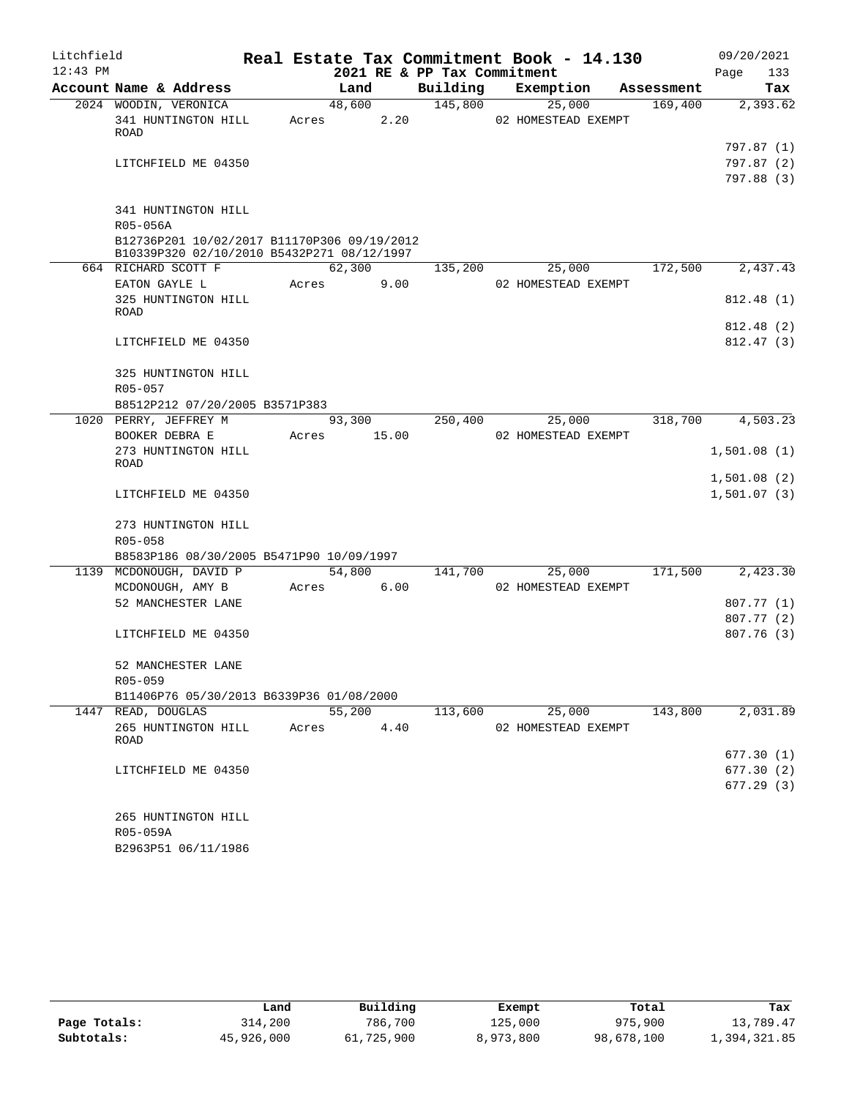| Litchfield |                                                                |                |      |                             | Real Estate Tax Commitment Book - 14.130 |            | 09/20/2021               |
|------------|----------------------------------------------------------------|----------------|------|-----------------------------|------------------------------------------|------------|--------------------------|
| $12:43$ PM |                                                                |                |      | 2021 RE & PP Tax Commitment |                                          |            | Page<br>133              |
|            | Account Name & Address                                         | Land           |      | Building                    | Exemption                                | Assessment | Tax                      |
|            | 2024 WOODIN, VERONICA                                          | 48,600         |      | 145,800                     | 25,000                                   | 169,400    | 2,393.62                 |
|            | 341 HUNTINGTON HILL                                            | Acres          | 2.20 |                             | 02 HOMESTEAD EXEMPT                      |            |                          |
|            | ROAD                                                           |                |      |                             |                                          |            |                          |
|            | LITCHFIELD ME 04350                                            |                |      |                             |                                          |            | 797.87 (1)<br>797.87 (2) |
|            |                                                                |                |      |                             |                                          |            | 797.88 (3)               |
|            |                                                                |                |      |                             |                                          |            |                          |
|            | 341 HUNTINGTON HILL                                            |                |      |                             |                                          |            |                          |
|            | R05-056A                                                       |                |      |                             |                                          |            |                          |
|            | B12736P201 10/02/2017 B11170P306 09/19/2012                    |                |      |                             |                                          |            |                          |
|            | B10339P320 02/10/2010 B5432P271 08/12/1997                     |                |      |                             |                                          |            |                          |
|            | 664 RICHARD SCOTT F                                            | 62,300         |      | 135,200                     | 25,000                                   | 172,500    | 2,437.43                 |
|            | EATON GAYLE L                                                  | Acres          | 9.00 |                             | 02 HOMESTEAD EXEMPT                      |            |                          |
|            | 325 HUNTINGTON HILL                                            |                |      |                             |                                          |            | 812.48 (1)               |
|            | ROAD                                                           |                |      |                             |                                          |            |                          |
|            |                                                                |                |      |                             |                                          |            | 812.48 (2)               |
|            | LITCHFIELD ME 04350                                            |                |      |                             |                                          |            | 812.47 (3)               |
|            |                                                                |                |      |                             |                                          |            |                          |
|            | 325 HUNTINGTON HILL                                            |                |      |                             |                                          |            |                          |
|            | R05-057                                                        |                |      |                             |                                          |            |                          |
|            | B8512P212 07/20/2005 B3571P383<br>1020 PERRY, JEFFREY M        | 93,300         |      | 250,400                     | 25,000                                   | 318,700    | 4,503.23                 |
|            | BOOKER DEBRA E                                                 | 15.00<br>Acres |      |                             | 02 HOMESTEAD EXEMPT                      |            |                          |
|            | 273 HUNTINGTON HILL                                            |                |      |                             |                                          |            | 1,501.08(1)              |
|            | ROAD                                                           |                |      |                             |                                          |            |                          |
|            |                                                                |                |      |                             |                                          |            | 1,501.08(2)              |
|            | LITCHFIELD ME 04350                                            |                |      |                             |                                          |            | 1,501.07(3)              |
|            |                                                                |                |      |                             |                                          |            |                          |
|            | 273 HUNTINGTON HILL                                            |                |      |                             |                                          |            |                          |
|            | R05-058                                                        |                |      |                             |                                          |            |                          |
|            | B8583P186 08/30/2005 B5471P90 10/09/1997                       |                |      |                             |                                          |            |                          |
|            | 1139 MCDONOUGH, DAVID P                                        | 54,800         |      | 141,700                     | 25,000                                   | 171,500    | 2,423.30                 |
|            | MCDONOUGH, AMY B                                               | Acres          | 6.00 |                             | 02 HOMESTEAD EXEMPT                      |            |                          |
|            | 52 MANCHESTER LANE                                             |                |      |                             |                                          |            | 807.77(1)                |
|            |                                                                |                |      |                             |                                          |            | 807.77 (2)               |
|            | LITCHFIELD ME 04350                                            |                |      |                             |                                          |            | 807.76(3)                |
|            |                                                                |                |      |                             |                                          |            |                          |
|            | 52 MANCHESTER LANE                                             |                |      |                             |                                          |            |                          |
|            | R05-059                                                        |                |      |                             |                                          |            |                          |
|            | B11406P76 05/30/2013 B6339P36 01/08/2000<br>1447 READ, DOUGLAS | 55,200         |      | 113,600                     | 25,000                                   | 143,800    | 2,031.89                 |
|            | 265 HUNTINGTON HILL                                            | Acres          | 4.40 |                             | 02 HOMESTEAD EXEMPT                      |            |                          |
|            | ROAD                                                           |                |      |                             |                                          |            |                          |
|            |                                                                |                |      |                             |                                          |            | 677.30 (1)               |
|            | LITCHFIELD ME 04350                                            |                |      |                             |                                          |            | 677.30(2)                |
|            |                                                                |                |      |                             |                                          |            | 677.29 (3)               |
|            |                                                                |                |      |                             |                                          |            |                          |
|            | 265 HUNTINGTON HILL                                            |                |      |                             |                                          |            |                          |
|            | R05-059A                                                       |                |      |                             |                                          |            |                          |
|            | B2963P51 06/11/1986                                            |                |      |                             |                                          |            |                          |

|              | Land       | Building   | Exempt    | Total      | Tax          |
|--------------|------------|------------|-----------|------------|--------------|
| Page Totals: | 314,200    | 786,700    | 125,000   | 975,900    | 13,789.47    |
| Subtotals:   | 45,926,000 | 61,725,900 | 8,973,800 | 98,678,100 | 1,394,321.85 |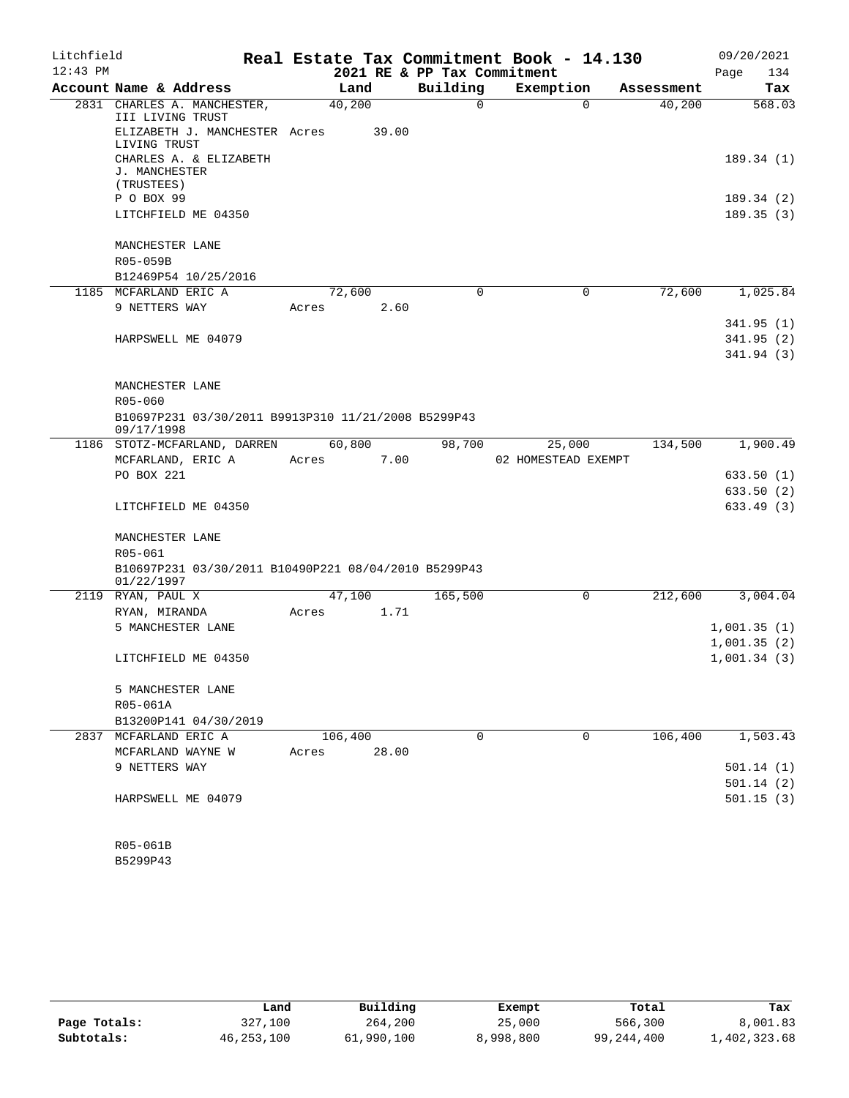| Litchfield |                                                                    |         |       |                             | Real Estate Tax Commitment Book - 14.130 |            | 09/20/2021  |
|------------|--------------------------------------------------------------------|---------|-------|-----------------------------|------------------------------------------|------------|-------------|
| $12:43$ PM |                                                                    |         |       | 2021 RE & PP Tax Commitment |                                          |            | Page<br>134 |
|            | Account Name & Address                                             |         | Land  | Building                    | Exemption                                | Assessment | Tax         |
|            | 2831 CHARLES A. MANCHESTER,<br>III LIVING TRUST                    | 40,200  |       | $\Omega$                    | $\Omega$                                 | 40,200     | 568.03      |
|            | ELIZABETH J. MANCHESTER Acres<br>LIVING TRUST                      |         | 39.00 |                             |                                          |            |             |
|            | CHARLES A. & ELIZABETH<br>J. MANCHESTER<br>(TRUSTEES)              |         |       |                             |                                          |            | 189.34(1)   |
|            | P O BOX 99                                                         |         |       |                             |                                          |            | 189.34 (2)  |
|            | LITCHFIELD ME 04350                                                |         |       |                             |                                          |            | 189.35(3)   |
|            | MANCHESTER LANE<br>R05-059B                                        |         |       |                             |                                          |            |             |
|            | B12469P54 10/25/2016                                               |         |       |                             |                                          |            |             |
|            | 1185 MCFARLAND ERIC A                                              | 72,600  |       | $\Omega$                    | 0                                        | 72,600     | 1,025.84    |
|            | 9 NETTERS WAY                                                      | Acres   | 2.60  |                             |                                          |            |             |
|            |                                                                    |         |       |                             |                                          |            | 341.95(1)   |
|            | HARPSWELL ME 04079                                                 |         |       |                             |                                          |            | 341.95(2)   |
|            |                                                                    |         |       |                             |                                          |            | 341.94 (3)  |
|            |                                                                    |         |       |                             |                                          |            |             |
|            | MANCHESTER LANE                                                    |         |       |                             |                                          |            |             |
|            | $R05 - 060$                                                        |         |       |                             |                                          |            |             |
|            | B10697P231 03/30/2011 B9913P310 11/21/2008 B5299P43                |         |       |                             |                                          |            |             |
|            | 09/17/1998                                                         |         |       |                             |                                          |            |             |
|            | 1186 STOTZ-MCFARLAND, DARREN                                       | 60,800  |       | 98,700                      | 25,000                                   | 134,500    | 1,900.49    |
|            | MCFARLAND, ERIC A                                                  | Acres   | 7.00  |                             | 02 HOMESTEAD EXEMPT                      |            |             |
|            | PO BOX 221                                                         |         |       |                             |                                          |            | 633.50 (1)  |
|            |                                                                    |         |       |                             |                                          |            | 633.50 (2)  |
|            | LITCHFIELD ME 04350                                                |         |       |                             |                                          |            | 633.49(3)   |
|            | MANCHESTER LANE                                                    |         |       |                             |                                          |            |             |
|            | R05-061                                                            |         |       |                             |                                          |            |             |
|            | B10697P231 03/30/2011 B10490P221 08/04/2010 B5299P43<br>01/22/1997 |         |       |                             |                                          |            |             |
|            | 2119 RYAN, PAUL X                                                  | 47,100  |       | 165,500                     | $\mathbf 0$                              | 212,600    | 3,004.04    |
|            | RYAN, MIRANDA                                                      | Acres   | 1.71  |                             |                                          |            |             |
|            | 5 MANCHESTER LANE                                                  |         |       |                             |                                          |            | 1,001.35(1) |
|            |                                                                    |         |       |                             |                                          |            | 1,001.35(2) |
|            | LITCHFIELD ME 04350                                                |         |       |                             |                                          |            | 1,001.34(3) |
|            | 5 MANCHESTER LANE                                                  |         |       |                             |                                          |            |             |
|            | R05-061A                                                           |         |       |                             |                                          |            |             |
|            | B13200P141 04/30/2019                                              |         |       |                             |                                          |            |             |
|            | 2837 MCFARLAND ERIC A                                              | 106,400 |       | $\Omega$                    | $\Omega$                                 | 106,400    | 1,503.43    |
|            | MCFARLAND WAYNE W                                                  | Acres   | 28.00 |                             |                                          |            |             |
|            | 9 NETTERS WAY                                                      |         |       |                             |                                          |            | 501.14(1)   |
|            |                                                                    |         |       |                             |                                          |            | 501.14(2)   |
|            | HARPSWELL ME 04079                                                 |         |       |                             |                                          |            | 501.15(3)   |
|            |                                                                    |         |       |                             |                                          |            |             |
|            |                                                                    |         |       |                             |                                          |            |             |
|            |                                                                    |         |       |                             |                                          |            |             |

B5299P43 R05-061B

|              | Land       | Building   | Exempt    | Total      | Tax          |
|--------------|------------|------------|-----------|------------|--------------|
| Page Totals: | 327,100    | 264,200    | 25,000    | 566,300    | 8,001.83     |
| Subtotals:   | 46,253,100 | 61,990,100 | 8,998,800 | 99,244,400 | L,402,323.68 |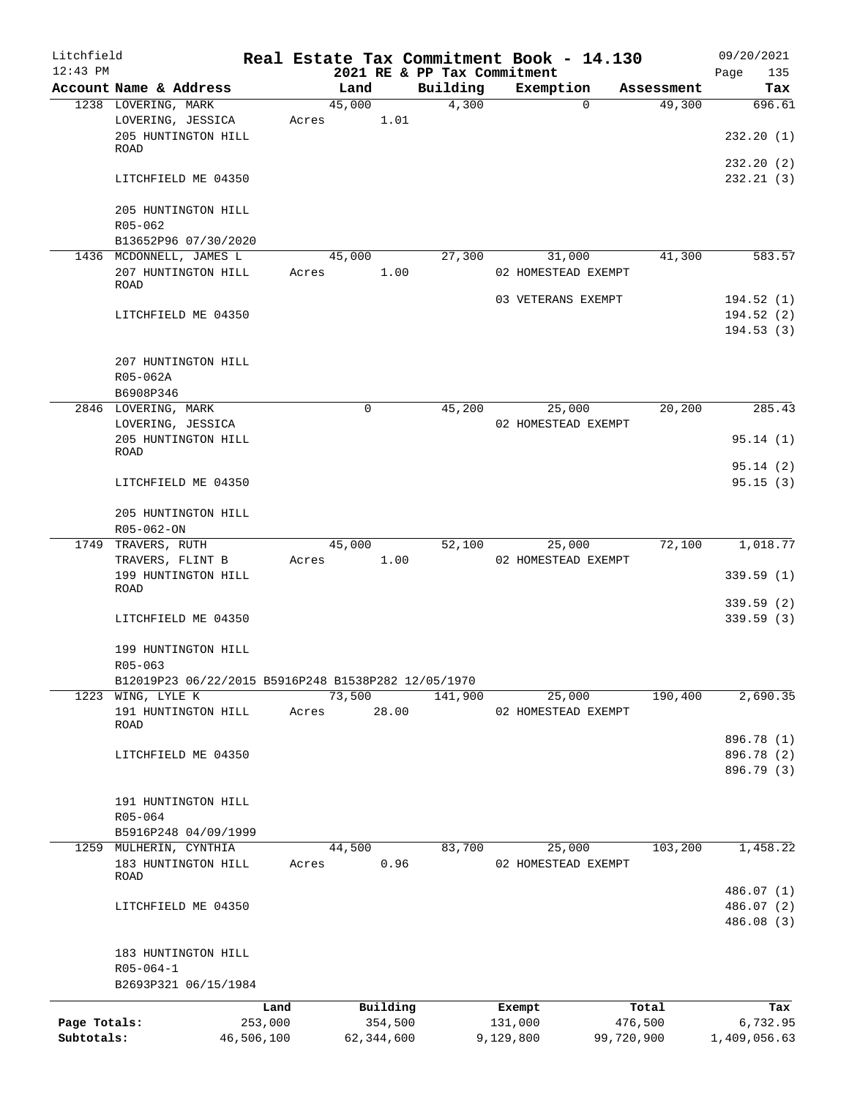| Litchfield   |                                                     |            |       |        |              |          | Real Estate Tax Commitment Book - 14.130 |                      | 09/20/2021         |
|--------------|-----------------------------------------------------|------------|-------|--------|--------------|----------|------------------------------------------|----------------------|--------------------|
| $12:43$ PM   | Account Name & Address                              |            |       | Land   |              | Building | 2021 RE & PP Tax Commitment<br>Exemption |                      | Page<br>135<br>Tax |
|              | 1238 LOVERING, MARK                                 |            |       | 45,000 |              | 4,300    | $\Omega$                                 | Assessment<br>49,300 | 696.61             |
|              | LOVERING, JESSICA                                   |            | Acres |        | 1.01         |          |                                          |                      |                    |
|              | 205 HUNTINGTON HILL<br><b>ROAD</b>                  |            |       |        |              |          |                                          |                      | 232.20(1)          |
|              |                                                     |            |       |        |              |          |                                          |                      | 232.20(2)          |
|              | LITCHFIELD ME 04350                                 |            |       |        |              |          |                                          |                      | 232.21(3)          |
|              | 205 HUNTINGTON HILL                                 |            |       |        |              |          |                                          |                      |                    |
|              | $R05 - 062$                                         |            |       |        |              |          |                                          |                      |                    |
|              | B13652P96 07/30/2020                                |            |       |        |              |          |                                          |                      |                    |
|              | 1436 MCDONNELL, JAMES L                             |            |       | 45,000 |              | 27,300   | 31,000                                   | 41,300               | 583.57             |
|              | 207 HUNTINGTON HILL<br>ROAD                         |            | Acres |        | 1.00         |          | 02 HOMESTEAD EXEMPT                      |                      |                    |
|              |                                                     |            |       |        |              |          | 03 VETERANS EXEMPT                       |                      | 194.52(1)          |
|              | LITCHFIELD ME 04350                                 |            |       |        |              |          |                                          |                      | 194.52(2)          |
|              |                                                     |            |       |        |              |          |                                          |                      | 194.53(3)          |
|              | 207 HUNTINGTON HILL                                 |            |       |        |              |          |                                          |                      |                    |
|              | R05-062A                                            |            |       |        |              |          |                                          |                      |                    |
|              | B6908P346                                           |            |       |        |              |          |                                          |                      |                    |
|              | 2846 LOVERING, MARK                                 |            |       | 0      |              | 45,200   | 25,000                                   | 20,200               | 285.43             |
|              | LOVERING, JESSICA                                   |            |       |        |              |          | 02 HOMESTEAD EXEMPT                      |                      |                    |
|              | 205 HUNTINGTON HILL                                 |            |       |        |              |          |                                          |                      | 95.14(1)           |
|              | ROAD                                                |            |       |        |              |          |                                          |                      |                    |
|              |                                                     |            |       |        |              |          |                                          |                      | 95.14(2)           |
|              | LITCHFIELD ME 04350                                 |            |       |        |              |          |                                          |                      | 95.15(3)           |
|              | 205 HUNTINGTON HILL                                 |            |       |        |              |          |                                          |                      |                    |
|              | R05-062-ON                                          |            |       |        |              |          |                                          |                      |                    |
|              | 1749 TRAVERS, RUTH                                  |            |       | 45,000 |              | 52,100   | 25,000                                   | 72,100               | 1,018.77           |
|              | TRAVERS, FLINT B                                    |            | Acres |        | 1.00         |          | 02 HOMESTEAD EXEMPT                      |                      |                    |
|              | 199 HUNTINGTON HILL                                 |            |       |        |              |          |                                          |                      | 339.59(1)          |
|              | <b>ROAD</b>                                         |            |       |        |              |          |                                          |                      |                    |
|              |                                                     |            |       |        |              |          |                                          |                      | 339.59(2)          |
|              | LITCHFIELD ME 04350                                 |            |       |        |              |          |                                          |                      | 339.59 (3)         |
|              | 199 HUNTINGTON HILL                                 |            |       |        |              |          |                                          |                      |                    |
|              | R05-063                                             |            |       |        |              |          |                                          |                      |                    |
|              | B12019P23 06/22/2015 B5916P248 B1538P282 12/05/1970 |            |       |        |              |          |                                          |                      |                    |
|              | 1223 WING, LYLE K                                   |            |       | 73,500 |              | 141,900  | 25,000                                   | 190,400              | 2,690.35           |
|              | 191 HUNTINGTON HILL<br>ROAD                         |            | Acres |        | 28.00        |          | 02 HOMESTEAD EXEMPT                      |                      |                    |
|              |                                                     |            |       |        |              |          |                                          |                      | 896.78 (1)         |
|              | LITCHFIELD ME 04350                                 |            |       |        |              |          |                                          |                      | 896.78 (2)         |
|              |                                                     |            |       |        |              |          |                                          |                      | 896.79 (3)         |
|              | 191 HUNTINGTON HILL                                 |            |       |        |              |          |                                          |                      |                    |
|              | R05-064                                             |            |       |        |              |          |                                          |                      |                    |
|              | B5916P248 04/09/1999                                |            |       |        |              |          |                                          |                      |                    |
|              | 1259 MULHERIN, CYNTHIA                              |            |       | 44,500 |              | 83,700   | 25,000                                   | 103,200              | 1,458.22           |
|              | 183 HUNTINGTON HILL                                 |            | Acres |        | 0.96         |          | 02 HOMESTEAD EXEMPT                      |                      |                    |
|              | ROAD                                                |            |       |        |              |          |                                          |                      |                    |
|              |                                                     |            |       |        |              |          |                                          |                      | 486.07 (1)         |
|              | LITCHFIELD ME 04350                                 |            |       |        |              |          |                                          |                      | 486.07 (2)         |
|              |                                                     |            |       |        |              |          |                                          |                      | 486.08 (3)         |
|              | 183 HUNTINGTON HILL                                 |            |       |        |              |          |                                          |                      |                    |
|              | $R05 - 064 - 1$                                     |            |       |        |              |          |                                          |                      |                    |
|              | B2693P321 06/15/1984                                |            |       |        |              |          |                                          |                      |                    |
|              |                                                     | Land       |       |        | Building     |          | Exempt                                   | Total                | Tax                |
| Page Totals: |                                                     | 253,000    |       |        | 354,500      |          | 131,000                                  | 476,500              | 6,732.95           |
| Subtotals:   |                                                     | 46,506,100 |       |        | 62, 344, 600 |          | 9,129,800                                | 99,720,900           | 1,409,056.63       |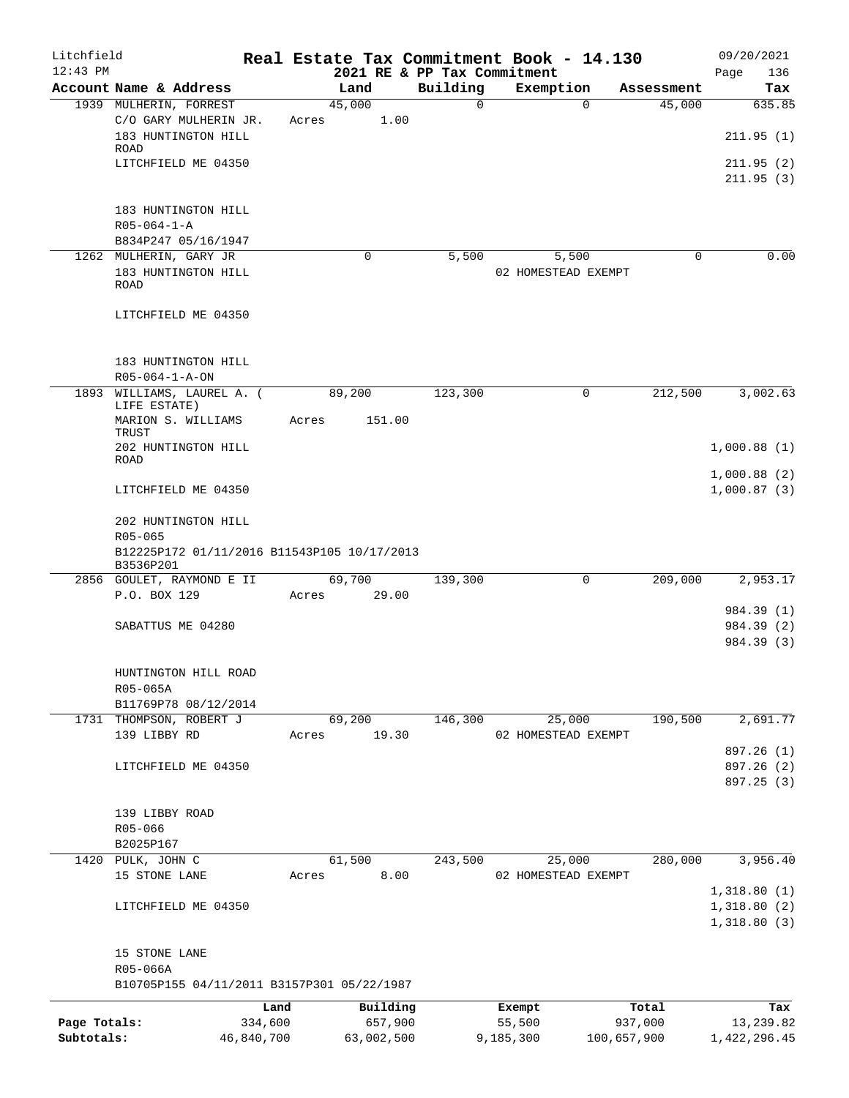| Litchfield   |                                                                         |            |       |                | Real Estate Tax Commitment Book - 14.130 |           |                               |             |            | 09/20/2021                 |        |
|--------------|-------------------------------------------------------------------------|------------|-------|----------------|------------------------------------------|-----------|-------------------------------|-------------|------------|----------------------------|--------|
| $12:43$ PM   |                                                                         |            |       |                | 2021 RE & PP Tax Commitment              |           |                               |             |            | Page                       | 136    |
|              | Account Name & Address                                                  |            |       | Land           | Building                                 |           | Exemption                     |             | Assessment |                            | Tax    |
|              | 1939 MULHERIN, FORREST<br>C/O GARY MULHERIN JR.                         |            |       | 45,000         | 0                                        |           | $\Omega$                      |             | 45,000     |                            | 635.85 |
|              | 183 HUNTINGTON HILL                                                     |            | Acres | 1.00           |                                          |           |                               |             |            | 211.95(1)                  |        |
|              | <b>ROAD</b><br>LITCHFIELD ME 04350                                      |            |       |                |                                          |           |                               |             |            | 211.95(2)                  |        |
|              |                                                                         |            |       |                |                                          |           |                               |             |            | 211.95(3)                  |        |
|              | 183 HUNTINGTON HILL                                                     |            |       |                |                                          |           |                               |             |            |                            |        |
|              | $R05 - 064 - 1 - A$                                                     |            |       |                |                                          |           |                               |             |            |                            |        |
|              | B834P247 05/16/1947                                                     |            |       |                |                                          |           |                               |             |            |                            |        |
|              | 1262 MULHERIN, GARY JR                                                  |            |       | $\Omega$       | 5,500                                    |           | 5,500                         |             | $\Omega$   |                            | 0.00   |
|              | 183 HUNTINGTON HILL<br><b>ROAD</b>                                      |            |       |                |                                          |           | 02 HOMESTEAD EXEMPT           |             |            |                            |        |
|              | LITCHFIELD ME 04350                                                     |            |       |                |                                          |           |                               |             |            |                            |        |
|              | 183 HUNTINGTON HILL                                                     |            |       |                |                                          |           |                               |             |            |                            |        |
|              | R05-064-1-A-ON                                                          |            |       |                |                                          |           |                               |             |            |                            |        |
|              | 1893 WILLIAMS, LAUREL A. (<br>LIFE ESTATE)                              |            |       | 89,200         | 123,300                                  |           | 0                             |             | 212,500    | 3,002.63                   |        |
|              | MARION S. WILLIAMS<br>TRUST                                             |            | Acres | 151.00         |                                          |           |                               |             |            |                            |        |
|              | 202 HUNTINGTON HILL<br><b>ROAD</b>                                      |            |       |                |                                          |           |                               |             |            | 1,000.88(1)                |        |
|              | LITCHFIELD ME 04350                                                     |            |       |                |                                          |           |                               |             |            | 1,000.88(2)<br>1,000.87(3) |        |
|              | 202 HUNTINGTON HILL                                                     |            |       |                |                                          |           |                               |             |            |                            |        |
|              | $R05 - 065$<br>B12225P172 01/11/2016 B11543P105 10/17/2013<br>B3536P201 |            |       |                |                                          |           |                               |             |            |                            |        |
|              | 2856 GOULET, RAYMOND E II                                               |            |       | 69,700         | 139,300                                  |           | $\mathbf 0$                   |             | 209,000    | 2,953.17                   |        |
|              | P.O. BOX 129                                                            |            | Acres | 29.00          |                                          |           |                               |             |            |                            |        |
|              |                                                                         |            |       |                |                                          |           |                               |             |            | 984.39 (1)                 |        |
|              | SABATTUS ME 04280                                                       |            |       |                |                                          |           |                               |             |            | 984.39 (2)<br>984.39 (3)   |        |
|              | HUNTINGTON HILL ROAD                                                    |            |       |                |                                          |           |                               |             |            |                            |        |
|              | R05-065A                                                                |            |       |                |                                          |           |                               |             |            |                            |        |
|              | B11769P78 08/12/2014                                                    |            |       |                |                                          |           |                               |             |            |                            |        |
|              | 1731 THOMPSON, ROBERT J                                                 |            |       | 69,200         | 146,300                                  |           | 25,000                        |             | 190,500    | 2,691.77                   |        |
|              | 139 LIBBY RD                                                            |            | Acres | 19.30          |                                          |           | 02 HOMESTEAD EXEMPT           |             |            |                            |        |
|              | LITCHFIELD ME 04350                                                     |            |       |                |                                          |           |                               |             |            | 897.26 (1)<br>897.26 (2)   |        |
|              |                                                                         |            |       |                |                                          |           |                               |             |            | 897.25 (3)                 |        |
|              |                                                                         |            |       |                |                                          |           |                               |             |            |                            |        |
|              | 139 LIBBY ROAD                                                          |            |       |                |                                          |           |                               |             |            |                            |        |
|              | $R05 - 066$                                                             |            |       |                |                                          |           |                               |             |            |                            |        |
|              | B2025P167                                                               |            |       |                |                                          |           |                               |             |            |                            |        |
|              | 1420 PULK, JOHN C<br>15 STONE LANE                                      |            | Acres | 61,500<br>8.00 | 243,500                                  |           | 25,000<br>02 HOMESTEAD EXEMPT |             | 280,000    | 3,956.40                   |        |
|              |                                                                         |            |       |                |                                          |           |                               |             |            | 1,318.80(1)                |        |
|              | LITCHFIELD ME 04350                                                     |            |       |                |                                          |           |                               |             |            | 1,318.80(2)<br>1,318.80(3) |        |
|              | 15 STONE LANE                                                           |            |       |                |                                          |           |                               |             |            |                            |        |
|              | R05-066A                                                                |            |       |                |                                          |           |                               |             |            |                            |        |
|              | B10705P155 04/11/2011 B3157P301 05/22/1987                              |            |       |                |                                          |           |                               |             |            |                            |        |
|              |                                                                         | Land       |       | Building       |                                          |           | Exempt                        |             | Total      |                            | Tax    |
| Page Totals: |                                                                         | 334,600    |       | 657,900        |                                          |           | 55,500                        |             | 937,000    | 13,239.82                  |        |
| Subtotals:   |                                                                         | 46,840,700 |       | 63,002,500     |                                          | 9,185,300 |                               | 100,657,900 |            | 1,422,296.45               |        |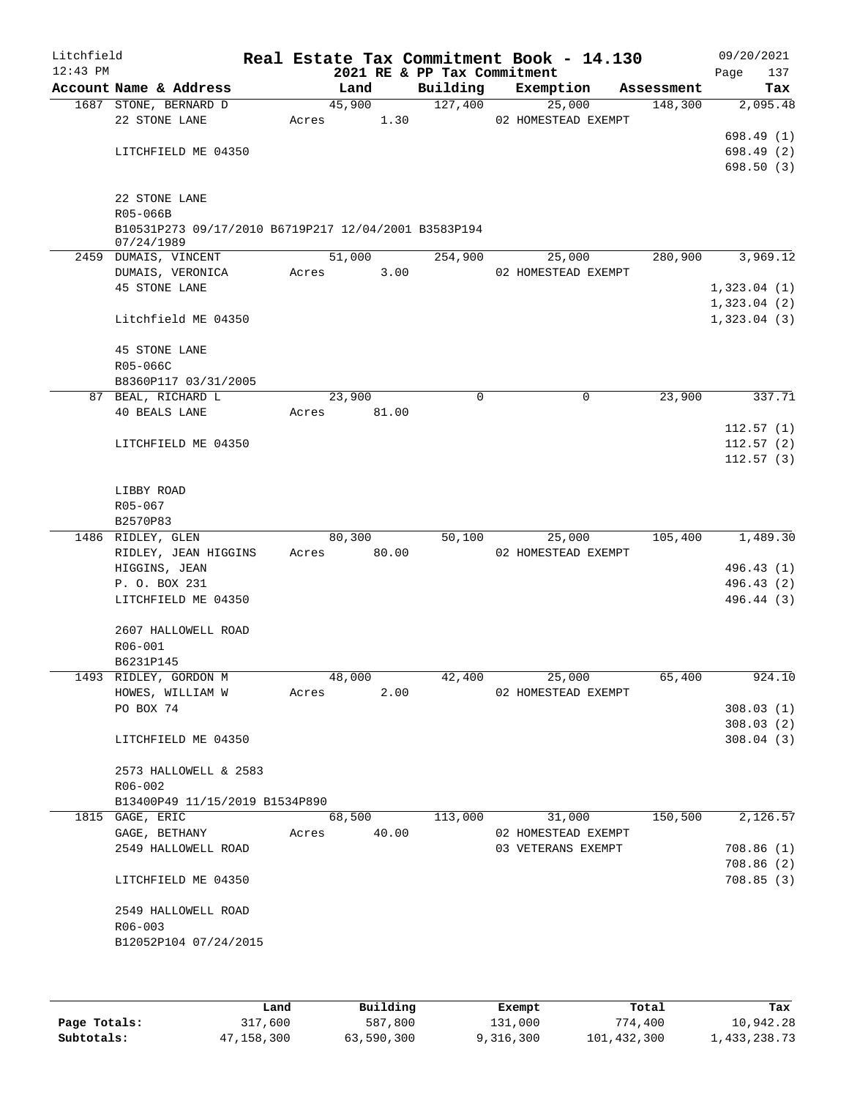| Litchfield |                                                      |       |        |       | Real Estate Tax Commitment Book - 14.130 |           |                     |            |      | 09/20/2021  |
|------------|------------------------------------------------------|-------|--------|-------|------------------------------------------|-----------|---------------------|------------|------|-------------|
| $12:43$ PM | Account Name & Address                               |       | Land   |       | 2021 RE & PP Tax Commitment<br>Building  | Exemption |                     | Assessment | Page | 137<br>Tax  |
|            | 1687 STONE, BERNARD D                                |       | 45,900 |       | 127,400                                  |           | 25,000              | 148,300    |      | 2,095.48    |
|            | 22 STONE LANE                                        | Acres |        | 1.30  |                                          |           | 02 HOMESTEAD EXEMPT |            |      |             |
|            |                                                      |       |        |       |                                          |           |                     |            |      | 698.49 (1)  |
|            | LITCHFIELD ME 04350                                  |       |        |       |                                          |           |                     |            |      | 698.49 (2)  |
|            |                                                      |       |        |       |                                          |           |                     |            |      | 698.50(3)   |
|            |                                                      |       |        |       |                                          |           |                     |            |      |             |
|            | 22 STONE LANE<br>R05-066B                            |       |        |       |                                          |           |                     |            |      |             |
|            | B10531P273 09/17/2010 B6719P217 12/04/2001 B3583P194 |       |        |       |                                          |           |                     |            |      |             |
|            | 07/24/1989                                           |       |        |       |                                          |           |                     |            |      |             |
|            | 2459 DUMAIS, VINCENT                                 |       | 51,000 |       | 254,900                                  |           | 25,000              | 280,900    |      | 3,969.12    |
|            | DUMAIS, VERONICA                                     | Acres |        | 3.00  |                                          |           | 02 HOMESTEAD EXEMPT |            |      |             |
|            | <b>45 STONE LANE</b>                                 |       |        |       |                                          |           |                     |            |      | 1,323.04(1) |
|            |                                                      |       |        |       |                                          |           |                     |            |      | 1,323.04(2) |
|            | Litchfield ME 04350                                  |       |        |       |                                          |           |                     |            |      | 1,323.04(3) |
|            | <b>45 STONE LANE</b>                                 |       |        |       |                                          |           |                     |            |      |             |
|            | R05-066C                                             |       |        |       |                                          |           |                     |            |      |             |
|            | B8360P117 03/31/2005                                 |       |        |       |                                          |           |                     |            |      |             |
|            | 87 BEAL, RICHARD L                                   |       | 23,900 |       | $\mathbf 0$                              |           | 0                   | 23,900     |      | 337.71      |
|            | <b>40 BEALS LANE</b>                                 | Acres |        | 81.00 |                                          |           |                     |            |      |             |
|            |                                                      |       |        |       |                                          |           |                     |            |      | 112.57(1)   |
|            | LITCHFIELD ME 04350                                  |       |        |       |                                          |           |                     |            |      | 112.57(2)   |
|            |                                                      |       |        |       |                                          |           |                     |            |      | 112.57(3)   |
|            |                                                      |       |        |       |                                          |           |                     |            |      |             |
|            | LIBBY ROAD<br>R05-067                                |       |        |       |                                          |           |                     |            |      |             |
|            | B2570P83                                             |       |        |       |                                          |           |                     |            |      |             |
|            | 1486 RIDLEY, GLEN                                    |       | 80,300 |       | 50,100                                   |           | 25,000              | 105,400    |      | 1,489.30    |
|            | RIDLEY, JEAN HIGGINS                                 | Acres |        | 80.00 |                                          |           | 02 HOMESTEAD EXEMPT |            |      |             |
|            | HIGGINS, JEAN                                        |       |        |       |                                          |           |                     |            |      | 496.43 (1)  |
|            | P. O. BOX 231                                        |       |        |       |                                          |           |                     |            |      | 496.43 (2)  |
|            | LITCHFIELD ME 04350                                  |       |        |       |                                          |           |                     |            |      | 496.44 (3)  |
|            |                                                      |       |        |       |                                          |           |                     |            |      |             |
|            | 2607 HALLOWELL ROAD                                  |       |        |       |                                          |           |                     |            |      |             |
|            | R06-001<br>B6231P145                                 |       |        |       |                                          |           |                     |            |      |             |
|            | 1493 RIDLEY, GORDON M                                |       | 48,000 |       | 42,400                                   |           | 25,000              | 65,400     |      | 924.10      |
|            | HOWES, WILLIAM W                                     | Acres |        | 2.00  |                                          |           | 02 HOMESTEAD EXEMPT |            |      |             |
|            | PO BOX 74                                            |       |        |       |                                          |           |                     |            |      | 308.03(1)   |
|            |                                                      |       |        |       |                                          |           |                     |            |      | 308.03(2)   |
|            | LITCHFIELD ME 04350                                  |       |        |       |                                          |           |                     |            |      | 308.04(3)   |
|            |                                                      |       |        |       |                                          |           |                     |            |      |             |
|            | 2573 HALLOWELL & 2583                                |       |        |       |                                          |           |                     |            |      |             |
|            | $R06 - 002$                                          |       |        |       |                                          |           |                     |            |      |             |
|            | B13400P49 11/15/2019 B1534P890<br>1815 GAGE, ERIC    |       | 68,500 |       | 113,000                                  |           | 31,000              | 150,500    |      | 2,126.57    |
|            | GAGE, BETHANY                                        | Acres |        | 40.00 |                                          |           | 02 HOMESTEAD EXEMPT |            |      |             |
|            | 2549 HALLOWELL ROAD                                  |       |        |       |                                          |           | 03 VETERANS EXEMPT  |            |      | 708.86(1)   |
|            |                                                      |       |        |       |                                          |           |                     |            |      | 708.86(2)   |
|            | LITCHFIELD ME 04350                                  |       |        |       |                                          |           |                     |            |      | 708.85(3)   |
|            |                                                      |       |        |       |                                          |           |                     |            |      |             |
|            | 2549 HALLOWELL ROAD                                  |       |        |       |                                          |           |                     |            |      |             |
|            | $R06 - 003$<br>B12052P104 07/24/2015                 |       |        |       |                                          |           |                     |            |      |             |
|            |                                                      |       |        |       |                                          |           |                     |            |      |             |
|            |                                                      |       |        |       |                                          |           |                     |            |      |             |
|            |                                                      |       |        |       |                                          |           |                     |            |      |             |

|              | Land       | Building   | Exempt    | Total       | Tax          |
|--------------|------------|------------|-----------|-------------|--------------|
| Page Totals: | 317,600    | 587,800    | 131,000   | 774,400     | 10,942.28    |
| Subtotals:   | 47,158,300 | 63,590,300 | 9,316,300 | 101,432,300 | 1,433,238.73 |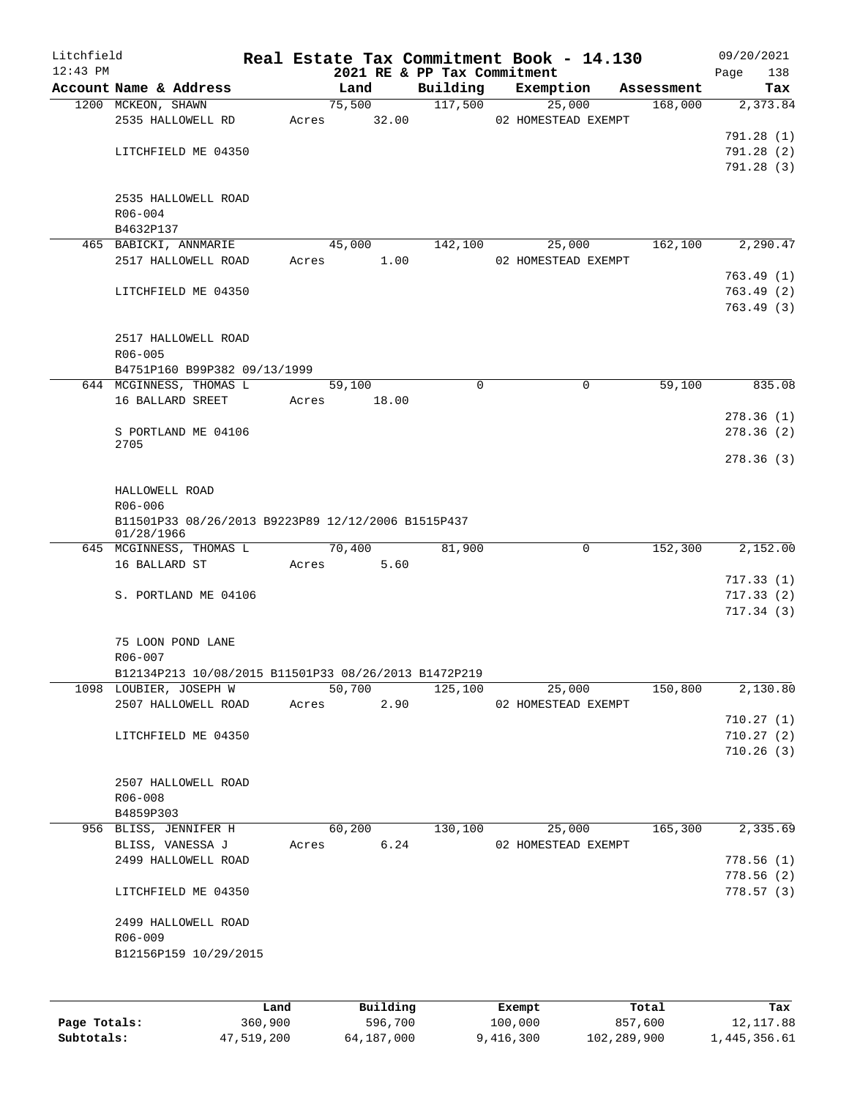| Litchfield   |                                                                  |       |               |                             | Real Estate Tax Commitment Book - 14.130 |            | 09/20/2021         |
|--------------|------------------------------------------------------------------|-------|---------------|-----------------------------|------------------------------------------|------------|--------------------|
| $12:43$ PM   | Account Name & Address                                           |       | Land          | 2021 RE & PP Tax Commitment | Building Exemption                       | Assessment | 138<br>Page<br>Tax |
|              | 1200 MCKEON, SHAWN                                               |       | 75,500        | 117,500                     | 25,000                                   | 168,000    | 2,373.84           |
|              | 2535 HALLOWELL RD                                                |       | Acres 32.00   |                             | 02 HOMESTEAD EXEMPT                      |            |                    |
|              |                                                                  |       |               |                             |                                          |            | 791.28 (1)         |
|              | LITCHFIELD ME 04350                                              |       |               |                             |                                          |            | 791.28(2)          |
|              |                                                                  |       |               |                             |                                          |            | 791.28(3)          |
|              |                                                                  |       |               |                             |                                          |            |                    |
|              | 2535 HALLOWELL ROAD                                              |       |               |                             |                                          |            |                    |
|              | $R06 - 004$                                                      |       |               |                             |                                          |            |                    |
|              | B4632P137                                                        |       |               |                             |                                          |            |                    |
|              | 465 BABICKI, ANNMARIE                                            |       | 45,000        | 142,100                     | 25,000                                   | 162,100    | 2,290.47           |
|              | 2517 HALLOWELL ROAD                                              |       | 1.00<br>Acres |                             | 02 HOMESTEAD EXEMPT                      |            |                    |
|              |                                                                  |       |               |                             |                                          |            | 763.49 (1)         |
|              | LITCHFIELD ME 04350                                              |       |               |                             |                                          |            | 763.49(2)          |
|              |                                                                  |       |               |                             |                                          |            | 763.49(3)          |
|              | 2517 HALLOWELL ROAD                                              |       |               |                             |                                          |            |                    |
|              | $R06 - 005$                                                      |       |               |                             |                                          |            |                    |
|              | B4751P160 B99P382 09/13/1999                                     |       |               |                             |                                          |            |                    |
|              | 644 MCGINNESS, THOMAS L                                          |       | 59,100        | $\Omega$                    | 0                                        | 59,100     | 835.08             |
|              | 16 BALLARD SREET                                                 | Acres | 18.00         |                             |                                          |            |                    |
|              |                                                                  |       |               |                             |                                          |            | 278.36(1)          |
|              | S PORTLAND ME 04106                                              |       |               |                             |                                          |            | 278.36(2)          |
|              | 2705                                                             |       |               |                             |                                          |            |                    |
|              |                                                                  |       |               |                             |                                          |            | 278.36 (3)         |
|              |                                                                  |       |               |                             |                                          |            |                    |
|              | HALLOWELL ROAD                                                   |       |               |                             |                                          |            |                    |
|              | R06-006                                                          |       |               |                             |                                          |            |                    |
|              | B11501P33 08/26/2013 B9223P89 12/12/2006 B1515P437<br>01/28/1966 |       |               |                             |                                          |            |                    |
|              | 645 MCGINNESS, THOMAS L                                          |       | 70,400        | 81,900                      | 0                                        | 152,300    | 2,152.00           |
|              | 16 BALLARD ST                                                    |       | Acres 5.60    |                             |                                          |            |                    |
|              |                                                                  |       |               |                             |                                          |            | 717.33(1)          |
|              | S. PORTLAND ME 04106                                             |       |               |                             |                                          |            | 717.33(2)          |
|              |                                                                  |       |               |                             |                                          |            | 717.34(3)          |
|              |                                                                  |       |               |                             |                                          |            |                    |
|              | 75 LOON POND LANE                                                |       |               |                             |                                          |            |                    |
|              | R06-007                                                          |       |               |                             |                                          |            |                    |
|              | B12134P213 10/08/2015 B11501P33 08/26/2013 B1472P219             |       |               |                             |                                          |            |                    |
|              | 1098 LOUBIER, JOSEPH W                                           |       | 50,700        | 125,100                     | 25,000                                   | 150,800    | 2,130.80           |
|              | 2507 HALLOWELL ROAD                                              | Acres | 2.90          |                             | 02 HOMESTEAD EXEMPT                      |            |                    |
|              |                                                                  |       |               |                             |                                          |            | 710.27(1)          |
|              | LITCHFIELD ME 04350                                              |       |               |                             |                                          |            | 710.27(2)          |
|              |                                                                  |       |               |                             |                                          |            | 710.26(3)          |
|              | 2507 HALLOWELL ROAD                                              |       |               |                             |                                          |            |                    |
|              | R06-008                                                          |       |               |                             |                                          |            |                    |
|              | B4859P303                                                        |       |               |                             |                                          |            |                    |
|              | 956 BLISS, JENNIFER H                                            |       | 60,200        | 130,100                     | 25,000                                   | 165,300    | 2,335.69           |
|              | BLISS, VANESSA J                                                 | Acres | 6.24          |                             | 02 HOMESTEAD EXEMPT                      |            |                    |
|              | 2499 HALLOWELL ROAD                                              |       |               |                             |                                          |            | 778.56(1)          |
|              |                                                                  |       |               |                             |                                          |            | 778.56(2)          |
|              | LITCHFIELD ME 04350                                              |       |               |                             |                                          |            | 778.57 (3)         |
|              |                                                                  |       |               |                             |                                          |            |                    |
|              | 2499 HALLOWELL ROAD                                              |       |               |                             |                                          |            |                    |
|              | R06-009                                                          |       |               |                             |                                          |            |                    |
|              | B12156P159 10/29/2015                                            |       |               |                             |                                          |            |                    |
|              |                                                                  |       |               |                             |                                          |            |                    |
|              |                                                                  |       |               |                             |                                          |            |                    |
|              | Land                                                             |       | Building      |                             | Exempt                                   | Total      | Tax                |
| Page Totals: | 360,900                                                          |       | 596,700       |                             | 100,000                                  | 857,600    | 12, 117.88         |

**Subtotals:** 47,519,200 64,187,000 9,416,300 102,289,900 1,445,356.61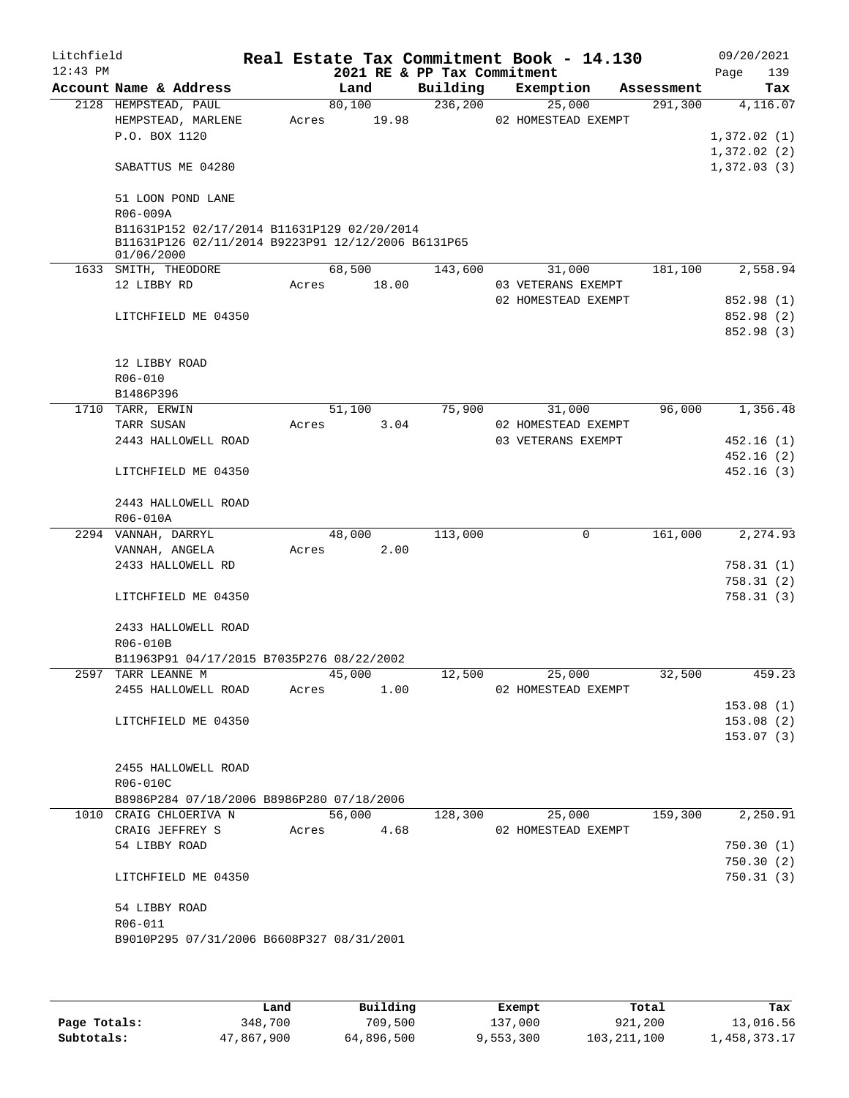| Litchfield |                                                    |       |        |                             | Real Estate Tax Commitment Book - 14.130 |            | 09/20/2021  |
|------------|----------------------------------------------------|-------|--------|-----------------------------|------------------------------------------|------------|-------------|
| $12:43$ PM |                                                    |       |        | 2021 RE & PP Tax Commitment |                                          |            | Page<br>139 |
|            | Account Name & Address                             |       | Land   | Building                    | Exemption                                | Assessment | Tax         |
|            | 2128 HEMPSTEAD, PAUL                               |       | 80,100 | 236,200                     | 25,000                                   | 291,300    | 4,116.07    |
|            | HEMPSTEAD, MARLENE                                 | Acres | 19.98  |                             | 02 HOMESTEAD EXEMPT                      |            |             |
|            | P.O. BOX 1120                                      |       |        |                             |                                          |            | 1,372.02(1) |
|            |                                                    |       |        |                             |                                          |            | 1,372.02(2) |
|            | SABATTUS ME 04280                                  |       |        |                             |                                          |            | 1,372.03(3) |
|            | 51 LOON POND LANE                                  |       |        |                             |                                          |            |             |
|            | R06-009A                                           |       |        |                             |                                          |            |             |
|            | B11631P152 02/17/2014 B11631P129 02/20/2014        |       |        |                             |                                          |            |             |
|            | B11631P126 02/11/2014 B9223P91 12/12/2006 B6131P65 |       |        |                             |                                          |            |             |
|            | 01/06/2000                                         |       |        |                             |                                          |            |             |
|            | 1633 SMITH, THEODORE                               |       | 68,500 | 143,600                     | 31,000                                   | 181,100    | 2,558.94    |
|            | 12 LIBBY RD                                        | Acres | 18.00  |                             | 03 VETERANS EXEMPT                       |            |             |
|            |                                                    |       |        |                             | 02 HOMESTEAD EXEMPT                      |            | 852.98 (1)  |
|            | LITCHFIELD ME 04350                                |       |        |                             |                                          |            | 852.98 (2)  |
|            |                                                    |       |        |                             |                                          |            | 852.98 (3)  |
|            |                                                    |       |        |                             |                                          |            |             |
|            | 12 LIBBY ROAD                                      |       |        |                             |                                          |            |             |
|            | R06-010                                            |       |        |                             |                                          |            |             |
|            | B1486P396                                          |       |        |                             |                                          |            |             |
|            | 1710 TARR, ERWIN                                   |       | 51,100 | 75,900                      | 31,000                                   | 96,000     | 1,356.48    |
|            | TARR SUSAN                                         | Acres | 3.04   |                             | 02 HOMESTEAD EXEMPT                      |            |             |
|            | 2443 HALLOWELL ROAD                                |       |        |                             | 03 VETERANS EXEMPT                       |            | 452.16(1)   |
|            |                                                    |       |        |                             |                                          |            | 452.16(2)   |
|            | LITCHFIELD ME 04350                                |       |        |                             |                                          |            | 452.16(3)   |
|            |                                                    |       |        |                             |                                          |            |             |
|            | 2443 HALLOWELL ROAD                                |       |        |                             |                                          |            |             |
|            | R06-010A                                           |       |        |                             |                                          |            |             |
|            | 2294 VANNAH, DARRYL                                |       | 48,000 | 113,000                     | 0                                        | 161,000    | 2,274.93    |
|            | VANNAH, ANGELA                                     | Acres | 2.00   |                             |                                          |            |             |
|            | 2433 HALLOWELL RD                                  |       |        |                             |                                          |            | 758.31 (1)  |
|            |                                                    |       |        |                             |                                          |            | 758.31(2)   |
|            | LITCHFIELD ME 04350                                |       |        |                             |                                          |            | 758.31(3)   |
|            | 2433 HALLOWELL ROAD                                |       |        |                             |                                          |            |             |
|            | R06-010B                                           |       |        |                             |                                          |            |             |
|            | B11963P91 04/17/2015 B7035P276 08/22/2002          |       |        |                             |                                          |            |             |
| 2597       | TARR LEANNE M                                      |       | 45,000 | 12,500                      | 25,000                                   | 32,500     | 459.23      |
|            | 2455 HALLOWELL ROAD                                | Acres | 1.00   |                             | 02 HOMESTEAD EXEMPT                      |            |             |
|            |                                                    |       |        |                             |                                          |            | 153.08(1)   |
|            | LITCHFIELD ME 04350                                |       |        |                             |                                          |            | 153.08(2)   |
|            |                                                    |       |        |                             |                                          |            | 153.07(3)   |
|            |                                                    |       |        |                             |                                          |            |             |
|            | 2455 HALLOWELL ROAD                                |       |        |                             |                                          |            |             |
|            | R06-010C                                           |       |        |                             |                                          |            |             |
|            | B8986P284 07/18/2006 B8986P280 07/18/2006          |       |        |                             |                                          |            |             |
|            | 1010 CRAIG CHLOERIVA N                             |       | 56,000 | 128,300                     | 25,000                                   | 159,300    | 2,250.91    |
|            | CRAIG JEFFREY S                                    | Acres | 4.68   |                             | 02 HOMESTEAD EXEMPT                      |            |             |
|            | 54 LIBBY ROAD                                      |       |        |                             |                                          |            | 750.30(1)   |
|            |                                                    |       |        |                             |                                          |            | 750.30(2)   |
|            | LITCHFIELD ME 04350                                |       |        |                             |                                          |            | 750.31(3)   |
|            |                                                    |       |        |                             |                                          |            |             |
|            | 54 LIBBY ROAD                                      |       |        |                             |                                          |            |             |
|            | R06-011                                            |       |        |                             |                                          |            |             |
|            | B9010P295 07/31/2006 B6608P327 08/31/2001          |       |        |                             |                                          |            |             |
|            |                                                    |       |        |                             |                                          |            |             |

|              | Land       | Building   | Exempt    | Total         | Tax          |
|--------------|------------|------------|-----------|---------------|--------------|
| Page Totals: | 348,700    | 709,500    | 137,000   | 921,200       | 13,016.56    |
| Subtotals:   | 47,867,900 | 64,896,500 | 9,553,300 | 103, 211, 100 | .,458,373.17 |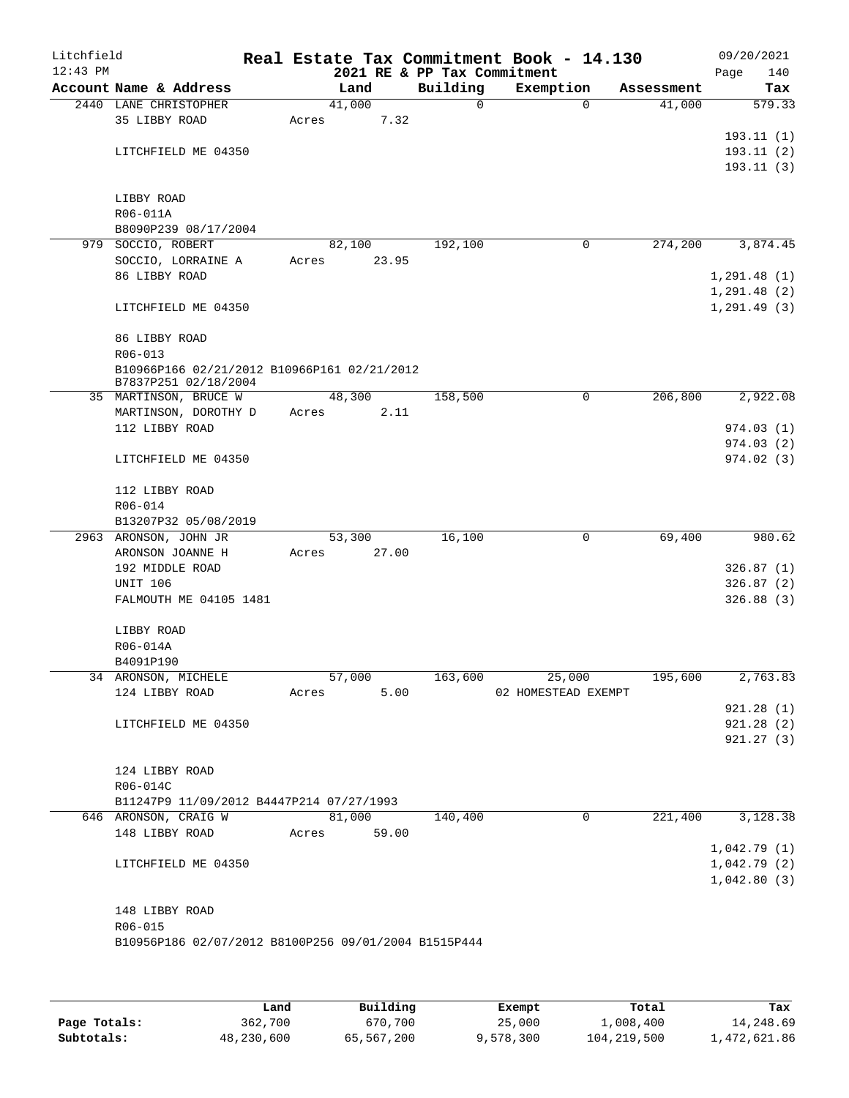| Litchfield<br>$12:43$ PM |                                                      |                 |       | 2021 RE & PP Tax Commitment | Real Estate Tax Commitment Book - 14.130 |            | 09/20/2021<br>Page     | 140      |
|--------------------------|------------------------------------------------------|-----------------|-------|-----------------------------|------------------------------------------|------------|------------------------|----------|
|                          | Account Name & Address                               | Land            |       | Building                    | Exemption                                | Assessment |                        | Tax      |
|                          | 2440 LANE CHRISTOPHER                                | 41,000          |       | $\mathbf 0$                 | 0                                        | 41,000     |                        | 579.33   |
|                          | 35 LIBBY ROAD                                        | Acres           | 7.32  |                             |                                          |            |                        |          |
|                          |                                                      |                 |       |                             |                                          |            | 193.11(1)              |          |
|                          | LITCHFIELD ME 04350                                  |                 |       |                             |                                          |            | 193.11(2)              |          |
|                          |                                                      |                 |       |                             |                                          |            | 193.11(3)              |          |
|                          | LIBBY ROAD                                           |                 |       |                             |                                          |            |                        |          |
|                          | R06-011A                                             |                 |       |                             |                                          |            |                        |          |
|                          | B8090P239 08/17/2004                                 |                 |       |                             |                                          |            |                        |          |
|                          | 979 SOCCIO, ROBERT                                   | 82,100          |       | 192,100                     | 0                                        | 274,200    |                        | 3,874.45 |
|                          | SOCCIO, LORRAINE A                                   | Acres           | 23.95 |                             |                                          |            |                        |          |
|                          | 86 LIBBY ROAD                                        |                 |       |                             |                                          |            | 1, 291.48(1)           |          |
|                          |                                                      |                 |       |                             |                                          |            | 1, 291.48(2)           |          |
|                          | LITCHFIELD ME 04350                                  |                 |       |                             |                                          |            | 1, 291.49(3)           |          |
|                          | 86 LIBBY ROAD                                        |                 |       |                             |                                          |            |                        |          |
|                          | R06-013                                              |                 |       |                             |                                          |            |                        |          |
|                          | B10966P166 02/21/2012 B10966P161 02/21/2012          |                 |       |                             |                                          |            |                        |          |
|                          | B7837P251 02/18/2004                                 |                 |       | 158,500                     |                                          |            |                        |          |
|                          | 35 MARTINSON, BRUCE W<br>MARTINSON, DOROTHY D        | 48,300<br>Acres | 2.11  |                             | 0                                        | 206,800    |                        | 2,922.08 |
|                          | 112 LIBBY ROAD                                       |                 |       |                             |                                          |            | 974.03(1)              |          |
|                          |                                                      |                 |       |                             |                                          |            | 974.03(2)              |          |
|                          | LITCHFIELD ME 04350                                  |                 |       |                             |                                          |            | 974.02(3)              |          |
|                          | 112 LIBBY ROAD                                       |                 |       |                             |                                          |            |                        |          |
|                          | R06-014                                              |                 |       |                             |                                          |            |                        |          |
|                          | B13207P32 05/08/2019                                 |                 |       |                             |                                          |            |                        |          |
|                          | 2963 ARONSON, JOHN JR                                | 53,300          |       | 16,100                      | 0                                        | 69,400     |                        | 980.62   |
|                          | ARONSON JOANNE H                                     | Acres           | 27.00 |                             |                                          |            |                        |          |
|                          | 192 MIDDLE ROAD                                      |                 |       |                             |                                          |            | 326.87(1)              |          |
|                          | <b>UNIT 106</b><br>FALMOUTH ME 04105 1481            |                 |       |                             |                                          |            | 326.87(2)<br>326.88(3) |          |
|                          |                                                      |                 |       |                             |                                          |            |                        |          |
|                          | LIBBY ROAD                                           |                 |       |                             |                                          |            |                        |          |
|                          | R06-014A                                             |                 |       |                             |                                          |            |                        |          |
|                          | B4091P190                                            |                 |       |                             |                                          |            |                        |          |
|                          | 34 ARONSON, MICHELE                                  | 57,000          |       | 163,600                     | 25,000                                   | 195,600    |                        | 2,763.83 |
|                          | 124 LIBBY ROAD                                       | Acres           | 5.00  |                             | 02 HOMESTEAD EXEMPT                      |            |                        |          |
|                          |                                                      |                 |       |                             |                                          |            | 921.28(1)<br>921.28(2) |          |
|                          | LITCHFIELD ME 04350                                  |                 |       |                             |                                          |            | 921.27(3)              |          |
|                          |                                                      |                 |       |                             |                                          |            |                        |          |
|                          | 124 LIBBY ROAD                                       |                 |       |                             |                                          |            |                        |          |
|                          | R06-014C                                             |                 |       |                             |                                          |            |                        |          |
|                          | B11247P9 11/09/2012 B4447P214 07/27/1993             |                 |       |                             |                                          |            |                        |          |
|                          | 646 ARONSON, CRAIG W                                 | 81,000          |       | 140,400                     | $\mathbf 0$                              | 221,400    |                        | 3,128.38 |
|                          | 148 LIBBY ROAD                                       | Acres           | 59.00 |                             |                                          |            |                        |          |
|                          |                                                      |                 |       |                             |                                          |            | 1,042.79(1)            |          |
|                          | LITCHFIELD ME 04350                                  |                 |       |                             |                                          |            | 1,042.79(2)            |          |
|                          |                                                      |                 |       |                             |                                          |            | 1,042.80(3)            |          |
|                          | 148 LIBBY ROAD                                       |                 |       |                             |                                          |            |                        |          |
|                          | R06-015                                              |                 |       |                             |                                          |            |                        |          |
|                          | B10956P186 02/07/2012 B8100P256 09/01/2004 B1515P444 |                 |       |                             |                                          |            |                        |          |
|                          |                                                      |                 |       |                             |                                          |            |                        |          |
|                          |                                                      |                 |       |                             |                                          |            |                        |          |

|              | Land       | Building   | Exempt    | Total       | Tax          |
|--------------|------------|------------|-----------|-------------|--------------|
| Page Totals: | 362,700    | 670,700    | 25,000    | 1,008,400   | 14,248.69    |
| Subtotals:   | 48,230,600 | 65,567,200 | 9,578,300 | 104,219,500 | l,472,621.86 |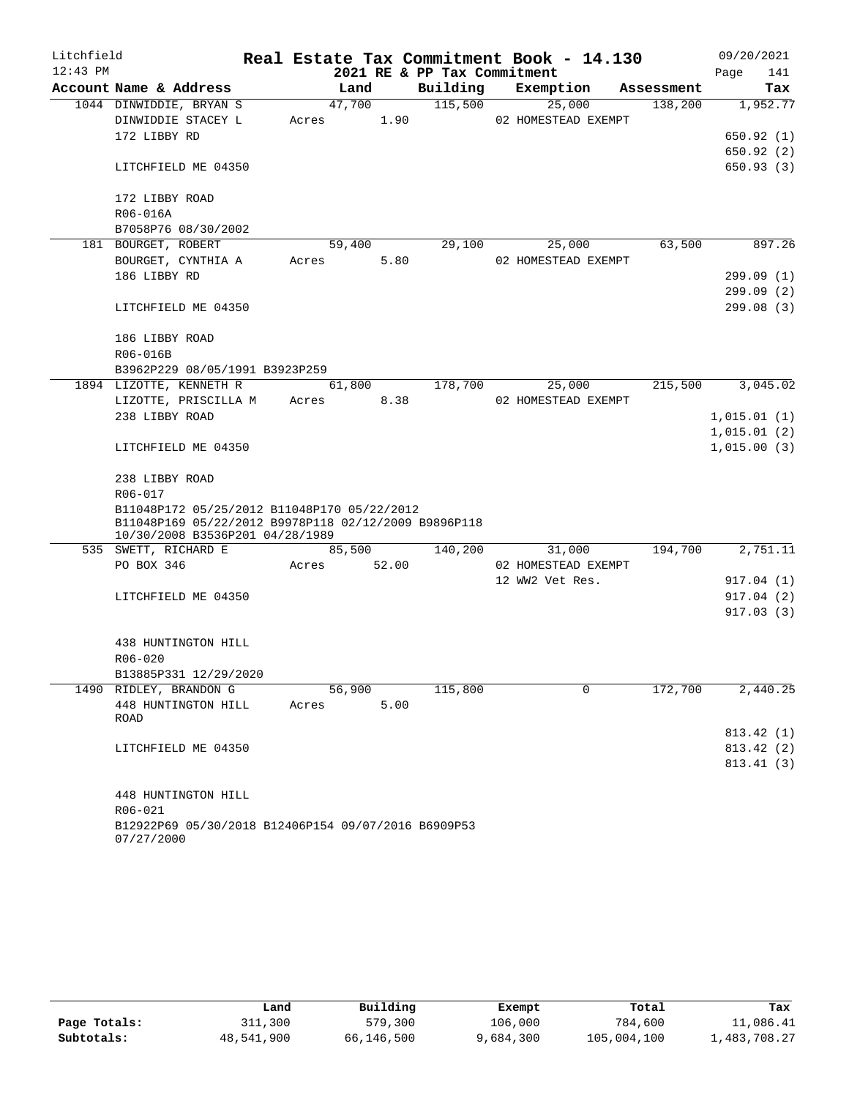| Litchfield |                                                      |       |            |       |                             | Real Estate Tax Commitment Book - 14.130 |            | 09/20/2021              |          |
|------------|------------------------------------------------------|-------|------------|-------|-----------------------------|------------------------------------------|------------|-------------------------|----------|
| $12:43$ PM |                                                      |       |            |       | 2021 RE & PP Tax Commitment |                                          |            | Page                    | 141      |
|            | Account Name & Address                               |       | Land       |       | Building                    | Exemption                                | Assessment |                         | Tax      |
|            | 1044 DINWIDDIE, BRYAN S                              |       | 47,700     |       | 115,500                     | 25,000                                   | 138,200    |                         | 1,952.77 |
|            | DINWIDDIE STACEY L                                   | Acres |            | 1.90  |                             | 02 HOMESTEAD EXEMPT                      |            |                         |          |
|            | 172 LIBBY RD                                         |       |            |       |                             |                                          |            | 650.92(1)               |          |
|            |                                                      |       |            |       |                             |                                          |            | 650.92(2)               |          |
|            | LITCHFIELD ME 04350                                  |       |            |       |                             |                                          |            | 650.93(3)               |          |
|            | 172 LIBBY ROAD                                       |       |            |       |                             |                                          |            |                         |          |
|            | R06-016A                                             |       |            |       |                             |                                          |            |                         |          |
|            | B7058P76 08/30/2002                                  |       |            |       |                             |                                          |            |                         |          |
|            | 181 BOURGET, ROBERT                                  |       | 59,400     |       | 29,100                      | 25,000                                   | 63,500     |                         | 897.26   |
|            | BOURGET, CYNTHIA A                                   | Acres |            | 5.80  |                             | 02 HOMESTEAD EXEMPT                      |            |                         |          |
|            | 186 LIBBY RD                                         |       |            |       |                             |                                          |            | 299.09 (1)              |          |
|            |                                                      |       |            |       |                             |                                          |            | 299.09 (2)              |          |
|            | LITCHFIELD ME 04350                                  |       |            |       |                             |                                          |            | 299.08 (3)              |          |
|            | 186 LIBBY ROAD                                       |       |            |       |                             |                                          |            |                         |          |
|            | R06-016B                                             |       |            |       |                             |                                          |            |                         |          |
|            | B3962P229 08/05/1991 B3923P259                       |       |            |       |                             |                                          |            |                         |          |
|            | 1894 LIZOTTE, KENNETH R                              |       | 61,800     |       | 178,700                     | 25,000                                   | 215,500    |                         | 3,045.02 |
|            | LIZOTTE, PRISCILLA M                                 |       | Acres 8.38 |       |                             | 02 HOMESTEAD EXEMPT                      |            |                         |          |
|            | 238 LIBBY ROAD                                       |       |            |       |                             |                                          |            | 1,015.01(1)             |          |
|            |                                                      |       |            |       |                             |                                          |            | 1,015.01(2)             |          |
|            | LITCHFIELD ME 04350                                  |       |            |       |                             |                                          |            | 1,015.00(3)             |          |
|            | 238 LIBBY ROAD                                       |       |            |       |                             |                                          |            |                         |          |
|            | R06-017                                              |       |            |       |                             |                                          |            |                         |          |
|            | B11048P172 05/25/2012 B11048P170 05/22/2012          |       |            |       |                             |                                          |            |                         |          |
|            | B11048P169 05/22/2012 B9978P118 02/12/2009 B9896P118 |       |            |       |                             |                                          |            |                         |          |
|            | 10/30/2008 B3536P201 04/28/1989                      |       |            |       | 140,200                     |                                          |            |                         |          |
|            | 535 SWETT, RICHARD E<br>PO BOX 346                   |       | 85,500     |       |                             | 31,000<br>02 HOMESTEAD EXEMPT            | 194,700    |                         | 2,751.11 |
|            |                                                      | Acres |            | 52.00 |                             | 12 WW2 Vet Res.                          |            |                         |          |
|            | LITCHFIELD ME 04350                                  |       |            |       |                             |                                          |            | 917.04 (1)<br>917.04(2) |          |
|            |                                                      |       |            |       |                             |                                          |            | 917.03(3)               |          |
|            |                                                      |       |            |       |                             |                                          |            |                         |          |
|            | 438 HUNTINGTON HILL                                  |       |            |       |                             |                                          |            |                         |          |
|            | R06-020                                              |       |            |       |                             |                                          |            |                         |          |
|            | B13885P331 12/29/2020                                |       |            |       |                             |                                          |            |                         |          |
|            | 1490 RIDLEY, BRANDON G                               |       | 56,900     |       | 115,800                     | $\mathbf 0$                              | 172,700    |                         | 2,440.25 |
|            | 448 HUNTINGTON HILL                                  | Acres |            | 5.00  |                             |                                          |            |                         |          |
|            | ROAD                                                 |       |            |       |                             |                                          |            |                         |          |
|            |                                                      |       |            |       |                             |                                          |            | 813.42 (1)              |          |
|            | LITCHFIELD ME 04350                                  |       |            |       |                             |                                          |            | 813.42 (2)              |          |
|            |                                                      |       |            |       |                             |                                          |            | 813.41 (3)              |          |
|            | 448 HUNTINGTON HILL                                  |       |            |       |                             |                                          |            |                         |          |
|            | R06-021                                              |       |            |       |                             |                                          |            |                         |          |
|            | B12922P69 05/30/2018 B12406P154 09/07/2016 B6909P53  |       |            |       |                             |                                          |            |                         |          |
|            | 07/27/2000                                           |       |            |       |                             |                                          |            |                         |          |

|              | Land       | Building   | Exempt    | Total       | Tax          |
|--------------|------------|------------|-----------|-------------|--------------|
| Page Totals: | 311,300    | 579,300    | 106,000   | 784,600     | 11,086.41    |
| Subtotals:   | 48,541,900 | 66,146,500 | 9,684,300 | 105,004,100 | 1,483,708.27 |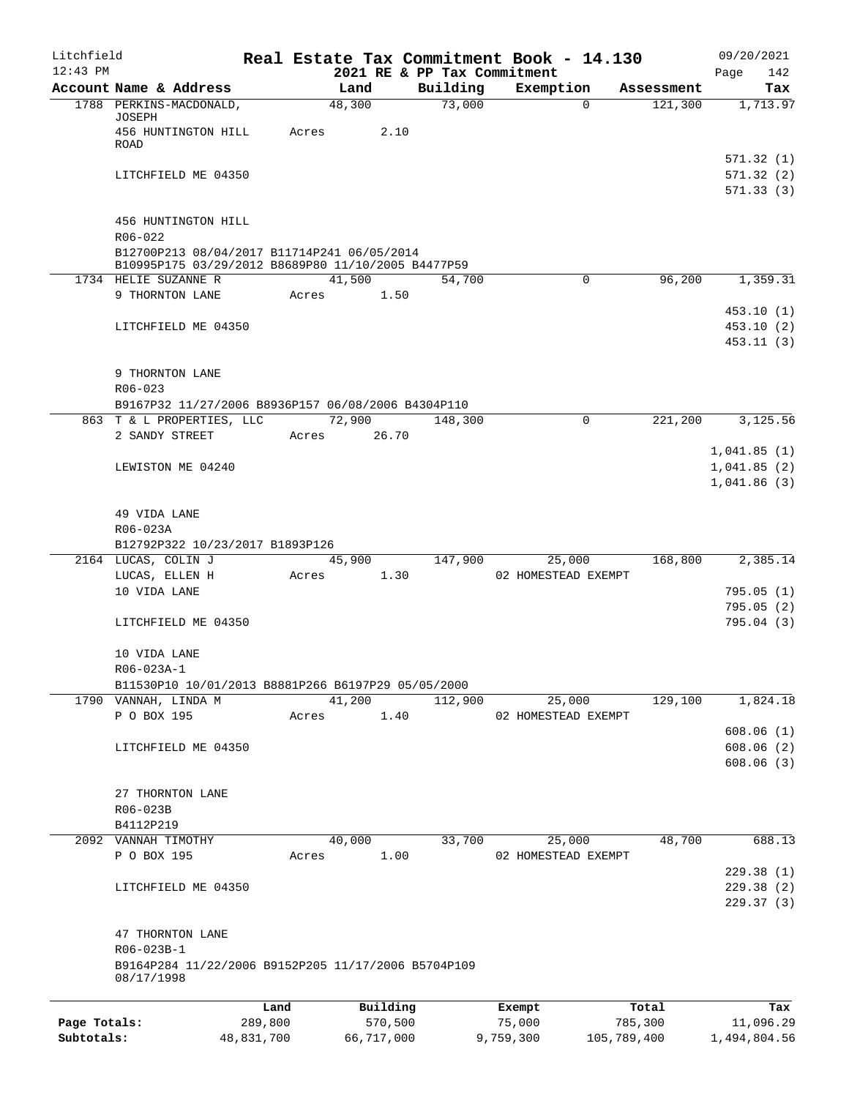| Litchfield   |                                                                                                   |         |                 |                             | Real Estate Tax Commitment Book - 14.130 |                       | 09/20/2021                          |
|--------------|---------------------------------------------------------------------------------------------------|---------|-----------------|-----------------------------|------------------------------------------|-----------------------|-------------------------------------|
| $12:43$ PM   | Account Name & Address                                                                            |         | Land            | 2021 RE & PP Tax Commitment |                                          |                       | 142<br>Page                         |
|              | 1788 PERKINS-MACDONALD,                                                                           |         | 48,300          | Building<br>73,000          | Exemption<br>$\Omega$                    | Assessment<br>121,300 | Tax<br>1,713.97                     |
|              | JOSEPH<br>456 HUNTINGTON HILL                                                                     | Acres   | 2.10            |                             |                                          |                       |                                     |
|              | ROAD                                                                                              |         |                 |                             |                                          |                       | 571.32(1)                           |
|              | LITCHFIELD ME 04350                                                                               |         |                 |                             |                                          |                       | 571.32(2)                           |
|              |                                                                                                   |         |                 |                             |                                          |                       | 571.33(3)                           |
|              | 456 HUNTINGTON HILL<br>$R06 - 022$                                                                |         |                 |                             |                                          |                       |                                     |
|              | B12700P213 08/04/2017 B11714P241 06/05/2014<br>B10995P175 03/29/2012 B8689P80 11/10/2005 B4477P59 |         |                 |                             |                                          |                       |                                     |
|              | 1734 HELIE SUZANNE R                                                                              |         | 41,500          | 54,700                      | 0                                        | 96,200                | 1,359.31                            |
|              | 9 THORNTON LANE                                                                                   | Acres   | 1.50            |                             |                                          |                       |                                     |
|              | LITCHFIELD ME 04350                                                                               |         |                 |                             |                                          |                       | 453.10(1)<br>453.10(2)<br>453.11(3) |
|              | 9 THORNTON LANE                                                                                   |         |                 |                             |                                          |                       |                                     |
|              | $R06 - 023$                                                                                       |         |                 |                             |                                          |                       |                                     |
|              | B9167P32 11/27/2006 B8936P157 06/08/2006 B4304P110                                                |         |                 |                             |                                          |                       |                                     |
|              | 863 T & L PROPERTIES, LLC<br>2 SANDY STREET                                                       | Acres   | 72,900<br>26.70 | 148,300                     | 0                                        | 221,200               | 3,125.56                            |
|              |                                                                                                   |         |                 |                             |                                          |                       | 1,041.85(1)                         |
|              | LEWISTON ME 04240                                                                                 |         |                 |                             |                                          |                       | 1,041.85(2)                         |
|              |                                                                                                   |         |                 |                             |                                          |                       | 1,041.86(3)                         |
|              | 49 VIDA LANE                                                                                      |         |                 |                             |                                          |                       |                                     |
|              | R06-023A<br>B12792P322 10/23/2017 B1893P126                                                       |         |                 |                             |                                          |                       |                                     |
|              | 2164 LUCAS, COLIN J                                                                               |         | 45,900          | 147,900                     | 25,000                                   | 168,800               | 2,385.14                            |
|              | LUCAS, ELLEN H                                                                                    | Acres   | 1.30            |                             | 02 HOMESTEAD EXEMPT                      |                       |                                     |
|              | 10 VIDA LANE                                                                                      |         |                 |                             |                                          |                       | 795.05(1)                           |
|              |                                                                                                   |         |                 |                             |                                          |                       | 795.05(2)                           |
|              | LITCHFIELD ME 04350                                                                               |         |                 |                             |                                          |                       | 795.04(3)                           |
|              | 10 VIDA LANE                                                                                      |         |                 |                             |                                          |                       |                                     |
|              | R06-023A-1                                                                                        |         |                 |                             |                                          |                       |                                     |
|              | B11530P10 10/01/2013 B8881P266 B6197P29 05/05/2000                                                |         |                 |                             |                                          |                       |                                     |
|              | 1790 VANNAH, LINDA M<br>P O BOX 195                                                               | Acres   | 41,200<br>1.40  | 112,900                     | 25,000<br>02 HOMESTEAD EXEMPT            | 129,100               | 1,824.18                            |
|              |                                                                                                   |         |                 |                             |                                          |                       | 608.06(1)                           |
|              | LITCHFIELD ME 04350                                                                               |         |                 |                             |                                          |                       | 608.06(2)                           |
|              |                                                                                                   |         |                 |                             |                                          |                       | 608.06(3)                           |
|              | 27 THORNTON LANE                                                                                  |         |                 |                             |                                          |                       |                                     |
|              | R06-023B                                                                                          |         |                 |                             |                                          |                       |                                     |
|              | B4112P219                                                                                         |         |                 |                             |                                          |                       |                                     |
|              | 2092 VANNAH TIMOTHY                                                                               |         | 40,000          | 33,700                      | 25,000                                   | 48,700                | 688.13                              |
|              | P O BOX 195                                                                                       | Acres   | 1.00            |                             | 02 HOMESTEAD EXEMPT                      |                       | 229.38(1)                           |
|              | LITCHFIELD ME 04350                                                                               |         |                 |                             |                                          |                       | 229.38(2)                           |
|              |                                                                                                   |         |                 |                             |                                          |                       | 229.37(3)                           |
|              | 47 THORNTON LANE                                                                                  |         |                 |                             |                                          |                       |                                     |
|              | R06-023B-1<br>B9164P284 11/22/2006 B9152P205 11/17/2006 B5704P109                                 |         |                 |                             |                                          |                       |                                     |
|              | 08/17/1998                                                                                        |         |                 |                             |                                          |                       |                                     |
|              |                                                                                                   | Land    | Building        |                             | Exempt                                   | Total                 | Tax                                 |
| Page Totals: |                                                                                                   | 289,800 | 570,500         |                             | 75,000                                   | 785,300               | 11,096.29                           |

**Subtotals:** 48,831,700 66,717,000 9,759,300 105,789,400 1,494,804.56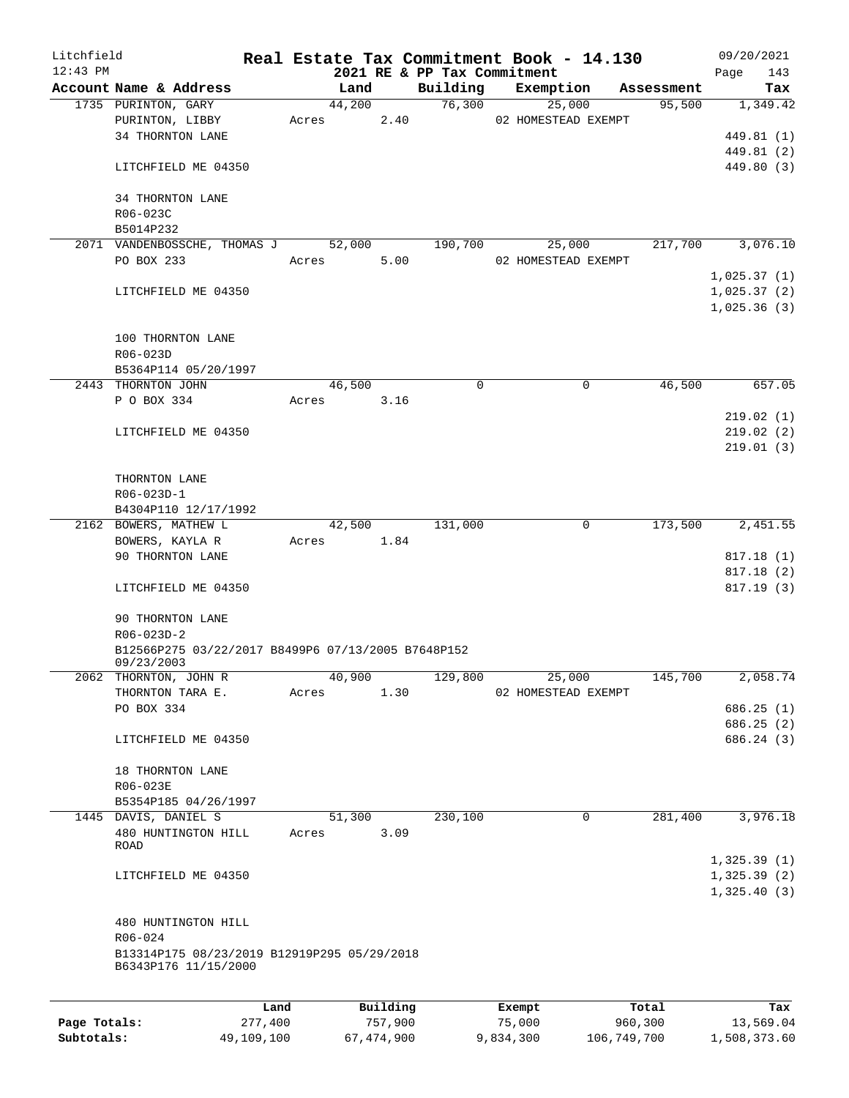| Litchfield   |                                                    |         |       |        |          |                             | Real Estate Tax Commitment Book - 14.130 |              | 09/20/2021  |
|--------------|----------------------------------------------------|---------|-------|--------|----------|-----------------------------|------------------------------------------|--------------|-------------|
| $12:43$ PM   |                                                    |         |       |        |          | 2021 RE & PP Tax Commitment |                                          |              | Page<br>143 |
|              | Account Name & Address                             |         |       | Land   |          | Building                    | Exemption                                | Assessment   | Tax         |
|              | 1735 PURINTON, GARY                                |         |       | 44,200 |          | 76,300                      | 25,000                                   | 95,500       | 1,349.42    |
|              | PURINTON, LIBBY                                    |         | Acres |        | 2.40     |                             | 02 HOMESTEAD EXEMPT                      |              |             |
|              | 34 THORNTON LANE                                   |         |       |        |          |                             |                                          |              | 449.81 (1)  |
|              |                                                    |         |       |        |          |                             |                                          |              | 449.81 (2)  |
|              | LITCHFIELD ME 04350                                |         |       |        |          |                             |                                          |              | 449.80 (3)  |
|              |                                                    |         |       |        |          |                             |                                          |              |             |
|              | 34 THORNTON LANE                                   |         |       |        |          |                             |                                          |              |             |
|              | R06-023C                                           |         |       |        |          |                             |                                          |              |             |
|              | B5014P232                                          |         |       |        |          |                             |                                          |              |             |
|              | 2071 VANDENBOSSCHE, THOMAS J                       |         |       | 52,000 |          | 190,700                     | 25,000                                   | 217,700      | 3,076.10    |
|              | PO BOX 233                                         |         | Acres |        | 5.00     |                             | 02 HOMESTEAD EXEMPT                      |              |             |
|              |                                                    |         |       |        |          |                             |                                          |              | 1,025.37(1) |
|              | LITCHFIELD ME 04350                                |         |       |        |          |                             |                                          |              | 1,025.37(2) |
|              |                                                    |         |       |        |          |                             |                                          |              | 1,025.36(3) |
|              |                                                    |         |       |        |          |                             |                                          |              |             |
|              | 100 THORNTON LANE                                  |         |       |        |          |                             |                                          |              |             |
|              | R06-023D                                           |         |       |        |          |                             |                                          |              |             |
|              | B5364P114 05/20/1997                               |         |       |        |          |                             |                                          |              |             |
|              | 2443 THORNTON JOHN                                 |         |       | 46,500 |          | 0                           |                                          | 46,500<br>0  | 657.05      |
|              | P O BOX 334                                        |         | Acres |        | 3.16     |                             |                                          |              |             |
|              |                                                    |         |       |        |          |                             |                                          |              | 219.02(1)   |
|              | LITCHFIELD ME 04350                                |         |       |        |          |                             |                                          |              | 219.02(2)   |
|              |                                                    |         |       |        |          |                             |                                          |              | 219.01(3)   |
|              |                                                    |         |       |        |          |                             |                                          |              |             |
|              | THORNTON LANE                                      |         |       |        |          |                             |                                          |              |             |
|              | R06-023D-1                                         |         |       |        |          |                             |                                          |              |             |
|              | B4304P110 12/17/1992                               |         |       |        |          |                             |                                          |              |             |
|              | 2162 BOWERS, MATHEW L                              |         |       | 42,500 |          | 131,000                     |                                          | 173,500<br>0 | 2,451.55    |
|              | BOWERS, KAYLA R                                    |         | Acres |        | 1.84     |                             |                                          |              |             |
|              | 90 THORNTON LANE                                   |         |       |        |          |                             |                                          |              | 817.18 (1)  |
|              |                                                    |         |       |        |          |                             |                                          |              | 817.18 (2)  |
|              | LITCHFIELD ME 04350                                |         |       |        |          |                             |                                          |              | 817.19(3)   |
|              | 90 THORNTON LANE                                   |         |       |        |          |                             |                                          |              |             |
|              | $R06 - 023D - 2$                                   |         |       |        |          |                             |                                          |              |             |
|              | B12566P275 03/22/2017 B8499P6 07/13/2005 B7648P152 |         |       |        |          |                             |                                          |              |             |
|              | 09/23/2003                                         |         |       |        |          |                             |                                          |              |             |
|              | 2062 THORNTON, JOHN R                              |         |       | 40,900 |          | 129,800                     | 25,000                                   | 145,700      | 2,058.74    |
|              | THORNTON TARA E.                                   |         | Acres |        | 1.30     |                             | 02 HOMESTEAD EXEMPT                      |              |             |
|              | PO BOX 334                                         |         |       |        |          |                             |                                          |              | 686.25(1)   |
|              |                                                    |         |       |        |          |                             |                                          |              | 686.25 (2)  |
|              | LITCHFIELD ME 04350                                |         |       |        |          |                             |                                          |              | 686.24 (3)  |
|              |                                                    |         |       |        |          |                             |                                          |              |             |
|              | 18 THORNTON LANE                                   |         |       |        |          |                             |                                          |              |             |
|              | R06-023E                                           |         |       |        |          |                             |                                          |              |             |
|              | B5354P185 04/26/1997                               |         |       |        |          |                             |                                          |              |             |
|              | 1445 DAVIS, DANIEL S                               |         |       | 51,300 |          | 230,100                     |                                          | 281,400<br>0 | 3,976.18    |
|              | 480 HUNTINGTON HILL                                |         | Acres |        | 3.09     |                             |                                          |              |             |
|              | <b>ROAD</b>                                        |         |       |        |          |                             |                                          |              |             |
|              |                                                    |         |       |        |          |                             |                                          |              | 1,325.39(1) |
|              | LITCHFIELD ME 04350                                |         |       |        |          |                             |                                          |              | 1,325.39(2) |
|              |                                                    |         |       |        |          |                             |                                          |              | 1,325.40(3) |
|              |                                                    |         |       |        |          |                             |                                          |              |             |
|              | 480 HUNTINGTON HILL                                |         |       |        |          |                             |                                          |              |             |
|              | R06-024                                            |         |       |        |          |                             |                                          |              |             |
|              | B13314P175 08/23/2019 B12919P295 05/29/2018        |         |       |        |          |                             |                                          |              |             |
|              | B6343P176 11/15/2000                               |         |       |        |          |                             |                                          |              |             |
|              |                                                    |         |       |        |          |                             |                                          |              |             |
|              |                                                    | Land    |       |        | Building |                             | Exempt                                   | Total        | Tax         |
| Page Totals: |                                                    | 277,400 |       |        | 757,900  |                             | 75,000                                   | 960,300      | 13,569.04   |

**Subtotals:** 49,109,100 67,474,900 9,834,300 106,749,700 1,508,373.60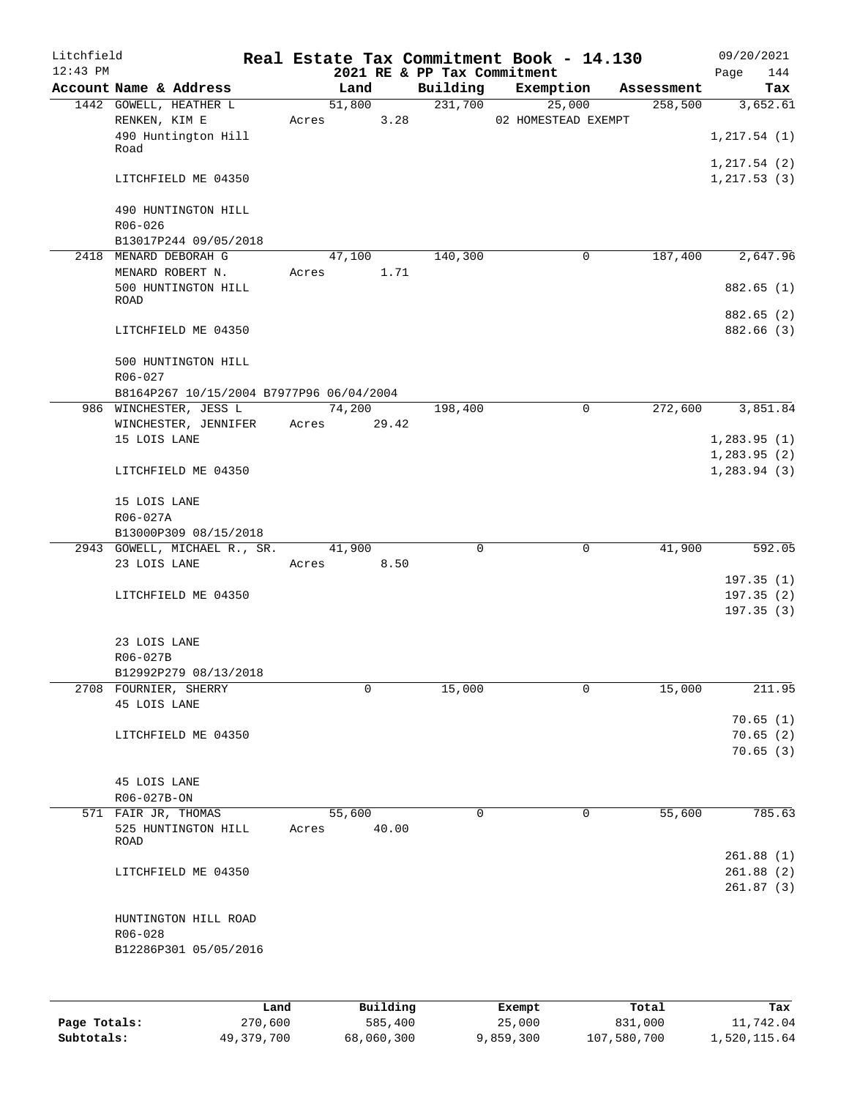| Litchfield<br>$12:43$ PM |                                                     |       |            |       |             | Real Estate Tax Commitment Book - 14.130<br>2021 RE & PP Tax Commitment |                |            | Page | 09/20/2021<br>144      |
|--------------------------|-----------------------------------------------------|-------|------------|-------|-------------|-------------------------------------------------------------------------|----------------|------------|------|------------------------|
|                          | Account Name & Address                              |       | Land       |       |             | Building Exemption                                                      |                | Assessment |      | Tax                    |
|                          | 1442 GOWELL, HEATHER L                              |       | 51,800     |       | 231,700     | 25,000                                                                  |                | 258,500    |      | 3,652.61               |
|                          | RENKEN, KIM E<br>490 Huntington Hill                |       | Acres      | 3.28  |             | 02 HOMESTEAD EXEMPT                                                     |                |            |      | 1, 217.54(1)           |
|                          | Road                                                |       |            |       |             |                                                                         |                |            |      | 1, 217.54 (2)          |
|                          | LITCHFIELD ME 04350                                 |       |            |       |             |                                                                         |                |            |      | 1, 217.53(3)           |
|                          | 490 HUNTINGTON HILL<br>$R06 - 026$                  |       |            |       |             |                                                                         |                |            |      |                        |
|                          | B13017P244 09/05/2018                               |       |            |       |             |                                                                         |                |            |      |                        |
|                          | 2418 MENARD DEBORAH G                               |       | 47,100     |       | 140,300     |                                                                         | $\mathbf 0$    | 187,400    |      | 2,647.96               |
|                          | MENARD ROBERT N.<br>500 HUNTINGTON HILL<br>ROAD     |       | Acres 1.71 |       |             |                                                                         |                |            |      | 882.65 (1)             |
|                          |                                                     |       |            |       |             |                                                                         |                |            |      | 882.65 (2)             |
|                          | LITCHFIELD ME 04350                                 |       |            |       |             |                                                                         |                |            |      | 882.66 (3)             |
|                          | 500 HUNTINGTON HILL<br>$R06 - 027$                  |       |            |       |             |                                                                         |                |            |      |                        |
|                          | B8164P267 10/15/2004 B7977P96 06/04/2004            |       |            |       |             |                                                                         |                |            |      |                        |
|                          | 986 WINCHESTER, JESS L                              |       | 74,200     |       | 198,400     |                                                                         | $\overline{0}$ | 272,600    |      | 3,851.84               |
|                          | WINCHESTER, JENNIFER Acres                          |       |            | 29.42 |             |                                                                         |                |            |      |                        |
|                          | 15 LOIS LANE                                        |       |            |       |             |                                                                         |                |            |      | 1,283.95(1)            |
|                          |                                                     |       |            |       |             |                                                                         |                |            |      | 1, 283.95(2)           |
|                          | LITCHFIELD ME 04350                                 |       |            |       |             |                                                                         |                |            |      | 1, 283.94(3)           |
|                          | 15 LOIS LANE                                        |       |            |       |             |                                                                         |                |            |      |                        |
|                          | R06-027A                                            |       |            |       |             |                                                                         |                |            |      |                        |
|                          | B13000P309 08/15/2018                               |       |            |       |             |                                                                         |                |            |      |                        |
|                          | 2943 GOWELL, MICHAEL R., SR. 41,900<br>23 LOIS LANE |       | Acres 8.50 |       | $\mathbf 0$ |                                                                         | 0              | 41,900     |      | 592.05                 |
|                          |                                                     |       |            |       |             |                                                                         |                |            |      | 197.35(1)              |
|                          | LITCHFIELD ME 04350                                 |       |            |       |             |                                                                         |                |            |      | 197.35(2)              |
|                          |                                                     |       |            |       |             |                                                                         |                |            |      | 197.35(3)              |
|                          | 23 LOIS LANE                                        |       |            |       |             |                                                                         |                |            |      |                        |
|                          | R06-027B                                            |       |            |       |             |                                                                         |                |            |      |                        |
|                          | B12992P279 08/13/2018                               |       |            |       |             |                                                                         |                |            |      |                        |
|                          | 2708 FOURNIER, SHERRY                               |       | 0          |       | 15,000      |                                                                         | 0              | 15,000     |      | 211.95                 |
|                          | 45 LOIS LANE                                        |       |            |       |             |                                                                         |                |            |      | 70.65(1)               |
|                          | LITCHFIELD ME 04350                                 |       |            |       |             |                                                                         |                |            |      | 70.65(2)               |
|                          |                                                     |       |            |       |             |                                                                         |                |            |      | 70.65(3)               |
|                          |                                                     |       |            |       |             |                                                                         |                |            |      |                        |
|                          | 45 LOIS LANE                                        |       |            |       |             |                                                                         |                |            |      |                        |
|                          | R06-027B-ON                                         |       |            |       |             |                                                                         |                |            |      |                        |
|                          | 571 FAIR JR, THOMAS                                 |       | 55,600     |       | $\Omega$    |                                                                         | 0              | 55,600     |      | 785.63                 |
|                          | 525 HUNTINGTON HILL<br>ROAD                         | Acres |            | 40.00 |             |                                                                         |                |            |      |                        |
|                          |                                                     |       |            |       |             |                                                                         |                |            |      | 261.88(1)              |
|                          | LITCHFIELD ME 04350                                 |       |            |       |             |                                                                         |                |            |      | 261.88(2)<br>261.87(3) |
|                          | HUNTINGTON HILL ROAD                                |       |            |       |             |                                                                         |                |            |      |                        |
|                          | R06-028                                             |       |            |       |             |                                                                         |                |            |      |                        |
|                          | B12286P301 05/05/2016                               |       |            |       |             |                                                                         |                |            |      |                        |
|                          |                                                     |       |            |       |             |                                                                         |                |            |      |                        |
|                          |                                                     |       |            |       |             |                                                                         |                |            |      |                        |
|                          |                                                     |       |            |       |             |                                                                         |                |            |      |                        |

|              | Land       | Building   | Exempt    | Total       | Tax          |
|--------------|------------|------------|-----------|-------------|--------------|
| Page Totals: | 270,600    | 585,400    | 25,000    | 831,000     | 11,742.04    |
| Subtotals:   | 49,379,700 | 68,060,300 | 9,859,300 | 107,580,700 | 1,520,115.64 |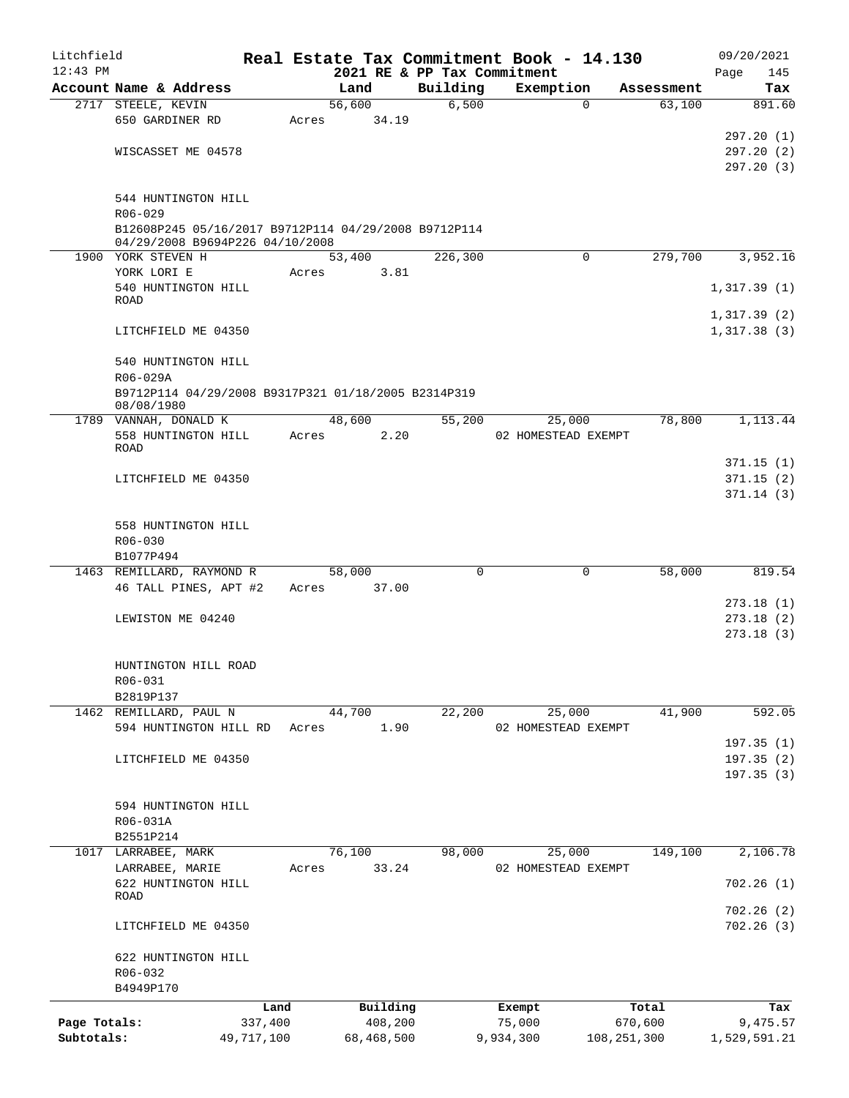| Litchfield   |                                                                   |            |       |                     | Real Estate Tax Commitment Book - 14.130 |                     |             |                  |      | 09/20/2021      |
|--------------|-------------------------------------------------------------------|------------|-------|---------------------|------------------------------------------|---------------------|-------------|------------------|------|-----------------|
| $12:43$ PM   |                                                                   |            |       |                     | 2021 RE & PP Tax Commitment              |                     |             |                  | Page | 145             |
|              | Account Name & Address                                            |            |       | Land                | Building                                 | Exemption           |             | Assessment       |      | Tax             |
|              | 2717 STEELE, KEVIN                                                |            |       | 56,600              | 6,500                                    |                     | $\mathbf 0$ | 63,100           |      | 891.60          |
|              | 650 GARDINER RD                                                   |            | Acres | 34.19               |                                          |                     |             |                  |      |                 |
|              |                                                                   |            |       |                     |                                          |                     |             |                  |      | 297.20(1)       |
|              | WISCASSET ME 04578                                                |            |       |                     |                                          |                     |             |                  |      | 297.20(2)       |
|              |                                                                   |            |       |                     |                                          |                     |             |                  |      | 297.20 (3)      |
|              |                                                                   |            |       |                     |                                          |                     |             |                  |      |                 |
|              | 544 HUNTINGTON HILL<br>R06-029                                    |            |       |                     |                                          |                     |             |                  |      |                 |
|              | B12608P245 05/16/2017 B9712P114 04/29/2008 B9712P114              |            |       |                     |                                          |                     |             |                  |      |                 |
|              | 04/29/2008 B9694P226 04/10/2008                                   |            |       |                     |                                          |                     |             |                  |      |                 |
|              | 1900 YORK STEVEN H                                                |            |       | 53,400              | 226,300                                  |                     | $\Omega$    | 279,700          |      | 3,952.16        |
|              | YORK LORI E                                                       |            | Acres | 3.81                |                                          |                     |             |                  |      |                 |
|              | 540 HUNTINGTON HILL                                               |            |       |                     |                                          |                     |             |                  |      | 1,317.39(1)     |
|              | ROAD                                                              |            |       |                     |                                          |                     |             |                  |      |                 |
|              |                                                                   |            |       |                     |                                          |                     |             |                  |      | 1,317.39(2)     |
|              | LITCHFIELD ME 04350                                               |            |       |                     |                                          |                     |             |                  |      | 1,317.38(3)     |
|              |                                                                   |            |       |                     |                                          |                     |             |                  |      |                 |
|              | 540 HUNTINGTON HILL                                               |            |       |                     |                                          |                     |             |                  |      |                 |
|              | R06-029A                                                          |            |       |                     |                                          |                     |             |                  |      |                 |
|              | B9712P114 04/29/2008 B9317P321 01/18/2005 B2314P319<br>08/08/1980 |            |       |                     |                                          |                     |             |                  |      |                 |
|              | 1789 VANNAH, DONALD K                                             |            |       | 48,600              | 55,200                                   |                     | 25,000      | 78,800           |      | 1,113.44        |
|              | 558 HUNTINGTON HILL                                               |            | Acres | 2.20                |                                          | 02 HOMESTEAD EXEMPT |             |                  |      |                 |
|              | <b>ROAD</b>                                                       |            |       |                     |                                          |                     |             |                  |      |                 |
|              |                                                                   |            |       |                     |                                          |                     |             |                  |      | 371.15(1)       |
|              | LITCHFIELD ME 04350                                               |            |       |                     |                                          |                     |             |                  |      | 371.15(2)       |
|              |                                                                   |            |       |                     |                                          |                     |             |                  |      | 371.14(3)       |
|              |                                                                   |            |       |                     |                                          |                     |             |                  |      |                 |
|              | 558 HUNTINGTON HILL                                               |            |       |                     |                                          |                     |             |                  |      |                 |
|              | R06-030                                                           |            |       |                     |                                          |                     |             |                  |      |                 |
|              | B1077P494                                                         |            |       |                     |                                          |                     |             |                  |      |                 |
|              | 1463 REMILLARD, RAYMOND R                                         |            |       | 58,000              | $\Omega$                                 |                     | $\mathbf 0$ | 58,000           |      | 819.54          |
|              | 46 TALL PINES, APT #2                                             |            | Acres | 37.00               |                                          |                     |             |                  |      |                 |
|              |                                                                   |            |       |                     |                                          |                     |             |                  |      | 273.18(1)       |
|              | LEWISTON ME 04240                                                 |            |       |                     |                                          |                     |             |                  |      | 273.18(2)       |
|              |                                                                   |            |       |                     |                                          |                     |             |                  |      | 273.18(3)       |
|              |                                                                   |            |       |                     |                                          |                     |             |                  |      |                 |
|              | HUNTINGTON HILL ROAD<br>R06-031                                   |            |       |                     |                                          |                     |             |                  |      |                 |
|              | B2819P137                                                         |            |       |                     |                                          |                     |             |                  |      |                 |
|              | 1462 REMILLARD, PAUL N                                            |            |       | 44,700              | 22,200                                   |                     | 25,000      | 41,900           |      | 592.05          |
|              | 594 HUNTINGTON HILL RD                                            |            | Acres | 1.90                |                                          | 02 HOMESTEAD EXEMPT |             |                  |      |                 |
|              |                                                                   |            |       |                     |                                          |                     |             |                  |      | 197.35(1)       |
|              | LITCHFIELD ME 04350                                               |            |       |                     |                                          |                     |             |                  |      | 197.35(2)       |
|              |                                                                   |            |       |                     |                                          |                     |             |                  |      | 197.35(3)       |
|              |                                                                   |            |       |                     |                                          |                     |             |                  |      |                 |
|              | 594 HUNTINGTON HILL                                               |            |       |                     |                                          |                     |             |                  |      |                 |
|              | R06-031A                                                          |            |       |                     |                                          |                     |             |                  |      |                 |
|              | B2551P214                                                         |            |       |                     |                                          |                     |             |                  |      |                 |
|              | 1017 LARRABEE, MARK                                               |            |       | 76,100              | 98,000                                   |                     | 25,000      | 149,100          |      | 2,106.78        |
|              | LARRABEE, MARIE                                                   |            | Acres | 33.24               |                                          | 02 HOMESTEAD EXEMPT |             |                  |      |                 |
|              | 622 HUNTINGTON HILL                                               |            |       |                     |                                          |                     |             |                  |      | 702.26(1)       |
|              | ROAD                                                              |            |       |                     |                                          |                     |             |                  |      |                 |
|              |                                                                   |            |       |                     |                                          |                     |             |                  |      | 702.26(2)       |
|              | LITCHFIELD ME 04350                                               |            |       |                     |                                          |                     |             |                  |      | 702.26(3)       |
|              |                                                                   |            |       |                     |                                          |                     |             |                  |      |                 |
|              | 622 HUNTINGTON HILL<br>R06-032                                    |            |       |                     |                                          |                     |             |                  |      |                 |
|              | B4949P170                                                         |            |       |                     |                                          |                     |             |                  |      |                 |
|              |                                                                   | Land       |       |                     |                                          |                     |             |                  |      |                 |
| Page Totals: |                                                                   | 337,400    |       | Building<br>408,200 |                                          | Exempt<br>75,000    |             | Total<br>670,600 |      | Tax<br>9,475.57 |
| Subtotals:   |                                                                   | 49,717,100 |       | 68,468,500          |                                          | 9,934,300           |             | 108, 251, 300    |      | 1,529,591.21    |
|              |                                                                   |            |       |                     |                                          |                     |             |                  |      |                 |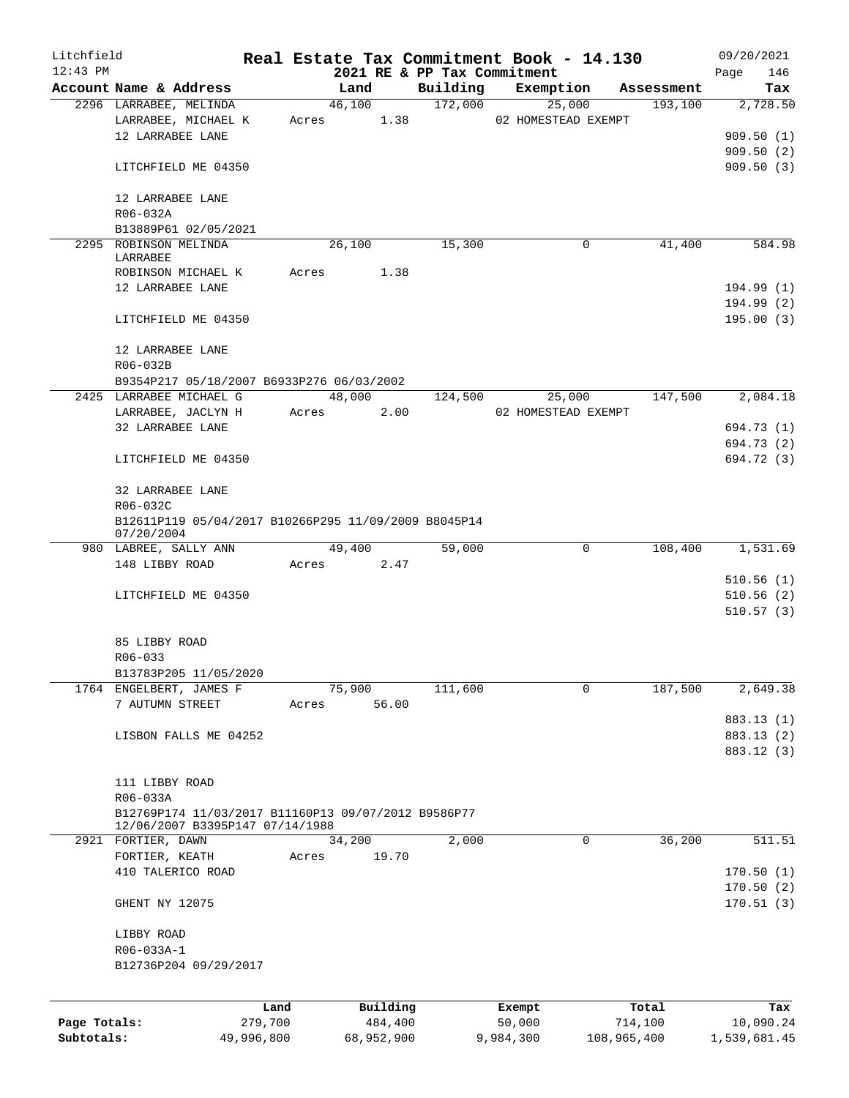| Litchfield   |                                                      |            |               |                             | Real Estate Tax Commitment Book - 14.130 |             | 09/20/2021   |
|--------------|------------------------------------------------------|------------|---------------|-----------------------------|------------------------------------------|-------------|--------------|
| $12:43$ PM   |                                                      |            |               | 2021 RE & PP Tax Commitment |                                          |             | 146<br>Page  |
|              | Account Name & Address                               |            | Land          | Building                    | Exemption                                | Assessment  | Tax          |
|              | 2296 LARRABEE, MELINDA                               |            | 46,100        | 172,000                     | 25,000                                   | 193,100     | 2,728.50     |
|              | LARRABEE, MICHAEL K                                  |            | Acres 1.38    |                             | 02 HOMESTEAD EXEMPT                      |             |              |
|              | 12 LARRABEE LANE                                     |            |               |                             |                                          |             | 909.50(1)    |
|              |                                                      |            |               |                             |                                          |             | 909.50(2)    |
|              | LITCHFIELD ME 04350                                  |            |               |                             |                                          |             | 909.50(3)    |
|              |                                                      |            |               |                             |                                          |             |              |
|              | 12 LARRABEE LANE<br>R06-032A                         |            |               |                             |                                          |             |              |
|              | B13889P61 02/05/2021                                 |            |               |                             |                                          |             |              |
|              | 2295 ROBINSON MELINDA                                |            | 26,100        | 15,300                      | 0                                        | 41,400      | 584.98       |
|              | LARRABEE                                             |            |               |                             |                                          |             |              |
|              | ROBINSON MICHAEL K                                   | Acres      | 1.38          |                             |                                          |             |              |
|              | 12 LARRABEE LANE                                     |            |               |                             |                                          |             | 194.99(1)    |
|              |                                                      |            |               |                             |                                          |             | 194.99 (2)   |
|              | LITCHFIELD ME 04350                                  |            |               |                             |                                          |             | 195.00(3)    |
|              |                                                      |            |               |                             |                                          |             |              |
|              | 12 LARRABEE LANE                                     |            |               |                             |                                          |             |              |
|              | R06-032B                                             |            |               |                             |                                          |             |              |
|              | B9354P217 05/18/2007 B6933P276 06/03/2002            |            |               |                             |                                          |             |              |
|              | 2425 LARRABEE MICHAEL G                              |            | 48,000        | 124,500                     | 25,000                                   | 147,500     | 2,084.18     |
|              | LARRABEE, JACLYN H                                   |            | 2.00<br>Acres |                             | 02 HOMESTEAD EXEMPT                      |             |              |
|              | 32 LARRABEE LANE                                     |            |               |                             |                                          |             | 694.73 (1)   |
|              |                                                      |            |               |                             |                                          |             | 694.73 (2)   |
|              | LITCHFIELD ME 04350                                  |            |               |                             |                                          |             | 694.72 (3)   |
|              |                                                      |            |               |                             |                                          |             |              |
|              | 32 LARRABEE LANE                                     |            |               |                             |                                          |             |              |
|              | R06-032C                                             |            |               |                             |                                          |             |              |
|              | B12611P119 05/04/2017 B10266P295 11/09/2009 B8045P14 |            |               |                             |                                          |             |              |
|              | 07/20/2004                                           |            |               |                             | $\mathbf 0$                              |             |              |
|              | 980 LABREE, SALLY ANN                                |            | 49,400        | 59,000                      |                                          | 108,400     | 1,531.69     |
|              | 148 LIBBY ROAD                                       |            | Acres 2.47    |                             |                                          |             | 510.56(1)    |
|              | LITCHFIELD ME 04350                                  |            |               |                             |                                          |             | 510.56(2)    |
|              |                                                      |            |               |                             |                                          |             | 510.57(3)    |
|              |                                                      |            |               |                             |                                          |             |              |
|              | 85 LIBBY ROAD                                        |            |               |                             |                                          |             |              |
|              | R06-033                                              |            |               |                             |                                          |             |              |
|              | B13783P205 11/05/2020                                |            |               |                             |                                          |             |              |
|              | 1764 ENGELBERT, JAMES F                              |            | 75,900        | 111,600                     | $\mathbf 0$                              | 187,500     | 2,649.38     |
|              | 7 AUTUMN STREET                                      | Acres      | 56.00         |                             |                                          |             |              |
|              |                                                      |            |               |                             |                                          |             | 883.13 (1)   |
|              | LISBON FALLS ME 04252                                |            |               |                             |                                          |             | 883.13 (2)   |
|              |                                                      |            |               |                             |                                          |             | 883.12 (3)   |
|              |                                                      |            |               |                             |                                          |             |              |
|              | 111 LIBBY ROAD                                       |            |               |                             |                                          |             |              |
|              | R06-033A                                             |            |               |                             |                                          |             |              |
|              | B12769P174 11/03/2017 B11160P13 09/07/2012 B9586P77  |            |               |                             |                                          |             |              |
|              | 12/06/2007 B3395P147 07/14/1988                      |            |               |                             |                                          |             |              |
|              | 2921 FORTIER, DAWN                                   |            | 34,200        | 2,000                       | 0                                        | 36,200      | 511.51       |
|              | FORTIER, KEATH                                       | Acres      | 19.70         |                             |                                          |             |              |
|              | 410 TALERICO ROAD                                    |            |               |                             |                                          |             | 170.50(1)    |
|              |                                                      |            |               |                             |                                          |             | 170.50(2)    |
|              | GHENT NY 12075                                       |            |               |                             |                                          |             | 170.51(3)    |
|              |                                                      |            |               |                             |                                          |             |              |
|              | LIBBY ROAD                                           |            |               |                             |                                          |             |              |
|              | R06-033A-1                                           |            |               |                             |                                          |             |              |
|              | B12736P204 09/29/2017                                |            |               |                             |                                          |             |              |
|              |                                                      |            |               |                             |                                          |             |              |
|              |                                                      | Land       | Building      |                             | Exempt                                   | Total       | Tax          |
| Page Totals: |                                                      | 279,700    | 484,400       |                             | 50,000                                   | 714,100     | 10,090.24    |
| Subtotals:   |                                                      | 49,996,800 | 68,952,900    |                             | 9,984,300                                | 108,965,400 | 1,539,681.45 |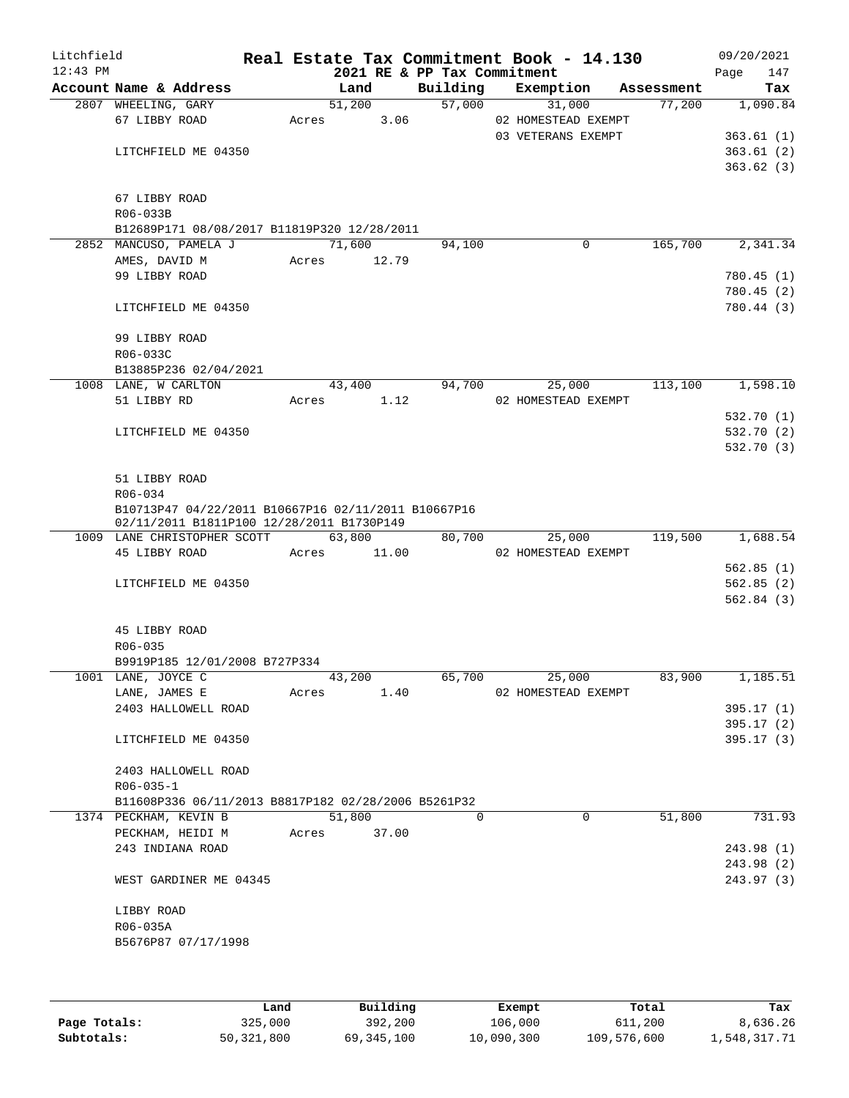| Litchfield<br>$12:43$ PM |                                                                                                  |       |        |       | 2021 RE & PP Tax Commitment | Real Estate Tax Commitment Book - 14.130 |            | 09/20/2021<br>147<br>Page |
|--------------------------|--------------------------------------------------------------------------------------------------|-------|--------|-------|-----------------------------|------------------------------------------|------------|---------------------------|
|                          | Account Name & Address                                                                           |       | Land   |       | Building                    | Exemption                                | Assessment | Tax                       |
|                          | 2807 WHEELING, GARY                                                                              |       | 51,200 |       | 57,000                      | 31,000                                   | 77,200     | 1,090.84                  |
|                          | 67 LIBBY ROAD                                                                                    | Acres |        | 3.06  |                             | 02 HOMESTEAD EXEMPT                      |            |                           |
|                          |                                                                                                  |       |        |       |                             | 03 VETERANS EXEMPT                       |            | 363.61(1)                 |
|                          | LITCHFIELD ME 04350                                                                              |       |        |       |                             |                                          |            | 363.61(2)                 |
|                          |                                                                                                  |       |        |       |                             |                                          |            | 363.62(3)                 |
|                          | 67 LIBBY ROAD                                                                                    |       |        |       |                             |                                          |            |                           |
|                          | R06-033B                                                                                         |       |        |       |                             |                                          |            |                           |
|                          | B12689P171 08/08/2017 B11819P320 12/28/2011                                                      |       |        |       |                             |                                          |            |                           |
|                          | 2852 MANCUSO, PAMELA J                                                                           |       | 71,600 |       | 94,100                      | 0                                        | 165,700    | 2,341.34                  |
|                          | AMES, DAVID M                                                                                    | Acres | 12.79  |       |                             |                                          |            |                           |
|                          | 99 LIBBY ROAD                                                                                    |       |        |       |                             |                                          |            | 780.45(1)                 |
|                          |                                                                                                  |       |        |       |                             |                                          |            | 780.45(2)                 |
|                          | LITCHFIELD ME 04350                                                                              |       |        |       |                             |                                          |            | 780.44 (3)                |
|                          | 99 LIBBY ROAD                                                                                    |       |        |       |                             |                                          |            |                           |
|                          | R06-033C                                                                                         |       |        |       |                             |                                          |            |                           |
|                          | B13885P236 02/04/2021                                                                            |       |        |       |                             |                                          |            |                           |
|                          | 1008 LANE, W CARLTON                                                                             |       | 43,400 |       | 94,700                      | 25,000                                   | 113,100    | 1,598.10                  |
|                          | 51 LIBBY RD                                                                                      | Acres |        | 1.12  |                             | 02 HOMESTEAD EXEMPT                      |            |                           |
|                          |                                                                                                  |       |        |       |                             |                                          |            | 532.70 (1)                |
|                          | LITCHFIELD ME 04350                                                                              |       |        |       |                             |                                          |            | 532.70 (2)                |
|                          |                                                                                                  |       |        |       |                             |                                          |            | 532.70 (3)                |
|                          | 51 LIBBY ROAD                                                                                    |       |        |       |                             |                                          |            |                           |
|                          | R06-034                                                                                          |       |        |       |                             |                                          |            |                           |
|                          | B10713P47 04/22/2011 B10667P16 02/11/2011 B10667P16<br>02/11/2011 B1811P100 12/28/2011 B1730P149 |       |        |       |                             |                                          |            |                           |
|                          | 1009 LANE CHRISTOPHER SCOTT                                                                      |       | 63,800 |       | 80,700                      | 25,000                                   | 119,500    | 1,688.54                  |
|                          | 45 LIBBY ROAD                                                                                    | Acres |        | 11.00 |                             | 02 HOMESTEAD EXEMPT                      |            |                           |
|                          |                                                                                                  |       |        |       |                             |                                          |            | 562.85(1)                 |
|                          | LITCHFIELD ME 04350                                                                              |       |        |       |                             |                                          |            | 562.85(2)                 |
|                          |                                                                                                  |       |        |       |                             |                                          |            | 562.84(3)                 |
|                          |                                                                                                  |       |        |       |                             |                                          |            |                           |
|                          | 45 LIBBY ROAD                                                                                    |       |        |       |                             |                                          |            |                           |
|                          | R06-035                                                                                          |       |        |       |                             |                                          |            |                           |
|                          | B9919P185 12/01/2008 B727P334                                                                    |       |        |       |                             |                                          |            |                           |
|                          | 1001 LANE, JOYCE C                                                                               |       | 43,200 |       | 65,700                      | 25,000                                   | 83,900     | 1,185.51                  |
|                          | LANE, JAMES E                                                                                    | Acres |        | 1.40  |                             | 02 HOMESTEAD EXEMPT                      |            |                           |
|                          | 2403 HALLOWELL ROAD                                                                              |       |        |       |                             |                                          |            | 395.17(1)                 |
|                          |                                                                                                  |       |        |       |                             |                                          |            | 395.17(2)                 |
|                          | LITCHFIELD ME 04350                                                                              |       |        |       |                             |                                          |            | 395.17(3)                 |
|                          | 2403 HALLOWELL ROAD                                                                              |       |        |       |                             |                                          |            |                           |
|                          | $R06 - 035 - 1$                                                                                  |       |        |       |                             |                                          |            |                           |
|                          | B11608P336 06/11/2013 B8817P182 02/28/2006 B5261P32                                              |       |        |       |                             |                                          |            |                           |
|                          | 1374 PECKHAM, KEVIN B                                                                            |       | 51,800 |       | $\Omega$                    | $\Omega$                                 | 51,800     | 731.93                    |
|                          | PECKHAM, HEIDI M                                                                                 | Acres |        | 37.00 |                             |                                          |            |                           |
|                          | 243 INDIANA ROAD                                                                                 |       |        |       |                             |                                          |            | 243.98 (1)                |
|                          |                                                                                                  |       |        |       |                             |                                          |            | 243.98 (2)                |
|                          | WEST GARDINER ME 04345                                                                           |       |        |       |                             |                                          |            | 243.97 (3)                |
|                          | LIBBY ROAD                                                                                       |       |        |       |                             |                                          |            |                           |
|                          | R06-035A                                                                                         |       |        |       |                             |                                          |            |                           |
|                          | B5676P87 07/17/1998                                                                              |       |        |       |                             |                                          |            |                           |
|                          |                                                                                                  |       |        |       |                             |                                          |            |                           |
|                          |                                                                                                  |       |        |       |                             |                                          |            |                           |

|              | Land       | Building   | Exempt     | Total       | Tax          |
|--------------|------------|------------|------------|-------------|--------------|
| Page Totals: | 325,000    | 392,200    | 106,000    | 611,200     | 8,636.26     |
| Subtotals:   | 50,321,800 | 69,345,100 | 10,090,300 | 109,576,600 | 1,548,317.71 |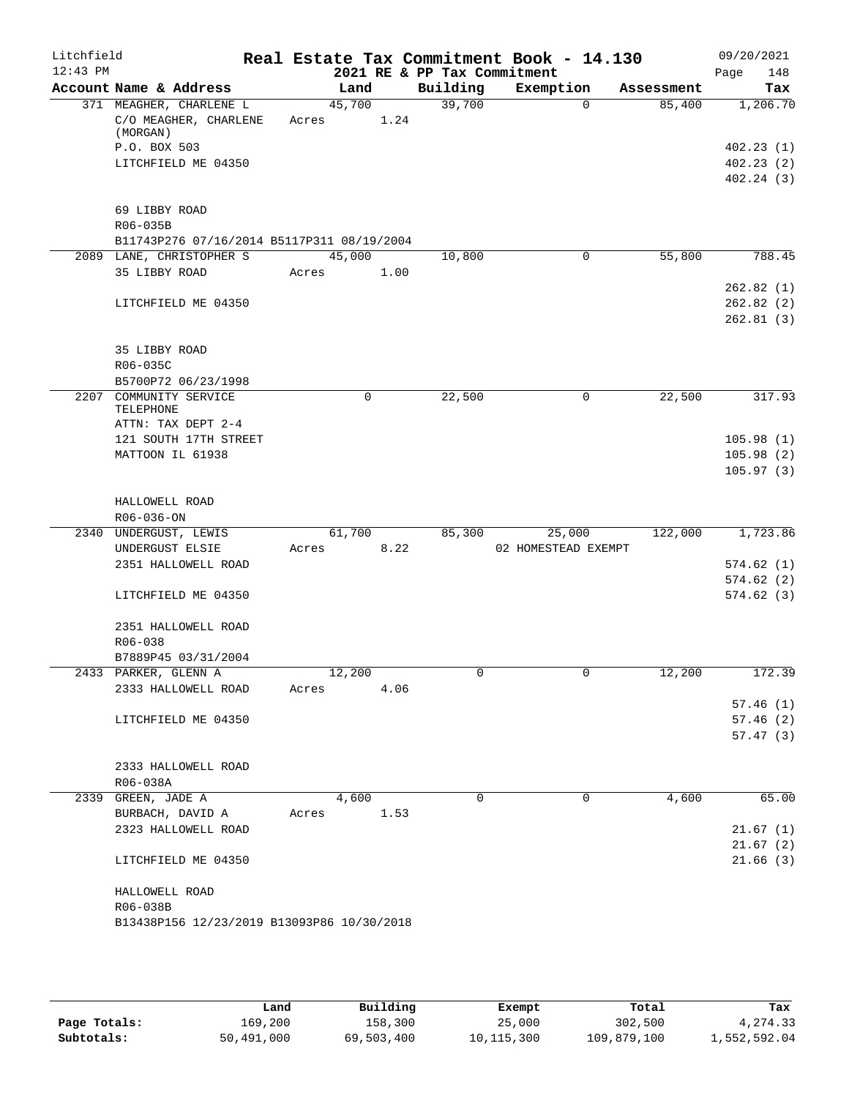| Litchfield |                                            | Real Estate Tax Commitment Book - 14.130 |                             |                     |            | 09/20/2021  |
|------------|--------------------------------------------|------------------------------------------|-----------------------------|---------------------|------------|-------------|
| $12:43$ PM |                                            |                                          | 2021 RE & PP Tax Commitment |                     |            | Page<br>148 |
|            | Account Name & Address                     | Land                                     | Building                    | Exemption           | Assessment | Tax         |
|            | 371 MEAGHER, CHARLENE L                    | 45,700                                   | 39,700                      | $\Omega$            | 85,400     | 1,206.70    |
|            | $C/O$ MEAGHER, CHARLENE<br>(MORGAN)        | 1.24<br>Acres                            |                             |                     |            |             |
|            | P.O. BOX 503                               |                                          |                             |                     |            | 402.23(1)   |
|            | LITCHFIELD ME 04350                        |                                          |                             |                     |            | 402.23(2)   |
|            |                                            |                                          |                             |                     |            | 402.24(3)   |
|            |                                            |                                          |                             |                     |            |             |
|            | 69 LIBBY ROAD                              |                                          |                             |                     |            |             |
|            | R06-035B                                   |                                          |                             |                     |            |             |
|            | B11743P276 07/16/2014 B5117P311 08/19/2004 |                                          |                             |                     |            |             |
|            | 2089 LANE, CHRISTOPHER S                   | 45,000                                   | 10,800                      | $\mathbf 0$         | 55,800     | 788.45      |
|            | 35 LIBBY ROAD                              | 1.00<br>Acres                            |                             |                     |            |             |
|            |                                            |                                          |                             |                     |            | 262.82(1)   |
|            | LITCHFIELD ME 04350                        |                                          |                             |                     |            | 262.82(2)   |
|            |                                            |                                          |                             |                     |            | 262.81(3)   |
|            |                                            |                                          |                             |                     |            |             |
|            | 35 LIBBY ROAD                              |                                          |                             |                     |            |             |
|            | R06-035C                                   |                                          |                             |                     |            |             |
|            | B5700P72 06/23/1998                        |                                          |                             |                     |            |             |
|            | 2207 COMMUNITY SERVICE                     | 0                                        | 22,500                      | $\mathsf{O}$        | 22,500     | 317.93      |
|            | TELEPHONE                                  |                                          |                             |                     |            |             |
|            | ATTN: TAX DEPT 2-4                         |                                          |                             |                     |            |             |
|            | 121 SOUTH 17TH STREET                      |                                          |                             |                     |            | 105.98(1)   |
|            | MATTOON IL 61938                           |                                          |                             |                     |            | 105.98(2)   |
|            |                                            |                                          |                             |                     |            | 105.97(3)   |
|            |                                            |                                          |                             |                     |            |             |
|            | HALLOWELL ROAD                             |                                          |                             |                     |            |             |
|            | R06-036-ON                                 |                                          |                             |                     |            |             |
|            | 2340 UNDERGUST, LEWIS                      | 61,700                                   | 85,300                      | 25,000              | 122,000    | 1,723.86    |
|            | UNDERGUST ELSIE<br>2351 HALLOWELL ROAD     | 8.22<br>Acres                            |                             | 02 HOMESTEAD EXEMPT |            | 574.62(1)   |
|            |                                            |                                          |                             |                     |            | 574.62(2)   |
|            | LITCHFIELD ME 04350                        |                                          |                             |                     |            | 574.62(3)   |
|            |                                            |                                          |                             |                     |            |             |
|            | 2351 HALLOWELL ROAD                        |                                          |                             |                     |            |             |
|            | R06-038                                    |                                          |                             |                     |            |             |
|            | B7889P45 03/31/2004                        |                                          |                             |                     |            |             |
|            | 2433 PARKER, GLENN A                       | 12,200                                   | U                           | U                   | 12,200     | 172.39      |
|            | 2333 HALLOWELL ROAD                        | Acres<br>4.06                            |                             |                     |            |             |
|            |                                            |                                          |                             |                     |            | 57.46(1)    |
|            | LITCHFIELD ME 04350                        |                                          |                             |                     |            | 57.46(2)    |
|            |                                            |                                          |                             |                     |            | 57.47(3)    |
|            |                                            |                                          |                             |                     |            |             |
|            | 2333 HALLOWELL ROAD                        |                                          |                             |                     |            |             |
|            | R06-038A                                   |                                          |                             |                     |            |             |
|            | 2339 GREEN, JADE A                         | 4,600                                    | $\Omega$                    | 0                   | 4,600      | 65.00       |
|            | BURBACH, DAVID A                           | Acres<br>1.53                            |                             |                     |            |             |
|            | 2323 HALLOWELL ROAD                        |                                          |                             |                     |            | 21.67(1)    |
|            |                                            |                                          |                             |                     |            | 21.67(2)    |
|            | LITCHFIELD ME 04350                        |                                          |                             |                     |            | 21.66(3)    |
|            |                                            |                                          |                             |                     |            |             |
|            | HALLOWELL ROAD                             |                                          |                             |                     |            |             |
|            | R06-038B                                   |                                          |                             |                     |            |             |
|            | B13438P156 12/23/2019 B13093P86 10/30/2018 |                                          |                             |                     |            |             |
|            |                                            |                                          |                             |                     |            |             |

|              | Land       | Building   | Exempt       | Total       | Tax          |
|--------------|------------|------------|--------------|-------------|--------------|
| Page Totals: | 169,200    | 158,300    | 25,000       | 302,500     | 4,274.33     |
| Subtotals:   | 50,491,000 | 69,503,400 | 10, 115, 300 | 109,879,100 | 1,552,592.04 |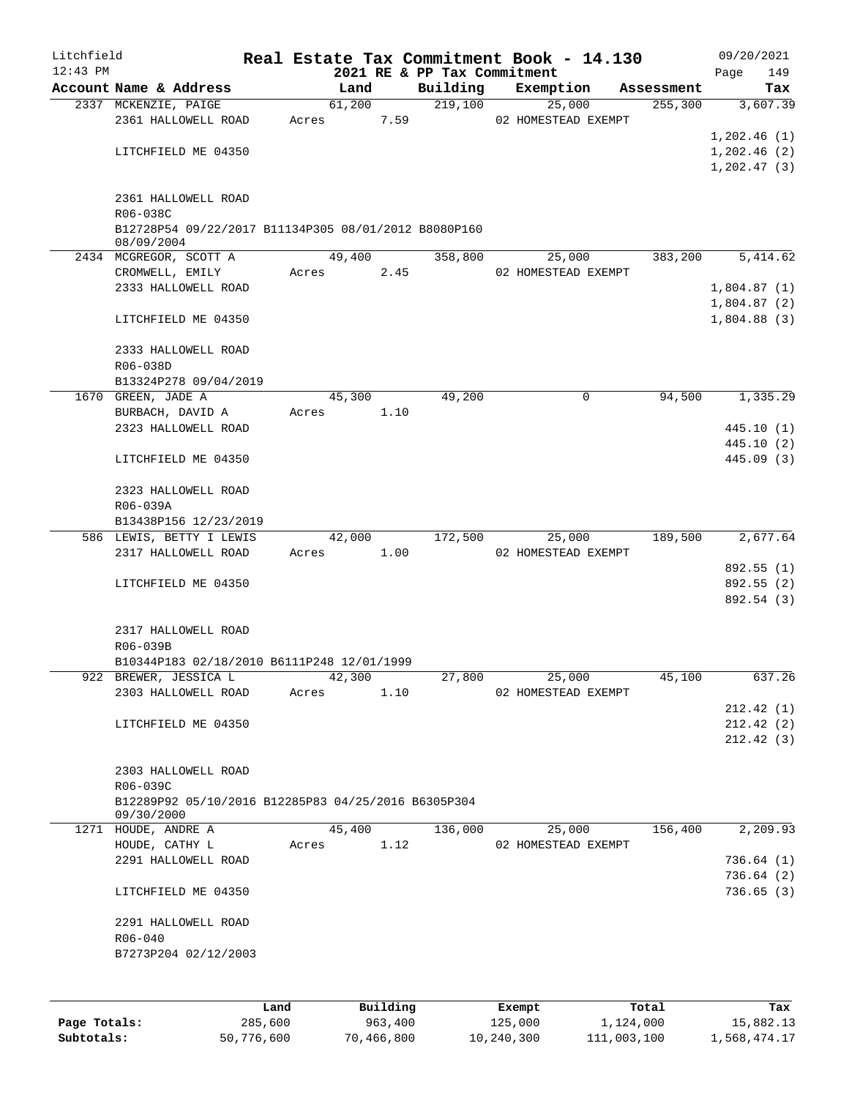| Litchfield   |                                                                   |       |                | Real Estate Tax Commitment Book - 14.130 |                     |        |                        | 09/20/2021      |
|--------------|-------------------------------------------------------------------|-------|----------------|------------------------------------------|---------------------|--------|------------------------|-----------------|
| $12:43$ PM   | Account Name & Address                                            |       |                | 2021 RE & PP Tax Commitment              |                     |        |                        | 149<br>Page     |
|              | 2337 MCKENZIE, PAIGE                                              |       | Land<br>61,200 | Building<br>219,100                      | Exemption           | 25,000 | Assessment<br>255, 300 | Tax<br>3,607.39 |
|              | 2361 HALLOWELL ROAD                                               | Acres | 7.59           |                                          | 02 HOMESTEAD EXEMPT |        |                        |                 |
|              |                                                                   |       |                |                                          |                     |        |                        | 1,202.46(1)     |
|              | LITCHFIELD ME 04350                                               |       |                |                                          |                     |        |                        | 1,202.46(2)     |
|              |                                                                   |       |                |                                          |                     |        |                        | 1, 202.47(3)    |
|              |                                                                   |       |                |                                          |                     |        |                        |                 |
|              | 2361 HALLOWELL ROAD                                               |       |                |                                          |                     |        |                        |                 |
|              | R06-038C<br>B12728P54 09/22/2017 B11134P305 08/01/2012 B8080P160  |       |                |                                          |                     |        |                        |                 |
|              | 08/09/2004                                                        |       |                |                                          |                     |        |                        |                 |
|              | 2434 MCGREGOR, SCOTT A                                            |       | 49,400         | 358,800                                  |                     | 25,000 | 383,200                | 5,414.62        |
|              | CROMWELL, EMILY                                                   | Acres | 2.45           |                                          | 02 HOMESTEAD EXEMPT |        |                        |                 |
|              | 2333 HALLOWELL ROAD                                               |       |                |                                          |                     |        |                        | 1,804.87(1)     |
|              |                                                                   |       |                |                                          |                     |        |                        | 1,804.87(2)     |
|              | LITCHFIELD ME 04350                                               |       |                |                                          |                     |        |                        | 1,804.88(3)     |
|              | 2333 HALLOWELL ROAD                                               |       |                |                                          |                     |        |                        |                 |
|              | R06-038D                                                          |       |                |                                          |                     |        |                        |                 |
|              | B13324P278 09/04/2019                                             |       |                |                                          |                     |        |                        |                 |
|              | 1670 GREEN, JADE A                                                |       | 45,300         | 49,200                                   |                     | 0      | 94,500                 | 1,335.29        |
|              | BURBACH, DAVID A                                                  | Acres | 1.10           |                                          |                     |        |                        |                 |
|              | 2323 HALLOWELL ROAD                                               |       |                |                                          |                     |        |                        | 445.10(1)       |
|              |                                                                   |       |                |                                          |                     |        |                        | 445.10 (2)      |
|              | LITCHFIELD ME 04350                                               |       |                |                                          |                     |        |                        | 445.09 (3)      |
|              |                                                                   |       |                |                                          |                     |        |                        |                 |
|              | 2323 HALLOWELL ROAD<br>R06-039A                                   |       |                |                                          |                     |        |                        |                 |
|              | B13438P156 12/23/2019                                             |       |                |                                          |                     |        |                        |                 |
|              | 586 LEWIS, BETTY I LEWIS                                          |       | 42,000         | 172,500                                  |                     | 25,000 | 189,500                | 2,677.64        |
|              | 2317 HALLOWELL ROAD                                               | Acres | 1.00           |                                          | 02 HOMESTEAD EXEMPT |        |                        |                 |
|              |                                                                   |       |                |                                          |                     |        |                        | 892.55 (1)      |
|              | LITCHFIELD ME 04350                                               |       |                |                                          |                     |        |                        | 892.55 (2)      |
|              |                                                                   |       |                |                                          |                     |        |                        | 892.54 (3)      |
|              |                                                                   |       |                |                                          |                     |        |                        |                 |
|              | 2317 HALLOWELL ROAD                                               |       |                |                                          |                     |        |                        |                 |
|              | R06-039B<br>B10344P183 02/18/2010 B6111P248 12/01/1999            |       |                |                                          |                     |        |                        |                 |
|              | 922 BREWER, JESSICA L                                             |       | 42,300         | 27,800                                   |                     | 25,000 | 45,100                 | 637.26          |
|              | 2303 HALLOWELL ROAD                                               | Acres | 1.10           |                                          | 02 HOMESTEAD EXEMPT |        |                        |                 |
|              |                                                                   |       |                |                                          |                     |        |                        | 212.42(1)       |
|              | LITCHFIELD ME 04350                                               |       |                |                                          |                     |        |                        | 212.42(2)       |
|              |                                                                   |       |                |                                          |                     |        |                        | 212.42(3)       |
|              |                                                                   |       |                |                                          |                     |        |                        |                 |
|              | 2303 HALLOWELL ROAD                                               |       |                |                                          |                     |        |                        |                 |
|              | R06-039C                                                          |       |                |                                          |                     |        |                        |                 |
|              | B12289P92 05/10/2016 B12285P83 04/25/2016 B6305P304<br>09/30/2000 |       |                |                                          |                     |        |                        |                 |
|              | 1271 HOUDE, ANDRE A                                               |       | 45,400         | 136,000                                  |                     | 25,000 | 156,400                | 2,209.93        |
|              | HOUDE, CATHY L                                                    | Acres | 1.12           |                                          | 02 HOMESTEAD EXEMPT |        |                        |                 |
|              | 2291 HALLOWELL ROAD                                               |       |                |                                          |                     |        |                        | 736.64(1)       |
|              |                                                                   |       |                |                                          |                     |        |                        | 736.64(2)       |
|              | LITCHFIELD ME 04350                                               |       |                |                                          |                     |        |                        | 736.65(3)       |
|              | 2291 HALLOWELL ROAD                                               |       |                |                                          |                     |        |                        |                 |
|              | $R06 - 040$                                                       |       |                |                                          |                     |        |                        |                 |
|              | B7273P204 02/12/2003                                              |       |                |                                          |                     |        |                        |                 |
|              |                                                                   |       |                |                                          |                     |        |                        |                 |
|              |                                                                   |       |                |                                          |                     |        |                        |                 |
|              | Land                                                              |       | Building       |                                          | Exempt              |        | Total                  | Tax             |
| Page Totals: | 285,600                                                           |       | 963,400        |                                          | 125,000             |        | 1,124,000              | 15,882.13       |

**Subtotals:** 50,776,600 70,466,800 10,240,300 111,003,100 1,568,474.17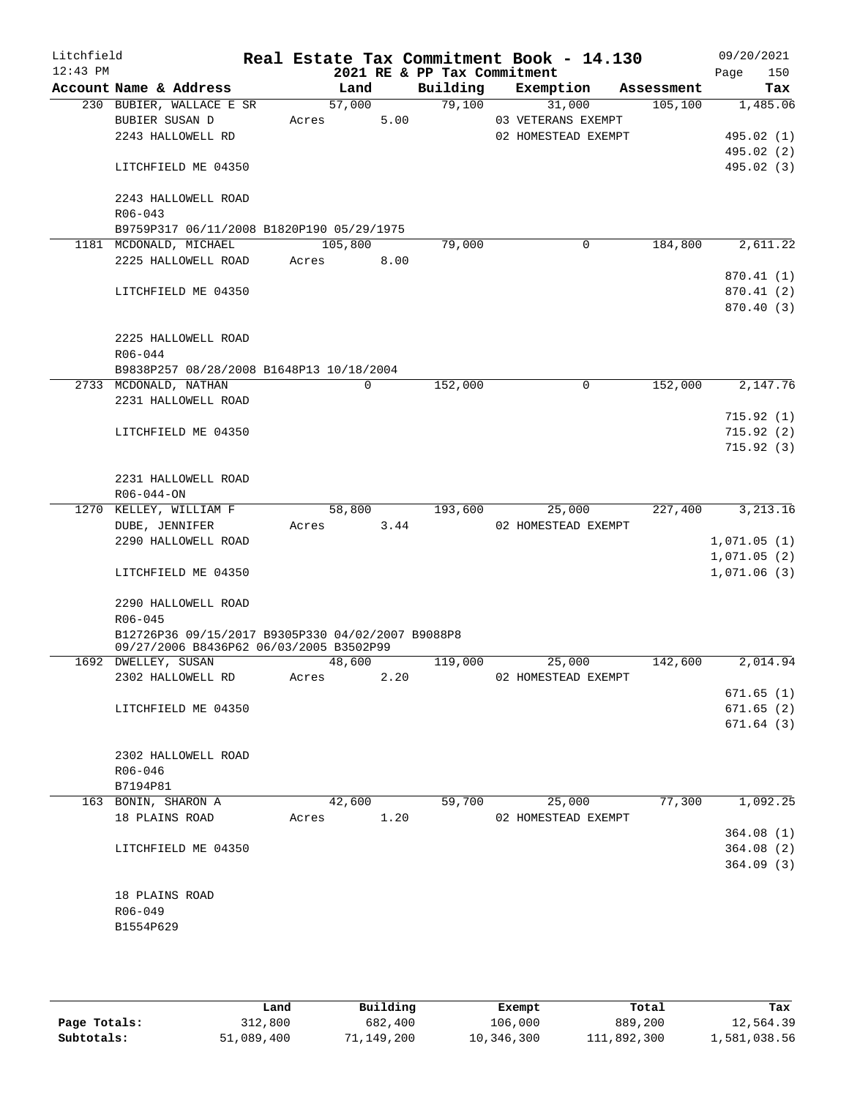| Litchfield<br>$12:43$ PM |                                                                                              |       |         |      | Real Estate Tax Commitment Book - 14.130<br>2021 RE & PP Tax Commitment |                                           |             |            | 09/20/2021<br>Page<br>150  |
|--------------------------|----------------------------------------------------------------------------------------------|-------|---------|------|-------------------------------------------------------------------------|-------------------------------------------|-------------|------------|----------------------------|
|                          | Account Name & Address                                                                       |       | Land    |      | Building                                                                | Exemption                                 |             | Assessment | Tax                        |
|                          | 230 BUBIER, WALLACE E SR<br>BUBIER SUSAN D<br>2243 HALLOWELL RD                              | Acres | 57,000  | 5.00 | 79,100                                                                  | 03 VETERANS EXEMPT<br>02 HOMESTEAD EXEMPT | 31,000      | 105, 100   | 1,485.06<br>495.02 (1)     |
|                          | LITCHFIELD ME 04350                                                                          |       |         |      |                                                                         |                                           |             |            | 495.02 (2)<br>495.02 (3)   |
|                          | 2243 HALLOWELL ROAD<br>$R06 - 043$<br>B9759P317 06/11/2008 B1820P190 05/29/1975              |       |         |      |                                                                         |                                           |             |            |                            |
|                          | 1181 MCDONALD, MICHAEL                                                                       |       | 105,800 |      | 79,000                                                                  |                                           | $\mathbf 0$ | 184,800    | 2,611.22                   |
|                          | 2225 HALLOWELL ROAD                                                                          | Acres |         | 8.00 |                                                                         |                                           |             |            | 870.41 (1)                 |
|                          | LITCHFIELD ME 04350                                                                          |       |         |      |                                                                         |                                           |             |            | 870.41 (2)<br>870.40(3)    |
|                          | 2225 HALLOWELL ROAD<br>$R06 - 044$                                                           |       |         |      |                                                                         |                                           |             |            |                            |
|                          | B9838P257 08/28/2008 B1648P13 10/18/2004<br>2733 MCDONALD, NATHAN                            |       | 0       |      | 152,000                                                                 |                                           | 0           | 152,000    | 2,147.76                   |
|                          | 2231 HALLOWELL ROAD                                                                          |       |         |      |                                                                         |                                           |             |            | 715.92(1)                  |
|                          | LITCHFIELD ME 04350                                                                          |       |         |      |                                                                         |                                           |             |            | 715.92(2)                  |
|                          |                                                                                              |       |         |      |                                                                         |                                           |             |            | 715.92(3)                  |
|                          | 2231 HALLOWELL ROAD<br>$R06 - 044 - ON$                                                      |       |         |      |                                                                         |                                           |             |            |                            |
|                          | 1270 KELLEY, WILLIAM F<br>DUBE, JENNIFER                                                     | Acres | 58,800  | 3.44 | 193,600                                                                 | 02 HOMESTEAD EXEMPT                       | 25,000      | 227,400    | 3, 213.16                  |
|                          | 2290 HALLOWELL ROAD                                                                          |       |         |      |                                                                         |                                           |             |            | 1,071.05(1)                |
|                          | LITCHFIELD ME 04350                                                                          |       |         |      |                                                                         |                                           |             |            | 1,071.05(2)<br>1,071.06(3) |
|                          | 2290 HALLOWELL ROAD<br>$R06 - 045$                                                           |       |         |      |                                                                         |                                           |             |            |                            |
|                          | B12726P36 09/15/2017 B9305P330 04/02/2007 B9088P8<br>09/27/2006 B8436P62 06/03/2005 B3502P99 |       |         |      |                                                                         |                                           |             |            |                            |
|                          | 1692 DWELLEY, SUSAN<br>2302 HALLOWELL RD                                                     | Acres | 48,600  | 2.20 | 119,000                                                                 | 02 HOMESTEAD EXEMPT                       | 25,000      | 142,600    | 2,014.94                   |
|                          | LITCHFIELD ME 04350                                                                          |       |         |      |                                                                         |                                           |             |            | 671.65(1)<br>671.65(2)     |
|                          |                                                                                              |       |         |      |                                                                         |                                           |             |            | 671.64(3)                  |
|                          | 2302 HALLOWELL ROAD<br>$R06 - 046$                                                           |       |         |      |                                                                         |                                           |             |            |                            |
|                          | B7194P81                                                                                     |       |         |      |                                                                         |                                           |             |            |                            |
|                          | 163 BONIN, SHARON A                                                                          |       | 42,600  |      | 59,700                                                                  |                                           | 25,000      | 77,300     | 1,092.25                   |
|                          | 18 PLAINS ROAD                                                                               | Acres |         | 1.20 |                                                                         | 02 HOMESTEAD EXEMPT                       |             |            |                            |
|                          |                                                                                              |       |         |      |                                                                         |                                           |             |            | 364.08(1)                  |
|                          | LITCHFIELD ME 04350                                                                          |       |         |      |                                                                         |                                           |             |            | 364.08(2)<br>364.09(3)     |
|                          | 18 PLAINS ROAD                                                                               |       |         |      |                                                                         |                                           |             |            |                            |
|                          | R06-049<br>B1554P629                                                                         |       |         |      |                                                                         |                                           |             |            |                            |
|                          |                                                                                              |       |         |      |                                                                         |                                           |             |            |                            |

|              | Land       | Building   | Exempt     | Total       | Tax          |
|--------------|------------|------------|------------|-------------|--------------|
| Page Totals: | 312,800    | 682,400    | 106,000    | 889,200     | 12,564.39    |
| Subtotals:   | 51,089,400 | 71,149,200 | 10,346,300 | 111,892,300 | 1,581,038.56 |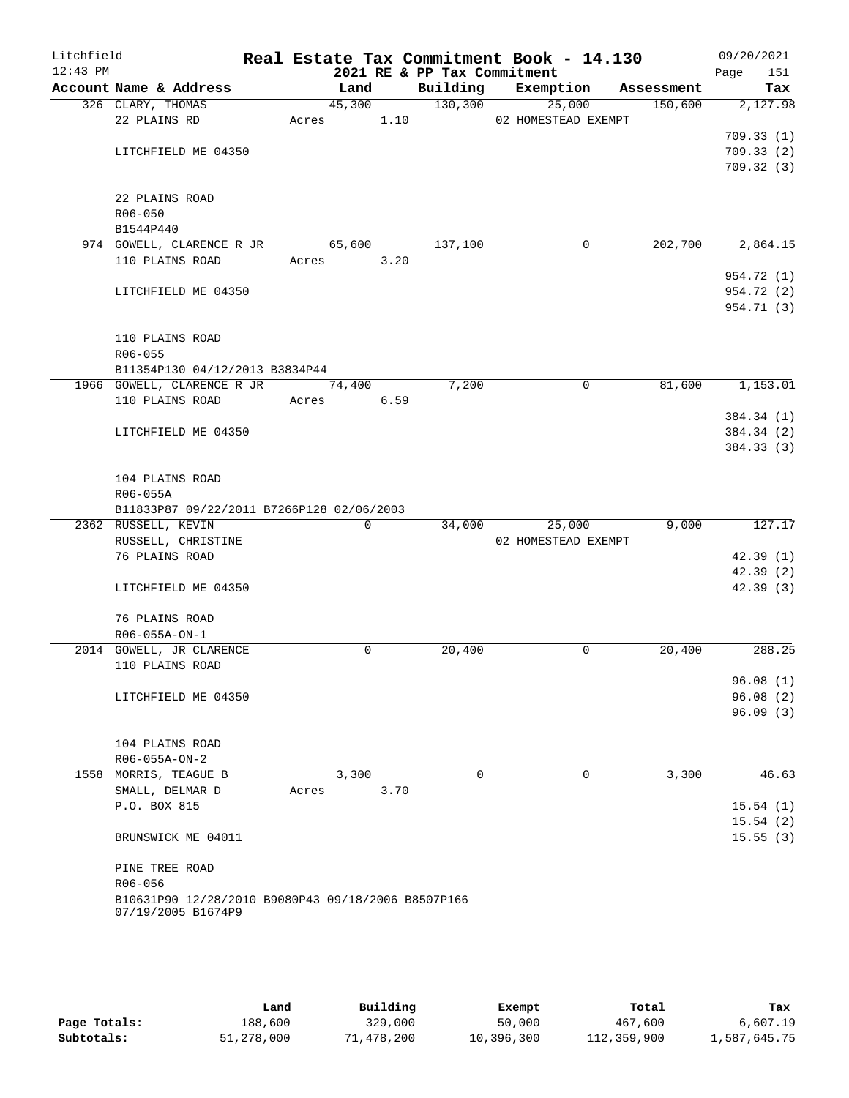| Litchfield<br>$12:43$ PM |                                                                          |            |             |      |          | Real Estate Tax Commitment Book - 14.130<br>2021 RE & PP Tax Commitment |   |            | 09/20/2021<br>151<br>Page |
|--------------------------|--------------------------------------------------------------------------|------------|-------------|------|----------|-------------------------------------------------------------------------|---|------------|---------------------------|
|                          | Account Name & Address                                                   |            | Land        |      | Building | Exemption                                                               |   | Assessment | Tax                       |
|                          | 326 CLARY, THOMAS                                                        |            | 45,300      |      | 130,300  | 25,000                                                                  |   | 150,600    | 2,127.98                  |
|                          | 22 PLAINS RD                                                             | Acres      |             | 1.10 |          | 02 HOMESTEAD EXEMPT                                                     |   |            |                           |
|                          |                                                                          |            |             |      |          |                                                                         |   |            | 709.33(1)                 |
|                          | LITCHFIELD ME 04350                                                      |            |             |      |          |                                                                         |   |            | 709.33(2)                 |
|                          |                                                                          |            |             |      |          |                                                                         |   |            | 709.32(3)                 |
|                          |                                                                          |            |             |      |          |                                                                         |   |            |                           |
|                          | 22 PLAINS ROAD                                                           |            |             |      |          |                                                                         |   |            |                           |
|                          | $R06 - 050$                                                              |            |             |      |          |                                                                         |   |            |                           |
|                          | B1544P440                                                                |            |             |      |          |                                                                         |   |            |                           |
|                          | 974 GOWELL, CLARENCE R JR                                                |            | 65,600      |      | 137,100  |                                                                         | 0 | 202,700    | 2,864.15                  |
|                          | 110 PLAINS ROAD                                                          | Acres      |             | 3.20 |          |                                                                         |   |            |                           |
|                          |                                                                          |            |             |      |          |                                                                         |   |            | 954.72 (1)                |
|                          | LITCHFIELD ME 04350                                                      |            |             |      |          |                                                                         |   |            | 954.72 (2)                |
|                          |                                                                          |            |             |      |          |                                                                         |   |            | 954.71 (3)                |
|                          |                                                                          |            |             |      |          |                                                                         |   |            |                           |
|                          | 110 PLAINS ROAD                                                          |            |             |      |          |                                                                         |   |            |                           |
|                          | $R06 - 055$                                                              |            |             |      |          |                                                                         |   |            |                           |
|                          | B11354P130 04/12/2013 B3834P44<br>1966 GOWELL, CLARENCE R JR             |            |             |      | 7,200    |                                                                         | 0 | 81,600     | 1,153.01                  |
|                          | 110 PLAINS ROAD                                                          |            | 74,400      |      |          |                                                                         |   |            |                           |
|                          |                                                                          | Acres 6.59 |             |      |          |                                                                         |   |            | 384.34 (1)                |
|                          | LITCHFIELD ME 04350                                                      |            |             |      |          |                                                                         |   |            | 384.34 (2)                |
|                          |                                                                          |            |             |      |          |                                                                         |   |            | 384.33 (3)                |
|                          |                                                                          |            |             |      |          |                                                                         |   |            |                           |
|                          | 104 PLAINS ROAD                                                          |            |             |      |          |                                                                         |   |            |                           |
|                          | R06-055A                                                                 |            |             |      |          |                                                                         |   |            |                           |
|                          | B11833P87 09/22/2011 B7266P128 02/06/2003                                |            |             |      |          |                                                                         |   |            |                           |
|                          | 2362 RUSSELL, KEVIN                                                      |            | $\mathbf 0$ |      | 34,000   | 25,000                                                                  |   | 9,000      | 127.17                    |
|                          | RUSSELL, CHRISTINE                                                       |            |             |      |          | 02 HOMESTEAD EXEMPT                                                     |   |            |                           |
|                          | 76 PLAINS ROAD                                                           |            |             |      |          |                                                                         |   |            | 42.39(1)                  |
|                          |                                                                          |            |             |      |          |                                                                         |   |            | 42.39 (2)                 |
|                          | LITCHFIELD ME 04350                                                      |            |             |      |          |                                                                         |   |            | 42.39(3)                  |
|                          |                                                                          |            |             |      |          |                                                                         |   |            |                           |
|                          | 76 PLAINS ROAD                                                           |            |             |      |          |                                                                         |   |            |                           |
|                          | R06-055A-ON-1                                                            |            |             |      |          |                                                                         |   |            |                           |
|                          | 2014 GOWELL, JR CLARENCE                                                 |            | 0           |      | 20,400   |                                                                         | 0 | 20,400     | 288.25                    |
|                          | 110 PLAINS ROAD                                                          |            |             |      |          |                                                                         |   |            |                           |
|                          |                                                                          |            |             |      |          |                                                                         |   |            | 96.08(1)                  |
|                          | LITCHFIELD ME 04350                                                      |            |             |      |          |                                                                         |   |            | 96.08(2)                  |
|                          |                                                                          |            |             |      |          |                                                                         |   |            | 96.09(3)                  |
|                          |                                                                          |            |             |      |          |                                                                         |   |            |                           |
|                          | 104 PLAINS ROAD                                                          |            |             |      |          |                                                                         |   |            |                           |
|                          | R06-055A-ON-2                                                            |            |             |      |          |                                                                         |   |            |                           |
|                          | 1558 MORRIS, TEAGUE B                                                    |            | 3,300       |      | 0        |                                                                         | 0 | 3,300      | 46.63                     |
|                          | SMALL, DELMAR D                                                          | Acres      |             | 3.70 |          |                                                                         |   |            |                           |
|                          | P.O. BOX 815                                                             |            |             |      |          |                                                                         |   |            | 15.54(1)                  |
|                          |                                                                          |            |             |      |          |                                                                         |   |            | 15.54(2)                  |
|                          | BRUNSWICK ME 04011                                                       |            |             |      |          |                                                                         |   |            | 15.55(3)                  |
|                          |                                                                          |            |             |      |          |                                                                         |   |            |                           |
|                          | PINE TREE ROAD                                                           |            |             |      |          |                                                                         |   |            |                           |
|                          | R06-056                                                                  |            |             |      |          |                                                                         |   |            |                           |
|                          | B10631P90 12/28/2010 B9080P43 09/18/2006 B8507P166<br>07/19/2005 B1674P9 |            |             |      |          |                                                                         |   |            |                           |
|                          |                                                                          |            |             |      |          |                                                                         |   |            |                           |
|                          |                                                                          |            |             |      |          |                                                                         |   |            |                           |

|              | Land       | Building   | Exempt     | Total       | Tax          |
|--------------|------------|------------|------------|-------------|--------------|
| Page Totals: | 188,600    | 329,000    | 50,000     | 467,600     | 6,607.19     |
| Subtotals:   | 51,278,000 | 71,478,200 | 10,396,300 | 112,359,900 | 1,587,645.75 |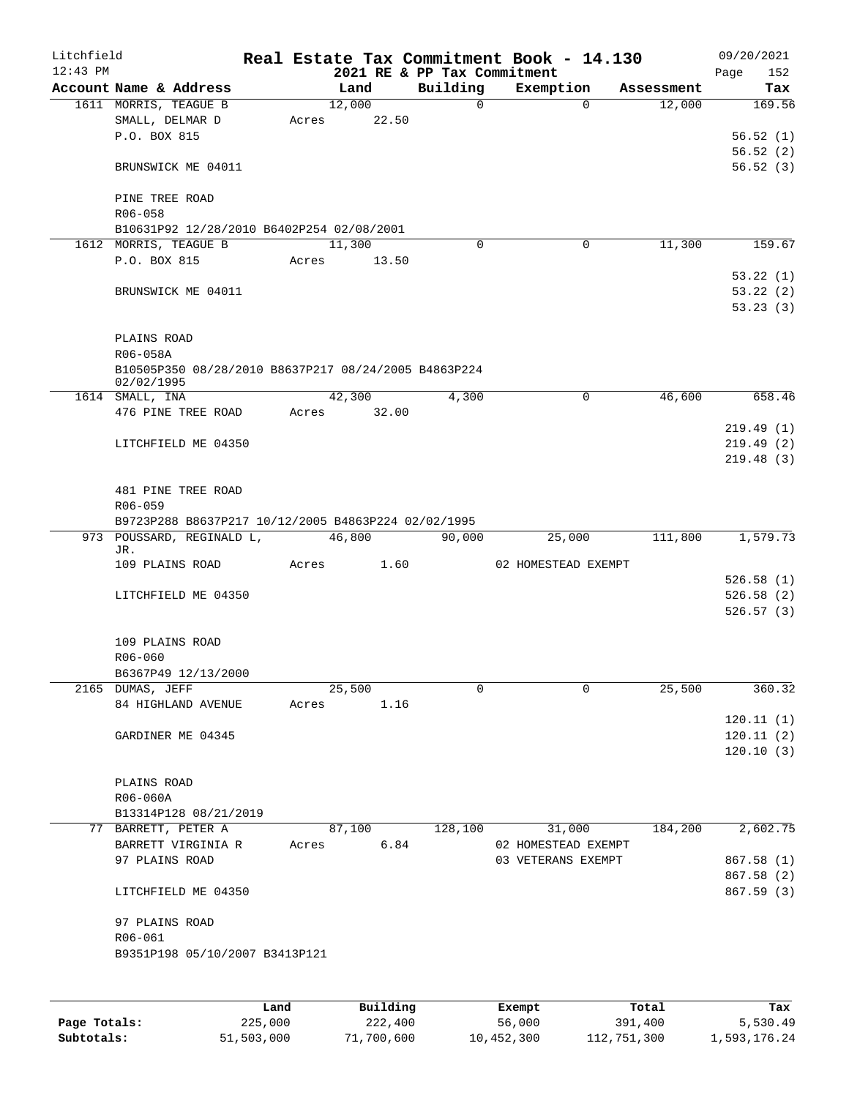| Litchfield |                                                      |       |             |       |                             | Real Estate Tax Commitment Book - 14.130 |                    |      | 09/20/2021 |
|------------|------------------------------------------------------|-------|-------------|-------|-----------------------------|------------------------------------------|--------------------|------|------------|
| $12:43$ PM |                                                      |       |             |       | 2021 RE & PP Tax Commitment |                                          |                    | Page | 152        |
|            | Account Name & Address                               |       | Land        |       | Building                    | Exemption                                | Assessment         |      | Tax        |
|            | 1611 MORRIS, TEAGUE B                                |       | 12,000      |       | $\mathsf{O}$                |                                          | 12,000<br>$\Omega$ |      | 169.56     |
|            | SMALL, DELMAR D                                      | Acres | 22.50       |       |                             |                                          |                    |      |            |
|            | P.O. BOX 815                                         |       |             |       |                             |                                          |                    |      | 56.52(1)   |
|            |                                                      |       |             |       |                             |                                          |                    |      | 56.52(2)   |
|            | BRUNSWICK ME 04011                                   |       |             |       |                             |                                          |                    |      | 56.52(3)   |
|            | PINE TREE ROAD                                       |       |             |       |                             |                                          |                    |      |            |
|            | R06-058                                              |       |             |       |                             |                                          |                    |      |            |
|            | B10631P92 12/28/2010 B6402P254 02/08/2001            |       |             |       |                             |                                          |                    |      |            |
|            | 1612 MORRIS, TEAGUE B                                |       | 11,300      |       | $\Omega$                    | $\mathbf 0$                              | 11,300             |      | 159.67     |
|            | P.O. BOX 815                                         | Acres |             | 13.50 |                             |                                          |                    |      |            |
|            |                                                      |       |             |       |                             |                                          |                    |      | 53.22(1)   |
|            | BRUNSWICK ME 04011                                   |       |             |       |                             |                                          |                    |      | 53.22(2)   |
|            |                                                      |       |             |       |                             |                                          |                    |      | 53.23(3)   |
|            |                                                      |       |             |       |                             |                                          |                    |      |            |
|            | PLAINS ROAD                                          |       |             |       |                             |                                          |                    |      |            |
|            | R06-058A                                             |       |             |       |                             |                                          |                    |      |            |
|            | B10505P350 08/28/2010 B8637P217 08/24/2005 B4863P224 |       |             |       |                             |                                          |                    |      |            |
|            | 02/02/1995                                           |       |             |       |                             |                                          |                    |      |            |
|            | 1614 SMALL, INA                                      |       | 42,300      |       | 4,300                       | $\mathsf{O}$                             | 46,600             |      | 658.46     |
|            | 476 PINE TREE ROAD                                   |       | Acres 32.00 |       |                             |                                          |                    |      |            |
|            |                                                      |       |             |       |                             |                                          |                    |      | 219.49(1)  |
|            | LITCHFIELD ME 04350                                  |       |             |       |                             |                                          |                    |      | 219.49(2)  |
|            |                                                      |       |             |       |                             |                                          |                    |      | 219.48(3)  |
|            |                                                      |       |             |       |                             |                                          |                    |      |            |
|            | 481 PINE TREE ROAD                                   |       |             |       |                             |                                          |                    |      |            |
|            | R06-059                                              |       |             |       |                             |                                          |                    |      |            |
|            | B9723P288 B8637P217 10/12/2005 B4863P224 02/02/1995  |       |             |       |                             |                                          |                    |      |            |
|            | 973 POUSSARD, REGINALD L,<br>JR.                     |       | 46,800      |       | 90,000                      | 25,000                                   | 111,800            |      | 1,579.73   |
|            | 109 PLAINS ROAD                                      |       | Acres       | 1.60  |                             | 02 HOMESTEAD EXEMPT                      |                    |      |            |
|            |                                                      |       |             |       |                             |                                          |                    |      | 526.58(1)  |
|            | LITCHFIELD ME 04350                                  |       |             |       |                             |                                          |                    |      | 526.58(2)  |
|            |                                                      |       |             |       |                             |                                          |                    |      | 526.57(3)  |
|            |                                                      |       |             |       |                             |                                          |                    |      |            |
|            | 109 PLAINS ROAD                                      |       |             |       |                             |                                          |                    |      |            |
|            | R06-060                                              |       |             |       |                             |                                          |                    |      |            |
|            | B6367P49 12/13/2000                                  |       |             |       |                             |                                          |                    |      |            |
|            | 2165 DUMAS, JEFF                                     |       | 25,500      |       | $\Omega$                    | $\Omega$                                 | 25,500             |      | 360.32     |
|            | 84 HIGHLAND AVENUE                                   | Acres |             | 1.16  |                             |                                          |                    |      |            |
|            |                                                      |       |             |       |                             |                                          |                    |      | 120.11(1)  |
|            | GARDINER ME 04345                                    |       |             |       |                             |                                          |                    |      | 120.11(2)  |
|            |                                                      |       |             |       |                             |                                          |                    |      | 120.10(3)  |
|            |                                                      |       |             |       |                             |                                          |                    |      |            |
|            | PLAINS ROAD                                          |       |             |       |                             |                                          |                    |      |            |
|            | R06-060A                                             |       |             |       |                             |                                          |                    |      |            |
|            | B13314P128 08/21/2019                                |       |             |       |                             |                                          |                    |      |            |
|            | 77 BARRETT, PETER A                                  |       | 87,100      |       | 128,100                     | 31,000                                   | 184,200            |      | 2,602.75   |
|            | BARRETT VIRGINIA R                                   |       | Acres       | 6.84  |                             | 02 HOMESTEAD EXEMPT                      |                    |      |            |
|            | 97 PLAINS ROAD                                       |       |             |       |                             | 03 VETERANS EXEMPT                       |                    |      | 867.58 (1) |
|            |                                                      |       |             |       |                             |                                          |                    |      | 867.58 (2) |
|            | LITCHFIELD ME 04350                                  |       |             |       |                             |                                          |                    |      | 867.59(3)  |
|            |                                                      |       |             |       |                             |                                          |                    |      |            |
|            | 97 PLAINS ROAD<br>R06-061                            |       |             |       |                             |                                          |                    |      |            |
|            | B9351P198 05/10/2007 B3413P121                       |       |             |       |                             |                                          |                    |      |            |
|            |                                                      |       |             |       |                             |                                          |                    |      |            |
|            |                                                      |       |             |       |                             |                                          |                    |      |            |
|            |                                                      |       |             |       |                             |                                          |                    |      |            |
|            |                                                      |       |             |       |                             |                                          |                    |      |            |

|              | Land       | Building   | Exempt     | Total       | Tax          |
|--------------|------------|------------|------------|-------------|--------------|
| Page Totals: | 225,000    | 222,400    | 56,000     | 391,400     | 5,530.49     |
| Subtotals:   | 51,503,000 | 71,700,600 | 10,452,300 | 112,751,300 | 1,593,176.24 |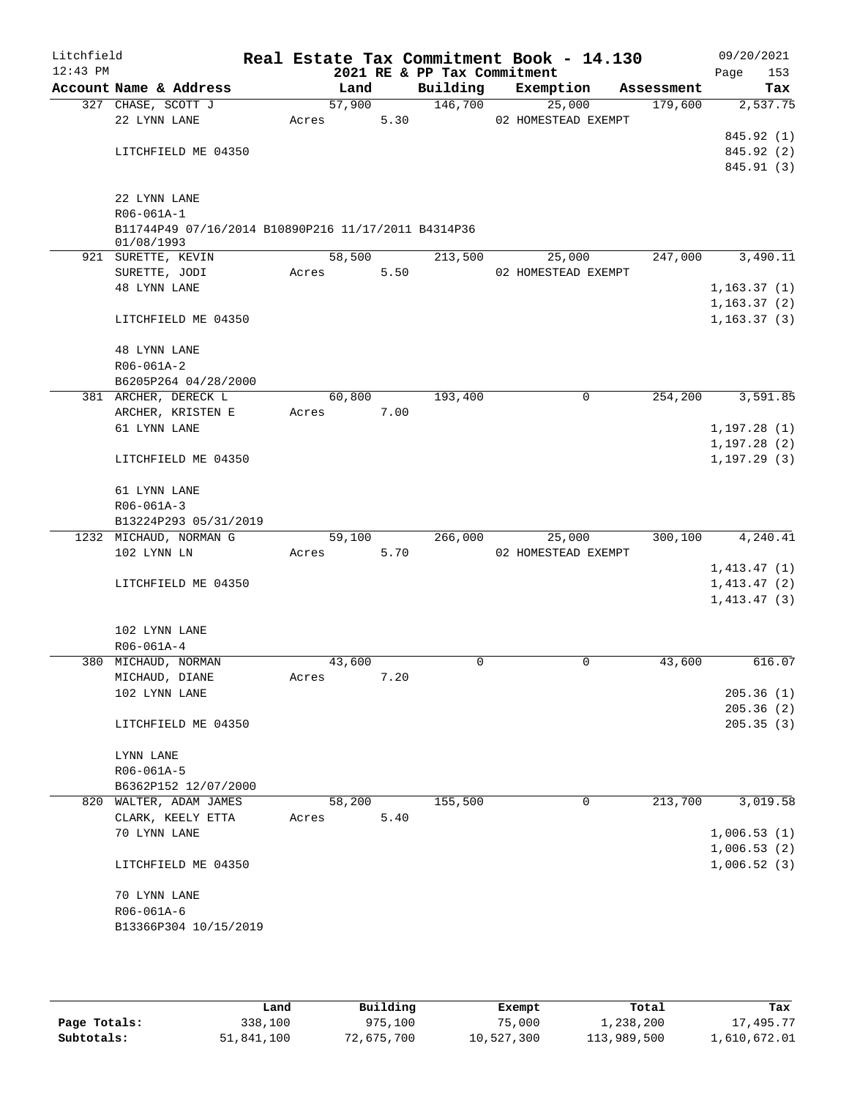| Litchfield<br>$12:43$ PM |                                                                   |        |      | 2021 RE & PP Tax Commitment | Real Estate Tax Commitment Book - 14.130 |            | 09/20/2021<br>153<br>Page |
|--------------------------|-------------------------------------------------------------------|--------|------|-----------------------------|------------------------------------------|------------|---------------------------|
|                          | Account Name & Address                                            | Land   |      | Building                    | Exemption                                | Assessment | Tax                       |
|                          | 327 CHASE, SCOTT J                                                | 57,900 |      | 146,700                     | 25,000                                   | 179,600    | 2,537.75                  |
|                          | 22 LYNN LANE                                                      | Acres  | 5.30 |                             | 02 HOMESTEAD EXEMPT                      |            |                           |
|                          |                                                                   |        |      |                             |                                          |            | 845.92 (1)                |
|                          | LITCHFIELD ME 04350                                               |        |      |                             |                                          |            | 845.92 (2)                |
|                          |                                                                   |        |      |                             |                                          |            | 845.91 (3)                |
|                          |                                                                   |        |      |                             |                                          |            |                           |
|                          | 22 LYNN LANE                                                      |        |      |                             |                                          |            |                           |
|                          | R06-061A-1                                                        |        |      |                             |                                          |            |                           |
|                          | B11744P49 07/16/2014 B10890P216 11/17/2011 B4314P36<br>01/08/1993 |        |      |                             |                                          |            |                           |
|                          | 921 SURETTE, KEVIN                                                | 58,500 |      | 213,500                     | 25,000                                   | 247,000    | 3,490.11                  |
|                          | SURETTE, JODI                                                     | Acres  | 5.50 |                             | 02 HOMESTEAD EXEMPT                      |            |                           |
|                          | <b>48 LYNN LANE</b>                                               |        |      |                             |                                          |            | 1,163.37(1)               |
|                          |                                                                   |        |      |                             |                                          |            | 1, 163.37(2)              |
|                          | LITCHFIELD ME 04350                                               |        |      |                             |                                          |            | 1, 163.37(3)              |
|                          |                                                                   |        |      |                             |                                          |            |                           |
|                          | <b>48 LYNN LANE</b>                                               |        |      |                             |                                          |            |                           |
|                          | R06-061A-2                                                        |        |      |                             |                                          |            |                           |
|                          | B6205P264 04/28/2000                                              |        |      |                             |                                          |            |                           |
|                          | 381 ARCHER, DERECK L                                              | 60,800 |      | 193,400                     | 0                                        | 254,200    | 3,591.85                  |
|                          | ARCHER, KRISTEN E                                                 | Acres  | 7.00 |                             |                                          |            |                           |
|                          | 61 LYNN LANE                                                      |        |      |                             |                                          |            | 1, 197.28(1)              |
|                          |                                                                   |        |      |                             |                                          |            | 1, 197.28(2)              |
|                          | LITCHFIELD ME 04350                                               |        |      |                             |                                          |            | 1, 197.29(3)              |
|                          |                                                                   |        |      |                             |                                          |            |                           |
|                          | 61 LYNN LANE                                                      |        |      |                             |                                          |            |                           |
|                          | $R06 - 061A - 3$                                                  |        |      |                             |                                          |            |                           |
|                          | B13224P293 05/31/2019                                             |        |      |                             |                                          |            |                           |
|                          | 1232 MICHAUD, NORMAN G                                            | 59,100 |      | 266,000                     | 25,000                                   | 300,100    | 4,240.41                  |
|                          | 102 LYNN LN                                                       | Acres  | 5.70 |                             | 02 HOMESTEAD EXEMPT                      |            |                           |
|                          |                                                                   |        |      |                             |                                          |            | 1,413.47(1)               |
|                          | LITCHFIELD ME 04350                                               |        |      |                             |                                          |            | 1,413.47(2)               |
|                          |                                                                   |        |      |                             |                                          |            | 1,413.47(3)               |
|                          |                                                                   |        |      |                             |                                          |            |                           |
|                          | 102 LYNN LANE                                                     |        |      |                             |                                          |            |                           |
|                          | R06-061A-4<br>380 MICHAUD, NORMAN                                 | 43,600 |      | 0                           | 0                                        | 43,600     | 616.07                    |
|                          | MICHAUD, DIANE                                                    |        | 7.20 |                             |                                          |            |                           |
|                          | 102 LYNN LANE                                                     | Acres  |      |                             |                                          |            | 205.36(1)                 |
|                          |                                                                   |        |      |                             |                                          |            | 205.36(2)                 |
|                          | LITCHFIELD ME 04350                                               |        |      |                             |                                          |            | 205.35(3)                 |
|                          |                                                                   |        |      |                             |                                          |            |                           |
|                          | LYNN LANE                                                         |        |      |                             |                                          |            |                           |
|                          | R06-061A-5                                                        |        |      |                             |                                          |            |                           |
|                          | B6362P152 12/07/2000                                              |        |      |                             |                                          |            |                           |
|                          | 820 WALTER, ADAM JAMES                                            | 58,200 |      | 155,500                     | $\mathbf 0$                              | 213,700    | 3,019.58                  |
|                          | CLARK, KEELY ETTA                                                 | Acres  | 5.40 |                             |                                          |            |                           |
|                          | 70 LYNN LANE                                                      |        |      |                             |                                          |            | 1,006.53(1)               |
|                          |                                                                   |        |      |                             |                                          |            | 1,006.53(2)               |
|                          | LITCHFIELD ME 04350                                               |        |      |                             |                                          |            | 1,006.52(3)               |
|                          |                                                                   |        |      |                             |                                          |            |                           |
|                          | 70 LYNN LANE                                                      |        |      |                             |                                          |            |                           |
|                          | R06-061A-6                                                        |        |      |                             |                                          |            |                           |
|                          | B13366P304 10/15/2019                                             |        |      |                             |                                          |            |                           |
|                          |                                                                   |        |      |                             |                                          |            |                           |

|              | Land       | Building   | Exempt     | Total       | Tax          |
|--------------|------------|------------|------------|-------------|--------------|
| Page Totals: | 338,100    | 975,100    | 75,000     | 1,238,200   | 17,495.77    |
| Subtotals:   | 51,841,100 | 72,675,700 | 10,527,300 | 113,989,500 | 1,610,672.01 |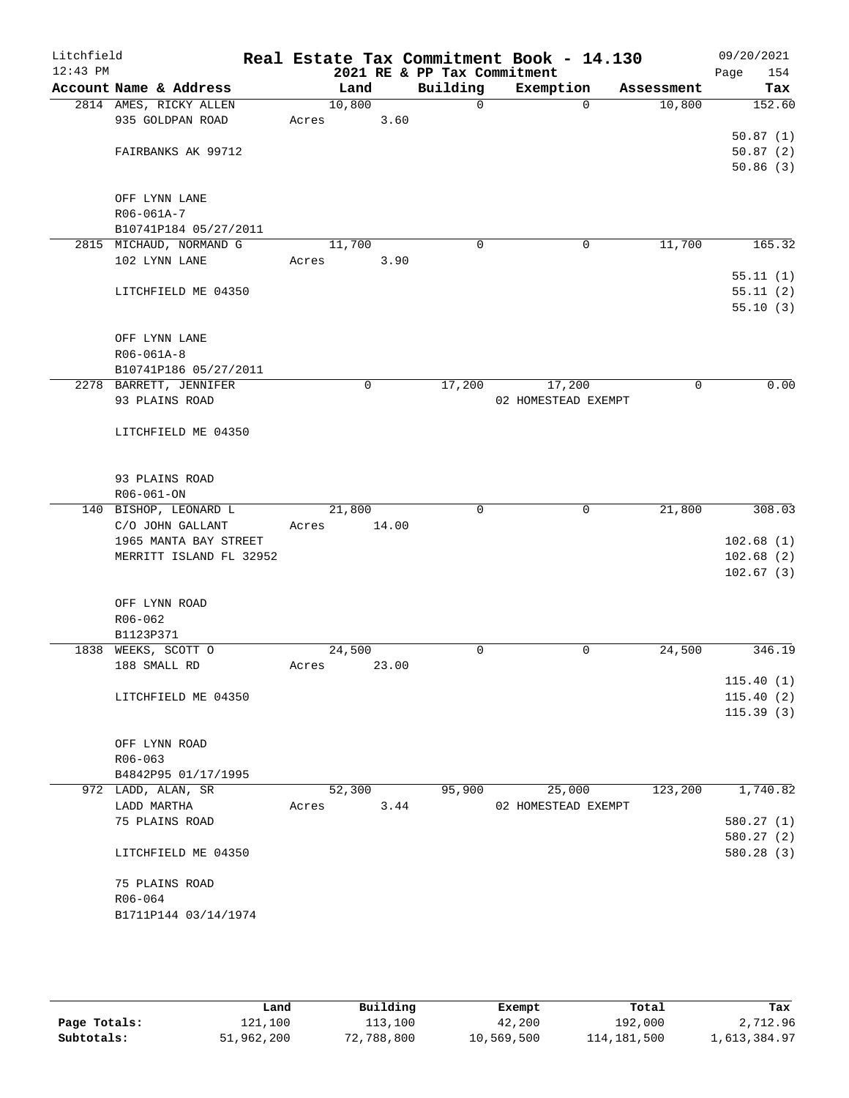| Litchfield<br>$12:43$ PM |                                                  | Real Estate Tax Commitment Book - 14.130 | 2021 RE & PP Tax Commitment |                     |             | 09/20/2021<br>154<br>Page |
|--------------------------|--------------------------------------------------|------------------------------------------|-----------------------------|---------------------|-------------|---------------------------|
|                          | Account Name & Address                           | Land                                     | Building                    | Exemption           | Assessment  | Tax                       |
|                          | 2814 AMES, RICKY ALLEN                           | 10,800                                   | $\Omega$                    | $\Omega$            | 10,800      | 152.60                    |
|                          | 935 GOLDPAN ROAD                                 | 3.60<br>Acres                            |                             |                     |             |                           |
|                          |                                                  |                                          |                             |                     |             | 50.87(1)                  |
|                          | FAIRBANKS AK 99712                               |                                          |                             |                     |             | 50.87(2)                  |
|                          |                                                  |                                          |                             |                     |             | 50.86(3)                  |
|                          | OFF LYNN LANE                                    |                                          |                             |                     |             |                           |
|                          | R06-061A-7                                       |                                          |                             |                     |             |                           |
|                          | B10741P184 05/27/2011                            |                                          |                             |                     |             |                           |
|                          | 2815 MICHAUD, NORMAND G                          | 11,700                                   | 0                           | 0                   | 11,700      | 165.32                    |
|                          | 102 LYNN LANE                                    | 3.90<br>Acres                            |                             |                     |             |                           |
|                          |                                                  |                                          |                             |                     |             | 55.11(1)                  |
|                          | LITCHFIELD ME 04350                              |                                          |                             |                     |             | 55.11(2)                  |
|                          |                                                  |                                          |                             |                     |             | 55.10(3)                  |
|                          |                                                  |                                          |                             |                     |             |                           |
|                          | OFF LYNN LANE                                    |                                          |                             |                     |             |                           |
|                          | R06-061A-8<br>B10741P186 05/27/2011              |                                          |                             |                     |             |                           |
|                          | 2278 BARRETT, JENNIFER                           | $\mathbf 0$                              | 17,200                      | 17,200              | $\mathbf 0$ | 0.00                      |
|                          | 93 PLAINS ROAD                                   |                                          |                             | 02 HOMESTEAD EXEMPT |             |                           |
|                          |                                                  |                                          |                             |                     |             |                           |
|                          | LITCHFIELD ME 04350                              |                                          |                             |                     |             |                           |
|                          |                                                  |                                          |                             |                     |             |                           |
|                          |                                                  |                                          |                             |                     |             |                           |
|                          | 93 PLAINS ROAD                                   |                                          |                             |                     |             |                           |
|                          | R06-061-ON                                       |                                          |                             |                     |             |                           |
|                          | 140 BISHOP, LEONARD L                            | 21,800                                   | $\mathbf 0$                 | 0                   | 21,800      | 308.03                    |
|                          | C/O JOHN GALLANT                                 | 14.00<br>Acres                           |                             |                     |             |                           |
|                          | 1965 MANTA BAY STREET<br>MERRITT ISLAND FL 32952 |                                          |                             |                     |             | 102.68(1)<br>102.68(2)    |
|                          |                                                  |                                          |                             |                     |             | 102.67(3)                 |
|                          |                                                  |                                          |                             |                     |             |                           |
|                          | OFF LYNN ROAD                                    |                                          |                             |                     |             |                           |
|                          | R06-062                                          |                                          |                             |                     |             |                           |
|                          | B1123P371                                        |                                          |                             |                     |             |                           |
|                          | 1838 WEEKS, SCOTT O                              | 24,500                                   | 0                           | 0                   | 24,500      | 346.19                    |
|                          | 188 SMALL RD                                     | Acres<br>23.00                           |                             |                     |             |                           |
|                          |                                                  |                                          |                             |                     |             | 115.40(1)                 |
|                          | LITCHFIELD ME 04350                              |                                          |                             |                     |             | 115.40(2)                 |
|                          |                                                  |                                          |                             |                     |             | 115.39(3)                 |
|                          | OFF LYNN ROAD                                    |                                          |                             |                     |             |                           |
|                          | $R06 - 063$                                      |                                          |                             |                     |             |                           |
|                          | B4842P95 01/17/1995                              |                                          |                             |                     |             |                           |
|                          | 972 LADD, ALAN, SR                               | 52,300                                   | 95,900                      | 25,000              | 123,200     | 1,740.82                  |
|                          | LADD MARTHA                                      | 3.44<br>Acres                            |                             | 02 HOMESTEAD EXEMPT |             |                           |
|                          | 75 PLAINS ROAD                                   |                                          |                             |                     |             | 580.27(1)                 |
|                          |                                                  |                                          |                             |                     |             | 580.27(2)                 |
|                          | LITCHFIELD ME 04350                              |                                          |                             |                     |             | 580.28 (3)                |
|                          |                                                  |                                          |                             |                     |             |                           |
|                          | 75 PLAINS ROAD<br>R06-064                        |                                          |                             |                     |             |                           |
|                          | B1711P144 03/14/1974                             |                                          |                             |                     |             |                           |
|                          |                                                  |                                          |                             |                     |             |                           |
|                          |                                                  |                                          |                             |                     |             |                           |

|              | Land       | Building   | Exempt     | Total         | Tax          |
|--------------|------------|------------|------------|---------------|--------------|
| Page Totals: | 121,100    | 113,100    | 42,200     | 192,000       | 2,712.96     |
| Subtotals:   | 51,962,200 | 72,788,800 | 10,569,500 | 114, 181, 500 | 1,613,384.97 |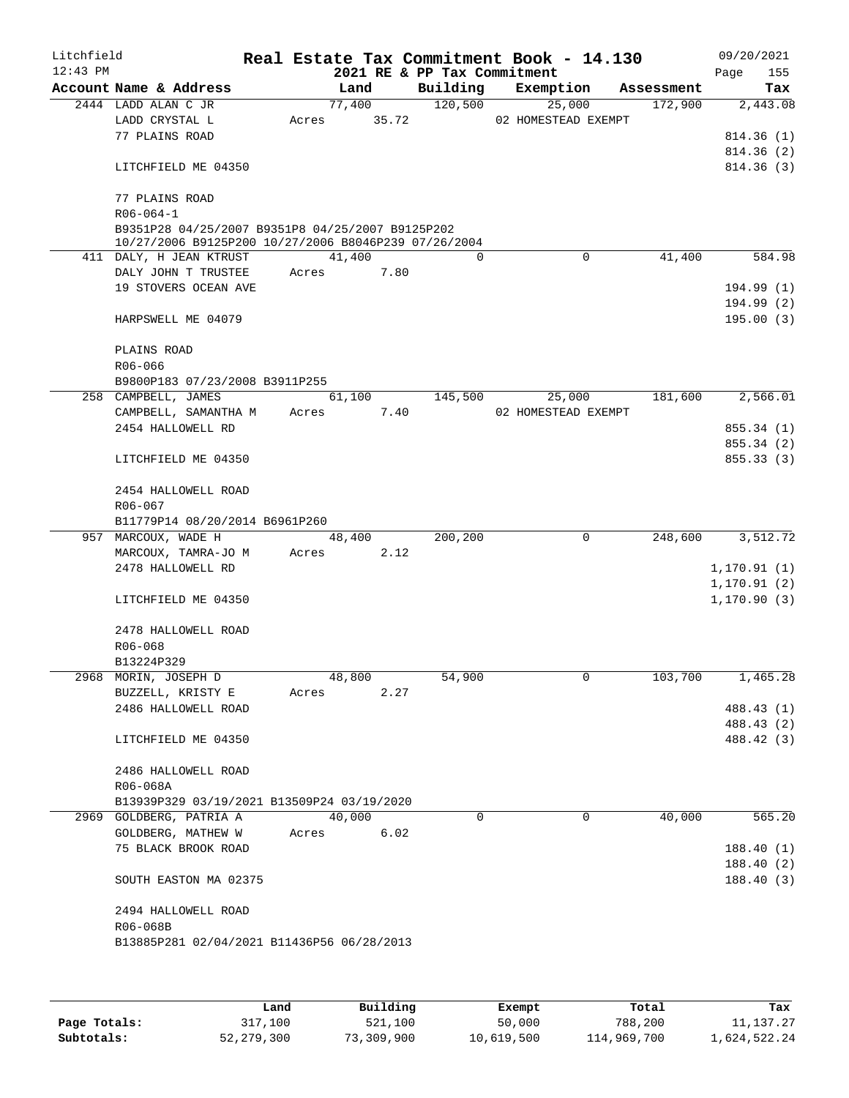| Litchfield |                                                                                                          |       |             |      |         |          | Real Estate Tax Commitment Book - 14.130 |             |            |              | 09/20/2021             |
|------------|----------------------------------------------------------------------------------------------------------|-------|-------------|------|---------|----------|------------------------------------------|-------------|------------|--------------|------------------------|
| $12:43$ PM |                                                                                                          |       |             |      |         |          | 2021 RE & PP Tax Commitment              |             |            | Page         | 155                    |
|            | Account Name & Address                                                                                   |       | Land        |      |         |          | Building Exemption                       |             | Assessment |              | Tax                    |
|            | 2444 LADD ALAN C JR                                                                                      |       | 77,400      |      | 120,500 |          |                                          | 25,000      | 172,900    |              | 2,443.08               |
|            | LADD CRYSTAL L<br>77 PLAINS ROAD                                                                         |       | Acres 35.72 |      |         |          | 02 HOMESTEAD EXEMPT                      |             |            |              |                        |
|            |                                                                                                          |       |             |      |         |          |                                          |             |            |              | 814.36(1)<br>814.36(2) |
|            | LITCHFIELD ME 04350                                                                                      |       |             |      |         |          |                                          |             |            |              | 814.36(3)              |
|            | 77 PLAINS ROAD                                                                                           |       |             |      |         |          |                                          |             |            |              |                        |
|            | $R06 - 064 - 1$                                                                                          |       |             |      |         |          |                                          |             |            |              |                        |
|            | B9351P28 04/25/2007 B9351P8 04/25/2007 B9125P202<br>10/27/2006 B9125P200 10/27/2006 B8046P239 07/26/2004 |       |             |      |         |          |                                          |             |            |              |                        |
|            | 411 DALY, H JEAN KTRUST                                                                                  |       | 41,400      |      |         | $\Omega$ |                                          | $\Omega$    | 41,400     |              | 584.98                 |
|            | DALY JOHN T TRUSTEE                                                                                      |       | Acres       | 7.80 |         |          |                                          |             |            |              |                        |
|            | 19 STOVERS OCEAN AVE                                                                                     |       |             |      |         |          |                                          |             |            |              | 194.99(1)              |
|            | HARPSWELL ME 04079                                                                                       |       |             |      |         |          |                                          |             |            |              | 194.99(2)<br>195.00(3) |
|            | PLAINS ROAD                                                                                              |       |             |      |         |          |                                          |             |            |              |                        |
|            | R06-066                                                                                                  |       |             |      |         |          |                                          |             |            |              |                        |
|            | B9800P183 07/23/2008 B3911P255                                                                           |       | 61,100      |      |         |          |                                          | 25,000      | 181,600    |              | 2,566.01               |
|            | 258 CAMPBELL, JAMES                                                                                      |       |             | 7.40 | 145,500 |          | 02 HOMESTEAD EXEMPT                      |             |            |              |                        |
|            | CAMPBELL, SAMANTHA M<br>2454 HALLOWELL RD                                                                | Acres |             |      |         |          |                                          |             |            |              | 855.34 (1)             |
|            |                                                                                                          |       |             |      |         |          |                                          |             |            |              | 855.34 (2)             |
|            | LITCHFIELD ME 04350                                                                                      |       |             |      |         |          |                                          |             |            |              | 855.33(3)              |
|            | 2454 HALLOWELL ROAD                                                                                      |       |             |      |         |          |                                          |             |            |              |                        |
|            | R06-067                                                                                                  |       |             |      |         |          |                                          |             |            |              |                        |
|            | B11779P14 08/20/2014 B6961P260<br>957 MARCOUX, WADE H                                                    |       |             |      |         |          |                                          | $\mathbf 0$ |            |              | 3,512.72               |
|            | MARCOUX, TAMRA-JO M                                                                                      | Acres | 48,400      | 2.12 | 200,200 |          |                                          |             | 248,600    |              |                        |
|            | 2478 HALLOWELL RD                                                                                        |       |             |      |         |          |                                          |             |            | 1,170.91(1)  |                        |
|            |                                                                                                          |       |             |      |         |          |                                          |             |            | 1, 170.91(2) |                        |
|            | LITCHFIELD ME 04350                                                                                      |       |             |      |         |          |                                          |             |            | 1, 170.90(3) |                        |
|            | 2478 HALLOWELL ROAD<br>$R06 - 068$                                                                       |       |             |      |         |          |                                          |             |            |              |                        |
|            | B13224P329                                                                                               |       |             |      |         |          |                                          |             |            |              |                        |
|            | 2968 MORIN, JOSEPH D                                                                                     |       | 48,800      |      | 54,900  |          |                                          | 0           | 103,700    |              | 1,465.28               |
|            | BUZZELL, KRISTY E                                                                                        | Acres |             | 2.27 |         |          |                                          |             |            |              |                        |
|            | 2486 HALLOWELL ROAD                                                                                      |       |             |      |         |          |                                          |             |            |              | 488.43 (1)             |
|            |                                                                                                          |       |             |      |         |          |                                          |             |            |              | 488.43 (2)             |
|            | LITCHFIELD ME 04350                                                                                      |       |             |      |         |          |                                          |             |            |              | 488.42 (3)             |
|            | 2486 HALLOWELL ROAD<br>R06-068A                                                                          |       |             |      |         |          |                                          |             |            |              |                        |
|            | B13939P329 03/19/2021 B13509P24 03/19/2020                                                               |       |             |      |         |          |                                          |             |            |              |                        |
|            | 2969 GOLDBERG, PATRIA A                                                                                  |       | 40,000      |      |         | $\Omega$ |                                          | 0           | 40,000     |              | 565.20                 |
|            | GOLDBERG, MATHEW W                                                                                       | Acres |             | 6.02 |         |          |                                          |             |            |              |                        |
|            | 75 BLACK BROOK ROAD                                                                                      |       |             |      |         |          |                                          |             |            |              | 188.40(1)              |
|            |                                                                                                          |       |             |      |         |          |                                          |             |            |              | 188.40(2)              |
|            | SOUTH EASTON MA 02375                                                                                    |       |             |      |         |          |                                          |             |            |              | 188.40(3)              |
|            | 2494 HALLOWELL ROAD                                                                                      |       |             |      |         |          |                                          |             |            |              |                        |
|            | R06-068B                                                                                                 |       |             |      |         |          |                                          |             |            |              |                        |
|            | B13885P281 02/04/2021 B11436P56 06/28/2013                                                               |       |             |      |         |          |                                          |             |            |              |                        |
|            |                                                                                                          |       |             |      |         |          |                                          |             |            |              |                        |
|            |                                                                                                          |       |             |      |         |          |                                          |             |            |              |                        |

|              | Land         | Building   | Exempt     | Total       | Tax          |
|--------------|--------------|------------|------------|-------------|--------------|
| Page Totals: | 317,100      | 521,100    | 50,000     | 788,200     | 11, 137. 27  |
| Subtotals:   | 52, 279, 300 | 73,309,900 | 10,619,500 | 114,969,700 | 1,624,522.24 |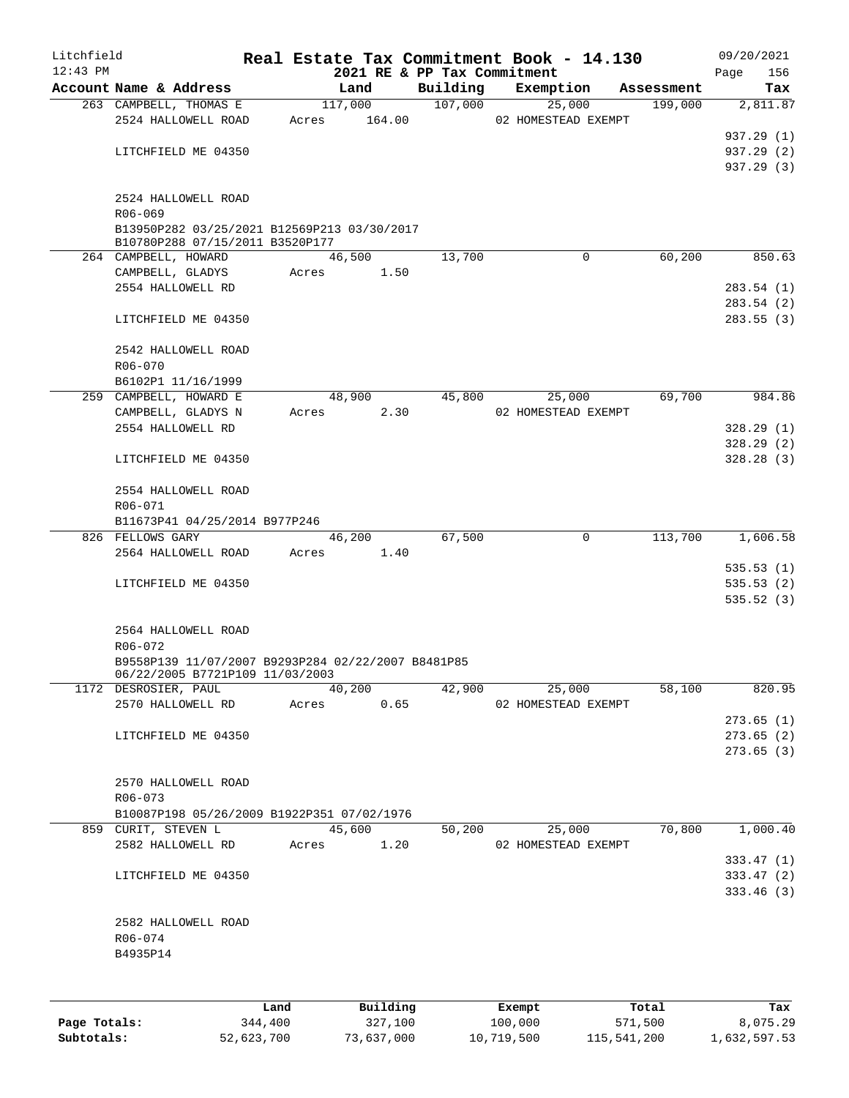| Litchfield |                                                        |       |       |         |          |                                         | Real Estate Tax Commitment Book - 14.130 |            | 09/20/2021              |
|------------|--------------------------------------------------------|-------|-------|---------|----------|-----------------------------------------|------------------------------------------|------------|-------------------------|
| $12:43$ PM | Account Name & Address                                 |       |       | Land    |          | 2021 RE & PP Tax Commitment<br>Building | Exemption                                | Assessment | 156<br>Page<br>Tax      |
|            | 263 CAMPBELL, THOMAS E                                 |       |       | 117,000 |          | 107,000                                 | 25,000                                   | 199,000    | 2,811.87                |
|            | 2524 HALLOWELL ROAD                                    |       | Acres |         | 164.00   |                                         | 02 HOMESTEAD EXEMPT                      |            |                         |
|            |                                                        |       |       |         |          |                                         |                                          |            | 937.29 (1)              |
|            | LITCHFIELD ME 04350                                    |       |       |         |          |                                         |                                          |            | 937.29 (2)              |
|            |                                                        |       |       |         |          |                                         |                                          |            | 937.29 (3)              |
|            | 2524 HALLOWELL ROAD                                    |       |       |         |          |                                         |                                          |            |                         |
|            | R06-069<br>B13950P282 03/25/2021 B12569P213 03/30/2017 |       |       |         |          |                                         |                                          |            |                         |
|            | B10780P288 07/15/2011 B3520P177                        |       |       |         |          |                                         |                                          |            |                         |
|            | 264 CAMPBELL, HOWARD                                   |       |       | 46,500  |          | 13,700                                  | $\mathbf 0$                              | 60,200     | 850.63                  |
|            | CAMPBELL, GLADYS                                       |       | Acres |         | 1.50     |                                         |                                          |            |                         |
|            | 2554 HALLOWELL RD                                      |       |       |         |          |                                         |                                          |            | 283.54(1)               |
|            |                                                        |       |       |         |          |                                         |                                          |            | 283.54(2)               |
|            | LITCHFIELD ME 04350                                    |       |       |         |          |                                         |                                          |            | 283.55(3)               |
|            | 2542 HALLOWELL ROAD                                    |       |       |         |          |                                         |                                          |            |                         |
|            | R06-070                                                |       |       |         |          |                                         |                                          |            |                         |
|            | B6102P1 11/16/1999                                     |       |       |         |          |                                         |                                          |            |                         |
|            | 259 CAMPBELL, HOWARD E                                 |       |       | 48,900  |          | 45,800                                  | 25,000                                   | 69,700     | 984.86                  |
|            | CAMPBELL, GLADYS N                                     |       | Acres |         | 2.30     |                                         | 02 HOMESTEAD EXEMPT                      |            |                         |
|            | 2554 HALLOWELL RD                                      |       |       |         |          |                                         |                                          |            | 328.29(1)               |
|            |                                                        |       |       |         |          |                                         |                                          |            | 328.29(2)               |
|            | LITCHFIELD ME 04350                                    |       |       |         |          |                                         |                                          |            | 328.28(3)               |
|            | 2554 HALLOWELL ROAD                                    |       |       |         |          |                                         |                                          |            |                         |
|            | R06-071                                                |       |       |         |          |                                         |                                          |            |                         |
|            | B11673P41 04/25/2014 B977P246                          |       |       |         |          |                                         |                                          |            |                         |
|            | 826 FELLOWS GARY                                       |       |       | 46,200  |          | 67,500                                  | $\mathbf 0$                              | 113,700    | 1,606.58                |
|            | 2564 HALLOWELL ROAD                                    |       | Acres |         | 1.40     |                                         |                                          |            |                         |
|            |                                                        |       |       |         |          |                                         |                                          |            | 535.53(1)               |
|            | LITCHFIELD ME 04350                                    |       |       |         |          |                                         |                                          |            | 535.53(2)<br>535.52 (3) |
|            |                                                        |       |       |         |          |                                         |                                          |            |                         |
|            | 2564 HALLOWELL ROAD                                    |       |       |         |          |                                         |                                          |            |                         |
|            | $R06 - 072$                                            |       |       |         |          |                                         |                                          |            |                         |
|            | B9558P139 11/07/2007 B9293P284 02/22/2007 B8481P85     |       |       |         |          |                                         |                                          |            |                         |
|            | 06/22/2005 B7721P109 11/03/2003                        |       |       |         |          |                                         |                                          |            |                         |
|            | 1172 DESROSIER, PAUL                                   |       |       | 40,200  |          | 42,900                                  | 25,000                                   | 58,100     | 820.95                  |
|            | 2570 HALLOWELL RD                                      |       | Acres |         | 0.65     |                                         | 02 HOMESTEAD EXEMPT                      |            |                         |
|            |                                                        |       |       |         |          |                                         |                                          |            | 273.65(1)               |
|            | LITCHFIELD ME 04350                                    |       |       |         |          |                                         |                                          |            | 273.65(2)               |
|            |                                                        |       |       |         |          |                                         |                                          |            | 273.65(3)               |
|            | 2570 HALLOWELL ROAD                                    |       |       |         |          |                                         |                                          |            |                         |
|            | R06-073                                                |       |       |         |          |                                         |                                          |            |                         |
|            | B10087P198 05/26/2009 B1922P351 07/02/1976             |       |       |         |          |                                         |                                          |            |                         |
|            | 859 CURIT, STEVEN L                                    |       |       | 45,600  |          | 50,200                                  | 25,000                                   | 70,800     | 1,000.40                |
|            | 2582 HALLOWELL RD                                      |       | Acres |         | 1.20     |                                         | 02 HOMESTEAD EXEMPT                      |            |                         |
|            |                                                        |       |       |         |          |                                         |                                          |            | 333.47(1)               |
|            | LITCHFIELD ME 04350                                    |       |       |         |          |                                         |                                          |            | 333.47(2)               |
|            |                                                        |       |       |         |          |                                         |                                          |            | 333.46(3)               |
|            | 2582 HALLOWELL ROAD                                    |       |       |         |          |                                         |                                          |            |                         |
|            | R06-074                                                |       |       |         |          |                                         |                                          |            |                         |
|            | B4935P14                                               |       |       |         |          |                                         |                                          |            |                         |
|            |                                                        |       |       |         |          |                                         |                                          |            |                         |
|            |                                                        |       |       |         |          |                                         |                                          |            |                         |
|            |                                                        | Land. |       |         | Building |                                         | <b>Fromnt</b>                            | $T$ ctal   | To v                    |

|              | Land       | Building   | Exempt     | Total       | Tax          |
|--------------|------------|------------|------------|-------------|--------------|
| Page Totals: | 344,400    | 327,100    | 100,000    | 571,500     | 8,075.29     |
| Subtotals:   | 52,623,700 | 73,637,000 | 10,719,500 | 115,541,200 | 1,632,597.53 |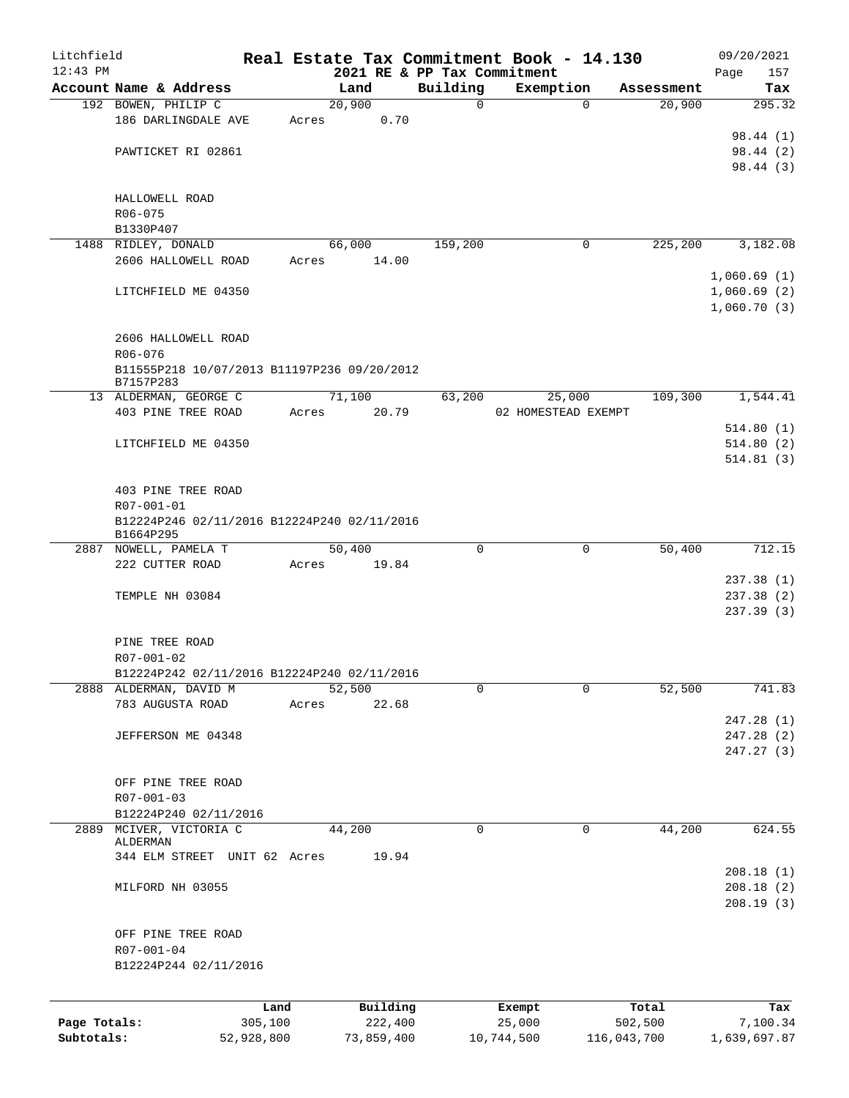| Litchfield   |                                                           | Real Estate Tax Commitment Book - 14.130 |       |                 |                             |                  |                       |             | 09/20/2021   |                 |
|--------------|-----------------------------------------------------------|------------------------------------------|-------|-----------------|-----------------------------|------------------|-----------------------|-------------|--------------|-----------------|
| $12:43$ PM   |                                                           |                                          |       |                 | 2021 RE & PP Tax Commitment |                  |                       |             | Page         | 157             |
|              | Account Name & Address                                    |                                          |       | Land            | Building<br>$\mathbf 0$     |                  | Exemption<br>$\Omega$ | Assessment  |              | Tax             |
|              | 192 BOWEN, PHILIP C<br>186 DARLINGDALE AVE                |                                          | Acres | 20,900<br>0.70  |                             |                  |                       | 20,900      |              | 295.32          |
|              |                                                           |                                          |       |                 |                             |                  |                       |             | 98.44 (1)    |                 |
|              | PAWTICKET RI 02861                                        |                                          |       |                 |                             |                  |                       |             | 98.44 (2)    |                 |
|              |                                                           |                                          |       |                 |                             |                  |                       |             | 98.44 (3)    |                 |
|              |                                                           |                                          |       |                 |                             |                  |                       |             |              |                 |
|              | HALLOWELL ROAD                                            |                                          |       |                 |                             |                  |                       |             |              |                 |
|              | R06-075                                                   |                                          |       |                 |                             |                  |                       |             |              |                 |
|              | B1330P407                                                 |                                          |       |                 |                             |                  | 0                     | 225,200     | 3,182.08     |                 |
|              | 1488 RIDLEY, DONALD<br>2606 HALLOWELL ROAD                |                                          | Acres | 66,000<br>14.00 | 159,200                     |                  |                       |             |              |                 |
|              |                                                           |                                          |       |                 |                             |                  |                       |             | 1,060.69(1)  |                 |
|              | LITCHFIELD ME 04350                                       |                                          |       |                 |                             |                  |                       |             | 1,060.69(2)  |                 |
|              |                                                           |                                          |       |                 |                             |                  |                       |             | 1,060.70(3)  |                 |
|              |                                                           |                                          |       |                 |                             |                  |                       |             |              |                 |
|              | 2606 HALLOWELL ROAD                                       |                                          |       |                 |                             |                  |                       |             |              |                 |
|              | $R06 - 076$                                               |                                          |       |                 |                             |                  |                       |             |              |                 |
|              | B11555P218 10/07/2013 B11197P236 09/20/2012<br>B7157P283  |                                          |       |                 |                             |                  |                       |             |              |                 |
|              | 13 ALDERMAN, GEORGE C                                     |                                          |       | 71,100          | 63,200                      |                  | 25,000                | 109,300     | 1,544.41     |                 |
|              | 403 PINE TREE ROAD                                        |                                          | Acres | 20.79           |                             |                  | 02 HOMESTEAD EXEMPT   |             |              |                 |
|              |                                                           |                                          |       |                 |                             |                  |                       |             | 514.80(1)    |                 |
|              | LITCHFIELD ME 04350                                       |                                          |       |                 |                             |                  |                       |             | 514.80(2)    |                 |
|              |                                                           |                                          |       |                 |                             |                  |                       |             | 514.81(3)    |                 |
|              |                                                           |                                          |       |                 |                             |                  |                       |             |              |                 |
|              | 403 PINE TREE ROAD                                        |                                          |       |                 |                             |                  |                       |             |              |                 |
|              | R07-001-01<br>B12224P246 02/11/2016 B12224P240 02/11/2016 |                                          |       |                 |                             |                  |                       |             |              |                 |
|              | B1664P295                                                 |                                          |       |                 |                             |                  |                       |             |              |                 |
|              | 2887 NOWELL, PAMELA T                                     |                                          |       | 50,400          | $\mathbf 0$                 |                  | 0                     | 50,400      |              | 712.15          |
|              | 222 CUTTER ROAD                                           |                                          | Acres | 19.84           |                             |                  |                       |             |              |                 |
|              |                                                           |                                          |       |                 |                             |                  |                       |             | 237.38(1)    |                 |
|              | TEMPLE NH 03084                                           |                                          |       |                 |                             |                  |                       |             | 237.38 (2)   |                 |
|              |                                                           |                                          |       |                 |                             |                  |                       |             | 237.39 (3)   |                 |
|              | PINE TREE ROAD                                            |                                          |       |                 |                             |                  |                       |             |              |                 |
|              | R07-001-02                                                |                                          |       |                 |                             |                  |                       |             |              |                 |
|              | B12224P242 02/11/2016 B12224P240 02/11/2016               |                                          |       |                 |                             |                  |                       |             |              |                 |
|              | 2888 ALDERMAN, DAVID M                                    |                                          |       | 52,500          | 0                           |                  | 0                     | 52,500      |              | 741.83          |
|              | 783 AUGUSTA ROAD                                          |                                          | Acres | 22.68           |                             |                  |                       |             |              |                 |
|              |                                                           |                                          |       |                 |                             |                  |                       |             | 247.28(1)    |                 |
|              | JEFFERSON ME 04348                                        |                                          |       |                 |                             |                  |                       |             | 247.28 (2)   |                 |
|              |                                                           |                                          |       |                 |                             |                  |                       |             | 247.27 (3)   |                 |
|              |                                                           |                                          |       |                 |                             |                  |                       |             |              |                 |
|              | OFF PINE TREE ROAD                                        |                                          |       |                 |                             |                  |                       |             |              |                 |
|              | R07-001-03<br>B12224P240 02/11/2016                       |                                          |       |                 |                             |                  |                       |             |              |                 |
| 2889         | MCIVER, VICTORIA C                                        |                                          |       | 44,200          | $\mathbf 0$                 |                  | 0                     | 44,200      |              | 624.55          |
|              | ALDERMAN                                                  |                                          |       |                 |                             |                  |                       |             |              |                 |
|              | 344 ELM STREET UNIT 62 Acres                              |                                          |       | 19.94           |                             |                  |                       |             |              |                 |
|              |                                                           |                                          |       |                 |                             |                  |                       |             | 208.18(1)    |                 |
|              | MILFORD NH 03055                                          |                                          |       |                 |                             |                  |                       |             | 208.18(2)    |                 |
|              |                                                           |                                          |       |                 |                             |                  |                       |             | 208.19(3)    |                 |
|              | OFF PINE TREE ROAD                                        |                                          |       |                 |                             |                  |                       |             |              |                 |
|              | R07-001-04                                                |                                          |       |                 |                             |                  |                       |             |              |                 |
|              | B12224P244 02/11/2016                                     |                                          |       |                 |                             |                  |                       |             |              |                 |
|              |                                                           |                                          |       |                 |                             |                  |                       |             |              |                 |
|              |                                                           |                                          |       | Building        |                             |                  |                       | Total       |              |                 |
| Page Totals: |                                                           | Land<br>305,100                          |       | 222,400         |                             | Exempt<br>25,000 |                       | 502,500     |              | Tax<br>7,100.34 |
| Subtotals:   |                                                           | 52,928,800                               |       | 73,859,400      |                             | 10,744,500       |                       | 116,043,700 | 1,639,697.87 |                 |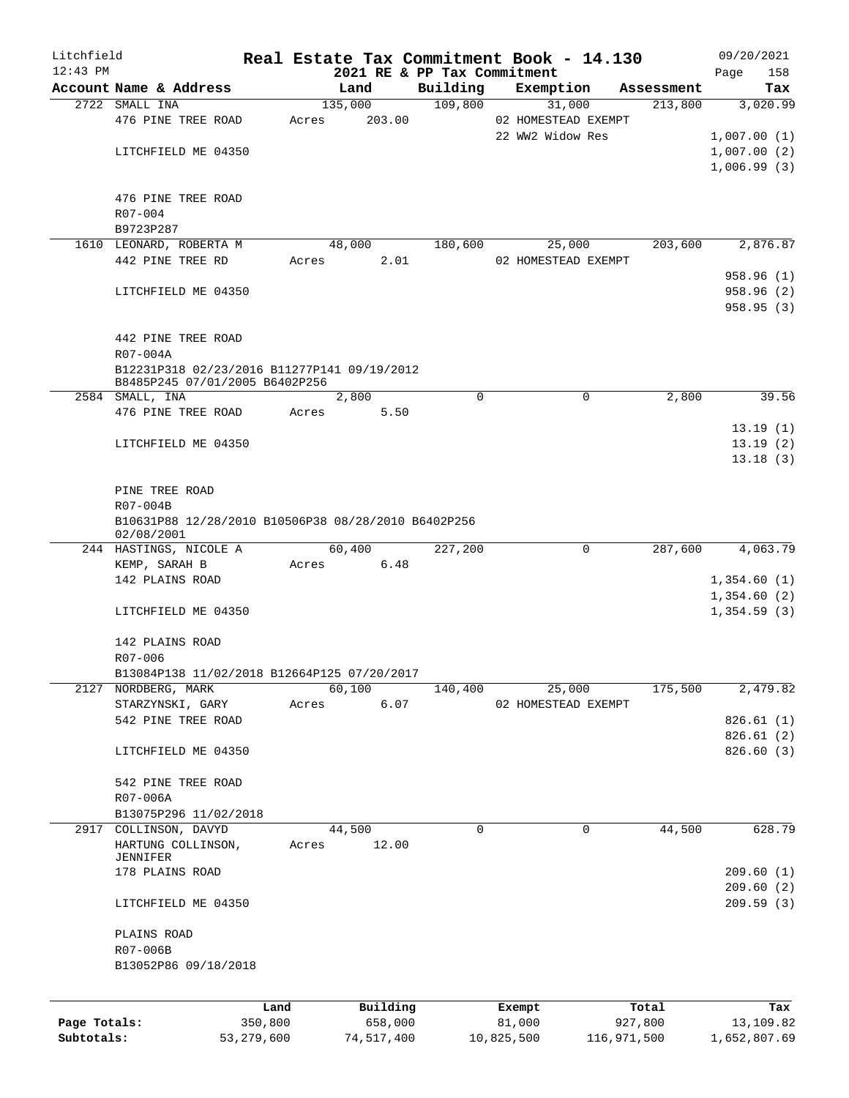| Litchfield   |                                                                               |            |       |            |      |                             | Real Estate Tax Commitment Book - 14.130 |             |            | 09/20/2021   |          |
|--------------|-------------------------------------------------------------------------------|------------|-------|------------|------|-----------------------------|------------------------------------------|-------------|------------|--------------|----------|
| $12:43$ PM   |                                                                               |            |       |            |      | 2021 RE & PP Tax Commitment |                                          |             |            | Page         | 158      |
|              | Account Name & Address                                                        |            |       | Land       |      | Building                    | Exemption                                |             | Assessment |              | Tax      |
|              | 2722 SMALL INA                                                                |            |       | 135,000    |      | 109,800                     | 31,000                                   |             | 213,800    |              | 3,020.99 |
|              | 476 PINE TREE ROAD                                                            |            | Acres | 203.00     |      |                             | 02 HOMESTEAD EXEMPT                      |             |            |              |          |
|              |                                                                               |            |       |            |      |                             | 22 WW2 Widow Res                         |             |            | 1,007.00(1)  |          |
|              | LITCHFIELD ME 04350                                                           |            |       |            |      |                             |                                          |             |            | 1,007.00(2)  |          |
|              |                                                                               |            |       |            |      |                             |                                          |             |            | 1,006.99(3)  |          |
|              |                                                                               |            |       |            |      |                             |                                          |             |            |              |          |
|              | 476 PINE TREE ROAD                                                            |            |       |            |      |                             |                                          |             |            |              |          |
|              | R07-004<br>B9723P287                                                          |            |       |            |      |                             |                                          |             |            |              |          |
|              | 1610 LEONARD, ROBERTA M                                                       |            |       | 48,000     |      | 180,600                     | 25,000                                   |             | 203,600    |              | 2,876.87 |
|              | 442 PINE TREE RD                                                              |            | Acres |            | 2.01 |                             | 02 HOMESTEAD EXEMPT                      |             |            |              |          |
|              |                                                                               |            |       |            |      |                             |                                          |             |            | 958.96 (1)   |          |
|              | LITCHFIELD ME 04350                                                           |            |       |            |      |                             |                                          |             |            | 958.96 (2)   |          |
|              |                                                                               |            |       |            |      |                             |                                          |             |            | 958.95(3)    |          |
|              |                                                                               |            |       |            |      |                             |                                          |             |            |              |          |
|              | 442 PINE TREE ROAD                                                            |            |       |            |      |                             |                                          |             |            |              |          |
|              | R07-004A                                                                      |            |       |            |      |                             |                                          |             |            |              |          |
|              |                                                                               |            |       |            |      |                             |                                          |             |            |              |          |
|              | B12231P318 02/23/2016 B11277P141 09/19/2012<br>B8485P245 07/01/2005 B6402P256 |            |       |            |      |                             |                                          |             |            |              |          |
|              | 2584 SMALL, INA                                                               |            |       | 2,800      |      | $\mathbf 0$                 |                                          | 0           | 2,800      |              | 39.56    |
|              | 476 PINE TREE ROAD                                                            |            | Acres | 5.50       |      |                             |                                          |             |            |              |          |
|              |                                                                               |            |       |            |      |                             |                                          |             |            | 13.19(1)     |          |
|              | LITCHFIELD ME 04350                                                           |            |       |            |      |                             |                                          |             |            | 13.19(2)     |          |
|              |                                                                               |            |       |            |      |                             |                                          |             |            | 13.18(3)     |          |
|              |                                                                               |            |       |            |      |                             |                                          |             |            |              |          |
|              | PINE TREE ROAD                                                                |            |       |            |      |                             |                                          |             |            |              |          |
|              | R07-004B                                                                      |            |       |            |      |                             |                                          |             |            |              |          |
|              | B10631P88 12/28/2010 B10506P38 08/28/2010 B6402P256                           |            |       |            |      |                             |                                          |             |            |              |          |
|              | 02/08/2001                                                                    |            |       |            |      |                             |                                          |             |            |              |          |
|              | 244 HASTINGS, NICOLE A                                                        |            |       | 60,400     |      | 227,200                     |                                          | 0           | 287,600    |              | 4,063.79 |
|              | KEMP, SARAH B                                                                 |            |       | Acres 6.48 |      |                             |                                          |             |            |              |          |
|              | 142 PLAINS ROAD                                                               |            |       |            |      |                             |                                          |             |            | 1,354.60(1)  |          |
|              |                                                                               |            |       |            |      |                             |                                          |             |            | 1,354.60(2)  |          |
|              | LITCHFIELD ME 04350                                                           |            |       |            |      |                             |                                          |             |            | 1,354.59(3)  |          |
|              |                                                                               |            |       |            |      |                             |                                          |             |            |              |          |
|              | 142 PLAINS ROAD                                                               |            |       |            |      |                             |                                          |             |            |              |          |
|              | R07-006                                                                       |            |       |            |      |                             |                                          |             |            |              |          |
|              | B13084P138 11/02/2018 B12664P125 07/20/2017                                   |            |       |            |      |                             |                                          |             |            |              |          |
| 2127         | NORDBERG, MARK                                                                |            |       | 60,100     |      | 140,400                     | 25,000                                   |             | 175,500    |              | 2,479.82 |
|              | STARZYNSKI, GARY                                                              |            | Acres | 6.07       |      |                             | 02 HOMESTEAD EXEMPT                      |             |            |              |          |
|              | 542 PINE TREE ROAD                                                            |            |       |            |      |                             |                                          |             |            | 826.61(1)    |          |
|              |                                                                               |            |       |            |      |                             |                                          |             |            | 826.61(2)    |          |
|              | LITCHFIELD ME 04350                                                           |            |       |            |      |                             |                                          |             |            | 826.60 (3)   |          |
|              |                                                                               |            |       |            |      |                             |                                          |             |            |              |          |
|              | 542 PINE TREE ROAD                                                            |            |       |            |      |                             |                                          |             |            |              |          |
|              | R07-006A                                                                      |            |       |            |      |                             |                                          |             |            |              |          |
|              | B13075P296 11/02/2018                                                         |            |       |            |      |                             |                                          |             |            |              |          |
| 2917         | COLLINSON, DAVYD                                                              |            |       | 44,500     |      | $\mathbf 0$                 |                                          | 0           | 44,500     |              | 628.79   |
|              | HARTUNG COLLINSON,                                                            |            | Acres | 12.00      |      |                             |                                          |             |            |              |          |
|              | JENNIFER                                                                      |            |       |            |      |                             |                                          |             |            |              |          |
|              | 178 PLAINS ROAD                                                               |            |       |            |      |                             |                                          |             |            | 209.60(1)    |          |
|              |                                                                               |            |       |            |      |                             |                                          |             |            | 209.60(2)    |          |
|              | LITCHFIELD ME 04350                                                           |            |       |            |      |                             |                                          |             |            | 209.59(3)    |          |
|              |                                                                               |            |       |            |      |                             |                                          |             |            |              |          |
|              | PLAINS ROAD                                                                   |            |       |            |      |                             |                                          |             |            |              |          |
|              | R07-006B                                                                      |            |       |            |      |                             |                                          |             |            |              |          |
|              | B13052P86 09/18/2018                                                          |            |       |            |      |                             |                                          |             |            |              |          |
|              |                                                                               |            |       |            |      |                             |                                          |             |            |              |          |
|              |                                                                               | Land       |       | Building   |      |                             | Exempt                                   |             | Total      |              | Tax      |
| Page Totals: |                                                                               | 350,800    |       | 658,000    |      |                             | 81,000                                   |             | 927,800    | 13,109.82    |          |
| Subtotals:   |                                                                               | 53,279,600 |       | 74,517,400 |      |                             | 10,825,500                               | 116,971,500 |            | 1,652,807.69 |          |
|              |                                                                               |            |       |            |      |                             |                                          |             |            |              |          |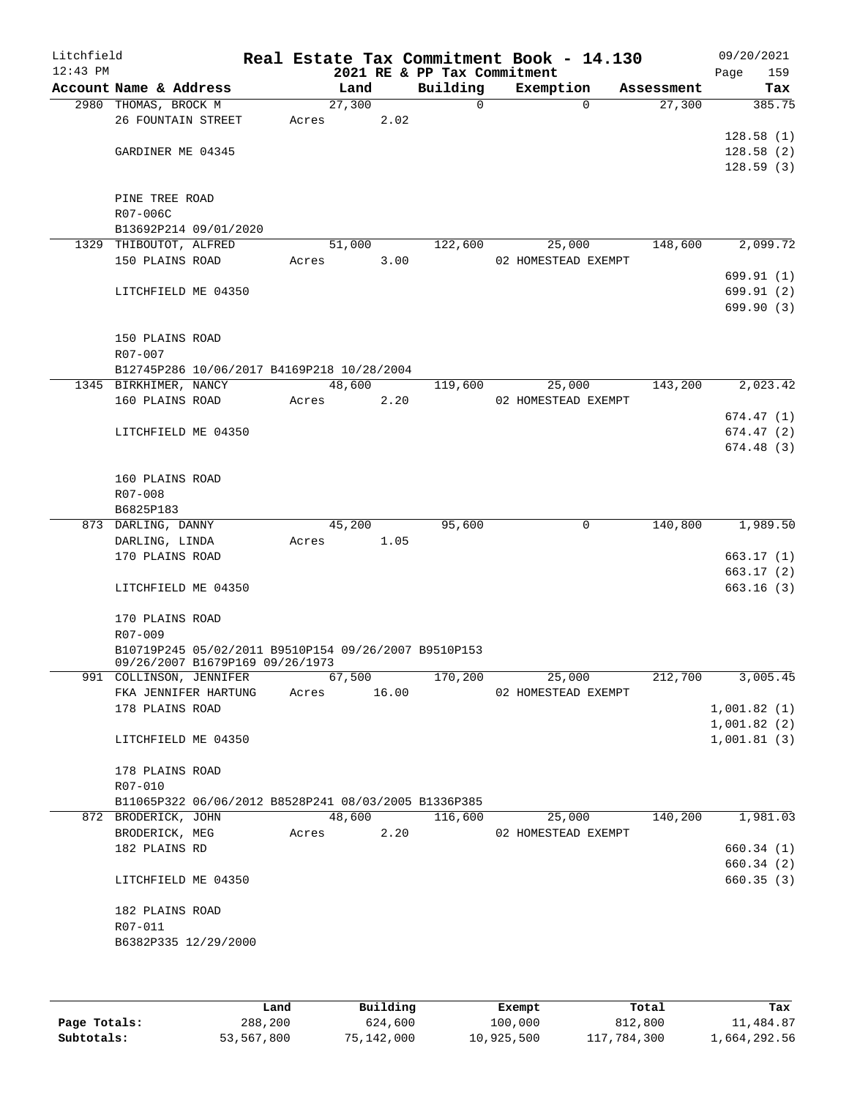| Litchfield<br>$12:43$ PM |                                                      |       |         |       | 2021 RE & PP Tax Commitment | Real Estate Tax Commitment Book - 14.130 |          |            | 09/20/2021<br>159<br>Page |
|--------------------------|------------------------------------------------------|-------|---------|-------|-----------------------------|------------------------------------------|----------|------------|---------------------------|
|                          | Account Name & Address                               |       | Land    |       | Building                    | Exemption                                |          | Assessment | Tax                       |
|                          | 2980 THOMAS, BROCK M                                 |       | 27,300  |       | 0                           |                                          | $\Omega$ | 27,300     | 385.75                    |
|                          | 26 FOUNTAIN STREET                                   | Acres |         | 2.02  |                             |                                          |          |            |                           |
|                          |                                                      |       |         |       |                             |                                          |          |            | 128.58(1)                 |
|                          | GARDINER ME 04345                                    |       |         |       |                             |                                          |          |            | 128.58(2)                 |
|                          |                                                      |       |         |       |                             |                                          |          |            | 128.59(3)                 |
|                          |                                                      |       |         |       |                             |                                          |          |            |                           |
|                          | PINE TREE ROAD                                       |       |         |       |                             |                                          |          |            |                           |
|                          | R07-006C                                             |       |         |       |                             |                                          |          |            |                           |
|                          | B13692P214 09/01/2020                                |       |         |       |                             |                                          |          |            |                           |
|                          | 1329 THIBOUTOT, ALFRED                               |       | 51,000  |       | 122,600                     |                                          | 25,000   | 148,600    | 2,099.72                  |
|                          | 150 PLAINS ROAD                                      | Acres |         | 3.00  |                             | 02 HOMESTEAD EXEMPT                      |          |            | 699.91 (1)                |
|                          | LITCHFIELD ME 04350                                  |       |         |       |                             |                                          |          |            | 699.91 (2)                |
|                          |                                                      |       |         |       |                             |                                          |          |            | 699.90 (3)                |
|                          |                                                      |       |         |       |                             |                                          |          |            |                           |
|                          | 150 PLAINS ROAD                                      |       |         |       |                             |                                          |          |            |                           |
|                          | R07-007                                              |       |         |       |                             |                                          |          |            |                           |
|                          | B12745P286 10/06/2017 B4169P218 10/28/2004           |       |         |       |                             |                                          |          |            |                           |
|                          | 1345 BIRKHIMER, NANCY                                |       | 48,600  |       | 119,600                     |                                          | 25,000   | 143,200    | 2,023.42                  |
|                          | 160 PLAINS ROAD                                      | Acres |         | 2.20  |                             | 02 HOMESTEAD EXEMPT                      |          |            |                           |
|                          |                                                      |       |         |       |                             |                                          |          |            | 674.47(1)                 |
|                          | LITCHFIELD ME 04350                                  |       |         |       |                             |                                          |          |            | 674.47(2)                 |
|                          |                                                      |       |         |       |                             |                                          |          |            | 674.48 (3)                |
|                          |                                                      |       |         |       |                             |                                          |          |            |                           |
|                          | 160 PLAINS ROAD                                      |       |         |       |                             |                                          |          |            |                           |
|                          | R07-008                                              |       |         |       |                             |                                          |          |            |                           |
|                          | B6825P183<br>873 DARLING, DANNY                      |       | 45,200  |       | 95,600                      |                                          | 0        | 140,800    | 1,989.50                  |
|                          | DARLING, LINDA                                       | Acres |         | 1.05  |                             |                                          |          |            |                           |
|                          | 170 PLAINS ROAD                                      |       |         |       |                             |                                          |          |            | 663.17 (1)                |
|                          |                                                      |       |         |       |                             |                                          |          |            | 663.17(2)                 |
|                          | LITCHFIELD ME 04350                                  |       |         |       |                             |                                          |          |            | 663.16(3)                 |
|                          |                                                      |       |         |       |                             |                                          |          |            |                           |
|                          | 170 PLAINS ROAD                                      |       |         |       |                             |                                          |          |            |                           |
|                          | R07-009                                              |       |         |       |                             |                                          |          |            |                           |
|                          | B10719P245 05/02/2011 B9510P154 09/26/2007 B9510P153 |       |         |       |                             |                                          |          |            |                           |
|                          | 09/26/2007 B1679P169 09/26/1973                      |       |         |       |                             |                                          |          |            |                           |
|                          | 991 COLLINSON, JENNIFER<br>FKA JENNIFER HARTUNG      |       | 67, 500 |       | 170,200                     |                                          | 25,000   | 212,700    | 3,005.45                  |
|                          | 178 PLAINS ROAD                                      | Acres |         | 16.00 |                             | 02 HOMESTEAD EXEMPT                      |          |            | 1,001.82(1)               |
|                          |                                                      |       |         |       |                             |                                          |          |            | 1,001.82(2)               |
|                          | LITCHFIELD ME 04350                                  |       |         |       |                             |                                          |          |            | 1,001.81(3)               |
|                          |                                                      |       |         |       |                             |                                          |          |            |                           |
|                          | 178 PLAINS ROAD                                      |       |         |       |                             |                                          |          |            |                           |
|                          | R07-010                                              |       |         |       |                             |                                          |          |            |                           |
|                          | B11065P322 06/06/2012 B8528P241 08/03/2005 B1336P385 |       |         |       |                             |                                          |          |            |                           |
|                          | 872 BRODERICK, JOHN                                  |       | 48,600  |       | 116,600                     |                                          | 25,000   | 140,200    | 1,981.03                  |
|                          | BRODERICK, MEG                                       | Acres |         | 2.20  |                             | 02 HOMESTEAD EXEMPT                      |          |            |                           |
|                          | 182 PLAINS RD                                        |       |         |       |                             |                                          |          |            | 660.34 (1)                |
|                          |                                                      |       |         |       |                             |                                          |          |            | 660.34 (2)                |
|                          | LITCHFIELD ME 04350                                  |       |         |       |                             |                                          |          |            | 660.35(3)                 |
|                          |                                                      |       |         |       |                             |                                          |          |            |                           |
|                          | 182 PLAINS ROAD                                      |       |         |       |                             |                                          |          |            |                           |
|                          | R07-011                                              |       |         |       |                             |                                          |          |            |                           |
|                          | B6382P335 12/29/2000                                 |       |         |       |                             |                                          |          |            |                           |
|                          |                                                      |       |         |       |                             |                                          |          |            |                           |

|              | Land       | Building   | Exempt     | Total       | Tax          |
|--------------|------------|------------|------------|-------------|--------------|
| Page Totals: | 288,200    | 624,600    | 100,000    | 812,800     | 11,484.87    |
| Subtotals:   | 53,567,800 | 75,142,000 | 10,925,500 | 117,784,300 | 1,664,292.56 |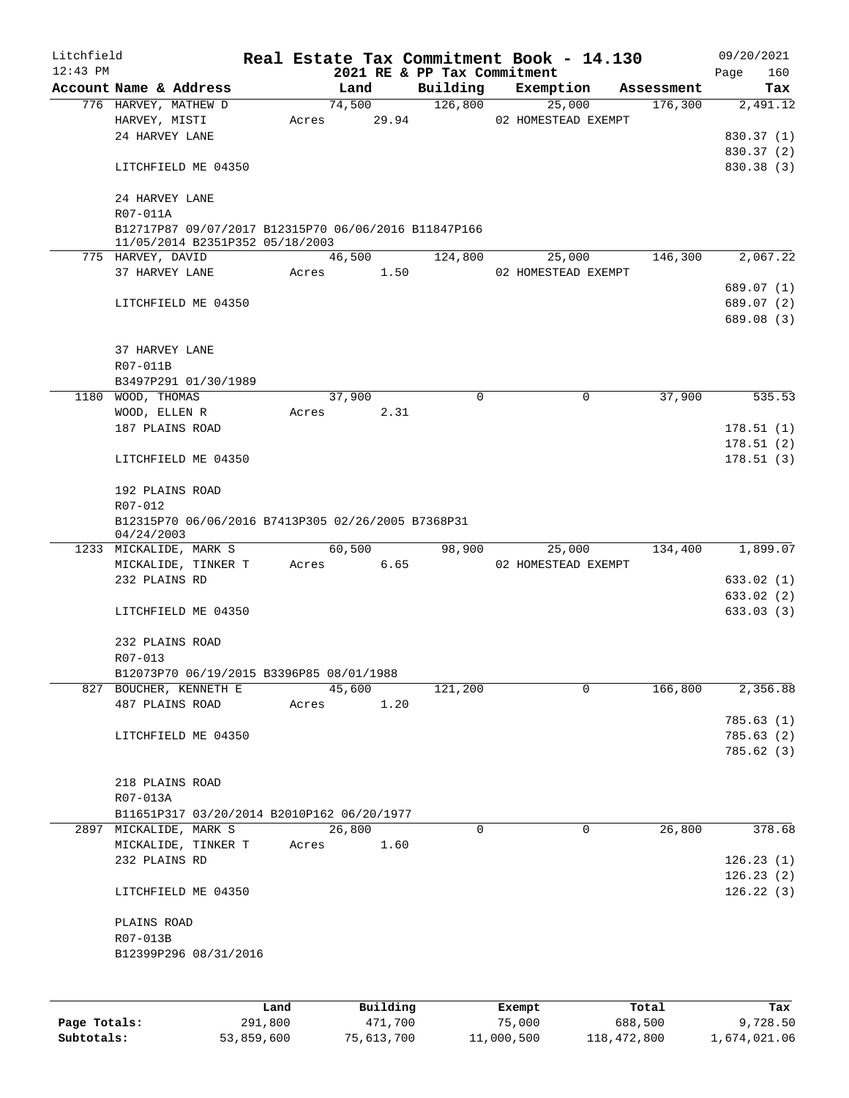| Litchfield |                                                                  |      |       |        |             | Real Estate Tax Commitment Book - 14.130 |                     |             |            | 09/20/2021             |
|------------|------------------------------------------------------------------|------|-------|--------|-------------|------------------------------------------|---------------------|-------------|------------|------------------------|
| $12:43$ PM |                                                                  |      |       |        |             | 2021 RE & PP Tax Commitment              |                     |             |            | 160<br>Page            |
|            | Account Name & Address                                           |      |       | Land   |             | Building<br>126,800                      |                     | Exemption   | Assessment | Tax                    |
|            | 776 HARVEY, MATHEW D<br>HARVEY, MISTI                            |      |       | 74,500 | Acres 29.94 |                                          | 02 HOMESTEAD EXEMPT | 25,000      | 176,300    | 2,491.12               |
|            | 24 HARVEY LANE                                                   |      |       |        |             |                                          |                     |             |            | 830.37(1)              |
|            |                                                                  |      |       |        |             |                                          |                     |             |            | 830.37 (2)             |
|            | LITCHFIELD ME 04350                                              |      |       |        |             |                                          |                     |             |            | 830.38 (3)             |
|            |                                                                  |      |       |        |             |                                          |                     |             |            |                        |
|            | 24 HARVEY LANE<br>R07-011A                                       |      |       |        |             |                                          |                     |             |            |                        |
|            | B12717P87 09/07/2017 B12315P70 06/06/2016 B11847P166             |      |       |        |             |                                          |                     |             |            |                        |
|            | 11/05/2014 B2351P352 05/18/2003                                  |      |       |        |             |                                          |                     |             |            |                        |
|            | 775 HARVEY, DAVID                                                |      |       | 46,500 |             | 124,800                                  |                     | 25,000      | 146,300    | 2,067.22               |
|            | 37 HARVEY LANE                                                   |      |       |        | Acres 1.50  |                                          | 02 HOMESTEAD EXEMPT |             |            |                        |
|            |                                                                  |      |       |        |             |                                          |                     |             |            | 689.07 (1)             |
|            | LITCHFIELD ME 04350                                              |      |       |        |             |                                          |                     |             |            | 689.07 (2)             |
|            |                                                                  |      |       |        |             |                                          |                     |             |            | 689.08 (3)             |
|            | 37 HARVEY LANE                                                   |      |       |        |             |                                          |                     |             |            |                        |
|            |                                                                  |      |       |        |             |                                          |                     |             |            |                        |
|            | R07-011B                                                         |      |       |        |             |                                          |                     |             |            |                        |
|            | B3497P291 01/30/1989                                             |      |       | 37,900 |             | 0                                        |                     | 0           | 37,900     | 535.53                 |
|            | 1180 WOOD, THOMAS                                                |      |       |        |             |                                          |                     |             |            |                        |
|            | WOOD, ELLEN R                                                    |      |       |        | Acres 2.31  |                                          |                     |             |            |                        |
|            | 187 PLAINS ROAD                                                  |      |       |        |             |                                          |                     |             |            | 178.51(1)              |
|            | LITCHFIELD ME 04350                                              |      |       |        |             |                                          |                     |             |            | 178.51(2)<br>178.51(3) |
|            |                                                                  |      |       |        |             |                                          |                     |             |            |                        |
|            | 192 PLAINS ROAD                                                  |      |       |        |             |                                          |                     |             |            |                        |
|            | R07-012                                                          |      |       |        |             |                                          |                     |             |            |                        |
|            | B12315P70 06/06/2016 B7413P305 02/26/2005 B7368P31<br>04/24/2003 |      |       |        |             |                                          |                     |             |            |                        |
|            | 1233 MICKALIDE, MARK S                                           |      |       |        | 60,500      |                                          | 98,900              | 25,000      |            | 134,400 1,899.07       |
|            | MICKALIDE, TINKER T                                              |      |       |        | Acres 6.65  |                                          | 02 HOMESTEAD EXEMPT |             |            |                        |
|            | 232 PLAINS RD                                                    |      |       |        |             |                                          |                     |             |            | 633.02(1)              |
|            |                                                                  |      |       |        |             |                                          |                     |             |            | 633.02 (2)             |
|            | LITCHFIELD ME 04350                                              |      |       |        |             |                                          |                     |             |            | 633.03(3)              |
|            |                                                                  |      |       |        |             |                                          |                     |             |            |                        |
|            | 232 PLAINS ROAD                                                  |      |       |        |             |                                          |                     |             |            |                        |
|            | R07-013                                                          |      |       |        |             |                                          |                     |             |            |                        |
|            | B12073P70 06/19/2015 B3396P85 08/01/1988                         |      |       |        |             |                                          |                     |             |            |                        |
|            | 827 BOUCHER, KENNETH E                                           |      |       | 45,600 |             | 121,200                                  |                     | 0           | 166,800    | 2,356.88               |
|            | 487 PLAINS ROAD                                                  |      | Acres |        | 1.20        |                                          |                     |             |            |                        |
|            |                                                                  |      |       |        |             |                                          |                     |             |            | 785.63(1)              |
|            | LITCHFIELD ME 04350                                              |      |       |        |             |                                          |                     |             |            | 785.63(2)              |
|            |                                                                  |      |       |        |             |                                          |                     |             |            | 785.62(3)              |
|            |                                                                  |      |       |        |             |                                          |                     |             |            |                        |
|            | 218 PLAINS ROAD                                                  |      |       |        |             |                                          |                     |             |            |                        |
|            | R07-013A                                                         |      |       |        |             |                                          |                     |             |            |                        |
|            | B11651P317 03/20/2014 B2010P162 06/20/1977                       |      |       |        |             |                                          |                     |             |            |                        |
|            | 2897 MICKALIDE, MARK S                                           |      |       | 26,800 |             | 0                                        |                     | $\mathbf 0$ | 26,800     | 378.68                 |
|            | MICKALIDE, TINKER T                                              |      | Acres |        | 1.60        |                                          |                     |             |            |                        |
|            | 232 PLAINS RD                                                    |      |       |        |             |                                          |                     |             |            | 126.23(1)              |
|            |                                                                  |      |       |        |             |                                          |                     |             |            | 126.23(2)              |
|            | LITCHFIELD ME 04350                                              |      |       |        |             |                                          |                     |             |            | 126.22(3)              |
|            |                                                                  |      |       |        |             |                                          |                     |             |            |                        |
|            | PLAINS ROAD                                                      |      |       |        |             |                                          |                     |             |            |                        |
|            | R07-013B                                                         |      |       |        |             |                                          |                     |             |            |                        |
|            | B12399P296 08/31/2016                                            |      |       |        |             |                                          |                     |             |            |                        |
|            |                                                                  |      |       |        |             |                                          |                     |             |            |                        |
|            |                                                                  | Land |       |        | Building    |                                          | Exempt              |             | Total      | Tax                    |

**Page Totals:** 291,800 471,700 75,000 688,500 9,728.50 **Subtotals:** 53,859,600 75,613,700 11,000,500 118,472,800 1,674,021.06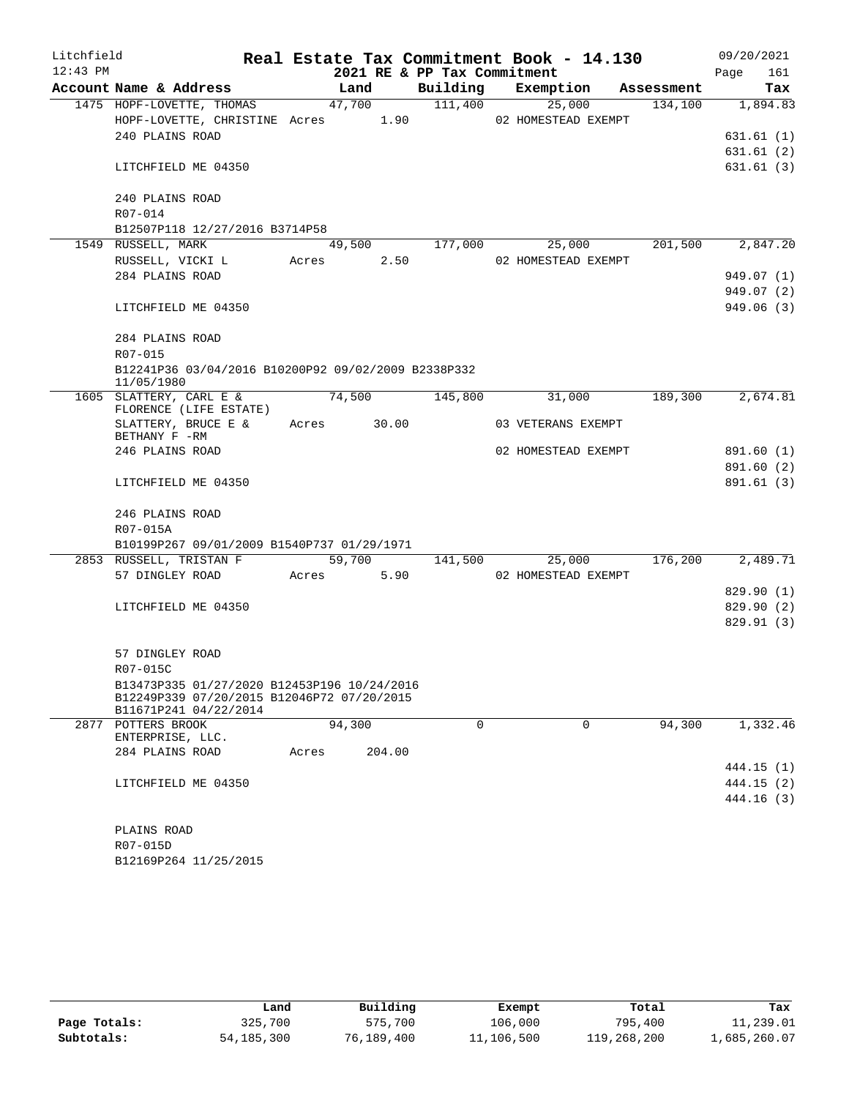| Litchfield |                                                                   |       |             |                             | Real Estate Tax Commitment Book - 14.130 |            | 09/20/2021       |
|------------|-------------------------------------------------------------------|-------|-------------|-----------------------------|------------------------------------------|------------|------------------|
| $12:43$ PM |                                                                   |       |             | 2021 RE & PP Tax Commitment |                                          |            | 161<br>Page      |
|            | Account Name & Address                                            |       | Land        |                             | Building Exemption                       | Assessment | Tax              |
|            | 1475 HOPF-LOVETTE, THOMAS                                         |       | 47,700      | 111,400                     | 25,000                                   |            | 134,100 1,894.83 |
|            | HOPF-LOVETTE, CHRISTINE Acres 1.90 02 HOMESTEAD EXEMPT            |       |             |                             |                                          |            |                  |
|            | 240 PLAINS ROAD                                                   |       |             |                             |                                          |            | 631.61(1)        |
|            |                                                                   |       |             |                             |                                          |            | 631.61(2)        |
|            | LITCHFIELD ME 04350                                               |       |             |                             |                                          |            | 631.61 (3)       |
|            | 240 PLAINS ROAD                                                   |       |             |                             |                                          |            |                  |
|            | R07-014                                                           |       |             |                             |                                          |            |                  |
|            | B12507P118 12/27/2016 B3714P58                                    |       |             |                             |                                          |            |                  |
|            | 1549 RUSSELL, MARK                                                |       | 49,500      | 177,000                     | 25,000                                   | 201,500    | 2,847.20         |
|            | RUSSELL, VICKI Lacres 2.50                                        |       |             |                             | 02 HOMESTEAD EXEMPT                      |            |                  |
|            | 284 PLAINS ROAD                                                   |       |             |                             |                                          |            | 949.07 (1)       |
|            |                                                                   |       |             |                             |                                          |            | 949.07 (2)       |
|            | LITCHFIELD ME 04350                                               |       |             |                             |                                          |            | 949.06(3)        |
|            | 284 PLAINS ROAD                                                   |       |             |                             |                                          |            |                  |
|            | R07-015                                                           |       |             |                             |                                          |            |                  |
|            | B12241P36 03/04/2016 B10200P92 09/02/2009 B2338P332<br>11/05/1980 |       |             |                             |                                          |            |                  |
|            | 1605 SLATTERY, CARL E &                                           |       | 74,500      | 145,800                     | 31,000                                   | 189,300    | 2,674.81         |
|            | FLORENCE (LIFE ESTATE)                                            |       |             |                             |                                          |            |                  |
|            | SLATTERY, BRUCE E &<br>BETHANY F -RM                              |       | Acres 30.00 |                             | 03 VETERANS EXEMPT                       |            |                  |
|            | 246 PLAINS ROAD                                                   |       |             |                             | 02 HOMESTEAD EXEMPT                      |            | 891.60 (1)       |
|            |                                                                   |       |             |                             |                                          |            | 891.60 (2)       |
|            | LITCHFIELD ME 04350                                               |       |             |                             |                                          |            | 891.61 (3)       |
|            | 246 PLAINS ROAD                                                   |       |             |                             |                                          |            |                  |
|            | R07-015A                                                          |       |             |                             |                                          |            |                  |
|            | B10199P267 09/01/2009 B1540P737 01/29/1971                        |       |             |                             |                                          |            |                  |
|            | 2853 RUSSELL, TRISTAN F                                           |       | 59,700      | 141,500                     | 25,000                                   | 176,200    | 2,489.71         |
|            | 57 DINGLEY ROAD                                                   |       | Acres 5.90  |                             | 02 HOMESTEAD EXEMPT                      |            |                  |
|            |                                                                   |       |             |                             |                                          |            | 829.90(1)        |
|            | LITCHFIELD ME 04350                                               |       |             |                             |                                          |            | 829.90 (2)       |
|            |                                                                   |       |             |                             |                                          |            | 829.91 (3)       |
|            | 57 DINGLEY ROAD                                                   |       |             |                             |                                          |            |                  |
|            | R07-015C                                                          |       |             |                             |                                          |            |                  |
|            | B13473P335 01/27/2020 B12453P196 10/24/2016                       |       |             |                             |                                          |            |                  |
|            | B12249P339 07/20/2015 B12046P72 07/20/2015                        |       |             |                             |                                          |            |                  |
|            | B11671P241 04/22/2014                                             |       |             |                             |                                          |            |                  |
|            | 2877 POTTERS BROOK                                                |       | 94,300      | 0                           | 0                                        | 94,300     | 1,332.46         |
|            | ENTERPRISE, LLC.<br>284 PLAINS ROAD                               |       |             |                             |                                          |            |                  |
|            |                                                                   | Acres | 204.00      |                             |                                          |            | 444.15 (1)       |
|            | LITCHFIELD ME 04350                                               |       |             |                             |                                          |            | 444.15 (2)       |
|            |                                                                   |       |             |                             |                                          |            | 444.16 (3)       |
|            |                                                                   |       |             |                             |                                          |            |                  |
|            | PLAINS ROAD                                                       |       |             |                             |                                          |            |                  |
|            | R07-015D                                                          |       |             |                             |                                          |            |                  |

|              | Land         | Building   | Exempt     | Total       | Tax          |
|--------------|--------------|------------|------------|-------------|--------------|
| Page Totals: | 325,700      | 575,700    | 106,000    | 795,400     | 11,239.01    |
| Subtotals:   | 54, 185, 300 | 76,189,400 | 11,106,500 | 119,268,200 | 1,685,260.07 |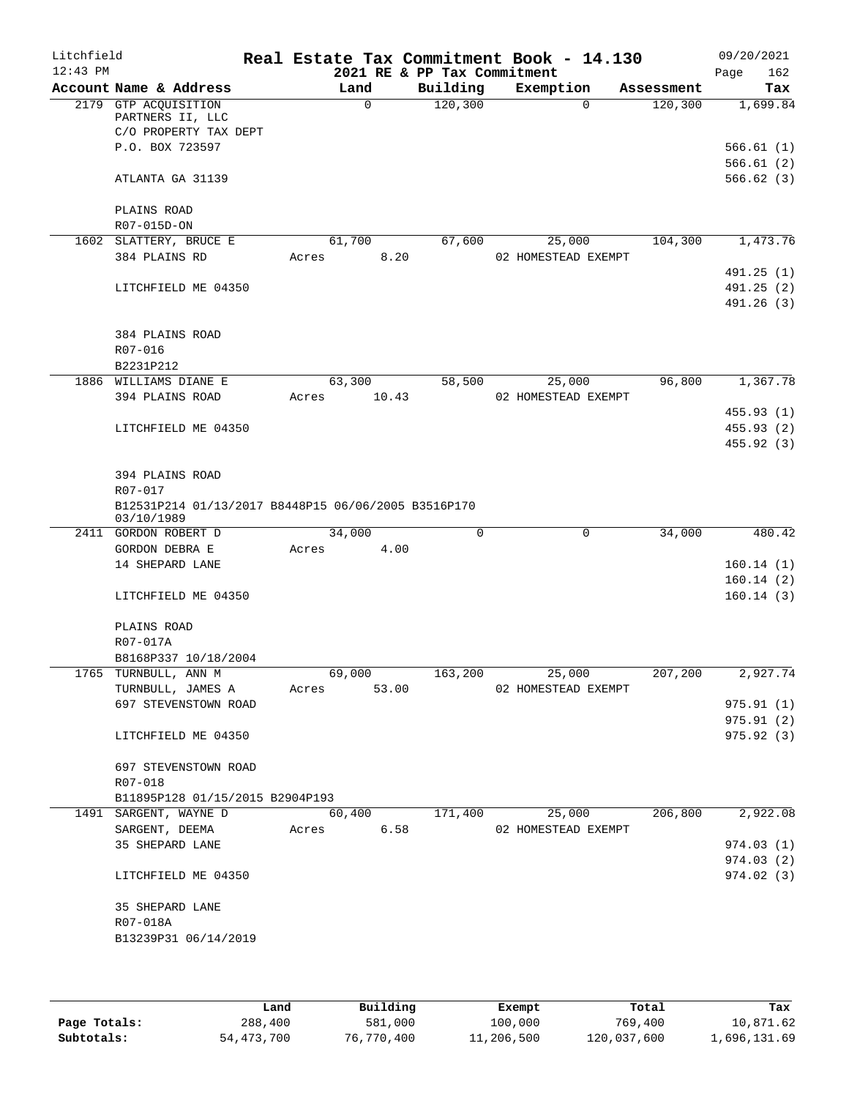| Litchfield<br>$12:43$ PM |                                                                   |                          | 2021 RE & PP Tax Commitment | Real Estate Tax Commitment Book - 14.130 |            | 09/20/2021<br>162<br>Page |
|--------------------------|-------------------------------------------------------------------|--------------------------|-----------------------------|------------------------------------------|------------|---------------------------|
|                          | Account Name & Address                                            | Land                     | Building                    | Exemption                                | Assessment | Tax                       |
|                          | 2179 GTP ACQUISITION<br>PARTNERS II, LLC                          | $\Omega$                 | 120, 300                    | $\Omega$                                 | 120,300    | 1,699.84                  |
|                          | C/O PROPERTY TAX DEPT<br>P.O. BOX 723597                          |                          |                             |                                          |            | 566.61(1)                 |
|                          | ATLANTA GA 31139                                                  |                          |                             |                                          |            | 566.61(2)<br>566.62(3)    |
|                          | PLAINS ROAD<br>R07-015D-ON                                        |                          |                             |                                          |            |                           |
|                          | 1602 SLATTERY, BRUCE E                                            | 61,700                   | 67,600                      | 25,000                                   | 104,300    | 1,473.76                  |
|                          | 384 PLAINS RD                                                     | 8.20<br>Acres            |                             | 02 HOMESTEAD EXEMPT                      |            | 491.25(1)                 |
|                          | LITCHFIELD ME 04350                                               |                          |                             |                                          |            | 491.25(2)                 |
|                          |                                                                   |                          |                             |                                          |            | 491.26 (3)                |
|                          | 384 PLAINS ROAD                                                   |                          |                             |                                          |            |                           |
|                          | R07-016                                                           |                          |                             |                                          |            |                           |
|                          | B2231P212                                                         |                          |                             |                                          | 96,800     |                           |
|                          | 1886 WILLIAMS DIANE E<br>394 PLAINS ROAD                          | 63,300<br>10.43<br>Acres | 58,500                      | 25,000<br>02 HOMESTEAD EXEMPT            |            | 1,367.78                  |
|                          |                                                                   |                          |                             |                                          |            | 455.93 (1)                |
|                          | LITCHFIELD ME 04350                                               |                          |                             |                                          |            | 455.93 (2)                |
|                          |                                                                   |                          |                             |                                          |            | 455.92 (3)                |
|                          | 394 PLAINS ROAD<br>R07-017                                        |                          |                             |                                          |            |                           |
|                          | B12531P214 01/13/2017 B8448P15 06/06/2005 B3516P170<br>03/10/1989 |                          |                             |                                          |            |                           |
|                          | 2411 GORDON ROBERT D                                              | 34,000                   | 0                           | 0                                        | 34,000     | 480.42                    |
|                          | GORDON DEBRA E                                                    | 4.00<br>Acres            |                             |                                          |            |                           |
|                          | 14 SHEPARD LANE                                                   |                          |                             |                                          |            | 160.14(1)                 |
|                          | LITCHFIELD ME 04350                                               |                          |                             |                                          |            | 160.14(2)<br>160.14(3)    |
|                          | PLAINS ROAD                                                       |                          |                             |                                          |            |                           |
|                          | R07-017A                                                          |                          |                             |                                          |            |                           |
|                          | B8168P337 10/18/2004<br>1765 TURNBULL, ANN M                      | 69,000                   | 163,200                     | 25,000                                   |            | 207,200 2,927.74          |
|                          | TURNBULL, JAMES A<br>697 STEVENSTOWN ROAD                         | Acres<br>53.00           |                             | 02 HOMESTEAD EXEMPT                      |            | 975.91(1)                 |
|                          |                                                                   |                          |                             |                                          |            | 975.91(2)                 |
|                          | LITCHFIELD ME 04350                                               |                          |                             |                                          |            | 975.92 (3)                |
|                          | 697 STEVENSTOWN ROAD                                              |                          |                             |                                          |            |                           |
|                          | R07-018                                                           |                          |                             |                                          |            |                           |
|                          | B11895P128 01/15/2015 B2904P193<br>1491 SARGENT, WAYNE D          | 60,400                   | 171,400                     | 25,000                                   | 206,800    | 2,922.08                  |
|                          | SARGENT, DEEMA                                                    | Acres 6.58               |                             | 02 HOMESTEAD EXEMPT                      |            |                           |
|                          | 35 SHEPARD LANE                                                   |                          |                             |                                          |            | 974.03(1)                 |
|                          |                                                                   |                          |                             |                                          |            | 974.03(2)                 |
|                          | LITCHFIELD ME 04350                                               |                          |                             |                                          |            | 974.02(3)                 |
|                          | 35 SHEPARD LANE                                                   |                          |                             |                                          |            |                           |
|                          | R07-018A                                                          |                          |                             |                                          |            |                           |
|                          | B13239P31 06/14/2019                                              |                          |                             |                                          |            |                           |
|                          |                                                                   |                          |                             |                                          |            |                           |

|              | Land       | Building   | Exempt     | Total       | Tax          |
|--------------|------------|------------|------------|-------------|--------------|
| Page Totals: | 288,400    | 581,000    | 100,000    | 769,400     | 10,871.62    |
| Subtotals:   | 54,473,700 | 76,770,400 | 11,206,500 | 120,037,600 | 1,696,131.69 |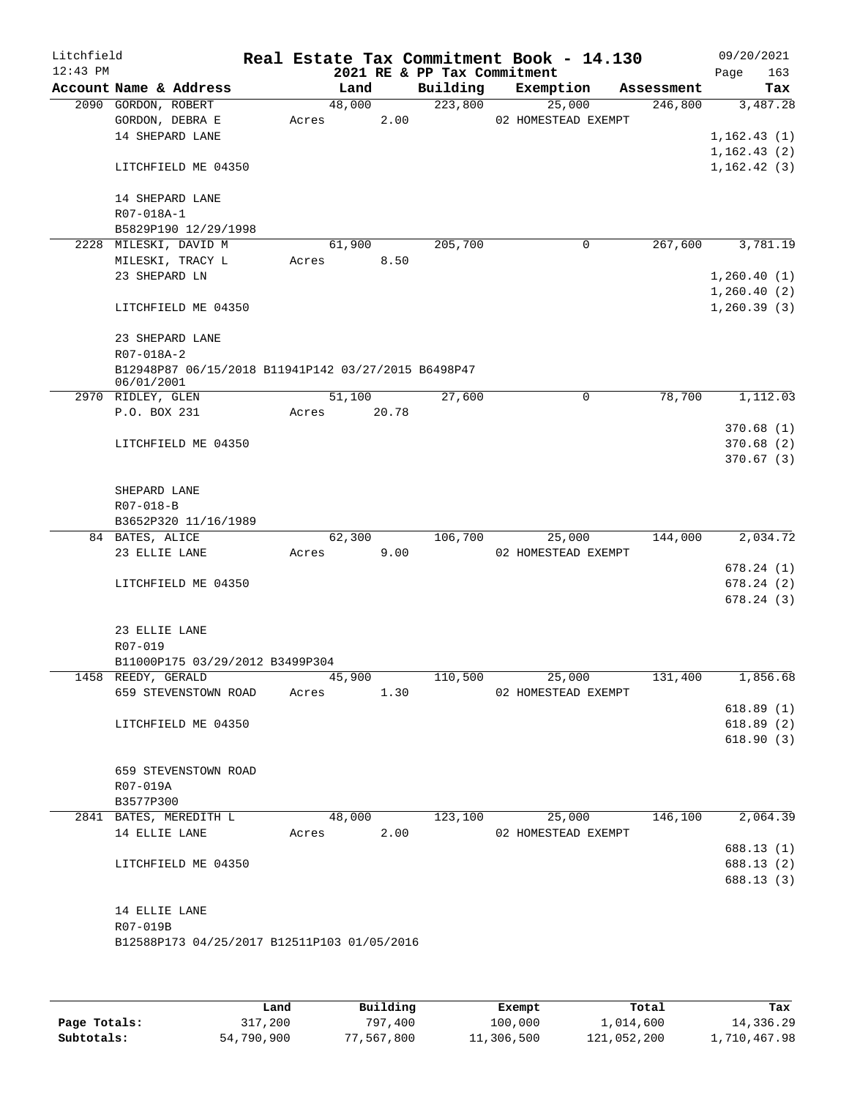| Litchfield |                                                                   |        |        |                                         | Real Estate Tax Commitment Book - 14.130 |                       | 09/20/2021                  |
|------------|-------------------------------------------------------------------|--------|--------|-----------------------------------------|------------------------------------------|-----------------------|-----------------------------|
| $12:43$ PM | Account Name & Address                                            |        | Land   | 2021 RE & PP Tax Commitment<br>Building | Exemption                                |                       | Page<br>163                 |
|            | 2090 GORDON, ROBERT                                               |        | 48,000 | 223,800                                 | 25,000                                   | Assessment<br>246,800 | Tax<br>3,487.28             |
|            | GORDON, DEBRA E                                                   | Acres  | 2.00   |                                         | 02 HOMESTEAD EXEMPT                      |                       |                             |
|            | 14 SHEPARD LANE                                                   |        |        |                                         |                                          |                       | 1,162.43(1)                 |
|            |                                                                   |        |        |                                         |                                          |                       | 1, 162.43(2)                |
|            | LITCHFIELD ME 04350                                               |        |        |                                         |                                          |                       | 1,162.42(3)                 |
|            | 14 SHEPARD LANE                                                   |        |        |                                         |                                          |                       |                             |
|            | R07-018A-1                                                        |        |        |                                         |                                          |                       |                             |
|            | B5829P190 12/29/1998                                              |        |        |                                         |                                          |                       |                             |
|            | 2228 MILESKI, DAVID M                                             |        | 61,900 | 205,700                                 | $\mathbf 0$                              | 267,600               | 3,781.19                    |
|            | MILESKI, TRACY L                                                  | Acres  | 8.50   |                                         |                                          |                       |                             |
|            | 23 SHEPARD LN                                                     |        |        |                                         |                                          |                       | 1,260.40(1)                 |
|            | LITCHFIELD ME 04350                                               |        |        |                                         |                                          |                       | 1,260.40(2)<br>1, 260.39(3) |
|            | 23 SHEPARD LANE                                                   |        |        |                                         |                                          |                       |                             |
|            | R07-018A-2                                                        |        |        |                                         |                                          |                       |                             |
|            | B12948P87 06/15/2018 B11941P142 03/27/2015 B6498P47<br>06/01/2001 |        |        |                                         |                                          |                       |                             |
|            | 2970 RIDLEY, GLEN                                                 |        | 51,100 | 27,600                                  | $\mathbf 0$                              | 78,700                | 1,112.03                    |
|            | P.O. BOX 231                                                      | Acres  | 20.78  |                                         |                                          |                       |                             |
|            |                                                                   |        |        |                                         |                                          |                       | 370.68(1)                   |
|            | LITCHFIELD ME 04350                                               |        |        |                                         |                                          |                       | 370.68(2)                   |
|            |                                                                   |        |        |                                         |                                          |                       | 370.67(3)                   |
|            | SHEPARD LANE                                                      |        |        |                                         |                                          |                       |                             |
|            | R07-018-B                                                         |        |        |                                         |                                          |                       |                             |
|            | B3652P320 11/16/1989                                              |        |        |                                         |                                          |                       |                             |
|            | 84 BATES, ALICE                                                   |        | 62,300 | 106,700                                 | 25,000                                   | 144,000               | 2,034.72                    |
|            | 23 ELLIE LANE                                                     | Acres  | 9.00   |                                         | 02 HOMESTEAD EXEMPT                      |                       |                             |
|            |                                                                   |        |        |                                         |                                          |                       | 678.24 (1)                  |
|            | LITCHFIELD ME 04350                                               |        |        |                                         |                                          |                       | 678.24(2)                   |
|            |                                                                   |        |        |                                         |                                          |                       | 678.24(3)                   |
|            | 23 ELLIE LANE                                                     |        |        |                                         |                                          |                       |                             |
|            | R07-019                                                           |        |        |                                         |                                          |                       |                             |
|            | B11000P175 03/29/2012 B3499P304                                   |        |        |                                         |                                          |                       |                             |
|            | 1458 REEDY, GERALD                                                | 45,900 |        | 110,500                                 | 25,000                                   | 131,400               | 1,856.68                    |
|            | 659 STEVENSTOWN ROAD                                              | Acres  | 1.30   |                                         | 02 HOMESTEAD EXEMPT                      |                       |                             |
|            |                                                                   |        |        |                                         |                                          |                       | 618.89(1)                   |
|            | LITCHFIELD ME 04350                                               |        |        |                                         |                                          |                       | 618.89(2)                   |
|            |                                                                   |        |        |                                         |                                          |                       | 618.90(3)                   |
|            | 659 STEVENSTOWN ROAD                                              |        |        |                                         |                                          |                       |                             |
|            | R07-019A                                                          |        |        |                                         |                                          |                       |                             |
|            | B3577P300                                                         |        |        |                                         |                                          |                       |                             |
|            | 2841 BATES, MEREDITH L                                            |        | 48,000 | 123,100                                 | 25,000                                   | 146,100               | 2,064.39                    |
|            | 14 ELLIE LANE                                                     | Acres  | 2.00   |                                         | 02 HOMESTEAD EXEMPT                      |                       |                             |
|            |                                                                   |        |        |                                         |                                          |                       | 688.13 (1)                  |
|            | LITCHFIELD ME 04350                                               |        |        |                                         |                                          |                       | 688.13 (2)                  |
|            |                                                                   |        |        |                                         |                                          |                       | 688.13 (3)                  |
|            | 14 ELLIE LANE                                                     |        |        |                                         |                                          |                       |                             |
|            | R07-019B                                                          |        |        |                                         |                                          |                       |                             |
|            | B12588P173 04/25/2017 B12511P103 01/05/2016                       |        |        |                                         |                                          |                       |                             |
|            |                                                                   |        |        |                                         |                                          |                       |                             |
|            |                                                                   |        |        |                                         |                                          |                       |                             |

|              | Land       | Building   | Exempt     | Total       | Tax          |
|--------------|------------|------------|------------|-------------|--------------|
| Page Totals: | 317,200    | 797,400    | 100,000    | 1,014,600   | 14,336.29    |
| Subtotals:   | 54,790,900 | 77,567,800 | 11,306,500 | 121,052,200 | 1,710,467.98 |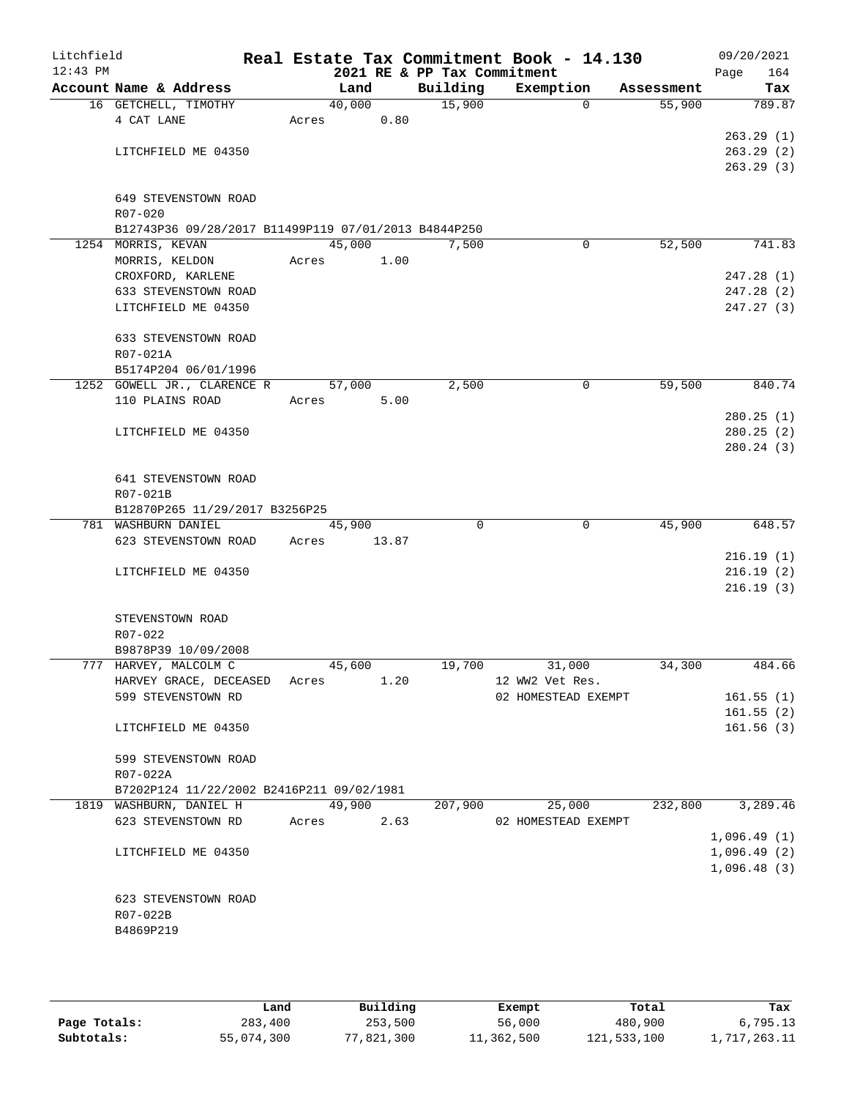| Litchfield |                                                      |       |        |       |                             | Real Estate Tax Commitment Book - 14.130 |            | 09/20/2021             |
|------------|------------------------------------------------------|-------|--------|-------|-----------------------------|------------------------------------------|------------|------------------------|
| $12:43$ PM |                                                      |       |        |       | 2021 RE & PP Tax Commitment |                                          |            | 164<br>Page            |
|            | Account Name & Address                               |       | Land   |       | Building                    | Exemption                                | Assessment | Tax                    |
|            | 16 GETCHELL, TIMOTHY                                 |       | 40,000 |       | 15,900                      | $\Omega$                                 | 55,900     | 789.87                 |
|            | 4 CAT LANE                                           | Acres |        | 0.80  |                             |                                          |            |                        |
|            |                                                      |       |        |       |                             |                                          |            | 263.29(1)              |
|            | LITCHFIELD ME 04350                                  |       |        |       |                             |                                          |            | 263.29(2)              |
|            |                                                      |       |        |       |                             |                                          |            | 263.29(3)              |
|            |                                                      |       |        |       |                             |                                          |            |                        |
|            | 649 STEVENSTOWN ROAD                                 |       |        |       |                             |                                          |            |                        |
|            | R07-020                                              |       |        |       |                             |                                          |            |                        |
|            | B12743P36 09/28/2017 B11499P119 07/01/2013 B4844P250 |       |        |       |                             |                                          |            |                        |
|            | 1254 MORRIS, KEVAN                                   |       | 45,000 |       | 7,500                       | $\mathbf 0$                              | 52,500     | 741.83                 |
|            | MORRIS, KELDON                                       | Acres |        | 1.00  |                             |                                          |            |                        |
|            | CROXFORD, KARLENE                                    |       |        |       |                             |                                          |            | 247.28(1)              |
|            | 633 STEVENSTOWN ROAD                                 |       |        |       |                             |                                          |            | 247.28(2)              |
|            | LITCHFIELD ME 04350                                  |       |        |       |                             |                                          |            | 247.27(3)              |
|            |                                                      |       |        |       |                             |                                          |            |                        |
|            | 633 STEVENSTOWN ROAD                                 |       |        |       |                             |                                          |            |                        |
|            | R07-021A                                             |       |        |       |                             |                                          |            |                        |
|            | B5174P204 06/01/1996                                 |       |        |       |                             |                                          |            |                        |
|            | 1252 GOWELL JR., CLARENCE R                          |       | 57,000 |       | 2,500                       | $\mathbf 0$                              | 59,500     | 840.74                 |
|            | 110 PLAINS ROAD                                      | Acres |        | 5.00  |                             |                                          |            |                        |
|            |                                                      |       |        |       |                             |                                          |            | 280.25(1)              |
|            | LITCHFIELD ME 04350                                  |       |        |       |                             |                                          |            | 280.25(2)<br>280.24(3) |
|            |                                                      |       |        |       |                             |                                          |            |                        |
|            | 641 STEVENSTOWN ROAD                                 |       |        |       |                             |                                          |            |                        |
|            | R07-021B                                             |       |        |       |                             |                                          |            |                        |
|            | B12870P265 11/29/2017 B3256P25                       |       |        |       |                             |                                          |            |                        |
|            | 781 WASHBURN DANIEL                                  |       | 45,900 |       | $\Omega$                    | $\mathbf{0}$                             | 45,900     | 648.57                 |
|            | 623 STEVENSTOWN ROAD                                 | Acres |        | 13.87 |                             |                                          |            |                        |
|            |                                                      |       |        |       |                             |                                          |            | 216.19(1)              |
|            | LITCHFIELD ME 04350                                  |       |        |       |                             |                                          |            | 216.19(2)              |
|            |                                                      |       |        |       |                             |                                          |            | 216.19(3)              |
|            |                                                      |       |        |       |                             |                                          |            |                        |
|            | STEVENSTOWN ROAD                                     |       |        |       |                             |                                          |            |                        |
|            | R07-022                                              |       |        |       |                             |                                          |            |                        |
|            | B9878P39 10/09/2008                                  |       |        |       |                             |                                          |            |                        |
|            | 777 HARVEY, MALCOLM C                                |       | 45,600 |       | 19,700                      | 31,000                                   | 34,300     | 484.66                 |
|            | HARVEY GRACE, DECEASED Acres                         |       |        | 1.20  |                             | 12 WW2 Vet Res.                          |            |                        |
|            | 599 STEVENSTOWN RD                                   |       |        |       |                             | 02 HOMESTEAD EXEMPT                      |            | 161.55(1)              |
|            |                                                      |       |        |       |                             |                                          |            | 161.55(2)              |
|            | LITCHFIELD ME 04350                                  |       |        |       |                             |                                          |            | 161.56(3)              |
|            |                                                      |       |        |       |                             |                                          |            |                        |
|            | 599 STEVENSTOWN ROAD                                 |       |        |       |                             |                                          |            |                        |
|            | R07-022A                                             |       |        |       |                             |                                          |            |                        |
|            | B7202P124 11/22/2002 B2416P211 09/02/1981            |       |        |       |                             |                                          |            |                        |
|            | 1819 WASHBURN, DANIEL H                              |       | 49,900 |       | 207,900                     | 25,000                                   | 232,800    | 3,289.46               |
|            | 623 STEVENSTOWN RD                                   | Acres |        | 2.63  |                             | 02 HOMESTEAD EXEMPT                      |            |                        |
|            |                                                      |       |        |       |                             |                                          |            | 1,096.49(1)            |
|            | LITCHFIELD ME 04350                                  |       |        |       |                             |                                          |            | 1,096.49(2)            |
|            |                                                      |       |        |       |                             |                                          |            | 1,096.48(3)            |
|            |                                                      |       |        |       |                             |                                          |            |                        |
|            | 623 STEVENSTOWN ROAD                                 |       |        |       |                             |                                          |            |                        |
|            | R07-022B                                             |       |        |       |                             |                                          |            |                        |
|            | B4869P219                                            |       |        |       |                             |                                          |            |                        |
|            |                                                      |       |        |       |                             |                                          |            |                        |

|              | Land       | Building   | Exempt     | Total       | Tax          |
|--------------|------------|------------|------------|-------------|--------------|
| Page Totals: | 283,400    | 253,500    | 56,000     | 480,900     | 6,795.13     |
| Subtotals:   | 55,074,300 | 77,821,300 | 11,362,500 | 121,533,100 | l,717,263.11 |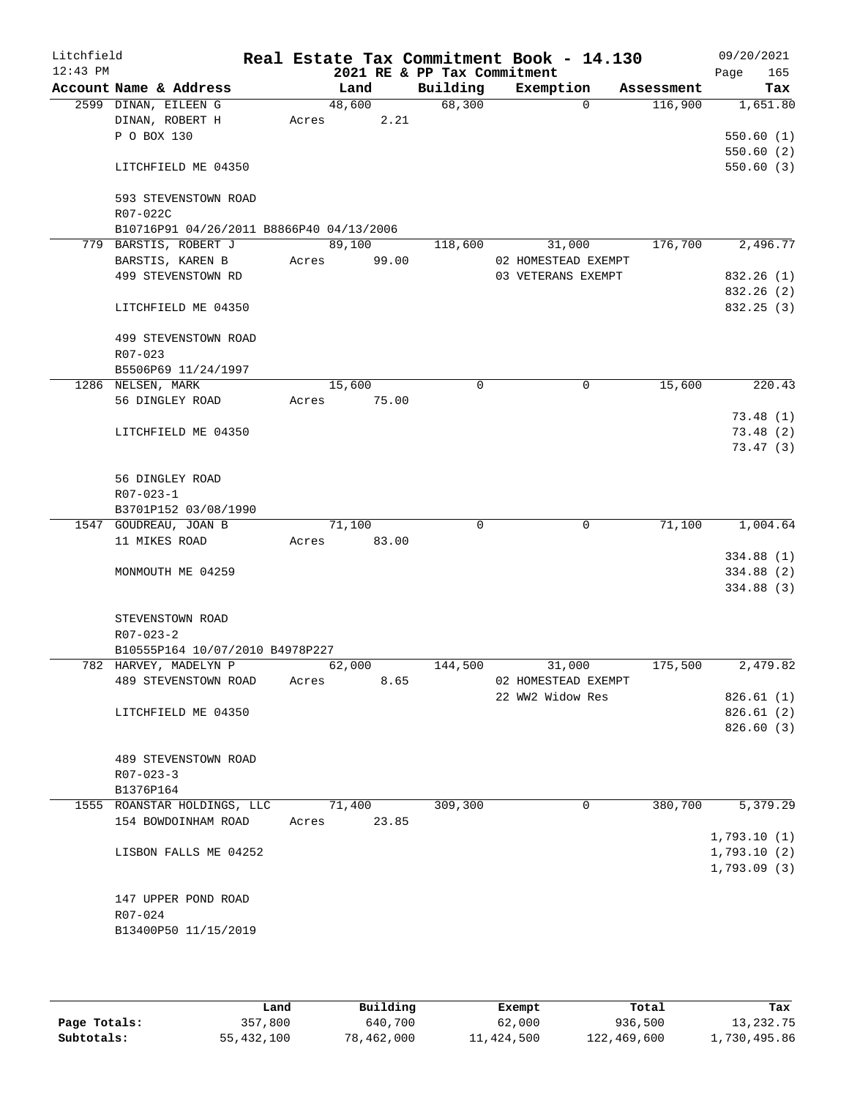| Litchfield<br>$12:43$ PM |                                          |       |        |       | 2021 RE & PP Tax Commitment | Real Estate Tax Commitment Book - 14.130 |            | 09/20/2021<br>165<br>Page |
|--------------------------|------------------------------------------|-------|--------|-------|-----------------------------|------------------------------------------|------------|---------------------------|
|                          | Account Name & Address                   |       | Land   |       | Building                    | Exemption                                | Assessment | Tax                       |
|                          | 2599 DINAN, EILEEN G                     |       | 48,600 |       | 68,300                      | $\Omega$                                 | 116,900    | 1,651.80                  |
|                          | DINAN, ROBERT H                          | Acres |        | 2.21  |                             |                                          |            |                           |
|                          | P O BOX 130                              |       |        |       |                             |                                          |            | 550.60(1)                 |
|                          |                                          |       |        |       |                             |                                          |            | 550.60(2)                 |
|                          | LITCHFIELD ME 04350                      |       |        |       |                             |                                          |            | 550.60(3)                 |
|                          | 593 STEVENSTOWN ROAD                     |       |        |       |                             |                                          |            |                           |
|                          | R07-022C                                 |       |        |       |                             |                                          |            |                           |
|                          | B10716P91 04/26/2011 B8866P40 04/13/2006 |       |        |       |                             |                                          |            |                           |
|                          | 779 BARSTIS, ROBERT J                    |       | 89,100 |       | 118,600                     | 31,000                                   | 176,700    | 2,496.77                  |
|                          | BARSTIS, KAREN B                         | Acres |        | 99.00 |                             | 02 HOMESTEAD EXEMPT                      |            |                           |
|                          | 499 STEVENSTOWN RD                       |       |        |       |                             | 03 VETERANS EXEMPT                       |            | 832.26 (1)                |
|                          |                                          |       |        |       |                             |                                          |            | 832.26 (2)                |
|                          | LITCHFIELD ME 04350                      |       |        |       |                             |                                          |            | 832.25 (3)                |
|                          | 499 STEVENSTOWN ROAD                     |       |        |       |                             |                                          |            |                           |
|                          | R07-023                                  |       |        |       |                             |                                          |            |                           |
|                          | B5506P69 11/24/1997                      |       |        |       |                             |                                          |            |                           |
|                          | 1286 NELSEN, MARK                        |       | 15,600 |       | $\Omega$                    | $\mathbf 0$                              | 15,600     | 220.43                    |
|                          | 56 DINGLEY ROAD                          | Acres |        | 75.00 |                             |                                          |            |                           |
|                          |                                          |       |        |       |                             |                                          |            | 73.48(1)                  |
|                          | LITCHFIELD ME 04350                      |       |        |       |                             |                                          |            | 73.48(2)                  |
|                          |                                          |       |        |       |                             |                                          |            | 73.47(3)                  |
|                          | 56 DINGLEY ROAD                          |       |        |       |                             |                                          |            |                           |
|                          | $R07 - 023 - 1$                          |       |        |       |                             |                                          |            |                           |
|                          | B3701P152 03/08/1990                     |       |        |       |                             |                                          |            |                           |
|                          | 1547 GOUDREAU, JOAN B                    |       | 71,100 |       | $\Omega$                    | 0                                        | 71,100     | 1,004.64                  |
|                          | 11 MIKES ROAD                            | Acres |        | 83.00 |                             |                                          |            |                           |
|                          |                                          |       |        |       |                             |                                          |            | 334.88 (1)                |
|                          | MONMOUTH ME 04259                        |       |        |       |                             |                                          |            | 334.88 (2)                |
|                          |                                          |       |        |       |                             |                                          |            | 334.88(3)                 |
|                          | STEVENSTOWN ROAD                         |       |        |       |                             |                                          |            |                           |
|                          | $R07 - 023 - 2$                          |       |        |       |                             |                                          |            |                           |
|                          | B10555P164 10/07/2010 B4978P227          |       |        |       |                             |                                          |            |                           |
|                          | 782 HARVEY, MADELYN P                    |       | 62,000 |       | 144,500                     | 31,000                                   | 175,500    | 2,479.82                  |
|                          | 489 STEVENSTOWN ROAD                     | Acres |        | 8.65  |                             | 02 HOMESTEAD EXEMPT                      |            |                           |
|                          |                                          |       |        |       |                             | 22 WW2 Widow Res                         |            | 826.61(1)                 |
|                          | LITCHFIELD ME 04350                      |       |        |       |                             |                                          |            | 826.61(2)                 |
|                          |                                          |       |        |       |                             |                                          |            | 826.60(3)                 |
|                          | 489 STEVENSTOWN ROAD                     |       |        |       |                             |                                          |            |                           |
|                          | $R07 - 023 - 3$                          |       |        |       |                             |                                          |            |                           |
|                          | B1376P164                                |       |        |       |                             |                                          |            |                           |
|                          | 1555 ROANSTAR HOLDINGS, LLC              |       | 71,400 |       | 309,300                     | 0                                        | 380,700    | 5,379.29                  |
|                          | 154 BOWDOINHAM ROAD                      | Acres |        | 23.85 |                             |                                          |            |                           |
|                          |                                          |       |        |       |                             |                                          |            | 1,793.10(1)               |
|                          | LISBON FALLS ME 04252                    |       |        |       |                             |                                          |            | 1,793.10(2)               |
|                          |                                          |       |        |       |                             |                                          |            | 1,793.09(3)               |
|                          |                                          |       |        |       |                             |                                          |            |                           |
|                          | 147 UPPER POND ROAD                      |       |        |       |                             |                                          |            |                           |
|                          | R07-024                                  |       |        |       |                             |                                          |            |                           |
|                          | B13400P50 11/15/2019                     |       |        |       |                             |                                          |            |                           |
|                          |                                          |       |        |       |                             |                                          |            |                           |

|              | úand       | Building   | Exempt     | Total       | Tax          |
|--------------|------------|------------|------------|-------------|--------------|
| Page Totals: | 357,800    | 640,700    | 62,000     | 936,500     | 13,232.75    |
| Subtotals:   | 55,432,100 | 78,462,000 | 11,424,500 | 122,469,600 | 1,730,495.86 |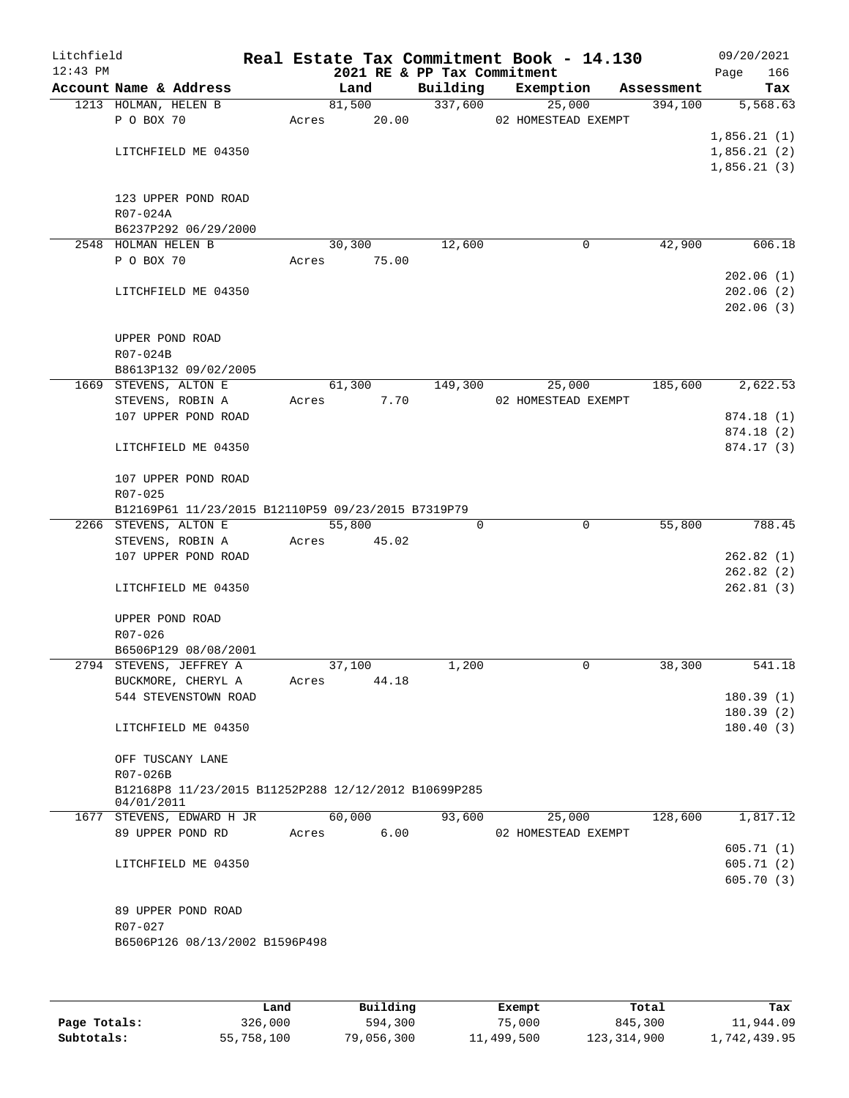| Litchfield<br>$12:43$ PM |                                                      |       |        |       | 2021 RE & PP Tax Commitment | Real Estate Tax Commitment Book - 14.130 |            | 09/20/2021<br>Page | 166        |
|--------------------------|------------------------------------------------------|-------|--------|-------|-----------------------------|------------------------------------------|------------|--------------------|------------|
|                          | Account Name & Address                               |       | Land   |       | Building                    | Exemption                                | Assessment |                    | Tax        |
|                          | 1213 HOLMAN, HELEN B                                 |       | 81,500 |       | 337,600                     | 25,000                                   | 394,100    |                    | 5,568.63   |
|                          | P O BOX 70                                           | Acres | 20.00  |       |                             | 02 HOMESTEAD EXEMPT                      |            |                    |            |
|                          |                                                      |       |        |       |                             |                                          |            | 1,856.21(1)        |            |
|                          | LITCHFIELD ME 04350                                  |       |        |       |                             |                                          |            | 1,856.21(2)        |            |
|                          |                                                      |       |        |       |                             |                                          |            | 1,856.21(3)        |            |
|                          |                                                      |       |        |       |                             |                                          |            |                    |            |
|                          | 123 UPPER POND ROAD                                  |       |        |       |                             |                                          |            |                    |            |
|                          | R07-024A                                             |       |        |       |                             |                                          |            |                    |            |
|                          | B6237P292 06/29/2000<br>2548 HOLMAN HELEN B          |       | 30,300 |       | 12,600                      | 0                                        | 42,900     |                    | 606.18     |
|                          | P O BOX 70                                           | Acres |        | 75.00 |                             |                                          |            |                    |            |
|                          |                                                      |       |        |       |                             |                                          |            |                    | 202.06(1)  |
|                          | LITCHFIELD ME 04350                                  |       |        |       |                             |                                          |            |                    | 202.06(2)  |
|                          |                                                      |       |        |       |                             |                                          |            |                    | 202.06(3)  |
|                          |                                                      |       |        |       |                             |                                          |            |                    |            |
|                          | UPPER POND ROAD                                      |       |        |       |                             |                                          |            |                    |            |
|                          | R07-024B                                             |       |        |       |                             |                                          |            |                    |            |
|                          | B8613P132 09/02/2005                                 |       |        |       |                             |                                          |            |                    |            |
|                          | 1669 STEVENS, ALTON E                                |       | 61,300 |       | 149,300                     | 25,000                                   | 185,600    |                    | 2,622.53   |
|                          | STEVENS, ROBIN A                                     | Acres |        | 7.70  |                             | 02 HOMESTEAD EXEMPT                      |            |                    |            |
|                          | 107 UPPER POND ROAD                                  |       |        |       |                             |                                          |            |                    | 874.18 (1) |
|                          |                                                      |       |        |       |                             |                                          |            |                    | 874.18(2)  |
|                          | LITCHFIELD ME 04350                                  |       |        |       |                             |                                          |            |                    | 874.17 (3) |
|                          | 107 UPPER POND ROAD                                  |       |        |       |                             |                                          |            |                    |            |
|                          | R07-025                                              |       |        |       |                             |                                          |            |                    |            |
|                          | B12169P61 11/23/2015 B12110P59 09/23/2015 B7319P79   |       |        |       |                             |                                          |            |                    |            |
|                          | 2266 STEVENS, ALTON E                                |       | 55,800 |       | 0                           | 0                                        | 55,800     |                    | 788.45     |
|                          | STEVENS, ROBIN A                                     | Acres |        | 45.02 |                             |                                          |            |                    |            |
|                          | 107 UPPER POND ROAD                                  |       |        |       |                             |                                          |            |                    | 262.82(1)  |
|                          |                                                      |       |        |       |                             |                                          |            |                    | 262.82(2)  |
|                          | LITCHFIELD ME 04350                                  |       |        |       |                             |                                          |            |                    | 262.81(3)  |
|                          | UPPER POND ROAD                                      |       |        |       |                             |                                          |            |                    |            |
|                          | R07-026                                              |       |        |       |                             |                                          |            |                    |            |
|                          | B6506P129 08/08/2001                                 |       |        |       |                             |                                          |            |                    |            |
|                          | 2794 STEVENS, JEFFREY A                              |       | 37,100 |       | 1,200                       | 0                                        | 38,300     |                    | 541.18     |
|                          | BUCKMORE, CHERYL A                                   | Acres |        | 44.18 |                             |                                          |            |                    |            |
|                          | 544 STEVENSTOWN ROAD                                 |       |        |       |                             |                                          |            |                    | 180.39(1)  |
|                          |                                                      |       |        |       |                             |                                          |            |                    | 180.39(2)  |
|                          | LITCHFIELD ME 04350                                  |       |        |       |                             |                                          |            |                    | 180.40(3)  |
|                          | OFF TUSCANY LANE                                     |       |        |       |                             |                                          |            |                    |            |
|                          | R07-026B                                             |       |        |       |                             |                                          |            |                    |            |
|                          | B12168P8 11/23/2015 B11252P288 12/12/2012 B10699P285 |       |        |       |                             |                                          |            |                    |            |
|                          | 04/01/2011                                           |       |        |       |                             |                                          |            |                    |            |
|                          | 1677 STEVENS, EDWARD H JR                            |       | 60,000 |       | 93,600                      | 25,000                                   | 128,600    |                    | 1,817.12   |
|                          | 89 UPPER POND RD                                     | Acres |        | 6.00  |                             | 02 HOMESTEAD EXEMPT                      |            |                    |            |
|                          |                                                      |       |        |       |                             |                                          |            |                    | 605.71(1)  |
|                          | LITCHFIELD ME 04350                                  |       |        |       |                             |                                          |            |                    | 605.71(2)  |
|                          |                                                      |       |        |       |                             |                                          |            |                    | 605.70(3)  |
|                          | 89 UPPER POND ROAD                                   |       |        |       |                             |                                          |            |                    |            |
|                          | R07-027                                              |       |        |       |                             |                                          |            |                    |            |
|                          | B6506P126 08/13/2002 B1596P498                       |       |        |       |                             |                                          |            |                    |            |
|                          |                                                      |       |        |       |                             |                                          |            |                    |            |
|                          |                                                      |       |        |       |                             |                                          |            |                    |            |
|                          |                                                      |       |        |       |                             |                                          |            |                    |            |

|              | Land       | Building   | Exempt     | Total       | Tax          |
|--------------|------------|------------|------------|-------------|--------------|
| Page Totals: | 326,000    | 594,300    | 75,000     | 845,300     | 11,944.09    |
| Subtotals:   | 55,758,100 | 79,056,300 | 11,499,500 | 123,314,900 | 1,742,439.95 |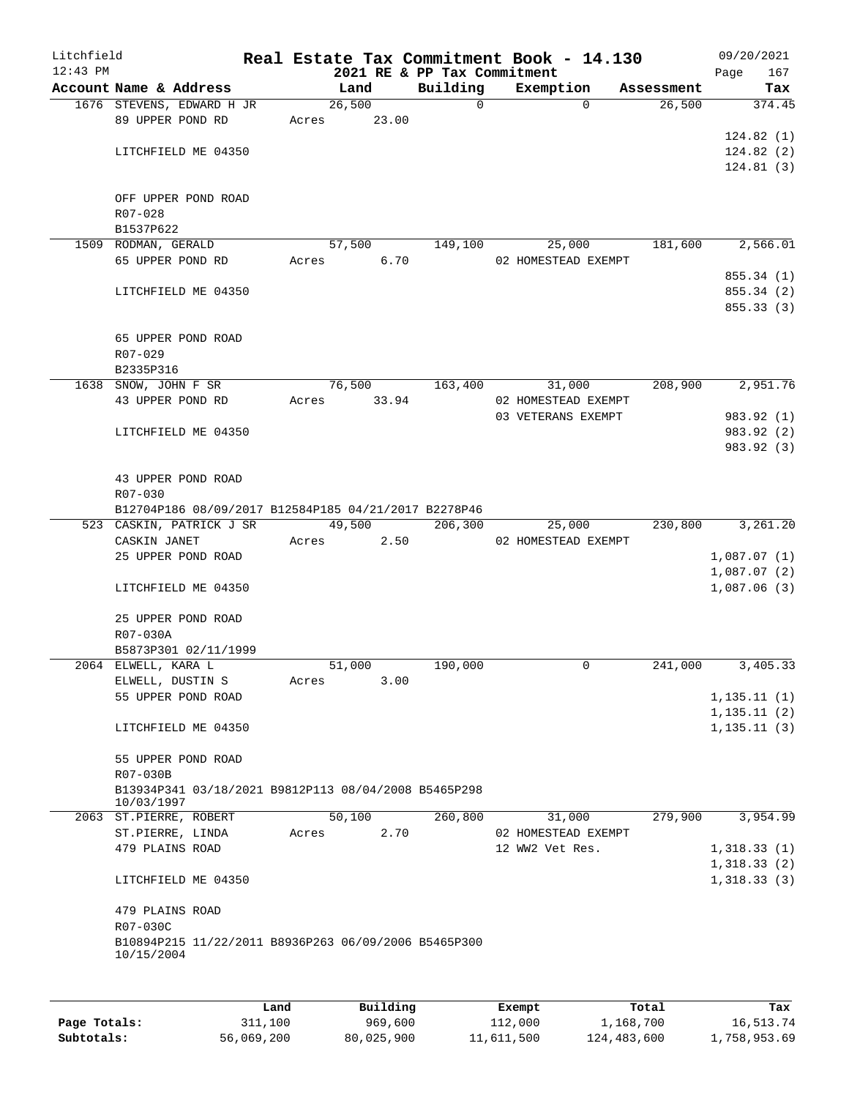| Litchfield |                                                      |       |                |                                         | Real Estate Tax Commitment Book - 14.130 |            | 09/20/2021                   |
|------------|------------------------------------------------------|-------|----------------|-----------------------------------------|------------------------------------------|------------|------------------------------|
| $12:43$ PM | Account Name & Address                               |       | Land           | 2021 RE & PP Tax Commitment<br>Building | Exemption                                | Assessment | Page<br>167<br>Tax           |
|            | 1676 STEVENS, EDWARD H JR                            |       | 26,500         | $\Omega$                                | $\Omega$                                 | 26,500     | 374.45                       |
|            | 89 UPPER POND RD                                     |       | Acres 23.00    |                                         |                                          |            |                              |
|            |                                                      |       |                |                                         |                                          |            | 124.82(1)                    |
|            | LITCHFIELD ME 04350                                  |       |                |                                         |                                          |            | 124.82(2)                    |
|            |                                                      |       |                |                                         |                                          |            | 124.81(3)                    |
|            |                                                      |       |                |                                         |                                          |            |                              |
|            | OFF UPPER POND ROAD                                  |       |                |                                         |                                          |            |                              |
|            | $R07 - 028$                                          |       |                |                                         |                                          |            |                              |
|            | B1537P622<br>1509 RODMAN, GERALD                     |       | 57,500         | 149,100                                 | 25,000                                   | 181,600    | 2,566.01                     |
|            | 65 UPPER POND RD                                     | Acres | 6.70           |                                         | 02 HOMESTEAD EXEMPT                      |            |                              |
|            |                                                      |       |                |                                         |                                          |            | 855.34 (1)                   |
|            | LITCHFIELD ME 04350                                  |       |                |                                         |                                          |            | 855.34 (2)                   |
|            |                                                      |       |                |                                         |                                          |            | 855.33 (3)                   |
|            |                                                      |       |                |                                         |                                          |            |                              |
|            | 65 UPPER POND ROAD                                   |       |                |                                         |                                          |            |                              |
|            | R07-029                                              |       |                |                                         |                                          |            |                              |
|            | B2335P316                                            |       | 76,500         | 163,400                                 |                                          | 208,900    | 2,951.76                     |
|            | 1638 SNOW, JOHN F SR<br>43 UPPER POND RD             | Acres | 33.94          |                                         | 31,000<br>02 HOMESTEAD EXEMPT            |            |                              |
|            |                                                      |       |                |                                         | 03 VETERANS EXEMPT                       |            | 983.92 (1)                   |
|            | LITCHFIELD ME 04350                                  |       |                |                                         |                                          |            | 983.92 (2)                   |
|            |                                                      |       |                |                                         |                                          |            | 983.92 (3)                   |
|            |                                                      |       |                |                                         |                                          |            |                              |
|            | 43 UPPER POND ROAD                                   |       |                |                                         |                                          |            |                              |
|            | R07-030                                              |       |                |                                         |                                          |            |                              |
|            | B12704P186 08/09/2017 B12584P185 04/21/2017 B2278P46 |       |                |                                         |                                          |            |                              |
|            | 523 CASKIN, PATRICK J SR                             |       | 49,500         | 206,300                                 | 25,000                                   | 230,800    | 3,261.20                     |
|            | CASKIN JANET<br>25 UPPER POND ROAD                   | Acres | 2.50           |                                         | 02 HOMESTEAD EXEMPT                      |            | 1,087.07(1)                  |
|            |                                                      |       |                |                                         |                                          |            | 1,087.07(2)                  |
|            | LITCHFIELD ME 04350                                  |       |                |                                         |                                          |            | 1,087.06(3)                  |
|            |                                                      |       |                |                                         |                                          |            |                              |
|            | 25 UPPER POND ROAD                                   |       |                |                                         |                                          |            |                              |
|            | R07-030A                                             |       |                |                                         |                                          |            |                              |
|            | B5873P301 02/11/1999                                 |       |                |                                         |                                          |            |                              |
|            | 2064 ELWELL, KARA L                                  |       | 51,000         | 190,000                                 | 0                                        | 241,000    | 3,405.33                     |
|            | ELWELL, DUSTIN S<br>55 UPPER POND ROAD               | Acres | 3.00           |                                         |                                          |            |                              |
|            |                                                      |       |                |                                         |                                          |            | 1, 135.11(1)<br>1, 135.11(2) |
|            | LITCHFIELD ME 04350                                  |       |                |                                         |                                          |            | 1, 135.11(3)                 |
|            |                                                      |       |                |                                         |                                          |            |                              |
|            | 55 UPPER POND ROAD                                   |       |                |                                         |                                          |            |                              |
|            | R07-030B                                             |       |                |                                         |                                          |            |                              |
|            | B13934P341 03/18/2021 B9812P113 08/04/2008 B5465P298 |       |                |                                         |                                          |            |                              |
|            | 10/03/1997                                           |       |                |                                         |                                          |            |                              |
|            | 2063 ST.PIERRE, ROBERT<br>ST.PIERRE, LINDA           | Acres | 50,100<br>2.70 | 260,800                                 | 31,000<br>02 HOMESTEAD EXEMPT            | 279,900    | 3,954.99                     |
|            | 479 PLAINS ROAD                                      |       |                |                                         | 12 WW2 Vet Res.                          |            | 1,318.33(1)                  |
|            |                                                      |       |                |                                         |                                          |            | 1,318.33(2)                  |
|            | LITCHFIELD ME 04350                                  |       |                |                                         |                                          |            | 1,318.33(3)                  |
|            |                                                      |       |                |                                         |                                          |            |                              |
|            | 479 PLAINS ROAD                                      |       |                |                                         |                                          |            |                              |
|            | R07-030C                                             |       |                |                                         |                                          |            |                              |
|            | B10894P215 11/22/2011 B8936P263 06/09/2006 B5465P300 |       |                |                                         |                                          |            |                              |
|            | 10/15/2004                                           |       |                |                                         |                                          |            |                              |
|            |                                                      |       |                |                                         |                                          |            |                              |
|            |                                                      | Land  | Building       |                                         | Exempt                                   | Total      | Tax                          |
|            |                                                      |       |                |                                         |                                          |            |                              |

|              | ⊔ano       | Building   | Exempt     | тосат       | тах          |
|--------------|------------|------------|------------|-------------|--------------|
| Page Totals: | 311,100    | 969,600    | 112,000    | 1,168,700   | 16,513.74    |
| Subtotals:   | 56,069,200 | 80,025,900 | 11,611,500 | 124,483,600 | 1,758,953.69 |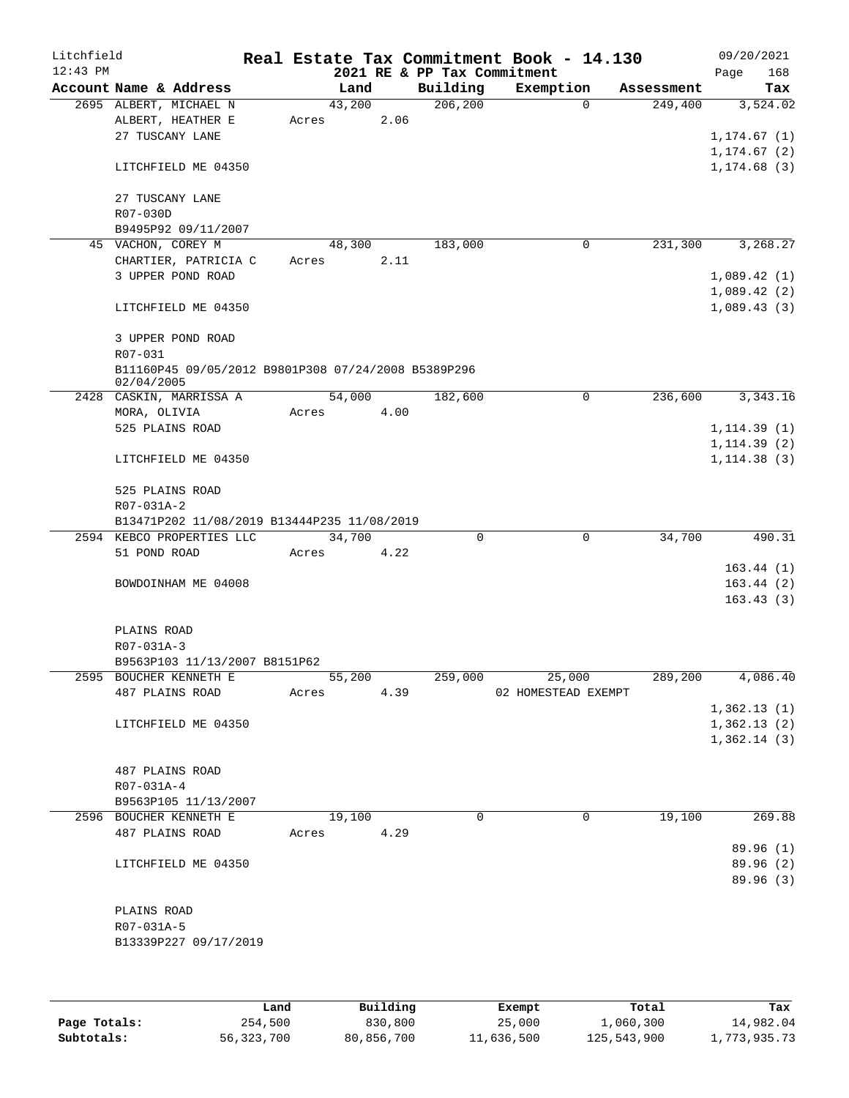| Litchfield<br>$12:43$ PM |              |                                                     |        |        | 2021 RE & PP Tax Commitment | Real Estate Tax Commitment Book - 14.130 |                        | 09/20/2021<br>Page<br>168    |
|--------------------------|--------------|-----------------------------------------------------|--------|--------|-----------------------------|------------------------------------------|------------------------|------------------------------|
|                          |              | Account Name & Address                              | Land   |        | Building                    | Exemption                                | Assessment             | Tax                          |
|                          |              | 2695 ALBERT, MICHAEL N                              | 43,200 |        | 206, 200                    |                                          | $\Omega$<br>249,400    | 3,524.02                     |
|                          |              | ALBERT, HEATHER E                                   | Acres  | 2.06   |                             |                                          |                        |                              |
|                          |              | 27 TUSCANY LANE                                     |        |        |                             |                                          |                        | 1, 174.67(1)                 |
|                          |              |                                                     |        |        |                             |                                          |                        | 1, 174.67(2)                 |
|                          |              | LITCHFIELD ME 04350                                 |        |        |                             |                                          |                        | 1, 174.68(3)                 |
|                          |              | 27 TUSCANY LANE                                     |        |        |                             |                                          |                        |                              |
|                          | R07-030D     |                                                     |        |        |                             |                                          |                        |                              |
|                          |              | B9495P92 09/11/2007                                 |        |        |                             |                                          |                        |                              |
|                          |              | 45 VACHON, COREY M                                  | 48,300 |        | 183,000                     | $\mathbf 0$                              | 231,300                | 3,268.27                     |
|                          |              | CHARTIER, PATRICIA C                                | Acres  | 2.11   |                             |                                          |                        |                              |
|                          |              | 3 UPPER POND ROAD                                   |        |        |                             |                                          |                        | 1,089.42(1)                  |
|                          |              |                                                     |        |        |                             |                                          |                        | 1,089.42(2)                  |
|                          |              | LITCHFIELD ME 04350                                 |        |        |                             |                                          |                        | 1,089.43(3)                  |
|                          |              | 3 UPPER POND ROAD                                   |        |        |                             |                                          |                        |                              |
|                          | R07-031      |                                                     |        |        |                             |                                          |                        |                              |
|                          |              | B11160P45 09/05/2012 B9801P308 07/24/2008 B5389P296 |        |        |                             |                                          |                        |                              |
|                          | 02/04/2005   |                                                     |        |        |                             |                                          |                        |                              |
|                          |              | 2428 CASKIN, MARRISSA A                             | 54,000 |        | 182,600                     |                                          | $\mathbf 0$<br>236,600 | 3,343.16                     |
|                          | MORA, OLIVIA | 525 PLAINS ROAD                                     | Acres  | 4.00   |                             |                                          |                        |                              |
|                          |              |                                                     |        |        |                             |                                          |                        | 1, 114.39(1)                 |
|                          |              | LITCHFIELD ME 04350                                 |        |        |                             |                                          |                        | 1, 114.39(2)<br>1, 114.38(3) |
|                          |              |                                                     |        |        |                             |                                          |                        |                              |
|                          |              | 525 PLAINS ROAD                                     |        |        |                             |                                          |                        |                              |
|                          | R07-031A-2   | B13471P202 11/08/2019 B13444P235 11/08/2019         |        |        |                             |                                          |                        |                              |
|                          |              | 2594 KEBCO PROPERTIES LLC                           | 34,700 |        | 0                           |                                          | 0<br>34,700            | 490.31                       |
|                          | 51 POND ROAD |                                                     | Acres  | 4.22   |                             |                                          |                        |                              |
|                          |              |                                                     |        |        |                             |                                          |                        | 163.44(1)                    |
|                          |              | BOWDOINHAM ME 04008                                 |        |        |                             |                                          |                        | 163.44(2)                    |
|                          |              |                                                     |        |        |                             |                                          |                        | 163.43(3)                    |
|                          | PLAINS ROAD  |                                                     |        |        |                             |                                          |                        |                              |
|                          | R07-031A-3   |                                                     |        |        |                             |                                          |                        |                              |
|                          |              | B9563P103 11/13/2007 B8151P62                       |        |        |                             |                                          |                        |                              |
|                          |              | 2595 BOUCHER KENNETH E                              |        | 55,200 | 259,000                     | 25,000                                   | 289,200                | 4,086.40                     |
|                          |              | 487 PLAINS ROAD                                     | Acres  | 4.39   |                             | 02 HOMESTEAD EXEMPT                      |                        |                              |
|                          |              |                                                     |        |        |                             |                                          |                        | 1,362.13(1)                  |
|                          |              | LITCHFIELD ME 04350                                 |        |        |                             |                                          |                        | 1,362.13(2)                  |
|                          |              |                                                     |        |        |                             |                                          |                        | 1,362.14(3)                  |
|                          |              |                                                     |        |        |                             |                                          |                        |                              |
|                          |              | 487 PLAINS ROAD                                     |        |        |                             |                                          |                        |                              |
|                          | R07-031A-4   |                                                     |        |        |                             |                                          |                        |                              |
|                          |              | B9563P105 11/13/2007                                |        |        |                             |                                          |                        |                              |
|                          |              | 2596 BOUCHER KENNETH E                              | 19,100 |        | $\Omega$                    |                                          | $\mathbf 0$<br>19,100  | 269.88                       |
|                          |              | 487 PLAINS ROAD                                     | Acres  | 4.29   |                             |                                          |                        |                              |
|                          |              |                                                     |        |        |                             |                                          |                        | 89.96 (1)                    |
|                          |              | LITCHFIELD ME 04350                                 |        |        |                             |                                          |                        | 89.96 (2)                    |
|                          |              |                                                     |        |        |                             |                                          |                        | 89.96 (3)                    |
|                          |              |                                                     |        |        |                             |                                          |                        |                              |
|                          | PLAINS ROAD  |                                                     |        |        |                             |                                          |                        |                              |
|                          | R07-031A-5   |                                                     |        |        |                             |                                          |                        |                              |
|                          |              | B13339P227 09/17/2019                               |        |        |                             |                                          |                        |                              |
|                          |              |                                                     |        |        |                             |                                          |                        |                              |
|                          |              |                                                     |        |        |                             |                                          |                        |                              |
|                          |              |                                                     |        |        |                             |                                          |                        |                              |

|              | Land       | Building   | Exempt     | Total       | Tax          |
|--------------|------------|------------|------------|-------------|--------------|
| Page Totals: | 254,500    | 830,800    | 25,000     | 1,060,300   | 14,982.04    |
| Subtotals:   | 56,323,700 | 80,856,700 | 11,636,500 | 125,543,900 | 1,773,935.73 |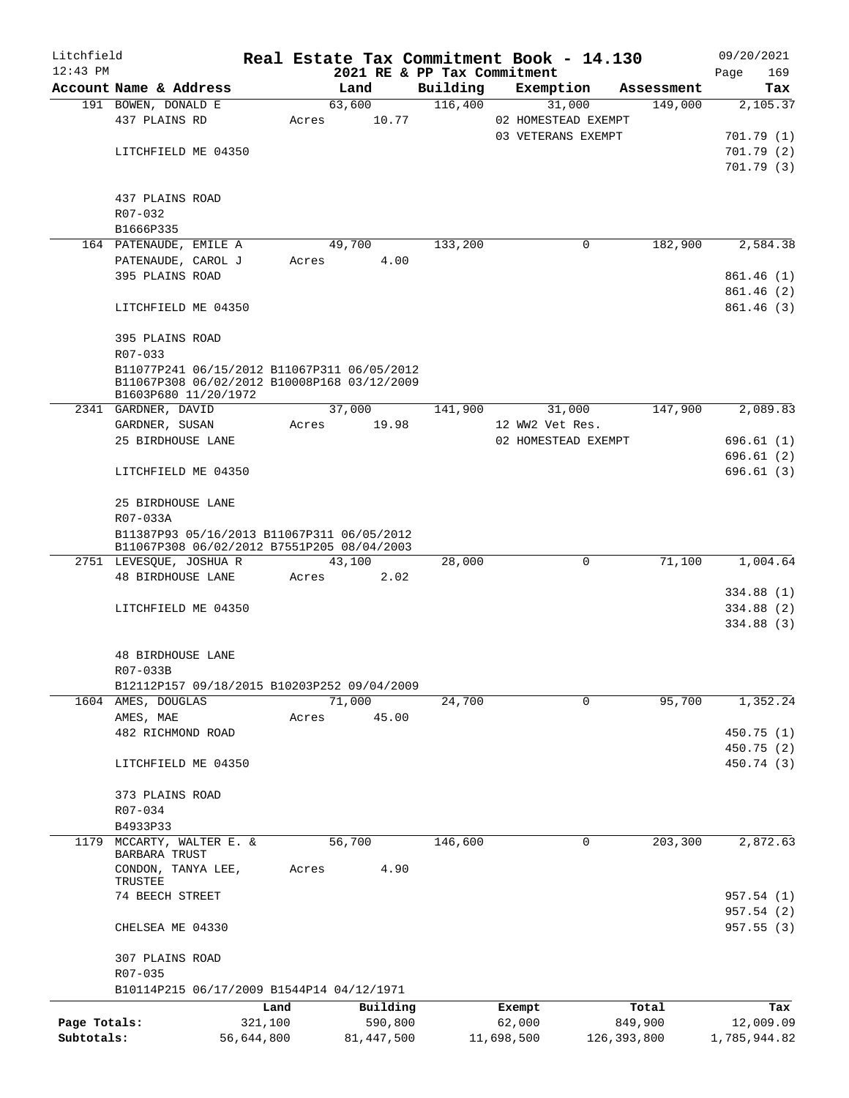| Litchfield   |                                                                       |                 | Real Estate Tax Commitment Book - 14.130 |                             |                  |                     |                  | 09/20/2021               |
|--------------|-----------------------------------------------------------------------|-----------------|------------------------------------------|-----------------------------|------------------|---------------------|------------------|--------------------------|
| $12:43$ PM   |                                                                       |                 |                                          | 2021 RE & PP Tax Commitment |                  |                     |                  | 169<br>Page              |
|              | Account Name & Address                                                |                 | Land                                     | Building                    |                  | Exemption           | Assessment       | Tax                      |
|              | 191 BOWEN, DONALD E                                                   |                 | 63,600                                   | 116,400                     |                  | 31,000              | 149,000          | 2,105.37                 |
|              | 437 PLAINS RD                                                         | Acres           | 10.77                                    |                             |                  | 02 HOMESTEAD EXEMPT |                  |                          |
|              |                                                                       |                 |                                          |                             |                  | 03 VETERANS EXEMPT  |                  | 701.79(1)                |
|              | LITCHFIELD ME 04350                                                   |                 |                                          |                             |                  |                     |                  | 701.79(2)                |
|              |                                                                       |                 |                                          |                             |                  |                     |                  | 701.79 (3)               |
|              | 437 PLAINS ROAD                                                       |                 |                                          |                             |                  |                     |                  |                          |
|              | R07-032                                                               |                 |                                          |                             |                  |                     |                  |                          |
|              | B1666P335                                                             |                 |                                          |                             |                  |                     |                  |                          |
|              | 164 PATENAUDE, EMILE A                                                |                 | 49,700                                   | 133,200                     |                  | 0                   | 182,900          | 2,584.38                 |
|              | PATENAUDE, CAROL J                                                    | Acres           | 4.00                                     |                             |                  |                     |                  |                          |
|              | 395 PLAINS ROAD                                                       |                 |                                          |                             |                  |                     |                  | 861.46(1)                |
|              |                                                                       |                 |                                          |                             |                  |                     |                  | 861.46(2)                |
|              | LITCHFIELD ME 04350                                                   |                 |                                          |                             |                  |                     |                  | 861.46(3)                |
|              |                                                                       |                 |                                          |                             |                  |                     |                  |                          |
|              | 395 PLAINS ROAD                                                       |                 |                                          |                             |                  |                     |                  |                          |
|              | R07-033                                                               |                 |                                          |                             |                  |                     |                  |                          |
|              | B11077P241 06/15/2012 B11067P311 06/05/2012                           |                 |                                          |                             |                  |                     |                  |                          |
|              | B11067P308 06/02/2012 B10008P168 03/12/2009                           |                 |                                          |                             |                  |                     |                  |                          |
|              | B1603P680 11/20/1972                                                  |                 |                                          |                             |                  |                     |                  |                          |
|              | 2341 GARDNER, DAVID                                                   |                 | 37,000                                   | 141,900                     |                  | 31,000              | 147,900          | 2,089.83                 |
|              | GARDNER, SUSAN                                                        | Acres           | 19.98                                    |                             | 12 WW2 Vet Res.  |                     |                  |                          |
|              | 25 BIRDHOUSE LANE                                                     |                 |                                          |                             |                  | 02 HOMESTEAD EXEMPT |                  | 696.61(1)                |
|              |                                                                       |                 |                                          |                             |                  |                     |                  | 696.61(2)                |
|              | LITCHFIELD ME 04350                                                   |                 |                                          |                             |                  |                     |                  | 696.61(3)                |
|              |                                                                       |                 |                                          |                             |                  |                     |                  |                          |
|              | 25 BIRDHOUSE LANE                                                     |                 |                                          |                             |                  |                     |                  |                          |
|              | R07-033A                                                              |                 |                                          |                             |                  |                     |                  |                          |
|              | B11387P93 05/16/2013 B11067P311 06/05/2012                            |                 |                                          |                             |                  |                     |                  |                          |
|              | B11067P308 06/02/2012 B7551P205 08/04/2003<br>2751 LEVESQUE, JOSHUA R |                 | 43,100                                   | 28,000                      |                  | $\mathbf 0$         | 71,100           | 1,004.64                 |
|              | 48 BIRDHOUSE LANE                                                     | Acres           | 2.02                                     |                             |                  |                     |                  |                          |
|              |                                                                       |                 |                                          |                             |                  |                     |                  | 334.88 (1)               |
|              | LITCHFIELD ME 04350                                                   |                 |                                          |                             |                  |                     |                  | 334.88 (2)               |
|              |                                                                       |                 |                                          |                             |                  |                     |                  | 334.88 (3)               |
|              |                                                                       |                 |                                          |                             |                  |                     |                  |                          |
|              | 48 BIRDHOUSE LANE                                                     |                 |                                          |                             |                  |                     |                  |                          |
|              | $R07 - 033B$                                                          |                 |                                          |                             |                  |                     |                  |                          |
|              | B12112P157 09/18/2015 B10203P252 09/04/2009                           |                 |                                          |                             |                  |                     |                  |                          |
|              | 1604 AMES, DOUGLAS                                                    |                 | 71,000                                   | 24,700                      |                  | $\mathbf 0$         | 95,700           | 1,352.24                 |
|              | AMES, MAE                                                             | Acres           | 45.00                                    |                             |                  |                     |                  |                          |
|              | 482 RICHMOND ROAD                                                     |                 |                                          |                             |                  |                     |                  | 450.75(1)                |
|              |                                                                       |                 |                                          |                             |                  |                     |                  | 450.75 (2)               |
|              | LITCHFIELD ME 04350                                                   |                 |                                          |                             |                  |                     |                  | 450.74 (3)               |
|              |                                                                       |                 |                                          |                             |                  |                     |                  |                          |
|              | 373 PLAINS ROAD                                                       |                 |                                          |                             |                  |                     |                  |                          |
|              | R07-034                                                               |                 |                                          |                             |                  |                     |                  |                          |
|              | B4933P33                                                              |                 |                                          |                             |                  |                     |                  |                          |
| 1179         | MCCARTY, WALTER E. &                                                  |                 | 56,700                                   | 146,600                     |                  | 0                   | 203,300          | 2,872.63                 |
|              | BARBARA TRUST                                                         |                 |                                          |                             |                  |                     |                  |                          |
|              | CONDON, TANYA LEE,                                                    | Acres           | 4.90                                     |                             |                  |                     |                  |                          |
|              | TRUSTEE                                                               |                 |                                          |                             |                  |                     |                  |                          |
|              | 74 BEECH STREET                                                       |                 |                                          |                             |                  |                     |                  | 957.54 (1)<br>957.54 (2) |
|              |                                                                       |                 |                                          |                             |                  |                     |                  |                          |
|              | CHELSEA ME 04330                                                      |                 |                                          |                             |                  |                     |                  | 957.55(3)                |
|              | 307 PLAINS ROAD                                                       |                 |                                          |                             |                  |                     |                  |                          |
|              | R07-035                                                               |                 |                                          |                             |                  |                     |                  |                          |
|              | B10114P215 06/17/2009 B1544P14 04/12/1971                             |                 |                                          |                             |                  |                     |                  |                          |
|              |                                                                       |                 |                                          |                             |                  |                     |                  |                          |
| Page Totals: |                                                                       | Land<br>321,100 | Building<br>590,800                      |                             | Exempt<br>62,000 |                     | Total<br>849,900 | Tax<br>12,009.09         |
| Subtotals:   |                                                                       | 56,644,800      | 81, 447, 500                             |                             | 11,698,500       | 126, 393, 800       |                  | 1,785,944.82             |
|              |                                                                       |                 |                                          |                             |                  |                     |                  |                          |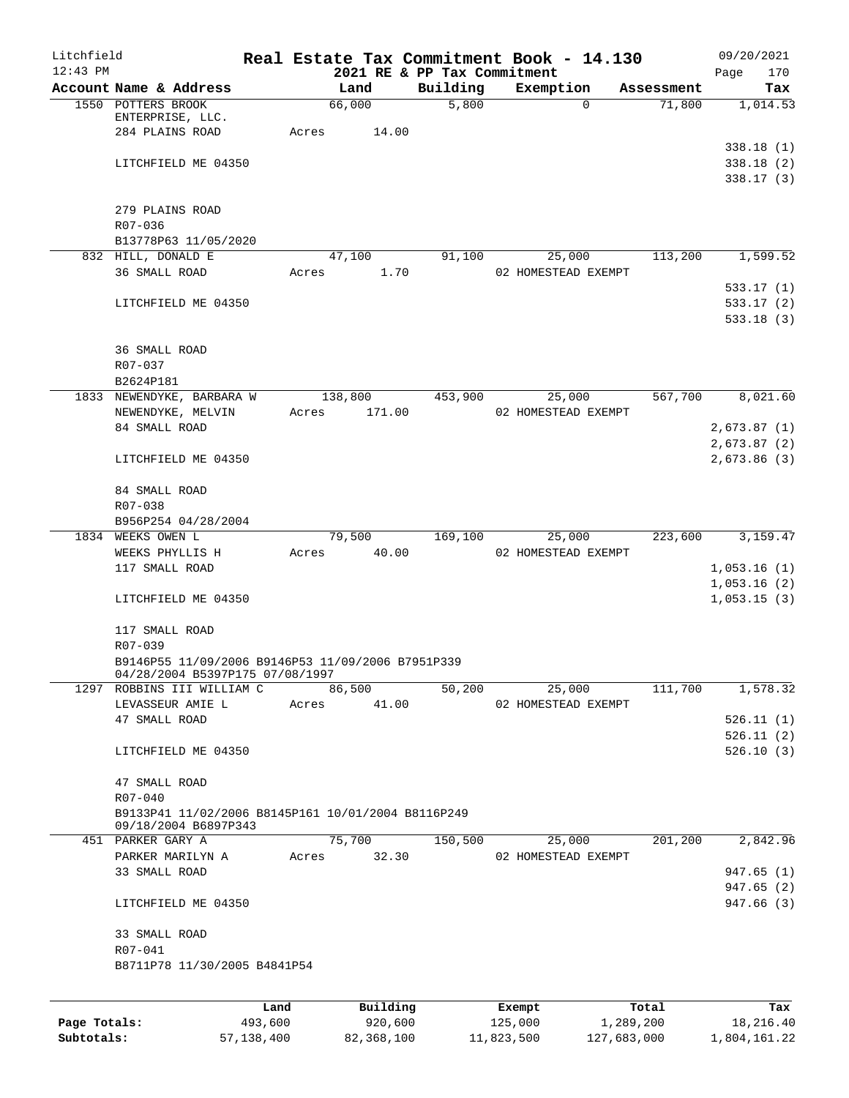| Litchfield<br>$12:43$ PM |                                                                                       |         |       |                 |      | 2021 RE & PP Tax Commitment | Real Estate Tax Commitment Book - 14.130 |                    | 09/20/2021<br>170<br>Page            |
|--------------------------|---------------------------------------------------------------------------------------|---------|-------|-----------------|------|-----------------------------|------------------------------------------|--------------------|--------------------------------------|
|                          | Account Name & Address                                                                |         |       | Land            |      | Building                    | Exemption                                | Assessment         | Tax                                  |
|                          | 1550 POTTERS BROOK<br>ENTERPRISE, LLC.<br>284 PLAINS ROAD                             |         | Acres | 66,000<br>14.00 |      | 5,800                       | $\Omega$                                 | 71,800             | 1,014.53                             |
|                          | LITCHFIELD ME 04350                                                                   |         |       |                 |      |                             |                                          |                    | 338.18(1)<br>338.18(2)<br>338.17(3)  |
|                          | 279 PLAINS ROAD<br>R07-036                                                            |         |       |                 |      |                             |                                          |                    |                                      |
|                          | B13778P63 11/05/2020                                                                  |         |       |                 |      |                             |                                          |                    |                                      |
|                          | 832 HILL, DONALD E<br>36 SMALL ROAD                                                   |         | Acres | 47,100          | 1.70 | 91,100                      | 25,000<br>02 HOMESTEAD EXEMPT            | 113,200            | 1,599.52                             |
|                          | LITCHFIELD ME 04350                                                                   |         |       |                 |      |                             |                                          |                    | 533.17 (1)<br>533.17(2)<br>533.18(3) |
|                          | 36 SMALL ROAD<br>R07-037<br>B2624P181                                                 |         |       |                 |      |                             |                                          |                    |                                      |
|                          | 1833 NEWENDYKE, BARBARA W                                                             |         |       | 138,800         |      | 453,900                     | 25,000                                   | 567,700            | 8,021.60                             |
|                          | NEWENDYKE, MELVIN                                                                     |         | Acres | 171.00          |      |                             | 02 HOMESTEAD EXEMPT                      |                    |                                      |
|                          | 84 SMALL ROAD                                                                         |         |       |                 |      |                             |                                          |                    | 2,673.87(1)<br>2,673.87(2)           |
|                          | LITCHFIELD ME 04350                                                                   |         |       |                 |      |                             |                                          |                    | 2,673.86(3)                          |
|                          | 84 SMALL ROAD<br>R07-038                                                              |         |       |                 |      |                             |                                          |                    |                                      |
|                          | B956P254 04/28/2004                                                                   |         |       |                 |      |                             |                                          |                    |                                      |
|                          | 1834 WEEKS OWEN L                                                                     |         |       | 79,500          |      | 169,100                     | 25,000                                   | 223,600            | 3,159.47                             |
|                          | WEEKS PHYLLIS H                                                                       |         | Acres | 40.00           |      |                             | 02 HOMESTEAD EXEMPT                      |                    |                                      |
|                          | 117 SMALL ROAD                                                                        |         |       |                 |      |                             |                                          |                    | 1,053.16(1)                          |
|                          | LITCHFIELD ME 04350                                                                   |         |       |                 |      |                             |                                          |                    | 1,053.16(2)<br>1,053.15(3)           |
|                          | 117 SMALL ROAD<br>R07-039                                                             |         |       |                 |      |                             |                                          |                    |                                      |
|                          | B9146P55 11/09/2006 B9146P53 11/09/2006 B7951P339<br>04/28/2004 B5397PI75 07/08/1997  |         |       |                 |      |                             |                                          |                    |                                      |
|                          | 1297 ROBBINS III WILLIAM C                                                            |         |       | 86,500          |      | 50,200                      | 25,000                                   | 111,700            | 1,578.32                             |
|                          | LEVASSEUR AMIE L                                                                      |         | Acres | 41.00           |      |                             | 02 HOMESTEAD EXEMPT                      |                    |                                      |
|                          | 47 SMALL ROAD                                                                         |         |       |                 |      |                             |                                          |                    | 526.11(1)                            |
|                          | LITCHFIELD ME 04350                                                                   |         |       |                 |      |                             |                                          |                    | 526.11(2)<br>526.10(3)               |
|                          | 47 SMALL ROAD                                                                         |         |       |                 |      |                             |                                          |                    |                                      |
|                          | R07-040<br>B9133P41 11/02/2006 B8145P161 10/01/2004 B8116P249<br>09/18/2004 B6897P343 |         |       |                 |      |                             |                                          |                    |                                      |
|                          | 451 PARKER GARY A                                                                     |         |       | 75,700          |      | 150,500                     | 25,000                                   | 201,200            | 2,842.96                             |
|                          | PARKER MARILYN A<br>33 SMALL ROAD                                                     |         | Acres | 32.30           |      |                             | 02 HOMESTEAD EXEMPT                      |                    | 947.65(1)                            |
|                          | LITCHFIELD ME 04350                                                                   |         |       |                 |      |                             |                                          |                    | 947.65 (2)<br>947.66 (3)             |
|                          | 33 SMALL ROAD<br>R07-041                                                              |         |       |                 |      |                             |                                          |                    |                                      |
|                          | B8711P78 11/30/2005 B4841P54                                                          |         |       |                 |      |                             |                                          |                    |                                      |
|                          |                                                                                       | Land    |       | Building        |      |                             |                                          |                    | Tax                                  |
| Page Totals:             |                                                                                       | 493,600 |       | 920,600         |      |                             | Exempt<br>125,000                        | Total<br>1,289,200 | 18,216.40                            |

**Subtotals:** 57,138,400 82,368,100 11,823,500 127,683,000 1,804,161.22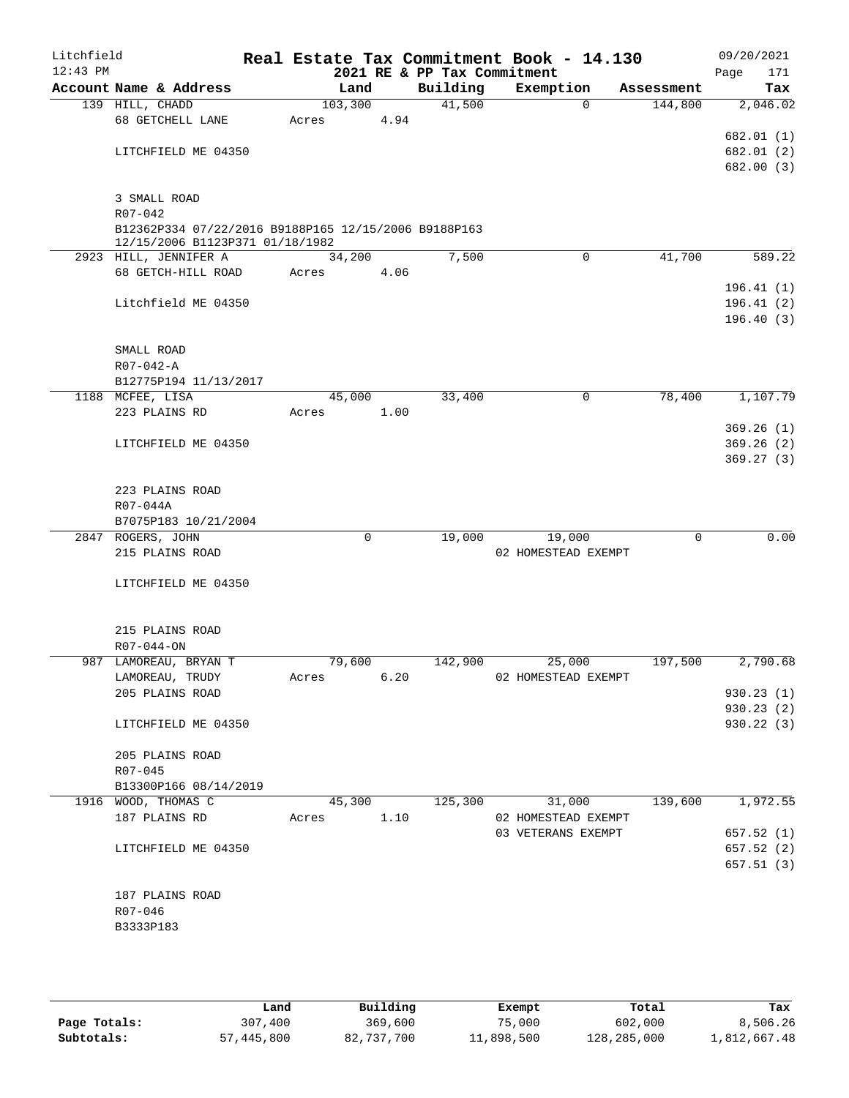| Litchfield<br>$12:43$ PM |                                                                     |             |      | 2021 RE & PP Tax Commitment | Real Estate Tax Commitment Book - 14.130 |                        | 09/20/2021<br>Page<br>171 |
|--------------------------|---------------------------------------------------------------------|-------------|------|-----------------------------|------------------------------------------|------------------------|---------------------------|
|                          | Account Name & Address                                              | Land        |      | Building                    | Exemption                                | Assessment             | Tax                       |
|                          | 139 HILL, CHADD                                                     | 103,300     |      | 41,500                      |                                          | 144,800<br>$\Omega$    | 2,046.02                  |
|                          | 68 GETCHELL LANE                                                    | Acres       | 4.94 |                             |                                          |                        |                           |
|                          |                                                                     |             |      |                             |                                          |                        | 682.01 (1)                |
|                          | LITCHFIELD ME 04350                                                 |             |      |                             |                                          |                        | 682.01 (2)                |
|                          |                                                                     |             |      |                             |                                          |                        | 682.00 (3)                |
|                          |                                                                     |             |      |                             |                                          |                        |                           |
|                          | 3 SMALL ROAD                                                        |             |      |                             |                                          |                        |                           |
|                          | $R07 - 042$<br>B12362P334 07/22/2016 B9188P165 12/15/2006 B9188P163 |             |      |                             |                                          |                        |                           |
|                          | 12/15/2006 B1123P371 01/18/1982                                     |             |      |                             |                                          |                        |                           |
|                          | 2923 HILL, JENNIFER A                                               | 34,200      |      | 7,500                       |                                          | 41,700<br>0            | 589.22                    |
|                          | 68 GETCH-HILL ROAD                                                  | Acres       | 4.06 |                             |                                          |                        |                           |
|                          |                                                                     |             |      |                             |                                          |                        | 196.41(1)                 |
|                          | Litchfield ME 04350                                                 |             |      |                             |                                          |                        | 196.41(2)                 |
|                          |                                                                     |             |      |                             |                                          |                        | 196.40(3)                 |
|                          |                                                                     |             |      |                             |                                          |                        |                           |
|                          | SMALL ROAD                                                          |             |      |                             |                                          |                        |                           |
|                          | $R07 - 042 - A$                                                     |             |      |                             |                                          |                        |                           |
|                          | B12775P194 11/13/2017                                               |             |      |                             |                                          |                        |                           |
|                          | 1188 MCFEE, LISA                                                    | 45,000      |      | 33,400                      |                                          | $\mathsf{O}$<br>78,400 | 1,107.79                  |
|                          | 223 PLAINS RD                                                       | Acres       | 1.00 |                             |                                          |                        |                           |
|                          |                                                                     |             |      |                             |                                          |                        | 369.26(1)                 |
|                          | LITCHFIELD ME 04350                                                 |             |      |                             |                                          |                        | 369.26(2)                 |
|                          |                                                                     |             |      |                             |                                          |                        | 369.27(3)                 |
|                          | 223 PLAINS ROAD                                                     |             |      |                             |                                          |                        |                           |
|                          | R07-044A                                                            |             |      |                             |                                          |                        |                           |
|                          | B7075P183 10/21/2004                                                |             |      |                             |                                          |                        |                           |
|                          | 2847 ROGERS, JOHN                                                   | $\mathbf 0$ |      | 19,000                      | 19,000                                   |                        | 0.00<br>$\mathbf 0$       |
|                          | 215 PLAINS ROAD                                                     |             |      |                             | 02 HOMESTEAD EXEMPT                      |                        |                           |
|                          |                                                                     |             |      |                             |                                          |                        |                           |
|                          | LITCHFIELD ME 04350                                                 |             |      |                             |                                          |                        |                           |
|                          |                                                                     |             |      |                             |                                          |                        |                           |
|                          |                                                                     |             |      |                             |                                          |                        |                           |
|                          | 215 PLAINS ROAD                                                     |             |      |                             |                                          |                        |                           |
|                          | $R07 - 044 - ON$                                                    |             |      |                             |                                          |                        |                           |
|                          | 987 LAMOREAU, BRYAN T                                               | 79,600      |      | 142,900                     | 25,000                                   | 197,500                | 2,790.68                  |
|                          | LAMOREAU, TRUDY                                                     | Acres       | 6.20 |                             | 02 HOMESTEAD EXEMPT                      |                        |                           |
|                          | 205 PLAINS ROAD                                                     |             |      |                             |                                          |                        | 930.23(1)<br>930.23(2)    |
|                          | LITCHFIELD ME 04350                                                 |             |      |                             |                                          |                        | 930.22 (3)                |
|                          |                                                                     |             |      |                             |                                          |                        |                           |
|                          | 205 PLAINS ROAD                                                     |             |      |                             |                                          |                        |                           |
|                          | R07-045                                                             |             |      |                             |                                          |                        |                           |
|                          | B13300P166 08/14/2019                                               |             |      |                             |                                          |                        |                           |
|                          | 1916 WOOD, THOMAS C                                                 | 45,300      |      | 125,300                     | 31,000                                   | 139,600                | 1,972.55                  |
|                          | 187 PLAINS RD                                                       | Acres       | 1.10 |                             | 02 HOMESTEAD EXEMPT                      |                        |                           |
|                          |                                                                     |             |      |                             | 03 VETERANS EXEMPT                       |                        | 657.52(1)                 |
|                          | LITCHFIELD ME 04350                                                 |             |      |                             |                                          |                        | 657.52(2)                 |
|                          |                                                                     |             |      |                             |                                          |                        | 657.51(3)                 |
|                          |                                                                     |             |      |                             |                                          |                        |                           |
|                          | 187 PLAINS ROAD                                                     |             |      |                             |                                          |                        |                           |
|                          | R07-046                                                             |             |      |                             |                                          |                        |                           |
|                          | B3333P183                                                           |             |      |                             |                                          |                        |                           |
|                          |                                                                     |             |      |                             |                                          |                        |                           |
|                          |                                                                     |             |      |                             |                                          |                        |                           |

|              | Land       | Building   | Exempt     | Total       | Tax          |
|--------------|------------|------------|------------|-------------|--------------|
| Page Totals: | 307,400    | 369,600    | 75,000     | 602,000     | 8,506.26     |
| Subtotals:   | 57,445,800 | 82,737,700 | 11,898,500 | 128,285,000 | 1,812,667.48 |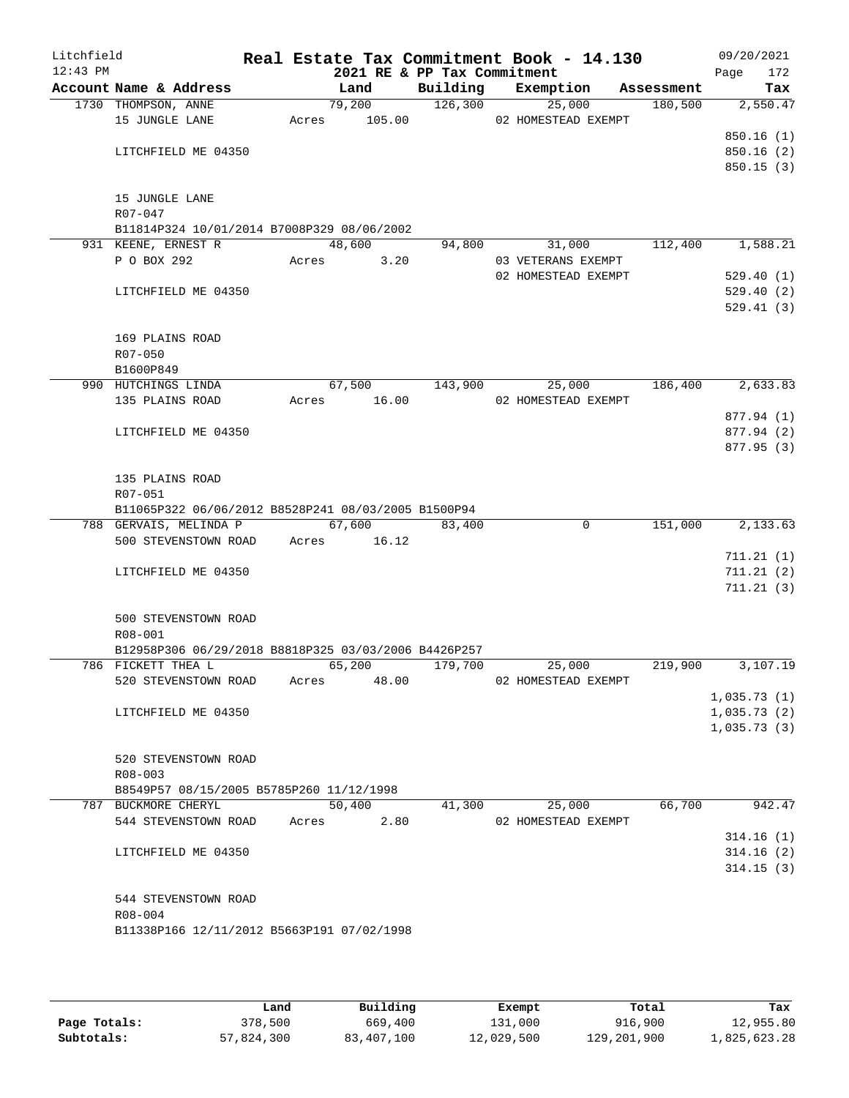| Litchfield<br>$12:43$ PM |                                                      |       | 2021 RE & PP Tax Commitment |          | Real Estate Tax Commitment Book - 14.130 |             |            | 09/20/2021<br>Page<br>172 |
|--------------------------|------------------------------------------------------|-------|-----------------------------|----------|------------------------------------------|-------------|------------|---------------------------|
|                          | Account Name & Address                               |       | Land                        | Building | Exemption                                |             | Assessment | Tax                       |
|                          | 1730 THOMPSON, ANNE                                  |       | 79,200                      | 126,300  | 25,000                                   |             | 180,500    | 2,550.47                  |
|                          | 15 JUNGLE LANE                                       | Acres | 105.00                      |          | 02 HOMESTEAD EXEMPT                      |             |            |                           |
|                          |                                                      |       |                             |          |                                          |             |            | 850.16(1)                 |
|                          | LITCHFIELD ME 04350                                  |       |                             |          |                                          |             |            | 850.16 (2)                |
|                          |                                                      |       |                             |          |                                          |             |            | 850.15(3)                 |
|                          | 15 JUNGLE LANE                                       |       |                             |          |                                          |             |            |                           |
|                          | R07-047                                              |       |                             |          |                                          |             |            |                           |
|                          | B11814P324 10/01/2014 B7008P329 08/06/2002           |       |                             |          |                                          |             |            |                           |
|                          | 931 KEENE, ERNEST R                                  |       | 48,600                      | 94,800   | 31,000                                   |             | 112,400    | 1,588.21                  |
|                          | P O BOX 292                                          | Acres | 3.20                        |          | 03 VETERANS EXEMPT                       |             |            |                           |
|                          |                                                      |       |                             |          | 02 HOMESTEAD EXEMPT                      |             |            | 529.40(1)                 |
|                          | LITCHFIELD ME 04350                                  |       |                             |          |                                          |             |            | 529.40(2)                 |
|                          |                                                      |       |                             |          |                                          |             |            | 529.41(3)                 |
|                          |                                                      |       |                             |          |                                          |             |            |                           |
|                          | 169 PLAINS ROAD                                      |       |                             |          |                                          |             |            |                           |
|                          | R07-050                                              |       |                             |          |                                          |             |            |                           |
|                          | B1600P849                                            |       |                             |          |                                          |             |            |                           |
|                          | 990 HUTCHINGS LINDA                                  |       | 67,500                      | 143,900  | 25,000                                   |             | 186,400    | 2,633.83                  |
|                          | 135 PLAINS ROAD                                      | Acres | 16.00                       |          | 02 HOMESTEAD EXEMPT                      |             |            |                           |
|                          |                                                      |       |                             |          |                                          |             |            | 877.94 (1)                |
|                          | LITCHFIELD ME 04350                                  |       |                             |          |                                          |             |            | 877.94 (2)                |
|                          |                                                      |       |                             |          |                                          |             |            | 877.95 (3)                |
|                          | 135 PLAINS ROAD                                      |       |                             |          |                                          |             |            |                           |
|                          | R07-051                                              |       |                             |          |                                          |             |            |                           |
|                          | B11065P322 06/06/2012 B8528P241 08/03/2005 B1500P94  |       |                             |          |                                          |             |            |                           |
|                          | 788 GERVAIS, MELINDA P                               |       | 67,600                      | 83,400   |                                          | $\mathbf 0$ | 151,000    | 2,133.63                  |
|                          | 500 STEVENSTOWN ROAD                                 | Acres | 16.12                       |          |                                          |             |            |                           |
|                          |                                                      |       |                             |          |                                          |             |            | 711.21(1)                 |
|                          | LITCHFIELD ME 04350                                  |       |                             |          |                                          |             |            | 711.21(2)                 |
|                          |                                                      |       |                             |          |                                          |             |            | 711.21(3)                 |
|                          |                                                      |       |                             |          |                                          |             |            |                           |
|                          | 500 STEVENSTOWN ROAD                                 |       |                             |          |                                          |             |            |                           |
|                          | R08-001                                              |       |                             |          |                                          |             |            |                           |
|                          | B12958P306 06/29/2018 B8818P325 03/03/2006 B4426P257 |       |                             |          |                                          |             |            |                           |
|                          | 786 FICKETT THEA L<br>520 STEVENSTOWN ROAD           | Acres | 65,200<br>48.00             | 179,700  | 25,000<br>02 HOMESTEAD EXEMPT            |             | 219,900    | 3,107.19                  |
|                          |                                                      |       |                             |          |                                          |             |            | 1,035.73(1)               |
|                          | LITCHFIELD ME 04350                                  |       |                             |          |                                          |             |            | 1,035.73(2)               |
|                          |                                                      |       |                             |          |                                          |             |            | 1,035.73(3)               |
|                          |                                                      |       |                             |          |                                          |             |            |                           |
|                          | 520 STEVENSTOWN ROAD                                 |       |                             |          |                                          |             |            |                           |
|                          | $R08 - 003$                                          |       |                             |          |                                          |             |            |                           |
|                          | B8549P57 08/15/2005 B5785P260 11/12/1998             |       |                             |          |                                          |             |            |                           |
|                          | 787 BUCKMORE CHERYL                                  |       | 50,400                      | 41,300   | 25,000                                   |             | 66,700     | 942.47                    |
|                          | 544 STEVENSTOWN ROAD                                 | Acres | 2.80                        |          | 02 HOMESTEAD EXEMPT                      |             |            |                           |
|                          |                                                      |       |                             |          |                                          |             |            | 314.16(1)                 |
|                          | LITCHFIELD ME 04350                                  |       |                             |          |                                          |             |            | 314.16(2)                 |
|                          |                                                      |       |                             |          |                                          |             |            | 314.15(3)                 |
|                          |                                                      |       |                             |          |                                          |             |            |                           |
|                          | 544 STEVENSTOWN ROAD<br>R08-004                      |       |                             |          |                                          |             |            |                           |
|                          | B11338P166 12/11/2012 B5663P191 07/02/1998           |       |                             |          |                                          |             |            |                           |
|                          |                                                      |       |                             |          |                                          |             |            |                           |
|                          |                                                      |       |                             |          |                                          |             |            |                           |

|              | úand       | Building   | Exempt     | Total       | Tax          |
|--------------|------------|------------|------------|-------------|--------------|
| Page Totals: | 378,500    | 669,400    | 131,000    | 916,900     | 12,955.80    |
| Subtotals:   | 57,824,300 | 83,407,100 | 12,029,500 | 129,201,900 | 1,825,623.28 |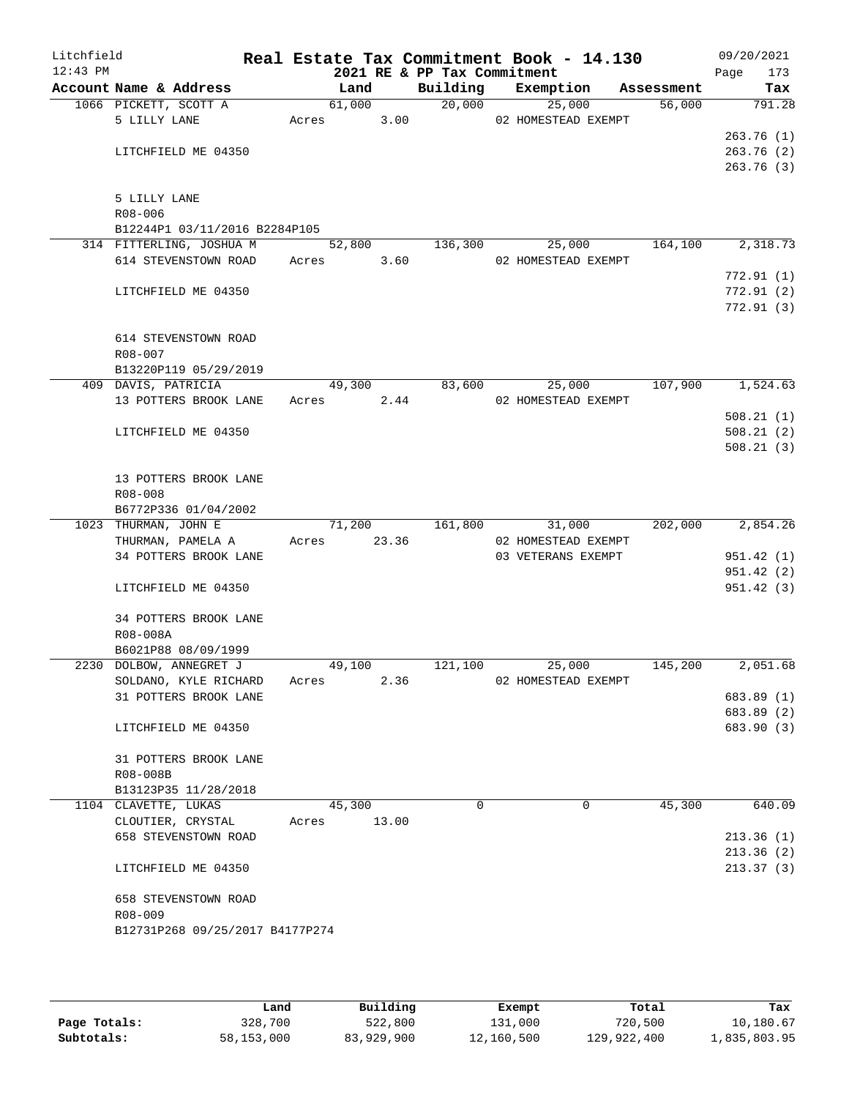| Litchfield<br>$12:43$ PM |                             |                                 |       |             |       | 2021 RE & PP Tax Commitment | Real Estate Tax Commitment Book - 14.130 |            | 09/20/2021<br>Page<br>173 |
|--------------------------|-----------------------------|---------------------------------|-------|-------------|-------|-----------------------------|------------------------------------------|------------|---------------------------|
|                          |                             | Account Name & Address          |       | Land        |       | Building                    | Exemption                                | Assessment | Tax                       |
|                          |                             | 1066 PICKETT, SCOTT A           |       | 61,000      |       | 20,000                      | 25,000                                   | 56,000     | 791.28                    |
|                          | 5 LILLY LANE                |                                 |       |             |       |                             | Acres 3.00 02 HOMESTEAD EXEMPT           |            |                           |
|                          |                             |                                 |       |             |       |                             |                                          |            | 263.76(1)                 |
|                          |                             | LITCHFIELD ME 04350             |       |             |       |                             |                                          |            | 263.76(2)                 |
|                          |                             |                                 |       |             |       |                             |                                          |            | 263.76(3)                 |
|                          |                             |                                 |       |             |       |                             |                                          |            |                           |
|                          | 5 LILLY LANE<br>$R08 - 006$ |                                 |       |             |       |                             |                                          |            |                           |
|                          |                             | B12244P1 03/11/2016 B2284P105   |       |             |       |                             |                                          |            |                           |
|                          |                             | 314 FITTERLING, JOSHUA M        |       | 52,800      |       | 136,300                     | 25,000                                   | 164,100    | 2,318.73                  |
|                          |                             | 614 STEVENSTOWN ROAD Acres 3.60 |       |             |       |                             | 02 HOMESTEAD EXEMPT                      |            |                           |
|                          |                             |                                 |       |             |       |                             |                                          |            | 772.91(1)                 |
|                          |                             | LITCHFIELD ME 04350             |       |             |       |                             |                                          |            | 772.91(2)                 |
|                          |                             |                                 |       |             |       |                             |                                          |            | 772.91(3)                 |
|                          |                             |                                 |       |             |       |                             |                                          |            |                           |
|                          |                             | 614 STEVENSTOWN ROAD            |       |             |       |                             |                                          |            |                           |
|                          | $R08 - 007$                 |                                 |       |             |       |                             |                                          |            |                           |
|                          |                             | B13220P119 05/29/2019           |       |             |       |                             |                                          |            |                           |
|                          |                             | 409 DAVIS, PATRICIA             |       | 49,300      |       | 83,600                      | 25,000                                   | 107,900    | 1,524.63                  |
|                          |                             | 13 POTTERS BROOK LANE           |       | Acres 2.44  |       |                             | 02 HOMESTEAD EXEMPT                      |            |                           |
|                          |                             |                                 |       |             |       |                             |                                          |            | 508.21(1)                 |
|                          |                             | LITCHFIELD ME 04350             |       |             |       |                             |                                          |            | 508.21(2)                 |
|                          |                             |                                 |       |             |       |                             |                                          |            | 508.21(3)                 |
|                          |                             | 13 POTTERS BROOK LANE           |       |             |       |                             |                                          |            |                           |
|                          | $R08 - 008$                 |                                 |       |             |       |                             |                                          |            |                           |
|                          |                             | B6772P336 01/04/2002            |       |             |       |                             |                                          |            |                           |
|                          | 1023 THURMAN, JOHN E        |                                 |       | 71,200      |       | 161,800                     | 31,000                                   | 202,000    | 2,854.26                  |
|                          |                             | THURMAN, PAMELA A               |       | Acres 23.36 |       |                             | 02 HOMESTEAD EXEMPT                      |            |                           |
|                          |                             | 34 POTTERS BROOK LANE           |       |             |       |                             | 03 VETERANS EXEMPT                       |            | 951.42(1)                 |
|                          |                             |                                 |       |             |       |                             |                                          |            | 951.42(2)                 |
|                          |                             | LITCHFIELD ME 04350             |       |             |       |                             |                                          |            | 951.42(3)                 |
|                          |                             |                                 |       |             |       |                             |                                          |            |                           |
|                          |                             | 34 POTTERS BROOK LANE           |       |             |       |                             |                                          |            |                           |
|                          | R08-008A                    |                                 |       |             |       |                             |                                          |            |                           |
|                          |                             | B6021P88 08/09/1999             |       |             |       |                             |                                          |            |                           |
|                          |                             | 2230 DOLBOW, ANNEGRET J         |       | 49,100      |       | 121,100                     | 25,000                                   | 145,200    | 2,051.68                  |
|                          |                             | SOLDANO, KYLE RICHARD           | Acres |             | 2.36  |                             | 02 HOMESTEAD EXEMPT                      |            |                           |
|                          |                             | 31 POTTERS BROOK LANE           |       |             |       |                             |                                          |            | 683.89 (1)<br>683.89 (2)  |
|                          |                             | LITCHFIELD ME 04350             |       |             |       |                             |                                          |            | 683.90 (3)                |
|                          |                             |                                 |       |             |       |                             |                                          |            |                           |
|                          |                             | 31 POTTERS BROOK LANE           |       |             |       |                             |                                          |            |                           |
|                          | R08-008B                    |                                 |       |             |       |                             |                                          |            |                           |
|                          |                             | B13123P35 11/28/2018            |       |             |       |                             |                                          |            |                           |
|                          | 1104 CLAVETTE, LUKAS        |                                 |       | 45,300      |       | $\Omega$                    | $\Omega$                                 | 45,300     | 640.09                    |
|                          |                             | CLOUTIER, CRYSTAL               | Acres |             | 13.00 |                             |                                          |            |                           |
|                          |                             | 658 STEVENSTOWN ROAD            |       |             |       |                             |                                          |            | 213.36(1)                 |
|                          |                             |                                 |       |             |       |                             |                                          |            | 213.36(2)                 |
|                          |                             | LITCHFIELD ME 04350             |       |             |       |                             |                                          |            | 213.37(3)                 |
|                          |                             | 658 STEVENSTOWN ROAD            |       |             |       |                             |                                          |            |                           |
|                          | R08-009                     |                                 |       |             |       |                             |                                          |            |                           |
|                          |                             | B12731P268 09/25/2017 B4177P274 |       |             |       |                             |                                          |            |                           |
|                          |                             |                                 |       |             |       |                             |                                          |            |                           |
|                          |                             |                                 |       |             |       |                             |                                          |            |                           |

|              | Land       | Building   | Exempt     | Total       | Tax          |
|--------------|------------|------------|------------|-------------|--------------|
| Page Totals: | 328,700    | 522,800    | 131,000    | 720,500     | 10,180.67    |
| Subtotals:   | 58,153,000 | 83,929,900 | 12,160,500 | 129,922,400 | 1,835,803.95 |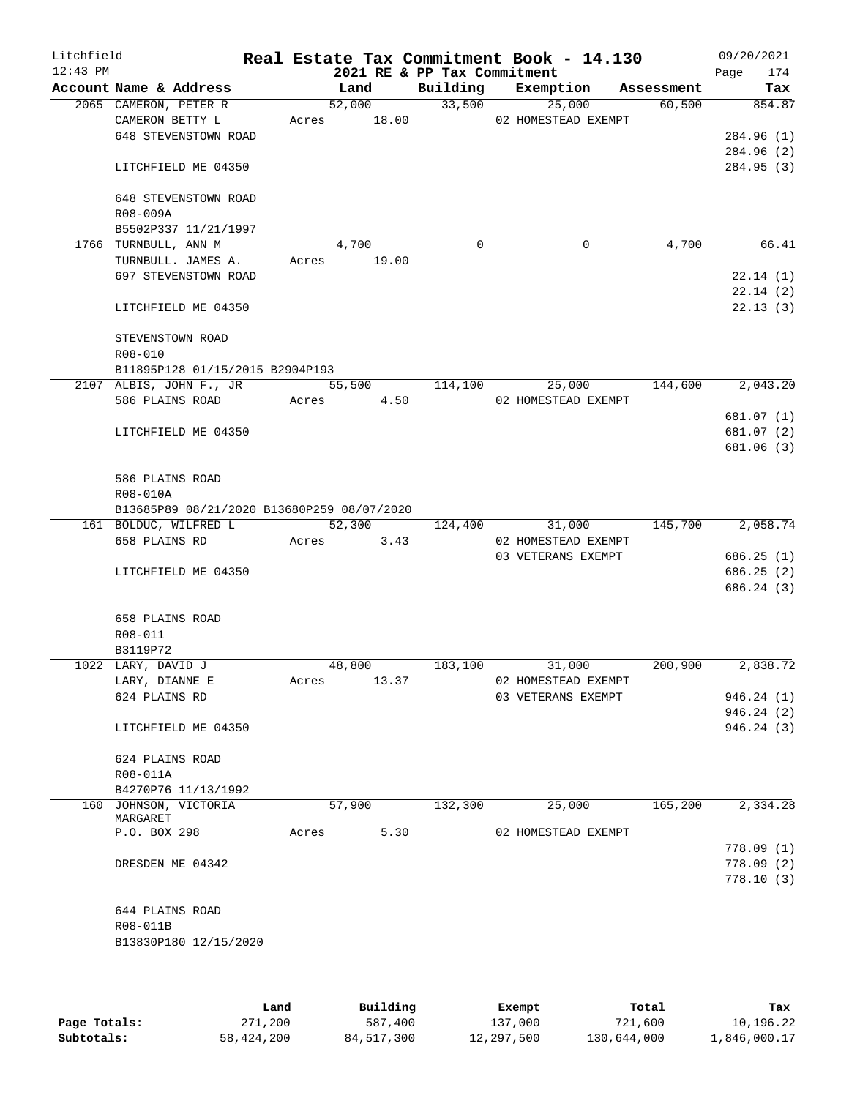| Litchfield<br>$12:43$ PM |                                            |       |               | 2021 RE & PP Tax Commitment | Real Estate Tax Commitment Book - 14.130 |            | 09/20/2021<br>174<br>Page |
|--------------------------|--------------------------------------------|-------|---------------|-----------------------------|------------------------------------------|------------|---------------------------|
|                          | Account Name & Address                     |       | Land          |                             | Building Exemption                       | Assessment | Tax                       |
|                          | 2065 CAMERON, PETER R                      |       | 52,000        | 33,500                      | 25,000                                   | 60,500     | 854.87                    |
|                          | CAMERON BETTY L                            |       | Acres 18.00   |                             | 02 HOMESTEAD EXEMPT                      |            |                           |
|                          | 648 STEVENSTOWN ROAD                       |       |               |                             |                                          |            | 284.96 (1)                |
|                          |                                            |       |               |                             |                                          |            | 284.96 (2)                |
|                          | LITCHFIELD ME 04350                        |       |               |                             |                                          |            | 284.95 (3)                |
|                          | 648 STEVENSTOWN ROAD                       |       |               |                             |                                          |            |                           |
|                          | R08-009A                                   |       |               |                             |                                          |            |                           |
|                          | B5502P337 11/21/1997                       |       |               |                             |                                          |            |                           |
|                          | 1766 TURNBULL, ANN M                       |       | 4,700         | $\Omega$                    | $\mathbf 0$                              | 4,700      | 66.41                     |
|                          | TURNBULL. JAMES A.                         |       | Acres 19.00   |                             |                                          |            |                           |
|                          | 697 STEVENSTOWN ROAD                       |       |               |                             |                                          |            | 22.14(1)                  |
|                          |                                            |       |               |                             |                                          |            | 22.14(2)                  |
|                          | LITCHFIELD ME 04350                        |       |               |                             |                                          |            | 22.13(3)                  |
|                          |                                            |       |               |                             |                                          |            |                           |
|                          | STEVENSTOWN ROAD                           |       |               |                             |                                          |            |                           |
|                          | R08-010                                    |       |               |                             |                                          |            |                           |
|                          | B11895P128 01/15/2015 B2904P193            |       |               |                             |                                          |            |                           |
|                          | 2107 ALBIS, JOHN F., JR                    |       | 55,500        | 114,100                     | 25,000                                   | 144,600    | 2,043.20                  |
|                          | 586 PLAINS ROAD                            |       | 4.50<br>Acres |                             | 02 HOMESTEAD EXEMPT                      |            | 681.07 (1)                |
|                          | LITCHFIELD ME 04350                        |       |               |                             |                                          |            | 681.07 (2)                |
|                          |                                            |       |               |                             |                                          |            | 681.06 (3)                |
|                          |                                            |       |               |                             |                                          |            |                           |
|                          | 586 PLAINS ROAD                            |       |               |                             |                                          |            |                           |
|                          | R08-010A                                   |       |               |                             |                                          |            |                           |
|                          | B13685P89 08/21/2020 B13680P259 08/07/2020 |       |               |                             |                                          |            |                           |
|                          | 161 BOLDUC, WILFRED L                      |       | 52,300        | 124,400                     | 31,000                                   | 145,700    | 2,058.74                  |
|                          | 658 PLAINS RD                              |       | Acres<br>3.43 |                             | 02 HOMESTEAD EXEMPT                      |            |                           |
|                          |                                            |       |               |                             | 03 VETERANS EXEMPT                       |            | 686.25(1)                 |
|                          | LITCHFIELD ME 04350                        |       |               |                             |                                          |            | 686.25 (2)                |
|                          |                                            |       |               |                             |                                          |            | 686.24 (3)                |
|                          | 658 PLAINS ROAD                            |       |               |                             |                                          |            |                           |
|                          | R08-011                                    |       |               |                             |                                          |            |                           |
|                          | B3119P72                                   |       |               |                             |                                          |            |                           |
|                          | 1022 LARY, DAVID J                         |       | 48,800        | 183,100                     | 31,000                                   | 200,900    | 2,838.72                  |
|                          | LARY, DIANNE E                             | Acres | 13.37         |                             | 02 HOMESTEAD EXEMPT                      |            |                           |
|                          | 624 PLAINS RD                              |       |               |                             | 03 VETERANS EXEMPT                       |            | 946.24(1)                 |
|                          |                                            |       |               |                             |                                          |            | 946.24(2)                 |
|                          | LITCHFIELD ME 04350                        |       |               |                             |                                          |            | 946.24 (3)                |
|                          |                                            |       |               |                             |                                          |            |                           |
|                          | 624 PLAINS ROAD                            |       |               |                             |                                          |            |                           |
|                          | R08-011A<br>B4270P76 11/13/1992            |       |               |                             |                                          |            |                           |
|                          | 160 JOHNSON, VICTORIA                      |       | 57,900        | 132,300                     | 25,000                                   | 165,200    | 2,334.28                  |
|                          | MARGARET                                   |       |               |                             |                                          |            |                           |
|                          | P.O. BOX 298                               | Acres | 5.30          |                             | 02 HOMESTEAD EXEMPT                      |            |                           |
|                          |                                            |       |               |                             |                                          |            | 778.09(1)                 |
|                          | DRESDEN ME 04342                           |       |               |                             |                                          |            | 778.09(2)                 |
|                          |                                            |       |               |                             |                                          |            | 778.10(3)                 |
|                          |                                            |       |               |                             |                                          |            |                           |
|                          | 644 PLAINS ROAD                            |       |               |                             |                                          |            |                           |
|                          | R08-011B<br>B13830P180 12/15/2020          |       |               |                             |                                          |            |                           |
|                          |                                            |       |               |                             |                                          |            |                           |
|                          |                                            |       |               |                             |                                          |            |                           |
|                          |                                            |       |               |                             |                                          |            |                           |

|              | Land       | Building   | Exempt     | Total       | Tax          |
|--------------|------------|------------|------------|-------------|--------------|
| Page Totals: | 271,200    | 587,400    | 137,000    | 721,600     | 10,196.22    |
| Subtotals:   | 58,424,200 | 84,517,300 | 12,297,500 | 130,644,000 | 1,846,000.17 |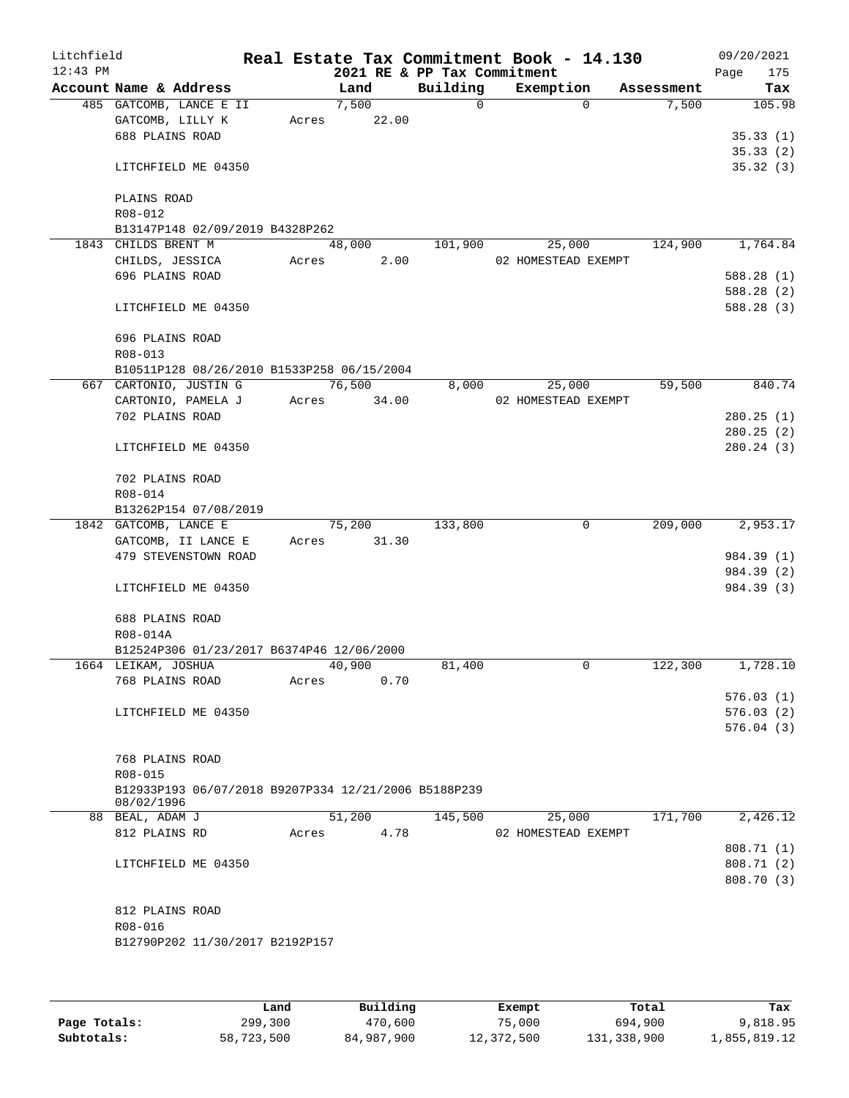| Litchfield |                     |                                            |       |        |       |                                                      | Real Estate Tax Commitment Book - 14.130 |            | 09/20/2021  |  |
|------------|---------------------|--------------------------------------------|-------|--------|-------|------------------------------------------------------|------------------------------------------|------------|-------------|--|
| $12:43$ PM |                     |                                            |       |        |       | 2021 RE & PP Tax Commitment                          |                                          |            | 175<br>Page |  |
|            |                     | Account Name & Address                     |       | Land   |       | Building                                             | Exemption                                | Assessment | Tax         |  |
|            |                     | 485 GATCOMB, LANCE E II                    |       | 7,500  |       | $\Omega$                                             | $\Omega$                                 | 7,500      | 105.98      |  |
|            |                     | GATCOMB, LILLY K                           | Acres |        | 22.00 |                                                      |                                          |            |             |  |
|            |                     | 688 PLAINS ROAD                            |       |        |       |                                                      |                                          |            | 35.33(1)    |  |
|            |                     |                                            |       |        |       |                                                      |                                          |            | 35.33(2)    |  |
|            |                     | LITCHFIELD ME 04350                        |       |        |       |                                                      |                                          |            | 35.32(3)    |  |
|            | PLAINS ROAD         |                                            |       |        |       |                                                      |                                          |            |             |  |
|            | R08-012             |                                            |       |        |       |                                                      |                                          |            |             |  |
|            |                     | B13147P148 02/09/2019 B4328P262            |       |        |       |                                                      |                                          |            |             |  |
|            | 1843 CHILDS BRENT M |                                            |       | 48,000 |       | 101,900                                              | 25,000                                   | 124,900    | 1,764.84    |  |
|            |                     | CHILDS, JESSICA                            |       |        | 2.00  |                                                      | 02 HOMESTEAD EXEMPT                      |            |             |  |
|            |                     |                                            | Acres |        |       |                                                      |                                          |            |             |  |
|            |                     | 696 PLAINS ROAD                            |       |        |       |                                                      |                                          |            | 588.28 (1)  |  |
|            |                     |                                            |       |        |       |                                                      |                                          |            | 588.28 (2)  |  |
|            |                     | LITCHFIELD ME 04350                        |       |        |       |                                                      |                                          |            | 588.28 (3)  |  |
|            | 696 PLAINS ROAD     |                                            |       |        |       |                                                      |                                          |            |             |  |
|            |                     |                                            |       |        |       |                                                      |                                          |            |             |  |
|            | R08-013             |                                            |       |        |       |                                                      |                                          |            |             |  |
|            |                     | B10511P128 08/26/2010 B1533P258 06/15/2004 |       |        |       |                                                      |                                          |            |             |  |
|            |                     | 667 CARTONIO, JUSTIN G                     |       | 76,500 |       | 8,000                                                | 25,000                                   | 59,500     | 840.74      |  |
|            |                     | CARTONIO, PAMELA J                         | Acres |        | 34.00 |                                                      | 02 HOMESTEAD EXEMPT                      |            |             |  |
|            |                     | 702 PLAINS ROAD                            |       |        |       |                                                      |                                          |            | 280.25(1)   |  |
|            |                     |                                            |       |        |       |                                                      |                                          |            | 280.25(2)   |  |
|            |                     | LITCHFIELD ME 04350                        |       |        |       |                                                      |                                          |            | 280.24 (3)  |  |
|            |                     |                                            |       |        |       |                                                      |                                          |            |             |  |
|            |                     | 702 PLAINS ROAD                            |       |        |       |                                                      |                                          |            |             |  |
|            | R08-014             |                                            |       |        |       |                                                      |                                          |            |             |  |
|            |                     | B13262P154 07/08/2019                      |       |        |       |                                                      |                                          |            |             |  |
|            |                     | 1842 GATCOMB, LANCE E                      |       | 75,200 |       | 133,800                                              | 0                                        | 209,000    | 2,953.17    |  |
|            |                     | GATCOMB, II LANCE E                        | Acres |        | 31.30 |                                                      |                                          |            |             |  |
|            |                     | 479 STEVENSTOWN ROAD                       |       |        |       |                                                      |                                          |            | 984.39 (1)  |  |
|            |                     |                                            |       |        |       |                                                      |                                          |            | 984.39 (2)  |  |
|            |                     | LITCHFIELD ME 04350                        |       |        |       |                                                      |                                          |            | 984.39 (3)  |  |
|            |                     |                                            |       |        |       |                                                      |                                          |            |             |  |
|            | 688 PLAINS ROAD     |                                            |       |        |       |                                                      |                                          |            |             |  |
|            | R08-014A            |                                            |       |        |       |                                                      |                                          |            |             |  |
|            |                     | B12524P306 01/23/2017 B6374P46 12/06/2000  |       |        |       |                                                      |                                          |            |             |  |
|            | 1664 LEIKAM, JOSHUA |                                            |       | 40,900 |       | 81,400                                               | 0                                        | 122,300    | 1,728.10    |  |
|            |                     | 768 PLAINS ROAD                            | Acres |        | 0.70  |                                                      |                                          |            |             |  |
|            |                     |                                            |       |        |       |                                                      |                                          |            | 576.03(1)   |  |
|            |                     | LITCHFIELD ME 04350                        |       |        |       |                                                      |                                          |            | 576.03(2)   |  |
|            |                     |                                            |       |        |       |                                                      |                                          |            | 576.04(3)   |  |
|            |                     |                                            |       |        |       |                                                      |                                          |            |             |  |
|            |                     | 768 PLAINS ROAD                            |       |        |       |                                                      |                                          |            |             |  |
|            | R08-015             |                                            |       |        |       |                                                      |                                          |            |             |  |
|            |                     |                                            |       |        |       | B12933P193 06/07/2018 B9207P334 12/21/2006 B5188P239 |                                          |            |             |  |
|            | 08/02/1996          |                                            |       |        |       |                                                      |                                          |            |             |  |
|            | 88 BEAL, ADAM J     |                                            |       | 51,200 |       | 145,500                                              | 25,000                                   | 171,700    | 2,426.12    |  |
|            | 812 PLAINS RD       |                                            | Acres |        | 4.78  |                                                      | 02 HOMESTEAD EXEMPT                      |            |             |  |
|            |                     |                                            |       |        |       |                                                      |                                          |            | 808.71 (1)  |  |
|            |                     | LITCHFIELD ME 04350                        |       |        |       |                                                      |                                          |            | 808.71 (2)  |  |
|            |                     |                                            |       |        |       |                                                      |                                          |            | 808.70 (3)  |  |
|            |                     |                                            |       |        |       |                                                      |                                          |            |             |  |
|            |                     | 812 PLAINS ROAD                            |       |        |       |                                                      |                                          |            |             |  |
|            | R08-016             |                                            |       |        |       |                                                      |                                          |            |             |  |
|            |                     | B12790P202 11/30/2017 B2192P157            |       |        |       |                                                      |                                          |            |             |  |
|            |                     |                                            |       |        |       |                                                      |                                          |            |             |  |
|            |                     |                                            |       |        |       |                                                      |                                          |            |             |  |

|              | Land       | Building   | Exempt     | Total       | Tax          |
|--------------|------------|------------|------------|-------------|--------------|
| Page Totals: | 299,300    | 470,600    | 75,000     | 694,900     | 9,818.95     |
| Subtotals:   | 58,723,500 | 84,987,900 | 12,372,500 | 131,338,900 | 1,855,819.12 |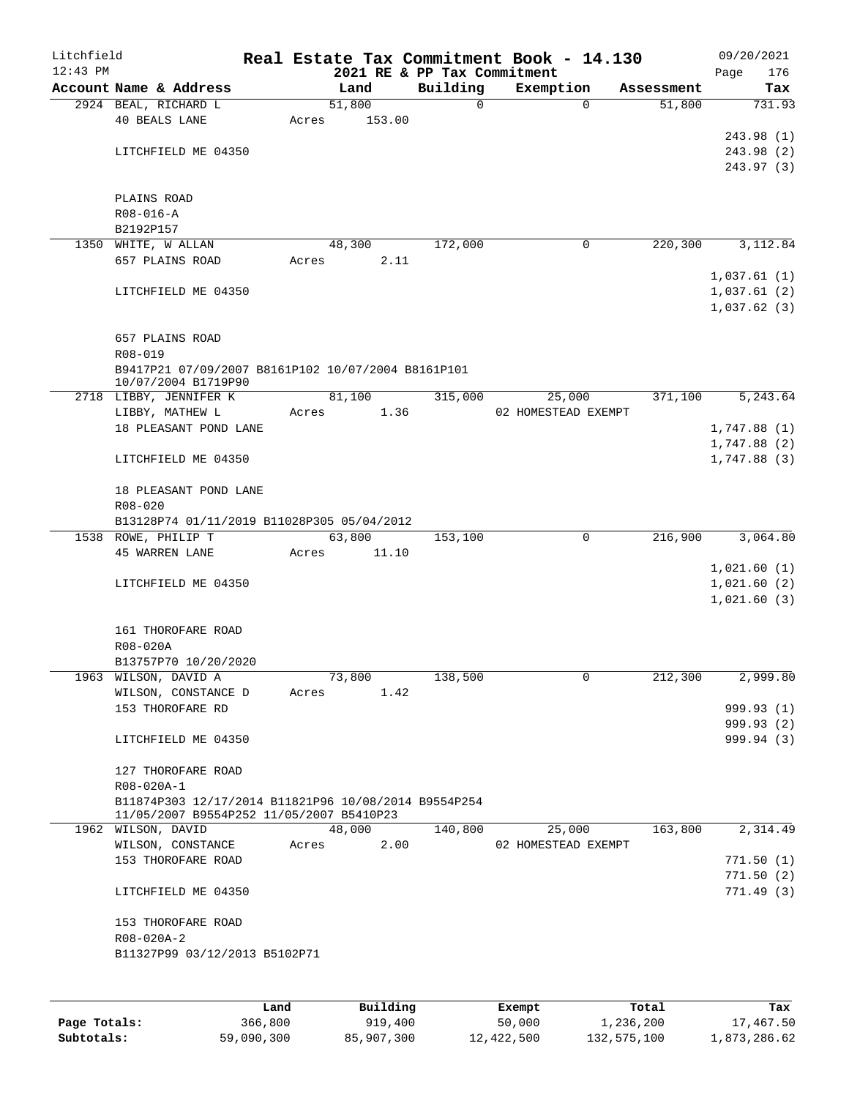| Litchfield |                                                      |       |        |        |                                         | Real Estate Tax Commitment Book - 14.130 |                      | 09/20/2021         |
|------------|------------------------------------------------------|-------|--------|--------|-----------------------------------------|------------------------------------------|----------------------|--------------------|
| $12:43$ PM | Account Name & Address                               |       | Land   |        | 2021 RE & PP Tax Commitment<br>Building | Exemption                                |                      | 176<br>Page<br>Tax |
|            | 2924 BEAL, RICHARD L                                 |       | 51,800 |        | 0                                       | $\mathbf 0$                              | Assessment<br>51,800 | 731.93             |
|            | <b>40 BEALS LANE</b>                                 | Acres |        | 153.00 |                                         |                                          |                      |                    |
|            |                                                      |       |        |        |                                         |                                          |                      | 243.98 (1)         |
|            | LITCHFIELD ME 04350                                  |       |        |        |                                         |                                          |                      | 243.98 (2)         |
|            |                                                      |       |        |        |                                         |                                          |                      | 243.97(3)          |
|            |                                                      |       |        |        |                                         |                                          |                      |                    |
|            | PLAINS ROAD                                          |       |        |        |                                         |                                          |                      |                    |
|            | $R08 - 016 - A$                                      |       |        |        |                                         |                                          |                      |                    |
|            | B2192P157                                            |       |        |        |                                         |                                          |                      |                    |
|            | 1350 WHITE, W ALLAN                                  |       | 48,300 |        | 172,000                                 | 0                                        | 220,300              | 3,112.84           |
|            | 657 PLAINS ROAD                                      | Acres |        | 2.11   |                                         |                                          |                      |                    |
|            |                                                      |       |        |        |                                         |                                          |                      | 1,037.61(1)        |
|            | LITCHFIELD ME 04350                                  |       |        |        |                                         |                                          |                      | 1,037.61(2)        |
|            |                                                      |       |        |        |                                         |                                          |                      | 1,037.62(3)        |
|            |                                                      |       |        |        |                                         |                                          |                      |                    |
|            | 657 PLAINS ROAD                                      |       |        |        |                                         |                                          |                      |                    |
|            | R08-019                                              |       |        |        |                                         |                                          |                      |                    |
|            | B9417P21 07/09/2007 B8161P102 10/07/2004 B8161P101   |       |        |        |                                         |                                          |                      |                    |
|            | 10/07/2004 B1719P90                                  |       |        |        |                                         |                                          |                      |                    |
|            | 2718 LIBBY, JENNIFER K                               |       | 81,100 |        | 315,000                                 | 25,000                                   | 371,100              | 5, 243.64          |
|            | LIBBY, MATHEW L                                      | Acres |        | 1.36   |                                         | 02 HOMESTEAD EXEMPT                      |                      |                    |
|            | 18 PLEASANT POND LANE                                |       |        |        |                                         |                                          |                      | 1,747.88(1)        |
|            |                                                      |       |        |        |                                         |                                          |                      | 1,747.88(2)        |
|            | LITCHFIELD ME 04350                                  |       |        |        |                                         |                                          |                      | 1,747.88 (3)       |
|            |                                                      |       |        |        |                                         |                                          |                      |                    |
|            | 18 PLEASANT POND LANE                                |       |        |        |                                         |                                          |                      |                    |
|            | $R08 - 020$                                          |       |        |        |                                         |                                          |                      |                    |
|            | B13128P74 01/11/2019 B11028P305 05/04/2012           |       |        |        |                                         |                                          |                      |                    |
|            | 1538 ROWE, PHILIP T                                  |       | 63,800 |        | 153,100                                 | 0                                        | 216,900              | 3,064.80           |
|            | <b>45 WARREN LANE</b>                                | Acres |        | 11.10  |                                         |                                          |                      |                    |
|            |                                                      |       |        |        |                                         |                                          |                      | 1,021.60(1)        |
|            | LITCHFIELD ME 04350                                  |       |        |        |                                         |                                          |                      | 1,021.60(2)        |
|            |                                                      |       |        |        |                                         |                                          |                      | 1,021.60(3)        |
|            |                                                      |       |        |        |                                         |                                          |                      |                    |
|            | 161 THOROFARE ROAD                                   |       |        |        |                                         |                                          |                      |                    |
|            | R08-020A                                             |       |        |        |                                         |                                          |                      |                    |
|            | B13757P70 10/20/2020                                 |       |        |        |                                         |                                          |                      |                    |
|            | 1963 WILSON, DAVID A                                 |       | 73,800 |        | 138,500                                 | 0                                        | 212,300              | 2,999.80           |
|            | WILSON, CONSTANCE D                                  | Acres |        | 1.42   |                                         |                                          |                      |                    |
|            | 153 THOROFARE RD                                     |       |        |        |                                         |                                          |                      | 999.93 (1)         |
|            |                                                      |       |        |        |                                         |                                          |                      | 999.93 (2)         |
|            | LITCHFIELD ME 04350                                  |       |        |        |                                         |                                          |                      | 999.94 (3)         |
|            |                                                      |       |        |        |                                         |                                          |                      |                    |
|            | 127 THOROFARE ROAD                                   |       |        |        |                                         |                                          |                      |                    |
|            | R08-020A-1                                           |       |        |        |                                         |                                          |                      |                    |
|            | B11874P303 12/17/2014 B11821P96 10/08/2014 B9554P254 |       |        |        |                                         |                                          |                      |                    |
|            | 11/05/2007 B9554P252 11/05/2007 B5410P23             |       |        |        |                                         |                                          |                      |                    |
|            | 1962 WILSON, DAVID                                   |       | 48,000 |        | 140,800                                 | 25,000                                   | 163,800              | 2,314.49           |
|            | WILSON, CONSTANCE                                    | Acres |        | 2.00   |                                         | 02 HOMESTEAD EXEMPT                      |                      |                    |
|            | 153 THOROFARE ROAD                                   |       |        |        |                                         |                                          |                      | 771.50(1)          |
|            |                                                      |       |        |        |                                         |                                          |                      | 771.50(2)          |
|            | LITCHFIELD ME 04350                                  |       |        |        |                                         |                                          |                      | 771.49(3)          |
|            |                                                      |       |        |        |                                         |                                          |                      |                    |
|            | 153 THOROFARE ROAD                                   |       |        |        |                                         |                                          |                      |                    |
|            | R08-020A-2                                           |       |        |        |                                         |                                          |                      |                    |
|            | B11327P99 03/12/2013 B5102P71                        |       |        |        |                                         |                                          |                      |                    |
|            |                                                      |       |        |        |                                         |                                          |                      |                    |
|            |                                                      |       |        |        |                                         |                                          |                      |                    |
|            |                                                      |       |        |        |                                         |                                          |                      |                    |

|              | Land       | Building   | Exempt     | Total       | Tax          |
|--------------|------------|------------|------------|-------------|--------------|
| Page Totals: | 366,800    | 919,400    | 50,000     | 1,236,200   | 17,467.50    |
| Subtotals:   | 59,090,300 | 85,907,300 | 12,422,500 | 132,575,100 | 1,873,286.62 |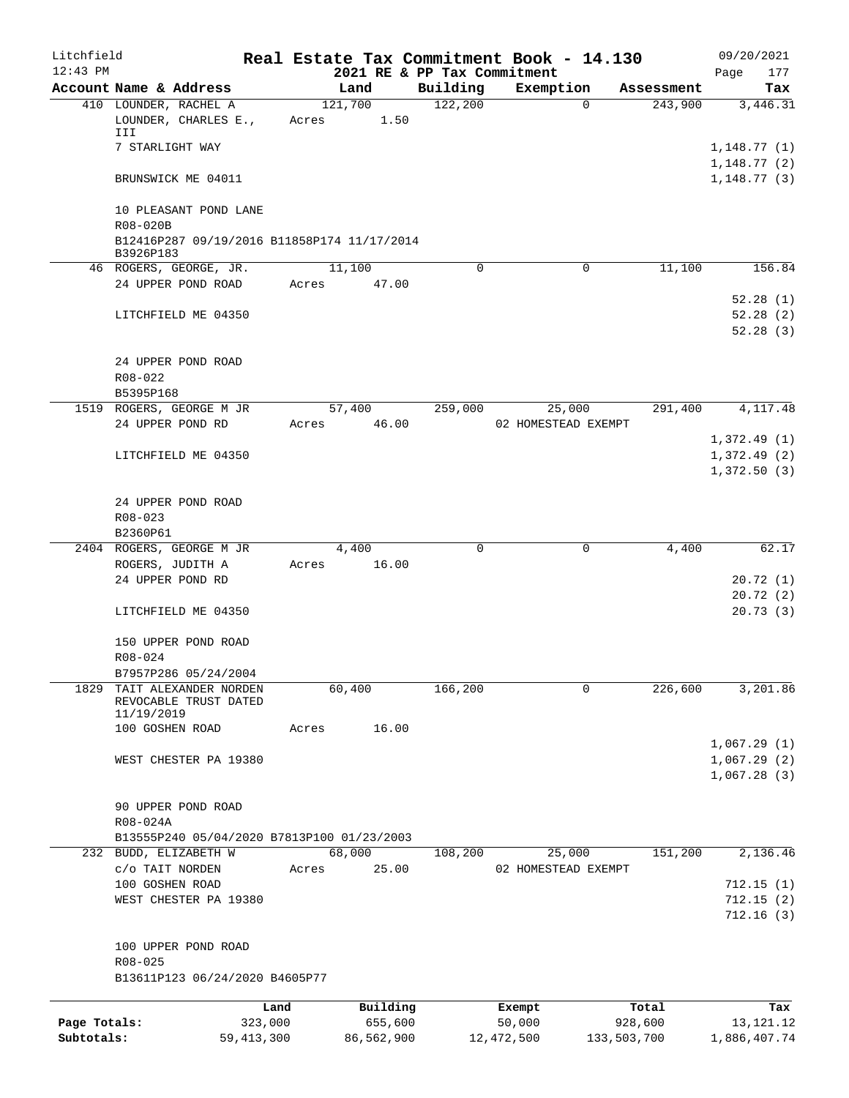| Litchfield   |                                                          |              |       |             |                                         | Real Estate Tax Commitment Book - 14.130 |              |            | 09/20/2021         |
|--------------|----------------------------------------------------------|--------------|-------|-------------|-----------------------------------------|------------------------------------------|--------------|------------|--------------------|
| $12:43$ PM   | Account Name & Address                                   |              |       | Land        | 2021 RE & PP Tax Commitment<br>Building | Exemption                                |              | Assessment | Page<br>177<br>Tax |
|              | 410 LOUNDER, RACHEL A                                    |              |       | 121,700     | 122,200                                 |                                          | $\mathbf{0}$ | 243,900    | 3,446.31           |
|              | LOUNDER, CHARLES E.,<br>III                              |              |       | Acres 1.50  |                                         |                                          |              |            |                    |
|              | 7 STARLIGHT WAY                                          |              |       |             |                                         |                                          |              |            | 1,148.77(1)        |
|              |                                                          |              |       |             |                                         |                                          |              |            | 1,148.77(2)        |
|              | BRUNSWICK ME 04011                                       |              |       |             |                                         |                                          |              |            | 1, 148.77(3)       |
|              | 10 PLEASANT POND LANE<br>R08-020B                        |              |       |             |                                         |                                          |              |            |                    |
|              | B12416P287 09/19/2016 B11858P174 11/17/2014<br>B3926P183 |              |       |             |                                         |                                          |              |            |                    |
|              | 46 ROGERS, GEORGE, JR.                                   |              |       | 11,100      | 0                                       |                                          | 0            | 11,100     | 156.84             |
|              | 24 UPPER POND ROAD                                       |              | Acres | 47.00       |                                         |                                          |              |            |                    |
|              |                                                          |              |       |             |                                         |                                          |              |            | 52.28(1)           |
|              | LITCHFIELD ME 04350                                      |              |       |             |                                         |                                          |              |            | 52.28(2)           |
|              |                                                          |              |       |             |                                         |                                          |              |            | 52.28(3)           |
|              | 24 UPPER POND ROAD                                       |              |       |             |                                         |                                          |              |            |                    |
|              | $R08 - 022$                                              |              |       |             |                                         |                                          |              |            |                    |
|              | B5395P168                                                |              |       |             |                                         |                                          |              |            |                    |
|              | 1519 ROGERS, GEORGE M JR                                 |              |       |             | 57,400 259,000                          | 25,000                                   |              | 291,400    | 4, 117, 48         |
|              | 24 UPPER POND RD                                         |              |       | Acres 46.00 |                                         | 02 HOMESTEAD EXEMPT                      |              |            |                    |
|              |                                                          |              |       |             |                                         |                                          |              |            | 1,372.49(1)        |
|              | LITCHFIELD ME 04350                                      |              |       |             |                                         |                                          |              |            | 1,372.49(2)        |
|              |                                                          |              |       |             |                                         |                                          |              |            | 1,372.50(3)        |
|              | 24 UPPER POND ROAD                                       |              |       |             |                                         |                                          |              |            |                    |
|              | R08-023                                                  |              |       |             |                                         |                                          |              |            |                    |
|              | B2360P61                                                 |              |       |             |                                         |                                          |              |            |                    |
|              | 2404 ROGERS, GEORGE M JR                                 |              |       | 4,400       | 0                                       |                                          | 0            | 4,400      | 62.17              |
|              | ROGERS, JUDITH A                                         |              |       | Acres 16.00 |                                         |                                          |              |            |                    |
|              | 24 UPPER POND RD                                         |              |       |             |                                         |                                          |              |            | 20.72(1)           |
|              |                                                          |              |       |             |                                         |                                          |              |            | 20.72(2)           |
|              | LITCHFIELD ME 04350                                      |              |       |             |                                         |                                          |              |            | 20.73(3)           |
|              | 150 UPPER POND ROAD                                      |              |       |             |                                         |                                          |              |            |                    |
|              | $R08 - 024$                                              |              |       |             |                                         |                                          |              |            |                    |
|              | B7957P286 05/24/2004                                     |              |       |             |                                         |                                          |              |            |                    |
| 1829         | TAIT ALEXANDER NORDEN<br>REVOCABLE TRUST DATED           |              |       | 60,400      | 166, 200                                |                                          | 0            | 226,600    | 3,201.86           |
|              | 11/19/2019                                               |              |       |             |                                         |                                          |              |            |                    |
|              | 100 GOSHEN ROAD                                          |              | Acres | 16.00       |                                         |                                          |              |            |                    |
|              |                                                          |              |       |             |                                         |                                          |              |            | 1,067.29(1)        |
|              | WEST CHESTER PA 19380                                    |              |       |             |                                         |                                          |              |            | 1,067.29(2)        |
|              |                                                          |              |       |             |                                         |                                          |              |            | 1,067.28(3)        |
|              | 90 UPPER POND ROAD                                       |              |       |             |                                         |                                          |              |            |                    |
|              | R08-024A                                                 |              |       |             |                                         |                                          |              |            |                    |
|              | B13555P240 05/04/2020 B7813P100 01/23/2003               |              |       |             |                                         |                                          |              |            |                    |
|              | 232 BUDD, ELIZABETH W                                    |              |       | 68,000      | 108,200                                 | 25,000                                   |              | 151,200    | 2,136.46           |
|              | c/o TAIT NORDEN                                          |              | Acres | 25.00       |                                         | 02 HOMESTEAD EXEMPT                      |              |            |                    |
|              | 100 GOSHEN ROAD                                          |              |       |             |                                         |                                          |              |            | 712.15(1)          |
|              | WEST CHESTER PA 19380                                    |              |       |             |                                         |                                          |              |            | 712.15(2)          |
|              |                                                          |              |       |             |                                         |                                          |              |            | 712.16(3)          |
|              | 100 UPPER POND ROAD                                      |              |       |             |                                         |                                          |              |            |                    |
|              | $R08 - 025$                                              |              |       |             |                                         |                                          |              |            |                    |
|              | B13611P123 06/24/2020 B4605P77                           |              |       |             |                                         |                                          |              |            |                    |
|              |                                                          | Land         |       | Building    |                                         | Exempt                                   |              | Total      | Tax                |
| Page Totals: |                                                          | 323,000      |       | 655,600     |                                         | 50,000                                   |              | 928,600    | 13, 121. 12        |
| Subtotals:   |                                                          | 59, 413, 300 |       | 86,562,900  |                                         | 12, 472, 500                             | 133,503,700  |            | 1,886,407.74       |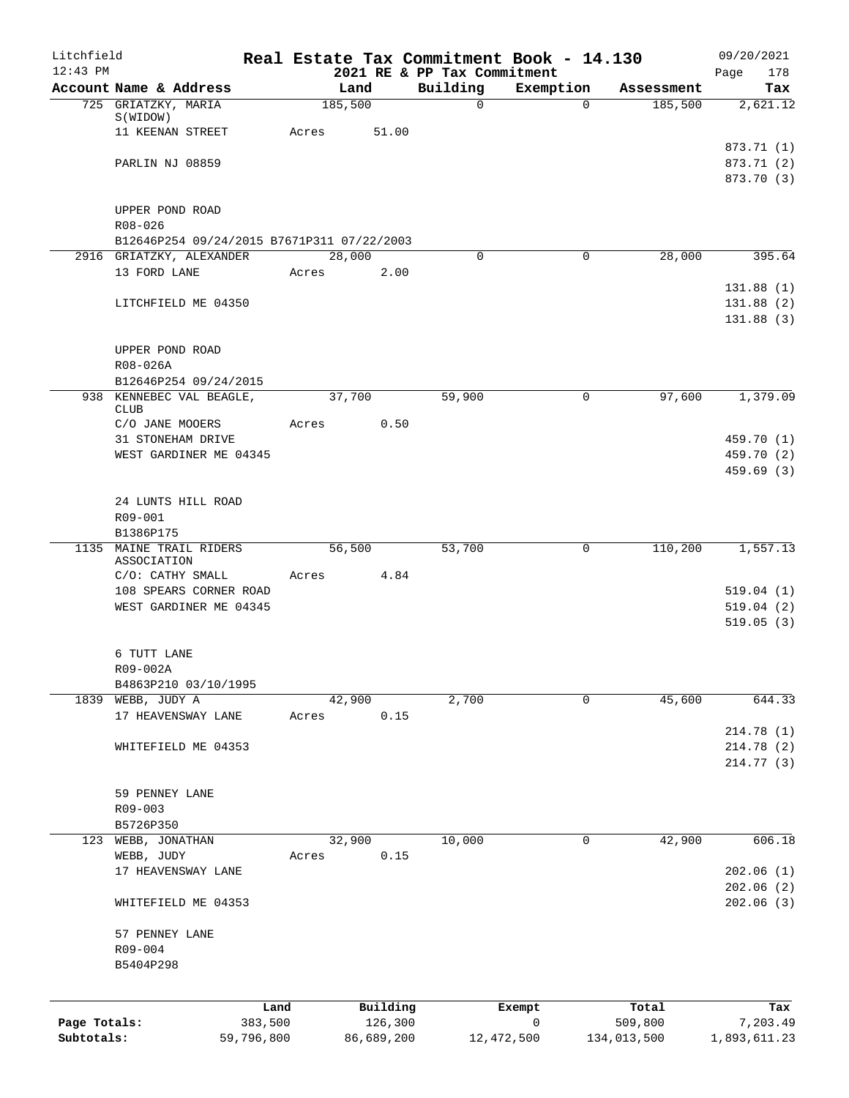| Litchfield<br>$12:43$ PM |                                                   |            |                 |            | 2021 RE & PP Tax Commitment | Real Estate Tax Commitment Book - 14.130 |             | 09/20/2021<br>178<br>Page |
|--------------------------|---------------------------------------------------|------------|-----------------|------------|-----------------------------|------------------------------------------|-------------|---------------------------|
|                          | Account Name & Address                            |            | Land            |            | Building                    | Exemption                                | Assessment  | Tax                       |
|                          | 725 GRIATZKY, MARIA                               |            | 185,500         |            | 0                           | $\Omega$                                 | 185,500     | 2,621.12                  |
|                          | S(WIDOW)                                          |            |                 |            |                             |                                          |             |                           |
|                          | 11 KEENAN STREET                                  |            | Acres           | 51.00      |                             |                                          |             |                           |
|                          | PARLIN NJ 08859                                   |            |                 |            |                             |                                          |             | 873.71 (1)<br>873.71 (2)  |
|                          |                                                   |            |                 |            |                             |                                          |             | 873.70 (3)                |
|                          |                                                   |            |                 |            |                             |                                          |             |                           |
|                          | UPPER POND ROAD                                   |            |                 |            |                             |                                          |             |                           |
|                          | R08-026                                           |            |                 |            |                             |                                          |             |                           |
|                          | B12646P254 09/24/2015 B7671P311 07/22/2003        |            |                 |            |                             |                                          |             |                           |
|                          | 2916 GRIATZKY, ALEXANDER<br>13 FORD LANE          |            | 28,000<br>Acres | 2.00       | $\Omega$                    | $\mathbf 0$                              | 28,000      | 395.64                    |
|                          |                                                   |            |                 |            |                             |                                          |             | 131.88(1)                 |
|                          | LITCHFIELD ME 04350                               |            |                 |            |                             |                                          |             | 131.88(2)                 |
|                          |                                                   |            |                 |            |                             |                                          |             | 131.88(3)                 |
|                          |                                                   |            |                 |            |                             |                                          |             |                           |
|                          | UPPER POND ROAD                                   |            |                 |            |                             |                                          |             |                           |
|                          | R08-026A                                          |            |                 |            |                             |                                          |             |                           |
|                          | B12646P254 09/24/2015<br>938 KENNEBEC VAL BEAGLE, |            | 37,700          |            | 59,900                      | 0                                        | 97,600      | 1,379.09                  |
|                          | <b>CLUB</b>                                       |            |                 |            |                             |                                          |             |                           |
|                          | C/O JANE MOOERS                                   |            | Acres           | 0.50       |                             |                                          |             |                           |
|                          | 31 STONEHAM DRIVE                                 |            |                 |            |                             |                                          |             | 459.70 (1)                |
|                          | WEST GARDINER ME 04345                            |            |                 |            |                             |                                          |             | 459.70 (2)                |
|                          |                                                   |            |                 |            |                             |                                          |             | 459.69(3)                 |
|                          | 24 LUNTS HILL ROAD                                |            |                 |            |                             |                                          |             |                           |
|                          | R09-001                                           |            |                 |            |                             |                                          |             |                           |
|                          | B1386P175                                         |            |                 |            |                             |                                          |             |                           |
|                          | 1135 MAINE TRAIL RIDERS                           |            | 56,500          |            | 53,700                      | 0                                        | 110,200     | 1,557.13                  |
|                          | ASSOCIATION<br>C/O: CATHY SMALL                   |            | Acres           | 4.84       |                             |                                          |             |                           |
|                          | 108 SPEARS CORNER ROAD                            |            |                 |            |                             |                                          |             | 519.04(1)                 |
|                          | WEST GARDINER ME 04345                            |            |                 |            |                             |                                          |             | 519.04(2)                 |
|                          |                                                   |            |                 |            |                             |                                          |             | 519.05(3)                 |
|                          |                                                   |            |                 |            |                             |                                          |             |                           |
|                          | 6 TUTT LANE                                       |            |                 |            |                             |                                          |             |                           |
|                          | R09-002A<br>B4863P210 03/10/1995                  |            |                 |            |                             |                                          |             |                           |
|                          | 1839 WEBB, JUDY A                                 |            | 42,900          |            | 2,700                       | $\Omega$                                 | 45,600      | 644.33                    |
|                          | 17 HEAVENSWAY LANE                                |            | Acres           | 0.15       |                             |                                          |             |                           |
|                          |                                                   |            |                 |            |                             |                                          |             | 214.78 (1)                |
|                          | WHITEFIELD ME 04353                               |            |                 |            |                             |                                          |             | 214.78 (2)                |
|                          |                                                   |            |                 |            |                             |                                          |             | 214.77 (3)                |
|                          | 59 PENNEY LANE                                    |            |                 |            |                             |                                          |             |                           |
|                          | R09-003                                           |            |                 |            |                             |                                          |             |                           |
|                          | B5726P350                                         |            |                 |            |                             |                                          |             |                           |
|                          | 123 WEBB, JONATHAN                                |            | 32,900          |            | 10,000                      | 0                                        | 42,900      | 606.18                    |
|                          | WEBB, JUDY                                        |            | Acres           | 0.15       |                             |                                          |             |                           |
|                          | 17 HEAVENSWAY LANE                                |            |                 |            |                             |                                          |             | 202.06(1)                 |
|                          | WHITEFIELD ME 04353                               |            |                 |            |                             |                                          |             | 202.06(2)<br>202.06(3)    |
|                          |                                                   |            |                 |            |                             |                                          |             |                           |
|                          | 57 PENNEY LANE                                    |            |                 |            |                             |                                          |             |                           |
|                          | R09-004                                           |            |                 |            |                             |                                          |             |                           |
|                          | B5404P298                                         |            |                 |            |                             |                                          |             |                           |
|                          |                                                   |            |                 |            |                             |                                          |             |                           |
|                          |                                                   | Land       |                 | Building   |                             | Exempt                                   | Total       | Tax                       |
| Page Totals:             |                                                   | 383,500    |                 | 126,300    |                             | 0                                        | 509,800     | 7,203.49                  |
| Subtotals:               |                                                   | 59,796,800 |                 | 86,689,200 |                             | 12,472,500                               | 134,013,500 | 1,893,611.23              |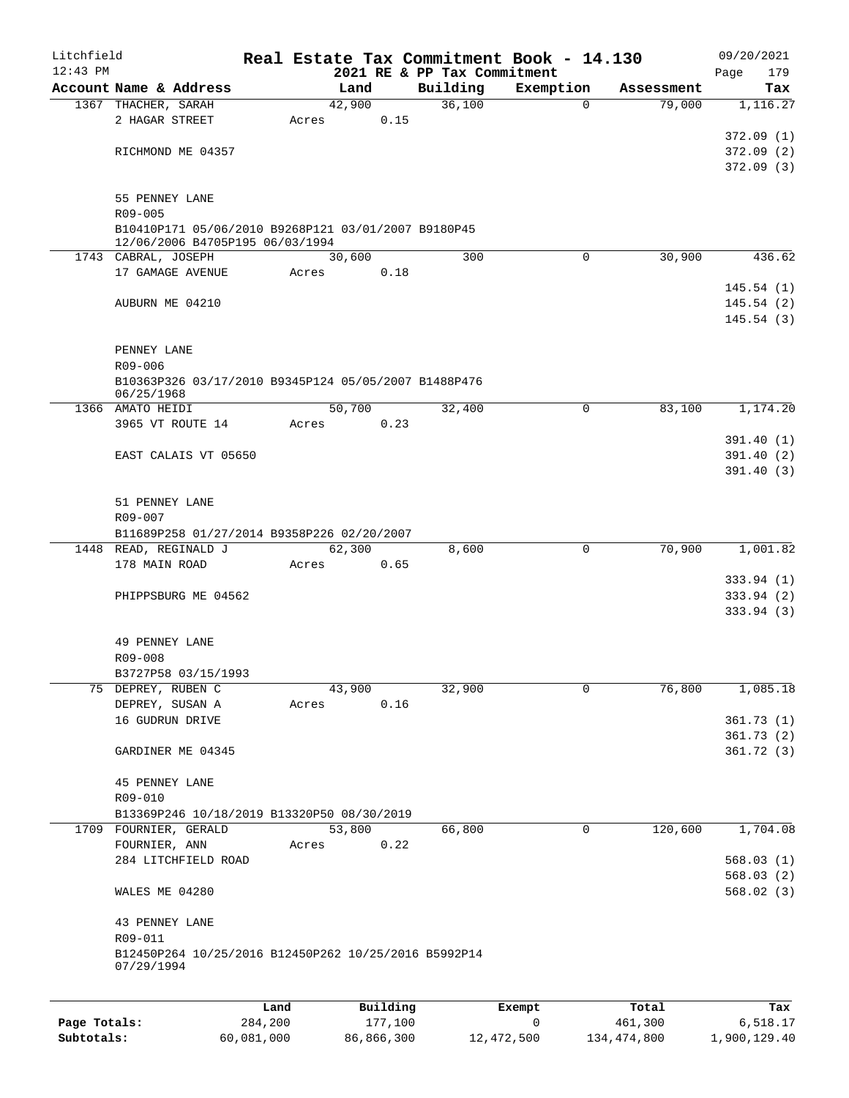| Litchfield   |                                                                 |         |       |          |          |        | Real Estate Tax Commitment Book - 14.130 |            | 09/20/2021         |
|--------------|-----------------------------------------------------------------|---------|-------|----------|----------|--------|------------------------------------------|------------|--------------------|
| $12:43$ PM   | Account Name & Address                                          |         |       | Land     | Building |        | 2021 RE & PP Tax Commitment<br>Exemption | Assessment | 179<br>Page<br>Tax |
|              | 1367 THACHER, SARAH                                             |         |       | 42,900   |          | 36,100 | 0                                        | 79,000     | 1,116.27           |
|              | 2 HAGAR STREET                                                  |         | Acres | 0.15     |          |        |                                          |            |                    |
|              |                                                                 |         |       |          |          |        |                                          |            | 372.09(1)          |
|              | RICHMOND ME 04357                                               |         |       |          |          |        |                                          |            | 372.09(2)          |
|              |                                                                 |         |       |          |          |        |                                          |            | 372.09(3)          |
|              |                                                                 |         |       |          |          |        |                                          |            |                    |
|              | 55 PENNEY LANE                                                  |         |       |          |          |        |                                          |            |                    |
|              | R09-005                                                         |         |       |          |          |        |                                          |            |                    |
|              | B10410P171 05/06/2010 B9268P121 03/01/2007 B9180P45             |         |       |          |          |        |                                          |            |                    |
|              | 12/06/2006 B4705P195 06/03/1994                                 |         |       |          |          |        |                                          |            |                    |
|              | 1743 CABRAL, JOSEPH                                             |         |       | 30,600   |          | 300    | 0                                        | 30,900     | 436.62             |
|              | 17 GAMAGE AVENUE                                                |         | Acres | 0.18     |          |        |                                          |            |                    |
|              |                                                                 |         |       |          |          |        |                                          |            | 145.54(1)          |
|              | AUBURN ME 04210                                                 |         |       |          |          |        |                                          |            | 145.54(2)          |
|              |                                                                 |         |       |          |          |        |                                          |            | 145.54(3)          |
|              |                                                                 |         |       |          |          |        |                                          |            |                    |
|              | PENNEY LANE                                                     |         |       |          |          |        |                                          |            |                    |
|              | R09-006<br>B10363P326 03/17/2010 B9345P124 05/05/2007 B1488P476 |         |       |          |          |        |                                          |            |                    |
|              | 06/25/1968                                                      |         |       |          |          |        |                                          |            |                    |
|              | 1366 AMATO HEIDI                                                |         |       | 50,700   |          | 32,400 | 0                                        | 83,100     | 1,174.20           |
|              | 3965 VT ROUTE 14                                                |         | Acres | 0.23     |          |        |                                          |            |                    |
|              |                                                                 |         |       |          |          |        |                                          |            | 391.40(1)          |
|              | EAST CALAIS VT 05650                                            |         |       |          |          |        |                                          |            | 391.40(2)          |
|              |                                                                 |         |       |          |          |        |                                          |            | 391.40(3)          |
|              |                                                                 |         |       |          |          |        |                                          |            |                    |
|              | 51 PENNEY LANE                                                  |         |       |          |          |        |                                          |            |                    |
|              | R09-007                                                         |         |       |          |          |        |                                          |            |                    |
|              | B11689P258 01/27/2014 B9358P226 02/20/2007                      |         |       |          |          |        |                                          |            |                    |
|              | 1448 READ, REGINALD J                                           |         |       | 62,300   |          | 8,600  | $\mathbf 0$                              | 70,900     | 1,001.82           |
|              | 178 MAIN ROAD                                                   |         | Acres | 0.65     |          |        |                                          |            |                    |
|              |                                                                 |         |       |          |          |        |                                          |            | 333.94(1)          |
|              | PHIPPSBURG ME 04562                                             |         |       |          |          |        |                                          |            | 333.94(2)          |
|              |                                                                 |         |       |          |          |        |                                          |            | 333.94(3)          |
|              |                                                                 |         |       |          |          |        |                                          |            |                    |
|              | 49 PENNEY LANE                                                  |         |       |          |          |        |                                          |            |                    |
|              | R09-008                                                         |         |       |          |          |        |                                          |            |                    |
|              | B3727P58 03/15/1993                                             |         |       |          |          |        |                                          |            |                    |
|              | 75 DEPREY, RUBEN C                                              |         |       | 43,900   |          | 32,900 | 0                                        | 76,800     | 1,085.18           |
|              | DEPREY, SUSAN A                                                 |         | Acres | 0.16     |          |        |                                          |            |                    |
|              | 16 GUDRUN DRIVE                                                 |         |       |          |          |        |                                          |            | 361.73(1)          |
|              |                                                                 |         |       |          |          |        |                                          |            | 361.73(2)          |
|              | GARDINER ME 04345                                               |         |       |          |          |        |                                          |            | 361.72(3)          |
|              |                                                                 |         |       |          |          |        |                                          |            |                    |
|              | <b>45 PENNEY LANE</b>                                           |         |       |          |          |        |                                          |            |                    |
|              | R09-010                                                         |         |       |          |          |        |                                          |            |                    |
|              | B13369P246 10/18/2019 B13320P50 08/30/2019                      |         |       |          |          |        |                                          |            |                    |
|              | 1709 FOURNIER, GERALD                                           |         |       | 53,800   |          | 66,800 | $\mathbf 0$                              | 120,600    | 1,704.08           |
|              | FOURNIER, ANN                                                   |         | Acres | 0.22     |          |        |                                          |            |                    |
|              | 284 LITCHFIELD ROAD                                             |         |       |          |          |        |                                          |            | 568.03(1)          |
|              |                                                                 |         |       |          |          |        |                                          |            | 568.03(2)          |
|              | WALES ME 04280                                                  |         |       |          |          |        |                                          |            | 568.02(3)          |
|              |                                                                 |         |       |          |          |        |                                          |            |                    |
|              | 43 PENNEY LANE                                                  |         |       |          |          |        |                                          |            |                    |
|              | R09-011                                                         |         |       |          |          |        |                                          |            |                    |
|              | B12450P264 10/25/2016 B12450P262 10/25/2016 B5992P14            |         |       |          |          |        |                                          |            |                    |
|              | 07/29/1994                                                      |         |       |          |          |        |                                          |            |                    |
|              |                                                                 |         |       |          |          |        |                                          |            |                    |
|              |                                                                 | Land    |       | Building |          |        | Exempt                                   | Total      | Tax                |
| Page Totals: |                                                                 | 284,200 |       | 177,100  |          |        | 0                                        | 461,300    | 6,518.17           |

**Subtotals:** 60,081,000 86,866,300 12,472,500 134,474,800 1,900,129.40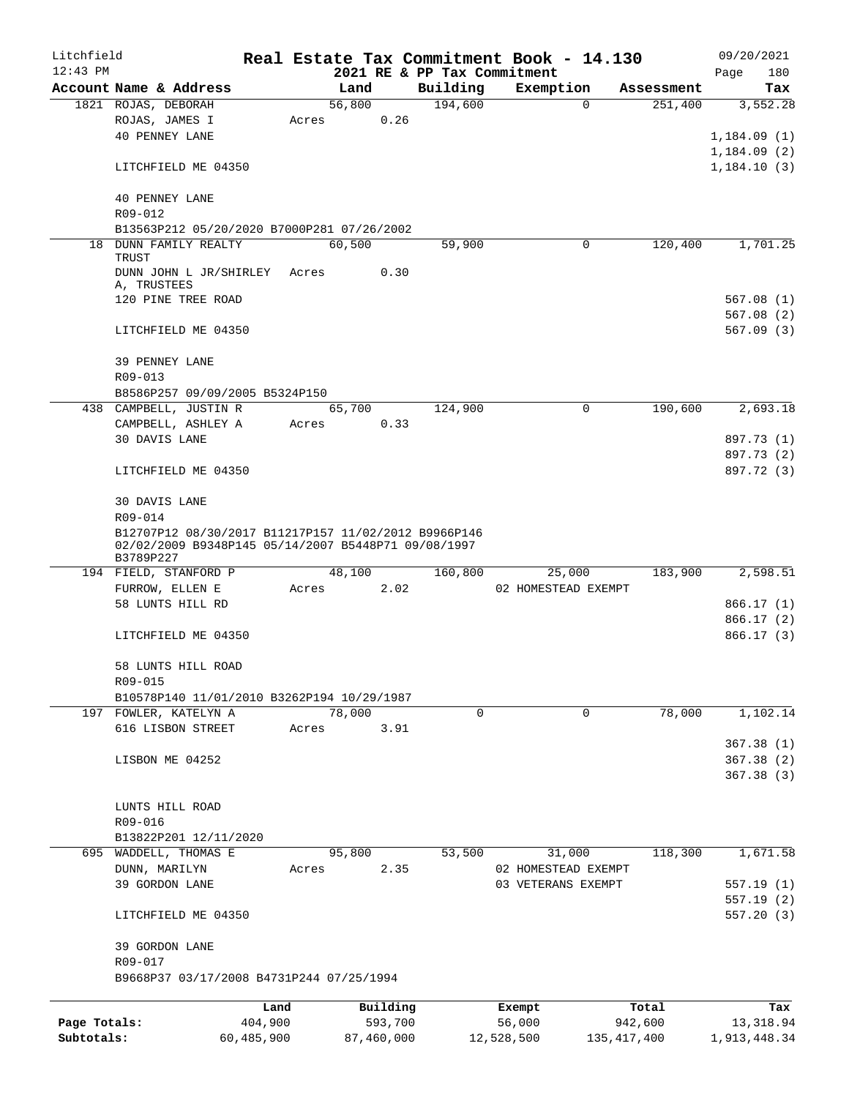| Litchfield   |                                                       |                 |       |        |                     |          | Real Estate Tax Commitment Book - 14.130 |             |                  | 09/20/2021   |     |
|--------------|-------------------------------------------------------|-----------------|-------|--------|---------------------|----------|------------------------------------------|-------------|------------------|--------------|-----|
| $12:43$ PM   |                                                       |                 |       |        |                     |          | 2021 RE & PP Tax Commitment              |             |                  | Page         | 180 |
|              | Account Name & Address                                |                 |       | Land   |                     | Building | Exemption                                |             | Assessment       |              | Tax |
|              | 1821 ROJAS, DEBORAH                                   |                 |       | 56,800 |                     | 194,600  |                                          | $\Omega$    | 251,400          | 3,552.28     |     |
|              | ROJAS, JAMES I                                        |                 | Acres |        | 0.26                |          |                                          |             |                  |              |     |
|              | <b>40 PENNEY LANE</b>                                 |                 |       |        |                     |          |                                          |             |                  | 1,184.09(1)  |     |
|              |                                                       |                 |       |        |                     |          |                                          |             |                  | 1,184.09(2)  |     |
|              | LITCHFIELD ME 04350                                   |                 |       |        |                     |          |                                          |             |                  | 1,184.10(3)  |     |
|              | <b>40 PENNEY LANE</b>                                 |                 |       |        |                     |          |                                          |             |                  |              |     |
|              | R09-012                                               |                 |       |        |                     |          |                                          |             |                  |              |     |
|              | B13563P212 05/20/2020 B7000P281 07/26/2002            |                 |       |        |                     |          |                                          |             |                  |              |     |
|              | 18 DUNN FAMILY REALTY                                 |                 |       | 60,500 |                     | 59,900   |                                          | 0           | 120,400          | 1,701.25     |     |
|              | TRUST                                                 |                 |       |        |                     |          |                                          |             |                  |              |     |
|              | DUNN JOHN L JR/SHIRLEY Acres                          |                 |       |        | 0.30                |          |                                          |             |                  |              |     |
|              | A, TRUSTEES                                           |                 |       |        |                     |          |                                          |             |                  |              |     |
|              | 120 PINE TREE ROAD                                    |                 |       |        |                     |          |                                          |             |                  | 567.08(1)    |     |
|              |                                                       |                 |       |        |                     |          |                                          |             |                  | 567.08 (2)   |     |
|              | LITCHFIELD ME 04350                                   |                 |       |        |                     |          |                                          |             |                  | 567.09(3)    |     |
|              |                                                       |                 |       |        |                     |          |                                          |             |                  |              |     |
|              | 39 PENNEY LANE                                        |                 |       |        |                     |          |                                          |             |                  |              |     |
|              | R09-013                                               |                 |       |        |                     |          |                                          |             |                  |              |     |
|              | B8586P257 09/09/2005 B5324P150                        |                 |       |        |                     |          |                                          | 0           | 190,600          | 2,693.18     |     |
|              | 438 CAMPBELL, JUSTIN R                                |                 |       | 65,700 | 0.33                | 124,900  |                                          |             |                  |              |     |
|              | CAMPBELL, ASHLEY A<br>30 DAVIS LANE                   |                 | Acres |        |                     |          |                                          |             |                  | 897.73 (1)   |     |
|              |                                                       |                 |       |        |                     |          |                                          |             |                  | 897.73 (2)   |     |
|              | LITCHFIELD ME 04350                                   |                 |       |        |                     |          |                                          |             |                  | 897.72 (3)   |     |
|              |                                                       |                 |       |        |                     |          |                                          |             |                  |              |     |
|              | 30 DAVIS LANE                                         |                 |       |        |                     |          |                                          |             |                  |              |     |
|              | R09-014                                               |                 |       |        |                     |          |                                          |             |                  |              |     |
|              | B12707P12 08/30/2017 B11217P157 11/02/2012 B9966P146  |                 |       |        |                     |          |                                          |             |                  |              |     |
|              | 02/02/2009 B9348P145 05/14/2007 B5448P71 09/08/1997   |                 |       |        |                     |          |                                          |             |                  |              |     |
|              | B3789P227                                             |                 |       |        |                     |          |                                          |             |                  |              |     |
| 695          | 194 FIELD, STANFORD P                                 |                 |       | 48,100 |                     | 160,800  | 25,000                                   |             | 183,900          | 2,598.51     |     |
|              | FURROW, ELLEN E                                       |                 | Acres |        | 2.02                |          | 02 HOMESTEAD EXEMPT                      |             |                  |              |     |
|              | 58 LUNTS HILL RD                                      |                 |       |        |                     |          |                                          |             |                  | 866.17 (1)   |     |
|              |                                                       |                 |       |        |                     |          |                                          |             |                  | 866.17(2)    |     |
|              | LITCHFIELD ME 04350                                   |                 |       |        |                     |          |                                          |             |                  | 866.17(3)    |     |
|              |                                                       |                 |       |        |                     |          |                                          |             |                  |              |     |
|              | 58 LUNTS HILL ROAD                                    |                 |       |        |                     |          |                                          |             |                  |              |     |
|              | R09-015<br>B10578P140 11/01/2010 B3262P194 10/29/1987 |                 |       |        |                     |          |                                          |             |                  |              |     |
|              | 197 FOWLER, KATELYN A                                 |                 |       | 78,000 |                     | 0        |                                          | $\mathbf 0$ | 78,000           | 1,102.14     |     |
|              | 616 LISBON STREET                                     |                 | Acres |        | 3.91                |          |                                          |             |                  |              |     |
|              |                                                       |                 |       |        |                     |          |                                          |             |                  | 367.38(1)    |     |
|              | LISBON ME 04252                                       |                 |       |        |                     |          |                                          |             |                  | 367.38(2)    |     |
|              |                                                       |                 |       |        |                     |          |                                          |             |                  | 367.38 (3)   |     |
|              |                                                       |                 |       |        |                     |          |                                          |             |                  |              |     |
|              | LUNTS HILL ROAD                                       |                 |       |        |                     |          |                                          |             |                  |              |     |
|              | R09-016                                               |                 |       |        |                     |          |                                          |             |                  |              |     |
|              | B13822P201 12/11/2020                                 |                 |       |        |                     |          |                                          |             |                  |              |     |
|              | WADDELL, THOMAS E                                     |                 |       | 95,800 |                     | 53,500   | 31,000                                   |             | 118,300          | 1,671.58     |     |
|              | DUNN, MARILYN                                         |                 | Acres |        | 2.35                |          | 02 HOMESTEAD EXEMPT                      |             |                  |              |     |
|              | 39 GORDON LANE                                        |                 |       |        |                     |          | 03 VETERANS EXEMPT                       |             |                  | 557.19(1)    |     |
|              |                                                       |                 |       |        |                     |          |                                          |             |                  | 557.19 (2)   |     |
|              | LITCHFIELD ME 04350                                   |                 |       |        |                     |          |                                          |             |                  | 557.20(3)    |     |
|              |                                                       |                 |       |        |                     |          |                                          |             |                  |              |     |
|              | 39 GORDON LANE                                        |                 |       |        |                     |          |                                          |             |                  |              |     |
|              | R09-017                                               |                 |       |        |                     |          |                                          |             |                  |              |     |
|              | B9668P37 03/17/2008 B4731P244 07/25/1994              |                 |       |        |                     |          |                                          |             |                  |              |     |
|              |                                                       |                 |       |        |                     |          |                                          |             |                  |              |     |
| Page Totals: |                                                       | Land<br>404,900 |       |        | Building<br>593,700 |          | Exempt<br>56,000                         |             | Total<br>942,600 | 13, 318.94   | Tax |
| Subtotals:   |                                                       | 60,485,900      |       |        | 87,460,000          |          | 12,528,500                               |             | 135, 417, 400    | 1,913,448.34 |     |
|              |                                                       |                 |       |        |                     |          |                                          |             |                  |              |     |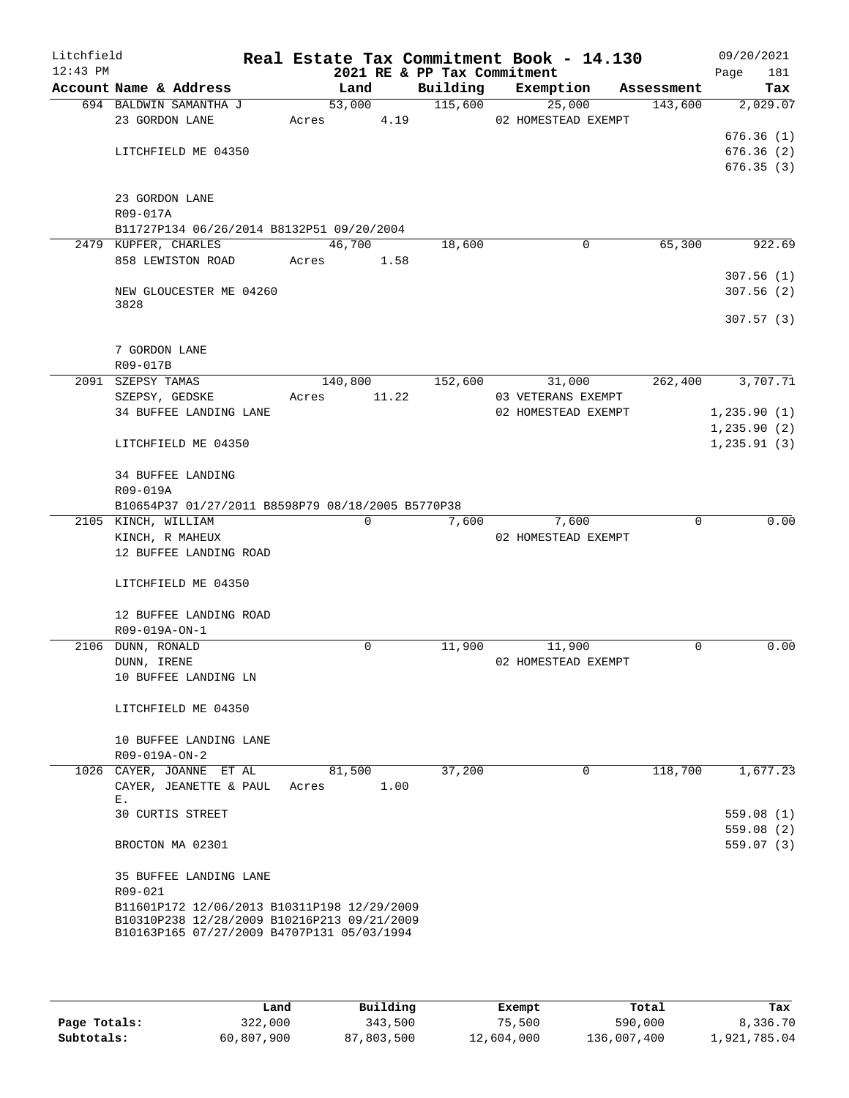| Litchfield<br>$12:43$ PM |                                                   |       |          |      | 2021 RE & PP Tax Commitment | Real Estate Tax Commitment Book - 14.130 |            | 09/20/2021<br>181<br>Page |
|--------------------------|---------------------------------------------------|-------|----------|------|-----------------------------|------------------------------------------|------------|---------------------------|
|                          | Account Name & Address                            |       | Land     |      | Building                    | Exemption                                | Assessment | Tax                       |
|                          | 694 BALDWIN SAMANTHA J                            |       | 53,000   |      | 115,600                     | 25,000                                   | 143,600    | 2,029.07                  |
|                          | 23 GORDON LANE                                    | Acres |          | 4.19 |                             | 02 HOMESTEAD EXEMPT                      |            |                           |
|                          |                                                   |       |          |      |                             |                                          |            | 676.36(1)                 |
|                          | LITCHFIELD ME 04350                               |       |          |      |                             |                                          |            | 676.36(2)                 |
|                          |                                                   |       |          |      |                             |                                          |            | 676.35(3)                 |
|                          |                                                   |       |          |      |                             |                                          |            |                           |
|                          | 23 GORDON LANE                                    |       |          |      |                             |                                          |            |                           |
|                          | R09-017A                                          |       |          |      |                             |                                          |            |                           |
|                          | B11727P134 06/26/2014 B8132P51 09/20/2004         |       |          |      |                             |                                          |            |                           |
|                          | 2479 KUPFER, CHARLES                              |       | 46,700   |      | 18,600                      | 0                                        | 65,300     | 922.69                    |
|                          | 858 LEWISTON ROAD                                 |       | Acres    | 1.58 |                             |                                          |            |                           |
|                          |                                                   |       |          |      |                             |                                          |            | 307.56(1)                 |
|                          | NEW GLOUCESTER ME 04260                           |       |          |      |                             |                                          |            | 307.56(2)                 |
|                          | 3828                                              |       |          |      |                             |                                          |            |                           |
|                          |                                                   |       |          |      |                             |                                          |            | 307.57(3)                 |
|                          |                                                   |       |          |      |                             |                                          |            |                           |
|                          | 7 GORDON LANE                                     |       |          |      |                             |                                          |            |                           |
|                          | R09-017B                                          |       |          |      |                             |                                          |            |                           |
|                          | 2091 SZEPSY TAMAS                                 |       | 140,800  |      | 152,600                     | 31,000                                   | 262,400    | 3,707.71                  |
|                          | SZEPSY, GEDSKE                                    | Acres | 11.22    |      |                             | 03 VETERANS EXEMPT                       |            |                           |
|                          | 34 BUFFEE LANDING LANE                            |       |          |      |                             | 02 HOMESTEAD EXEMPT                      |            | 1, 235.90(1)              |
|                          |                                                   |       |          |      |                             |                                          |            | 1, 235.90(2)              |
|                          | LITCHFIELD ME 04350                               |       |          |      |                             |                                          |            | 1, 235.91(3)              |
|                          |                                                   |       |          |      |                             |                                          |            |                           |
|                          | <b>34 BUFFEE LANDING</b>                          |       |          |      |                             |                                          |            |                           |
|                          | R09-019A                                          |       |          |      |                             |                                          |            |                           |
|                          | B10654P37 01/27/2011 B8598P79 08/18/2005 B5770P38 |       |          |      |                             |                                          |            |                           |
|                          | 2105 KINCH, WILLIAM                               |       | $\Omega$ |      | 7,600                       | 7,600                                    | $\Omega$   | 0.00                      |
|                          | KINCH, R MAHEUX                                   |       |          |      |                             | 02 HOMESTEAD EXEMPT                      |            |                           |
|                          | 12 BUFFEE LANDING ROAD                            |       |          |      |                             |                                          |            |                           |
|                          |                                                   |       |          |      |                             |                                          |            |                           |
|                          | LITCHFIELD ME 04350                               |       |          |      |                             |                                          |            |                           |
|                          |                                                   |       |          |      |                             |                                          |            |                           |
|                          | 12 BUFFEE LANDING ROAD                            |       |          |      |                             |                                          |            |                           |
|                          | R09-019A-ON-1                                     |       |          |      |                             |                                          |            |                           |
|                          | 2106 DUNN, RONALD                                 |       | 0        |      | 11,900                      | 11,900                                   | 0          | 0.00                      |
|                          | DUNN, IRENE                                       |       |          |      |                             | 02 HOMESTEAD EXEMPT                      |            |                           |
|                          | 10 BUFFEE LANDING LN                              |       |          |      |                             |                                          |            |                           |
|                          |                                                   |       |          |      |                             |                                          |            |                           |
|                          | LITCHFIELD ME 04350                               |       |          |      |                             |                                          |            |                           |
|                          |                                                   |       |          |      |                             |                                          |            |                           |
|                          | 10 BUFFEE LANDING LANE                            |       |          |      |                             |                                          |            |                           |
|                          | R09-019A-ON-2                                     |       |          |      |                             |                                          |            |                           |
|                          | 1026 CAYER, JOANNE ET AL                          |       | 81,500   |      | 37,200                      | $\Omega$                                 | 118,700    | 1,677.23                  |
|                          | CAYER, JEANETTE & PAUL                            | Acres |          | 1.00 |                             |                                          |            |                           |
|                          | Ε.                                                |       |          |      |                             |                                          |            |                           |
|                          | <b>30 CURTIS STREET</b>                           |       |          |      |                             |                                          |            | 559.08(1)                 |
|                          |                                                   |       |          |      |                             |                                          |            | 559.08(2)                 |
|                          | BROCTON MA 02301                                  |       |          |      |                             |                                          |            | 559.07(3)                 |
|                          |                                                   |       |          |      |                             |                                          |            |                           |
|                          | 35 BUFFEE LANDING LANE                            |       |          |      |                             |                                          |            |                           |
|                          | R09-021                                           |       |          |      |                             |                                          |            |                           |
|                          | B11601P172 12/06/2013 B10311P198 12/29/2009       |       |          |      |                             |                                          |            |                           |
|                          | B10310P238 12/28/2009 B10216P213 09/21/2009       |       |          |      |                             |                                          |            |                           |
|                          | B10163P165 07/27/2009 B4707P131 05/03/1994        |       |          |      |                             |                                          |            |                           |
|                          |                                                   |       |          |      |                             |                                          |            |                           |
|                          |                                                   |       |          |      |                             |                                          |            |                           |

|              | Land       | Building   | Exempt     | Total       | Tax          |
|--------------|------------|------------|------------|-------------|--------------|
| Page Totals: | 322,000    | 343,500    | 75,500     | 590,000     | 8,336.70     |
| Subtotals:   | 60,807,900 | 87,803,500 | 12,604,000 | 136,007,400 | l,921,785.04 |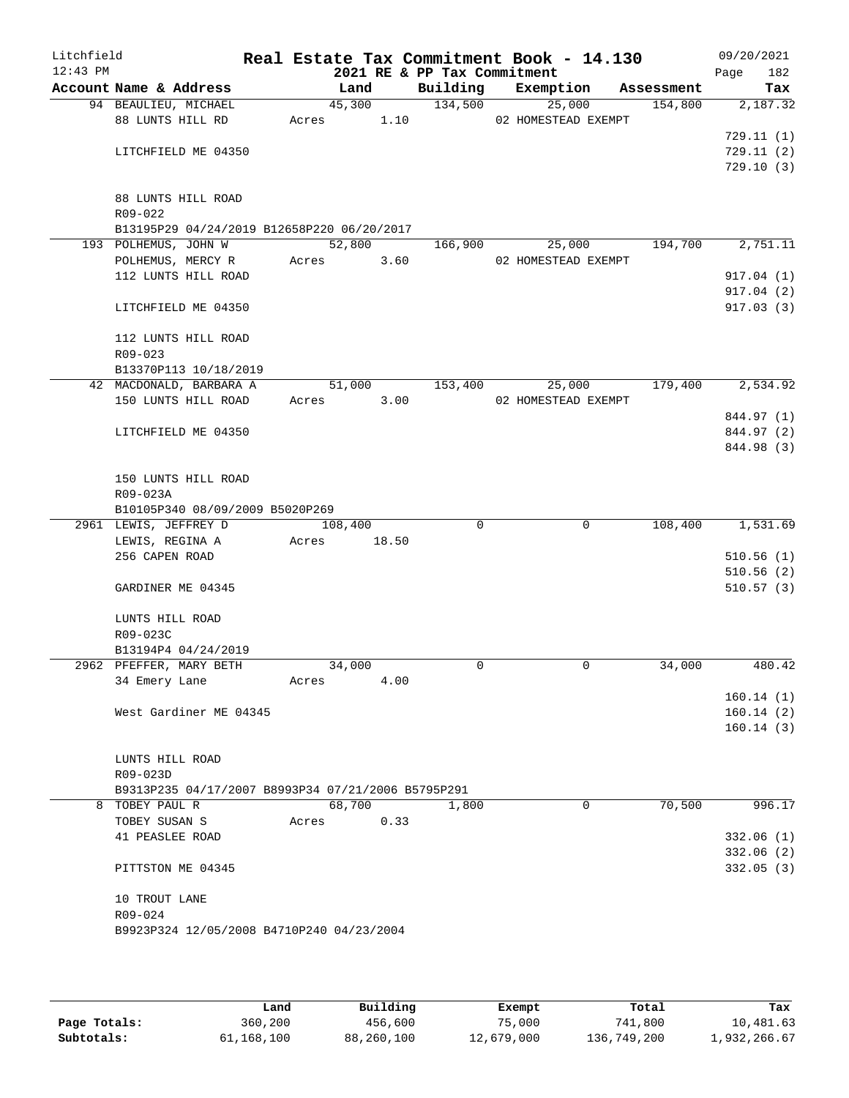| Litchfield<br>$12:43$ PM |                                                                    |             |         |        | 2021 RE & PP Tax Commitment | Real Estate Tax Commitment Book - 14.130 |            | 09/20/2021         |
|--------------------------|--------------------------------------------------------------------|-------------|---------|--------|-----------------------------|------------------------------------------|------------|--------------------|
|                          | Account Name & Address                                             |             | Land    |        |                             | Building Exemption                       | Assessment | 182<br>Page<br>Tax |
|                          | 94 BEAULIEU, MICHAEL                                               |             |         | 45,300 | 134,500                     | 25,000                                   | 154,800    | 2,187.32           |
|                          | 88 LUNTS HILL RD                                                   | Acres 1.10  |         |        |                             | 02 HOMESTEAD EXEMPT                      |            |                    |
|                          |                                                                    |             |         |        |                             |                                          |            | 729.11(1)          |
|                          | LITCHFIELD ME 04350                                                |             |         |        |                             |                                          |            | 729.11(2)          |
|                          |                                                                    |             |         |        |                             |                                          |            | 729.10(3)          |
|                          |                                                                    |             |         |        |                             |                                          |            |                    |
|                          | 88 LUNTS HILL ROAD                                                 |             |         |        |                             |                                          |            |                    |
|                          | R09-022                                                            |             |         |        |                             |                                          |            |                    |
|                          | B13195P29 04/24/2019 B12658P220 06/20/2017<br>193 POLHEMUS, JOHN W |             | 52,800  |        | 166,900                     | 25,000                                   | 194,700    | 2,751.11           |
|                          | POLHEMUS, MERCY R                                                  | Acres 3.60  |         |        |                             | 02 HOMESTEAD EXEMPT                      |            |                    |
|                          | 112 LUNTS HILL ROAD                                                |             |         |        |                             |                                          |            | 917.04 (1)         |
|                          |                                                                    |             |         |        |                             |                                          |            | 917.04(2)          |
|                          | LITCHFIELD ME 04350                                                |             |         |        |                             |                                          |            | 917.03(3)          |
|                          |                                                                    |             |         |        |                             |                                          |            |                    |
|                          | 112 LUNTS HILL ROAD                                                |             |         |        |                             |                                          |            |                    |
|                          | $R09 - 023$                                                        |             |         |        |                             |                                          |            |                    |
|                          | B13370P113 10/18/2019                                              |             |         |        |                             |                                          |            |                    |
|                          | 42 MACDONALD, BARBARA A                                            |             | 51,000  |        | 153,400                     | 25,000                                   | 179,400    | 2,534.92           |
|                          | 150 LUNTS HILL ROAD                                                | Acres 3.00  |         |        |                             | 02 HOMESTEAD EXEMPT                      |            |                    |
|                          |                                                                    |             |         |        |                             |                                          |            | 844.97 (1)         |
|                          | LITCHFIELD ME 04350                                                |             |         |        |                             |                                          |            | 844.97 (2)         |
|                          |                                                                    |             |         |        |                             |                                          |            | 844.98 (3)         |
|                          | 150 LUNTS HILL ROAD                                                |             |         |        |                             |                                          |            |                    |
|                          | R09-023A                                                           |             |         |        |                             |                                          |            |                    |
|                          | B10105P340 08/09/2009 B5020P269                                    |             |         |        |                             |                                          |            |                    |
|                          | 2961 LEWIS, JEFFREY D                                              |             | 108,400 |        | $\Omega$                    | $\Omega$                                 | 108,400    | 1,531.69           |
|                          | LEWIS, REGINA A                                                    | Acres 18.50 |         |        |                             |                                          |            |                    |
|                          | 256 CAPEN ROAD                                                     |             |         |        |                             |                                          |            | 510.56(1)          |
|                          |                                                                    |             |         |        |                             |                                          |            | 510.56(2)          |
|                          | GARDINER ME 04345                                                  |             |         |        |                             |                                          |            | 510.57(3)          |
|                          |                                                                    |             |         |        |                             |                                          |            |                    |
|                          | LUNTS HILL ROAD                                                    |             |         |        |                             |                                          |            |                    |
|                          | R09-023C                                                           |             |         |        |                             |                                          |            |                    |
|                          | B13194P4 04/24/2019<br>2962 PFEFFER, MARY BETH                     |             | 34,000  |        | $\Omega$                    | $\mathbf 0$                              | 34,000     | 480.42             |
|                          | 34 Emery Lane                                                      | Acres       |         | 4.00   |                             |                                          |            |                    |
|                          |                                                                    |             |         |        |                             |                                          |            | 160.14(1)          |
|                          | West Gardiner ME 04345                                             |             |         |        |                             |                                          |            | 160.14(2)          |
|                          |                                                                    |             |         |        |                             |                                          |            | 160.14(3)          |
|                          |                                                                    |             |         |        |                             |                                          |            |                    |
|                          | LUNTS HILL ROAD                                                    |             |         |        |                             |                                          |            |                    |
|                          | R09-023D                                                           |             |         |        |                             |                                          |            |                    |
|                          | B9313P235 04/17/2007 B8993P34 07/21/2006 B5795P291                 |             |         |        |                             |                                          |            |                    |
| 8                        | TOBEY PAUL R                                                       |             | 68,700  |        | 1,800                       | 0                                        | 70,500     | 996.17             |
|                          | TOBEY SUSAN S                                                      | Acres       |         | 0.33   |                             |                                          |            |                    |
|                          | 41 PEASLEE ROAD                                                    |             |         |        |                             |                                          |            | 332.06(1)          |
|                          |                                                                    |             |         |        |                             |                                          |            | 332.06(2)          |
|                          | PITTSTON ME 04345                                                  |             |         |        |                             |                                          |            | 332.05(3)          |
|                          | 10 TROUT LANE                                                      |             |         |        |                             |                                          |            |                    |
|                          | R09-024                                                            |             |         |        |                             |                                          |            |                    |
|                          | B9923P324 12/05/2008 B4710P240 04/23/2004                          |             |         |        |                             |                                          |            |                    |
|                          |                                                                    |             |         |        |                             |                                          |            |                    |

|              | Land       | Building   | Exempt     | Total       | Tax          |
|--------------|------------|------------|------------|-------------|--------------|
| Page Totals: | 360,200    | 456,600    | 75,000     | 741,800     | 10,481.63    |
| Subtotals:   | 61,168,100 | 88,260,100 | 12,679,000 | 136,749,200 | 1,932,266.67 |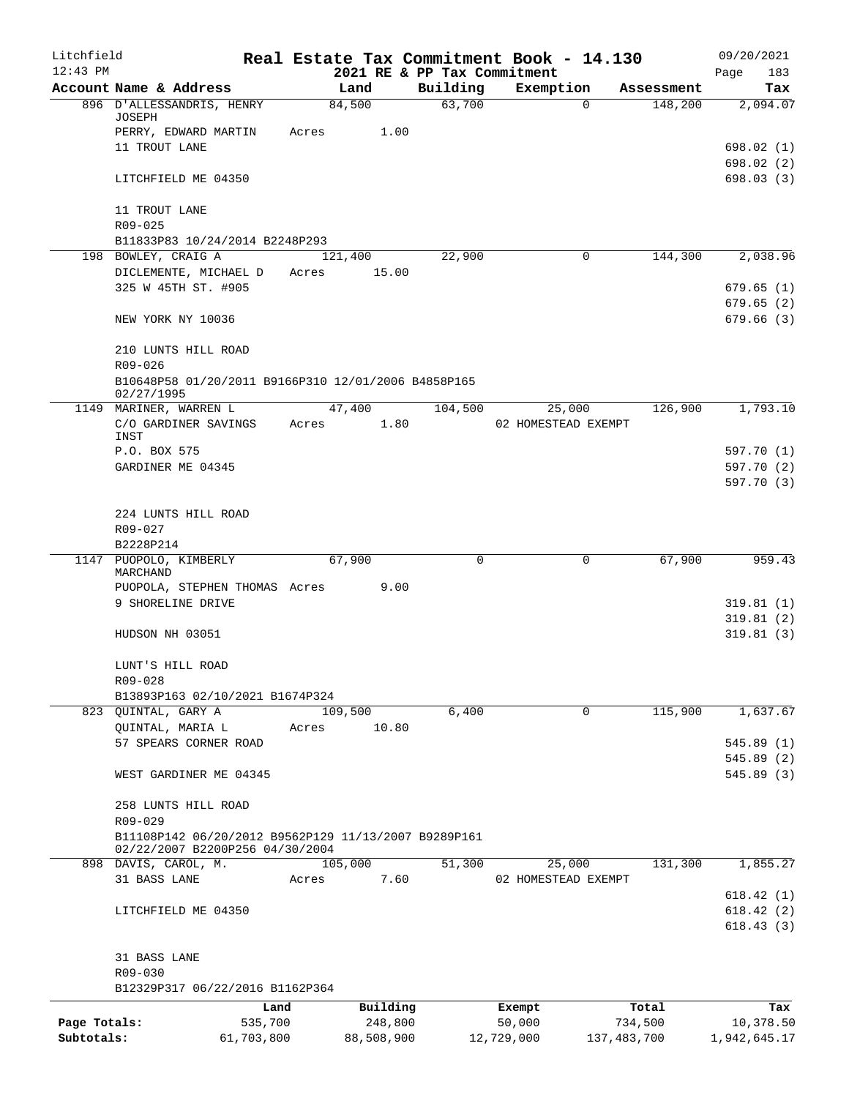| Litchfield   |                                                                                         |         |                  |                             | Real Estate Tax Commitment Book - 14.130 |                                   | 09/20/2021             |
|--------------|-----------------------------------------------------------------------------------------|---------|------------------|-----------------------------|------------------------------------------|-----------------------------------|------------------------|
| $12:43$ PM   |                                                                                         |         |                  | 2021 RE & PP Tax Commitment |                                          |                                   | Page<br>183            |
|              | Account Name & Address<br>896 D'ALLESSANDRIS, HENRY                                     |         | Land<br>84,500   | Building<br>63,700          | Exemption                                | Assessment<br>148,200<br>$\Omega$ | Tax<br>2,094.07        |
|              | JOSEPH                                                                                  |         |                  |                             |                                          |                                   |                        |
|              | PERRY, EDWARD MARTIN                                                                    | Acres   | 1.00             |                             |                                          |                                   |                        |
|              | 11 TROUT LANE                                                                           |         |                  |                             |                                          |                                   | 698.02(1)              |
|              | LITCHFIELD ME 04350                                                                     |         |                  |                             |                                          |                                   | 698.02(2)<br>698.03(3) |
|              |                                                                                         |         |                  |                             |                                          |                                   |                        |
|              | 11 TROUT LANE                                                                           |         |                  |                             |                                          |                                   |                        |
|              | $R09 - 025$                                                                             |         |                  |                             |                                          |                                   |                        |
|              | B11833P83 10/24/2014 B2248P293                                                          |         |                  |                             |                                          |                                   |                        |
|              | 198 BOWLEY, CRAIG A<br>DICLEMENTE, MICHAEL D                                            | Acres   | 121,400<br>15.00 | 22,900                      |                                          | 144,300<br>$\Omega$               | 2,038.96               |
|              | 325 W 45TH ST. #905                                                                     |         |                  |                             |                                          |                                   | 679.65(1)              |
|              |                                                                                         |         |                  |                             |                                          |                                   | 679.65(2)              |
|              | NEW YORK NY 10036                                                                       |         |                  |                             |                                          |                                   | 679.66(3)              |
|              |                                                                                         |         |                  |                             |                                          |                                   |                        |
|              | 210 LUNTS HILL ROAD                                                                     |         |                  |                             |                                          |                                   |                        |
|              | R09-026<br>B10648P58 01/20/2011 B9166P310 12/01/2006 B4858P165                          |         |                  |                             |                                          |                                   |                        |
|              | 02/27/1995                                                                              |         |                  |                             |                                          |                                   |                        |
|              | 1149 MARINER, WARREN L                                                                  |         | 47,400           | 104,500                     | 25,000                                   | 126,900                           | 1,793.10               |
|              | C/O GARDINER SAVINGS                                                                    | Acres   | 1.80             |                             | 02 HOMESTEAD EXEMPT                      |                                   |                        |
|              | INST<br>P.O. BOX 575                                                                    |         |                  |                             |                                          |                                   | 597.70 (1)             |
|              | GARDINER ME 04345                                                                       |         |                  |                             |                                          |                                   | 597.70 (2)             |
|              |                                                                                         |         |                  |                             |                                          |                                   | 597.70 (3)             |
|              |                                                                                         |         |                  |                             |                                          |                                   |                        |
|              | 224 LUNTS HILL ROAD                                                                     |         |                  |                             |                                          |                                   |                        |
|              | R09-027                                                                                 |         |                  |                             |                                          |                                   |                        |
| 1147         | B2228P214<br>PUOPOLO, KIMBERLY                                                          |         | 67,900           | $\Omega$                    |                                          | 67,900<br>0                       | 959.43                 |
|              | MARCHAND                                                                                |         |                  |                             |                                          |                                   |                        |
|              | PUOPOLA, STEPHEN THOMAS Acres                                                           |         | 9.00             |                             |                                          |                                   |                        |
|              | 9 SHORELINE DRIVE                                                                       |         |                  |                             |                                          |                                   | 319.81(1)              |
|              | HUDSON NH 03051                                                                         |         |                  |                             |                                          |                                   | 319.81(2)<br>319.81(3) |
|              |                                                                                         |         |                  |                             |                                          |                                   |                        |
|              | LUNT'S HILL ROAD                                                                        |         |                  |                             |                                          |                                   |                        |
|              | R09-028                                                                                 |         |                  |                             |                                          |                                   |                        |
|              | B13893P163 02/10/2021 B1674P324                                                         |         |                  |                             |                                          |                                   |                        |
|              | 823 QUINTAL, GARY A                                                                     |         | 109,500          | 6,400                       |                                          | 115,900<br>$\mathbf 0$            | 1,637.67               |
|              | QUINTAL, MARIA L<br>57 SPEARS CORNER ROAD                                               | Acres   | 10.80            |                             |                                          |                                   | 545.89(1)              |
|              |                                                                                         |         |                  |                             |                                          |                                   | 545.89(2)              |
|              | WEST GARDINER ME 04345                                                                  |         |                  |                             |                                          |                                   | 545.89(3)              |
|              |                                                                                         |         |                  |                             |                                          |                                   |                        |
|              | 258 LUNTS HILL ROAD                                                                     |         |                  |                             |                                          |                                   |                        |
|              | R09-029                                                                                 |         |                  |                             |                                          |                                   |                        |
|              | B11108P142 06/20/2012 B9562P129 11/13/2007 B9289P161<br>02/22/2007 B2200P256 04/30/2004 |         |                  |                             |                                          |                                   |                        |
|              | 898 DAVIS, CAROL, M.                                                                    |         | 105,000          | 51,300                      | 25,000                                   | 131,300                           | 1,855.27               |
|              | 31 BASS LANE                                                                            | Acres   | 7.60             |                             | 02 HOMESTEAD EXEMPT                      |                                   |                        |
|              |                                                                                         |         |                  |                             |                                          |                                   | 618.42(1)              |
|              | LITCHFIELD ME 04350                                                                     |         |                  |                             |                                          |                                   | 618.42(2)              |
|              |                                                                                         |         |                  |                             |                                          |                                   | 618.43(3)              |
|              | 31 BASS LANE                                                                            |         |                  |                             |                                          |                                   |                        |
|              | R09-030                                                                                 |         |                  |                             |                                          |                                   |                        |
|              | B12329P317 06/22/2016 B1162P364                                                         |         |                  |                             |                                          |                                   |                        |
|              |                                                                                         | Land    | Building         |                             | Exempt                                   | Total                             | Tax                    |
| Page Totals: |                                                                                         | 535,700 | 248,800          |                             | 50,000                                   | 734,500                           | 10,378.50              |
| Subtotals:   | 61,703,800                                                                              |         | 88,508,900       |                             | 12,729,000                               | 137, 483, 700                     | 1,942,645.17           |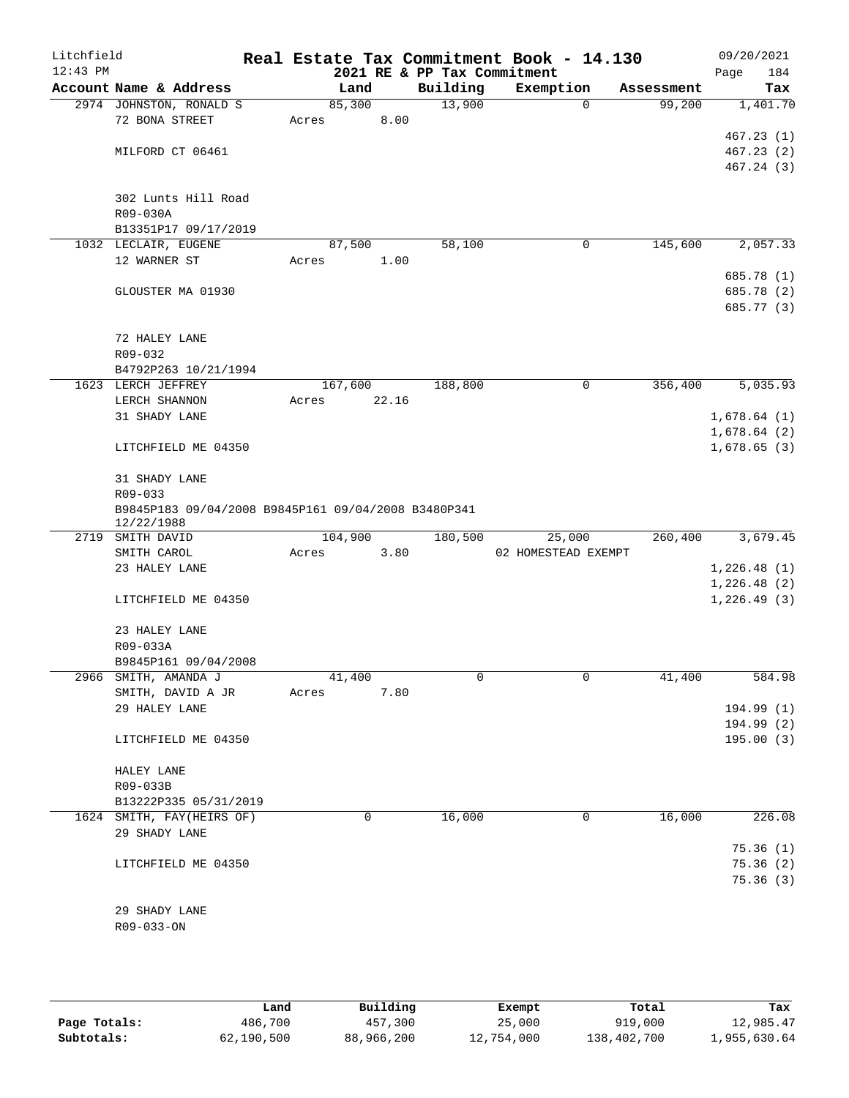| Litchfield<br>$12:43$ PM |                                                                   |         |        |       | 2021 RE & PP Tax Commitment | Real Estate Tax Commitment Book - 14.130 |             |            | 09/20/2021<br>Page | 184        |
|--------------------------|-------------------------------------------------------------------|---------|--------|-------|-----------------------------|------------------------------------------|-------------|------------|--------------------|------------|
|                          | Account Name & Address                                            |         | Land   |       | Building                    | Exemption                                |             | Assessment |                    | Tax        |
|                          | 2974 JOHNSTON, RONALD S                                           |         | 85,300 |       | 13,900                      |                                          | $\mathbf 0$ | 99,200     |                    | 1,401.70   |
|                          | 72 BONA STREET                                                    | Acres   |        | 8.00  |                             |                                          |             |            |                    |            |
|                          |                                                                   |         |        |       |                             |                                          |             |            |                    | 467.23(1)  |
|                          | MILFORD CT 06461                                                  |         |        |       |                             |                                          |             |            |                    | 467.23(2)  |
|                          |                                                                   |         |        |       |                             |                                          |             |            |                    | 467.24 (3) |
|                          |                                                                   |         |        |       |                             |                                          |             |            |                    |            |
|                          | 302 Lunts Hill Road                                               |         |        |       |                             |                                          |             |            |                    |            |
|                          | R09-030A<br>B13351P17 09/17/2019                                  |         |        |       |                             |                                          |             |            |                    |            |
|                          | 1032 LECLAIR, EUGENE                                              |         | 87,500 |       | 58,100                      |                                          | 0           | 145,600    |                    | 2,057.33   |
|                          | 12 WARNER ST                                                      | Acres   |        | 1.00  |                             |                                          |             |            |                    |            |
|                          |                                                                   |         |        |       |                             |                                          |             |            |                    | 685.78 (1) |
|                          | GLOUSTER MA 01930                                                 |         |        |       |                             |                                          |             |            |                    | 685.78 (2) |
|                          |                                                                   |         |        |       |                             |                                          |             |            |                    | 685.77 (3) |
|                          |                                                                   |         |        |       |                             |                                          |             |            |                    |            |
|                          | 72 HALEY LANE                                                     |         |        |       |                             |                                          |             |            |                    |            |
|                          | $R09 - 032$                                                       |         |        |       |                             |                                          |             |            |                    |            |
|                          | B4792P263 10/21/1994                                              |         |        |       |                             |                                          |             |            |                    |            |
|                          | 1623 LERCH JEFFREY                                                | 167,600 |        |       | 188,800                     |                                          | 0           | 356,400    |                    | 5,035.93   |
|                          | LERCH SHANNON                                                     | Acres   |        | 22.16 |                             |                                          |             |            |                    |            |
|                          | 31 SHADY LANE                                                     |         |        |       |                             |                                          |             |            | 1,678.64(1)        |            |
|                          |                                                                   |         |        |       |                             |                                          |             |            | 1,678.64(2)        |            |
|                          | LITCHFIELD ME 04350                                               |         |        |       |                             |                                          |             |            | 1,678.65(3)        |            |
|                          | 31 SHADY LANE                                                     |         |        |       |                             |                                          |             |            |                    |            |
|                          | R09-033                                                           |         |        |       |                             |                                          |             |            |                    |            |
|                          | B9845P183 09/04/2008 B9845P161 09/04/2008 B3480P341<br>12/22/1988 |         |        |       |                             |                                          |             |            |                    |            |
| 2719                     | SMITH DAVID                                                       | 104,900 |        |       | 180,500                     | 25,000                                   |             | 260,400    |                    | 3,679.45   |
|                          | SMITH CAROL                                                       | Acres   |        | 3.80  |                             | 02 HOMESTEAD EXEMPT                      |             |            |                    |            |
|                          | 23 HALEY LANE                                                     |         |        |       |                             |                                          |             |            | 1,226.48(1)        |            |
|                          |                                                                   |         |        |       |                             |                                          |             |            | 1,226.48(2)        |            |
|                          | LITCHFIELD ME 04350                                               |         |        |       |                             |                                          |             |            | 1,226.49(3)        |            |
|                          | 23 HALEY LANE                                                     |         |        |       |                             |                                          |             |            |                    |            |
|                          | R09-033A                                                          |         |        |       |                             |                                          |             |            |                    |            |
|                          | B9845P161 09/04/2008                                              |         |        |       |                             |                                          |             |            |                    |            |
|                          | 2966 SMITH, AMANDA J                                              |         | 41,400 |       | 0                           |                                          | 0           | 41,400     |                    | 584.98     |
|                          | SMITH, DAVID A JR                                                 | Acres   |        | 7.80  |                             |                                          |             |            |                    |            |
|                          | 29 HALEY LANE                                                     |         |        |       |                             |                                          |             |            |                    | 194.99 (1) |
|                          |                                                                   |         |        |       |                             |                                          |             |            |                    | 194.99 (2) |
|                          | LITCHFIELD ME 04350                                               |         |        |       |                             |                                          |             |            |                    | 195.00(3)  |
|                          | HALEY LANE                                                        |         |        |       |                             |                                          |             |            |                    |            |
|                          | R09-033B                                                          |         |        |       |                             |                                          |             |            |                    |            |
|                          | B13222P335 05/31/2019                                             |         |        |       |                             |                                          |             |            |                    |            |
|                          | 1624 SMITH, FAY(HEIRS OF)                                         |         | 0      |       | 16,000                      |                                          | 0           | 16,000     |                    | 226.08     |
|                          | 29 SHADY LANE                                                     |         |        |       |                             |                                          |             |            |                    |            |
|                          |                                                                   |         |        |       |                             |                                          |             |            |                    | 75.36(1)   |
|                          | LITCHFIELD ME 04350                                               |         |        |       |                             |                                          |             |            |                    | 75.36(2)   |
|                          |                                                                   |         |        |       |                             |                                          |             |            |                    | 75.36(3)   |
|                          |                                                                   |         |        |       |                             |                                          |             |            |                    |            |
|                          | 29 SHADY LANE                                                     |         |        |       |                             |                                          |             |            |                    |            |
|                          | R09-033-ON                                                        |         |        |       |                             |                                          |             |            |                    |            |
|                          |                                                                   |         |        |       |                             |                                          |             |            |                    |            |
|                          |                                                                   |         |        |       |                             |                                          |             |            |                    |            |

|              | Land       | Building   | Exempt     | Total       | Tax          |
|--------------|------------|------------|------------|-------------|--------------|
| Page Totals: | 486,700    | 457,300    | 25,000     | 919,000     | 12,985.47    |
| Subtotals:   | 62,190,500 | 88,966,200 | 12,754,000 | 138,402,700 | 1,955,630.64 |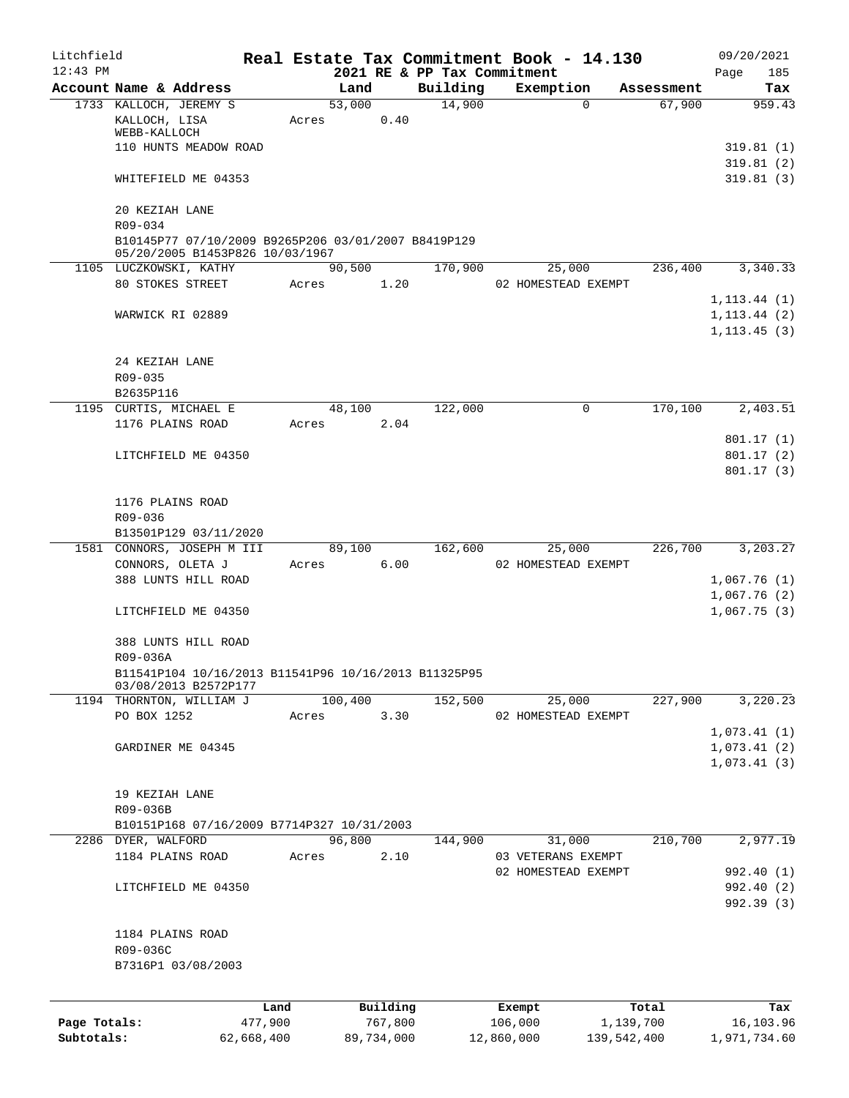| Litchfield   |                                                                                        |            |       |                |            |                             | Real Estate Tax Commitment Book - 14.130 |                      | 09/20/2021                      |
|--------------|----------------------------------------------------------------------------------------|------------|-------|----------------|------------|-----------------------------|------------------------------------------|----------------------|---------------------------------|
| $12:43$ PM   |                                                                                        |            |       |                |            | 2021 RE & PP Tax Commitment |                                          |                      | 185<br>Page                     |
|              | Account Name & Address<br>1733 KALLOCH, JEREMY S                                       |            |       | Land<br>53,000 |            | Building<br>14,900          | Exemption<br>$\Omega$                    | Assessment<br>67,900 | Tax<br>959.43                   |
|              | KALLOCH, LISA<br>WEBB-KALLOCH                                                          |            | Acres |                | 0.40       |                             |                                          |                      |                                 |
|              | 110 HUNTS MEADOW ROAD                                                                  |            |       |                |            |                             |                                          |                      | 319.81(1)                       |
|              | WHITEFIELD ME 04353                                                                    |            |       |                |            |                             |                                          |                      | 319.81(2)<br>319.81(3)          |
|              | 20 KEZIAH LANE                                                                         |            |       |                |            |                             |                                          |                      |                                 |
|              | R09-034                                                                                |            |       |                |            |                             |                                          |                      |                                 |
|              | B10145P77 07/10/2009 B9265P206 03/01/2007 B8419P129<br>05/20/2005 B1453P826 10/03/1967 |            |       |                |            |                             |                                          |                      |                                 |
|              | 1105 LUCZKOWSKI, KATHY                                                                 |            |       | 90,500         |            | 170,900                     | 25,000                                   | 236,400              | 3,340.33                        |
|              | 80 STOKES STREET                                                                       |            | Acres |                | 1.20       |                             | 02 HOMESTEAD EXEMPT                      |                      |                                 |
|              |                                                                                        |            |       |                |            |                             |                                          |                      | 1, 113.44(1)                    |
|              | WARWICK RI 02889                                                                       |            |       |                |            |                             |                                          |                      | $1, 113.44$ (2)<br>1, 113.45(3) |
|              | 24 KEZIAH LANE                                                                         |            |       |                |            |                             |                                          |                      |                                 |
|              | R09-035                                                                                |            |       |                |            |                             |                                          |                      |                                 |
|              | B2635P116                                                                              |            |       |                |            |                             |                                          |                      |                                 |
|              | 1195 CURTIS, MICHAEL E                                                                 |            |       | 48,100         |            | 122,000                     | $\mathbf 0$                              | 170,100              | 2,403.51                        |
|              | 1176 PLAINS ROAD                                                                       |            | Acres |                | 2.04       |                             |                                          |                      |                                 |
|              |                                                                                        |            |       |                |            |                             |                                          |                      | 801.17(1)                       |
|              | LITCHFIELD ME 04350                                                                    |            |       |                |            |                             |                                          |                      | 801.17(2)<br>801.17(3)          |
|              | 1176 PLAINS ROAD                                                                       |            |       |                |            |                             |                                          |                      |                                 |
|              | R09-036                                                                                |            |       |                |            |                             |                                          |                      |                                 |
|              | B13501P129 03/11/2020                                                                  |            |       |                |            |                             |                                          |                      |                                 |
|              | 1581 CONNORS, JOSEPH M III                                                             |            |       | 89,100         |            | 162,600                     | 25,000                                   | 226,700              | 3,203.27                        |
|              | CONNORS, OLETA J                                                                       |            |       | Acres 6.00     |            |                             | 02 HOMESTEAD EXEMPT                      |                      |                                 |
|              | 388 LUNTS HILL ROAD                                                                    |            |       |                |            |                             |                                          |                      | 1,067.76(1)<br>1,067.76(2)      |
|              | LITCHFIELD ME 04350                                                                    |            |       |                |            |                             |                                          |                      | 1,067.75(3)                     |
|              | 388 LUNTS HILL ROAD                                                                    |            |       |                |            |                             |                                          |                      |                                 |
|              | R09-036A                                                                               |            |       |                |            |                             |                                          |                      |                                 |
|              | B11541P104 10/16/2013 B11541P96 10/16/2013 B11325P95<br>03/08/2013 B2572P177           |            |       |                |            |                             |                                          |                      |                                 |
|              | 1194 THORNTON, WILLIAM J                                                               |            |       | 100,400        |            | 152,500                     | 25,000                                   | 227,900              | 3,220.23                        |
|              | PO BOX 1252                                                                            |            | Acres |                | 3.30       |                             | 02 HOMESTEAD EXEMPT                      |                      |                                 |
|              |                                                                                        |            |       |                |            |                             |                                          |                      | 1,073.41(1)                     |
|              | GARDINER ME 04345                                                                      |            |       |                |            |                             |                                          |                      | 1,073.41(2)                     |
|              |                                                                                        |            |       |                |            |                             |                                          |                      | 1,073.41(3)                     |
|              | 19 KEZIAH LANE                                                                         |            |       |                |            |                             |                                          |                      |                                 |
|              | R09-036B                                                                               |            |       |                |            |                             |                                          |                      |                                 |
|              | B10151P168 07/16/2009 B7714P327 10/31/2003                                             |            |       |                |            |                             |                                          |                      |                                 |
|              | 2286 DYER, WALFORD                                                                     |            |       | 96,800         |            | 144,900                     | 31,000                                   | 210,700              | 2,977.19                        |
|              | 1184 PLAINS ROAD                                                                       |            | Acres |                | 2.10       |                             | 03 VETERANS EXEMPT                       |                      |                                 |
|              | LITCHFIELD ME 04350                                                                    |            |       |                |            |                             | 02 HOMESTEAD EXEMPT                      |                      | 992.40 (1)<br>992.40 (2)        |
|              |                                                                                        |            |       |                |            |                             |                                          |                      | 992.39 (3)                      |
|              | 1184 PLAINS ROAD                                                                       |            |       |                |            |                             |                                          |                      |                                 |
|              | R09-036C                                                                               |            |       |                |            |                             |                                          |                      |                                 |
|              | B7316P1 03/08/2003                                                                     |            |       |                |            |                             |                                          |                      |                                 |
|              |                                                                                        | Land       |       |                | Building   |                             | Exempt                                   | Total                | Tax                             |
| Page Totals: |                                                                                        | 477,900    |       |                | 767,800    |                             | 106,000                                  | 1,139,700            | 16,103.96                       |
| Subtotals:   |                                                                                        | 62,668,400 |       |                | 89,734,000 |                             | 12,860,000                               | 139,542,400          | 1,971,734.60                    |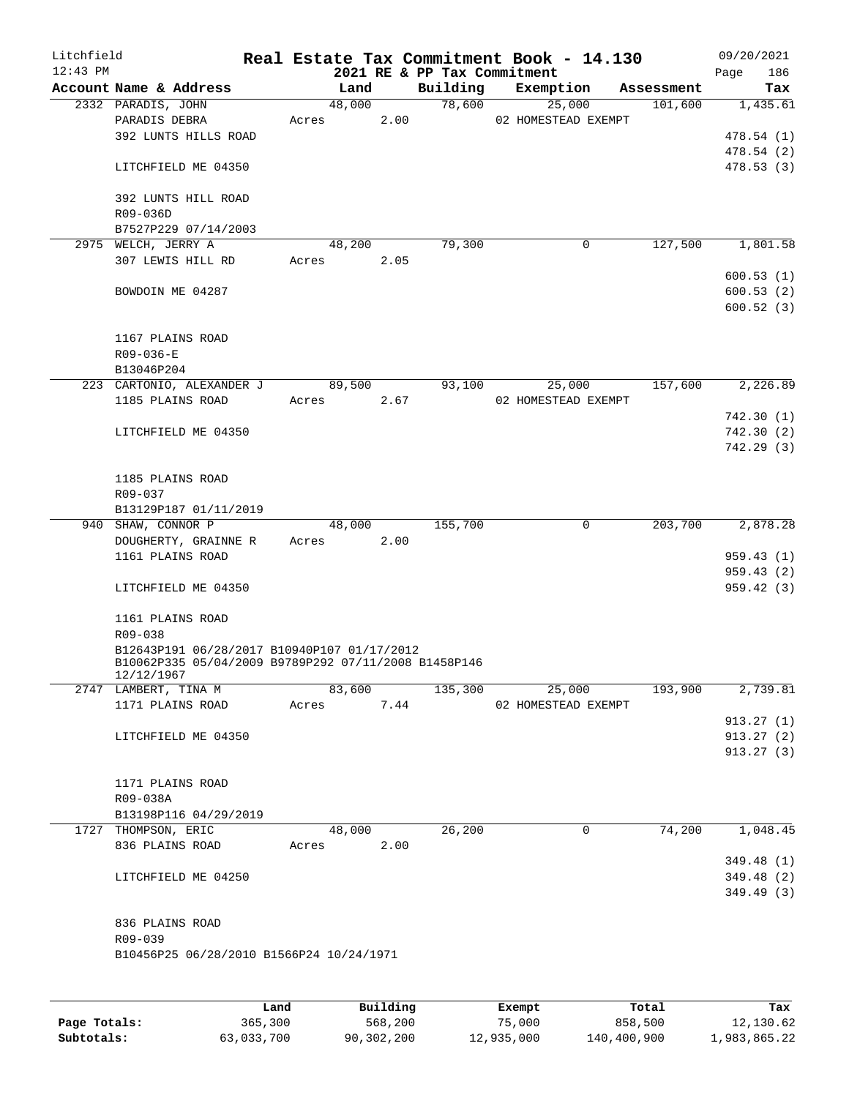| Litchfield<br>$12:43$ PM |                                                                                                                   |       |        |      | 2021 RE & PP Tax Commitment | Real Estate Tax Commitment Book - 14.130 |            | 09/20/2021<br>186<br>Page |
|--------------------------|-------------------------------------------------------------------------------------------------------------------|-------|--------|------|-----------------------------|------------------------------------------|------------|---------------------------|
|                          | Account Name & Address                                                                                            |       | Land   |      | Building                    | Exemption                                | Assessment | Tax                       |
|                          | 2332 PARADIS, JOHN                                                                                                |       | 48,000 |      | 78,600                      | 25,000                                   | 101,600    | 1,435.61                  |
|                          | PARADIS DEBRA<br>392 LUNTS HILLS ROAD                                                                             | Acres |        | 2.00 |                             | 02 HOMESTEAD EXEMPT                      |            | 478.54(1)                 |
|                          |                                                                                                                   |       |        |      |                             |                                          |            | 478.54 (2)                |
|                          | LITCHFIELD ME 04350                                                                                               |       |        |      |                             |                                          |            | 478.53(3)                 |
|                          | 392 LUNTS HILL ROAD                                                                                               |       |        |      |                             |                                          |            |                           |
|                          | R09-036D<br>B7527P229 07/14/2003                                                                                  |       |        |      |                             |                                          |            |                           |
|                          | 2975 WELCH, JERRY A                                                                                               |       | 48,200 |      | 79,300                      | 0                                        | 127,500    | 1,801.58                  |
|                          | 307 LEWIS HILL RD                                                                                                 |       | Acres  | 2.05 |                             |                                          |            |                           |
|                          |                                                                                                                   |       |        |      |                             |                                          |            | 600.53(1)                 |
|                          | BOWDOIN ME 04287                                                                                                  |       |        |      |                             |                                          |            | 600.53(2)                 |
|                          |                                                                                                                   |       |        |      |                             |                                          |            | 600.52(3)                 |
|                          | 1167 PLAINS ROAD                                                                                                  |       |        |      |                             |                                          |            |                           |
|                          | $R09 - 036 - E$                                                                                                   |       |        |      |                             |                                          |            |                           |
|                          | B13046P204<br>223 CARTONIO, ALEXANDER J                                                                           |       | 89,500 |      | 93,100                      | 25,000                                   | 157,600    | 2,226.89                  |
|                          | 1185 PLAINS ROAD                                                                                                  | Acres |        | 2.67 |                             | 02 HOMESTEAD EXEMPT                      |            |                           |
|                          |                                                                                                                   |       |        |      |                             |                                          |            | 742.30(1)                 |
|                          | LITCHFIELD ME 04350                                                                                               |       |        |      |                             |                                          |            | 742.30(2)                 |
|                          |                                                                                                                   |       |        |      |                             |                                          |            | 742.29(3)                 |
|                          |                                                                                                                   |       |        |      |                             |                                          |            |                           |
|                          | 1185 PLAINS ROAD                                                                                                  |       |        |      |                             |                                          |            |                           |
|                          | R09-037<br>B13129P187 01/11/2019                                                                                  |       |        |      |                             |                                          |            |                           |
|                          | 940 SHAW, CONNOR P                                                                                                |       | 48,000 |      | 155,700                     | $\mathbf 0$                              | 203,700    | 2,878.28                  |
|                          | DOUGHERTY, GRAINNE R                                                                                              |       | Acres  | 2.00 |                             |                                          |            |                           |
|                          | 1161 PLAINS ROAD                                                                                                  |       |        |      |                             |                                          |            | 959.43(1)                 |
|                          |                                                                                                                   |       |        |      |                             |                                          |            | 959.43(2)                 |
|                          | LITCHFIELD ME 04350                                                                                               |       |        |      |                             |                                          |            | 959.42(3)                 |
|                          | 1161 PLAINS ROAD<br>R09-038                                                                                       |       |        |      |                             |                                          |            |                           |
|                          | B12643P191 06/28/2017 B10940P107 01/17/2012<br>B10062P335 05/04/2009 B9789P292 07/11/2008 B1458P146<br>12/12/1967 |       |        |      |                             |                                          |            |                           |
|                          | 2747 LAMBERT, TINA M                                                                                              |       | 83,600 |      | 135,300                     | 25,000                                   | 193,900    | 2,739.81                  |
|                          | 1171 PLAINS ROAD                                                                                                  |       | Acres  | 7.44 |                             | 02 HOMESTEAD EXEMPT                      |            |                           |
|                          |                                                                                                                   |       |        |      |                             |                                          |            | 913.27(1)                 |
|                          | LITCHFIELD ME 04350                                                                                               |       |        |      |                             |                                          |            | 913.27(2)                 |
|                          |                                                                                                                   |       |        |      |                             |                                          |            | 913.27(3)                 |
|                          | 1171 PLAINS ROAD                                                                                                  |       |        |      |                             |                                          |            |                           |
|                          | R09-038A                                                                                                          |       |        |      |                             |                                          |            |                           |
|                          | B13198P116 04/29/2019                                                                                             |       |        |      |                             |                                          |            |                           |
|                          | 1727 THOMPSON, ERIC                                                                                               |       | 48,000 |      | 26,200                      | 0                                        | 74,200     | 1,048.45                  |
|                          | 836 PLAINS ROAD                                                                                                   |       | Acres  | 2.00 |                             |                                          |            |                           |
|                          |                                                                                                                   |       |        |      |                             |                                          |            | 349.48(1)                 |
|                          | LITCHFIELD ME 04250                                                                                               |       |        |      |                             |                                          |            | 349.48 (2)                |
|                          |                                                                                                                   |       |        |      |                             |                                          |            | 349.49 (3)                |
|                          | 836 PLAINS ROAD                                                                                                   |       |        |      |                             |                                          |            |                           |
|                          | R09-039                                                                                                           |       |        |      |                             |                                          |            |                           |
|                          | B10456P25 06/28/2010 B1566P24 10/24/1971                                                                          |       |        |      |                             |                                          |            |                           |
|                          |                                                                                                                   |       |        |      |                             |                                          |            |                           |
|                          |                                                                                                                   |       |        |      |                             |                                          |            |                           |

|              | Land       | Building   | Exempt     | Total       | Tax          |
|--------------|------------|------------|------------|-------------|--------------|
| Page Totals: | 365,300    | 568,200    | 75,000     | 858,500     | 12,130.62    |
| Subtotals:   | 63,033,700 | 90,302,200 | 12,935,000 | 140,400,900 | 1,983,865.22 |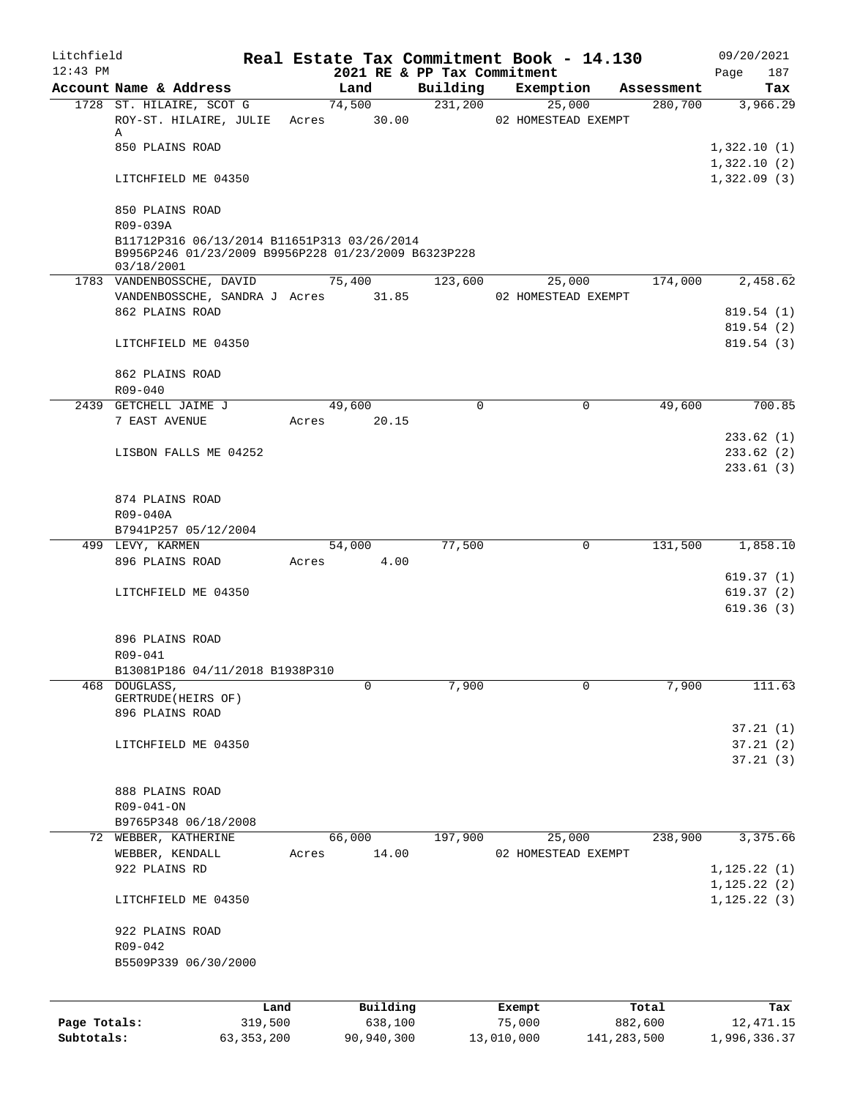| Litchfield<br>$12:43$ PM |                                                                                                                  |                 |       |                                     |          | Real Estate Tax Commitment Book - 14.130 |                      | 09/20/2021                 |
|--------------------------|------------------------------------------------------------------------------------------------------------------|-----------------|-------|-------------------------------------|----------|------------------------------------------|----------------------|----------------------------|
|                          | Account Name & Address                                                                                           |                 |       | 2021 RE & PP Tax Commitment<br>Land | Building | Exemption                                | Assessment           | 187<br>Page<br>Tax         |
|                          | 1728 ST. HILAIRE, SCOT G                                                                                         |                 |       | 74,500                              | 231,200  | 25,000                                   | 280,700              | 3,966.29                   |
|                          | ROY-ST. HILAIRE, JULIE Acres 30.00<br>Α                                                                          |                 |       |                                     |          | 02 HOMESTEAD EXEMPT                      |                      |                            |
|                          | 850 PLAINS ROAD                                                                                                  |                 |       |                                     |          |                                          |                      | 1,322.10(1)<br>1,322.10(2) |
|                          | LITCHFIELD ME 04350                                                                                              |                 |       |                                     |          |                                          |                      | 1,322.09(3)                |
|                          | 850 PLAINS ROAD<br>R09-039A                                                                                      |                 |       |                                     |          |                                          |                      |                            |
|                          | B11712P316 06/13/2014 B11651P313 03/26/2014<br>B9956P246 01/23/2009 B9956P228 01/23/2009 B6323P228<br>03/18/2001 |                 |       |                                     |          |                                          |                      |                            |
|                          | 1783 VANDENBOSSCHE, DAVID                                                                                        |                 |       | 75,400                              | 123,600  | 25,000                                   | 174,000              | 2,458.62                   |
|                          | VANDENBOSSCHE, SANDRA J Acres 31.85                                                                              |                 |       |                                     |          | 02 HOMESTEAD EXEMPT                      |                      |                            |
|                          | 862 PLAINS ROAD                                                                                                  |                 |       |                                     |          |                                          |                      | 819.54(1)                  |
|                          |                                                                                                                  |                 |       |                                     |          |                                          |                      | 819.54 (2)                 |
|                          | LITCHFIELD ME 04350                                                                                              |                 |       |                                     |          |                                          |                      | 819.54(3)                  |
|                          | 862 PLAINS ROAD<br>R09-040                                                                                       |                 |       |                                     |          |                                          |                      |                            |
|                          | 2439 GETCHELL JAIME J                                                                                            |                 |       | 49,600                              | $\Omega$ | 0                                        | 49,600               | 700.85                     |
|                          | 7 EAST AVENUE                                                                                                    |                 | Acres | 20.15                               |          |                                          |                      |                            |
|                          |                                                                                                                  |                 |       |                                     |          |                                          |                      | 233.62(1)                  |
|                          | LISBON FALLS ME 04252                                                                                            |                 |       |                                     |          |                                          |                      | 233.62(2)                  |
|                          |                                                                                                                  |                 |       |                                     |          |                                          |                      | 233.61(3)                  |
|                          | 874 PLAINS ROAD                                                                                                  |                 |       |                                     |          |                                          |                      |                            |
|                          | R09-040A                                                                                                         |                 |       |                                     |          |                                          |                      |                            |
|                          | B7941P257 05/12/2004                                                                                             |                 |       |                                     |          |                                          |                      |                            |
|                          | 499 LEVY, KARMEN                                                                                                 |                 |       | 54,000                              | 77,500   | 0                                        | $1\overline{31,500}$ | 1,858.10                   |
|                          | 896 PLAINS ROAD                                                                                                  |                 |       | Acres 4.00                          |          |                                          |                      |                            |
|                          |                                                                                                                  |                 |       |                                     |          |                                          |                      | 619.37 (1)                 |
|                          | LITCHFIELD ME 04350                                                                                              |                 |       |                                     |          |                                          |                      | 619.37(2)                  |
|                          |                                                                                                                  |                 |       |                                     |          |                                          |                      | 619.36(3)                  |
|                          | 896 PLAINS ROAD                                                                                                  |                 |       |                                     |          |                                          |                      |                            |
|                          | R09-041                                                                                                          |                 |       |                                     |          |                                          |                      |                            |
|                          | B13081P186 04/11/2018 B1938P310                                                                                  |                 |       |                                     |          |                                          |                      |                            |
| 468                      | DOUGLASS,<br>GERTRUDE (HEIRS OF)<br>896 PLAINS ROAD                                                              |                 |       | 0                                   | 7,900    | 0                                        | 7,900                | 111.63                     |
|                          |                                                                                                                  |                 |       |                                     |          |                                          |                      | 37.21(1)                   |
|                          | LITCHFIELD ME 04350                                                                                              |                 |       |                                     |          |                                          |                      | 37.21(2)                   |
|                          |                                                                                                                  |                 |       |                                     |          |                                          |                      | 37.21(3)                   |
|                          | 888 PLAINS ROAD                                                                                                  |                 |       |                                     |          |                                          |                      |                            |
|                          | R09-041-ON                                                                                                       |                 |       |                                     |          |                                          |                      |                            |
|                          | B9765P348 06/18/2008                                                                                             |                 |       |                                     |          |                                          |                      |                            |
| 72                       | WEBBER, KATHERINE                                                                                                |                 |       | 66,000                              | 197,900  | 25,000                                   | 238,900              | 3,375.66                   |
|                          | WEBBER, KENDALL                                                                                                  |                 | Acres | 14.00                               |          | 02 HOMESTEAD EXEMPT                      |                      |                            |
|                          | 922 PLAINS RD                                                                                                    |                 |       |                                     |          |                                          |                      | 1, 125.22(1)               |
|                          |                                                                                                                  |                 |       |                                     |          |                                          |                      | 1, 125.22(2)               |
|                          | LITCHFIELD ME 04350                                                                                              |                 |       |                                     |          |                                          |                      | 1, 125.22(3)               |
|                          | 922 PLAINS ROAD                                                                                                  |                 |       |                                     |          |                                          |                      |                            |
|                          | R09-042                                                                                                          |                 |       |                                     |          |                                          |                      |                            |
|                          | B5509P339 06/30/2000                                                                                             |                 |       |                                     |          |                                          |                      |                            |
|                          |                                                                                                                  |                 |       |                                     |          |                                          |                      |                            |
| Page Totals:             |                                                                                                                  | Land<br>319,500 |       | Building<br>638,100                 |          | Exempt<br>75,000                         | Total<br>882,600     | Tax<br>12,471.15           |
| Subtotals:               |                                                                                                                  | 63, 353, 200    |       | 90,940,300                          |          | 13,010,000                               | 141,283,500          | 1,996,336.37               |
|                          |                                                                                                                  |                 |       |                                     |          |                                          |                      |                            |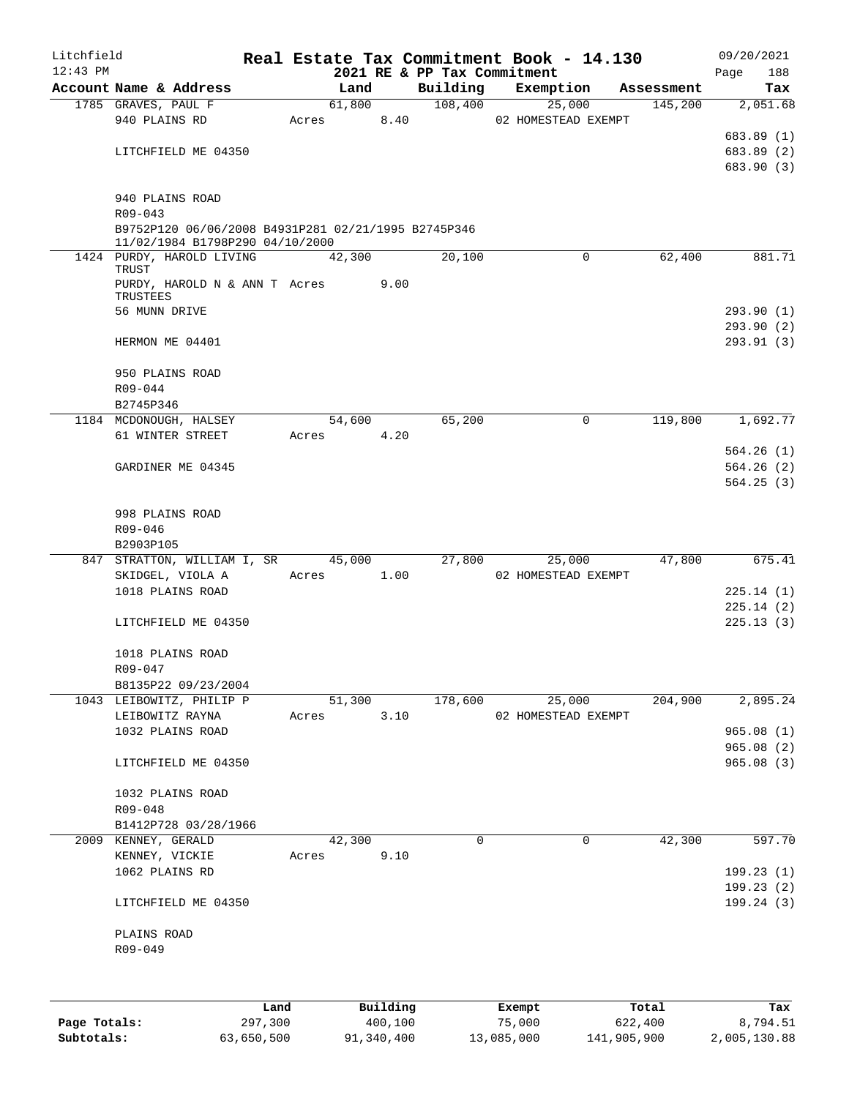| Litchfield   |                                                                                        |                 |       |                |                     |                             | Real Estate Tax Commitment Book - 14.130 |                       | 09/20/2021      |
|--------------|----------------------------------------------------------------------------------------|-----------------|-------|----------------|---------------------|-----------------------------|------------------------------------------|-----------------------|-----------------|
| $12:43$ PM   | Account Name & Address                                                                 |                 |       |                |                     | 2021 RE & PP Tax Commitment |                                          |                       | 188<br>Page     |
|              |                                                                                        |                 |       | Land<br>61,800 |                     | Building<br>108,400         | Exemption                                | Assessment<br>145,200 | Tax<br>2,051.68 |
|              | 1785 GRAVES, PAUL F<br>940 PLAINS RD                                                   |                 | Acres |                | 8.40                |                             | 25,000<br>02 HOMESTEAD EXEMPT            |                       |                 |
|              |                                                                                        |                 |       |                |                     |                             |                                          |                       | 683.89 (1)      |
|              | LITCHFIELD ME 04350                                                                    |                 |       |                |                     |                             |                                          |                       | 683.89 (2)      |
|              |                                                                                        |                 |       |                |                     |                             |                                          |                       | 683.90 (3)      |
|              | 940 PLAINS ROAD                                                                        |                 |       |                |                     |                             |                                          |                       |                 |
|              | $R09 - 043$                                                                            |                 |       |                |                     |                             |                                          |                       |                 |
|              | B9752P120 06/06/2008 B4931P281 02/21/1995 B2745P346<br>11/02/1984 B1798P290 04/10/2000 |                 |       |                |                     |                             |                                          |                       |                 |
|              | 1424 PURDY, HAROLD LIVING<br>TRUST                                                     |                 |       | 42,300         |                     | 20,100                      | $\mathbf 0$                              | 62,400                | 881.71          |
|              | PURDY, HAROLD N & ANN T Acres                                                          |                 |       |                | 9.00                |                             |                                          |                       |                 |
|              | TRUSTEES                                                                               |                 |       |                |                     |                             |                                          |                       |                 |
|              | 56 MUNN DRIVE                                                                          |                 |       |                |                     |                             |                                          |                       | 293.90 (1)      |
|              |                                                                                        |                 |       |                |                     |                             |                                          |                       | 293.90(2)       |
|              | HERMON ME 04401                                                                        |                 |       |                |                     |                             |                                          |                       | 293.91(3)       |
|              | 950 PLAINS ROAD                                                                        |                 |       |                |                     |                             |                                          |                       |                 |
|              | R09-044                                                                                |                 |       |                |                     |                             |                                          |                       |                 |
|              | B2745P346                                                                              |                 |       |                |                     |                             |                                          |                       |                 |
|              | 1184 MCDONOUGH, HALSEY                                                                 |                 |       | 54,600         |                     | 65,200                      | 0                                        | 119,800               | 1,692.77        |
|              | 61 WINTER STREET                                                                       |                 | Acres |                | 4.20                |                             |                                          |                       |                 |
|              |                                                                                        |                 |       |                |                     |                             |                                          |                       | 564.26(1)       |
|              | GARDINER ME 04345                                                                      |                 |       |                |                     |                             |                                          |                       | 564.26(2)       |
|              |                                                                                        |                 |       |                |                     |                             |                                          |                       | 564.25(3)       |
|              | 998 PLAINS ROAD                                                                        |                 |       |                |                     |                             |                                          |                       |                 |
|              | R09-046                                                                                |                 |       |                |                     |                             |                                          |                       |                 |
|              | B2903P105                                                                              |                 |       |                |                     |                             |                                          |                       |                 |
|              | 847 STRATTON, WILLIAM I, SR                                                            |                 |       | 45,000         |                     | 27,800                      | 25,000                                   | 47,800                | 675.41          |
|              | SKIDGEL, VIOLA A                                                                       |                 | Acres |                | 1.00                |                             | 02 HOMESTEAD EXEMPT                      |                       |                 |
|              | 1018 PLAINS ROAD                                                                       |                 |       |                |                     |                             |                                          |                       | 225.14(1)       |
|              |                                                                                        |                 |       |                |                     |                             |                                          |                       | 225.14(2)       |
|              | LITCHFIELD ME 04350                                                                    |                 |       |                |                     |                             |                                          |                       | 225.13(3)       |
|              | 1018 PLAINS ROAD                                                                       |                 |       |                |                     |                             |                                          |                       |                 |
|              | R09-047                                                                                |                 |       |                |                     |                             |                                          |                       |                 |
|              | B8135P22 09/23/2004                                                                    |                 |       |                |                     |                             |                                          |                       |                 |
|              | 1043 LEIBOWITZ, PHILIP P                                                               |                 |       | 51,300         |                     | 178,600                     | 25,000                                   | 204,900               | 2,895.24        |
|              | LEIBOWITZ RAYNA                                                                        |                 | Acres |                | 3.10                |                             | 02 HOMESTEAD EXEMPT                      |                       |                 |
|              | 1032 PLAINS ROAD                                                                       |                 |       |                |                     |                             |                                          |                       | 965.08(1)       |
|              |                                                                                        |                 |       |                |                     |                             |                                          |                       | 965.08(2)       |
|              | LITCHFIELD ME 04350                                                                    |                 |       |                |                     |                             |                                          |                       | 965.08(3)       |
|              | 1032 PLAINS ROAD                                                                       |                 |       |                |                     |                             |                                          |                       |                 |
|              | R09-048                                                                                |                 |       |                |                     |                             |                                          |                       |                 |
|              | B1412P728 03/28/1966                                                                   |                 |       |                |                     |                             |                                          |                       |                 |
|              | 2009 KENNEY, GERALD                                                                    |                 |       | 42,300         |                     | 0                           | 0                                        | 42,300                | 597.70          |
|              | KENNEY, VICKIE                                                                         |                 | Acres |                | 9.10                |                             |                                          |                       |                 |
|              | 1062 PLAINS RD                                                                         |                 |       |                |                     |                             |                                          |                       | 199.23(1)       |
|              |                                                                                        |                 |       |                |                     |                             |                                          |                       | 199.23(2)       |
|              | LITCHFIELD ME 04350                                                                    |                 |       |                |                     |                             |                                          |                       | 199.24(3)       |
|              | PLAINS ROAD                                                                            |                 |       |                |                     |                             |                                          |                       |                 |
|              | R09-049                                                                                |                 |       |                |                     |                             |                                          |                       |                 |
|              |                                                                                        |                 |       |                |                     |                             |                                          |                       |                 |
|              |                                                                                        |                 |       |                |                     |                             |                                          |                       |                 |
| Page Totals: |                                                                                        | Land<br>297,300 |       |                | Building<br>400,100 |                             | Exempt<br>75,000                         | Total<br>622,400      | Tax<br>8,794.51 |
| Subtotals:   |                                                                                        | 63,650,500      |       |                | 91,340,400          |                             | 13,085,000                               | 141,905,900           | 2,005,130.88    |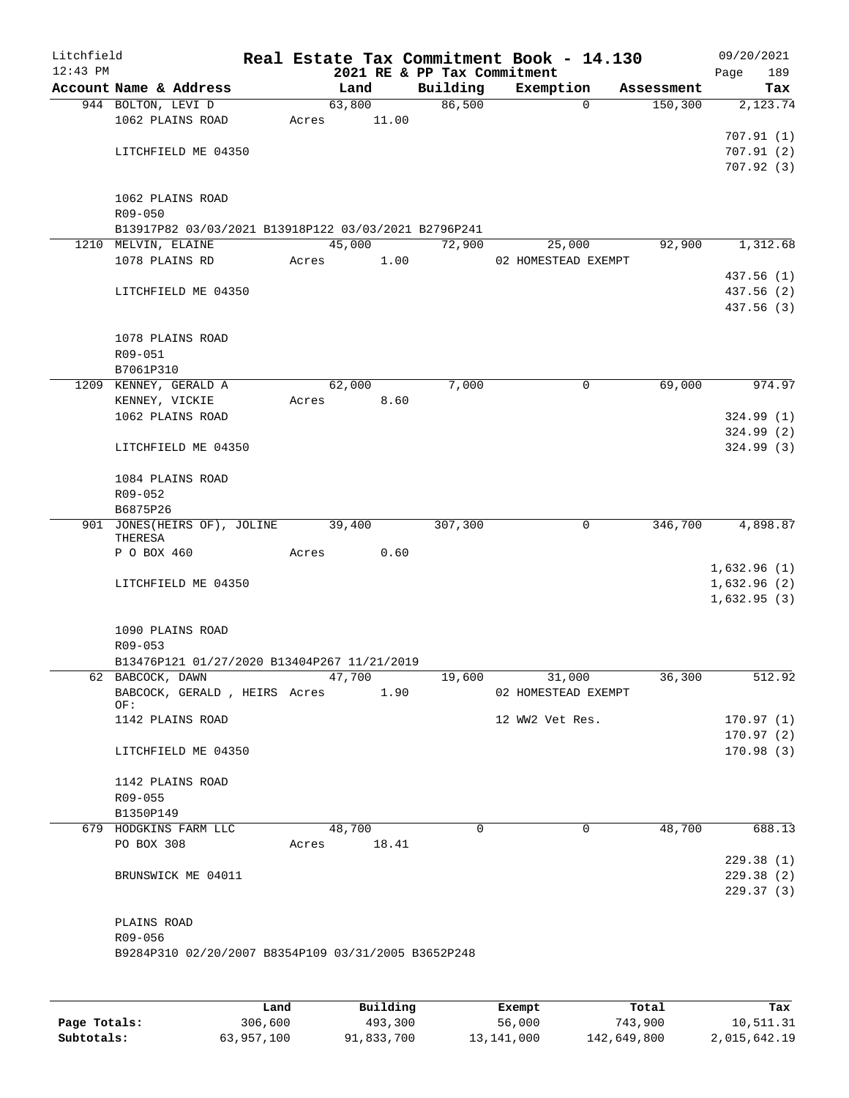| Litchfield<br>$12:43$ PM |                                                                 |       |        |       | 2021 RE & PP Tax Commitment | Real Estate Tax Commitment Book - 14.130 |            | 09/20/2021<br>Page     | 189      |
|--------------------------|-----------------------------------------------------------------|-------|--------|-------|-----------------------------|------------------------------------------|------------|------------------------|----------|
|                          | Account Name & Address                                          |       | Land   |       | Building                    | Exemption                                | Assessment |                        | Tax      |
|                          | 944 BOLTON, LEVI D                                              |       | 63,800 |       | 86,500                      | $\Omega$                                 | 150, 300   |                        | 2,123.74 |
|                          | 1062 PLAINS ROAD                                                | Acres |        | 11.00 |                             |                                          |            |                        |          |
|                          |                                                                 |       |        |       |                             |                                          |            | 707.91(1)              |          |
|                          | LITCHFIELD ME 04350                                             |       |        |       |                             |                                          |            | 707.91(2)              |          |
|                          |                                                                 |       |        |       |                             |                                          |            | 707.92(3)              |          |
|                          |                                                                 |       |        |       |                             |                                          |            |                        |          |
|                          | 1062 PLAINS ROAD                                                |       |        |       |                             |                                          |            |                        |          |
|                          | R09-050<br>B13917P82 03/03/2021 B13918P122 03/03/2021 B2796P241 |       |        |       |                             |                                          |            |                        |          |
|                          | 1210 MELVIN, ELAINE                                             |       | 45,000 |       | 72,900                      | 25,000                                   | 92,900     |                        | 1,312.68 |
|                          | 1078 PLAINS RD                                                  | Acres |        | 1.00  |                             | 02 HOMESTEAD EXEMPT                      |            |                        |          |
|                          |                                                                 |       |        |       |                             |                                          |            | 437.56 (1)             |          |
|                          | LITCHFIELD ME 04350                                             |       |        |       |                             |                                          |            | 437.56 (2)             |          |
|                          |                                                                 |       |        |       |                             |                                          |            | 437.56 (3)             |          |
|                          |                                                                 |       |        |       |                             |                                          |            |                        |          |
|                          | 1078 PLAINS ROAD                                                |       |        |       |                             |                                          |            |                        |          |
|                          | R09-051                                                         |       |        |       |                             |                                          |            |                        |          |
|                          | B7061P310                                                       |       |        |       |                             |                                          |            |                        |          |
|                          | 1209 KENNEY, GERALD A                                           |       | 62,000 |       | 7,000                       | 0                                        | 69,000     |                        | 974.97   |
|                          | KENNEY, VICKIE<br>1062 PLAINS ROAD                              | Acres |        | 8.60  |                             |                                          |            | 324.99(1)              |          |
|                          |                                                                 |       |        |       |                             |                                          |            | 324.99(2)              |          |
|                          | LITCHFIELD ME 04350                                             |       |        |       |                             |                                          |            | 324.99(3)              |          |
|                          |                                                                 |       |        |       |                             |                                          |            |                        |          |
|                          | 1084 PLAINS ROAD                                                |       |        |       |                             |                                          |            |                        |          |
|                          | R09-052                                                         |       |        |       |                             |                                          |            |                        |          |
|                          | B6875P26                                                        |       |        |       |                             |                                          |            |                        |          |
|                          | 901 JONES (HEIRS OF), JOLINE<br>THERESA                         |       | 39,400 |       | 307,300                     | 0                                        | 346,700    |                        | 4,898.87 |
|                          | P O BOX 460                                                     | Acres |        | 0.60  |                             |                                          |            |                        |          |
|                          |                                                                 |       |        |       |                             |                                          |            | 1,632.96(1)            |          |
|                          | LITCHFIELD ME 04350                                             |       |        |       |                             |                                          |            | 1,632.96(2)            |          |
|                          |                                                                 |       |        |       |                             |                                          |            | 1,632.95(3)            |          |
|                          | 1090 PLAINS ROAD                                                |       |        |       |                             |                                          |            |                        |          |
|                          | R09-053                                                         |       |        |       |                             |                                          |            |                        |          |
|                          | B13476P121 01/27/2020 B13404P267 11/21/2019                     |       |        |       |                             |                                          |            |                        |          |
|                          | 62 BABCOCK, DAWN                                                |       | 47,700 |       | 19,600                      | 31,000                                   | 36,300     |                        | 512.92   |
|                          | BABCOCK, GERALD, HEIRS Acres                                    |       |        | 1.90  |                             | 02 HOMESTEAD EXEMPT                      |            |                        |          |
|                          | OF:                                                             |       |        |       |                             |                                          |            |                        |          |
|                          | 1142 PLAINS ROAD                                                |       |        |       |                             | 12 WW2 Vet Res.                          |            | 170.97(1)<br>170.97(2) |          |
|                          | LITCHFIELD ME 04350                                             |       |        |       |                             |                                          |            | 170.98(3)              |          |
|                          |                                                                 |       |        |       |                             |                                          |            |                        |          |
|                          | 1142 PLAINS ROAD                                                |       |        |       |                             |                                          |            |                        |          |
|                          | R09-055                                                         |       |        |       |                             |                                          |            |                        |          |
|                          | B1350P149                                                       |       |        |       |                             |                                          |            |                        |          |
|                          | 679 HODGKINS FARM LLC                                           |       | 48,700 |       | $\Omega$                    | $\mathbf 0$                              | 48,700     |                        | 688.13   |
|                          | PO BOX 308                                                      | Acres |        | 18.41 |                             |                                          |            |                        |          |
|                          |                                                                 |       |        |       |                             |                                          |            | 229.38(1)              |          |
|                          | BRUNSWICK ME 04011                                              |       |        |       |                             |                                          |            | 229.38(2)              |          |
|                          |                                                                 |       |        |       |                             |                                          |            | 229.37(3)              |          |
|                          | PLAINS ROAD                                                     |       |        |       |                             |                                          |            |                        |          |
|                          | R09-056                                                         |       |        |       |                             |                                          |            |                        |          |
|                          | B9284P310 02/20/2007 B8354P109 03/31/2005 B3652P248             |       |        |       |                             |                                          |            |                        |          |
|                          |                                                                 |       |        |       |                             |                                          |            |                        |          |
|                          |                                                                 |       |        |       |                             |                                          |            |                        |          |
|                          |                                                                 |       |        |       |                             |                                          |            |                        |          |

|              | Land       | Building   | Exempt     | Total       | Tax          |
|--------------|------------|------------|------------|-------------|--------------|
| Page Totals: | 306,600    | 493,300    | 56,000     | 743,900     | 10,511.31    |
| Subtotals:   | 63,957,100 | 91,833,700 | 13,141,000 | 142,649,800 | 2,015,642.19 |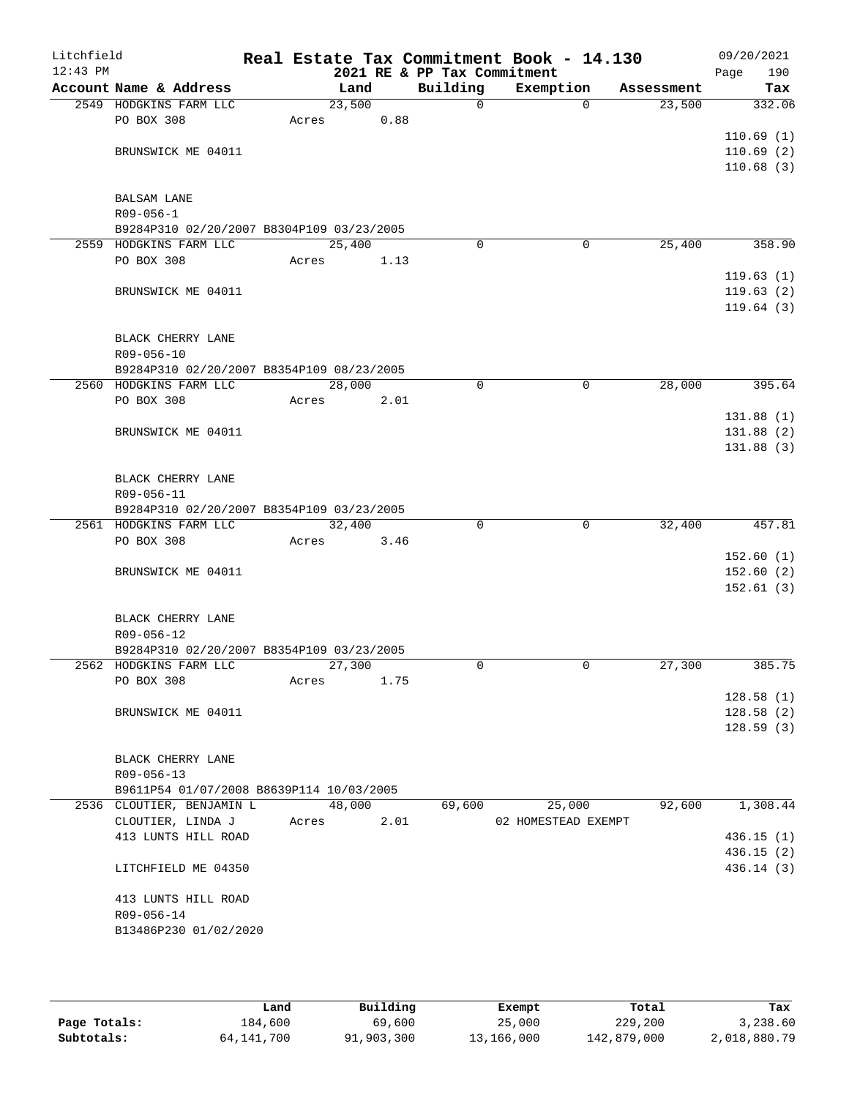| Litchfield |                                                         |       |        |      |                             | Real Estate Tax Commitment Book - 14.130 |            | 09/20/2021  |
|------------|---------------------------------------------------------|-------|--------|------|-----------------------------|------------------------------------------|------------|-------------|
| $12:43$ PM |                                                         |       |        |      | 2021 RE & PP Tax Commitment |                                          |            | 190<br>Page |
|            | Account Name & Address                                  |       | Land   |      | Building                    | Exemption                                | Assessment | Tax         |
|            | 2549 HODGKINS FARM LLC                                  |       | 23,500 |      | $\mathsf{O}$                | $\mathbf{0}$                             | 23,500     | 332.06      |
|            | PO BOX 308                                              | Acres |        | 0.88 |                             |                                          |            | 110.69(1)   |
|            | BRUNSWICK ME 04011                                      |       |        |      |                             |                                          |            | 110.69(2)   |
|            |                                                         |       |        |      |                             |                                          |            | 110.68(3)   |
|            |                                                         |       |        |      |                             |                                          |            |             |
|            | <b>BALSAM LANE</b>                                      |       |        |      |                             |                                          |            |             |
|            | $R09 - 056 - 1$                                         |       |        |      |                             |                                          |            |             |
|            | B9284P310 02/20/2007 B8304P109 03/23/2005               |       |        |      |                             |                                          |            |             |
|            | 2559 HODGKINS FARM LLC                                  |       | 25,400 |      | $\Omega$                    | 0                                        | 25,400     | 358.90      |
|            | PO BOX 308                                              | Acres |        | 1.13 |                             |                                          |            |             |
|            |                                                         |       |        |      |                             |                                          |            | 119.63(1)   |
|            | BRUNSWICK ME 04011                                      |       |        |      |                             |                                          |            | 119.63(2)   |
|            |                                                         |       |        |      |                             |                                          |            | 119.64(3)   |
|            |                                                         |       |        |      |                             |                                          |            |             |
|            | BLACK CHERRY LANE                                       |       |        |      |                             |                                          |            |             |
|            | R09-056-10<br>B9284P310 02/20/2007 B8354P109 08/23/2005 |       |        |      |                             |                                          |            |             |
|            | 2560 HODGKINS FARM LLC                                  |       | 28,000 |      | 0                           | $\mathbf 0$                              | 28,000     | 395.64      |
|            | PO BOX 308                                              | Acres |        | 2.01 |                             |                                          |            |             |
|            |                                                         |       |        |      |                             |                                          |            | 131.88(1)   |
|            | BRUNSWICK ME 04011                                      |       |        |      |                             |                                          |            | 131.88(2)   |
|            |                                                         |       |        |      |                             |                                          |            | 131.88(3)   |
|            |                                                         |       |        |      |                             |                                          |            |             |
|            | BLACK CHERRY LANE                                       |       |        |      |                             |                                          |            |             |
|            | R09-056-11                                              |       |        |      |                             |                                          |            |             |
|            | B9284P310 02/20/2007 B8354P109 03/23/2005               |       |        |      |                             |                                          |            |             |
|            | 2561 HODGKINS FARM LLC                                  |       | 32,400 |      | $\Omega$                    | $\mathbf 0$                              | 32,400     | 457.81      |
|            | PO BOX 308                                              | Acres |        | 3.46 |                             |                                          |            |             |
|            |                                                         |       |        |      |                             |                                          |            | 152.60(1)   |
|            | BRUNSWICK ME 04011                                      |       |        |      |                             |                                          |            | 152.60(2)   |
|            |                                                         |       |        |      |                             |                                          |            | 152.61(3)   |
|            | BLACK CHERRY LANE                                       |       |        |      |                             |                                          |            |             |
|            | R09-056-12                                              |       |        |      |                             |                                          |            |             |
|            | B9284P310 02/20/2007 B8354P109 03/23/2005               |       |        |      |                             |                                          |            |             |
|            | 2562 HODGKINS FARM LLC                                  |       | 27,300 |      | $\Omega$                    | 0                                        | 27,300     | 385.75      |
|            | PO BOX 308                                              | Acres |        | 1.75 |                             |                                          |            |             |
|            |                                                         |       |        |      |                             |                                          |            | 128.58(1)   |
|            | BRUNSWICK ME 04011                                      |       |        |      |                             |                                          |            | 128.58(2)   |
|            |                                                         |       |        |      |                             |                                          |            | 128.59(3)   |
|            |                                                         |       |        |      |                             |                                          |            |             |
|            | BLACK CHERRY LANE                                       |       |        |      |                             |                                          |            |             |
|            | R09-056-13                                              |       |        |      |                             |                                          |            |             |
|            | B9611P54 01/07/2008 B8639P114 10/03/2005                |       |        |      |                             |                                          |            | 1,308.44    |
|            | 2536 CLOUTIER, BENJAMIN L<br>CLOUTIER, LINDA J          | Acres | 48,000 | 2.01 | 69,600                      | 25,000<br>02 HOMESTEAD EXEMPT            | 92,600     |             |
|            | 413 LUNTS HILL ROAD                                     |       |        |      |                             |                                          |            | 436.15(1)   |
|            |                                                         |       |        |      |                             |                                          |            | 436.15(2)   |
|            | LITCHFIELD ME 04350                                     |       |        |      |                             |                                          |            | 436.14 (3)  |
|            |                                                         |       |        |      |                             |                                          |            |             |
|            | 413 LUNTS HILL ROAD                                     |       |        |      |                             |                                          |            |             |
|            | R09-056-14                                              |       |        |      |                             |                                          |            |             |
|            | B13486P230 01/02/2020                                   |       |        |      |                             |                                          |            |             |
|            |                                                         |       |        |      |                             |                                          |            |             |

|              | Land         | Building   | Exempt     | Total       | Tax          |
|--------------|--------------|------------|------------|-------------|--------------|
| Page Totals: | 184,600      | 69,600     | 25,000     | 229,200     | 3,238.60     |
| Subtotals:   | 64, 141, 700 | 91,903,300 | 13,166,000 | 142,879,000 | 2,018,880.79 |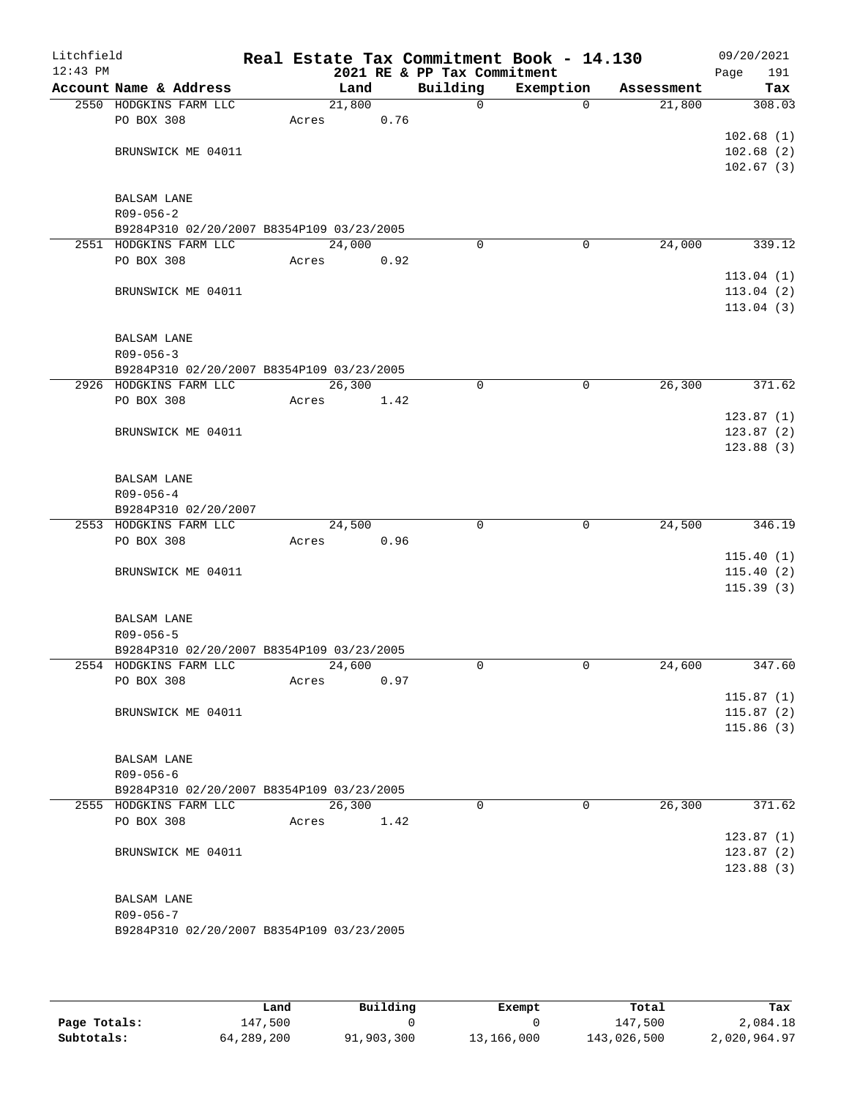| Litchfield<br>$12:43$ PM |                                           |       |        |      | 2021 RE & PP Tax Commitment | Real Estate Tax Commitment Book - 14.130 |            | 09/20/2021<br>191<br>Page |
|--------------------------|-------------------------------------------|-------|--------|------|-----------------------------|------------------------------------------|------------|---------------------------|
|                          | Account Name & Address                    |       | Land   |      | Building                    | Exemption                                | Assessment | Tax                       |
|                          | 2550 HODGKINS FARM LLC                    |       | 21,800 |      | $\mathsf{O}$                | $\mathbf{0}$                             | 21,800     | 308.03                    |
|                          | PO BOX 308                                | Acres |        | 0.76 |                             |                                          |            |                           |
|                          |                                           |       |        |      |                             |                                          |            | 102.68(1)                 |
|                          | BRUNSWICK ME 04011                        |       |        |      |                             |                                          |            | 102.68(2)                 |
|                          |                                           |       |        |      |                             |                                          |            | 102.67(3)                 |
|                          |                                           |       |        |      |                             |                                          |            |                           |
|                          | <b>BALSAM LANE</b>                        |       |        |      |                             |                                          |            |                           |
|                          | $R09 - 056 - 2$                           |       |        |      |                             |                                          |            |                           |
|                          | B9284P310 02/20/2007 B8354P109 03/23/2005 |       |        |      |                             |                                          |            |                           |
|                          | 2551 HODGKINS FARM LLC                    |       | 24,000 |      | $\Omega$                    | 0                                        | 24,000     | 339.12                    |
|                          | PO BOX 308                                | Acres |        | 0.92 |                             |                                          |            |                           |
|                          |                                           |       |        |      |                             |                                          |            | 113.04(1)<br>113.04(2)    |
|                          | BRUNSWICK ME 04011                        |       |        |      |                             |                                          |            | 113.04(3)                 |
|                          |                                           |       |        |      |                             |                                          |            |                           |
|                          | <b>BALSAM LANE</b>                        |       |        |      |                             |                                          |            |                           |
|                          | $R09 - 056 - 3$                           |       |        |      |                             |                                          |            |                           |
|                          | B9284P310 02/20/2007 B8354P109 03/23/2005 |       |        |      |                             |                                          |            |                           |
|                          | 2926 HODGKINS FARM LLC                    |       | 26,300 |      | 0                           | 0                                        | 26, 300    | 371.62                    |
|                          | PO BOX 308                                | Acres |        | 1.42 |                             |                                          |            |                           |
|                          |                                           |       |        |      |                             |                                          |            | 123.87(1)                 |
|                          | BRUNSWICK ME 04011                        |       |        |      |                             |                                          |            | 123.87(2)                 |
|                          |                                           |       |        |      |                             |                                          |            | 123.88(3)                 |
|                          |                                           |       |        |      |                             |                                          |            |                           |
|                          | <b>BALSAM LANE</b>                        |       |        |      |                             |                                          |            |                           |
|                          | $R09 - 056 - 4$                           |       |        |      |                             |                                          |            |                           |
|                          | B9284P310 02/20/2007                      |       |        |      |                             |                                          |            |                           |
|                          | 2553 HODGKINS FARM LLC                    |       | 24,500 |      | $\mathbf 0$                 | $\mathbf 0$                              | 24,500     | 346.19                    |
|                          | PO BOX 308                                | Acres |        | 0.96 |                             |                                          |            |                           |
|                          |                                           |       |        |      |                             |                                          |            | 115.40(1)                 |
|                          | BRUNSWICK ME 04011                        |       |        |      |                             |                                          |            | 115.40(2)                 |
|                          |                                           |       |        |      |                             |                                          |            | 115.39(3)                 |
|                          | <b>BALSAM LANE</b>                        |       |        |      |                             |                                          |            |                           |
|                          | $R09 - 056 - 5$                           |       |        |      |                             |                                          |            |                           |
|                          | B9284P310 02/20/2007 B8354P109 03/23/2005 |       |        |      |                             |                                          |            |                           |
|                          | 2554 HODGKINS FARM LLC                    |       | 24,600 |      | $\Omega$                    | $\mathbf 0$                              | 24,600     | 347.60                    |
|                          | PO BOX 308                                | Acres |        | 0.97 |                             |                                          |            |                           |
|                          |                                           |       |        |      |                             |                                          |            | 115.87(1)                 |
|                          | BRUNSWICK ME 04011                        |       |        |      |                             |                                          |            | 115.87(2)                 |
|                          |                                           |       |        |      |                             |                                          |            | 115.86(3)                 |
|                          |                                           |       |        |      |                             |                                          |            |                           |
|                          | <b>BALSAM LANE</b>                        |       |        |      |                             |                                          |            |                           |
|                          | $R09 - 056 - 6$                           |       |        |      |                             |                                          |            |                           |
|                          | B9284P310 02/20/2007 B8354P109 03/23/2005 |       |        |      |                             |                                          |            |                           |
|                          | 2555 HODGKINS FARM LLC                    |       | 26,300 |      | $\Omega$                    | $\Omega$                                 | 26,300     | 371.62                    |
|                          | PO BOX 308                                | Acres |        | 1.42 |                             |                                          |            |                           |
|                          |                                           |       |        |      |                             |                                          |            | 123.87(1)                 |
|                          | BRUNSWICK ME 04011                        |       |        |      |                             |                                          |            | 123.87(2)                 |
|                          |                                           |       |        |      |                             |                                          |            | 123.88(3)                 |
|                          |                                           |       |        |      |                             |                                          |            |                           |
|                          | BALSAM LANE<br>$R09 - 056 - 7$            |       |        |      |                             |                                          |            |                           |
|                          | B9284P310 02/20/2007 B8354P109 03/23/2005 |       |        |      |                             |                                          |            |                           |
|                          |                                           |       |        |      |                             |                                          |            |                           |
|                          |                                           |       |        |      |                             |                                          |            |                           |

|              | Land       | Building   | Exempt     | Total       | Tax          |
|--------------|------------|------------|------------|-------------|--------------|
| Page Totals: | 147.500    |            |            | 147,500     | 2,084.18     |
| Subtotals:   | 64,289,200 | 91,903,300 | 13,166,000 | 143,026,500 | 2,020,964.97 |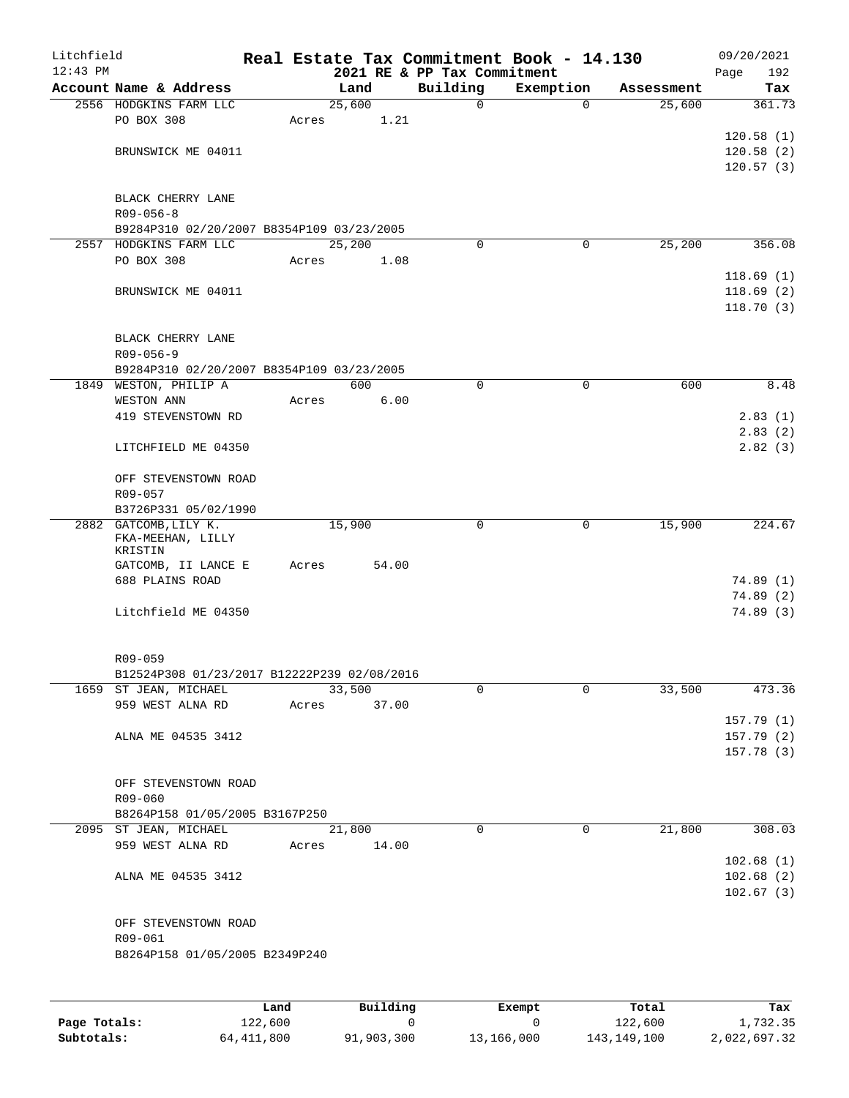| Litchfield<br>$12:43$ PM |                                                         |       |                       |       | 2021 RE & PP Tax Commitment |             | Real Estate Tax Commitment Book - 14.130 |            | 09/20/2021<br>Page<br>192 |
|--------------------------|---------------------------------------------------------|-------|-----------------------|-------|-----------------------------|-------------|------------------------------------------|------------|---------------------------|
|                          | Account Name & Address                                  |       | Land                  |       | Building                    |             | Exemption                                | Assessment | Tax                       |
|                          | 2556 HODGKINS FARM LLC                                  |       | 25,600                |       |                             | $\mathbf 0$ | $\mathbf 0$                              | 25,600     | 361.73                    |
|                          | PO BOX 308                                              | Acres |                       | 1.21  |                             |             |                                          |            |                           |
|                          |                                                         |       |                       |       |                             |             |                                          |            | 120.58(1)                 |
|                          | BRUNSWICK ME 04011                                      |       |                       |       |                             |             |                                          |            | 120.58(2)                 |
|                          |                                                         |       |                       |       |                             |             |                                          |            | 120.57(3)                 |
|                          | BLACK CHERRY LANE                                       |       |                       |       |                             |             |                                          |            |                           |
|                          | $R09 - 056 - 8$                                         |       |                       |       |                             |             |                                          |            |                           |
|                          | B9284P310 02/20/2007 B8354P109 03/23/2005               |       |                       |       |                             |             |                                          |            |                           |
|                          | 2557 HODGKINS FARM LLC                                  |       | 25,200                |       |                             | $\Omega$    | $\mathbf 0$                              | 25,200     | 356.08                    |
|                          | PO BOX 308                                              | Acres |                       | 1.08  |                             |             |                                          |            |                           |
|                          |                                                         |       |                       |       |                             |             |                                          |            | 118.69(1)                 |
|                          | BRUNSWICK ME 04011                                      |       |                       |       |                             |             |                                          |            | 118.69(2)                 |
|                          |                                                         |       |                       |       |                             |             |                                          |            | 118.70(3)                 |
|                          | BLACK CHERRY LANE                                       |       |                       |       |                             |             |                                          |            |                           |
|                          | $R09 - 056 - 9$                                         |       |                       |       |                             |             |                                          |            |                           |
|                          | B9284P310 02/20/2007 B8354P109 03/23/2005               |       |                       |       |                             |             |                                          |            |                           |
|                          | 1849 WESTON, PHILIP A                                   |       | 600                   |       |                             | 0           | 0                                        | 600        | 8.48                      |
|                          | WESTON ANN                                              | Acres |                       | 6.00  |                             |             |                                          |            |                           |
|                          | 419 STEVENSTOWN RD                                      |       |                       |       |                             |             |                                          |            | 2.83(1)                   |
|                          |                                                         |       |                       |       |                             |             |                                          |            | 2.83(2)                   |
|                          | LITCHFIELD ME 04350                                     |       |                       |       |                             |             |                                          |            | 2.82(3)                   |
|                          |                                                         |       |                       |       |                             |             |                                          |            |                           |
|                          | OFF STEVENSTOWN ROAD<br>R09-057                         |       |                       |       |                             |             |                                          |            |                           |
|                          | B3726P331 05/02/1990                                    |       |                       |       |                             |             |                                          |            |                           |
|                          | 2882 GATCOMB, LILY K.                                   |       | 15,900                |       |                             | $\Omega$    | $\mathbf 0$                              | 15,900     | 224.67                    |
|                          | FKA-MEEHAN, LILLY                                       |       |                       |       |                             |             |                                          |            |                           |
|                          | KRISTIN<br>GATCOMB, II LANCE E                          | Acres |                       | 54.00 |                             |             |                                          |            |                           |
|                          | 688 PLAINS ROAD                                         |       |                       |       |                             |             |                                          |            | 74.89(1)                  |
|                          |                                                         |       |                       |       |                             |             |                                          |            | 74.89(2)                  |
|                          | Litchfield ME 04350                                     |       |                       |       |                             |             |                                          |            | 74.89(3)                  |
|                          |                                                         |       |                       |       |                             |             |                                          |            |                           |
|                          |                                                         |       |                       |       |                             |             |                                          |            |                           |
|                          | R09-059                                                 |       |                       |       |                             |             |                                          |            |                           |
|                          | B12524P308 01/23/2017 B12222P239 02/08/2016             |       |                       |       |                             | 0           | $\Omega$                                 |            | 473.36                    |
|                          | 1659 ST JEAN, MICHAEL<br>959 WEST ALNA RD               |       | 33,500<br>Acres 37.00 |       |                             |             |                                          | 33,500     |                           |
|                          |                                                         |       |                       |       |                             |             |                                          |            | 157.79(1)                 |
|                          | ALNA ME 04535 3412                                      |       |                       |       |                             |             |                                          |            | 157.79(2)                 |
|                          |                                                         |       |                       |       |                             |             |                                          |            | 157.78(3)                 |
|                          |                                                         |       |                       |       |                             |             |                                          |            |                           |
|                          | OFF STEVENSTOWN ROAD                                    |       |                       |       |                             |             |                                          |            |                           |
|                          | R09-060                                                 |       |                       |       |                             |             |                                          |            |                           |
|                          | B8264P158 01/05/2005 B3167P250<br>2095 ST JEAN, MICHAEL |       | 21,800                |       |                             | 0           | 0                                        | 21,800     | 308.03                    |
|                          | 959 WEST ALNA RD                                        |       | Acres 14.00           |       |                             |             |                                          |            |                           |
|                          |                                                         |       |                       |       |                             |             |                                          |            | 102.68(1)                 |
|                          | ALNA ME 04535 3412                                      |       |                       |       |                             |             |                                          |            | 102.68(2)                 |
|                          |                                                         |       |                       |       |                             |             |                                          |            | 102.67(3)                 |
|                          |                                                         |       |                       |       |                             |             |                                          |            |                           |
|                          | OFF STEVENSTOWN ROAD                                    |       |                       |       |                             |             |                                          |            |                           |
|                          | R09-061                                                 |       |                       |       |                             |             |                                          |            |                           |
|                          | B8264P158 01/05/2005 B2349P240                          |       |                       |       |                             |             |                                          |            |                           |
|                          |                                                         |       |                       |       |                             |             |                                          |            |                           |
|                          |                                                         |       |                       |       |                             |             |                                          |            |                           |

|              | Land       | Building   | Exempt     | Total       | Tax          |
|--------------|------------|------------|------------|-------------|--------------|
| Page Totals: | 122,600    |            |            | 122,600     | 1,732.35     |
| Subtotals:   | 64,411,800 | 91,903,300 | 13,166,000 | 143,149,100 | 2,022,697.32 |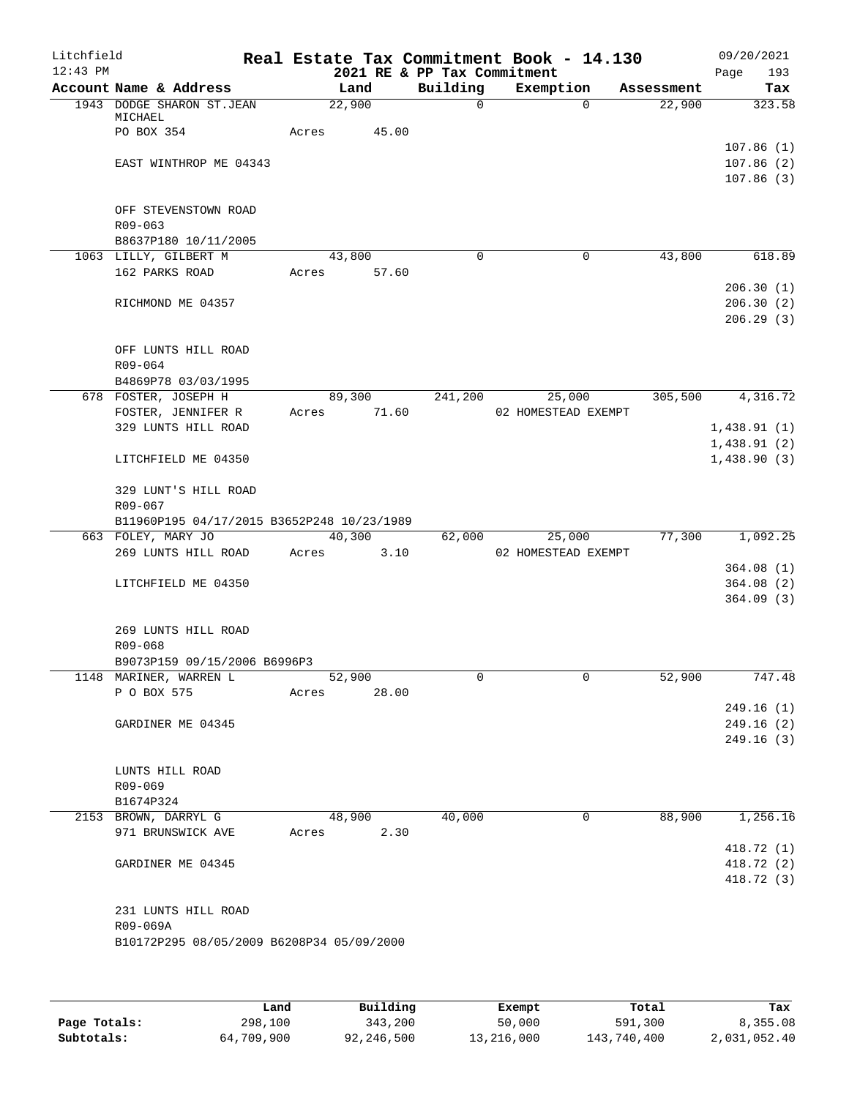| Litchfield<br>$12:43$ PM |                                               |       |        |             | 2021 RE & PP Tax Commitment | Real Estate Tax Commitment Book - 14.130 |            | 09/20/2021<br>Page                  | 193    |
|--------------------------|-----------------------------------------------|-------|--------|-------------|-----------------------------|------------------------------------------|------------|-------------------------------------|--------|
|                          | Account Name & Address                        |       |        | Land        | Building                    | Exemption                                | Assessment |                                     | Tax    |
|                          | 1943 DODGE SHARON ST.JEAN                     |       | 22,900 |             | 0                           | $\Omega$                                 | 22,900     |                                     | 323.58 |
|                          | MICHAEL<br>PO BOX 354                         | Acres |        | 45.00       |                             |                                          |            |                                     |        |
|                          | EAST WINTHROP ME 04343                        |       |        |             |                             |                                          |            | 107.86(1)<br>107.86(2)<br>107.86(3) |        |
|                          | OFF STEVENSTOWN ROAD<br>$R09 - 063$           |       |        |             |                             |                                          |            |                                     |        |
|                          | B8637P180 10/11/2005<br>1063 LILLY, GILBERT M |       |        | 43,800      | $\Omega$                    | $\mathbf 0$                              | 43,800     |                                     | 618.89 |
|                          | 162 PARKS ROAD                                |       |        | Acres 57.60 |                             |                                          |            |                                     |        |
|                          |                                               |       |        |             |                             |                                          |            | 206.30(1)                           |        |
|                          | RICHMOND ME 04357                             |       |        |             |                             |                                          |            | 206.30(2)<br>206.29(3)              |        |
|                          | OFF LUNTS HILL ROAD<br>R09-064                |       |        |             |                             |                                          |            |                                     |        |
|                          | B4869P78 03/03/1995<br>678 FOSTER, JOSEPH H   |       |        | 89,300      | 241,200                     | 25,000                                   | 305,500    | 4,316.72                            |        |
|                          | FOSTER, JENNIFER R                            | Acres |        | 71.60       |                             | 02 HOMESTEAD EXEMPT                      |            |                                     |        |
|                          | 329 LUNTS HILL ROAD                           |       |        |             |                             |                                          |            | 1,438.91(1)                         |        |
|                          |                                               |       |        |             |                             |                                          |            | 1,438.91(2)                         |        |
|                          | LITCHFIELD ME 04350                           |       |        |             |                             |                                          |            | 1,438.90(3)                         |        |
|                          | 329 LUNT'S HILL ROAD<br>R09-067               |       |        |             |                             |                                          |            |                                     |        |
|                          | B11960P195 04/17/2015 B3652P248 10/23/1989    |       |        |             |                             |                                          |            |                                     |        |
|                          | 663 FOLEY, MARY JO                            |       |        | 40,300      | 62,000                      | 25,000                                   | 77,300     | 1,092.25                            |        |
|                          | 269 LUNTS HILL ROAD                           | Acres |        | 3.10        |                             | 02 HOMESTEAD EXEMPT                      |            |                                     |        |
|                          |                                               |       |        |             |                             |                                          |            | 364.08(1)                           |        |
|                          | LITCHFIELD ME 04350                           |       |        |             |                             |                                          |            | 364.08(2)<br>364.09(3)              |        |
|                          | 269 LUNTS HILL ROAD<br>R09-068                |       |        |             |                             |                                          |            |                                     |        |
|                          | B9073P159 09/15/2006 B6996P3                  |       |        |             |                             |                                          |            |                                     |        |
|                          | 1148 MARINER, WARREN L                        |       | 52,900 |             | 0                           | 0                                        | 52,900     |                                     | 747.48 |
|                          | P O BOX 575                                   | Acres |        | 28.00       |                             |                                          |            |                                     |        |
|                          |                                               |       |        |             |                             |                                          |            | 249.16(1)                           |        |
|                          | GARDINER ME 04345                             |       |        |             |                             |                                          |            | 249.16(2)                           |        |
|                          |                                               |       |        |             |                             |                                          |            | 249.16(3)                           |        |
|                          | LUNTS HILL ROAD<br>R09-069                    |       |        |             |                             |                                          |            |                                     |        |
|                          | B1674P324                                     |       |        |             |                             |                                          |            |                                     |        |
|                          | 2153 BROWN, DARRYL G                          |       |        | 48,900      | 40,000                      | 0                                        | 88,900     | 1,256.16                            |        |
|                          | 971 BRUNSWICK AVE                             | Acres |        | 2.30        |                             |                                          |            |                                     |        |
|                          |                                               |       |        |             |                             |                                          |            | 418.72 (1)                          |        |
|                          | GARDINER ME 04345                             |       |        |             |                             |                                          |            | 418.72 (2)<br>418.72 (3)            |        |
|                          | 231 LUNTS HILL ROAD<br>R09-069A               |       |        |             |                             |                                          |            |                                     |        |
|                          | B10172P295 08/05/2009 B6208P34 05/09/2000     |       |        |             |                             |                                          |            |                                     |        |
|                          |                                               |       |        |             |                             |                                          |            |                                     |        |

|              | Land       | Building   | Exempt     | Total       | Tax          |
|--------------|------------|------------|------------|-------------|--------------|
| Page Totals: | 298,100    | 343,200    | 50,000     | 591,300     | 8,355.08     |
| Subtotals:   | 64,709,900 | 92,246,500 | 13,216,000 | 143,740,400 | 2,031,052.40 |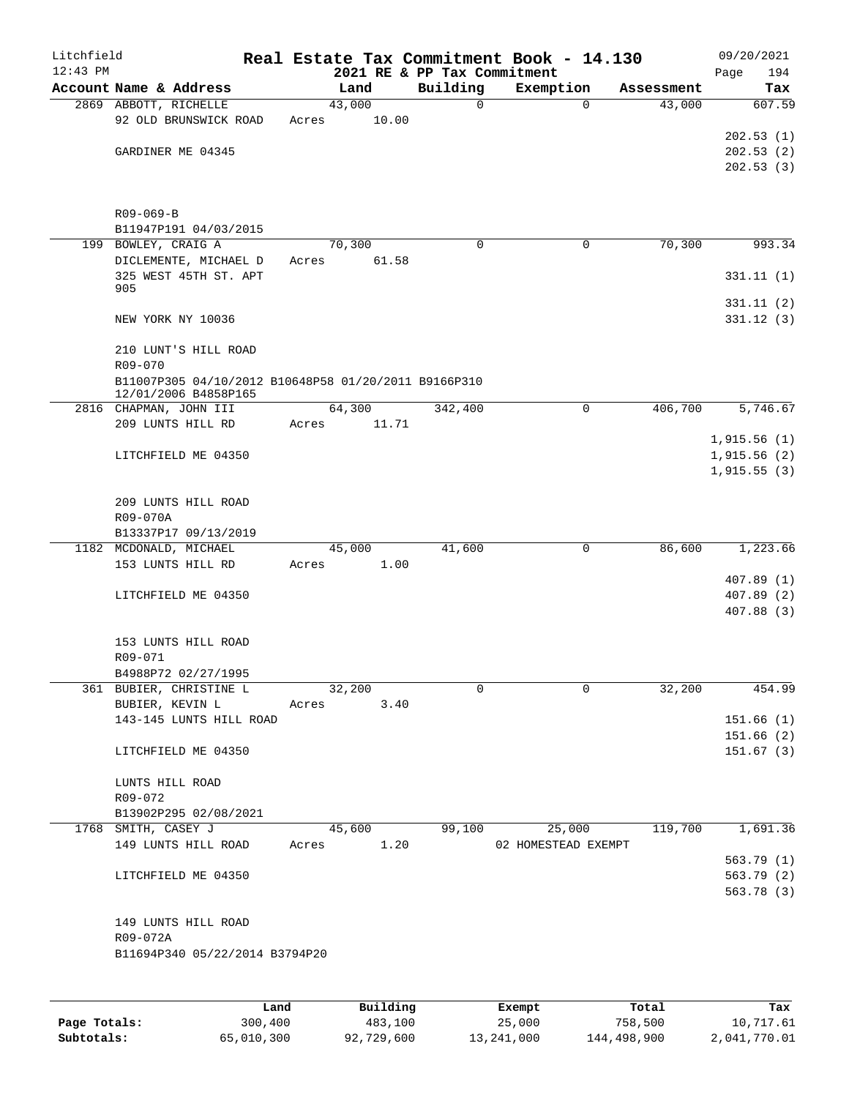| Litchfield |                                                                 |       |                |                             | Real Estate Tax Commitment Book - 14.130 |                      | 09/20/2021             |
|------------|-----------------------------------------------------------------|-------|----------------|-----------------------------|------------------------------------------|----------------------|------------------------|
| $12:43$ PM |                                                                 |       |                | 2021 RE & PP Tax Commitment |                                          |                      | 194<br>Page            |
|            | Account Name & Address                                          |       | Land<br>43,000 | Building<br>$\mathbf 0$     | Exemption<br>$\Omega$                    | Assessment<br>43,000 | Tax<br>607.59          |
|            | 2869 ABBOTT, RICHELLE<br>92 OLD BRUNSWICK ROAD                  | Acres | 10.00          |                             |                                          |                      |                        |
|            |                                                                 |       |                |                             |                                          |                      | 202.53(1)              |
|            | GARDINER ME 04345                                               |       |                |                             |                                          |                      | 202.53(2)              |
|            |                                                                 |       |                |                             |                                          |                      | 202.53(3)              |
|            |                                                                 |       |                |                             |                                          |                      |                        |
|            | R09-069-B                                                       |       |                |                             |                                          |                      |                        |
|            | B11947P191 04/03/2015                                           |       |                |                             |                                          |                      |                        |
|            | 199 BOWLEY, CRAIG A                                             |       | 70,300         | $\mathbf 0$                 | 0                                        | 70,300               | 993.34                 |
|            | DICLEMENTE, MICHAEL D                                           |       | Acres<br>61.58 |                             |                                          |                      |                        |
|            | 325 WEST 45TH ST. APT<br>905                                    |       |                |                             |                                          |                      | 331.11(1)              |
|            |                                                                 |       |                |                             |                                          |                      | 331.11(2)              |
|            | NEW YORK NY 10036                                               |       |                |                             |                                          |                      | 331.12(3)              |
|            |                                                                 |       |                |                             |                                          |                      |                        |
|            | 210 LUNT'S HILL ROAD                                            |       |                |                             |                                          |                      |                        |
|            | R09-070<br>B11007P305 04/10/2012 B10648P58 01/20/2011 B9166P310 |       |                |                             |                                          |                      |                        |
|            | 12/01/2006 B4858P165                                            |       |                |                             |                                          |                      |                        |
|            | 2816 CHAPMAN, JOHN III                                          |       | 64,300         | 342,400                     | $\mathbf 0$                              | 406,700              | 5,746.67               |
|            | 209 LUNTS HILL RD                                               | Acres | 11.71          |                             |                                          |                      | 1,915.56(1)            |
|            | LITCHFIELD ME 04350                                             |       |                |                             |                                          |                      | 1,915.56(2)            |
|            |                                                                 |       |                |                             |                                          |                      | 1,915.55(3)            |
|            |                                                                 |       |                |                             |                                          |                      |                        |
|            | 209 LUNTS HILL ROAD                                             |       |                |                             |                                          |                      |                        |
|            | R09-070A                                                        |       |                |                             |                                          |                      |                        |
|            | B13337P17 09/13/2019<br>1182 MCDONALD, MICHAEL                  |       | 45,000         | 41,600                      | 0                                        | 86,600               | 1,223.66               |
|            | 153 LUNTS HILL RD                                               | Acres | 1.00           |                             |                                          |                      |                        |
|            |                                                                 |       |                |                             |                                          |                      | 407.89(1)              |
|            | LITCHFIELD ME 04350                                             |       |                |                             |                                          |                      | 407.89(2)              |
|            |                                                                 |       |                |                             |                                          |                      | 407.88 (3)             |
|            | 153 LUNTS HILL ROAD                                             |       |                |                             |                                          |                      |                        |
|            | R09-071                                                         |       |                |                             |                                          |                      |                        |
|            | B4988P72 02/27/1995                                             |       |                |                             |                                          |                      |                        |
|            | 361 BUBIER, CHRISTINE L                                         |       | 32,200         | $\Omega$                    | 0                                        | 32,200               | 454.99                 |
|            | BUBIER, KEVIN L                                                 |       | Acres 3.40     |                             |                                          |                      |                        |
|            | 143-145 LUNTS HILL ROAD                                         |       |                |                             |                                          |                      | 151.66(1)<br>151.66(2) |
|            | LITCHFIELD ME 04350                                             |       |                |                             |                                          |                      | 151.67(3)              |
|            |                                                                 |       |                |                             |                                          |                      |                        |
|            | LUNTS HILL ROAD                                                 |       |                |                             |                                          |                      |                        |
|            | R09-072                                                         |       |                |                             |                                          |                      |                        |
|            | B13902P295 02/08/2021<br>1768 SMITH, CASEY J                    |       | 45,600         | 99,100                      | 25,000                                   | 119,700              | 1,691.36               |
|            | 149 LUNTS HILL ROAD                                             |       | Acres 1.20     |                             | 02 HOMESTEAD EXEMPT                      |                      |                        |
|            |                                                                 |       |                |                             |                                          |                      | 563.79(1)              |
|            | LITCHFIELD ME 04350                                             |       |                |                             |                                          |                      | 563.79(2)              |
|            |                                                                 |       |                |                             |                                          |                      | 563.78 (3)             |
|            |                                                                 |       |                |                             |                                          |                      |                        |
|            | 149 LUNTS HILL ROAD<br>R09-072A                                 |       |                |                             |                                          |                      |                        |
|            | B11694P340 05/22/2014 B3794P20                                  |       |                |                             |                                          |                      |                        |
|            |                                                                 |       |                |                             |                                          |                      |                        |
|            |                                                                 |       |                |                             |                                          |                      |                        |
|            |                                                                 |       |                |                             |                                          |                      |                        |

|              | Land       | Building   | Exempt     | Total       | Tax          |
|--------------|------------|------------|------------|-------------|--------------|
| Page Totals: | 300,400    | 483,100    | 25,000     | 758,500     | 10,717.61    |
| Subtotals:   | 65,010,300 | 92,729,600 | 13,241,000 | 144,498,900 | 2,041,770.01 |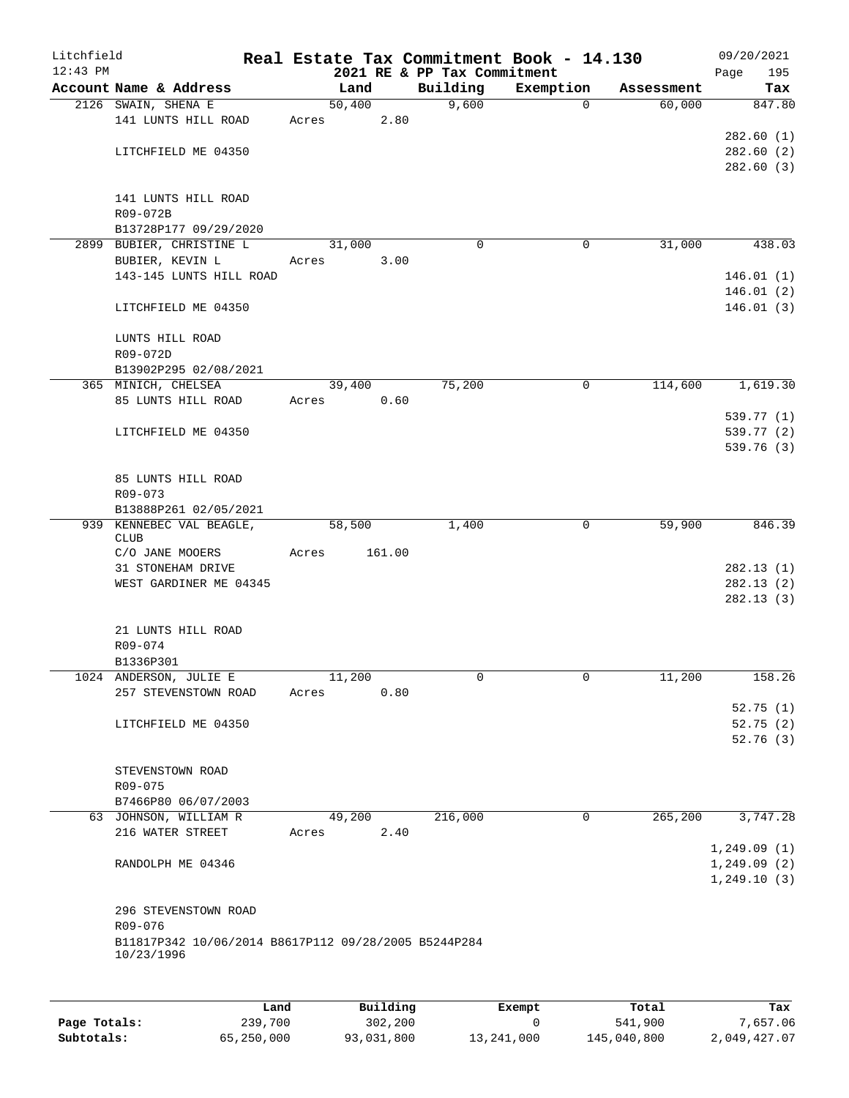| Litchfield |                                                                    |       |                |                             | Real Estate Tax Commitment Book - 14.130 |            | 09/20/2021    |
|------------|--------------------------------------------------------------------|-------|----------------|-----------------------------|------------------------------------------|------------|---------------|
| $12:43$ PM | Account Name & Address                                             |       |                | 2021 RE & PP Tax Commitment |                                          | Assessment | Page<br>195   |
|            | 2126 SWAIN, SHENA E                                                |       | Land<br>50,400 | Building<br>9,600           | Exemption<br>$\Omega$                    | 60,000     | Tax<br>847.80 |
|            | 141 LUNTS HILL ROAD                                                | Acres | 2.80           |                             |                                          |            |               |
|            |                                                                    |       |                |                             |                                          |            | 282.60(1)     |
|            | LITCHFIELD ME 04350                                                |       |                |                             |                                          |            | 282.60 (2)    |
|            |                                                                    |       |                |                             |                                          |            | 282.60(3)     |
|            | 141 LUNTS HILL ROAD                                                |       |                |                             |                                          |            |               |
|            | R09-072B                                                           |       |                |                             |                                          |            |               |
|            | B13728P177 09/29/2020                                              |       |                |                             |                                          |            |               |
|            | 2899 BUBIER, CHRISTINE L                                           |       | 31,000         | $\Omega$                    | 0                                        | 31,000     | 438.03        |
|            | BUBIER, KEVIN L                                                    | Acres | 3.00           |                             |                                          |            |               |
|            | 143-145 LUNTS HILL ROAD                                            |       |                |                             |                                          |            | 146.01(1)     |
|            |                                                                    |       |                |                             |                                          |            | 146.01(2)     |
|            | LITCHFIELD ME 04350                                                |       |                |                             |                                          |            | 146.01(3)     |
|            | LUNTS HILL ROAD                                                    |       |                |                             |                                          |            |               |
|            | R09-072D                                                           |       |                |                             |                                          |            |               |
|            | B13902P295 02/08/2021                                              |       |                |                             |                                          |            |               |
|            | 365 MINICH, CHELSEA                                                |       | 39,400         | 75,200                      | $\mathbf 0$                              | 114,600    | 1,619.30      |
|            | 85 LUNTS HILL ROAD                                                 | Acres | 0.60           |                             |                                          |            |               |
|            |                                                                    |       |                |                             |                                          |            | 539.77 (1)    |
|            | LITCHFIELD ME 04350                                                |       |                |                             |                                          |            | 539.77 (2)    |
|            |                                                                    |       |                |                             |                                          |            | 539.76 (3)    |
|            |                                                                    |       |                |                             |                                          |            |               |
|            | 85 LUNTS HILL ROAD                                                 |       |                |                             |                                          |            |               |
|            | R09-073<br>B13888P261 02/05/2021                                   |       |                |                             |                                          |            |               |
|            | 939 KENNEBEC VAL BEAGLE,                                           |       | 58,500         | 1,400                       | $\overline{0}$                           | 59,900     | 846.39        |
|            | <b>CLUB</b>                                                        |       |                |                             |                                          |            |               |
|            | C/O JANE MOOERS                                                    | Acres | 161.00         |                             |                                          |            |               |
|            | 31 STONEHAM DRIVE                                                  |       |                |                             |                                          |            | 282.13(1)     |
|            | WEST GARDINER ME 04345                                             |       |                |                             |                                          |            | 282.13(2)     |
|            |                                                                    |       |                |                             |                                          |            | 282.13(3)     |
|            | 21 LUNTS HILL ROAD                                                 |       |                |                             |                                          |            |               |
|            | R09-074                                                            |       |                |                             |                                          |            |               |
|            | B1336P301                                                          |       |                |                             |                                          |            |               |
|            | 1024 ANDERSON, JULIE E                                             |       | 11,200         | 0                           | 0                                        | 11,200     | 158.26        |
|            | 257 STEVENSTOWN ROAD                                               | Acres | 0.80           |                             |                                          |            |               |
|            |                                                                    |       |                |                             |                                          |            | 52.75(1)      |
|            | LITCHFIELD ME 04350                                                |       |                |                             |                                          |            | 52.75(2)      |
|            |                                                                    |       |                |                             |                                          |            | 52.76(3)      |
|            |                                                                    |       |                |                             |                                          |            |               |
|            | STEVENSTOWN ROAD                                                   |       |                |                             |                                          |            |               |
|            | R09-075<br>B7466P80 06/07/2003                                     |       |                |                             |                                          |            |               |
|            | 63 JOHNSON, WILLIAM R                                              |       | 49,200         | 216,000                     | $\mathbf 0$                              | 265,200    | 3,747.28      |
|            | 216 WATER STREET                                                   | Acres | 2.40           |                             |                                          |            |               |
|            |                                                                    |       |                |                             |                                          |            | 1,249.09(1)   |
|            | RANDOLPH ME 04346                                                  |       |                |                             |                                          |            | 1,249.09(2)   |
|            |                                                                    |       |                |                             |                                          |            | 1, 249.10(3)  |
|            |                                                                    |       |                |                             |                                          |            |               |
|            | 296 STEVENSTOWN ROAD                                               |       |                |                             |                                          |            |               |
|            | R09-076                                                            |       |                |                             |                                          |            |               |
|            | B11817P342 10/06/2014 B8617P112 09/28/2005 B5244P284<br>10/23/1996 |       |                |                             |                                          |            |               |
|            |                                                                    |       |                |                             |                                          |            |               |
|            |                                                                    |       |                |                             |                                          |            |               |
|            | Land,                                                              |       | Building       |                             | <b>Exempt</b>                            | Total      | Tax           |

|              | Land       | Building   | Exempt     | Total       | Tax          |
|--------------|------------|------------|------------|-------------|--------------|
| Page Totals: | 239,700    | 302,200    |            | 541,900     | 7,657.06     |
| Subtotals:   | 65,250,000 | 93,031,800 | 13,241,000 | 145,040,800 | 2,049,427.07 |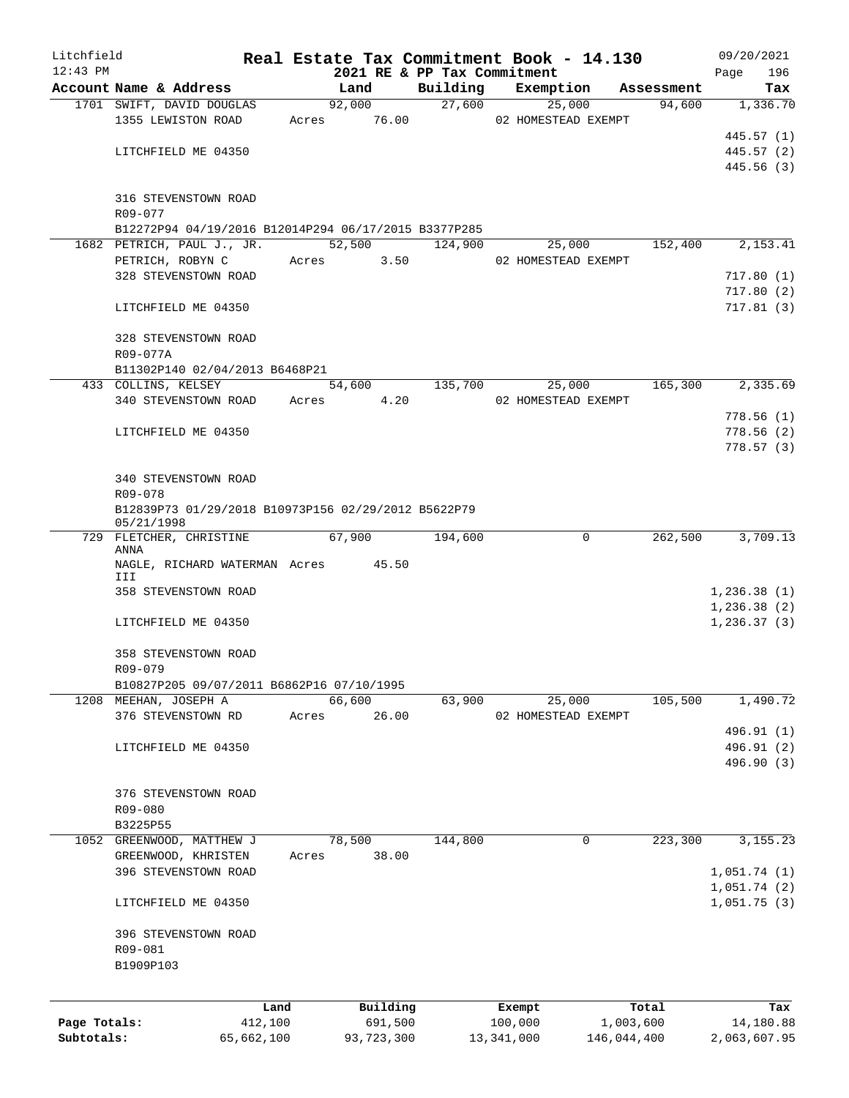| Litchfield   |                                                                   |            |       |                |                             |              | Real Estate Tax Commitment Book - 14.130 |                      | 09/20/2021                 |
|--------------|-------------------------------------------------------------------|------------|-------|----------------|-----------------------------|--------------|------------------------------------------|----------------------|----------------------------|
| $12:43$ PM   |                                                                   |            |       |                | 2021 RE & PP Tax Commitment |              |                                          |                      | Page<br>196                |
|              | Account Name & Address<br>1701 SWIFT, DAVID DOUGLAS               |            |       | Land<br>92,000 | Building<br>27,600          |              | Exemption<br>25,000                      | Assessment<br>94,600 | Tax<br>1,336.70            |
|              | 1355 LEWISTON ROAD                                                |            |       | Acres 76.00    |                             |              | 02 HOMESTEAD EXEMPT                      |                      |                            |
|              |                                                                   |            |       |                |                             |              |                                          |                      | 445.57 (1)                 |
|              | LITCHFIELD ME 04350                                               |            |       |                |                             |              |                                          |                      | 445.57 (2)                 |
|              |                                                                   |            |       |                |                             |              |                                          |                      | 445.56 (3)                 |
|              |                                                                   |            |       |                |                             |              |                                          |                      |                            |
|              | 316 STEVENSTOWN ROAD<br>R09-077                                   |            |       |                |                             |              |                                          |                      |                            |
|              | B12272P94 04/19/2016 B12014P294 06/17/2015 B3377P285              |            |       |                |                             |              |                                          |                      |                            |
|              | 1682 PETRICH, PAUL J., JR.                                        |            |       | 52,500         | 124,900                     |              | 25,000                                   | 152,400              | 2,153.41                   |
|              | PETRICH, ROBYN C Acres 3.50                                       |            |       |                |                             |              | 02 HOMESTEAD EXEMPT                      |                      |                            |
|              | 328 STEVENSTOWN ROAD                                              |            |       |                |                             |              |                                          |                      | 717.80(1)                  |
|              |                                                                   |            |       |                |                             |              |                                          |                      | 717.80(2)                  |
|              | LITCHFIELD ME 04350                                               |            |       |                |                             |              |                                          |                      | 717.81(3)                  |
|              | 328 STEVENSTOWN ROAD                                              |            |       |                |                             |              |                                          |                      |                            |
|              | R09-077A                                                          |            |       |                |                             |              |                                          |                      |                            |
|              | B11302P140 02/04/2013 B6468P21                                    |            |       |                | 54,600 135,700              |              |                                          | 165,300              | 2,335.69                   |
|              | 433 COLLINS, KELSEY<br>340 STEVENSTOWN ROAD                       |            | Acres | 4.20           |                             |              | 25,000<br>02 HOMESTEAD EXEMPT            |                      |                            |
|              |                                                                   |            |       |                |                             |              |                                          |                      | 778.56(1)                  |
|              | LITCHFIELD ME 04350                                               |            |       |                |                             |              |                                          |                      | 778.56(2)                  |
|              |                                                                   |            |       |                |                             |              |                                          |                      | 778.57(3)                  |
|              |                                                                   |            |       |                |                             |              |                                          |                      |                            |
|              | 340 STEVENSTOWN ROAD                                              |            |       |                |                             |              |                                          |                      |                            |
|              | R09-078                                                           |            |       |                |                             |              |                                          |                      |                            |
|              | B12839P73 01/29/2018 B10973P156 02/29/2012 B5622P79<br>05/21/1998 |            |       |                |                             |              |                                          |                      |                            |
|              | 729 FLETCHER, CHRISTINE                                           |            |       | 67,900         | 194,600                     |              | 0                                        | 262,500              | 3,709.13                   |
|              | ANNA                                                              |            |       |                |                             |              |                                          |                      |                            |
|              | NAGLE, RICHARD WATERMAN Acres 45.50                               |            |       |                |                             |              |                                          |                      |                            |
|              | III                                                               |            |       |                |                             |              |                                          |                      |                            |
|              | 358 STEVENSTOWN ROAD                                              |            |       |                |                             |              |                                          |                      | 1,236.38(1)<br>1,236.38(2) |
|              | LITCHFIELD ME 04350                                               |            |       |                |                             |              |                                          |                      | 1, 236.37(3)               |
|              |                                                                   |            |       |                |                             |              |                                          |                      |                            |
|              | 358 STEVENSTOWN ROAD                                              |            |       |                |                             |              |                                          |                      |                            |
|              | R09-079                                                           |            |       |                |                             |              |                                          |                      |                            |
|              | B10827P205 09/07/2011 B6862P16 07/10/1995                         |            |       |                |                             |              |                                          |                      |                            |
|              | 1208 MEEHAN, JOSEPH A                                             |            |       | 66,600         | 63,900                      |              | 25,000                                   | 105,500              | 1,490.72                   |
|              | 376 STEVENSTOWN RD                                                |            | Acres | 26.00          |                             |              | 02 HOMESTEAD EXEMPT                      |                      |                            |
|              |                                                                   |            |       |                |                             |              |                                          |                      | 496.91 (1)                 |
|              | LITCHFIELD ME 04350                                               |            |       |                |                             |              |                                          |                      | 496.91 (2)                 |
|              |                                                                   |            |       |                |                             |              |                                          |                      | 496.90 (3)                 |
|              |                                                                   |            |       |                |                             |              |                                          |                      |                            |
|              | 376 STEVENSTOWN ROAD                                              |            |       |                |                             |              |                                          |                      |                            |
|              | R09-080                                                           |            |       |                |                             |              |                                          |                      |                            |
|              | B3225P55                                                          |            |       |                |                             |              |                                          |                      |                            |
|              | 1052 GREENWOOD, MATTHEW J                                         |            |       | 78,500         | 144,800                     |              | 0                                        | 223,300              | 3, 155. 23                 |
|              | GREENWOOD, KHRISTEN                                               |            | Acres | 38.00          |                             |              |                                          |                      |                            |
|              | 396 STEVENSTOWN ROAD                                              |            |       |                |                             |              |                                          |                      | 1,051.74(1)                |
|              |                                                                   |            |       |                |                             |              |                                          |                      | 1,051.74(2)                |
|              | LITCHFIELD ME 04350                                               |            |       |                |                             |              |                                          |                      | 1,051.75(3)                |
|              | 396 STEVENSTOWN ROAD                                              |            |       |                |                             |              |                                          |                      |                            |
|              | R09-081                                                           |            |       |                |                             |              |                                          |                      |                            |
|              | B1909P103                                                         |            |       |                |                             |              |                                          |                      |                            |
|              |                                                                   |            |       |                |                             |              |                                          |                      |                            |
|              |                                                                   | Land       |       | Building       |                             |              | Exempt                                   | Total                | Tax                        |
| Page Totals: |                                                                   | 412,100    |       | 691,500        |                             | 100,000      |                                          | 1,003,600            | 14,180.88                  |
| Subtotals:   |                                                                   | 65,662,100 |       | 93,723,300     |                             | 13, 341, 000 |                                          | 146,044,400          | 2,063,607.95               |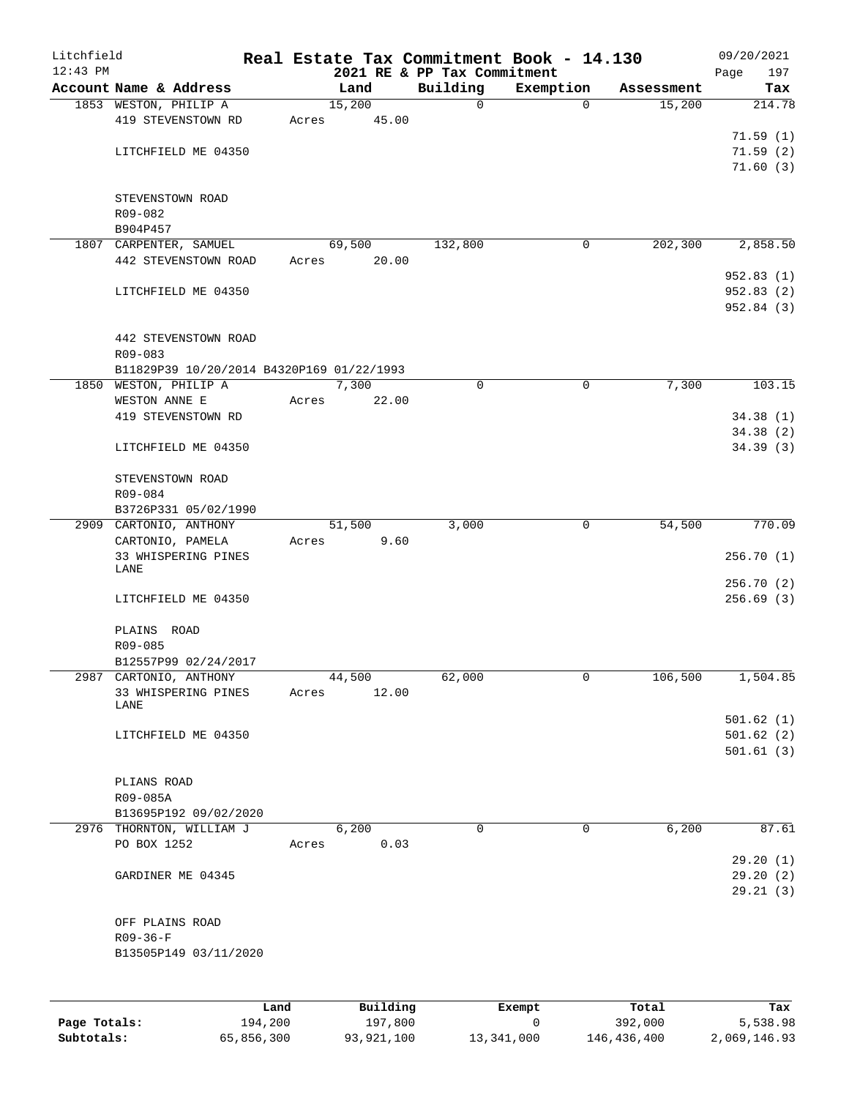| Litchfield |                                               |       |                 |                                         | Real Estate Tax Commitment Book - 14.130 |            | 09/20/2021         |
|------------|-----------------------------------------------|-------|-----------------|-----------------------------------------|------------------------------------------|------------|--------------------|
| $12:43$ PM | Account Name & Address                        |       | Land            | 2021 RE & PP Tax Commitment<br>Building | Exemption                                | Assessment | 197<br>Page<br>Tax |
|            | 1853 WESTON, PHILIP A                         |       | 15,200          | $\mathbf 0$                             | 0                                        | 15,200     | 214.78             |
|            | 419 STEVENSTOWN RD                            | Acres | 45.00           |                                         |                                          |            |                    |
|            |                                               |       |                 |                                         |                                          |            | 71.59(1)           |
|            | LITCHFIELD ME 04350                           |       |                 |                                         |                                          |            | 71.59(2)           |
|            |                                               |       |                 |                                         |                                          |            | 71.60(3)           |
|            |                                               |       |                 |                                         |                                          |            |                    |
|            | STEVENSTOWN ROAD<br>R09-082                   |       |                 |                                         |                                          |            |                    |
|            | B904P457                                      |       |                 |                                         |                                          |            |                    |
|            | 1807 CARPENTER, SAMUEL                        |       | 69,500          | 132,800                                 | 0                                        | 202,300    | 2,858.50           |
|            | 442 STEVENSTOWN ROAD                          | Acres | 20.00           |                                         |                                          |            |                    |
|            |                                               |       |                 |                                         |                                          |            | 952.83(1)          |
|            | LITCHFIELD ME 04350                           |       |                 |                                         |                                          |            | 952.83(2)          |
|            |                                               |       |                 |                                         |                                          |            | 952.84 (3)         |
|            | 442 STEVENSTOWN ROAD                          |       |                 |                                         |                                          |            |                    |
|            | R09-083                                       |       |                 |                                         |                                          |            |                    |
|            | B11829P39 10/20/2014 B4320P169 01/22/1993     |       |                 |                                         |                                          |            |                    |
|            | 1850 WESTON, PHILIP A                         |       | 7,300           | 0                                       | $\mathbf 0$                              | 7,300      | 103.15             |
|            | WESTON ANNE E                                 | Acres | 22.00           |                                         |                                          |            |                    |
|            | 419 STEVENSTOWN RD                            |       |                 |                                         |                                          |            | 34.38(1)           |
|            |                                               |       |                 |                                         |                                          |            | 34.38(2)           |
|            | LITCHFIELD ME 04350                           |       |                 |                                         |                                          |            | 34.39(3)           |
|            | STEVENSTOWN ROAD                              |       |                 |                                         |                                          |            |                    |
|            | R09-084                                       |       |                 |                                         |                                          |            |                    |
|            | B3726P331 05/02/1990                          |       |                 |                                         |                                          |            |                    |
|            | 2909 CARTONIO, ANTHONY                        |       | 51,500          | 3,000                                   | $\mathbf 0$                              | 54,500     | 770.09             |
|            | CARTONIO, PAMELA                              | Acres | 9.60            |                                         |                                          |            |                    |
|            | 33 WHISPERING PINES<br>LANE                   |       |                 |                                         |                                          |            | 256.70(1)          |
|            |                                               |       |                 |                                         |                                          |            | 256.70(2)          |
|            | LITCHFIELD ME 04350                           |       |                 |                                         |                                          |            | 256.69(3)          |
|            |                                               |       |                 |                                         |                                          |            |                    |
|            | PLAINS ROAD                                   |       |                 |                                         |                                          |            |                    |
|            | R09-085                                       |       |                 |                                         |                                          |            |                    |
|            | B12557P99 02/24/2017                          |       |                 |                                         | 0                                        |            |                    |
|            | 2987 CARTONIO, ANTHONY<br>33 WHISPERING PINES | Acres | 44,500<br>12.00 | 62,000                                  |                                          | 106,500    | 1,504.85           |
|            | LANE                                          |       |                 |                                         |                                          |            |                    |
|            |                                               |       |                 |                                         |                                          |            | 501.62(1)          |
|            | LITCHFIELD ME 04350                           |       |                 |                                         |                                          |            | 501.62(2)          |
|            |                                               |       |                 |                                         |                                          |            | 501.61(3)          |
|            | PLIANS ROAD                                   |       |                 |                                         |                                          |            |                    |
|            | R09-085A                                      |       |                 |                                         |                                          |            |                    |
|            | B13695P192 09/02/2020                         |       |                 |                                         |                                          |            |                    |
|            | 2976 THORNTON, WILLIAM J                      |       | 6,200           | $\mathbf 0$                             | $\mathbf 0$                              | 6,200      | 87.61              |
|            | PO BOX 1252                                   | Acres | 0.03            |                                         |                                          |            |                    |
|            |                                               |       |                 |                                         |                                          |            | 29.20(1)           |
|            | GARDINER ME 04345                             |       |                 |                                         |                                          |            | 29.20(2)           |
|            |                                               |       |                 |                                         |                                          |            | 29.21(3)           |
|            | OFF PLAINS ROAD                               |       |                 |                                         |                                          |            |                    |
|            | $R09 - 36 - F$                                |       |                 |                                         |                                          |            |                    |
|            | B13505P149 03/11/2020                         |       |                 |                                         |                                          |            |                    |
|            |                                               |       |                 |                                         |                                          |            |                    |
|            |                                               |       |                 |                                         |                                          |            |                    |
|            |                                               | Land  | Building        |                                         | Exempt                                   | Total      | Tax                |

|              | uanu.      | <b>DULLULIN</b> | LACINUL    | ⊥∪∟a⊥       | ias.         |
|--------------|------------|-----------------|------------|-------------|--------------|
| Page Totals: | 194,200    | 197,800         |            | 392,000     | 5,538.98     |
| Subtotals:   | 65,856,300 | 93,921,100      | 13,341,000 | 146,436,400 | 2,069,146.93 |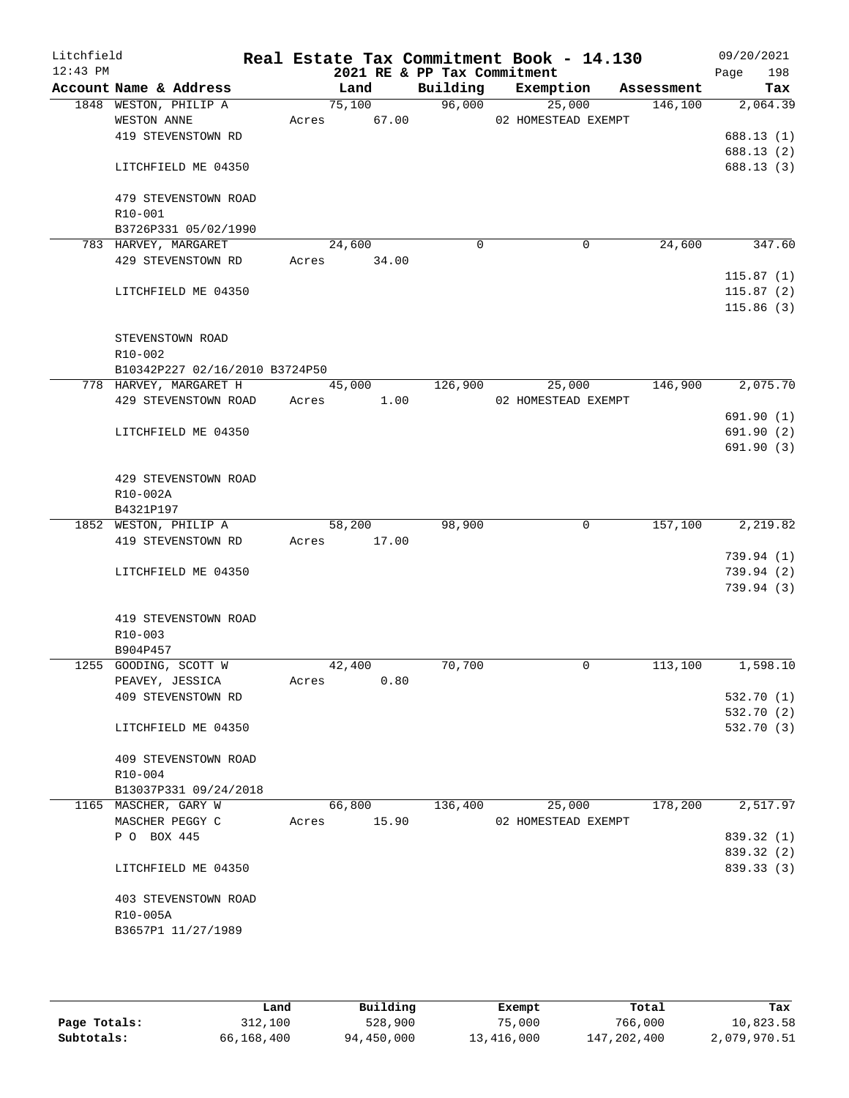| Litchfield<br>$12:43$ PM |                                             |       | 2021 RE & PP Tax Commitment  |             | Real Estate Tax Commitment Book - 14.130 |            | 09/20/2021<br>198<br>Page |
|--------------------------|---------------------------------------------|-------|------------------------------|-------------|------------------------------------------|------------|---------------------------|
|                          | Account Name & Address                      |       | Land                         | Building    | Exemption                                | Assessment | Tax                       |
|                          | 1848 WESTON, PHILIP A                       |       | 75,100                       | 96,000      | 25,000                                   | 146,100    | 2,064.39                  |
|                          | WESTON ANNE                                 | Acres | 67.00                        |             | 02 HOMESTEAD EXEMPT                      |            |                           |
|                          | 419 STEVENSTOWN RD                          |       |                              |             |                                          |            | 688.13(1)                 |
|                          |                                             |       |                              |             |                                          |            | 688.13(2)                 |
|                          | LITCHFIELD ME 04350                         |       |                              |             |                                          |            | 688.13 (3)                |
|                          | 479 STEVENSTOWN ROAD                        |       |                              |             |                                          |            |                           |
|                          | R10-001                                     |       |                              |             |                                          |            |                           |
|                          | B3726P331 05/02/1990                        |       |                              |             |                                          |            |                           |
|                          | 783 HARVEY, MARGARET                        |       | 24,600                       | $\mathbf 0$ | 0                                        | 24,600     | 347.60                    |
|                          | 429 STEVENSTOWN RD                          |       | Acres 34.00                  |             |                                          |            |                           |
|                          |                                             |       |                              |             |                                          |            | 115.87(1)                 |
|                          | LITCHFIELD ME 04350                         |       |                              |             |                                          |            | 115.87(2)                 |
|                          |                                             |       |                              |             |                                          |            | 115.86(3)                 |
|                          |                                             |       |                              |             |                                          |            |                           |
|                          | STEVENSTOWN ROAD                            |       |                              |             |                                          |            |                           |
|                          | R10-002<br>B10342P227 02/16/2010 B3724P50   |       |                              |             |                                          |            |                           |
|                          | 778 HARVEY, MARGARET H                      |       | 45,000                       | 126,900     | 25,000                                   | 146,900    | 2,075.70                  |
|                          | 429 STEVENSTOWN ROAD                        | Acres | 1.00                         |             | 02 HOMESTEAD EXEMPT                      |            |                           |
|                          |                                             |       |                              |             |                                          |            | 691.90(1)                 |
|                          | LITCHFIELD ME 04350                         |       |                              |             |                                          |            | 691.90(2)                 |
|                          |                                             |       |                              |             |                                          |            | 691.90(3)                 |
|                          |                                             |       |                              |             |                                          |            |                           |
|                          | 429 STEVENSTOWN ROAD                        |       |                              |             |                                          |            |                           |
|                          | R10-002A                                    |       |                              |             |                                          |            |                           |
|                          | B4321P197                                   |       |                              |             |                                          |            |                           |
|                          | 1852 WESTON, PHILIP A<br>419 STEVENSTOWN RD | Acres | $\overline{58,200}$<br>17.00 | 98,900      | $\mathbf 0$                              | 157,100    | 2,219.82                  |
|                          |                                             |       |                              |             |                                          |            | 739.94 (1)                |
|                          | LITCHFIELD ME 04350                         |       |                              |             |                                          |            | 739.94(2)                 |
|                          |                                             |       |                              |             |                                          |            | 739.94(3)                 |
|                          |                                             |       |                              |             |                                          |            |                           |
|                          | 419 STEVENSTOWN ROAD                        |       |                              |             |                                          |            |                           |
|                          | R10-003                                     |       |                              |             |                                          |            |                           |
|                          | B904P457                                    |       |                              |             |                                          |            |                           |
|                          | 1255 GOODING, SCOTT W                       |       | 42,400                       | 70,700      | 0                                        | 113,100    | 1,598.10                  |
|                          | PEAVEY, JESSICA                             | Acres | 0.80                         |             |                                          |            |                           |
|                          | 409 STEVENSTOWN RD                          |       |                              |             |                                          |            | 532.70 (1)<br>532.70 (2)  |
|                          | LITCHFIELD ME 04350                         |       |                              |             |                                          |            | 532.70 (3)                |
|                          |                                             |       |                              |             |                                          |            |                           |
|                          | 409 STEVENSTOWN ROAD                        |       |                              |             |                                          |            |                           |
|                          | $R10 - 004$                                 |       |                              |             |                                          |            |                           |
|                          | B13037P331 09/24/2018                       |       |                              |             |                                          |            |                           |
|                          | 1165 MASCHER, GARY W                        |       | 66,800                       | 136,400     | 25,000                                   | 178,200    | 2,517.97                  |
|                          | MASCHER PEGGY C                             | Acres | 15.90                        |             | 02 HOMESTEAD EXEMPT                      |            |                           |
|                          | P O BOX 445                                 |       |                              |             |                                          |            | 839.32 (1)<br>839.32 (2)  |
|                          | LITCHFIELD ME 04350                         |       |                              |             |                                          |            | 839.33 (3)                |
|                          |                                             |       |                              |             |                                          |            |                           |
|                          | 403 STEVENSTOWN ROAD                        |       |                              |             |                                          |            |                           |
|                          | R10-005A                                    |       |                              |             |                                          |            |                           |
|                          | B3657P1 11/27/1989                          |       |                              |             |                                          |            |                           |
|                          |                                             |       |                              |             |                                          |            |                           |
|                          |                                             |       |                              |             |                                          |            |                           |

|              | Land       | Building   | Exempt     | Total       | Tax          |
|--------------|------------|------------|------------|-------------|--------------|
| Page Totals: | 312,100    | 528,900    | 75,000     | 766,000     | 10,823.58    |
| Subtotals:   | 66,168,400 | 94,450,000 | 13,416,000 | 147,202,400 | 2,079,970.51 |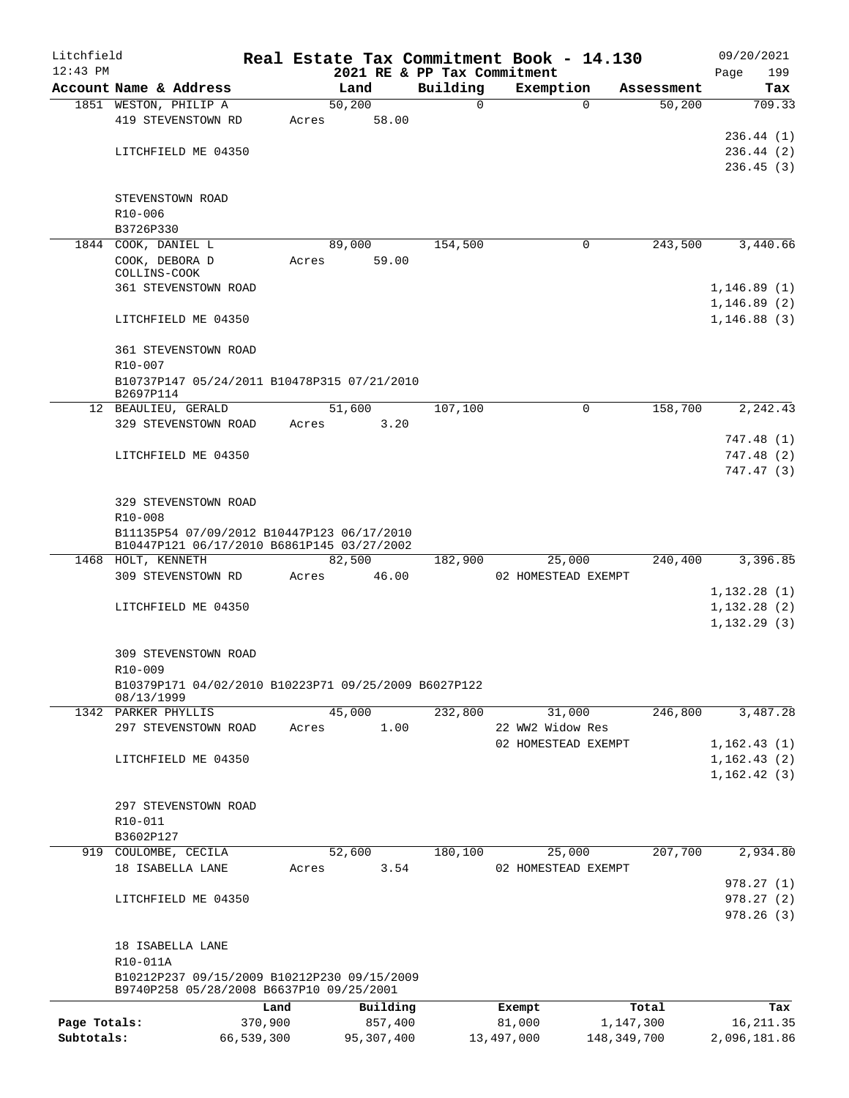| Litchfield   |                                                                  |         |                |                             | Real Estate Tax Commitment Book - 14.130 |                      | 09/20/2021    |
|--------------|------------------------------------------------------------------|---------|----------------|-----------------------------|------------------------------------------|----------------------|---------------|
| $12:43$ PM   |                                                                  |         |                | 2021 RE & PP Tax Commitment |                                          |                      | Page<br>199   |
|              | Account Name & Address<br>1851 WESTON, PHILIP A                  |         | Land<br>50,200 | Building<br>0               | Exemption<br>$\Omega$                    | Assessment<br>50,200 | Tax<br>709.33 |
|              | 419 STEVENSTOWN RD                                               | Acres   | 58.00          |                             |                                          |                      |               |
|              |                                                                  |         |                |                             |                                          |                      | 236.44 (1)    |
|              | LITCHFIELD ME 04350                                              |         |                |                             |                                          |                      | 236.44(2)     |
|              |                                                                  |         |                |                             |                                          |                      | 236.45(3)     |
|              |                                                                  |         |                |                             |                                          |                      |               |
|              | STEVENSTOWN ROAD                                                 |         |                |                             |                                          |                      |               |
|              | R10-006<br>B3726P330                                             |         |                |                             |                                          |                      |               |
|              | 1844 COOK, DANIEL L                                              |         | 89,000         | 154,500                     | 0                                        | 243,500              | 3,440.66      |
|              | COOK, DEBORA D                                                   | Acres   | 59.00          |                             |                                          |                      |               |
|              | COLLINS-COOK                                                     |         |                |                             |                                          |                      |               |
|              | <b>361 STEVENSTOWN ROAD</b>                                      |         |                |                             |                                          |                      | 1, 146.89(1)  |
|              |                                                                  |         |                |                             |                                          |                      | 1, 146.89(2)  |
|              | LITCHFIELD ME 04350                                              |         |                |                             |                                          |                      | 1,146.88(3)   |
|              | <b>361 STEVENSTOWN ROAD</b>                                      |         |                |                             |                                          |                      |               |
|              | R10-007                                                          |         |                |                             |                                          |                      |               |
|              | B10737P147 05/24/2011 B10478P315 07/21/2010                      |         |                |                             |                                          |                      |               |
|              | B2697P114                                                        |         |                |                             |                                          |                      |               |
|              | 12 BEAULIEU, GERALD                                              |         | 51,600         | 107,100                     | 0                                        | 158,700              | 2,242.43      |
|              | 329 STEVENSTOWN ROAD                                             | Acres   | 3.20           |                             |                                          |                      | 747.48 (1)    |
|              | LITCHFIELD ME 04350                                              |         |                |                             |                                          |                      | 747.48(2)     |
|              |                                                                  |         |                |                             |                                          |                      | 747.47 (3)    |
|              |                                                                  |         |                |                             |                                          |                      |               |
|              | 329 STEVENSTOWN ROAD                                             |         |                |                             |                                          |                      |               |
|              | R10-008                                                          |         |                |                             |                                          |                      |               |
|              | B11135P54 07/09/2012 B10447P123 06/17/2010                       |         |                |                             |                                          |                      |               |
|              | B10447P121 06/17/2010 B6861P145 03/27/2002<br>1468 HOLT, KENNETH |         | 82,500         | 182,900                     | 25,000                                   | 240,400              | 3,396.85      |
|              | 309 STEVENSTOWN RD                                               | Acres   | 46.00          |                             | 02 HOMESTEAD EXEMPT                      |                      |               |
|              |                                                                  |         |                |                             |                                          |                      | 1,132.28(1)   |
|              | LITCHFIELD ME 04350                                              |         |                |                             |                                          |                      | 1,132.28(2)   |
|              |                                                                  |         |                |                             |                                          |                      | 1, 132.29(3)  |
|              |                                                                  |         |                |                             |                                          |                      |               |
|              | 309 STEVENSTOWN ROAD                                             |         |                |                             |                                          |                      |               |
|              | R10-009<br>B10379P171 04/02/2010 B10223P71 09/25/2009 B6027P122  |         |                |                             |                                          |                      |               |
|              | 08/13/1999                                                       |         |                |                             |                                          |                      |               |
|              | 1342 PARKER PHYLLIS                                              |         | 45,000         | 232,800                     | 31,000                                   | 246,800              | 3,487.28      |
|              | 297 STEVENSTOWN ROAD                                             | Acres   | 1.00           |                             | 22 WW2 Widow Res                         |                      |               |
|              |                                                                  |         |                |                             | 02 HOMESTEAD EXEMPT                      |                      | 1,162.43(1)   |
|              | LITCHFIELD ME 04350                                              |         |                |                             |                                          |                      | 1, 162.43(2)  |
|              |                                                                  |         |                |                             |                                          |                      | 1,162.42(3)   |
|              | 297 STEVENSTOWN ROAD                                             |         |                |                             |                                          |                      |               |
|              | R10-011                                                          |         |                |                             |                                          |                      |               |
|              | B3602P127                                                        |         |                |                             |                                          |                      |               |
| 919          | COULOMBE, CECILA                                                 |         | 52,600         | 180,100                     | 25,000                                   | 207,700              | 2,934.80      |
|              | 18 ISABELLA LANE                                                 | Acres   | 3.54           |                             | 02 HOMESTEAD EXEMPT                      |                      |               |
|              |                                                                  |         |                |                             |                                          |                      | 978.27(1)     |
|              | LITCHFIELD ME 04350                                              |         |                |                             |                                          |                      | 978.27(2)     |
|              |                                                                  |         |                |                             |                                          |                      | 978.26(3)     |
|              |                                                                  |         |                |                             |                                          |                      |               |
|              | 18 ISABELLA LANE<br>R10-011A                                     |         |                |                             |                                          |                      |               |
|              | B10212P237 09/15/2009 B10212P230 09/15/2009                      |         |                |                             |                                          |                      |               |
|              | B9740P258 05/28/2008 B6637P10 09/25/2001                         |         |                |                             |                                          |                      |               |
|              |                                                                  | Land    | Building       |                             | Exempt                                   | Total                | Tax           |
| Page Totals: |                                                                  | 370,900 | 857,400        |                             | 81,000                                   | 1,147,300            | 16, 211.35    |
| Subtotals:   | 66,539,300                                                       |         | 95,307,400     |                             | 13,497,000                               | 148, 349, 700        | 2,096,181.86  |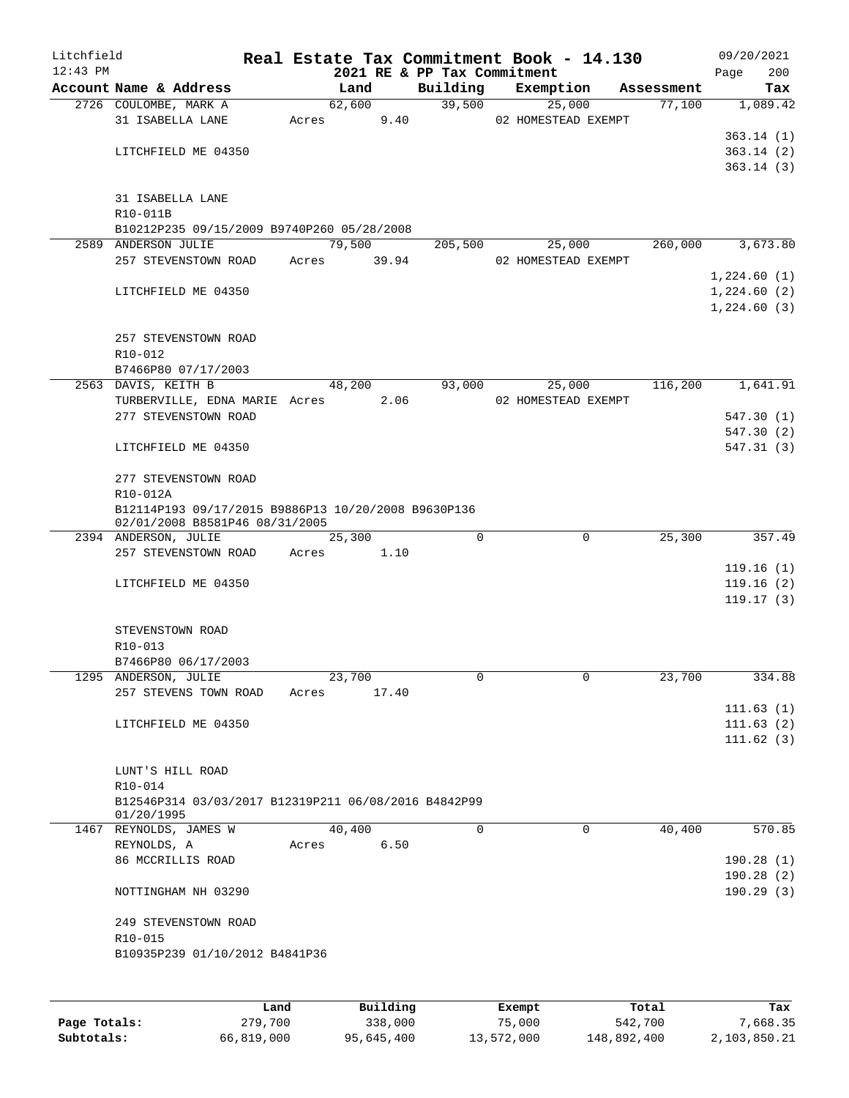| Litchfield |                                                                                       |       |        |                             | Real Estate Tax Commitment Book - 14.130 |            | 09/20/2021  |
|------------|---------------------------------------------------------------------------------------|-------|--------|-----------------------------|------------------------------------------|------------|-------------|
| $12:43$ PM |                                                                                       |       |        | 2021 RE & PP Tax Commitment |                                          |            | 200<br>Page |
|            | Account Name & Address                                                                |       | Land   | Building                    | Exemption                                | Assessment | Tax         |
|            | 2726 COULOMBE, MARK A                                                                 |       | 62,600 | 39,500                      | 25,000                                   | 77,100     | 1,089.42    |
|            | 31 ISABELLA LANE                                                                      | Acres | 9.40   |                             | 02 HOMESTEAD EXEMPT                      |            |             |
|            |                                                                                       |       |        |                             |                                          |            | 363.14(1)   |
|            | LITCHFIELD ME 04350                                                                   |       |        |                             |                                          |            | 363.14(2)   |
|            |                                                                                       |       |        |                             |                                          |            | 363.14(3)   |
|            |                                                                                       |       |        |                             |                                          |            |             |
|            | 31 ISABELLA LANE<br>R10-011B                                                          |       |        |                             |                                          |            |             |
|            | B10212P235 09/15/2009 B9740P260 05/28/2008                                            |       |        |                             |                                          |            |             |
|            | 2589 ANDERSON JULIE                                                                   |       | 79,500 | 205,500                     | 25,000                                   | 260,000    | 3,673.80    |
|            | 257 STEVENSTOWN ROAD                                                                  | Acres | 39.94  |                             | 02 HOMESTEAD EXEMPT                      |            |             |
|            |                                                                                       |       |        |                             |                                          |            | 1,224.60(1) |
|            | LITCHFIELD ME 04350                                                                   |       |        |                             |                                          |            | 1,224.60(2) |
|            |                                                                                       |       |        |                             |                                          |            | 1,224.60(3) |
|            |                                                                                       |       |        |                             |                                          |            |             |
|            | 257 STEVENSTOWN ROAD                                                                  |       |        |                             |                                          |            |             |
|            | R10-012                                                                               |       |        |                             |                                          |            |             |
|            | B7466P80 07/17/2003                                                                   |       |        |                             |                                          |            |             |
|            | 2563 DAVIS, KEITH B                                                                   |       | 48,200 | 93,000                      | 25,000                                   | 116,200    | 1,641.91    |
|            | TURBERVILLE, EDNA MARIE Acres 2.06                                                    |       |        |                             | 02 HOMESTEAD EXEMPT                      |            |             |
|            | 277 STEVENSTOWN ROAD                                                                  |       |        |                             |                                          |            | 547.30 (1)  |
|            |                                                                                       |       |        |                             |                                          |            | 547.30 (2)  |
|            | LITCHFIELD ME 04350                                                                   |       |        |                             |                                          |            | 547.31(3)   |
|            |                                                                                       |       |        |                             |                                          |            |             |
|            | 277 STEVENSTOWN ROAD                                                                  |       |        |                             |                                          |            |             |
|            | R10-012A                                                                              |       |        |                             |                                          |            |             |
|            | B12114P193 09/17/2015 B9886P13 10/20/2008 B9630P136<br>02/01/2008 B8581P46 08/31/2005 |       |        |                             |                                          |            |             |
|            | 2394 ANDERSON, JULIE                                                                  |       | 25,300 | $\Omega$                    | $\mathbf 0$                              | 25,300     | 357.49      |
|            | 257 STEVENSTOWN ROAD                                                                  | Acres | 1.10   |                             |                                          |            |             |
|            |                                                                                       |       |        |                             |                                          |            | 119.16(1)   |
|            | LITCHFIELD ME 04350                                                                   |       |        |                             |                                          |            | 119.16(2)   |
|            |                                                                                       |       |        |                             |                                          |            | 119.17(3)   |
|            |                                                                                       |       |        |                             |                                          |            |             |
|            | STEVENSTOWN ROAD                                                                      |       |        |                             |                                          |            |             |
|            | R10-013                                                                               |       |        |                             |                                          |            |             |
|            | B7466P80 06/17/2003                                                                   |       |        |                             |                                          |            |             |
|            | 1295 ANDERSON, JULIE                                                                  |       | 23,700 | 0                           | 0                                        | 23,700     | 334.88      |
|            | 257 STEVENS TOWN ROAD                                                                 | Acres | 17.40  |                             |                                          |            |             |
|            |                                                                                       |       |        |                             |                                          |            | 111.63(1)   |
|            | LITCHFIELD ME 04350                                                                   |       |        |                             |                                          |            | 111.63(2)   |
|            |                                                                                       |       |        |                             |                                          |            | 111.62(3)   |
|            |                                                                                       |       |        |                             |                                          |            |             |
|            | LUNT'S HILL ROAD<br>R10-014                                                           |       |        |                             |                                          |            |             |
|            | B12546P314 03/03/2017 B12319P211 06/08/2016 B4842P99                                  |       |        |                             |                                          |            |             |
|            | 01/20/1995                                                                            |       |        |                             |                                          |            |             |
|            | 1467 REYNOLDS, JAMES W                                                                |       | 40,400 | 0                           | 0                                        | 40,400     | 570.85      |
|            | REYNOLDS, A                                                                           | Acres | 6.50   |                             |                                          |            |             |
|            | 86 MCCRILLIS ROAD                                                                     |       |        |                             |                                          |            | 190.28(1)   |
|            |                                                                                       |       |        |                             |                                          |            | 190.28(2)   |
|            | NOTTINGHAM NH 03290                                                                   |       |        |                             |                                          |            | 190.29(3)   |
|            |                                                                                       |       |        |                             |                                          |            |             |
|            | 249 STEVENSTOWN ROAD                                                                  |       |        |                             |                                          |            |             |
|            | R10-015                                                                               |       |        |                             |                                          |            |             |
|            | B10935P239 01/10/2012 B4841P36                                                        |       |        |                             |                                          |            |             |
|            |                                                                                       |       |        |                             |                                          |            |             |
|            |                                                                                       |       |        |                             |                                          |            |             |
|            |                                                                                       |       |        |                             |                                          |            |             |

|              | Land       | Building   | Exempt     | Total       | Tax          |
|--------------|------------|------------|------------|-------------|--------------|
| Page Totals: | 279,700    | 338,000    | 75,000     | 542,700     | 7,668.35     |
| Subtotals:   | 66,819,000 | 95,645,400 | 13,572,000 | 148,892,400 | 2,103,850.21 |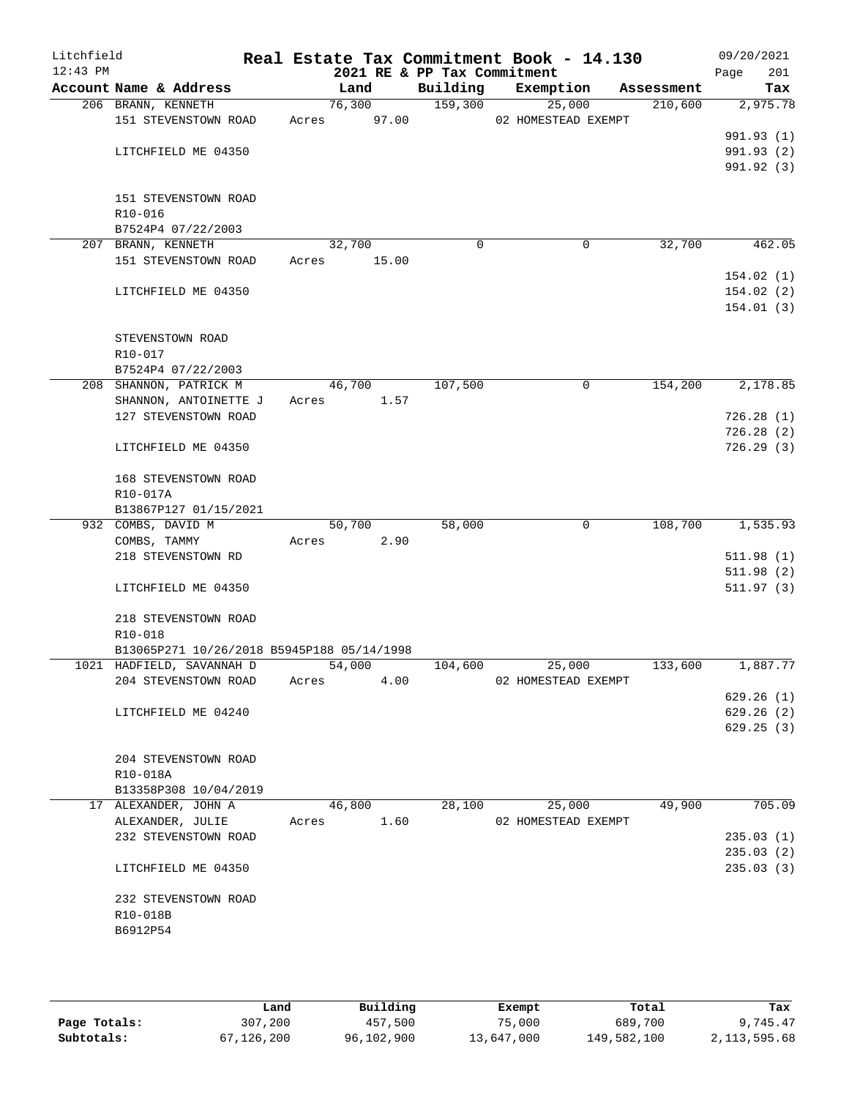| Litchfield<br>$12:43$ PM |                                            |       | 2021 RE & PP Tax Commitment |          | Real Estate Tax Commitment Book - 14.130 |            | 09/20/2021<br>201<br>Page |
|--------------------------|--------------------------------------------|-------|-----------------------------|----------|------------------------------------------|------------|---------------------------|
|                          | Account Name & Address                     |       | Land                        | Building | Exemption                                | Assessment | Tax                       |
|                          | 206 BRANN, KENNETH                         |       | 76,300                      | 159,300  | 25,000                                   | 210,600    | 2,975.78                  |
|                          | 151 STEVENSTOWN ROAD                       | Acres | 97.00                       |          | 02 HOMESTEAD EXEMPT                      |            |                           |
|                          |                                            |       |                             |          |                                          |            | 991.93 (1)                |
|                          | LITCHFIELD ME 04350                        |       |                             |          |                                          |            | 991.93 (2)                |
|                          |                                            |       |                             |          |                                          |            | 991.92 (3)                |
|                          |                                            |       |                             |          |                                          |            |                           |
|                          | 151 STEVENSTOWN ROAD                       |       |                             |          |                                          |            |                           |
|                          | R10-016                                    |       |                             |          |                                          |            |                           |
|                          | B7524P4 07/22/2003                         |       |                             |          |                                          |            |                           |
|                          | 207 BRANN, KENNETH                         |       | 32,700                      | $\Omega$ | 0                                        | 32,700     | 462.05                    |
|                          | 151 STEVENSTOWN ROAD                       | Acres | 15.00                       |          |                                          |            |                           |
|                          |                                            |       |                             |          |                                          |            | 154.02(1)                 |
|                          | LITCHFIELD ME 04350                        |       |                             |          |                                          |            | 154.02(2)                 |
|                          |                                            |       |                             |          |                                          |            | 154.01(3)                 |
|                          |                                            |       |                             |          |                                          |            |                           |
|                          | STEVENSTOWN ROAD                           |       |                             |          |                                          |            |                           |
|                          | R10-017                                    |       |                             |          |                                          |            |                           |
|                          | B7524P4 07/22/2003                         |       |                             |          |                                          |            |                           |
|                          | 208 SHANNON, PATRICK M                     |       | 46,700                      | 107,500  | $\mathbf 0$                              | 154,200    | 2,178.85                  |
|                          | SHANNON, ANTOINETTE J                      | Acres | 1.57                        |          |                                          |            |                           |
|                          | 127 STEVENSTOWN ROAD                       |       |                             |          |                                          |            | 726.28(1)                 |
|                          |                                            |       |                             |          |                                          |            | 726.28(2)                 |
|                          | LITCHFIELD ME 04350                        |       |                             |          |                                          |            | 726.29(3)                 |
|                          | 168 STEVENSTOWN ROAD                       |       |                             |          |                                          |            |                           |
|                          | R10-017A                                   |       |                             |          |                                          |            |                           |
|                          | B13867P127 01/15/2021                      |       |                             |          |                                          |            |                           |
|                          | 932 COMBS, DAVID M                         |       | 50,700                      | 58,000   | 0                                        | 108,700    | 1,535.93                  |
|                          | COMBS, TAMMY                               | Acres | 2.90                        |          |                                          |            |                           |
|                          | 218 STEVENSTOWN RD                         |       |                             |          |                                          |            | 511.98(1)                 |
|                          |                                            |       |                             |          |                                          |            | 511.98(2)                 |
|                          | LITCHFIELD ME 04350                        |       |                             |          |                                          |            | 511.97(3)                 |
|                          | 218 STEVENSTOWN ROAD                       |       |                             |          |                                          |            |                           |
|                          | R10-018                                    |       |                             |          |                                          |            |                           |
|                          | B13065P271 10/26/2018 B5945P188 05/14/1998 |       |                             |          |                                          |            |                           |
|                          | 1021 HADFIELD, SAVANNAH D                  |       | 54,000                      | 104,600  | 25,000                                   | 133,600    | 1,887.77                  |
|                          | 204 STEVENSTOWN ROAD                       | Acres | 4.00                        |          | 02 HOMESTEAD EXEMPT                      |            |                           |
|                          |                                            |       |                             |          |                                          |            | 629.26(1)                 |
|                          | LITCHFIELD ME 04240                        |       |                             |          |                                          |            | 629.26(2)                 |
|                          |                                            |       |                             |          |                                          |            | 629.25(3)                 |
|                          |                                            |       |                             |          |                                          |            |                           |
|                          | 204 STEVENSTOWN ROAD                       |       |                             |          |                                          |            |                           |
|                          | R10-018A                                   |       |                             |          |                                          |            |                           |
|                          | B13358P308 10/04/2019                      |       |                             |          |                                          |            |                           |
|                          | 17 ALEXANDER, JOHN A                       |       | 46,800                      | 28,100   | 25,000                                   | 49,900     | 705.09                    |
|                          | ALEXANDER, JULIE                           | Acres | 1.60                        |          | 02 HOMESTEAD EXEMPT                      |            |                           |
|                          | 232 STEVENSTOWN ROAD                       |       |                             |          |                                          |            | 235.03(1)                 |
|                          |                                            |       |                             |          |                                          |            | 235.03(2)                 |
|                          | LITCHFIELD ME 04350                        |       |                             |          |                                          |            | 235.03(3)                 |
|                          | 232 STEVENSTOWN ROAD                       |       |                             |          |                                          |            |                           |
|                          | R10-018B                                   |       |                             |          |                                          |            |                           |
|                          | B6912P54                                   |       |                             |          |                                          |            |                           |
|                          |                                            |       |                             |          |                                          |            |                           |
|                          |                                            |       |                             |          |                                          |            |                           |

|              | Land       | Building   | Exempt     | Total       | Tax          |
|--------------|------------|------------|------------|-------------|--------------|
| Page Totals: | 307,200    | 457,500    | 75,000     | 689,700     | 9,745.47     |
| Subtotals:   | 67,126,200 | 96,102,900 | 13,647,000 | 149,582,100 | 2,113,595.68 |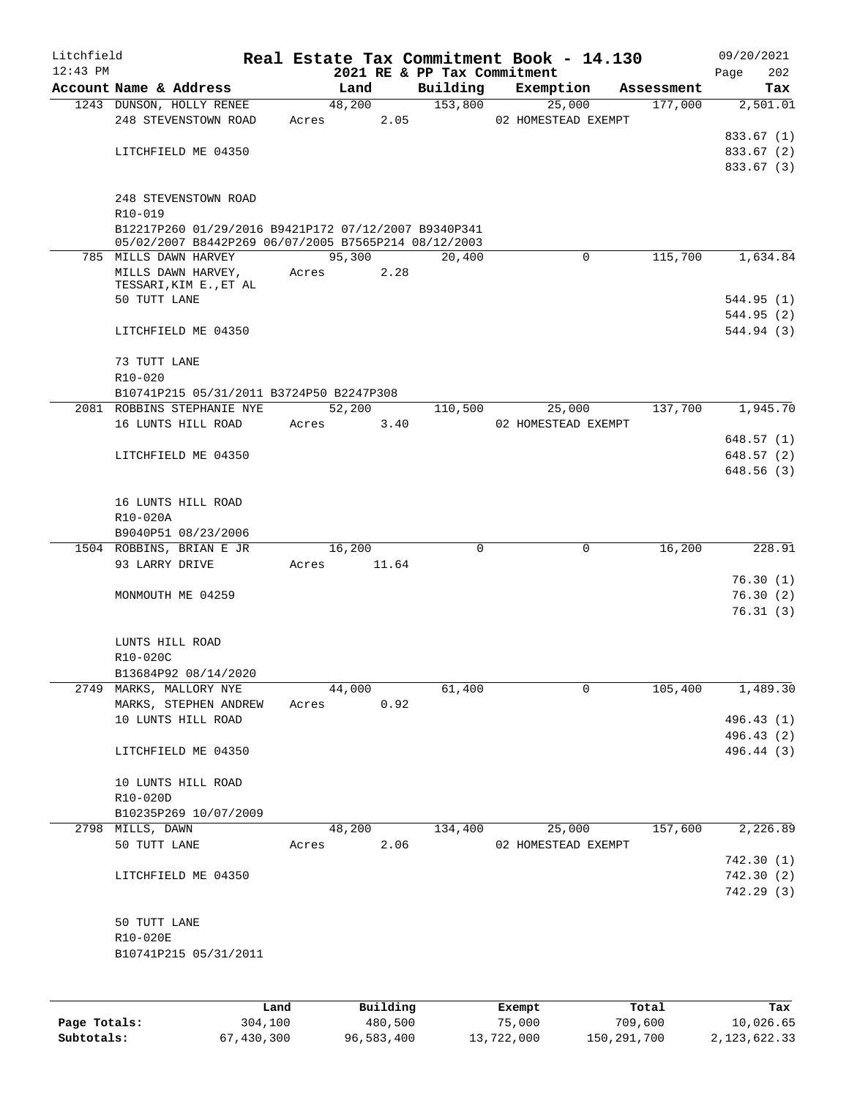| Litchfield |                                                                                                              |            |                 |      |                             | Real Estate Tax Commitment Book - 14.130 |             |            | 09/20/2021                             |                        |
|------------|--------------------------------------------------------------------------------------------------------------|------------|-----------------|------|-----------------------------|------------------------------------------|-------------|------------|----------------------------------------|------------------------|
| $12:43$ PM | Account Name & Address                                                                                       |            |                 |      | 2021 RE & PP Tax Commitment | Exemption                                |             | Assessment | Page                                   | 202                    |
|            | 1243 DUNSON, HOLLY RENEE                                                                                     |            | Land<br>48,200  |      | Building<br>153,800         | 25,000                                   |             | 177,000    |                                        | Tax<br>2,501.01        |
|            | 248 STEVENSTOWN ROAD                                                                                         | Acres      |                 | 2.05 |                             | 02 HOMESTEAD EXEMPT                      |             |            |                                        |                        |
|            |                                                                                                              |            |                 |      |                             |                                          |             |            | 833.67 (1)                             |                        |
|            | LITCHFIELD ME 04350                                                                                          |            |                 |      |                             |                                          |             |            | 833.67 (2)                             |                        |
|            |                                                                                                              |            |                 |      |                             |                                          |             |            | 833.67 (3)                             |                        |
|            | 248 STEVENSTOWN ROAD<br>R10-019                                                                              |            |                 |      |                             |                                          |             |            |                                        |                        |
|            | B12217P260 01/29/2016 B9421P172 07/12/2007 B9340P341<br>05/02/2007 B8442P269 06/07/2005 B7565P214 08/12/2003 |            |                 |      |                             |                                          |             |            |                                        |                        |
|            | 785 MILLS DAWN HARVEY                                                                                        |            | 95,300          |      | 20,400                      |                                          | $\Omega$    | 115,700    |                                        | 1,634.84               |
|            | MILLS DAWN HARVEY,<br>TESSARI, KIM E., ET AL                                                                 | Acres      |                 | 2.28 |                             |                                          |             |            |                                        |                        |
|            | 50 TUTT LANE                                                                                                 |            |                 |      |                             |                                          |             |            | 544.95 (1)                             |                        |
|            | LITCHFIELD ME 04350                                                                                          |            |                 |      |                             |                                          |             |            | 544.95 (2)<br>544.94 (3)               |                        |
|            | 73 TUTT LANE<br>$R10 - 020$                                                                                  |            |                 |      |                             |                                          |             |            |                                        |                        |
|            | B10741P215 05/31/2011 B3724P50 B2247P308                                                                     |            |                 |      |                             |                                          |             |            |                                        |                        |
|            | 2081 ROBBINS STEPHANIE NYE                                                                                   |            | 52,200          |      | 110,500                     | 25,000                                   |             | 137,700    |                                        | $\overline{1,}$ 945.70 |
|            | 16 LUNTS HILL ROAD                                                                                           | Acres      |                 | 3.40 |                             | 02 HOMESTEAD EXEMPT                      |             |            | 648.57(1)                              |                        |
|            | LITCHFIELD ME 04350                                                                                          |            |                 |      |                             |                                          |             |            | 648.57 (2)                             |                        |
|            |                                                                                                              |            |                 |      |                             |                                          |             |            | 648.56 (3)                             |                        |
|            | 16 LUNTS HILL ROAD                                                                                           |            |                 |      |                             |                                          |             |            |                                        |                        |
|            | R10-020A                                                                                                     |            |                 |      |                             |                                          |             |            |                                        |                        |
|            | B9040P51 08/23/2006                                                                                          |            |                 |      |                             |                                          |             |            |                                        |                        |
|            | 1504 ROBBINS, BRIAN E JR<br>93 LARRY DRIVE                                                                   | Acres      | 16,200<br>11.64 |      | 0                           |                                          | 0           | 16,200     |                                        | 228.91                 |
|            |                                                                                                              |            |                 |      |                             |                                          |             |            | 76.30(1)                               |                        |
|            | MONMOUTH ME 04259                                                                                            |            |                 |      |                             |                                          |             |            | 76.30(2)<br>76.31(3)                   |                        |
|            | LUNTS HILL ROAD                                                                                              |            |                 |      |                             |                                          |             |            |                                        |                        |
|            | R10-020C                                                                                                     |            |                 |      |                             |                                          |             |            |                                        |                        |
|            | B13684P92 08/14/2020                                                                                         |            | 44,000          |      | 61,400                      |                                          | $\mathbf 0$ | 105,400    |                                        |                        |
|            | 2749 MARKS, MALLORY NYE<br>MARKS, STEPHEN ANDREW                                                             | Acres 0.92 |                 |      |                             |                                          |             |            |                                        | 1,489.30               |
|            | 10 LUNTS HILL ROAD                                                                                           |            |                 |      |                             |                                          |             |            | 496.43 (1)                             |                        |
|            | LITCHFIELD ME 04350                                                                                          |            |                 |      |                             |                                          |             |            | 496.43 (2)<br>496.44 (3)               |                        |
|            | 10 LUNTS HILL ROAD                                                                                           |            |                 |      |                             |                                          |             |            |                                        |                        |
|            | R10-020D<br>B10235P269 10/07/2009                                                                            |            |                 |      |                             |                                          |             |            |                                        |                        |
|            | 2798 MILLS, DAWN                                                                                             |            | 48,200          |      | 134,400                     | 25,000                                   |             | 157,600    |                                        | 2,226.89               |
|            | 50 TUTT LANE                                                                                                 | Acres      |                 | 2.06 |                             | 02 HOMESTEAD EXEMPT                      |             |            |                                        |                        |
|            | LITCHFIELD ME 04350                                                                                          |            |                 |      |                             |                                          |             |            | 742.30 (1)<br>742.30 (2)<br>742.29 (3) |                        |
|            | 50 TUTT LANE                                                                                                 |            |                 |      |                             |                                          |             |            |                                        |                        |
|            | R10-020E<br>B10741P215 05/31/2011                                                                            |            |                 |      |                             |                                          |             |            |                                        |                        |
|            |                                                                                                              |            |                 |      |                             |                                          |             |            |                                        |                        |

|              | Land       | Building   | Exempt     | Total       | Tax          |
|--------------|------------|------------|------------|-------------|--------------|
| Page Totals: | 304,100    | 480,500    | 75,000     | 709,600     | 10,026.65    |
| Subtotals:   | 67,430,300 | 96,583,400 | 13,722,000 | 150,291,700 | 2,123,622.33 |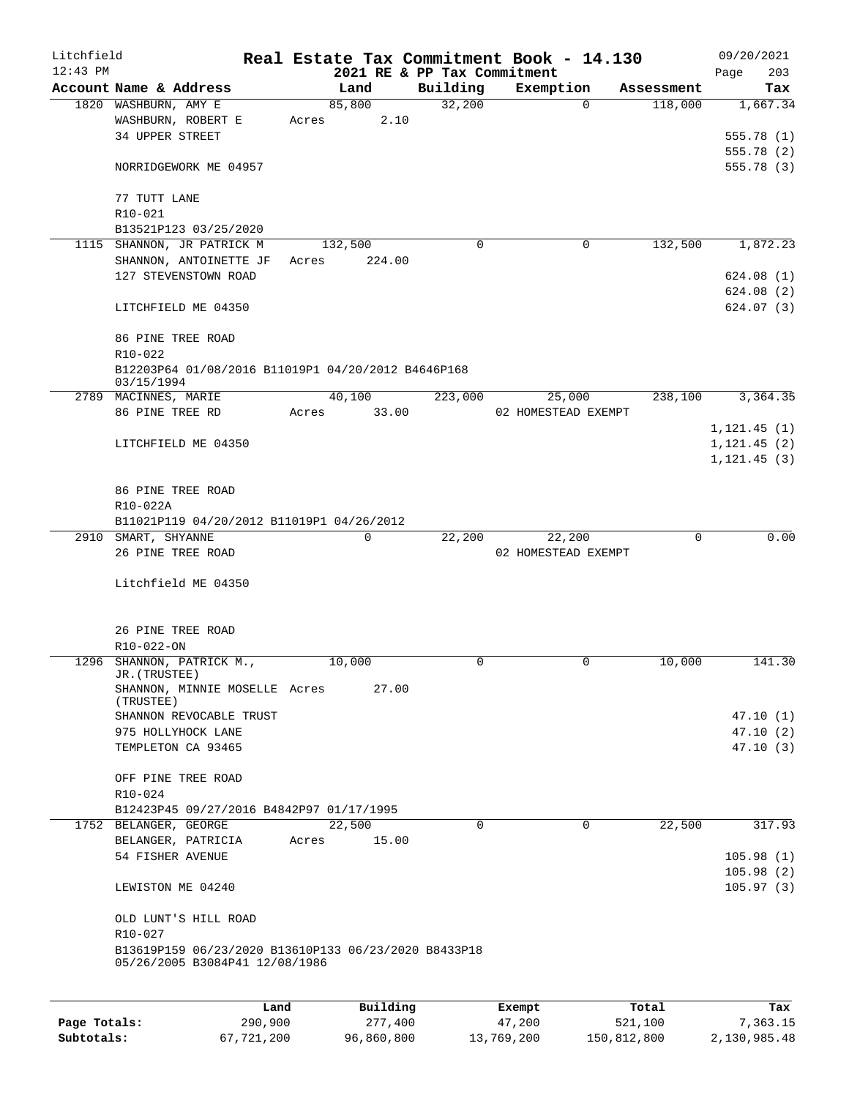| Litchfield |                                                      |       |         |                             | Real Estate Tax Commitment Book - 14.130 |            | 09/20/2021    |            |
|------------|------------------------------------------------------|-------|---------|-----------------------------|------------------------------------------|------------|---------------|------------|
| $12:43$ PM |                                                      |       |         | 2021 RE & PP Tax Commitment |                                          |            | Page          | 203        |
|            | Account Name & Address                               |       | Land    | Building                    | Exemption                                | Assessment |               | Tax        |
|            | 1820 WASHBURN, AMY E                                 |       | 85,800  | 32,200                      | $\Omega$                                 | 118,000    |               | 1,667.34   |
|            | WASHBURN, ROBERT E                                   | Acres | 2.10    |                             |                                          |            |               |            |
|            | 34 UPPER STREET                                      |       |         |                             |                                          |            |               | 555.78 (1) |
|            |                                                      |       |         |                             |                                          |            |               | 555.78 (2) |
|            | NORRIDGEWORK ME 04957                                |       |         |                             |                                          |            |               | 555.78 (3) |
|            | 77 TUTT LANE                                         |       |         |                             |                                          |            |               |            |
|            | R10-021                                              |       |         |                             |                                          |            |               |            |
|            | B13521P123 03/25/2020                                |       |         |                             |                                          |            |               |            |
|            | 1115 SHANNON, JR PATRICK M                           |       | 132,500 | 0                           | 0                                        | 132,500    |               | 1,872.23   |
|            | SHANNON, ANTOINETTE JF                               | Acres | 224.00  |                             |                                          |            |               |            |
|            | 127 STEVENSTOWN ROAD                                 |       |         |                             |                                          |            |               | 624.08 (1) |
|            |                                                      |       |         |                             |                                          |            |               | 624.08 (2) |
|            | LITCHFIELD ME 04350                                  |       |         |                             |                                          |            |               | 624.07(3)  |
|            |                                                      |       |         |                             |                                          |            |               |            |
|            | 86 PINE TREE ROAD                                    |       |         |                             |                                          |            |               |            |
|            | R10-022                                              |       |         |                             |                                          |            |               |            |
|            | B12203P64 01/08/2016 B11019P1 04/20/2012 B4646P168   |       |         |                             |                                          |            |               |            |
|            | 03/15/1994                                           |       |         |                             |                                          |            |               |            |
|            | 2789 MACINNES, MARIE                                 |       | 40,100  | 223,000                     | 25,000                                   | 238,100    |               | 3,364.35   |
|            | 86 PINE TREE RD                                      | Acres | 33.00   |                             | 02 HOMESTEAD EXEMPT                      |            |               |            |
|            |                                                      |       |         |                             |                                          |            | 1, 121.45(1)  |            |
|            | LITCHFIELD ME 04350                                  |       |         |                             |                                          |            | 1, 121.45 (2) |            |
|            |                                                      |       |         |                             |                                          |            | 1, 121.45(3)  |            |
|            |                                                      |       |         |                             |                                          |            |               |            |
|            | 86 PINE TREE ROAD<br>R10-022A                        |       |         |                             |                                          |            |               |            |
|            | B11021P119 04/20/2012 B11019P1 04/26/2012            |       |         |                             |                                          |            |               |            |
|            | 2910 SMART, SHYANNE                                  |       | 0       | 22,200                      | 22,200                                   | $\Omega$   |               | 0.00       |
|            | 26 PINE TREE ROAD                                    |       |         |                             | 02 HOMESTEAD EXEMPT                      |            |               |            |
|            |                                                      |       |         |                             |                                          |            |               |            |
|            | Litchfield ME 04350                                  |       |         |                             |                                          |            |               |            |
|            |                                                      |       |         |                             |                                          |            |               |            |
|            |                                                      |       |         |                             |                                          |            |               |            |
|            | 26 PINE TREE ROAD                                    |       |         |                             |                                          |            |               |            |
|            | R10-022-ON                                           |       |         |                             |                                          |            |               |            |
|            | 1296 SHANNON, PATRICK M.,                            |       | 10,000  | 0                           | 0                                        | 10,000     |               | 141.30     |
|            | JR. (TRUSTEE)                                        |       |         |                             |                                          |            |               |            |
|            | SHANNON, MINNIE MOSELLE Acres<br>(TRUSTEE)           |       | 27.00   |                             |                                          |            |               |            |
|            | SHANNON REVOCABLE TRUST                              |       |         |                             |                                          |            |               | 47.10 (1)  |
|            | 975 HOLLYHOCK LANE                                   |       |         |                             |                                          |            |               | 47.10 (2)  |
|            | TEMPLETON CA 93465                                   |       |         |                             |                                          |            |               | 47.10(3)   |
|            |                                                      |       |         |                             |                                          |            |               |            |
|            | OFF PINE TREE ROAD                                   |       |         |                             |                                          |            |               |            |
|            | R10-024                                              |       |         |                             |                                          |            |               |            |
|            | B12423P45 09/27/2016 B4842P97 01/17/1995             |       |         |                             |                                          |            |               |            |
|            | 1752 BELANGER, GEORGE                                |       | 22,500  | 0                           | 0                                        | 22,500     |               | 317.93     |
|            |                                                      |       |         |                             |                                          |            |               |            |
|            | BELANGER, PATRICIA                                   | Acres | 15.00   |                             |                                          |            |               |            |
|            | 54 FISHER AVENUE                                     |       |         |                             |                                          |            |               | 105.98(1)  |
|            |                                                      |       |         |                             |                                          |            |               | 105.98(2)  |
|            | LEWISTON ME 04240                                    |       |         |                             |                                          |            |               | 105.97(3)  |
|            |                                                      |       |         |                             |                                          |            |               |            |
|            | OLD LUNT'S HILL ROAD                                 |       |         |                             |                                          |            |               |            |
|            | R10-027                                              |       |         |                             |                                          |            |               |            |
|            | B13619P159 06/23/2020 B13610P133 06/23/2020 B8433P18 |       |         |                             |                                          |            |               |            |
|            | 05/26/2005 B3084P41 12/08/1986                       |       |         |                             |                                          |            |               |            |
|            |                                                      |       |         |                             |                                          |            |               |            |
|            |                                                      |       |         |                             |                                          |            |               |            |

|              | Land       | Building   | Exempt     | Total       | Tax          |
|--------------|------------|------------|------------|-------------|--------------|
| Page Totals: | 290,900    | 277,400    | 47,200     | 521,100     | 7.363.15     |
| Subtotals:   | 67,721,200 | 96,860,800 | 13,769,200 | 150,812,800 | 2,130,985.48 |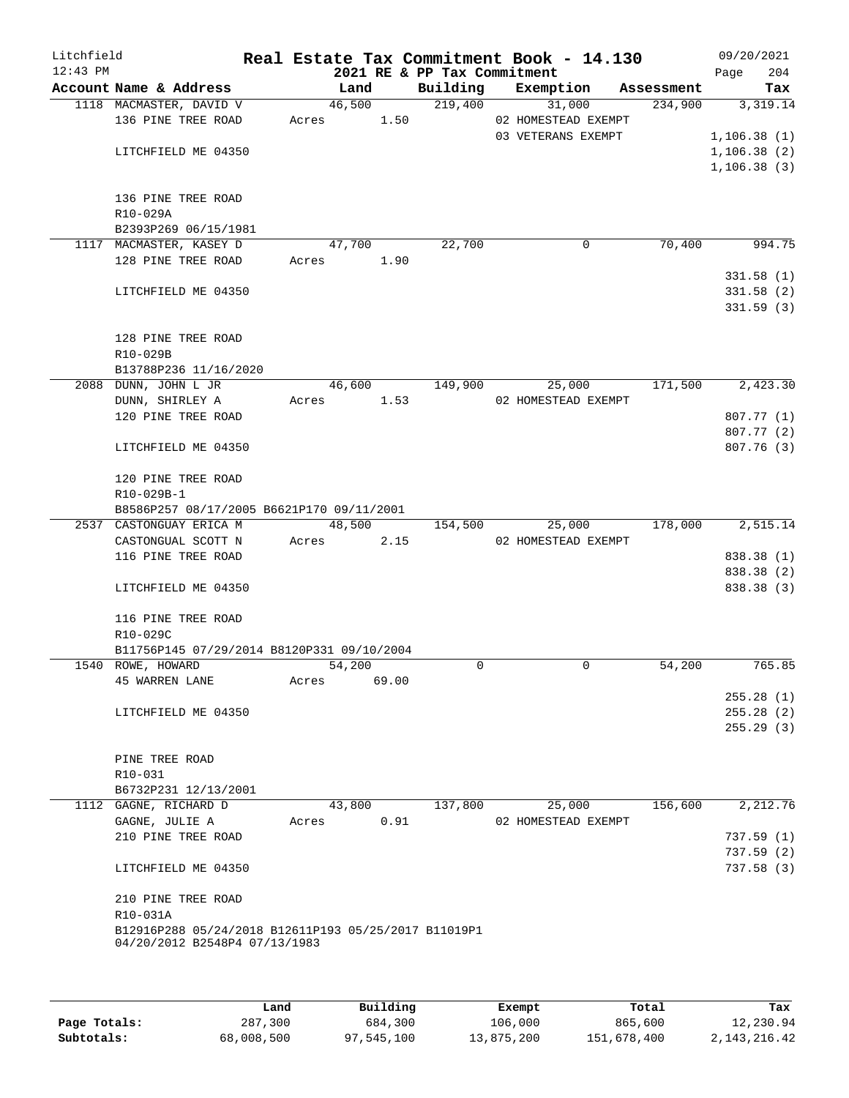| Litchfield<br>$12:43$ PM |                                                      |       |        |       | 2021 RE & PP Tax Commitment | Real Estate Tax Commitment Book - 14.130 |            | 09/20/2021<br>204<br>Page |
|--------------------------|------------------------------------------------------|-------|--------|-------|-----------------------------|------------------------------------------|------------|---------------------------|
|                          | Account Name & Address                               |       | Land   |       | Building                    | Exemption                                | Assessment | Tax                       |
|                          | 1118 MACMASTER, DAVID V                              |       | 46,500 |       | 219,400                     | 31,000                                   | 234,900    | 3,319.14                  |
|                          | 136 PINE TREE ROAD                                   | Acres |        | 1.50  |                             | 02 HOMESTEAD EXEMPT                      |            |                           |
|                          |                                                      |       |        |       |                             | 03 VETERANS EXEMPT                       |            | 1, 106.38(1)              |
|                          | LITCHFIELD ME 04350                                  |       |        |       |                             |                                          |            | 1, 106.38(2)              |
|                          |                                                      |       |        |       |                             |                                          |            | 1, 106.38(3)              |
|                          |                                                      |       |        |       |                             |                                          |            |                           |
|                          | 136 PINE TREE ROAD                                   |       |        |       |                             |                                          |            |                           |
|                          | R10-029A                                             |       |        |       |                             |                                          |            |                           |
|                          | B2393P269 06/15/1981                                 |       |        |       |                             |                                          |            |                           |
|                          | 1117 MACMASTER, KASEY D                              |       | 47,700 |       | 22,700                      | 0                                        | 70,400     | 994.75                    |
|                          | 128 PINE TREE ROAD                                   | Acres |        | 1.90  |                             |                                          |            |                           |
|                          |                                                      |       |        |       |                             |                                          |            | 331.58(1)                 |
|                          | LITCHFIELD ME 04350                                  |       |        |       |                             |                                          |            | 331.58(2)                 |
|                          |                                                      |       |        |       |                             |                                          |            | 331.59(3)                 |
|                          |                                                      |       |        |       |                             |                                          |            |                           |
|                          | 128 PINE TREE ROAD                                   |       |        |       |                             |                                          |            |                           |
|                          | R10-029B                                             |       |        |       |                             |                                          |            |                           |
|                          | B13788P236 11/16/2020                                |       |        |       |                             |                                          |            |                           |
|                          | 2088 DUNN, JOHN L JR                                 |       | 46,600 |       | 149,900                     | 25,000                                   | 171,500    | 2,423.30                  |
|                          | DUNN, SHIRLEY A                                      | Acres |        | 1.53  |                             | 02 HOMESTEAD EXEMPT                      |            |                           |
|                          | 120 PINE TREE ROAD                                   |       |        |       |                             |                                          |            | 807.77 (1)                |
|                          |                                                      |       |        |       |                             |                                          |            | 807.77 (2)                |
|                          | LITCHFIELD ME 04350                                  |       |        |       |                             |                                          |            | 807.76(3)                 |
|                          | 120 PINE TREE ROAD                                   |       |        |       |                             |                                          |            |                           |
|                          | R10-029B-1                                           |       |        |       |                             |                                          |            |                           |
|                          | B8586P257 08/17/2005 B6621P170 09/11/2001            |       |        |       |                             |                                          |            |                           |
|                          | 2537 CASTONGUAY ERICA M                              |       | 48,500 |       | 154,500                     | 25,000                                   | 178,000    | 2,515.14                  |
|                          | CASTONGUAL SCOTT N                                   | Acres |        | 2.15  |                             | 02 HOMESTEAD EXEMPT                      |            |                           |
|                          | 116 PINE TREE ROAD                                   |       |        |       |                             |                                          |            | 838.38 (1)                |
|                          |                                                      |       |        |       |                             |                                          |            | 838.38 (2)                |
|                          | LITCHFIELD ME 04350                                  |       |        |       |                             |                                          |            | 838.38 (3)                |
|                          | 116 PINE TREE ROAD                                   |       |        |       |                             |                                          |            |                           |
|                          | R10-029C                                             |       |        |       |                             |                                          |            |                           |
|                          | B11756P145 07/29/2014 B8120P331 09/10/2004           |       |        |       |                             |                                          |            |                           |
|                          | 1540 ROWE, HOWARD                                    |       | 54,200 |       | $\Omega$                    | 0                                        | 54,200     | 765.85                    |
|                          | <b>45 WARREN LANE</b>                                | Acres |        | 69.00 |                             |                                          |            |                           |
|                          |                                                      |       |        |       |                             |                                          |            | 255.28(1)                 |
|                          | LITCHFIELD ME 04350                                  |       |        |       |                             |                                          |            | 255.28(2)                 |
|                          |                                                      |       |        |       |                             |                                          |            | 255.29(3)                 |
|                          |                                                      |       |        |       |                             |                                          |            |                           |
|                          | PINE TREE ROAD                                       |       |        |       |                             |                                          |            |                           |
|                          | R10-031                                              |       |        |       |                             |                                          |            |                           |
|                          | B6732P231 12/13/2001                                 |       |        |       |                             |                                          |            |                           |
|                          | 1112 GAGNE, RICHARD D                                |       | 43,800 |       | 137,800                     | 25,000                                   | 156,600    | 2,212.76                  |
|                          | GAGNE, JULIE A                                       | Acres |        | 0.91  |                             | 02 HOMESTEAD EXEMPT                      |            |                           |
|                          | 210 PINE TREE ROAD                                   |       |        |       |                             |                                          |            | 737.59 (1)                |
|                          |                                                      |       |        |       |                             |                                          |            | 737.59(2)                 |
|                          | LITCHFIELD ME 04350                                  |       |        |       |                             |                                          |            | 737.58 (3)                |
|                          | 210 PINE TREE ROAD                                   |       |        |       |                             |                                          |            |                           |
|                          | R10-031A                                             |       |        |       |                             |                                          |            |                           |
|                          | B12916P288 05/24/2018 B12611P193 05/25/2017 B11019P1 |       |        |       |                             |                                          |            |                           |
|                          | 04/20/2012 B2548P4 07/13/1983                        |       |        |       |                             |                                          |            |                           |
|                          |                                                      |       |        |       |                             |                                          |            |                           |
|                          |                                                      |       |        |       |                             |                                          |            |                           |

|              | Land       | Building   | Exempt     | Total       | Tax             |
|--------------|------------|------------|------------|-------------|-----------------|
| Page Totals: | 287,300    | 684,300    | 106,000    | 865,600     | 12,230.94       |
| Subtotals:   | 68,008,500 | 97,545,100 | 13,875,200 | 151,678,400 | 2, 143, 216. 42 |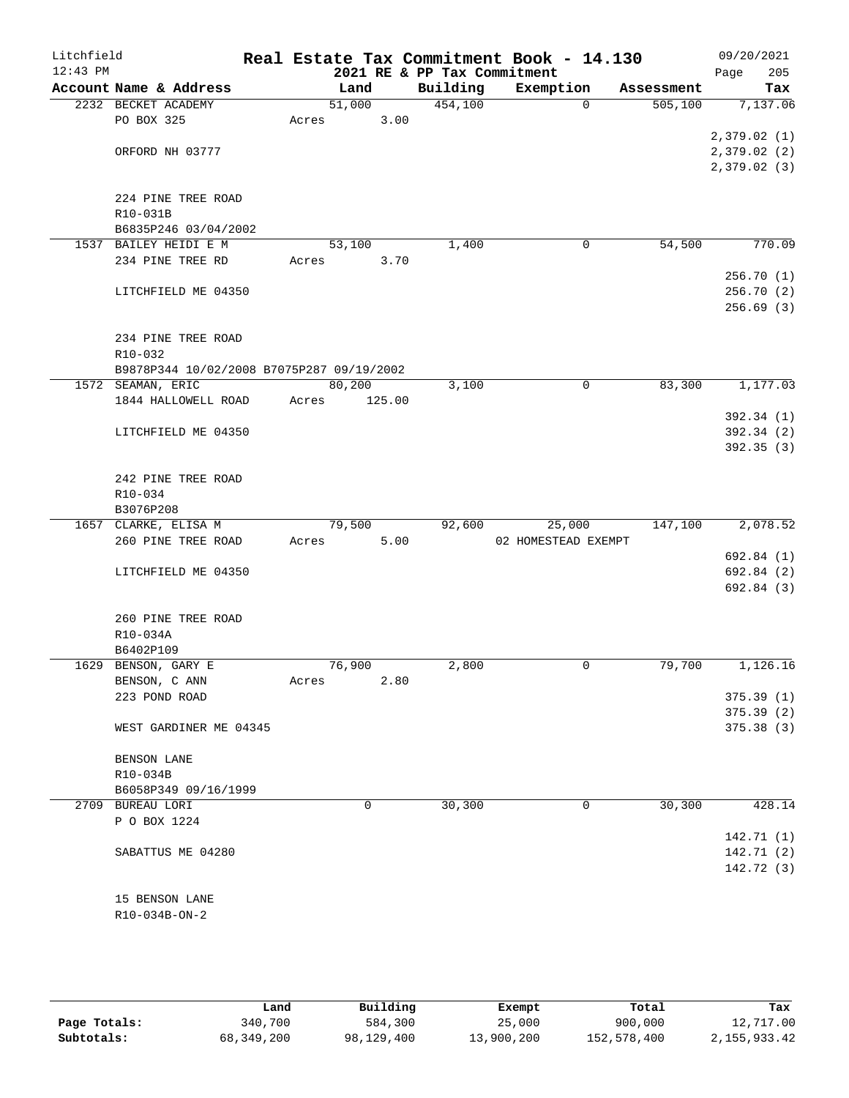| Litchfield |                                                                | Real Estate Tax Commitment Book - 14.130 |                             |                     |            | 09/20/2021  |
|------------|----------------------------------------------------------------|------------------------------------------|-----------------------------|---------------------|------------|-------------|
| $12:43$ PM |                                                                |                                          | 2021 RE & PP Tax Commitment |                     |            | 205<br>Page |
|            | Account Name & Address                                         | Land                                     | Building                    | Exemption           | Assessment | Tax         |
|            | 2232 BECKET ACADEMY                                            | 51,000                                   | 454,100                     | $\Omega$            | 505, 100   | 7,137.06    |
|            | PO BOX 325                                                     | 3.00<br>Acres                            |                             |                     |            |             |
|            |                                                                |                                          |                             |                     |            | 2,379.02(1) |
|            | ORFORD NH 03777                                                |                                          |                             |                     |            | 2,379.02(2) |
|            |                                                                |                                          |                             |                     |            | 2,379.02(3) |
|            |                                                                |                                          |                             |                     |            |             |
|            | 224 PINE TREE ROAD                                             |                                          |                             |                     |            |             |
|            | R10-031B                                                       |                                          |                             |                     |            |             |
|            | B6835P246 03/04/2002                                           |                                          |                             |                     |            |             |
|            | 1537 BAILEY HEIDI E M                                          | 53,100                                   | 1,400                       | 0                   | 54,500     | 770.09      |
|            | 234 PINE TREE RD                                               | 3.70<br>Acres                            |                             |                     |            |             |
|            |                                                                |                                          |                             |                     |            | 256.70(1)   |
|            | LITCHFIELD ME 04350                                            |                                          |                             |                     |            | 256.70(2)   |
|            |                                                                |                                          |                             |                     |            | 256.69(3)   |
|            |                                                                |                                          |                             |                     |            |             |
|            | 234 PINE TREE ROAD                                             |                                          |                             |                     |            |             |
|            | R10-032                                                        |                                          |                             |                     |            |             |
|            | B9878P344 10/02/2008 B7075P287 09/19/2002<br>1572 SEAMAN, ERIC | 80,200                                   | 3,100                       | 0                   | 83,300     | 1,177.03    |
|            | 1844 HALLOWELL ROAD                                            | Acres<br>125.00                          |                             |                     |            |             |
|            |                                                                |                                          |                             |                     |            | 392.34(1)   |
|            | LITCHFIELD ME 04350                                            |                                          |                             |                     |            | 392.34(2)   |
|            |                                                                |                                          |                             |                     |            | 392.35 (3)  |
|            |                                                                |                                          |                             |                     |            |             |
|            | 242 PINE TREE ROAD                                             |                                          |                             |                     |            |             |
|            | R10-034                                                        |                                          |                             |                     |            |             |
|            | B3076P208                                                      |                                          |                             |                     |            |             |
|            | 1657 CLARKE, ELISA M                                           | 79,500                                   | 92,600                      | 25,000              | 147,100    | 2,078.52    |
|            | 260 PINE TREE ROAD                                             | 5.00<br>Acres                            |                             | 02 HOMESTEAD EXEMPT |            |             |
|            |                                                                |                                          |                             |                     |            | 692.84 (1)  |
|            | LITCHFIELD ME 04350                                            |                                          |                             |                     |            | 692.84 (2)  |
|            |                                                                |                                          |                             |                     |            | 692.84 (3)  |
|            |                                                                |                                          |                             |                     |            |             |
|            | 260 PINE TREE ROAD                                             |                                          |                             |                     |            |             |
|            | R10-034A                                                       |                                          |                             |                     |            |             |
|            | B6402P109                                                      |                                          |                             |                     |            |             |
|            | 1629 BENSON, GARY E                                            | 76,900                                   | 2,800                       | 0                   | 79,700     | 1,126.16    |
|            | BENSON, C ANN                                                  | 2.80<br>Acres                            |                             |                     |            |             |
|            | 223 POND ROAD                                                  |                                          |                             |                     |            | 375.39(1)   |
|            |                                                                |                                          |                             |                     |            | 375.39(2)   |
|            | WEST GARDINER ME 04345                                         |                                          |                             |                     |            | 375.38(3)   |
|            |                                                                |                                          |                             |                     |            |             |
|            | BENSON LANE                                                    |                                          |                             |                     |            |             |
|            | R10-034B                                                       |                                          |                             |                     |            |             |
|            | B6058P349 09/16/1999                                           |                                          |                             |                     |            |             |
|            | 2709 BUREAU LORI                                               | 0                                        | 30,300                      | 0                   | 30,300     | 428.14      |
|            | P O BOX 1224                                                   |                                          |                             |                     |            |             |
|            |                                                                |                                          |                             |                     |            | 142.71(1)   |
|            | SABATTUS ME 04280                                              |                                          |                             |                     |            | 142.71(2)   |
|            |                                                                |                                          |                             |                     |            | 142.72 (3)  |
|            |                                                                |                                          |                             |                     |            |             |
|            | 15 BENSON LANE                                                 |                                          |                             |                     |            |             |
|            | R10-034B-ON-2                                                  |                                          |                             |                     |            |             |
|            |                                                                |                                          |                             |                     |            |             |

|              | Land       | Building   | Exempt     | Total       | Tax            |
|--------------|------------|------------|------------|-------------|----------------|
| Page Totals: | 340,700    | 584,300    | 25,000     | 900,000     | 12,717.00      |
| Subtotals:   | 68,349,200 | 98,129,400 | 13,900,200 | 152,578,400 | 2, 155, 933.42 |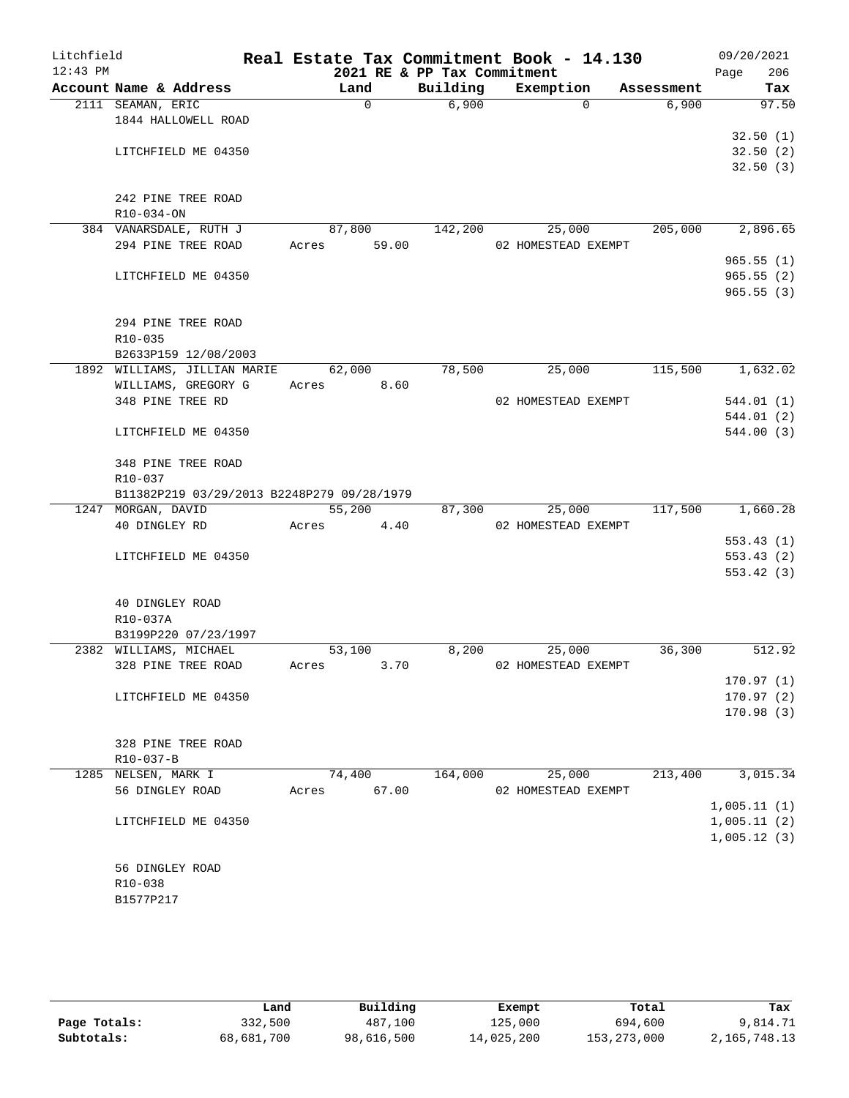| Litchfield<br>$12:43$ PM |                                            |                | 2021 RE & PP Tax Commitment | Real Estate Tax Commitment Book - 14.130 |            | 09/20/2021<br>206<br>Page |
|--------------------------|--------------------------------------------|----------------|-----------------------------|------------------------------------------|------------|---------------------------|
|                          | Account Name & Address                     | Land           | Building                    | Exemption                                | Assessment | Tax                       |
|                          | 2111 SEAMAN, ERIC                          | 0              | 6,900                       | $\Omega$                                 | 6,900      | 97.50                     |
|                          | 1844 HALLOWELL ROAD                        |                |                             |                                          |            |                           |
|                          |                                            |                |                             |                                          |            | 32.50(1)                  |
|                          | LITCHFIELD ME 04350                        |                |                             |                                          |            | 32.50(2)                  |
|                          |                                            |                |                             |                                          |            | 32.50(3)                  |
|                          |                                            |                |                             |                                          |            |                           |
|                          | 242 PINE TREE ROAD                         |                |                             |                                          |            |                           |
|                          | R10-034-ON<br>384 VANARSDALE, RUTH J       | 87,800         | 142,200                     | 25,000                                   | 205,000    | 2,896.65                  |
|                          | 294 PINE TREE ROAD                         | 59.00<br>Acres |                             | 02 HOMESTEAD EXEMPT                      |            |                           |
|                          |                                            |                |                             |                                          |            | 965.55(1)                 |
|                          | LITCHFIELD ME 04350                        |                |                             |                                          |            | 965.55(2)                 |
|                          |                                            |                |                             |                                          |            | 965.55(3)                 |
|                          |                                            |                |                             |                                          |            |                           |
|                          | 294 PINE TREE ROAD                         |                |                             |                                          |            |                           |
|                          | R10-035                                    |                |                             |                                          |            |                           |
|                          | B2633P159 12/08/2003                       |                |                             |                                          |            |                           |
|                          | 1892 WILLIAMS, JILLIAN MARIE               | 62,000         | 78,500                      | 25,000                                   | 115,500    | 1,632.02                  |
|                          | WILLIAMS, GREGORY G                        | 8.60<br>Acres  |                             |                                          |            |                           |
|                          | 348 PINE TREE RD                           |                |                             | 02 HOMESTEAD EXEMPT                      |            | 544.01(1)                 |
|                          | LITCHFIELD ME 04350                        |                |                             |                                          |            | 544.01 (2)<br>544.00(3)   |
|                          |                                            |                |                             |                                          |            |                           |
|                          | 348 PINE TREE ROAD                         |                |                             |                                          |            |                           |
|                          | R10-037                                    |                |                             |                                          |            |                           |
|                          | B11382P219 03/29/2013 B2248P279 09/28/1979 |                |                             |                                          |            |                           |
|                          | 1247 MORGAN, DAVID                         | 55,200         | 87,300                      | 25,000                                   | 117,500    | 1,660.28                  |
|                          | 40 DINGLEY RD                              | Acres<br>4.40  |                             | 02 HOMESTEAD EXEMPT                      |            |                           |
|                          |                                            |                |                             |                                          |            | 553.43(1)                 |
|                          | LITCHFIELD ME 04350                        |                |                             |                                          |            | 553.43(2)                 |
|                          |                                            |                |                             |                                          |            | 553.42(3)                 |
|                          | 40 DINGLEY ROAD                            |                |                             |                                          |            |                           |
|                          | R10-037A                                   |                |                             |                                          |            |                           |
|                          | B3199P220 07/23/1997                       |                |                             |                                          |            |                           |
|                          | 2382 WILLIAMS, MICHAEL                     | 53,100         | 8,200                       | 25,000                                   | 36,300     | 512.92                    |
|                          | 328 PINE TREE ROAD                         | 3.70<br>Acres  |                             | 02 HOMESTEAD EXEMPT                      |            |                           |
|                          |                                            |                |                             |                                          |            | 170.97(1)                 |
|                          | LITCHFIELD ME 04350                        |                |                             |                                          |            | 170.97(2)                 |
|                          |                                            |                |                             |                                          |            | 170.98(3)                 |
|                          |                                            |                |                             |                                          |            |                           |
|                          | 328 PINE TREE ROAD                         |                |                             |                                          |            |                           |
|                          | R10-037-B                                  |                |                             |                                          |            |                           |
|                          | 1285 NELSEN, MARK I<br>56 DINGLEY ROAD     | 74,400         | 164,000                     | 25,000                                   | 213,400    | 3,015.34                  |
|                          |                                            | 67.00<br>Acres |                             | 02 HOMESTEAD EXEMPT                      |            | 1,005.11(1)               |
|                          | LITCHFIELD ME 04350                        |                |                             |                                          |            | 1,005.11(2)               |
|                          |                                            |                |                             |                                          |            | 1,005.12(3)               |
|                          |                                            |                |                             |                                          |            |                           |
|                          | 56 DINGLEY ROAD                            |                |                             |                                          |            |                           |
|                          | R10-038                                    |                |                             |                                          |            |                           |
|                          | B1577P217                                  |                |                             |                                          |            |                           |
|                          |                                            |                |                             |                                          |            |                           |

|              | Land       | Building   | Exempt     | Total         | Tax          |
|--------------|------------|------------|------------|---------------|--------------|
| Page Totals: | 332,500    | 487,100    | 125,000    | 694,600       | 9,814.71     |
| Subtotals:   | 68,681,700 | 98,616,500 | 14,025,200 | 153, 273, 000 | 2,165,748.13 |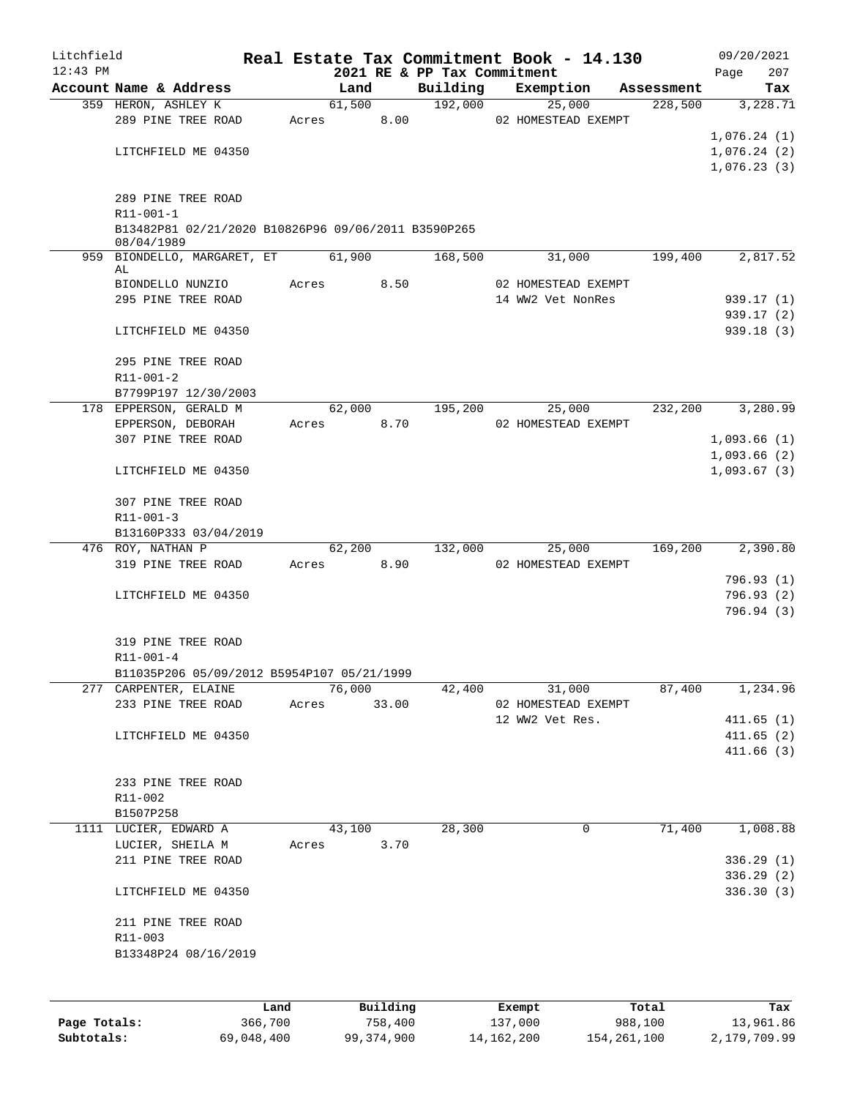| Litchfield<br>$12:43$ PM |                                                                        |         |            |          | 2021 RE & PP Tax Commitment | Real Estate Tax Commitment Book - 14.130 |            | 09/20/2021<br>207<br>Page |
|--------------------------|------------------------------------------------------------------------|---------|------------|----------|-----------------------------|------------------------------------------|------------|---------------------------|
|                          | Account Name & Address                                                 |         | Land       |          | Building                    | Exemption                                | Assessment | Tax                       |
|                          | 359 HERON, ASHLEY K                                                    |         | 61,500     |          | 192,000                     | 25,000                                   | 228,500    | 3,228.71                  |
|                          | 289 PINE TREE ROAD                                                     | Acres   |            | 8.00     |                             | 02 HOMESTEAD EXEMPT                      |            |                           |
|                          |                                                                        |         |            |          |                             |                                          |            | 1,076.24(1)               |
|                          | LITCHFIELD ME 04350                                                    |         |            |          |                             |                                          |            | 1,076.24(2)               |
|                          |                                                                        |         |            |          |                             |                                          |            | 1,076.23(3)               |
|                          |                                                                        |         |            |          |                             |                                          |            |                           |
|                          | 289 PINE TREE ROAD                                                     |         |            |          |                             |                                          |            |                           |
|                          | $R11 - 001 - 1$<br>B13482P81 02/21/2020 B10826P96 09/06/2011 B3590P265 |         |            |          |                             |                                          |            |                           |
|                          | 08/04/1989                                                             |         |            |          |                             |                                          |            |                           |
|                          | 959 BIONDELLO, MARGARET, ET 61,900                                     |         |            |          | 168,500                     | 31,000                                   | 199,400    | 2,817.52                  |
|                          | AL<br>BIONDELLO NUNZIO                                                 | Acres   |            | 8.50     |                             | 02 HOMESTEAD EXEMPT                      |            |                           |
|                          | 295 PINE TREE ROAD                                                     |         |            |          |                             | 14 WW2 Vet NonRes                        |            | 939.17 (1)                |
|                          |                                                                        |         |            |          |                             |                                          |            | 939.17 (2)                |
|                          | LITCHFIELD ME 04350                                                    |         |            |          |                             |                                          |            | 939.18(3)                 |
|                          |                                                                        |         |            |          |                             |                                          |            |                           |
|                          | 295 PINE TREE ROAD                                                     |         |            |          |                             |                                          |            |                           |
|                          | R11-001-2                                                              |         |            |          |                             |                                          |            |                           |
|                          | B7799P197 12/30/2003                                                   |         |            |          |                             |                                          |            |                           |
|                          | 178 EPPERSON, GERALD M                                                 |         | 62,000     |          | 195,200                     | 25,000                                   | 232,200    | 3,280.99                  |
|                          | EPPERSON, DEBORAH                                                      |         | Acres      | 8.70     |                             | 02 HOMESTEAD EXEMPT                      |            |                           |
|                          | 307 PINE TREE ROAD                                                     |         |            |          |                             |                                          |            | 1,093.66(1)               |
|                          |                                                                        |         |            |          |                             |                                          |            | 1,093.66(2)               |
|                          | LITCHFIELD ME 04350                                                    |         |            |          |                             |                                          |            | 1,093.67(3)               |
|                          | 307 PINE TREE ROAD                                                     |         |            |          |                             |                                          |            |                           |
|                          | $R11 - 001 - 3$                                                        |         |            |          |                             |                                          |            |                           |
|                          | B13160P333 03/04/2019                                                  |         |            |          |                             |                                          |            |                           |
|                          | 476 ROY, NATHAN P                                                      |         | 62,200     |          | 132,000                     | 25,000                                   | 169,200    | 2,390.80                  |
|                          | 319 PINE TREE ROAD                                                     |         | Acres 8.90 |          |                             | 02 HOMESTEAD EXEMPT                      |            |                           |
|                          |                                                                        |         |            |          |                             |                                          |            | 796.93(1)                 |
|                          | LITCHFIELD ME 04350                                                    |         |            |          |                             |                                          |            | 796.93(2)                 |
|                          |                                                                        |         |            |          |                             |                                          |            | 796.94 (3)                |
|                          |                                                                        |         |            |          |                             |                                          |            |                           |
|                          | 319 PINE TREE ROAD                                                     |         |            |          |                             |                                          |            |                           |
|                          | $R11 - 001 - 4$                                                        |         |            |          |                             |                                          |            |                           |
|                          | B11035P206 05/09/2012 B5954P107 05/21/1999                             |         |            |          |                             |                                          |            |                           |
|                          | 277 CARPENTER, ELAINE                                                  |         | 76,000     |          | 42,400                      | 31,000                                   | 87,400     | 1,234.96                  |
|                          | 233 PINE TREE ROAD                                                     | Acres   |            | 33.00    |                             | 02 HOMESTEAD EXEMPT                      |            |                           |
|                          |                                                                        |         |            |          |                             | 12 WW2 Vet Res.                          |            | 411.65(1)                 |
|                          | LITCHFIELD ME 04350                                                    |         |            |          |                             |                                          |            | 411.65(2)<br>411.66(3)    |
|                          |                                                                        |         |            |          |                             |                                          |            |                           |
|                          | 233 PINE TREE ROAD                                                     |         |            |          |                             |                                          |            |                           |
|                          | R11-002                                                                |         |            |          |                             |                                          |            |                           |
|                          | B1507P258                                                              |         |            |          |                             |                                          |            |                           |
|                          | 1111 LUCIER, EDWARD A                                                  |         | 43,100     |          | 28,300                      | 0                                        | 71,400     | 1,008.88                  |
|                          | LUCIER, SHEILA M                                                       | Acres   |            | 3.70     |                             |                                          |            |                           |
|                          | 211 PINE TREE ROAD                                                     |         |            |          |                             |                                          |            | 336.29(1)                 |
|                          |                                                                        |         |            |          |                             |                                          |            | 336.29(2)                 |
|                          | LITCHFIELD ME 04350                                                    |         |            |          |                             |                                          |            | 336.30(3)                 |
|                          | 211 PINE TREE ROAD                                                     |         |            |          |                             |                                          |            |                           |
|                          | R11-003                                                                |         |            |          |                             |                                          |            |                           |
|                          | B13348P24 08/16/2019                                                   |         |            |          |                             |                                          |            |                           |
|                          |                                                                        |         |            |          |                             |                                          |            |                           |
|                          |                                                                        |         |            |          |                             |                                          |            |                           |
|                          |                                                                        | Land    |            | Building |                             | Exempt                                   | Total      | Tax                       |
| Page Totals:             |                                                                        | 366,700 |            | 758,400  |                             | 137,000                                  | 988,100    | 13,961.86                 |

**Subtotals:** 69,048,400 99,374,900 14,162,200 154,261,100 2,179,709.99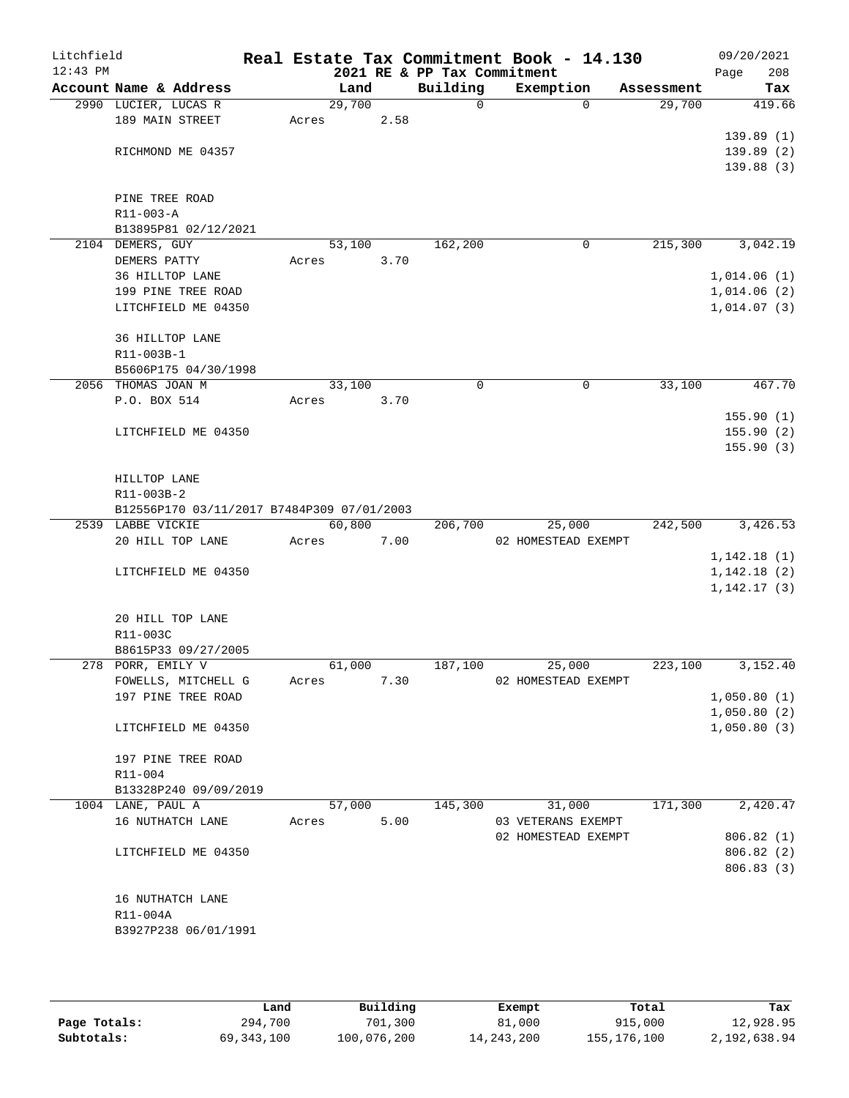| Litchfield |                                            |       |                |      |                             | Real Estate Tax Commitment Book - 14.130 |             |                      | 09/20/2021  |                        |
|------------|--------------------------------------------|-------|----------------|------|-----------------------------|------------------------------------------|-------------|----------------------|-------------|------------------------|
| $12:43$ PM | Account Name & Address                     |       |                |      | 2021 RE & PP Tax Commitment |                                          |             |                      | Page        | 208                    |
|            | 2990 LUCIER, LUCAS R                       |       | Land<br>29,700 |      | Building<br>0               | Exemption                                | $\Omega$    | Assessment<br>29,700 |             | Tax<br>419.66          |
|            | 189 MAIN STREET                            | Acres |                | 2.58 |                             |                                          |             |                      |             |                        |
|            |                                            |       |                |      |                             |                                          |             |                      |             | 139.89(1)              |
|            | RICHMOND ME 04357                          |       |                |      |                             |                                          |             |                      |             | 139.89(2)              |
|            |                                            |       |                |      |                             |                                          |             |                      |             | 139.88(3)              |
|            |                                            |       |                |      |                             |                                          |             |                      |             |                        |
|            | PINE TREE ROAD                             |       |                |      |                             |                                          |             |                      |             |                        |
|            | R11-003-A                                  |       |                |      |                             |                                          |             |                      |             |                        |
|            | B13895P81 02/12/2021<br>2104 DEMERS, GUY   |       |                |      | 162,200                     |                                          | 0           | 215,300              |             | 3,042.19               |
|            | DEMERS PATTY                               | Acres | 53,100         | 3.70 |                             |                                          |             |                      |             |                        |
|            | 36 HILLTOP LANE                            |       |                |      |                             |                                          |             |                      | 1,014.06(1) |                        |
|            | 199 PINE TREE ROAD                         |       |                |      |                             |                                          |             |                      | 1,014.06(2) |                        |
|            | LITCHFIELD ME 04350                        |       |                |      |                             |                                          |             |                      | 1,014.07(3) |                        |
|            |                                            |       |                |      |                             |                                          |             |                      |             |                        |
|            | 36 HILLTOP LANE                            |       |                |      |                             |                                          |             |                      |             |                        |
|            | R11-003B-1                                 |       |                |      |                             |                                          |             |                      |             |                        |
|            | B5606P175 04/30/1998                       |       |                |      |                             |                                          |             |                      |             |                        |
|            | 2056 THOMAS JOAN M                         |       | 33,100         |      | 0                           |                                          | $\mathbf 0$ | 33,100               |             | 467.70                 |
|            | P.O. BOX 514                               | Acres |                | 3.70 |                             |                                          |             |                      |             |                        |
|            |                                            |       |                |      |                             |                                          |             |                      |             | 155.90(1)              |
|            | LITCHFIELD ME 04350                        |       |                |      |                             |                                          |             |                      |             | 155.90(2)<br>155.90(3) |
|            |                                            |       |                |      |                             |                                          |             |                      |             |                        |
|            | HILLTOP LANE                               |       |                |      |                             |                                          |             |                      |             |                        |
|            | R11-003B-2                                 |       |                |      |                             |                                          |             |                      |             |                        |
|            | B12556P170 03/11/2017 B7484P309 07/01/2003 |       |                |      |                             |                                          |             |                      |             |                        |
|            | 2539 LABBE VICKIE                          |       | 60,800         |      | 206,700                     | 25,000                                   |             | 242,500              |             | 3,426.53               |
|            | 20 HILL TOP LANE                           | Acres |                | 7.00 |                             | 02 HOMESTEAD EXEMPT                      |             |                      |             |                        |
|            |                                            |       |                |      |                             |                                          |             |                      | 1,142.18(1) |                        |
|            | LITCHFIELD ME 04350                        |       |                |      |                             |                                          |             |                      | 1,142.18(2) |                        |
|            |                                            |       |                |      |                             |                                          |             |                      | 1,142.17(3) |                        |
|            |                                            |       |                |      |                             |                                          |             |                      |             |                        |
|            | 20 HILL TOP LANE                           |       |                |      |                             |                                          |             |                      |             |                        |
|            | R11-003C                                   |       |                |      |                             |                                          |             |                      |             |                        |
|            | B8615P33 09/27/2005<br>278 PORR, EMILY V   |       | 61,000         |      | 187,100                     | 25,000                                   |             | 223,100              |             | 3,152.40               |
|            | FOWELLS, MITCHELL G                        | Acres |                | 7.30 |                             | 02 HOMESTEAD EXEMPT                      |             |                      |             |                        |
|            | 197 PINE TREE ROAD                         |       |                |      |                             |                                          |             |                      | 1,050.80(1) |                        |
|            |                                            |       |                |      |                             |                                          |             |                      | 1,050.80(2) |                        |
|            | LITCHFIELD ME 04350                        |       |                |      |                             |                                          |             |                      | 1,050.80(3) |                        |
|            |                                            |       |                |      |                             |                                          |             |                      |             |                        |
|            | 197 PINE TREE ROAD                         |       |                |      |                             |                                          |             |                      |             |                        |
|            | R11-004                                    |       |                |      |                             |                                          |             |                      |             |                        |
|            | B13328P240 09/09/2019                      |       |                |      |                             |                                          |             |                      |             |                        |
|            | 1004 LANE, PAUL A                          |       | 57,000         |      | 145,300                     | 31,000                                   |             | 171,300              |             | 2,420.47               |
|            | 16 NUTHATCH LANE                           | Acres |                | 5.00 |                             | 03 VETERANS EXEMPT                       |             |                      |             |                        |
|            |                                            |       |                |      |                             | 02 HOMESTEAD EXEMPT                      |             |                      |             | 806.82 (1)             |
|            | LITCHFIELD ME 04350                        |       |                |      |                             |                                          |             |                      |             | 806.82 (2)             |
|            |                                            |       |                |      |                             |                                          |             |                      |             | 806.83 (3)             |
|            | 16 NUTHATCH LANE                           |       |                |      |                             |                                          |             |                      |             |                        |
|            | R11-004A                                   |       |                |      |                             |                                          |             |                      |             |                        |
|            | B3927P238 06/01/1991                       |       |                |      |                             |                                          |             |                      |             |                        |
|            |                                            |       |                |      |                             |                                          |             |                      |             |                        |
|            |                                            |       |                |      |                             |                                          |             |                      |             |                        |

|              | Land       | Building    | Exempt     | Total       | Tax          |
|--------------|------------|-------------|------------|-------------|--------------|
| Page Totals: | 294,700    | 701,300     | 81,000     | 915,000     | 12,928.95    |
| Subtotals:   | 69,343,100 | 100,076,200 | 14,243,200 | 155,176,100 | 2,192,638.94 |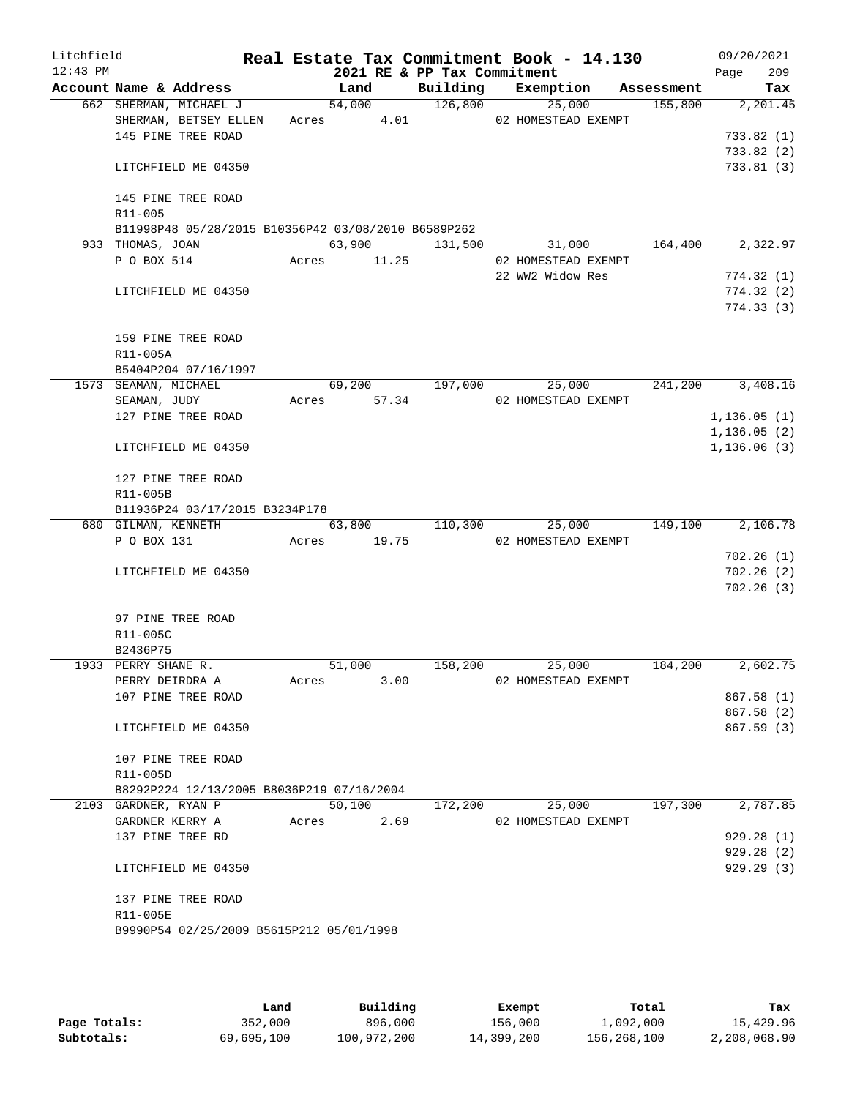| Litchfield<br>12:43 PM |                                 |                                                     |             |        |      | 2021 RE & PP Tax Commitment | Real Estate Tax Commitment Book - 14.130 |         | 09/20/2021<br>209<br>Page |
|------------------------|---------------------------------|-----------------------------------------------------|-------------|--------|------|-----------------------------|------------------------------------------|---------|---------------------------|
|                        |                                 | Account Name & Address                              |             | Land   |      |                             | Building Exemption Assessment            |         | Tax                       |
|                        |                                 | 662 SHERMAN, MICHAEL J                              |             |        |      |                             | 54,000 126,800 25,000                    | 155,800 | 2,201.45                  |
|                        |                                 | SHERMAN, BETSEY ELLEN                               | Acres 4.01  |        |      |                             | 02 HOMESTEAD EXEMPT                      |         |                           |
|                        |                                 | 145 PINE TREE ROAD                                  |             |        |      |                             |                                          |         | 733.82(1)                 |
|                        |                                 |                                                     |             |        |      |                             |                                          |         | 733.82(2)                 |
|                        |                                 | LITCHFIELD ME 04350                                 |             |        |      |                             |                                          |         | 733.81 (3)                |
|                        |                                 | 145 PINE TREE ROAD                                  |             |        |      |                             |                                          |         |                           |
|                        | $R11 - 005$                     |                                                     |             |        |      |                             |                                          |         |                           |
|                        |                                 | B11998P48 05/28/2015 B10356P42 03/08/2010 B6589P262 |             |        |      |                             |                                          |         |                           |
|                        | 933 THOMAS, JOAN                |                                                     |             |        |      | 63,900 131,500              | 31,000                                   | 164,400 | 2,322.97                  |
|                        | P O BOX 514                     |                                                     | Acres 11.25 |        |      |                             | 02 HOMESTEAD EXEMPT                      |         |                           |
|                        |                                 |                                                     |             |        |      |                             | 22 WW2 Widow Res                         |         | 774.32(1)                 |
|                        |                                 | LITCHFIELD ME 04350                                 |             |        |      |                             |                                          |         | 774.32(2)                 |
|                        |                                 |                                                     |             |        |      |                             |                                          |         | 774.33(3)                 |
|                        |                                 | 159 PINE TREE ROAD                                  |             |        |      |                             |                                          |         |                           |
|                        | R11-005A                        |                                                     |             |        |      |                             |                                          |         |                           |
|                        |                                 | B5404P204 07/16/1997                                |             |        |      |                             |                                          |         |                           |
|                        |                                 | 1573 SEAMAN, MICHAEL                                |             |        |      | 69,200 197,000              | 25,000                                   | 241,200 | 3,408.16                  |
|                        |                                 | SEAMAN, JUDY                                        |             |        |      |                             | Acres 57.34 02 HOMESTEAD EXEMPT          |         |                           |
|                        |                                 | 127 PINE TREE ROAD                                  |             |        |      |                             |                                          |         | 1, 136.05(1)              |
|                        |                                 |                                                     |             |        |      |                             |                                          |         | 1, 136.05(2)              |
|                        |                                 | LITCHFIELD ME 04350                                 |             |        |      |                             |                                          |         | 1, 136.06(3)              |
|                        |                                 | 127 PINE TREE ROAD                                  |             |        |      |                             |                                          |         |                           |
|                        | R11-005B                        |                                                     |             |        |      |                             |                                          |         |                           |
|                        |                                 | B11936P24 03/17/2015 B3234P178                      |             |        |      |                             |                                          |         |                           |
|                        |                                 | 680 GILMAN, KENNETH                                 |             |        |      | 63,800 110,300              | 25,000                                   | 149,100 | 2,106.78                  |
|                        | P O BOX 131                     | Acres 19.75                                         |             |        |      |                             | 02 HOMESTEAD EXEMPT                      |         |                           |
|                        |                                 |                                                     |             |        |      |                             |                                          |         | 702.26(1)                 |
|                        |                                 | LITCHFIELD ME 04350                                 |             |        |      |                             |                                          |         | 702.26(2)                 |
|                        |                                 |                                                     |             |        |      |                             |                                          |         | 702.26(3)                 |
|                        |                                 |                                                     |             |        |      |                             |                                          |         |                           |
|                        |                                 | 97 PINE TREE ROAD                                   |             |        |      |                             |                                          |         |                           |
|                        | R11-005C                        |                                                     |             |        |      |                             |                                          |         |                           |
|                        | B2436P75<br>1933 PERRY SHANE R. |                                                     |             | 51,000 |      | 158,200                     | 25,000                                   | 184,200 | 2,602.75                  |
|                        |                                 |                                                     | Acres       |        |      |                             |                                          |         |                           |
|                        | PERRY DEIRDRA A                 | 107 PINE TREE ROAD                                  |             |        | 3.00 |                             | 02 HOMESTEAD EXEMPT                      |         | 867.58 (1)                |
|                        |                                 |                                                     |             |        |      |                             |                                          |         |                           |
|                        |                                 | LITCHFIELD ME 04350                                 |             |        |      |                             |                                          |         | 867.58 (2)<br>867.59(3)   |
|                        |                                 |                                                     |             |        |      |                             |                                          |         |                           |
|                        |                                 | 107 PINE TREE ROAD                                  |             |        |      |                             |                                          |         |                           |
|                        | R11-005D                        |                                                     |             |        |      |                             |                                          |         |                           |
|                        |                                 | B8292P224 12/13/2005 B8036P219 07/16/2004           |             |        |      |                             |                                          |         |                           |
|                        | 2103 GARDNER, RYAN P            |                                                     |             | 50,100 |      | 172,200                     | 25,000                                   | 197,300 | 2,787.85                  |
|                        |                                 | GARDNER KERRY A                                     | Acres       |        | 2.69 |                             | 02 HOMESTEAD EXEMPT                      |         |                           |
|                        |                                 | 137 PINE TREE RD                                    |             |        |      |                             |                                          |         | 929.28(1)                 |
|                        |                                 |                                                     |             |        |      |                             |                                          |         | 929.28(2)                 |
|                        |                                 | LITCHFIELD ME 04350                                 |             |        |      |                             |                                          |         | 929.29(3)                 |
|                        |                                 | 137 PINE TREE ROAD                                  |             |        |      |                             |                                          |         |                           |
|                        | R11-005E                        |                                                     |             |        |      |                             |                                          |         |                           |
|                        |                                 | B9990P54 02/25/2009 B5615P212 05/01/1998            |             |        |      |                             |                                          |         |                           |
|                        |                                 |                                                     |             |        |      |                             |                                          |         |                           |
|                        |                                 |                                                     |             |        |      |                             |                                          |         |                           |

|              | Land       | Building    | Exempt     | Total       | Tax          |
|--------------|------------|-------------|------------|-------------|--------------|
| Page Totals: | 352,000    | 896,000     | 156,000    | 1,092,000   | 15,429.96    |
| Subtotals:   | 69,695,100 | 100,972,200 | 14,399,200 | 156,268,100 | 2,208,068.90 |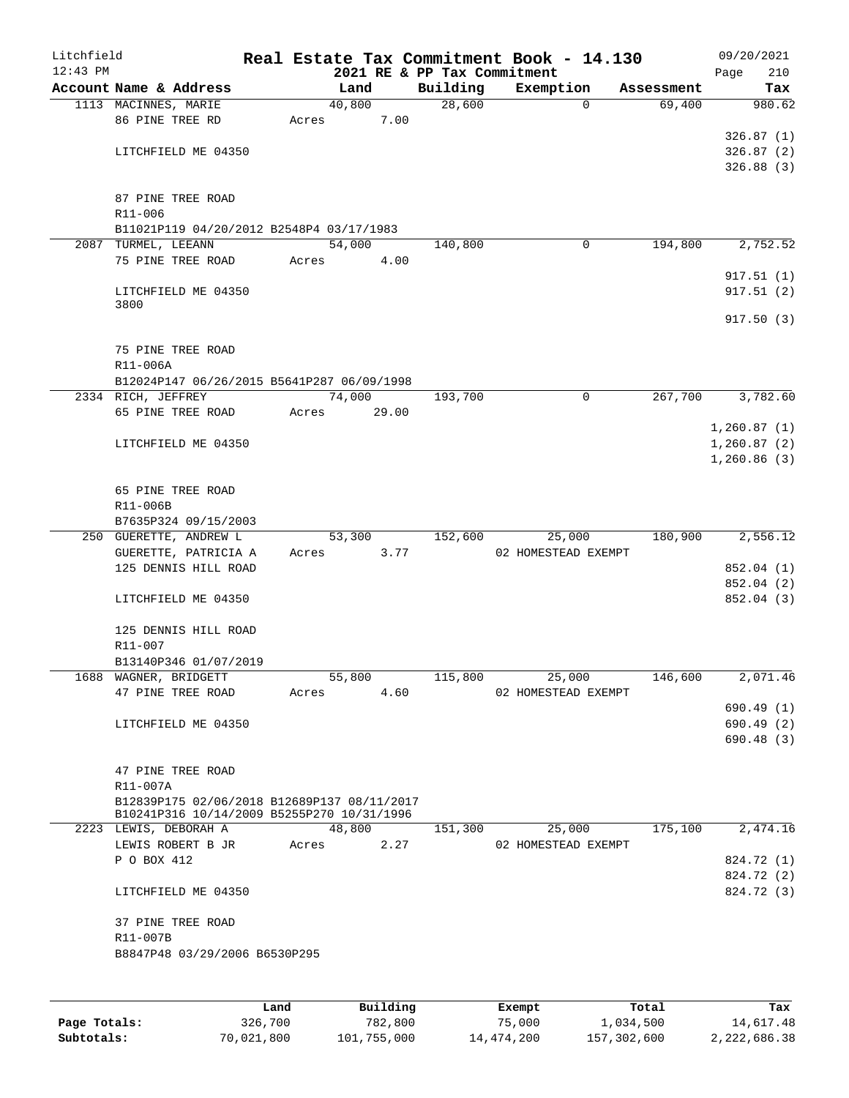| Litchfield |                                             |       |        |       |                             | Real Estate Tax Commitment Book - 14.130 |                        | 09/20/2021    |
|------------|---------------------------------------------|-------|--------|-------|-----------------------------|------------------------------------------|------------------------|---------------|
| $12:43$ PM |                                             |       |        |       | 2021 RE & PP Tax Commitment |                                          |                        | 210<br>Page   |
|            | Account Name & Address                      |       | Land   |       | Building                    | Exemption                                | Assessment<br>$\Omega$ | Tax<br>980.62 |
|            | 1113 MACINNES, MARIE<br>86 PINE TREE RD     | Acres | 40,800 | 7.00  | 28,600                      |                                          | 69,400                 |               |
|            |                                             |       |        |       |                             |                                          |                        | 326.87(1)     |
|            | LITCHFIELD ME 04350                         |       |        |       |                             |                                          |                        | 326.87(2)     |
|            |                                             |       |        |       |                             |                                          |                        | 326.88(3)     |
|            |                                             |       |        |       |                             |                                          |                        |               |
|            | 87 PINE TREE ROAD                           |       |        |       |                             |                                          |                        |               |
|            | R11-006                                     |       |        |       |                             |                                          |                        |               |
|            | B11021P119 04/20/2012 B2548P4 03/17/1983    |       |        |       |                             |                                          |                        |               |
|            | 2087 TURMEL, LEEANN                         |       | 54,000 |       | 140,800                     |                                          | 194,800<br>$\mathbf 0$ | 2,752.52      |
|            | 75 PINE TREE ROAD                           | Acres |        | 4.00  |                             |                                          |                        |               |
|            |                                             |       |        |       |                             |                                          |                        | 917.51(1)     |
|            | LITCHFIELD ME 04350                         |       |        |       |                             |                                          |                        | 917.51(2)     |
|            | 3800                                        |       |        |       |                             |                                          |                        | 917.50(3)     |
|            |                                             |       |        |       |                             |                                          |                        |               |
|            | 75 PINE TREE ROAD                           |       |        |       |                             |                                          |                        |               |
|            | R11-006A                                    |       |        |       |                             |                                          |                        |               |
|            | B12024P147 06/26/2015 B5641P287 06/09/1998  |       |        |       |                             |                                          |                        |               |
|            | 2334 RICH, JEFFREY                          |       | 74,000 |       | 193,700                     |                                          | 267,700<br>0           | 3,782.60      |
|            | 65 PINE TREE ROAD                           | Acres |        | 29.00 |                             |                                          |                        |               |
|            |                                             |       |        |       |                             |                                          |                        | 1,260.87(1)   |
|            | LITCHFIELD ME 04350                         |       |        |       |                             |                                          |                        | 1,260.87(2)   |
|            |                                             |       |        |       |                             |                                          |                        | 1,260.86(3)   |
|            |                                             |       |        |       |                             |                                          |                        |               |
|            | 65 PINE TREE ROAD                           |       |        |       |                             |                                          |                        |               |
|            | R11-006B                                    |       |        |       |                             |                                          |                        |               |
|            | B7635P324 09/15/2003                        |       |        |       |                             |                                          |                        |               |
|            | 250 GUERETTE, ANDREW L                      |       | 53,300 |       | 152,600                     | 25,000                                   | 180,900                | 2,556.12      |
|            | GUERETTE, PATRICIA A                        | Acres |        | 3.77  |                             | 02 HOMESTEAD EXEMPT                      |                        |               |
|            | 125 DENNIS HILL ROAD                        |       |        |       |                             |                                          |                        | 852.04 (1)    |
|            |                                             |       |        |       |                             |                                          |                        | 852.04 (2)    |
|            | LITCHFIELD ME 04350                         |       |        |       |                             |                                          |                        | 852.04 (3)    |
|            | 125 DENNIS HILL ROAD                        |       |        |       |                             |                                          |                        |               |
|            | R11-007                                     |       |        |       |                             |                                          |                        |               |
|            | B13140P346 01/07/2019                       |       |        |       |                             |                                          |                        |               |
|            | 1688 WAGNER, BRIDGETT                       |       | 55,800 |       | 115,800                     | 25,000                                   | 146,600                | 2,071.46      |
|            | 47 PINE TREE ROAD                           | Acres |        | 4.60  |                             | 02 HOMESTEAD EXEMPT                      |                        |               |
|            |                                             |       |        |       |                             |                                          |                        | 690.49 (1)    |
|            | LITCHFIELD ME 04350                         |       |        |       |                             |                                          |                        | 690.49 (2)    |
|            |                                             |       |        |       |                             |                                          |                        | 690.48(3)     |
|            |                                             |       |        |       |                             |                                          |                        |               |
|            | 47 PINE TREE ROAD                           |       |        |       |                             |                                          |                        |               |
|            | R11-007A                                    |       |        |       |                             |                                          |                        |               |
|            | B12839P175 02/06/2018 B12689P137 08/11/2017 |       |        |       |                             |                                          |                        |               |
|            | B10241P316 10/14/2009 B5255P270 10/31/1996  |       |        |       |                             |                                          | 175,100                | 2,474.16      |
|            | 2223 LEWIS, DEBORAH A<br>LEWIS ROBERT B JR  | Acres | 48,800 | 2.27  | 151,300                     | 25,000<br>02 HOMESTEAD EXEMPT            |                        |               |
|            | P O BOX 412                                 |       |        |       |                             |                                          |                        | 824.72 (1)    |
|            |                                             |       |        |       |                             |                                          |                        | 824.72 (2)    |
|            | LITCHFIELD ME 04350                         |       |        |       |                             |                                          |                        | 824.72 (3)    |
|            |                                             |       |        |       |                             |                                          |                        |               |
|            | 37 PINE TREE ROAD                           |       |        |       |                             |                                          |                        |               |
|            | R11-007B                                    |       |        |       |                             |                                          |                        |               |
|            | B8847P48 03/29/2006 B6530P295               |       |        |       |                             |                                          |                        |               |
|            |                                             |       |        |       |                             |                                          |                        |               |
|            |                                             |       |        |       |                             |                                          |                        |               |
|            |                                             |       |        |       |                             |                                          |                        |               |

|              | Land       | Building    | Exempt     | Total       | Tax          |
|--------------|------------|-------------|------------|-------------|--------------|
| Page Totals: | 326,700    | 782,800     | 75,000     | 1,034,500   | 14,617.48    |
| Subtotals:   | 70,021,800 | 101,755,000 | 14,474,200 | 157,302,600 | 2,222,686.38 |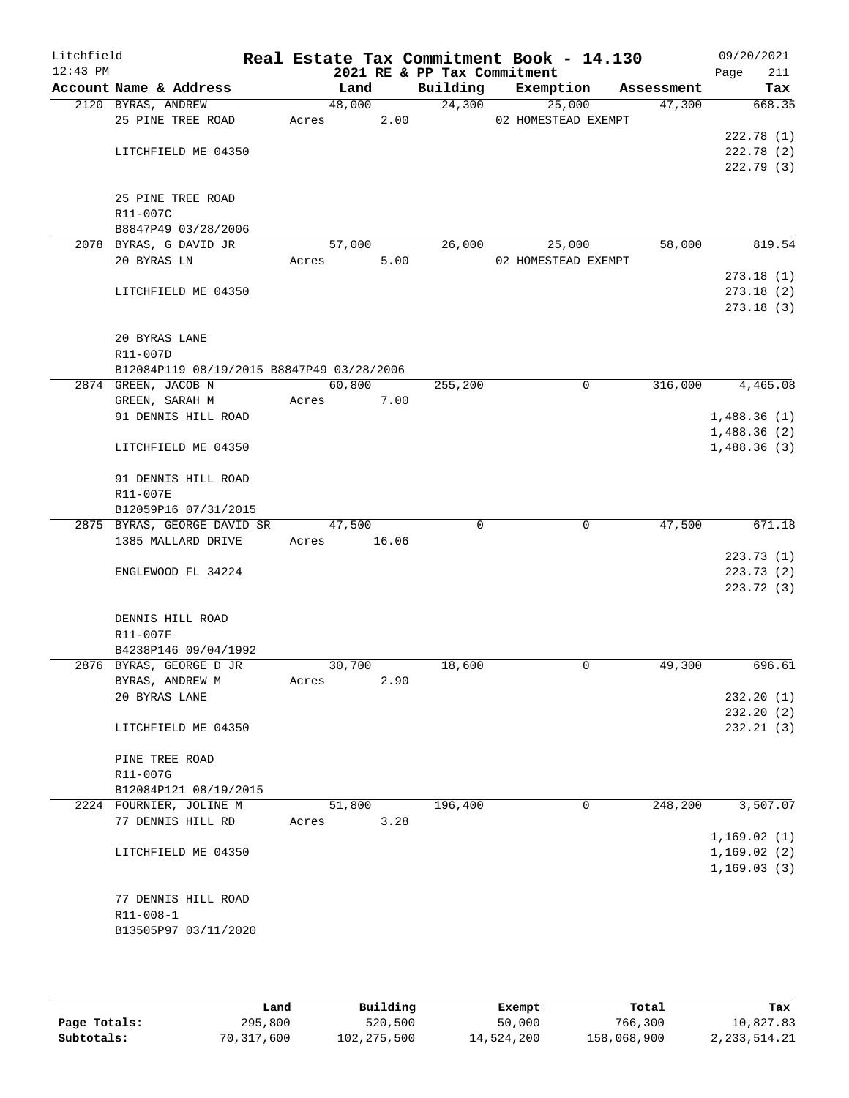| Litchfield<br>$12:43$ PM |                                                                  |             |        |      | 2021 RE & PP Tax Commitment | Real Estate Tax Commitment Book - 14.130 |            | 09/20/2021<br>211<br>Page |
|--------------------------|------------------------------------------------------------------|-------------|--------|------|-----------------------------|------------------------------------------|------------|---------------------------|
|                          | Account Name & Address                                           |             | Land   |      | Building                    | Exemption                                | Assessment | Tax                       |
|                          | 2120 BYRAS, ANDREW                                               |             | 48,000 |      | 24,300                      | 25,000                                   | 47,300     | 668.35                    |
|                          | 25 PINE TREE ROAD                                                |             | Acres  | 2.00 |                             | 02 HOMESTEAD EXEMPT                      |            |                           |
|                          |                                                                  |             |        |      |                             |                                          |            | 222.78(1)                 |
|                          | LITCHFIELD ME 04350                                              |             |        |      |                             |                                          |            | 222.78 (2)                |
|                          |                                                                  |             |        |      |                             |                                          |            | 222.79(3)                 |
|                          |                                                                  |             |        |      |                             |                                          |            |                           |
|                          | 25 PINE TREE ROAD                                                |             |        |      |                             |                                          |            |                           |
|                          | R11-007C                                                         |             |        |      |                             |                                          |            |                           |
|                          | B8847P49 03/28/2006                                              |             |        |      |                             |                                          |            |                           |
|                          | 2078 BYRAS, G DAVID JR                                           |             | 57,000 |      | 26,000                      | 25,000                                   | 58,000     | 819.54                    |
|                          | 20 BYRAS LN                                                      | Acres       |        | 5.00 |                             | 02 HOMESTEAD EXEMPT                      |            |                           |
|                          |                                                                  |             |        |      |                             |                                          |            | 273.18(1)                 |
|                          | LITCHFIELD ME 04350                                              |             |        |      |                             |                                          |            | 273.18(2)                 |
|                          |                                                                  |             |        |      |                             |                                          |            | 273.18(3)                 |
|                          |                                                                  |             |        |      |                             |                                          |            |                           |
|                          | 20 BYRAS LANE                                                    |             |        |      |                             |                                          |            |                           |
|                          | R11-007D                                                         |             |        |      |                             |                                          |            |                           |
|                          | B12084P119 08/19/2015 B8847P49 03/28/2006<br>2874 GREEN, JACOB N |             | 60,800 |      | 255,200                     | $\mathbf 0$                              | 316,000    | 4,465.08                  |
|                          | GREEN, SARAH M                                                   | Acres       |        | 7.00 |                             |                                          |            |                           |
|                          | 91 DENNIS HILL ROAD                                              |             |        |      |                             |                                          |            | 1,488.36(1)               |
|                          |                                                                  |             |        |      |                             |                                          |            | 1,488.36(2)               |
|                          | LITCHFIELD ME 04350                                              |             |        |      |                             |                                          |            | 1,488.36(3)               |
|                          |                                                                  |             |        |      |                             |                                          |            |                           |
|                          | 91 DENNIS HILL ROAD                                              |             |        |      |                             |                                          |            |                           |
|                          | R11-007E                                                         |             |        |      |                             |                                          |            |                           |
|                          | B12059P16 07/31/2015                                             |             |        |      |                             |                                          |            |                           |
|                          | 2875 BYRAS, GEORGE DAVID SR                                      |             | 47,500 |      | $\Omega$                    | $\mathbf 0$                              | 47,500     | 671.18                    |
|                          | 1385 MALLARD DRIVE                                               | Acres 16.06 |        |      |                             |                                          |            |                           |
|                          |                                                                  |             |        |      |                             |                                          |            | 223.73(1)                 |
|                          | ENGLEWOOD FL 34224                                               |             |        |      |                             |                                          |            | 223.73(2)                 |
|                          |                                                                  |             |        |      |                             |                                          |            | 223.72(3)                 |
|                          |                                                                  |             |        |      |                             |                                          |            |                           |
|                          | DENNIS HILL ROAD                                                 |             |        |      |                             |                                          |            |                           |
|                          | R11-007F                                                         |             |        |      |                             |                                          |            |                           |
|                          | B4238P146 09/04/1992                                             |             |        |      |                             |                                          |            |                           |
|                          | 2876 BYRAS, GEORGE D JR                                          |             | 30,700 |      | 18,600                      | 0                                        | 49,300     | 696.61                    |
|                          | BYRAS, ANDREW M                                                  | Acres       |        | 2.90 |                             |                                          |            |                           |
|                          | 20 BYRAS LANE                                                    |             |        |      |                             |                                          |            | 232.20 (1)                |
|                          |                                                                  |             |        |      |                             |                                          |            | 232.20(2)                 |
|                          | LITCHFIELD ME 04350                                              |             |        |      |                             |                                          |            | 232.21(3)                 |
|                          |                                                                  |             |        |      |                             |                                          |            |                           |
|                          | PINE TREE ROAD                                                   |             |        |      |                             |                                          |            |                           |
|                          | R11-007G                                                         |             |        |      |                             |                                          |            |                           |
|                          | B12084P121 08/19/2015                                            |             |        |      |                             |                                          |            |                           |
|                          | 2224 FOURNIER, JOLINE M                                          |             | 51,800 |      | 196,400                     | $\mathbf 0$                              | 248,200    | 3,507.07                  |
|                          | 77 DENNIS HILL RD                                                | Acres       |        | 3.28 |                             |                                          |            |                           |
|                          |                                                                  |             |        |      |                             |                                          |            | 1,169.02(1)               |
|                          | LITCHFIELD ME 04350                                              |             |        |      |                             |                                          |            | 1,169.02(2)               |
|                          |                                                                  |             |        |      |                             |                                          |            | 1, 169.03(3)              |
|                          |                                                                  |             |        |      |                             |                                          |            |                           |
|                          | 77 DENNIS HILL ROAD                                              |             |        |      |                             |                                          |            |                           |
|                          | R11-008-1                                                        |             |        |      |                             |                                          |            |                           |
|                          | B13505P97 03/11/2020                                             |             |        |      |                             |                                          |            |                           |
|                          |                                                                  |             |        |      |                             |                                          |            |                           |

|              | Land       | Building      | Exempt     | Total       | Tax             |
|--------------|------------|---------------|------------|-------------|-----------------|
| Page Totals: | 295,800    | 520,500       | 50,000     | 766,300     | 10,827.83       |
| Subtotals:   | 70,317,600 | 102, 275, 500 | 14,524,200 | 158,068,900 | 2, 233, 514. 21 |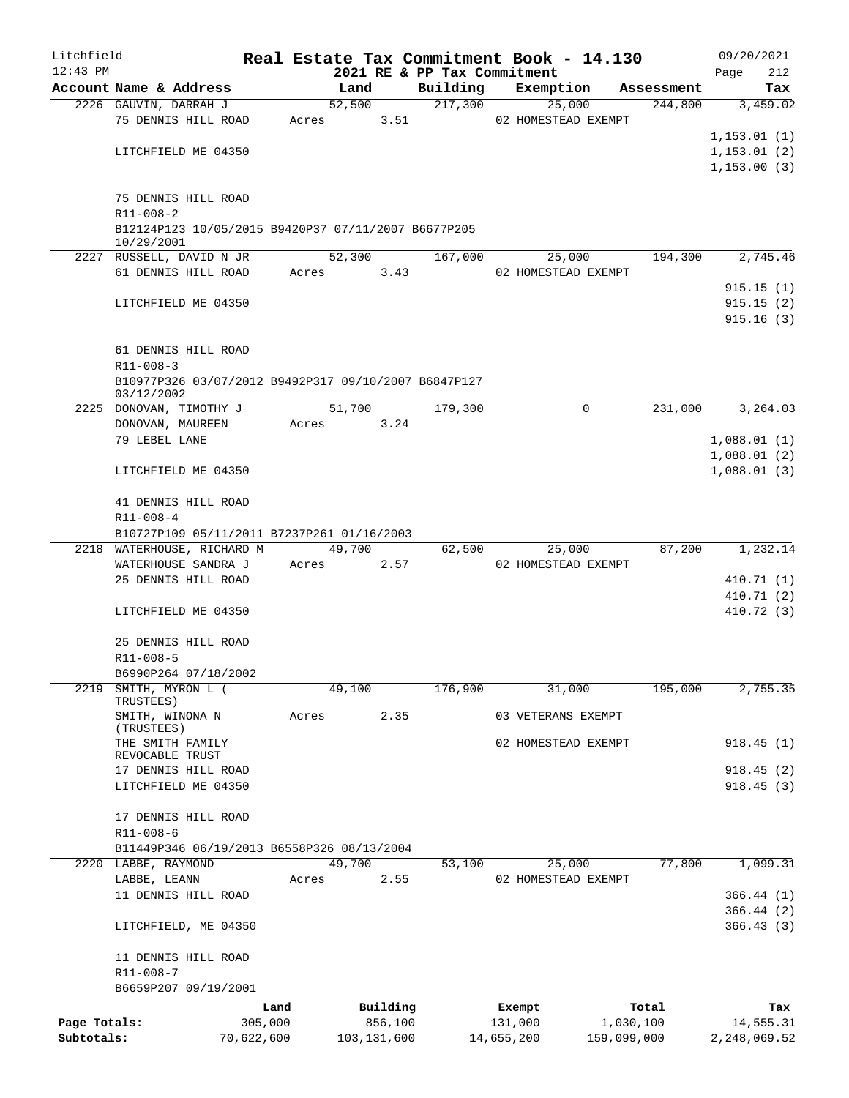| Litchfield                 |                                                                   |                       |       |        |                          |                             |            | Real Estate Tax Commitment Book - 14.130 |                          | 09/20/2021                |
|----------------------------|-------------------------------------------------------------------|-----------------------|-------|--------|--------------------------|-----------------------------|------------|------------------------------------------|--------------------------|---------------------------|
| $12:43$ PM                 |                                                                   |                       |       |        |                          | 2021 RE & PP Tax Commitment |            |                                          |                          | 212<br>Page               |
|                            | Account Name & Address                                            |                       |       | Land   |                          | Building                    |            | Exemption                                | Assessment               | Tax                       |
|                            | 2226 GAUVIN, DARRAH J                                             |                       |       | 52,500 |                          | 217,300                     |            | 25,000                                   | 244,800                  | 3,459.02                  |
|                            | 75 DENNIS HILL ROAD                                               |                       | Acres |        | 3.51                     |                             |            | 02 HOMESTEAD EXEMPT                      |                          |                           |
|                            |                                                                   |                       |       |        |                          |                             |            |                                          |                          | 1,153.01(1)               |
|                            | LITCHFIELD ME 04350                                               |                       |       |        |                          |                             |            |                                          |                          | 1, 153.01(2)              |
|                            |                                                                   |                       |       |        |                          |                             |            |                                          |                          | 1, 153.00(3)              |
|                            |                                                                   |                       |       |        |                          |                             |            |                                          |                          |                           |
|                            | 75 DENNIS HILL ROAD                                               |                       |       |        |                          |                             |            |                                          |                          |                           |
|                            | R11-008-2<br>B12124P123 10/05/2015 B9420P37 07/11/2007 B6677P205  |                       |       |        |                          |                             |            |                                          |                          |                           |
|                            | 10/29/2001                                                        |                       |       |        |                          |                             |            |                                          |                          |                           |
|                            | 2227 RUSSELL, DAVID N JR                                          |                       |       | 52,300 |                          | 167,000                     |            | 25,000                                   | 194,300                  | 2,745.46                  |
|                            | 61 DENNIS HILL ROAD                                               |                       |       | Acres  | 3.43                     |                             |            | 02 HOMESTEAD EXEMPT                      |                          |                           |
|                            |                                                                   |                       |       |        |                          |                             |            |                                          |                          | 915.15(1)                 |
|                            | LITCHFIELD ME 04350                                               |                       |       |        |                          |                             |            |                                          |                          | 915.15(2)                 |
|                            |                                                                   |                       |       |        |                          |                             |            |                                          |                          | 915.16(3)                 |
|                            |                                                                   |                       |       |        |                          |                             |            |                                          |                          |                           |
|                            | 61 DENNIS HILL ROAD                                               |                       |       |        |                          |                             |            |                                          |                          |                           |
|                            | $R11 - 008 - 3$                                                   |                       |       |        |                          |                             |            |                                          |                          |                           |
|                            | B10977P326 03/07/2012 B9492P317 09/10/2007 B6847P127              |                       |       |        |                          |                             |            |                                          |                          |                           |
|                            | 03/12/2002                                                        |                       |       |        |                          |                             |            |                                          |                          |                           |
|                            | 2225 DONOVAN, TIMOTHY J                                           |                       |       | 51,700 |                          | 179,300                     |            | $\Omega$                                 | 231,000                  | 3,264.03                  |
|                            | DONOVAN, MAUREEN                                                  |                       | Acres |        | 3.24                     |                             |            |                                          |                          |                           |
|                            | 79 LEBEL LANE                                                     |                       |       |        |                          |                             |            |                                          |                          | 1,088.01(1)               |
|                            |                                                                   |                       |       |        |                          |                             |            |                                          |                          | 1,088.01(2)               |
|                            | LITCHFIELD ME 04350                                               |                       |       |        |                          |                             |            |                                          |                          | 1,088.01(3)               |
|                            |                                                                   |                       |       |        |                          |                             |            |                                          |                          |                           |
|                            | 41 DENNIS HILL ROAD                                               |                       |       |        |                          |                             |            |                                          |                          |                           |
|                            | R11-008-4                                                         |                       |       |        |                          |                             |            |                                          |                          |                           |
|                            | B10727P109 05/11/2011 B7237P261 01/16/2003                        |                       |       |        |                          |                             |            |                                          |                          |                           |
|                            | 2218 WATERHOUSE, RICHARD M                                        |                       |       | 49,700 |                          | 62,500                      |            | 25,000                                   | 87,200                   | 1,232.14                  |
|                            | WATERHOUSE SANDRA J                                               |                       |       | Acres  | 2.57                     |                             |            | 02 HOMESTEAD EXEMPT                      |                          |                           |
|                            | 25 DENNIS HILL ROAD                                               |                       |       |        |                          |                             |            |                                          |                          | 410.71 (1)                |
|                            |                                                                   |                       |       |        |                          |                             |            |                                          |                          | 410.71 (2)                |
|                            | LITCHFIELD ME 04350                                               |                       |       |        |                          |                             |            |                                          |                          | 410.72 (3)                |
|                            |                                                                   |                       |       |        |                          |                             |            |                                          |                          |                           |
|                            | 25 DENNIS HILL ROAD                                               |                       |       |        |                          |                             |            |                                          |                          |                           |
|                            | R11-008-5                                                         |                       |       |        |                          |                             |            |                                          |                          |                           |
|                            | B6990P264 07/18/2002<br>SMITH, MYRON L (                          |                       |       |        |                          |                             |            |                                          |                          |                           |
| 2219                       | TRUSTEES)                                                         |                       |       | 49,100 |                          | 176,900                     |            | 31,000                                   | 195,000                  | 2,755.35                  |
|                            | SMITH, WINONA N                                                   |                       | Acres |        | 2.35                     |                             |            | 03 VETERANS EXEMPT                       |                          |                           |
|                            | (TRUSTEES)                                                        |                       |       |        |                          |                             |            |                                          |                          |                           |
|                            | THE SMITH FAMILY                                                  |                       |       |        |                          |                             |            | 02 HOMESTEAD EXEMPT                      |                          | 918.45(1)                 |
|                            | REVOCABLE TRUST                                                   |                       |       |        |                          |                             |            |                                          |                          |                           |
|                            | 17 DENNIS HILL ROAD                                               |                       |       |        |                          |                             |            |                                          |                          | 918.45(2)                 |
|                            | LITCHFIELD ME 04350                                               |                       |       |        |                          |                             |            |                                          |                          | 918.45(3)                 |
|                            |                                                                   |                       |       |        |                          |                             |            |                                          |                          |                           |
|                            | 17 DENNIS HILL ROAD                                               |                       |       |        |                          |                             |            |                                          |                          |                           |
|                            | $R11 - 008 - 6$                                                   |                       |       |        |                          |                             |            |                                          |                          |                           |
|                            | B11449P346 06/19/2013 B6558P326 08/13/2004<br>2220 LABBE, RAYMOND |                       |       | 49,700 |                          | 53,100                      |            | 25,000                                   | 77,800                   | 1,099.31                  |
|                            | LABBE, LEANN                                                      |                       | Acres |        | 2.55                     |                             |            | 02 HOMESTEAD EXEMPT                      |                          |                           |
|                            | 11 DENNIS HILL ROAD                                               |                       |       |        |                          |                             |            |                                          |                          | 366.44(1)                 |
|                            |                                                                   |                       |       |        |                          |                             |            |                                          |                          | 366.44(2)                 |
|                            | LITCHFIELD, ME 04350                                              |                       |       |        |                          |                             |            |                                          |                          | 366.43(3)                 |
|                            |                                                                   |                       |       |        |                          |                             |            |                                          |                          |                           |
|                            | 11 DENNIS HILL ROAD                                               |                       |       |        |                          |                             |            |                                          |                          |                           |
|                            | R11-008-7                                                         |                       |       |        |                          |                             |            |                                          |                          |                           |
|                            | B6659P207 09/19/2001                                              |                       |       |        |                          |                             |            |                                          |                          |                           |
|                            |                                                                   |                       |       |        |                          |                             |            |                                          |                          |                           |
|                            |                                                                   | Land                  |       |        | Building                 |                             |            | Exempt                                   | Total                    | Tax                       |
| Page Totals:<br>Subtotals: |                                                                   | 305,000<br>70,622,600 |       |        | 856,100<br>103, 131, 600 |                             | 14,655,200 | 131,000                                  | 1,030,100<br>159,099,000 | 14,555.31<br>2,248,069.52 |
|                            |                                                                   |                       |       |        |                          |                             |            |                                          |                          |                           |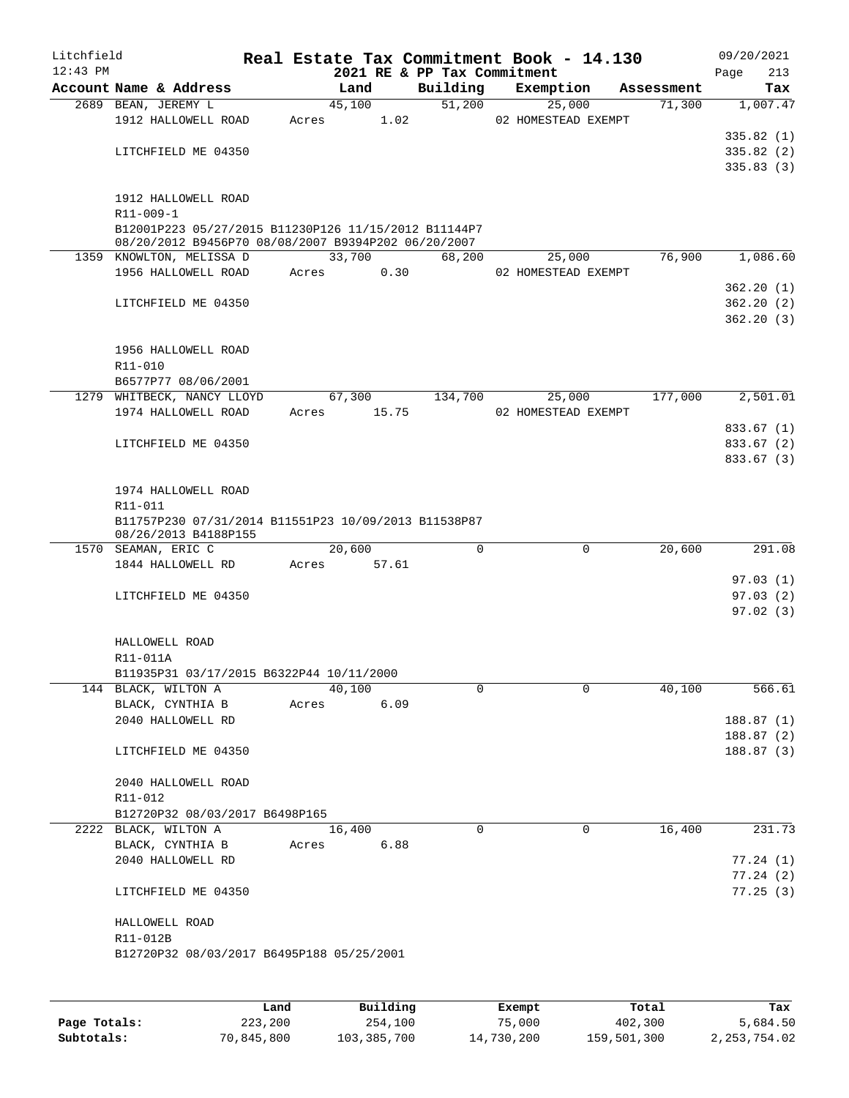| Litchfield<br>$12:43$ PM |                                                      |       |        |       | Real Estate Tax Commitment Book - 14.130<br>2021 RE & PP Tax Commitment |                     |            | 09/20/2021<br>213<br>Page |
|--------------------------|------------------------------------------------------|-------|--------|-------|-------------------------------------------------------------------------|---------------------|------------|---------------------------|
|                          | Account Name & Address                               |       | Land   |       | Building                                                                | Exemption           | Assessment | Tax                       |
|                          | 2689 BEAN, JEREMY L                                  |       | 45,100 |       | 51,200                                                                  | 25,000              | 71,300     | 1,007.47                  |
|                          | 1912 HALLOWELL ROAD                                  | Acres |        | 1.02  |                                                                         | 02 HOMESTEAD EXEMPT |            |                           |
|                          |                                                      |       |        |       |                                                                         |                     |            | 335.82(1)                 |
|                          | LITCHFIELD ME 04350                                  |       |        |       |                                                                         |                     |            | 335.82(2)                 |
|                          |                                                      |       |        |       |                                                                         |                     |            | 335.83(3)                 |
|                          |                                                      |       |        |       |                                                                         |                     |            |                           |
|                          | 1912 HALLOWELL ROAD<br>R11-009-1                     |       |        |       |                                                                         |                     |            |                           |
|                          | B12001P223 05/27/2015 B11230P126 11/15/2012 B11144P7 |       |        |       |                                                                         |                     |            |                           |
|                          | 08/20/2012 B9456P70 08/08/2007 B9394P202 06/20/2007  |       |        |       |                                                                         |                     |            |                           |
|                          | 1359 KNOWLTON, MELISSA D                             |       | 33,700 |       | 68,200                                                                  | 25,000              | 76,900     | 1,086.60                  |
|                          | 1956 HALLOWELL ROAD                                  | Acres |        | 0.30  |                                                                         | 02 HOMESTEAD EXEMPT |            |                           |
|                          |                                                      |       |        |       |                                                                         |                     |            | 362.20 (1)                |
|                          | LITCHFIELD ME 04350                                  |       |        |       |                                                                         |                     |            | 362.20(2)                 |
|                          |                                                      |       |        |       |                                                                         |                     |            | 362.20(3)                 |
|                          |                                                      |       |        |       |                                                                         |                     |            |                           |
|                          | 1956 HALLOWELL ROAD<br>R11-010                       |       |        |       |                                                                         |                     |            |                           |
|                          | B6577P77 08/06/2001                                  |       |        |       |                                                                         |                     |            |                           |
|                          | 1279 WHITBECK, NANCY LLOYD                           |       | 67,300 |       | 134,700                                                                 | 25,000              | 177,000    | 2,501.01                  |
|                          | 1974 HALLOWELL ROAD                                  | Acres |        | 15.75 |                                                                         | 02 HOMESTEAD EXEMPT |            |                           |
|                          |                                                      |       |        |       |                                                                         |                     |            | 833.67 (1)                |
|                          | LITCHFIELD ME 04350                                  |       |        |       |                                                                         |                     |            | 833.67 (2)                |
|                          |                                                      |       |        |       |                                                                         |                     |            | 833.67 (3)                |
|                          |                                                      |       |        |       |                                                                         |                     |            |                           |
|                          | 1974 HALLOWELL ROAD                                  |       |        |       |                                                                         |                     |            |                           |
|                          | R11-011                                              |       |        |       |                                                                         |                     |            |                           |
|                          | B11757P230 07/31/2014 B11551P23 10/09/2013 B11538P87 |       |        |       |                                                                         |                     |            |                           |
|                          | 08/26/2013 B4188P155<br>1570 SEAMAN, ERIC C          |       | 20,600 |       | 0                                                                       | $\mathbf 0$         | 20,600     | 291.08                    |
|                          | 1844 HALLOWELL RD                                    | Acres |        | 57.61 |                                                                         |                     |            |                           |
|                          |                                                      |       |        |       |                                                                         |                     |            | 97.03(1)                  |
|                          | LITCHFIELD ME 04350                                  |       |        |       |                                                                         |                     |            | 97.03(2)                  |
|                          |                                                      |       |        |       |                                                                         |                     |            | 97.02(3)                  |
|                          |                                                      |       |        |       |                                                                         |                     |            |                           |
|                          | HALLOWELL ROAD                                       |       |        |       |                                                                         |                     |            |                           |
|                          | R11-011A                                             |       |        |       |                                                                         |                     |            |                           |
|                          | B11935P31 03/17/2015 B6322P44 10/11/2000             |       |        |       |                                                                         |                     |            |                           |
|                          | 144 BLACK, WILTON A                                  |       | 40,100 |       | 0                                                                       | 0                   | 40,100     | 566.61                    |
|                          | BLACK, CYNTHIA B                                     | Acres |        | 6.09  |                                                                         |                     |            |                           |
|                          | 2040 HALLOWELL RD                                    |       |        |       |                                                                         |                     |            | 188.87 (1)                |
|                          |                                                      |       |        |       |                                                                         |                     |            | 188.87 (2)                |
|                          | LITCHFIELD ME 04350                                  |       |        |       |                                                                         |                     |            | 188.87(3)                 |
|                          | 2040 HALLOWELL ROAD                                  |       |        |       |                                                                         |                     |            |                           |
|                          | R11-012                                              |       |        |       |                                                                         |                     |            |                           |
|                          | B12720P32 08/03/2017 B6498P165                       |       |        |       |                                                                         |                     |            |                           |
|                          | 2222 BLACK, WILTON A                                 |       | 16,400 |       | $\mathbf 0$                                                             | 0                   | 16,400     | 231.73                    |
|                          | BLACK, CYNTHIA B                                     | Acres |        | 6.88  |                                                                         |                     |            |                           |
|                          | 2040 HALLOWELL RD                                    |       |        |       |                                                                         |                     |            | 77.24(1)                  |
|                          |                                                      |       |        |       |                                                                         |                     |            | 77.24 (2)                 |
|                          | LITCHFIELD ME 04350                                  |       |        |       |                                                                         |                     |            | 77.25(3)                  |
|                          |                                                      |       |        |       |                                                                         |                     |            |                           |
|                          | HALLOWELL ROAD                                       |       |        |       |                                                                         |                     |            |                           |
|                          | R11-012B                                             |       |        |       |                                                                         |                     |            |                           |
|                          | B12720P32 08/03/2017 B6495P188 05/25/2001            |       |        |       |                                                                         |                     |            |                           |
|                          |                                                      |       |        |       |                                                                         |                     |            |                           |
|                          |                                                      |       |        |       |                                                                         |                     |            |                           |

|              | Land       | Building    | Exempt     | Total       | Tax            |
|--------------|------------|-------------|------------|-------------|----------------|
| Page Totals: | 223,200    | 254,100     | 75,000     | 402,300     | 5,684.50       |
| Subtotals:   | 70,845,800 | 103,385,700 | 14,730,200 | 159,501,300 | 2, 253, 754.02 |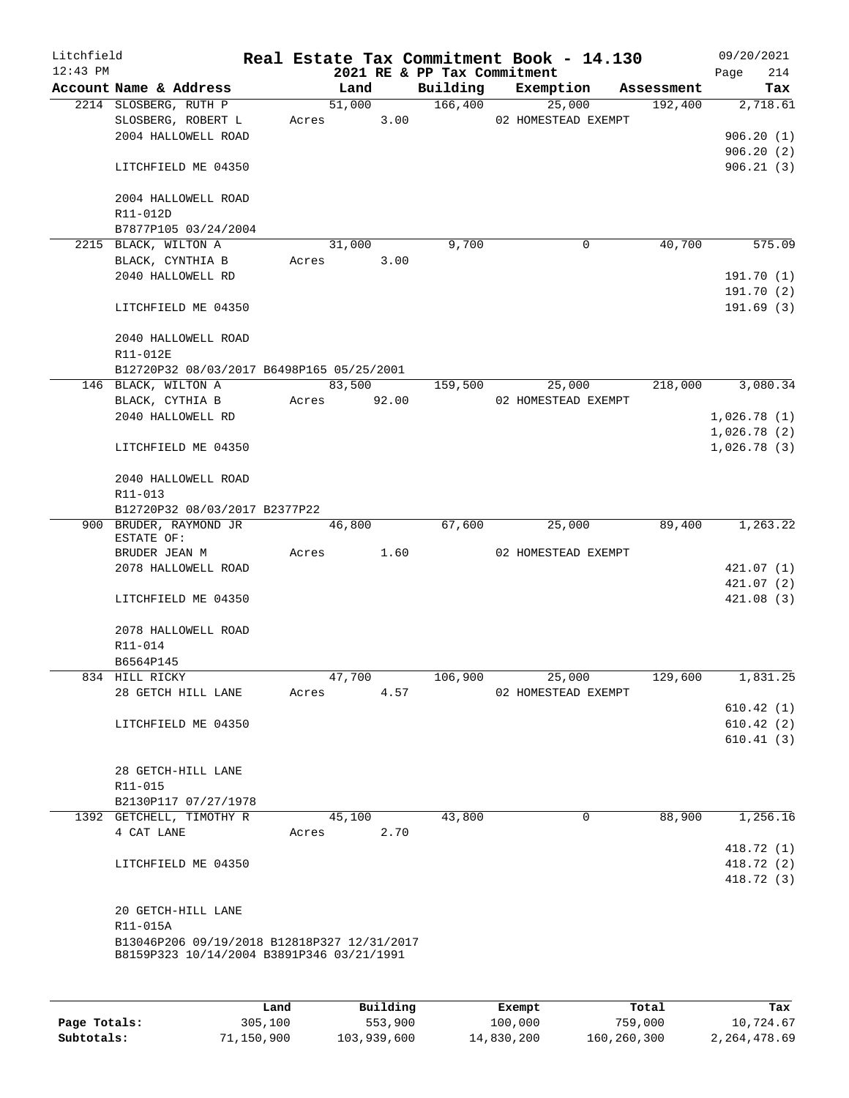| Litchfield<br>$12:43$ PM |                                                                                          |       |        |       | 2021 RE & PP Tax Commitment | Real Estate Tax Commitment Book - 14.130 |                       | Page | 09/20/2021<br>214        |
|--------------------------|------------------------------------------------------------------------------------------|-------|--------|-------|-----------------------------|------------------------------------------|-----------------------|------|--------------------------|
|                          | Account Name & Address                                                                   |       | Land   |       | Building                    | Exemption                                | Assessment            |      | Tax                      |
|                          | 2214 SLOSBERG, RUTH P                                                                    |       | 51,000 |       | 166,400                     | 25,000                                   | 192,400               |      | 2,718.61                 |
|                          | SLOSBERG, ROBERT L                                                                       |       | Acres  | 3.00  |                             | 02 HOMESTEAD EXEMPT                      |                       |      |                          |
|                          | 2004 HALLOWELL ROAD                                                                      |       |        |       |                             |                                          |                       |      | 906.20(1)                |
|                          |                                                                                          |       |        |       |                             |                                          |                       |      | 906.20(2)                |
|                          | LITCHFIELD ME 04350                                                                      |       |        |       |                             |                                          |                       |      | 906.21(3)                |
|                          | 2004 HALLOWELL ROAD                                                                      |       |        |       |                             |                                          |                       |      |                          |
|                          | R11-012D                                                                                 |       |        |       |                             |                                          |                       |      |                          |
|                          | B7877P105 03/24/2004                                                                     |       |        |       |                             |                                          |                       |      |                          |
|                          | 2215 BLACK, WILTON A                                                                     |       | 31,000 |       | 9,700                       |                                          | $\mathbf 0$<br>40,700 |      | 575.09                   |
|                          | BLACK, CYNTHIA B                                                                         |       | Acres  | 3.00  |                             |                                          |                       |      |                          |
|                          | 2040 HALLOWELL RD                                                                        |       |        |       |                             |                                          |                       |      | 191.70(1)                |
|                          | LITCHFIELD ME 04350                                                                      |       |        |       |                             |                                          |                       |      | 191.70(2)<br>191.69(3)   |
|                          | 2040 HALLOWELL ROAD                                                                      |       |        |       |                             |                                          |                       |      |                          |
|                          | R11-012E                                                                                 |       |        |       |                             |                                          |                       |      |                          |
|                          | B12720P32 08/03/2017 B6498P165 05/25/2001                                                |       |        |       |                             |                                          |                       |      |                          |
|                          | 146 BLACK, WILTON A                                                                      |       | 83,500 |       | 159,500                     | 25,000                                   | 218,000               |      | 3,080.34                 |
|                          | BLACK, CYTHIA B                                                                          | Acres |        | 92.00 |                             | 02 HOMESTEAD EXEMPT                      |                       |      |                          |
|                          | 2040 HALLOWELL RD                                                                        |       |        |       |                             |                                          |                       |      | 1,026.78(1)              |
|                          |                                                                                          |       |        |       |                             |                                          |                       |      | 1,026.78(2)              |
|                          | LITCHFIELD ME 04350                                                                      |       |        |       |                             |                                          |                       |      | 1,026.78(3)              |
|                          | 2040 HALLOWELL ROAD                                                                      |       |        |       |                             |                                          |                       |      |                          |
|                          | R11-013                                                                                  |       |        |       |                             |                                          |                       |      |                          |
|                          | B12720P32 08/03/2017 B2377P22<br>900 BRUDER, RAYMOND JR                                  |       | 46,800 |       | 67,600                      | 25,000                                   | 89,400                |      | 1,263.22                 |
|                          | ESTATE OF:                                                                               |       |        |       |                             |                                          |                       |      |                          |
|                          | BRUDER JEAN M                                                                            | Acres |        | 1.60  |                             | 02 HOMESTEAD EXEMPT                      |                       |      |                          |
|                          | 2078 HALLOWELL ROAD                                                                      |       |        |       |                             |                                          |                       |      | 421.07(1)                |
|                          | LITCHFIELD ME 04350                                                                      |       |        |       |                             |                                          |                       |      | 421.07(2)<br>421.08(3)   |
|                          |                                                                                          |       |        |       |                             |                                          |                       |      |                          |
|                          | 2078 HALLOWELL ROAD                                                                      |       |        |       |                             |                                          |                       |      |                          |
|                          | R11-014                                                                                  |       |        |       |                             |                                          |                       |      |                          |
|                          | B6564P145                                                                                |       |        |       |                             |                                          |                       |      |                          |
|                          | 834 HILL RICKY                                                                           |       | 47,700 |       | 106,900                     | 25,000                                   | 129,600               |      | 1,831.25                 |
|                          | 28 GETCH HILL LANE                                                                       | Acres |        | 4.57  |                             | 02 HOMESTEAD EXEMPT                      |                       |      |                          |
|                          |                                                                                          |       |        |       |                             |                                          |                       |      | 610.42(1)                |
|                          | LITCHFIELD ME 04350                                                                      |       |        |       |                             |                                          |                       |      | 610.42(2)<br>610.41(3)   |
|                          |                                                                                          |       |        |       |                             |                                          |                       |      |                          |
|                          | 28 GETCH-HILL LANE                                                                       |       |        |       |                             |                                          |                       |      |                          |
|                          | R11-015                                                                                  |       |        |       |                             |                                          |                       |      |                          |
|                          | B2130P117 07/27/1978                                                                     |       |        |       |                             |                                          |                       |      |                          |
|                          | 1392 GETCHELL, TIMOTHY R                                                                 |       | 45,100 |       | 43,800                      |                                          | 88,900<br>$\mathbf 0$ |      | 1,256.16                 |
|                          | 4 CAT LANE                                                                               | Acres |        | 2.70  |                             |                                          |                       |      |                          |
|                          |                                                                                          |       |        |       |                             |                                          |                       |      | 418.72 (1)               |
|                          | LITCHFIELD ME 04350                                                                      |       |        |       |                             |                                          |                       |      | 418.72 (2)<br>418.72 (3) |
|                          | 20 GETCH-HILL LANE                                                                       |       |        |       |                             |                                          |                       |      |                          |
|                          | R11-015A                                                                                 |       |        |       |                             |                                          |                       |      |                          |
|                          | B13046P206 09/19/2018 B12818P327 12/31/2017<br>B8159P323 10/14/2004 B3891P346 03/21/1991 |       |        |       |                             |                                          |                       |      |                          |
|                          |                                                                                          |       |        |       |                             |                                          |                       |      |                          |
|                          |                                                                                          |       |        |       |                             |                                          |                       |      |                          |

|              | Land       | Building    | Exempt     | Total       | Tax          |
|--------------|------------|-------------|------------|-------------|--------------|
| Page Totals: | 305,100    | 553,900     | 100,000    | 759,000     | 10,724.67    |
| Subtotals:   | 71,150,900 | 103,939,600 | 14,830,200 | 160,260,300 | 2,264,478.69 |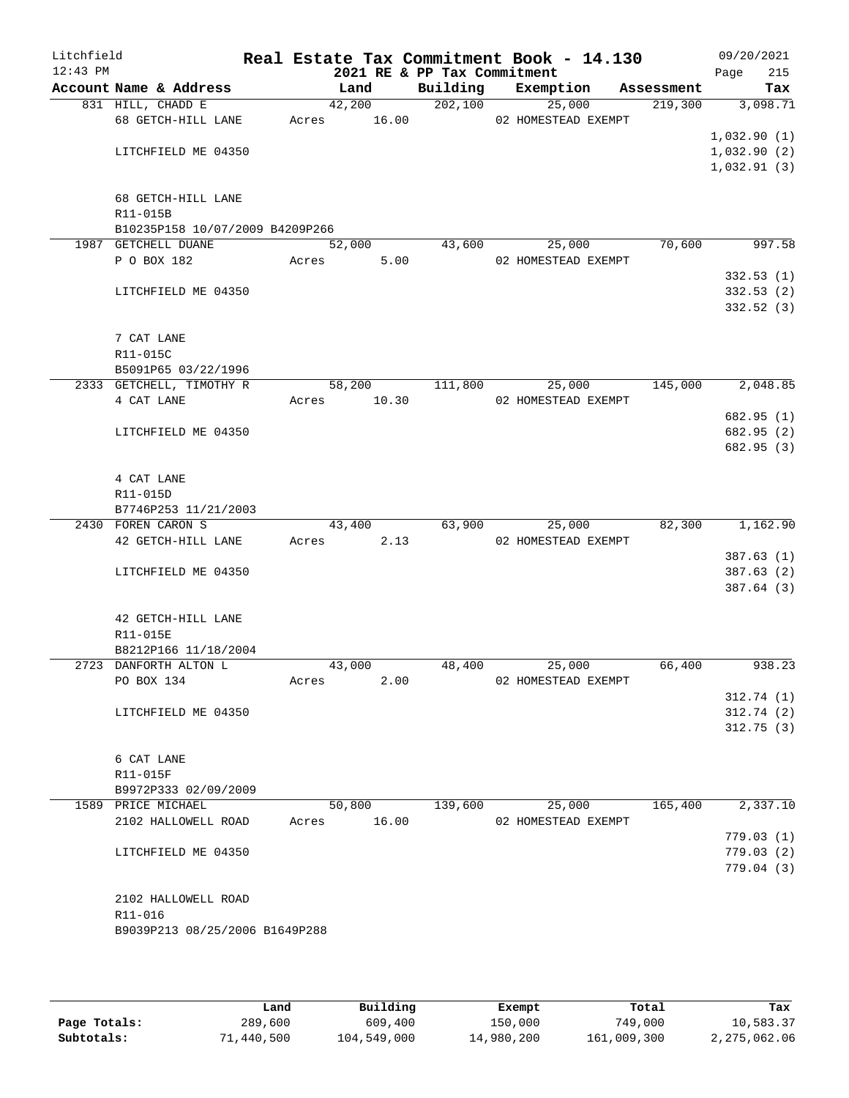| Litchfield<br>$12:43$ PM |                                 |       |             | 2021 RE & PP Tax Commitment | Real Estate Tax Commitment Book - 14.130 |            | 09/20/2021<br>215<br>Page |
|--------------------------|---------------------------------|-------|-------------|-----------------------------|------------------------------------------|------------|---------------------------|
|                          | Account Name & Address          |       | Land        | Building                    | Exemption                                | Assessment | Tax                       |
|                          | 831 HILL, CHADD E               |       | 42,200      | 202,100                     | 25,000                                   | 219,300    | 3,098.71                  |
|                          | 68 GETCH-HILL LANE              |       | Acres 16.00 |                             | 02 HOMESTEAD EXEMPT                      |            |                           |
|                          |                                 |       |             |                             |                                          |            | 1,032.90(1)               |
|                          | LITCHFIELD ME 04350             |       |             |                             |                                          |            | 1,032.90(2)               |
|                          |                                 |       |             |                             |                                          |            | 1,032.91(3)               |
|                          | 68 GETCH-HILL LANE              |       |             |                             |                                          |            |                           |
|                          | R11-015B                        |       |             |                             |                                          |            |                           |
|                          | B10235P158 10/07/2009 B4209P266 |       |             |                             |                                          |            |                           |
|                          | 1987 GETCHELL DUANE             |       | 52,000      | 43,600                      | 25,000                                   | 70,600     | 997.58                    |
|                          | P O BOX 182                     | Acres | 5.00        |                             | 02 HOMESTEAD EXEMPT                      |            |                           |
|                          |                                 |       |             |                             |                                          |            | 332.53(1)                 |
|                          | LITCHFIELD ME 04350             |       |             |                             |                                          |            | 332.53(2)                 |
|                          |                                 |       |             |                             |                                          |            | 332.52(3)                 |
|                          |                                 |       |             |                             |                                          |            |                           |
|                          | 7 CAT LANE                      |       |             |                             |                                          |            |                           |
|                          | R11-015C                        |       |             |                             |                                          |            |                           |
|                          | B5091P65 03/22/1996             |       |             |                             | 25,000                                   |            |                           |
|                          | 2333 GETCHELL, TIMOTHY R        |       | 58,200      | 111,800                     |                                          | 145,000    | 2,048.85                  |
|                          | 4 CAT LANE                      | Acres | 10.30       |                             | 02 HOMESTEAD EXEMPT                      |            | 682.95 (1)                |
|                          | LITCHFIELD ME 04350             |       |             |                             |                                          |            | 682.95 (2)                |
|                          |                                 |       |             |                             |                                          |            | 682.95 (3)                |
|                          |                                 |       |             |                             |                                          |            |                           |
|                          | 4 CAT LANE                      |       |             |                             |                                          |            |                           |
|                          | R11-015D                        |       |             |                             |                                          |            |                           |
|                          | B7746P253 11/21/2003            |       |             |                             |                                          |            |                           |
|                          | 2430 FOREN CARON S              |       | 43,400      | 63,900                      | 25,000                                   | 82,300     | 1,162.90                  |
|                          | 42 GETCH-HILL LANE              | Acres | 2.13        |                             | 02 HOMESTEAD EXEMPT                      |            |                           |
|                          |                                 |       |             |                             |                                          |            | 387.63(1)                 |
|                          | LITCHFIELD ME 04350             |       |             |                             |                                          |            | 387.63(2)                 |
|                          |                                 |       |             |                             |                                          |            | 387.64 (3)                |
|                          |                                 |       |             |                             |                                          |            |                           |
|                          | 42 GETCH-HILL LANE<br>R11-015E  |       |             |                             |                                          |            |                           |
|                          | B8212P166 11/18/2004            |       |             |                             |                                          |            |                           |
|                          | 2723 DANFORTH ALTON L           |       | 43,000      | 48,400                      | 25,000                                   | 66,400     | 938.23                    |
|                          | PO BOX 134                      | Acres | 2.00        |                             | 02 HOMESTEAD EXEMPT                      |            |                           |
|                          |                                 |       |             |                             |                                          |            | 312.74(1)                 |
|                          | LITCHFIELD ME 04350             |       |             |                             |                                          |            | 312.74(2)                 |
|                          |                                 |       |             |                             |                                          |            | 312.75(3)                 |
|                          |                                 |       |             |                             |                                          |            |                           |
|                          | 6 CAT LANE                      |       |             |                             |                                          |            |                           |
|                          | R11-015F                        |       |             |                             |                                          |            |                           |
|                          | B9972P333 02/09/2009            |       |             |                             |                                          |            |                           |
|                          | 1589 PRICE MICHAEL              |       | 50,800      | 139,600                     | 25,000                                   | 165,400    | 2,337.10                  |
|                          | 2102 HALLOWELL ROAD             |       | Acres 16.00 |                             | 02 HOMESTEAD EXEMPT                      |            |                           |
|                          |                                 |       |             |                             |                                          |            | 779.03(1)<br>779.03(2)    |
|                          | LITCHFIELD ME 04350             |       |             |                             |                                          |            | 779.04 (3)                |
|                          |                                 |       |             |                             |                                          |            |                           |
|                          | 2102 HALLOWELL ROAD             |       |             |                             |                                          |            |                           |
|                          | R11-016                         |       |             |                             |                                          |            |                           |
|                          | B9039P213 08/25/2006 B1649P288  |       |             |                             |                                          |            |                           |
|                          |                                 |       |             |                             |                                          |            |                           |
|                          |                                 |       |             |                             |                                          |            |                           |

|              | Land       | Building    | Exempt     | Total       | Tax          |
|--------------|------------|-------------|------------|-------------|--------------|
| Page Totals: | 289,600    | 609,400     | 150,000    | 749,000     | 10,583.37    |
| Subtotals:   | 71,440,500 | 104,549,000 | 14,980,200 | 161,009,300 | 2,275,062.06 |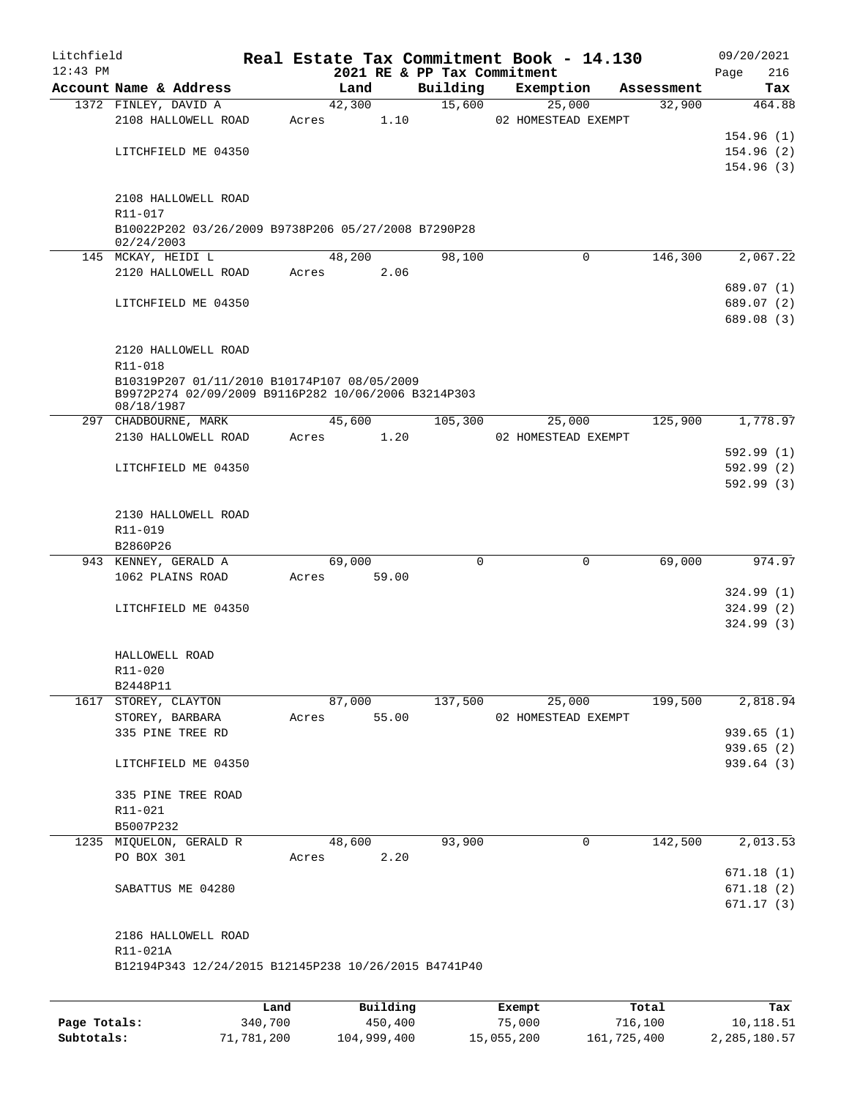| Litchfield |                                                      |             |                        |                             | Real Estate Tax Commitment Book - 14.130 |            | 09/20/2021             |
|------------|------------------------------------------------------|-------------|------------------------|-----------------------------|------------------------------------------|------------|------------------------|
| $12:43$ PM |                                                      |             |                        | 2021 RE & PP Tax Commitment |                                          |            | 216<br>Page            |
|            | Account Name & Address                               |             | Land                   | Building                    | Exemption                                | Assessment | Tax                    |
|            | 1372 FINLEY, DAVID A                                 |             | 42,300                 | 15,600                      | 25,000                                   | 32,900     | 464.88                 |
|            | 2108 HALLOWELL ROAD                                  | Acres       | 1.10                   |                             | 02 HOMESTEAD EXEMPT                      |            |                        |
|            |                                                      |             |                        |                             |                                          |            | 154.96(1)              |
|            | LITCHFIELD ME 04350                                  |             |                        |                             |                                          |            | 154.96(2)<br>154.96(3) |
|            |                                                      |             |                        |                             |                                          |            |                        |
|            | 2108 HALLOWELL ROAD                                  |             |                        |                             |                                          |            |                        |
|            | R11-017                                              |             |                        |                             |                                          |            |                        |
|            | B10022P202 03/26/2009 B9738P206 05/27/2008 B7290P28  |             |                        |                             |                                          |            |                        |
|            | 02/24/2003                                           |             |                        |                             |                                          |            |                        |
|            | 145 MCKAY, HEIDI L                                   |             | 48,200                 | 98,100                      | $\mathbf 0$                              | 146,300    | 2,067.22               |
|            | 2120 HALLOWELL ROAD                                  | Acres       | 2.06                   |                             |                                          |            |                        |
|            |                                                      |             |                        |                             |                                          |            | 689.07 (1)             |
|            | LITCHFIELD ME 04350                                  |             |                        |                             |                                          |            | 689.07 (2)             |
|            |                                                      |             |                        |                             |                                          |            | 689.08 (3)             |
|            | 2120 HALLOWELL ROAD                                  |             |                        |                             |                                          |            |                        |
|            | R11-018                                              |             |                        |                             |                                          |            |                        |
|            | B10319P207 01/11/2010 B10174P107 08/05/2009          |             |                        |                             |                                          |            |                        |
|            | B9972P274 02/09/2009 B9116P282 10/06/2006 B3214P303  |             |                        |                             |                                          |            |                        |
|            | 08/18/1987                                           |             |                        |                             |                                          |            |                        |
|            | 297 CHADBOURNE, MARK                                 |             | 45,600                 | 105,300                     | 25,000                                   | 125,900    | 1,778.97               |
|            | 2130 HALLOWELL ROAD                                  | Acres       | 1.20                   |                             | 02 HOMESTEAD EXEMPT                      |            |                        |
|            |                                                      |             |                        |                             |                                          |            | 592.99(1)              |
|            | LITCHFIELD ME 04350                                  |             |                        |                             |                                          |            | 592.99(2)              |
|            |                                                      |             |                        |                             |                                          |            | 592.99(3)              |
|            |                                                      |             |                        |                             |                                          |            |                        |
|            | 2130 HALLOWELL ROAD<br>R11-019                       |             |                        |                             |                                          |            |                        |
|            | B2860P26                                             |             |                        |                             |                                          |            |                        |
|            | 943 KENNEY, GERALD A                                 |             | 69,000                 | $\Omega$                    | $\mathbf 0$                              | 69,000     | 974.97                 |
|            | 1062 PLAINS ROAD                                     | Acres       | 59.00                  |                             |                                          |            |                        |
|            |                                                      |             |                        |                             |                                          |            | 324.99(1)              |
|            | LITCHFIELD ME 04350                                  |             |                        |                             |                                          |            | 324.99(2)              |
|            |                                                      |             |                        |                             |                                          |            | 324.99(3)              |
|            |                                                      |             |                        |                             |                                          |            |                        |
|            | HALLOWELL ROAD                                       |             |                        |                             |                                          |            |                        |
|            | R11-020                                              |             |                        |                             |                                          |            |                        |
|            | B2448P11                                             |             |                        |                             |                                          |            |                        |
|            | 1617 STOREY, CLAYTON                                 |             | 87,000                 | 137,500                     | 25,000                                   | 199,500    | 2,818.94               |
|            | STOREY, BARBARA                                      | Acres       | 55.00                  |                             | 02 HOMESTEAD EXEMPT                      |            |                        |
|            | 335 PINE TREE RD                                     |             |                        |                             |                                          |            | 939.65(1)              |
|            |                                                      |             |                        |                             |                                          |            | 939.65(2)<br>939.64(3) |
|            | LITCHFIELD ME 04350                                  |             |                        |                             |                                          |            |                        |
|            | 335 PINE TREE ROAD                                   |             |                        |                             |                                          |            |                        |
|            | R11-021                                              |             |                        |                             |                                          |            |                        |
|            | B5007P232                                            |             |                        |                             |                                          |            |                        |
|            | 1235 MIQUELON, GERALD R                              |             | 48,600                 | 93,900                      | 0                                        | 142,500    | 2,013.53               |
|            | PO BOX 301                                           | Acres       | 2.20                   |                             |                                          |            |                        |
|            |                                                      |             |                        |                             |                                          |            | 671.18(1)              |
|            | SABATTUS ME 04280                                    |             |                        |                             |                                          |            | 671.18(2)              |
|            |                                                      |             |                        |                             |                                          |            | 671.17(3)              |
|            |                                                      |             |                        |                             |                                          |            |                        |
|            | 2186 HALLOWELL ROAD                                  |             |                        |                             |                                          |            |                        |
|            | R11-021A                                             |             |                        |                             |                                          |            |                        |
|            | B12194P343 12/24/2015 B12145P238 10/26/2015 B4741P40 |             |                        |                             |                                          |            |                        |
|            |                                                      |             |                        |                             |                                          |            |                        |
|            |                                                      | <b>TAMA</b> | $D_{11}$ in $A$ in $A$ |                             | $P$ -- $\sim$ m $\sim$ +                 | $T - 1$    | <b>The s</b>           |

|              | Land       | Building    | Exempt     | Total       | Tax          |
|--------------|------------|-------------|------------|-------------|--------------|
| Page Totals: | 340,700    | 450,400     | 75,000     | 716,100     | 10,118.51    |
| Subtotals:   | 71,781,200 | 104,999,400 | 15,055,200 | 161,725,400 | 2,285,180.57 |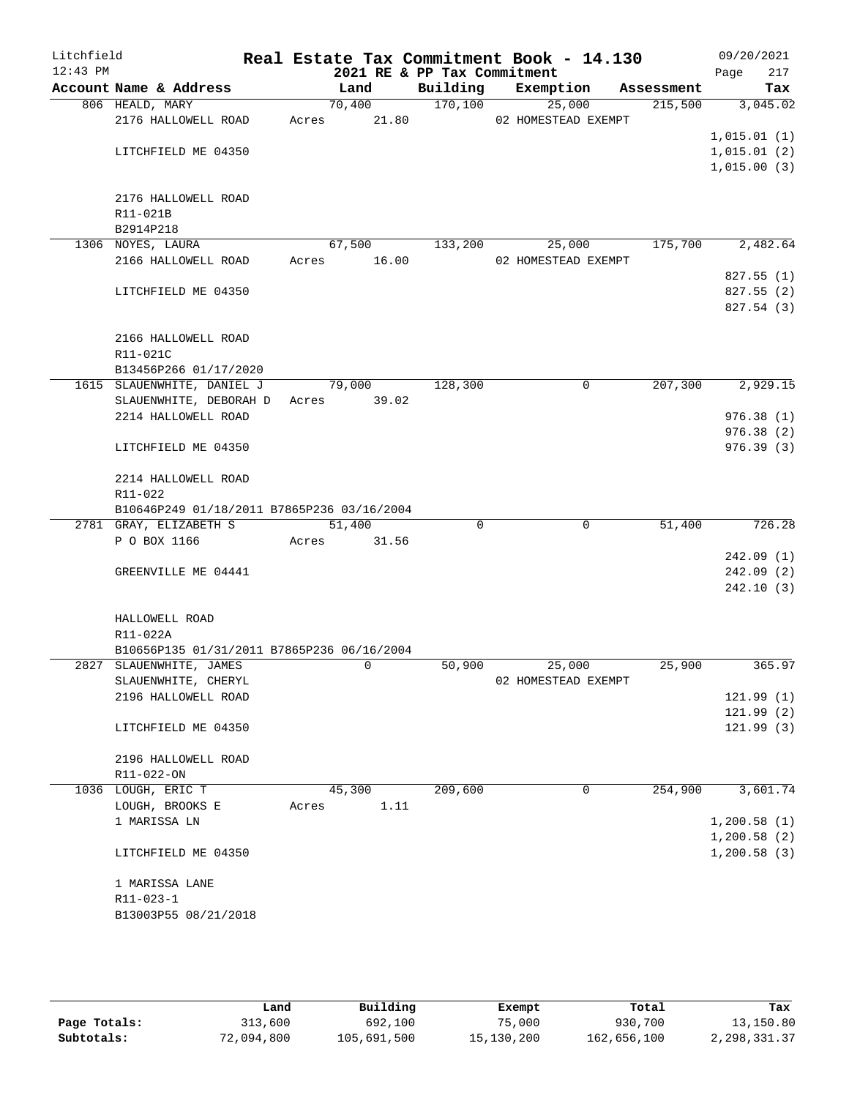| Litchfield<br>$12:43$ PM |                                            |       | 2021 RE & PP Tax Commitment |          | Real Estate Tax Commitment Book - 14.130 |            | 09/20/2021<br>217<br>Page |
|--------------------------|--------------------------------------------|-------|-----------------------------|----------|------------------------------------------|------------|---------------------------|
|                          | Account Name & Address                     |       | Land                        | Building | Exemption                                | Assessment | Tax                       |
|                          | 806 HEALD, MARY                            |       | 70,400                      | 170,100  | 25,000                                   | 215,500    | 3,045.02                  |
|                          | 2176 HALLOWELL ROAD                        | Acres | 21.80                       |          | 02 HOMESTEAD EXEMPT                      |            |                           |
|                          |                                            |       |                             |          |                                          |            | 1,015.01(1)               |
|                          | LITCHFIELD ME 04350                        |       |                             |          |                                          |            | 1,015.01(2)               |
|                          |                                            |       |                             |          |                                          |            | 1,015.00(3)               |
|                          |                                            |       |                             |          |                                          |            |                           |
|                          | 2176 HALLOWELL ROAD                        |       |                             |          |                                          |            |                           |
|                          | R11-021B                                   |       |                             |          |                                          |            |                           |
|                          | B2914P218                                  |       |                             |          |                                          |            |                           |
|                          | 1306 NOYES, LAURA                          |       | 67,500                      | 133,200  | 25,000                                   | 175,700    | 2,482.64                  |
|                          | 2166 HALLOWELL ROAD                        | Acres | 16.00                       |          | 02 HOMESTEAD EXEMPT                      |            |                           |
|                          |                                            |       |                             |          |                                          |            | 827.55(1)                 |
|                          | LITCHFIELD ME 04350                        |       |                             |          |                                          |            | 827.55(2)                 |
|                          |                                            |       |                             |          |                                          |            | 827.54 (3)                |
|                          | 2166 HALLOWELL ROAD                        |       |                             |          |                                          |            |                           |
|                          | R11-021C                                   |       |                             |          |                                          |            |                           |
|                          | B13456P266 01/17/2020                      |       |                             |          |                                          |            |                           |
|                          | 1615 SLAUENWHITE, DANIEL J                 |       | 79,000                      | 128,300  | 0                                        | 207,300    | 2,929.15                  |
|                          | SLAUENWHITE, DEBORAH D                     | Acres | 39.02                       |          |                                          |            |                           |
|                          | 2214 HALLOWELL ROAD                        |       |                             |          |                                          |            | 976.38(1)                 |
|                          |                                            |       |                             |          |                                          |            | 976.38(2)                 |
|                          | LITCHFIELD ME 04350                        |       |                             |          |                                          |            | 976.39(3)                 |
|                          |                                            |       |                             |          |                                          |            |                           |
|                          | 2214 HALLOWELL ROAD                        |       |                             |          |                                          |            |                           |
|                          | R11-022                                    |       |                             |          |                                          |            |                           |
|                          | B10646P249 01/18/2011 B7865P236 03/16/2004 |       |                             |          |                                          |            |                           |
|                          | 2781 GRAY, ELIZABETH S                     |       | 51,400                      | $\Omega$ | $\mathbf 0$                              | 51,400     | 726.28                    |
|                          | P O BOX 1166                               | Acres | 31.56                       |          |                                          |            |                           |
|                          |                                            |       |                             |          |                                          |            | 242.09(1)                 |
|                          | GREENVILLE ME 04441                        |       |                             |          |                                          |            | 242.09(2)                 |
|                          |                                            |       |                             |          |                                          |            | 242.10(3)                 |
|                          |                                            |       |                             |          |                                          |            |                           |
|                          | HALLOWELL ROAD                             |       |                             |          |                                          |            |                           |
|                          | R11-022A                                   |       |                             |          |                                          |            |                           |
|                          | B10656P135 01/31/2011 B7865P236 06/16/2004 |       |                             |          |                                          |            |                           |
|                          | 2827 SLAUENWHITE, JAMES                    |       | 0                           | 50,900   | 25,000<br>02 HOMESTEAD EXEMPT            | 25,900     | 365.97                    |
|                          | SLAUENWHITE, CHERYL<br>2196 HALLOWELL ROAD |       |                             |          |                                          |            | 121.99(1)                 |
|                          |                                            |       |                             |          |                                          |            | 121.99(2)                 |
|                          | LITCHFIELD ME 04350                        |       |                             |          |                                          |            | 121.99(3)                 |
|                          |                                            |       |                             |          |                                          |            |                           |
|                          | 2196 HALLOWELL ROAD                        |       |                             |          |                                          |            |                           |
|                          | R11-022-ON                                 |       |                             |          |                                          |            |                           |
|                          | 1036 LOUGH, ERIC T                         |       | 45,300                      | 209,600  | 0                                        | 254,900    | 3,601.74                  |
|                          | LOUGH, BROOKS E                            | Acres | 1.11                        |          |                                          |            |                           |
|                          | 1 MARISSA LN                               |       |                             |          |                                          |            | 1,200.58(1)               |
|                          |                                            |       |                             |          |                                          |            | 1,200.58(2)               |
|                          | LITCHFIELD ME 04350                        |       |                             |          |                                          |            | 1,200.58(3)               |
|                          |                                            |       |                             |          |                                          |            |                           |
|                          | 1 MARISSA LANE                             |       |                             |          |                                          |            |                           |
|                          | R11-023-1                                  |       |                             |          |                                          |            |                           |
|                          | B13003P55 08/21/2018                       |       |                             |          |                                          |            |                           |
|                          |                                            |       |                             |          |                                          |            |                           |

|              | Land       | Building    | Exempt     | Total       | Tax            |
|--------------|------------|-------------|------------|-------------|----------------|
| Page Totals: | 313,600    | 692,100     | 75,000     | 930,700     | 13,150.80      |
| Subtotals:   | 72,094,800 | 105,691,500 | 15,130,200 | 162,656,100 | 2, 298, 331.37 |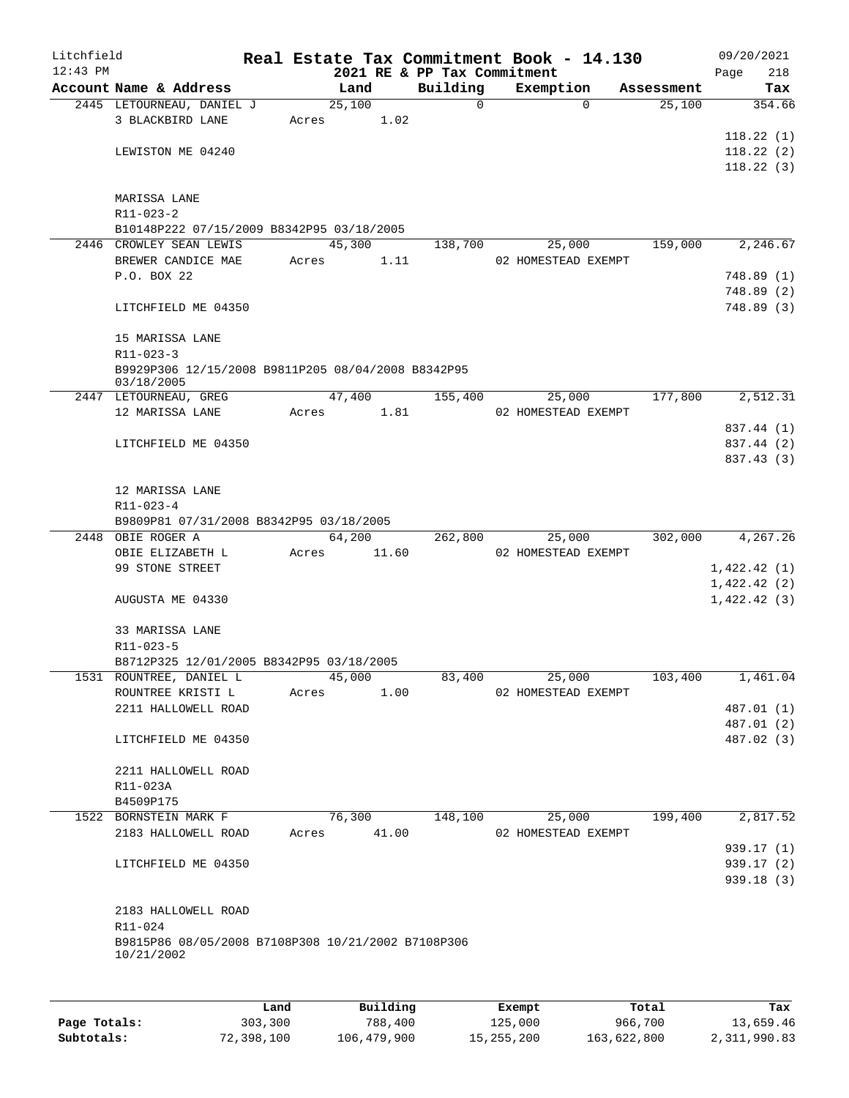| Litchfield |                                                                      |       |                |                             | Real Estate Tax Commitment Book - 14.130 |                      | 09/20/2021    |
|------------|----------------------------------------------------------------------|-------|----------------|-----------------------------|------------------------------------------|----------------------|---------------|
| $12:43$ PM |                                                                      |       |                | 2021 RE & PP Tax Commitment |                                          |                      | 218<br>Page   |
|            | Account Name & Address<br>2445 LETOURNEAU, DANIEL J                  |       | Land<br>25,100 | Building<br>$\mathbf 0$     | Exemption<br>$\Omega$                    | Assessment<br>25,100 | Tax<br>354.66 |
|            | 3 BLACKBIRD LANE                                                     | Acres | 1.02           |                             |                                          |                      |               |
|            |                                                                      |       |                |                             |                                          |                      | 118.22(1)     |
|            | LEWISTON ME 04240                                                    |       |                |                             |                                          |                      | 118.22(2)     |
|            |                                                                      |       |                |                             |                                          |                      | 118.22(3)     |
|            |                                                                      |       |                |                             |                                          |                      |               |
|            | MARISSA LANE                                                         |       |                |                             |                                          |                      |               |
|            | $R11 - 023 - 2$                                                      |       |                |                             |                                          |                      |               |
|            | B10148P222 07/15/2009 B8342P95 03/18/2005<br>2446 CROWLEY SEAN LEWIS |       | 45,300         | 138,700                     | 25,000                                   | 159,000              | 2,246.67      |
|            | BREWER CANDICE MAE                                                   | Acres | 1.11           |                             | 02 HOMESTEAD EXEMPT                      |                      |               |
|            | P.O. BOX 22                                                          |       |                |                             |                                          |                      | 748.89(1)     |
|            |                                                                      |       |                |                             |                                          |                      | 748.89(2)     |
|            | LITCHFIELD ME 04350                                                  |       |                |                             |                                          |                      | 748.89 (3)    |
|            |                                                                      |       |                |                             |                                          |                      |               |
|            | 15 MARISSA LANE                                                      |       |                |                             |                                          |                      |               |
|            | R11-023-3                                                            |       |                |                             |                                          |                      |               |
|            | B9929P306 12/15/2008 B9811P205 08/04/2008 B8342P95<br>03/18/2005     |       |                |                             |                                          |                      |               |
|            | 2447 LETOURNEAU, GREG                                                |       | 47,400         | 155,400                     | 25,000                                   | 177,800              | 2,512.31      |
|            | 12 MARISSA LANE                                                      | Acres | 1.81           |                             | 02 HOMESTEAD EXEMPT                      |                      |               |
|            |                                                                      |       |                |                             |                                          |                      | 837.44 (1)    |
|            | LITCHFIELD ME 04350                                                  |       |                |                             |                                          |                      | 837.44 (2)    |
|            |                                                                      |       |                |                             |                                          |                      | 837.43 (3)    |
|            |                                                                      |       |                |                             |                                          |                      |               |
|            | 12 MARISSA LANE                                                      |       |                |                             |                                          |                      |               |
|            | R11-023-4                                                            |       |                |                             |                                          |                      |               |
|            | B9809P81 07/31/2008 B8342P95 03/18/2005                              |       |                |                             |                                          |                      |               |
|            | 2448 OBIE ROGER A                                                    |       | 64,200         | 262,800                     | 25,000                                   | 302,000              | 4,267.26      |
|            | OBIE ELIZABETH L                                                     | Acres | 11.60          |                             | 02 HOMESTEAD EXEMPT                      |                      |               |
|            | 99 STONE STREET                                                      |       |                |                             |                                          |                      | 1,422.42(1)   |
|            | AUGUSTA ME 04330                                                     |       |                |                             |                                          |                      | 1,422.42(2)   |
|            |                                                                      |       |                |                             |                                          |                      | 1,422.42(3)   |
|            | 33 MARISSA LANE                                                      |       |                |                             |                                          |                      |               |
|            | R11-023-5                                                            |       |                |                             |                                          |                      |               |
|            | B8712P325 12/01/2005 B8342P95 03/18/2005                             |       |                |                             |                                          |                      |               |
|            | 1531 ROUNTREE, DANIEL L                                              |       | 45,000         | 83,400                      | 25,000                                   | 103,400              | 1,461.04      |
|            | ROUNTREE KRISTI L                                                    | Acres | 1.00           |                             | 02 HOMESTEAD EXEMPT                      |                      |               |
|            | 2211 HALLOWELL ROAD                                                  |       |                |                             |                                          |                      | 487.01 (1)    |
|            |                                                                      |       |                |                             |                                          |                      | 487.01 (2)    |
|            | LITCHFIELD ME 04350                                                  |       |                |                             |                                          |                      | 487.02 (3)    |
|            | 2211 HALLOWELL ROAD                                                  |       |                |                             |                                          |                      |               |
|            | R11-023A                                                             |       |                |                             |                                          |                      |               |
|            | B4509P175                                                            |       |                |                             |                                          |                      |               |
|            | 1522 BORNSTEIN MARK F                                                |       | 76,300         | 148,100                     | 25,000                                   | 199,400              | 2,817.52      |
|            | 2183 HALLOWELL ROAD                                                  | Acres | 41.00          |                             | 02 HOMESTEAD EXEMPT                      |                      |               |
|            |                                                                      |       |                |                             |                                          |                      | 939.17(1)     |
|            | LITCHFIELD ME 04350                                                  |       |                |                             |                                          |                      | 939.17 (2)    |
|            |                                                                      |       |                |                             |                                          |                      | 939.18(3)     |
|            |                                                                      |       |                |                             |                                          |                      |               |
|            | 2183 HALLOWELL ROAD                                                  |       |                |                             |                                          |                      |               |
|            | R11-024                                                              |       |                |                             |                                          |                      |               |
|            | B9815P86 08/05/2008 B7108P308 10/21/2002 B7108P306<br>10/21/2002     |       |                |                             |                                          |                      |               |
|            |                                                                      |       |                |                             |                                          |                      |               |
|            |                                                                      |       |                |                             |                                          |                      |               |
|            |                                                                      | Land  | Building       |                             | Exempt                                   | Total                | Tax           |

|              | uanu       | <b>DULLULIN</b> | <b>BACILDL</b> | TOLAT       | ⊥a∧          |
|--------------|------------|-----------------|----------------|-------------|--------------|
| Page Totals: | 303,300    | 788,400         | 125,000        | 966,700     | 13,659.46    |
| Subtotals:   | 72,398,100 | 106,479,900     | 15,255,200     | 163,622,800 | 2,311,990.83 |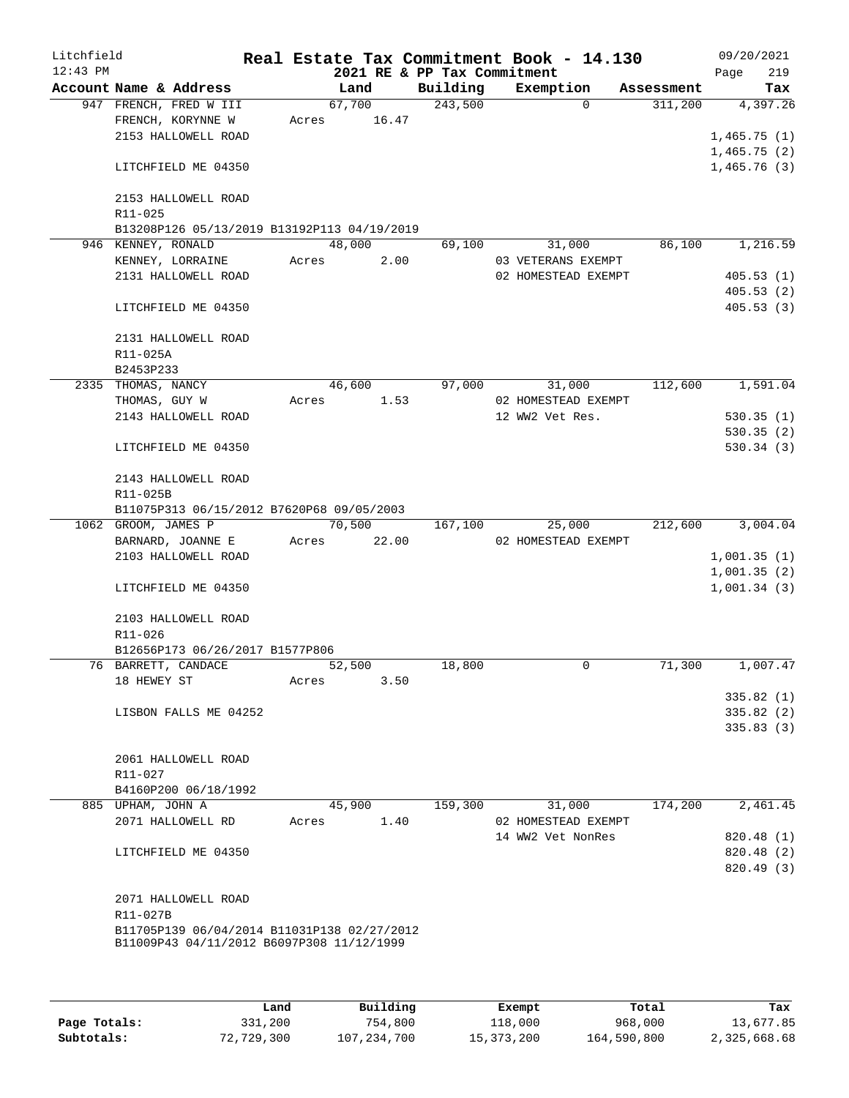| Litchfield |                     |                                                                                          |       |                       |       |                             | Real Estate Tax Commitment Book - 14.130 |            |                            | 09/20/2021              |
|------------|---------------------|------------------------------------------------------------------------------------------|-------|-----------------------|-------|-----------------------------|------------------------------------------|------------|----------------------------|-------------------------|
| $12:43$ PM |                     |                                                                                          |       |                       |       | 2021 RE & PP Tax Commitment |                                          |            | Page                       | 219                     |
|            |                     | Account Name & Address                                                                   |       | Land                  |       | Building                    | Exemption                                | Assessment |                            | Tax                     |
|            |                     | 947 FRENCH, FRED W III<br>FRENCH, KORYNNE W                                              |       | 67,700<br>Acres 16.47 |       | 243,500                     | $\Omega$                                 | 311,200    |                            | 4,397.26                |
|            |                     | 2153 HALLOWELL ROAD                                                                      |       |                       |       |                             |                                          |            | 1,465.75(1)                |                         |
|            |                     |                                                                                          |       |                       |       |                             |                                          |            | 1,465.75(2)                |                         |
|            |                     | LITCHFIELD ME 04350                                                                      |       |                       |       |                             |                                          |            |                            | 1,465.76(3)             |
|            |                     | 2153 HALLOWELL ROAD                                                                      |       |                       |       |                             |                                          |            |                            |                         |
|            | R11-025             |                                                                                          |       |                       |       |                             |                                          |            |                            |                         |
|            |                     | B13208P126 05/13/2019 B13192P113 04/19/2019                                              |       |                       |       |                             |                                          |            |                            |                         |
|            | 946 KENNEY, RONALD  |                                                                                          |       | 48,000                |       | 69,100                      | 31,000                                   | 86,100     |                            | 1,216.59                |
|            |                     | KENNEY, LORRAINE                                                                         | Acres |                       | 2.00  |                             | 03 VETERANS EXEMPT                       |            |                            |                         |
|            |                     | 2131 HALLOWELL ROAD                                                                      |       |                       |       |                             | 02 HOMESTEAD EXEMPT                      |            |                            | 405.53(1)<br>405.53(2)  |
|            |                     | LITCHFIELD ME 04350                                                                      |       |                       |       |                             |                                          |            |                            | 405.53(3)               |
|            |                     | 2131 HALLOWELL ROAD                                                                      |       |                       |       |                             |                                          |            |                            |                         |
|            | R11-025A            |                                                                                          |       |                       |       |                             |                                          |            |                            |                         |
|            | B2453P233           |                                                                                          |       |                       |       |                             |                                          |            |                            |                         |
|            | 2335 THOMAS, NANCY  |                                                                                          |       | 46,600                |       | 97,000                      | 31,000                                   | 112,600    |                            | 1,591.04                |
|            | THOMAS, GUY W       |                                                                                          | Acres |                       | 1.53  |                             | 02 HOMESTEAD EXEMPT                      |            |                            |                         |
|            |                     | 2143 HALLOWELL ROAD                                                                      |       |                       |       |                             | 12 WW2 Vet Res.                          |            |                            | 530.35(1)               |
|            |                     | LITCHFIELD ME 04350                                                                      |       |                       |       |                             |                                          |            |                            | 530.35(2)<br>530.34(3)  |
|            |                     | 2143 HALLOWELL ROAD                                                                      |       |                       |       |                             |                                          |            |                            |                         |
|            | R11-025B            |                                                                                          |       |                       |       |                             |                                          |            |                            |                         |
|            |                     | B11075P313 06/15/2012 B7620P68 09/05/2003                                                |       |                       |       |                             |                                          |            |                            |                         |
|            | 1062 GROOM, JAMES P |                                                                                          |       | 70,500                |       | 167,100                     | 25,000                                   | 212,600    |                            | 3,004.04                |
|            |                     | BARNARD, JOANNE E                                                                        | Acres |                       | 22.00 |                             | 02 HOMESTEAD EXEMPT                      |            |                            |                         |
|            |                     | 2103 HALLOWELL ROAD                                                                      |       |                       |       |                             |                                          |            | 1,001.35(1)                |                         |
|            |                     | LITCHFIELD ME 04350                                                                      |       |                       |       |                             |                                          |            | 1,001.35(2)<br>1,001.34(3) |                         |
|            |                     |                                                                                          |       |                       |       |                             |                                          |            |                            |                         |
|            | R11-026             | 2103 HALLOWELL ROAD                                                                      |       |                       |       |                             |                                          |            |                            |                         |
|            |                     | B12656P173 06/26/2017 B1577P806                                                          |       |                       |       |                             |                                          |            |                            |                         |
|            | 76 BARRETT, CANDACE |                                                                                          |       | 52,500                |       | 18,800                      | $\mathbf 0$                              | 71,300     |                            | 1,007.47                |
|            | 18 HEWEY ST         |                                                                                          | Acres |                       | 3.50  |                             |                                          |            |                            |                         |
|            |                     |                                                                                          |       |                       |       |                             |                                          |            |                            | 335.82(1)               |
|            |                     | LISBON FALLS ME 04252                                                                    |       |                       |       |                             |                                          |            |                            | 335.82(2)               |
|            |                     |                                                                                          |       |                       |       |                             |                                          |            |                            | 335.83(3)               |
|            |                     | 2061 HALLOWELL ROAD                                                                      |       |                       |       |                             |                                          |            |                            |                         |
|            | R11-027             |                                                                                          |       |                       |       |                             |                                          |            |                            |                         |
|            |                     | B4160P200 06/18/1992                                                                     |       |                       |       |                             |                                          |            |                            |                         |
|            | 885 UPHAM, JOHN A   |                                                                                          |       | 45,900                |       | 159,300                     | 31,000                                   | 174,200    |                            | 2,461.45                |
|            |                     | 2071 HALLOWELL RD                                                                        | Acres |                       | 1.40  |                             | 02 HOMESTEAD EXEMPT                      |            |                            |                         |
|            |                     |                                                                                          |       |                       |       |                             | 14 WW2 Vet NonRes                        |            |                            | 820.48 (1)              |
|            |                     | LITCHFIELD ME 04350                                                                      |       |                       |       |                             |                                          |            |                            | 820.48 (2)<br>820.49(3) |
|            |                     | 2071 HALLOWELL ROAD                                                                      |       |                       |       |                             |                                          |            |                            |                         |
|            | R11-027B            |                                                                                          |       |                       |       |                             |                                          |            |                            |                         |
|            |                     | B11705P139 06/04/2014 B11031P138 02/27/2012<br>B11009P43 04/11/2012 B6097P308 11/12/1999 |       |                       |       |                             |                                          |            |                            |                         |
|            |                     |                                                                                          |       |                       |       |                             |                                          |            |                            |                         |
|            |                     |                                                                                          |       |                       |       |                             |                                          |            |                            |                         |

|              | Land       | Building    | Exempt     | Total       | Tax          |
|--------------|------------|-------------|------------|-------------|--------------|
| Page Totals: | 331,200    | 754,800     | 118,000    | 968,000     | 13,677.85    |
| Subtotals:   | 72,729,300 | 107,234,700 | 15,373,200 | 164,590,800 | 2,325,668.68 |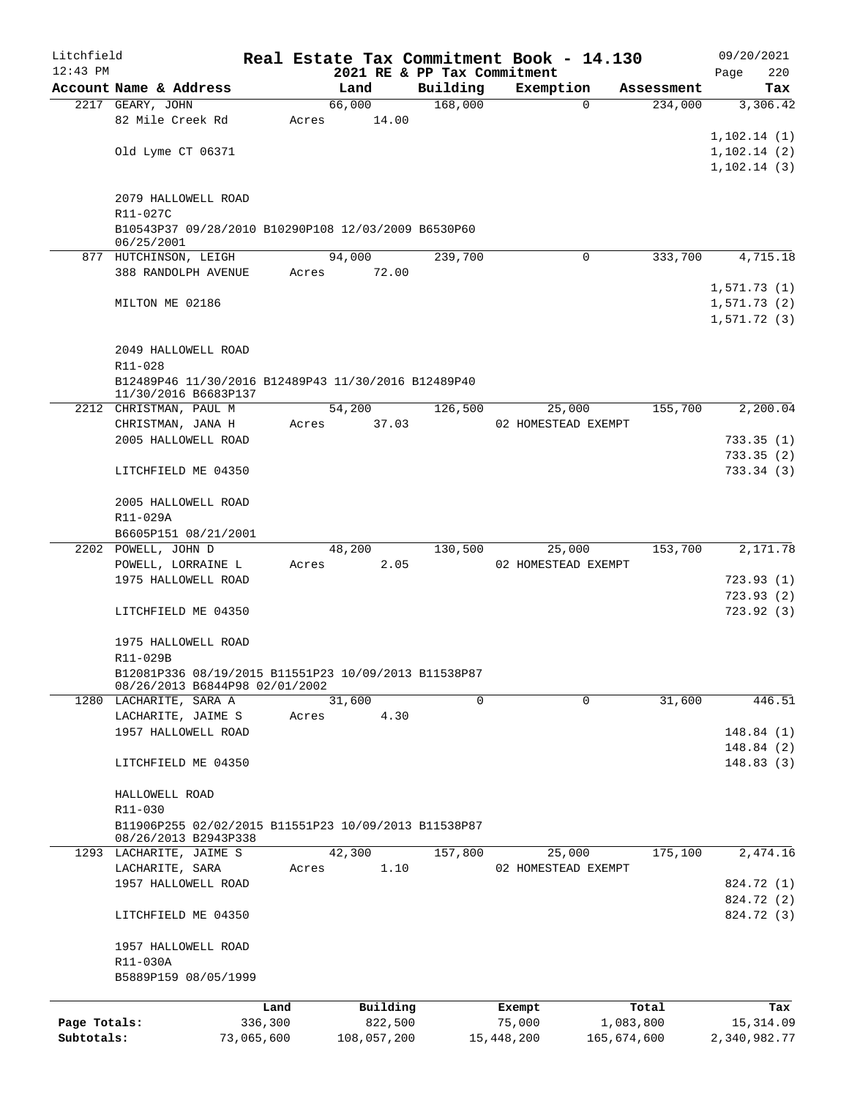| Litchfield   |                                                                   |            |       |             |                             | Real Estate Tax Commitment Book - 14.130 |            | 09/20/2021   |
|--------------|-------------------------------------------------------------------|------------|-------|-------------|-----------------------------|------------------------------------------|------------|--------------|
| $12:43$ PM   |                                                                   |            |       |             | 2021 RE & PP Tax Commitment |                                          |            | 220<br>Page  |
|              | Account Name & Address                                            |            |       | Land        | Building                    | Exemption                                | Assessment | Tax          |
|              | 2217 GEARY, JOHN                                                  |            |       | 66,000      | 168,000                     | $\Omega$                                 | 234,000    | 3,306.42     |
|              | 82 Mile Creek Rd                                                  |            | Acres | 14.00       |                             |                                          |            |              |
|              |                                                                   |            |       |             |                             |                                          |            | 1,102.14(1)  |
|              | Old Lyme CT 06371                                                 |            |       |             |                             |                                          |            | 1, 102.14(2) |
|              |                                                                   |            |       |             |                             |                                          |            | 1, 102.14(3) |
|              |                                                                   |            |       |             |                             |                                          |            |              |
|              | 2079 HALLOWELL ROAD                                               |            |       |             |                             |                                          |            |              |
|              | R11-027C                                                          |            |       |             |                             |                                          |            |              |
|              | B10543P37 09/28/2010 B10290P108 12/03/2009 B6530P60<br>06/25/2001 |            |       |             |                             |                                          |            |              |
|              | 877 HUTCHINSON, LEIGH                                             |            |       | 94,000      | 239,700                     | $\Omega$                                 | 333,700    | 4,715.18     |
|              | 388 RANDOLPH AVENUE                                               |            | Acres | 72.00       |                             |                                          |            |              |
|              |                                                                   |            |       |             |                             |                                          |            | 1,571.73(1)  |
|              | MILTON ME 02186                                                   |            |       |             |                             |                                          |            | 1,571.73(2)  |
|              |                                                                   |            |       |             |                             |                                          |            | 1,571.72(3)  |
|              |                                                                   |            |       |             |                             |                                          |            |              |
|              | 2049 HALLOWELL ROAD                                               |            |       |             |                             |                                          |            |              |
|              | R11-028                                                           |            |       |             |                             |                                          |            |              |
|              | B12489P46 11/30/2016 B12489P43 11/30/2016 B12489P40               |            |       |             |                             |                                          |            |              |
|              | 11/30/2016 B6683P137                                              |            |       |             |                             |                                          |            |              |
|              | 2212 CHRISTMAN, PAUL M                                            |            |       | 54,200      | 126,500                     | 25,000                                   | 155,700    | 2,200.04     |
|              | CHRISTMAN, JANA H                                                 |            | Acres | 37.03       |                             | 02 HOMESTEAD EXEMPT                      |            |              |
|              | 2005 HALLOWELL ROAD                                               |            |       |             |                             |                                          |            | 733.35(1)    |
|              |                                                                   |            |       |             |                             |                                          |            | 733.35(2)    |
|              | LITCHFIELD ME 04350                                               |            |       |             |                             |                                          |            | 733.34(3)    |
|              |                                                                   |            |       |             |                             |                                          |            |              |
|              | 2005 HALLOWELL ROAD                                               |            |       |             |                             |                                          |            |              |
|              | R11-029A                                                          |            |       |             |                             |                                          |            |              |
|              | B6605P151 08/21/2001                                              |            |       |             |                             |                                          |            |              |
|              | 2202 POWELL, JOHN D                                               |            |       | 48,200      | 130,500                     | 25,000                                   | 153,700    | 2,171.78     |
|              | POWELL, LORRAINE L                                                |            | Acres | 2.05        |                             | 02 HOMESTEAD EXEMPT                      |            |              |
|              | 1975 HALLOWELL ROAD                                               |            |       |             |                             |                                          |            | 723.93(1)    |
|              |                                                                   |            |       |             |                             |                                          |            | 723.93(2)    |
|              | LITCHFIELD ME 04350                                               |            |       |             |                             |                                          |            | 723.92(3)    |
|              |                                                                   |            |       |             |                             |                                          |            |              |
|              | 1975 HALLOWELL ROAD                                               |            |       |             |                             |                                          |            |              |
|              | R11-029B<br>B12081P336 08/19/2015 B11551P23 10/09/2013 B11538P87  |            |       |             |                             |                                          |            |              |
|              | 08/26/2013 B6844P98 02/01/2002                                    |            |       |             |                             |                                          |            |              |
|              | 1280 LACHARITE, SARA A                                            |            |       | 31,600      | 0                           | $\Omega$                                 | 31,600     | 446.51       |
|              | LACHARITE, JAIME S                                                |            | Acres | 4.30        |                             |                                          |            |              |
|              | 1957 HALLOWELL ROAD                                               |            |       |             |                             |                                          |            | 148.84(1)    |
|              |                                                                   |            |       |             |                             |                                          |            | 148.84(2)    |
|              | LITCHFIELD ME 04350                                               |            |       |             |                             |                                          |            | 148.83(3)    |
|              |                                                                   |            |       |             |                             |                                          |            |              |
|              | HALLOWELL ROAD                                                    |            |       |             |                             |                                          |            |              |
|              | $R11 - 030$                                                       |            |       |             |                             |                                          |            |              |
|              | B11906P255 02/02/2015 B11551P23 10/09/2013 B11538P87              |            |       |             |                             |                                          |            |              |
|              | 08/26/2013 B2943P338                                              |            |       |             |                             |                                          |            |              |
|              | 1293 LACHARITE, JAIME S                                           |            |       | 42,300      | 157,800                     | 25,000                                   | 175,100    | 2,474.16     |
|              | LACHARITE, SARA                                                   |            | Acres | 1.10        |                             | 02 HOMESTEAD EXEMPT                      |            |              |
|              | 1957 HALLOWELL ROAD                                               |            |       |             |                             |                                          |            | 824.72 (1)   |
|              |                                                                   |            |       |             |                             |                                          |            | 824.72 (2)   |
|              | LITCHFIELD ME 04350                                               |            |       |             |                             |                                          |            | 824.72 (3)   |
|              |                                                                   |            |       |             |                             |                                          |            |              |
|              | 1957 HALLOWELL ROAD                                               |            |       |             |                             |                                          |            |              |
|              | R11-030A                                                          |            |       |             |                             |                                          |            |              |
|              | B5889P159 08/05/1999                                              |            |       |             |                             |                                          |            |              |
|              |                                                                   | Land       |       | Building    |                             | Exempt                                   | Total      | Tax          |
| Page Totals: |                                                                   | 336,300    |       | 822,500     |                             | 75,000                                   | 1,083,800  | 15,314.09    |
| Subtotals:   |                                                                   | 73,065,600 |       | 108,057,200 |                             | 15,448,200<br>165,674,600                |            | 2,340,982.77 |
|              |                                                                   |            |       |             |                             |                                          |            |              |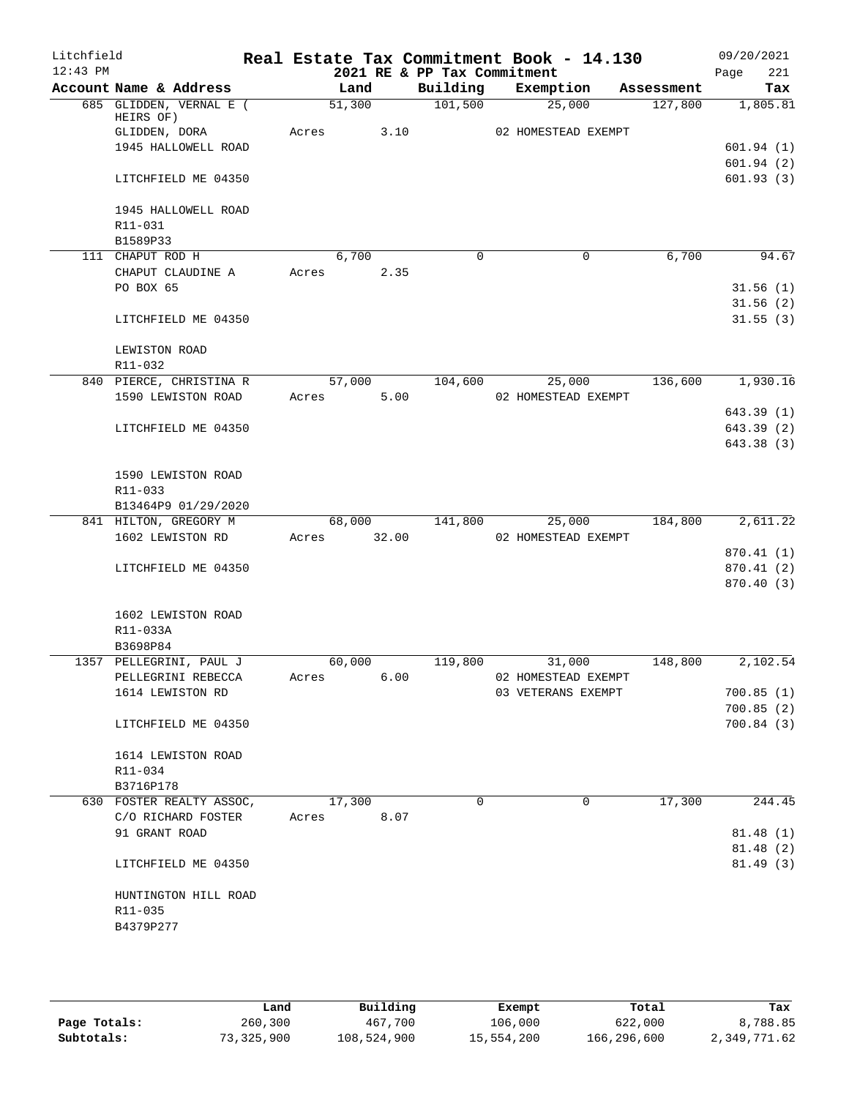| Litchfield<br>$12:43$ PM |                          |       |             |      | 2021 RE & PP Tax Commitment | Real Estate Tax Commitment Book - 14.130 |            | 09/20/2021<br>221<br>Page |
|--------------------------|--------------------------|-------|-------------|------|-----------------------------|------------------------------------------|------------|---------------------------|
|                          | Account Name & Address   |       | Land        |      | Building                    | Exemption                                | Assessment | Tax                       |
|                          | 685 GLIDDEN, VERNAL E (  |       | 51,300      |      | 101,500                     | 25,000                                   | 127,800    | 1,805.81                  |
|                          | HEIRS OF)                |       |             |      |                             |                                          |            |                           |
|                          | GLIDDEN, DORA            |       | Acres       | 3.10 |                             | 02 HOMESTEAD EXEMPT                      |            |                           |
|                          | 1945 HALLOWELL ROAD      |       |             |      |                             |                                          |            | 601.94(1)                 |
|                          | LITCHFIELD ME 04350      |       |             |      |                             |                                          |            | 601.94(2)<br>601.93(3)    |
|                          |                          |       |             |      |                             |                                          |            |                           |
|                          | 1945 HALLOWELL ROAD      |       |             |      |                             |                                          |            |                           |
|                          | R11-031                  |       |             |      |                             |                                          |            |                           |
|                          | B1589P33                 |       |             |      |                             |                                          |            |                           |
|                          | 111 CHAPUT ROD H         |       | 6,700       |      | $\Omega$                    | $\mathbf 0$                              | 6,700      | 94.67                     |
|                          | CHAPUT CLAUDINE A        | Acres |             | 2.35 |                             |                                          |            |                           |
|                          | PO BOX 65                |       |             |      |                             |                                          |            | 31.56(1)<br>31.56(2)      |
|                          | LITCHFIELD ME 04350      |       |             |      |                             |                                          |            | 31.55(3)                  |
|                          |                          |       |             |      |                             |                                          |            |                           |
|                          | LEWISTON ROAD            |       |             |      |                             |                                          |            |                           |
|                          | R11-032                  |       |             |      |                             |                                          |            |                           |
|                          | 840 PIERCE, CHRISTINA R  |       | 57,000      |      | 104,600                     | 25,000                                   | 136,600    | 1,930.16                  |
|                          | 1590 LEWISTON ROAD       |       | Acres       | 5.00 |                             | 02 HOMESTEAD EXEMPT                      |            |                           |
|                          | LITCHFIELD ME 04350      |       |             |      |                             |                                          |            | 643.39(1)<br>643.39(2)    |
|                          |                          |       |             |      |                             |                                          |            | 643.38 (3)                |
|                          |                          |       |             |      |                             |                                          |            |                           |
|                          | 1590 LEWISTON ROAD       |       |             |      |                             |                                          |            |                           |
|                          | R11-033                  |       |             |      |                             |                                          |            |                           |
|                          | B13464P9 01/29/2020      |       |             |      |                             |                                          |            |                           |
|                          | 841 HILTON, GREGORY M    |       | 68,000      |      | 141,800                     | 25,000                                   | 184,800    | 2,611.22                  |
|                          | 1602 LEWISTON RD         |       | Acres 32.00 |      |                             | 02 HOMESTEAD EXEMPT                      |            |                           |
|                          |                          |       |             |      |                             |                                          |            | 870.41 (1)                |
|                          | LITCHFIELD ME 04350      |       |             |      |                             |                                          |            | 870.41(2)                 |
|                          |                          |       |             |      |                             |                                          |            | 870.40(3)                 |
|                          | 1602 LEWISTON ROAD       |       |             |      |                             |                                          |            |                           |
|                          | R11-033A                 |       |             |      |                             |                                          |            |                           |
|                          | B3698P84                 |       |             |      |                             |                                          |            |                           |
|                          | 1357 PELLEGRINI, PAUL J  |       | 60,000      |      | 119,800                     | 31,000                                   | 148,800    | 2,102.54                  |
|                          | PELLEGRINI REBECCA       | Acres |             | 6.00 |                             | 02 HOMESTEAD EXEMPT                      |            |                           |
|                          | 1614 LEWISTON RD         |       |             |      |                             | 03 VETERANS EXEMPT                       |            | 700.85(1)                 |
|                          |                          |       |             |      |                             |                                          |            | 700.85(2)                 |
|                          | LITCHFIELD ME 04350      |       |             |      |                             |                                          |            | 700.84(3)                 |
|                          | 1614 LEWISTON ROAD       |       |             |      |                             |                                          |            |                           |
|                          | R11-034                  |       |             |      |                             |                                          |            |                           |
|                          | B3716P178                |       |             |      |                             |                                          |            |                           |
|                          | 630 FOSTER REALTY ASSOC, |       | 17,300      |      | $\Omega$                    | 0                                        | 17,300     | 244.45                    |
|                          | C/O RICHARD FOSTER       | Acres |             | 8.07 |                             |                                          |            |                           |
|                          | 91 GRANT ROAD            |       |             |      |                             |                                          |            | 81.48(1)                  |
|                          |                          |       |             |      |                             |                                          |            | 81.48(2)                  |
|                          | LITCHFIELD ME 04350      |       |             |      |                             |                                          |            | 81.49(3)                  |
|                          | HUNTINGTON HILL ROAD     |       |             |      |                             |                                          |            |                           |
|                          | R11-035                  |       |             |      |                             |                                          |            |                           |
|                          | B4379P277                |       |             |      |                             |                                          |            |                           |
|                          |                          |       |             |      |                             |                                          |            |                           |
|                          |                          |       |             |      |                             |                                          |            |                           |

|              | Land       | Building    | Exempt     | Total       | Tax          |
|--------------|------------|-------------|------------|-------------|--------------|
| Page Totals: | 260,300    | 467,700     | 106,000    | 622,000     | 8,788.85     |
| Subtotals:   | 73,325,900 | 108,524,900 | 15,554,200 | 166,296,600 | 2,349,771.62 |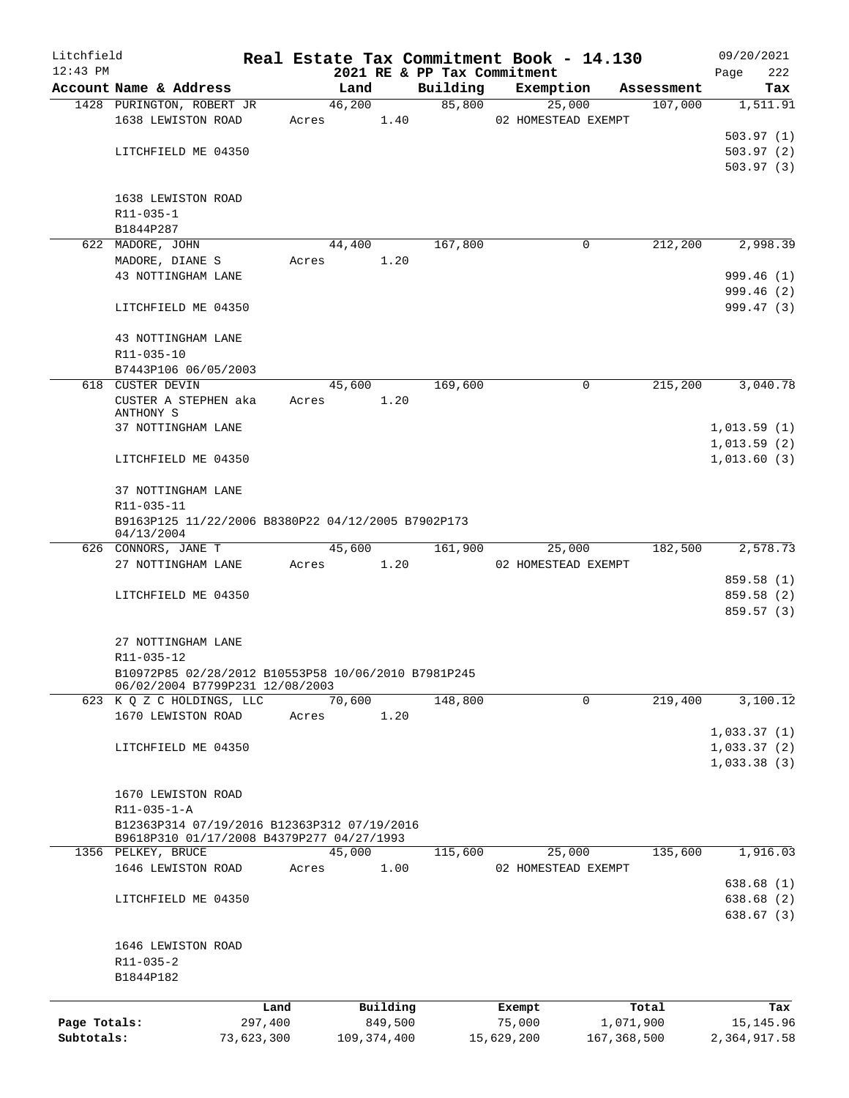| Litchfield<br>$12:43$ PM |                                                     |            |       |               |          |          |         | Real Estate Tax Commitment Book - 14.130<br>2021 RE & PP Tax Commitment |             |            | 09/20/2021<br>222<br>Page |
|--------------------------|-----------------------------------------------------|------------|-------|---------------|----------|----------|---------|-------------------------------------------------------------------------|-------------|------------|---------------------------|
|                          | Account Name & Address                              |            |       | Land          |          | Building |         | Exemption                                                               |             | Assessment | Tax                       |
|                          | 1428 PURINGTON, ROBERT JR                           |            |       | 46,200        |          |          | 85,800  | 25,000                                                                  |             | 107,000    | 1,511.91                  |
|                          | 1638 LEWISTON ROAD                                  |            | Acres |               | 1.40     |          |         | 02 HOMESTEAD EXEMPT                                                     |             |            |                           |
|                          |                                                     |            |       |               |          |          |         |                                                                         |             |            | 503.97(1)                 |
|                          | LITCHFIELD ME 04350                                 |            |       |               |          |          |         |                                                                         |             |            | 503.97(2)                 |
|                          |                                                     |            |       |               |          |          |         |                                                                         |             |            |                           |
|                          |                                                     |            |       |               |          |          |         |                                                                         |             |            | 503.97(3)                 |
|                          |                                                     |            |       |               |          |          |         |                                                                         |             |            |                           |
|                          | 1638 LEWISTON ROAD                                  |            |       |               |          |          |         |                                                                         |             |            |                           |
|                          | R11-035-1                                           |            |       |               |          |          |         |                                                                         |             |            |                           |
|                          | B1844P287                                           |            |       |               |          |          |         |                                                                         |             |            |                           |
|                          | 622 MADORE, JOHN                                    |            |       | 44,400        |          |          | 167,800 |                                                                         | 0           | 212,200    | 2,998.39                  |
|                          | MADORE, DIANE S                                     |            | Acres |               | 1.20     |          |         |                                                                         |             |            |                           |
|                          | 43 NOTTINGHAM LANE                                  |            |       |               |          |          |         |                                                                         |             |            | 999.46 (1)                |
|                          |                                                     |            |       |               |          |          |         |                                                                         |             |            | 999.46 (2)                |
|                          | LITCHFIELD ME 04350                                 |            |       |               |          |          |         |                                                                         |             |            | 999.47(3)                 |
|                          |                                                     |            |       |               |          |          |         |                                                                         |             |            |                           |
|                          | 43 NOTTINGHAM LANE                                  |            |       |               |          |          |         |                                                                         |             |            |                           |
|                          | R11-035-10                                          |            |       |               |          |          |         |                                                                         |             |            |                           |
|                          | B7443P106 06/05/2003                                |            |       |               |          |          |         |                                                                         |             |            |                           |
|                          | 618 CUSTER DEVIN                                    |            |       | 45,600        |          |          | 169,600 |                                                                         | $\mathbf 0$ | 215,200    | 3,040.78                  |
|                          | CUSTER A STEPHEN aka                                |            | Acres |               | 1.20     |          |         |                                                                         |             |            |                           |
|                          | ANTHONY S                                           |            |       |               |          |          |         |                                                                         |             |            |                           |
|                          | 37 NOTTINGHAM LANE                                  |            |       |               |          |          |         |                                                                         |             |            | 1,013.59(1)               |
|                          |                                                     |            |       |               |          |          |         |                                                                         |             |            | 1,013.59(2)               |
|                          |                                                     |            |       |               |          |          |         |                                                                         |             |            | 1,013.60(3)               |
|                          | LITCHFIELD ME 04350                                 |            |       |               |          |          |         |                                                                         |             |            |                           |
|                          |                                                     |            |       |               |          |          |         |                                                                         |             |            |                           |
|                          | 37 NOTTINGHAM LANE                                  |            |       |               |          |          |         |                                                                         |             |            |                           |
|                          | R11-035-11                                          |            |       |               |          |          |         |                                                                         |             |            |                           |
|                          | B9163P125 11/22/2006 B8380P22 04/12/2005 B7902P173  |            |       |               |          |          |         |                                                                         |             |            |                           |
|                          | 04/13/2004                                          |            |       |               |          |          |         |                                                                         |             |            |                           |
|                          | 626 CONNORS, JANE T                                 |            |       | 45,600        |          |          | 161,900 | 25,000                                                                  |             | 182,500    | 2,578.73                  |
|                          | 27 NOTTINGHAM LANE                                  |            | Acres | 1.20          |          |          |         | 02 HOMESTEAD EXEMPT                                                     |             |            |                           |
|                          |                                                     |            |       |               |          |          |         |                                                                         |             |            | 859.58 (1)                |
|                          | LITCHFIELD ME 04350                                 |            |       |               |          |          |         |                                                                         |             |            | 859.58 (2)                |
|                          |                                                     |            |       |               |          |          |         |                                                                         |             |            | 859.57 (3)                |
|                          |                                                     |            |       |               |          |          |         |                                                                         |             |            |                           |
|                          | 27 NOTTINGHAM LANE                                  |            |       |               |          |          |         |                                                                         |             |            |                           |
|                          | R11-035-12                                          |            |       |               |          |          |         |                                                                         |             |            |                           |
|                          | B10972P85 02/28/2012 B10553P58 10/06/2010 B7981P245 |            |       |               |          |          |         |                                                                         |             |            |                           |
|                          | 06/02/2004 B7799P231 12/08/2003                     |            |       |               |          |          |         |                                                                         |             |            |                           |
|                          | 623 K Q Z C HOLDINGS, LLC                           |            |       | 70,600        |          |          | 148,800 |                                                                         | 0           | 219,400    | 3,100.12                  |
|                          | 1670 LEWISTON ROAD                                  |            | Acres |               | 1.20     |          |         |                                                                         |             |            |                           |
|                          |                                                     |            |       |               |          |          |         |                                                                         |             |            | 1,033.37(1)               |
|                          | LITCHFIELD ME 04350                                 |            |       |               |          |          |         |                                                                         |             |            | 1,033.37(2)               |
|                          |                                                     |            |       |               |          |          |         |                                                                         |             |            | 1,033.38(3)               |
|                          |                                                     |            |       |               |          |          |         |                                                                         |             |            |                           |
|                          | 1670 LEWISTON ROAD                                  |            |       |               |          |          |         |                                                                         |             |            |                           |
|                          | $R11 - 035 - 1 - A$                                 |            |       |               |          |          |         |                                                                         |             |            |                           |
|                          | B12363P314 07/19/2016 B12363P312 07/19/2016         |            |       |               |          |          |         |                                                                         |             |            |                           |
|                          | B9618P310 01/17/2008 B4379P277 04/27/1993           |            |       |               |          |          |         |                                                                         |             |            |                           |
|                          | 1356 PELKEY, BRUCE                                  |            |       | 45,000        |          |          | 115,600 | 25,000                                                                  |             | 135,600    | 1,916.03                  |
|                          | 1646 LEWISTON ROAD                                  |            | Acres |               | 1.00     |          |         | 02 HOMESTEAD EXEMPT                                                     |             |            |                           |
|                          |                                                     |            |       |               |          |          |         |                                                                         |             |            | 638.68 (1)                |
|                          | LITCHFIELD ME 04350                                 |            |       |               |          |          |         |                                                                         |             |            | 638.68 (2)                |
|                          |                                                     |            |       |               |          |          |         |                                                                         |             |            |                           |
|                          |                                                     |            |       |               |          |          |         |                                                                         |             |            | 638.67 (3)                |
|                          |                                                     |            |       |               |          |          |         |                                                                         |             |            |                           |
|                          | 1646 LEWISTON ROAD                                  |            |       |               |          |          |         |                                                                         |             |            |                           |
|                          | R11-035-2                                           |            |       |               |          |          |         |                                                                         |             |            |                           |
|                          | B1844P182                                           |            |       |               |          |          |         |                                                                         |             |            |                           |
|                          |                                                     |            |       |               |          |          |         |                                                                         |             |            |                           |
|                          |                                                     | Land       |       |               | Building |          |         | Exempt                                                                  |             | Total      | Tax                       |
| Page Totals:             |                                                     | 297,400    |       |               | 849,500  |          |         | 75,000                                                                  | 1,071,900   |            | 15, 145.96                |
| Subtotals:               |                                                     | 73,623,300 |       | 109, 374, 400 |          |          |         | 15,629,200                                                              | 167,368,500 |            | 2,364,917.58              |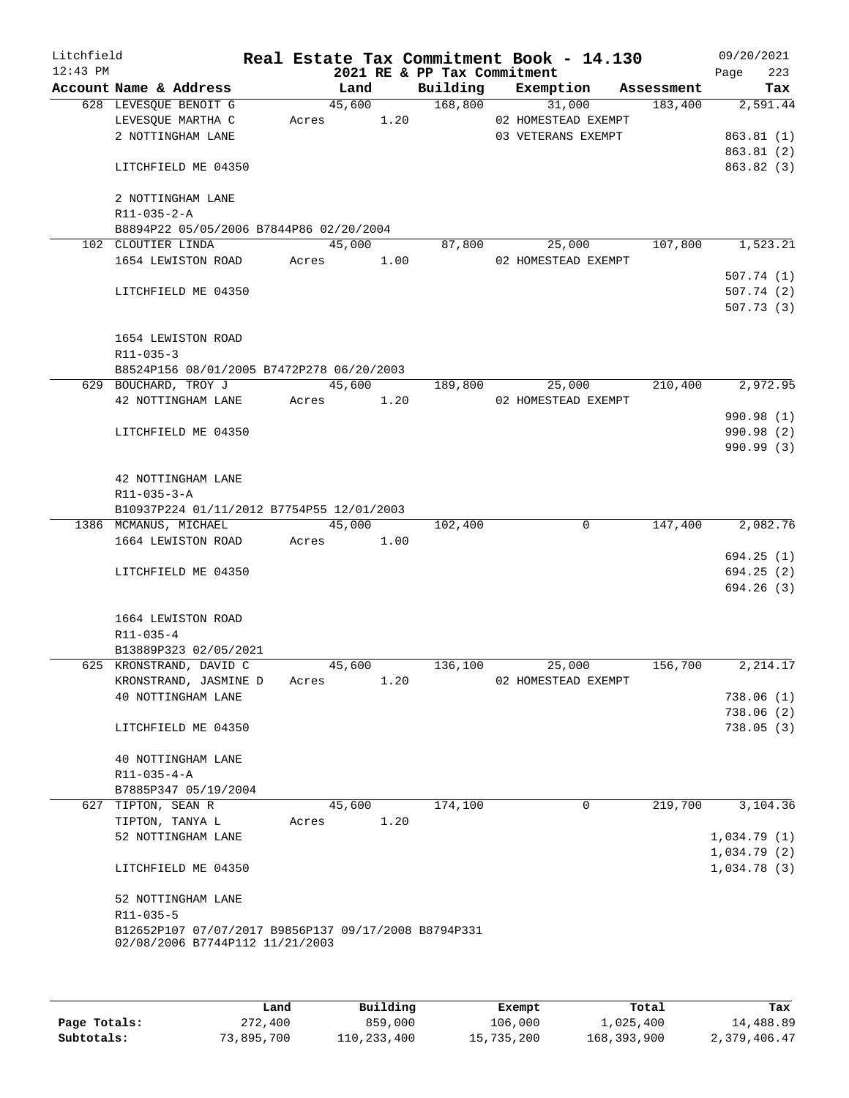| Litchfield<br>$12:43$ PM |                                                      |            |            |      |                             | Real Estate Tax Commitment Book - 14.130 |         | 09/20/2021         |
|--------------------------|------------------------------------------------------|------------|------------|------|-----------------------------|------------------------------------------|---------|--------------------|
|                          | Account Name & Address                               |            | Land       |      | 2021 RE & PP Tax Commitment | Building Exemption Assessment            |         | 223<br>Page<br>Tax |
|                          | 628 LEVESQUE BENOIT G                                |            | 45,600     |      |                             | 168,800 31,000                           | 183,400 | 2,591.44           |
|                          | LEVESQUE MARTHA C                                    | Acres 1.20 |            |      |                             | 02 HOMESTEAD EXEMPT                      |         |                    |
|                          | 2 NOTTINGHAM LANE                                    |            |            |      |                             | 03 VETERANS EXEMPT                       |         | 863.81(1)          |
|                          |                                                      |            |            |      |                             |                                          |         | 863.81(2)          |
|                          | LITCHFIELD ME 04350                                  |            |            |      |                             |                                          |         | 863.82 (3)         |
|                          | 2 NOTTINGHAM LANE                                    |            |            |      |                             |                                          |         |                    |
|                          | R11-035-2-A                                          |            |            |      |                             |                                          |         |                    |
|                          | B8894P22 05/05/2006 B7844P86 02/20/2004              |            |            |      |                             |                                          |         |                    |
|                          | 102 CLOUTIER LINDA                                   |            | 45,000     |      | 87,800                      | 25,000                                   | 107,800 | 1,523.21           |
|                          | 1654 LEWISTON ROAD                                   |            | Acres 1.00 |      |                             | 02 HOMESTEAD EXEMPT                      |         |                    |
|                          |                                                      |            |            |      |                             |                                          |         | 507.74(1)          |
|                          | LITCHFIELD ME 04350                                  |            |            |      |                             |                                          |         | 507.74(2)          |
|                          |                                                      |            |            |      |                             |                                          |         | 507.73(3)          |
|                          | 1654 LEWISTON ROAD                                   |            |            |      |                             |                                          |         |                    |
|                          | R11-035-3                                            |            |            |      |                             |                                          |         |                    |
|                          | B8524P156 08/01/2005 B7472P278 06/20/2003            |            |            |      |                             |                                          |         |                    |
|                          | 629 BOUCHARD, TROY J                                 |            | 45,600     |      | 189,800                     | 25,000                                   | 210,400 | 2,972.95           |
|                          | 42 NOTTINGHAM LANE                                   |            | Acres 1.20 |      |                             | 02 HOMESTEAD EXEMPT                      |         |                    |
|                          |                                                      |            |            |      |                             |                                          |         | 990.98 (1)         |
|                          | LITCHFIELD ME 04350                                  |            |            |      |                             |                                          |         | 990.98 (2)         |
|                          |                                                      |            |            |      |                             |                                          |         | 990.99 (3)         |
|                          | 42 NOTTINGHAM LANE                                   |            |            |      |                             |                                          |         |                    |
|                          | $R11 - 035 - 3 - A$                                  |            |            |      |                             |                                          |         |                    |
|                          | B10937P224 01/11/2012 B7754P55 12/01/2003            |            |            |      |                             |                                          |         |                    |
|                          | 1386 MCMANUS, MICHAEL                                |            | 45,000     |      | 102,400                     | $\mathbf 0$                              | 147,400 | 2,082.76           |
|                          | 1664 LEWISTON ROAD Acres 1.00                        |            |            |      |                             |                                          |         |                    |
|                          |                                                      |            |            |      |                             |                                          |         | 694.25(1)          |
|                          | LITCHFIELD ME 04350                                  |            |            |      |                             |                                          |         | 694.25(2)          |
|                          |                                                      |            |            |      |                             |                                          |         | 694.26(3)          |
|                          | 1664 LEWISTON ROAD                                   |            |            |      |                             |                                          |         |                    |
|                          | R11-035-4                                            |            |            |      |                             |                                          |         |                    |
|                          | B13889P323 02/05/2021                                |            |            |      |                             |                                          |         |                    |
|                          | 625 KRONSTRAND, DAVID C                              |            | 45,600     |      | 136,100                     | 25,000                                   | 156,700 | 2, 214.17          |
|                          | KRONSTRAND, JASMINE D                                | Acres      |            | 1.20 |                             | 02 HOMESTEAD EXEMPT                      |         |                    |
|                          | 40 NOTTINGHAM LANE                                   |            |            |      |                             |                                          |         | 738.06(1)          |
|                          |                                                      |            |            |      |                             |                                          |         | 738.06(2)          |
|                          | LITCHFIELD ME 04350                                  |            |            |      |                             |                                          |         | 738.05(3)          |
|                          | 40 NOTTINGHAM LANE                                   |            |            |      |                             |                                          |         |                    |
|                          | $R11 - 035 - 4 - A$                                  |            |            |      |                             |                                          |         |                    |
|                          | B7885P347 05/19/2004                                 |            |            |      |                             |                                          |         |                    |
|                          | 627 TIPTON, SEAN R                                   |            | 45,600     |      | 174,100                     | $\overline{0}$                           | 219,700 | 3,104.36           |
|                          | TIPTON, TANYA L                                      | Acres      |            | 1.20 |                             |                                          |         |                    |
|                          | 52 NOTTINGHAM LANE                                   |            |            |      |                             |                                          |         | 1,034.79(1)        |
|                          |                                                      |            |            |      |                             |                                          |         | 1,034.79(2)        |
|                          | LITCHFIELD ME 04350                                  |            |            |      |                             |                                          |         | 1,034.78(3)        |
|                          | 52 NOTTINGHAM LANE                                   |            |            |      |                             |                                          |         |                    |
|                          | R11-035-5                                            |            |            |      |                             |                                          |         |                    |
|                          | B12652P107 07/07/2017 B9856P137 09/17/2008 B8794P331 |            |            |      |                             |                                          |         |                    |
|                          | 02/08/2006 B7744P112 11/21/2003                      |            |            |      |                             |                                          |         |                    |
|                          |                                                      |            |            |      |                             |                                          |         |                    |
|                          |                                                      |            |            |      |                             |                                          |         |                    |

|              | Land       | Building    | Exempt     | Total       | Tax          |
|--------------|------------|-------------|------------|-------------|--------------|
| Page Totals: | 272,400    | 859,000     | 106,000    | 1,025,400   | 14,488.89    |
| Subtotals:   | 73,895,700 | 110,233,400 | 15,735,200 | 168,393,900 | 2,379,406.47 |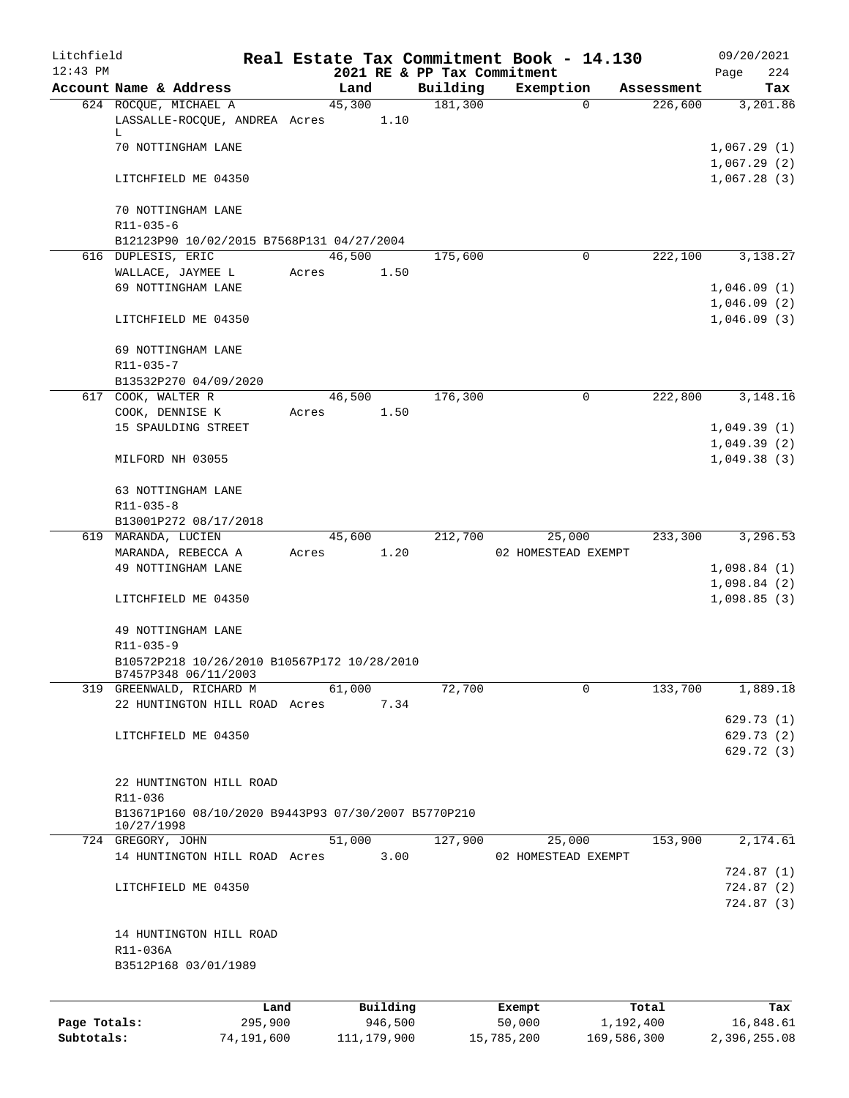| Litchfield<br>$12:43$ PM |                                                                     |       |          |      | 2021 RE & PP Tax Commitment | Real Estate Tax Commitment Book - 14.130 |            | 09/20/2021                 |
|--------------------------|---------------------------------------------------------------------|-------|----------|------|-----------------------------|------------------------------------------|------------|----------------------------|
|                          | Account Name & Address                                              |       | Land     |      | Building                    | Exemption                                | Assessment | 224<br>Page<br>Tax         |
|                          | 624 ROCQUE, MICHAEL A                                               |       | 45,300   |      | 181,300                     | $\Omega$                                 | 226,600    | 3,201.86                   |
|                          | LASSALLE-ROCQUE, ANDREA Acres<br>L                                  |       |          | 1.10 |                             |                                          |            |                            |
|                          | 70 NOTTINGHAM LANE                                                  |       |          |      |                             |                                          |            | 1,067.29(1)<br>1,067.29(2) |
|                          | LITCHFIELD ME 04350                                                 |       |          |      |                             |                                          |            | 1,067.28(3)                |
|                          | 70 NOTTINGHAM LANE<br>R11-035-6                                     |       |          |      |                             |                                          |            |                            |
|                          | B12123P90 10/02/2015 B7568P131 04/27/2004                           |       |          |      |                             |                                          |            |                            |
|                          | 616 DUPLESIS, ERIC                                                  |       | 46,500   |      | 175,600                     | $\Omega$                                 | 222,100    | 3,138.27                   |
|                          | WALLACE, JAYMEE L                                                   | Acres |          | 1.50 |                             |                                          |            |                            |
|                          | 69 NOTTINGHAM LANE                                                  |       |          |      |                             |                                          |            | 1,046.09(1)                |
|                          | LITCHFIELD ME 04350                                                 |       |          |      |                             |                                          |            | 1,046.09(2)<br>1,046.09(3) |
|                          | 69 NOTTINGHAM LANE                                                  |       |          |      |                             |                                          |            |                            |
|                          | R11-035-7<br>B13532P270 04/09/2020                                  |       |          |      |                             |                                          |            |                            |
|                          | 617 COOK, WALTER R                                                  |       | 46,500   |      | 176,300                     | 0                                        | 222,800    | 3, 148. 16                 |
|                          | COOK, DENNISE K                                                     | Acres |          | 1.50 |                             |                                          |            |                            |
|                          | 15 SPAULDING STREET                                                 |       |          |      |                             |                                          |            | 1,049.39(1)                |
|                          |                                                                     |       |          |      |                             |                                          |            | 1,049.39(2)                |
|                          | MILFORD NH 03055                                                    |       |          |      |                             |                                          |            | 1,049.38(3)                |
|                          | 63 NOTTINGHAM LANE<br>$R11 - 035 - 8$                               |       |          |      |                             |                                          |            |                            |
|                          | B13001P272 08/17/2018                                               |       |          |      |                             |                                          |            |                            |
|                          | 619 MARANDA, LUCIEN                                                 |       | 45,600   |      | 212,700                     | 25,000                                   | 233,300    | 3,296.53                   |
|                          | MARANDA, REBECCA A                                                  | Acres |          | 1.20 |                             | 02 HOMESTEAD EXEMPT                      |            |                            |
|                          | 49 NOTTINGHAM LANE                                                  |       |          |      |                             |                                          |            | 1,098.84(1)                |
|                          |                                                                     |       |          |      |                             |                                          |            | 1,098.84(2)                |
|                          | LITCHFIELD ME 04350                                                 |       |          |      |                             |                                          |            | 1,098.85(3)                |
|                          | 49 NOTTINGHAM LANE                                                  |       |          |      |                             |                                          |            |                            |
|                          | R11-035-9                                                           |       |          |      |                             |                                          |            |                            |
|                          | B10572P218 10/26/2010 B10567P172 10/28/2010<br>B7457P348 06/11/2003 |       |          |      |                             |                                          |            |                            |
|                          | 319 GREENWALD, RICHARD M                                            |       | 61,000   |      | 72,700                      | 0                                        | 133,700    | 1,889.18                   |
|                          | 22 HUNTINGTON HILL ROAD Acres                                       |       |          | 7.34 |                             |                                          |            |                            |
|                          |                                                                     |       |          |      |                             |                                          |            | 629.73(1)                  |
|                          | LITCHFIELD ME 04350                                                 |       |          |      |                             |                                          |            | 629.73 (2)                 |
|                          |                                                                     |       |          |      |                             |                                          |            | 629.72 (3)                 |
|                          | 22 HUNTINGTON HILL ROAD                                             |       |          |      |                             |                                          |            |                            |
|                          | R11-036                                                             |       |          |      |                             |                                          |            |                            |
|                          | B13671P160 08/10/2020 B9443P93 07/30/2007 B5770P210<br>10/27/1998   |       |          |      |                             |                                          |            |                            |
|                          | 724 GREGORY, JOHN                                                   |       | 51,000   |      | 127,900                     | 25,000                                   | 153,900    | 2,174.61                   |
|                          | 14 HUNTINGTON HILL ROAD Acres                                       |       |          | 3.00 |                             | 02 HOMESTEAD EXEMPT                      |            |                            |
|                          |                                                                     |       |          |      |                             |                                          |            | 724.87(1)                  |
|                          | LITCHFIELD ME 04350                                                 |       |          |      |                             |                                          |            | 724.87(2)<br>724.87 (3)    |
|                          | 14 HUNTINGTON HILL ROAD                                             |       |          |      |                             |                                          |            |                            |
|                          | R11-036A                                                            |       |          |      |                             |                                          |            |                            |
|                          | B3512P168 03/01/1989                                                |       |          |      |                             |                                          |            |                            |
|                          |                                                                     |       |          |      |                             |                                          |            |                            |
|                          | Land                                                                |       | Building |      |                             | Exempt                                   | Total      | Tax                        |
| Page Totals:             | 295,900                                                             |       | 946,500  |      |                             | 50,000                                   | 1,192,400  | 16,848.61                  |

**Subtotals:** 74,191,600 111,179,900 15,785,200 169,586,300 2,396,255.08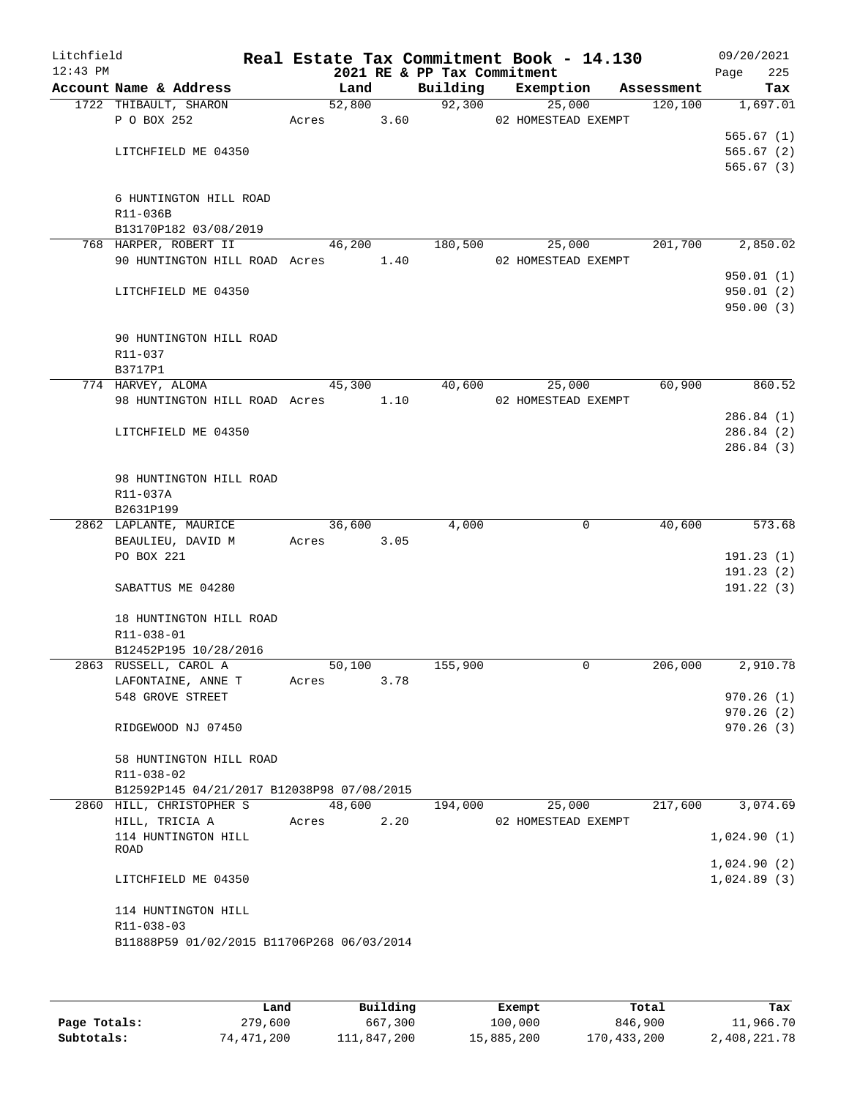| Litchfield<br>$12:43$ PM |                                                                        |            |      | 2021 RE & PP Tax Commitment | Real Estate Tax Commitment Book - 14.130 |            | 09/20/2021<br>Page<br>225 |
|--------------------------|------------------------------------------------------------------------|------------|------|-----------------------------|------------------------------------------|------------|---------------------------|
|                          | Account Name & Address                                                 | Land       |      | Building                    | Exemption                                | Assessment | Tax                       |
|                          | 1722 THIBAULT, SHARON                                                  | 52,800     |      |                             | 92,300<br>25,000                         | 120,100    | 1,697.01                  |
|                          | P O BOX 252                                                            | Acres      | 3.60 |                             | 02 HOMESTEAD EXEMPT                      |            |                           |
|                          |                                                                        |            |      |                             |                                          |            | 565.67(1)                 |
|                          | LITCHFIELD ME 04350                                                    |            |      |                             |                                          |            | 565.67(2)                 |
|                          |                                                                        |            |      |                             |                                          |            | 565.67(3)                 |
|                          | 6 HUNTINGTON HILL ROAD                                                 |            |      |                             |                                          |            |                           |
|                          | R11-036B                                                               |            |      |                             |                                          |            |                           |
|                          | B13170P182 03/08/2019                                                  |            |      |                             |                                          |            |                           |
|                          | 768 HARPER, ROBERT II                                                  | 46,200     |      | 180,500                     | 25,000                                   | 201,700    | 2,850.02                  |
|                          | 90 HUNTINGTON HILL ROAD Acres 1.40                                     |            |      |                             | 02 HOMESTEAD EXEMPT                      |            |                           |
|                          |                                                                        |            |      |                             |                                          |            | 950.01(1)                 |
|                          | LITCHFIELD ME 04350                                                    |            |      |                             |                                          |            | 950.01(2)                 |
|                          |                                                                        |            |      |                             |                                          |            | 950.00(3)                 |
|                          |                                                                        |            |      |                             |                                          |            |                           |
|                          | 90 HUNTINGTON HILL ROAD                                                |            |      |                             |                                          |            |                           |
|                          | R11-037                                                                |            |      |                             |                                          |            |                           |
|                          | B3717P1                                                                |            |      |                             |                                          |            |                           |
|                          | 774 HARVEY, ALOMA                                                      | 45,300     |      | 40,600                      | 25,000                                   | 60,900     | 860.52                    |
|                          | 98 HUNTINGTON HILL ROAD Acres 1.10                                     |            |      |                             | 02 HOMESTEAD EXEMPT                      |            | 286.84(1)                 |
|                          | LITCHFIELD ME 04350                                                    |            |      |                             |                                          |            | 286.84(2)                 |
|                          |                                                                        |            |      |                             |                                          |            | 286.84(3)                 |
|                          |                                                                        |            |      |                             |                                          |            |                           |
|                          | 98 HUNTINGTON HILL ROAD                                                |            |      |                             |                                          |            |                           |
|                          | R11-037A                                                               |            |      |                             |                                          |            |                           |
|                          | B2631P199                                                              |            |      |                             |                                          |            |                           |
|                          | 2862 LAPLANTE, MAURICE                                                 | 36,600     |      | 4,000                       | $\mathbf 0$                              | 40,600     | 573.68                    |
|                          | BEAULIEU, DAVID M                                                      | Acres 3.05 |      |                             |                                          |            |                           |
|                          | PO BOX 221                                                             |            |      |                             |                                          |            | 191.23(1)                 |
|                          |                                                                        |            |      |                             |                                          |            | 191.23(2)                 |
|                          | SABATTUS ME 04280                                                      |            |      |                             |                                          |            | 191.22(3)                 |
|                          | 18 HUNTINGTON HILL ROAD                                                |            |      |                             |                                          |            |                           |
|                          | R11-038-01                                                             |            |      |                             |                                          |            |                           |
|                          | B12452P195 10/28/2016                                                  |            |      |                             |                                          |            |                           |
|                          | 2863 RUSSELL, CAROL A                                                  | 50,100     |      | 155,900                     | 0                                        | 206,000    | 2,910.78                  |
|                          | LAFONTAINE, ANNE T                                                     | Acres      | 3.78 |                             |                                          |            |                           |
|                          | 548 GROVE STREET                                                       |            |      |                             |                                          |            | 970.26(1)                 |
|                          |                                                                        |            |      |                             |                                          |            | 970.26(2)                 |
|                          | RIDGEWOOD NJ 07450                                                     |            |      |                             |                                          |            | 970.26(3)                 |
|                          |                                                                        |            |      |                             |                                          |            |                           |
|                          | 58 HUNTINGTON HILL ROAD                                                |            |      |                             |                                          |            |                           |
|                          | R11-038-02                                                             |            |      |                             |                                          |            |                           |
|                          | B12592P145 04/21/2017 B12038P98 07/08/2015<br>2860 HILL, CHRISTOPHER S | 48,600     |      | 194,000                     | 25,000                                   | 217,600    | 3,074.69                  |
|                          | HILL, TRICIA A                                                         | Acres      | 2.20 |                             | 02 HOMESTEAD EXEMPT                      |            |                           |
|                          | 114 HUNTINGTON HILL                                                    |            |      |                             |                                          |            | 1,024.90(1)               |
|                          | ROAD                                                                   |            |      |                             |                                          |            |                           |
|                          |                                                                        |            |      |                             |                                          |            | 1,024.90(2)               |
|                          | LITCHFIELD ME 04350                                                    |            |      |                             |                                          |            | 1,024.89(3)               |
|                          |                                                                        |            |      |                             |                                          |            |                           |
|                          | 114 HUNTINGTON HILL                                                    |            |      |                             |                                          |            |                           |
|                          | R11-038-03                                                             |            |      |                             |                                          |            |                           |
|                          | B11888P59 01/02/2015 B11706P268 06/03/2014                             |            |      |                             |                                          |            |                           |
|                          |                                                                        |            |      |                             |                                          |            |                           |

|              | Land       | Building    | Exempt     | Total       | Tax          |
|--------------|------------|-------------|------------|-------------|--------------|
| Page Totals: | 279,600    | 667,300     | 100,000    | 846,900     | 11,966.70    |
| Subtotals:   | 74,471,200 | 111,847,200 | 15,885,200 | 170,433,200 | 2,408,221.78 |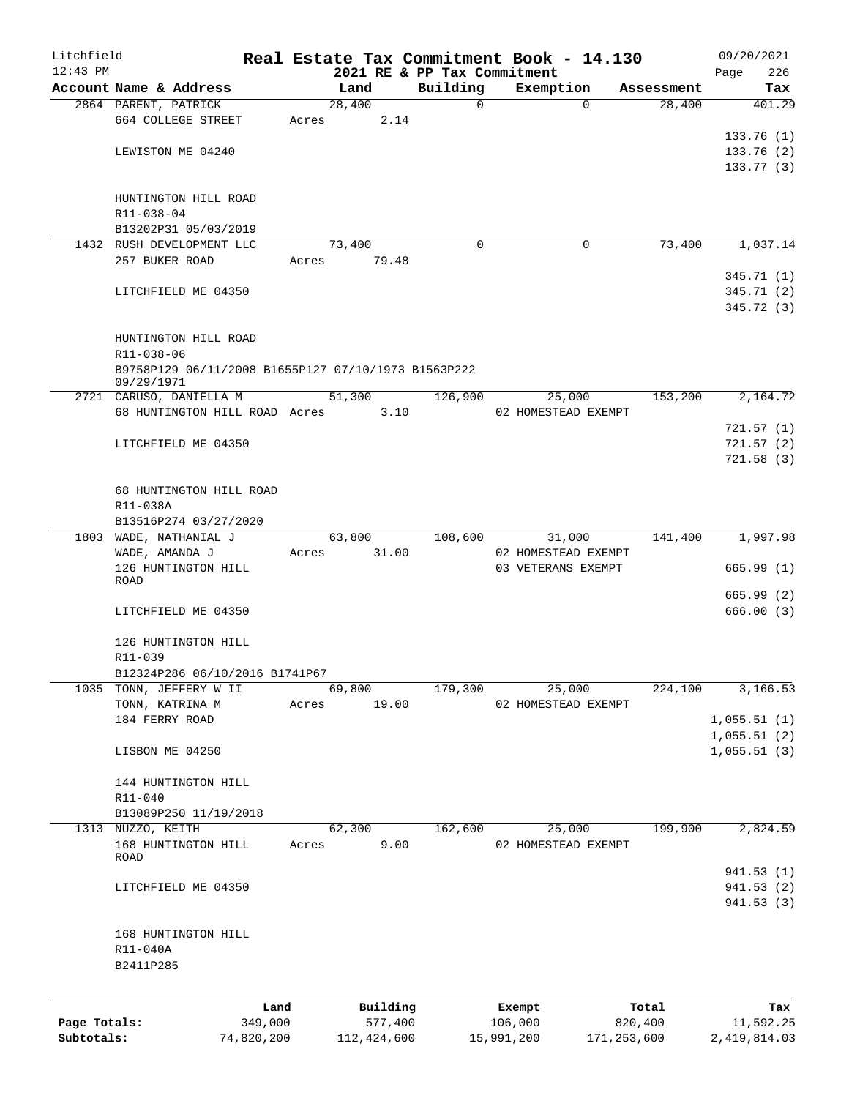| Litchfield   |                                                     |       |                 |                             | Real Estate Tax Commitment Book - 14.130  |                      | 09/20/2021    |
|--------------|-----------------------------------------------------|-------|-----------------|-----------------------------|-------------------------------------------|----------------------|---------------|
| $12:43$ PM   |                                                     |       |                 | 2021 RE & PP Tax Commitment |                                           |                      | 226<br>Page   |
|              | Account Name & Address<br>2864 PARENT, PATRICK      |       | Land<br>28,400  | Building<br>$\Omega$        | Exemption<br>$\Omega$                     | Assessment<br>28,400 | Tax<br>401.29 |
|              | 664 COLLEGE STREET                                  | Acres | 2.14            |                             |                                           |                      |               |
|              |                                                     |       |                 |                             |                                           |                      | 133.76(1)     |
|              | LEWISTON ME 04240                                   |       |                 |                             |                                           |                      | 133.76(2)     |
|              |                                                     |       |                 |                             |                                           |                      | 133.77(3)     |
|              |                                                     |       |                 |                             |                                           |                      |               |
|              | HUNTINGTON HILL ROAD<br>R11-038-04                  |       |                 |                             |                                           |                      |               |
|              | B13202P31 05/03/2019                                |       |                 |                             |                                           |                      |               |
|              | 1432 RUSH DEVELOPMENT LLC                           |       | 73,400          | $\Omega$                    | 0                                         | 73,400               | 1,037.14      |
|              | 257 BUKER ROAD                                      | Acres | 79.48           |                             |                                           |                      |               |
|              |                                                     |       |                 |                             |                                           |                      | 345.71(1)     |
|              | LITCHFIELD ME 04350                                 |       |                 |                             |                                           |                      | 345.71 (2)    |
|              |                                                     |       |                 |                             |                                           |                      | 345.72(3)     |
|              | HUNTINGTON HILL ROAD                                |       |                 |                             |                                           |                      |               |
|              | R11-038-06                                          |       |                 |                             |                                           |                      |               |
|              | B9758P129 06/11/2008 B1655P127 07/10/1973 B1563P222 |       |                 |                             |                                           |                      |               |
|              | 09/29/1971                                          |       |                 |                             |                                           |                      |               |
|              | 2721 CARUSO, DANIELLA M                             |       | 51,300 126,900  |                             | 25,000                                    | 153,200              | 2,164.72      |
|              | 68 HUNTINGTON HILL ROAD Acres 3.10                  |       |                 |                             | 02 HOMESTEAD EXEMPT                       |                      | 721.57(1)     |
|              | LITCHFIELD ME 04350                                 |       |                 |                             |                                           |                      | 721.57(2)     |
|              |                                                     |       |                 |                             |                                           |                      | 721.58(3)     |
|              |                                                     |       |                 |                             |                                           |                      |               |
|              | 68 HUNTINGTON HILL ROAD                             |       |                 |                             |                                           |                      |               |
|              | R11-038A                                            |       |                 |                             |                                           |                      |               |
|              | B13516P274 03/27/2020                               |       |                 |                             |                                           |                      |               |
|              | 1803 WADE, NATHANIAL J                              |       | 63,800<br>31.00 | 108,600                     | 31,000                                    | 141,400              | 1,997.98      |
|              | WADE, AMANDA J<br>126 HUNTINGTON HILL               | Acres |                 |                             | 02 HOMESTEAD EXEMPT<br>03 VETERANS EXEMPT |                      | 665.99(1)     |
|              | ROAD                                                |       |                 |                             |                                           |                      |               |
|              |                                                     |       |                 |                             |                                           |                      | 665.99(2)     |
|              | LITCHFIELD ME 04350                                 |       |                 |                             |                                           |                      | 666.00(3)     |
|              | 126 HUNTINGTON HILL                                 |       |                 |                             |                                           |                      |               |
|              | R11-039                                             |       |                 |                             |                                           |                      |               |
|              | B12324P286 06/10/2016 B1741P67                      |       |                 |                             |                                           |                      |               |
|              | 1035 TONN, JEFFERY W II                             |       | 69,800          | 179,300                     | 25,000                                    | 224,100              | 3,166.53      |
|              | TONN, KATRINA M                                     | Acres | 19.00           |                             | 02 HOMESTEAD EXEMPT                       |                      |               |
|              | 184 FERRY ROAD                                      |       |                 |                             |                                           |                      | 1,055.51(1)   |
|              | LISBON ME 04250                                     |       |                 |                             |                                           |                      | 1,055.51(2)   |
|              |                                                     |       |                 |                             |                                           |                      | 1,055.51(3)   |
|              | 144 HUNTINGTON HILL                                 |       |                 |                             |                                           |                      |               |
|              | R11-040                                             |       |                 |                             |                                           |                      |               |
|              | B13089P250 11/19/2018                               |       |                 |                             |                                           |                      |               |
|              | 1313 NUZZO, KEITH                                   |       | 62,300          | 162,600                     | 25,000                                    | 199,900              | 2,824.59      |
|              | 168 HUNTINGTON HILL<br>ROAD                         | Acres | 9.00            |                             | 02 HOMESTEAD EXEMPT                       |                      |               |
|              |                                                     |       |                 |                             |                                           |                      | 941.53(1)     |
|              | LITCHFIELD ME 04350                                 |       |                 |                             |                                           |                      | 941.53 (2)    |
|              |                                                     |       |                 |                             |                                           |                      | 941.53(3)     |
|              |                                                     |       |                 |                             |                                           |                      |               |
|              | 168 HUNTINGTON HILL                                 |       |                 |                             |                                           |                      |               |
|              | R11-040A<br>B2411P285                               |       |                 |                             |                                           |                      |               |
|              |                                                     |       |                 |                             |                                           |                      |               |
|              |                                                     |       |                 |                             |                                           |                      |               |
|              | Land                                                |       | Building        |                             | Exempt                                    | Total                | Tax           |
| Page Totals: | 349,000                                             |       | 577,400         |                             | 106,000                                   | 820,400              | 11,592.25     |

**Subtotals:** 74,820,200 112,424,600 15,991,200 171,253,600 2,419,814.03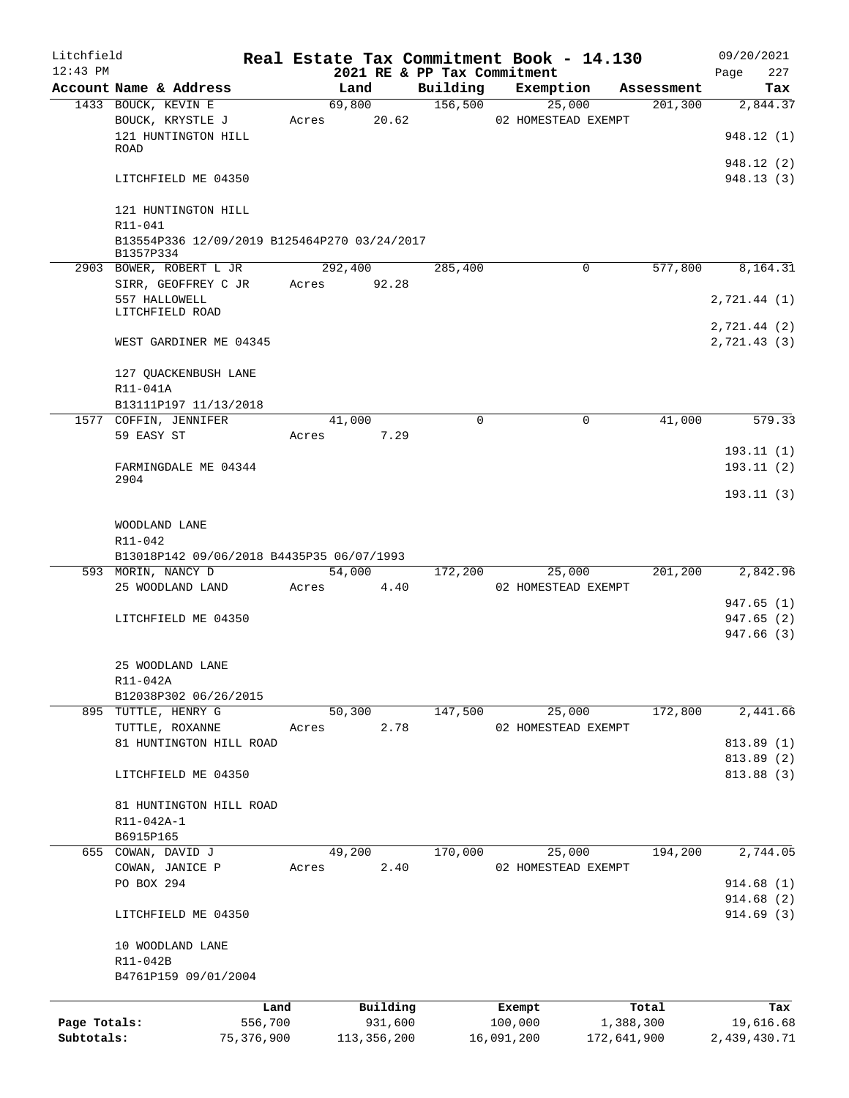| Litchfield   |                                                           |              |       |         |               |             | Real Estate Tax Commitment Book - 14.130 |             |            | 09/20/2021               |          |
|--------------|-----------------------------------------------------------|--------------|-------|---------|---------------|-------------|------------------------------------------|-------------|------------|--------------------------|----------|
| $12:43$ PM   |                                                           |              |       |         |               |             | 2021 RE & PP Tax Commitment              |             |            | Page                     | 227      |
|              | Account Name & Address                                    |              |       | Land    |               | Building    | Exemption                                |             | Assessment |                          | Tax      |
|              | 1433 BOUCK, KEVIN E                                       |              |       | 69,800  |               | 156,500     | 25,000                                   |             | 201,300    |                          | 2,844.37 |
|              | BOUCK, KRYSTLE J<br>121 HUNTINGTON HILL<br>ROAD           |              | Acres |         | 20.62         |             | 02 HOMESTEAD EXEMPT                      |             |            | 948.12 (1)               |          |
|              |                                                           |              |       |         |               |             |                                          |             |            | 948.12 (2)               |          |
|              | LITCHFIELD ME 04350                                       |              |       |         |               |             |                                          |             |            | 948.13 (3)               |          |
|              | 121 HUNTINGTON HILL<br>R11-041                            |              |       |         |               |             |                                          |             |            |                          |          |
|              | B13554P336 12/09/2019 B125464P270 03/24/2017<br>B1357P334 |              |       |         |               |             |                                          |             |            |                          |          |
|              | 2903 BOWER, ROBERT L JR                                   |              |       | 292,400 |               | 285,400     |                                          | 0           | 577,800    |                          | 8,164.31 |
|              | SIRR, GEOFFREY C JR<br>557 HALLOWELL<br>LITCHFIELD ROAD   |              | Acres |         | 92.28         |             |                                          |             |            | 2,721.44 (1)             |          |
|              |                                                           |              |       |         |               |             |                                          |             |            | 2,721.44 (2)             |          |
|              | WEST GARDINER ME 04345                                    |              |       |         |               |             |                                          |             |            | 2,721.43 (3)             |          |
|              | 127 QUACKENBUSH LANE<br>R11-041A                          |              |       |         |               |             |                                          |             |            |                          |          |
|              | B13111P197 11/13/2018                                     |              |       |         |               |             |                                          |             |            |                          |          |
|              | 1577 COFFIN, JENNIFER                                     |              |       | 41,000  |               | $\mathbf 0$ |                                          | 0           | 41,000     |                          | 579.33   |
|              | 59 EASY ST                                                |              | Acres |         | 7.29          |             |                                          |             |            |                          |          |
|              |                                                           |              |       |         |               |             |                                          |             |            | 193.11(1)                |          |
|              | FARMINGDALE ME 04344                                      |              |       |         |               |             |                                          |             |            | 193.11(2)                |          |
|              | 2904                                                      |              |       |         |               |             |                                          |             |            | 193.11(3)                |          |
|              | WOODLAND LANE                                             |              |       |         |               |             |                                          |             |            |                          |          |
|              | R11-042                                                   |              |       |         |               |             |                                          |             |            |                          |          |
|              | B13018P142 09/06/2018 B4435P35 06/07/1993                 |              |       |         |               |             |                                          |             |            |                          |          |
|              | 593 MORIN, NANCY D                                        |              |       | 54,000  |               | 172,200     | 25,000                                   |             | 201,200    |                          | 2,842.96 |
|              | 25 WOODLAND LAND                                          |              | Acres |         | 4.40          |             | 02 HOMESTEAD EXEMPT                      |             |            |                          |          |
|              |                                                           |              |       |         |               |             |                                          |             |            | 947.65 (1)               |          |
|              | LITCHFIELD ME 04350                                       |              |       |         |               |             |                                          |             |            | 947.65(2)<br>947.66 (3)  |          |
|              | 25 WOODLAND LANE                                          |              |       |         |               |             |                                          |             |            |                          |          |
|              | R11-042A                                                  |              |       |         |               |             |                                          |             |            |                          |          |
|              | B12038P302 06/26/2015                                     |              |       |         |               |             |                                          |             |            |                          |          |
|              | 895 TUTTLE, HENRY G                                       |              |       | 50,300  |               | 147,500     | 25,000                                   |             | 172,800    |                          | 2,441.66 |
|              | TUTTLE, ROXANNE<br>81 HUNTINGTON HILL ROAD                |              | Acres |         | 2.78          |             | 02 HOMESTEAD EXEMPT                      |             |            |                          |          |
|              |                                                           |              |       |         |               |             |                                          |             |            | 813.89 (1)<br>813.89 (2) |          |
|              | LITCHFIELD ME 04350                                       |              |       |         |               |             |                                          |             |            | 813.88 (3)               |          |
|              | 81 HUNTINGTON HILL ROAD                                   |              |       |         |               |             |                                          |             |            |                          |          |
|              | R11-042A-1                                                |              |       |         |               |             |                                          |             |            |                          |          |
|              | B6915P165                                                 |              |       |         |               |             |                                          |             |            |                          |          |
|              | 655 COWAN, DAVID J                                        |              |       | 49,200  |               | 170,000     | 25,000                                   |             | 194,200    |                          | 2,744.05 |
|              | COWAN, JANICE P                                           |              | Acres |         | 2.40          |             | 02 HOMESTEAD EXEMPT                      |             |            |                          |          |
|              | PO BOX 294                                                |              |       |         |               |             |                                          |             |            | 914.68(1)                |          |
|              |                                                           |              |       |         |               |             |                                          |             |            | 914.68 (2)               |          |
|              | LITCHFIELD ME 04350                                       |              |       |         |               |             |                                          |             |            | 914.69(3)                |          |
|              | 10 WOODLAND LANE<br>R11-042B                              |              |       |         |               |             |                                          |             |            |                          |          |
|              | B4761P159 09/01/2004                                      |              |       |         |               |             |                                          |             |            |                          |          |
|              |                                                           | Land         |       |         | Building      |             | Exempt                                   |             | Total      |                          | Tax      |
| Page Totals: |                                                           | 556,700      |       |         | 931,600       |             | 100,000                                  |             | 1,388,300  | 19,616.68                |          |
| Subtotals:   |                                                           | 75, 376, 900 |       |         | 113, 356, 200 |             | 16,091,200                               | 172,641,900 |            | 2,439,430.71             |          |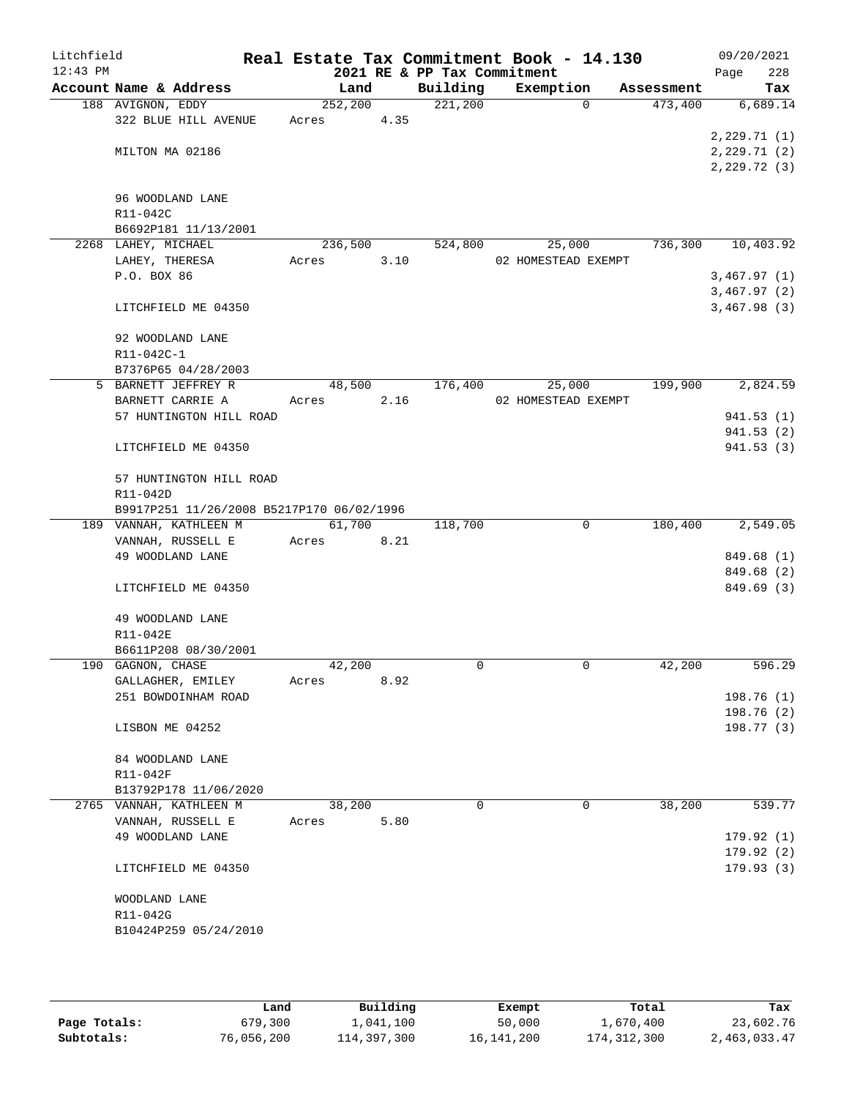| Litchfield |                                           |          |      |                             | Real Estate Tax Commitment Book - 14.130 |            | 09/20/2021                 |
|------------|-------------------------------------------|----------|------|-----------------------------|------------------------------------------|------------|----------------------------|
| $12:43$ PM |                                           |          |      | 2021 RE & PP Tax Commitment |                                          |            | 228<br>Page                |
|            | Account Name & Address                    | Land     |      | Building                    | Exemption                                | Assessment | Tax                        |
|            | 188 AVIGNON, EDDY                         | 252, 200 |      | 221,200                     | $\Omega$                                 | 473,400    | 6,689.14                   |
|            | 322 BLUE HILL AVENUE                      | Acres    | 4.35 |                             |                                          |            |                            |
|            | MILTON MA 02186                           |          |      |                             |                                          |            | 2,229.71(1)<br>2,229.71(2) |
|            |                                           |          |      |                             |                                          |            | 2, 229.72(3)               |
|            |                                           |          |      |                             |                                          |            |                            |
|            | 96 WOODLAND LANE                          |          |      |                             |                                          |            |                            |
|            | R11-042C                                  |          |      |                             |                                          |            |                            |
|            | B6692P181 11/13/2001                      |          |      |                             |                                          |            |                            |
|            | 2268 LAHEY, MICHAEL                       | 236,500  |      | 524,800                     | 25,000                                   | 736,300    | 10,403.92                  |
|            | LAHEY, THERESA                            | Acres    | 3.10 |                             | 02 HOMESTEAD EXEMPT                      |            |                            |
|            | P.O. BOX 86                               |          |      |                             |                                          |            | 3,467.97(1)                |
|            |                                           |          |      |                             |                                          |            | 3,467.97(2)                |
|            | LITCHFIELD ME 04350                       |          |      |                             |                                          |            | 3,467.98(3)                |
|            | 92 WOODLAND LANE                          |          |      |                             |                                          |            |                            |
|            | R11-042C-1                                |          |      |                             |                                          |            |                            |
|            | B7376P65 04/28/2003                       |          |      |                             |                                          |            |                            |
|            | 5 BARNETT JEFFREY R                       | 48,500   |      | 176,400                     | 25,000                                   | 199,900    | 2,824.59                   |
|            | BARNETT CARRIE A                          | Acres    | 2.16 |                             | 02 HOMESTEAD EXEMPT                      |            |                            |
|            | 57 HUNTINGTON HILL ROAD                   |          |      |                             |                                          |            | 941.53(1)                  |
|            |                                           |          |      |                             |                                          |            | 941.53(2)                  |
|            | LITCHFIELD ME 04350                       |          |      |                             |                                          |            | 941.53(3)                  |
|            | 57 HUNTINGTON HILL ROAD                   |          |      |                             |                                          |            |                            |
|            | R11-042D                                  |          |      |                             |                                          |            |                            |
|            | B9917P251 11/26/2008 B5217P170 06/02/1996 |          |      |                             |                                          |            |                            |
|            | 189 VANNAH, KATHLEEN M                    | 61,700   |      | 118,700                     | $\mathbf 0$                              | 180,400    | 2,549.05                   |
|            | VANNAH, RUSSELL E                         | Acres    | 8.21 |                             |                                          |            |                            |
|            | 49 WOODLAND LANE                          |          |      |                             |                                          |            | 849.68 (1)                 |
|            | LITCHFIELD ME 04350                       |          |      |                             |                                          |            | 849.68 (2)<br>849.69 (3)   |
|            |                                           |          |      |                             |                                          |            |                            |
|            | 49 WOODLAND LANE                          |          |      |                             |                                          |            |                            |
|            | R11-042E                                  |          |      |                             |                                          |            |                            |
|            | B6611P208 08/30/2001                      |          |      |                             |                                          |            |                            |
|            | 190 GAGNON, CHASE                         | 42,200   |      | $\Omega$                    | $\mathbf 0$                              | 42,200     | 596.29                     |
|            | GALLAGHER, EMILEY                         | Acres    | 8.92 |                             |                                          |            |                            |
|            | 251 BOWDOINHAM ROAD                       |          |      |                             |                                          |            | 198.76(1)                  |
|            |                                           |          |      |                             |                                          |            | 198.76 (2)                 |
|            | LISBON ME 04252                           |          |      |                             |                                          |            | 198.77 (3)                 |
|            | 84 WOODLAND LANE                          |          |      |                             |                                          |            |                            |
|            | R11-042F                                  |          |      |                             |                                          |            |                            |
|            | B13792P178 11/06/2020                     |          |      |                             |                                          |            |                            |
|            | 2765 VANNAH, KATHLEEN M                   | 38,200   |      | $\Omega$                    | 0                                        | 38,200     | 539.77                     |
|            | VANNAH, RUSSELL E                         | Acres    | 5.80 |                             |                                          |            |                            |
|            | 49 WOODLAND LANE                          |          |      |                             |                                          |            | 179.92(1)                  |
|            |                                           |          |      |                             |                                          |            | 179.92(2)                  |
|            | LITCHFIELD ME 04350                       |          |      |                             |                                          |            | 179.93(3)                  |
|            | WOODLAND LANE                             |          |      |                             |                                          |            |                            |
|            | R11-042G                                  |          |      |                             |                                          |            |                            |
|            | B10424P259 05/24/2010                     |          |      |                             |                                          |            |                            |
|            |                                           |          |      |                             |                                          |            |                            |
|            |                                           |          |      |                             |                                          |            |                            |

|              | Land       | Building    | Exempt     | Total         | Tax          |
|--------------|------------|-------------|------------|---------------|--------------|
| Page Totals: | 679,300    | 1,041,100   | 50,000     | 1,670,400     | 23,602.76    |
| Subtotals:   | 76,056,200 | 114,397,300 | 16,141,200 | 174, 312, 300 | 2,463,033.47 |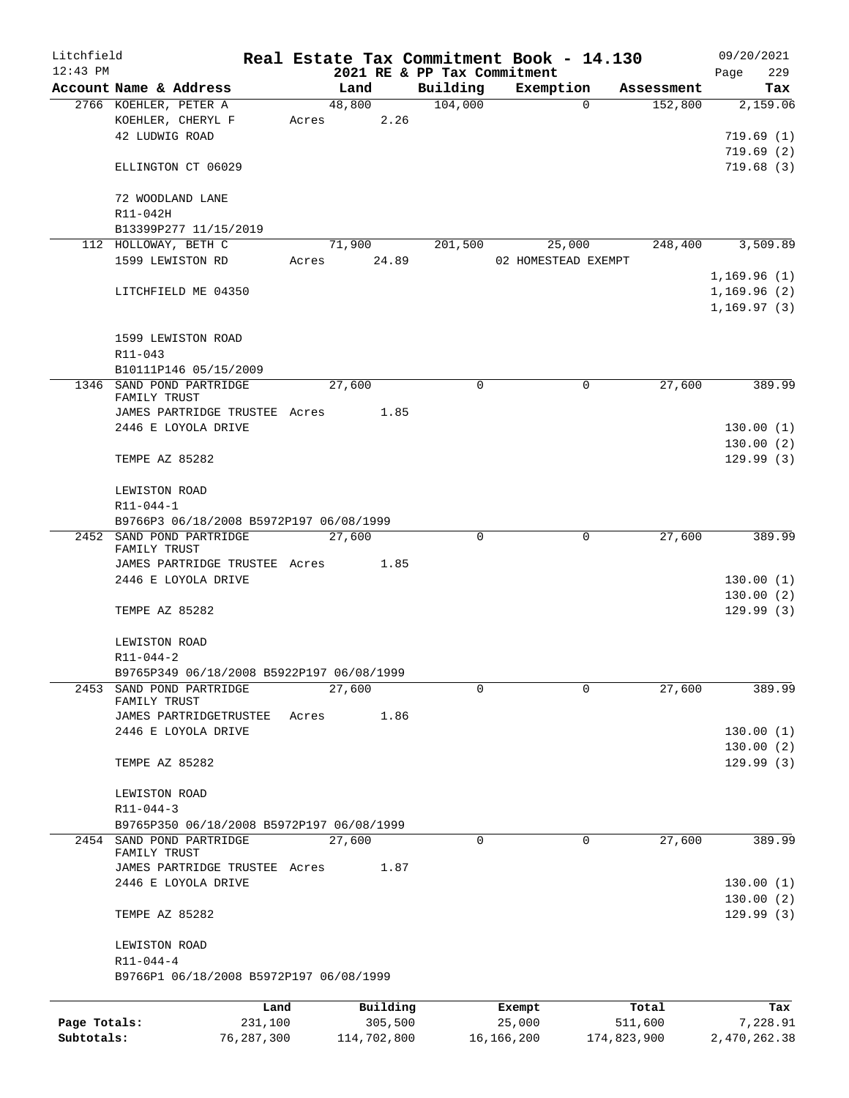| Litchfield<br>$12:43$ PM |                                           |       |             | 2021 RE & PP Tax Commitment | Real Estate Tax Commitment Book - 14.130 |                       | 09/20/2021<br>229<br>Page |
|--------------------------|-------------------------------------------|-------|-------------|-----------------------------|------------------------------------------|-----------------------|---------------------------|
|                          | Account Name & Address                    |       | Land        | Building                    | Exemption                                | Assessment            | Tax                       |
|                          | 2766 KOEHLER, PETER A                     |       | 48,800      | 104,000                     |                                          | $\Omega$<br>152,800   | 2,159.06                  |
|                          | KOEHLER, CHERYL F                         |       | Acres 2.26  |                             |                                          |                       |                           |
|                          | 42 LUDWIG ROAD                            |       |             |                             |                                          |                       | 719.69(1)                 |
|                          |                                           |       |             |                             |                                          |                       | 719.69(2)                 |
|                          | ELLINGTON CT 06029                        |       |             |                             |                                          |                       | 719.68(3)                 |
|                          |                                           |       |             |                             |                                          |                       |                           |
|                          | 72 WOODLAND LANE                          |       |             |                             |                                          |                       |                           |
|                          | R11-042H                                  |       |             |                             |                                          |                       |                           |
|                          |                                           |       |             |                             |                                          |                       |                           |
|                          | B13399P277 11/15/2019                     |       |             |                             |                                          |                       |                           |
|                          | 112 HOLLOWAY, BETH C                      |       | 71,900      | 201,500                     | 25,000                                   | 248,400               | 3,509.89                  |
|                          | 1599 LEWISTON RD                          | Acres | 24.89       |                             | 02 HOMESTEAD EXEMPT                      |                       |                           |
|                          |                                           |       |             |                             |                                          |                       | 1,169.96(1)               |
|                          | LITCHFIELD ME 04350                       |       |             |                             |                                          |                       | 1,169.96(2)               |
|                          |                                           |       |             |                             |                                          |                       | 1, 169.97(3)              |
|                          |                                           |       |             |                             |                                          |                       |                           |
|                          | 1599 LEWISTON ROAD                        |       |             |                             |                                          |                       |                           |
|                          | R11-043                                   |       |             |                             |                                          |                       |                           |
|                          | B10111P146 05/15/2009                     |       |             |                             |                                          |                       |                           |
|                          | 1346 SAND POND PARTRIDGE                  |       | 27,600      | $\Omega$                    |                                          | 27,600<br>0           | 389.99                    |
|                          | FAMILY TRUST                              |       |             |                             |                                          |                       |                           |
|                          | JAMES PARTRIDGE TRUSTEE Acres 1.85        |       |             |                             |                                          |                       |                           |
|                          | 2446 E LOYOLA DRIVE                       |       |             |                             |                                          |                       | 130.00(1)                 |
|                          |                                           |       |             |                             |                                          |                       | 130.00(2)                 |
|                          | TEMPE AZ 85282                            |       |             |                             |                                          |                       | 129.99(3)                 |
|                          |                                           |       |             |                             |                                          |                       |                           |
|                          | LEWISTON ROAD                             |       |             |                             |                                          |                       |                           |
|                          | R11-044-1                                 |       |             |                             |                                          |                       |                           |
|                          | B9766P3 06/18/2008 B5972P197 06/08/1999   |       |             |                             |                                          |                       |                           |
|                          | 2452 SAND POND PARTRIDGE                  |       | 27,600      | 0                           |                                          | $\mathbf 0$<br>27,600 | 389.99                    |
|                          | FAMILY TRUST                              |       |             |                             |                                          |                       |                           |
|                          | JAMES PARTRIDGE TRUSTEE Acres 1.85        |       |             |                             |                                          |                       |                           |
|                          | 2446 E LOYOLA DRIVE                       |       |             |                             |                                          |                       | 130.00(1)                 |
|                          |                                           |       |             |                             |                                          |                       | 130.00(2)                 |
|                          | TEMPE AZ 85282                            |       |             |                             |                                          |                       | 129.99(3)                 |
|                          |                                           |       |             |                             |                                          |                       |                           |
|                          | LEWISTON ROAD                             |       |             |                             |                                          |                       |                           |
|                          | $R11 - 044 - 2$                           |       |             |                             |                                          |                       |                           |
|                          | B9765P349 06/18/2008 B5922P197 06/08/1999 |       |             |                             |                                          |                       |                           |
|                          | 2453 SAND POND PARTRIDGE                  |       | 27,600      | 0                           |                                          | 27,600<br>$\Omega$    | 389.99                    |
|                          | FAMILY TRUST                              |       |             |                             |                                          |                       |                           |
|                          | JAMES PARTRIDGETRUSTEE                    | Acres | 1.86        |                             |                                          |                       |                           |
|                          | 2446 E LOYOLA DRIVE                       |       |             |                             |                                          |                       | 130.00(1)                 |
|                          |                                           |       |             |                             |                                          |                       | 130.00(2)                 |
|                          | TEMPE AZ 85282                            |       |             |                             |                                          |                       | 129.99(3)                 |
|                          |                                           |       |             |                             |                                          |                       |                           |
|                          | LEWISTON ROAD                             |       |             |                             |                                          |                       |                           |
|                          | $R11 - 044 - 3$                           |       |             |                             |                                          |                       |                           |
|                          | B9765P350 06/18/2008 B5972P197 06/08/1999 |       |             |                             |                                          |                       |                           |
|                          | 2454 SAND POND PARTRIDGE                  |       | 27,600      | 0                           |                                          | 27,600<br>0           | 389.99                    |
|                          | FAMILY TRUST                              |       |             |                             |                                          |                       |                           |
|                          | JAMES PARTRIDGE TRUSTEE Acres             |       | 1.87        |                             |                                          |                       |                           |
|                          | 2446 E LOYOLA DRIVE                       |       |             |                             |                                          |                       | 130.00(1)                 |
|                          |                                           |       |             |                             |                                          |                       | 130.00(2)                 |
|                          | TEMPE AZ 85282                            |       |             |                             |                                          |                       | 129.99(3)                 |
|                          |                                           |       |             |                             |                                          |                       |                           |
|                          | LEWISTON ROAD                             |       |             |                             |                                          |                       |                           |
|                          | $R11 - 044 - 4$                           |       |             |                             |                                          |                       |                           |
|                          |                                           |       |             |                             |                                          |                       |                           |
|                          | B9766P1 06/18/2008 B5972P197 06/08/1999   |       |             |                             |                                          |                       |                           |
|                          |                                           |       |             |                             |                                          |                       |                           |
|                          | Land                                      |       | Building    |                             | Exempt                                   | Total                 | Tax                       |
| Page Totals:             | 231,100                                   |       | 305,500     |                             | 25,000                                   | 511,600               | 7,228.91                  |
| Subtotals:               | 76,287,300                                |       | 114,702,800 |                             | 16, 166, 200                             | 174,823,900           | 2,470,262.38              |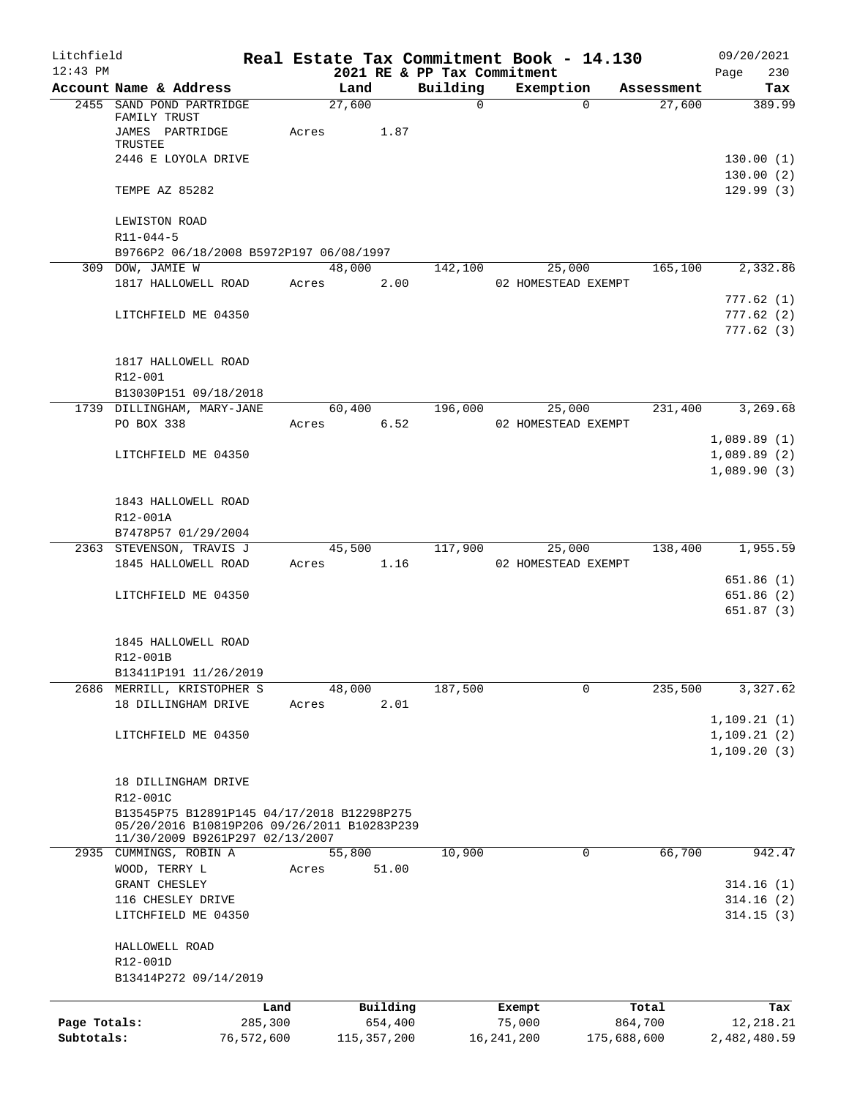| Litchfield   |                                                                                |            |            |                |               |                             |              | Real Estate Tax Commitment Book - 14.130 |                                                  | 09/20/2021             |
|--------------|--------------------------------------------------------------------------------|------------|------------|----------------|---------------|-----------------------------|--------------|------------------------------------------|--------------------------------------------------|------------------------|
| $12:43$ PM   |                                                                                |            |            |                |               | 2021 RE & PP Tax Commitment |              |                                          |                                                  | Page<br>230            |
|              | Account Name & Address<br>2455 SAND POND PARTRIDGE                             |            |            | Land<br>27,600 |               | Building<br>$\Omega$        |              | Exemption<br>$\Omega$                    | Assessment<br>27,600                             | Tax<br>389.99          |
|              | FAMILY TRUST<br>JAMES PARTRIDGE                                                |            | Acres      |                | 1.87          |                             |              |                                          |                                                  |                        |
|              | TRUSTEE<br>2446 E LOYOLA DRIVE                                                 |            |            |                |               |                             |              |                                          |                                                  | 130.00(1)              |
|              | TEMPE AZ 85282                                                                 |            |            |                |               |                             |              |                                          |                                                  | 130.00(2)<br>129.99(3) |
|              | LEWISTON ROAD                                                                  |            |            |                |               |                             |              |                                          |                                                  |                        |
|              | $R11 - 044 - 5$                                                                |            |            |                |               |                             |              |                                          |                                                  |                        |
|              | B9766P2 06/18/2008 B5972P197 06/08/1997                                        |            |            |                |               |                             |              |                                          |                                                  |                        |
|              | 309 DOW, JAMIE W<br>1817 HALLOWELL ROAD                                        |            | Acres 2.00 |                | 48,000        | 142,100                     |              | 25,000<br>02 HOMESTEAD EXEMPT            | 165,100                                          | 2,332.86               |
|              |                                                                                |            |            |                |               |                             |              |                                          |                                                  | 777.62(1)              |
|              | LITCHFIELD ME 04350                                                            |            |            |                |               |                             |              |                                          |                                                  | 777.62(2)              |
|              |                                                                                |            |            |                |               |                             |              |                                          |                                                  | 777.62(3)              |
|              | 1817 HALLOWELL ROAD                                                            |            |            |                |               |                             |              |                                          |                                                  |                        |
|              | R12-001                                                                        |            |            |                |               |                             |              |                                          |                                                  |                        |
|              | B13030P151 09/18/2018                                                          |            |            |                |               |                             |              |                                          |                                                  |                        |
|              | 1739 DILLINGHAM, MARY-JANE                                                     |            |            |                |               | 60,400 196,000              |              | 25,000                                   |                                                  | 231,400 3,269.68       |
|              | PO BOX 338                                                                     |            | Acres      |                | 6.52          |                             |              | 02 HOMESTEAD EXEMPT                      |                                                  |                        |
|              |                                                                                |            |            |                |               |                             |              |                                          |                                                  | 1,089.89(1)            |
|              | LITCHFIELD ME 04350                                                            |            |            |                |               |                             |              |                                          |                                                  | 1,089.89(2)            |
|              |                                                                                |            |            |                |               |                             |              |                                          |                                                  | 1,089.90(3)            |
|              | 1843 HALLOWELL ROAD                                                            |            |            |                |               |                             |              |                                          |                                                  |                        |
|              | R12-001A                                                                       |            |            |                |               |                             |              |                                          |                                                  |                        |
|              | B7478P57 01/29/2004                                                            |            |            |                |               |                             |              |                                          |                                                  |                        |
|              | 2363 STEVENSON, TRAVIS J                                                       |            |            |                |               |                             |              |                                          | $45,500$ $117,900$ $25,000$ $138,400$ $1,955.59$ |                        |
|              | 1845 HALLOWELL ROAD                                                            |            | Acres 1.16 |                |               |                             |              | 02 HOMESTEAD EXEMPT                      |                                                  |                        |
|              |                                                                                |            |            |                |               |                             |              |                                          |                                                  | 651.86(1)              |
|              | LITCHFIELD ME 04350                                                            |            |            |                |               |                             |              |                                          |                                                  | 651.86(2)              |
|              |                                                                                |            |            |                |               |                             |              |                                          |                                                  | 651.87(3)              |
|              | 1845 HALLOWELL ROAD                                                            |            |            |                |               |                             |              |                                          |                                                  |                        |
|              | R12-001B                                                                       |            |            |                |               |                             |              |                                          |                                                  |                        |
|              | B13411P191 11/26/2019                                                          |            |            |                |               |                             |              |                                          |                                                  |                        |
|              | 2686 MERRILL, KRISTOPHER S                                                     |            |            | 48,000         |               | 187,500                     |              | 0                                        | 235,500                                          | 3,327.62               |
|              | 18 DILLINGHAM DRIVE                                                            |            | Acres      |                | 2.01          |                             |              |                                          |                                                  |                        |
|              |                                                                                |            |            |                |               |                             |              |                                          |                                                  | 1, 109.21(1)           |
|              | LITCHFIELD ME 04350                                                            |            |            |                |               |                             |              |                                          |                                                  | 1, 109.21(2)           |
|              |                                                                                |            |            |                |               |                             |              |                                          |                                                  | 1, 109.20(3)           |
|              | 18 DILLINGHAM DRIVE                                                            |            |            |                |               |                             |              |                                          |                                                  |                        |
|              | R12-001C                                                                       |            |            |                |               |                             |              |                                          |                                                  |                        |
|              | B13545P75 B12891P145 04/17/2018 B12298P275                                     |            |            |                |               |                             |              |                                          |                                                  |                        |
|              | 05/20/2016 B10819P206 09/26/2011 B10283P239<br>11/30/2009 B9261P297 02/13/2007 |            |            |                |               |                             |              |                                          |                                                  |                        |
| 2935         | CUMMINGS, ROBIN A                                                              |            |            | 55,800         |               | 10,900                      |              | 0                                        | 66,700                                           | 942.47                 |
|              | WOOD, TERRY L                                                                  |            | Acres      |                | 51.00         |                             |              |                                          |                                                  |                        |
|              | GRANT CHESLEY                                                                  |            |            |                |               |                             |              |                                          |                                                  | 314.16(1)              |
|              | 116 CHESLEY DRIVE                                                              |            |            |                |               |                             |              |                                          |                                                  | 314.16(2)              |
|              | LITCHFIELD ME 04350                                                            |            |            |                |               |                             |              |                                          |                                                  | 314.15(3)              |
|              | HALLOWELL ROAD                                                                 |            |            |                |               |                             |              |                                          |                                                  |                        |
|              | R12-001D                                                                       |            |            |                |               |                             |              |                                          |                                                  |                        |
|              | B13414P272 09/14/2019                                                          |            |            |                |               |                             |              |                                          |                                                  |                        |
|              |                                                                                | Land       |            |                | Building      |                             |              | Exempt                                   | Total                                            | Tax                    |
| Page Totals: |                                                                                | 285,300    |            |                | 654,400       |                             |              | 75,000                                   | 864,700                                          | 12,218.21              |
| Subtotals:   |                                                                                | 76,572,600 |            |                | 115, 357, 200 |                             | 16, 241, 200 |                                          | 175,688,600                                      | 2,482,480.59           |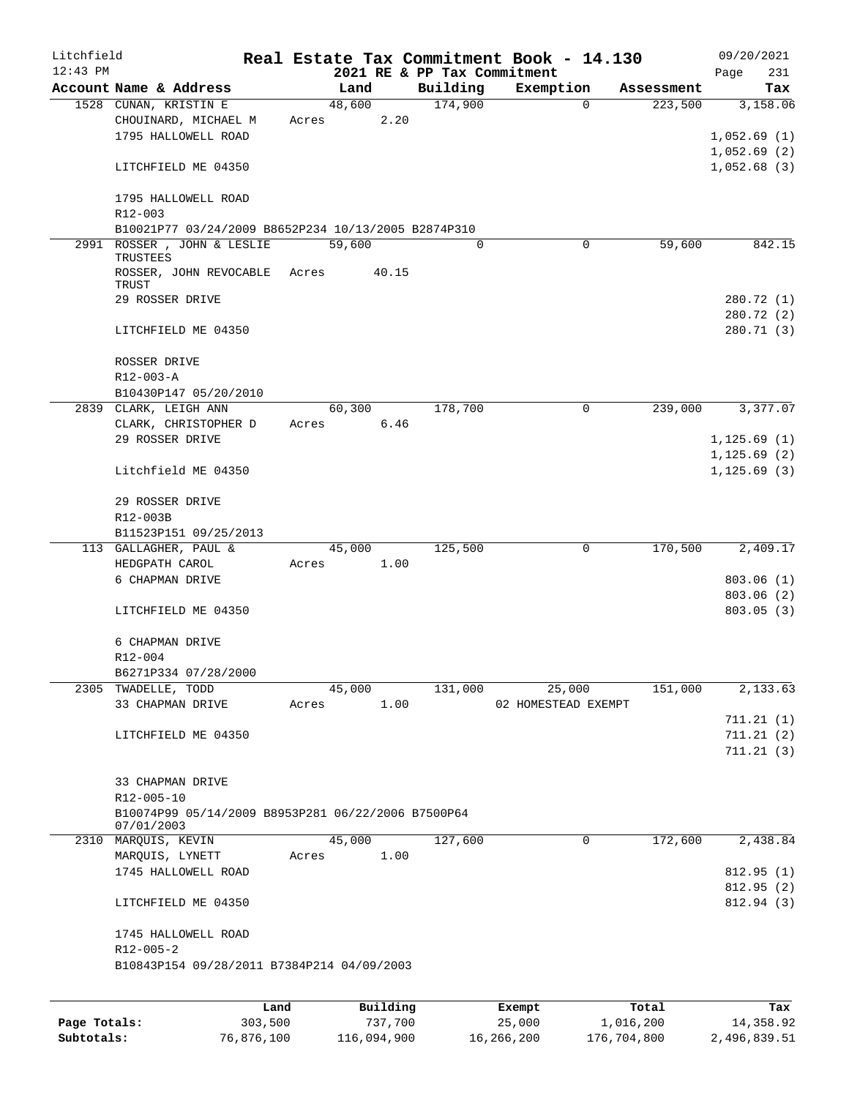| Litchfield   |                                                                      |       |                |                             | Real Estate Tax Commitment Book - 14.130 |            | 09/20/2021                  |
|--------------|----------------------------------------------------------------------|-------|----------------|-----------------------------|------------------------------------------|------------|-----------------------------|
| $12:43$ PM   |                                                                      |       |                | 2021 RE & PP Tax Commitment |                                          |            | Page<br>231                 |
|              | Account Name & Address                                               |       | Land           | Building                    | Exemption                                | Assessment | Tax                         |
|              | 1528 CUNAN, KRISTIN E<br>CHOUINARD, MICHAEL M<br>1795 HALLOWELL ROAD | Acres | 48,600<br>2.20 | 174,900                     | $\Omega$                                 | 223,500    | 3,158.06<br>1,052.69(1)     |
|              | LITCHFIELD ME 04350                                                  |       |                |                             |                                          |            | 1,052.69(2)<br>1,052.68(3)  |
|              | 1795 HALLOWELL ROAD<br>R12-003                                       |       |                |                             |                                          |            |                             |
|              | B10021P77 03/24/2009 B8652P234 10/13/2005 B2874P310                  |       |                |                             |                                          |            |                             |
|              | 2991 ROSSER, JOHN & LESLIE                                           |       | 59,600         | $\Omega$                    | 0                                        | 59,600     | 842.15                      |
|              | TRUSTEES<br>ROSSER, JOHN REVOCABLE Acres<br>TRUST                    |       | 40.15          |                             |                                          |            |                             |
|              | 29 ROSSER DRIVE                                                      |       |                |                             |                                          |            | 280.72 (1)<br>280.72 (2)    |
|              | LITCHFIELD ME 04350                                                  |       |                |                             |                                          |            | 280.71 (3)                  |
|              | ROSSER DRIVE<br>R12-003-A                                            |       |                |                             |                                          |            |                             |
|              | B10430P147 05/20/2010                                                |       |                |                             |                                          |            |                             |
|              | 2839 CLARK, LEIGH ANN                                                |       | 60,300         | 178,700                     | 0                                        | 239,000    | 3,377.07                    |
|              | CLARK, CHRISTOPHER D                                                 | Acres | 6.46           |                             |                                          |            |                             |
|              | 29 ROSSER DRIVE                                                      |       |                |                             |                                          |            | 1,125.69(1)                 |
|              | Litchfield ME 04350                                                  |       |                |                             |                                          |            | 1,125.69(2)<br>1, 125.69(3) |
|              | 29 ROSSER DRIVE<br>R12-003B                                          |       |                |                             |                                          |            |                             |
|              | B11523P151 09/25/2013                                                |       |                |                             |                                          |            |                             |
|              | 113 GALLAGHER, PAUL &                                                |       | 45,000         | 125,500                     | $\mathbf 0$                              | 170,500    | 2,409.17                    |
|              | HEDGPATH CAROL                                                       |       | Acres 1.00     |                             |                                          |            |                             |
|              | 6 CHAPMAN DRIVE                                                      |       |                |                             |                                          |            | 803.06(1)                   |
|              |                                                                      |       |                |                             |                                          |            | 803.06(2)                   |
|              | LITCHFIELD ME 04350                                                  |       |                |                             |                                          |            | 803.05(3)                   |
|              | 6 CHAPMAN DRIVE                                                      |       |                |                             |                                          |            |                             |
|              | R12-004                                                              |       |                |                             |                                          |            |                             |
|              | B6271P334 07/28/2000                                                 |       |                |                             |                                          |            |                             |
|              | 2305 TWADELLE, TODD<br>33 CHAPMAN DRIVE                              | Acres | 45,000<br>1.00 | 131,000                     | 25,000<br>02 HOMESTEAD EXEMPT            | 151,000    | 2,133.63                    |
|              |                                                                      |       |                |                             |                                          |            | 711.21(1)                   |
|              | LITCHFIELD ME 04350                                                  |       |                |                             |                                          |            | 711.21(2)                   |
|              |                                                                      |       |                |                             |                                          |            | 711.21(3)                   |
|              | 33 CHAPMAN DRIVE<br>R12-005-10                                       |       |                |                             |                                          |            |                             |
|              | B10074P99 05/14/2009 B8953P281 06/22/2006 B7500P64<br>07/01/2003     |       |                |                             |                                          |            |                             |
|              | 2310 MARQUIS, KEVIN                                                  |       | 45,000         | 127,600                     | 0                                        | 172,600    | 2,438.84                    |
|              | MARQUIS, LYNETT                                                      | Acres | 1.00           |                             |                                          |            |                             |
|              | 1745 HALLOWELL ROAD                                                  |       |                |                             |                                          |            | 812.95(1)                   |
|              |                                                                      |       |                |                             |                                          |            | 812.95(2)                   |
|              | LITCHFIELD ME 04350                                                  |       |                |                             |                                          |            | 812.94 (3)                  |
|              | 1745 HALLOWELL ROAD<br>$R12 - 005 - 2$                               |       |                |                             |                                          |            |                             |
|              | B10843P154 09/28/2011 B7384P214 04/09/2003                           |       |                |                             |                                          |            |                             |
|              |                                                                      |       |                |                             |                                          |            |                             |
|              | Land                                                                 |       | Building       |                             | Exempt                                   | Total      | Tax                         |
| Page Totals: | 303,500                                                              |       | 737,700        |                             | 25,000                                   | 1,016,200  | 14,358.92                   |

**Subtotals:** 76,876,100 116,094,900 16,266,200 176,704,800 2,496,839.51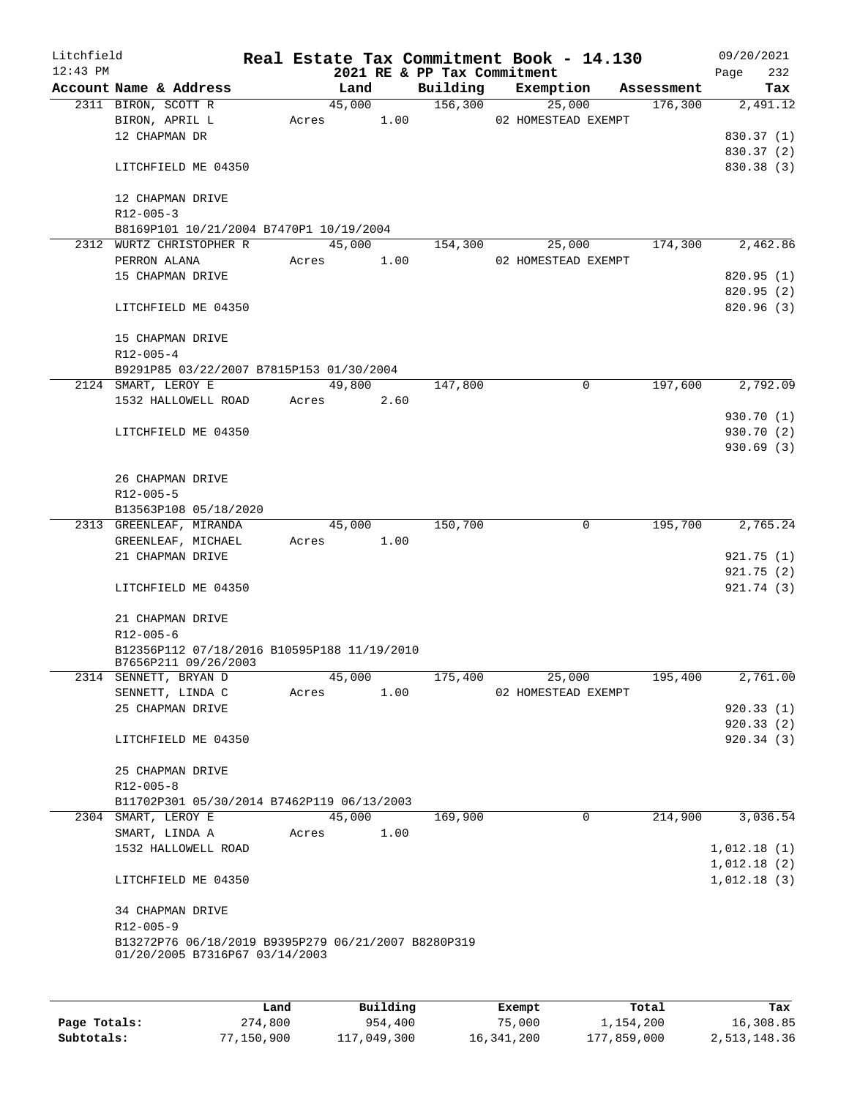| Litchfield<br>$12:43$ PM |                                                     |       |        |      | Real Estate Tax Commitment Book - 14.130<br>2021 RE & PP Tax Commitment |           |                     |            | 09/20/2021<br>232<br>Page |
|--------------------------|-----------------------------------------------------|-------|--------|------|-------------------------------------------------------------------------|-----------|---------------------|------------|---------------------------|
|                          | Account Name & Address                              |       | Land   |      | Building                                                                | Exemption |                     | Assessment | Tax                       |
|                          | 2311 BIRON, SCOTT R                                 |       | 45,000 |      | 156,300                                                                 |           | 25,000              | 176,300    | 2,491.12                  |
|                          | BIRON, APRIL L                                      | Acres |        | 1.00 |                                                                         |           | 02 HOMESTEAD EXEMPT |            |                           |
|                          | 12 CHAPMAN DR                                       |       |        |      |                                                                         |           |                     |            | 830.37 (1)                |
|                          |                                                     |       |        |      |                                                                         |           |                     |            | 830.37 (2)                |
|                          | LITCHFIELD ME 04350                                 |       |        |      |                                                                         |           |                     |            | 830.38 (3)                |
|                          | 12 CHAPMAN DRIVE                                    |       |        |      |                                                                         |           |                     |            |                           |
|                          | $R12 - 005 - 3$                                     |       |        |      |                                                                         |           |                     |            |                           |
|                          | B8169P101 10/21/2004 B7470P1 10/19/2004             |       |        |      |                                                                         |           |                     |            |                           |
|                          | 2312 WURTZ CHRISTOPHER R                            |       | 45,000 |      | 154,300                                                                 |           | 25,000              | 174,300    | 2,462.86                  |
|                          | PERRON ALANA                                        | Acres |        | 1.00 |                                                                         |           | 02 HOMESTEAD EXEMPT |            |                           |
|                          | 15 CHAPMAN DRIVE                                    |       |        |      |                                                                         |           |                     |            | 820.95 (1)                |
|                          |                                                     |       |        |      |                                                                         |           |                     |            | 820.95(2)                 |
|                          | LITCHFIELD ME 04350                                 |       |        |      |                                                                         |           |                     |            | 820.96 (3)                |
|                          | 15 CHAPMAN DRIVE                                    |       |        |      |                                                                         |           |                     |            |                           |
|                          | $R12 - 005 - 4$                                     |       |        |      |                                                                         |           |                     |            |                           |
|                          | B9291P85 03/22/2007 B7815P153 01/30/2004            |       |        |      |                                                                         |           |                     |            |                           |
|                          | 2124 SMART, LEROY E                                 |       | 49,800 |      | 147,800                                                                 |           | 0                   | 197,600    | 2,792.09                  |
|                          | 1532 HALLOWELL ROAD                                 | Acres |        | 2.60 |                                                                         |           |                     |            |                           |
|                          |                                                     |       |        |      |                                                                         |           |                     |            | 930.70 (1)                |
|                          | LITCHFIELD ME 04350                                 |       |        |      |                                                                         |           |                     |            | 930.70 (2)                |
|                          |                                                     |       |        |      |                                                                         |           |                     |            | 930.69(3)                 |
|                          |                                                     |       |        |      |                                                                         |           |                     |            |                           |
|                          | 26 CHAPMAN DRIVE                                    |       |        |      |                                                                         |           |                     |            |                           |
|                          | R12-005-5                                           |       |        |      |                                                                         |           |                     |            |                           |
|                          | B13563P108 05/18/2020                               |       |        |      |                                                                         |           |                     |            |                           |
|                          | 2313 GREENLEAF, MIRANDA                             |       | 45,000 |      | 150,700                                                                 |           | 0                   | 195,700    | 2,765.24                  |
|                          | GREENLEAF, MICHAEL                                  | Acres |        | 1.00 |                                                                         |           |                     |            |                           |
|                          | 21 CHAPMAN DRIVE                                    |       |        |      |                                                                         |           |                     |            | 921.75 (1)                |
|                          |                                                     |       |        |      |                                                                         |           |                     |            | 921.75(2)                 |
|                          | LITCHFIELD ME 04350                                 |       |        |      |                                                                         |           |                     |            | 921.74 (3)                |
|                          |                                                     |       |        |      |                                                                         |           |                     |            |                           |
|                          | 21 CHAPMAN DRIVE                                    |       |        |      |                                                                         |           |                     |            |                           |
|                          | R12-005-6                                           |       |        |      |                                                                         |           |                     |            |                           |
|                          | B12356P112 07/18/2016 B10595P188 11/19/2010         |       |        |      |                                                                         |           |                     |            |                           |
|                          | B7656P211 09/26/2003                                |       |        |      |                                                                         |           |                     |            |                           |
|                          | 2314 SENNETT, BRYAN D                               |       | 45,000 |      | 175,400                                                                 |           | 25,000              | 195,400    | 2,761.00                  |
|                          | SENNETT, LINDA C                                    | Acres |        | 1.00 |                                                                         |           | 02 HOMESTEAD EXEMPT |            |                           |
|                          | 25 CHAPMAN DRIVE                                    |       |        |      |                                                                         |           |                     |            | 920.33(1)                 |
|                          |                                                     |       |        |      |                                                                         |           |                     |            | 920.33(2)                 |
|                          | LITCHFIELD ME 04350                                 |       |        |      |                                                                         |           |                     |            | 920.34(3)                 |
|                          | 25 CHAPMAN DRIVE                                    |       |        |      |                                                                         |           |                     |            |                           |
|                          | $R12 - 005 - 8$                                     |       |        |      |                                                                         |           |                     |            |                           |
|                          | B11702P301 05/30/2014 B7462P119 06/13/2003          |       |        |      |                                                                         |           |                     |            |                           |
|                          | 2304 SMART, LEROY E                                 |       | 45,000 |      | 169,900                                                                 |           | 0                   | 214,900    | 3,036.54                  |
|                          | SMART, LINDA A                                      | Acres |        | 1.00 |                                                                         |           |                     |            |                           |
|                          | 1532 HALLOWELL ROAD                                 |       |        |      |                                                                         |           |                     |            | 1,012.18(1)               |
|                          |                                                     |       |        |      |                                                                         |           |                     |            | 1,012.18(2)               |
|                          | LITCHFIELD ME 04350                                 |       |        |      |                                                                         |           |                     |            | 1,012.18(3)               |
|                          | 34 CHAPMAN DRIVE                                    |       |        |      |                                                                         |           |                     |            |                           |
|                          | R12-005-9                                           |       |        |      |                                                                         |           |                     |            |                           |
|                          | B13272P76 06/18/2019 B9395P279 06/21/2007 B8280P319 |       |        |      |                                                                         |           |                     |            |                           |
|                          | 01/20/2005 B7316P67 03/14/2003                      |       |        |      |                                                                         |           |                     |            |                           |
|                          |                                                     |       |        |      |                                                                         |           |                     |            |                           |
|                          |                                                     |       |        |      |                                                                         |           |                     |            |                           |
|                          |                                                     |       |        |      |                                                                         |           |                     |            |                           |

|              | Land       | Building    | Exempt     | Total       | Tax          |
|--------------|------------|-------------|------------|-------------|--------------|
| Page Totals: | 274,800    | 954,400     | 75,000     | 1,154,200   | 16,308.85    |
| Subtotals:   | 77,150,900 | 117,049,300 | 16,341,200 | 177,859,000 | 2,513,148.36 |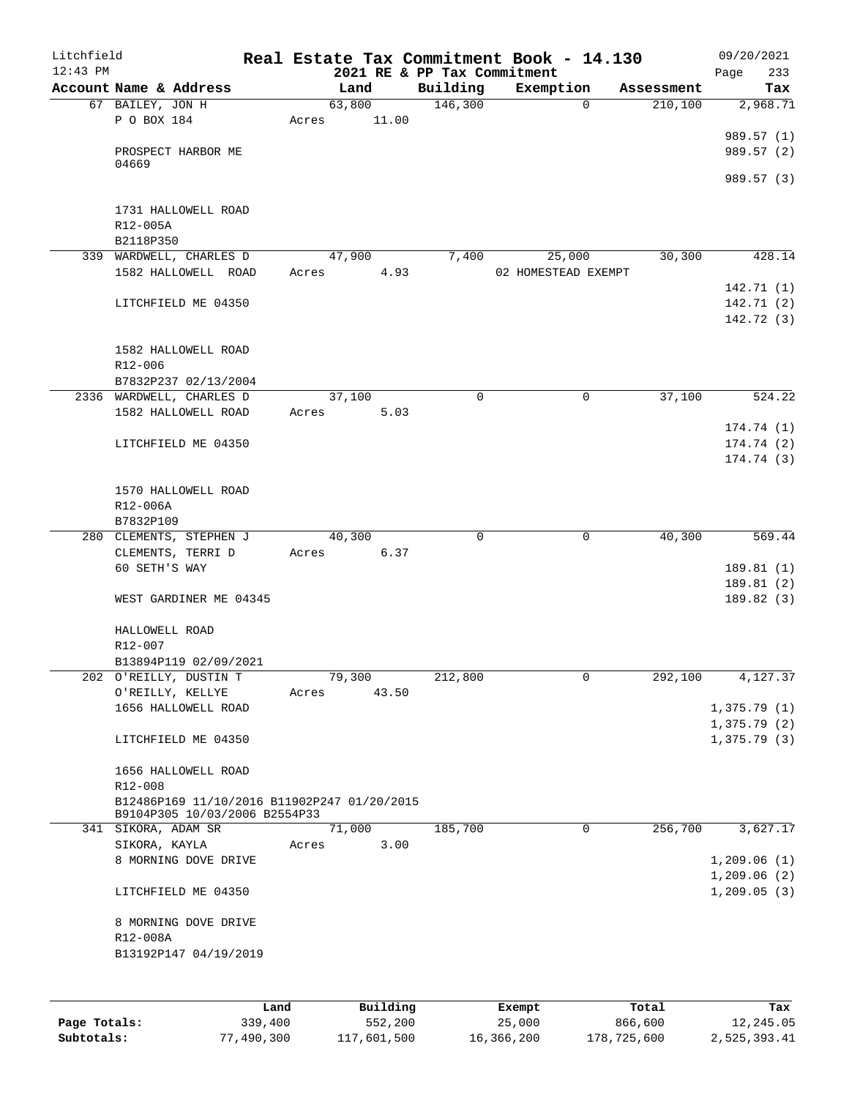| Litchfield<br>$12:43$ PM |                                                                              |      |       |        |          |                                         |        | Real Estate Tax Commitment Book - 14.130 |            | 09/20/2021      |
|--------------------------|------------------------------------------------------------------------------|------|-------|--------|----------|-----------------------------------------|--------|------------------------------------------|------------|-----------------|
|                          | Account Name & Address                                                       |      |       | Land   |          | 2021 RE & PP Tax Commitment<br>Building |        | Exemption                                | Assessment | 233<br>Page     |
|                          | 67 BAILEY, JON H                                                             |      |       | 63,800 |          | 146,300                                 |        | $\mathbf 0$                              | 210,100    | Tax<br>2,968.71 |
|                          | P O BOX 184                                                                  |      | Acres |        | 11.00    |                                         |        |                                          |            |                 |
|                          |                                                                              |      |       |        |          |                                         |        |                                          |            | 989.57 (1)      |
|                          | PROSPECT HARBOR ME                                                           |      |       |        |          |                                         |        |                                          |            | 989.57 (2)      |
|                          | 04669                                                                        |      |       |        |          |                                         |        |                                          |            |                 |
|                          |                                                                              |      |       |        |          |                                         |        |                                          |            | 989.57 (3)      |
|                          |                                                                              |      |       |        |          |                                         |        |                                          |            |                 |
|                          | 1731 HALLOWELL ROAD<br>R12-005A                                              |      |       |        |          |                                         |        |                                          |            |                 |
|                          | B2118P350                                                                    |      |       |        |          |                                         |        |                                          |            |                 |
|                          | 339 WARDWELL, CHARLES D                                                      |      |       | 47,900 |          | 7,400                                   |        | 25,000                                   | 30,300     | 428.14          |
|                          | 1582 HALLOWELL ROAD                                                          |      | Acres |        | 4.93     |                                         |        | 02 HOMESTEAD EXEMPT                      |            |                 |
|                          |                                                                              |      |       |        |          |                                         |        |                                          |            | 142.71 (1)      |
|                          | LITCHFIELD ME 04350                                                          |      |       |        |          |                                         |        |                                          |            | 142.71 (2)      |
|                          |                                                                              |      |       |        |          |                                         |        |                                          |            | 142.72 (3)      |
|                          |                                                                              |      |       |        |          |                                         |        |                                          |            |                 |
|                          | 1582 HALLOWELL ROAD                                                          |      |       |        |          |                                         |        |                                          |            |                 |
|                          | R12-006<br>B7832P237 02/13/2004                                              |      |       |        |          |                                         |        |                                          |            |                 |
|                          | 2336 WARDWELL, CHARLES D                                                     |      |       | 37,100 |          | $\mathbf 0$                             |        | 0                                        | 37,100     | 524.22          |
|                          | 1582 HALLOWELL ROAD                                                          |      | Acres |        | 5.03     |                                         |        |                                          |            |                 |
|                          |                                                                              |      |       |        |          |                                         |        |                                          |            | 174.74 (1)      |
|                          | LITCHFIELD ME 04350                                                          |      |       |        |          |                                         |        |                                          |            | 174.74 (2)      |
|                          |                                                                              |      |       |        |          |                                         |        |                                          |            | 174.74 (3)      |
|                          |                                                                              |      |       |        |          |                                         |        |                                          |            |                 |
|                          | 1570 HALLOWELL ROAD                                                          |      |       |        |          |                                         |        |                                          |            |                 |
|                          | R12-006A                                                                     |      |       |        |          |                                         |        |                                          |            |                 |
|                          | B7832P109<br>280 CLEMENTS, STEPHEN J                                         |      |       | 40,300 |          | 0                                       |        | 0                                        | 40,300     | 569.44          |
|                          | CLEMENTS, TERRI D                                                            |      | Acres |        | 6.37     |                                         |        |                                          |            |                 |
|                          | 60 SETH'S WAY                                                                |      |       |        |          |                                         |        |                                          |            | 189.81 (1)      |
|                          |                                                                              |      |       |        |          |                                         |        |                                          |            | 189.81 (2)      |
|                          | WEST GARDINER ME 04345                                                       |      |       |        |          |                                         |        |                                          |            | 189.82 (3)      |
|                          |                                                                              |      |       |        |          |                                         |        |                                          |            |                 |
|                          | HALLOWELL ROAD                                                               |      |       |        |          |                                         |        |                                          |            |                 |
|                          | R12-007                                                                      |      |       |        |          |                                         |        |                                          |            |                 |
|                          | B13894P119 02/09/2021                                                        |      |       |        |          |                                         |        |                                          |            |                 |
|                          | 202 O'REILLY, DUSTIN T<br>O'REILLY, KELLYE                                   |      | Acres | 79,300 | 43.50    | 212,800                                 |        | 0                                        | 292,100    | 4,127.37        |
|                          | 1656 HALLOWELL ROAD                                                          |      |       |        |          |                                         |        |                                          |            | 1,375.79(1)     |
|                          |                                                                              |      |       |        |          |                                         |        |                                          |            | 1,375.79(2)     |
|                          | LITCHFIELD ME 04350                                                          |      |       |        |          |                                         |        |                                          |            | 1,375.79(3)     |
|                          |                                                                              |      |       |        |          |                                         |        |                                          |            |                 |
|                          | 1656 HALLOWELL ROAD                                                          |      |       |        |          |                                         |        |                                          |            |                 |
|                          | $R12 - 008$                                                                  |      |       |        |          |                                         |        |                                          |            |                 |
|                          | B12486P169 11/10/2016 B11902P247 01/20/2015<br>B9104P305 10/03/2006 B2554P33 |      |       |        |          |                                         |        |                                          |            |                 |
|                          | 341 SIKORA, ADAM SR                                                          |      |       | 71,000 |          | 185,700                                 |        | $\mathbf 0$                              | 256,700    | 3,627.17        |
|                          | SIKORA, KAYLA                                                                |      | Acres |        | 3.00     |                                         |        |                                          |            |                 |
|                          | 8 MORNING DOVE DRIVE                                                         |      |       |        |          |                                         |        |                                          |            | 1,209.06(1)     |
|                          |                                                                              |      |       |        |          |                                         |        |                                          |            | 1,209.06(2)     |
|                          | LITCHFIELD ME 04350                                                          |      |       |        |          |                                         |        |                                          |            | 1, 209.05(3)    |
|                          |                                                                              |      |       |        |          |                                         |        |                                          |            |                 |
|                          | 8 MORNING DOVE DRIVE                                                         |      |       |        |          |                                         |        |                                          |            |                 |
|                          | R12-008A                                                                     |      |       |        |          |                                         |        |                                          |            |                 |
|                          | B13192P147 04/19/2019                                                        |      |       |        |          |                                         |        |                                          |            |                 |
|                          |                                                                              |      |       |        |          |                                         |        |                                          |            |                 |
|                          |                                                                              |      |       |        |          |                                         |        |                                          |            |                 |
|                          |                                                                              | Land |       |        | Building |                                         | Exempt |                                          | Total      | Tax             |

|              | ⊥and       | Building    | Exempt     | Total       | тах          |
|--------------|------------|-------------|------------|-------------|--------------|
| Page Totals: | 339,400    | 552,200     | 25,000     | 866,600     | 12,245.05    |
| Subtotals:   | 77,490,300 | 117,601,500 | 16,366,200 | 178,725,600 | 2,525,393.41 |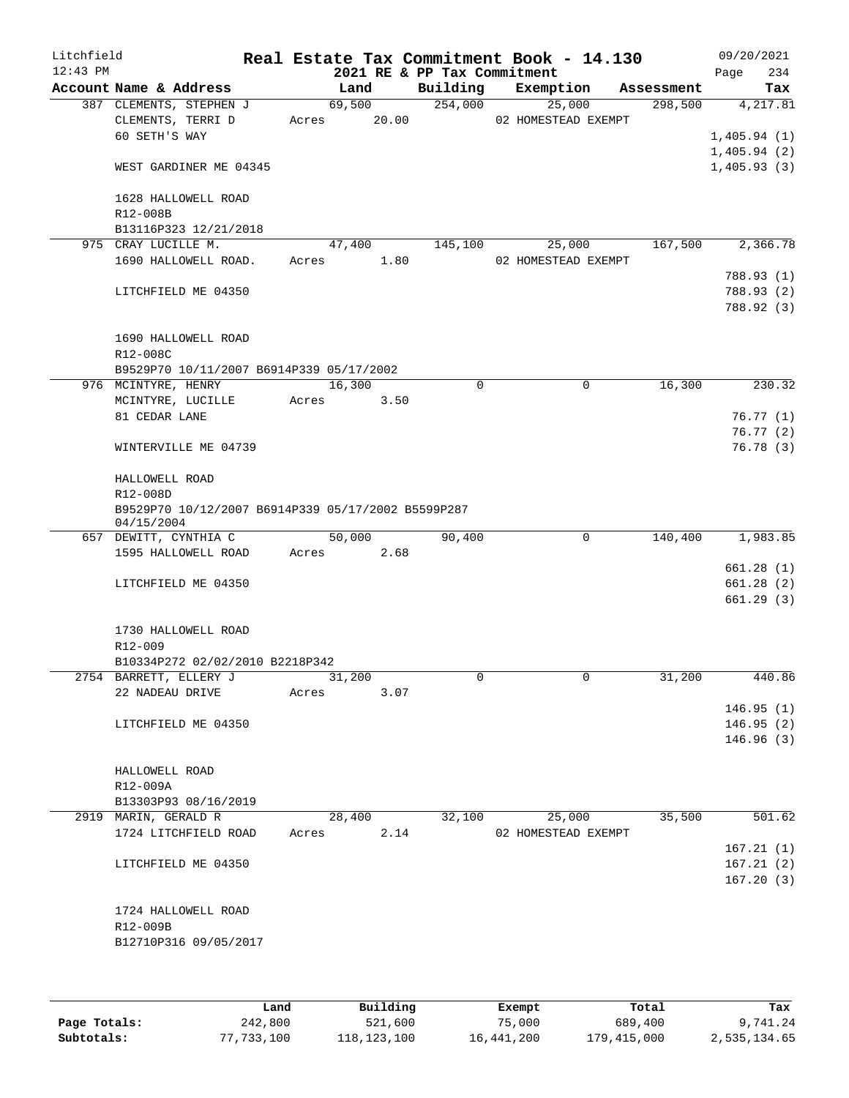| Litchfield<br>$12:43$ PM |                                                                  |       | 2021 RE & PP Tax Commitment |          | Real Estate Tax Commitment Book - 14.130 |            | 09/20/2021<br>234<br>Page  |
|--------------------------|------------------------------------------------------------------|-------|-----------------------------|----------|------------------------------------------|------------|----------------------------|
|                          | Account Name & Address                                           |       | Land                        | Building | Exemption                                | Assessment | Tax                        |
|                          | 387 CLEMENTS, STEPHEN J                                          |       | 69,500                      | 254,000  | 25,000                                   | 298,500    | 4,217.81                   |
|                          | CLEMENTS, TERRI D                                                |       | Acres 20.00                 |          | 02 HOMESTEAD EXEMPT                      |            |                            |
|                          | 60 SETH'S WAY                                                    |       |                             |          |                                          |            | 1,405.94(1)<br>1,405.94(2) |
|                          | WEST GARDINER ME 04345                                           |       |                             |          |                                          |            | 1,405.93(3)                |
|                          |                                                                  |       |                             |          |                                          |            |                            |
|                          | 1628 HALLOWELL ROAD                                              |       |                             |          |                                          |            |                            |
|                          | R12-008B                                                         |       |                             |          |                                          |            |                            |
|                          | B13116P323 12/21/2018                                            |       |                             |          |                                          |            |                            |
|                          | 975 CRAY LUCILLE M.                                              |       | 47,400                      | 145,100  | 25,000                                   | 167,500    | 2,366.78                   |
|                          | 1690 HALLOWELL ROAD.                                             |       | Acres 1.80                  |          | 02 HOMESTEAD EXEMPT                      |            |                            |
|                          | LITCHFIELD ME 04350                                              |       |                             |          |                                          |            | 788.93 (1)<br>788.93 (2)   |
|                          |                                                                  |       |                             |          |                                          |            | 788.92 (3)                 |
|                          |                                                                  |       |                             |          |                                          |            |                            |
|                          | 1690 HALLOWELL ROAD                                              |       |                             |          |                                          |            |                            |
|                          | R12-008C                                                         |       |                             |          |                                          |            |                            |
|                          | B9529P70 10/11/2007 B6914P339 05/17/2002                         |       |                             |          |                                          |            |                            |
|                          | 976 MCINTYRE, HENRY                                              |       | 16,300                      | $\Omega$ | $\mathbf 0$                              | 16,300     | 230.32                     |
|                          | MCINTYRE, LUCILLE                                                | Acres | 3.50                        |          |                                          |            |                            |
|                          | 81 CEDAR LANE                                                    |       |                             |          |                                          |            | 76.77(1)<br>76.77(2)       |
|                          | WINTERVILLE ME 04739                                             |       |                             |          |                                          |            | 76.78(3)                   |
|                          |                                                                  |       |                             |          |                                          |            |                            |
|                          | HALLOWELL ROAD<br>R12-008D                                       |       |                             |          |                                          |            |                            |
|                          | B9529P70 10/12/2007 B6914P339 05/17/2002 B5599P287<br>04/15/2004 |       |                             |          |                                          |            |                            |
|                          | 657 DEWITT, CYNTHIA C                                            |       | 50,000                      | 90,400   | 0                                        | 140,400    | 1,983.85                   |
|                          | 1595 HALLOWELL ROAD                                              | Acres | 2.68                        |          |                                          |            |                            |
|                          |                                                                  |       |                             |          |                                          |            | 661.28(1)                  |
|                          | LITCHFIELD ME 04350                                              |       |                             |          |                                          |            | 661.28(2)                  |
|                          |                                                                  |       |                             |          |                                          |            | 661.29(3)                  |
|                          | 1730 HALLOWELL ROAD                                              |       |                             |          |                                          |            |                            |
|                          | R12-009                                                          |       |                             |          |                                          |            |                            |
|                          | B10334P272 02/02/2010 B2218P342                                  |       |                             |          |                                          |            |                            |
|                          | 2754 BARRETT, ELLERY J                                           |       | 31,200                      | 0        | 0                                        | 31,200     | 440.86                     |
|                          | 22 NADEAU DRIVE                                                  | Acres | 3.07                        |          |                                          |            |                            |
|                          |                                                                  |       |                             |          |                                          |            | 146.95(1)                  |
|                          | LITCHFIELD ME 04350                                              |       |                             |          |                                          |            | 146.95(2)                  |
|                          |                                                                  |       |                             |          |                                          |            | 146.96(3)                  |
|                          | HALLOWELL ROAD                                                   |       |                             |          |                                          |            |                            |
|                          | R12-009A                                                         |       |                             |          |                                          |            |                            |
|                          | B13303P93 08/16/2019                                             |       |                             |          |                                          |            |                            |
|                          | 2919 MARIN, GERALD R                                             |       | 28,400                      | 32,100   | 25,000                                   | 35,500     | 501.62                     |
|                          | 1724 LITCHFIELD ROAD                                             | Acres | 2.14                        |          | 02 HOMESTEAD EXEMPT                      |            |                            |
|                          |                                                                  |       |                             |          |                                          |            | 167.21(1)                  |
|                          | LITCHFIELD ME 04350                                              |       |                             |          |                                          |            | 167.21(2)                  |
|                          |                                                                  |       |                             |          |                                          |            | 167.20(3)                  |
|                          | 1724 HALLOWELL ROAD                                              |       |                             |          |                                          |            |                            |
|                          | R12-009B                                                         |       |                             |          |                                          |            |                            |
|                          | B12710P316 09/05/2017                                            |       |                             |          |                                          |            |                            |
|                          |                                                                  |       |                             |          |                                          |            |                            |
|                          |                                                                  |       |                             |          |                                          |            |                            |

|              | Land       | Building    | Exempt     | Total       | Tax          |
|--------------|------------|-------------|------------|-------------|--------------|
| Page Totals: | 242,800    | 521,600     | 75,000     | 689,400     | 9,741.24     |
| Subtotals:   | 77,733,100 | 118,123,100 | 16,441,200 | 179,415,000 | 2,535,134.65 |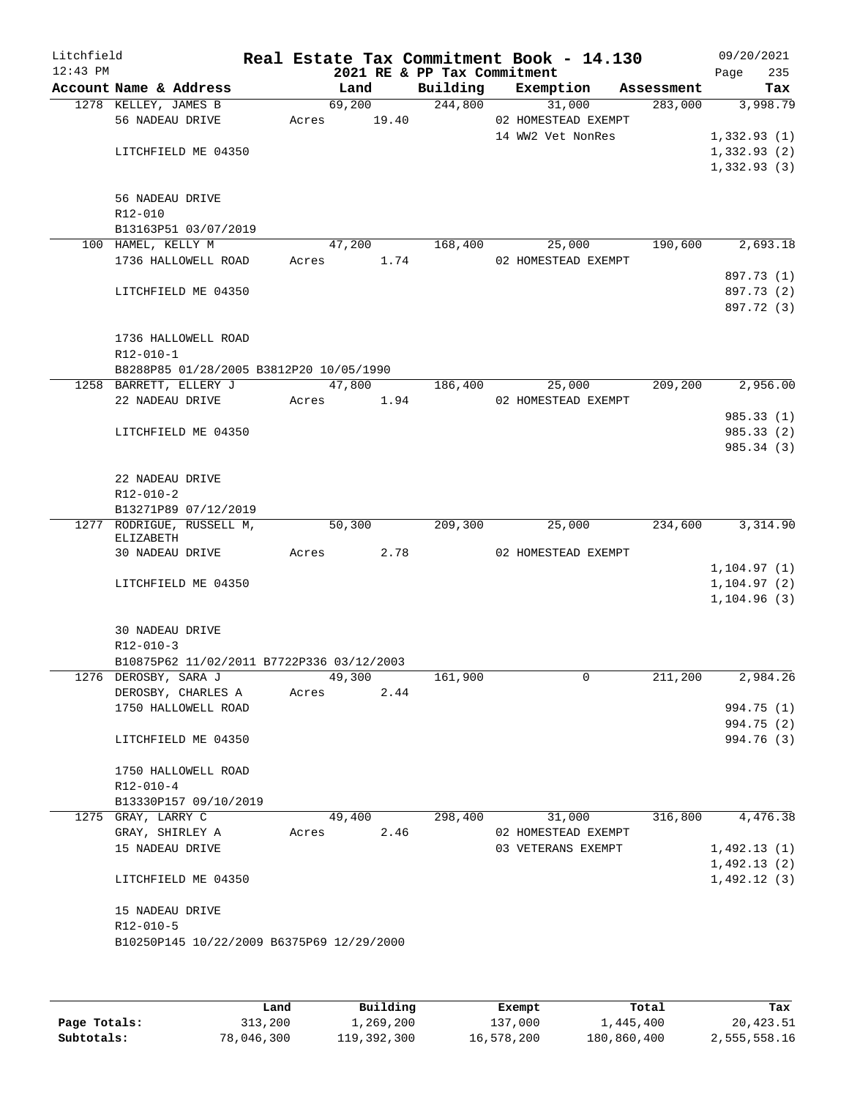| Litchfield<br>$12:43$ PM |                                           |                | 2021 RE & PP Tax Commitment | Real Estate Tax Commitment Book - 14.130 |            | 09/20/2021<br>235<br>Page |
|--------------------------|-------------------------------------------|----------------|-----------------------------|------------------------------------------|------------|---------------------------|
|                          | Account Name & Address                    | Land           | Building                    | Exemption                                | Assessment | Tax                       |
|                          | 1278 KELLEY, JAMES B                      | 69,200         | 244,800                     | 31,000                                   | 283,000    | 3,998.79                  |
|                          | 56 NADEAU DRIVE                           | 19.40<br>Acres |                             | 02 HOMESTEAD EXEMPT                      |            |                           |
|                          |                                           |                |                             | 14 WW2 Vet NonRes                        |            | 1,332.93(1)               |
|                          | LITCHFIELD ME 04350                       |                |                             |                                          |            | 1,332.93(2)               |
|                          |                                           |                |                             |                                          |            | 1,332.93(3)               |
|                          |                                           |                |                             |                                          |            |                           |
|                          | 56 NADEAU DRIVE                           |                |                             |                                          |            |                           |
|                          | R12-010<br>B13163P51 03/07/2019           |                |                             |                                          |            |                           |
|                          | 100 HAMEL, KELLY M                        | 47,200         | 168,400                     | 25,000                                   | 190,600    | 2,693.18                  |
|                          | 1736 HALLOWELL ROAD                       | Acres          | 1.74                        | 02 HOMESTEAD EXEMPT                      |            |                           |
|                          |                                           |                |                             |                                          |            | 897.73 (1)                |
|                          | LITCHFIELD ME 04350                       |                |                             |                                          |            | 897.73 (2)                |
|                          |                                           |                |                             |                                          |            | 897.72 (3)                |
|                          |                                           |                |                             |                                          |            |                           |
|                          | 1736 HALLOWELL ROAD                       |                |                             |                                          |            |                           |
|                          | R12-010-1                                 |                |                             |                                          |            |                           |
|                          | B8288P85 01/28/2005 B3812P20 10/05/1990   |                |                             |                                          |            |                           |
|                          | 1258 BARRETT, ELLERY J                    | 47,800         | 186,400                     | 25,000                                   | 209,200    | 2,956.00                  |
|                          | 22 NADEAU DRIVE                           | Acres<br>1.94  |                             | 02 HOMESTEAD EXEMPT                      |            |                           |
|                          |                                           |                |                             |                                          |            | 985.33 (1)                |
|                          | LITCHFIELD ME 04350                       |                |                             |                                          |            | 985.33 (2)                |
|                          |                                           |                |                             |                                          |            | 985.34(3)                 |
|                          |                                           |                |                             |                                          |            |                           |
|                          | 22 NADEAU DRIVE                           |                |                             |                                          |            |                           |
|                          | $R12 - 010 - 2$                           |                |                             |                                          |            |                           |
|                          | B13271P89 07/12/2019                      |                |                             |                                          |            |                           |
|                          | 1277 RODRIGUE, RUSSELL M,<br>ELIZABETH    | 50,300         | 209,300                     | 25,000                                   | 234,600    | 3,314.90                  |
|                          | 30 NADEAU DRIVE                           | 2.78<br>Acres  |                             | 02 HOMESTEAD EXEMPT                      |            |                           |
|                          |                                           |                |                             |                                          |            | 1, 104.97(1)              |
|                          | LITCHFIELD ME 04350                       |                |                             |                                          |            | 1, 104.97(2)              |
|                          |                                           |                |                             |                                          |            | 1, 104.96(3)              |
|                          |                                           |                |                             |                                          |            |                           |
|                          | 30 NADEAU DRIVE                           |                |                             |                                          |            |                           |
|                          | $R12 - 010 - 3$                           |                |                             |                                          |            |                           |
|                          | B10875P62 11/02/2011 B7722P336 03/12/2003 |                |                             |                                          |            |                           |
|                          | 1276 DEROSBY, SARA J                      | 49,300         | 161,900                     | 0                                        | 211,200    | 2,984.26                  |
|                          | DEROSBY, CHARLES A                        | Acres<br>2.44  |                             |                                          |            |                           |
|                          | 1750 HALLOWELL ROAD                       |                |                             |                                          |            | 994.75 (1)                |
|                          |                                           |                |                             |                                          |            | 994.75 (2)                |
|                          | LITCHFIELD ME 04350                       |                |                             |                                          |            | 994.76 (3)                |
|                          |                                           |                |                             |                                          |            |                           |
|                          | 1750 HALLOWELL ROAD<br>$R12 - 010 - 4$    |                |                             |                                          |            |                           |
|                          | B13330P157 09/10/2019                     |                |                             |                                          |            |                           |
|                          | 1275 GRAY, LARRY C                        | 49,400         | 298,400                     | 31,000                                   | 316,800    | 4,476.38                  |
|                          | GRAY, SHIRLEY A                           | 2.46<br>Acres  |                             | 02 HOMESTEAD EXEMPT                      |            |                           |
|                          | 15 NADEAU DRIVE                           |                |                             | 03 VETERANS EXEMPT                       |            | 1,492.13(1)               |
|                          |                                           |                |                             |                                          |            | 1,492.13(2)               |
|                          | LITCHFIELD ME 04350                       |                |                             |                                          |            | 1,492.12(3)               |
|                          |                                           |                |                             |                                          |            |                           |
|                          | 15 NADEAU DRIVE                           |                |                             |                                          |            |                           |
|                          | R12-010-5                                 |                |                             |                                          |            |                           |
|                          | B10250P145 10/22/2009 B6375P69 12/29/2000 |                |                             |                                          |            |                           |
|                          |                                           |                |                             |                                          |            |                           |
|                          |                                           |                |                             |                                          |            |                           |

|              | Land       | Building    | Exempt     | Total       | Tax          |
|--------------|------------|-------------|------------|-------------|--------------|
| Page Totals: | 313,200    | 1,269,200   | 137,000    | 1,445,400   | 20, 423.51   |
| Subtotals:   | 78,046,300 | 119,392,300 | 16,578,200 | 180,860,400 | 2,555,558.16 |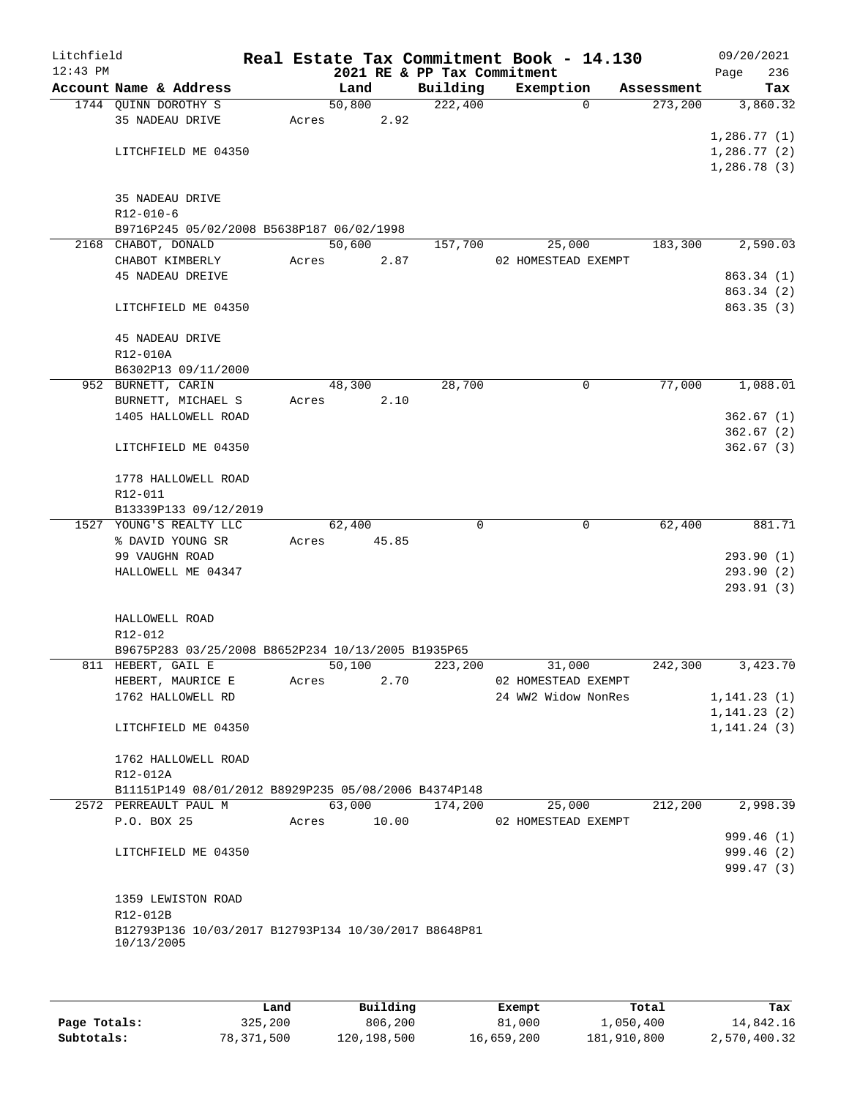| Litchfield |                                                                  |       |        |       |                             | Real Estate Tax Commitment Book - 14.130 |            | 09/20/2021   |
|------------|------------------------------------------------------------------|-------|--------|-------|-----------------------------|------------------------------------------|------------|--------------|
| $12:43$ PM |                                                                  |       |        |       | 2021 RE & PP Tax Commitment |                                          |            | 236<br>Page  |
|            | Account Name & Address                                           |       | Land   |       | Building                    | Exemption                                | Assessment | Tax          |
|            | 1744 QUINN DOROTHY S                                             |       | 50,800 |       | 222,400                     | $\mathbf 0$                              | 273,200    | 3,860.32     |
|            | 35 NADEAU DRIVE                                                  | Acres |        | 2.92  |                             |                                          |            |              |
|            |                                                                  |       |        |       |                             |                                          |            | 1,286.77(1)  |
|            | LITCHFIELD ME 04350                                              |       |        |       |                             |                                          |            | 1,286.77(2)  |
|            |                                                                  |       |        |       |                             |                                          |            | 1,286.78(3)  |
|            |                                                                  |       |        |       |                             |                                          |            |              |
|            | 35 NADEAU DRIVE                                                  |       |        |       |                             |                                          |            |              |
|            | $R12 - 010 - 6$                                                  |       |        |       |                             |                                          |            |              |
|            | B9716P245 05/02/2008 B5638P187 06/02/1998                        |       |        |       |                             |                                          |            |              |
|            | 2168 CHABOT, DONALD                                              |       | 50,600 |       | 157,700                     | 25,000                                   | 183,300    | 2,590.03     |
|            | CHABOT KIMBERLY                                                  | Acres |        | 2.87  |                             | 02 HOMESTEAD EXEMPT                      |            |              |
|            | <b>45 NADEAU DREIVE</b>                                          |       |        |       |                             |                                          |            | 863.34 (1)   |
|            |                                                                  |       |        |       |                             |                                          |            | 863.34 (2)   |
|            | LITCHFIELD ME 04350                                              |       |        |       |                             |                                          |            | 863.35 (3)   |
|            |                                                                  |       |        |       |                             |                                          |            |              |
|            | 45 NADEAU DRIVE                                                  |       |        |       |                             |                                          |            |              |
|            | R12-010A                                                         |       |        |       |                             |                                          |            |              |
|            | B6302P13 09/11/2000                                              |       |        |       |                             |                                          |            |              |
|            | 952 BURNETT, CARIN                                               |       | 48,300 |       | 28,700                      | 0                                        | 77,000     | 1,088.01     |
|            | BURNETT, MICHAEL S                                               | Acres |        | 2.10  |                             |                                          |            |              |
|            | 1405 HALLOWELL ROAD                                              |       |        |       |                             |                                          |            | 362.67(1)    |
|            |                                                                  |       |        |       |                             |                                          |            | 362.67(2)    |
|            | LITCHFIELD ME 04350                                              |       |        |       |                             |                                          |            | 362.67(3)    |
|            |                                                                  |       |        |       |                             |                                          |            |              |
|            | 1778 HALLOWELL ROAD                                              |       |        |       |                             |                                          |            |              |
|            | R12-011                                                          |       |        |       |                             |                                          |            |              |
|            | B13339P133 09/12/2019                                            |       |        |       |                             |                                          |            |              |
|            | 1527 YOUNG'S REALTY LLC                                          |       | 62,400 |       | $\Omega$                    | $\mathbf 0$                              | 62,400     | 881.71       |
|            | % DAVID YOUNG SR                                                 | Acres |        | 45.85 |                             |                                          |            |              |
|            | 99 VAUGHN ROAD                                                   |       |        |       |                             |                                          |            | 293.90(1)    |
|            | HALLOWELL ME 04347                                               |       |        |       |                             |                                          |            | 293.90 (2)   |
|            |                                                                  |       |        |       |                             |                                          |            | 293.91 (3)   |
|            |                                                                  |       |        |       |                             |                                          |            |              |
|            | HALLOWELL ROAD                                                   |       |        |       |                             |                                          |            |              |
|            | R12-012                                                          |       |        |       |                             |                                          |            |              |
|            | B9675P283 03/25/2008 B8652P234 10/13/2005 B1935P65               |       |        |       |                             |                                          |            |              |
|            | 811 HEBERT, GAIL E                                               |       | 50,100 |       | 223,200                     | 31,000                                   | 242,300    | 3,423.70     |
|            | HEBERT, MAURICE E                                                | Acres |        | 2.70  |                             | 02 HOMESTEAD EXEMPT                      |            |              |
|            | 1762 HALLOWELL RD                                                |       |        |       |                             | 24 WW2 Widow NonRes                      |            | 1,141.23(1)  |
|            |                                                                  |       |        |       |                             |                                          |            | 1, 141.23(2) |
|            | LITCHFIELD ME 04350                                              |       |        |       |                             |                                          |            | 1, 141.24(3) |
|            |                                                                  |       |        |       |                             |                                          |            |              |
|            | 1762 HALLOWELL ROAD                                              |       |        |       |                             |                                          |            |              |
|            |                                                                  |       |        |       |                             |                                          |            |              |
|            | R12-012A<br>B11151P149 08/01/2012 B8929P235 05/08/2006 B4374P148 |       |        |       |                             |                                          |            |              |
|            | 2572 PERREAULT PAUL M                                            |       | 63,000 |       |                             |                                          | 212,200    |              |
|            |                                                                  |       |        |       | 174,200                     | 25,000                                   |            | 2,998.39     |
|            | P.O. BOX 25                                                      | Acres |        | 10.00 |                             | 02 HOMESTEAD EXEMPT                      |            |              |
|            |                                                                  |       |        |       |                             |                                          |            | 999.46 (1)   |
|            | LITCHFIELD ME 04350                                              |       |        |       |                             |                                          |            | 999.46 (2)   |
|            |                                                                  |       |        |       |                             |                                          |            | 999.47(3)    |
|            |                                                                  |       |        |       |                             |                                          |            |              |
|            | 1359 LEWISTON ROAD                                               |       |        |       |                             |                                          |            |              |
|            | R12-012B                                                         |       |        |       |                             |                                          |            |              |
|            | B12793P136 10/03/2017 B12793P134 10/30/2017 B8648P81             |       |        |       |                             |                                          |            |              |
|            | 10/13/2005                                                       |       |        |       |                             |                                          |            |              |
|            |                                                                  |       |        |       |                             |                                          |            |              |
|            |                                                                  |       |        |       |                             |                                          |            |              |

|              | Land       | Building    | Exempt     | Total       | Tax          |
|--------------|------------|-------------|------------|-------------|--------------|
| Page Totals: | 325,200    | 806,200     | 81,000     | 1,050,400   | 14,842.16    |
| Subtotals:   | 78,371,500 | 120,198,500 | 16,659,200 | 181,910,800 | 2,570,400.32 |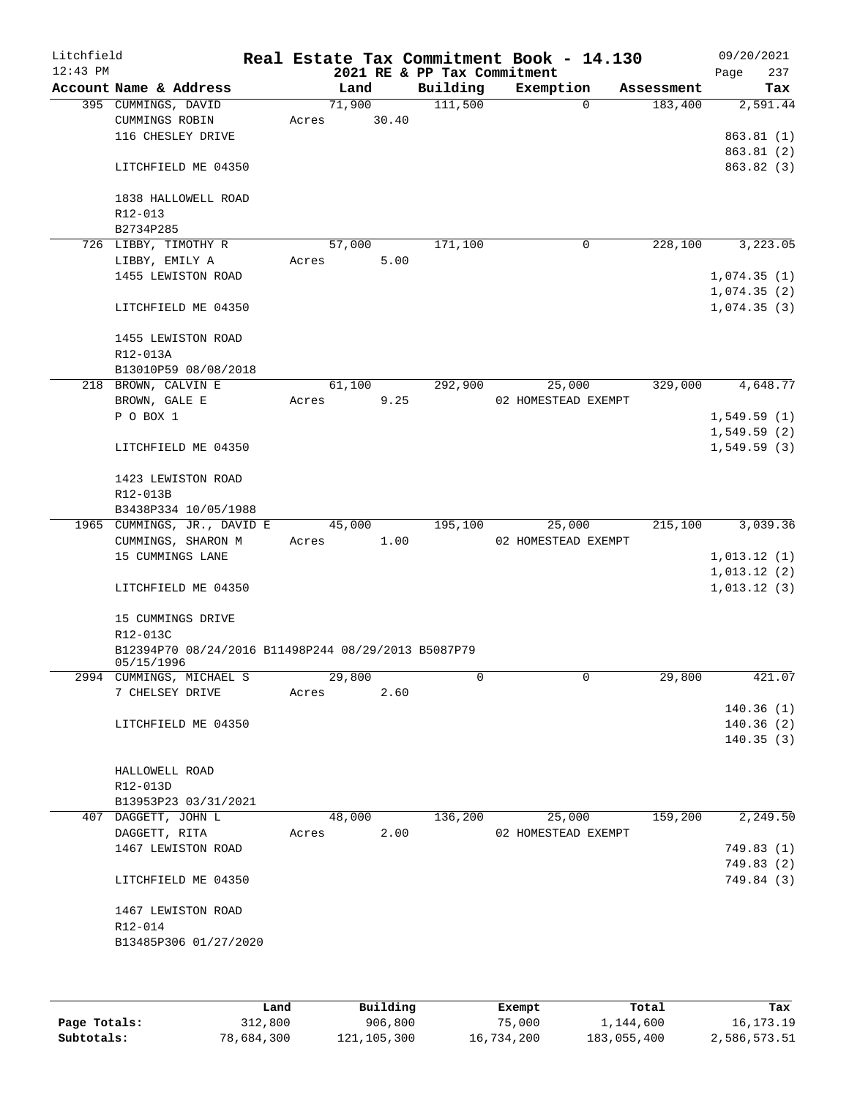| Litchfield<br>$12:43$ PM |                                                                   |       |        |       | Real Estate Tax Commitment Book - 14.130<br>2021 RE & PP Tax Commitment |                               |            | Page                       | 09/20/2021<br>237 |
|--------------------------|-------------------------------------------------------------------|-------|--------|-------|-------------------------------------------------------------------------|-------------------------------|------------|----------------------------|-------------------|
|                          | Account Name & Address                                            |       | Land   |       | Building                                                                | Exemption                     | Assessment |                            | Tax               |
|                          | 395 CUMMINGS, DAVID                                               |       | 71,900 |       | 111,500                                                                 | $\Omega$                      | 183,400    |                            | 2,591.44          |
|                          | CUMMINGS ROBIN                                                    | Acres |        | 30.40 |                                                                         |                               |            |                            |                   |
|                          | 116 CHESLEY DRIVE                                                 |       |        |       |                                                                         |                               |            |                            | 863.81(1)         |
|                          |                                                                   |       |        |       |                                                                         |                               |            |                            | 863.81 (2)        |
|                          | LITCHFIELD ME 04350                                               |       |        |       |                                                                         |                               |            |                            | 863.82(3)         |
|                          |                                                                   |       |        |       |                                                                         |                               |            |                            |                   |
|                          | 1838 HALLOWELL ROAD<br>$R12 - 013$                                |       |        |       |                                                                         |                               |            |                            |                   |
|                          | B2734P285                                                         |       |        |       |                                                                         |                               |            |                            |                   |
|                          | 726 LIBBY, TIMOTHY R                                              |       | 57,000 |       | 171,100                                                                 | $\mathbf 0$                   | 228,100    |                            | 3,223.05          |
|                          | LIBBY, EMILY A                                                    | Acres |        | 5.00  |                                                                         |                               |            |                            |                   |
|                          | 1455 LEWISTON ROAD                                                |       |        |       |                                                                         |                               |            | 1,074.35(1)                |                   |
|                          |                                                                   |       |        |       |                                                                         |                               |            | 1,074.35(2)                |                   |
|                          | LITCHFIELD ME 04350                                               |       |        |       |                                                                         |                               |            | 1,074.35(3)                |                   |
|                          | 1455 LEWISTON ROAD                                                |       |        |       |                                                                         |                               |            |                            |                   |
|                          | R12-013A                                                          |       |        |       |                                                                         |                               |            |                            |                   |
|                          | B13010P59 08/08/2018                                              |       |        |       |                                                                         |                               |            |                            |                   |
|                          | 218 BROWN, CALVIN E                                               |       | 61,100 |       | 292,900                                                                 | 25,000                        | 329,000    |                            | 4,648.77          |
|                          | BROWN, GALE E<br>P O BOX 1                                        | Acres |        | 9.25  |                                                                         | 02 HOMESTEAD EXEMPT           |            |                            |                   |
|                          |                                                                   |       |        |       |                                                                         |                               |            | 1,549.59(1)<br>1,549.59(2) |                   |
|                          | LITCHFIELD ME 04350                                               |       |        |       |                                                                         |                               |            | 1,549.59(3)                |                   |
|                          | 1423 LEWISTON ROAD                                                |       |        |       |                                                                         |                               |            |                            |                   |
|                          | R12-013B                                                          |       |        |       |                                                                         |                               |            |                            |                   |
|                          | B3438P334 10/05/1988                                              |       |        |       |                                                                         |                               |            |                            |                   |
|                          | 1965 CUMMINGS, JR., DAVID E                                       |       | 45,000 |       | 195,100                                                                 | 25,000                        | 215,100    |                            | 3,039.36          |
|                          | CUMMINGS, SHARON M                                                | Acres |        | 1.00  |                                                                         | 02 HOMESTEAD EXEMPT           |            |                            |                   |
|                          | 15 CUMMINGS LANE                                                  |       |        |       |                                                                         |                               |            | 1,013.12(1)                |                   |
|                          |                                                                   |       |        |       |                                                                         |                               |            | 1,013.12(2)                |                   |
|                          | LITCHFIELD ME 04350                                               |       |        |       |                                                                         |                               |            | 1,013.12(3)                |                   |
|                          | 15 CUMMINGS DRIVE                                                 |       |        |       |                                                                         |                               |            |                            |                   |
|                          | R12-013C                                                          |       |        |       |                                                                         |                               |            |                            |                   |
|                          | B12394P70 08/24/2016 B11498P244 08/29/2013 B5087P79<br>05/15/1996 |       |        |       |                                                                         |                               |            |                            |                   |
|                          | 2994 CUMMINGS, MICHAEL S                                          |       | 29,800 |       | 0                                                                       | 0                             | 29,800     |                            | 421.07            |
|                          | 7 CHELSEY DRIVE                                                   | Acres |        | 2.60  |                                                                         |                               |            |                            |                   |
|                          |                                                                   |       |        |       |                                                                         |                               |            |                            | 140.36(1)         |
|                          | LITCHFIELD ME 04350                                               |       |        |       |                                                                         |                               |            |                            | 140.36(2)         |
|                          |                                                                   |       |        |       |                                                                         |                               |            |                            | 140.35(3)         |
|                          |                                                                   |       |        |       |                                                                         |                               |            |                            |                   |
|                          | HALLOWELL ROAD                                                    |       |        |       |                                                                         |                               |            |                            |                   |
|                          | R12-013D                                                          |       |        |       |                                                                         |                               |            |                            |                   |
|                          | B13953P23 03/31/2021                                              |       |        |       |                                                                         |                               |            |                            |                   |
|                          | 407 DAGGETT, JOHN L<br>DAGGETT, RITA                              | Acres | 48,000 | 2.00  | 136,200                                                                 | 25,000<br>02 HOMESTEAD EXEMPT | 159,200    |                            | 2,249.50          |
|                          | 1467 LEWISTON ROAD                                                |       |        |       |                                                                         |                               |            |                            | 749.83 (1)        |
|                          |                                                                   |       |        |       |                                                                         |                               |            |                            | 749.83 (2)        |
|                          | LITCHFIELD ME 04350                                               |       |        |       |                                                                         |                               |            |                            | 749.84 (3)        |
|                          | 1467 LEWISTON ROAD                                                |       |        |       |                                                                         |                               |            |                            |                   |
|                          | R12-014                                                           |       |        |       |                                                                         |                               |            |                            |                   |
|                          | B13485P306 01/27/2020                                             |       |        |       |                                                                         |                               |            |                            |                   |
|                          |                                                                   |       |        |       |                                                                         |                               |            |                            |                   |
|                          |                                                                   |       |        |       |                                                                         |                               |            |                            |                   |

|              | Land       | Building      | Exempt     | Total       | Tax          |
|--------------|------------|---------------|------------|-------------|--------------|
| Page Totals: | 312,800    | 906,800       | 75,000     | 1,144,600   | 16, 173. 19  |
| Subtotals:   | 78,684,300 | 121, 105, 300 | 16,734,200 | 183,055,400 | 2,586,573.51 |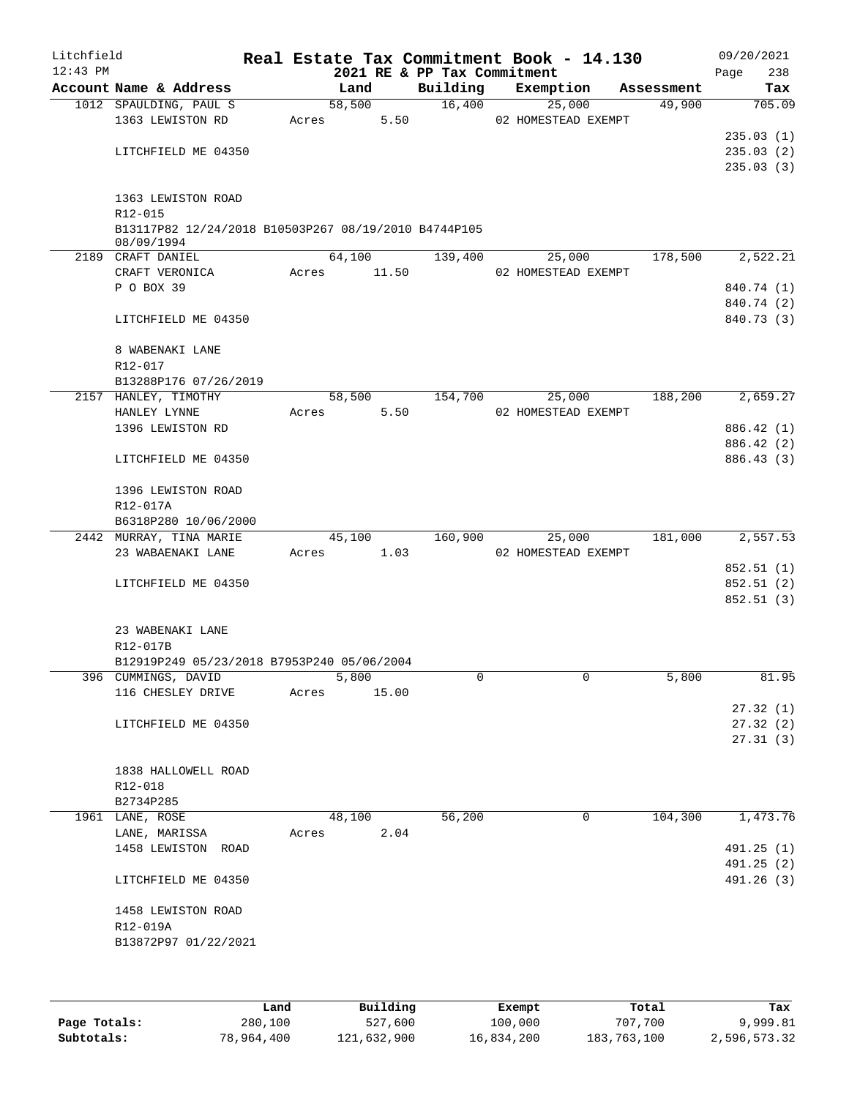| Litchfield<br>$12:43$ PM |                                                      |       |        |       | 2021 RE & PP Tax Commitment | Real Estate Tax Commitment Book - 14.130 |            | 09/20/2021<br>238<br>Page |
|--------------------------|------------------------------------------------------|-------|--------|-------|-----------------------------|------------------------------------------|------------|---------------------------|
|                          | Account Name & Address                               |       | Land   |       | Building                    | Exemption                                | Assessment | Tax                       |
|                          | 1012 SPAULDING, PAUL S                               |       | 58,500 |       | 16,400                      | 25,000                                   | 49,900     | 705.09                    |
|                          | 1363 LEWISTON RD                                     | Acres |        | 5.50  |                             | 02 HOMESTEAD EXEMPT                      |            |                           |
|                          |                                                      |       |        |       |                             |                                          |            | 235.03(1)                 |
|                          | LITCHFIELD ME 04350                                  |       |        |       |                             |                                          |            | 235.03(2)                 |
|                          |                                                      |       |        |       |                             |                                          |            | 235.03(3)                 |
|                          | 1363 LEWISTON ROAD                                   |       |        |       |                             |                                          |            |                           |
|                          | R12-015                                              |       |        |       |                             |                                          |            |                           |
|                          | B13117P82 12/24/2018 B10503P267 08/19/2010 B4744P105 |       |        |       |                             |                                          |            |                           |
|                          | 08/09/1994                                           |       |        |       |                             |                                          |            |                           |
|                          | 2189 CRAFT DANIEL                                    |       | 64,100 |       | 139,400                     | 25,000                                   | 178,500    | 2,522.21                  |
|                          | CRAFT VERONICA                                       | Acres | 11.50  |       |                             | 02 HOMESTEAD EXEMPT                      |            |                           |
|                          | P O BOX 39                                           |       |        |       |                             |                                          |            | 840.74 (1)                |
|                          |                                                      |       |        |       |                             |                                          |            | 840.74 (2)                |
|                          | LITCHFIELD ME 04350                                  |       |        |       |                             |                                          |            | 840.73 (3)                |
|                          |                                                      |       |        |       |                             |                                          |            |                           |
|                          | 8 WABENAKI LANE<br>R12-017                           |       |        |       |                             |                                          |            |                           |
|                          | B13288P176 07/26/2019                                |       |        |       |                             |                                          |            |                           |
|                          | 2157 HANLEY, TIMOTHY                                 |       | 58,500 |       | 154,700                     | 25,000                                   | 188,200    | 2,659.27                  |
|                          | HANLEY LYNNE                                         | Acres |        | 5.50  |                             | 02 HOMESTEAD EXEMPT                      |            |                           |
|                          | 1396 LEWISTON RD                                     |       |        |       |                             |                                          |            | 886.42 (1)                |
|                          |                                                      |       |        |       |                             |                                          |            | 886.42 (2)                |
|                          | LITCHFIELD ME 04350                                  |       |        |       |                             |                                          |            | 886.43 (3)                |
|                          |                                                      |       |        |       |                             |                                          |            |                           |
|                          | 1396 LEWISTON ROAD                                   |       |        |       |                             |                                          |            |                           |
|                          | R12-017A                                             |       |        |       |                             |                                          |            |                           |
|                          | B6318P280 10/06/2000                                 |       |        |       |                             |                                          |            |                           |
|                          | 2442 MURRAY, TINA MARIE                              |       | 45,100 |       | 160,900                     | 25,000                                   | 181,000    | 2,557.53                  |
|                          | 23 WABAENAKI LANE                                    | Acres |        | 1.03  |                             | 02 HOMESTEAD EXEMPT                      |            |                           |
|                          |                                                      |       |        |       |                             |                                          |            | 852.51 (1)                |
|                          | LITCHFIELD ME 04350                                  |       |        |       |                             |                                          |            | 852.51(2)<br>852.51 (3)   |
|                          |                                                      |       |        |       |                             |                                          |            |                           |
|                          | 23 WABENAKI LANE                                     |       |        |       |                             |                                          |            |                           |
|                          | R12-017B                                             |       |        |       |                             |                                          |            |                           |
|                          | B12919P249 05/23/2018 B7953P240 05/06/2004           |       |        |       |                             |                                          |            |                           |
|                          | 396 CUMMINGS, DAVID                                  |       | 5,800  |       | 0                           | 0                                        | 5,800      | 81.95                     |
|                          | 116 CHESLEY DRIVE                                    | Acres |        | 15.00 |                             |                                          |            |                           |
|                          |                                                      |       |        |       |                             |                                          |            | 27.32(1)                  |
|                          | LITCHFIELD ME 04350                                  |       |        |       |                             |                                          |            | 27.32(2)                  |
|                          |                                                      |       |        |       |                             |                                          |            | 27.31(3)                  |
|                          |                                                      |       |        |       |                             |                                          |            |                           |
|                          | 1838 HALLOWELL ROAD                                  |       |        |       |                             |                                          |            |                           |
|                          | R12-018<br>B2734P285                                 |       |        |       |                             |                                          |            |                           |
|                          | 1961 LANE, ROSE                                      |       | 48,100 |       | 56,200                      | 0                                        | 104,300    | 1,473.76                  |
|                          | LANE, MARISSA                                        | Acres |        | 2.04  |                             |                                          |            |                           |
|                          | 1458 LEWISTON ROAD                                   |       |        |       |                             |                                          |            | 491.25 (1)                |
|                          |                                                      |       |        |       |                             |                                          |            | 491.25 (2)                |
|                          | LITCHFIELD ME 04350                                  |       |        |       |                             |                                          |            | 491.26 (3)                |
|                          |                                                      |       |        |       |                             |                                          |            |                           |
|                          | 1458 LEWISTON ROAD                                   |       |        |       |                             |                                          |            |                           |
|                          | R12-019A                                             |       |        |       |                             |                                          |            |                           |
|                          | B13872P97 01/22/2021                                 |       |        |       |                             |                                          |            |                           |
|                          |                                                      |       |        |       |                             |                                          |            |                           |
|                          |                                                      |       |        |       |                             |                                          |            |                           |
|                          |                                                      |       |        |       |                             |                                          |            |                           |

|              | Land       | Building    | Exempt     | Total       | Tax          |
|--------------|------------|-------------|------------|-------------|--------------|
| Page Totals: | 280,100    | 527,600     | 100,000    | 707,700     | 9,999.81     |
| Subtotals:   | 78,964,400 | 121,632,900 | 16,834,200 | 183,763,100 | 2,596,573.32 |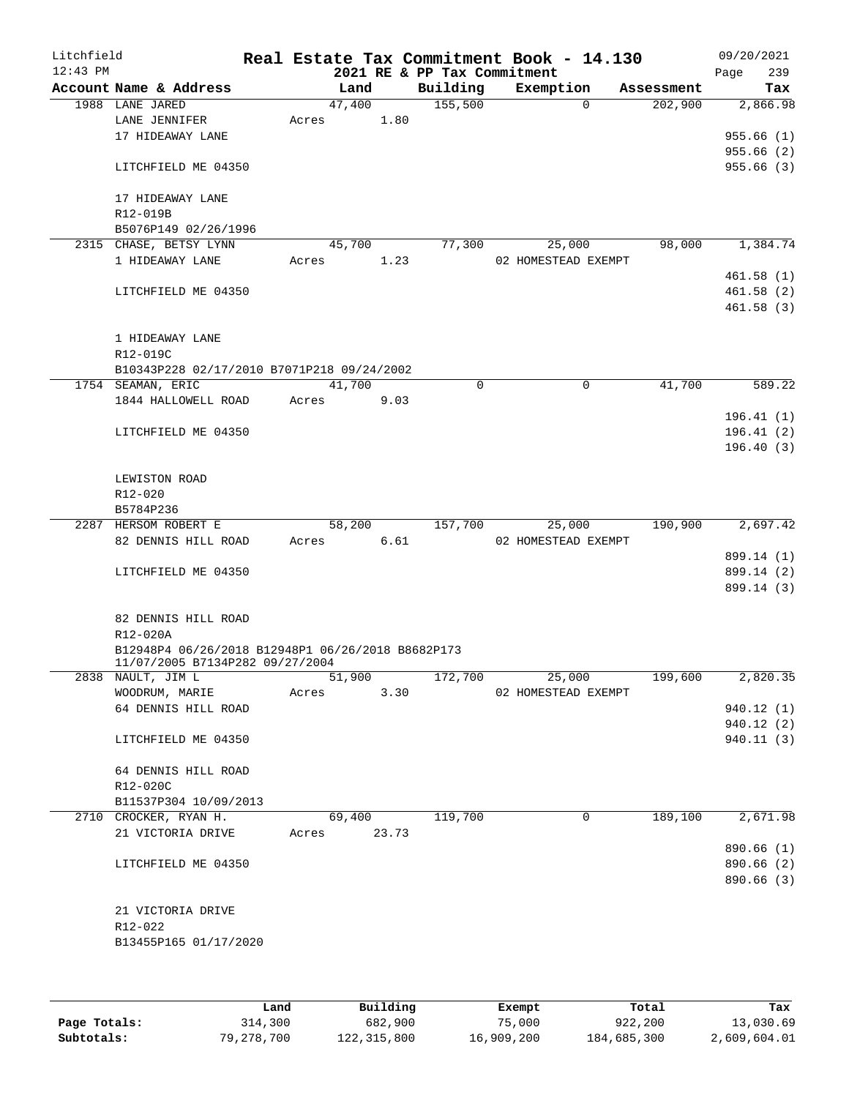| Litchfield<br>$12:43$ PM |                                                                                      |       |        |       | 2021 RE & PP Tax Commitment | Real Estate Tax Commitment Book - 14.130 |                       | 09/20/2021<br>239<br>Page |
|--------------------------|--------------------------------------------------------------------------------------|-------|--------|-------|-----------------------------|------------------------------------------|-----------------------|---------------------------|
|                          | Account Name & Address                                                               |       | Land   |       | Building                    | Exemption                                | Assessment            | Tax                       |
|                          | 1988 LANE JARED                                                                      |       | 47,400 |       | 155,500                     |                                          | 202,900<br>$\Omega$   | 2,866.98                  |
|                          | LANE JENNIFER                                                                        | Acres |        | 1.80  |                             |                                          |                       |                           |
|                          | 17 HIDEAWAY LANE                                                                     |       |        |       |                             |                                          |                       | 955.66(1)                 |
|                          |                                                                                      |       |        |       |                             |                                          |                       | 955.66(2)                 |
|                          | LITCHFIELD ME 04350                                                                  |       |        |       |                             |                                          |                       | 955.66(3)                 |
|                          | 17 HIDEAWAY LANE                                                                     |       |        |       |                             |                                          |                       |                           |
|                          | R12-019B                                                                             |       |        |       |                             |                                          |                       |                           |
|                          | B5076P149 02/26/1996                                                                 |       |        |       |                             |                                          |                       |                           |
|                          | 2315 CHASE, BETSY LYNN                                                               |       | 45,700 |       | 77,300                      | 25,000                                   | 98,000                | 1,384.74                  |
|                          | 1 HIDEAWAY LANE                                                                      | Acres |        | 1.23  |                             | 02 HOMESTEAD EXEMPT                      |                       |                           |
|                          |                                                                                      |       |        |       |                             |                                          |                       | 461.58(1)                 |
|                          | LITCHFIELD ME 04350                                                                  |       |        |       |                             |                                          |                       | 461.58(2)                 |
|                          |                                                                                      |       |        |       |                             |                                          |                       | 461.58(3)                 |
|                          |                                                                                      |       |        |       |                             |                                          |                       |                           |
|                          | 1 HIDEAWAY LANE                                                                      |       |        |       |                             |                                          |                       |                           |
|                          | R12-019C                                                                             |       |        |       |                             |                                          |                       |                           |
|                          | B10343P228 02/17/2010 B7071P218 09/24/2002<br>1754 SEAMAN, ERIC                      |       | 41,700 |       | 0                           |                                          | $\mathbf 0$<br>41,700 | 589.22                    |
|                          | 1844 HALLOWELL ROAD                                                                  | Acres |        | 9.03  |                             |                                          |                       |                           |
|                          |                                                                                      |       |        |       |                             |                                          |                       | 196.41(1)                 |
|                          | LITCHFIELD ME 04350                                                                  |       |        |       |                             |                                          |                       | 196.41(2)                 |
|                          |                                                                                      |       |        |       |                             |                                          |                       | 196.40(3)                 |
|                          |                                                                                      |       |        |       |                             |                                          |                       |                           |
|                          | LEWISTON ROAD                                                                        |       |        |       |                             |                                          |                       |                           |
|                          | R12-020                                                                              |       |        |       |                             |                                          |                       |                           |
|                          | B5784P236                                                                            |       |        |       |                             |                                          |                       |                           |
|                          | 2287 HERSOM ROBERT E                                                                 |       | 58,200 |       | 157,700                     | 25,000                                   | 190,900               | 2,697.42                  |
|                          | 82 DENNIS HILL ROAD                                                                  | Acres |        | 6.61  |                             | 02 HOMESTEAD EXEMPT                      |                       |                           |
|                          |                                                                                      |       |        |       |                             |                                          |                       | 899.14 (1)                |
|                          | LITCHFIELD ME 04350                                                                  |       |        |       |                             |                                          |                       | 899.14 (2)                |
|                          |                                                                                      |       |        |       |                             |                                          |                       | 899.14 (3)                |
|                          |                                                                                      |       |        |       |                             |                                          |                       |                           |
|                          | 82 DENNIS HILL ROAD                                                                  |       |        |       |                             |                                          |                       |                           |
|                          | R12-020A                                                                             |       |        |       |                             |                                          |                       |                           |
|                          | B12948P4 06/26/2018 B12948P1 06/26/2018 B8682P173<br>11/07/2005 B7134P282 09/27/2004 |       |        |       |                             |                                          |                       |                           |
|                          | 2838 NAULT, JIM L                                                                    |       | 51,900 |       | 172,700                     | 25,000                                   | 199,600               | 2,820.35                  |
|                          | WOODRUM, MARIE                                                                       | Acres |        | 3.30  |                             | 02 HOMESTEAD EXEMPT                      |                       |                           |
|                          | 64 DENNIS HILL ROAD                                                                  |       |        |       |                             |                                          |                       | 940.12(1)                 |
|                          |                                                                                      |       |        |       |                             |                                          |                       | 940.12 (2)                |
|                          | LITCHFIELD ME 04350                                                                  |       |        |       |                             |                                          |                       | 940.11 (3)                |
|                          |                                                                                      |       |        |       |                             |                                          |                       |                           |
|                          | 64 DENNIS HILL ROAD                                                                  |       |        |       |                             |                                          |                       |                           |
|                          | R12-020C                                                                             |       |        |       |                             |                                          |                       |                           |
|                          | B11537P304 10/09/2013                                                                |       |        |       |                             |                                          |                       |                           |
|                          | 2710 CROCKER, RYAN H.                                                                |       | 69,400 |       | 119,700                     |                                          | 189,100<br>0          | 2,671.98                  |
|                          | 21 VICTORIA DRIVE                                                                    | Acres |        | 23.73 |                             |                                          |                       |                           |
|                          |                                                                                      |       |        |       |                             |                                          |                       | 890.66(1)                 |
|                          | LITCHFIELD ME 04350                                                                  |       |        |       |                             |                                          |                       | 890.66 (2)                |
|                          |                                                                                      |       |        |       |                             |                                          |                       | 890.66 (3)                |
|                          |                                                                                      |       |        |       |                             |                                          |                       |                           |
|                          | 21 VICTORIA DRIVE                                                                    |       |        |       |                             |                                          |                       |                           |
|                          | R12-022                                                                              |       |        |       |                             |                                          |                       |                           |
|                          | B13455P165 01/17/2020                                                                |       |        |       |                             |                                          |                       |                           |
|                          |                                                                                      |       |        |       |                             |                                          |                       |                           |
|                          |                                                                                      |       |        |       |                             |                                          |                       |                           |

|              | Land       | Building    | Exempt     | Total       | Tax          |
|--------------|------------|-------------|------------|-------------|--------------|
| Page Totals: | 314,300    | 682,900     | 75,000     | 922,200     | 13,030.69    |
| Subtotals:   | 79,278,700 | 122,315,800 | 16,909,200 | 184,685,300 | 2,609,604.01 |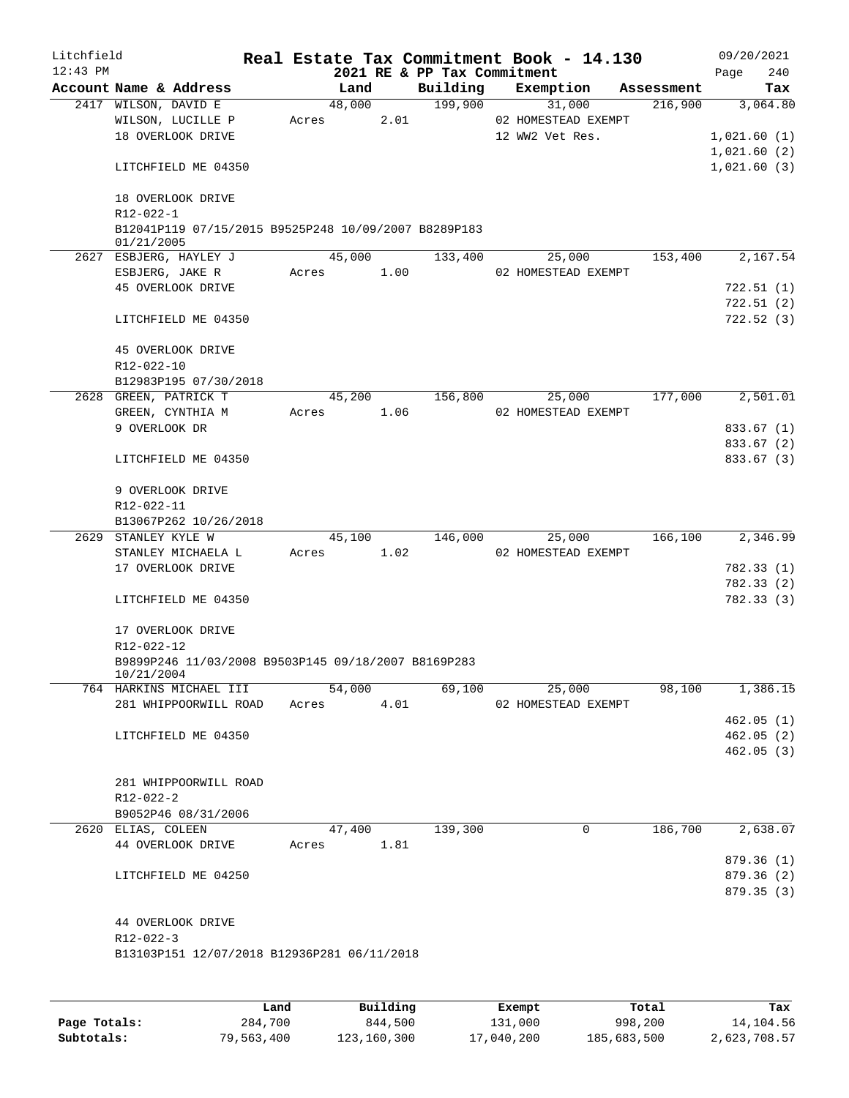| Litchfield |                                                                    |       |        |      |                             | Real Estate Tax Commitment Book - 14.130 |            | 09/20/2021  |  |
|------------|--------------------------------------------------------------------|-------|--------|------|-----------------------------|------------------------------------------|------------|-------------|--|
| $12:43$ PM |                                                                    |       |        |      | 2021 RE & PP Tax Commitment |                                          |            | 240<br>Page |  |
|            | Account Name & Address                                             |       | Land   |      | Building                    | Exemption                                | Assessment | Tax         |  |
|            | 2417 WILSON, DAVID E                                               |       | 48,000 |      | 199,900                     | 31,000                                   | 216,900    | 3,064.80    |  |
|            | WILSON, LUCILLE P                                                  | Acres |        | 2.01 |                             | 02 HOMESTEAD EXEMPT                      |            |             |  |
|            | 18 OVERLOOK DRIVE                                                  |       |        |      |                             | 12 WW2 Vet Res.                          |            | 1,021.60(1) |  |
|            |                                                                    |       |        |      |                             |                                          |            | 1,021.60(2) |  |
|            | LITCHFIELD ME 04350                                                |       |        |      |                             |                                          |            | 1,021.60(3) |  |
|            | 18 OVERLOOK DRIVE                                                  |       |        |      |                             |                                          |            |             |  |
|            | R12-022-1                                                          |       |        |      |                             |                                          |            |             |  |
|            | B12041P119 07/15/2015 B9525P248 10/09/2007 B8289P183<br>01/21/2005 |       |        |      |                             |                                          |            |             |  |
|            | 2627 ESBJERG, HAYLEY J                                             |       | 45,000 |      | 133,400                     | 25,000                                   | 153,400    | 2,167.54    |  |
|            | ESBJERG, JAKE R                                                    | Acres |        | 1.00 |                             | 02 HOMESTEAD EXEMPT                      |            |             |  |
|            | 45 OVERLOOK DRIVE                                                  |       |        |      |                             |                                          |            | 722.51 (1)  |  |
|            |                                                                    |       |        |      |                             |                                          |            | 722.51(2)   |  |
|            | LITCHFIELD ME 04350                                                |       |        |      |                             |                                          |            | 722.52(3)   |  |
|            | 45 OVERLOOK DRIVE                                                  |       |        |      |                             |                                          |            |             |  |
|            | R12-022-10                                                         |       |        |      |                             |                                          |            |             |  |
|            | B12983P195 07/30/2018                                              |       |        |      |                             |                                          |            |             |  |
|            | 2628 GREEN, PATRICK T                                              |       | 45,200 |      | 156,800                     | 25,000                                   | 177,000    | 2,501.01    |  |
|            | GREEN, CYNTHIA M                                                   | Acres |        | 1.06 |                             | 02 HOMESTEAD EXEMPT                      |            |             |  |
|            | 9 OVERLOOK DR                                                      |       |        |      |                             |                                          |            | 833.67 (1)  |  |
|            |                                                                    |       |        |      |                             |                                          |            | 833.67 (2)  |  |
|            | LITCHFIELD ME 04350                                                |       |        |      |                             |                                          |            | 833.67 (3)  |  |
|            | 9 OVERLOOK DRIVE                                                   |       |        |      |                             |                                          |            |             |  |
|            | R12-022-11                                                         |       |        |      |                             |                                          |            |             |  |
|            | B13067P262 10/26/2018                                              |       |        |      |                             |                                          |            |             |  |
|            | 2629 STANLEY KYLE W                                                |       | 45,100 |      | 146,000                     | 25,000                                   | 166,100    | 2,346.99    |  |
|            | STANLEY MICHAELA L                                                 | Acres |        | 1.02 |                             | 02 HOMESTEAD EXEMPT                      |            |             |  |
|            | 17 OVERLOOK DRIVE                                                  |       |        |      |                             |                                          |            | 782.33(1)   |  |
|            |                                                                    |       |        |      |                             |                                          |            | 782.33 (2)  |  |
|            |                                                                    |       |        |      |                             |                                          |            |             |  |
|            | LITCHFIELD ME 04350                                                |       |        |      |                             |                                          |            | 782.33(3)   |  |
|            | 17 OVERLOOK DRIVE                                                  |       |        |      |                             |                                          |            |             |  |
|            | R12-022-12                                                         |       |        |      |                             |                                          |            |             |  |
|            | B9899P246 11/03/2008 B9503P145 09/18/2007 B8169P283<br>10/21/2004  |       |        |      |                             |                                          |            |             |  |
|            | 764 HARKINS MICHAEL III                                            |       | 54,000 |      | 69,100                      | 25,000                                   | 98,100     | 1,386.15    |  |
|            | 281 WHIPPOORWILL ROAD                                              | Acres |        | 4.01 |                             | 02 HOMESTEAD EXEMPT                      |            |             |  |
|            |                                                                    |       |        |      |                             |                                          |            | 462.05(1)   |  |
|            | LITCHFIELD ME 04350                                                |       |        |      |                             |                                          |            | 462.05(2)   |  |
|            |                                                                    |       |        |      |                             |                                          |            | 462.05(3)   |  |
|            |                                                                    |       |        |      |                             |                                          |            |             |  |
|            | 281 WHIPPOORWILL ROAD                                              |       |        |      |                             |                                          |            |             |  |
|            | R12-022-2                                                          |       |        |      |                             |                                          |            |             |  |
|            | B9052P46 08/31/2006                                                |       |        |      |                             |                                          |            |             |  |
|            | 2620 ELIAS, COLEEN                                                 |       | 47,400 |      | 139,300                     | 0                                        | 186,700    | 2,638.07    |  |
|            | 44 OVERLOOK DRIVE                                                  | Acres |        | 1.81 |                             |                                          |            |             |  |
|            |                                                                    |       |        |      |                             |                                          |            | 879.36(1)   |  |
|            | LITCHFIELD ME 04250                                                |       |        |      |                             |                                          |            | 879.36 (2)  |  |
|            |                                                                    |       |        |      |                             |                                          |            | 879.35 (3)  |  |
|            |                                                                    |       |        |      |                             |                                          |            |             |  |
|            | 44 OVERLOOK DRIVE                                                  |       |        |      |                             |                                          |            |             |  |
|            | R12-022-3                                                          |       |        |      |                             |                                          |            |             |  |
|            | B13103P151 12/07/2018 B12936P281 06/11/2018                        |       |        |      |                             |                                          |            |             |  |
|            |                                                                    |       |        |      |                             |                                          |            |             |  |
|            |                                                                    |       |        |      |                             |                                          |            |             |  |
|            |                                                                    |       |        |      |                             |                                          |            |             |  |

|              | Land       | Building    | Exempt     | Total       | Tax          |
|--------------|------------|-------------|------------|-------------|--------------|
| Page Totals: | 284,700    | 844,500     | 131,000    | 998,200     | 14,104.56    |
| Subtotals:   | 79,563,400 | 123,160,300 | 17,040,200 | 185,683,500 | 2,623,708.57 |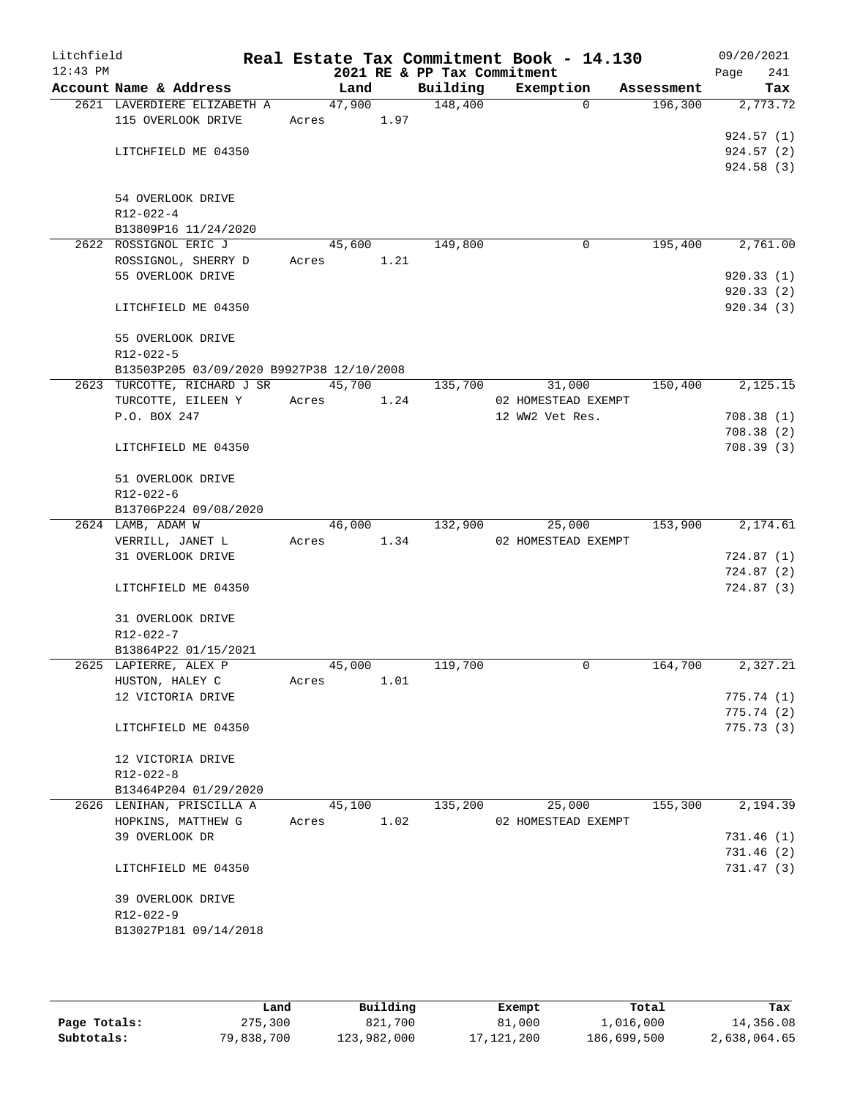| Litchfield<br>$12:43$ PM |                                           |        |      |                                         | Real Estate Tax Commitment Book - 14.130 |            | 09/20/2021             |
|--------------------------|-------------------------------------------|--------|------|-----------------------------------------|------------------------------------------|------------|------------------------|
|                          | Account Name & Address                    | Land   |      | 2021 RE & PP Tax Commitment<br>Building | Exemption                                | Assessment | 241<br>Page<br>Tax     |
|                          | 2621 LAVERDIERE ELIZABETH A               | 47,900 |      | 148,400                                 | $\Omega$                                 | 196,300    | 2,773.72               |
|                          | 115 OVERLOOK DRIVE                        | Acres  | 1.97 |                                         |                                          |            |                        |
|                          |                                           |        |      |                                         |                                          |            | 924.57(1)              |
|                          | LITCHFIELD ME 04350                       |        |      |                                         |                                          |            | 924.57(2)              |
|                          |                                           |        |      |                                         |                                          |            | 924.58 (3)             |
|                          |                                           |        |      |                                         |                                          |            |                        |
|                          | 54 OVERLOOK DRIVE                         |        |      |                                         |                                          |            |                        |
|                          | R12-022-4                                 |        |      |                                         |                                          |            |                        |
|                          | B13809P16 11/24/2020                      |        |      |                                         |                                          |            |                        |
|                          | 2622 ROSSIGNOL ERIC J                     | 45,600 |      | 149,800                                 | 0                                        | 195,400    | 2,761.00               |
|                          | ROSSIGNOL, SHERRY D                       | Acres  | 1.21 |                                         |                                          |            |                        |
|                          | 55 OVERLOOK DRIVE                         |        |      |                                         |                                          |            | 920.33(1)<br>920.33(2) |
|                          | LITCHFIELD ME 04350                       |        |      |                                         |                                          |            | 920.34(3)              |
|                          |                                           |        |      |                                         |                                          |            |                        |
|                          | 55 OVERLOOK DRIVE                         |        |      |                                         |                                          |            |                        |
|                          | $R12 - 022 - 5$                           |        |      |                                         |                                          |            |                        |
|                          | B13503P205 03/09/2020 B9927P38 12/10/2008 |        |      |                                         |                                          |            |                        |
|                          | 2623 TURCOTTE, RICHARD J SR               | 45,700 |      | 135,700                                 | 31,000                                   | 150,400    | 2,125.15               |
|                          | TURCOTTE, EILEEN Y                        | Acres  | 1.24 |                                         | 02 HOMESTEAD EXEMPT                      |            |                        |
|                          | P.O. BOX 247                              |        |      |                                         | 12 WW2 Vet Res.                          |            | 708.38(1)              |
|                          |                                           |        |      |                                         |                                          |            | 708.38(2)              |
|                          | LITCHFIELD ME 04350                       |        |      |                                         |                                          |            | 708.39(3)              |
|                          | 51 OVERLOOK DRIVE                         |        |      |                                         |                                          |            |                        |
|                          | R12-022-6                                 |        |      |                                         |                                          |            |                        |
|                          | B13706P224 09/08/2020                     |        |      |                                         |                                          |            |                        |
|                          | 2624 LAMB, ADAM W                         | 46,000 |      | 132,900                                 | 25,000                                   | 153,900    | 2,174.61               |
|                          | VERRILL, JANET L<br>31 OVERLOOK DRIVE     | Acres  | 1.34 |                                         | 02 HOMESTEAD EXEMPT                      |            | 724.87(1)              |
|                          |                                           |        |      |                                         |                                          |            | 724.87(2)              |
|                          | LITCHFIELD ME 04350                       |        |      |                                         |                                          |            | 724.87(3)              |
|                          |                                           |        |      |                                         |                                          |            |                        |
|                          | 31 OVERLOOK DRIVE                         |        |      |                                         |                                          |            |                        |
|                          | R12-022-7                                 |        |      |                                         |                                          |            |                        |
|                          | B13864P22 01/15/2021                      |        |      |                                         |                                          |            |                        |
|                          | 2625 LAPIERRE, ALEX P                     | 45,000 |      | 119,700                                 | 0                                        | 164,700    | 2,327.21               |
|                          | HUSTON, HALEY C                           | Acres  | 1.01 |                                         |                                          |            |                        |
|                          | 12 VICTORIA DRIVE                         |        |      |                                         |                                          |            | 775.74(1)              |
|                          |                                           |        |      |                                         |                                          |            | 775.74(2)              |
|                          | LITCHFIELD ME 04350                       |        |      |                                         |                                          |            | 775.73(3)              |
|                          | 12 VICTORIA DRIVE                         |        |      |                                         |                                          |            |                        |
|                          | R12-022-8                                 |        |      |                                         |                                          |            |                        |
|                          | B13464P204 01/29/2020                     |        |      |                                         |                                          |            |                        |
|                          | 2626 LENIHAN, PRISCILLA A                 | 45,100 |      | 135,200                                 | 25,000                                   | 155,300    | 2,194.39               |
|                          | HOPKINS, MATTHEW G                        | Acres  | 1.02 |                                         | 02 HOMESTEAD EXEMPT                      |            |                        |
|                          | 39 OVERLOOK DR                            |        |      |                                         |                                          |            | 731.46(1)              |
|                          |                                           |        |      |                                         |                                          |            | 731.46 (2)             |
|                          | LITCHFIELD ME 04350                       |        |      |                                         |                                          |            | 731.47(3)              |
|                          | 39 OVERLOOK DRIVE                         |        |      |                                         |                                          |            |                        |
|                          | R12-022-9                                 |        |      |                                         |                                          |            |                        |
|                          | B13027P181 09/14/2018                     |        |      |                                         |                                          |            |                        |
|                          |                                           |        |      |                                         |                                          |            |                        |
|                          |                                           |        |      |                                         |                                          |            |                        |

|              | Land       | Building    | Exempt       | Total       | Tax          |
|--------------|------------|-------------|--------------|-------------|--------------|
| Page Totals: | 275,300    | 821,700     | 81,000       | L,016,000   | 14,356.08    |
| Subtotals:   | 79,838,700 | 123,982,000 | 17, 121, 200 | 186,699,500 | 2,638,064.65 |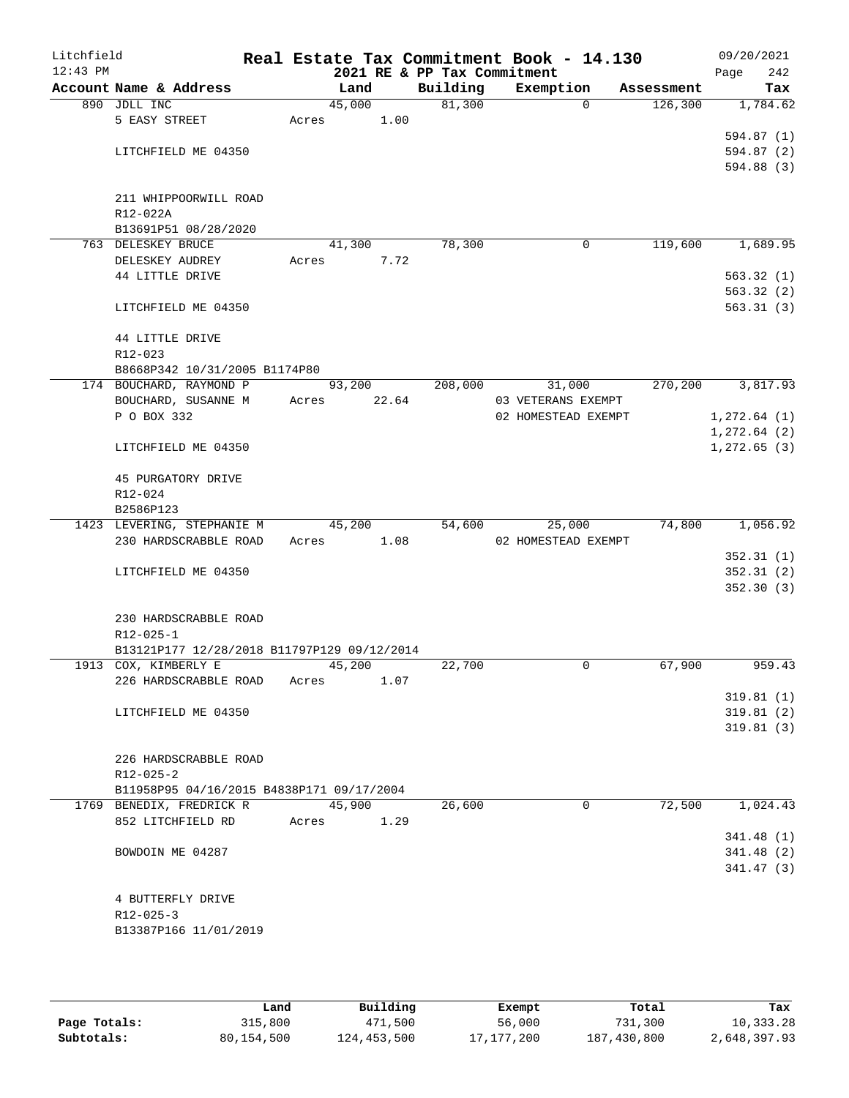| Litchfield<br>$12:43$ PM |                                             |       |        | 2021 RE & PP Tax Commitment | Real Estate Tax Commitment Book - 14.130 |          |            | 09/20/2021<br>Page | 242 |
|--------------------------|---------------------------------------------|-------|--------|-----------------------------|------------------------------------------|----------|------------|--------------------|-----|
|                          | Account Name & Address                      |       | Land   | Building                    | Exemption                                |          | Assessment |                    | Tax |
|                          | 890 JDLL INC                                |       | 45,000 | 81,300                      |                                          | $\Omega$ | 126,300    | 1,784.62           |     |
|                          | 5 EASY STREET                               | Acres | 1.00   |                             |                                          |          |            |                    |     |
|                          |                                             |       |        |                             |                                          |          |            | 594.87(1)          |     |
|                          | LITCHFIELD ME 04350                         |       |        |                             |                                          |          |            | 594.87 (2)         |     |
|                          |                                             |       |        |                             |                                          |          |            | 594.88 (3)         |     |
|                          |                                             |       |        |                             |                                          |          |            |                    |     |
|                          | 211 WHIPPOORWILL ROAD                       |       |        |                             |                                          |          |            |                    |     |
|                          | R12-022A                                    |       |        |                             |                                          |          |            |                    |     |
|                          | B13691P51 08/28/2020                        |       |        |                             |                                          |          |            |                    |     |
|                          | 763 DELESKEY BRUCE                          |       | 41,300 | 78,300                      |                                          | 0        | 119,600    | 1,689.95           |     |
|                          | DELESKEY AUDREY                             | Acres | 7.72   |                             |                                          |          |            |                    |     |
|                          | 44 LITTLE DRIVE                             |       |        |                             |                                          |          |            | 563.32(1)          |     |
|                          |                                             |       |        |                             |                                          |          |            | 563.32(2)          |     |
|                          | LITCHFIELD ME 04350                         |       |        |                             |                                          |          |            | 563.31(3)          |     |
|                          | 44 LITTLE DRIVE                             |       |        |                             |                                          |          |            |                    |     |
|                          | R12-023                                     |       |        |                             |                                          |          |            |                    |     |
|                          | B8668P342 10/31/2005 B1174P80               |       |        |                             |                                          |          |            |                    |     |
|                          | 174 BOUCHARD, RAYMOND P                     |       | 93,200 | 208,000                     | 31,000                                   |          | 270,200    | 3,817.93           |     |
|                          | BOUCHARD, SUSANNE M                         | Acres | 22.64  |                             | 03 VETERANS EXEMPT                       |          |            |                    |     |
|                          | P O BOX 332                                 |       |        |                             | 02 HOMESTEAD EXEMPT                      |          |            | 1, 272.64 (1)      |     |
|                          |                                             |       |        |                             |                                          |          |            | 1, 272.64 (2)      |     |
|                          | LITCHFIELD ME 04350                         |       |        |                             |                                          |          |            | 1, 272.65(3)       |     |
|                          |                                             |       |        |                             |                                          |          |            |                    |     |
|                          | 45 PURGATORY DRIVE                          |       |        |                             |                                          |          |            |                    |     |
|                          | R12-024                                     |       |        |                             |                                          |          |            |                    |     |
|                          | B2586P123                                   |       |        |                             |                                          |          |            |                    |     |
|                          | 1423 LEVERING, STEPHANIE M                  |       | 45,200 | 54,600                      | 25,000                                   |          | 74,800     | 1,056.92           |     |
|                          | 230 HARDSCRABBLE ROAD                       | Acres | 1.08   |                             | 02 HOMESTEAD EXEMPT                      |          |            |                    |     |
|                          |                                             |       |        |                             |                                          |          |            | 352.31(1)          |     |
|                          | LITCHFIELD ME 04350                         |       |        |                             |                                          |          |            | 352.31(2)          |     |
|                          |                                             |       |        |                             |                                          |          |            | 352.30(3)          |     |
|                          | 230 HARDSCRABBLE ROAD                       |       |        |                             |                                          |          |            |                    |     |
|                          | R12-025-1                                   |       |        |                             |                                          |          |            |                    |     |
|                          | B13121P177 12/28/2018 B11797P129 09/12/2014 |       |        |                             |                                          |          |            |                    |     |
|                          | 1913 COX, KIMBERLY E                        |       | 45,200 | 22,700                      |                                          | 0        | 67,900     | 959.43             |     |
|                          | 226 HARDSCRABBLE ROAD                       | Acres | 1.07   |                             |                                          |          |            |                    |     |
|                          |                                             |       |        |                             |                                          |          |            | 319.81(1)          |     |
|                          | LITCHFIELD ME 04350                         |       |        |                             |                                          |          |            | 319.81(2)          |     |
|                          |                                             |       |        |                             |                                          |          |            | 319.81(3)          |     |
|                          |                                             |       |        |                             |                                          |          |            |                    |     |
|                          | 226 HARDSCRABBLE ROAD                       |       |        |                             |                                          |          |            |                    |     |
|                          | $R12 - 025 - 2$                             |       |        |                             |                                          |          |            |                    |     |
|                          | B11958P95 04/16/2015 B4838P171 09/17/2004   |       |        |                             |                                          |          |            |                    |     |
|                          | 1769 BENEDIX, FREDRICK R                    |       | 45,900 | 26,600                      |                                          | 0        | 72,500     | 1,024.43           |     |
|                          | 852 LITCHFIELD RD                           | Acres | 1.29   |                             |                                          |          |            |                    |     |
|                          |                                             |       |        |                             |                                          |          |            | 341.48 (1)         |     |
|                          | BOWDOIN ME 04287                            |       |        |                             |                                          |          |            | 341.48 (2)         |     |
|                          |                                             |       |        |                             |                                          |          |            | 341.47(3)          |     |
|                          |                                             |       |        |                             |                                          |          |            |                    |     |
|                          | 4 BUTTERFLY DRIVE<br>$R12 - 025 - 3$        |       |        |                             |                                          |          |            |                    |     |
|                          | B13387P166 11/01/2019                       |       |        |                             |                                          |          |            |                    |     |
|                          |                                             |       |        |                             |                                          |          |            |                    |     |
|                          |                                             |       |        |                             |                                          |          |            |                    |     |

|              | Land         | Building    | Exempt     | Total       | Tax          |
|--------------|--------------|-------------|------------|-------------|--------------|
| Page Totals: | 315,800      | 471,500     | 56,000     | 731,300     | 10,333.28    |
| Subtotals:   | 80, 154, 500 | 124,453,500 | 17,177,200 | 187,430,800 | 2,648,397.93 |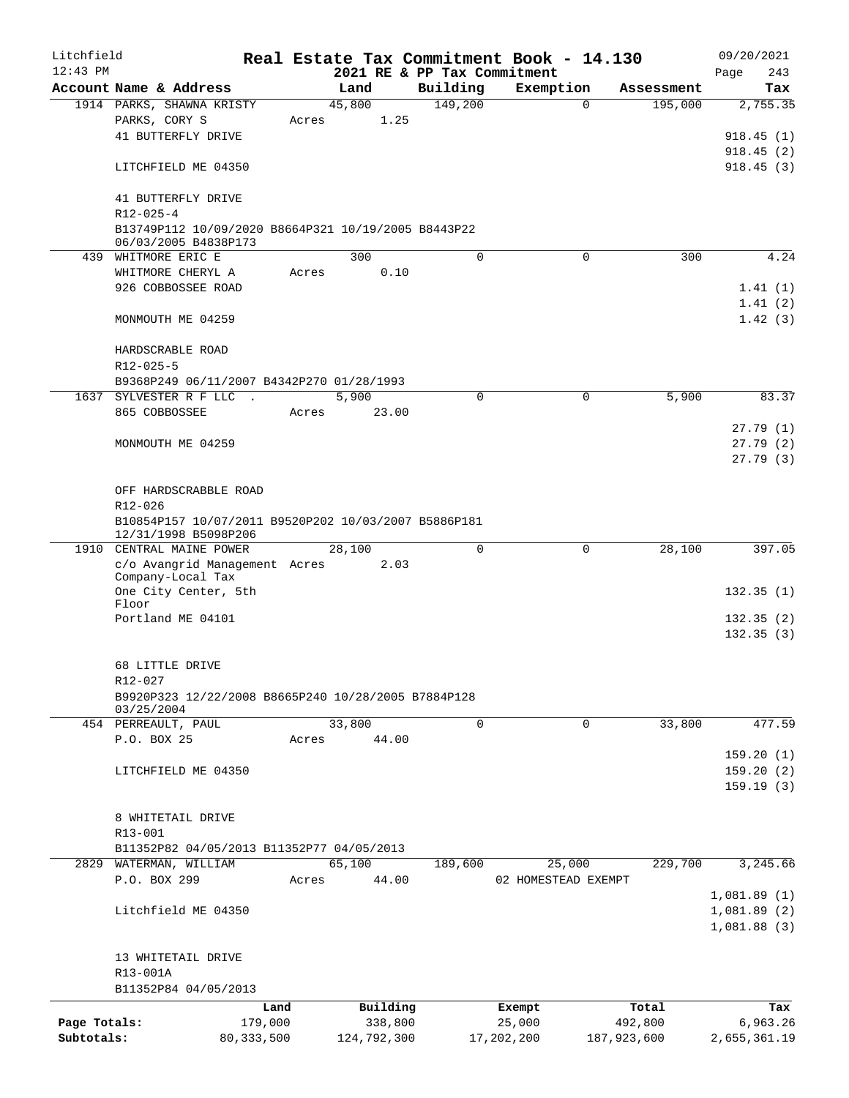| Litchfield   |                                                      |              |                |                             | Real Estate Tax Commitment Book - 14.130 |             | 09/20/2021   |
|--------------|------------------------------------------------------|--------------|----------------|-----------------------------|------------------------------------------|-------------|--------------|
| $12:43$ PM   |                                                      |              |                | 2021 RE & PP Tax Commitment |                                          |             | Page<br>243  |
|              | Account Name & Address                               |              | Land           | Building<br>149,200         | Exemption<br>$\Omega$                    | Assessment  | Tax          |
|              | 1914 PARKS, SHAWNA KRISTY<br>PARKS, CORY S           | Acres        | 45,800<br>1.25 |                             |                                          | 195,000     | 2,755.35     |
|              | 41 BUTTERFLY DRIVE                                   |              |                |                             |                                          |             | 918.45(1)    |
|              |                                                      |              |                |                             |                                          |             | 918.45(2)    |
|              | LITCHFIELD ME 04350                                  |              |                |                             |                                          |             | 918.45(3)    |
|              |                                                      |              |                |                             |                                          |             |              |
|              | 41 BUTTERFLY DRIVE                                   |              |                |                             |                                          |             |              |
|              | $R12 - 025 - 4$                                      |              |                |                             |                                          |             |              |
|              | B13749P112 10/09/2020 B8664P321 10/19/2005 B8443P22  |              |                |                             |                                          |             |              |
|              | 06/03/2005 B4838P173                                 |              |                |                             |                                          |             |              |
|              | 439 WHITMORE ERIC E                                  |              | 300            | $\Omega$                    | $\Omega$                                 | 300         | 4.24         |
|              | WHITMORE CHERYL A                                    | Acres        | 0.10           |                             |                                          |             |              |
|              | 926 COBBOSSEE ROAD                                   |              |                |                             |                                          |             | 1.41(1)      |
|              |                                                      |              |                |                             |                                          |             | 1.41(2)      |
|              | MONMOUTH ME 04259                                    |              |                |                             |                                          |             | 1.42(3)      |
|              |                                                      |              |                |                             |                                          |             |              |
|              | HARDSCRABLE ROAD                                     |              |                |                             |                                          |             |              |
|              | R12-025-5                                            |              |                |                             |                                          |             |              |
|              | B9368P249 06/11/2007 B4342P270 01/28/1993            |              |                |                             |                                          |             |              |
|              | 1637 SYLVESTER R F LLC .                             |              | 5,900          | $\mathbf 0$                 | $\mathbf 0$                              | 5,900       | 83.37        |
|              | 865 COBBOSSEE                                        | Acres        | 23.00          |                             |                                          |             |              |
|              |                                                      |              |                |                             |                                          |             | 27.79(1)     |
|              | MONMOUTH ME 04259                                    |              |                |                             |                                          |             | 27.79(2)     |
|              |                                                      |              |                |                             |                                          |             | 27.79(3)     |
|              |                                                      |              |                |                             |                                          |             |              |
|              | OFF HARDSCRABBLE ROAD                                |              |                |                             |                                          |             |              |
|              | $R12 - 026$                                          |              |                |                             |                                          |             |              |
|              | B10854P157 10/07/2011 B9520P202 10/03/2007 B5886P181 |              |                |                             |                                          |             |              |
|              | 12/31/1998 B5098P206                                 |              |                |                             |                                          |             |              |
|              | 1910 CENTRAL MAINE POWER                             |              | 28,100         | $\mathbf 0$                 | 0                                        | 28,100      | 397.05       |
|              | c/o Avangrid Management Acres<br>Company-Local Tax   |              | 2.03           |                             |                                          |             |              |
|              | One City Center, 5th                                 |              |                |                             |                                          |             | 132.35(1)    |
|              | Floor                                                |              |                |                             |                                          |             |              |
|              | Portland ME 04101                                    |              |                |                             |                                          |             | 132.35(2)    |
|              |                                                      |              |                |                             |                                          |             | 132.35(3)    |
|              |                                                      |              |                |                             |                                          |             |              |
|              | 68 LITTLE DRIVE                                      |              |                |                             |                                          |             |              |
|              | R12-027                                              |              |                |                             |                                          |             |              |
|              | B9920P323 12/22/2008 B8665P240 10/28/2005 B7884P128  |              |                |                             |                                          |             |              |
|              | 03/25/2004                                           |              |                |                             |                                          |             |              |
|              | 454 PERREAULT, PAUL                                  |              | 33,800         | $\mathbf 0$                 | 0                                        | 33,800      | 477.59       |
|              | P.O. BOX 25                                          | Acres        | 44.00          |                             |                                          |             |              |
|              |                                                      |              |                |                             |                                          |             | 159.20(1)    |
|              | LITCHFIELD ME 04350                                  |              |                |                             |                                          |             | 159.20(2)    |
|              |                                                      |              |                |                             |                                          |             | 159.19(3)    |
|              |                                                      |              |                |                             |                                          |             |              |
|              | 8 WHITETAIL DRIVE                                    |              |                |                             |                                          |             |              |
|              | R13-001                                              |              |                |                             |                                          |             |              |
|              | B11352P82 04/05/2013 B11352P77 04/05/2013            |              |                |                             |                                          |             |              |
|              | 2829 WATERMAN, WILLIAM                               |              | 65,100         | 189,600                     | 25,000                                   | 229,700     | 3,245.66     |
|              | P.O. BOX 299                                         | Acres        | 44.00          |                             | 02 HOMESTEAD EXEMPT                      |             |              |
|              |                                                      |              |                |                             |                                          |             | 1,081.89(1)  |
|              | Litchfield ME 04350                                  |              |                |                             |                                          |             | 1,081.89(2)  |
|              |                                                      |              |                |                             |                                          |             | 1,081.88(3)  |
|              |                                                      |              |                |                             |                                          |             |              |
|              | 13 WHITETAIL DRIVE                                   |              |                |                             |                                          |             |              |
|              | R13-001A                                             |              |                |                             |                                          |             |              |
|              | B11352P84 04/05/2013                                 |              |                |                             |                                          |             |              |
|              |                                                      | Land         | Building       |                             | Exempt                                   | Total       | Tax          |
| Page Totals: |                                                      | 179,000      | 338,800        |                             | 25,000                                   | 492,800     | 6,963.26     |
| Subtotals:   |                                                      | 80, 333, 500 | 124,792,300    |                             | 17,202,200                               | 187,923,600 | 2,655,361.19 |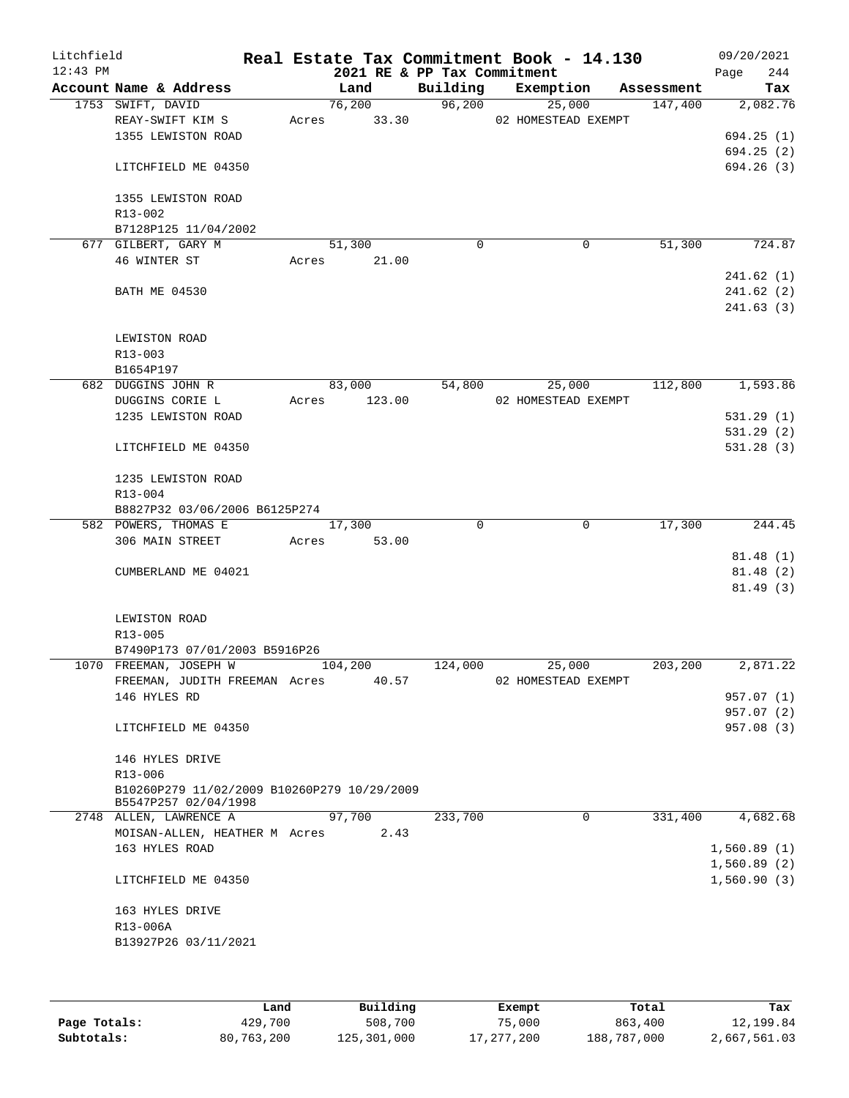| Litchfield<br>$12:43$ PM |                                                                     |       | 2021 RE & PP Tax Commitment |             | Real Estate Tax Commitment Book - 14.130 |            | 09/20/2021<br>244<br>Page |
|--------------------------|---------------------------------------------------------------------|-------|-----------------------------|-------------|------------------------------------------|------------|---------------------------|
|                          | Account Name & Address                                              |       | Land                        | Building    | Exemption                                | Assessment | Tax                       |
|                          | 1753 SWIFT, DAVID                                                   |       | 76,200                      | 96,200      | 25,000                                   | 147,400    | 2,082.76                  |
|                          | REAY-SWIFT KIM S                                                    |       | Acres 33.30                 |             | 02 HOMESTEAD EXEMPT                      |            |                           |
|                          | 1355 LEWISTON ROAD                                                  |       |                             |             |                                          |            | 694.25(1)                 |
|                          |                                                                     |       |                             |             |                                          |            | 694.25(2)                 |
|                          | LITCHFIELD ME 04350                                                 |       |                             |             |                                          |            | 694.26(3)                 |
|                          | 1355 LEWISTON ROAD                                                  |       |                             |             |                                          |            |                           |
|                          | R13-002                                                             |       |                             |             |                                          |            |                           |
|                          | B7128P125 11/04/2002                                                |       |                             |             |                                          |            |                           |
|                          | 677 GILBERT, GARY M                                                 |       | 51,300                      | $\mathbf 0$ | $\mathbf 0$                              | 51,300     | 724.87                    |
|                          | 46 WINTER ST                                                        |       | Acres 21.00                 |             |                                          |            |                           |
|                          |                                                                     |       |                             |             |                                          |            | 241.62(1)                 |
|                          | <b>BATH ME 04530</b>                                                |       |                             |             |                                          |            | 241.62(2)                 |
|                          |                                                                     |       |                             |             |                                          |            | 241.63(3)                 |
|                          |                                                                     |       |                             |             |                                          |            |                           |
|                          | LEWISTON ROAD                                                       |       |                             |             |                                          |            |                           |
|                          | R13-003                                                             |       |                             |             |                                          |            |                           |
|                          | B1654P197<br>682 DUGGINS JOHN R                                     |       | 83,000                      | 54,800      | 25,000                                   | 112,800    | 1,593.86                  |
|                          | DUGGINS CORIE L                                                     | Acres | 123.00                      |             | 02 HOMESTEAD EXEMPT                      |            |                           |
|                          | 1235 LEWISTON ROAD                                                  |       |                             |             |                                          |            | 531.29(1)                 |
|                          |                                                                     |       |                             |             |                                          |            | 531.29(2)                 |
|                          | LITCHFIELD ME 04350                                                 |       |                             |             |                                          |            | 531.28(3)                 |
|                          |                                                                     |       |                             |             |                                          |            |                           |
|                          | 1235 LEWISTON ROAD                                                  |       |                             |             |                                          |            |                           |
|                          | R13-004                                                             |       |                             |             |                                          |            |                           |
|                          | B8827P32 03/06/2006 B6125P274                                       |       |                             |             |                                          |            |                           |
|                          | 582 POWERS, THOMAS E                                                |       | 17,300                      | $\Omega$    | $\mathbf 0$                              | 17,300     | 244.45                    |
|                          | 306 MAIN STREET                                                     | Acres | 53.00                       |             |                                          |            |                           |
|                          |                                                                     |       |                             |             |                                          |            | 81.48(1)                  |
|                          | CUMBERLAND ME 04021                                                 |       |                             |             |                                          |            | 81.48 (2)                 |
|                          |                                                                     |       |                             |             |                                          |            | 81.49(3)                  |
|                          | LEWISTON ROAD                                                       |       |                             |             |                                          |            |                           |
|                          | R13-005                                                             |       |                             |             |                                          |            |                           |
|                          | B7490P173 07/01/2003 B5916P26                                       |       |                             |             |                                          |            |                           |
|                          | 1070 FREEMAN, JOSEPH W                                              |       | 104,200                     | 124,000     | 25,000                                   | 203,200    | 2,871.22                  |
|                          | FREEMAN, JUDITH FREEMAN Acres                                       |       | 40.57                       |             | 02 HOMESTEAD EXEMPT                      |            |                           |
|                          | 146 HYLES RD                                                        |       |                             |             |                                          |            | 957.07 (1)                |
|                          |                                                                     |       |                             |             |                                          |            | 957.07(2)                 |
|                          | LITCHFIELD ME 04350                                                 |       |                             |             |                                          |            | 957.08(3)                 |
|                          |                                                                     |       |                             |             |                                          |            |                           |
|                          | 146 HYLES DRIVE                                                     |       |                             |             |                                          |            |                           |
|                          | $R13 - 006$                                                         |       |                             |             |                                          |            |                           |
|                          | B10260P279 11/02/2009 B10260P279 10/29/2009<br>B5547P257 02/04/1998 |       |                             |             |                                          |            |                           |
|                          | 2748 ALLEN, LAWRENCE A                                              |       | 97,700                      | 233,700     | $\overline{0}$                           | 331,400    | 4,682.68                  |
|                          | MOISAN-ALLEN, HEATHER M Acres                                       |       | 2.43                        |             |                                          |            |                           |
|                          | 163 HYLES ROAD                                                      |       |                             |             |                                          |            | 1,560.89(1)               |
|                          |                                                                     |       |                             |             |                                          |            | 1,560.89(2)               |
|                          | LITCHFIELD ME 04350                                                 |       |                             |             |                                          |            | 1,560.90(3)               |
|                          | 163 HYLES DRIVE                                                     |       |                             |             |                                          |            |                           |
|                          | R13-006A                                                            |       |                             |             |                                          |            |                           |
|                          | B13927P26 03/11/2021                                                |       |                             |             |                                          |            |                           |
|                          |                                                                     |       |                             |             |                                          |            |                           |
|                          |                                                                     |       |                             |             |                                          |            |                           |
|                          |                                                                     |       |                             |             |                                          |            |                           |

|              | Land       | Building    | Exempt     | Total       | Tax          |
|--------------|------------|-------------|------------|-------------|--------------|
| Page Totals: | 429,700    | 508,700     | 75,000     | 863,400     | 12,199.84    |
| Subtotals:   | 80,763,200 | 125,301,000 | 17,277,200 | 188,787,000 | 2,667,561.03 |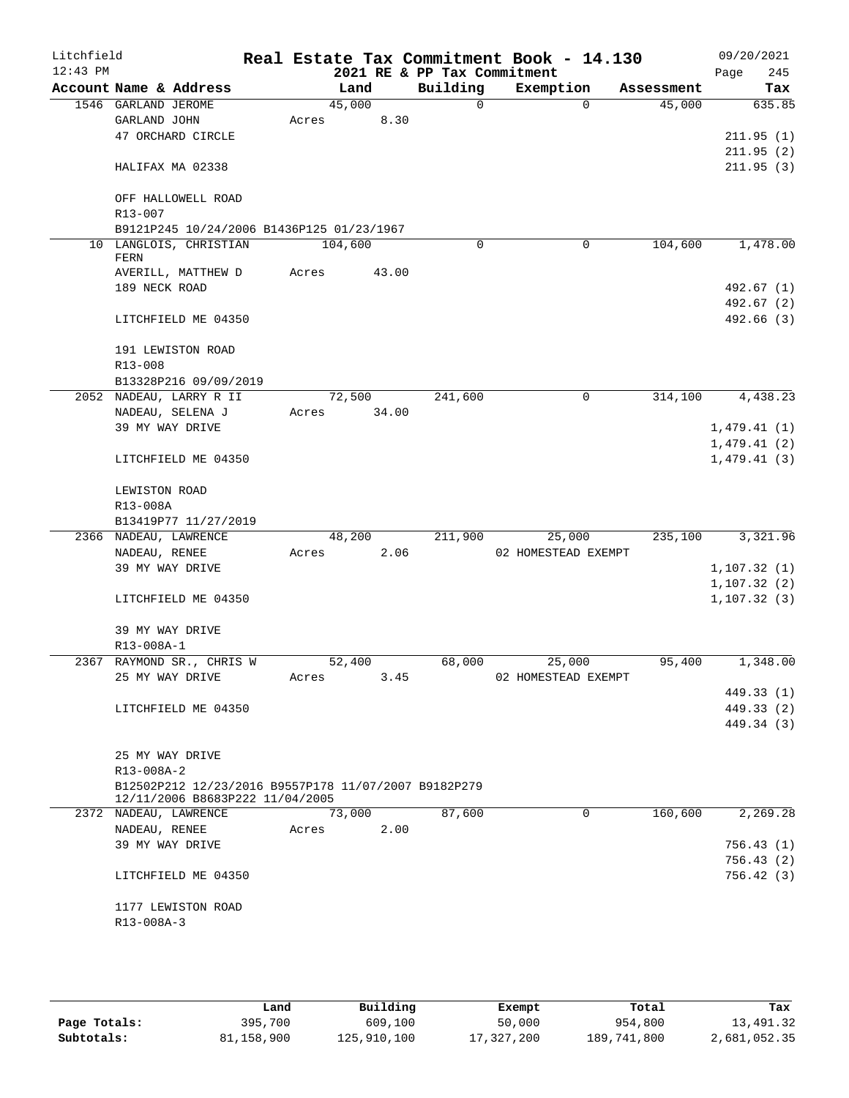| Litchfield<br>$12:43$ PM |                     |                                                                     |       |         | 2021 RE & PP Tax Commitment | Real Estate Tax Commitment Book - 14.130 |            |         | 09/20/2021<br>245<br>Page |
|--------------------------|---------------------|---------------------------------------------------------------------|-------|---------|-----------------------------|------------------------------------------|------------|---------|---------------------------|
|                          |                     | Account Name & Address                                              |       | Land    | Building                    | Exemption                                | Assessment |         | Tax                       |
|                          | 1546 GARLAND JEROME |                                                                     |       | 45,000  | 0                           |                                          | $\Omega$   | 45,000  | 635.85                    |
|                          | GARLAND JOHN        |                                                                     | Acres | 8.30    |                             |                                          |            |         |                           |
|                          |                     | 47 ORCHARD CIRCLE                                                   |       |         |                             |                                          |            |         | 211.95(1)                 |
|                          |                     |                                                                     |       |         |                             |                                          |            |         | 211.95(2)                 |
|                          |                     | HALIFAX MA 02338                                                    |       |         |                             |                                          |            |         | 211.95(3)                 |
|                          |                     |                                                                     |       |         |                             |                                          |            |         |                           |
|                          |                     | OFF HALLOWELL ROAD                                                  |       |         |                             |                                          |            |         |                           |
|                          | R13-007             |                                                                     |       |         |                             |                                          |            |         |                           |
|                          |                     | B9121P245 10/24/2006 B1436P125 01/23/1967<br>10 LANGLOIS, CHRISTIAN |       | 104,600 | 0                           |                                          | 0          | 104,600 | 1,478.00                  |
|                          | FERN                |                                                                     |       |         |                             |                                          |            |         |                           |
|                          |                     | AVERILL, MATTHEW D                                                  | Acres | 43.00   |                             |                                          |            |         |                           |
|                          | 189 NECK ROAD       |                                                                     |       |         |                             |                                          |            |         | 492.67 (1)                |
|                          |                     |                                                                     |       |         |                             |                                          |            |         | 492.67 (2)                |
|                          |                     | LITCHFIELD ME 04350                                                 |       |         |                             |                                          |            |         | 492.66 (3)                |
|                          |                     | 191 LEWISTON ROAD                                                   |       |         |                             |                                          |            |         |                           |
|                          | R13-008             |                                                                     |       |         |                             |                                          |            |         |                           |
|                          |                     | B13328P216 09/09/2019                                               |       |         |                             |                                          |            |         |                           |
|                          |                     | 2052 NADEAU, LARRY R II                                             |       | 72,500  | 241,600                     |                                          | 0          | 314,100 | 4,438.23                  |
|                          |                     | NADEAU, SELENA J                                                    | Acres | 34.00   |                             |                                          |            |         |                           |
|                          | 39 MY WAY DRIVE     |                                                                     |       |         |                             |                                          |            |         | 1,479.41(1)               |
|                          |                     |                                                                     |       |         |                             |                                          |            |         | 1,479.41(2)               |
|                          |                     | LITCHFIELD ME 04350                                                 |       |         |                             |                                          |            |         | 1,479.41(3)               |
|                          | LEWISTON ROAD       |                                                                     |       |         |                             |                                          |            |         |                           |
|                          | R13-008A            |                                                                     |       |         |                             |                                          |            |         |                           |
|                          |                     | B13419P77 11/27/2019                                                |       |         |                             |                                          |            |         |                           |
|                          |                     | 2366 NADEAU, LAWRENCE                                               |       | 48,200  | 211,900                     | 25,000                                   |            | 235,100 | 3,321.96                  |
|                          | NADEAU, RENEE       |                                                                     | Acres | 2.06    |                             | 02 HOMESTEAD EXEMPT                      |            |         |                           |
|                          | 39 MY WAY DRIVE     |                                                                     |       |         |                             |                                          |            |         | 1, 107.32(1)              |
|                          |                     |                                                                     |       |         |                             |                                          |            |         | 1,107.32(2)               |
|                          |                     | LITCHFIELD ME 04350                                                 |       |         |                             |                                          |            |         | 1, 107.32(3)              |
|                          | 39 MY WAY DRIVE     |                                                                     |       |         |                             |                                          |            |         |                           |
|                          | R13-008A-1          |                                                                     |       |         |                             |                                          |            |         |                           |
|                          |                     | 2367 RAYMOND SR., CHRIS W                                           |       | 52,400  | 68,000                      | 25,000                                   |            | 95,400  | 1,348.00                  |
|                          |                     | 25 MY WAY DRIVE                                                     | Acres | 3.45    |                             | 02 HOMESTEAD EXEMPT                      |            |         |                           |
|                          |                     |                                                                     |       |         |                             |                                          |            |         | 449.33 (1)                |
|                          |                     | LITCHFIELD ME 04350                                                 |       |         |                             |                                          |            |         | 449.33 (2)                |
|                          |                     |                                                                     |       |         |                             |                                          |            |         | 449.34 (3)                |
|                          | 25 MY WAY DRIVE     |                                                                     |       |         |                             |                                          |            |         |                           |
|                          | R13-008A-2          |                                                                     |       |         |                             |                                          |            |         |                           |
|                          |                     | B12502P212 12/23/2016 B9557P178 11/07/2007 B9182P279                |       |         |                             |                                          |            |         |                           |
|                          |                     | 12/11/2006 B8683P222 11/04/2005                                     |       |         |                             |                                          |            |         |                           |
|                          |                     | 2372 NADEAU, LAWRENCE                                               |       | 73,000  | 87,600                      |                                          | $\Omega$   | 160,600 | 2,269.28                  |
|                          | NADEAU, RENEE       |                                                                     | Acres | 2.00    |                             |                                          |            |         |                           |
|                          |                     | 39 MY WAY DRIVE                                                     |       |         |                             |                                          |            |         | 756.43(1)                 |
|                          |                     |                                                                     |       |         |                             |                                          |            |         | 756.43 (2)                |
|                          |                     | LITCHFIELD ME 04350                                                 |       |         |                             |                                          |            |         | 756.42 (3)                |
|                          |                     | 1177 LEWISTON ROAD                                                  |       |         |                             |                                          |            |         |                           |
|                          | R13-008A-3          |                                                                     |       |         |                             |                                          |            |         |                           |
|                          |                     |                                                                     |       |         |                             |                                          |            |         |                           |

|              | Land       | Building    | Exempt     | Total       | Tax          |
|--------------|------------|-------------|------------|-------------|--------------|
| Page Totals: | 395,700    | 609,100     | 50,000     | 954,800     | 13,491.32    |
| Subtotals:   | 81,158,900 | 125,910,100 | 17,327,200 | 189,741,800 | 2,681,052.35 |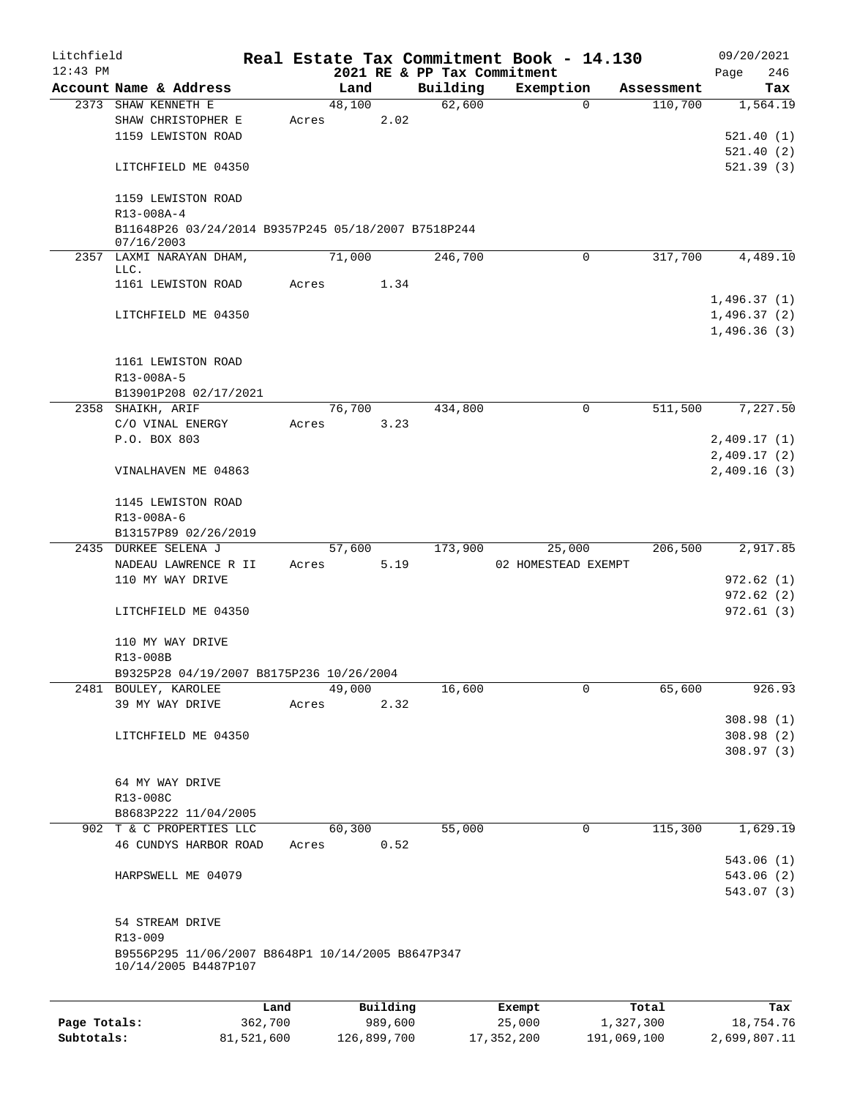| Litchfield   |                                                                           |         |       |                |          |                             | Real Estate Tax Commitment Book - 14.130 |                       | 09/20/2021      |
|--------------|---------------------------------------------------------------------------|---------|-------|----------------|----------|-----------------------------|------------------------------------------|-----------------------|-----------------|
| $12:43$ PM   |                                                                           |         |       |                |          | 2021 RE & PP Tax Commitment |                                          |                       | 246<br>Page     |
|              | Account Name & Address<br>2373 SHAW KENNETH E                             |         |       | Land<br>48,100 |          | Building<br>62,600          | Exemption<br>0                           | Assessment<br>110,700 | Tax<br>1,564.19 |
|              | SHAW CHRISTOPHER E                                                        |         | Acres |                | 2.02     |                             |                                          |                       |                 |
|              | 1159 LEWISTON ROAD                                                        |         |       |                |          |                             |                                          |                       | 521.40(1)       |
|              |                                                                           |         |       |                |          |                             |                                          |                       | 521.40(2)       |
|              |                                                                           |         |       |                |          |                             |                                          |                       |                 |
|              | LITCHFIELD ME 04350                                                       |         |       |                |          |                             |                                          |                       | 521.39(3)       |
|              |                                                                           |         |       |                |          |                             |                                          |                       |                 |
|              | 1159 LEWISTON ROAD                                                        |         |       |                |          |                             |                                          |                       |                 |
|              | R13-008A-4                                                                |         |       |                |          |                             |                                          |                       |                 |
|              | B11648P26 03/24/2014 B9357P245 05/18/2007 B7518P244<br>07/16/2003         |         |       |                |          |                             |                                          |                       |                 |
|              | 2357 LAXMI NARAYAN DHAM,                                                  |         |       | 71,000         |          | 246,700                     | $\Omega$                                 | 317,700               | 4,489.10        |
|              | LLC.                                                                      |         |       |                |          |                             |                                          |                       |                 |
|              | 1161 LEWISTON ROAD                                                        |         | Acres |                | 1.34     |                             |                                          |                       |                 |
|              |                                                                           |         |       |                |          |                             |                                          |                       | 1,496.37(1)     |
|              | LITCHFIELD ME 04350                                                       |         |       |                |          |                             |                                          |                       | 1,496.37(2)     |
|              |                                                                           |         |       |                |          |                             |                                          |                       | 1,496.36(3)     |
|              |                                                                           |         |       |                |          |                             |                                          |                       |                 |
|              | 1161 LEWISTON ROAD                                                        |         |       |                |          |                             |                                          |                       |                 |
|              | R13-008A-5                                                                |         |       |                |          |                             |                                          |                       |                 |
|              | B13901P208 02/17/2021                                                     |         |       |                |          |                             |                                          |                       |                 |
|              | 2358 SHAIKH, ARIF                                                         |         |       | 76,700         |          | 434,800                     | 0                                        | 511,500               | 7,227.50        |
|              | C/O VINAL ENERGY                                                          |         | Acres |                | 3.23     |                             |                                          |                       |                 |
|              | P.O. BOX 803                                                              |         |       |                |          |                             |                                          |                       | 2,409.17(1)     |
|              |                                                                           |         |       |                |          |                             |                                          |                       | 2,409.17(2)     |
|              | VINALHAVEN ME 04863                                                       |         |       |                |          |                             |                                          |                       | 2,409.16(3)     |
|              |                                                                           |         |       |                |          |                             |                                          |                       |                 |
|              | 1145 LEWISTON ROAD                                                        |         |       |                |          |                             |                                          |                       |                 |
|              | R13-008A-6                                                                |         |       |                |          |                             |                                          |                       |                 |
|              | B13157P89 02/26/2019                                                      |         |       |                |          |                             |                                          |                       |                 |
|              | 2435 DURKEE SELENA J                                                      |         |       | 57,600         |          | 173,900                     | 25,000                                   | 206,500               | 2,917.85        |
|              | NADEAU LAWRENCE R II                                                      |         | Acres |                | 5.19     |                             | 02 HOMESTEAD EXEMPT                      |                       |                 |
|              | 110 MY WAY DRIVE                                                          |         |       |                |          |                             |                                          |                       | 972.62(1)       |
|              |                                                                           |         |       |                |          |                             |                                          |                       | 972.62(2)       |
|              | LITCHFIELD ME 04350                                                       |         |       |                |          |                             |                                          |                       | 972.61(3)       |
|              |                                                                           |         |       |                |          |                             |                                          |                       |                 |
|              | 110 MY WAY DRIVE                                                          |         |       |                |          |                             |                                          |                       |                 |
|              | R13-008B                                                                  |         |       |                |          |                             |                                          |                       |                 |
|              | B9325P28 04/19/2007 B8175P236 10/26/2004                                  |         |       |                |          |                             |                                          |                       |                 |
|              | 2481 BOULEY, KAROLEE                                                      |         |       | 49,000         |          | 16,600                      | 0                                        | 65,600                | 926.93          |
|              | 39 MY WAY DRIVE                                                           |         | Acres |                | 2.32     |                             |                                          |                       |                 |
|              |                                                                           |         |       |                |          |                             |                                          |                       | 308.98(1)       |
|              | LITCHFIELD ME 04350                                                       |         |       |                |          |                             |                                          |                       | 308.98(2)       |
|              |                                                                           |         |       |                |          |                             |                                          |                       | 308.97(3)       |
|              |                                                                           |         |       |                |          |                             |                                          |                       |                 |
|              | 64 MY WAY DRIVE                                                           |         |       |                |          |                             |                                          |                       |                 |
|              | R13-008C                                                                  |         |       |                |          |                             |                                          |                       |                 |
|              | B8683P222 11/04/2005                                                      |         |       |                |          |                             |                                          |                       |                 |
|              | 902 T & C PROPERTIES LLC                                                  |         |       | 60,300         |          | 55,000                      | 0                                        | 115,300               | 1,629.19        |
|              | 46 CUNDYS HARBOR ROAD                                                     |         | Acres |                | 0.52     |                             |                                          |                       |                 |
|              |                                                                           |         |       |                |          |                             |                                          |                       | 543.06 (1)      |
|              | HARPSWELL ME 04079                                                        |         |       |                |          |                             |                                          |                       | 543.06 (2)      |
|              |                                                                           |         |       |                |          |                             |                                          |                       |                 |
|              |                                                                           |         |       |                |          |                             |                                          |                       | 543.07 (3)      |
|              |                                                                           |         |       |                |          |                             |                                          |                       |                 |
|              | 54 STREAM DRIVE                                                           |         |       |                |          |                             |                                          |                       |                 |
|              | R13-009                                                                   |         |       |                |          |                             |                                          |                       |                 |
|              | B9556P295 11/06/2007 B8648P1 10/14/2005 B8647P347<br>10/14/2005 B4487P107 |         |       |                |          |                             |                                          |                       |                 |
|              |                                                                           |         |       |                |          |                             |                                          |                       |                 |
|              |                                                                           |         |       |                |          |                             |                                          |                       |                 |
|              |                                                                           | Land    |       |                | Building |                             | Exempt                                   | Total                 | Tax             |
| Page Totals: |                                                                           | 362,700 |       |                | 989,600  |                             | 25,000                                   | 1,327,300             | 18,754.76       |

**Subtotals:** 81,521,600 126,899,700 17,352,200 191,069,100 2,699,807.11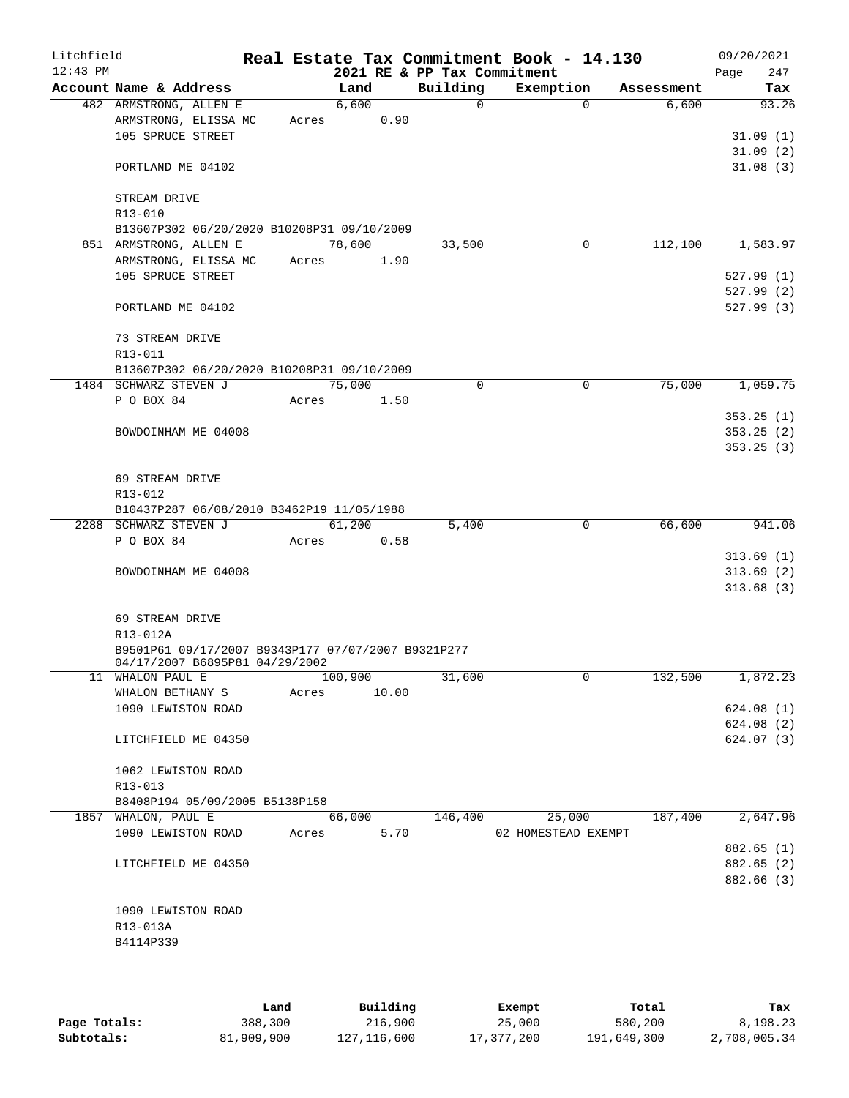| Litchfield<br>$12:43$ PM |                                                    |       |         |       | 2021 RE & PP Tax Commitment | Real Estate Tax Commitment Book - 14.130 |            | 09/20/2021<br>247<br>Page |
|--------------------------|----------------------------------------------------|-------|---------|-------|-----------------------------|------------------------------------------|------------|---------------------------|
|                          | Account Name & Address                             |       | Land    |       | Building                    | Exemption                                | Assessment | Tax                       |
|                          | 482 ARMSTRONG, ALLEN E                             |       | 6,600   |       | $\Omega$                    | $\Omega$                                 | 6,600      | 93.26                     |
|                          | ARMSTRONG, ELISSA MC                               | Acres |         | 0.90  |                             |                                          |            |                           |
|                          | 105 SPRUCE STREET                                  |       |         |       |                             |                                          |            | 31.09(1)                  |
|                          | PORTLAND ME 04102                                  |       |         |       |                             |                                          |            | 31.09(2)<br>31.08(3)      |
|                          |                                                    |       |         |       |                             |                                          |            |                           |
|                          | STREAM DRIVE                                       |       |         |       |                             |                                          |            |                           |
|                          | R13-010                                            |       |         |       |                             |                                          |            |                           |
|                          | B13607P302 06/20/2020 B10208P31 09/10/2009         |       |         |       |                             |                                          |            |                           |
|                          | 851 ARMSTRONG, ALLEN E                             |       | 78,600  |       | 33,500                      | 0                                        | 112,100    | 1,583.97                  |
|                          | ARMSTRONG, ELISSA MC                               | Acres |         | 1.90  |                             |                                          |            |                           |
|                          | 105 SPRUCE STREET                                  |       |         |       |                             |                                          |            | 527.99(1)                 |
|                          |                                                    |       |         |       |                             |                                          |            | 527.99(2)                 |
|                          | PORTLAND ME 04102                                  |       |         |       |                             |                                          |            | 527.99(3)                 |
|                          | 73 STREAM DRIVE                                    |       |         |       |                             |                                          |            |                           |
|                          | R13-011                                            |       |         |       |                             |                                          |            |                           |
|                          | B13607P302 06/20/2020 B10208P31 09/10/2009         |       |         |       |                             |                                          |            |                           |
|                          | 1484 SCHWARZ STEVEN J                              |       | 75,000  |       | 0                           | 0                                        | 75,000     | 1,059.75                  |
|                          | P O BOX 84                                         | Acres |         | 1.50  |                             |                                          |            |                           |
|                          |                                                    |       |         |       |                             |                                          |            | 353.25(1)                 |
|                          | BOWDOINHAM ME 04008                                |       |         |       |                             |                                          |            | 353.25(2)                 |
|                          |                                                    |       |         |       |                             |                                          |            | 353.25(3)                 |
|                          | 69 STREAM DRIVE                                    |       |         |       |                             |                                          |            |                           |
|                          | R13-012                                            |       |         |       |                             |                                          |            |                           |
|                          | B10437P287 06/08/2010 B3462P19 11/05/1988          |       |         |       |                             |                                          |            |                           |
|                          | 2288 SCHWARZ STEVEN J                              |       | 61,200  |       | 5,400                       | 0                                        | 66,600     | 941.06                    |
|                          | P O BOX 84                                         | Acres |         | 0.58  |                             |                                          |            |                           |
|                          |                                                    |       |         |       |                             |                                          |            | 313.69(1)                 |
|                          | BOWDOINHAM ME 04008                                |       |         |       |                             |                                          |            | 313.69(2)                 |
|                          |                                                    |       |         |       |                             |                                          |            | 313.68(3)                 |
|                          | 69 STREAM DRIVE                                    |       |         |       |                             |                                          |            |                           |
|                          | R13-012A                                           |       |         |       |                             |                                          |            |                           |
|                          | B9501P61 09/17/2007 B9343P177 07/07/2007 B9321P277 |       |         |       |                             |                                          |            |                           |
|                          | 04/17/2007 B6895P81 04/29/2002<br>11 WHALON PAUL E |       | 100,900 |       | 31,600                      | 0                                        | 132,500    | 1,872.23                  |
|                          | WHALON BETHANY S                                   | Acres |         | 10.00 |                             |                                          |            |                           |
|                          | 1090 LEWISTON ROAD                                 |       |         |       |                             |                                          |            | 624.08(1)                 |
|                          |                                                    |       |         |       |                             |                                          |            | 624.08 (2)                |
|                          | LITCHFIELD ME 04350                                |       |         |       |                             |                                          |            | 624.07(3)                 |
|                          |                                                    |       |         |       |                             |                                          |            |                           |
|                          | 1062 LEWISTON ROAD                                 |       |         |       |                             |                                          |            |                           |
|                          | R13-013                                            |       |         |       |                             |                                          |            |                           |
|                          | B8408P194 05/09/2005 B5138P158                     |       |         |       |                             |                                          |            |                           |
|                          | 1857 WHALON, PAUL E                                |       | 66,000  |       | 146,400                     | 25,000                                   | 187,400    | 2,647.96                  |
|                          | 1090 LEWISTON ROAD                                 | Acres |         | 5.70  |                             | 02 HOMESTEAD EXEMPT                      |            |                           |
|                          | LITCHFIELD ME 04350                                |       |         |       |                             |                                          |            | 882.65 (1)<br>882.65 (2)  |
|                          |                                                    |       |         |       |                             |                                          |            | 882.66 (3)                |
|                          |                                                    |       |         |       |                             |                                          |            |                           |
|                          | 1090 LEWISTON ROAD                                 |       |         |       |                             |                                          |            |                           |
|                          | R13-013A                                           |       |         |       |                             |                                          |            |                           |
|                          | B4114P339                                          |       |         |       |                             |                                          |            |                           |
|                          |                                                    |       |         |       |                             |                                          |            |                           |
|                          |                                                    |       |         |       |                             |                                          |            |                           |

|              | Land       | Building      | Exempt     | Total       | Tax          |
|--------------|------------|---------------|------------|-------------|--------------|
| Page Totals: | 388,300    | 216,900       | 25,000     | 580,200     | 8,198.23     |
| Subtotals:   | 81,909,900 | 127, 116, 600 | 17,377,200 | 191,649,300 | 2,708,005.34 |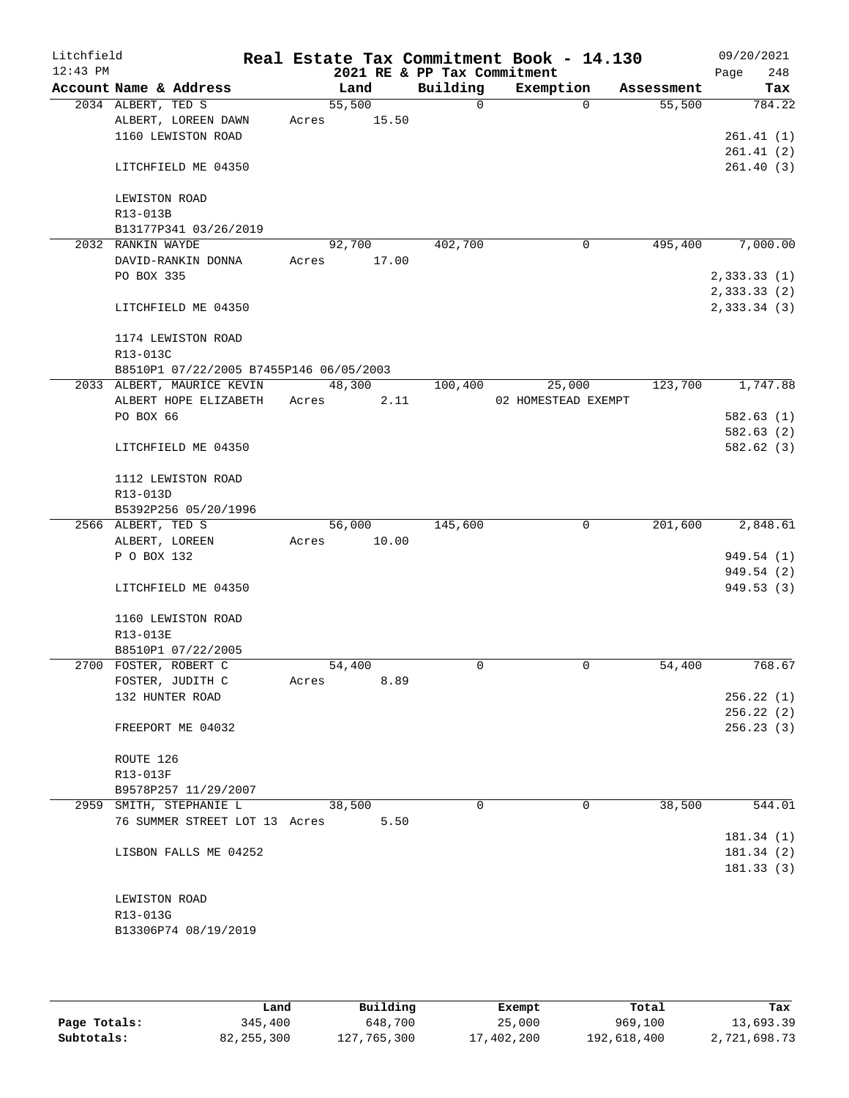| Litchfield |                                         |       |        |       | Real Estate Tax Commitment Book - 14.130 |                     |          |            |      | 09/20/2021                 |
|------------|-----------------------------------------|-------|--------|-------|------------------------------------------|---------------------|----------|------------|------|----------------------------|
| $12:43$ PM | Account Name & Address                  |       | Land   |       | 2021 RE & PP Tax Commitment<br>Building  | Exemption           |          | Assessment | Page | 248<br>Tax                 |
|            | 2034 ALBERT, TED S                      |       | 55,500 |       | $\mathsf{O}$                             |                     | $\Omega$ | 55,500     |      | 784.22                     |
|            | ALBERT, LOREEN DAWN                     | Acres |        | 15.50 |                                          |                     |          |            |      |                            |
|            | 1160 LEWISTON ROAD                      |       |        |       |                                          |                     |          |            |      | 261.41(1)                  |
|            |                                         |       |        |       |                                          |                     |          |            |      | 261.41(2)                  |
|            | LITCHFIELD ME 04350                     |       |        |       |                                          |                     |          |            |      | 261.40(3)                  |
|            | LEWISTON ROAD                           |       |        |       |                                          |                     |          |            |      |                            |
|            | R13-013B                                |       |        |       |                                          |                     |          |            |      |                            |
|            | B13177P341 03/26/2019                   |       |        |       |                                          |                     |          |            |      |                            |
|            | 2032 RANKIN WAYDE                       |       | 92,700 |       | 402,700                                  |                     | 0        | 495,400    |      | 7,000.00                   |
|            | DAVID-RANKIN DONNA                      | Acres |        | 17.00 |                                          |                     |          |            |      |                            |
|            | PO BOX 335                              |       |        |       |                                          |                     |          |            |      | 2,333.33(1)                |
|            | LITCHFIELD ME 04350                     |       |        |       |                                          |                     |          |            |      | 2,333.33(2)<br>2,333.34(3) |
|            | 1174 LEWISTON ROAD                      |       |        |       |                                          |                     |          |            |      |                            |
|            | R13-013C                                |       |        |       |                                          |                     |          |            |      |                            |
|            | B8510P1 07/22/2005 B7455P146 06/05/2003 |       |        |       |                                          |                     |          |            |      |                            |
|            | 2033 ALBERT, MAURICE KEVIN              |       | 48,300 |       | 100,400                                  | 25,000              |          | 123,700    |      | 1,747.88                   |
|            | ALBERT HOPE ELIZABETH                   | Acres |        | 2.11  |                                          | 02 HOMESTEAD EXEMPT |          |            |      |                            |
|            | PO BOX 66                               |       |        |       |                                          |                     |          |            |      | 582.63(1)                  |
|            |                                         |       |        |       |                                          |                     |          |            |      | 582.63(2)                  |
|            | LITCHFIELD ME 04350                     |       |        |       |                                          |                     |          |            |      | 582.62 (3)                 |
|            | 1112 LEWISTON ROAD                      |       |        |       |                                          |                     |          |            |      |                            |
|            | R13-013D                                |       |        |       |                                          |                     |          |            |      |                            |
|            | B5392P256 05/20/1996                    |       |        |       |                                          |                     |          |            |      |                            |
|            | 2566 ALBERT, TED S                      |       | 56,000 |       | 145,600                                  |                     | 0        | 201,600    |      | 2,848.61                   |
|            | ALBERT, LOREEN                          | Acres |        | 10.00 |                                          |                     |          |            |      |                            |
|            | P O BOX 132                             |       |        |       |                                          |                     |          |            |      | 949.54 (1)                 |
|            |                                         |       |        |       |                                          |                     |          |            |      | 949.54 (2)                 |
|            | LITCHFIELD ME 04350                     |       |        |       |                                          |                     |          |            |      | 949.53(3)                  |
|            | 1160 LEWISTON ROAD                      |       |        |       |                                          |                     |          |            |      |                            |
|            | R13-013E                                |       |        |       |                                          |                     |          |            |      |                            |
|            | B8510P1 07/22/2005                      |       |        |       |                                          |                     |          |            |      |                            |
|            | 2700 FOSTER, ROBERT C                   |       | 54,400 |       | 0                                        |                     | 0        | 54,400     |      | 768.67                     |
|            | FOSTER, JUDITH C                        | Acres |        | 8.89  |                                          |                     |          |            |      |                            |
|            | 132 HUNTER ROAD                         |       |        |       |                                          |                     |          |            |      | 256.22(1)                  |
|            |                                         |       |        |       |                                          |                     |          |            |      | 256.22(2)                  |
|            | FREEPORT ME 04032                       |       |        |       |                                          |                     |          |            |      | 256.23(3)                  |
|            | ROUTE 126                               |       |        |       |                                          |                     |          |            |      |                            |
|            | R13-013F                                |       |        |       |                                          |                     |          |            |      |                            |
|            | B9578P257 11/29/2007                    |       |        |       |                                          |                     |          |            |      |                            |
|            | 2959 SMITH, STEPHANIE L                 |       | 38,500 |       | $\Omega$                                 |                     | 0        | 38,500     |      | 544.01                     |
|            | 76 SUMMER STREET LOT 13 Acres           |       |        | 5.50  |                                          |                     |          |            |      | 181.34(1)                  |
|            | LISBON FALLS ME 04252                   |       |        |       |                                          |                     |          |            |      | 181.34(2)                  |
|            |                                         |       |        |       |                                          |                     |          |            |      | 181.33(3)                  |
|            |                                         |       |        |       |                                          |                     |          |            |      |                            |
|            | LEWISTON ROAD                           |       |        |       |                                          |                     |          |            |      |                            |
|            | R13-013G                                |       |        |       |                                          |                     |          |            |      |                            |
|            | B13306P74 08/19/2019                    |       |        |       |                                          |                     |          |            |      |                            |
|            |                                         |       |        |       |                                          |                     |          |            |      |                            |

|              | Land         | Building    | Exempt     | Total       | Tax          |
|--------------|--------------|-------------|------------|-------------|--------------|
| Page Totals: | 345,400      | 648,700     | 25,000     | 969,100     | 13,693.39    |
| Subtotals:   | 82, 255, 300 | 127,765,300 | 17,402,200 | 192,618,400 | 2,721,698.73 |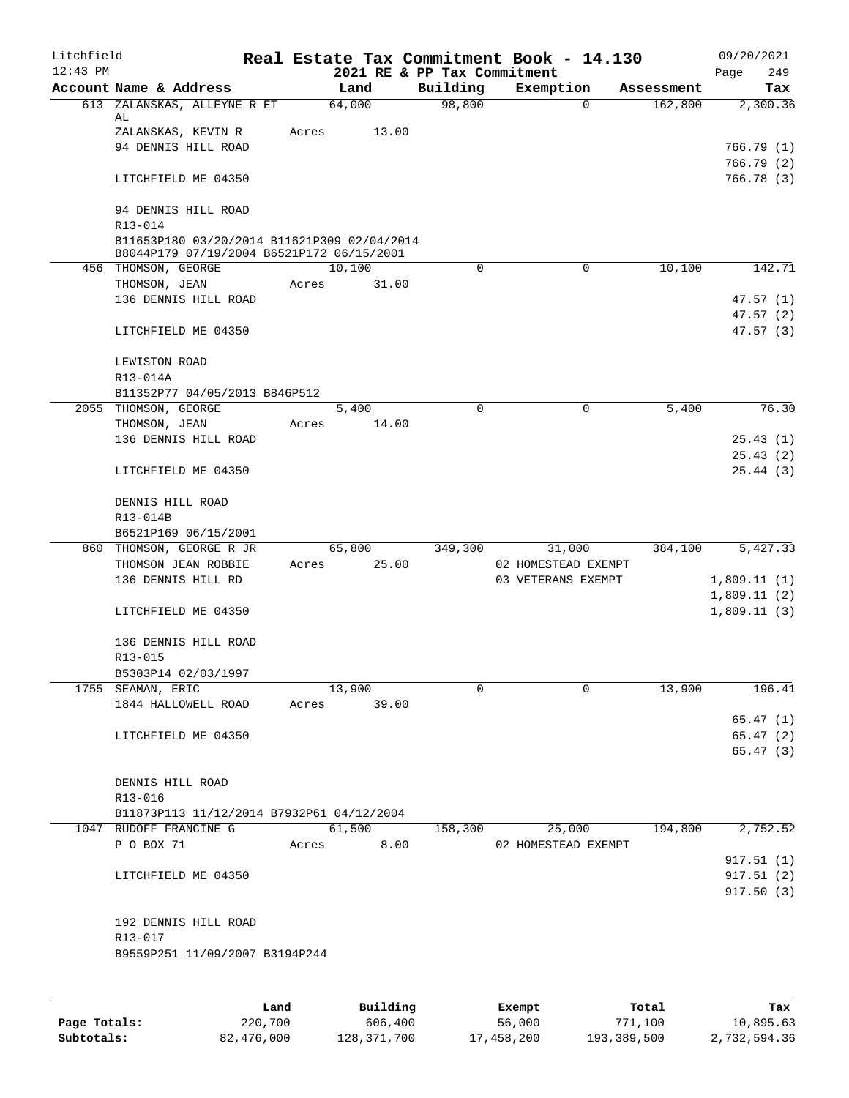| Litchfield<br>$12:43$ PM |                                                                                          |       |             | 2021 RE & PP Tax Commitment | Real Estate Tax Commitment Book - 14.130 |            | 09/20/2021<br>249<br>Page  |
|--------------------------|------------------------------------------------------------------------------------------|-------|-------------|-----------------------------|------------------------------------------|------------|----------------------------|
|                          | Account Name & Address                                                                   |       | Land        | Building                    | Exemption                                | Assessment | Tax                        |
|                          | 613 ZALANSKAS, ALLEYNE R ET<br>AL                                                        |       | 64,000      | 98,800                      | $\mathbf 0$                              | 162,800    | 2,300.36                   |
|                          | ZALANSKAS, KEVIN R<br>94 DENNIS HILL ROAD                                                | Acres | 13.00       |                             |                                          |            | 766.79(1)<br>766.79 (2)    |
|                          | LITCHFIELD ME 04350                                                                      |       |             |                             |                                          |            | 766.78 (3)                 |
|                          | 94 DENNIS HILL ROAD<br>R13-014                                                           |       |             |                             |                                          |            |                            |
|                          | B11653P180 03/20/2014 B11621P309 02/04/2014<br>B8044P179 07/19/2004 B6521P172 06/15/2001 |       |             |                             |                                          |            |                            |
|                          | 456 THOMSON, GEORGE                                                                      |       | 10,100      | 0                           | 0                                        | 10,100     | 142.71                     |
|                          | THOMSON, JEAN                                                                            | Acres | 31.00       |                             |                                          |            |                            |
|                          | 136 DENNIS HILL ROAD                                                                     |       |             |                             |                                          |            | 47.57(1)                   |
|                          | LITCHFIELD ME 04350                                                                      |       |             |                             |                                          |            | 47.57(2)<br>47.57(3)       |
|                          | LEWISTON ROAD<br>R13-014A                                                                |       |             |                             |                                          |            |                            |
|                          | B11352P77 04/05/2013 B846P512                                                            |       |             |                             |                                          |            |                            |
|                          | 2055 THOMSON, GEORGE                                                                     |       | 5,400       | $\Omega$                    | 0                                        | 5,400      | 76.30                      |
|                          | THOMSON, JEAN                                                                            | Acres | 14.00       |                             |                                          |            |                            |
|                          | 136 DENNIS HILL ROAD                                                                     |       |             |                             |                                          |            | 25.43(1)                   |
|                          | LITCHFIELD ME 04350                                                                      |       |             |                             |                                          |            | 25.43(2)<br>25.44(3)       |
|                          | DENNIS HILL ROAD                                                                         |       |             |                             |                                          |            |                            |
|                          | R13-014B<br>B6521P169 06/15/2001                                                         |       |             |                             |                                          |            |                            |
|                          | 860 THOMSON, GEORGE R JR                                                                 |       | 65,800      | 349,300                     | 31,000                                   | 384,100    | 5,427.33                   |
|                          | THOMSON JEAN ROBBIE                                                                      | Acres | 25.00       |                             | 02 HOMESTEAD EXEMPT                      |            |                            |
|                          | 136 DENNIS HILL RD                                                                       |       |             |                             | 03 VETERANS EXEMPT                       |            | 1,809.11(1)<br>1,809.11(2) |
|                          | LITCHFIELD ME 04350                                                                      |       |             |                             |                                          |            | 1,809.11(3)                |
|                          | 136 DENNIS HILL ROAD<br>R13-015                                                          |       |             |                             |                                          |            |                            |
|                          | B5303P14 02/03/1997                                                                      |       |             |                             |                                          |            |                            |
|                          | 1755 SEAMAN, ERIC                                                                        |       | 13,900      | $\mathbf 0$                 | $\mathbf 0$                              | 13,900     | 196.41                     |
|                          | 1844 HALLOWELL ROAD                                                                      |       | Acres 39.00 |                             |                                          |            |                            |
|                          |                                                                                          |       |             |                             |                                          |            | 65.47(1)                   |
|                          | LITCHFIELD ME 04350                                                                      |       |             |                             |                                          |            | 65.47(2)                   |
|                          |                                                                                          |       |             |                             |                                          |            | 65.47(3)                   |
|                          | DENNIS HILL ROAD<br>R13-016                                                              |       |             |                             |                                          |            |                            |
|                          | B11873P113 11/12/2014 B7932P61 04/12/2004                                                |       |             |                             |                                          |            |                            |
|                          | 1047 RUDOFF FRANCINE G                                                                   |       | 61,500      | 158,300                     | 25,000                                   | 194,800    | 2,752.52                   |
|                          | P O BOX 71                                                                               |       | Acres 8.00  |                             | 02 HOMESTEAD EXEMPT                      |            |                            |
|                          |                                                                                          |       |             |                             |                                          |            | 917.51(1)                  |
|                          | LITCHFIELD ME 04350                                                                      |       |             |                             |                                          |            | 917.51 (2)<br>917.50(3)    |
|                          |                                                                                          |       |             |                             |                                          |            |                            |
|                          | 192 DENNIS HILL ROAD<br>R13-017                                                          |       |             |                             |                                          |            |                            |
|                          | B9559P251 11/09/2007 B3194P244                                                           |       |             |                             |                                          |            |                            |
|                          |                                                                                          |       |             |                             |                                          |            |                            |

|              | Land       | Building    | Exempt     | Total       | Tax          |
|--------------|------------|-------------|------------|-------------|--------------|
| Page Totals: | 220,700    | 606,400     | 56,000     | 771,100     | 10,895.63    |
| Subtotals:   | 82,476,000 | 128,371,700 | 17,458,200 | 193,389,500 | 2,732,594.36 |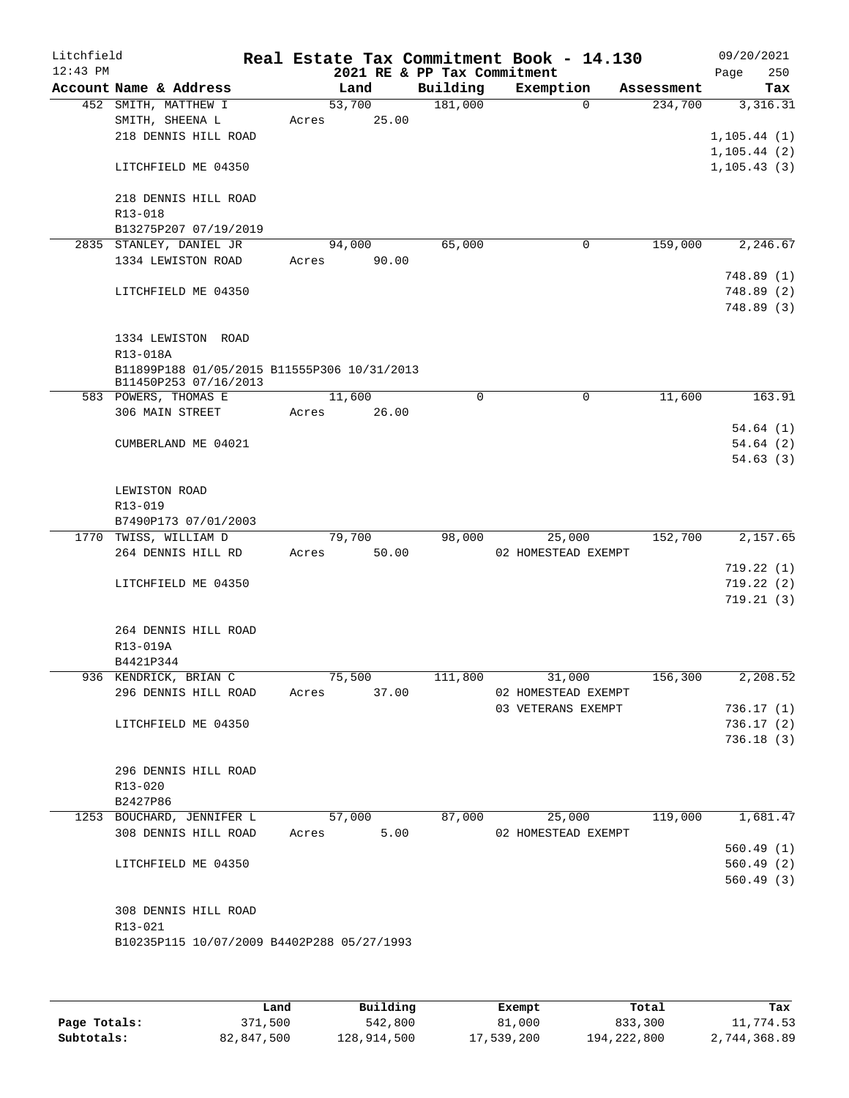| Litchfield |                                                                      |       |        |                             | Real Estate Tax Commitment Book - 14.130 |          |            | 09/20/2021                   |           |
|------------|----------------------------------------------------------------------|-------|--------|-----------------------------|------------------------------------------|----------|------------|------------------------------|-----------|
| $12:43$ PM |                                                                      |       |        | 2021 RE & PP Tax Commitment |                                          |          |            | Page                         | 250       |
|            | Account Name & Address                                               |       | Land   | Building                    | Exemption                                |          | Assessment |                              | Tax       |
|            | 452 SMITH, MATTHEW I                                                 |       | 53,700 | 181,000                     |                                          | $\Omega$ | 234,700    |                              | 3,316.31  |
|            | SMITH, SHEENA L<br>218 DENNIS HILL ROAD                              | Acres | 25.00  |                             |                                          |          |            |                              |           |
|            |                                                                      |       |        |                             |                                          |          |            | 1, 105.44(1)<br>1, 105.44(2) |           |
|            | LITCHFIELD ME 04350                                                  |       |        |                             |                                          |          |            | 1, 105.43(3)                 |           |
|            | 218 DENNIS HILL ROAD                                                 |       |        |                             |                                          |          |            |                              |           |
|            | R13-018                                                              |       |        |                             |                                          |          |            |                              |           |
|            | B13275P207 07/19/2019                                                |       | 94,000 | 65,000                      |                                          | 0        | 159,000    |                              | 2, 246.67 |
|            | 2835 STANLEY, DANIEL JR<br>1334 LEWISTON ROAD                        | Acres | 90.00  |                             |                                          |          |            |                              |           |
|            |                                                                      |       |        |                             |                                          |          |            | 748.89 (1)                   |           |
|            | LITCHFIELD ME 04350                                                  |       |        |                             |                                          |          |            | 748.89 (2)                   |           |
|            |                                                                      |       |        |                             |                                          |          |            | 748.89 (3)                   |           |
|            |                                                                      |       |        |                             |                                          |          |            |                              |           |
|            | 1334 LEWISTON ROAD                                                   |       |        |                             |                                          |          |            |                              |           |
|            | R13-018A                                                             |       |        |                             |                                          |          |            |                              |           |
|            | B11899P188 01/05/2015 B11555P306 10/31/2013<br>B11450P253 07/16/2013 |       |        |                             |                                          |          |            |                              |           |
|            | 583 POWERS, THOMAS E                                                 |       | 11,600 | 0                           |                                          | 0        | 11,600     |                              | 163.91    |
|            | 306 MAIN STREET                                                      | Acres | 26.00  |                             |                                          |          |            |                              |           |
|            |                                                                      |       |        |                             |                                          |          |            |                              | 54.64(1)  |
|            | CUMBERLAND ME 04021                                                  |       |        |                             |                                          |          |            |                              | 54.64(2)  |
|            |                                                                      |       |        |                             |                                          |          |            |                              | 54.63(3)  |
|            | LEWISTON ROAD                                                        |       |        |                             |                                          |          |            |                              |           |
|            | R13-019                                                              |       |        |                             |                                          |          |            |                              |           |
|            | B7490P173 07/01/2003                                                 |       |        |                             |                                          |          |            |                              |           |
|            | 1770 TWISS, WILLIAM D                                                |       | 79,700 | 98,000                      | 25,000                                   |          | 152,700    |                              | 2,157.65  |
|            | 264 DENNIS HILL RD                                                   | Acres | 50.00  |                             | 02 HOMESTEAD EXEMPT                      |          |            |                              |           |
|            |                                                                      |       |        |                             |                                          |          |            | 719.22(1)                    |           |
|            | LITCHFIELD ME 04350                                                  |       |        |                             |                                          |          |            | 719.22(2)                    |           |
|            |                                                                      |       |        |                             |                                          |          |            |                              | 719.21(3) |
|            | 264 DENNIS HILL ROAD                                                 |       |        |                             |                                          |          |            |                              |           |
|            | R13-019A                                                             |       |        |                             |                                          |          |            |                              |           |
|            | B4421P344                                                            |       |        |                             |                                          |          |            |                              |           |
|            | 936 KENDRICK, BRIAN C                                                |       | 75,500 | 111,800                     | 31,000                                   |          | 156,300    |                              | 2,208.52  |
|            | 296 DENNIS HILL ROAD                                                 | Acres | 37.00  |                             | 02 HOMESTEAD EXEMPT                      |          |            |                              |           |
|            |                                                                      |       |        |                             | 03 VETERANS EXEMPT                       |          |            | 736.17(1)                    |           |
|            | LITCHFIELD ME 04350                                                  |       |        |                             |                                          |          |            | 736.17(2)                    |           |
|            |                                                                      |       |        |                             |                                          |          |            | 736.18(3)                    |           |
|            |                                                                      |       |        |                             |                                          |          |            |                              |           |
|            | 296 DENNIS HILL ROAD                                                 |       |        |                             |                                          |          |            |                              |           |
|            | R13-020                                                              |       |        |                             |                                          |          |            |                              |           |
|            | B2427P86                                                             |       | 57,000 | 87,000                      |                                          |          | 119,000    |                              |           |
|            | 1253 BOUCHARD, JENNIFER L<br>308 DENNIS HILL ROAD                    |       | 5.00   |                             | 25,000                                   |          |            |                              | 1,681.47  |
|            |                                                                      | Acres |        |                             | 02 HOMESTEAD EXEMPT                      |          |            | 560.49(1)                    |           |
|            | LITCHFIELD ME 04350                                                  |       |        |                             |                                          |          |            | 560.49(2)                    |           |
|            |                                                                      |       |        |                             |                                          |          |            | 560.49 (3)                   |           |
|            |                                                                      |       |        |                             |                                          |          |            |                              |           |
|            | 308 DENNIS HILL ROAD                                                 |       |        |                             |                                          |          |            |                              |           |
|            | R13-021                                                              |       |        |                             |                                          |          |            |                              |           |
|            | B10235P115 10/07/2009 B4402P288 05/27/1993                           |       |        |                             |                                          |          |            |                              |           |
|            |                                                                      |       |        |                             |                                          |          |            |                              |           |
|            |                                                                      |       |        |                             |                                          |          |            |                              |           |
|            |                                                                      |       |        |                             |                                          |          |            |                              |           |

|              | Land       | Building    | Exempt     | Total       | Tax          |
|--------------|------------|-------------|------------|-------------|--------------|
| Page Totals: | 371,500    | 542,800     | 81,000     | 833,300     | 11,774.53    |
| Subtotals:   | 82,847,500 | 128,914,500 | 17,539,200 | 194,222,800 | 2,744,368.89 |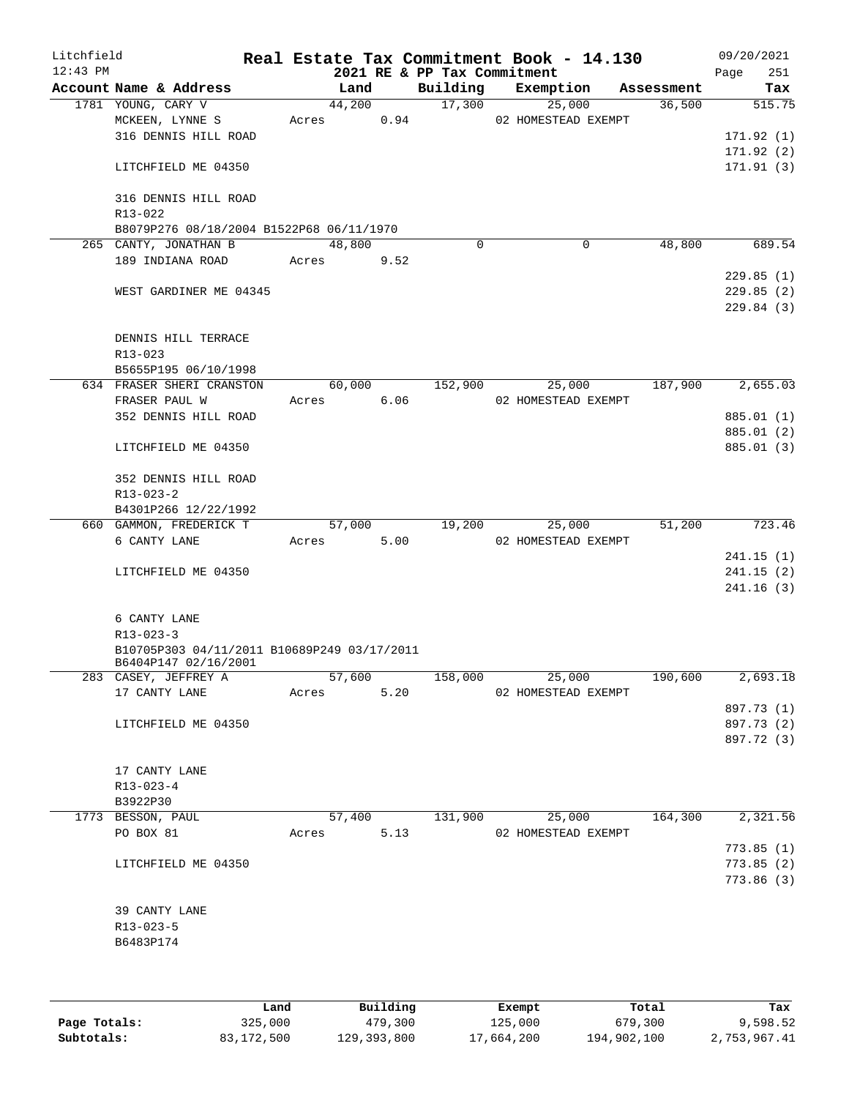| Litchfield<br>$12:43$ PM |                                             |       |        |      | 2021 RE & PP Tax Commitment | Real Estate Tax Commitment Book - 14.130 |            | 09/20/2021<br>251<br>Page |
|--------------------------|---------------------------------------------|-------|--------|------|-----------------------------|------------------------------------------|------------|---------------------------|
|                          | Account Name & Address                      |       | Land   |      | Building                    | Exemption                                | Assessment | Tax                       |
|                          | 1781 YOUNG, CARY V                          |       | 44,200 |      | 17,300                      | 25,000                                   | 36,500     | 515.75                    |
|                          | MCKEEN, LYNNE S                             | Acres |        | 0.94 |                             | 02 HOMESTEAD EXEMPT                      |            |                           |
|                          | 316 DENNIS HILL ROAD                        |       |        |      |                             |                                          |            | 171.92(1)                 |
|                          |                                             |       |        |      |                             |                                          |            | 171.92(2)                 |
|                          | LITCHFIELD ME 04350                         |       |        |      |                             |                                          |            | 171.91(3)                 |
|                          | 316 DENNIS HILL ROAD<br>R13-022             |       |        |      |                             |                                          |            |                           |
|                          | B8079P276 08/18/2004 B1522P68 06/11/1970    |       |        |      |                             |                                          |            |                           |
|                          | 265 CANTY, JONATHAN B                       |       | 48,800 |      | $\mathbf 0$                 | $\mathbf 0$                              | 48,800     | 689.54                    |
|                          | 189 INDIANA ROAD                            | Acres |        | 9.52 |                             |                                          |            |                           |
|                          |                                             |       |        |      |                             |                                          |            | 229.85(1)                 |
|                          |                                             |       |        |      |                             |                                          |            | 229.85(2)                 |
|                          | WEST GARDINER ME 04345                      |       |        |      |                             |                                          |            |                           |
|                          |                                             |       |        |      |                             |                                          |            | 229.84(3)                 |
|                          |                                             |       |        |      |                             |                                          |            |                           |
|                          | DENNIS HILL TERRACE                         |       |        |      |                             |                                          |            |                           |
|                          | R13-023                                     |       |        |      |                             |                                          |            |                           |
|                          | B5655P195 06/10/1998                        |       |        |      |                             |                                          |            |                           |
|                          | 634 FRASER SHERI CRANSTON                   |       | 60,000 |      | 152,900                     | 25,000                                   | 187,900    | 2,655.03                  |
|                          | FRASER PAUL W                               | Acres |        | 6.06 |                             | 02 HOMESTEAD EXEMPT                      |            |                           |
|                          | 352 DENNIS HILL ROAD                        |       |        |      |                             |                                          |            | 885.01 (1)                |
|                          |                                             |       |        |      |                             |                                          |            | 885.01 (2)                |
|                          | LITCHFIELD ME 04350                         |       |        |      |                             |                                          |            | 885.01 (3)                |
|                          |                                             |       |        |      |                             |                                          |            |                           |
|                          | 352 DENNIS HILL ROAD                        |       |        |      |                             |                                          |            |                           |
|                          | R13-023-2                                   |       |        |      |                             |                                          |            |                           |
|                          | B4301P266 12/22/1992                        |       |        |      |                             |                                          |            |                           |
|                          | 660 GAMMON, FREDERICK T                     |       | 57,000 |      | 19,200                      | 25,000                                   | 51,200     | 723.46                    |
|                          | 6 CANTY LANE                                | Acres |        | 5.00 |                             | 02 HOMESTEAD EXEMPT                      |            |                           |
|                          |                                             |       |        |      |                             |                                          |            | 241.15(1)                 |
|                          | LITCHFIELD ME 04350                         |       |        |      |                             |                                          |            | 241.15(2)                 |
|                          |                                             |       |        |      |                             |                                          |            | 241.16(3)                 |
|                          |                                             |       |        |      |                             |                                          |            |                           |
|                          | 6 CANTY LANE                                |       |        |      |                             |                                          |            |                           |
|                          | $R13 - 023 - 3$                             |       |        |      |                             |                                          |            |                           |
|                          | B10705P303 04/11/2011 B10689P249 03/17/2011 |       |        |      |                             |                                          |            |                           |
|                          | B6404P147 02/16/2001                        |       |        |      |                             |                                          |            |                           |
|                          | 283 CASEY, JEFFREY A                        |       | 57,600 |      | 158,000                     | 25,000                                   | 190,600    | 2,693.18                  |
|                          | 17 CANTY LANE                               |       | Acres  | 5.20 |                             | 02 HOMESTEAD EXEMPT                      |            |                           |
|                          |                                             |       |        |      |                             |                                          |            | 897.73 (1)                |
|                          | LITCHFIELD ME 04350                         |       |        |      |                             |                                          |            | 897.73 (2)                |
|                          |                                             |       |        |      |                             |                                          |            | 897.72 (3)                |
|                          |                                             |       |        |      |                             |                                          |            |                           |
|                          | 17 CANTY LANE                               |       |        |      |                             |                                          |            |                           |
|                          | $R13 - 023 - 4$                             |       |        |      |                             |                                          |            |                           |
|                          | B3922P30                                    |       |        |      |                             |                                          |            |                           |
|                          | 1773 BESSON, PAUL                           |       | 57,400 |      | 131,900                     | 25,000                                   | 164,300    | 2,321.56                  |
|                          | PO BOX 81                                   | Acres |        | 5.13 |                             | 02 HOMESTEAD EXEMPT                      |            |                           |
|                          |                                             |       |        |      |                             |                                          |            | 773.85(1)                 |
|                          |                                             |       |        |      |                             |                                          |            |                           |
|                          | LITCHFIELD ME 04350                         |       |        |      |                             |                                          |            | 773.85(2)                 |
|                          |                                             |       |        |      |                             |                                          |            | 773.86(3)                 |
|                          |                                             |       |        |      |                             |                                          |            |                           |
|                          | 39 CANTY LANE                               |       |        |      |                             |                                          |            |                           |
|                          | $R13 - 023 - 5$                             |       |        |      |                             |                                          |            |                           |
|                          | B6483P174                                   |       |        |      |                             |                                          |            |                           |
|                          |                                             |       |        |      |                             |                                          |            |                           |
|                          |                                             |       |        |      |                             |                                          |            |                           |
|                          |                                             |       |        |      |                             |                                          |            |                           |

|              | Land       | Building    | Exempt     | Total       | Tax          |
|--------------|------------|-------------|------------|-------------|--------------|
| Page Totals: | 325,000    | 479,300     | 125,000    | 679,300     | 9,598.52     |
| Subtotals:   | 83,172,500 | 129,393,800 | 17,664,200 | 194,902,100 | 2,753,967.41 |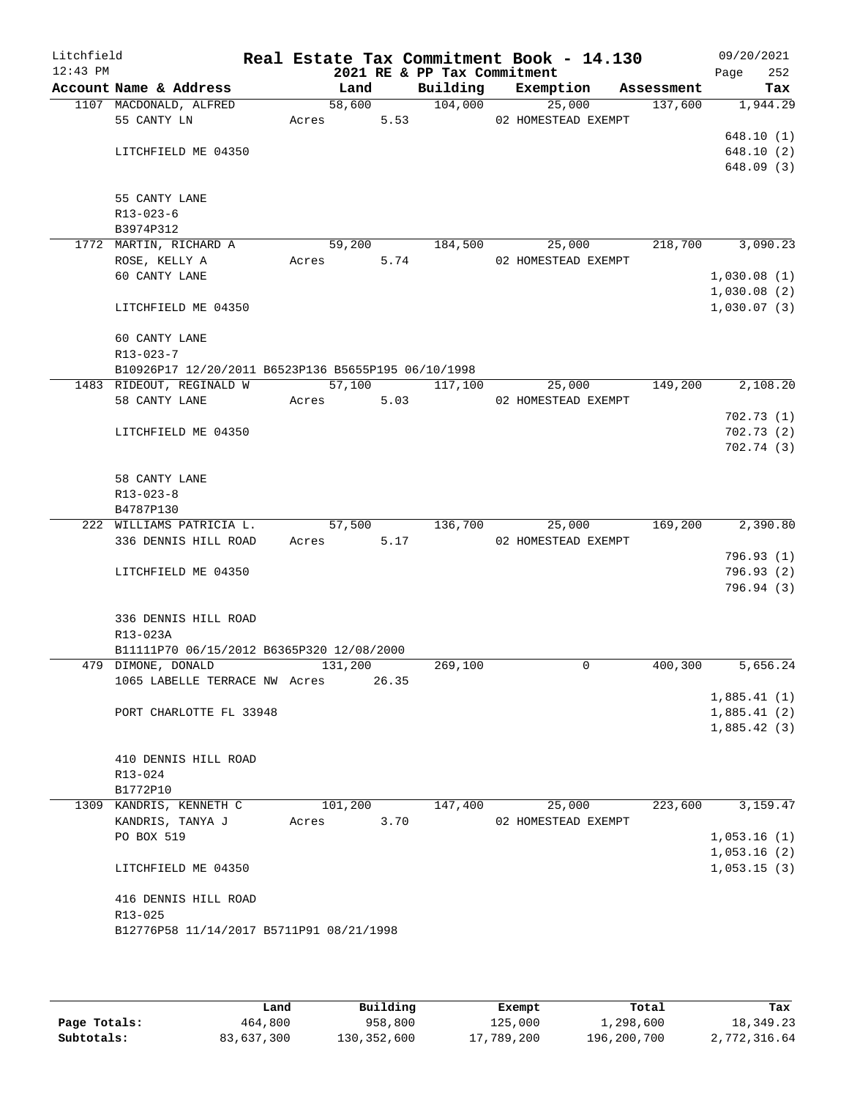| Litchfield<br>$12:43$ PM |                                                       |       |                | 2021 RE & PP Tax Commitment |  | Real Estate Tax Commitment Book - 14.130 |            | 09/20/2021<br>Page<br>252 |
|--------------------------|-------------------------------------------------------|-------|----------------|-----------------------------|--|------------------------------------------|------------|---------------------------|
|                          | Account Name & Address                                |       | Land           |                             |  | Building Exemption                       | Assessment | Tax                       |
|                          | 1107 MACDONALD, ALFRED                                |       | 58,600         | 104,000                     |  | 25,000                                   | 137,600    | 1,944.29                  |
|                          | 55 CANTY LN                                           | Acres | 5.53           |                             |  | 02 HOMESTEAD EXEMPT                      |            |                           |
|                          |                                                       |       |                |                             |  |                                          |            | 648.10(1)                 |
|                          | LITCHFIELD ME 04350                                   |       |                |                             |  |                                          |            | 648.10(2)                 |
|                          |                                                       |       |                |                             |  |                                          |            | 648.09(3)                 |
|                          |                                                       |       |                |                             |  |                                          |            |                           |
|                          | 55 CANTY LANE                                         |       |                |                             |  |                                          |            |                           |
|                          | R13-023-6                                             |       |                |                             |  |                                          |            |                           |
|                          | B3974P312                                             |       |                | 184,500                     |  | 25,000                                   | 218,700    | 3,090.23                  |
|                          | 1772 MARTIN, RICHARD A<br>ROSE, KELLY A               | Acres | 59,200<br>5.74 |                             |  | 02 HOMESTEAD EXEMPT                      |            |                           |
|                          | 60 CANTY LANE                                         |       |                |                             |  |                                          |            | 1,030.08(1)               |
|                          |                                                       |       |                |                             |  |                                          |            | 1,030.08(2)               |
|                          | LITCHFIELD ME 04350                                   |       |                |                             |  |                                          |            | 1,030.07(3)               |
|                          |                                                       |       |                |                             |  |                                          |            |                           |
|                          | 60 CANTY LANE                                         |       |                |                             |  |                                          |            |                           |
|                          | $R13 - 023 - 7$                                       |       |                |                             |  |                                          |            |                           |
|                          | B10926P17 12/20/2011 B6523P136 B5655P195 06/10/1998   |       |                |                             |  |                                          |            |                           |
|                          | 1483 RIDEOUT, REGINALD W                              |       |                | 57,100 117,100              |  | 25,000                                   | 149,200    | 2,108.20                  |
|                          | 58 CANTY LANE                                         | Acres | 5.03           |                             |  | 02 HOMESTEAD EXEMPT                      |            |                           |
|                          |                                                       |       |                |                             |  |                                          |            | 702.73(1)                 |
|                          | LITCHFIELD ME 04350                                   |       |                |                             |  |                                          |            | 702.73(2)                 |
|                          |                                                       |       |                |                             |  |                                          |            | 702.74(3)                 |
|                          |                                                       |       |                |                             |  |                                          |            |                           |
|                          | 58 CANTY LANE                                         |       |                |                             |  |                                          |            |                           |
|                          | $R13 - 023 - 8$                                       |       |                |                             |  |                                          |            |                           |
|                          | B4787P130                                             |       |                |                             |  |                                          |            |                           |
|                          | 222 WILLIAMS PATRICIA L.                              |       | 57,500         | 136,700                     |  | 25,000                                   | 169,200    | 2,390.80                  |
|                          | 336 DENNIS HILL ROAD                                  | Acres | 5.17           |                             |  | 02 HOMESTEAD EXEMPT                      |            |                           |
|                          |                                                       |       |                |                             |  |                                          |            | 796.93(1)                 |
|                          | LITCHFIELD ME 04350                                   |       |                |                             |  |                                          |            | 796.93(2)                 |
|                          |                                                       |       |                |                             |  |                                          |            | 796.94(3)                 |
|                          |                                                       |       |                |                             |  |                                          |            |                           |
|                          | 336 DENNIS HILL ROAD                                  |       |                |                             |  |                                          |            |                           |
|                          | R13-023A<br>B11111P70 06/15/2012 B6365P320 12/08/2000 |       |                |                             |  |                                          |            |                           |
|                          | 479 DIMONE, DONALD                                    |       | 131,200        | 269,100                     |  | 0                                        | 400,300    | 5,656.24                  |
|                          | 1065 LABELLE TERRACE NW Acres                         |       | 26.35          |                             |  |                                          |            |                           |
|                          |                                                       |       |                |                             |  |                                          |            | 1,885.41(1)               |
|                          | PORT CHARLOTTE FL 33948                               |       |                |                             |  |                                          |            | 1,885.41(2)               |
|                          |                                                       |       |                |                             |  |                                          |            | 1,885.42(3)               |
|                          |                                                       |       |                |                             |  |                                          |            |                           |
|                          | 410 DENNIS HILL ROAD                                  |       |                |                             |  |                                          |            |                           |
|                          | $R13 - 024$                                           |       |                |                             |  |                                          |            |                           |
|                          | B1772P10                                              |       |                |                             |  |                                          |            |                           |
|                          | 1309 KANDRIS, KENNETH C                               |       | 101,200        | 147,400                     |  | 25,000                                   | 223,600    | 3,159.47                  |
|                          | KANDRIS, TANYA J                                      | Acres | 3.70           |                             |  | 02 HOMESTEAD EXEMPT                      |            |                           |
|                          | PO BOX 519                                            |       |                |                             |  |                                          |            | 1,053.16(1)               |
|                          |                                                       |       |                |                             |  |                                          |            | 1,053.16(2)               |
|                          | LITCHFIELD ME 04350                                   |       |                |                             |  |                                          |            | 1,053.15(3)               |
|                          |                                                       |       |                |                             |  |                                          |            |                           |
|                          | 416 DENNIS HILL ROAD                                  |       |                |                             |  |                                          |            |                           |
|                          | R13-025                                               |       |                |                             |  |                                          |            |                           |
|                          | B12776P58 11/14/2017 B5711P91 08/21/1998              |       |                |                             |  |                                          |            |                           |
|                          |                                                       |       |                |                             |  |                                          |            |                           |
|                          |                                                       |       |                |                             |  |                                          |            |                           |

|              | Land       | Building      | Exempt     | Total       | Tax          |
|--------------|------------|---------------|------------|-------------|--------------|
| Page Totals: | 464,800    | 958,800       | 125,000    | 1,298,600   | 18,349.23    |
| Subtotals:   | 83,637,300 | 130, 352, 600 | 17,789,200 | 196,200,700 | 2,772,316.64 |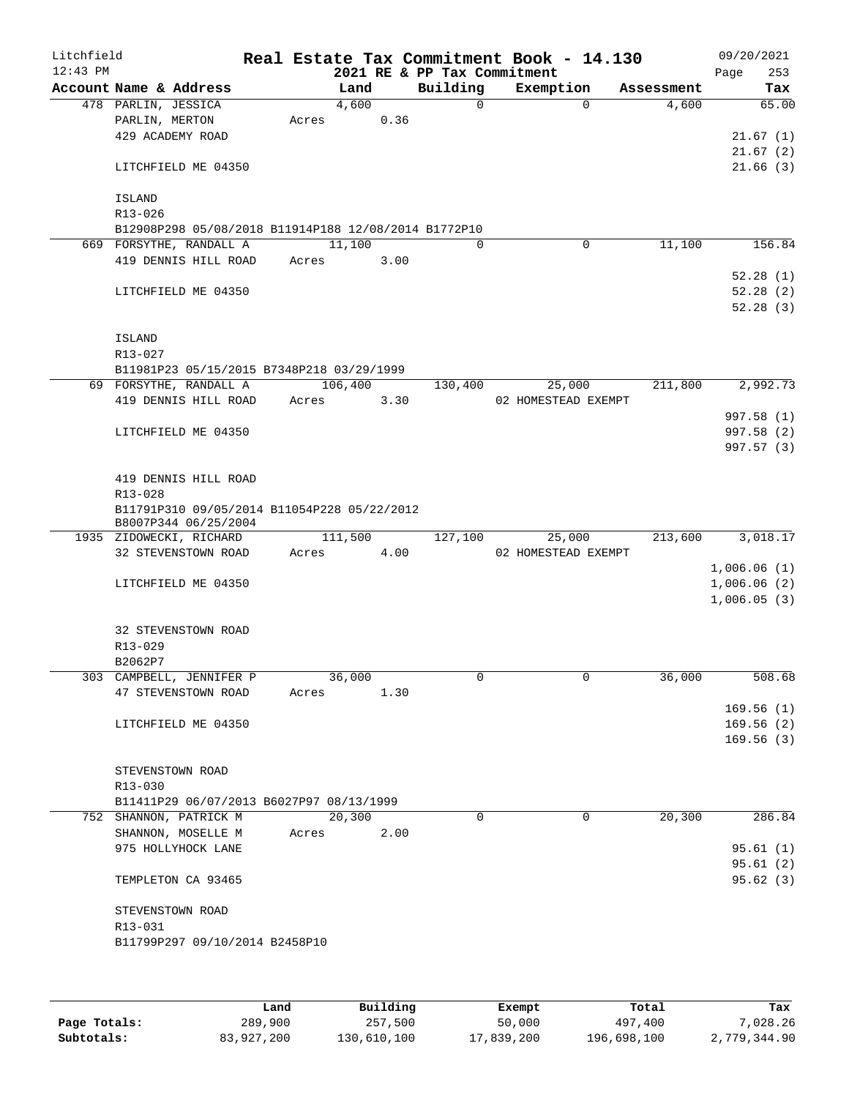| Litchfield<br>$12:43$ PM |                                                                     |                 |      | 2021 RE & PP Tax Commitment | Real Estate Tax Commitment Book - 14.130 |            | 09/20/2021<br>253<br>Page |
|--------------------------|---------------------------------------------------------------------|-----------------|------|-----------------------------|------------------------------------------|------------|---------------------------|
|                          | Account Name & Address                                              | Land            |      | Building                    | Exemption                                | Assessment | Tax                       |
|                          | 478 PARLIN, JESSICA                                                 | 4,600           |      | $\Omega$                    | $\Omega$                                 | 4,600      | 65.00                     |
|                          | PARLIN, MERTON                                                      | Acres           | 0.36 |                             |                                          |            |                           |
|                          | 429 ACADEMY ROAD                                                    |                 |      |                             |                                          |            | 21.67(1)                  |
|                          |                                                                     |                 |      |                             |                                          |            | 21.67(2)                  |
|                          | LITCHFIELD ME 04350                                                 |                 |      |                             |                                          |            | 21.66(3)                  |
|                          | <b>ISLAND</b>                                                       |                 |      |                             |                                          |            |                           |
|                          | R13-026                                                             |                 |      |                             |                                          |            |                           |
|                          | B12908P298 05/08/2018 B11914P188 12/08/2014 B1772P10                |                 |      |                             |                                          |            |                           |
|                          | 669 FORSYTHE, RANDALL A                                             | 11,100          |      | $\Omega$                    | $\mathbf 0$                              | 11,100     | 156.84                    |
|                          | 419 DENNIS HILL ROAD                                                | Acres           | 3.00 |                             |                                          |            |                           |
|                          |                                                                     |                 |      |                             |                                          |            | 52.28(1)                  |
|                          | LITCHFIELD ME 04350                                                 |                 |      |                             |                                          |            | 52.28(2)                  |
|                          |                                                                     |                 |      |                             |                                          |            | 52.28(3)                  |
|                          | <b>ISLAND</b>                                                       |                 |      |                             |                                          |            |                           |
|                          | R13-027                                                             |                 |      |                             |                                          |            |                           |
|                          | B11981P23 05/15/2015 B7348P218 03/29/1999                           |                 |      |                             |                                          |            |                           |
|                          | 69 FORSYTHE, RANDALL A                                              | 106,400         |      | 130,400                     | 25,000                                   | 211,800    | 2,992.73                  |
|                          | 419 DENNIS HILL ROAD                                                | Acres           | 3.30 |                             | 02 HOMESTEAD EXEMPT                      |            |                           |
|                          |                                                                     |                 |      |                             |                                          |            | 997.58 (1)                |
|                          | LITCHFIELD ME 04350                                                 |                 |      |                             |                                          |            | 997.58 (2)                |
|                          |                                                                     |                 |      |                             |                                          |            | 997.57 (3)                |
|                          |                                                                     |                 |      |                             |                                          |            |                           |
|                          | 419 DENNIS HILL ROAD                                                |                 |      |                             |                                          |            |                           |
|                          | R13-028                                                             |                 |      |                             |                                          |            |                           |
|                          | B11791P310 09/05/2014 B11054P228 05/22/2012<br>B8007P344 06/25/2004 |                 |      |                             |                                          |            |                           |
|                          | 1935 ZIDOWECKI, RICHARD                                             | 111,500         |      | 127,100                     | 25,000                                   | 213,600    | 3,018.17                  |
|                          | 32 STEVENSTOWN ROAD                                                 | Acres           | 4.00 |                             | 02 HOMESTEAD EXEMPT                      |            |                           |
|                          |                                                                     |                 |      |                             |                                          |            | 1,006.06(1)               |
|                          | LITCHFIELD ME 04350                                                 |                 |      |                             |                                          |            | 1,006.06(2)               |
|                          |                                                                     |                 |      |                             |                                          |            | 1,006.05(3)               |
|                          |                                                                     |                 |      |                             |                                          |            |                           |
|                          | 32 STEVENSTOWN ROAD                                                 |                 |      |                             |                                          |            |                           |
|                          | R13-029                                                             |                 |      |                             |                                          |            |                           |
|                          | B2062P7                                                             |                 |      |                             | 0                                        | 36,000     |                           |
|                          | 303 CAMPBELL, JENNIFER P<br>47 STEVENSTOWN ROAD                     | 36,000<br>Acres | 1.30 | 0                           |                                          |            | 508.68                    |
|                          |                                                                     |                 |      |                             |                                          |            | 169.56(1)                 |
|                          | LITCHFIELD ME 04350                                                 |                 |      |                             |                                          |            | 169.56(2)                 |
|                          |                                                                     |                 |      |                             |                                          |            | 169.56(3)                 |
|                          |                                                                     |                 |      |                             |                                          |            |                           |
|                          | STEVENSTOWN ROAD                                                    |                 |      |                             |                                          |            |                           |
|                          | R13-030                                                             |                 |      |                             |                                          |            |                           |
|                          | B11411P29 06/07/2013 B6027P97 08/13/1999                            |                 |      |                             |                                          |            |                           |
|                          | 752 SHANNON, PATRICK M                                              | 20,300          |      | $\Omega$                    | $\Omega$                                 | 20,300     | 286.84                    |
|                          | SHANNON, MOSELLE M                                                  | Acres           | 2.00 |                             |                                          |            |                           |
|                          | 975 HOLLYHOCK LANE                                                  |                 |      |                             |                                          |            | 95.61(1)                  |
|                          |                                                                     |                 |      |                             |                                          |            | 95.61(2)                  |
|                          | TEMPLETON CA 93465                                                  |                 |      |                             |                                          |            | 95.62(3)                  |
|                          | STEVENSTOWN ROAD                                                    |                 |      |                             |                                          |            |                           |
|                          | R13-031                                                             |                 |      |                             |                                          |            |                           |
|                          | B11799P297 09/10/2014 B2458P10                                      |                 |      |                             |                                          |            |                           |
|                          |                                                                     |                 |      |                             |                                          |            |                           |
|                          |                                                                     |                 |      |                             |                                          |            |                           |
|                          |                                                                     |                 |      |                             |                                          |            |                           |

|              | Land       | Building    | Exempt     | Total       | Tax          |
|--------------|------------|-------------|------------|-------------|--------------|
| Page Totals: | 289,900    | 257,500     | 50,000     | 497,400     | 7,028.26     |
| Subtotals:   | 83,927,200 | 130,610,100 | 17,839,200 | 196,698,100 | 2,779,344.90 |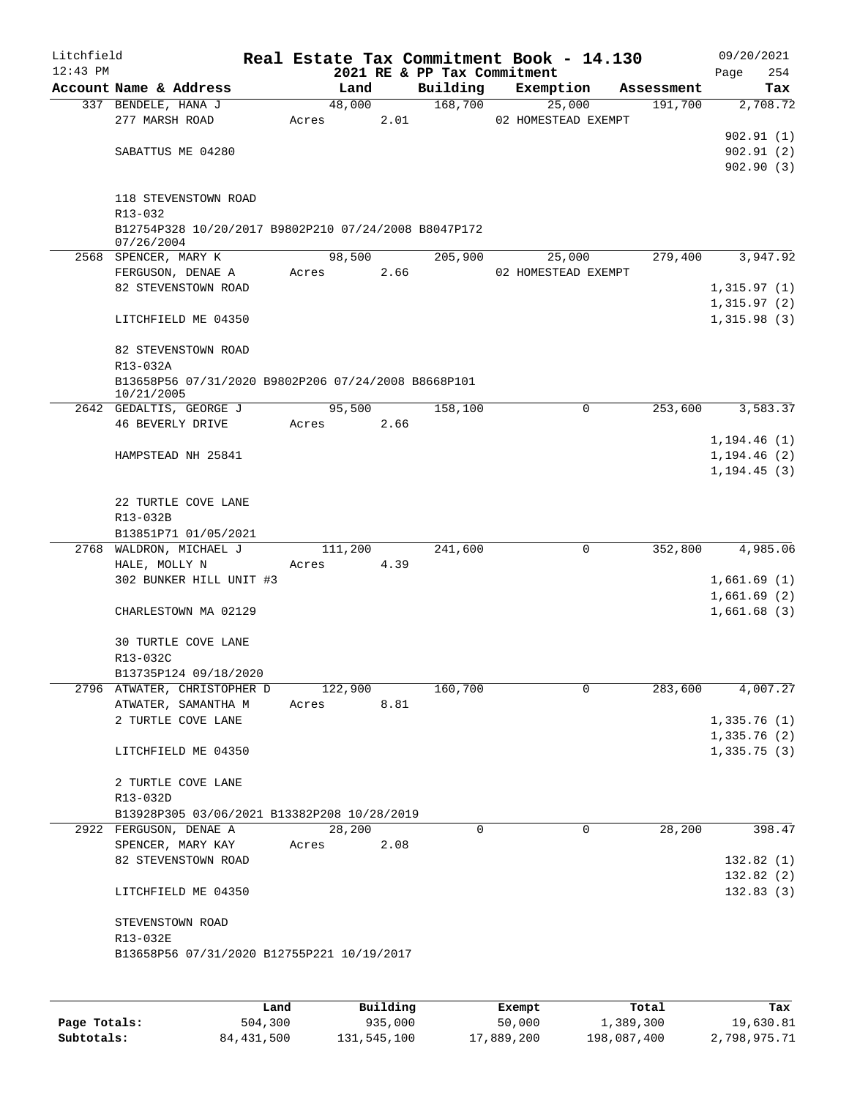| Litchfield |                                                                    |       |         |      |                             | Real Estate Tax Commitment Book - 14.130 |             |                       |                            | 09/20/2021      |
|------------|--------------------------------------------------------------------|-------|---------|------|-----------------------------|------------------------------------------|-------------|-----------------------|----------------------------|-----------------|
| $12:43$ PM |                                                                    |       |         |      | 2021 RE & PP Tax Commitment |                                          |             |                       | Page                       | 254             |
|            | Account Name & Address                                             |       | Land    |      | Building                    | Exemption                                |             | Assessment<br>191,700 |                            | Tax<br>2,708.72 |
|            | 337 BENDELE, HANA J<br>277 MARSH ROAD                              | Acres | 48,000  | 2.01 | 168,700                     | 25,000<br>02 HOMESTEAD EXEMPT            |             |                       |                            |                 |
|            |                                                                    |       |         |      |                             |                                          |             |                       |                            | 902.91(1)       |
|            | SABATTUS ME 04280                                                  |       |         |      |                             |                                          |             |                       |                            | 902.91(2)       |
|            |                                                                    |       |         |      |                             |                                          |             |                       |                            | 902.90(3)       |
|            | 118 STEVENSTOWN ROAD<br>R13-032                                    |       |         |      |                             |                                          |             |                       |                            |                 |
|            | B12754P328 10/20/2017 B9802P210 07/24/2008 B8047P172<br>07/26/2004 |       |         |      |                             |                                          |             |                       |                            |                 |
|            | 2568 SPENCER, MARY K                                               |       | 98,500  |      | 205,900                     | 25,000                                   |             | 279,400               |                            | 3,947.92        |
|            | FERGUSON, DENAE A                                                  | Acres |         | 2.66 |                             | 02 HOMESTEAD EXEMPT                      |             |                       |                            |                 |
|            | 82 STEVENSTOWN ROAD                                                |       |         |      |                             |                                          |             |                       | 1,315.97(1)                |                 |
|            | LITCHFIELD ME 04350                                                |       |         |      |                             |                                          |             |                       | 1,315.97(2)<br>1,315.98(3) |                 |
|            |                                                                    |       |         |      |                             |                                          |             |                       |                            |                 |
|            | 82 STEVENSTOWN ROAD<br>R13-032A                                    |       |         |      |                             |                                          |             |                       |                            |                 |
|            | B13658P56 07/31/2020 B9802P206 07/24/2008 B8668P101<br>10/21/2005  |       |         |      |                             |                                          |             |                       |                            |                 |
|            | 2642 GEDALTIS, GEORGE J                                            |       | 95,500  |      | 158,100                     |                                          | $\Omega$    | 253,600               |                            | 3,583.37        |
|            | 46 BEVERLY DRIVE                                                   | Acres |         | 2.66 |                             |                                          |             |                       |                            |                 |
|            |                                                                    |       |         |      |                             |                                          |             |                       | 1, 194.46(1)               |                 |
|            | HAMPSTEAD NH 25841                                                 |       |         |      |                             |                                          |             |                       | 1, 194.46(2)               |                 |
|            |                                                                    |       |         |      |                             |                                          |             |                       | 1, 194.45(3)               |                 |
|            | 22 TURTLE COVE LANE                                                |       |         |      |                             |                                          |             |                       |                            |                 |
|            | R13-032B                                                           |       |         |      |                             |                                          |             |                       |                            |                 |
|            | B13851P71 01/05/2021                                               |       |         |      |                             |                                          |             |                       |                            |                 |
|            | 2768 WALDRON, MICHAEL J                                            |       | 111,200 |      | 241,600                     |                                          | 0           | 352,800               |                            | 4,985.06        |
|            | HALE, MOLLY N                                                      | Acres |         | 4.39 |                             |                                          |             |                       |                            |                 |
|            | 302 BUNKER HILL UNIT #3                                            |       |         |      |                             |                                          |             |                       | 1,661.69(1)                |                 |
|            | CHARLESTOWN MA 02129                                               |       |         |      |                             |                                          |             |                       | 1,661.69(2)<br>1,661.68(3) |                 |
|            |                                                                    |       |         |      |                             |                                          |             |                       |                            |                 |
|            | 30 TURTLE COVE LANE                                                |       |         |      |                             |                                          |             |                       |                            |                 |
|            | R13-032C                                                           |       |         |      |                             |                                          |             |                       |                            |                 |
|            | B13735P124 09/18/2020                                              |       |         |      |                             |                                          |             |                       |                            |                 |
|            | 2796 ATWATER, CHRISTOPHER D<br>ATWATER, SAMANTHA M                 | Acres | 122,900 |      | 160,700                     |                                          | 0           | 283,600               |                            | 4,007.27        |
|            | 2 TURTLE COVE LANE                                                 |       |         | 8.81 |                             |                                          |             |                       | 1,335.76(1)                |                 |
|            |                                                                    |       |         |      |                             |                                          |             |                       | 1,335.76(2)                |                 |
|            | LITCHFIELD ME 04350                                                |       |         |      |                             |                                          |             |                       | 1,335.75(3)                |                 |
|            | 2 TURTLE COVE LANE                                                 |       |         |      |                             |                                          |             |                       |                            |                 |
|            | R13-032D                                                           |       |         |      |                             |                                          |             |                       |                            |                 |
|            | B13928P305 03/06/2021 B13382P208 10/28/2019                        |       |         |      |                             |                                          |             |                       |                            |                 |
|            | 2922 FERGUSON, DENAE A                                             |       | 28,200  |      | 0                           |                                          | $\mathbf 0$ | 28,200                |                            | 398.47          |
|            | SPENCER, MARY KAY                                                  | Acres |         | 2.08 |                             |                                          |             |                       |                            |                 |
|            | 82 STEVENSTOWN ROAD                                                |       |         |      |                             |                                          |             |                       |                            | 132.82(1)       |
|            |                                                                    |       |         |      |                             |                                          |             |                       |                            | 132.82(2)       |
|            | LITCHFIELD ME 04350                                                |       |         |      |                             |                                          |             |                       |                            | 132.83(3)       |
|            | STEVENSTOWN ROAD                                                   |       |         |      |                             |                                          |             |                       |                            |                 |
|            | R13-032E                                                           |       |         |      |                             |                                          |             |                       |                            |                 |
|            | B13658P56 07/31/2020 B12755P221 10/19/2017                         |       |         |      |                             |                                          |             |                       |                            |                 |
|            |                                                                    |       |         |      |                             |                                          |             |                       |                            |                 |

|              | Land       | Building    | Exempt     | Total       | Tax          |
|--------------|------------|-------------|------------|-------------|--------------|
| Page Totals: | 504,300    | 935,000     | 50,000     | 1,389,300   | 19,630.81    |
| Subtotals:   | 84,431,500 | 131,545,100 | 17,889,200 | 198,087,400 | 2,798,975.71 |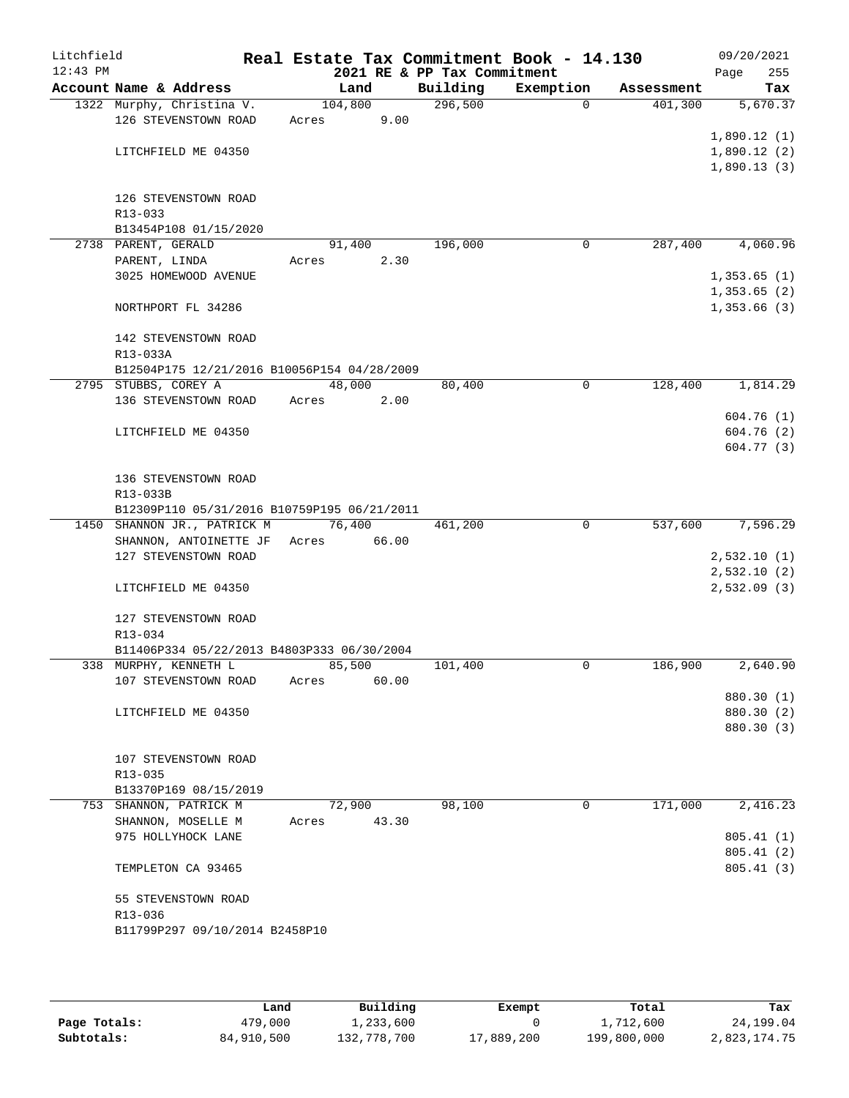| Litchfield<br>$12:43$ PM |                                                       |                      |       | 2021 RE & PP Tax Commitment | Real Estate Tax Commitment Book - 14.130 |            | 09/20/2021<br>255<br>Page  |
|--------------------------|-------------------------------------------------------|----------------------|-------|-----------------------------|------------------------------------------|------------|----------------------------|
|                          | Account Name & Address                                | Land                 |       | Building                    | Exemption                                | Assessment | Tax                        |
|                          | 1322 Murphy, Christina V.                             | 104,800              |       | 296,500                     | 0                                        | 401,300    | 5,670.37                   |
|                          | 126 STEVENSTOWN ROAD                                  | Acres                | 9.00  |                             |                                          |            |                            |
|                          | LITCHFIELD ME 04350                                   |                      |       |                             |                                          |            | 1,890.12(1)<br>1,890.12(2) |
|                          |                                                       |                      |       |                             |                                          |            | 1,890.13(3)                |
|                          | 126 STEVENSTOWN ROAD                                  |                      |       |                             |                                          |            |                            |
|                          | R13-033                                               |                      |       |                             |                                          |            |                            |
|                          | B13454P108 01/15/2020                                 |                      |       |                             |                                          |            |                            |
|                          | 2738 PARENT, GERALD                                   | 91,400               |       | 196,000                     | 0                                        | 287,400    | 4,060.96                   |
|                          | PARENT, LINDA                                         | Acres                | 2.30  |                             |                                          |            |                            |
|                          | 3025 HOMEWOOD AVENUE                                  |                      |       |                             |                                          |            | 1,353.65(1)<br>1,353.65(2) |
|                          | NORTHPORT FL 34286                                    |                      |       |                             |                                          |            | 1,353.66(3)                |
|                          | 142 STEVENSTOWN ROAD                                  |                      |       |                             |                                          |            |                            |
|                          | R13-033A                                              |                      |       |                             |                                          |            |                            |
|                          | B12504P175 12/21/2016 B10056P154 04/28/2009           |                      |       |                             |                                          |            |                            |
|                          | 2795 STUBBS, COREY A<br>136 STEVENSTOWN ROAD          | 48,000               |       | 80,400                      | $\mathbf 0$                              | 128,400    | 1,814.29                   |
|                          |                                                       | Acres                | 2.00  |                             |                                          |            | 604.76(1)                  |
|                          | LITCHFIELD ME 04350                                   |                      |       |                             |                                          |            | 604.76(2)                  |
|                          |                                                       |                      |       |                             |                                          |            | 604.77(3)                  |
|                          | 136 STEVENSTOWN ROAD                                  |                      |       |                             |                                          |            |                            |
|                          | R13-033B                                              |                      |       |                             |                                          |            |                            |
|                          | B12309P110 05/31/2016 B10759P195 06/21/2011           | $\overline{76, 400}$ |       | 461,200                     | $\mathbf 0$                              | 537,600    | 7,596.29                   |
|                          | 1450 SHANNON JR., PATRICK M<br>SHANNON, ANTOINETTE JF | Acres                | 66.00 |                             |                                          |            |                            |
|                          | 127 STEVENSTOWN ROAD                                  |                      |       |                             |                                          |            | 2,532.10(1)                |
|                          |                                                       |                      |       |                             |                                          |            | 2,532.10(2)                |
|                          | LITCHFIELD ME 04350                                   |                      |       |                             |                                          |            | 2,532.09(3)                |
|                          | 127 STEVENSTOWN ROAD                                  |                      |       |                             |                                          |            |                            |
|                          | R13-034                                               |                      |       |                             |                                          |            |                            |
|                          | B11406P334 05/22/2013 B4803P333 06/30/2004            |                      |       |                             |                                          |            |                            |
|                          | 338 MURPHY, KENNETH L                                 | 85,500               |       | 101,400                     | 0                                        | 186,900    | 2,640.90                   |
|                          | 107 STEVENSTOWN ROAD                                  | Acres                | 60.00 |                             |                                          |            | 880.30 (1)                 |
|                          | LITCHFIELD ME 04350                                   |                      |       |                             |                                          |            | 880.30 (2)                 |
|                          |                                                       |                      |       |                             |                                          |            | 880.30 (3)                 |
|                          | 107 STEVENSTOWN ROAD                                  |                      |       |                             |                                          |            |                            |
|                          | R13-035                                               |                      |       |                             |                                          |            |                            |
|                          | B13370P169 08/15/2019                                 |                      |       |                             |                                          |            |                            |
|                          | 753 SHANNON, PATRICK M                                | 72,900               |       | 98,100                      | 0                                        | 171,000    | 2,416.23                   |
|                          | SHANNON, MOSELLE M                                    | Acres                | 43.30 |                             |                                          |            |                            |
|                          | 975 HOLLYHOCK LANE                                    |                      |       |                             |                                          |            | 805.41(1)<br>805.41(2)     |
|                          | TEMPLETON CA 93465                                    |                      |       |                             |                                          |            | 805.41(3)                  |
|                          | 55 STEVENSTOWN ROAD                                   |                      |       |                             |                                          |            |                            |
|                          | R13-036                                               |                      |       |                             |                                          |            |                            |
|                          | B11799P297 09/10/2014 B2458P10                        |                      |       |                             |                                          |            |                            |
|                          |                                                       |                      |       |                             |                                          |            |                            |

|              | Land       | Building    | Exempt     | Total       | Tax          |
|--------------|------------|-------------|------------|-------------|--------------|
| Page Totals: | 479,000    | 1,233,600   |            | 1,712,600   | 24,199.04    |
| Subtotals:   | 84,910,500 | 132,778,700 | 17,889,200 | 199,800,000 | 2,823,174.75 |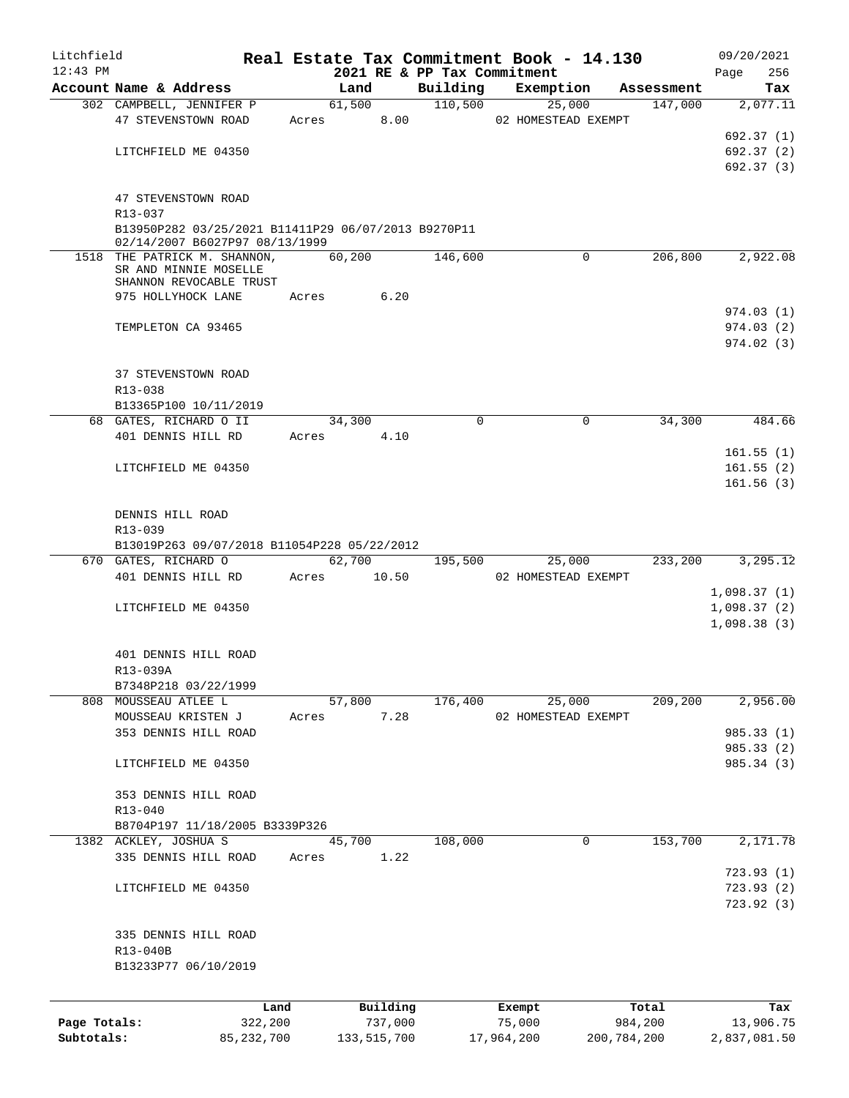| Litchfield   |                                                                                       |       |                |                             | Real Estate Tax Commitment Book - 14.130 |                       | 09/20/2021                 |
|--------------|---------------------------------------------------------------------------------------|-------|----------------|-----------------------------|------------------------------------------|-----------------------|----------------------------|
| $12:43$ PM   | Account Name & Address                                                                |       |                | 2021 RE & PP Tax Commitment |                                          |                       | Page<br>256                |
|              | 302 CAMPBELL, JENNIFER P                                                              |       | Land<br>61,500 | Building<br>110,500         | Exemption<br>25,000                      | Assessment<br>147,000 | Tax<br>2,077.11            |
|              | 47 STEVENSTOWN ROAD                                                                   | Acres | 8.00           |                             | 02 HOMESTEAD EXEMPT                      |                       |                            |
|              |                                                                                       |       |                |                             |                                          |                       | 692.37 (1)                 |
|              | LITCHFIELD ME 04350                                                                   |       |                |                             |                                          |                       | 692.37 (2)                 |
|              |                                                                                       |       |                |                             |                                          |                       | 692.37 (3)                 |
|              | 47 STEVENSTOWN ROAD                                                                   |       |                |                             |                                          |                       |                            |
|              | R13-037                                                                               |       |                |                             |                                          |                       |                            |
|              | B13950P282 03/25/2021 B11411P29 06/07/2013 B9270P11<br>02/14/2007 B6027P97 08/13/1999 |       |                |                             |                                          |                       |                            |
|              | 1518 THE PATRICK M. SHANNON,                                                          |       | 60,200         | 146,600                     | $\Omega$                                 | 206,800               | 2,922.08                   |
|              | SR AND MINNIE MOSELLE<br>SHANNON REVOCABLE TRUST                                      |       |                |                             |                                          |                       |                            |
|              | 975 HOLLYHOCK LANE                                                                    | Acres | 6.20           |                             |                                          |                       |                            |
|              |                                                                                       |       |                |                             |                                          |                       | 974.03(1)                  |
|              | TEMPLETON CA 93465                                                                    |       |                |                             |                                          |                       | 974.03(2)                  |
|              |                                                                                       |       |                |                             |                                          |                       | 974.02(3)                  |
|              | 37 STEVENSTOWN ROAD                                                                   |       |                |                             |                                          |                       |                            |
|              | R13-038                                                                               |       |                |                             |                                          |                       |                            |
|              | B13365P100 10/11/2019                                                                 |       |                |                             |                                          |                       |                            |
|              | 68 GATES, RICHARD O II                                                                |       | 34,300         | $\Omega$                    | 0                                        | 34,300                | 484.66                     |
|              | 401 DENNIS HILL RD                                                                    | Acres | 4.10           |                             |                                          |                       |                            |
|              |                                                                                       |       |                |                             |                                          |                       | 161.55(1)                  |
|              | LITCHFIELD ME 04350                                                                   |       |                |                             |                                          |                       | 161.55(2)                  |
|              |                                                                                       |       |                |                             |                                          |                       | 161.56(3)                  |
|              | DENNIS HILL ROAD                                                                      |       |                |                             |                                          |                       |                            |
|              | R13-039                                                                               |       |                |                             |                                          |                       |                            |
|              | B13019P263 09/07/2018 B11054P228 05/22/2012                                           |       |                |                             |                                          |                       |                            |
|              | 670 GATES, RICHARD O                                                                  |       | 62,700         | 195,500                     | 25,000                                   | 233,200               | 3,295.12                   |
|              | 401 DENNIS HILL RD                                                                    |       | Acres 10.50    |                             | 02 HOMESTEAD EXEMPT                      |                       |                            |
|              | LITCHFIELD ME 04350                                                                   |       |                |                             |                                          |                       | 1,098.37(1)<br>1,098.37(2) |
|              |                                                                                       |       |                |                             |                                          |                       | 1,098.38(3)                |
|              |                                                                                       |       |                |                             |                                          |                       |                            |
|              | 401 DENNIS HILL ROAD                                                                  |       |                |                             |                                          |                       |                            |
|              | R13-039A                                                                              |       |                |                             |                                          |                       |                            |
|              | B7348P218 03/22/1999<br>808 MOUSSEAU ATLEE L                                          |       | 57,800         | 176,400                     | 25,000                                   | 209,200               | 2,956.00                   |
|              | MOUSSEAU KRISTEN J                                                                    | Acres | 7.28           |                             | 02 HOMESTEAD EXEMPT                      |                       |                            |
|              | 353 DENNIS HILL ROAD                                                                  |       |                |                             |                                          |                       | 985.33 (1)                 |
|              |                                                                                       |       |                |                             |                                          |                       | 985.33 (2)                 |
|              | LITCHFIELD ME 04350                                                                   |       |                |                             |                                          |                       | 985.34 (3)                 |
|              |                                                                                       |       |                |                             |                                          |                       |                            |
|              | 353 DENNIS HILL ROAD<br>R13-040                                                       |       |                |                             |                                          |                       |                            |
|              | B8704P197 11/18/2005 B3339P326                                                        |       |                |                             |                                          |                       |                            |
|              | 1382 ACKLEY, JOSHUA S                                                                 |       | 45,700         | 108,000                     | 0                                        | 153,700               | 2,171.78                   |
|              | 335 DENNIS HILL ROAD                                                                  | Acres | 1.22           |                             |                                          |                       |                            |
|              |                                                                                       |       |                |                             |                                          |                       | 723.93(1)                  |
|              | LITCHFIELD ME 04350                                                                   |       |                |                             |                                          |                       | 723.93(2)                  |
|              |                                                                                       |       |                |                             |                                          |                       | 723.92(3)                  |
|              | 335 DENNIS HILL ROAD                                                                  |       |                |                             |                                          |                       |                            |
|              | R13-040B                                                                              |       |                |                             |                                          |                       |                            |
|              | B13233P77 06/10/2019                                                                  |       |                |                             |                                          |                       |                            |
|              |                                                                                       |       |                |                             |                                          |                       |                            |
|              | Land                                                                                  |       | Building       |                             | Exempt                                   | Total                 | Tax                        |
| Page Totals: | 322,200                                                                               |       | 737,000        |                             | 75,000                                   | 984,200               | 13,906.75                  |

**Subtotals:** 85,232,700 133,515,700 17,964,200 200,784,200 2,837,081.50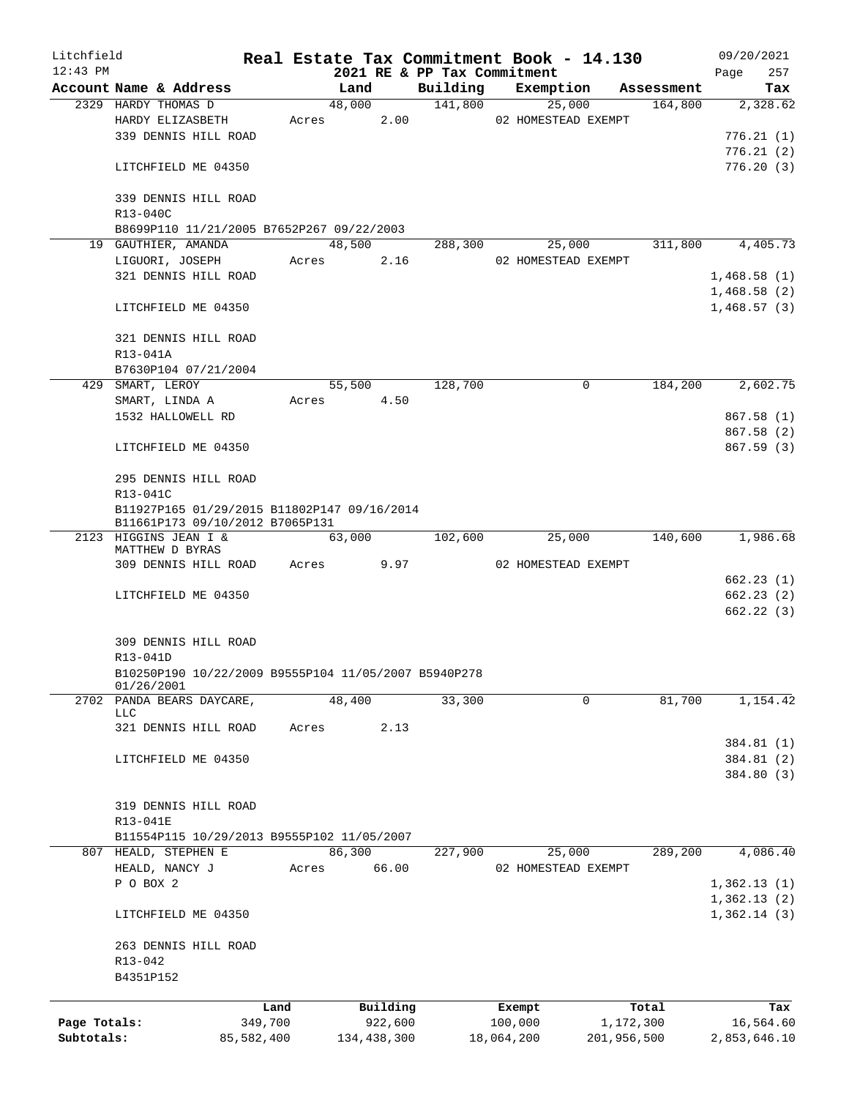| Litchfield   |                                                      |            |       |             |          |                             | Real Estate Tax Commitment Book - 14.130 |             | 09/20/2021   |
|--------------|------------------------------------------------------|------------|-------|-------------|----------|-----------------------------|------------------------------------------|-------------|--------------|
| $12:43$ PM   |                                                      |            |       |             |          | 2021 RE & PP Tax Commitment |                                          |             | 257<br>Page  |
|              | Account Name & Address                               |            |       | Land        |          | Building                    | Exemption                                | Assessment  | Tax          |
|              | 2329 HARDY THOMAS D                                  |            |       | 48,000      |          | 141,800                     | 25,000                                   | 164,800     | 2,328.62     |
|              | HARDY ELIZASBETH                                     |            |       | Acres       | 2.00     |                             | 02 HOMESTEAD EXEMPT                      |             |              |
|              | 339 DENNIS HILL ROAD                                 |            |       |             |          |                             |                                          |             | 776.21(1)    |
|              |                                                      |            |       |             |          |                             |                                          |             | 776.21(2)    |
|              | LITCHFIELD ME 04350                                  |            |       |             |          |                             |                                          |             | 776.20(3)    |
|              |                                                      |            |       |             |          |                             |                                          |             |              |
|              | 339 DENNIS HILL ROAD                                 |            |       |             |          |                             |                                          |             |              |
|              | R13-040C                                             |            |       |             |          |                             |                                          |             |              |
|              | B8699P110 11/21/2005 B7652P267 09/22/2003            |            |       |             |          |                             |                                          |             |              |
|              | 19 GAUTHIER, AMANDA                                  |            |       | 48,500      |          | 288,300                     | 25,000                                   | 311,800     | 4,405.73     |
|              | LIGUORI, JOSEPH                                      |            | Acres |             | 2.16     |                             | 02 HOMESTEAD EXEMPT                      |             |              |
|              | 321 DENNIS HILL ROAD                                 |            |       |             |          |                             |                                          |             | 1,468.58(1)  |
|              |                                                      |            |       |             |          |                             |                                          |             | 1,468.58(2)  |
|              | LITCHFIELD ME 04350                                  |            |       |             |          |                             |                                          |             | 1,468.57(3)  |
|              |                                                      |            |       |             |          |                             |                                          |             |              |
|              | 321 DENNIS HILL ROAD                                 |            |       |             |          |                             |                                          |             |              |
|              | R13-041A                                             |            |       |             |          |                             |                                          |             |              |
|              | B7630P104 07/21/2004                                 |            |       |             |          |                             |                                          |             |              |
|              | 429 SMART, LEROY                                     |            |       | 55,500      |          | 128,700                     | $\mathbf 0$                              | 184,200     | 2,602.75     |
|              | SMART, LINDA A                                       |            | Acres |             | 4.50     |                             |                                          |             |              |
|              | 1532 HALLOWELL RD                                    |            |       |             |          |                             |                                          |             | 867.58 (1)   |
|              |                                                      |            |       |             |          |                             |                                          |             | 867.58 (2)   |
|              | LITCHFIELD ME 04350                                  |            |       |             |          |                             |                                          |             | 867.59 (3)   |
|              |                                                      |            |       |             |          |                             |                                          |             |              |
|              | 295 DENNIS HILL ROAD                                 |            |       |             |          |                             |                                          |             |              |
|              | R13-041C                                             |            |       |             |          |                             |                                          |             |              |
|              | B11927P165 01/29/2015 B11802P147 09/16/2014          |            |       |             |          |                             |                                          |             |              |
|              | B11661P173 09/10/2012 B7065P131                      |            |       |             |          |                             |                                          |             |              |
|              | 2123 HIGGINS JEAN I &                                |            |       | 63,000      |          | 102,600                     | 25,000                                   | 140,600     | 1,986.68     |
|              | MATTHEW D BYRAS                                      |            |       |             |          |                             |                                          |             |              |
|              | 309 DENNIS HILL ROAD                                 |            | Acres |             | 9.97     |                             | 02 HOMESTEAD EXEMPT                      |             |              |
|              |                                                      |            |       |             |          |                             |                                          |             | 662.23(1)    |
|              | LITCHFIELD ME 04350                                  |            |       |             |          |                             |                                          |             | 662.23(2)    |
|              |                                                      |            |       |             |          |                             |                                          |             | 662.22(3)    |
|              |                                                      |            |       |             |          |                             |                                          |             |              |
|              | 309 DENNIS HILL ROAD                                 |            |       |             |          |                             |                                          |             |              |
|              | R13-041D                                             |            |       |             |          |                             |                                          |             |              |
|              | B10250P190 10/22/2009 B9555P104 11/05/2007 B5940P278 |            |       |             |          |                             |                                          |             |              |
|              | 01/26/2001<br>2702 PANDA BEARS DAYCARE,              |            |       | 48,400      |          | 33,300                      | 0                                        | 81,700      | 1,154.42     |
|              | LLC                                                  |            |       |             |          |                             |                                          |             |              |
|              | 321 DENNIS HILL ROAD                                 |            | Acres |             | 2.13     |                             |                                          |             |              |
|              |                                                      |            |       |             |          |                             |                                          |             | 384.81 (1)   |
|              | LITCHFIELD ME 04350                                  |            |       |             |          |                             |                                          |             | 384.81 (2)   |
|              |                                                      |            |       |             |          |                             |                                          |             | 384.80 (3)   |
|              |                                                      |            |       |             |          |                             |                                          |             |              |
|              | 319 DENNIS HILL ROAD                                 |            |       |             |          |                             |                                          |             |              |
|              | R13-041E                                             |            |       |             |          |                             |                                          |             |              |
|              | B11554P115 10/29/2013 B9555P102 11/05/2007           |            |       |             |          |                             |                                          |             |              |
|              | 807 HEALD, STEPHEN E                                 |            |       | 86,300      |          | 227,900                     | 25,000                                   | 289,200     | 4,086.40     |
|              | HEALD, NANCY J                                       |            |       |             |          |                             |                                          |             |              |
|              |                                                      |            | Acres |             | 66.00    |                             | 02 HOMESTEAD EXEMPT                      |             |              |
|              | P O BOX 2                                            |            |       |             |          |                             |                                          |             | 1,362.13(1)  |
|              |                                                      |            |       |             |          |                             |                                          |             | 1,362.13(2)  |
|              | LITCHFIELD ME 04350                                  |            |       |             |          |                             |                                          |             | 1,362.14(3)  |
|              |                                                      |            |       |             |          |                             |                                          |             |              |
|              | 263 DENNIS HILL ROAD                                 |            |       |             |          |                             |                                          |             |              |
|              | R13-042                                              |            |       |             |          |                             |                                          |             |              |
|              | B4351P152                                            |            |       |             |          |                             |                                          |             |              |
|              |                                                      | Land       |       |             | Building |                             | Exempt                                   | Total       | Tax          |
| Page Totals: |                                                      | 349,700    |       |             | 922,600  |                             | 100,000                                  | 1,172,300   | 16,564.60    |
| Subtotals:   |                                                      | 85,582,400 |       | 134,438,300 |          |                             | 18,064,200                               | 201,956,500 | 2,853,646.10 |
|              |                                                      |            |       |             |          |                             |                                          |             |              |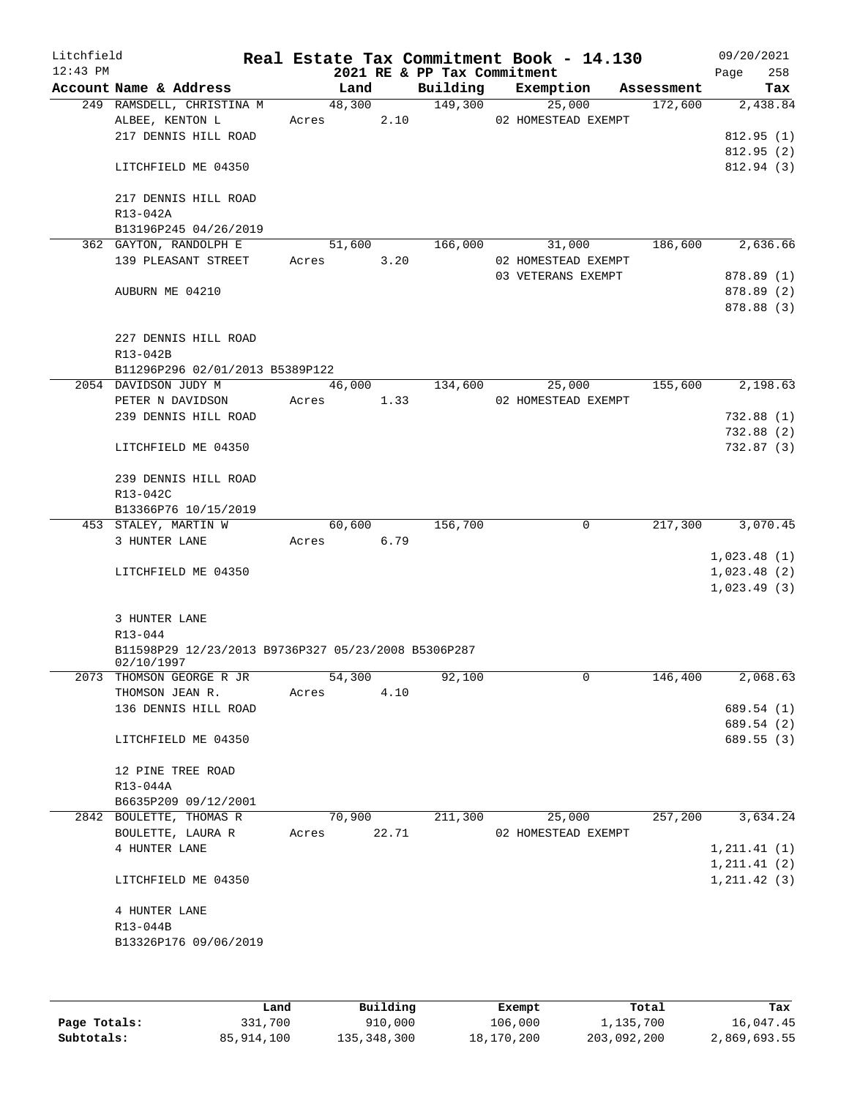| Litchfield<br>$12:43$ PM |                                                                   |                 |        | Real Estate Tax Commitment Book - 14.130<br>2021 RE & PP Tax Commitment |                     |                               |            | 09/20/2021<br>258<br>Page    |
|--------------------------|-------------------------------------------------------------------|-----------------|--------|-------------------------------------------------------------------------|---------------------|-------------------------------|------------|------------------------------|
|                          | Account Name & Address                                            | Land            |        | Building                                                                | Exemption           |                               | Assessment | Tax                          |
|                          | 249 RAMSDELL, CHRISTINA M<br>ALBEE, KENTON L                      | 48,300<br>Acres | 2.10   | 149,300                                                                 |                     | 25,000<br>02 HOMESTEAD EXEMPT | 172,600    | 2,438.84                     |
|                          | 217 DENNIS HILL ROAD                                              |                 |        |                                                                         |                     |                               |            | 812.95(1)                    |
|                          |                                                                   |                 |        |                                                                         |                     |                               |            | 812.95(2)                    |
|                          | LITCHFIELD ME 04350                                               |                 |        |                                                                         |                     |                               |            | 812.94 (3)                   |
|                          | 217 DENNIS HILL ROAD                                              |                 |        |                                                                         |                     |                               |            |                              |
|                          | R13-042A<br>B13196P245 04/26/2019                                 |                 |        |                                                                         |                     |                               |            |                              |
|                          | 362 GAYTON, RANDOLPH E                                            | 51,600          |        | 166,000                                                                 |                     | 31,000                        | 186,600    | 2,636.66                     |
|                          | 139 PLEASANT STREET                                               | Acres           | 3.20   |                                                                         |                     | 02 HOMESTEAD EXEMPT           |            |                              |
|                          |                                                                   |                 |        |                                                                         | 03 VETERANS EXEMPT  |                               |            | 878.89 (1)                   |
|                          | AUBURN ME 04210                                                   |                 |        |                                                                         |                     |                               |            | 878.89 (2)<br>878.88 (3)     |
|                          | 227 DENNIS HILL ROAD                                              |                 |        |                                                                         |                     |                               |            |                              |
|                          | R13-042B<br>B11296P296 02/01/2013 B5389P122                       |                 |        |                                                                         |                     |                               |            |                              |
|                          | 2054 DAVIDSON JUDY M                                              |                 | 46,000 | 134,600                                                                 |                     | 25,000                        | 155,600    | 2,198.63                     |
|                          | PETER N DAVIDSON                                                  | Acres           | 1.33   |                                                                         | 02 HOMESTEAD EXEMPT |                               |            |                              |
|                          | 239 DENNIS HILL ROAD                                              |                 |        |                                                                         |                     |                               |            | 732.88(1)                    |
|                          | LITCHFIELD ME 04350                                               |                 |        |                                                                         |                     |                               |            | 732.88 (2)<br>732.87 (3)     |
|                          | 239 DENNIS HILL ROAD                                              |                 |        |                                                                         |                     |                               |            |                              |
|                          | R13-042C                                                          |                 |        |                                                                         |                     |                               |            |                              |
|                          | B13366P76 10/15/2019                                              |                 |        |                                                                         |                     |                               |            |                              |
|                          | 453 STALEY, MARTIN W                                              | 60,600          |        | 156,700                                                                 |                     | $\mathbf 0$                   | 217,300    | 3,070.45                     |
|                          | 3 HUNTER LANE                                                     | Acres           | 6.79   |                                                                         |                     |                               |            |                              |
|                          | LITCHFIELD ME 04350                                               |                 |        |                                                                         |                     |                               |            | 1,023.48(1)<br>1,023.48(2)   |
|                          |                                                                   |                 |        |                                                                         |                     |                               |            | 1,023.49(3)                  |
|                          | 3 HUNTER LANE                                                     |                 |        |                                                                         |                     |                               |            |                              |
|                          | R13-044                                                           |                 |        |                                                                         |                     |                               |            |                              |
|                          | B11598P29 12/23/2013 B9736P327 05/23/2008 B5306P287<br>02/10/1997 |                 |        |                                                                         |                     |                               |            |                              |
| 2073                     | THOMSON GEORGE R JR                                               | 54,300          |        | 92,100                                                                  |                     | $\mathsf{O}$                  | 146,400    | 2,068.63                     |
|                          | THOMSON JEAN R.                                                   | Acres           | 4.10   |                                                                         |                     |                               |            |                              |
|                          | 136 DENNIS HILL ROAD                                              |                 |        |                                                                         |                     |                               |            | 689.54 (1)                   |
|                          | LITCHFIELD ME 04350                                               |                 |        |                                                                         |                     |                               |            | 689.54 (2)<br>689.55 (3)     |
|                          | 12 PINE TREE ROAD                                                 |                 |        |                                                                         |                     |                               |            |                              |
|                          | R13-044A                                                          |                 |        |                                                                         |                     |                               |            |                              |
|                          | B6635P209 09/12/2001                                              |                 |        |                                                                         |                     |                               |            |                              |
|                          | 2842 BOULETTE, THOMAS R                                           | 70,900          |        | 211,300                                                                 |                     | 25,000                        | 257,200    | 3,634.24                     |
|                          | BOULETTE, LAURA R                                                 | Acres           | 22.71  |                                                                         |                     | 02 HOMESTEAD EXEMPT           |            |                              |
|                          | 4 HUNTER LANE                                                     |                 |        |                                                                         |                     |                               |            | 1, 211.41(1)<br>1, 211.41(2) |
|                          | LITCHFIELD ME 04350                                               |                 |        |                                                                         |                     |                               |            | 1, 211.42(3)                 |
|                          | 4 HUNTER LANE                                                     |                 |        |                                                                         |                     |                               |            |                              |
|                          | R13-044B                                                          |                 |        |                                                                         |                     |                               |            |                              |
|                          | B13326P176 09/06/2019                                             |                 |        |                                                                         |                     |                               |            |                              |
|                          |                                                                   |                 |        |                                                                         |                     |                               |            |                              |
|                          |                                                                   |                 |        |                                                                         |                     |                               |            |                              |

|              | Land       | Building    | Exempt     | Total       | Tax          |
|--------------|------------|-------------|------------|-------------|--------------|
| Page Totals: | 331,700    | 910,000     | 106,000    | 1,135,700   | 16,047.45    |
| Subtotals:   | 85,914,100 | 135,348,300 | 18,170,200 | 203,092,200 | 2,869,693.55 |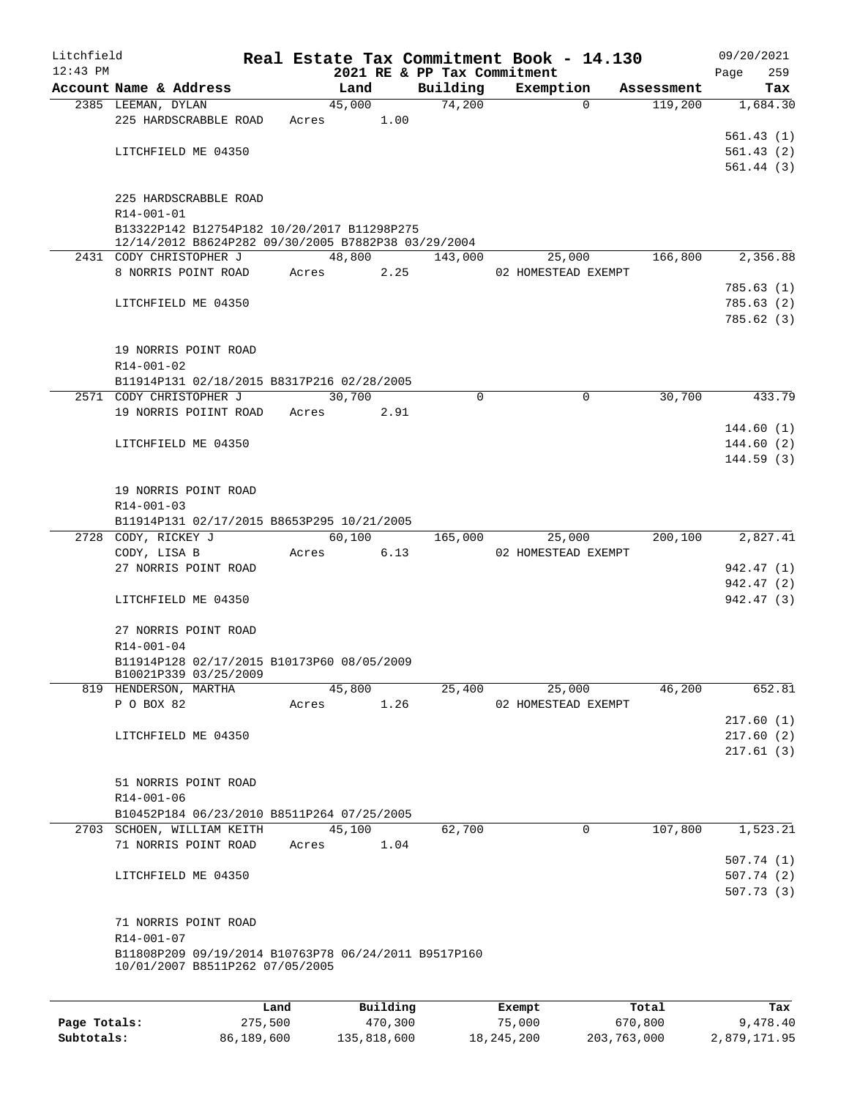| Litchfield |                                                                                                    |       |       |        |          |                             | Real Estate Tax Commitment Book - 14.130 |            |      | 09/20/2021 |
|------------|----------------------------------------------------------------------------------------------------|-------|-------|--------|----------|-----------------------------|------------------------------------------|------------|------|------------|
| $12:43$ PM |                                                                                                    |       |       |        |          | 2021 RE & PP Tax Commitment |                                          |            | Page | 259        |
|            | Account Name & Address                                                                             |       |       | Land   |          | Building                    | Exemption                                | Assessment |      | Tax        |
|            | 2385 LEEMAN, DYLAN<br>225 HARDSCRABBLE ROAD                                                        |       | Acres | 45,000 |          | 74,200                      | $\Omega$                                 | 119,200    |      | 1,684.30   |
|            |                                                                                                    |       |       |        | 1.00     |                             |                                          |            |      | 561.43(1)  |
|            | LITCHFIELD ME 04350                                                                                |       |       |        |          |                             |                                          |            |      | 561.43(2)  |
|            |                                                                                                    |       |       |        |          |                             |                                          |            |      | 561.44(3)  |
|            |                                                                                                    |       |       |        |          |                             |                                          |            |      |            |
|            | 225 HARDSCRABBLE ROAD                                                                              |       |       |        |          |                             |                                          |            |      |            |
|            | R14-001-01                                                                                         |       |       |        |          |                             |                                          |            |      |            |
|            | B13322P142 B12754P182 10/20/2017 B11298P275<br>12/14/2012 B8624P282 09/30/2005 B7882P38 03/29/2004 |       |       |        |          |                             |                                          |            |      |            |
|            | 2431 CODY CHRISTOPHER J                                                                            |       |       | 48,800 |          | 143,000                     | 25,000                                   | 166,800    |      | 2,356.88   |
|            | 8 NORRIS POINT ROAD                                                                                |       | Acres |        | 2.25     |                             | 02 HOMESTEAD EXEMPT                      |            |      |            |
|            |                                                                                                    |       |       |        |          |                             |                                          |            |      | 785.63(1)  |
|            | LITCHFIELD ME 04350                                                                                |       |       |        |          |                             |                                          |            |      | 785.63(2)  |
|            |                                                                                                    |       |       |        |          |                             |                                          |            |      | 785.62(3)  |
|            |                                                                                                    |       |       |        |          |                             |                                          |            |      |            |
|            | 19 NORRIS POINT ROAD                                                                               |       |       |        |          |                             |                                          |            |      |            |
|            | R14-001-02<br>B11914P131 02/18/2015 B8317P216 02/28/2005                                           |       |       |        |          |                             |                                          |            |      |            |
|            | 2571 CODY CHRISTOPHER J                                                                            |       |       | 30,700 |          | $\Omega$                    | $\mathbf 0$                              | 30,700     |      | 433.79     |
|            | 19 NORRIS POIINT ROAD                                                                              |       | Acres |        | 2.91     |                             |                                          |            |      |            |
|            |                                                                                                    |       |       |        |          |                             |                                          |            |      | 144.60(1)  |
|            | LITCHFIELD ME 04350                                                                                |       |       |        |          |                             |                                          |            |      | 144.60(2)  |
|            |                                                                                                    |       |       |        |          |                             |                                          |            |      | 144.59(3)  |
|            |                                                                                                    |       |       |        |          |                             |                                          |            |      |            |
|            | 19 NORRIS POINT ROAD                                                                               |       |       |        |          |                             |                                          |            |      |            |
|            | R14-001-03                                                                                         |       |       |        |          |                             |                                          |            |      |            |
|            | B11914P131 02/17/2015 B8653P295 10/21/2005<br>2728 CODY, RICKEY J                                  |       |       | 60,100 |          | 165,000                     | 25,000                                   | 200,100    |      | 2,827.41   |
|            | CODY, LISA B                                                                                       |       | Acres |        | 6.13     |                             | 02 HOMESTEAD EXEMPT                      |            |      |            |
|            | 27 NORRIS POINT ROAD                                                                               |       |       |        |          |                             |                                          |            |      | 942.47 (1) |
|            |                                                                                                    |       |       |        |          |                             |                                          |            |      | 942.47 (2) |
|            | LITCHFIELD ME 04350                                                                                |       |       |        |          |                             |                                          |            |      | 942.47 (3) |
|            |                                                                                                    |       |       |        |          |                             |                                          |            |      |            |
|            | 27 NORRIS POINT ROAD                                                                               |       |       |        |          |                             |                                          |            |      |            |
|            | R14-001-04<br>B11914P128 02/17/2015 B10173P60 08/05/2009                                           |       |       |        |          |                             |                                          |            |      |            |
|            | B10021P339 03/25/2009                                                                              |       |       |        |          |                             |                                          |            |      |            |
|            | 819 HENDERSON, MARTHA                                                                              |       |       | 45,800 |          | 25,400                      | 25,000                                   | 46,200     |      | 652.81     |
|            | P O BOX 82                                                                                         |       | Acres |        | 1.26     |                             | 02 HOMESTEAD EXEMPT                      |            |      |            |
|            |                                                                                                    |       |       |        |          |                             |                                          |            |      | 217.60(1)  |
|            | LITCHFIELD ME 04350                                                                                |       |       |        |          |                             |                                          |            |      | 217.60(2)  |
|            |                                                                                                    |       |       |        |          |                             |                                          |            |      | 217.61(3)  |
|            | 51 NORRIS POINT ROAD                                                                               |       |       |        |          |                             |                                          |            |      |            |
|            | R14-001-06                                                                                         |       |       |        |          |                             |                                          |            |      |            |
|            | B10452P184 06/23/2010 B8511P264 07/25/2005                                                         |       |       |        |          |                             |                                          |            |      |            |
|            | 2703 SCHOEN, WILLIAM KEITH                                                                         |       |       | 45,100 |          | 62,700                      | 0                                        | 107,800    |      | 1,523.21   |
|            | 71 NORRIS POINT ROAD                                                                               |       | Acres |        | 1.04     |                             |                                          |            |      |            |
|            |                                                                                                    |       |       |        |          |                             |                                          |            |      | 507.74(1)  |
|            | LITCHFIELD ME 04350                                                                                |       |       |        |          |                             |                                          |            |      | 507.74(2)  |
|            |                                                                                                    |       |       |        |          |                             |                                          |            |      | 507.73(3)  |
|            | 71 NORRIS POINT ROAD                                                                               |       |       |        |          |                             |                                          |            |      |            |
|            | R14-001-07                                                                                         |       |       |        |          |                             |                                          |            |      |            |
|            | B11808P209 09/19/2014 B10763P78 06/24/2011 B9517P160                                               |       |       |        |          |                             |                                          |            |      |            |
|            | 10/01/2007 B8511P262 07/05/2005                                                                    |       |       |        |          |                             |                                          |            |      |            |
|            |                                                                                                    |       |       |        |          |                             |                                          |            |      |            |
|            |                                                                                                    | Land, |       |        | Building |                             | <b>Exempt</b>                            | Total      |      | Tax        |

|              | Land       | Building    | Exempt     | Total       | Tax          |
|--------------|------------|-------------|------------|-------------|--------------|
| Page Totals: | 275,500    | 470,300     | 75,000     | 670,800     | 9,478.40     |
| Subtotals:   | 86,189,600 | 135,818,600 | 18,245,200 | 203,763,000 | 2,879,171.95 |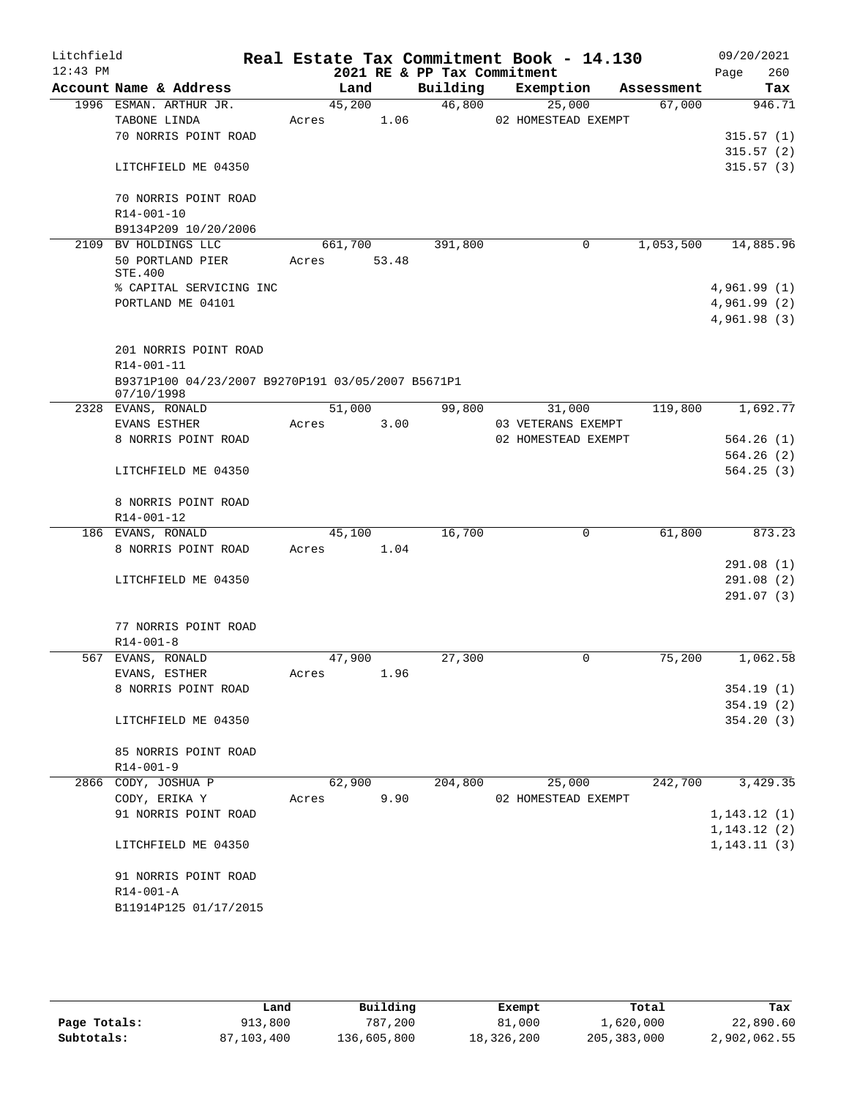| Litchfield |                                                   |         |       |                             | Real Estate Tax Commitment Book - 14.130 |            | 09/20/2021             |
|------------|---------------------------------------------------|---------|-------|-----------------------------|------------------------------------------|------------|------------------------|
| $12:43$ PM |                                                   |         |       | 2021 RE & PP Tax Commitment |                                          |            | 260<br>Page            |
|            | Account Name & Address                            | Land    |       | Building                    | Exemption                                | Assessment | Tax                    |
|            | 1996 ESMAN. ARTHUR JR.<br>TABONE LINDA            | 45,200  |       | 46,800                      | 25,000                                   | 67,000     | 946.71                 |
|            | 70 NORRIS POINT ROAD                              | Acres   | 1.06  |                             | 02 HOMESTEAD EXEMPT                      |            | 315.57(1)              |
|            |                                                   |         |       |                             |                                          |            | 315.57(2)              |
|            | LITCHFIELD ME 04350                               |         |       |                             |                                          |            | 315.57(3)              |
|            |                                                   |         |       |                             |                                          |            |                        |
|            | 70 NORRIS POINT ROAD                              |         |       |                             |                                          |            |                        |
|            | R14-001-10                                        |         |       |                             |                                          |            |                        |
|            | B9134P209 10/20/2006                              |         |       |                             |                                          |            |                        |
|            | 2109 BV HOLDINGS LLC                              | 661,700 |       | 391,800                     | 0                                        | 1,053,500  | 14,885.96              |
|            | 50 PORTLAND PIER<br>STE.400                       | Acres   | 53.48 |                             |                                          |            |                        |
|            | % CAPITAL SERVICING INC                           |         |       |                             |                                          |            | 4,961.99(1)            |
|            | PORTLAND ME 04101                                 |         |       |                             |                                          |            | 4,961.99(2)            |
|            |                                                   |         |       |                             |                                          |            | 4,961.98(3)            |
|            |                                                   |         |       |                             |                                          |            |                        |
|            | 201 NORRIS POINT ROAD                             |         |       |                             |                                          |            |                        |
|            | R14-001-11                                        |         |       |                             |                                          |            |                        |
|            | B9371P100 04/23/2007 B9270P191 03/05/2007 B5671P1 |         |       |                             |                                          |            |                        |
|            | 07/10/1998<br>2328 EVANS, RONALD                  | 51,000  |       | 99,800                      | 31,000                                   | 119,800    | 1,692.77               |
|            | EVANS ESTHER                                      | Acres   | 3.00  |                             | 03 VETERANS EXEMPT                       |            |                        |
|            | 8 NORRIS POINT ROAD                               |         |       |                             | 02 HOMESTEAD EXEMPT                      |            | 564.26(1)              |
|            |                                                   |         |       |                             |                                          |            | 564.26(2)              |
|            | LITCHFIELD ME 04350                               |         |       |                             |                                          |            | 564.25(3)              |
|            |                                                   |         |       |                             |                                          |            |                        |
|            | 8 NORRIS POINT ROAD                               |         |       |                             |                                          |            |                        |
|            | R14-001-12                                        |         |       |                             |                                          |            |                        |
|            | 186 EVANS, RONALD                                 | 45,100  |       | 16,700                      | 0                                        | 61,800     | 873.23                 |
|            | 8 NORRIS POINT ROAD                               | Acres   | 1.04  |                             |                                          |            |                        |
|            |                                                   |         |       |                             |                                          |            | 291.08(1)<br>291.08(2) |
|            | LITCHFIELD ME 04350                               |         |       |                             |                                          |            | 291.07(3)              |
|            |                                                   |         |       |                             |                                          |            |                        |
|            | 77 NORRIS POINT ROAD                              |         |       |                             |                                          |            |                        |
|            | $R14 - 001 - 8$                                   |         |       |                             |                                          |            |                        |
|            | 567 EVANS, RONALD                                 | 47,900  |       | 27,300                      | 0                                        | 75,200     | 1,062.58               |
|            | EVANS, ESTHER                                     | Acres   | 1.96  |                             |                                          |            |                        |
|            | 8 NORRIS POINT ROAD                               |         |       |                             |                                          |            | 354.19(1)              |
|            |                                                   |         |       |                             |                                          |            | 354.19(2)              |
|            | LITCHFIELD ME 04350                               |         |       |                             |                                          |            | 354.20(3)              |
|            | 85 NORRIS POINT ROAD                              |         |       |                             |                                          |            |                        |
|            | $R14 - 001 - 9$                                   |         |       |                             |                                          |            |                        |
|            | 2866 CODY, JOSHUA P                               | 62,900  |       | 204,800                     | 25,000                                   | 242,700    | 3,429.35               |
|            | CODY, ERIKA Y                                     | Acres   | 9.90  |                             | 02 HOMESTEAD EXEMPT                      |            |                        |
|            | 91 NORRIS POINT ROAD                              |         |       |                             |                                          |            | 1, 143.12(1)           |
|            |                                                   |         |       |                             |                                          |            | 1, 143.12(2)           |
|            | LITCHFIELD ME 04350                               |         |       |                             |                                          |            | 1, 143.11(3)           |
|            |                                                   |         |       |                             |                                          |            |                        |
|            | 91 NORRIS POINT ROAD                              |         |       |                             |                                          |            |                        |
|            | R14-001-A                                         |         |       |                             |                                          |            |                        |
|            | B11914P125 01/17/2015                             |         |       |                             |                                          |            |                        |
|            |                                                   |         |       |                             |                                          |            |                        |

|              | Land       | Building    | Exempt     | Total         | Tax          |
|--------------|------------|-------------|------------|---------------|--------------|
| Page Totals: | 913,800    | 787,200     | 81,000     | 1,620,000     | 22,890.60    |
| Subtotals:   | 87,103,400 | 136,605,800 | 18,326,200 | 205, 383, 000 | 2,902,062.55 |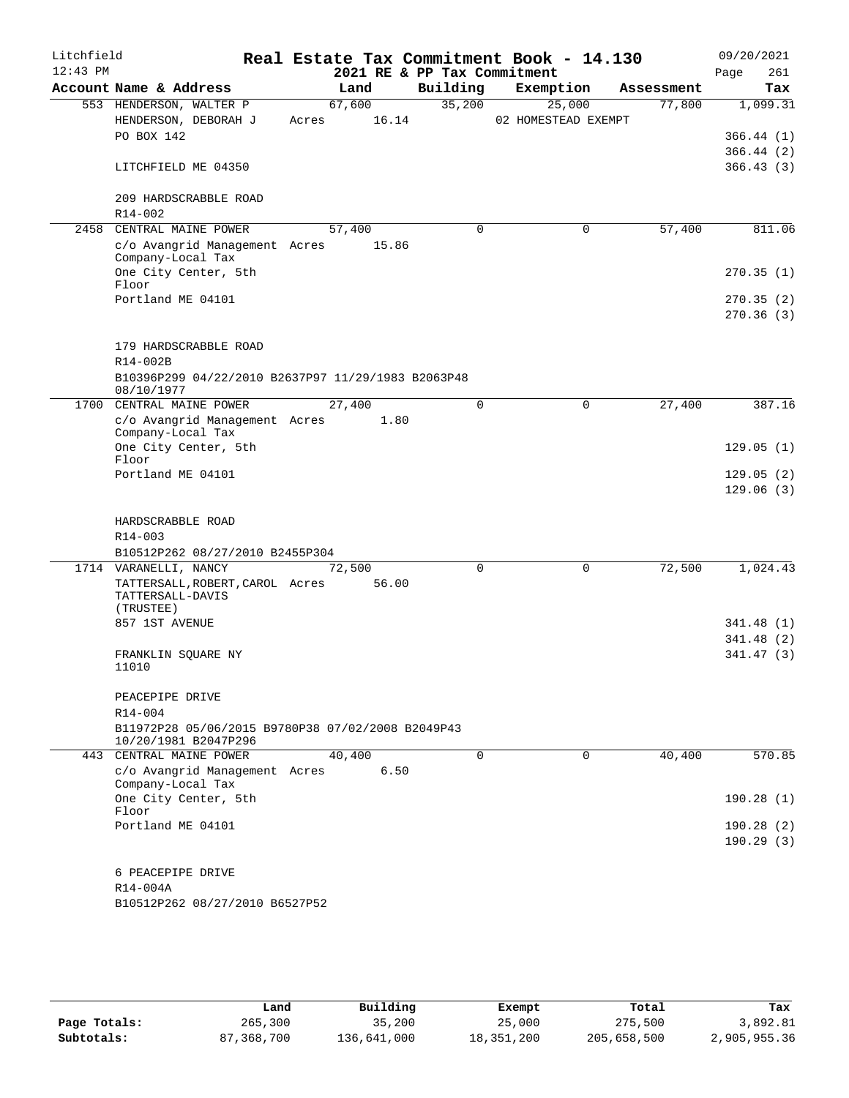| Litchfield<br>$12:43$ PM |                                                                                                       |                          | 2021 RE & PP Tax Commitment | Real Estate Tax Commitment Book - 14.130 |            | 09/20/2021<br>261<br>Page |
|--------------------------|-------------------------------------------------------------------------------------------------------|--------------------------|-----------------------------|------------------------------------------|------------|---------------------------|
|                          | Account Name & Address                                                                                | Land                     | Building                    | Exemption                                | Assessment | Tax                       |
|                          | 553 HENDERSON, WALTER P<br>HENDERSON, DEBORAH J<br>PO BOX 142                                         | 67,600<br>16.14<br>Acres | 35,200                      | 25,000<br>02 HOMESTEAD EXEMPT            | 77,800     | 1,099.31<br>366.44(1)     |
|                          | LITCHFIELD ME 04350                                                                                   |                          |                             |                                          |            | 366.44(2)<br>366.43(3)    |
|                          | 209 HARDSCRABBLE ROAD<br>$R14 - 002$                                                                  |                          |                             |                                          |            |                           |
| 2458                     | CENTRAL MAINE POWER                                                                                   | 57,400                   | 0                           | 0                                        | 57,400     | 811.06                    |
|                          | c/o Avangrid Management Acres<br>Company-Local Tax<br>One City Center, 5th<br>Floor                   | 15.86                    |                             |                                          |            | 270.35(1)                 |
|                          | Portland ME 04101                                                                                     |                          |                             |                                          |            | 270.35(2)<br>270.36(3)    |
|                          | 179 HARDSCRABBLE ROAD<br>R14-002B<br>B10396P299 04/22/2010 B2637P97 11/29/1983 B2063P48<br>08/10/1977 |                          |                             |                                          |            |                           |
|                          | 1700 CENTRAL MAINE POWER<br>c/o Avangrid Management Acres                                             | 27,400<br>1.80           | $\Omega$                    | $\Omega$                                 | 27,400     | 387.16                    |
|                          | Company-Local Tax<br>One City Center, 5th<br>Floor                                                    |                          |                             |                                          |            | 129.05(1)                 |
|                          | Portland ME 04101                                                                                     |                          |                             |                                          |            | 129.05(2)<br>129.06(3)    |
|                          | HARDSCRABBLE ROAD<br>R14-003                                                                          |                          |                             |                                          |            |                           |
|                          | B10512P262 08/27/2010 B2455P304                                                                       |                          |                             |                                          |            |                           |
|                          | 1714 VARANELLI, NANCY                                                                                 | 72,500                   | 0                           | $\mathbf 0$                              | 72,500     | 1,024.43                  |
|                          | TATTERSALL, ROBERT, CAROL Acres<br>TATTERSALL-DAVIS<br>(TRUSTEE)                                      | 56.00                    |                             |                                          |            |                           |
|                          | 857 1ST AVENUE                                                                                        |                          |                             |                                          |            | 341.48(1)                 |
|                          | FRANKLIN SQUARE NY<br>11010                                                                           |                          |                             |                                          |            | 341.48 (2)<br>341.47(3)   |
|                          | PEACEPIPE DRIVE<br>R14-004                                                                            |                          |                             |                                          |            |                           |
|                          | B11972P28 05/06/2015 B9780P38 07/02/2008 B2049P43<br>10/20/1981 B2047P296                             |                          |                             |                                          |            |                           |
|                          | 443 CENTRAL MAINE POWER<br>c/o Avangrid Management Acres<br>Company-Local Tax                         | 40,400<br>6.50           | $\mathbf 0$                 | 0                                        | 40,400     | 570.85                    |
|                          | One City Center, 5th<br>Floor                                                                         |                          |                             |                                          |            | 190.28(1)                 |
|                          | Portland ME 04101                                                                                     |                          |                             |                                          |            | 190.28(2)<br>190.29(3)    |
|                          | 6 PEACEPIPE DRIVE<br>R14-004A                                                                         |                          |                             |                                          |            |                           |
|                          | B10512P262 08/27/2010 B6527P52                                                                        |                          |                             |                                          |            |                           |

|              | Land         | Building    | Exempt     | Total       | Tax          |
|--------------|--------------|-------------|------------|-------------|--------------|
| Page Totals: | 265,300      | 35,200      | 25,000     | 275,500     | 3,892.81     |
| Subtotals:   | 87, 368, 700 | 136,641,000 | 18,351,200 | 205,658,500 | 2,905,955.36 |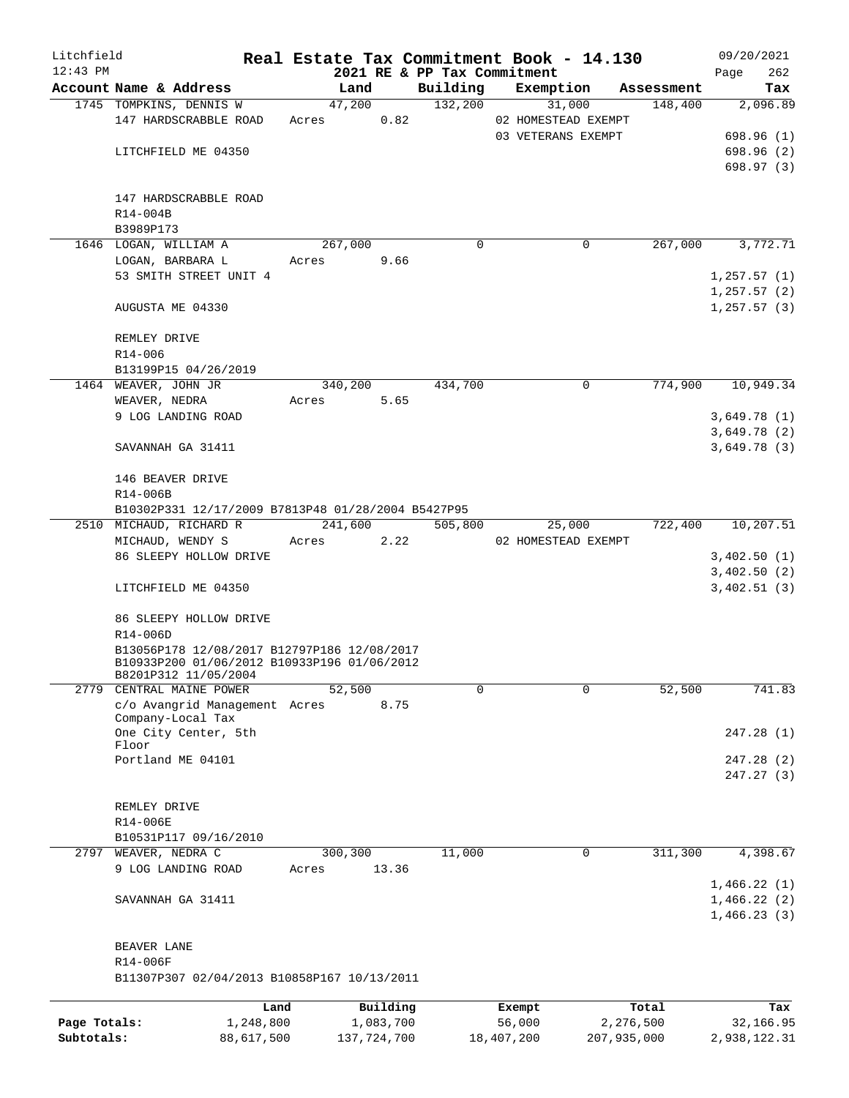| Litchfield   |                                                    |            |       |             |       |                             |            | Real Estate Tax Commitment Book - 14.130 |            | 09/20/2021        |        |
|--------------|----------------------------------------------------|------------|-------|-------------|-------|-----------------------------|------------|------------------------------------------|------------|-------------------|--------|
| $12:43$ PM   |                                                    |            |       |             |       | 2021 RE & PP Tax Commitment |            |                                          |            | Page              | 262    |
|              | Account Name & Address                             |            |       | Land        |       | Building                    |            | Exemption                                | Assessment |                   | Tax    |
|              | 1745 TOMPKINS, DENNIS W                            |            |       | 47,200      |       | 132,200                     |            | 31,000                                   | 148,400    | 2,096.89          |        |
|              | 147 HARDSCRABBLE ROAD                              |            | Acres |             | 0.82  |                             |            | 02 HOMESTEAD EXEMPT                      |            |                   |        |
|              |                                                    |            |       |             |       |                             |            | 03 VETERANS EXEMPT                       |            | 698.96 (1)        |        |
|              | LITCHFIELD ME 04350                                |            |       |             |       |                             |            |                                          |            | 698.96(2)         |        |
|              |                                                    |            |       |             |       |                             |            |                                          |            | 698.97(3)         |        |
|              |                                                    |            |       |             |       |                             |            |                                          |            |                   |        |
|              | 147 HARDSCRABBLE ROAD                              |            |       |             |       |                             |            |                                          |            |                   |        |
|              | R14-004B                                           |            |       |             |       |                             |            |                                          |            |                   |        |
|              | B3989P173                                          |            |       |             |       |                             |            |                                          |            |                   |        |
|              | 1646 LOGAN, WILLIAM A                              |            |       | 267,000     |       | $\Omega$                    |            | 0                                        | 267,000    | 3,772.71          |        |
|              | LOGAN, BARBARA L                                   |            | Acres |             | 9.66  |                             |            |                                          |            |                   |        |
|              | 53 SMITH STREET UNIT 4                             |            |       |             |       |                             |            |                                          |            | 1, 257.57(1)      |        |
|              |                                                    |            |       |             |       |                             |            |                                          |            | 1,257.57(2)       |        |
|              | AUGUSTA ME 04330                                   |            |       |             |       |                             |            |                                          |            | 1, 257.57(3)      |        |
|              |                                                    |            |       |             |       |                             |            |                                          |            |                   |        |
|              | REMLEY DRIVE                                       |            |       |             |       |                             |            |                                          |            |                   |        |
|              | R14-006                                            |            |       |             |       |                             |            |                                          |            |                   |        |
|              | B13199P15 04/26/2019                               |            |       |             |       |                             |            |                                          |            |                   |        |
|              | 1464 WEAVER, JOHN JR                               |            |       | 340,200     |       | 434,700                     |            | $\mathbf 0$                              | 774,900    | 10,949.34         |        |
|              | WEAVER, NEDRA                                      |            | Acres |             | 5.65  |                             |            |                                          |            |                   |        |
|              | 9 LOG LANDING ROAD                                 |            |       |             |       |                             |            |                                          |            | 3,649.78(1)       |        |
|              |                                                    |            |       |             |       |                             |            |                                          |            | 3,649.78(2)       |        |
|              | SAVANNAH GA 31411                                  |            |       |             |       |                             |            |                                          |            | 3,649.78(3)       |        |
|              |                                                    |            |       |             |       |                             |            |                                          |            |                   |        |
|              | 146 BEAVER DRIVE                                   |            |       |             |       |                             |            |                                          |            |                   |        |
|              | R14-006B                                           |            |       |             |       |                             |            |                                          |            |                   |        |
|              | B10302P331 12/17/2009 B7813P48 01/28/2004 B5427P95 |            |       |             |       |                             |            |                                          |            |                   |        |
|              | 2510 MICHAUD, RICHARD R                            |            |       | 241,600     |       | 505,800                     |            | 25,000                                   |            | 722,400 10,207.51 |        |
|              | MICHAUD, WENDY S                                   |            | Acres |             | 2.22  |                             |            | 02 HOMESTEAD EXEMPT                      |            |                   |        |
|              | 86 SLEEPY HOLLOW DRIVE                             |            |       |             |       |                             |            |                                          |            | 3,402.50(1)       |        |
|              |                                                    |            |       |             |       |                             |            |                                          |            | 3,402.50(2)       |        |
|              | LITCHFIELD ME 04350                                |            |       |             |       |                             |            |                                          |            | 3,402.51(3)       |        |
|              |                                                    |            |       |             |       |                             |            |                                          |            |                   |        |
|              | 86 SLEEPY HOLLOW DRIVE                             |            |       |             |       |                             |            |                                          |            |                   |        |
|              | R14-006D                                           |            |       |             |       |                             |            |                                          |            |                   |        |
|              | B13056P178 12/08/2017 B12797P186 12/08/2017        |            |       |             |       |                             |            |                                          |            |                   |        |
|              | B10933P200 01/06/2012 B10933P196 01/06/2012        |            |       |             |       |                             |            |                                          |            |                   |        |
|              | B8201P312 11/05/2004                               |            |       |             |       |                             |            |                                          |            |                   |        |
| 2779         | CENTRAL MAINE POWER                                |            |       | 52,500      |       | 0                           |            | $\Omega$                                 | 52,500     |                   | 741.83 |
|              | c/o Avangrid Management Acres                      |            |       |             | 8.75  |                             |            |                                          |            |                   |        |
|              | Company-Local Tax                                  |            |       |             |       |                             |            |                                          |            |                   |        |
|              | One City Center, 5th<br>Floor                      |            |       |             |       |                             |            |                                          |            | 247.28(1)         |        |
|              | Portland ME 04101                                  |            |       |             |       |                             |            |                                          |            | 247.28(2)         |        |
|              |                                                    |            |       |             |       |                             |            |                                          |            | 247.27 (3)        |        |
|              |                                                    |            |       |             |       |                             |            |                                          |            |                   |        |
|              | REMLEY DRIVE                                       |            |       |             |       |                             |            |                                          |            |                   |        |
|              | R14-006E                                           |            |       |             |       |                             |            |                                          |            |                   |        |
|              | B10531P117 09/16/2010                              |            |       |             |       |                             |            |                                          |            |                   |        |
| 2797         | WEAVER, NEDRA C                                    |            |       | 300,300     |       | 11,000                      |            | $\mathbf 0$                              | 311,300    | 4,398.67          |        |
|              | 9 LOG LANDING ROAD                                 |            | Acres |             | 13.36 |                             |            |                                          |            |                   |        |
|              |                                                    |            |       |             |       |                             |            |                                          |            | 1,466.22(1)       |        |
|              | SAVANNAH GA 31411                                  |            |       |             |       |                             |            |                                          |            | 1,466.22(2)       |        |
|              |                                                    |            |       |             |       |                             |            |                                          |            | 1,466.23(3)       |        |
|              |                                                    |            |       |             |       |                             |            |                                          |            |                   |        |
|              | BEAVER LANE                                        |            |       |             |       |                             |            |                                          |            |                   |        |
|              | R14-006F                                           |            |       |             |       |                             |            |                                          |            |                   |        |
|              | B11307P307 02/04/2013 B10858P167 10/13/2011        |            |       |             |       |                             |            |                                          |            |                   |        |
|              |                                                    |            |       |             |       |                             |            |                                          |            |                   |        |
|              |                                                    | Land       |       | Building    |       |                             | Exempt     |                                          | Total      |                   | Tax    |
| Page Totals: |                                                    | 1,248,800  |       | 1,083,700   |       |                             | 56,000     |                                          | 2,276,500  | 32,166.95         |        |
| Subtotals:   |                                                    | 88,617,500 |       | 137,724,700 |       |                             | 18,407,200 | 207,935,000                              |            | 2,938,122.31      |        |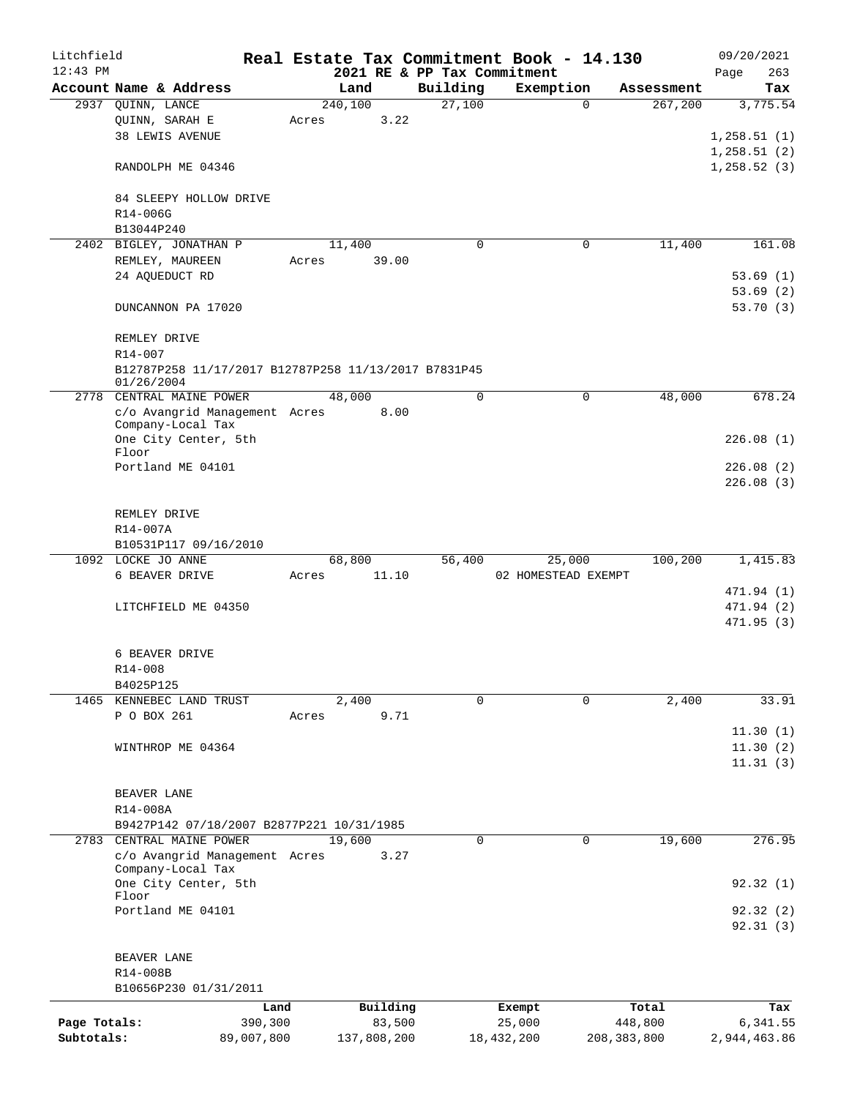| Litchfield   |                                                      |            |             |        |                             | Real Estate Tax Commitment Book - 14.130 |               | 09/20/2021   |
|--------------|------------------------------------------------------|------------|-------------|--------|-----------------------------|------------------------------------------|---------------|--------------|
| $12:43$ PM   |                                                      |            |             |        | 2021 RE & PP Tax Commitment |                                          |               | 263<br>Page  |
|              | Account Name & Address                               |            | Land        |        | Building                    | Exemption                                | Assessment    | Tax          |
|              | 2937 QUINN, LANCE                                    |            | 240,100     |        | 27,100                      | $\Omega$                                 | 267,200       | 3,775.54     |
|              | QUINN, SARAH E                                       | Acres      |             | 3.22   |                             |                                          |               |              |
|              | <b>38 LEWIS AVENUE</b>                               |            |             |        |                             |                                          |               | 1,258.51(1)  |
|              |                                                      |            |             |        |                             |                                          |               | 1, 258.51(2) |
|              | RANDOLPH ME 04346                                    |            |             |        |                             |                                          |               | 1,258.52(3)  |
|              |                                                      |            |             |        |                             |                                          |               |              |
|              | 84 SLEEPY HOLLOW DRIVE<br>R14-006G                   |            |             |        |                             |                                          |               |              |
|              | B13044P240                                           |            |             |        |                             |                                          |               |              |
|              | 2402 BIGLEY, JONATHAN P                              |            | 11,400      |        | $\mathbf 0$                 | 0                                        | 11,400        | 161.08       |
|              | REMLEY, MAUREEN                                      | Acres      |             | 39.00  |                             |                                          |               |              |
|              | 24 AQUEDUCT RD                                       |            |             |        |                             |                                          |               | 53.69(1)     |
|              |                                                      |            |             |        |                             |                                          |               | 53.69(2)     |
|              | DUNCANNON PA 17020                                   |            |             |        |                             |                                          |               | 53.70 (3)    |
|              |                                                      |            |             |        |                             |                                          |               |              |
|              | REMLEY DRIVE                                         |            |             |        |                             |                                          |               |              |
|              | R14-007                                              |            |             |        |                             |                                          |               |              |
|              | B12787P258 11/17/2017 B12787P258 11/13/2017 B7831P45 |            |             |        |                             |                                          |               |              |
|              | 01/26/2004                                           |            |             |        |                             |                                          |               |              |
|              | 2778 CENTRAL MAINE POWER                             |            | 48,000      |        | $\mathbf 0$                 | 0                                        | 48,000        | 678.24       |
|              | c/o Avangrid Management Acres                        |            |             | 8.00   |                             |                                          |               |              |
|              | Company-Local Tax                                    |            |             |        |                             |                                          |               |              |
|              | One City Center, 5th<br>Floor                        |            |             |        |                             |                                          |               | 226.08(1)    |
|              | Portland ME 04101                                    |            |             |        |                             |                                          |               | 226.08(2)    |
|              |                                                      |            |             |        |                             |                                          |               | 226.08(3)    |
|              |                                                      |            |             |        |                             |                                          |               |              |
|              | REMLEY DRIVE                                         |            |             |        |                             |                                          |               |              |
|              | R14-007A                                             |            |             |        |                             |                                          |               |              |
|              | B10531P117 09/16/2010                                |            |             |        |                             |                                          |               |              |
|              | 1092 LOCKE JO ANNE                                   |            | 68,800      |        | 56,400                      | 25,000                                   | 100,200       | 1,415.83     |
|              | 6 BEAVER DRIVE                                       | Acres      |             | 11.10  |                             | 02 HOMESTEAD EXEMPT                      |               |              |
|              |                                                      |            |             |        |                             |                                          |               | 471.94 (1)   |
|              | LITCHFIELD ME 04350                                  |            |             |        |                             |                                          |               | 471.94 (2)   |
|              |                                                      |            |             |        |                             |                                          |               | 471.95 (3)   |
|              |                                                      |            |             |        |                             |                                          |               |              |
|              | 6 BEAVER DRIVE                                       |            |             |        |                             |                                          |               |              |
|              | R14-008                                              |            |             |        |                             |                                          |               |              |
|              | B4025P125                                            |            |             |        |                             |                                          |               |              |
|              | 1465 KENNEBEC LAND TRUST                             |            | 2,400       |        | $\Omega$                    | 0                                        | 2,400         | 33.91        |
|              | P O BOX 261                                          | Acres      |             | 9.71   |                             |                                          |               |              |
|              |                                                      |            |             |        |                             |                                          |               | 11.30(1)     |
|              | WINTHROP ME 04364                                    |            |             |        |                             |                                          |               | 11.30(2)     |
|              |                                                      |            |             |        |                             |                                          |               | 11.31(3)     |
|              |                                                      |            |             |        |                             |                                          |               |              |
|              | BEAVER LANE                                          |            |             |        |                             |                                          |               |              |
|              | R14-008A                                             |            |             |        |                             |                                          |               |              |
|              | B9427P142 07/18/2007 B2877P221 10/31/1985            |            |             |        |                             |                                          |               |              |
|              | 2783 CENTRAL MAINE POWER                             |            | 19,600      |        | 0                           | 0                                        | 19,600        | 276.95       |
|              | c/o Avangrid Management Acres<br>Company-Local Tax   |            |             | 3.27   |                             |                                          |               |              |
|              | One City Center, 5th                                 |            |             |        |                             |                                          |               | 92.32(1)     |
|              | Floor                                                |            |             |        |                             |                                          |               |              |
|              | Portland ME 04101                                    |            |             |        |                             |                                          |               | 92.32(2)     |
|              |                                                      |            |             |        |                             |                                          |               | 92.31(3)     |
|              |                                                      |            |             |        |                             |                                          |               |              |
|              | BEAVER LANE                                          |            |             |        |                             |                                          |               |              |
|              | R14-008B                                             |            |             |        |                             |                                          |               |              |
|              | B10656P230 01/31/2011                                |            |             |        |                             |                                          |               |              |
|              |                                                      | Land       | Building    |        |                             | Exempt                                   | Total         | Tax          |
| Page Totals: |                                                      | 390,300    |             | 83,500 |                             | 25,000                                   | 448,800       | 6,341.55     |
| Subtotals:   |                                                      | 89,007,800 | 137,808,200 |        |                             | 18,432,200                               | 208, 383, 800 | 2,944,463.86 |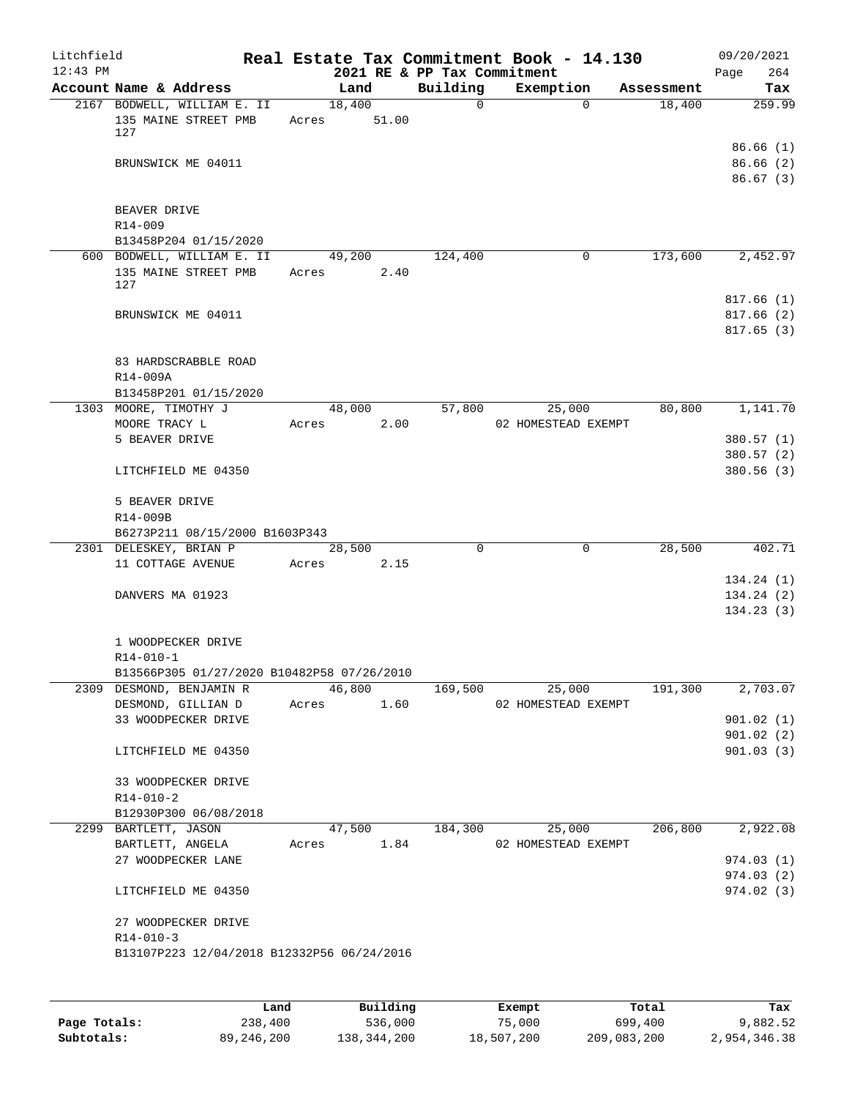| Litchfield<br>$12:43$ PM |                                                            |       |                       |      | Real Estate Tax Commitment Book - 14.130<br>2021 RE & PP Tax Commitment |                     |             |            | 09/20/2021<br>Page<br>264           |
|--------------------------|------------------------------------------------------------|-------|-----------------------|------|-------------------------------------------------------------------------|---------------------|-------------|------------|-------------------------------------|
|                          | Account Name & Address                                     |       | Land                  |      | Building                                                                | Exemption           |             | Assessment | Tax                                 |
|                          | 2167 BODWELL, WILLIAM E. II<br>135 MAINE STREET PMB<br>127 |       | 18,400<br>Acres 51.00 |      | $\mathbf 0$                                                             |                     | $\Omega$    | 18,400     | 259.99                              |
|                          | BRUNSWICK ME 04011                                         |       |                       |      |                                                                         |                     |             |            | 86.66(1)<br>86.66(2)<br>86.67(3)    |
|                          | BEAVER DRIVE<br>R14-009                                    |       |                       |      |                                                                         |                     |             |            |                                     |
|                          | B13458P204 01/15/2020                                      |       |                       |      |                                                                         |                     |             |            |                                     |
|                          | 600 BODWELL, WILLIAM E. II<br>135 MAINE STREET PMB<br>127  |       | 49,200<br>Acres 2.40  |      | 124,400                                                                 |                     | 0           | 173,600    | 2,452.97                            |
|                          | BRUNSWICK ME 04011                                         |       |                       |      |                                                                         |                     |             |            | 817.66(1)<br>817.66(2)<br>817.65(3) |
|                          | 83 HARDSCRABBLE ROAD<br>R14-009A                           |       |                       |      |                                                                         |                     |             |            |                                     |
|                          | B13458P201 01/15/2020                                      |       |                       |      |                                                                         |                     |             |            |                                     |
|                          | 1303 MOORE, TIMOTHY J                                      |       | 48,000                |      | 57,800                                                                  |                     | 25,000      | 80,800     | 1,141.70                            |
|                          | MOORE TRACY L<br>5 BEAVER DRIVE                            |       | Acres                 | 2.00 |                                                                         | 02 HOMESTEAD EXEMPT |             |            | 380.57(1)                           |
|                          |                                                            |       |                       |      |                                                                         |                     |             |            | 380.57 (2)                          |
|                          | LITCHFIELD ME 04350                                        |       |                       |      |                                                                         |                     |             |            | 380.56(3)                           |
|                          | 5 BEAVER DRIVE                                             |       |                       |      |                                                                         |                     |             |            |                                     |
|                          | R14-009B                                                   |       |                       |      |                                                                         |                     |             |            |                                     |
|                          | B6273P211 08/15/2000 B1603P343<br>2301 DELESKEY, BRIAN P   |       | 28,500                |      | $\Omega$                                                                |                     | $\mathbf 0$ | 28,500     | 402.71                              |
|                          | 11 COTTAGE AVENUE                                          |       | Acres 2.15            |      |                                                                         |                     |             |            |                                     |
|                          | DANVERS MA 01923                                           |       |                       |      |                                                                         |                     |             |            | 134.24(1)<br>134.24(2)<br>134.23(3) |
|                          | 1 WOODPECKER DRIVE<br>$R14 - 010 - 1$                      |       |                       |      |                                                                         |                     |             |            |                                     |
|                          | B13566P305 01/27/2020 B10482P58 07/26/2010                 |       |                       |      |                                                                         |                     |             |            |                                     |
|                          | 2309 DESMOND, BENJAMIN R                                   |       | 46,800                |      | 169,500                                                                 |                     | 25,000      | 191,300    | 2,703.07                            |
|                          | DESMOND, GILLIAN D<br>33 WOODPECKER DRIVE                  | Acres |                       | 1.60 |                                                                         | 02 HOMESTEAD EXEMPT |             |            | 901.02(1)                           |
|                          |                                                            |       |                       |      |                                                                         |                     |             |            | 901.02(2)                           |
|                          | LITCHFIELD ME 04350                                        |       |                       |      |                                                                         |                     |             |            | 901.03 (3)                          |
|                          | 33 WOODPECKER DRIVE<br>$R14 - 010 - 2$                     |       |                       |      |                                                                         |                     |             |            |                                     |
|                          | B12930P300 06/08/2018                                      |       |                       |      |                                                                         |                     |             |            |                                     |
|                          | 2299 BARTLETT, JASON                                       |       | 47,500                |      | 184,300                                                                 |                     | 25,000      | 206,800    | 2,922.08                            |
|                          | BARTLETT, ANGELA                                           | Acres |                       | 1.84 |                                                                         | 02 HOMESTEAD EXEMPT |             |            |                                     |
|                          | 27 WOODPECKER LANE                                         |       |                       |      |                                                                         |                     |             |            | 974.03(1)                           |
|                          | LITCHFIELD ME 04350                                        |       |                       |      |                                                                         |                     |             |            | 974.03(2)<br>974.02 (3)             |
|                          | 27 WOODPECKER DRIVE<br>$R14 - 010 - 3$                     |       |                       |      |                                                                         |                     |             |            |                                     |
|                          | B13107P223 12/04/2018 B12332P56 06/24/2016                 |       |                       |      |                                                                         |                     |             |            |                                     |
|                          |                                                            |       |                       |      |                                                                         |                     |             |            |                                     |

|              | Land         | Building    | Exempt     | Total       | Tax          |
|--------------|--------------|-------------|------------|-------------|--------------|
| Page Totals: | 238,400      | 536,000     | 75,000     | 699,400     | 9,882.52     |
| Subtotals:   | 89, 246, 200 | 138,344,200 | 18,507,200 | 209,083,200 | 2,954,346.38 |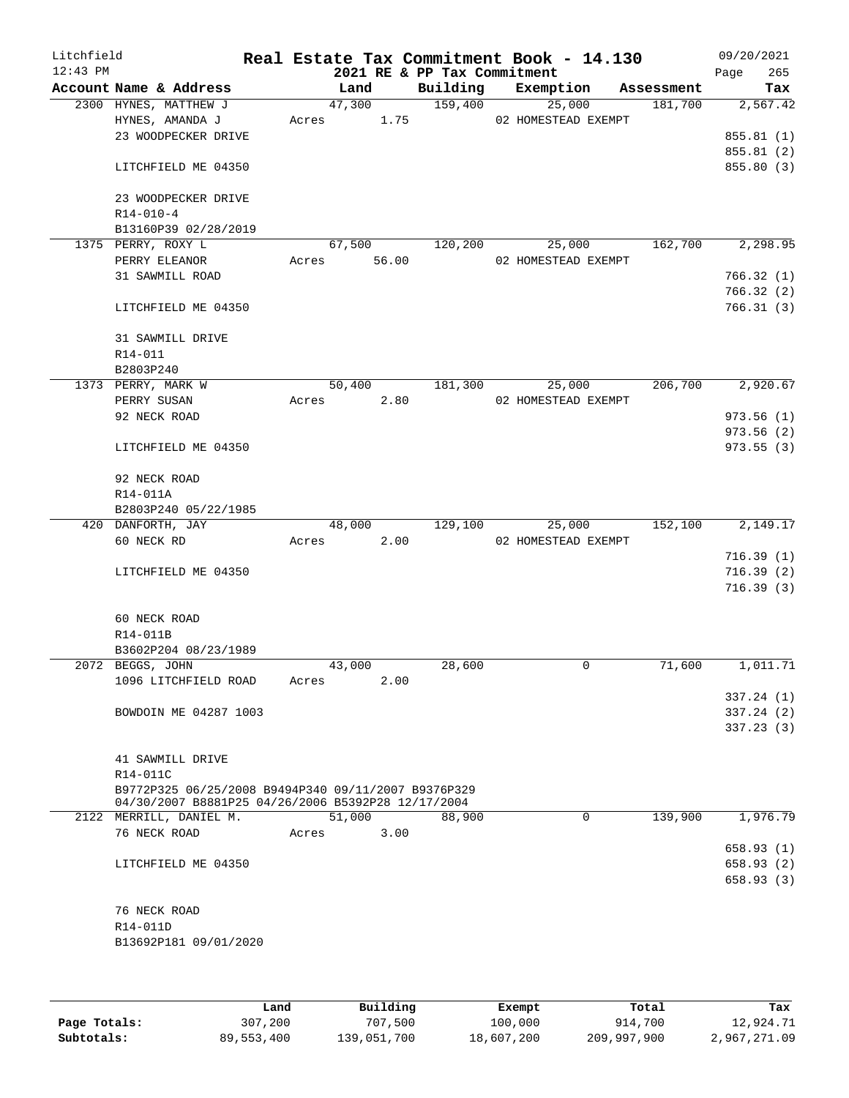| Litchfield<br>$12:43$ PM |                                                                                                           |       |               | 2021 RE & PP Tax Commitment | Real Estate Tax Commitment Book - 14.130 |            | 09/20/2021<br>265<br>Page |
|--------------------------|-----------------------------------------------------------------------------------------------------------|-------|---------------|-----------------------------|------------------------------------------|------------|---------------------------|
|                          | Account Name & Address                                                                                    |       | Land          | Building                    | Exemption                                | Assessment | Tax                       |
|                          | 2300 HYNES, MATTHEW J                                                                                     |       | 47,300        | 159,400                     | 25,000                                   | 181,700    | 2,567.42                  |
|                          | HYNES, AMANDA J                                                                                           |       | 1.75<br>Acres |                             | 02 HOMESTEAD EXEMPT                      |            |                           |
|                          | 23 WOODPECKER DRIVE                                                                                       |       |               |                             |                                          |            | 855.81(1)                 |
|                          |                                                                                                           |       |               |                             |                                          |            | 855.81 (2)                |
|                          | LITCHFIELD ME 04350                                                                                       |       |               |                             |                                          |            | 855.80 (3)                |
|                          | 23 WOODPECKER DRIVE                                                                                       |       |               |                             |                                          |            |                           |
|                          | $R14 - 010 - 4$                                                                                           |       |               |                             |                                          |            |                           |
|                          | B13160P39 02/28/2019                                                                                      |       |               |                             |                                          |            |                           |
|                          | 1375 PERRY, ROXY L                                                                                        |       | 67,500        | 120,200                     | 25,000                                   | 162,700    | 2,298.95                  |
|                          | PERRY ELEANOR                                                                                             | Acres | 56.00         |                             | 02 HOMESTEAD EXEMPT                      |            |                           |
|                          | 31 SAWMILL ROAD                                                                                           |       |               |                             |                                          |            | 766.32(1)                 |
|                          |                                                                                                           |       |               |                             |                                          |            | 766.32(2)                 |
|                          | LITCHFIELD ME 04350                                                                                       |       |               |                             |                                          |            | 766.31(3)                 |
|                          | 31 SAWMILL DRIVE                                                                                          |       |               |                             |                                          |            |                           |
|                          | R14-011                                                                                                   |       |               |                             |                                          |            |                           |
|                          | B2803P240                                                                                                 |       |               |                             |                                          |            |                           |
|                          | 1373 PERRY, MARK W                                                                                        |       | 50,400        | 181,300                     | 25,000                                   | 206,700    | 2,920.67                  |
|                          | PERRY SUSAN                                                                                               | Acres | 2.80          |                             | 02 HOMESTEAD EXEMPT                      |            |                           |
|                          | 92 NECK ROAD                                                                                              |       |               |                             |                                          |            | 973.56(1)                 |
|                          |                                                                                                           |       |               |                             |                                          |            | 973.56(2)<br>973.55(3)    |
|                          | LITCHFIELD ME 04350                                                                                       |       |               |                             |                                          |            |                           |
|                          | 92 NECK ROAD                                                                                              |       |               |                             |                                          |            |                           |
|                          | R14-011A                                                                                                  |       |               |                             |                                          |            |                           |
|                          | B2803P240 05/22/1985                                                                                      |       |               |                             |                                          |            |                           |
|                          | 420 DANFORTH, JAY                                                                                         |       | 48,000        | 129,100                     | 25,000                                   | 152,100    | 2,149.17                  |
|                          | 60 NECK RD                                                                                                | Acres | 2.00          |                             | 02 HOMESTEAD EXEMPT                      |            |                           |
|                          |                                                                                                           |       |               |                             |                                          |            | 716.39(1)                 |
|                          | LITCHFIELD ME 04350                                                                                       |       |               |                             |                                          |            | 716.39(2)<br>716.39 (3)   |
|                          |                                                                                                           |       |               |                             |                                          |            |                           |
|                          | 60 NECK ROAD                                                                                              |       |               |                             |                                          |            |                           |
|                          | R14-011B                                                                                                  |       |               |                             |                                          |            |                           |
|                          | B3602P204 08/23/1989                                                                                      |       |               |                             |                                          |            |                           |
|                          | 2072 BEGGS, JOHN                                                                                          |       | 43,000        | 28,600                      | 0                                        | 71,600     | 1,011.71                  |
|                          | 1096 LITCHFIELD ROAD                                                                                      | Acres | 2.00          |                             |                                          |            |                           |
|                          |                                                                                                           |       |               |                             |                                          |            | 337.24(1)                 |
|                          | BOWDOIN ME 04287 1003                                                                                     |       |               |                             |                                          |            | 337.24(2)                 |
|                          |                                                                                                           |       |               |                             |                                          |            | 337.23(3)                 |
|                          |                                                                                                           |       |               |                             |                                          |            |                           |
|                          | 41 SAWMILL DRIVE                                                                                          |       |               |                             |                                          |            |                           |
|                          | R14-011C                                                                                                  |       |               |                             |                                          |            |                           |
|                          | B9772P325 06/25/2008 B9494P340 09/11/2007 B9376P329<br>04/30/2007 B8881P25 04/26/2006 B5392P28 12/17/2004 |       |               |                             |                                          |            |                           |
|                          | 2122 MERRILL, DANIEL M.                                                                                   |       | 51,000        | 88,900                      | $\Omega$                                 | 139,900    | 1,976.79                  |
|                          | 76 NECK ROAD                                                                                              | Acres | 3.00          |                             |                                          |            |                           |
|                          |                                                                                                           |       |               |                             |                                          |            | 658.93(1)                 |
|                          | LITCHFIELD ME 04350                                                                                       |       |               |                             |                                          |            | 658.93 (2)                |
|                          |                                                                                                           |       |               |                             |                                          |            | 658.93(3)                 |
|                          | 76 NECK ROAD                                                                                              |       |               |                             |                                          |            |                           |
|                          | R14-011D                                                                                                  |       |               |                             |                                          |            |                           |
|                          | B13692P181 09/01/2020                                                                                     |       |               |                             |                                          |            |                           |
|                          |                                                                                                           |       |               |                             |                                          |            |                           |
|                          |                                                                                                           |       |               |                             |                                          |            |                           |

|              | Land       | Building    | Exempt     | Total       | Tax          |
|--------------|------------|-------------|------------|-------------|--------------|
| Page Totals: | 307,200    | 707,500     | 100,000    | 914,700     | 12,924.71    |
| Subtotals:   | 89,553,400 | 139,051,700 | 18,607,200 | 209,997,900 | 2,967,271.09 |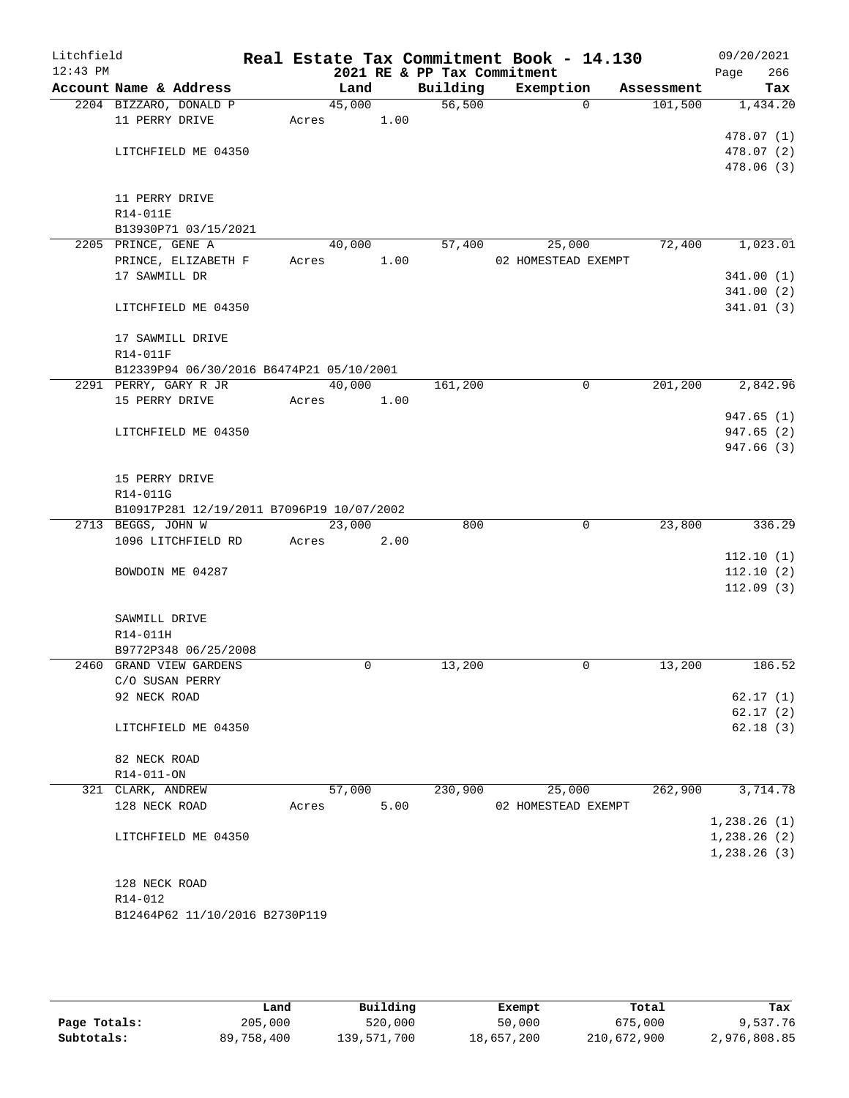| Litchfield<br>$12:43$ PM |                                           |       |        |      | 2021 RE & PP Tax Commitment | Real Estate Tax Commitment Book - 14.130 |            | 09/20/2021<br>266<br>Page |
|--------------------------|-------------------------------------------|-------|--------|------|-----------------------------|------------------------------------------|------------|---------------------------|
|                          | Account Name & Address                    |       | Land   |      | Building                    | Exemption                                | Assessment | Tax                       |
|                          | 2204 BIZZARO, DONALD P                    |       | 45,000 |      | 56,500                      | $\Omega$                                 | 101,500    | 1,434.20                  |
|                          | 11 PERRY DRIVE                            | Acres |        | 1.00 |                             |                                          |            |                           |
|                          |                                           |       |        |      |                             |                                          |            | 478.07 (1)                |
|                          | LITCHFIELD ME 04350                       |       |        |      |                             |                                          |            | 478.07 (2)                |
|                          |                                           |       |        |      |                             |                                          |            | 478.06(3)                 |
|                          |                                           |       |        |      |                             |                                          |            |                           |
|                          | 11 PERRY DRIVE                            |       |        |      |                             |                                          |            |                           |
|                          | R14-011E                                  |       |        |      |                             |                                          |            |                           |
|                          | B13930P71 03/15/2021                      |       |        |      |                             |                                          |            |                           |
|                          | 2205 PRINCE, GENE A                       |       | 40,000 |      | 57,400                      | 25,000                                   | 72,400     | 1,023.01                  |
|                          | PRINCE, ELIZABETH F                       | Acres |        | 1.00 |                             | 02 HOMESTEAD EXEMPT                      |            |                           |
|                          | 17 SAWMILL DR                             |       |        |      |                             |                                          |            | 341.00(1)                 |
|                          |                                           |       |        |      |                             |                                          |            | 341.00(2)                 |
|                          | LITCHFIELD ME 04350                       |       |        |      |                             |                                          |            | 341.01(3)                 |
|                          | 17 SAWMILL DRIVE                          |       |        |      |                             |                                          |            |                           |
|                          | R14-011F                                  |       |        |      |                             |                                          |            |                           |
|                          | B12339P94 06/30/2016 B6474P21 05/10/2001  |       |        |      |                             |                                          |            |                           |
|                          | 2291 PERRY, GARY R JR                     |       | 40,000 |      | 161,200                     | 0                                        | 201,200    | 2,842.96                  |
|                          | 15 PERRY DRIVE                            | Acres |        | 1.00 |                             |                                          |            |                           |
|                          |                                           |       |        |      |                             |                                          |            | 947.65(1)                 |
|                          | LITCHFIELD ME 04350                       |       |        |      |                             |                                          |            | 947.65(2)                 |
|                          |                                           |       |        |      |                             |                                          |            | 947.66 (3)                |
|                          |                                           |       |        |      |                             |                                          |            |                           |
|                          | 15 PERRY DRIVE                            |       |        |      |                             |                                          |            |                           |
|                          | R14-011G                                  |       |        |      |                             |                                          |            |                           |
|                          | B10917P281 12/19/2011 B7096P19 10/07/2002 |       |        |      |                             |                                          |            |                           |
|                          | 2713 BEGGS, JOHN W                        |       | 23,000 |      | 800                         | 0                                        | 23,800     | 336.29                    |
|                          | 1096 LITCHFIELD RD                        | Acres |        | 2.00 |                             |                                          |            |                           |
|                          |                                           |       |        |      |                             |                                          |            | 112.10(1)                 |
|                          | BOWDOIN ME 04287                          |       |        |      |                             |                                          |            | 112.10(2)                 |
|                          |                                           |       |        |      |                             |                                          |            | 112.09(3)                 |
|                          |                                           |       |        |      |                             |                                          |            |                           |
|                          | SAWMILL DRIVE<br>R14-011H                 |       |        |      |                             |                                          |            |                           |
|                          | B9772P348 06/25/2008                      |       |        |      |                             |                                          |            |                           |
|                          | 2460 GRAND VIEW GARDENS                   |       | 0      |      | 13,200                      | 0                                        | 13,200     | 186.52                    |
|                          | C/O SUSAN PERRY                           |       |        |      |                             |                                          |            |                           |
|                          | 92 NECK ROAD                              |       |        |      |                             |                                          |            | 62.17(1)                  |
|                          |                                           |       |        |      |                             |                                          |            | 62.17(2)                  |
|                          | LITCHFIELD ME 04350                       |       |        |      |                             |                                          |            | 62.18(3)                  |
|                          |                                           |       |        |      |                             |                                          |            |                           |
|                          | 82 NECK ROAD                              |       |        |      |                             |                                          |            |                           |
|                          | R14-011-ON                                |       |        |      |                             |                                          |            |                           |
|                          | 321 CLARK, ANDREW                         |       | 57,000 |      | 230,900                     | 25,000                                   | 262,900    | 3,714.78                  |
|                          | 128 NECK ROAD                             | Acres |        | 5.00 |                             | 02 HOMESTEAD EXEMPT                      |            |                           |
|                          |                                           |       |        |      |                             |                                          |            | 1,238.26(1)               |
|                          | LITCHFIELD ME 04350                       |       |        |      |                             |                                          |            | 1,238.26(2)               |
|                          |                                           |       |        |      |                             |                                          |            | 1,238.26(3)               |
|                          |                                           |       |        |      |                             |                                          |            |                           |
|                          | 128 NECK ROAD                             |       |        |      |                             |                                          |            |                           |
|                          | R14-012                                   |       |        |      |                             |                                          |            |                           |
|                          | B12464P62 11/10/2016 B2730P119            |       |        |      |                             |                                          |            |                           |
|                          |                                           |       |        |      |                             |                                          |            |                           |

|              | Land       | Building    | Exempt     | Total       | Tax          |
|--------------|------------|-------------|------------|-------------|--------------|
| Page Totals: | 205,000    | 520,000     | 50,000     | 675,000     | 9,537.76     |
| Subtotals:   | 89,758,400 | 139,571,700 | 18,657,200 | 210,672,900 | 2,976,808.85 |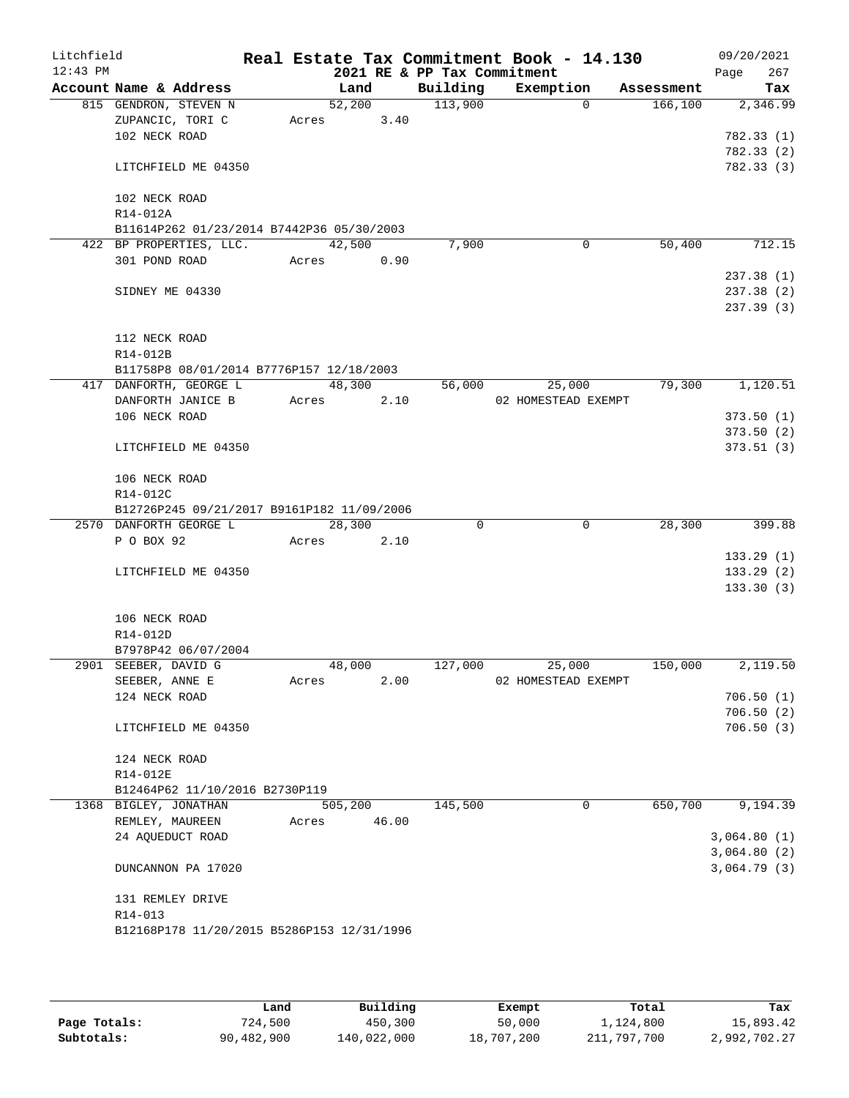| Litchfield |                                        |                                             |       |         |       |                             | Real Estate Tax Commitment Book - 14.130 |            | 09/20/2021  |
|------------|----------------------------------------|---------------------------------------------|-------|---------|-------|-----------------------------|------------------------------------------|------------|-------------|
| $12:43$ PM |                                        |                                             |       |         |       | 2021 RE & PP Tax Commitment |                                          |            | 267<br>Page |
|            |                                        | Account Name & Address                      |       | Land    |       | Building                    | Exemption                                | Assessment | Tax         |
|            |                                        | 815 GENDRON, STEVEN N<br>ZUPANCIC, TORI C   | Acres | 52,200  | 3.40  | 113,900                     | $\Omega$                                 | 166, 100   | 2,346.99    |
|            | 102 NECK ROAD                          |                                             |       |         |       |                             |                                          |            | 782.33 (1)  |
|            |                                        |                                             |       |         |       |                             |                                          |            | 782.33 (2)  |
|            |                                        | LITCHFIELD ME 04350                         |       |         |       |                             |                                          |            | 782.33 (3)  |
|            |                                        |                                             |       |         |       |                             |                                          |            |             |
|            | 102 NECK ROAD                          |                                             |       |         |       |                             |                                          |            |             |
|            | R14-012A                               |                                             |       |         |       |                             |                                          |            |             |
|            |                                        | B11614P262 01/23/2014 B7442P36 05/30/2003   |       |         |       |                             |                                          |            |             |
|            |                                        | 422 BP PROPERTIES, LLC.                     |       | 42,500  |       | 7,900                       | 0                                        | 50,400     | 712.15      |
|            | 301 POND ROAD                          |                                             |       | Acres   | 0.90  |                             |                                          |            |             |
|            |                                        |                                             |       |         |       |                             |                                          |            | 237.38(1)   |
|            | SIDNEY ME 04330                        |                                             |       |         |       |                             |                                          |            | 237.38 (2)  |
|            |                                        |                                             |       |         |       |                             |                                          |            | 237.39(3)   |
|            |                                        |                                             |       |         |       |                             |                                          |            |             |
|            | 112 NECK ROAD                          |                                             |       |         |       |                             |                                          |            |             |
|            | R14-012B                               |                                             |       |         |       |                             |                                          |            |             |
|            |                                        | B11758P8 08/01/2014 B7776P157 12/18/2003    |       |         |       |                             |                                          |            |             |
|            |                                        | 417 DANFORTH, GEORGE L<br>DANFORTH JANICE B |       | 48,300  | 2.10  | 56,000                      | 25,000<br>02 HOMESTEAD EXEMPT            | 79,300     | 1,120.51    |
|            | 106 NECK ROAD                          |                                             | Acres |         |       |                             |                                          |            | 373.50(1)   |
|            |                                        |                                             |       |         |       |                             |                                          |            | 373.50(2)   |
|            |                                        | LITCHFIELD ME 04350                         |       |         |       |                             |                                          |            | 373.51(3)   |
|            |                                        |                                             |       |         |       |                             |                                          |            |             |
|            | 106 NECK ROAD                          |                                             |       |         |       |                             |                                          |            |             |
|            | R14-012C                               |                                             |       |         |       |                             |                                          |            |             |
|            |                                        | B12726P245 09/21/2017 B9161P182 11/09/2006  |       |         |       |                             |                                          |            |             |
|            |                                        | 2570 DANFORTH GEORGE L                      |       | 28,300  |       | $\Omega$                    | 0                                        | 28,300     | 399.88      |
|            | P O BOX 92                             |                                             | Acres |         | 2.10  |                             |                                          |            |             |
|            |                                        |                                             |       |         |       |                             |                                          |            | 133.29(1)   |
|            |                                        | LITCHFIELD ME 04350                         |       |         |       |                             |                                          |            | 133.29(2)   |
|            |                                        |                                             |       |         |       |                             |                                          |            | 133.30(3)   |
|            |                                        |                                             |       |         |       |                             |                                          |            |             |
|            | 106 NECK ROAD                          |                                             |       |         |       |                             |                                          |            |             |
|            | R14-012D                               |                                             |       |         |       |                             |                                          |            |             |
|            |                                        | B7978P42 06/07/2004                         |       |         |       |                             |                                          |            |             |
|            | 2901 SEEBER, DAVID G<br>SEEBER, ANNE E |                                             | Acres | 48,000  | 2.00  | 127,000                     | 25,000<br>02 HOMESTEAD EXEMPT            | 150,000    | 2,119.50    |
|            | 124 NECK ROAD                          |                                             |       |         |       |                             |                                          |            | 706.50(1)   |
|            |                                        |                                             |       |         |       |                             |                                          |            | 706.50(2)   |
|            |                                        | LITCHFIELD ME 04350                         |       |         |       |                             |                                          |            | 706.50(3)   |
|            |                                        |                                             |       |         |       |                             |                                          |            |             |
|            | 124 NECK ROAD                          |                                             |       |         |       |                             |                                          |            |             |
|            | R14-012E                               |                                             |       |         |       |                             |                                          |            |             |
|            |                                        | B12464P62 11/10/2016 B2730P119              |       |         |       |                             |                                          |            |             |
|            |                                        | 1368 BIGLEY, JONATHAN                       |       | 505,200 |       | 145,500                     | 0                                        | 650,700    | 9,194.39    |
|            |                                        | REMLEY, MAUREEN                             | Acres |         | 46.00 |                             |                                          |            |             |
|            |                                        | 24 AQUEDUCT ROAD                            |       |         |       |                             |                                          |            | 3,064.80(1) |
|            |                                        |                                             |       |         |       |                             |                                          |            | 3,064.80(2) |
|            |                                        | DUNCANNON PA 17020                          |       |         |       |                             |                                          |            | 3,064.79(3) |
|            |                                        |                                             |       |         |       |                             |                                          |            |             |
|            |                                        | 131 REMLEY DRIVE                            |       |         |       |                             |                                          |            |             |
|            | R14-013                                |                                             |       |         |       |                             |                                          |            |             |
|            |                                        | B12168P178 11/20/2015 B5286P153 12/31/1996  |       |         |       |                             |                                          |            |             |
|            |                                        |                                             |       |         |       |                             |                                          |            |             |

|              | Land       | Building    | Exempt     | Total       | Tax          |
|--------------|------------|-------------|------------|-------------|--------------|
| Page Totals: | 724,500    | 450,300     | 50,000     | 1,124,800   | 15,893.42    |
| Subtotals:   | 90,482,900 | 140,022,000 | 18,707,200 | 211,797,700 | 2,992,702.27 |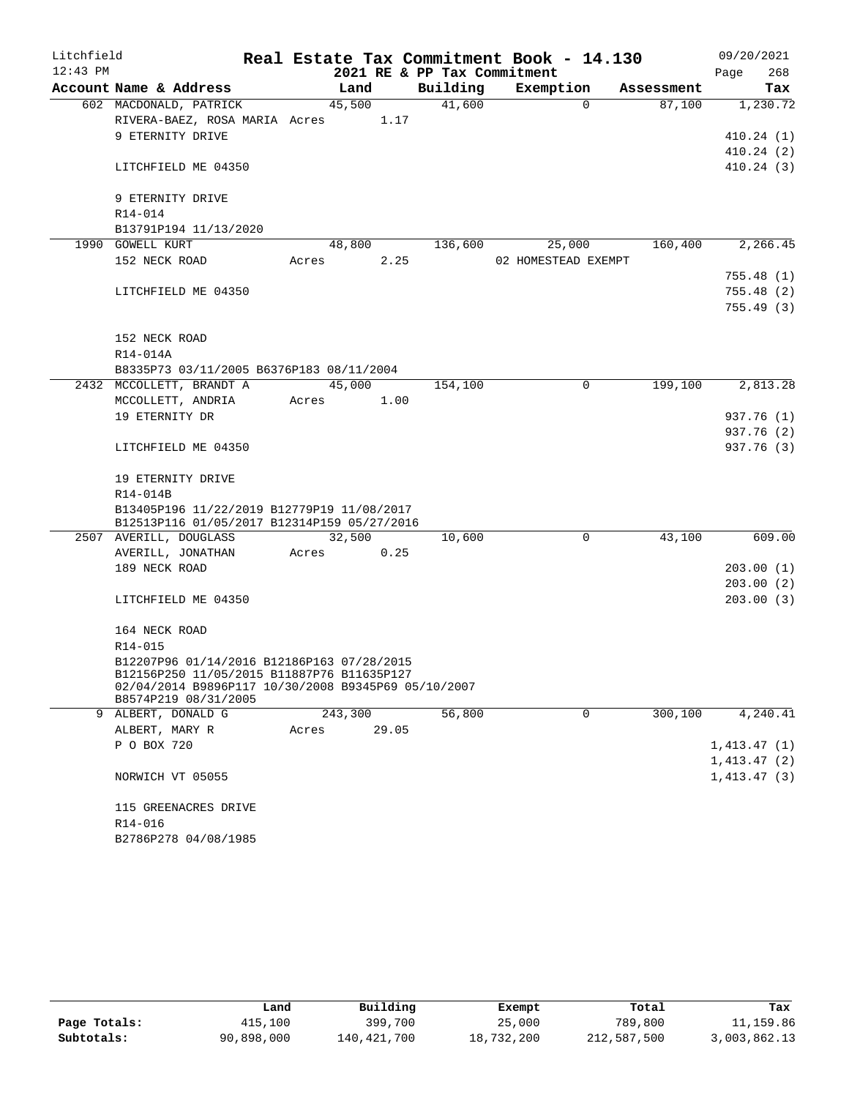| Litchfield |                                                                                           |  |       |         |       | Real Estate Tax Commitment Book - 14.130 |                     |          |            |             | 09/20/2021             |
|------------|-------------------------------------------------------------------------------------------|--|-------|---------|-------|------------------------------------------|---------------------|----------|------------|-------------|------------------------|
| $12:43$ PM |                                                                                           |  |       |         |       | 2021 RE & PP Tax Commitment              |                     |          |            | Page        | 268                    |
|            | Account Name & Address                                                                    |  |       | Land    |       | Building                                 | Exemption           |          | Assessment |             | Tax                    |
|            | 602 MACDONALD, PATRICK                                                                    |  |       | 45,500  |       | 41,600                                   |                     | $\Omega$ | 87,100     |             | 1,230.72               |
|            | RIVERA-BAEZ, ROSA MARIA Acres                                                             |  |       |         | 1.17  |                                          |                     |          |            |             |                        |
|            | 9 ETERNITY DRIVE                                                                          |  |       |         |       |                                          |                     |          |            |             | 410.24(1)              |
|            | LITCHFIELD ME 04350                                                                       |  |       |         |       |                                          |                     |          |            |             | 410.24(2)<br>410.24(3) |
|            |                                                                                           |  |       |         |       |                                          |                     |          |            |             |                        |
|            | 9 ETERNITY DRIVE                                                                          |  |       |         |       |                                          |                     |          |            |             |                        |
|            | R14-014                                                                                   |  |       |         |       |                                          |                     |          |            |             |                        |
|            | B13791P194 11/13/2020                                                                     |  |       |         |       |                                          |                     |          |            |             |                        |
|            | 1990 GOWELL KURT                                                                          |  |       | 48,800  |       | 136,600                                  |                     | 25,000   | 160,400    |             | 2,266.45               |
|            | 152 NECK ROAD                                                                             |  | Acres |         | 2.25  |                                          | 02 HOMESTEAD EXEMPT |          |            |             |                        |
|            |                                                                                           |  |       |         |       |                                          |                     |          |            |             | 755.48 (1)             |
|            | LITCHFIELD ME 04350                                                                       |  |       |         |       |                                          |                     |          |            |             | 755.48(2)              |
|            |                                                                                           |  |       |         |       |                                          |                     |          |            |             | 755.49(3)              |
|            |                                                                                           |  |       |         |       |                                          |                     |          |            |             |                        |
|            | 152 NECK ROAD<br>R14-014A                                                                 |  |       |         |       |                                          |                     |          |            |             |                        |
|            | B8335P73 03/11/2005 B6376P183 08/11/2004                                                  |  |       |         |       |                                          |                     |          |            |             |                        |
|            | 2432 MCCOLLETT, BRANDT A                                                                  |  |       | 45,000  |       | 154,100                                  |                     | 0        | 199,100    |             | 2,813.28               |
|            | MCCOLLETT, ANDRIA                                                                         |  | Acres |         | 1.00  |                                          |                     |          |            |             |                        |
|            | 19 ETERNITY DR                                                                            |  |       |         |       |                                          |                     |          |            |             | 937.76 (1)             |
|            |                                                                                           |  |       |         |       |                                          |                     |          |            |             | 937.76 (2)             |
|            | LITCHFIELD ME 04350                                                                       |  |       |         |       |                                          |                     |          |            |             | 937.76 (3)             |
|            |                                                                                           |  |       |         |       |                                          |                     |          |            |             |                        |
|            | 19 ETERNITY DRIVE                                                                         |  |       |         |       |                                          |                     |          |            |             |                        |
|            | R14-014B                                                                                  |  |       |         |       |                                          |                     |          |            |             |                        |
|            | B13405P196 11/22/2019 B12779P19 11/08/2017<br>B12513P116 01/05/2017 B12314P159 05/27/2016 |  |       |         |       |                                          |                     |          |            |             |                        |
|            | 2507 AVERILL, DOUGLASS                                                                    |  |       | 32,500  |       | 10,600                                   |                     | 0        | 43,100     |             | 609.00                 |
|            | AVERILL, JONATHAN                                                                         |  | Acres |         | 0.25  |                                          |                     |          |            |             |                        |
|            | 189 NECK ROAD                                                                             |  |       |         |       |                                          |                     |          |            |             | 203.00 (1)             |
|            |                                                                                           |  |       |         |       |                                          |                     |          |            |             | 203.00 (2)             |
|            | LITCHFIELD ME 04350                                                                       |  |       |         |       |                                          |                     |          |            |             | 203.00(3)              |
|            |                                                                                           |  |       |         |       |                                          |                     |          |            |             |                        |
|            | 164 NECK ROAD                                                                             |  |       |         |       |                                          |                     |          |            |             |                        |
|            | R14-015<br>B12207P96 01/14/2016 B12186P163 07/28/2015                                     |  |       |         |       |                                          |                     |          |            |             |                        |
|            | B12156P250 11/05/2015 B11887P76 B11635P127                                                |  |       |         |       |                                          |                     |          |            |             |                        |
|            | 02/04/2014 B9896P117 10/30/2008 B9345P69 05/10/2007                                       |  |       |         |       |                                          |                     |          |            |             |                        |
|            | B8574P219 08/31/2005                                                                      |  |       |         |       |                                          |                     |          |            |             |                        |
|            | 9 ALBERT, DONALD G                                                                        |  |       | 243,300 |       | 56,800                                   |                     | 0        | 300,100    |             | 4,240.41               |
|            | ALBERT, MARY R<br>P O BOX 720                                                             |  | Acres |         | 29.05 |                                          |                     |          |            | 1,413.47(1) |                        |
|            |                                                                                           |  |       |         |       |                                          |                     |          |            | 1,413.47(2) |                        |
|            | NORWICH VT 05055                                                                          |  |       |         |       |                                          |                     |          |            | 1,413.47(3) |                        |
|            |                                                                                           |  |       |         |       |                                          |                     |          |            |             |                        |
|            | 115 GREENACRES DRIVE                                                                      |  |       |         |       |                                          |                     |          |            |             |                        |
|            | R14-016                                                                                   |  |       |         |       |                                          |                     |          |            |             |                        |
|            | B2786P278 04/08/1985                                                                      |  |       |         |       |                                          |                     |          |            |             |                        |

|              | Land       | Building    | Exempt     | Total       | Tax          |
|--------------|------------|-------------|------------|-------------|--------------|
| Page Totals: | 415,100    | 399,700     | 25,000     | 789,800     | 11,159.86    |
| Subtotals:   | 90,898,000 | 140,421,700 | 18,732,200 | 212,587,500 | 3,003,862.13 |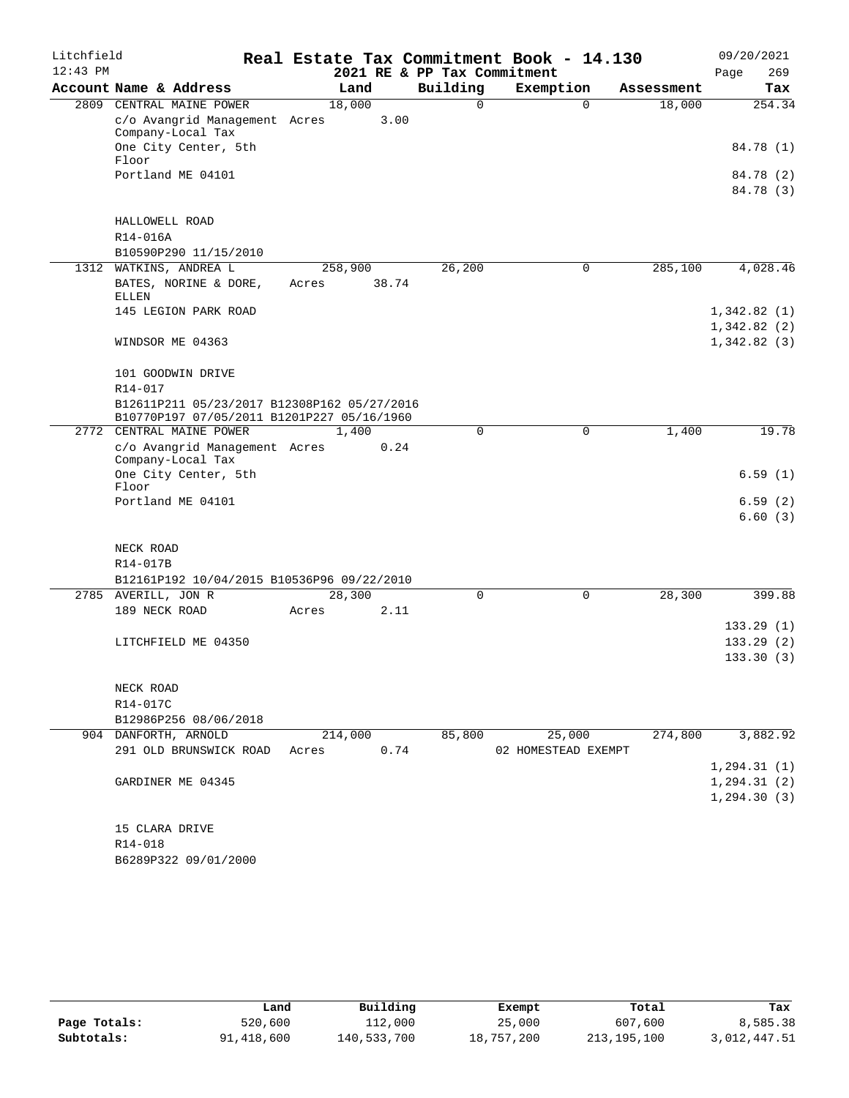| Litchfield |                                                                                           |         |       |                             | Real Estate Tax Commitment Book - 14.130 |            | 09/20/2021             |
|------------|-------------------------------------------------------------------------------------------|---------|-------|-----------------------------|------------------------------------------|------------|------------------------|
| $12:43$ PM |                                                                                           |         |       | 2021 RE & PP Tax Commitment |                                          |            | 269<br>Page            |
|            | Account Name & Address                                                                    | Land    |       | Building                    | Exemption                                | Assessment | Tax                    |
|            | 2809 CENTRAL MAINE POWER                                                                  | 18,000  |       | 0                           | $\Omega$                                 | 18,000     | 254.34                 |
|            | c/o Avangrid Management Acres<br>Company-Local Tax                                        |         | 3.00  |                             |                                          |            |                        |
|            | One City Center, 5th                                                                      |         |       |                             |                                          |            | 84.78 (1)              |
|            | Floor                                                                                     |         |       |                             |                                          |            |                        |
|            | Portland ME 04101                                                                         |         |       |                             |                                          |            | 84.78 (2)              |
|            |                                                                                           |         |       |                             |                                          |            | 84.78 (3)              |
|            | HALLOWELL ROAD                                                                            |         |       |                             |                                          |            |                        |
|            | R14-016A                                                                                  |         |       |                             |                                          |            |                        |
|            | B10590P290 11/15/2010                                                                     |         |       |                             |                                          |            |                        |
|            | 1312 WATKINS, ANDREA L                                                                    | 258,900 |       | 26,200                      | 0                                        | 285,100    | 4,028.46               |
|            | BATES, NORINE & DORE,<br><b>ELLEN</b>                                                     | Acres   | 38.74 |                             |                                          |            |                        |
|            | 145 LEGION PARK ROAD                                                                      |         |       |                             |                                          |            | 1,342.82(1)            |
|            |                                                                                           |         |       |                             |                                          |            | 1,342.82(2)            |
|            | WINDSOR ME 04363                                                                          |         |       |                             |                                          |            | 1,342.82(3)            |
|            | 101 GOODWIN DRIVE                                                                         |         |       |                             |                                          |            |                        |
|            | R14-017                                                                                   |         |       |                             |                                          |            |                        |
|            | B12611P211 05/23/2017 B12308P162 05/27/2016<br>B10770P197 07/05/2011 B1201P227 05/16/1960 |         |       |                             |                                          |            |                        |
|            | 2772 CENTRAL MAINE POWER                                                                  | 1,400   |       | 0                           | $\mathbf 0$                              | 1,400      | 19.78                  |
|            | c/o Avangrid Management Acres                                                             |         | 0.24  |                             |                                          |            |                        |
|            | Company-Local Tax<br>One City Center, 5th                                                 |         |       |                             |                                          |            | 6.59(1)                |
|            | Floor                                                                                     |         |       |                             |                                          |            |                        |
|            | Portland ME 04101                                                                         |         |       |                             |                                          |            | 6.59(2)<br>6.60(3)     |
|            |                                                                                           |         |       |                             |                                          |            |                        |
|            | NECK ROAD                                                                                 |         |       |                             |                                          |            |                        |
|            | R14-017B                                                                                  |         |       |                             |                                          |            |                        |
|            | B12161P192 10/04/2015 B10536P96 09/22/2010                                                |         |       |                             |                                          |            |                        |
|            | 2785 AVERILL, JON R                                                                       | 28,300  |       | $\mathbf 0$                 | 0                                        | 28,300     | 399.88                 |
|            | 189 NECK ROAD                                                                             | Acres   | 2.11  |                             |                                          |            |                        |
|            |                                                                                           |         |       |                             |                                          |            | 133.29(1)              |
|            | LITCHFIELD ME 04350                                                                       |         |       |                             |                                          |            | 133.29(2)<br>133.30(3) |
|            |                                                                                           |         |       |                             |                                          |            |                        |
|            | NECK ROAD                                                                                 |         |       |                             |                                          |            |                        |
|            | R14-017C                                                                                  |         |       |                             |                                          |            |                        |
|            | B12986P256 08/06/2018                                                                     |         |       |                             |                                          |            |                        |
|            | 904 DANFORTH, ARNOLD                                                                      | 214,000 |       | 85,800                      | 25,000                                   | 274,800    | 3,882.92               |
|            | 291 OLD BRUNSWICK ROAD                                                                    | Acres   | 0.74  |                             | 02 HOMESTEAD EXEMPT                      |            |                        |
|            |                                                                                           |         |       |                             |                                          |            | 1, 294.31(1)           |
|            | GARDINER ME 04345                                                                         |         |       |                             |                                          |            | 1, 294.31(2)           |
|            |                                                                                           |         |       |                             |                                          |            | 1, 294.30(3)           |
|            | 15 CLARA DRIVE                                                                            |         |       |                             |                                          |            |                        |
|            | R14-018                                                                                   |         |       |                             |                                          |            |                        |
|            | B6289P322 09/01/2000                                                                      |         |       |                             |                                          |            |                        |

|              | Land       | Building    | Exempt     | Total       | Tax          |
|--------------|------------|-------------|------------|-------------|--------------|
| Page Totals: | 520,600    | 112,000     | 25,000     | 607,600     | 8,585.38     |
| Subtotals:   | 91,418,600 | 140,533,700 | 18,757,200 | 213,195,100 | 3,012,447.51 |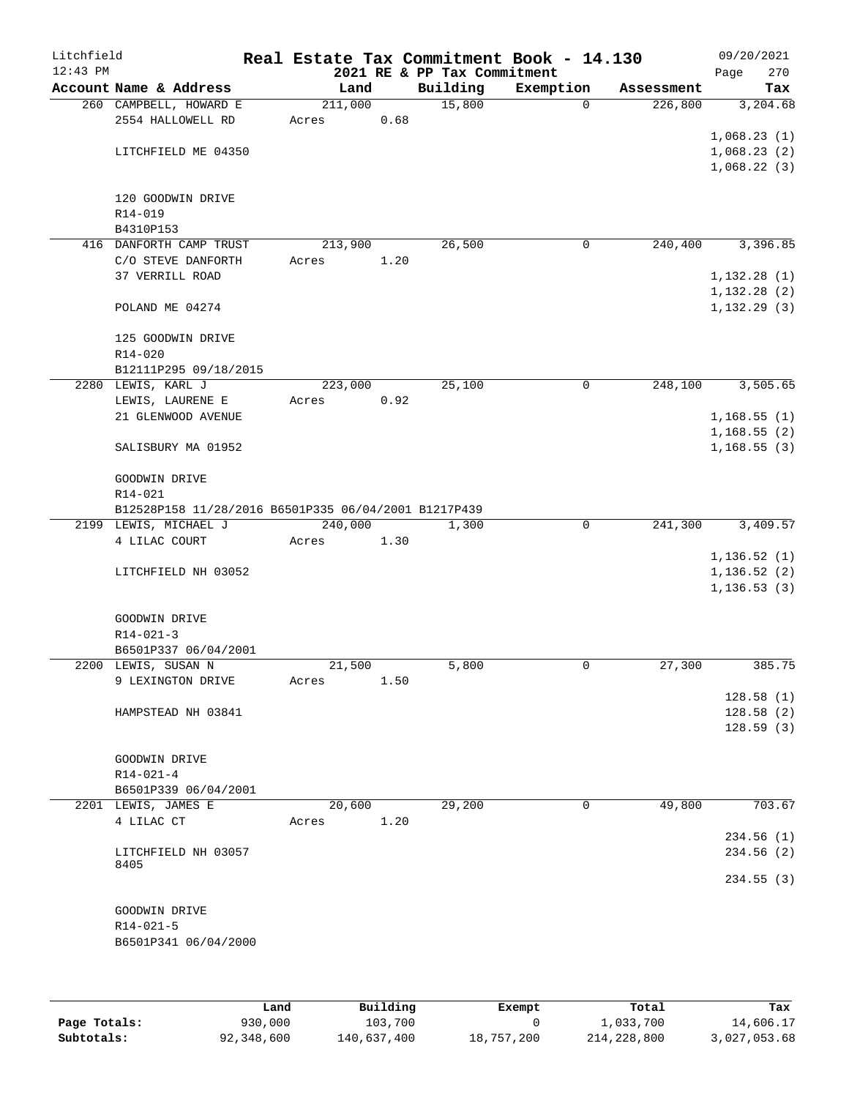| Litchfield |                                                      |         |      |                             | Real Estate Tax Commitment Book - 14.130 |            | 09/20/2021   |
|------------|------------------------------------------------------|---------|------|-----------------------------|------------------------------------------|------------|--------------|
| $12:43$ PM |                                                      |         |      | 2021 RE & PP Tax Commitment |                                          |            | 270<br>Page  |
|            | Account Name & Address                               | Land    |      | Building                    | Exemption                                | Assessment | Tax          |
|            | 260 CAMPBELL, HOWARD E                               | 211,000 |      | 15,800                      | $\Omega$                                 | 226,800    | 3,204.68     |
|            | 2554 HALLOWELL RD                                    | Acres   | 0.68 |                             |                                          |            |              |
|            |                                                      |         |      |                             |                                          |            | 1,068.23(1)  |
|            | LITCHFIELD ME 04350                                  |         |      |                             |                                          |            | 1,068.23(2)  |
|            |                                                      |         |      |                             |                                          |            | 1,068.22(3)  |
|            |                                                      |         |      |                             |                                          |            |              |
|            | 120 GOODWIN DRIVE                                    |         |      |                             |                                          |            |              |
|            | R14-019                                              |         |      |                             |                                          |            |              |
|            | B4310P153                                            |         |      |                             |                                          |            |              |
|            | 416 DANFORTH CAMP TRUST                              | 213,900 |      | 26,500                      | 0                                        | 240,400    | 3,396.85     |
|            | C/O STEVE DANFORTH                                   | Acres   | 1.20 |                             |                                          |            |              |
|            | <b>37 VERRILL ROAD</b>                               |         |      |                             |                                          |            | 1, 132.28(1) |
|            |                                                      |         |      |                             |                                          |            | 1,132.28(2)  |
|            | POLAND ME 04274                                      |         |      |                             |                                          |            | 1, 132.29(3) |
|            |                                                      |         |      |                             |                                          |            |              |
|            | 125 GOODWIN DRIVE                                    |         |      |                             |                                          |            |              |
|            | $R14 - 020$                                          |         |      |                             |                                          |            |              |
|            | B12111P295 09/18/2015                                |         |      |                             |                                          |            |              |
|            | 2280 LEWIS, KARL J                                   | 223,000 |      | 25,100                      | 0                                        | 248,100    | 3,505.65     |
|            | LEWIS, LAURENE E                                     | Acres   | 0.92 |                             |                                          |            |              |
|            | 21 GLENWOOD AVENUE                                   |         |      |                             |                                          |            | 1,168.55(1)  |
|            |                                                      |         |      |                             |                                          |            | 1,168.55(2)  |
|            | SALISBURY MA 01952                                   |         |      |                             |                                          |            | 1, 168.55(3) |
|            |                                                      |         |      |                             |                                          |            |              |
|            | GOODWIN DRIVE                                        |         |      |                             |                                          |            |              |
|            | $R14 - 021$                                          |         |      |                             |                                          |            |              |
|            | B12528P158 11/28/2016 B6501P335 06/04/2001 B1217P439 |         |      |                             |                                          |            |              |
|            | 2199 LEWIS, MICHAEL J                                | 240,000 |      | 1,300                       | 0                                        | 241,300    | 3,409.57     |
|            | 4 LILAC COURT                                        | Acres   | 1.30 |                             |                                          |            |              |
|            |                                                      |         |      |                             |                                          |            | 1, 136.52(1) |
|            | LITCHFIELD NH 03052                                  |         |      |                             |                                          |            | 1, 136.52(2) |
|            |                                                      |         |      |                             |                                          |            | 1, 136.53(3) |
|            |                                                      |         |      |                             |                                          |            |              |
|            | GOODWIN DRIVE                                        |         |      |                             |                                          |            |              |
|            | $R14 - 021 - 3$                                      |         |      |                             |                                          |            |              |
|            | B6501P337 06/04/2001                                 |         |      |                             |                                          |            |              |
|            | 2200 LEWIS, SUSAN N                                  | 21,500  |      | 5,800                       | 0                                        | 27,300     | 385.75       |
|            | 9 LEXINGTON DRIVE                                    | Acres   | 1.50 |                             |                                          |            |              |
|            |                                                      |         |      |                             |                                          |            | 128.58(1)    |
|            | HAMPSTEAD NH 03841                                   |         |      |                             |                                          |            | 128.58(2)    |
|            |                                                      |         |      |                             |                                          |            | 128.59(3)    |
|            |                                                      |         |      |                             |                                          |            |              |
|            | GOODWIN DRIVE                                        |         |      |                             |                                          |            |              |
|            | $R14 - 021 - 4$                                      |         |      |                             |                                          |            |              |
|            | B6501P339 06/04/2001                                 |         |      |                             |                                          |            |              |
|            | 2201 LEWIS, JAMES E                                  | 20,600  |      | 29,200                      | 0                                        | 49,800     | 703.67       |
|            | 4 LILAC CT                                           | Acres   | 1.20 |                             |                                          |            |              |
|            |                                                      |         |      |                             |                                          |            | 234.56(1)    |
|            | LITCHFIELD NH 03057<br>8405                          |         |      |                             |                                          |            | 234.56(2)    |
|            |                                                      |         |      |                             |                                          |            | 234.55(3)    |
|            |                                                      |         |      |                             |                                          |            |              |
|            | GOODWIN DRIVE                                        |         |      |                             |                                          |            |              |
|            | $R14 - 021 - 5$                                      |         |      |                             |                                          |            |              |
|            | B6501P341 06/04/2000                                 |         |      |                             |                                          |            |              |
|            |                                                      |         |      |                             |                                          |            |              |
|            |                                                      |         |      |                             |                                          |            |              |
|            |                                                      |         |      |                             |                                          |            |              |

|              | Land       | Building    | Exempt     | Total       | Tax          |
|--------------|------------|-------------|------------|-------------|--------------|
| Page Totals: | 930,000    | 103,700     |            | 1,033,700   | 14,606.17    |
| Subtotals:   | 92,348,600 | 140,637,400 | 18,757,200 | 214,228,800 | 3,027,053.68 |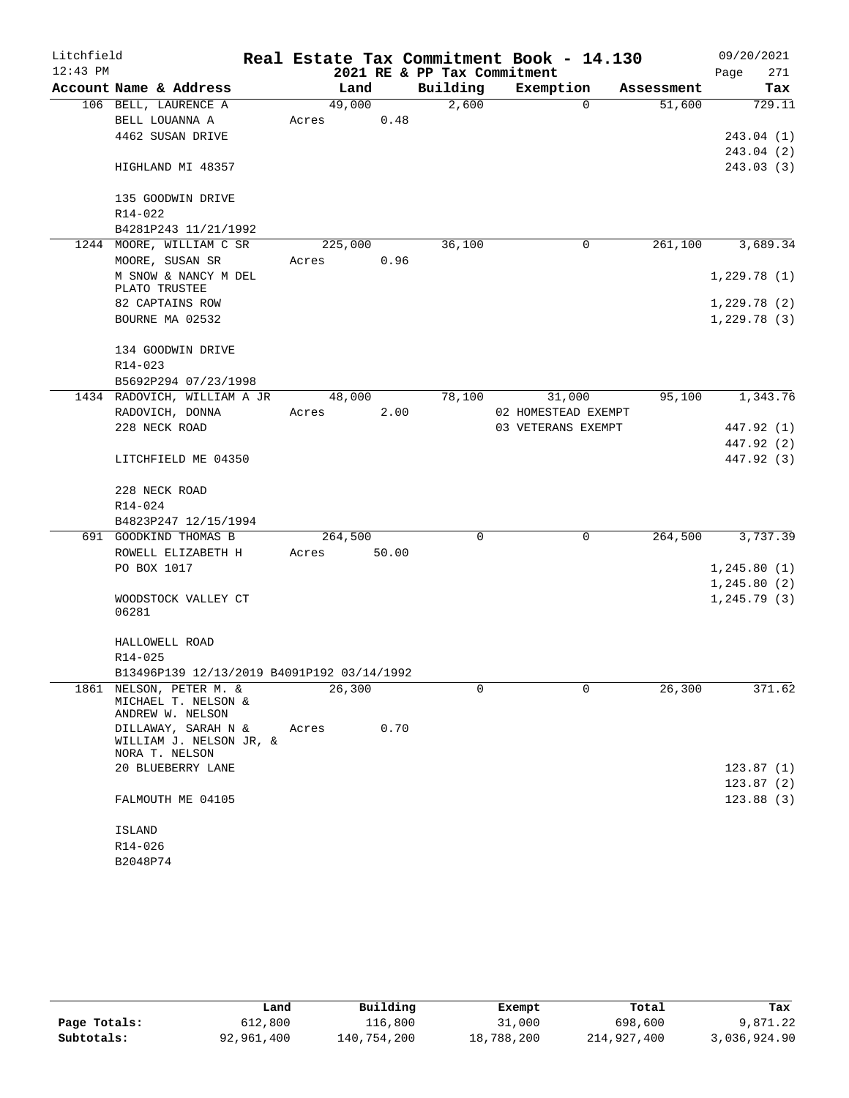| Litchfield |                                            |         |       |                             | Real Estate Tax Commitment Book - 14.130 |            | 09/20/2021              |
|------------|--------------------------------------------|---------|-------|-----------------------------|------------------------------------------|------------|-------------------------|
| $12:43$ PM |                                            |         |       | 2021 RE & PP Tax Commitment |                                          |            | 271<br>Page             |
|            | Account Name & Address                     | Land    |       | Building                    | Exemption                                | Assessment | Tax                     |
|            | 106 BELL, LAURENCE A                       | 49,000  |       | 2,600                       | $\Omega$                                 | 51,600     | 729.11                  |
|            | BELL LOUANNA A                             | Acres   | 0.48  |                             |                                          |            |                         |
|            | 4462 SUSAN DRIVE                           |         |       |                             |                                          |            | 243.04(1)               |
|            | HIGHLAND MI 48357                          |         |       |                             |                                          |            | 243.04 (2)<br>243.03(3) |
|            |                                            |         |       |                             |                                          |            |                         |
|            | 135 GOODWIN DRIVE                          |         |       |                             |                                          |            |                         |
|            | R14-022                                    |         |       |                             |                                          |            |                         |
|            | B4281P243 11/21/1992                       |         |       |                             |                                          |            |                         |
|            | 1244 MOORE, WILLIAM C SR                   | 225,000 |       | 36,100                      | 0                                        | 261,100    | 3,689.34                |
|            | MOORE, SUSAN SR                            | Acres   | 0.96  |                             |                                          |            |                         |
|            | M SNOW & NANCY M DEL                       |         |       |                             |                                          |            | 1,229.78(1)             |
|            | PLATO TRUSTEE<br>82 CAPTAINS ROW           |         |       |                             |                                          |            | 1,229.78(2)             |
|            | BOURNE MA 02532                            |         |       |                             |                                          |            | 1,229.78(3)             |
|            |                                            |         |       |                             |                                          |            |                         |
|            | 134 GOODWIN DRIVE                          |         |       |                             |                                          |            |                         |
|            | R14-023                                    |         |       |                             |                                          |            |                         |
|            | B5692P294 07/23/1998                       |         |       |                             |                                          |            |                         |
|            | 1434 RADOVICH, WILLIAM A JR                | 48,000  |       | 78,100                      | 31,000                                   | 95,100     | 1,343.76                |
|            | RADOVICH, DONNA                            | Acres   | 2.00  |                             | 02 HOMESTEAD EXEMPT                      |            |                         |
|            | 228 NECK ROAD                              |         |       |                             | 03 VETERANS EXEMPT                       |            | 447.92 (1)              |
|            |                                            |         |       |                             |                                          |            | 447.92 (2)              |
|            | LITCHFIELD ME 04350                        |         |       |                             |                                          |            | 447.92 (3)              |
|            | 228 NECK ROAD                              |         |       |                             |                                          |            |                         |
|            | R14-024                                    |         |       |                             |                                          |            |                         |
|            | B4823P247 12/15/1994                       |         |       |                             |                                          |            |                         |
|            | 691 GOODKIND THOMAS B                      | 264,500 |       | 0                           | 0                                        | 264,500    | 3,737.39                |
|            | ROWELL ELIZABETH H                         | Acres   | 50.00 |                             |                                          |            |                         |
|            | PO BOX 1017                                |         |       |                             |                                          |            | 1,245.80(1)             |
|            |                                            |         |       |                             |                                          |            | 1,245.80(2)             |
|            | WOODSTOCK VALLEY CT                        |         |       |                             |                                          |            | 1,245.79(3)             |
|            | 06281                                      |         |       |                             |                                          |            |                         |
|            | HALLOWELL ROAD                             |         |       |                             |                                          |            |                         |
|            | R14-025                                    |         |       |                             |                                          |            |                         |
|            | B13496P139 12/13/2019 B4091P192 03/14/1992 |         |       |                             |                                          |            |                         |
|            | 1861 NELSON, PETER M. &                    | 26,300  |       | 0                           | 0                                        | 26,300     | 371.62                  |
|            | MICHAEL T. NELSON &                        |         |       |                             |                                          |            |                         |
|            | ANDREW W. NELSON<br>DILLAWAY, SARAH N &    | Acres   | 0.70  |                             |                                          |            |                         |
|            | WILLIAM J. NELSON JR, &                    |         |       |                             |                                          |            |                         |
|            | NORA T. NELSON                             |         |       |                             |                                          |            |                         |
|            | 20 BLUEBERRY LANE                          |         |       |                             |                                          |            | 123.87(1)               |
|            |                                            |         |       |                             |                                          |            | 123.87(2)               |
|            | FALMOUTH ME 04105                          |         |       |                             |                                          |            | 123.88(3)               |
|            |                                            |         |       |                             |                                          |            |                         |
|            | ISLAND<br>R14-026                          |         |       |                             |                                          |            |                         |
|            | B2048P74                                   |         |       |                             |                                          |            |                         |
|            |                                            |         |       |                             |                                          |            |                         |

|              | Land       | Building    | Exempt     | Total       | Tax          |
|--------------|------------|-------------|------------|-------------|--------------|
| Page Totals: | 612,800    | 116,800     | 31,000     | 698,600     | 9,871.22     |
| Subtotals:   | 92,961,400 | 140,754,200 | 18,788,200 | 214,927,400 | 3,036,924.90 |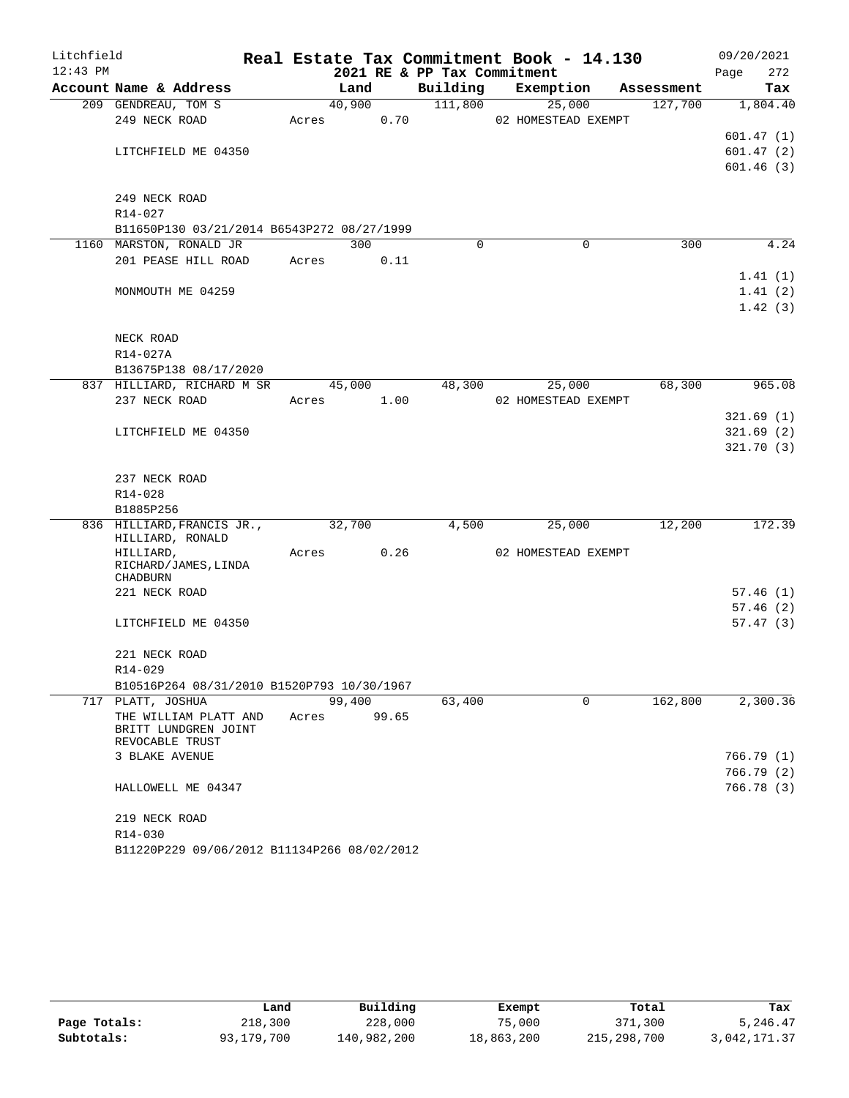| Litchfield |                                                     |        |       |                             | Real Estate Tax Commitment Book - 14.130 |            | 09/20/2021           |
|------------|-----------------------------------------------------|--------|-------|-----------------------------|------------------------------------------|------------|----------------------|
| $12:43$ PM |                                                     |        |       | 2021 RE & PP Tax Commitment |                                          |            | 272<br>Page          |
|            | Account Name & Address                              | Land   |       | Building                    | Exemption                                | Assessment | Tax                  |
|            | 209 GENDREAU, TOM S                                 | 40,900 |       | 111,800                     | 25,000                                   | 127,700    | 1,804.40             |
|            | 249 NECK ROAD                                       | Acres  | 0.70  |                             | 02 HOMESTEAD EXEMPT                      |            |                      |
|            |                                                     |        |       |                             |                                          |            | 601.47(1)            |
|            | LITCHFIELD ME 04350                                 |        |       |                             |                                          |            | 601.47(2)            |
|            |                                                     |        |       |                             |                                          |            | 601.46(3)            |
|            | 249 NECK ROAD                                       |        |       |                             |                                          |            |                      |
|            | $R14 - 027$                                         |        |       |                             |                                          |            |                      |
|            | B11650P130 03/21/2014 B6543P272 08/27/1999          |        |       |                             |                                          |            |                      |
|            | 1160 MARSTON, RONALD JR                             | 300    |       | $\Omega$                    | $\Omega$                                 | 300        | 4.24                 |
|            | 201 PEASE HILL ROAD                                 | Acres  | 0.11  |                             |                                          |            |                      |
|            |                                                     |        |       |                             |                                          |            | 1.41(1)              |
|            | MONMOUTH ME 04259                                   |        |       |                             |                                          |            | 1.41(2)              |
|            |                                                     |        |       |                             |                                          |            | 1.42(3)              |
|            |                                                     |        |       |                             |                                          |            |                      |
|            | NECK ROAD                                           |        |       |                             |                                          |            |                      |
|            | R14-027A                                            |        |       |                             |                                          |            |                      |
|            | B13675P138 08/17/2020<br>837 HILLIARD, RICHARD M SR | 45,000 |       | 48,300                      | 25,000                                   | 68,300     | 965.08               |
|            | 237 NECK ROAD                                       | Acres  | 1.00  |                             | 02 HOMESTEAD EXEMPT                      |            |                      |
|            |                                                     |        |       |                             |                                          |            | 321.69(1)            |
|            | LITCHFIELD ME 04350                                 |        |       |                             |                                          |            | 321.69(2)            |
|            |                                                     |        |       |                             |                                          |            | 321.70(3)            |
|            |                                                     |        |       |                             |                                          |            |                      |
|            | 237 NECK ROAD                                       |        |       |                             |                                          |            |                      |
|            | R14-028                                             |        |       |                             |                                          |            |                      |
|            | B1885P256                                           |        |       |                             |                                          |            |                      |
|            | 836 HILLIARD, FRANCIS JR.,<br>HILLIARD, RONALD      | 32,700 |       | 4,500                       | 25,000                                   | 12,200     | 172.39               |
|            | HILLIARD,                                           | Acres  | 0.26  |                             | 02 HOMESTEAD EXEMPT                      |            |                      |
|            | RICHARD/JAMES, LINDA                                |        |       |                             |                                          |            |                      |
|            | <b>CHADBURN</b>                                     |        |       |                             |                                          |            |                      |
|            | 221 NECK ROAD                                       |        |       |                             |                                          |            | 57.46(1)             |
|            |                                                     |        |       |                             |                                          |            | 57.46(2)<br>57.47(3) |
|            | LITCHFIELD ME 04350                                 |        |       |                             |                                          |            |                      |
|            | 221 NECK ROAD                                       |        |       |                             |                                          |            |                      |
|            | $R14 - 029$                                         |        |       |                             |                                          |            |                      |
|            | B10516P264 08/31/2010 B1520P793 10/30/1967          |        |       |                             |                                          |            |                      |
|            | 717 PLATT, JOSHUA                                   | 99,400 |       | 63,400                      | $\Omega$                                 | 162,800    | 2,300.36             |
|            | THE WILLIAM PLATT AND                               | Acres  | 99.65 |                             |                                          |            |                      |
|            | BRITT LUNDGREN JOINT                                |        |       |                             |                                          |            |                      |
|            | REVOCABLE TRUST<br>3 BLAKE AVENUE                   |        |       |                             |                                          |            | 766.79(1)            |
|            |                                                     |        |       |                             |                                          |            | 766.79(2)            |
|            | HALLOWELL ME 04347                                  |        |       |                             |                                          |            | 766.78 (3)           |
|            |                                                     |        |       |                             |                                          |            |                      |
|            | 219 NECK ROAD                                       |        |       |                             |                                          |            |                      |
|            | R14-030                                             |        |       |                             |                                          |            |                      |
|            | B11220P229 09/06/2012 B11134P266 08/02/2012         |        |       |                             |                                          |            |                      |

|              | Land       | Building    | Exempt     | Total       | Tax          |
|--------------|------------|-------------|------------|-------------|--------------|
| Page Totals: | 218,300    | 228,000     | 75,000     | 371,300     | 5,246.47     |
| Subtotals:   | 93,179,700 | 140,982,200 | 18,863,200 | 215,298,700 | 3,042,171.37 |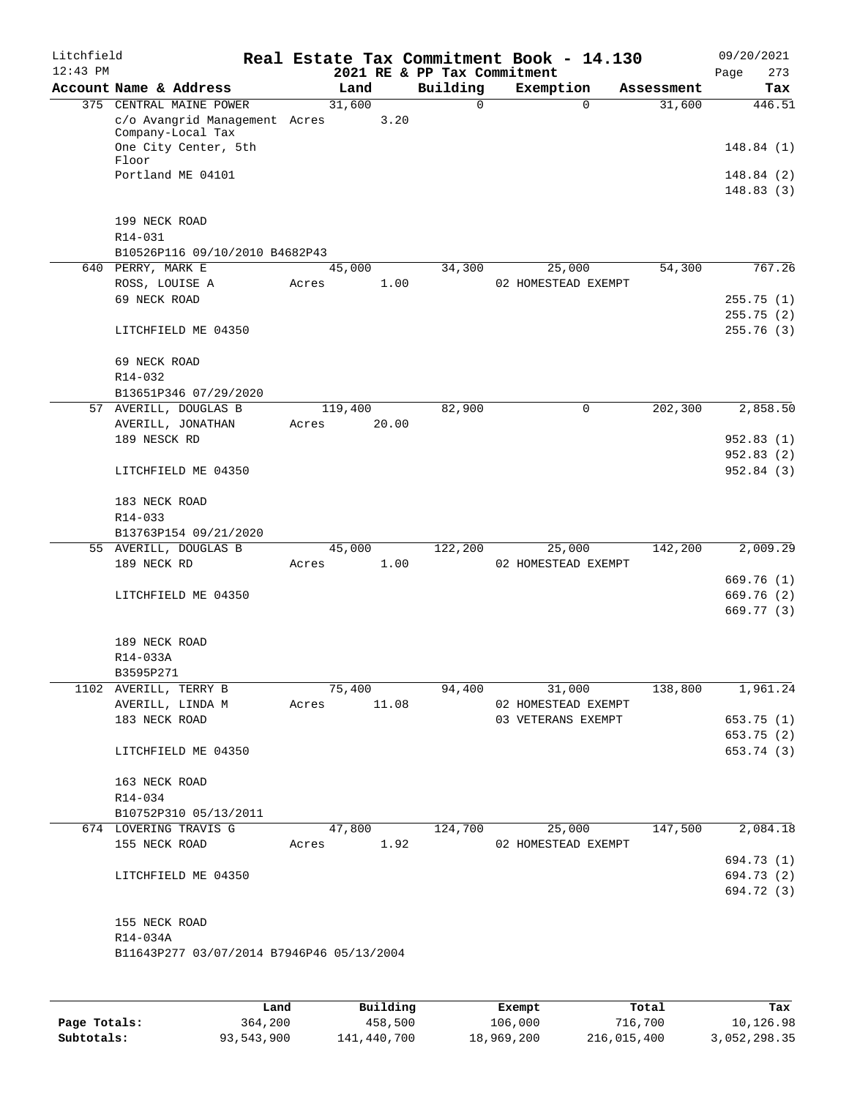| Litchfield<br>$12:43$ PM |                                                     |       |             |      | 2021 RE & PP Tax Commitment | Real Estate Tax Commitment Book - 14.130 |            | 09/20/2021<br>273<br>Page |
|--------------------------|-----------------------------------------------------|-------|-------------|------|-----------------------------|------------------------------------------|------------|---------------------------|
|                          | Account Name & Address                              |       | Land        |      | Building                    | Exemption                                | Assessment | Tax                       |
|                          | 375 CENTRAL MAINE POWER                             |       | 31,600      |      | $\Omega$                    | $\Omega$                                 | 31,600     | 446.51                    |
|                          | c/o Avangrid Management Acres                       |       |             | 3.20 |                             |                                          |            |                           |
|                          | Company-Local Tax<br>One City Center, 5th           |       |             |      |                             |                                          |            | 148.84(1)                 |
|                          | Floor                                               |       |             |      |                             |                                          |            |                           |
|                          | Portland ME 04101                                   |       |             |      |                             |                                          |            | 148.84 (2)                |
|                          |                                                     |       |             |      |                             |                                          |            | 148.83(3)                 |
|                          |                                                     |       |             |      |                             |                                          |            |                           |
|                          | 199 NECK ROAD                                       |       |             |      |                             |                                          |            |                           |
|                          | R14-031                                             |       |             |      |                             |                                          |            |                           |
|                          | B10526P116 09/10/2010 B4682P43<br>640 PERRY, MARK E |       | 45,000      |      | 34,300                      | 25,000                                   | 54,300     | 767.26                    |
|                          | ROSS, LOUISE A                                      | Acres |             | 1.00 |                             | 02 HOMESTEAD EXEMPT                      |            |                           |
|                          | 69 NECK ROAD                                        |       |             |      |                             |                                          |            | 255.75(1)                 |
|                          |                                                     |       |             |      |                             |                                          |            | 255.75(2)                 |
|                          | LITCHFIELD ME 04350                                 |       |             |      |                             |                                          |            | 255.76 (3)                |
|                          |                                                     |       |             |      |                             |                                          |            |                           |
|                          | 69 NECK ROAD                                        |       |             |      |                             |                                          |            |                           |
|                          | R14-032                                             |       |             |      |                             |                                          |            |                           |
|                          | B13651P346 07/29/2020                               |       |             |      |                             |                                          |            |                           |
|                          | 57 AVERILL, DOUGLAS B                               |       | 119,400     |      | 82,900                      | 0                                        | 202,300    | 2,858.50                  |
|                          | AVERILL, JONATHAN                                   | Acres | 20.00       |      |                             |                                          |            |                           |
|                          | 189 NESCK RD                                        |       |             |      |                             |                                          |            | 952.83(1)                 |
|                          |                                                     |       |             |      |                             |                                          |            | 952.83(2)                 |
|                          | LITCHFIELD ME 04350                                 |       |             |      |                             |                                          |            | 952.84 (3)                |
|                          | 183 NECK ROAD                                       |       |             |      |                             |                                          |            |                           |
|                          | R14-033                                             |       |             |      |                             |                                          |            |                           |
|                          | B13763P154 09/21/2020                               |       |             |      |                             |                                          |            |                           |
|                          | 55 AVERILL, DOUGLAS B                               |       | 45,000      |      | 122,200                     | 25,000                                   | 142,200    | 2,009.29                  |
|                          | 189 NECK RD                                         | Acres |             | 1.00 |                             | 02 HOMESTEAD EXEMPT                      |            |                           |
|                          |                                                     |       |             |      |                             |                                          |            | 669.76(1)                 |
|                          | LITCHFIELD ME 04350                                 |       |             |      |                             |                                          |            | 669.76 (2)                |
|                          |                                                     |       |             |      |                             |                                          |            | 669.77 (3)                |
|                          |                                                     |       |             |      |                             |                                          |            |                           |
|                          | 189 NECK ROAD                                       |       |             |      |                             |                                          |            |                           |
|                          | R14-033A<br>B3595P271                               |       |             |      |                             |                                          |            |                           |
|                          | 1102 AVERILL, TERRY B                               |       | 75,400      |      | 94,400                      | 31,000                                   | 138,800    | 1,961.24                  |
|                          | AVERILL, LINDA M                                    |       | Acres 11.08 |      |                             | 02 HOMESTEAD EXEMPT                      |            |                           |
|                          | 183 NECK ROAD                                       |       |             |      |                             | 03 VETERANS EXEMPT                       |            | 653.75 (1)                |
|                          |                                                     |       |             |      |                             |                                          |            | 653.75 (2)                |
|                          | LITCHFIELD ME 04350                                 |       |             |      |                             |                                          |            | 653.74 (3)                |
|                          |                                                     |       |             |      |                             |                                          |            |                           |
|                          | 163 NECK ROAD                                       |       |             |      |                             |                                          |            |                           |
|                          | R14-034                                             |       |             |      |                             |                                          |            |                           |
|                          | B10752P310 05/13/2011                               |       |             |      |                             |                                          |            |                           |
|                          | 674 LOVERING TRAVIS G                               |       | 47,800      |      | 124,700                     | 25,000                                   | 147,500    | 2,084.18                  |
|                          | 155 NECK ROAD                                       |       | Acres 1.92  |      |                             | 02 HOMESTEAD EXEMPT                      |            | 694.73 (1)                |
|                          | LITCHFIELD ME 04350                                 |       |             |      |                             |                                          |            | 694.73 (2)                |
|                          |                                                     |       |             |      |                             |                                          |            | 694.72 (3)                |
|                          |                                                     |       |             |      |                             |                                          |            |                           |
|                          | 155 NECK ROAD                                       |       |             |      |                             |                                          |            |                           |
|                          | R14-034A                                            |       |             |      |                             |                                          |            |                           |
|                          | B11643P277 03/07/2014 B7946P46 05/13/2004           |       |             |      |                             |                                          |            |                           |
|                          |                                                     |       |             |      |                             |                                          |            |                           |
|                          |                                                     |       |             |      |                             |                                          |            |                           |
|                          |                                                     |       |             |      |                             |                                          |            |                           |

|              | Land       | Building    | Exempt     | Total       | Tax          |
|--------------|------------|-------------|------------|-------------|--------------|
| Page Totals: | 364,200    | 458,500     | 106,000    | 716,700     | 10,126.98    |
| Subtotals:   | 93,543,900 | 141,440,700 | 18,969,200 | 216,015,400 | 3,052,298.35 |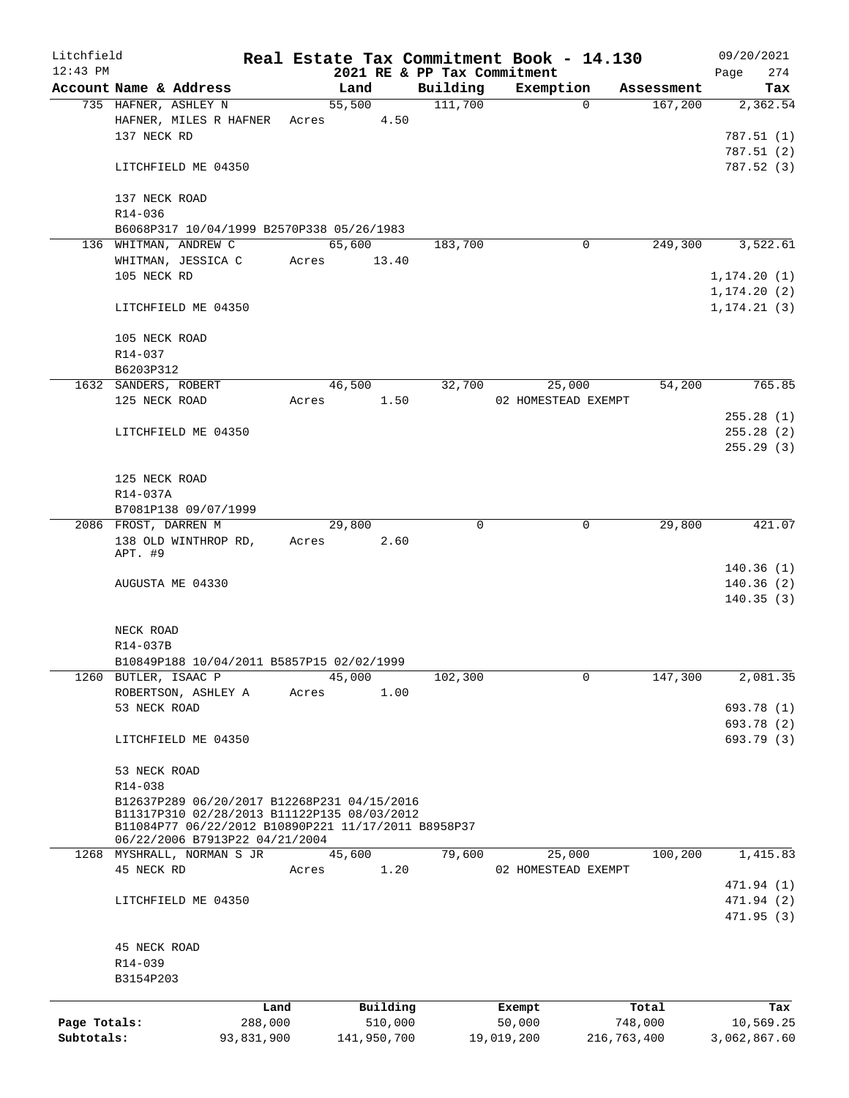| Litchfield<br>$12:43$ PM |                                                     |            |       |                     |          | 2021 RE & PP Tax Commitment |            | Real Estate Tax Commitment Book - 14.130 |              |            | 09/20/2021<br>274<br>Page |
|--------------------------|-----------------------------------------------------|------------|-------|---------------------|----------|-----------------------------|------------|------------------------------------------|--------------|------------|---------------------------|
|                          | Account Name & Address                              |            |       | Land                |          | Building                    |            | Exemption                                |              | Assessment | Tax                       |
|                          | 735 HAFNER, ASHLEY N                                |            |       | 55,500              |          | 111,700                     |            |                                          | $\Omega$     | 167,200    | 2,362.54                  |
|                          | HAFNER, MILES R HAFNER Acres                        |            |       |                     | 4.50     |                             |            |                                          |              |            |                           |
|                          | 137 NECK RD                                         |            |       |                     |          |                             |            |                                          |              |            | 787.51(1)                 |
|                          |                                                     |            |       |                     |          |                             |            |                                          |              |            | 787.51 (2)                |
|                          | LITCHFIELD ME 04350                                 |            |       |                     |          |                             |            |                                          |              |            | 787.52(3)                 |
|                          |                                                     |            |       |                     |          |                             |            |                                          |              |            |                           |
|                          | 137 NECK ROAD                                       |            |       |                     |          |                             |            |                                          |              |            |                           |
|                          | R14-036                                             |            |       |                     |          |                             |            |                                          |              |            |                           |
|                          | B6068P317 10/04/1999 B2570P338 05/26/1983           |            |       |                     |          |                             |            |                                          |              |            |                           |
|                          | 136 WHITMAN, ANDREW C                               |            |       | 65,600              |          | 183,700                     |            |                                          | 0            | 249,300    | 3,522.61                  |
|                          | WHITMAN, JESSICA C                                  |            | Acres |                     | 13.40    |                             |            |                                          |              |            |                           |
|                          | 105 NECK RD                                         |            |       |                     |          |                             |            |                                          |              |            | 1, 174.20(1)              |
|                          |                                                     |            |       |                     |          |                             |            |                                          |              |            | 1, 174.20(2)              |
|                          | LITCHFIELD ME 04350                                 |            |       |                     |          |                             |            |                                          |              |            | 1, 174.21(3)              |
|                          |                                                     |            |       |                     |          |                             |            |                                          |              |            |                           |
|                          | 105 NECK ROAD                                       |            |       |                     |          |                             |            |                                          |              |            |                           |
|                          | R14-037                                             |            |       |                     |          |                             |            |                                          |              |            |                           |
|                          | B6203P312                                           |            |       |                     |          |                             |            |                                          |              |            |                           |
|                          | 1632 SANDERS, ROBERT                                |            |       | 46,500              |          | 32,700                      |            | 25,000                                   |              | 54,200     | 765.85                    |
|                          | 125 NECK ROAD                                       |            | Acres |                     | 1.50     |                             |            | 02 HOMESTEAD EXEMPT                      |              |            |                           |
|                          |                                                     |            |       |                     |          |                             |            |                                          |              |            | 255.28(1)                 |
|                          | LITCHFIELD ME 04350                                 |            |       |                     |          |                             |            |                                          |              |            | 255.28(2)                 |
|                          |                                                     |            |       |                     |          |                             |            |                                          |              |            | 255.29(3)                 |
|                          |                                                     |            |       |                     |          |                             |            |                                          |              |            |                           |
|                          | 125 NECK ROAD                                       |            |       |                     |          |                             |            |                                          |              |            |                           |
|                          | R14-037A                                            |            |       |                     |          |                             |            |                                          |              |            |                           |
|                          | B7081P138 09/07/1999                                |            |       |                     |          |                             |            |                                          |              |            |                           |
|                          | 2086 FROST, DARREN M                                |            |       | $\overline{29,800}$ |          |                             | $\Omega$   |                                          | 0            | 29,800     | 421.07                    |
|                          | 138 OLD WINTHROP RD,                                |            | Acres |                     | 2.60     |                             |            |                                          |              |            |                           |
|                          | APT. #9                                             |            |       |                     |          |                             |            |                                          |              |            |                           |
|                          |                                                     |            |       |                     |          |                             |            |                                          |              |            | 140.36(1)                 |
|                          | AUGUSTA ME 04330                                    |            |       |                     |          |                             |            |                                          |              |            | 140.36(2)                 |
|                          |                                                     |            |       |                     |          |                             |            |                                          |              |            | 140.35(3)                 |
|                          |                                                     |            |       |                     |          |                             |            |                                          |              |            |                           |
|                          | NECK ROAD                                           |            |       |                     |          |                             |            |                                          |              |            |                           |
|                          | R14-037B                                            |            |       |                     |          |                             |            |                                          |              |            |                           |
|                          | B10849P188 10/04/2011 B5857P15 02/02/1999           |            |       |                     |          |                             |            |                                          |              |            |                           |
|                          | 1260 BUTLER, ISAAC P                                |            |       | 45,000              |          | 102,300                     |            |                                          | $\mathsf{O}$ | 147,300    | 2,081.35                  |
|                          | ROBERTSON, ASHLEY A                                 |            | Acres |                     | 1.00     |                             |            |                                          |              |            |                           |
|                          | 53 NECK ROAD                                        |            |       |                     |          |                             |            |                                          |              |            | 693.78 (1)                |
|                          |                                                     |            |       |                     |          |                             |            |                                          |              |            | 693.78 (2)                |
|                          | LITCHFIELD ME 04350                                 |            |       |                     |          |                             |            |                                          |              |            | 693.79 (3)                |
|                          |                                                     |            |       |                     |          |                             |            |                                          |              |            |                           |
|                          | 53 NECK ROAD                                        |            |       |                     |          |                             |            |                                          |              |            |                           |
|                          | R14-038                                             |            |       |                     |          |                             |            |                                          |              |            |                           |
|                          | B12637P289 06/20/2017 B12268P231 04/15/2016         |            |       |                     |          |                             |            |                                          |              |            |                           |
|                          | B11317P310 02/28/2013 B11122P135 08/03/2012         |            |       |                     |          |                             |            |                                          |              |            |                           |
|                          | B11084P77 06/22/2012 B10890P221 11/17/2011 B8958P37 |            |       |                     |          |                             |            |                                          |              |            |                           |
|                          | 06/22/2006 B7913P22 04/21/2004                      |            |       |                     |          |                             |            |                                          |              |            |                           |
|                          | 1268 MYSHRALL, NORMAN S JR                          |            |       | 45,600              |          | 79,600                      |            | 25,000                                   |              | 100,200    | 1,415.83                  |
|                          | 45 NECK RD                                          |            | Acres |                     | 1.20     |                             |            | 02 HOMESTEAD EXEMPT                      |              |            |                           |
|                          |                                                     |            |       |                     |          |                             |            |                                          |              |            | 471.94 (1)                |
|                          | LITCHFIELD ME 04350                                 |            |       |                     |          |                             |            |                                          |              |            | 471.94 (2)                |
|                          |                                                     |            |       |                     |          |                             |            |                                          |              |            | 471.95 (3)                |
|                          |                                                     |            |       |                     |          |                             |            |                                          |              |            |                           |
|                          | 45 NECK ROAD                                        |            |       |                     |          |                             |            |                                          |              |            |                           |
|                          | R14-039                                             |            |       |                     |          |                             |            |                                          |              |            |                           |
|                          | B3154P203                                           |            |       |                     |          |                             |            |                                          |              |            |                           |
|                          |                                                     | Land       |       |                     | Building |                             |            | Exempt                                   |              | Total      | Tax                       |
| Page Totals:             |                                                     | 288,000    |       |                     | 510,000  |                             |            | 50,000                                   |              | 748,000    | 10,569.25                 |
| Subtotals:               |                                                     | 93,831,900 |       | 141,950,700         |          |                             | 19,019,200 |                                          | 216,763,400  |            | 3,062,867.60              |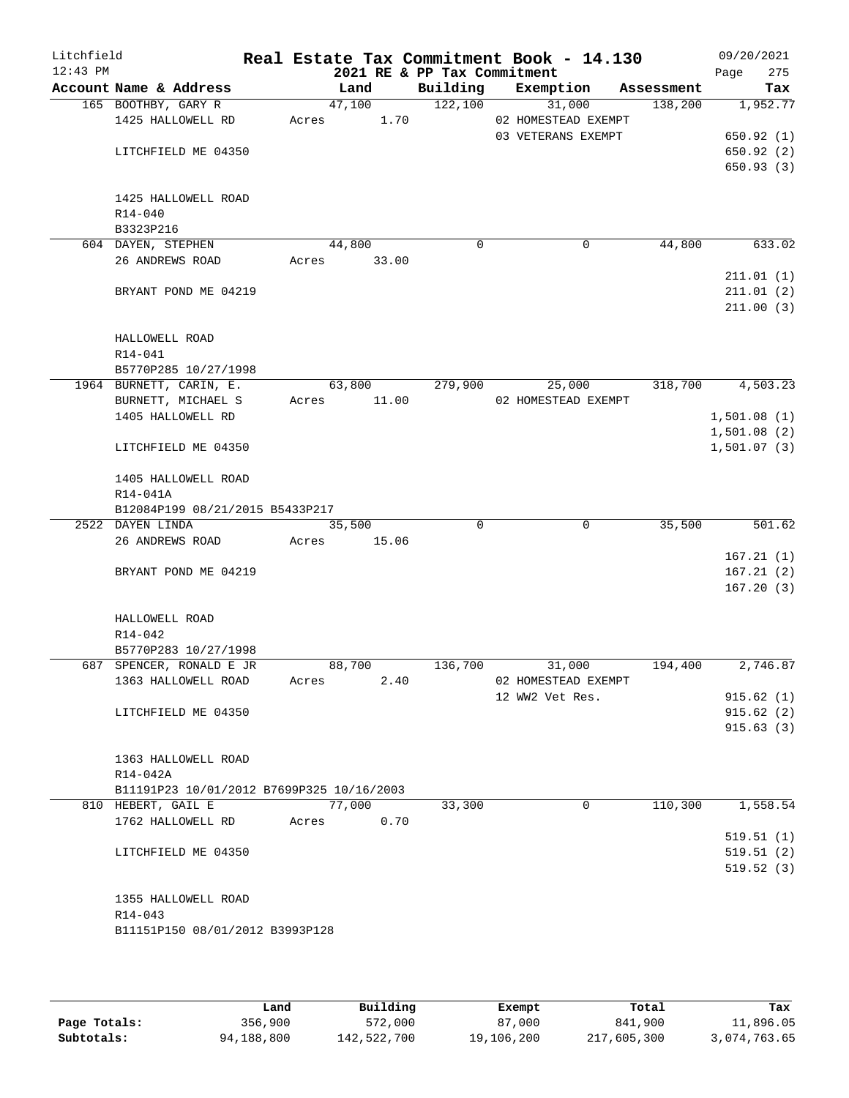| Litchfield<br>$12:43$ PM |                                           |       |                 | 2021 RE & PP Tax Commitment | Real Estate Tax Commitment Book - 14.130 |            | 09/20/2021<br>275<br>Page |
|--------------------------|-------------------------------------------|-------|-----------------|-----------------------------|------------------------------------------|------------|---------------------------|
|                          | Account Name & Address                    |       | Land            | Building                    | Exemption                                | Assessment | Tax                       |
|                          | 165 BOOTHBY, GARY R                       |       | 47,100          | 122,100                     | 31,000                                   | 138,200    | 1,952.77                  |
|                          | 1425 HALLOWELL RD                         | Acres | 1.70            |                             | 02 HOMESTEAD EXEMPT                      |            |                           |
|                          |                                           |       |                 |                             | 03 VETERANS EXEMPT                       |            | 650.92(1)                 |
|                          | LITCHFIELD ME 04350                       |       |                 |                             |                                          |            | 650.92(2)                 |
|                          |                                           |       |                 |                             |                                          |            | 650.93(3)                 |
|                          |                                           |       |                 |                             |                                          |            |                           |
|                          | 1425 HALLOWELL ROAD                       |       |                 |                             |                                          |            |                           |
|                          | $R14 - 040$                               |       |                 |                             |                                          |            |                           |
|                          | B3323P216                                 |       |                 | $\mathbf 0$                 |                                          |            |                           |
|                          | 604 DAYEN, STEPHEN<br>26 ANDREWS ROAD     | Acres | 44,800<br>33.00 |                             | 0                                        | 44,800     | 633.02                    |
|                          |                                           |       |                 |                             |                                          |            | 211.01(1)                 |
|                          | BRYANT POND ME 04219                      |       |                 |                             |                                          |            | 211.01(2)                 |
|                          |                                           |       |                 |                             |                                          |            | 211.00(3)                 |
|                          |                                           |       |                 |                             |                                          |            |                           |
|                          | HALLOWELL ROAD                            |       |                 |                             |                                          |            |                           |
|                          | R14-041                                   |       |                 |                             |                                          |            |                           |
|                          | B5770P285 10/27/1998                      |       |                 |                             |                                          |            |                           |
|                          | 1964 BURNETT, CARIN, E.                   |       | 63,800          | 279,900                     | 25,000                                   | 318,700    | 4,503.23                  |
|                          | BURNETT, MICHAEL S                        | Acres | 11.00           |                             | 02 HOMESTEAD EXEMPT                      |            |                           |
|                          | 1405 HALLOWELL RD                         |       |                 |                             |                                          |            | 1,501.08(1)               |
|                          |                                           |       |                 |                             |                                          |            | 1,501.08(2)               |
|                          | LITCHFIELD ME 04350                       |       |                 |                             |                                          |            | 1,501.07(3)               |
|                          | 1405 HALLOWELL ROAD                       |       |                 |                             |                                          |            |                           |
|                          | R14-041A                                  |       |                 |                             |                                          |            |                           |
|                          | B12084P199 08/21/2015 B5433P217           |       |                 |                             |                                          |            |                           |
|                          | 2522 DAYEN LINDA                          |       | 35,500          | $\Omega$                    | 0                                        | 35,500     | 501.62                    |
|                          | 26 ANDREWS ROAD                           | Acres | 15.06           |                             |                                          |            |                           |
|                          |                                           |       |                 |                             |                                          |            | 167.21(1)                 |
|                          | BRYANT POND ME 04219                      |       |                 |                             |                                          |            | 167.21(2)                 |
|                          |                                           |       |                 |                             |                                          |            | 167.20(3)                 |
|                          | HALLOWELL ROAD                            |       |                 |                             |                                          |            |                           |
|                          | $R14 - 042$                               |       |                 |                             |                                          |            |                           |
|                          | B5770P283 10/27/1998                      |       |                 |                             |                                          |            |                           |
|                          | 687 SPENCER, RONALD E JR                  |       | 88,700          | 136,700                     | 31,000                                   | 194,400    | 2,746.87                  |
|                          | 1363 HALLOWELL ROAD                       | Acres | 2.40            |                             | 02 HOMESTEAD EXEMPT                      |            |                           |
|                          |                                           |       |                 |                             | 12 WW2 Vet Res.                          |            | 915.62(1)                 |
|                          | LITCHFIELD ME 04350                       |       |                 |                             |                                          |            | 915.62(2)                 |
|                          |                                           |       |                 |                             |                                          |            | 915.63(3)                 |
|                          |                                           |       |                 |                             |                                          |            |                           |
|                          | 1363 HALLOWELL ROAD                       |       |                 |                             |                                          |            |                           |
|                          | R14-042A                                  |       |                 |                             |                                          |            |                           |
|                          | B11191P23 10/01/2012 B7699P325 10/16/2003 |       |                 |                             |                                          |            |                           |
|                          | 810 HEBERT, GAIL E                        |       | 77,000          | 33,300                      | 0                                        | 110,300    | 1,558.54                  |
|                          | 1762 HALLOWELL RD                         | Acres | 0.70            |                             |                                          |            |                           |
|                          |                                           |       |                 |                             |                                          |            | 519.51(1)                 |
|                          | LITCHFIELD ME 04350                       |       |                 |                             |                                          |            | 519.51(2)                 |
|                          |                                           |       |                 |                             |                                          |            | 519.52(3)                 |
|                          | 1355 HALLOWELL ROAD                       |       |                 |                             |                                          |            |                           |
|                          | R14-043                                   |       |                 |                             |                                          |            |                           |
|                          | B11151P150 08/01/2012 B3993P128           |       |                 |                             |                                          |            |                           |
|                          |                                           |       |                 |                             |                                          |            |                           |
|                          |                                           |       |                 |                             |                                          |            |                           |

|              | Land       | Building    | Exempt     | Total       | Tax          |
|--------------|------------|-------------|------------|-------------|--------------|
| Page Totals: | 356,900    | 572,000     | 87,000     | 841,900     | 11,896.05    |
| Subtotals:   | 94,188,800 | 142,522,700 | 19,106,200 | 217,605,300 | 3,074,763.65 |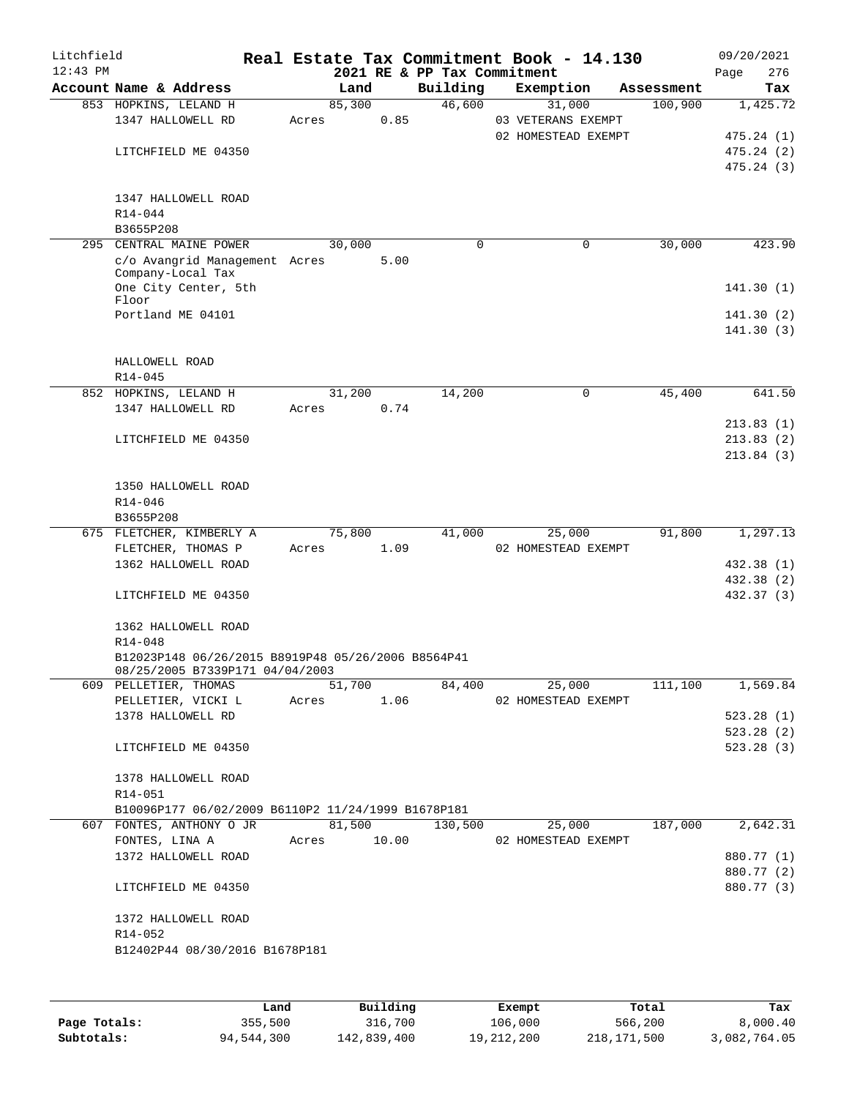| Litchfield<br>$12:43$ PM |                                                          |       |        |       | 2021 RE & PP Tax Commitment | Real Estate Tax Commitment Book - 14.130 |            | 09/20/2021<br>276<br>Page |
|--------------------------|----------------------------------------------------------|-------|--------|-------|-----------------------------|------------------------------------------|------------|---------------------------|
|                          | Account Name & Address                                   |       | Land   |       | Building                    | Exemption                                | Assessment | Tax                       |
|                          | 853 HOPKINS, LELAND H                                    |       | 85,300 |       | 46,600                      | 31,000                                   | 100,900    | 1,425.72                  |
|                          | 1347 HALLOWELL RD                                        | Acres |        | 0.85  |                             | 03 VETERANS EXEMPT                       |            |                           |
|                          |                                                          |       |        |       |                             | 02 HOMESTEAD EXEMPT                      |            | 475.24 (1)                |
|                          | LITCHFIELD ME 04350                                      |       |        |       |                             |                                          |            | 475.24(2)                 |
|                          |                                                          |       |        |       |                             |                                          |            | 475.24 (3)                |
|                          |                                                          |       |        |       |                             |                                          |            |                           |
|                          | 1347 HALLOWELL ROAD<br>R14-044                           |       |        |       |                             |                                          |            |                           |
|                          | B3655P208                                                |       |        |       |                             |                                          |            |                           |
|                          | 295 CENTRAL MAINE POWER                                  |       | 30,000 |       | 0                           | $\mathbf 0$                              | 30,000     | 423.90                    |
|                          | c/o Avangrid Management Acres                            |       |        | 5.00  |                             |                                          |            |                           |
|                          | Company-Local Tax                                        |       |        |       |                             |                                          |            |                           |
|                          | One City Center, 5th                                     |       |        |       |                             |                                          |            | 141.30(1)                 |
|                          | Floor<br>Portland ME 04101                               |       |        |       |                             |                                          |            |                           |
|                          |                                                          |       |        |       |                             |                                          |            | 141.30(2)<br>141.30(3)    |
|                          |                                                          |       |        |       |                             |                                          |            |                           |
|                          | HALLOWELL ROAD                                           |       |        |       |                             |                                          |            |                           |
|                          | $R14 - 045$                                              |       |        |       |                             |                                          |            |                           |
|                          | 852 HOPKINS, LELAND H                                    |       | 31,200 |       | 14,200                      | 0                                        | 45,400     | 641.50                    |
|                          | 1347 HALLOWELL RD                                        | Acres |        | 0.74  |                             |                                          |            |                           |
|                          |                                                          |       |        |       |                             |                                          |            | 213.83(1)                 |
|                          | LITCHFIELD ME 04350                                      |       |        |       |                             |                                          |            | 213.83(2)                 |
|                          |                                                          |       |        |       |                             |                                          |            | 213.84(3)                 |
|                          |                                                          |       |        |       |                             |                                          |            |                           |
|                          | 1350 HALLOWELL ROAD                                      |       |        |       |                             |                                          |            |                           |
|                          | R14-046                                                  |       |        |       |                             |                                          |            |                           |
|                          | B3655P208<br>675 FLETCHER, KIMBERLY A                    |       | 75,800 |       | 41,000                      | 25,000                                   | 91,800     | 1,297.13                  |
|                          | FLETCHER, THOMAS P                                       | Acres |        | 1.09  |                             | 02 HOMESTEAD EXEMPT                      |            |                           |
|                          | 1362 HALLOWELL ROAD                                      |       |        |       |                             |                                          |            | 432.38 (1)                |
|                          |                                                          |       |        |       |                             |                                          |            | 432.38 (2)                |
|                          | LITCHFIELD ME 04350                                      |       |        |       |                             |                                          |            | 432.37 (3)                |
|                          |                                                          |       |        |       |                             |                                          |            |                           |
|                          | 1362 HALLOWELL ROAD                                      |       |        |       |                             |                                          |            |                           |
|                          | R14-048                                                  |       |        |       |                             |                                          |            |                           |
|                          | B12023P148 06/26/2015 B8919P48 05/26/2006 B8564P41       |       |        |       |                             |                                          |            |                           |
|                          | 08/25/2005 B7339P171 04/04/2003<br>609 PELLETIER, THOMAS |       | 51,700 |       | 84,400                      | 25,000                                   | 111,100    | 1,569.84                  |
|                          | PELLETIER, VICKI L                                       | Acres |        |       | 1.06                        | 02 HOMESTEAD EXEMPT                      |            |                           |
|                          | 1378 HALLOWELL RD                                        |       |        |       |                             |                                          |            | 523.28(1)                 |
|                          |                                                          |       |        |       |                             |                                          |            | 523.28 (2)                |
|                          | LITCHFIELD ME 04350                                      |       |        |       |                             |                                          |            | 523.28(3)                 |
|                          |                                                          |       |        |       |                             |                                          |            |                           |
|                          | 1378 HALLOWELL ROAD                                      |       |        |       |                             |                                          |            |                           |
|                          | R14-051                                                  |       |        |       |                             |                                          |            |                           |
|                          | B10096P177 06/02/2009 B6110P2 11/24/1999 B1678P181       |       |        |       |                             |                                          |            |                           |
|                          | 607 FONTES, ANTHONY O JR                                 |       | 81,500 |       |                             | 130,500 25,000                           | 187,000    | 2,642.31                  |
|                          | FONTES, LINA A                                           | Acres |        | 10.00 |                             | 02 HOMESTEAD EXEMPT                      |            |                           |
|                          | 1372 HALLOWELL ROAD                                      |       |        |       |                             |                                          |            | 880.77 (1)                |
|                          |                                                          |       |        |       |                             |                                          |            | 880.77 (2)                |
|                          | LITCHFIELD ME 04350                                      |       |        |       |                             |                                          |            | 880.77 (3)                |
|                          | 1372 HALLOWELL ROAD                                      |       |        |       |                             |                                          |            |                           |
|                          | R14-052                                                  |       |        |       |                             |                                          |            |                           |
|                          | B12402P44 08/30/2016 B1678P181                           |       |        |       |                             |                                          |            |                           |
|                          |                                                          |       |        |       |                             |                                          |            |                           |
|                          |                                                          |       |        |       |                             |                                          |            |                           |

|              | Land       | Building    | Exempt     | Total       | Tax          |
|--------------|------------|-------------|------------|-------------|--------------|
| Page Totals: | 355,500    | 316,700     | 106,000    | 566,200     | 8,000.40     |
| Subtotals:   | 94,544,300 | 142,839,400 | 19,212,200 | 218,171,500 | 3,082,764.05 |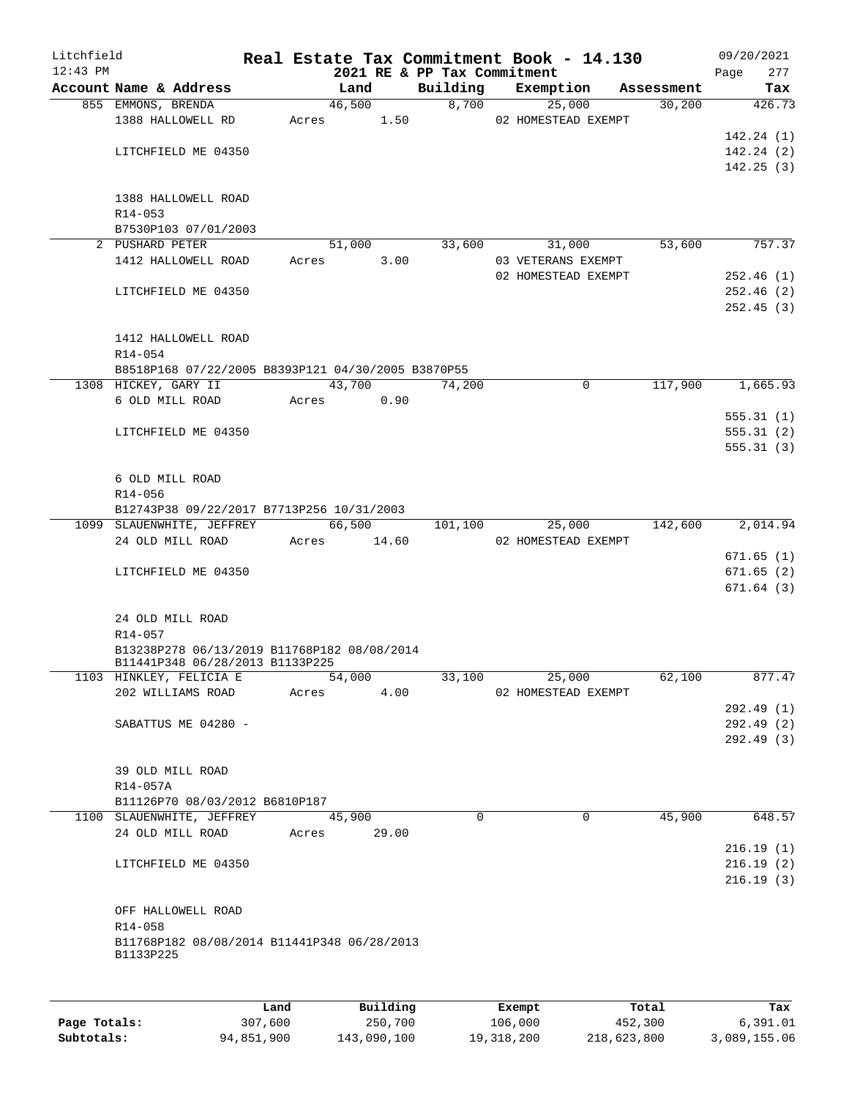| Litchfield<br>$12:43$ PM |                                                                                |       | 2021 RE & PP Tax Commitment |          | Real Estate Tax Commitment Book - 14.130 |            | 09/20/2021<br>Page<br>277 |
|--------------------------|--------------------------------------------------------------------------------|-------|-----------------------------|----------|------------------------------------------|------------|---------------------------|
|                          | Account Name & Address                                                         |       | Land                        | Building | Exemption                                | Assessment | Tax                       |
|                          | 855 EMMONS, BRENDA                                                             |       | 46,500                      |          | 8,700<br>25,000                          | 30,200     | 426.73                    |
|                          | 1388 HALLOWELL RD                                                              | Acres | 1.50                        |          | 02 HOMESTEAD EXEMPT                      |            |                           |
|                          |                                                                                |       |                             |          |                                          |            | 142.24(1)                 |
|                          | LITCHFIELD ME 04350                                                            |       |                             |          |                                          |            | 142.24(2)                 |
|                          |                                                                                |       |                             |          |                                          |            | 142.25(3)                 |
|                          |                                                                                |       |                             |          |                                          |            |                           |
|                          | 1388 HALLOWELL ROAD                                                            |       |                             |          |                                          |            |                           |
|                          | R14-053                                                                        |       |                             |          |                                          |            |                           |
|                          | B7530P103 07/01/2003<br>2 PUSHARD PETER                                        |       |                             |          |                                          | 53,600     | 757.37                    |
|                          | 1412 HALLOWELL ROAD                                                            | Acres | 51,000<br>3.00              | 33,600   | 31,000<br>03 VETERANS EXEMPT             |            |                           |
|                          |                                                                                |       |                             |          | 02 HOMESTEAD EXEMPT                      |            | 252.46(1)                 |
|                          | LITCHFIELD ME 04350                                                            |       |                             |          |                                          |            | 252.46(2)                 |
|                          |                                                                                |       |                             |          |                                          |            | 252.45(3)                 |
|                          |                                                                                |       |                             |          |                                          |            |                           |
|                          | 1412 HALLOWELL ROAD                                                            |       |                             |          |                                          |            |                           |
|                          | R14-054                                                                        |       |                             |          |                                          |            |                           |
|                          | B8518P168 07/22/2005 B8393P121 04/30/2005 B3870P55                             |       |                             |          |                                          |            |                           |
|                          | 1308 HICKEY, GARY II                                                           |       | 43,700                      | 74,200   | $\mathbf 0$                              | 117,900    | 1,665.93                  |
|                          | 6 OLD MILL ROAD                                                                | Acres | 0.90                        |          |                                          |            |                           |
|                          |                                                                                |       |                             |          |                                          |            | 555.31(1)                 |
|                          | LITCHFIELD ME 04350                                                            |       |                             |          |                                          |            | 555.31(2)                 |
|                          |                                                                                |       |                             |          |                                          |            | 555.31(3)                 |
|                          |                                                                                |       |                             |          |                                          |            |                           |
|                          | 6 OLD MILL ROAD                                                                |       |                             |          |                                          |            |                           |
|                          | R14-056                                                                        |       |                             |          |                                          |            |                           |
|                          | B12743P38 09/22/2017 B7713P256 10/31/2003                                      |       |                             |          |                                          |            |                           |
|                          | 1099 SLAUENWHITE, JEFFREY                                                      |       | 66,500                      | 101,100  | 25,000                                   | 142,600    | 2,014.94                  |
|                          | 24 OLD MILL ROAD                                                               | Acres | 14.60                       |          | 02 HOMESTEAD EXEMPT                      |            |                           |
|                          |                                                                                |       |                             |          |                                          |            | 671.65(1)                 |
|                          | LITCHFIELD ME 04350                                                            |       |                             |          |                                          |            | 671.65(2)                 |
|                          |                                                                                |       |                             |          |                                          |            | 671.64(3)                 |
|                          | 24 OLD MILL ROAD                                                               |       |                             |          |                                          |            |                           |
|                          | R14-057                                                                        |       |                             |          |                                          |            |                           |
|                          |                                                                                |       |                             |          |                                          |            |                           |
|                          | B13238P278 06/13/2019 B11768P182 08/08/2014<br>B11441P348 06/28/2013 B1133P225 |       |                             |          |                                          |            |                           |
|                          | 1103 HINKLEY, FELICIA E                                                        |       | 54,000                      | 33,100   | 25,000                                   | 62,100     | 877.47                    |
|                          | 202 WILLIAMS ROAD                                                              | Acres | 4.00                        |          | 02 HOMESTEAD EXEMPT                      |            |                           |
|                          |                                                                                |       |                             |          |                                          |            | 292.49(1)                 |
|                          | SABATTUS ME 04280 -                                                            |       |                             |          |                                          |            | 292.49 (2)                |
|                          |                                                                                |       |                             |          |                                          |            | 292.49(3)                 |
|                          |                                                                                |       |                             |          |                                          |            |                           |
|                          | 39 OLD MILL ROAD                                                               |       |                             |          |                                          |            |                           |
|                          | R14-057A                                                                       |       |                             |          |                                          |            |                           |
|                          | B11126P70 08/03/2012 B6810P187                                                 |       |                             |          |                                          |            |                           |
|                          | 1100 SLAUENWHITE, JEFFREY                                                      |       | 45,900                      | $\Omega$ | $\Omega$                                 | 45,900     | 648.57                    |
|                          | 24 OLD MILL ROAD                                                               | Acres | 29.00                       |          |                                          |            |                           |
|                          |                                                                                |       |                             |          |                                          |            | 216.19(1)                 |
|                          | LITCHFIELD ME 04350                                                            |       |                             |          |                                          |            | 216.19(2)                 |
|                          |                                                                                |       |                             |          |                                          |            | 216.19(3)                 |
|                          |                                                                                |       |                             |          |                                          |            |                           |
|                          | OFF HALLOWELL ROAD                                                             |       |                             |          |                                          |            |                           |
|                          | R14-058                                                                        |       |                             |          |                                          |            |                           |
|                          | B11768P182 08/08/2014 B11441P348 06/28/2013<br>B1133P225                       |       |                             |          |                                          |            |                           |
|                          |                                                                                |       |                             |          |                                          |            |                           |
|                          |                                                                                |       |                             |          |                                          |            |                           |
|                          |                                                                                |       |                             |          |                                          |            |                           |
|                          |                                                                                | Land  | Building                    |          | Exempt                                   | Total      | Tax                       |

|              | Land.      | Building    | Exempt     | тосат       | rax.         |
|--------------|------------|-------------|------------|-------------|--------------|
| Page Totals: | 307,600    | 250,700     | 106,000    | 452,300     | 6,391.01     |
| Subtotals:   | 94,851,900 | 143,090,100 | 19,318,200 | 218,623,800 | 3,089,155.06 |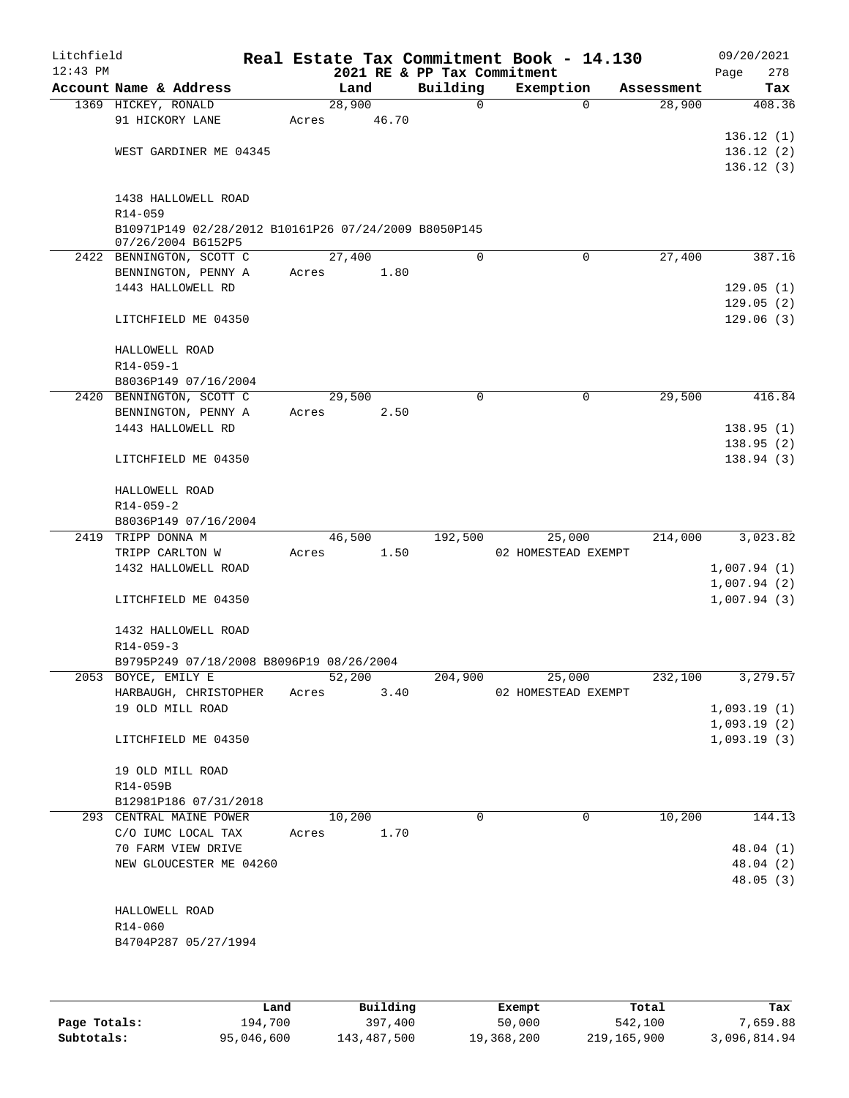| Litchfield<br>$12:43$ PM |                                                      |       |        |       | 2021 RE & PP Tax Commitment | Real Estate Tax Commitment Book - 14.130 |                    | 09/20/2021<br>278<br>Page |
|--------------------------|------------------------------------------------------|-------|--------|-------|-----------------------------|------------------------------------------|--------------------|---------------------------|
|                          | Account Name & Address                               |       | Land   |       | Building                    | Exemption                                | Assessment         | Tax                       |
|                          | 1369 HICKEY, RONALD                                  |       | 28,900 |       | $\mathbf 0$                 |                                          | $\Omega$<br>28,900 | 408.36                    |
|                          | 91 HICKORY LANE                                      | Acres |        | 46.70 |                             |                                          |                    |                           |
|                          |                                                      |       |        |       |                             |                                          |                    | 136.12(1)                 |
|                          | WEST GARDINER ME 04345                               |       |        |       |                             |                                          |                    | 136.12(2)                 |
|                          |                                                      |       |        |       |                             |                                          |                    | 136.12(3)                 |
|                          |                                                      |       |        |       |                             |                                          |                    |                           |
|                          | 1438 HALLOWELL ROAD                                  |       |        |       |                             |                                          |                    |                           |
|                          | R14-059                                              |       |        |       |                             |                                          |                    |                           |
|                          | B10971P149 02/28/2012 B10161P26 07/24/2009 B8050P145 |       |        |       |                             |                                          |                    |                           |
|                          | 07/26/2004 B6152P5                                   |       |        |       |                             |                                          |                    |                           |
|                          | 2422 BENNINGTON, SCOTT C                             |       | 27,400 |       | $\mathbf 0$                 | $\mathbf 0$                              | 27,400             | 387.16                    |
|                          | BENNINGTON, PENNY A                                  | Acres |        | 1.80  |                             |                                          |                    |                           |
|                          | 1443 HALLOWELL RD                                    |       |        |       |                             |                                          |                    | 129.05(1)                 |
|                          |                                                      |       |        |       |                             |                                          |                    | 129.05(2)                 |
|                          | LITCHFIELD ME 04350                                  |       |        |       |                             |                                          |                    | 129.06(3)                 |
|                          | HALLOWELL ROAD                                       |       |        |       |                             |                                          |                    |                           |
|                          | $R14 - 059 - 1$                                      |       |        |       |                             |                                          |                    |                           |
|                          | B8036P149 07/16/2004                                 |       |        |       |                             |                                          |                    |                           |
|                          | 2420 BENNINGTON, SCOTT C                             |       | 29,500 |       | $\mathbf 0$                 | 0                                        | 29,500             | 416.84                    |
|                          | BENNINGTON, PENNY A                                  | Acres |        | 2.50  |                             |                                          |                    |                           |
|                          | 1443 HALLOWELL RD                                    |       |        |       |                             |                                          |                    | 138.95(1)                 |
|                          |                                                      |       |        |       |                             |                                          |                    | 138.95(2)                 |
|                          | LITCHFIELD ME 04350                                  |       |        |       |                             |                                          |                    | 138.94(3)                 |
|                          |                                                      |       |        |       |                             |                                          |                    |                           |
|                          | HALLOWELL ROAD                                       |       |        |       |                             |                                          |                    |                           |
|                          | $R14 - 059 - 2$                                      |       |        |       |                             |                                          |                    |                           |
|                          | B8036P149 07/16/2004                                 |       |        |       |                             |                                          |                    |                           |
|                          | 2419 TRIPP DONNA M                                   |       | 46,500 |       | 192,500                     | 25,000                                   | 214,000            | 3,023.82                  |
|                          | TRIPP CARLTON W                                      | Acres |        | 1.50  |                             | 02 HOMESTEAD EXEMPT                      |                    |                           |
|                          | 1432 HALLOWELL ROAD                                  |       |        |       |                             |                                          |                    | 1,007.94(1)               |
|                          |                                                      |       |        |       |                             |                                          |                    | 1,007.94(2)               |
|                          | LITCHFIELD ME 04350                                  |       |        |       |                             |                                          |                    | 1,007.94(3)               |
|                          |                                                      |       |        |       |                             |                                          |                    |                           |
|                          | 1432 HALLOWELL ROAD                                  |       |        |       |                             |                                          |                    |                           |
|                          | $R14 - 059 - 3$                                      |       |        |       |                             |                                          |                    |                           |
|                          | B9795P249 07/18/2008 B8096P19 08/26/2004             |       |        |       |                             |                                          |                    |                           |
|                          | 2053 BOYCE, EMILY E                                  |       | 52,200 |       | 204,900                     | 25,000                                   | 232,100            | 3,279.57                  |
|                          | HARBAUGH, CHRISTOPHER                                | Acres |        | 3.40  |                             | 02 HOMESTEAD EXEMPT                      |                    |                           |
|                          | 19 OLD MILL ROAD                                     |       |        |       |                             |                                          |                    | 1,093.19(1)               |
|                          |                                                      |       |        |       |                             |                                          |                    | 1,093.19(2)               |
|                          | LITCHFIELD ME 04350                                  |       |        |       |                             |                                          |                    | 1,093.19(3)               |
|                          |                                                      |       |        |       |                             |                                          |                    |                           |
|                          | 19 OLD MILL ROAD                                     |       |        |       |                             |                                          |                    |                           |
|                          | R14-059B                                             |       |        |       |                             |                                          |                    |                           |
|                          | B12981P186 07/31/2018                                |       |        |       |                             |                                          |                    |                           |
|                          | 293 CENTRAL MAINE POWER                              |       | 10,200 |       | $\Omega$                    | 0                                        | 10,200             | 144.13                    |
|                          | C/O IUMC LOCAL TAX                                   | Acres |        | 1.70  |                             |                                          |                    |                           |
|                          | 70 FARM VIEW DRIVE<br>NEW GLOUCESTER ME 04260        |       |        |       |                             |                                          |                    | 48.04 (1)<br>48.04 (2)    |
|                          |                                                      |       |        |       |                             |                                          |                    | 48.05(3)                  |
|                          |                                                      |       |        |       |                             |                                          |                    |                           |
|                          | HALLOWELL ROAD                                       |       |        |       |                             |                                          |                    |                           |
|                          | R14-060                                              |       |        |       |                             |                                          |                    |                           |
|                          | B4704P287 05/27/1994                                 |       |        |       |                             |                                          |                    |                           |
|                          |                                                      |       |        |       |                             |                                          |                    |                           |
|                          |                                                      |       |        |       |                             |                                          |                    |                           |
|                          |                                                      |       |        |       |                             |                                          |                    |                           |
|                          |                                                      |       |        |       |                             |                                          |                    |                           |

|              | Land       | Building    | Exempt     | Total       | Tax          |
|--------------|------------|-------------|------------|-------------|--------------|
| Page Totals: | 194,700    | 397,400     | 50,000     | 542,100     | 7,659.88     |
| Subtotals:   | 95,046,600 | 143,487,500 | 19,368,200 | 219,165,900 | 3,096,814.94 |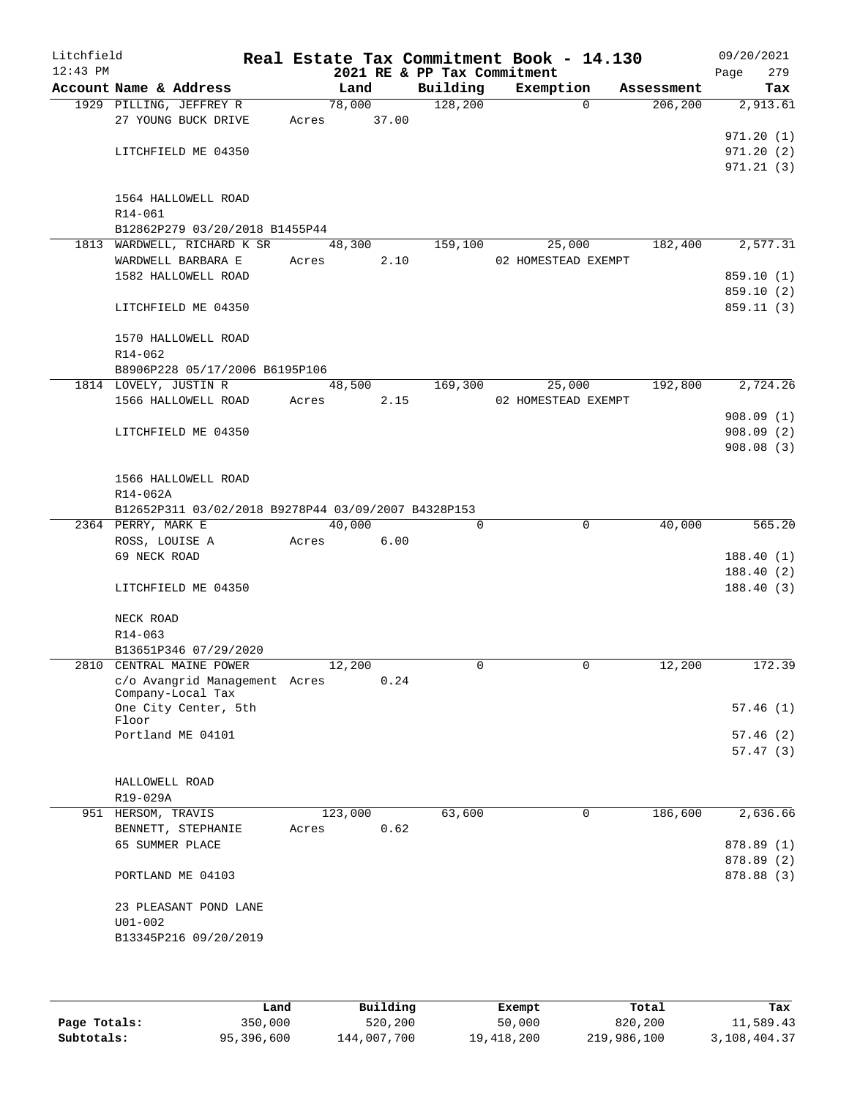| Litchfield<br>$12:43$ PM |                    |                                                     |       |             | 2021 RE & PP Tax Commitment | Real Estate Tax Commitment Book - 14.130 |             |            | 09/20/2021<br>Page | 279        |
|--------------------------|--------------------|-----------------------------------------------------|-------|-------------|-----------------------------|------------------------------------------|-------------|------------|--------------------|------------|
|                          |                    | Account Name & Address                              |       | Land        |                             | Building Exemption                       |             | Assessment |                    | Tax        |
|                          |                    | 1929 PILLING, JEFFREY R                             |       | 78,000      | 128,200                     |                                          | $\Omega$    | 206,200    |                    | 2,913.61   |
|                          |                    | 27 YOUNG BUCK DRIVE                                 |       | Acres 37.00 |                             |                                          |             |            |                    |            |
|                          |                    |                                                     |       |             |                             |                                          |             |            |                    | 971.20(1)  |
|                          |                    | LITCHFIELD ME 04350                                 |       |             |                             |                                          |             |            |                    | 971.20(2)  |
|                          |                    |                                                     |       |             |                             |                                          |             |            |                    | 971.21(3)  |
|                          |                    |                                                     |       |             |                             |                                          |             |            |                    |            |
|                          |                    | 1564 HALLOWELL ROAD                                 |       |             |                             |                                          |             |            |                    |            |
|                          | R14-061            |                                                     |       |             |                             |                                          |             |            |                    |            |
|                          |                    | B12862P279 03/20/2018 B1455P44                      |       |             |                             |                                          |             |            |                    |            |
|                          |                    | 1813 WARDWELL, RICHARD K SR 48,300                  |       |             | 159,100                     | 25,000                                   |             | 182,400    |                    | 2,577.31   |
|                          |                    | WARDWELL BARBARA E                                  | Acres | 2.10        |                             | 02 HOMESTEAD EXEMPT                      |             |            |                    |            |
|                          |                    | 1582 HALLOWELL ROAD                                 |       |             |                             |                                          |             |            |                    | 859.10 (1) |
|                          |                    |                                                     |       |             |                             |                                          |             |            |                    | 859.10 (2) |
|                          |                    | LITCHFIELD ME 04350                                 |       |             |                             |                                          |             |            |                    | 859.11 (3) |
|                          |                    |                                                     |       |             |                             |                                          |             |            |                    |            |
|                          |                    | 1570 HALLOWELL ROAD                                 |       |             |                             |                                          |             |            |                    |            |
|                          | R14-062            | B8906P228 05/17/2006 B6195P106                      |       |             |                             |                                          |             |            |                    |            |
|                          |                    | 1814 LOVELY, JUSTIN R                               |       | 48,500      | 169,300                     | 25,000                                   |             | 192,800    |                    | 2,724.26   |
|                          |                    | 1566 HALLOWELL ROAD                                 |       | Acres 2.15  |                             | 02 HOMESTEAD EXEMPT                      |             |            |                    |            |
|                          |                    |                                                     |       |             |                             |                                          |             |            |                    | 908.09(1)  |
|                          |                    | LITCHFIELD ME 04350                                 |       |             |                             |                                          |             |            |                    | 908.09(2)  |
|                          |                    |                                                     |       |             |                             |                                          |             |            |                    | 908.08(3)  |
|                          |                    |                                                     |       |             |                             |                                          |             |            |                    |            |
|                          |                    | 1566 HALLOWELL ROAD                                 |       |             |                             |                                          |             |            |                    |            |
|                          | R14-062A           |                                                     |       |             |                             |                                          |             |            |                    |            |
|                          |                    | B12652P311 03/02/2018 B9278P44 03/09/2007 B4328P153 |       |             |                             |                                          |             |            |                    |            |
|                          | 2364 PERRY, MARK E |                                                     |       | 40,000      | $\Omega$                    |                                          | $\mathbf 0$ | 40,000     |                    | 565.20     |
|                          |                    | ROSS, LOUISE A                                      | Acres | 6.00        |                             |                                          |             |            |                    |            |
|                          | 69 NECK ROAD       |                                                     |       |             |                             |                                          |             |            |                    | 188.40(1)  |
|                          |                    |                                                     |       |             |                             |                                          |             |            |                    | 188.40(2)  |
|                          |                    | LITCHFIELD ME 04350                                 |       |             |                             |                                          |             |            |                    | 188.40(3)  |
|                          |                    |                                                     |       |             |                             |                                          |             |            |                    |            |
|                          | NECK ROAD          |                                                     |       |             |                             |                                          |             |            |                    |            |
|                          | R14-063            |                                                     |       |             |                             |                                          |             |            |                    |            |
|                          |                    | B13651P346 07/29/2020                               |       |             |                             |                                          |             |            |                    |            |
|                          |                    | 2810 CENTRAL MAINE POWER                            |       | 12,200      | $\Omega$                    |                                          | $\mathbf 0$ | 12,200     |                    | 172.39     |
|                          |                    | c/o Avangrid Management Acres                       |       | 0.24        |                             |                                          |             |            |                    |            |
|                          |                    | Company-Local Tax                                   |       |             |                             |                                          |             |            |                    |            |
|                          | Floor              | One City Center, 5th                                |       |             |                             |                                          |             |            |                    | 57.46(1)   |
|                          |                    | Portland ME 04101                                   |       |             |                             |                                          |             |            |                    | 57.46(2)   |
|                          |                    |                                                     |       |             |                             |                                          |             |            |                    | 57.47(3)   |
|                          |                    |                                                     |       |             |                             |                                          |             |            |                    |            |
|                          | HALLOWELL ROAD     |                                                     |       |             |                             |                                          |             |            |                    |            |
|                          | R19-029A           |                                                     |       |             |                             |                                          |             |            |                    |            |
|                          | 951 HERSOM, TRAVIS |                                                     |       | 123,000     | 63,600                      |                                          | $\Omega$    | 186,600    |                    | 2,636.66   |
|                          |                    | BENNETT, STEPHANIE                                  | Acres | 0.62        |                             |                                          |             |            |                    |            |
|                          | 65 SUMMER PLACE    |                                                     |       |             |                             |                                          |             |            |                    | 878.89 (1) |
|                          |                    |                                                     |       |             |                             |                                          |             |            |                    | 878.89 (2) |
|                          |                    | PORTLAND ME 04103                                   |       |             |                             |                                          |             |            |                    | 878.88 (3) |
|                          |                    |                                                     |       |             |                             |                                          |             |            |                    |            |
|                          |                    | 23 PLEASANT POND LANE                               |       |             |                             |                                          |             |            |                    |            |
|                          | $U01 - 002$        |                                                     |       |             |                             |                                          |             |            |                    |            |
|                          |                    | B13345P216 09/20/2019                               |       |             |                             |                                          |             |            |                    |            |
|                          |                    |                                                     |       |             |                             |                                          |             |            |                    |            |
|                          |                    |                                                     |       |             |                             |                                          |             |            |                    |            |

|              | Land       | Building    | Exempt     | Total       | Tax          |
|--------------|------------|-------------|------------|-------------|--------------|
| Page Totals: | 350,000    | 520,200     | 50,000     | 820,200     | 11,589.43    |
| Subtotals:   | 95,396,600 | 144,007,700 | 19,418,200 | 219,986,100 | 3,108,404.37 |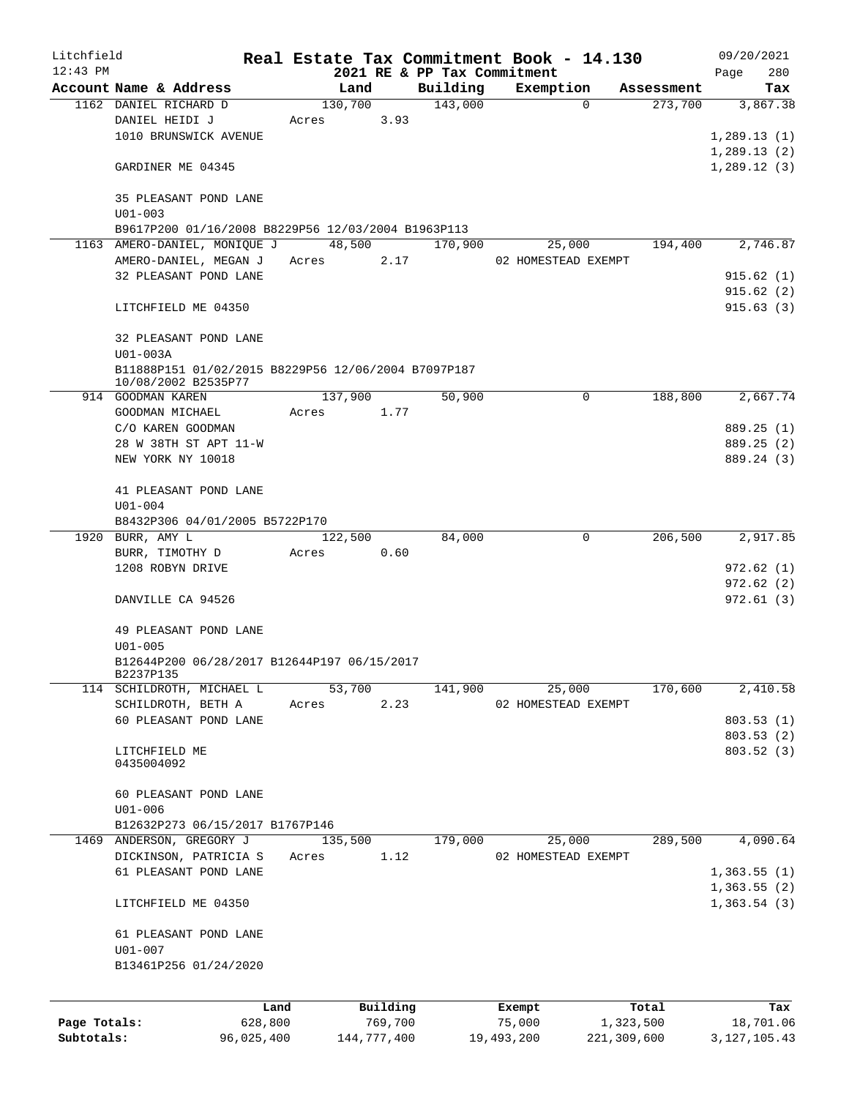| Litchfield   |                                                          |            |       |             |          | Real Estate Tax Commitment Book - 14.130 |            |                     |             |            |      | 09/20/2021      |
|--------------|----------------------------------------------------------|------------|-------|-------------|----------|------------------------------------------|------------|---------------------|-------------|------------|------|-----------------|
| $12:43$ PM   |                                                          |            |       |             |          | 2021 RE & PP Tax Commitment              |            |                     |             |            | Page | 280             |
|              | Account Name & Address                                   |            |       | Land        |          | Building                                 |            | Exemption           |             | Assessment |      | Tax             |
|              | 1162 DANIEL RICHARD D                                    |            |       | 130,700     |          | 143,000                                  |            | $\Omega$            |             | 273,700    |      | 3,867.38        |
|              | DANIEL HEIDI J                                           |            | Acres |             | 3.93     |                                          |            |                     |             |            |      |                 |
|              | 1010 BRUNSWICK AVENUE                                    |            |       |             |          |                                          |            |                     |             |            |      | 1,289.13(1)     |
|              |                                                          |            |       |             |          |                                          |            |                     |             |            |      | 1,289.13(2)     |
|              | GARDINER ME 04345                                        |            |       |             |          |                                          |            |                     |             |            |      | 1,289.12(3)     |
|              | 35 PLEASANT POND LANE<br>$U01 - 003$                     |            |       |             |          |                                          |            |                     |             |            |      |                 |
|              | B9617P200 01/16/2008 B8229P56 12/03/2004 B1963P113       |            |       |             |          |                                          |            |                     |             |            |      |                 |
|              | 1163 AMERO-DANIEL, MONIOUE J                             |            |       | 48,500      |          | 170,900                                  |            | 25,000              |             | 194,400    |      | 2,746.87        |
|              | AMERO-DANIEL, MEGAN J                                    |            | Acres |             | 2.17     |                                          |            | 02 HOMESTEAD EXEMPT |             |            |      |                 |
|              | 32 PLEASANT POND LANE                                    |            |       |             |          |                                          |            |                     |             |            |      | 915.62(1)       |
|              |                                                          |            |       |             |          |                                          |            |                     |             |            |      | 915.62(2)       |
|              | LITCHFIELD ME 04350                                      |            |       |             |          |                                          |            |                     |             |            |      | 915.63(3)       |
|              | 32 PLEASANT POND LANE<br>U01-003A                        |            |       |             |          |                                          |            |                     |             |            |      |                 |
|              | B11888P151 01/02/2015 B8229P56 12/06/2004 B7097P187      |            |       |             |          |                                          |            |                     |             |            |      |                 |
|              | 10/08/2002 B2535P77                                      |            |       |             |          |                                          |            |                     |             |            |      |                 |
|              | 914 GOODMAN KAREN                                        |            |       | 137,900     |          | 50,900                                   |            | 0                   |             | 188,800    |      | 2,667.74        |
|              | GOODMAN MICHAEL                                          |            | Acres |             | 1.77     |                                          |            |                     |             |            |      |                 |
|              | C/O KAREN GOODMAN                                        |            |       |             |          |                                          |            |                     |             |            |      | 889.25 (1)      |
|              | 28 W 38TH ST APT 11-W                                    |            |       |             |          |                                          |            |                     |             |            |      | 889.25 (2)      |
|              | NEW YORK NY 10018                                        |            |       |             |          |                                          |            |                     |             |            |      | 889.24 (3)      |
|              | 41 PLEASANT POND LANE                                    |            |       |             |          |                                          |            |                     |             |            |      |                 |
|              | $U01 - 004$                                              |            |       |             |          |                                          |            |                     |             |            |      |                 |
|              | B8432P306 04/01/2005 B5722P170                           |            |       |             |          |                                          |            |                     |             |            |      |                 |
|              | 1920 BURR, AMY L                                         |            |       | 122,500     |          | 84,000                                   |            | 0                   |             | 206,500    |      | 2,917.85        |
|              | BURR, TIMOTHY D                                          |            | Acres |             | 0.60     |                                          |            |                     |             |            |      |                 |
|              | 1208 ROBYN DRIVE                                         |            |       |             |          |                                          |            |                     |             |            |      | 972.62 (1)      |
|              |                                                          |            |       |             |          |                                          |            |                     |             |            |      | 972.62(2)       |
|              | DANVILLE CA 94526                                        |            |       |             |          |                                          |            |                     |             |            |      | 972.61 (3)      |
|              | 49 PLEASANT POND LANE                                    |            |       |             |          |                                          |            |                     |             |            |      |                 |
|              | $U01 - 005$                                              |            |       |             |          |                                          |            |                     |             |            |      |                 |
|              | B12644P200 06/28/2017 B12644P197 06/15/2017<br>B2237P135 |            |       |             |          |                                          |            |                     |             |            |      |                 |
|              | 114 SCHILDROTH, MICHAEL L                                |            |       | 53,700      |          | 141,900                                  |            | 25,000              |             | 170,600    |      | 2,410.58        |
|              | SCHILDROTH, BETH A                                       |            | Acres |             | 2.23     |                                          |            | 02 HOMESTEAD EXEMPT |             |            |      |                 |
|              | 60 PLEASANT POND LANE                                    |            |       |             |          |                                          |            |                     |             |            |      | 803.53(1)       |
|              |                                                          |            |       |             |          |                                          |            |                     |             |            |      | 803.53(2)       |
|              | LITCHFIELD ME                                            |            |       |             |          |                                          |            |                     |             |            |      | 803.52(3)       |
|              | 0435004092                                               |            |       |             |          |                                          |            |                     |             |            |      |                 |
|              | 60 PLEASANT POND LANE                                    |            |       |             |          |                                          |            |                     |             |            |      |                 |
|              | $U01 - 006$                                              |            |       |             |          |                                          |            |                     |             |            |      |                 |
|              | B12632P273 06/15/2017 B1767P146                          |            |       |             |          |                                          |            |                     |             |            |      |                 |
|              | 1469 ANDERSON, GREGORY J                                 |            |       | 135,500     |          | 179,000                                  |            | 25,000              |             | 289,500    |      | 4,090.64        |
|              | DICKINSON, PATRICIA S                                    |            | Acres |             | 1.12     |                                          |            | 02 HOMESTEAD EXEMPT |             |            |      |                 |
|              | 61 PLEASANT POND LANE                                    |            |       |             |          |                                          |            |                     |             |            |      | 1,363.55(1)     |
|              |                                                          |            |       |             |          |                                          |            |                     |             |            |      | 1,363.55(2)     |
|              | LITCHFIELD ME 04350                                      |            |       |             |          |                                          |            |                     |             |            |      | 1,363.54(3)     |
|              | 61 PLEASANT POND LANE                                    |            |       |             |          |                                          |            |                     |             |            |      |                 |
|              | $U01 - 007$                                              |            |       |             |          |                                          |            |                     |             |            |      |                 |
|              | B13461P256 01/24/2020                                    |            |       |             |          |                                          |            |                     |             |            |      |                 |
|              |                                                          |            |       |             |          |                                          |            |                     |             |            |      |                 |
|              |                                                          | Land       |       |             | Building |                                          | Exempt     |                     |             | Total      |      | Tax             |
| Page Totals: |                                                          | 628,800    |       |             | 769,700  |                                          | 75,000     |                     | 1,323,500   |            |      | 18,701.06       |
| Subtotals:   |                                                          | 96,025,400 |       | 144,777,400 |          |                                          | 19,493,200 |                     | 221,309,600 |            |      | 3, 127, 105. 43 |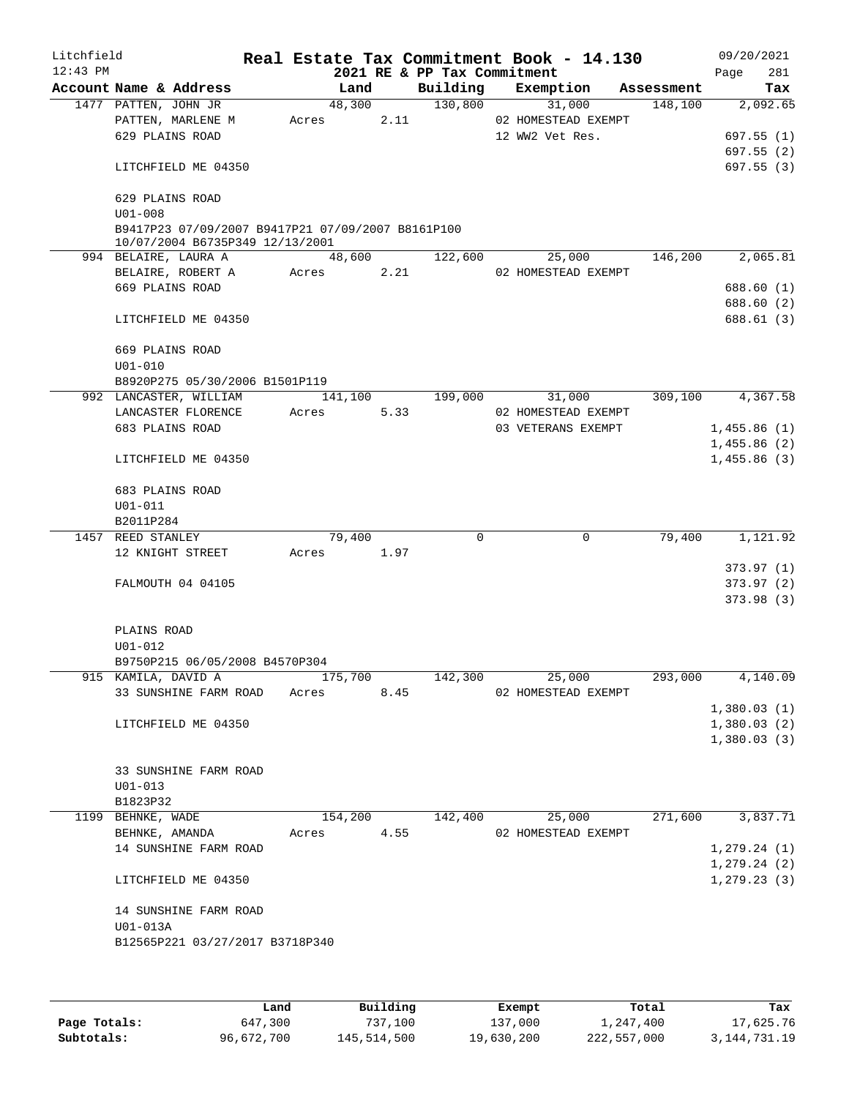| Litchfield |                                      |                                                                                      |         |         |                             | Real Estate Tax Commitment Book - 14.130 |            |               | 09/20/2021 |
|------------|--------------------------------------|--------------------------------------------------------------------------------------|---------|---------|-----------------------------|------------------------------------------|------------|---------------|------------|
| $12:43$ PM |                                      |                                                                                      |         |         | 2021 RE & PP Tax Commitment |                                          |            | Page          | 281        |
|            | Account Name & Address               |                                                                                      |         | Land    |                             | Building Exemption                       | Assessment |               | Tax        |
|            | 1477 PATTEN, JOHN JR                 |                                                                                      |         | 48,300  | 130,800                     | 31,000                                   | 148,100    |               | 2,092.65   |
|            | PATTEN, MARLENE M<br>629 PLAINS ROAD |                                                                                      | Acres   | 2.11    |                             | 02 HOMESTEAD EXEMPT<br>12 WW2 Vet Res.   |            |               | 697.55(1)  |
|            |                                      |                                                                                      |         |         |                             |                                          |            |               | 697.55(2)  |
|            | LITCHFIELD ME 04350                  |                                                                                      |         |         |                             |                                          |            |               | 697.55 (3) |
|            | 629 PLAINS ROAD<br>$U01 - 008$       |                                                                                      |         |         |                             |                                          |            |               |            |
|            |                                      | B9417P23 07/09/2007 B9417P21 07/09/2007 B8161P100<br>10/07/2004 B6735P349 12/13/2001 |         |         |                             |                                          |            |               |            |
|            | 994 BELAIRE, LAURA A                 |                                                                                      |         | 48,600  | 122,600                     | 25,000                                   | 146,200    |               | 2,065.81   |
|            | BELAIRE, ROBERT A                    |                                                                                      | Acres   | 2.21    |                             | 02 HOMESTEAD EXEMPT                      |            |               |            |
|            | 669 PLAINS ROAD                      |                                                                                      |         |         |                             |                                          |            |               | 688.60 (1) |
|            |                                      |                                                                                      |         |         |                             |                                          |            |               | 688.60 (2) |
|            | LITCHFIELD ME 04350                  |                                                                                      |         |         |                             |                                          |            |               | 688.61(3)  |
|            | 669 PLAINS ROAD                      |                                                                                      |         |         |                             |                                          |            |               |            |
|            | $U01 - 010$                          | B8920P275 05/30/2006 B1501P119                                                       |         |         |                             |                                          |            |               |            |
|            | 992 LANCASTER, WILLIAM               |                                                                                      |         | 141,100 | 199,000                     | 31,000                                   | 309,100    |               | 4,367.58   |
|            | LANCASTER FLORENCE                   |                                                                                      | Acres   | 5.33    |                             | 02 HOMESTEAD EXEMPT                      |            |               |            |
|            | 683 PLAINS ROAD                      |                                                                                      |         |         |                             | 03 VETERANS EXEMPT                       |            | 1,455.86(1)   |            |
|            |                                      |                                                                                      |         |         |                             |                                          |            | 1,455.86(2)   |            |
|            | LITCHFIELD ME 04350                  |                                                                                      |         |         |                             |                                          |            | 1,455.86(3)   |            |
|            | 683 PLAINS ROAD                      |                                                                                      |         |         |                             |                                          |            |               |            |
|            | $U01 - 011$                          |                                                                                      |         |         |                             |                                          |            |               |            |
|            | B2011P284                            |                                                                                      |         |         |                             |                                          |            |               |            |
|            | 1457 REED STANLEY                    |                                                                                      |         | 79,400  | $\Omega$                    | $\mathbf 0$                              | 79,400     |               | 1,121.92   |
|            | 12 KNIGHT STREET                     |                                                                                      | Acres   | 1.97    |                             |                                          |            |               |            |
|            |                                      |                                                                                      |         |         |                             |                                          |            |               | 373.97(1)  |
|            | FALMOUTH 04 04105                    |                                                                                      |         |         |                             |                                          |            |               | 373.97(2)  |
|            |                                      |                                                                                      |         |         |                             |                                          |            |               | 373.98(3)  |
|            | PLAINS ROAD                          |                                                                                      |         |         |                             |                                          |            |               |            |
|            | $U01 - 012$                          |                                                                                      |         |         |                             |                                          |            |               |            |
|            | 915 KAMILA, DAVID A                  | B9750P215 06/05/2008 B4570P304                                                       | 175,700 |         | 142,300                     |                                          | 293,000    |               | 4,140.09   |
|            |                                      | 33 SUNSHINE FARM ROAD                                                                |         | 8.45    |                             | 25,000<br>02 HOMESTEAD EXEMPT            |            |               |            |
|            |                                      |                                                                                      | Acres   |         |                             |                                          |            | 1,380.03(1)   |            |
|            | LITCHFIELD ME 04350                  |                                                                                      |         |         |                             |                                          |            | 1,380.03(2)   |            |
|            |                                      |                                                                                      |         |         |                             |                                          |            | 1,380.03(3)   |            |
|            |                                      |                                                                                      |         |         |                             |                                          |            |               |            |
|            |                                      | 33 SUNSHINE FARM ROAD                                                                |         |         |                             |                                          |            |               |            |
|            | $U01 - 013$                          |                                                                                      |         |         |                             |                                          |            |               |            |
|            | B1823P32                             |                                                                                      |         |         |                             |                                          |            |               |            |
|            | 1199 BEHNKE, WADE                    |                                                                                      |         | 154,200 | 142,400                     | 25,000                                   | 271,600    |               | 3,837.71   |
|            | BEHNKE, AMANDA                       |                                                                                      | Acres   | 4.55    |                             | 02 HOMESTEAD EXEMPT                      |            |               |            |
|            |                                      | 14 SUNSHINE FARM ROAD                                                                |         |         |                             |                                          |            | 1, 279.24(1)  |            |
|            |                                      |                                                                                      |         |         |                             |                                          |            | 1, 279.24 (2) |            |
|            | LITCHFIELD ME 04350                  |                                                                                      |         |         |                             |                                          |            | 1, 279.23(3)  |            |
|            |                                      | 14 SUNSHINE FARM ROAD                                                                |         |         |                             |                                          |            |               |            |
|            | U01-013A                             |                                                                                      |         |         |                             |                                          |            |               |            |
|            |                                      | B12565P221 03/27/2017 B3718P340                                                      |         |         |                             |                                          |            |               |            |
|            |                                      |                                                                                      |         |         |                             |                                          |            |               |            |
|            |                                      |                                                                                      |         |         |                             |                                          |            |               |            |

|              | Land       | Building    | Exempt     | Total       | Tax             |
|--------------|------------|-------------|------------|-------------|-----------------|
| Page Totals: | 647,300    | 737,100     | 137,000    | 1,247,400   | 17,625.76       |
| Subtotals:   | 96,672,700 | 145,514,500 | 19,630,200 | 222,557,000 | 3, 144, 731. 19 |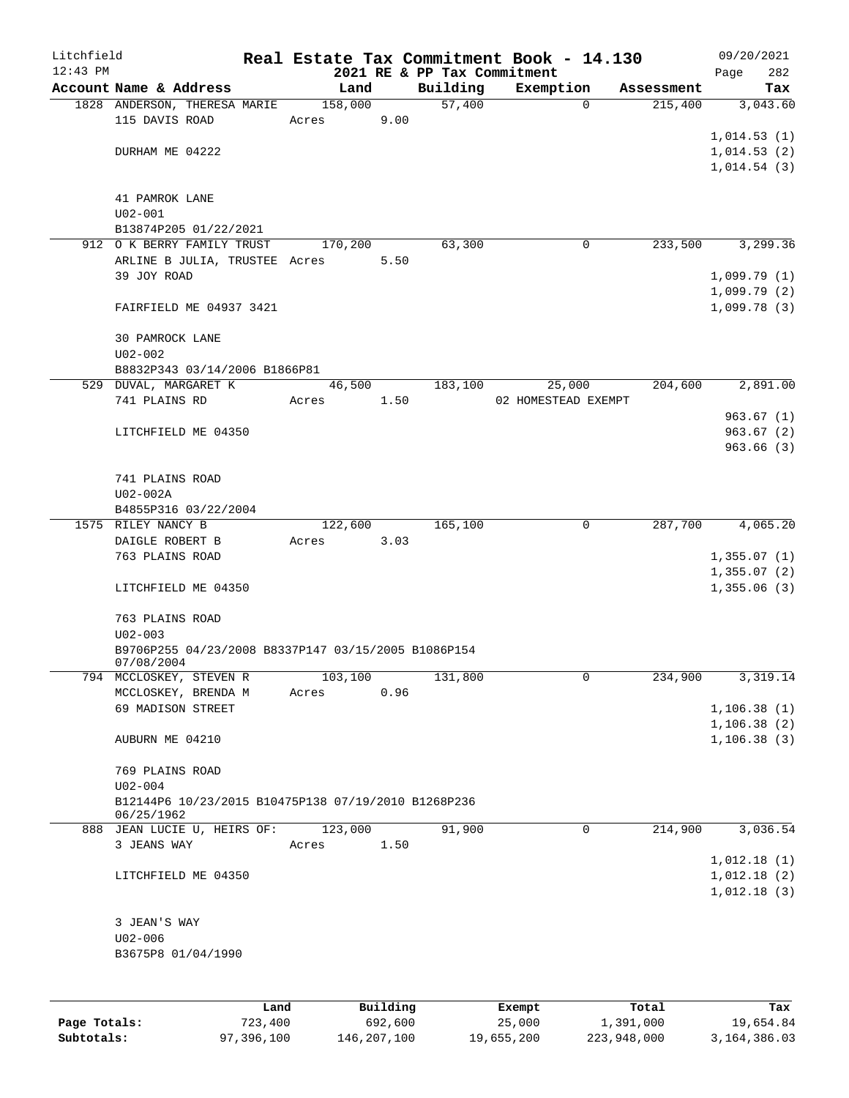| Litchfield   |                                                     |                 |          |                             | Real Estate Tax Commitment Book - 14.130 |                       | 09/20/2021      |
|--------------|-----------------------------------------------------|-----------------|----------|-----------------------------|------------------------------------------|-----------------------|-----------------|
| $12:43$ PM   | Account Name & Address                              |                 |          | 2021 RE & PP Tax Commitment |                                          |                       | 282<br>Page     |
|              | 1828 ANDERSON, THERESA MARIE                        | Land<br>158,000 |          | Building<br>57,400          | Exemption<br>$\mathbf 0$                 | Assessment<br>215,400 | Tax<br>3,043.60 |
|              | 115 DAVIS ROAD                                      | Acres           | 9.00     |                             |                                          |                       |                 |
|              |                                                     |                 |          |                             |                                          |                       | 1,014.53(1)     |
|              | DURHAM ME 04222                                     |                 |          |                             |                                          |                       | 1,014.53(2)     |
|              |                                                     |                 |          |                             |                                          |                       | 1,014.54(3)     |
|              |                                                     |                 |          |                             |                                          |                       |                 |
|              | 41 PAMROK LANE                                      |                 |          |                             |                                          |                       |                 |
|              | $U02 - 001$                                         |                 |          |                             |                                          |                       |                 |
|              | B13874P205 01/22/2021                               |                 |          |                             |                                          |                       |                 |
|              | 912 O K BERRY FAMILY TRUST                          | 170,200         |          | 63,300                      | 0                                        | 233,500               | 3,299.36        |
|              | ARLINE B JULIA, TRUSTEE Acres                       |                 | 5.50     |                             |                                          |                       |                 |
|              | 39 JOY ROAD                                         |                 |          |                             |                                          |                       | 1,099.79(1)     |
|              |                                                     |                 |          |                             |                                          |                       | 1,099.79(2)     |
|              | FAIRFIELD ME 04937 3421                             |                 |          |                             |                                          |                       | 1,099.78(3)     |
|              | 30 PAMROCK LANE                                     |                 |          |                             |                                          |                       |                 |
|              | $U02 - 002$                                         |                 |          |                             |                                          |                       |                 |
|              | B8832P343 03/14/2006 B1866P81                       |                 |          |                             |                                          |                       |                 |
|              | 529 DUVAL, MARGARET K                               | 46,500          |          | 183,100                     | 25,000                                   | 204,600               | 2,891.00        |
|              | 741 PLAINS RD                                       | Acres           | 1.50     |                             | 02 HOMESTEAD EXEMPT                      |                       |                 |
|              |                                                     |                 |          |                             |                                          |                       | 963.67(1)       |
|              | LITCHFIELD ME 04350                                 |                 |          |                             |                                          |                       | 963.67(2)       |
|              |                                                     |                 |          |                             |                                          |                       | 963.66(3)       |
|              |                                                     |                 |          |                             |                                          |                       |                 |
|              | 741 PLAINS ROAD                                     |                 |          |                             |                                          |                       |                 |
|              | U02-002A                                            |                 |          |                             |                                          |                       |                 |
|              | B4855P316 03/22/2004                                |                 |          |                             |                                          |                       |                 |
|              | 1575 RILEY NANCY B                                  | 122,600         |          | 165,100                     | 0                                        | 287,700               | 4,065.20        |
|              | DAIGLE ROBERT B                                     | Acres           | 3.03     |                             |                                          |                       |                 |
|              | 763 PLAINS ROAD                                     |                 |          |                             |                                          |                       | 1,355.07(1)     |
|              |                                                     |                 |          |                             |                                          |                       | 1,355.07(2)     |
|              | LITCHFIELD ME 04350                                 |                 |          |                             |                                          |                       | 1,355.06(3)     |
|              |                                                     |                 |          |                             |                                          |                       |                 |
|              | 763 PLAINS ROAD                                     |                 |          |                             |                                          |                       |                 |
|              | $U02 - 003$                                         |                 |          |                             |                                          |                       |                 |
|              | B9706P255 04/23/2008 B8337P147 03/15/2005 B1086P154 |                 |          |                             |                                          |                       |                 |
|              | 07/08/2004                                          |                 |          |                             |                                          |                       |                 |
|              | 794 MCCLOSKEY, STEVEN R                             | 103,100         |          | 131,800                     | 0                                        | 234,900               | 3,319.14        |
|              | MCCLOSKEY, BRENDA M                                 | Acres           | 0.96     |                             |                                          |                       |                 |
|              | 69 MADISON STREET                                   |                 |          |                             |                                          |                       | 1,106.38(1)     |
|              |                                                     |                 |          |                             |                                          |                       | 1,106.38(2)     |
|              | AUBURN ME 04210                                     |                 |          |                             |                                          |                       | 1, 106.38(3)    |
|              |                                                     |                 |          |                             |                                          |                       |                 |
|              | 769 PLAINS ROAD<br>$U02 - 004$                      |                 |          |                             |                                          |                       |                 |
|              | B12144P6 10/23/2015 B10475P138 07/19/2010 B1268P236 |                 |          |                             |                                          |                       |                 |
|              | 06/25/1962                                          |                 |          |                             |                                          |                       |                 |
|              | 888 JEAN LUCIE U, HEIRS OF:                         | 123,000         |          | 91,900                      | $\mathbf 0$                              | 214,900               | 3,036.54        |
|              | 3 JEANS WAY                                         | Acres           | 1.50     |                             |                                          |                       |                 |
|              |                                                     |                 |          |                             |                                          |                       | 1,012.18(1)     |
|              | LITCHFIELD ME 04350                                 |                 |          |                             |                                          |                       | 1,012.18(2)     |
|              |                                                     |                 |          |                             |                                          |                       | 1,012.18(3)     |
|              |                                                     |                 |          |                             |                                          |                       |                 |
|              | 3 JEAN'S WAY                                        |                 |          |                             |                                          |                       |                 |
|              | $U02 - 006$                                         |                 |          |                             |                                          |                       |                 |
|              | B3675P8 01/04/1990                                  |                 |          |                             |                                          |                       |                 |
|              |                                                     |                 |          |                             |                                          |                       |                 |
|              |                                                     |                 |          |                             |                                          |                       |                 |
|              | Land                                                |                 | Building |                             | Exempt                                   | Total                 | Tax             |
| Page Totals: | 723,400                                             |                 | 692,600  |                             | 25,000                                   | 1,391,000             | 19,654.84       |

**Subtotals:** 97,396,100 146,207,100 19,655,200 223,948,000 3,164,386.03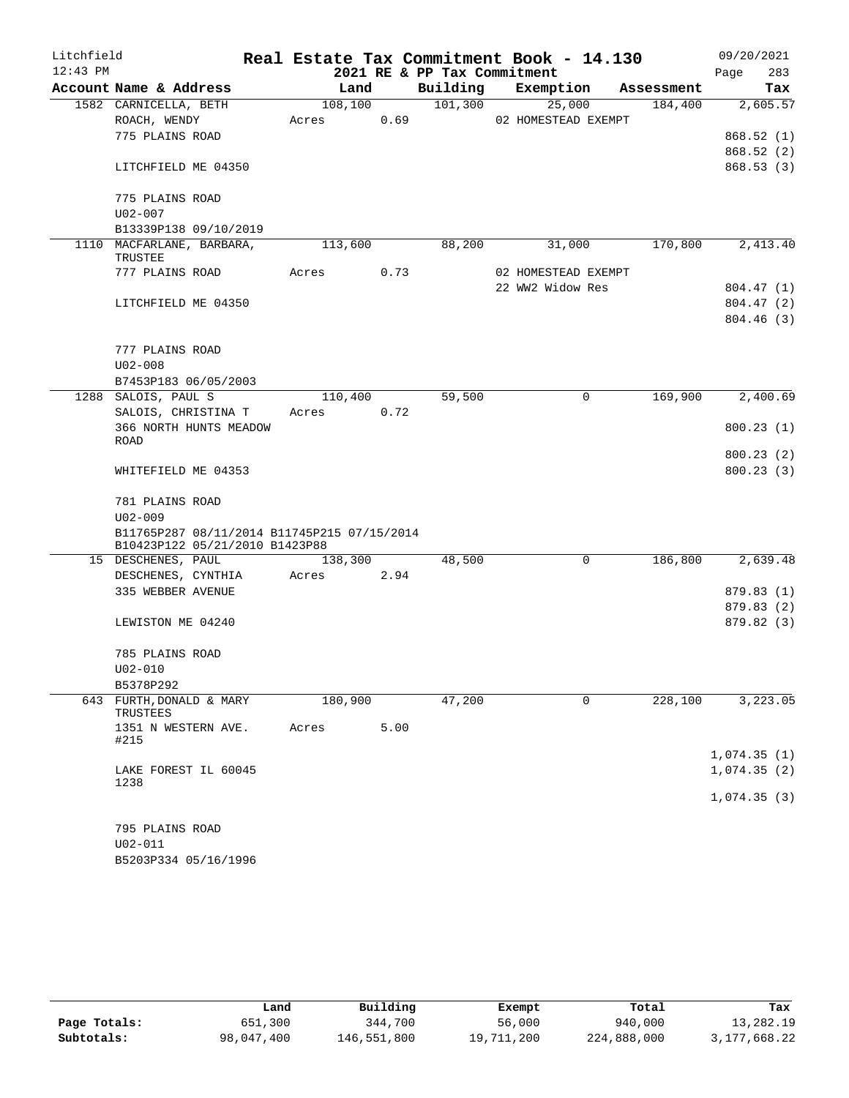| Litchfield |                                             |         |      |                             | Real Estate Tax Commitment Book - 14.130 |            | 09/20/2021             |
|------------|---------------------------------------------|---------|------|-----------------------------|------------------------------------------|------------|------------------------|
| $12:43$ PM |                                             |         |      | 2021 RE & PP Tax Commitment |                                          |            | 283<br>Page            |
|            | Account Name & Address                      | Land    |      | Building                    | Exemption                                | Assessment | Tax                    |
|            | 1582 CARNICELLA, BETH                       | 108,100 |      | 101,300                     | 25,000                                   | 184,400    | 2,605.57               |
|            | ROACH, WENDY                                | Acres   | 0.69 |                             | 02 HOMESTEAD EXEMPT                      |            |                        |
|            | 775 PLAINS ROAD                             |         |      |                             |                                          |            | 868.52(1)              |
|            |                                             |         |      |                             |                                          |            | 868.52 (2)             |
|            | LITCHFIELD ME 04350                         |         |      |                             |                                          |            | 868.53(3)              |
|            | 775 PLAINS ROAD                             |         |      |                             |                                          |            |                        |
|            | $U02 - 007$                                 |         |      |                             |                                          |            |                        |
|            | B13339P138 09/10/2019                       |         |      |                             |                                          |            |                        |
|            | 1110 MACFARLANE, BARBARA,<br>TRUSTEE        | 113,600 |      | 88,200                      | 31,000                                   | 170,800    | 2,413.40               |
|            | 777 PLAINS ROAD                             | Acres   | 0.73 |                             | 02 HOMESTEAD EXEMPT                      |            |                        |
|            |                                             |         |      |                             | 22 WW2 Widow Res                         |            | 804.47 (1)             |
|            | LITCHFIELD ME 04350                         |         |      |                             |                                          |            | 804.47(2)              |
|            |                                             |         |      |                             |                                          |            | 804.46(3)              |
|            |                                             |         |      |                             |                                          |            |                        |
|            | 777 PLAINS ROAD                             |         |      |                             |                                          |            |                        |
|            | $U02 - 008$                                 |         |      |                             |                                          |            |                        |
|            | B7453P183 06/05/2003                        |         |      |                             |                                          |            |                        |
|            | 1288 SALOIS, PAUL S                         | 110,400 |      | 59,500                      | 0                                        | 169,900    | 2,400.69               |
|            | SALOIS, CHRISTINA T                         | Acres   | 0.72 |                             |                                          |            |                        |
|            | 366 NORTH HUNTS MEADOW                      |         |      |                             |                                          |            | 800.23(1)              |
|            | ROAD                                        |         |      |                             |                                          |            |                        |
|            | WHITEFIELD ME 04353                         |         |      |                             |                                          |            | 800.23(2)<br>800.23(3) |
|            |                                             |         |      |                             |                                          |            |                        |
|            | 781 PLAINS ROAD                             |         |      |                             |                                          |            |                        |
|            | $U02 - 009$                                 |         |      |                             |                                          |            |                        |
|            | B11765P287 08/11/2014 B11745P215 07/15/2014 |         |      |                             |                                          |            |                        |
|            | B10423P122 05/21/2010 B1423P88              |         |      |                             |                                          |            |                        |
|            | 15 DESCHENES, PAUL                          | 138,300 |      | 48,500                      | $\mathbf 0$                              | 186,800    | 2,639.48               |
|            | DESCHENES, CYNTHIA                          | Acres   | 2.94 |                             |                                          |            |                        |
|            | 335 WEBBER AVENUE                           |         |      |                             |                                          |            | 879.83 (1)             |
|            |                                             |         |      |                             |                                          |            | 879.83 (2)             |
|            | LEWISTON ME 04240                           |         |      |                             |                                          |            | 879.82 (3)             |
|            | 785 PLAINS ROAD                             |         |      |                             |                                          |            |                        |
|            | U02-010                                     |         |      |                             |                                          |            |                        |
|            | B5378P292                                   |         |      |                             |                                          |            |                        |
|            | 643 FURTH, DONALD & MARY<br>TRUSTEES        | 180,900 |      | 47,200                      | 0                                        | 228,100    | 3,223.05               |
|            | 1351 N WESTERN AVE.                         | Acres   | 5.00 |                             |                                          |            |                        |
|            | #215                                        |         |      |                             |                                          |            |                        |
|            |                                             |         |      |                             |                                          |            | 1,074.35(1)            |
|            | LAKE FOREST IL 60045                        |         |      |                             |                                          |            | 1,074.35(2)            |
|            | 1238                                        |         |      |                             |                                          |            |                        |
|            |                                             |         |      |                             |                                          |            | 1,074.35(3)            |
|            | 795 PLAINS ROAD                             |         |      |                             |                                          |            |                        |
|            | $U02 - 011$                                 |         |      |                             |                                          |            |                        |
|            | B5203P334 05/16/1996                        |         |      |                             |                                          |            |                        |
|            |                                             |         |      |                             |                                          |            |                        |

|              | Land       | Building    | Exempt     | Total       | Tax          |
|--------------|------------|-------------|------------|-------------|--------------|
| Page Totals: | 651,300    | 344,700     | 56,000     | 940,000     | 13,282.19    |
| Subtotals:   | 98,047,400 | 146,551,800 | 19,711,200 | 224,888,000 | 3,177,668.22 |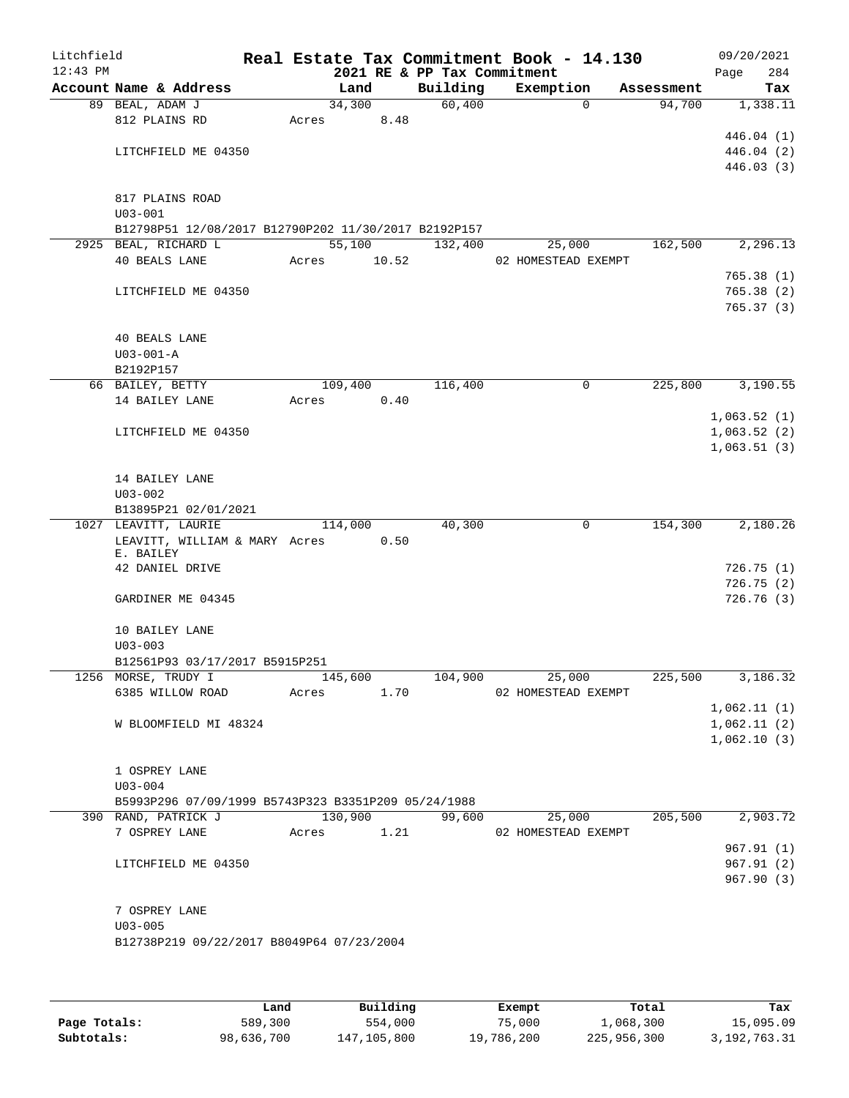| Litchfield |                                                      |             |         |      |                             | Real Estate Tax Commitment Book - 14.130 |             |            | 09/20/2021  |     |
|------------|------------------------------------------------------|-------------|---------|------|-----------------------------|------------------------------------------|-------------|------------|-------------|-----|
| $12:43$ PM |                                                      |             |         |      | 2021 RE & PP Tax Commitment |                                          |             |            | Page        | 284 |
|            | Account Name & Address                               |             | Land    |      | Building                    | Exemption                                |             | Assessment |             | Tax |
|            | 89 BEAL, ADAM J                                      |             | 34,300  |      | 60,400                      |                                          | $\Omega$    | 94,700     | 1,338.11    |     |
|            | 812 PLAINS RD                                        | Acres       |         | 8.48 |                             |                                          |             |            | 446.04(1)   |     |
|            | LITCHFIELD ME 04350                                  |             |         |      |                             |                                          |             |            | 446.04 (2)  |     |
|            |                                                      |             |         |      |                             |                                          |             |            | 446.03(3)   |     |
|            |                                                      |             |         |      |                             |                                          |             |            |             |     |
|            | 817 PLAINS ROAD                                      |             |         |      |                             |                                          |             |            |             |     |
|            | $U03 - 001$                                          |             |         |      |                             |                                          |             |            |             |     |
|            | B12798P51 12/08/2017 B12790P202 11/30/2017 B2192P157 |             |         |      |                             |                                          |             |            |             |     |
|            | 2925 BEAL, RICHARD L                                 |             | 55,100  |      | 132,400                     | 25,000                                   |             | 162,500    | 2,296.13    |     |
|            | 40 BEALS LANE                                        | Acres 10.52 |         |      |                             | 02 HOMESTEAD EXEMPT                      |             |            |             |     |
|            |                                                      |             |         |      |                             |                                          |             |            | 765.38(1)   |     |
|            | LITCHFIELD ME 04350                                  |             |         |      |                             |                                          |             |            | 765.38(2)   |     |
|            |                                                      |             |         |      |                             |                                          |             |            | 765.37(3)   |     |
|            |                                                      |             |         |      |                             |                                          |             |            |             |     |
|            | <b>40 BEALS LANE</b>                                 |             |         |      |                             |                                          |             |            |             |     |
|            | $U03 - 001 - A$                                      |             |         |      |                             |                                          |             |            |             |     |
|            | B2192P157                                            |             |         |      |                             |                                          |             |            |             |     |
|            | 66 BAILEY, BETTY                                     |             | 109,400 |      | 116,400                     |                                          | 0           | 225,800    | 3,190.55    |     |
|            | 14 BAILEY LANE                                       | Acres       |         | 0.40 |                             |                                          |             |            |             |     |
|            |                                                      |             |         |      |                             |                                          |             |            | 1,063.52(1) |     |
|            | LITCHFIELD ME 04350                                  |             |         |      |                             |                                          |             |            | 1,063.52(2) |     |
|            |                                                      |             |         |      |                             |                                          |             |            | 1,063.51(3) |     |
|            |                                                      |             |         |      |                             |                                          |             |            |             |     |
|            | 14 BAILEY LANE                                       |             |         |      |                             |                                          |             |            |             |     |
|            | $U03 - 002$<br>B13895P21 02/01/2021                  |             |         |      |                             |                                          |             |            |             |     |
|            | 1027 LEAVITT, LAURIE                                 |             | 114,000 |      | 40,300                      |                                          | $\mathbf 0$ | 154,300    | 2,180.26    |     |
|            | LEAVITT, WILLIAM & MARY Acres                        |             |         | 0.50 |                             |                                          |             |            |             |     |
|            | E. BAILEY                                            |             |         |      |                             |                                          |             |            |             |     |
|            | 42 DANIEL DRIVE                                      |             |         |      |                             |                                          |             |            | 726.75(1)   |     |
|            |                                                      |             |         |      |                             |                                          |             |            | 726.75(2)   |     |
|            | GARDINER ME 04345                                    |             |         |      |                             |                                          |             |            | 726.76(3)   |     |
|            |                                                      |             |         |      |                             |                                          |             |            |             |     |
|            | 10 BAILEY LANE                                       |             |         |      |                             |                                          |             |            |             |     |
|            | $U03 - 003$                                          |             |         |      |                             |                                          |             |            |             |     |
|            | B12561P93 03/17/2017 B5915P251                       |             |         |      |                             |                                          |             |            |             |     |
|            | 1256 MORSE, TRUDY I                                  |             | 145,600 |      | 104,900                     | 25,000                                   |             | 225,500    | 3,186.32    |     |
|            | 6385 WILLOW ROAD                                     | Acres       |         | 1.70 |                             | 02 HOMESTEAD EXEMPT                      |             |            |             |     |
|            |                                                      |             |         |      |                             |                                          |             |            | 1,062.11(1) |     |
|            | W BLOOMFIELD MI 48324                                |             |         |      |                             |                                          |             |            | 1,062.11(2) |     |
|            |                                                      |             |         |      |                             |                                          |             |            | 1,062.10(3) |     |
|            |                                                      |             |         |      |                             |                                          |             |            |             |     |
|            | 1 OSPREY LANE<br>$U03 - 004$                         |             |         |      |                             |                                          |             |            |             |     |
|            | B5993P296 07/09/1999 B5743P323 B3351P209 05/24/1988  |             |         |      |                             |                                          |             |            |             |     |
|            | 390 RAND, PATRICK J                                  |             | 130,900 |      | 99,600                      | 25,000                                   |             | 205,500    | 2,903.72    |     |
|            | 7 OSPREY LANE                                        | Acres       |         | 1.21 |                             | 02 HOMESTEAD EXEMPT                      |             |            |             |     |
|            |                                                      |             |         |      |                             |                                          |             |            | 967.91(1)   |     |
|            | LITCHFIELD ME 04350                                  |             |         |      |                             |                                          |             |            | 967.91(2)   |     |
|            |                                                      |             |         |      |                             |                                          |             |            | 967.90(3)   |     |
|            |                                                      |             |         |      |                             |                                          |             |            |             |     |
|            | 7 OSPREY LANE                                        |             |         |      |                             |                                          |             |            |             |     |
|            | $U03 - 005$                                          |             |         |      |                             |                                          |             |            |             |     |
|            | B12738P219 09/22/2017 B8049P64 07/23/2004            |             |         |      |                             |                                          |             |            |             |     |
|            |                                                      |             |         |      |                             |                                          |             |            |             |     |
|            |                                                      |             |         |      |                             |                                          |             |            |             |     |
|            |                                                      |             |         |      |                             |                                          |             |            |             |     |

|              | Land       | Building    | Exempt     | Total       | Tax          |
|--------------|------------|-------------|------------|-------------|--------------|
| Page Totals: | 589,300    | 554,000     | 75,000     | 1,068,300   | 15,095.09    |
| Subtotals:   | 98,636,700 | 147,105,800 | 19,786,200 | 225,956,300 | 3,192,763.31 |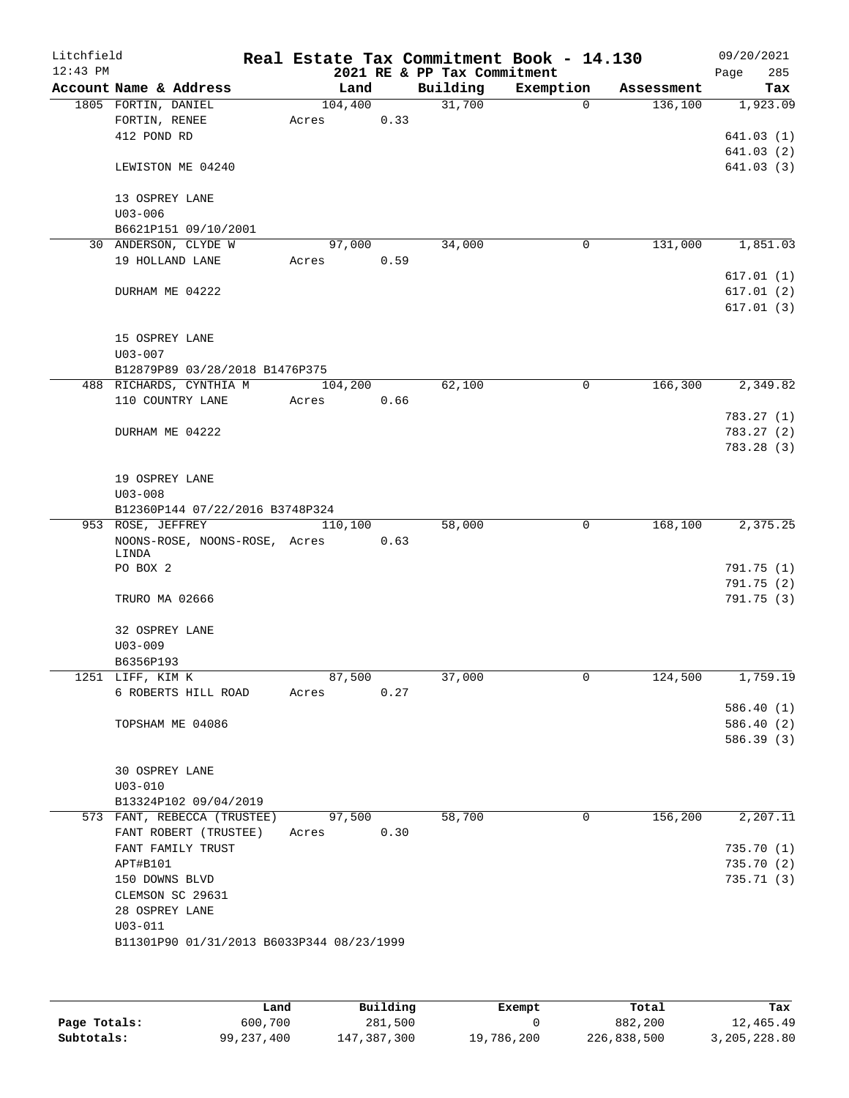| Litchfield |                               |                                           |         |      |                             | Real Estate Tax Commitment Book - 14.130 |            | 09/20/2021  |
|------------|-------------------------------|-------------------------------------------|---------|------|-----------------------------|------------------------------------------|------------|-------------|
| $12:43$ PM |                               |                                           |         |      | 2021 RE & PP Tax Commitment |                                          |            | 285<br>Page |
|            |                               | Account Name & Address                    | Land    |      | Building                    | Exemption                                | Assessment | Tax         |
|            | 1805 FORTIN, DANIEL           |                                           | 104,400 |      | 31,700                      | $\Omega$                                 | 136,100    | 1,923.09    |
|            | FORTIN, RENEE<br>412 POND RD  |                                           | Acres   | 0.33 |                             |                                          |            | 641.03(1)   |
|            |                               |                                           |         |      |                             |                                          |            | 641.03(2)   |
|            |                               | LEWISTON ME 04240                         |         |      |                             |                                          |            | 641.03(3)   |
|            |                               |                                           |         |      |                             |                                          |            |             |
|            | 13 OSPREY LANE                |                                           |         |      |                             |                                          |            |             |
|            | $U03 - 006$                   |                                           |         |      |                             |                                          |            |             |
|            |                               | B6621P151 09/10/2001                      |         |      |                             |                                          |            |             |
|            |                               | 30 ANDERSON, CLYDE W                      | 97,000  |      | 34,000                      | $\mathbf 0$                              | 131,000    | 1,851.03    |
|            |                               | 19 HOLLAND LANE                           | Acres   | 0.59 |                             |                                          |            |             |
|            |                               |                                           |         |      |                             |                                          |            | 617.01(1)   |
|            |                               | DURHAM ME 04222                           |         |      |                             |                                          |            | 617.01(2)   |
|            |                               |                                           |         |      |                             |                                          |            | 617.01(3)   |
|            |                               |                                           |         |      |                             |                                          |            |             |
|            | 15 OSPREY LANE                |                                           |         |      |                             |                                          |            |             |
|            | $U03 - 007$                   |                                           |         |      |                             |                                          |            |             |
|            |                               | B12879P89 03/28/2018 B1476P375            |         |      |                             |                                          |            |             |
|            |                               | 488 RICHARDS, CYNTHIA M                   | 104,200 |      | 62,100                      | $\mathbf 0$                              | 166,300    | 2,349.82    |
|            |                               | 110 COUNTRY LANE                          | Acres   | 0.66 |                             |                                          |            |             |
|            |                               |                                           |         |      |                             |                                          |            | 783.27(1)   |
|            |                               | DURHAM ME 04222                           |         |      |                             |                                          |            | 783.27(2)   |
|            |                               |                                           |         |      |                             |                                          |            | 783.28(3)   |
|            |                               |                                           |         |      |                             |                                          |            |             |
|            | 19 OSPREY LANE<br>$U03 - 008$ |                                           |         |      |                             |                                          |            |             |
|            |                               | B12360P144 07/22/2016 B3748P324           |         |      |                             |                                          |            |             |
|            | 953 ROSE, JEFFREY             |                                           | 110,100 |      | 58,000                      | 0                                        | 168,100    | 2,375.25    |
|            |                               | NOONS-ROSE, NOONS-ROSE, Acres             |         | 0.63 |                             |                                          |            |             |
|            | LINDA                         |                                           |         |      |                             |                                          |            |             |
|            | PO BOX 2                      |                                           |         |      |                             |                                          |            | 791.75 (1)  |
|            |                               |                                           |         |      |                             |                                          |            | 791.75(2)   |
|            | TRURO MA 02666                |                                           |         |      |                             |                                          |            | 791.75(3)   |
|            |                               |                                           |         |      |                             |                                          |            |             |
|            | 32 OSPREY LANE                |                                           |         |      |                             |                                          |            |             |
|            | $U03 - 009$                   |                                           |         |      |                             |                                          |            |             |
|            | B6356P193                     |                                           |         |      |                             |                                          |            |             |
|            | 1251 LIFF, KIM K              |                                           | 87,500  |      | 37,000                      | 0                                        | 124,500    | 1,759.19    |
|            |                               | 6 ROBERTS HILL ROAD                       | Acres   | 0.27 |                             |                                          |            |             |
|            |                               |                                           |         |      |                             |                                          |            | 586.40(1)   |
|            |                               | TOPSHAM ME 04086                          |         |      |                             |                                          |            | 586.40(2)   |
|            |                               |                                           |         |      |                             |                                          |            | 586.39 (3)  |
|            |                               |                                           |         |      |                             |                                          |            |             |
|            | 30 OSPREY LANE<br>$U03 - 010$ |                                           |         |      |                             |                                          |            |             |
|            |                               | B13324P102 09/04/2019                     |         |      |                             |                                          |            |             |
|            |                               | 573 FANT, REBECCA (TRUSTEE)               | 97,500  |      | 58,700                      | 0                                        | 156,200    | 2,207.11    |
|            |                               | FANT ROBERT (TRUSTEE)                     | Acres   | 0.30 |                             |                                          |            |             |
|            |                               | FANT FAMILY TRUST                         |         |      |                             |                                          |            | 735.70(1)   |
|            | APT#B101                      |                                           |         |      |                             |                                          |            | 735.70 (2)  |
|            | 150 DOWNS BLVD                |                                           |         |      |                             |                                          |            | 735.71(3)   |
|            |                               | CLEMSON SC 29631                          |         |      |                             |                                          |            |             |
|            | 28 OSPREY LANE                |                                           |         |      |                             |                                          |            |             |
|            | $U03 - 011$                   |                                           |         |      |                             |                                          |            |             |
|            |                               | B11301P90 01/31/2013 B6033P344 08/23/1999 |         |      |                             |                                          |            |             |
|            |                               |                                           |         |      |                             |                                          |            |             |
|            |                               |                                           |         |      |                             |                                          |            |             |
|            |                               |                                           |         |      |                             |                                          |            |             |

|              | Land         | Building    | Exempt     | Total       | Tax          |
|--------------|--------------|-------------|------------|-------------|--------------|
| Page Totals: | 600,700      | 281,500     |            | 882,200     | 12,465.49    |
| Subtotals:   | 99, 237, 400 | 147,387,300 | 19,786,200 | 226,838,500 | 3,205,228.80 |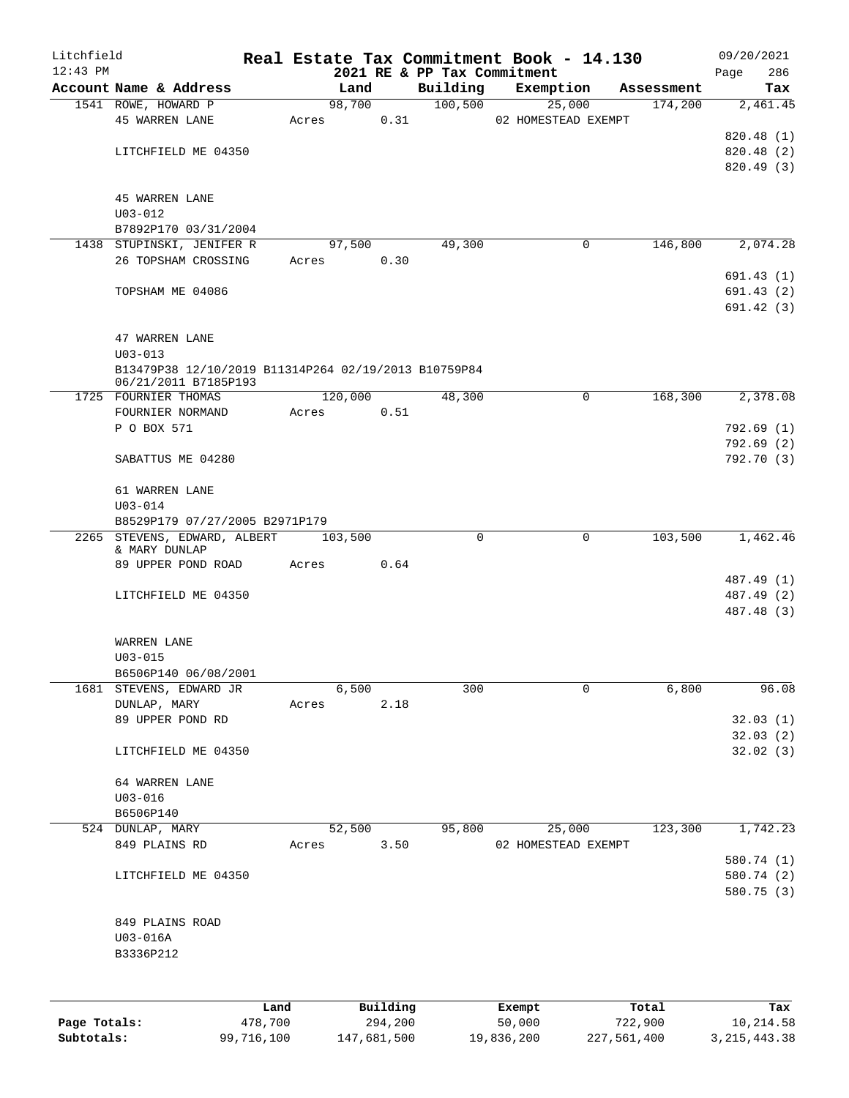| Litchfield   |                                                                              |         |       |         |          |                                         | Real Estate Tax Commitment Book - 14.130 |            | 09/20/2021         |
|--------------|------------------------------------------------------------------------------|---------|-------|---------|----------|-----------------------------------------|------------------------------------------|------------|--------------------|
| $12:43$ PM   | Account Name & Address                                                       |         |       | Land    |          | 2021 RE & PP Tax Commitment<br>Building | Exemption                                | Assessment | 286<br>Page<br>Tax |
|              | 1541 ROWE, HOWARD P                                                          |         |       | 98,700  |          | 100,500                                 | 25,000                                   | 174,200    | 2,461.45           |
|              | <b>45 WARREN LANE</b>                                                        |         | Acres |         | 0.31     |                                         | 02 HOMESTEAD EXEMPT                      |            |                    |
|              |                                                                              |         |       |         |          |                                         |                                          |            | 820.48 (1)         |
|              | LITCHFIELD ME 04350                                                          |         |       |         |          |                                         |                                          |            | 820.48 (2)         |
|              |                                                                              |         |       |         |          |                                         |                                          |            | 820.49 (3)         |
|              |                                                                              |         |       |         |          |                                         |                                          |            |                    |
|              | <b>45 WARREN LANE</b>                                                        |         |       |         |          |                                         |                                          |            |                    |
|              | $U03 - 012$<br>B7892P170 03/31/2004                                          |         |       |         |          |                                         |                                          |            |                    |
|              | 1438 STUPINSKI, JENIFER R                                                    |         |       | 97,500  |          | 49,300                                  | 0                                        | 146,800    | 2,074.28           |
|              | 26 TOPSHAM CROSSING                                                          |         | Acres |         | 0.30     |                                         |                                          |            |                    |
|              |                                                                              |         |       |         |          |                                         |                                          |            | 691.43(1)          |
|              | TOPSHAM ME 04086                                                             |         |       |         |          |                                         |                                          |            | 691.43(2)          |
|              |                                                                              |         |       |         |          |                                         |                                          |            | 691.42(3)          |
|              |                                                                              |         |       |         |          |                                         |                                          |            |                    |
|              | 47 WARREN LANE                                                               |         |       |         |          |                                         |                                          |            |                    |
|              | $U03 - 013$                                                                  |         |       |         |          |                                         |                                          |            |                    |
|              | B13479P38 12/10/2019 B11314P264 02/19/2013 B10759P84<br>06/21/2011 B7185P193 |         |       |         |          |                                         |                                          |            |                    |
|              | 1725 FOURNIER THOMAS                                                         |         |       | 120,000 |          | 48,300                                  | 0                                        | 168,300    | 2,378.08           |
|              | FOURNIER NORMAND                                                             |         | Acres |         | 0.51     |                                         |                                          |            |                    |
|              | P O BOX 571                                                                  |         |       |         |          |                                         |                                          |            | 792.69 (1)         |
|              |                                                                              |         |       |         |          |                                         |                                          |            | 792.69(2)          |
|              | SABATTUS ME 04280                                                            |         |       |         |          |                                         |                                          |            | 792.70 (3)         |
|              | 61 WARREN LANE                                                               |         |       |         |          |                                         |                                          |            |                    |
|              | $U03 - 014$                                                                  |         |       |         |          |                                         |                                          |            |                    |
|              | B8529P179 07/27/2005 B2971P179                                               |         |       |         |          |                                         |                                          |            |                    |
|              | 2265 STEVENS, EDWARD, ALBERT                                                 |         |       | 103,500 |          | $\Omega$                                | 0                                        | 103,500    | 1,462.46           |
|              | & MARY DUNLAP                                                                |         |       |         |          |                                         |                                          |            |                    |
|              | 89 UPPER POND ROAD                                                           |         | Acres |         | 0.64     |                                         |                                          |            |                    |
|              |                                                                              |         |       |         |          |                                         |                                          |            | 487.49 (1)         |
|              | LITCHFIELD ME 04350                                                          |         |       |         |          |                                         |                                          |            | 487.49 (2)         |
|              |                                                                              |         |       |         |          |                                         |                                          |            | 487.48 (3)         |
|              | WARREN LANE                                                                  |         |       |         |          |                                         |                                          |            |                    |
|              | $U03 - 015$                                                                  |         |       |         |          |                                         |                                          |            |                    |
|              | B6506P140 06/08/2001                                                         |         |       |         |          |                                         |                                          |            |                    |
| 1681         | STEVENS, EDWARD JR                                                           |         |       | 6,500   |          | 300                                     | 0                                        | 6,800      | 96.08              |
|              | DUNLAP, MARY                                                                 |         | Acres |         | 2.18     |                                         |                                          |            |                    |
|              | 89 UPPER POND RD                                                             |         |       |         |          |                                         |                                          |            | 32.03(1)           |
|              |                                                                              |         |       |         |          |                                         |                                          |            | 32.03(2)           |
|              | LITCHFIELD ME 04350                                                          |         |       |         |          |                                         |                                          |            | 32.02(3)           |
|              |                                                                              |         |       |         |          |                                         |                                          |            |                    |
|              | 64 WARREN LANE                                                               |         |       |         |          |                                         |                                          |            |                    |
|              | $U03 - 016$                                                                  |         |       |         |          |                                         |                                          |            |                    |
|              | B6506P140                                                                    |         |       |         |          |                                         |                                          |            |                    |
|              | 524 DUNLAP, MARY                                                             |         |       | 52,500  |          | 95,800                                  | 25,000                                   | 123,300    | 1,742.23           |
|              | 849 PLAINS RD                                                                |         | Acres |         | 3.50     |                                         | 02 HOMESTEAD EXEMPT                      |            |                    |
|              |                                                                              |         |       |         |          |                                         |                                          |            | 580.74 (1)         |
|              | LITCHFIELD ME 04350                                                          |         |       |         |          |                                         |                                          |            | 580.74 (2)         |
|              |                                                                              |         |       |         |          |                                         |                                          |            | 580.75 (3)         |
|              | 849 PLAINS ROAD                                                              |         |       |         |          |                                         |                                          |            |                    |
|              | U03-016A                                                                     |         |       |         |          |                                         |                                          |            |                    |
|              | B3336P212                                                                    |         |       |         |          |                                         |                                          |            |                    |
|              |                                                                              |         |       |         |          |                                         |                                          |            |                    |
|              |                                                                              |         |       |         |          |                                         |                                          |            |                    |
|              |                                                                              | Land    |       |         | Building |                                         | Exempt                                   | Total      | Tax                |
| Page Totals: |                                                                              | 478,700 |       |         | 294,200  |                                         | 50,000                                   | 722,900    | 10,214.58          |

**Subtotals:** 99,716,100 147,681,500 19,836,200 227,561,400 3,215,443.38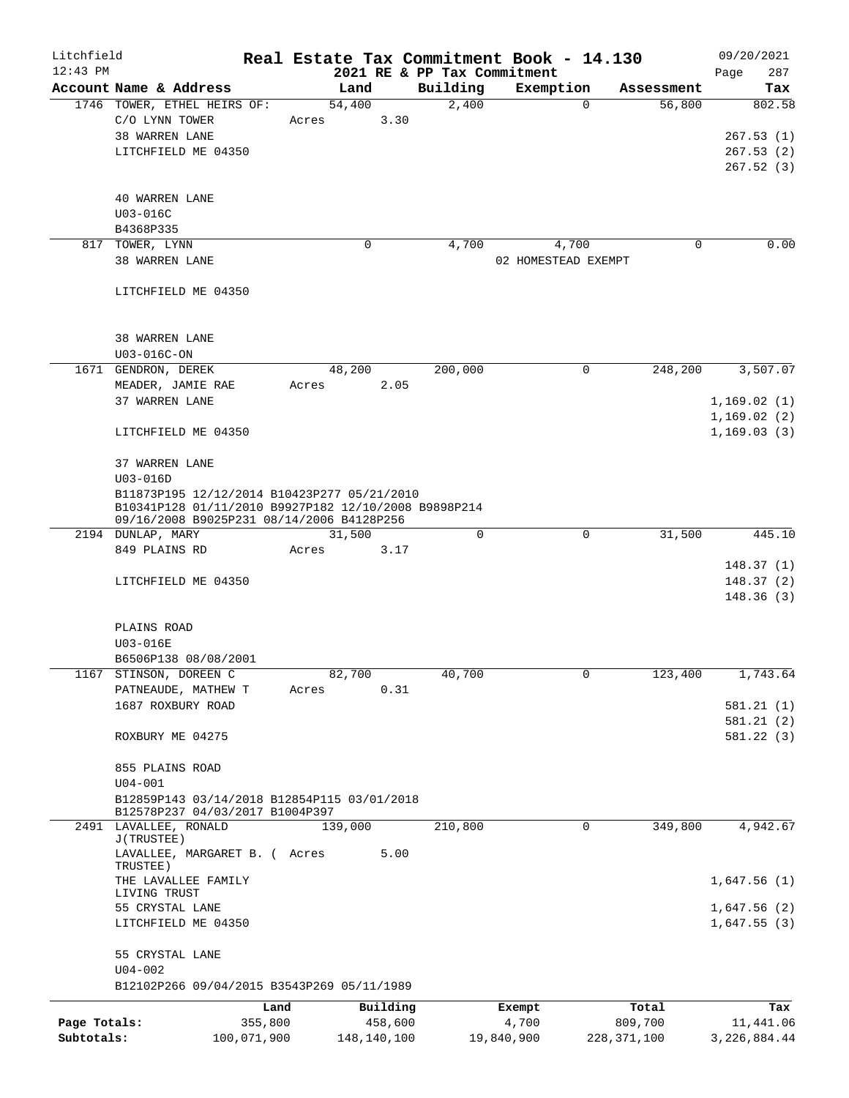| Litchfield   |                                     |                                                                                |       |             |          | Real Estate Tax Commitment Book - 14.130 |               |            | 09/20/2021     |
|--------------|-------------------------------------|--------------------------------------------------------------------------------|-------|-------------|----------|------------------------------------------|---------------|------------|----------------|
| $12:43$ PM   |                                     |                                                                                |       |             |          | 2021 RE & PP Tax Commitment              |               |            | 287<br>Page    |
|              | Account Name & Address              |                                                                                |       | Land        | Building | Exemption                                |               | Assessment | Tax            |
|              |                                     | 1746 TOWER, ETHEL HEIRS OF:                                                    |       | 54,400      | 2,400    |                                          | $\Omega$      | 56,800     | 802.58         |
|              | C/O LYNN TOWER                      |                                                                                | Acres | 3.30        |          |                                          |               |            |                |
|              | 38 WARREN LANE                      |                                                                                |       |             |          |                                          |               |            | 267.53(1)      |
|              | LITCHFIELD ME 04350                 |                                                                                |       |             |          |                                          |               |            | 267.53(2)      |
|              |                                     |                                                                                |       |             |          |                                          |               |            | 267.52(3)      |
|              | <b>40 WARREN LANE</b>               |                                                                                |       |             |          |                                          |               |            |                |
|              | U03-016C                            |                                                                                |       |             |          |                                          |               |            |                |
|              | B4368P335                           |                                                                                |       |             |          |                                          |               |            |                |
|              | 817 TOWER, LYNN                     |                                                                                |       | 0           | 4,700    | 4,700                                    |               | 0          | 0.00           |
|              | 38 WARREN LANE                      |                                                                                |       |             |          | 02 HOMESTEAD EXEMPT                      |               |            |                |
|              |                                     |                                                                                |       |             |          |                                          |               |            |                |
|              | LITCHFIELD ME 04350                 |                                                                                |       |             |          |                                          |               |            |                |
|              |                                     |                                                                                |       |             |          |                                          |               |            |                |
|              |                                     |                                                                                |       |             |          |                                          |               |            |                |
|              | 38 WARREN LANE                      |                                                                                |       |             |          |                                          |               |            |                |
|              | U03-016C-ON                         |                                                                                |       |             |          |                                          |               |            |                |
|              | 1671 GENDRON, DEREK                 |                                                                                |       | 48,200      | 200,000  |                                          | 0             | 248,200    | 3,507.07       |
|              | MEADER, JAMIE RAE                   |                                                                                | Acres | 2.05        |          |                                          |               |            |                |
|              | 37 WARREN LANE                      |                                                                                |       |             |          |                                          |               |            | 1,169.02(1)    |
|              |                                     |                                                                                |       |             |          |                                          |               |            | 1,169.02(2)    |
|              | LITCHFIELD ME 04350                 |                                                                                |       |             |          |                                          |               |            | 1,169.03(3)    |
|              |                                     |                                                                                |       |             |          |                                          |               |            |                |
|              | 37 WARREN LANE                      |                                                                                |       |             |          |                                          |               |            |                |
|              | $U03 - 016D$                        |                                                                                |       |             |          |                                          |               |            |                |
|              |                                     | B11873P195 12/12/2014 B10423P277 05/21/2010                                    |       |             |          |                                          |               |            |                |
|              |                                     | B10341P128 01/11/2010 B9927P182 12/10/2008 B9898P214                           |       |             |          |                                          |               |            |                |
|              | 2194 DUNLAP, MARY                   | 09/16/2008 B9025P231 08/14/2006 B4128P256                                      |       | 31,500      | 0        |                                          | 0             | 31,500     | 445.10         |
|              | 849 PLAINS RD                       |                                                                                | Acres | 3.17        |          |                                          |               |            |                |
|              |                                     |                                                                                |       |             |          |                                          |               |            | 148.37(1)      |
|              | LITCHFIELD ME 04350                 |                                                                                |       |             |          |                                          |               |            | 148.37(2)      |
|              |                                     |                                                                                |       |             |          |                                          |               |            | 148.36(3)      |
|              |                                     |                                                                                |       |             |          |                                          |               |            |                |
|              | PLAINS ROAD                         |                                                                                |       |             |          |                                          |               |            |                |
|              | U03-016E                            |                                                                                |       |             |          |                                          |               |            |                |
|              | B6506P138 08/08/2001                |                                                                                |       |             |          |                                          |               |            |                |
|              | 1167 STINSON, DOREEN C              |                                                                                |       | 82,700      | 40,700   |                                          | $\mathbf{0}$  | 123,400    | 1,743.64       |
|              | PATNEAUDE, MATHEW T                 |                                                                                | Acres | 0.31        |          |                                          |               |            |                |
|              | 1687 ROXBURY ROAD                   |                                                                                |       |             |          |                                          |               |            | 581.21(1)      |
|              |                                     |                                                                                |       |             |          |                                          |               |            | 581.21 (2)     |
|              | ROXBURY ME 04275                    |                                                                                |       |             |          |                                          |               |            | 581.22 (3)     |
|              |                                     |                                                                                |       |             |          |                                          |               |            |                |
|              | 855 PLAINS ROAD                     |                                                                                |       |             |          |                                          |               |            |                |
|              | $U04 - 001$                         |                                                                                |       |             |          |                                          |               |            |                |
|              |                                     | B12859P143 03/14/2018 B12854P115 03/01/2018<br>B12578P237 04/03/2017 B1004P397 |       |             |          |                                          |               |            |                |
|              | 2491 LAVALLEE, RONALD               |                                                                                |       | 139,000     | 210,800  |                                          | 0             | 349,800    | 4,942.67       |
|              | J(TRUSTEE)                          |                                                                                |       |             |          |                                          |               |            |                |
|              |                                     | LAVALLEE, MARGARET B. ( Acres                                                  |       | 5.00        |          |                                          |               |            |                |
|              | TRUSTEE)                            |                                                                                |       |             |          |                                          |               |            |                |
|              | THE LAVALLEE FAMILY<br>LIVING TRUST |                                                                                |       |             |          |                                          |               |            | 1,647.56(1)    |
|              | 55 CRYSTAL LANE                     |                                                                                |       |             |          |                                          |               |            | 1,647.56(2)    |
|              | LITCHFIELD ME 04350                 |                                                                                |       |             |          |                                          |               |            | 1,647.55(3)    |
|              |                                     |                                                                                |       |             |          |                                          |               |            |                |
|              | 55 CRYSTAL LANE                     |                                                                                |       |             |          |                                          |               |            |                |
|              | $U04 - 002$                         |                                                                                |       |             |          |                                          |               |            |                |
|              |                                     | B12102P266 09/04/2015 B3543P269 05/11/1989                                     |       |             |          |                                          |               |            |                |
|              |                                     |                                                                                | Land  | Building    |          | Exempt                                   |               | Total      | Tax            |
| Page Totals: |                                     | 355,800                                                                        |       | 458,600     |          | 4,700                                    |               | 809,700    | 11,441.06      |
| Subtotals:   |                                     | 100,071,900                                                                    |       | 148,140,100 |          | 19,840,900                               | 228, 371, 100 |            | 3, 226, 884.44 |
|              |                                     |                                                                                |       |             |          |                                          |               |            |                |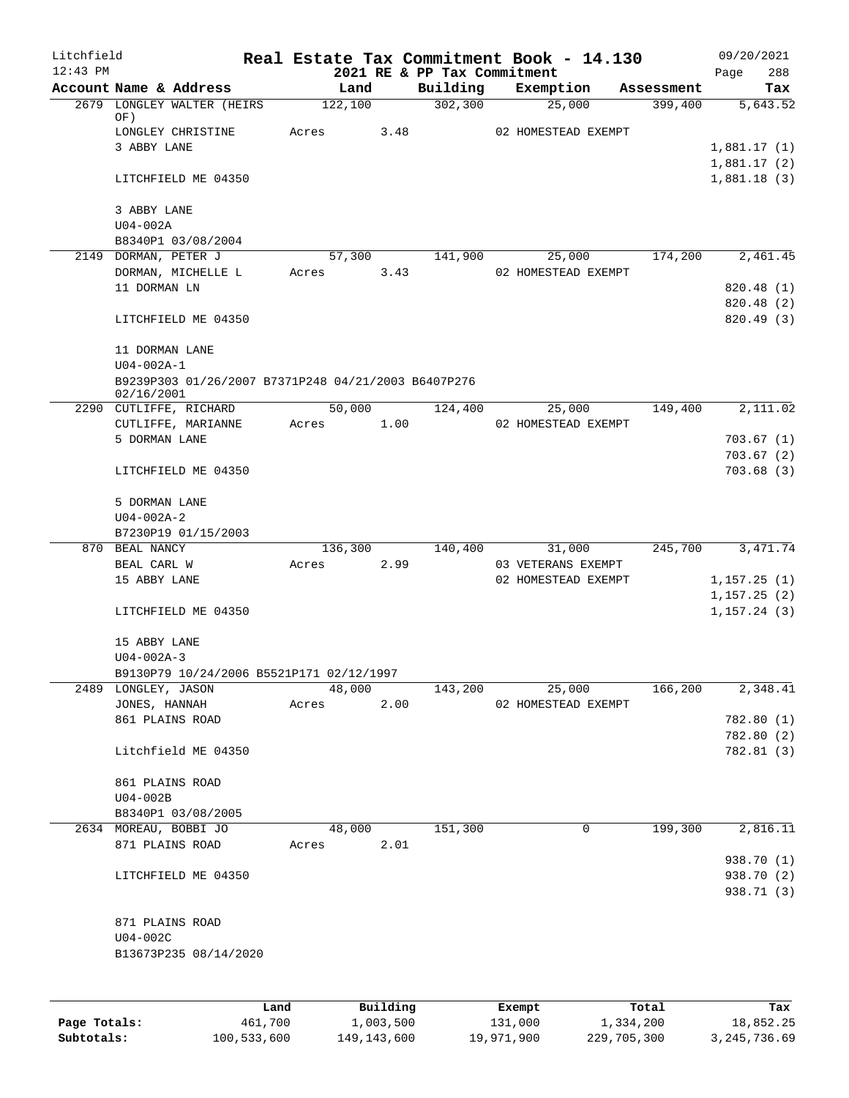| Litchfield |                                                     |       |         |          |                                         |        | Real Estate Tax Commitment Book - 14.130 |            | 09/20/2021               |
|------------|-----------------------------------------------------|-------|---------|----------|-----------------------------------------|--------|------------------------------------------|------------|--------------------------|
| $12:43$ PM | Account Name & Address                              |       | Land    |          | 2021 RE & PP Tax Commitment<br>Building |        | Exemption                                | Assessment | 288<br>Page<br>Tax       |
|            | 2679 LONGLEY WALTER (HEIRS                          |       | 122,100 |          | 302, 300                                |        | 25,000                                   | 399,400    | 5,643.52                 |
|            | OF)<br>LONGLEY CHRISTINE                            | Acres |         | 3.48     |                                         |        | 02 HOMESTEAD EXEMPT                      |            |                          |
|            | 3 ABBY LANE                                         |       |         |          |                                         |        |                                          |            | 1,881.17(1)              |
|            |                                                     |       |         |          |                                         |        |                                          |            | 1,881.17(2)              |
|            | LITCHFIELD ME 04350                                 |       |         |          |                                         |        |                                          |            | 1,881.18(3)              |
|            | 3 ABBY LANE                                         |       |         |          |                                         |        |                                          |            |                          |
|            | $U04-002A$                                          |       |         |          |                                         |        |                                          |            |                          |
|            | B8340P1 03/08/2004                                  |       |         |          |                                         |        |                                          |            |                          |
|            | 2149 DORMAN, PETER J                                |       |         | 57,300   | 141,900                                 |        | 25,000                                   | 174,200    | 2,461.45                 |
|            | DORMAN, MICHELLE L                                  |       | Acres   | 3.43     |                                         |        | 02 HOMESTEAD EXEMPT                      |            |                          |
|            | 11 DORMAN LN                                        |       |         |          |                                         |        |                                          |            | 820.48 (1)               |
|            | LITCHFIELD ME 04350                                 |       |         |          |                                         |        |                                          |            | 820.48 (2)<br>820.49(3)  |
|            |                                                     |       |         |          |                                         |        |                                          |            |                          |
|            | 11 DORMAN LANE<br>$U04 - 002A - 1$                  |       |         |          |                                         |        |                                          |            |                          |
|            | B9239P303 01/26/2007 B7371P248 04/21/2003 B6407P276 |       |         |          |                                         |        |                                          |            |                          |
|            | 02/16/2001                                          |       |         |          |                                         |        |                                          |            |                          |
|            | 2290 CUTLIFFE, RICHARD                              |       | 50,000  |          | 124,400                                 |        | 25,000                                   | 149,400    | 2,111.02                 |
|            | CUTLIFFE, MARIANNE<br>5 DORMAN LANE                 |       | Acres   | 1.00     |                                         |        | 02 HOMESTEAD EXEMPT                      |            |                          |
|            |                                                     |       |         |          |                                         |        |                                          |            | 703.67(1)<br>703.67(2)   |
|            | LITCHFIELD ME 04350                                 |       |         |          |                                         |        |                                          |            | 703.68(3)                |
|            | 5 DORMAN LANE                                       |       |         |          |                                         |        |                                          |            |                          |
|            | $U04 - 002A - 2$                                    |       |         |          |                                         |        |                                          |            |                          |
|            | B7230P19 01/15/2003                                 |       |         |          |                                         |        |                                          |            |                          |
|            | 870 BEAL NANCY                                      |       | 136,300 |          | 140,400                                 |        | 31,000                                   | 245,700    | 3, 471.74                |
|            | BEAL CARL W                                         | Acres |         | 2.99     |                                         |        | 03 VETERANS EXEMPT                       |            |                          |
|            | 15 ABBY LANE                                        |       |         |          |                                         |        | 02 HOMESTEAD EXEMPT                      |            | 1,157.25(1)              |
|            |                                                     |       |         |          |                                         |        |                                          |            | 1, 157.25(2)             |
|            | LITCHFIELD ME 04350                                 |       |         |          |                                         |        |                                          |            | 1, 157.24(3)             |
|            | 15 ABBY LANE                                        |       |         |          |                                         |        |                                          |            |                          |
|            | $U04 - 002A - 3$                                    |       |         |          |                                         |        |                                          |            |                          |
|            | B9130P79 10/24/2006 B5521P171 02/12/1997            |       |         |          |                                         |        |                                          |            |                          |
|            | 2489 LONGLEY, JASON                                 |       | 48,000  |          | 143,200                                 |        | 25,000                                   | 166,200    | 2,348.41                 |
|            | JONES, HANNAH                                       |       | Acres   | 2.00     |                                         |        | 02 HOMESTEAD EXEMPT                      |            |                          |
|            | 861 PLAINS ROAD                                     |       |         |          |                                         |        |                                          |            | 782.80 (1)<br>782.80 (2) |
|            | Litchfield ME 04350                                 |       |         |          |                                         |        |                                          |            | 782.81 (3)               |
|            | 861 PLAINS ROAD                                     |       |         |          |                                         |        |                                          |            |                          |
|            | $U04-002B$                                          |       |         |          |                                         |        |                                          |            |                          |
|            | B8340P1 03/08/2005                                  |       |         |          |                                         |        |                                          |            |                          |
|            | 2634 MOREAU, BOBBI JO                               |       | 48,000  |          | 151,300                                 |        | 0                                        | 199,300    | 2,816.11                 |
|            | 871 PLAINS ROAD                                     |       | Acres   | 2.01     |                                         |        |                                          |            |                          |
|            |                                                     |       |         |          |                                         |        |                                          |            | 938.70 (1)               |
|            | LITCHFIELD ME 04350                                 |       |         |          |                                         |        |                                          |            | 938.70 (2)               |
|            |                                                     |       |         |          |                                         |        |                                          |            | 938.71 (3)               |
|            | 871 PLAINS ROAD                                     |       |         |          |                                         |        |                                          |            |                          |
|            | $U04-002C$                                          |       |         |          |                                         |        |                                          |            |                          |
|            | B13673P235 08/14/2020                               |       |         |          |                                         |        |                                          |            |                          |
|            |                                                     |       |         |          |                                         |        |                                          |            |                          |
|            |                                                     | Land  |         | Building |                                         | Exempt |                                          | Total      | Tax                      |

|              | nana        | <u>DULLULUM</u> | <b>BACINDO</b> | ----        | $-0.2$       |
|--------------|-------------|-----------------|----------------|-------------|--------------|
| Page Totals: | 461,700     | 1,003,500       | 131,000        | 1,334,200   | 18,852.25    |
| Subtotals:   | 100,533,600 | 149, 143, 600   | 19,971,900     | 229,705,300 | 3,245,736.69 |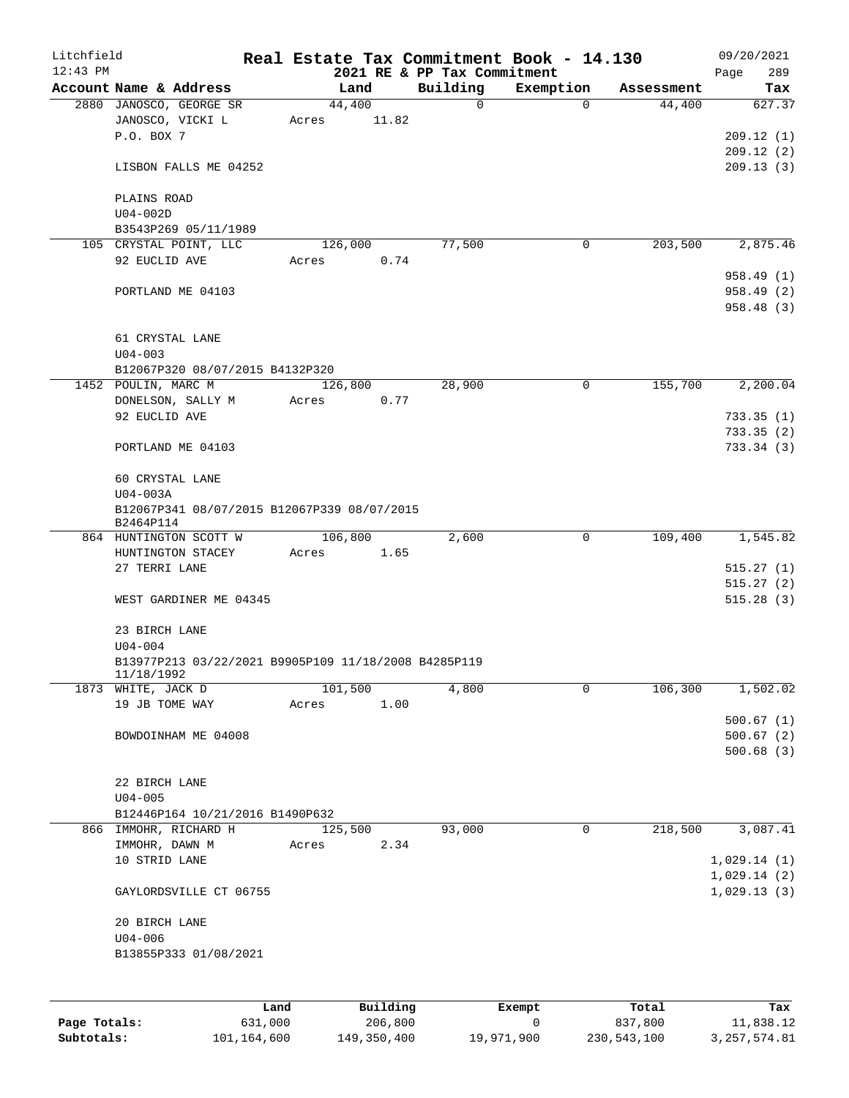| Litchfield   |                                                      |       |          |                             | Real Estate Tax Commitment Book - 14.130 |            | 09/20/2021  |
|--------------|------------------------------------------------------|-------|----------|-----------------------------|------------------------------------------|------------|-------------|
| $12:43$ PM   |                                                      |       |          | 2021 RE & PP Tax Commitment |                                          |            | 289<br>Page |
|              | Account Name & Address                               |       | Land     | Building                    | Exemption                                | Assessment | Tax         |
|              | 2880 JANOSCO, GEORGE SR                              |       | 44,400   | $\mathbf 0$                 | $\Omega$                                 | 44,400     | 627.37      |
|              | JANOSCO, VICKI L<br>P.O. BOX 7                       | Acres | 11.82    |                             |                                          |            |             |
|              |                                                      |       |          |                             |                                          |            | 209.12(1)   |
|              |                                                      |       |          |                             |                                          |            | 209.12(2)   |
|              | LISBON FALLS ME 04252                                |       |          |                             |                                          |            | 209.13(3)   |
|              | PLAINS ROAD                                          |       |          |                             |                                          |            |             |
|              | $U04-002D$                                           |       |          |                             |                                          |            |             |
|              | B3543P269 05/11/1989                                 |       |          |                             |                                          |            |             |
|              | 105 CRYSTAL POINT, LLC                               |       | 126,000  | 77,500                      | 0                                        | 203,500    | 2,875.46    |
|              | 92 EUCLID AVE                                        | Acres | 0.74     |                             |                                          |            |             |
|              |                                                      |       |          |                             |                                          |            | 958.49 (1)  |
|              | PORTLAND ME 04103                                    |       |          |                             |                                          |            | 958.49 (2)  |
|              |                                                      |       |          |                             |                                          |            | 958.48(3)   |
|              |                                                      |       |          |                             |                                          |            |             |
|              | 61 CRYSTAL LANE                                      |       |          |                             |                                          |            |             |
|              | $U04 - 003$                                          |       |          |                             |                                          |            |             |
|              | B12067P320 08/07/2015 B4132P320                      |       |          |                             |                                          |            |             |
|              | 1452 POULIN, MARC M                                  |       | 126,800  | 28,900                      | $\mathbf 0$                              | 155,700    | 2,200.04    |
|              | DONELSON, SALLY M                                    | Acres | 0.77     |                             |                                          |            |             |
|              | 92 EUCLID AVE                                        |       |          |                             |                                          |            | 733.35(1)   |
|              |                                                      |       |          |                             |                                          |            | 733.35(2)   |
|              | PORTLAND ME 04103                                    |       |          |                             |                                          |            | 733.34(3)   |
|              |                                                      |       |          |                             |                                          |            |             |
|              | 60 CRYSTAL LANE                                      |       |          |                             |                                          |            |             |
|              | $U04-003A$                                           |       |          |                             |                                          |            |             |
|              | B12067P341 08/07/2015 B12067P339 08/07/2015          |       |          |                             |                                          |            |             |
|              | B2464P114                                            |       |          |                             |                                          |            |             |
|              | 864 HUNTINGTON SCOTT W                               |       | 106,800  | 2,600                       | 0                                        | 109,400    | 1,545.82    |
|              | HUNTINGTON STACEY                                    | Acres | 1.65     |                             |                                          |            |             |
|              | 27 TERRI LANE                                        |       |          |                             |                                          |            | 515.27(1)   |
|              |                                                      |       |          |                             |                                          |            | 515.27(2)   |
|              | WEST GARDINER ME 04345                               |       |          |                             |                                          |            | 515.28(3)   |
|              |                                                      |       |          |                             |                                          |            |             |
|              | 23 BIRCH LANE                                        |       |          |                             |                                          |            |             |
|              | $U04 - 004$                                          |       |          |                             |                                          |            |             |
|              | B13977P213 03/22/2021 B9905P109 11/18/2008 B4285P119 |       |          |                             |                                          |            |             |
|              | 11/18/1992<br>1873 WHITE, JACK D                     |       | 101,500  | 4,800                       | 0                                        | 106,300    | 1,502.02    |
|              | 19 JB TOME WAY                                       | Acres | 1.00     |                             |                                          |            |             |
|              |                                                      |       |          |                             |                                          |            | 500.67(1)   |
|              | BOWDOINHAM ME 04008                                  |       |          |                             |                                          |            | 500.67(2)   |
|              |                                                      |       |          |                             |                                          |            | 500.68(3)   |
|              |                                                      |       |          |                             |                                          |            |             |
|              | 22 BIRCH LANE                                        |       |          |                             |                                          |            |             |
|              | $U04 - 005$                                          |       |          |                             |                                          |            |             |
|              | B12446P164 10/21/2016 B1490P632                      |       |          |                             |                                          |            |             |
|              | 866 IMMOHR, RICHARD H                                |       | 125,500  | 93,000                      | $\Omega$                                 | 218,500    | 3,087.41    |
|              | IMMOHR, DAWN M                                       | Acres | 2.34     |                             |                                          |            |             |
|              | 10 STRID LANE                                        |       |          |                             |                                          |            | 1,029.14(1) |
|              |                                                      |       |          |                             |                                          |            | 1,029.14(2) |
|              | GAYLORDSVILLE CT 06755                               |       |          |                             |                                          |            | 1,029.13(3) |
|              |                                                      |       |          |                             |                                          |            |             |
|              | 20 BIRCH LANE                                        |       |          |                             |                                          |            |             |
|              | $U04 - 006$                                          |       |          |                             |                                          |            |             |
|              | B13855P333 01/08/2021                                |       |          |                             |                                          |            |             |
|              |                                                      |       |          |                             |                                          |            |             |
|              |                                                      |       |          |                             |                                          |            |             |
|              | Land                                                 |       | Building |                             | Exempt                                   | Total      | Tax         |
| Page Totals: | 631,000                                              |       | 206,800  |                             | 0                                        | 837,800    | 11,838.12   |

**Subtotals:** 101,164,600 149,350,400 19,971,900 230,543,100 3,257,574.81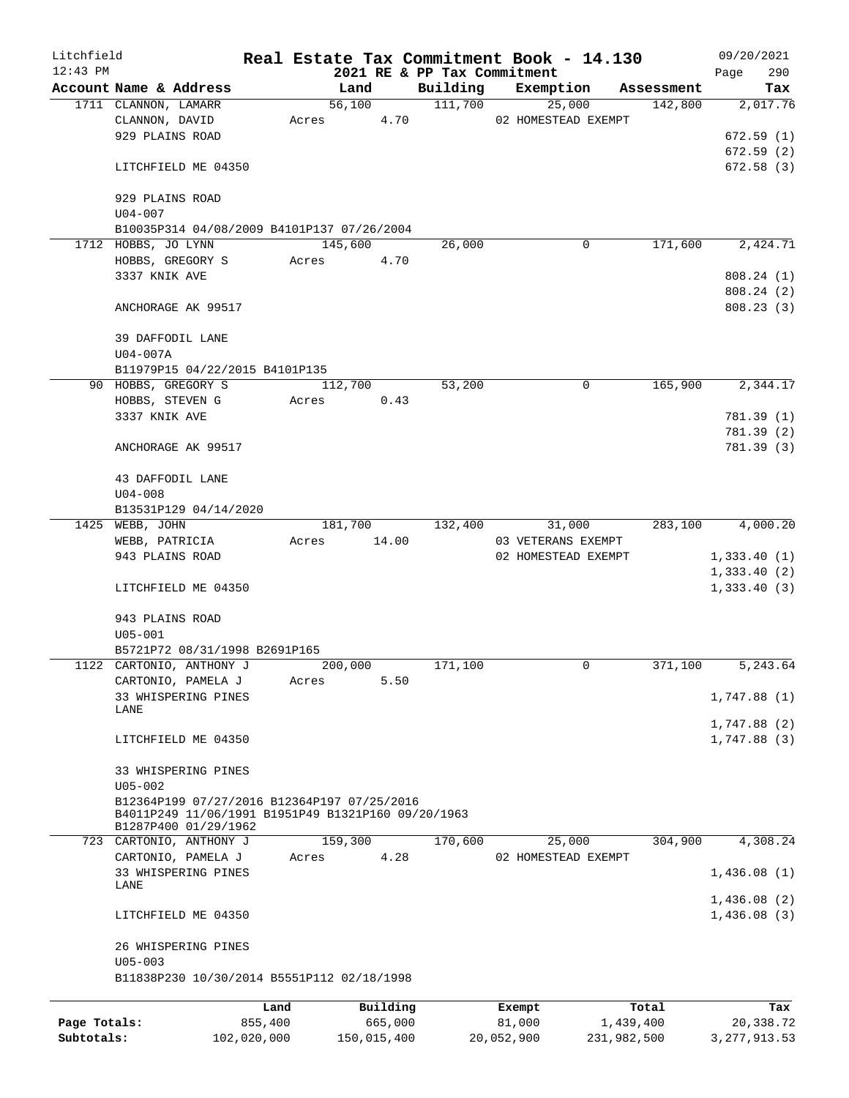| Litchfield   |                                                                                                   |             |       |                      |                             | Real Estate Tax Commitment Book - 14.130 |             | 09/20/2021     |
|--------------|---------------------------------------------------------------------------------------------------|-------------|-------|----------------------|-----------------------------|------------------------------------------|-------------|----------------|
| $12:43$ PM   |                                                                                                   |             |       |                      | 2021 RE & PP Tax Commitment |                                          |             | 290<br>Page    |
|              | Account Name & Address                                                                            |             |       | Land                 | Building                    | Exemption                                | Assessment  | Tax            |
|              | 1711 CLANNON, LAMARR                                                                              |             |       | 56,100<br>Acres 4.70 | 111,700                     | 25,000                                   | 142,800     | 2,017.76       |
|              | CLANNON, DAVID<br>929 PLAINS ROAD                                                                 |             |       |                      |                             | 02 HOMESTEAD EXEMPT                      |             |                |
|              |                                                                                                   |             |       |                      |                             |                                          |             | 672.59(1)      |
|              |                                                                                                   |             |       |                      |                             |                                          |             | 672.59(2)      |
|              | LITCHFIELD ME 04350                                                                               |             |       |                      |                             |                                          |             | 672.58(3)      |
|              | 929 PLAINS ROAD                                                                                   |             |       |                      |                             |                                          |             |                |
|              | $U04 - 007$                                                                                       |             |       |                      |                             |                                          |             |                |
|              | B10035P314 04/08/2009 B4101P137 07/26/2004                                                        |             |       |                      |                             |                                          |             |                |
|              | 1712 HOBBS, JO LYNN                                                                               |             |       | 145,600              | 26,000                      | 0                                        | 171,600     | 2,424.71       |
|              | HOBBS, GREGORY S                                                                                  |             | Acres | 4.70                 |                             |                                          |             |                |
|              | 3337 KNIK AVE                                                                                     |             |       |                      |                             |                                          |             | 808.24 (1)     |
|              |                                                                                                   |             |       |                      |                             |                                          |             | 808.24(2)      |
|              | ANCHORAGE AK 99517                                                                                |             |       |                      |                             |                                          |             | 808.23 (3)     |
|              |                                                                                                   |             |       |                      |                             |                                          |             |                |
|              | 39 DAFFODIL LANE                                                                                  |             |       |                      |                             |                                          |             |                |
|              | U04-007A                                                                                          |             |       |                      |                             |                                          |             |                |
|              | B11979P15 04/22/2015 B4101P135                                                                    |             |       |                      |                             |                                          |             |                |
|              | 90 HOBBS, GREGORY S                                                                               |             |       | 112,700              | 53,200                      | 0                                        | 165,900     | 2,344.17       |
|              | HOBBS, STEVEN G                                                                                   |             | Acres | 0.43                 |                             |                                          |             |                |
|              | 3337 KNIK AVE                                                                                     |             |       |                      |                             |                                          |             | 781.39 (1)     |
|              |                                                                                                   |             |       |                      |                             |                                          |             | 781.39 (2)     |
|              | ANCHORAGE AK 99517                                                                                |             |       |                      |                             |                                          |             | 781.39 (3)     |
|              |                                                                                                   |             |       |                      |                             |                                          |             |                |
|              | 43 DAFFODIL LANE                                                                                  |             |       |                      |                             |                                          |             |                |
|              | $U04 - 008$                                                                                       |             |       |                      |                             |                                          |             |                |
|              | B13531P129 04/14/2020                                                                             |             |       |                      |                             |                                          |             |                |
|              | 1425 WEBB, JOHN                                                                                   |             |       |                      | 181,700 132,400             | 31,000                                   | 283,100     | 4,000.20       |
|              | WEBB, PATRICIA                                                                                    |             | Acres | 14.00                |                             | 03 VETERANS EXEMPT                       |             |                |
|              | 943 PLAINS ROAD                                                                                   |             |       |                      |                             | 02 HOMESTEAD EXEMPT                      |             | 1,333.40(1)    |
|              |                                                                                                   |             |       |                      |                             |                                          |             | 1,333.40(2)    |
|              | LITCHFIELD ME 04350                                                                               |             |       |                      |                             |                                          |             | 1,333.40(3)    |
|              |                                                                                                   |             |       |                      |                             |                                          |             |                |
|              | 943 PLAINS ROAD                                                                                   |             |       |                      |                             |                                          |             |                |
|              | $U05 - 001$                                                                                       |             |       |                      |                             |                                          |             |                |
|              | B5721P72 08/31/1998 B2691P165                                                                     |             |       |                      |                             |                                          |             |                |
|              | 1122 CARTONIO, ANTHONY J                                                                          |             |       | 200,000              | 171,100                     | 0                                        | 371,100     | 5,243.64       |
|              | CARTONIO, PAMELA J                                                                                |             | Acres | 5.50                 |                             |                                          |             |                |
|              | 33 WHISPERING PINES                                                                               |             |       |                      |                             |                                          |             | 1,747.88(1)    |
|              | LANE                                                                                              |             |       |                      |                             |                                          |             |                |
|              |                                                                                                   |             |       |                      |                             |                                          |             | 1,747.88 (2)   |
|              | LITCHFIELD ME 04350                                                                               |             |       |                      |                             |                                          |             | 1,747.88(3)    |
|              |                                                                                                   |             |       |                      |                             |                                          |             |                |
|              | 33 WHISPERING PINES                                                                               |             |       |                      |                             |                                          |             |                |
|              | $U05 - 002$                                                                                       |             |       |                      |                             |                                          |             |                |
|              | B12364P199 07/27/2016 B12364P197 07/25/2016<br>B4011P249 11/06/1991 B1951P49 B1321P160 09/20/1963 |             |       |                      |                             |                                          |             |                |
|              | B1287P400 01/29/1962                                                                              |             |       |                      |                             |                                          |             |                |
|              | 723 CARTONIO, ANTHONY J                                                                           |             |       | 159,300              | 170,600                     | 25,000                                   | 304,900     | 4,308.24       |
|              | CARTONIO, PAMELA J                                                                                |             | Acres | 4.28                 |                             | 02 HOMESTEAD EXEMPT                      |             |                |
|              | 33 WHISPERING PINES                                                                               |             |       |                      |                             |                                          |             | 1,436.08(1)    |
|              | LANE                                                                                              |             |       |                      |                             |                                          |             |                |
|              |                                                                                                   |             |       |                      |                             |                                          |             | 1,436.08(2)    |
|              | LITCHFIELD ME 04350                                                                               |             |       |                      |                             |                                          |             | 1,436.08(3)    |
|              |                                                                                                   |             |       |                      |                             |                                          |             |                |
|              | 26 WHISPERING PINES                                                                               |             |       |                      |                             |                                          |             |                |
|              | $U05 - 003$                                                                                       |             |       |                      |                             |                                          |             |                |
|              | B11838P230 10/30/2014 B5551P112 02/18/1998                                                        |             |       |                      |                             |                                          |             |                |
|              |                                                                                                   |             |       |                      |                             |                                          |             |                |
|              |                                                                                                   | Land        |       | Building             |                             | Exempt                                   | Total       | Tax            |
| Page Totals: |                                                                                                   | 855,400     |       | 665,000              |                             | 81,000                                   | 1,439,400   | 20,338.72      |
| Subtotals:   |                                                                                                   | 102,020,000 |       | 150,015,400          |                             | 20,052,900                               | 231,982,500 | 3, 277, 913.53 |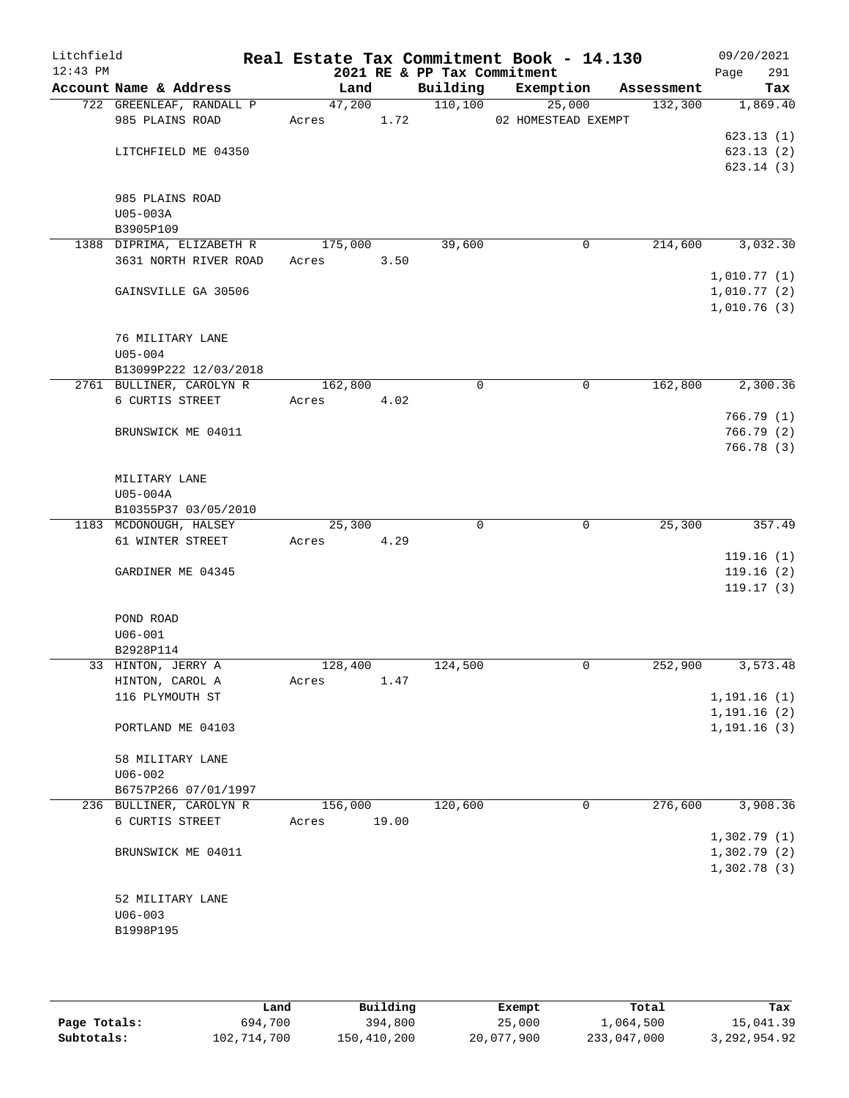| Litchfield<br>$12:43$ PM |                                                          |                  |       | 2021 RE & PP Tax Commitment | Real Estate Tax Commitment Book - 14.130 |            | 09/20/2021<br>291<br>Page                 |
|--------------------------|----------------------------------------------------------|------------------|-------|-----------------------------|------------------------------------------|------------|-------------------------------------------|
|                          | Account Name & Address                                   | Land             |       | Building                    | Exemption                                | Assessment | Tax                                       |
|                          | 722 GREENLEAF, RANDALL P<br>985 PLAINS ROAD              | 47,200<br>Acres  | 1.72  | 110,100                     | 25,000<br>02 HOMESTEAD EXEMPT            | 132,300    | 1,869.40                                  |
|                          | LITCHFIELD ME 04350                                      |                  |       |                             |                                          |            | 623.13(1)<br>623.13(2)<br>623.14(3)       |
|                          | 985 PLAINS ROAD<br>U05-003A<br>B3905P109                 |                  |       |                             |                                          |            |                                           |
|                          | 1388 DIPRIMA, ELIZABETH R<br>3631 NORTH RIVER ROAD       | 175,000<br>Acres | 3.50  | 39,600                      | 0                                        | 214,600    | 3,032.30                                  |
|                          | GAINSVILLE GA 30506                                      |                  |       |                             |                                          |            | 1,010.77(1)<br>1,010.77(2)<br>1,010.76(3) |
|                          | 76 MILITARY LANE<br>$U05 - 004$<br>B13099P222 12/03/2018 |                  |       |                             |                                          |            |                                           |
|                          | 2761 BULLINER, CAROLYN R                                 | 162,800          |       | 0                           | 0                                        | 162,800    | 2,300.36                                  |
|                          | 6 CURTIS STREET                                          | Acres            | 4.02  |                             |                                          |            |                                           |
|                          |                                                          |                  |       |                             |                                          |            | 766.79(1)                                 |
|                          | BRUNSWICK ME 04011                                       |                  |       |                             |                                          |            | 766.79(2)<br>766.78(3)                    |
|                          | MILITARY LANE<br>U05-004A                                |                  |       |                             |                                          |            |                                           |
|                          | B10355P37 03/05/2010                                     |                  |       |                             |                                          |            |                                           |
|                          | 1183 MCDONOUGH, HALSEY<br>61 WINTER STREET               | 25,300<br>Acres  | 4.29  | 0                           | $\mathbf 0$                              | 25,300     | 357.49<br>119.16(1)                       |
|                          | GARDINER ME 04345                                        |                  |       |                             |                                          |            | 119.16(2)<br>119.17(3)                    |
|                          | POND ROAD<br>$U06 - 001$                                 |                  |       |                             |                                          |            |                                           |
|                          | B2928P114                                                |                  |       |                             |                                          |            |                                           |
|                          | 33 HINTON, JERRY A                                       | 128,400          |       | 124,500                     | 0                                        | 252,900    | 3,573.48                                  |
|                          | HINTON, CAROL A                                          | Acres            | 1.47  |                             |                                          |            |                                           |
|                          | 116 PLYMOUTH ST                                          |                  |       |                             |                                          |            | 1, 191.16(1)                              |
|                          | PORTLAND ME 04103                                        |                  |       |                             |                                          |            | 1, 191.16(2)<br>1, 191.16(3)              |
|                          | 58 MILITARY LANE<br>$U06 - 002$                          |                  |       |                             |                                          |            |                                           |
|                          | B6757P266 07/01/1997                                     |                  |       |                             |                                          |            |                                           |
|                          | 236 BULLINER, CAROLYN R                                  | 156,000          |       | 120,600                     | 0                                        | 276,600    | 3,908.36                                  |
|                          | 6 CURTIS STREET                                          | Acres            | 19.00 |                             |                                          |            | 1,302.79(1)                               |
|                          | BRUNSWICK ME 04011                                       |                  |       |                             |                                          |            | 1,302.79(2)<br>1,302.78(3)                |
|                          | 52 MILITARY LANE<br>$U06 - 003$                          |                  |       |                             |                                          |            |                                           |
|                          | B1998P195                                                |                  |       |                             |                                          |            |                                           |

|              | Land        | Building    | Exempt     | Total       | Tax            |
|--------------|-------------|-------------|------------|-------------|----------------|
| Page Totals: | 694,700     | 394,800     | 25,000     | 1,064,500   | 15,041.39      |
| Subtotals:   | 102,714,700 | 150,410,200 | 20,077,900 | 233,047,000 | 3, 292, 954.92 |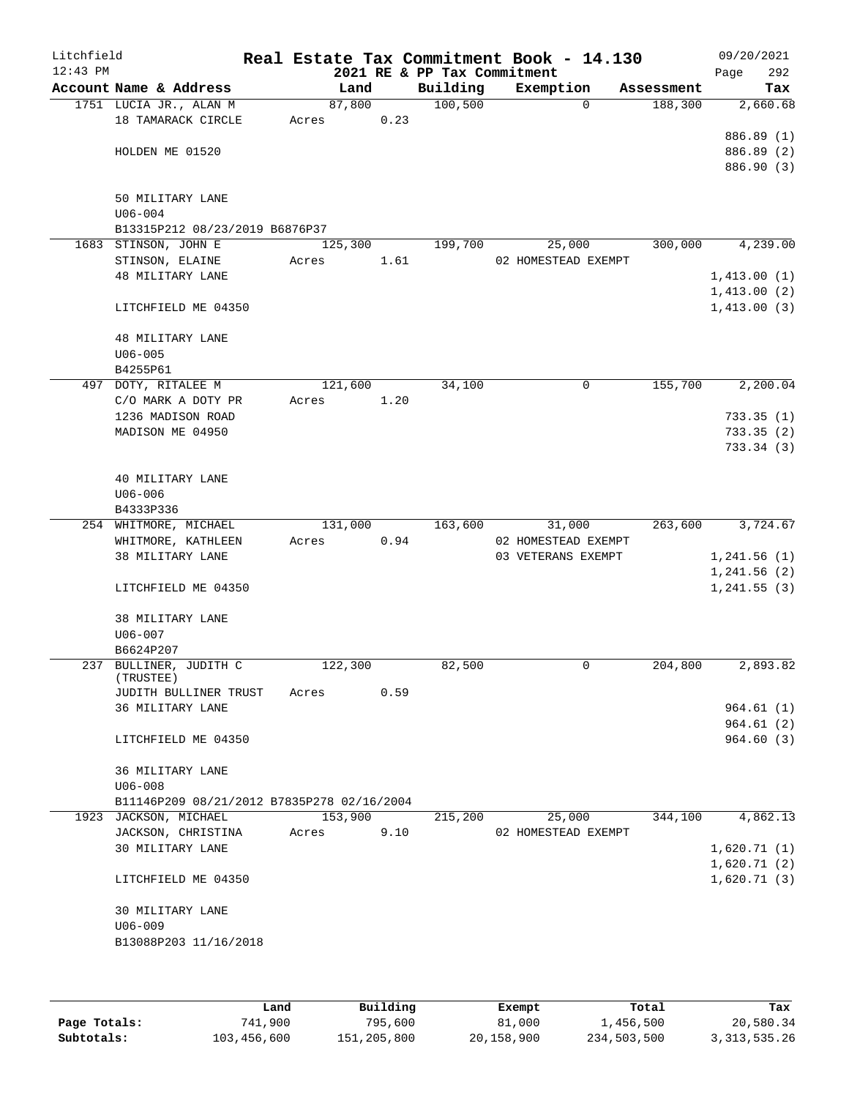| Litchfield<br>$12:43$ PM |                                            |       |         |      | Real Estate Tax Commitment Book - 14.130<br>2021 RE & PP Tax Commitment |                                           |             |            | 09/20/2021                  | 292        |
|--------------------------|--------------------------------------------|-------|---------|------|-------------------------------------------------------------------------|-------------------------------------------|-------------|------------|-----------------------------|------------|
|                          | Account Name & Address                     |       | Land    |      | Building                                                                | Exemption                                 |             | Assessment | Page                        | Tax        |
|                          | 1751 LUCIA JR., ALAN M                     |       | 87,800  |      | 100, 500                                                                |                                           | 0           | 188,300    |                             | 2,660.68   |
|                          | 18 TAMARACK CIRCLE                         | Acres |         | 0.23 |                                                                         |                                           |             |            |                             |            |
|                          |                                            |       |         |      |                                                                         |                                           |             |            |                             | 886.89 (1) |
|                          | HOLDEN ME 01520                            |       |         |      |                                                                         |                                           |             |            |                             | 886.89 (2) |
|                          |                                            |       |         |      |                                                                         |                                           |             |            |                             | 886.90 (3) |
|                          |                                            |       |         |      |                                                                         |                                           |             |            |                             |            |
|                          | 50 MILITARY LANE                           |       |         |      |                                                                         |                                           |             |            |                             |            |
|                          | $U06 - 004$                                |       |         |      |                                                                         |                                           |             |            |                             |            |
|                          | B13315P212 08/23/2019 B6876P37             |       |         |      |                                                                         |                                           |             |            |                             |            |
|                          | 1683 STINSON, JOHN E                       |       | 125,300 |      | 199,700                                                                 |                                           | 25,000      | 300,000    |                             | 4,239.00   |
|                          | STINSON, ELAINE                            | Acres |         | 1.61 |                                                                         | 02 HOMESTEAD EXEMPT                       |             |            |                             |            |
|                          | 48 MILITARY LANE                           |       |         |      |                                                                         |                                           |             |            | 1,413.00(1)                 |            |
|                          |                                            |       |         |      |                                                                         |                                           |             |            | 1,413.00(2)                 |            |
|                          | LITCHFIELD ME 04350                        |       |         |      |                                                                         |                                           |             |            | 1,413.00(3)                 |            |
|                          | <b>48 MILITARY LANE</b>                    |       |         |      |                                                                         |                                           |             |            |                             |            |
|                          | $U06 - 005$                                |       |         |      |                                                                         |                                           |             |            |                             |            |
|                          | B4255P61                                   |       |         |      |                                                                         |                                           |             |            |                             |            |
|                          | 497 DOTY, RITALEE M                        |       | 121,600 |      | 34,100                                                                  |                                           | 0           | 155,700    |                             | 2,200.04   |
|                          | C/O MARK A DOTY PR                         | Acres |         | 1.20 |                                                                         |                                           |             |            |                             |            |
|                          | 1236 MADISON ROAD                          |       |         |      |                                                                         |                                           |             |            |                             | 733.35(1)  |
|                          | MADISON ME 04950                           |       |         |      |                                                                         |                                           |             |            |                             | 733.35(2)  |
|                          |                                            |       |         |      |                                                                         |                                           |             |            |                             | 733.34(3)  |
|                          |                                            |       |         |      |                                                                         |                                           |             |            |                             |            |
|                          | 40 MILITARY LANE                           |       |         |      |                                                                         |                                           |             |            |                             |            |
|                          | $U06 - 006$                                |       |         |      |                                                                         |                                           |             |            |                             |            |
|                          | B4333P336                                  |       |         |      |                                                                         |                                           |             |            |                             |            |
|                          | 254 WHITMORE, MICHAEL                      |       | 131,000 |      | 163,600                                                                 |                                           | 31,000      | 263,600    |                             | 3,724.67   |
|                          | WHITMORE, KATHLEEN<br>38 MILITARY LANE     | Acres |         | 0.94 |                                                                         | 02 HOMESTEAD EXEMPT<br>03 VETERANS EXEMPT |             |            |                             |            |
|                          |                                            |       |         |      |                                                                         |                                           |             |            | 1, 241.56(1)<br>1,241.56(2) |            |
|                          | LITCHFIELD ME 04350                        |       |         |      |                                                                         |                                           |             |            | 1, 241.55(3)                |            |
|                          |                                            |       |         |      |                                                                         |                                           |             |            |                             |            |
|                          | 38 MILITARY LANE                           |       |         |      |                                                                         |                                           |             |            |                             |            |
|                          | U06-007                                    |       |         |      |                                                                         |                                           |             |            |                             |            |
|                          | B6624P207                                  |       |         |      |                                                                         |                                           |             |            |                             |            |
|                          | 237 BULLINER, JUDITH C                     |       | 122,300 |      | 82,500                                                                  |                                           | $\mathbf 0$ | 204,800    |                             | 2,893.82   |
|                          | (TRUSTEE)                                  |       |         |      |                                                                         |                                           |             |            |                             |            |
|                          | JUDITH BULLINER TRUST                      | Acres |         | 0.59 |                                                                         |                                           |             |            |                             |            |
|                          | 36 MILITARY LANE                           |       |         |      |                                                                         |                                           |             |            |                             | 964.61(1)  |
|                          |                                            |       |         |      |                                                                         |                                           |             |            |                             | 964.61(2)  |
|                          | LITCHFIELD ME 04350                        |       |         |      |                                                                         |                                           |             |            |                             | 964.60 (3) |
|                          | 36 MILITARY LANE                           |       |         |      |                                                                         |                                           |             |            |                             |            |
|                          | $U06 - 008$                                |       |         |      |                                                                         |                                           |             |            |                             |            |
|                          | B11146P209 08/21/2012 B7835P278 02/16/2004 |       |         |      |                                                                         |                                           |             |            |                             |            |
|                          | 1923 JACKSON, MICHAEL                      |       | 153,900 |      | 215,200                                                                 |                                           | 25,000      | 344,100    |                             | 4,862.13   |
|                          | JACKSON, CHRISTINA                         | Acres |         | 9.10 |                                                                         | 02 HOMESTEAD EXEMPT                       |             |            |                             |            |
|                          | 30 MILITARY LANE                           |       |         |      |                                                                         |                                           |             |            | 1,620.71(1)                 |            |
|                          |                                            |       |         |      |                                                                         |                                           |             |            | 1,620.71(2)                 |            |
|                          | LITCHFIELD ME 04350                        |       |         |      |                                                                         |                                           |             |            | 1,620.71(3)                 |            |
|                          |                                            |       |         |      |                                                                         |                                           |             |            |                             |            |
|                          | 30 MILITARY LANE                           |       |         |      |                                                                         |                                           |             |            |                             |            |
|                          | $U06 - 009$                                |       |         |      |                                                                         |                                           |             |            |                             |            |
|                          | B13088P203 11/16/2018                      |       |         |      |                                                                         |                                           |             |            |                             |            |
|                          |                                            |       |         |      |                                                                         |                                           |             |            |                             |            |
|                          |                                            |       |         |      |                                                                         |                                           |             |            |                             |            |

|              | Land        |             |            |             |                 |
|--------------|-------------|-------------|------------|-------------|-----------------|
|              |             | Building    | Exempt     | Total       | Tax             |
| Page Totals: | 741,900     | 795,600     | 81,000     | 1,456,500   | 20,580.34       |
| Subtotals:   | 103,456,600 | 151,205,800 | 20,158,900 | 234,503,500 | 3, 313, 535. 26 |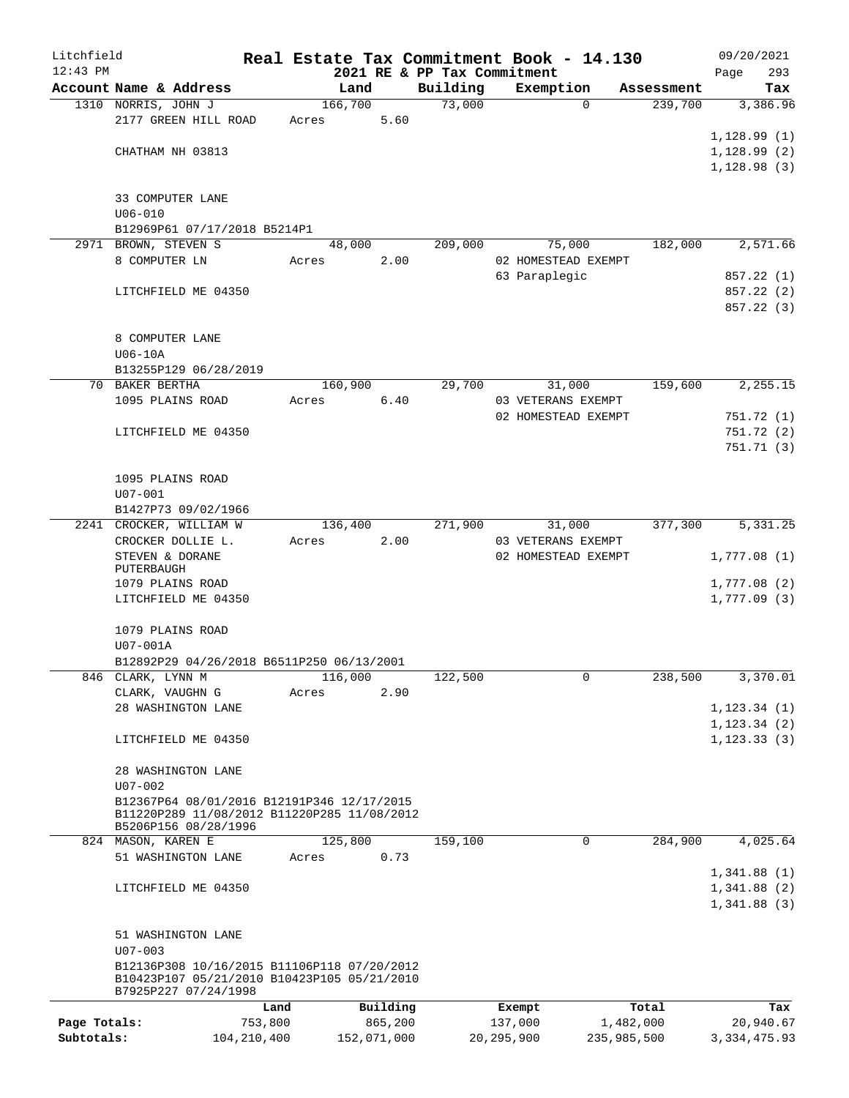| Litchfield   |                                                                                            |               |       |         |             |                             |              | Real Estate Tax Commitment Book - 14.130 |             | 09/20/2021            |
|--------------|--------------------------------------------------------------------------------------------|---------------|-------|---------|-------------|-----------------------------|--------------|------------------------------------------|-------------|-----------------------|
| $12:43$ PM   |                                                                                            |               |       |         |             | 2021 RE & PP Tax Commitment |              |                                          |             | 293<br>Page           |
|              | Account Name & Address                                                                     |               |       | Land    |             | Building                    |              | Exemption                                | Assessment  | Tax                   |
|              | 1310 NORRIS, JOHN J<br>2177 GREEN HILL ROAD                                                |               |       | 166,700 | 5.60        | 73,000                      |              | $\Omega$                                 | 239,700     | 3,386.96              |
|              |                                                                                            |               | Acres |         |             |                             |              |                                          |             | 1, 128.99(1)          |
|              | CHATHAM NH 03813                                                                           |               |       |         |             |                             |              |                                          |             | 1, 128.99(2)          |
|              |                                                                                            |               |       |         |             |                             |              |                                          |             | 1,128.98(3)           |
|              |                                                                                            |               |       |         |             |                             |              |                                          |             |                       |
|              | 33 COMPUTER LANE                                                                           |               |       |         |             |                             |              |                                          |             |                       |
|              | $U06 - 010$                                                                                |               |       |         |             |                             |              |                                          |             |                       |
|              | B12969P61 07/17/2018 B5214P1                                                               |               |       |         |             |                             |              |                                          |             |                       |
|              | 2971 BROWN, STEVEN S                                                                       |               |       | 48,000  |             | 209,000                     |              | 75,000                                   | 182,000     | 2,571.66              |
|              | 8 COMPUTER LN                                                                              |               | Acres |         | 2.00        |                             |              | 02 HOMESTEAD EXEMPT                      |             |                       |
|              |                                                                                            |               |       |         |             |                             |              | 63 Paraplegic                            |             | 857.22 (1)            |
|              | LITCHFIELD ME 04350                                                                        |               |       |         |             |                             |              |                                          |             | 857.22 (2)            |
|              |                                                                                            |               |       |         |             |                             |              |                                          |             | 857.22 (3)            |
|              |                                                                                            |               |       |         |             |                             |              |                                          |             |                       |
|              | 8 COMPUTER LANE                                                                            |               |       |         |             |                             |              |                                          |             |                       |
|              | $U06-10A$                                                                                  |               |       |         |             |                             |              |                                          |             |                       |
|              | B13255P129 06/28/2019                                                                      |               |       |         |             |                             |              |                                          |             |                       |
|              | 70 BAKER BERTHA                                                                            |               |       | 160,900 |             | 29,700                      |              | 31,000                                   | 159,600     | 2,255.15              |
|              | 1095 PLAINS ROAD                                                                           |               | Acres |         | 6.40        |                             |              | 03 VETERANS EXEMPT                       |             |                       |
|              |                                                                                            |               |       |         |             |                             |              | 02 HOMESTEAD EXEMPT                      |             | 751.72 (1)            |
|              | LITCHFIELD ME 04350                                                                        |               |       |         |             |                             |              |                                          |             | 751.72(2)             |
|              |                                                                                            |               |       |         |             |                             |              |                                          |             | 751.71(3)             |
|              |                                                                                            |               |       |         |             |                             |              |                                          |             |                       |
|              | 1095 PLAINS ROAD                                                                           |               |       |         |             |                             |              |                                          |             |                       |
|              | $U07 - 001$<br>B1427P73 09/02/1966                                                         |               |       |         |             |                             |              |                                          |             |                       |
|              | 2241 CROCKER, WILLIAM W                                                                    |               |       | 136,400 |             | 271,900                     |              | 31,000                                   | 377,300     | $\overline{5,331.25}$ |
|              | CROCKER DOLLIE L.                                                                          |               | Acres |         | 2.00        |                             |              | 03 VETERANS EXEMPT                       |             |                       |
|              | STEVEN & DORANE                                                                            |               |       |         |             |                             |              | 02 HOMESTEAD EXEMPT                      |             | 1,777.08(1)           |
|              | PUTERBAUGH                                                                                 |               |       |         |             |                             |              |                                          |             |                       |
|              | 1079 PLAINS ROAD                                                                           |               |       |         |             |                             |              |                                          |             | 1,777.08(2)           |
|              | LITCHFIELD ME 04350                                                                        |               |       |         |             |                             |              |                                          |             | 1,777.09(3)           |
|              |                                                                                            |               |       |         |             |                             |              |                                          |             |                       |
|              | 1079 PLAINS ROAD                                                                           |               |       |         |             |                             |              |                                          |             |                       |
|              | U07-001A                                                                                   |               |       |         |             |                             |              |                                          |             |                       |
|              | B12892P29 04/26/2018 B6511P250 06/13/2001                                                  |               |       |         |             |                             |              |                                          |             |                       |
|              | 846 CLARK, LYNN M                                                                          |               |       | 116,000 |             | 122,500                     |              | 0                                        | 238,500     | 3,370.01              |
|              | CLARK, VAUGHN G                                                                            |               | Acres |         | 2.90        |                             |              |                                          |             |                       |
|              | 28 WASHINGTON LANE                                                                         |               |       |         |             |                             |              |                                          |             | 1, 123.34(1)          |
|              |                                                                                            |               |       |         |             |                             |              |                                          |             | 1, 123.34(2)          |
|              | LITCHFIELD ME 04350                                                                        |               |       |         |             |                             |              |                                          |             | 1, 123.33(3)          |
|              |                                                                                            |               |       |         |             |                             |              |                                          |             |                       |
|              | 28 WASHINGTON LANE<br>$U07 - 002$                                                          |               |       |         |             |                             |              |                                          |             |                       |
|              | B12367P64 08/01/2016 B12191P346 12/17/2015                                                 |               |       |         |             |                             |              |                                          |             |                       |
|              | B11220P289 11/08/2012 B11220P285 11/08/2012                                                |               |       |         |             |                             |              |                                          |             |                       |
|              | B5206P156 08/28/1996                                                                       |               |       |         |             |                             |              |                                          |             |                       |
|              | 824 MASON, KAREN E                                                                         |               |       | 125,800 |             | 159,100                     |              | 0                                        | 284,900     | 4,025.64              |
|              | 51 WASHINGTON LANE                                                                         |               | Acres |         | 0.73        |                             |              |                                          |             |                       |
|              |                                                                                            |               |       |         |             |                             |              |                                          |             | 1,341.88(1)           |
|              | LITCHFIELD ME 04350                                                                        |               |       |         |             |                             |              |                                          |             | 1,341.88(2)           |
|              |                                                                                            |               |       |         |             |                             |              |                                          |             | 1,341.88(3)           |
|              |                                                                                            |               |       |         |             |                             |              |                                          |             |                       |
|              | 51 WASHINGTON LANE                                                                         |               |       |         |             |                             |              |                                          |             |                       |
|              | $U07 - 003$                                                                                |               |       |         |             |                             |              |                                          |             |                       |
|              | B12136P308 10/16/2015 B11106P118 07/20/2012<br>B10423P107 05/21/2010 B10423P105 05/21/2010 |               |       |         |             |                             |              |                                          |             |                       |
|              | B7925P227 07/24/1998                                                                       |               |       |         |             |                             |              |                                          |             |                       |
|              |                                                                                            | Land          |       |         | Building    |                             |              | Exempt                                   | Total       | Tax                   |
| Page Totals: |                                                                                            | 753,800       |       |         | 865,200     |                             |              | 137,000                                  | 1,482,000   | 20,940.67             |
| Subtotals:   |                                                                                            | 104, 210, 400 |       |         | 152,071,000 |                             | 20, 295, 900 |                                          | 235,985,500 | 3, 334, 475.93        |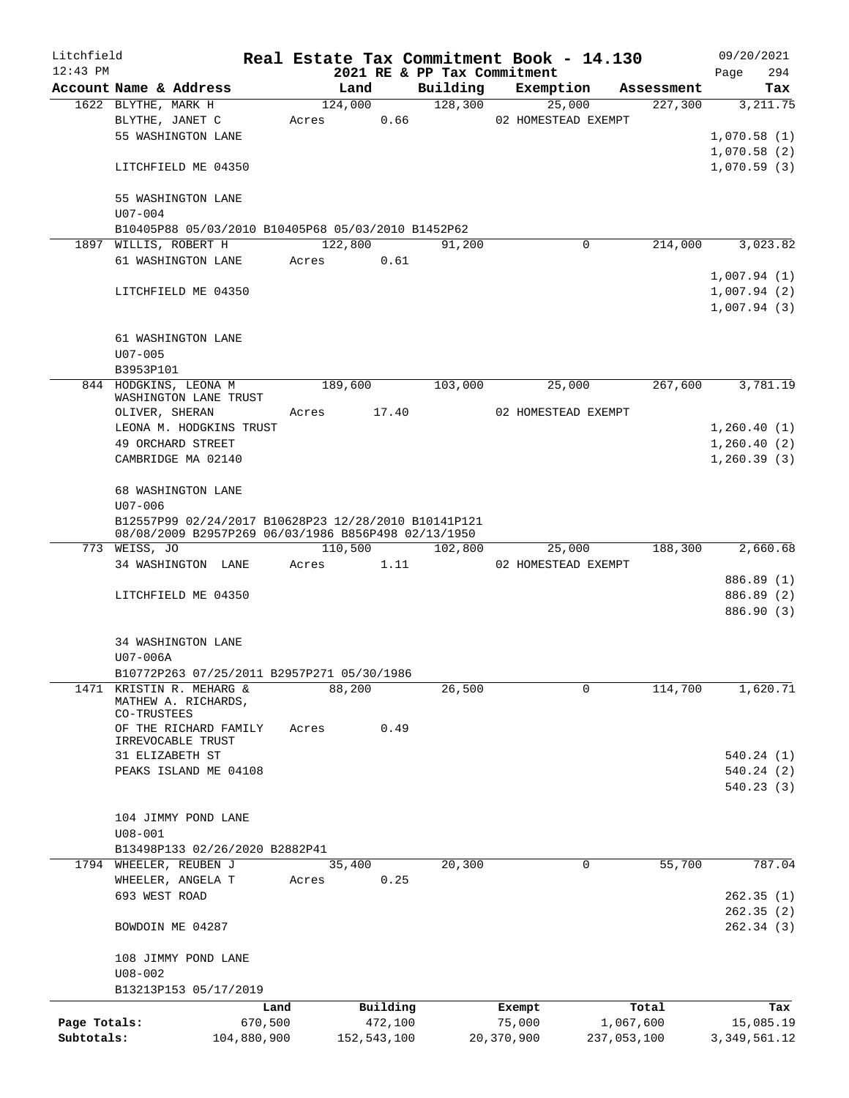| Litchfield                 |                                                                                                             |                        |       |                        |                             |            | Real Estate Tax Commitment Book - 14.130 |                          | 09/20/2021                  |
|----------------------------|-------------------------------------------------------------------------------------------------------------|------------------------|-------|------------------------|-----------------------------|------------|------------------------------------------|--------------------------|-----------------------------|
| $12:43$ PM                 |                                                                                                             |                        |       |                        | 2021 RE & PP Tax Commitment |            |                                          |                          | 294<br>Page                 |
|                            | Account Name & Address                                                                                      |                        |       | Land                   | Building                    |            | Exemption                                | Assessment               | Tax                         |
|                            | 1622 BLYTHE, MARK H                                                                                         |                        |       | 124,000                | 128,300                     |            | 25,000                                   | 227,300                  | 3, 211.75                   |
|                            | BLYTHE, JANET C                                                                                             |                        | Acres | 0.66                   |                             |            | 02 HOMESTEAD EXEMPT                      |                          |                             |
|                            | 55 WASHINGTON LANE                                                                                          |                        |       |                        |                             |            |                                          |                          | 1,070.58(1)                 |
|                            |                                                                                                             |                        |       |                        |                             |            |                                          |                          | 1,070.58(2)                 |
|                            | LITCHFIELD ME 04350                                                                                         |                        |       |                        |                             |            |                                          |                          | 1,070.59(3)                 |
|                            | 55 WASHINGTON LANE<br>$U07 - 004$                                                                           |                        |       |                        |                             |            |                                          |                          |                             |
|                            | B10405P88 05/03/2010 B10405P68 05/03/2010 B1452P62                                                          |                        |       |                        |                             |            |                                          |                          |                             |
|                            | 1897 WILLIS, ROBERT H                                                                                       |                        |       | 122,800                | 91,200                      |            | 0                                        | 214,000                  | 3,023.82                    |
|                            | 61 WASHINGTON LANE                                                                                          |                        | Acres | 0.61                   |                             |            |                                          |                          |                             |
|                            |                                                                                                             |                        |       |                        |                             |            |                                          |                          | 1,007.94(1)                 |
|                            | LITCHFIELD ME 04350                                                                                         |                        |       |                        |                             |            |                                          |                          | 1,007.94(2)                 |
|                            |                                                                                                             |                        |       |                        |                             |            |                                          |                          | 1,007.94(3)                 |
|                            | 61 WASHINGTON LANE                                                                                          |                        |       |                        |                             |            |                                          |                          |                             |
|                            | $U07 - 005$                                                                                                 |                        |       |                        |                             |            |                                          |                          |                             |
|                            | B3953P101                                                                                                   |                        |       |                        |                             |            |                                          |                          |                             |
|                            | 844 HODGKINS, LEONA M                                                                                       |                        |       | 189,600                | 103,000                     |            | 25,000                                   | 267,600                  | 3,781.19                    |
|                            | WASHINGTON LANE TRUST                                                                                       |                        |       |                        |                             |            |                                          |                          |                             |
|                            | OLIVER, SHERAN                                                                                              |                        | Acres | 17.40                  |                             |            | 02 HOMESTEAD EXEMPT                      |                          |                             |
|                            | LEONA M. HODGKINS TRUST                                                                                     |                        |       |                        |                             |            |                                          |                          | 1,260.40(1)                 |
|                            | 49 ORCHARD STREET                                                                                           |                        |       |                        |                             |            |                                          |                          | 1,260.40(2)                 |
|                            | CAMBRIDGE MA 02140                                                                                          |                        |       |                        |                             |            |                                          |                          | 1, 260.39(3)                |
|                            |                                                                                                             |                        |       |                        |                             |            |                                          |                          |                             |
|                            | 68 WASHINGTON LANE                                                                                          |                        |       |                        |                             |            |                                          |                          |                             |
|                            | $U07 - 006$                                                                                                 |                        |       |                        |                             |            |                                          |                          |                             |
|                            | B12557P99 02/24/2017 B10628P23 12/28/2010 B10141P121<br>08/08/2009 B2957P269 06/03/1986 B856P498 02/13/1950 |                        |       |                        |                             |            |                                          |                          |                             |
|                            | 773 WEISS, JO                                                                                               |                        |       | 110,500                | 102,800                     |            | 25,000                                   | 188,300                  | 2,660.68                    |
|                            | 34 WASHINGTON LANE                                                                                          |                        | Acres | 1.11                   |                             |            | 02 HOMESTEAD EXEMPT                      |                          |                             |
|                            |                                                                                                             |                        |       |                        |                             |            |                                          |                          | 886.89 (1)                  |
|                            | LITCHFIELD ME 04350                                                                                         |                        |       |                        |                             |            |                                          |                          | 886.89 (2)                  |
|                            |                                                                                                             |                        |       |                        |                             |            |                                          |                          | 886.90 (3)                  |
|                            |                                                                                                             |                        |       |                        |                             |            |                                          |                          |                             |
|                            | 34 WASHINGTON LANE                                                                                          |                        |       |                        |                             |            |                                          |                          |                             |
|                            | U07-006A                                                                                                    |                        |       |                        |                             |            |                                          |                          |                             |
|                            | B10772P263 07/25/2011 B2957P271 05/30/1986<br>1471 KRISTIN R. MEHARG &                                      |                        |       | 88,200                 | 26,500                      |            | 0                                        | 114,700                  | 1,620.71                    |
|                            | MATHEW A. RICHARDS,                                                                                         |                        |       |                        |                             |            |                                          |                          |                             |
|                            | CO-TRUSTEES                                                                                                 |                        |       |                        |                             |            |                                          |                          |                             |
|                            | OF THE RICHARD FAMILY                                                                                       |                        | Acres | 0.49                   |                             |            |                                          |                          |                             |
|                            | IRREVOCABLE TRUST                                                                                           |                        |       |                        |                             |            |                                          |                          | 540.24(1)                   |
|                            | 31 ELIZABETH ST<br>PEAKS ISLAND ME 04108                                                                    |                        |       |                        |                             |            |                                          |                          | 540.24(2)                   |
|                            |                                                                                                             |                        |       |                        |                             |            |                                          |                          | 540.23(3)                   |
|                            |                                                                                                             |                        |       |                        |                             |            |                                          |                          |                             |
|                            | 104 JIMMY POND LANE                                                                                         |                        |       |                        |                             |            |                                          |                          |                             |
|                            | $U08 - 001$                                                                                                 |                        |       |                        |                             |            |                                          |                          |                             |
|                            | B13498P133 02/26/2020 B2882P41                                                                              |                        |       |                        |                             |            |                                          |                          |                             |
|                            | 1794 WHEELER, REUBEN J                                                                                      |                        |       | 35,400                 | 20,300                      |            | 0                                        | 55,700                   | 787.04                      |
|                            | WHEELER, ANGELA T                                                                                           |                        | Acres | 0.25                   |                             |            |                                          |                          |                             |
|                            | 693 WEST ROAD                                                                                               |                        |       |                        |                             |            |                                          |                          | 262.35(1)                   |
|                            |                                                                                                             |                        |       |                        |                             |            |                                          |                          | 262.35(2)                   |
|                            | BOWDOIN ME 04287                                                                                            |                        |       |                        |                             |            |                                          |                          | 262.34(3)                   |
|                            |                                                                                                             |                        |       |                        |                             |            |                                          |                          |                             |
|                            | 108 JIMMY POND LANE                                                                                         |                        |       |                        |                             |            |                                          |                          |                             |
|                            | $U08 - 002$                                                                                                 |                        |       |                        |                             |            |                                          |                          |                             |
|                            | B13213P153 05/17/2019                                                                                       |                        |       |                        |                             |            |                                          |                          |                             |
|                            |                                                                                                             | Land                   |       | Building               |                             |            | Exempt                                   | Total                    | Tax                         |
| Page Totals:<br>Subtotals: |                                                                                                             | 670,500<br>104,880,900 |       | 472,100<br>152,543,100 |                             | 20,370,900 | 75,000                                   | 1,067,600<br>237,053,100 | 15,085.19<br>3, 349, 561.12 |
|                            |                                                                                                             |                        |       |                        |                             |            |                                          |                          |                             |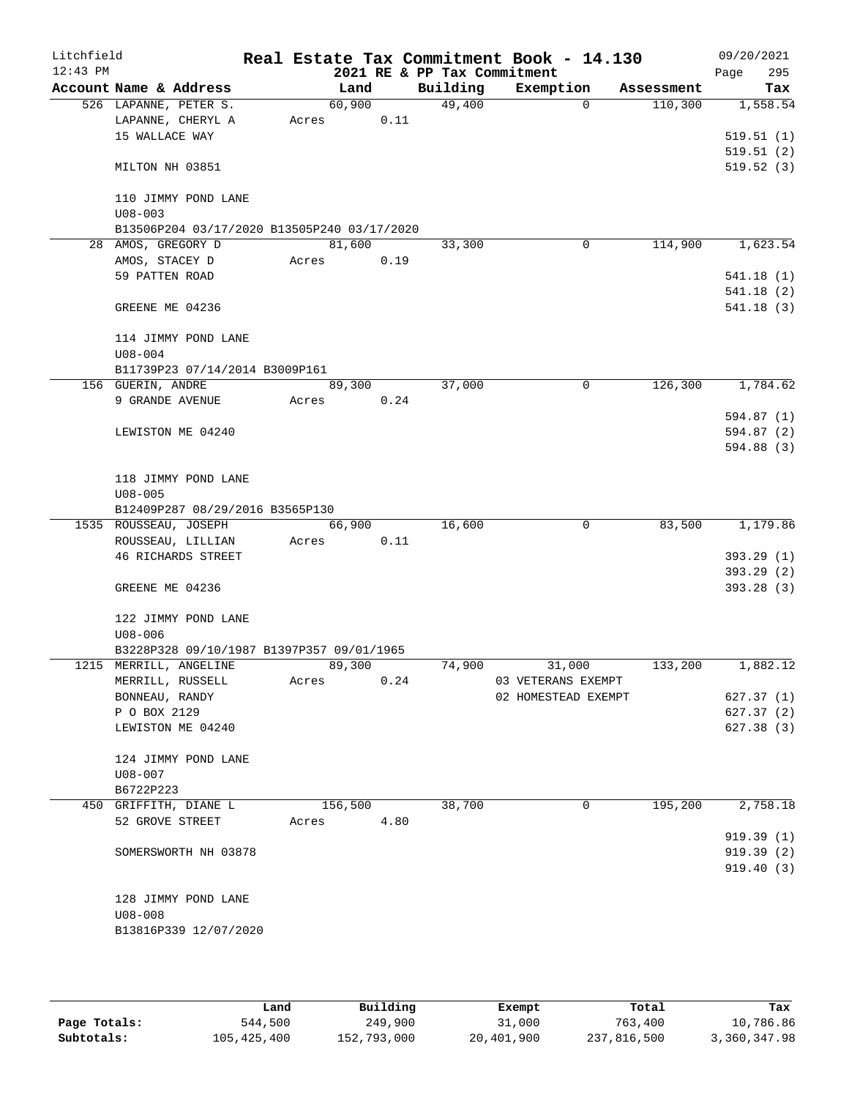| Litchfield<br>$12:43$ PM |                                |                                             |         |      | 2021 RE & PP Tax Commitment | Real Estate Tax Commitment Book - 14.130 |             |            | 09/20/2021<br>295<br>Page |
|--------------------------|--------------------------------|---------------------------------------------|---------|------|-----------------------------|------------------------------------------|-------------|------------|---------------------------|
|                          |                                | Account Name & Address                      | Land    |      | Building                    | Exemption                                |             | Assessment | Tax                       |
|                          |                                | 526 LAPANNE, PETER S.                       | 60,900  |      | 49,400                      |                                          | $\Omega$    | 110,300    | 1,558.54                  |
|                          |                                | LAPANNE, CHERYL A                           | Acres   | 0.11 |                             |                                          |             |            |                           |
|                          | 15 WALLACE WAY                 |                                             |         |      |                             |                                          |             |            | 519.51(1)                 |
|                          |                                |                                             |         |      |                             |                                          |             |            | 519.51(2)                 |
|                          | MILTON NH 03851                |                                             |         |      |                             |                                          |             |            | 519.52(3)                 |
|                          |                                |                                             |         |      |                             |                                          |             |            |                           |
|                          | $U08 - 003$                    | 110 JIMMY POND LANE                         |         |      |                             |                                          |             |            |                           |
|                          |                                | B13506P204 03/17/2020 B13505P240 03/17/2020 |         |      |                             |                                          |             |            |                           |
|                          | 28 AMOS, GREGORY D             |                                             | 81,600  |      | 33,300                      |                                          | $\mathbf 0$ | 114,900    | 1,623.54                  |
|                          | AMOS, STACEY D                 |                                             | Acres   | 0.19 |                             |                                          |             |            |                           |
|                          | 59 PATTEN ROAD                 |                                             |         |      |                             |                                          |             |            | 541.18(1)                 |
|                          |                                |                                             |         |      |                             |                                          |             |            | 541.18(2)                 |
|                          | GREENE ME 04236                |                                             |         |      |                             |                                          |             |            | 541.18(3)                 |
|                          |                                |                                             |         |      |                             |                                          |             |            |                           |
|                          |                                | 114 JIMMY POND LANE                         |         |      |                             |                                          |             |            |                           |
|                          | $U08 - 004$                    |                                             |         |      |                             |                                          |             |            |                           |
|                          |                                | B11739P23 07/14/2014 B3009P161              |         |      |                             |                                          |             |            |                           |
|                          | 156 GUERIN, ANDRE              |                                             | 89,300  |      | 37,000                      |                                          | $\mathbf 0$ | 126,300    | 1,784.62                  |
|                          | 9 GRANDE AVENUE                |                                             | Acres   | 0.24 |                             |                                          |             |            |                           |
|                          |                                |                                             |         |      |                             |                                          |             |            | 594.87 (1)                |
|                          |                                | LEWISTON ME 04240                           |         |      |                             |                                          |             |            | 594.87 (2)                |
|                          |                                |                                             |         |      |                             |                                          |             |            | 594.88 (3)                |
|                          |                                | 118 JIMMY POND LANE                         |         |      |                             |                                          |             |            |                           |
|                          | $U08 - 005$                    |                                             |         |      |                             |                                          |             |            |                           |
|                          |                                | B12409P287 08/29/2016 B3565P130             |         |      |                             |                                          |             |            |                           |
|                          |                                | 1535 ROUSSEAU, JOSEPH                       | 66,900  |      | 16,600                      |                                          | $\mathbf 0$ | 83,500     | 1,179.86                  |
|                          |                                | ROUSSEAU, LILLIAN                           | Acres   | 0.11 |                             |                                          |             |            |                           |
|                          |                                | <b>46 RICHARDS STREET</b>                   |         |      |                             |                                          |             |            | 393.29(1)                 |
|                          |                                |                                             |         |      |                             |                                          |             |            | 393.29(2)                 |
|                          | GREENE ME 04236                |                                             |         |      |                             |                                          |             |            | 393.28(3)                 |
|                          |                                |                                             |         |      |                             |                                          |             |            |                           |
|                          |                                | 122 JIMMY POND LANE                         |         |      |                             |                                          |             |            |                           |
|                          | $U08 - 006$                    |                                             |         |      |                             |                                          |             |            |                           |
|                          |                                | B3228P328 09/10/1987 B1397P357 09/01/1965   |         |      |                             |                                          |             |            |                           |
|                          |                                | 1215 MERRILL, ANGELINE                      | 89,300  |      | 74,900                      | 31,000                                   |             | 133,200    | 1,882.12                  |
|                          |                                | MERRILL, RUSSELL                            | Acres   | 0.24 |                             | 03 VETERANS EXEMPT                       |             |            |                           |
|                          | BONNEAU, RANDY<br>P O BOX 2129 |                                             |         |      |                             | 02 HOMESTEAD EXEMPT                      |             |            | 627.37(1)<br>627.37(2)    |
|                          |                                | LEWISTON ME 04240                           |         |      |                             |                                          |             |            | 627.38(3)                 |
|                          |                                |                                             |         |      |                             |                                          |             |            |                           |
|                          |                                | 124 JIMMY POND LANE                         |         |      |                             |                                          |             |            |                           |
|                          | U08-007                        |                                             |         |      |                             |                                          |             |            |                           |
|                          | B6722P223                      |                                             |         |      |                             |                                          |             |            |                           |
|                          |                                | 450 GRIFFITH, DIANE L                       | 156,500 |      | 38,700                      |                                          | 0           | 195,200    | 2,758.18                  |
|                          | 52 GROVE STREET                |                                             | Acres   | 4.80 |                             |                                          |             |            |                           |
|                          |                                |                                             |         |      |                             |                                          |             |            | 919.39(1)                 |
|                          |                                | SOMERSWORTH NH 03878                        |         |      |                             |                                          |             |            | 919.39(2)                 |
|                          |                                |                                             |         |      |                             |                                          |             |            | 919.40(3)                 |
|                          |                                |                                             |         |      |                             |                                          |             |            |                           |
|                          |                                | 128 JIMMY POND LANE                         |         |      |                             |                                          |             |            |                           |
|                          | $U08 - 008$                    |                                             |         |      |                             |                                          |             |            |                           |
|                          |                                | B13816P339 12/07/2020                       |         |      |                             |                                          |             |            |                           |
|                          |                                |                                             |         |      |                             |                                          |             |            |                           |

|              | Land        | Building    | Exempt     | Total       | Tax          |
|--------------|-------------|-------------|------------|-------------|--------------|
| Page Totals: | 544,500     | 249,900     | 31,000     | 763,400     | 10,786.86    |
| Subtotals:   | 105,425,400 | 152,793,000 | 20,401,900 | 237,816,500 | 3,360,347.98 |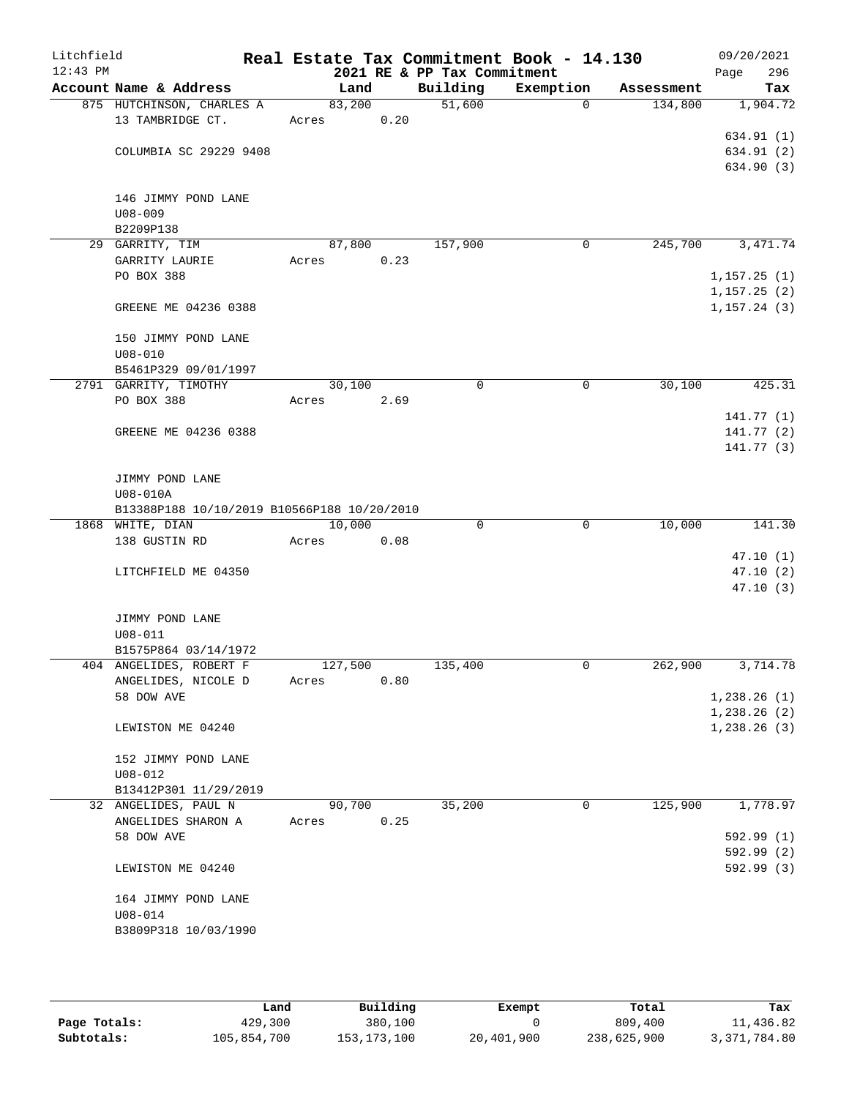| Litchfield |                                             |         |      |                     | Real Estate Tax Commitment Book - 14.130 |             |            | 09/20/2021   |
|------------|---------------------------------------------|---------|------|---------------------|------------------------------------------|-------------|------------|--------------|
| $12:43$ PM |                                             |         |      |                     | 2021 RE & PP Tax Commitment              |             |            | 296<br>Page  |
|            | Account Name & Address                      | Land    |      | Building            | Exemption                                |             | Assessment | Tax          |
|            | 875 HUTCHINSON, CHARLES A                   | 83,200  |      | $\overline{51,600}$ |                                          | $\Omega$    | 134,800    | 1,904.72     |
|            | 13 TAMBRIDGE CT.                            | Acres   | 0.20 |                     |                                          |             |            | 634.91 (1)   |
|            | COLUMBIA SC 29229 9408                      |         |      |                     |                                          |             |            | 634.91 (2)   |
|            |                                             |         |      |                     |                                          |             |            | 634.90 (3)   |
|            | 146 JIMMY POND LANE                         |         |      |                     |                                          |             |            |              |
|            | $U08 - 009$                                 |         |      |                     |                                          |             |            |              |
|            | B2209P138                                   |         |      |                     |                                          |             |            |              |
|            | 29 GARRITY, TIM                             | 87,800  |      | 157,900             |                                          | 0           | 245,700    | 3,471.74     |
|            | GARRITY LAURIE                              | Acres   | 0.23 |                     |                                          |             |            |              |
|            | PO BOX 388                                  |         |      |                     |                                          |             |            | 1, 157.25(1) |
|            |                                             |         |      |                     |                                          |             |            | 1, 157.25(2) |
|            | GREENE ME 04236 0388                        |         |      |                     |                                          |             |            | 1, 157.24(3) |
|            | 150 JIMMY POND LANE                         |         |      |                     |                                          |             |            |              |
|            | $U08 - 010$                                 |         |      |                     |                                          |             |            |              |
|            | B5461P329 09/01/1997                        |         |      |                     |                                          |             |            |              |
|            | 2791 GARRITY, TIMOTHY                       | 30,100  |      | 0                   |                                          | 0           | 30,100     | 425.31       |
|            | PO BOX 388                                  | Acres   | 2.69 |                     |                                          |             |            |              |
|            |                                             |         |      |                     |                                          |             |            | 141.77(1)    |
|            | GREENE ME 04236 0388                        |         |      |                     |                                          |             |            | 141.77(2)    |
|            |                                             |         |      |                     |                                          |             |            | 141.77(3)    |
|            | JIMMY POND LANE                             |         |      |                     |                                          |             |            |              |
|            | U08-010A                                    |         |      |                     |                                          |             |            |              |
|            | B13388P188 10/10/2019 B10566P188 10/20/2010 |         |      |                     |                                          |             |            |              |
|            | 1868 WHITE, DIAN                            | 10,000  |      | $\Omega$            |                                          | $\mathbf 0$ | 10,000     | 141.30       |
|            | 138 GUSTIN RD                               | Acres   | 0.08 |                     |                                          |             |            |              |
|            |                                             |         |      |                     |                                          |             |            | 47.10(1)     |
|            | LITCHFIELD ME 04350                         |         |      |                     |                                          |             |            | 47.10(2)     |
|            |                                             |         |      |                     |                                          |             |            | 47.10(3)     |
|            | JIMMY POND LANE                             |         |      |                     |                                          |             |            |              |
|            | $U08 - 011$                                 |         |      |                     |                                          |             |            |              |
|            | B1575P864 03/14/1972                        |         |      |                     |                                          |             |            |              |
|            | 404 ANGELIDES, ROBERT F                     | 127,500 |      | 135,400             |                                          | 0           | 262,900    | 3,714.78     |
|            | ANGELIDES, NICOLE D                         | Acres   | 0.80 |                     |                                          |             |            |              |
|            | 58 DOW AVE                                  |         |      |                     |                                          |             |            | 1,238.26(1)  |
|            |                                             |         |      |                     |                                          |             |            | 1,238.26(2)  |
|            | LEWISTON ME 04240                           |         |      |                     |                                          |             |            | 1, 238.26(3) |
|            | 152 JIMMY POND LANE                         |         |      |                     |                                          |             |            |              |
|            | $U08 - 012$                                 |         |      |                     |                                          |             |            |              |
|            | B13412P301 11/29/2019                       |         |      |                     |                                          |             |            |              |
|            | 32 ANGELIDES, PAUL N                        | 90,700  |      | 35,200              |                                          | 0           | 125,900    | 1,778.97     |
|            | ANGELIDES SHARON A                          | Acres   | 0.25 |                     |                                          |             |            |              |
|            | 58 DOW AVE                                  |         |      |                     |                                          |             |            | 592.99(1)    |
|            |                                             |         |      |                     |                                          |             |            | 592.99(2)    |
|            | LEWISTON ME 04240                           |         |      |                     |                                          |             |            | 592.99(3)    |
|            | 164 JIMMY POND LANE                         |         |      |                     |                                          |             |            |              |
|            | $U08 - 014$                                 |         |      |                     |                                          |             |            |              |
|            | B3809P318 10/03/1990                        |         |      |                     |                                          |             |            |              |
|            |                                             |         |      |                     |                                          |             |            |              |

|              | úand        | Building      | Exempt     | Total       | Tax          |
|--------------|-------------|---------------|------------|-------------|--------------|
| Page Totals: | 429,300     | 380,100       |            | 809,400     | 11,436.82    |
| Subtotals:   | 105,854,700 | 153, 173, 100 | 20,401,900 | 238,625,900 | 3,371,784.80 |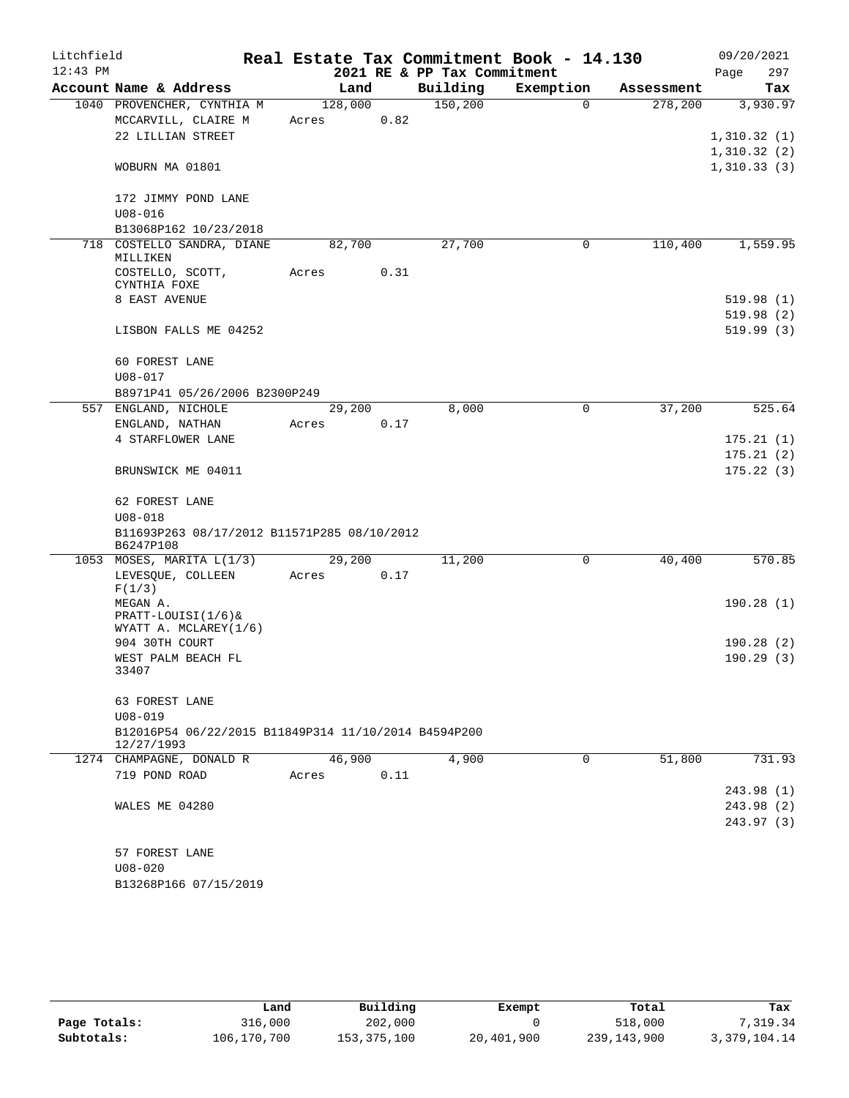| Litchfield<br>$12:43$ PM |                                                                    |         |      |                                         | Real Estate Tax Commitment Book - 14.130 |            | 09/20/2021         |
|--------------------------|--------------------------------------------------------------------|---------|------|-----------------------------------------|------------------------------------------|------------|--------------------|
|                          | Account Name & Address                                             | Land    |      | 2021 RE & PP Tax Commitment<br>Building | Exemption                                | Assessment | 297<br>Page<br>Tax |
|                          | 1040 PROVENCHER, CYNTHIA M                                         | 128,000 |      | 150, 200                                | $\Omega$                                 | 278,200    | 3,930.97           |
|                          | MCCARVILL, CLAIRE M                                                | Acres   | 0.82 |                                         |                                          |            |                    |
|                          | 22 LILLIAN STREET                                                  |         |      |                                         |                                          |            | 1,310.32(1)        |
|                          |                                                                    |         |      |                                         |                                          |            | 1,310.32(2)        |
|                          | WOBURN MA 01801                                                    |         |      |                                         |                                          |            | 1,310.33(3)        |
|                          | 172 JIMMY POND LANE                                                |         |      |                                         |                                          |            |                    |
|                          | $U08 - 016$                                                        |         |      |                                         |                                          |            |                    |
|                          | B13068P162 10/23/2018                                              |         |      |                                         |                                          |            |                    |
|                          | 718 COSTELLO SANDRA, DIANE                                         | 82,700  |      | 27,700                                  | 0                                        | 110,400    | 1,559.95           |
|                          | MILLIKEN                                                           |         |      |                                         |                                          |            |                    |
|                          | COSTELLO, SCOTT,<br>CYNTHIA FOXE                                   | Acres   | 0.31 |                                         |                                          |            |                    |
|                          | 8 EAST AVENUE                                                      |         |      |                                         |                                          |            | 519.98(1)          |
|                          |                                                                    |         |      |                                         |                                          |            | 519.98(2)          |
|                          | LISBON FALLS ME 04252                                              |         |      |                                         |                                          |            | 519.99(3)          |
|                          | 60 FOREST LANE                                                     |         |      |                                         |                                          |            |                    |
|                          | $U08 - 017$                                                        |         |      |                                         |                                          |            |                    |
|                          | B8971P41 05/26/2006 B2300P249                                      |         |      |                                         |                                          |            |                    |
|                          | 557 ENGLAND, NICHOLE                                               | 29,200  |      | 8,000                                   | 0                                        | 37,200     | 525.64             |
|                          | ENGLAND, NATHAN                                                    | Acres   | 0.17 |                                         |                                          |            |                    |
|                          | 4 STARFLOWER LANE                                                  |         |      |                                         |                                          |            | 175.21(1)          |
|                          |                                                                    |         |      |                                         |                                          |            | 175.21(2)          |
|                          | BRUNSWICK ME 04011                                                 |         |      |                                         |                                          |            | 175.22(3)          |
|                          | 62 FOREST LANE                                                     |         |      |                                         |                                          |            |                    |
|                          | $U08 - 018$                                                        |         |      |                                         |                                          |            |                    |
|                          | B11693P263 08/17/2012 B11571P285 08/10/2012<br>B6247P108           |         |      |                                         |                                          |            |                    |
|                          | 1053 MOSES, MARITA L(1/3)                                          | 29,200  |      | 11,200                                  | $\mathsf{O}$                             | 40,400     | 570.85             |
|                          | LEVESQUE, COLLEEN<br>F(1/3)                                        | Acres   | 0.17 |                                         |                                          |            |                    |
|                          | MEGAN A.                                                           |         |      |                                         |                                          |            | 190.28(1)          |
|                          | PRATT-LOUISI(1/6)&                                                 |         |      |                                         |                                          |            |                    |
|                          | WYATT A. MCLAREY(1/6)                                              |         |      |                                         |                                          |            |                    |
|                          | 904 30TH COURT                                                     |         |      |                                         |                                          |            | 190.28(2)          |
|                          | WEST PALM BEACH FL<br>33407                                        |         |      |                                         |                                          |            | 190.29(3)          |
|                          | 63 FOREST LANE                                                     |         |      |                                         |                                          |            |                    |
|                          | $U08 - 019$                                                        |         |      |                                         |                                          |            |                    |
|                          | B12016P54 06/22/2015 B11849P314 11/10/2014 B4594P200<br>12/27/1993 |         |      |                                         |                                          |            |                    |
|                          | 1274 CHAMPAGNE, DONALD R                                           | 46,900  |      | 4,900                                   | 0                                        | 51,800     | 731.93             |
|                          | 719 POND ROAD                                                      | Acres   | 0.11 |                                         |                                          |            |                    |
|                          |                                                                    |         |      |                                         |                                          |            | 243.98 (1)         |
|                          | WALES ME 04280                                                     |         |      |                                         |                                          |            | 243.98 (2)         |
|                          |                                                                    |         |      |                                         |                                          |            | 243.97 (3)         |
|                          | 57 FOREST LANE                                                     |         |      |                                         |                                          |            |                    |
|                          | $U08 - 020$                                                        |         |      |                                         |                                          |            |                    |
|                          | B13268P166 07/15/2019                                              |         |      |                                         |                                          |            |                    |
|                          |                                                                    |         |      |                                         |                                          |            |                    |

|              | Land        | Building    | Exempt     | Total       | Tax          |
|--------------|-------------|-------------|------------|-------------|--------------|
| Page Totals: | 316,000     | 202,000     |            | 518,000     | .319.34      |
| Subtotals:   | 106,170,700 | 153,375,100 | 20,401,900 | 239,143,900 | 3,379,104.14 |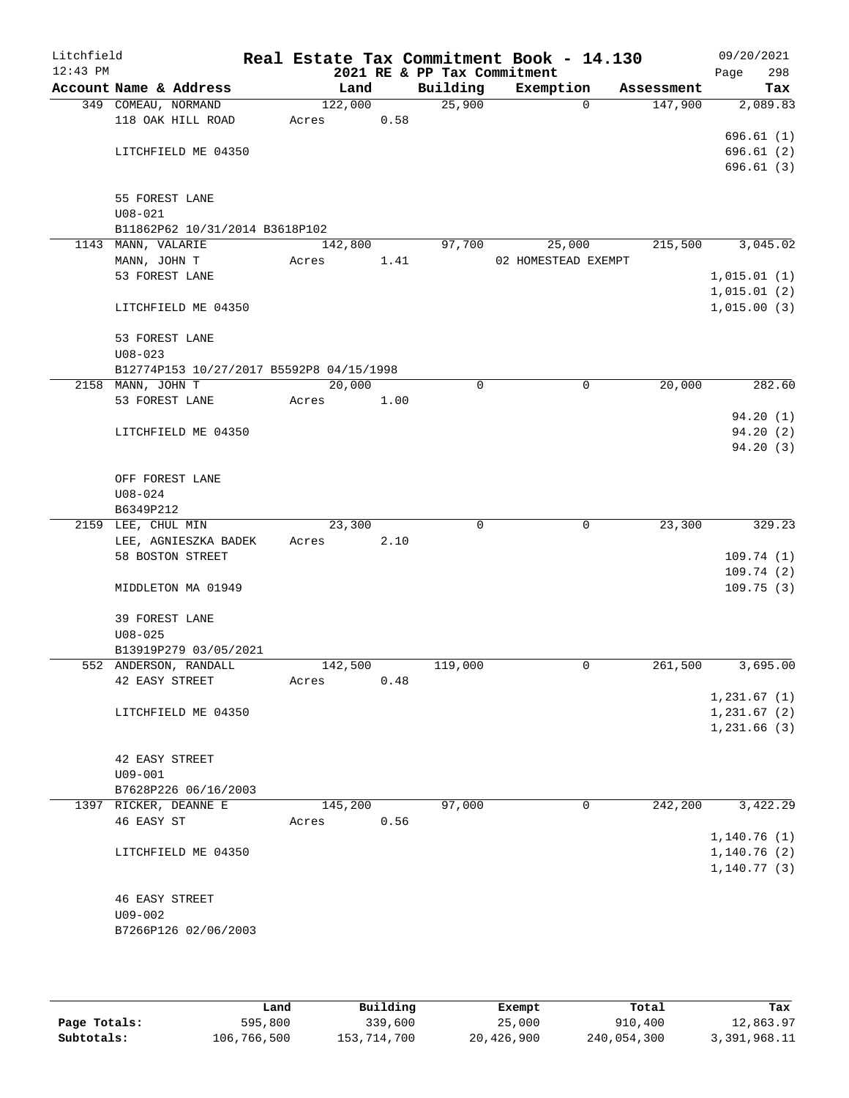| Litchfield<br>$12:43$ PM |                        |                                          |         |      | 2021 RE & PP Tax Commitment | Real Estate Tax Commitment Book - 14.130 |            | 09/20/2021<br>298<br>Page |
|--------------------------|------------------------|------------------------------------------|---------|------|-----------------------------|------------------------------------------|------------|---------------------------|
|                          | Account Name & Address |                                          | Land    |      | Building                    | Exemption                                | Assessment | Tax                       |
|                          | 349 COMEAU, NORMAND    |                                          | 122,000 |      | 25,900                      | $\overline{0}$                           | 147,900    | 2,089.83                  |
|                          | 118 OAK HILL ROAD      |                                          | Acres   | 0.58 |                             |                                          |            |                           |
|                          |                        |                                          |         |      |                             |                                          |            | 696.61(1)                 |
|                          | LITCHFIELD ME 04350    |                                          |         |      |                             |                                          |            | 696.61(2)                 |
|                          |                        |                                          |         |      |                             |                                          |            | 696.61(3)                 |
|                          |                        |                                          |         |      |                             |                                          |            |                           |
|                          | 55 FOREST LANE         |                                          |         |      |                             |                                          |            |                           |
|                          | $U08 - 021$            |                                          |         |      |                             |                                          |            |                           |
|                          |                        | B11862P62 10/31/2014 B3618P102           |         |      |                             |                                          |            |                           |
|                          | 1143 MANN, VALARIE     |                                          | 142,800 |      | 97,700                      | 25,000                                   | 215,500    | 3,045.02                  |
|                          | MANN, JOHN T           |                                          | Acres   | 1.41 |                             | 02 HOMESTEAD EXEMPT                      |            |                           |
|                          | 53 FOREST LANE         |                                          |         |      |                             |                                          |            | 1,015.01(1)               |
|                          |                        |                                          |         |      |                             |                                          |            | 1,015.01(2)               |
|                          | LITCHFIELD ME 04350    |                                          |         |      |                             |                                          |            | 1,015.00(3)               |
|                          | 53 FOREST LANE         |                                          |         |      |                             |                                          |            |                           |
|                          | $U08 - 023$            |                                          |         |      |                             |                                          |            |                           |
|                          |                        | B12774P153 10/27/2017 B5592P8 04/15/1998 |         |      |                             |                                          |            |                           |
|                          | 2158 MANN, JOHN T      |                                          | 20,000  |      | 0                           | $\mathsf{O}$                             | 20,000     | 282.60                    |
|                          | 53 FOREST LANE         |                                          | Acres   | 1.00 |                             |                                          |            |                           |
|                          |                        |                                          |         |      |                             |                                          |            | 94.20(1)                  |
|                          | LITCHFIELD ME 04350    |                                          |         |      |                             |                                          |            | 94.20(2)                  |
|                          |                        |                                          |         |      |                             |                                          |            | 94.20(3)                  |
|                          |                        |                                          |         |      |                             |                                          |            |                           |
|                          | OFF FOREST LANE        |                                          |         |      |                             |                                          |            |                           |
|                          | $U08 - 024$            |                                          |         |      |                             |                                          |            |                           |
|                          | B6349P212              |                                          |         |      |                             |                                          |            |                           |
|                          | 2159 LEE, CHUL MIN     |                                          | 23,300  |      | $\mathbf 0$                 | $\mathbf 0$                              | 23,300     | 329.23                    |
|                          | LEE, AGNIESZKA BADEK   |                                          | Acres   | 2.10 |                             |                                          |            |                           |
|                          | 58 BOSTON STREET       |                                          |         |      |                             |                                          |            | 109.74(1)                 |
|                          |                        |                                          |         |      |                             |                                          |            | 109.74(2)                 |
|                          | MIDDLETON MA 01949     |                                          |         |      |                             |                                          |            | 109.75(3)                 |
|                          | 39 FOREST LANE         |                                          |         |      |                             |                                          |            |                           |
|                          | $U08 - 025$            |                                          |         |      |                             |                                          |            |                           |
|                          | B13919P279 03/05/2021  |                                          |         |      |                             |                                          |            |                           |
|                          | 552 ANDERSON, RANDALL  |                                          | 142,500 |      | 119,000                     | $\mathbf 0$                              | 261,500    | 3,695.00                  |
|                          | 42 EASY STREET         |                                          | Acres   | 0.48 |                             |                                          |            |                           |
|                          |                        |                                          |         |      |                             |                                          |            | 1,231.67(1)               |
|                          | LITCHFIELD ME 04350    |                                          |         |      |                             |                                          |            | 1,231.67(2)               |
|                          |                        |                                          |         |      |                             |                                          |            | 1,231.66(3)               |
|                          |                        |                                          |         |      |                             |                                          |            |                           |
|                          | 42 EASY STREET         |                                          |         |      |                             |                                          |            |                           |
|                          | $U09 - 001$            |                                          |         |      |                             |                                          |            |                           |
|                          | B7628P226 06/16/2003   |                                          |         |      |                             |                                          |            |                           |
|                          | 1397 RICKER, DEANNE E  |                                          | 145,200 |      | 97,000                      | 0                                        | 242,200    | 3,422.29                  |
|                          | 46 EASY ST             |                                          | Acres   | 0.56 |                             |                                          |            |                           |
|                          |                        |                                          |         |      |                             |                                          |            | 1,140.76(1)               |
|                          | LITCHFIELD ME 04350    |                                          |         |      |                             |                                          |            | 1,140.76(2)               |
|                          |                        |                                          |         |      |                             |                                          |            | 1, 140.77(3)              |
|                          | <b>46 EASY STREET</b>  |                                          |         |      |                             |                                          |            |                           |
|                          | $U09 - 002$            |                                          |         |      |                             |                                          |            |                           |
|                          | B7266P126 02/06/2003   |                                          |         |      |                             |                                          |            |                           |
|                          |                        |                                          |         |      |                             |                                          |            |                           |
|                          |                        |                                          |         |      |                             |                                          |            |                           |

|              | Land        | Building    | Exempt     | Total       | Tax          |
|--------------|-------------|-------------|------------|-------------|--------------|
| Page Totals: | 595,800     | 339,600     | 25,000     | 910,400     | 12,863.97    |
| Subtotals:   | 106,766,500 | 153,714,700 | 20,426,900 | 240,054,300 | 3,391,968.11 |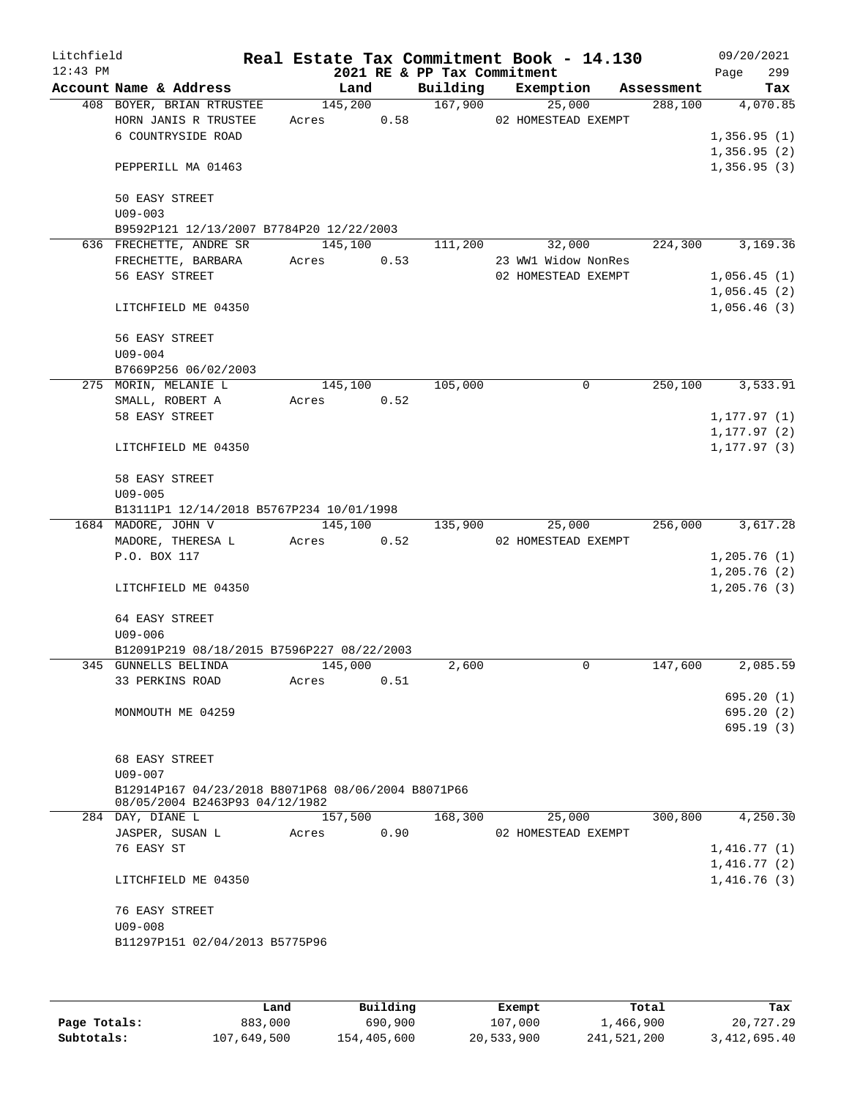| Litchfield<br>$12:43$ PM |                                                                                      |                  |      | 2021 RE & PP Tax Commitment | Real Estate Tax Commitment Book - 14.130             |            | 09/20/2021<br>299<br>Page  |
|--------------------------|--------------------------------------------------------------------------------------|------------------|------|-----------------------------|------------------------------------------------------|------------|----------------------------|
|                          | Account Name & Address                                                               | Land             |      | Building                    | Exemption                                            | Assessment | Tax                        |
|                          | 408 BOYER, BRIAN RTRUSTEE<br>HORN JANIS R TRUSTEE<br>6 COUNTRYSIDE ROAD              | 145,200<br>Acres | 0.58 | 167,900                     | 25,000<br>02 HOMESTEAD EXEMPT                        | 288,100    | 4,070.85<br>1,356.95(1)    |
|                          | PEPPERILL MA 01463                                                                   |                  |      |                             |                                                      |            | 1,356.95(2)<br>1,356.95(3) |
|                          | 50 EASY STREET<br>$U09 - 003$                                                        |                  |      |                             |                                                      |            |                            |
|                          | B9592P121 12/13/2007 B7784P20 12/22/2003                                             |                  |      |                             |                                                      |            |                            |
|                          | 636 FRECHETTE, ANDRE SR<br>FRECHETTE, BARBARA<br>56 EASY STREET                      | 145,100<br>Acres | 0.53 | 111,200                     | 32,000<br>23 WW1 Widow NonRes<br>02 HOMESTEAD EXEMPT | 224,300    | 3,169.36<br>1,056.45(1)    |
|                          | LITCHFIELD ME 04350                                                                  |                  |      |                             |                                                      |            | 1,056.45(2)<br>1,056.46(3) |
|                          | 56 EASY STREET                                                                       |                  |      |                             |                                                      |            |                            |
|                          | $U09 - 004$                                                                          |                  |      |                             |                                                      |            |                            |
|                          | B7669P256 06/02/2003                                                                 |                  |      |                             |                                                      |            |                            |
|                          | 275 MORIN, MELANIE L                                                                 | 145,100          |      | 105,000                     | 0                                                    | 250,100    | 3,533.91                   |
|                          | SMALL, ROBERT A                                                                      | Acres            | 0.52 |                             |                                                      |            |                            |
|                          | 58 EASY STREET                                                                       |                  |      |                             |                                                      |            | 1, 177.97(1)               |
|                          |                                                                                      |                  |      |                             |                                                      |            | 1,177.97 (2)               |
|                          | LITCHFIELD ME 04350                                                                  |                  |      |                             |                                                      |            | 1,177.97 (3)               |
|                          | 58 EASY STREET<br>$U09 - 005$                                                        |                  |      |                             |                                                      |            |                            |
|                          | B13111P1 12/14/2018 B5767P234 10/01/1998                                             |                  |      |                             |                                                      |            |                            |
|                          | 1684 MADORE, JOHN V                                                                  | 145,100          |      | 135,900                     | 25,000                                               | 256,000    | 3,617.28                   |
|                          | MADORE, THERESA L                                                                    | Acres            | 0.52 |                             | 02 HOMESTEAD EXEMPT                                  |            |                            |
|                          | P.O. BOX 117                                                                         |                  |      |                             |                                                      |            | 1,205.76(1)                |
|                          |                                                                                      |                  |      |                             |                                                      |            | 1,205.76(2)                |
|                          | LITCHFIELD ME 04350                                                                  |                  |      |                             |                                                      |            | 1,205.76(3)                |
|                          | 64 EASY STREET<br>$U09 - 006$                                                        |                  |      |                             |                                                      |            |                            |
|                          | B12091P219 08/18/2015 B7596P227 08/22/2003                                           |                  |      |                             |                                                      |            |                            |
|                          | 345 GUNNELLS BELINDA                                                                 | 145,000          |      | 2,600                       | 0                                                    | 147,600    | 2,085.59                   |
|                          | 33 PERKINS ROAD                                                                      | Acres            | 0.51 |                             |                                                      |            | 695.20(1)                  |
|                          | MONMOUTH ME 04259                                                                    |                  |      |                             |                                                      |            | 695.20(2)                  |
|                          |                                                                                      |                  |      |                             |                                                      |            | 695.19(3)                  |
|                          | 68 EASY STREET<br>$U09 - 007$                                                        |                  |      |                             |                                                      |            |                            |
|                          | B12914P167 04/23/2018 B8071P68 08/06/2004 B8071P66<br>08/05/2004 B2463P93 04/12/1982 |                  |      |                             |                                                      |            |                            |
|                          | 284 DAY, DIANE L                                                                     | 157,500          |      | 168,300                     | 25,000                                               | 300,800    | 4,250.30                   |
|                          | JASPER, SUSAN L                                                                      | Acres            | 0.90 |                             | 02 HOMESTEAD EXEMPT                                  |            |                            |
|                          | 76 EASY ST                                                                           |                  |      |                             |                                                      |            | 1,416.77(1)                |
|                          |                                                                                      |                  |      |                             |                                                      |            | 1,416.77(2)                |
|                          | LITCHFIELD ME 04350                                                                  |                  |      |                             |                                                      |            | 1,416.76(3)                |
|                          | 76 EASY STREET                                                                       |                  |      |                             |                                                      |            |                            |
|                          | $U09 - 008$                                                                          |                  |      |                             |                                                      |            |                            |
|                          | B11297P151 02/04/2013 B5775P96                                                       |                  |      |                             |                                                      |            |                            |
|                          |                                                                                      |                  |      |                             |                                                      |            |                            |
|                          |                                                                                      |                  |      |                             |                                                      |            |                            |

|              | Land        | Building    | Exempt     | Total       | Tax          |
|--------------|-------------|-------------|------------|-------------|--------------|
| Page Totals: | 883,000     | 690,900     | 107,000    | 1,466,900   | 20,727.29    |
| Subtotals:   | 107,649,500 | 154,405,600 | 20,533,900 | 241,521,200 | 3,412,695.40 |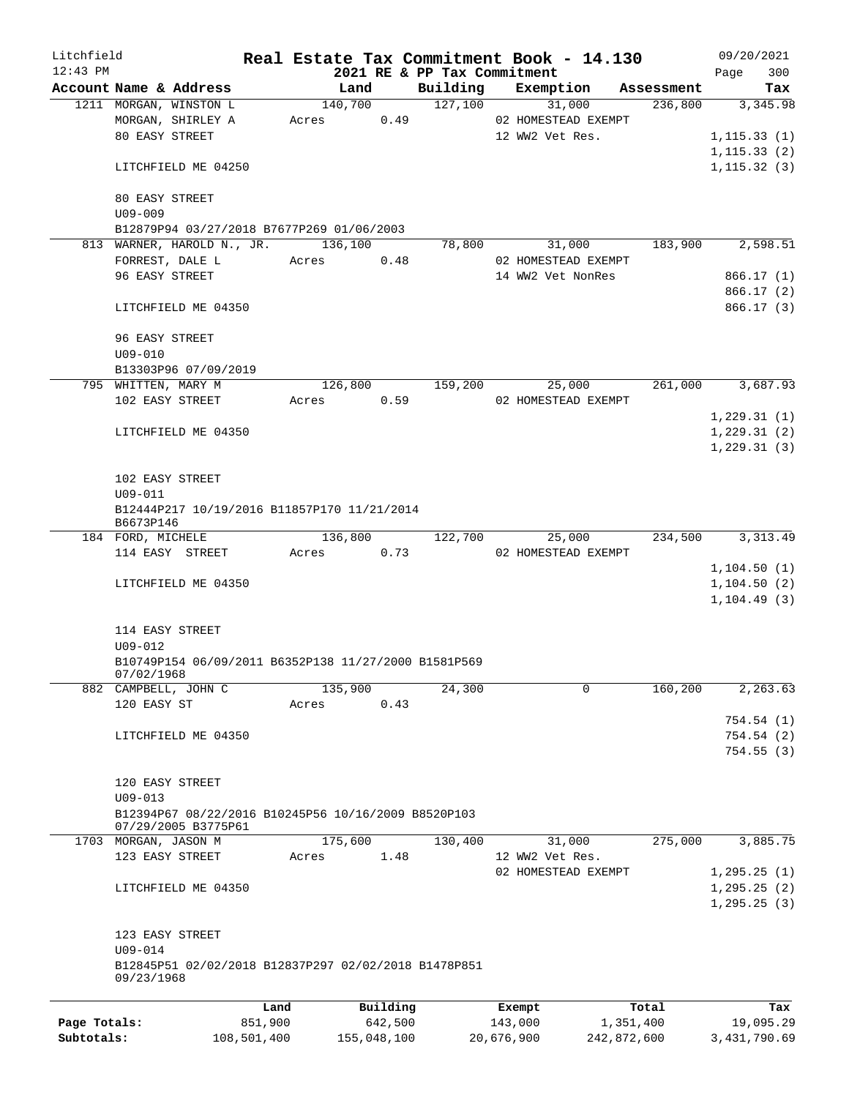| Litchfield   |                                    |                                                      |         |          |                                         | Real Estate Tax Commitment Book - 14.130 |                       | 09/20/2021      |
|--------------|------------------------------------|------------------------------------------------------|---------|----------|-----------------------------------------|------------------------------------------|-----------------------|-----------------|
| $12:43$ PM   | Account Name & Address             |                                                      | Land    |          | 2021 RE & PP Tax Commitment<br>Building | Exemption                                |                       | 300<br>Page     |
|              | 1211 MORGAN, WINSTON L             |                                                      | 140,700 |          | 127,100                                 | 31,000                                   | Assessment<br>236,800 | Tax<br>3,345.98 |
|              |                                    | MORGAN, SHIRLEY A                                    | Acres   | 0.49     |                                         | 02 HOMESTEAD EXEMPT                      |                       |                 |
|              | 80 EASY STREET                     |                                                      |         |          |                                         | 12 WW2 Vet Res.                          |                       | 1, 115.33(1)    |
|              |                                    |                                                      |         |          |                                         |                                          |                       | 1, 115.33(2)    |
|              |                                    | LITCHFIELD ME 04250                                  |         |          |                                         |                                          |                       | 1, 115.32(3)    |
|              |                                    |                                                      |         |          |                                         |                                          |                       |                 |
|              | 80 EASY STREET                     |                                                      |         |          |                                         |                                          |                       |                 |
|              | $U09 - 009$                        |                                                      |         |          |                                         |                                          |                       |                 |
|              |                                    | B12879P94 03/27/2018 B7677P269 01/06/2003            |         |          |                                         |                                          |                       |                 |
|              |                                    | 813 WARNER, HAROLD N., JR.                           | 136,100 |          | 78,800                                  | 31,000                                   | 183,900               | 2,598.51        |
|              | FORREST, DALE L                    |                                                      | Acres   | 0.48     |                                         | 02 HOMESTEAD EXEMPT                      |                       |                 |
|              | 96 EASY STREET                     |                                                      |         |          |                                         | 14 WW2 Vet NonRes                        |                       | 866.17(1)       |
|              |                                    |                                                      |         |          |                                         |                                          |                       | 866.17(2)       |
|              |                                    | LITCHFIELD ME 04350                                  |         |          |                                         |                                          |                       | 866.17(3)       |
|              |                                    |                                                      |         |          |                                         |                                          |                       |                 |
|              | 96 EASY STREET                     |                                                      |         |          |                                         |                                          |                       |                 |
|              | $U09 - 010$                        |                                                      |         |          |                                         |                                          |                       |                 |
|              |                                    | B13303P96 07/09/2019                                 |         |          |                                         |                                          |                       |                 |
|              | 795 WHITTEN, MARY M                |                                                      | 126,800 |          | 159,200                                 | 25,000                                   | 261,000               | 3,687.93        |
|              | 102 EASY STREET                    |                                                      | Acres   | 0.59     |                                         | 02 HOMESTEAD EXEMPT                      |                       |                 |
|              |                                    |                                                      |         |          |                                         |                                          |                       | 1,229.31(1)     |
|              |                                    | LITCHFIELD ME 04350                                  |         |          |                                         |                                          |                       | 1,229.31(2)     |
|              |                                    |                                                      |         |          |                                         |                                          |                       | 1, 229.31(3)    |
|              |                                    |                                                      |         |          |                                         |                                          |                       |                 |
|              | 102 EASY STREET                    |                                                      |         |          |                                         |                                          |                       |                 |
|              | $U09 - 011$                        |                                                      |         |          |                                         |                                          |                       |                 |
|              |                                    | B12444P217 10/19/2016 B11857P170 11/21/2014          |         |          |                                         |                                          |                       |                 |
|              | B6673P146                          |                                                      |         |          |                                         |                                          |                       |                 |
|              | 184 FORD, MICHELE                  |                                                      | 136,800 |          | 122,700                                 | 25,000                                   | 234,500               | 3, 313.49       |
|              | 114 EASY STREET                    |                                                      | Acres   | 0.73     |                                         | 02 HOMESTEAD EXEMPT                      |                       |                 |
|              |                                    |                                                      |         |          |                                         |                                          |                       | 1, 104.50(1)    |
|              |                                    | LITCHFIELD ME 04350                                  |         |          |                                         |                                          |                       | 1, 104.50(2)    |
|              |                                    |                                                      |         |          |                                         |                                          |                       | 1, 104.49(3)    |
|              |                                    |                                                      |         |          |                                         |                                          |                       |                 |
|              | 114 EASY STREET                    |                                                      |         |          |                                         |                                          |                       |                 |
|              | $U09 - 012$                        |                                                      |         |          |                                         |                                          |                       |                 |
|              |                                    | B10749P154 06/09/2011 B6352P138 11/27/2000 B1581P569 |         |          |                                         |                                          |                       |                 |
|              | 07/02/1968<br>882 CAMPBELL, JOHN C |                                                      | 135,900 |          | 24,300                                  | 0                                        | 160,200               | 2,263.63        |
|              | 120 EASY ST                        |                                                      | Acres   | 0.43     |                                         |                                          |                       |                 |
|              |                                    |                                                      |         |          |                                         |                                          |                       |                 |
|              |                                    |                                                      |         |          |                                         |                                          |                       | 754.54 (1)      |
|              |                                    | LITCHFIELD ME 04350                                  |         |          |                                         |                                          |                       | 754.54(2)       |
|              |                                    |                                                      |         |          |                                         |                                          |                       | 754.55(3)       |
|              | 120 EASY STREET                    |                                                      |         |          |                                         |                                          |                       |                 |
|              | $U09 - 013$                        |                                                      |         |          |                                         |                                          |                       |                 |
|              |                                    | B12394P67 08/22/2016 B10245P56 10/16/2009 B8520P103  |         |          |                                         |                                          |                       |                 |
|              |                                    | 07/29/2005 B3775P61                                  |         |          |                                         |                                          |                       |                 |
|              | 1703 MORGAN, JASON M               |                                                      | 175,600 |          | 130,400                                 | 31,000                                   | 275,000               | 3,885.75        |
|              | 123 EASY STREET                    |                                                      | Acres   | 1.48     |                                         | 12 WW2 Vet Res.                          |                       |                 |
|              |                                    |                                                      |         |          |                                         | 02 HOMESTEAD EXEMPT                      |                       | 1, 295.25(1)    |
|              |                                    | LITCHFIELD ME 04350                                  |         |          |                                         |                                          |                       | 1, 295.25(2)    |
|              |                                    |                                                      |         |          |                                         |                                          |                       | 1, 295.25(3)    |
|              |                                    |                                                      |         |          |                                         |                                          |                       |                 |
|              | 123 EASY STREET                    |                                                      |         |          |                                         |                                          |                       |                 |
|              | $U09 - 014$                        |                                                      |         |          |                                         |                                          |                       |                 |
|              |                                    | B12845P51 02/02/2018 B12837P297 02/02/2018 B1478P851 |         |          |                                         |                                          |                       |                 |
|              | 09/23/1968                         |                                                      |         |          |                                         |                                          |                       |                 |
|              |                                    |                                                      |         |          |                                         |                                          |                       |                 |
|              |                                    | Land                                                 |         | Building |                                         | Exempt                                   | Total                 | Tax             |
| Page Totals: |                                    | 851,900                                              |         | 642,500  |                                         | 143,000                                  | 1,351,400             | 19,095.29       |

**Subtotals:** 108,501,400 155,048,100 20,676,900 242,872,600 3,431,790.69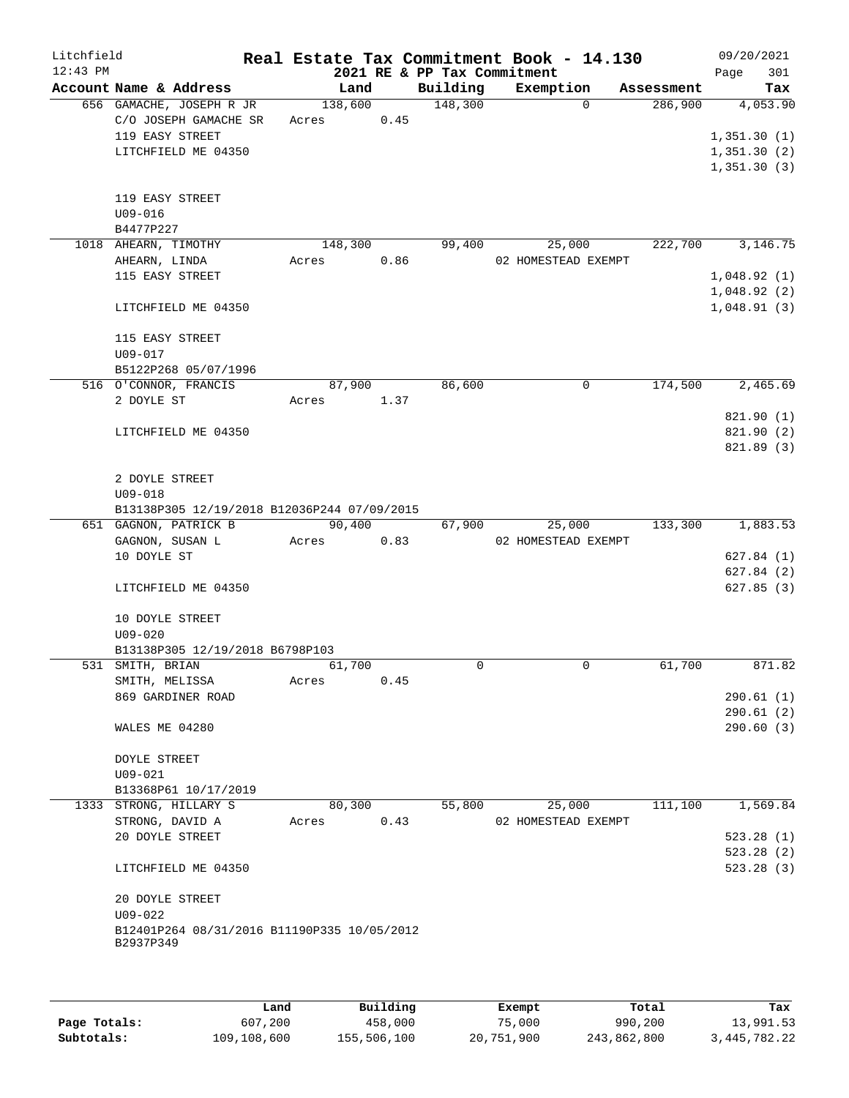| Litchfield |                                                          |                 |      |                             | Real Estate Tax Commitment Book - 14.130 |                       |      | 09/20/2021      |
|------------|----------------------------------------------------------|-----------------|------|-----------------------------|------------------------------------------|-----------------------|------|-----------------|
| $12:43$ PM |                                                          |                 |      | 2021 RE & PP Tax Commitment |                                          |                       | Page | 301             |
|            | Account Name & Address<br>656 GAMACHE, JOSEPH R JR       | Land<br>138,600 |      | Building<br>148,300         | Exemption<br>$\Omega$                    | Assessment<br>286,900 |      | Tax<br>4,053.90 |
|            | C/O JOSEPH GAMACHE SR                                    | Acres           | 0.45 |                             |                                          |                       |      |                 |
|            | 119 EASY STREET                                          |                 |      |                             |                                          |                       |      | 1,351.30(1)     |
|            | LITCHFIELD ME 04350                                      |                 |      |                             |                                          |                       |      | 1,351.30(2)     |
|            |                                                          |                 |      |                             |                                          |                       |      | 1,351.30(3)     |
|            |                                                          |                 |      |                             |                                          |                       |      |                 |
|            |                                                          |                 |      |                             |                                          |                       |      |                 |
|            | 119 EASY STREET<br>$U09 - 016$                           |                 |      |                             |                                          |                       |      |                 |
|            |                                                          |                 |      |                             |                                          |                       |      |                 |
|            | B4477P227                                                | 148,300         |      | 99,400                      |                                          | 222,700               |      | 3,146.75        |
|            | 1018 AHEARN, TIMOTHY                                     |                 |      |                             | 25,000                                   |                       |      |                 |
|            | AHEARN, LINDA                                            | Acres           | 0.86 |                             | 02 HOMESTEAD EXEMPT                      |                       |      |                 |
|            | 115 EASY STREET                                          |                 |      |                             |                                          |                       |      | 1,048.92(1)     |
|            |                                                          |                 |      |                             |                                          |                       |      | 1,048.92(2)     |
|            | LITCHFIELD ME 04350                                      |                 |      |                             |                                          |                       |      | 1,048.91(3)     |
|            |                                                          |                 |      |                             |                                          |                       |      |                 |
|            | 115 EASY STREET                                          |                 |      |                             |                                          |                       |      |                 |
|            | U09-017                                                  |                 |      |                             |                                          |                       |      |                 |
|            | B5122P268 05/07/1996                                     |                 |      |                             |                                          |                       |      |                 |
|            | 516 O'CONNOR, FRANCIS                                    | 87,900          |      | 86,600                      | $\mathbf 0$                              | 174,500               |      | 2,465.69        |
|            | 2 DOYLE ST                                               | Acres 1.37      |      |                             |                                          |                       |      |                 |
|            |                                                          |                 |      |                             |                                          |                       |      | 821.90 (1)      |
|            | LITCHFIELD ME 04350                                      |                 |      |                             |                                          |                       |      | 821.90 (2)      |
|            |                                                          |                 |      |                             |                                          |                       |      | 821.89 (3)      |
|            |                                                          |                 |      |                             |                                          |                       |      |                 |
|            | 2 DOYLE STREET                                           |                 |      |                             |                                          |                       |      |                 |
|            | $U09 - 018$                                              |                 |      |                             |                                          |                       |      |                 |
|            | B13138P305 12/19/2018 B12036P244 07/09/2015              |                 |      |                             |                                          |                       |      |                 |
|            | 651 GAGNON, PATRICK B                                    | 90,400          |      | 67,900                      | 25,000                                   | 133,300               |      | 1,883.53        |
|            | GAGNON, SUSAN L                                          | Acres           | 0.83 |                             | 02 HOMESTEAD EXEMPT                      |                       |      |                 |
|            | 10 DOYLE ST                                              |                 |      |                             |                                          |                       |      | 627.84(1)       |
|            |                                                          |                 |      |                             |                                          |                       |      | 627.84(2)       |
|            | LITCHFIELD ME 04350                                      |                 |      |                             |                                          |                       |      | 627.85(3)       |
|            |                                                          |                 |      |                             |                                          |                       |      |                 |
|            | 10 DOYLE STREET                                          |                 |      |                             |                                          |                       |      |                 |
|            | $U09 - 020$                                              |                 |      |                             |                                          |                       |      |                 |
|            | B13138P305 12/19/2018 B6798P103                          |                 |      |                             |                                          |                       |      |                 |
|            | 531 SMITH, BRIAN                                         | 61,700          |      | 0                           | $\mathbf 0$                              | 61,700                |      | 871.82          |
|            | SMITH, MELISSA                                           | Acres           | 0.45 |                             |                                          |                       |      |                 |
|            | 869 GARDINER ROAD                                        |                 |      |                             |                                          |                       |      | 290.61(1)       |
|            |                                                          |                 |      |                             |                                          |                       |      | 290.61(2)       |
|            | WALES ME 04280                                           |                 |      |                             |                                          |                       |      | 290.60(3)       |
|            |                                                          |                 |      |                             |                                          |                       |      |                 |
|            | <b>DOYLE STREET</b>                                      |                 |      |                             |                                          |                       |      |                 |
|            | U09-021                                                  |                 |      |                             |                                          |                       |      |                 |
|            | B13368P61 10/17/2019                                     |                 |      |                             |                                          |                       |      |                 |
|            | 1333 STRONG, HILLARY S                                   | 80,300          |      | 55,800                      | 25,000                                   | 111,100               |      | 1,569.84        |
|            | STRONG, DAVID A                                          | Acres           | 0.43 |                             | 02 HOMESTEAD EXEMPT                      |                       |      |                 |
|            | 20 DOYLE STREET                                          |                 |      |                             |                                          |                       |      | 523.28(1)       |
|            |                                                          |                 |      |                             |                                          |                       |      | 523.28(2)       |
|            | LITCHFIELD ME 04350                                      |                 |      |                             |                                          |                       |      | 523.28 (3)      |
|            |                                                          |                 |      |                             |                                          |                       |      |                 |
|            | 20 DOYLE STREET                                          |                 |      |                             |                                          |                       |      |                 |
|            | $U09 - 022$                                              |                 |      |                             |                                          |                       |      |                 |
|            |                                                          |                 |      |                             |                                          |                       |      |                 |
|            | B12401P264 08/31/2016 B11190P335 10/05/2012<br>B2937P349 |                 |      |                             |                                          |                       |      |                 |
|            |                                                          |                 |      |                             |                                          |                       |      |                 |
|            |                                                          |                 |      |                             |                                          |                       |      |                 |
|            |                                                          |                 |      |                             |                                          |                       |      |                 |

|              | Land        | Building    | Exempt     | Total       | Tax          |
|--------------|-------------|-------------|------------|-------------|--------------|
| Page Totals: | 607,200     | 458,000     | 75,000     | 990,200     | 13,991.53    |
| Subtotals:   | 109,108,600 | 155,506,100 | 20,751,900 | 243,862,800 | 3,445,782.22 |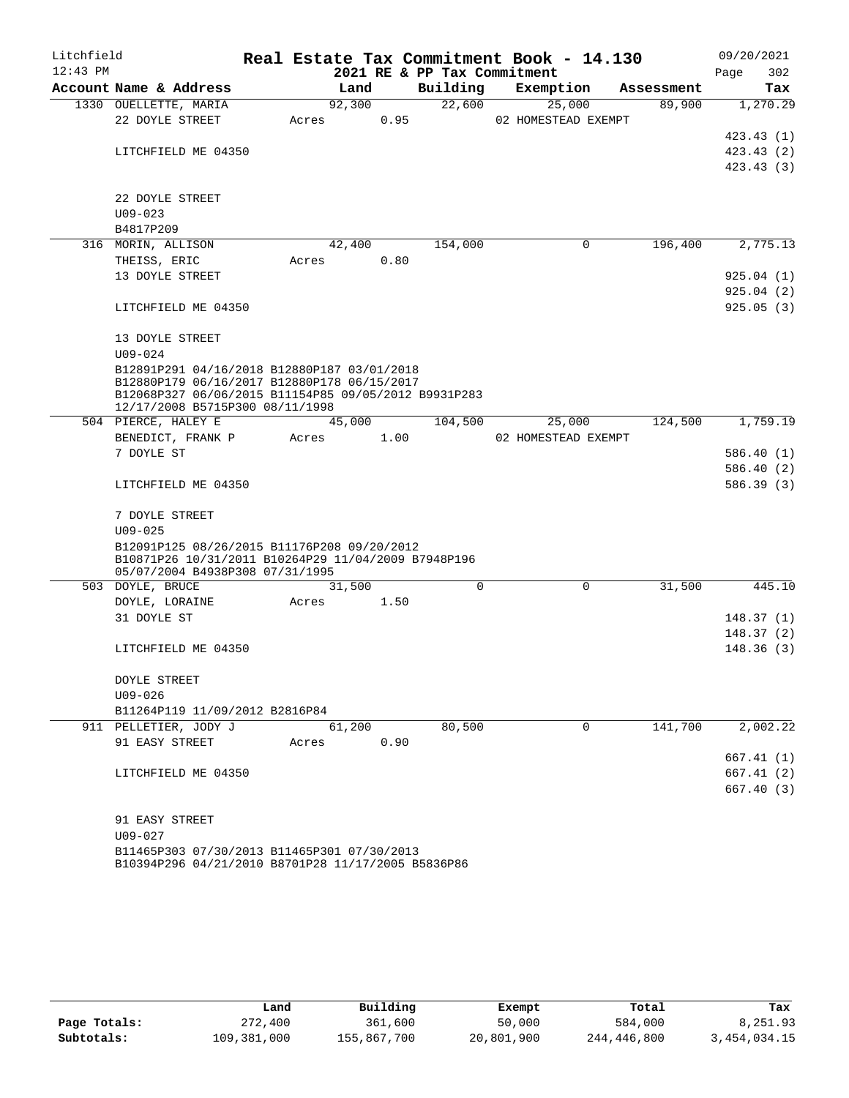| Litchfield<br>$12:43$ PM |                                                                                                     |       |        |      | 2021 RE & PP Tax Commitment | Real Estate Tax Commitment Book - 14.130 |            | 09/20/2021<br>302<br>Page |
|--------------------------|-----------------------------------------------------------------------------------------------------|-------|--------|------|-----------------------------|------------------------------------------|------------|---------------------------|
|                          | Account Name & Address                                                                              |       | Land   |      | Building                    | Exemption                                | Assessment | Tax                       |
|                          | 1330 OUELLETTE, MARIA                                                                               |       | 92,300 |      | 22,600                      | 25,000                                   | 89,900     | 1,270.29                  |
|                          | 22 DOYLE STREET                                                                                     | Acres |        | 0.95 |                             | 02 HOMESTEAD EXEMPT                      |            |                           |
|                          |                                                                                                     |       |        |      |                             |                                          |            | 423.43(1)                 |
|                          | LITCHFIELD ME 04350                                                                                 |       |        |      |                             |                                          |            | 423.43 (2)                |
|                          |                                                                                                     |       |        |      |                             |                                          |            | 423.43(3)                 |
|                          | 22 DOYLE STREET                                                                                     |       |        |      |                             |                                          |            |                           |
|                          | $U09 - 023$                                                                                         |       |        |      |                             |                                          |            |                           |
|                          | B4817P209                                                                                           |       |        |      |                             |                                          |            |                           |
|                          | 316 MORIN, ALLISON                                                                                  |       | 42,400 |      | 154,000                     | 0                                        | 196,400    | 2,775.13                  |
|                          | THEISS, ERIC                                                                                        | Acres |        | 0.80 |                             |                                          |            |                           |
|                          | 13 DOYLE STREET                                                                                     |       |        |      |                             |                                          |            | 925.04(1)                 |
|                          |                                                                                                     |       |        |      |                             |                                          |            | 925.04(2)                 |
|                          | LITCHFIELD ME 04350                                                                                 |       |        |      |                             |                                          |            | 925.05(3)                 |
|                          |                                                                                                     |       |        |      |                             |                                          |            |                           |
|                          | 13 DOYLE STREET                                                                                     |       |        |      |                             |                                          |            |                           |
|                          | $U09 - 024$                                                                                         |       |        |      |                             |                                          |            |                           |
|                          | B12891P291 04/16/2018 B12880P187 03/01/2018                                                         |       |        |      |                             |                                          |            |                           |
|                          | B12880P179 06/16/2017 B12880P178 06/15/2017<br>B12068P327 06/06/2015 B11154P85 09/05/2012 B9931P283 |       |        |      |                             |                                          |            |                           |
|                          | 12/17/2008 B5715P300 08/11/1998                                                                     |       |        |      |                             |                                          |            |                           |
|                          | 504 PIERCE, HALEY E                                                                                 |       | 45,000 |      | 104,500                     | 25,000                                   | 124,500    | 1,759.19                  |
|                          | BENEDICT, FRANK P                                                                                   | Acres |        | 1.00 |                             | 02 HOMESTEAD EXEMPT                      |            |                           |
|                          | 7 DOYLE ST                                                                                          |       |        |      |                             |                                          |            | 586.40 (1)                |
|                          |                                                                                                     |       |        |      |                             |                                          |            | 586.40 (2)                |
|                          | LITCHFIELD ME 04350                                                                                 |       |        |      |                             |                                          |            | 586.39 (3)                |
|                          |                                                                                                     |       |        |      |                             |                                          |            |                           |
|                          | 7 DOYLE STREET<br>$U09 - 025$                                                                       |       |        |      |                             |                                          |            |                           |
|                          | B12091P125 08/26/2015 B11176P208 09/20/2012                                                         |       |        |      |                             |                                          |            |                           |
|                          | B10871P26 10/31/2011 B10264P29 11/04/2009 B7948P196                                                 |       |        |      |                             |                                          |            |                           |
|                          | 05/07/2004 B4938P308 07/31/1995                                                                     |       |        |      |                             |                                          |            |                           |
|                          | 503 DOYLE, BRUCE                                                                                    |       | 31,500 |      | 0                           | 0                                        | 31,500     | 445.10                    |
|                          | DOYLE, LORAINE                                                                                      | Acres |        | 1.50 |                             |                                          |            |                           |
|                          | 31 DOYLE ST                                                                                         |       |        |      |                             |                                          |            | 148.37(1)                 |
|                          |                                                                                                     |       |        |      |                             |                                          |            | 148.37(2)                 |
|                          | LITCHFIELD ME 04350                                                                                 |       |        |      |                             |                                          |            | 148.36(3)                 |
|                          | DOYLE STREET                                                                                        |       |        |      |                             |                                          |            |                           |
|                          | $U09 - 026$                                                                                         |       |        |      |                             |                                          |            |                           |
|                          | B11264P119 11/09/2012 B2816P84                                                                      |       |        |      |                             |                                          |            |                           |
|                          | 911 PELLETIER, JODY J                                                                               |       | 61,200 |      | 80,500                      | 0                                        | 141,700    | 2,002.22                  |
|                          | 91 EASY STREET                                                                                      | Acres |        | 0.90 |                             |                                          |            |                           |
|                          |                                                                                                     |       |        |      |                             |                                          |            | 667.41 (1)                |
|                          | LITCHFIELD ME 04350                                                                                 |       |        |      |                             |                                          |            | 667.41 (2)                |
|                          |                                                                                                     |       |        |      |                             |                                          |            | 667.40 (3)                |
|                          |                                                                                                     |       |        |      |                             |                                          |            |                           |
|                          | 91 EASY STREET                                                                                      |       |        |      |                             |                                          |            |                           |
|                          | $U09 - 027$                                                                                         |       |        |      |                             |                                          |            |                           |
|                          | B11465P303 07/30/2013 B11465P301 07/30/2013<br>B10394P296 04/21/2010 B8701P28 11/17/2005 B5836P86   |       |        |      |                             |                                          |            |                           |

|              | Land        | Building    | Exempt     | Total       | Tax          |
|--------------|-------------|-------------|------------|-------------|--------------|
| Page Totals: | 272,400     | 361,600     | 50,000     | 584,000     | 8,251.93     |
| Subtotals:   | 109,381,000 | 155,867,700 | 20,801,900 | 244,446,800 | 3,454,034.15 |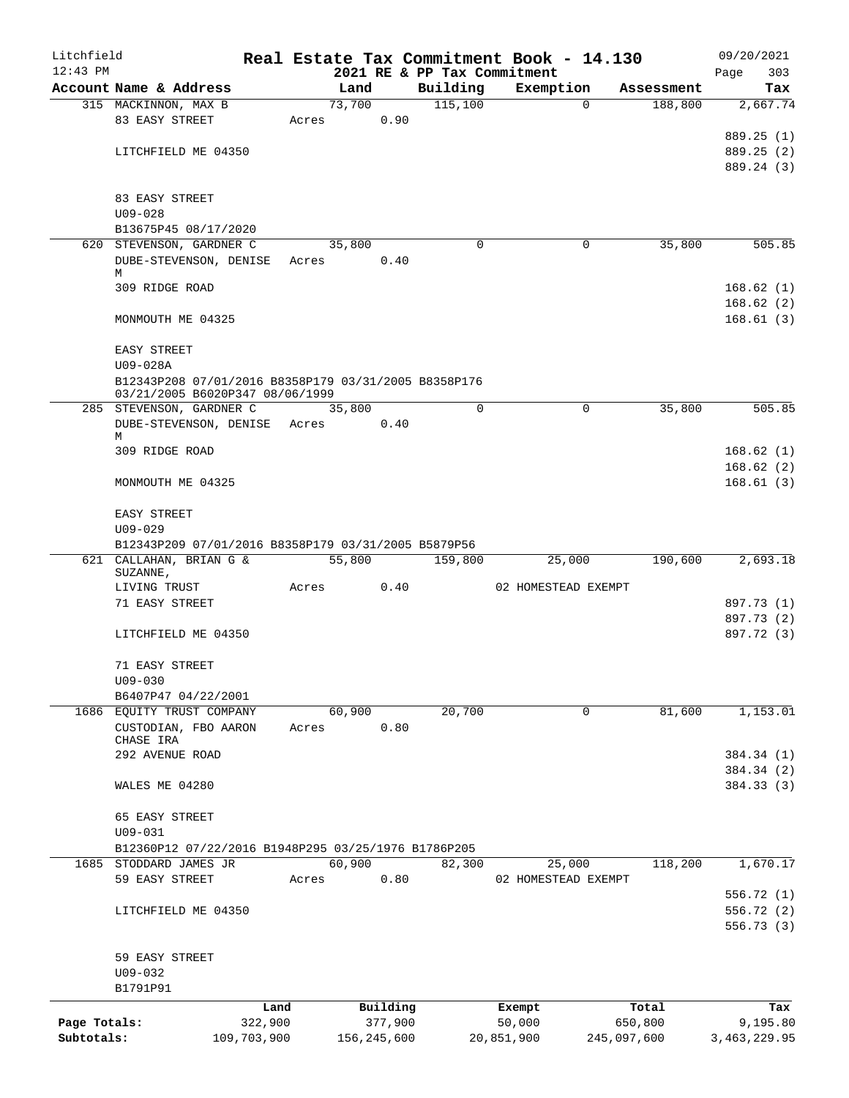| Litchfield   |                                                      |             |        |               |                             | Real Estate Tax Commitment Book - 14.130 |             | 09/20/2021          |
|--------------|------------------------------------------------------|-------------|--------|---------------|-----------------------------|------------------------------------------|-------------|---------------------|
| $12:43$ PM   |                                                      |             |        |               | 2021 RE & PP Tax Commitment |                                          |             | 303<br>Page         |
|              | Account Name & Address                               |             | Land   |               | Building                    | Exemption                                | Assessment  | Tax                 |
|              | 315 MACKINNON, MAX B                                 |             | 73,700 |               | 115,100                     |                                          | $\Omega$    | 2,667.74<br>188,800 |
|              | 83 EASY STREET                                       |             | Acres  | 0.90          |                             |                                          |             |                     |
|              |                                                      |             |        |               |                             |                                          |             | 889.25 (1)          |
|              | LITCHFIELD ME 04350                                  |             |        |               |                             |                                          |             | 889.25 (2)          |
|              |                                                      |             |        |               |                             |                                          |             | 889.24 (3)          |
|              | 83 EASY STREET                                       |             |        |               |                             |                                          |             |                     |
|              | $U09 - 028$                                          |             |        |               |                             |                                          |             |                     |
|              | B13675P45 08/17/2020                                 |             |        |               |                             |                                          |             |                     |
|              | 620 STEVENSON, GARDNER C                             |             | 35,800 |               | $\Omega$                    |                                          | 0           | 35,800<br>505.85    |
|              | DUBE-STEVENSON, DENISE Acres                         |             |        | 0.40          |                             |                                          |             |                     |
|              | М                                                    |             |        |               |                             |                                          |             |                     |
|              | 309 RIDGE ROAD                                       |             |        |               |                             |                                          |             | 168.62(1)           |
|              |                                                      |             |        |               |                             |                                          |             | 168.62(2)           |
|              | MONMOUTH ME 04325                                    |             |        |               |                             |                                          |             | 168.61(3)           |
|              |                                                      |             |        |               |                             |                                          |             |                     |
|              | EASY STREET                                          |             |        |               |                             |                                          |             |                     |
|              | U09-028A                                             |             |        |               |                             |                                          |             |                     |
|              | B12343P208 07/01/2016 B8358P179 03/31/2005 B8358P176 |             |        |               |                             |                                          |             |                     |
|              | 03/21/2005 B6020P347 08/06/1999                      |             |        |               |                             |                                          |             |                     |
|              | 285 STEVENSON, GARDNER C                             |             | 35,800 |               | $\Omega$                    |                                          | 0           | 35,800<br>505.85    |
|              | DUBE-STEVENSON, DENISE Acres<br>М                    |             |        | 0.40          |                             |                                          |             |                     |
|              | 309 RIDGE ROAD                                       |             |        |               |                             |                                          |             | 168.62(1)           |
|              |                                                      |             |        |               |                             |                                          |             | 168.62(2)           |
|              | MONMOUTH ME 04325                                    |             |        |               |                             |                                          |             | 168.61(3)           |
|              |                                                      |             |        |               |                             |                                          |             |                     |
|              | EASY STREET                                          |             |        |               |                             |                                          |             |                     |
|              | $U09 - 029$                                          |             |        |               |                             |                                          |             |                     |
|              | B12343P209 07/01/2016 B8358P179 03/31/2005 B5879P56  |             |        |               |                             |                                          |             |                     |
|              | 621 CALLAHAN, BRIAN G &                              |             | 55,800 |               | 159,800                     | 25,000                                   | 190,600     | 2,693.18            |
|              | SUZANNE,                                             |             |        |               |                             |                                          |             |                     |
|              | LIVING TRUST                                         |             | Acres  | 0.40          |                             | 02 HOMESTEAD EXEMPT                      |             |                     |
|              | 71 EASY STREET                                       |             |        |               |                             |                                          |             | 897.73 (1)          |
|              |                                                      |             |        |               |                             |                                          |             | 897.73 (2)          |
|              | LITCHFIELD ME 04350                                  |             |        |               |                             |                                          |             | 897.72 (3)          |
|              |                                                      |             |        |               |                             |                                          |             |                     |
|              | 71 EASY STREET                                       |             |        |               |                             |                                          |             |                     |
|              | $U09 - 030$                                          |             |        |               |                             |                                          |             |                     |
|              | B6407P47 04/22/2001                                  |             |        |               |                             |                                          |             |                     |
|              | 1686 EQUITY TRUST COMPANY                            |             | 60,900 |               | 20,700                      |                                          | 0           | 81,600<br>1,153.01  |
|              | CUSTODIAN, FBO AARON<br>CHASE IRA                    |             | Acres  | 0.80          |                             |                                          |             |                     |
|              | 292 AVENUE ROAD                                      |             |        |               |                             |                                          |             | 384.34 (1)          |
|              |                                                      |             |        |               |                             |                                          |             | 384.34 (2)          |
|              | WALES ME 04280                                       |             |        |               |                             |                                          |             | 384.33 (3)          |
|              |                                                      |             |        |               |                             |                                          |             |                     |
|              | 65 EASY STREET                                       |             |        |               |                             |                                          |             |                     |
|              | $U09 - 031$                                          |             |        |               |                             |                                          |             |                     |
|              | B12360P12 07/22/2016 B1948P295 03/25/1976 B1786P205  |             |        |               |                             |                                          |             |                     |
|              | 1685 STODDARD JAMES JR                               |             | 60,900 |               | 82,300                      | 25,000                                   | 118,200     | 1,670.17            |
|              | 59 EASY STREET                                       |             | Acres  | 0.80          |                             | 02 HOMESTEAD EXEMPT                      |             |                     |
|              |                                                      |             |        |               |                             |                                          |             | 556.72 (1)          |
|              | LITCHFIELD ME 04350                                  |             |        |               |                             |                                          |             | 556.72 (2)          |
|              |                                                      |             |        |               |                             |                                          |             | 556.73(3)           |
|              |                                                      |             |        |               |                             |                                          |             |                     |
|              | 59 EASY STREET                                       |             |        |               |                             |                                          |             |                     |
|              | $U09 - 032$                                          |             |        |               |                             |                                          |             |                     |
|              | B1791P91                                             |             |        |               |                             |                                          |             |                     |
|              |                                                      | Land        |        | Building      |                             | Exempt                                   | Total       | Tax                 |
| Page Totals: |                                                      | 322,900     |        | 377,900       |                             | 50,000                                   | 650,800     | 9,195.80            |
| Subtotals:   |                                                      | 109,703,900 |        | 156, 245, 600 |                             | 20,851,900                               | 245,097,600 | 3,463,229.95        |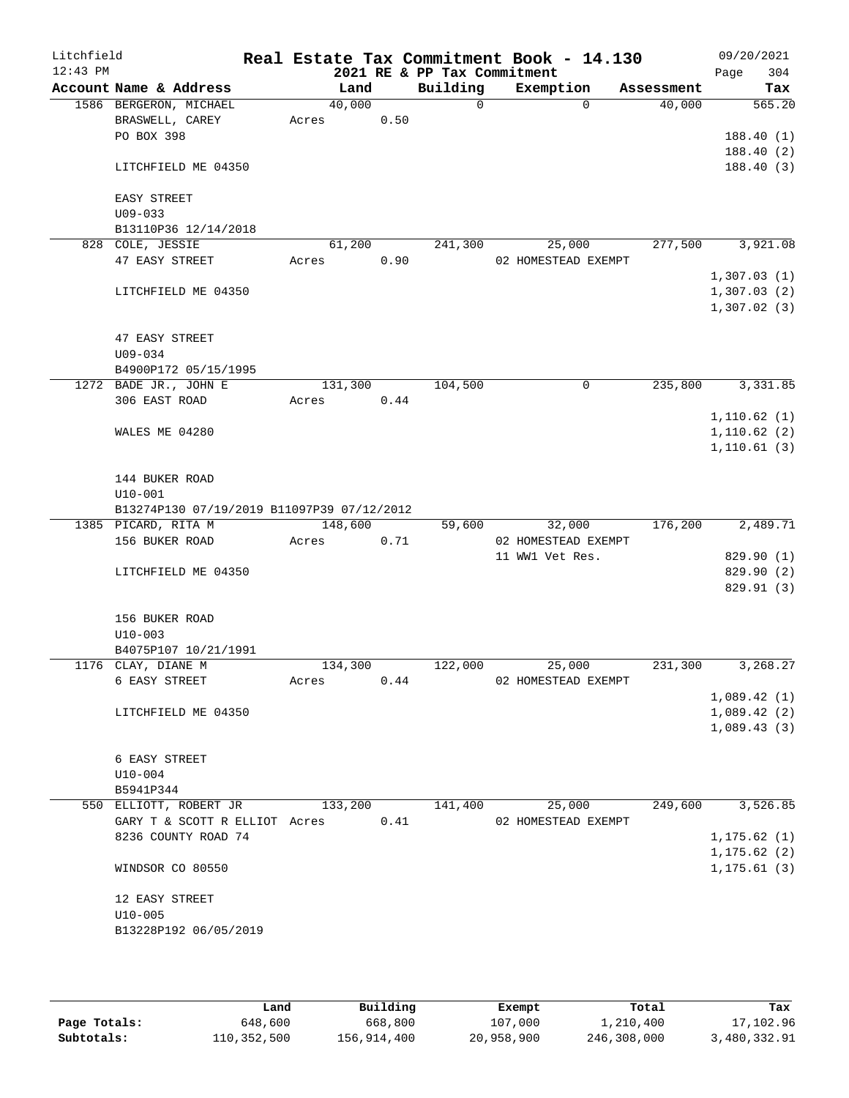| Litchfield<br>$12:43$ PM |                                            |         |                 | 2021 RE & PP Tax Commitment | Real Estate Tax Commitment Book - 14.130 |             | 09/20/2021<br>304<br>Page  |
|--------------------------|--------------------------------------------|---------|-----------------|-----------------------------|------------------------------------------|-------------|----------------------------|
|                          | Account Name & Address                     |         | Land            | Building                    | Exemption                                | Assessment  | Tax                        |
|                          | 1586 BERGERON, MICHAEL                     | 40,000  |                 | $\Omega$                    |                                          | $\Omega$    | 40,000<br>565.20           |
|                          | BRASWELL, CAREY                            | Acres   | 0.50            |                             |                                          |             |                            |
|                          | PO BOX 398                                 |         |                 |                             |                                          |             | 188.40(1)                  |
|                          |                                            |         |                 |                             |                                          |             | 188.40(2)                  |
|                          | LITCHFIELD ME 04350                        |         |                 |                             |                                          |             | 188.40(3)                  |
|                          |                                            |         |                 |                             |                                          |             |                            |
|                          | EASY STREET                                |         |                 |                             |                                          |             |                            |
|                          | $U09 - 033$                                |         |                 |                             |                                          |             |                            |
|                          | B13110P36 12/14/2018                       |         |                 |                             |                                          |             |                            |
|                          | 828 COLE, JESSIE                           | 61,200  |                 | 241,300                     | 25,000                                   |             | 3,921.08<br>277,500        |
|                          | 47 EASY STREET                             | Acres   | 0.90            |                             | 02 HOMESTEAD EXEMPT                      |             |                            |
|                          |                                            |         |                 |                             |                                          |             | 1,307.03(1)                |
|                          | LITCHFIELD ME 04350                        |         |                 |                             |                                          |             | 1,307.03(2)<br>1,307.02(3) |
|                          |                                            |         |                 |                             |                                          |             |                            |
|                          | 47 EASY STREET                             |         |                 |                             |                                          |             |                            |
|                          | $U09 - 034$                                |         |                 |                             |                                          |             |                            |
|                          | B4900P172 05/15/1995                       |         |                 |                             |                                          |             |                            |
|                          | 1272 BADE JR., JOHN E                      | 131,300 |                 | 104,500                     |                                          | $\mathbf 0$ | 235,800<br>3,331.85        |
|                          | 306 EAST ROAD                              | Acres   | 0.44            |                             |                                          |             |                            |
|                          |                                            |         |                 |                             |                                          |             | 1,110.62(1)                |
|                          | WALES ME 04280                             |         |                 |                             |                                          |             | 1,110.62(2)                |
|                          |                                            |         |                 |                             |                                          |             | 1, 110.61(3)               |
|                          |                                            |         |                 |                             |                                          |             |                            |
|                          | 144 BUKER ROAD                             |         |                 |                             |                                          |             |                            |
|                          | $U10 - 001$                                |         |                 |                             |                                          |             |                            |
|                          | B13274P130 07/19/2019 B11097P39 07/12/2012 |         |                 |                             |                                          |             |                            |
|                          | 1385 PICARD, RITA M                        | 148,600 |                 | 59,600                      | 32,000                                   | 176,200     | 2,489.71                   |
|                          | 156 BUKER ROAD                             | Acres   | 0.71            |                             | 02 HOMESTEAD EXEMPT                      |             |                            |
|                          | LITCHFIELD ME 04350                        |         |                 |                             | 11 WW1 Vet Res.                          |             | 829.90 (1)<br>829.90 (2)   |
|                          |                                            |         |                 |                             |                                          |             | 829.91 (3)                 |
|                          |                                            |         |                 |                             |                                          |             |                            |
|                          | 156 BUKER ROAD                             |         |                 |                             |                                          |             |                            |
|                          | $U10 - 003$                                |         |                 |                             |                                          |             |                            |
|                          | B4075P107 10/21/1991                       |         |                 |                             |                                          |             |                            |
|                          | 1176 CLAY, DIANE M                         | 134,300 |                 | 122,000                     | 25,000                                   | 231,300     | 3,268.27                   |
|                          | 6 EASY STREET                              | Acres   | 0.44            |                             | 02 HOMESTEAD EXEMPT                      |             |                            |
|                          |                                            |         |                 |                             |                                          |             | 1,089.42(1)                |
|                          | LITCHFIELD ME 04350                        |         |                 |                             |                                          |             | 1,089.42(2)                |
|                          |                                            |         |                 |                             |                                          |             | 1,089.43(3)                |
|                          |                                            |         |                 |                             |                                          |             |                            |
|                          | 6 EASY STREET                              |         |                 |                             |                                          |             |                            |
|                          | $U10 - 004$                                |         |                 |                             |                                          |             |                            |
|                          | B5941P344<br>550 ELLIOTT, ROBERT JR        |         |                 |                             |                                          |             | 249,600<br>3,526.85        |
|                          | GARY T & SCOTT R ELLIOT Acres              |         | 133,200<br>0.41 | 141,400                     | 25,000<br>02 HOMESTEAD EXEMPT            |             |                            |
|                          | 8236 COUNTY ROAD 74                        |         |                 |                             |                                          |             | 1, 175.62(1)               |
|                          |                                            |         |                 |                             |                                          |             | 1, 175.62(2)               |
|                          | WINDSOR CO 80550                           |         |                 |                             |                                          |             | 1, 175.61(3)               |
|                          |                                            |         |                 |                             |                                          |             |                            |
|                          | 12 EASY STREET                             |         |                 |                             |                                          |             |                            |
|                          | $U10 - 005$                                |         |                 |                             |                                          |             |                            |
|                          | B13228P192 06/05/2019                      |         |                 |                             |                                          |             |                            |
|                          |                                            |         |                 |                             |                                          |             |                            |
|                          |                                            |         |                 |                             |                                          |             |                            |

|              | Land        | Building    | Exempt     | Total       | Tax          |
|--------------|-------------|-------------|------------|-------------|--------------|
| Page Totals: | 648,600     | 668,800     | 107,000    | 1,210,400   | 17,102.96    |
| Subtotals:   | 110,352,500 | 156,914,400 | 20,958,900 | 246,308,000 | 3,480,332.91 |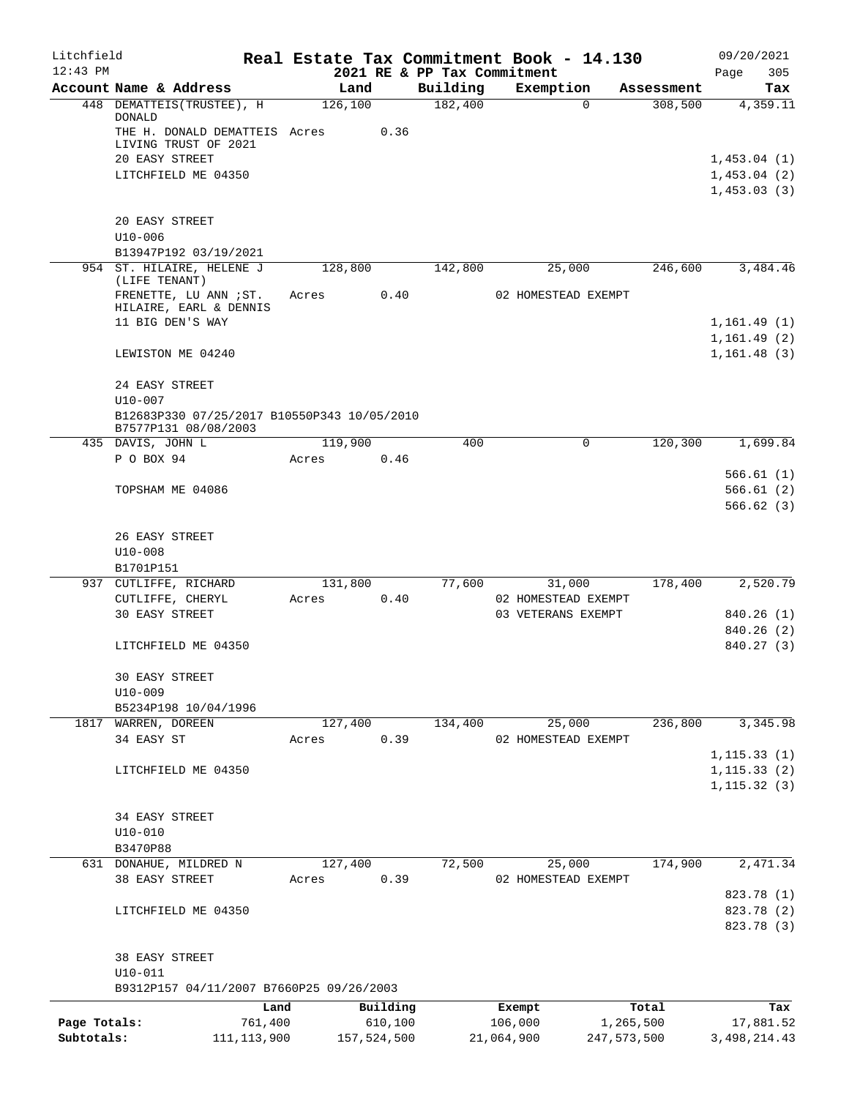| Litchfield   |                                                                     |         |             |                     | Real Estate Tax Commitment Book - 14.130 |                       | 09/20/2021      |
|--------------|---------------------------------------------------------------------|---------|-------------|---------------------|------------------------------------------|-----------------------|-----------------|
| $12:43$ PM   |                                                                     | Land    |             |                     | 2021 RE & PP Tax Commitment<br>Exemption |                       | 305<br>Page     |
|              | Account Name & Address<br>448 DEMATTEIS (TRUSTEE), H                | 126,100 |             | Building<br>182,400 | 0                                        | Assessment<br>308,500 | Tax<br>4,359.11 |
|              | <b>DONALD</b><br>THE H. DONALD DEMATTEIS Acres                      |         | 0.36        |                     |                                          |                       |                 |
|              | LIVING TRUST OF 2021                                                |         |             |                     |                                          |                       |                 |
|              | 20 EASY STREET                                                      |         |             |                     |                                          |                       | 1,453.04(1)     |
|              | LITCHFIELD ME 04350                                                 |         |             |                     |                                          |                       | 1,453.04(2)     |
|              |                                                                     |         |             |                     |                                          |                       | 1,453.03(3)     |
|              | 20 EASY STREET                                                      |         |             |                     |                                          |                       |                 |
|              | $U10 - 006$                                                         |         |             |                     |                                          |                       |                 |
|              | B13947P192 03/19/2021                                               |         |             |                     |                                          |                       |                 |
|              | 954 ST. HILAIRE, HELENE J<br>(LIFE TENANT)                          | 128,800 |             | 142,800             | 25,000                                   | 246,600               | 3,484.46        |
|              | FRENETTE, LU ANN ; ST.                                              | Acres   | 0.40        |                     | 02 HOMESTEAD EXEMPT                      |                       |                 |
|              | HILAIRE, EARL & DENNIS                                              |         |             |                     |                                          |                       |                 |
|              | 11 BIG DEN'S WAY                                                    |         |             |                     |                                          |                       | 1,161.49(1)     |
|              |                                                                     |         |             |                     |                                          |                       | 1, 161.49(2)    |
|              | LEWISTON ME 04240                                                   |         |             |                     |                                          |                       | 1, 161.48(3)    |
|              | 24 EASY STREET<br>$U10 - 007$                                       |         |             |                     |                                          |                       |                 |
|              | B12683P330 07/25/2017 B10550P343 10/05/2010<br>B7577P131 08/08/2003 |         |             |                     |                                          |                       |                 |
|              | 435 DAVIS, JOHN L                                                   | 119,900 |             | 400                 | 0                                        | 120,300               | 1,699.84        |
|              | P O BOX 94                                                          | Acres   | 0.46        |                     |                                          |                       |                 |
|              |                                                                     |         |             |                     |                                          |                       | 566.61(1)       |
|              | TOPSHAM ME 04086                                                    |         |             |                     |                                          |                       | 566.61(2)       |
|              |                                                                     |         |             |                     |                                          |                       | 566.62(3)       |
|              | 26 EASY STREET                                                      |         |             |                     |                                          |                       |                 |
|              | $U10 - 008$                                                         |         |             |                     |                                          |                       |                 |
|              | B1701P151                                                           |         |             |                     |                                          |                       |                 |
|              | 937 CUTLIFFE, RICHARD                                               | 131,800 |             | 77,600              | 31,000                                   | 178,400               | 2,520.79        |
|              | CUTLIFFE, CHERYL                                                    | Acres   | 0.40        |                     | 02 HOMESTEAD EXEMPT                      |                       |                 |
|              | <b>30 EASY STREET</b>                                               |         |             |                     | 03 VETERANS EXEMPT                       |                       | 840.26 (1)      |
|              |                                                                     |         |             |                     |                                          |                       | 840.26(2)       |
|              | LITCHFIELD ME 04350                                                 |         |             |                     |                                          |                       | 840.27 (3)      |
|              | 30 EASY STREET                                                      |         |             |                     |                                          |                       |                 |
|              | $U10-009$                                                           |         |             |                     |                                          |                       |                 |
|              | B5234P198 10/04/1996                                                |         |             |                     |                                          |                       |                 |
|              | 1817 WARREN, DOREEN                                                 | 127,400 |             | 134,400             | 25,000                                   | 236,800               | 3,345.98        |
|              | 34 EASY ST                                                          | Acres   | 0.39        |                     | 02 HOMESTEAD EXEMPT                      |                       |                 |
|              |                                                                     |         |             |                     |                                          |                       | 1, 115.33(1)    |
|              | LITCHFIELD ME 04350                                                 |         |             |                     |                                          |                       | 1, 115.33(2)    |
|              |                                                                     |         |             |                     |                                          |                       | 1, 115.32(3)    |
|              | 34 EASY STREET                                                      |         |             |                     |                                          |                       |                 |
|              | $U10 - 010$                                                         |         |             |                     |                                          |                       |                 |
|              | B3470P88                                                            |         |             |                     |                                          |                       |                 |
|              | 631 DONAHUE, MILDRED N                                              | 127,400 |             | 72,500              | 25,000                                   | 174,900               | 2,471.34        |
|              | 38 EASY STREET                                                      | Acres   | 0.39        |                     | 02 HOMESTEAD EXEMPT                      |                       |                 |
|              |                                                                     |         |             |                     |                                          |                       | 823.78 (1)      |
|              | LITCHFIELD ME 04350                                                 |         |             |                     |                                          |                       | 823.78 (2)      |
|              |                                                                     |         |             |                     |                                          |                       | 823.78 (3)      |
|              | 38 EASY STREET                                                      |         |             |                     |                                          |                       |                 |
|              | $U10 - 011$                                                         |         |             |                     |                                          |                       |                 |
|              | B9312P157 04/11/2007 B7660P25 09/26/2003                            |         |             |                     |                                          |                       |                 |
|              |                                                                     | Land    | Building    |                     | Exempt                                   | Total                 | Tax             |
| Page Totals: | 761,400                                                             |         | 610,100     |                     | 106,000                                  | 1,265,500             | 17,881.52       |
| Subtotals:   | 111, 113, 900                                                       |         | 157,524,500 |                     | 21,064,900                               | 247,573,500           | 3, 498, 214.43  |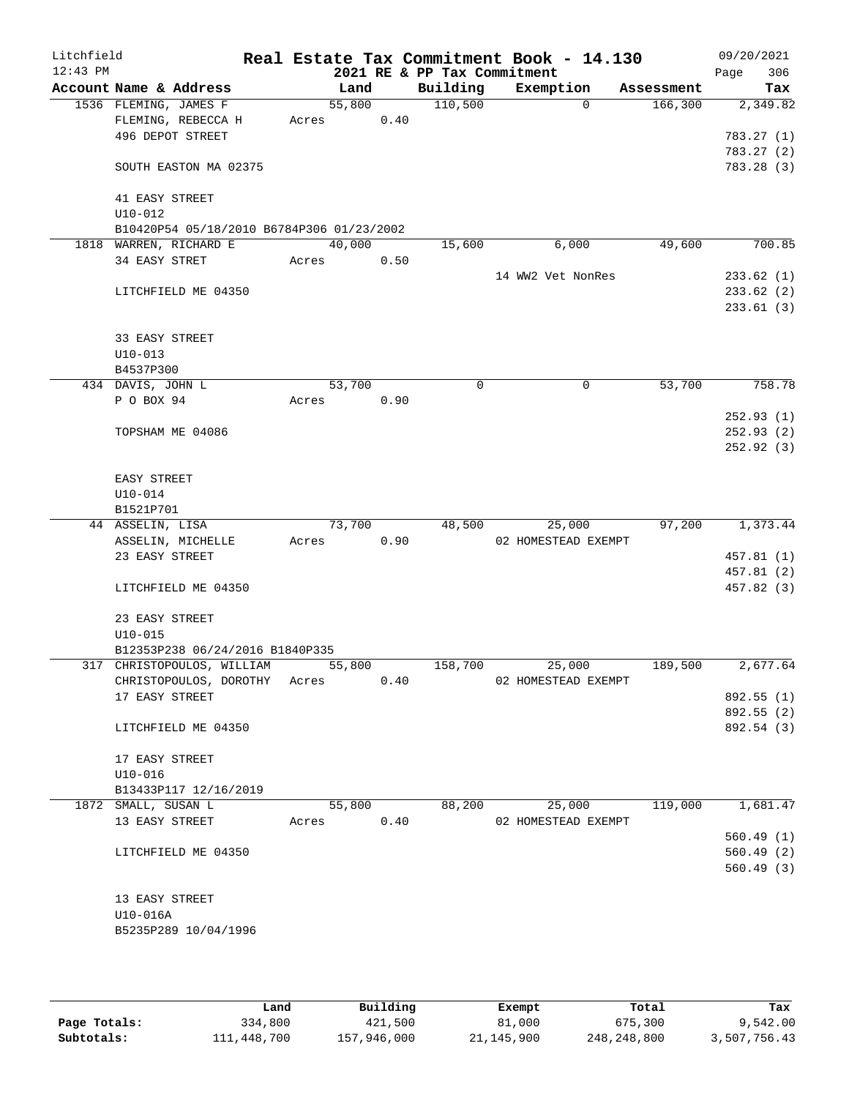| Litchfield<br>$12:43$ PM |                     |                                           |       |        |      | 2021 RE & PP Tax Commitment | Real Estate Tax Commitment Book - 14.130 |            | 09/20/2021<br>306<br>Page |
|--------------------------|---------------------|-------------------------------------------|-------|--------|------|-----------------------------|------------------------------------------|------------|---------------------------|
|                          |                     | Account Name & Address                    |       | Land   |      | Building                    | Exemption                                | Assessment | Tax                       |
|                          |                     | 1536 FLEMING, JAMES F                     |       | 55,800 |      | 110,500                     | $\Omega$                                 | 166,300    | 2,349.82                  |
|                          |                     | FLEMING, REBECCA H                        | Acres |        | 0.40 |                             |                                          |            |                           |
|                          |                     | 496 DEPOT STREET                          |       |        |      |                             |                                          |            | 783.27(1)                 |
|                          |                     | SOUTH EASTON MA 02375                     |       |        |      |                             |                                          |            | 783.27(2)<br>783.28 (3)   |
|                          | 41 EASY STREET      |                                           |       |        |      |                             |                                          |            |                           |
|                          | $U10 - 012$         |                                           |       |        |      |                             |                                          |            |                           |
|                          |                     | B10420P54 05/18/2010 B6784P306 01/23/2002 |       |        |      |                             |                                          |            |                           |
|                          | 34 EASY STRET       | 1818 WARREN, RICHARD E                    | Acres | 40,000 | 0.50 | 15,600                      | 6,000                                    | 49,600     | 700.85                    |
|                          |                     |                                           |       |        |      |                             | 14 WW2 Vet NonRes                        |            | 233.62(1)                 |
|                          |                     | LITCHFIELD ME 04350                       |       |        |      |                             |                                          |            | 233.62(2)                 |
|                          |                     |                                           |       |        |      |                             |                                          |            | 233.61(3)                 |
|                          | 33 EASY STREET      |                                           |       |        |      |                             |                                          |            |                           |
|                          | $U10 - 013$         |                                           |       |        |      |                             |                                          |            |                           |
|                          | B4537P300           |                                           |       |        |      |                             |                                          |            |                           |
|                          | 434 DAVIS, JOHN L   |                                           |       | 53,700 |      | 0                           | 0                                        | 53,700     | 758.78                    |
|                          | P O BOX 94          |                                           | Acres |        | 0.90 |                             |                                          |            |                           |
|                          |                     |                                           |       |        |      |                             |                                          |            | 252.93(1)                 |
|                          |                     | TOPSHAM ME 04086                          |       |        |      |                             |                                          |            | 252.93(2)                 |
|                          |                     |                                           |       |        |      |                             |                                          |            | 252.92(3)                 |
|                          | EASY STREET         |                                           |       |        |      |                             |                                          |            |                           |
|                          | $U10 - 014$         |                                           |       |        |      |                             |                                          |            |                           |
|                          | B1521P701           |                                           |       |        |      |                             |                                          |            |                           |
|                          | 44 ASSELIN, LISA    |                                           |       | 73,700 |      | 48,500                      | 25,000                                   | 97,200     | 1,373.44                  |
|                          |                     | ASSELIN, MICHELLE                         | Acres |        | 0.90 |                             | 02 HOMESTEAD EXEMPT                      |            |                           |
|                          | 23 EASY STREET      |                                           |       |        |      |                             |                                          |            | 457.81 (1)                |
|                          |                     |                                           |       |        |      |                             |                                          |            | 457.81 (2)                |
|                          |                     | LITCHFIELD ME 04350                       |       |        |      |                             |                                          |            | 457.82 (3)                |
|                          | 23 EASY STREET      |                                           |       |        |      |                             |                                          |            |                           |
|                          | $U10 - 015$         |                                           |       |        |      |                             |                                          |            |                           |
|                          |                     | B12353P238 06/24/2016 B1840P335           |       |        |      |                             |                                          |            |                           |
|                          |                     | 317 CHRISTOPOULOS, WILLIAM                |       | 55,800 |      | 158,700                     | 25,000                                   | 189,500    | 2,677.64                  |
|                          |                     | CHRISTOPOULOS, DOROTHY Acres              |       |        | 0.40 |                             | 02 HOMESTEAD EXEMPT                      |            |                           |
|                          | 17 EASY STREET      |                                           |       |        |      |                             |                                          |            | 892.55 (1)                |
|                          |                     | LITCHFIELD ME 04350                       |       |        |      |                             |                                          |            | 892.55 (2)<br>892.54 (3)  |
|                          |                     |                                           |       |        |      |                             |                                          |            |                           |
|                          | 17 EASY STREET      |                                           |       |        |      |                             |                                          |            |                           |
|                          | $U10 - 016$         |                                           |       |        |      |                             |                                          |            |                           |
|                          |                     | B13433P117 12/16/2019                     |       |        |      |                             |                                          |            |                           |
|                          | 1872 SMALL, SUSAN L |                                           |       | 55,800 |      | 88,200                      | 25,000                                   | 119,000    | 1,681.47                  |
|                          | 13 EASY STREET      |                                           | Acres |        | 0.40 |                             | 02 HOMESTEAD EXEMPT                      |            |                           |
|                          |                     |                                           |       |        |      |                             |                                          |            | 560.49(1)                 |
|                          |                     | LITCHFIELD ME 04350                       |       |        |      |                             |                                          |            | 560.49(2)<br>560.49(3)    |
|                          |                     |                                           |       |        |      |                             |                                          |            |                           |
|                          | 13 EASY STREET      |                                           |       |        |      |                             |                                          |            |                           |
|                          | U10-016A            |                                           |       |        |      |                             |                                          |            |                           |
|                          |                     | B5235P289 10/04/1996                      |       |        |      |                             |                                          |            |                           |
|                          |                     |                                           |       |        |      |                             |                                          |            |                           |

|              | Land        | Building    | Exempt     | Total       | Tax          |
|--------------|-------------|-------------|------------|-------------|--------------|
| Page Totals: | 334,800     | 421,500     | 81,000     | 675,300     | 9,542.00     |
| Subtotals:   | 111,448,700 | 157,946,000 | 21,145,900 | 248,248,800 | 3,507,756.43 |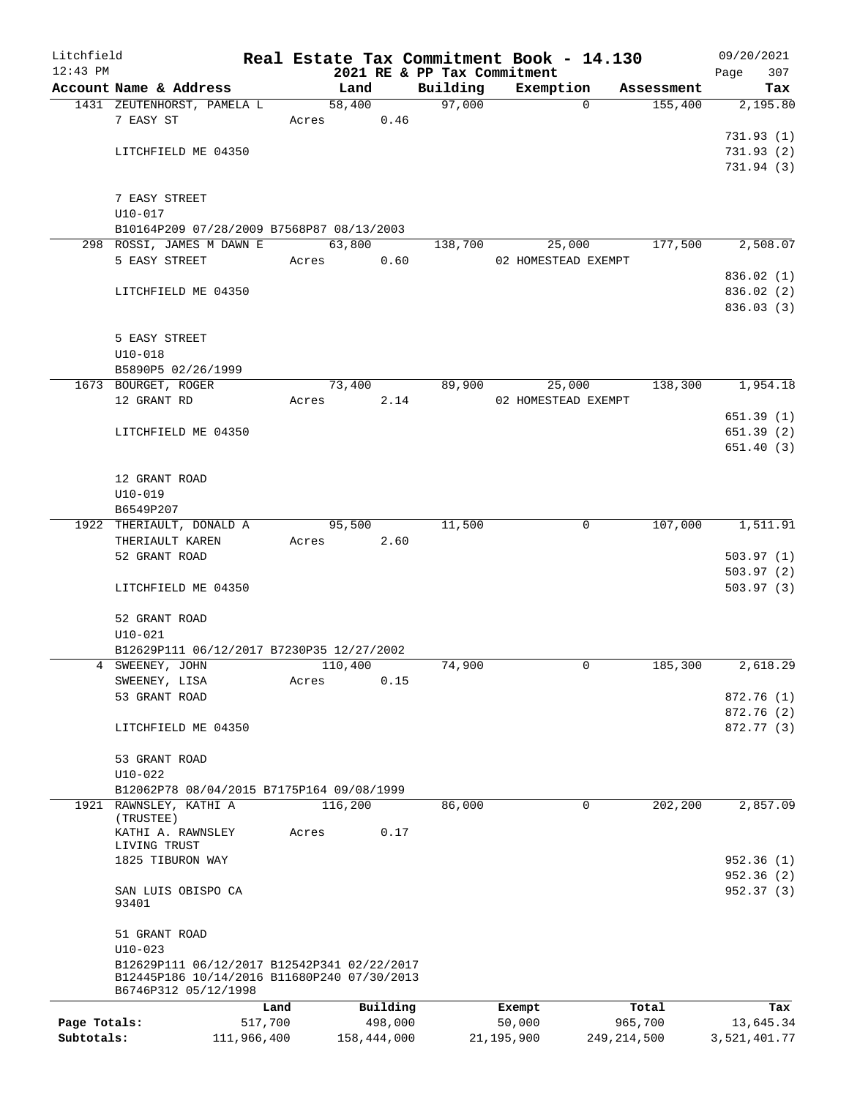| Litchfield   |                                                                     |                 |       |            |                     |                             | Real Estate Tax Commitment Book - 14.130 |          |                  | 09/20/2021              |
|--------------|---------------------------------------------------------------------|-----------------|-------|------------|---------------------|-----------------------------|------------------------------------------|----------|------------------|-------------------------|
| $12:43$ PM   |                                                                     |                 |       |            |                     | 2021 RE & PP Tax Commitment |                                          |          |                  | 307<br>Page             |
|              | Account Name & Address                                              |                 |       | Land       |                     | Building                    | Exemption                                |          | Assessment       | Tax                     |
|              | 1431 ZEUTENHORST, PAMELA L                                          |                 |       | 58,400     |                     | 97,000                      |                                          | $\Omega$ | 155,400          | 2,195.80                |
|              | 7 EASY ST                                                           |                 |       | Acres      | 0.46                |                             |                                          |          |                  |                         |
|              | LITCHFIELD ME 04350                                                 |                 |       |            |                     |                             |                                          |          |                  | 731.93(1)<br>731.93 (2) |
|              |                                                                     |                 |       |            |                     |                             |                                          |          |                  | 731.94(3)               |
|              |                                                                     |                 |       |            |                     |                             |                                          |          |                  |                         |
|              | 7 EASY STREET                                                       |                 |       |            |                     |                             |                                          |          |                  |                         |
|              | $U10 - 017$                                                         |                 |       |            |                     |                             |                                          |          |                  |                         |
|              | B10164P209 07/28/2009 B7568P87 08/13/2003                           |                 |       |            |                     |                             |                                          |          |                  |                         |
|              | 298 ROSSI, JAMES M DAWN E                                           |                 |       | 63,800     |                     | 138,700                     |                                          | 25,000   | 177,500          | 2,508.07                |
|              | 5 EASY STREET                                                       |                 |       | Acres      | 0.60                |                             | 02 HOMESTEAD EXEMPT                      |          |                  |                         |
|              |                                                                     |                 |       |            |                     |                             |                                          |          |                  | 836.02 (1)              |
|              | LITCHFIELD ME 04350                                                 |                 |       |            |                     |                             |                                          |          |                  | 836.02 (2)              |
|              |                                                                     |                 |       |            |                     |                             |                                          |          |                  | 836.03 (3)              |
|              |                                                                     |                 |       |            |                     |                             |                                          |          |                  |                         |
|              | 5 EASY STREET                                                       |                 |       |            |                     |                             |                                          |          |                  |                         |
|              | $U10 - 018$                                                         |                 |       |            |                     |                             |                                          |          |                  |                         |
|              | B5890P5 02/26/1999                                                  |                 |       |            |                     |                             |                                          |          |                  |                         |
|              | 1673 BOURGET, ROGER                                                 |                 |       | 73,400     |                     | 89,900                      |                                          | 25,000   | 138,300          | 1,954.18                |
|              | 12 GRANT RD                                                         |                 | Acres |            | 2.14                |                             | 02 HOMESTEAD EXEMPT                      |          |                  |                         |
|              |                                                                     |                 |       |            |                     |                             |                                          |          |                  | 651.39(1)               |
|              | LITCHFIELD ME 04350                                                 |                 |       |            |                     |                             |                                          |          |                  | 651.39(2)               |
|              |                                                                     |                 |       |            |                     |                             |                                          |          |                  | 651.40(3)               |
|              |                                                                     |                 |       |            |                     |                             |                                          |          |                  |                         |
|              | 12 GRANT ROAD                                                       |                 |       |            |                     |                             |                                          |          |                  |                         |
|              | $U10 - 019$                                                         |                 |       |            |                     |                             |                                          |          |                  |                         |
|              | B6549P207                                                           |                 |       |            |                     |                             |                                          |          |                  |                         |
|              | 1922 THERIAULT, DONALD A                                            |                 |       | 95,500     |                     | 11,500                      |                                          | 0        | 107,000          | 1,511.91                |
|              | THERIAULT KAREN                                                     |                 |       | Acres 2.60 |                     |                             |                                          |          |                  |                         |
|              | 52 GRANT ROAD                                                       |                 |       |            |                     |                             |                                          |          |                  | 503.97(1)               |
|              |                                                                     |                 |       |            |                     |                             |                                          |          |                  | 503.97(2)               |
|              | LITCHFIELD ME 04350                                                 |                 |       |            |                     |                             |                                          |          |                  | 503.97(3)               |
|              | 52 GRANT ROAD                                                       |                 |       |            |                     |                             |                                          |          |                  |                         |
|              | $U10 - 021$                                                         |                 |       |            |                     |                             |                                          |          |                  |                         |
|              | B12629P111 06/12/2017 B7230P35 12/27/2002                           |                 |       |            |                     |                             |                                          |          |                  |                         |
|              | 4 SWEENEY, JOHN                                                     |                 |       | 110,400    |                     | 74,900                      |                                          | 0        | 185,300          | 2,618.29                |
|              | SWEENEY, LISA                                                       |                 | Acres |            | 0.15                |                             |                                          |          |                  |                         |
|              | 53 GRANT ROAD                                                       |                 |       |            |                     |                             |                                          |          |                  | 872.76 (1)              |
|              |                                                                     |                 |       |            |                     |                             |                                          |          |                  | 872.76 (2)              |
|              | LITCHFIELD ME 04350                                                 |                 |       |            |                     |                             |                                          |          |                  | 872.77 (3)              |
|              |                                                                     |                 |       |            |                     |                             |                                          |          |                  |                         |
|              | 53 GRANT ROAD                                                       |                 |       |            |                     |                             |                                          |          |                  |                         |
|              | $U10-022$                                                           |                 |       |            |                     |                             |                                          |          |                  |                         |
|              | B12062P78 08/04/2015 B7175P164 09/08/1999                           |                 |       |            |                     |                             |                                          |          |                  |                         |
|              | 1921 RAWNSLEY, KATHI A                                              |                 |       | 116,200    |                     | 86,000                      |                                          | 0        | 202,200          | 2,857.09                |
|              | (TRUSTEE)                                                           |                 |       |            |                     |                             |                                          |          |                  |                         |
|              | KATHI A. RAWNSLEY<br>LIVING TRUST                                   |                 | Acres |            | 0.17                |                             |                                          |          |                  |                         |
|              | 1825 TIBURON WAY                                                    |                 |       |            |                     |                             |                                          |          |                  | 952.36(1)               |
|              |                                                                     |                 |       |            |                     |                             |                                          |          |                  | 952.36(2)               |
|              | SAN LUIS OBISPO CA                                                  |                 |       |            |                     |                             |                                          |          |                  | 952.37 (3)              |
|              | 93401                                                               |                 |       |            |                     |                             |                                          |          |                  |                         |
|              |                                                                     |                 |       |            |                     |                             |                                          |          |                  |                         |
|              | 51 GRANT ROAD                                                       |                 |       |            |                     |                             |                                          |          |                  |                         |
|              | $U10 - 023$                                                         |                 |       |            |                     |                             |                                          |          |                  |                         |
|              | B12629P111 06/12/2017 B12542P341 02/22/2017                         |                 |       |            |                     |                             |                                          |          |                  |                         |
|              | B12445P186 10/14/2016 B11680P240 07/30/2013<br>B6746P312 05/12/1998 |                 |       |            |                     |                             |                                          |          |                  |                         |
|              |                                                                     |                 |       |            |                     |                             |                                          |          |                  |                         |
| Page Totals: |                                                                     | Land<br>517,700 |       |            | Building<br>498,000 |                             | Exempt<br>50,000                         |          | Total<br>965,700 | Tax<br>13,645.34        |
| Subtotals:   |                                                                     | 111,966,400     |       |            | 158,444,000         |                             | 21, 195, 900                             |          | 249, 214, 500    | 3,521,401.77            |
|              |                                                                     |                 |       |            |                     |                             |                                          |          |                  |                         |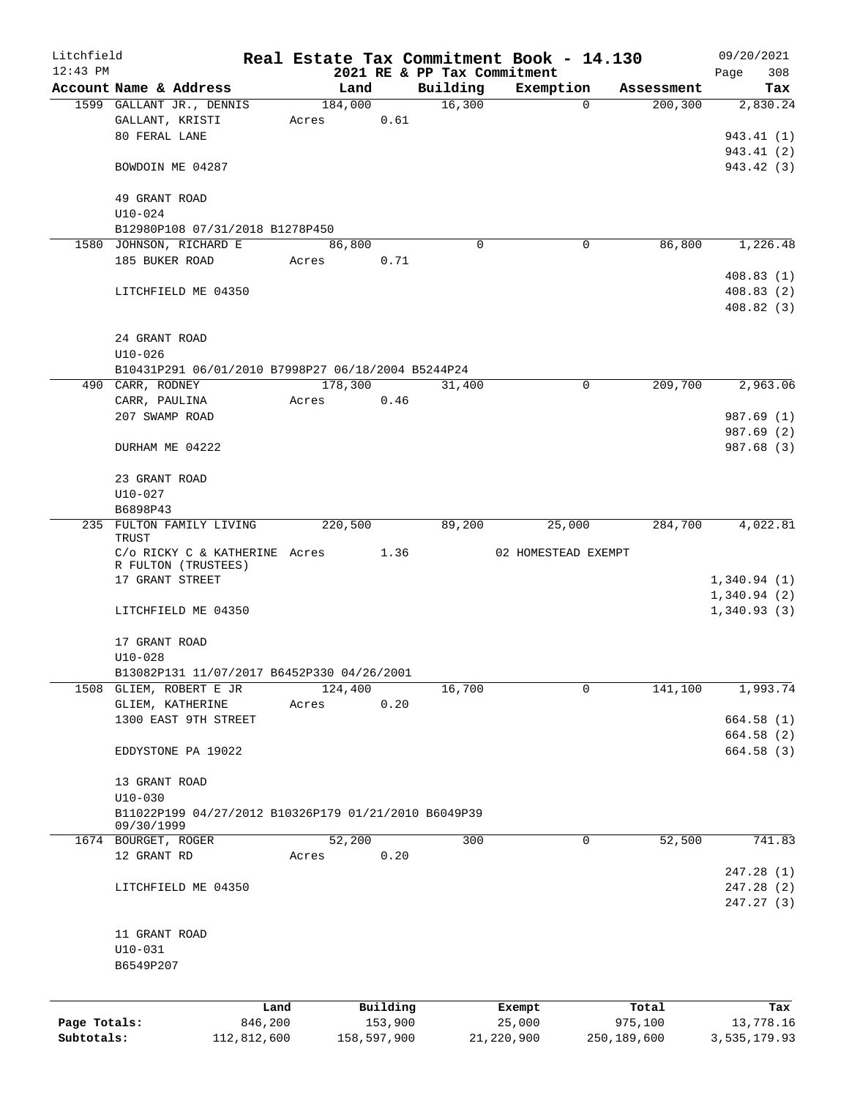| Litchfield   |                                                      |             |       |             |          | Real Estate Tax Commitment Book - 14.130 |                     |          |               | 09/20/2021   |            |
|--------------|------------------------------------------------------|-------------|-------|-------------|----------|------------------------------------------|---------------------|----------|---------------|--------------|------------|
| $12:43$ PM   |                                                      |             |       |             |          | 2021 RE & PP Tax Commitment              |                     |          |               | Page         | 308        |
|              | Account Name & Address                               |             |       | Land        |          | Building                                 | Exemption           |          | Assessment    |              | Tax        |
|              | 1599 GALLANT JR., DENNIS                             |             |       | 184,000     |          | 16,300                                   |                     | $\Omega$ | 200, 300      |              | 2,830.24   |
|              | GALLANT, KRISTI                                      |             | Acres |             | 0.61     |                                          |                     |          |               |              |            |
|              | 80 FERAL LANE                                        |             |       |             |          |                                          |                     |          |               |              | 943.41 (1) |
|              |                                                      |             |       |             |          |                                          |                     |          |               |              | 943.41 (2) |
|              | BOWDOIN ME 04287                                     |             |       |             |          |                                          |                     |          |               |              | 943.42 (3) |
|              | 49 GRANT ROAD                                        |             |       |             |          |                                          |                     |          |               |              |            |
|              | $U10 - 024$                                          |             |       |             |          |                                          |                     |          |               |              |            |
|              | B12980P108 07/31/2018 B1278P450                      |             |       |             |          |                                          |                     |          |               |              |            |
|              | 1580 JOHNSON, RICHARD E                              |             |       | 86,800      |          | $\mathbf 0$                              |                     | 0        | 86,800        |              | 1,226.48   |
|              | 185 BUKER ROAD                                       |             | Acres |             | 0.71     |                                          |                     |          |               |              |            |
|              |                                                      |             |       |             |          |                                          |                     |          |               |              | 408.83(1)  |
|              | LITCHFIELD ME 04350                                  |             |       |             |          |                                          |                     |          |               |              | 408.83(2)  |
|              |                                                      |             |       |             |          |                                          |                     |          |               |              | 408.82(3)  |
|              |                                                      |             |       |             |          |                                          |                     |          |               |              |            |
|              | 24 GRANT ROAD                                        |             |       |             |          |                                          |                     |          |               |              |            |
|              | $U10 - 026$                                          |             |       |             |          |                                          |                     |          |               |              |            |
|              | B10431P291 06/01/2010 B7998P27 06/18/2004 B5244P24   |             |       |             |          |                                          |                     |          |               |              |            |
|              | 490 CARR, RODNEY                                     |             |       | 178,300     |          | 31,400                                   |                     | 0        | 209,700       |              | 2,963.06   |
|              | CARR, PAULINA                                        |             | Acres |             | 0.46     |                                          |                     |          |               |              |            |
|              | 207 SWAMP ROAD                                       |             |       |             |          |                                          |                     |          |               |              | 987.69 (1) |
|              | DURHAM ME 04222                                      |             |       |             |          |                                          |                     |          |               |              | 987.69 (2) |
|              |                                                      |             |       |             |          |                                          |                     |          |               |              | 987.68 (3) |
|              | 23 GRANT ROAD                                        |             |       |             |          |                                          |                     |          |               |              |            |
|              | $U10 - 027$                                          |             |       |             |          |                                          |                     |          |               |              |            |
|              | B6898P43                                             |             |       |             |          |                                          |                     |          |               |              |            |
|              | 235 FULTON FAMILY LIVING                             |             |       | 220,500     |          | 89,200                                   |                     | 25,000   | 284,700       |              | 4,022.81   |
|              | TRUST                                                |             |       |             |          |                                          |                     |          |               |              |            |
|              | C/o RICKY C & KATHERINE Acres 1.36                   |             |       |             |          |                                          | 02 HOMESTEAD EXEMPT |          |               |              |            |
|              | R FULTON (TRUSTEES)                                  |             |       |             |          |                                          |                     |          |               |              |            |
|              | 17 GRANT STREET                                      |             |       |             |          |                                          |                     |          |               | 1,340.94(1)  |            |
|              |                                                      |             |       |             |          |                                          |                     |          |               | 1,340.94(2)  |            |
|              | LITCHFIELD ME 04350                                  |             |       |             |          |                                          |                     |          |               | 1,340.93(3)  |            |
|              |                                                      |             |       |             |          |                                          |                     |          |               |              |            |
|              | 17 GRANT ROAD                                        |             |       |             |          |                                          |                     |          |               |              |            |
|              | $U10 - 028$                                          |             |       |             |          |                                          |                     |          |               |              |            |
|              | B13082P131 11/07/2017 B6452P330 04/26/2001           |             |       |             |          |                                          |                     | 0        |               |              | 1,993.74   |
|              | 1508 GLIEM, ROBERT E JR                              |             |       | 124,400     | 0.20     | 16,700                                   |                     |          | 141,100       |              |            |
|              | GLIEM, KATHERINE<br>1300 EAST 9TH STREET             |             | Acres |             |          |                                          |                     |          |               |              | 664.58(1)  |
|              |                                                      |             |       |             |          |                                          |                     |          |               |              | 664.58 (2) |
|              | EDDYSTONE PA 19022                                   |             |       |             |          |                                          |                     |          |               |              | 664.58 (3) |
|              |                                                      |             |       |             |          |                                          |                     |          |               |              |            |
|              | 13 GRANT ROAD                                        |             |       |             |          |                                          |                     |          |               |              |            |
|              | $U10 - 030$                                          |             |       |             |          |                                          |                     |          |               |              |            |
|              | B11022P199 04/27/2012 B10326P179 01/21/2010 B6049P39 |             |       |             |          |                                          |                     |          |               |              |            |
|              | 09/30/1999                                           |             |       |             |          |                                          |                     |          |               |              |            |
|              | 1674 BOURGET, ROGER                                  |             |       | 52,200      |          | 300                                      |                     | 0        | 52,500        |              | 741.83     |
|              | 12 GRANT RD                                          |             | Acres |             | 0.20     |                                          |                     |          |               |              |            |
|              |                                                      |             |       |             |          |                                          |                     |          |               |              | 247.28(1)  |
|              | LITCHFIELD ME 04350                                  |             |       |             |          |                                          |                     |          |               |              | 247.28(2)  |
|              |                                                      |             |       |             |          |                                          |                     |          |               |              | 247.27 (3) |
|              |                                                      |             |       |             |          |                                          |                     |          |               |              |            |
|              | 11 GRANT ROAD                                        |             |       |             |          |                                          |                     |          |               |              |            |
|              | $U10 - 031$                                          |             |       |             |          |                                          |                     |          |               |              |            |
|              | B6549P207                                            |             |       |             |          |                                          |                     |          |               |              |            |
|              |                                                      |             |       |             |          |                                          |                     |          |               |              |            |
|              |                                                      | Land        |       |             | Building |                                          | Exempt              |          | Total         |              | Tax        |
| Page Totals: |                                                      | 846,200     |       |             | 153,900  |                                          | 25,000              |          | 975,100       |              | 13,778.16  |
| Subtotals:   |                                                      | 112,812,600 |       | 158,597,900 |          |                                          | 21,220,900          |          | 250, 189, 600 | 3,535,179.93 |            |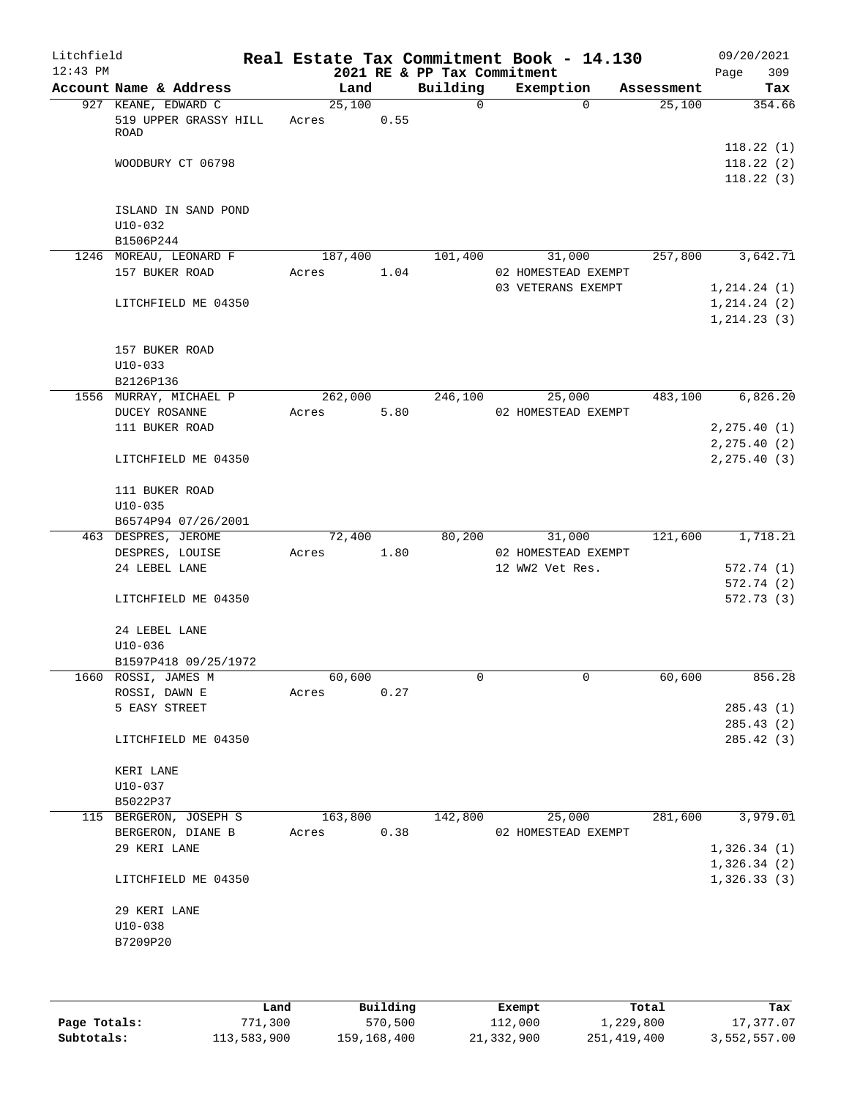| Litchfield<br>$12:43$ PM |                                                      |                  |      | 2021 RE & PP Tax Commitment | Real Estate Tax Commitment Book - 14.130 |            | Page | 09/20/2021<br>309                   |
|--------------------------|------------------------------------------------------|------------------|------|-----------------------------|------------------------------------------|------------|------|-------------------------------------|
|                          | Account Name & Address                               | Land             |      | Building                    | Exemption                                | Assessment |      | Tax                                 |
|                          | 927 KEANE, EDWARD C<br>519 UPPER GRASSY HILL<br>ROAD | 25,100<br>Acres  | 0.55 | $\Omega$                    | $\Omega$                                 | 25,100     |      | 354.66                              |
|                          | WOODBURY CT 06798                                    |                  |      |                             |                                          |            |      | 118.22(1)<br>118.22(2)<br>118.22(3) |
|                          | ISLAND IN SAND POND<br>$U10-032$<br>B1506P244        |                  |      |                             |                                          |            |      |                                     |
|                          | 1246 MOREAU, LEONARD F                               | 187,400          |      | 101,400                     | 31,000                                   | 257,800    |      | 3,642.71                            |
|                          | 157 BUKER ROAD                                       | Acres            | 1.04 |                             | 02 HOMESTEAD EXEMPT                      |            |      |                                     |
|                          |                                                      |                  |      |                             | 03 VETERANS EXEMPT                       |            |      | 1, 214.24 (1)                       |
|                          | LITCHFIELD ME 04350                                  |                  |      |                             |                                          |            |      | 1, 214.24 (2)<br>1, 214.23(3)       |
|                          | 157 BUKER ROAD<br>$U10-033$                          |                  |      |                             |                                          |            |      |                                     |
|                          | B2126P136                                            |                  |      |                             |                                          |            |      |                                     |
|                          | 1556 MURRAY, MICHAEL P<br>DUCEY ROSANNE              | 262,000<br>Acres | 5.80 | 246,100                     | 25,000<br>02 HOMESTEAD EXEMPT            | 483,100    |      | 6,826.20                            |
|                          | 111 BUKER ROAD                                       |                  |      |                             |                                          |            |      | 2, 275.40(1)                        |
|                          |                                                      |                  |      |                             |                                          |            |      | 2, 275.40(2)                        |
|                          | LITCHFIELD ME 04350                                  |                  |      |                             |                                          |            |      | 2, 275.40(3)                        |
|                          | 111 BUKER ROAD                                       |                  |      |                             |                                          |            |      |                                     |
|                          | $U10 - 035$                                          |                  |      |                             |                                          |            |      |                                     |
|                          | B6574P94 07/26/2001                                  |                  |      |                             |                                          |            |      |                                     |
|                          | 463 DESPRES, JEROME                                  | 72,400           |      | 80,200                      | 31,000                                   | 121,600    |      | 1,718.21                            |
|                          | DESPRES, LOUISE                                      | Acres            | 1.80 |                             | 02 HOMESTEAD EXEMPT                      |            |      |                                     |
|                          | 24 LEBEL LANE                                        |                  |      |                             | 12 WW2 Vet Res.                          |            |      | 572.74(1)                           |
|                          |                                                      |                  |      |                             |                                          |            |      | 572.74 (2)                          |
|                          | LITCHFIELD ME 04350                                  |                  |      |                             |                                          |            |      | 572.73 (3)                          |
|                          | 24 LEBEL LANE                                        |                  |      |                             |                                          |            |      |                                     |
|                          | $U10-036$<br>B1597P418 09/25/1972                    |                  |      |                             |                                          |            |      |                                     |
|                          | 1660 ROSSI, JAMES M                                  | 60,600           |      | 0                           | 0                                        | 60,600     |      | 856.28                              |
|                          | ROSSI, DAWN E                                        | Acres            | 0.27 |                             |                                          |            |      |                                     |
|                          | 5 EASY STREET                                        |                  |      |                             |                                          |            |      | 285.43(1)                           |
|                          | LITCHFIELD ME 04350                                  |                  |      |                             |                                          |            |      | 285.43(2)<br>285.42 (3)             |
|                          | KERI LANE                                            |                  |      |                             |                                          |            |      |                                     |
|                          | $U10-037$                                            |                  |      |                             |                                          |            |      |                                     |
|                          | B5022P37                                             |                  |      |                             |                                          |            |      |                                     |
|                          | 115 BERGERON, JOSEPH S                               | 163,800          |      | 142,800                     | 25,000                                   | 281,600    |      | 3,979.01                            |
|                          | BERGERON, DIANE B                                    | Acres            | 0.38 |                             | 02 HOMESTEAD EXEMPT                      |            |      |                                     |
|                          | 29 KERI LANE                                         |                  |      |                             |                                          |            |      | 1,326.34(1)                         |
|                          | LITCHFIELD ME 04350                                  |                  |      |                             |                                          |            |      | 1,326.34(2)<br>1,326.33(3)          |
|                          | 29 KERI LANE                                         |                  |      |                             |                                          |            |      |                                     |
|                          | $U10-038$                                            |                  |      |                             |                                          |            |      |                                     |
|                          | B7209P20                                             |                  |      |                             |                                          |            |      |                                     |
|                          |                                                      |                  |      |                             |                                          |            |      |                                     |
|                          |                                                      |                  |      |                             |                                          |            |      |                                     |

|              | Land        | Building    | Exempt     | Total       | Tax          |
|--------------|-------------|-------------|------------|-------------|--------------|
| Page Totals: | 771,300     | 570,500     | 112,000    | 1,229,800   | 17,377.07    |
| Subtotals:   | 113,583,900 | 159,168,400 | 21,332,900 | 251,419,400 | 3,552,557.00 |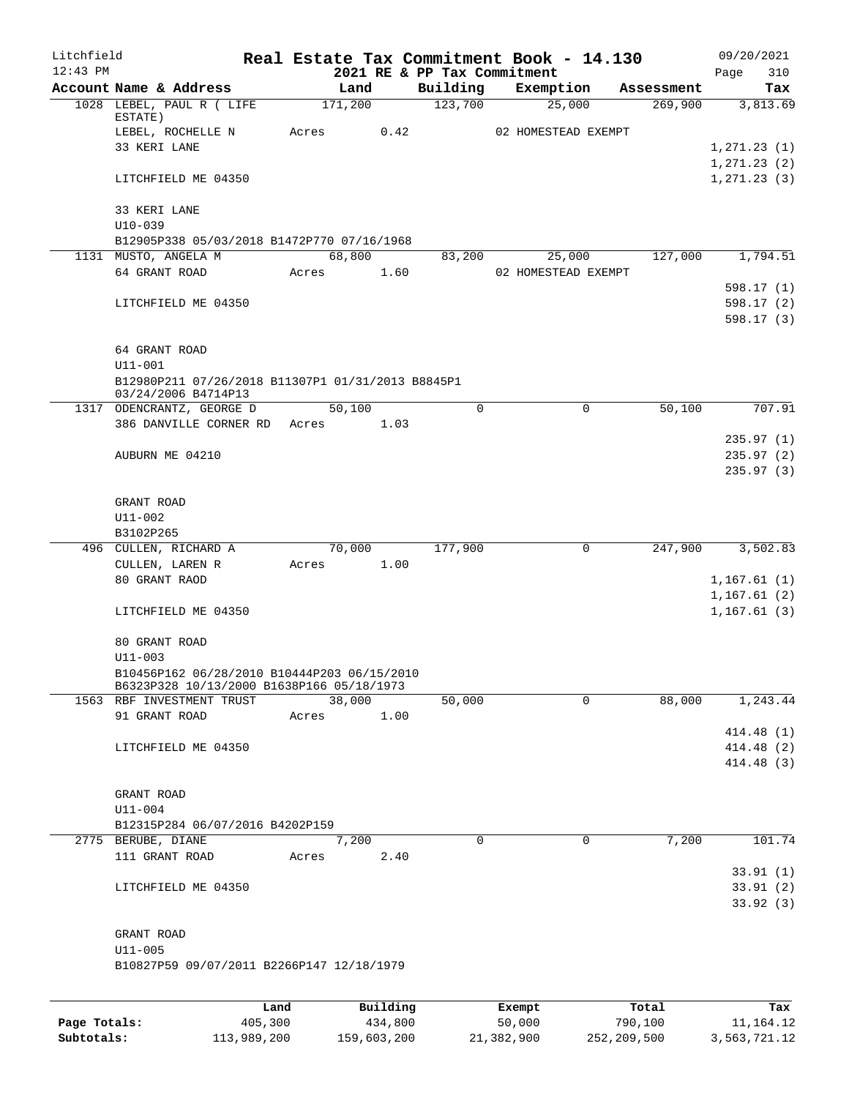| Litchfield |                                                                                          |      |         |          | Real Estate Tax Commitment Book - 14.130 |        |                     |            | 09/20/2021    |
|------------|------------------------------------------------------------------------------------------|------|---------|----------|------------------------------------------|--------|---------------------|------------|---------------|
| $12:43$ PM |                                                                                          |      |         |          | 2021 RE & PP Tax Commitment              |        |                     |            | 310<br>Page   |
|            | Account Name & Address                                                                   |      |         | Land     | Building<br>123,700                      |        | Exemption           | Assessment | Tax           |
|            | 1028 LEBEL, PAUL R ( LIFE<br>ESTATE)                                                     |      | 171,200 |          |                                          |        | 25,000              | 269,900    | 3,813.69      |
|            | LEBEL, ROCHELLE N                                                                        |      | Acres   | 0.42     |                                          |        | 02 HOMESTEAD EXEMPT |            |               |
|            | 33 KERI LANE                                                                             |      |         |          |                                          |        |                     |            | 1, 271.23(1)  |
|            |                                                                                          |      |         |          |                                          |        |                     |            | 1, 271.23 (2) |
|            | LITCHFIELD ME 04350                                                                      |      |         |          |                                          |        |                     |            | 1, 271.23(3)  |
|            | 33 KERI LANE                                                                             |      |         |          |                                          |        |                     |            |               |
|            | $U10 - 039$                                                                              |      |         |          |                                          |        |                     |            |               |
|            | B12905P338 05/03/2018 B1472P770 07/16/1968                                               |      |         |          |                                          |        |                     |            |               |
|            | 1131 MUSTO, ANGELA M                                                                     |      |         | 68,800   | 83,200                                   |        | 25,000              | 127,000    | 1,794.51      |
|            | 64 GRANT ROAD                                                                            |      | Acres   | 1.60     |                                          |        | 02 HOMESTEAD EXEMPT |            |               |
|            |                                                                                          |      |         |          |                                          |        |                     |            | 598.17(1)     |
|            | LITCHFIELD ME 04350                                                                      |      |         |          |                                          |        |                     |            | 598.17(2)     |
|            |                                                                                          |      |         |          |                                          |        |                     |            | 598.17 (3)    |
|            | 64 GRANT ROAD                                                                            |      |         |          |                                          |        |                     |            |               |
|            | U11-001                                                                                  |      |         |          |                                          |        |                     |            |               |
|            | B12980P211 07/26/2018 B11307P1 01/31/2013 B8845P1                                        |      |         |          |                                          |        |                     |            |               |
|            | 03/24/2006 B4714P13                                                                      |      |         |          |                                          |        |                     |            |               |
|            | 1317 ODENCRANTZ, GEORGE D                                                                |      |         | 50,100   | $\Omega$                                 |        | 0                   | 50,100     | 707.91        |
|            | 386 DANVILLE CORNER RD Acres                                                             |      |         | 1.03     |                                          |        |                     |            |               |
|            |                                                                                          |      |         |          |                                          |        |                     |            | 235.97(1)     |
|            | AUBURN ME 04210                                                                          |      |         |          |                                          |        |                     |            | 235.97(2)     |
|            |                                                                                          |      |         |          |                                          |        |                     |            | 235.97(3)     |
|            |                                                                                          |      |         |          |                                          |        |                     |            |               |
|            | GRANT ROAD                                                                               |      |         |          |                                          |        |                     |            |               |
|            | U11-002<br>B3102P265                                                                     |      |         |          |                                          |        |                     |            |               |
|            | 496 CULLEN, RICHARD A                                                                    |      |         | 70,000   | 177,900                                  |        | 0                   | 247,900    | 3,502.83      |
|            | CULLEN, LAREN R                                                                          |      | Acres   | 1.00     |                                          |        |                     |            |               |
|            | 80 GRANT RAOD                                                                            |      |         |          |                                          |        |                     |            | 1,167.61(1)   |
|            |                                                                                          |      |         |          |                                          |        |                     |            | 1,167.61(2)   |
|            | LITCHFIELD ME 04350                                                                      |      |         |          |                                          |        |                     |            | 1, 167.61(3)  |
|            |                                                                                          |      |         |          |                                          |        |                     |            |               |
|            | 80 GRANT ROAD                                                                            |      |         |          |                                          |        |                     |            |               |
|            | $U11 - 003$                                                                              |      |         |          |                                          |        |                     |            |               |
|            | B10456P162 06/28/2010 B10444P203 06/15/2010<br>B6323P328 10/13/2000 B1638P166 05/18/1973 |      |         |          |                                          |        |                     |            |               |
|            | 1563 RBF INVESTMENT TRUST                                                                |      | 38,000  |          | 50,000                                   |        | $\Omega$            | 88,000     | 1,243.44      |
|            | 91 GRANT ROAD                                                                            |      | Acres   | 1.00     |                                          |        |                     |            |               |
|            |                                                                                          |      |         |          |                                          |        |                     |            | 414.48 (1)    |
|            | LITCHFIELD ME 04350                                                                      |      |         |          |                                          |        |                     |            | 414.48 (2)    |
|            |                                                                                          |      |         |          |                                          |        |                     |            | 414.48 (3)    |
|            |                                                                                          |      |         |          |                                          |        |                     |            |               |
|            | GRANT ROAD                                                                               |      |         |          |                                          |        |                     |            |               |
|            | U11-004                                                                                  |      |         |          |                                          |        |                     |            |               |
|            | B12315P284 06/07/2016 B4202P159                                                          |      |         |          |                                          |        |                     |            |               |
|            | 2775 BERUBE, DIANE                                                                       |      |         | 7,200    | $\mathbf 0$                              |        | 0                   | 7,200      | 101.74        |
|            | 111 GRANT ROAD                                                                           |      | Acres   | 2.40     |                                          |        |                     |            |               |
|            |                                                                                          |      |         |          |                                          |        |                     |            | 33.91(1)      |
|            | LITCHFIELD ME 04350                                                                      |      |         |          |                                          |        |                     |            | 33.91(2)      |
|            |                                                                                          |      |         |          |                                          |        |                     |            | 33.92(3)      |
|            | GRANT ROAD                                                                               |      |         |          |                                          |        |                     |            |               |
|            | $U11 - 005$                                                                              |      |         |          |                                          |        |                     |            |               |
|            | B10827P59 09/07/2011 B2266P147 12/18/1979                                                |      |         |          |                                          |        |                     |            |               |
|            |                                                                                          |      |         |          |                                          |        |                     |            |               |
|            |                                                                                          |      |         |          |                                          |        |                     |            |               |
|            |                                                                                          | Land |         | Building |                                          | Exempt |                     | Total      | Tax           |

**Page Totals:** 405,300 434,800 50,000 790,100 11,164.12 **Subtotals:** 113,989,200 159,603,200 21,382,900 252,209,500 3,563,721.12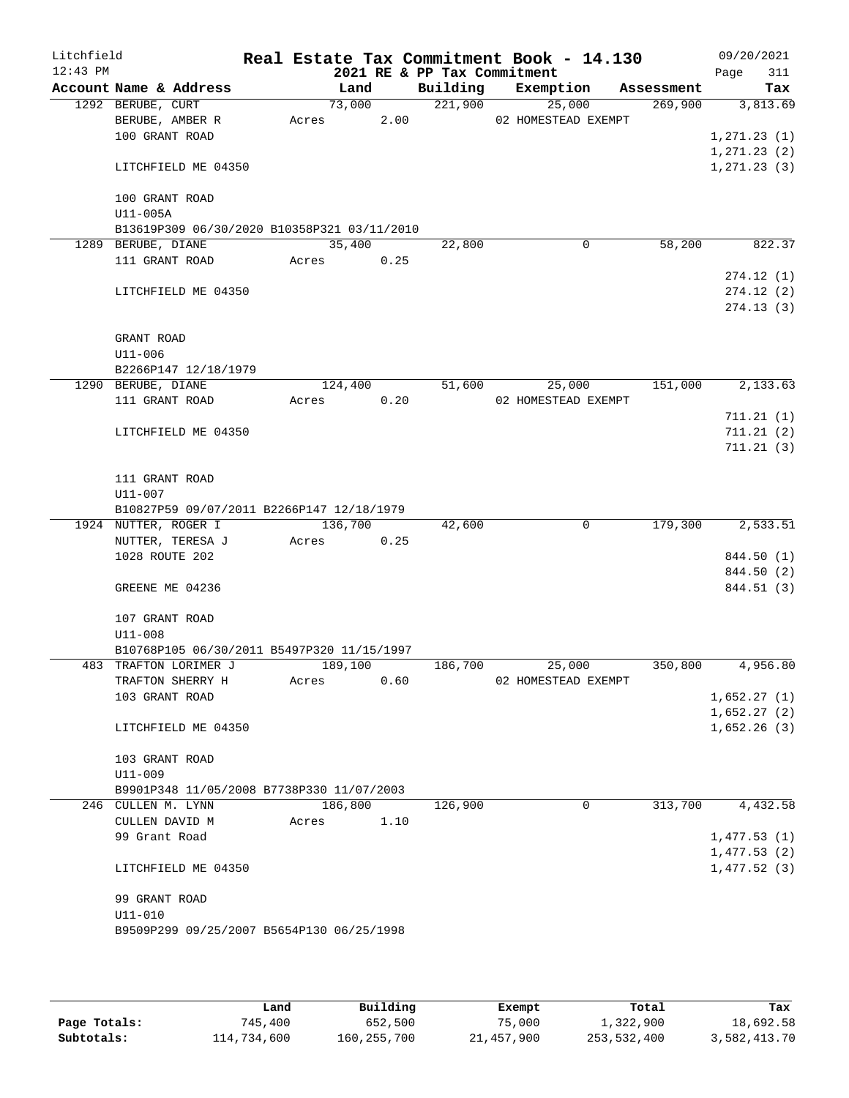| Litchfield |                               |                                             |       |            |      |                             | Real Estate Tax Commitment Book - 14.130 |            | 09/20/2021                   |
|------------|-------------------------------|---------------------------------------------|-------|------------|------|-----------------------------|------------------------------------------|------------|------------------------------|
| $12:43$ PM |                               |                                             |       |            |      | 2021 RE & PP Tax Commitment |                                          |            | 311<br>Page                  |
|            |                               | Account Name & Address                      |       | Land       |      |                             | Building Exemption                       | Assessment | Tax                          |
|            | 1292 BERUBE, CURT             |                                             |       | 73,000     |      | 221,900                     | 25,000                                   | 269,900    | 3,813.69                     |
|            |                               | BERUBE, AMBER R                             |       | Acres      | 2.00 |                             | 02 HOMESTEAD EXEMPT                      |            |                              |
|            | 100 GRANT ROAD                |                                             |       |            |      |                             |                                          |            | 1,271.23(1)                  |
|            |                               | LITCHFIELD ME 04350                         |       |            |      |                             |                                          |            | 1, 271.23(2)<br>1, 271.23(3) |
|            |                               |                                             |       |            |      |                             |                                          |            |                              |
|            | 100 GRANT ROAD                |                                             |       |            |      |                             |                                          |            |                              |
|            | U11-005A                      |                                             |       |            |      |                             |                                          |            |                              |
|            |                               | B13619P309 06/30/2020 B10358P321 03/11/2010 |       |            |      |                             |                                          |            |                              |
| 1289       | BERUBE, DIANE                 |                                             |       | 35,400     |      | 22,800                      | $\mathbf 0$                              | 58,200     | 822.37                       |
|            | 111 GRANT ROAD                |                                             |       | Acres 0.25 |      |                             |                                          |            |                              |
|            |                               |                                             |       |            |      |                             |                                          |            | 274.12(1)                    |
|            |                               | LITCHFIELD ME 04350                         |       |            |      |                             |                                          |            | 274.12(2)                    |
|            |                               |                                             |       |            |      |                             |                                          |            | 274.13(3)                    |
|            |                               |                                             |       |            |      |                             |                                          |            |                              |
|            | GRANT ROAD                    |                                             |       |            |      |                             |                                          |            |                              |
|            | $U11 - 006$                   |                                             |       |            |      |                             |                                          |            |                              |
|            | 1290 BERUBE, DIANE            | B2266P147 12/18/1979                        |       | 124,400    |      | 51,600                      | 25,000                                   | 151,000    | 2,133.63                     |
|            | 111 GRANT ROAD                |                                             |       | Acres 0.20 |      |                             | 02 HOMESTEAD EXEMPT                      |            |                              |
|            |                               |                                             |       |            |      |                             |                                          |            | 711.21(1)                    |
|            |                               | LITCHFIELD ME 04350                         |       |            |      |                             |                                          |            | 711.21(2)                    |
|            |                               |                                             |       |            |      |                             |                                          |            | 711.21(3)                    |
|            |                               |                                             |       |            |      |                             |                                          |            |                              |
|            | 111 GRANT ROAD                |                                             |       |            |      |                             |                                          |            |                              |
|            | U11-007                       |                                             |       |            |      |                             |                                          |            |                              |
|            |                               | B10827P59 09/07/2011 B2266P147 12/18/1979   |       |            |      |                             |                                          |            |                              |
|            | 1924 NUTTER, ROGER I          |                                             |       | 136,700    |      | 42,600                      | $\mathbf 0$                              | 179,300    | 2,533.51                     |
|            |                               | NUTTER, TERESA J                            | Acres |            | 0.25 |                             |                                          |            |                              |
|            | 1028 ROUTE 202                |                                             |       |            |      |                             |                                          |            | 844.50 (1)                   |
|            |                               |                                             |       |            |      |                             |                                          |            | 844.50 (2)                   |
|            | GREENE ME 04236               |                                             |       |            |      |                             |                                          |            | 844.51 (3)                   |
|            | 107 GRANT ROAD                |                                             |       |            |      |                             |                                          |            |                              |
|            | $U11 - 008$                   |                                             |       |            |      |                             |                                          |            |                              |
|            |                               | B10768P105 06/30/2011 B5497P320 11/15/1997  |       |            |      |                             |                                          |            |                              |
|            |                               | 483 TRAFTON LORIMER J                       |       | 189,100    |      | 186,700                     | 25,000                                   | 350,800    | 4,956.80                     |
|            |                               | TRAFTON SHERRY H                            | Acres |            | 0.60 |                             | 02 HOMESTEAD EXEMPT                      |            |                              |
|            | 103 GRANT ROAD                |                                             |       |            |      |                             |                                          |            | 1,652.27(1)                  |
|            |                               |                                             |       |            |      |                             |                                          |            | 1,652.27(2)                  |
|            |                               | LITCHFIELD ME 04350                         |       |            |      |                             |                                          |            | 1,652.26(3)                  |
|            |                               |                                             |       |            |      |                             |                                          |            |                              |
|            | 103 GRANT ROAD<br>$U11 - 009$ |                                             |       |            |      |                             |                                          |            |                              |
|            |                               | B9901P348 11/05/2008 B7738P330 11/07/2003   |       |            |      |                             |                                          |            |                              |
|            | 246 CULLEN M. LYNN            |                                             |       | 186,800    |      | 126,900                     | $\mathbf{0}$                             | 313,700    | 4,432.58                     |
|            | CULLEN DAVID M                |                                             | Acres |            | 1.10 |                             |                                          |            |                              |
|            | 99 Grant Road                 |                                             |       |            |      |                             |                                          |            | 1,477.53(1)                  |
|            |                               |                                             |       |            |      |                             |                                          |            | 1,477.53(2)                  |
|            |                               | LITCHFIELD ME 04350                         |       |            |      |                             |                                          |            | 1,477.52(3)                  |
|            |                               |                                             |       |            |      |                             |                                          |            |                              |
|            | 99 GRANT ROAD                 |                                             |       |            |      |                             |                                          |            |                              |
|            | U11-010                       |                                             |       |            |      |                             |                                          |            |                              |
|            |                               | B9509P299 09/25/2007 B5654P130 06/25/1998   |       |            |      |                             |                                          |            |                              |
|            |                               |                                             |       |            |      |                             |                                          |            |                              |

|              | Land        | Building      | Exempt     | Total       | Tax          |
|--------------|-------------|---------------|------------|-------------|--------------|
| Page Totals: | 745,400     | 652,500       | 75,000     | 1,322,900   | 18,692.58    |
| Subtotals:   | 114,734,600 | 160, 255, 700 | 21,457,900 | 253,532,400 | 3,582,413.70 |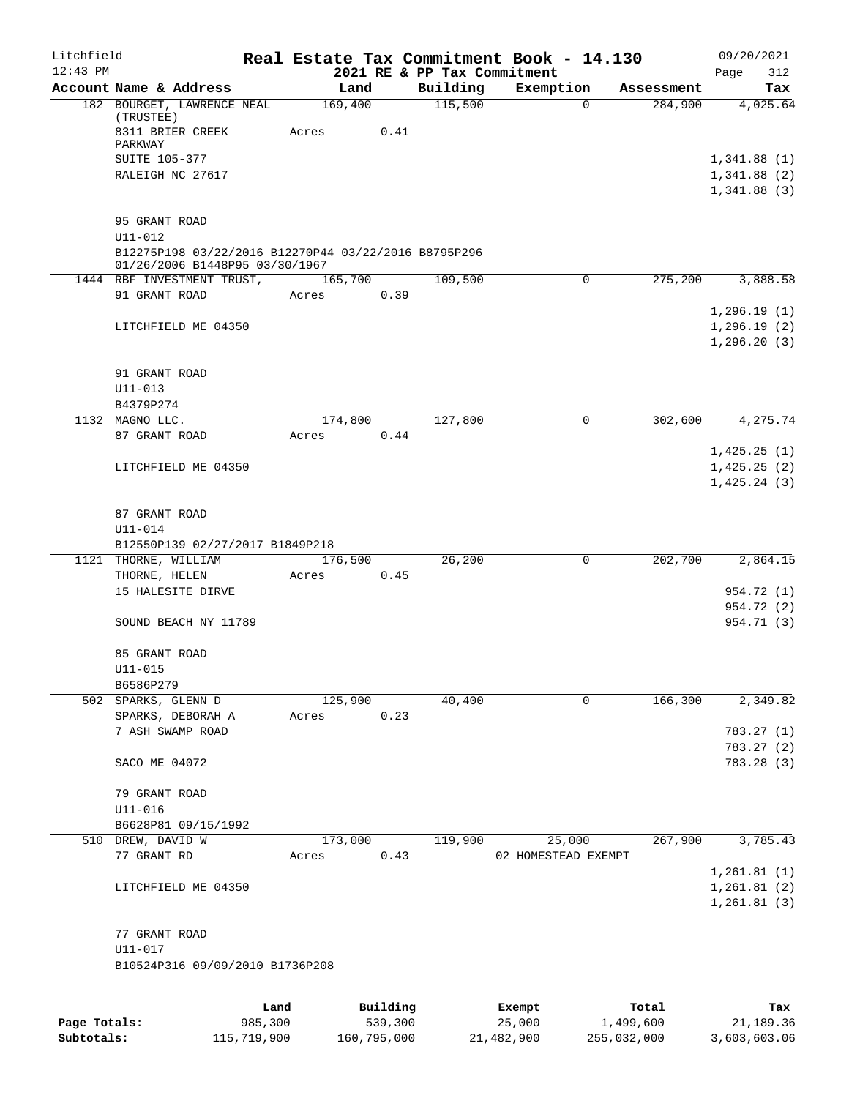| Litchfield<br>$12:43$ PM |                                                                                        |      |       |          | 2021 RE & PP Tax Commitment | Real Estate Tax Commitment Book - 14.130 |            | 09/20/2021<br>Page<br>312 |
|--------------------------|----------------------------------------------------------------------------------------|------|-------|----------|-----------------------------|------------------------------------------|------------|---------------------------|
|                          | Account Name & Address                                                                 |      |       | Land     | Building                    | Exemption                                | Assessment | Tax                       |
|                          | 182 BOURGET, LAWRENCE NEAL<br>(TRUSTEE)                                                |      |       | 169,400  | 115,500                     | 0                                        | 284,900    | 4,025.64                  |
|                          | 8311 BRIER CREEK<br>PARKWAY                                                            |      | Acres | 0.41     |                             |                                          |            |                           |
|                          | SUITE 105-377                                                                          |      |       |          |                             |                                          |            | 1,341.88(1)               |
|                          | RALEIGH NC 27617                                                                       |      |       |          |                             |                                          |            | 1,341.88(2)               |
|                          |                                                                                        |      |       |          |                             |                                          |            | 1,341.88(3)               |
|                          | 95 GRANT ROAD                                                                          |      |       |          |                             |                                          |            |                           |
|                          | $U11 - 012$                                                                            |      |       |          |                             |                                          |            |                           |
|                          | B12275P198 03/22/2016 B12270P44 03/22/2016 B8795P296<br>01/26/2006 B1448P95 03/30/1967 |      |       |          |                             |                                          |            |                           |
|                          | 1444 RBF INVESTMENT TRUST,                                                             |      |       | 165,700  | 109,500                     | 0                                        | 275,200    | 3,888.58                  |
|                          | 91 GRANT ROAD                                                                          |      | Acres | 0.39     |                             |                                          |            |                           |
|                          |                                                                                        |      |       |          |                             |                                          |            | 1,296.19(1)               |
|                          | LITCHFIELD ME 04350                                                                    |      |       |          |                             |                                          |            | 1,296.19(2)               |
|                          |                                                                                        |      |       |          |                             |                                          |            | 1, 296.20(3)              |
|                          |                                                                                        |      |       |          |                             |                                          |            |                           |
|                          | 91 GRANT ROAD                                                                          |      |       |          |                             |                                          |            |                           |
|                          | $U11 - 013$                                                                            |      |       |          |                             |                                          |            |                           |
|                          | B4379P274                                                                              |      |       |          |                             |                                          |            |                           |
|                          | 1132 MAGNO LLC.                                                                        |      |       | 174,800  | 127,800                     | $\mathbf 0$                              | 302,600    | 4,275.74                  |
|                          | 87 GRANT ROAD                                                                          |      |       |          |                             |                                          |            |                           |
|                          |                                                                                        |      | Acres | 0.44     |                             |                                          |            |                           |
|                          |                                                                                        |      |       |          |                             |                                          |            | 1,425.25(1)               |
|                          | LITCHFIELD ME 04350                                                                    |      |       |          |                             |                                          |            | 1,425.25(2)               |
|                          |                                                                                        |      |       |          |                             |                                          |            | 1,425.24(3)               |
|                          |                                                                                        |      |       |          |                             |                                          |            |                           |
|                          | 87 GRANT ROAD                                                                          |      |       |          |                             |                                          |            |                           |
|                          | U11-014                                                                                |      |       |          |                             |                                          |            |                           |
|                          | B12550P139 02/27/2017 B1849P218                                                        |      |       |          |                             |                                          |            |                           |
|                          | 1121 THORNE, WILLIAM                                                                   |      |       | 176,500  | 26,200                      | 0                                        | 202,700    | 2,864.15                  |
|                          | THORNE, HELEN                                                                          |      | Acres | 0.45     |                             |                                          |            |                           |
|                          | 15 HALESITE DIRVE                                                                      |      |       |          |                             |                                          |            | 954.72 (1)                |
|                          |                                                                                        |      |       |          |                             |                                          |            | 954.72 (2)                |
|                          | SOUND BEACH NY 11789                                                                   |      |       |          |                             |                                          |            | 954.71 (3)                |
|                          | 85 GRANT ROAD                                                                          |      |       |          |                             |                                          |            |                           |
|                          | U11-015                                                                                |      |       |          |                             |                                          |            |                           |
|                          | B6586P279                                                                              |      |       |          |                             |                                          |            |                           |
|                          | 502 SPARKS, GLENN D                                                                    |      |       | 125,900  | 40,400                      | $\mathbf 0$                              | 166,300    | 2,349.82                  |
|                          | SPARKS, DEBORAH A                                                                      |      | Acres | 0.23     |                             |                                          |            |                           |
|                          | 7 ASH SWAMP ROAD                                                                       |      |       |          |                             |                                          |            | 783.27(1)                 |
|                          |                                                                                        |      |       |          |                             |                                          |            | 783.27(2)                 |
|                          | SACO ME 04072                                                                          |      |       |          |                             |                                          |            | 783.28 (3)                |
|                          |                                                                                        |      |       |          |                             |                                          |            |                           |
|                          | 79 GRANT ROAD                                                                          |      |       |          |                             |                                          |            |                           |
|                          | U11-016                                                                                |      |       |          |                             |                                          |            |                           |
|                          | B6628P81 09/15/1992                                                                    |      |       |          |                             |                                          |            |                           |
|                          | 510 DREW, DAVID W                                                                      |      |       | 173,000  | 119,900                     | 25,000                                   | 267,900    | 3,785.43                  |
|                          | 77 GRANT RD                                                                            |      | Acres | 0.43     |                             | 02 HOMESTEAD EXEMPT                      |            |                           |
|                          |                                                                                        |      |       |          |                             |                                          |            | 1,261.81(1)               |
|                          |                                                                                        |      |       |          |                             |                                          |            |                           |
|                          | LITCHFIELD ME 04350                                                                    |      |       |          |                             |                                          |            | 1,261.81(2)               |
|                          |                                                                                        |      |       |          |                             |                                          |            | 1,261.81(3)               |
|                          |                                                                                        |      |       |          |                             |                                          |            |                           |
|                          | 77 GRANT ROAD                                                                          |      |       |          |                             |                                          |            |                           |
|                          | U11-017                                                                                |      |       |          |                             |                                          |            |                           |
|                          | B10524P316 09/09/2010 B1736P208                                                        |      |       |          |                             |                                          |            |                           |
|                          |                                                                                        |      |       |          |                             |                                          |            |                           |
|                          |                                                                                        | Land |       | Building |                             | Exempt                                   | Total      | Tax                       |

|              | Land        | Building    | Exempt     | Total       | Tax          |
|--------------|-------------|-------------|------------|-------------|--------------|
| Page Totals: | 985,300     | 539,300     | 25,000     | 1,499,600   | 21,189.36    |
| Subtotals:   | 115,719,900 | 160,795,000 | 21,482,900 | 255,032,000 | 3,603,603.06 |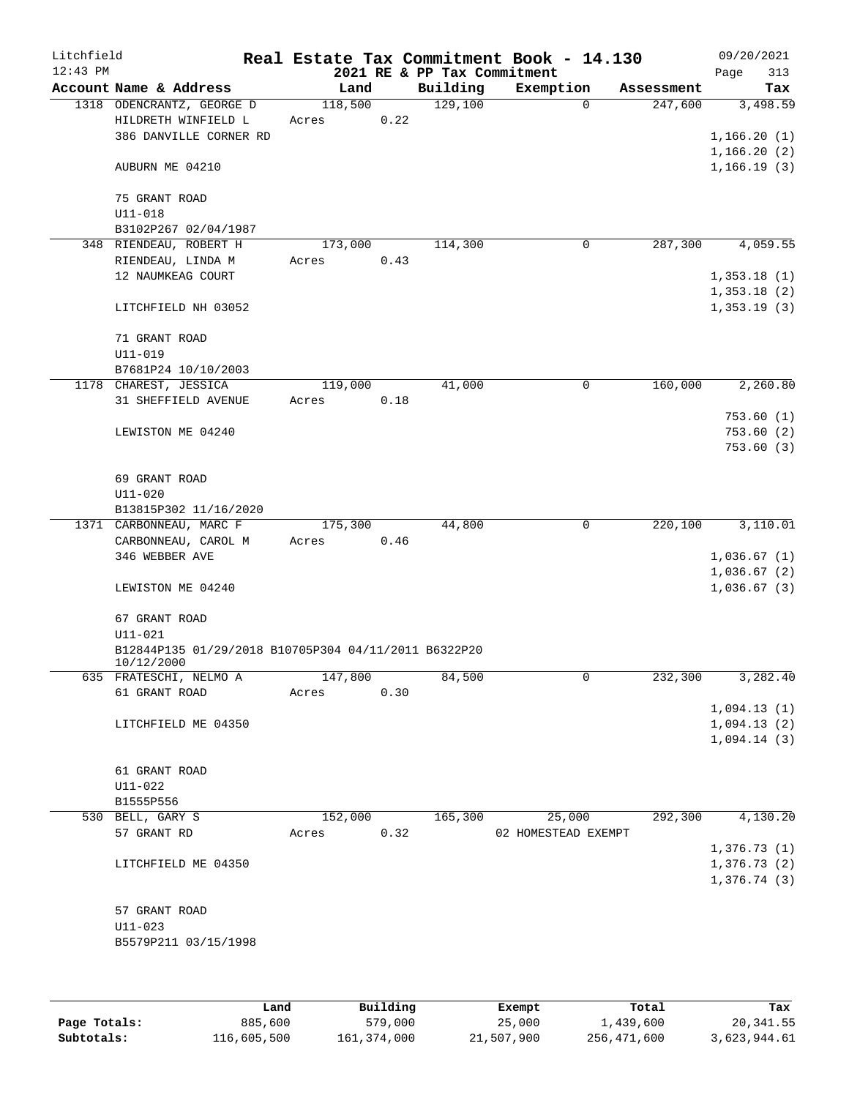| Litchfield |                                                      |         |      |          | Real Estate Tax Commitment Book - 14.130 |             |            | 09/20/2021   |           |
|------------|------------------------------------------------------|---------|------|----------|------------------------------------------|-------------|------------|--------------|-----------|
| $12:43$ PM |                                                      |         |      |          | 2021 RE & PP Tax Commitment              |             |            | Page         | 313       |
|            | Account Name & Address                               | Land    |      | Building | Exemption                                |             | Assessment |              | Tax       |
|            | 1318 ODENCRANTZ, GEORGE D                            | 118,500 |      | 129,100  |                                          | $\Omega$    | 247,600    |              | 3,498.59  |
|            | HILDRETH WINFIELD L                                  | Acres   | 0.22 |          |                                          |             |            |              |           |
|            | 386 DANVILLE CORNER RD                               |         |      |          |                                          |             |            | 1,166.20(1)  |           |
|            |                                                      |         |      |          |                                          |             |            | 1,166.20(2)  |           |
|            | AUBURN ME 04210                                      |         |      |          |                                          |             |            | 1, 166.19(3) |           |
|            |                                                      |         |      |          |                                          |             |            |              |           |
|            | 75 GRANT ROAD                                        |         |      |          |                                          |             |            |              |           |
|            | $U11 - 018$                                          |         |      |          |                                          |             |            |              |           |
|            | B3102P267 02/04/1987                                 |         |      |          |                                          |             |            |              |           |
|            | 348 RIENDEAU, ROBERT H                               | 173,000 |      | 114,300  |                                          | $\mathbf 0$ | 287,300    |              | 4,059.55  |
|            | RIENDEAU, LINDA M                                    | Acres   | 0.43 |          |                                          |             |            |              |           |
|            | 12 NAUMKEAG COURT                                    |         |      |          |                                          |             |            | 1,353.18(1)  |           |
|            |                                                      |         |      |          |                                          |             |            | 1,353.18(2)  |           |
|            | LITCHFIELD NH 03052                                  |         |      |          |                                          |             |            | 1,353.19(3)  |           |
|            |                                                      |         |      |          |                                          |             |            |              |           |
|            | 71 GRANT ROAD<br>$U11 - 019$                         |         |      |          |                                          |             |            |              |           |
|            |                                                      |         |      |          |                                          |             |            |              |           |
|            | B7681P24 10/10/2003                                  |         |      |          |                                          | 0           | 160,000    |              | 2,260.80  |
|            | 1178 CHAREST, JESSICA                                | 119,000 |      | 41,000   |                                          |             |            |              |           |
|            | 31 SHEFFIELD AVENUE                                  | Acres   | 0.18 |          |                                          |             |            |              | 753.60(1) |
|            | LEWISTON ME 04240                                    |         |      |          |                                          |             |            |              | 753.60(2) |
|            |                                                      |         |      |          |                                          |             |            |              | 753.60(3) |
|            |                                                      |         |      |          |                                          |             |            |              |           |
|            | 69 GRANT ROAD                                        |         |      |          |                                          |             |            |              |           |
|            | $U11 - 020$                                          |         |      |          |                                          |             |            |              |           |
|            | B13815P302 11/16/2020                                |         |      |          |                                          |             |            |              |           |
|            | 1371 CARBONNEAU, MARC F                              | 175,300 |      | 44,800   |                                          | 0           | 220,100    |              | 3,110.01  |
|            | CARBONNEAU, CAROL M                                  | Acres   | 0.46 |          |                                          |             |            |              |           |
|            | 346 WEBBER AVE                                       |         |      |          |                                          |             |            | 1,036.67(1)  |           |
|            |                                                      |         |      |          |                                          |             |            | 1,036.67(2)  |           |
|            | LEWISTON ME 04240                                    |         |      |          |                                          |             |            | 1,036.67(3)  |           |
|            |                                                      |         |      |          |                                          |             |            |              |           |
|            | 67 GRANT ROAD                                        |         |      |          |                                          |             |            |              |           |
|            | $U11 - 021$                                          |         |      |          |                                          |             |            |              |           |
|            | B12844P135 01/29/2018 B10705P304 04/11/2011 B6322P20 |         |      |          |                                          |             |            |              |           |
|            | 10/12/2000                                           |         |      |          |                                          |             |            |              |           |
|            | 635 FRATESCHI, NELMO A                               | 147,800 |      | 84,500   |                                          | 0           | 232,300    |              | 3,282.40  |
|            | 61 GRANT ROAD                                        | Acres   | 0.30 |          |                                          |             |            |              |           |
|            |                                                      |         |      |          |                                          |             |            | 1,094.13(1)  |           |
|            | LITCHFIELD ME 04350                                  |         |      |          |                                          |             |            | 1,094.13(2)  |           |
|            |                                                      |         |      |          |                                          |             |            | 1,094.14(3)  |           |
|            |                                                      |         |      |          |                                          |             |            |              |           |
|            | 61 GRANT ROAD                                        |         |      |          |                                          |             |            |              |           |
|            | $U11 - 022$                                          |         |      |          |                                          |             |            |              |           |
|            | B1555P556                                            |         |      |          |                                          |             |            |              |           |
|            | 530 BELL, GARY S                                     | 152,000 |      | 165,300  | 25,000                                   |             | 292,300    |              | 4,130.20  |
|            | 57 GRANT RD                                          | Acres   | 0.32 |          | 02 HOMESTEAD EXEMPT                      |             |            |              |           |
|            |                                                      |         |      |          |                                          |             |            | 1,376.73(1)  |           |
|            | LITCHFIELD ME 04350                                  |         |      |          |                                          |             |            | 1,376.73(2)  |           |
|            |                                                      |         |      |          |                                          |             |            | 1,376.74(3)  |           |
|            |                                                      |         |      |          |                                          |             |            |              |           |
|            | 57 GRANT ROAD                                        |         |      |          |                                          |             |            |              |           |
|            | $U11 - 023$                                          |         |      |          |                                          |             |            |              |           |
|            | B5579P211 03/15/1998                                 |         |      |          |                                          |             |            |              |           |
|            |                                                      |         |      |          |                                          |             |            |              |           |
|            |                                                      |         |      |          |                                          |             |            |              |           |

|              | Land        | Building    | Exempt     | Total       | Tax          |
|--------------|-------------|-------------|------------|-------------|--------------|
| Page Totals: | 885,600     | 579,000     | 25,000     | 1,439,600   | 20,341.55    |
| Subtotals:   | 116,605,500 | 161,374,000 | 21,507,900 | 256,471,600 | 3,623,944.61 |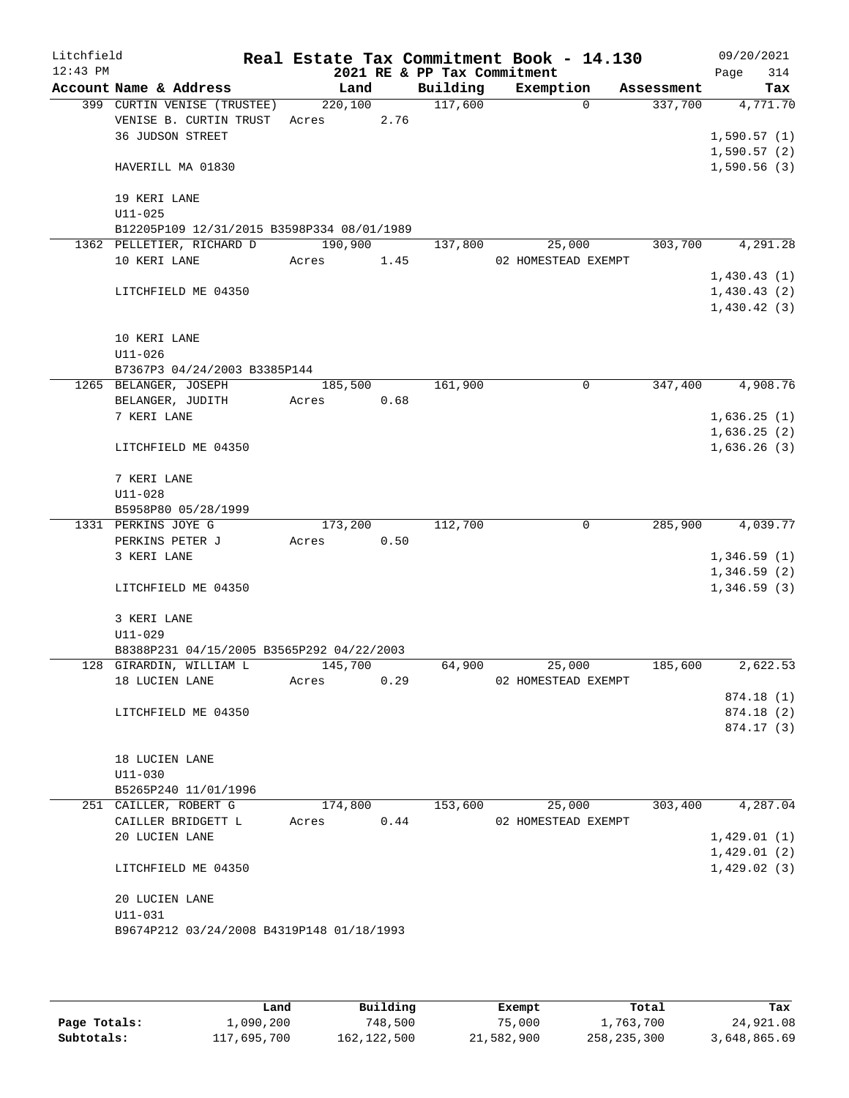| Litchfield<br>$12:43$ PM |                                            |         |         | 2021 RE & PP Tax Commitment | Real Estate Tax Commitment Book - 14.130 |            | 09/20/2021<br>314<br>Page  |
|--------------------------|--------------------------------------------|---------|---------|-----------------------------|------------------------------------------|------------|----------------------------|
|                          | Account Name & Address                     | Land    |         | Building                    | Exemption                                | Assessment | Tax                        |
|                          | 399 CURTIN VENISE (TRUSTEE)                | 220,100 |         | 117,600                     | $\Omega$                                 | 337,700    | 4,771.70                   |
|                          | VENISE B. CURTIN TRUST                     | Acres   | 2.76    |                             |                                          |            |                            |
|                          | 36 JUDSON STREET                           |         |         |                             |                                          |            | 1,590.57(1)                |
|                          |                                            |         |         |                             |                                          |            | 1,590.57(2)                |
|                          | HAVERILL MA 01830                          |         |         |                             |                                          |            | 1,590.56(3)                |
|                          | 19 KERI LANE                               |         |         |                             |                                          |            |                            |
|                          | $U11 - 025$                                |         |         |                             |                                          |            |                            |
|                          | B12205P109 12/31/2015 B3598P334 08/01/1989 |         |         |                             |                                          |            |                            |
|                          | 1362 PELLETIER, RICHARD D                  | 190,900 |         | 137,800                     | 25,000                                   | 303,700    | 4,291.28                   |
|                          | 10 KERI LANE                               | Acres   | 1.45    |                             | 02 HOMESTEAD EXEMPT                      |            |                            |
|                          |                                            |         |         |                             |                                          |            | 1,430.43(1)                |
|                          | LITCHFIELD ME 04350                        |         |         |                             |                                          |            | 1,430.43(2)                |
|                          |                                            |         |         |                             |                                          |            | 1,430.42(3)                |
|                          | 10 KERI LANE                               |         |         |                             |                                          |            |                            |
|                          | $U11 - 026$                                |         |         |                             |                                          |            |                            |
|                          | B7367P3 04/24/2003 B3385P144               |         |         |                             |                                          |            |                            |
|                          | 1265 BELANGER, JOSEPH                      |         | 185,500 | 161,900                     | 0                                        | 347,400    | 4,908.76                   |
|                          | BELANGER, JUDITH                           | Acres   | 0.68    |                             |                                          |            |                            |
|                          | 7 KERI LANE                                |         |         |                             |                                          |            | 1,636.25(1)                |
|                          |                                            |         |         |                             |                                          |            | 1,636.25(2)                |
|                          | LITCHFIELD ME 04350                        |         |         |                             |                                          |            | 1,636.26(3)                |
|                          | 7 KERI LANE                                |         |         |                             |                                          |            |                            |
|                          | $U11 - 028$                                |         |         |                             |                                          |            |                            |
|                          | B5958P80 05/28/1999                        |         |         |                             |                                          |            |                            |
|                          | 1331 PERKINS JOYE G                        | 173,200 |         | 112,700                     | 0                                        | 285,900    | 4,039.77                   |
|                          | PERKINS PETER J                            | Acres   | 0.50    |                             |                                          |            |                            |
|                          | 3 KERI LANE                                |         |         |                             |                                          |            | 1,346.59(1)                |
|                          | LITCHFIELD ME 04350                        |         |         |                             |                                          |            | 1,346.59(2)<br>1,346.59(3) |
|                          |                                            |         |         |                             |                                          |            |                            |
|                          | 3 KERI LANE                                |         |         |                             |                                          |            |                            |
|                          | $U11 - 029$                                |         |         |                             |                                          |            |                            |
|                          | B8388P231 04/15/2005 B3565P292 04/22/2003  |         |         |                             |                                          |            |                            |
|                          | 128 GIRARDIN, WILLIAM L<br>18 LUCIEN LANE  | 145,700 |         | 64,900                      | 25,000<br>02 HOMESTEAD EXEMPT            | 185,600    | 2,622.53                   |
|                          |                                            | Acres   | 0.29    |                             |                                          |            | 874.18(1)                  |
|                          | LITCHFIELD ME 04350                        |         |         |                             |                                          |            | 874.18 (2)                 |
|                          |                                            |         |         |                             |                                          |            | 874.17(3)                  |
|                          |                                            |         |         |                             |                                          |            |                            |
|                          | 18 LUCIEN LANE                             |         |         |                             |                                          |            |                            |
|                          | $U11 - 030$                                |         |         |                             |                                          |            |                            |
|                          | B5265P240 11/01/1996                       |         |         |                             |                                          |            |                            |
|                          | 251 CAILLER, ROBERT G                      | 174,800 |         | 153,600                     | 25,000                                   | 303,400    | 4,287.04                   |
|                          | CAILLER BRIDGETT L                         | Acres   | 0.44    |                             | 02 HOMESTEAD EXEMPT                      |            |                            |
|                          | 20 LUCIEN LANE                             |         |         |                             |                                          |            | 1,429.01(1)                |
|                          |                                            |         |         |                             |                                          |            | 1,429.01(2)                |
|                          | LITCHFIELD ME 04350                        |         |         |                             |                                          |            | 1,429.02(3)                |
|                          | 20 LUCIEN LANE                             |         |         |                             |                                          |            |                            |
|                          | $U11 - 031$                                |         |         |                             |                                          |            |                            |
|                          | B9674P212 03/24/2008 B4319P148 01/18/1993  |         |         |                             |                                          |            |                            |
|                          |                                            |         |         |                             |                                          |            |                            |

|              | Land        | Building    | Exempt     | Total         | Tax          |
|--------------|-------------|-------------|------------|---------------|--------------|
| Page Totals: | 1,090,200   | 748,500     | 75,000     | 1,763,700     | 24,921.08    |
| Subtotals:   | 117,695,700 | 162,122,500 | 21,582,900 | 258, 235, 300 | 3,648,865.69 |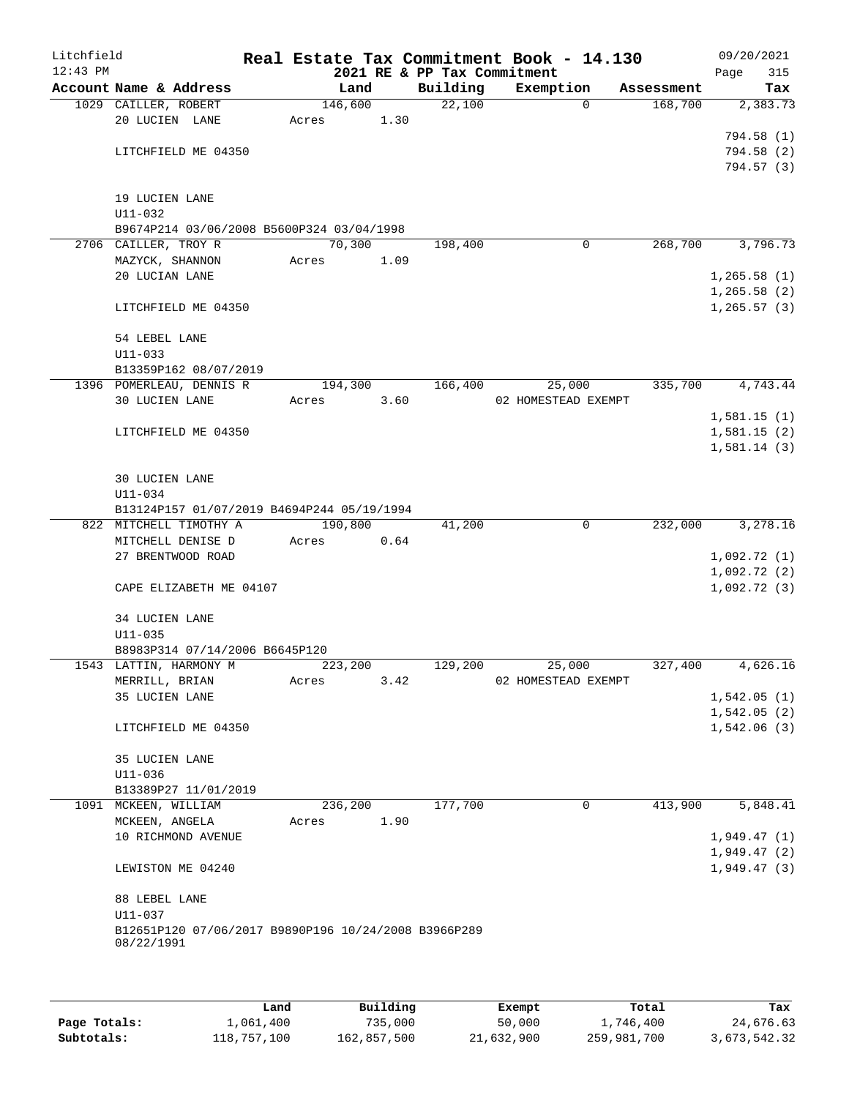| Litchfield |                                                                    |         |                 |                             | Real Estate Tax Commitment Book - 14.130 |            | 09/20/2021                   |
|------------|--------------------------------------------------------------------|---------|-----------------|-----------------------------|------------------------------------------|------------|------------------------------|
| $12:43$ PM |                                                                    |         |                 | 2021 RE & PP Tax Commitment |                                          |            | Page<br>315                  |
|            | Account Name & Address                                             | Land    |                 | Building<br>22,100          | Exemption<br>$\Omega$                    | Assessment | Tax                          |
|            | 1029 CAILLER, ROBERT<br>20 LUCIEN LANE                             | Acres   | 146,600<br>1.30 |                             |                                          | 168,700    | 2,383.73                     |
|            |                                                                    |         |                 |                             |                                          |            | 794.58 (1)                   |
|            | LITCHFIELD ME 04350                                                |         |                 |                             |                                          |            | 794.58 (2)                   |
|            |                                                                    |         |                 |                             |                                          |            | 794.57(3)                    |
|            |                                                                    |         |                 |                             |                                          |            |                              |
|            | 19 LUCIEN LANE                                                     |         |                 |                             |                                          |            |                              |
|            | $U11 - 032$                                                        |         |                 |                             |                                          |            |                              |
|            | B9674P214 03/06/2008 B5600P324 03/04/1998                          |         |                 |                             |                                          |            |                              |
|            | 2706 CAILLER, TROY R                                               | 70,300  |                 | 198,400                     | 0                                        | 268,700    | 3,796.73                     |
|            | MAZYCK, SHANNON                                                    | Acres   | 1.09            |                             |                                          |            |                              |
|            | 20 LUCIAN LANE                                                     |         |                 |                             |                                          |            | 1, 265.58(1)<br>1, 265.58(2) |
|            | LITCHFIELD ME 04350                                                |         |                 |                             |                                          |            | 1, 265.57(3)                 |
|            |                                                                    |         |                 |                             |                                          |            |                              |
|            | 54 LEBEL LANE                                                      |         |                 |                             |                                          |            |                              |
|            | $U11 - 033$                                                        |         |                 |                             |                                          |            |                              |
|            | B13359P162 08/07/2019                                              |         |                 |                             |                                          |            |                              |
|            | 1396 POMERLEAU, DENNIS R                                           | 194,300 |                 | 166,400                     | 25,000                                   | 335,700    | 4,743.44                     |
|            | 30 LUCIEN LANE                                                     | Acres   | 3.60            |                             | 02 HOMESTEAD EXEMPT                      |            |                              |
|            |                                                                    |         |                 |                             |                                          |            | 1,581.15(1)                  |
|            | LITCHFIELD ME 04350                                                |         |                 |                             |                                          |            | 1,581.15(2)                  |
|            |                                                                    |         |                 |                             |                                          |            | 1,581.14(3)                  |
|            | 30 LUCIEN LANE                                                     |         |                 |                             |                                          |            |                              |
|            | U11-034                                                            |         |                 |                             |                                          |            |                              |
|            | B13124P157 01/07/2019 B4694P244 05/19/1994                         |         |                 |                             |                                          |            |                              |
|            | 822 MITCHELL TIMOTHY A                                             | 190,800 |                 | 41,200                      | 0                                        | 232,000    | 3,278.16                     |
|            | MITCHELL DENISE D                                                  | Acres   | 0.64            |                             |                                          |            |                              |
|            | 27 BRENTWOOD ROAD                                                  |         |                 |                             |                                          |            | 1,092.72(1)                  |
|            |                                                                    |         |                 |                             |                                          |            | 1,092.72(2)                  |
|            | CAPE ELIZABETH ME 04107                                            |         |                 |                             |                                          |            | 1,092.72(3)                  |
|            | <b>34 LUCIEN LANE</b>                                              |         |                 |                             |                                          |            |                              |
|            | $U11 - 035$                                                        |         |                 |                             |                                          |            |                              |
|            | B8983P314 07/14/2006 B6645P120                                     |         |                 |                             |                                          |            |                              |
|            | 1543 LATTIN, HARMONY M                                             | 223,200 |                 | 129,200                     | 25,000                                   | 327,400    | 4,626.16                     |
|            | MERRILL, BRIAN                                                     | Acres   | 3.42            |                             | 02 HOMESTEAD EXEMPT                      |            |                              |
|            | 35 LUCIEN LANE                                                     |         |                 |                             |                                          |            | 1,542.05(1)                  |
|            |                                                                    |         |                 |                             |                                          |            | 1,542.05(2)                  |
|            | LITCHFIELD ME 04350                                                |         |                 |                             |                                          |            | 1,542.06(3)                  |
|            |                                                                    |         |                 |                             |                                          |            |                              |
|            | 35 LUCIEN LANE                                                     |         |                 |                             |                                          |            |                              |
|            | U11-036                                                            |         |                 |                             |                                          |            |                              |
|            | B13389P27 11/01/2019<br>1091 MCKEEN, WILLIAM                       | 236,200 |                 | 177,700                     | 0                                        | 413,900    | 5,848.41                     |
|            | MCKEEN, ANGELA                                                     | Acres   | 1.90            |                             |                                          |            |                              |
|            | 10 RICHMOND AVENUE                                                 |         |                 |                             |                                          |            | 1,949.47(1)                  |
|            |                                                                    |         |                 |                             |                                          |            | 1,949.47(2)                  |
|            | LEWISTON ME 04240                                                  |         |                 |                             |                                          |            | 1,949.47(3)                  |
|            |                                                                    |         |                 |                             |                                          |            |                              |
|            | 88 LEBEL LANE                                                      |         |                 |                             |                                          |            |                              |
|            | U11-037                                                            |         |                 |                             |                                          |            |                              |
|            | B12651P120 07/06/2017 B9890P196 10/24/2008 B3966P289<br>08/22/1991 |         |                 |                             |                                          |            |                              |
|            |                                                                    |         |                 |                             |                                          |            |                              |
|            |                                                                    |         |                 |                             |                                          |            |                              |
|            |                                                                    |         |                 |                             |                                          |            |                              |

|              | Land        | Building    | Exempt     | Total       | Tax          |
|--------------|-------------|-------------|------------|-------------|--------------|
| Page Totals: | 1,061,400   | 735,000     | 50,000     | 1,746,400   | 24,676.63    |
| Subtotals:   | 118,757,100 | 162,857,500 | 21,632,900 | 259,981,700 | 3,673,542.32 |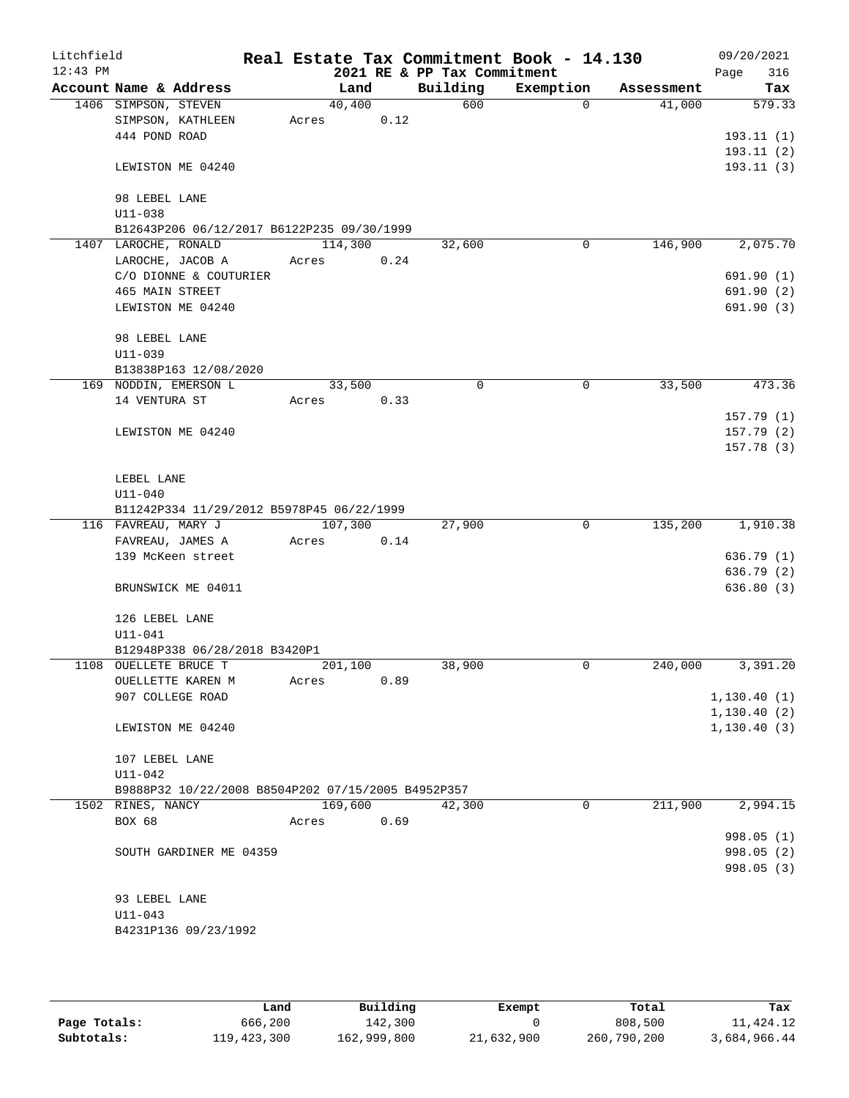| Litchfield<br>$12:43$ PM |                              |                                                    |       |         |      | 2021 RE & PP Tax Commitment | Real Estate Tax Commitment Book - 14.130 |            | 09/20/2021<br>316<br>Page    |
|--------------------------|------------------------------|----------------------------------------------------|-------|---------|------|-----------------------------|------------------------------------------|------------|------------------------------|
|                          |                              | Account Name & Address                             |       | Land    |      | Building                    | Exemption                                | Assessment | Tax                          |
|                          | 1406 SIMPSON, STEVEN         |                                                    |       | 40,400  |      | 600                         | $\Omega$                                 | 41,000     | 579.33                       |
|                          |                              | SIMPSON, KATHLEEN                                  | Acres |         | 0.12 |                             |                                          |            |                              |
|                          | 444 POND ROAD                |                                                    |       |         |      |                             |                                          |            | 193.11(1)                    |
|                          |                              |                                                    |       |         |      |                             |                                          |            | 193.11(2)                    |
|                          |                              | LEWISTON ME 04240                                  |       |         |      |                             |                                          |            | 193.11(3)                    |
|                          |                              |                                                    |       |         |      |                             |                                          |            |                              |
|                          | 98 LEBEL LANE<br>$U11 - 038$ |                                                    |       |         |      |                             |                                          |            |                              |
|                          |                              | B12643P206 06/12/2017 B6122P235 09/30/1999         |       |         |      |                             |                                          |            |                              |
|                          | 1407 LAROCHE, RONALD         |                                                    |       | 114,300 |      | 32,600                      | 0                                        | 146,900    | 2,075.70                     |
|                          |                              | LAROCHE, JACOB A                                   | Acres |         | 0.24 |                             |                                          |            |                              |
|                          |                              | C/O DIONNE & COUTURIER                             |       |         |      |                             |                                          |            | 691.90 (1)                   |
|                          | <b>465 MAIN STREET</b>       |                                                    |       |         |      |                             |                                          |            | 691.90 (2)                   |
|                          |                              | LEWISTON ME 04240                                  |       |         |      |                             |                                          |            | 691.90 (3)                   |
|                          | 98 LEBEL LANE                |                                                    |       |         |      |                             |                                          |            |                              |
|                          | $U11 - 039$                  |                                                    |       |         |      |                             |                                          |            |                              |
|                          |                              | B13838P163 12/08/2020                              |       |         |      |                             |                                          |            |                              |
|                          |                              | 169 NODDIN, EMERSON L                              |       | 33,500  |      | 0                           | 0                                        | 33,500     | 473.36                       |
|                          | 14 VENTURA ST                |                                                    | Acres |         | 0.33 |                             |                                          |            |                              |
|                          |                              |                                                    |       |         |      |                             |                                          |            | 157.79 (1)                   |
|                          |                              | LEWISTON ME 04240                                  |       |         |      |                             |                                          |            | 157.79(2)                    |
|                          |                              |                                                    |       |         |      |                             |                                          |            | 157.78(3)                    |
|                          | LEBEL LANE                   |                                                    |       |         |      |                             |                                          |            |                              |
|                          | $U11 - 040$                  |                                                    |       |         |      |                             |                                          |            |                              |
|                          |                              | B11242P334 11/29/2012 B5978P45 06/22/1999          |       |         |      |                             |                                          |            |                              |
|                          | 116 FAVREAU, MARY J          |                                                    |       | 107,300 |      | 27,900                      | 0                                        | 135,200    | 1,910.38                     |
|                          |                              | FAVREAU, JAMES A                                   | Acres |         | 0.14 |                             |                                          |            |                              |
|                          |                              | 139 McKeen street                                  |       |         |      |                             |                                          |            | 636.79(1)                    |
|                          |                              |                                                    |       |         |      |                             |                                          |            | 636.79 (2)                   |
|                          |                              | BRUNSWICK ME 04011                                 |       |         |      |                             |                                          |            | 636.80(3)                    |
|                          | 126 LEBEL LANE               |                                                    |       |         |      |                             |                                          |            |                              |
|                          | $U11 - 041$                  |                                                    |       |         |      |                             |                                          |            |                              |
|                          |                              | B12948P338 06/28/2018 B3420P1                      |       |         |      |                             |                                          |            |                              |
|                          |                              | 1108 OUELLETE BRUCE T                              |       | 201,100 |      | 38,900                      | 0                                        | 240,000    | 3,391.20                     |
|                          |                              | OUELLETTE KAREN M                                  | Acres |         | 0.89 |                             |                                          |            |                              |
|                          |                              | 907 COLLEGE ROAD                                   |       |         |      |                             |                                          |            | 1,130.40(1)                  |
|                          |                              |                                                    |       |         |      |                             |                                          |            | 1, 130.40(2)<br>1, 130.40(3) |
|                          |                              | LEWISTON ME 04240                                  |       |         |      |                             |                                          |            |                              |
|                          | 107 LEBEL LANE               |                                                    |       |         |      |                             |                                          |            |                              |
|                          | $U11 - 042$                  |                                                    |       |         |      |                             |                                          |            |                              |
|                          |                              | B9888P32 10/22/2008 B8504P202 07/15/2005 B4952P357 |       |         |      |                             |                                          |            |                              |
|                          | 1502 RINES, NANCY            |                                                    |       | 169,600 |      | 42,300                      | 0                                        | 211,900    | 2,994.15                     |
|                          | BOX 68                       |                                                    | Acres |         | 0.69 |                             |                                          |            | 998.05(1)                    |
|                          |                              | SOUTH GARDINER ME 04359                            |       |         |      |                             |                                          |            | 998.05 (2)                   |
|                          |                              |                                                    |       |         |      |                             |                                          |            | 998.05 (3)                   |
|                          |                              |                                                    |       |         |      |                             |                                          |            |                              |
|                          | 93 LEBEL LANE                |                                                    |       |         |      |                             |                                          |            |                              |
|                          | U11-043                      |                                                    |       |         |      |                             |                                          |            |                              |
|                          |                              | B4231P136 09/23/1992                               |       |         |      |                             |                                          |            |                              |
|                          |                              |                                                    |       |         |      |                             |                                          |            |                              |

|              | Land        | Building    | Exempt     | Total       | Tax          |
|--------------|-------------|-------------|------------|-------------|--------------|
| Page Totals: | 666,200     | 142,300     |            | 808,500     | 11,424.12    |
| Subtotals:   | 119,423,300 | 162,999,800 | 21,632,900 | 260,790,200 | 3,684,966.44 |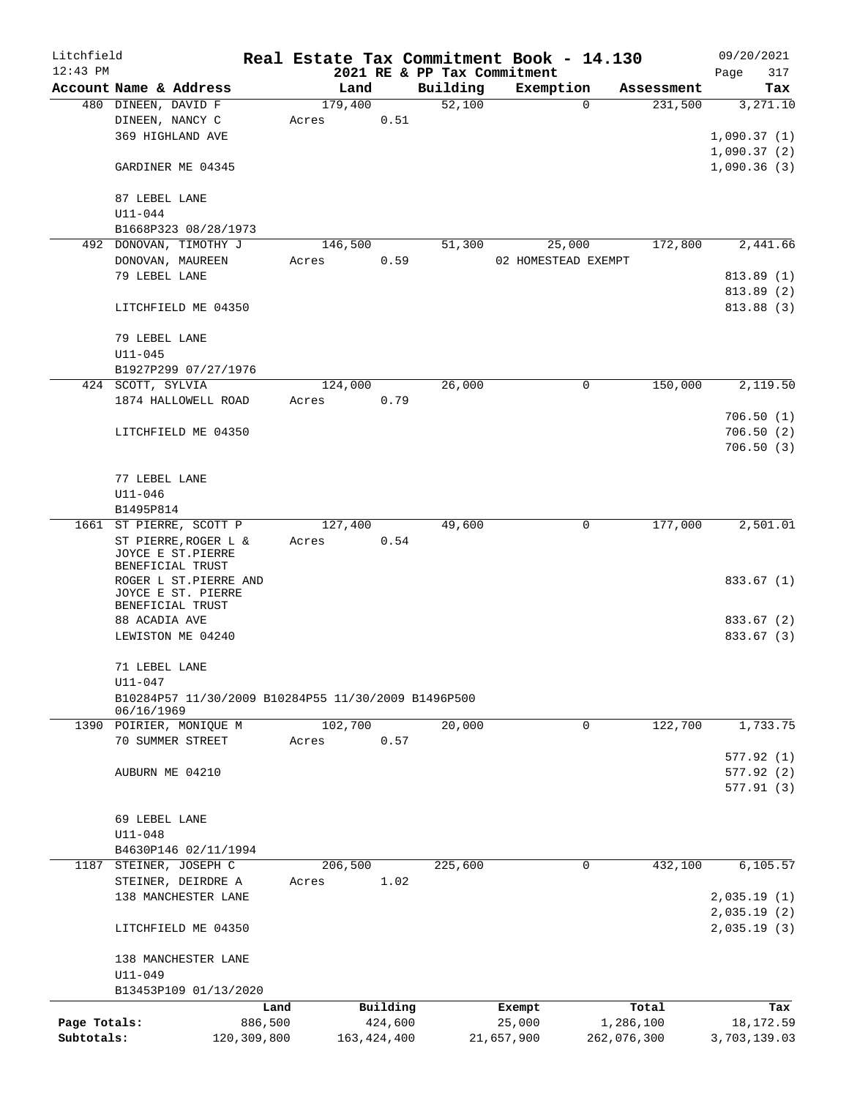| Litchfield   |                                                                   |             | Real Estate Tax Commitment Book - 14.130 |               |                             |            |                     |             | 09/20/2021   |
|--------------|-------------------------------------------------------------------|-------------|------------------------------------------|---------------|-----------------------------|------------|---------------------|-------------|--------------|
| $12:43$ PM   |                                                                   |             |                                          |               | 2021 RE & PP Tax Commitment |            |                     |             | 317<br>Page  |
|              | Account Name & Address                                            |             | Land                                     |               | Building                    |            | Exemption           | Assessment  | Tax          |
|              | 480 DINEEN, DAVID F                                               |             | 179,400                                  |               | 52,100                      |            | $\Omega$            | 231,500     | 3,271.10     |
|              | DINEEN, NANCY C                                                   |             | Acres                                    | 0.51          |                             |            |                     |             |              |
|              | 369 HIGHLAND AVE                                                  |             |                                          |               |                             |            |                     |             | 1,090.37(1)  |
|              |                                                                   |             |                                          |               |                             |            |                     |             | 1,090.37(2)  |
|              | GARDINER ME 04345                                                 |             |                                          |               |                             |            |                     |             | 1,090.36(3)  |
|              |                                                                   |             |                                          |               |                             |            |                     |             |              |
|              | 87 LEBEL LANE                                                     |             |                                          |               |                             |            |                     |             |              |
|              | $U11 - 044$                                                       |             |                                          |               |                             |            |                     |             |              |
|              | B1668P323 08/28/1973                                              |             |                                          |               |                             |            |                     |             |              |
|              | 492 DONOVAN, TIMOTHY J                                            |             | 146,500                                  |               | 51,300                      |            | 25,000              | 172,800     | 2,441.66     |
|              | DONOVAN, MAUREEN                                                  |             | Acres                                    | 0.59          |                             |            | 02 HOMESTEAD EXEMPT |             |              |
|              | 79 LEBEL LANE                                                     |             |                                          |               |                             |            |                     |             | 813.89(1)    |
|              |                                                                   |             |                                          |               |                             |            |                     |             | 813.89 (2)   |
|              | LITCHFIELD ME 04350                                               |             |                                          |               |                             |            |                     |             | 813.88 (3)   |
|              | 79 LEBEL LANE                                                     |             |                                          |               |                             |            |                     |             |              |
|              | $U11 - 045$                                                       |             |                                          |               |                             |            |                     |             |              |
|              |                                                                   |             |                                          |               |                             |            |                     |             |              |
|              | B1927P299 07/27/1976<br>424 SCOTT, SYLVIA                         |             | 124,000                                  |               | 26,000                      |            | 0                   | 150,000     | 2,119.50     |
|              | 1874 HALLOWELL ROAD                                               |             |                                          | 0.79          |                             |            |                     |             |              |
|              |                                                                   |             | Acres                                    |               |                             |            |                     |             | 706.50(1)    |
|              | LITCHFIELD ME 04350                                               |             |                                          |               |                             |            |                     |             | 706.50(2)    |
|              |                                                                   |             |                                          |               |                             |            |                     |             | 706.50(3)    |
|              |                                                                   |             |                                          |               |                             |            |                     |             |              |
|              | 77 LEBEL LANE                                                     |             |                                          |               |                             |            |                     |             |              |
|              | $U11 - 046$                                                       |             |                                          |               |                             |            |                     |             |              |
|              | B1495P814                                                         |             |                                          |               |                             |            |                     |             |              |
|              | 1661 ST PIERRE, SCOTT P                                           |             | 127,400                                  |               | 49,600                      |            | 0                   | 177,000     | 2,501.01     |
|              | ST PIERRE, ROGER L &                                              |             | Acres                                    | 0.54          |                             |            |                     |             |              |
|              | JOYCE E ST.PIERRE                                                 |             |                                          |               |                             |            |                     |             |              |
|              | BENEFICIAL TRUST                                                  |             |                                          |               |                             |            |                     |             |              |
|              | ROGER L ST.PIERRE AND                                             |             |                                          |               |                             |            |                     |             | 833.67 (1)   |
|              | JOYCE E ST. PIERRE                                                |             |                                          |               |                             |            |                     |             |              |
|              | BENEFICIAL TRUST                                                  |             |                                          |               |                             |            |                     |             |              |
|              | 88 ACADIA AVE                                                     |             |                                          |               |                             |            |                     |             | 833.67 (2)   |
|              | LEWISTON ME 04240                                                 |             |                                          |               |                             |            |                     |             | 833.67 (3)   |
|              |                                                                   |             |                                          |               |                             |            |                     |             |              |
|              | 71 LEBEL LANE                                                     |             |                                          |               |                             |            |                     |             |              |
|              | U11-047                                                           |             |                                          |               |                             |            |                     |             |              |
|              | B10284P57 11/30/2009 B10284P55 11/30/2009 B1496P500<br>06/16/1969 |             |                                          |               |                             |            |                     |             |              |
|              | 1390 POIRIER, MONIQUE M                                           |             | 102,700                                  |               | 20,000                      |            | 0                   | 122,700     | 1,733.75     |
|              | 70 SUMMER STREET                                                  |             | Acres                                    | 0.57          |                             |            |                     |             |              |
|              |                                                                   |             |                                          |               |                             |            |                     |             | 577.92(1)    |
|              | AUBURN ME 04210                                                   |             |                                          |               |                             |            |                     |             | 577.92(2)    |
|              |                                                                   |             |                                          |               |                             |            |                     |             | 577.91 (3)   |
|              |                                                                   |             |                                          |               |                             |            |                     |             |              |
|              | 69 LEBEL LANE                                                     |             |                                          |               |                             |            |                     |             |              |
|              | $U11 - 048$                                                       |             |                                          |               |                             |            |                     |             |              |
|              | B4630P146 02/11/1994                                              |             |                                          |               |                             |            |                     |             |              |
|              | 1187 STEINER, JOSEPH C                                            |             | 206,500                                  |               | 225,600                     |            | $\mathbf 0$         | 432,100     | 6,105.57     |
|              | STEINER, DEIRDRE A                                                |             | Acres                                    | 1.02          |                             |            |                     |             |              |
|              | 138 MANCHESTER LANE                                               |             |                                          |               |                             |            |                     |             | 2,035.19(1)  |
|              |                                                                   |             |                                          |               |                             |            |                     |             | 2,035.19(2)  |
|              | LITCHFIELD ME 04350                                               |             |                                          |               |                             |            |                     |             | 2,035.19(3)  |
|              |                                                                   |             |                                          |               |                             |            |                     |             |              |
|              | 138 MANCHESTER LANE                                               |             |                                          |               |                             |            |                     |             |              |
|              | $U11 - 049$                                                       |             |                                          |               |                             |            |                     |             |              |
|              | B13453P109 01/13/2020                                             |             |                                          |               |                             |            |                     |             |              |
|              |                                                                   | Land        |                                          | Building      |                             | Exempt     |                     | Total       | Tax          |
| Page Totals: |                                                                   | 886,500     |                                          | 424,600       |                             | 25,000     |                     | 1,286,100   | 18,172.59    |
| Subtotals:   |                                                                   | 120,309,800 |                                          | 163, 424, 400 |                             | 21,657,900 |                     | 262,076,300 | 3,703,139.03 |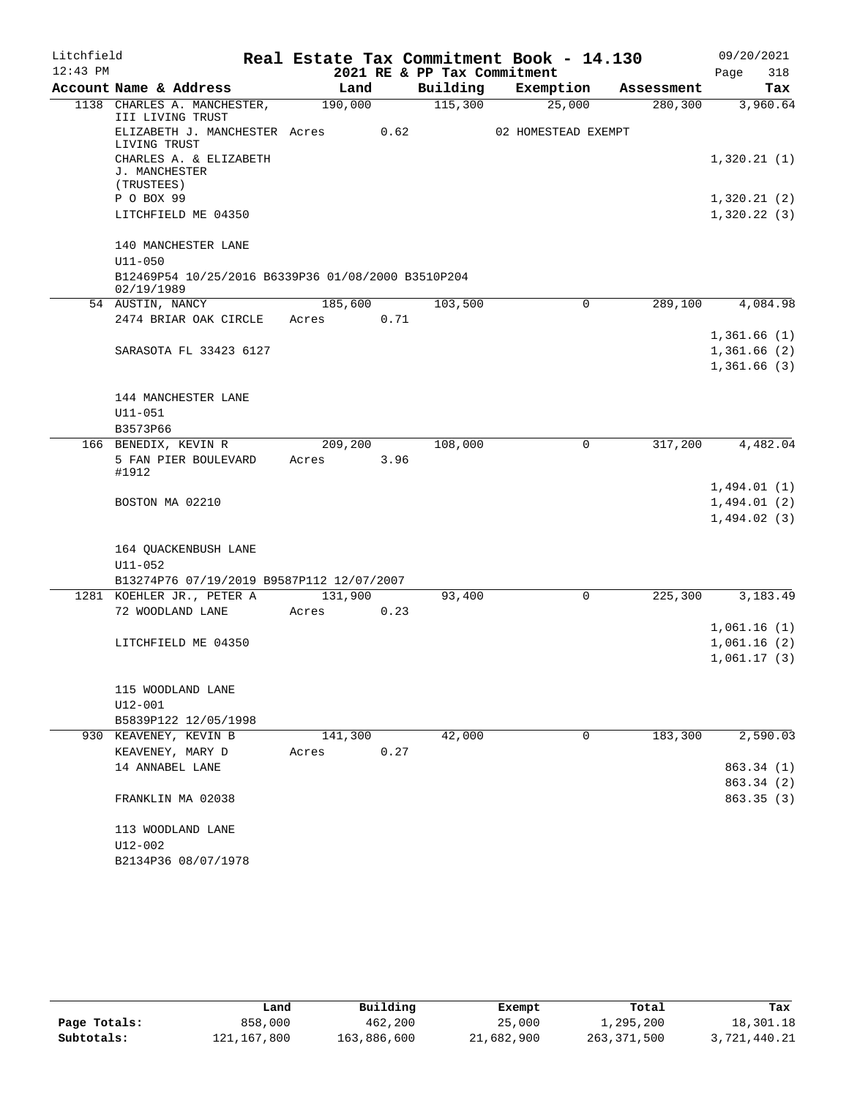| Litchfield |                                                                   | 09/20/2021<br>Real Estate Tax Commitment Book - 14.130 |      |                             |                     |            |             |  |  |
|------------|-------------------------------------------------------------------|--------------------------------------------------------|------|-----------------------------|---------------------|------------|-------------|--|--|
| $12:43$ PM |                                                                   |                                                        |      | 2021 RE & PP Tax Commitment |                     |            | 318<br>Page |  |  |
|            | Account Name & Address                                            | Land                                                   |      | Building                    | Exemption           | Assessment | Tax         |  |  |
|            | 1138 CHARLES A. MANCHESTER,<br>III LIVING TRUST                   | 190,000                                                |      | 115,300                     | 25,000              | 280,300    | 3,960.64    |  |  |
|            | ELIZABETH J. MANCHESTER Acres<br>LIVING TRUST                     |                                                        | 0.62 |                             | 02 HOMESTEAD EXEMPT |            |             |  |  |
|            | CHARLES A. & ELIZABETH<br>J. MANCHESTER                           |                                                        |      |                             |                     |            | 1,320.21(1) |  |  |
|            | (TRUSTEES)                                                        |                                                        |      |                             |                     |            |             |  |  |
|            | P O BOX 99                                                        |                                                        |      |                             |                     |            | 1,320.21(2) |  |  |
|            | LITCHFIELD ME 04350                                               |                                                        |      |                             |                     |            | 1,320.22(3) |  |  |
|            | 140 MANCHESTER LANE                                               |                                                        |      |                             |                     |            |             |  |  |
|            | $U11 - 050$<br>B12469P54 10/25/2016 B6339P36 01/08/2000 B3510P204 |                                                        |      |                             |                     |            |             |  |  |
|            | 02/19/1989                                                        |                                                        |      |                             |                     |            |             |  |  |
|            | 54 AUSTIN, NANCY                                                  | 185,600                                                |      | 103,500                     | $\mathbf 0$         | 289,100    | 4,084.98    |  |  |
|            | 2474 BRIAR OAK CIRCLE                                             | Acres                                                  | 0.71 |                             |                     |            |             |  |  |
|            |                                                                   |                                                        |      |                             |                     |            | 1,361.66(1) |  |  |
|            | SARASOTA FL 33423 6127                                            |                                                        |      |                             |                     |            | 1,361.66(2) |  |  |
|            |                                                                   |                                                        |      |                             |                     |            | 1,361.66(3) |  |  |
|            |                                                                   |                                                        |      |                             |                     |            |             |  |  |
|            | 144 MANCHESTER LANE                                               |                                                        |      |                             |                     |            |             |  |  |
|            | U11-051                                                           |                                                        |      |                             |                     |            |             |  |  |
|            | B3573P66                                                          |                                                        |      |                             |                     |            |             |  |  |
|            | 166 BENEDIX, KEVIN R                                              | 209,200                                                |      | 108,000                     | $\mathbf 0$         | 317,200    | 4,482.04    |  |  |
|            | 5 FAN PIER BOULEVARD<br>#1912                                     | Acres                                                  | 3.96 |                             |                     |            |             |  |  |
|            |                                                                   |                                                        |      |                             |                     |            | 1,494.01(1) |  |  |
|            | BOSTON MA 02210                                                   |                                                        |      |                             |                     |            | 1,494.01(2) |  |  |
|            |                                                                   |                                                        |      |                             |                     |            | 1,494.02(3) |  |  |
|            |                                                                   |                                                        |      |                             |                     |            |             |  |  |
|            | 164 QUACKENBUSH LANE                                              |                                                        |      |                             |                     |            |             |  |  |
|            | $U11 - 052$                                                       |                                                        |      |                             |                     |            |             |  |  |
|            | B13274P76 07/19/2019 B9587P112 12/07/2007                         |                                                        |      |                             |                     |            |             |  |  |
|            | 1281 KOEHLER JR., PETER A                                         | 131,900                                                |      | 93,400                      | $\mathsf{O}$        | 225,300    | 3,183.49    |  |  |
|            | 72 WOODLAND LANE                                                  | Acres                                                  | 0.23 |                             |                     |            |             |  |  |
|            |                                                                   |                                                        |      |                             |                     |            | 1,061.16(1) |  |  |
|            | LITCHFIELD ME 04350                                               |                                                        |      |                             |                     |            | 1,061.16(2) |  |  |
|            |                                                                   |                                                        |      |                             |                     |            | 1,061.17(3) |  |  |
|            |                                                                   |                                                        |      |                             |                     |            |             |  |  |
|            | 115 WOODLAND LANE                                                 |                                                        |      |                             |                     |            |             |  |  |
|            | U12-001<br>B5839P122 12/05/1998                                   |                                                        |      |                             |                     |            |             |  |  |
|            | 930 KEAVENEY, KEVIN B                                             | 141,300                                                |      | 42,000                      | 0                   | 183,300    | 2,590.03    |  |  |
|            | KEAVENEY, MARY D                                                  | Acres                                                  | 0.27 |                             |                     |            |             |  |  |
|            | 14 ANNABEL LANE                                                   |                                                        |      |                             |                     |            | 863.34 (1)  |  |  |
|            |                                                                   |                                                        |      |                             |                     |            | 863.34 (2)  |  |  |
|            | FRANKLIN MA 02038                                                 |                                                        |      |                             |                     |            | 863.35 (3)  |  |  |
|            |                                                                   |                                                        |      |                             |                     |            |             |  |  |
|            | 113 WOODLAND LANE                                                 |                                                        |      |                             |                     |            |             |  |  |
|            | U12-002                                                           |                                                        |      |                             |                     |            |             |  |  |
|            | B2134P36 08/07/1978                                               |                                                        |      |                             |                     |            |             |  |  |

|              | Land        | Building    | Exempt     | Total       | Tax          |
|--------------|-------------|-------------|------------|-------------|--------------|
| Page Totals: | 858,000     | 462,200     | 25,000     | 1,295,200   | 18,301.18    |
| Subtotals:   | 121,167,800 | 163,886,600 | 21,682,900 | 263,371,500 | 3,721,440.21 |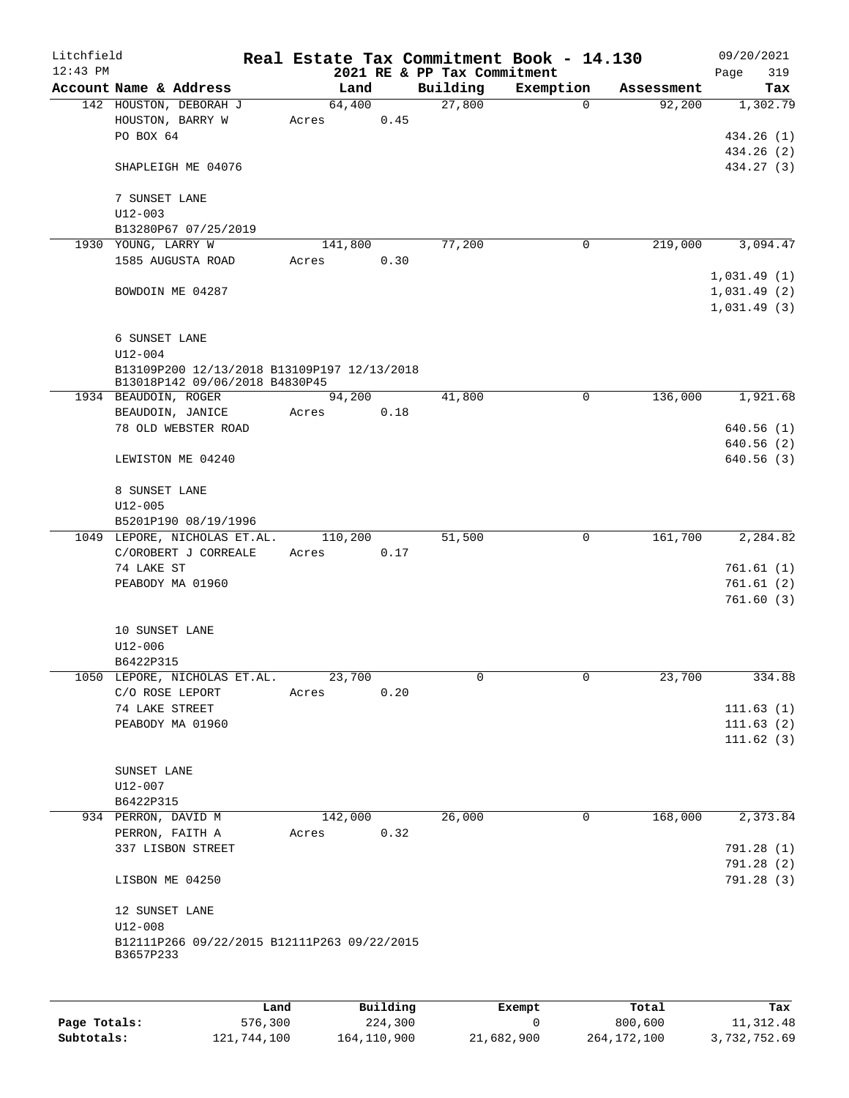| Litchfield |                                                          |      |                  |          |                             | Real Estate Tax Commitment Book - 14.130 |                      | 09/20/2021                 |
|------------|----------------------------------------------------------|------|------------------|----------|-----------------------------|------------------------------------------|----------------------|----------------------------|
| $12:43$ PM |                                                          |      |                  |          | 2021 RE & PP Tax Commitment |                                          |                      | 319<br>Page                |
|            | Account Name & Address<br>142 HOUSTON, DEBORAH J         |      | Land<br>64,400   |          | Building<br>27,800          | Exemption<br>$\Omega$                    | Assessment<br>92,200 | Tax<br>1,302.79            |
|            | HOUSTON, BARRY W                                         |      | Acres            | 0.45     |                             |                                          |                      |                            |
|            | PO BOX 64                                                |      |                  |          |                             |                                          |                      | 434.26 (1)                 |
|            |                                                          |      |                  |          |                             |                                          |                      | 434.26 (2)                 |
|            | SHAPLEIGH ME 04076                                       |      |                  |          |                             |                                          |                      | 434.27 (3)                 |
|            | 7 SUNSET LANE                                            |      |                  |          |                             |                                          |                      |                            |
|            | $U12 - 003$                                              |      |                  |          |                             |                                          |                      |                            |
|            | B13280P67 07/25/2019                                     |      |                  |          |                             |                                          |                      |                            |
|            | 1930 YOUNG, LARRY W                                      |      | 141,800          |          | 77,200                      | 0                                        | 219,000              | 3,094.47                   |
|            | 1585 AUGUSTA ROAD                                        |      | Acres            | 0.30     |                             |                                          |                      |                            |
|            | BOWDOIN ME 04287                                         |      |                  |          |                             |                                          |                      | 1,031.49(1)                |
|            |                                                          |      |                  |          |                             |                                          |                      | 1,031.49(2)<br>1,031.49(3) |
|            |                                                          |      |                  |          |                             |                                          |                      |                            |
|            | 6 SUNSET LANE<br>$U12 - 004$                             |      |                  |          |                             |                                          |                      |                            |
|            | B13109P200 12/13/2018 B13109P197 12/13/2018              |      |                  |          |                             |                                          |                      |                            |
|            | B13018P142 09/06/2018 B4830P45                           |      |                  |          |                             |                                          |                      |                            |
|            | 1934 BEAUDOIN, ROGER                                     |      | 94,200           |          | 41,800                      | 0                                        | 136,000              | 1,921.68                   |
|            | BEAUDOIN, JANICE                                         |      | Acres            | 0.18     |                             |                                          |                      |                            |
|            | 78 OLD WEBSTER ROAD                                      |      |                  |          |                             |                                          |                      | 640.56(1)                  |
|            |                                                          |      |                  |          |                             |                                          |                      | 640.56(2)                  |
|            | LEWISTON ME 04240                                        |      |                  |          |                             |                                          |                      | 640.56(3)                  |
|            | 8 SUNSET LANE                                            |      |                  |          |                             |                                          |                      |                            |
|            | $U12 - 005$                                              |      |                  |          |                             |                                          |                      |                            |
|            | B5201P190 08/19/1996                                     |      |                  |          |                             | $\mathbf 0$                              |                      |                            |
|            | 1049 LEPORE, NICHOLAS ET.AL.<br>C/OROBERT J CORREALE     |      | 110,200<br>Acres | 0.17     | 51,500                      |                                          | 161,700              | 2,284.82                   |
|            | 74 LAKE ST                                               |      |                  |          |                             |                                          |                      | 761.61(1)                  |
|            | PEABODY MA 01960                                         |      |                  |          |                             |                                          |                      | 761.61(2)                  |
|            |                                                          |      |                  |          |                             |                                          |                      | 761.60(3)                  |
|            | 10 SUNSET LANE                                           |      |                  |          |                             |                                          |                      |                            |
|            | $U12 - 006$                                              |      |                  |          |                             |                                          |                      |                            |
|            | B6422P315                                                |      |                  |          |                             |                                          |                      |                            |
|            | 1050 LEPORE, NICHOLAS ET.AL.                             |      | 23,700           |          | 0                           | 0                                        | 23,700               | 334.88                     |
|            | C/O ROSE LEPORT                                          |      | Acres            | 0.20     |                             |                                          |                      |                            |
|            | 74 LAKE STREET                                           |      |                  |          |                             |                                          |                      | 111.63(1)                  |
|            | PEABODY MA 01960                                         |      |                  |          |                             |                                          |                      | 111.63(2)                  |
|            |                                                          |      |                  |          |                             |                                          |                      | 111.62(3)                  |
|            | SUNSET LANE                                              |      |                  |          |                             |                                          |                      |                            |
|            | $U12 - 007$                                              |      |                  |          |                             |                                          |                      |                            |
|            | B6422P315                                                |      |                  |          |                             |                                          |                      |                            |
|            | 934 PERRON, DAVID M                                      |      | 142,000          |          | 26,000                      | 0                                        | 168,000              | 2,373.84                   |
|            | PERRON, FAITH A                                          |      | Acres            | 0.32     |                             |                                          |                      |                            |
|            | 337 LISBON STREET                                        |      |                  |          |                             |                                          |                      | 791.28 (1)                 |
|            |                                                          |      |                  |          |                             |                                          |                      | 791.28(2)                  |
|            | LISBON ME 04250                                          |      |                  |          |                             |                                          |                      | 791.28(3)                  |
|            | 12 SUNSET LANE                                           |      |                  |          |                             |                                          |                      |                            |
|            | $U12 - 008$                                              |      |                  |          |                             |                                          |                      |                            |
|            | B12111P266 09/22/2015 B12111P263 09/22/2015<br>B3657P233 |      |                  |          |                             |                                          |                      |                            |
|            |                                                          |      |                  |          |                             |                                          |                      |                            |
|            |                                                          |      |                  |          |                             |                                          |                      |                            |
|            |                                                          | Land |                  | Building |                             | Exempt                                   | Total                | Tax                        |

|              | ⊥and        | Building    | Exempt     | тосат       | тах          |
|--------------|-------------|-------------|------------|-------------|--------------|
| Page Totals: | 576,300     | 224,300     |            | 800.600     | 11,312.48    |
| Subtotals:   | 121,744,100 | 164,110,900 | 21,682,900 | 264,172,100 | 3,732,752.69 |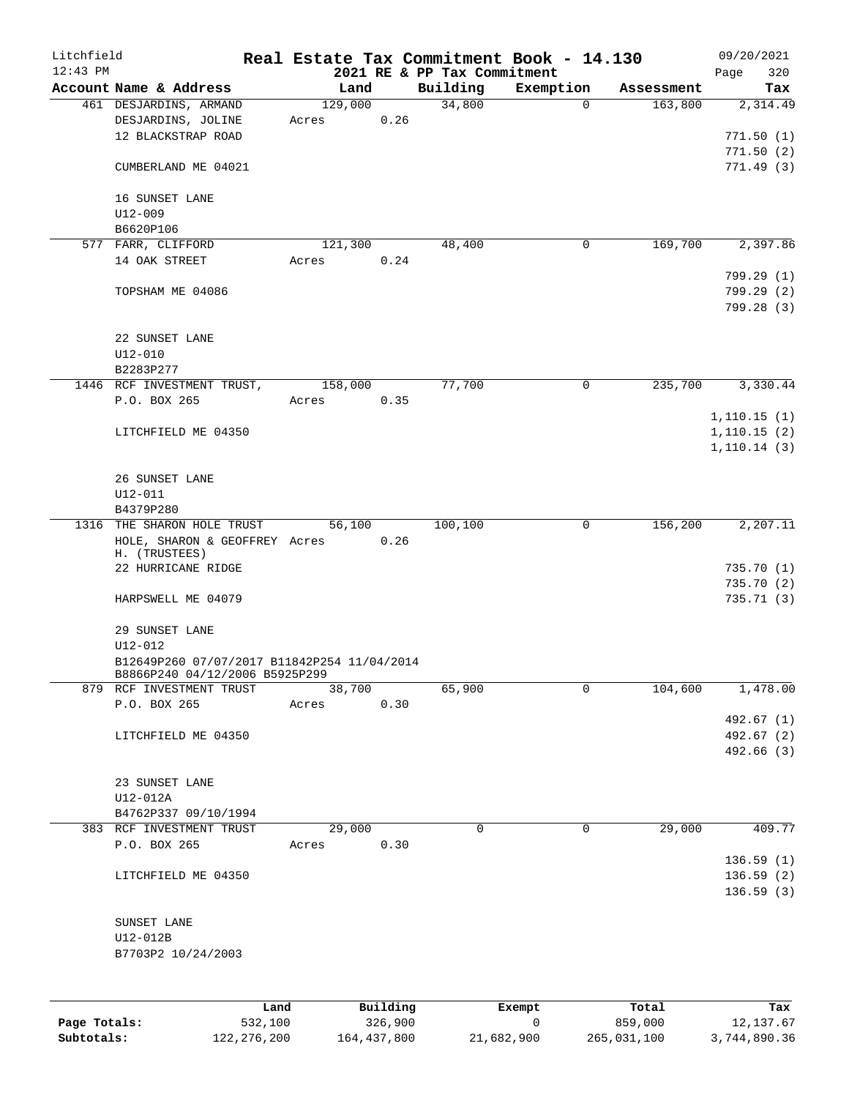| Litchfield<br>$12:43$ PM |                                                                              |                  |          | 2021 RE & PP Tax Commitment | Real Estate Tax Commitment Book - 14.130 |            | 09/20/2021<br>320       |
|--------------------------|------------------------------------------------------------------------------|------------------|----------|-----------------------------|------------------------------------------|------------|-------------------------|
|                          | Account Name & Address                                                       | Land             |          | Building                    | Exemption                                | Assessment | Page<br>Tax             |
|                          | 461 DESJARDINS, ARMAND<br>DESJARDINS, JOLINE                                 | 129,000<br>Acres | 0.26     | 34,800                      | $\Omega$                                 | 163,800    | 2,314.49                |
|                          | 12 BLACKSTRAP ROAD                                                           |                  |          |                             |                                          |            | 771.50(1)<br>771.50(2)  |
|                          | CUMBERLAND ME 04021                                                          |                  |          |                             |                                          |            | 771.49(3)               |
|                          | 16 SUNSET LANE<br>$U12 - 009$                                                |                  |          |                             |                                          |            |                         |
|                          | B6620P106                                                                    |                  |          |                             |                                          |            |                         |
|                          | 577 FARR, CLIFFORD<br>14 OAK STREET                                          | 121,300<br>Acres | 0.24     | 48,400                      | 0                                        | 169,700    | 2,397.86                |
|                          |                                                                              |                  |          |                             |                                          |            | 799.29 (1)              |
|                          | TOPSHAM ME 04086                                                             |                  |          |                             |                                          |            | 799.29(2)<br>799.28 (3) |
|                          | 22 SUNSET LANE                                                               |                  |          |                             |                                          |            |                         |
|                          | $U12 - 010$<br>B2283P277                                                     |                  |          |                             |                                          |            |                         |
|                          | 1446 RCF INVESTMENT TRUST,                                                   | 158,000          |          | 77,700                      | $\mathbf 0$                              | 235,700    | 3,330.44                |
|                          | P.O. BOX 265                                                                 | Acres            | 0.35     |                             |                                          |            |                         |
|                          |                                                                              |                  |          |                             |                                          |            | 1,110.15(1)             |
|                          | LITCHFIELD ME 04350                                                          |                  |          |                             |                                          |            | 1, 110.15(2)            |
|                          |                                                                              |                  |          |                             |                                          |            | 1, 110.14(3)            |
|                          | 26 SUNSET LANE                                                               |                  |          |                             |                                          |            |                         |
|                          | $U12 - 011$                                                                  |                  |          |                             |                                          |            |                         |
|                          | B4379P280                                                                    |                  |          |                             |                                          |            |                         |
|                          | 1316 THE SHARON HOLE TRUST<br>HOLE, SHARON & GEOFFREY Acres<br>H. (TRUSTEES) | 56,100           | 0.26     | 100,100                     | 0                                        | 156,200    | 2,207.11                |
|                          | 22 HURRICANE RIDGE                                                           |                  |          |                             |                                          |            | 735.70(1)               |
|                          |                                                                              |                  |          |                             |                                          |            | 735.70(2)               |
|                          | HARPSWELL ME 04079                                                           |                  |          |                             |                                          |            | 735.71(3)               |
|                          | 29 SUNSET LANE<br>U12-012                                                    |                  |          |                             |                                          |            |                         |
|                          | B12649P260 07/07/2017 B11842P254 11/04/2014                                  |                  |          |                             |                                          |            |                         |
|                          | B8866P240 04/12/2006 B5925P299<br>879 RCF INVESTMENT TRUST                   |                  |          |                             | 0                                        | 104,600    |                         |
|                          | P.O. BOX 265                                                                 | 38,700<br>Acres  | 0.30     | 65,900                      |                                          |            | 1,478.00                |
|                          |                                                                              |                  |          |                             |                                          |            | 492.67 (1)              |
|                          | LITCHFIELD ME 04350                                                          |                  |          |                             |                                          |            | 492.67 (2)              |
|                          |                                                                              |                  |          |                             |                                          |            | 492.66 (3)              |
|                          | 23 SUNSET LANE                                                               |                  |          |                             |                                          |            |                         |
|                          | U12-012A                                                                     |                  |          |                             |                                          |            |                         |
|                          | B4762P337 09/10/1994                                                         |                  |          |                             |                                          |            |                         |
|                          | 383 RCF INVESTMENT TRUST                                                     | 29,000           |          | $\mathbf 0$                 | $\mathbf 0$                              | 29,000     | 409.77                  |
|                          | P.O. BOX 265                                                                 | Acres            | 0.30     |                             |                                          |            | 136.59(1)               |
|                          | LITCHFIELD ME 04350                                                          |                  |          |                             |                                          |            | 136.59(2)               |
|                          |                                                                              |                  |          |                             |                                          |            | 136.59(3)               |
|                          | SUNSET LANE                                                                  |                  |          |                             |                                          |            |                         |
|                          | U12-012B                                                                     |                  |          |                             |                                          |            |                         |
|                          | B7703P2 10/24/2003                                                           |                  |          |                             |                                          |            |                         |
|                          |                                                                              |                  |          |                             |                                          |            |                         |
|                          | Land                                                                         |                  | Building |                             | Exempt                                   | Total      | Tax                     |

|              | ⊥and          | Building    | Exempt     | тосат       | тах          |
|--------------|---------------|-------------|------------|-------------|--------------|
| Page Totals: | 532,100       | 326,900     |            | 859,000     | 12,137.67    |
| Subtotals:   | 122, 276, 200 | 164,437,800 | 21,682,900 | 265,031,100 | 3,744,890.36 |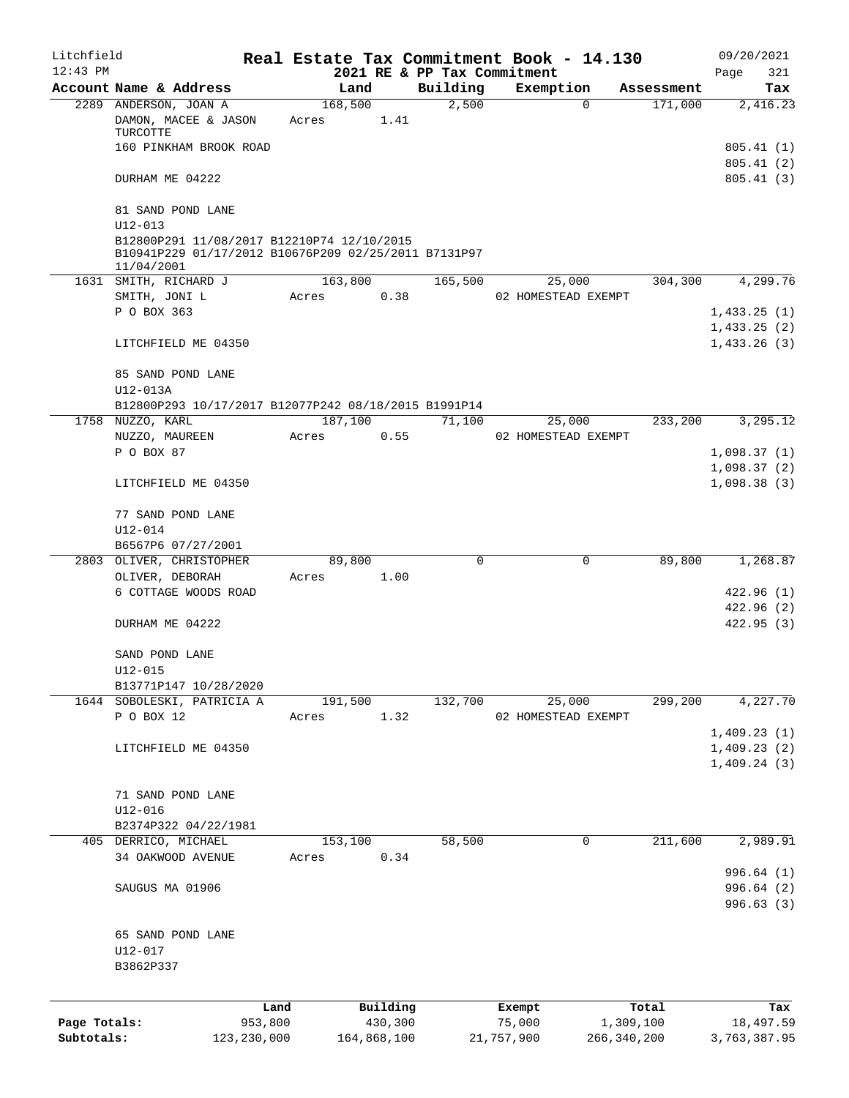| Litchfield                 |                                                                                                                  |                          |         |                        |                                         | Real Estate Tax Commitment Book - 14.130 |                            | 09/20/2021                             |
|----------------------------|------------------------------------------------------------------------------------------------------------------|--------------------------|---------|------------------------|-----------------------------------------|------------------------------------------|----------------------------|----------------------------------------|
| $12:43$ PM                 | Account Name & Address                                                                                           |                          | Land    |                        | 2021 RE & PP Tax Commitment<br>Building | Exemption                                | Assessment                 | Page<br>321<br>Tax                     |
|                            | 2289 ANDERSON, JOAN A                                                                                            |                          | 168,500 |                        | 2,500                                   | $\mathbf 0$                              | 171,000                    | 2,416.23                               |
|                            | DAMON, MACEE & JASON<br>TURCOTTE                                                                                 |                          | Acres   | 1.41                   |                                         |                                          |                            |                                        |
|                            | 160 PINKHAM BROOK ROAD                                                                                           |                          |         |                        |                                         |                                          |                            | 805.41 (1)                             |
|                            | DURHAM ME 04222                                                                                                  |                          |         |                        |                                         |                                          |                            | 805.41(2)<br>805.41(3)                 |
|                            | 81 SAND POND LANE<br>$U12 - 013$                                                                                 |                          |         |                        |                                         |                                          |                            |                                        |
|                            | B12800P291 11/08/2017 B12210P74 12/10/2015<br>B10941P229 01/17/2012 B10676P209 02/25/2011 B7131P97<br>11/04/2001 |                          |         |                        |                                         |                                          |                            |                                        |
|                            | 1631 SMITH, RICHARD J                                                                                            |                          | 163,800 |                        | 165,500                                 | 25,000                                   | 304,300                    | 4,299.76                               |
|                            | SMITH, JONI L<br>P O BOX 363                                                                                     |                          | Acres   | 0.38                   |                                         | 02 HOMESTEAD EXEMPT                      |                            |                                        |
|                            |                                                                                                                  |                          |         |                        |                                         |                                          |                            | 1,433.25(1)<br>1,433.25(2)             |
|                            | LITCHFIELD ME 04350                                                                                              |                          |         |                        |                                         |                                          |                            | 1,433.26(3)                            |
|                            | 85 SAND POND LANE<br>U12-013A                                                                                    |                          |         |                        |                                         |                                          |                            |                                        |
|                            | B12800P293 10/17/2017 B12077P242 08/18/2015 B1991P14                                                             |                          |         |                        |                                         |                                          |                            |                                        |
|                            | 1758 NUZZO, KARL                                                                                                 |                          | 187,100 |                        | 71,100                                  | 25,000                                   | 233,200                    | 3,295.12                               |
|                            | NUZZO, MAUREEN                                                                                                   |                          | Acres   | 0.55                   |                                         | 02 HOMESTEAD EXEMPT                      |                            |                                        |
|                            | P O BOX 87                                                                                                       |                          |         |                        |                                         |                                          |                            | 1,098.37(1)                            |
|                            | LITCHFIELD ME 04350                                                                                              |                          |         |                        |                                         |                                          |                            | 1,098.37(2)<br>1,098.38(3)             |
|                            | 77 SAND POND LANE                                                                                                |                          |         |                        |                                         |                                          |                            |                                        |
|                            | U12-014<br>B6567P6 07/27/2001                                                                                    |                          |         |                        |                                         |                                          |                            |                                        |
|                            | 2803 OLIVER, CHRISTOPHER                                                                                         |                          | 89,800  |                        | $\Omega$                                | 0                                        | 89,800                     | 1,268.87                               |
|                            | OLIVER, DEBORAH                                                                                                  |                          | Acres   | 1.00                   |                                         |                                          |                            |                                        |
|                            | 6 COTTAGE WOODS ROAD                                                                                             |                          |         |                        |                                         |                                          |                            | 422.96 (1)                             |
|                            |                                                                                                                  |                          |         |                        |                                         |                                          |                            | 422.96(2)                              |
|                            | DURHAM ME 04222                                                                                                  |                          |         |                        |                                         |                                          |                            | 422.95(3)                              |
|                            | SAND POND LANE<br>$U12 - 015$                                                                                    |                          |         |                        |                                         |                                          |                            |                                        |
|                            | B13771P147 10/28/2020                                                                                            |                          |         |                        |                                         |                                          |                            |                                        |
|                            | 1644 SOBOLESKI, PATRICIA A                                                                                       |                          | 191,500 |                        | 132,700                                 | 25,000                                   | 299,200                    | 4,227.70                               |
|                            | P O BOX 12                                                                                                       |                          | Acres   | 1.32                   |                                         | 02 HOMESTEAD EXEMPT                      |                            |                                        |
|                            |                                                                                                                  |                          |         |                        |                                         |                                          |                            | 1,409.23(1)                            |
|                            | LITCHFIELD ME 04350                                                                                              |                          |         |                        |                                         |                                          |                            | 1,409.23(2)                            |
|                            |                                                                                                                  |                          |         |                        |                                         |                                          |                            | 1,409.24(3)                            |
|                            | 71 SAND POND LANE                                                                                                |                          |         |                        |                                         |                                          |                            |                                        |
|                            | $U12 - 016$                                                                                                      |                          |         |                        |                                         |                                          |                            |                                        |
|                            | B2374P322 04/22/1981                                                                                             |                          |         |                        |                                         |                                          |                            |                                        |
|                            | 405 DERRICO, MICHAEL                                                                                             |                          | 153,100 |                        | 58,500                                  | 0                                        | 211,600                    | 2,989.91                               |
|                            | 34 OAKWOOD AVENUE                                                                                                |                          | Acres   | 0.34                   |                                         |                                          |                            |                                        |
|                            | SAUGUS MA 01906                                                                                                  |                          |         |                        |                                         |                                          |                            | 996.64 (1)<br>996.64 (2)<br>996.63 (3) |
|                            |                                                                                                                  |                          |         |                        |                                         |                                          |                            |                                        |
|                            | 65 SAND POND LANE                                                                                                |                          |         |                        |                                         |                                          |                            |                                        |
|                            | U12-017                                                                                                          |                          |         |                        |                                         |                                          |                            |                                        |
|                            | B3862P337                                                                                                        |                          |         |                        |                                         |                                          |                            |                                        |
|                            |                                                                                                                  |                          |         |                        |                                         |                                          |                            |                                        |
|                            |                                                                                                                  | Land                     |         | Building               |                                         | Exempt                                   | Total                      | Tax                                    |
| Page Totals:<br>Subtotals: |                                                                                                                  | 953,800<br>123, 230, 000 |         | 430,300<br>164,868,100 |                                         | 75,000<br>21,757,900                     | 1,309,100<br>266, 340, 200 | 18,497.59<br>3,763,387.95              |
|                            |                                                                                                                  |                          |         |                        |                                         |                                          |                            |                                        |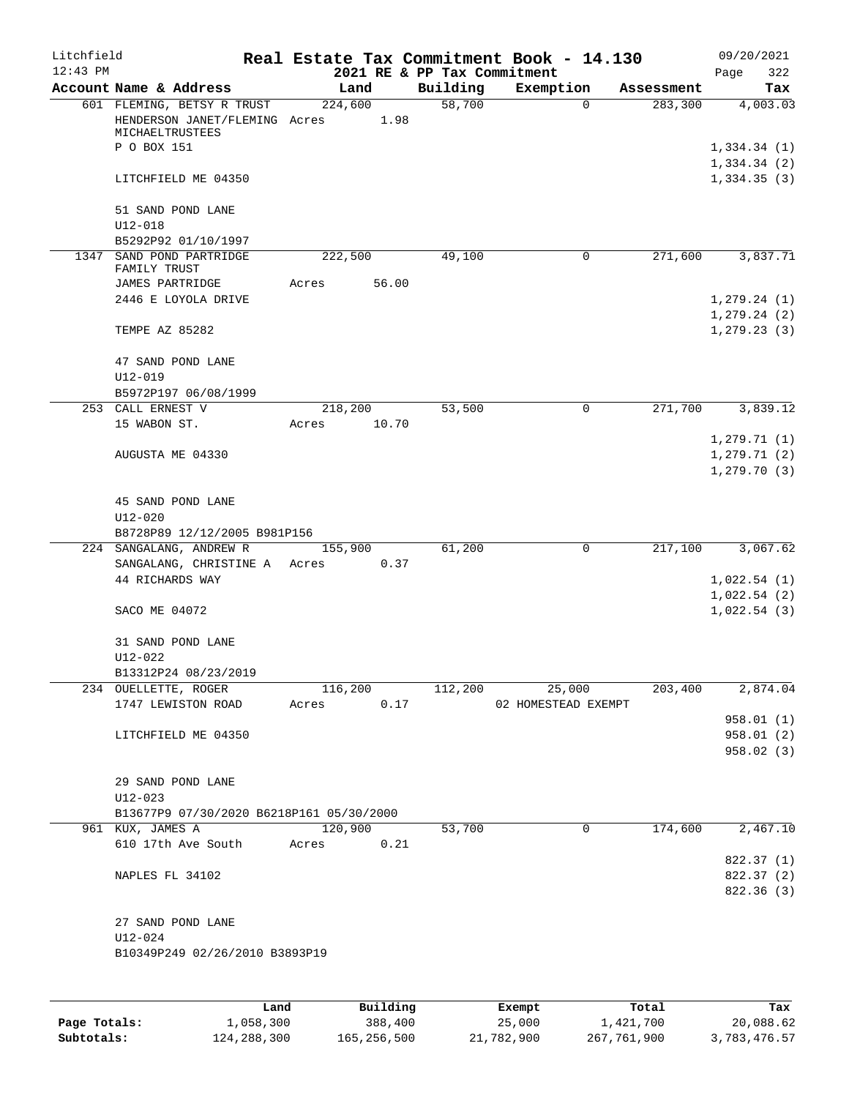| Litchfield |                                                      |                        |       |                             | Real Estate Tax Commitment Book - 14.130 |                       | 09/20/2021                 |
|------------|------------------------------------------------------|------------------------|-------|-----------------------------|------------------------------------------|-----------------------|----------------------------|
| $12:43$ PM |                                                      |                        |       | 2021 RE & PP Tax Commitment |                                          |                       | 322<br>Page                |
|            | Account Name & Address<br>601 FLEMING, BETSY R TRUST | Land<br>224,600        |       | Building<br>58,700          | Exemption<br>$\mathbf 0$                 | Assessment<br>283,300 | Tax<br>4,003.03            |
|            | HENDERSON JANET/FLEMING Acres<br>MICHAELTRUSTEES     | 1.98                   |       |                             |                                          |                       |                            |
|            | P O BOX 151                                          |                        |       |                             |                                          |                       | 1,334.34(1)<br>1,334.34(2) |
|            | LITCHFIELD ME 04350                                  |                        |       |                             |                                          |                       | 1,334.35(3)                |
|            | 51 SAND POND LANE<br>$U12 - 018$                     |                        |       |                             |                                          |                       |                            |
|            | B5292P92 01/10/1997                                  |                        |       |                             |                                          |                       |                            |
|            | 1347 SAND POND PARTRIDGE<br>FAMILY TRUST             | 222,500                |       | 49,100                      | 0                                        | 271,600               | 3,837.71                   |
|            | JAMES PARTRIDGE                                      | Acres                  | 56.00 |                             |                                          |                       |                            |
|            | 2446 E LOYOLA DRIVE                                  |                        |       |                             |                                          |                       | 1, 279.24(1)               |
|            |                                                      |                        |       |                             |                                          |                       | 1, 279.24 (2)              |
|            | TEMPE AZ 85282                                       |                        |       |                             |                                          |                       | 1, 279.23(3)               |
|            | 47 SAND POND LANE                                    |                        |       |                             |                                          |                       |                            |
|            | $U12 - 019$                                          |                        |       |                             |                                          |                       |                            |
|            | B5972P197 06/08/1999                                 |                        |       |                             | $\mathbf 0$                              |                       | 3,839.12                   |
|            | 253 CALL ERNEST V<br>15 WABON ST.                    | 218,200<br>Acres 10.70 |       | 53,500                      |                                          | 271,700               |                            |
|            |                                                      |                        |       |                             |                                          |                       | 1, 279.71(1)               |
|            | AUGUSTA ME 04330                                     |                        |       |                             |                                          |                       | 1, 279.71(2)               |
|            |                                                      |                        |       |                             |                                          |                       | 1, 279.70(3)               |
|            | 45 SAND POND LANE                                    |                        |       |                             |                                          |                       |                            |
|            | U12-020                                              |                        |       |                             |                                          |                       |                            |
|            | B8728P89 12/12/2005 B981P156                         |                        |       |                             |                                          |                       |                            |
|            | 224 SANGALANG, ANDREW R                              | 155,900                |       | 61,200                      | $\mathbf 0$                              | 217,100               | 3,067.62                   |
|            | SANGALANG, CHRISTINE A Acres 0.37                    |                        |       |                             |                                          |                       |                            |
|            | 44 RICHARDS WAY                                      |                        |       |                             |                                          |                       | 1,022.54(1)                |
|            |                                                      |                        |       |                             |                                          |                       | 1,022.54(2)                |
|            | SACO ME 04072                                        |                        |       |                             |                                          |                       | 1,022.54(3)                |
|            | 31 SAND POND LANE                                    |                        |       |                             |                                          |                       |                            |
|            | U12-022                                              |                        |       |                             |                                          |                       |                            |
|            | B13312P24 08/23/2019                                 |                        |       |                             |                                          |                       |                            |
|            | 234 OUELLETTE, ROGER<br>1747 LEWISTON ROAD           | 116,200<br>Acres       | 0.17  | 112,200                     | 25,000<br>02 HOMESTEAD EXEMPT            | 203,400               | 2,874.04                   |
|            |                                                      |                        |       |                             |                                          |                       | 958.01 (1)                 |
|            | LITCHFIELD ME 04350                                  |                        |       |                             |                                          |                       | 958.01(2)                  |
|            |                                                      |                        |       |                             |                                          |                       | 958.02(3)                  |
|            |                                                      |                        |       |                             |                                          |                       |                            |
|            | 29 SAND POND LANE                                    |                        |       |                             |                                          |                       |                            |
|            | U12-023                                              |                        |       |                             |                                          |                       |                            |
|            | B13677P9 07/30/2020 B6218P161 05/30/2000             |                        |       |                             |                                          |                       |                            |
|            | 961 KUX, JAMES A                                     | 120,900                |       | 53,700                      | $\mathbf 0$                              | 174,600               | 2,467.10                   |
|            | 610 17th Ave South                                   | Acres                  | 0.21  |                             |                                          |                       |                            |
|            | NAPLES FL 34102                                      |                        |       |                             |                                          |                       | 822.37 (1)<br>822.37 (2)   |
|            |                                                      |                        |       |                             |                                          |                       | 822.36 (3)                 |
|            |                                                      |                        |       |                             |                                          |                       |                            |
|            | 27 SAND POND LANE<br>U12-024                         |                        |       |                             |                                          |                       |                            |
|            | B10349P249 02/26/2010 B3893P19                       |                        |       |                             |                                          |                       |                            |
|            |                                                      |                        |       |                             |                                          |                       |                            |
|            |                                                      |                        |       |                             |                                          |                       |                            |
|            |                                                      |                        |       |                             |                                          |                       |                            |

|              | Land        | Building    | Exempt     | Total       | Tax          |
|--------------|-------------|-------------|------------|-------------|--------------|
| Page Totals: | 1,058,300   | 388,400     | 25,000     | 1,421,700   | 20,088.62    |
| Subtotals:   | 124,288,300 | 165,256,500 | 21,782,900 | 267,761,900 | 3,783,476.57 |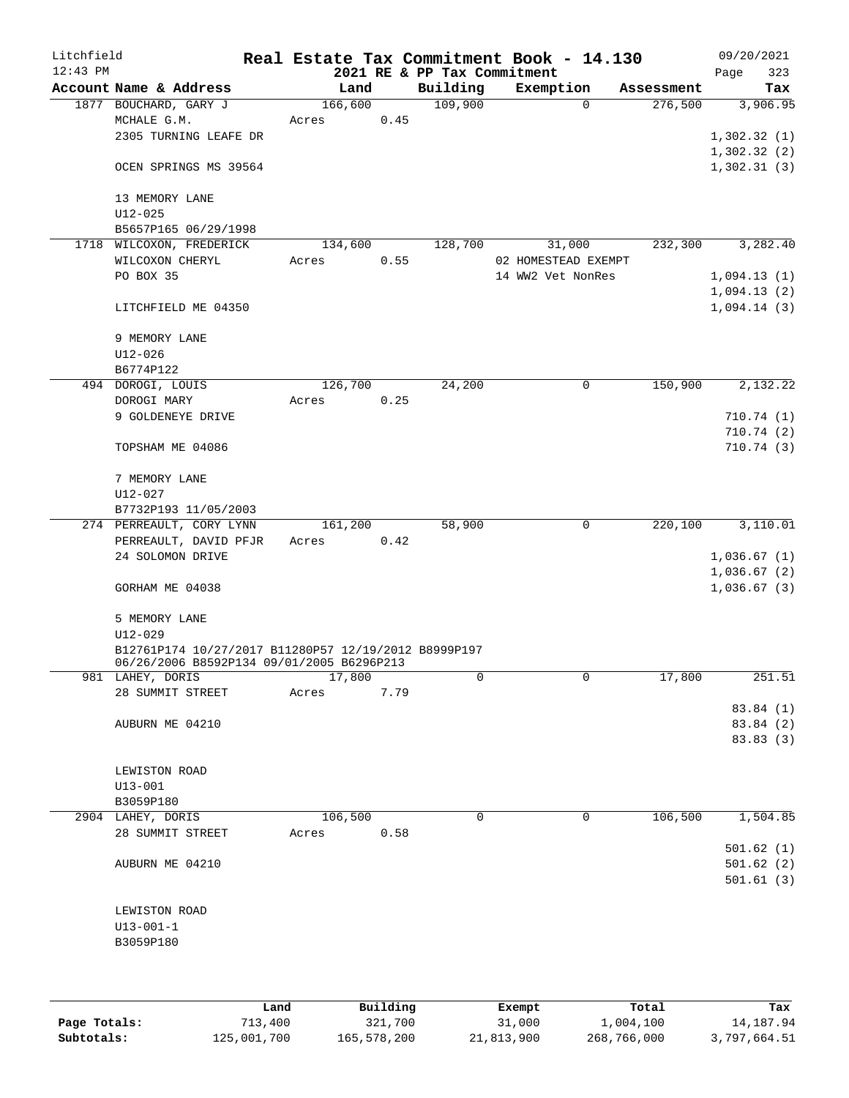| Litchfield |                                                      |         |      |                             | Real Estate Tax Commitment Book - 14.130 |            | 09/20/2021  |           |
|------------|------------------------------------------------------|---------|------|-----------------------------|------------------------------------------|------------|-------------|-----------|
| $12:43$ PM |                                                      |         |      | 2021 RE & PP Tax Commitment |                                          |            | Page        | 323       |
|            | Account Name & Address                               | Land    |      | Building                    | Exemption                                | Assessment |             | Tax       |
|            | 1877 BOUCHARD, GARY J                                | 166,600 |      | 109,900                     | $\Omega$                                 | 276,500    |             | 3,906.95  |
|            | MCHALE G.M.                                          | Acres   | 0.45 |                             |                                          |            |             |           |
|            | 2305 TURNING LEAFE DR                                |         |      |                             |                                          |            | 1,302.32(1) |           |
|            |                                                      |         |      |                             |                                          |            | 1,302.32(2) |           |
|            | OCEN SPRINGS MS 39564                                |         |      |                             |                                          |            | 1,302.31(3) |           |
|            |                                                      |         |      |                             |                                          |            |             |           |
|            | 13 MEMORY LANE                                       |         |      |                             |                                          |            |             |           |
|            | $U12 - 025$                                          |         |      |                             |                                          |            |             |           |
|            | B5657P165 06/29/1998                                 |         |      |                             |                                          |            |             |           |
|            | 1718 WILCOXON, FREDERICK                             | 134,600 |      | 128,700                     | 31,000                                   | 232,300    |             | 3,282.40  |
|            | WILCOXON CHERYL                                      | Acres   | 0.55 |                             | 02 HOMESTEAD EXEMPT                      |            |             |           |
|            | PO BOX 35                                            |         |      |                             | 14 WW2 Vet NonRes                        |            | 1,094.13(1) |           |
|            |                                                      |         |      |                             |                                          |            | 1,094.13(2) |           |
|            | LITCHFIELD ME 04350                                  |         |      |                             |                                          |            | 1,094.14(3) |           |
|            |                                                      |         |      |                             |                                          |            |             |           |
|            | 9 MEMORY LANE                                        |         |      |                             |                                          |            |             |           |
|            | $U12 - 026$                                          |         |      |                             |                                          |            |             |           |
|            | B6774P122                                            |         |      |                             |                                          |            |             |           |
|            | 494 DOROGI, LOUIS                                    | 126,700 |      | 24,200                      | 0                                        | 150,900    |             | 2,132.22  |
|            | DOROGI MARY                                          | Acres   | 0.25 |                             |                                          |            |             |           |
|            | 9 GOLDENEYE DRIVE                                    |         |      |                             |                                          |            |             | 710.74(1) |
|            |                                                      |         |      |                             |                                          |            |             | 710.74(2) |
|            | TOPSHAM ME 04086                                     |         |      |                             |                                          |            |             | 710.74(3) |
|            |                                                      |         |      |                             |                                          |            |             |           |
|            | 7 MEMORY LANE                                        |         |      |                             |                                          |            |             |           |
|            | $U12 - 027$                                          |         |      |                             |                                          |            |             |           |
|            | B7732P193 11/05/2003                                 |         |      |                             |                                          |            |             |           |
|            | 274 PERREAULT, CORY LYNN                             | 161,200 |      | 58,900                      | 0                                        | 220,100    |             | 3,110.01  |
|            | PERREAULT, DAVID PFJR                                | Acres   | 0.42 |                             |                                          |            |             |           |
|            | 24 SOLOMON DRIVE                                     |         |      |                             |                                          |            | 1,036.67(1) |           |
|            |                                                      |         |      |                             |                                          |            | 1,036.67(2) |           |
|            | GORHAM ME 04038                                      |         |      |                             |                                          |            | 1,036.67(3) |           |
|            |                                                      |         |      |                             |                                          |            |             |           |
|            | 5 MEMORY LANE                                        |         |      |                             |                                          |            |             |           |
|            | U12-029                                              |         |      |                             |                                          |            |             |           |
|            | B12761P174 10/27/2017 B11280P57 12/19/2012 B8999P197 |         |      |                             |                                          |            |             |           |
|            | 06/26/2006 B8592P134 09/01/2005 B6296P213            |         |      |                             |                                          |            |             |           |
|            | 981 LAHEY, DORIS                                     | 17,800  |      | 0                           | $\mathbf 0$                              | 17,800     |             | 251.51    |
|            | 28 SUMMIT STREET                                     | Acres   | 7.79 |                             |                                          |            |             |           |
|            |                                                      |         |      |                             |                                          |            |             | 83.84 (1) |
|            | AUBURN ME 04210                                      |         |      |                             |                                          |            |             | 83.84 (2) |
|            |                                                      |         |      |                             |                                          |            |             | 83.83(3)  |
|            |                                                      |         |      |                             |                                          |            |             |           |
|            | LEWISTON ROAD                                        |         |      |                             |                                          |            |             |           |
|            | $U13 - 001$                                          |         |      |                             |                                          |            |             |           |
|            | B3059P180                                            |         |      |                             |                                          |            |             |           |
|            | 2904 LAHEY, DORIS                                    | 106,500 |      | 0                           | 0                                        | 106,500    |             | 1,504.85  |
|            | 28 SUMMIT STREET                                     | Acres   | 0.58 |                             |                                          |            |             |           |
|            |                                                      |         |      |                             |                                          |            |             | 501.62(1) |
|            | AUBURN ME 04210                                      |         |      |                             |                                          |            |             | 501.62(2) |
|            |                                                      |         |      |                             |                                          |            |             | 501.61(3) |
|            |                                                      |         |      |                             |                                          |            |             |           |
|            | LEWISTON ROAD                                        |         |      |                             |                                          |            |             |           |
|            | $U13 - 001 - 1$                                      |         |      |                             |                                          |            |             |           |
|            | B3059P180                                            |         |      |                             |                                          |            |             |           |
|            |                                                      |         |      |                             |                                          |            |             |           |
|            |                                                      |         |      |                             |                                          |            |             |           |
|            |                                                      |         |      |                             |                                          |            |             |           |

|              | Land        | Building    | Exempt     | Total       | Tax          |
|--------------|-------------|-------------|------------|-------------|--------------|
| Page Totals: | 713,400     | 321,700     | 31,000     | 1,004,100   | 14,187.94    |
| Subtotals:   | 125,001,700 | 165,578,200 | 21,813,900 | 268,766,000 | 3,797,664.51 |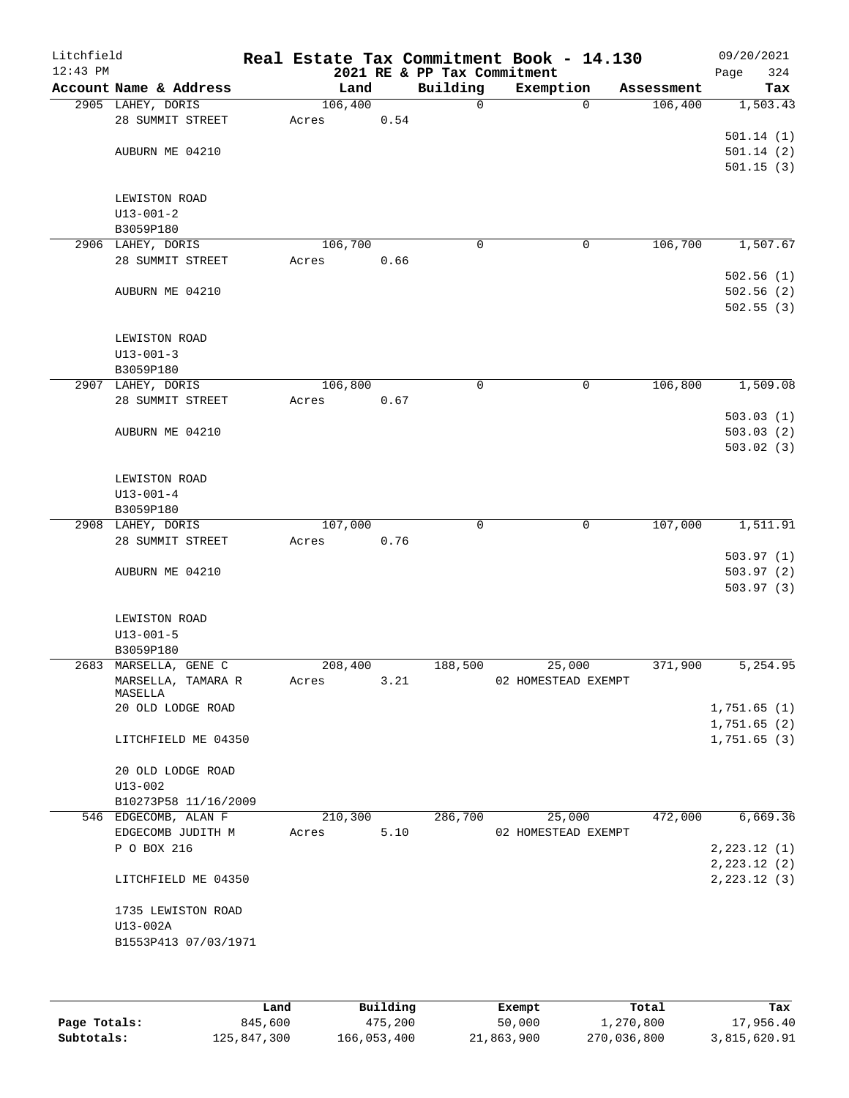| Litchfield<br>$12:43$ PM |                               |         |      | 2021 RE & PP Tax Commitment | Real Estate Tax Commitment Book - 14.130 |            | 09/20/2021<br>324<br>Page |
|--------------------------|-------------------------------|---------|------|-----------------------------|------------------------------------------|------------|---------------------------|
|                          | Account Name & Address        | Land    |      | Building                    | Exemption                                | Assessment | Tax                       |
|                          | 2905 LAHEY, DORIS             | 106,400 |      | 0                           | $\Omega$                                 | 106,400    | 1,503.43                  |
|                          | 28 SUMMIT STREET              | Acres   | 0.54 |                             |                                          |            |                           |
|                          |                               |         |      |                             |                                          |            | 501.14(1)                 |
|                          | AUBURN ME 04210               |         |      |                             |                                          |            | 501.14(2)                 |
|                          |                               |         |      |                             |                                          |            | 501.15(3)                 |
|                          |                               |         |      |                             |                                          |            |                           |
|                          | LEWISTON ROAD                 |         |      |                             |                                          |            |                           |
|                          | $U13 - 001 - 2$               |         |      |                             |                                          |            |                           |
|                          | B3059P180                     |         |      |                             |                                          |            |                           |
|                          | 2906 LAHEY, DORIS             | 106,700 |      | $\mathbf 0$                 | 0                                        | 106,700    | 1,507.67                  |
|                          | 28 SUMMIT STREET              | Acres   | 0.66 |                             |                                          |            |                           |
|                          |                               |         |      |                             |                                          |            | 502.56(1)                 |
|                          | AUBURN ME 04210               |         |      |                             |                                          |            | 502.56(2)                 |
|                          |                               |         |      |                             |                                          |            | 502.55(3)                 |
|                          |                               |         |      |                             |                                          |            |                           |
|                          | LEWISTON ROAD                 |         |      |                             |                                          |            |                           |
|                          | $U13 - 001 - 3$               |         |      |                             |                                          |            |                           |
|                          | B3059P180                     |         |      |                             |                                          |            |                           |
|                          | 2907 LAHEY, DORIS             | 106,800 |      | 0                           | 0                                        | 106,800    | 1,509.08                  |
|                          | 28 SUMMIT STREET              | Acres   | 0.67 |                             |                                          |            |                           |
|                          |                               |         |      |                             |                                          |            | 503.03(1)                 |
|                          | AUBURN ME 04210               |         |      |                             |                                          |            | 503.03(2)                 |
|                          |                               |         |      |                             |                                          |            | 503.02(3)                 |
|                          |                               |         |      |                             |                                          |            |                           |
|                          | LEWISTON ROAD                 |         |      |                             |                                          |            |                           |
|                          | $U13 - 001 - 4$               |         |      |                             |                                          |            |                           |
|                          | B3059P180                     |         |      |                             |                                          |            |                           |
|                          | 2908 LAHEY, DORIS             | 107,000 |      | 0                           | 0                                        | 107,000    | 1,511.91                  |
|                          | 28 SUMMIT STREET              | Acres   | 0.76 |                             |                                          |            |                           |
|                          |                               |         |      |                             |                                          |            | 503.97(1)                 |
|                          |                               |         |      |                             |                                          |            | 503.97(2)                 |
|                          | AUBURN ME 04210               |         |      |                             |                                          |            | 503.97(3)                 |
|                          |                               |         |      |                             |                                          |            |                           |
|                          | LEWISTON ROAD                 |         |      |                             |                                          |            |                           |
|                          | $U13 - 001 - 5$               |         |      |                             |                                          |            |                           |
|                          | B3059P180                     |         |      |                             |                                          |            |                           |
|                          |                               | 208,400 |      |                             |                                          | 371,900    | 5,254.95                  |
|                          | 2683 MARSELLA, GENE C         |         |      | 188,500                     | 25,000<br>02 HOMESTEAD EXEMPT            |            |                           |
|                          | MARSELLA, TAMARA R<br>MASELLA | Acres   | 3.21 |                             |                                          |            |                           |
|                          | 20 OLD LODGE ROAD             |         |      |                             |                                          |            | 1,751.65(1)               |
|                          |                               |         |      |                             |                                          |            | 1,751.65(2)               |
|                          | LITCHFIELD ME 04350           |         |      |                             |                                          |            | 1,751.65(3)               |
|                          |                               |         |      |                             |                                          |            |                           |
|                          | 20 OLD LODGE ROAD             |         |      |                             |                                          |            |                           |
|                          | $U13 - 002$                   |         |      |                             |                                          |            |                           |
|                          | B10273P58 11/16/2009          |         |      |                             |                                          |            |                           |
|                          | 546 EDGECOMB, ALAN F          | 210,300 |      | 286,700                     | 25,000                                   | 472,000    | 6,669.36                  |
|                          | EDGECOMB JUDITH M             | Acres   | 5.10 |                             | 02 HOMESTEAD EXEMPT                      |            |                           |
|                          | P O BOX 216                   |         |      |                             |                                          |            | 2, 223.12 (1)             |
|                          |                               |         |      |                             |                                          |            | 2, 223.12 (2)             |
|                          | LITCHFIELD ME 04350           |         |      |                             |                                          |            | 2, 223.12 (3)             |
|                          |                               |         |      |                             |                                          |            |                           |
|                          |                               |         |      |                             |                                          |            |                           |
|                          | 1735 LEWISTON ROAD            |         |      |                             |                                          |            |                           |
|                          | U13-002A                      |         |      |                             |                                          |            |                           |
|                          | B1553P413 07/03/1971          |         |      |                             |                                          |            |                           |
|                          |                               |         |      |                             |                                          |            |                           |
|                          |                               |         |      |                             |                                          |            |                           |

|              | Land        | Building    | Exempt     | Total       | Tax          |
|--------------|-------------|-------------|------------|-------------|--------------|
| Page Totals: | 845,600     | 475,200     | 50,000     | 1,270,800   | 17,956.40    |
| Subtotals:   | 125,847,300 | 166,053,400 | 21,863,900 | 270,036,800 | 3,815,620.91 |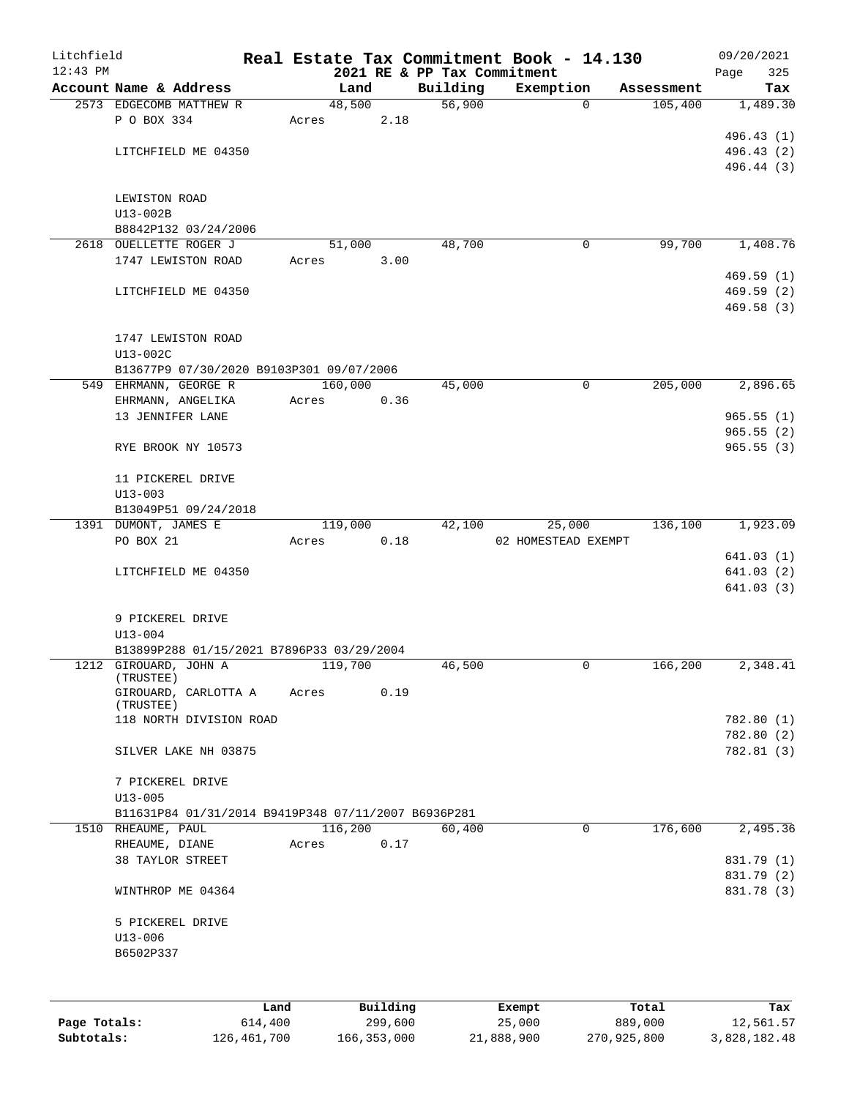| Litchfield |                                                     |       |         |          |                             | Real Estate Tax Commitment Book - 14.130 |            | 09/20/2021               |
|------------|-----------------------------------------------------|-------|---------|----------|-----------------------------|------------------------------------------|------------|--------------------------|
| $12:43$ PM |                                                     |       |         |          | 2021 RE & PP Tax Commitment |                                          |            | Page<br>325              |
|            | Account Name & Address                              |       | Land    |          | Building                    | Exemption                                | Assessment | Tax                      |
|            | 2573 EDGECOMB MATTHEW R                             |       | 48,500  |          | 56,900                      | $\Omega$                                 | 105,400    | 1,489.30                 |
|            | P O BOX 334                                         | Acres |         | 2.18     |                             |                                          |            |                          |
|            | LITCHFIELD ME 04350                                 |       |         |          |                             |                                          |            | 496.43 (1)               |
|            |                                                     |       |         |          |                             |                                          |            | 496.43 (2)<br>496.44 (3) |
|            |                                                     |       |         |          |                             |                                          |            |                          |
|            | LEWISTON ROAD                                       |       |         |          |                             |                                          |            |                          |
|            | $U13-002B$                                          |       |         |          |                             |                                          |            |                          |
|            | B8842P132 03/24/2006                                |       |         |          |                             |                                          |            |                          |
|            | 2618 OUELLETTE ROGER J                              |       | 51,000  |          | 48,700                      | 0                                        | 99,700     | 1,408.76                 |
|            | 1747 LEWISTON ROAD                                  | Acres |         | 3.00     |                             |                                          |            |                          |
|            |                                                     |       |         |          |                             |                                          |            | 469.59(1)                |
|            | LITCHFIELD ME 04350                                 |       |         |          |                             |                                          |            | 469.59(2)                |
|            |                                                     |       |         |          |                             |                                          |            | 469.58(3)                |
|            |                                                     |       |         |          |                             |                                          |            |                          |
|            | 1747 LEWISTON ROAD                                  |       |         |          |                             |                                          |            |                          |
|            | U13-002C                                            |       |         |          |                             |                                          |            |                          |
|            | B13677P9 07/30/2020 B9103P301 09/07/2006            |       |         |          |                             |                                          |            |                          |
|            | 549 EHRMANN, GEORGE R                               |       | 160,000 |          | 45,000                      | $\mathbf 0$                              | 205,000    | 2,896.65                 |
|            | EHRMANN, ANGELIKA                                   | Acres |         | 0.36     |                             |                                          |            |                          |
|            | 13 JENNIFER LANE                                    |       |         |          |                             |                                          |            | 965.55(1)                |
|            |                                                     |       |         |          |                             |                                          |            | 965.55(2)                |
|            | RYE BROOK NY 10573                                  |       |         |          |                             |                                          |            | 965.55(3)                |
|            |                                                     |       |         |          |                             |                                          |            |                          |
|            | 11 PICKEREL DRIVE                                   |       |         |          |                             |                                          |            |                          |
|            | $U13 - 003$                                         |       |         |          |                             |                                          |            |                          |
|            | B13049P51 09/24/2018                                |       |         |          |                             |                                          |            |                          |
|            | 1391 DUMONT, JAMES E                                |       | 119,000 |          | 42,100                      | 25,000                                   | 136,100    | 1,923.09                 |
|            | PO BOX 21                                           | Acres |         | 0.18     |                             | 02 HOMESTEAD EXEMPT                      |            |                          |
|            | LITCHFIELD ME 04350                                 |       |         |          |                             |                                          |            | 641.03(1)<br>641.03(2)   |
|            |                                                     |       |         |          |                             |                                          |            | 641.03(3)                |
|            |                                                     |       |         |          |                             |                                          |            |                          |
|            | 9 PICKEREL DRIVE                                    |       |         |          |                             |                                          |            |                          |
|            | $U13 - 004$                                         |       |         |          |                             |                                          |            |                          |
|            | B13899P288 01/15/2021 B7896P33 03/29/2004           |       |         |          |                             |                                          |            |                          |
|            | 1212 GIROUARD, JOHN A                               |       | 119,700 |          | 46,500                      | 0                                        | 166,200    | 2,348.41                 |
|            | (TRUSTEE)                                           |       |         |          |                             |                                          |            |                          |
|            | GIROUARD, CARLOTTA A                                | Acres |         | 0.19     |                             |                                          |            |                          |
|            | (TRUSTEE)                                           |       |         |          |                             |                                          |            |                          |
|            | 118 NORTH DIVISION ROAD                             |       |         |          |                             |                                          |            | 782.80 (1)               |
|            | SILVER LAKE NH 03875                                |       |         |          |                             |                                          |            | 782.80 (2)<br>782.81 (3) |
|            |                                                     |       |         |          |                             |                                          |            |                          |
|            | 7 PICKEREL DRIVE                                    |       |         |          |                             |                                          |            |                          |
|            | $U13 - 005$                                         |       |         |          |                             |                                          |            |                          |
|            | B11631P84 01/31/2014 B9419P348 07/11/2007 B6936P281 |       |         |          |                             |                                          |            |                          |
|            | 1510 RHEAUME, PAUL                                  |       | 116,200 |          | 60,400                      | 0                                        | 176,600    | 2,495.36                 |
|            | RHEAUME, DIANE                                      | Acres |         | 0.17     |                             |                                          |            |                          |
|            | 38 TAYLOR STREET                                    |       |         |          |                             |                                          |            | 831.79 (1)               |
|            |                                                     |       |         |          |                             |                                          |            | 831.79 (2)               |
|            | WINTHROP ME 04364                                   |       |         |          |                             |                                          |            | 831.78 (3)               |
|            |                                                     |       |         |          |                             |                                          |            |                          |
|            | 5 PICKEREL DRIVE<br>$U13 - 006$                     |       |         |          |                             |                                          |            |                          |
|            | B6502P337                                           |       |         |          |                             |                                          |            |                          |
|            |                                                     |       |         |          |                             |                                          |            |                          |
|            |                                                     |       |         |          |                             |                                          |            |                          |
|            |                                                     | Land  |         | Building |                             | Exempt                                   | Total      | Tax                      |

**Page Totals:** 614,400 299,600 25,000 889,000 12,561.57 **Subtotals:** 126,461,700 166,353,000 21,888,900 270,925,800 3,828,182.48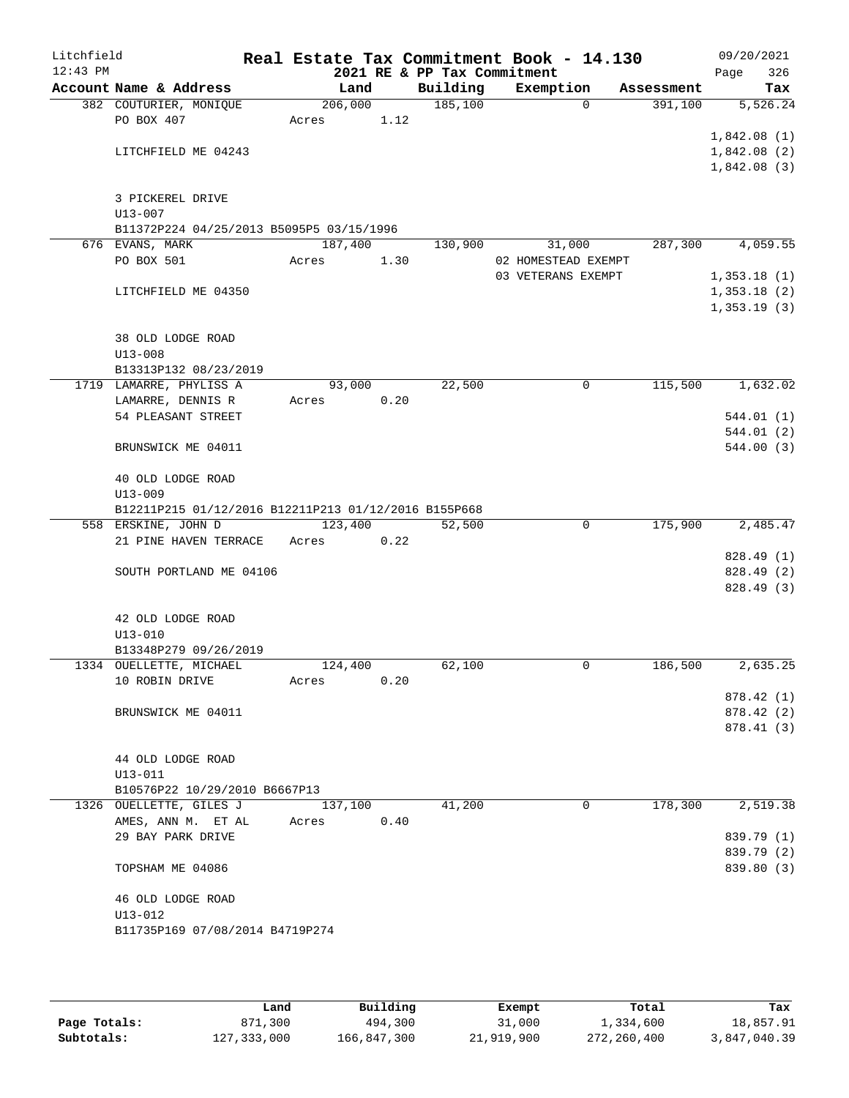| Litchfield |                                                      |                 |      |                             | Real Estate Tax Commitment Book - 14.130 |              |            |             | 09/20/2021              |
|------------|------------------------------------------------------|-----------------|------|-----------------------------|------------------------------------------|--------------|------------|-------------|-------------------------|
| $12:43$ PM |                                                      |                 |      | 2021 RE & PP Tax Commitment |                                          |              |            | Page        | 326                     |
|            | Account Name & Address                               | Land<br>206,000 |      | Building                    | Exemption                                |              | Assessment |             | Tax                     |
|            | 382 COUTURIER, MONIQUE<br>PO BOX 407                 | Acres           | 1.12 | 185,100                     |                                          | $\mathbf{0}$ | 391,100    |             | 5,526.24                |
|            |                                                      |                 |      |                             |                                          |              |            | 1,842.08(1) |                         |
|            | LITCHFIELD ME 04243                                  |                 |      |                             |                                          |              |            | 1,842.08(2) |                         |
|            |                                                      |                 |      |                             |                                          |              |            | 1,842.08(3) |                         |
|            | 3 PICKEREL DRIVE                                     |                 |      |                             |                                          |              |            |             |                         |
|            | $U13 - 007$                                          |                 |      |                             |                                          |              |            |             |                         |
|            | B11372P224 04/25/2013 B5095P5 03/15/1996             |                 |      |                             |                                          |              |            |             |                         |
|            | 676 EVANS, MARK                                      | 187,400         |      | 130,900                     | 31,000                                   |              | 287,300    |             | 4,059.55                |
|            | PO BOX 501                                           | Acres           | 1.30 |                             | 02 HOMESTEAD EXEMPT                      |              |            |             |                         |
|            |                                                      |                 |      |                             | 03 VETERANS EXEMPT                       |              |            | 1,353.18(1) |                         |
|            | LITCHFIELD ME 04350                                  |                 |      |                             |                                          |              |            | 1,353.18(2) |                         |
|            |                                                      |                 |      |                             |                                          |              |            | 1,353.19(3) |                         |
|            | 38 OLD LODGE ROAD                                    |                 |      |                             |                                          |              |            |             |                         |
|            | $U13 - 008$                                          |                 |      |                             |                                          |              |            |             |                         |
|            | B13313P132 08/23/2019                                |                 |      |                             |                                          |              |            |             |                         |
|            | 1719 LAMARRE, PHYLISS A                              | 93,000          |      | 22,500                      |                                          | $\mathsf{O}$ | 115,500    |             | 1,632.02                |
|            | LAMARRE, DENNIS R                                    | Acres           | 0.20 |                             |                                          |              |            |             |                         |
|            | 54 PLEASANT STREET                                   |                 |      |                             |                                          |              |            |             | 544.01(1)               |
|            |                                                      |                 |      |                             |                                          |              |            |             | 544.01(2)               |
|            | BRUNSWICK ME 04011                                   |                 |      |                             |                                          |              |            |             | 544.00(3)               |
|            | 40 OLD LODGE ROAD                                    |                 |      |                             |                                          |              |            |             |                         |
|            | $U13 - 009$                                          |                 |      |                             |                                          |              |            |             |                         |
|            | B12211P215 01/12/2016 B12211P213 01/12/2016 B155P668 |                 |      |                             |                                          |              |            |             |                         |
|            | 558 ERSKINE, JOHN D                                  | 123,400         |      | 52,500                      |                                          | $\mathbf 0$  | 175,900    |             | 2,485.47                |
|            | 21 PINE HAVEN TERRACE                                | Acres           | 0.22 |                             |                                          |              |            |             |                         |
|            |                                                      |                 |      |                             |                                          |              |            |             | 828.49 (1)              |
|            | SOUTH PORTLAND ME 04106                              |                 |      |                             |                                          |              |            |             | 828.49 (2)<br>828.49(3) |
|            |                                                      |                 |      |                             |                                          |              |            |             |                         |
|            | 42 OLD LODGE ROAD                                    |                 |      |                             |                                          |              |            |             |                         |
|            | $U13 - 010$                                          |                 |      |                             |                                          |              |            |             |                         |
|            | B13348P279 09/26/2019                                |                 |      |                             |                                          |              |            |             |                         |
|            | 1334 OUELLETTE, MICHAEL                              | 124,400         |      | 62,100                      |                                          | 0            | 186,500    |             | 2,635.25                |
|            | 10 ROBIN DRIVE                                       | Acres           | 0.20 |                             |                                          |              |            |             |                         |
|            |                                                      |                 |      |                             |                                          |              |            |             | 878.42(1)               |
|            | BRUNSWICK ME 04011                                   |                 |      |                             |                                          |              |            |             | 878.42 (2)              |
|            |                                                      |                 |      |                             |                                          |              |            |             | 878.41 (3)              |
|            | 44 OLD LODGE ROAD                                    |                 |      |                             |                                          |              |            |             |                         |
|            | $U13 - 011$                                          |                 |      |                             |                                          |              |            |             |                         |
|            | B10576P22 10/29/2010 B6667P13                        |                 |      |                             |                                          |              |            |             |                         |
|            | 1326 OUELLETTE, GILES J                              | 137,100         |      | 41,200                      |                                          | 0            | 178,300    |             | 2,519.38                |
|            | AMES, ANN M. ET AL                                   | Acres           | 0.40 |                             |                                          |              |            |             |                         |
|            | 29 BAY PARK DRIVE                                    |                 |      |                             |                                          |              |            |             | 839.79 (1)              |
|            |                                                      |                 |      |                             |                                          |              |            |             | 839.79 (2)              |
|            | TOPSHAM ME 04086                                     |                 |      |                             |                                          |              |            |             | 839.80 (3)              |
|            | 46 OLD LODGE ROAD                                    |                 |      |                             |                                          |              |            |             |                         |
|            | $U13 - 012$                                          |                 |      |                             |                                          |              |            |             |                         |
|            | B11735P169 07/08/2014 B4719P274                      |                 |      |                             |                                          |              |            |             |                         |
|            |                                                      |                 |      |                             |                                          |              |            |             |                         |

|              | Land          | Building    | Exempt     | Total       | Tax          |
|--------------|---------------|-------------|------------|-------------|--------------|
| Page Totals: | 871,300       | 494,300     | 31,000     | 1,334,600   | 18,857.91    |
| Subtotals:   | 127, 333, 000 | 166,847,300 | 21,919,900 | 272,260,400 | 3,847,040.39 |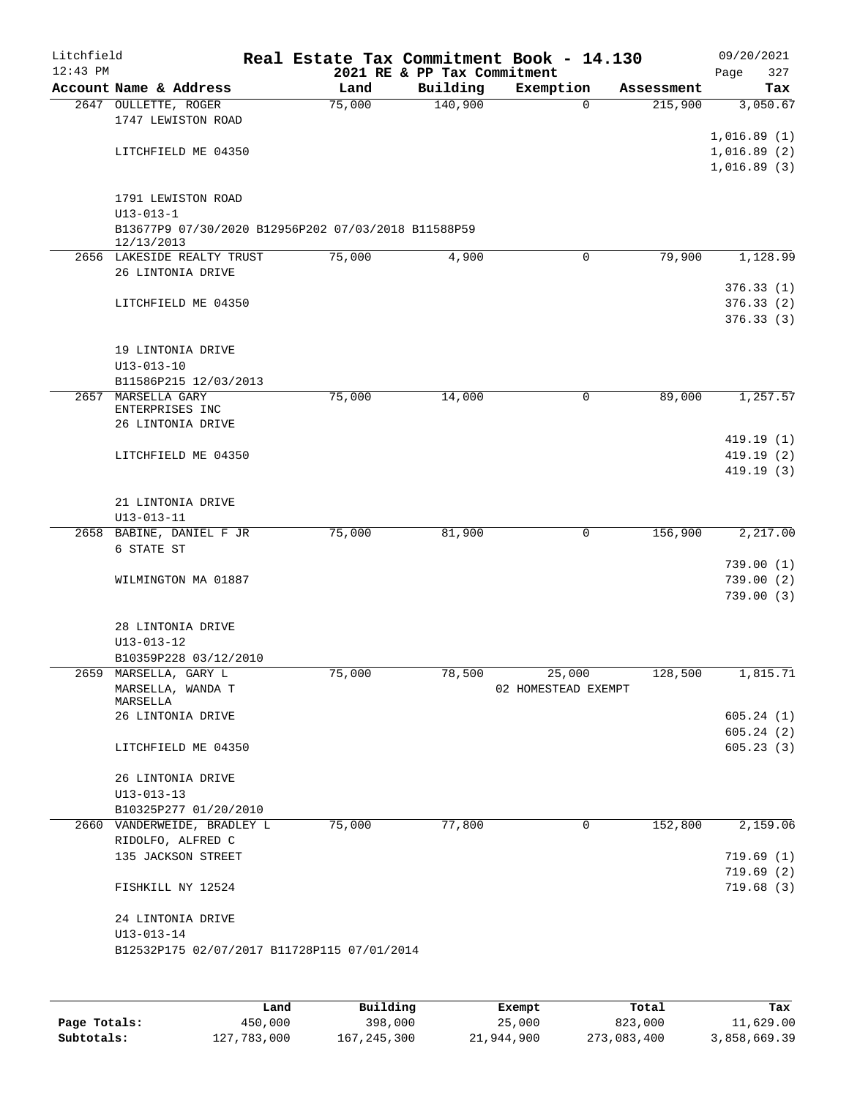| Litchfield |                                                                                                            |        |                             | Real Estate Tax Commitment Book - 14.130 |            | 09/20/2021                                |
|------------|------------------------------------------------------------------------------------------------------------|--------|-----------------------------|------------------------------------------|------------|-------------------------------------------|
| $12:43$ PM |                                                                                                            |        | 2021 RE & PP Tax Commitment |                                          |            | 327<br>Page                               |
|            | Account Name & Address                                                                                     | Land   | Building                    | Exemption                                | Assessment | Tax                                       |
|            | 2647 OULLETTE, ROGER<br>1747 LEWISTON ROAD                                                                 | 75,000 | 140,900                     | $\Omega$                                 | 215,900    | 3,050.67                                  |
|            | LITCHFIELD ME 04350                                                                                        |        |                             |                                          |            | 1,016.89(1)<br>1,016.89(2)<br>1,016.89(3) |
|            | 1791 LEWISTON ROAD<br>$U13 - 013 - 1$<br>B13677P9 07/30/2020 B12956P202 07/03/2018 B11588P59<br>12/13/2013 |        |                             |                                          |            |                                           |
|            | 2656 LAKESIDE REALTY TRUST                                                                                 | 75,000 | 4,900                       | $\mathbf 0$                              | 79,900     | 1,128.99                                  |
|            | 26 LINTONIA DRIVE                                                                                          |        |                             |                                          |            |                                           |
|            | LITCHFIELD ME 04350                                                                                        |        |                             |                                          |            | 376.33(1)<br>376.33(2)<br>376.33(3)       |
|            | 19 LINTONIA DRIVE<br>$U13 - 013 - 10$                                                                      |        |                             |                                          |            |                                           |
|            | B11586P215 12/03/2013                                                                                      |        |                             |                                          |            |                                           |
|            | 2657 MARSELLA GARY<br>ENTERPRISES INC<br>26 LINTONIA DRIVE                                                 | 75,000 | 14,000                      | 0                                        | 89,000     | 1,257.57                                  |
|            |                                                                                                            |        |                             |                                          |            | 419.19(1)                                 |
|            | LITCHFIELD ME 04350                                                                                        |        |                             |                                          |            | 419.19(2)<br>419.19 (3)                   |
|            |                                                                                                            |        |                             |                                          |            |                                           |
|            | 21 LINTONIA DRIVE                                                                                          |        |                             |                                          |            |                                           |
|            | $U13 - 013 - 11$                                                                                           |        |                             |                                          |            |                                           |
|            | 2658 BABINE, DANIEL F JR                                                                                   | 75,000 | 81,900                      | 0                                        | 156,900    | 2,217.00                                  |
|            | 6 STATE ST                                                                                                 |        |                             |                                          |            | 739.00(1)                                 |
|            | WILMINGTON MA 01887                                                                                        |        |                             |                                          |            | 739.00(2)                                 |
|            |                                                                                                            |        |                             |                                          |            | 739.00(3)                                 |
|            | 28 LINTONIA DRIVE<br>$U13 - 013 - 12$                                                                      |        |                             |                                          |            |                                           |
|            | B10359P228 03/12/2010                                                                                      |        |                             |                                          |            |                                           |
|            | 2659 MARSELLA, GARY L<br>MARSELLA, WANDA T<br>MARSELLA                                                     | 75,000 | 78,500                      | 25,000<br>02 HOMESTEAD EXEMPT            | 128,500    | 1,815.71                                  |
|            | 26 LINTONIA DRIVE                                                                                          |        |                             |                                          |            | 605.24(1)                                 |
|            | LITCHFIELD ME 04350                                                                                        |        |                             |                                          |            | 605.24(2)<br>605.23(3)                    |
|            | 26 LINTONIA DRIVE                                                                                          |        |                             |                                          |            |                                           |
|            | $U13 - 013 - 13$                                                                                           |        |                             |                                          |            |                                           |
|            | B10325P277 01/20/2010                                                                                      |        |                             |                                          |            |                                           |
|            | 2660 VANDERWEIDE, BRADLEY L<br>RIDOLFO, ALFRED C                                                           | 75,000 | 77,800                      | 0                                        | 152,800    | 2,159.06                                  |
|            | 135 JACKSON STREET                                                                                         |        |                             |                                          |            | 719.69(1)                                 |
|            | FISHKILL NY 12524                                                                                          |        |                             |                                          |            | 719.69 (2)<br>719.68(3)                   |
|            |                                                                                                            |        |                             |                                          |            |                                           |
|            | 24 LINTONIA DRIVE<br>$U13 - 013 - 14$                                                                      |        |                             |                                          |            |                                           |
|            | B12532P175 02/07/2017 B11728P115 07/01/2014                                                                |        |                             |                                          |            |                                           |
|            |                                                                                                            |        |                             |                                          |            |                                           |
|            |                                                                                                            |        |                             |                                          |            |                                           |
|            |                                                                                                            |        |                             |                                          |            |                                           |

|              | Land        | Building    | Exempt     | Total       | Tax          |
|--------------|-------------|-------------|------------|-------------|--------------|
| Page Totals: | 450,000     | 398,000     | 25,000     | 823,000     | 11,629.00    |
| Subtotals:   | 127,783,000 | 167,245,300 | 21,944,900 | 273,083,400 | 3,858,669.39 |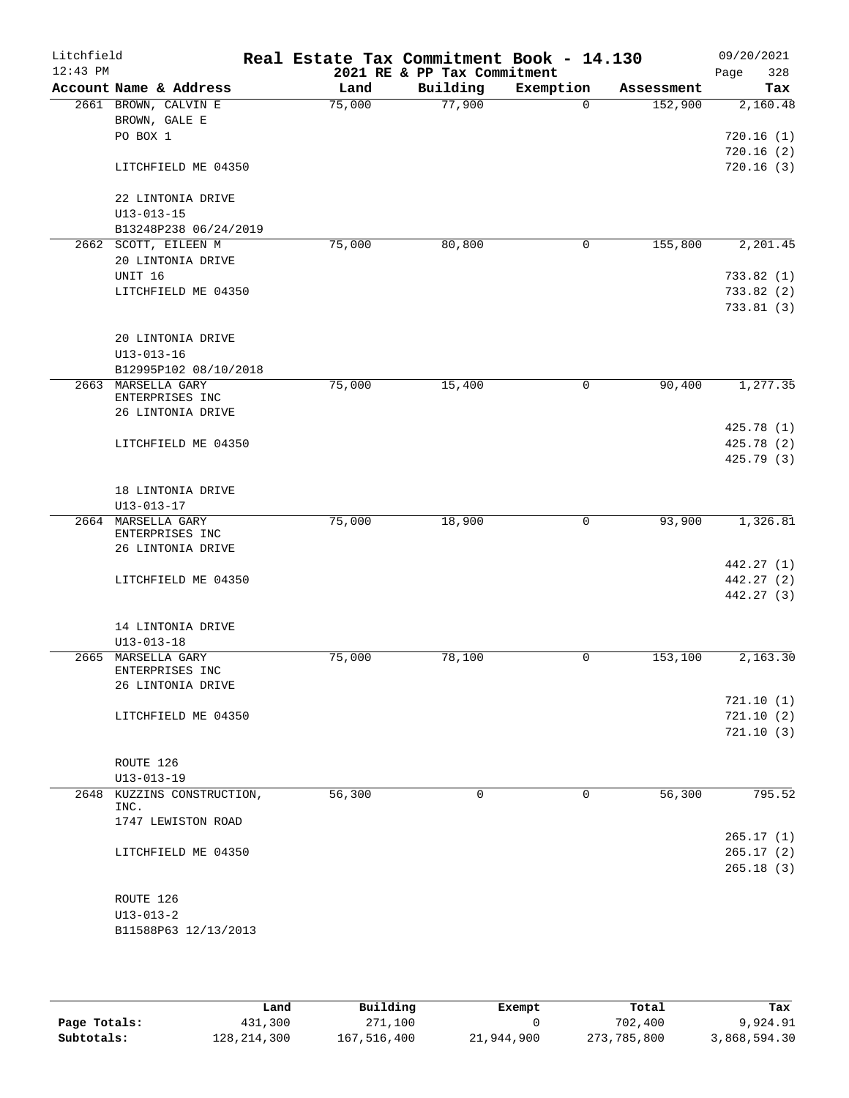| Litchfield<br>$12:43$ PM |                                       | Real Estate Tax Commitment Book - 14.130 | 2021 RE & PP Tax Commitment |              |            | 09/20/2021<br>328<br>Page |
|--------------------------|---------------------------------------|------------------------------------------|-----------------------------|--------------|------------|---------------------------|
|                          | Account Name & Address                | Land                                     | Building                    | Exemption    | Assessment | Tax                       |
|                          | 2661 BROWN, CALVIN E                  | 75,000                                   | 77,900                      | $\Omega$     | 152,900    | 2,160.48                  |
|                          | BROWN, GALE E                         |                                          |                             |              |            |                           |
|                          | PO BOX 1                              |                                          |                             |              |            | 720.16(1)                 |
|                          |                                       |                                          |                             |              |            | 720.16(2)                 |
|                          | LITCHFIELD ME 04350                   |                                          |                             |              |            | 720.16(3)                 |
|                          | 22 LINTONIA DRIVE                     |                                          |                             |              |            |                           |
|                          | $U13 - 013 - 15$                      |                                          |                             |              |            |                           |
|                          | B13248P238 06/24/2019                 |                                          |                             |              |            |                           |
|                          | 2662 SCOTT, EILEEN M                  | 75,000                                   | 80,800                      | 0            | 155,800    | 2,201.45                  |
|                          | 20 LINTONIA DRIVE                     |                                          |                             |              |            |                           |
|                          | UNIT 16                               |                                          |                             |              |            | 733.82(1)                 |
|                          | LITCHFIELD ME 04350                   |                                          |                             |              |            | 733.82(2)                 |
|                          |                                       |                                          |                             |              |            | 733.81(3)                 |
|                          | 20 LINTONIA DRIVE                     |                                          |                             |              |            |                           |
|                          | $U13 - 013 - 16$                      |                                          |                             |              |            |                           |
|                          | B12995P102 08/10/2018                 |                                          |                             |              |            |                           |
| 2663                     | MARSELLA GARY<br>ENTERPRISES INC      | 75,000                                   | 15,400                      | 0            | 90,400     | 1, 277.35                 |
|                          | 26 LINTONIA DRIVE                     |                                          |                             |              |            |                           |
|                          |                                       |                                          |                             |              |            | 425.78 (1)                |
|                          | LITCHFIELD ME 04350                   |                                          |                             |              |            | 425.78 (2)                |
|                          |                                       |                                          |                             |              |            | 425.79 (3)                |
|                          | 18 LINTONIA DRIVE                     |                                          |                             |              |            |                           |
|                          | $U13 - 013 - 17$                      |                                          |                             |              |            |                           |
|                          | 2664 MARSELLA GARY<br>ENTERPRISES INC | 75,000                                   | 18,900                      | $\mathsf{O}$ | 93,900     | 1,326.81                  |
|                          | 26 LINTONIA DRIVE                     |                                          |                             |              |            |                           |
|                          |                                       |                                          |                             |              |            | 442.27 (1)                |
|                          | LITCHFIELD ME 04350                   |                                          |                             |              |            | 442.27 (2)                |
|                          |                                       |                                          |                             |              |            | 442.27 (3)                |
|                          | 14 LINTONIA DRIVE                     |                                          |                             |              |            |                           |
|                          | $U13 - 013 - 18$                      |                                          |                             |              |            |                           |
| 2665                     | MARSELLA GARY                         | 75,000                                   | 78,100                      | 0            | 153, 100   | 2,163.30                  |
|                          | ENTERPRISES INC                       |                                          |                             |              |            |                           |
|                          | 26 LINTONIA DRIVE                     |                                          |                             |              |            |                           |
|                          |                                       |                                          |                             |              |            | 721.10(1)                 |
|                          | LITCHFIELD ME 04350                   |                                          |                             |              |            | 721.10(2)                 |
|                          |                                       |                                          |                             |              |            | 721.10(3)                 |
|                          | ROUTE 126                             |                                          |                             |              |            |                           |
|                          | $U13 - 013 - 19$                      |                                          |                             |              |            |                           |
|                          | 2648 KUZZINS CONSTRUCTION,            | 56,300                                   | $\mathbf 0$                 | $\mathbf 0$  | 56,300     | 795.52                    |
|                          | INC.                                  |                                          |                             |              |            |                           |
|                          | 1747 LEWISTON ROAD                    |                                          |                             |              |            |                           |
|                          |                                       |                                          |                             |              |            | 265.17(1)                 |
|                          | LITCHFIELD ME 04350                   |                                          |                             |              |            | 265.17(2)                 |
|                          |                                       |                                          |                             |              |            | 265.18(3)                 |
|                          | ROUTE 126                             |                                          |                             |              |            |                           |
|                          | $U13 - 013 - 2$                       |                                          |                             |              |            |                           |
|                          | B11588P63 12/13/2013                  |                                          |                             |              |            |                           |
|                          |                                       |                                          |                             |              |            |                           |

|              | Land          | Building    | Exempt     | Total       | Tax          |
|--------------|---------------|-------------|------------|-------------|--------------|
| Page Totals: | 431,300       | 271,100     |            | 702,400     | 9,924.91     |
| Subtotals:   | 128, 214, 300 | 167,516,400 | 21,944,900 | 273,785,800 | 3,868,594.30 |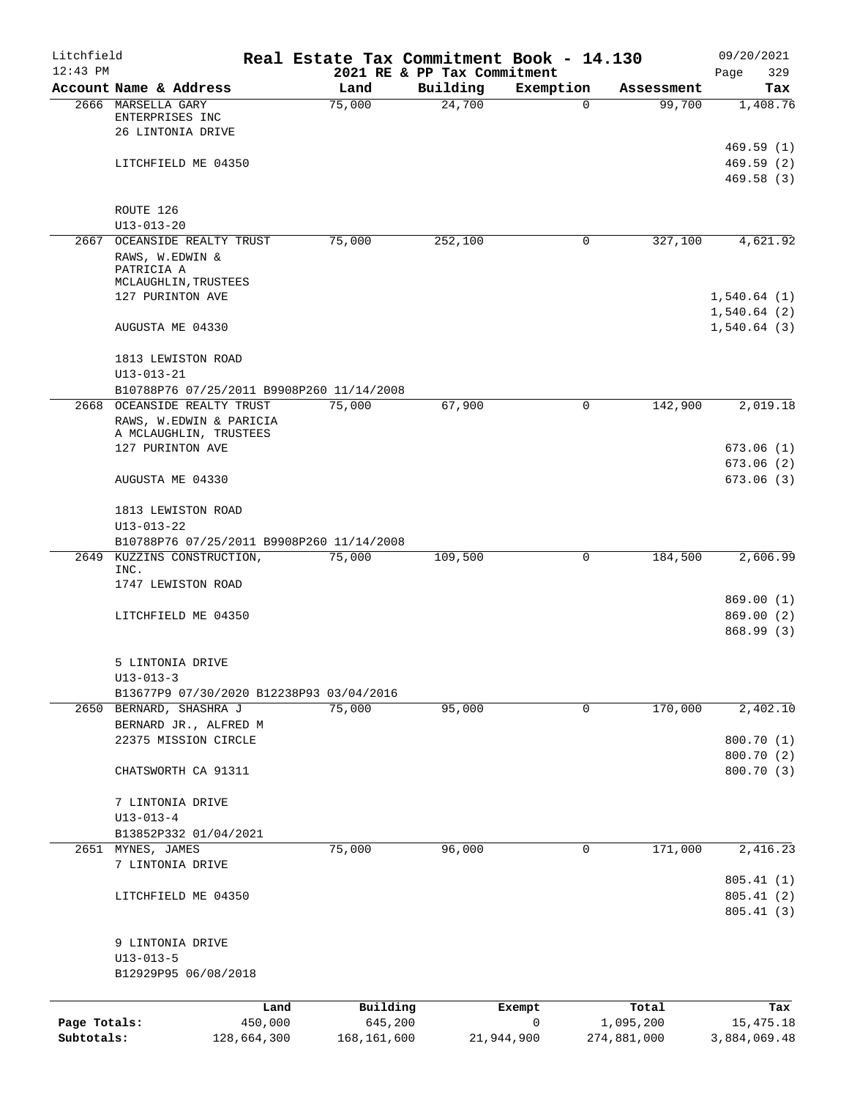| Litchfield<br>$12:43$ PM   |                                                                                      |         | Real Estate Tax Commitment Book - 14.130 | 2021 RE & PP Tax Commitment |                 |                          | 09/20/2021<br>329<br>Page                 |
|----------------------------|--------------------------------------------------------------------------------------|---------|------------------------------------------|-----------------------------|-----------------|--------------------------|-------------------------------------------|
|                            | Account Name & Address                                                               |         | Land                                     | Building                    | Exemption       | Assessment               | Tax                                       |
|                            | 2666 MARSELLA GARY<br>ENTERPRISES INC<br>26 LINTONIA DRIVE                           |         | 75,000                                   | 24,700                      | $\Omega$        | 99,700                   | 1,408.76                                  |
|                            | LITCHFIELD ME 04350                                                                  |         |                                          |                             |                 |                          | 469.59(1)<br>469.59(2)<br>469.58(3)       |
|                            | ROUTE 126<br>$U13 - 013 - 20$                                                        |         |                                          |                             |                 |                          |                                           |
|                            | 2667 OCEANSIDE REALTY TRUST<br>RAWS, W.EDWIN &<br>PATRICIA A<br>MCLAUGHLIN, TRUSTEES |         | 75,000                                   | 252,100                     | 0               | 327,100                  | 4,621.92                                  |
|                            | 127 PURINTON AVE<br>AUGUSTA ME 04330                                                 |         |                                          |                             |                 |                          | 1,540.64(1)<br>1,540.64(2)<br>1,540.64(3) |
|                            | 1813 LEWISTON ROAD                                                                   |         |                                          |                             |                 |                          |                                           |
|                            | $U13 - 013 - 21$<br>B10788P76 07/25/2011 B9908P260 11/14/2008                        |         |                                          |                             |                 |                          |                                           |
|                            | 2668 OCEANSIDE REALTY TRUST                                                          |         | 75,000                                   | 67,900                      | 0               | 142,900                  | 2,019.18                                  |
|                            | RAWS, W.EDWIN & PARICIA<br>A MCLAUGHLIN, TRUSTEES<br>127 PURINTON AVE                |         |                                          |                             |                 |                          | 673.06(1)                                 |
|                            | AUGUSTA ME 04330                                                                     |         |                                          |                             |                 |                          | 673.06(2)<br>673.06(3)                    |
|                            | 1813 LEWISTON ROAD<br>$U13 - 013 - 22$                                               |         |                                          |                             |                 |                          |                                           |
|                            | B10788P76 07/25/2011 B9908P260 11/14/2008                                            |         |                                          |                             |                 |                          |                                           |
|                            | 2649 KUZZINS CONSTRUCTION,                                                           |         | 75,000                                   | 109,500                     | 0               | 184,500                  | 2,606.99                                  |
|                            | INC.<br>1747 LEWISTON ROAD                                                           |         |                                          |                             |                 |                          |                                           |
|                            |                                                                                      |         |                                          |                             |                 |                          | 869.00(1)                                 |
|                            | LITCHFIELD ME 04350                                                                  |         |                                          |                             |                 |                          | 869.00(2)<br>868.99 (3)                   |
|                            | 5 LINTONIA DRIVE<br>$U13 - 013 - 3$                                                  |         |                                          |                             |                 |                          |                                           |
|                            | B13677P9 07/30/2020 B12238P93 03/04/2016                                             |         |                                          |                             |                 |                          |                                           |
|                            | 2650 BERNARD, SHASHRA J                                                              |         | 75,000                                   | 95,000                      | 0               | 170,000                  | 2,402.10                                  |
|                            | BERNARD JR., ALFRED M                                                                |         |                                          |                             |                 |                          |                                           |
|                            | 22375 MISSION CIRCLE                                                                 |         |                                          |                             |                 |                          | 800.70 (1)                                |
|                            | CHATSWORTH CA 91311                                                                  |         |                                          |                             |                 |                          | 800.70 (2)<br>800.70 (3)                  |
|                            | 7 LINTONIA DRIVE<br>$U13 - 013 - 4$                                                  |         |                                          |                             |                 |                          |                                           |
|                            | B13852P332 01/04/2021                                                                |         |                                          |                             |                 |                          |                                           |
| 2651                       | MYNES, JAMES                                                                         |         | 75,000                                   | 96,000                      | 0               | 171,000                  | 2,416.23                                  |
|                            | 7 LINTONIA DRIVE                                                                     |         |                                          |                             |                 |                          | 805.41(1)                                 |
|                            | LITCHFIELD ME 04350                                                                  |         |                                          |                             |                 |                          | 805.41(2)<br>805.41(3)                    |
|                            | 9 LINTONIA DRIVE<br>$U13 - 013 - 5$                                                  |         |                                          |                             |                 |                          |                                           |
|                            | B12929P95 06/08/2018                                                                 |         |                                          |                             |                 |                          |                                           |
|                            |                                                                                      | Land    | Building                                 |                             | Exempt          | Total                    | Tax                                       |
| Page Totals:<br>Subtotals: | 128,664,300                                                                          | 450,000 | 645,200<br>168, 161, 600                 |                             | 0<br>21,944,900 | 1,095,200<br>274,881,000 | 15, 475. 18<br>3,884,069.48               |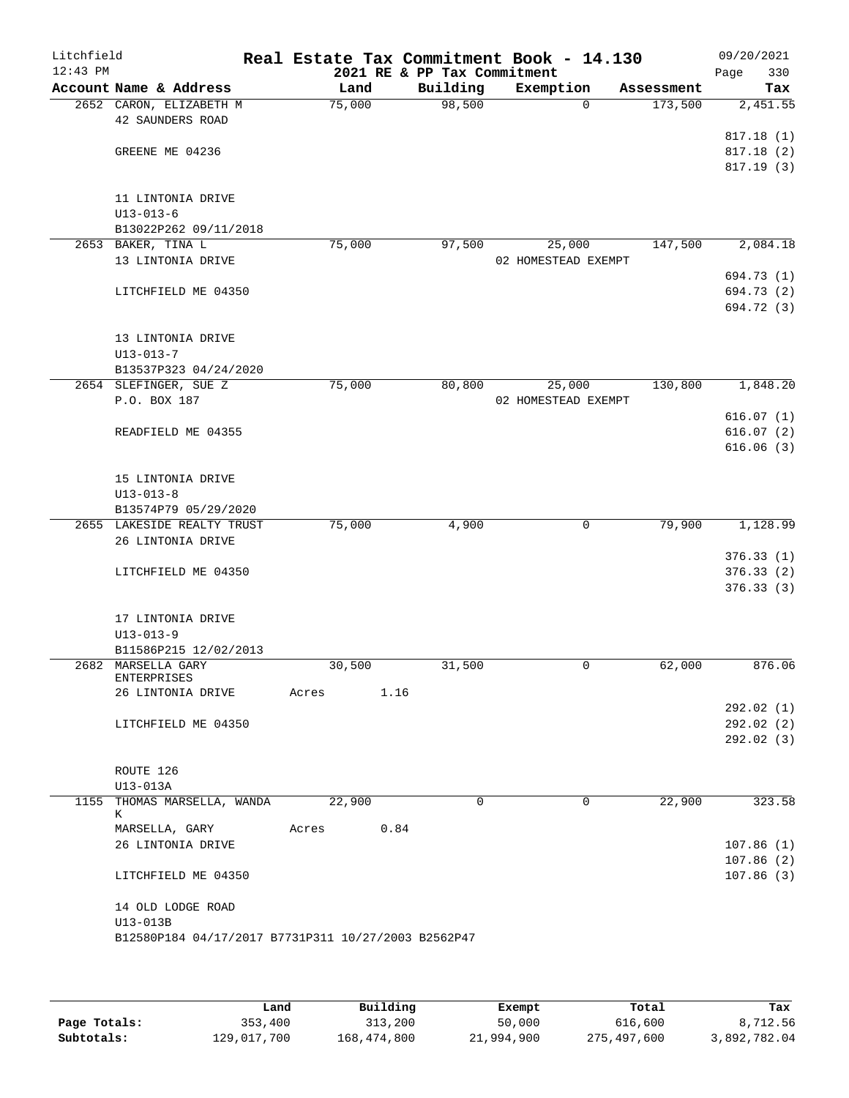| Litchfield<br>$12:43$ PM |                                                     |        | Real Estate Tax Commitment Book - 14.130<br>2021 RE & PP Tax Commitment |                     |                     | 09/20/2021<br>330<br>Page |
|--------------------------|-----------------------------------------------------|--------|-------------------------------------------------------------------------|---------------------|---------------------|---------------------------|
|                          | Account Name & Address                              | Land   | Building                                                                | Exemption           | Assessment          | Tax                       |
|                          | 2652 CARON, ELIZABETH M                             | 75,000 | 98,500                                                                  |                     | 173,500<br>$\Omega$ | 2,451.55                  |
|                          | 42 SAUNDERS ROAD                                    |        |                                                                         |                     |                     |                           |
|                          |                                                     |        |                                                                         |                     |                     | 817.18(1)                 |
|                          | GREENE ME 04236                                     |        |                                                                         |                     |                     | 817.18(2)                 |
|                          |                                                     |        |                                                                         |                     |                     | 817.19 (3)                |
|                          |                                                     |        |                                                                         |                     |                     |                           |
|                          | 11 LINTONIA DRIVE                                   |        |                                                                         |                     |                     |                           |
|                          | $U13 - 013 - 6$                                     |        |                                                                         |                     |                     |                           |
|                          | B13022P262 09/11/2018<br>2653 BAKER, TINA L         | 75,000 | 97,500                                                                  | 25,000              | 147,500             | 2,084.18                  |
|                          | 13 LINTONIA DRIVE                                   |        |                                                                         | 02 HOMESTEAD EXEMPT |                     |                           |
|                          |                                                     |        |                                                                         |                     |                     | 694.73 (1)                |
|                          | LITCHFIELD ME 04350                                 |        |                                                                         |                     |                     | 694.73 (2)                |
|                          |                                                     |        |                                                                         |                     |                     | 694.72 (3)                |
|                          |                                                     |        |                                                                         |                     |                     |                           |
|                          | 13 LINTONIA DRIVE                                   |        |                                                                         |                     |                     |                           |
|                          | $U13 - 013 - 7$                                     |        |                                                                         |                     |                     |                           |
|                          | B13537P323 04/24/2020                               |        |                                                                         |                     |                     |                           |
|                          | 2654 SLEFINGER, SUE Z                               | 75,000 | 80,800                                                                  | 25,000              | 130,800             | 1,848.20                  |
|                          | P.O. BOX 187                                        |        |                                                                         | 02 HOMESTEAD EXEMPT |                     |                           |
|                          |                                                     |        |                                                                         |                     |                     | 616.07(1)                 |
|                          | READFIELD ME 04355                                  |        |                                                                         |                     |                     | 616.07(2)                 |
|                          |                                                     |        |                                                                         |                     |                     | 616.06(3)                 |
|                          |                                                     |        |                                                                         |                     |                     |                           |
|                          | 15 LINTONIA DRIVE                                   |        |                                                                         |                     |                     |                           |
|                          | $U13 - 013 - 8$                                     |        |                                                                         |                     |                     |                           |
|                          | B13574P79 05/29/2020                                |        |                                                                         |                     |                     |                           |
|                          | 2655 LAKESIDE REALTY TRUST                          | 75,000 | 4,900                                                                   |                     | 79,900<br>0         | 1,128.99                  |
|                          | 26 LINTONIA DRIVE                                   |        |                                                                         |                     |                     |                           |
|                          |                                                     |        |                                                                         |                     |                     | 376.33(1)                 |
|                          | LITCHFIELD ME 04350                                 |        |                                                                         |                     |                     | 376.33(2)                 |
|                          |                                                     |        |                                                                         |                     |                     | 376.33 (3)                |
|                          |                                                     |        |                                                                         |                     |                     |                           |
|                          | 17 LINTONIA DRIVE                                   |        |                                                                         |                     |                     |                           |
|                          | $U13 - 013 - 9$                                     |        |                                                                         |                     |                     |                           |
|                          | B11586P215 12/02/2013                               |        |                                                                         |                     |                     |                           |
|                          | 2682 MARSELLA GARY<br><b>ENTERPRISES</b>            | 30,500 | 31,500                                                                  |                     | 62,000<br>0         | 876.06                    |
|                          | 26 LINTONIA DRIVE                                   | Acres  | 1.16                                                                    |                     |                     |                           |
|                          |                                                     |        |                                                                         |                     |                     | 292.02 (1)                |
|                          | LITCHFIELD ME 04350                                 |        |                                                                         |                     |                     | 292.02(2)                 |
|                          |                                                     |        |                                                                         |                     |                     | 292.02(3)                 |
|                          |                                                     |        |                                                                         |                     |                     |                           |
|                          | ROUTE 126                                           |        |                                                                         |                     |                     |                           |
|                          | U13-013A                                            |        |                                                                         |                     |                     |                           |
|                          | 1155 THOMAS MARSELLA, WANDA                         | 22,900 | $\mathbf 0$                                                             |                     | 22,900<br>0         | 323.58                    |
|                          | К                                                   |        |                                                                         |                     |                     |                           |
|                          | MARSELLA, GARY                                      | Acres  | 0.84                                                                    |                     |                     |                           |
|                          | 26 LINTONIA DRIVE                                   |        |                                                                         |                     |                     | 107.86(1)                 |
|                          |                                                     |        |                                                                         |                     |                     | 107.86(2)                 |
|                          | LITCHFIELD ME 04350                                 |        |                                                                         |                     |                     | 107.86(3)                 |
|                          |                                                     |        |                                                                         |                     |                     |                           |
|                          | 14 OLD LODGE ROAD                                   |        |                                                                         |                     |                     |                           |
|                          | U13-013B                                            |        |                                                                         |                     |                     |                           |
|                          | B12580P184 04/17/2017 B7731P311 10/27/2003 B2562P47 |        |                                                                         |                     |                     |                           |
|                          |                                                     |        |                                                                         |                     |                     |                           |

|              | Land        | Building    | Exempt     | Total       | Tax          |
|--------------|-------------|-------------|------------|-------------|--------------|
| Page Totals: | 353,400     | 313,200     | 50,000     | 616,600     | 8,712.56     |
| Subtotals:   | 129,017,700 | 168,474,800 | 21,994,900 | 275,497,600 | 3,892,782.04 |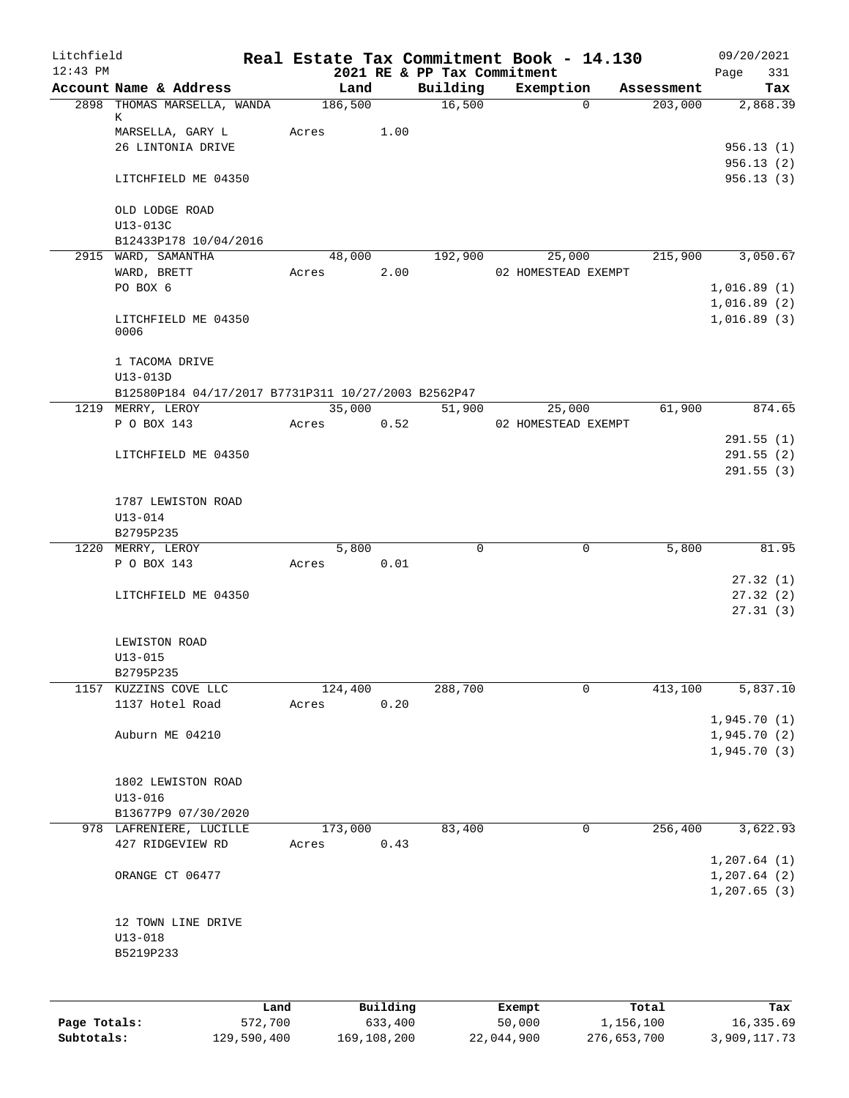| Litchfield   |                                                     |         |                  |          |                                         | Real Estate Tax Commitment Book - 14.130 |                           | 09/20/2021         |
|--------------|-----------------------------------------------------|---------|------------------|----------|-----------------------------------------|------------------------------------------|---------------------------|--------------------|
| $12:43$ PM   | Account Name & Address                              |         | Land             |          | 2021 RE & PP Tax Commitment<br>Building | Exemption                                | Assessment                | 331<br>Page<br>Tax |
|              | 2898 THOMAS MARSELLA, WANDA                         |         | 186,500          |          | 16,500                                  |                                          | $\overline{0}$<br>203,000 | 2,868.39           |
|              | К                                                   |         |                  |          |                                         |                                          |                           |                    |
|              | MARSELLA, GARY L                                    |         | Acres            | 1.00     |                                         |                                          |                           |                    |
|              | 26 LINTONIA DRIVE                                   |         |                  |          |                                         |                                          |                           | 956.13(1)          |
|              |                                                     |         |                  |          |                                         |                                          |                           | 956.13(2)          |
|              | LITCHFIELD ME 04350                                 |         |                  |          |                                         |                                          |                           | 956.13(3)          |
|              | OLD LODGE ROAD                                      |         |                  |          |                                         |                                          |                           |                    |
|              | U13-013C                                            |         |                  |          |                                         |                                          |                           |                    |
|              | B12433P178 10/04/2016                               |         |                  |          |                                         |                                          |                           |                    |
|              | 2915 WARD, SAMANTHA                                 |         | 48,000           |          | 192,900                                 | 25,000                                   | 215,900                   | 3,050.67           |
|              | WARD, BRETT                                         |         | Acres            | 2.00     |                                         | 02 HOMESTEAD EXEMPT                      |                           |                    |
|              | PO BOX 6                                            |         |                  |          |                                         |                                          |                           | 1,016.89(1)        |
|              |                                                     |         |                  |          |                                         |                                          |                           | 1,016.89(2)        |
|              | LITCHFIELD ME 04350                                 |         |                  |          |                                         |                                          |                           | 1,016.89(3)        |
|              | 0006                                                |         |                  |          |                                         |                                          |                           |                    |
|              |                                                     |         |                  |          |                                         |                                          |                           |                    |
|              | 1 TACOMA DRIVE                                      |         |                  |          |                                         |                                          |                           |                    |
|              | U13-013D                                            |         |                  |          |                                         |                                          |                           |                    |
|              | B12580P184 04/17/2017 B7731P311 10/27/2003 B2562P47 |         |                  |          |                                         |                                          |                           |                    |
|              | 1219 MERRY, LEROY                                   |         | 35,000           |          | 51,900                                  | 25,000                                   | 61,900                    | 874.65             |
|              | P O BOX 143                                         |         | Acres            | 0.52     |                                         | 02 HOMESTEAD EXEMPT                      |                           |                    |
|              |                                                     |         |                  |          |                                         |                                          |                           | 291.55(1)          |
|              | LITCHFIELD ME 04350                                 |         |                  |          |                                         |                                          |                           | 291.55(2)          |
|              |                                                     |         |                  |          |                                         |                                          |                           | 291.55(3)          |
|              | 1787 LEWISTON ROAD                                  |         |                  |          |                                         |                                          |                           |                    |
|              | U13-014                                             |         |                  |          |                                         |                                          |                           |                    |
|              | B2795P235                                           |         |                  |          |                                         |                                          |                           |                    |
|              | 1220 MERRY, LEROY                                   |         | 5,800            |          | $\mathbf 0$                             |                                          | 5,800<br>0                | 81.95              |
|              | P O BOX 143                                         |         | Acres            | 0.01     |                                         |                                          |                           |                    |
|              |                                                     |         |                  |          |                                         |                                          |                           | 27.32(1)           |
|              | LITCHFIELD ME 04350                                 |         |                  |          |                                         |                                          |                           | 27.32(2)           |
|              |                                                     |         |                  |          |                                         |                                          |                           | 27.31(3)           |
|              |                                                     |         |                  |          |                                         |                                          |                           |                    |
|              | LEWISTON ROAD                                       |         |                  |          |                                         |                                          |                           |                    |
|              | $U13 - 015$                                         |         |                  |          |                                         |                                          |                           |                    |
|              | B2795P235                                           |         |                  |          |                                         |                                          |                           |                    |
| 1157         | KUZZINS COVE LLC                                    |         | 124,400          |          | 288,700                                 |                                          | $\mathbf 0$<br>413,100    | 5,837.10           |
|              | 1137 Hotel Road                                     |         | Acres            | 0.20     |                                         |                                          |                           |                    |
|              |                                                     |         |                  |          |                                         |                                          |                           | 1,945.70(1)        |
|              | Auburn ME 04210                                     |         |                  |          |                                         |                                          |                           | 1,945.70(2)        |
|              |                                                     |         |                  |          |                                         |                                          |                           | 1,945.70 (3)       |
|              |                                                     |         |                  |          |                                         |                                          |                           |                    |
|              | 1802 LEWISTON ROAD                                  |         |                  |          |                                         |                                          |                           |                    |
|              | $U13 - 016$                                         |         |                  |          |                                         |                                          |                           |                    |
|              | B13677P9 07/30/2020                                 |         |                  |          |                                         |                                          |                           |                    |
|              | 978 LAFRENIERE, LUCILLE                             |         | 173,000<br>Acres | 0.43     | 83,400                                  |                                          | $\mathbf 0$<br>256,400    | 3,622.93           |
|              | 427 RIDGEVIEW RD                                    |         |                  |          |                                         |                                          |                           | 1, 207.64(1)       |
|              | ORANGE CT 06477                                     |         |                  |          |                                         |                                          |                           | $1, 207.64$ (2)    |
|              |                                                     |         |                  |          |                                         |                                          |                           | $1, 207.65$ (3)    |
|              |                                                     |         |                  |          |                                         |                                          |                           |                    |
|              | 12 TOWN LINE DRIVE                                  |         |                  |          |                                         |                                          |                           |                    |
|              | $U13 - 018$                                         |         |                  |          |                                         |                                          |                           |                    |
|              | B5219P233                                           |         |                  |          |                                         |                                          |                           |                    |
|              |                                                     |         |                  |          |                                         |                                          |                           |                    |
|              |                                                     |         |                  |          |                                         |                                          |                           |                    |
|              |                                                     | Land    |                  | Building |                                         | Exempt                                   | Total                     | Tax                |
| Page Totals: |                                                     | 572,700 |                  | 633,400  |                                         | 50,000                                   | 1,156,100                 | 16, 335.69         |
|              |                                                     |         |                  |          |                                         |                                          |                           |                    |

**Subtotals:** 129,590,400 169,108,200 22,044,900 276,653,700 3,909,117.73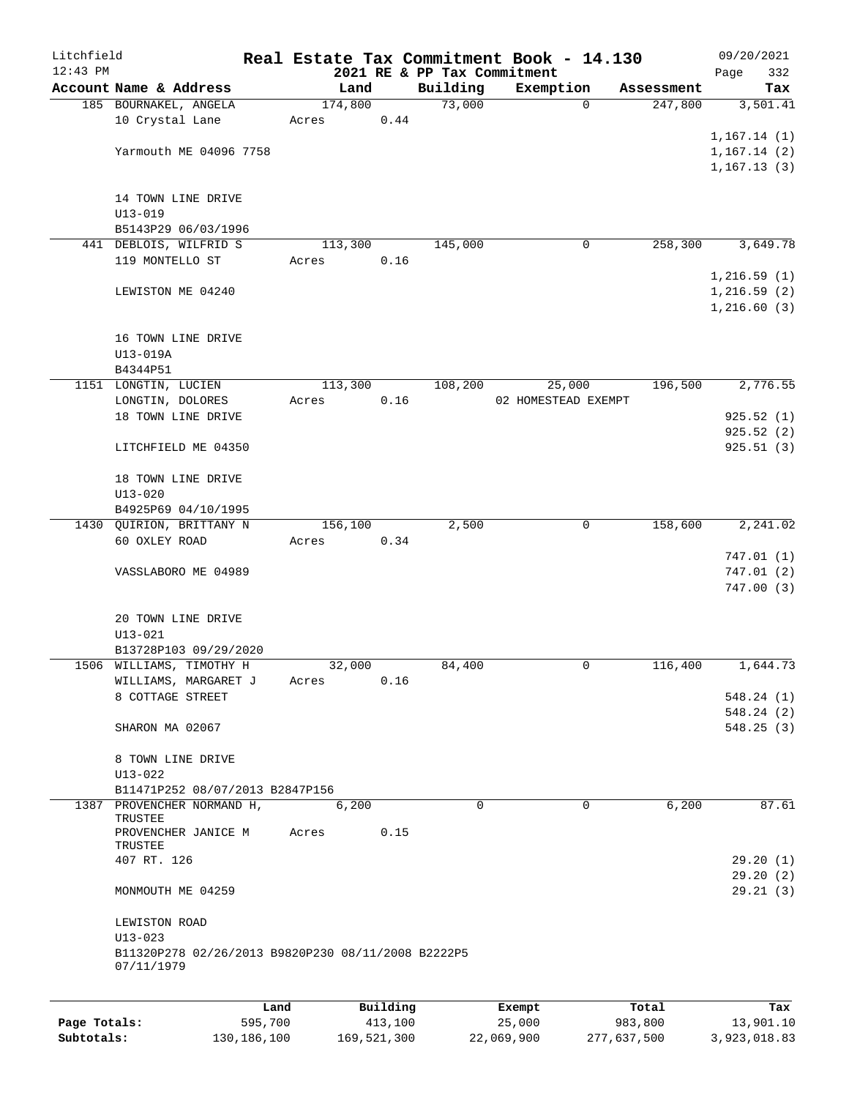| Litchfield<br>$12:43$ PM |                                                                   |       |          |      |                                         | Real Estate Tax Commitment Book - 14.130 |       |            | 09/20/2021         |
|--------------------------|-------------------------------------------------------------------|-------|----------|------|-----------------------------------------|------------------------------------------|-------|------------|--------------------|
|                          | Account Name & Address                                            |       | Land     |      | 2021 RE & PP Tax Commitment<br>Building | Exemption                                |       | Assessment | 332<br>Page<br>Tax |
|                          | 185 BOURNAKEL, ANGELA                                             |       | 174,800  |      | 73,000                                  | $\Omega$                                 |       | 247,800    | 3,501.41           |
|                          | 10 Crystal Lane                                                   | Acres |          | 0.44 |                                         |                                          |       |            |                    |
|                          |                                                                   |       |          |      |                                         |                                          |       |            | 1,167.14(1)        |
|                          | Yarmouth ME 04096 7758                                            |       |          |      |                                         |                                          |       |            | 1,167.14(2)        |
|                          |                                                                   |       |          |      |                                         |                                          |       |            | 1,167.13(3)        |
|                          |                                                                   |       |          |      |                                         |                                          |       |            |                    |
|                          | 14 TOWN LINE DRIVE<br>$U13 - 019$                                 |       |          |      |                                         |                                          |       |            |                    |
|                          | B5143P29 06/03/1996                                               |       |          |      |                                         |                                          |       |            |                    |
|                          | 441 DEBLOIS, WILFRID S                                            |       | 113,300  |      | 145,000                                 | 0                                        |       | 258,300    | 3,649.78           |
|                          | 119 MONTELLO ST                                                   | Acres |          | 0.16 |                                         |                                          |       |            |                    |
|                          |                                                                   |       |          |      |                                         |                                          |       |            | 1,216.59(1)        |
|                          | LEWISTON ME 04240                                                 |       |          |      |                                         |                                          |       |            | 1,216.59(2)        |
|                          |                                                                   |       |          |      |                                         |                                          |       |            | 1,216.60(3)        |
|                          |                                                                   |       |          |      |                                         |                                          |       |            |                    |
|                          | 16 TOWN LINE DRIVE                                                |       |          |      |                                         |                                          |       |            |                    |
|                          | U13-019A<br>B4344P51                                              |       |          |      |                                         |                                          |       |            |                    |
|                          | 1151 LONGTIN, LUCIEN                                              |       | 113,300  |      | 108,200                                 | 25,000                                   |       | 196,500    | 2,776.55           |
|                          | LONGTIN, DOLORES                                                  | Acres |          | 0.16 |                                         | 02 HOMESTEAD EXEMPT                      |       |            |                    |
|                          | 18 TOWN LINE DRIVE                                                |       |          |      |                                         |                                          |       |            | 925.52(1)          |
|                          |                                                                   |       |          |      |                                         |                                          |       |            | 925.52(2)          |
|                          | LITCHFIELD ME 04350                                               |       |          |      |                                         |                                          |       |            | 925.51(3)          |
|                          |                                                                   |       |          |      |                                         |                                          |       |            |                    |
|                          | 18 TOWN LINE DRIVE<br>$U13 - 020$                                 |       |          |      |                                         |                                          |       |            |                    |
|                          | B4925P69 04/10/1995                                               |       |          |      |                                         |                                          |       |            |                    |
|                          | 1430 QUIRION, BRITTANY N                                          |       | 156,100  |      | 2,500                                   | 0                                        |       | 158,600    | 2,241.02           |
|                          | 60 OXLEY ROAD                                                     | Acres |          | 0.34 |                                         |                                          |       |            |                    |
|                          |                                                                   |       |          |      |                                         |                                          |       |            | 747.01(1)          |
|                          | VASSLABORO ME 04989                                               |       |          |      |                                         |                                          |       |            | 747.01(2)          |
|                          |                                                                   |       |          |      |                                         |                                          |       |            | 747.00(3)          |
|                          | 20 TOWN LINE DRIVE                                                |       |          |      |                                         |                                          |       |            |                    |
|                          | $U13 - 021$                                                       |       |          |      |                                         |                                          |       |            |                    |
|                          | B13728P103 09/29/2020                                             |       |          |      |                                         |                                          |       |            |                    |
|                          | 1506 WILLIAMS, TIMOTHY H                                          |       | 32,000   |      | 84,400                                  | 0                                        |       | 116,400    | 1,644.73           |
|                          | WILLIAMS, MARGARET J                                              | Acres |          | 0.16 |                                         |                                          |       |            |                    |
|                          | 8 COTTAGE STREET                                                  |       |          |      |                                         |                                          |       |            | 548.24 (1)         |
|                          |                                                                   |       |          |      |                                         |                                          |       |            | 548.24(2)          |
|                          | SHARON MA 02067                                                   |       |          |      |                                         |                                          |       |            | 548.25 (3)         |
|                          | 8 TOWN LINE DRIVE                                                 |       |          |      |                                         |                                          |       |            |                    |
|                          | $U13 - 022$                                                       |       |          |      |                                         |                                          |       |            |                    |
|                          | B11471P252 08/07/2013 B2847P156                                   |       |          |      |                                         |                                          |       |            |                    |
|                          | 1387 PROVENCHER NORMAND H,                                        |       | 6,200    |      | $\Omega$                                | $\Omega$                                 |       | 6,200      | 87.61              |
|                          | TRUSTEE                                                           |       |          |      |                                         |                                          |       |            |                    |
|                          | PROVENCHER JANICE M<br>TRUSTEE                                    | Acres |          | 0.15 |                                         |                                          |       |            |                    |
|                          | 407 RT. 126                                                       |       |          |      |                                         |                                          |       |            | 29.20(1)           |
|                          |                                                                   |       |          |      |                                         |                                          |       |            | 29.20(2)           |
|                          | MONMOUTH ME 04259                                                 |       |          |      |                                         |                                          |       |            | 29.21(3)           |
|                          |                                                                   |       |          |      |                                         |                                          |       |            |                    |
|                          | LEWISTON ROAD                                                     |       |          |      |                                         |                                          |       |            |                    |
|                          | $U13 - 023$<br>B11320P278 02/26/2013 B9820P230 08/11/2008 B2222P5 |       |          |      |                                         |                                          |       |            |                    |
|                          | 07/11/1979                                                        |       |          |      |                                         |                                          |       |            |                    |
|                          |                                                                   |       |          |      |                                         |                                          |       |            |                    |
|                          |                                                                   | Land  | Building |      |                                         | Exempt                                   | Total |            | Tax                |
|                          |                                                                   |       |          |      |                                         |                                          |       |            |                    |

**Page Totals:** 595,700 413,100 25,000 983,800 13,901.10 **Subtotals:** 130,186,100 169,521,300 22,069,900 277,637,500 3,923,018.83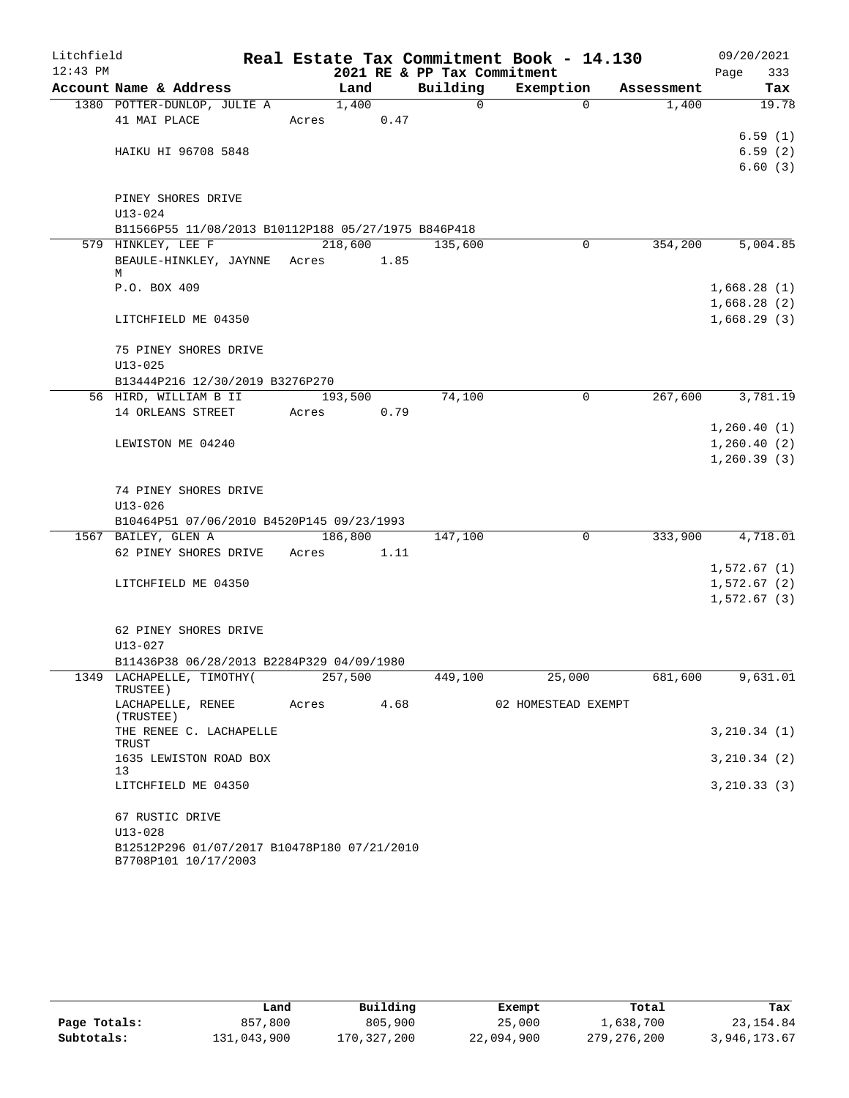| Litchfield |                                                     |                       |      |                             | Real Estate Tax Commitment Book - 14.130 |            | 09/20/2021                  |
|------------|-----------------------------------------------------|-----------------------|------|-----------------------------|------------------------------------------|------------|-----------------------------|
| $12:43$ PM |                                                     |                       |      | 2021 RE & PP Tax Commitment |                                          |            | 333<br>Page                 |
|            | Account Name & Address                              | Land                  |      | Building                    | Exemption                                | Assessment | Tax                         |
|            | 1380 POTTER-DUNLOP, JULIE A                         | 1,400                 |      | $\Omega$                    | $\Omega$                                 | 1,400      | 19.78                       |
|            | 41 MAI PLACE                                        | Acres                 | 0.47 |                             |                                          |            |                             |
|            | HAIKU HI 96708 5848                                 |                       |      |                             |                                          |            | 6.59(1)<br>6.59(2)          |
|            |                                                     |                       |      |                             |                                          |            | 6.60(3)                     |
|            |                                                     |                       |      |                             |                                          |            |                             |
|            | PINEY SHORES DRIVE                                  |                       |      |                             |                                          |            |                             |
|            | $U13 - 024$                                         |                       |      |                             |                                          |            |                             |
|            | B11566P55 11/08/2013 B10112P188 05/27/1975 B846P418 |                       |      |                             |                                          |            |                             |
|            | 579 HINKLEY, LEE F                                  | 218,600               |      | 135,600                     | 0                                        | 354,200    | 5,004.85                    |
|            | BEAULE-HINKLEY, JAYNNE Acres                        |                       | 1.85 |                             |                                          |            |                             |
|            | М<br>P.O. BOX 409                                   |                       |      |                             |                                          |            | 1,668.28(1)                 |
|            |                                                     |                       |      |                             |                                          |            | 1,668.28(2)                 |
|            | LITCHFIELD ME 04350                                 |                       |      |                             |                                          |            | 1,668.29(3)                 |
|            |                                                     |                       |      |                             |                                          |            |                             |
|            | 75 PINEY SHORES DRIVE                               |                       |      |                             |                                          |            |                             |
|            | $U13 - 025$                                         |                       |      |                             |                                          |            |                             |
|            | B13444P216 12/30/2019 B3276P270                     |                       |      |                             |                                          |            |                             |
|            | 56 HIRD, WILLIAM B II                               | 193,500<br>Territoria |      | 74,100                      | 0                                        | 267,600    | 3,781.19                    |
|            | 14 ORLEANS STREET                                   | Acres                 | 0.79 |                             |                                          |            |                             |
|            |                                                     |                       |      |                             |                                          |            | 1,260.40(1)                 |
|            | LEWISTON ME 04240                                   |                       |      |                             |                                          |            | 1,260.40(2)<br>1, 260.39(3) |
|            |                                                     |                       |      |                             |                                          |            |                             |
|            | 74 PINEY SHORES DRIVE                               |                       |      |                             |                                          |            |                             |
|            | $U13 - 026$                                         |                       |      |                             |                                          |            |                             |
|            | B10464P51 07/06/2010 B4520P145 09/23/1993           |                       |      |                             |                                          |            |                             |
|            | 1567 BAILEY, GLEN A                                 | 186,800               |      | 147,100                     | 0                                        | 333,900    | 4,718.01                    |
|            | 62 PINEY SHORES DRIVE                               | Acres                 | 1.11 |                             |                                          |            |                             |
|            |                                                     |                       |      |                             |                                          |            | 1,572.67(1)                 |
|            | LITCHFIELD ME 04350                                 |                       |      |                             |                                          |            | 1,572.67(2)                 |
|            |                                                     |                       |      |                             |                                          |            | 1,572.67(3)                 |
|            | 62 PINEY SHORES DRIVE                               |                       |      |                             |                                          |            |                             |
|            | $U13 - 027$                                         |                       |      |                             |                                          |            |                             |
|            | B11436P38 06/28/2013 B2284P329 04/09/1980           |                       |      |                             |                                          |            |                             |
|            | 1349 LACHAPELLE, TIMOTHY(                           | 257,500               |      | 449,100                     | 25,000                                   | 681,600    | 9,631.01                    |
|            | TRUSTEE)                                            |                       |      |                             |                                          |            |                             |
|            | LACHAPELLE, RENEE<br>(TRUSTEE)                      | Acres                 | 4.68 |                             | 02 HOMESTEAD EXEMPT                      |            |                             |
|            | THE RENEE C. LACHAPELLE                             |                       |      |                             |                                          |            | 3,210.34(1)                 |
|            | TRUST                                               |                       |      |                             |                                          |            |                             |
|            | 1635 LEWISTON ROAD BOX                              |                       |      |                             |                                          |            | 3,210.34(2)                 |
|            | 13<br>LITCHFIELD ME 04350                           |                       |      |                             |                                          |            |                             |
|            |                                                     |                       |      |                             |                                          |            | 3, 210.33(3)                |
|            | 67 RUSTIC DRIVE                                     |                       |      |                             |                                          |            |                             |
|            | $U13 - 028$                                         |                       |      |                             |                                          |            |                             |
|            | B12512P296 01/07/2017 B10478P180 07/21/2010         |                       |      |                             |                                          |            |                             |
|            | B7708P101 10/17/2003                                |                       |      |                             |                                          |            |                             |

|              | Land        | Building    | Exempt     | Total       | Tax          |
|--------------|-------------|-------------|------------|-------------|--------------|
| Page Totals: | 857,800     | 805,900     | 25,000     | 1,638,700   | 23,154.84    |
| Subtotals:   | 131,043,900 | 170,327,200 | 22,094,900 | 279,276,200 | 3,946,173.67 |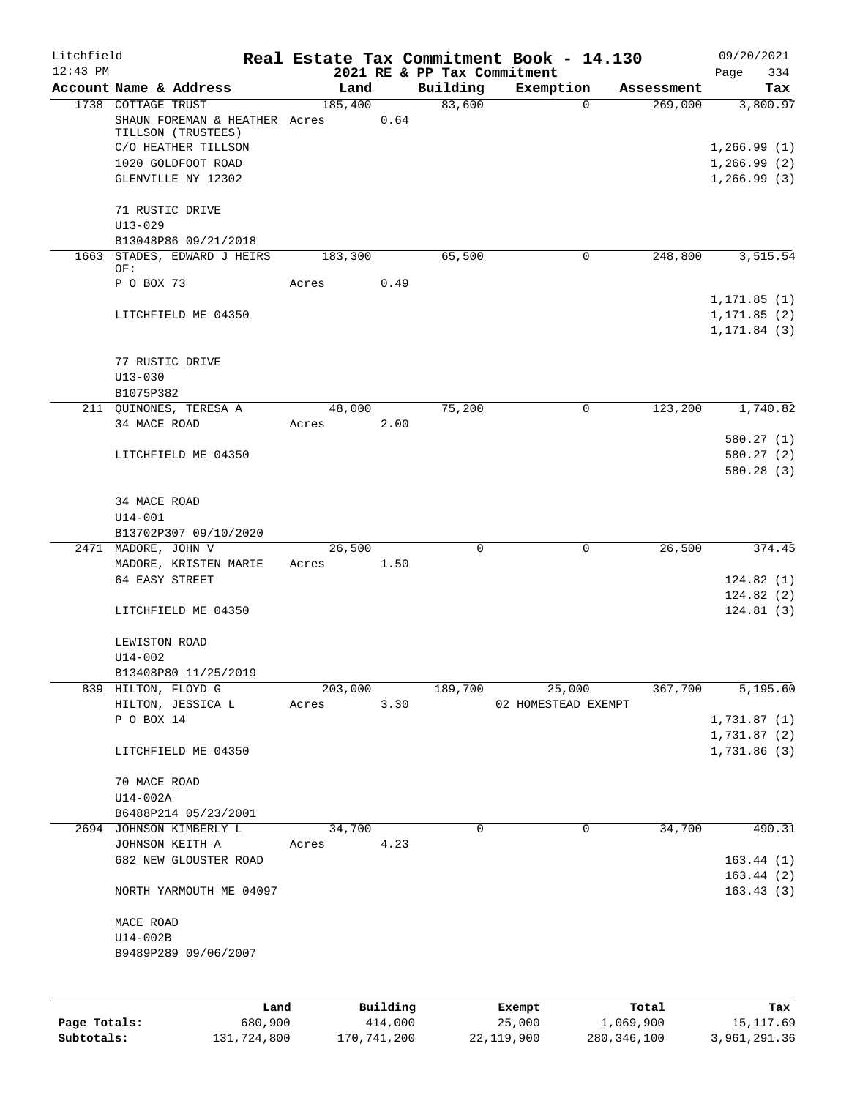| Litchfield   |                                            |                 |          |                                         | Real Estate Tax Commitment Book - 14.130 |            | 09/20/2021                   |
|--------------|--------------------------------------------|-----------------|----------|-----------------------------------------|------------------------------------------|------------|------------------------------|
| $12:43$ PM   | Account Name & Address                     | Land            |          | 2021 RE & PP Tax Commitment<br>Building | Exemption                                | Assessment | 334<br>Page                  |
|              | 1738 COTTAGE TRUST                         | 185,400         |          | 83,600                                  | $\Omega$                                 | 269,000    | Tax<br>3,800.97              |
|              | SHAUN FOREMAN & HEATHER Acres              |                 | 0.64     |                                         |                                          |            |                              |
|              | TILLSON (TRUSTEES)                         |                 |          |                                         |                                          |            |                              |
|              | C/O HEATHER TILLSON                        |                 |          |                                         |                                          |            | 1,266.99(1)                  |
|              | 1020 GOLDFOOT ROAD                         |                 |          |                                         |                                          |            | 1,266.99(2)                  |
|              | GLENVILLE NY 12302                         |                 |          |                                         |                                          |            | 1, 266.99(3)                 |
|              | 71 RUSTIC DRIVE                            |                 |          |                                         |                                          |            |                              |
|              | $U13 - 029$                                |                 |          |                                         |                                          |            |                              |
|              | B13048P86 09/21/2018                       |                 |          |                                         |                                          |            |                              |
|              | 1663 STADES, EDWARD J HEIRS                | 183,300         |          | 65,500                                  | 0                                        | 248,800    | 3,515.54                     |
|              | OF:                                        |                 |          |                                         |                                          |            |                              |
|              | P O BOX 73                                 | Acres           | 0.49     |                                         |                                          |            |                              |
|              | LITCHFIELD ME 04350                        |                 |          |                                         |                                          |            | 1, 171.85(1)<br>1, 171.85(2) |
|              |                                            |                 |          |                                         |                                          |            | 1, 171.84(3)                 |
|              |                                            |                 |          |                                         |                                          |            |                              |
|              | 77 RUSTIC DRIVE                            |                 |          |                                         |                                          |            |                              |
|              | $U13 - 030$                                |                 |          |                                         |                                          |            |                              |
|              | B1075P382                                  |                 |          |                                         |                                          |            |                              |
|              | 211 QUINONES, TERESA A                     | 48,000          |          | 75,200                                  | $\mathbf 0$                              | 123,200    | 1,740.82                     |
|              | 34 MACE ROAD                               | Acres           | 2.00     |                                         |                                          |            | 580.27(1)                    |
|              | LITCHFIELD ME 04350                        |                 |          |                                         |                                          |            | 580.27(2)                    |
|              |                                            |                 |          |                                         |                                          |            | 580.28(3)                    |
|              |                                            |                 |          |                                         |                                          |            |                              |
|              | 34 MACE ROAD                               |                 |          |                                         |                                          |            |                              |
|              | $U14 - 001$                                |                 |          |                                         |                                          |            |                              |
|              | B13702P307 09/10/2020                      |                 |          |                                         |                                          |            |                              |
|              | 2471 MADORE, JOHN V                        | 26,500          |          | 0                                       | 0                                        | 26,500     | 374.45                       |
|              | MADORE, KRISTEN MARIE                      | Acres 1.50      |          |                                         |                                          |            |                              |
|              | 64 EASY STREET                             |                 |          |                                         |                                          |            | 124.82(1)<br>124.82(2)       |
|              | LITCHFIELD ME 04350                        |                 |          |                                         |                                          |            | 124.81(3)                    |
|              |                                            |                 |          |                                         |                                          |            |                              |
|              | LEWISTON ROAD                              |                 |          |                                         |                                          |            |                              |
|              | U14-002                                    |                 |          |                                         |                                          |            |                              |
|              | B13408P80 11/25/2019                       |                 |          |                                         |                                          |            |                              |
|              | 839 HILTON, FLOYD G                        | 203,000         |          | 189,700                                 | 25,000                                   | 367,700    | 5,195.60                     |
|              | HILTON, JESSICA L<br>P O BOX 14            | Acres           | 3.30     |                                         | 02 HOMESTEAD EXEMPT                      |            | 1,731.87(1)                  |
|              |                                            |                 |          |                                         |                                          |            | 1,731.87 (2)                 |
|              | LITCHFIELD ME 04350                        |                 |          |                                         |                                          |            | 1,731.86 (3)                 |
|              |                                            |                 |          |                                         |                                          |            |                              |
|              | 70 MACE ROAD                               |                 |          |                                         |                                          |            |                              |
|              | $U14-002A$                                 |                 |          |                                         |                                          |            |                              |
|              | B6488P214 05/23/2001                       |                 |          |                                         |                                          |            |                              |
|              | 2694 JOHNSON KIMBERLY L<br>JOHNSON KEITH A | 34,700<br>Acres | 4.23     | 0                                       | $\mathbf 0$                              | 34,700     | 490.31                       |
|              | 682 NEW GLOUSTER ROAD                      |                 |          |                                         |                                          |            | 163.44(1)                    |
|              |                                            |                 |          |                                         |                                          |            | 163.44(2)                    |
|              | NORTH YARMOUTH ME 04097                    |                 |          |                                         |                                          |            | 163.43(3)                    |
|              |                                            |                 |          |                                         |                                          |            |                              |
|              | MACE ROAD<br>U14-002B                      |                 |          |                                         |                                          |            |                              |
|              | B9489P289 09/06/2007                       |                 |          |                                         |                                          |            |                              |
|              |                                            |                 |          |                                         |                                          |            |                              |
|              |                                            |                 |          |                                         |                                          |            |                              |
|              | Land                                       |                 | Building |                                         | Exempt                                   | Total      | Tax                          |
| Page Totals: | 680,900                                    |                 | 414,000  |                                         | 25,000                                   | 1,069,900  | 15, 117.69                   |

**Subtotals:** 131,724,800 170,741,200 22,119,900 280,346,100 3,961,291.36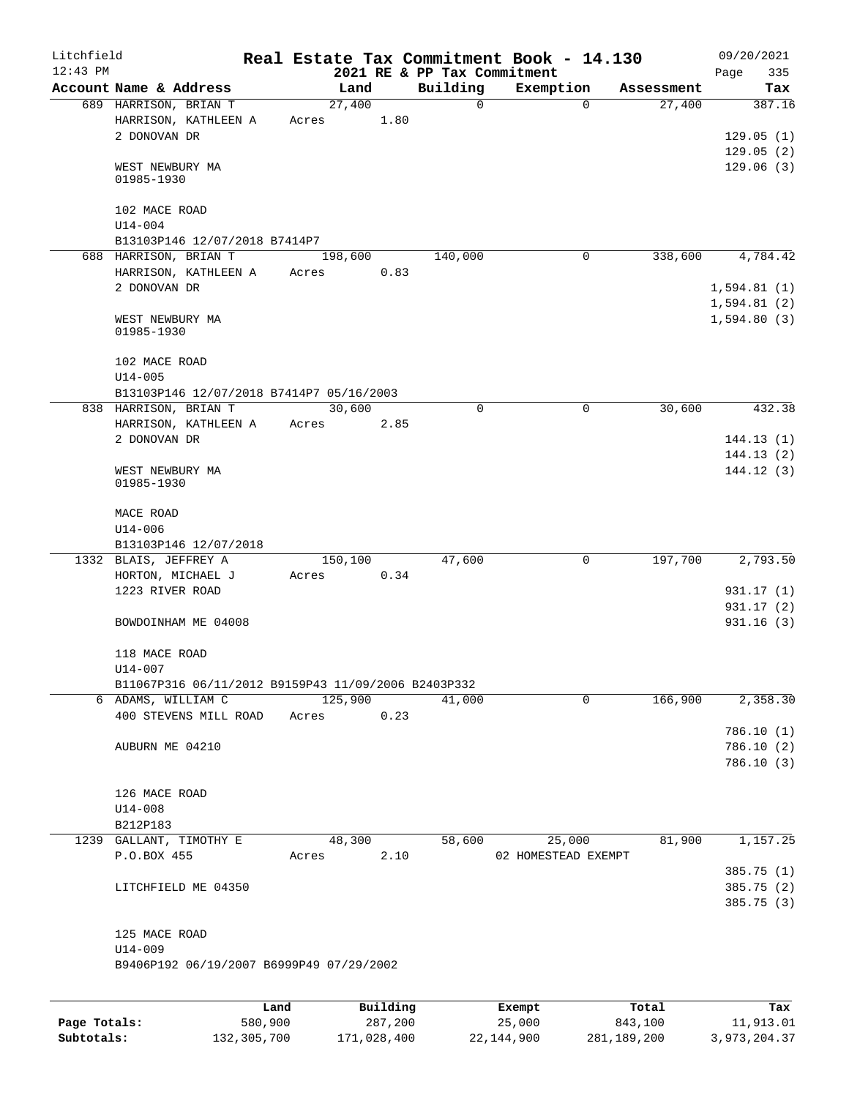| Litchfield   |                                                         |                 |                |                     |                             | Real Estate Tax Commitment Book - 14.130 |                      | 09/20/2021       |
|--------------|---------------------------------------------------------|-----------------|----------------|---------------------|-----------------------------|------------------------------------------|----------------------|------------------|
| $12:43$ PM   |                                                         |                 |                |                     | 2021 RE & PP Tax Commitment |                                          |                      | Page<br>335      |
|              | Account Name & Address<br>689 HARRISON, BRIAN T         |                 | Land<br>27,400 |                     | Building<br>$\mathbf 0$     | Exemption<br>0                           | Assessment<br>27,400 | Tax<br>387.16    |
|              | HARRISON, KATHLEEN A<br>2 DONOVAN DR                    |                 | Acres          | 1.80                |                             |                                          |                      | 129.05(1)        |
|              |                                                         |                 |                |                     |                             |                                          |                      | 129.05(2)        |
|              | WEST NEWBURY MA<br>01985-1930                           |                 |                |                     |                             |                                          |                      | 129.06(3)        |
|              | 102 MACE ROAD<br>$U14 - 004$                            |                 |                |                     |                             |                                          |                      |                  |
|              | B13103P146 12/07/2018 B7414P7                           |                 |                |                     |                             |                                          |                      |                  |
|              | 688 HARRISON, BRIAN T                                   |                 | 198,600        |                     | 140,000                     | 0                                        | 338,600              | 4,784.42         |
|              | HARRISON, KATHLEEN A                                    |                 | Acres          | 0.83                |                             |                                          |                      |                  |
|              | 2 DONOVAN DR                                            |                 |                |                     |                             |                                          |                      | 1,594.81(1)      |
|              |                                                         |                 |                |                     |                             |                                          |                      | 1,594.81(2)      |
|              | WEST NEWBURY MA<br>01985-1930                           |                 |                |                     |                             |                                          |                      | 1,594.80(3)      |
|              | 102 MACE ROAD<br>$U14 - 005$                            |                 |                |                     |                             |                                          |                      |                  |
|              | B13103P146 12/07/2018 B7414P7 05/16/2003                |                 |                |                     |                             |                                          |                      |                  |
|              | 838 HARRISON, BRIAN T                                   |                 | 30,600         |                     | $\Omega$                    | 0                                        | 30,600               | 432.38           |
|              | HARRISON, KATHLEEN A                                    |                 | Acres          | 2.85                |                             |                                          |                      |                  |
|              | 2 DONOVAN DR                                            |                 |                |                     |                             |                                          |                      | 144.13(1)        |
|              |                                                         |                 |                |                     |                             |                                          |                      | 144.13(2)        |
|              | WEST NEWBURY MA<br>01985-1930                           |                 |                |                     |                             |                                          |                      | 144.12(3)        |
|              | MACE ROAD                                               |                 |                |                     |                             |                                          |                      |                  |
|              | $U14 - 006$                                             |                 |                |                     |                             |                                          |                      |                  |
|              | B13103P146 12/07/2018                                   |                 |                |                     |                             |                                          |                      |                  |
|              | 1332 BLAIS, JEFFREY A                                   |                 | 150,100        |                     | 47,600                      | 0                                        | 197,700              | 2,793.50         |
|              | HORTON, MICHAEL J                                       |                 | Acres          | 0.34                |                             |                                          |                      |                  |
|              | 1223 RIVER ROAD                                         |                 |                |                     |                             |                                          |                      | 931.17(1)        |
|              |                                                         |                 |                |                     |                             |                                          |                      | 931.17(2)        |
|              | BOWDOINHAM ME 04008                                     |                 |                |                     |                             |                                          |                      | 931.16(3)        |
|              | 118 MACE ROAD                                           |                 |                |                     |                             |                                          |                      |                  |
|              | U14-007                                                 |                 |                |                     |                             |                                          |                      |                  |
|              | B11067P316 06/11/2012 B9159P43 11/09/2006 B2403P332     |                 |                |                     |                             |                                          |                      |                  |
|              | 6 ADAMS, WILLIAM C                                      |                 | 125,900        |                     | 41,000                      | $\mathbf 0$                              | 166,900              | 2,358.30         |
|              | 400 STEVENS MILL ROAD                                   |                 | Acres          | 0.23                |                             |                                          |                      |                  |
|              |                                                         |                 |                |                     |                             |                                          |                      | 786.10 (1)       |
|              | AUBURN ME 04210                                         |                 |                |                     |                             |                                          |                      | 786.10 (2)       |
|              |                                                         |                 |                |                     |                             |                                          |                      | 786.10 (3)       |
|              | 126 MACE ROAD                                           |                 |                |                     |                             |                                          |                      |                  |
|              | $U14 - 008$                                             |                 |                |                     |                             |                                          |                      |                  |
|              | B212P183                                                |                 |                |                     |                             |                                          |                      |                  |
|              | 1239 GALLANT, TIMOTHY E                                 |                 | 48,300         |                     | 58,600                      | 25,000                                   | 81,900               | 1,157.25         |
|              | P.O.BOX 455                                             |                 | Acres          | 2.10                |                             | 02 HOMESTEAD EXEMPT                      |                      |                  |
|              |                                                         |                 |                |                     |                             |                                          |                      | 385.75 (1)       |
|              | LITCHFIELD ME 04350                                     |                 |                |                     |                             |                                          |                      | 385.75 (2)       |
|              |                                                         |                 |                |                     |                             |                                          |                      | 385.75 (3)       |
|              | 125 MACE ROAD                                           |                 |                |                     |                             |                                          |                      |                  |
|              | $U14 - 009$<br>B9406P192 06/19/2007 B6999P49 07/29/2002 |                 |                |                     |                             |                                          |                      |                  |
|              |                                                         |                 |                |                     |                             |                                          |                      |                  |
|              |                                                         |                 |                |                     |                             |                                          |                      |                  |
| Page Totals: |                                                         | Land<br>580,900 |                | Building<br>287,200 |                             | Exempt<br>25,000                         | Total<br>843,100     | Tax<br>11,913.01 |
|              |                                                         |                 |                |                     |                             |                                          |                      |                  |

**Subtotals:** 132,305,700 171,028,400 22,144,900 281,189,200 3,973,204.37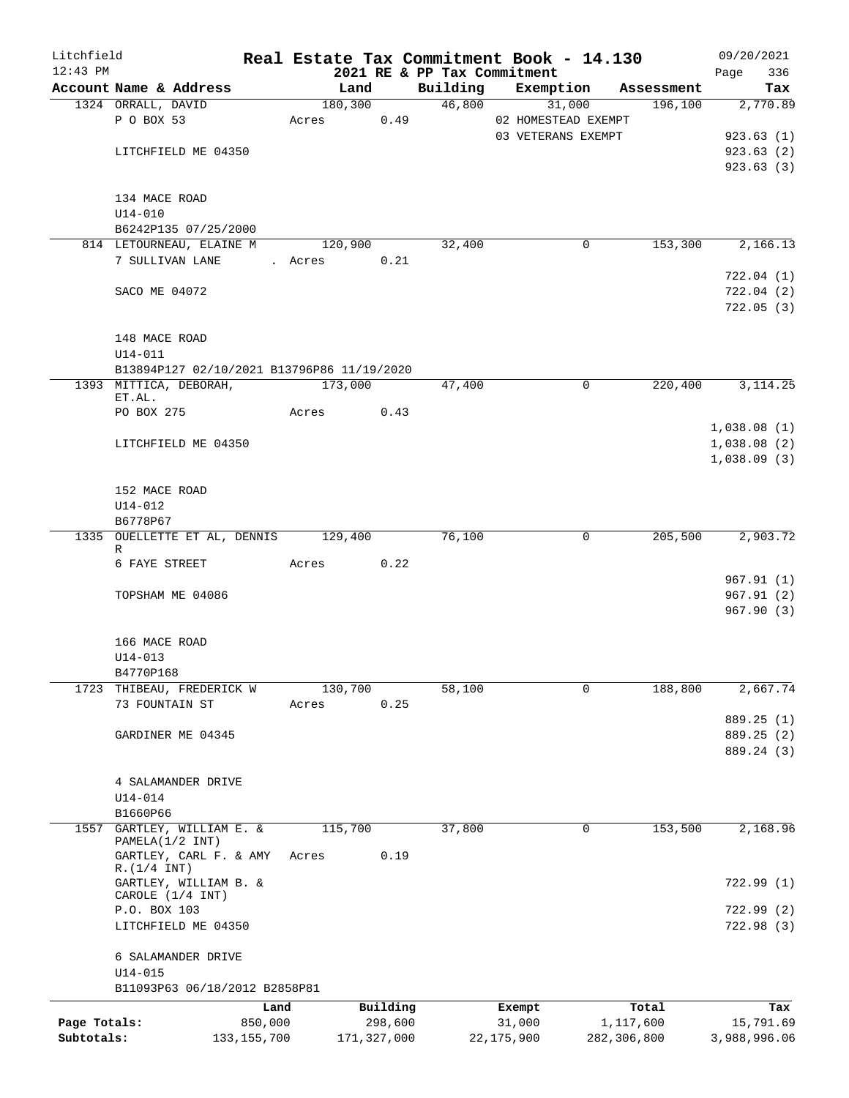| Litchfield   |                    |                                            | Real Estate Tax Commitment Book - 14.130 |             |                                         |                     |             |                       | 09/20/2021                 |
|--------------|--------------------|--------------------------------------------|------------------------------------------|-------------|-----------------------------------------|---------------------|-------------|-----------------------|----------------------------|
| $12:43$ PM   |                    | Account Name & Address                     |                                          |             | 2021 RE & PP Tax Commitment<br>Building |                     |             |                       | Page<br>336                |
|              | 1324 ORRALL, DAVID |                                            | Land<br>180,300                          |             | 46,800                                  | Exemption           | 31,000      | Assessment<br>196,100 | Tax<br>2,770.89            |
|              | P O BOX 53         |                                            | Acres                                    | 0.49        |                                         | 02 HOMESTEAD EXEMPT |             |                       |                            |
|              |                    |                                            |                                          |             |                                         | 03 VETERANS EXEMPT  |             |                       | 923.63(1)                  |
|              |                    | LITCHFIELD ME 04350                        |                                          |             |                                         |                     |             |                       | 923.63 (2)                 |
|              |                    |                                            |                                          |             |                                         |                     |             |                       | 923.63(3)                  |
|              | 134 MACE ROAD      |                                            |                                          |             |                                         |                     |             |                       |                            |
|              | $U14 - 010$        |                                            |                                          |             |                                         |                     |             |                       |                            |
|              |                    | B6242P135 07/25/2000                       |                                          |             |                                         |                     |             |                       |                            |
|              |                    | 814 LETOURNEAU, ELAINE M                   | 120,900                                  |             | 32,400                                  |                     | $\mathbf 0$ | 153,300               | 2,166.13                   |
|              | 7 SULLIVAN LANE    |                                            | . Acres                                  | 0.21        |                                         |                     |             |                       |                            |
|              |                    |                                            |                                          |             |                                         |                     |             |                       | 722.04(1)                  |
|              | SACO ME 04072      |                                            |                                          |             |                                         |                     |             |                       | 722.04(2)                  |
|              |                    |                                            |                                          |             |                                         |                     |             |                       | 722.05(3)                  |
|              | 148 MACE ROAD      |                                            |                                          |             |                                         |                     |             |                       |                            |
|              | $U14 - 011$        |                                            |                                          |             |                                         |                     |             |                       |                            |
|              |                    | B13894P127 02/10/2021 B13796P86 11/19/2020 |                                          |             |                                         |                     |             |                       |                            |
|              |                    | 1393 MITTICA, DEBORAH,                     | 173,000                                  |             | 47,400                                  |                     | $\mathbf 0$ | 220,400               | 3, 114.25                  |
|              | ET.AL.             |                                            |                                          |             |                                         |                     |             |                       |                            |
|              | PO BOX 275         |                                            | Acres                                    | 0.43        |                                         |                     |             |                       |                            |
|              |                    |                                            |                                          |             |                                         |                     |             |                       | 1,038.08(1)                |
|              |                    | LITCHFIELD ME 04350                        |                                          |             |                                         |                     |             |                       | 1,038.08(2)<br>1,038.09(3) |
|              |                    |                                            |                                          |             |                                         |                     |             |                       |                            |
|              | 152 MACE ROAD      |                                            |                                          |             |                                         |                     |             |                       |                            |
|              | $U14 - 012$        |                                            |                                          |             |                                         |                     |             |                       |                            |
|              | B6778P67           |                                            |                                          |             |                                         |                     |             |                       |                            |
|              |                    | 1335 OUELLETTE ET AL, DENNIS 129,400       |                                          |             | 76,100                                  |                     | 0           | 205,500               | 2,903.72                   |
|              | R<br>6 FAYE STREET |                                            | Acres                                    | 0.22        |                                         |                     |             |                       |                            |
|              |                    |                                            |                                          |             |                                         |                     |             |                       | 967.91(1)                  |
|              |                    | TOPSHAM ME 04086                           |                                          |             |                                         |                     |             |                       | 967.91(2)                  |
|              |                    |                                            |                                          |             |                                         |                     |             |                       | 967.90 (3)                 |
|              |                    |                                            |                                          |             |                                         |                     |             |                       |                            |
|              | 166 MACE ROAD      |                                            |                                          |             |                                         |                     |             |                       |                            |
|              | $U14 - 013$        |                                            |                                          |             |                                         |                     |             |                       |                            |
|              | B4770P168          |                                            |                                          |             |                                         |                     |             |                       |                            |
| 1723         | 73 FOUNTAIN ST     | THIBEAU, FREDERICK W                       | 130,700<br>Acres                         | 0.25        | 58,100                                  |                     | 0           | 188,800               | 2,667.74                   |
|              |                    |                                            |                                          |             |                                         |                     |             |                       | 889.25 (1)                 |
|              |                    | GARDINER ME 04345                          |                                          |             |                                         |                     |             |                       | 889.25 (2)                 |
|              |                    |                                            |                                          |             |                                         |                     |             |                       | 889.24 (3)                 |
|              |                    |                                            |                                          |             |                                         |                     |             |                       |                            |
|              |                    | 4 SALAMANDER DRIVE                         |                                          |             |                                         |                     |             |                       |                            |
|              | $U14 - 014$        |                                            |                                          |             |                                         |                     |             |                       |                            |
|              | B1660P66           |                                            |                                          |             |                                         |                     |             |                       |                            |
| 1557         | PAMELA(1/2 INT)    | GARTLEY, WILLIAM E. &                      | 115,700                                  |             | 37,800                                  |                     | 0           | 153,500               | 2,168.96                   |
|              |                    | GARTLEY, CARL F. & AMY                     | Acres                                    | 0.19        |                                         |                     |             |                       |                            |
|              | R.(1/4 INT)        |                                            |                                          |             |                                         |                     |             |                       |                            |
|              |                    | GARTLEY, WILLIAM B. &                      |                                          |             |                                         |                     |             |                       | 722.99(1)                  |
|              | P.O. BOX 103       | CAROLE (1/4 INT)                           |                                          |             |                                         |                     |             |                       | 722.99(2)                  |
|              |                    | LITCHFIELD ME 04350                        |                                          |             |                                         |                     |             |                       | 722.98 (3)                 |
|              |                    |                                            |                                          |             |                                         |                     |             |                       |                            |
|              |                    | 6 SALAMANDER DRIVE                         |                                          |             |                                         |                     |             |                       |                            |
|              | $U14 - 015$        |                                            |                                          |             |                                         |                     |             |                       |                            |
|              |                    | B11093P63 06/18/2012 B2858P81              |                                          |             |                                         |                     |             |                       |                            |
|              |                    | Land                                       |                                          | Building    |                                         | Exempt              |             | Total                 | Tax                        |
| Page Totals: |                    | 850,000                                    |                                          | 298,600     |                                         | 31,000              |             | 1,117,600             | 15,791.69                  |
| Subtotals:   |                    | 133, 155, 700                              |                                          | 171,327,000 |                                         | 22,175,900          | 282,306,800 |                       | 3,988,996.06               |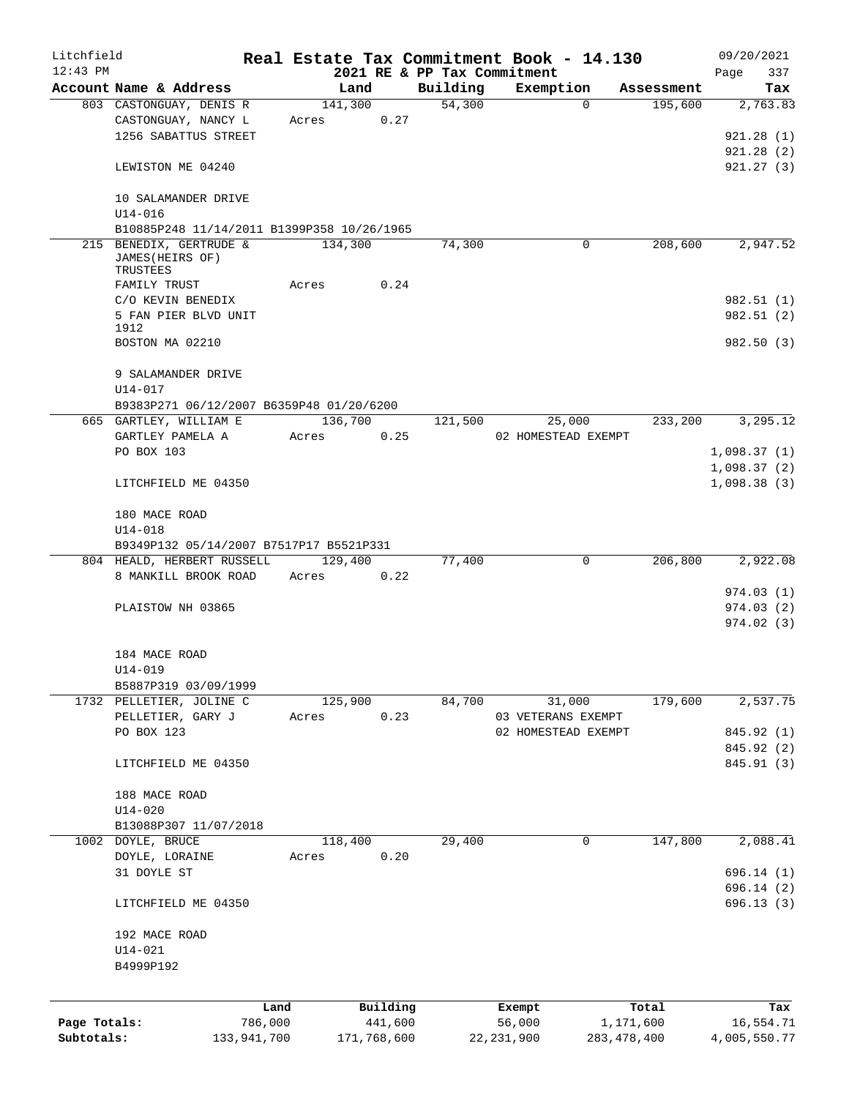| Litchfield   |                                                                       |             |         |             |                             | Real Estate Tax Commitment Book - 14.130 |                     | 09/20/2021   |
|--------------|-----------------------------------------------------------------------|-------------|---------|-------------|-----------------------------|------------------------------------------|---------------------|--------------|
| $12:43$ PM   |                                                                       |             |         |             | 2021 RE & PP Tax Commitment |                                          |                     | 337<br>Page  |
|              | Account Name & Address                                                |             | Land    |             | Building                    | Exemption                                | Assessment          | Tax          |
|              | 803 CASTONGUAY, DENIS R                                               |             | 141,300 |             | 54,300                      |                                          | 195,600<br>$\Omega$ | 2,763.83     |
|              | CASTONGUAY, NANCY L                                                   |             | Acres   | 0.27        |                             |                                          |                     |              |
|              | 1256 SABATTUS STREET                                                  |             |         |             |                             |                                          |                     | 921.28(1)    |
|              |                                                                       |             |         |             |                             |                                          |                     | 921.28(2)    |
|              | LEWISTON ME 04240                                                     |             |         |             |                             |                                          |                     | 921.27(3)    |
|              | 10 SALAMANDER DRIVE                                                   |             |         |             |                             |                                          |                     |              |
|              | $U14 - 016$                                                           |             |         |             |                             |                                          |                     |              |
|              | B10885P248 11/14/2011 B1399P358 10/26/1965<br>215 BENEDIX, GERTRUDE & |             | 134,300 |             | 74,300                      |                                          | 208,600<br>0        | 2,947.52     |
|              | JAMES (HEIRS OF)<br>TRUSTEES                                          |             |         |             |                             |                                          |                     |              |
|              | FAMILY TRUST                                                          |             | Acres   | 0.24        |                             |                                          |                     |              |
|              | C/O KEVIN BENEDIX                                                     |             |         |             |                             |                                          |                     | 982.51 (1)   |
|              | 5 FAN PIER BLVD UNIT                                                  |             |         |             |                             |                                          |                     | 982.51 (2)   |
|              | 1912                                                                  |             |         |             |                             |                                          |                     |              |
|              | BOSTON MA 02210                                                       |             |         |             |                             |                                          |                     | 982.50 (3)   |
|              | 9 SALAMANDER DRIVE                                                    |             |         |             |                             |                                          |                     |              |
|              | $U14 - 017$                                                           |             |         |             |                             |                                          |                     |              |
|              | B9383P271 06/12/2007 B6359P48 01/20/6200                              |             |         |             |                             |                                          |                     |              |
|              | 665 GARTLEY, WILLIAM E                                                |             | 136,700 |             | 121,500                     | 25,000                                   | 233,200             | 3,295.12     |
|              | GARTLEY PAMELA A                                                      |             | Acres   | 0.25        |                             | 02 HOMESTEAD EXEMPT                      |                     |              |
|              | PO BOX 103                                                            |             |         |             |                             |                                          |                     | 1,098.37(1)  |
|              |                                                                       |             |         |             |                             |                                          |                     | 1,098.37(2)  |
|              | LITCHFIELD ME 04350                                                   |             |         |             |                             |                                          |                     | 1,098.38(3)  |
|              | 180 MACE ROAD                                                         |             |         |             |                             |                                          |                     |              |
|              | $U14 - 018$                                                           |             |         |             |                             |                                          |                     |              |
|              | B9349P132 05/14/2007 B7517P17 B5521P331                               |             |         |             |                             |                                          |                     |              |
|              | 804 HEALD, HERBERT RUSSELL                                            |             | 129,400 |             | 77,400                      | $\mathbf 0$                              | 206,800             | 2,922.08     |
|              | 8 MANKILL BROOK ROAD                                                  |             | Acres   | 0.22        |                             |                                          |                     |              |
|              |                                                                       |             |         |             |                             |                                          |                     | 974.03(1)    |
|              | PLAISTOW NH 03865                                                     |             |         |             |                             |                                          |                     | 974.03(2)    |
|              |                                                                       |             |         |             |                             |                                          |                     | 974.02(3)    |
|              | 184 MACE ROAD                                                         |             |         |             |                             |                                          |                     |              |
|              | U14-019                                                               |             |         |             |                             |                                          |                     |              |
|              | B5887P319 03/09/1999                                                  |             |         |             |                             |                                          |                     |              |
|              | 1732 PELLETIER, JOLINE C                                              |             | 125,900 |             | 84,700                      | 31,000                                   | 179,600             | 2,537.75     |
|              | PELLETIER, GARY J                                                     |             | Acres   | 0.23        |                             | 03 VETERANS EXEMPT                       |                     |              |
|              | PO BOX 123                                                            |             |         |             |                             | 02 HOMESTEAD EXEMPT                      |                     | 845.92 (1)   |
|              |                                                                       |             |         |             |                             |                                          |                     | 845.92 (2)   |
|              | LITCHFIELD ME 04350                                                   |             |         |             |                             |                                          |                     | 845.91 (3)   |
|              | 188 MACE ROAD                                                         |             |         |             |                             |                                          |                     |              |
|              | $U14 - 020$                                                           |             |         |             |                             |                                          |                     |              |
|              | B13088P307 11/07/2018                                                 |             |         |             |                             |                                          |                     |              |
|              | 1002 DOYLE, BRUCE                                                     |             | 118,400 |             | 29,400                      | 0                                        | 147,800             | 2,088.41     |
|              | DOYLE, LORAINE                                                        |             | Acres   | 0.20        |                             |                                          |                     |              |
|              | 31 DOYLE ST                                                           |             |         |             |                             |                                          |                     | 696.14(1)    |
|              |                                                                       |             |         |             |                             |                                          |                     | 696.14 (2)   |
|              | LITCHFIELD ME 04350                                                   |             |         |             |                             |                                          |                     | 696.13(3)    |
|              | 192 MACE ROAD                                                         |             |         |             |                             |                                          |                     |              |
|              | $U14 - 021$                                                           |             |         |             |                             |                                          |                     |              |
|              | B4999P192                                                             |             |         |             |                             |                                          |                     |              |
|              |                                                                       |             |         |             |                             |                                          |                     |              |
|              |                                                                       | Land        |         | Building    |                             | Exempt                                   | Total               | Tax          |
| Page Totals: |                                                                       | 786,000     |         | 441,600     |                             | 56,000                                   | 1,171,600           | 16,554.71    |
| Subtotals:   |                                                                       | 133,941,700 |         | 171,768,600 |                             | 22, 231, 900                             | 283, 478, 400       | 4,005,550.77 |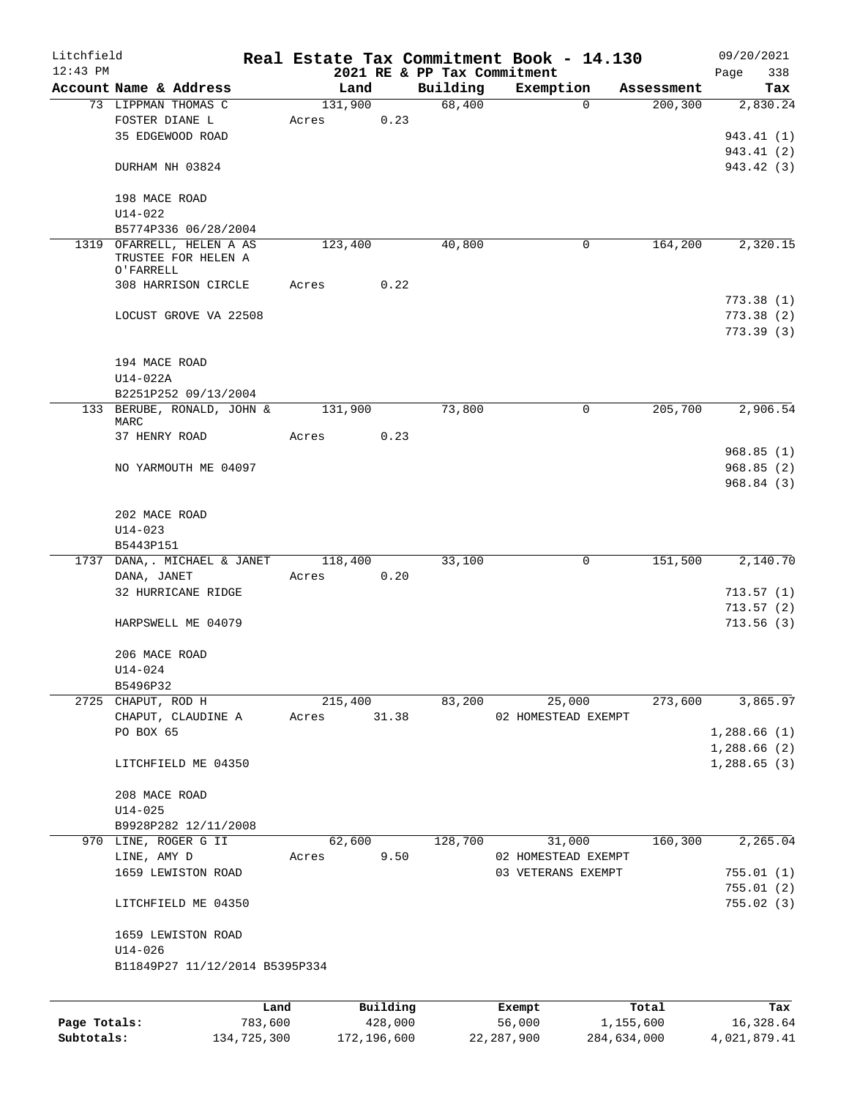| Litchfield   |                                                               |         |         |          |                             | Real Estate Tax Commitment Book - 14.130 |            | 09/20/2021  |
|--------------|---------------------------------------------------------------|---------|---------|----------|-----------------------------|------------------------------------------|------------|-------------|
| $12:43$ PM   |                                                               |         |         |          | 2021 RE & PP Tax Commitment |                                          |            | 338<br>Page |
|              | Account Name & Address                                        |         | Land    |          | Building                    | Exemption                                | Assessment | Tax         |
|              | 73 LIPPMAN THOMAS C                                           |         | 131,900 |          | 68,400                      | 0                                        | 200,300    | 2,830.24    |
|              | FOSTER DIANE L                                                |         | Acres   | 0.23     |                             |                                          |            |             |
|              | 35 EDGEWOOD ROAD                                              |         |         |          |                             |                                          |            | 943.41 (1)  |
|              |                                                               |         |         |          |                             |                                          |            | 943.41 (2)  |
|              | DURHAM NH 03824                                               |         |         |          |                             |                                          |            | 943.42 (3)  |
|              |                                                               |         |         |          |                             |                                          |            |             |
|              | 198 MACE ROAD                                                 |         |         |          |                             |                                          |            |             |
|              | $U14 - 022$                                                   |         |         |          |                             |                                          |            |             |
|              | B5774P336 06/28/2004                                          |         | 123,400 |          | 40,800                      | 0                                        | 164,200    |             |
|              | 1319 OFARRELL, HELEN A AS<br>TRUSTEE FOR HELEN A<br>O'FARRELL |         |         |          |                             |                                          |            | 2,320.15    |
|              | 308 HARRISON CIRCLE                                           |         | Acres   | 0.22     |                             |                                          |            |             |
|              |                                                               |         |         |          |                             |                                          |            | 773.38(1)   |
|              | LOCUST GROVE VA 22508                                         |         |         |          |                             |                                          |            | 773.38(2)   |
|              |                                                               |         |         |          |                             |                                          |            | 773.39(3)   |
|              | 194 MACE ROAD                                                 |         |         |          |                             |                                          |            |             |
|              | U14-022A                                                      |         |         |          |                             |                                          |            |             |
|              | B2251P252 09/13/2004                                          |         |         |          |                             |                                          |            |             |
|              | 133 BERUBE, RONALD, JOHN &                                    |         | 131,900 |          | 73,800                      | 0                                        | 205,700    | 2,906.54    |
|              | MARC                                                          |         |         |          |                             |                                          |            |             |
|              | 37 HENRY ROAD                                                 |         | Acres   | 0.23     |                             |                                          |            |             |
|              |                                                               |         |         |          |                             |                                          |            | 968.85(1)   |
|              | NO YARMOUTH ME 04097                                          |         |         |          |                             |                                          |            | 968.85(2)   |
|              |                                                               |         |         |          |                             |                                          |            | 968.84(3)   |
|              | 202 MACE ROAD                                                 |         |         |          |                             |                                          |            |             |
|              | $U14 - 023$                                                   |         |         |          |                             |                                          |            |             |
|              | B5443P151                                                     |         |         |          |                             |                                          |            |             |
| 1737         | DANA,. MICHAEL & JANET                                        |         | 118,400 |          | 33,100                      | 0                                        | 151,500    | 2,140.70    |
|              | DANA, JANET                                                   |         | Acres   | 0.20     |                             |                                          |            |             |
|              | 32 HURRICANE RIDGE                                            |         |         |          |                             |                                          |            | 713.57(1)   |
|              |                                                               |         |         |          |                             |                                          |            | 713.57(2)   |
|              | HARPSWELL ME 04079                                            |         |         |          |                             |                                          |            | 713.56(3)   |
|              | 206 MACE ROAD                                                 |         |         |          |                             |                                          |            |             |
|              | U14-024                                                       |         |         |          |                             |                                          |            |             |
|              | B5496P32                                                      |         |         |          |                             |                                          |            |             |
|              | 2725 CHAPUT, ROD H                                            |         | 215,400 |          | 83,200                      | 25,000                                   | 273,600    | 3,865.97    |
|              | CHAPUT, CLAUDINE A                                            |         | Acres   | 31.38    |                             | 02 HOMESTEAD EXEMPT                      |            |             |
|              | PO BOX 65                                                     |         |         |          |                             |                                          |            | 1,288.66(1) |
|              |                                                               |         |         |          |                             |                                          |            | 1,288.66(2) |
|              | LITCHFIELD ME 04350                                           |         |         |          |                             |                                          |            | 1,288.65(3) |
|              | 208 MACE ROAD                                                 |         |         |          |                             |                                          |            |             |
|              | $U14 - 025$                                                   |         |         |          |                             |                                          |            |             |
|              | B9928P282 12/11/2008                                          |         |         |          |                             |                                          |            |             |
|              | 970 LINE, ROGER G II                                          |         | 62,600  |          | 128,700                     | 31,000                                   | 160,300    | 2,265.04    |
|              | LINE, AMY D                                                   |         | Acres   | 9.50     |                             | 02 HOMESTEAD EXEMPT                      |            |             |
|              | 1659 LEWISTON ROAD                                            |         |         |          |                             | 03 VETERANS EXEMPT                       |            | 755.01(1)   |
|              |                                                               |         |         |          |                             |                                          |            | 755.01(2)   |
|              | LITCHFIELD ME 04350                                           |         |         |          |                             |                                          |            | 755.02(3)   |
|              | 1659 LEWISTON ROAD                                            |         |         |          |                             |                                          |            |             |
|              | $U14 - 026$                                                   |         |         |          |                             |                                          |            |             |
|              | B11849P27 11/12/2014 B5395P334                                |         |         |          |                             |                                          |            |             |
|              |                                                               | Land    |         | Building |                             |                                          | Total      | Tax         |
| Page Totals: |                                                               | 783,600 |         | 428,000  |                             | Exempt<br>56,000                         | 1,155,600  | 16,328.64   |
|              |                                                               |         |         |          |                             |                                          |            |             |

**Subtotals:** 134,725,300 172,196,600 22,287,900 284,634,000 4,021,879.41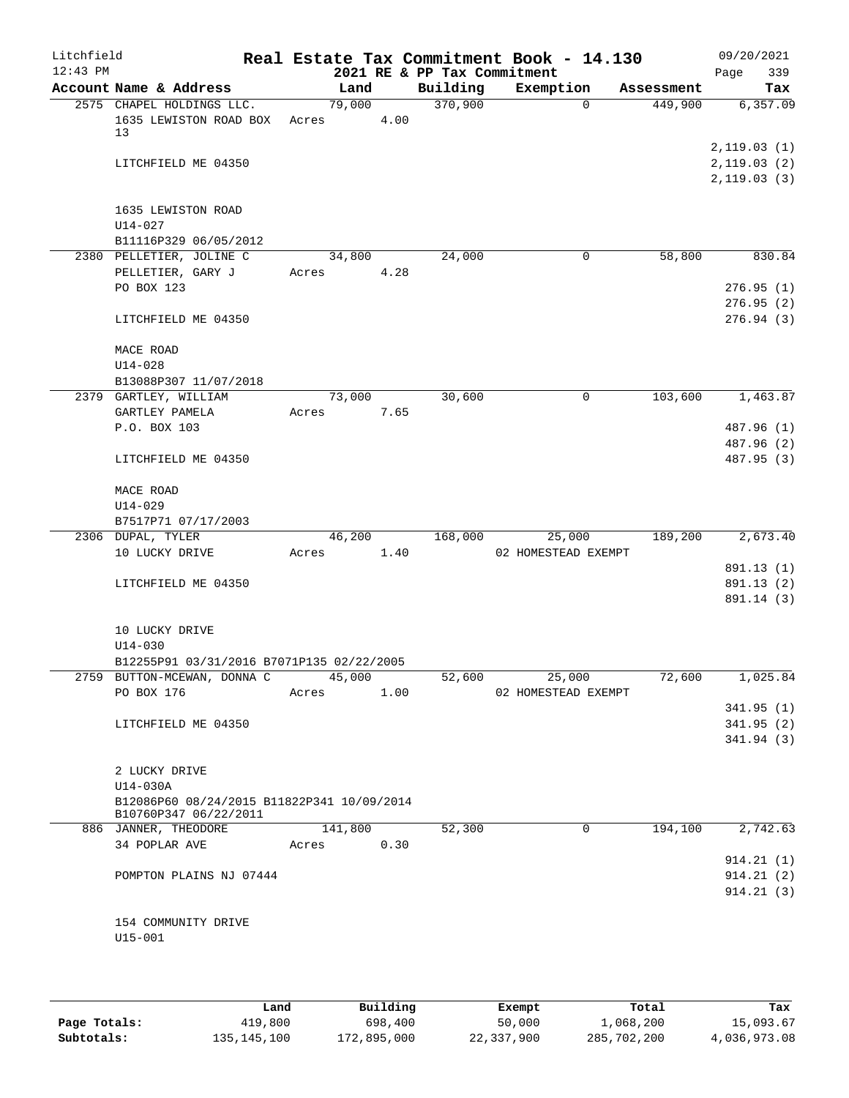| Litchfield<br>$12:43$ PM |                                                                            |       |         |      | 2021 RE & PP Tax Commitment | Real Estate Tax Commitment Book - 14.130 |            | 09/20/2021<br>339<br>Page                 |
|--------------------------|----------------------------------------------------------------------------|-------|---------|------|-----------------------------|------------------------------------------|------------|-------------------------------------------|
|                          | Account Name & Address                                                     |       | Land    |      | Building                    | Exemption                                | Assessment | Tax                                       |
|                          | 2575 CHAPEL HOLDINGS LLC.<br>1635 LEWISTON ROAD BOX<br>13                  | Acres | 79,000  | 4.00 | 370,900                     | $\Omega$                                 | 449,900    | 6, 357.09                                 |
|                          | LITCHFIELD ME 04350                                                        |       |         |      |                             |                                          |            | 2,119.03(1)<br>2,119.03(2)<br>2,119.03(3) |
|                          | 1635 LEWISTON ROAD<br>$U14 - 027$<br>B11116P329 06/05/2012                 |       |         |      |                             |                                          |            |                                           |
|                          | 2380 PELLETIER, JOLINE C                                                   |       | 34,800  |      | 24,000                      | 0                                        | 58,800     | 830.84                                    |
|                          | PELLETIER, GARY J<br>PO BOX 123                                            | Acres |         | 4.28 |                             |                                          |            | 276.95(1)<br>276.95(2)                    |
|                          | LITCHFIELD ME 04350                                                        |       |         |      |                             |                                          |            | 276.94(3)                                 |
|                          | MACE ROAD<br>$U14 - 028$                                                   |       |         |      |                             |                                          |            |                                           |
|                          | B13088P307 11/07/2018                                                      |       |         |      |                             |                                          |            |                                           |
|                          | 2379 GARTLEY, WILLIAM<br>GARTLEY PAMELA                                    | Acres | 73,000  | 7.65 | 30,600                      | $\mathsf{O}$                             | 103,600    | 1,463.87                                  |
|                          | P.O. BOX 103                                                               |       |         |      |                             |                                          |            | 487.96 (1)                                |
|                          | LITCHFIELD ME 04350                                                        |       |         |      |                             |                                          |            | 487.96 (2)<br>487.95 (3)                  |
|                          | MACE ROAD<br>$U14 - 029$                                                   |       |         |      |                             |                                          |            |                                           |
|                          | B7517P71 07/17/2003                                                        |       |         |      |                             |                                          |            |                                           |
|                          | 2306 DUPAL, TYLER                                                          |       | 46,200  |      | 168,000                     | 25,000                                   | 189,200    | 2,673.40                                  |
|                          | 10 LUCKY DRIVE                                                             | Acres |         | 1.40 |                             | 02 HOMESTEAD EXEMPT                      |            |                                           |
|                          |                                                                            |       |         |      |                             |                                          |            | 891.13 (1)                                |
|                          | LITCHFIELD ME 04350                                                        |       |         |      |                             |                                          |            | 891.13 (2)<br>891.14 (3)                  |
|                          | 10 LUCKY DRIVE<br>$U14 - 030$<br>B12255P91 03/31/2016 B7071P135 02/22/2005 |       |         |      |                             |                                          |            |                                           |
|                          | 2759 BUTTON-MCEWAN, DONNA C                                                |       | 45,000  |      | 52,600                      | 25,000                                   | 72,600     | 1,025.84                                  |
|                          | PO BOX 176                                                                 | Acres |         | 1.00 |                             | 02 HOMESTEAD EXEMPT                      |            | 341.95(1)                                 |
|                          | LITCHFIELD ME 04350                                                        |       |         |      |                             |                                          |            | 341.95(2)<br>341.94(3)                    |
|                          | 2 LUCKY DRIVE                                                              |       |         |      |                             |                                          |            |                                           |
|                          | U14-030A                                                                   |       |         |      |                             |                                          |            |                                           |
|                          | B12086P60 08/24/2015 B11822P341 10/09/2014<br>B10760P347 06/22/2011        |       |         |      |                             |                                          |            |                                           |
|                          | 886 JANNER, THEODORE                                                       |       | 141,800 | 0.30 | 52,300                      | $\mathbf 0$                              | 194,100    | 2,742.63                                  |
|                          | 34 POPLAR AVE                                                              | Acres |         |      |                             |                                          |            | 914.21(1)                                 |
|                          | POMPTON PLAINS NJ 07444                                                    |       |         |      |                             |                                          |            | 914.21(2)                                 |
|                          |                                                                            |       |         |      |                             |                                          |            | 914.21(3)                                 |
|                          | 154 COMMUNITY DRIVE<br>$U15 - 001$                                         |       |         |      |                             |                                          |            |                                           |
|                          |                                                                            |       |         |      |                             |                                          |            |                                           |

|              | Land        | Building    | Exempt     | Total       | Tax          |
|--------------|-------------|-------------|------------|-------------|--------------|
| Page Totals: | 419,800     | 698,400     | 50,000     | 1,068,200   | 15,093.67    |
| Subtotals:   | 135,145,100 | 172,895,000 | 22,337,900 | 285,702,200 | 4,036,973.08 |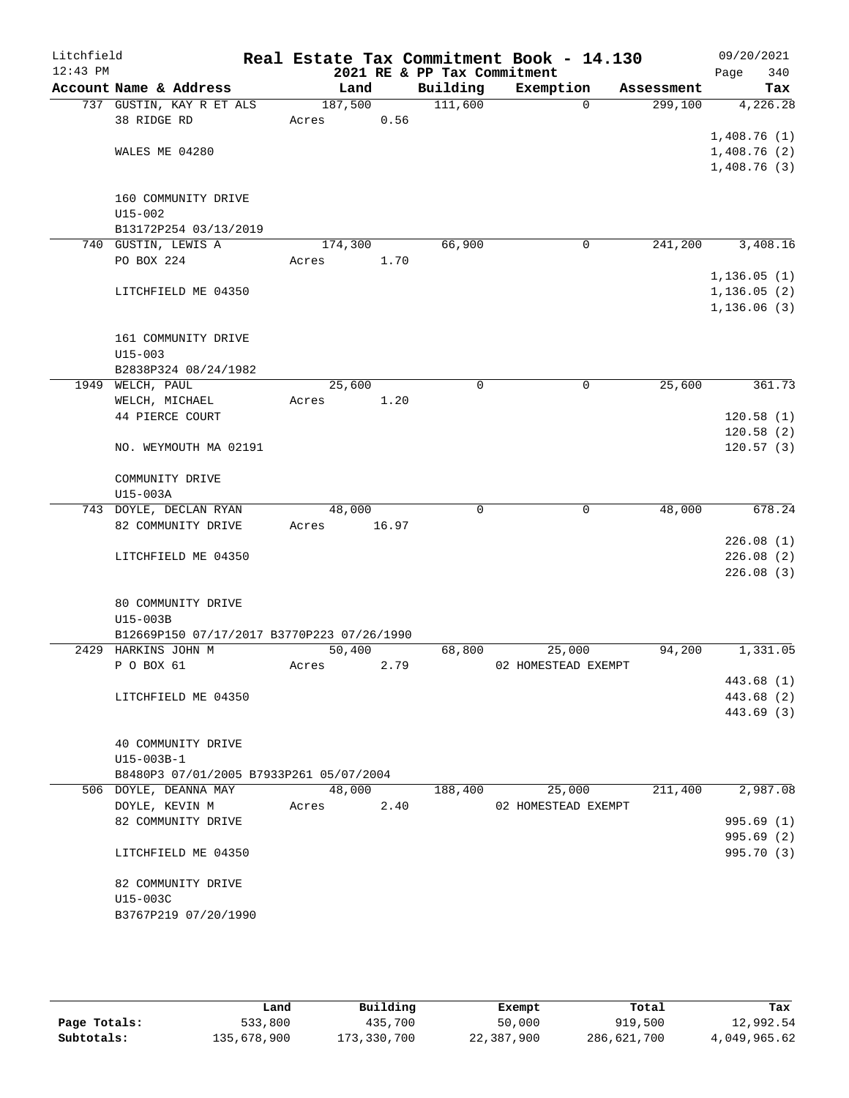| Litchfield |                                            |         |       |                                         | Real Estate Tax Commitment Book - 14.130 |                       | 09/20/2021                   |
|------------|--------------------------------------------|---------|-------|-----------------------------------------|------------------------------------------|-----------------------|------------------------------|
| $12:43$ PM | Account Name & Address                     | Land    |       | 2021 RE & PP Tax Commitment<br>Building | Exemption                                |                       | 340<br>Page                  |
|            | 737 GUSTIN, KAY R ET ALS                   | 187,500 |       | 111,600                                 | $\Omega$                                 | Assessment<br>299,100 | Tax<br>4,226.28              |
|            | 38 RIDGE RD                                | Acres   | 0.56  |                                         |                                          |                       |                              |
|            |                                            |         |       |                                         |                                          |                       | 1,408.76(1)                  |
|            | WALES ME 04280                             |         |       |                                         |                                          |                       | 1,408.76(2)                  |
|            |                                            |         |       |                                         |                                          |                       | 1,408.76(3)                  |
|            |                                            |         |       |                                         |                                          |                       |                              |
|            | 160 COMMUNITY DRIVE                        |         |       |                                         |                                          |                       |                              |
|            | $U15 - 002$                                |         |       |                                         |                                          |                       |                              |
|            | B13172P254 03/13/2019                      |         |       |                                         |                                          |                       |                              |
|            | 740 GUSTIN, LEWIS A                        | 174,300 |       | 66,900                                  | $\mathbf 0$                              | 241,200               | 3,408.16                     |
|            | PO BOX 224                                 | Acres   | 1.70  |                                         |                                          |                       |                              |
|            |                                            |         |       |                                         |                                          |                       | 1, 136.05(1)                 |
|            | LITCHFIELD ME 04350                        |         |       |                                         |                                          |                       | 1, 136.05(2)<br>1, 136.06(3) |
|            |                                            |         |       |                                         |                                          |                       |                              |
|            | 161 COMMUNITY DRIVE                        |         |       |                                         |                                          |                       |                              |
|            | $U15 - 003$                                |         |       |                                         |                                          |                       |                              |
|            | B2838P324 08/24/1982                       |         |       |                                         |                                          |                       |                              |
|            | 1949 WELCH, PAUL                           | 25,600  |       | 0                                       | $\mathbf 0$                              | 25,600                | 361.73                       |
|            | WELCH, MICHAEL                             | Acres   | 1.20  |                                         |                                          |                       |                              |
|            | 44 PIERCE COURT                            |         |       |                                         |                                          |                       | 120.58(1)                    |
|            |                                            |         |       |                                         |                                          |                       | 120.58(2)                    |
|            | NO. WEYMOUTH MA 02191                      |         |       |                                         |                                          |                       | 120.57(3)                    |
|            |                                            |         |       |                                         |                                          |                       |                              |
|            | COMMUNITY DRIVE<br>U15-003A                |         |       |                                         |                                          |                       |                              |
|            | 743 DOYLE, DECLAN RYAN                     | 48,000  |       | 0                                       | 0                                        | 48,000                | 678.24                       |
|            | 82 COMMUNITY DRIVE                         | Acres   | 16.97 |                                         |                                          |                       |                              |
|            |                                            |         |       |                                         |                                          |                       | 226.08(1)                    |
|            | LITCHFIELD ME 04350                        |         |       |                                         |                                          |                       | 226.08(2)                    |
|            |                                            |         |       |                                         |                                          |                       | 226.08(3)                    |
|            |                                            |         |       |                                         |                                          |                       |                              |
|            | 80 COMMUNITY DRIVE                         |         |       |                                         |                                          |                       |                              |
|            | U15-003B                                   |         |       |                                         |                                          |                       |                              |
|            | B12669P150 07/17/2017 B3770P223 07/26/1990 |         |       |                                         |                                          |                       |                              |
|            | 2429 HARKINS JOHN M<br>P O BOX 61          | 50,400  |       | 68,800                                  | 25,000                                   | 94,200                | 1,331.05                     |
|            |                                            | Acres   | 2.79  |                                         | 02 HOMESTEAD EXEMPT                      |                       | 443.68 (1)                   |
|            | LITCHFIELD ME 04350                        |         |       |                                         |                                          |                       | 443.68 (2)                   |
|            |                                            |         |       |                                         |                                          |                       | 443.69 (3)                   |
|            |                                            |         |       |                                         |                                          |                       |                              |
|            | 40 COMMUNITY DRIVE                         |         |       |                                         |                                          |                       |                              |
|            | U15-003B-1                                 |         |       |                                         |                                          |                       |                              |
|            | B8480P3 07/01/2005 B7933P261 05/07/2004    |         |       |                                         |                                          |                       |                              |
|            | 506 DOYLE, DEANNA MAY                      | 48,000  |       | 188,400                                 | 25,000                                   | 211,400               | 2,987.08                     |
|            | DOYLE, KEVIN M                             | Acres   | 2.40  |                                         | 02 HOMESTEAD EXEMPT                      |                       |                              |
|            | 82 COMMUNITY DRIVE                         |         |       |                                         |                                          |                       | 995.69(1)                    |
|            |                                            |         |       |                                         |                                          |                       | 995.69(2)                    |
|            | LITCHFIELD ME 04350                        |         |       |                                         |                                          |                       | 995.70 (3)                   |
|            | 82 COMMUNITY DRIVE                         |         |       |                                         |                                          |                       |                              |
|            | U15-003C                                   |         |       |                                         |                                          |                       |                              |
|            | B3767P219 07/20/1990                       |         |       |                                         |                                          |                       |                              |
|            |                                            |         |       |                                         |                                          |                       |                              |
|            |                                            |         |       |                                         |                                          |                       |                              |

|              | Land        | Building    | Exempt     | Total       | Tax          |
|--------------|-------------|-------------|------------|-------------|--------------|
| Page Totals: | 533,800     | 435,700     | 50,000     | 919,500     | 12,992.54    |
| Subtotals:   | 135,678,900 | 173,330,700 | 22,387,900 | 286,621,700 | 4,049,965.62 |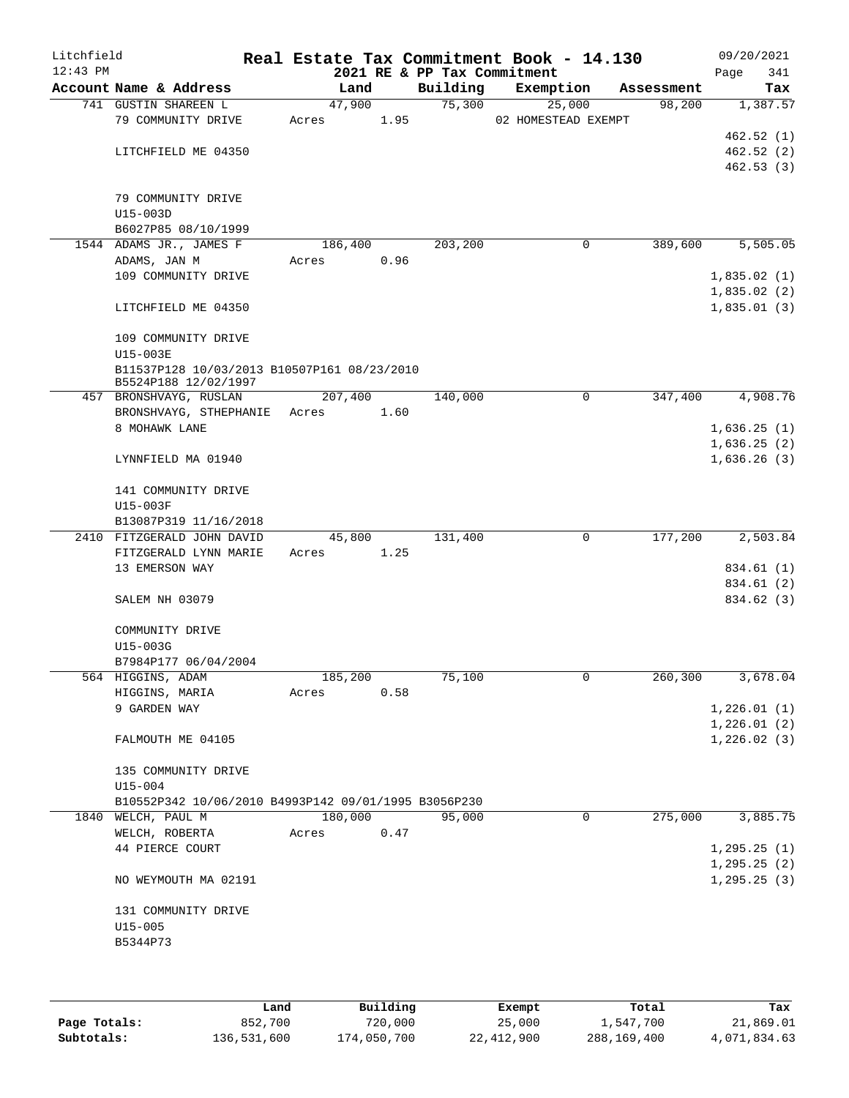| Litchfield<br>$12:43$ PM |                                                      |         |      | 2021 RE & PP Tax Commitment | Real Estate Tax Commitment Book - 14.130 |            | 09/20/2021<br>Page<br>341 |
|--------------------------|------------------------------------------------------|---------|------|-----------------------------|------------------------------------------|------------|---------------------------|
|                          | Account Name & Address                               | Land    |      | Building                    | Exemption                                | Assessment | Tax                       |
|                          | 741 GUSTIN SHAREEN L                                 | 47,900  |      | 75,300                      | 25,000                                   | 98,200     | 1,387.57                  |
|                          | 79 COMMUNITY DRIVE                                   | Acres   | 1.95 |                             | 02 HOMESTEAD EXEMPT                      |            |                           |
|                          |                                                      |         |      |                             |                                          |            | 462.52(1)                 |
|                          | LITCHFIELD ME 04350                                  |         |      |                             |                                          |            | 462.52(2)                 |
|                          |                                                      |         |      |                             |                                          |            | 462.53(3)                 |
|                          |                                                      |         |      |                             |                                          |            |                           |
|                          | 79 COMMUNITY DRIVE                                   |         |      |                             |                                          |            |                           |
|                          | $U15-003D$                                           |         |      |                             |                                          |            |                           |
|                          | B6027P85 08/10/1999                                  |         |      |                             |                                          |            |                           |
|                          | 1544 ADAMS JR., JAMES F                              | 186,400 |      | 203,200                     | 0                                        | 389,600    | 5,505.05                  |
|                          | ADAMS, JAN M                                         | Acres   | 0.96 |                             |                                          |            |                           |
|                          | 109 COMMUNITY DRIVE                                  |         |      |                             |                                          |            | 1,835.02(1)               |
|                          |                                                      |         |      |                             |                                          |            | 1,835.02(2)               |
|                          | LITCHFIELD ME 04350                                  |         |      |                             |                                          |            | 1,835.01(3)               |
|                          |                                                      |         |      |                             |                                          |            |                           |
|                          | 109 COMMUNITY DRIVE                                  |         |      |                             |                                          |            |                           |
|                          | U15-003E                                             |         |      |                             |                                          |            |                           |
|                          | B11537P128 10/03/2013 B10507P161 08/23/2010          |         |      |                             |                                          |            |                           |
|                          | B5524P188 12/02/1997                                 |         |      |                             |                                          |            |                           |
|                          | 457 BRONSHVAYG, RUSLAN                               | 207,400 |      | 140,000                     | $\mathbf 0$                              | 347,400    | 4,908.76                  |
|                          | BRONSHVAYG, STHEPHANIE                               | Acres   | 1.60 |                             |                                          |            |                           |
|                          | 8 MOHAWK LANE                                        |         |      |                             |                                          |            | 1,636.25(1)               |
|                          |                                                      |         |      |                             |                                          |            | 1,636.25(2)               |
|                          | LYNNFIELD MA 01940                                   |         |      |                             |                                          |            | 1,636.26(3)               |
|                          |                                                      |         |      |                             |                                          |            |                           |
|                          | 141 COMMUNITY DRIVE                                  |         |      |                             |                                          |            |                           |
|                          | U15-003F                                             |         |      |                             |                                          |            |                           |
|                          | B13087P319 11/16/2018                                |         |      |                             |                                          |            |                           |
|                          | 2410 FITZGERALD JOHN DAVID                           | 45,800  |      | 131,400                     | 0                                        | 177,200    | 2,503.84                  |
|                          | FITZGERALD LYNN MARIE                                | Acres   | 1.25 |                             |                                          |            |                           |
|                          | 13 EMERSON WAY                                       |         |      |                             |                                          |            | 834.61 (1)                |
|                          |                                                      |         |      |                             |                                          |            | 834.61 (2)                |
|                          | SALEM NH 03079                                       |         |      |                             |                                          |            | 834.62 (3)                |
|                          |                                                      |         |      |                             |                                          |            |                           |
|                          | COMMUNITY DRIVE                                      |         |      |                             |                                          |            |                           |
|                          | U15-003G                                             |         |      |                             |                                          |            |                           |
|                          | B7984P177 06/04/2004                                 |         |      |                             |                                          |            |                           |
|                          | 564 HIGGINS, ADAM                                    | 185,200 |      | 75,100                      | 0                                        | 260,300    | 3,678.04                  |
|                          | HIGGINS, MARIA                                       | Acres   | 0.58 |                             |                                          |            |                           |
|                          | 9 GARDEN WAY                                         |         |      |                             |                                          |            | 1,226.01(1)               |
|                          |                                                      |         |      |                             |                                          |            | 1,226.01(2)               |
|                          | FALMOUTH ME 04105                                    |         |      |                             |                                          |            | 1,226.02(3)               |
|                          |                                                      |         |      |                             |                                          |            |                           |
|                          | 135 COMMUNITY DRIVE                                  |         |      |                             |                                          |            |                           |
|                          | $U15 - 004$                                          |         |      |                             |                                          |            |                           |
|                          | B10552P342 10/06/2010 B4993P142 09/01/1995 B3056P230 |         |      |                             |                                          |            |                           |
|                          | 1840 WELCH, PAUL M                                   | 180,000 |      | 95,000                      | 0                                        | 275,000    | 3,885.75                  |
|                          | WELCH, ROBERTA                                       | Acres   | 0.47 |                             |                                          |            |                           |
|                          | 44 PIERCE COURT                                      |         |      |                             |                                          |            | 1, 295.25(1)              |
|                          |                                                      |         |      |                             |                                          |            | 1, 295.25(2)              |
|                          | NO WEYMOUTH MA 02191                                 |         |      |                             |                                          |            | 1, 295.25(3)              |
|                          |                                                      |         |      |                             |                                          |            |                           |
|                          | 131 COMMUNITY DRIVE                                  |         |      |                             |                                          |            |                           |
|                          | $U15 - 005$                                          |         |      |                             |                                          |            |                           |
|                          | B5344P73                                             |         |      |                             |                                          |            |                           |
|                          |                                                      |         |      |                             |                                          |            |                           |
|                          |                                                      |         |      |                             |                                          |            |                           |

|              | Land        | Building    | Exempt     | Total       | Tax          |
|--------------|-------------|-------------|------------|-------------|--------------|
| Page Totals: | 852,700     | 720,000     | 25,000     | 1,547,700   | 21,869.01    |
| Subtotals:   | 136,531,600 | 174,050,700 | 22,412,900 | 288,169,400 | 4,071,834.63 |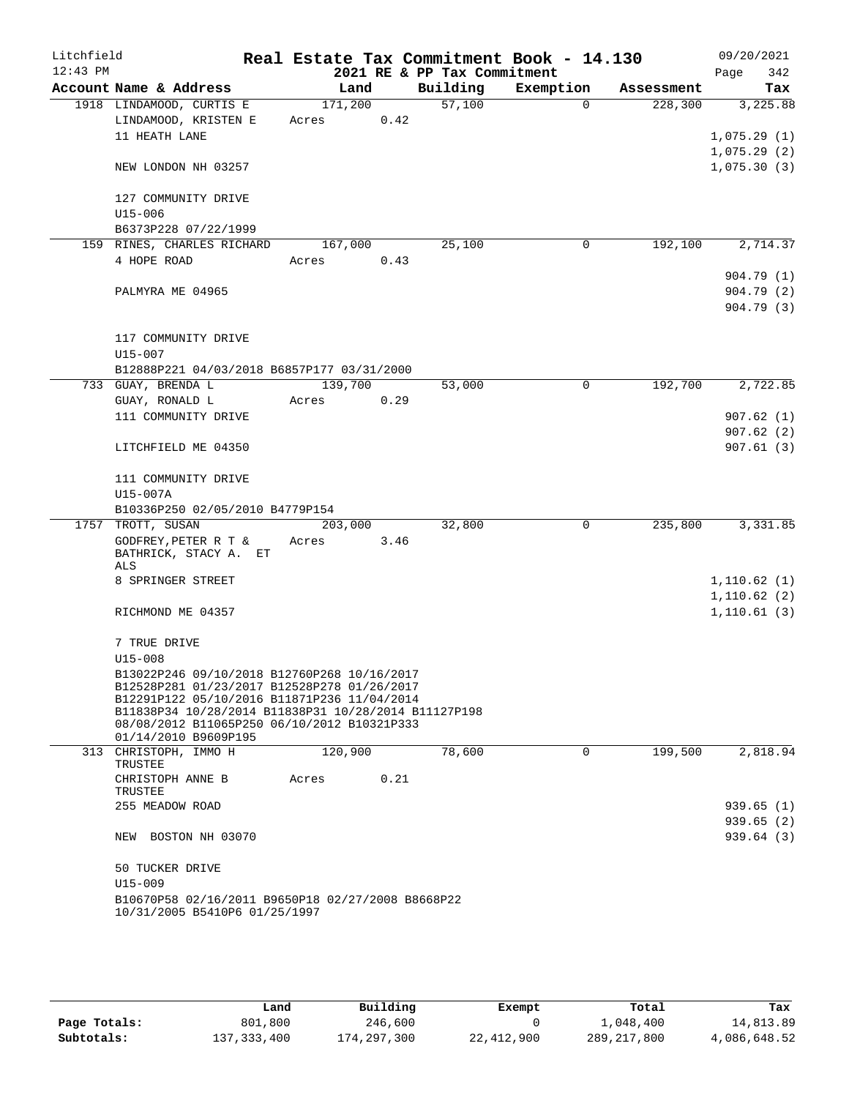| Litchfield |                                                                                                     |         |      |                             | Real Estate Tax Commitment Book - 14.130 |            | 09/20/2021                  |
|------------|-----------------------------------------------------------------------------------------------------|---------|------|-----------------------------|------------------------------------------|------------|-----------------------------|
| $12:43$ PM |                                                                                                     |         |      | 2021 RE & PP Tax Commitment |                                          |            | 342<br>Page                 |
|            | Account Name & Address                                                                              | Land    |      | Building                    | Exemption                                | Assessment | Tax                         |
|            | 1918 LINDAMOOD, CURTIS E                                                                            | 171,200 |      | 57,100                      | 0                                        | 228,300    | 3,225.88                    |
|            | LINDAMOOD, KRISTEN E                                                                                | Acres   | 0.42 |                             |                                          |            |                             |
|            | 11 HEATH LANE                                                                                       |         |      |                             |                                          |            | 1,075.29(1)                 |
|            | NEW LONDON NH 03257                                                                                 |         |      |                             |                                          |            | 1,075.29(2)                 |
|            |                                                                                                     |         |      |                             |                                          |            | 1,075.30(3)                 |
|            | 127 COMMUNITY DRIVE                                                                                 |         |      |                             |                                          |            |                             |
|            | U15-006                                                                                             |         |      |                             |                                          |            |                             |
|            | B6373P228 07/22/1999                                                                                |         |      |                             |                                          |            |                             |
|            | 159 RINES, CHARLES RICHARD                                                                          | 167,000 |      | 25,100                      | 0                                        | 192,100    | 2,714.37                    |
|            | 4 HOPE ROAD                                                                                         | Acres   | 0.43 |                             |                                          |            |                             |
|            |                                                                                                     |         |      |                             |                                          |            | 904.79 (1)                  |
|            | PALMYRA ME 04965                                                                                    |         |      |                             |                                          |            | 904.79 (2)                  |
|            |                                                                                                     |         |      |                             |                                          |            | 904.79 (3)                  |
|            |                                                                                                     |         |      |                             |                                          |            |                             |
|            | 117 COMMUNITY DRIVE                                                                                 |         |      |                             |                                          |            |                             |
|            | $U15 - 007$                                                                                         |         |      |                             |                                          |            |                             |
|            | B12888P221 04/03/2018 B6857P177 03/31/2000                                                          |         |      |                             |                                          |            |                             |
|            | 733 GUAY, BRENDA L                                                                                  | 139,700 |      | 53,000                      | $\Omega$                                 | 192,700    | 2,722.85                    |
|            | GUAY, RONALD L                                                                                      | Acres   | 0.29 |                             |                                          |            |                             |
|            | 111 COMMUNITY DRIVE                                                                                 |         |      |                             |                                          |            | 907.62(1)                   |
|            |                                                                                                     |         |      |                             |                                          |            | 907.62(2)                   |
|            | LITCHFIELD ME 04350                                                                                 |         |      |                             |                                          |            | 907.61(3)                   |
|            | 111 COMMUNITY DRIVE                                                                                 |         |      |                             |                                          |            |                             |
|            | U15-007A                                                                                            |         |      |                             |                                          |            |                             |
|            | B10336P250 02/05/2010 B4779P154                                                                     |         |      |                             |                                          |            |                             |
|            | 1757 TROTT, SUSAN                                                                                   | 203,000 |      | 32,800                      | $\mathbf 0$                              | 235,800    | 3,331.85                    |
|            | GODFREY, PETER R T $\&$                                                                             | Acres   | 3.46 |                             |                                          |            |                             |
|            | BATHRICK, STACY A. ET                                                                               |         |      |                             |                                          |            |                             |
|            | ALS                                                                                                 |         |      |                             |                                          |            |                             |
|            | 8 SPRINGER STREET                                                                                   |         |      |                             |                                          |            | 1,110.62(1)<br>1, 110.62(2) |
|            | RICHMOND ME 04357                                                                                   |         |      |                             |                                          |            | 1, 110.61(3)                |
|            |                                                                                                     |         |      |                             |                                          |            |                             |
|            | 7 TRUE DRIVE                                                                                        |         |      |                             |                                          |            |                             |
|            | $U15 - 008$                                                                                         |         |      |                             |                                          |            |                             |
|            | B13022P246 09/10/2018 B12760P268 10/16/2017                                                         |         |      |                             |                                          |            |                             |
|            | B12528P281 01/23/2017 B12528P278 01/26/2017                                                         |         |      |                             |                                          |            |                             |
|            | B12291P122 05/10/2016 B11871P236 11/04/2014<br>B11838P34 10/28/2014 B11838P31 10/28/2014 B11127P198 |         |      |                             |                                          |            |                             |
|            | 08/08/2012 B11065P250 06/10/2012 B10321P333                                                         |         |      |                             |                                          |            |                             |
|            | 01/14/2010 B9609P195                                                                                |         |      |                             |                                          |            |                             |
|            | 313 CHRISTOPH, IMMO H                                                                               | 120,900 |      | 78,600                      | $\Omega$                                 | 199,500    | 2,818.94                    |
|            | TRUSTEE                                                                                             |         |      |                             |                                          |            |                             |
|            | CHRISTOPH ANNE B<br>TRUSTEE                                                                         | Acres   | 0.21 |                             |                                          |            |                             |
|            | 255 MEADOW ROAD                                                                                     |         |      |                             |                                          |            | 939.65(1)                   |
|            |                                                                                                     |         |      |                             |                                          |            | 939.65(2)                   |
|            | NEW BOSTON NH 03070                                                                                 |         |      |                             |                                          |            | 939.64 (3)                  |
|            |                                                                                                     |         |      |                             |                                          |            |                             |
|            | 50 TUCKER DRIVE                                                                                     |         |      |                             |                                          |            |                             |
|            | $U15 - 009$                                                                                         |         |      |                             |                                          |            |                             |
|            | B10670P58 02/16/2011 B9650P18 02/27/2008 B8668P22                                                   |         |      |                             |                                          |            |                             |
|            | 10/31/2005 B5410P6 01/25/1997                                                                       |         |      |                             |                                          |            |                             |

|              | Land          | Building    | Exempt     | Total         | Tax          |
|--------------|---------------|-------------|------------|---------------|--------------|
| Page Totals: | 801,800       | 246,600     |            | 1,048,400     | 14,813.89    |
| Subtotals:   | 137, 333, 400 | 174,297,300 | 22,412,900 | 289, 217, 800 | 4,086,648.52 |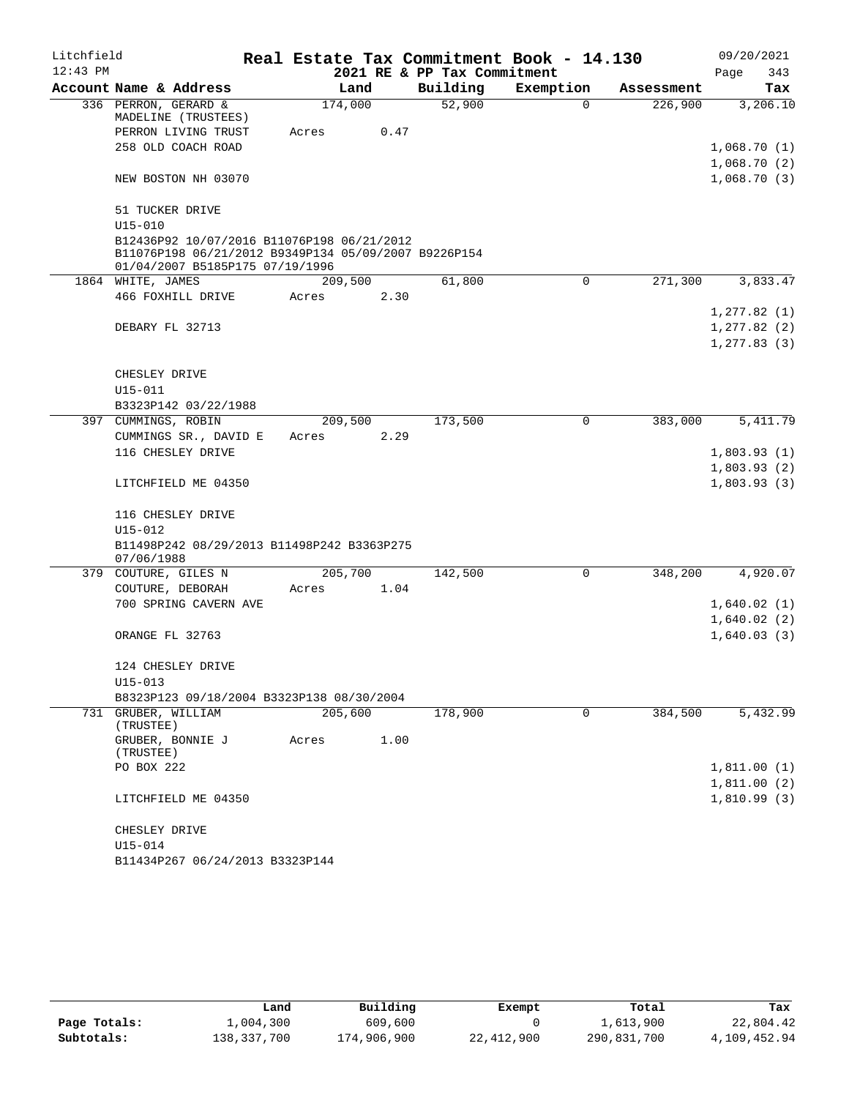| Litchfield |                                                                                                                                       |         |      |                             | Real Estate Tax Commitment Book - 14.130 |            |              | 09/20/2021  |
|------------|---------------------------------------------------------------------------------------------------------------------------------------|---------|------|-----------------------------|------------------------------------------|------------|--------------|-------------|
| $12:43$ PM |                                                                                                                                       |         |      | 2021 RE & PP Tax Commitment |                                          |            | Page         | 343         |
|            | Account Name & Address                                                                                                                | Land    |      | Building                    | Exemption                                | Assessment |              | Tax         |
|            | 336 PERRON, GERARD &<br>MADELINE (TRUSTEES)                                                                                           | 174,000 |      | 52,900                      | $\Omega$                                 | 226,900    |              | 3,206.10    |
|            | PERRON LIVING TRUST                                                                                                                   | Acres   | 0.47 |                             |                                          |            |              |             |
|            | 258 OLD COACH ROAD                                                                                                                    |         |      |                             |                                          |            | 1,068.70(1)  |             |
|            |                                                                                                                                       |         |      |                             |                                          |            | 1,068.70(2)  |             |
|            | NEW BOSTON NH 03070                                                                                                                   |         |      |                             |                                          |            | 1,068.70(3)  |             |
|            | 51 TUCKER DRIVE                                                                                                                       |         |      |                             |                                          |            |              |             |
|            | $U15 - 010$                                                                                                                           |         |      |                             |                                          |            |              |             |
|            | B12436P92 10/07/2016 B11076P198 06/21/2012<br>B11076P198 06/21/2012 B9349P134 05/09/2007 B9226P154<br>01/04/2007 B5185P175 07/19/1996 |         |      |                             |                                          |            |              |             |
|            | 1864 WHITE, JAMES                                                                                                                     | 209,500 |      | 61,800                      | 0                                        | 271,300    |              | 3,833.47    |
|            | 466 FOXHILL DRIVE                                                                                                                     | Acres   | 2.30 |                             |                                          |            |              |             |
|            |                                                                                                                                       |         |      |                             |                                          |            | 1, 277.82(1) |             |
|            | DEBARY FL 32713                                                                                                                       |         |      |                             |                                          |            | 1, 277.82(2) |             |
|            |                                                                                                                                       |         |      |                             |                                          |            | 1, 277.83(3) |             |
|            |                                                                                                                                       |         |      |                             |                                          |            |              |             |
|            | CHESLEY DRIVE                                                                                                                         |         |      |                             |                                          |            |              |             |
|            | U15-011                                                                                                                               |         |      |                             |                                          |            |              |             |
|            | B3323P142 03/22/1988                                                                                                                  |         |      |                             |                                          |            |              |             |
|            | 397 CUMMINGS, ROBIN                                                                                                                   | 209,500 |      | 173,500                     | $\mathbf 0$                              | 383,000    |              | 5, 411.79   |
|            | CUMMINGS SR., DAVID E                                                                                                                 | Acres   | 2.29 |                             |                                          |            |              |             |
|            | 116 CHESLEY DRIVE                                                                                                                     |         |      |                             |                                          |            |              | 1,803.93(1) |
|            |                                                                                                                                       |         |      |                             |                                          |            |              | 1,803.93(2) |
|            | LITCHFIELD ME 04350                                                                                                                   |         |      |                             |                                          |            | 1,803.93(3)  |             |
|            | 116 CHESLEY DRIVE                                                                                                                     |         |      |                             |                                          |            |              |             |
|            | U15-012                                                                                                                               |         |      |                             |                                          |            |              |             |
|            | B11498P242 08/29/2013 B11498P242 B3363P275<br>07/06/1988                                                                              |         |      |                             |                                          |            |              |             |
|            | 379 COUTURE, GILES N                                                                                                                  | 205,700 |      | 142,500                     | 0                                        | 348,200    |              | 4,920.07    |
|            | COUTURE, DEBORAH                                                                                                                      | Acres   | 1.04 |                             |                                          |            |              |             |
|            | 700 SPRING CAVERN AVE                                                                                                                 |         |      |                             |                                          |            | 1,640.02(1)  |             |
|            |                                                                                                                                       |         |      |                             |                                          |            | 1,640.02(2)  |             |
|            | ORANGE FL 32763                                                                                                                       |         |      |                             |                                          |            | 1,640.03(3)  |             |
|            | 124 CHESLEY DRIVE                                                                                                                     |         |      |                             |                                          |            |              |             |
|            | U15-013                                                                                                                               |         |      |                             |                                          |            |              |             |
|            | B8323P123 09/18/2004 B3323P138 08/30/2004                                                                                             |         |      |                             |                                          |            |              |             |
|            | 731 GRUBER, WILLIAM<br>(TRUSTEE)                                                                                                      | 205,600 |      | 178,900                     | $\Omega$                                 | 384,500    |              | 5,432.99    |
|            | GRUBER, BONNIE J                                                                                                                      | Acres   | 1.00 |                             |                                          |            |              |             |
|            | (TRUSTEE)                                                                                                                             |         |      |                             |                                          |            |              |             |
|            | PO BOX 222                                                                                                                            |         |      |                             |                                          |            | 1,811.00(1)  |             |
|            |                                                                                                                                       |         |      |                             |                                          |            | 1,811.00(2)  |             |
|            | LITCHFIELD ME 04350                                                                                                                   |         |      |                             |                                          |            | 1,810.99(3)  |             |
|            | CHESLEY DRIVE                                                                                                                         |         |      |                             |                                          |            |              |             |
|            | U15-014                                                                                                                               |         |      |                             |                                          |            |              |             |
|            | B11434P267 06/24/2013 B3323P144                                                                                                       |         |      |                             |                                          |            |              |             |

|              | Land        | Building    | Exempt     | Total       | Tax          |
|--------------|-------------|-------------|------------|-------------|--------------|
| Page Totals: | 1,004,300   | 609,600     |            | 1,613,900   | 22,804.42    |
| Subtotals:   | 138,337,700 | 174,906,900 | 22,412,900 | 290,831,700 | 4,109,452.94 |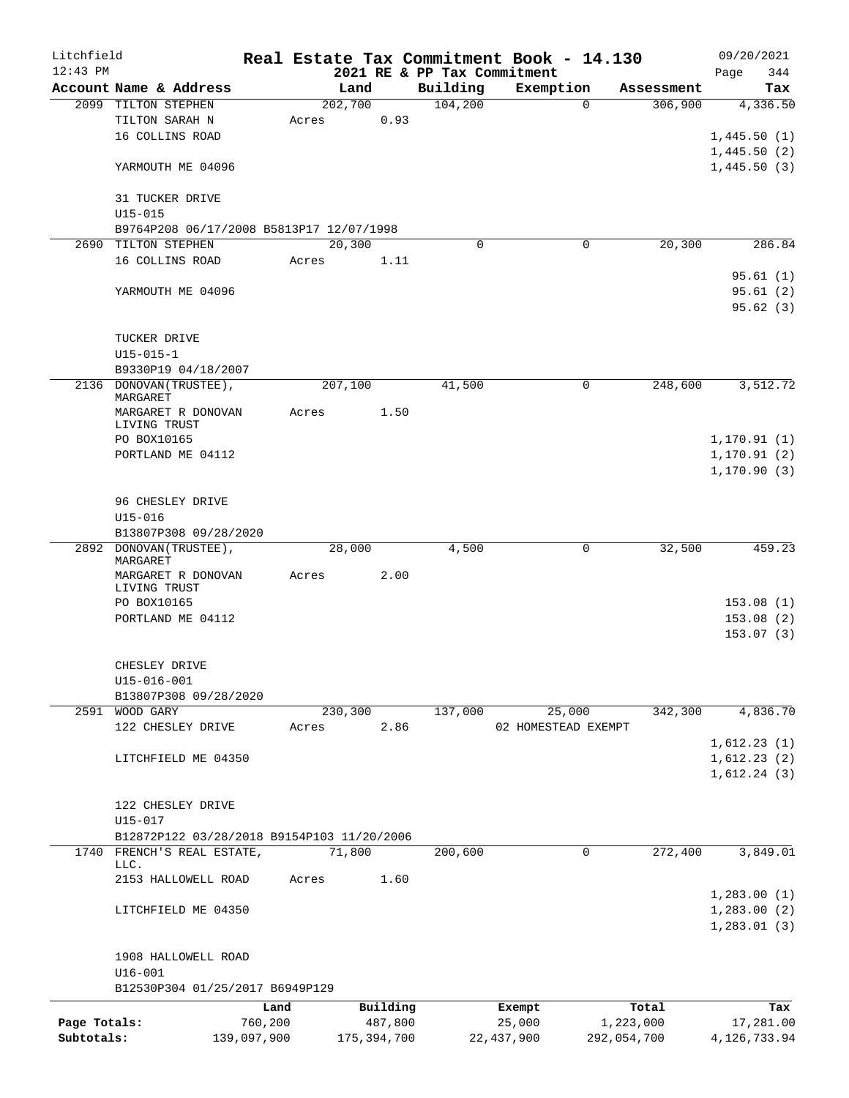| Litchfield   |                                                |             |         |               |                             | Real Estate Tax Commitment Book - 14.130 |             | 09/20/2021     |
|--------------|------------------------------------------------|-------------|---------|---------------|-----------------------------|------------------------------------------|-------------|----------------|
| $12:43$ PM   |                                                |             |         |               | 2021 RE & PP Tax Commitment |                                          |             | 344<br>Page    |
|              | Account Name & Address                         |             |         | Land          | Building                    | Exemption                                | Assessment  | Tax            |
|              | 2099 TILTON STEPHEN                            |             | 202,700 |               | 104,200                     | $\Omega$                                 | 306,900     | 4,336.50       |
|              | TILTON SARAH N                                 |             | Acres   | 0.93          |                             |                                          |             |                |
|              | 16 COLLINS ROAD                                |             |         |               |                             |                                          |             | 1,445.50(1)    |
|              |                                                |             |         |               |                             |                                          |             | 1,445.50(2)    |
|              | YARMOUTH ME 04096                              |             |         |               |                             |                                          |             | 1,445.50(3)    |
|              |                                                |             |         |               |                             |                                          |             |                |
|              | 31 TUCKER DRIVE                                |             |         |               |                             |                                          |             |                |
|              | $U15 - 015$                                    |             |         |               |                             |                                          |             |                |
|              | B9764P208 06/17/2008 B5813P17 12/07/1998       |             |         |               |                             |                                          |             |                |
|              | 2690 TILTON STEPHEN                            |             |         | 20,300        | $\mathbf 0$                 | 0                                        | 20,300      | 286.84         |
|              | 16 COLLINS ROAD                                |             | Acres   | 1.11          |                             |                                          |             |                |
|              |                                                |             |         |               |                             |                                          |             | 95.61(1)       |
|              | YARMOUTH ME 04096                              |             |         |               |                             |                                          |             | 95.61(2)       |
|              |                                                |             |         |               |                             |                                          |             | 95.62(3)       |
|              |                                                |             |         |               |                             |                                          |             |                |
|              | TUCKER DRIVE                                   |             |         |               |                             |                                          |             |                |
|              | $U15 - 015 - 1$                                |             |         |               |                             |                                          |             |                |
|              | B9330P19 04/18/2007<br>2136 DONOVAN (TRUSTEE), |             |         |               | 41,500                      | 0                                        | 248,600     | 3,512.72       |
|              | MARGARET                                       |             | 207,100 |               |                             |                                          |             |                |
|              | MARGARET R DONOVAN                             |             | Acres   | 1.50          |                             |                                          |             |                |
|              | LIVING TRUST                                   |             |         |               |                             |                                          |             |                |
|              | PO BOX10165                                    |             |         |               |                             |                                          |             | 1,170.91(1)    |
|              | PORTLAND ME 04112                              |             |         |               |                             |                                          |             | 1,170.91(2)    |
|              |                                                |             |         |               |                             |                                          |             | 1, 170.90(3)   |
|              |                                                |             |         |               |                             |                                          |             |                |
|              | 96 CHESLEY DRIVE                               |             |         |               |                             |                                          |             |                |
|              | $U15 - 016$                                    |             |         |               |                             |                                          |             |                |
|              | B13807P308 09/28/2020                          |             |         |               |                             |                                          |             |                |
|              | 2892 DONOVAN (TRUSTEE),                        |             |         | 28,000        | 4,500                       | 0                                        | 32,500      | 459.23         |
|              | MARGARET                                       |             |         |               |                             |                                          |             |                |
|              | MARGARET R DONOVAN                             |             | Acres   | 2.00          |                             |                                          |             |                |
|              | LIVING TRUST<br>PO BOX10165                    |             |         |               |                             |                                          |             | 153.08(1)      |
|              | PORTLAND ME 04112                              |             |         |               |                             |                                          |             | 153.08(2)      |
|              |                                                |             |         |               |                             |                                          |             | 153.07(3)      |
|              |                                                |             |         |               |                             |                                          |             |                |
|              | CHESLEY DRIVE                                  |             |         |               |                             |                                          |             |                |
|              | $U15 - 016 - 001$                              |             |         |               |                             |                                          |             |                |
|              | B13807P308 09/28/2020                          |             |         |               |                             |                                          |             |                |
|              | 2591 WOOD GARY                                 |             | 230,300 |               | 137,000                     | 25,000                                   | 342,300     | 4,836.70       |
|              | 122 CHESLEY DRIVE                              |             | Acres   | 2.86          |                             | 02 HOMESTEAD EXEMPT                      |             |                |
|              |                                                |             |         |               |                             |                                          |             | 1,612.23(1)    |
|              | LITCHFIELD ME 04350                            |             |         |               |                             |                                          |             | 1,612.23(2)    |
|              |                                                |             |         |               |                             |                                          |             | 1,612.24(3)    |
|              |                                                |             |         |               |                             |                                          |             |                |
|              | 122 CHESLEY DRIVE                              |             |         |               |                             |                                          |             |                |
|              | U15-017                                        |             |         |               |                             |                                          |             |                |
|              | B12872P122 03/28/2018 B9154P103 11/20/2006     |             |         |               |                             |                                          |             |                |
| 1740         | FRENCH'S REAL ESTATE,                          |             | 71,800  |               | 200,600                     | 0                                        | 272,400     | 3,849.01       |
|              | LLC.                                           |             |         |               |                             |                                          |             |                |
|              | 2153 HALLOWELL ROAD                            |             | Acres   | 1.60          |                             |                                          |             |                |
|              |                                                |             |         |               |                             |                                          |             | 1, 283.00(1)   |
|              | LITCHFIELD ME 04350                            |             |         |               |                             |                                          |             | 1,283.00(2)    |
|              |                                                |             |         |               |                             |                                          |             | 1,283.01(3)    |
|              |                                                |             |         |               |                             |                                          |             |                |
|              | 1908 HALLOWELL ROAD                            |             |         |               |                             |                                          |             |                |
|              | $U16 - 001$                                    |             |         |               |                             |                                          |             |                |
|              | B12530P304 01/25/2017 B6949P129                |             |         |               |                             |                                          |             |                |
|              |                                                | Land        |         | Building      |                             | Exempt                                   | Total       | Tax            |
| Page Totals: |                                                | 760,200     |         | 487,800       |                             | 25,000                                   | 1,223,000   | 17,281.00      |
| Subtotals:   |                                                | 139,097,900 |         | 175, 394, 700 |                             | 22, 437, 900                             | 292,054,700 | 4, 126, 733.94 |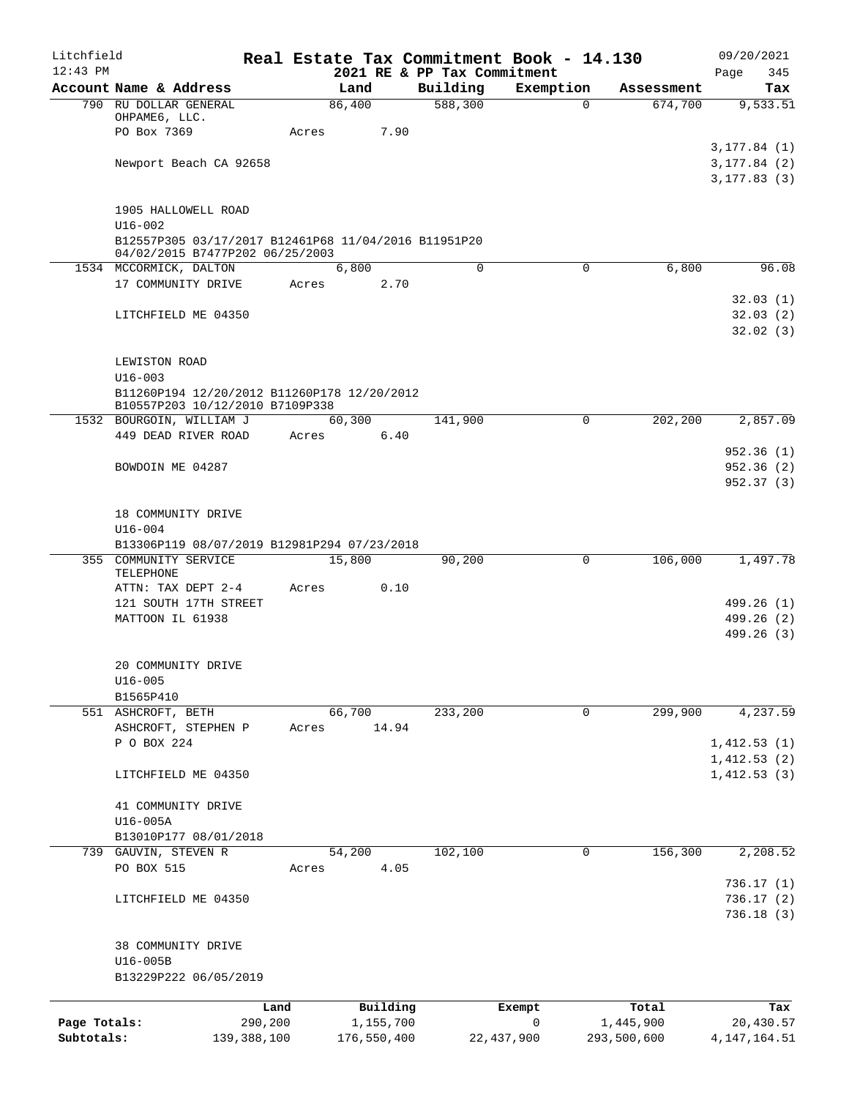| Litchfield   |                                                      |                 |                |                       |                             | Real Estate Tax Commitment Book - 14.130 |                        | 09/20/2021       |
|--------------|------------------------------------------------------|-----------------|----------------|-----------------------|-----------------------------|------------------------------------------|------------------------|------------------|
| $12:43$ PM   |                                                      |                 |                |                       | 2021 RE & PP Tax Commitment |                                          |                        | 345<br>Page      |
|              | Account Name & Address<br>790 RU DOLLAR GENERAL      |                 | Land<br>86,400 |                       | Building<br>588,300         | Exemption                                | Assessment<br>$\Omega$ | Tax              |
|              | OHPAME6, LLC.                                        |                 |                |                       |                             |                                          | 674,700                | 9,533.51         |
|              | PO Box 7369                                          |                 | Acres          | 7.90                  |                             |                                          |                        |                  |
|              |                                                      |                 |                |                       |                             |                                          |                        | 3, 177.84 (1)    |
|              | Newport Beach CA 92658                               |                 |                |                       |                             |                                          |                        | 3, 177.84 (2)    |
|              |                                                      |                 |                |                       |                             |                                          |                        | 3, 177.83(3)     |
|              | 1905 HALLOWELL ROAD                                  |                 |                |                       |                             |                                          |                        |                  |
|              | $U16 - 002$                                          |                 |                |                       |                             |                                          |                        |                  |
|              | B12557P305 03/17/2017 B12461P68 11/04/2016 B11951P20 |                 |                |                       |                             |                                          |                        |                  |
|              | 04/02/2015 B7477P202 06/25/2003                      |                 |                |                       |                             |                                          |                        |                  |
|              | 1534 MCCORMICK, DALTON                               |                 | 6,800          |                       | $\mathbf 0$                 |                                          | 6,800<br>$\mathbf 0$   | 96.08            |
|              | 17 COMMUNITY DRIVE                                   |                 | Acres          | 2.70                  |                             |                                          |                        |                  |
|              |                                                      |                 |                |                       |                             |                                          |                        | 32.03(1)         |
|              | LITCHFIELD ME 04350                                  |                 |                |                       |                             |                                          |                        | 32.03(2)         |
|              |                                                      |                 |                |                       |                             |                                          |                        | 32.02(3)         |
|              | LEWISTON ROAD                                        |                 |                |                       |                             |                                          |                        |                  |
|              | $U16 - 003$                                          |                 |                |                       |                             |                                          |                        |                  |
|              | B11260P194 12/20/2012 B11260P178 12/20/2012          |                 |                |                       |                             |                                          |                        |                  |
|              | B10557P203 10/12/2010 B7109P338                      |                 |                |                       |                             |                                          |                        |                  |
|              | 1532 BOURGOIN, WILLIAM J                             |                 | 60,300         |                       | 141,900                     |                                          | 202,200<br>0           | 2,857.09         |
|              | 449 DEAD RIVER ROAD                                  |                 | Acres          | 6.40                  |                             |                                          |                        | 952.36(1)        |
|              | BOWDOIN ME 04287                                     |                 |                |                       |                             |                                          |                        | 952.36 (2)       |
|              |                                                      |                 |                |                       |                             |                                          |                        | 952.37 (3)       |
|              |                                                      |                 |                |                       |                             |                                          |                        |                  |
|              | 18 COMMUNITY DRIVE                                   |                 |                |                       |                             |                                          |                        |                  |
|              | $U16 - 004$                                          |                 |                |                       |                             |                                          |                        |                  |
|              | B13306P119 08/07/2019 B12981P294 07/23/2018          |                 |                |                       |                             |                                          |                        |                  |
|              | 355 COMMUNITY SERVICE                                |                 | 15,800         |                       | 90,200                      |                                          | 106,000<br>0           | 1,497.78         |
|              | TELEPHONE<br>ATTN: TAX DEPT 2-4                      |                 | Acres          | 0.10                  |                             |                                          |                        |                  |
|              | 121 SOUTH 17TH STREET                                |                 |                |                       |                             |                                          |                        | 499.26 (1)       |
|              | MATTOON IL 61938                                     |                 |                |                       |                             |                                          |                        | 499.26 (2)       |
|              |                                                      |                 |                |                       |                             |                                          |                        | 499.26 (3)       |
|              |                                                      |                 |                |                       |                             |                                          |                        |                  |
|              | 20 COMMUNITY DRIVE                                   |                 |                |                       |                             |                                          |                        |                  |
|              | $U16 - 005$                                          |                 |                |                       |                             |                                          |                        |                  |
|              | B1565P410                                            |                 | 66,700         |                       | 233,200                     |                                          | 299,900<br>$\mathbf 0$ | 4,237.59         |
|              | 551 ASHCROFT, BETH<br>ASHCROFT, STEPHEN P            |                 | Acres          | 14.94                 |                             |                                          |                        |                  |
|              | P O BOX 224                                          |                 |                |                       |                             |                                          |                        | 1,412.53(1)      |
|              |                                                      |                 |                |                       |                             |                                          |                        | 1,412.53(2)      |
|              | LITCHFIELD ME 04350                                  |                 |                |                       |                             |                                          |                        | 1,412.53(3)      |
|              |                                                      |                 |                |                       |                             |                                          |                        |                  |
|              | 41 COMMUNITY DRIVE                                   |                 |                |                       |                             |                                          |                        |                  |
|              | $U16-005A$                                           |                 |                |                       |                             |                                          |                        |                  |
|              | B13010P177 08/01/2018                                |                 |                |                       |                             |                                          |                        |                  |
|              | 739 GAUVIN, STEVEN R                                 |                 | 54,200         |                       | 102, 100                    |                                          | 156,300<br>0           | 2,208.52         |
|              | PO BOX 515                                           |                 | Acres          | 4.05                  |                             |                                          |                        | 736.17(1)        |
|              | LITCHFIELD ME 04350                                  |                 |                |                       |                             |                                          |                        | 736.17 (2)       |
|              |                                                      |                 |                |                       |                             |                                          |                        | 736.18(3)        |
|              |                                                      |                 |                |                       |                             |                                          |                        |                  |
|              | 38 COMMUNITY DRIVE                                   |                 |                |                       |                             |                                          |                        |                  |
|              | U16-005B                                             |                 |                |                       |                             |                                          |                        |                  |
|              | B13229P222 06/05/2019                                |                 |                |                       |                             |                                          |                        |                  |
|              |                                                      |                 |                |                       |                             |                                          |                        |                  |
| Page Totals: |                                                      | Land<br>290,200 |                | Building<br>1,155,700 |                             | Exempt<br>0                              | Total<br>1,445,900     | Tax<br>20,430.57 |
| Subtotals:   |                                                      | 139,388,100     |                | 176,550,400           |                             | 22, 437, 900                             | 293,500,600            | 4, 147, 164. 51  |
|              |                                                      |                 |                |                       |                             |                                          |                        |                  |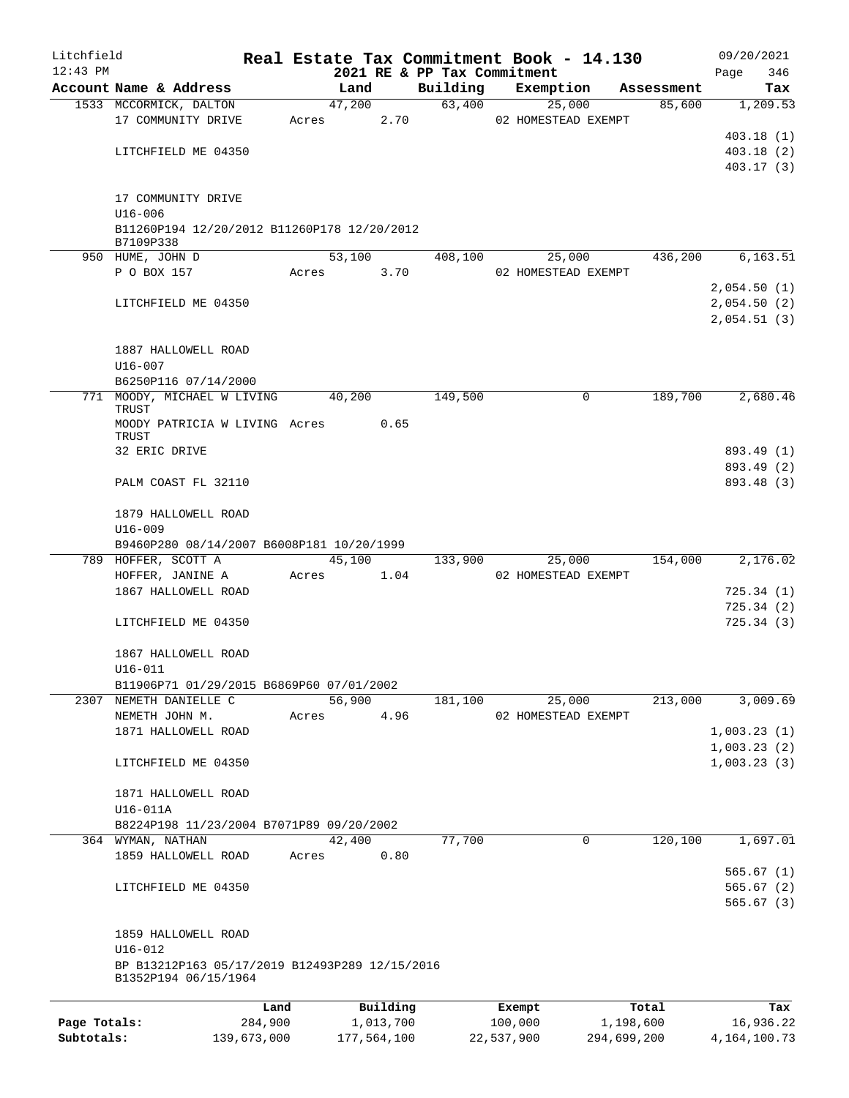| Litchfield   |                                                            |         |       |                |      |                    | Real Estate Tax Commitment Book - 14.130 |   |            | 09/20/2021                 |
|--------------|------------------------------------------------------------|---------|-------|----------------|------|--------------------|------------------------------------------|---|------------|----------------------------|
| $12:43$ PM   | Account Name & Address                                     |         |       |                |      |                    | 2021 RE & PP Tax Commitment              |   | Assessment | 346<br>Page                |
|              | 1533 MCCORMICK, DALTON                                     |         |       | Land<br>47,200 |      | Building<br>63,400 | Exemption<br>25,000                      |   | 85,600     | Tax<br>1,209.53            |
|              | 17 COMMUNITY DRIVE                                         |         | Acres |                | 2.70 |                    | 02 HOMESTEAD EXEMPT                      |   |            |                            |
|              |                                                            |         |       |                |      |                    |                                          |   |            | 403.18(1)                  |
|              | LITCHFIELD ME 04350                                        |         |       |                |      |                    |                                          |   |            | 403.18(2)                  |
|              |                                                            |         |       |                |      |                    |                                          |   |            | 403.17(3)                  |
|              |                                                            |         |       |                |      |                    |                                          |   |            |                            |
|              | 17 COMMUNITY DRIVE                                         |         |       |                |      |                    |                                          |   |            |                            |
|              | $U16 - 006$<br>B11260P194 12/20/2012 B11260P178 12/20/2012 |         |       |                |      |                    |                                          |   |            |                            |
|              | B7109P338                                                  |         |       |                |      |                    |                                          |   |            |                            |
|              | 950 HUME, JOHN D                                           |         |       | 53,100         |      | 408,100            | 25,000                                   |   | 436,200    | 6, 163.51                  |
|              | P O BOX 157                                                |         | Acres |                | 3.70 |                    | 02 HOMESTEAD EXEMPT                      |   |            |                            |
|              |                                                            |         |       |                |      |                    |                                          |   |            | 2,054.50(1)<br>2,054.50(2) |
|              | LITCHFIELD ME 04350                                        |         |       |                |      |                    |                                          |   |            | 2,054.51(3)                |
|              |                                                            |         |       |                |      |                    |                                          |   |            |                            |
|              | 1887 HALLOWELL ROAD                                        |         |       |                |      |                    |                                          |   |            |                            |
|              | U16-007                                                    |         |       |                |      |                    |                                          |   |            |                            |
|              | B6250P116 07/14/2000                                       |         |       |                |      |                    |                                          |   |            |                            |
|              | 771 MOODY, MICHAEL W LIVING                                |         |       | 40,200         |      | 149,500            |                                          | 0 | 189,700    | 2,680.46                   |
|              | TRUST<br>MOODY PATRICIA W LIVING Acres                     |         |       |                | 0.65 |                    |                                          |   |            |                            |
|              | <b>TRUST</b>                                               |         |       |                |      |                    |                                          |   |            |                            |
|              | 32 ERIC DRIVE                                              |         |       |                |      |                    |                                          |   |            | 893.49 (1)                 |
|              |                                                            |         |       |                |      |                    |                                          |   |            | 893.49 (2)                 |
|              | PALM COAST FL 32110                                        |         |       |                |      |                    |                                          |   |            | 893.48 (3)                 |
|              | 1879 HALLOWELL ROAD                                        |         |       |                |      |                    |                                          |   |            |                            |
|              | $U16 - 009$                                                |         |       |                |      |                    |                                          |   |            |                            |
|              | B9460P280 08/14/2007 B6008P181 10/20/1999                  |         |       |                |      |                    |                                          |   |            |                            |
|              | 789 HOFFER, SCOTT A                                        |         |       | 45,100         |      | 133,900            | 25,000                                   |   | 154,000    | 2,176.02                   |
|              | HOFFER, JANINE A                                           |         | Acres |                | 1.04 |                    | 02 HOMESTEAD EXEMPT                      |   |            |                            |
|              | 1867 HALLOWELL ROAD                                        |         |       |                |      |                    |                                          |   |            | 725.34(1)                  |
|              |                                                            |         |       |                |      |                    |                                          |   |            | 725.34(2)                  |
|              | LITCHFIELD ME 04350                                        |         |       |                |      |                    |                                          |   |            | 725.34(3)                  |
|              | 1867 HALLOWELL ROAD                                        |         |       |                |      |                    |                                          |   |            |                            |
|              | $U16 - 011$                                                |         |       |                |      |                    |                                          |   |            |                            |
|              | B11906P71 01/29/2015 B6869P60 07/01/2002                   |         |       |                |      |                    |                                          |   |            |                            |
|              | 2307 NEMETH DANIELLE C                                     |         |       | 56,900         |      | 181,100            | 25,000                                   |   | 213,000    | 3,009.69                   |
|              | NEMETH JOHN M.                                             |         | Acres |                | 4.96 |                    | 02 HOMESTEAD EXEMPT                      |   |            |                            |
|              | 1871 HALLOWELL ROAD                                        |         |       |                |      |                    |                                          |   |            | 1,003.23(1)                |
|              |                                                            |         |       |                |      |                    |                                          |   |            | 1,003.23(2)                |
|              | LITCHFIELD ME 04350                                        |         |       |                |      |                    |                                          |   |            | 1,003.23(3)                |
|              | 1871 HALLOWELL ROAD                                        |         |       |                |      |                    |                                          |   |            |                            |
|              | U16-011A                                                   |         |       |                |      |                    |                                          |   |            |                            |
|              | B8224P198 11/23/2004 B7071P89 09/20/2002                   |         |       |                |      |                    |                                          |   |            |                            |
|              | 364 WYMAN, NATHAN                                          |         |       | 42,400         |      | 77,700             |                                          | 0 | 120,100    | 1,697.01                   |
|              | 1859 HALLOWELL ROAD                                        |         | Acres |                | 0.80 |                    |                                          |   |            |                            |
|              |                                                            |         |       |                |      |                    |                                          |   |            | 565.67(1)                  |
|              | LITCHFIELD ME 04350                                        |         |       |                |      |                    |                                          |   |            | 565.67(2)                  |
|              |                                                            |         |       |                |      |                    |                                          |   |            | 565.67(3)                  |
|              | 1859 HALLOWELL ROAD                                        |         |       |                |      |                    |                                          |   |            |                            |
|              | $U16 - 012$                                                |         |       |                |      |                    |                                          |   |            |                            |
|              | BP B13212P163 05/17/2019 B12493P289 12/15/2016             |         |       |                |      |                    |                                          |   |            |                            |
|              | B1352P194 06/15/1964                                       |         |       |                |      |                    |                                          |   |            |                            |
|              |                                                            | Land    |       | Building       |      |                    | Exempt                                   |   | Total      | Tax                        |
| Page Totals: |                                                            | 284,900 |       | 1,013,700      |      |                    | 100,000                                  |   | 1,198,600  | 16,936.22                  |

**Subtotals:** 139,673,000 177,564,100 22,537,900 294,699,200 4,164,100.73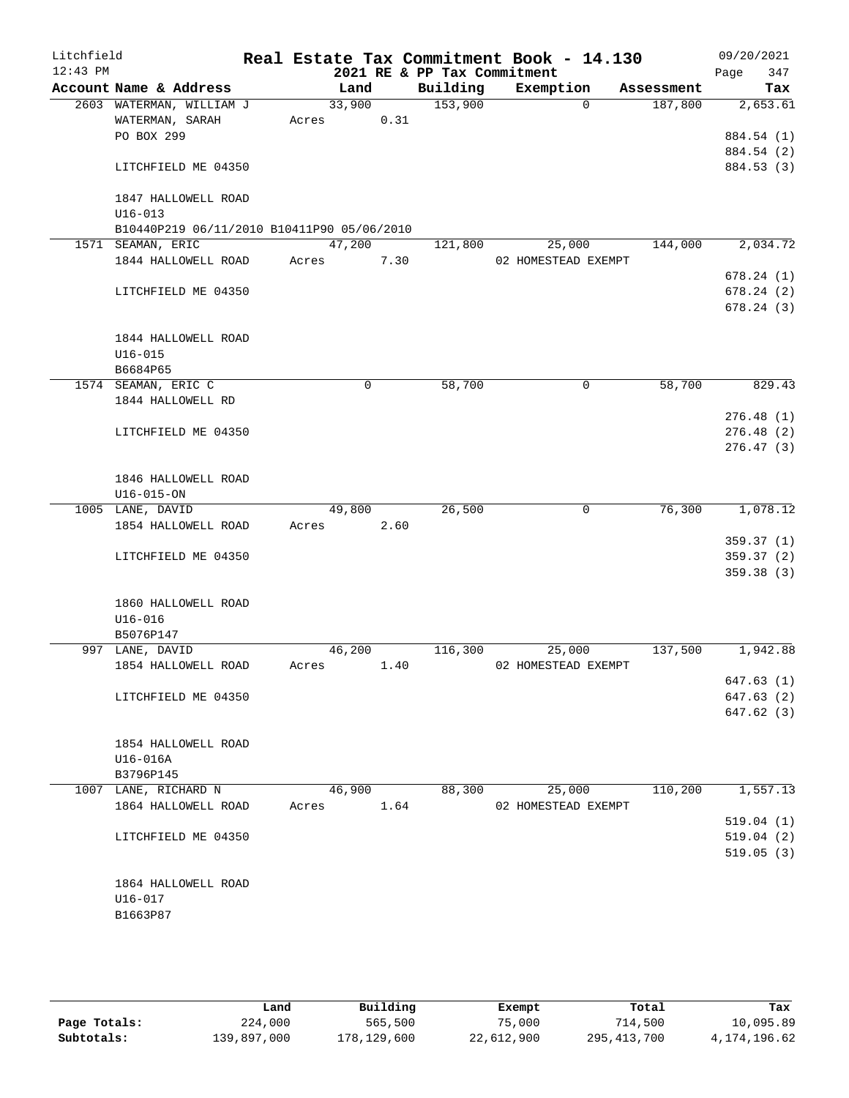| Litchfield<br>$12:43$ PM |                                            |       |             |      | 2021 RE & PP Tax Commitment | Real Estate Tax Commitment Book - 14.130 |            | 09/20/2021<br>347 |
|--------------------------|--------------------------------------------|-------|-------------|------|-----------------------------|------------------------------------------|------------|-------------------|
|                          | Account Name & Address                     |       | Land        |      | Building                    | Exemption                                | Assessment | Page<br>Tax       |
|                          | 2603 WATERMAN, WILLIAM J                   |       | 33,900      |      | 153,900                     | $\Omega$                                 | 187,800    | 2,653.61          |
|                          | WATERMAN, SARAH                            | Acres |             | 0.31 |                             |                                          |            |                   |
|                          | PO BOX 299                                 |       |             |      |                             |                                          |            | 884.54 (1)        |
|                          |                                            |       |             |      |                             |                                          |            | 884.54 (2)        |
|                          | LITCHFIELD ME 04350                        |       |             |      |                             |                                          |            | 884.53 (3)        |
|                          | 1847 HALLOWELL ROAD                        |       |             |      |                             |                                          |            |                   |
|                          | $U16 - 013$                                |       |             |      |                             |                                          |            |                   |
|                          | B10440P219 06/11/2010 B10411P90 05/06/2010 |       |             |      |                             |                                          |            |                   |
|                          | 1571 SEAMAN, ERIC                          |       | 47,200      |      | 121,800                     | 25,000                                   | 144,000    | 2,034.72          |
|                          | 1844 HALLOWELL ROAD                        | Acres |             | 7.30 |                             | 02 HOMESTEAD EXEMPT                      |            |                   |
|                          |                                            |       |             |      |                             |                                          |            | 678.24(1)         |
|                          | LITCHFIELD ME 04350                        |       |             |      |                             |                                          |            | 678.24(2)         |
|                          |                                            |       |             |      |                             |                                          |            | 678.24(3)         |
|                          | 1844 HALLOWELL ROAD                        |       |             |      |                             |                                          |            |                   |
|                          | $U16 - 015$                                |       |             |      |                             |                                          |            |                   |
|                          | B6684P65                                   |       |             |      |                             |                                          |            |                   |
|                          | 1574 SEAMAN, ERIC C                        |       | $\mathbf 0$ |      | 58,700                      | $\mathbf 0$                              | 58,700     | 829.43            |
|                          | 1844 HALLOWELL RD                          |       |             |      |                             |                                          |            |                   |
|                          |                                            |       |             |      |                             |                                          |            | 276.48(1)         |
|                          | LITCHFIELD ME 04350                        |       |             |      |                             |                                          |            | 276.48(2)         |
|                          |                                            |       |             |      |                             |                                          |            | 276.47(3)         |
|                          | 1846 HALLOWELL ROAD                        |       |             |      |                             |                                          |            |                   |
|                          | $U16 - 015 - ON$                           |       |             |      |                             |                                          |            |                   |
|                          | 1005 LANE, DAVID                           |       | 49,800      |      | 26,500                      | $\mathbf 0$                              | 76,300     | 1,078.12          |
|                          | 1854 HALLOWELL ROAD                        | Acres |             | 2.60 |                             |                                          |            |                   |
|                          |                                            |       |             |      |                             |                                          |            | 359.37(1)         |
|                          | LITCHFIELD ME 04350                        |       |             |      |                             |                                          |            | 359.37(2)         |
|                          |                                            |       |             |      |                             |                                          |            | 359.38 (3)        |
|                          | 1860 HALLOWELL ROAD                        |       |             |      |                             |                                          |            |                   |
|                          | $U16 - 016$                                |       |             |      |                             |                                          |            |                   |
|                          | B5076P147                                  |       |             |      |                             |                                          |            |                   |
|                          | 997 LANE, DAVID                            |       | 46,200      |      | 116,300                     | 25,000                                   | 137,500    | 1,942.88          |
|                          | 1854 HALLOWELL ROAD                        | Acres |             | 1.40 |                             | 02 HOMESTEAD EXEMPT                      |            |                   |
|                          |                                            |       |             |      |                             |                                          |            | 647.63(1)         |
|                          | LITCHFIELD ME 04350                        |       |             |      |                             |                                          |            | 647.63(2)         |
|                          |                                            |       |             |      |                             |                                          |            | 647.62 (3)        |
|                          | 1854 HALLOWELL ROAD                        |       |             |      |                             |                                          |            |                   |
|                          | U16-016A                                   |       |             |      |                             |                                          |            |                   |
|                          | B3796P145                                  |       |             |      |                             |                                          |            |                   |
|                          | 1007 LANE, RICHARD N                       |       | 46,900      |      | 88,300                      | 25,000                                   | 110,200    | 1,557.13          |
|                          | 1864 HALLOWELL ROAD                        | Acres |             | 1.64 |                             | 02 HOMESTEAD EXEMPT                      |            |                   |
|                          |                                            |       |             |      |                             |                                          |            | 519.04(1)         |
|                          | LITCHFIELD ME 04350                        |       |             |      |                             |                                          |            | 519.04(2)         |
|                          |                                            |       |             |      |                             |                                          |            | 519.05(3)         |
|                          |                                            |       |             |      |                             |                                          |            |                   |
|                          | 1864 HALLOWELL ROAD                        |       |             |      |                             |                                          |            |                   |
|                          | U16-017                                    |       |             |      |                             |                                          |            |                   |
|                          | B1663P87                                   |       |             |      |                             |                                          |            |                   |
|                          |                                            |       |             |      |                             |                                          |            |                   |

|              | Land        | Building    | Exempt     | Total         | Tax          |
|--------------|-------------|-------------|------------|---------------|--------------|
| Page Totals: | 224,000     | 565,500     | 75,000     | 714,500       | 10,095.89    |
| Subtotals:   | 139,897,000 | 178,129,600 | 22,612,900 | 295, 413, 700 | 4,174,196.62 |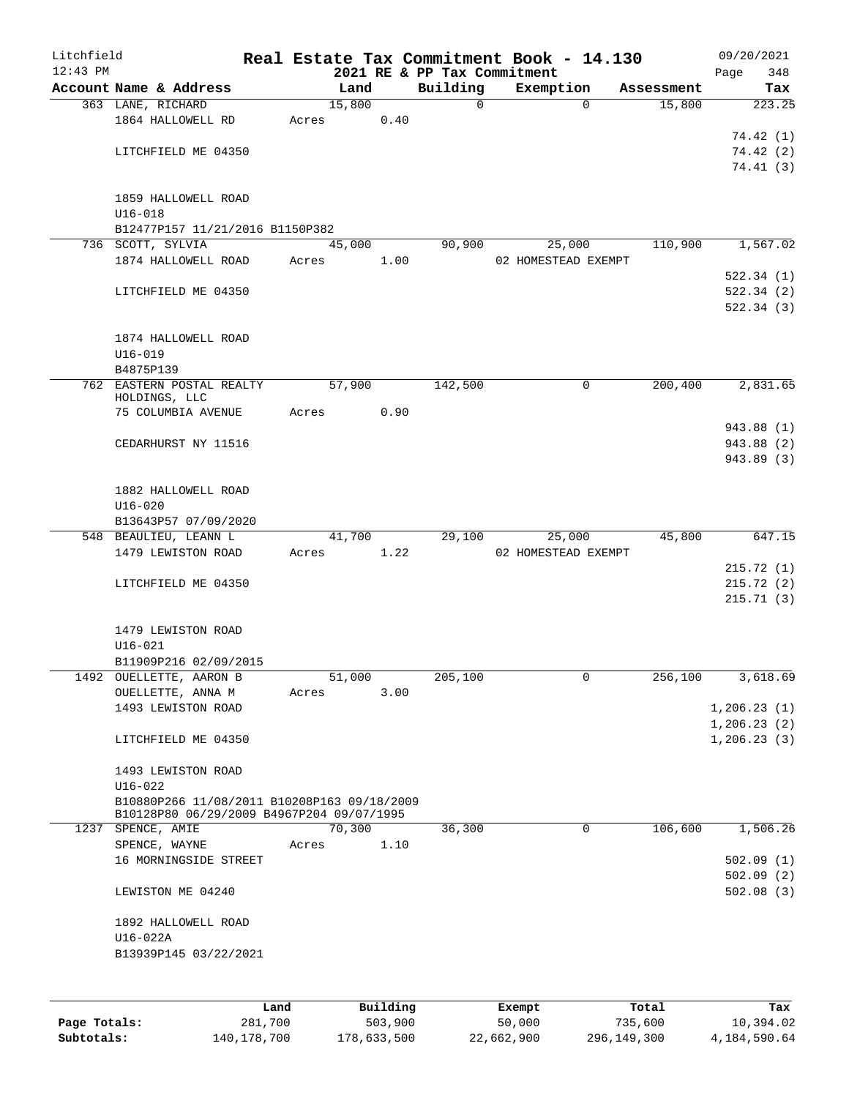| Litchfield<br>$12:43$ PM |                                             |       |        |          |                                         | Real Estate Tax Commitment Book - 14.130 |            | 09/20/2021         |
|--------------------------|---------------------------------------------|-------|--------|----------|-----------------------------------------|------------------------------------------|------------|--------------------|
|                          | Account Name & Address                      |       | Land   |          | 2021 RE & PP Tax Commitment<br>Building | Exemption                                | Assessment | Page<br>348<br>Tax |
|                          | 363 LANE, RICHARD                           |       | 15,800 |          | 0                                       | $\Omega$                                 | 15,800     | 223.25             |
|                          | 1864 HALLOWELL RD                           | Acres |        | 0.40     |                                         |                                          |            |                    |
|                          |                                             |       |        |          |                                         |                                          |            | 74.42(1)           |
|                          | LITCHFIELD ME 04350                         |       |        |          |                                         |                                          |            | 74.42 (2)          |
|                          |                                             |       |        |          |                                         |                                          |            | 74.41(3)           |
|                          |                                             |       |        |          |                                         |                                          |            |                    |
|                          | 1859 HALLOWELL ROAD<br>$U16 - 018$          |       |        |          |                                         |                                          |            |                    |
|                          | B12477P157 11/21/2016 B1150P382             |       |        |          |                                         |                                          |            |                    |
|                          | 736 SCOTT, SYLVIA                           |       | 45,000 |          | 90,900                                  | 25,000                                   | 110,900    | 1,567.02           |
|                          | 1874 HALLOWELL ROAD                         | Acres |        | 1.00     |                                         | 02 HOMESTEAD EXEMPT                      |            |                    |
|                          |                                             |       |        |          |                                         |                                          |            | 522.34(1)          |
|                          | LITCHFIELD ME 04350                         |       |        |          |                                         |                                          |            | 522.34(2)          |
|                          |                                             |       |        |          |                                         |                                          |            | 522.34 (3)         |
|                          |                                             |       |        |          |                                         |                                          |            |                    |
|                          | 1874 HALLOWELL ROAD<br>$U16 - 019$          |       |        |          |                                         |                                          |            |                    |
|                          | B4875P139                                   |       |        |          |                                         |                                          |            |                    |
|                          | 762 EASTERN POSTAL REALTY                   |       | 57,900 |          | 142,500                                 | $\mathbf 0$                              | 200,400    | 2,831.65           |
|                          | HOLDINGS, LLC                               |       |        |          |                                         |                                          |            |                    |
|                          | 75 COLUMBIA AVENUE                          | Acres |        | 0.90     |                                         |                                          |            |                    |
|                          |                                             |       |        |          |                                         |                                          |            | 943.88 (1)         |
|                          | CEDARHURST NY 11516                         |       |        |          |                                         |                                          |            | 943.88 (2)         |
|                          |                                             |       |        |          |                                         |                                          |            | 943.89 (3)         |
|                          | 1882 HALLOWELL ROAD                         |       |        |          |                                         |                                          |            |                    |
|                          | $U16 - 020$                                 |       |        |          |                                         |                                          |            |                    |
|                          | B13643P57 07/09/2020                        |       |        |          |                                         |                                          |            |                    |
|                          | 548 BEAULIEU, LEANN L                       |       | 41,700 |          | 29,100                                  | 25,000                                   | 45,800     | 647.15             |
|                          | 1479 LEWISTON ROAD                          | Acres |        | 1.22     |                                         | 02 HOMESTEAD EXEMPT                      |            |                    |
|                          |                                             |       |        |          |                                         |                                          |            | 215.72(1)          |
|                          | LITCHFIELD ME 04350                         |       |        |          |                                         |                                          |            | 215.72(2)          |
|                          |                                             |       |        |          |                                         |                                          |            | 215.71(3)          |
|                          | 1479 LEWISTON ROAD                          |       |        |          |                                         |                                          |            |                    |
|                          | $U16 - 021$                                 |       |        |          |                                         |                                          |            |                    |
|                          | B11909P216 02/09/2015                       |       |        |          |                                         |                                          |            |                    |
| 1492                     | OUELLETTE, AARON B                          |       | 51,000 |          | 205,100                                 | 0                                        | 256,100    | 3,618.69           |
|                          | OUELLETTE, ANNA M                           | Acres |        | 3.00     |                                         |                                          |            |                    |
|                          | 1493 LEWISTON ROAD                          |       |        |          |                                         |                                          |            | 1, 206.23(1)       |
|                          |                                             |       |        |          |                                         |                                          |            | 1,206.23(2)        |
|                          | LITCHFIELD ME 04350                         |       |        |          |                                         |                                          |            | 1, 206.23(3)       |
|                          | 1493 LEWISTON ROAD                          |       |        |          |                                         |                                          |            |                    |
|                          | $U16 - 022$                                 |       |        |          |                                         |                                          |            |                    |
|                          | B10880P266 11/08/2011 B10208P163 09/18/2009 |       |        |          |                                         |                                          |            |                    |
|                          | B10128P80 06/29/2009 B4967P204 09/07/1995   |       |        |          |                                         |                                          |            |                    |
|                          | 1237 SPENCE, AMIE<br>SPENCE, WAYNE          |       | 70,300 |          | 36,300                                  | $\mathbf 0$                              | 106,600    | 1,506.26           |
|                          | 16 MORNINGSIDE STREET                       | Acres |        | 1.10     |                                         |                                          |            | 502.09(1)          |
|                          |                                             |       |        |          |                                         |                                          |            | 502.09(2)          |
|                          | LEWISTON ME 04240                           |       |        |          |                                         |                                          |            | 502.08(3)          |
|                          |                                             |       |        |          |                                         |                                          |            |                    |
|                          | 1892 HALLOWELL ROAD<br>U16-022A             |       |        |          |                                         |                                          |            |                    |
|                          | B13939P145 03/22/2021                       |       |        |          |                                         |                                          |            |                    |
|                          |                                             |       |        |          |                                         |                                          |            |                    |
|                          |                                             |       |        |          |                                         |                                          |            |                    |
|                          |                                             | Land  |        | Building |                                         | Exempt                                   | Total      | Tax                |

|              | Land        | Building    | Exempt     | Total       | Tax          |
|--------------|-------------|-------------|------------|-------------|--------------|
| Page Totals: | 281,700     | 503,900     | 50,000     | 735,600     | 10,394.02    |
| Subtotals:   | 140,178,700 | 178,633,500 | 22,662,900 | 296,149,300 | 4,184,590.64 |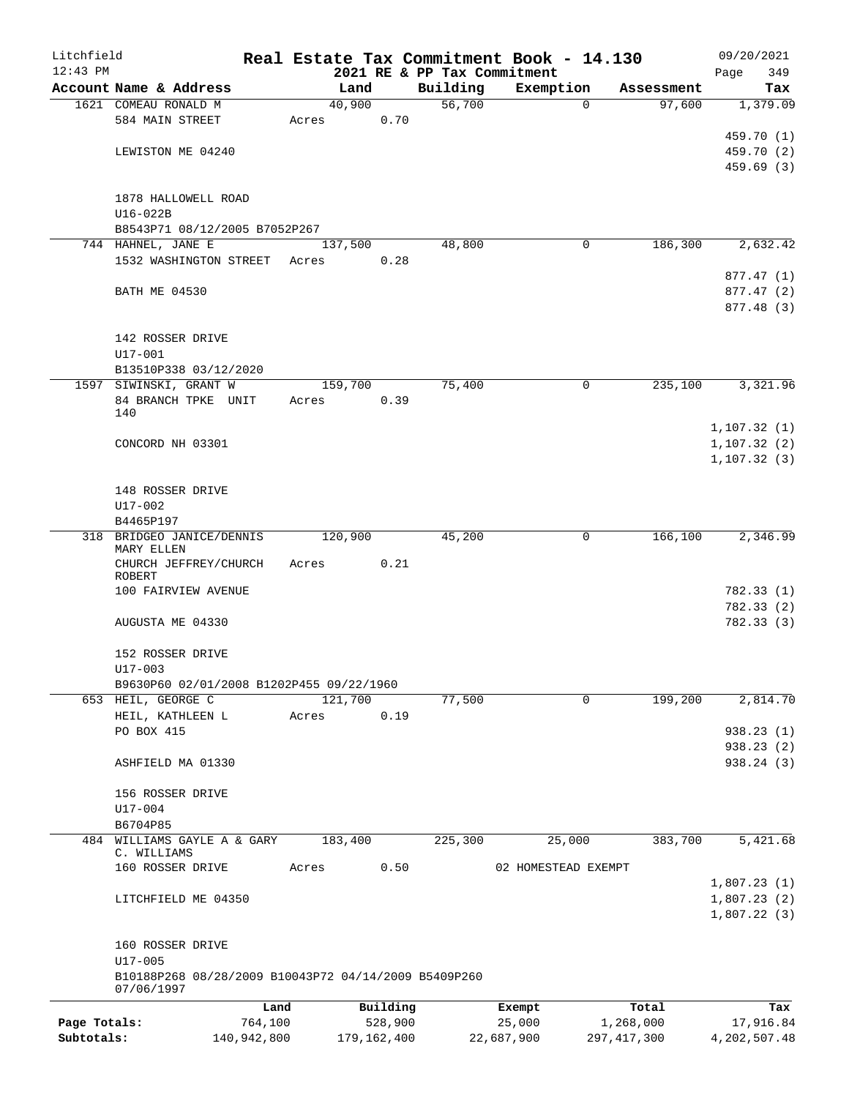| Litchfield   |                                                      |             |               |          |                             | Real Estate Tax Commitment Book - 14.130 |               | 09/20/2021              |
|--------------|------------------------------------------------------|-------------|---------------|----------|-----------------------------|------------------------------------------|---------------|-------------------------|
| $12:43$ PM   |                                                      |             |               |          | 2021 RE & PP Tax Commitment |                                          |               | 349<br>Page             |
|              | Account Name & Address                               |             | Land          |          | Building                    | Exemption                                | Assessment    | Tax                     |
|              | 1621 COMEAU RONALD M<br>584 MAIN STREET              |             | 40,900        | 0.70     | 56,700                      | $\Omega$                                 | 97,600        | 1,379.09                |
|              |                                                      |             | Acres         |          |                             |                                          |               | 459.70 (1)              |
|              | LEWISTON ME 04240                                    |             |               |          |                             |                                          |               | 459.70 (2)              |
|              |                                                      |             |               |          |                             |                                          |               | 459.69(3)               |
|              |                                                      |             |               |          |                             |                                          |               |                         |
|              | 1878 HALLOWELL ROAD                                  |             |               |          |                             |                                          |               |                         |
|              | $U16-022B$                                           |             |               |          |                             |                                          |               |                         |
|              | B8543P71 08/12/2005 B7052P267                        |             |               |          |                             |                                          |               |                         |
|              | 744 HAHNEL, JANE E                                   |             | 137,500       |          | 48,800                      | 0                                        | 186,300       | 2,632.42                |
|              | 1532 WASHINGTON STREET                               |             | Acres         | 0.28     |                             |                                          |               |                         |
|              |                                                      |             |               |          |                             |                                          |               | 877.47 (1)              |
|              | <b>BATH ME 04530</b>                                 |             |               |          |                             |                                          |               | 877.47 (2)              |
|              |                                                      |             |               |          |                             |                                          |               | 877.48 (3)              |
|              |                                                      |             |               |          |                             |                                          |               |                         |
|              | 142 ROSSER DRIVE                                     |             |               |          |                             |                                          |               |                         |
|              | U17-001                                              |             |               |          |                             |                                          |               |                         |
|              | B13510P338 03/12/2020                                |             |               |          |                             |                                          |               |                         |
|              | 1597 SIWINSKI, GRANT W                               |             | 159,700       |          | 75,400                      | 0                                        | 235,100       | 3,321.96                |
|              | 84 BRANCH TPKE UNIT                                  |             | Acres         | 0.39     |                             |                                          |               |                         |
|              | 140                                                  |             |               |          |                             |                                          |               | 1, 107.32(1)            |
|              | CONCORD NH 03301                                     |             |               |          |                             |                                          |               | 1, 107.32(2)            |
|              |                                                      |             |               |          |                             |                                          |               | 1, 107.32(3)            |
|              |                                                      |             |               |          |                             |                                          |               |                         |
|              | 148 ROSSER DRIVE                                     |             |               |          |                             |                                          |               |                         |
|              | U17-002                                              |             |               |          |                             |                                          |               |                         |
|              | B4465P197                                            |             |               |          |                             |                                          |               |                         |
| 318          | BRIDGEO JANICE/DENNIS                                |             | 120,900       |          | 45,200                      | 0                                        | 166,100       | 2,346.99                |
|              | MARY ELLEN                                           |             |               |          |                             |                                          |               |                         |
|              | CHURCH JEFFREY/CHURCH                                |             | Acres         | 0.21     |                             |                                          |               |                         |
|              | ROBERT                                               |             |               |          |                             |                                          |               |                         |
|              | 100 FAIRVIEW AVENUE                                  |             |               |          |                             |                                          |               | 782.33 (1)<br>782.33(2) |
|              | AUGUSTA ME 04330                                     |             |               |          |                             |                                          |               | 782.33(3)               |
|              |                                                      |             |               |          |                             |                                          |               |                         |
|              | 152 ROSSER DRIVE                                     |             |               |          |                             |                                          |               |                         |
|              | $U17 - 003$                                          |             |               |          |                             |                                          |               |                         |
|              | B9630P60 02/01/2008 B1202P455 09/22/1960             |             |               |          |                             |                                          |               |                         |
|              | 653 HEIL, GEORGE C                                   |             | 121,700       |          | 77,500                      | 0                                        | 199,200       | 2,814.70                |
|              | HEIL, KATHLEEN L                                     |             | Acres         | 0.19     |                             |                                          |               |                         |
|              | PO BOX 415                                           |             |               |          |                             |                                          |               | 938.23(1)               |
|              |                                                      |             |               |          |                             |                                          |               | 938.23 (2)              |
|              | ASHFIELD MA 01330                                    |             |               |          |                             |                                          |               | 938.24(3)               |
|              |                                                      |             |               |          |                             |                                          |               |                         |
|              | 156 ROSSER DRIVE                                     |             |               |          |                             |                                          |               |                         |
|              | U17-004                                              |             |               |          |                             |                                          |               |                         |
|              | B6704P85                                             |             |               |          |                             |                                          |               |                         |
|              | 484 WILLIAMS GAYLE A & GARY<br>C. WILLIAMS           |             | 183,400       |          | 225,300                     | 25,000                                   | 383,700       | 5,421.68                |
|              | 160 ROSSER DRIVE                                     |             | Acres         | 0.50     |                             | 02 HOMESTEAD EXEMPT                      |               |                         |
|              |                                                      |             |               |          |                             |                                          |               | 1,807.23(1)             |
|              | LITCHFIELD ME 04350                                  |             |               |          |                             |                                          |               | 1,807.23(2)             |
|              |                                                      |             |               |          |                             |                                          |               | 1,807.22(3)             |
|              |                                                      |             |               |          |                             |                                          |               |                         |
|              | 160 ROSSER DRIVE                                     |             |               |          |                             |                                          |               |                         |
|              | $U17 - 005$                                          |             |               |          |                             |                                          |               |                         |
|              | B10188P268 08/28/2009 B10043P72 04/14/2009 B5409P260 |             |               |          |                             |                                          |               |                         |
|              | 07/06/1997                                           |             |               |          |                             |                                          |               |                         |
|              |                                                      | Land        |               | Building |                             | Exempt                                   | Total         | Tax                     |
| Page Totals: |                                                      | 764,100     |               | 528,900  |                             | 25,000                                   | 1,268,000     | 17,916.84               |
| Subtotals:   |                                                      | 140,942,800 | 179, 162, 400 |          |                             | 22,687,900                               | 297, 417, 300 | 4,202,507.48            |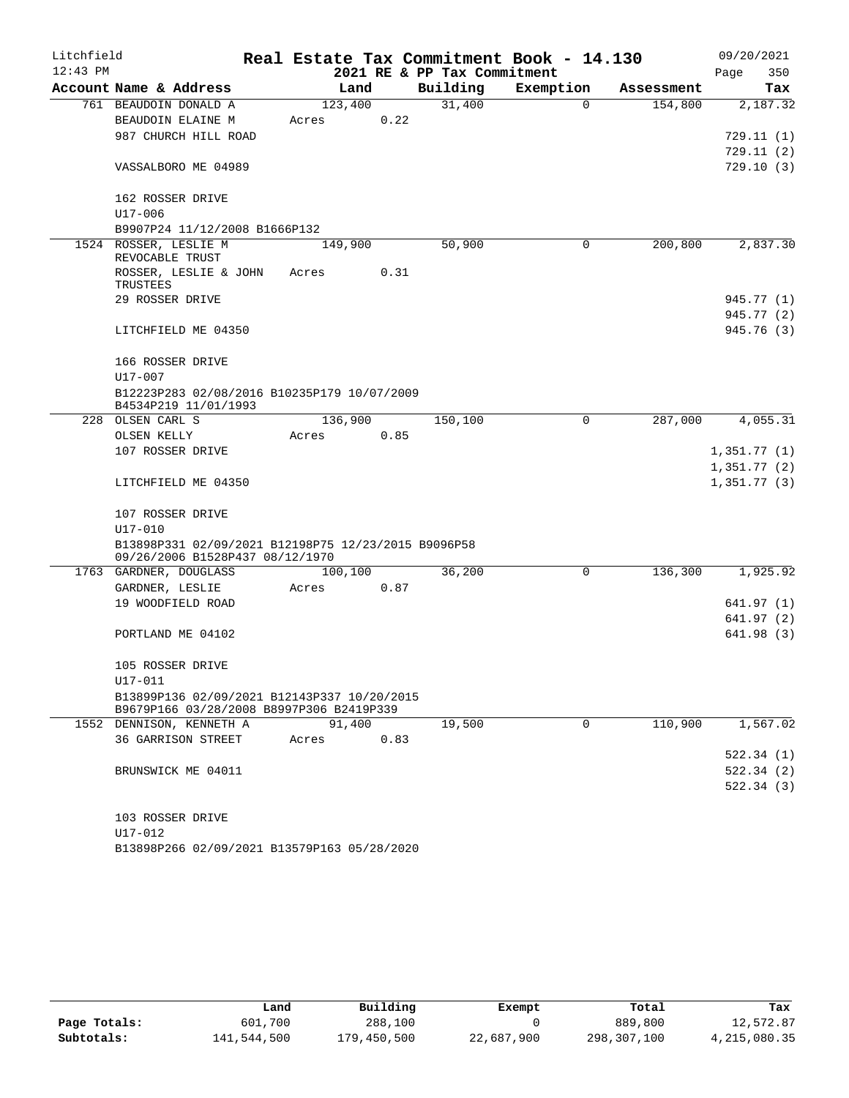| Litchfield |                                                                                         |         |      |                             | Real Estate Tax Commitment Book - 14.130 |            | 09/20/2021  |
|------------|-----------------------------------------------------------------------------------------|---------|------|-----------------------------|------------------------------------------|------------|-------------|
| $12:43$ PM |                                                                                         |         |      | 2021 RE & PP Tax Commitment |                                          |            | 350<br>Page |
|            | Account Name & Address                                                                  | Land    |      | Building                    | Exemption                                | Assessment | Tax         |
|            | 761 BEAUDOIN DONALD A                                                                   | 123,400 |      | 31,400                      | $\Omega$                                 | 154,800    | 2,187.32    |
|            | BEAUDOIN ELAINE M                                                                       | Acres   | 0.22 |                             |                                          |            |             |
|            | 987 CHURCH HILL ROAD                                                                    |         |      |                             |                                          |            | 729.11 (1)  |
|            |                                                                                         |         |      |                             |                                          |            | 729.11(2)   |
|            | VASSALBORO ME 04989                                                                     |         |      |                             |                                          |            | 729.10(3)   |
|            | 162 ROSSER DRIVE                                                                        |         |      |                             |                                          |            |             |
|            | U17-006                                                                                 |         |      |                             |                                          |            |             |
|            | B9907P24 11/12/2008 B1666P132                                                           |         |      |                             |                                          |            |             |
|            | 1524 ROSSER, LESLIE M<br>REVOCABLE TRUST                                                | 149,900 |      | 50,900                      | 0                                        | 200,800    | 2,837.30    |
|            | ROSSER, LESLIE & JOHN<br>TRUSTEES                                                       | Acres   | 0.31 |                             |                                          |            |             |
|            | 29 ROSSER DRIVE                                                                         |         |      |                             |                                          |            | 945.77 (1)  |
|            |                                                                                         |         |      |                             |                                          |            | 945.77 (2)  |
|            | LITCHFIELD ME 04350                                                                     |         |      |                             |                                          |            | 945.76 (3)  |
|            | 166 ROSSER DRIVE                                                                        |         |      |                             |                                          |            |             |
|            | $U17 - 007$                                                                             |         |      |                             |                                          |            |             |
|            | B12223P283 02/08/2016 B10235P179 10/07/2009<br>B4534P219 11/01/1993                     |         |      |                             |                                          |            |             |
|            | 228 OLSEN CARL S                                                                        | 136,900 |      | 150,100                     | 0                                        | 287,000    | 4,055.31    |
|            | OLSEN KELLY                                                                             | Acres   | 0.85 |                             |                                          |            |             |
|            | 107 ROSSER DRIVE                                                                        |         |      |                             |                                          |            | 1,351.77(1) |
|            |                                                                                         |         |      |                             |                                          |            | 1,351.77(2) |
|            | LITCHFIELD ME 04350                                                                     |         |      |                             |                                          |            | 1,351.77(3) |
|            | 107 ROSSER DRIVE                                                                        |         |      |                             |                                          |            |             |
|            | U17-010                                                                                 |         |      |                             |                                          |            |             |
|            | B13898P331 02/09/2021 B12198P75 12/23/2015 B9096P58<br>09/26/2006 B1528P437 08/12/1970  |         |      |                             |                                          |            |             |
|            | 1763 GARDNER, DOUGLASS                                                                  | 100,100 |      | 36,200                      | $\Omega$                                 | 136,300    | 1,925.92    |
|            | GARDNER, LESLIE                                                                         | Acres   | 0.87 |                             |                                          |            |             |
|            | 19 WOODFIELD ROAD                                                                       |         |      |                             |                                          |            | 641.97(1)   |
|            |                                                                                         |         |      |                             |                                          |            | 641.97(2)   |
|            | PORTLAND ME 04102                                                                       |         |      |                             |                                          |            | 641.98 (3)  |
|            | 105 ROSSER DRIVE                                                                        |         |      |                             |                                          |            |             |
|            | U17-011                                                                                 |         |      |                             |                                          |            |             |
|            | B13899P136 02/09/2021 B12143P337 10/20/2015<br>B9679P166 03/28/2008 B8997P306 B2419P339 |         |      |                             |                                          |            |             |
|            | 1552 DENNISON, KENNETH A                                                                | 91,400  |      | 19,500                      | 0                                        | 110,900    | 1,567.02    |
|            | <b>36 GARRISON STREET</b>                                                               | Acres   | 0.83 |                             |                                          |            |             |
|            |                                                                                         |         |      |                             |                                          |            | 522.34(1)   |
|            | BRUNSWICK ME 04011                                                                      |         |      |                             |                                          |            | 522.34(2)   |
|            |                                                                                         |         |      |                             |                                          |            | 522.34(3)   |
|            | 103 ROSSER DRIVE                                                                        |         |      |                             |                                          |            |             |
|            | $U17 - 012$                                                                             |         |      |                             |                                          |            |             |

B13898P266 02/09/2021 B13579P163 05/28/2020

|              | Land        | Building    | Exempt     | Total       | Tax          |
|--------------|-------------|-------------|------------|-------------|--------------|
| Page Totals: | 601,700     | 288,100     |            | 889,800     | 12,572.87    |
| Subtotals:   | 141,544,500 | 179,450,500 | 22,687,900 | 298,307,100 | 4,215,080.35 |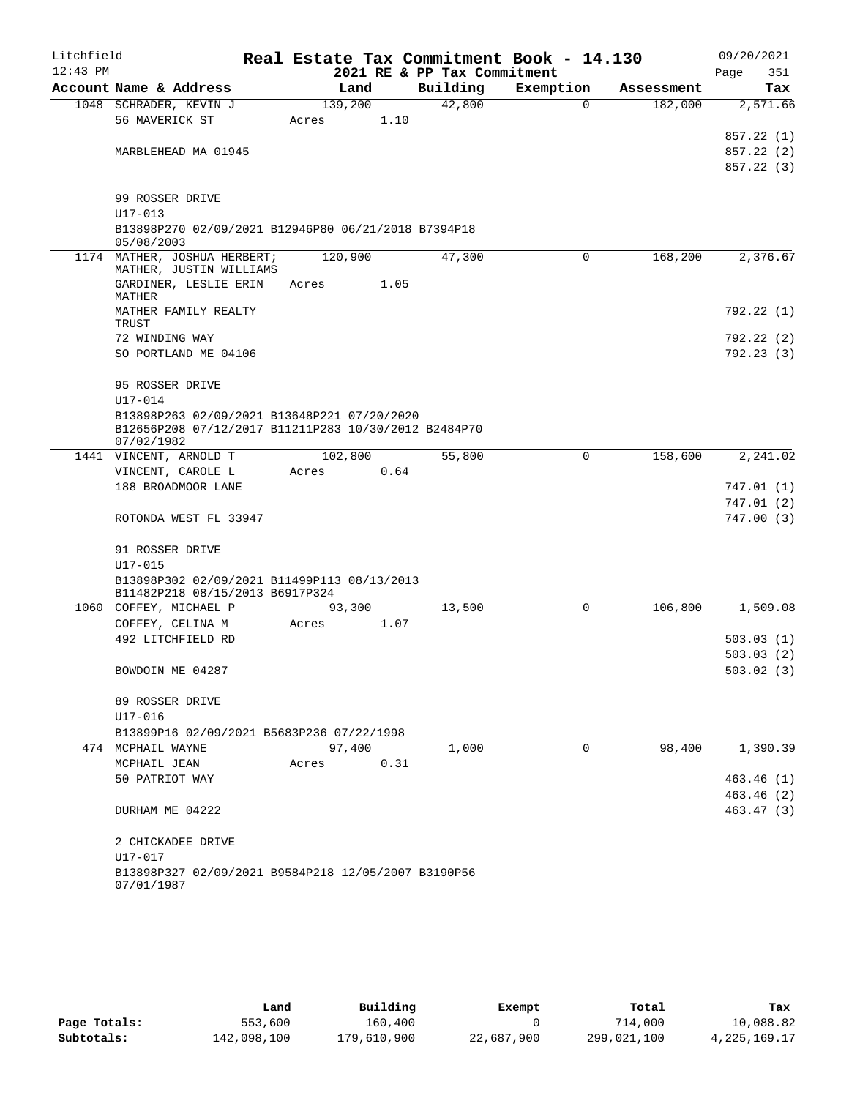| Litchfield<br>$12:43$ PM |                                                                    |         |      | 2021 RE & PP Tax Commitment | Real Estate Tax Commitment Book - 14.130 |            | 09/20/2021<br>Page<br>351 |
|--------------------------|--------------------------------------------------------------------|---------|------|-----------------------------|------------------------------------------|------------|---------------------------|
|                          | Account Name & Address                                             | Land    |      | Building                    | Exemption                                | Assessment | Tax                       |
|                          | 1048 SCHRADER, KEVIN J                                             | 139,200 |      | 42,800                      | $\mathbf 0$                              | 182,000    | 2,571.66                  |
|                          | 56 MAVERICK ST                                                     | Acres   | 1.10 |                             |                                          |            |                           |
|                          |                                                                    |         |      |                             |                                          |            | 857.22 (1)                |
|                          | MARBLEHEAD MA 01945                                                |         |      |                             |                                          |            | 857.22 (2)<br>857.22 (3)  |
|                          |                                                                    |         |      |                             |                                          |            |                           |
|                          | 99 ROSSER DRIVE                                                    |         |      |                             |                                          |            |                           |
|                          | $U17 - 013$                                                        |         |      |                             |                                          |            |                           |
|                          | B13898P270 02/09/2021 B12946P80 06/21/2018 B7394P18                |         |      |                             |                                          |            |                           |
|                          | 05/08/2003                                                         |         |      |                             |                                          |            |                           |
|                          | 1174 MATHER, JOSHUA HERBERT;<br>MATHER, JUSTIN WILLIAMS            | 120,900 |      | 47,300                      | $\Omega$                                 | 168,200    | 2,376.67                  |
|                          | GARDINER, LESLIE ERIN                                              | Acres   | 1.05 |                             |                                          |            |                           |
|                          | MATHER                                                             |         |      |                             |                                          |            |                           |
|                          | MATHER FAMILY REALTY<br>TRUST                                      |         |      |                             |                                          |            | 792.22 (1)                |
|                          | 72 WINDING WAY                                                     |         |      |                             |                                          |            | 792.22(2)                 |
|                          | SO PORTLAND ME 04106                                               |         |      |                             |                                          |            | 792.23(3)                 |
|                          |                                                                    |         |      |                             |                                          |            |                           |
|                          | 95 ROSSER DRIVE                                                    |         |      |                             |                                          |            |                           |
|                          | $U17 - 014$                                                        |         |      |                             |                                          |            |                           |
|                          | B13898P263 02/09/2021 B13648P221 07/20/2020                        |         |      |                             |                                          |            |                           |
|                          | B12656P208 07/12/2017 B11211P283 10/30/2012 B2484P70<br>07/02/1982 |         |      |                             |                                          |            |                           |
|                          | 1441 VINCENT, ARNOLD T                                             | 102,800 |      | 55,800                      | 0                                        | 158,600    | 2,241.02                  |
|                          | VINCENT, CAROLE L                                                  | Acres   | 0.64 |                             |                                          |            |                           |
|                          | 188 BROADMOOR LANE                                                 |         |      |                             |                                          |            | 747.01(1)                 |
|                          |                                                                    |         |      |                             |                                          |            | 747.01(2)                 |
|                          | ROTONDA WEST FL 33947                                              |         |      |                             |                                          |            | 747.00(3)                 |
|                          | 91 ROSSER DRIVE                                                    |         |      |                             |                                          |            |                           |
|                          | $U17 - 015$                                                        |         |      |                             |                                          |            |                           |
|                          | B13898P302 02/09/2021 B11499P113 08/13/2013                        |         |      |                             |                                          |            |                           |
|                          | B11482P218 08/15/2013 B6917P324                                    |         |      |                             |                                          |            |                           |
|                          | 1060 COFFEY, MICHAEL P                                             | 93,300  |      | 13,500                      | $\mathbf 0$                              | 106,800    | 1,509.08                  |
|                          | COFFEY, CELINA M<br>492 LITCHFIELD RD                              | Acres   | 1.07 |                             |                                          |            | 503.03(1)                 |
|                          |                                                                    |         |      |                             |                                          |            | 503.03(2)                 |
|                          | BOWDOIN ME 04287                                                   |         |      |                             |                                          |            | 503.02(3)                 |
|                          |                                                                    |         |      |                             |                                          |            |                           |
|                          | 89 ROSSER DRIVE                                                    |         |      |                             |                                          |            |                           |
|                          | U17-016                                                            |         |      |                             |                                          |            |                           |
|                          | B13899P16 02/09/2021 B5683P236 07/22/1998                          |         |      |                             |                                          |            |                           |
|                          | 474 MCPHAIL WAYNE                                                  | 97,400  |      | 1,000                       | $\Omega$                                 | 98,400     | 1,390.39                  |
|                          | MCPHAIL JEAN<br>50 PATRIOT WAY                                     | Acres   | 0.31 |                             |                                          |            | 463.46(1)                 |
|                          |                                                                    |         |      |                             |                                          |            | 463.46(2)                 |
|                          | DURHAM ME 04222                                                    |         |      |                             |                                          |            | 463.47(3)                 |
|                          |                                                                    |         |      |                             |                                          |            |                           |
|                          | 2 CHICKADEE DRIVE                                                  |         |      |                             |                                          |            |                           |
|                          | U17-017                                                            |         |      |                             |                                          |            |                           |
|                          | B13898P327 02/09/2021 B9584P218 12/05/2007 B3190P56<br>07/01/1987  |         |      |                             |                                          |            |                           |

|              | Land        | Building    | Exempt     | Total       | Tax             |
|--------------|-------------|-------------|------------|-------------|-----------------|
| Page Totals: | 553,600     | 160,400     |            | 714,000     | 10,088.82       |
| Subtotals:   | 142,098,100 | 179,610,900 | 22,687,900 | 299,021,100 | 4, 225, 169. 17 |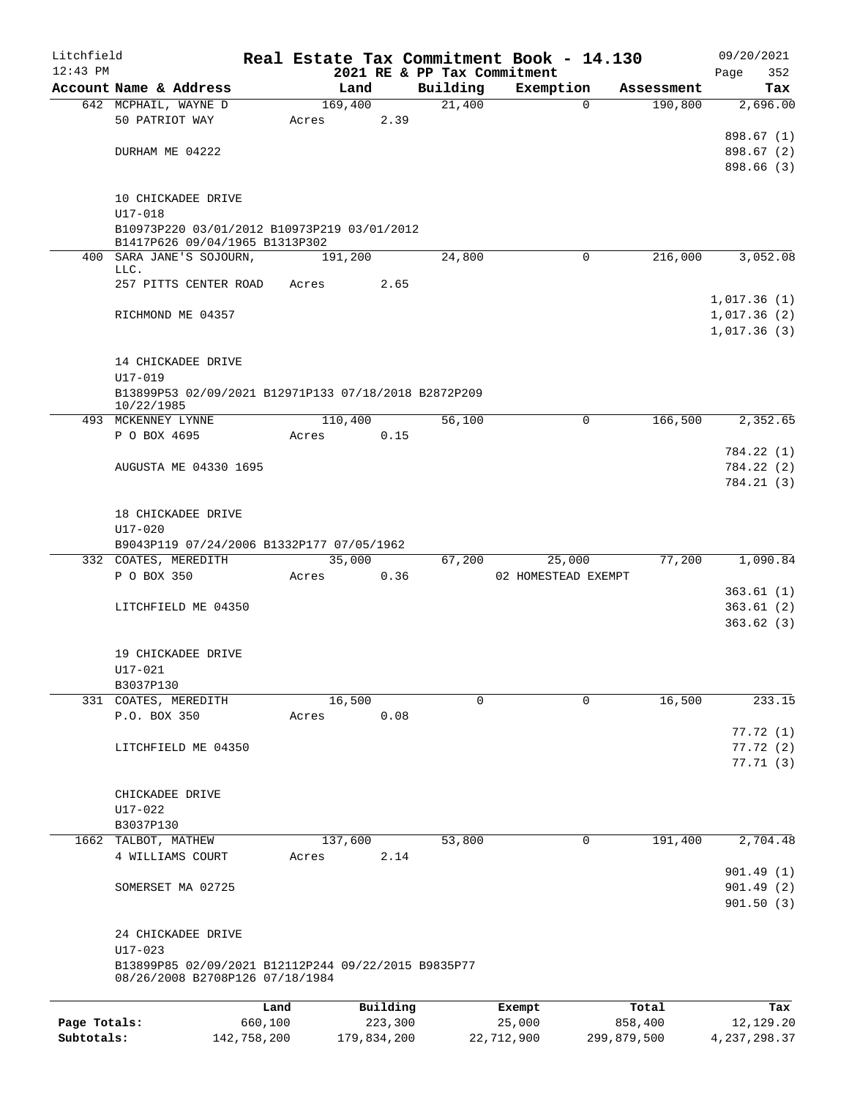| Litchfield   |                                                        |             |         |             |                             | Real Estate Tax Commitment Book - 14.130 |             |            | 09/20/2021     |
|--------------|--------------------------------------------------------|-------------|---------|-------------|-----------------------------|------------------------------------------|-------------|------------|----------------|
| $12:43$ PM   |                                                        |             |         |             | 2021 RE & PP Tax Commitment |                                          |             |            | 352<br>Page    |
|              | Account Name & Address                                 |             | Land    |             | Building                    | Exemption                                |             | Assessment | Tax            |
|              | 642 MCPHAIL, WAYNE D                                   |             | 169,400 |             | 21,400                      |                                          | $\Omega$    | 190,800    | 2,696.00       |
|              | 50 PATRIOT WAY                                         |             | Acres   | 2.39        |                             |                                          |             |            |                |
|              |                                                        |             |         |             |                             |                                          |             |            | 898.67 (1)     |
|              | DURHAM ME 04222                                        |             |         |             |                             |                                          |             |            | 898.67 (2)     |
|              |                                                        |             |         |             |                             |                                          |             |            | 898.66 (3)     |
|              |                                                        |             |         |             |                             |                                          |             |            |                |
|              | 10 CHICKADEE DRIVE                                     |             |         |             |                             |                                          |             |            |                |
|              | U17-018<br>B10973P220 03/01/2012 B10973P219 03/01/2012 |             |         |             |                             |                                          |             |            |                |
|              | B1417P626 09/04/1965 B1313P302                         |             |         |             |                             |                                          |             |            |                |
|              | 400 SARA JANE'S SOJOURN,                               |             | 191,200 |             | 24,800                      |                                          | $\mathbf 0$ | 216,000    | 3,052.08       |
|              | LLC.                                                   |             |         |             |                             |                                          |             |            |                |
|              | 257 PITTS CENTER ROAD                                  |             | Acres   | 2.65        |                             |                                          |             |            |                |
|              |                                                        |             |         |             |                             |                                          |             |            | 1,017.36(1)    |
|              | RICHMOND ME 04357                                      |             |         |             |                             |                                          |             |            | 1,017.36(2)    |
|              |                                                        |             |         |             |                             |                                          |             |            | 1,017.36(3)    |
|              |                                                        |             |         |             |                             |                                          |             |            |                |
|              | 14 CHICKADEE DRIVE                                     |             |         |             |                             |                                          |             |            |                |
|              | U17-019                                                |             |         |             |                             |                                          |             |            |                |
|              | B13899P53 02/09/2021 B12971P133 07/18/2018 B2872P209   |             |         |             |                             |                                          |             |            |                |
|              | 10/22/1985                                             |             |         |             |                             |                                          |             |            |                |
|              | 493 MCKENNEY LYNNE                                     |             | 110,400 |             | 56,100                      |                                          | 0           | 166,500    | 2,352.65       |
|              | P O BOX 4695                                           |             | Acres   | 0.15        |                             |                                          |             |            |                |
|              |                                                        |             |         |             |                             |                                          |             |            | 784.22 (1)     |
|              | AUGUSTA ME 04330 1695                                  |             |         |             |                             |                                          |             |            | 784.22 (2)     |
|              |                                                        |             |         |             |                             |                                          |             |            | 784.21(3)      |
|              |                                                        |             |         |             |                             |                                          |             |            |                |
|              | 18 CHICKADEE DRIVE                                     |             |         |             |                             |                                          |             |            |                |
|              | $U17 - 020$                                            |             |         |             |                             |                                          |             |            |                |
|              | B9043P119 07/24/2006 B1332P177 07/05/1962              |             |         |             |                             |                                          |             |            |                |
|              | 332 COATES, MEREDITH                                   |             | 35,000  |             | 67,200                      | 25,000                                   |             | 77,200     | 1,090.84       |
|              | P O BOX 350                                            |             | Acres   | 0.36        |                             | 02 HOMESTEAD EXEMPT                      |             |            |                |
|              |                                                        |             |         |             |                             |                                          |             |            | 363.61(1)      |
|              | LITCHFIELD ME 04350                                    |             |         |             |                             |                                          |             |            | 363.61(2)      |
|              |                                                        |             |         |             |                             |                                          |             |            | 363.62(3)      |
|              |                                                        |             |         |             |                             |                                          |             |            |                |
|              | 19 CHICKADEE DRIVE                                     |             |         |             |                             |                                          |             |            |                |
|              | U17-021                                                |             |         |             |                             |                                          |             |            |                |
|              | B3037P130                                              |             |         |             |                             |                                          |             |            |                |
|              | 331 COATES, MEREDITH                                   |             | 16,500  |             | 0                           |                                          | 0           | 16,500     | 233.15         |
|              | P.O. BOX 350                                           |             | Acres   | 0.08        |                             |                                          |             |            |                |
|              |                                                        |             |         |             |                             |                                          |             |            | 77.72(1)       |
|              | LITCHFIELD ME 04350                                    |             |         |             |                             |                                          |             |            | 77.72(2)       |
|              |                                                        |             |         |             |                             |                                          |             |            | 77.71(3)       |
|              |                                                        |             |         |             |                             |                                          |             |            |                |
|              | CHICKADEE DRIVE                                        |             |         |             |                             |                                          |             |            |                |
|              | $U17 - 022$                                            |             |         |             |                             |                                          |             |            |                |
|              | B3037P130                                              |             |         |             |                             |                                          |             |            |                |
|              | 1662 TALBOT, MATHEW                                    |             | 137,600 |             | 53,800                      |                                          | 0           | 191,400    | 2,704.48       |
|              | 4 WILLIAMS COURT                                       |             | Acres   | 2.14        |                             |                                          |             |            |                |
|              |                                                        |             |         |             |                             |                                          |             |            | 901.49(1)      |
|              | SOMERSET MA 02725                                      |             |         |             |                             |                                          |             |            | 901.49(2)      |
|              |                                                        |             |         |             |                             |                                          |             |            | 901.50(3)      |
|              |                                                        |             |         |             |                             |                                          |             |            |                |
|              | 24 CHICKADEE DRIVE                                     |             |         |             |                             |                                          |             |            |                |
|              | $U17 - 023$                                            |             |         |             |                             |                                          |             |            |                |
|              | B13899P85 02/09/2021 B12112P244 09/22/2015 B9835P77    |             |         |             |                             |                                          |             |            |                |
|              | 08/26/2008 B2708P126 07/18/1984                        |             |         |             |                             |                                          |             |            |                |
|              |                                                        | Land        |         | Building    |                             | Exempt                                   |             | Total      | Tax            |
| Page Totals: |                                                        | 660,100     |         | 223,300     |                             | 25,000                                   | 858,400     |            | 12,129.20      |
| Subtotals:   |                                                        | 142,758,200 |         | 179,834,200 |                             | 22,712,900                               | 299,879,500 |            | 4, 237, 298.37 |
|              |                                                        |             |         |             |                             |                                          |             |            |                |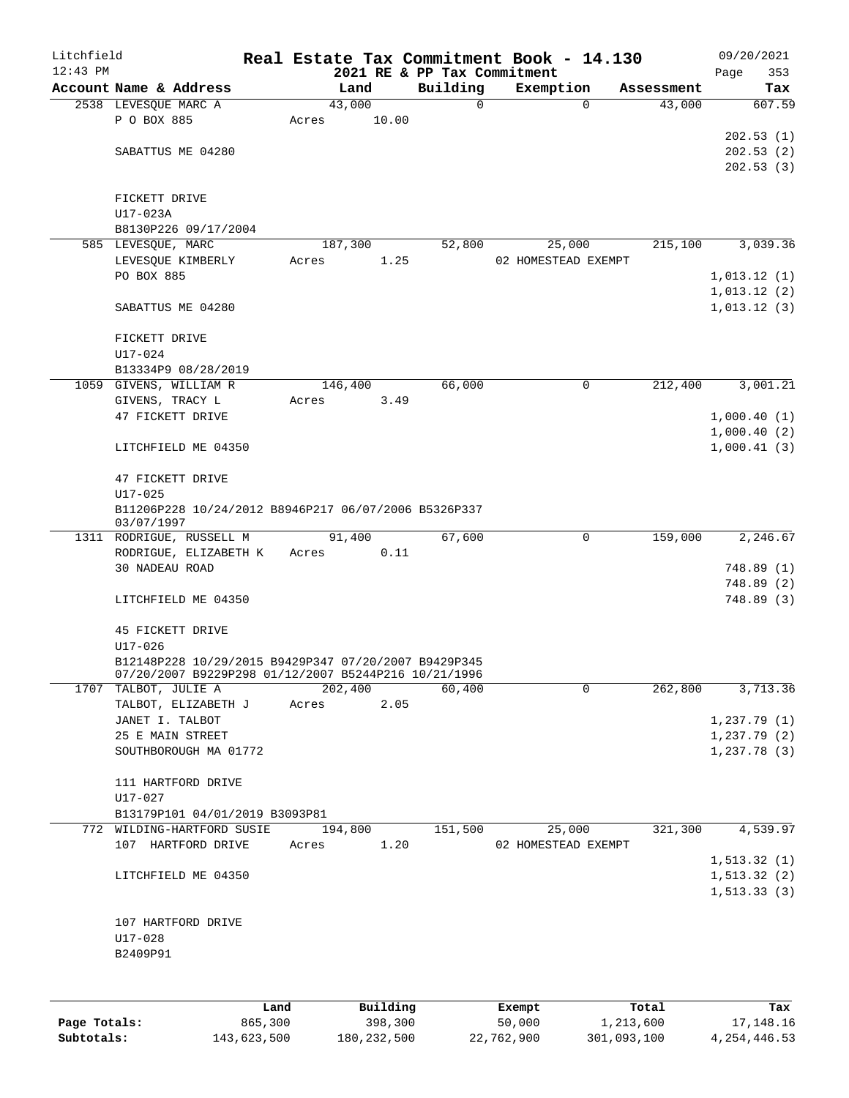| Litchfield |                                                                                                              |       |         |            | Real Estate Tax Commitment Book - 14.130 |                     |             |            |      | 09/20/2021             |
|------------|--------------------------------------------------------------------------------------------------------------|-------|---------|------------|------------------------------------------|---------------------|-------------|------------|------|------------------------|
| $12:43$ PM |                                                                                                              |       |         |            | 2021 RE & PP Tax Commitment              |                     |             |            | Page | 353                    |
|            | Account Name & Address                                                                                       |       | Land    |            | Building                                 | Exemption           |             | Assessment |      | Tax                    |
|            | 2538 LEVESQUE MARC A                                                                                         |       | 43,000  |            | $\mathbf 0$                              |                     | $\Omega$    | 43,000     |      | 607.59                 |
|            | P O BOX 885                                                                                                  | Acres |         | 10.00      |                                          |                     |             |            |      |                        |
|            | SABATTUS ME 04280                                                                                            |       |         |            |                                          |                     |             |            |      | 202.53(1)<br>202.53(2) |
|            |                                                                                                              |       |         |            |                                          |                     |             |            |      | 202.53(3)              |
|            |                                                                                                              |       |         |            |                                          |                     |             |            |      |                        |
|            | FICKETT DRIVE                                                                                                |       |         |            |                                          |                     |             |            |      |                        |
|            | U17-023A                                                                                                     |       |         |            |                                          |                     |             |            |      |                        |
|            | B8130P226 09/17/2004                                                                                         |       |         |            |                                          |                     |             |            |      |                        |
|            | 585 LEVESQUE, MARC                                                                                           |       | 187,300 |            | 52,800                                   |                     | 25,000      | 215,100    |      | 3,039.36               |
|            | LEVESQUE KIMBERLY                                                                                            | Acres |         | 1.25       |                                          | 02 HOMESTEAD EXEMPT |             |            |      |                        |
|            | PO BOX 885                                                                                                   |       |         |            |                                          |                     |             |            |      | 1,013.12(1)            |
|            |                                                                                                              |       |         |            |                                          |                     |             |            |      | 1,013.12(2)            |
|            | SABATTUS ME 04280                                                                                            |       |         |            |                                          |                     |             |            |      | 1,013.12(3)            |
|            |                                                                                                              |       |         |            |                                          |                     |             |            |      |                        |
|            | FICKETT DRIVE                                                                                                |       |         |            |                                          |                     |             |            |      |                        |
|            | U17-024                                                                                                      |       |         |            |                                          |                     |             |            |      |                        |
|            | B13334P9 08/28/2019                                                                                          |       |         |            |                                          |                     |             |            |      |                        |
|            | 1059 GIVENS, WILLIAM R                                                                                       |       | 146,400 |            | 66,000                                   |                     | 0           | 212,400    |      | 3,001.21               |
|            | GIVENS, TRACY L                                                                                              | Acres |         | 3.49       |                                          |                     |             |            |      |                        |
|            | 47 FICKETT DRIVE                                                                                             |       |         |            |                                          |                     |             |            |      | 1,000.40(1)            |
|            |                                                                                                              |       |         |            |                                          |                     |             |            |      | 1,000.40(2)            |
|            | LITCHFIELD ME 04350                                                                                          |       |         |            |                                          |                     |             |            |      | 1,000.41(3)            |
|            | 47 FICKETT DRIVE                                                                                             |       |         |            |                                          |                     |             |            |      |                        |
|            | $U17 - 025$                                                                                                  |       |         |            |                                          |                     |             |            |      |                        |
|            | B11206P228 10/24/2012 B8946P217 06/07/2006 B5326P337                                                         |       |         |            |                                          |                     |             |            |      |                        |
|            | 03/07/1997                                                                                                   |       |         |            |                                          |                     |             |            |      |                        |
|            | 1311 RODRIGUE, RUSSELL M                                                                                     |       | 91,400  |            | 67,600                                   |                     | 0           | 159,000    |      | 2,246.67               |
|            | RODRIGUE, ELIZABETH K                                                                                        | Acres |         | 0.11       |                                          |                     |             |            |      |                        |
|            | 30 NADEAU ROAD                                                                                               |       |         |            |                                          |                     |             |            |      | 748.89 (1)             |
|            |                                                                                                              |       |         |            |                                          |                     |             |            |      | 748.89 (2)             |
|            | LITCHFIELD ME 04350                                                                                          |       |         |            |                                          |                     |             |            |      | 748.89 (3)             |
|            |                                                                                                              |       |         |            |                                          |                     |             |            |      |                        |
|            | 45 FICKETT DRIVE                                                                                             |       |         |            |                                          |                     |             |            |      |                        |
|            | U17-026                                                                                                      |       |         |            |                                          |                     |             |            |      |                        |
|            | B12148P228 10/29/2015 B9429P347 07/20/2007 B9429P345<br>07/20/2007 B9229P298 01/12/2007 B5244P216 10/21/1996 |       |         |            |                                          |                     |             |            |      |                        |
|            | 1707 TALBOT, JULIE A                                                                                         |       | 202,400 |            | 60,400                                   |                     | $\mathbf 0$ | 262,800    |      | 3,713.36               |
|            | TALBOT, ELIZABETH J                                                                                          | Acres |         | 2.05       |                                          |                     |             |            |      |                        |
|            | JANET I. TALBOT                                                                                              |       |         |            |                                          |                     |             |            |      | 1,237.79(1)            |
|            | 25 E MAIN STREET                                                                                             |       |         |            |                                          |                     |             |            |      | 1,237.79(2)            |
|            | SOUTHBOROUGH MA 01772                                                                                        |       |         |            |                                          |                     |             |            |      | 1,237.78(3)            |
|            |                                                                                                              |       |         |            |                                          |                     |             |            |      |                        |
|            | 111 HARTFORD DRIVE                                                                                           |       |         |            |                                          |                     |             |            |      |                        |
|            | U17-027                                                                                                      |       |         |            |                                          |                     |             |            |      |                        |
|            | B13179P101 04/01/2019 B3093P81                                                                               |       |         |            |                                          |                     |             |            |      |                        |
|            | 772 WILDING-HARTFORD SUSIE                                                                                   |       | 194,800 |            | 151,500                                  |                     | 25,000      | 321,300    |      | 4,539.97               |
|            | 107 HARTFORD DRIVE                                                                                           | Acres |         | 1.20       |                                          | 02 HOMESTEAD EXEMPT |             |            |      |                        |
|            |                                                                                                              |       |         |            |                                          |                     |             |            |      | 1, 513.32(1)           |
|            | LITCHFIELD ME 04350                                                                                          |       |         |            |                                          |                     |             |            |      | 1, 513.32(2)           |
|            |                                                                                                              |       |         |            |                                          |                     |             |            |      | 1, 513.33(3)           |
|            |                                                                                                              |       |         |            |                                          |                     |             |            |      |                        |
|            | 107 HARTFORD DRIVE                                                                                           |       |         |            |                                          |                     |             |            |      |                        |
|            | U17-028                                                                                                      |       |         |            |                                          |                     |             |            |      |                        |
|            | B2409P91                                                                                                     |       |         |            |                                          |                     |             |            |      |                        |
|            |                                                                                                              |       |         |            |                                          |                     |             |            |      |                        |
|            |                                                                                                              |       |         |            |                                          |                     |             |            |      |                        |
|            |                                                                                                              |       |         | $D$ ilaine |                                          |                     |             |            |      |                        |

|              | Land        | Building      | Exempt     | Total       | Tax            |
|--------------|-------------|---------------|------------|-------------|----------------|
| Page Totals: | 865,300     | 398,300       | 50,000     | 1,213,600   | 17,148.16      |
| Subtotals:   | 143,623,500 | 180, 232, 500 | 22,762,900 | 301,093,100 | 4, 254, 446.53 |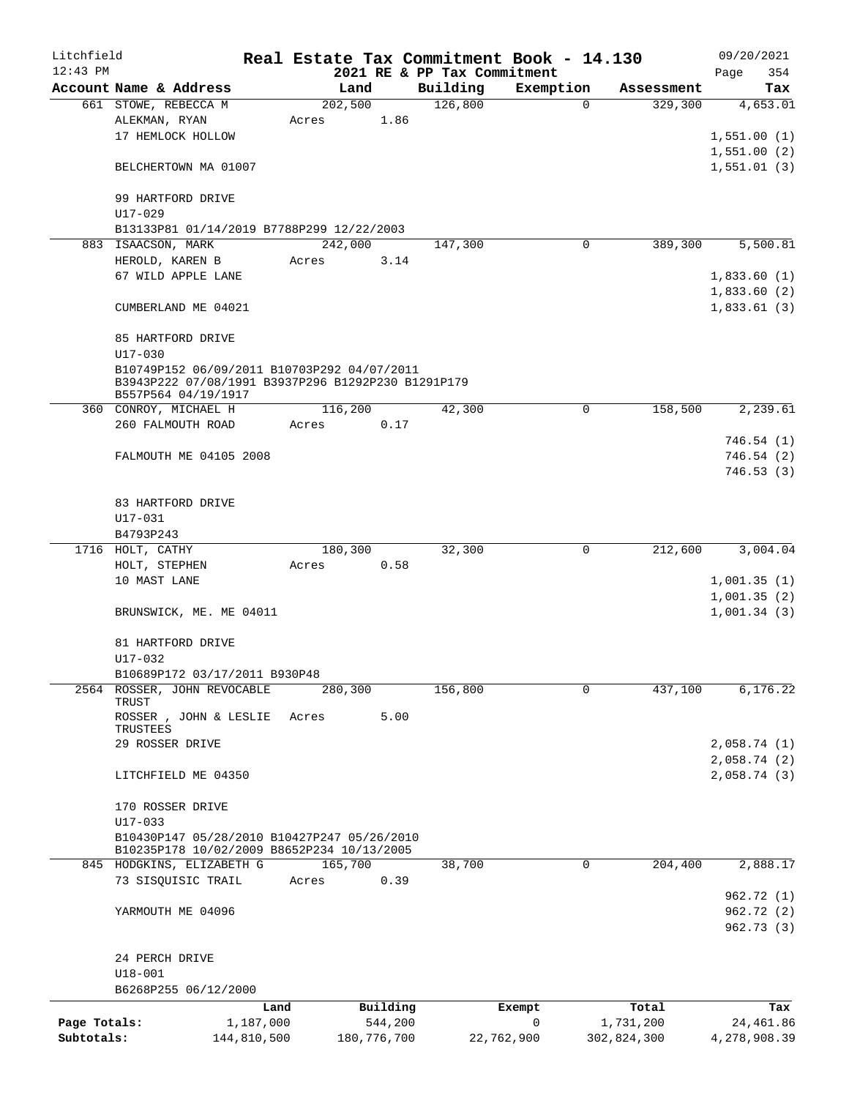| Litchfield   |                                                                         |             |                  |               |                             | Real Estate Tax Commitment Book - 14.130 |                        | 09/20/2021              |
|--------------|-------------------------------------------------------------------------|-------------|------------------|---------------|-----------------------------|------------------------------------------|------------------------|-------------------------|
| $12:43$ PM   |                                                                         |             |                  |               | 2021 RE & PP Tax Commitment |                                          |                        | Page<br>354             |
|              | Account Name & Address                                                  |             | Land             |               | Building                    | Exemption                                | Assessment             | Tax                     |
|              | 661 STOWE, REBECCA M                                                    |             | 202,500          |               | 126,800                     |                                          | 329,300<br>$\Omega$    | 4,653.01                |
|              | ALEKMAN, RYAN<br>17 HEMLOCK HOLLOW                                      |             | Acres            | 1.86          |                             |                                          |                        | 1,551.00(1)             |
|              |                                                                         |             |                  |               |                             |                                          |                        | 1,551.00(2)             |
|              | BELCHERTOWN MA 01007                                                    |             |                  |               |                             |                                          |                        | 1,551.01(3)             |
|              |                                                                         |             |                  |               |                             |                                          |                        |                         |
|              | 99 HARTFORD DRIVE                                                       |             |                  |               |                             |                                          |                        |                         |
|              | $U17 - 029$                                                             |             |                  |               |                             |                                          |                        |                         |
|              | B13133P81 01/14/2019 B7788P299 12/22/2003                               |             |                  |               |                             |                                          |                        |                         |
|              | 883 ISAACSON, MARK                                                      |             | 242,000          |               | 147,300                     |                                          | 389,300<br>$\mathbf 0$ | 5,500.81                |
|              | HEROLD, KAREN B                                                         |             | Acres            | 3.14          |                             |                                          |                        |                         |
|              | 67 WILD APPLE LANE                                                      |             |                  |               |                             |                                          |                        | 1,833.60(1)             |
|              |                                                                         |             |                  |               |                             |                                          |                        | 1,833.60(2)             |
|              | CUMBERLAND ME 04021                                                     |             |                  |               |                             |                                          |                        | 1,833.61(3)             |
|              |                                                                         |             |                  |               |                             |                                          |                        |                         |
|              | 85 HARTFORD DRIVE<br>$U17 - 030$                                        |             |                  |               |                             |                                          |                        |                         |
|              | B10749P152 06/09/2011 B10703P292 04/07/2011                             |             |                  |               |                             |                                          |                        |                         |
|              | B3943P222 07/08/1991 B3937P296 B1292P230 B1291P179                      |             |                  |               |                             |                                          |                        |                         |
|              | B557P564 04/19/1917                                                     |             |                  |               |                             |                                          |                        |                         |
|              | 360 CONROY, MICHAEL H                                                   |             | 116,200          |               | 42,300                      |                                          | 158,500<br>$\mathbf 0$ | 2,239.61                |
|              | 260 FALMOUTH ROAD                                                       |             | Acres            | 0.17          |                             |                                          |                        |                         |
|              | FALMOUTH ME 04105 2008                                                  |             |                  |               |                             |                                          |                        | 746.54 (1)<br>746.54(2) |
|              |                                                                         |             |                  |               |                             |                                          |                        | 746.53(3)               |
|              |                                                                         |             |                  |               |                             |                                          |                        |                         |
|              | 83 HARTFORD DRIVE                                                       |             |                  |               |                             |                                          |                        |                         |
|              | U17-031                                                                 |             |                  |               |                             |                                          |                        |                         |
|              | B4793P243                                                               |             |                  |               |                             |                                          |                        |                         |
|              | 1716 HOLT, CATHY                                                        |             | 180,300          |               | 32,300                      |                                          | 212,600<br>0           | 3,004.04                |
|              | HOLT, STEPHEN                                                           |             | Acres            | 0.58          |                             |                                          |                        |                         |
|              | 10 MAST LANE                                                            |             |                  |               |                             |                                          |                        | 1,001.35(1)             |
|              |                                                                         |             |                  |               |                             |                                          |                        | 1,001.35(2)             |
|              | BRUNSWICK, ME. ME 04011                                                 |             |                  |               |                             |                                          |                        | 1,001.34(3)             |
|              | 81 HARTFORD DRIVE                                                       |             |                  |               |                             |                                          |                        |                         |
|              | $U17 - 032$                                                             |             |                  |               |                             |                                          |                        |                         |
|              | B10689P172 03/17/2011 B930P48                                           |             |                  |               |                             |                                          |                        |                         |
|              | 2564 ROSSER, JOHN REVOCABLE                                             |             | 280,300          |               | 156,800                     |                                          | 437,100<br>0           | 6, 176.22               |
|              | TRUST                                                                   |             |                  |               |                             |                                          |                        |                         |
|              | ROSSER, JOHN & LESLIE                                                   |             | Acres            | 5.00          |                             |                                          |                        |                         |
|              | TRUSTEES<br>29 ROSSER DRIVE                                             |             |                  |               |                             |                                          |                        | 2,058.74(1)             |
|              |                                                                         |             |                  |               |                             |                                          |                        | 2,058.74(2)             |
|              | LITCHFIELD ME 04350                                                     |             |                  |               |                             |                                          |                        | 2,058.74(3)             |
|              |                                                                         |             |                  |               |                             |                                          |                        |                         |
|              | 170 ROSSER DRIVE                                                        |             |                  |               |                             |                                          |                        |                         |
|              | $U17 - 033$                                                             |             |                  |               |                             |                                          |                        |                         |
|              | B10430P147 05/28/2010 B10427P247 05/26/2010                             |             |                  |               |                             |                                          |                        |                         |
|              | B10235P178 10/02/2009 B8652P234 10/13/2005<br>845 HODGKINS, ELIZABETH G |             |                  |               | 38,700                      |                                          | $\mathbf 0$<br>204,400 | 2,888.17                |
|              | 73 SISQUISIC TRAIL                                                      |             | 165,700<br>Acres | 0.39          |                             |                                          |                        |                         |
|              |                                                                         |             |                  |               |                             |                                          |                        | 962.72 (1)              |
|              | YARMOUTH ME 04096                                                       |             |                  |               |                             |                                          |                        | 962.72(2)               |
|              |                                                                         |             |                  |               |                             |                                          |                        | 962.73(3)               |
|              |                                                                         |             |                  |               |                             |                                          |                        |                         |
|              | 24 PERCH DRIVE                                                          |             |                  |               |                             |                                          |                        |                         |
|              | $U18 - 001$                                                             |             |                  |               |                             |                                          |                        |                         |
|              | B6268P255 06/12/2000                                                    |             |                  |               |                             |                                          |                        |                         |
|              |                                                                         | Land        |                  | Building      |                             | Exempt                                   | Total                  | Tax                     |
| Page Totals: |                                                                         | 1,187,000   |                  | 544,200       |                             | 0                                        | 1,731,200              | 24,461.86               |
| Subtotals:   |                                                                         | 144,810,500 |                  | 180, 776, 700 |                             | 22,762,900                               | 302,824,300            | 4,278,908.39            |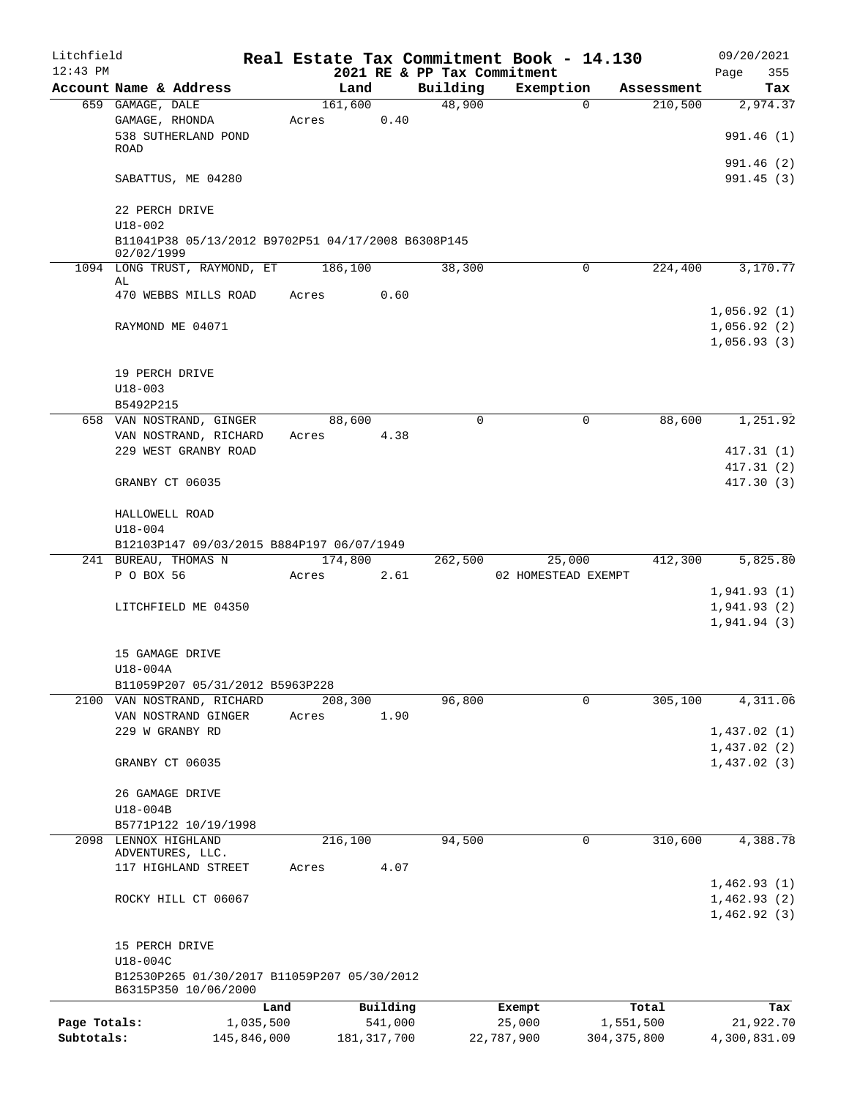| Litchfield   |                                                                                 |           |         |               |                             | Real Estate Tax Commitment Book - 14.130 |               |            | 09/20/2021                 |
|--------------|---------------------------------------------------------------------------------|-----------|---------|---------------|-----------------------------|------------------------------------------|---------------|------------|----------------------------|
| $12:43$ PM   |                                                                                 |           |         |               | 2021 RE & PP Tax Commitment |                                          |               |            | 355<br>Page                |
|              | Account Name & Address                                                          |           | Land    |               | Building                    | Exemption                                |               | Assessment | Tax                        |
|              | 659 GAMAGE, DALE                                                                |           | 161,600 |               | 48,900                      | $\Omega$                                 |               | 210,500    | 2,974.37                   |
|              | GAMAGE, RHONDA<br>538 SUTHERLAND POND                                           |           | Acres   | 0.40          |                             |                                          |               |            | 991.46 (1)                 |
|              | ROAD                                                                            |           |         |               |                             |                                          |               |            | 991.46(2)                  |
|              | SABATTUS, ME 04280                                                              |           |         |               |                             |                                          |               |            | 991.45 (3)                 |
|              | 22 PERCH DRIVE                                                                  |           |         |               |                             |                                          |               |            |                            |
|              | $U18 - 002$<br>B11041P38 05/13/2012 B9702P51 04/17/2008 B6308P145<br>02/02/1999 |           |         |               |                             |                                          |               |            |                            |
|              | 1094 LONG TRUST, RAYMOND, ET 186,100                                            |           |         |               | 38,300                      | 0                                        |               | 224,400    | 3,170.77                   |
|              | AL                                                                              |           |         |               |                             |                                          |               |            |                            |
|              | 470 WEBBS MILLS ROAD                                                            |           | Acres   | 0.60          |                             |                                          |               |            |                            |
|              |                                                                                 |           |         |               |                             |                                          |               |            | 1,056.92(1)                |
|              | RAYMOND ME 04071                                                                |           |         |               |                             |                                          |               |            | 1,056.92(2)<br>1,056.93(3) |
|              |                                                                                 |           |         |               |                             |                                          |               |            |                            |
|              | 19 PERCH DRIVE                                                                  |           |         |               |                             |                                          |               |            |                            |
|              | $U18 - 003$                                                                     |           |         |               |                             |                                          |               |            |                            |
|              | B5492P215                                                                       |           |         |               |                             |                                          |               |            |                            |
|              | 658 VAN NOSTRAND, GINGER                                                        |           | 88,600  |               | 0                           | 0                                        |               | 88,600     | 1,251.92                   |
|              | VAN NOSTRAND, RICHARD                                                           |           | Acres   | 4.38          |                             |                                          |               |            |                            |
|              | 229 WEST GRANBY ROAD                                                            |           |         |               |                             |                                          |               |            | 417.31 (1)                 |
|              |                                                                                 |           |         |               |                             |                                          |               |            | 417.31(2)                  |
|              | GRANBY CT 06035                                                                 |           |         |               |                             |                                          |               |            | 417.30 (3)                 |
|              | HALLOWELL ROAD                                                                  |           |         |               |                             |                                          |               |            |                            |
|              | $U18 - 004$                                                                     |           |         |               |                             |                                          |               |            |                            |
|              | B12103P147 09/03/2015 B884P197 06/07/1949<br>241 BUREAU, THOMAS N               |           | 174,800 |               | 262,500                     | 25,000                                   |               | 412,300    | 5,825.80                   |
|              | P O BOX 56                                                                      |           | Acres   | 2.61          |                             | 02 HOMESTEAD EXEMPT                      |               |            |                            |
|              |                                                                                 |           |         |               |                             |                                          |               |            | 1,941.93(1)                |
|              | LITCHFIELD ME 04350                                                             |           |         |               |                             |                                          |               |            | 1,941.93(2)                |
|              |                                                                                 |           |         |               |                             |                                          |               |            | 1,941.94 (3)               |
|              | 15 GAMAGE DRIVE                                                                 |           |         |               |                             |                                          |               |            |                            |
|              | U18-004A                                                                        |           |         |               |                             |                                          |               |            |                            |
|              | B11059P207 05/31/2012 B5963P228                                                 |           |         |               |                             |                                          |               |            |                            |
|              | 2100 VAN NOSTRAND, RICHARD                                                      |           | 208,300 |               | 96,800                      | 0                                        |               | 305,100    | 4,311.06                   |
|              | VAN NOSTRAND GINGER<br>229 W GRANBY RD                                          |           | Acres   | 1.90          |                             |                                          |               |            | 1,437.02(1)                |
|              |                                                                                 |           |         |               |                             |                                          |               |            | 1,437.02(2)                |
|              | GRANBY CT 06035                                                                 |           |         |               |                             |                                          |               |            | 1,437.02(3)                |
|              | 26 GAMAGE DRIVE                                                                 |           |         |               |                             |                                          |               |            |                            |
|              | U18-004B                                                                        |           |         |               |                             |                                          |               |            |                            |
|              | B5771P122 10/19/1998                                                            |           |         |               |                             |                                          |               |            |                            |
| 2098         | LENNOX HIGHLAND<br>ADVENTURES, LLC.                                             |           | 216,100 |               | 94,500                      | 0                                        |               | 310,600    | 4,388.78                   |
|              | 117 HIGHLAND STREET                                                             |           | Acres   | 4.07          |                             |                                          |               |            |                            |
|              |                                                                                 |           |         |               |                             |                                          |               |            | 1,462.93(1)                |
|              | ROCKY HILL CT 06067                                                             |           |         |               |                             |                                          |               |            | 1,462.93(2)                |
|              |                                                                                 |           |         |               |                             |                                          |               |            | 1,462.92(3)                |
|              | 15 PERCH DRIVE                                                                  |           |         |               |                             |                                          |               |            |                            |
|              | $U18-004C$                                                                      |           |         |               |                             |                                          |               |            |                            |
|              | B12530P265 01/30/2017 B11059P207 05/30/2012<br>B6315P350 10/06/2000             |           |         |               |                             |                                          |               |            |                            |
|              |                                                                                 | Land      |         | Building      |                             | Exempt                                   |               | Total      | Tax                        |
| Page Totals: |                                                                                 | 1,035,500 |         | 541,000       |                             | 25,000                                   | 1,551,500     |            | 21,922.70                  |
| Subtotals:   | 145,846,000                                                                     |           |         | 181, 317, 700 |                             | 22,787,900                               | 304, 375, 800 |            | 4,300,831.09               |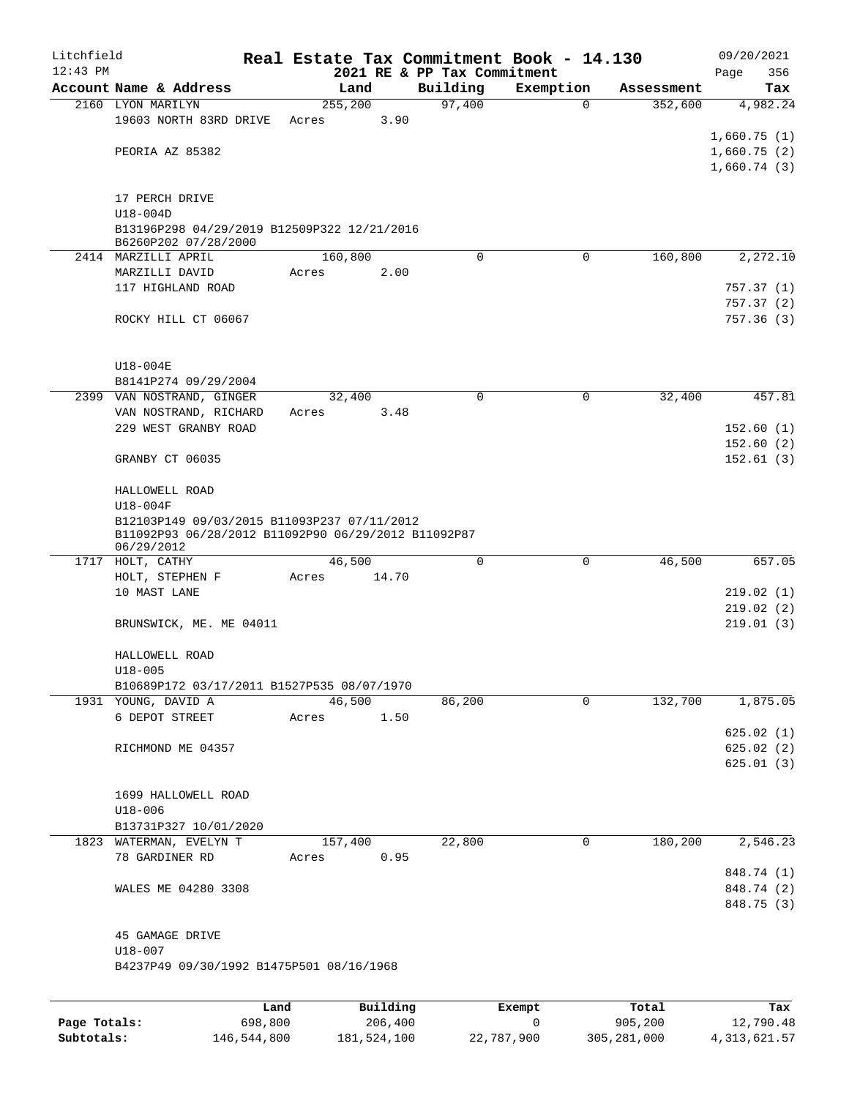| Litchfield |                                                                                                                  |      |       |          |          |          | Real Estate Tax Commitment Book - 14.130 |                        | 09/20/2021  |
|------------|------------------------------------------------------------------------------------------------------------------|------|-------|----------|----------|----------|------------------------------------------|------------------------|-------------|
| $12:43$ PM |                                                                                                                  |      |       |          |          |          | 2021 RE & PP Tax Commitment              |                        | 356<br>Page |
|            | Account Name & Address                                                                                           |      |       | Land     |          | Building | Exemption                                | Assessment             | Tax         |
|            | 2160 LYON MARILYN                                                                                                |      |       | 255, 200 |          | 97,400   |                                          | 352,600<br>$\mathbf 0$ | 4,982.24    |
|            | 19603 NORTH 83RD DRIVE                                                                                           |      | Acres |          | 3.90     |          |                                          |                        | 1,660.75(1) |
|            | PEORIA AZ 85382                                                                                                  |      |       |          |          |          |                                          |                        | 1,660.75(2) |
|            |                                                                                                                  |      |       |          |          |          |                                          |                        | 1,660.74(3) |
|            |                                                                                                                  |      |       |          |          |          |                                          |                        |             |
|            | 17 PERCH DRIVE                                                                                                   |      |       |          |          |          |                                          |                        |             |
|            | $U18-004D$<br>B13196P298 04/29/2019 B12509P322 12/21/2016<br>B6260P202 07/28/2000                                |      |       |          |          |          |                                          |                        |             |
|            | 2414 MARZILLI APRIL                                                                                              |      |       | 160,800  |          |          | 0<br>$\mathbf 0$                         | 160,800                | 2,272.10    |
|            | MARZILLI DAVID                                                                                                   |      | Acres |          | 2.00     |          |                                          |                        |             |
|            | 117 HIGHLAND ROAD                                                                                                |      |       |          |          |          |                                          |                        | 757.37(1)   |
|            |                                                                                                                  |      |       |          |          |          |                                          |                        | 757.37(2)   |
|            | ROCKY HILL CT 06067                                                                                              |      |       |          |          |          |                                          |                        | 757.36(3)   |
|            | U18-004E                                                                                                         |      |       |          |          |          |                                          |                        |             |
|            | B8141P274 09/29/2004                                                                                             |      |       |          |          |          |                                          |                        |             |
|            | 2399 VAN NOSTRAND, GINGER                                                                                        |      |       | 32,400   |          |          | $\mathbf 0$                              | 32,400<br>0            | 457.81      |
|            | VAN NOSTRAND, RICHARD                                                                                            |      | Acres |          | 3.48     |          |                                          |                        |             |
|            | 229 WEST GRANBY ROAD                                                                                             |      |       |          |          |          |                                          |                        | 152.60(1)   |
|            |                                                                                                                  |      |       |          |          |          |                                          |                        | 152.60(2)   |
|            | GRANBY CT 06035                                                                                                  |      |       |          |          |          |                                          |                        | 152.61(3)   |
|            | HALLOWELL ROAD                                                                                                   |      |       |          |          |          |                                          |                        |             |
|            | $U18-004F$                                                                                                       |      |       |          |          |          |                                          |                        |             |
|            | B12103P149 09/03/2015 B11093P237 07/11/2012<br>B11092P93 06/28/2012 B11092P90 06/29/2012 B11092P87<br>06/29/2012 |      |       |          |          |          |                                          |                        |             |
|            | 1717 HOLT, CATHY                                                                                                 |      |       | 46,500   |          |          | 0<br>0                                   | 46,500                 | 657.05      |
|            | HOLT, STEPHEN F                                                                                                  |      | Acres |          | 14.70    |          |                                          |                        |             |
|            | 10 MAST LANE                                                                                                     |      |       |          |          |          |                                          |                        | 219.02(1)   |
|            |                                                                                                                  |      |       |          |          |          |                                          |                        | 219.02(2)   |
|            | BRUNSWICK, ME. ME 04011                                                                                          |      |       |          |          |          |                                          |                        | 219.01(3)   |
|            | HALLOWELL ROAD<br>$U18 - 005$                                                                                    |      |       |          |          |          |                                          |                        |             |
|            | B10689P172 03/17/2011 B1527P535 08/07/1970                                                                       |      |       |          |          |          |                                          |                        |             |
|            | 1931 YOUNG, DAVID A                                                                                              |      |       | 46,500   |          | 86,200   |                                          | 132,700<br>0           | 1,875.05    |
|            | 6 DEPOT STREET                                                                                                   |      | Acres |          | 1.50     |          |                                          |                        |             |
|            |                                                                                                                  |      |       |          |          |          |                                          |                        | 625.02(1)   |
|            | RICHMOND ME 04357                                                                                                |      |       |          |          |          |                                          |                        | 625.02(2)   |
|            |                                                                                                                  |      |       |          |          |          |                                          |                        | 625.01(3)   |
|            |                                                                                                                  |      |       |          |          |          |                                          |                        |             |
|            | 1699 HALLOWELL ROAD                                                                                              |      |       |          |          |          |                                          |                        |             |
|            | $U18 - 006$<br>B13731P327 10/01/2020                                                                             |      |       |          |          |          |                                          |                        |             |
|            | 1823 WATERMAN, EVELYN T                                                                                          |      |       | 157,400  |          | 22,800   |                                          | 180,200<br>0           | 2,546.23    |
|            | 78 GARDINER RD                                                                                                   |      | Acres |          | 0.95     |          |                                          |                        |             |
|            |                                                                                                                  |      |       |          |          |          |                                          |                        | 848.74 (1)  |
|            | WALES ME 04280 3308                                                                                              |      |       |          |          |          |                                          |                        | 848.74 (2)  |
|            |                                                                                                                  |      |       |          |          |          |                                          |                        | 848.75 (3)  |
|            | 45 GAMAGE DRIVE                                                                                                  |      |       |          |          |          |                                          |                        |             |
|            | $U18 - 007$                                                                                                      |      |       |          |          |          |                                          |                        |             |
|            | B4237P49 09/30/1992 B1475P501 08/16/1968                                                                         |      |       |          |          |          |                                          |                        |             |
|            |                                                                                                                  |      |       |          | Building |          |                                          |                        |             |
|            |                                                                                                                  | Land |       |          |          |          | Exempt                                   | Total                  | Tax         |

|              | Land        | Building    | Exempt     | Total       | Tax            |
|--------------|-------------|-------------|------------|-------------|----------------|
| Page Totals: | 698,800     | 206,400     |            | 905,200     | 12,790.48      |
| Subtotals:   | 146,544,800 | 181,524,100 | 22,787,900 | 305,281,000 | 4, 313, 621.57 |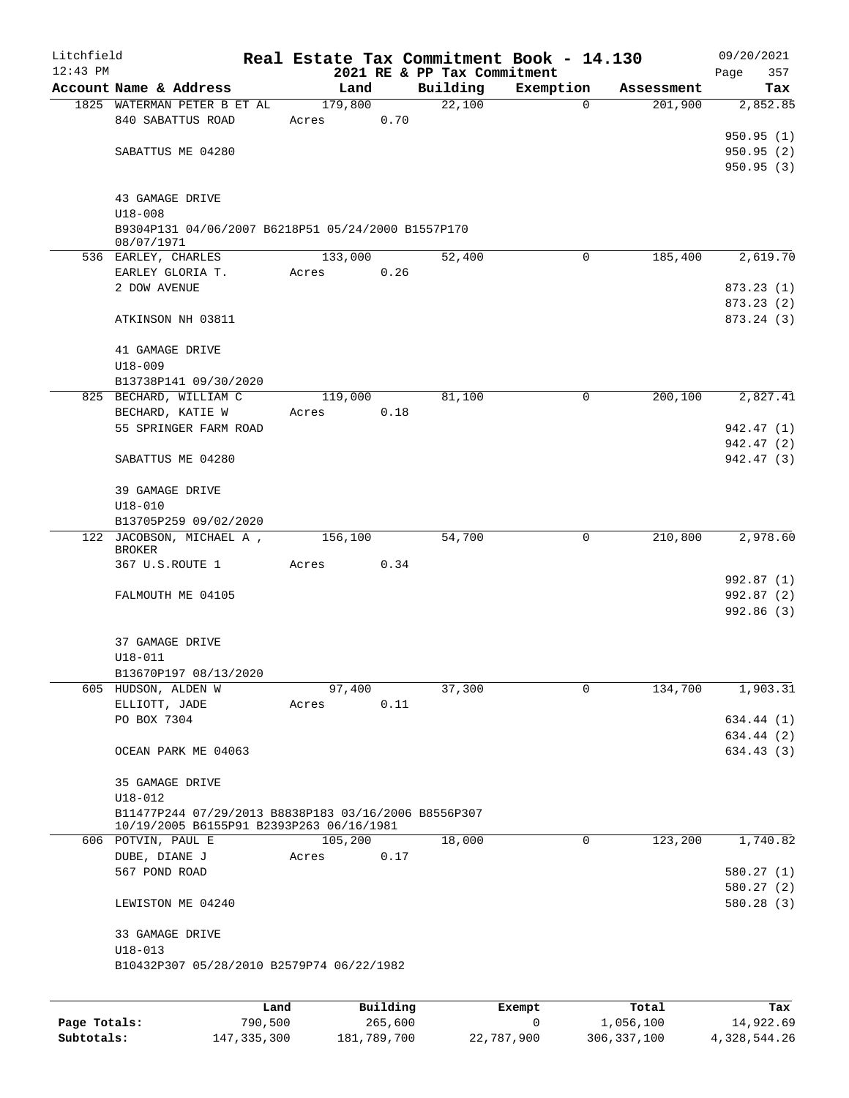| Litchfield |                                                                  |       |                 |      |                             | Real Estate Tax Commitment Book - 14.130 |            | 09/20/2021               |  |
|------------|------------------------------------------------------------------|-------|-----------------|------|-----------------------------|------------------------------------------|------------|--------------------------|--|
| $12:43$ PM |                                                                  |       |                 |      | 2021 RE & PP Tax Commitment |                                          |            | 357<br>Page              |  |
|            | Account Name & Address                                           |       | Land            |      | Building<br>22,100          | Exemption                                | Assessment | Tax                      |  |
|            | 1825 WATERMAN PETER B ET AL<br>840 SABATTUS ROAD                 | Acres | 179,800<br>0.70 |      |                             | $\mathbf{0}$                             | 201,900    | 2,852.85                 |  |
|            |                                                                  |       |                 |      |                             |                                          |            | 950.95(1)                |  |
|            | SABATTUS ME 04280                                                |       |                 |      |                             |                                          |            | 950.95(2)                |  |
|            |                                                                  |       |                 |      |                             |                                          |            | 950.95(3)                |  |
|            |                                                                  |       |                 |      |                             |                                          |            |                          |  |
|            | 43 GAMAGE DRIVE                                                  |       |                 |      |                             |                                          |            |                          |  |
|            | $U18 - 008$                                                      |       |                 |      |                             |                                          |            |                          |  |
|            | B9304P131 04/06/2007 B6218P51 05/24/2000 B1557P170<br>08/07/1971 |       |                 |      |                             |                                          |            |                          |  |
|            | 536 EARLEY, CHARLES                                              |       | 133,000         |      | 52,400                      | $\mathbf 0$                              | 185,400    | 2,619.70                 |  |
|            | EARLEY GLORIA T.                                                 | Acres |                 | 0.26 |                             |                                          |            |                          |  |
|            | 2 DOW AVENUE                                                     |       |                 |      |                             |                                          |            | 873.23(1)                |  |
|            |                                                                  |       |                 |      |                             |                                          |            | 873.23 (2)               |  |
|            | ATKINSON NH 03811                                                |       |                 |      |                             |                                          |            | 873.24 (3)               |  |
|            | 41 GAMAGE DRIVE                                                  |       |                 |      |                             |                                          |            |                          |  |
|            | $U18 - 009$                                                      |       |                 |      |                             |                                          |            |                          |  |
|            | B13738P141 09/30/2020                                            |       |                 |      |                             |                                          |            |                          |  |
|            | 825 BECHARD, WILLIAM C                                           |       | 119,000         |      | 81,100                      | 0                                        | 200, 100   | 2,827.41                 |  |
|            | BECHARD, KATIE W                                                 | Acres |                 | 0.18 |                             |                                          |            |                          |  |
|            | 55 SPRINGER FARM ROAD                                            |       |                 |      |                             |                                          |            | 942.47 (1)               |  |
|            | SABATTUS ME 04280                                                |       |                 |      |                             |                                          |            | 942.47 (2)<br>942.47 (3) |  |
|            | 39 GAMAGE DRIVE                                                  |       |                 |      |                             |                                          |            |                          |  |
|            | $U18 - 010$                                                      |       |                 |      |                             |                                          |            |                          |  |
|            | B13705P259 09/02/2020                                            |       |                 |      |                             |                                          |            |                          |  |
|            | 122 JACOBSON, MICHAEL A,<br>BROKER                               |       | 156,100         |      | 54,700                      | 0                                        | 210,800    | 2,978.60                 |  |
|            | 367 U.S.ROUTE 1                                                  | Acres | 0.34            |      |                             |                                          |            |                          |  |
|            |                                                                  |       |                 |      |                             |                                          |            | 992.87 (1)               |  |
|            | FALMOUTH ME 04105                                                |       |                 |      |                             |                                          |            | 992.87 (2)               |  |
|            |                                                                  |       |                 |      |                             |                                          |            | 992.86(3)                |  |
|            |                                                                  |       |                 |      |                             |                                          |            |                          |  |
|            | 37 GAMAGE DRIVE                                                  |       |                 |      |                             |                                          |            |                          |  |
|            | $U18 - 011$                                                      |       |                 |      |                             |                                          |            |                          |  |
|            | B13670P197 08/13/2020<br>605 HUDSON, ALDEN W                     |       | 97,400          |      |                             |                                          | 134,700    |                          |  |
|            |                                                                  |       |                 |      | 37,300                      | 0                                        |            | 1,903.31                 |  |
|            | ELLIOTT, JADE<br>PO BOX 7304                                     | Acres |                 | 0.11 |                             |                                          |            | 634.44 (1)               |  |
|            |                                                                  |       |                 |      |                             |                                          |            | 634.44 (2)               |  |
|            | OCEAN PARK ME 04063                                              |       |                 |      |                             |                                          |            | 634.43 (3)               |  |
|            |                                                                  |       |                 |      |                             |                                          |            |                          |  |
|            | 35 GAMAGE DRIVE                                                  |       |                 |      |                             |                                          |            |                          |  |
|            | $U18 - 012$                                                      |       |                 |      |                             |                                          |            |                          |  |
|            | B11477P244 07/29/2013 B8838P183 03/16/2006 B8556P307             |       |                 |      |                             |                                          |            |                          |  |
|            | 10/19/2005 B6155P91 B2393P263 06/16/1981                         |       |                 |      |                             |                                          |            |                          |  |
|            | 606 POTVIN, PAUL E                                               |       | 105,200         |      | 18,000                      | 0                                        | 123,200    | 1,740.82                 |  |
|            | DUBE, DIANE J                                                    | Acres |                 | 0.17 |                             |                                          |            |                          |  |
|            | 567 POND ROAD                                                    |       |                 |      |                             |                                          |            | 580.27(1)                |  |
|            |                                                                  |       |                 |      |                             |                                          |            | 580.27(2)                |  |
|            | LEWISTON ME 04240                                                |       |                 |      |                             |                                          |            | 580.28(3)                |  |
|            | 33 GAMAGE DRIVE                                                  |       |                 |      |                             |                                          |            |                          |  |
|            | $U18 - 013$                                                      |       |                 |      |                             |                                          |            |                          |  |
|            | B10432P307 05/28/2010 B2579P74 06/22/1982                        |       |                 |      |                             |                                          |            |                          |  |
|            |                                                                  |       |                 |      |                             |                                          |            |                          |  |
|            |                                                                  | Land  | Building        |      |                             | Exempt                                   | Total      | Tax                      |  |

|              | Land          | Building    | Exempt     | Total         | Tax          |
|--------------|---------------|-------------|------------|---------------|--------------|
| Page Totals: | 790,500       | 265,600     |            | 1,056,100     | 14,922.69    |
| Subtotals:   | 147, 335, 300 | 181,789,700 | 22,787,900 | 306, 337, 100 | 4,328,544.26 |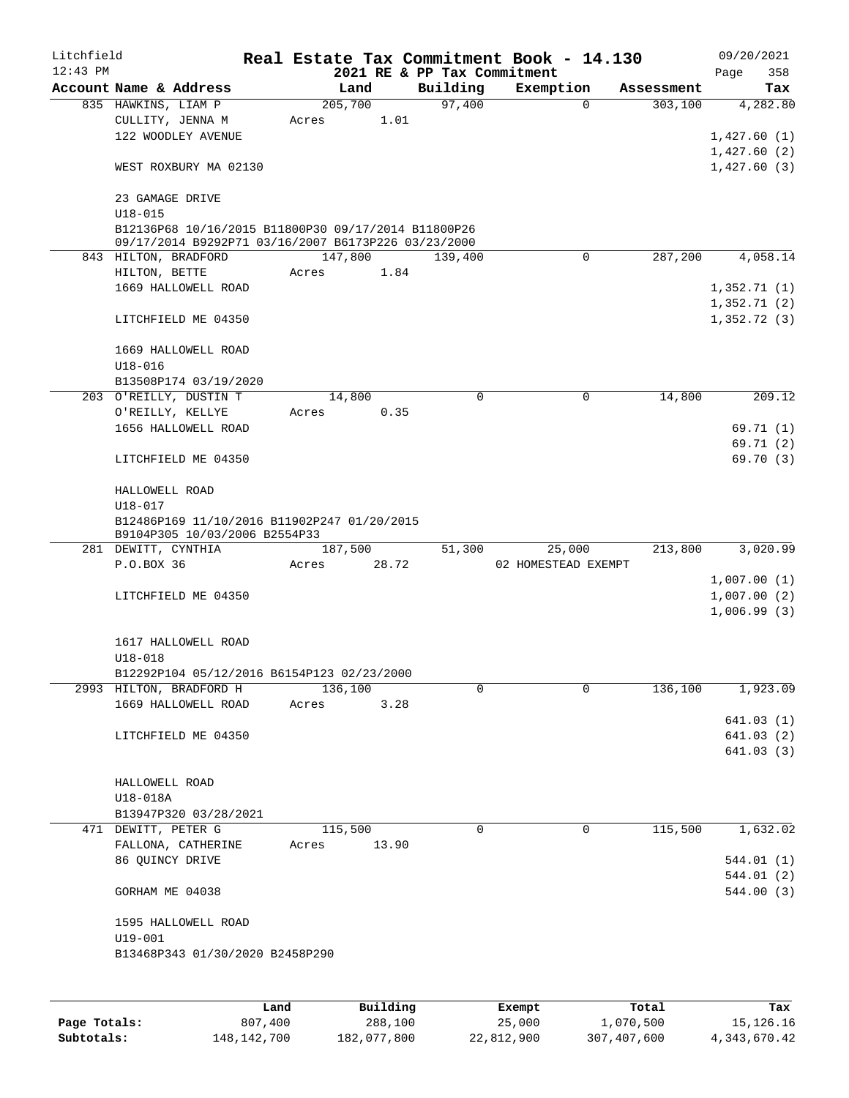| Litchfield |                                                                              |       |         |       |          | Real Estate Tax Commitment Book - 14.130 |             |            |      | 09/20/2021  |
|------------|------------------------------------------------------------------------------|-------|---------|-------|----------|------------------------------------------|-------------|------------|------|-------------|
| $12:43$ PM |                                                                              |       |         |       |          | 2021 RE & PP Tax Commitment              |             |            | Page | 358         |
|            | Account Name & Address                                                       |       | Land    |       | Building | Exemption                                |             | Assessment |      | Tax         |
|            | 835 HAWKINS, LIAM P                                                          |       | 205,700 |       | 97,400   |                                          | $\Omega$    | 303,100    |      | 4,282.80    |
|            | CULLITY, JENNA M                                                             | Acres |         | 1.01  |          |                                          |             |            |      |             |
|            | 122 WOODLEY AVENUE                                                           |       |         |       |          |                                          |             |            |      | 1,427.60(1) |
|            |                                                                              |       |         |       |          |                                          |             |            |      | 1,427.60(2) |
|            | WEST ROXBURY MA 02130                                                        |       |         |       |          |                                          |             |            |      | 1,427.60(3) |
|            | 23 GAMAGE DRIVE                                                              |       |         |       |          |                                          |             |            |      |             |
|            | $U18 - 015$                                                                  |       |         |       |          |                                          |             |            |      |             |
|            | B12136P68 10/16/2015 B11800P30 09/17/2014 B11800P26                          |       |         |       |          |                                          |             |            |      |             |
|            | 09/17/2014 B9292P71 03/16/2007 B6173P226 03/23/2000                          |       |         |       |          |                                          |             |            |      |             |
|            | 843 HILTON, BRADFORD                                                         |       | 147,800 |       | 139,400  |                                          | $\Omega$    | 287,200    |      | 4,058.14    |
|            | HILTON, BETTE                                                                | Acres |         | 1.84  |          |                                          |             |            |      |             |
|            | 1669 HALLOWELL ROAD                                                          |       |         |       |          |                                          |             |            |      | 1,352.71(1) |
|            |                                                                              |       |         |       |          |                                          |             |            |      | 1,352.71(2) |
|            | LITCHFIELD ME 04350                                                          |       |         |       |          |                                          |             |            |      | 1,352.72(3) |
|            | 1669 HALLOWELL ROAD                                                          |       |         |       |          |                                          |             |            |      |             |
|            | $U18 - 016$                                                                  |       |         |       |          |                                          |             |            |      |             |
|            | B13508P174 03/19/2020                                                        |       |         |       |          |                                          |             |            |      |             |
|            | 203 O'REILLY, DUSTIN T                                                       |       | 14,800  |       | 0        |                                          | $\mathbf 0$ | 14,800     |      | 209.12      |
|            | O'REILLY, KELLYE                                                             |       |         | 0.35  |          |                                          |             |            |      |             |
|            |                                                                              | Acres |         |       |          |                                          |             |            |      |             |
|            | 1656 HALLOWELL ROAD                                                          |       |         |       |          |                                          |             |            |      | 69.71 (1)   |
|            |                                                                              |       |         |       |          |                                          |             |            |      | 69.71(2)    |
|            | LITCHFIELD ME 04350                                                          |       |         |       |          |                                          |             |            |      | 69.70 (3)   |
|            | HALLOWELL ROAD                                                               |       |         |       |          |                                          |             |            |      |             |
|            | $U18 - 017$                                                                  |       |         |       |          |                                          |             |            |      |             |
|            | B12486P169 11/10/2016 B11902P247 01/20/2015<br>B9104P305 10/03/2006 B2554P33 |       |         |       |          |                                          |             |            |      |             |
|            | 281 DEWITT, CYNTHIA                                                          |       | 187,500 |       | 51,300   | 25,000                                   |             | 213,800    |      | 3,020.99    |
|            | P.O.BOX 36                                                                   | Acres | 28.72   |       |          | 02 HOMESTEAD EXEMPT                      |             |            |      |             |
|            |                                                                              |       |         |       |          |                                          |             |            |      | 1,007.00(1) |
|            | LITCHFIELD ME 04350                                                          |       |         |       |          |                                          |             |            |      | 1,007.00(2) |
|            |                                                                              |       |         |       |          |                                          |             |            |      | 1,006.99(3) |
|            |                                                                              |       |         |       |          |                                          |             |            |      |             |
|            |                                                                              |       |         |       |          |                                          |             |            |      |             |
|            | 1617 HALLOWELL ROAD                                                          |       |         |       |          |                                          |             |            |      |             |
|            | $U18 - 018$                                                                  |       |         |       |          |                                          |             |            |      |             |
|            | B12292P104 05/12/2016 B6154P123 02/23/2000                                   |       |         |       |          |                                          |             |            |      |             |
|            | 2993 HILTON, BRADFORD H                                                      |       | 136,100 |       | 0        |                                          | $\Omega$    | 136,100    |      | 1,923.09    |
|            | 1669 HALLOWELL ROAD                                                          | Acres |         | 3.28  |          |                                          |             |            |      |             |
|            |                                                                              |       |         |       |          |                                          |             |            |      | 641.03(1)   |
|            | LITCHFIELD ME 04350                                                          |       |         |       |          |                                          |             |            |      | 641.03 (2)  |
|            |                                                                              |       |         |       |          |                                          |             |            |      | 641.03 (3)  |
|            |                                                                              |       |         |       |          |                                          |             |            |      |             |
|            | HALLOWELL ROAD                                                               |       |         |       |          |                                          |             |            |      |             |
|            | U18-018A                                                                     |       |         |       |          |                                          |             |            |      |             |
|            | B13947P320 03/28/2021                                                        |       |         |       |          |                                          |             |            |      |             |
|            | 471 DEWITT, PETER G                                                          |       | 115,500 |       | 0        |                                          | 0           | 115,500    |      | 1,632.02    |
|            | FALLONA, CATHERINE                                                           | Acres |         | 13.90 |          |                                          |             |            |      |             |
|            | 86 QUINCY DRIVE                                                              |       |         |       |          |                                          |             |            |      | 544.01 (1)  |
|            |                                                                              |       |         |       |          |                                          |             |            |      | 544.01 (2)  |
|            | GORHAM ME 04038                                                              |       |         |       |          |                                          |             |            |      | 544.00 (3)  |
|            |                                                                              |       |         |       |          |                                          |             |            |      |             |
|            | 1595 HALLOWELL ROAD                                                          |       |         |       |          |                                          |             |            |      |             |
|            | $U19 - 001$                                                                  |       |         |       |          |                                          |             |            |      |             |
|            | B13468P343 01/30/2020 B2458P290                                              |       |         |       |          |                                          |             |            |      |             |
|            |                                                                              |       |         |       |          |                                          |             |            |      |             |
|            |                                                                              |       |         |       |          |                                          |             |            |      |             |
|            |                                                                              |       |         |       |          |                                          |             |            |      |             |

|              | Land          | Building    | Exempt     | Total       | Tax             |
|--------------|---------------|-------------|------------|-------------|-----------------|
| Page Totals: | 807,400       | 288,100     | 25,000     | 1,070,500   | 15,126.16       |
| Subtotals:   | 148, 142, 700 | 182,077,800 | 22,812,900 | 307,407,600 | 4, 343, 670, 42 |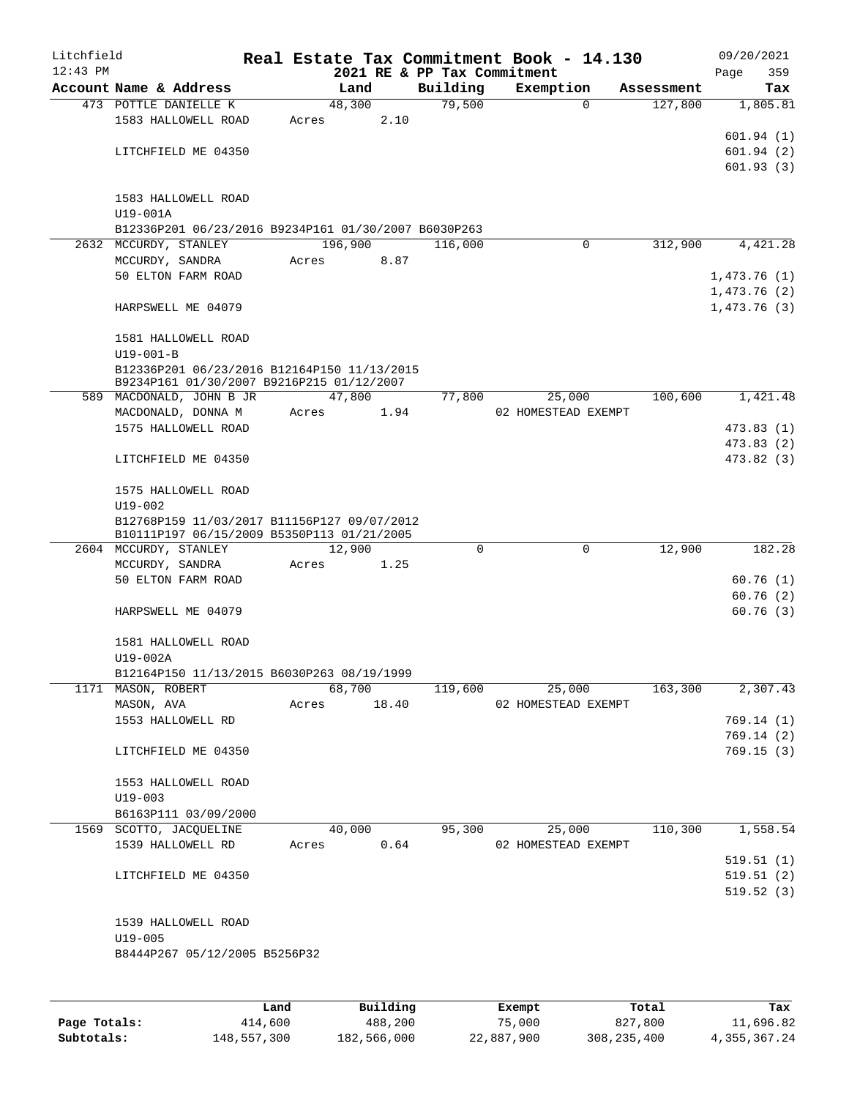| Litchfield<br>$12:43$ PM |                                                                                          |       |         |       | 2021 RE & PP Tax Commitment | Real Estate Tax Commitment Book - 14.130 |             |            | 09/20/2021<br>Page | 359        |
|--------------------------|------------------------------------------------------------------------------------------|-------|---------|-------|-----------------------------|------------------------------------------|-------------|------------|--------------------|------------|
|                          | Account Name & Address                                                                   |       | Land    |       | Building                    | Exemption                                |             | Assessment |                    | Tax        |
|                          | 473 POTTLE DANIELLE K                                                                    |       | 48,300  |       | 79,500                      |                                          | 0           | 127,800    |                    | 1,805.81   |
|                          | 1583 HALLOWELL ROAD                                                                      | Acres |         | 2.10  |                             |                                          |             |            |                    |            |
|                          |                                                                                          |       |         |       |                             |                                          |             |            |                    | 601.94(1)  |
|                          | LITCHFIELD ME 04350                                                                      |       |         |       |                             |                                          |             |            |                    | 601.94(2)  |
|                          |                                                                                          |       |         |       |                             |                                          |             |            |                    | 601.93(3)  |
|                          |                                                                                          |       |         |       |                             |                                          |             |            |                    |            |
|                          | 1583 HALLOWELL ROAD<br>$U19-001A$                                                        |       |         |       |                             |                                          |             |            |                    |            |
|                          | B12336P201 06/23/2016 B9234P161 01/30/2007 B6030P263                                     |       |         |       |                             |                                          |             |            |                    |            |
|                          | 2632 MCCURDY, STANLEY                                                                    |       | 196,900 |       | 116,000                     |                                          | 0           | 312,900    |                    | 4,421.28   |
|                          | MCCURDY, SANDRA                                                                          | Acres |         | 8.87  |                             |                                          |             |            |                    |            |
|                          | 50 ELTON FARM ROAD                                                                       |       |         |       |                             |                                          |             |            | 1,473.76(1)        |            |
|                          |                                                                                          |       |         |       |                             |                                          |             |            | 1,473.76(2)        |            |
|                          | HARPSWELL ME 04079                                                                       |       |         |       |                             |                                          |             |            | 1,473.76(3)        |            |
|                          |                                                                                          |       |         |       |                             |                                          |             |            |                    |            |
|                          | 1581 HALLOWELL ROAD                                                                      |       |         |       |                             |                                          |             |            |                    |            |
|                          | $U19 - 001 - B$                                                                          |       |         |       |                             |                                          |             |            |                    |            |
|                          | B12336P201 06/23/2016 B12164P150 11/13/2015<br>B9234P161 01/30/2007 B9216P215 01/12/2007 |       |         |       |                             |                                          |             |            |                    |            |
|                          | 589 MACDONALD, JOHN B JR                                                                 |       | 47,800  |       | 77,800                      | 25,000                                   |             | 100,600    |                    | 1,421.48   |
|                          | MACDONALD, DONNA M                                                                       | Acres |         | 1.94  |                             | 02 HOMESTEAD EXEMPT                      |             |            |                    |            |
|                          | 1575 HALLOWELL ROAD                                                                      |       |         |       |                             |                                          |             |            |                    | 473.83 (1) |
|                          |                                                                                          |       |         |       |                             |                                          |             |            |                    | 473.83 (2) |
|                          | LITCHFIELD ME 04350                                                                      |       |         |       |                             |                                          |             |            |                    | 473.82 (3) |
|                          | 1575 HALLOWELL ROAD                                                                      |       |         |       |                             |                                          |             |            |                    |            |
|                          | $U19 - 002$                                                                              |       |         |       |                             |                                          |             |            |                    |            |
|                          | B12768P159 11/03/2017 B11156P127 09/07/2012                                              |       |         |       |                             |                                          |             |            |                    |            |
|                          | B10111P197 06/15/2009 B5350P113 01/21/2005                                               |       |         |       |                             |                                          |             |            |                    |            |
|                          | 2604 MCCURDY, STANLEY                                                                    |       | 12,900  |       | $\Omega$                    |                                          | $\mathbf 0$ | 12,900     |                    | 182.28     |
|                          | MCCURDY, SANDRA<br>50 ELTON FARM ROAD                                                    | Acres |         | 1.25  |                             |                                          |             |            |                    | 60.76(1)   |
|                          |                                                                                          |       |         |       |                             |                                          |             |            |                    | 60.76(2)   |
|                          | HARPSWELL ME 04079                                                                       |       |         |       |                             |                                          |             |            |                    | 60.76(3)   |
|                          |                                                                                          |       |         |       |                             |                                          |             |            |                    |            |
|                          | 1581 HALLOWELL ROAD                                                                      |       |         |       |                             |                                          |             |            |                    |            |
|                          | U19-002A                                                                                 |       |         |       |                             |                                          |             |            |                    |            |
|                          | B12164P150 11/13/2015 B6030P263 08/19/1999                                               |       |         |       |                             |                                          |             |            |                    |            |
|                          | 1171 MASON, ROBERT                                                                       |       | 68,700  |       | 119,600                     | 25,000                                   |             | 163,300    |                    | 2,307.43   |
|                          | MASON, AVA                                                                               | Acres |         | 18.40 |                             | 02 HOMESTEAD EXEMPT                      |             |            |                    |            |
|                          | 1553 HALLOWELL RD                                                                        |       |         |       |                             |                                          |             |            |                    | 769.14(1)  |
|                          |                                                                                          |       |         |       |                             |                                          |             |            |                    | 769.14(2)  |
|                          | LITCHFIELD ME 04350                                                                      |       |         |       |                             |                                          |             |            |                    | 769.15(3)  |
|                          | 1553 HALLOWELL ROAD                                                                      |       |         |       |                             |                                          |             |            |                    |            |
|                          | $U19-003$                                                                                |       |         |       |                             |                                          |             |            |                    |            |
|                          | B6163P111 03/09/2000                                                                     |       |         |       |                             |                                          |             |            |                    |            |
|                          | 1569 SCOTTO, JACQUELINE                                                                  |       | 40,000  |       | 95,300                      | 25,000                                   |             | 110,300    |                    | 1,558.54   |
|                          | 1539 HALLOWELL RD                                                                        | Acres |         | 0.64  |                             | 02 HOMESTEAD EXEMPT                      |             |            |                    |            |
|                          |                                                                                          |       |         |       |                             |                                          |             |            |                    | 519.51(1)  |
|                          | LITCHFIELD ME 04350                                                                      |       |         |       |                             |                                          |             |            |                    | 519.51(2)  |
|                          |                                                                                          |       |         |       |                             |                                          |             |            |                    | 519.52(3)  |
|                          |                                                                                          |       |         |       |                             |                                          |             |            |                    |            |
|                          | 1539 HALLOWELL ROAD                                                                      |       |         |       |                             |                                          |             |            |                    |            |
|                          | U19-005                                                                                  |       |         |       |                             |                                          |             |            |                    |            |
|                          | B8444P267 05/12/2005 B5256P32                                                            |       |         |       |                             |                                          |             |            |                    |            |
|                          |                                                                                          |       |         |       |                             |                                          |             |            |                    |            |
|                          |                                                                                          |       |         |       |                             |                                          |             |            |                    |            |

|              | Land        | Building    | Exempt     | Total         | Tax          |
|--------------|-------------|-------------|------------|---------------|--------------|
| Page Totals: | 414,600     | 488,200     | 75,000     | 827,800       | 11,696.82    |
| Subtotals:   | 148,557,300 | 182,566,000 | 22,887,900 | 308, 235, 400 | 4,355,367.24 |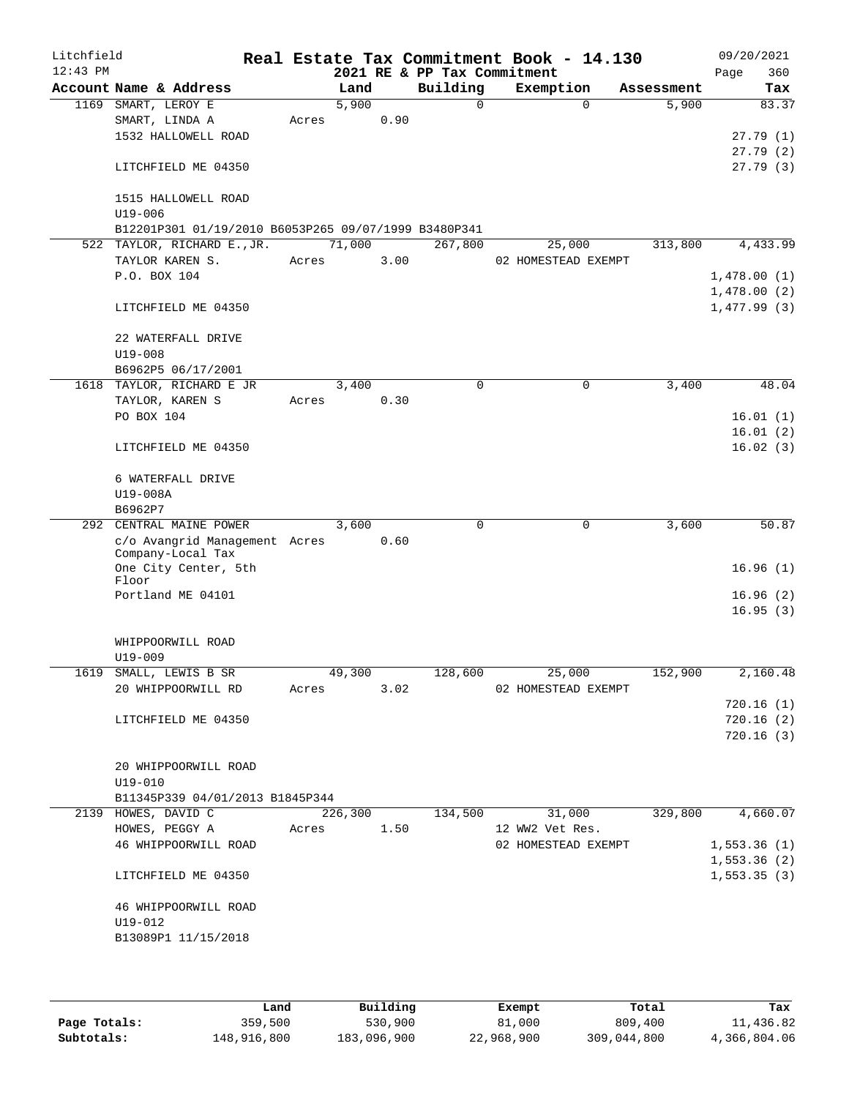| Litchfield |                                                      |                 |         |      |                             | Real Estate Tax Commitment Book - 14.130 |            | 09/20/2021           |
|------------|------------------------------------------------------|-----------------|---------|------|-----------------------------|------------------------------------------|------------|----------------------|
| $12:43$ PM |                                                      |                 |         |      | 2021 RE & PP Tax Commitment |                                          |            | 360<br>Page          |
|            | Account Name & Address                               |                 | Land    |      | Building                    | Exemption                                | Assessment | Tax                  |
|            | 1169 SMART, LEROY E                                  |                 | 5,900   |      | $\Omega$                    | $\Omega$                                 | 5,900      | 83.37                |
|            | SMART, LINDA A                                       | Acres           |         | 0.90 |                             |                                          |            |                      |
|            | 1532 HALLOWELL ROAD                                  |                 |         |      |                             |                                          |            | 27.79(1)             |
|            | LITCHFIELD ME 04350                                  |                 |         |      |                             |                                          |            | 27.79(2)<br>27.79(3) |
|            | 1515 HALLOWELL ROAD<br>$U19 - 006$                   |                 |         |      |                             |                                          |            |                      |
|            | B12201P301 01/19/2010 B6053P265 09/07/1999 B3480P341 |                 |         |      |                             |                                          |            |                      |
|            | 522 TAYLOR, RICHARD E., JR.                          |                 | 71,000  |      | 267,800                     | 25,000                                   | 313,800    | 4,433.99             |
|            | TAYLOR KAREN S.                                      | Acres           |         | 3.00 |                             | 02 HOMESTEAD EXEMPT                      |            |                      |
|            | P.O. BOX 104                                         |                 |         |      |                             |                                          |            | 1,478.00(1)          |
|            |                                                      |                 |         |      |                             |                                          |            | 1,478.00(2)          |
|            | LITCHFIELD ME 04350                                  |                 |         |      |                             |                                          |            | 1,477.99(3)          |
|            | 22 WATERFALL DRIVE<br>$U19 - 008$                    |                 |         |      |                             |                                          |            |                      |
|            | B6962P5 06/17/2001                                   |                 |         |      |                             |                                          |            |                      |
|            | 1618 TAYLOR, RICHARD E JR                            |                 | 3,400   |      | 0                           | $\mathbf 0$                              | 3,400      | 48.04                |
|            | TAYLOR, KAREN S                                      | Acres           |         | 0.30 |                             |                                          |            |                      |
|            | PO BOX 104                                           |                 |         |      |                             |                                          |            | 16.01(1)             |
|            |                                                      |                 |         |      |                             |                                          |            | 16.01(2)             |
|            | LITCHFIELD ME 04350                                  |                 |         |      |                             |                                          |            | 16.02(3)             |
|            | 6 WATERFALL DRIVE                                    |                 |         |      |                             |                                          |            |                      |
|            | U19-008A                                             |                 |         |      |                             |                                          |            |                      |
|            | B6962P7                                              |                 |         |      |                             |                                          |            |                      |
|            | 292 CENTRAL MAINE POWER                              |                 | 3,600   |      | 0                           | 0                                        | 3,600      | 50.87                |
|            | c/o Avangrid Management Acres<br>Company-Local Tax   |                 |         | 0.60 |                             |                                          |            |                      |
|            | One City Center, 5th<br>Floor                        |                 |         |      |                             |                                          |            | 16.96(1)             |
|            | Portland ME 04101                                    |                 |         |      |                             |                                          |            | 16.96(2)             |
|            |                                                      |                 |         |      |                             |                                          |            | 16.95(3)             |
|            | WHIPPOORWILL ROAD                                    |                 |         |      |                             |                                          |            |                      |
|            | $U19 - 009$<br>1619 SMALL, LEWIS B SR                |                 |         |      |                             |                                          |            | 2,160.48             |
|            | 20 WHIPPOORWILL RD                                   | 49,300<br>Acres |         | 3.02 |                             | 128,600 25,000<br>02 HOMESTEAD EXEMPT    | 152,900    |                      |
|            |                                                      |                 |         |      |                             |                                          |            | 720.16(1)            |
|            | LITCHFIELD ME 04350                                  |                 |         |      |                             |                                          |            | 720.16(2)            |
|            |                                                      |                 |         |      |                             |                                          |            | 720.16(3)            |
|            |                                                      |                 |         |      |                             |                                          |            |                      |
|            | 20 WHIPPOORWILL ROAD<br>$U19 - 010$                  |                 |         |      |                             |                                          |            |                      |
|            | B11345P339 04/01/2013 B1845P344                      |                 |         |      |                             |                                          |            |                      |
|            | 2139 HOWES, DAVID C                                  |                 | 226,300 |      | 134,500                     | 31,000                                   | 329,800    | 4,660.07             |
|            | HOWES, PEGGY A                                       | Acres 1.50      |         |      |                             | 12 WW2 Vet Res.                          |            |                      |
|            | 46 WHIPPOORWILL ROAD                                 |                 |         |      |                             | 02 HOMESTEAD EXEMPT                      |            | 1,553.36(1)          |
|            |                                                      |                 |         |      |                             |                                          |            | 1,553.36(2)          |
|            | LITCHFIELD ME 04350                                  |                 |         |      |                             |                                          |            | 1, 553.35(3)         |
|            | 46 WHIPPOORWILL ROAD                                 |                 |         |      |                             |                                          |            |                      |
|            | U19-012                                              |                 |         |      |                             |                                          |            |                      |
|            | B13089P1 11/15/2018                                  |                 |         |      |                             |                                          |            |                      |
|            |                                                      |                 |         |      |                             |                                          |            |                      |
|            |                                                      |                 |         |      |                             |                                          |            |                      |

|              | Land        | Building    | Exempt     | Total       | Tax          |
|--------------|-------------|-------------|------------|-------------|--------------|
| Page Totals: | 359,500     | 530,900     | 81,000     | 809,400     | 11,436.82    |
| Subtotals:   | 148,916,800 | 183,096,900 | 22,968,900 | 309,044,800 | 4,366,804.06 |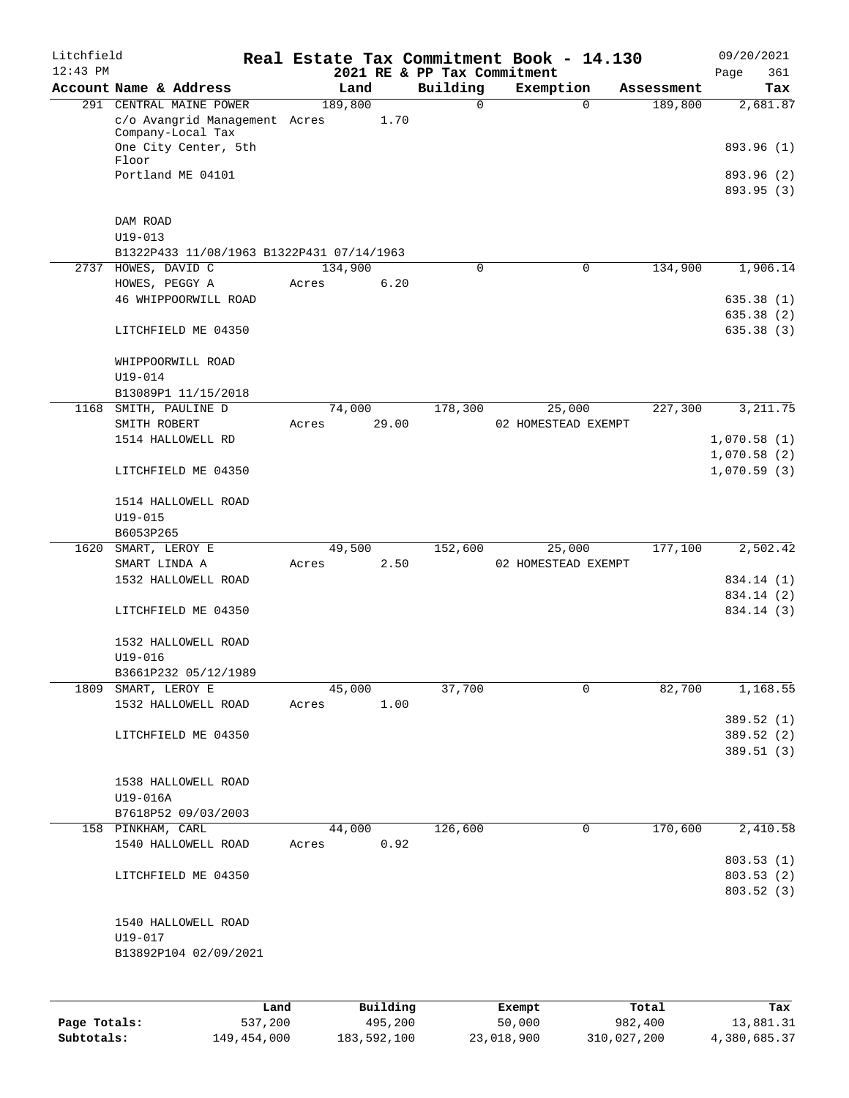| Litchfield<br>$12:43$ PM |                                           |       |         |          | 2021 RE & PP Tax Commitment | Real Estate Tax Commitment Book - 14.130 |            | 09/20/2021                 |
|--------------------------|-------------------------------------------|-------|---------|----------|-----------------------------|------------------------------------------|------------|----------------------------|
|                          | Account Name & Address                    |       | Land    |          | Building                    | Exemption                                | Assessment | 361<br>Page<br>Tax         |
|                          | 291 CENTRAL MAINE POWER                   |       | 189,800 |          | $\mathbf 0$                 | $\mathbf 0$                              | 189,800    | 2,681.87                   |
|                          | c/o Avangrid Management Acres             |       |         | 1.70     |                             |                                          |            |                            |
|                          | Company-Local Tax<br>One City Center, 5th |       |         |          |                             |                                          |            | 893.96 (1)                 |
|                          | Floor                                     |       |         |          |                             |                                          |            |                            |
|                          | Portland ME 04101                         |       |         |          |                             |                                          |            | 893.96 (2)                 |
|                          |                                           |       |         |          |                             |                                          |            | 893.95 (3)                 |
|                          | DAM ROAD                                  |       |         |          |                             |                                          |            |                            |
|                          | $U19 - 013$                               |       |         |          |                             |                                          |            |                            |
|                          | B1322P433 11/08/1963 B1322P431 07/14/1963 |       |         |          |                             |                                          |            |                            |
|                          | 2737 HOWES, DAVID C                       |       | 134,900 |          | 0                           | $\mathbf 0$                              | 134,900    | 1,906.14                   |
|                          | HOWES, PEGGY A                            | Acres |         | 6.20     |                             |                                          |            |                            |
|                          | 46 WHIPPOORWILL ROAD                      |       |         |          |                             |                                          |            | 635.38(1)<br>635.38 (2)    |
|                          | LITCHFIELD ME 04350                       |       |         |          |                             |                                          |            | 635.38(3)                  |
|                          | WHIPPOORWILL ROAD                         |       |         |          |                             |                                          |            |                            |
|                          | $U19 - 014$                               |       |         |          |                             |                                          |            |                            |
|                          | B13089P1 11/15/2018                       |       |         |          |                             |                                          |            |                            |
|                          | 1168 SMITH, PAULINE D                     |       | 74,000  |          | 178,300                     | 25,000                                   | 227,300    | 3, 211.75                  |
|                          | SMITH ROBERT                              | Acres |         | 29.00    |                             | 02 HOMESTEAD EXEMPT                      |            |                            |
|                          | 1514 HALLOWELL RD                         |       |         |          |                             |                                          |            | 1,070.58(1)                |
|                          | LITCHFIELD ME 04350                       |       |         |          |                             |                                          |            | 1,070.58(2)<br>1,070.59(3) |
|                          |                                           |       |         |          |                             |                                          |            |                            |
|                          | 1514 HALLOWELL ROAD<br>$U19 - 015$        |       |         |          |                             |                                          |            |                            |
|                          | B6053P265                                 |       |         |          |                             |                                          |            |                            |
| 1620                     | SMART, LEROY E                            |       | 49,500  |          | 152,600                     | 25,000                                   | 177,100    | 2,502.42                   |
|                          | SMART LINDA A                             | Acres |         | 2.50     |                             | 02 HOMESTEAD EXEMPT                      |            |                            |
|                          | 1532 HALLOWELL ROAD                       |       |         |          |                             |                                          |            | 834.14 (1)                 |
|                          | LITCHFIELD ME 04350                       |       |         |          |                             |                                          |            | 834.14 (2)<br>834.14 (3)   |
|                          |                                           |       |         |          |                             |                                          |            |                            |
|                          | 1532 HALLOWELL ROAD                       |       |         |          |                             |                                          |            |                            |
|                          | $U19 - 016$                               |       |         |          |                             |                                          |            |                            |
|                          | B3661P232 05/12/1989                      |       |         |          |                             |                                          |            |                            |
|                          | 1809 SMART, LEROY E                       |       | 45,000  |          | 37,700                      | 0                                        | 82,700     | 1,168.55                   |
|                          | 1532 HALLOWELL ROAD                       | Acres |         | 1.00     |                             |                                          |            | 389.52 (1)                 |
|                          | LITCHFIELD ME 04350                       |       |         |          |                             |                                          |            | 389.52 (2)                 |
|                          |                                           |       |         |          |                             |                                          |            | 389.51(3)                  |
|                          |                                           |       |         |          |                             |                                          |            |                            |
|                          | 1538 HALLOWELL ROAD                       |       |         |          |                             |                                          |            |                            |
|                          | U19-016A<br>B7618P52 09/03/2003           |       |         |          |                             |                                          |            |                            |
|                          | 158 PINKHAM, CARL                         |       | 44,000  |          | 126,600                     | 0                                        | 170,600    | 2,410.58                   |
|                          | 1540 HALLOWELL ROAD                       | Acres |         | 0.92     |                             |                                          |            |                            |
|                          |                                           |       |         |          |                             |                                          |            | 803.53(1)                  |
|                          | LITCHFIELD ME 04350                       |       |         |          |                             |                                          |            | 803.53(2)                  |
|                          |                                           |       |         |          |                             |                                          |            | 803.52 (3)                 |
|                          | 1540 HALLOWELL ROAD                       |       |         |          |                             |                                          |            |                            |
|                          | U19-017                                   |       |         |          |                             |                                          |            |                            |
|                          | B13892P104 02/09/2021                     |       |         |          |                             |                                          |            |                            |
|                          |                                           |       |         |          |                             |                                          |            |                            |
|                          |                                           |       |         |          |                             |                                          |            |                            |
|                          |                                           | Land  |         | Building |                             | Exempt.                                  | Total      | Tax                        |

|              | Land        | Building    | Exempt     | Total       | Tax          |
|--------------|-------------|-------------|------------|-------------|--------------|
| Page Totals: | 537,200     | 495,200     | 50,000     | 982,400     | 13,881.31    |
| Subtotals:   | 149,454,000 | 183,592,100 | 23,018,900 | 310,027,200 | 4,380,685.37 |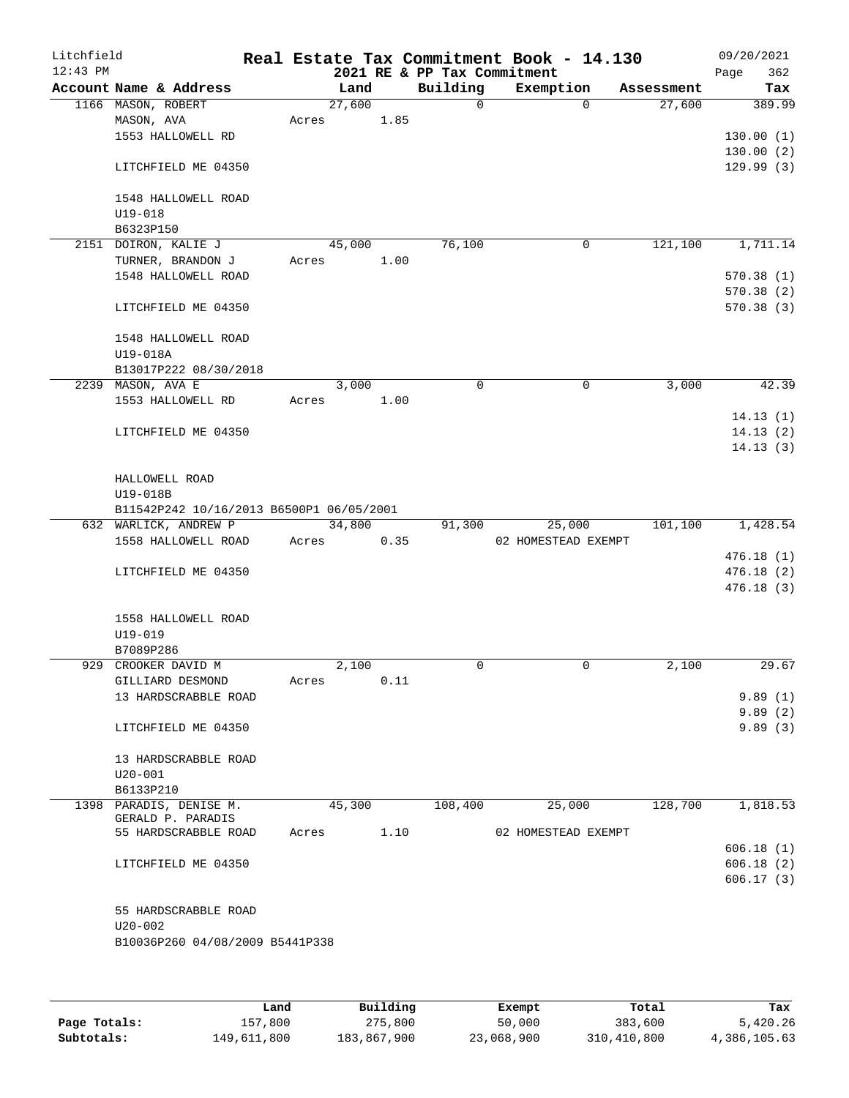| Litchfield<br>$12:43$ PM |                                          |       |        |      | 2021 RE & PP Tax Commitment | Real Estate Tax Commitment Book - 14.130 |             |            | 09/20/2021<br>362<br>Page |
|--------------------------|------------------------------------------|-------|--------|------|-----------------------------|------------------------------------------|-------------|------------|---------------------------|
|                          | Account Name & Address                   |       | Land   |      | Building                    | Exemption                                |             | Assessment | Tax                       |
|                          | 1166 MASON, ROBERT                       |       | 27,600 |      | $\Omega$                    |                                          | $\Omega$    | 27,600     | 389.99                    |
|                          | MASON, AVA                               | Acres |        | 1.85 |                             |                                          |             |            |                           |
|                          | 1553 HALLOWELL RD                        |       |        |      |                             |                                          |             |            | 130.00(1)                 |
|                          |                                          |       |        |      |                             |                                          |             |            | 130.00(2)                 |
|                          | LITCHFIELD ME 04350                      |       |        |      |                             |                                          |             |            | 129.99(3)                 |
|                          |                                          |       |        |      |                             |                                          |             |            |                           |
|                          | 1548 HALLOWELL ROAD                      |       |        |      |                             |                                          |             |            |                           |
|                          | U19-018                                  |       |        |      |                             |                                          |             |            |                           |
|                          | B6323P150                                |       |        |      |                             |                                          |             |            |                           |
|                          | 2151 DOIRON, KALIE J                     |       | 45,000 |      | 76,100                      |                                          | $\mathbf 0$ | 121,100    | 1,711.14                  |
|                          | TURNER, BRANDON J                        | Acres |        | 1.00 |                             |                                          |             |            |                           |
|                          | 1548 HALLOWELL ROAD                      |       |        |      |                             |                                          |             |            | 570.38(1)                 |
|                          |                                          |       |        |      |                             |                                          |             |            | 570.38(2)                 |
|                          | LITCHFIELD ME 04350                      |       |        |      |                             |                                          |             |            | 570.38(3)                 |
|                          | 1548 HALLOWELL ROAD                      |       |        |      |                             |                                          |             |            |                           |
|                          | U19-018A                                 |       |        |      |                             |                                          |             |            |                           |
|                          | B13017P222 08/30/2018                    |       |        |      |                             |                                          |             |            |                           |
|                          | 2239 MASON, AVA E                        |       | 3,000  |      | $\Omega$                    |                                          | $\mathbf 0$ | 3,000      | 42.39                     |
|                          | 1553 HALLOWELL RD                        | Acres |        | 1.00 |                             |                                          |             |            |                           |
|                          |                                          |       |        |      |                             |                                          |             |            | 14.13(1)                  |
|                          | LITCHFIELD ME 04350                      |       |        |      |                             |                                          |             |            | 14.13(2)                  |
|                          |                                          |       |        |      |                             |                                          |             |            | 14.13(3)                  |
|                          |                                          |       |        |      |                             |                                          |             |            |                           |
|                          | HALLOWELL ROAD                           |       |        |      |                             |                                          |             |            |                           |
|                          | U19-018B                                 |       |        |      |                             |                                          |             |            |                           |
|                          | B11542P242 10/16/2013 B6500P1 06/05/2001 |       |        |      |                             |                                          |             |            |                           |
|                          | 632 WARLICK, ANDREW P                    |       | 34,800 |      | 91,300                      | 25,000                                   |             | 101,100    | 1,428.54                  |
|                          | 1558 HALLOWELL ROAD                      | Acres |        | 0.35 |                             | 02 HOMESTEAD EXEMPT                      |             |            |                           |
|                          |                                          |       |        |      |                             |                                          |             |            | 476.18(1)                 |
|                          | LITCHFIELD ME 04350                      |       |        |      |                             |                                          |             |            | 476.18(2)                 |
|                          |                                          |       |        |      |                             |                                          |             |            | 476.18(3)                 |
|                          |                                          |       |        |      |                             |                                          |             |            |                           |
|                          | 1558 HALLOWELL ROAD                      |       |        |      |                             |                                          |             |            |                           |
|                          | $U19 - 019$                              |       |        |      |                             |                                          |             |            |                           |
|                          | B7089P286                                |       |        |      |                             |                                          |             |            |                           |
| 929                      | CROOKER DAVID M                          |       | 2,100  |      | 0                           |                                          | 0           | 2,100      | 29.67                     |
|                          |                                          |       |        | 0.11 |                             |                                          |             |            |                           |
|                          | GILLIARD DESMOND<br>13 HARDSCRABBLE ROAD | Acres |        |      |                             |                                          |             |            |                           |
|                          |                                          |       |        |      |                             |                                          |             |            | 9.89(1)                   |
|                          | LITCHFIELD ME 04350                      |       |        |      |                             |                                          |             |            | 9.89(2)                   |
|                          |                                          |       |        |      |                             |                                          |             |            | 9.89(3)                   |
|                          | 13 HARDSCRABBLE ROAD                     |       |        |      |                             |                                          |             |            |                           |
|                          | $U20-001$                                |       |        |      |                             |                                          |             |            |                           |
|                          | B6133P210                                |       |        |      |                             |                                          |             |            |                           |
|                          | 1398 PARADIS, DENISE M.                  |       | 45,300 |      | 108,400                     | 25,000                                   |             | 128,700    | 1,818.53                  |
|                          | GERALD P. PARADIS                        |       |        |      |                             |                                          |             |            |                           |
|                          | 55 HARDSCRABBLE ROAD                     | Acres |        | 1.10 |                             | 02 HOMESTEAD EXEMPT                      |             |            |                           |
|                          |                                          |       |        |      |                             |                                          |             |            | 606.18(1)                 |
|                          | LITCHFIELD ME 04350                      |       |        |      |                             |                                          |             |            | 606.18(2)                 |
|                          |                                          |       |        |      |                             |                                          |             |            | 606.17(3)                 |
|                          |                                          |       |        |      |                             |                                          |             |            |                           |
|                          | 55 HARDSCRABBLE ROAD                     |       |        |      |                             |                                          |             |            |                           |
|                          | $U20 - 002$                              |       |        |      |                             |                                          |             |            |                           |
|                          | B10036P260 04/08/2009 B5441P338          |       |        |      |                             |                                          |             |            |                           |
|                          |                                          |       |        |      |                             |                                          |             |            |                           |
|                          |                                          |       |        |      |                             |                                          |             |            |                           |
|                          |                                          |       |        |      |                             |                                          |             |            |                           |

|              | Land        | Building    | Exempt     | Total       | Tax          |
|--------------|-------------|-------------|------------|-------------|--------------|
| Page Totals: | 157,800     | 275,800     | 50,000     | 383,600     | 5,420.26     |
| Subtotals:   | 149,611,800 | 183,867,900 | 23,068,900 | 310,410,800 | 4,386,105.63 |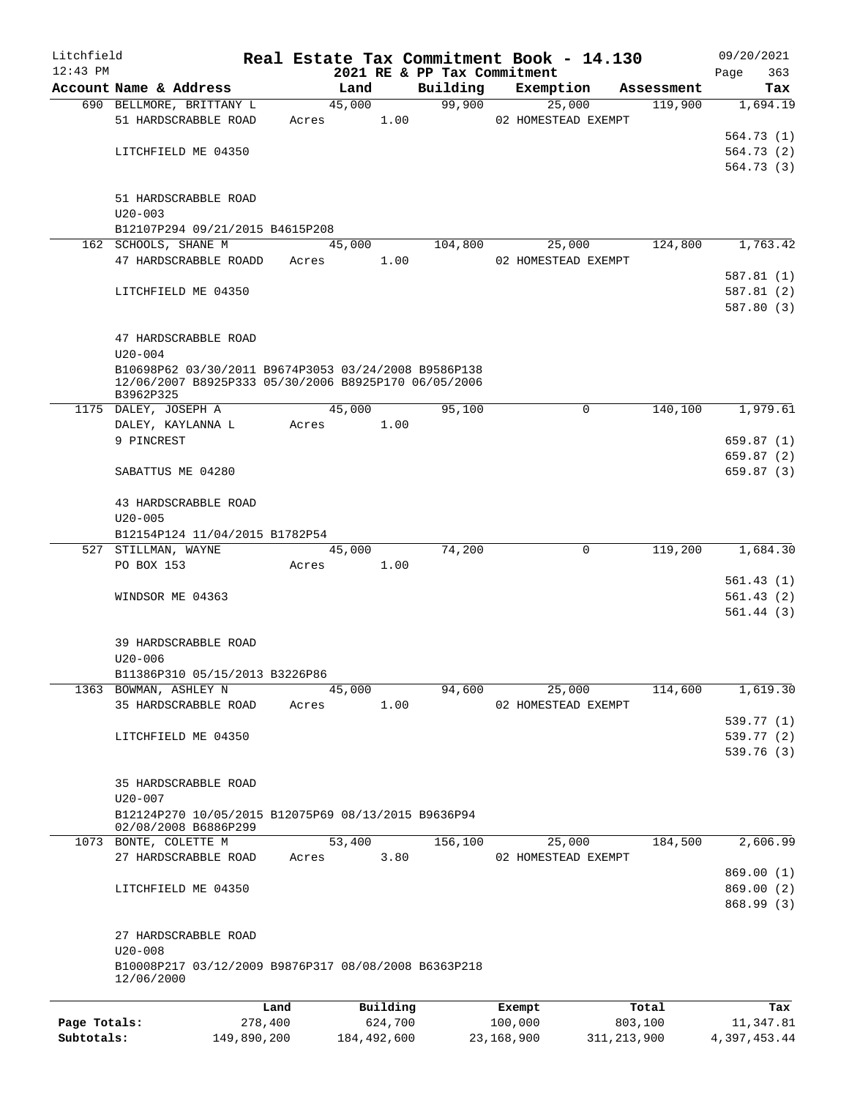| Litchfield   |                                                                                                                           |       |          |                             | Real Estate Tax Commitment Book - 14.130 |            | 09/20/2021  |
|--------------|---------------------------------------------------------------------------------------------------------------------------|-------|----------|-----------------------------|------------------------------------------|------------|-------------|
| $12:43$ PM   |                                                                                                                           |       |          | 2021 RE & PP Tax Commitment |                                          |            | 363<br>Page |
|              | Account Name & Address                                                                                                    |       | Land     | Building                    | Exemption                                | Assessment | Tax         |
|              | 690 BELLMORE, BRITTANY L                                                                                                  |       | 45,000   | 99,900                      | 25,000                                   | 119,900    | 1,694.19    |
|              | 51 HARDSCRABBLE ROAD                                                                                                      | Acres | 1.00     |                             | 02 HOMESTEAD EXEMPT                      |            |             |
|              |                                                                                                                           |       |          |                             |                                          |            | 564.73(1)   |
|              | LITCHFIELD ME 04350                                                                                                       |       |          |                             |                                          |            | 564.73(2)   |
|              |                                                                                                                           |       |          |                             |                                          |            | 564.73(3)   |
|              | 51 HARDSCRABBLE ROAD                                                                                                      |       |          |                             |                                          |            |             |
|              | $U20 - 003$                                                                                                               |       |          |                             |                                          |            |             |
|              | B12107P294 09/21/2015 B4615P208                                                                                           |       |          |                             |                                          |            |             |
|              | 162 SCHOOLS, SHANE M                                                                                                      |       | 45,000   | 104,800                     | 25,000                                   | 124,800    | 1,763.42    |
|              | 47 HARDSCRABBLE ROADD                                                                                                     | Acres | 1.00     |                             | 02 HOMESTEAD EXEMPT                      |            |             |
|              |                                                                                                                           |       |          |                             |                                          |            | 587.81(1)   |
|              | LITCHFIELD ME 04350                                                                                                       |       |          |                             |                                          |            | 587.81 (2)  |
|              |                                                                                                                           |       |          |                             |                                          |            | 587.80 (3)  |
|              |                                                                                                                           |       |          |                             |                                          |            |             |
|              | 47 HARDSCRABBLE ROAD                                                                                                      |       |          |                             |                                          |            |             |
|              | $U20 - 004$                                                                                                               |       |          |                             |                                          |            |             |
|              | B10698P62 03/30/2011 B9674P3053 03/24/2008 B9586P138<br>12/06/2007 B8925P333 05/30/2006 B8925P170 06/05/2006<br>B3962P325 |       |          |                             |                                          |            |             |
|              | 1175 DALEY, JOSEPH A                                                                                                      |       | 45,000   | 95,100                      | 0                                        | 140,100    | 1,979.61    |
|              | DALEY, KAYLANNA L                                                                                                         | Acres | 1.00     |                             |                                          |            |             |
|              | 9 PINCREST                                                                                                                |       |          |                             |                                          |            | 659.87(1)   |
|              |                                                                                                                           |       |          |                             |                                          |            | 659.87 (2)  |
|              | SABATTUS ME 04280                                                                                                         |       |          |                             |                                          |            | 659.87 (3)  |
|              | 43 HARDSCRABBLE ROAD                                                                                                      |       |          |                             |                                          |            |             |
|              | $U20 - 005$                                                                                                               |       |          |                             |                                          |            |             |
|              | B12154P124 11/04/2015 B1782P54                                                                                            |       |          |                             |                                          |            |             |
|              | 527 STILLMAN, WAYNE                                                                                                       |       | 45,000   | 74,200                      | $\mathbf 0$                              | 119,200    | 1,684.30    |
|              | PO BOX 153                                                                                                                | Acres | 1.00     |                             |                                          |            |             |
|              |                                                                                                                           |       |          |                             |                                          |            | 561.43(1)   |
|              | WINDSOR ME 04363                                                                                                          |       |          |                             |                                          |            | 561.43(2)   |
|              |                                                                                                                           |       |          |                             |                                          |            | 561.44(3)   |
|              |                                                                                                                           |       |          |                             |                                          |            |             |
|              | 39 HARDSCRABBLE ROAD                                                                                                      |       |          |                             |                                          |            |             |
|              | $U20 - 006$                                                                                                               |       |          |                             |                                          |            |             |
|              | B11386P310 05/15/2013 B3226P86                                                                                            |       |          |                             |                                          |            |             |
|              | 1363 BOWMAN, ASHLEY N                                                                                                     |       | 45,000   | 94,600                      | 25,000                                   | 114,600    | 1,619.30    |
|              | 35 HARDSCRABBLE ROAD                                                                                                      | Acres | 1.00     |                             | 02 HOMESTEAD EXEMPT                      |            |             |
|              |                                                                                                                           |       |          |                             |                                          |            | 539.77 (1)  |
|              | LITCHFIELD ME 04350                                                                                                       |       |          |                             |                                          |            | 539.77 (2)  |
|              |                                                                                                                           |       |          |                             |                                          |            | 539.76 (3)  |
|              |                                                                                                                           |       |          |                             |                                          |            |             |
|              | 35 HARDSCRABBLE ROAD                                                                                                      |       |          |                             |                                          |            |             |
|              | $U20 - 007$                                                                                                               |       |          |                             |                                          |            |             |
|              | B12124P270 10/05/2015 B12075P69 08/13/2015 B9636P94<br>02/08/2008 B6886P299                                               |       |          |                             |                                          |            |             |
|              | 1073 BONTE, COLETTE M                                                                                                     |       | 53,400   | 156,100                     | 25,000                                   | 184,500    | 2,606.99    |
|              | 27 HARDSCRABBLE ROAD                                                                                                      | Acres | 3.80     |                             | 02 HOMESTEAD EXEMPT                      |            |             |
|              |                                                                                                                           |       |          |                             |                                          |            | 869.00(1)   |
|              | LITCHFIELD ME 04350                                                                                                       |       |          |                             |                                          |            | 869.00(2)   |
|              |                                                                                                                           |       |          |                             |                                          |            | 868.99(3)   |
|              | 27 HARDSCRABBLE ROAD                                                                                                      |       |          |                             |                                          |            |             |
|              | $U20 - 008$                                                                                                               |       |          |                             |                                          |            |             |
|              | B10008P217 03/12/2009 B9876P317 08/08/2008 B6363P218<br>12/06/2000                                                        |       |          |                             |                                          |            |             |
|              |                                                                                                                           |       |          |                             |                                          |            |             |
|              |                                                                                                                           | Land  | Building |                             | Exempt                                   | Total      | Tax         |
| Page Totals: | 278,400                                                                                                                   |       | 624,700  |                             | 100,000                                  | 803,100    | 11,347.81   |

**Subtotals:** 149,890,200 184,492,600 23,168,900 311,213,900 4,397,453.44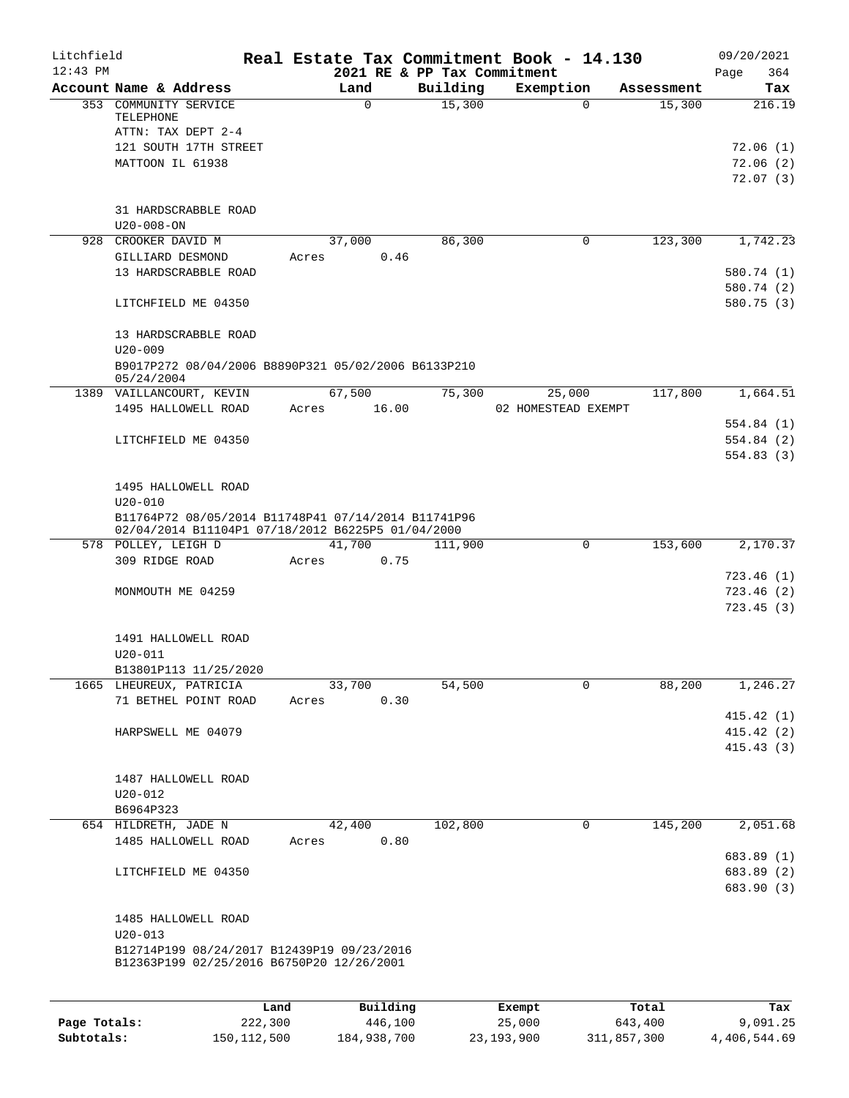| Litchfield<br>$12:43$ PM |                                                                                                                         |       |                |          | Real Estate Tax Commitment Book - 14.130<br>2021 RE & PP Tax Commitment |            | 09/20/2021<br>364<br>Page                  |
|--------------------------|-------------------------------------------------------------------------------------------------------------------------|-------|----------------|----------|-------------------------------------------------------------------------|------------|--------------------------------------------|
|                          | Account Name & Address                                                                                                  |       | Land           | Building | Exemption                                                               | Assessment | Tax                                        |
|                          | 353 COMMUNITY SERVICE<br>TELEPHONE<br>ATTN: TAX DEPT 2-4<br>121 SOUTH 17TH STREET<br>MATTOON IL 61938                   |       | 0              | 15,300   | $\Omega$                                                                | 15,300     | 216.19<br>72.06(1)<br>72.06(2)<br>72.07(3) |
|                          | 31 HARDSCRABBLE ROAD<br>$U20 - 008 - ON$                                                                                |       |                |          |                                                                         |            |                                            |
|                          | 928 CROOKER DAVID M                                                                                                     |       | 37,000         | 86,300   | $\mathbf 0$                                                             | 123,300    | 1,742.23                                   |
|                          | GILLIARD DESMOND                                                                                                        | Acres | 0.46           |          |                                                                         |            |                                            |
|                          | 13 HARDSCRABBLE ROAD                                                                                                    |       |                |          |                                                                         |            | 580.74 (1)                                 |
|                          |                                                                                                                         |       |                |          |                                                                         |            | 580.74 (2)                                 |
|                          | LITCHFIELD ME 04350                                                                                                     |       |                |          |                                                                         |            | 580.75(3)                                  |
|                          | 13 HARDSCRABBLE ROAD<br>$U20 - 009$                                                                                     |       |                |          |                                                                         |            |                                            |
|                          | B9017P272 08/04/2006 B8890P321 05/02/2006 B6133P210<br>05/24/2004                                                       |       |                |          |                                                                         |            |                                            |
|                          | 1389 VAILLANCOURT, KEVIN                                                                                                |       | 67,500         | 75,300   | 25,000                                                                  | 117,800    | 1,664.51                                   |
|                          | 1495 HALLOWELL ROAD                                                                                                     | Acres | 16.00          |          | 02 HOMESTEAD EXEMPT                                                     |            |                                            |
|                          |                                                                                                                         |       |                |          |                                                                         |            | 554.84(1)                                  |
|                          | LITCHFIELD ME 04350                                                                                                     |       |                |          |                                                                         |            | 554.84(2)                                  |
|                          |                                                                                                                         |       |                |          |                                                                         |            | 554.83(3)                                  |
|                          | 1495 HALLOWELL ROAD                                                                                                     |       |                |          |                                                                         |            |                                            |
|                          | $U20 - 010$<br>B11764P72 08/05/2014 B11748P41 07/14/2014 B11741P96<br>02/04/2014 B11104P1 07/18/2012 B6225P5 01/04/2000 |       |                |          |                                                                         |            |                                            |
|                          | 578 POLLEY, LEIGH D                                                                                                     |       | 41,700         | 111,900  | $\mathbf 0$                                                             | 153,600    | 2,170.37                                   |
|                          | 309 RIDGE ROAD                                                                                                          | Acres | 0.75           |          |                                                                         |            |                                            |
|                          |                                                                                                                         |       |                |          |                                                                         |            | 723.46(1)                                  |
|                          | MONMOUTH ME 04259                                                                                                       |       |                |          |                                                                         |            | 723.46(2)                                  |
|                          |                                                                                                                         |       |                |          |                                                                         |            | 723.45(3)                                  |
|                          | 1491 HALLOWELL ROAD                                                                                                     |       |                |          |                                                                         |            |                                            |
|                          | $U20 - 011$                                                                                                             |       |                |          |                                                                         |            |                                            |
|                          | B13801P113 11/25/2020                                                                                                   |       |                |          |                                                                         |            |                                            |
|                          | 1665 LHEUREUX, PATRICIA<br>71 BETHEL POINT ROAD                                                                         | Acres | 33,700<br>0.30 | 54,500   | 0                                                                       | 88,200     | 1,246.27                                   |
|                          |                                                                                                                         |       |                |          |                                                                         |            | 415.42 (1)                                 |
|                          | HARPSWELL ME 04079                                                                                                      |       |                |          |                                                                         |            | 415.42(2)                                  |
|                          |                                                                                                                         |       |                |          |                                                                         |            | 415.43(3)                                  |
|                          |                                                                                                                         |       |                |          |                                                                         |            |                                            |
|                          | 1487 HALLOWELL ROAD                                                                                                     |       |                |          |                                                                         |            |                                            |
|                          | $U20 - 012$                                                                                                             |       |                |          |                                                                         |            |                                            |
|                          | B6964P323                                                                                                               |       |                |          |                                                                         |            |                                            |
|                          | 654 HILDRETH, JADE N                                                                                                    |       | 42,400         | 102,800  | 0                                                                       | 145,200    | 2,051.68                                   |
|                          | 1485 HALLOWELL ROAD                                                                                                     | Acres | 0.80           |          |                                                                         |            |                                            |
|                          |                                                                                                                         |       |                |          |                                                                         |            | 683.89 (1)                                 |
|                          | LITCHFIELD ME 04350                                                                                                     |       |                |          |                                                                         |            | 683.89 (2)<br>683.90 (3)                   |
|                          | 1485 HALLOWELL ROAD                                                                                                     |       |                |          |                                                                         |            |                                            |
|                          | $U20 - 013$                                                                                                             |       |                |          |                                                                         |            |                                            |
|                          | B12714P199 08/24/2017 B12439P19 09/23/2016<br>B12363P199 02/25/2016 B6750P20 12/26/2001                                 |       |                |          |                                                                         |            |                                            |
|                          |                                                                                                                         |       |                |          |                                                                         |            |                                            |
|                          | Land                                                                                                                    |       | Building       |          | Exempt                                                                  | Total      | Tax                                        |

|              | Land          | Building    | Exempt     | Total       | Tax          |
|--------------|---------------|-------------|------------|-------------|--------------|
| Page Totals: | 222,300       | 446,100     | 25,000     | 643,400     | 9,091.25     |
| Subtotals:   | 150, 112, 500 | 184,938,700 | 23,193,900 | 311,857,300 | 4,406,544.69 |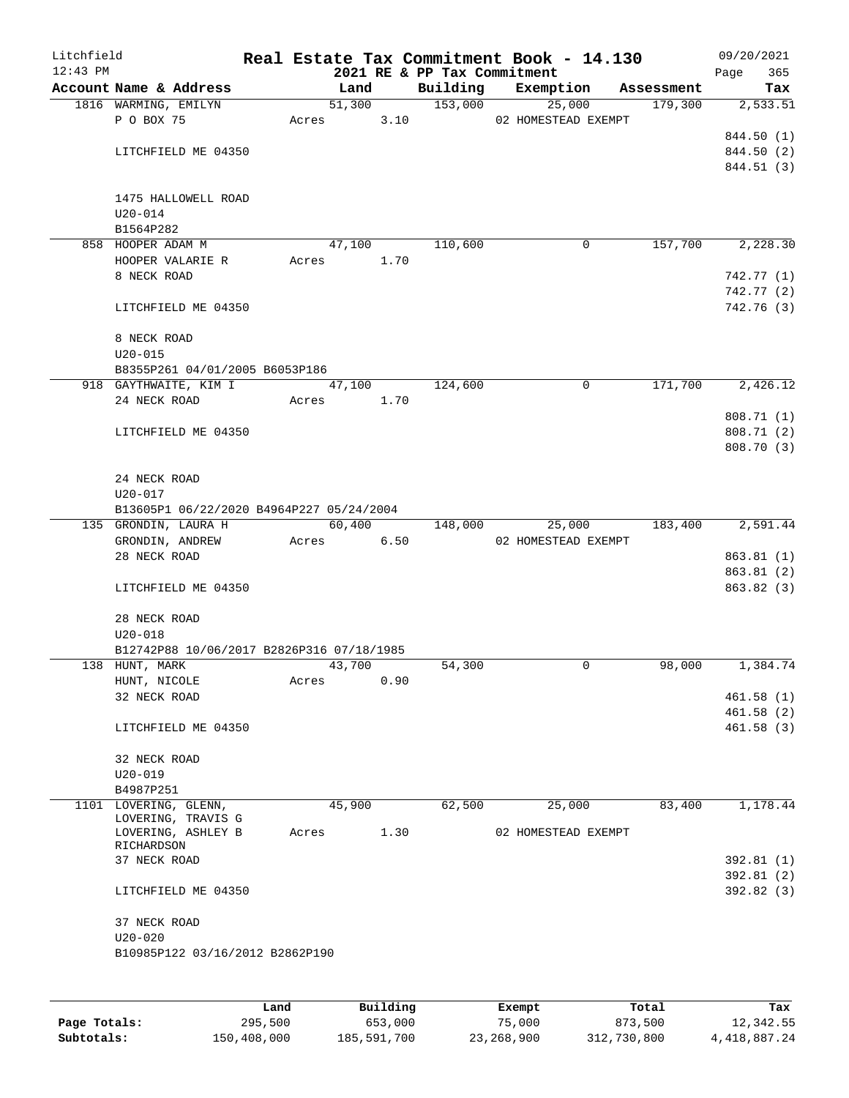| Litchfield<br>$12:43$ PM |                                           |       |        |      | 2021 RE & PP Tax Commitment | Real Estate Tax Commitment Book - 14.130 |            | 09/20/2021<br>365<br>Page |
|--------------------------|-------------------------------------------|-------|--------|------|-----------------------------|------------------------------------------|------------|---------------------------|
|                          | Account Name & Address                    |       | Land   |      | Building                    | Exemption                                | Assessment | Tax                       |
|                          | 1816 WARMING, EMILYN                      |       | 51,300 |      | 153,000                     | 25,000                                   | 179,300    | 2,533.51                  |
|                          | P O BOX 75                                | Acres |        | 3.10 |                             | 02 HOMESTEAD EXEMPT                      |            |                           |
|                          |                                           |       |        |      |                             |                                          |            | 844.50 (1)                |
|                          | LITCHFIELD ME 04350                       |       |        |      |                             |                                          |            | 844.50 (2)                |
|                          |                                           |       |        |      |                             |                                          |            | 844.51 (3)                |
|                          | 1475 HALLOWELL ROAD                       |       |        |      |                             |                                          |            |                           |
|                          | $U20 - 014$                               |       |        |      |                             |                                          |            |                           |
|                          | B1564P282                                 |       |        |      |                             |                                          |            |                           |
|                          | 858 HOOPER ADAM M                         |       | 47,100 |      | 110,600                     | 0                                        | 157,700    | 2,228.30                  |
|                          | HOOPER VALARIE R                          | Acres |        | 1.70 |                             |                                          |            |                           |
|                          | 8 NECK ROAD                               |       |        |      |                             |                                          |            | 742.77 (1)                |
|                          |                                           |       |        |      |                             |                                          |            | 742.77 (2)                |
|                          | LITCHFIELD ME 04350                       |       |        |      |                             |                                          |            | 742.76 (3)                |
|                          | 8 NECK ROAD                               |       |        |      |                             |                                          |            |                           |
|                          | $U20 - 015$                               |       |        |      |                             |                                          |            |                           |
|                          | B8355P261 04/01/2005 B6053P186            |       |        |      |                             |                                          |            |                           |
|                          | 918 GAYTHWAITE, KIM I                     |       | 47,100 |      | 124,600                     | 0                                        | 171,700    | 2,426.12                  |
|                          | 24 NECK ROAD                              | Acres |        | 1.70 |                             |                                          |            |                           |
|                          |                                           |       |        |      |                             |                                          |            | 808.71 (1)                |
|                          | LITCHFIELD ME 04350                       |       |        |      |                             |                                          |            | 808.71 (2)                |
|                          |                                           |       |        |      |                             |                                          |            | 808.70 (3)                |
|                          |                                           |       |        |      |                             |                                          |            |                           |
|                          | 24 NECK ROAD<br>$U20 - 017$               |       |        |      |                             |                                          |            |                           |
|                          | B13605P1 06/22/2020 B4964P227 05/24/2004  |       |        |      |                             |                                          |            |                           |
|                          | 135 GRONDIN, LAURA H                      |       |        |      | 60,400 148,000              | 25,000                                   | 183,400    | $\overline{2,591.44}$     |
|                          | GRONDIN, ANDREW                           | Acres |        | 6.50 |                             | 02 HOMESTEAD EXEMPT                      |            |                           |
|                          | 28 NECK ROAD                              |       |        |      |                             |                                          |            | 863.81 (1)                |
|                          |                                           |       |        |      |                             |                                          |            | 863.81 (2)                |
|                          | LITCHFIELD ME 04350                       |       |        |      |                             |                                          |            | 863.82(3)                 |
|                          | 28 NECK ROAD                              |       |        |      |                             |                                          |            |                           |
|                          | $U20 - 018$                               |       |        |      |                             |                                          |            |                           |
|                          | B12742P88 10/06/2017 B2826P316 07/18/1985 |       |        |      |                             | 0                                        | 98,000     | 1,384.74                  |
|                          | 138 HUNT, MARK<br>HUNT, NICOLE            | Acres | 43,700 | 0.90 | 54,300                      |                                          |            |                           |
|                          | 32 NECK ROAD                              |       |        |      |                             |                                          |            | 461.58 (1)                |
|                          |                                           |       |        |      |                             |                                          |            | 461.58(2)                 |
|                          | LITCHFIELD ME 04350                       |       |        |      |                             |                                          |            | 461.58(3)                 |
|                          | 32 NECK ROAD                              |       |        |      |                             |                                          |            |                           |
|                          | $U20 - 019$                               |       |        |      |                             |                                          |            |                           |
|                          | B4987P251                                 |       |        |      |                             |                                          |            |                           |
|                          | 1101 LOVERING, GLENN,                     |       | 45,900 |      | 62,500                      | 25,000                                   | 83,400     | 1,178.44                  |
|                          | LOVERING, TRAVIS G                        |       |        |      |                             |                                          |            |                           |
|                          | LOVERING, ASHLEY B<br>RICHARDSON          | Acres |        | 1.30 |                             | 02 HOMESTEAD EXEMPT                      |            |                           |
|                          | 37 NECK ROAD                              |       |        |      |                             |                                          |            | 392.81 (1)                |
|                          |                                           |       |        |      |                             |                                          |            | 392.81 (2)                |
|                          | LITCHFIELD ME 04350                       |       |        |      |                             |                                          |            | 392.82 (3)                |
|                          | 37 NECK ROAD                              |       |        |      |                             |                                          |            |                           |
|                          | $U20 - 020$                               |       |        |      |                             |                                          |            |                           |
|                          | B10985P122 03/16/2012 B2862P190           |       |        |      |                             |                                          |            |                           |
|                          |                                           |       |        |      |                             |                                          |            |                           |
|                          |                                           |       |        |      |                             |                                          |            |                           |

|              | Land        | Building    | Exempt     | Total       | Tax          |
|--------------|-------------|-------------|------------|-------------|--------------|
| Page Totals: | 295,500     | 653,000     | 75,000     | 873,500     | 12,342.55    |
| Subtotals:   | 150,408,000 | 185,591,700 | 23,268,900 | 312,730,800 | 4,418,887.24 |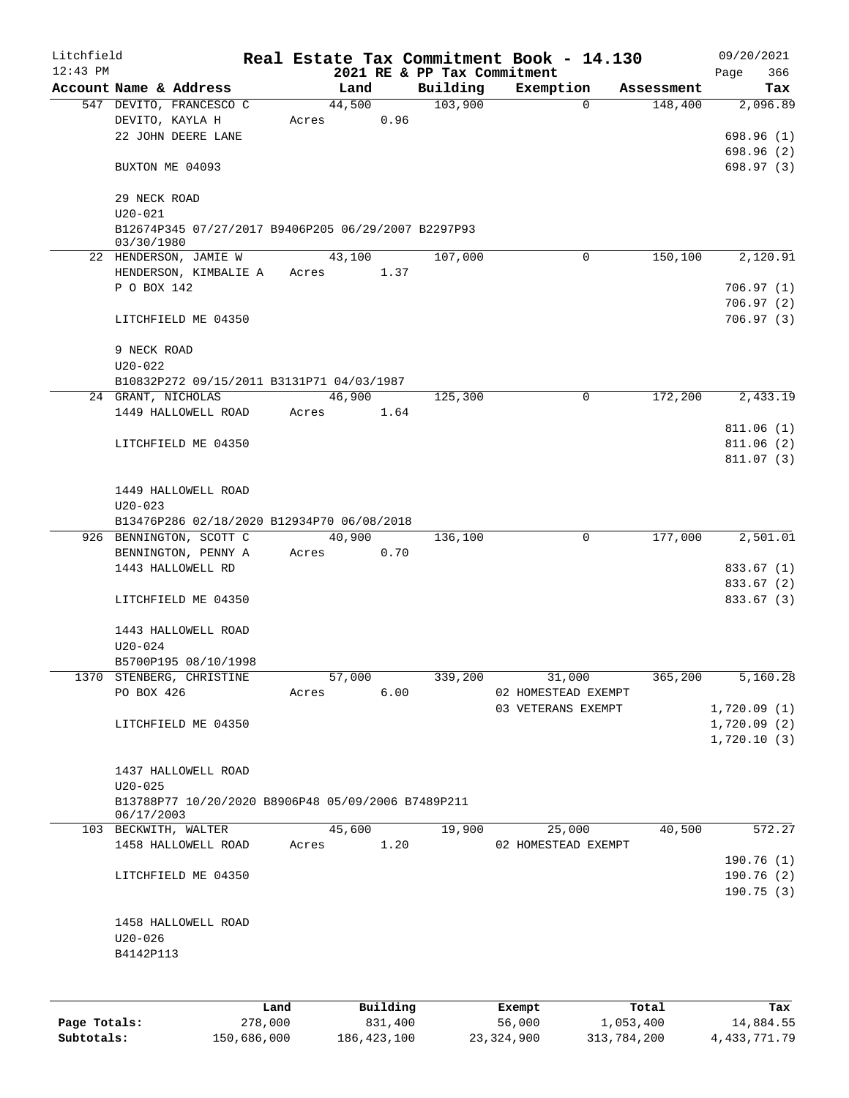| Litchfield<br>$12:43$ PM |                                                                   |         |       |        |          | Real Estate Tax Commitment Book - 14.130 |                     |             |            | 09/20/2021         |
|--------------------------|-------------------------------------------------------------------|---------|-------|--------|----------|------------------------------------------|---------------------|-------------|------------|--------------------|
|                          | Account Name & Address                                            |         |       | Land   |          | 2021 RE & PP Tax Commitment<br>Building  | Exemption           |             | Assessment | 366<br>Page<br>Tax |
|                          | 547 DEVITO, FRANCESCO C                                           |         |       | 44,500 |          | 103,900                                  |                     | $\Omega$    | 148,400    | 2,096.89           |
|                          | DEVITO, KAYLA H                                                   |         | Acres |        | 0.96     |                                          |                     |             |            |                    |
|                          | 22 JOHN DEERE LANE                                                |         |       |        |          |                                          |                     |             |            | 698.96(1)          |
|                          |                                                                   |         |       |        |          |                                          |                     |             |            | 698.96(2)          |
|                          | BUXTON ME 04093                                                   |         |       |        |          |                                          |                     |             |            | 698.97 (3)         |
|                          | 29 NECK ROAD                                                      |         |       |        |          |                                          |                     |             |            |                    |
|                          | $U20 - 021$                                                       |         |       |        |          |                                          |                     |             |            |                    |
|                          | B12674P345 07/27/2017 B9406P205 06/29/2007 B2297P93<br>03/30/1980 |         |       |        |          |                                          |                     |             |            |                    |
|                          | 22 HENDERSON, JAMIE W                                             |         |       | 43,100 |          | 107,000                                  |                     | $\Omega$    | 150,100    | 2,120.91           |
|                          | HENDERSON, KIMBALIE A                                             |         | Acres |        | 1.37     |                                          |                     |             |            |                    |
|                          | P O BOX 142                                                       |         |       |        |          |                                          |                     |             |            | 706.97(1)          |
|                          |                                                                   |         |       |        |          |                                          |                     |             |            | 706.97(2)          |
|                          | LITCHFIELD ME 04350                                               |         |       |        |          |                                          |                     |             |            | 706.97(3)          |
|                          | 9 NECK ROAD                                                       |         |       |        |          |                                          |                     |             |            |                    |
|                          | $U20 - 022$                                                       |         |       |        |          |                                          |                     |             |            |                    |
|                          | B10832P272 09/15/2011 B3131P71 04/03/1987                         |         |       |        |          |                                          |                     |             |            |                    |
|                          | 24 GRANT, NICHOLAS                                                |         |       | 46,900 |          | 125,300                                  |                     | 0           | 172,200    | 2,433.19           |
|                          | 1449 HALLOWELL ROAD                                               |         | Acres |        | 1.64     |                                          |                     |             |            |                    |
|                          |                                                                   |         |       |        |          |                                          |                     |             |            | 811.06(1)          |
|                          | LITCHFIELD ME 04350                                               |         |       |        |          |                                          |                     |             |            | 811.06(2)          |
|                          |                                                                   |         |       |        |          |                                          |                     |             |            | 811.07(3)          |
|                          |                                                                   |         |       |        |          |                                          |                     |             |            |                    |
|                          | 1449 HALLOWELL ROAD                                               |         |       |        |          |                                          |                     |             |            |                    |
|                          | $U20 - 023$                                                       |         |       |        |          |                                          |                     |             |            |                    |
|                          | B13476P286 02/18/2020 B12934P70 06/08/2018                        |         |       |        |          |                                          |                     |             |            |                    |
|                          | 926 BENNINGTON, SCOTT C                                           |         |       | 40,900 |          | 136,100                                  |                     | $\mathbf 0$ | 177,000    | 2,501.01           |
|                          | BENNINGTON, PENNY A                                               |         | Acres |        | 0.70     |                                          |                     |             |            |                    |
|                          | 1443 HALLOWELL RD                                                 |         |       |        |          |                                          |                     |             |            | 833.67 (1)         |
|                          |                                                                   |         |       |        |          |                                          |                     |             |            | 833.67 (2)         |
|                          | LITCHFIELD ME 04350                                               |         |       |        |          |                                          |                     |             |            | 833.67 (3)         |
|                          | 1443 HALLOWELL ROAD                                               |         |       |        |          |                                          |                     |             |            |                    |
|                          | $U20 - 024$                                                       |         |       |        |          |                                          |                     |             |            |                    |
|                          | B5700P195 08/10/1998                                              |         |       |        |          |                                          |                     |             |            |                    |
|                          | 1370 STENBERG, CHRISTINE                                          |         |       | 57,000 |          | 339,200                                  | 31,000              |             | 365,200    | 5,160.28           |
|                          | PO BOX 426                                                        |         | Acres |        | 6.00     |                                          | 02 HOMESTEAD EXEMPT |             |            |                    |
|                          |                                                                   |         |       |        |          |                                          | 03 VETERANS EXEMPT  |             |            | 1,720.09(1)        |
|                          |                                                                   |         |       |        |          |                                          |                     |             |            |                    |
|                          | LITCHFIELD ME 04350                                               |         |       |        |          |                                          |                     |             |            | 1,720.09(2)        |
|                          |                                                                   |         |       |        |          |                                          |                     |             |            | 1,720.10(3)        |
|                          | 1437 HALLOWELL ROAD                                               |         |       |        |          |                                          |                     |             |            |                    |
|                          | $U20 - 025$                                                       |         |       |        |          |                                          |                     |             |            |                    |
|                          | B13788P77 10/20/2020 B8906P48 05/09/2006 B7489P211                |         |       |        |          |                                          |                     |             |            |                    |
|                          | 06/17/2003                                                        |         |       |        |          |                                          |                     |             |            |                    |
|                          | 103 BECKWITH, WALTER                                              |         |       | 45,600 |          | 19,900                                   | 25,000              |             | 40,500     | 572.27             |
|                          | 1458 HALLOWELL ROAD                                               |         | Acres |        | 1.20     |                                          | 02 HOMESTEAD EXEMPT |             |            |                    |
|                          |                                                                   |         |       |        |          |                                          |                     |             |            | 190.76(1)          |
|                          | LITCHFIELD ME 04350                                               |         |       |        |          |                                          |                     |             |            | 190.76(2)          |
|                          |                                                                   |         |       |        |          |                                          |                     |             |            | 190.75(3)          |
|                          |                                                                   |         |       |        |          |                                          |                     |             |            |                    |
|                          | 1458 HALLOWELL ROAD                                               |         |       |        |          |                                          |                     |             |            |                    |
|                          | $U20 - 026$                                                       |         |       |        |          |                                          |                     |             |            |                    |
|                          | B4142P113                                                         |         |       |        |          |                                          |                     |             |            |                    |
|                          |                                                                   |         |       |        |          |                                          |                     |             |            |                    |
|                          |                                                                   |         |       |        |          |                                          |                     |             |            |                    |
|                          |                                                                   | Land    |       |        | Building |                                          | Exempt              |             | Total      | Tax                |
| Page Totals:             |                                                                   | 278,000 |       |        | 831,400  |                                          | 56,000              | 1,053,400   |            | 14,884.55          |

**Subtotals:** 150,686,000 186,423,100 23,324,900 313,784,200 4,433,771.79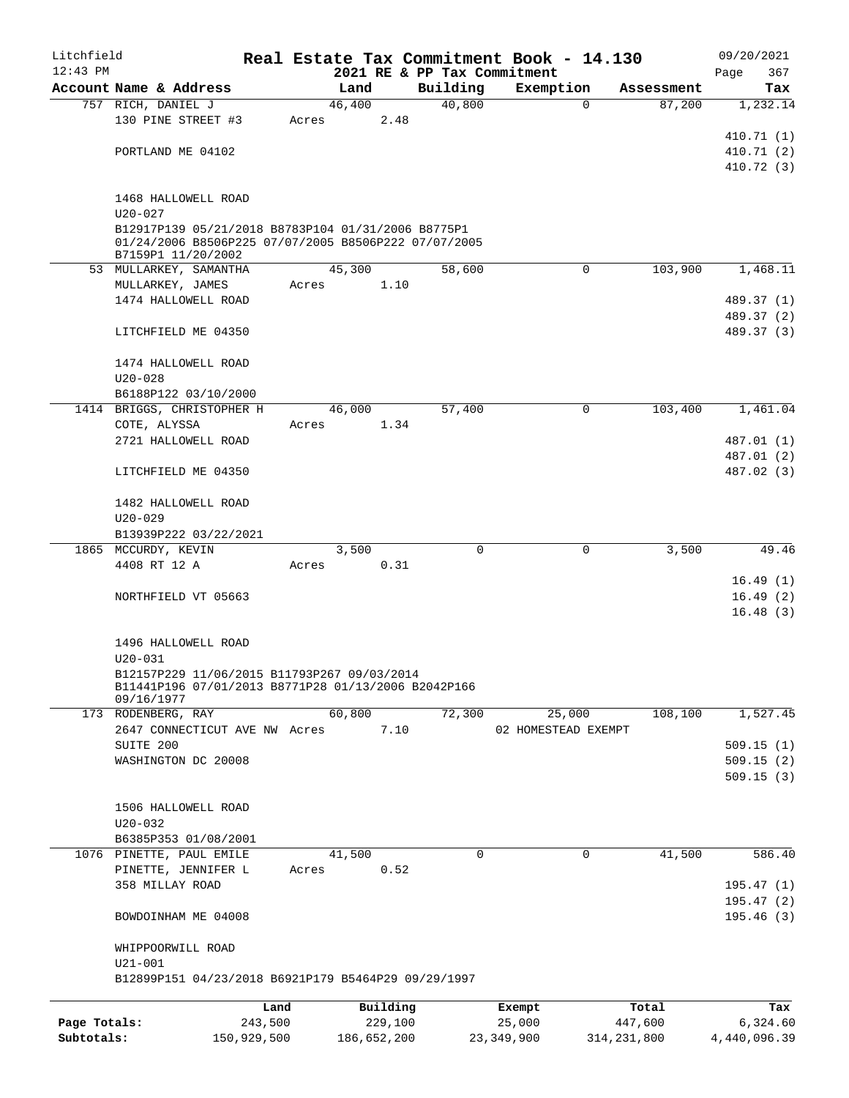| Litchfield   |                        |                                                      |       |          |         |          | Real Estate Tax Commitment Book - 14.130 |            | 09/20/2021               |
|--------------|------------------------|------------------------------------------------------|-------|----------|---------|----------|------------------------------------------|------------|--------------------------|
| $12:43$ PM   |                        |                                                      |       |          |         |          | 2021 RE & PP Tax Commitment              |            | 367<br>Page              |
|              | Account Name & Address |                                                      |       | Land     |         | Building | Exemption                                | Assessment | Tax                      |
|              | 757 RICH, DANIEL J     |                                                      |       | 46,400   |         | 40,800   | $\mathbf 0$                              | 87,200     | 1,232.14                 |
|              |                        | 130 PINE STREET #3                                   | Acres |          | 2.48    |          |                                          |            |                          |
|              |                        |                                                      |       |          |         |          |                                          |            | 410.71 (1)               |
|              | PORTLAND ME 04102      |                                                      |       |          |         |          |                                          |            | 410.71(2)<br>410.72(3)   |
|              |                        |                                                      |       |          |         |          |                                          |            |                          |
|              |                        | 1468 HALLOWELL ROAD                                  |       |          |         |          |                                          |            |                          |
|              | $U20 - 027$            |                                                      |       |          |         |          |                                          |            |                          |
|              |                        | B12917P139 05/21/2018 B8783P104 01/31/2006 B8775P1   |       |          |         |          |                                          |            |                          |
|              |                        | 01/24/2006 B8506P225 07/07/2005 B8506P222 07/07/2005 |       |          |         |          |                                          |            |                          |
|              |                        | B7159P1 11/20/2002                                   |       |          |         |          |                                          |            |                          |
|              |                        | 53 MULLARKEY, SAMANTHA                               |       | 45,300   |         | 58,600   | $\mathbf 0$                              | 103,900    | 1,468.11                 |
|              | MULLARKEY, JAMES       |                                                      | Acres |          | 1.10    |          |                                          |            |                          |
|              |                        | 1474 HALLOWELL ROAD                                  |       |          |         |          |                                          |            | 489.37 (1)               |
|              |                        |                                                      |       |          |         |          |                                          |            | 489.37 (2)               |
|              |                        | LITCHFIELD ME 04350                                  |       |          |         |          |                                          |            | 489.37 (3)               |
|              |                        |                                                      |       |          |         |          |                                          |            |                          |
|              |                        | 1474 HALLOWELL ROAD                                  |       |          |         |          |                                          |            |                          |
|              | $U20 - 028$            |                                                      |       |          |         |          |                                          |            |                          |
|              |                        | B6188P122 03/10/2000                                 |       |          |         |          |                                          |            |                          |
|              |                        | 1414 BRIGGS, CHRISTOPHER H                           |       | 46,000   |         | 57,400   | 0                                        | 103,400    | 1,461.04                 |
|              | COTE, ALYSSA           |                                                      | Acres |          | 1.34    |          |                                          |            |                          |
|              |                        | 2721 HALLOWELL ROAD                                  |       |          |         |          |                                          |            | 487.01 (1)               |
|              |                        |                                                      |       |          |         |          |                                          |            | 487.01 (2)<br>487.02 (3) |
|              |                        | LITCHFIELD ME 04350                                  |       |          |         |          |                                          |            |                          |
|              |                        | 1482 HALLOWELL ROAD                                  |       |          |         |          |                                          |            |                          |
|              | $U20 - 029$            |                                                      |       |          |         |          |                                          |            |                          |
|              |                        | B13939P222 03/22/2021                                |       |          |         |          |                                          |            |                          |
|              | 1865 MCCURDY, KEVIN    |                                                      |       | 3,500    |         | $\Omega$ | 0                                        | 3,500      | 49.46                    |
|              | 4408 RT 12 A           |                                                      | Acres |          | 0.31    |          |                                          |            |                          |
|              |                        |                                                      |       |          |         |          |                                          |            | 16.49(1)                 |
|              |                        | NORTHFIELD VT 05663                                  |       |          |         |          |                                          |            | 16.49(2)                 |
|              |                        |                                                      |       |          |         |          |                                          |            | 16.48(3)                 |
|              |                        |                                                      |       |          |         |          |                                          |            |                          |
|              |                        | 1496 HALLOWELL ROAD                                  |       |          |         |          |                                          |            |                          |
|              | $U20 - 031$            |                                                      |       |          |         |          |                                          |            |                          |
|              |                        | B12157P229 11/06/2015 B11793P267 09/03/2014          |       |          |         |          |                                          |            |                          |
|              | 09/16/1977             | B11441P196 07/01/2013 B8771P28 01/13/2006 B2042P166  |       |          |         |          |                                          |            |                          |
|              | 173 RODENBERG, RAY     |                                                      |       | 60,800   |         | 72,300   | 25,000                                   | 108,100    | 1,527.45                 |
|              |                        | 2647 CONNECTICUT AVE NW Acres                        |       |          | 7.10    |          | 02 HOMESTEAD EXEMPT                      |            |                          |
|              | SUITE 200              |                                                      |       |          |         |          |                                          |            | 509.15(1)                |
|              |                        | WASHINGTON DC 20008                                  |       |          |         |          |                                          |            | 509.15(2)                |
|              |                        |                                                      |       |          |         |          |                                          |            | 509.15(3)                |
|              |                        |                                                      |       |          |         |          |                                          |            |                          |
|              |                        | 1506 HALLOWELL ROAD                                  |       |          |         |          |                                          |            |                          |
|              | $U20 - 032$            |                                                      |       |          |         |          |                                          |            |                          |
|              |                        | B6385P353 01/08/2001                                 |       |          |         |          |                                          |            |                          |
|              |                        | 1076 PINETTE, PAUL EMILE                             |       | 41,500   |         | 0        | 0                                        | 41,500     | 586.40                   |
|              |                        | PINETTE, JENNIFER L                                  | Acres |          | 0.52    |          |                                          |            |                          |
|              | 358 MILLAY ROAD        |                                                      |       |          |         |          |                                          |            | 195.47(1)                |
|              |                        |                                                      |       |          |         |          |                                          |            | 195.47(2)                |
|              |                        | BOWDOINHAM ME 04008                                  |       |          |         |          |                                          |            | 195.46(3)                |
|              |                        |                                                      |       |          |         |          |                                          |            |                          |
|              | WHIPPOORWILL ROAD      |                                                      |       |          |         |          |                                          |            |                          |
|              | $U21 - 001$            |                                                      |       |          |         |          |                                          |            |                          |
|              |                        | B12899P151 04/23/2018 B6921P179 B5464P29 09/29/1997  |       |          |         |          |                                          |            |                          |
|              |                        |                                                      |       |          |         |          |                                          |            |                          |
|              |                        | Land                                                 |       | Building |         |          | Exempt                                   | Total      | Tax                      |
| Page Totals: |                        | 243,500                                              |       |          | 229,100 |          | 25,000                                   | 447,600    | 6,324.60                 |

**Subtotals:** 150,929,500 186,652,200 23,349,900 314,231,800 4,440,096.39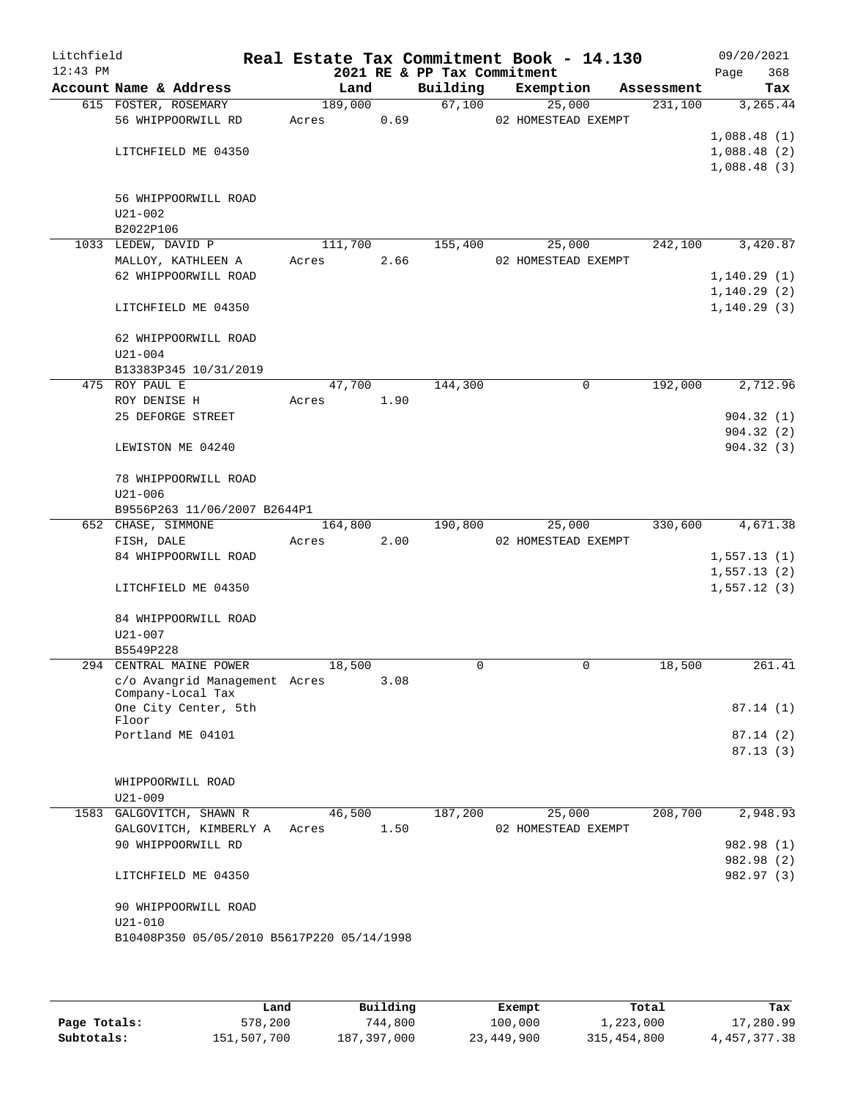| Litchfield |                                            |         |      |                             | Real Estate Tax Commitment Book - 14.130 |            | 09/20/2021   |
|------------|--------------------------------------------|---------|------|-----------------------------|------------------------------------------|------------|--------------|
| $12:43$ PM |                                            |         |      | 2021 RE & PP Tax Commitment |                                          |            | 368<br>Page  |
|            | Account Name & Address                     | Land    |      | Building                    | Exemption                                | Assessment | Tax          |
|            | 615 FOSTER, ROSEMARY                       | 189,000 |      |                             | 67,100<br>25,000                         | 231,100    | 3, 265.44    |
|            | 56 WHIPPOORWILL RD                         | Acres   | 0.69 |                             | 02 HOMESTEAD EXEMPT                      |            | 1,088.48(1)  |
|            | LITCHFIELD ME 04350                        |         |      |                             |                                          |            | 1,088.48(2)  |
|            |                                            |         |      |                             |                                          |            | 1,088.48(3)  |
|            |                                            |         |      |                             |                                          |            |              |
|            | 56 WHIPPOORWILL ROAD                       |         |      |                             |                                          |            |              |
|            | $U21 - 002$                                |         |      |                             |                                          |            |              |
|            | B2022P106                                  |         |      |                             |                                          |            |              |
|            | 1033 LEDEW, DAVID P                        | 111,700 |      | 155,400                     | 25,000                                   | 242,100    | 3,420.87     |
|            | MALLOY, KATHLEEN A                         | Acres   | 2.66 |                             | 02 HOMESTEAD EXEMPT                      |            |              |
|            | 62 WHIPPOORWILL ROAD                       |         |      |                             |                                          |            | 1, 140.29(1) |
|            |                                            |         |      |                             |                                          |            | 1, 140.29(2) |
|            | LITCHFIELD ME 04350                        |         |      |                             |                                          |            | 1, 140.29(3) |
|            |                                            |         |      |                             |                                          |            |              |
|            | 62 WHIPPOORWILL ROAD<br>$U21 - 004$        |         |      |                             |                                          |            |              |
|            | B13383P345 10/31/2019                      |         |      |                             |                                          |            |              |
|            | 475 ROY PAUL E                             | 47,700  |      | 144,300                     | 0                                        | 192,000    | 2,712.96     |
|            | ROY DENISE H                               | Acres   | 1.90 |                             |                                          |            |              |
|            | 25 DEFORGE STREET                          |         |      |                             |                                          |            | 904.32(1)    |
|            |                                            |         |      |                             |                                          |            | 904.32(2)    |
|            | LEWISTON ME 04240                          |         |      |                             |                                          |            | 904.32(3)    |
|            | 78 WHIPPOORWILL ROAD                       |         |      |                             |                                          |            |              |
|            | $U21 - 006$                                |         |      |                             |                                          |            |              |
|            | B9556P263 11/06/2007 B2644P1               |         |      |                             |                                          |            |              |
|            | 652 CHASE, SIMMONE                         | 164,800 |      | 190,800                     | 25,000                                   | 330,600    | 4,671.38     |
|            | FISH, DALE                                 | Acres   | 2.00 |                             | 02 HOMESTEAD EXEMPT                      |            |              |
|            | 84 WHIPPOORWILL ROAD                       |         |      |                             |                                          |            | 1,557.13(1)  |
|            |                                            |         |      |                             |                                          |            | 1,557.13(2)  |
|            | LITCHFIELD ME 04350                        |         |      |                             |                                          |            | 1,557.12(3)  |
|            | 84 WHIPPOORWILL ROAD                       |         |      |                             |                                          |            |              |
|            | $U21 - 007$                                |         |      |                             |                                          |            |              |
|            | B5549P228                                  |         |      |                             |                                          |            |              |
|            | 294 CENTRAL MAINE POWER                    | 18,500  |      | $\Omega$                    | 0                                        | 18,500     | 261.41       |
|            | c/o Avangrid Management Acres              |         | 3.08 |                             |                                          |            |              |
|            | Company-Local Tax<br>One City Center, 5th  |         |      |                             |                                          |            | 87.14(1)     |
|            | Floor                                      |         |      |                             |                                          |            |              |
|            | Portland ME 04101                          |         |      |                             |                                          |            | 87.14(2)     |
|            |                                            |         |      |                             |                                          |            | 87.13(3)     |
|            |                                            |         |      |                             |                                          |            |              |
|            | WHIPPOORWILL ROAD                          |         |      |                             |                                          |            |              |
|            | $U21 - 009$<br>1583 GALGOVITCH, SHAWN R    | 46,500  |      | 187,200                     | 25,000                                   | 208,700    | 2,948.93     |
|            | GALGOVITCH, KIMBERLY A                     | Acres   | 1.50 |                             | 02 HOMESTEAD EXEMPT                      |            |              |
|            | 90 WHIPPOORWILL RD                         |         |      |                             |                                          |            | 982.98 (1)   |
|            |                                            |         |      |                             |                                          |            | 982.98 (2)   |
|            | LITCHFIELD ME 04350                        |         |      |                             |                                          |            | 982.97 (3)   |
|            |                                            |         |      |                             |                                          |            |              |
|            | 90 WHIPPOORWILL ROAD                       |         |      |                             |                                          |            |              |
|            | $U21 - 010$                                |         |      |                             |                                          |            |              |
|            | B10408P350 05/05/2010 B5617P220 05/14/1998 |         |      |                             |                                          |            |              |
|            |                                            |         |      |                             |                                          |            |              |
|            |                                            |         |      |                             |                                          |            |              |

|              | Land        | Building    | Exempt     | Total       | Tax             |
|--------------|-------------|-------------|------------|-------------|-----------------|
| Page Totals: | 578,200     | 744,800     | 100,000    | 1,223,000   | 17,280.99       |
| Subtotals:   | 151,507,700 | 187,397,000 | 23,449,900 | 315,454,800 | 4, 457, 377. 38 |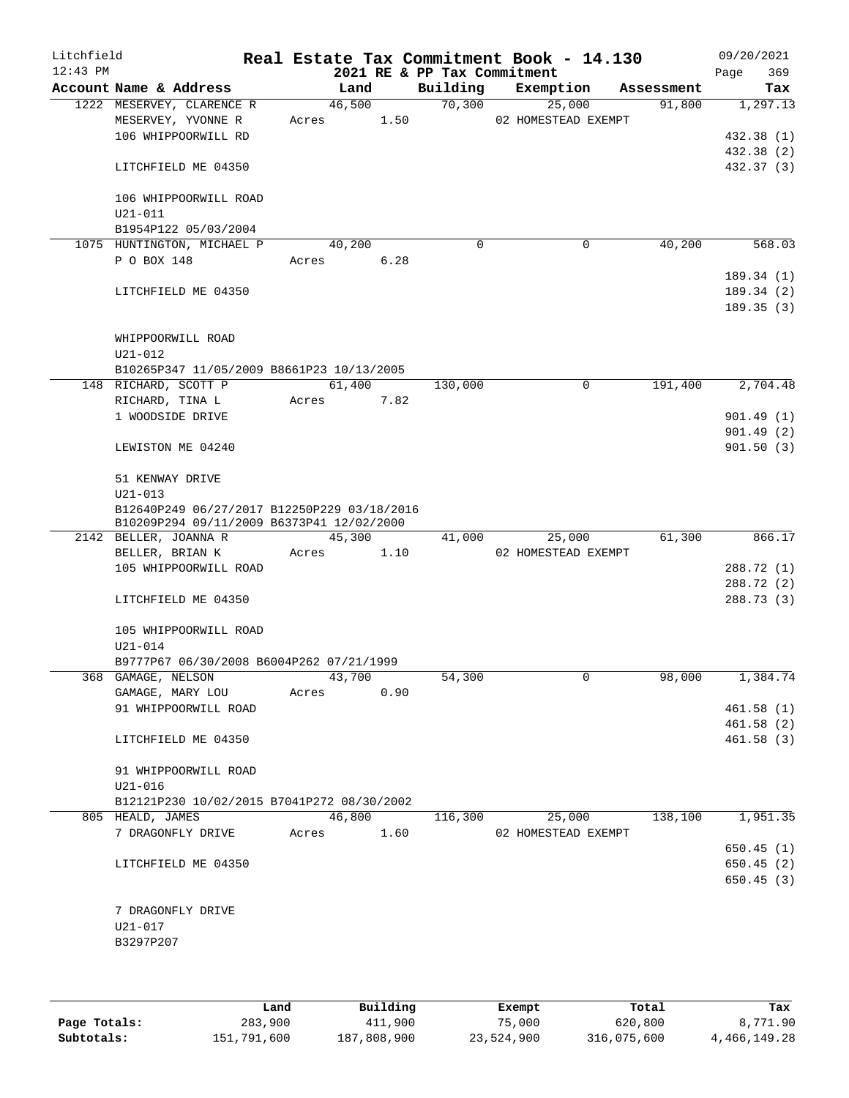| Litchfield<br>$12:43$ PM |                                                                                          |       |        |      | 2021 RE & PP Tax Commitment | Real Estate Tax Commitment Book - 14.130 |            | 09/20/2021<br>369<br>Page |
|--------------------------|------------------------------------------------------------------------------------------|-------|--------|------|-----------------------------|------------------------------------------|------------|---------------------------|
|                          | Account Name & Address                                                                   |       | Land   |      | Building                    | Exemption                                | Assessment | Tax                       |
|                          | 1222 MESERVEY, CLARENCE R<br>MESERVEY, YVONNE R                                          | Acres | 46,500 | 1.50 | 70,300                      | 25,000<br>02 HOMESTEAD EXEMPT            | 91,800     | 1,297.13                  |
|                          | 106 WHIPPOORWILL RD                                                                      |       |        |      |                             |                                          |            | 432.38 (1)<br>432.38 (2)  |
|                          | LITCHFIELD ME 04350                                                                      |       |        |      |                             |                                          |            | 432.37 (3)                |
|                          | 106 WHIPPOORWILL ROAD<br>$U21 - 011$                                                     |       |        |      |                             |                                          |            |                           |
|                          | B1954P122 05/03/2004                                                                     |       |        |      |                             |                                          |            |                           |
|                          | 1075 HUNTINGTON, MICHAEL P                                                               |       | 40,200 |      | $\Omega$                    | $\mathbf 0$                              | 40,200     | 568.03                    |
|                          | P O BOX 148                                                                              | Acres |        | 6.28 |                             |                                          |            | 189.34(1)                 |
|                          | LITCHFIELD ME 04350                                                                      |       |        |      |                             |                                          |            | 189.34(2)<br>189.35(3)    |
|                          | WHIPPOORWILL ROAD                                                                        |       |        |      |                             |                                          |            |                           |
|                          | $U21 - 012$                                                                              |       |        |      |                             |                                          |            |                           |
|                          | B10265P347 11/05/2009 B8661P23 10/13/2005<br>148 RICHARD, SCOTT P                        |       | 61,400 |      | 130,000                     | 0                                        | 191,400    | 2,704.48                  |
|                          | RICHARD, TINA L                                                                          | Acres |        | 7.82 |                             |                                          |            |                           |
|                          | 1 WOODSIDE DRIVE                                                                         |       |        |      |                             |                                          |            | 901.49(1)                 |
|                          |                                                                                          |       |        |      |                             |                                          |            | 901.49(2)                 |
|                          | LEWISTON ME 04240                                                                        |       |        |      |                             |                                          |            | 901.50(3)                 |
|                          | 51 KENWAY DRIVE<br>$U21 - 013$                                                           |       |        |      |                             |                                          |            |                           |
|                          | B12640P249 06/27/2017 B12250P229 03/18/2016<br>B10209P294 09/11/2009 B6373P41 12/02/2000 |       |        |      |                             |                                          |            |                           |
|                          | 2142 BELLER, JOANNA R                                                                    |       | 45,300 |      | 41,000                      | 25,000                                   | 61,300     | 866.17                    |
|                          | BELLER, BRIAN K                                                                          | Acres |        | 1.10 |                             | 02 HOMESTEAD EXEMPT                      |            |                           |
|                          | 105 WHIPPOORWILL ROAD                                                                    |       |        |      |                             |                                          |            | 288.72 (1)<br>288.72 (2)  |
|                          | LITCHFIELD ME 04350                                                                      |       |        |      |                             |                                          |            | 288.73 (3)                |
|                          | 105 WHIPPOORWILL ROAD<br>U21-014                                                         |       |        |      |                             |                                          |            |                           |
|                          | B9777P67 06/30/2008 B6004P262 07/21/1999                                                 |       |        |      |                             |                                          |            |                           |
|                          | 368 GAMAGE, NELSON                                                                       |       | 43,700 |      | 54,300                      | 0                                        | 98,000     | 1,384.74                  |
|                          | GAMAGE, MARY LOU                                                                         | Acres |        | 0.90 |                             |                                          |            |                           |
|                          | 91 WHIPPOORWILL ROAD                                                                     |       |        |      |                             |                                          |            | 461.58(1)                 |
|                          |                                                                                          |       |        |      |                             |                                          |            | 461.58(2)                 |
|                          | LITCHFIELD ME 04350                                                                      |       |        |      |                             |                                          |            | 461.58(3)                 |
|                          | 91 WHIPPOORWILL ROAD<br>$U21 - 016$                                                      |       |        |      |                             |                                          |            |                           |
|                          | B12121P230 10/02/2015 B7041P272 08/30/2002                                               |       |        |      |                             |                                          |            |                           |
|                          | 805 HEALD, JAMES                                                                         |       | 46,800 |      | 116,300                     | 25,000                                   | 138,100    | 1,951.35                  |
|                          | 7 DRAGONFLY DRIVE                                                                        | Acres |        | 1.60 |                             | 02 HOMESTEAD EXEMPT                      |            |                           |
|                          |                                                                                          |       |        |      |                             |                                          |            | 650.45(1)                 |
|                          | LITCHFIELD ME 04350                                                                      |       |        |      |                             |                                          |            | 650.45(2)                 |
|                          |                                                                                          |       |        |      |                             |                                          |            | 650.45(3)                 |
|                          | 7 DRAGONFLY DRIVE                                                                        |       |        |      |                             |                                          |            |                           |
|                          | $U21 - 017$                                                                              |       |        |      |                             |                                          |            |                           |
|                          | B3297P207                                                                                |       |        |      |                             |                                          |            |                           |
|                          |                                                                                          |       |        |      |                             |                                          |            |                           |

|              | Land        | Building    | Exempt     | Total       | Tax          |
|--------------|-------------|-------------|------------|-------------|--------------|
| Page Totals: | 283,900     | 411,900     | 75,000     | 620,800     | 8,771.90     |
| Subtotals:   | 151,791,600 | 187,808,900 | 23,524,900 | 316,075,600 | 4,466,149.28 |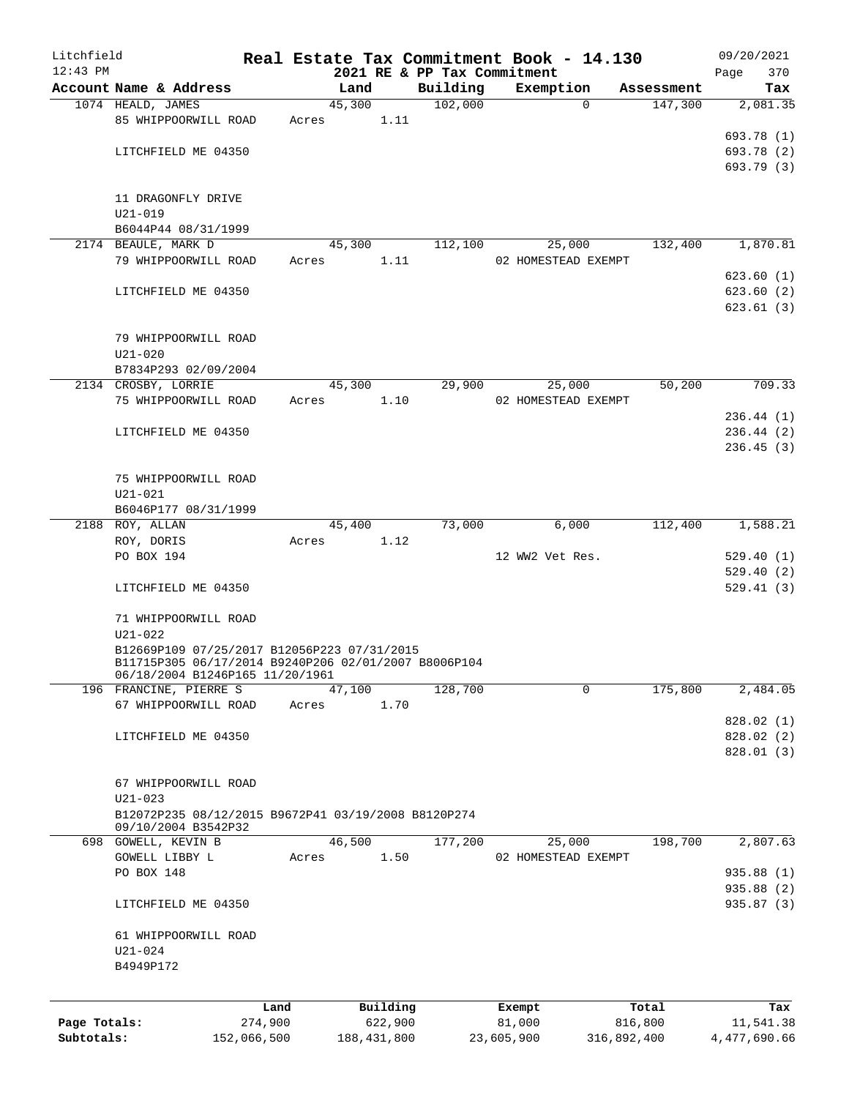| Litchfield   |                                                                                                     |             |       |                |          | Real Estate Tax Commitment Book - 14.130 |            |                       |                       | 09/20/2021               |
|--------------|-----------------------------------------------------------------------------------------------------|-------------|-------|----------------|----------|------------------------------------------|------------|-----------------------|-----------------------|--------------------------|
| $12:43$ PM   | Account Name & Address                                                                              |             |       |                |          | 2021 RE & PP Tax Commitment              |            |                       |                       | 370<br>Page              |
|              | 1074 HEALD, JAMES                                                                                   |             |       | Land<br>45,300 |          | Building<br>102,000                      |            | Exemption<br>$\Omega$ | Assessment<br>147,300 | Tax<br>2,081.35          |
|              | 85 WHIPPOORWILL ROAD                                                                                |             | Acres |                | 1.11     |                                          |            |                       |                       |                          |
|              |                                                                                                     |             |       |                |          |                                          |            |                       |                       | 693.78 (1)               |
|              | LITCHFIELD ME 04350                                                                                 |             |       |                |          |                                          |            |                       |                       | 693.78 (2)               |
|              |                                                                                                     |             |       |                |          |                                          |            |                       |                       | 693.79 (3)               |
|              |                                                                                                     |             |       |                |          |                                          |            |                       |                       |                          |
|              | 11 DRAGONFLY DRIVE                                                                                  |             |       |                |          |                                          |            |                       |                       |                          |
|              | $U21 - 019$                                                                                         |             |       |                |          |                                          |            |                       |                       |                          |
|              | B6044P44 08/31/1999                                                                                 |             |       |                |          |                                          |            |                       |                       |                          |
|              | 2174 BEAULE, MARK D                                                                                 |             |       | 45,300         |          | 112,100                                  |            | 25,000                | 132,400               | 1,870.81                 |
|              | 79 WHIPPOORWILL ROAD                                                                                |             | Acres |                | 1.11     |                                          |            | 02 HOMESTEAD EXEMPT   |                       |                          |
|              |                                                                                                     |             |       |                |          |                                          |            |                       |                       | 623.60(1)                |
|              | LITCHFIELD ME 04350                                                                                 |             |       |                |          |                                          |            |                       |                       | 623.60(2)                |
|              |                                                                                                     |             |       |                |          |                                          |            |                       |                       | 623.61(3)                |
|              |                                                                                                     |             |       |                |          |                                          |            |                       |                       |                          |
|              | 79 WHIPPOORWILL ROAD                                                                                |             |       |                |          |                                          |            |                       |                       |                          |
|              | $U21 - 020$                                                                                         |             |       |                |          |                                          |            |                       |                       |                          |
|              | B7834P293 02/09/2004                                                                                |             |       |                |          |                                          |            |                       |                       |                          |
|              | 2134 CROSBY, LORRIE                                                                                 |             |       | 45,300         |          | 29,900                                   |            | 25,000                | 50,200                | 709.33                   |
|              | 75 WHIPPOORWILL ROAD                                                                                |             | Acres |                | 1.10     |                                          |            | 02 HOMESTEAD EXEMPT   |                       |                          |
|              |                                                                                                     |             |       |                |          |                                          |            |                       |                       | 236.44(1)                |
|              | LITCHFIELD ME 04350                                                                                 |             |       |                |          |                                          |            |                       |                       | 236.44(2)                |
|              |                                                                                                     |             |       |                |          |                                          |            |                       |                       | 236.45(3)                |
|              |                                                                                                     |             |       |                |          |                                          |            |                       |                       |                          |
|              | 75 WHIPPOORWILL ROAD                                                                                |             |       |                |          |                                          |            |                       |                       |                          |
|              | $U21 - 021$                                                                                         |             |       |                |          |                                          |            |                       |                       |                          |
|              | B6046P177 08/31/1999                                                                                |             |       |                |          |                                          |            |                       |                       |                          |
|              | 2188 ROY, ALLAN                                                                                     |             |       | 45,400         |          | 73,000                                   |            | 6,000                 | 112,400               | 1,588.21                 |
|              | ROY, DORIS                                                                                          |             | Acres |                | 1.12     |                                          |            |                       |                       |                          |
|              | PO BOX 194                                                                                          |             |       |                |          |                                          |            | 12 WW2 Vet Res.       |                       | 529.40(1)                |
|              |                                                                                                     |             |       |                |          |                                          |            |                       |                       | 529.40(2)                |
|              | LITCHFIELD ME 04350                                                                                 |             |       |                |          |                                          |            |                       |                       | 529.41(3)                |
|              |                                                                                                     |             |       |                |          |                                          |            |                       |                       |                          |
|              | 71 WHIPPOORWILL ROAD                                                                                |             |       |                |          |                                          |            |                       |                       |                          |
|              | $U21 - 022$                                                                                         |             |       |                |          |                                          |            |                       |                       |                          |
|              | B12669P109 07/25/2017 B12056P223 07/31/2015<br>B11715P305 06/17/2014 B9240P206 02/01/2007 B8006P104 |             |       |                |          |                                          |            |                       |                       |                          |
|              | 06/18/2004 B1246P165 11/20/1961                                                                     |             |       |                |          |                                          |            |                       |                       |                          |
|              | 196 FRANCINE, PIERRE S                                                                              |             |       | 47,100         |          | 128,700                                  |            | 0                     | 175,800               | 2,484.05                 |
|              | 67 WHIPPOORWILL ROAD                                                                                |             | Acres |                | 1.70     |                                          |            |                       |                       |                          |
|              |                                                                                                     |             |       |                |          |                                          |            |                       |                       | 828.02(1)                |
|              | LITCHFIELD ME 04350                                                                                 |             |       |                |          |                                          |            |                       |                       | 828.02 (2)               |
|              |                                                                                                     |             |       |                |          |                                          |            |                       |                       | 828.01 (3)               |
|              |                                                                                                     |             |       |                |          |                                          |            |                       |                       |                          |
|              | 67 WHIPPOORWILL ROAD                                                                                |             |       |                |          |                                          |            |                       |                       |                          |
|              | $U21 - 023$                                                                                         |             |       |                |          |                                          |            |                       |                       |                          |
|              | B12072P235 08/12/2015 B9672P41 03/19/2008 B8120P274                                                 |             |       |                |          |                                          |            |                       |                       |                          |
|              | 09/10/2004 B3542P32                                                                                 |             |       |                |          |                                          |            |                       |                       |                          |
|              | 698 GOWELL, KEVIN B                                                                                 |             |       | 46,500         |          | 177,200                                  |            | 25,000                | 198,700               | 2,807.63                 |
|              | GOWELL LIBBY L                                                                                      |             | Acres |                | 1.50     |                                          |            | 02 HOMESTEAD EXEMPT   |                       |                          |
|              | PO BOX 148                                                                                          |             |       |                |          |                                          |            |                       |                       | 935.88 (1)<br>935.88 (2) |
|              | LITCHFIELD ME 04350                                                                                 |             |       |                |          |                                          |            |                       |                       | 935.87 (3)               |
|              |                                                                                                     |             |       |                |          |                                          |            |                       |                       |                          |
|              | 61 WHIPPOORWILL ROAD                                                                                |             |       |                |          |                                          |            |                       |                       |                          |
|              | $U21 - 024$                                                                                         |             |       |                |          |                                          |            |                       |                       |                          |
|              | B4949P172                                                                                           |             |       |                |          |                                          |            |                       |                       |                          |
|              |                                                                                                     |             |       |                |          |                                          |            |                       |                       |                          |
|              |                                                                                                     |             |       |                |          |                                          |            |                       |                       |                          |
|              |                                                                                                     | Land        |       |                | Building |                                          | Exempt     |                       | Total                 | Tax                      |
| Page Totals: |                                                                                                     | 274,900     |       |                | 622,900  |                                          | 81,000     |                       | 816,800               | 11,541.38                |
| Subtotals:   |                                                                                                     | 152,066,500 |       | 188, 431, 800  |          |                                          | 23,605,900 |                       | 316,892,400           | 4,477,690.66             |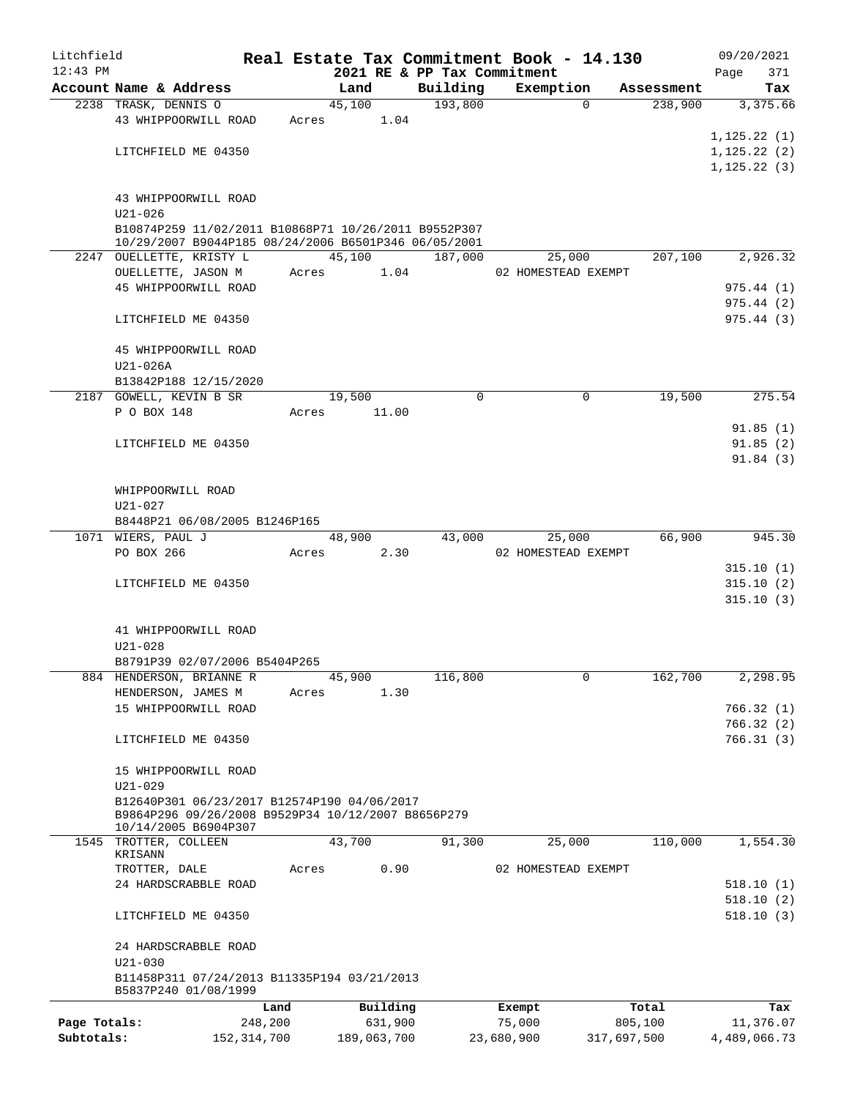| Litchfield   |                                                                                                              |       |             |          |                             | Real Estate Tax Commitment Book - 14.130 |             | 09/20/2021   |
|--------------|--------------------------------------------------------------------------------------------------------------|-------|-------------|----------|-----------------------------|------------------------------------------|-------------|--------------|
| $12:43$ PM   |                                                                                                              |       |             |          | 2021 RE & PP Tax Commitment |                                          |             | 371<br>Page  |
|              | Account Name & Address                                                                                       |       | Land        |          | Building                    | Exemption                                | Assessment  | Tax          |
|              | 2238 TRASK, DENNIS O                                                                                         |       | 45,100      |          | 193,800                     | $\Omega$                                 | 238,900     | 3,375.66     |
|              | 43 WHIPPOORWILL ROAD                                                                                         | Acres |             | 1.04     |                             |                                          |             |              |
|              |                                                                                                              |       |             |          |                             |                                          |             | 1, 125.22(1) |
|              | LITCHFIELD ME 04350                                                                                          |       |             |          |                             |                                          |             | 1, 125.22(2) |
|              |                                                                                                              |       |             |          |                             |                                          |             | 1, 125.22(3) |
|              |                                                                                                              |       |             |          |                             |                                          |             |              |
|              | 43 WHIPPOORWILL ROAD                                                                                         |       |             |          |                             |                                          |             |              |
|              | $U21 - 026$                                                                                                  |       |             |          |                             |                                          |             |              |
|              | B10874P259 11/02/2011 B10868P71 10/26/2011 B9552P307<br>10/29/2007 B9044P185 08/24/2006 B6501P346 06/05/2001 |       |             |          |                             |                                          |             |              |
|              | 2247 OUELLETTE, KRISTY L                                                                                     |       | 45,100      |          | 187,000                     | 25,000                                   | 207,100     | 2,926.32     |
|              | OUELLETTE, JASON M                                                                                           | Acres |             | 1.04     |                             | 02 HOMESTEAD EXEMPT                      |             |              |
|              | 45 WHIPPOORWILL ROAD                                                                                         |       |             |          |                             |                                          |             | 975.44(1)    |
|              |                                                                                                              |       |             |          |                             |                                          |             | 975.44(2)    |
|              | LITCHFIELD ME 04350                                                                                          |       |             |          |                             |                                          |             | 975.44(3)    |
|              |                                                                                                              |       |             |          |                             |                                          |             |              |
|              | 45 WHIPPOORWILL ROAD                                                                                         |       |             |          |                             |                                          |             |              |
|              | U21-026A                                                                                                     |       |             |          |                             |                                          |             |              |
|              | B13842P188 12/15/2020                                                                                        |       |             |          |                             |                                          |             |              |
|              | 2187 GOWELL, KEVIN B SR                                                                                      |       | 19,500      |          | $\mathbf 0$                 | 0                                        | 19,500      | 275.54       |
|              | P O BOX 148                                                                                                  | Acres |             | 11.00    |                             |                                          |             |              |
|              |                                                                                                              |       |             |          |                             |                                          |             | 91.85(1)     |
|              | LITCHFIELD ME 04350                                                                                          |       |             |          |                             |                                          |             | 91.85(2)     |
|              |                                                                                                              |       |             |          |                             |                                          |             | 91.84(3)     |
|              |                                                                                                              |       |             |          |                             |                                          |             |              |
|              |                                                                                                              |       |             |          |                             |                                          |             |              |
|              | WHIPPOORWILL ROAD                                                                                            |       |             |          |                             |                                          |             |              |
|              | U21-027                                                                                                      |       |             |          |                             |                                          |             |              |
|              | B8448P21 06/08/2005 B1246P165                                                                                |       |             |          |                             |                                          |             |              |
|              | 1071 WIERS, PAUL J                                                                                           |       | 48,900      |          | 43,000                      | 25,000                                   | 66,900      | 945.30       |
|              | PO BOX 266                                                                                                   | Acres |             | 2.30     |                             | 02 HOMESTEAD EXEMPT                      |             |              |
|              |                                                                                                              |       |             |          |                             |                                          |             | 315.10(1)    |
|              | LITCHFIELD ME 04350                                                                                          |       |             |          |                             |                                          |             | 315.10(2)    |
|              |                                                                                                              |       |             |          |                             |                                          |             | 315.10(3)    |
|              |                                                                                                              |       |             |          |                             |                                          |             |              |
|              | 41 WHIPPOORWILL ROAD                                                                                         |       |             |          |                             |                                          |             |              |
|              | U21-028                                                                                                      |       |             |          |                             |                                          |             |              |
|              | B8791P39 02/07/2006 B5404P265                                                                                |       |             |          |                             |                                          |             |              |
|              | 884 HENDERSON, BRIANNE R                                                                                     |       | 45,900      |          | 116,800                     | 0                                        | 162,700     | 2,298.95     |
|              | HENDERSON, JAMES M                                                                                           | Acres |             | 1.30     |                             |                                          |             |              |
|              | 15 WHIPPOORWILL ROAD                                                                                         |       |             |          |                             |                                          |             | 766.32(1)    |
|              |                                                                                                              |       |             |          |                             |                                          |             | 766.32(2)    |
|              | LITCHFIELD ME 04350                                                                                          |       |             |          |                             |                                          |             | 766.31(3)    |
|              |                                                                                                              |       |             |          |                             |                                          |             |              |
|              | 15 WHIPPOORWILL ROAD                                                                                         |       |             |          |                             |                                          |             |              |
|              | $U21 - 029$                                                                                                  |       |             |          |                             |                                          |             |              |
|              | B12640P301 06/23/2017 B12574P190 04/06/2017                                                                  |       |             |          |                             |                                          |             |              |
|              | B9864P296 09/26/2008 B9529P34 10/12/2007 B8656P279<br>10/14/2005 B6904P307                                   |       |             |          |                             |                                          |             |              |
|              | 1545 TROTTER, COLLEEN                                                                                        |       | 43,700      |          | 91,300                      | 25,000                                   | 110,000     | 1,554.30     |
|              | KRISANN                                                                                                      |       |             |          |                             |                                          |             |              |
|              | TROTTER, DALE                                                                                                | Acres |             | 0.90     |                             | 02 HOMESTEAD EXEMPT                      |             |              |
|              | 24 HARDSCRABBLE ROAD                                                                                         |       |             |          |                             |                                          |             | 518.10 (1)   |
|              |                                                                                                              |       |             |          |                             |                                          |             | 518.10(2)    |
|              | LITCHFIELD ME 04350                                                                                          |       |             |          |                             |                                          |             | 518.10(3)    |
|              |                                                                                                              |       |             |          |                             |                                          |             |              |
|              | 24 HARDSCRABBLE ROAD                                                                                         |       |             |          |                             |                                          |             |              |
|              | $U21 - 030$                                                                                                  |       |             |          |                             |                                          |             |              |
|              | B11458P311 07/24/2013 B11335P194 03/21/2013                                                                  |       |             |          |                             |                                          |             |              |
|              | B5837P240 01/08/1999                                                                                         |       |             |          |                             |                                          |             |              |
|              |                                                                                                              | Land  |             | Building |                             | Exempt                                   | Total       | Tax          |
| Page Totals: | 248,200                                                                                                      |       |             | 631,900  |                             | 75,000                                   | 805,100     | 11,376.07    |
| Subtotals:   | 152, 314, 700                                                                                                |       | 189,063,700 |          |                             | 23,680,900                               | 317,697,500 | 4,489,066.73 |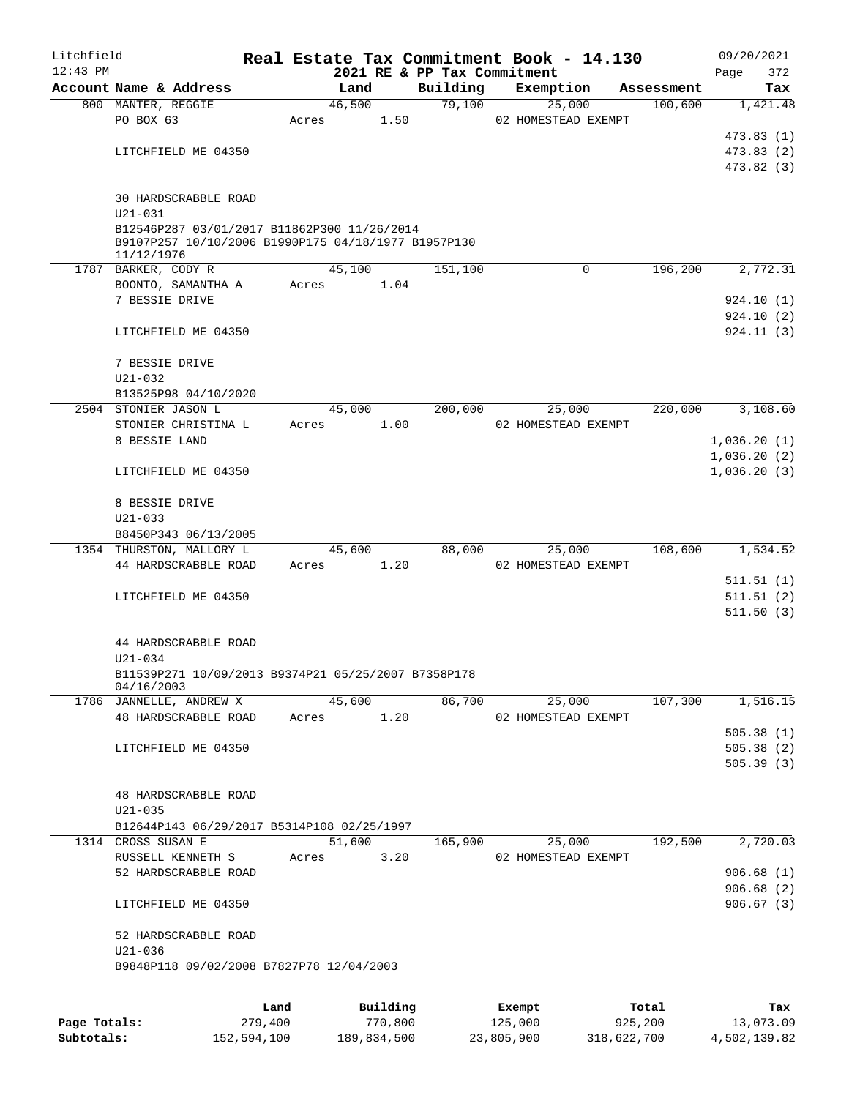| Litchfield<br>$12:43$ PM |                                                     |      |       |        |          | 2021 RE & PP Tax Commitment | Real Estate Tax Commitment Book - 14.130 |            | 09/20/2021<br>372<br>Page |
|--------------------------|-----------------------------------------------------|------|-------|--------|----------|-----------------------------|------------------------------------------|------------|---------------------------|
|                          | Account Name & Address                              |      |       | Land   |          | Building                    | Exemption                                | Assessment | Tax                       |
|                          | 800 MANTER, REGGIE                                  |      |       | 46,500 |          | 79,100                      | 25,000                                   | 100,600    | 1,421.48                  |
|                          | PO BOX 63                                           |      | Acres |        | 1.50     |                             | 02 HOMESTEAD EXEMPT                      |            |                           |
|                          |                                                     |      |       |        |          |                             |                                          |            | 473.83(1)                 |
|                          | LITCHFIELD ME 04350                                 |      |       |        |          |                             |                                          |            | 473.83(2)                 |
|                          |                                                     |      |       |        |          |                             |                                          |            | 473.82 (3)                |
|                          |                                                     |      |       |        |          |                             |                                          |            |                           |
|                          | 30 HARDSCRABBLE ROAD                                |      |       |        |          |                             |                                          |            |                           |
|                          | $U21 - 031$                                         |      |       |        |          |                             |                                          |            |                           |
|                          | B12546P287 03/01/2017 B11862P300 11/26/2014         |      |       |        |          |                             |                                          |            |                           |
|                          | B9107P257 10/10/2006 B1990P175 04/18/1977 B1957P130 |      |       |        |          |                             |                                          |            |                           |
|                          | 11/12/1976                                          |      |       |        |          |                             |                                          |            |                           |
|                          | 1787 BARKER, CODY R                                 |      |       | 45,100 |          | 151,100                     | 0                                        | 196,200    | 2,772.31                  |
|                          | BOONTO, SAMANTHA A                                  |      | Acres |        | 1.04     |                             |                                          |            |                           |
|                          | 7 BESSIE DRIVE                                      |      |       |        |          |                             |                                          |            | 924.10(1)                 |
|                          |                                                     |      |       |        |          |                             |                                          |            | 924.10(2)                 |
|                          | LITCHFIELD ME 04350                                 |      |       |        |          |                             |                                          |            | 924.11 (3)                |
|                          |                                                     |      |       |        |          |                             |                                          |            |                           |
|                          | 7 BESSIE DRIVE                                      |      |       |        |          |                             |                                          |            |                           |
|                          | U21-032                                             |      |       |        |          |                             |                                          |            |                           |
|                          | B13525P98 04/10/2020                                |      |       |        |          |                             |                                          |            |                           |
|                          | 2504 STONIER JASON L                                |      |       | 45,000 |          | 200,000                     | 25,000                                   | 220,000    | 3,108.60                  |
|                          | STONIER CHRISTINA L                                 |      | Acres |        | 1.00     |                             | 02 HOMESTEAD EXEMPT                      |            |                           |
|                          | 8 BESSIE LAND                                       |      |       |        |          |                             |                                          |            | 1,036.20(1)               |
|                          |                                                     |      |       |        |          |                             |                                          |            | 1,036.20(2)               |
|                          | LITCHFIELD ME 04350                                 |      |       |        |          |                             |                                          |            | 1,036.20(3)               |
|                          |                                                     |      |       |        |          |                             |                                          |            |                           |
|                          | 8 BESSIE DRIVE                                      |      |       |        |          |                             |                                          |            |                           |
|                          | $U21 - 033$                                         |      |       |        |          |                             |                                          |            |                           |
|                          | B8450P343 06/13/2005                                |      |       |        |          |                             |                                          |            |                           |
|                          | 1354 THURSTON, MALLORY L                            |      |       | 45,600 |          | 88,000                      | 25,000                                   | 108,600    | 1,534.52                  |
|                          | 44 HARDSCRABBLE ROAD                                |      | Acres |        | 1.20     |                             | 02 HOMESTEAD EXEMPT                      |            |                           |
|                          |                                                     |      |       |        |          |                             |                                          |            | 511.51 (1)                |
|                          | LITCHFIELD ME 04350                                 |      |       |        |          |                             |                                          |            | 511.51(2)                 |
|                          |                                                     |      |       |        |          |                             |                                          |            | 511.50(3)                 |
|                          |                                                     |      |       |        |          |                             |                                          |            |                           |
|                          | 44 HARDSCRABBLE ROAD                                |      |       |        |          |                             |                                          |            |                           |
|                          | U21-034                                             |      |       |        |          |                             |                                          |            |                           |
|                          | B11539P271 10/09/2013 B9374P21 05/25/2007 B7358P178 |      |       |        |          |                             |                                          |            |                           |
|                          | 04/16/2003                                          |      |       |        |          |                             |                                          |            |                           |
|                          | 1786 JANNELLE, ANDREW X                             |      |       | 45,600 |          | 86,700                      | 25,000                                   | 107,300    | 1,516.15                  |
|                          | 48 HARDSCRABBLE ROAD                                |      | Acres |        | 1.20     |                             | 02 HOMESTEAD EXEMPT                      |            |                           |
|                          |                                                     |      |       |        |          |                             |                                          |            | 505.38(1)                 |
|                          | LITCHFIELD ME 04350                                 |      |       |        |          |                             |                                          |            | 505.38(2)                 |
|                          |                                                     |      |       |        |          |                             |                                          |            | 505.39(3)                 |
|                          |                                                     |      |       |        |          |                             |                                          |            |                           |
|                          | 48 HARDSCRABBLE ROAD                                |      |       |        |          |                             |                                          |            |                           |
|                          | $U21 - 035$                                         |      |       |        |          |                             |                                          |            |                           |
|                          | B12644P143 06/29/2017 B5314P108 02/25/1997          |      |       |        |          |                             |                                          |            |                           |
|                          | 1314 CROSS SUSAN E                                  |      |       | 51,600 |          | 165,900                     | 25,000                                   | 192,500    | 2,720.03                  |
|                          |                                                     |      |       |        |          |                             |                                          |            |                           |
|                          | RUSSELL KENNETH S                                   |      | Acres |        | 3.20     |                             | 02 HOMESTEAD EXEMPT                      |            |                           |
|                          | 52 HARDSCRABBLE ROAD                                |      |       |        |          |                             |                                          |            | 906.68(1)                 |
|                          |                                                     |      |       |        |          |                             |                                          |            | 906.68(2)                 |
|                          | LITCHFIELD ME 04350                                 |      |       |        |          |                             |                                          |            | 906.67(3)                 |
|                          |                                                     |      |       |        |          |                             |                                          |            |                           |
|                          | 52 HARDSCRABBLE ROAD                                |      |       |        |          |                             |                                          |            |                           |
|                          | $U21 - 036$                                         |      |       |        |          |                             |                                          |            |                           |
|                          | B9848P118 09/02/2008 B7827P78 12/04/2003            |      |       |        |          |                             |                                          |            |                           |
|                          |                                                     |      |       |        |          |                             |                                          |            |                           |
|                          |                                                     | Land |       |        | Building |                             | Exempt                                   | Total      | Tax                       |
|                          |                                                     |      |       |        |          |                             |                                          |            |                           |

|              | ------      | ---------   | --------   | -----       | ----         |
|--------------|-------------|-------------|------------|-------------|--------------|
| Page Totals: | 279,400     | 770,800     | 125,000    | 925,200     | 13,073.09    |
| Subtotals:   | 152,594,100 | 189,834,500 | 23,805,900 | 318,622,700 | 4,502,139.82 |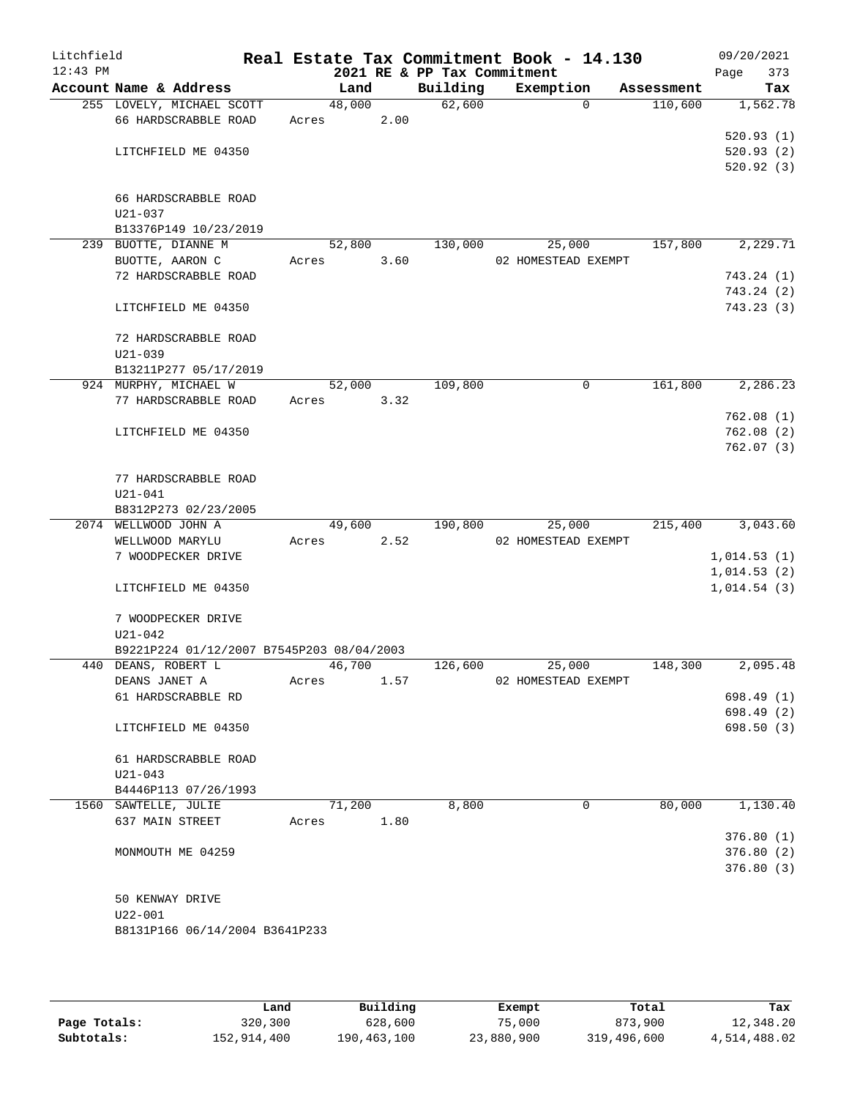| Litchfield<br>$12:43$ PM |                                           |       |        | 2021 RE & PP Tax Commitment | Real Estate Tax Commitment Book - 14.130 |            | 09/20/2021<br>373<br>Page |
|--------------------------|-------------------------------------------|-------|--------|-----------------------------|------------------------------------------|------------|---------------------------|
|                          | Account Name & Address                    |       | Land   | Building                    | Exemption                                | Assessment | Tax                       |
|                          | 255 LOVELY, MICHAEL SCOTT                 |       | 48,000 | 62,600                      | $\Omega$                                 | 110,600    | 1,562.78                  |
|                          | 66 HARDSCRABBLE ROAD                      | Acres | 2.00   |                             |                                          |            |                           |
|                          |                                           |       |        |                             |                                          |            | 520.93(1)                 |
|                          | LITCHFIELD ME 04350                       |       |        |                             |                                          |            | 520.93(2)                 |
|                          |                                           |       |        |                             |                                          |            | 520.92(3)                 |
|                          | 66 HARDSCRABBLE ROAD                      |       |        |                             |                                          |            |                           |
|                          | U21-037                                   |       |        |                             |                                          |            |                           |
|                          | B13376P149 10/23/2019                     |       |        |                             |                                          |            |                           |
|                          | 239 BUOTTE, DIANNE M                      |       | 52,800 | 130,000                     | 25,000                                   | 157,800    | 2,229.71                  |
|                          | BUOTTE, AARON C                           | Acres | 3.60   |                             | 02 HOMESTEAD EXEMPT                      |            |                           |
|                          | 72 HARDSCRABBLE ROAD                      |       |        |                             |                                          |            | 743.24 (1)                |
|                          |                                           |       |        |                             |                                          |            | 743.24 (2)                |
|                          | LITCHFIELD ME 04350                       |       |        |                             |                                          |            | 743.23 (3)                |
|                          | 72 HARDSCRABBLE ROAD                      |       |        |                             |                                          |            |                           |
|                          | $U21 - 039$                               |       |        |                             |                                          |            |                           |
|                          | B13211P277 05/17/2019                     |       |        |                             |                                          |            |                           |
|                          | 924 MURPHY, MICHAEL W                     |       | 52,000 | 109,800                     | 0                                        | 161,800    | 2,286.23                  |
|                          | 77 HARDSCRABBLE ROAD                      | Acres | 3.32   |                             |                                          |            |                           |
|                          |                                           |       |        |                             |                                          |            | 762.08(1)                 |
|                          | LITCHFIELD ME 04350                       |       |        |                             |                                          |            | 762.08(2)                 |
|                          |                                           |       |        |                             |                                          |            | 762.07(3)                 |
|                          | 77 HARDSCRABBLE ROAD                      |       |        |                             |                                          |            |                           |
|                          | $U21 - 041$                               |       |        |                             |                                          |            |                           |
|                          | B8312P273 02/23/2005                      |       |        |                             |                                          |            |                           |
|                          | 2074 WELLWOOD JOHN A                      |       | 49,600 | 190,800                     | 25,000                                   | 215,400    | 3,043.60                  |
|                          | WELLWOOD MARYLU                           | Acres | 2.52   |                             | 02 HOMESTEAD EXEMPT                      |            |                           |
|                          | 7 WOODPECKER DRIVE                        |       |        |                             |                                          |            | 1,014.53(1)               |
|                          |                                           |       |        |                             |                                          |            | 1,014.53(2)               |
|                          | LITCHFIELD ME 04350                       |       |        |                             |                                          |            | 1,014.54(3)               |
|                          | 7 WOODPECKER DRIVE                        |       |        |                             |                                          |            |                           |
|                          | $U21 - 042$                               |       |        |                             |                                          |            |                           |
|                          | B9221P224 01/12/2007 B7545P203 08/04/2003 |       |        |                             |                                          |            |                           |
|                          | 440 DEANS, ROBERT L                       |       | 46,700 | 126,600                     | 25,000                                   | 148,300    | 2,095.48                  |
|                          | DEANS JANET A                             | Acres | 1.57   |                             | 02 HOMESTEAD EXEMPT                      |            |                           |
|                          | 61 HARDSCRABBLE RD                        |       |        |                             |                                          |            | 698.49 (1)                |
|                          |                                           |       |        |                             |                                          |            | 698.49 (2)                |
|                          | LITCHFIELD ME 04350                       |       |        |                             |                                          |            | 698.50 (3)                |
|                          | 61 HARDSCRABBLE ROAD                      |       |        |                             |                                          |            |                           |
|                          | U21-043                                   |       |        |                             |                                          |            |                           |
|                          | B4446P113 07/26/1993                      |       |        |                             |                                          |            |                           |
|                          | 1560 SAWTELLE, JULIE                      |       | 71,200 | 8,800                       | 0                                        | 80,000     | 1,130.40                  |
|                          | 637 MAIN STREET                           | Acres | 1.80   |                             |                                          |            |                           |
|                          |                                           |       |        |                             |                                          |            | 376.80(1)                 |
|                          | MONMOUTH ME 04259                         |       |        |                             |                                          |            | 376.80(2)                 |
|                          |                                           |       |        |                             |                                          |            | 376.80(3)                 |
|                          | 50 KENWAY DRIVE                           |       |        |                             |                                          |            |                           |
|                          | $U22 - 001$                               |       |        |                             |                                          |            |                           |
|                          | B8131P166 06/14/2004 B3641P233            |       |        |                             |                                          |            |                           |
|                          |                                           |       |        |                             |                                          |            |                           |
|                          |                                           |       |        |                             |                                          |            |                           |

|              | Land        | Building    | Exempt     | Total       | Tax          |
|--------------|-------------|-------------|------------|-------------|--------------|
| Page Totals: | 320,300     | 628,600     | 75,000     | 873,900     | 12,348.20    |
| Subtotals:   | 152,914,400 | 190,463,100 | 23,880,900 | 319,496,600 | 4,514,488.02 |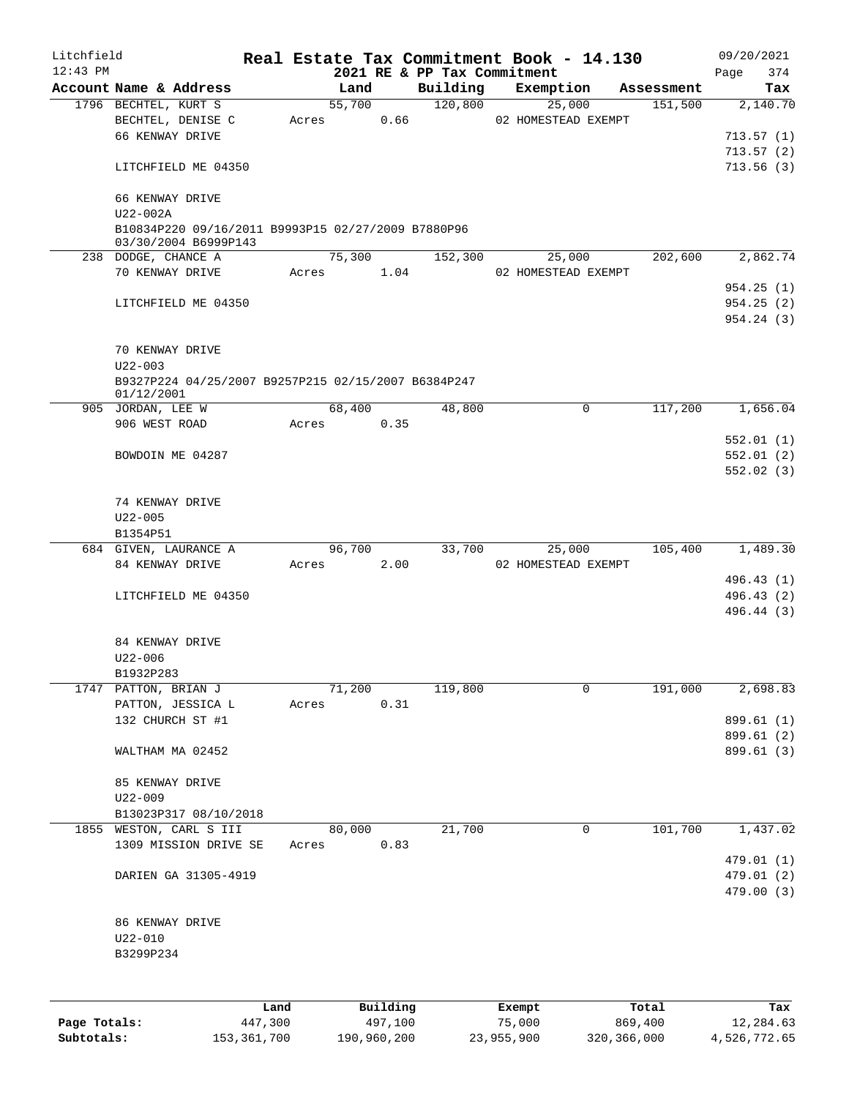| Litchfield   |                                                                   |         |       |            |          |                                         |        | Real Estate Tax Commitment Book - 14.130 |            | 09/20/2021         |
|--------------|-------------------------------------------------------------------|---------|-------|------------|----------|-----------------------------------------|--------|------------------------------------------|------------|--------------------|
| $12:43$ PM   | Account Name & Address                                            |         |       | Land       |          | 2021 RE & PP Tax Commitment<br>Building |        | Exemption                                | Assessment | 374<br>Page<br>Tax |
|              | 1796 BECHTEL, KURT S                                              |         |       | 55,700     |          | 120,800                                 |        | 25,000                                   | 151,500    | 2,140.70           |
|              | BECHTEL, DENISE C                                                 |         |       | Acres      | 0.66     |                                         |        | 02 HOMESTEAD EXEMPT                      |            |                    |
|              | 66 KENWAY DRIVE                                                   |         |       |            |          |                                         |        |                                          |            | 713.57(1)          |
|              |                                                                   |         |       |            |          |                                         |        |                                          |            | 713.57(2)          |
|              | LITCHFIELD ME 04350                                               |         |       |            |          |                                         |        |                                          |            | 713.56(3)          |
|              | 66 KENWAY DRIVE                                                   |         |       |            |          |                                         |        |                                          |            |                    |
|              | U22-002A<br>B10834P220 09/16/2011 B9993P15 02/27/2009 B7880P96    |         |       |            |          |                                         |        |                                          |            |                    |
|              | 03/30/2004 B6999P143                                              |         |       | 75,300     |          | 152,300                                 |        |                                          | 202,600    | 2,862.74           |
|              | 238 DODGE, CHANCE A<br>70 KENWAY DRIVE                            |         |       | Acres 1.04 |          |                                         |        | 25,000<br>02 HOMESTEAD EXEMPT            |            |                    |
|              |                                                                   |         |       |            |          |                                         |        |                                          |            | 954.25(1)          |
|              | LITCHFIELD ME 04350                                               |         |       |            |          |                                         |        |                                          |            | 954.25(2)          |
|              |                                                                   |         |       |            |          |                                         |        |                                          |            | 954.24 (3)         |
|              | 70 KENWAY DRIVE                                                   |         |       |            |          |                                         |        |                                          |            |                    |
|              | $U22 - 003$                                                       |         |       |            |          |                                         |        |                                          |            |                    |
|              | B9327P224 04/25/2007 B9257P215 02/15/2007 B6384P247<br>01/12/2001 |         |       |            |          |                                         |        |                                          |            |                    |
|              | 905 JORDAN, LEE W                                                 |         |       | 68,400     |          | 48,800                                  |        | 0                                        | 117,200    | 1,656.04           |
|              | 906 WEST ROAD                                                     |         | Acres |            | 0.35     |                                         |        |                                          |            |                    |
|              |                                                                   |         |       |            |          |                                         |        |                                          |            | 552.01(1)          |
|              |                                                                   |         |       |            |          |                                         |        |                                          |            |                    |
|              | BOWDOIN ME 04287                                                  |         |       |            |          |                                         |        |                                          |            | 552.01(2)          |
|              |                                                                   |         |       |            |          |                                         |        |                                          |            | 552.02(3)          |
|              | 74 KENWAY DRIVE                                                   |         |       |            |          |                                         |        |                                          |            |                    |
|              | $U22 - 005$                                                       |         |       |            |          |                                         |        |                                          |            |                    |
|              | B1354P51                                                          |         |       |            |          |                                         |        |                                          |            |                    |
|              | 684 GIVEN, LAURANCE A                                             |         |       | 96,700     |          |                                         | 33,700 | 25,000                                   | 105,400    | 1,489.30           |
|              | 84 KENWAY DRIVE                                                   |         | Acres |            | 2.00     |                                         |        | 02 HOMESTEAD EXEMPT                      |            |                    |
|              |                                                                   |         |       |            |          |                                         |        |                                          |            | 496.43 (1)         |
|              | LITCHFIELD ME 04350                                               |         |       |            |          |                                         |        |                                          |            | 496.43 (2)         |
|              |                                                                   |         |       |            |          |                                         |        |                                          |            | 496.44 (3)         |
|              | 84 KENWAY DRIVE                                                   |         |       |            |          |                                         |        |                                          |            |                    |
|              | $U22 - 006$                                                       |         |       |            |          |                                         |        |                                          |            |                    |
|              | B1932P283                                                         |         |       |            |          |                                         |        |                                          |            |                    |
|              | 1747 PATTON, BRIAN J                                              |         |       | 71,200     |          | 119,800                                 |        | 0                                        | 191,000    | 2,698.83           |
|              | PATTON, JESSICA L                                                 | Acres   |       |            | 0.31     |                                         |        |                                          |            |                    |
|              | 132 CHURCH ST #1                                                  |         |       |            |          |                                         |        |                                          |            | 899.61 (1)         |
|              |                                                                   |         |       |            |          |                                         |        |                                          |            | 899.61 (2)         |
|              | WALTHAM MA 02452                                                  |         |       |            |          |                                         |        |                                          |            | 899.61 (3)         |
|              | 85 KENWAY DRIVE                                                   |         |       |            |          |                                         |        |                                          |            |                    |
|              | $U22 - 009$                                                       |         |       |            |          |                                         |        |                                          |            |                    |
|              | B13023P317 08/10/2018                                             |         |       |            |          |                                         |        |                                          |            |                    |
|              | 1855 WESTON, CARL S III                                           |         |       | 80,000     |          | 21,700                                  |        | $\mathbf 0$                              | 101,700    | 1,437.02           |
|              | 1309 MISSION DRIVE SE                                             | Acres   |       |            | 0.83     |                                         |        |                                          |            |                    |
|              |                                                                   |         |       |            |          |                                         |        |                                          |            | 479.01 (1)         |
|              | DARIEN GA 31305-4919                                              |         |       |            |          |                                         |        |                                          |            | 479.01 (2)         |
|              |                                                                   |         |       |            |          |                                         |        |                                          |            | 479.00 (3)         |
|              | 86 KENWAY DRIVE                                                   |         |       |            |          |                                         |        |                                          |            |                    |
|              | $U22 - 010$                                                       |         |       |            |          |                                         |        |                                          |            |                    |
|              | B3299P234                                                         |         |       |            |          |                                         |        |                                          |            |                    |
|              |                                                                   |         |       |            |          |                                         |        |                                          |            |                    |
|              |                                                                   |         |       |            |          |                                         |        |                                          |            |                    |
|              |                                                                   | Land    |       |            | Building |                                         |        | Exempt                                   | Total      | Tax                |
| Page Totals: |                                                                   | 447,300 |       |            | 497,100  |                                         |        | 75,000                                   | 869,400    | 12,284.63          |

**Subtotals:** 153,361,700 190,960,200 23,955,900 320,366,000 4,526,772.65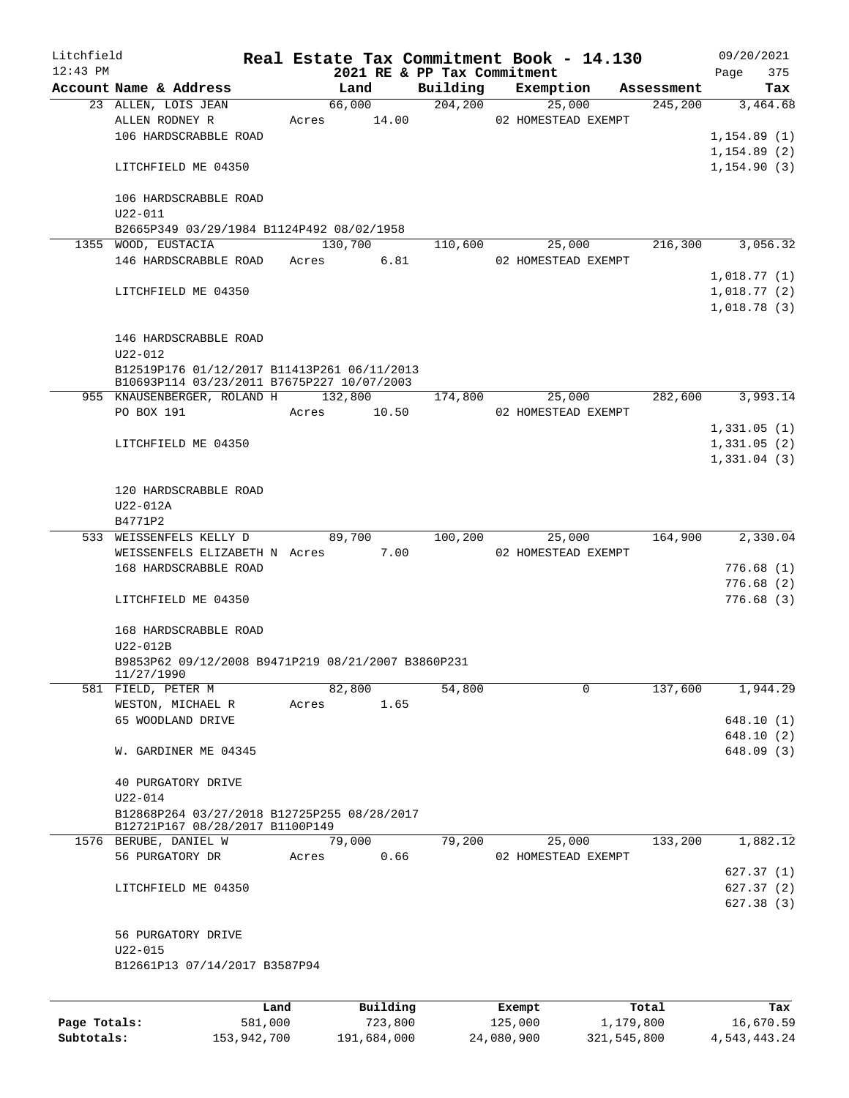| Litchfield |                                                                  |      |       |                       |                             | Real Estate Tax Commitment Book - 14.130 |            |      | 09/20/2021   |
|------------|------------------------------------------------------------------|------|-------|-----------------------|-----------------------------|------------------------------------------|------------|------|--------------|
| $12:43$ PM |                                                                  |      |       |                       | 2021 RE & PP Tax Commitment |                                          |            | Page | 375          |
|            | Account Name & Address                                           |      |       | Land                  | Building                    | Exemption                                | Assessment |      | Tax          |
|            | 23 ALLEN, LOIS JEAN<br>ALLEN RODNEY R                            |      |       | 66,000<br>Acres 14.00 | 204, 200                    | 25,000<br>02 HOMESTEAD EXEMPT            | 245, 200   |      | 3,464.68     |
|            | 106 HARDSCRABBLE ROAD                                            |      |       |                       |                             |                                          |            |      | 1,154.89(1)  |
|            |                                                                  |      |       |                       |                             |                                          |            |      | 1,154.89(2)  |
|            | LITCHFIELD ME 04350                                              |      |       |                       |                             |                                          |            |      | 1, 154.90(3) |
|            |                                                                  |      |       |                       |                             |                                          |            |      |              |
|            | 106 HARDSCRABBLE ROAD<br>$U22 - 011$                             |      |       |                       |                             |                                          |            |      |              |
|            | B2665P349 03/29/1984 B1124P492 08/02/1958                        |      |       |                       |                             |                                          |            |      |              |
|            | 1355 WOOD, EUSTACIA                                              |      |       | 130,700               | 110,600                     | 25,000                                   | 216,300    |      | 3,056.32     |
|            | 146 HARDSCRABBLE ROAD                                            |      | Acres | 6.81                  |                             | 02 HOMESTEAD EXEMPT                      |            |      |              |
|            |                                                                  |      |       |                       |                             |                                          |            |      | 1,018.77(1)  |
|            | LITCHFIELD ME 04350                                              |      |       |                       |                             |                                          |            |      | 1,018.77(2)  |
|            |                                                                  |      |       |                       |                             |                                          |            |      | 1,018.78(3)  |
|            | 146 HARDSCRABBLE ROAD                                            |      |       |                       |                             |                                          |            |      |              |
|            | $U22 - 012$                                                      |      |       |                       |                             |                                          |            |      |              |
|            | B12519P176 01/12/2017 B11413P261 06/11/2013                      |      |       |                       |                             |                                          |            |      |              |
|            | B10693P114 03/23/2011 B7675P227 10/07/2003                       |      |       |                       |                             |                                          |            |      |              |
|            | 955 KNAUSENBERGER, ROLAND H                                      |      |       | 132,800               | 174,800                     | 25,000                                   | 282,600    |      | 3,993.14     |
|            | PO BOX 191                                                       |      | Acres | 10.50                 |                             | 02 HOMESTEAD EXEMPT                      |            |      |              |
|            |                                                                  |      |       |                       |                             |                                          |            |      | 1,331.05(1)  |
|            | LITCHFIELD ME 04350                                              |      |       |                       |                             |                                          |            |      | 1,331.05(2)  |
|            |                                                                  |      |       |                       |                             |                                          |            |      | 1,331.04(3)  |
|            |                                                                  |      |       |                       |                             |                                          |            |      |              |
|            | 120 HARDSCRABBLE ROAD<br>$U22-012A$                              |      |       |                       |                             |                                          |            |      |              |
|            | B4771P2                                                          |      |       |                       |                             |                                          |            |      |              |
|            | 533 WEISSENFELS KELLY D                                          |      |       | 89,700                | 100,200                     | 25,000                                   | 164,900    |      | 2,330.04     |
|            | WEISSENFELS ELIZABETH N Acres                                    |      |       | 7.00                  |                             | 02 HOMESTEAD EXEMPT                      |            |      |              |
|            | 168 HARDSCRABBLE ROAD                                            |      |       |                       |                             |                                          |            |      | 776.68 (1)   |
|            |                                                                  |      |       |                       |                             |                                          |            |      | 776.68(2)    |
|            | LITCHFIELD ME 04350                                              |      |       |                       |                             |                                          |            |      | 776.68(3)    |
|            |                                                                  |      |       |                       |                             |                                          |            |      |              |
|            | 168 HARDSCRABBLE ROAD                                            |      |       |                       |                             |                                          |            |      |              |
|            | U22-012B                                                         |      |       |                       |                             |                                          |            |      |              |
|            | B9853P62 09/12/2008 B9471P219 08/21/2007 B3860P231<br>11/27/1990 |      |       |                       |                             |                                          |            |      |              |
|            | 581 FIELD, PETER M                                               |      |       | 82,800                | 54,800                      | 0                                        | 137,600    |      | 1,944.29     |
|            | WESTON, MICHAEL R                                                |      | Acres | 1.65                  |                             |                                          |            |      |              |
|            | 65 WOODLAND DRIVE                                                |      |       |                       |                             |                                          |            |      | 648.10(1)    |
|            |                                                                  |      |       |                       |                             |                                          |            |      | 648.10 (2)   |
|            | W. GARDINER ME 04345                                             |      |       |                       |                             |                                          |            |      | 648.09 (3)   |
|            |                                                                  |      |       |                       |                             |                                          |            |      |              |
|            | 40 PURGATORY DRIVE                                               |      |       |                       |                             |                                          |            |      |              |
|            | $U22 - 014$<br>B12868P264 03/27/2018 B12725P255 08/28/2017       |      |       |                       |                             |                                          |            |      |              |
|            | B12721P167 08/28/2017 B1100P149                                  |      |       |                       |                             |                                          |            |      |              |
|            | 1576 BERUBE, DANIEL W                                            |      |       | 79,000                | 79,200                      | 25,000                                   | 133,200    |      | 1,882.12     |
|            | 56 PURGATORY DR                                                  |      | Acres | 0.66                  |                             | 02 HOMESTEAD EXEMPT                      |            |      |              |
|            |                                                                  |      |       |                       |                             |                                          |            |      | 627.37(1)    |
|            | LITCHFIELD ME 04350                                              |      |       |                       |                             |                                          |            |      | 627.37(2)    |
|            |                                                                  |      |       |                       |                             |                                          |            |      | 627.38(3)    |
|            |                                                                  |      |       |                       |                             |                                          |            |      |              |
|            | 56 PURGATORY DRIVE                                               |      |       |                       |                             |                                          |            |      |              |
|            | $U22 - 015$<br>B12661P13 07/14/2017 B3587P94                     |      |       |                       |                             |                                          |            |      |              |
|            |                                                                  |      |       |                       |                             |                                          |            |      |              |
|            |                                                                  |      |       |                       |                             |                                          |            |      |              |
|            |                                                                  | Land |       | Building              |                             | Exempt                                   | Total      |      | Tax          |

|              | Land        | Building    | Exempt     | Total       | Tax          |
|--------------|-------------|-------------|------------|-------------|--------------|
| Page Totals: | 581,000     | 723,800     | 125,000    | 1,179,800   | 16,670.59    |
| Subtotals:   | 153,942,700 | 191,684,000 | 24,080,900 | 321,545,800 | 4,543,443.24 |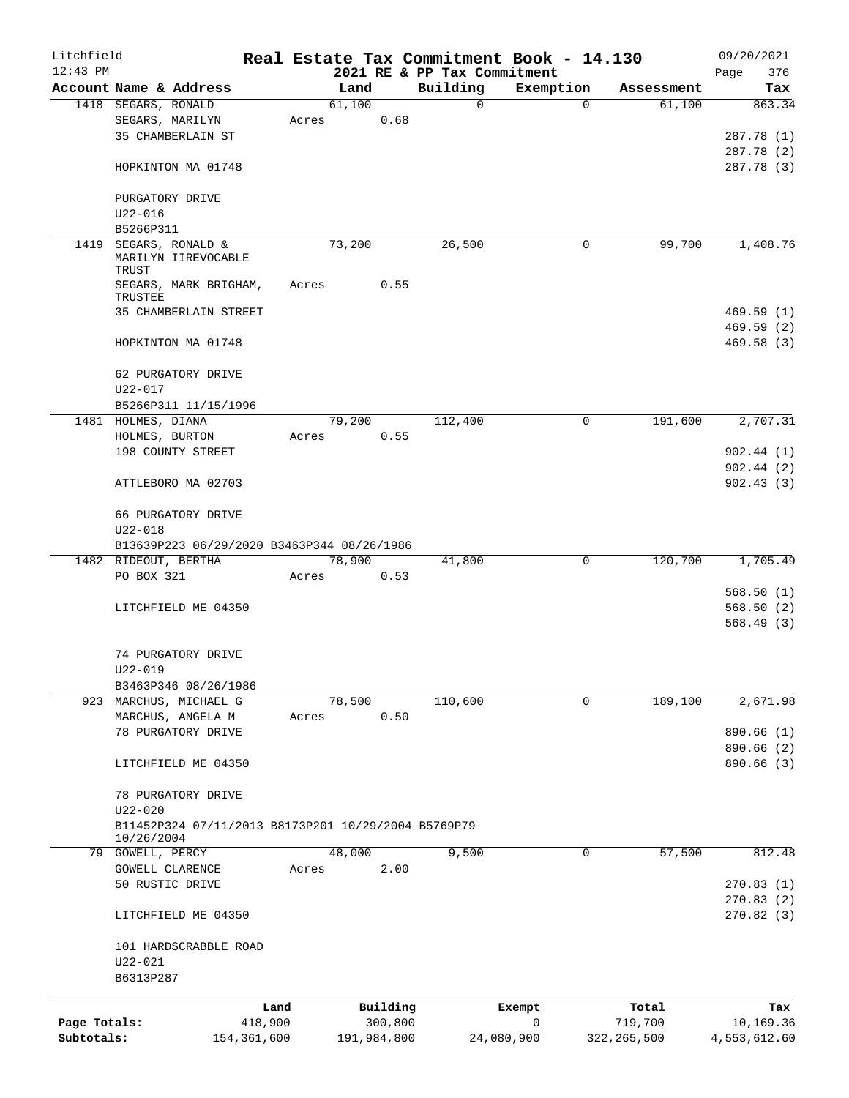| Litchfield<br>$12:43$ PM |                                                                   |             |       |             |          | Real Estate Tax Commitment Book - 14.130<br>2021 RE & PP Tax Commitment |            |             |               | 09/20/2021<br>376<br>Page |
|--------------------------|-------------------------------------------------------------------|-------------|-------|-------------|----------|-------------------------------------------------------------------------|------------|-------------|---------------|---------------------------|
|                          | Account Name & Address                                            |             |       | Land        |          | Building                                                                |            | Exemption   | Assessment    | Tax                       |
|                          | 1418 SEGARS, RONALD                                               |             |       | 61,100      |          | 0                                                                       |            | $\Omega$    | 61,100        | 863.34                    |
|                          | SEGARS, MARILYN                                                   |             | Acres |             | 0.68     |                                                                         |            |             |               |                           |
|                          | 35 CHAMBERLAIN ST                                                 |             |       |             |          |                                                                         |            |             |               | 287.78 (1)                |
|                          |                                                                   |             |       |             |          |                                                                         |            |             |               | 287.78 (2)                |
|                          | HOPKINTON MA 01748                                                |             |       |             |          |                                                                         |            |             |               | 287.78 (3)                |
|                          | PURGATORY DRIVE                                                   |             |       |             |          |                                                                         |            |             |               |                           |
|                          | $U22 - 016$                                                       |             |       |             |          |                                                                         |            |             |               |                           |
|                          | B5266P311                                                         |             |       |             |          |                                                                         |            |             |               |                           |
| 1419                     | SEGARS, RONALD &                                                  |             |       | 73,200      |          | 26,500                                                                  |            | 0           | 99,700        | 1,408.76                  |
|                          | MARILYN IIREVOCABLE<br>TRUST                                      |             |       |             |          |                                                                         |            |             |               |                           |
|                          | SEGARS, MARK BRIGHAM,<br>TRUSTEE                                  |             | Acres |             | 0.55     |                                                                         |            |             |               |                           |
|                          | 35 CHAMBERLAIN STREET                                             |             |       |             |          |                                                                         |            |             |               | 469.59(1)                 |
|                          |                                                                   |             |       |             |          |                                                                         |            |             |               | 469.59(2)                 |
|                          | HOPKINTON MA 01748                                                |             |       |             |          |                                                                         |            |             |               | 469.58(3)                 |
|                          | 62 PURGATORY DRIVE                                                |             |       |             |          |                                                                         |            |             |               |                           |
|                          | $U22 - 017$                                                       |             |       |             |          |                                                                         |            |             |               |                           |
|                          | B5266P311 11/15/1996                                              |             |       |             |          |                                                                         |            |             |               |                           |
|                          | 1481 HOLMES, DIANA                                                |             |       | 79,200      |          | 112,400                                                                 |            | $\mathbf 0$ | 191,600       | 2,707.31                  |
|                          | HOLMES, BURTON                                                    |             | Acres |             | 0.55     |                                                                         |            |             |               |                           |
|                          | 198 COUNTY STREET                                                 |             |       |             |          |                                                                         |            |             |               | 902.44(1)                 |
|                          |                                                                   |             |       |             |          |                                                                         |            |             |               | 902.44(2)                 |
|                          | ATTLEBORO MA 02703                                                |             |       |             |          |                                                                         |            |             |               | 902.43(3)                 |
|                          | 66 PURGATORY DRIVE                                                |             |       |             |          |                                                                         |            |             |               |                           |
|                          | $U22 - 018$                                                       |             |       |             |          |                                                                         |            |             |               |                           |
|                          | B13639P223 06/29/2020 B3463P344 08/26/1986                        |             |       |             |          |                                                                         |            |             |               |                           |
|                          | 1482 RIDEOUT, BERTHA                                              |             |       | 78,900      |          | 41,800                                                                  |            | 0           | 120,700       | 1,705.49                  |
|                          | PO BOX 321                                                        |             | Acres |             | 0.53     |                                                                         |            |             |               |                           |
|                          |                                                                   |             |       |             |          |                                                                         |            |             |               | 568.50(1)                 |
|                          | LITCHFIELD ME 04350                                               |             |       |             |          |                                                                         |            |             |               | 568.50(2)                 |
|                          |                                                                   |             |       |             |          |                                                                         |            |             |               | 568.49(3)                 |
|                          | 74 PURGATORY DRIVE                                                |             |       |             |          |                                                                         |            |             |               |                           |
|                          | U22-019                                                           |             |       |             |          |                                                                         |            |             |               |                           |
|                          | B3463P346 08/26/1986                                              |             |       |             |          |                                                                         |            |             |               |                           |
|                          | 923 MARCHUS, MICHAEL G                                            |             |       | 78,500      |          | 110,600                                                                 |            | 0           | 189,100       | 2,671.98                  |
|                          | MARCHUS, ANGELA M                                                 |             | Acres |             | 0.50     |                                                                         |            |             |               |                           |
|                          | 78 PURGATORY DRIVE                                                |             |       |             |          |                                                                         |            |             |               | 890.66 (1)                |
|                          |                                                                   |             |       |             |          |                                                                         |            |             |               | 890.66 (2)                |
|                          | LITCHFIELD ME 04350                                               |             |       |             |          |                                                                         |            |             |               | 890.66 (3)                |
|                          | 78 PURGATORY DRIVE                                                |             |       |             |          |                                                                         |            |             |               |                           |
|                          | $U22 - 020$                                                       |             |       |             |          |                                                                         |            |             |               |                           |
|                          | B11452P324 07/11/2013 B8173P201 10/29/2004 B5769P79<br>10/26/2004 |             |       |             |          |                                                                         |            |             |               |                           |
|                          | 79 GOWELL, PERCY                                                  |             |       | 48,000      |          | 9,500                                                                   |            | $\mathbf 0$ | 57,500        | 812.48                    |
|                          | GOWELL CLARENCE                                                   |             | Acres |             | 2.00     |                                                                         |            |             |               |                           |
|                          | 50 RUSTIC DRIVE                                                   |             |       |             |          |                                                                         |            |             |               | 270.83(1)                 |
|                          |                                                                   |             |       |             |          |                                                                         |            |             |               | 270.83(2)                 |
|                          | LITCHFIELD ME 04350                                               |             |       |             |          |                                                                         |            |             |               | 270.82(3)                 |
|                          | 101 HARDSCRABBLE ROAD                                             |             |       |             |          |                                                                         |            |             |               |                           |
|                          | $U22 - 021$                                                       |             |       |             |          |                                                                         |            |             |               |                           |
|                          | B6313P287                                                         |             |       |             |          |                                                                         |            |             |               |                           |
|                          |                                                                   | Land        |       |             | Building |                                                                         | Exempt     |             | Total         | Tax                       |
| Page Totals:             |                                                                   | 418,900     |       |             | 300,800  |                                                                         | 0          |             | 719,700       | 10,169.36                 |
| Subtotals:               |                                                                   | 154,361,600 |       | 191,984,800 |          |                                                                         | 24,080,900 |             | 322, 265, 500 | 4,553,612.60              |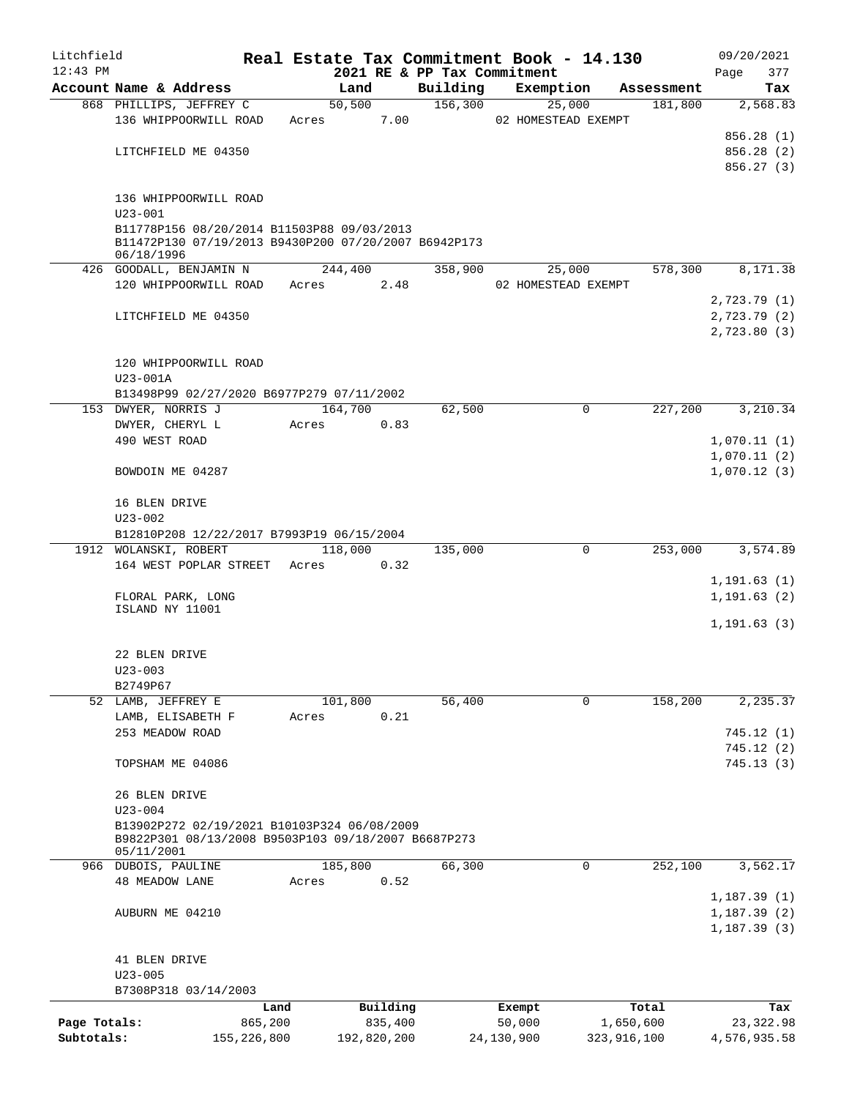| Litchfield   |                                                      |             |       |             |          |                             | Real Estate Tax Commitment Book - 14.130 |             |                      | 09/20/2021             |
|--------------|------------------------------------------------------|-------------|-------|-------------|----------|-----------------------------|------------------------------------------|-------------|----------------------|------------------------|
| $12:43$ PM   |                                                      |             |       |             |          | 2021 RE & PP Tax Commitment |                                          |             |                      | 377<br>Page            |
|              | Account Name & Address                               |             |       | Land        |          | Building                    | Exemption                                |             | Assessment           | Tax                    |
|              | 868 PHILLIPS, JEFFREY C                              |             |       | 50,500      |          | 156,300                     | 25,000                                   |             | 181,800              | 2,568.83               |
|              | 136 WHIPPOORWILL ROAD                                |             | Acres |             | 7.00     |                             | 02 HOMESTEAD EXEMPT                      |             |                      |                        |
|              |                                                      |             |       |             |          |                             |                                          |             |                      | 856.28(1)              |
|              | LITCHFIELD ME 04350                                  |             |       |             |          |                             |                                          |             |                      | 856.28(2)              |
|              |                                                      |             |       |             |          |                             |                                          |             |                      | 856.27 (3)             |
|              | 136 WHIPPOORWILL ROAD                                |             |       |             |          |                             |                                          |             |                      |                        |
|              | $U23 - 001$                                          |             |       |             |          |                             |                                          |             |                      |                        |
|              | B11778P156 08/20/2014 B11503P88 09/03/2013           |             |       |             |          |                             |                                          |             |                      |                        |
|              | B11472P130 07/19/2013 B9430P200 07/20/2007 B6942P173 |             |       |             |          |                             |                                          |             |                      |                        |
|              | 06/18/1996                                           |             |       |             |          |                             |                                          |             |                      |                        |
|              | 426 GOODALL, BENJAMIN N                              |             |       | 244,400     |          | 358,900                     | 25,000                                   |             | 578,300              | 8,171.38               |
|              | 120 WHIPPOORWILL ROAD                                |             | Acres |             | 2.48     |                             | 02 HOMESTEAD EXEMPT                      |             |                      |                        |
|              |                                                      |             |       |             |          |                             |                                          |             |                      | 2,723.79(1)            |
|              | LITCHFIELD ME 04350                                  |             |       |             |          |                             |                                          |             |                      | 2,723.79(2)            |
|              |                                                      |             |       |             |          |                             |                                          |             |                      | 2,723.80(3)            |
|              |                                                      |             |       |             |          |                             |                                          |             |                      |                        |
|              | 120 WHIPPOORWILL ROAD                                |             |       |             |          |                             |                                          |             |                      |                        |
|              | U23-001A                                             |             |       |             |          |                             |                                          |             |                      |                        |
|              | B13498P99 02/27/2020 B6977P279 07/11/2002            |             |       |             |          |                             |                                          |             |                      |                        |
|              | 153 DWYER, NORRIS J                                  |             |       | 164,700     |          | 62,500                      |                                          | 0           | $2\overline{27,200}$ | 3,210.34               |
|              | DWYER, CHERYL L                                      |             | Acres |             | 0.83     |                             |                                          |             |                      |                        |
|              | 490 WEST ROAD                                        |             |       |             |          |                             |                                          |             |                      | 1,070.11(1)            |
|              |                                                      |             |       |             |          |                             |                                          |             |                      | 1,070.11(2)            |
|              | BOWDOIN ME 04287                                     |             |       |             |          |                             |                                          |             |                      | 1,070.12(3)            |
|              | 16 BLEN DRIVE                                        |             |       |             |          |                             |                                          |             |                      |                        |
|              | $U23 - 002$                                          |             |       |             |          |                             |                                          |             |                      |                        |
|              | B12810P208 12/22/2017 B7993P19 06/15/2004            |             |       |             |          |                             |                                          |             |                      |                        |
|              | 1912 WOLANSKI, ROBERT                                |             |       | 118,000     |          | 135,000                     |                                          | 0           | 253,000              | 3,574.89               |
|              | 164 WEST POPLAR STREET                               |             | Acres |             | 0.32     |                             |                                          |             |                      |                        |
|              |                                                      |             |       |             |          |                             |                                          |             |                      | 1, 191.63(1)           |
|              | FLORAL PARK, LONG                                    |             |       |             |          |                             |                                          |             |                      | 1, 191.63(2)           |
|              | ISLAND NY 11001                                      |             |       |             |          |                             |                                          |             |                      |                        |
|              |                                                      |             |       |             |          |                             |                                          |             |                      | 1, 191.63(3)           |
|              |                                                      |             |       |             |          |                             |                                          |             |                      |                        |
|              | 22 BLEN DRIVE                                        |             |       |             |          |                             |                                          |             |                      |                        |
|              | $U23 - 003$                                          |             |       |             |          |                             |                                          |             |                      |                        |
|              | B2749P67                                             |             |       |             |          |                             |                                          |             |                      |                        |
|              | 52 LAMB, JEFFREY E                                   |             |       | 101,800     |          | 56,400                      |                                          | $\Omega$    | 158,200              | 2,235.37               |
|              | LAMB, ELISABETH F                                    |             | Acres |             | 0.21     |                             |                                          |             |                      |                        |
|              | 253 MEADOW ROAD                                      |             |       |             |          |                             |                                          |             |                      | 745.12(1)              |
|              | TOPSHAM ME 04086                                     |             |       |             |          |                             |                                          |             |                      | 745.12(2)<br>745.13(3) |
|              |                                                      |             |       |             |          |                             |                                          |             |                      |                        |
|              | 26 BLEN DRIVE                                        |             |       |             |          |                             |                                          |             |                      |                        |
|              | $U23 - 004$                                          |             |       |             |          |                             |                                          |             |                      |                        |
|              | B13902P272 02/19/2021 B10103P324 06/08/2009          |             |       |             |          |                             |                                          |             |                      |                        |
|              | B9822P301 08/13/2008 B9503P103 09/18/2007 B6687P273  |             |       |             |          |                             |                                          |             |                      |                        |
|              | 05/11/2001                                           |             |       |             |          |                             |                                          |             |                      |                        |
|              | 966 DUBOIS, PAULINE                                  |             |       | 185,800     |          | 66,300                      |                                          | 0           | 252,100              | 3,562.17               |
|              | <b>48 MEADOW LANE</b>                                |             | Acres |             | 0.52     |                             |                                          |             |                      |                        |
|              |                                                      |             |       |             |          |                             |                                          |             |                      | 1,187.39(1)            |
|              | AUBURN ME 04210                                      |             |       |             |          |                             |                                          |             |                      | 1, 187.39(2)           |
|              |                                                      |             |       |             |          |                             |                                          |             |                      | 1, 187.39(3)           |
|              |                                                      |             |       |             |          |                             |                                          |             |                      |                        |
|              | 41 BLEN DRIVE                                        |             |       |             |          |                             |                                          |             |                      |                        |
|              | $U23 - 005$                                          |             |       |             |          |                             |                                          |             |                      |                        |
|              | B7308P318 03/14/2003                                 |             |       |             |          |                             |                                          |             |                      |                        |
|              |                                                      | Land        |       |             | Building |                             | Exempt                                   |             | Total                | Tax                    |
| Page Totals: |                                                      | 865,200     |       |             | 835,400  |                             | 50,000                                   | 1,650,600   |                      | 23, 322.98             |
| Subtotals:   |                                                      | 155,226,800 |       | 192,820,200 |          |                             | 24,130,900                               | 323,916,100 |                      | 4,576,935.58           |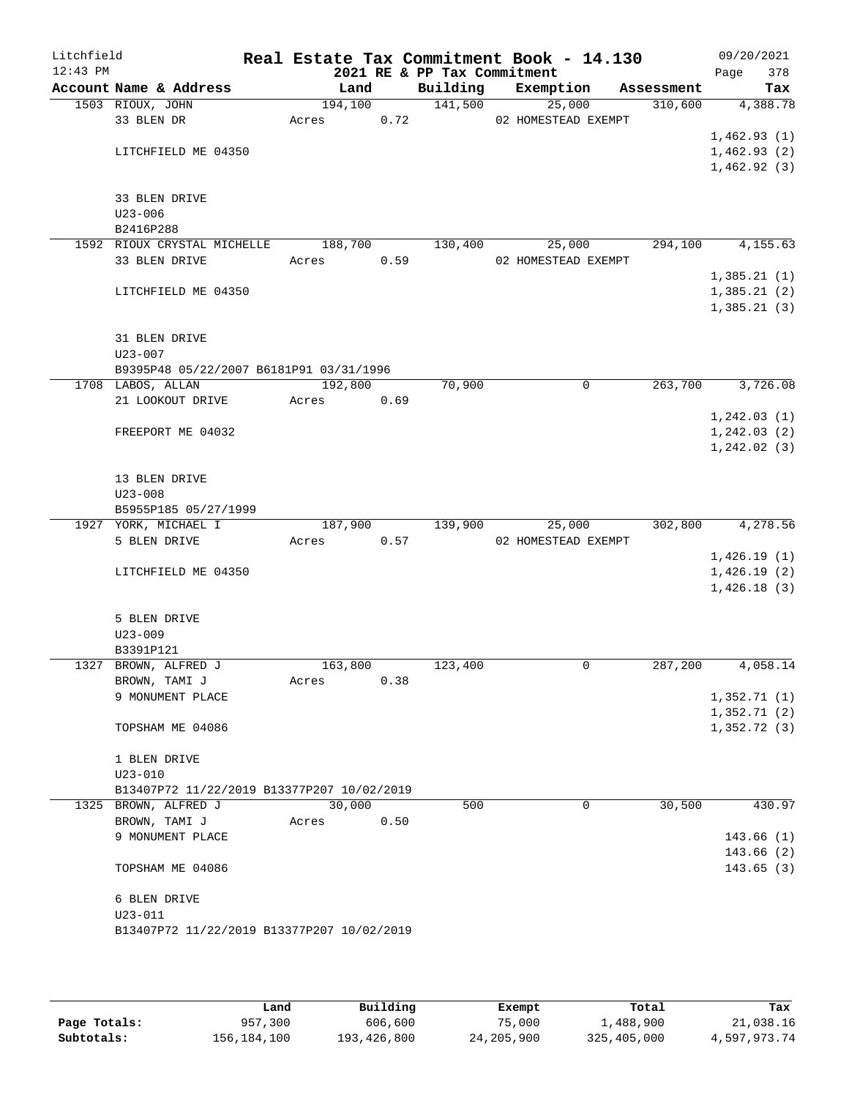| Litchfield<br>$12:43$ PM |                                              | Real Estate Tax Commitment Book - 14.130 |      | 2021 RE & PP Tax Commitment |                               |            | 09/20/2021<br>378<br>Page |
|--------------------------|----------------------------------------------|------------------------------------------|------|-----------------------------|-------------------------------|------------|---------------------------|
|                          | Account Name & Address                       | Land                                     |      | Building                    | Exemption                     | Assessment | Tax                       |
|                          | 1503 RIOUX, JOHN                             | 194,100                                  |      | 141,500                     | 25,000                        | 310,600    | 4,388.78                  |
|                          | 33 BLEN DR                                   | Acres                                    | 0.72 |                             | 02 HOMESTEAD EXEMPT           |            |                           |
|                          |                                              |                                          |      |                             |                               |            | 1,462.93(1)               |
|                          | LITCHFIELD ME 04350                          |                                          |      |                             |                               |            | 1,462.93(2)               |
|                          |                                              |                                          |      |                             |                               |            | 1,462.92(3)               |
|                          |                                              |                                          |      |                             |                               |            |                           |
|                          | 33 BLEN DRIVE                                |                                          |      |                             |                               |            |                           |
|                          | $U23 - 006$                                  |                                          |      |                             |                               |            |                           |
|                          | B2416P288                                    |                                          |      |                             |                               |            |                           |
|                          | 1592 RIOUX CRYSTAL MICHELLE<br>33 BLEN DRIVE | 188,700                                  |      | 130,400                     | 25,000<br>02 HOMESTEAD EXEMPT | 294,100    | 4,155.63                  |
|                          |                                              | Acres                                    | 0.59 |                             |                               |            | 1,385.21(1)               |
|                          | LITCHFIELD ME 04350                          |                                          |      |                             |                               |            | 1,385.21(2)               |
|                          |                                              |                                          |      |                             |                               |            | 1,385.21(3)               |
|                          |                                              |                                          |      |                             |                               |            |                           |
|                          | 31 BLEN DRIVE                                |                                          |      |                             |                               |            |                           |
|                          | $U23 - 007$                                  |                                          |      |                             |                               |            |                           |
|                          | B9395P48 05/22/2007 B6181P91 03/31/1996      |                                          |      |                             |                               |            |                           |
|                          | 1708 LABOS, ALLAN                            | 192,800                                  |      | 70,900                      | $\mathbf 0$                   | 263,700    | 3,726.08                  |
|                          | 21 LOOKOUT DRIVE                             | Acres                                    | 0.69 |                             |                               |            |                           |
|                          |                                              |                                          |      |                             |                               |            | 1, 242.03(1)              |
|                          | FREEPORT ME 04032                            |                                          |      |                             |                               |            | 1, 242.03(2)              |
|                          |                                              |                                          |      |                             |                               |            | 1, 242.02(3)              |
|                          |                                              |                                          |      |                             |                               |            |                           |
|                          | 13 BLEN DRIVE                                |                                          |      |                             |                               |            |                           |
|                          | $U23 - 008$                                  |                                          |      |                             |                               |            |                           |
|                          | B5955P185 05/27/1999                         |                                          |      |                             |                               |            |                           |
|                          | 1927 YORK, MICHAEL I                         | 187,900                                  |      | 139,900                     | 25,000                        | 302,800    | 4,278.56                  |
|                          | 5 BLEN DRIVE                                 | Acres                                    | 0.57 |                             | 02 HOMESTEAD EXEMPT           |            |                           |
|                          |                                              |                                          |      |                             |                               |            | 1,426.19(1)               |
|                          | LITCHFIELD ME 04350                          |                                          |      |                             |                               |            | 1,426.19(2)               |
|                          |                                              |                                          |      |                             |                               |            | 1,426.18(3)               |
|                          |                                              |                                          |      |                             |                               |            |                           |
|                          | 5 BLEN DRIVE<br>$U23 - 009$                  |                                          |      |                             |                               |            |                           |
|                          | B3391P121                                    |                                          |      |                             |                               |            |                           |
|                          | 1327 BROWN, ALFRED J                         | 163,800                                  |      | 123,400                     | 0                             | 287,200    | 4,058.14                  |
|                          | BROWN, TAMI J                                | Acres                                    | 0.38 |                             |                               |            |                           |
|                          | 9 MONUMENT PLACE                             |                                          |      |                             |                               |            | 1,352.71(1)               |
|                          |                                              |                                          |      |                             |                               |            | 1,352.71(2)               |
|                          | TOPSHAM ME 04086                             |                                          |      |                             |                               |            | 1,352.72(3)               |
|                          |                                              |                                          |      |                             |                               |            |                           |
|                          | 1 BLEN DRIVE                                 |                                          |      |                             |                               |            |                           |
|                          | $U23 - 010$                                  |                                          |      |                             |                               |            |                           |
|                          | B13407P72 11/22/2019 B13377P207 10/02/2019   |                                          |      |                             |                               |            |                           |
|                          | 1325 BROWN, ALFRED J                         | 30,000                                   |      | 500                         | 0                             | 30,500     | 430.97                    |
|                          | BROWN, TAMI J                                | Acres                                    | 0.50 |                             |                               |            |                           |
|                          | 9 MONUMENT PLACE                             |                                          |      |                             |                               |            | 143.66(1)                 |
|                          |                                              |                                          |      |                             |                               |            | 143.66(2)                 |
|                          | TOPSHAM ME 04086                             |                                          |      |                             |                               |            | 143.65(3)                 |
|                          |                                              |                                          |      |                             |                               |            |                           |
|                          | 6 BLEN DRIVE                                 |                                          |      |                             |                               |            |                           |
|                          | $U23 - 011$                                  |                                          |      |                             |                               |            |                           |
|                          | B13407P72 11/22/2019 B13377P207 10/02/2019   |                                          |      |                             |                               |            |                           |
|                          |                                              |                                          |      |                             |                               |            |                           |

|              | Land        | Building    | Exempt     | Total       | Tax          |
|--------------|-------------|-------------|------------|-------------|--------------|
| Page Totals: | 957,300     | 606,600     | 75,000     | 1,488,900   | 21,038.16    |
| Subtotals:   | 156,184,100 | 193,426,800 | 24,205,900 | 325,405,000 | 4,597,973.74 |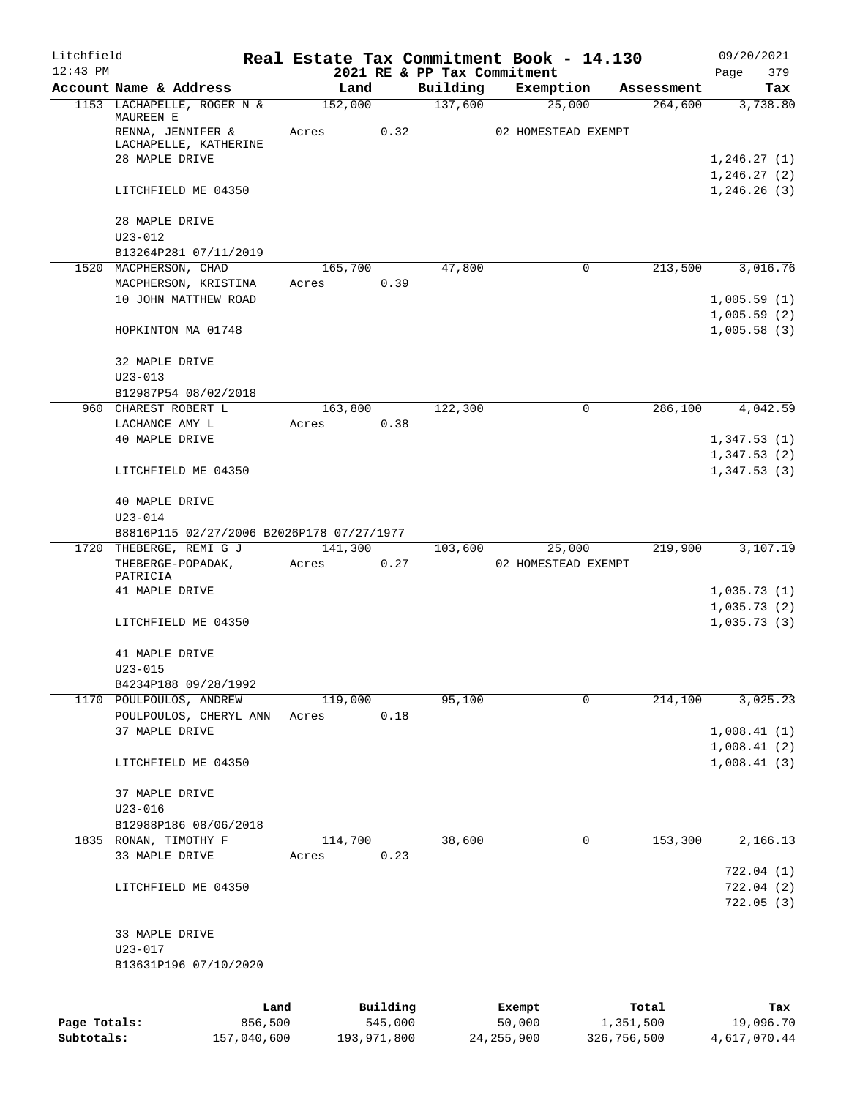| Litchfield   |                                                      |       |                 |          |                             | Real Estate Tax Commitment Book - 14.130 |                       | 09/20/2021                 |
|--------------|------------------------------------------------------|-------|-----------------|----------|-----------------------------|------------------------------------------|-----------------------|----------------------------|
| $12:43$ PM   |                                                      |       |                 |          | 2021 RE & PP Tax Commitment |                                          |                       | 379<br>Page                |
|              | Account Name & Address<br>1153 LACHAPELLE, ROGER N & |       | Land<br>152,000 |          | Building<br>137,600         | Exemption<br>25,000                      | Assessment<br>264,600 | Tax<br>3,738.80            |
|              | MAUREEN E<br>RENNA, JENNIFER &                       | Acres |                 | 0.32     |                             | 02 HOMESTEAD EXEMPT                      |                       |                            |
|              | LACHAPELLE, KATHERINE                                |       |                 |          |                             |                                          |                       |                            |
|              | 28 MAPLE DRIVE                                       |       |                 |          |                             |                                          |                       | 1,246.27(1)<br>1,246.27(2) |
|              | LITCHFIELD ME 04350                                  |       |                 |          |                             |                                          |                       | 1,246.26(3)                |
|              | 28 MAPLE DRIVE                                       |       |                 |          |                             |                                          |                       |                            |
|              | $U23 - 012$                                          |       |                 |          |                             |                                          |                       |                            |
|              | B13264P281 07/11/2019<br>1520 MACPHERSON, CHAD       |       | 165,700         |          | 47,800                      | $\mathbf 0$                              | 213,500               | 3,016.76                   |
|              | MACPHERSON, KRISTINA                                 | Acres |                 | 0.39     |                             |                                          |                       |                            |
|              | 10 JOHN MATTHEW ROAD                                 |       |                 |          |                             |                                          |                       | 1,005.59(1)                |
|              |                                                      |       |                 |          |                             |                                          |                       | 1,005.59(2)                |
|              | HOPKINTON MA 01748                                   |       |                 |          |                             |                                          |                       | 1,005.58(3)                |
|              | 32 MAPLE DRIVE                                       |       |                 |          |                             |                                          |                       |                            |
|              | $U23 - 013$                                          |       |                 |          |                             |                                          |                       |                            |
|              | B12987P54 08/02/2018                                 |       |                 |          |                             |                                          |                       |                            |
|              | 960 CHAREST ROBERT L                                 |       | 163,800         |          | 122,300                     | 0                                        | 286,100               | 4,042.59                   |
|              | LACHANCE AMY L                                       | Acres |                 | 0.38     |                             |                                          |                       |                            |
|              | 40 MAPLE DRIVE                                       |       |                 |          |                             |                                          |                       | 1,347.53(1)                |
|              | LITCHFIELD ME 04350                                  |       |                 |          |                             |                                          |                       | 1,347.53(2)<br>1,347.53(3) |
|              | 40 MAPLE DRIVE<br>$U23 - 014$                        |       |                 |          |                             |                                          |                       |                            |
|              | B8816P115 02/27/2006 B2026P178 07/27/1977            |       |                 |          |                             |                                          |                       |                            |
|              | 1720 THEBERGE, REMI G J                              |       | 141,300         |          | 103,600                     | 25,000                                   | 219,900               | 3,107.19                   |
|              | THEBERGE-POPADAK,<br>PATRICIA                        | Acres |                 | 0.27     |                             | 02 HOMESTEAD EXEMPT                      |                       |                            |
|              | 41 MAPLE DRIVE                                       |       |                 |          |                             |                                          |                       | 1,035.73(1)                |
|              |                                                      |       |                 |          |                             |                                          |                       | 1,035.73(2)                |
|              | LITCHFIELD ME 04350                                  |       |                 |          |                             |                                          |                       | 1,035.73(3)                |
|              | 41 MAPLE DRIVE<br>$U23 - 015$                        |       |                 |          |                             |                                          |                       |                            |
|              | B4234P188 09/28/1992                                 |       |                 |          |                             |                                          |                       |                            |
|              | 1170 POULPOULOS, ANDREW                              |       | 119,000         |          | 95,100                      | $\mathbf 0$                              | 214,100               | 3,025.23                   |
|              | POULPOULOS, CHERYL ANN                               | Acres |                 | 0.18     |                             |                                          |                       |                            |
|              | 37 MAPLE DRIVE                                       |       |                 |          |                             |                                          |                       | 1,008.41(1)                |
|              |                                                      |       |                 |          |                             |                                          |                       | 1,008.41(2)                |
|              | LITCHFIELD ME 04350                                  |       |                 |          |                             |                                          |                       | 1,008.41(3)                |
|              | 37 MAPLE DRIVE                                       |       |                 |          |                             |                                          |                       |                            |
|              | $U23 - 016$                                          |       |                 |          |                             |                                          |                       |                            |
|              | B12988P186 08/06/2018                                |       |                 |          |                             |                                          |                       |                            |
|              | 1835 RONAN, TIMOTHY F                                |       | 114,700         |          | 38,600                      | 0                                        | 153,300               | 2,166.13                   |
|              | 33 MAPLE DRIVE                                       | Acres |                 | 0.23     |                             |                                          |                       |                            |
|              |                                                      |       |                 |          |                             |                                          |                       | 722.04 (1)                 |
|              | LITCHFIELD ME 04350                                  |       |                 |          |                             |                                          |                       | 722.04(2)                  |
|              |                                                      |       |                 |          |                             |                                          |                       | 722.05(3)                  |
|              | 33 MAPLE DRIVE                                       |       |                 |          |                             |                                          |                       |                            |
|              | U23-017                                              |       |                 |          |                             |                                          |                       |                            |
|              | B13631P196 07/10/2020                                |       |                 |          |                             |                                          |                       |                            |
|              |                                                      | Land  |                 | Building |                             | Exempt                                   | Total                 | Tax                        |
| Page Totals: | 856,500                                              |       |                 | 545,000  |                             | 50,000                                   | 1,351,500             | 19,096.70                  |

**Subtotals:** 157,040,600 193,971,800 24,255,900 326,756,500 4,617,070.44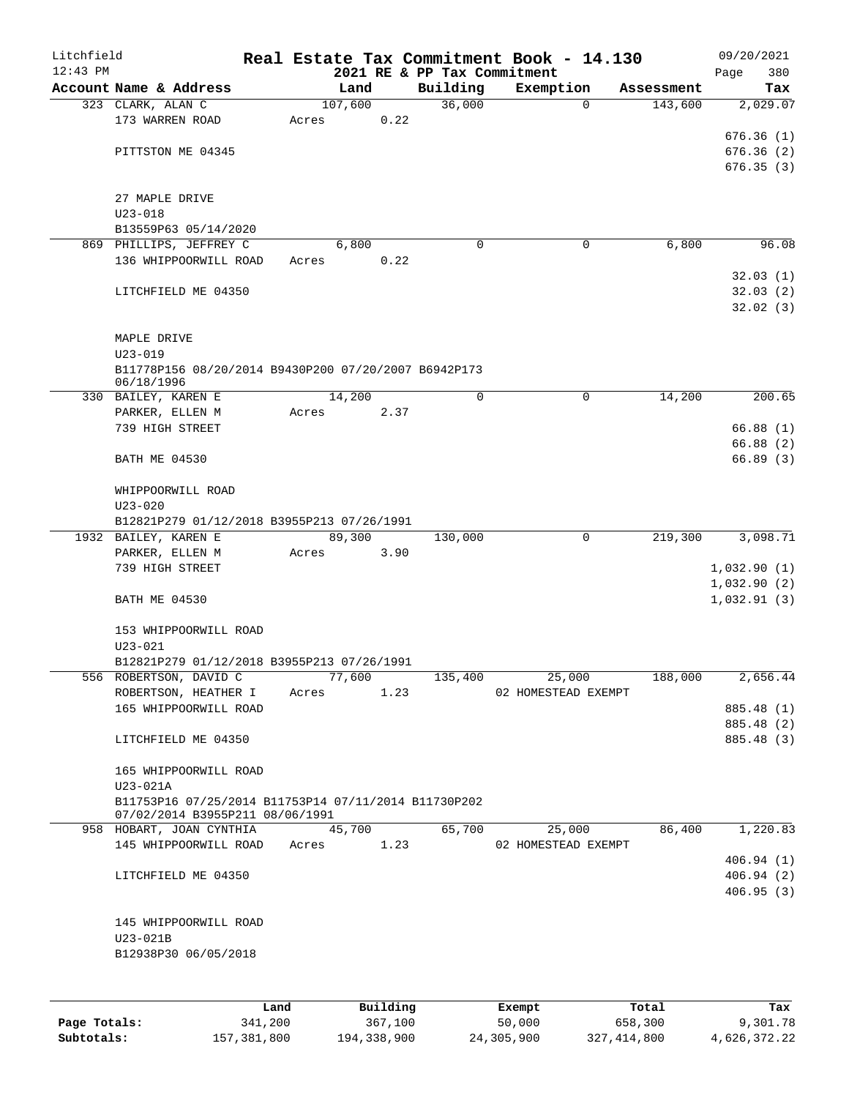| Litchfield |                                                                     |      |       |         |          |                                         | Real Estate Tax Commitment Book - 14.130 |                       | 09/20/2021             |
|------------|---------------------------------------------------------------------|------|-------|---------|----------|-----------------------------------------|------------------------------------------|-----------------------|------------------------|
| $12:43$ PM | Account Name & Address                                              |      |       | Land    |          | 2021 RE & PP Tax Commitment<br>Building | Exemption                                | Assessment            | 380<br>Page<br>Tax     |
|            | 323 CLARK, ALAN C                                                   |      |       | 107,600 |          | 36,000                                  |                                          | 143,600<br>0          | 2,029.07               |
|            | 173 WARREN ROAD                                                     |      | Acres |         | 0.22     |                                         |                                          |                       |                        |
|            |                                                                     |      |       |         |          |                                         |                                          |                       | 676.36(1)              |
|            | PITTSTON ME 04345                                                   |      |       |         |          |                                         |                                          |                       | 676.36(2)              |
|            |                                                                     |      |       |         |          |                                         |                                          |                       | 676.35(3)              |
|            |                                                                     |      |       |         |          |                                         |                                          |                       |                        |
|            | 27 MAPLE DRIVE<br>$U23 - 018$                                       |      |       |         |          |                                         |                                          |                       |                        |
|            | B13559P63 05/14/2020                                                |      |       |         |          |                                         |                                          |                       |                        |
|            | 869 PHILLIPS, JEFFREY C                                             |      |       | 6,800   |          | $\Omega$                                |                                          | 6,800<br>0            | 96.08                  |
|            | 136 WHIPPOORWILL ROAD                                               |      | Acres |         | 0.22     |                                         |                                          |                       |                        |
|            |                                                                     |      |       |         |          |                                         |                                          |                       | 32.03(1)               |
|            | LITCHFIELD ME 04350                                                 |      |       |         |          |                                         |                                          |                       | 32.03(2)               |
|            |                                                                     |      |       |         |          |                                         |                                          |                       | 32.02(3)               |
|            |                                                                     |      |       |         |          |                                         |                                          |                       |                        |
|            | MAPLE DRIVE                                                         |      |       |         |          |                                         |                                          |                       |                        |
|            | $U23 - 019$<br>B11778P156 08/20/2014 B9430P200 07/20/2007 B6942P173 |      |       |         |          |                                         |                                          |                       |                        |
|            | 06/18/1996                                                          |      |       |         |          |                                         |                                          |                       |                        |
|            | 330 BAILEY, KAREN E                                                 |      |       | 14,200  |          | 0                                       |                                          | $\mathbf 0$<br>14,200 | 200.65                 |
|            | PARKER, ELLEN M                                                     |      | Acres |         | 2.37     |                                         |                                          |                       |                        |
|            | 739 HIGH STREET                                                     |      |       |         |          |                                         |                                          |                       | 66.88 (1)              |
|            |                                                                     |      |       |         |          |                                         |                                          |                       | 66.88(2)               |
|            | <b>BATH ME 04530</b>                                                |      |       |         |          |                                         |                                          |                       | 66.89(3)               |
|            | WHIPPOORWILL ROAD                                                   |      |       |         |          |                                         |                                          |                       |                        |
|            | $U23 - 020$                                                         |      |       |         |          |                                         |                                          |                       |                        |
|            | B12821P279 01/12/2018 B3955P213 07/26/1991                          |      |       |         |          |                                         |                                          |                       |                        |
|            | 1932 BAILEY, KAREN E                                                |      |       | 89,300  |          | 130,000                                 |                                          | 0<br>219,300          | 3,098.71               |
|            | PARKER, ELLEN M                                                     |      | Acres |         | 3.90     |                                         |                                          |                       |                        |
|            | 739 HIGH STREET                                                     |      |       |         |          |                                         |                                          |                       | 1,032.90(1)            |
|            |                                                                     |      |       |         |          |                                         |                                          |                       | 1,032.90(2)            |
|            | <b>BATH ME 04530</b>                                                |      |       |         |          |                                         |                                          |                       | 1,032.91(3)            |
|            | 153 WHIPPOORWILL ROAD                                               |      |       |         |          |                                         |                                          |                       |                        |
|            | $U23 - 021$                                                         |      |       |         |          |                                         |                                          |                       |                        |
|            | B12821P279 01/12/2018 B3955P213 07/26/1991                          |      |       |         |          |                                         |                                          |                       |                        |
|            | 556 ROBERTSON, DAVID C                                              |      |       | 77,600  |          | 135,400                                 | 25,000                                   | 188,000               | 2,656.44               |
|            | ROBERTSON, HEATHER I                                                |      | Acres |         | 1.23     |                                         | 02 HOMESTEAD EXEMPT                      |                       |                        |
|            | 165 WHIPPOORWILL ROAD                                               |      |       |         |          |                                         |                                          |                       | 885.48 (1)             |
|            |                                                                     |      |       |         |          |                                         |                                          |                       | 885.48 (2)             |
|            | LITCHFIELD ME 04350                                                 |      |       |         |          |                                         |                                          |                       | 885.48 (3)             |
|            | 165 WHIPPOORWILL ROAD                                               |      |       |         |          |                                         |                                          |                       |                        |
|            | $U23-021A$                                                          |      |       |         |          |                                         |                                          |                       |                        |
|            | B11753P16 07/25/2014 B11753P14 07/11/2014 B11730P202                |      |       |         |          |                                         |                                          |                       |                        |
|            | 07/02/2014 B3955P211 08/06/1991                                     |      |       |         |          |                                         |                                          |                       |                        |
|            | 958 HOBART, JOAN CYNTHIA                                            |      |       | 45,700  |          | 65,700                                  | 25,000                                   | 86,400                | 1,220.83               |
|            | 145 WHIPPOORWILL ROAD                                               |      | Acres |         | 1.23     |                                         | 02 HOMESTEAD EXEMPT                      |                       |                        |
|            |                                                                     |      |       |         |          |                                         |                                          |                       | 406.94(1)              |
|            | LITCHFIELD ME 04350                                                 |      |       |         |          |                                         |                                          |                       | 406.94(2)<br>406.95(3) |
|            |                                                                     |      |       |         |          |                                         |                                          |                       |                        |
|            | 145 WHIPPOORWILL ROAD                                               |      |       |         |          |                                         |                                          |                       |                        |
|            | U23-021B                                                            |      |       |         |          |                                         |                                          |                       |                        |
|            | B12938P30 06/05/2018                                                |      |       |         |          |                                         |                                          |                       |                        |
|            |                                                                     |      |       |         |          |                                         |                                          |                       |                        |
|            |                                                                     |      |       |         |          |                                         |                                          |                       |                        |
|            |                                                                     | Land |       |         | Building |                                         | Exempt                                   | Total                 | Tax                    |

|              | Land        | Building    | Exempt     | Total       | Tax          |
|--------------|-------------|-------------|------------|-------------|--------------|
| Page Totals: | 341,200     | 367,100     | 50,000     | 658,300     | 9,301.78     |
| Subtotals:   | 157,381,800 | 194,338,900 | 24,305,900 | 327,414,800 | 4,626,372.22 |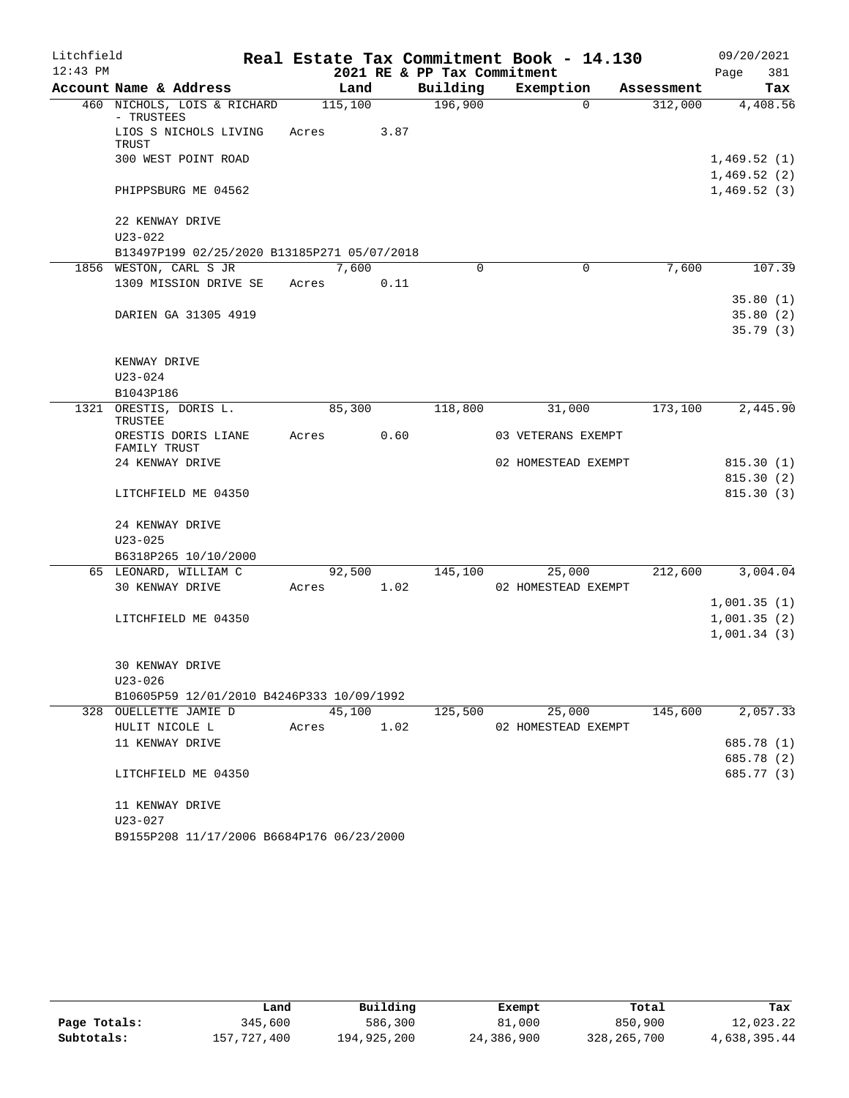| Litchfield |                                             |         |      |                             | Real Estate Tax Commitment Book - 14.130 |            | 09/20/2021                 |
|------------|---------------------------------------------|---------|------|-----------------------------|------------------------------------------|------------|----------------------------|
| $12:43$ PM |                                             |         |      | 2021 RE & PP Tax Commitment |                                          |            | 381<br>Page                |
|            | Account Name & Address                      | Land    |      | Building                    | Exemption                                | Assessment | Tax                        |
|            | 460 NICHOLS, LOIS & RICHARD<br>- TRUSTEES   | 115,100 |      | 196,900                     | $\Omega$                                 | 312,000    | 4,408.56                   |
|            | LIOS S NICHOLS LIVING<br>TRUST              | Acres   | 3.87 |                             |                                          |            |                            |
|            | 300 WEST POINT ROAD                         |         |      |                             |                                          |            | 1,469.52(1)<br>1,469.52(2) |
|            | PHIPPSBURG ME 04562                         |         |      |                             |                                          |            | 1,469.52(3)                |
|            | 22 KENWAY DRIVE                             |         |      |                             |                                          |            |                            |
|            | $U23 - 022$                                 |         |      |                             |                                          |            |                            |
|            | B13497P199 02/25/2020 B13185P271 05/07/2018 |         |      |                             |                                          |            |                            |
|            | 1856 WESTON, CARL S JR                      | 7,600   |      | 0                           | 0                                        | 7,600      | 107.39                     |
|            | 1309 MISSION DRIVE SE                       | Acres   | 0.11 |                             |                                          |            |                            |
|            |                                             |         |      |                             |                                          |            | 35.80(1)                   |
|            | DARIEN GA 31305 4919                        |         |      |                             |                                          |            | 35.80(2)                   |
|            |                                             |         |      |                             |                                          |            | 35.79(3)                   |
|            | KENWAY DRIVE                                |         |      |                             |                                          |            |                            |
|            | $U23 - 024$                                 |         |      |                             |                                          |            |                            |
|            | B1043P186                                   |         |      |                             |                                          |            |                            |
|            | 1321 ORESTIS, DORIS L.<br>TRUSTEE           | 85,300  |      | 118,800                     | 31,000                                   | 173,100    | 2,445.90                   |
|            | ORESTIS DORIS LIANE<br>FAMILY TRUST         | Acres   | 0.60 |                             | 03 VETERANS EXEMPT                       |            |                            |
|            | 24 KENWAY DRIVE                             |         |      |                             | 02 HOMESTEAD EXEMPT                      |            | 815.30(1)                  |
|            |                                             |         |      |                             |                                          |            | 815.30(2)                  |
|            | LITCHFIELD ME 04350                         |         |      |                             |                                          |            | 815.30(3)                  |
|            | 24 KENWAY DRIVE                             |         |      |                             |                                          |            |                            |
|            | $U23 - 025$                                 |         |      |                             |                                          |            |                            |
|            | B6318P265 10/10/2000                        |         |      |                             |                                          |            |                            |
|            | 65 LEONARD, WILLIAM C                       | 92,500  |      | 145,100                     | 25,000                                   | 212,600    | 3,004.04                   |
|            | 30 KENWAY DRIVE                             | Acres   | 1.02 |                             | 02 HOMESTEAD EXEMPT                      |            |                            |
|            |                                             |         |      |                             |                                          |            | 1,001.35(1)                |
|            | LITCHFIELD ME 04350                         |         |      |                             |                                          |            | 1,001.35(2)                |
|            |                                             |         |      |                             |                                          |            | 1,001.34(3)                |
|            | <b>30 KENWAY DRIVE</b>                      |         |      |                             |                                          |            |                            |
|            | U23-026                                     |         |      |                             |                                          |            |                            |
|            | B10605P59 12/01/2010 B4246P333 10/09/1992   |         |      |                             |                                          |            |                            |
|            | 328 OUELLETTE JAMIE D                       | 45,100  |      | 125,500                     | 25,000                                   | 145,600    | 2,057.33                   |
|            | HULIT NICOLE L                              | Acres   | 1.02 |                             | 02 HOMESTEAD EXEMPT                      |            |                            |
|            | 11 KENWAY DRIVE                             |         |      |                             |                                          |            | 685.78 (1)                 |
|            |                                             |         |      |                             |                                          |            | 685.78 (2)                 |
|            | LITCHFIELD ME 04350                         |         |      |                             |                                          |            | 685.77 (3)                 |
|            | 11 KENWAY DRIVE                             |         |      |                             |                                          |            |                            |
|            | U23-027                                     |         |      |                             |                                          |            |                            |
|            | B9155P208 11/17/2006 B6684P176 06/23/2000   |         |      |                             |                                          |            |                            |

|              | Land        | Building    | Exempt     | Total       | Tax          |
|--------------|-------------|-------------|------------|-------------|--------------|
| Page Totals: | 345,600     | 586,300     | 81,000     | 850,900     | 12,023.22    |
| Subtotals:   | 157,727,400 | 194,925,200 | 24,386,900 | 328,265,700 | 4,638,395.44 |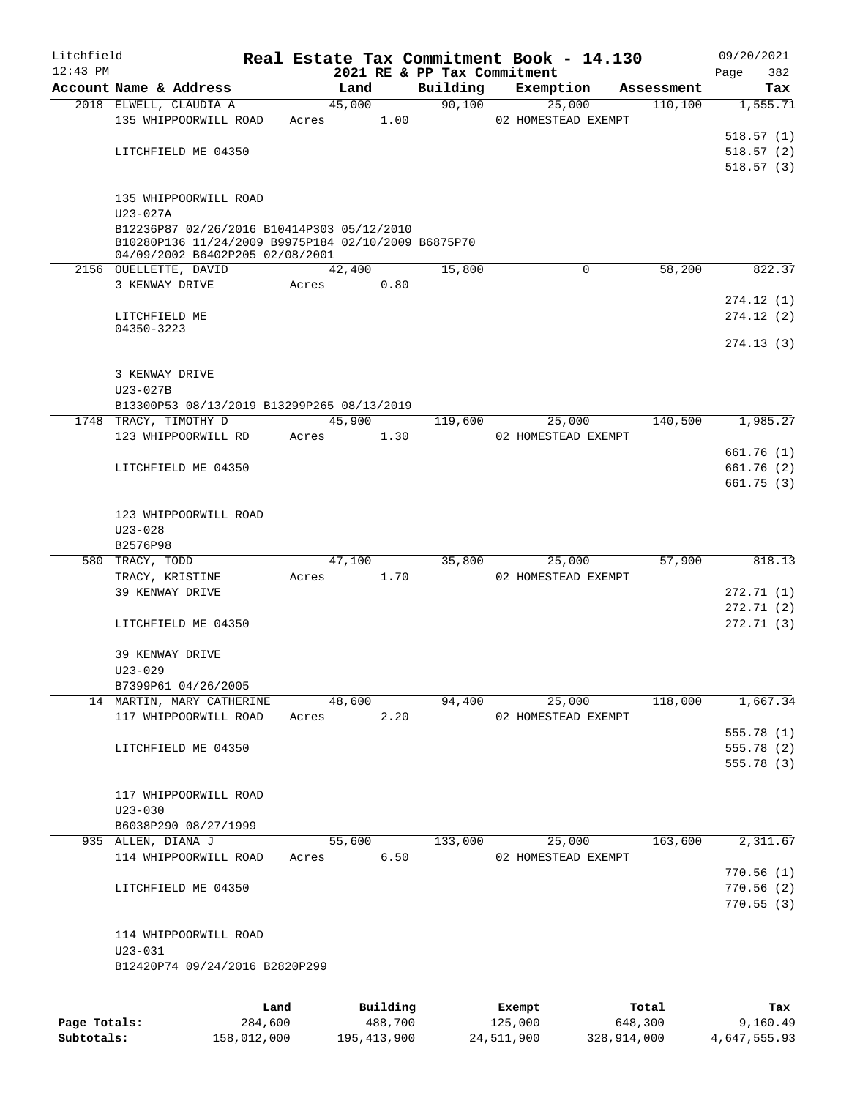| Litchfield |                                                                                        |      |       |        |          |          | Real Estate Tax Commitment Book - 14.130 |            | 09/20/2021         |
|------------|----------------------------------------------------------------------------------------|------|-------|--------|----------|----------|------------------------------------------|------------|--------------------|
| $12:43$ PM | Account Name & Address                                                                 |      |       | Land   |          | Building | 2021 RE & PP Tax Commitment<br>Exemption | Assessment | 382<br>Page<br>Tax |
|            | 2018 ELWELL, CLAUDIA A                                                                 |      |       | 45,000 |          | 90,100   | 25,000                                   | 110, 100   | 1,555.71           |
|            | 135 WHIPPOORWILL ROAD                                                                  |      | Acres |        | 1.00     |          | 02 HOMESTEAD EXEMPT                      |            |                    |
|            |                                                                                        |      |       |        |          |          |                                          |            | 518.57(1)          |
|            | LITCHFIELD ME 04350                                                                    |      |       |        |          |          |                                          |            | 518.57(2)          |
|            |                                                                                        |      |       |        |          |          |                                          |            | 518.57(3)          |
|            | 135 WHIPPOORWILL ROAD                                                                  |      |       |        |          |          |                                          |            |                    |
|            | $U23 - 027A$                                                                           |      |       |        |          |          |                                          |            |                    |
|            | B12236P87 02/26/2016 B10414P303 05/12/2010                                             |      |       |        |          |          |                                          |            |                    |
|            | B10280P136 11/24/2009 B9975P184 02/10/2009 B6875P70<br>04/09/2002 B6402P205 02/08/2001 |      |       |        |          |          |                                          |            |                    |
|            | 2156 OUELLETTE, DAVID                                                                  |      |       | 42,400 |          | 15,800   | $\mathbf 0$                              | 58,200     | 822.37             |
|            | 3 KENWAY DRIVE                                                                         |      | Acres |        | 0.80     |          |                                          |            |                    |
|            |                                                                                        |      |       |        |          |          |                                          |            | 274.12(1)          |
|            | LITCHFIELD ME                                                                          |      |       |        |          |          |                                          |            | 274.12(2)          |
|            | 04350-3223                                                                             |      |       |        |          |          |                                          |            | 274.13(3)          |
|            |                                                                                        |      |       |        |          |          |                                          |            |                    |
|            | 3 KENWAY DRIVE                                                                         |      |       |        |          |          |                                          |            |                    |
|            | $U23 - 027B$                                                                           |      |       |        |          |          |                                          |            |                    |
|            | B13300P53 08/13/2019 B13299P265 08/13/2019                                             |      |       |        |          |          |                                          |            |                    |
|            | 1748 TRACY, TIMOTHY D                                                                  |      |       | 45,900 |          | 119,600  | 25,000                                   | 140,500    | 1,985.27           |
|            | 123 WHIPPOORWILL RD                                                                    |      | Acres |        | 1.30     |          | 02 HOMESTEAD EXEMPT                      |            |                    |
|            |                                                                                        |      |       |        |          |          |                                          |            | 661.76(1)          |
|            | LITCHFIELD ME 04350                                                                    |      |       |        |          |          |                                          |            | 661.76(2)          |
|            |                                                                                        |      |       |        |          |          |                                          |            | 661.75(3)          |
|            | 123 WHIPPOORWILL ROAD                                                                  |      |       |        |          |          |                                          |            |                    |
|            | $U23 - 028$                                                                            |      |       |        |          |          |                                          |            |                    |
|            | B2576P98                                                                               |      |       |        |          |          |                                          |            |                    |
|            | 580 TRACY, TODD                                                                        |      |       | 47,100 |          | 35,800   | 25,000                                   | 57,900     | 818.13             |
|            | TRACY, KRISTINE                                                                        |      | Acres |        | 1.70     |          | 02 HOMESTEAD EXEMPT                      |            |                    |
|            | 39 KENWAY DRIVE                                                                        |      |       |        |          |          |                                          |            | 272.71 (1)         |
|            |                                                                                        |      |       |        |          |          |                                          |            | 272.71(2)          |
|            | LITCHFIELD ME 04350                                                                    |      |       |        |          |          |                                          |            | 272.71(3)          |
|            |                                                                                        |      |       |        |          |          |                                          |            |                    |
|            | 39 KENWAY DRIVE                                                                        |      |       |        |          |          |                                          |            |                    |
|            | $U23 - 029$                                                                            |      |       |        |          |          |                                          |            |                    |
|            | B7399P61 04/26/2005                                                                    |      |       |        |          |          |                                          |            | 1,667.34           |
|            | 14 MARTIN, MARY CATHERINE<br>117 WHIPPOORWILL ROAD                                     |      |       | 48,600 | 2.20     | 94,400   | 25,000<br>02 HOMESTEAD EXEMPT            | 118,000    |                    |
|            |                                                                                        |      | Acres |        |          |          |                                          |            | 555.78(1)          |
|            | LITCHFIELD ME 04350                                                                    |      |       |        |          |          |                                          |            | 555.78 (2)         |
|            |                                                                                        |      |       |        |          |          |                                          |            | 555.78 (3)         |
|            |                                                                                        |      |       |        |          |          |                                          |            |                    |
|            | 117 WHIPPOORWILL ROAD                                                                  |      |       |        |          |          |                                          |            |                    |
|            | $U23 - 030$                                                                            |      |       |        |          |          |                                          |            |                    |
|            | B6038P290 08/27/1999                                                                   |      |       |        |          |          |                                          |            |                    |
|            | 935 ALLEN, DIANA J                                                                     |      |       | 55,600 |          | 133,000  | 25,000                                   | 163,600    | 2,311.67           |
|            | 114 WHIPPOORWILL ROAD                                                                  |      | Acres |        | 6.50     |          | 02 HOMESTEAD EXEMPT                      |            |                    |
|            |                                                                                        |      |       |        |          |          |                                          |            | 770.56(1)          |
|            | LITCHFIELD ME 04350                                                                    |      |       |        |          |          |                                          |            | 770.56(2)          |
|            |                                                                                        |      |       |        |          |          |                                          |            | 770.55(3)          |
|            |                                                                                        |      |       |        |          |          |                                          |            |                    |
|            | 114 WHIPPOORWILL ROAD                                                                  |      |       |        |          |          |                                          |            |                    |
|            | $U23 - 031$<br>B12420P74 09/24/2016 B2820P299                                          |      |       |        |          |          |                                          |            |                    |
|            |                                                                                        |      |       |        |          |          |                                          |            |                    |
|            |                                                                                        |      |       |        |          |          |                                          |            |                    |
|            |                                                                                        | Land |       |        | Building |          | Exempt                                   | Total      | Tax                |

|              | nand        | Building      | Exempt     | Total       | тах          |
|--------------|-------------|---------------|------------|-------------|--------------|
| Page Totals: | 284,600     | 488,700       | 125,000    | 648,300     | 9,160.49     |
| Subtotals:   | 158,012,000 | 195, 413, 900 | 24,511,900 | 328,914,000 | 4,647,555.93 |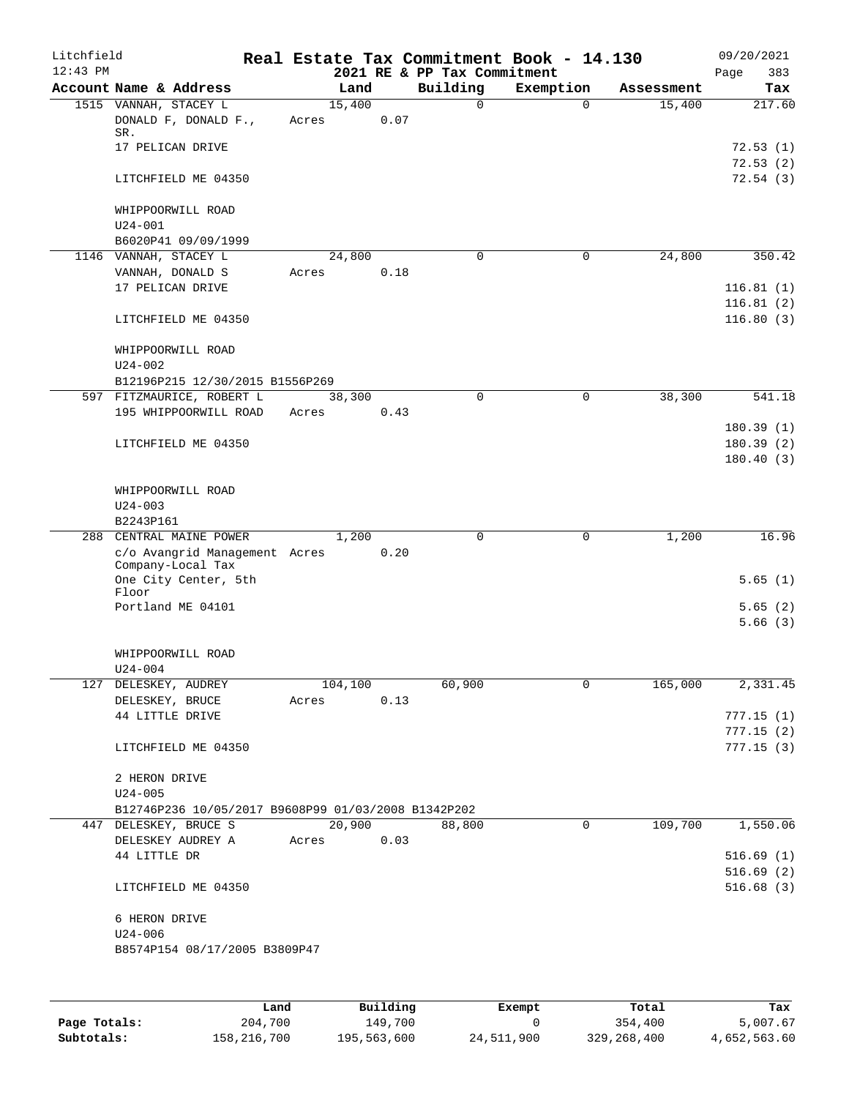| Litchfield<br>$12:43$ PM |                                                                           |       |         |      | 2021 RE & PP Tax Commitment | Real Estate Tax Commitment Book - 14.130 |            | 09/20/2021<br>383<br>Page |
|--------------------------|---------------------------------------------------------------------------|-------|---------|------|-----------------------------|------------------------------------------|------------|---------------------------|
|                          | Account Name & Address                                                    |       | Land    |      | Building                    | Exemption                                | Assessment | Tax                       |
|                          | 1515 VANNAH, STACEY L<br>DONALD F, DONALD F.,<br>SR.<br>17 PELICAN DRIVE  | Acres | 15,400  | 0.07 | $\Omega$                    | $\Omega$                                 | 15,400     | 217.60<br>72.53(1)        |
|                          | LITCHFIELD ME 04350                                                       |       |         |      |                             |                                          |            | 72.53(2)<br>72.54(3)      |
|                          | WHIPPOORWILL ROAD<br>$U24 - 001$                                          |       |         |      |                             |                                          |            |                           |
|                          | B6020P41 09/09/1999                                                       |       |         |      |                             |                                          |            |                           |
|                          | 1146 VANNAH, STACEY L                                                     |       | 24,800  |      | $\Omega$                    | 0                                        | 24,800     | 350.42                    |
|                          | VANNAH, DONALD S<br>17 PELICAN DRIVE                                      | Acres |         | 0.18 |                             |                                          |            | 116.81(1)                 |
|                          | LITCHFIELD ME 04350                                                       |       |         |      |                             |                                          |            | 116.81(2)<br>116.80(3)    |
|                          | WHIPPOORWILL ROAD<br>$U24 - 002$                                          |       |         |      |                             |                                          |            |                           |
|                          | B12196P215 12/30/2015 B1556P269                                           |       |         |      |                             |                                          |            |                           |
|                          | 597 FITZMAURICE, ROBERT L<br>195 WHIPPOORWILL ROAD                        | Acres | 38,300  | 0.43 | $\Omega$                    | $\mathbf 0$                              | 38,300     | 541.18                    |
|                          |                                                                           |       |         |      |                             |                                          |            | 180.39(1)                 |
|                          | LITCHFIELD ME 04350                                                       |       |         |      |                             |                                          |            | 180.39(2)<br>180.40(3)    |
|                          | WHIPPOORWILL ROAD<br>$U24 - 003$                                          |       |         |      |                             |                                          |            |                           |
|                          | B2243P161                                                                 |       |         |      |                             |                                          |            |                           |
| 288                      | CENTRAL MAINE POWER<br>c/o Avangrid Management Acres<br>Company-Local Tax |       | 1,200   | 0.20 | $\Omega$                    | $\mathbf 0$                              | 1,200      | 16.96                     |
|                          | One City Center, 5th<br>Floor                                             |       |         |      |                             |                                          |            | 5.65(1)                   |
|                          | Portland ME 04101                                                         |       |         |      |                             |                                          |            | 5.65(2)<br>5.66(3)        |
|                          | WHIPPOORWILL ROAD                                                         |       |         |      |                             |                                          |            |                           |
|                          | U24-004<br>127 DELESKEY, AUDREY                                           |       | 104,100 |      | 60,900                      | 0                                        | 165,000    | 2,331.45                  |
|                          | DELESKEY, BRUCE                                                           | Acres |         | 0.13 |                             |                                          |            |                           |
|                          | 44 LITTLE DRIVE                                                           |       |         |      |                             |                                          |            | 777.15(1)                 |
|                          | LITCHFIELD ME 04350                                                       |       |         |      |                             |                                          |            | 777.15(2)<br>777.15(3)    |
|                          | 2 HERON DRIVE                                                             |       |         |      |                             |                                          |            |                           |
|                          | $U24 - 005$<br>B12746P236 10/05/2017 B9608P99 01/03/2008 B1342P202        |       |         |      |                             |                                          |            |                           |
|                          | 447 DELESKEY, BRUCE S                                                     |       | 20,900  |      | 88,800                      | 0                                        | 109,700    | 1,550.06                  |
|                          | DELESKEY AUDREY A                                                         | Acres |         | 0.03 |                             |                                          |            |                           |
|                          | 44 LITTLE DR                                                              |       |         |      |                             |                                          |            | 516.69(1)                 |
|                          | LITCHFIELD ME 04350                                                       |       |         |      |                             |                                          |            | 516.69(2)<br>516.68(3)    |
|                          | 6 HERON DRIVE<br>$U24 - 006$                                              |       |         |      |                             |                                          |            |                           |
|                          | B8574P154 08/17/2005 B3809P47                                             |       |         |      |                             |                                          |            |                           |
|                          |                                                                           |       |         |      |                             |                                          |            |                           |

|              | Land        | Building    | Exempt     | Total       | Tax          |
|--------------|-------------|-------------|------------|-------------|--------------|
| Page Totals: | 204,700     | 149,700     |            | 354,400     | 5,007.67     |
| Subtotals:   | 158,216,700 | 195,563,600 | 24,511,900 | 329,268,400 | 4,652,563.60 |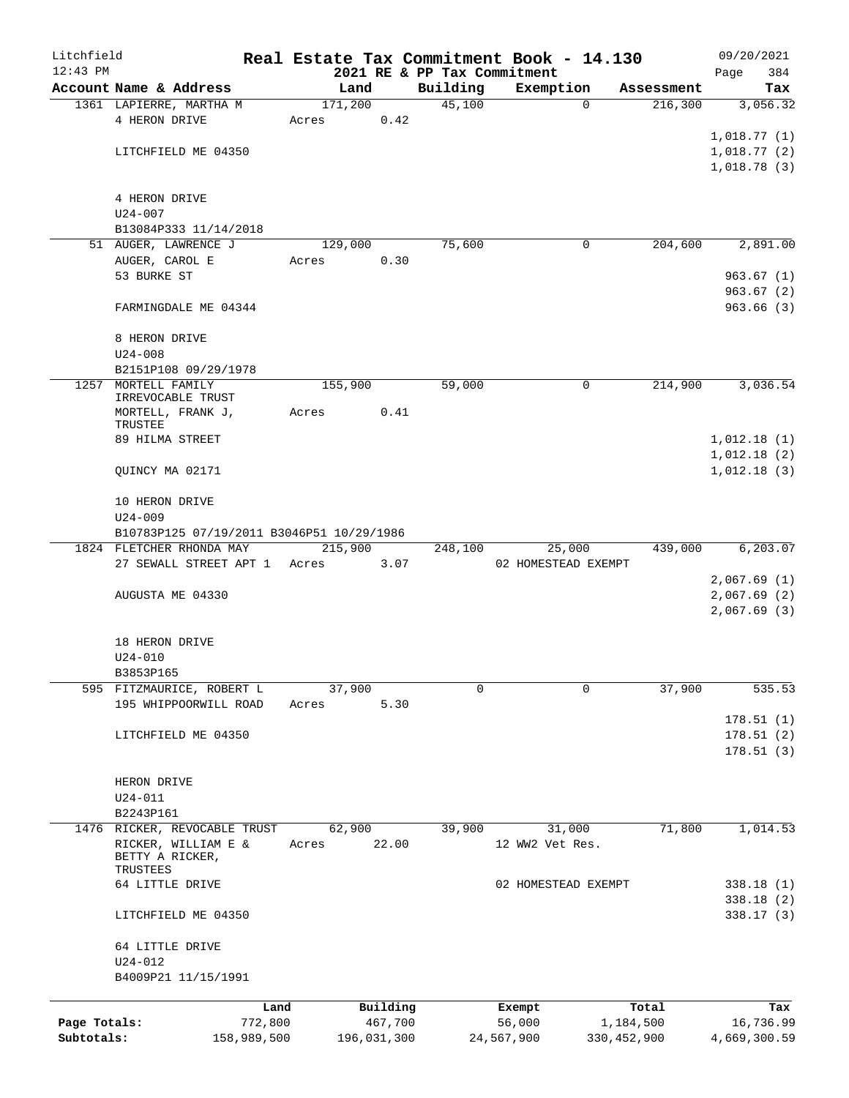| Litchfield                 |                                           |             |         |             |                             | Real Estate Tax Commitment Book - 14.130 |               | 09/20/2021                 |
|----------------------------|-------------------------------------------|-------------|---------|-------------|-----------------------------|------------------------------------------|---------------|----------------------------|
| $12:43$ PM                 |                                           |             |         |             | 2021 RE & PP Tax Commitment |                                          |               | 384<br>Page                |
|                            | Account Name & Address                    |             | Land    |             | Building                    | Exemption                                | Assessment    | Tax                        |
|                            | 1361 LAPIERRE, MARTHA M                   |             | 171,200 |             | 45,100                      | $\mathbf 0$                              | 216,300       | 3,056.32                   |
|                            | 4 HERON DRIVE                             |             | Acres   | 0.42        |                             |                                          |               |                            |
|                            | LITCHFIELD ME 04350                       |             |         |             |                             |                                          |               | 1,018.77(1)                |
|                            |                                           |             |         |             |                             |                                          |               | 1,018.77(2)<br>1,018.78(3) |
|                            |                                           |             |         |             |                             |                                          |               |                            |
|                            | 4 HERON DRIVE                             |             |         |             |                             |                                          |               |                            |
|                            | $U24 - 007$                               |             |         |             |                             |                                          |               |                            |
|                            | B13084P333 11/14/2018                     |             |         |             |                             |                                          |               |                            |
|                            | 51 AUGER, LAWRENCE J                      |             | 129,000 |             | 75,600                      | 0                                        | 204,600       | 2,891.00                   |
|                            | AUGER, CAROL E                            |             | Acres   | 0.30        |                             |                                          |               |                            |
|                            | 53 BURKE ST                               |             |         |             |                             |                                          |               | 963.67(1)                  |
|                            |                                           |             |         |             |                             |                                          |               | 963.67(2)                  |
|                            | FARMINGDALE ME 04344                      |             |         |             |                             |                                          |               | 963.66(3)                  |
|                            |                                           |             |         |             |                             |                                          |               |                            |
|                            | 8 HERON DRIVE                             |             |         |             |                             |                                          |               |                            |
|                            | $U24 - 008$                               |             |         |             |                             |                                          |               |                            |
|                            | B2151P108 09/29/1978                      |             |         |             |                             |                                          |               |                            |
|                            | 1257 MORTELL FAMILY                       |             | 155,900 |             | 59,000                      | 0                                        | 214,900       | 3,036.54                   |
|                            | IRREVOCABLE TRUST                         |             |         |             |                             |                                          |               |                            |
|                            | MORTELL, FRANK J,                         |             | Acres   | 0.41        |                             |                                          |               |                            |
|                            | TRUSTEE                                   |             |         |             |                             |                                          |               |                            |
|                            | 89 HILMA STREET                           |             |         |             |                             |                                          |               | 1,012.18(1)<br>1,012.18(2) |
|                            | QUINCY MA 02171                           |             |         |             |                             |                                          |               | 1,012.18(3)                |
|                            |                                           |             |         |             |                             |                                          |               |                            |
|                            | 10 HERON DRIVE                            |             |         |             |                             |                                          |               |                            |
|                            | $U24 - 009$                               |             |         |             |                             |                                          |               |                            |
|                            | B10783P125 07/19/2011 B3046P51 10/29/1986 |             |         |             |                             |                                          |               |                            |
|                            | 1824 FLETCHER RHONDA MAY                  |             | 215,900 |             | 248,100                     | 25,000                                   | 439,000       | 6,203.07                   |
|                            | 27 SEWALL STREET APT 1 Acres              |             |         | 3.07        |                             | 02 HOMESTEAD EXEMPT                      |               |                            |
|                            |                                           |             |         |             |                             |                                          |               | 2,067.69(1)                |
|                            | AUGUSTA ME 04330                          |             |         |             |                             |                                          |               | 2,067.69(2)                |
|                            |                                           |             |         |             |                             |                                          |               | 2,067.69(3)                |
|                            |                                           |             |         |             |                             |                                          |               |                            |
|                            | 18 HERON DRIVE                            |             |         |             |                             |                                          |               |                            |
|                            | $U24 - 010$                               |             |         |             |                             |                                          |               |                            |
|                            | B3853P165                                 |             |         |             |                             |                                          |               |                            |
|                            | 595 FITZMAURICE, ROBERT L                 |             | 37,900  |             | 0                           | $\Omega$                                 | 37,900        | 535.53                     |
|                            | 195 WHIPPOORWILL ROAD                     |             | Acres   | 5.30        |                             |                                          |               |                            |
|                            |                                           |             |         |             |                             |                                          |               | 178.51(1)                  |
|                            | LITCHFIELD ME 04350                       |             |         |             |                             |                                          |               | 178.51(2)                  |
|                            |                                           |             |         |             |                             |                                          |               | 178.51(3)                  |
|                            |                                           |             |         |             |                             |                                          |               |                            |
|                            | HERON DRIVE                               |             |         |             |                             |                                          |               |                            |
|                            | $U24 - 011$                               |             |         |             |                             |                                          |               |                            |
|                            | B2243P161                                 |             |         |             |                             |                                          |               |                            |
|                            | 1476 RICKER, REVOCABLE TRUST              |             | 62,900  |             | 39,900                      | 31,000                                   | 71,800        | 1,014.53                   |
|                            | RICKER, WILLIAM E &<br>BETTY A RICKER,    |             | Acres   | 22.00       |                             | 12 WW2 Vet Res.                          |               |                            |
|                            | TRUSTEES                                  |             |         |             |                             |                                          |               |                            |
|                            | 64 LITTLE DRIVE                           |             |         |             |                             | 02 HOMESTEAD EXEMPT                      |               | 338.18(1)                  |
|                            |                                           |             |         |             |                             |                                          |               | 338.18(2)                  |
|                            | LITCHFIELD ME 04350                       |             |         |             |                             |                                          |               | 338.17(3)                  |
|                            |                                           |             |         |             |                             |                                          |               |                            |
|                            | 64 LITTLE DRIVE                           |             |         |             |                             |                                          |               |                            |
|                            | $U24 - 012$                               |             |         |             |                             |                                          |               |                            |
|                            | B4009P21 11/15/1991                       |             |         |             |                             |                                          |               |                            |
|                            |                                           |             |         |             |                             |                                          |               |                            |
|                            |                                           | Land        |         | Building    |                             | Exempt                                   | Total         | Tax                        |
| Page Totals:<br>Subtotals: |                                           | 772,800     |         | 467,700     |                             | 56,000                                   | 1,184,500     | 16,736.99                  |
|                            |                                           | 158,989,500 |         | 196,031,300 |                             | 24,567,900                               | 330, 452, 900 | 4,669,300.59               |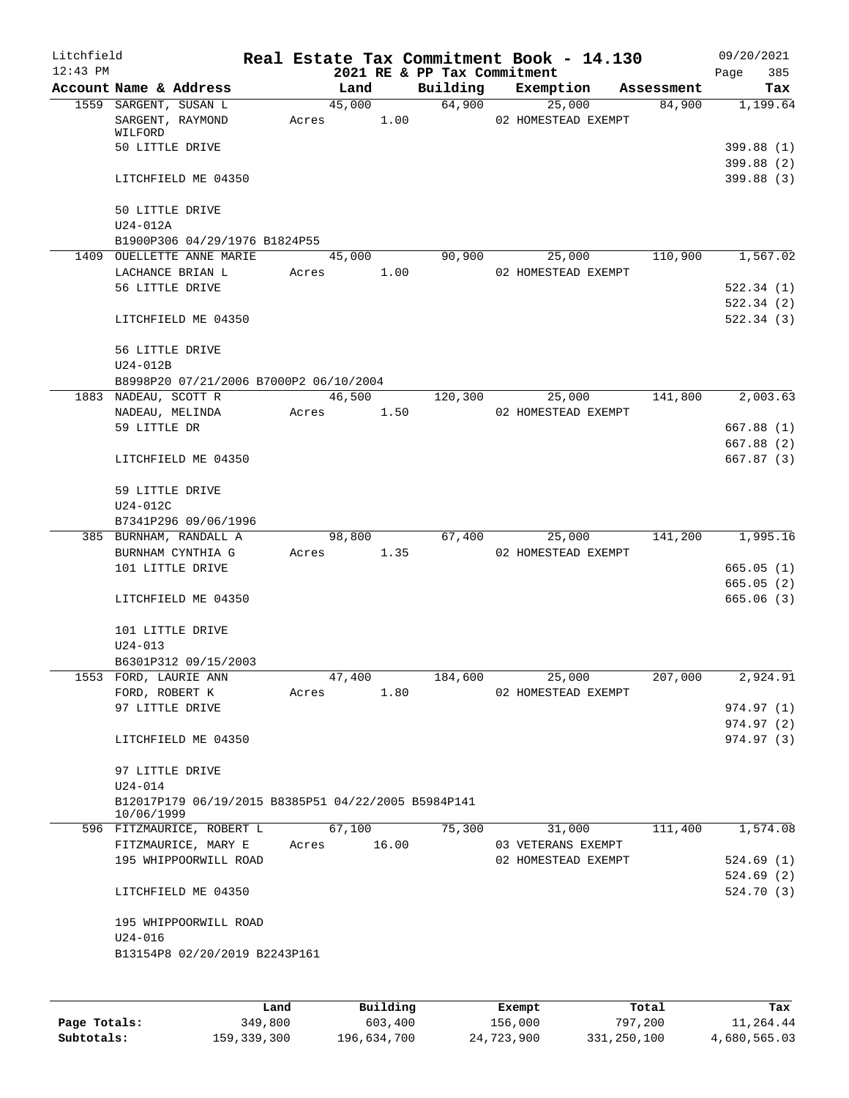| Litchfield |                                                                   |       |        |       |                             | Real Estate Tax Commitment Book - 14.130 |            | 09/20/2021             |
|------------|-------------------------------------------------------------------|-------|--------|-------|-----------------------------|------------------------------------------|------------|------------------------|
| $12:43$ PM |                                                                   |       |        |       | 2021 RE & PP Tax Commitment |                                          |            | 385<br>Page            |
|            | Account Name & Address                                            |       | Land   |       | Building                    | Exemption                                | Assessment | Tax                    |
|            | 1559 SARGENT, SUSAN L<br>SARGENT, RAYMOND                         | Acres | 45,000 | 1.00  |                             | 64,900<br>25,000<br>02 HOMESTEAD EXEMPT  | 84,900     | 1,199.64               |
|            | WILFORD                                                           |       |        |       |                             |                                          |            |                        |
|            | 50 LITTLE DRIVE                                                   |       |        |       |                             |                                          |            | 399.88 (1)             |
|            |                                                                   |       |        |       |                             |                                          |            | 399.88(2)              |
|            | LITCHFIELD ME 04350                                               |       |        |       |                             |                                          |            | 399.88(3)              |
|            | 50 LITTLE DRIVE                                                   |       |        |       |                             |                                          |            |                        |
|            | U24-012A                                                          |       |        |       |                             |                                          |            |                        |
|            | B1900P306 04/29/1976 B1824P55                                     |       |        |       |                             |                                          |            |                        |
|            | 1409 OUELLETTE ANNE MARIE                                         |       | 45,000 |       | 90,900                      | 25,000                                   | 110,900    | 1,567.02               |
|            | LACHANCE BRIAN L                                                  | Acres |        | 1.00  |                             | 02 HOMESTEAD EXEMPT                      |            |                        |
|            | 56 LITTLE DRIVE                                                   |       |        |       |                             |                                          |            | 522.34(1)              |
|            |                                                                   |       |        |       |                             |                                          |            | 522.34(2)              |
|            | LITCHFIELD ME 04350                                               |       |        |       |                             |                                          |            | 522.34 (3)             |
|            | 56 LITTLE DRIVE                                                   |       |        |       |                             |                                          |            |                        |
|            | U24-012B                                                          |       |        |       |                             |                                          |            |                        |
|            | B8998P20 07/21/2006 B7000P2 06/10/2004                            |       |        |       |                             |                                          |            |                        |
|            | 1883 NADEAU, SCOTT R                                              |       | 46,500 |       | 120,300                     | 25,000                                   | 141,800    | 2,003.63               |
|            | NADEAU, MELINDA                                                   | Acres |        | 1.50  |                             | 02 HOMESTEAD EXEMPT                      |            |                        |
|            | 59 LITTLE DR                                                      |       |        |       |                             |                                          |            | 667.88 (1)             |
|            |                                                                   |       |        |       |                             |                                          |            | 667.88 (2)             |
|            | LITCHFIELD ME 04350                                               |       |        |       |                             |                                          |            | 667.87 (3)             |
|            | 59 LITTLE DRIVE                                                   |       |        |       |                             |                                          |            |                        |
|            | U24-012C                                                          |       |        |       |                             |                                          |            |                        |
|            | B7341P296 09/06/1996                                              |       |        |       |                             |                                          |            |                        |
|            | 385 BURNHAM, RANDALL A                                            |       | 98,800 |       | 67,400                      | 25,000                                   | 141,200    | 1,995.16               |
|            | BURNHAM CYNTHIA G                                                 | Acres |        | 1.35  |                             | 02 HOMESTEAD EXEMPT                      |            |                        |
|            | 101 LITTLE DRIVE                                                  |       |        |       |                             |                                          |            | 665.05 (1)             |
|            |                                                                   |       |        |       |                             |                                          |            | 665.05(2)              |
|            | LITCHFIELD ME 04350                                               |       |        |       |                             |                                          |            | 665.06(3)              |
|            | 101 LITTLE DRIVE                                                  |       |        |       |                             |                                          |            |                        |
|            | $U24 - 013$                                                       |       |        |       |                             |                                          |            |                        |
|            | B6301P312 09/15/2003                                              |       |        |       |                             |                                          |            |                        |
|            | 1553 FORD, LAURIE ANN                                             |       | 47,400 |       | 184,600                     | 25,000                                   | 207,000    | 2,924.91               |
|            | FORD, ROBERT K                                                    | Acres |        | 1.80  |                             | 02 HOMESTEAD EXEMPT                      |            |                        |
|            | 97 LITTLE DRIVE                                                   |       |        |       |                             |                                          |            | 974.97 (1)             |
|            |                                                                   |       |        |       |                             |                                          |            | 974.97 (2)             |
|            | LITCHFIELD ME 04350                                               |       |        |       |                             |                                          |            | 974.97 (3)             |
|            | 97 LITTLE DRIVE                                                   |       |        |       |                             |                                          |            |                        |
|            | $U24 - 014$                                                       |       |        |       |                             |                                          |            |                        |
|            | B12017P179 06/19/2015 B8385P51 04/22/2005 B5984P141<br>10/06/1999 |       |        |       |                             |                                          |            |                        |
|            | 596 FITZMAURICE, ROBERT L                                         |       | 67,100 |       | 75,300                      | 31,000                                   | 111,400    | 1,574.08               |
|            | FITZMAURICE, MARY E                                               | Acres |        | 16.00 |                             | 03 VETERANS EXEMPT                       |            |                        |
|            | 195 WHIPPOORWILL ROAD                                             |       |        |       |                             | 02 HOMESTEAD EXEMPT                      |            | 524.69(1)<br>524.69(2) |
|            | LITCHFIELD ME 04350                                               |       |        |       |                             |                                          |            | 524.70 (3)             |
|            | 195 WHIPPOORWILL ROAD                                             |       |        |       |                             |                                          |            |                        |
|            | $U24 - 016$                                                       |       |        |       |                             |                                          |            |                        |
|            | B13154P8 02/20/2019 B2243P161                                     |       |        |       |                             |                                          |            |                        |
|            |                                                                   |       |        |       |                             |                                          |            |                        |
|            |                                                                   |       |        |       |                             |                                          |            |                        |
|            |                                                                   |       |        |       |                             |                                          |            |                        |

|              | Land          | Building    | Exempt     | Total       | Tax          |
|--------------|---------------|-------------|------------|-------------|--------------|
| Page Totals: | 349,800       | 603,400     | 156,000    | 797,200     | 11,264.44    |
| Subtotals:   | 159, 339, 300 | 196,634,700 | 24,723,900 | 331,250,100 | 4,680,565.03 |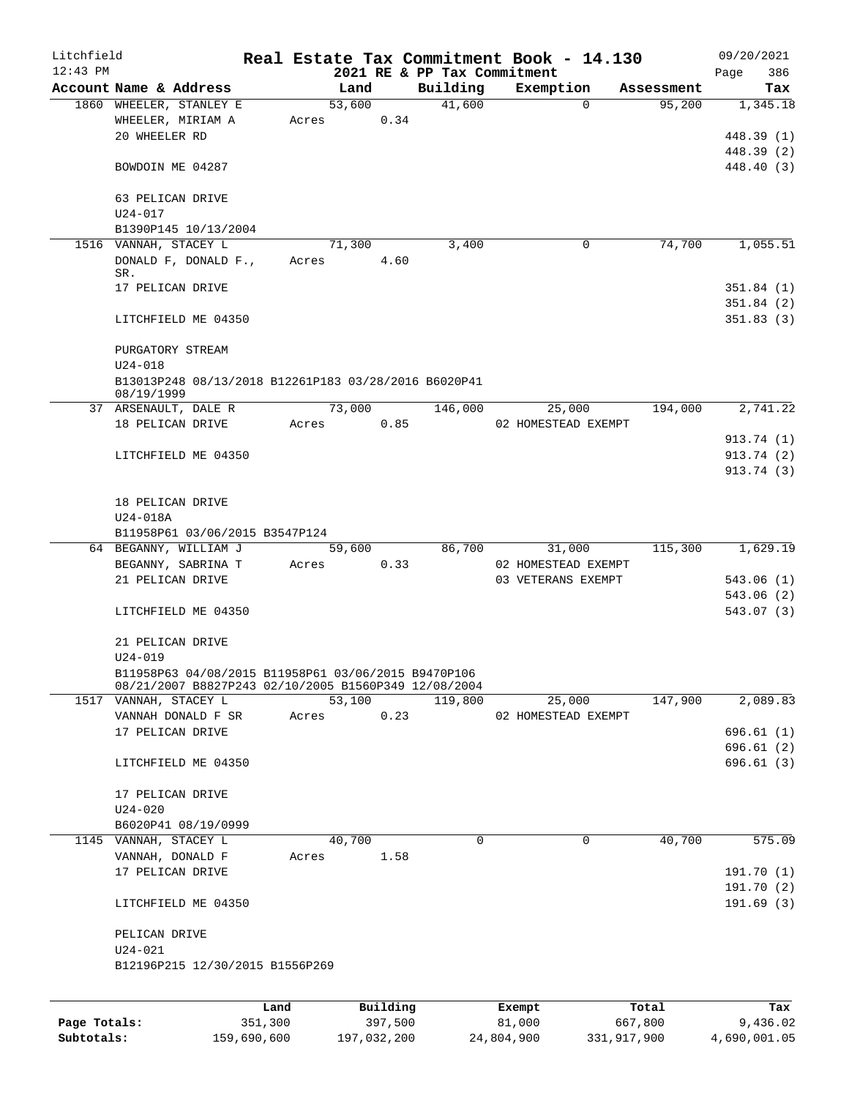| Litchfield   |                                                                               |         |       |        |          |          |         | Real Estate Tax Commitment Book - 14.130 |            | 09/20/2021             |
|--------------|-------------------------------------------------------------------------------|---------|-------|--------|----------|----------|---------|------------------------------------------|------------|------------------------|
| $12:43$ PM   |                                                                               |         |       |        |          |          |         | 2021 RE & PP Tax Commitment              |            | 386<br>Page            |
|              | Account Name & Address                                                        |         |       | Land   |          | Building |         | Exemption<br>$\Omega$                    | Assessment | Tax                    |
|              | 1860 WHEELER, STANLEY E<br>WHEELER, MIRIAM A                                  |         | Acres | 53,600 | 0.34     |          | 41,600  |                                          | 95,200     | 1,345.18               |
|              | 20 WHEELER RD                                                                 |         |       |        |          |          |         |                                          |            | 448.39 (1)             |
|              |                                                                               |         |       |        |          |          |         |                                          |            | 448.39 (2)             |
|              | BOWDOIN ME 04287                                                              |         |       |        |          |          |         |                                          |            | 448.40 (3)             |
|              |                                                                               |         |       |        |          |          |         |                                          |            |                        |
|              | 63 PELICAN DRIVE                                                              |         |       |        |          |          |         |                                          |            |                        |
|              | $U24 - 017$                                                                   |         |       |        |          |          |         |                                          |            |                        |
|              | B1390P145 10/13/2004                                                          |         |       |        |          |          |         |                                          |            |                        |
|              | 1516 VANNAH, STACEY L                                                         |         |       | 71,300 |          |          | 3,400   | 0                                        | 74,700     | 1,055.51               |
|              | DONALD F, DONALD F.,                                                          |         | Acres |        | 4.60     |          |         |                                          |            |                        |
|              | SR.                                                                           |         |       |        |          |          |         |                                          |            |                        |
|              | 17 PELICAN DRIVE                                                              |         |       |        |          |          |         |                                          |            | 351.84(1)              |
|              |                                                                               |         |       |        |          |          |         |                                          |            | 351.84(2)<br>351.83(3) |
|              | LITCHFIELD ME 04350                                                           |         |       |        |          |          |         |                                          |            |                        |
|              | PURGATORY STREAM                                                              |         |       |        |          |          |         |                                          |            |                        |
|              | $U24 - 018$                                                                   |         |       |        |          |          |         |                                          |            |                        |
|              | B13013P248 08/13/2018 B12261P183 03/28/2016 B6020P41                          |         |       |        |          |          |         |                                          |            |                        |
|              | 08/19/1999                                                                    |         |       |        |          |          |         |                                          |            |                        |
|              | 37 ARSENAULT, DALE R                                                          |         |       | 73,000 |          |          | 146,000 | 25,000                                   | 194,000    | 2,741.22               |
|              | 18 PELICAN DRIVE                                                              |         | Acres |        | 0.85     |          |         | 02 HOMESTEAD EXEMPT                      |            |                        |
|              |                                                                               |         |       |        |          |          |         |                                          |            | 913.74 (1)             |
|              | LITCHFIELD ME 04350                                                           |         |       |        |          |          |         |                                          |            | 913.74 (2)             |
|              |                                                                               |         |       |        |          |          |         |                                          |            | 913.74 (3)             |
|              |                                                                               |         |       |        |          |          |         |                                          |            |                        |
|              | 18 PELICAN DRIVE<br>U24-018A                                                  |         |       |        |          |          |         |                                          |            |                        |
|              | B11958P61 03/06/2015 B3547P124                                                |         |       |        |          |          |         |                                          |            |                        |
|              | 64 BEGANNY, WILLIAM J                                                         |         |       | 59,600 |          |          | 86,700  | 31,000                                   | 115,300    | 1,629.19               |
|              | BEGANNY, SABRINA T                                                            |         | Acres |        | 0.33     |          |         | 02 HOMESTEAD EXEMPT                      |            |                        |
|              | 21 PELICAN DRIVE                                                              |         |       |        |          |          |         | 03 VETERANS EXEMPT                       |            | 543.06(1)              |
|              |                                                                               |         |       |        |          |          |         |                                          |            | 543.06(2)              |
|              | LITCHFIELD ME 04350                                                           |         |       |        |          |          |         |                                          |            | 543.07 (3)             |
|              |                                                                               |         |       |        |          |          |         |                                          |            |                        |
|              | 21 PELICAN DRIVE                                                              |         |       |        |          |          |         |                                          |            |                        |
|              | $U24 - 019$                                                                   |         |       |        |          |          |         |                                          |            |                        |
|              | B11958P63 04/08/2015 B11958P61 03/06/2015 B9470P106                           |         |       |        |          |          |         |                                          |            |                        |
|              | 08/21/2007 B8827P243 02/10/2005 B1560P349 12/08/2004<br>1517 VANNAH, STACEY L |         |       | 53,100 |          |          | 119,800 | 25,000                                   | 147,900    | 2,089.83               |
|              | VANNAH DONALD F SR                                                            |         | Acres |        | 0.23     |          |         | 02 HOMESTEAD EXEMPT                      |            |                        |
|              | 17 PELICAN DRIVE                                                              |         |       |        |          |          |         |                                          |            | 696.61(1)              |
|              |                                                                               |         |       |        |          |          |         |                                          |            | 696.61(2)              |
|              | LITCHFIELD ME 04350                                                           |         |       |        |          |          |         |                                          |            | 696.61(3)              |
|              |                                                                               |         |       |        |          |          |         |                                          |            |                        |
|              | 17 PELICAN DRIVE                                                              |         |       |        |          |          |         |                                          |            |                        |
|              | $U24 - 020$                                                                   |         |       |        |          |          |         |                                          |            |                        |
|              | B6020P41 08/19/0999                                                           |         |       |        |          |          |         |                                          |            |                        |
|              | 1145 VANNAH, STACEY L                                                         |         |       | 40,700 |          |          | 0       | 0                                        | 40,700     | 575.09                 |
|              | VANNAH, DONALD F                                                              |         | Acres |        | 1.58     |          |         |                                          |            |                        |
|              | 17 PELICAN DRIVE                                                              |         |       |        |          |          |         |                                          |            | 191.70(1)              |
|              |                                                                               |         |       |        |          |          |         |                                          |            | 191.70(2)              |
|              | LITCHFIELD ME 04350                                                           |         |       |        |          |          |         |                                          |            | 191.69(3)              |
|              |                                                                               |         |       |        |          |          |         |                                          |            |                        |
|              | PELICAN DRIVE<br>$U24 - 021$                                                  |         |       |        |          |          |         |                                          |            |                        |
|              | B12196P215 12/30/2015 B1556P269                                               |         |       |        |          |          |         |                                          |            |                        |
|              |                                                                               |         |       |        |          |          |         |                                          |            |                        |
|              |                                                                               |         |       |        |          |          |         |                                          |            |                        |
|              |                                                                               | Land    |       |        | Building |          |         | Exempt                                   | Total      | Tax                    |
| Page Totals: |                                                                               | 351,300 |       |        | 397,500  |          |         | 81,000                                   | 667,800    | 9,436.02               |

**Subtotals:** 159,690,600 197,032,200 24,804,900 331,917,900 4,690,001.05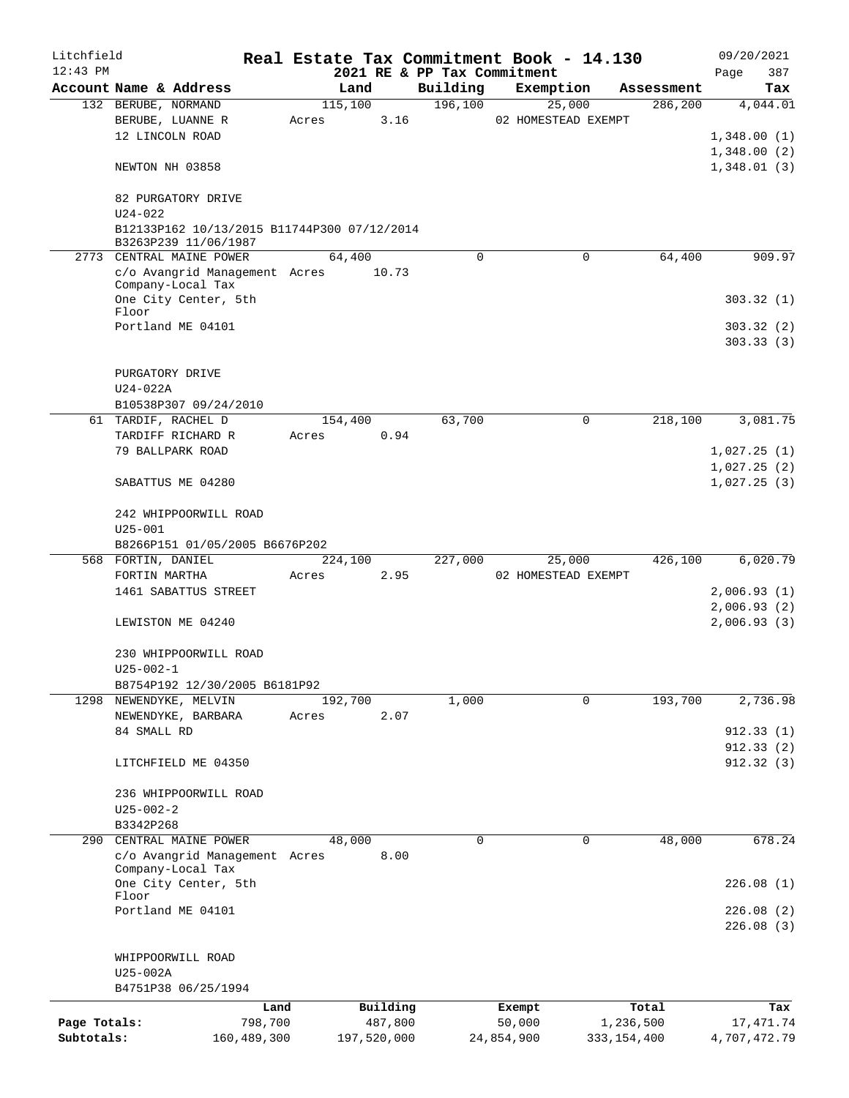| Litchfield   |                                                    |             |       |             |      |                             | Real Estate Tax Commitment Book - 14.130 |               |            | 09/20/2021   |        |
|--------------|----------------------------------------------------|-------------|-------|-------------|------|-----------------------------|------------------------------------------|---------------|------------|--------------|--------|
| $12:43$ PM   |                                                    |             |       |             |      | 2021 RE & PP Tax Commitment |                                          |               |            | Page         | 387    |
|              | Account Name & Address                             |             |       | Land        |      | Building                    | Exemption                                |               | Assessment |              | Tax    |
|              | 132 BERUBE, NORMAND                                |             |       | 115,100     |      | 196,100                     | 25,000                                   |               | 286,200    | 4,044.01     |        |
|              | BERUBE, LUANNE R                                   |             | Acres |             | 3.16 |                             | 02 HOMESTEAD EXEMPT                      |               |            |              |        |
|              | 12 LINCOLN ROAD                                    |             |       |             |      |                             |                                          |               |            | 1,348.00(1)  |        |
|              |                                                    |             |       |             |      |                             |                                          |               |            | 1,348.00(2)  |        |
|              | NEWTON NH 03858                                    |             |       |             |      |                             |                                          |               |            | 1,348.01(3)  |        |
|              |                                                    |             |       |             |      |                             |                                          |               |            |              |        |
|              | 82 PURGATORY DRIVE<br>$U24 - 022$                  |             |       |             |      |                             |                                          |               |            |              |        |
|              | B12133P162 10/13/2015 B11744P300 07/12/2014        |             |       |             |      |                             |                                          |               |            |              |        |
|              | B3263P239 11/06/1987                               |             |       |             |      |                             |                                          |               |            |              |        |
|              | 2773 CENTRAL MAINE POWER                           |             |       | 64,400      |      | $\Omega$                    |                                          | $\Omega$      | 64,400     |              | 909.97 |
|              | c/o Avangrid Management Acres 10.73                |             |       |             |      |                             |                                          |               |            |              |        |
|              | Company-Local Tax                                  |             |       |             |      |                             |                                          |               |            |              |        |
|              | One City Center, 5th                               |             |       |             |      |                             |                                          |               |            | 303.32(1)    |        |
|              | Floor                                              |             |       |             |      |                             |                                          |               |            |              |        |
|              | Portland ME 04101                                  |             |       |             |      |                             |                                          |               |            | 303.32(2)    |        |
|              |                                                    |             |       |             |      |                             |                                          |               |            | 303.33(3)    |        |
|              | PURGATORY DRIVE                                    |             |       |             |      |                             |                                          |               |            |              |        |
|              | $U24-022A$                                         |             |       |             |      |                             |                                          |               |            |              |        |
|              | B10538P307 09/24/2010                              |             |       |             |      |                             |                                          |               |            |              |        |
|              | 61 TARDIF, RACHEL D                                |             |       | 154,400     |      | 63,700                      |                                          | $\mathbf 0$   | 218,100    | 3,081.75     |        |
|              | TARDIFF RICHARD R                                  |             | Acres |             | 0.94 |                             |                                          |               |            |              |        |
|              | 79 BALLPARK ROAD                                   |             |       |             |      |                             |                                          |               |            | 1,027.25(1)  |        |
|              |                                                    |             |       |             |      |                             |                                          |               |            | 1,027.25(2)  |        |
|              | SABATTUS ME 04280                                  |             |       |             |      |                             |                                          |               |            | 1,027.25(3)  |        |
|              |                                                    |             |       |             |      |                             |                                          |               |            |              |        |
|              | 242 WHIPPOORWILL ROAD                              |             |       |             |      |                             |                                          |               |            |              |        |
|              | $U25 - 001$                                        |             |       |             |      |                             |                                          |               |            |              |        |
|              | B8266P151 01/05/2005 B6676P202                     |             |       |             |      |                             |                                          |               |            |              |        |
|              | 568 FORTIN, DANIEL                                 |             |       | 224,100     |      | 227,000                     | 25,000                                   |               | 426,100    | 6,020.79     |        |
|              | FORTIN MARTHA                                      |             | Acres |             | 2.95 |                             | 02 HOMESTEAD EXEMPT                      |               |            |              |        |
|              | 1461 SABATTUS STREET                               |             |       |             |      |                             |                                          |               |            | 2,006.93(1)  |        |
|              |                                                    |             |       |             |      |                             |                                          |               |            | 2,006.93(2)  |        |
|              | LEWISTON ME 04240                                  |             |       |             |      |                             |                                          |               |            | 2,006.93(3)  |        |
|              |                                                    |             |       |             |      |                             |                                          |               |            |              |        |
|              | 230 WHIPPOORWILL ROAD                              |             |       |             |      |                             |                                          |               |            |              |        |
|              | $U25 - 002 - 1$                                    |             |       |             |      |                             |                                          |               |            |              |        |
|              | B8754P192 12/30/2005 B6181P92                      |             |       |             |      |                             |                                          |               |            |              |        |
|              | 1298 NEWENDYKE, MELVIN                             |             |       | 192,700     |      | 1,000                       |                                          | $\Omega$      | 193,700    | 2,736.98     |        |
|              | NEWENDYKE, BARBARA                                 |             | Acres |             | 2.07 |                             |                                          |               |            |              |        |
|              | 84 SMALL RD                                        |             |       |             |      |                             |                                          |               |            | 912.33(1)    |        |
|              |                                                    |             |       |             |      |                             |                                          |               |            | 912.33(2)    |        |
|              | LITCHFIELD ME 04350                                |             |       |             |      |                             |                                          |               |            | 912.32(3)    |        |
|              |                                                    |             |       |             |      |                             |                                          |               |            |              |        |
|              | 236 WHIPPOORWILL ROAD                              |             |       |             |      |                             |                                          |               |            |              |        |
|              | $U25 - 002 - 2$                                    |             |       |             |      |                             |                                          |               |            |              |        |
|              | B3342P268                                          |             |       |             |      |                             |                                          |               |            |              |        |
|              | 290 CENTRAL MAINE POWER                            |             |       | 48,000      |      | 0                           |                                          | 0             | 48,000     |              | 678.24 |
|              | c/o Avangrid Management Acres<br>Company-Local Tax |             |       |             | 8.00 |                             |                                          |               |            |              |        |
|              | One City Center, 5th                               |             |       |             |      |                             |                                          |               |            | 226.08(1)    |        |
|              | Floor                                              |             |       |             |      |                             |                                          |               |            |              |        |
|              | Portland ME 04101                                  |             |       |             |      |                             |                                          |               |            | 226.08(2)    |        |
|              |                                                    |             |       |             |      |                             |                                          |               |            | 226.08(3)    |        |
|              |                                                    |             |       |             |      |                             |                                          |               |            |              |        |
|              | WHIPPOORWILL ROAD                                  |             |       |             |      |                             |                                          |               |            |              |        |
|              | U25-002A                                           |             |       |             |      |                             |                                          |               |            |              |        |
|              | B4751P38 06/25/1994                                |             |       |             |      |                             |                                          |               |            |              |        |
|              |                                                    | Land        |       | Building    |      |                             | Exempt                                   |               | Total      |              | Tax    |
| Page Totals: |                                                    | 798,700     |       | 487,800     |      |                             | 50,000                                   |               | 1,236,500  | 17, 471.74   |        |
| Subtotals:   |                                                    | 160,489,300 |       | 197,520,000 |      |                             | 24,854,900                               | 333, 154, 400 |            | 4,707,472.79 |        |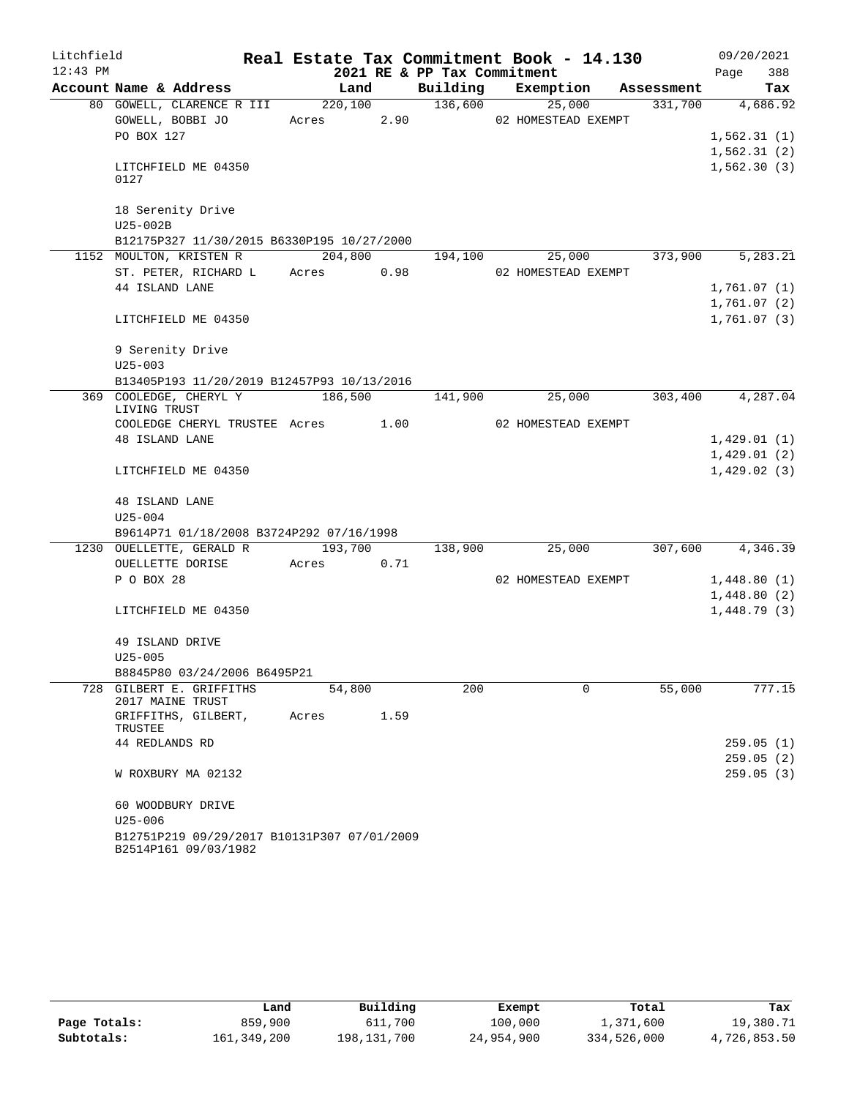| Litchfield |                                                                     |                 |      |                             | Real Estate Tax Commitment Book - 14.130 |        | 09/20/2021                 |
|------------|---------------------------------------------------------------------|-----------------|------|-----------------------------|------------------------------------------|--------|----------------------------|
| $12:43$ PM |                                                                     |                 |      | 2021 RE & PP Tax Commitment |                                          |        | 388<br>Page                |
|            | Account Name & Address                                              | Land            |      |                             | Building Exemption Assessment            |        | Tax                        |
|            | 80 GOWELL, CLARENCE R III 220,100 136,600<br>GOWELL, BOBBI JO       |                 |      |                             | 25,000<br>Acres 2.90 02 HOMESTEAD EXEMPT |        | 331,700 4,686.92           |
|            | PO BOX 127                                                          |                 |      |                             |                                          |        | 1,562.31(1)                |
|            |                                                                     |                 |      |                             |                                          |        | 1,562.31(2)                |
|            | LITCHFIELD ME 04350<br>0127                                         |                 |      |                             |                                          |        | 1,562.30(3)                |
|            | 18 Serenity Drive<br>U25-002B                                       |                 |      |                             |                                          |        |                            |
|            | B12175P327 11/30/2015 B6330P195 10/27/2000                          |                 |      |                             |                                          |        |                            |
|            | 1152 MOULTON, KRISTEN R                                             | 204,800         |      | 194,100                     | 25,000                                   |        | 373,900 5,283.21           |
|            | ST. PETER, RICHARD L Acres 0.98                                     |                 |      |                             | 02 HOMESTEAD EXEMPT                      |        |                            |
|            | 44 ISLAND LANE                                                      |                 |      |                             |                                          |        | 1,761.07 (1)               |
|            |                                                                     |                 |      |                             |                                          |        | 1,761.07 (2)               |
|            | LITCHFIELD ME 04350                                                 |                 |      |                             |                                          |        | 1,761.07(3)                |
|            | 9 Serenity Drive                                                    |                 |      |                             |                                          |        |                            |
|            | $U25 - 003$                                                         |                 |      |                             |                                          |        |                            |
|            | B13405P193 11/20/2019 B12457P93 10/13/2016                          |                 |      |                             |                                          |        |                            |
|            | 369 COOLEDGE, CHERYL Y<br>LIVING TRUST                              | 186,500 141,900 |      |                             | 25,000                                   |        | 303,400 4,287.04           |
|            | COOLEDGE CHERYL TRUSTEE Acres 1.00                                  |                 |      |                             | 02 HOMESTEAD EXEMPT                      |        |                            |
|            | <b>48 ISLAND LANE</b>                                               |                 |      |                             |                                          |        | 1,429.01(1)                |
|            |                                                                     |                 |      |                             |                                          |        | 1,429.01(2)                |
|            | LITCHFIELD ME 04350                                                 |                 |      |                             |                                          |        | 1,429.02(3)                |
|            | <b>48 ISLAND LANE</b>                                               |                 |      |                             |                                          |        |                            |
|            | $U25 - 004$                                                         |                 |      |                             |                                          |        |                            |
|            | B9614P71 01/18/2008 B3724P292 07/16/1998                            |                 |      |                             |                                          |        |                            |
|            | 1230 OUELLETTE, GERALD R 193,700                                    |                 |      | 138,900                     | $\overline{25,000}$                      |        | 307,600 4,346.39           |
|            | OUELLETTE DORISE                                                    | Acres           | 0.71 |                             |                                          |        |                            |
|            | P O BOX 28                                                          |                 |      |                             | 02 HOMESTEAD EXEMPT                      |        | 1,448.80(1)                |
|            | LITCHFIELD ME 04350                                                 |                 |      |                             |                                          |        | 1,448.80(2)<br>1,448.79(3) |
|            |                                                                     |                 |      |                             |                                          |        |                            |
|            | 49 ISLAND DRIVE                                                     |                 |      |                             |                                          |        |                            |
|            | $U25 - 005$                                                         |                 |      |                             |                                          |        |                            |
|            | B8845P80 03/24/2006 B6495P21                                        |                 |      |                             |                                          |        |                            |
|            | 728 GILBERT E. GRIFFITHS<br>2017 MAINE TRUST                        | 54,800          |      | 200                         | 0                                        | 55,000 | 777.15                     |
|            | GRIFFITHS, GILBERT,<br>TRUSTEE                                      | Acres           | 1.59 |                             |                                          |        |                            |
|            | 44 REDLANDS RD                                                      |                 |      |                             |                                          |        | 259.05(1)                  |
|            |                                                                     |                 |      |                             |                                          |        | 259.05(2)                  |
|            | W ROXBURY MA 02132                                                  |                 |      |                             |                                          |        | 259.05(3)                  |
|            | 60 WOODBURY DRIVE                                                   |                 |      |                             |                                          |        |                            |
|            | $U25 - 006$                                                         |                 |      |                             |                                          |        |                            |
|            | B12751P219 09/29/2017 B10131P307 07/01/2009<br>B2514P161 09/03/1982 |                 |      |                             |                                          |        |                            |

|              | Land        | Building    | Exempt     | Total       | Tax          |
|--------------|-------------|-------------|------------|-------------|--------------|
| Page Totals: | 859,900     | 611,700     | 100,000    | 1,371,600   | 19,380.71    |
| Subtotals:   | 161,349,200 | 198,131,700 | 24,954,900 | 334,526,000 | 4,726,853.50 |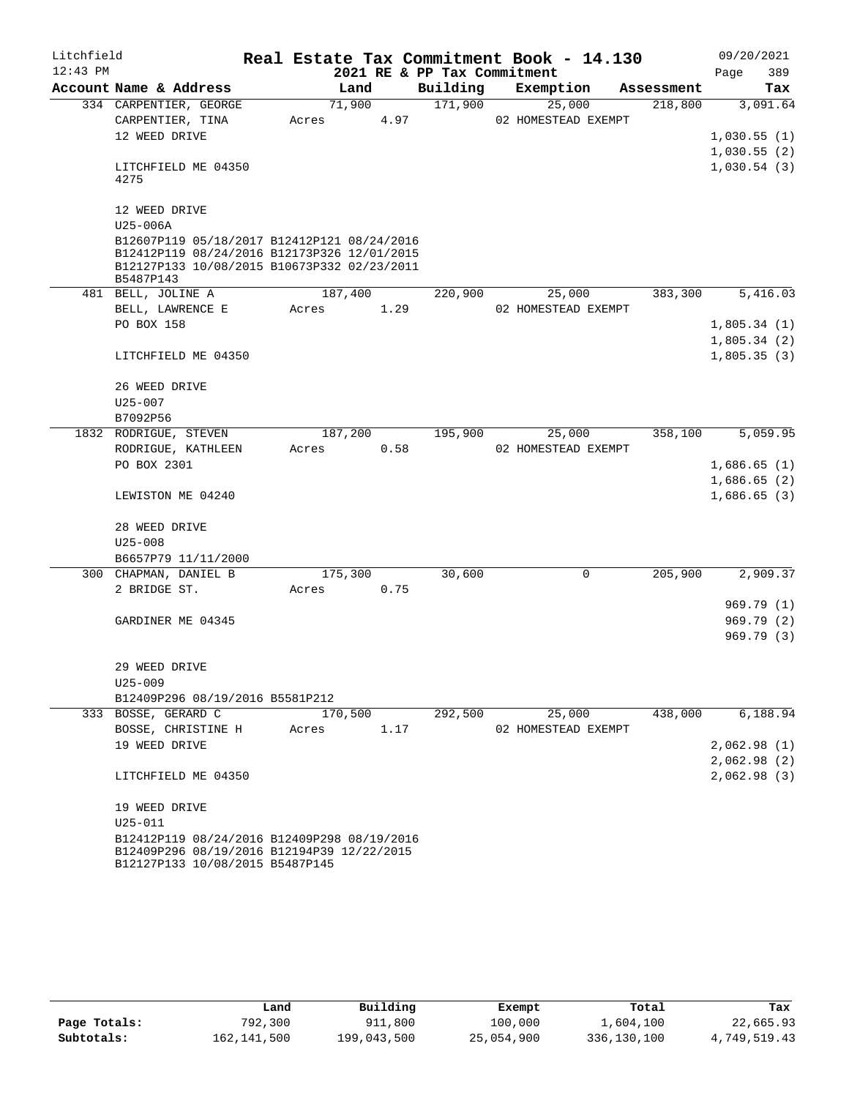| Litchfield<br>$12:43$ PM |                                                                                                                                                        |       |         |      | 2021 RE & PP Tax Commitment | Real Estate Tax Commitment Book - 14.130 |            | 09/20/2021<br>389<br>Page |
|--------------------------|--------------------------------------------------------------------------------------------------------------------------------------------------------|-------|---------|------|-----------------------------|------------------------------------------|------------|---------------------------|
|                          | Account Name & Address                                                                                                                                 |       | Land    |      | Building                    | Exemption                                | Assessment | Tax                       |
|                          | 334 CARPENTIER, GEORGE                                                                                                                                 |       | 71,900  |      | 171,900                     | 25,000                                   | 218,800    | 3,091.64                  |
|                          | CARPENTIER, TINA                                                                                                                                       | Acres |         | 4.97 |                             | 02 HOMESTEAD EXEMPT                      |            |                           |
|                          | 12 WEED DRIVE                                                                                                                                          |       |         |      |                             |                                          |            | 1,030.55(1)               |
|                          |                                                                                                                                                        |       |         |      |                             |                                          |            | 1,030.55(2)               |
|                          | LITCHFIELD ME 04350<br>4275                                                                                                                            |       |         |      |                             |                                          |            | 1,030.54(3)               |
|                          | 12 WEED DRIVE                                                                                                                                          |       |         |      |                             |                                          |            |                           |
|                          | U25-006A                                                                                                                                               |       |         |      |                             |                                          |            |                           |
|                          | B12607P119 05/18/2017 B12412P121 08/24/2016<br>B12412P119 08/24/2016 B12173P326 12/01/2015<br>B12127P133 10/08/2015 B10673P332 02/23/2011<br>B5487P143 |       |         |      |                             |                                          |            |                           |
|                          | 481 BELL, JOLINE A                                                                                                                                     |       | 187,400 |      | 220,900                     | 25,000                                   | 383,300    | 5,416.03                  |
|                          | BELL, LAWRENCE E                                                                                                                                       | Acres |         | 1.29 |                             | 02 HOMESTEAD EXEMPT                      |            |                           |
|                          | PO BOX 158                                                                                                                                             |       |         |      |                             |                                          |            | 1,805.34(1)               |
|                          |                                                                                                                                                        |       |         |      |                             |                                          |            | 1,805.34(2)               |
|                          | LITCHFIELD ME 04350                                                                                                                                    |       |         |      |                             |                                          |            | 1,805.35(3)               |
|                          | 26 WEED DRIVE                                                                                                                                          |       |         |      |                             |                                          |            |                           |
|                          | $U25 - 007$                                                                                                                                            |       |         |      |                             |                                          |            |                           |
|                          | B7092P56                                                                                                                                               |       |         |      |                             |                                          |            |                           |
|                          | 1832 RODRIGUE, STEVEN                                                                                                                                  |       | 187,200 |      | 195,900                     | 25,000                                   | 358,100    | 5,059.95                  |
|                          | RODRIGUE, KATHLEEN                                                                                                                                     | Acres |         | 0.58 |                             | 02 HOMESTEAD EXEMPT                      |            |                           |
|                          | PO BOX 2301                                                                                                                                            |       |         |      |                             |                                          |            | 1,686.65(1)               |
|                          |                                                                                                                                                        |       |         |      |                             |                                          |            | 1,686.65(2)               |
|                          | LEWISTON ME 04240                                                                                                                                      |       |         |      |                             |                                          |            | 1,686.65(3)               |
|                          | 28 WEED DRIVE                                                                                                                                          |       |         |      |                             |                                          |            |                           |
|                          | $U25 - 008$                                                                                                                                            |       |         |      |                             |                                          |            |                           |
|                          | B6657P79 11/11/2000                                                                                                                                    |       |         |      |                             |                                          |            |                           |
|                          | 300 CHAPMAN, DANIEL B                                                                                                                                  |       | 175,300 |      | 30,600                      | 0                                        | 205,900    | 2,909.37                  |
|                          | 2 BRIDGE ST.                                                                                                                                           | Acres |         | 0.75 |                             |                                          |            |                           |
|                          |                                                                                                                                                        |       |         |      |                             |                                          |            | 969.79(1)                 |
|                          | GARDINER ME 04345                                                                                                                                      |       |         |      |                             |                                          |            | 969.79(2)                 |
|                          |                                                                                                                                                        |       |         |      |                             |                                          |            | 969.79 (3)                |
|                          | 29 WEED DRIVE                                                                                                                                          |       |         |      |                             |                                          |            |                           |
|                          | $U25 - 009$                                                                                                                                            |       |         |      |                             |                                          |            |                           |
|                          | B12409P296 08/19/2016 B5581P212                                                                                                                        |       |         |      |                             |                                          |            |                           |
|                          | 333 BOSSE, GERARD C                                                                                                                                    |       | 170,500 |      | 292,500                     | 25,000                                   | 438,000    | 6,188.94                  |
|                          | BOSSE, CHRISTINE H                                                                                                                                     | Acres |         | 1.17 |                             | 02 HOMESTEAD EXEMPT                      |            |                           |
|                          | 19 WEED DRIVE                                                                                                                                          |       |         |      |                             |                                          |            | 2,062.98(1)               |
|                          |                                                                                                                                                        |       |         |      |                             |                                          |            | 2,062.98(2)               |
|                          | LITCHFIELD ME 04350                                                                                                                                    |       |         |      |                             |                                          |            | 2,062.98(3)               |
|                          | 19 WEED DRIVE                                                                                                                                          |       |         |      |                             |                                          |            |                           |
|                          | $U25 - 011$                                                                                                                                            |       |         |      |                             |                                          |            |                           |
|                          | B12412P119 08/24/2016 B12409P298 08/19/2016<br>B12409P296 08/19/2016 B12194P39 12/22/2015<br>B12127P133 10/08/2015 B5487P145                           |       |         |      |                             |                                          |            |                           |

|              | Land        | Building    | Exempt     | Total       | Tax          |
|--------------|-------------|-------------|------------|-------------|--------------|
| Page Totals: | 792,300     | 911,800     | 100,000    | 1,604,100   | 22,665.93    |
| Subtotals:   | 162,141,500 | 199,043,500 | 25,054,900 | 336,130,100 | 4,749,519.43 |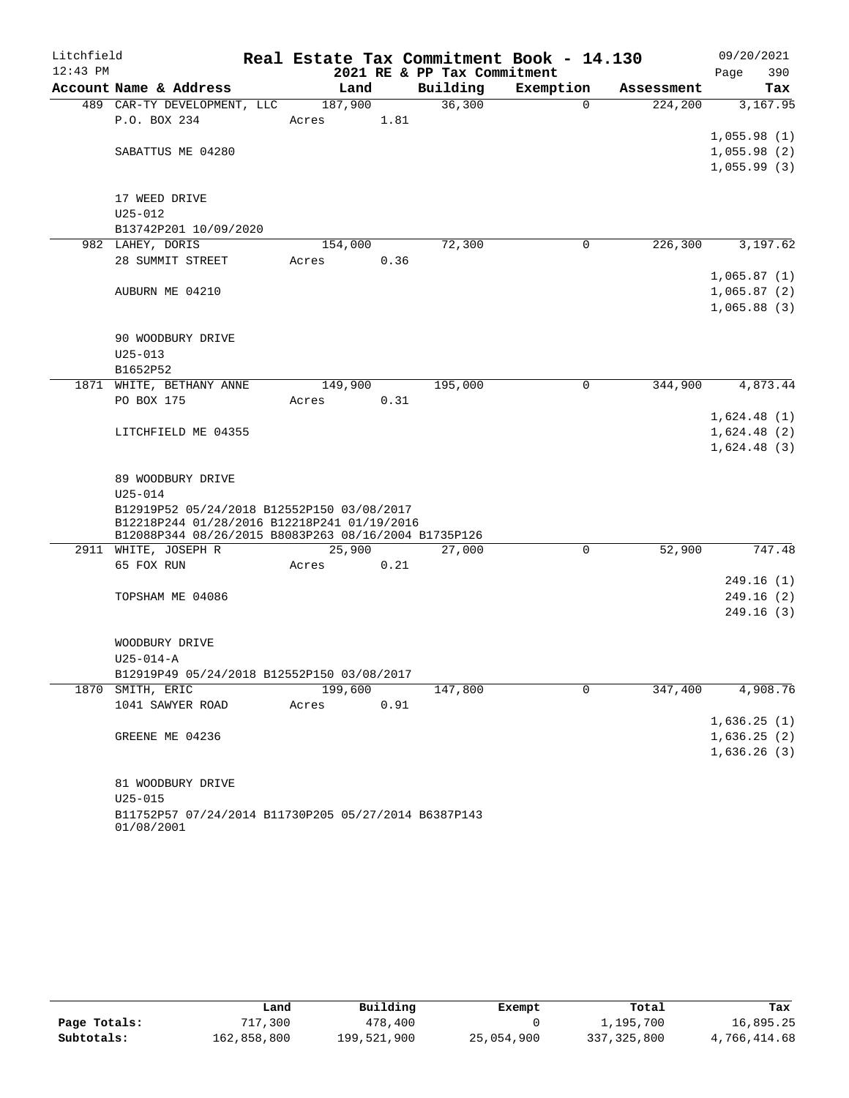| Litchfield |                                                      |         |      |                             | Real Estate Tax Commitment Book - 14.130 |            | 09/20/2021  |
|------------|------------------------------------------------------|---------|------|-----------------------------|------------------------------------------|------------|-------------|
| $12:43$ PM |                                                      |         |      | 2021 RE & PP Tax Commitment |                                          |            | 390<br>Page |
|            | Account Name & Address                               | Land    |      | Building                    | Exemption                                | Assessment | Tax         |
|            | 489 CAR-TY DEVELOPMENT, LLC                          | 187,900 |      | 36,300                      | $\overline{0}$                           | 224, 200   | 3,167.95    |
|            | P.O. BOX 234                                         | Acres   | 1.81 |                             |                                          |            |             |
|            |                                                      |         |      |                             |                                          |            | 1,055.98(1) |
|            | SABATTUS ME 04280                                    |         |      |                             |                                          |            | 1,055.98(2) |
|            |                                                      |         |      |                             |                                          |            | 1,055.99(3) |
|            | 17 WEED DRIVE                                        |         |      |                             |                                          |            |             |
|            | $U25 - 012$                                          |         |      |                             |                                          |            |             |
|            | B13742P201 10/09/2020                                |         |      |                             |                                          |            |             |
|            | 982 LAHEY, DORIS                                     | 154,000 |      | 72,300                      | 0                                        | 226,300    | 3,197.62    |
|            | 28 SUMMIT STREET                                     | Acres   | 0.36 |                             |                                          |            |             |
|            |                                                      |         |      |                             |                                          |            | 1,065.87(1) |
|            | AUBURN ME 04210                                      |         |      |                             |                                          |            | 1,065.87(2) |
|            |                                                      |         |      |                             |                                          |            | 1,065.88(3) |
|            | 90 WOODBURY DRIVE                                    |         |      |                             |                                          |            |             |
|            | $U25 - 013$                                          |         |      |                             |                                          |            |             |
|            | B1652P52                                             |         |      |                             |                                          |            |             |
|            | 1871 WHITE, BETHANY ANNE                             | 149,900 |      | 195,000                     | $\mathbf 0$                              | 344,900    | 4,873.44    |
|            | PO BOX 175                                           | Acres   | 0.31 |                             |                                          |            |             |
|            |                                                      |         |      |                             |                                          |            | 1,624.48(1) |
|            | LITCHFIELD ME 04355                                  |         |      |                             |                                          |            | 1,624.48(2) |
|            |                                                      |         |      |                             |                                          |            | 1,624.48(3) |
|            | 89 WOODBURY DRIVE                                    |         |      |                             |                                          |            |             |
|            | $U25 - 014$                                          |         |      |                             |                                          |            |             |
|            | B12919P52 05/24/2018 B12552P150 03/08/2017           |         |      |                             |                                          |            |             |
|            | B12218P244 01/28/2016 B12218P241 01/19/2016          |         |      |                             |                                          |            |             |
|            | B12088P344 08/26/2015 B8083P263 08/16/2004 B1735P126 |         |      |                             |                                          |            |             |
|            | 2911 WHITE, JOSEPH R                                 | 25,900  |      | 27,000                      | 0                                        | 52,900     | 747.48      |
|            | 65 FOX RUN                                           | Acres   | 0.21 |                             |                                          |            |             |
|            |                                                      |         |      |                             |                                          |            | 249.16(1)   |
|            | TOPSHAM ME 04086                                     |         |      |                             |                                          |            | 249.16(2)   |
|            |                                                      |         |      |                             |                                          |            | 249.16(3)   |
|            |                                                      |         |      |                             |                                          |            |             |
|            | WOODBURY DRIVE                                       |         |      |                             |                                          |            |             |
|            | $U25 - 014 - A$                                      |         |      |                             |                                          |            |             |
|            | B12919P49 05/24/2018 B12552P150 03/08/2017           | 199,600 |      |                             | 0                                        |            |             |
|            | 1870 SMITH, ERIC                                     |         |      | 147,800                     |                                          | 347,400    | 4,908.76    |
|            | 1041 SAWYER ROAD                                     | Acres   | 0.91 |                             |                                          |            |             |
|            |                                                      |         |      |                             |                                          |            | 1,636.25(1) |
|            | GREENE ME 04236                                      |         |      |                             |                                          |            | 1,636.25(2) |
|            |                                                      |         |      |                             |                                          |            | 1,636.26(3) |
|            | 81 WOODBURY DRIVE                                    |         |      |                             |                                          |            |             |
|            | $U25 - 015$                                          |         |      |                             |                                          |            |             |
|            | B11752P57 07/24/2014 B11730P205 05/27/2014 B6387P143 |         |      |                             |                                          |            |             |
|            | 01/08/2001                                           |         |      |                             |                                          |            |             |

|              | Land        | Building    | Exempt     | Total       | Tax          |
|--------------|-------------|-------------|------------|-------------|--------------|
| Page Totals: | 717,300     | 478,400     |            | 1,195,700   | 16,895.25    |
| Subtotals:   | 162,858,800 | 199,521,900 | 25,054,900 | 337,325,800 | 4,766,414.68 |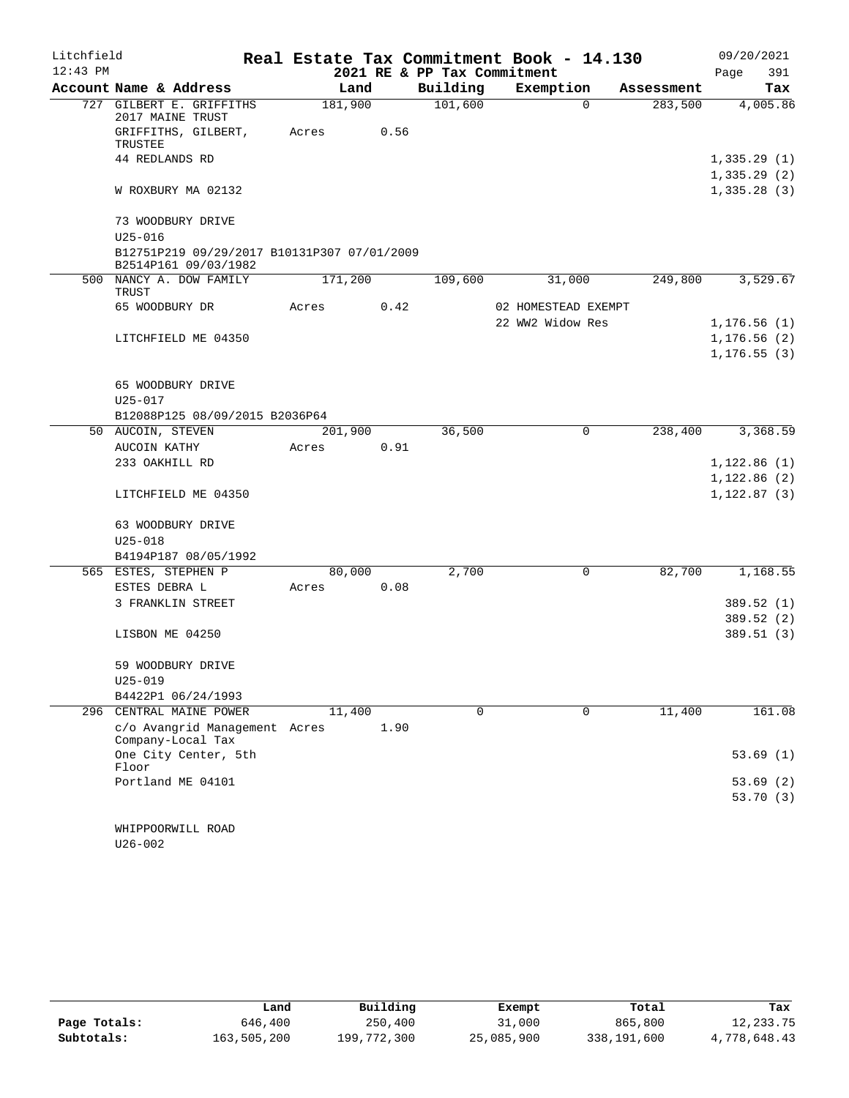| Litchfield |                                                                     |         |      |                             | Real Estate Tax Commitment Book - 14.130 |            | 09/20/2021                 |
|------------|---------------------------------------------------------------------|---------|------|-----------------------------|------------------------------------------|------------|----------------------------|
| $12:43$ PM |                                                                     |         |      | 2021 RE & PP Tax Commitment |                                          |            | Page<br>391                |
|            | Account Name & Address                                              | Land    |      | Building                    | Exemption                                | Assessment | Tax                        |
|            | 727 GILBERT E. GRIFFITHS<br>2017 MAINE TRUST                        | 181,900 |      | 101,600                     | $\Omega$                                 | 283,500    | 4,005.86                   |
|            | GRIFFITHS, GILBERT,<br>TRUSTEE                                      | Acres   | 0.56 |                             |                                          |            |                            |
|            | 44 REDLANDS RD                                                      |         |      |                             |                                          |            | 1,335.29(1)<br>1,335.29(2) |
|            | W ROXBURY MA 02132                                                  |         |      |                             |                                          |            | 1,335.28(3)                |
|            | 73 WOODBURY DRIVE                                                   |         |      |                             |                                          |            |                            |
|            | $U25 - 016$                                                         |         |      |                             |                                          |            |                            |
|            | B12751P219 09/29/2017 B10131P307 07/01/2009<br>B2514P161 09/03/1982 |         |      |                             |                                          |            |                            |
|            | 500 NANCY A. DOW FAMILY<br>TRUST                                    | 171,200 |      | 109,600                     | 31,000                                   | 249,800    | 3,529.67                   |
|            | 65 WOODBURY DR                                                      | Acres   | 0.42 |                             | 02 HOMESTEAD EXEMPT                      |            |                            |
|            |                                                                     |         |      |                             | 22 WW2 Widow Res                         |            | 1, 176.56(1)               |
|            | LITCHFIELD ME 04350                                                 |         |      |                             |                                          |            | 1, 176.56(2)               |
|            |                                                                     |         |      |                             |                                          |            | 1, 176.55(3)               |
|            | 65 WOODBURY DRIVE                                                   |         |      |                             |                                          |            |                            |
|            | $U25 - 017$                                                         |         |      |                             |                                          |            |                            |
|            | B12088P125 08/09/2015 B2036P64                                      |         |      |                             |                                          |            |                            |
|            | 50 AUCOIN, STEVEN                                                   | 201,900 |      | 36,500                      | $\mathbf 0$                              | 238,400    | 3,368.59                   |
|            | AUCOIN KATHY                                                        | Acres   | 0.91 |                             |                                          |            |                            |
|            | 233 OAKHILL RD                                                      |         |      |                             |                                          |            | 1,122.86(1)                |
|            |                                                                     |         |      |                             |                                          |            | 1,122.86(2)                |
|            | LITCHFIELD ME 04350                                                 |         |      |                             |                                          |            | 1, 122.87(3)               |
|            | 63 WOODBURY DRIVE                                                   |         |      |                             |                                          |            |                            |
|            | $U25 - 018$                                                         |         |      |                             |                                          |            |                            |
|            | B4194P187 08/05/1992                                                |         |      |                             |                                          |            |                            |
|            | 565 ESTES, STEPHEN P                                                | 80,000  |      | 2,700                       | 0                                        | 82,700     | 1,168.55                   |
|            | ESTES DEBRA L                                                       | Acres   | 0.08 |                             |                                          |            |                            |
|            | 3 FRANKLIN STREET                                                   |         |      |                             |                                          |            | 389.52 (1)                 |
|            |                                                                     |         |      |                             |                                          |            | 389.52 (2)                 |
|            | LISBON ME 04250                                                     |         |      |                             |                                          |            | 389.51(3)                  |
|            | 59 WOODBURY DRIVE                                                   |         |      |                             |                                          |            |                            |
|            | $U25 - 019$                                                         |         |      |                             |                                          |            |                            |
|            | B4422P1 06/24/1993                                                  |         |      |                             |                                          |            |                            |
| 296        | CENTRAL MAINE POWER                                                 | 11,400  |      | 0                           | $\mathbf 0$                              | 11,400     | 161.08                     |
|            | c/o Avangrid Management Acres                                       |         | 1.90 |                             |                                          |            |                            |
|            | Company-Local Tax                                                   |         |      |                             |                                          |            |                            |
|            | One City Center, 5th<br>Floor                                       |         |      |                             |                                          |            | 53.69(1)                   |
|            | Portland ME 04101                                                   |         |      |                             |                                          |            | 53.69(2)                   |
|            |                                                                     |         |      |                             |                                          |            | 53.70(3)                   |
|            | WHIPPOORWILL ROAD                                                   |         |      |                             |                                          |            |                            |
|            | $U26 - 002$                                                         |         |      |                             |                                          |            |                            |

|              | Land        | Building    | Exempt     | Total       | Tax          |
|--------------|-------------|-------------|------------|-------------|--------------|
| Page Totals: | 646,400     | 250,400     | 31,000     | 865,800     | 12,233.75    |
| Subtotals:   | 163,505,200 | 199,772,300 | 25,085,900 | 338,191,600 | 4,778,648.43 |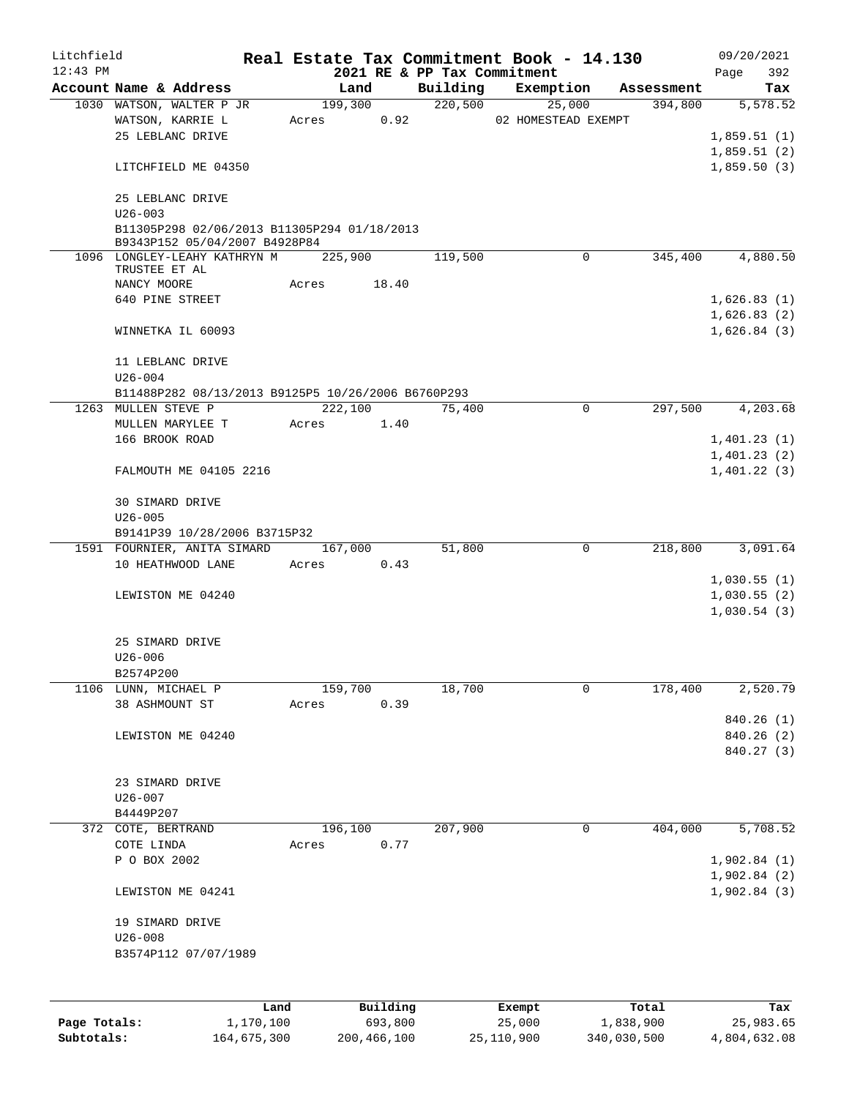| Litchfield   |                                                               |           |       |          |                                         | Real Estate Tax Commitment Book - 14.130 |            | 09/20/2021         |
|--------------|---------------------------------------------------------------|-----------|-------|----------|-----------------------------------------|------------------------------------------|------------|--------------------|
| $12:43$ PM   | Account Name & Address                                        |           |       | Land     | 2021 RE & PP Tax Commitment<br>Building | Exemption                                | Assessment | 392<br>Page<br>Tax |
|              | 1030 WATSON, WALTER P JR                                      |           |       | 199,300  | 220,500                                 | 25,000                                   | 394,800    | 5,578.52           |
|              | WATSON, KARRIE L                                              |           | Acres | 0.92     |                                         | 02 HOMESTEAD EXEMPT                      |            |                    |
|              | 25 LEBLANC DRIVE                                              |           |       |          |                                         |                                          |            | 1,859.51(1)        |
|              |                                                               |           |       |          |                                         |                                          |            | 1,859.51(2)        |
|              | LITCHFIELD ME 04350                                           |           |       |          |                                         |                                          |            | 1,859.50(3)        |
|              | 25 LEBLANC DRIVE                                              |           |       |          |                                         |                                          |            |                    |
|              | $U26 - 003$                                                   |           |       |          |                                         |                                          |            |                    |
|              | B11305P298 02/06/2013 B11305P294 01/18/2013                   |           |       |          |                                         |                                          |            |                    |
|              | B9343P152 05/04/2007 B4928P84<br>1096 LONGLEY-LEAHY KATHRYN M |           |       | 225,900  | 119,500                                 | 0                                        | 345,400    | 4,880.50           |
|              | TRUSTEE ET AL                                                 |           |       |          |                                         |                                          |            |                    |
|              | NANCY MOORE                                                   |           | Acres | 18.40    |                                         |                                          |            |                    |
|              | 640 PINE STREET                                               |           |       |          |                                         |                                          |            | 1,626.83(1)        |
|              |                                                               |           |       |          |                                         |                                          |            | 1,626.83(2)        |
|              | WINNETKA IL 60093                                             |           |       |          |                                         |                                          |            | 1,626.84(3)        |
|              | 11 LEBLANC DRIVE                                              |           |       |          |                                         |                                          |            |                    |
|              | $U26 - 004$                                                   |           |       |          |                                         |                                          |            |                    |
|              | B11488P282 08/13/2013 B9125P5 10/26/2006 B6760P293            |           |       |          |                                         |                                          |            |                    |
|              | 1263 MULLEN STEVE P                                           |           |       | 222,100  | 75,400                                  | $\mathbf 0$                              | 297,500    | 4,203.68           |
|              | MULLEN MARYLEE T                                              |           | Acres | 1.40     |                                         |                                          |            |                    |
|              | 166 BROOK ROAD                                                |           |       |          |                                         |                                          |            | 1,401.23(1)        |
|              |                                                               |           |       |          |                                         |                                          |            | 1,401.23(2)        |
|              | FALMOUTH ME 04105 2216                                        |           |       |          |                                         |                                          |            | 1,401.22(3)        |
|              | 30 SIMARD DRIVE                                               |           |       |          |                                         |                                          |            |                    |
|              | $U26 - 005$                                                   |           |       |          |                                         |                                          |            |                    |
|              | B9141P39 10/28/2006 B3715P32                                  |           |       |          |                                         |                                          |            |                    |
|              | 1591 FOURNIER, ANITA SIMARD                                   |           |       | 167,000  | 51,800                                  | $\mathbf 0$                              | 218,800    | 3,091.64           |
|              | 10 HEATHWOOD LANE                                             |           | Acres | 0.43     |                                         |                                          |            |                    |
|              |                                                               |           |       |          |                                         |                                          |            | 1,030.55(1)        |
|              | LEWISTON ME 04240                                             |           |       |          |                                         |                                          |            | 1,030.55(2)        |
|              |                                                               |           |       |          |                                         |                                          |            | 1,030.54(3)        |
|              |                                                               |           |       |          |                                         |                                          |            |                    |
|              | 25 SIMARD DRIVE                                               |           |       |          |                                         |                                          |            |                    |
|              | $U26 - 006$                                                   |           |       |          |                                         |                                          |            |                    |
|              | B2574P200                                                     |           |       |          |                                         |                                          |            |                    |
|              | 1106 LUNN, MICHAEL P                                          |           |       | 159,700  | 18,700                                  | 0                                        | 178,400    | 2,520.79           |
|              | 38 ASHMOUNT ST                                                |           | Acres | 0.39     |                                         |                                          |            |                    |
|              |                                                               |           |       |          |                                         |                                          |            | 840.26 (1)         |
|              | LEWISTON ME 04240                                             |           |       |          |                                         |                                          |            | 840.26 (2)         |
|              |                                                               |           |       |          |                                         |                                          |            | 840.27 (3)         |
|              |                                                               |           |       |          |                                         |                                          |            |                    |
|              | 23 SIMARD DRIVE                                               |           |       |          |                                         |                                          |            |                    |
|              | $U26 - 007$                                                   |           |       |          |                                         |                                          |            |                    |
|              | B4449P207                                                     |           |       |          |                                         |                                          |            |                    |
|              | 372 COTE, BERTRAND                                            |           |       | 196,100  | 207,900                                 | 0                                        | 404,000    | 5,708.52           |
|              | COTE LINDA                                                    |           | Acres | 0.77     |                                         |                                          |            |                    |
|              | P O BOX 2002                                                  |           |       |          |                                         |                                          |            | 1,902.84(1)        |
|              |                                                               |           |       |          |                                         |                                          |            | 1,902.84(2)        |
|              | LEWISTON ME 04241                                             |           |       |          |                                         |                                          |            | 1,902.84(3)        |
|              | 19 SIMARD DRIVE                                               |           |       |          |                                         |                                          |            |                    |
|              | $U26 - 008$                                                   |           |       |          |                                         |                                          |            |                    |
|              | B3574P112 07/07/1989                                          |           |       |          |                                         |                                          |            |                    |
|              |                                                               |           |       |          |                                         |                                          |            |                    |
|              |                                                               |           |       |          |                                         |                                          |            |                    |
|              |                                                               | Land      |       | Building |                                         | Exempt                                   | Total      | Tax                |
| Page Totals: |                                                               | 1,170,100 |       | 693,800  |                                         | 25,000                                   | 1,838,900  | 25,983.65          |

**Subtotals:** 164,675,300 200,466,100 25,110,900 340,030,500 4,804,632.08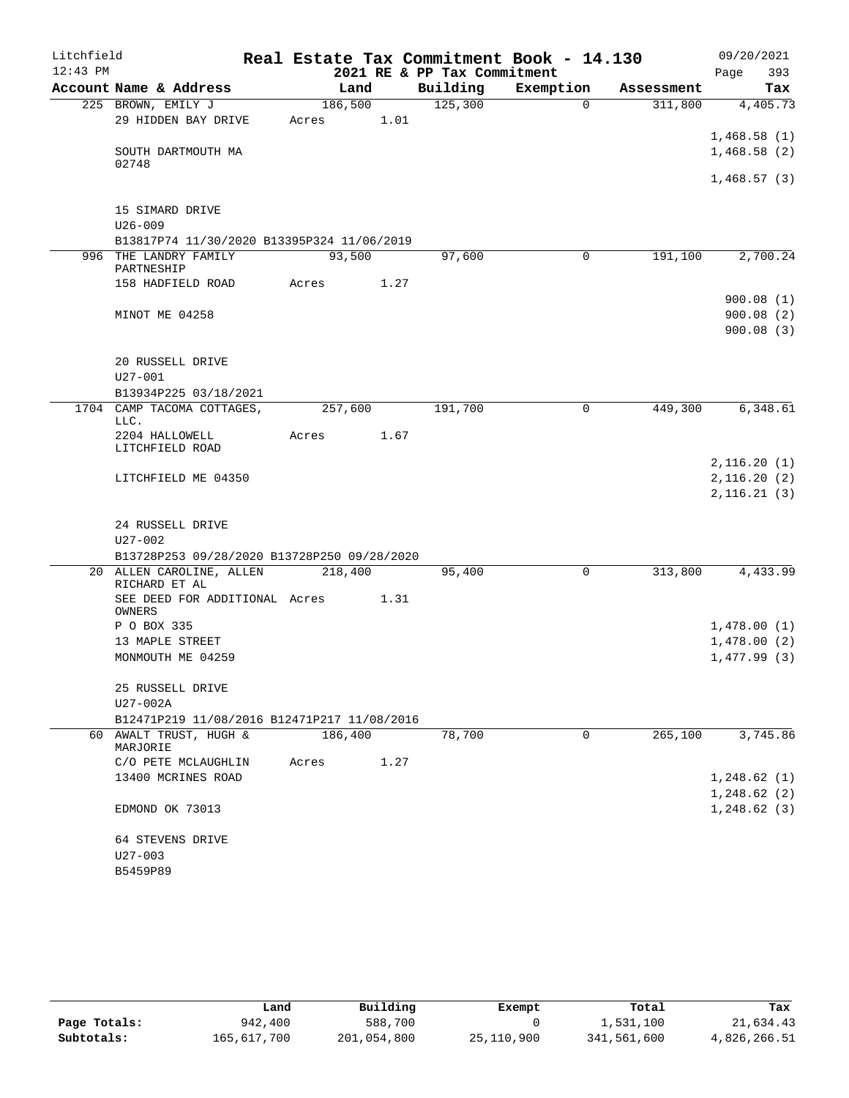| Litchfield |                                             |         |      |                             | Real Estate Tax Commitment Book - 14.130 |            | 09/20/2021                 |
|------------|---------------------------------------------|---------|------|-----------------------------|------------------------------------------|------------|----------------------------|
| $12:43$ PM |                                             |         |      | 2021 RE & PP Tax Commitment |                                          |            | 393<br>Page                |
|            | Account Name & Address                      | Land    |      | Building                    | Exemption                                | Assessment | Tax                        |
|            | 225 BROWN, EMILY J                          | 186,500 |      | 125,300                     | $\Omega$                                 | 311,800    | 4,405.73                   |
|            | 29 HIDDEN BAY DRIVE                         | Acres   | 1.01 |                             |                                          |            |                            |
|            |                                             |         |      |                             |                                          |            | 1,468.58(1)                |
|            | SOUTH DARTMOUTH MA<br>02748                 |         |      |                             |                                          |            | 1,468.58(2)                |
|            |                                             |         |      |                             |                                          |            | 1,468.57(3)                |
|            | 15 SIMARD DRIVE                             |         |      |                             |                                          |            |                            |
|            | $U26 - 009$                                 |         |      |                             |                                          |            |                            |
|            | B13817P74 11/30/2020 B13395P324 11/06/2019  |         |      |                             |                                          |            |                            |
|            | 996 THE LANDRY FAMILY                       | 93,500  |      | 97,600                      | 0                                        | 191,100    | 2,700.24                   |
|            | PARTNESHIP                                  |         |      |                             |                                          |            |                            |
|            | 158 HADFIELD ROAD                           | Acres   | 1.27 |                             |                                          |            |                            |
|            |                                             |         |      |                             |                                          |            | 900.08(1)                  |
|            | MINOT ME 04258                              |         |      |                             |                                          |            | 900.08(2)                  |
|            |                                             |         |      |                             |                                          |            | 900.08(3)                  |
|            | 20 RUSSELL DRIVE                            |         |      |                             |                                          |            |                            |
|            | $U27 - 001$                                 |         |      |                             |                                          |            |                            |
|            | B13934P225 03/18/2021                       |         |      |                             |                                          |            |                            |
|            | 1704 CAMP TACOMA COTTAGES,                  | 257,600 |      | 191,700                     | $\mathbf 0$                              | 449,300    | 6,348.61                   |
|            | LLC.<br>2204 HALLOWELL                      | Acres   | 1.67 |                             |                                          |            |                            |
|            | LITCHFIELD ROAD                             |         |      |                             |                                          |            |                            |
|            |                                             |         |      |                             |                                          |            | 2,116.20(1)                |
|            | LITCHFIELD ME 04350                         |         |      |                             |                                          |            | 2,116.20(2)                |
|            |                                             |         |      |                             |                                          |            | 2,116.21(3)                |
|            |                                             |         |      |                             |                                          |            |                            |
|            | 24 RUSSELL DRIVE<br>$U27 - 002$             |         |      |                             |                                          |            |                            |
|            | B13728P253 09/28/2020 B13728P250 09/28/2020 |         |      |                             |                                          |            |                            |
|            | 20 ALLEN CAROLINE, ALLEN                    | 218,400 |      | 95,400                      | 0                                        | 313,800    | 4,433.99                   |
|            | RICHARD ET AL                               |         |      |                             |                                          |            |                            |
|            | SEE DEED FOR ADDITIONAL Acres               |         | 1.31 |                             |                                          |            |                            |
|            | OWNERS<br>P O BOX 335                       |         |      |                             |                                          |            |                            |
|            | 13 MAPLE STREET                             |         |      |                             |                                          |            | 1,478.00(1)<br>1,478.00(2) |
|            | MONMOUTH ME 04259                           |         |      |                             |                                          |            | 1,477.99(3)                |
|            |                                             |         |      |                             |                                          |            |                            |
|            | 25 RUSSELL DRIVE                            |         |      |                             |                                          |            |                            |
|            | U27-002A                                    |         |      |                             |                                          |            |                            |
|            | B12471P219 11/08/2016 B12471P217 11/08/2016 |         |      |                             |                                          |            |                            |
|            | 60 AWALT TRUST, HUGH &                      | 186,400 |      | 78,700                      | 0                                        | 265,100    | 3,745.86                   |
|            | MARJORIE                                    |         |      |                             |                                          |            |                            |
|            | C/O PETE MCLAUGHLIN<br>13400 MCRINES ROAD   | Acres   | 1.27 |                             |                                          |            | 1,248.62(1)                |
|            |                                             |         |      |                             |                                          |            | 1,248.62(2)                |
|            | EDMOND OK 73013                             |         |      |                             |                                          |            | 1, 248.62(3)               |
|            |                                             |         |      |                             |                                          |            |                            |
|            | 64 STEVENS DRIVE                            |         |      |                             |                                          |            |                            |
|            | $U27 - 003$                                 |         |      |                             |                                          |            |                            |
|            | B5459P89                                    |         |      |                             |                                          |            |                            |

|              | Land        | Building    | Exempt     | Total       | Tax          |
|--------------|-------------|-------------|------------|-------------|--------------|
| Page Totals: | 942,400     | 588,700     |            | 1,531,100   | 21,634.43    |
| Subtotals:   | 165,617,700 | 201,054,800 | 25,110,900 | 341,561,600 | 4,826,266.51 |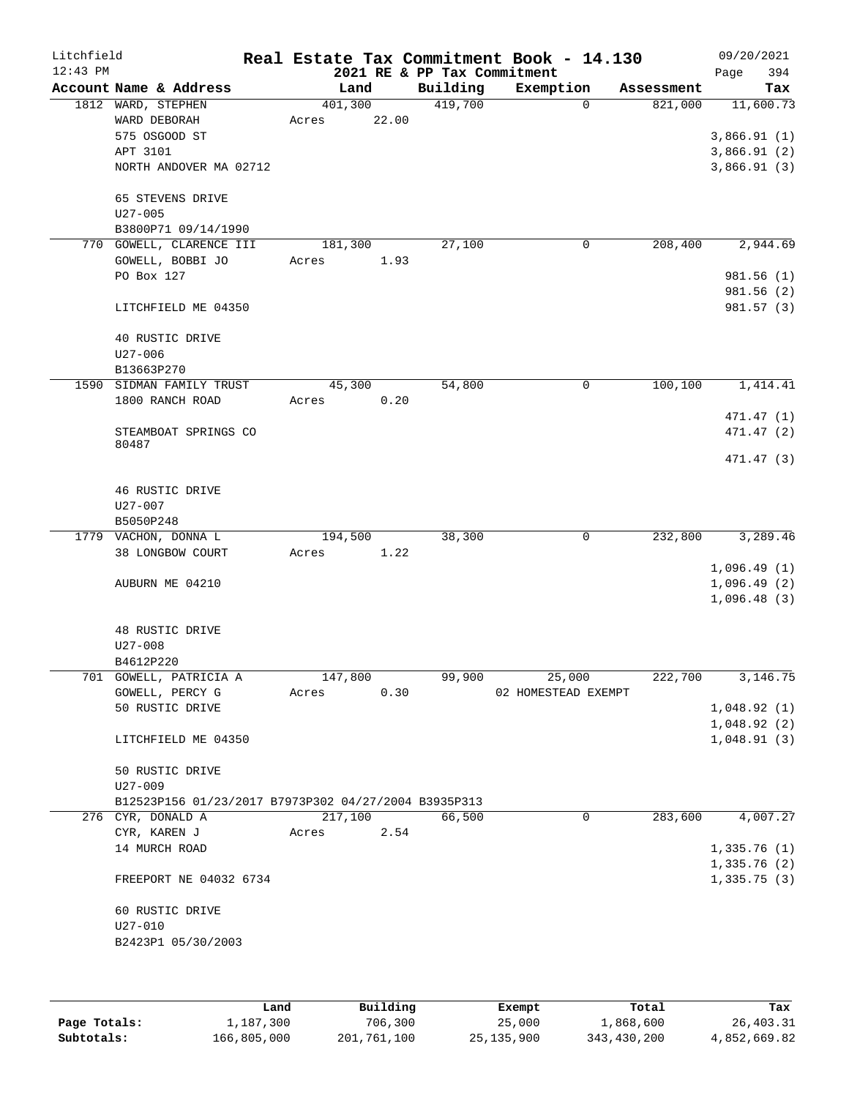| Litchfield |                                                      |         |       |                             | Real Estate Tax Commitment Book - 14.130 |                        | 09/20/2021  |
|------------|------------------------------------------------------|---------|-------|-----------------------------|------------------------------------------|------------------------|-------------|
| $12:43$ PM |                                                      |         |       | 2021 RE & PP Tax Commitment |                                          |                        | 394<br>Page |
|            | Account Name & Address                               | Land    |       | Building                    | Exemption                                | Assessment             | Tax         |
|            | 1812 WARD, STEPHEN                                   | 401,300 | 22.00 | 419,700                     | $\Omega$                                 | 821,000                | 11,600.73   |
|            | WARD DEBORAH<br>575 OSGOOD ST                        | Acres   |       |                             |                                          |                        | 3,866.91(1) |
|            | APT 3101                                             |         |       |                             |                                          |                        | 3,866.91(2) |
|            | NORTH ANDOVER MA 02712                               |         |       |                             |                                          |                        | 3,866.91(3) |
|            |                                                      |         |       |                             |                                          |                        |             |
|            | 65 STEVENS DRIVE                                     |         |       |                             |                                          |                        |             |
|            | $U27 - 005$                                          |         |       |                             |                                          |                        |             |
|            | B3800P71 09/14/1990                                  |         |       |                             |                                          |                        |             |
|            | 770 GOWELL, CLARENCE III                             | 181,300 |       | 27,100                      | 0                                        | 208,400                | 2,944.69    |
|            | GOWELL, BOBBI JO                                     | Acres   | 1.93  |                             |                                          |                        |             |
|            | PO Box 127                                           |         |       |                             |                                          |                        | 981.56 (1)  |
|            |                                                      |         |       |                             |                                          |                        | 981.56(2)   |
|            | LITCHFIELD ME 04350                                  |         |       |                             |                                          |                        | 981.57 (3)  |
|            |                                                      |         |       |                             |                                          |                        |             |
|            | 40 RUSTIC DRIVE                                      |         |       |                             |                                          |                        |             |
|            | $U27 - 006$                                          |         |       |                             |                                          |                        |             |
|            | B13663P270                                           |         |       |                             |                                          |                        |             |
|            | 1590 SIDMAN FAMILY TRUST                             | 45,300  |       | 54,800                      | 0                                        | 100,100                | 1,414.41    |
|            | 1800 RANCH ROAD                                      | Acres   | 0.20  |                             |                                          |                        |             |
|            |                                                      |         |       |                             |                                          |                        | 471.47 (1)  |
|            | STEAMBOAT SPRINGS CO                                 |         |       |                             |                                          |                        | 471.47 (2)  |
|            | 80487                                                |         |       |                             |                                          |                        |             |
|            |                                                      |         |       |                             |                                          |                        | 471.47 (3)  |
|            | 46 RUSTIC DRIVE                                      |         |       |                             |                                          |                        |             |
|            | U27-007                                              |         |       |                             |                                          |                        |             |
|            | B5050P248                                            |         |       |                             |                                          |                        |             |
|            | 1779 VACHON, DONNA L                                 | 194,500 |       | 38,300                      | 0                                        | 232,800                | 3,289.46    |
|            | 38 LONGBOW COURT                                     | Acres   | 1.22  |                             |                                          |                        |             |
|            |                                                      |         |       |                             |                                          |                        | 1,096.49(1) |
|            | AUBURN ME 04210                                      |         |       |                             |                                          |                        | 1,096.49(2) |
|            |                                                      |         |       |                             |                                          |                        | 1,096.48(3) |
|            |                                                      |         |       |                             |                                          |                        |             |
|            | 48 RUSTIC DRIVE                                      |         |       |                             |                                          |                        |             |
|            | $U27 - 008$                                          |         |       |                             |                                          |                        |             |
|            | B4612P220                                            |         |       |                             |                                          |                        |             |
|            | 701 GOWELL, PATRICIA A                               | 147,800 |       | 99,900                      | 25,000                                   | $2\overline{22}$ , 700 | 3,146.75    |
|            | GOWELL, PERCY G                                      | Acres   | 0.30  |                             | 02 HOMESTEAD EXEMPT                      |                        |             |
|            | 50 RUSTIC DRIVE                                      |         |       |                             |                                          |                        | 1,048.92(1) |
|            |                                                      |         |       |                             |                                          |                        | 1,048.92(2) |
|            | LITCHFIELD ME 04350                                  |         |       |                             |                                          |                        | 1,048.91(3) |
|            |                                                      |         |       |                             |                                          |                        |             |
|            | 50 RUSTIC DRIVE<br>$U27 - 009$                       |         |       |                             |                                          |                        |             |
|            | B12523P156 01/23/2017 B7973P302 04/27/2004 B3935P313 |         |       |                             |                                          |                        |             |
|            | 276 CYR, DONALD A                                    | 217,100 |       | 66,500                      | 0                                        | 283,600                | 4,007.27    |
|            | CYR, KAREN J                                         | Acres   | 2.54  |                             |                                          |                        |             |
|            | 14 MURCH ROAD                                        |         |       |                             |                                          |                        | 1,335.76(1) |
|            |                                                      |         |       |                             |                                          |                        | 1,335.76(2) |
|            | FREEPORT NE 04032 6734                               |         |       |                             |                                          |                        | 1,335.75(3) |
|            |                                                      |         |       |                             |                                          |                        |             |
|            | 60 RUSTIC DRIVE                                      |         |       |                             |                                          |                        |             |
|            | $U27 - 010$                                          |         |       |                             |                                          |                        |             |
|            | B2423P1 05/30/2003                                   |         |       |                             |                                          |                        |             |
|            |                                                      |         |       |                             |                                          |                        |             |
|            |                                                      |         |       |                             |                                          |                        |             |

|              | Land        | Building    | Exempt       | Total       | Tax          |
|--------------|-------------|-------------|--------------|-------------|--------------|
| Page Totals: | 1,187,300   | 706,300     | 25,000       | 1,868,600   | 26,403.31    |
| Subtotals:   | 166,805,000 | 201,761,100 | 25, 135, 900 | 343,430,200 | 4,852,669.82 |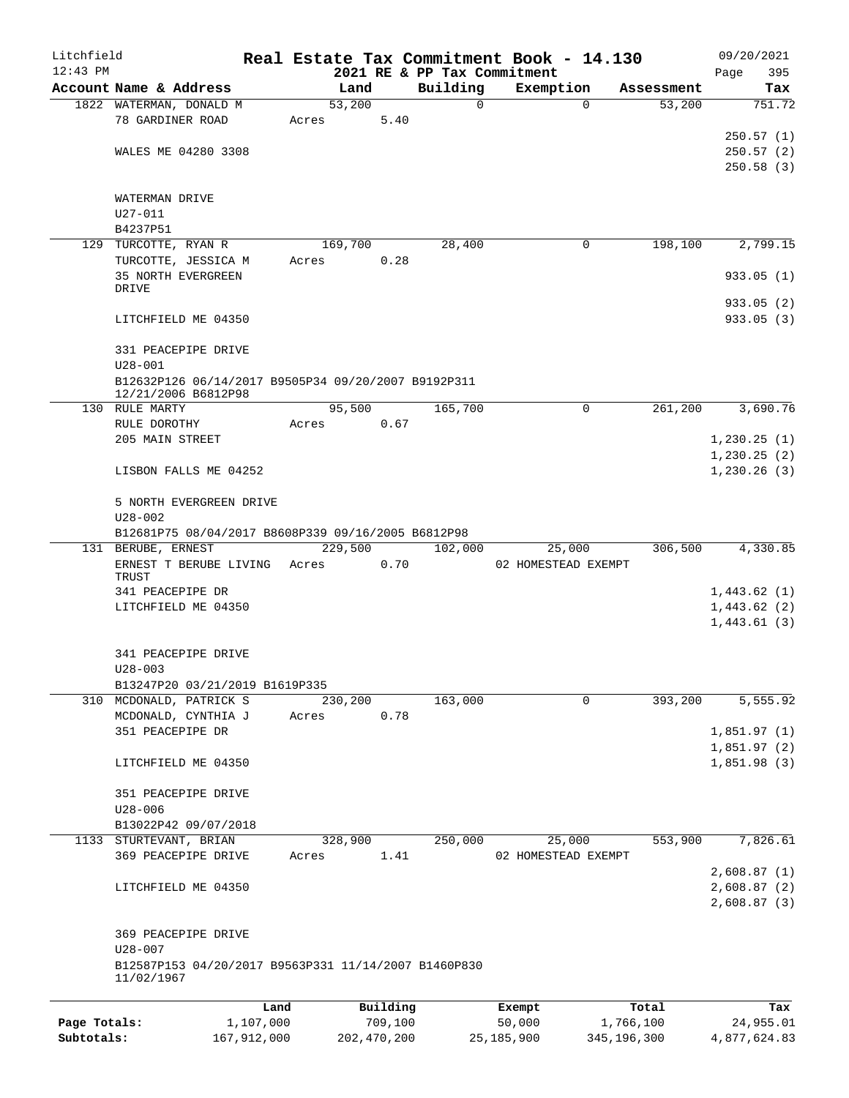| Litchfield   |                                                                            |             |                |               |                             | Real Estate Tax Commitment Book - 14.130 |                                  | 09/20/2021             |
|--------------|----------------------------------------------------------------------------|-------------|----------------|---------------|-----------------------------|------------------------------------------|----------------------------------|------------------------|
| $12:43$ PM   |                                                                            |             |                |               | 2021 RE & PP Tax Commitment |                                          |                                  | 395<br>Page            |
|              | Account Name & Address<br>1822 WATERMAN, DONALD M                          |             | Land<br>53,200 |               | Building<br>0               | Exemption                                | Assessment<br>53,200<br>$\Omega$ | Tax<br>751.72          |
|              | 78 GARDINER ROAD                                                           |             | Acres          | 5.40          |                             |                                          |                                  |                        |
|              |                                                                            |             |                |               |                             |                                          |                                  | 250.57(1)              |
|              | WALES ME 04280 3308                                                        |             |                |               |                             |                                          |                                  | 250.57(2)              |
|              |                                                                            |             |                |               |                             |                                          |                                  | 250.58(3)              |
|              | WATERMAN DRIVE                                                             |             |                |               |                             |                                          |                                  |                        |
|              | $U27 - 011$                                                                |             |                |               |                             |                                          |                                  |                        |
|              | B4237P51                                                                   |             |                |               |                             |                                          |                                  |                        |
|              | 129 TURCOTTE, RYAN R                                                       |             | 169,700        |               | 28,400                      |                                          | 198,100<br>0                     | 2,799.15               |
|              | TURCOTTE, JESSICA M                                                        |             | Acres          | 0.28          |                             |                                          |                                  |                        |
|              | <b>35 NORTH EVERGREEN</b>                                                  |             |                |               |                             |                                          |                                  | 933.05(1)              |
|              | DRIVE                                                                      |             |                |               |                             |                                          |                                  |                        |
|              | LITCHFIELD ME 04350                                                        |             |                |               |                             |                                          |                                  | 933.05(2)<br>933.05(3) |
|              |                                                                            |             |                |               |                             |                                          |                                  |                        |
|              | 331 PEACEPIPE DRIVE                                                        |             |                |               |                             |                                          |                                  |                        |
|              | $U28 - 001$                                                                |             |                |               |                             |                                          |                                  |                        |
|              | B12632P126 06/14/2017 B9505P34 09/20/2007 B9192P311<br>12/21/2006 B6812P98 |             |                |               |                             |                                          |                                  |                        |
|              | 130 RULE MARTY                                                             |             | 95,500         |               | 165,700                     |                                          | $\Omega$<br>261,200              | 3,690.76               |
|              | RULE DOROTHY                                                               |             | Acres          | 0.67          |                             |                                          |                                  |                        |
|              | 205 MAIN STREET                                                            |             |                |               |                             |                                          |                                  | 1, 230.25(1)           |
|              |                                                                            |             |                |               |                             |                                          |                                  | 1, 230.25(2)           |
|              | LISBON FALLS ME 04252                                                      |             |                |               |                             |                                          |                                  | 1, 230.26(3)           |
|              | 5 NORTH EVERGREEN DRIVE                                                    |             |                |               |                             |                                          |                                  |                        |
|              | $U28 - 002$                                                                |             |                |               |                             |                                          |                                  |                        |
|              | B12681P75 08/04/2017 B8608P339 09/16/2005 B6812P98                         |             |                |               |                             |                                          |                                  |                        |
|              | 131 BERUBE, ERNEST                                                         |             |                | 229,500       | 102,000                     | 25,000                                   | 306,500                          | 4,330.85               |
|              | ERNEST T BERUBE LIVING                                                     |             | Acres          | 0.70          |                             | 02 HOMESTEAD EXEMPT                      |                                  |                        |
|              | TRUST<br>341 PEACEPIPE DR                                                  |             |                |               |                             |                                          |                                  | 1,443.62(1)            |
|              | LITCHFIELD ME 04350                                                        |             |                |               |                             |                                          |                                  | 1,443.62(2)            |
|              |                                                                            |             |                |               |                             |                                          |                                  | 1,443.61(3)            |
|              |                                                                            |             |                |               |                             |                                          |                                  |                        |
|              | 341 PEACEPIPE DRIVE<br>$U28 - 003$                                         |             |                |               |                             |                                          |                                  |                        |
|              | B13247P20 03/21/2019 B1619P335                                             |             |                |               |                             |                                          |                                  |                        |
|              | 310 MCDONALD, PATRICK S                                                    |             | 230,200        |               | 163,000                     |                                          | 0<br>393,200                     | 5,555.92               |
|              | MCDONALD, CYNTHIA J                                                        |             | Acres          | 0.78          |                             |                                          |                                  |                        |
|              | 351 PEACEPIPE DR                                                           |             |                |               |                             |                                          |                                  | 1,851.97(1)            |
|              |                                                                            |             |                |               |                             |                                          |                                  | 1,851.97(2)            |
|              | LITCHFIELD ME 04350                                                        |             |                |               |                             |                                          |                                  | 1,851.98(3)            |
|              | 351 PEACEPIPE DRIVE                                                        |             |                |               |                             |                                          |                                  |                        |
|              | $U28 - 006$                                                                |             |                |               |                             |                                          |                                  |                        |
|              | B13022P42 09/07/2018                                                       |             |                |               |                             |                                          |                                  |                        |
|              | 1133 STURTEVANT, BRIAN                                                     |             | 328,900        |               | 250,000                     | 25,000                                   | 553,900                          | 7,826.61               |
|              | 369 PEACEPIPE DRIVE                                                        |             | Acres          | 1.41          |                             | 02 HOMESTEAD EXEMPT                      |                                  |                        |
|              |                                                                            |             |                |               |                             |                                          |                                  | 2,608.87(1)            |
|              | LITCHFIELD ME 04350                                                        |             |                |               |                             |                                          |                                  | 2,608.87(2)            |
|              |                                                                            |             |                |               |                             |                                          |                                  | 2,608.87(3)            |
|              | 369 PEACEPIPE DRIVE                                                        |             |                |               |                             |                                          |                                  |                        |
|              | $U28 - 007$                                                                |             |                |               |                             |                                          |                                  |                        |
|              | B12587P153 04/20/2017 B9563P331 11/14/2007 B1460P830                       |             |                |               |                             |                                          |                                  |                        |
|              | 11/02/1967                                                                 |             |                |               |                             |                                          |                                  |                        |
|              |                                                                            | Land        |                | Building      |                             | Exempt                                   | Total                            | Tax                    |
| Page Totals: |                                                                            | 1,107,000   |                | 709,100       |                             | 50,000                                   | 1,766,100                        | 24,955.01              |
| Subtotals:   |                                                                            | 167,912,000 |                | 202, 470, 200 |                             | 25, 185, 900                             | 345, 196, 300                    | 4,877,624.83           |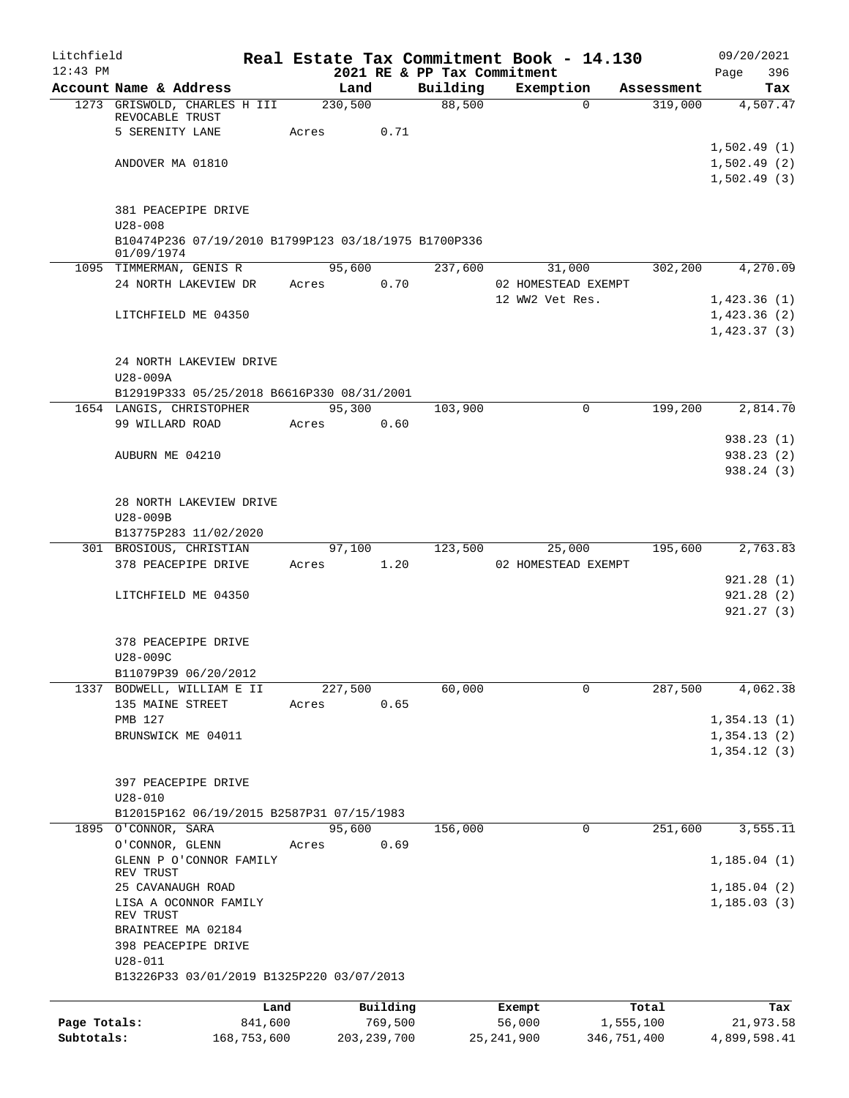| Litchfield   |                                                                    |       |                 |                             | Real Estate Tax Commitment Book - 14.130 |                       | 09/20/2021                 |
|--------------|--------------------------------------------------------------------|-------|-----------------|-----------------------------|------------------------------------------|-----------------------|----------------------------|
| $12:43$ PM   |                                                                    |       |                 | 2021 RE & PP Tax Commitment |                                          |                       | 396<br>Page                |
|              | Account Name & Address<br>1273 GRISWOLD, CHARLES H III             |       | Land<br>230,500 | 88,500                      | Building Exemption<br>$\Omega$           | Assessment<br>319,000 | Tax<br>4,507.47            |
|              | REVOCABLE TRUST                                                    |       |                 |                             |                                          |                       |                            |
|              | 5 SERENITY LANE                                                    | Acres | 0.71            |                             |                                          |                       |                            |
|              |                                                                    |       |                 |                             |                                          |                       | 1,502.49(1)                |
|              | ANDOVER MA 01810                                                   |       |                 |                             |                                          |                       | 1,502.49(2)<br>1,502.49(3) |
|              |                                                                    |       |                 |                             |                                          |                       |                            |
|              | 381 PEACEPIPE DRIVE                                                |       |                 |                             |                                          |                       |                            |
|              | $U28 - 008$                                                        |       |                 |                             |                                          |                       |                            |
|              | B10474P236 07/19/2010 B1799P123 03/18/1975 B1700P336<br>01/09/1974 |       |                 |                             |                                          |                       |                            |
|              | 1095 TIMMERMAN, GENIS R                                            |       | 95,600          | 237,600                     | 31,000                                   | 302,200               | 4,270.09                   |
|              | 24 NORTH LAKEVIEW DR                                               | Acres | 0.70            |                             | 02 HOMESTEAD EXEMPT                      |                       |                            |
|              |                                                                    |       |                 |                             | 12 WW2 Vet Res.                          |                       | 1,423.36(1)                |
|              | LITCHFIELD ME 04350                                                |       |                 |                             |                                          |                       | 1,423.36(2)                |
|              |                                                                    |       |                 |                             |                                          |                       | 1,423.37(3)                |
|              |                                                                    |       |                 |                             |                                          |                       |                            |
|              | 24 NORTH LAKEVIEW DRIVE<br>U28-009A                                |       |                 |                             |                                          |                       |                            |
|              | B12919P333 05/25/2018 B6616P330 08/31/2001                         |       |                 |                             |                                          |                       |                            |
|              | 1654 LANGIS, CHRISTOPHER                                           |       | 95,300          | 103,900                     | $\Omega$                                 | 199,200               | 2,814.70                   |
|              | 99 WILLARD ROAD                                                    | Acres | 0.60            |                             |                                          |                       |                            |
|              |                                                                    |       |                 |                             |                                          |                       | 938.23(1)                  |
|              | AUBURN ME 04210                                                    |       |                 |                             |                                          |                       | 938.23(2)                  |
|              |                                                                    |       |                 |                             |                                          |                       | 938.24 (3)                 |
|              | 28 NORTH LAKEVIEW DRIVE                                            |       |                 |                             |                                          |                       |                            |
|              | U28-009B                                                           |       |                 |                             |                                          |                       |                            |
|              | B13775P283 11/02/2020                                              |       |                 |                             |                                          |                       |                            |
|              | 301 BROSIOUS, CHRISTIAN                                            |       | 97,100          | 123,500                     | 25,000                                   | 195,600               | 2,763.83                   |
|              | 378 PEACEPIPE DRIVE                                                |       | Acres 1.20      |                             | 02 HOMESTEAD EXEMPT                      |                       |                            |
|              | LITCHFIELD ME 04350                                                |       |                 |                             |                                          |                       | 921.28(1)<br>921.28(2)     |
|              |                                                                    |       |                 |                             |                                          |                       | 921.27(3)                  |
|              |                                                                    |       |                 |                             |                                          |                       |                            |
|              | 378 PEACEPIPE DRIVE                                                |       |                 |                             |                                          |                       |                            |
|              | U28-009C                                                           |       |                 |                             |                                          |                       |                            |
|              | B11079P39 06/20/2012<br>1337 BODWELL, WILLIAM E II                 |       | 227,500         |                             | 0                                        |                       |                            |
|              | 135 MAINE STREET                                                   | Acres | 0.65            | 60,000                      |                                          | 287,500               | 4,062.38                   |
|              | PMB 127                                                            |       |                 |                             |                                          |                       | 1,354.13(1)                |
|              | BRUNSWICK ME 04011                                                 |       |                 |                             |                                          |                       | 1,354.13(2)                |
|              |                                                                    |       |                 |                             |                                          |                       | 1,354.12(3)                |
|              |                                                                    |       |                 |                             |                                          |                       |                            |
|              | 397 PEACEPIPE DRIVE                                                |       |                 |                             |                                          |                       |                            |
|              | $U28 - 010$<br>B12015P162 06/19/2015 B2587P31 07/15/1983           |       |                 |                             |                                          |                       |                            |
|              | 1895 O'CONNOR, SARA                                                |       | 95,600          | 156,000                     | 0                                        | 251,600               | 3,555.11                   |
|              | O'CONNOR, GLENN                                                    | Acres | 0.69            |                             |                                          |                       |                            |
|              | GLENN P O'CONNOR FAMILY                                            |       |                 |                             |                                          |                       | 1,185.04(1)                |
|              | REV TRUST<br>25 CAVANAUGH ROAD                                     |       |                 |                             |                                          |                       | 1, 185.04(2)               |
|              | LISA A OCONNOR FAMILY                                              |       |                 |                             |                                          |                       | 1, 185.03(3)               |
|              | REV TRUST                                                          |       |                 |                             |                                          |                       |                            |
|              | BRAINTREE MA 02184                                                 |       |                 |                             |                                          |                       |                            |
|              | 398 PEACEPIPE DRIVE                                                |       |                 |                             |                                          |                       |                            |
|              | $U28 - 011$<br>B13226P33 03/01/2019 B1325P220 03/07/2013           |       |                 |                             |                                          |                       |                            |
|              |                                                                    |       |                 |                             |                                          |                       |                            |
|              |                                                                    | Land  | Building        |                             | Exempt                                   | Total                 | Tax                        |
| Page Totals: | 841,600                                                            |       | 769,500         |                             | 56,000                                   | 1,555,100             | 21,973.58                  |
| Subtotals:   | 168,753,600                                                        |       | 203, 239, 700   |                             | 25, 241, 900                             | 346,751,400           | 4,899,598.41               |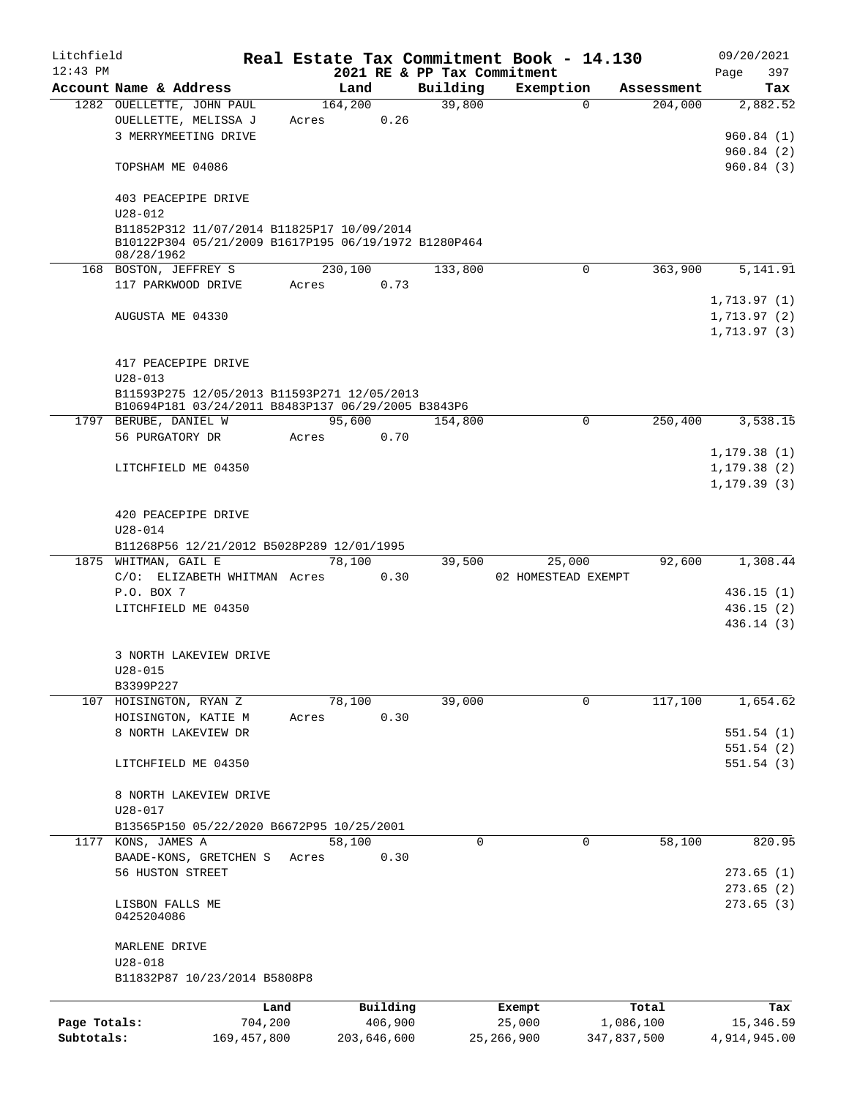| Litchfield   |                                                                                                    |               |       |             |         |                             | Real Estate Tax Commitment Book - 14.130 |             |            |              | 09/20/2021   |
|--------------|----------------------------------------------------------------------------------------------------|---------------|-------|-------------|---------|-----------------------------|------------------------------------------|-------------|------------|--------------|--------------|
| $12:43$ PM   |                                                                                                    |               |       |             |         | 2021 RE & PP Tax Commitment |                                          |             |            | Page         | 397          |
|              | Account Name & Address                                                                             |               |       | Land        |         | Building                    | Exemption                                |             | Assessment |              | Tax          |
|              | 1282 OUELLETTE, JOHN PAUL                                                                          |               |       | 164,200     |         | 39,800                      | $\Omega$                                 |             | 204,000    |              | 2,882.52     |
|              | OUELLETTE, MELISSA J                                                                               |               | Acres |             | 0.26    |                             |                                          |             |            |              |              |
|              | 3 MERRYMEETING DRIVE                                                                               |               |       |             |         |                             |                                          |             |            |              | 960.84(1)    |
|              |                                                                                                    |               |       |             |         |                             |                                          |             |            |              | 960.84(2)    |
|              | TOPSHAM ME 04086                                                                                   |               |       |             |         |                             |                                          |             |            |              | 960.84(3)    |
|              | 403 PEACEPIPE DRIVE<br>$U28 - 012$                                                                 |               |       |             |         |                             |                                          |             |            |              |              |
|              |                                                                                                    |               |       |             |         |                             |                                          |             |            |              |              |
|              | B11852P312 11/07/2014 B11825P17 10/09/2014<br>B10122P304 05/21/2009 B1617P195 06/19/1972 B1280P464 |               |       |             |         |                             |                                          |             |            |              |              |
|              | 08/28/1962                                                                                         |               |       |             |         |                             |                                          |             |            |              |              |
|              | 168 BOSTON, JEFFREY S                                                                              |               |       | 230,100     |         | 133,800                     | $\mathbf 0$                              |             | 363,900    |              | 5,141.91     |
|              | 117 PARKWOOD DRIVE                                                                                 |               | Acres |             | 0.73    |                             |                                          |             |            |              |              |
|              |                                                                                                    |               |       |             |         |                             |                                          |             |            |              | 1,713.97(1)  |
|              | AUGUSTA ME 04330                                                                                   |               |       |             |         |                             |                                          |             |            |              | 1,713.97(2)  |
|              |                                                                                                    |               |       |             |         |                             |                                          |             |            |              |              |
|              |                                                                                                    |               |       |             |         |                             |                                          |             |            |              | 1,713.97(3)  |
|              |                                                                                                    |               |       |             |         |                             |                                          |             |            |              |              |
|              | 417 PEACEPIPE DRIVE                                                                                |               |       |             |         |                             |                                          |             |            |              |              |
|              | $U28 - 013$                                                                                        |               |       |             |         |                             |                                          |             |            |              |              |
|              | B11593P275 12/05/2013 B11593P271 12/05/2013                                                        |               |       |             |         |                             |                                          |             |            |              |              |
|              | B10694P181 03/24/2011 B8483P137 06/29/2005 B3843P6                                                 |               |       |             |         |                             |                                          |             |            |              |              |
|              | 1797 BERUBE, DANIEL W                                                                              |               |       | 95,600      |         | 154,800                     | $\Omega$                                 |             | 250,400    |              | 3,538.15     |
|              | 56 PURGATORY DR                                                                                    |               | Acres |             | 0.70    |                             |                                          |             |            |              |              |
|              |                                                                                                    |               |       |             |         |                             |                                          |             |            | 1, 179.38(1) |              |
|              | LITCHFIELD ME 04350                                                                                |               |       |             |         |                             |                                          |             |            | 1, 179.38(2) |              |
|              |                                                                                                    |               |       |             |         |                             |                                          |             |            |              | 1, 179.39(3) |
|              |                                                                                                    |               |       |             |         |                             |                                          |             |            |              |              |
|              | 420 PEACEPIPE DRIVE                                                                                |               |       |             |         |                             |                                          |             |            |              |              |
|              | $U28 - 014$                                                                                        |               |       |             |         |                             |                                          |             |            |              |              |
|              | B11268P56 12/21/2012 B5028P289 12/01/1995                                                          |               |       |             |         |                             |                                          |             |            |              |              |
|              | 1875 WHITMAN, GAIL E                                                                               |               |       | 78,100      |         |                             | 25,000                                   |             | 92,600     |              | 1,308.44     |
|              |                                                                                                    |               |       |             |         | 39,500                      |                                          |             |            |              |              |
|              | C/O: ELIZABETH WHITMAN Acres                                                                       |               |       |             | 0.30    |                             | 02 HOMESTEAD EXEMPT                      |             |            |              |              |
|              | P.O. BOX 7                                                                                         |               |       |             |         |                             |                                          |             |            |              | 436.15(1)    |
|              | LITCHFIELD ME 04350                                                                                |               |       |             |         |                             |                                          |             |            |              | 436.15(2)    |
|              |                                                                                                    |               |       |             |         |                             |                                          |             |            |              | 436.14(3)    |
|              | 3 NORTH LAKEVIEW DRIVE                                                                             |               |       |             |         |                             |                                          |             |            |              |              |
|              |                                                                                                    |               |       |             |         |                             |                                          |             |            |              |              |
|              | U28-015                                                                                            |               |       |             |         |                             |                                          |             |            |              |              |
|              | B3399P227                                                                                          |               |       |             |         |                             |                                          |             |            |              |              |
|              | 107 HOISINGTON, RYAN Z                                                                             |               |       | 78,100      |         | 39,000                      | 0                                        |             | 117,100    |              | 1,654.62     |
|              | HOISINGTON, KATIE M                                                                                |               | Acres |             | 0.30    |                             |                                          |             |            |              |              |
|              | 8 NORTH LAKEVIEW DR                                                                                |               |       |             |         |                             |                                          |             |            |              | 551.54(1)    |
|              |                                                                                                    |               |       |             |         |                             |                                          |             |            |              | 551.54 (2)   |
|              | LITCHFIELD ME 04350                                                                                |               |       |             |         |                             |                                          |             |            |              | 551.54(3)    |
|              |                                                                                                    |               |       |             |         |                             |                                          |             |            |              |              |
|              | 8 NORTH LAKEVIEW DRIVE                                                                             |               |       |             |         |                             |                                          |             |            |              |              |
|              | $U28 - 017$                                                                                        |               |       |             |         |                             |                                          |             |            |              |              |
|              | B13565P150 05/22/2020 B6672P95 10/25/2001                                                          |               |       |             |         |                             |                                          |             |            |              |              |
|              | 1177 KONS, JAMES A                                                                                 |               |       | 58,100      |         | 0                           | 0                                        |             | 58,100     |              | 820.95       |
|              | BAADE-KONS, GRETCHEN S                                                                             |               | Acres |             | 0.30    |                             |                                          |             |            |              |              |
|              | 56 HUSTON STREET                                                                                   |               |       |             |         |                             |                                          |             |            |              | 273.65(1)    |
|              |                                                                                                    |               |       |             |         |                             |                                          |             |            |              | 273.65(2)    |
|              | LISBON FALLS ME                                                                                    |               |       |             |         |                             |                                          |             |            |              | 273.65(3)    |
|              | 0425204086                                                                                         |               |       |             |         |                             |                                          |             |            |              |              |
|              |                                                                                                    |               |       |             |         |                             |                                          |             |            |              |              |
|              | MARLENE DRIVE                                                                                      |               |       |             |         |                             |                                          |             |            |              |              |
|              | $U28 - 018$                                                                                        |               |       |             |         |                             |                                          |             |            |              |              |
|              | B11832P87 10/23/2014 B5808P8                                                                       |               |       |             |         |                             |                                          |             |            |              |              |
|              |                                                                                                    |               |       |             |         |                             |                                          |             |            |              |              |
|              |                                                                                                    | Land          |       | Building    |         |                             | Exempt                                   | Total       |            |              | Tax          |
| Page Totals: |                                                                                                    | 704,200       |       |             | 406,900 |                             | 25,000                                   | 1,086,100   |            |              | 15, 346.59   |
| Subtotals:   |                                                                                                    | 169, 457, 800 |       | 203,646,600 |         |                             | 25, 266, 900                             | 347,837,500 |            |              | 4,914,945.00 |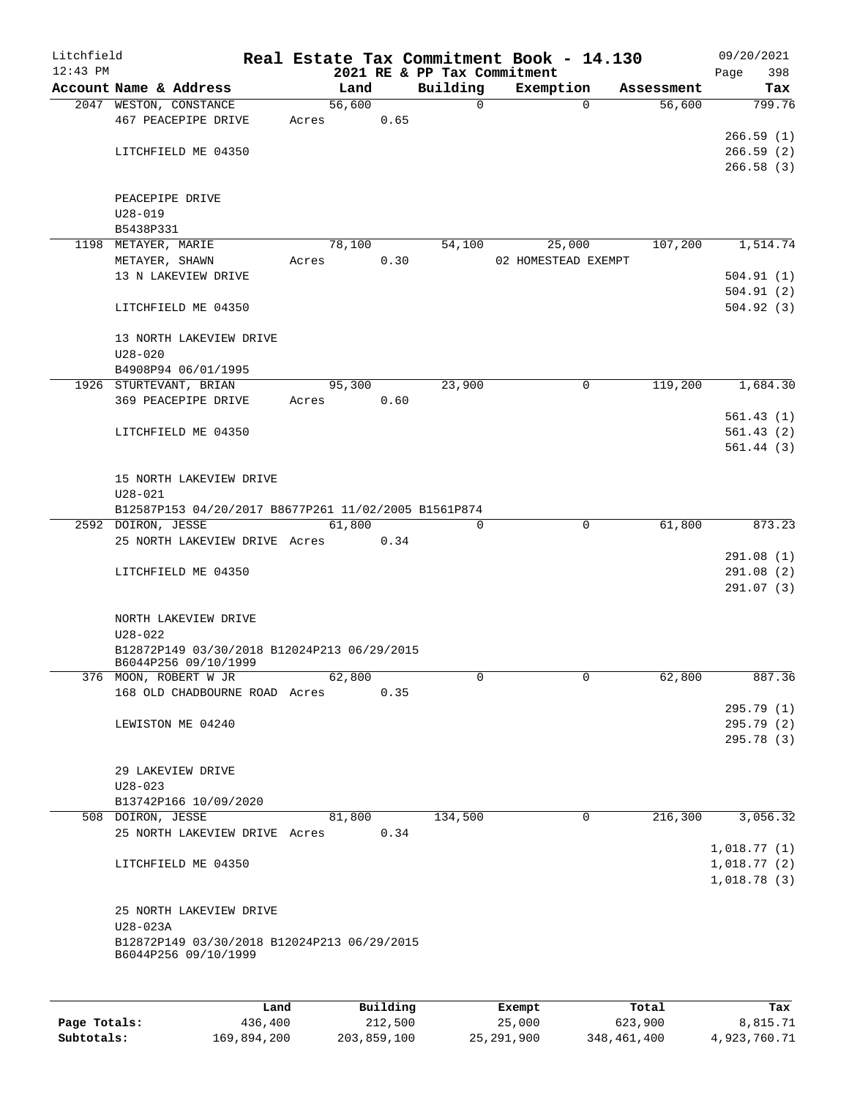| Litchfield   |                                                      |       |        |          |                             | Real Estate Tax Commitment Book - 14.130 |                       | 09/20/2021  |  |  |  |
|--------------|------------------------------------------------------|-------|--------|----------|-----------------------------|------------------------------------------|-----------------------|-------------|--|--|--|
| $12:43$ PM   |                                                      |       |        |          | 2021 RE & PP Tax Commitment |                                          |                       | 398<br>Page |  |  |  |
|              | Account Name & Address                               |       | Land   |          | Building                    | Exemption                                | Assessment            | Tax         |  |  |  |
|              | 2047 WESTON, CONSTANCE                               |       | 56,600 |          | $\mathbf 0$                 |                                          | 56,600<br>$\Omega$    | 799.76      |  |  |  |
|              | 467 PEACEPIPE DRIVE                                  | Acres |        | 0.65     |                             |                                          |                       |             |  |  |  |
|              |                                                      |       |        |          |                             |                                          |                       | 266.59(1)   |  |  |  |
|              | LITCHFIELD ME 04350                                  |       |        |          |                             |                                          |                       | 266.59(2)   |  |  |  |
|              |                                                      |       |        |          |                             |                                          |                       | 266.58(3)   |  |  |  |
|              |                                                      |       |        |          |                             |                                          |                       |             |  |  |  |
|              | PEACEPIPE DRIVE                                      |       |        |          |                             |                                          |                       |             |  |  |  |
|              | $U28 - 019$                                          |       |        |          |                             |                                          |                       |             |  |  |  |
|              | B5438P331                                            |       |        |          |                             |                                          |                       |             |  |  |  |
|              | 1198 METAYER, MARIE                                  |       | 78,100 |          | 54,100                      | 25,000                                   | 107,200               | 1,514.74    |  |  |  |
|              | METAYER, SHAWN                                       | Acres |        | 0.30     |                             | 02 HOMESTEAD EXEMPT                      |                       |             |  |  |  |
|              | 13 N LAKEVIEW DRIVE                                  |       |        |          |                             |                                          |                       | 504.91(1)   |  |  |  |
|              |                                                      |       |        |          |                             |                                          |                       | 504.91(2)   |  |  |  |
|              | LITCHFIELD ME 04350                                  |       |        |          |                             |                                          |                       | 504.92(3)   |  |  |  |
|              |                                                      |       |        |          |                             |                                          |                       |             |  |  |  |
|              | 13 NORTH LAKEVIEW DRIVE                              |       |        |          |                             |                                          |                       |             |  |  |  |
|              | $U28 - 020$                                          |       |        |          |                             |                                          |                       |             |  |  |  |
|              | B4908P94 06/01/1995                                  |       |        |          |                             |                                          |                       |             |  |  |  |
|              | 1926 STURTEVANT, BRIAN                               |       | 95,300 |          | 23,900                      |                                          | 119,200<br>0          | 1,684.30    |  |  |  |
|              | 369 PEACEPIPE DRIVE                                  | Acres |        | 0.60     |                             |                                          |                       |             |  |  |  |
|              |                                                      |       |        |          |                             |                                          |                       | 561.43(1)   |  |  |  |
|              | LITCHFIELD ME 04350                                  |       |        |          |                             |                                          |                       | 561.43(2)   |  |  |  |
|              |                                                      |       |        |          |                             |                                          |                       | 561.44(3)   |  |  |  |
|              |                                                      |       |        |          |                             |                                          |                       |             |  |  |  |
|              | 15 NORTH LAKEVIEW DRIVE                              |       |        |          |                             |                                          |                       |             |  |  |  |
|              | $U28 - 021$                                          |       |        |          |                             |                                          |                       |             |  |  |  |
|              | B12587P153 04/20/2017 B8677P261 11/02/2005 B1561P874 |       |        |          |                             |                                          |                       |             |  |  |  |
|              | 2592 DOIRON, JESSE                                   |       | 61,800 |          | $\Omega$                    |                                          | $\mathbf 0$<br>61,800 | 873.23      |  |  |  |
|              | 25 NORTH LAKEVIEW DRIVE Acres                        |       |        | 0.34     |                             |                                          |                       |             |  |  |  |
|              |                                                      |       |        |          |                             |                                          |                       | 291.08(1)   |  |  |  |
|              | LITCHFIELD ME 04350                                  |       |        |          |                             |                                          |                       | 291.08(2)   |  |  |  |
|              |                                                      |       |        |          |                             |                                          |                       | 291.07(3)   |  |  |  |
|              |                                                      |       |        |          |                             |                                          |                       |             |  |  |  |
|              | NORTH LAKEVIEW DRIVE                                 |       |        |          |                             |                                          |                       |             |  |  |  |
|              | $U28 - 022$                                          |       |        |          |                             |                                          |                       |             |  |  |  |
|              | B12872P149 03/30/2018 B12024P213 06/29/2015          |       |        |          |                             |                                          |                       |             |  |  |  |
|              | B6044P256 09/10/1999                                 |       |        |          |                             |                                          |                       |             |  |  |  |
|              | 376 MOON, ROBERT W JR                                |       | 62,800 |          | 0                           |                                          | 0<br>62,800           | 887.36      |  |  |  |
|              | 168 OLD CHADBOURNE ROAD Acres                        |       |        | 0.35     |                             |                                          |                       |             |  |  |  |
|              |                                                      |       |        |          |                             |                                          |                       | 295.79 (1)  |  |  |  |
|              | LEWISTON ME 04240                                    |       |        |          |                             |                                          |                       | 295.79 (2)  |  |  |  |
|              |                                                      |       |        |          |                             |                                          |                       | 295.78 (3)  |  |  |  |
|              |                                                      |       |        |          |                             |                                          |                       |             |  |  |  |
|              | 29 LAKEVIEW DRIVE                                    |       |        |          |                             |                                          |                       |             |  |  |  |
|              | $U28 - 023$                                          |       |        |          |                             |                                          |                       |             |  |  |  |
|              | B13742P166 10/09/2020                                |       |        |          |                             |                                          |                       |             |  |  |  |
|              | 508 DOIRON, JESSE                                    |       | 81,800 |          | 134,500                     |                                          | 216,300<br>0          | 3,056.32    |  |  |  |
|              | 25 NORTH LAKEVIEW DRIVE Acres                        |       |        | 0.34     |                             |                                          |                       |             |  |  |  |
|              |                                                      |       |        |          |                             |                                          |                       | 1,018.77(1) |  |  |  |
|              | LITCHFIELD ME 04350                                  |       |        |          |                             |                                          |                       | 1,018.77(2) |  |  |  |
|              |                                                      |       |        |          |                             |                                          |                       | 1,018.78(3) |  |  |  |
|              |                                                      |       |        |          |                             |                                          |                       |             |  |  |  |
|              | 25 NORTH LAKEVIEW DRIVE                              |       |        |          |                             |                                          |                       |             |  |  |  |
|              | $U28-023A$                                           |       |        |          |                             |                                          |                       |             |  |  |  |
|              | B12872P149 03/30/2018 B12024P213 06/29/2015          |       |        |          |                             |                                          |                       |             |  |  |  |
|              | B6044P256 09/10/1999                                 |       |        |          |                             |                                          |                       |             |  |  |  |
|              |                                                      |       |        |          |                             |                                          |                       |             |  |  |  |
|              |                                                      |       |        |          |                             |                                          |                       |             |  |  |  |
|              |                                                      | Land  |        | Building |                             | Exempt                                   | Total                 | Tax         |  |  |  |
| Page Totals: | 436,400                                              |       |        | 212,500  |                             | 25,000                                   | 623,900               | 8,815.71    |  |  |  |

**Subtotals:** 169,894,200 203,859,100 25,291,900 348,461,400 4,923,760.71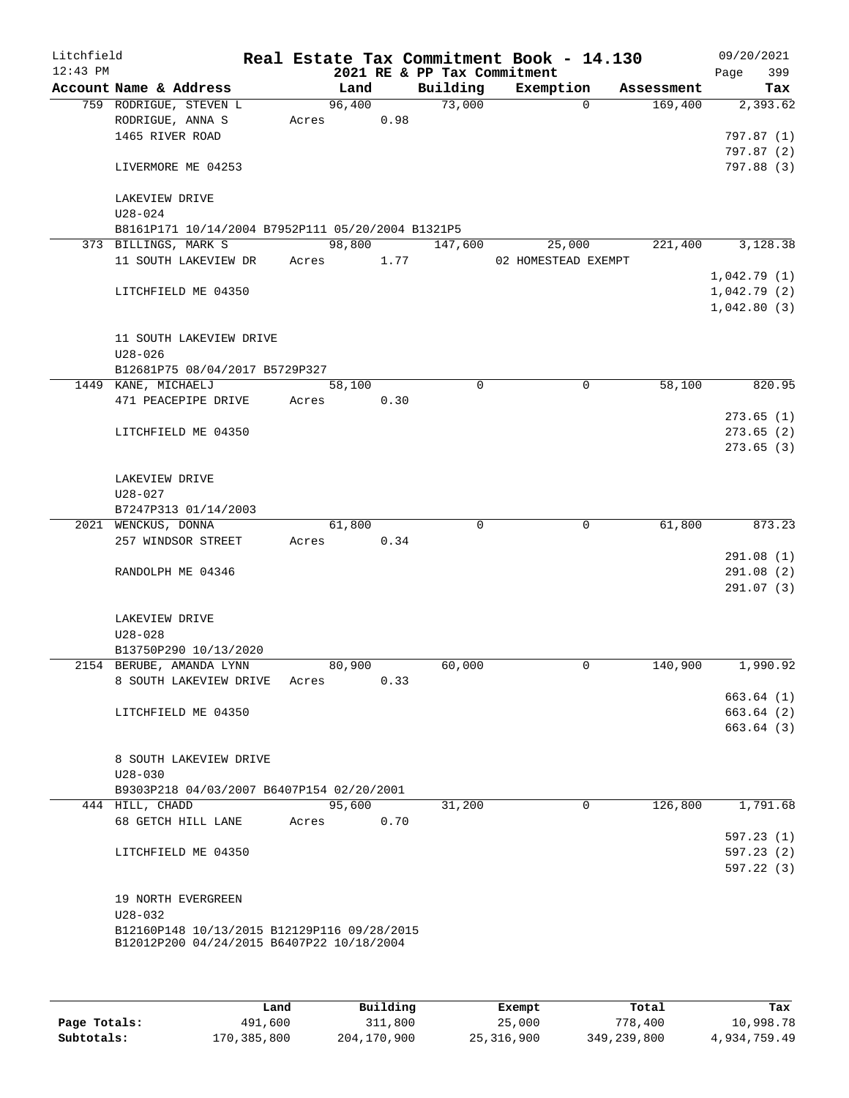| Litchfield<br>$12:43$ PM |                                                   |            |      | 2021 RE & PP Tax Commitment | Real Estate Tax Commitment Book - 14.130 |            | 09/20/2021<br>399<br>Page |
|--------------------------|---------------------------------------------------|------------|------|-----------------------------|------------------------------------------|------------|---------------------------|
|                          | Account Name & Address                            | Land       |      |                             | Building Exemption                       | Assessment | Tax                       |
|                          | 759 RODRIGUE, STEVEN L                            | 96,400     |      | 73,000                      | $\Omega$                                 | 169,400    | 2,393.62                  |
|                          | RODRIGUE, ANNA S                                  | Acres 0.98 |      |                             |                                          |            |                           |
|                          | 1465 RIVER ROAD                                   |            |      |                             |                                          |            | 797.87 (1)                |
|                          |                                                   |            |      |                             |                                          |            | 797.87(2)                 |
|                          | LIVERMORE ME 04253                                |            |      |                             |                                          |            | 797.88 (3)                |
|                          | LAKEVIEW DRIVE                                    |            |      |                             |                                          |            |                           |
|                          | $U28 - 024$                                       |            |      |                             |                                          |            |                           |
|                          | B8161P171 10/14/2004 B7952P111 05/20/2004 B1321P5 |            |      |                             |                                          |            |                           |
|                          | 373 BILLINGS, MARK S                              |            |      | 98,800 147,600              | 25,000                                   | 221,400    | 3,128.38                  |
|                          | 11 SOUTH LAKEVIEW DR                              | Acres 1.77 |      |                             | 02 HOMESTEAD EXEMPT                      |            |                           |
|                          |                                                   |            |      |                             |                                          |            | 1,042.79(1)               |
|                          | LITCHFIELD ME 04350                               |            |      |                             |                                          |            | 1,042.79(2)               |
|                          |                                                   |            |      |                             |                                          |            | 1,042.80(3)               |
|                          | 11 SOUTH LAKEVIEW DRIVE                           |            |      |                             |                                          |            |                           |
|                          | $U28 - 026$                                       |            |      |                             |                                          |            |                           |
|                          | B12681P75 08/04/2017 B5729P327                    |            |      |                             |                                          |            |                           |
|                          | 1449 KANE, MICHAELJ                               | 58,100     |      | $\Omega$                    | $\mathbf 0$                              | 58,100     | 820.95                    |
|                          | 471 PEACEPIPE DRIVE                               | Acres      | 0.30 |                             |                                          |            |                           |
|                          |                                                   |            |      |                             |                                          |            | 273.65(1)                 |
|                          | LITCHFIELD ME 04350                               |            |      |                             |                                          |            | 273.65(2)                 |
|                          |                                                   |            |      |                             |                                          |            | 273.65(3)                 |
|                          |                                                   |            |      |                             |                                          |            |                           |
|                          | LAKEVIEW DRIVE                                    |            |      |                             |                                          |            |                           |
|                          | $U28 - 027$                                       |            |      |                             |                                          |            |                           |
|                          | B7247P313 01/14/2003                              |            |      |                             |                                          |            |                           |
|                          | 2021 WENCKUS, DONNA                               | 61,800     |      | $\Omega$                    | $\mathbf 0$                              | 61,800     | 873.23                    |
|                          | 257 WINDSOR STREET                                | Acres      | 0.34 |                             |                                          |            |                           |
|                          |                                                   |            |      |                             |                                          |            | 291.08(1)                 |
|                          | RANDOLPH ME 04346                                 |            |      |                             |                                          |            | 291.08(2)                 |
|                          |                                                   |            |      |                             |                                          |            | 291.07(3)                 |
|                          |                                                   |            |      |                             |                                          |            |                           |
|                          | LAKEVIEW DRIVE                                    |            |      |                             |                                          |            |                           |
|                          | $U28 - 028$                                       |            |      |                             |                                          |            |                           |
|                          | B13750P290 10/13/2020                             |            |      |                             |                                          |            |                           |
|                          | 2154 BERUBE, AMANDA LYNN                          | 80,900     |      | 60,000                      | 0                                        | 140,900    | 1,990.92                  |
|                          | 8 SOUTH LAKEVIEW DRIVE                            | Acres      | 0.33 |                             |                                          |            |                           |
|                          |                                                   |            |      |                             |                                          |            | 663.64(1)                 |
|                          | LITCHFIELD ME 04350                               |            |      |                             |                                          |            | 663.64(2)                 |
|                          |                                                   |            |      |                             |                                          |            | 663.64(3)                 |
|                          |                                                   |            |      |                             |                                          |            |                           |
|                          | 8 SOUTH LAKEVIEW DRIVE                            |            |      |                             |                                          |            |                           |
|                          | $U28 - 030$                                       |            |      |                             |                                          |            |                           |
|                          | B9303P218 04/03/2007 B6407P154 02/20/2001         |            |      |                             |                                          |            |                           |
|                          | 444 HILL, CHADD                                   | 95,600     |      | 31,200                      | $\overline{0}$                           | 126,800    | 1,791.68                  |
|                          | 68 GETCH HILL LANE                                | Acres      | 0.70 |                             |                                          |            |                           |
|                          |                                                   |            |      |                             |                                          |            | 597.23(1)                 |
|                          | LITCHFIELD ME 04350                               |            |      |                             |                                          |            | 597.23 (2)                |
|                          |                                                   |            |      |                             |                                          |            | 597.22(3)                 |
|                          |                                                   |            |      |                             |                                          |            |                           |
|                          | 19 NORTH EVERGREEN                                |            |      |                             |                                          |            |                           |
|                          | $U28 - 032$                                       |            |      |                             |                                          |            |                           |
|                          | B12160P148 10/13/2015 B12129P116 09/28/2015       |            |      |                             |                                          |            |                           |
|                          | B12012P200 04/24/2015 B6407P22 10/18/2004         |            |      |                             |                                          |            |                           |
|                          |                                                   |            |      |                             |                                          |            |                           |
|                          |                                                   |            |      |                             |                                          |            |                           |
|                          |                                                   |            |      |                             |                                          |            |                           |

|              | Land        | Building    | Exempt     | Total       | Tax          |
|--------------|-------------|-------------|------------|-------------|--------------|
| Page Totals: | 491,600     | 311,800     | 25,000     | 778,400     | 10,998.78    |
| Subtotals:   | 170,385,800 | 204,170,900 | 25,316,900 | 349,239,800 | 4,934,759.49 |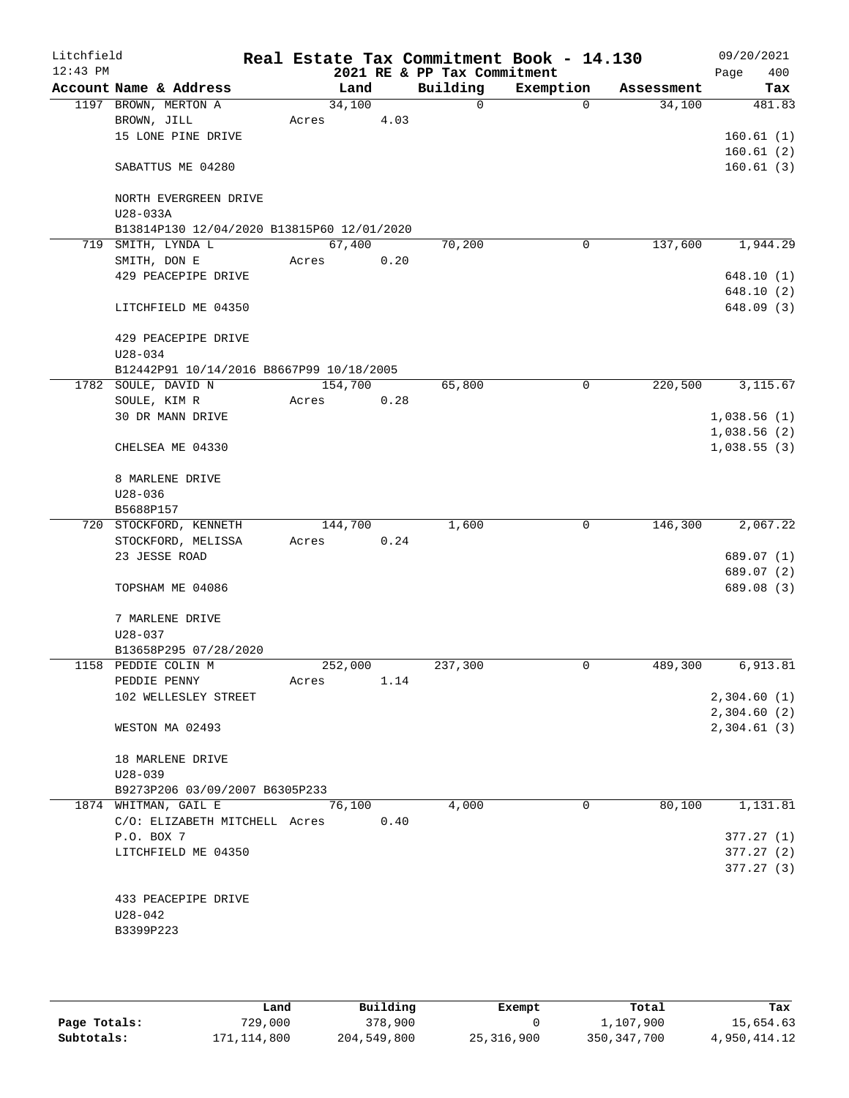| Litchfield<br>$12:43$ PM |                                            |         |         | 2021 RE & PP Tax Commitment | Real Estate Tax Commitment Book - 14.130 |            | 09/20/2021<br>400<br>Page |
|--------------------------|--------------------------------------------|---------|---------|-----------------------------|------------------------------------------|------------|---------------------------|
|                          | Account Name & Address                     |         | Land    | Building                    | Exemption                                | Assessment | Tax                       |
|                          | 1197 BROWN, MERTON A                       |         | 34,100  | 0                           | $\Omega$                                 | 34,100     | 481.83                    |
|                          | BROWN, JILL                                | Acres   | 4.03    |                             |                                          |            |                           |
|                          | 15 LONE PINE DRIVE                         |         |         |                             |                                          |            | 160.61(1)                 |
|                          |                                            |         |         |                             |                                          |            | 160.61(2)                 |
|                          | SABATTUS ME 04280                          |         |         |                             |                                          |            | 160.61(3)                 |
|                          |                                            |         |         |                             |                                          |            |                           |
|                          | NORTH EVERGREEN DRIVE                      |         |         |                             |                                          |            |                           |
|                          | U28-033A                                   |         |         |                             |                                          |            |                           |
|                          | B13814P130 12/04/2020 B13815P60 12/01/2020 |         | 67,400  | 70,200                      | 0                                        | 137,600    | 1,944.29                  |
| 719                      | SMITH, LYNDA L<br>SMITH, DON E             | Acres   | 0.20    |                             |                                          |            |                           |
|                          | 429 PEACEPIPE DRIVE                        |         |         |                             |                                          |            | 648.10(1)                 |
|                          |                                            |         |         |                             |                                          |            | 648.10(2)                 |
|                          | LITCHFIELD ME 04350                        |         |         |                             |                                          |            | 648.09 (3)                |
|                          |                                            |         |         |                             |                                          |            |                           |
|                          | 429 PEACEPIPE DRIVE                        |         |         |                             |                                          |            |                           |
|                          | $U28 - 034$                                |         |         |                             |                                          |            |                           |
|                          | B12442P91 10/14/2016 B8667P99 10/18/2005   |         |         |                             |                                          |            |                           |
|                          | 1782 SOULE, DAVID N                        | 154,700 |         | 65,800                      | 0                                        | 220,500    | 3,115.67                  |
|                          | SOULE, KIM R                               | Acres   | 0.28    |                             |                                          |            |                           |
|                          | 30 DR MANN DRIVE                           |         |         |                             |                                          |            | 1,038.56(1)               |
|                          |                                            |         |         |                             |                                          |            | 1,038.56(2)               |
|                          | CHELSEA ME 04330                           |         |         |                             |                                          |            | 1,038.55(3)               |
|                          |                                            |         |         |                             |                                          |            |                           |
|                          | 8 MARLENE DRIVE                            |         |         |                             |                                          |            |                           |
|                          | $U28 - 036$                                |         |         |                             |                                          |            |                           |
|                          | B5688P157                                  |         |         |                             |                                          |            |                           |
|                          | 720 STOCKFORD, KENNETH                     |         | 144,700 | 1,600                       | 0                                        | 146,300    | 2,067.22                  |
|                          | STOCKFORD, MELISSA                         | Acres   | 0.24    |                             |                                          |            |                           |
|                          | 23 JESSE ROAD                              |         |         |                             |                                          |            | 689.07 (1)                |
|                          |                                            |         |         |                             |                                          |            | 689.07 (2)                |
|                          | TOPSHAM ME 04086                           |         |         |                             |                                          |            | 689.08 (3)                |
|                          |                                            |         |         |                             |                                          |            |                           |
|                          | 7 MARLENE DRIVE                            |         |         |                             |                                          |            |                           |
|                          | $U28 - 037$<br>B13658P295 07/28/2020       |         |         |                             |                                          |            |                           |
|                          | 1158 PEDDIE COLIN M                        | 252,000 |         | 237,300                     | 0                                        | 489,300    | 6,913.81                  |
|                          | PEDDIE PENNY                               | Acres   | 1.14    |                             |                                          |            |                           |
|                          | 102 WELLESLEY STREET                       |         |         |                             |                                          |            | 2,304.60(1)               |
|                          |                                            |         |         |                             |                                          |            | 2,304.60(2)               |
|                          | WESTON MA 02493                            |         |         |                             |                                          |            | 2,304.61(3)               |
|                          |                                            |         |         |                             |                                          |            |                           |
|                          | 18 MARLENE DRIVE                           |         |         |                             |                                          |            |                           |
|                          | $U28 - 039$                                |         |         |                             |                                          |            |                           |
|                          | B9273P206 03/09/2007 B6305P233             |         |         |                             |                                          |            |                           |
|                          | 1874 WHITMAN, GAIL E                       |         | 76,100  | 4,000                       | 0                                        | 80,100     | 1,131.81                  |
|                          | C/O: ELIZABETH MITCHELL Acres              |         | 0.40    |                             |                                          |            |                           |
|                          | P.O. BOX 7                                 |         |         |                             |                                          |            | 377.27(1)                 |
|                          | LITCHFIELD ME 04350                        |         |         |                             |                                          |            | 377.27(2)                 |
|                          |                                            |         |         |                             |                                          |            | 377.27(3)                 |
|                          |                                            |         |         |                             |                                          |            |                           |
|                          | 433 PEACEPIPE DRIVE                        |         |         |                             |                                          |            |                           |
|                          | U28-042                                    |         |         |                             |                                          |            |                           |
|                          | B3399P223                                  |         |         |                             |                                          |            |                           |
|                          |                                            |         |         |                             |                                          |            |                           |

|              | Land        | Building    | Exempt     | Total         | Tax          |
|--------------|-------------|-------------|------------|---------------|--------------|
| Page Totals: | 729,000     | 378,900     |            | 1,107,900     | 15,654.63    |
| Subtotals:   | 171,114,800 | 204,549,800 | 25,316,900 | 350, 347, 700 | 4,950,414.12 |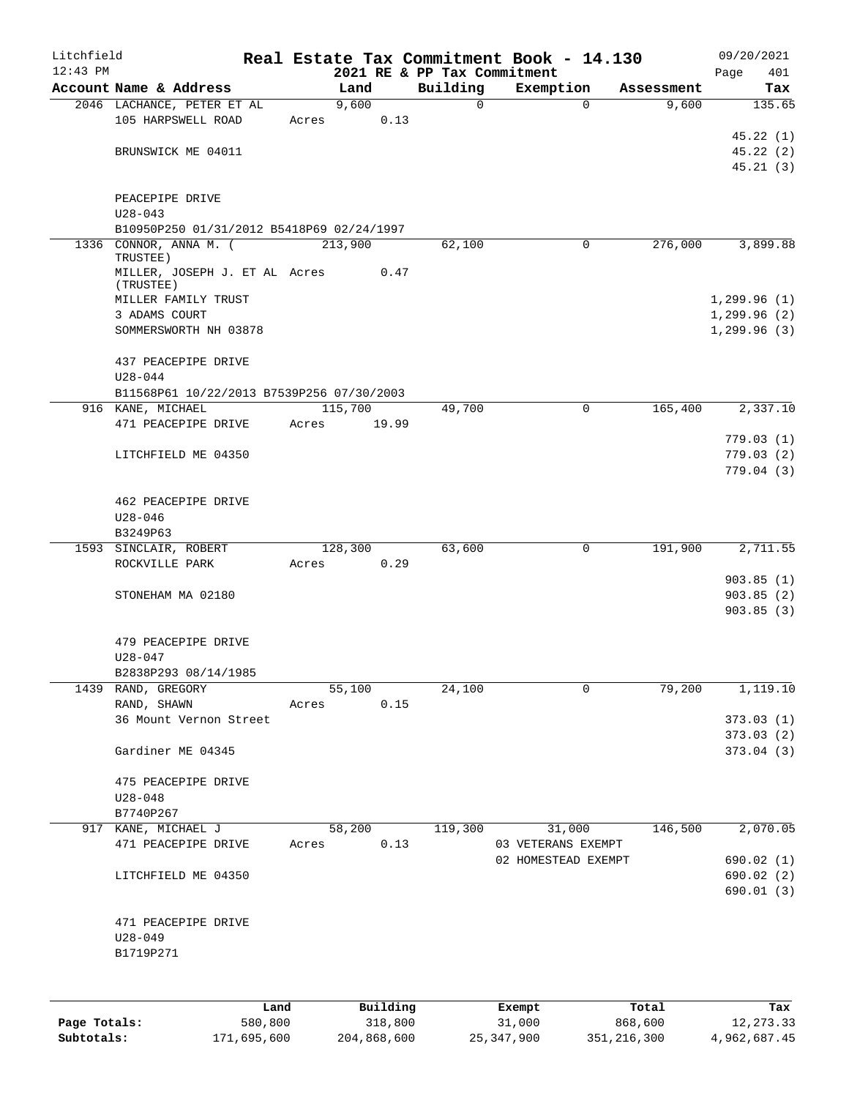| Litchfield   |                                            |       |         |          |                                         | Real Estate Tax Commitment Book - 14.130 |            | 09/20/2021         |
|--------------|--------------------------------------------|-------|---------|----------|-----------------------------------------|------------------------------------------|------------|--------------------|
| $12:43$ PM   | Account Name & Address                     |       | Land    |          | 2021 RE & PP Tax Commitment<br>Building | Exemption                                | Assessment | Page<br>401<br>Tax |
|              | 2046 LACHANCE, PETER ET AL                 |       | 9,600   |          | $\Omega$                                | $\Omega$                                 | 9,600      | 135.65             |
|              | 105 HARPSWELL ROAD                         | Acres |         | 0.13     |                                         |                                          |            |                    |
|              |                                            |       |         |          |                                         |                                          |            | 45.22(1)           |
|              | BRUNSWICK ME 04011                         |       |         |          |                                         |                                          |            | 45.22(2)           |
|              |                                            |       |         |          |                                         |                                          |            | 45.21(3)           |
|              | PEACEPIPE DRIVE<br>$U28 - 043$             |       |         |          |                                         |                                          |            |                    |
|              | B10950P250 01/31/2012 B5418P69 02/24/1997  |       |         |          |                                         |                                          |            |                    |
|              | 1336 CONNOR, ANNA M. (<br>TRUSTEE)         |       | 213,900 |          | 62,100                                  | 0                                        | 276,000    | 3,899.88           |
|              | MILLER, JOSEPH J. ET AL Acres<br>(TRUSTEE) |       |         | 0.47     |                                         |                                          |            |                    |
|              | MILLER FAMILY TRUST                        |       |         |          |                                         |                                          |            | 1,299.96(1)        |
|              | 3 ADAMS COURT                              |       |         |          |                                         |                                          |            | 1,299.96(2)        |
|              | SOMMERSWORTH NH 03878                      |       |         |          |                                         |                                          |            | 1, 299.96(3)       |
|              | 437 PEACEPIPE DRIVE<br>$U28 - 044$         |       |         |          |                                         |                                          |            |                    |
|              | B11568P61 10/22/2013 B7539P256 07/30/2003  |       |         |          |                                         |                                          |            |                    |
|              | 916 KANE, MICHAEL                          |       | 115,700 |          | 49,700                                  | 0                                        | 165,400    | 2,337.10           |
|              | 471 PEACEPIPE DRIVE                        | Acres |         | 19.99    |                                         |                                          |            |                    |
|              |                                            |       |         |          |                                         |                                          |            | 779.03 (1)         |
|              | LITCHFIELD ME 04350                        |       |         |          |                                         |                                          |            | 779.03(2)          |
|              |                                            |       |         |          |                                         |                                          |            | 779.04(3)          |
|              | 462 PEACEPIPE DRIVE<br>$U28 - 046$         |       |         |          |                                         |                                          |            |                    |
|              | B3249P63                                   |       |         |          |                                         |                                          |            |                    |
|              | 1593 SINCLAIR, ROBERT                      |       | 128,300 |          | 63,600                                  | 0                                        | 191,900    | 2,711.55           |
|              | ROCKVILLE PARK                             | Acres |         | 0.29     |                                         |                                          |            |                    |
|              |                                            |       |         |          |                                         |                                          |            | 903.85(1)          |
|              | STONEHAM MA 02180                          |       |         |          |                                         |                                          |            | 903.85(2)          |
|              |                                            |       |         |          |                                         |                                          |            | 903.85(3)          |
|              | 479 PEACEPIPE DRIVE                        |       |         |          |                                         |                                          |            |                    |
|              | $U28 - 047$                                |       |         |          |                                         |                                          |            |                    |
|              | B2838P293 08/14/1985                       |       |         |          |                                         |                                          |            |                    |
| 1439         | RAND, GREGORY                              |       | 55,100  |          | 24,100                                  | 0                                        | 79,200     | 1,119.10           |
|              | RAND, SHAWN                                | Acres |         | 0.15     |                                         |                                          |            |                    |
|              | 36 Mount Vernon Street                     |       |         |          |                                         |                                          |            | 373.03(1)          |
|              |                                            |       |         |          |                                         |                                          |            | 373.03 (2)         |
|              | Gardiner ME 04345                          |       |         |          |                                         |                                          |            | 373.04(3)          |
|              | 475 PEACEPIPE DRIVE                        |       |         |          |                                         |                                          |            |                    |
|              | $U28 - 048$                                |       |         |          |                                         |                                          |            |                    |
|              | B7740P267                                  |       |         |          |                                         |                                          |            |                    |
|              | 917 KANE, MICHAEL J                        |       | 58,200  |          | 119,300                                 | 31,000                                   | 146,500    | 2,070.05           |
|              | 471 PEACEPIPE DRIVE                        | Acres |         | 0.13     |                                         | 03 VETERANS EXEMPT                       |            |                    |
|              |                                            |       |         |          |                                         | 02 HOMESTEAD EXEMPT                      |            | 690.02 (1)         |
|              | LITCHFIELD ME 04350                        |       |         |          |                                         |                                          |            | 690.02(2)          |
|              |                                            |       |         |          |                                         |                                          |            | 690.01 (3)         |
|              | 471 PEACEPIPE DRIVE                        |       |         |          |                                         |                                          |            |                    |
|              | $U28 - 049$                                |       |         |          |                                         |                                          |            |                    |
|              | B1719P271                                  |       |         |          |                                         |                                          |            |                    |
|              |                                            |       |         |          |                                         |                                          |            |                    |
|              |                                            |       |         |          |                                         |                                          |            |                    |
|              | Land                                       |       |         | Building |                                         | Exempt                                   | Total      | Tax                |
| Page Totals: | 580,800                                    |       |         | 318,800  |                                         | 31,000                                   | 868,600    | 12, 273.33         |

**Subtotals:** 171,695,600 204,868,600 25,347,900 351,216,300 4,962,687.45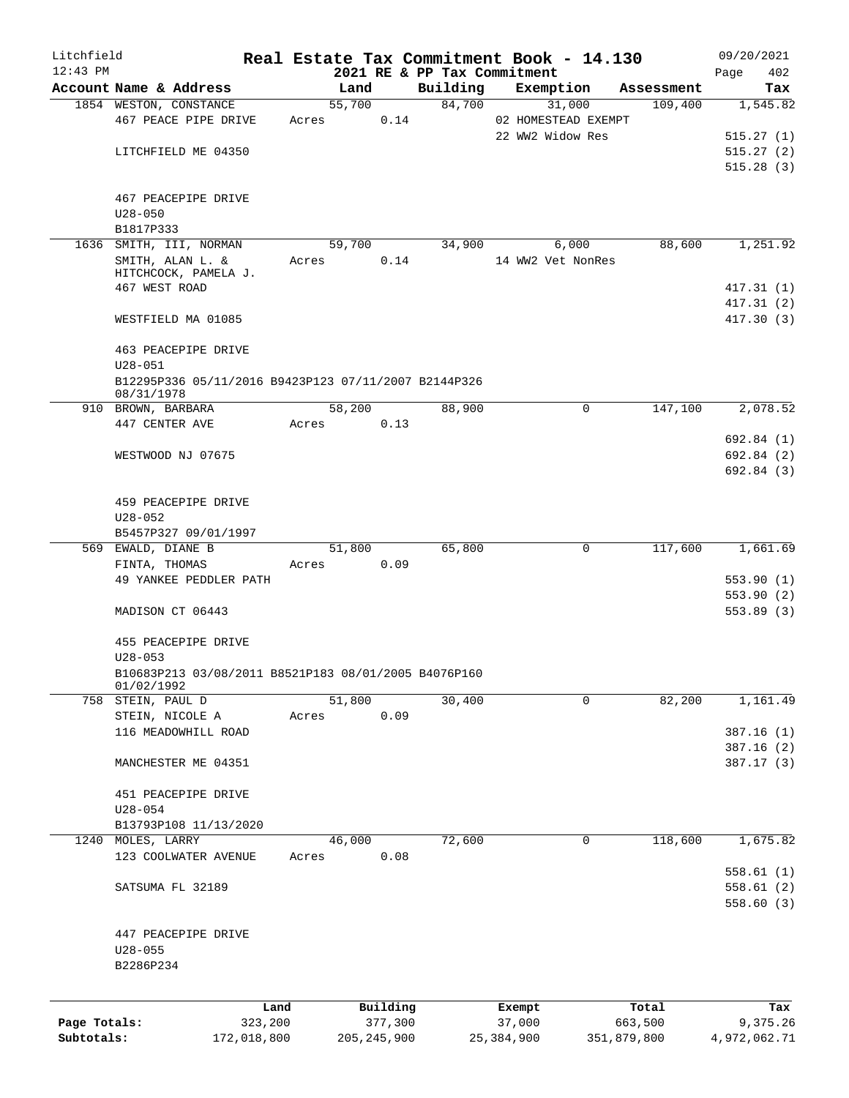| Litchfield                 |                                                                    |                        |       |        |                          |          |        | Real Estate Tax Commitment Book - 14.130 |                        | 09/20/2021               |     |
|----------------------------|--------------------------------------------------------------------|------------------------|-------|--------|--------------------------|----------|--------|------------------------------------------|------------------------|--------------------------|-----|
| $12:43$ PM                 |                                                                    |                        |       |        |                          |          |        | 2021 RE & PP Tax Commitment              |                        | Page                     | 402 |
|                            | Account Name & Address                                             |                        |       | Land   |                          | Building |        | Exemption                                | Assessment             |                          | Tax |
|                            | 1854 WESTON, CONSTANCE                                             |                        |       | 55,700 |                          |          | 84,700 | 31,000                                   | 109,400                | 1,545.82                 |     |
|                            | 467 PEACE PIPE DRIVE                                               |                        | Acres |        | 0.14                     |          |        | 02 HOMESTEAD EXEMPT<br>22 WW2 Widow Res  |                        |                          |     |
|                            | LITCHFIELD ME 04350                                                |                        |       |        |                          |          |        |                                          |                        | 515.27(1)                |     |
|                            |                                                                    |                        |       |        |                          |          |        |                                          |                        | 515.27(2)<br>515.28(3)   |     |
|                            |                                                                    |                        |       |        |                          |          |        |                                          |                        |                          |     |
|                            | 467 PEACEPIPE DRIVE                                                |                        |       |        |                          |          |        |                                          |                        |                          |     |
|                            | $U28 - 050$                                                        |                        |       |        |                          |          |        |                                          |                        |                          |     |
|                            | B1817P333                                                          |                        |       |        |                          |          |        |                                          |                        |                          |     |
|                            | 1636 SMITH, III, NORMAN                                            |                        |       | 59,700 |                          | 34,900   |        | 6,000                                    | 88,600                 | 1,251.92                 |     |
|                            | SMITH, ALAN L. &                                                   |                        | Acres |        | 0.14                     |          |        | 14 WW2 Vet NonRes                        |                        |                          |     |
|                            | HITCHCOCK, PAMELA J.                                               |                        |       |        |                          |          |        |                                          |                        |                          |     |
|                            | 467 WEST ROAD                                                      |                        |       |        |                          |          |        |                                          |                        | 417.31(1)                |     |
|                            |                                                                    |                        |       |        |                          |          |        |                                          |                        | 417.31(2)                |     |
|                            | WESTFIELD MA 01085                                                 |                        |       |        |                          |          |        |                                          |                        | 417.30(3)                |     |
|                            |                                                                    |                        |       |        |                          |          |        |                                          |                        |                          |     |
|                            | 463 PEACEPIPE DRIVE                                                |                        |       |        |                          |          |        |                                          |                        |                          |     |
|                            | $U28 - 051$                                                        |                        |       |        |                          |          |        |                                          |                        |                          |     |
|                            | B12295P336 05/11/2016 B9423P123 07/11/2007 B2144P326               |                        |       |        |                          |          |        |                                          |                        |                          |     |
|                            | 08/31/1978                                                         |                        |       |        |                          |          |        |                                          |                        |                          |     |
|                            | 910 BROWN, BARBARA                                                 |                        |       | 58,200 |                          | 88,900   |        | $\mathbf 0$                              | 147,100                | 2,078.52                 |     |
|                            | 447 CENTER AVE                                                     |                        | Acres |        | 0.13                     |          |        |                                          |                        |                          |     |
|                            |                                                                    |                        |       |        |                          |          |        |                                          |                        | 692.84 (1)               |     |
|                            | WESTWOOD NJ 07675                                                  |                        |       |        |                          |          |        |                                          |                        | 692.84 (2)               |     |
|                            |                                                                    |                        |       |        |                          |          |        |                                          |                        | 692.84 (3)               |     |
|                            |                                                                    |                        |       |        |                          |          |        |                                          |                        |                          |     |
|                            | 459 PEACEPIPE DRIVE                                                |                        |       |        |                          |          |        |                                          |                        |                          |     |
|                            | $U28 - 052$                                                        |                        |       |        |                          |          |        |                                          |                        |                          |     |
|                            | B5457P327 09/01/1997                                               |                        |       |        |                          |          |        |                                          |                        |                          |     |
|                            | 569 EWALD, DIANE B                                                 |                        |       | 51,800 |                          | 65,800   |        | $\mathbf 0$                              | 117,600                | 1,661.69                 |     |
|                            | FINTA, THOMAS                                                      |                        | Acres |        | 0.09                     |          |        |                                          |                        |                          |     |
|                            | 49 YANKEE PEDDLER PATH                                             |                        |       |        |                          |          |        |                                          |                        | 553.90(1)                |     |
|                            |                                                                    |                        |       |        |                          |          |        |                                          |                        | 553.90(2)                |     |
|                            | MADISON CT 06443                                                   |                        |       |        |                          |          |        |                                          |                        | 553.89 (3)               |     |
|                            |                                                                    |                        |       |        |                          |          |        |                                          |                        |                          |     |
|                            | 455 PEACEPIPE DRIVE                                                |                        |       |        |                          |          |        |                                          |                        |                          |     |
|                            | $U28 - 053$                                                        |                        |       |        |                          |          |        |                                          |                        |                          |     |
|                            | B10683P213 03/08/2011 B8521P183 08/01/2005 B4076P160<br>01/02/1992 |                        |       |        |                          |          |        |                                          |                        |                          |     |
|                            | 758 STEIN, PAUL D                                                  |                        |       | 51,800 |                          | 30,400   |        | 0                                        | 82,200                 | 1,161.49                 |     |
|                            | STEIN, NICOLE A                                                    |                        | Acres |        | 0.09                     |          |        |                                          |                        |                          |     |
|                            | 116 MEADOWHILL ROAD                                                |                        |       |        |                          |          |        |                                          |                        | 387.16(1)                |     |
|                            |                                                                    |                        |       |        |                          |          |        |                                          |                        | 387.16 (2)               |     |
|                            | MANCHESTER ME 04351                                                |                        |       |        |                          |          |        |                                          |                        | 387.17 (3)               |     |
|                            |                                                                    |                        |       |        |                          |          |        |                                          |                        |                          |     |
|                            | 451 PEACEPIPE DRIVE                                                |                        |       |        |                          |          |        |                                          |                        |                          |     |
|                            | $U28 - 054$                                                        |                        |       |        |                          |          |        |                                          |                        |                          |     |
|                            | B13793P108 11/13/2020                                              |                        |       |        |                          |          |        |                                          |                        |                          |     |
|                            | 1240 MOLES, LARRY                                                  |                        |       | 46,000 |                          | 72,600   |        | 0                                        | 118,600                | 1,675.82                 |     |
|                            | 123 COOLWATER AVENUE                                               |                        | Acres |        | 0.08                     |          |        |                                          |                        |                          |     |
|                            |                                                                    |                        |       |        |                          |          |        |                                          |                        | 558.61(1)                |     |
|                            | SATSUMA FL 32189                                                   |                        |       |        |                          |          |        |                                          |                        | 558.61(2)                |     |
|                            |                                                                    |                        |       |        |                          |          |        |                                          |                        | 558.60(3)                |     |
|                            |                                                                    |                        |       |        |                          |          |        |                                          |                        |                          |     |
|                            | 447 PEACEPIPE DRIVE                                                |                        |       |        |                          |          |        |                                          |                        |                          |     |
|                            | U28-055                                                            |                        |       |        |                          |          |        |                                          |                        |                          |     |
|                            | B2286P234                                                          |                        |       |        |                          |          |        |                                          |                        |                          |     |
|                            |                                                                    |                        |       |        |                          |          |        |                                          |                        |                          |     |
|                            |                                                                    |                        |       |        |                          |          |        |                                          |                        |                          |     |
|                            |                                                                    | Land                   |       |        | Building                 |          |        | Exempt                                   | Total                  |                          | Tax |
| Page Totals:<br>Subtotals: |                                                                    | 323,200<br>172,018,800 |       |        | 377,300<br>205, 245, 900 |          |        | 37,000<br>25, 384, 900                   | 663,500<br>351,879,800 | 9,375.26<br>4,972,062.71 |     |
|                            |                                                                    |                        |       |        |                          |          |        |                                          |                        |                          |     |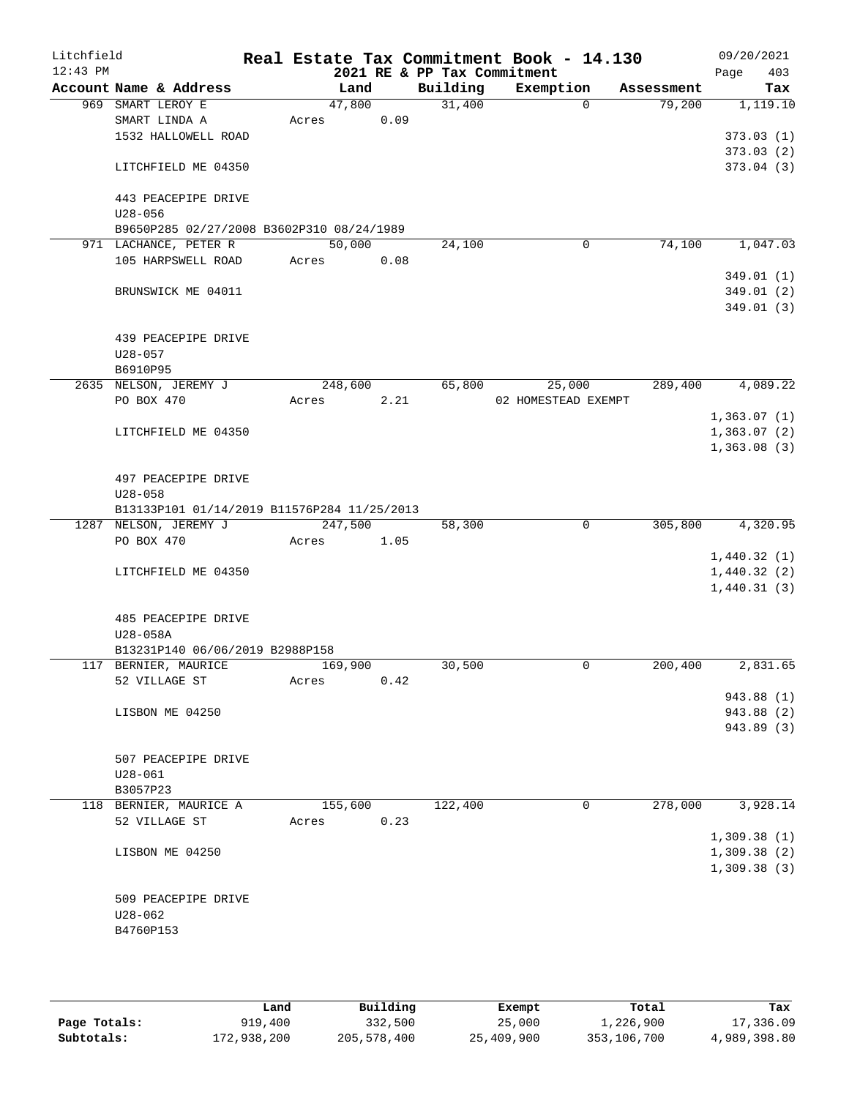| Litchfield<br>$12:43$ PM |             |                                             |         |      | 2021 RE & PP Tax Commitment | Real Estate Tax Commitment Book - 14.130 |            | 09/20/2021<br>403<br>Page |
|--------------------------|-------------|---------------------------------------------|---------|------|-----------------------------|------------------------------------------|------------|---------------------------|
|                          |             | Account Name & Address                      | Land    |      | Building                    | Exemption                                | Assessment | Tax                       |
|                          |             | 969 SMART LEROY E                           | 47,800  |      | 31,400                      | $\Omega$                                 | 79,200     | 1,119.10                  |
|                          |             | SMART LINDA A                               | Acres   | 0.09 |                             |                                          |            |                           |
|                          |             | 1532 HALLOWELL ROAD                         |         |      |                             |                                          |            | 373.03(1)                 |
|                          |             |                                             |         |      |                             |                                          |            | 373.03(2)                 |
|                          |             | LITCHFIELD ME 04350                         |         |      |                             |                                          |            | 373.04(3)                 |
|                          |             | 443 PEACEPIPE DRIVE                         |         |      |                             |                                          |            |                           |
|                          | $U28 - 056$ |                                             |         |      |                             |                                          |            |                           |
|                          |             | B9650P285 02/27/2008 B3602P310 08/24/1989   |         |      |                             |                                          |            |                           |
|                          |             | 971 LACHANCE, PETER R                       | 50,000  |      | 24,100                      | 0                                        | 74,100     | 1,047.03                  |
|                          |             | 105 HARPSWELL ROAD                          | Acres   | 0.08 |                             |                                          |            |                           |
|                          |             |                                             |         |      |                             |                                          |            | 349.01(1)                 |
|                          |             | BRUNSWICK ME 04011                          |         |      |                             |                                          |            | 349.01(2)                 |
|                          |             |                                             |         |      |                             |                                          |            | 349.01(3)                 |
|                          |             |                                             |         |      |                             |                                          |            |                           |
|                          |             | 439 PEACEPIPE DRIVE                         |         |      |                             |                                          |            |                           |
|                          | $U28 - 057$ |                                             |         |      |                             |                                          |            |                           |
|                          | B6910P95    |                                             |         |      |                             |                                          |            |                           |
|                          |             | 2635 NELSON, JEREMY J                       | 248,600 |      | 65,800                      | 25,000                                   | 289,400    | 4,089.22                  |
|                          | PO BOX 470  |                                             | Acres   | 2.21 |                             | 02 HOMESTEAD EXEMPT                      |            |                           |
|                          |             |                                             |         |      |                             |                                          |            | 1,363.07(1)               |
|                          |             | LITCHFIELD ME 04350                         |         |      |                             |                                          |            | 1,363.07(2)               |
|                          |             |                                             |         |      |                             |                                          |            | 1,363.08(3)               |
|                          |             | 497 PEACEPIPE DRIVE                         |         |      |                             |                                          |            |                           |
|                          | $U28 - 058$ |                                             |         |      |                             |                                          |            |                           |
|                          |             | B13133P101 01/14/2019 B11576P284 11/25/2013 |         |      |                             |                                          |            |                           |
|                          |             | 1287 NELSON, JEREMY J                       | 247,500 |      | 58,300                      | $\mathbf 0$                              | 305,800    | 4,320.95                  |
|                          | PO BOX 470  |                                             | Acres   | 1.05 |                             |                                          |            |                           |
|                          |             |                                             |         |      |                             |                                          |            | 1,440.32(1)               |
|                          |             | LITCHFIELD ME 04350                         |         |      |                             |                                          |            | 1,440.32(2)               |
|                          |             |                                             |         |      |                             |                                          |            | 1,440.31(3)               |
|                          |             |                                             |         |      |                             |                                          |            |                           |
|                          |             | 485 PEACEPIPE DRIVE                         |         |      |                             |                                          |            |                           |
|                          | U28-058A    |                                             |         |      |                             |                                          |            |                           |
|                          |             | B13231P140 06/06/2019 B2988P158             |         |      |                             |                                          |            |                           |
|                          |             | 117 BERNIER, MAURICE<br>52 VILLAGE ST       | 169,900 | 0.42 | 30,500                      | 0                                        | 200,400    | 2,831.65                  |
|                          |             |                                             | Acres   |      |                             |                                          |            | 943.88 (1)                |
|                          |             | LISBON ME 04250                             |         |      |                             |                                          |            | 943.88 (2)                |
|                          |             |                                             |         |      |                             |                                          |            | 943.89 (3)                |
|                          |             |                                             |         |      |                             |                                          |            |                           |
|                          |             | 507 PEACEPIPE DRIVE                         |         |      |                             |                                          |            |                           |
|                          | $U28 - 061$ |                                             |         |      |                             |                                          |            |                           |
|                          | B3057P23    |                                             |         |      |                             |                                          |            |                           |
|                          |             | 118 BERNIER, MAURICE A                      | 155,600 |      | 122,400                     | 0                                        | 278,000    | 3,928.14                  |
|                          |             | 52 VILLAGE ST                               | Acres   | 0.23 |                             |                                          |            |                           |
|                          |             |                                             |         |      |                             |                                          |            | 1,309.38(1)               |
|                          |             | LISBON ME 04250                             |         |      |                             |                                          |            | 1,309.38(2)               |
|                          |             |                                             |         |      |                             |                                          |            | 1,309.38(3)               |
|                          |             |                                             |         |      |                             |                                          |            |                           |
|                          |             | 509 PEACEPIPE DRIVE                         |         |      |                             |                                          |            |                           |
|                          | U28-062     |                                             |         |      |                             |                                          |            |                           |
|                          | B4760P153   |                                             |         |      |                             |                                          |            |                           |
|                          |             |                                             |         |      |                             |                                          |            |                           |
|                          |             |                                             |         |      |                             |                                          |            |                           |

|              | Land        | Building    | Exempt     | Total       | Tax          |
|--------------|-------------|-------------|------------|-------------|--------------|
| Page Totals: | 919,400     | 332,500     | 25,000     | 1,226,900   | 17,336.09    |
| Subtotals:   | 172,938,200 | 205,578,400 | 25,409,900 | 353,106,700 | 4,989,398.80 |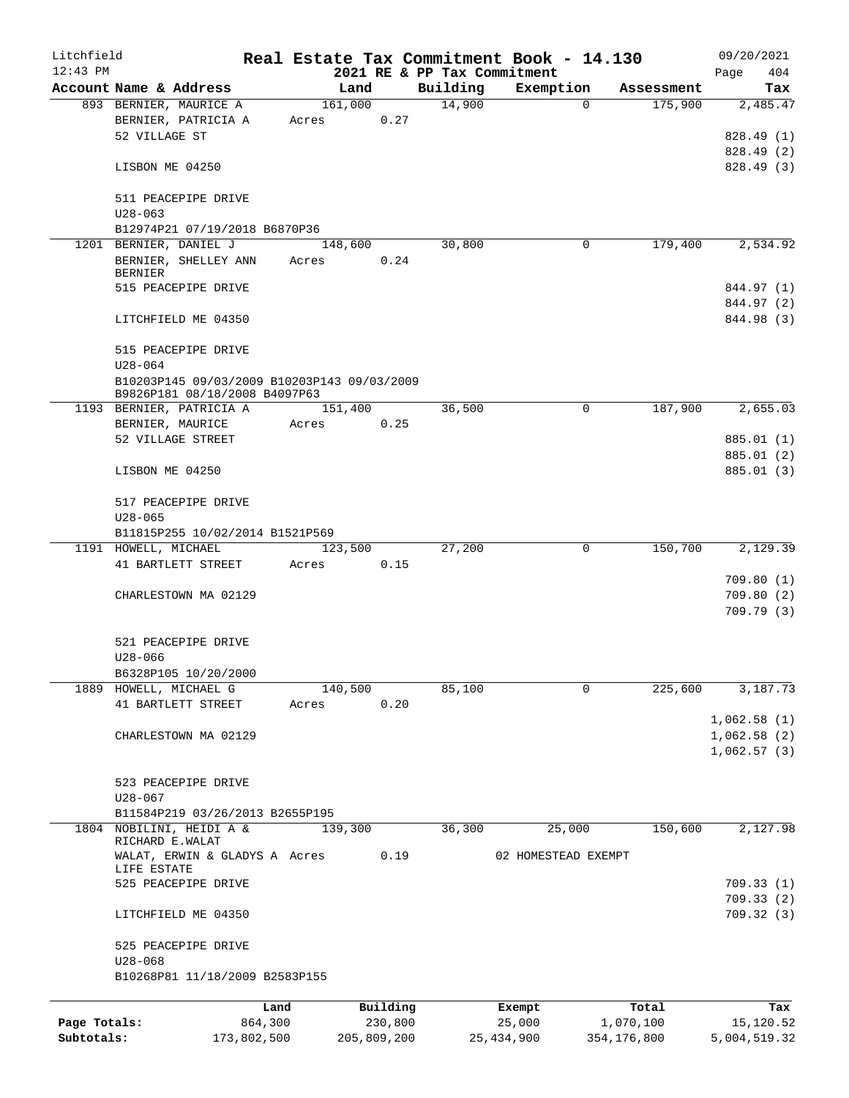| Litchfield   |                                                                              |             |                  |             |                             | Real Estate Tax Commitment Book - 14.130 |                        | 09/20/2021               |
|--------------|------------------------------------------------------------------------------|-------------|------------------|-------------|-----------------------------|------------------------------------------|------------------------|--------------------------|
| $12:43$ PM   |                                                                              |             |                  |             | 2021 RE & PP Tax Commitment |                                          |                        | 404<br>Page              |
|              | Account Name & Address                                                       |             | Land             |             | Building                    | Exemption                                | Assessment             | Tax                      |
|              | 893 BERNIER, MAURICE A<br>BERNIER, PATRICIA A<br>52 VILLAGE ST               |             | 161,000<br>Acres | 0.27        | 14,900                      |                                          | 175,900<br>$\Omega$    | 2,485.47<br>828.49 (1)   |
|              | LISBON ME 04250                                                              |             |                  |             |                             |                                          |                        | 828.49 (2)<br>828.49 (3) |
|              | 511 PEACEPIPE DRIVE<br>$U28 - 063$                                           |             |                  |             |                             |                                          |                        |                          |
|              | B12974P21 07/19/2018 B6870P36                                                |             |                  |             |                             |                                          |                        |                          |
|              | 1201 BERNIER, DANIEL J<br>BERNIER, SHELLEY ANN<br><b>BERNIER</b>             |             | 148,600<br>Acres | 0.24        | 30,800                      |                                          | 179,400<br>0           | 2,534.92                 |
|              | 515 PEACEPIPE DRIVE                                                          |             |                  |             |                             |                                          |                        | 844.97 (1)<br>844.97 (2) |
|              | LITCHFIELD ME 04350                                                          |             |                  |             |                             |                                          |                        | 844.98 (3)               |
|              | 515 PEACEPIPE DRIVE<br>$U28 - 064$                                           |             |                  |             |                             |                                          |                        |                          |
|              | B10203P145 09/03/2009 B10203P143 09/03/2009<br>B9826P181 08/18/2008 B4097P63 |             |                  |             |                             |                                          |                        |                          |
|              | 1193 BERNIER, PATRICIA A<br>BERNIER, MAURICE                                 |             | 151,400<br>Acres | 0.25        | 36,500                      |                                          | 187,900<br>0           | 2,655.03                 |
|              | 52 VILLAGE STREET                                                            |             |                  |             |                             |                                          |                        | 885.01 (1)               |
|              |                                                                              |             |                  |             |                             |                                          |                        | 885.01 (2)               |
|              | LISBON ME 04250                                                              |             |                  |             |                             |                                          |                        | 885.01 (3)               |
|              | 517 PEACEPIPE DRIVE<br>$U28 - 065$                                           |             |                  |             |                             |                                          |                        |                          |
|              | B11815P255 10/02/2014 B1521P569                                              |             |                  |             |                             |                                          |                        |                          |
|              | 1191 HOWELL, MICHAEL                                                         |             | 123,500          |             | 27,200                      |                                          | $\mathbf 0$<br>150,700 | 2,129.39                 |
|              | 41 BARTLETT STREET                                                           |             | Acres            | 0.15        |                             |                                          |                        |                          |
|              |                                                                              |             |                  |             |                             |                                          |                        | 709.80(1)                |
|              | CHARLESTOWN MA 02129                                                         |             |                  |             |                             |                                          |                        | 709.80(2)                |
|              |                                                                              |             |                  |             |                             |                                          |                        | 709.79(3)                |
|              |                                                                              |             |                  |             |                             |                                          |                        |                          |
|              | 521 PEACEPIPE DRIVE<br>$U28 - 066$                                           |             |                  |             |                             |                                          |                        |                          |
|              | B6328P105 10/20/2000                                                         |             |                  |             |                             |                                          |                        |                          |
|              | 1889 HOWELL, MICHAEL G                                                       |             | 140,500          |             | 85,100                      |                                          | 225,600<br>$\Omega$    | 3,187.73                 |
|              | 41 BARTLETT STREET                                                           |             | Acres            | 0.20        |                             |                                          |                        |                          |
|              |                                                                              |             |                  |             |                             |                                          |                        | 1,062.58(1)              |
|              | CHARLESTOWN MA 02129                                                         |             |                  |             |                             |                                          |                        | 1,062.58(2)              |
|              |                                                                              |             |                  |             |                             |                                          |                        | 1,062.57(3)              |
|              | 523 PEACEPIPE DRIVE                                                          |             |                  |             |                             |                                          |                        |                          |
|              | $U28 - 067$                                                                  |             |                  |             |                             |                                          |                        |                          |
|              | B11584P219 03/26/2013 B2655P195                                              |             |                  |             |                             |                                          |                        |                          |
| 1804         | NOBILINI, HEIDI A &<br>RICHARD E.WALAT                                       |             | 139,300          |             | 36,300                      | 25,000                                   | 150,600                | 2,127.98                 |
|              | WALAT, ERWIN & GLADYS A Acres<br>LIFE ESTATE                                 |             |                  | 0.19        |                             | 02 HOMESTEAD EXEMPT                      |                        |                          |
|              | 525 PEACEPIPE DRIVE                                                          |             |                  |             |                             |                                          |                        | 709.33(1)<br>709.33 (2)  |
|              | LITCHFIELD ME 04350                                                          |             |                  |             |                             |                                          |                        | 709.32 (3)               |
|              | 525 PEACEPIPE DRIVE<br>$U28 - 068$                                           |             |                  |             |                             |                                          |                        |                          |
|              | B10268P81 11/18/2009 B2583P155                                               |             |                  |             |                             |                                          |                        |                          |
|              |                                                                              | Land        |                  | Building    |                             | Exempt                                   | Total                  | Tax                      |
| Page Totals: |                                                                              | 864,300     |                  | 230,800     |                             | 25,000                                   | 1,070,100              | 15,120.52                |
| Subtotals:   |                                                                              | 173,802,500 |                  | 205,809,200 |                             | 25, 434, 900                             | 354,176,800            | 5,004,519.32             |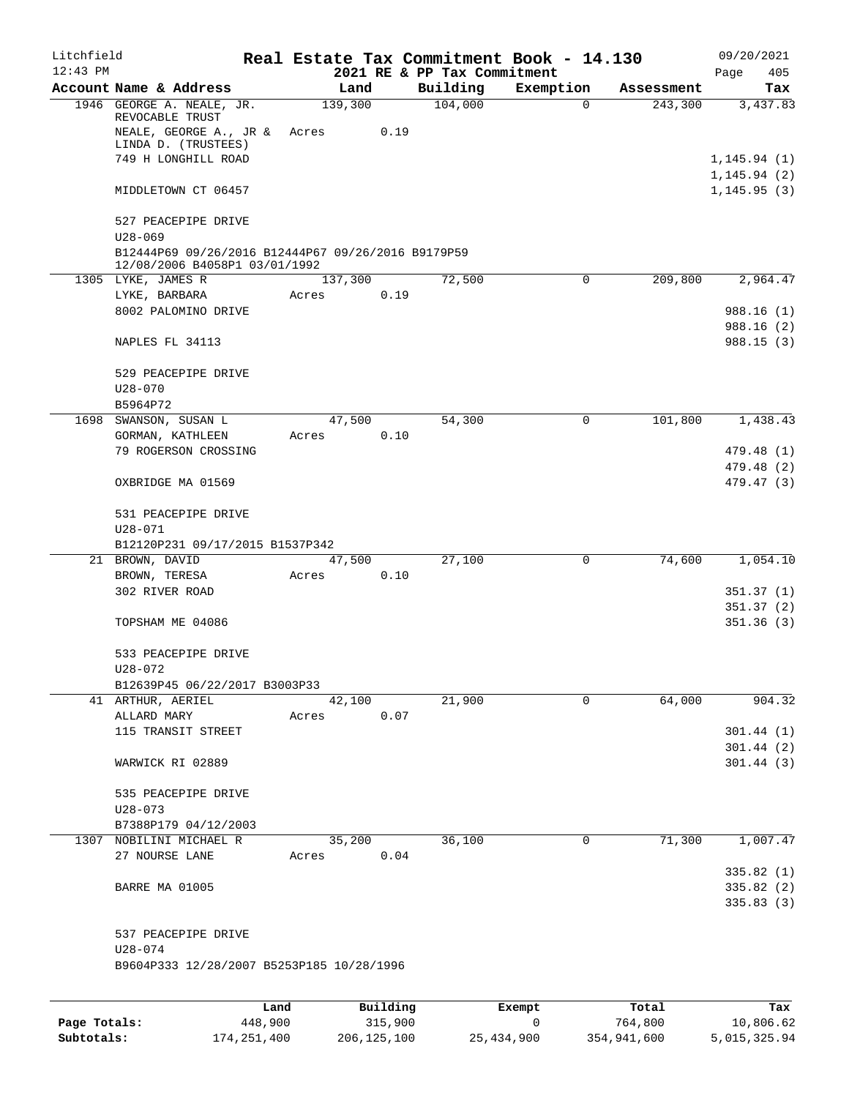| Litchfield   |                                                                                                    |         |                 |          |                             | Real Estate Tax Commitment Book - 14.130 |                       | 09/20/2021                   |
|--------------|----------------------------------------------------------------------------------------------------|---------|-----------------|----------|-----------------------------|------------------------------------------|-----------------------|------------------------------|
| $12:43$ PM   |                                                                                                    |         |                 |          | 2021 RE & PP Tax Commitment |                                          |                       | Page<br>405                  |
|              | Account Name & Address<br>1946 GEORGE A. NEALE, JR.                                                |         | Land<br>139,300 |          | Building<br>104,000         | Exemption<br>$\Omega$                    | Assessment<br>243,300 | Tax<br>3,437.83              |
|              | REVOCABLE TRUST<br>NEALE, GEORGE A., JR &                                                          |         | Acres           | 0.19     |                             |                                          |                       |                              |
|              | LINDA D. (TRUSTEES)                                                                                |         |                 |          |                             |                                          |                       |                              |
|              | 749 H LONGHILL ROAD                                                                                |         |                 |          |                             |                                          |                       | 1, 145.94(1)                 |
|              | MIDDLETOWN CT 06457                                                                                |         |                 |          |                             |                                          |                       | 1, 145.94(2)<br>1, 145.95(3) |
|              | 527 PEACEPIPE DRIVE                                                                                |         |                 |          |                             |                                          |                       |                              |
|              | $U28 - 069$<br>B12444P69 09/26/2016 B12444P67 09/26/2016 B9179P59<br>12/08/2006 B4058P1 03/01/1992 |         |                 |          |                             |                                          |                       |                              |
|              | 1305 LYKE, JAMES R                                                                                 |         | 137,300         |          | 72,500                      | 0                                        | 209,800               | 2,964.47                     |
|              | LYKE, BARBARA                                                                                      |         | Acres           | 0.19     |                             |                                          |                       |                              |
|              | 8002 PALOMINO DRIVE                                                                                |         |                 |          |                             |                                          |                       | 988.16(1)                    |
|              | NAPLES FL 34113                                                                                    |         |                 |          |                             |                                          |                       | 988.16(2)<br>988.15(3)       |
|              | 529 PEACEPIPE DRIVE                                                                                |         |                 |          |                             |                                          |                       |                              |
|              | $U28 - 070$<br>B5964P72                                                                            |         |                 |          |                             |                                          |                       |                              |
| 1698         | SWANSON, SUSAN L                                                                                   |         | 47,500          |          | 54,300                      | 0                                        | 101,800               | 1,438.43                     |
|              | GORMAN, KATHLEEN                                                                                   |         | Acres           | 0.10     |                             |                                          |                       |                              |
|              | 79 ROGERSON CROSSING                                                                               |         |                 |          |                             |                                          |                       | 479.48 (1)                   |
|              |                                                                                                    |         |                 |          |                             |                                          |                       | 479.48 (2)                   |
|              | OXBRIDGE MA 01569                                                                                  |         |                 |          |                             |                                          |                       | 479.47 (3)                   |
|              | 531 PEACEPIPE DRIVE                                                                                |         |                 |          |                             |                                          |                       |                              |
|              | $U28 - 071$                                                                                        |         |                 |          |                             |                                          |                       |                              |
|              | B12120P231 09/17/2015 B1537P342<br>21 BROWN, DAVID                                                 |         | 47,500          |          | 27,100                      | $\mathbf 0$                              | 74,600                | 1,054.10                     |
|              | BROWN, TERESA                                                                                      |         | Acres           | 0.10     |                             |                                          |                       |                              |
|              | 302 RIVER ROAD                                                                                     |         |                 |          |                             |                                          |                       | 351.37(1)                    |
|              |                                                                                                    |         |                 |          |                             |                                          |                       | 351.37(2)                    |
|              | TOPSHAM ME 04086                                                                                   |         |                 |          |                             |                                          |                       | 351.36(3)                    |
|              | 533 PEACEPIPE DRIVE                                                                                |         |                 |          |                             |                                          |                       |                              |
|              | $U28 - 072$                                                                                        |         |                 |          |                             |                                          |                       |                              |
|              | B12639P45 06/22/2017 B3003P33                                                                      |         |                 |          |                             |                                          |                       |                              |
|              | 41 ARTHUR, AERIEL<br>ALLARD MARY                                                                   |         | 42,100<br>Acres | 0.07     | 21,900                      | 0                                        | 64,000                | 904.32                       |
|              | 115 TRANSIT STREET                                                                                 |         |                 |          |                             |                                          |                       | 301.44(1)                    |
|              |                                                                                                    |         |                 |          |                             |                                          |                       | 301.44(2)                    |
|              | WARWICK RI 02889                                                                                   |         |                 |          |                             |                                          |                       | 301.44(3)                    |
|              | 535 PEACEPIPE DRIVE                                                                                |         |                 |          |                             |                                          |                       |                              |
|              | $U28 - 073$                                                                                        |         |                 |          |                             |                                          |                       |                              |
|              | B7388P179 04/12/2003                                                                               |         |                 |          |                             |                                          |                       |                              |
|              | 1307 NOBILINI MICHAEL R<br>27 NOURSE LANE                                                          |         | 35,200          | 0.04     | 36,100                      | 0                                        | 71,300                | 1,007.47                     |
|              |                                                                                                    |         | Acres           |          |                             |                                          |                       | 335.82(1)                    |
|              | BARRE MA 01005                                                                                     |         |                 |          |                             |                                          |                       | 335.82 (2)                   |
|              |                                                                                                    |         |                 |          |                             |                                          |                       | 335.83(3)                    |
|              | 537 PEACEPIPE DRIVE                                                                                |         |                 |          |                             |                                          |                       |                              |
|              | $U28 - 074$                                                                                        |         |                 |          |                             |                                          |                       |                              |
|              | B9604P333 12/28/2007 B5253P185 10/28/1996                                                          |         |                 |          |                             |                                          |                       |                              |
|              |                                                                                                    | Land    |                 | Building |                             | Exempt                                   | Total                 | Tax                          |
| Page Totals: |                                                                                                    | 448,900 |                 | 315,900  |                             | 0                                        | 764,800               | 10,806.62                    |

**Subtotals:** 174,251,400 206,125,100 25,434,900 354,941,600 5,015,325.94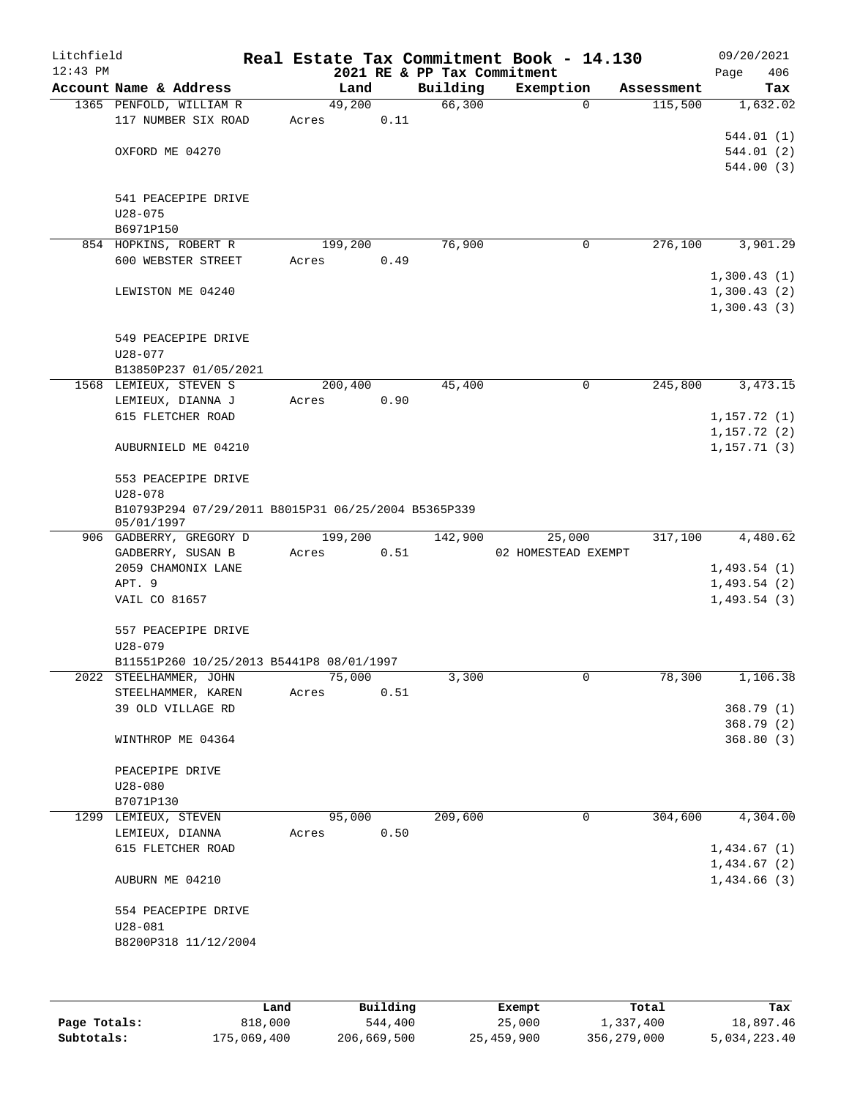| Litchfield<br>$12:43$ PM |                                                                    |                 |      | 2021 RE & PP Tax Commitment | Real Estate Tax Commitment Book - 14.130 |            | 09/20/2021<br>406<br>Page |
|--------------------------|--------------------------------------------------------------------|-----------------|------|-----------------------------|------------------------------------------|------------|---------------------------|
|                          | Account Name & Address                                             | Land            |      | Building                    | Exemption                                | Assessment | Tax                       |
|                          | 1365 PENFOLD, WILLIAM R<br>117 NUMBER SIX ROAD                     | 49,200<br>Acres | 0.11 | 66,300                      | $\mathbf 0$                              | 115,500    | 1,632.02                  |
|                          | OXFORD ME 04270                                                    |                 |      |                             |                                          |            | 544.01 (1)<br>544.01 (2)  |
|                          |                                                                    |                 |      |                             |                                          |            | 544.00 (3)                |
|                          | 541 PEACEPIPE DRIVE                                                |                 |      |                             |                                          |            |                           |
|                          | $U28 - 075$<br>B6971P150                                           |                 |      |                             |                                          |            |                           |
|                          | 854 HOPKINS, ROBERT R                                              | 199,200         |      | 76,900                      | $\mathbf 0$                              | 276,100    | 3,901.29                  |
|                          | 600 WEBSTER STREET                                                 | Acres           | 0.49 |                             |                                          |            | 1,300.43(1)               |
|                          | LEWISTON ME 04240                                                  |                 |      |                             |                                          |            | 1,300.43(2)               |
|                          |                                                                    |                 |      |                             |                                          |            | 1,300.43(3)               |
|                          | 549 PEACEPIPE DRIVE                                                |                 |      |                             |                                          |            |                           |
|                          | $U28 - 077$<br>B13850P237 01/05/2021                               |                 |      |                             |                                          |            |                           |
|                          | 1568 LEMIEUX, STEVEN S                                             | 200,400         |      | 45,400                      | 0                                        | 245,800    | 3, 473. 15                |
|                          | LEMIEUX, DIANNA J                                                  | Acres           | 0.90 |                             |                                          |            |                           |
|                          | 615 FLETCHER ROAD                                                  |                 |      |                             |                                          |            | 1,157.72(1)               |
|                          |                                                                    |                 |      |                             |                                          |            | 1,157.72(2)               |
|                          | AUBURNIELD ME 04210                                                |                 |      |                             |                                          |            | 1, 157.71(3)              |
|                          | 553 PEACEPIPE DRIVE                                                |                 |      |                             |                                          |            |                           |
|                          | $U28 - 078$                                                        |                 |      |                             |                                          |            |                           |
|                          | B10793P294 07/29/2011 B8015P31 06/25/2004 B5365P339<br>05/01/1997  |                 |      |                             |                                          |            |                           |
|                          | 906 GADBERRY, GREGORY D                                            | 199,200         |      | 142,900                     | 25,000                                   | 317,100    | 4,480.62                  |
|                          | GADBERRY, SUSAN B                                                  | Acres           | 0.51 |                             | 02 HOMESTEAD EXEMPT                      |            |                           |
|                          | 2059 CHAMONIX LANE                                                 |                 |      |                             |                                          |            | 1,493.54(1)               |
|                          | APT. 9<br>VAIL CO 81657                                            |                 |      |                             |                                          |            | 1,493.54(2)               |
|                          |                                                                    |                 |      |                             |                                          |            | 1,493.54(3)               |
|                          | 557 PEACEPIPE DRIVE                                                |                 |      |                             |                                          |            |                           |
|                          | $U28 - 079$                                                        |                 |      |                             |                                          |            |                           |
|                          | B11551P260 10/25/2013 B5441P8 08/01/1997<br>2022 STEELHAMMER, JOHN | 75,000          |      | 3,300                       | 0                                        | 78,300     | 1,106.38                  |
|                          | STEELHAMMER, KAREN                                                 | Acres           | 0.51 |                             |                                          |            |                           |
|                          | 39 OLD VILLAGE RD                                                  |                 |      |                             |                                          |            | 368.79(1)                 |
|                          |                                                                    |                 |      |                             |                                          |            | 368.79(2)                 |
|                          | WINTHROP ME 04364                                                  |                 |      |                             |                                          |            | 368.80(3)                 |
|                          | PEACEPIPE DRIVE                                                    |                 |      |                             |                                          |            |                           |
|                          | $U28 - 080$                                                        |                 |      |                             |                                          |            |                           |
|                          | B7071P130                                                          |                 |      |                             |                                          |            |                           |
|                          | 1299 LEMIEUX, STEVEN                                               | 95,000          | 0.50 | 209,600                     | 0                                        | 304,600    | 4,304.00                  |
|                          | LEMIEUX, DIANNA<br>615 FLETCHER ROAD                               | Acres           |      |                             |                                          |            | 1,434.67(1)               |
|                          |                                                                    |                 |      |                             |                                          |            | 1,434.67(2)               |
|                          | AUBURN ME 04210                                                    |                 |      |                             |                                          |            | 1,434.66(3)               |
|                          | 554 PEACEPIPE DRIVE                                                |                 |      |                             |                                          |            |                           |
|                          | $U28 - 081$                                                        |                 |      |                             |                                          |            |                           |
|                          | B8200P318 11/12/2004                                               |                 |      |                             |                                          |            |                           |
|                          |                                                                    |                 |      |                             |                                          |            |                           |
|                          |                                                                    |                 |      |                             |                                          |            |                           |

|              | Land        | Building    | Exempt     | Total       | Tax          |
|--------------|-------------|-------------|------------|-------------|--------------|
| Page Totals: | 818,000     | 544,400     | 25,000     | 1,337,400   | 18,897.46    |
| Subtotals:   | 175,069,400 | 206,669,500 | 25,459,900 | 356,279,000 | 5,034,223.40 |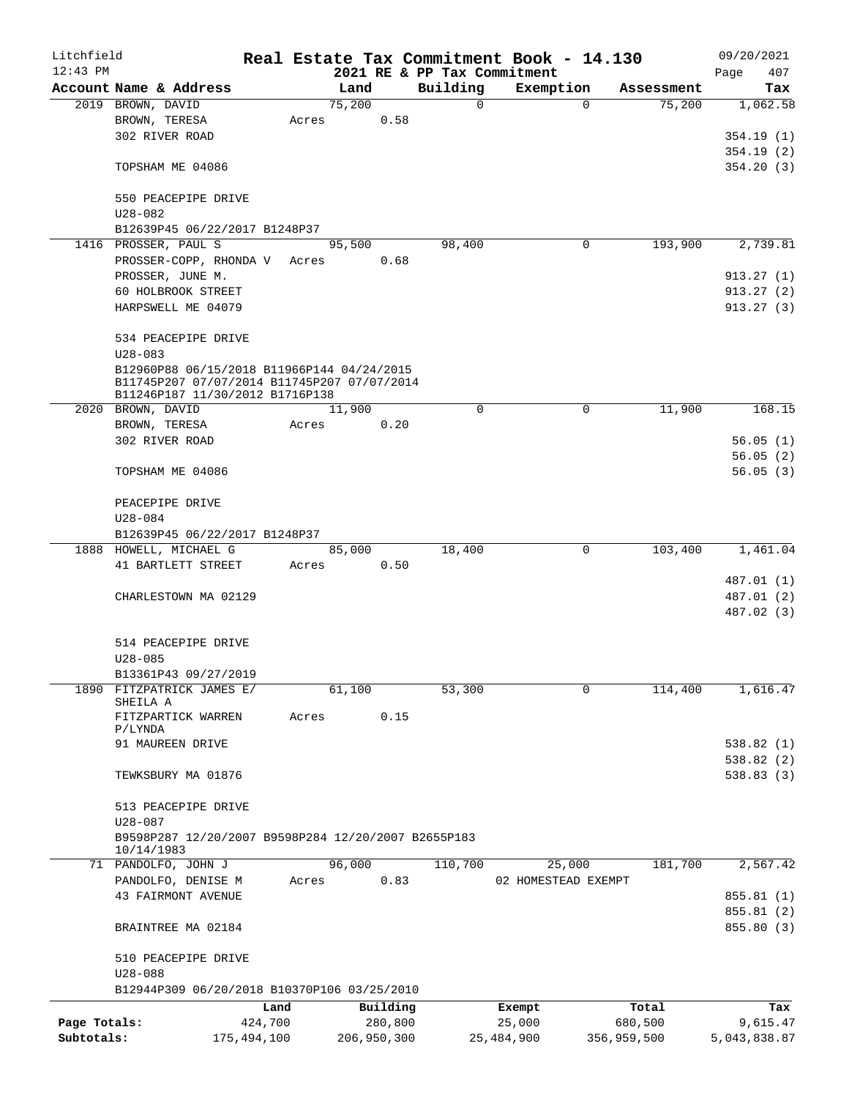| Litchfield   |                                                                                                                              |             |       |        |             |             | Real Estate Tax Commitment Book - 14.130 |          |             | 09/20/2021               |
|--------------|------------------------------------------------------------------------------------------------------------------------------|-------------|-------|--------|-------------|-------------|------------------------------------------|----------|-------------|--------------------------|
| $12:43$ PM   |                                                                                                                              |             |       |        |             |             | 2021 RE & PP Tax Commitment              |          |             | 407<br>Page              |
|              | Account Name & Address                                                                                                       |             |       | Land   |             | Building    | Exemption                                |          | Assessment  | Tax                      |
|              | 2019 BROWN, DAVID                                                                                                            |             |       | 75,200 |             | $\mathbf 0$ |                                          | $\Omega$ | 75,200      | 1,062.58                 |
|              | BROWN, TERESA                                                                                                                |             | Acres |        | 0.58        |             |                                          |          |             |                          |
|              | 302 RIVER ROAD                                                                                                               |             |       |        |             |             |                                          |          |             | 354.19 (1)               |
|              |                                                                                                                              |             |       |        |             |             |                                          |          |             | 354.19(2)                |
|              | TOPSHAM ME 04086                                                                                                             |             |       |        |             |             |                                          |          |             | 354.20(3)                |
|              | 550 PEACEPIPE DRIVE<br>$U28 - 082$                                                                                           |             |       |        |             |             |                                          |          |             |                          |
|              | B12639P45 06/22/2017 B1248P37                                                                                                |             |       |        |             |             |                                          |          |             |                          |
|              | 1416 PROSSER, PAUL S                                                                                                         |             |       | 95,500 |             | 98,400      |                                          | 0        | 193,900     | 2,739.81                 |
|              | PROSSER-COPP, RHONDA V Acres                                                                                                 |             |       |        | 0.68        |             |                                          |          |             |                          |
|              | PROSSER, JUNE M.                                                                                                             |             |       |        |             |             |                                          |          |             | 913.27(1)                |
|              | 60 HOLBROOK STREET                                                                                                           |             |       |        |             |             |                                          |          |             | 913.27(2)                |
|              | HARPSWELL ME 04079                                                                                                           |             |       |        |             |             |                                          |          |             | 913.27(3)                |
|              |                                                                                                                              |             |       |        |             |             |                                          |          |             |                          |
|              | 534 PEACEPIPE DRIVE                                                                                                          |             |       |        |             |             |                                          |          |             |                          |
|              | $U28 - 083$                                                                                                                  |             |       |        |             |             |                                          |          |             |                          |
|              | B12960P88 06/15/2018 B11966P144 04/24/2015<br>B11745P207 07/07/2014 B11745P207 07/07/2014<br>B11246P187 11/30/2012 B1716P138 |             |       |        |             |             |                                          |          |             |                          |
|              | 2020 BROWN, DAVID                                                                                                            |             |       | 11,900 |             | $\Omega$    |                                          | 0        | 11,900      | 168.15                   |
|              | BROWN, TERESA                                                                                                                |             | Acres |        | 0.20        |             |                                          |          |             |                          |
|              | 302 RIVER ROAD                                                                                                               |             |       |        |             |             |                                          |          |             | 56.05(1)                 |
|              |                                                                                                                              |             |       |        |             |             |                                          |          |             | 56.05(2)                 |
|              | TOPSHAM ME 04086                                                                                                             |             |       |        |             |             |                                          |          |             | 56.05(3)                 |
|              |                                                                                                                              |             |       |        |             |             |                                          |          |             |                          |
|              | PEACEPIPE DRIVE                                                                                                              |             |       |        |             |             |                                          |          |             |                          |
|              | U28-084                                                                                                                      |             |       |        |             |             |                                          |          |             |                          |
|              | B12639P45 06/22/2017 B1248P37                                                                                                |             |       |        |             |             |                                          |          |             |                          |
|              | 1888 HOWELL, MICHAEL G                                                                                                       |             |       | 85,000 |             | 18,400      |                                          | 0        | 103,400     | 1,461.04                 |
|              | 41 BARTLETT STREET                                                                                                           |             | Acres | 0.50   |             |             |                                          |          |             |                          |
|              | CHARLESTOWN MA 02129                                                                                                         |             |       |        |             |             |                                          |          |             | 487.01 (1)<br>487.01 (2) |
|              |                                                                                                                              |             |       |        |             |             |                                          |          |             | 487.02 (3)               |
|              |                                                                                                                              |             |       |        |             |             |                                          |          |             |                          |
|              | 514 PEACEPIPE DRIVE                                                                                                          |             |       |        |             |             |                                          |          |             |                          |
|              | $U28 - 085$                                                                                                                  |             |       |        |             |             |                                          |          |             |                          |
|              | B13361P43 09/27/2019                                                                                                         |             |       |        |             |             |                                          |          |             |                          |
|              | 1890 FITZPATRICK JAMES E/                                                                                                    |             |       | 61,100 |             | 53,300      |                                          | 0        | 114,400     | 1,616.47                 |
|              | SHEILA A                                                                                                                     |             |       |        |             |             |                                          |          |             |                          |
|              | FITZPARTICK WARREN                                                                                                           |             | Acres |        | 0.15        |             |                                          |          |             |                          |
|              | P/LYNDA<br>91 MAUREEN DRIVE                                                                                                  |             |       |        |             |             |                                          |          |             | 538.82(1)                |
|              |                                                                                                                              |             |       |        |             |             |                                          |          |             | 538.82(2)                |
|              | TEWKSBURY MA 01876                                                                                                           |             |       |        |             |             |                                          |          |             | 538.83(3)                |
|              |                                                                                                                              |             |       |        |             |             |                                          |          |             |                          |
|              | 513 PEACEPIPE DRIVE                                                                                                          |             |       |        |             |             |                                          |          |             |                          |
|              | $U28 - 087$                                                                                                                  |             |       |        |             |             |                                          |          |             |                          |
|              | B9598P287 12/20/2007 B9598P284 12/20/2007 B2655P183                                                                          |             |       |        |             |             |                                          |          |             |                          |
|              | 10/14/1983                                                                                                                   |             |       |        |             |             |                                          |          |             |                          |
|              | 71 PANDOLFO, JOHN J                                                                                                          |             |       | 96,000 |             | 110,700     | 25,000                                   |          | 181,700     | 2,567.42                 |
|              | PANDOLFO, DENISE M                                                                                                           |             | Acres |        | 0.83        |             | 02 HOMESTEAD EXEMPT                      |          |             |                          |
|              | <b>43 FAIRMONT AVENUE</b>                                                                                                    |             |       |        |             |             |                                          |          |             | 855.81 (1)               |
|              |                                                                                                                              |             |       |        |             |             |                                          |          |             | 855.81 (2)               |
|              | BRAINTREE MA 02184                                                                                                           |             |       |        |             |             |                                          |          |             | 855.80 (3)               |
|              | 510 PEACEPIPE DRIVE                                                                                                          |             |       |        |             |             |                                          |          |             |                          |
|              | $U28 - 088$                                                                                                                  |             |       |        |             |             |                                          |          |             |                          |
|              | B12944P309 06/20/2018 B10370P106 03/25/2010                                                                                  |             |       |        |             |             |                                          |          |             |                          |
|              |                                                                                                                              | Land        |       |        | Building    |             | Exempt                                   |          | Total       | Tax                      |
| Page Totals: |                                                                                                                              | 424,700     |       |        | 280,800     |             | 25,000                                   |          | 680,500     | 9,615.47                 |
| Subtotals:   |                                                                                                                              | 175,494,100 |       |        | 206,950,300 |             | 25,484,900                               |          | 356,959,500 | 5,043,838.87             |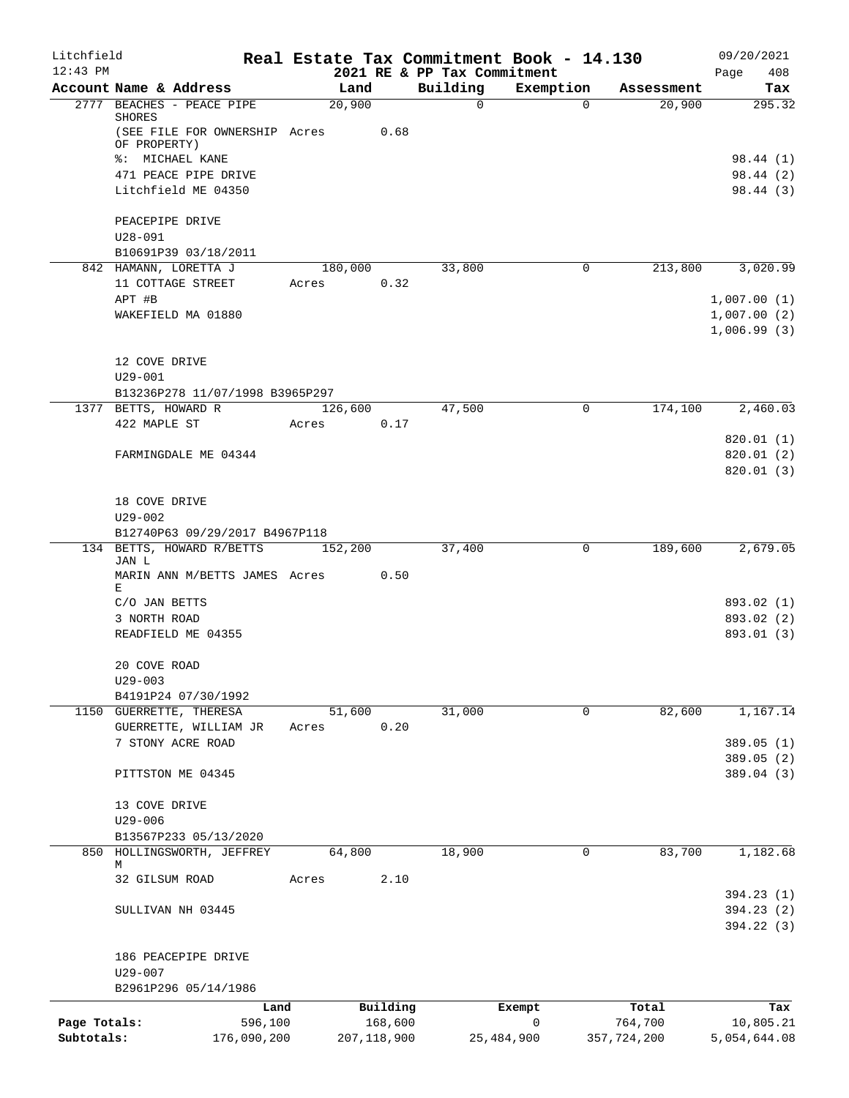| Litchfield   |                                               |             |         |                |                         | Real Estate Tax Commitment Book - 14.130 |                                  | 09/20/2021               |
|--------------|-----------------------------------------------|-------------|---------|----------------|-------------------------|------------------------------------------|----------------------------------|--------------------------|
| $12:43$ PM   | Account Name & Address                        |             |         |                |                         | 2021 RE & PP Tax Commitment              |                                  | 408<br>Page              |
|              | 2777 BEACHES - PEACE PIPE                     |             |         | Land<br>20,900 | Building<br>$\mathbf 0$ | Exemption                                | Assessment<br>20,900<br>$\Omega$ | Tax<br>295.32            |
|              | <b>SHORES</b>                                 |             |         |                |                         |                                          |                                  |                          |
|              | (SEE FILE FOR OWNERSHIP Acres<br>OF PROPERTY) |             |         | 0.68           |                         |                                          |                                  |                          |
|              | %: MICHAEL KANE                               |             |         |                |                         |                                          |                                  | 98.44 (1)                |
|              | 471 PEACE PIPE DRIVE                          |             |         |                |                         |                                          |                                  | 98.44 (2)                |
|              | Litchfield ME 04350                           |             |         |                |                         |                                          |                                  | 98.44 (3)                |
|              |                                               |             |         |                |                         |                                          |                                  |                          |
|              | PEACEPIPE DRIVE<br>$U28 - 091$                |             |         |                |                         |                                          |                                  |                          |
|              | B10691P39 03/18/2011                          |             |         |                |                         |                                          |                                  |                          |
|              | 842 HAMANN, LORETTA J                         |             |         | 180,000        | 33,800                  |                                          | 213,800<br>0                     | 3,020.99                 |
|              | 11 COTTAGE STREET                             |             | Acres   | 0.32           |                         |                                          |                                  |                          |
|              | APT #B                                        |             |         |                |                         |                                          |                                  | 1,007.00(1)              |
|              | WAKEFIELD MA 01880                            |             |         |                |                         |                                          |                                  | 1,007.00(2)              |
|              |                                               |             |         |                |                         |                                          |                                  | 1,006.99(3)              |
|              | 12 COVE DRIVE                                 |             |         |                |                         |                                          |                                  |                          |
|              | $U29 - 001$                                   |             |         |                |                         |                                          |                                  |                          |
|              | B13236P278 11/07/1998 B3965P297               |             |         |                |                         |                                          |                                  |                          |
|              | 1377 BETTS, HOWARD R                          |             | 126,600 |                | 47,500                  |                                          | 174,100<br>0                     | 2,460.03                 |
|              | 422 MAPLE ST                                  |             | Acres   | 0.17           |                         |                                          |                                  |                          |
|              |                                               |             |         |                |                         |                                          |                                  | 820.01 (1)               |
|              | FARMINGDALE ME 04344                          |             |         |                |                         |                                          |                                  | 820.01(2)<br>820.01(3)   |
|              |                                               |             |         |                |                         |                                          |                                  |                          |
|              | 18 COVE DRIVE                                 |             |         |                |                         |                                          |                                  |                          |
|              | $U29 - 002$                                   |             |         |                |                         |                                          |                                  |                          |
|              | B12740P63 09/29/2017 B4967P118                |             |         |                |                         |                                          |                                  |                          |
|              | 134 BETTS, HOWARD R/BETTS<br>JAN L            |             | 152,200 |                | 37,400                  |                                          | 0<br>189,600                     | 2,679.05                 |
|              | MARIN ANN M/BETTS JAMES Acres 0.50            |             |         |                |                         |                                          |                                  |                          |
|              | Е                                             |             |         |                |                         |                                          |                                  |                          |
|              | C/O JAN BETTS                                 |             |         |                |                         |                                          |                                  | 893.02 (1)               |
|              | 3 NORTH ROAD                                  |             |         |                |                         |                                          |                                  | 893.02 (2)<br>893.01 (3) |
|              | READFIELD ME 04355                            |             |         |                |                         |                                          |                                  |                          |
|              | 20 COVE ROAD                                  |             |         |                |                         |                                          |                                  |                          |
|              | $U29 - 003$                                   |             |         |                |                         |                                          |                                  |                          |
|              | B4191P24 07/30/1992                           |             |         |                |                         |                                          |                                  |                          |
|              | 1150 GUERRETTE, THERESA                       |             |         | 51,600         | 31,000                  |                                          | 82,600<br>0                      | 1,167.14                 |
|              | GUERRETTE, WILLIAM JR<br>7 STONY ACRE ROAD    |             | Acres   | 0.20           |                         |                                          |                                  |                          |
|              |                                               |             |         |                |                         |                                          |                                  | 389.05 (1)<br>389.05 (2) |
|              | PITTSTON ME 04345                             |             |         |                |                         |                                          |                                  | 389.04 (3)               |
|              |                                               |             |         |                |                         |                                          |                                  |                          |
|              | 13 COVE DRIVE                                 |             |         |                |                         |                                          |                                  |                          |
|              | $U29 - 006$                                   |             |         |                |                         |                                          |                                  |                          |
|              | B13567P233 05/13/2020                         |             |         |                |                         |                                          |                                  |                          |
|              | 850 HOLLINGSWORTH, JEFFREY<br>М               |             |         | 64,800         | 18,900                  |                                          | 83,700<br>0                      | 1,182.68                 |
|              | 32 GILSUM ROAD                                |             | Acres   | 2.10           |                         |                                          |                                  |                          |
|              |                                               |             |         |                |                         |                                          |                                  | 394.23 (1)               |
|              | SULLIVAN NH 03445                             |             |         |                |                         |                                          |                                  | 394.23 (2)               |
|              |                                               |             |         |                |                         |                                          |                                  | 394.22 (3)               |
|              | 186 PEACEPIPE DRIVE                           |             |         |                |                         |                                          |                                  |                          |
|              | U29-007                                       |             |         |                |                         |                                          |                                  |                          |
|              | B2961P296 05/14/1986                          |             |         |                |                         |                                          |                                  |                          |
|              |                                               | Land        |         | Building       |                         | Exempt                                   | Total                            | Tax                      |
| Page Totals: |                                               | 596,100     |         | 168,600        |                         | 0                                        | 764,700                          | 10,805.21                |
| Subtotals:   |                                               | 176,090,200 |         | 207, 118, 900  |                         | 25,484,900                               | 357,724,200                      | 5,054,644.08             |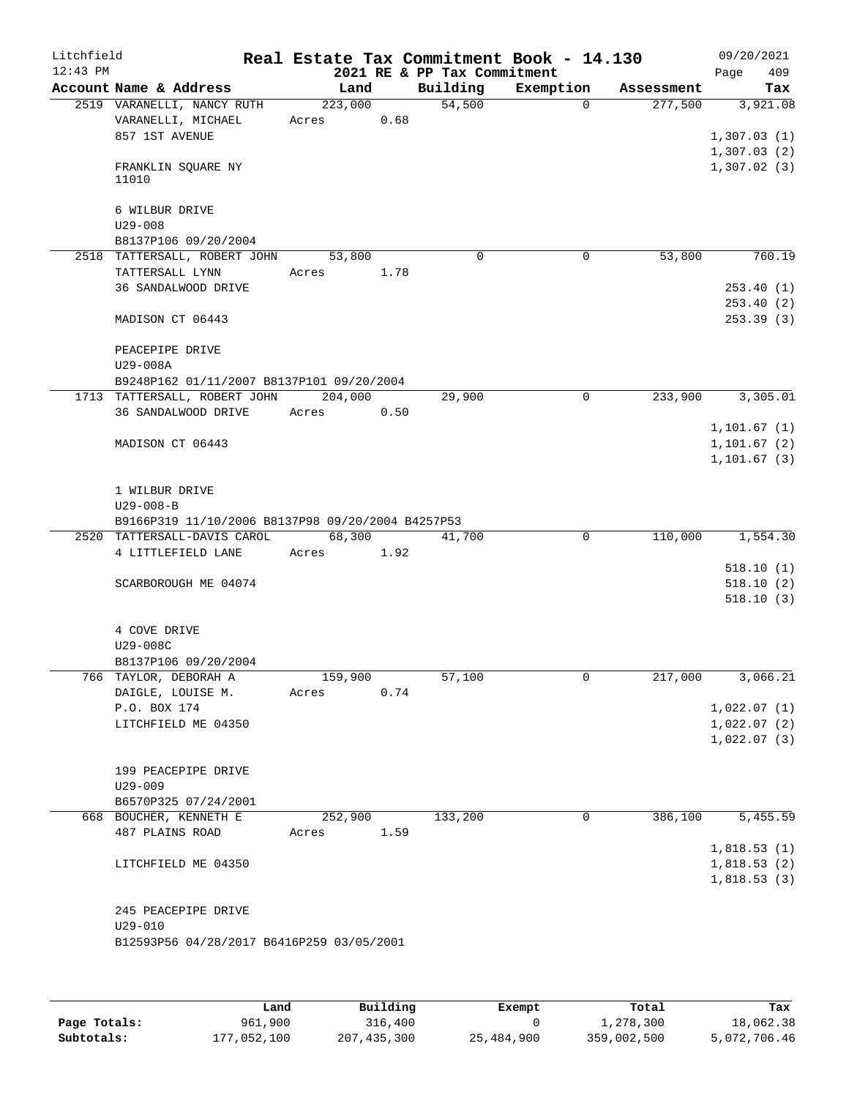| Litchfield<br>$12:43$ PM |                                                     |            |      |                                         | Real Estate Tax Commitment Book - 14.130 |                      | 09/20/2021                   |
|--------------------------|-----------------------------------------------------|------------|------|-----------------------------------------|------------------------------------------|----------------------|------------------------------|
|                          | Account Name & Address                              | Land       |      | 2021 RE & PP Tax Commitment<br>Building | Exemption                                | Assessment           | 409<br>Page<br>Tax           |
|                          | 2519 VARANELLI, NANCY RUTH                          | 223,000    |      | 54,500                                  | $\Omega$                                 | 277,500              | 3,921.08                     |
|                          | VARANELLI, MICHAEL                                  | Acres      | 0.68 |                                         |                                          |                      |                              |
|                          | 857 1ST AVENUE                                      |            |      |                                         |                                          |                      | 1,307.03(1)                  |
|                          |                                                     |            |      |                                         |                                          |                      | 1,307.03(2)                  |
|                          | FRANKLIN SQUARE NY                                  |            |      |                                         |                                          |                      | 1,307.02(3)                  |
|                          | 11010                                               |            |      |                                         |                                          |                      |                              |
|                          |                                                     |            |      |                                         |                                          |                      |                              |
|                          | 6 WILBUR DRIVE                                      |            |      |                                         |                                          |                      |                              |
|                          | $U29 - 008$                                         |            |      |                                         |                                          |                      |                              |
|                          | B8137P106 09/20/2004                                |            |      |                                         |                                          |                      |                              |
|                          | 2518 TATTERSALL, ROBERT JOHN                        | 53,800     |      | $\Omega$                                | 0                                        | 53,800               | 760.19                       |
|                          | TATTERSALL LYNN                                     | Acres 1.78 |      |                                         |                                          |                      |                              |
|                          | 36 SANDALWOOD DRIVE                                 |            |      |                                         |                                          |                      | 253.40(1)                    |
|                          |                                                     |            |      |                                         |                                          |                      | 253.40(2)                    |
|                          | MADISON CT 06443                                    |            |      |                                         |                                          |                      | 253.39(3)                    |
|                          |                                                     |            |      |                                         |                                          |                      |                              |
|                          | PEACEPIPE DRIVE                                     |            |      |                                         |                                          |                      |                              |
|                          | U29-008A                                            |            |      |                                         |                                          |                      |                              |
|                          | B9248P162 01/11/2007 B8137P101 09/20/2004           |            |      |                                         | $\mathbf 0$                              |                      |                              |
|                          | 1713 TATTERSALL, ROBERT JOHN<br>36 SANDALWOOD DRIVE | 204,000    |      | 29,900                                  |                                          | 233,900              | 3,305.01                     |
|                          |                                                     | Acres      | 0.50 |                                         |                                          |                      |                              |
|                          | MADISON CT 06443                                    |            |      |                                         |                                          |                      | 1, 101.67(1)<br>1, 101.67(2) |
|                          |                                                     |            |      |                                         |                                          |                      | 1,101.67(3)                  |
|                          |                                                     |            |      |                                         |                                          |                      |                              |
|                          | 1 WILBUR DRIVE                                      |            |      |                                         |                                          |                      |                              |
|                          | $U29 - 008 - B$                                     |            |      |                                         |                                          |                      |                              |
|                          | B9166P319 11/10/2006 B8137P98 09/20/2004 B4257P53   |            |      |                                         |                                          |                      |                              |
|                          | 2520 TATTERSALL-DAVIS CAROL                         | 68,300     |      | 41,700                                  | $\Omega$                                 | $1\overline{10,000}$ | 1,554.30                     |
|                          | 4 LITTLEFIELD LANE                                  | Acres      | 1.92 |                                         |                                          |                      |                              |
|                          |                                                     |            |      |                                         |                                          |                      | 518.10(1)                    |
|                          | SCARBOROUGH ME 04074                                |            |      |                                         |                                          |                      | 518.10(2)                    |
|                          |                                                     |            |      |                                         |                                          |                      | 518.10(3)                    |
|                          |                                                     |            |      |                                         |                                          |                      |                              |
|                          | 4 COVE DRIVE                                        |            |      |                                         |                                          |                      |                              |
|                          | U29-008C                                            |            |      |                                         |                                          |                      |                              |
|                          | B8137P106 09/20/2004                                |            |      |                                         |                                          |                      |                              |
|                          | 766 TAYLOR, DEBORAH A                               | 159,900    |      | 57,100                                  | 0                                        | 217,000              | 3,066.21                     |
|                          | DAIGLE, LOUISE M.                                   | Acres      | 0.74 |                                         |                                          |                      |                              |
|                          | P.O. BOX 174                                        |            |      |                                         |                                          |                      | 1,022.07(1)                  |
|                          | LITCHFIELD ME 04350                                 |            |      |                                         |                                          |                      | 1,022.07(2)                  |
|                          |                                                     |            |      |                                         |                                          |                      | 1,022.07(3)                  |
|                          |                                                     |            |      |                                         |                                          |                      |                              |
|                          | 199 PEACEPIPE DRIVE                                 |            |      |                                         |                                          |                      |                              |
|                          | $U29 - 009$                                         |            |      |                                         |                                          |                      |                              |
|                          | B6570P325 07/24/2001                                |            |      |                                         |                                          |                      |                              |
|                          | 668 BOUCHER, KENNETH E                              | 252,900    |      | 133,200                                 | 0                                        | 386,100              | 5,455.59                     |
|                          | 487 PLAINS ROAD                                     | Acres      | 1.59 |                                         |                                          |                      |                              |
|                          |                                                     |            |      |                                         |                                          |                      | 1,818.53(1)                  |
|                          | LITCHFIELD ME 04350                                 |            |      |                                         |                                          |                      | 1,818.53(2)                  |
|                          |                                                     |            |      |                                         |                                          |                      | 1,818.53(3)                  |
|                          |                                                     |            |      |                                         |                                          |                      |                              |
|                          | 245 PEACEPIPE DRIVE<br>$U29 - 010$                  |            |      |                                         |                                          |                      |                              |
|                          | B12593P56 04/28/2017 B6416P259 03/05/2001           |            |      |                                         |                                          |                      |                              |
|                          |                                                     |            |      |                                         |                                          |                      |                              |
|                          |                                                     |            |      |                                         |                                          |                      |                              |
|                          |                                                     |            |      |                                         |                                          |                      |                              |

|              | Land        | Building      | Exempt     | Total       | Tax          |
|--------------|-------------|---------------|------------|-------------|--------------|
| Page Totals: | 961,900     | 316,400       |            | 1,278,300   | 18,062.38    |
| Subtotals:   | 177,052,100 | 207, 435, 300 | 25,484,900 | 359,002,500 | 5,072,706.46 |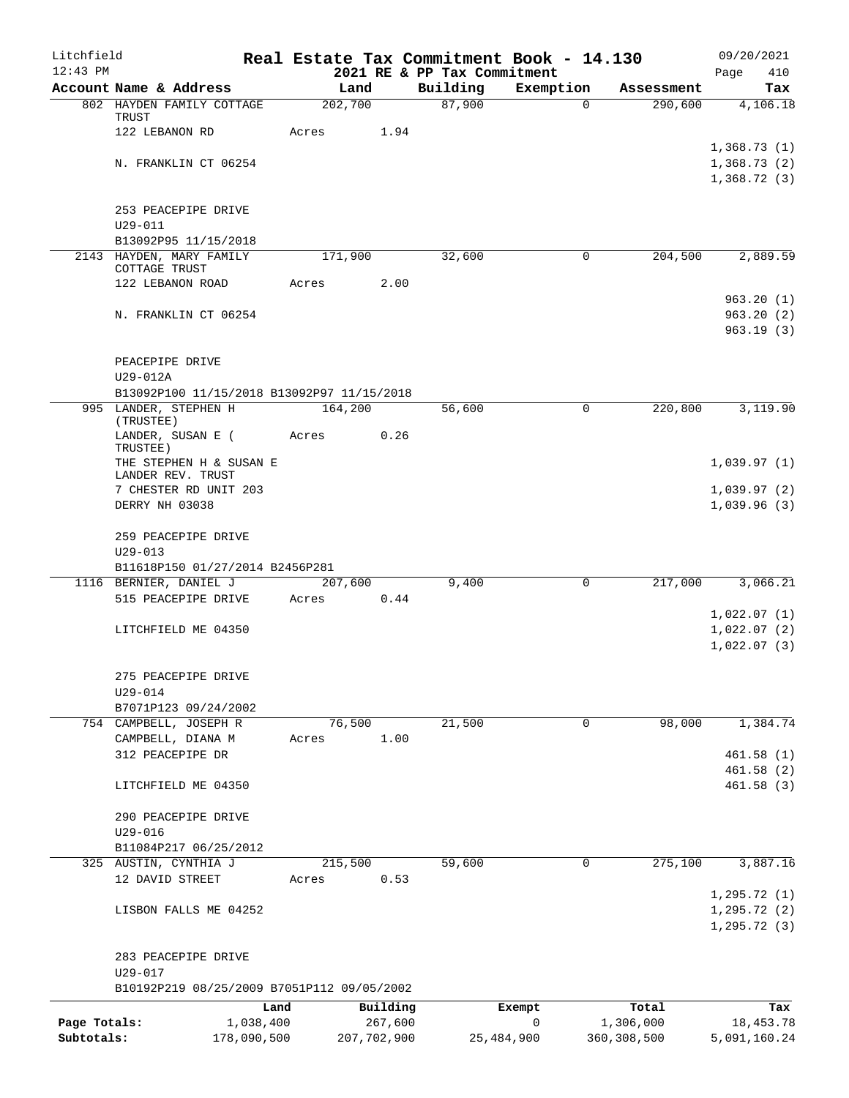| Litchfield   |                                                        | Real Estate Tax Commitment Book - 14.130 |      |                                         |                |                       | 09/20/2021                 |
|--------------|--------------------------------------------------------|------------------------------------------|------|-----------------------------------------|----------------|-----------------------|----------------------------|
| $12:43$ PM   | Account Name & Address                                 | Land                                     |      | 2021 RE & PP Tax Commitment<br>Building |                |                       | 410<br>Page                |
|              | 802 HAYDEN FAMILY COTTAGE                              | 202,700                                  |      | 87,900                                  | Exemption<br>0 | Assessment<br>290,600 | Tax<br>4,106.18            |
|              | TRUST                                                  |                                          |      |                                         |                |                       |                            |
|              | 122 LEBANON RD                                         | Acres                                    | 1.94 |                                         |                |                       |                            |
|              | N. FRANKLIN CT 06254                                   |                                          |      |                                         |                |                       | 1,368.73(1)<br>1,368.73(2) |
|              |                                                        |                                          |      |                                         |                |                       | 1,368.72(3)                |
|              |                                                        |                                          |      |                                         |                |                       |                            |
|              | 253 PEACEPIPE DRIVE                                    |                                          |      |                                         |                |                       |                            |
|              | $U29 - 011$<br>B13092P95 11/15/2018                    |                                          |      |                                         |                |                       |                            |
|              | 2143 HAYDEN, MARY FAMILY                               | 171,900                                  |      | 32,600                                  | 0              | 204,500               | 2,889.59                   |
|              | COTTAGE TRUST                                          |                                          |      |                                         |                |                       |                            |
|              | 122 LEBANON ROAD                                       | Acres                                    | 2.00 |                                         |                |                       | 963.20(1)                  |
|              | N. FRANKLIN CT 06254                                   |                                          |      |                                         |                |                       | 963.20(2)                  |
|              |                                                        |                                          |      |                                         |                |                       | 963.19(3)                  |
|              |                                                        |                                          |      |                                         |                |                       |                            |
|              | PEACEPIPE DRIVE                                        |                                          |      |                                         |                |                       |                            |
|              | U29-012A<br>B13092P100 11/15/2018 B13092P97 11/15/2018 |                                          |      |                                         |                |                       |                            |
|              | 995 LANDER, STEPHEN H                                  | 164,200                                  |      | 56,600                                  | 0              | 220,800               | 3,119.90                   |
|              | (TRUSTEE)                                              |                                          |      |                                         |                |                       |                            |
|              | LANDER, SUSAN E (<br>TRUSTEE)                          | Acres                                    | 0.26 |                                         |                |                       |                            |
|              | THE STEPHEN H & SUSAN E                                |                                          |      |                                         |                |                       | 1,039.97(1)                |
|              | LANDER REV. TRUST<br>7 CHESTER RD UNIT 203             |                                          |      |                                         |                |                       | 1,039.97(2)                |
|              | DERRY NH 03038                                         |                                          |      |                                         |                |                       | 1,039.96(3)                |
|              |                                                        |                                          |      |                                         |                |                       |                            |
|              | 259 PEACEPIPE DRIVE                                    |                                          |      |                                         |                |                       |                            |
|              | $U29 - 013$<br>B11618P150 01/27/2014 B2456P281         |                                          |      |                                         |                |                       |                            |
|              | 1116 BERNIER, DANIEL J                                 | 207,600                                  |      | 9,400                                   | 0              | 217,000               | 3,066.21                   |
|              | 515 PEACEPIPE DRIVE                                    | Acres                                    | 0.44 |                                         |                |                       |                            |
|              |                                                        |                                          |      |                                         |                |                       | 1,022.07(1)                |
|              | LITCHFIELD ME 04350                                    |                                          |      |                                         |                |                       | 1,022.07(2)<br>1,022.07(3) |
|              |                                                        |                                          |      |                                         |                |                       |                            |
|              | 275 PEACEPIPE DRIVE                                    |                                          |      |                                         |                |                       |                            |
|              | U29-014                                                |                                          |      |                                         |                |                       |                            |
|              | B7071P123 09/24/2002                                   | 76,500                                   |      | 21,500                                  |                | 98,000                |                            |
|              | 754 CAMPBELL, JOSEPH R<br>CAMPBELL, DIANA M            | Acres                                    | 1.00 |                                         | 0              |                       | 1,384.74                   |
|              | 312 PEACEPIPE DR                                       |                                          |      |                                         |                |                       | 461.58(1)                  |
|              |                                                        |                                          |      |                                         |                |                       | 461.58(2)                  |
|              | LITCHFIELD ME 04350                                    |                                          |      |                                         |                |                       | 461.58(3)                  |
|              | 290 PEACEPIPE DRIVE                                    |                                          |      |                                         |                |                       |                            |
|              | $U29 - 016$                                            |                                          |      |                                         |                |                       |                            |
|              | B11084P217 06/25/2012                                  |                                          |      |                                         |                |                       |                            |
|              | 325 AUSTIN, CYNTHIA J                                  | 215,500                                  |      | 59,600                                  | $\mathbf 0$    | 275,100               | 3,887.16                   |
|              | 12 DAVID STREET                                        | Acres                                    | 0.53 |                                         |                |                       | 1, 295.72(1)               |
|              | LISBON FALLS ME 04252                                  |                                          |      |                                         |                |                       | 1, 295.72(2)               |
|              |                                                        |                                          |      |                                         |                |                       | 1, 295.72(3)               |
|              |                                                        |                                          |      |                                         |                |                       |                            |
|              | 283 PEACEPIPE DRIVE                                    |                                          |      |                                         |                |                       |                            |
|              | U29-017<br>B10192P219 08/25/2009 B7051P112 09/05/2002  |                                          |      |                                         |                |                       |                            |
|              | Land                                                   | Building                                 |      |                                         | Exempt         | Total                 | Tax                        |
| Page Totals: | 1,038,400                                              | 267,600                                  |      |                                         | 0              | 1,306,000             | 18, 453. 78                |
| Subtotals:   | 178,090,500                                            | 207,702,900                              |      | 25,484,900                              |                | 360, 308, 500         | 5,091,160.24               |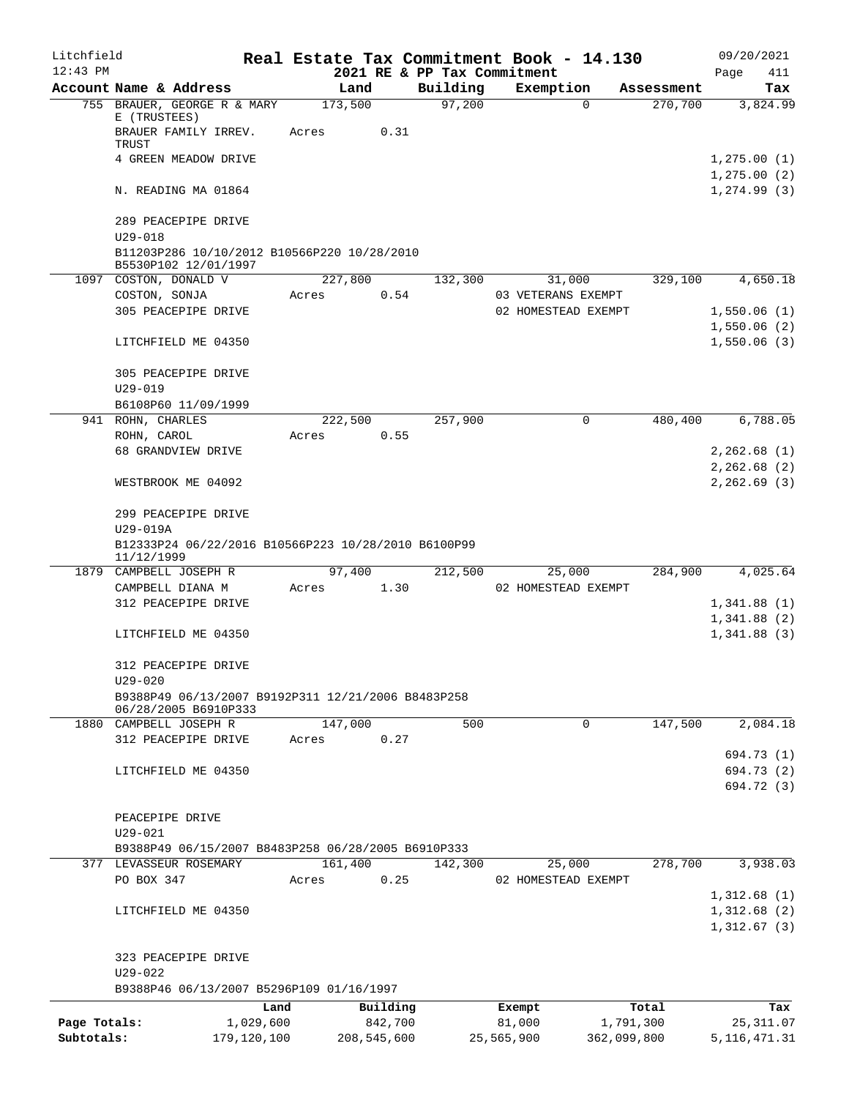| Litchfield   |                                                                            |                  |      |                                         | Real Estate Tax Commitment Book - 14.130  |             | 09/20/2021               |
|--------------|----------------------------------------------------------------------------|------------------|------|-----------------------------------------|-------------------------------------------|-------------|--------------------------|
| $12:43$ PM   | Account Name & Address                                                     | Land             |      | 2021 RE & PP Tax Commitment<br>Building | Exemption                                 | Assessment  | Page<br>411<br>Tax       |
|              | 755 BRAUER, GEORGE R & MARY                                                | 173,500          |      | 97,200                                  | $\Omega$                                  | 270,700     | 3,824.99                 |
|              | E (TRUSTEES)<br>BRAUER FAMILY IRREV.                                       | Acres            | 0.31 |                                         |                                           |             |                          |
|              | TRUST<br>4 GREEN MEADOW DRIVE                                              |                  |      |                                         |                                           |             | 1,275.00(1)              |
|              |                                                                            |                  |      |                                         |                                           |             | 1, 275.00(2)             |
|              | N. READING MA 01864                                                        |                  |      |                                         |                                           |             | 1, 274.99(3)             |
|              | 289 PEACEPIPE DRIVE<br>$U29 - 018$                                         |                  |      |                                         |                                           |             |                          |
|              | B11203P286 10/10/2012 B10566P220 10/28/2010<br>B5530P102 12/01/1997        |                  |      |                                         |                                           |             |                          |
|              | 1097 COSTON, DONALD V                                                      | 227,800          |      | 132,300                                 | 31,000                                    | 329,100     | 4,650.18                 |
|              | COSTON, SONJA<br>305 PEACEPIPE DRIVE                                       | Acres            | 0.54 |                                         | 03 VETERANS EXEMPT<br>02 HOMESTEAD EXEMPT |             | 1,550.06(1)              |
|              |                                                                            |                  |      |                                         |                                           |             | 1,550.06(2)              |
|              | LITCHFIELD ME 04350                                                        |                  |      |                                         |                                           |             | 1,550.06(3)              |
|              | 305 PEACEPIPE DRIVE                                                        |                  |      |                                         |                                           |             |                          |
|              | $U29 - 019$<br>B6108P60 11/09/1999                                         |                  |      |                                         |                                           |             |                          |
|              | 941 ROHN, CHARLES                                                          | 222,500          |      | 257,900                                 | 0                                         | 480,400     | 6,788.05                 |
|              | ROHN, CAROL                                                                | Acres            | 0.55 |                                         |                                           |             |                          |
|              | 68 GRANDVIEW DRIVE                                                         |                  |      |                                         |                                           |             | 2,262.68(1)              |
|              |                                                                            |                  |      |                                         |                                           |             | 2,262.68 (2)             |
|              | WESTBROOK ME 04092                                                         |                  |      |                                         |                                           |             | 2, 262.69(3)             |
|              | 299 PEACEPIPE DRIVE                                                        |                  |      |                                         |                                           |             |                          |
|              | U29-019A                                                                   |                  |      |                                         |                                           |             |                          |
|              | B12333P24 06/22/2016 B10566P223 10/28/2010 B6100P99<br>11/12/1999          |                  |      |                                         |                                           |             |                          |
|              | 1879 CAMPBELL JOSEPH R                                                     | 97,400           |      | 212,500                                 | 25,000                                    | 284,900     | 4,025.64                 |
|              | CAMPBELL DIANA M                                                           | Acres            | 1.30 |                                         | 02 HOMESTEAD EXEMPT                       |             |                          |
|              | 312 PEACEPIPE DRIVE                                                        |                  |      |                                         |                                           |             | 1,341.88(1)              |
|              |                                                                            |                  |      |                                         |                                           |             | 1,341.88(2)              |
|              | LITCHFIELD ME 04350                                                        |                  |      |                                         |                                           |             | 1,341.88 (3)             |
|              | 312 PEACEPIPE DRIVE<br>$U29 - 020$                                         |                  |      |                                         |                                           |             |                          |
|              | B9388P49 06/13/2007 B9192P311 12/21/2006 B8483P258<br>06/28/2005 B6910P333 |                  |      |                                         |                                           |             |                          |
|              | 1880 CAMPBELL JOSEPH R                                                     | 147,000          |      | 500                                     | 0                                         | 147,500     | 2,084.18                 |
|              | 312 PEACEPIPE DRIVE                                                        | Acres            | 0.27 |                                         |                                           |             |                          |
|              |                                                                            |                  |      |                                         |                                           |             | 694.73 (1)               |
|              | LITCHFIELD ME 04350                                                        |                  |      |                                         |                                           |             | 694.73 (2)<br>694.72 (3) |
|              |                                                                            |                  |      |                                         |                                           |             |                          |
|              | PEACEPIPE DRIVE                                                            |                  |      |                                         |                                           |             |                          |
|              | $U29 - 021$                                                                |                  |      |                                         |                                           |             |                          |
|              | B9388P49 06/15/2007 B8483P258 06/28/2005 B6910P333                         |                  |      |                                         |                                           |             |                          |
|              | 377 LEVASSEUR ROSEMARY                                                     | 161,400          |      | 142,300                                 | 25,000                                    | 278,700     | 3,938.03                 |
|              | PO BOX 347                                                                 | Acres            | 0.25 |                                         | 02 HOMESTEAD EXEMPT                       |             | 1,312.68(1)              |
|              | LITCHFIELD ME 04350                                                        |                  |      |                                         |                                           |             | 1,312.68(2)              |
|              |                                                                            |                  |      |                                         |                                           |             | 1,312.67(3)              |
|              | 323 PEACEPIPE DRIVE                                                        |                  |      |                                         |                                           |             |                          |
|              | $U29 - 022$                                                                |                  |      |                                         |                                           |             |                          |
|              | B9388P46 06/13/2007 B5296P109 01/16/1997                                   |                  |      |                                         |                                           |             |                          |
|              |                                                                            | Land<br>Building |      |                                         | Exempt                                    | Total       | Tax                      |
| Page Totals: | 1,029,600                                                                  | 842,700          |      |                                         | 81,000                                    | 1,791,300   | 25,311.07                |
| Subtotals:   | 179,120,100                                                                | 208,545,600      |      |                                         | 25,565,900                                | 362,099,800 | 5, 116, 471.31           |